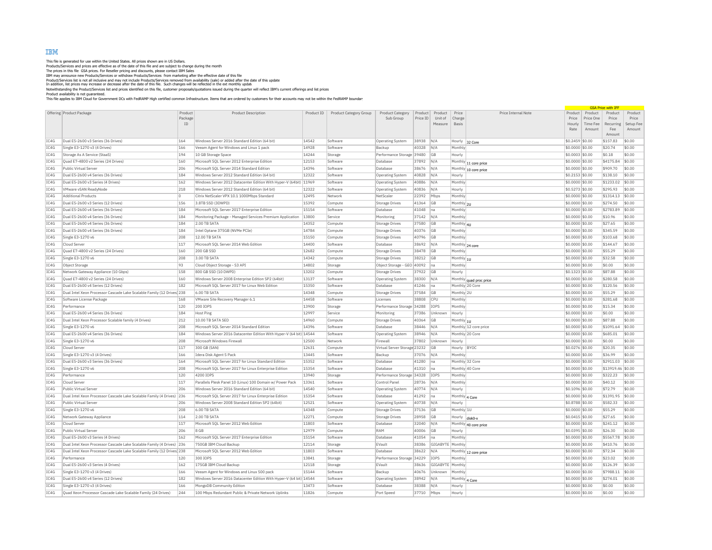## IBM

This file is generated for use within the United States. All prices shown are in US Dollars.<br>The grices in this file CSA prices. For Reseller pricing and discounts, please contact IBM Sales.<br>The prices in this file CSA pri

Notwithstanding the Product/Services list and prices identified on this file, customer proposals/quotations issued during the quarter will reflect IBM's current offerings and list prices<br>Product availability is not quarant

|      |                                                                        |           |                                                                    |            |                        |                                             |          |             |                  |                         |                 |           | <b>GSA Price with TE</b> |           |
|------|------------------------------------------------------------------------|-----------|--------------------------------------------------------------------|------------|------------------------|---------------------------------------------|----------|-------------|------------------|-------------------------|-----------------|-----------|--------------------------|-----------|
|      | Offering Product Package                                               | Product   | <b>Product Description</b>                                         | Product ID | Product Category Group | Product Category                            | Product  | Product     | Price            | Price Internal Note     | Product         | Product   | Product                  | Product   |
|      |                                                                        | Package   |                                                                    |            |                        | Sub Group                                   | Price ID | Unit of     | Charge           |                         | Price           | Price One | Price                    | Price     |
|      |                                                                        | <b>TD</b> |                                                                    |            |                        |                                             |          | Measure     | <b>Basis</b>     |                         | Hourly          | Time Fee  | Recurring                | Setup Fee |
|      |                                                                        |           |                                                                    |            |                        |                                             |          |             |                  |                         | Rate            | Amount    | Fee<br>Amount            | Amount    |
| TC4G | Dual E5-2600 v3 Series (36 Drives)                                     | 164       | Windows Server 2016 Standard Edition (64 bit)                      | 14542      | Software               | Operating System                            | 38938    | IN/A        | Hourly           | 32 Core                 | \$0.2459 \$0.00 |           | \$157.83                 | \$0.00    |
| IC4G | Single E3-1270 v3 (4 Drives)                                           | 166       | Veeam Agent for Windows and Linux 1 pack                           | 14928      | Software               | Backup                                      | 40328    | N/A         | Monthly          |                         | \$0.0000 \$0.00 |           | \$20.74                  | \$0.00    |
| TC4G | Storage As A Service (StaaS)                                           | 194       | 10 GB Storage Space                                                | 14244      | Storage                | Performance Storage 39480                   |          | GB          | Hourly           |                         | \$0.0003 \$0.00 |           | \$0.18                   | \$0.00    |
| IC4G | Quad E7-4800 v2 Series (24 Drives)                                     | 160       | Microsoft SQL Server 2012 Enterprise Edition                       | 12153      | Software               | Database                                    | 37892    | N/A         | Monthly          |                         | \$0.0000 \$0.00 |           | \$4175.84                | \$0.00    |
| TC4G | Public Virtual Server                                                  | 206       | Microsoft SOL Server 2014 Standard Edition                         | 14396      | Software               | Database                                    | 38676    | N/A         |                  | 11 core price           | \$0.0000 \$0.00 |           | \$909.70                 | \$0.00    |
| IC4G | Dual E5-2600 v4 Series (36 Drives)                                     | 184       | Windows Server 2012 Standard Edition (64 bit)                      | 12322      | Software               | Operating System                            | 40828    | N/A         | Hourly           | Monthly 10 core price   | \$0.2153 \$0.00 |           | \$138.10                 | \$0.00    |
| TC4G | Dual E5-2600 v3 Series (4 Drives)                                      | 162       | Windows Server 2012 Datacenter Edition With Hyper-V (64bit) 11969  |            | Software               |                                             | 40886    | N/A         | Monthly          |                         | \$0.0000 \$0.00 |           | \$1233.02                | \$0.00    |
| IC4G | VMware vSAN ReadyNode                                                  | 218       | Windows Server 2012 Standard Edition (64 bit)                      | 12322      | Software               | <b>Operating System</b><br>Operating System | 40836    | N/A         | Hourly           |                         | \$0.5273 \$0.00 |           | \$295.93                 | \$0.00    |
| IC4G | <b>Additional Products</b>                                             | ln.       | Citrix NetScaler VPX 10.1 1000Mbps Standard                        | 12495      | Network                | NetScaler                                   | 22392    |             |                  |                         |                 |           | \$1314.13                | \$0.00    |
|      |                                                                        |           |                                                                    |            |                        |                                             |          | Mbps        | Monthly          |                         | \$0.0000 \$0.00 |           |                          |           |
| IC4G | Dual E5-2600 v3 Series (12 Drives)                                     | 156       | 3.8TB SSD (3DWPD)                                                  | 15392      | Compute                | <b>Storage Drives</b>                       | 41364    | GB          | Monthly 2U       |                         | \$0.0000 \$0.00 |           | \$274.50                 | \$0.00    |
| IC4G | Dual E5-2600 v4 Series (36 Drives)                                     | 184       | Microsoft SQL Server 2017 Enterprise Edition                       | 15154      | Software               | Database                                    | 41048    | Ina         | Monthly          |                         | \$0.0000 \$0.00 |           | \$2783.89                | \$0.00    |
| IC4G | Dual E5-2600 v4 Series (36 Drives)                                     | 184       | Monitoring Package - Managed Services Premium Application          | 13800      | Service                | Monitoring                                  | 37142    | N/A         | Monthly          |                         | \$0.0000 \$0.00 |           | \$10.96                  | \$0.00    |
| IC4G | Dual E5-2600 v4 Series (36 Drives)                                     | 184       | 2.00 TR SATA                                                       | 14352      | Compute                | Storage Drives                              | 37580    | <b>GB</b>   | Monthly 4U       |                         | \$0.0000 \$0.00 |           | \$27.65                  | \$0.00    |
| IC4G | Dual E5-2600 v4 Series (36 Drives)                                     | 184       | Intel Optane 375GB (NVMe PCIe)                                     | 14784      | Compute                | <b>Storage Drives</b>                       | 40376    | GB          | Monthly          |                         | \$0.0000 \$0.00 |           | \$345.59                 | \$0.00    |
| IC4G | Single E3-1270 v6                                                      | 208       | 12.00 TB SATA                                                      | 15150      | Compute                | <b>Storage Drives</b>                       | 40796    | GB          | Monthly          |                         | \$0.0000 \$0.00 |           | \$103.68                 | \$0.00    |
| IC4G | Cloud Server                                                           | 117       | Microsoft SQL Server 2014 Web Edition                              | 14400      | Software               | Database                                    | 38692    | N/A         | Monthly 24 core  |                         | \$0.0000 \$0.00 |           | \$144.67                 | \$0.00    |
| TC4G | Quad E7-4800 v2 Series (24 Drives)                                     | 160       | 200 GB SSD                                                         | 12682      | Compute                | <b>Storage Drives</b>                       | 38478    | <b>GB</b>   | Monthly          |                         | \$0.0000 \$0.00 |           | \$55.29                  | \$0.00    |
| IC4G | Single E3-1270 v6                                                      | 208       | 3.00 TB SATA                                                       | 14342      | Compute                | <b>Storage Drives</b>                       | 38212    | GB          | Monthly $ _{10}$ |                         | \$0.0000 \$0.00 |           | \$32.58                  | \$0.00    |
| IC4G | Object Storage                                                         | 93        | Cloud Object Storage - S3 API                                      | 14802      | Storage                | Object Storage - GEO 40092                  |          | Ina         | Monthly          |                         | \$0.0000 \$0.00 |           | \$0.00                   | \$0.00    |
| IC4G | Network Gateway Appliance (10 Gbps)                                    | 158       | 800 GB SSD (10 DWPD)                                               | 13202      | Compute                | Storage Drives                              | 37922    | <b>GB</b>   | Hourly           |                         | \$0,1323 \$0.00 |           | \$87.88                  | \$0.00    |
| IC4G | Quad E7-4800 v2 Series (24 Drives)                                     | 160       | Windows Server 2008 Enterprise Edition SP2 (64bit)                 | 13137      | Software               | <b>Operating System</b>                     | 38300    | N/A         |                  | Monthly quad proc price | \$0.0000 \$0.00 |           | \$280.58                 | \$0.00    |
| IC4G | Dual E5-2600 v4 Series (12 Drives)                                     | 182       | Microsoft SQL Server 2017 for Linux Web Edition                    | 15350      | Software               | Database                                    | 41246    | Ina         | Monthly 20 Core  |                         | \$0.0000 \$0.00 |           | \$120.56                 | \$0.00    |
| IC4G | Dual Intel Xeon Processor Cascade Lake Scalable Family (12 Drives) 238 |           | 6.00 TB SATA                                                       | 14348      | Compute                | <b>Storage Drives</b>                       | 37584    | GB          | Monthly 2U       |                         | \$0.0000 \$0.00 |           | \$55.29                  | \$0.00    |
| IC4G | Software License Package                                               | 168       | VMware Site Recovery Manager 6.1                                   | 14458      | Software               | Licenses                                    | 38808    | <b>CPU</b>  | Monthly          |                         | \$0,0000 \$0.00 |           | \$281.68                 | \$0.00    |
| IC4G | Performance                                                            | 120       | 200 TOPS                                                           | 13900      | Storage                | Performance Storage 34288                   |          | IOPS        | Monthly          |                         | \$0.0000 \$0.00 |           | \$15.34                  | \$0.00    |
| IC4G | Dual E5-2600 v4 Series (36 Drives)                                     | 184       | Host Ping                                                          | 12997      | Service                | Monitoring                                  | 37386    | Unknown     | Hourly           |                         | \$0.0000 \$0.00 |           | \$0.00                   | \$0.00    |
| IC4G | Dual Intel Xeon Processor Scalable family (4 Drives)                   | 212       | 10.00 TB SATA SED                                                  | 14960      | Compute                | <b>Storage Drives</b>                       | 40364    | GB          | Monthly 1U       |                         | \$0.0000 \$0.00 |           | \$87.88                  | \$0.00    |
| IC4G | Single E3-1270 v6                                                      | 208       | Microsoft SOL Server 2014 Standard Edition                         | 14396      | Software               | Database                                    | 38446    | N/A         |                  | Monthly 12 core price   | \$0,0000 \$0.00 |           | \$1091.64                | \$0.00    |
| IC4G | Dual E5-2600 v4 Series (36 Drives)                                     | 184       | Windows Server 2016 Datacenter Edition With Hyper-V (64 bit) 14544 |            | Software               | <b>Operating System</b>                     | 38946    | N/A         | Monthly 20 Core  |                         | \$0,0000 \$0,00 |           | \$685.01                 | \$0.00    |
| IC4G | Single E3-1270 v6                                                      | 208       | Microsoft Windows Firewall                                         | 12500      | Network                | Firewal                                     | 37802    | Unknown     | Hourly           |                         | \$0.0000 \$0.00 |           | \$0.00                   | \$0.00    |
| IC4G | Cloud Serve                                                            | 117       | 300 GB (SAN)                                                       | 12631      | Compute                | Virtual Server Storage 23232                |          | GB          | Hourly           | BYOC                    | \$0.0276 \$0.00 |           | \$20.35                  | \$0.00    |
| IC4G | Single E3-1270 v3 (4 Drives)                                           | 166       | <b>Idera Disk Agent 5 Pack</b>                                     | 13445      | Software               | Backup                                      | 37076    | N/A         | Monthly          |                         | \$0,0000 \$0.00 |           | \$36.99                  | \$0.00    |
| IC4G | Dual E5-2600 v3 Series (36 Drives                                      | 164       | Microsoft SQL Server 2017 for Linux Standard Edition               | 15352      | Software               | Database                                    | 41280    | Ina         | Monthly 32 Core  |                         | \$0.0000 \$0.00 |           | \$2911.03                | \$0.00    |
| IC4G | Single E3-1270 v6                                                      | 208       | Microsoft SQL Server 2017 for Linux Enterprise Edition             | 15354      | Software               | Database                                    | 41310    | Ina         | Monthly 40 Core  |                         | \$0.0000 \$0.00 |           | \$13919.46 \$0.00        |           |
| IC4G | Performance                                                            | 120       | 4200 IOPS                                                          | 13940      | Storage                | Performance Storage 34328                   |          | <b>IOPS</b> | Monthly          |                         | \$0.0000 \$0.00 |           | \$322.23                 | \$0.00    |
| TC4G | Cloud Server                                                           | 117       | Parallels Plesk Panel 10 (Linux) 100 Domain w/ Power Pack          | 13361      | Software               | Control Panel                               | 28736    | N/A         | Monthly          |                         | \$0.0000 \$0.00 |           | \$40.12                  | \$0.00    |
| IC4G | Public Virtual Server                                                  | 206       | Windows Server 2016 Standard Edition (64 bit)                      | 14540      | Software               | <b>Operating System</b>                     | 40774    | N/A         | Hourly           |                         | \$0.1096 \$0.00 |           | \$72.79                  | \$0.00    |
| IC4G | Dual Intel Xeon Processor Cascade Lake Scalable Family (4 Drives) 236  |           | Microsoft SQL Server 2017 for Linux Enterprise Editior             | 15354      | Software               | Database                                    | 41292    | Ina         | Monthly 4 Core   |                         | \$0.0000 \$0.00 |           | \$1391.95                | \$0.00    |
| IC4G | Public Virtual Serve                                                   | 206       | Windows Server 2008 Standard Edition SP2 (64bit)                   | 12521      | Software               | <b>Operating System</b>                     | 40738    | N/A         | Hourly           |                         | \$0.8788 \$0.00 |           | \$582.33                 | \$0.00    |
| IC4G | Single E3-1270 v6                                                      | 208       | 6.00 TB SATA                                                       | 14348      | Compute                | <b>Storage Drives</b>                       | 37136    | GB          | Monthly 1U       |                         | \$0.0000 \$0.00 |           | \$55.29                  | \$0.00    |
| IC4G | Network Gateway Appliance                                              | 114       | 2.00 TR SATA                                                       | 12271      | Compute                | <b>Storage Drives</b>                       | 28958    | <b>GB</b>   | Hourly           |                         | \$0.0415 \$0.00 |           | \$27.65                  | \$0.00    |
| IC4G | Cloud Server                                                           | 117       | Microsoft SQL Server 2012 Web Edition                              | 11803      | Software               | Database                                    | 32040    | N/A         |                  | disk0-x                 | \$0.0000 \$0.00 |           | \$241.12                 | \$0.00    |
| TC4G | Public Virtual Server                                                  | 206       | 8 GB                                                               | 12979      | Compute                | RAM                                         | 40006    | GB          | Hourly           | Monthly 40 core price   | \$0.0395 \$0.00 |           | \$26.30                  | \$0.00    |
|      |                                                                        | 162       |                                                                    |            |                        |                                             |          |             |                  |                         |                 |           |                          |           |
| IC4G | Dual E5-2600 v3 Series (4 Drives)                                      |           | Microsoft SQL Server 2017 Enterprise Edition                       | 15154      | Software               | Database                                    | 41054    | Ina         | Monthly          |                         | \$0.0000 \$0.00 |           | \$5567.78                | \$0.00    |
| IC4G | Dual Intel Xeon Processor Cascade Lake Scalable Family (4 Drives) 236  |           | 750GB TBM Cloud Backup                                             | 12114      | Storage                | FVault                                      | 38386    | GIGABYTE    | Monthly          |                         | \$0,0000 \$0.00 |           | \$410.76                 | \$0.00    |
| IC4G | Dual Intel Xeon Processor Cascade Lake Scalable Family (12 Drives) 238 |           | Microsoft SOL Server 2012 Web Edition                              | 11803      | Software               | Database                                    | 38622    | N/A         |                  | Monthly 12 core price   | \$0.0000 \$0.00 |           | \$72.34                  | \$0.00    |
| IC4G | Performance                                                            | 120       | 300 TOPS                                                           | 13841      | Storage                | Performance Storage 34229                   |          | <b>TOPS</b> | Monthly          |                         | \$0.0000 \$0.00 |           | \$23.02                  | \$0.00    |
| IC4G | Dual E5-2600 v3 Series (4 Drives)                                      | 162       | 175GB IBM Cloud Backup                                             | 12118      | Storage                | EVault                                      | 38636    | GIGABYTE    | Monthly          |                         | \$0.0000 \$0.00 |           | \$126.39                 | \$0.00    |
| IC4G | Single E3-1270 v3 (4 Drives)                                           | 166       | Veeam Agent for Windows and Linux 500 pack                         | 15144      | Software               | Backup                                      | 40676    | Unknown     | Monthly          |                         | \$0,0000 \$0.00 |           | \$7988.11                | \$0.00    |
| IC4G | Dual E5-2600 v4 Series (12 Drives)                                     | 182       | Windows Server 2016 Datacenter Edition With Hyper-V (64 bit) 14544 |            | Software               | Operating System                            | 38942    | N/A         | Monthly          | 4 Core                  | \$0.0000 \$0.00 |           | \$274.01                 | \$0.00    |
| TC4G | Single E3-1270 v3 (4 Drives)                                           | 166       | MongoDB Community Edition                                          | 13473      | Software               | Database                                    | 38388    | N/A         | Hourly           |                         | \$0.0000 \$0.00 |           | \$0.00                   | \$0.00    |
| IC4G | Quad Xeon Processor Cascade Lake Scalable Family (24 Drives)           | 244       | 100 Mbps Redundant Public & Private Network Uplinks                | 11826      | Compute                | Port Speed                                  | 37710    | Mbps        | Hourly           |                         | \$0.0000 \$0.00 |           | \$0.00                   | \$0.00    |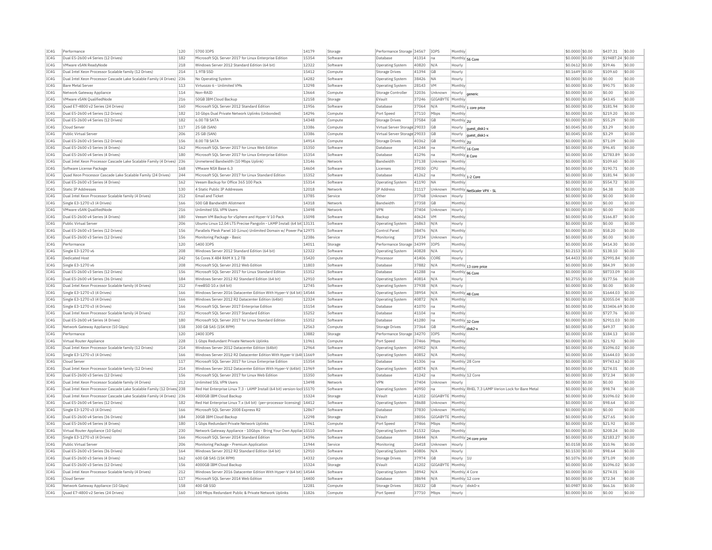| IC4G<br>IC4G |                                                                           |            | 5700 TOPS                                                               | 14179          | Storage             | Performance Storage 34567    |                | <b>TOPS</b>       | Monthly                  |                                                  | \$0,0000 \$0.00                     | \$437.31          | \$0.00           |
|--------------|---------------------------------------------------------------------------|------------|-------------------------------------------------------------------------|----------------|---------------------|------------------------------|----------------|-------------------|--------------------------|--------------------------------------------------|-------------------------------------|-------------------|------------------|
|              | Dual E5-2600 v4 Series (12 Drives)                                        | 182        | Microsoft SQL Server 2017 for Linux Enterprise Edition                  | 15354          | Software            | Database                     | 41314          | Ina               |                          | Monthly 56 Core                                  | \$0.0000 \$0.00                     | \$19487.24 \$0.00 |                  |
|              | VMware vSAN ReadvNode                                                     | 218        | Windows Server 2012 Standard Edition (64 bit)                           | 12322          | Software            | <b>Operating System</b>      | 40820          | N/A               | Hourly                   |                                                  | \$0,0612 \$0.00                     | \$39.46           | \$0.00           |
| TCAG         | Dual Intel Xeon Processor Scalable family (12 Drives)                     | 214        | 1.9TB SSD                                                               | 15412          | Compute             | Storage Drives               | 41394          | GB                | Hourly                   |                                                  | $$0.1649$ \$0.00                    | \$109.60          | \$0.00           |
| IC4G         | Dual Intel Xeon Processor Cascade Lake Scalable Family (4 Drives) 236     |            | No Operating System                                                     | 14282          | Software            | Operating System             | 38426          | <b>NA</b>         | Hourly                   |                                                  | \$0.0000 \$0.00                     | \$0.00            | \$0.00           |
| IC4G         | <b>Bare Metal Server</b>                                                  | 113        | Virtuozzo 6 - Unlimited VMs                                             | 13298          | Software            | <b>Operating System</b>      | 28143          | <b>VM</b>         | Monthly                  |                                                  | \$0.0000 \$0.00                     | \$90.75           | \$0.00           |
| IC4G         | Network Gateway Appliance                                                 | 114        | Non-RAID                                                                | 13664          | Compute             | Storage Controller           | 32036          | Unknown           | Hourly                   | generic                                          | \$0.0000 \$0.00                     | \$0.00            | \$0.00           |
| IC4G         | VMware vSAN OualifiedNode                                                 | 216        | 50GB IBM Cloud Backup                                                   | 12158          | Storage             | EVault                       | 37246          | GIGABYTE Monthly  |                          |                                                  | \$0,0000 \$0,00                     | \$43.45           | \$0.00           |
| IC4G         | Quad E7-4800 v2 Series (24 Drives)                                        | 160        | Microsoft SOL Server 2012 Standard Edition                              | 11956          | Software            | Database                     | 37064          | N/A               |                          | Monthly 1 core price                             | \$0.0000 \$0.00                     | \$181.94          | \$0.00           |
| TC4G         | Dual E5-2600 v4 Series (12 Drives)                                        | 182        | 10 Ghns Dual Private Network Unlinks (Unbonded)                         | 14296          | Compute             | Port Speed                   | 37110          | Mbps              | Monthly                  |                                                  | $$0.0000$ \$0.00                    | \$219.20          | \$0.00           |
| IC4G         | Dual E5-2600 v4 Series (12 Drives)                                        | 182        | 6.00 TB SATA                                                            | 14348          | Compute             | <b>Storage Drives</b>        | 37584          | GB                | Monthly 2U               |                                                  | \$0.0000 \$0.00                     | \$55.29           | \$0.00           |
| TCAG         | Cloud Server                                                              | 117        | 25 GB (SAN)                                                             | 13386          | Compute             | Virtual Server Storage 29033 |                | G <sub>B</sub>    |                          | Hourly   guest_disk1-x                           | \$0,0045 \$0.00                     | \$3.29            | \$0.00           |
| IC4G         | Public Virtual Server                                                     | 206        | 25 GB (SAN)                                                             | 13386          | Compute             | Virtual Server Storage 29033 |                | <b>GB</b>         |                          | Hourly guest_disk1-x                             | $$0.0045$ \$0.00                    | \$3.29            | \$0.00           |
| IC4G         | Dual E5-2600 v3 Series (12 Drives)                                        | 156        | 8.00 TR SATA                                                            | 14914          | Compute             | Storage Drives               | 40362          | <b>GB</b>         | Monthly 2U               |                                                  | \$0.0000 \$0.00                     | \$71.09           | \$0.00           |
| IC4G         | Dual E5-2600 v3 Series (4 Drives)                                         | 162        | Microsoft SQL Server 2017 for Linux Web Editior                         | 15350          | Software            | <b>Databas</b>               | 41244          | Ina               |                          | Monthly 16 Core                                  | \$0,0000 \$0.00                     | \$96.45           | \$0.00           |
| TC4G         | Dual E5-2600 v4 Series (4 Drives)                                         | 180        | Microsoft SOL Server 2017 for Linux Enterprise Edition                  | 15354          | Software            | Database                     | 41296          | lna               | Monthly 8 Core           |                                                  | \$0.0000 \$0.00                     | \$2783.89         | \$0.00           |
| IC4G         | Dual Intel Xeon Processor Cascade Lake Scalable Family (4 Drives) 236     |            | Unmetered Bandwidth (10 Mbps Uplink)                                    | 13146          | Network             | Bandwidtl                    | 37138          | Unknown           | Monthly                  |                                                  | \$0.0000 \$0.00                     | \$109.60          | \$0.00           |
| IC4G         | Software License Package                                                  | 168        | VMware NSX Base 6.3                                                     | 14604          | Software            | Licenses                     | 39030          | <b>CPU</b>        | Monthly                  |                                                  | \$0,0000 \$0.00                     | \$190.71          | \$0.00           |
| TC4G         | Quad Xeon Processor Cascade Lake Scalable Family (24 Drives)              | 244        | Microsoft SQL Server 2017 for Linux Standard Edition                    | 15352          | Software            | Database                     | 41262          | lna               |                          |                                                  | \$0.0000 \$0.00                     | \$181.94          | \$0.00           |
| IC4G         | Dual E5-2600 v3 Series (4 Drives)                                         | 162        | Veeam Backup for Office 365 100 Pack                                    | 15314          | Software            | <b>Operating System</b>      | 41190          | <b>NA</b>         | Monthly                  | Monthly 1-2 Core                                 | \$0.0000 \$0.00                     | \$554.72          | \$0.00           |
| IC4G         | Static TP Addresses                                                       | 130        | 4 Static Public IP Addresses                                            | 12018          | Network             | <b>IP Address</b>            | 31117          | Unknown           |                          |                                                  | \$0.0000 \$0.00                     | \$4.38            | \$0.00           |
|              |                                                                           |            |                                                                         |                |                     |                              |                |                   |                          | Monthly NetScaler VPX - SL                       |                                     |                   |                  |
| IC4G         | Dual Intel Xeon Processor Scalable family (4 Drives)                      | 212        | <b>Email and Ticket</b>                                                 | 13785          | Service             | Other                        | 37768          | Unknown           | Hourly                   |                                                  | \$0.0000 \$0.00                     | \$0.00            | \$0.00           |
| IC4G         | Single E3-1270 v3 (4 Drives)                                              | 166        | 500 GB Bandwidth Allotment                                              | 14318          | Network             | Bandwidth                    | 37358          | GB                | Monthly                  |                                                  | \$0,0000 \$0.00                     | \$0.00            | \$0.00           |
| IC4G         | VMware vSAN QualifiedNode                                                 | 216        | Unlimited SSL VPN Users                                                 | 13498          | Network             | VPN                          | 37404          | Unknown           | Hourly                   |                                                  | \$0,0000 \$0.00                     | \$0.00            | \$0.00           |
| TC4G         | Dual E5-2600 v4 Series (4 Drives)                                         | 180        | Veeam VM Backup for vSphere and Hyper-V 10 Pack                         | 15098          | Software            | Backun                       | 40624          | <b>VM</b>         | Monthly                  |                                                  | \$0,0000 \$0.00                     | \$166.87          | \$0.00           |
| IC4G         | Public Virtual Serve                                                      | 206        | Ubuntu Linux 12.04 LTS Precise Pangolin - LAMP Install (64 bit 13131    |                | Software            | <b>Operating System</b>      | 26863          | N/A               | Hourly                   |                                                  | \$0.0000 \$0.00                     | \$0.00            | \$0.00           |
| TCAG         | Dual E5-2600 v3 Series (12 Drives)                                        | 156        | Parallels Plesk Panel 10 (Linux) Unlimited Domain w/ Power Pa 12975     |                | Software            | Control Panel                | 38476          | N/A               | Monthly                  |                                                  | \$0,0000 \$0.00                     | \$58.20           | \$0.00           |
| IC4G         | Dual E5-2600 v3 Series (12 Drives                                         | 156        | Monitoring Package - Basic                                              | 12386          | Service             | Monitoring                   | 37234          | Unknown           | Hourly                   |                                                  | \$0.0000 \$0.00                     | \$0.00            | \$0.00           |
| IC4G         | Performance                                                               | 120        | 5400 TOPS                                                               | 14011          | Storage             | Performance Storage 34399    |                | <b>TOPS</b>       | Monthly                  |                                                  | \$0.0000 \$0.00                     | \$414.30          | \$0.00           |
| IC4G         | Single E3-1270 v6                                                         | 208        | Windows Server 2012 Standard Edition (64 bit)                           | 12322          | Software            | Operating System             | 40828          | N/A               | Hourly                   |                                                  | \$0,2153 \$0.00                     | \$138.10          | \$0.00           |
| IC4G         | <b>Dedicated Host</b>                                                     | 242        | 56 Cores X 484 RAM X 1.2 TR                                             | 15420          | Compute             | Processo                     | 41406          | CORE              | Hourly                   |                                                  | \$4,4433 \$0.00                     | \$2991.84         | \$0.00           |
| IC4G         | Single E3-1270 v6                                                         | 208        | Microsoft SOL Server 2012 Web Edition                                   | 11803          | Software            | Database                     | 37882          | N/A               |                          | Monthly 13 core price                            | \$0,0000 \$0.00                     | \$84.39           | \$0.00           |
| IC4G         | Dual E5-2600 v3 Series (12 Drives)                                        | 156        | Microsoft SOL Server 2017 for Linux Standard Edition                    | 15352          | Software            | Database                     | 41288          | Ina               | Monthly 96 Core          |                                                  | \$0,0000 \$0.00                     | \$8733.09         | \$0.00           |
| IC4G         | Dual E5-2600 v4 Series (36 Drives)                                        | 184        | Windows Server 2012 R2 Standard Edition (64 bit)                        | 12910          | Software            | <b>Operating System</b>      | 40814          | N/A               | Hourly                   |                                                  | $$0.2755$ \$0.00                    | \$177.56          | \$0.00           |
| IC4G         | Dual Intel Xeon Processor Scalable family (4 Drives)                      | 212        | FreeBSD 10.x (64 bit)                                                   | 12745          | Software            | <b>Operating System</b>      | 37938          | N/A               | Hourly                   |                                                  | \$0.0000 \$0.00                     | \$0.00            | \$0.00           |
| IC4G         | Single E3-1270 v3 (4 Drives)                                              | 166        | Windows Server 2016 Datacenter Edition With Hyper-V (64 bit) 14544      |                | Software            | Operating System             | 38954          | N/A               | Monthly 48 Core          |                                                  | \$0.0000 \$0.00                     | \$1644.03         | \$0.00           |
| IC4G         | Single E3-1270 v3 (4 Drives)                                              | 166        | Windows Server 2012 R2 Datacenter Edition (64bit)                       | 12324          | Software            | <b>Operating System</b>      | 40872          | N/A               | Monthly                  |                                                  | \$0.0000 \$0.00                     | \$2055.04         | \$0.00           |
| IC4G         | Single E3-1270 v3 (4 Drives)                                              | 166        | Microsoft SQL Server 2017 Enterprise Edition                            | 15154          | Software            | Database                     | 41070          | <b>I</b> na       | Monthly                  |                                                  | \$0,0000 \$0.00                     | \$33406.69 \$0.00 |                  |
| IC4G         | Dual Intel Xeon Processor Scalable family (4 Drives)                      | 212        | Microsoft SQL Server 2017 Standard Edition                              | 15252          | Software            | <b>Databas</b>               | 41104          | Ina               | Monthly                  |                                                  | \$0.0000 \$0.00                     | \$727.76          | \$0.00           |
| IC4G         | Dual E5-2600 v4 Series (4 Drives)                                         | 180        | Microsoft SQL Server 2017 for Linux Standard Edition                    | 15352          | Software            | Database                     | 41280          | Ina               | Monthly 32 Core          |                                                  | \$0,0000 \$0.00                     | \$2911.03         | \$0.00           |
| IC4G         | Network Gateway Appliance (10 Gbps)                                       | 158        | 300 GB SAS (15K RPM)                                                    | 12563          | Compute             | Storage Drives               | 37364          | <b>GB</b>         | Monthly disk2-x          |                                                  | \$0,0000 \$0.00                     | \$49.37           | \$0.00           |
| TCAG         | Performance                                                               | 120        | 2400 TOPS                                                               | 13882          | Storage             | Performance Storage 34270    |                | <b>TOPS</b>       | Monthly                  |                                                  | \$0,0000 \$0.00                     | \$184.13          | \$0.00           |
| IC4G         | Virtual Router Appliance                                                  | 228        | 1 Gbps Redundant Private Network Uplinks                                | 11961          |                     | Port Speed                   | 37466          | Mbps              | Monthly                  |                                                  |                                     | \$21.92           | \$0.00           |
| IC4G         | Dual Intel Xeon Processor Scalable family (12 Drives)                     | 214        | Windows Server 2012 Datacenter Edition (64bit)                          | 12964          | Compute<br>Software |                              | 40902          | N/A               | Monthly                  |                                                  | \$0.0000 \$0.00<br>\$0,0000 \$0.00  | \$1096.02         | \$0.00           |
| TC4G         |                                                                           |            |                                                                         |                |                     | <b>Operating System</b>      |                | N/A               |                          |                                                  |                                     |                   | \$0.00           |
|              | Single E3-1270 v3 (4 Drives)                                              | 166        | Windows Server 2012 R2 Datacenter Edition With Hyper-V (64t 11669       |                | Software            | Operating System             | 40852          |                   | Monthly                  |                                                  | \$0.0000 \$0.00                     | \$1644.03         |                  |
| IC4G         | Cloud Server                                                              | 117        | Microsoft SQL Server 2017 for Linux Enterprise Edition                  | 15354          | Software            | Database                     | 41306          | Ina               |                          | Monthly 28 Core                                  | \$0.0000 \$0.00                     | \$9743.62         | \$0.00           |
| TC4G         | Dual Intel Xeon Processor Scalable family (12 Drives)                     | 214        | Windows Server 2012 Datacenter Edition With Hyper-V (64bit) 11969       |                | Software            | Operating System             | 40874          | N/A               | Monthly                  |                                                  | \$0.0000 \$0.00                     | \$274.01          | \$0.00           |
| IC4G         | Dual E5-2600 v3 Series (12 Drives)                                        | 156        | Microsoft SOL Server 2017 for Linux Web Edition                         | 15350          | Software            | Database                     | 41242          | Ina               | Monthly 12 Core          |                                                  | \$0,0000 \$0.00                     | \$72.34           | \$0.00           |
| IC4G         | Dual Intel Xeon Processor Scalable family (4 Drives)                      | 212        | Unlimited SSL VPN Users                                                 | 13498          | Network             | VPN                          | 37404          | Unknown           | Hourly                   |                                                  | \$0,0000 \$0.00                     | \$0.00            | \$0.00           |
| IC4G         | Dual Intel Xeon Processor Cascade Lake Scalable Family (12 Drives) 238    |            | Red Hat Enterprise Linux 7.3 - LAMP Install (64 bit) version-loc 15170  |                | Software            | <b>Operating System</b>      | 40950          | Ina               |                          | Monthly RHEL 7.3 LAMP Verion Lock for Bare Metal | \$0.0000 \$0.00                     | \$98.74           | \$0.00           |
| TC4G         | Dual Intel Xeon Processor Cascade Lake Scalable Family (4 Drives) 236     |            | 4000GB TBM Cloud Backup                                                 | 15324          | Storage             | EVault                       | 41202          | GIGARYTE          | Monthly                  |                                                  | \$0.0000 \$0.00                     | \$1096.02         | \$0.00           |
| IC4G         | Dual E5-2600 v4 Series (12 Drives)                                        | 182        | Red Hat Enterprise Linux 7.x (64 bit) (per-processor licensing)   14412 |                | Software            | <b>Operating System</b>      | 38688          | Unknown           | Monthly                  |                                                  | \$0.0000 \$0.00                     | \$98.64           | \$0.00           |
| IC4G         | Single E3-1270 v3 (4 Drives)                                              | 166        | Microsoft SQL Server 2008 Express R2                                    | 12867          | Software            | Database                     | 37830          | Unknown           | Monthly                  |                                                  | \$0.0000 \$0.00                     | \$0.00            | \$0.00           |
| IC4G         | Dual E5-2600 v4 Series (36 Drives)                                        | 184        | 30GB IBM Cloud Backup                                                   | 12298          | Storage             | FVault                       | 38056          | GIGABYTE          | Monthly                  |                                                  | \$0.0000 \$0.00                     | \$27.65           | \$0.00           |
| IC4G         | Dual E5-2600 v4 Series (4 Drives)                                         | 180        | 1 Gbps Redundant Private Network Uplinks                                | 11961          | Compute             | Port Speed                   | 37466          | Mbps              | Monthly                  |                                                  | \$0,0000 \$0.00                     | \$21.92           | \$0.00           |
| IC4G         | Virtual Router Appliance (10 Gpbs                                         | 230        | Network Gateway Appliance - 10Gbps - Bring Your Own Appliar 15510       |                | Software            | Operating System             | 41532          | Gbps              | Monthly                  |                                                  | \$0,0000 \$0.00                     | \$208.24          | \$0.00           |
| TCAG         | Single E3-1270 v3 (4 Drives)                                              | 166        | Microsoft SOL Server 2014 Standard Edition                              | 14396          | Software            | Database                     | 38444          | N/A               |                          | Monthly 24 core price                            | $$0.0000$ \$0.00                    | \$2183.27         | \$0.00           |
| IC4G         | Public Virtual Server                                                     | 206        | Monitoring Package - Premium Application                                | 11944          | Service             | Monitoring                   | 26418          | Unknown           | Hourly                   |                                                  | \$0.0158 \$0.00                     | \$10.96           | \$0.00           |
| TC4G         | Dual E5-2600 v3 Series (36 Drives)                                        | 164        | Windows Server 2012 R2 Standard Edition (64 bit)                        | 12910          | Software            | <b>Operating System</b>      | 40806          | N/A               | Hourly                   |                                                  | \$0,1530 \$0.00                     | \$98.64           | \$0.00           |
| IC4G         | Dual E5-2600 v3 Series (4 Drives)                                         | 162        | 600 GB SAS (15K RPM)                                                    | 14332          | Compute             | <b>Storage Drives</b>        | 37974          | GB                | Hourly 1U                |                                                  | \$0.1076 \$0.00                     | \$71.09           | \$0.00           |
| TC4G         | Dual E5-2600 v3 Series (12 Drives)                                        | 156        | 4000GB TBM Cloud Backup                                                 | 15324          | Storage             | FVault                       | 41202          | GIGABYTE Monthly  |                          |                                                  | \$0,0000 \$0,00                     | \$1096.02         | \$0.00           |
|              | Dual Intel Xeon Processor Scalable family (4 Drives)                      | 212        | Windows Server 2016 Datacenter Edition With Hyper-V (64 bit) 14544      |                | Software            | Operating System             | 38942          | N/A               | Monthly 4 Core           |                                                  | \$0.0000 \$0.00                     | \$274.01          | \$0.00           |
|              |                                                                           |            | Microsoft SQL Server 2014 Web Edition                                   | 14400          | Software            | Database                     | 38694          | N/A               |                          |                                                  |                                     | \$72.34           | \$0.00           |
| IC4G         |                                                                           |            |                                                                         |                |                     |                              |                |                   | Monthly 12 core          |                                                  | \$0.0000 \$0.00                     |                   |                  |
| IC4G         | Cloud Server                                                              | 117        |                                                                         |                |                     |                              |                |                   |                          |                                                  |                                     |                   |                  |
| IC4G<br>IC4G | Network Gateway Appliance (10 Gbps)<br>Ouad E7-4800 v2 Series (24 Drives) | 158<br>160 | 400 GB SSD<br>100 Mbps Redundant Public & Private Network Uplinks       | 12281<br>11826 | Compute<br>Compute  | Storage Drives<br>Port Speed | 38232<br>37710 | <b>GB</b><br>Mbps | Hourly disk0-x<br>Hourly |                                                  | \$0.0987 \$0.00<br>$$0.0000$ \$0.00 | \$66.16<br>\$0.00 | \$0.00<br>\$0.00 |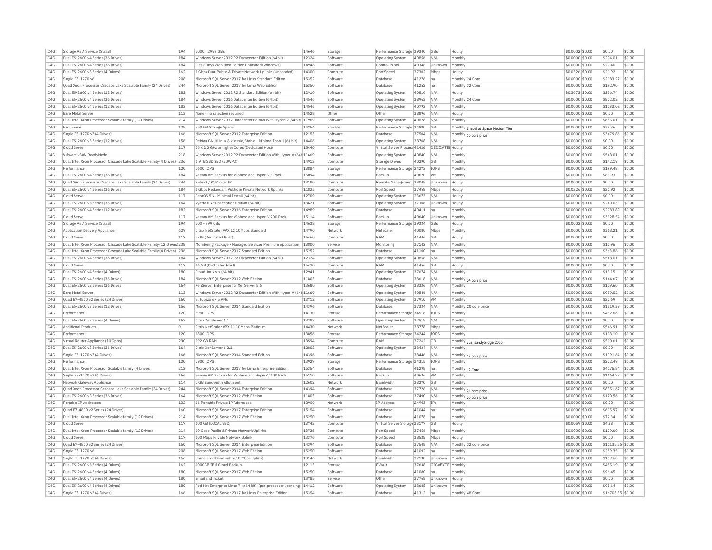| IC4G | Storage As A Service (StaaS)                                          | 194 | 2000 - 2999 GBs                                                   | 14646          | Storage            | Performance Storage 39340    |       | GBs                     | Hourly          |                                    | \$0.0002 \$0.00 | \$0.00            | \$0.00 |
|------|-----------------------------------------------------------------------|-----|-------------------------------------------------------------------|----------------|--------------------|------------------------------|-------|-------------------------|-----------------|------------------------------------|-----------------|-------------------|--------|
| TC4G | Dual E5-2600 v4 Series (36 Drives)                                    | 184 | Windows Server 2012 R2 Datacenter Edition (64bit)                 | 12324          | Software           | <b>Operating System</b>      | 40856 | N/A                     | Monthly         |                                    | \$0,0000 \$0.00 | \$274.01          | \$0.00 |
| IC4G | Dual E5-2600 v4 Series (36 Drives)                                    | 184 | Plesk Onvx Web Host Edition Unlimited (Windows)                   | 14948          | Software           | Control Pane                 | 40348 | Unknown                 | Monthly         |                                    | \$0,0000 \$0.00 | \$27.40           | \$0.00 |
| IC4G | Dual E5-2600 v3 Series (4 Drives)                                     | 162 | 1 Gbps Dual Public & Private Network Uplinks (Unbonded)           | 14300          | Compute            | Port Speed                   | 37302 | Mbps                    | Hourly          |                                    | \$0.0326 \$0.00 | \$21.92           | \$0.00 |
| IC4G | Single E3-1270 v6                                                     | 208 | Microsoft SQL Server 2017 for Linux Standard Edition              | 15352          | Software           | Database                     | 41276 | Ina                     | Monthly 24 Core |                                    | \$0,0000 \$0.00 | \$2183.27         | \$0.00 |
| IC4G | Ouad Xeon Processor Cascade Lake Scalable Family (24 Drives)          | 244 | Microsoft SQL Server 2017 for Linux Web Edition                   | 15350          | Software           | Database                     | 41252 | Ina                     | Monthly 32 Core |                                    | \$0,0000 \$0.00 | \$192.90          | \$0.00 |
| IC4G | Dual E5-2600 v4 Series (12 Drives)                                    | 182 | Windows Server 2012 R2 Standard Edition (64 bit)                  | 12910          | Software           | Operating System             | 40816 | N/A                     | Hourly          |                                    | \$0.3673 \$0.00 | \$236.74          | \$0.00 |
| IC4G | Dual E5-2600 v4 Series (36 Drives)                                    | 184 | Windows Server 2016 Datacenter Edition (64 bit)                   | 14546          | Software           | Operating System             | 38962 | N/A                     |                 | Monthly 24 Core                    | \$0.0000 \$0.00 | \$822.02          | \$0.00 |
| IC4G | Dual E5-2600 v4 Series (12 Drives)                                    | 182 | Windows Server 2016 Datacenter Edition (64 bit)                   | 14546          | Software           | <b>Operating System</b>      | 40792 | N/A                     | Monthly         |                                    | \$0.0000 \$0.00 | \$1233.02         | \$0.00 |
|      |                                                                       | 113 |                                                                   | 14528          |                    |                              |       |                         |                 |                                    |                 |                   |        |
| IC4G | <b>Bare Metal Server</b>                                              |     | None - no selection required                                      |                | Other              | Other                        | 38896 | N/A                     | Hourly          |                                    | \$0,0000 \$0.00 | \$0.00            | \$0.00 |
| IC4G | Dual Intel Xeon Processor Scalable family (12 Drives)                 | 214 | Windows Server 2012 Datacenter Edition With Hyper-V (64bit)       | 11969          | Software           | Operating System             | 40878 | N/A                     | Monthly         |                                    | \$0,0000 \$0.00 | \$685.01          | \$0.00 |
| IC4G | Endurance                                                             | 128 | 350 GB Storage Space                                              | 14254          | Storage            | Performance Storage 34980    |       | <b>GB</b>               |                 | Monthly Snapshot Space Medium Tier | \$0,0000 \$0.00 | \$38.36           | \$0.00 |
| IC4G | Single E3-1270 v3 (4 Drives)                                          | 166 | Microsoft SQL Server 2012 Enterprise Edition                      | 12153          | Software           | Database                     | 37504 | N/L                     | Monthly         | 10 core price                      | \$0.0000 \$0.00 | \$3479.86         | \$0.00 |
| IC4G | Dual E5-2600 v3 Series (12 Drives)                                    | 156 | Debian GNU/Linux 8.x jessie/Stable - Minimal Install (64 bit)     | 14406          | Software           | Operating System             | 38708 | N/f                     | Hourly          |                                    | \$0.0000 \$0.00 | \$0.00            | \$0.00 |
| TC4G | Cloud Server                                                          | 117 | 56 x 2.0 GHz or higher Cores (Dedicated Host)                     | 15440          | Compute            | Virtual Server Process 41426 |       | <b>DEDICATED Hourly</b> |                 |                                    | \$0,0000 \$0.00 | \$0.00            | \$0.00 |
| TCAG | VMware vSAN ReadyNode                                                 | 218 | Windows Server 2012 R2 Datacenter Edition With Hyper-V (64t 11669 |                | Software           | <b>Operating System</b>      | 40840 | N/A                     | Monthly         |                                    | \$0.0000 \$0.00 | \$548.01          | \$0.00 |
| IC4G | Dual Intel Xeon Processor Cascade Lake Scalable Family (4 Drives) 236 |     | 1.9TB SSD SED (5DWPD)                                             | 14912          | Compute            | <b>Storage Drives</b>        | 40290 | GB                      | Monthly         |                                    | \$0.0000 \$0.00 | \$142.19          | \$0.00 |
| IC4G | Performance                                                           | 120 | 2600 IOPS                                                         | 13884          | Storage            | Performance Storage 34272    |       | IOPS                    | Monthly         |                                    | \$0,0000 \$0.00 | \$199.48          | \$0.00 |
| IC4G | Dual E5-2600 v4 Series (36 Drives)                                    | 184 | Veeam VM Backup for vSphere and Hyper-V 5 Pack                    | 15094          | Software           | Backup                       | 40620 | <b>VM</b>               | Monthly         |                                    | \$0.0000 \$0.00 | \$83.93           | \$0.00 |
| IC4G | Quad Xeon Processor Cascade Lake Scalable Family (24 Drives)          | 244 | Reboot / KVM over IF                                              | 13180          | Compute            | Remote Management 38048      |       | Unknown                 | Hourly          |                                    | \$0.0000 \$0.00 | \$0.00            | \$0.00 |
| IC4G | Dual E5-2600 v4 Series (36 Drives)                                    | 184 | 1 Gbps Redundant Public & Private Network Uplinks                 | 11825          | Compute            | Port Speed                   | 37458 | Mbps                    | Hourly          |                                    | \$0.0326 \$0.00 | \$21.92           | \$0.00 |
| IC4G | Cloud Server                                                          | 117 | CentOS 5.x - Minimal Install (64 bit)                             | 12709          | Software           | <b>Operating System</b>      | 23673 | N/A                     | Hourly          |                                    | \$0.0000 \$0.00 | \$0.00            | \$0.00 |
| IC4G | Dual E5-2600 v3 Series (36 Drives)                                    | 164 | Vvatta 6.x Subscription Edition (64 bit                           | 13621          | Software           | Operating System             | 37308 | Unknown                 | Hourly          |                                    | \$0,0000 \$0.00 | \$240.03          | \$0.00 |
|      |                                                                       |     |                                                                   |                |                    |                              |       |                         |                 |                                    |                 |                   |        |
| IC4G | Dual E5-2600 v4 Series (12 Drives)                                    | 182 | Microsoft SOL Server 2016 Enterprise Edition                      | 14989          | Software           | Database                     | 40411 | na                      | Monthly         |                                    | \$0,0000 \$0.00 | \$2783.89         | \$0.00 |
| IC4G | Cloud Server                                                          | 117 | Veeam VM Backup for vSphere and Hyper-V 200 Pack                  | 15114          | Software           | Backup                       | 40640 | Unknown                 | Monthly         |                                    | \$0,0000 \$0.00 | \$3328.54         | \$0.00 |
| IC4G | Storage As A Service (StaaS)                                          | 194 | 500 - 999 GBs                                                     | 14638          | Storage            | Performance Storage 39324    |       | GBs                     | Hourly          |                                    | \$0.0002 \$0.00 | \$0.00            | \$0.00 |
| IC4G | Application Delivery Appliance                                        | 629 | Citrix NetScaler VPX 12 10Mbps Standard                           | 14790          | Network            | NetScaler                    | 40080 | Mbps                    | Monthly         |                                    | \$0.0000 \$0.00 | \$368.21          | \$0.00 |
| IC4G | Cloud Server                                                          | 117 | 2 GB (Dedicated Host)                                             | 15460          | Compute            | RAM                          | 41446 | GB                      | Hourly          |                                    | \$0.0000 \$0.00 | \$0.00            | \$0.00 |
| IC4G | Dual Intel Xeon Processor Cascade Lake Scalable Family (12 Drives 238 |     | Monitoring Package - Managed Services Premium Application         | 13800          | Service            | Monitoring                   | 37142 | N/A                     | Monthly         |                                    | \$0,0000 \$0.00 | \$10.96           | \$0.00 |
| IC4G | Dual Intel Xeon Processor Cascade Lake Scalable Family (4 Drives) 236 |     | Microsoft SOL Server 2017 Standard Edition                        | 15252          | Software           | Database                     | 41100 | Ina                     | Monthly         |                                    | \$0.0000 \$0.00 | \$363.88          | \$0.00 |
| IC4G | Dual E5-2600 v4 Series (36 Drives)                                    | 184 | Windows Server 2012 R2 Datacenter Edition (64bit)                 | 12324          | Software           | Operating System             | 40858 | N/A                     | Monthly         |                                    | \$0.0000 \$0.00 | \$548.01          | \$0.00 |
| IC4G | Cloud Server                                                          | 117 | 16 GB (Dedicated Host)                                            | 15470          | Compute            | RAM                          | 41456 | <b>GB</b>               | Hourly          |                                    | \$0,0000 \$0.00 | \$0.00            | \$0.00 |
| TC4G | Dual E5-2600 v4 Series (4 Drives)                                     | 180 | Cloudl inux 6.x (64 bit)                                          | 12941          | Software           | <b>Operating System</b>      | 37674 | N/A                     | Monthly         |                                    | \$0,0000 \$0.00 | \$13.15           | \$0.00 |
| IC4G | Dual E5-2600 v4 Series (36 Drives)                                    | 184 | Microsoft SOL Server 2012 Web Edition                             | 11803          | Software           | Database                     | 38618 | N/A                     |                 | Monthly 24 core price              | \$0,0000 \$0.00 | \$144.67          | \$0.00 |
| IC4G | Dual E5-2600 v3 Series (36 Drives)                                    | 164 | XenServer Enterprise for XenServer 5.6                            | 13680          | Software           | Operating System             | 38336 | N/A                     | Monthly         |                                    | \$0,0000 \$0.00 | \$109.60          | \$0.00 |
| IC4G | <b>Bare Metal Server</b>                                              | 113 | Windows Server 2012 R2 Datacenter Edition With Hyper-V (64t 11669 |                | Software           | Operating System             | 40846 | N/A                     | Monthly         |                                    | \$0.0000 \$0.00 | \$959.02          | \$0.00 |
| IC4G | Quad E7-4800 v2 Series (24 Drives)                                    | 160 | Virtuozzo 6 - 5 VMs                                               | 13712          | Software           | Operating System             | 37910 | V <sub>M</sub>          | Monthly         |                                    | \$0.0000 \$0.00 | \$22.69           | \$0.00 |
| TC4G | Dual E5-2600 v3 Series (12 Drives)                                    | 156 | Microsoft SOL Server 2014 Standard Edition                        | 14396          | Software           | Database                     | 37334 | N/A                     |                 | Monthly 20 core price              | \$0,0000 \$0.00 | \$1819.39         | \$0.00 |
| TCAG | Performance                                                           | 120 | 5900 TOPS                                                         |                |                    |                              |       | TOPS                    | Monthly         |                                    |                 |                   | \$0.00 |
|      |                                                                       |     |                                                                   | 14130<br>13389 | Storage            | Performance Storage 34518    |       |                         |                 |                                    | \$0.0000 \$0.00 | \$452.66          |        |
| IC4G | Dual E5-2600 v3 Series (4 Drives)                                     | 162 | Citrix XenServer 6.1                                              |                | Software           | Operating System             | 37518 | N/A                     | Monthly         |                                    | \$0.0000 \$0.00 | \$0.00            | \$0.00 |
| IC4G | <b>Additional Products</b>                                            | 0   | Citrix NetScaler VPX 11 10Mbps Platinum                           | 14430          | Network            | NetScaler                    | 38778 | Mbps                    | Monthly         |                                    | \$0,0000 \$0.00 | \$546.91          | \$0.00 |
| IC4G | Performance                                                           | 120 | 1800 IOPS                                                         | 13856          | Storage            | Performance Storage 34244    |       | IOPS                    | Monthly         |                                    | \$0.0000 \$0.00 | \$138.10          | \$0.00 |
| IC4G | Virtual Router Appliance (10 Gpbs)                                    | 230 | 192 GB RAM                                                        | 13594          | Compute            | RAM                          | 37262 | GB                      |                 | Monthly dual sandybridge 2000      | \$0.0000 \$0.00 | \$500.61          | \$0.00 |
| IC4G | Dual E5-2600 v3 Series (36 Drives)                                    | 164 | Citrix XenServer 6.2.1                                            | 12803          | Software           | Operating System             | 38424 | N/A                     | Monthly         |                                    | \$0.0000 \$0.00 | \$0.00            | \$0.00 |
| IC4G | Single E3-1270 v3 (4 Drives)                                          | 166 | Microsoft SQL Server 2014 Standard Edition                        | 14396          | Software           | Database                     | 38446 | N/A                     |                 | Monthly 12 core price              | \$0.0000 \$0.00 | \$1091.64         | \$0.00 |
| IC4G | Performance                                                           | 120 | 2900 TOPS                                                         | 13927          | Storage            | Performance Storage 34315    |       | IOPS                    | Monthly         |                                    | \$0,0000 \$0.00 | \$222.49          | \$0.00 |
| IC4G | Dual Intel Xeon Processor Scalable family (4 Drives)                  | 212 | Microsoft SOL Server 2017 for Linux Enterprise Edition            | 15354          | Software           | Database                     | 41298 | Ina                     | Monthly 12 Core |                                    | \$0,0000 \$0.00 | \$4175.84         | \$0.00 |
| IC4G | Single E3-1270 v3 (4 Drives)                                          | 166 | Veeam VM Backup for vSphere and Hyper-V 100 Pack                  | 15110          | Software           | Backup                       | 40636 | <b>VM</b>               | Monthly         |                                    | \$0,0000 \$0,00 | \$1664.77         | \$0.00 |
| IC4G | Network Gateway Appliance                                             | 114 | 0 GB Bandwidth Allotment                                          | 12602          | Network            | Bandwidth                    | 38270 | GB                      | Monthly         |                                    | \$0,0000 \$0.00 | \$0.00            | \$0.00 |
| IC4G | Quad Xeon Processor Cascade Lake Scalable Family (24 Drives)          | 244 | Microsoft SQL Server 2014 Enterprise Edition                      | 14394          | Software           | Database                     | 37726 | N/A                     |                 | Monthly 24 core price              | \$0.0000 \$0.00 | \$8351.67         | \$0.00 |
| IC4G | Dual E5-2600 v3 Series (36 Drives)                                    | 164 | Microsoft SQL Server 2012 Web Edition                             | 11803          | Software           | Database                     | 37490 | N/A                     |                 | Monthly 20 core price              | \$0,0000 \$0.00 | \$120.56          | \$0.00 |
| IC4G | Portable IP Addresses                                                 | 132 | 16 Portable Private IP Addresses                                  | 12900          | Network            | IP Address                   | 24903 | IPs                     | Monthly         |                                    | \$0,0000 \$0.00 | \$0.00            | \$0.00 |
| IC4G | Quad E7-4800 v2 Series (24 Drives)                                    | 160 | Microsoft SOL Server 2017 Enterprise Edition                      | 15154          | Software           | Database                     | 41044 | Ina                     | Monthly         |                                    | \$0,0000 \$0.00 | \$695.97          | \$0.00 |
| IC4G | Dual Intel Xeon Processor Scalable family (12 Drives)                 | 214 | Microsoft SQL Server 2017 Web Edition                             | 15250          | Software           | Database                     | 41078 | Ina                     | Monthly         |                                    | \$0.0000 \$0.00 | \$72.34           | \$0.00 |
| IC4G | Cloud Server                                                          | 117 | 100 GB (LOCAL SSD)                                                | 13742          | Compute            | Virtual Server Storage 33177 |       | GB                      | Hourly          |                                    | \$0.0059 \$0.00 | \$4.38            | \$0.00 |
| IC4G | Dual Intel Xeon Processor Scalable family (12 Drives)                 | 214 | 10 Gbns Public & Private Network Unlinks                          | 13735          |                    | Port Speed                   | 37456 | Mhns                    | Monthly         |                                    | \$0,0000 \$0.00 | \$109.60          | \$0.00 |
| IC4G | Cloud Server                                                          | 117 | 100 Mbps Private Network Uplink                                   | 13376          | Compute<br>Compute | Port Speed                   | 38528 | Mbps                    | Hourly          |                                    | \$0,0000 \$0.00 | \$0.00            | \$0.00 |
|      |                                                                       |     |                                                                   |                |                    |                              |       |                         |                 |                                    |                 |                   |        |
| IC4G | Quad E7-4800 v2 Series (24 Drives)                                    | 160 | Microsoft SOL Server 2014 Enterprise Edition                      | 14394          | Software           | Database                     | 37548 | N/A                     |                 | Monthly 32 core price              | \$0,0000 \$0.00 | \$11135.56 \$0.00 |        |
| IC4G | Single E3-1270 v6                                                     | 208 | Microsoft SQL Server 2017 Web Edition                             | 15250          | Software           | Database                     | 41092 | Ina                     | Monthly         |                                    | \$0.0000 \$0.00 | \$289.35          | \$0.00 |
| IC4G | Single E3-1270 v3 (4 Drives)                                          | 166 | Unmetered Bandwidth (10 Mbps Uplink)                              | 13146          | Network            | Bandwidth                    | 37138 | Unknown                 | Monthly         |                                    | \$0.0000 \$0.00 | \$109.60          | \$0.00 |
| TC4G | Dual E5-2600 v3 Series (4 Drives)                                     | 162 | 1000GB TBM Cloud Backup                                           | 12113          | Storage            | FVault                       | 37638 | GIGARYTE Monthly        |                 |                                    | \$0,0000 \$0.00 | \$455.19          | \$0.00 |
| TCAG | Dual E5-2600 v4 Series (4 Drives                                      | 180 | Microsoft SQL Server 2017 Web Edition                             | 15250          | Software           | Database                     | 41080 | na                      | Monthly         |                                    | \$0.0000 \$0.00 | \$96.45           | \$0.00 |
| IC4G | Dual E5-2600 v4 Series (4 Drives)                                     | 180 | <b>Email and Ticket</b>                                           | 13785          | Service            | Other                        | 37768 | <b>Unknown</b>          | Hourly          |                                    | \$0,0000 \$0.00 | \$0.00            | \$0.00 |
| IC4G | Dual E5-2600 v4 Series (4 Drives)                                     | 180 | Red Hat Enterprise Linux 7.x (64 bit) (per-processor licensing)   | 14412          | Software           | Operating System             | 38688 | Unknown                 | Monthly         |                                    | \$0,0000 \$0.00 | \$98.64           | \$0.00 |
| IC4G | Single E3-1270 v3 (4 Drives)                                          | 166 | Microsoft SQL Server 2017 for Linux Enterprise Edition            | 15354          | Software           | Database                     | 41312 | na                      | Monthly 48 Core |                                    | \$0.0000 \$0.00 | \$16703.35 \$0.00 |        |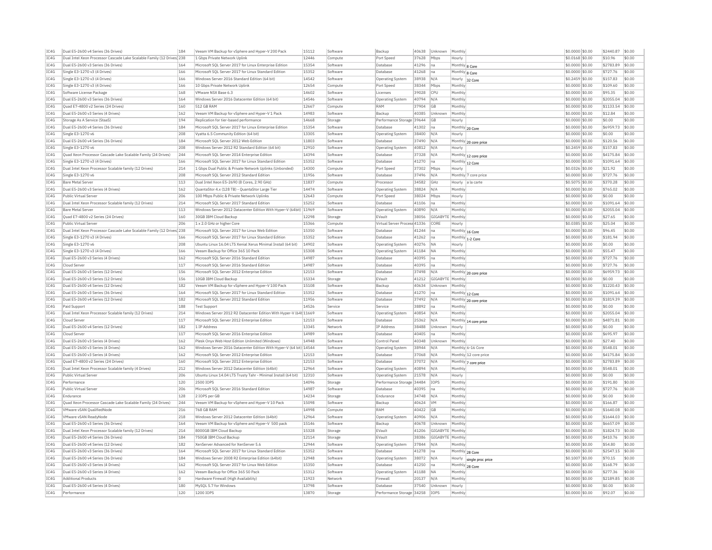| IC4G | Dual E5-2600 v4 Series (36 Drives)                                     | 184        | Veeam VM Backup for vSphere and Hyper-V 200 Pack                   | 15112          | Software | Backup                       | 40638 | Unknown          | Monthly           |                          | \$0,0000 \$0.00  | \$2440.87            | \$0.00     |
|------|------------------------------------------------------------------------|------------|--------------------------------------------------------------------|----------------|----------|------------------------------|-------|------------------|-------------------|--------------------------|------------------|----------------------|------------|
| IC4G | Dual Intel Xeon Processor Cascade Lake Scalable Family (12 Drives 238  |            | 1 Gbps Private Network Uplink                                      | 12446          | Compute  | Port Speed                   | 37628 | Mbps             | Hourly            |                          | \$0,0168 \$0,00  | \$10.96              | \$0.00     |
| IC4G | Dual E5-2600 v3 Series (36 Drives)                                     | 164        | Microsoft SQL Server 2017 for Linux Enterprise Edition             | 15354          | Software | Database                     | 41296 | na               | Monthly 8 Core    |                          | \$0.0000 \$0.00  | \$2783.89            | \$0.00     |
| IC4G | Single E3-1270 v3 (4 Drives)                                           | 166        | Microsoft SQL Server 2017 for Linux Standard Edition               | 15352          | Software | Database                     | 41268 | Ina              | Monthly 8 Core    |                          | \$0,0000 \$0.00  | \$727.76             | \$0.00     |
| TCAG | Single E3-1270 v3 (4 Drives)                                           | 166        | Windows Server 2016 Standard Edition (64 bit)                      | 14542          | Software | Operating System             | 38938 | N/A              | Hourly            | 32 Core                  | \$0.2459 \$0.00  | \$157.83             | \$0.00     |
| IC4G | Single E3-1270 v3 (4 Drives)                                           | 166        | 10 Gbns Private Network Unlink                                     | 12654          | Compute  | Port Speed                   | 38344 | Mbps             | Monthly           |                          | \$0.0000 \$0.00  | \$109.60             | \$0.00     |
| IC4G | Software License Package                                               | 168        | VMware NSX Base 6.3                                                | 14602          | Software | Licenses                     | 39028 | CPU              | Monthly           |                          | \$0,0000 \$0.00  | \$95.35              | \$0.00     |
| TCAG | Dual E5-2600 v3 Series (36 Drives)                                     | 164        | Windows Server 2016 Datacenter Edition (64 bit)                    | 14546          | Software | Operating System             | 40794 | N/A              | Monthly           |                          | $$0.0000$ \$0.00 | \$2055.04            | \$0.00     |
| IC4G | Quad E7-4800 v2 Series (24 Drives)                                     | 160        | 512 GB RAM                                                         | 12667          | Compute  | RAM                          | 37904 | GB               | Monthly           |                          | \$0.0000 \$0.00  | \$1133.54            | \$0.00     |
| IC4G | Dual E5-2600 v3 Series (4 Drives)                                      | 162        | Veeam VM Backup for vSphere and Hyper-V 1 Pack                     | 14983          | Software | Backup                       | 40385 | <b>Linknown</b>  | Monthly           |                          | \$0.0000 \$0.00  | \$12.84              | \$0.00     |
| IC4G | Storage As A Service (StaaS)                                           | 194        | Replication for tier-based performance                             | 14668          | Storage  | Performance Storage 39644    |       | GB               | Hourly            |                          | \$0.0000 \$0.00  | \$0.00               | \$0.00     |
| IC4G | Dual E5-2600 v4 Series (36 Drives)                                     | 184        | Microsoft SQL Server 2017 for Linux Enterprise Edition             | 15354          | Software | Database                     | 41302 | na               |                   | Monthly 20 Core          | \$0.0000 \$0.00  | \$6959.73            | \$0.00     |
| IC4G | Single E3-1270 v6                                                      | 208        | Vvatta 6.5 Community Edition (64 bit)                              | 13305          | Software | <b>Operating System</b>      | 38400 | N/A              | Hourly            |                          | \$0,0000 \$0.00  | \$0.00               | \$0.00     |
|      |                                                                        |            |                                                                    |                |          |                              |       |                  |                   |                          |                  |                      |            |
| IC4G | Dual E5-2600 v4 Series (36 Drives)                                     | 184<br>208 | Microsoft SOL Server 2012 Web Edition                              | 11803<br>12910 | Software | Database                     | 37490 | N/A              |                   | Monthly 20 core price    | \$0,0000 \$0.00  | \$120.56<br>\$157.83 | \$0.00     |
| IC4G | Single E3-1270 v6                                                      |            | Windows Server 2012 R2 Standard Edition (64 bit)                   |                | Software | <b>Operating System</b>      | 40812 | N/A              | Hourly            |                          | \$0,2459 \$0.00  |                      | \$0.00     |
| IC4G | Quad Xeon Processor Cascade Lake Scalable Family (24 Drives)           | 244        | Microsoft SQL Server 2014 Enterprise Edition                       | 14394          | Software | Database                     | 37328 | N/A              |                   | Monthly 12 core price    | \$0.0000 \$0.00  | \$4175.84            | \$0.00     |
| IC4G | Single E3-1270 v3 (4 Drives)                                           | 166        | Microsoft SOL Server 2017 for Linux Standard Edition               | 15352          | Software | Database                     | 41270 | na               |                   | Monthly 12 Core          | \$0,0000 \$0.00  | \$1091.64            | \$0.00     |
| TC4G | Dual Intel Xeon Processor Scalable family (12 Drives)                  | 214        | 1 Gbns Dual Public & Private Network Unlinks (Unbonded)            | 14300          | Compute  | Port Speed                   | 37302 | Mbps             | Hourly            |                          | \$0.0326 \$0.00  | \$21.92              | \$0.00     |
| IC4G | Single E3-1270 v6                                                      | 208        | Microsoft SQL Server 2012 Standard Edition                         | 11956          | Software | Database                     | 37496 | N/A              |                   | Monthly 7 core price     | \$0.0000 \$0.00  | \$727.76             | \$0.00     |
| IC4G | <b>Bare Metal Server</b>                                               | 113        | Dual Intel Xeon E5-2690 (8 Cores, 2.90 GHz)                        | 11837          | Compute  | Processor                    | 34582 | GHz              | Hourly            | a la carte               | \$0,5075 \$0.00  | \$370.28             | \$0.00     |
| IC4G | Dual E5-2600 v3 Series (4 Drives)                                      | 162        | QuantaStor 4.x (128 TB) - QuantaStor Large Tier                    | 14474          | Software | <b>Operating System</b>      | 38824 | N/A              | Monthly           |                          | \$0.0000 \$0.00  | \$765.02             | \$0.00     |
| IC4G | Public Virtual Server                                                  | 206        | 100 Mbps Public & Private Network Uplinks                          | 12643          | Compute  | Port Speed                   | 38024 | Mbps             | Hourly            |                          | \$0.0000 \$0.00  | \$0.00               | \$0.00     |
| TC4G | Dual Intel Xeon Processor Scalable family (12 Drives)                  | 214        | Microsoft SOL Server 2017 Standard Edition                         | 15252          | Software | Database                     | 41106 | na               | Monthly           |                          | $$0.0000$ \$0.00 | \$1091.64            | \$0.00     |
| IC4G | <b>Bare Metal Server</b>                                               | 113        | Windows Server 2012 Datacenter Edition With Hyper-V (64bit) 11969  |                | Software | Operating System             | 40890 | N/A              | Monthly           |                          | \$0,0000 \$0.00  | \$2055.04            | \$0.00     |
| IC4G | Ouad E7-4800 v2 Series (24 Drives)                                     | 160        | 30GB IBM Cloud Backup                                              | 12298          | Storage  | EVault                       | 38056 | GIGABYTE         | Monthly           |                          | \$0,0000 \$0,00  | \$27.65              | \$0.00     |
| IC4G | Public Virtual Server                                                  | 206        | 1 x 2.0 GHz or higher Core                                         | 15366          | Compute  | Virtual Server Process 41336 |       | CORE             | Hourly            |                          | \$0.0385 \$0.00  | \$25.04              | \$0.00     |
| IC4G | Dual Intel Xeon Processor Cascade Lake Scalable Family (12 Drives) 238 |            | Microsoft SOL Server 2017 for Linux Web Edition                    | 15350          | Software | Database                     | 41244 | na               |                   | Monthly 16 Core          | \$0.0000 \$0.00  | \$96.45              | \$0.00     |
| IC4G | Single E3-1270 v3 (4 Drives)                                           | 166        | Microsoft SQL Server 2017 for Linux Standard Edition               | 15352          | Software | Database                     | 41262 | Ina              |                   |                          | \$0,0000 \$0.00  | \$181.94             | \$0.00     |
| IC4G | Single E3-1270 v6                                                      | 208        | Ubuntu Linux 16.04 LTS Xenial Xerus Minimal Install (64 bit)       | 14902          | Software | Operating System             | 40276 | <b>NA</b>        | Hourly            | Monthly 1-2 Core         | \$0,0000 \$0.00  | \$0.00               | \$0.00     |
| IC4G | Single E3-1270 v3 (4 Drives)                                           | 166        | Veeam Backup for Office 365 10 Pack                                | 15308          | Software |                              | 41184 | <b>NA</b>        | Monthly           |                          | \$0.0000 \$0.00  | \$55.47              | \$0.00     |
|      |                                                                        |            |                                                                    |                |          | <b>Operating System</b>      |       |                  |                   |                          |                  |                      |            |
| IC4G | Dual E5-2600 v3 Series (4 Drives)                                      | 162        | Microsoft SQL Server 2016 Standard Edition                         | 14987          | Software | Database                     | 40395 | Ina              | Monthly           |                          | \$0.0000 \$0.00  | \$727.76             | \$0.00     |
| IC4G | Cloud Server                                                           | 117        | Microsoft SOL Server 2016 Standard Edition                         | 14987          | Software | Database                     | 40395 | na               | Monthly           |                          | \$0,0000 \$0.00  | \$727.76             | \$0.00     |
| TC4G | Dual E5-2600 v3 Series (12 Drives)                                     | 156        | Microsoft SOL Server 2012 Enterprise Edition                       | 12153          | Software | Database                     | 37498 | N/A              |                   | Monthly 20 core price    | \$0,0000 \$0.00  | \$6959.73            | \$0.00     |
| IC4G | Dual E5-2600 v3 Series (12 Drives)                                     | 156        | 10GB IBM Cloud Backup                                              | 15334          | Storage  | EVault                       | 41212 | GIGABYTE         | Monthly           |                          | \$0,0000 \$0.00  | \$0.00               | \$0.00     |
| TC4G | Dual E5-2600 v4 Series (12 Drives)                                     | 182        | Veeam VM Backup for vSphere and Hyper-V 100 Pack                   | 15108          | Software | Backup                       | 40634 | Unknown          | Monthly           |                          | \$0,0000 \$0.00  | \$1220.43            | \$0.00     |
| TC4G | Dual E5-2600 v3 Series (36 Drives)                                     | 164        | Microsoft SQL Server 2017 for Linux Standard Edition               | 15352          | Software | Database                     | 41270 | na               |                   | Monthly 12 Core          | \$0.0000 \$0.00  | \$1091.64            | \$0.00     |
| IC4G | Dual E5-2600 v4 Series (12 Drives)                                     | 182        | Microsoft SQL Server 2012 Standard Edition                         | 11956          | Software | Database                     | 37492 | N/A              |                   | Monthly 20 core price    | \$0.0000 \$0.00  | \$1819.39            | \$0.00     |
| TCAG | Paid Support                                                           | 188        | <b>Test Support</b>                                                | 14526          | Service  | Service                      | 38892 | lna.             | Monthly           |                          | $$0.0000$ \$0.00 | \$0.00               | \$0.00     |
| IC4G | Dual Intel Xeon Processor Scalable family (12 Drives)                  | 214        | Windows Server 2012 R2 Datacenter Edition With Hyper-V (64t 11669  |                | Software | <b>Operating System</b>      | 40854 | N/A              | Monthly           |                          | \$0.0000 \$0.00  | \$2055.04            | $ $ \$0.00 |
| IC4G | Cloud Serve                                                            | 117        | Microsoft SOL Server 2012 Enterprise Edition                       | 12153          | Software | Database                     | 25362 | N/A              |                   | Monthly 14 core price    | \$0.0000 \$0.00  | \$4871.81            | \$0.00     |
| IC4G | Dual E5-2600 v4 Series (12 Drives)                                     | 182        | 1 TP Address                                                       | 13345          | Network  | IP Address                   | 38488 | Unknown          | Hourly            |                          | \$0,0000 \$0.00  | \$0.00               | \$0.00     |
| IC4G | Cloud Serve                                                            | 117        | Microsoft SQL Server 2016 Enterprise Edition                       | 14989          | Software | Database                     | 40405 | na               | Monthly           |                          | \$0.0000 \$0.00  | \$695.97             | \$0.00     |
| IC4G | Dual E5-2600 v3 Series (4 Drives)                                      | 162        | Plesk Onvx Web Host Edition Unlimited (Windows)                    | 14948          | Software | Control Pane                 | 40348 | Unknown          | Monthly           |                          | \$0,0000 \$0,00  | \$27.40              | \$0.00     |
| IC4G | Dual E5-2600 v3 Series (4 Drives)                                      | 162        | Windows Server 2016 Datacenter Edition With Hyper-V (64 bit) 14544 |                | Software | Operating System             | 38944 | N/A              |                   | Monthly 6-16 Core        | \$0,0000 \$0.00  | \$548.01             | \$0.00     |
| IC4G | Dual E5-2600 v3 Series (4 Drives)                                      | 162        | Microsoft SOL Server 2012 Enterprise Edition                       | 12153          | Software | Database                     | 37068 | N/A              |                   | Monthly 12 core price    | \$0,0000 \$0.00  | \$4175.84            | \$0.00     |
| IC4G | Ouad E7-4800 v2 Series (24 Drives                                      | 160        | Microsoft SQL Server 2012 Enterprise Edition                       | 12153          | Software | Database                     | 37072 | N/A              |                   |                          | \$0.0000 \$0.00  | \$2783.89            | \$0.00     |
| IC4G | Dual Intel Xeon Processor Scalable family (4 Drives)                   | 212        | Windows Server 2012 Datacenter Edition (64bit)                     | 12964          | Software | Operating System             | 40894 | N/A              | Monthly           | Monthly 7 core price     | \$0,0000 \$0.00  | \$548.01             | \$0.00     |
| TCAG | <b>Public Virtual Server</b>                                           | 206        | Ubuntu Linux 14.04 LTS Trusty Tahr - Minimal Install (64 bit)      | 12310          | Software | Operating System             | 21578 | N/A              | Hourly            |                          | $$0.0000$ \$0.00 | \$0.00               | \$0.00     |
| TC4G | Performance                                                            | 120        | 2500 TOPS                                                          | 14096          |          | Performance Storage 34484    |       | <b>TOPS</b>      | Monthly           |                          |                  | \$191.80             | \$0.00     |
|      |                                                                        |            |                                                                    |                | Storage  |                              |       |                  |                   |                          | \$0.0000 \$0.00  |                      |            |
| IC4G | Public Virtual Server                                                  | 206        | Microsoft SOL Server 2016 Standard Edition                         | 14987          | Software | Database                     | 40395 | Ina              | Monthly           |                          | \$0,0000 \$0.00  | \$727.76             | \$0.00     |
| IC4G | Endurance                                                              | 128        | 2 TOPS per GB                                                      | 14234          | Storage  | Endurance                    | 34748 | N/A              | Monthly           |                          | \$0.0000 \$0.00  | \$0.00               | \$0.00     |
| IC4G | Quad Xeon Processor Cascade Lake Scalable Family (24 Drives)           | 244        | Veeam VM Backup for vSphere and Hyper-V 10 Pack                    | 15098          | Software | Backup                       | 40624 | <b>VM</b>        | Monthly           |                          | \$0.0000 \$0.00  | \$166.87             | \$0.00     |
| IC4G | VMware vSAN OualifiedNode                                              | 216        | 768 GR RAM                                                         | 14998          | Compute  | RAM                          | 40422 | <b>GB</b>        | Monthly           |                          | \$0,0000 \$0.00  | \$1640.08            | \$0.00     |
| IC4G | VMware vSAN ReadvNode                                                  | 218        | Windows Server 2012 Datacenter Edition (64bit)                     | 12964          | Software | Operating System             | 40906 | N/A              | Monthly           |                          | \$0.0000 \$0.00  | \$1644.03            | \$0.00     |
| IC4G | Dual E5-2600 v3 Series (36 Drives)                                     | 164        | Veeam VM Backup for vSphere and Hyper-V 500 pack                   | 15146          | Software | Backup                       | 40678 | Unknown          | Monthly           |                          | \$0,0000 \$0,00  | \$6657.09            | $ $ \$0.00 |
| IC4G | Dual Intel Xeon Processor Scalable family (12 Drives)                  | 214        | 8000GB IBM Cloud Backup                                            | 15328          | Storage  | FVault                       | 41206 | GIGABYTE Monthly |                   |                          | \$0,0000 \$0.00  | \$1824.73            | \$0.00     |
| IC4G | Dual E5-2600 v4 Series (36 Drives)                                     | 184        | 750GB IBM Cloud Backup                                             | 12114          | Storage  | EVault                       | 38386 | GIGABYTE Monthly |                   |                          | \$0.0000 \$0.00  | \$410.76             | \$0.00     |
| TC4G | Dual E5-2600 v4 Series (12 Drives)                                     | 182        | XenServer Advanced for XenServer 5.6                               | 12944          | Software | <b>Operating System</b>      | 37844 | N/A              | Monthly           |                          | \$0.0000 \$0.00  | \$54.80              | \$0.00     |
| IC4G | Dual E5-2600 v3 Series (36 Drives                                      | 164        | Microsoft SOL Server 2017 for Linux Standard Edition               | 15352          | Software | Database                     | 41278 | Ina              |                   | Monthly 28 Core          | \$0,0000 \$0.00  | \$2547.15            | $ $ \$0.00 |
| IC4G | Dual E5-2600 v4 Series (36 Drives)                                     | 184        | Windows Server 2008 R2 Enterprise Edition (64bit)                  | 12948          | Software | Operating System             | 38072 | N/A              |                   | Hourly single proc price | \$0.1007 \$0.00  | \$70.15              | \$0.00     |
| IC4G | Dual E5-2600 v3 Series (4 Drives)                                      | 162        | Microsoft SQL Server 2017 for Linux Web Edition                    | 15350          | Software | Database                     | 41250 | Ina              |                   | Monthly 28 Core          | \$0.0000 \$0.00  | \$168.79             | \$0.00     |
| IC4G | Dual E5-2600 v3 Series (4 Drives)                                      | 162        | Veeam Backup for Office 365 50 Pack                                | 15312          | Software | Operating System             | 41188 | NA               | Monthly           |                          | \$0.0000 \$0.00  | \$277.36             | \$0.00     |
| TC4G | <b>Additional Products</b>                                             | l n        | Hardware Firewall (High Availability)                              | 11923          | Network  | Firewall                     | 20137 | N/A              | Monthly           |                          | \$0,0000 \$0.00  | \$2189.85            | \$0.00     |
|      |                                                                        |            |                                                                    |                |          |                              |       |                  |                   |                          |                  |                      |            |
| TCAG | Dual E5-2600 v4 Series (4 Drives)                                      | 180        | MySOL 5.7 for Windows                                              | 13798          | Software | Database                     | 37540 | Unknown          |                   |                          | $$0.0000$ \$0.00 | \$0.00               | \$0.00     |
| IC4G | Performance                                                            | 120        | 1200 IOPS                                                          | 13870          | Storage  | Performance Storage 34258    |       | <b>TOPS</b>      | Hourly<br>Monthly |                          | \$0.0000 \$0.00  | \$92.07              | \$0.00     |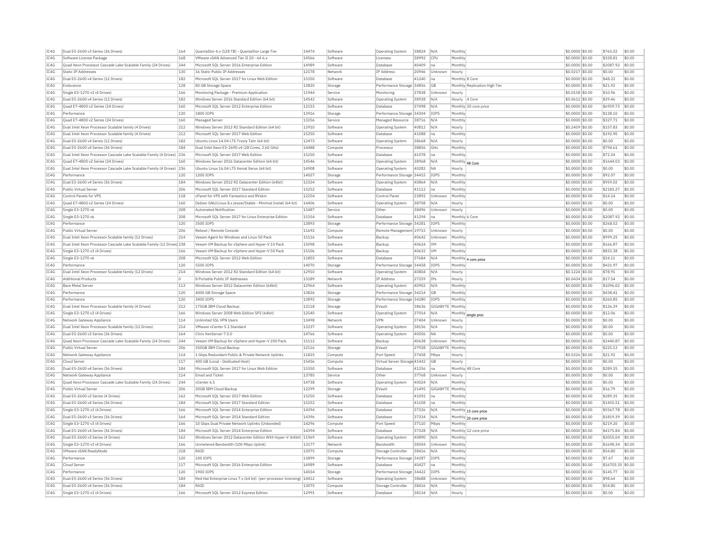| IC4G         | Dual E5-2600 v3 Series (36 Drives)                                    | 164        | QuantaStor 4.x (128 TB) - QuantaStor Large Tier                                            | 14474          | Software | <b>Operating System</b>      | 38824 | N/A              | Monthly                       | \$0.0000 \$0.00                     | \$765.02          | \$0.00           |
|--------------|-----------------------------------------------------------------------|------------|--------------------------------------------------------------------------------------------|----------------|----------|------------------------------|-------|------------------|-------------------------------|-------------------------------------|-------------------|------------------|
| IC4G         | Software License Package                                              | 168        | VMware vSAN Advanced Tier II 20 - 64 6.x                                                   | 14566          | Software | Licenses                     | 38992 | CPU              | Monthly                       | \$0,0000 \$0.00                     | \$328.81          | \$0.00           |
| IC4G         | Quad Xeon Processor Cascade Lake Scalable Family (24 Drives)          | 244        | Microsoft SOL Server 2016 Enterprise Edition                                               | 14989          | Software | Database                     | 40409 | Ina              | Monthly                       | \$0,0000 \$0,00                     | \$2087.92         | \$0.00           |
| IC4G         | Static IP Addresses                                                   | 130        | 16 Static Public IP Addresses                                                              | 12178          | Network  | IP Address                   | 20946 | Unknown          | Hourly                        | \$0.0217 \$0.00                     | \$0.00            | \$0.00           |
| IC4G         | Dual E5-2600 v4 Series (12 Drives)                                    | 182        | Microsoft SQL Server 2017 for Linux Web Edition                                            | 15350          | Software | Database                     | 41240 | na               | Monthly 8 Core                | \$0.0000 \$0.00                     | \$48.22           | \$0.00           |
| IC4G         | Endurance                                                             | 128        | 80 GB Storage Space                                                                        | 13820          | Storage  | Performance Storage 34856    |       | GB               | Monthly Replication High Tier | \$0,0000 \$0,00                     | \$21.92           | \$0.00           |
| IC4G         | Single E3-1270 v3 (4 Drives)                                          | 166        | Monitoring Package - Premium Application                                                   | 11944          | Service  | Monitoring                   | 37838 | Unknown          | Hourly                        | \$0.0158 \$0.00                     | \$10.96           | \$0.00           |
| IC4G         | Dual E5-2600 v4 Series (12 Drives)                                    | 182        | Windows Server 2016 Standard Edition (64 bit)                                              | 14542          | Software | <b>Operating System</b>      | 38928 | N/A              | Hourly 4 Core                 | \$0.0612 \$0.00                     | \$39.46           | \$0.00           |
| IC4G         | Quad E7-4800 v2 Series (24 Drives)                                    | 160        | Microsoft SQL Server 2012 Enterprise Edition                                               | 12153          | Software | Database                     | 37498 | N/A              | Monthly 20 core price         | \$0,0000 \$0.00                     | \$6959.73         | \$0.00           |
|              |                                                                       |            |                                                                                            |                |          |                              |       |                  |                               |                                     |                   |                  |
| IC4G         | Performance                                                           | 120        | 1800 IOPS                                                                                  | 13916          | Storage  | Performance Storage 34304    |       | IOPS             | Monthly                       | \$0,0000 \$0.00                     | \$138.10          | \$0.00           |
| IC4G         | Ouad E7-4800 v2 Series (24 Drives)                                    | 160        | Managed Server                                                                             | 13256          | Service  | Managed Resource             | 38716 | N/A              | Monthly                       | \$0,0000 \$0,00                     | \$327.71          | \$0.00           |
| IC4G         | Dual Intel Xeon Processor Scalable family (4 Drives)                  | 212        | Windows Server 2012 R2 Standard Edition (64 bit)                                           | 12910          | Software | <b>Operating System</b>      | 40812 | N/A              | Hourly                        | \$0,2459 \$0.00                     | \$157.83          | \$0.00           |
| IC4G         | Dual Intel Xeon Processor Scalable family (4 Drives)                  | 212        | Microsoft SQL Server 2017 Web Edition                                                      | 15250          | Software | Database                     | 41088 | na               | Monthly                       | \$0.0000 \$0.00                     | \$192.90          | \$0.00           |
| IC4G         | Dual E5-2600 v4 Series (12 Drives)                                    | 182        | Ubuntu Linux 14.04 LTS Trusty Tahr (64 bit)                                                | 12473          | Software | Operating System             | 38668 | N/A              | Hourly                        | \$0,0000 \$0,00                     | \$0.00            | \$0.00           |
| IC4G         | Dual E5-2600 v4 Series (36 Drives)                                    | 184        | Dual Intel Xeon E5-2690 v4 (28 Cores, 2.60 GHz)                                            | 14488          | Compute  | Processor                    | 38856 | GHZ              | Monthly                       | \$0.0000 \$0.00                     | \$794.61          | \$0.00           |
| IC4G         | Dual Intel Xeon Processor Cascade Lake Scalable Family (4 Drives) 236 |            | Microsoft SQL Server 2017 Web Edition                                                      | 15250          | Software | Database                     | 41078 | na               | Monthly                       | \$0,0000 \$0.00                     | \$72.34           | \$0.00           |
| IC4G         | Ouad E7-4800 v2 Series (24 Drives)                                    | 160        | Windows Server 2016 Datacenter Edition (64 bit)                                            | 14546          | Software | Operating System             | 38968 | N/A              | Monthly 48 Core               | \$0,0000 \$0.00                     | \$1644.03         | \$0.00           |
| IC4G         | Dual Intel Xeon Processor Cascade Lake Scalable Family (4 Drives) 236 |            | Ubuntu Linux 16.04 LTS Xenial Xerus (64 bit)                                               | 14908          | Software | Operating System             | 40282 | <b>NA</b>        | Hourly                        | \$0,0000 \$0.00                     | \$0.00            | \$0.00           |
| IC4G         | Performance                                                           | 120        | 1200 TOPS                                                                                  | 14027          | Storage  | Performance Storage          | 34415 | TOPS             | Monthly                       | \$0,0000 \$0,00                     | \$92.07           | \$0.00           |
| IC4G         | Dual E5-2600 v4 Series (36 Drives)                                    | 184        | Windows Server 2012 R2 Datacenter Edition (64bit)                                          | 12324          | Software | <b>Operating System</b>      | 40864 | N/A              | Monthly                       | \$0,0000 \$0.00                     | \$959.02          | \$0.00           |
| IC4G         | Public Virtual Server                                                 | 206        | Microsoft SOL Server 2017 Standard Edition                                                 | 15252          | Software | Database                     | 41112 | na               | Monthly                       | \$0.0000 \$0.00                     | \$2183.27         | \$0.00           |
| TC4G         | Control Panels for VPS                                                | 118        | cPanel for VPS with Fantastico and RVskin                                                  | 12254          | Software | Control Panel                | 23892 | Unknown          | Monthly                       | $$0.0000$ \$0.00                    | \$14.14           | \$0.00           |
| IC4G         | Quad E7-4800 v2 Series (24 Drives)                                    | 160        | Debian GNU/Linux 8.x jessie/Stable - Minimal Install (64 bit)                              | 14406          | Software | Operating System             | 38708 | N/A              | Hourly                        | \$0,0000 \$0.00                     | \$0.00            | \$0.00           |
| IC4G         | Single E3-1270 v6                                                     | 208        | Automated Notification                                                                     | 13487          | Service  | Other                        | 38496 | Unknown          | Hourly                        | \$0.0000 \$0.00                     | \$0.00            | \$0.00           |
| IC4G         | Single E3-1270 v6                                                     | 208        | Microsoft SQL Server 2017 for Linux Enterprise Edition                                     | 15354          | Software | Database                     | 41294 | na               | Monthly 6 Core                | \$0.0000 \$0.00                     | \$2087.92         | \$0.00           |
| IC4G         | Performance                                                           | 120        | 3500 IOPS                                                                                  | 13893          |          |                              |       |                  | Monthly                       | \$0,0000 \$0.00                     | \$268.52          | \$0.00           |
|              |                                                                       |            |                                                                                            |                | Storage  | Performance Storage 34281    |       | IOPS             |                               |                                     |                   |                  |
| IC4G         | Public Virtual Server                                                 | 206        | Reboot / Remote Console                                                                    | 11692          | Compute  | Remote Management 19715      |       | Unknown          | Hourly                        | \$0,0000 \$0,00                     | \$0.00            | \$0.00           |
| IC4G         | Dual Intel Xeon Processor Scalable family (12 Drives)                 | 214        | Veeam Agent for Windows and Linux 50 Pack                                                  | 15116          | Software | Backup                       | 40642 | Unknown          | Monthly                       | \$0,0000 \$0.00                     | \$999.25          | \$0.00           |
| IC4G         | Dual Intel Xeon Processor Cascade Lake Scalable Family (12 Drives 238 |            | Veeam VM Backup for vSphere and Hyper-V 10 Pack                                            | 15098          | Software | Backup                       | 40624 | VM               | Monthly                       | \$0,0000 \$0.00                     | \$166.87          | \$0.00           |
| IC4G         | Single E3-1270 v3 (4 Drives)                                          | 166        | Veeam VM Backup for vSphere and Hyper-V 50 Pack                                            | 15106          | Software | Backup                       | 40632 | <b>VM</b>        | Monthly                       | \$0,0000 \$0.00                     | \$832.38          | \$0.00           |
| IC4G         | Single E3-1270 v6                                                     | 208        | Microsoft SQL Server 2012 Web Edition                                                      | 11803          | Software | Database                     | 37684 | N/A              | Monthly 4 core price          | \$0,0000 \$0.00                     | \$24.11           | \$0.00           |
| TC4G         | Performance                                                           | 120        | 5500 TOPS                                                                                  | 14070          | Storage  | Performance Storage 34458    |       | TOP5             | Monthly                       | $$0.0000$ \$0.00                    | \$421.97          | \$0.00           |
| IC4G         | Dual Intel Xeon Processor Scalable family (12 Drives)                 | 214        | Windows Server 2012 R2 Standard Edition (64 bit)                                           | 12910          | Software | Operating System             | 40804 | N/A              | Hourly                        | \$0.1224 \$0.00                     | \$78.91           | \$0.00           |
| IC4G         | <b>Additional Products</b>                                            | $\Omega$   | 8 Portable Public IP Addresses                                                             | 13189          | Network  | IP Address                   | 27259 | IPs              | Hourly                        | $$0.0434$ \$0.00                    | \$17.54           | \$0.00           |
| TC4G         | <b>Bare Metal Server</b>                                              | 113        | Windows Server 2012 Datacenter Edition (64bit)                                             | 12964          | Software | <b>Operating System</b>      | 40902 | N/A              | Monthly                       | $$0.0000$ \$0.00                    | \$1096.02         | \$0.00           |
| IC4G         | Performance                                                           | 120        | 4000 GB Storage Space                                                                      | 13826          | Storage  | Performance Storage          | 34214 | GB               | Monthly                       | \$0,0000 \$0.00                     | \$438.41          | \$0.00           |
| IC4G         | Performance                                                           | 120        | 3400 TOPS                                                                                  | 13892          | Storage  | Performance Storage          | 34280 | IOPS             | Monthly                       | \$0,0000 \$0.00                     | \$260.85          | \$0.00           |
| IC4G         | Dual Intel Xeon Processor Scalable family (4 Drives)                  | 212        | 175GB IBM Cloud Backup                                                                     | 12118          | Storage  | EVault                       | 38636 | GIGABYTE         | Monthly                       | \$0.0000 \$0.00                     | \$126.39          | \$0.00           |
| IC4G         | Single E3-1270 v3 (4 Drives)                                          | 166        | Windows Server 2008 Web Edition SP2 (64bit)                                                | 12540          | Software | Operating System             | 37014 | N/A              | Monthly single proc           | \$0,0000 \$0.00                     | \$12.06           | \$0.00           |
| IC4G         | Network Gateway Appliance                                             | 114        | Unlimited SSL VPN Users                                                                    | 13498          | Network  | <b>VPN</b>                   | 37404 | Unknown          | Hourly                        | $$0.0000$ \$0.00                    | \$0.00            | \$0.00           |
| IC4G         | Dual Intel Xeon Processor Scalable family (12 Drives)                 | 214        | VMware vCenter 5.1 Standard                                                                | 13237          | Software | Operating System             | 38156 | N/A              | Hourly                        | \$0.0000 \$0.00                     | \$0.00            | \$0.00           |
| IC4G         | Dual E5-2600 v3 Series (36 Drives)                                    | 164        | Citrix XenServer 7.0.0                                                                     | 14766          | Software | Operating System             | 40056 | <b>NA</b>        | Monthly                       | \$0,0000 \$0.00                     | \$0.00            | \$0.00           |
| IC4G         | Quad Xeon Processor Cascade Lake Scalable Family (24 Drives)          | 244        | Veeam VM Backup for vSphere and Hyper-V 200 Pack                                           | 15112          | Software | Backun                       | 40638 | Unknown          | Monthly                       | $$0.0000$ \$0.00                    | \$2440.87         | \$0.00           |
| IC4G         | Public Virtual Server                                                 | 206        | 350GB IBM Cloud Backup                                                                     | 12116          | Storage  | EVault                       | 27928 | GIGABYTE         | Monthly                       | \$0,0000 \$0.00                     | \$225.13          | \$0.00           |
| IC4G         | Network Gateway Appliance                                             | 114        | 1 Gbps Redundant Public & Private Network Uplinks                                          | 11825          | Compute  | Port Speed                   | 37458 | Mbps             | Hourly                        | \$0,0326 \$0,00                     | \$21.92           | \$0.00           |
| IC4G         | Cloud Server                                                          | 117        | 400 GB (Local - Dedicated Host)                                                            | 15456          | Compute  | Virtual Server Storage 41442 |       | GB               | Hourly                        | \$0.0000 \$0.00                     | \$0.00            | \$0.00           |
| IC4G         | Dual E5-2600 v4 Series (36 Drives)                                    | 184        | Microsoft SQL Server 2017 for Linux Web Edition                                            | 15350          | Software | Database                     | 41256 | na               | Monthly 48 Core               | \$0.0000 \$0.00                     | \$289.35          | \$0.00           |
| IC4G         | Network Gateway Appliance                                             | 114        | <b>Email and Ticket</b>                                                                    | 13785          | Service  | Other                        | 37768 | Unknown          | Hourly                        | $$0.0000$ \$0.00                    | \$0.00            | \$0.00           |
| TC4G         | Quad Xeon Processor Cascade Lake Scalable Family (24 Drives)          | 244        | vCenter 6.5                                                                                | 14738          | Software | Operating System             | 40024 | N/A              | Monthly                       | \$0.0000 \$0.00                     | \$0.00            | \$0.00           |
| IC4G         | Public Virtual Server                                                 | 206        | 20GB IBM Cloud Backup                                                                      | 12299          | Storage  | EVault                       | 21495 | GIGABYTE Monthly |                               | \$0,0000 \$0.00                     | \$16.79           | \$0.00           |
| TCAG         | Dual E5-2600 v3 Series (4 Drives                                      | 162        | Microsoft SQL Server 2017 Web Edition                                                      | 15250          | Software | Database                     | 41092 | Ina              | Monthly                       | \$0.0000 \$0.00                     | \$289.35          | \$0.00           |
|              |                                                                       |            |                                                                                            |                | Software | Database                     |       | Ina              | Monthly                       |                                     |                   |                  |
| IC4G<br>TC4G | Dual E5-2600 v4 Series (36 Drives)<br>Single E3-1270 v3 (4 Drives)    | 184<br>166 | Microsoft SQL Server 2017 Standard Edition<br>Microsoft SOL Server 2014 Enterprise Edition | 15252<br>14394 | Software |                              | 41108 |                  |                               | \$0.0000 \$0.00<br>$$0.0000$ \$0.00 | \$1455.51         | \$0.00<br>\$0.00 |
|              |                                                                       |            |                                                                                            |                |          | Database                     | 37326 | N/A              | Monthly 15 core price         |                                     | \$5567.78         |                  |
| IC4G         | Dual E5-2600 v3 Series (36 Drives)                                    | 164        | Microsoft SQL Server 2014 Standard Edition                                                 | 14396          | Software | Database                     | 37334 | N/A              | Monthly 20 core price         | \$0.0000 \$0.00                     | \$1819.39         | \$0.00           |
| TCAG         | Single E3-1270 v3 (4 Drives)                                          | 166        | 10 Gbps Dual Private Network Uplinks (Unbonded)                                            | 14296          | Compute  | Port Speed                   | 37110 | Mbps             | Monthly                       | \$0,0000 \$0.00                     | \$219.20          | \$0.00           |
| TC4G         | Dual F5-2600 v4 Series (36 Drives                                     | 184        | Microsoft SOL Server 2014 Enterprise Edition                                               | 14394          | Software | Database                     | 37328 | N/A              | Monthly 12 core price         | $$0.0000$ \$0.00                    | \$4175.84         | \$0.00           |
| IC4G         | Dual E5-2600 v3 Series (4 Drives)                                     | 162        | Windows Server 2012 Datacenter Edition With Hyper-V (64bit) 11969                          |                | Software | Operating System             | 40890 | N/A              | Monthly                       | \$0,0000 \$0.00                     | \$2055.04         | \$0.00           |
| TCAG         | Single E3-1270 v3 (4 Drives)                                          | 166        | Unmetered Bandwidth (100 Mbps Uplink)                                                      | 13177          | Network  | <b>Bandwidth</b>             | 38504 | Unknown          | Monthly                       | $$0.0000$ \$0.00                    | \$1698.34         | \$0.00           |
| TCAG         | VMware vSAN ReadvNode                                                 | 218        | RATD                                                                                       | 13075          | Compute  | Storage Controlle            | 38416 | N/A              | Monthly                       | \$0.0000 \$0.00                     | \$54.80           | \$0.00           |
| IC4G         | Performance                                                           | 120        | 100 IOPS                                                                                   | 13899          | Storage  | Performance Storage          | 34287 | IOPS             | Monthly                       | \$0.0000 \$0.00                     | \$7.67            | \$0.00           |
| TC4G         | Cloud Server                                                          | 117        | Microsoft SOL Server 2016 Enterprise Edition                                               | 14989          | Software | Database                     | 40427 | lna              | Monthly                       | $$0.0000$ \$0.00                    | \$16703.35 \$0.00 |                  |
| IC4G         | Performance                                                           | 120        | 1900 IOPS                                                                                  | 14034          | Storage  | Performance Storage          | 34422 | IOPS             | Monthly                       | \$0,0000 \$0.00                     | \$145.77          | \$0.00           |
| TC4G         | Dual E5-2600 v4 Series (36 Drives)                                    | 184        | Red Hat Enterprise Linux 7.x (64 bit) (per-processor licensing) 14412                      |                | Software | Operating System             | 38688 | Linknown         | Monthly                       | \$0,0000 \$0.00                     | \$98.64           | \$0.00           |
| IC4G         | Dual E5-2600 v4 Series (36 Drives)                                    | 184        | RATO                                                                                       | 13075          | Compute  | Storage Controller           | 38416 | N/A              | Monthly                       | \$0,0000 \$0.00                     | \$54.80           | \$0.00           |
| IC4G         | Single E3-1270 v3 (4 Drives)                                          | 166        | Microsoft SQL Server 2012 Express Edition                                                  | 12991          | Software | Database                     | 38134 | N/A              | Hourly                        | \$0.0000 \$0.00                     | \$0.00            | \$0.00           |
|              |                                                                       |            |                                                                                            |                |          |                              |       |                  |                               |                                     |                   |                  |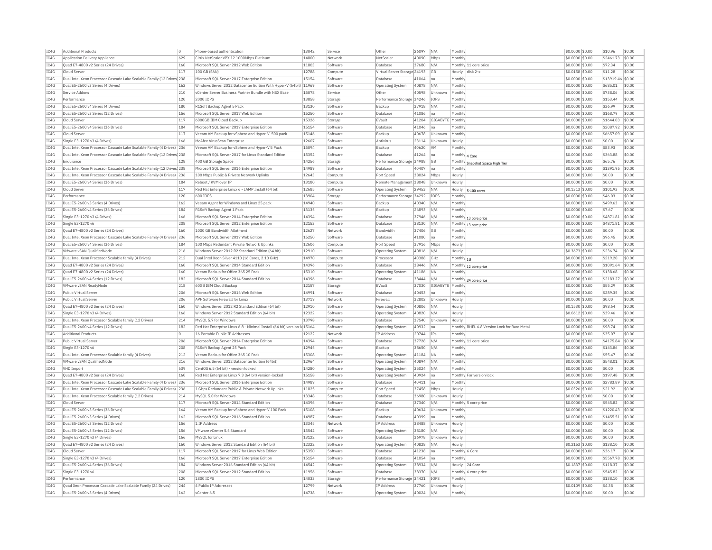| IC4G | Additional Product:                                                    |     | Phone-based authentication                                               | 13042 | Service  | Other                        | 26097 | N/A         | Monthly            |                                              | \$0.0000 \$0.00  | \$10.96           | \$0.00 |
|------|------------------------------------------------------------------------|-----|--------------------------------------------------------------------------|-------|----------|------------------------------|-------|-------------|--------------------|----------------------------------------------|------------------|-------------------|--------|
| TC4G | Application Delivery Appliance                                         | 629 | Citrix NetScaler VPX 12 1000Mbps Platinum                                | 14800 | Network  | NetScaler                    | 40090 | Mbps        | Monthly            |                                              | \$0,0000 \$0,00  | \$2461.73         | \$0.00 |
| IC4G | Quad E7-4800 v2 Series (24 Drives)                                     | 160 | Microsoft SQL Server 2012 Web Edition                                    | 11803 | Software | Database                     | 37680 | N/A         |                    | Monthly 11 core price                        | \$0,0000 \$0.00  | \$72.34           | \$0.00 |
| IC4G | Cloud Server                                                           | 117 | 100 GB (SAN)                                                             | 12788 | Compute  | Virtual Server Storage 24193 |       | GB          | Hourly             | disk 2-x                                     | \$0.0158 \$0.00  | \$11.28           | \$0.00 |
| IC4G | Dual Intel Xeon Processor Cascade Lake Scalable Family (12 Drives) 238 |     | Microsoft SQL Server 2017 Enterprise Edition                             | 15154 | Software | Database                     | 41064 | Ina         | Monthly            |                                              | \$0,0000 \$0,00  | \$13919.46 \$0.00 |        |
| IC4G | Dual E5-2600 v3 Series (4 Drives)                                      | 162 | Windows Server 2012 Datacenter Edition With Hyper-V (64bit) 11969        |       | Software | Operating System             | 40878 | N/A         | Monthly            |                                              | \$0,0000 \$0.00  | \$685.01          | \$0.00 |
| IC4G | Service Addons                                                         | 210 | yCenter Server Business Partner Bundle with NSX Base                     | 15078 | Service  | Other                        | 40598 | Unknown     | Monthly            |                                              | \$0,0000 \$0,00  | \$738.06          | \$0.00 |
| IC4G | Performance                                                            | 120 | 2000 TOPS                                                                | 13858 | Storage  | Performance Storage 34246    |       | <b>TOPS</b> | Monthly            |                                              | \$0.0000 \$0.00  | \$153.44          | \$0.00 |
| IC4G | Dual E5-2600 v4 Series (4 Drives)                                      | 180 | R1Soft Backup Agent 5 Pack                                               | 13130 | Software | Backup                       | 37918 | N/A         | Monthly            |                                              | \$0,0000 \$0,00  | \$36.99           | \$0.00 |
|      | Dual E5-2600 v3 Series (12 Drives                                      | 156 | Microsoft SQL Server 2017 Web Edition                                    | 15250 | Software | Database                     | 41086 | Ina         | Monthly            |                                              | \$0,0000 \$0.00  | \$168.79          | \$0.00 |
| IC4G |                                                                        |     |                                                                          |       |          |                              |       |             |                    |                                              |                  |                   |        |
| IC4G | Cloud Serve                                                            | 117 | 6000GB IBM Cloud Backup                                                  | 15326 | Storage  | EVault                       | 41204 | GIGABYTE    | Monthly            |                                              | \$0,0000 \$0,00  | \$1644.03         | \$0.00 |
| IC4G | Dual E5-2600 v4 Series (36 Drives)                                     | 184 | Microsoft SQL Server 2017 Enterprise Edition                             | 15154 | Software | Database                     | 41046 | lna         | Monthly            |                                              | \$0,0000 \$0,00  | \$2087.92         | \$0.00 |
| IC4G | Cloud Serve                                                            | 117 | Veeam VM Backup for vSphere and Hyper-V 500 pack                         | 15146 | Software | Backup                       | 40678 | Unknown     | Monthly            |                                              | \$0.0000 \$0.00  | \$6657.09         | \$0.00 |
| IC4G | Single E3-1270 v3 (4 Drives)                                           | 166 | McAfee VirusScan Enterprise                                              | 12607 | Software | Antivirus                    | 23114 | Unknown     | Hourly             |                                              | \$0.0000 \$0.00  | \$0.00            | \$0.00 |
| TCAG | Dual Intel Xeon Processor Cascade Lake Scalable Family (4 Drives) 236  |     | Veeam VM Backup for vSphere and Hyper-V 5 Pack                           | 15094 | Software | <b>Backup</b>                | 40620 | <b>VM</b>   | Monthly            |                                              | $$0.0000$ \$0.00 | \$83.93           | \$0.00 |
| TCAG | Dual Intel Xeon Processor Cascade Lake Scalable Family (12 Drives) 238 |     | Microsoft SQL Server 2017 for Linux Standard Edition                     | 15352 | Software | Database                     | 41264 | lna         | Monthly 4 Core     |                                              | \$0.0000 \$0.00  | \$363.88          | \$0.00 |
| IC4G | Endurance                                                              | 128 | 400 GB Storage Space                                                     | 14256 | Storage  | Performance Storage 34988    |       | GB          |                    | Monthly Snapshot Space High Tier             | \$0.0000 \$0.00  | \$65.76           | \$0.00 |
| IC4G | Dual Intel Xeon Processor Cascade Lake Scalable Family (12 Drives 238  |     | Microsoft SOL Server 2016 Enterprise Edition                             | 14989 | Software | Database                     | 40407 | Ina         | Monthly            |                                              | \$0,0000 \$0,00  | \$1391.95         | \$0.00 |
| IC4G | Dual Intel Xeon Processor Cascade Lake Scalable Family (4 Drives) 236  |     | 100 Mbps Public & Private Network Uplinks                                | 12643 | Compute  | Port Speed                   | 38024 | Mbps        | Hourly             |                                              | \$0.0000 \$0.00  | \$0.00            | \$0.00 |
| IC4G | Dual E5-2600 v4 Series (36 Drives)                                     | 184 | Reboot / KVM over IP                                                     | 13180 | Compute  | Remote Management 38048      |       | Unknown     | Hourly             |                                              | \$0.0000 \$0.00  | \$0.00            | \$0.00 |
| IC4G | Cloud Server                                                           | 117 | Red Hat Enterprise Linux 6 - LAMP Install (64 bit)                       | 12685 | Software | Operating System             | 29453 | N/A         | Hourly             | $5-100$ cores                                | $$0.1313$ \$0.00 | \$101.93          | \$0.00 |
| IC4G | Performance                                                            | 120 | 600 IOPS                                                                 | 13904 | Storage  | Performance Storage 34292    |       | IOPS        | Monthly            |                                              | \$0.0000 \$0.00  | \$46.03           | \$0.00 |
| IC4G | Dual E5-2600 v3 Series (4 Drives)                                      | 162 | Veeam Agent for Windows and Linux 25 pack                                | 14940 | Software | Backup                       | 40340 | N/A         | Monthly            |                                              | \$0,0000 \$0,00  | \$499.63          | \$0.00 |
| IC4G | Dual E5-2600 v4 Series (36 Drives)                                     | 184 | R1Soft Backup Agent 1 Pack                                               | 13135 | Software | Backup                       | 26893 | N/A         | Monthly            |                                              | \$0,0000 \$0,00  | \$7.67            | \$0.00 |
| IC4G | Single E3-1270 v3 (4 Drives)                                           | 166 | Microsoft SOL Server 2014 Enterprise Edition                             | 14394 | Software | Database                     | 37946 | N/A         |                    |                                              | \$0,0000 \$0,00  | \$4871.81         | \$0.00 |
| IC4G | Single E3-1270 v6                                                      | 208 | Microsoft SOL Server 2012 Enterprise Edition                             | 12153 | Software | Database                     | 38130 | N/A         |                    | Monthly 13 core price                        | \$0,0000 \$0.00  | \$4871.81         | \$0.00 |
| IC4G | Ouad E7-4800 v2 Series (24 Drives)                                     | 160 | 1000 GB Bandwidth Allotment                                              | 12627 | Network  | Bandwidth                    | 37406 | <b>GB</b>   | Monthly            | Monthly 13 core price                        | \$0.0000 \$0.00  | \$0.00            | \$0.00 |
| IC4G | Dual Intel Xeon Processor Cascade Lake Scalable Family (4 Drives) 236  |     | Microsoft SQL Server 2017 Web Edition                                    | 15250 | Software | Database                     | 41080 | Ina         | Monthly            |                                              | \$0.0000 \$0.00  | \$96.45           | \$0.00 |
| IC4G | Dual E5-2600 v4 Series (36 Drives)                                     | 184 | 100 Mbps Redundant Private Network Uplinks                               | 12606 | Compute  | Port Speed                   | 37916 | Mbps        | Hourly             |                                              | \$0,0000 \$0.00  | \$0.00            | \$0.00 |
| IC4G | VMware vSAN QualifiedNode                                              | 216 | Windows Server 2012 R2 Standard Edition (64 bit)                         | 12910 | Software | Operating System             | 40816 | N/A         | Hourly             |                                              | \$0,3673 \$0,00  | \$236.74          | \$0.00 |
| IC4G | Dual Intel Xeon Processor Scalable family (4 Drives)                   | 212 | Dual Intel Xeon Silver 4110 (16 Cores, 2.10 GHz)                         | 14970 | Compute  | Processor                    | 40388 | GHZ         |                    |                                              | \$0.0000 \$0.00  | \$219.20          | \$0.00 |
| IC4G | Ouad E7-4800 v2 Series (24 Drives)                                     | 160 | Microsoft SOL Server 2014 Standard Edition                               | 14396 | Software | Database                     | 38446 | N/A         | Monthly 1U         |                                              | \$0,0000 \$0.00  | \$1091.64         | \$0.00 |
| TC4G | Quad E7-4800 v2 Series (24 Drives)                                     | 160 | Veeam Backup for Office 365 25 Pack                                      | 15310 | Software | Operating System             | 41186 | <b>NA</b>   | Monthly            | Monthly 12 core price                        | \$0,0000 \$0.00  | \$138.68          | \$0.00 |
| IC4G | Dual E5-2600 v4 Series (12 Drives)                                     | 182 | Microsoft SQL Server 2014 Standard Edition                               | 14396 | Software | Database                     | 38444 | N/A         |                    |                                              | \$0,0000 \$0,00  | \$2183.27         | \$0.00 |
|      |                                                                        | 218 | 60GB TBM Cloud Backup                                                    | 12157 |          | FVault                       |       |             |                    | Monthly 24 core price                        |                  | \$55.29           |        |
| IC4G | VMware vSAN ReadvNode                                                  |     |                                                                          | 14991 | Storage  | Database                     | 37030 | GIGABYTE    | Monthly<br>Monthly |                                              | \$0,0000 \$0,00  |                   | \$0.00 |
| IC4G | Public Virtual Server                                                  | 206 | Microsoft SQL Server 2016 Web Edition                                    |       | Software |                              | 40453 | Ina         |                    |                                              | \$0.0000 \$0.00  | \$289.35          | \$0.00 |
| IC4G | Public Virtual Server                                                  | 206 | APF Software Firewall for Linux                                          | 13719 | Network  | Firewall                     | 32802 | Unknown     | Hourly             |                                              | \$0.0000 \$0.00  | \$0.00            | \$0.00 |
| TCAG | Ouad E7-4800 v2 Series (24 Drives)                                     | 160 | Windows Server 2012 R2 Standard Edition (64 bit)                         | 12910 | Software | Operating System             | 40806 | N/A         | Hourly             |                                              | \$0.1530 \$0.00  | \$98.64           | \$0.00 |
| TCAG | Single E3-1270 v3 (4 Drives)                                           | 166 | Windows Server 2012 Standard Edition (64 bit)                            | 12322 | Software | <b>Operating System</b>      | 40820 | N/A         | Hourly             |                                              | $$0.0612$ \$0.00 | \$39.46           | \$0.00 |
| IC4G | Dual Intel Xeon Processor Scalable family (12 Drives)                  | 214 | MySOL 5.7 for Windows                                                    | 13798 | Software | Database                     | 37540 | Unknown     | Hourly             |                                              | \$0.0000 \$0.00  | \$0.00            | \$0.00 |
| IC4G | Dual E5-2600 v4 Series (12 Drives)                                     | 182 | Red Hat Enterprise Linux 6.8 - Minimal Install (64 bit) version-le 15164 |       | Software | Operating System             | 40932 | Ina         |                    | Monthly RHEL 6.8 Version Lock for Bare Metal | \$0,0000 \$0.00  | \$98.74           | \$0.00 |
| IC4G | <b>Additional Products</b>                                             | ln. | 16 Portable Public IP Addresses                                          | 12122 | Network  | IP Address                   | 20744 | IPs         | Monthly            |                                              | \$0.0000 \$0.00  | \$35.07           | \$0.00 |
| IC4G | Public Virtual Server                                                  | 206 | Microsoft SQL Server 2014 Enterprise Edition                             | 14394 | Software | Database                     | 37728 | N/A         |                    | Monthly 11 core price                        | \$0.0000 \$0.00  | \$4175.84         | \$0.00 |
| IC4G | Single E3-1270 v6                                                      | 208 | R1Soft Backup Agent 25 Pack                                              | 12945 | Software | Backup                       | 38650 | N/A         | Monthly            |                                              | \$0.0000 \$0.00  | \$143.86          | \$0.00 |
| IC4G | Dual Intel Xeon Processor Scalable family (4 Drives)                   | 212 | Veeam Backup for Office 365 10 Pack                                      | 15308 | Software | <b>Operating System</b>      | 41184 | NA          | Monthly            |                                              | \$0.0000 \$0.00  | \$55.47           | \$0.00 |
| IC4G | VMware vSAN OualifiedNode                                              | 216 | Windows Server 2012 Datacenter Edition (64bit)                           | 12964 | Software | Operating System             | 40894 | N/A         | Monthly            |                                              | \$0,0000 \$0,00  | \$548.01          | \$0.00 |
| IC4G | <b>VHD Import</b>                                                      | 639 | CentOS 6.5 (64 bit) - version locked                                     | 14280 | Software | <b>Operating System</b>      | 35024 | N/A         | Monthly            |                                              | \$0,0000 \$0.00  | \$0.00            | \$0.00 |
| IC4G | Ouad E7-4800 v2 Series (24 Drives)                                     | 160 | Red Hat Enterprise Linux 7.3 (64 bit) version-locked                     | 15158 | Software | <b>Operating System</b>      | 40924 | - Ina       |                    | Monthly For version lock                     | \$0,0000 \$0,00  | \$197.48          | \$0.00 |
| IC4G | Dual Intel Xeon Processor Cascade Lake Scalable Family (4 Drives)      | 236 | Microsoft SQL Server 2016 Enterprise Edition                             | 14989 | Software | Database                     | 40411 | Ina         | Monthly            |                                              | \$0,0000 \$0,00  | \$2783.89         | \$0.00 |
| IC4G | Dual Intel Xeon Processor Cascade Lake Scalable Family (4 Drives)      | 236 | 1 Gbps Redundant Public & Private Network Uplinks                        | 11825 | Compute  | Port Speed                   | 37458 | Mbps        | Hourly             |                                              | \$0.0326 \$0.00  | \$21.92           | \$0.00 |
| IC4G | Dual Intel Xeon Processor Scalable family (12 Drives)                  | 214 | MySQL 5.0 for Windows                                                    | 13348 | Software | Database                     | 36980 | Unknown     | Hourly             |                                              | \$0,0000 \$0,00  | \$0.00            | \$0.00 |
| IC4G | Cloud Serve                                                            | 117 | Microsoft SQL Server 2014 Standard Edition                               | 14396 | Software | Database                     | 37340 | N/A         |                    | Monthly 5 core price                         | \$0,0000 \$0.00  | \$545.82          | \$0.00 |
| IC4G | Dual E5-2600 v3 Series (36 Drives)                                     | 164 | Veeam VM Backup for vSphere and Hyper-V 100 Pack                         | 15108 | Software | Backup                       | 40634 | Unknown     | Monthly            |                                              | \$0,0000 \$0,00  | \$1220.43         | \$0.00 |
| IC4G | Dual E5-2600 v3 Series (4 Drives)                                      | 162 | Microsoft SQL Server 2016 Standard Edition                               | 14987 | Software | Database                     | 40399 |             | Monthly            |                                              | \$0.0000 \$0.00  | \$1455.51         | \$0.00 |
| IC4G | Dual E5-2600 v3 Series (12 Drives                                      | 156 | 1 IP Address                                                             | 13345 | Network  | IP Address                   | 38488 | Unknown     | Hourly             |                                              | \$0,0000 \$0,00  | \$0.00            | \$0.00 |
| IC4G | Dual E5-2600 v3 Series (12 Drives                                      | 156 | VMware vCenter 5.5 Standard                                              | 13542 | Software | Operating System             | 38180 | N/A         | Hourly             |                                              | \$0,0000 \$0.00  | \$0.00            | \$0.00 |
| IC4G | Single E3-1270 v3 (4 Drives)                                           | 166 | MySOL for Linux                                                          | 13122 | Software | Database                     | 36978 | Unknown     | Hourly             |                                              | \$0,0000 \$0,00  | \$0.00            | \$0.00 |
| IC4G | Quad E7-4800 v2 Series (24 Drives)                                     | 160 | Windows Server 2012 Standard Edition (64 bit)                            | 12322 | Software | Operating System             | 40828 | N/A         | Hourly             |                                              | \$0,2153 \$0.00  | \$138.10          | \$0.00 |
| IC4G | Cloud Server                                                           | 117 | Microsoft SQL Server 2017 for Linux Web Editior                          | 15350 | Software | Database                     | 41238 | Ina         | Monthly 6 Core     |                                              | \$0.0000 \$0.00  | \$36.17           | \$0.00 |
| IC4G | Single E3-1270 v3 (4 Drives)                                           | 166 | Microsoft SQL Server 2017 Enterprise Edition                             | 15154 | Software | Database                     | 41054 | Ina         | Monthly            |                                              | \$0.0000 \$0.00  | \$5567.78         | \$0.00 |
| TCAG | Dual E5-2600 v4 Series (36 Drives)                                     | 184 | Windows Server 2016 Standard Edition (64 bit)                            | 14542 | Software | Operating System             | 38934 | N/A         | Hourly 24 Core     |                                              | \$0.1837 \$0.00  | \$118.37          | \$0.00 |
| TCAG | Single E3-1270 v6                                                      | 208 | Microsoft SQL Server 2012 Standard Edition                               | 11956 | Software | Database                     | 38370 | N/A         |                    | Monthly 6 core price                         | \$0.0000 \$0.00  | \$545.82          | \$0.00 |
| IC4G | Performance                                                            | 120 | 1800 TOPS                                                                | 14033 | Storage  | Performance Storage 34421    |       | <b>TOPS</b> | Monthly            |                                              | \$0,0000 \$0.00  | \$138.10          | \$0.00 |
| IC4G | Ouad Xeon Processor Cascade Lake Scalable Family (24 Drives)           | 244 | 4 Public IP Addresses                                                    | 12799 | Network  | IP Address                   | 37760 | Unknown     | Hourly             |                                              | \$0,0109 \$0,00  | \$4.38            | \$0.00 |
| IC4G | Dual E5-2600 v3 Series (4 Drives)                                      | 162 | vCenter 6.5                                                              | 14738 | Software | <b>Operating System</b>      | 40024 | N/A         | Monthly            |                                              | \$0.0000 \$0.00  | \$0.00            | \$0.00 |
|      |                                                                        |     |                                                                          |       |          |                              |       |             |                    |                                              |                  |                   |        |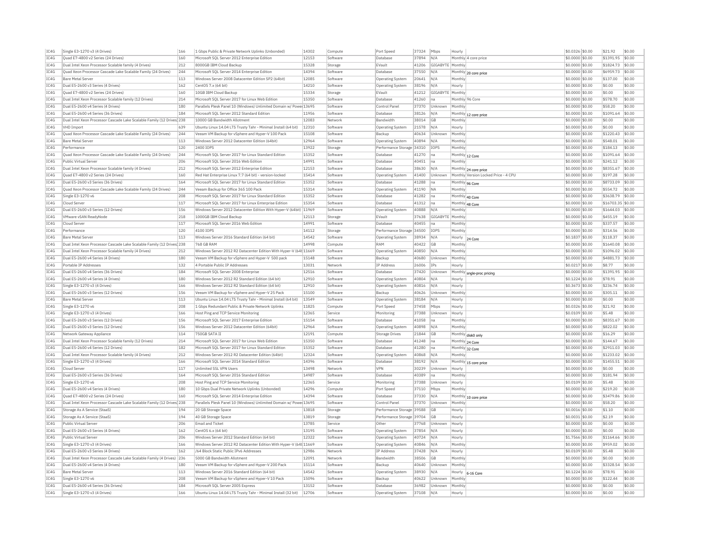| IC4G | Single E3-1270 v3 (4 Drives)                                           | 166 | 1 Gbps Public & Private Network Uplinks (Unbonded)                | 14302 | Compute  | Port Speed                | 37324 | Mbps             | Hourly  |                                      | \$0.0326 \$0.00  | \$21.92           | \$0.00 |
|------|------------------------------------------------------------------------|-----|-------------------------------------------------------------------|-------|----------|---------------------------|-------|------------------|---------|--------------------------------------|------------------|-------------------|--------|
| TC4G | Quad E7-4800 v2 Series (24 Drives)                                     | 160 | Microsoft SOL Server 2012 Enterprise Edition                      | 12153 | Software | Database                  | 37894 | N/A              |         | Monthly 4 core price                 | \$0.0000 \$0.00  | \$1391.95         | \$0.00 |
| TC4G | Dual Intel Xeon Processor Scalable family (4 Drives)                   | 212 | 8000GB TBM Cloud Backup                                           | 15328 | Storage  | FVault                    | 41206 | GIGABYTE Monthly |         |                                      | \$0,0000 \$0.00  | \$1824.73         | \$0.00 |
| IC4G | Ouad Xeon Processor Cascade Lake Scalable Family (24 Drives)           | 244 | Microsoft SOL Server 2014 Enterprise Edition                      | 14394 | Software | Database                  | 37550 | N/A              |         | Monthly 20 core price                | \$0,0000 \$0.00  | \$6959.73         | \$0.00 |
| IC4G | <b>Bare Metal Server</b>                                               | 113 | Windows Server 2008 Datacenter Edition SP2 (64bit)                | 12085 | Software | Operating System          | 20641 | N/A              | Monthl  |                                      | \$0.0000 \$0.00  | \$137.00          | \$0.00 |
|      |                                                                        |     |                                                                   |       |          |                           |       |                  |         |                                      |                  |                   |        |
| TCAG | Dual E5-2600 v3 Series (4 Drives)                                      | 162 | CentOS 7 x (64 bit)                                               | 14210 | Software | Operating System          | 38196 | N/A              | Hourly  |                                      | \$0,0000 \$0.00  | \$0.00            | \$0.00 |
| IC4G | Quad E7-4800 v2 Series (24 Drives)                                     | 160 | 10GB IBM Cloud Backup                                             | 15334 | Storage  | EVault                    | 41212 | GIGABYTE         | Monthly |                                      | \$0.0000 \$0.00  | \$0.00            | \$0.00 |
| TC4G | Dual Intel Xeon Processor Scalable family (12 Drives)                  | 214 | Microsoft SOL Server 2017 for Linux Web Edition                   | 15350 | Software | Database                  | 41260 | Ina              |         | Monthly 96 Core                      | \$0.0000 \$0.00  | \$578.70          | \$0.00 |
| IC4G | Dual E5-2600 v4 Series (4 Drives)                                      | 180 | Parallels Plesk Panel 10 (Windows) Unlimited Domain w/ Powe 13695 |       | Software | Control Pane              | 37370 | Unknown          | Monthly |                                      | \$0,0000 \$0.00  | \$58.20           | \$0.00 |
| TC4G | Dual E5-2600 v4 Series (36 Drives)                                     | 184 | Microsoft SOL Server 2012 Standard Edition                        | 11956 | Software | Database                  | 38126 | N/A              |         | Monthly 12 core price                | \$0.0000 \$0.00  | \$1091.64         | \$0.00 |
| IC4G | Dual Intel Xeon Processor Cascade Lake Scalable Family (12 Drives 238  |     | 10000 GB Bandwidth Allotment                                      | 12083 | Network  | Bandwidtl                 | 38014 | <b>GB</b>        | Monthly |                                      | \$0,0000 \$0.00  | \$0.00            | \$0.00 |
|      |                                                                        |     |                                                                   |       |          |                           |       |                  |         |                                      |                  |                   |        |
| IC4G | <b>VHD Import</b>                                                      | 639 | Ubuntu Linux 14.04 LTS Trusty Tahr - Minimal Install (64 bit)     | 12310 | Software | Operating System          | 21578 | N/A              | Hourly  |                                      | \$0.0000 \$0.00  | \$0.00            | \$0.00 |
| TC4G | Quad Xeon Processor Cascade Lake Scalable Family (24 Drives)           | 244 | Veeam VM Backup for vSphere and Hyper-V 100 Pack                  | 15108 | Software | Backup                    | 40634 | Unknown          | Monthly |                                      | \$0.0000 \$0.00  | \$1220.43         | \$0.00 |
| IC4G | Bare Metal Server                                                      | 113 | Windows Server 2012 Datacenter Edition (64bit)                    | 12964 | Software | <b>Operating System</b>   | 40894 | N/A              | Monthly |                                      | \$0.0000 \$0.00  | \$548.01          | \$0.00 |
| IC4G | Performance                                                            | 120 | 2400 TOPS                                                         | 13922 | Storage  | Performance Storage 34310 |       | <b>IOPS</b>      | Monthly |                                      | \$0,0000 \$0.00  | \$184.13          | \$0.00 |
| IC4G | Quad Xeon Processor Cascade Lake Scalable Family (24 Drives)           | 244 | Microsoft SQL Server 2017 for Linux Standard Edition              | 15352 | Software | Database                  | 41270 | Ina              |         |                                      | \$0,0000 \$0.00  | \$1091.64         | \$0.00 |
|      |                                                                        |     |                                                                   |       |          |                           |       |                  |         | Monthly 12 Core                      |                  |                   |        |
| IC4G | Public Virtual Server                                                  | 206 | Microsoft SQL Server 2016 Web Edition                             | 14991 | Software | Database                  | 40451 | Ina              | Monthly |                                      | $$0.0000$ \$0.00 | \$241.12          | \$0.00 |
| IC4G | Dual Intel Xeon Processor Scalable family (4 Drives)                   | 212 | Microsoft SOL Server 2012 Enterprise Edition                      | 12153 | Software | Database                  | 38630 | N/A              |         | Monthly 24 core price                | \$0,0000 \$0.00  | \$8351.67         | \$0.00 |
| TC4G | Quad E7-4800 v2 Series (24 Drives)                                     | 160 | Red Hat Enterprise Linux 7.7 (64 bit) - version-locked            | 15414 | Software | <b>Operating System</b>   | 41400 | Unknown          |         | Monthly Version Locked Price - 4 CPU | \$0,0000 \$0,00  | \$197.28          | \$0.00 |
| TC4G | Dual E5-2600 v3 Series (36 Drives)                                     | 164 | Microsoft SQL Server 2017 for Linux Standard Edition              | 15352 | Software | Database                  | 41288 | lna              |         | Monthly 96 Core                      | \$0.0000 \$0.00  | \$8733.09         | \$0.00 |
| IC4G | Quad Xeon Processor Cascade Lake Scalable Family (24 Drives)           | 244 | Veeam Backup for Office 365 100 Pack                              | 15314 | Software | <b>Operating System</b>   | 41190 | <b>NA</b>        | Monthly |                                      | \$0.0000 \$0.00  | \$554.72          | \$0.00 |
|      |                                                                        |     |                                                                   |       |          |                           |       |                  |         |                                      |                  |                   |        |
| IC4G | Single E3-1270 v6                                                      | 208 | Microsoft SOL Server 2017 for Linux Standard Edition              | 15352 | Software | Database                  | 41282 | Ina              |         | Monthly 40 Core                      | \$0,0000 \$0.00  | \$3638.79         | \$0.00 |
| IC4G | Cloud Server                                                           | 117 | Microsoft SQL Server 2017 for Linux Enterprise Edition            | 15354 | Software | Database                  | 41312 | Ina              |         | Monthly 48 Core                      | \$0.0000 \$0.00  | \$16703.35 \$0.00 |        |
| IC4G | Dual E5-2600 v3 Series (12 Drives)                                     | 156 | Windows Server 2012 Datacenter Edition With Hyper-V (64bit) 11969 |       | Software | Operating System          | 40888 | N/A              | Monthly |                                      | $$0.0000$ \$0.00 | \$1644.03         | \$0.00 |
| IC4G | VMware vSAN ReadyNode                                                  | 218 | 1000GB IBM Cloud Backup                                           | 12113 | Storage  | EVault                    | 37638 | GIGABYTE         | Monthly |                                      | \$0.0000 \$0.00  | \$455.19          | \$0.00 |
| IC4G | Cloud Server                                                           | 117 | Microsoft SOL Server 2016 Web Edition                             | 14991 | Software | Database                  | 40455 | Ina              | Monthly |                                      | \$0,0000 \$0.00  | \$337.57          | \$0.00 |
|      |                                                                        |     |                                                                   |       |          |                           |       |                  |         |                                      |                  |                   |        |
| IC4G | Performance                                                            | 120 | 4100 TOPS                                                         | 14112 | Storage  | Performance Storage       | 34500 | IOPS             | Monthly |                                      | \$0.0000 \$0.00  | \$314.56          | \$0.00 |
| IC4G | <b>Bare Metal Server</b>                                               | 113 | Windows Server 2016 Standard Edition (64 bit)                     | 14542 | Software | Operating System          | 38934 | N/A              |         | Hourly 24 Core                       | \$0,1837 \$0.00  | \$118.37          | \$0.00 |
| IC4G | Dual Intel Xeon Processor Cascade Lake Scalable Family (12 Drives 238  |     | 768 GB RAM                                                        | 14998 | Compute  | RAM                       | 40422 | <b>GB</b>        | Monthly |                                      | \$0.0000 \$0.00  | \$1640.08         | \$0.00 |
| TC4G | Dual Intel Xeon Processor Scalable family (4 Drives)                   | 212 | Windows Server 2012 R2 Datacenter Edition With Hyper-V (64t 11669 |       | Software | <b>Operating System</b>   | 40850 | N/A              | Monthly |                                      | \$0,0000 \$0.00  | \$1096.02         | \$0.00 |
| TC4G | Dual E5-2600 v4 Series (4 Drives)                                      | 180 | Veeam VM Backup for vSphere and Hyper-V 500 pack                  | 15148 | Software | Backun                    | 40680 | Unknown          | Monthly |                                      | \$0.0000 \$0.00  | \$4881.73         | \$0.00 |
| TC4G |                                                                        |     |                                                                   |       |          |                           |       |                  |         |                                      |                  |                   |        |
|      | Portable IP Addresses                                                  | 132 | 4 Portable Public IP Addresses                                    | 13031 | Network  | <b>IP Address</b>         | 26006 | IPs              | Hourly  |                                      | \$0.0217 \$0.00  | \$8.77            | \$0.00 |
| TC4G | Dual E5-2600 v4 Series (36 Drives)                                     | 184 | Microsoft SOL Server 2008 Enterprise                              | 12516 | Software | Database                  | 37420 | Unknown          | Monthly | sngle-proc pricing                   | \$0.0000 \$0.00  | \$1391.95         | \$0.00 |
| IC4G | Dual E5-2600 v4 Series (4 Drives)                                      | 180 | Windows Server 2012 R2 Standard Edition (64 bit)                  | 12910 | Software | Operating System          | 40804 | N/A              | Hourly  |                                      | \$0,1224 \$0.00  | \$78.91           | \$0.00 |
| IC4G | Single E3-1270 v3 (4 Drives)                                           | 166 | Windows Server 2012 R2 Standard Edition (64 bit)                  | 12910 | Software | Operating System          | 40816 | N/A              | Hourly  |                                      | \$0,3673 \$0.00  | \$236.74          | \$0.00 |
| IC4G | Dual E5-2600 v3 Series (12 Drives)                                     | 156 | Veeam VM Backup for vSphere and Hyper-V 25 Pack                   | 15100 | Software | Backup                    | 40626 | Unknown          | Monthly |                                      | \$0.0000 \$0.00  | \$305.11          | \$0.00 |
|      |                                                                        |     |                                                                   |       |          |                           |       |                  |         |                                      |                  |                   |        |
| TC4G | <b>Bare Metal Server</b>                                               | 113 | Ubuntu Linux 14.04 LTS Trusty Tahr - Minimal Install (64 bit)     | 13549 | Software | <b>Operating System</b>   | 38184 | N/A              | Hourly  |                                      | \$0,0000 \$0.00  | \$0.00            | \$0.00 |
| IC4G | Single E3-1270 v6                                                      | 208 | 1 Gbps Redundant Public & Private Network Uplinks                 | 11825 | Compute  | Port Speed                | 37458 | Mbps             | Hourly  |                                      | \$0.0326 \$0.00  | \$21.92           | \$0.00 |
| TC4G | Single E3-1270 v3 (4 Drives)                                           | 166 | Host Ping and TCP Service Monitoring                              | 12365 | Service  | Monitoring                | 37388 | Unknown          | Hourly  |                                      | \$0,0109 \$0,00  | \$5.48            | \$0.00 |
| IC4G | Dual E5-2600 v3 Series (12 Drives)                                     | 156 | Microsoft SOL Server 2017 Enterprise Edition                      | 15154 | Software | Database                  | 41058 | Ina              | Monthly |                                      | \$0,0000 \$0.00  | \$8351.67         | \$0.00 |
| TC4G | Dual E5-2600 v3 Series (12 Drives)                                     | 156 | Windows Server 2012 Datacenter Edition (64bit)                    | 12964 | Software | Operating System          | 40898 | N/A              | Monthly |                                      | \$0,0000 \$0.00  | \$822.02          | \$0.00 |
| IC4G |                                                                        | 114 | 750GB SATA II                                                     | 12191 | Compute  |                           | 21844 | GB               |         |                                      | \$0,0000 \$0,00  | \$16.29           | \$0.00 |
|      | Network Gateway Appliance                                              |     |                                                                   |       |          | <b>Storage Drives</b>     |       |                  |         | Monthly disk0 only                   |                  |                   |        |
| IC4G | Dual Intel Xeon Processor Scalable family (12 Drives)                  | 214 | Microsoft SOL Server 2017 for Linux Web Edition                   | 15350 | Software | Database                  | 41248 | Ina              |         | Monthly 24 Core                      | \$0.0000 \$0.00  | \$144.67          | \$0.00 |
| IC4G | Dual E5-2600 v4 Series (12 Drives)                                     | 182 | Microsoft SQL Server 2017 for Linux Standard Edition              | 15352 | Software | Database                  | 41280 | Ina              |         | Monthly 32 Core                      | \$0.0000 \$0.00  | \$2911.03         | \$0.00 |
| IC4G | Dual Intel Xeon Processor Scalable family (4 Drives)                   | 212 | Windows Server 2012 R2 Datacenter Edition (64bit)                 | 12324 | Software | <b>Operating System</b>   | 40868 | N/A              | Monthly |                                      | \$0.0000 \$0.00  | \$1233.02         | \$0.00 |
| IC4G | Single E3-1270 v3 (4 Drives)                                           | 166 | Microsoft SOL Server 2014 Standard Edition                        | 14396 | Software | Database                  | 38192 | N/A              |         |                                      | \$0,0000 \$0.00  | \$1455.51         | \$0.00 |
|      |                                                                        |     |                                                                   |       |          |                           |       |                  |         | Monthly 15 core price                |                  |                   |        |
| IC4G | Cloud Serve                                                            | 117 | Unlimited SSL VPN Users                                           | 13498 | Network  | <b>VPN</b>                | 30239 | Unknown          | Hourly  |                                      | \$0,0000 \$0.00  | \$0.00            | \$0.00 |
| TC4G | Dual E5-2600 v3 Series (36 Drives)                                     | 164 | Microsoft SOL Server 2016 Standard Edition                        | 14987 | Software | Database                  | 40389 | Ina              | Monthly |                                      | $$0.0000$ \$0.00 | \$181.94          | \$0.00 |
| IC4G | Single E3-1270 v6                                                      | 208 | Host Ping and TCP Service Monitoring                              | 12365 | Service  | Monitoring                | 37388 | Unknown          | Hourly  |                                      | \$0,0109 \$0.00  | \$5.48            | \$0.00 |
| TC4G | Dual E5-2600 v4 Series (4 Drives)                                      | 180 | 10 Gbos Dual Private Network Uplinks (Unbonded)                   | 14296 | Compute  | Port Speed                | 37110 | Mbps             | Monthly |                                      | \$0,0000 \$0.00  | \$219.20          | \$0.00 |
| IC4G | Ouad E7-4800 v2 Series (24 Drives)                                     | 160 | Microsoft SOL Server 2014 Enterprise Edition                      | 14394 | Software | Database                  | 37330 | N/A              |         | Monthly 10 core price                | \$0,0000 \$0.00  | \$3479.86         | \$0.00 |
| IC4G |                                                                        |     |                                                                   |       | Software | Control Panel             |       | Unknown          | Monthl  |                                      |                  | \$58.20           | \$0.00 |
|      | Dual Intel Xeon Processor Cascade Lake Scalable Family (12 Drives) 238 |     | Parallels Plesk Panel 10 (Windows) Unlimited Domain w/ Powe 13695 |       |          |                           | 37370 |                  |         |                                      | \$0.0000 \$0.00  |                   |        |
| IC4G | Storage As A Service (StaaS)                                           | 194 | 20 GB Storage Space                                               | 13818 | Storage  | Performance Storage 39588 |       | GB               | Hourly  |                                      | \$0.0016 \$0.00  | \$1.10            | \$0.00 |
| IC4G | Storage As A Service (StaaS)                                           | 194 | 40 GB Storage Space                                               | 13819 | Storage  | Performance Storage 39704 |       | <b>GB</b>        | Hourly  |                                      | \$0,0031 \$0.00  | \$2.19            | \$0.00 |
| TC4G | Public Virtual Server                                                  | 206 | <b>Email and Ticket</b>                                           | 13785 | Service  | Other                     | 37768 | Unknown          | Hourly  |                                      | \$0.0000 \$0.00  | \$0.00            | \$0.00 |
| IC4G | Dual E5-2600 v3 Series (4 Drives)                                      | 162 | CentOS 6.x (64 bit)                                               | 13195 | Software | <b>Operating System</b>   | 37854 | N/A              | Hourly  |                                      | \$0.0000 \$0.00  | \$0.00            | \$0.00 |
| IC4G | Public Virtual Server                                                  | 206 | Windows Server 2012 Standard Edition (64 bit)                     | 12322 | Software | Operating System          | 40724 | N/A              | Hourly  |                                      | \$1.7566 \$0.00  | \$1164.66         | \$0.00 |
|      |                                                                        |     |                                                                   |       |          |                           |       |                  |         |                                      |                  |                   |        |
| IC4G | Single E3-1270 v3 (4 Drives)                                           | 166 | Windows Server 2012 R2 Datacenter Edition With Hyper-V (64t 11669 |       | Software | Operating System          | 40846 | N/A              | Monthly |                                      | \$0.0000 \$0.00  | \$959.02          | \$0.00 |
| IC4G | Dual E5-2600 v3 Series (4 Drives)                                      | 162 | /64 Block Static Public IPv6 Addresses                            | 12986 | Network  | IP Address                | 37428 | N/A              | Hourly  |                                      | \$0.0109 \$0.00  | \$5.48            | \$0.00 |
|      | Dual Intel Xeon Processor Cascade Lake Scalable Family (4 Drives) 236  |     | 5000 GB Bandwidth Allotmen                                        | 12091 | Network  | Bandwidtl                 | 38506 | GB               | Monthly |                                      | \$0,0000 \$0.00  | \$0.00            | \$0.00 |
| IC4G |                                                                        | 180 | Veeam VM Backup for vSphere and Hyper-V 200 Pack                  | 15114 | Software | Backup                    | 40640 | Unknown          | Monthly |                                      | \$0,0000 \$0,00  | \$3328.54         | \$0.00 |
| TCAG | Dual E5-2600 v4 Series (4 Drives)                                      |     |                                                                   | 14542 | Software | <b>Operating System</b>   |       | N/A              |         |                                      |                  | \$78.91           | \$0.00 |
|      |                                                                        |     |                                                                   |       |          |                           | 38930 |                  |         | Hourly 6-16 Core                     | $$0.1224$ \$0.00 |                   |        |
| TC4G | <b>Bare Metal Server</b>                                               | 113 | Windows Server 2016 Standard Edition (64 bit)                     |       |          |                           |       |                  |         |                                      |                  |                   |        |
| IC4G | Single E3-1270 v6                                                      | 208 | Veeam VM Backup for vSphere and Hyper-V 10 Pack                   | 15096 | Software | Rackup                    | 40622 | Unknown          | Monthl  |                                      | \$0,0000 \$0.00  | \$122.44          | \$0.00 |
| TC4G | Dual E5-2600 v4 Series (36 Drives)                                     | 184 | Microsoft SQL Server 2005 Express                                 | 13152 | Software | Database                  | 36982 | Unknown          | Monthly |                                      | \$0.0000 \$0.00  | \$0.00            | \$0.00 |
| IC4G | Single E3-1270 v3 (4 Drives)                                           | 166 | Ubuntu Linux 14.04 LTS Trusty Tahr - Minimal Install (32 bit)     | 12706 | Software | Operating System          | 37108 | N/A              | Hourly  |                                      | $$0.0000$ \$0.00 | \$0.00            | \$0.00 |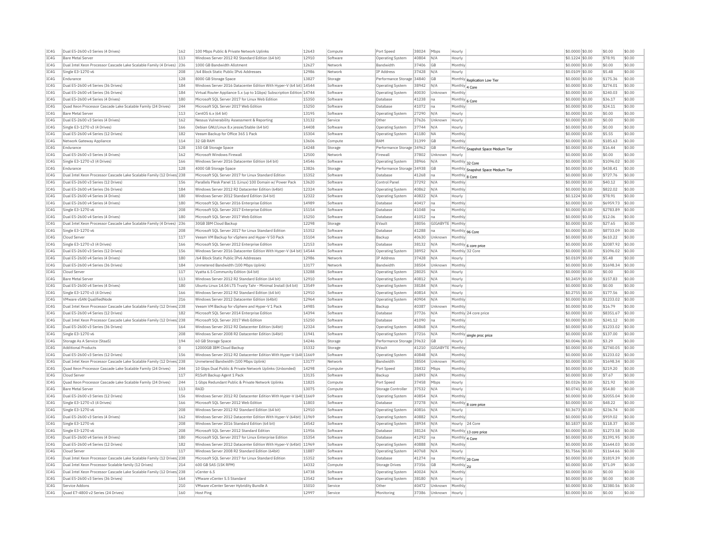| IC4G | Dual E5-2600 v3 Series (4 Drives)                                      | 162            | 100 Mbos Public & Private Network Uplinks                             | 12643          | Compute  | Port Speed                           | 38024 | Mbps           | Hourly         |                                    | \$0,0000 \$0.00  | \$0.00    | \$0.00 |
|------|------------------------------------------------------------------------|----------------|-----------------------------------------------------------------------|----------------|----------|--------------------------------------|-------|----------------|----------------|------------------------------------|------------------|-----------|--------|
| TC4G | <b>Bare Metal Server</b>                                               | 113            | Windows Server 2012 R2 Standard Edition (64 bit)                      | 12910          | Software | Operating System                     | 40804 | N/A            | Hourly         |                                    | \$0,1224 \$0.00  | \$78.91   | \$0.00 |
| IC4G | Dual Intel Xeon Processor Cascade Lake Scalable Family (4 Drives) 236  |                | 1000 GB Bandwidth Allotment                                           | 12627          | Network  | Bandwidth                            | 37406 | GB             | Monthly        |                                    | \$0.0000 \$0.00  | \$0.00    | \$0.00 |
| IC4G | Single E3-1270 v6                                                      | 208            | /64 Block Static Public IPv6 Addresses                                | 12986          | Network  | IP Address                           | 37428 | N/A            | Hourly         |                                    | \$0,0109 \$0.00  | \$5.48    | \$0.00 |
| TC4G | Endurance                                                              | 128            | 8000 GB Storage Space                                                 | 13827          | Storage  | Performance Storage 34840            |       | GB             |                | Monthly Replication Low Tier       | $$0.0000$ \$0.00 | \$175.36  | \$0.00 |
| IC4G | Dual E5-2600 v4 Series (36 Drives)                                     | 184            | Windows Server 2016 Datacenter Edition With Hyper-V (64 bit) 14544    |                | Software | Operating System                     | 38942 | N/A            | Monthly 4 Core |                                    | \$0.0000 \$0.00  | \$274.01  | \$0.00 |
| IC4G | Dual E5-2600 v4 Series (36 Drives)                                     | 184            | Virtual Router Appliance 5.x (up to 1Gbps) Subscription Edition 14744 |                | Software | Operating System                     | 40030 | Unknown        | Monthly        |                                    | \$0,0000 \$0.00  | \$240.03  | \$0.00 |
| TC4G | Dual E5-2600 v4 Series (4 Drives)                                      | 180            | Microsoft SOL Server 2017 for Linux Web Edition                       | 15350          | Software | Database                             | 41238 | lna            | Monthly 6 Core |                                    | $$0.0000$ \$0.00 | \$36.17   | \$0.00 |
| IC4G | Quad Xeon Processor Cascade Lake Scalable Family (24 Drives)           | 244            | Microsoft SQL Server 2017 Web Edition                                 | 15250          | Software | Database                             | 41072 | Ina            | Monthly        |                                    | \$0,0000 \$0.00  | \$24.11   | \$0.00 |
| IC4G | <b>Bare Metal Server</b>                                               | 113            | CentOS 6 x (64 bit)                                                   | 13195          | Software | Operating System                     | 27290 | N/A            | Hourly         |                                    | \$0,0000 \$0.00  | \$0.00    | \$0.00 |
| TCAG | Dual E5-2600 v3 Series (4 Drives)                                      | 162            | Nessus Vulnerability Assessment & Reporting                           | 13132          | Service  | Other                                | 37626 | Unknown        | Hourly         |                                    | \$0.0000 \$0.00  | \$0.00    | \$0.00 |
| IC4G | Single E3-1270 v3 (4 Drives)                                           | 166            | Debian GNU/Linux 8.x jessie/Stable (64 bit)                           | 14408          | Software | <b>Operating System</b>              | 37744 | N/A            | Hourly         |                                    | \$0.0000 \$0.00  | \$0.00    | \$0.00 |
| IC4G | Dual E5-2600 v4 Series (12 Drives)                                     | 182            | Veeam Backup for Office 365 1 Pack                                    | 15304          | Software | Operating System                     | 41180 | <b>NA</b>      | Monthly        |                                    | \$0,0000 \$0.00  | \$5.55    | \$0.00 |
| IC4G |                                                                        | 114            | 32 GB RAM                                                             | 13606          |          | RAM                                  | 31399 | GB             | Monthly        |                                    | \$0,0000 \$0.00  | \$185.63  | \$0.00 |
| IC4G | Network Gateway Appliance                                              | 128            |                                                                       | 14248          | Compute  |                                      |       |                |                |                                    |                  | \$16.44   | \$0.00 |
|      | Endurance                                                              |                | 150 GB Storage Space                                                  |                | Storage  | Performance Storage 34962            |       | <b>GB</b>      |                | Monthly Snapshot Space Medium Tier | \$0,0000 \$0,00  |           |        |
| IC4G | Dual E5-2600 v3 Series (4 Drives)                                      | 162            | Microsoft Windows Firewall                                            | 12500          | Network  | Firewall                             | 37802 | Unknown        | Hourly         |                                    | \$0,0000 \$0.00  | \$0.00    | \$0.00 |
| IC4G | Single E3-1270 v3 (4 Drives)                                           | 166            | Windows Server 2016 Datacenter Edition (64 bit)                       | 14546          | Software | Operating System                     | 38966 | N/A            |                | Monthly 32 Core                    | \$0.0000 \$0.00  | \$1096.02 | \$0.00 |
| TC4G | Endurance                                                              | 128            | 4000 GB Storage Space                                                 | 13826          | Storage  | Performance Storage 34938            |       | GB             |                | Monthly Snapshot Space Medium Tier | $$0.0000$ \$0.00 | \$438.41  | \$0.00 |
| IC4G | Dual Intel Xeon Processor Cascade Lake Scalable Family (12 Drives 238  |                | Microsoft SOL Server 2017 for Linux Standard Edition                  | 15352          | Software | Database                             | 41268 | Ina            | Monthly 8 Core |                                    | \$0,0000 \$0.00  | \$727.76  | \$0.00 |
| IC4G | Dual E5-2600 v3 Series (12 Drives)                                     | 156            | Parallels Plesk Panel 11 (Linux) 100 Domain w/ Power Pack             | 13620          | Software | Control Pane                         | 37292 | N/A            | Monthly        |                                    | \$0,0000 \$0.00  | \$40.12   | \$0.00 |
| IC4G | Dual E5-2600 v4 Series (36 Drives)                                     | 184            | Windows Server 2012 R2 Datacenter Edition (64bit)                     | 12324          | Software | Operating System                     | 40862 | N/A            | Monthly        |                                    | \$0.0000 \$0.00  | \$822.02  | \$0.00 |
| IC4G | Dual E5-2600 v4 Series (4 Drives)                                      | 180            | Windows Server 2012 Standard Edition (64 bit)                         | 12322          | Software | Operating System                     | 40822 | N/A            | Hourly         |                                    | \$0.1224 \$0.00  | \$78.91   | \$0.00 |
| IC4G | Dual E5-2600 v4 Series (4 Drives)                                      | 180            | Microsoft SQL Server 2016 Enterprise Edition                          | 14989          | Software | Database                             | 40417 | Ina            | Monthly        |                                    | $$0.0000$ \$0.00 | \$6959.73 | \$0.00 |
| IC4G | Single F3-1270 v6                                                      | 208            | Microsoft SQL Server 2017 Enterprise Edition                          | 15154          | Software | Database                             | 41048 | lna            | Monthly        |                                    | \$0.0000 \$0.00  | \$2783.89 | \$0.00 |
| TCAG | Dual E5-2600 v4 Series (4 Drives)                                      | 180            | Microsoft SOL Server 2017 Web Edition                                 | 15250          | Software | Database                             | 41052 | Ina            | Monthly        |                                    | \$0,0000 \$0.00  | \$12.06   | \$0.00 |
| IC4G | Dual Intel Xeon Processor Cascade Lake Scalable Family (4 Drives)      | 236            | 30GB TBM Cloud Backup                                                 | 12298          | Storage  | EVault                               | 38056 | GIGABYTE       | Monthly        |                                    | \$0.0000 \$0.00  | \$27.65   | \$0.00 |
| IC4G | Single E3-1270 v6                                                      | 208            | Microsoft SQL Server 2017 for Linux Standard Edition                  | 15352          | Software | Database                             | 41288 | na             |                | Monthly 96 Core                    | \$0.0000 \$0.00  | \$8733.09 | \$0.00 |
| IC4G | Cloud Server                                                           | 117            | Veeam VM Backup for vSphere and Hyper-V 50 Pack                       | 15104          | Software | Backup                               | 40630 | Unknown        | Monthly        |                                    | $$0.0000$ \$0.00 | \$610.22  | \$0.00 |
| TCAG | Single E3-1270 v3 (4 Drives)                                           | 166            | Microsoft SQL Server 2012 Enterprise Edition                          | 12153          | Software | Database                             | 38132 | N/A            |                | Monthly 6 core price               | \$0.0000 \$0.00  | \$2087.92 | \$0.00 |
| IC4G | Dual E5-2600 v3 Series (12 Drives)                                     | 156            | Windows Server 2016 Datacenter Edition With Hyper-V (64 bit) 14544    |                | Software | <b>Operating System</b>              | 38952 | N/A            |                | Monthly 32 Con                     | \$0.0000 \$0.00  | \$1096.02 | \$0.00 |
| IC4G | Dual E5-2600 v4 Series (4 Drives)                                      | 180            | /64 Block Static Public IPv6 Addresses                                | 12986          | Network  | IP Address                           | 37428 | N/A            | Hourly         |                                    | \$0,0109 \$0.00  | \$5.48    | \$0.00 |
| IC4G | Dual E5-2600 v4 Series (36 Drives)                                     | 184            | Unmetered Bandwidth (100 Mbps Uplink                                  | 13177          | Network  | Bandwidth                            | 38504 | Unknown        | Monthly        |                                    | \$0.0000 \$0.00  | \$1698.34 | \$0.00 |
| TC4G | Cloud Server                                                           | 117            | Vvatta 6.5 Community Edition (64 bit)                                 | 13288          | Software | <b>Operating System</b>              | 28025 | N/A            | Hourly         |                                    | \$0,0000 \$0,00  | \$0.00    | \$0.00 |
| IC4G | <b>Bare Metal Server</b>                                               | 113            | Windows Server 2012 R2 Standard Edition (64 bit)                      | 12910          | Software | Operating System                     | 40812 | N/A            | Hourly         |                                    | \$0,2459 \$0.00  | \$157.83  | \$0.00 |
| IC4G | Dual E5-2600 v4 Series (4 Drives)                                      | 180            | Ubuntu Linux 14.04 LTS Trusty Tahr - Minimal Install (64 bit)         | 13549          | Software | <b>Operating Systen</b>              | 38184 | N/A            | Hourly         |                                    | \$0,0000 \$0.00  | \$0.00    | \$0.00 |
| IC4G | Single E3-1270 v3 (4 Drives)                                           | 166            | Windows Server 2012 R2 Standard Edition (64 bit)                      | 12910          | Software | Operating System                     | 40814 | N/A            | Hourly         |                                    | \$0,2755 \$0.00  | \$177.56  | \$0.00 |
|      |                                                                        |                |                                                                       |                |          |                                      |       |                |                |                                    |                  |           |        |
| IC4G | VMware vSAN QualifiedNode                                              | 216            | Windows Server 2012 Datacenter Edition (64bit)                        | 12964<br>14985 | Software | Operating System                     | 40904 | N/A            | Monthly        |                                    | \$0,0000 \$0.00  | \$1233.02 | \$0.00 |
| TC4G | Dual Intel Xeon Processor Cascade Lake Scalable Family (12 Drives 238  |                | Veeam VM Backup for vSphere and Hyper-V 1 Pack                        |                | Software | Backup                               | 40387 | Unknown        | Monthly        |                                    | $$0.0000$ \$0.00 | \$16.79   | \$0.00 |
| IC4G | Dual E5-2600 v4 Series (12 Drives)                                     | 182            | Microsoft SQL Server 2014 Enterprise Edition                          | 14394          | Software | Database                             | 37726 | N/A            |                | Monthly 24 core price              | \$0,0000 \$0.00  | \$8351.67 | \$0.00 |
| IC4G | Dual Intel Xeon Processor Cascade Lake Scalable Family (12 Drives) 238 |                | Microsoft SOL Server 2017 Web Edition                                 | 15250          | Software | Database                             | 41090 | na             | Monthly        |                                    | \$0,0000 \$0.00  | \$241.12  | \$0.00 |
| IC4G | Dual E5-2600 v3 Series (36 Drives)                                     | 164            | Windows Server 2012 R2 Datacenter Edition (64bit)                     | 12324          | Software | Operating System                     | 40868 | N/A            | Monthly        |                                    | $$0.0000$ \$0.00 | \$1233.02 | \$0.00 |
| IC4G | Single E3-1270 v6                                                      | 208            | Windows Server 2008 R2 Datacenter Edition (64bit)                     | 11941          | Software | Operating System                     | 37216 | N/A            | Monthly        | single proc price                  | \$0,0000 \$0.00  | \$137.00  | \$0.00 |
| IC4G | Storage As A Service (StaaS)                                           | 194            | 60 GB Storage Space                                                   | 14246          | Storage  | Performance Storage 39632            |       | GB             | Hourly         |                                    | \$0,0046 \$0.00  | \$3.29    | \$0.00 |
| IC4G | <b>Additional Products</b>                                             | $\overline{0}$ | 12000GB TBM Cloud Backup                                              | 15332          | Storage  | FVault                               | 41210 | GIGARYTE       | Monthly        |                                    | \$0.0000 \$0.00  | \$2740.05 | \$0.00 |
| IC4G | Dual E5-2600 v3 Series (12 Drives)                                     | 156            | Windows Server 2012 R2 Datacenter Edition With Hyper-V (64t 11669     |                | Software | <b>Operating System</b>              | 40848 | N/A            | Monthly        |                                    | \$0.0000 \$0.00  | \$1233.02 | \$0.00 |
| TC4G | Dual Intel Xeon Processor Cascade Lake Scalable Family (12 Drives) 238 |                | Unmetered Bandwidth (100 Mbns Unlink)                                 | 13177          | Network  | Bandwidth                            | 38504 | Unknown        | Monthly        |                                    | \$0,0000 \$0.00  | \$1698.34 | \$0.00 |
| IC4G | Quad Xeon Processor Cascade Lake Scalable Family (24 Drives)           | 244            | 10 Gbps Dual Public & Private Network Uplinks (Unbonded)              | 14298          | Compute  | Port Speed                           | 38432 | Mbps           | Monthly        |                                    | \$0.0000 \$0.00  | \$219.20  | \$0.00 |
| IC4G | Cloud Server                                                           | 117            | R1Soft Backup Agent 1 Pack                                            | 13135          | Software | Backup                               | 26893 | N/A            | Monthly        |                                    | \$0,0000 \$0,00  | \$7.67    | \$0.00 |
| IC4G | Ouad Xeon Processor Cascade Lake Scalable Family (24 Drives)           | 244            | 1 Gbps Redundant Public & Private Network Uplinks                     | 11825          | Compute  | Port Speed                           | 37458 | Mbps           | Hourly         |                                    | \$0.0326 \$0.00  | \$21.92   | \$0.00 |
| IC4G | Bare Metal Server                                                      | 113            | RAID                                                                  | 13075          | Compute  | Storage Controlle                    | 37532 | N/A            | Hourly         |                                    | \$0.0741 \$0.00  | \$54.80   | \$0.00 |
| IC4G | Dual E5-2600 v3 Series (12 Drives)                                     | 156            | Windows Server 2012 R2 Datacenter Edition With Hyper-V (64t 11669     |                | Software | Operating System                     | 40854 | N/A            | Monthly        |                                    | \$0,0000 \$0.00  | \$2055.04 | \$0.00 |
| IC4G | Single E3-1270 v3 (4 Drives)                                           | 166            | Microsoft SOL Server 2012 Web Edition                                 | 11803          | Software | Database                             | 37278 | N/A            |                | Monthly 8 core price               | \$0,0000 \$0.00  | \$48.22   | \$0.00 |
| IC4G | Single E3-1270 v6                                                      | 208            | Windows Server 2012 R2 Standard Edition (64 bit)                      | 12910          | Software | <b>Operating System</b>              | 40816 | N/A            | Hourly         |                                    | \$0,3673 \$0,00  | \$236.74  | \$0.00 |
| IC4G | Dual E5-2600 v3 Series (4 Drives)                                      | 162            | Windows Server 2012 Datacenter Edition With Hyper-V (64bit) 11969     |                | Software | Operating System                     | 40882 | N/A            | Monthly        |                                    | \$0.0000 \$0.00  | \$959.02  | \$0.00 |
| IC4G | Single E3-1270 v6                                                      | 208            | Windows Server 2016 Standard Edition (64 bit)                         | 14542          | Software | <b>Operating System</b>              | 38934 | N/A            |                | Hourly 24 Core                     | \$0,1837 \$0.00  | \$118.37  | \$0.00 |
| IC4G | Single E3-1270 v6                                                      | 208            | Microsoft SOL Server 2012 Standard Edition                            | 11956          | Software | Database                             | 38124 | N/A            |                |                                    | \$0,0000 \$0.00  | \$1273.58 | \$0.00 |
| IC4G | Dual E5-2600 v4 Series (4 Drives)                                      | 180            | Microsoft SOL Server 2017 for Linux Enterprise Edition                | 15354          | Software | Database                             | 41292 | Ina            | Monthly 4 Core | Monthly 13 core price              | \$0,0000 \$0.00  | \$1391.95 | \$0.00 |
| IC4G | Dual E5-2600 v4 Series (12 Drives)                                     | 182            | Windows Server 2012 Datacenter Edition With Hyper-V (64bit) 11969     |                | Software |                                      | 40888 | N/A            | Monthly        |                                    | \$0,0000 \$0.00  | \$1644.03 | \$0.00 |
| IC4G | Cloud Server                                                           | 117            | Windows Server 2008 R2 Standard Edition (64bit)                       | 11887          | Software | Operating System<br>Operating System | 40768 | N/A            |                |                                    | \$1,7566 \$0.00  | \$1164.66 | \$0.00 |
|      |                                                                        |                |                                                                       |                |          |                                      |       |                | Hourly         |                                    |                  |           |        |
| IC4G | Dual Intel Xeon Processor Cascade Lake Scalable Family (12 Drives 238  |                | Microsoft SQL Server 2017 for Linux Standard Edition                  | 15352          | Software | Database                             | 41274 | Ina            |                | Monthly 20 Core                    | \$0.0000 \$0.00  | \$1819.39 | \$0.00 |
| TC4G | Dual Intel Xeon Processor Scalable family (12 Drives)                  | 214            | 600 GB SAS (15K RPM)                                                  | 14332          | Compute  | Storage Drives                       | 37356 | GB             | Monthly 2U     |                                    | $$0.0000$ \$0.00 | \$71.09   | \$0.00 |
| TCAG | Dual Intel Xeon Processor Cascade Lake Scalable Family (12 Drives) 238 |                | vCenter 6.5                                                           | 14738          | Software | Operating System                     | 40024 | N/A            | Monthly        |                                    | \$0.0000 \$0.00  | \$0.00    | \$0.00 |
| IC4G | Dual E5-2600 v3 Series (36 Drives)                                     | 164            | VMware yCenter 5 5 Standard                                           | 13542          | Software | Operating System                     | 38180 | N/A            | Hourly         |                                    | $$0.0000$ \$0.00 | \$0.00    | \$0.00 |
| IC4G | Service Addons                                                         | 210            | VMware yCenter Server Hybridity Bundle A                              | 15010          | Service  | Other                                | 40472 | <b>Unknown</b> | Monthly        |                                    | $$0.0000$ \$0.00 | \$2380.56 | \$0.00 |
| IC4G | Quad E7-4800 v2 Series (24 Drives)                                     | 160            | <b>Host Ping</b>                                                      | 12997          | Service  | Monitoring                           | 37386 | Unknown        | Hourly         |                                    | \$0.0000 \$0.00  | \$0.00    | \$0.00 |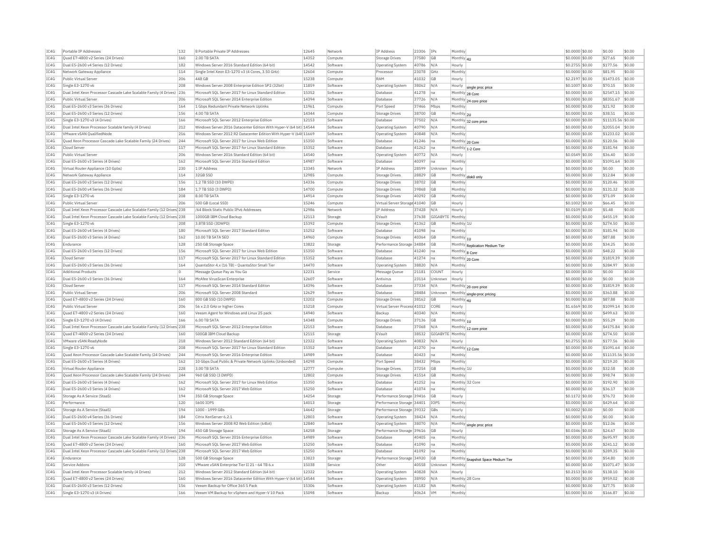| TC4G | Portable TP Addresses                                                                             | 132 | 8 Portable Private IP Addresses                                                                          | 12645          | Network             | <b>IP Address</b>            | 23306          | <b>TPs</b>       | Monthly            |                                    | \$0,0000 \$0.00                     | \$0.00                 | \$0.00           |
|------|---------------------------------------------------------------------------------------------------|-----|----------------------------------------------------------------------------------------------------------|----------------|---------------------|------------------------------|----------------|------------------|--------------------|------------------------------------|-------------------------------------|------------------------|------------------|
| IC4G | Quad E7-4800 v2 Series (24 Drives)                                                                | 160 | 2.00 TB SATA                                                                                             | 14352          | Compute             | <b>Storage Drives</b>        | 37580          | GB               | Monthly 4U         |                                    | \$0.0000 \$0.00                     | \$27.65                | \$0.00           |
| IC4G | Dual E5-2600 v4 Series (12 Drives)                                                                | 182 | Windows Server 2016 Standard Edition (64 bit)                                                            | 14542          | Software            | <b>Operating System</b>      | 40786          | N/A              | Hourly             |                                    | \$0,2755 \$0.00                     | \$177.56               | \$0.00           |
| TCAG | Network Gateway Appliance                                                                         | 114 | Single Intel Xeon E3-1270 v3 (4 Cores, 3.50 GHz)                                                         | 12604          | Compute             | Processo                     | 23078          | GHZ              | Monthly            |                                    | \$0.0000 \$0.00                     | \$81.95                | \$0.00           |
| IC4G | Public Virtual Server                                                                             | 206 | AAR GR                                                                                                   | 15238          | Compute             | RAM                          | 41032          | <b>GB</b>        | Hourly             |                                    | \$2.2197 \$0.00                     | \$1473.05              | \$0.00           |
| IC4G | Single E3-1270 v6                                                                                 | 208 | Windows Server 2008 Enterprise Edition SP2 (32bit)                                                       | 11859          | Software            | Operating System             | 38062          | N/A              |                    | Hourly single proc price           | \$0.1007 \$0.00                     | \$70.15                | \$0.00           |
| IC4G | Dual Intel Xeon Processor Cascade Lake Scalable Family (4 Drives) 236                             |     | Microsoft SOL Server 2017 for Linux Standard Edition                                                     | 15352          | Software            | Database                     | 41278          | <b>I</b> na      | Monthly 28 Core    |                                    | \$0.0000 \$0.00                     | \$2547.15              | \$0.00           |
| IC4G | Public Virtual Server                                                                             | 206 | Microsoft SOL Server 2014 Enterprise Edition                                                             | 14394          | Software            | Database                     | 37726          | N/A              |                    | Monthly 24 core price              | \$0,0000 \$0.00                     | \$8351.67              | \$0.00           |
| IC4G | Dual E5-2600 v3 Series (36 Drives)                                                                | 164 | 1 Gbps Redundant Private Network Uplinks                                                                 | 11961          | Compute             | Port Speed                   | 37466          | Mbps             | Monthly            |                                    | \$0.0000 \$0.00                     | \$21.92                | \$0.00           |
| TC4G | Dual E5-2600 v3 Series (12 Drives)                                                                | 156 | 4.00 TR SATA                                                                                             | 14344          | Compute             | Storage Drives               | 38700          | <b>GB</b>        | Monthly 2U         |                                    | \$0,0000 \$0.00                     | \$38.51                | \$0.00           |
| IC4G | Single E3-1270 v3 (4 Drives)                                                                      | 166 | Microsoft SQL Server 2012 Enterprise Edition                                                             | 12153          | Software            | <b>Databas</b>               | 37502          | N/A              |                    | Monthly 32 core price              | \$0.0000 \$0.00                     | \$11135.56             | \$0.00           |
| TCAG | Dual Intel Xeon Processor Scalable family (4 Drives)                                              | 212 | Windows Server 2016 Datacenter Edition With Hyper-V (64 bit) 14544                                       |                | Software            | Operating System             | 40790          | N/A              | Monthly            |                                    | \$0,0000 \$0.00                     | \$2055.04              | \$0.00           |
| IC4G | VMware vSAN OualifiedNode                                                                         | 216 | Windows Server 2012 R2 Datacenter Edition With Hyper-V (64t 11669                                        |                | Software            | Operating System             | 40848          | N/A              | Monthly            |                                    | \$0.0000 \$0.00                     | \$1233.02              | \$0.00           |
| TC4G | Quad Xeon Processor Cascade Lake Scalable Family (24 Drives)                                      | 244 | Microsoft SQL Server 2017 for Linux Web Edition                                                          | 15350          | Software            | Database                     | 41246 na       |                  | Monthly 20 Core    |                                    | \$0.0000 \$0.00                     | \$120.56               | \$0.00           |
| IC4G | Cloud Server                                                                                      | 117 | Microsoft SOL Server 2017 for Linux Standard Edition                                                     | 15352          | Software            | Database                     | 41262          | Ina              | Monthly 1-2 Core   |                                    | \$0,0000 \$0.00                     | \$181.94               | \$0.00           |
| TC4G | Public Virtual Server                                                                             | 206 | Windows Server 2016 Standard Edition (64 bit)                                                            | 14540          | Software            | <b>Operating System</b>      | 40772          | N/A              | Hourly             |                                    | \$0.0549 \$0.00                     | \$36.40                | \$0.00           |
| IC4G | Dual E5-2600 v3 Series (4 Drives)                                                                 | 162 | Microsoft SQL Server 2016 Standard Edition                                                               | 14987          | Software            | Database                     | 40397          | Ina              | Monthly            |                                    | \$0.0000 \$0.00                     | \$1091.64              | \$0.00           |
| IC4G | Virtual Router Appliance (10 Gpbs)                                                                | 230 | 1 IP Address                                                                                             | 13345          | Network             | IP Address                   | 28599          | Unknown          | Hourly             |                                    | \$0.0000 \$0.00                     | \$0.00                 | \$0.00           |
| TC4G | Network Gateway Appliance                                                                         | 114 | 32GB SSD                                                                                                 | 12985          | Compute             | <b>Storage Drives</b>        | 28829          | GB               |                    |                                    | \$0.0000 \$0.00                     | \$12.84                | \$0.00           |
| IC4G |                                                                                                   | 156 | 1.2 TB SSD (10 DWPD)                                                                                     |                |                     |                              |                | <b>GB</b>        |                    | Monthly disk0 only                 |                                     |                        | \$0.00           |
| IC4G | Dual E5-2600 v3 Series (12 Drives)<br>Dual E5-2600 v4 Series (36 Drives)                          | 184 | 1.7 TB SSD (3 DWPD)                                                                                      | 14336<br>14700 | Compute<br>Compute  | Storage Drives               | 38702<br>39868 | <b>GB</b>        | Monthly<br>Monthly |                                    | \$0.0000 \$0.00<br>\$0.0000 \$0.00  | \$120.46<br>\$131.32   | \$0.00           |
|      |                                                                                                   |     |                                                                                                          |                |                     | Storage Drives               |                |                  |                    |                                    |                                     |                        | \$0.00           |
| IC4G | Single E3-1270 v6                                                                                 | 208 | 8.00 TB SATA                                                                                             | 14914          | Compute             | Storage Drives               | 40292          | GB               | Monthly            |                                    | \$0.0000 \$0.00                     | \$71.09                |                  |
| IC4G | Public Virtual Server                                                                             | 206 | 500 GB (Local SSD)                                                                                       | 15246          | Compute             | Virtual Server Storage 41040 |                | <b>GB</b>        | Hourly             |                                    | \$0,1002 \$0.00                     | \$66.45                | \$0.00           |
| IC4G | Dual Intel Xeon Processor Cascade Lake Scalable Family (12 Drives) 238                            |     | /64 Block Static Public IPv6 Addresses                                                                   | 12986          | Network             | IP Addres:                   | 37428          | N/A              | Hourly             |                                    | \$0,0109 \$0.00                     | \$5.48                 | \$0.00           |
| TC4G | Dual Intel Xeon Processor Cascade Lake Scalable Family (12 Drives <sup>1</sup> 238                |     | 1000GB TBM Cloud Backup                                                                                  | 12113          | Storage             | FVault                       | 37638          | GIGARYTE         | Monthly            |                                    | \$0,0000 \$0.00                     | \$455.19               | \$0.00           |
| IC4G | Single E3-1270 v6                                                                                 | 208 | 3.8TB SSD (3DWPD)                                                                                        | 15392          | Compute             | Storage Drives               | 41362          | GB               | Monthly 1L         |                                    | \$0.0000 \$0.00                     | \$274.50               | \$0.00           |
| TCAG | Dual E5-2600 v4 Series (4 Drives)                                                                 | 180 | Microsoft SOL Server 2017 Standard Edition                                                               | 15252          | Software            | Database                     | 41098          | Ina              | Monthly            |                                    | \$0,0000 \$0.00                     | \$181.94               | \$0.00           |
| IC4G | Dual E5-2600 v3 Series (4 Drives)                                                                 | 162 | 10.00 TB SATA SED                                                                                        | 14960          | Compute             | <b>Storage Drives</b>        | 40364          | GB               | Monthly $ 10$      |                                    | \$0.0000 \$0.00                     | \$87.88                | \$0.00           |
| IC4G | Endurance                                                                                         | 128 | 250 GB Storage Space                                                                                     | 13822          | Storage             | Performance Storage 34884    |                | G <sub>B</sub>   |                    | Monthly Replication Medium Tier    | \$0.0000 \$0.00                     | \$34.25                | \$0.00           |
| IC4G | Dual E5-2600 v3 Series (12 Drives)                                                                | 156 | Microsoft SOL Server 2017 for Linux Web Edition                                                          | 15350          | Software            | Database                     | 41240          | Ina              | Monthly 8 Core     |                                    | \$0,0000 \$0.00                     | \$48.22                | \$0.00           |
| IC4G | Cloud Server                                                                                      | 117 | Microsoft SOL Server 2017 for Linux Standard Edition                                                     | 15352          | Software            | Database                     | 41274 na       |                  | Monthly 20 Core    |                                    | \$0.0000 \$0.00                     | \$1819.39              | \$0.00           |
| IC4G | Dual E5-2600 v3 Series (36 Drives)                                                                | 164 | QuantaStor 4.x (16 TB) - QuantaStor Small Tier                                                           | 14470          | Software            | <b>Operating System</b>      | 38820          | N/A              | Monthly            |                                    | \$0,0000 \$0.00                     | \$284.97               | \$0.00           |
| IC4G | <b>Additional Products</b>                                                                        | lo. | Message Queue Pay as You Go                                                                              | 12231          | Service             | Message Queue                | 21181          | COUNT            | Hourly             |                                    | \$0,0000 \$0.00                     | \$0.00                 | \$0.00           |
| IC4G | Dual E5-2600 v3 Series (36 Drives)                                                                | 164 | McAfee VirusScan Enterprise                                                                              | 12607          | Software            | Antivirus                    | 23114          | Unknown          | Hourly             |                                    | \$0.0000 \$0.00                     | \$0.00                 | \$0.00           |
| IC4G | Cloud Server                                                                                      | 117 | Microsoft SQL Server 2014 Standard Edition                                                               | 14396          | Software            | Database                     | 37334          | N/A              |                    | Monthly 20 core price              | \$0.0000 \$0.00                     | \$1819.39              | \$0.00           |
| IC4G | Public Virtual Server                                                                             | 206 | Microsoft SQL Server 2008 Standard                                                                       | 12629          | Software            | Database                     | 28484          | Unknown          |                    | Monthly single-proc pricing        | \$0.0000 \$0.00                     | \$363.88               | \$0.00           |
| IC4G | Quad E7-4800 v2 Series (24 Drives)                                                                | 160 | 800 GB SSD (10 DWPD)                                                                                     | 13202          | Compute             | Storage Drives               | 38162          | GB               | Monthly $ _{4U}$   |                                    | \$0.0000 \$0.00                     | \$87.88                | \$0.00           |
| IC4G | Public Virtual Server                                                                             | 206 | 56 x 2.0 GHz or higher Cores                                                                             | 15218          | Compute             | Virtual Server Process 41012 |                | CORE             | Hourly             |                                    | \$1,6569 \$0.00                     | \$1099.14              | \$0.00           |
| IC4G | Quad E7-4800 v2 Series (24 Drives)                                                                | 160 | Veeam Agent for Windows and Linux 25 pack                                                                | 14940          | Software            | Backur                       | 40340          | N/A              | Monthly            |                                    | \$0.0000 \$0.00                     | \$499.63               | \$0.00           |
| IC4G |                                                                                                   |     | 6.00 TB SATA                                                                                             |                |                     |                              | 37136          | <b>GB</b>        | Monthly 1U         |                                    |                                     |                        |                  |
|      | Single E3-1270 v3 (4 Drives)                                                                      | 166 |                                                                                                          | 14348          | Compute             | Storage Drives               |                |                  |                    |                                    | \$0,0000 \$0.00                     | \$55.29                | \$0.00           |
| IC4G | Dual Intel Xeon Processor Cascade Lake Scalable Family (12 Drives 238                             |     | Microsoft SOL Server 2012 Enterprise Edition                                                             | 12153          | Software            | <b>Databas</b>               | 37068          | N/A              |                    |                                    | \$0,0000 \$0.00                     | \$4175.84              | \$0.00           |
| TCAG | Quad E7-4800 v2 Series (24 Drives)                                                                | 160 | 500GB TBM Cloud Backup                                                                                   | 12115          | Storage             | FVault                       | 38532          | GIGARYTE Monthly |                    | Monthly 12 core price              | \$0,0000 \$0.00                     | \$274.50               | \$0.00           |
| IC4G |                                                                                                   | 218 | Windows Server 2012 Standard Edition (64 bit)                                                            | 12322          | Software            | <b>Operating System</b>      | 40832          | N/A              | Hourly             |                                    |                                     | \$177.56               | \$0.00           |
| IC4G | VMware vSAN ReadyNode<br>Single E3-1270 v6                                                        | 208 | Microsoft SOL Server 2017 for Linux Standard Edition                                                     | 15352          | Software            | Database                     | 41270          | Ina              |                    |                                    | $$0.2755$ \$0.00<br>\$0,0000 \$0.00 | \$1091.64              | \$0.00           |
| TC4G |                                                                                                   | 244 |                                                                                                          | 14989          |                     | Database                     |                | Ina              | Monthly 12 Core    |                                    |                                     |                        | \$0.00           |
| IC4G | Quad Xeon Processor Cascade Lake Scalable Family (24 Drives)<br>Dual E5-2600 v3 Series (4 Drives) | 162 | Microsoft SQL Server 2016 Enterprise Edition<br>10 Gbps Dual Public & Private Network Uplinks (Unbonded) | 14298          | Software<br>Compute | Port Speed                   | 40423<br>38432 | Mbps             | Monthly<br>Monthly |                                    | \$0.0000 \$0.00<br>\$0.0000 \$0.00  | \$11135.56<br>\$219.20 | \$0.00           |
| TC4G |                                                                                                   | 228 | 3.00 TR SATA                                                                                             |                | Compute             | Storage Drives               |                |                  | Monthly 1L         |                                    |                                     |                        |                  |
|      | Virtual Router Appliance                                                                          |     | 960 GB SSD (3 DWPD)                                                                                      | 12777          |                     |                              | 37254          | GB               |                    |                                    | \$0.0000 \$0.00                     | \$32.58                | \$0.00<br>\$0.00 |
| IC4G | Quad Xeon Processor Cascade Lake Scalable Family (24 Drives)                                      | 244 |                                                                                                          | 12802          | Compute             | <b>Storage Drives</b>        | 41514          | <b>GB</b>        | Monthly            |                                    | \$0,0000 \$0.00                     | \$98.74                |                  |
| IC4G | Dual E5-2600 v3 Series (4 Drives)                                                                 | 162 | Microsoft SOL Server 2017 for Linux Web Edition                                                          | 15350          | Software            | Database                     | 41252          | Ina              | Monthly 32 Core    |                                    | \$0,0000 \$0.00                     | \$192.90               | \$0.00           |
| IC4G | Dual E5-2600 v3 Series (4 Drives)                                                                 | 162 | Microsoft SOL Server 2017 Web Edition                                                                    | 15250          | Software            | Database                     | 41074          | Ina              | Monthly            |                                    | \$0.0000 \$0.00                     | \$36.17                | \$0.00           |
| IC4G | Storage As A Service (StaaS)                                                                      | 194 | 350 GB Storage Space                                                                                     | 14254          | Storage             | Performance Storage 39416    |                | GB               | Hourly             |                                    | $$0.1172$ \$0.00                    | \$76.72                | \$0.00           |
| IC4G | Performance                                                                                       | 120 | 5600 IOPS                                                                                                | 14013          | Storage             | Performance Storage 34401    |                | <b>IOPS</b>      | Monthly            |                                    | \$0.0000 \$0.00                     | \$429.64               | \$0.00           |
| IC4G | Storage As A Service (StaaS)                                                                      | 194 | 1000 - 1999 GBs                                                                                          | 14642          | Storage             | Performance Storage 39332    |                | GBs              | Hourly             |                                    | \$0.0002 \$0.00                     | \$0.00                 | \$0.00           |
| IC4G | Dual E5-2600 v4 Series (36 Drives)                                                                | 184 | Citrix XenServer 6.2.1                                                                                   | 12803          | Software            | Operating System             | 38424          | N/A              | Monthly            |                                    | \$0.0000 \$0.00                     | \$0.00                 | \$0.00           |
| IC4G | Dual E5-2600 v3 Series (12 Drives)                                                                | 156 | Windows Server 2008 R2 Web Edition (64bit)                                                               | 12840          | Software            | <b>Operating System</b>      | 38070          | N/A              | Monthly            | single proc price                  | \$0,0000 \$0.00                     | \$12.06                | \$0.00           |
| IC4G | Storage As A Service (StaaS)                                                                      | 194 | 450 GB Storage Space                                                                                     | 14258          | Storage             | Performance Storage 39616    |                | <b>GB</b>        | Hourly             |                                    | \$0,0346 \$0,00                     | \$24.67                | \$0.00           |
| TCAG | Dual Intel Xeon Processor Cascade Lake Scalable Family (4 Drives) 236                             |     | Microsoft SOL Server 2016 Enterprise Edition                                                             | 14989          | Software            | Database                     | 40405          | Ina              | Monthly            |                                    | \$0,0000 \$0.00                     | \$695.97               | \$0.00           |
| IC4G | Ouad E7-4800 v2 Series (24 Drives)                                                                | 160 | Microsoft SQL Server 2017 Web Edition                                                                    | 15250          | Software            | Database                     | 41090          | Ina              | Monthly            |                                    | \$0.0000 \$0.00                     | \$241.12               | \$0.00           |
| IC4G | Dual Intel Xeon Processor Cascade Lake Scalable Family (12 Drives 238                             |     | Microsoft SOL Server 2017 Web Edition                                                                    | 15250          | Software            | Database                     | 41092          | Ina              | Monthly            |                                    | \$0,0000 \$0.00                     | \$289.35               | \$0.00           |
| IC4G | Endurance                                                                                         | 128 | 500 GB Storage Space                                                                                     | 13823          | Storage             | Performance Storage 34920    |                | GB               |                    | Monthly Snapshot Space Medium Tier | \$0.0000 \$0.00                     | \$54.80                | \$0.00           |
| TCAG | Service Addons                                                                                    | 210 | VMware vSAN Enterprise Tier II 21 - 64 TB 6.x                                                            | 15038          | Service             | Other                        | 40558          | <b>Unknown</b>   | Monthly            |                                    | \$0.0000 \$0.00                     | \$1071.47              | \$0.00           |
| TC4G | Dual Intel Xeon Processor Scalable family (4 Drives)                                              | 212 | Windows Server 2012 Standard Edition (64 bit)                                                            | 12322          | Software            | Operating System             | 40828          | N/A              | Hourly             |                                    | \$0,2153 \$0.00                     | \$138.10               | \$0.00           |
| TC4G | Quad E7-4800 v2 Series (24 Drives)                                                                | 160 | Windows Server 2016 Datacenter Edition With Hyper-V (64 bit) 14544                                       |                | Software            | Operating System             | 38950          | N/A              | Monthly 28 Core    |                                    | \$0.0000 \$0.00                     | \$959.02               | \$0.00           |
| TC4G | Dual E5-2600 v3 Series (12 Drives)                                                                | 156 | Veeam Backup for Office 365 5 Pack                                                                       | 15306          | Software            | Operating System             | 41182          | <b>NA</b>        | Monthly            |                                    | \$0,0000 \$0.00                     | \$27.75                | \$0.00           |
| IC4G | Single E3-1270 v3 (4 Drives)                                                                      | 166 | Veeam VM Backup for vSphere and Hyper-V 10 Pack                                                          | 15098          | Software            | Backup                       | 40624          | <b>VM</b>        | Monthly            |                                    | $$0.0000$ \$0.00                    | \$166.87               | \$0.00           |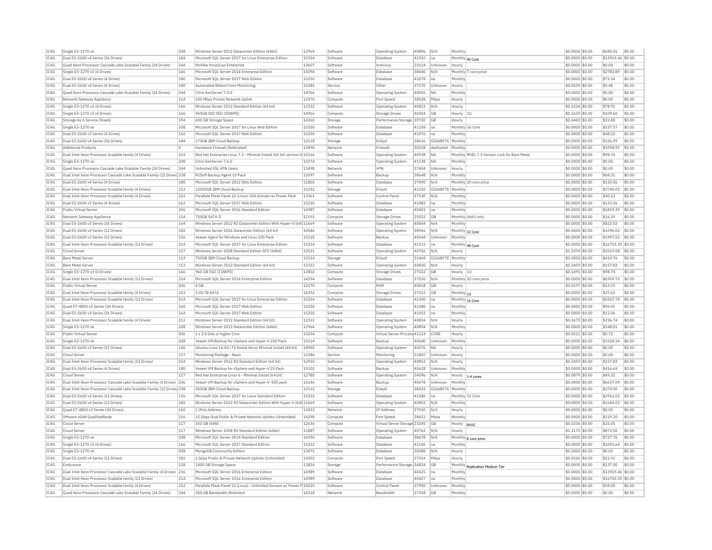| TC4G<br>Dual E5-2600 v4 Series (36 Drives)<br>184<br>Microsoft SOL Server 2017 for Linux Enterprise Edition<br>15354<br>Software<br>Database<br>41310<br>Monthly 40 Core<br>\$0,0000 \$0.00<br>\$13919.46 \$0.00<br>Ina<br>IC4G<br>Quad Xeon Processor Cascade Lake Scalable Family (24 Drives)<br>244<br>McAfee VirusScan Enterprise<br>12607<br>Software<br>Antivirus<br>23114<br>Unknown<br>\$0.0000 \$0.00<br>\$0.00<br>\$0.00<br>Hourly<br>IC4G<br>Single E3-1270 v3 (4 Drives)<br>166<br>Microsoft SQL Server 2014 Enterprise Edition<br>14394<br>Software<br>Database<br>38440<br>N/A<br>Monthly 7 core price<br>\$0.0000 \$0.00<br>\$2783.89<br>\$0.00<br>TC4G<br>Dual E5-2600 v4 Series (4 Drives)<br>180<br>Microsoft SQL Server 2017 Web Edition<br>15250<br>Database<br>41078<br>\$0.0000 \$0.00<br>\$72.34<br>\$0.00<br>Software<br>Monthly<br>Ina<br>IC4G<br>Dual E5-2600 v4 Series (4 Drives)<br>180<br>12285<br>37170<br>\$0.0109 \$0.00<br>\$5.48<br>\$0.00<br>Automated Reboot from Monitoring<br>Service<br>Other<br>Unknown<br>Hourly<br>IC4G<br>14766<br>\$0.00<br>Ouad Xeon Processor Cascade Lake Scalable Family (24 Drives)<br>244<br>Citrix XenServer 7.0.0<br>40056<br>\$0,0000 \$0.00<br>\$0.00<br>Software<br><b>NA</b><br>Monthly<br>Operating System<br>IC4G<br>13376<br>\$0.00<br>Network Gateway Appliance<br>114<br>100 Mbps Private Network Uplinl<br>Compute<br>Port Speed<br>38528<br>Mbps<br>Hourly<br>\$0,0000 \$0.00<br>\$0.00<br>IC4G<br>Single E3-1270 v3 (4 Drives)<br>Windows Server 2012 Standard Edition (64 bit)<br>12322<br>\$78.91<br>\$0.00<br>166<br>40822<br>N/A<br>\$0,1224 \$0.00<br>Software<br><b>Operating System</b><br>Hourly<br>14916<br>IC4G<br>Single E3-1270 v3 (4 Drives)<br>166<br>960GB SSD SED (5DWPD)<br>Compute<br><b>Storage Drives</b><br>40304<br><b>GB</b><br>Hourly<br>\$0,1659 \$0.00<br>\$109.60<br>\$0.00<br>14260<br>TC4G<br>194<br>\$32.88<br>\$0.00<br>Storage As A Service (StaaS)<br>600 GB Storage Space<br>Storage<br>Performance Storage 39720<br><b>GB</b><br>Hourly<br>\$0,0460 \$0.00<br>208<br>IC4G<br>Single E3-1270 v6<br>Microsoft SQL Server 2017 for Linux Web Edition<br>15350<br>Software<br>Database<br>41258<br>Monthly 56 Core<br>\$0.0000 \$0.00<br>\$337.57<br>\$0.00<br>Ina<br>TC4G<br>15250<br>162<br>Microsoft SOL Server 2017 Web Edition<br>41076<br>\$48.22<br>\$0.00<br>Dual E5-2600 v3 Series (4 Drives)<br>Software<br>Database<br>Monthly<br>\$0,0000 \$0.00<br>Ina<br>TC4G<br>Dual E5-2600 v4 Series (36 Drives)<br>184<br>175GB IBM Cloud Backup<br>12118<br>EVault<br>38636<br>GIGABYTE<br>\$0.0000 \$0.00<br>\$126.39<br>\$0.00<br>Storage<br>Monthly<br>13496<br>IC4G<br><b>Additional Products</b><br>n.<br>Hardware Firewall (Dedicated)<br>Network<br>Firewall<br>30228<br>dedicated<br>Monthly<br>\$0.0000 \$0.00<br>\$1094.92<br>\$0.00<br>IC4G<br>212<br>Red Hat Enterprise Linux 7.3 - Minimal Install (64 bit) version-k 15166<br>Monthly RHEL 7.3 Version Lock for Bare Metal<br>50.00<br>Dual Intel Xeon Processor Scalable family (4 Drives)<br>40938<br>\$0,0000 \$0.00<br>\$98.74<br>Software<br>Operating System<br><b>NA</b><br>IC4G<br>Single E3-1270 v6<br>208<br>15274<br>Software<br>41138<br><b>NA</b><br>Monthly<br>\$0.0000 \$0.00<br>\$0.00<br>\$0.00<br>Citrix XenServer 7.6.0<br><b>Operating System</b><br>TC4G<br>13498<br>37404<br>\$0.00<br>244<br><b>Unlimited SSL VPN Users</b><br>VPN<br>Unknown<br>$$0.0000$ \$0.00<br>\$0.00<br>Quad Xeon Processor Cascade Lake Scalable Family (24 Drives)<br>Network<br>Hourly<br>IC4G<br>Dual Intel Xeon Processor Cascade Lake Scalable Family (12 Drives) 238<br>R1Soft Backup Agent 10 Pack<br>13597<br>Backup<br>38648<br>\$0.0000 \$0.00<br>\$68.51<br>\$0.00<br>Software<br>N/A<br>Monthly<br>TC4G<br>\$0.00<br>180<br>Microsoft SOL Server 2012 Web Edition<br>11803<br>37490<br>$$0.0000$ \$0.00<br>\$120.56<br>Dual E5-2600 v4 Series (4 Drives)<br>Software<br>Database<br>N/A<br>Monthly 20 core price<br>IC4G<br>15332<br>\$0.0000 \$0.00<br>\$2740.05<br>\$0.00<br>Dual Intel Xeon Processor Scalable family (4 Drives)<br>212<br>12000GB IBM Cloud Backup<br>Storage<br>EVault<br>41210<br>GIGABYTE<br>Monthly<br>TC4G<br>212<br>\$0.00<br>Dual Intel Xeon Processor Scalable family (4 Drives)<br>Parallels Plesk Panel 10 (Linux) 100 Domain w/ Power Pack<br>13361<br>Software<br>Control Panel<br>37140<br>N/A<br>Monthly<br>\$0.0000 \$0.00<br>\$40.12<br>IC4G<br>162<br>15250<br>41082<br>\$0.00<br>Dual E5-2600 v3 Series (4 Drives)<br>Microsoft SOL Server 2017 Web Edition<br>Software<br><b>Databas</b><br>Monthly<br>\$0,0000 \$0.00<br>\$120.56<br>Ina<br>TC4G<br>Public Virtual Server<br>206<br>Microsoft SOL Server 2016 Standard Edition<br>14987<br>Software<br>Database<br>40401<br>Ina<br>Monthly<br>\$0,0000 \$0.00<br>\$1819.39<br>\$0.00<br>IC4G<br>Network Gateway Appliance<br>114<br>750GB SATA II<br>12191<br>25022<br><b>GB</b><br>Monthly disk1 only<br>\$0.0000 \$0.00<br>\$16.29<br>\$0.00<br>Compute<br><b>Storage Drives</b><br>IC4G<br>40844<br>\$822.02<br>\$0.00<br>Dual E5-2600 v3 Series (36 Drives)<br>164<br>Windows Server 2012 R2 Datacenter Edition With Hyper-V (64t 11669<br>Software<br><b>Operating System</b><br>N/A<br>Monthly<br>\$0,0000 \$0.00<br>TC4G<br>Dual E5-2600 v4 Series (12 Drives)<br>182<br>Windows Server 2016 Datacenter Edition (64 bit)<br>14546<br>38966<br>\$0.0000 \$0.00<br>\$1096.02<br>\$0.00<br>Software<br>N/A<br>Operating System<br>Monthly 32 Core<br>IC4G<br>\$0.00<br>Dual E5-2600 v3 Series (12 Drives)<br>156<br>Veeam Agent for Windows and Linux 100 Pack<br>15118<br>Software<br>Backup<br>40644<br>Unknown<br>Monthly<br>\$0.0000 \$0.00<br>\$1997.52<br>IC4G<br>214<br>15354<br>\$16703.35 \$0.00<br>Dual Intel Xeon Processor Scalable family (12 Drives)<br>Microsoft SOL Server 2017 for Linux Enterprise Edition<br>Software<br>41312<br>\$0,0000 \$0.00<br>Database<br>Monthly 48 Core<br>Ina<br>IC4G<br>117<br>Windows Server 2008 Standard Edition SP2 (64bit)<br>12521<br>Software<br>Operating System<br>40742<br>\$1.5374 \$0.00<br>\$1019.08<br>\$0.00<br>Cloud Serve<br>N/A<br>Hourly<br>IC4G<br>113<br>12114<br>31468<br>GIGABYTE Monthly<br>\$410.76<br>\$0.00<br><b>Bare Metal Server</b><br>750GB IBM Cloud Backup<br>\$0,0000 \$0.00<br>Storage<br>EVault<br>IC4G<br><b>Bare Metal Serve</b><br>113<br>Windows Server 2012 Standard Edition (64 bit)<br>12322<br>40830<br>$$0.2459$ \$0.00<br>\$157.83<br>\$0.00<br>Software<br><b>Operating System</b><br>N/A<br>Hourly<br>12802<br>TC4G<br>166<br>960 GB SSD (3 DWPD)<br>\$98.74<br>\$0.00<br>Single E3-1270 v3 (4 Drives)<br>Compute<br>Storage Drives<br>37102<br>G <sub>B</sub><br>Hourly 1L<br>\$0,1491 \$0.00<br>IC4G<br>Dual Intel Xeon Processor Scalable family (12 Drives)<br>214<br>Microsoft SQL Server 2014 Enterprise Edition<br>14394<br>\$6959.73<br>\$0.00<br>Software<br><b>Databas</b><br>37550<br>N/A<br>Monthly 20 core price<br>\$0.0000 \$0.00<br>206<br>TC4G<br>12170<br>40018<br>\$0.00<br>Public Virtual Server<br>4 GB<br>Compute<br>RAM<br><b>GB</b><br>Hourly<br>\$0,0197 \$0.00<br>\$13.15<br>212<br>14352<br>IC4G<br>Dual Intel Xeon Processor Scalable family (4 Drives)<br>2.00 TB SATA<br>Compute<br><b>Storage Drives</b><br>37352<br><b>GB</b><br>Monthly $ _{10}$<br>\$0.0000 \$0.00<br>\$27.65<br>\$0.00<br>214<br>IC4G<br>Dual Intel Xeon Processor Scalable family (12 Drives)<br>Microsoft SQL Server 2017 for Linux Enterprise Edition<br>15354<br>Software<br>Database<br>41300<br> na<br>\$0.0000 \$0.00<br>\$5567.78<br>\$0.00<br>Monthly 16 Core<br>IC4G<br>Ouad E7-4800 v2 Series (24 Drives)<br>160<br>Microsoft SOL Server 2017 Web Edition<br>15250<br>Software<br>Database<br>41080<br>Monthly<br>\$0.0000 \$0.00<br>\$96.45<br>\$0.00<br>Ina<br>IC4G<br>Dual E5-2600 v3 Series (36 Drives)<br>164<br>Microsoft SOL Server 2017 Web Edition<br>15250<br>Software<br>Database<br>41052<br>Monthly<br>\$0.0000 \$0.00<br>\$12.06<br>\$0.00<br>Ina<br>TC4G<br>212<br>12322<br>40834<br>N/A<br>$$0.3673$ \$0.00<br>\$236.74<br>\$0.00<br>Dual Intel Xeon Processor Scalable family (4 Drives)<br>Windows Server 2012 Standard Edition (64 bit)<br>Software<br>Operating System<br>Hourly<br>IC4G<br>Single E3-1270 v6<br>208<br>Windows Server 2012 Datacenter Edition (64bit)<br>12964<br>40894<br>Monthly<br>\$0.0000 \$0.00<br>\$548.01<br>\$0.00<br>Software<br><b>Operating System</b><br>N/A<br>IC4G<br>206<br>15254<br>\$0.72<br>\$0.00<br>Public Virtual Server<br>1 x 2.0 GHz or higher Core<br>Virtual Server Process 41114<br>CORE<br>\$0,0011 \$0.00<br>Compute<br>Hourly<br>IC4G<br>208<br>15114<br>40640<br>\$0.0000 \$0.00<br>\$3328.54<br>\$0.00<br>Single E3-1270 v6<br>Veeam VM Backup for vSphere and Hyper-V 200 Pack<br>Software<br>Backup<br>Unknown<br>Monthly<br>IC4G<br>156<br>14902<br>40276<br>\$0,0000 \$0.00<br>\$0.00<br>\$0.00<br>Dual E5-2600 v3 Series (12 Drives)<br>Ubuntu Linux 16.04 LTS Xenial Xerus Minimal Install (64 bit)<br>Software<br><b>NA</b><br><b>Operating System</b><br>Hourly<br>IC4G<br>117<br>Cloud Serve<br>Monitoring Package - Basic<br>12386<br>Monitoring<br>21847<br>Unknown<br>Hourly<br>\$0,0000 \$0.00<br>\$0.00<br>\$0.00<br>Service<br>TC4G<br>\$157.83<br>\$0.00<br>Dual Intel Xeon Processor Scalable family (12 Drives)<br>214<br>Windows Server 2012 R2 Standard Edition (64 bit)<br>12910<br>40812<br>\$0.2459 \$0.00<br>Software<br>Operating System<br>N/A<br>Hourly<br>IC4G<br>Dual E5-2600 v4 Series (4 Drives)<br>180<br>Veeam VM Backup for vSphere and Hyper-V 25 Pack<br>15102<br>Software<br>40628<br>Unknown<br>Monthly<br>\$0.0000 \$0.00<br>\$416.69<br>\$0.00<br>Backup<br>TC4G<br>117<br>12780<br>\$49.32<br>\$0.00<br>Cloud Server<br>Red Hat Enterprise Linux 6 - Minimal Install (64 bit)<br>Software<br>Operating System<br>24096<br>N/A<br>Hourly<br>\$0,0879 \$0.00<br>1-4 cores<br>TC4G<br>Dual Intel Xeon Processor Cascade Lake Scalable Family (4 Drives) 236<br>15146<br>40678<br>\$0.0000 \$0.00<br>\$6657.09<br>\$0.00<br>Veeam VM Backup for vSphere and Hyper-V 500 pack<br>Software<br>Backup<br>Unknown<br>Monthly<br>IC4G<br>12115<br>\$0.00<br>Dual Intel Xeon Processor Cascade Lake Scalable Family (12 Drives) 238<br>500GB IBM Cloud Backup<br>Storage<br>EVault<br>38532<br>GIGABYTE<br>Monthly<br>\$0.0000 \$0.00<br>\$274.50<br>IC4G<br>Dual E5-2600 v3 Series (12 Drives)<br>156<br>Microsoft SQL Server 2017 for Linux Standard Edition<br>15352<br>Software<br>Database<br>41280<br>Monthly 32 Core<br>\$0.0000 \$0.00<br>\$2911.03<br>\$0.00<br>Ina<br>IC4G<br>Dual E5-2600 v4 Series (12 Drives)<br>182<br>Windows Server 2012 R2 Datacenter Edition With Hyper-V (64t 11669<br>Software<br>Operating System<br>40852<br>N/A<br>Monthly<br>\$0.0000 \$0.00<br>\$1644.03<br>\$0.00<br>TCAG<br>Quad E7-4800 v2 Series (24 Drives)<br>160<br>13033<br><b>TP Address</b><br>37050<br>N/A<br>\$0.0000 \$0.00<br>\$0.00<br>\$0.00<br>1 TPv6 Address<br>Network<br>Hourly<br>IC4G<br>VMware vSAN QualifiedNode<br>216<br>10 Gbps Dual Public & Private Network Uplinks (Unbonded)<br>14298<br>38432<br>Monthly<br>\$0.0000 \$0.00<br>\$219.20<br>\$0.00<br>Compute<br>Port Speed<br>Mbps<br>IC4G<br>117<br>\$25.05<br>\$0.00<br>Cloud Server<br>350 GB (SAN)<br>12636<br>Virtual Server Storage 23245<br>GB<br>\$0.0336 \$0.00<br>Compute<br>Hourly<br><b>RYOC</b><br>IC4G<br>117<br>Windows Server 2008 R2 Standard Edition (64bit)<br>11887<br>40762<br>\$873.50<br>\$0.00<br>Cloud Serve<br>Software<br>Operating System<br>N/A<br>Hourly<br>\$1.3172 \$0.00<br>IC4G<br>208<br>14396<br>\$727.76<br>Single E3-1270 v6<br>Microsoft SOL Server 2014 Standard Edition<br>38678<br>\$0,0000 \$0.00<br>\$0.00<br>Software<br>N/A<br>Database<br>Monthly 8 core price<br>IC4G<br>166<br>15252<br>Single E3-1270 v3 (4 Drives)<br>Microsoft SQL Server 2017 Standard Edition<br>Software<br>Database<br>41106<br>Ina<br>Monthly<br>\$0.0000 \$0.00<br>\$1091.64<br>\$0.00<br>TC4G<br>208<br>13473<br>Single E3-1270 v6<br>38388<br>N/A<br>\$0,0000 \$0.00<br>\$0.00<br>\$0.00<br>MongoDB Community Edition<br>Software<br>Database<br>Hourly<br>182<br>IC4G<br>Dual E5-2600 v4 Series (12 Drives)<br>1 Gbps Public & Private Network Uplinks (Unbonded)<br>14302<br>Port Speed<br>37324<br>Mbps<br>\$0.0326 \$0.00<br>\$21.92<br>\$0.00<br>Compute<br>Hourly<br>TCAG<br>13824<br>\$137.00<br>\$0.00<br>Endurance<br>128<br>1000 GB Storage Space<br>Storage<br>Performance Storage 34824<br>G <sub>B</sub><br>Monthly<br>\$0,0000 \$0,00<br>Replication Medium Tier<br>TC4G<br>Dual Intel Xeon Processor Cascade Lake Scalable Family (4 Drives) 236<br>Microsoft SQL Server 2016 Enterprise Edition<br>14989<br>Database<br>40425<br>\$0.0000 \$0.00<br>\$13919.46 \$0.00<br>Software<br>Monthly<br>Ina<br>IC4G<br>Dual Intel Xeon Processor Scalable family (12 Drives)<br>214<br>Microsoft SQL Server 2016 Enterprise Edition<br>14989<br>Software<br>Database<br>40427<br>lna<br>Monthly<br>\$0.0000 \$0.00<br>\$16703.35 \$0.00<br>TC4G<br>212<br>Parallels Plesk Panel 12 (Linux) - Unlimited Domain w/ Power P 14220<br>\$0.0000 \$0.00<br>\$58.20<br>\$0.00<br>Dual Intel Xeon Processor Scalable family (4 Drives)<br>Software<br>Control Pane<br>37950<br>Monthly<br>Unknown<br>TC4G<br>244<br>Quad Xeon Processor Cascade Lake Scalable Family (24 Drives)<br>500 GB Bandwidth Allotment<br>14318<br><b>Bandwidth</b><br>37358<br><b>GB</b><br>Monthly<br>$$0.0000$ \$0.00<br>\$0.00<br>\$0.00<br>Network | IC4G | Single E3-1270 v6 | 208 | Windows Server 2012 Datacenter Edition (64bit) | 12964 | Software | <b>Operating System</b> | 40896 | N/A | Monthly | \$0,0000 \$0.00 | \$685.01 | \$0.00 |
|-----------------------------------------------------------------------------------------------------------------------------------------------------------------------------------------------------------------------------------------------------------------------------------------------------------------------------------------------------------------------------------------------------------------------------------------------------------------------------------------------------------------------------------------------------------------------------------------------------------------------------------------------------------------------------------------------------------------------------------------------------------------------------------------------------------------------------------------------------------------------------------------------------------------------------------------------------------------------------------------------------------------------------------------------------------------------------------------------------------------------------------------------------------------------------------------------------------------------------------------------------------------------------------------------------------------------------------------------------------------------------------------------------------------------------------------------------------------------------------------------------------------------------------------------------------------------------------------------------------------------------------------------------------------------------------------------------------------------------------------------------------------------------------------------------------------------------------------------------------------------------------------------------------------------------------------------------------------------------------------------------------------------------------------------------------------------------------------------------------------------------------------------------------------------------------------------------------------------------------------------------------------------------------------------------------------------------------------------------------------------------------------------------------------------------------------------------------------------------------------------------------------------------------------------------------------------------------------------------------------------------------------------------------------------------------------------------------------------------------------------------------------------------------------------------------------------------------------------------------------------------------------------------------------------------------------------------------------------------------------------------------------------------------------------------------------------------------------------------------------------------------------------------------------------------------------------------------------------------------------------------------------------------------------------------------------------------------------------------------------------------------------------------------------------------------------------------------------------------------------------------------------------------------------------------------------------------------------------------------------------------------------------------------------------------------------------------------------------------------------------------------------------------------------------------------------------------------------------------------------------------------------------------------------------------------------------------------------------------------------------------------------------------------------------------------------------------------------------------------------------------------------------------------------------------------------------------------------------------------------------------------------------------------------------------------------------------------------------------------------------------------------------------------------------------------------------------------------------------------------------------------------------------------------------------------------------------------------------------------------------------------------------------------------------------------------------------------------------------------------------------------------------------------------------------------------------------------------------------------------------------------------------------------------------------------------------------------------------------------------------------------------------------------------------------------------------------------------------------------------------------------------------------------------------------------------------------------------------------------------------------------------------------------------------------------------------------------------------------------------------------------------------------------------------------------------------------------------------------------------------------------------------------------------------------------------------------------------------------------------------------------------------------------------------------------------------------------------------------------------------------------------------------------------------------------------------------------------------------------------------------------------------------------------------------------------------------------------------------------------------------------------------------------------------------------------------------------------------------------------------------------------------------------------------------------------------------------------------------------------------------------------------------------------------------------------------------------------------------------------------------------------------------------------------------------------------------------------------------------------------------------------------------------------------------------------------------------------------------------------------------------------------------------------------------------------------------------------------------------------------------------------------------------------------------------------------------------------------------------------------------------------------------------------------------------------------------------------------------------------------------------------------------------------------------------------------------------------------------------------------------------------------------------------------------------------------------------------------------------------------------------------------------------------------------------------------------------------------------------------------------------------------------------------------------------------------------------------------------------------------------------------------------------------------------------------------------------------------------------------------------------------------------------------------------------------------------------------------------------------------------------------------------------------------------------------------------------------------------------------------------------------------------------------------------------------------------------------------------------------------------------------------------------------------------------------------------------------------------------------------------------------------------------------------------------------------------------------------------------------------------------------------------------------------------------------------------------------------------------------------------------------------------------------------------------------------------------------------------------------------------------------------------------------------------------------------------------------------------------------------------------------------------------------------------------------------------------------------------------------------------------------------------------------------------------------------------------------------------------------------------------------------------------------------------------------------------------------------------------------------------------------------------------------------------------------------------------------------------------------------------------------------------------------------------------------------------------------------------------------------------------------------------------------------------------------------------------------------------------------------------------------------------------------------------------------------------------------------------------------------------------------------------------------------------------------------------------------------------------------------------------------------------------------------------------------------------------------------------------------------------------------------------------------------------------------------------------------------------------------------------------------------------------------------------------------------------------------------------------------------------------------------------------------------------------------------------------------------------------------------------------------------------------------------------------------------------------------------------------------------------------------------------------------------------------------------------------------------------------------------------------------------------------------------------------------------------------------------------------------------------------------------------------------------------------------------------------------------------------------------------------------------------------------------------------------------------------------------------------------------------------------------------------------------------------------------------------------------------------------------------------------------------------------------------------------------------------------------------------------------------------------------------------------------------------------------------------------------------------------------------------------------------------------------------------------------------------------------------------------------------------------------------------------------------------------------------------------------------------------------------------------------------------------------------------------------------------------------------------------------------------------------------------------------------------------------------------------------------------------------------------------------------------------------------------------------------------------------------------------------------------------------------------------------------------------------------------------------------------------------------------------------------------------------------------------------------------------------------------------------------------------------------------------------------------------------------------------------------------------------------------------------------------------------------------------------------------------------------------------------------------------------------------------------------------------------------------------------------------------------------------------------------------------------------------------------------------------------------------------------------------------------------------------------------------------------------------------------------------------------------------------------------------------------------------------------------------------------------------------------------------------------------------------------------------------------------------------------------------------------------------------------------------------------------------------------------------------------------------------------------------------------------------------------------------------------------------------------------------------------------------------------------------------------------------------------------------------------------------------------------------------------------------------------------------------------------------------------------------------------------------------------------------------------------------------------------------------------------------------------------------------------------------------------------------------------------------------------------------------------------------------------|------|-------------------|-----|------------------------------------------------|-------|----------|-------------------------|-------|-----|---------|-----------------|----------|--------|
|                                                                                                                                                                                                                                                                                                                                                                                                                                                                                                                                                                                                                                                                                                                                                                                                                                                                                                                                                                                                                                                                                                                                                                                                                                                                                                                                                                                                                                                                                                                                                                                                                                                                                                                                                                                                                                                                                                                                                                                                                                                                                                                                                                                                                                                                                                                                                                                                                                                                                                                                                                                                                                                                                                                                                                                                                                                                                                                                                                                                                                                                                                                                                                                                                                                                                                                                                                                                                                                                                                                                                                                                                                                                                                                                                                                                                                                                                                                                                                                                                                                                                                                                                                                                                                                                                                                                                                                                                                                                                                                                                                                                                                                                                                                                                                                                                                                                                                                                                                                                                                                                                                                                                                                                                                                                                                                                                                                                                                                                                                                                                                                                                                                                                                                                                                                                                                                                                                                                                                                                                                                                                                                                                                                                                                                                                                                                                                                                                                                                                                                                                                                                                                                                                                                                                                                                                                                                                                                                                                                                                                                                                                                                                                                                                                                                                                                                                                                                                                                                                                                                                                                                                                                                                                                                                                                                                                                                                                                                                                                                                                                                                                                                                                                                                                                                                                                                                                                                                                                                                                                                                                                                                                                                                                                                                                                                                                                                                                                                                                                                                                                                                                                                                                                                                                                                                                                                                                                                                                                                                                                                                                                                                                                                                                                                                                                                                                                                                                                                                                                                                                                                                                                                                                                                                                                                                                                                                                                                                                                                                                                                                                                                                                                                                                                                                                                                                                                                                                                                                                                                                                                                                                                                                                                                                                                                                                                                                                                                                                                                                                                                                                                                                                                                                                                                                                                                                                                                                                                                                                                                                                                                                                                                                                                                                                                                                                                                                                                                                                                                                                                                                                                                                                                                                                                                                                                                                                                                                                                                                                                                                                                                                                                                                                                                                                                                                                                                                                                                                                                                                                                                                                                                                                               |      |                   |     |                                                |       |          |                         |       |     |         |                 |          |        |
|                                                                                                                                                                                                                                                                                                                                                                                                                                                                                                                                                                                                                                                                                                                                                                                                                                                                                                                                                                                                                                                                                                                                                                                                                                                                                                                                                                                                                                                                                                                                                                                                                                                                                                                                                                                                                                                                                                                                                                                                                                                                                                                                                                                                                                                                                                                                                                                                                                                                                                                                                                                                                                                                                                                                                                                                                                                                                                                                                                                                                                                                                                                                                                                                                                                                                                                                                                                                                                                                                                                                                                                                                                                                                                                                                                                                                                                                                                                                                                                                                                                                                                                                                                                                                                                                                                                                                                                                                                                                                                                                                                                                                                                                                                                                                                                                                                                                                                                                                                                                                                                                                                                                                                                                                                                                                                                                                                                                                                                                                                                                                                                                                                                                                                                                                                                                                                                                                                                                                                                                                                                                                                                                                                                                                                                                                                                                                                                                                                                                                                                                                                                                                                                                                                                                                                                                                                                                                                                                                                                                                                                                                                                                                                                                                                                                                                                                                                                                                                                                                                                                                                                                                                                                                                                                                                                                                                                                                                                                                                                                                                                                                                                                                                                                                                                                                                                                                                                                                                                                                                                                                                                                                                                                                                                                                                                                                                                                                                                                                                                                                                                                                                                                                                                                                                                                                                                                                                                                                                                                                                                                                                                                                                                                                                                                                                                                                                                                                                                                                                                                                                                                                                                                                                                                                                                                                                                                                                                                                                                                                                                                                                                                                                                                                                                                                                                                                                                                                                                                                                                                                                                                                                                                                                                                                                                                                                                                                                                                                                                                                                                                                                                                                                                                                                                                                                                                                                                                                                                                                                                                                                                                                                                                                                                                                                                                                                                                                                                                                                                                                                                                                                                                                                                                                                                                                                                                                                                                                                                                                                                                                                                                                                                                                                                                                                                                                                                                                                                                                                                                                                                                                                                                                                               |      |                   |     |                                                |       |          |                         |       |     |         |                 |          |        |
|                                                                                                                                                                                                                                                                                                                                                                                                                                                                                                                                                                                                                                                                                                                                                                                                                                                                                                                                                                                                                                                                                                                                                                                                                                                                                                                                                                                                                                                                                                                                                                                                                                                                                                                                                                                                                                                                                                                                                                                                                                                                                                                                                                                                                                                                                                                                                                                                                                                                                                                                                                                                                                                                                                                                                                                                                                                                                                                                                                                                                                                                                                                                                                                                                                                                                                                                                                                                                                                                                                                                                                                                                                                                                                                                                                                                                                                                                                                                                                                                                                                                                                                                                                                                                                                                                                                                                                                                                                                                                                                                                                                                                                                                                                                                                                                                                                                                                                                                                                                                                                                                                                                                                                                                                                                                                                                                                                                                                                                                                                                                                                                                                                                                                                                                                                                                                                                                                                                                                                                                                                                                                                                                                                                                                                                                                                                                                                                                                                                                                                                                                                                                                                                                                                                                                                                                                                                                                                                                                                                                                                                                                                                                                                                                                                                                                                                                                                                                                                                                                                                                                                                                                                                                                                                                                                                                                                                                                                                                                                                                                                                                                                                                                                                                                                                                                                                                                                                                                                                                                                                                                                                                                                                                                                                                                                                                                                                                                                                                                                                                                                                                                                                                                                                                                                                                                                                                                                                                                                                                                                                                                                                                                                                                                                                                                                                                                                                                                                                                                                                                                                                                                                                                                                                                                                                                                                                                                                                                                                                                                                                                                                                                                                                                                                                                                                                                                                                                                                                                                                                                                                                                                                                                                                                                                                                                                                                                                                                                                                                                                                                                                                                                                                                                                                                                                                                                                                                                                                                                                                                                                                                                                                                                                                                                                                                                                                                                                                                                                                                                                                                                                                                                                                                                                                                                                                                                                                                                                                                                                                                                                                                                                                                                                                                                                                                                                                                                                                                                                                                                                                                                                                                                                                               |      |                   |     |                                                |       |          |                         |       |     |         |                 |          |        |
|                                                                                                                                                                                                                                                                                                                                                                                                                                                                                                                                                                                                                                                                                                                                                                                                                                                                                                                                                                                                                                                                                                                                                                                                                                                                                                                                                                                                                                                                                                                                                                                                                                                                                                                                                                                                                                                                                                                                                                                                                                                                                                                                                                                                                                                                                                                                                                                                                                                                                                                                                                                                                                                                                                                                                                                                                                                                                                                                                                                                                                                                                                                                                                                                                                                                                                                                                                                                                                                                                                                                                                                                                                                                                                                                                                                                                                                                                                                                                                                                                                                                                                                                                                                                                                                                                                                                                                                                                                                                                                                                                                                                                                                                                                                                                                                                                                                                                                                                                                                                                                                                                                                                                                                                                                                                                                                                                                                                                                                                                                                                                                                                                                                                                                                                                                                                                                                                                                                                                                                                                                                                                                                                                                                                                                                                                                                                                                                                                                                                                                                                                                                                                                                                                                                                                                                                                                                                                                                                                                                                                                                                                                                                                                                                                                                                                                                                                                                                                                                                                                                                                                                                                                                                                                                                                                                                                                                                                                                                                                                                                                                                                                                                                                                                                                                                                                                                                                                                                                                                                                                                                                                                                                                                                                                                                                                                                                                                                                                                                                                                                                                                                                                                                                                                                                                                                                                                                                                                                                                                                                                                                                                                                                                                                                                                                                                                                                                                                                                                                                                                                                                                                                                                                                                                                                                                                                                                                                                                                                                                                                                                                                                                                                                                                                                                                                                                                                                                                                                                                                                                                                                                                                                                                                                                                                                                                                                                                                                                                                                                                                                                                                                                                                                                                                                                                                                                                                                                                                                                                                                                                                                                                                                                                                                                                                                                                                                                                                                                                                                                                                                                                                                                                                                                                                                                                                                                                                                                                                                                                                                                                                                                                                                                                                                                                                                                                                                                                                                                                                                                                                                                                                                                                                               |      |                   |     |                                                |       |          |                         |       |     |         |                 |          |        |
|                                                                                                                                                                                                                                                                                                                                                                                                                                                                                                                                                                                                                                                                                                                                                                                                                                                                                                                                                                                                                                                                                                                                                                                                                                                                                                                                                                                                                                                                                                                                                                                                                                                                                                                                                                                                                                                                                                                                                                                                                                                                                                                                                                                                                                                                                                                                                                                                                                                                                                                                                                                                                                                                                                                                                                                                                                                                                                                                                                                                                                                                                                                                                                                                                                                                                                                                                                                                                                                                                                                                                                                                                                                                                                                                                                                                                                                                                                                                                                                                                                                                                                                                                                                                                                                                                                                                                                                                                                                                                                                                                                                                                                                                                                                                                                                                                                                                                                                                                                                                                                                                                                                                                                                                                                                                                                                                                                                                                                                                                                                                                                                                                                                                                                                                                                                                                                                                                                                                                                                                                                                                                                                                                                                                                                                                                                                                                                                                                                                                                                                                                                                                                                                                                                                                                                                                                                                                                                                                                                                                                                                                                                                                                                                                                                                                                                                                                                                                                                                                                                                                                                                                                                                                                                                                                                                                                                                                                                                                                                                                                                                                                                                                                                                                                                                                                                                                                                                                                                                                                                                                                                                                                                                                                                                                                                                                                                                                                                                                                                                                                                                                                                                                                                                                                                                                                                                                                                                                                                                                                                                                                                                                                                                                                                                                                                                                                                                                                                                                                                                                                                                                                                                                                                                                                                                                                                                                                                                                                                                                                                                                                                                                                                                                                                                                                                                                                                                                                                                                                                                                                                                                                                                                                                                                                                                                                                                                                                                                                                                                                                                                                                                                                                                                                                                                                                                                                                                                                                                                                                                                                                                                                                                                                                                                                                                                                                                                                                                                                                                                                                                                                                                                                                                                                                                                                                                                                                                                                                                                                                                                                                                                                                                                                                                                                                                                                                                                                                                                                                                                                                                                                                                                                                               |      |                   |     |                                                |       |          |                         |       |     |         |                 |          |        |
|                                                                                                                                                                                                                                                                                                                                                                                                                                                                                                                                                                                                                                                                                                                                                                                                                                                                                                                                                                                                                                                                                                                                                                                                                                                                                                                                                                                                                                                                                                                                                                                                                                                                                                                                                                                                                                                                                                                                                                                                                                                                                                                                                                                                                                                                                                                                                                                                                                                                                                                                                                                                                                                                                                                                                                                                                                                                                                                                                                                                                                                                                                                                                                                                                                                                                                                                                                                                                                                                                                                                                                                                                                                                                                                                                                                                                                                                                                                                                                                                                                                                                                                                                                                                                                                                                                                                                                                                                                                                                                                                                                                                                                                                                                                                                                                                                                                                                                                                                                                                                                                                                                                                                                                                                                                                                                                                                                                                                                                                                                                                                                                                                                                                                                                                                                                                                                                                                                                                                                                                                                                                                                                                                                                                                                                                                                                                                                                                                                                                                                                                                                                                                                                                                                                                                                                                                                                                                                                                                                                                                                                                                                                                                                                                                                                                                                                                                                                                                                                                                                                                                                                                                                                                                                                                                                                                                                                                                                                                                                                                                                                                                                                                                                                                                                                                                                                                                                                                                                                                                                                                                                                                                                                                                                                                                                                                                                                                                                                                                                                                                                                                                                                                                                                                                                                                                                                                                                                                                                                                                                                                                                                                                                                                                                                                                                                                                                                                                                                                                                                                                                                                                                                                                                                                                                                                                                                                                                                                                                                                                                                                                                                                                                                                                                                                                                                                                                                                                                                                                                                                                                                                                                                                                                                                                                                                                                                                                                                                                                                                                                                                                                                                                                                                                                                                                                                                                                                                                                                                                                                                                                                                                                                                                                                                                                                                                                                                                                                                                                                                                                                                                                                                                                                                                                                                                                                                                                                                                                                                                                                                                                                                                                                                                                                                                                                                                                                                                                                                                                                                                                                                                                                                                                               |      |                   |     |                                                |       |          |                         |       |     |         |                 |          |        |
|                                                                                                                                                                                                                                                                                                                                                                                                                                                                                                                                                                                                                                                                                                                                                                                                                                                                                                                                                                                                                                                                                                                                                                                                                                                                                                                                                                                                                                                                                                                                                                                                                                                                                                                                                                                                                                                                                                                                                                                                                                                                                                                                                                                                                                                                                                                                                                                                                                                                                                                                                                                                                                                                                                                                                                                                                                                                                                                                                                                                                                                                                                                                                                                                                                                                                                                                                                                                                                                                                                                                                                                                                                                                                                                                                                                                                                                                                                                                                                                                                                                                                                                                                                                                                                                                                                                                                                                                                                                                                                                                                                                                                                                                                                                                                                                                                                                                                                                                                                                                                                                                                                                                                                                                                                                                                                                                                                                                                                                                                                                                                                                                                                                                                                                                                                                                                                                                                                                                                                                                                                                                                                                                                                                                                                                                                                                                                                                                                                                                                                                                                                                                                                                                                                                                                                                                                                                                                                                                                                                                                                                                                                                                                                                                                                                                                                                                                                                                                                                                                                                                                                                                                                                                                                                                                                                                                                                                                                                                                                                                                                                                                                                                                                                                                                                                                                                                                                                                                                                                                                                                                                                                                                                                                                                                                                                                                                                                                                                                                                                                                                                                                                                                                                                                                                                                                                                                                                                                                                                                                                                                                                                                                                                                                                                                                                                                                                                                                                                                                                                                                                                                                                                                                                                                                                                                                                                                                                                                                                                                                                                                                                                                                                                                                                                                                                                                                                                                                                                                                                                                                                                                                                                                                                                                                                                                                                                                                                                                                                                                                                                                                                                                                                                                                                                                                                                                                                                                                                                                                                                                                                                                                                                                                                                                                                                                                                                                                                                                                                                                                                                                                                                                                                                                                                                                                                                                                                                                                                                                                                                                                                                                                                                                                                                                                                                                                                                                                                                                                                                                                                                                                                                                                                               |      |                   |     |                                                |       |          |                         |       |     |         |                 |          |        |
|                                                                                                                                                                                                                                                                                                                                                                                                                                                                                                                                                                                                                                                                                                                                                                                                                                                                                                                                                                                                                                                                                                                                                                                                                                                                                                                                                                                                                                                                                                                                                                                                                                                                                                                                                                                                                                                                                                                                                                                                                                                                                                                                                                                                                                                                                                                                                                                                                                                                                                                                                                                                                                                                                                                                                                                                                                                                                                                                                                                                                                                                                                                                                                                                                                                                                                                                                                                                                                                                                                                                                                                                                                                                                                                                                                                                                                                                                                                                                                                                                                                                                                                                                                                                                                                                                                                                                                                                                                                                                                                                                                                                                                                                                                                                                                                                                                                                                                                                                                                                                                                                                                                                                                                                                                                                                                                                                                                                                                                                                                                                                                                                                                                                                                                                                                                                                                                                                                                                                                                                                                                                                                                                                                                                                                                                                                                                                                                                                                                                                                                                                                                                                                                                                                                                                                                                                                                                                                                                                                                                                                                                                                                                                                                                                                                                                                                                                                                                                                                                                                                                                                                                                                                                                                                                                                                                                                                                                                                                                                                                                                                                                                                                                                                                                                                                                                                                                                                                                                                                                                                                                                                                                                                                                                                                                                                                                                                                                                                                                                                                                                                                                                                                                                                                                                                                                                                                                                                                                                                                                                                                                                                                                                                                                                                                                                                                                                                                                                                                                                                                                                                                                                                                                                                                                                                                                                                                                                                                                                                                                                                                                                                                                                                                                                                                                                                                                                                                                                                                                                                                                                                                                                                                                                                                                                                                                                                                                                                                                                                                                                                                                                                                                                                                                                                                                                                                                                                                                                                                                                                                                                                                                                                                                                                                                                                                                                                                                                                                                                                                                                                                                                                                                                                                                                                                                                                                                                                                                                                                                                                                                                                                                                                                                                                                                                                                                                                                                                                                                                                                                                                                                                                                                                               |      |                   |     |                                                |       |          |                         |       |     |         |                 |          |        |
|                                                                                                                                                                                                                                                                                                                                                                                                                                                                                                                                                                                                                                                                                                                                                                                                                                                                                                                                                                                                                                                                                                                                                                                                                                                                                                                                                                                                                                                                                                                                                                                                                                                                                                                                                                                                                                                                                                                                                                                                                                                                                                                                                                                                                                                                                                                                                                                                                                                                                                                                                                                                                                                                                                                                                                                                                                                                                                                                                                                                                                                                                                                                                                                                                                                                                                                                                                                                                                                                                                                                                                                                                                                                                                                                                                                                                                                                                                                                                                                                                                                                                                                                                                                                                                                                                                                                                                                                                                                                                                                                                                                                                                                                                                                                                                                                                                                                                                                                                                                                                                                                                                                                                                                                                                                                                                                                                                                                                                                                                                                                                                                                                                                                                                                                                                                                                                                                                                                                                                                                                                                                                                                                                                                                                                                                                                                                                                                                                                                                                                                                                                                                                                                                                                                                                                                                                                                                                                                                                                                                                                                                                                                                                                                                                                                                                                                                                                                                                                                                                                                                                                                                                                                                                                                                                                                                                                                                                                                                                                                                                                                                                                                                                                                                                                                                                                                                                                                                                                                                                                                                                                                                                                                                                                                                                                                                                                                                                                                                                                                                                                                                                                                                                                                                                                                                                                                                                                                                                                                                                                                                                                                                                                                                                                                                                                                                                                                                                                                                                                                                                                                                                                                                                                                                                                                                                                                                                                                                                                                                                                                                                                                                                                                                                                                                                                                                                                                                                                                                                                                                                                                                                                                                                                                                                                                                                                                                                                                                                                                                                                                                                                                                                                                                                                                                                                                                                                                                                                                                                                                                                                                                                                                                                                                                                                                                                                                                                                                                                                                                                                                                                                                                                                                                                                                                                                                                                                                                                                                                                                                                                                                                                                                                                                                                                                                                                                                                                                                                                                                                                                                                                                                                                                               |      |                   |     |                                                |       |          |                         |       |     |         |                 |          |        |
|                                                                                                                                                                                                                                                                                                                                                                                                                                                                                                                                                                                                                                                                                                                                                                                                                                                                                                                                                                                                                                                                                                                                                                                                                                                                                                                                                                                                                                                                                                                                                                                                                                                                                                                                                                                                                                                                                                                                                                                                                                                                                                                                                                                                                                                                                                                                                                                                                                                                                                                                                                                                                                                                                                                                                                                                                                                                                                                                                                                                                                                                                                                                                                                                                                                                                                                                                                                                                                                                                                                                                                                                                                                                                                                                                                                                                                                                                                                                                                                                                                                                                                                                                                                                                                                                                                                                                                                                                                                                                                                                                                                                                                                                                                                                                                                                                                                                                                                                                                                                                                                                                                                                                                                                                                                                                                                                                                                                                                                                                                                                                                                                                                                                                                                                                                                                                                                                                                                                                                                                                                                                                                                                                                                                                                                                                                                                                                                                                                                                                                                                                                                                                                                                                                                                                                                                                                                                                                                                                                                                                                                                                                                                                                                                                                                                                                                                                                                                                                                                                                                                                                                                                                                                                                                                                                                                                                                                                                                                                                                                                                                                                                                                                                                                                                                                                                                                                                                                                                                                                                                                                                                                                                                                                                                                                                                                                                                                                                                                                                                                                                                                                                                                                                                                                                                                                                                                                                                                                                                                                                                                                                                                                                                                                                                                                                                                                                                                                                                                                                                                                                                                                                                                                                                                                                                                                                                                                                                                                                                                                                                                                                                                                                                                                                                                                                                                                                                                                                                                                                                                                                                                                                                                                                                                                                                                                                                                                                                                                                                                                                                                                                                                                                                                                                                                                                                                                                                                                                                                                                                                                                                                                                                                                                                                                                                                                                                                                                                                                                                                                                                                                                                                                                                                                                                                                                                                                                                                                                                                                                                                                                                                                                                                                                                                                                                                                                                                                                                                                                                                                                                                                                                                                                               |      |                   |     |                                                |       |          |                         |       |     |         |                 |          |        |
|                                                                                                                                                                                                                                                                                                                                                                                                                                                                                                                                                                                                                                                                                                                                                                                                                                                                                                                                                                                                                                                                                                                                                                                                                                                                                                                                                                                                                                                                                                                                                                                                                                                                                                                                                                                                                                                                                                                                                                                                                                                                                                                                                                                                                                                                                                                                                                                                                                                                                                                                                                                                                                                                                                                                                                                                                                                                                                                                                                                                                                                                                                                                                                                                                                                                                                                                                                                                                                                                                                                                                                                                                                                                                                                                                                                                                                                                                                                                                                                                                                                                                                                                                                                                                                                                                                                                                                                                                                                                                                                                                                                                                                                                                                                                                                                                                                                                                                                                                                                                                                                                                                                                                                                                                                                                                                                                                                                                                                                                                                                                                                                                                                                                                                                                                                                                                                                                                                                                                                                                                                                                                                                                                                                                                                                                                                                                                                                                                                                                                                                                                                                                                                                                                                                                                                                                                                                                                                                                                                                                                                                                                                                                                                                                                                                                                                                                                                                                                                                                                                                                                                                                                                                                                                                                                                                                                                                                                                                                                                                                                                                                                                                                                                                                                                                                                                                                                                                                                                                                                                                                                                                                                                                                                                                                                                                                                                                                                                                                                                                                                                                                                                                                                                                                                                                                                                                                                                                                                                                                                                                                                                                                                                                                                                                                                                                                                                                                                                                                                                                                                                                                                                                                                                                                                                                                                                                                                                                                                                                                                                                                                                                                                                                                                                                                                                                                                                                                                                                                                                                                                                                                                                                                                                                                                                                                                                                                                                                                                                                                                                                                                                                                                                                                                                                                                                                                                                                                                                                                                                                                                                                                                                                                                                                                                                                                                                                                                                                                                                                                                                                                                                                                                                                                                                                                                                                                                                                                                                                                                                                                                                                                                                                                                                                                                                                                                                                                                                                                                                                                                                                                                                                                                                               |      |                   |     |                                                |       |          |                         |       |     |         |                 |          |        |
|                                                                                                                                                                                                                                                                                                                                                                                                                                                                                                                                                                                                                                                                                                                                                                                                                                                                                                                                                                                                                                                                                                                                                                                                                                                                                                                                                                                                                                                                                                                                                                                                                                                                                                                                                                                                                                                                                                                                                                                                                                                                                                                                                                                                                                                                                                                                                                                                                                                                                                                                                                                                                                                                                                                                                                                                                                                                                                                                                                                                                                                                                                                                                                                                                                                                                                                                                                                                                                                                                                                                                                                                                                                                                                                                                                                                                                                                                                                                                                                                                                                                                                                                                                                                                                                                                                                                                                                                                                                                                                                                                                                                                                                                                                                                                                                                                                                                                                                                                                                                                                                                                                                                                                                                                                                                                                                                                                                                                                                                                                                                                                                                                                                                                                                                                                                                                                                                                                                                                                                                                                                                                                                                                                                                                                                                                                                                                                                                                                                                                                                                                                                                                                                                                                                                                                                                                                                                                                                                                                                                                                                                                                                                                                                                                                                                                                                                                                                                                                                                                                                                                                                                                                                                                                                                                                                                                                                                                                                                                                                                                                                                                                                                                                                                                                                                                                                                                                                                                                                                                                                                                                                                                                                                                                                                                                                                                                                                                                                                                                                                                                                                                                                                                                                                                                                                                                                                                                                                                                                                                                                                                                                                                                                                                                                                                                                                                                                                                                                                                                                                                                                                                                                                                                                                                                                                                                                                                                                                                                                                                                                                                                                                                                                                                                                                                                                                                                                                                                                                                                                                                                                                                                                                                                                                                                                                                                                                                                                                                                                                                                                                                                                                                                                                                                                                                                                                                                                                                                                                                                                                                                                                                                                                                                                                                                                                                                                                                                                                                                                                                                                                                                                                                                                                                                                                                                                                                                                                                                                                                                                                                                                                                                                                                                                                                                                                                                                                                                                                                                                                                                                                                                                                                                               |      |                   |     |                                                |       |          |                         |       |     |         |                 |          |        |
|                                                                                                                                                                                                                                                                                                                                                                                                                                                                                                                                                                                                                                                                                                                                                                                                                                                                                                                                                                                                                                                                                                                                                                                                                                                                                                                                                                                                                                                                                                                                                                                                                                                                                                                                                                                                                                                                                                                                                                                                                                                                                                                                                                                                                                                                                                                                                                                                                                                                                                                                                                                                                                                                                                                                                                                                                                                                                                                                                                                                                                                                                                                                                                                                                                                                                                                                                                                                                                                                                                                                                                                                                                                                                                                                                                                                                                                                                                                                                                                                                                                                                                                                                                                                                                                                                                                                                                                                                                                                                                                                                                                                                                                                                                                                                                                                                                                                                                                                                                                                                                                                                                                                                                                                                                                                                                                                                                                                                                                                                                                                                                                                                                                                                                                                                                                                                                                                                                                                                                                                                                                                                                                                                                                                                                                                                                                                                                                                                                                                                                                                                                                                                                                                                                                                                                                                                                                                                                                                                                                                                                                                                                                                                                                                                                                                                                                                                                                                                                                                                                                                                                                                                                                                                                                                                                                                                                                                                                                                                                                                                                                                                                                                                                                                                                                                                                                                                                                                                                                                                                                                                                                                                                                                                                                                                                                                                                                                                                                                                                                                                                                                                                                                                                                                                                                                                                                                                                                                                                                                                                                                                                                                                                                                                                                                                                                                                                                                                                                                                                                                                                                                                                                                                                                                                                                                                                                                                                                                                                                                                                                                                                                                                                                                                                                                                                                                                                                                                                                                                                                                                                                                                                                                                                                                                                                                                                                                                                                                                                                                                                                                                                                                                                                                                                                                                                                                                                                                                                                                                                                                                                                                                                                                                                                                                                                                                                                                                                                                                                                                                                                                                                                                                                                                                                                                                                                                                                                                                                                                                                                                                                                                                                                                                                                                                                                                                                                                                                                                                                                                                                                                                                                                                                               |      |                   |     |                                                |       |          |                         |       |     |         |                 |          |        |
|                                                                                                                                                                                                                                                                                                                                                                                                                                                                                                                                                                                                                                                                                                                                                                                                                                                                                                                                                                                                                                                                                                                                                                                                                                                                                                                                                                                                                                                                                                                                                                                                                                                                                                                                                                                                                                                                                                                                                                                                                                                                                                                                                                                                                                                                                                                                                                                                                                                                                                                                                                                                                                                                                                                                                                                                                                                                                                                                                                                                                                                                                                                                                                                                                                                                                                                                                                                                                                                                                                                                                                                                                                                                                                                                                                                                                                                                                                                                                                                                                                                                                                                                                                                                                                                                                                                                                                                                                                                                                                                                                                                                                                                                                                                                                                                                                                                                                                                                                                                                                                                                                                                                                                                                                                                                                                                                                                                                                                                                                                                                                                                                                                                                                                                                                                                                                                                                                                                                                                                                                                                                                                                                                                                                                                                                                                                                                                                                                                                                                                                                                                                                                                                                                                                                                                                                                                                                                                                                                                                                                                                                                                                                                                                                                                                                                                                                                                                                                                                                                                                                                                                                                                                                                                                                                                                                                                                                                                                                                                                                                                                                                                                                                                                                                                                                                                                                                                                                                                                                                                                                                                                                                                                                                                                                                                                                                                                                                                                                                                                                                                                                                                                                                                                                                                                                                                                                                                                                                                                                                                                                                                                                                                                                                                                                                                                                                                                                                                                                                                                                                                                                                                                                                                                                                                                                                                                                                                                                                                                                                                                                                                                                                                                                                                                                                                                                                                                                                                                                                                                                                                                                                                                                                                                                                                                                                                                                                                                                                                                                                                                                                                                                                                                                                                                                                                                                                                                                                                                                                                                                                                                                                                                                                                                                                                                                                                                                                                                                                                                                                                                                                                                                                                                                                                                                                                                                                                                                                                                                                                                                                                                                                                                                                                                                                                                                                                                                                                                                                                                                                                                                                                                                                                               |      |                   |     |                                                |       |          |                         |       |     |         |                 |          |        |
|                                                                                                                                                                                                                                                                                                                                                                                                                                                                                                                                                                                                                                                                                                                                                                                                                                                                                                                                                                                                                                                                                                                                                                                                                                                                                                                                                                                                                                                                                                                                                                                                                                                                                                                                                                                                                                                                                                                                                                                                                                                                                                                                                                                                                                                                                                                                                                                                                                                                                                                                                                                                                                                                                                                                                                                                                                                                                                                                                                                                                                                                                                                                                                                                                                                                                                                                                                                                                                                                                                                                                                                                                                                                                                                                                                                                                                                                                                                                                                                                                                                                                                                                                                                                                                                                                                                                                                                                                                                                                                                                                                                                                                                                                                                                                                                                                                                                                                                                                                                                                                                                                                                                                                                                                                                                                                                                                                                                                                                                                                                                                                                                                                                                                                                                                                                                                                                                                                                                                                                                                                                                                                                                                                                                                                                                                                                                                                                                                                                                                                                                                                                                                                                                                                                                                                                                                                                                                                                                                                                                                                                                                                                                                                                                                                                                                                                                                                                                                                                                                                                                                                                                                                                                                                                                                                                                                                                                                                                                                                                                                                                                                                                                                                                                                                                                                                                                                                                                                                                                                                                                                                                                                                                                                                                                                                                                                                                                                                                                                                                                                                                                                                                                                                                                                                                                                                                                                                                                                                                                                                                                                                                                                                                                                                                                                                                                                                                                                                                                                                                                                                                                                                                                                                                                                                                                                                                                                                                                                                                                                                                                                                                                                                                                                                                                                                                                                                                                                                                                                                                                                                                                                                                                                                                                                                                                                                                                                                                                                                                                                                                                                                                                                                                                                                                                                                                                                                                                                                                                                                                                                                                                                                                                                                                                                                                                                                                                                                                                                                                                                                                                                                                                                                                                                                                                                                                                                                                                                                                                                                                                                                                                                                                                                                                                                                                                                                                                                                                                                                                                                                                                                                                                                                               |      |                   |     |                                                |       |          |                         |       |     |         |                 |          |        |
|                                                                                                                                                                                                                                                                                                                                                                                                                                                                                                                                                                                                                                                                                                                                                                                                                                                                                                                                                                                                                                                                                                                                                                                                                                                                                                                                                                                                                                                                                                                                                                                                                                                                                                                                                                                                                                                                                                                                                                                                                                                                                                                                                                                                                                                                                                                                                                                                                                                                                                                                                                                                                                                                                                                                                                                                                                                                                                                                                                                                                                                                                                                                                                                                                                                                                                                                                                                                                                                                                                                                                                                                                                                                                                                                                                                                                                                                                                                                                                                                                                                                                                                                                                                                                                                                                                                                                                                                                                                                                                                                                                                                                                                                                                                                                                                                                                                                                                                                                                                                                                                                                                                                                                                                                                                                                                                                                                                                                                                                                                                                                                                                                                                                                                                                                                                                                                                                                                                                                                                                                                                                                                                                                                                                                                                                                                                                                                                                                                                                                                                                                                                                                                                                                                                                                                                                                                                                                                                                                                                                                                                                                                                                                                                                                                                                                                                                                                                                                                                                                                                                                                                                                                                                                                                                                                                                                                                                                                                                                                                                                                                                                                                                                                                                                                                                                                                                                                                                                                                                                                                                                                                                                                                                                                                                                                                                                                                                                                                                                                                                                                                                                                                                                                                                                                                                                                                                                                                                                                                                                                                                                                                                                                                                                                                                                                                                                                                                                                                                                                                                                                                                                                                                                                                                                                                                                                                                                                                                                                                                                                                                                                                                                                                                                                                                                                                                                                                                                                                                                                                                                                                                                                                                                                                                                                                                                                                                                                                                                                                                                                                                                                                                                                                                                                                                                                                                                                                                                                                                                                                                                                                                                                                                                                                                                                                                                                                                                                                                                                                                                                                                                                                                                                                                                                                                                                                                                                                                                                                                                                                                                                                                                                                                                                                                                                                                                                                                                                                                                                                                                                                                                                                                                                               |      |                   |     |                                                |       |          |                         |       |     |         |                 |          |        |
|                                                                                                                                                                                                                                                                                                                                                                                                                                                                                                                                                                                                                                                                                                                                                                                                                                                                                                                                                                                                                                                                                                                                                                                                                                                                                                                                                                                                                                                                                                                                                                                                                                                                                                                                                                                                                                                                                                                                                                                                                                                                                                                                                                                                                                                                                                                                                                                                                                                                                                                                                                                                                                                                                                                                                                                                                                                                                                                                                                                                                                                                                                                                                                                                                                                                                                                                                                                                                                                                                                                                                                                                                                                                                                                                                                                                                                                                                                                                                                                                                                                                                                                                                                                                                                                                                                                                                                                                                                                                                                                                                                                                                                                                                                                                                                                                                                                                                                                                                                                                                                                                                                                                                                                                                                                                                                                                                                                                                                                                                                                                                                                                                                                                                                                                                                                                                                                                                                                                                                                                                                                                                                                                                                                                                                                                                                                                                                                                                                                                                                                                                                                                                                                                                                                                                                                                                                                                                                                                                                                                                                                                                                                                                                                                                                                                                                                                                                                                                                                                                                                                                                                                                                                                                                                                                                                                                                                                                                                                                                                                                                                                                                                                                                                                                                                                                                                                                                                                                                                                                                                                                                                                                                                                                                                                                                                                                                                                                                                                                                                                                                                                                                                                                                                                                                                                                                                                                                                                                                                                                                                                                                                                                                                                                                                                                                                                                                                                                                                                                                                                                                                                                                                                                                                                                                                                                                                                                                                                                                                                                                                                                                                                                                                                                                                                                                                                                                                                                                                                                                                                                                                                                                                                                                                                                                                                                                                                                                                                                                                                                                                                                                                                                                                                                                                                                                                                                                                                                                                                                                                                                                                                                                                                                                                                                                                                                                                                                                                                                                                                                                                                                                                                                                                                                                                                                                                                                                                                                                                                                                                                                                                                                                                                                                                                                                                                                                                                                                                                                                                                                                                                                                                                                                               |      |                   |     |                                                |       |          |                         |       |     |         |                 |          |        |
|                                                                                                                                                                                                                                                                                                                                                                                                                                                                                                                                                                                                                                                                                                                                                                                                                                                                                                                                                                                                                                                                                                                                                                                                                                                                                                                                                                                                                                                                                                                                                                                                                                                                                                                                                                                                                                                                                                                                                                                                                                                                                                                                                                                                                                                                                                                                                                                                                                                                                                                                                                                                                                                                                                                                                                                                                                                                                                                                                                                                                                                                                                                                                                                                                                                                                                                                                                                                                                                                                                                                                                                                                                                                                                                                                                                                                                                                                                                                                                                                                                                                                                                                                                                                                                                                                                                                                                                                                                                                                                                                                                                                                                                                                                                                                                                                                                                                                                                                                                                                                                                                                                                                                                                                                                                                                                                                                                                                                                                                                                                                                                                                                                                                                                                                                                                                                                                                                                                                                                                                                                                                                                                                                                                                                                                                                                                                                                                                                                                                                                                                                                                                                                                                                                                                                                                                                                                                                                                                                                                                                                                                                                                                                                                                                                                                                                                                                                                                                                                                                                                                                                                                                                                                                                                                                                                                                                                                                                                                                                                                                                                                                                                                                                                                                                                                                                                                                                                                                                                                                                                                                                                                                                                                                                                                                                                                                                                                                                                                                                                                                                                                                                                                                                                                                                                                                                                                                                                                                                                                                                                                                                                                                                                                                                                                                                                                                                                                                                                                                                                                                                                                                                                                                                                                                                                                                                                                                                                                                                                                                                                                                                                                                                                                                                                                                                                                                                                                                                                                                                                                                                                                                                                                                                                                                                                                                                                                                                                                                                                                                                                                                                                                                                                                                                                                                                                                                                                                                                                                                                                                                                                                                                                                                                                                                                                                                                                                                                                                                                                                                                                                                                                                                                                                                                                                                                                                                                                                                                                                                                                                                                                                                                                                                                                                                                                                                                                                                                                                                                                                                                                                                                                                                                               |      |                   |     |                                                |       |          |                         |       |     |         |                 |          |        |
|                                                                                                                                                                                                                                                                                                                                                                                                                                                                                                                                                                                                                                                                                                                                                                                                                                                                                                                                                                                                                                                                                                                                                                                                                                                                                                                                                                                                                                                                                                                                                                                                                                                                                                                                                                                                                                                                                                                                                                                                                                                                                                                                                                                                                                                                                                                                                                                                                                                                                                                                                                                                                                                                                                                                                                                                                                                                                                                                                                                                                                                                                                                                                                                                                                                                                                                                                                                                                                                                                                                                                                                                                                                                                                                                                                                                                                                                                                                                                                                                                                                                                                                                                                                                                                                                                                                                                                                                                                                                                                                                                                                                                                                                                                                                                                                                                                                                                                                                                                                                                                                                                                                                                                                                                                                                                                                                                                                                                                                                                                                                                                                                                                                                                                                                                                                                                                                                                                                                                                                                                                                                                                                                                                                                                                                                                                                                                                                                                                                                                                                                                                                                                                                                                                                                                                                                                                                                                                                                                                                                                                                                                                                                                                                                                                                                                                                                                                                                                                                                                                                                                                                                                                                                                                                                                                                                                                                                                                                                                                                                                                                                                                                                                                                                                                                                                                                                                                                                                                                                                                                                                                                                                                                                                                                                                                                                                                                                                                                                                                                                                                                                                                                                                                                                                                                                                                                                                                                                                                                                                                                                                                                                                                                                                                                                                                                                                                                                                                                                                                                                                                                                                                                                                                                                                                                                                                                                                                                                                                                                                                                                                                                                                                                                                                                                                                                                                                                                                                                                                                                                                                                                                                                                                                                                                                                                                                                                                                                                                                                                                                                                                                                                                                                                                                                                                                                                                                                                                                                                                                                                                                                                                                                                                                                                                                                                                                                                                                                                                                                                                                                                                                                                                                                                                                                                                                                                                                                                                                                                                                                                                                                                                                                                                                                                                                                                                                                                                                                                                                                                                                                                                                                                                                               |      |                   |     |                                                |       |          |                         |       |     |         |                 |          |        |
|                                                                                                                                                                                                                                                                                                                                                                                                                                                                                                                                                                                                                                                                                                                                                                                                                                                                                                                                                                                                                                                                                                                                                                                                                                                                                                                                                                                                                                                                                                                                                                                                                                                                                                                                                                                                                                                                                                                                                                                                                                                                                                                                                                                                                                                                                                                                                                                                                                                                                                                                                                                                                                                                                                                                                                                                                                                                                                                                                                                                                                                                                                                                                                                                                                                                                                                                                                                                                                                                                                                                                                                                                                                                                                                                                                                                                                                                                                                                                                                                                                                                                                                                                                                                                                                                                                                                                                                                                                                                                                                                                                                                                                                                                                                                                                                                                                                                                                                                                                                                                                                                                                                                                                                                                                                                                                                                                                                                                                                                                                                                                                                                                                                                                                                                                                                                                                                                                                                                                                                                                                                                                                                                                                                                                                                                                                                                                                                                                                                                                                                                                                                                                                                                                                                                                                                                                                                                                                                                                                                                                                                                                                                                                                                                                                                                                                                                                                                                                                                                                                                                                                                                                                                                                                                                                                                                                                                                                                                                                                                                                                                                                                                                                                                                                                                                                                                                                                                                                                                                                                                                                                                                                                                                                                                                                                                                                                                                                                                                                                                                                                                                                                                                                                                                                                                                                                                                                                                                                                                                                                                                                                                                                                                                                                                                                                                                                                                                                                                                                                                                                                                                                                                                                                                                                                                                                                                                                                                                                                                                                                                                                                                                                                                                                                                                                                                                                                                                                                                                                                                                                                                                                                                                                                                                                                                                                                                                                                                                                                                                                                                                                                                                                                                                                                                                                                                                                                                                                                                                                                                                                                                                                                                                                                                                                                                                                                                                                                                                                                                                                                                                                                                                                                                                                                                                                                                                                                                                                                                                                                                                                                                                                                                                                                                                                                                                                                                                                                                                                                                                                                                                                                                                                                               |      |                   |     |                                                |       |          |                         |       |     |         |                 |          |        |
|                                                                                                                                                                                                                                                                                                                                                                                                                                                                                                                                                                                                                                                                                                                                                                                                                                                                                                                                                                                                                                                                                                                                                                                                                                                                                                                                                                                                                                                                                                                                                                                                                                                                                                                                                                                                                                                                                                                                                                                                                                                                                                                                                                                                                                                                                                                                                                                                                                                                                                                                                                                                                                                                                                                                                                                                                                                                                                                                                                                                                                                                                                                                                                                                                                                                                                                                                                                                                                                                                                                                                                                                                                                                                                                                                                                                                                                                                                                                                                                                                                                                                                                                                                                                                                                                                                                                                                                                                                                                                                                                                                                                                                                                                                                                                                                                                                                                                                                                                                                                                                                                                                                                                                                                                                                                                                                                                                                                                                                                                                                                                                                                                                                                                                                                                                                                                                                                                                                                                                                                                                                                                                                                                                                                                                                                                                                                                                                                                                                                                                                                                                                                                                                                                                                                                                                                                                                                                                                                                                                                                                                                                                                                                                                                                                                                                                                                                                                                                                                                                                                                                                                                                                                                                                                                                                                                                                                                                                                                                                                                                                                                                                                                                                                                                                                                                                                                                                                                                                                                                                                                                                                                                                                                                                                                                                                                                                                                                                                                                                                                                                                                                                                                                                                                                                                                                                                                                                                                                                                                                                                                                                                                                                                                                                                                                                                                                                                                                                                                                                                                                                                                                                                                                                                                                                                                                                                                                                                                                                                                                                                                                                                                                                                                                                                                                                                                                                                                                                                                                                                                                                                                                                                                                                                                                                                                                                                                                                                                                                                                                                                                                                                                                                                                                                                                                                                                                                                                                                                                                                                                                                                                                                                                                                                                                                                                                                                                                                                                                                                                                                                                                                                                                                                                                                                                                                                                                                                                                                                                                                                                                                                                                                                                                                                                                                                                                                                                                                                                                                                                                                                                                                                                                                               |      |                   |     |                                                |       |          |                         |       |     |         |                 |          |        |
|                                                                                                                                                                                                                                                                                                                                                                                                                                                                                                                                                                                                                                                                                                                                                                                                                                                                                                                                                                                                                                                                                                                                                                                                                                                                                                                                                                                                                                                                                                                                                                                                                                                                                                                                                                                                                                                                                                                                                                                                                                                                                                                                                                                                                                                                                                                                                                                                                                                                                                                                                                                                                                                                                                                                                                                                                                                                                                                                                                                                                                                                                                                                                                                                                                                                                                                                                                                                                                                                                                                                                                                                                                                                                                                                                                                                                                                                                                                                                                                                                                                                                                                                                                                                                                                                                                                                                                                                                                                                                                                                                                                                                                                                                                                                                                                                                                                                                                                                                                                                                                                                                                                                                                                                                                                                                                                                                                                                                                                                                                                                                                                                                                                                                                                                                                                                                                                                                                                                                                                                                                                                                                                                                                                                                                                                                                                                                                                                                                                                                                                                                                                                                                                                                                                                                                                                                                                                                                                                                                                                                                                                                                                                                                                                                                                                                                                                                                                                                                                                                                                                                                                                                                                                                                                                                                                                                                                                                                                                                                                                                                                                                                                                                                                                                                                                                                                                                                                                                                                                                                                                                                                                                                                                                                                                                                                                                                                                                                                                                                                                                                                                                                                                                                                                                                                                                                                                                                                                                                                                                                                                                                                                                                                                                                                                                                                                                                                                                                                                                                                                                                                                                                                                                                                                                                                                                                                                                                                                                                                                                                                                                                                                                                                                                                                                                                                                                                                                                                                                                                                                                                                                                                                                                                                                                                                                                                                                                                                                                                                                                                                                                                                                                                                                                                                                                                                                                                                                                                                                                                                                                                                                                                                                                                                                                                                                                                                                                                                                                                                                                                                                                                                                                                                                                                                                                                                                                                                                                                                                                                                                                                                                                                                                                                                                                                                                                                                                                                                                                                                                                                                                                                                                                                               |      |                   |     |                                                |       |          |                         |       |     |         |                 |          |        |
|                                                                                                                                                                                                                                                                                                                                                                                                                                                                                                                                                                                                                                                                                                                                                                                                                                                                                                                                                                                                                                                                                                                                                                                                                                                                                                                                                                                                                                                                                                                                                                                                                                                                                                                                                                                                                                                                                                                                                                                                                                                                                                                                                                                                                                                                                                                                                                                                                                                                                                                                                                                                                                                                                                                                                                                                                                                                                                                                                                                                                                                                                                                                                                                                                                                                                                                                                                                                                                                                                                                                                                                                                                                                                                                                                                                                                                                                                                                                                                                                                                                                                                                                                                                                                                                                                                                                                                                                                                                                                                                                                                                                                                                                                                                                                                                                                                                                                                                                                                                                                                                                                                                                                                                                                                                                                                                                                                                                                                                                                                                                                                                                                                                                                                                                                                                                                                                                                                                                                                                                                                                                                                                                                                                                                                                                                                                                                                                                                                                                                                                                                                                                                                                                                                                                                                                                                                                                                                                                                                                                                                                                                                                                                                                                                                                                                                                                                                                                                                                                                                                                                                                                                                                                                                                                                                                                                                                                                                                                                                                                                                                                                                                                                                                                                                                                                                                                                                                                                                                                                                                                                                                                                                                                                                                                                                                                                                                                                                                                                                                                                                                                                                                                                                                                                                                                                                                                                                                                                                                                                                                                                                                                                                                                                                                                                                                                                                                                                                                                                                                                                                                                                                                                                                                                                                                                                                                                                                                                                                                                                                                                                                                                                                                                                                                                                                                                                                                                                                                                                                                                                                                                                                                                                                                                                                                                                                                                                                                                                                                                                                                                                                                                                                                                                                                                                                                                                                                                                                                                                                                                                                                                                                                                                                                                                                                                                                                                                                                                                                                                                                                                                                                                                                                                                                                                                                                                                                                                                                                                                                                                                                                                                                                                                                                                                                                                                                                                                                                                                                                                                                                                                                                                                                               |      |                   |     |                                                |       |          |                         |       |     |         |                 |          |        |
|                                                                                                                                                                                                                                                                                                                                                                                                                                                                                                                                                                                                                                                                                                                                                                                                                                                                                                                                                                                                                                                                                                                                                                                                                                                                                                                                                                                                                                                                                                                                                                                                                                                                                                                                                                                                                                                                                                                                                                                                                                                                                                                                                                                                                                                                                                                                                                                                                                                                                                                                                                                                                                                                                                                                                                                                                                                                                                                                                                                                                                                                                                                                                                                                                                                                                                                                                                                                                                                                                                                                                                                                                                                                                                                                                                                                                                                                                                                                                                                                                                                                                                                                                                                                                                                                                                                                                                                                                                                                                                                                                                                                                                                                                                                                                                                                                                                                                                                                                                                                                                                                                                                                                                                                                                                                                                                                                                                                                                                                                                                                                                                                                                                                                                                                                                                                                                                                                                                                                                                                                                                                                                                                                                                                                                                                                                                                                                                                                                                                                                                                                                                                                                                                                                                                                                                                                                                                                                                                                                                                                                                                                                                                                                                                                                                                                                                                                                                                                                                                                                                                                                                                                                                                                                                                                                                                                                                                                                                                                                                                                                                                                                                                                                                                                                                                                                                                                                                                                                                                                                                                                                                                                                                                                                                                                                                                                                                                                                                                                                                                                                                                                                                                                                                                                                                                                                                                                                                                                                                                                                                                                                                                                                                                                                                                                                                                                                                                                                                                                                                                                                                                                                                                                                                                                                                                                                                                                                                                                                                                                                                                                                                                                                                                                                                                                                                                                                                                                                                                                                                                                                                                                                                                                                                                                                                                                                                                                                                                                                                                                                                                                                                                                                                                                                                                                                                                                                                                                                                                                                                                                                                                                                                                                                                                                                                                                                                                                                                                                                                                                                                                                                                                                                                                                                                                                                                                                                                                                                                                                                                                                                                                                                                                                                                                                                                                                                                                                                                                                                                                                                                                                                                                                                               |      |                   |     |                                                |       |          |                         |       |     |         |                 |          |        |
|                                                                                                                                                                                                                                                                                                                                                                                                                                                                                                                                                                                                                                                                                                                                                                                                                                                                                                                                                                                                                                                                                                                                                                                                                                                                                                                                                                                                                                                                                                                                                                                                                                                                                                                                                                                                                                                                                                                                                                                                                                                                                                                                                                                                                                                                                                                                                                                                                                                                                                                                                                                                                                                                                                                                                                                                                                                                                                                                                                                                                                                                                                                                                                                                                                                                                                                                                                                                                                                                                                                                                                                                                                                                                                                                                                                                                                                                                                                                                                                                                                                                                                                                                                                                                                                                                                                                                                                                                                                                                                                                                                                                                                                                                                                                                                                                                                                                                                                                                                                                                                                                                                                                                                                                                                                                                                                                                                                                                                                                                                                                                                                                                                                                                                                                                                                                                                                                                                                                                                                                                                                                                                                                                                                                                                                                                                                                                                                                                                                                                                                                                                                                                                                                                                                                                                                                                                                                                                                                                                                                                                                                                                                                                                                                                                                                                                                                                                                                                                                                                                                                                                                                                                                                                                                                                                                                                                                                                                                                                                                                                                                                                                                                                                                                                                                                                                                                                                                                                                                                                                                                                                                                                                                                                                                                                                                                                                                                                                                                                                                                                                                                                                                                                                                                                                                                                                                                                                                                                                                                                                                                                                                                                                                                                                                                                                                                                                                                                                                                                                                                                                                                                                                                                                                                                                                                                                                                                                                                                                                                                                                                                                                                                                                                                                                                                                                                                                                                                                                                                                                                                                                                                                                                                                                                                                                                                                                                                                                                                                                                                                                                                                                                                                                                                                                                                                                                                                                                                                                                                                                                                                                                                                                                                                                                                                                                                                                                                                                                                                                                                                                                                                                                                                                                                                                                                                                                                                                                                                                                                                                                                                                                                                                                                                                                                                                                                                                                                                                                                                                                                                                                                                                                                                               |      |                   |     |                                                |       |          |                         |       |     |         |                 |          |        |
|                                                                                                                                                                                                                                                                                                                                                                                                                                                                                                                                                                                                                                                                                                                                                                                                                                                                                                                                                                                                                                                                                                                                                                                                                                                                                                                                                                                                                                                                                                                                                                                                                                                                                                                                                                                                                                                                                                                                                                                                                                                                                                                                                                                                                                                                                                                                                                                                                                                                                                                                                                                                                                                                                                                                                                                                                                                                                                                                                                                                                                                                                                                                                                                                                                                                                                                                                                                                                                                                                                                                                                                                                                                                                                                                                                                                                                                                                                                                                                                                                                                                                                                                                                                                                                                                                                                                                                                                                                                                                                                                                                                                                                                                                                                                                                                                                                                                                                                                                                                                                                                                                                                                                                                                                                                                                                                                                                                                                                                                                                                                                                                                                                                                                                                                                                                                                                                                                                                                                                                                                                                                                                                                                                                                                                                                                                                                                                                                                                                                                                                                                                                                                                                                                                                                                                                                                                                                                                                                                                                                                                                                                                                                                                                                                                                                                                                                                                                                                                                                                                                                                                                                                                                                                                                                                                                                                                                                                                                                                                                                                                                                                                                                                                                                                                                                                                                                                                                                                                                                                                                                                                                                                                                                                                                                                                                                                                                                                                                                                                                                                                                                                                                                                                                                                                                                                                                                                                                                                                                                                                                                                                                                                                                                                                                                                                                                                                                                                                                                                                                                                                                                                                                                                                                                                                                                                                                                                                                                                                                                                                                                                                                                                                                                                                                                                                                                                                                                                                                                                                                                                                                                                                                                                                                                                                                                                                                                                                                                                                                                                                                                                                                                                                                                                                                                                                                                                                                                                                                                                                                                                                                                                                                                                                                                                                                                                                                                                                                                                                                                                                                                                                                                                                                                                                                                                                                                                                                                                                                                                                                                                                                                                                                                                                                                                                                                                                                                                                                                                                                                                                                                                                                                                                               |      |                   |     |                                                |       |          |                         |       |     |         |                 |          |        |
|                                                                                                                                                                                                                                                                                                                                                                                                                                                                                                                                                                                                                                                                                                                                                                                                                                                                                                                                                                                                                                                                                                                                                                                                                                                                                                                                                                                                                                                                                                                                                                                                                                                                                                                                                                                                                                                                                                                                                                                                                                                                                                                                                                                                                                                                                                                                                                                                                                                                                                                                                                                                                                                                                                                                                                                                                                                                                                                                                                                                                                                                                                                                                                                                                                                                                                                                                                                                                                                                                                                                                                                                                                                                                                                                                                                                                                                                                                                                                                                                                                                                                                                                                                                                                                                                                                                                                                                                                                                                                                                                                                                                                                                                                                                                                                                                                                                                                                                                                                                                                                                                                                                                                                                                                                                                                                                                                                                                                                                                                                                                                                                                                                                                                                                                                                                                                                                                                                                                                                                                                                                                                                                                                                                                                                                                                                                                                                                                                                                                                                                                                                                                                                                                                                                                                                                                                                                                                                                                                                                                                                                                                                                                                                                                                                                                                                                                                                                                                                                                                                                                                                                                                                                                                                                                                                                                                                                                                                                                                                                                                                                                                                                                                                                                                                                                                                                                                                                                                                                                                                                                                                                                                                                                                                                                                                                                                                                                                                                                                                                                                                                                                                                                                                                                                                                                                                                                                                                                                                                                                                                                                                                                                                                                                                                                                                                                                                                                                                                                                                                                                                                                                                                                                                                                                                                                                                                                                                                                                                                                                                                                                                                                                                                                                                                                                                                                                                                                                                                                                                                                                                                                                                                                                                                                                                                                                                                                                                                                                                                                                                                                                                                                                                                                                                                                                                                                                                                                                                                                                                                                                                                                                                                                                                                                                                                                                                                                                                                                                                                                                                                                                                                                                                                                                                                                                                                                                                                                                                                                                                                                                                                                                                                                                                                                                                                                                                                                                                                                                                                                                                                                                                                                                                               |      |                   |     |                                                |       |          |                         |       |     |         |                 |          |        |
|                                                                                                                                                                                                                                                                                                                                                                                                                                                                                                                                                                                                                                                                                                                                                                                                                                                                                                                                                                                                                                                                                                                                                                                                                                                                                                                                                                                                                                                                                                                                                                                                                                                                                                                                                                                                                                                                                                                                                                                                                                                                                                                                                                                                                                                                                                                                                                                                                                                                                                                                                                                                                                                                                                                                                                                                                                                                                                                                                                                                                                                                                                                                                                                                                                                                                                                                                                                                                                                                                                                                                                                                                                                                                                                                                                                                                                                                                                                                                                                                                                                                                                                                                                                                                                                                                                                                                                                                                                                                                                                                                                                                                                                                                                                                                                                                                                                                                                                                                                                                                                                                                                                                                                                                                                                                                                                                                                                                                                                                                                                                                                                                                                                                                                                                                                                                                                                                                                                                                                                                                                                                                                                                                                                                                                                                                                                                                                                                                                                                                                                                                                                                                                                                                                                                                                                                                                                                                                                                                                                                                                                                                                                                                                                                                                                                                                                                                                                                                                                                                                                                                                                                                                                                                                                                                                                                                                                                                                                                                                                                                                                                                                                                                                                                                                                                                                                                                                                                                                                                                                                                                                                                                                                                                                                                                                                                                                                                                                                                                                                                                                                                                                                                                                                                                                                                                                                                                                                                                                                                                                                                                                                                                                                                                                                                                                                                                                                                                                                                                                                                                                                                                                                                                                                                                                                                                                                                                                                                                                                                                                                                                                                                                                                                                                                                                                                                                                                                                                                                                                                                                                                                                                                                                                                                                                                                                                                                                                                                                                                                                                                                                                                                                                                                                                                                                                                                                                                                                                                                                                                                                                                                                                                                                                                                                                                                                                                                                                                                                                                                                                                                                                                                                                                                                                                                                                                                                                                                                                                                                                                                                                                                                                                                                                                                                                                                                                                                                                                                                                                                                                                                                                                                                                               |      |                   |     |                                                |       |          |                         |       |     |         |                 |          |        |
|                                                                                                                                                                                                                                                                                                                                                                                                                                                                                                                                                                                                                                                                                                                                                                                                                                                                                                                                                                                                                                                                                                                                                                                                                                                                                                                                                                                                                                                                                                                                                                                                                                                                                                                                                                                                                                                                                                                                                                                                                                                                                                                                                                                                                                                                                                                                                                                                                                                                                                                                                                                                                                                                                                                                                                                                                                                                                                                                                                                                                                                                                                                                                                                                                                                                                                                                                                                                                                                                                                                                                                                                                                                                                                                                                                                                                                                                                                                                                                                                                                                                                                                                                                                                                                                                                                                                                                                                                                                                                                                                                                                                                                                                                                                                                                                                                                                                                                                                                                                                                                                                                                                                                                                                                                                                                                                                                                                                                                                                                                                                                                                                                                                                                                                                                                                                                                                                                                                                                                                                                                                                                                                                                                                                                                                                                                                                                                                                                                                                                                                                                                                                                                                                                                                                                                                                                                                                                                                                                                                                                                                                                                                                                                                                                                                                                                                                                                                                                                                                                                                                                                                                                                                                                                                                                                                                                                                                                                                                                                                                                                                                                                                                                                                                                                                                                                                                                                                                                                                                                                                                                                                                                                                                                                                                                                                                                                                                                                                                                                                                                                                                                                                                                                                                                                                                                                                                                                                                                                                                                                                                                                                                                                                                                                                                                                                                                                                                                                                                                                                                                                                                                                                                                                                                                                                                                                                                                                                                                                                                                                                                                                                                                                                                                                                                                                                                                                                                                                                                                                                                                                                                                                                                                                                                                                                                                                                                                                                                                                                                                                                                                                                                                                                                                                                                                                                                                                                                                                                                                                                                                                                                                                                                                                                                                                                                                                                                                                                                                                                                                                                                                                                                                                                                                                                                                                                                                                                                                                                                                                                                                                                                                                                                                                                                                                                                                                                                                                                                                                                                                                                                                                                                                                               |      |                   |     |                                                |       |          |                         |       |     |         |                 |          |        |
|                                                                                                                                                                                                                                                                                                                                                                                                                                                                                                                                                                                                                                                                                                                                                                                                                                                                                                                                                                                                                                                                                                                                                                                                                                                                                                                                                                                                                                                                                                                                                                                                                                                                                                                                                                                                                                                                                                                                                                                                                                                                                                                                                                                                                                                                                                                                                                                                                                                                                                                                                                                                                                                                                                                                                                                                                                                                                                                                                                                                                                                                                                                                                                                                                                                                                                                                                                                                                                                                                                                                                                                                                                                                                                                                                                                                                                                                                                                                                                                                                                                                                                                                                                                                                                                                                                                                                                                                                                                                                                                                                                                                                                                                                                                                                                                                                                                                                                                                                                                                                                                                                                                                                                                                                                                                                                                                                                                                                                                                                                                                                                                                                                                                                                                                                                                                                                                                                                                                                                                                                                                                                                                                                                                                                                                                                                                                                                                                                                                                                                                                                                                                                                                                                                                                                                                                                                                                                                                                                                                                                                                                                                                                                                                                                                                                                                                                                                                                                                                                                                                                                                                                                                                                                                                                                                                                                                                                                                                                                                                                                                                                                                                                                                                                                                                                                                                                                                                                                                                                                                                                                                                                                                                                                                                                                                                                                                                                                                                                                                                                                                                                                                                                                                                                                                                                                                                                                                                                                                                                                                                                                                                                                                                                                                                                                                                                                                                                                                                                                                                                                                                                                                                                                                                                                                                                                                                                                                                                                                                                                                                                                                                                                                                                                                                                                                                                                                                                                                                                                                                                                                                                                                                                                                                                                                                                                                                                                                                                                                                                                                                                                                                                                                                                                                                                                                                                                                                                                                                                                                                                                                                                                                                                                                                                                                                                                                                                                                                                                                                                                                                                                                                                                                                                                                                                                                                                                                                                                                                                                                                                                                                                                                                                                                                                                                                                                                                                                                                                                                                                                                                                                                                                                                               |      |                   |     |                                                |       |          |                         |       |     |         |                 |          |        |
|                                                                                                                                                                                                                                                                                                                                                                                                                                                                                                                                                                                                                                                                                                                                                                                                                                                                                                                                                                                                                                                                                                                                                                                                                                                                                                                                                                                                                                                                                                                                                                                                                                                                                                                                                                                                                                                                                                                                                                                                                                                                                                                                                                                                                                                                                                                                                                                                                                                                                                                                                                                                                                                                                                                                                                                                                                                                                                                                                                                                                                                                                                                                                                                                                                                                                                                                                                                                                                                                                                                                                                                                                                                                                                                                                                                                                                                                                                                                                                                                                                                                                                                                                                                                                                                                                                                                                                                                                                                                                                                                                                                                                                                                                                                                                                                                                                                                                                                                                                                                                                                                                                                                                                                                                                                                                                                                                                                                                                                                                                                                                                                                                                                                                                                                                                                                                                                                                                                                                                                                                                                                                                                                                                                                                                                                                                                                                                                                                                                                                                                                                                                                                                                                                                                                                                                                                                                                                                                                                                                                                                                                                                                                                                                                                                                                                                                                                                                                                                                                                                                                                                                                                                                                                                                                                                                                                                                                                                                                                                                                                                                                                                                                                                                                                                                                                                                                                                                                                                                                                                                                                                                                                                                                                                                                                                                                                                                                                                                                                                                                                                                                                                                                                                                                                                                                                                                                                                                                                                                                                                                                                                                                                                                                                                                                                                                                                                                                                                                                                                                                                                                                                                                                                                                                                                                                                                                                                                                                                                                                                                                                                                                                                                                                                                                                                                                                                                                                                                                                                                                                                                                                                                                                                                                                                                                                                                                                                                                                                                                                                                                                                                                                                                                                                                                                                                                                                                                                                                                                                                                                                                                                                                                                                                                                                                                                                                                                                                                                                                                                                                                                                                                                                                                                                                                                                                                                                                                                                                                                                                                                                                                                                                                                                                                                                                                                                                                                                                                                                                                                                                                                                                                                                                               |      |                   |     |                                                |       |          |                         |       |     |         |                 |          |        |
|                                                                                                                                                                                                                                                                                                                                                                                                                                                                                                                                                                                                                                                                                                                                                                                                                                                                                                                                                                                                                                                                                                                                                                                                                                                                                                                                                                                                                                                                                                                                                                                                                                                                                                                                                                                                                                                                                                                                                                                                                                                                                                                                                                                                                                                                                                                                                                                                                                                                                                                                                                                                                                                                                                                                                                                                                                                                                                                                                                                                                                                                                                                                                                                                                                                                                                                                                                                                                                                                                                                                                                                                                                                                                                                                                                                                                                                                                                                                                                                                                                                                                                                                                                                                                                                                                                                                                                                                                                                                                                                                                                                                                                                                                                                                                                                                                                                                                                                                                                                                                                                                                                                                                                                                                                                                                                                                                                                                                                                                                                                                                                                                                                                                                                                                                                                                                                                                                                                                                                                                                                                                                                                                                                                                                                                                                                                                                                                                                                                                                                                                                                                                                                                                                                                                                                                                                                                                                                                                                                                                                                                                                                                                                                                                                                                                                                                                                                                                                                                                                                                                                                                                                                                                                                                                                                                                                                                                                                                                                                                                                                                                                                                                                                                                                                                                                                                                                                                                                                                                                                                                                                                                                                                                                                                                                                                                                                                                                                                                                                                                                                                                                                                                                                                                                                                                                                                                                                                                                                                                                                                                                                                                                                                                                                                                                                                                                                                                                                                                                                                                                                                                                                                                                                                                                                                                                                                                                                                                                                                                                                                                                                                                                                                                                                                                                                                                                                                                                                                                                                                                                                                                                                                                                                                                                                                                                                                                                                                                                                                                                                                                                                                                                                                                                                                                                                                                                                                                                                                                                                                                                                                                                                                                                                                                                                                                                                                                                                                                                                                                                                                                                                                                                                                                                                                                                                                                                                                                                                                                                                                                                                                                                                                                                                                                                                                                                                                                                                                                                                                                                                                                                                                                                                               |      |                   |     |                                                |       |          |                         |       |     |         |                 |          |        |
|                                                                                                                                                                                                                                                                                                                                                                                                                                                                                                                                                                                                                                                                                                                                                                                                                                                                                                                                                                                                                                                                                                                                                                                                                                                                                                                                                                                                                                                                                                                                                                                                                                                                                                                                                                                                                                                                                                                                                                                                                                                                                                                                                                                                                                                                                                                                                                                                                                                                                                                                                                                                                                                                                                                                                                                                                                                                                                                                                                                                                                                                                                                                                                                                                                                                                                                                                                                                                                                                                                                                                                                                                                                                                                                                                                                                                                                                                                                                                                                                                                                                                                                                                                                                                                                                                                                                                                                                                                                                                                                                                                                                                                                                                                                                                                                                                                                                                                                                                                                                                                                                                                                                                                                                                                                                                                                                                                                                                                                                                                                                                                                                                                                                                                                                                                                                                                                                                                                                                                                                                                                                                                                                                                                                                                                                                                                                                                                                                                                                                                                                                                                                                                                                                                                                                                                                                                                                                                                                                                                                                                                                                                                                                                                                                                                                                                                                                                                                                                                                                                                                                                                                                                                                                                                                                                                                                                                                                                                                                                                                                                                                                                                                                                                                                                                                                                                                                                                                                                                                                                                                                                                                                                                                                                                                                                                                                                                                                                                                                                                                                                                                                                                                                                                                                                                                                                                                                                                                                                                                                                                                                                                                                                                                                                                                                                                                                                                                                                                                                                                                                                                                                                                                                                                                                                                                                                                                                                                                                                                                                                                                                                                                                                                                                                                                                                                                                                                                                                                                                                                                                                                                                                                                                                                                                                                                                                                                                                                                                                                                                                                                                                                                                                                                                                                                                                                                                                                                                                                                                                                                                                                                                                                                                                                                                                                                                                                                                                                                                                                                                                                                                                                                                                                                                                                                                                                                                                                                                                                                                                                                                                                                                                                                                                                                                                                                                                                                                                                                                                                                                                                                                                                                                                               |      |                   |     |                                                |       |          |                         |       |     |         |                 |          |        |
|                                                                                                                                                                                                                                                                                                                                                                                                                                                                                                                                                                                                                                                                                                                                                                                                                                                                                                                                                                                                                                                                                                                                                                                                                                                                                                                                                                                                                                                                                                                                                                                                                                                                                                                                                                                                                                                                                                                                                                                                                                                                                                                                                                                                                                                                                                                                                                                                                                                                                                                                                                                                                                                                                                                                                                                                                                                                                                                                                                                                                                                                                                                                                                                                                                                                                                                                                                                                                                                                                                                                                                                                                                                                                                                                                                                                                                                                                                                                                                                                                                                                                                                                                                                                                                                                                                                                                                                                                                                                                                                                                                                                                                                                                                                                                                                                                                                                                                                                                                                                                                                                                                                                                                                                                                                                                                                                                                                                                                                                                                                                                                                                                                                                                                                                                                                                                                                                                                                                                                                                                                                                                                                                                                                                                                                                                                                                                                                                                                                                                                                                                                                                                                                                                                                                                                                                                                                                                                                                                                                                                                                                                                                                                                                                                                                                                                                                                                                                                                                                                                                                                                                                                                                                                                                                                                                                                                                                                                                                                                                                                                                                                                                                                                                                                                                                                                                                                                                                                                                                                                                                                                                                                                                                                                                                                                                                                                                                                                                                                                                                                                                                                                                                                                                                                                                                                                                                                                                                                                                                                                                                                                                                                                                                                                                                                                                                                                                                                                                                                                                                                                                                                                                                                                                                                                                                                                                                                                                                                                                                                                                                                                                                                                                                                                                                                                                                                                                                                                                                                                                                                                                                                                                                                                                                                                                                                                                                                                                                                                                                                                                                                                                                                                                                                                                                                                                                                                                                                                                                                                                                                                                                                                                                                                                                                                                                                                                                                                                                                                                                                                                                                                                                                                                                                                                                                                                                                                                                                                                                                                                                                                                                                                                                                                                                                                                                                                                                                                                                                                                                                                                                                                                                                                               |      |                   |     |                                                |       |          |                         |       |     |         |                 |          |        |
|                                                                                                                                                                                                                                                                                                                                                                                                                                                                                                                                                                                                                                                                                                                                                                                                                                                                                                                                                                                                                                                                                                                                                                                                                                                                                                                                                                                                                                                                                                                                                                                                                                                                                                                                                                                                                                                                                                                                                                                                                                                                                                                                                                                                                                                                                                                                                                                                                                                                                                                                                                                                                                                                                                                                                                                                                                                                                                                                                                                                                                                                                                                                                                                                                                                                                                                                                                                                                                                                                                                                                                                                                                                                                                                                                                                                                                                                                                                                                                                                                                                                                                                                                                                                                                                                                                                                                                                                                                                                                                                                                                                                                                                                                                                                                                                                                                                                                                                                                                                                                                                                                                                                                                                                                                                                                                                                                                                                                                                                                                                                                                                                                                                                                                                                                                                                                                                                                                                                                                                                                                                                                                                                                                                                                                                                                                                                                                                                                                                                                                                                                                                                                                                                                                                                                                                                                                                                                                                                                                                                                                                                                                                                                                                                                                                                                                                                                                                                                                                                                                                                                                                                                                                                                                                                                                                                                                                                                                                                                                                                                                                                                                                                                                                                                                                                                                                                                                                                                                                                                                                                                                                                                                                                                                                                                                                                                                                                                                                                                                                                                                                                                                                                                                                                                                                                                                                                                                                                                                                                                                                                                                                                                                                                                                                                                                                                                                                                                                                                                                                                                                                                                                                                                                                                                                                                                                                                                                                                                                                                                                                                                                                                                                                                                                                                                                                                                                                                                                                                                                                                                                                                                                                                                                                                                                                                                                                                                                                                                                                                                                                                                                                                                                                                                                                                                                                                                                                                                                                                                                                                                                                                                                                                                                                                                                                                                                                                                                                                                                                                                                                                                                                                                                                                                                                                                                                                                                                                                                                                                                                                                                                                                                                                                                                                                                                                                                                                                                                                                                                                                                                                                                                                                                               |      |                   |     |                                                |       |          |                         |       |     |         |                 |          |        |
|                                                                                                                                                                                                                                                                                                                                                                                                                                                                                                                                                                                                                                                                                                                                                                                                                                                                                                                                                                                                                                                                                                                                                                                                                                                                                                                                                                                                                                                                                                                                                                                                                                                                                                                                                                                                                                                                                                                                                                                                                                                                                                                                                                                                                                                                                                                                                                                                                                                                                                                                                                                                                                                                                                                                                                                                                                                                                                                                                                                                                                                                                                                                                                                                                                                                                                                                                                                                                                                                                                                                                                                                                                                                                                                                                                                                                                                                                                                                                                                                                                                                                                                                                                                                                                                                                                                                                                                                                                                                                                                                                                                                                                                                                                                                                                                                                                                                                                                                                                                                                                                                                                                                                                                                                                                                                                                                                                                                                                                                                                                                                                                                                                                                                                                                                                                                                                                                                                                                                                                                                                                                                                                                                                                                                                                                                                                                                                                                                                                                                                                                                                                                                                                                                                                                                                                                                                                                                                                                                                                                                                                                                                                                                                                                                                                                                                                                                                                                                                                                                                                                                                                                                                                                                                                                                                                                                                                                                                                                                                                                                                                                                                                                                                                                                                                                                                                                                                                                                                                                                                                                                                                                                                                                                                                                                                                                                                                                                                                                                                                                                                                                                                                                                                                                                                                                                                                                                                                                                                                                                                                                                                                                                                                                                                                                                                                                                                                                                                                                                                                                                                                                                                                                                                                                                                                                                                                                                                                                                                                                                                                                                                                                                                                                                                                                                                                                                                                                                                                                                                                                                                                                                                                                                                                                                                                                                                                                                                                                                                                                                                                                                                                                                                                                                                                                                                                                                                                                                                                                                                                                                                                                                                                                                                                                                                                                                                                                                                                                                                                                                                                                                                                                                                                                                                                                                                                                                                                                                                                                                                                                                                                                                                                                                                                                                                                                                                                                                                                                                                                                                                                                                                                                                                               |      |                   |     |                                                |       |          |                         |       |     |         |                 |          |        |
|                                                                                                                                                                                                                                                                                                                                                                                                                                                                                                                                                                                                                                                                                                                                                                                                                                                                                                                                                                                                                                                                                                                                                                                                                                                                                                                                                                                                                                                                                                                                                                                                                                                                                                                                                                                                                                                                                                                                                                                                                                                                                                                                                                                                                                                                                                                                                                                                                                                                                                                                                                                                                                                                                                                                                                                                                                                                                                                                                                                                                                                                                                                                                                                                                                                                                                                                                                                                                                                                                                                                                                                                                                                                                                                                                                                                                                                                                                                                                                                                                                                                                                                                                                                                                                                                                                                                                                                                                                                                                                                                                                                                                                                                                                                                                                                                                                                                                                                                                                                                                                                                                                                                                                                                                                                                                                                                                                                                                                                                                                                                                                                                                                                                                                                                                                                                                                                                                                                                                                                                                                                                                                                                                                                                                                                                                                                                                                                                                                                                                                                                                                                                                                                                                                                                                                                                                                                                                                                                                                                                                                                                                                                                                                                                                                                                                                                                                                                                                                                                                                                                                                                                                                                                                                                                                                                                                                                                                                                                                                                                                                                                                                                                                                                                                                                                                                                                                                                                                                                                                                                                                                                                                                                                                                                                                                                                                                                                                                                                                                                                                                                                                                                                                                                                                                                                                                                                                                                                                                                                                                                                                                                                                                                                                                                                                                                                                                                                                                                                                                                                                                                                                                                                                                                                                                                                                                                                                                                                                                                                                                                                                                                                                                                                                                                                                                                                                                                                                                                                                                                                                                                                                                                                                                                                                                                                                                                                                                                                                                                                                                                                                                                                                                                                                                                                                                                                                                                                                                                                                                                                                                                                                                                                                                                                                                                                                                                                                                                                                                                                                                                                                                                                                                                                                                                                                                                                                                                                                                                                                                                                                                                                                                                                                                                                                                                                                                                                                                                                                                                                                                                                                                                                                                               |      |                   |     |                                                |       |          |                         |       |     |         |                 |          |        |
|                                                                                                                                                                                                                                                                                                                                                                                                                                                                                                                                                                                                                                                                                                                                                                                                                                                                                                                                                                                                                                                                                                                                                                                                                                                                                                                                                                                                                                                                                                                                                                                                                                                                                                                                                                                                                                                                                                                                                                                                                                                                                                                                                                                                                                                                                                                                                                                                                                                                                                                                                                                                                                                                                                                                                                                                                                                                                                                                                                                                                                                                                                                                                                                                                                                                                                                                                                                                                                                                                                                                                                                                                                                                                                                                                                                                                                                                                                                                                                                                                                                                                                                                                                                                                                                                                                                                                                                                                                                                                                                                                                                                                                                                                                                                                                                                                                                                                                                                                                                                                                                                                                                                                                                                                                                                                                                                                                                                                                                                                                                                                                                                                                                                                                                                                                                                                                                                                                                                                                                                                                                                                                                                                                                                                                                                                                                                                                                                                                                                                                                                                                                                                                                                                                                                                                                                                                                                                                                                                                                                                                                                                                                                                                                                                                                                                                                                                                                                                                                                                                                                                                                                                                                                                                                                                                                                                                                                                                                                                                                                                                                                                                                                                                                                                                                                                                                                                                                                                                                                                                                                                                                                                                                                                                                                                                                                                                                                                                                                                                                                                                                                                                                                                                                                                                                                                                                                                                                                                                                                                                                                                                                                                                                                                                                                                                                                                                                                                                                                                                                                                                                                                                                                                                                                                                                                                                                                                                                                                                                                                                                                                                                                                                                                                                                                                                                                                                                                                                                                                                                                                                                                                                                                                                                                                                                                                                                                                                                                                                                                                                                                                                                                                                                                                                                                                                                                                                                                                                                                                                                                                                                                                                                                                                                                                                                                                                                                                                                                                                                                                                                                                                                                                                                                                                                                                                                                                                                                                                                                                                                                                                                                                                                                                                                                                                                                                                                                                                                                                                                                                                                                                                                                                                               |      |                   |     |                                                |       |          |                         |       |     |         |                 |          |        |
|                                                                                                                                                                                                                                                                                                                                                                                                                                                                                                                                                                                                                                                                                                                                                                                                                                                                                                                                                                                                                                                                                                                                                                                                                                                                                                                                                                                                                                                                                                                                                                                                                                                                                                                                                                                                                                                                                                                                                                                                                                                                                                                                                                                                                                                                                                                                                                                                                                                                                                                                                                                                                                                                                                                                                                                                                                                                                                                                                                                                                                                                                                                                                                                                                                                                                                                                                                                                                                                                                                                                                                                                                                                                                                                                                                                                                                                                                                                                                                                                                                                                                                                                                                                                                                                                                                                                                                                                                                                                                                                                                                                                                                                                                                                                                                                                                                                                                                                                                                                                                                                                                                                                                                                                                                                                                                                                                                                                                                                                                                                                                                                                                                                                                                                                                                                                                                                                                                                                                                                                                                                                                                                                                                                                                                                                                                                                                                                                                                                                                                                                                                                                                                                                                                                                                                                                                                                                                                                                                                                                                                                                                                                                                                                                                                                                                                                                                                                                                                                                                                                                                                                                                                                                                                                                                                                                                                                                                                                                                                                                                                                                                                                                                                                                                                                                                                                                                                                                                                                                                                                                                                                                                                                                                                                                                                                                                                                                                                                                                                                                                                                                                                                                                                                                                                                                                                                                                                                                                                                                                                                                                                                                                                                                                                                                                                                                                                                                                                                                                                                                                                                                                                                                                                                                                                                                                                                                                                                                                                                                                                                                                                                                                                                                                                                                                                                                                                                                                                                                                                                                                                                                                                                                                                                                                                                                                                                                                                                                                                                                                                                                                                                                                                                                                                                                                                                                                                                                                                                                                                                                                                                                                                                                                                                                                                                                                                                                                                                                                                                                                                                                                                                                                                                                                                                                                                                                                                                                                                                                                                                                                                                                                                                                                                                                                                                                                                                                                                                                                                                                                                                                                                                                                                               |      |                   |     |                                                |       |          |                         |       |     |         |                 |          |        |
|                                                                                                                                                                                                                                                                                                                                                                                                                                                                                                                                                                                                                                                                                                                                                                                                                                                                                                                                                                                                                                                                                                                                                                                                                                                                                                                                                                                                                                                                                                                                                                                                                                                                                                                                                                                                                                                                                                                                                                                                                                                                                                                                                                                                                                                                                                                                                                                                                                                                                                                                                                                                                                                                                                                                                                                                                                                                                                                                                                                                                                                                                                                                                                                                                                                                                                                                                                                                                                                                                                                                                                                                                                                                                                                                                                                                                                                                                                                                                                                                                                                                                                                                                                                                                                                                                                                                                                                                                                                                                                                                                                                                                                                                                                                                                                                                                                                                                                                                                                                                                                                                                                                                                                                                                                                                                                                                                                                                                                                                                                                                                                                                                                                                                                                                                                                                                                                                                                                                                                                                                                                                                                                                                                                                                                                                                                                                                                                                                                                                                                                                                                                                                                                                                                                                                                                                                                                                                                                                                                                                                                                                                                                                                                                                                                                                                                                                                                                                                                                                                                                                                                                                                                                                                                                                                                                                                                                                                                                                                                                                                                                                                                                                                                                                                                                                                                                                                                                                                                                                                                                                                                                                                                                                                                                                                                                                                                                                                                                                                                                                                                                                                                                                                                                                                                                                                                                                                                                                                                                                                                                                                                                                                                                                                                                                                                                                                                                                                                                                                                                                                                                                                                                                                                                                                                                                                                                                                                                                                                                                                                                                                                                                                                                                                                                                                                                                                                                                                                                                                                                                                                                                                                                                                                                                                                                                                                                                                                                                                                                                                                                                                                                                                                                                                                                                                                                                                                                                                                                                                                                                                                                                                                                                                                                                                                                                                                                                                                                                                                                                                                                                                                                                                                                                                                                                                                                                                                                                                                                                                                                                                                                                                                                                                                                                                                                                                                                                                                                                                                                                                                                                                                                                                                               |      |                   |     |                                                |       |          |                         |       |     |         |                 |          |        |
|                                                                                                                                                                                                                                                                                                                                                                                                                                                                                                                                                                                                                                                                                                                                                                                                                                                                                                                                                                                                                                                                                                                                                                                                                                                                                                                                                                                                                                                                                                                                                                                                                                                                                                                                                                                                                                                                                                                                                                                                                                                                                                                                                                                                                                                                                                                                                                                                                                                                                                                                                                                                                                                                                                                                                                                                                                                                                                                                                                                                                                                                                                                                                                                                                                                                                                                                                                                                                                                                                                                                                                                                                                                                                                                                                                                                                                                                                                                                                                                                                                                                                                                                                                                                                                                                                                                                                                                                                                                                                                                                                                                                                                                                                                                                                                                                                                                                                                                                                                                                                                                                                                                                                                                                                                                                                                                                                                                                                                                                                                                                                                                                                                                                                                                                                                                                                                                                                                                                                                                                                                                                                                                                                                                                                                                                                                                                                                                                                                                                                                                                                                                                                                                                                                                                                                                                                                                                                                                                                                                                                                                                                                                                                                                                                                                                                                                                                                                                                                                                                                                                                                                                                                                                                                                                                                                                                                                                                                                                                                                                                                                                                                                                                                                                                                                                                                                                                                                                                                                                                                                                                                                                                                                                                                                                                                                                                                                                                                                                                                                                                                                                                                                                                                                                                                                                                                                                                                                                                                                                                                                                                                                                                                                                                                                                                                                                                                                                                                                                                                                                                                                                                                                                                                                                                                                                                                                                                                                                                                                                                                                                                                                                                                                                                                                                                                                                                                                                                                                                                                                                                                                                                                                                                                                                                                                                                                                                                                                                                                                                                                                                                                                                                                                                                                                                                                                                                                                                                                                                                                                                                                                                                                                                                                                                                                                                                                                                                                                                                                                                                                                                                                                                                                                                                                                                                                                                                                                                                                                                                                                                                                                                                                                                                                                                                                                                                                                                                                                                                                                                                                                                                                                                                                               |      |                   |     |                                                |       |          |                         |       |     |         |                 |          |        |
|                                                                                                                                                                                                                                                                                                                                                                                                                                                                                                                                                                                                                                                                                                                                                                                                                                                                                                                                                                                                                                                                                                                                                                                                                                                                                                                                                                                                                                                                                                                                                                                                                                                                                                                                                                                                                                                                                                                                                                                                                                                                                                                                                                                                                                                                                                                                                                                                                                                                                                                                                                                                                                                                                                                                                                                                                                                                                                                                                                                                                                                                                                                                                                                                                                                                                                                                                                                                                                                                                                                                                                                                                                                                                                                                                                                                                                                                                                                                                                                                                                                                                                                                                                                                                                                                                                                                                                                                                                                                                                                                                                                                                                                                                                                                                                                                                                                                                                                                                                                                                                                                                                                                                                                                                                                                                                                                                                                                                                                                                                                                                                                                                                                                                                                                                                                                                                                                                                                                                                                                                                                                                                                                                                                                                                                                                                                                                                                                                                                                                                                                                                                                                                                                                                                                                                                                                                                                                                                                                                                                                                                                                                                                                                                                                                                                                                                                                                                                                                                                                                                                                                                                                                                                                                                                                                                                                                                                                                                                                                                                                                                                                                                                                                                                                                                                                                                                                                                                                                                                                                                                                                                                                                                                                                                                                                                                                                                                                                                                                                                                                                                                                                                                                                                                                                                                                                                                                                                                                                                                                                                                                                                                                                                                                                                                                                                                                                                                                                                                                                                                                                                                                                                                                                                                                                                                                                                                                                                                                                                                                                                                                                                                                                                                                                                                                                                                                                                                                                                                                                                                                                                                                                                                                                                                                                                                                                                                                                                                                                                                                                                                                                                                                                                                                                                                                                                                                                                                                                                                                                                                                                                                                                                                                                                                                                                                                                                                                                                                                                                                                                                                                                                                                                                                                                                                                                                                                                                                                                                                                                                                                                                                                                                                                                                                                                                                                                                                                                                                                                                                                                                                                                                                                                               |      |                   |     |                                                |       |          |                         |       |     |         |                 |          |        |
|                                                                                                                                                                                                                                                                                                                                                                                                                                                                                                                                                                                                                                                                                                                                                                                                                                                                                                                                                                                                                                                                                                                                                                                                                                                                                                                                                                                                                                                                                                                                                                                                                                                                                                                                                                                                                                                                                                                                                                                                                                                                                                                                                                                                                                                                                                                                                                                                                                                                                                                                                                                                                                                                                                                                                                                                                                                                                                                                                                                                                                                                                                                                                                                                                                                                                                                                                                                                                                                                                                                                                                                                                                                                                                                                                                                                                                                                                                                                                                                                                                                                                                                                                                                                                                                                                                                                                                                                                                                                                                                                                                                                                                                                                                                                                                                                                                                                                                                                                                                                                                                                                                                                                                                                                                                                                                                                                                                                                                                                                                                                                                                                                                                                                                                                                                                                                                                                                                                                                                                                                                                                                                                                                                                                                                                                                                                                                                                                                                                                                                                                                                                                                                                                                                                                                                                                                                                                                                                                                                                                                                                                                                                                                                                                                                                                                                                                                                                                                                                                                                                                                                                                                                                                                                                                                                                                                                                                                                                                                                                                                                                                                                                                                                                                                                                                                                                                                                                                                                                                                                                                                                                                                                                                                                                                                                                                                                                                                                                                                                                                                                                                                                                                                                                                                                                                                                                                                                                                                                                                                                                                                                                                                                                                                                                                                                                                                                                                                                                                                                                                                                                                                                                                                                                                                                                                                                                                                                                                                                                                                                                                                                                                                                                                                                                                                                                                                                                                                                                                                                                                                                                                                                                                                                                                                                                                                                                                                                                                                                                                                                                                                                                                                                                                                                                                                                                                                                                                                                                                                                                                                                                                                                                                                                                                                                                                                                                                                                                                                                                                                                                                                                                                                                                                                                                                                                                                                                                                                                                                                                                                                                                                                                                                                                                                                                                                                                                                                                                                                                                                                                                                                                                                                                               |      |                   |     |                                                |       |          |                         |       |     |         |                 |          |        |
|                                                                                                                                                                                                                                                                                                                                                                                                                                                                                                                                                                                                                                                                                                                                                                                                                                                                                                                                                                                                                                                                                                                                                                                                                                                                                                                                                                                                                                                                                                                                                                                                                                                                                                                                                                                                                                                                                                                                                                                                                                                                                                                                                                                                                                                                                                                                                                                                                                                                                                                                                                                                                                                                                                                                                                                                                                                                                                                                                                                                                                                                                                                                                                                                                                                                                                                                                                                                                                                                                                                                                                                                                                                                                                                                                                                                                                                                                                                                                                                                                                                                                                                                                                                                                                                                                                                                                                                                                                                                                                                                                                                                                                                                                                                                                                                                                                                                                                                                                                                                                                                                                                                                                                                                                                                                                                                                                                                                                                                                                                                                                                                                                                                                                                                                                                                                                                                                                                                                                                                                                                                                                                                                                                                                                                                                                                                                                                                                                                                                                                                                                                                                                                                                                                                                                                                                                                                                                                                                                                                                                                                                                                                                                                                                                                                                                                                                                                                                                                                                                                                                                                                                                                                                                                                                                                                                                                                                                                                                                                                                                                                                                                                                                                                                                                                                                                                                                                                                                                                                                                                                                                                                                                                                                                                                                                                                                                                                                                                                                                                                                                                                                                                                                                                                                                                                                                                                                                                                                                                                                                                                                                                                                                                                                                                                                                                                                                                                                                                                                                                                                                                                                                                                                                                                                                                                                                                                                                                                                                                                                                                                                                                                                                                                                                                                                                                                                                                                                                                                                                                                                                                                                                                                                                                                                                                                                                                                                                                                                                                                                                                                                                                                                                                                                                                                                                                                                                                                                                                                                                                                                                                                                                                                                                                                                                                                                                                                                                                                                                                                                                                                                                                                                                                                                                                                                                                                                                                                                                                                                                                                                                                                                                                                                                                                                                                                                                                                                                                                                                                                                                                                                                                                                                               |      |                   |     |                                                |       |          |                         |       |     |         |                 |          |        |
|                                                                                                                                                                                                                                                                                                                                                                                                                                                                                                                                                                                                                                                                                                                                                                                                                                                                                                                                                                                                                                                                                                                                                                                                                                                                                                                                                                                                                                                                                                                                                                                                                                                                                                                                                                                                                                                                                                                                                                                                                                                                                                                                                                                                                                                                                                                                                                                                                                                                                                                                                                                                                                                                                                                                                                                                                                                                                                                                                                                                                                                                                                                                                                                                                                                                                                                                                                                                                                                                                                                                                                                                                                                                                                                                                                                                                                                                                                                                                                                                                                                                                                                                                                                                                                                                                                                                                                                                                                                                                                                                                                                                                                                                                                                                                                                                                                                                                                                                                                                                                                                                                                                                                                                                                                                                                                                                                                                                                                                                                                                                                                                                                                                                                                                                                                                                                                                                                                                                                                                                                                                                                                                                                                                                                                                                                                                                                                                                                                                                                                                                                                                                                                                                                                                                                                                                                                                                                                                                                                                                                                                                                                                                                                                                                                                                                                                                                                                                                                                                                                                                                                                                                                                                                                                                                                                                                                                                                                                                                                                                                                                                                                                                                                                                                                                                                                                                                                                                                                                                                                                                                                                                                                                                                                                                                                                                                                                                                                                                                                                                                                                                                                                                                                                                                                                                                                                                                                                                                                                                                                                                                                                                                                                                                                                                                                                                                                                                                                                                                                                                                                                                                                                                                                                                                                                                                                                                                                                                                                                                                                                                                                                                                                                                                                                                                                                                                                                                                                                                                                                                                                                                                                                                                                                                                                                                                                                                                                                                                                                                                                                                                                                                                                                                                                                                                                                                                                                                                                                                                                                                                                                                                                                                                                                                                                                                                                                                                                                                                                                                                                                                                                                                                                                                                                                                                                                                                                                                                                                                                                                                                                                                                                                                                                                                                                                                                                                                                                                                                                                                                                                                                                                                                                               |      |                   |     |                                                |       |          |                         |       |     |         |                 |          |        |
|                                                                                                                                                                                                                                                                                                                                                                                                                                                                                                                                                                                                                                                                                                                                                                                                                                                                                                                                                                                                                                                                                                                                                                                                                                                                                                                                                                                                                                                                                                                                                                                                                                                                                                                                                                                                                                                                                                                                                                                                                                                                                                                                                                                                                                                                                                                                                                                                                                                                                                                                                                                                                                                                                                                                                                                                                                                                                                                                                                                                                                                                                                                                                                                                                                                                                                                                                                                                                                                                                                                                                                                                                                                                                                                                                                                                                                                                                                                                                                                                                                                                                                                                                                                                                                                                                                                                                                                                                                                                                                                                                                                                                                                                                                                                                                                                                                                                                                                                                                                                                                                                                                                                                                                                                                                                                                                                                                                                                                                                                                                                                                                                                                                                                                                                                                                                                                                                                                                                                                                                                                                                                                                                                                                                                                                                                                                                                                                                                                                                                                                                                                                                                                                                                                                                                                                                                                                                                                                                                                                                                                                                                                                                                                                                                                                                                                                                                                                                                                                                                                                                                                                                                                                                                                                                                                                                                                                                                                                                                                                                                                                                                                                                                                                                                                                                                                                                                                                                                                                                                                                                                                                                                                                                                                                                                                                                                                                                                                                                                                                                                                                                                                                                                                                                                                                                                                                                                                                                                                                                                                                                                                                                                                                                                                                                                                                                                                                                                                                                                                                                                                                                                                                                                                                                                                                                                                                                                                                                                                                                                                                                                                                                                                                                                                                                                                                                                                                                                                                                                                                                                                                                                                                                                                                                                                                                                                                                                                                                                                                                                                                                                                                                                                                                                                                                                                                                                                                                                                                                                                                                                                                                                                                                                                                                                                                                                                                                                                                                                                                                                                                                                                                                                                                                                                                                                                                                                                                                                                                                                                                                                                                                                                                                                                                                                                                                                                                                                                                                                                                                                                                                                                                                                                               |      |                   |     |                                                |       |          |                         |       |     |         |                 |          |        |
|                                                                                                                                                                                                                                                                                                                                                                                                                                                                                                                                                                                                                                                                                                                                                                                                                                                                                                                                                                                                                                                                                                                                                                                                                                                                                                                                                                                                                                                                                                                                                                                                                                                                                                                                                                                                                                                                                                                                                                                                                                                                                                                                                                                                                                                                                                                                                                                                                                                                                                                                                                                                                                                                                                                                                                                                                                                                                                                                                                                                                                                                                                                                                                                                                                                                                                                                                                                                                                                                                                                                                                                                                                                                                                                                                                                                                                                                                                                                                                                                                                                                                                                                                                                                                                                                                                                                                                                                                                                                                                                                                                                                                                                                                                                                                                                                                                                                                                                                                                                                                                                                                                                                                                                                                                                                                                                                                                                                                                                                                                                                                                                                                                                                                                                                                                                                                                                                                                                                                                                                                                                                                                                                                                                                                                                                                                                                                                                                                                                                                                                                                                                                                                                                                                                                                                                                                                                                                                                                                                                                                                                                                                                                                                                                                                                                                                                                                                                                                                                                                                                                                                                                                                                                                                                                                                                                                                                                                                                                                                                                                                                                                                                                                                                                                                                                                                                                                                                                                                                                                                                                                                                                                                                                                                                                                                                                                                                                                                                                                                                                                                                                                                                                                                                                                                                                                                                                                                                                                                                                                                                                                                                                                                                                                                                                                                                                                                                                                                                                                                                                                                                                                                                                                                                                                                                                                                                                                                                                                                                                                                                                                                                                                                                                                                                                                                                                                                                                                                                                                                                                                                                                                                                                                                                                                                                                                                                                                                                                                                                                                                                                                                                                                                                                                                                                                                                                                                                                                                                                                                                                                                                                                                                                                                                                                                                                                                                                                                                                                                                                                                                                                                                                                                                                                                                                                                                                                                                                                                                                                                                                                                                                                                                                                                                                                                                                                                                                                                                                                                                                                                                                                                                                                                               |      |                   |     |                                                |       |          |                         |       |     |         |                 |          |        |
|                                                                                                                                                                                                                                                                                                                                                                                                                                                                                                                                                                                                                                                                                                                                                                                                                                                                                                                                                                                                                                                                                                                                                                                                                                                                                                                                                                                                                                                                                                                                                                                                                                                                                                                                                                                                                                                                                                                                                                                                                                                                                                                                                                                                                                                                                                                                                                                                                                                                                                                                                                                                                                                                                                                                                                                                                                                                                                                                                                                                                                                                                                                                                                                                                                                                                                                                                                                                                                                                                                                                                                                                                                                                                                                                                                                                                                                                                                                                                                                                                                                                                                                                                                                                                                                                                                                                                                                                                                                                                                                                                                                                                                                                                                                                                                                                                                                                                                                                                                                                                                                                                                                                                                                                                                                                                                                                                                                                                                                                                                                                                                                                                                                                                                                                                                                                                                                                                                                                                                                                                                                                                                                                                                                                                                                                                                                                                                                                                                                                                                                                                                                                                                                                                                                                                                                                                                                                                                                                                                                                                                                                                                                                                                                                                                                                                                                                                                                                                                                                                                                                                                                                                                                                                                                                                                                                                                                                                                                                                                                                                                                                                                                                                                                                                                                                                                                                                                                                                                                                                                                                                                                                                                                                                                                                                                                                                                                                                                                                                                                                                                                                                                                                                                                                                                                                                                                                                                                                                                                                                                                                                                                                                                                                                                                                                                                                                                                                                                                                                                                                                                                                                                                                                                                                                                                                                                                                                                                                                                                                                                                                                                                                                                                                                                                                                                                                                                                                                                                                                                                                                                                                                                                                                                                                                                                                                                                                                                                                                                                                                                                                                                                                                                                                                                                                                                                                                                                                                                                                                                                                                                                                                                                                                                                                                                                                                                                                                                                                                                                                                                                                                                                                                                                                                                                                                                                                                                                                                                                                                                                                                                                                                                                                                                                                                                                                                                                                                                                                                                                                                                                                                                                                                                               |      |                   |     |                                                |       |          |                         |       |     |         |                 |          |        |
|                                                                                                                                                                                                                                                                                                                                                                                                                                                                                                                                                                                                                                                                                                                                                                                                                                                                                                                                                                                                                                                                                                                                                                                                                                                                                                                                                                                                                                                                                                                                                                                                                                                                                                                                                                                                                                                                                                                                                                                                                                                                                                                                                                                                                                                                                                                                                                                                                                                                                                                                                                                                                                                                                                                                                                                                                                                                                                                                                                                                                                                                                                                                                                                                                                                                                                                                                                                                                                                                                                                                                                                                                                                                                                                                                                                                                                                                                                                                                                                                                                                                                                                                                                                                                                                                                                                                                                                                                                                                                                                                                                                                                                                                                                                                                                                                                                                                                                                                                                                                                                                                                                                                                                                                                                                                                                                                                                                                                                                                                                                                                                                                                                                                                                                                                                                                                                                                                                                                                                                                                                                                                                                                                                                                                                                                                                                                                                                                                                                                                                                                                                                                                                                                                                                                                                                                                                                                                                                                                                                                                                                                                                                                                                                                                                                                                                                                                                                                                                                                                                                                                                                                                                                                                                                                                                                                                                                                                                                                                                                                                                                                                                                                                                                                                                                                                                                                                                                                                                                                                                                                                                                                                                                                                                                                                                                                                                                                                                                                                                                                                                                                                                                                                                                                                                                                                                                                                                                                                                                                                                                                                                                                                                                                                                                                                                                                                                                                                                                                                                                                                                                                                                                                                                                                                                                                                                                                                                                                                                                                                                                                                                                                                                                                                                                                                                                                                                                                                                                                                                                                                                                                                                                                                                                                                                                                                                                                                                                                                                                                                                                                                                                                                                                                                                                                                                                                                                                                                                                                                                                                                                                                                                                                                                                                                                                                                                                                                                                                                                                                                                                                                                                                                                                                                                                                                                                                                                                                                                                                                                                                                                                                                                                                                                                                                                                                                                                                                                                                                                                                                                                                                                                                                                               |      |                   |     |                                                |       |          |                         |       |     |         |                 |          |        |
|                                                                                                                                                                                                                                                                                                                                                                                                                                                                                                                                                                                                                                                                                                                                                                                                                                                                                                                                                                                                                                                                                                                                                                                                                                                                                                                                                                                                                                                                                                                                                                                                                                                                                                                                                                                                                                                                                                                                                                                                                                                                                                                                                                                                                                                                                                                                                                                                                                                                                                                                                                                                                                                                                                                                                                                                                                                                                                                                                                                                                                                                                                                                                                                                                                                                                                                                                                                                                                                                                                                                                                                                                                                                                                                                                                                                                                                                                                                                                                                                                                                                                                                                                                                                                                                                                                                                                                                                                                                                                                                                                                                                                                                                                                                                                                                                                                                                                                                                                                                                                                                                                                                                                                                                                                                                                                                                                                                                                                                                                                                                                                                                                                                                                                                                                                                                                                                                                                                                                                                                                                                                                                                                                                                                                                                                                                                                                                                                                                                                                                                                                                                                                                                                                                                                                                                                                                                                                                                                                                                                                                                                                                                                                                                                                                                                                                                                                                                                                                                                                                                                                                                                                                                                                                                                                                                                                                                                                                                                                                                                                                                                                                                                                                                                                                                                                                                                                                                                                                                                                                                                                                                                                                                                                                                                                                                                                                                                                                                                                                                                                                                                                                                                                                                                                                                                                                                                                                                                                                                                                                                                                                                                                                                                                                                                                                                                                                                                                                                                                                                                                                                                                                                                                                                                                                                                                                                                                                                                                                                                                                                                                                                                                                                                                                                                                                                                                                                                                                                                                                                                                                                                                                                                                                                                                                                                                                                                                                                                                                                                                                                                                                                                                                                                                                                                                                                                                                                                                                                                                                                                                                                                                                                                                                                                                                                                                                                                                                                                                                                                                                                                                                                                                                                                                                                                                                                                                                                                                                                                                                                                                                                                                                                                                                                                                                                                                                                                                                                                                                                                                                                                                                                                                                               |      |                   |     |                                                |       |          |                         |       |     |         |                 |          |        |
|                                                                                                                                                                                                                                                                                                                                                                                                                                                                                                                                                                                                                                                                                                                                                                                                                                                                                                                                                                                                                                                                                                                                                                                                                                                                                                                                                                                                                                                                                                                                                                                                                                                                                                                                                                                                                                                                                                                                                                                                                                                                                                                                                                                                                                                                                                                                                                                                                                                                                                                                                                                                                                                                                                                                                                                                                                                                                                                                                                                                                                                                                                                                                                                                                                                                                                                                                                                                                                                                                                                                                                                                                                                                                                                                                                                                                                                                                                                                                                                                                                                                                                                                                                                                                                                                                                                                                                                                                                                                                                                                                                                                                                                                                                                                                                                                                                                                                                                                                                                                                                                                                                                                                                                                                                                                                                                                                                                                                                                                                                                                                                                                                                                                                                                                                                                                                                                                                                                                                                                                                                                                                                                                                                                                                                                                                                                                                                                                                                                                                                                                                                                                                                                                                                                                                                                                                                                                                                                                                                                                                                                                                                                                                                                                                                                                                                                                                                                                                                                                                                                                                                                                                                                                                                                                                                                                                                                                                                                                                                                                                                                                                                                                                                                                                                                                                                                                                                                                                                                                                                                                                                                                                                                                                                                                                                                                                                                                                                                                                                                                                                                                                                                                                                                                                                                                                                                                                                                                                                                                                                                                                                                                                                                                                                                                                                                                                                                                                                                                                                                                                                                                                                                                                                                                                                                                                                                                                                                                                                                                                                                                                                                                                                                                                                                                                                                                                                                                                                                                                                                                                                                                                                                                                                                                                                                                                                                                                                                                                                                                                                                                                                                                                                                                                                                                                                                                                                                                                                                                                                                                                                                                                                                                                                                                                                                                                                                                                                                                                                                                                                                                                                                                                                                                                                                                                                                                                                                                                                                                                                                                                                                                                                                                                                                                                                                                                                                                                                                                                                                                                                                                                                                                                                               |      |                   |     |                                                |       |          |                         |       |     |         |                 |          |        |
|                                                                                                                                                                                                                                                                                                                                                                                                                                                                                                                                                                                                                                                                                                                                                                                                                                                                                                                                                                                                                                                                                                                                                                                                                                                                                                                                                                                                                                                                                                                                                                                                                                                                                                                                                                                                                                                                                                                                                                                                                                                                                                                                                                                                                                                                                                                                                                                                                                                                                                                                                                                                                                                                                                                                                                                                                                                                                                                                                                                                                                                                                                                                                                                                                                                                                                                                                                                                                                                                                                                                                                                                                                                                                                                                                                                                                                                                                                                                                                                                                                                                                                                                                                                                                                                                                                                                                                                                                                                                                                                                                                                                                                                                                                                                                                                                                                                                                                                                                                                                                                                                                                                                                                                                                                                                                                                                                                                                                                                                                                                                                                                                                                                                                                                                                                                                                                                                                                                                                                                                                                                                                                                                                                                                                                                                                                                                                                                                                                                                                                                                                                                                                                                                                                                                                                                                                                                                                                                                                                                                                                                                                                                                                                                                                                                                                                                                                                                                                                                                                                                                                                                                                                                                                                                                                                                                                                                                                                                                                                                                                                                                                                                                                                                                                                                                                                                                                                                                                                                                                                                                                                                                                                                                                                                                                                                                                                                                                                                                                                                                                                                                                                                                                                                                                                                                                                                                                                                                                                                                                                                                                                                                                                                                                                                                                                                                                                                                                                                                                                                                                                                                                                                                                                                                                                                                                                                                                                                                                                                                                                                                                                                                                                                                                                                                                                                                                                                                                                                                                                                                                                                                                                                                                                                                                                                                                                                                                                                                                                                                                                                                                                                                                                                                                                                                                                                                                                                                                                                                                                                                                                                                                                                                                                                                                                                                                                                                                                                                                                                                                                                                                                                                                                                                                                                                                                                                                                                                                                                                                                                                                                                                                                                                                                                                                                                                                                                                                                                                                                                                                                                                                                                                                                               |      |                   |     |                                                |       |          |                         |       |     |         |                 |          |        |
|                                                                                                                                                                                                                                                                                                                                                                                                                                                                                                                                                                                                                                                                                                                                                                                                                                                                                                                                                                                                                                                                                                                                                                                                                                                                                                                                                                                                                                                                                                                                                                                                                                                                                                                                                                                                                                                                                                                                                                                                                                                                                                                                                                                                                                                                                                                                                                                                                                                                                                                                                                                                                                                                                                                                                                                                                                                                                                                                                                                                                                                                                                                                                                                                                                                                                                                                                                                                                                                                                                                                                                                                                                                                                                                                                                                                                                                                                                                                                                                                                                                                                                                                                                                                                                                                                                                                                                                                                                                                                                                                                                                                                                                                                                                                                                                                                                                                                                                                                                                                                                                                                                                                                                                                                                                                                                                                                                                                                                                                                                                                                                                                                                                                                                                                                                                                                                                                                                                                                                                                                                                                                                                                                                                                                                                                                                                                                                                                                                                                                                                                                                                                                                                                                                                                                                                                                                                                                                                                                                                                                                                                                                                                                                                                                                                                                                                                                                                                                                                                                                                                                                                                                                                                                                                                                                                                                                                                                                                                                                                                                                                                                                                                                                                                                                                                                                                                                                                                                                                                                                                                                                                                                                                                                                                                                                                                                                                                                                                                                                                                                                                                                                                                                                                                                                                                                                                                                                                                                                                                                                                                                                                                                                                                                                                                                                                                                                                                                                                                                                                                                                                                                                                                                                                                                                                                                                                                                                                                                                                                                                                                                                                                                                                                                                                                                                                                                                                                                                                                                                                                                                                                                                                                                                                                                                                                                                                                                                                                                                                                                                                                                                                                                                                                                                                                                                                                                                                                                                                                                                                                                                                                                                                                                                                                                                                                                                                                                                                                                                                                                                                                                                                                                                                                                                                                                                                                                                                                                                                                                                                                                                                                                                                                                                                                                                                                                                                                                                                                                                                                                                                                                                                                                                               |      |                   |     |                                                |       |          |                         |       |     |         |                 |          |        |
|                                                                                                                                                                                                                                                                                                                                                                                                                                                                                                                                                                                                                                                                                                                                                                                                                                                                                                                                                                                                                                                                                                                                                                                                                                                                                                                                                                                                                                                                                                                                                                                                                                                                                                                                                                                                                                                                                                                                                                                                                                                                                                                                                                                                                                                                                                                                                                                                                                                                                                                                                                                                                                                                                                                                                                                                                                                                                                                                                                                                                                                                                                                                                                                                                                                                                                                                                                                                                                                                                                                                                                                                                                                                                                                                                                                                                                                                                                                                                                                                                                                                                                                                                                                                                                                                                                                                                                                                                                                                                                                                                                                                                                                                                                                                                                                                                                                                                                                                                                                                                                                                                                                                                                                                                                                                                                                                                                                                                                                                                                                                                                                                                                                                                                                                                                                                                                                                                                                                                                                                                                                                                                                                                                                                                                                                                                                                                                                                                                                                                                                                                                                                                                                                                                                                                                                                                                                                                                                                                                                                                                                                                                                                                                                                                                                                                                                                                                                                                                                                                                                                                                                                                                                                                                                                                                                                                                                                                                                                                                                                                                                                                                                                                                                                                                                                                                                                                                                                                                                                                                                                                                                                                                                                                                                                                                                                                                                                                                                                                                                                                                                                                                                                                                                                                                                                                                                                                                                                                                                                                                                                                                                                                                                                                                                                                                                                                                                                                                                                                                                                                                                                                                                                                                                                                                                                                                                                                                                                                                                                                                                                                                                                                                                                                                                                                                                                                                                                                                                                                                                                                                                                                                                                                                                                                                                                                                                                                                                                                                                                                                                                                                                                                                                                                                                                                                                                                                                                                                                                                                                                                                                                                                                                                                                                                                                                                                                                                                                                                                                                                                                                                                                                                                                                                                                                                                                                                                                                                                                                                                                                                                                                                                                                                                                                                                                                                                                                                                                                                                                                                                                                                                                                                                               |      |                   |     |                                                |       |          |                         |       |     |         |                 |          |        |
|                                                                                                                                                                                                                                                                                                                                                                                                                                                                                                                                                                                                                                                                                                                                                                                                                                                                                                                                                                                                                                                                                                                                                                                                                                                                                                                                                                                                                                                                                                                                                                                                                                                                                                                                                                                                                                                                                                                                                                                                                                                                                                                                                                                                                                                                                                                                                                                                                                                                                                                                                                                                                                                                                                                                                                                                                                                                                                                                                                                                                                                                                                                                                                                                                                                                                                                                                                                                                                                                                                                                                                                                                                                                                                                                                                                                                                                                                                                                                                                                                                                                                                                                                                                                                                                                                                                                                                                                                                                                                                                                                                                                                                                                                                                                                                                                                                                                                                                                                                                                                                                                                                                                                                                                                                                                                                                                                                                                                                                                                                                                                                                                                                                                                                                                                                                                                                                                                                                                                                                                                                                                                                                                                                                                                                                                                                                                                                                                                                                                                                                                                                                                                                                                                                                                                                                                                                                                                                                                                                                                                                                                                                                                                                                                                                                                                                                                                                                                                                                                                                                                                                                                                                                                                                                                                                                                                                                                                                                                                                                                                                                                                                                                                                                                                                                                                                                                                                                                                                                                                                                                                                                                                                                                                                                                                                                                                                                                                                                                                                                                                                                                                                                                                                                                                                                                                                                                                                                                                                                                                                                                                                                                                                                                                                                                                                                                                                                                                                                                                                                                                                                                                                                                                                                                                                                                                                                                                                                                                                                                                                                                                                                                                                                                                                                                                                                                                                                                                                                                                                                                                                                                                                                                                                                                                                                                                                                                                                                                                                                                                                                                                                                                                                                                                                                                                                                                                                                                                                                                                                                                                                                                                                                                                                                                                                                                                                                                                                                                                                                                                                                                                                                                                                                                                                                                                                                                                                                                                                                                                                                                                                                                                                                                                                                                                                                                                                                                                                                                                                                                                                                                                                                                                                               |      |                   |     |                                                |       |          |                         |       |     |         |                 |          |        |
|                                                                                                                                                                                                                                                                                                                                                                                                                                                                                                                                                                                                                                                                                                                                                                                                                                                                                                                                                                                                                                                                                                                                                                                                                                                                                                                                                                                                                                                                                                                                                                                                                                                                                                                                                                                                                                                                                                                                                                                                                                                                                                                                                                                                                                                                                                                                                                                                                                                                                                                                                                                                                                                                                                                                                                                                                                                                                                                                                                                                                                                                                                                                                                                                                                                                                                                                                                                                                                                                                                                                                                                                                                                                                                                                                                                                                                                                                                                                                                                                                                                                                                                                                                                                                                                                                                                                                                                                                                                                                                                                                                                                                                                                                                                                                                                                                                                                                                                                                                                                                                                                                                                                                                                                                                                                                                                                                                                                                                                                                                                                                                                                                                                                                                                                                                                                                                                                                                                                                                                                                                                                                                                                                                                                                                                                                                                                                                                                                                                                                                                                                                                                                                                                                                                                                                                                                                                                                                                                                                                                                                                                                                                                                                                                                                                                                                                                                                                                                                                                                                                                                                                                                                                                                                                                                                                                                                                                                                                                                                                                                                                                                                                                                                                                                                                                                                                                                                                                                                                                                                                                                                                                                                                                                                                                                                                                                                                                                                                                                                                                                                                                                                                                                                                                                                                                                                                                                                                                                                                                                                                                                                                                                                                                                                                                                                                                                                                                                                                                                                                                                                                                                                                                                                                                                                                                                                                                                                                                                                                                                                                                                                                                                                                                                                                                                                                                                                                                                                                                                                                                                                                                                                                                                                                                                                                                                                                                                                                                                                                                                                                                                                                                                                                                                                                                                                                                                                                                                                                                                                                                                                                                                                                                                                                                                                                                                                                                                                                                                                                                                                                                                                                                                                                                                                                                                                                                                                                                                                                                                                                                                                                                                                                                                                                                                                                                                                                                                                                                                                                                                                                                                                                                                                               |      |                   |     |                                                |       |          |                         |       |     |         |                 |          |        |
|                                                                                                                                                                                                                                                                                                                                                                                                                                                                                                                                                                                                                                                                                                                                                                                                                                                                                                                                                                                                                                                                                                                                                                                                                                                                                                                                                                                                                                                                                                                                                                                                                                                                                                                                                                                                                                                                                                                                                                                                                                                                                                                                                                                                                                                                                                                                                                                                                                                                                                                                                                                                                                                                                                                                                                                                                                                                                                                                                                                                                                                                                                                                                                                                                                                                                                                                                                                                                                                                                                                                                                                                                                                                                                                                                                                                                                                                                                                                                                                                                                                                                                                                                                                                                                                                                                                                                                                                                                                                                                                                                                                                                                                                                                                                                                                                                                                                                                                                                                                                                                                                                                                                                                                                                                                                                                                                                                                                                                                                                                                                                                                                                                                                                                                                                                                                                                                                                                                                                                                                                                                                                                                                                                                                                                                                                                                                                                                                                                                                                                                                                                                                                                                                                                                                                                                                                                                                                                                                                                                                                                                                                                                                                                                                                                                                                                                                                                                                                                                                                                                                                                                                                                                                                                                                                                                                                                                                                                                                                                                                                                                                                                                                                                                                                                                                                                                                                                                                                                                                                                                                                                                                                                                                                                                                                                                                                                                                                                                                                                                                                                                                                                                                                                                                                                                                                                                                                                                                                                                                                                                                                                                                                                                                                                                                                                                                                                                                                                                                                                                                                                                                                                                                                                                                                                                                                                                                                                                                                                                                                                                                                                                                                                                                                                                                                                                                                                                                                                                                                                                                                                                                                                                                                                                                                                                                                                                                                                                                                                                                                                                                                                                                                                                                                                                                                                                                                                                                                                                                                                                                                                                                                                                                                                                                                                                                                                                                                                                                                                                                                                                                                                                                                                                                                                                                                                                                                                                                                                                                                                                                                                                                                                                                                                                                                                                                                                                                                                                                                                                                                                                                                                                                                                               |      |                   |     |                                                |       |          |                         |       |     |         |                 |          |        |
|                                                                                                                                                                                                                                                                                                                                                                                                                                                                                                                                                                                                                                                                                                                                                                                                                                                                                                                                                                                                                                                                                                                                                                                                                                                                                                                                                                                                                                                                                                                                                                                                                                                                                                                                                                                                                                                                                                                                                                                                                                                                                                                                                                                                                                                                                                                                                                                                                                                                                                                                                                                                                                                                                                                                                                                                                                                                                                                                                                                                                                                                                                                                                                                                                                                                                                                                                                                                                                                                                                                                                                                                                                                                                                                                                                                                                                                                                                                                                                                                                                                                                                                                                                                                                                                                                                                                                                                                                                                                                                                                                                                                                                                                                                                                                                                                                                                                                                                                                                                                                                                                                                                                                                                                                                                                                                                                                                                                                                                                                                                                                                                                                                                                                                                                                                                                                                                                                                                                                                                                                                                                                                                                                                                                                                                                                                                                                                                                                                                                                                                                                                                                                                                                                                                                                                                                                                                                                                                                                                                                                                                                                                                                                                                                                                                                                                                                                                                                                                                                                                                                                                                                                                                                                                                                                                                                                                                                                                                                                                                                                                                                                                                                                                                                                                                                                                                                                                                                                                                                                                                                                                                                                                                                                                                                                                                                                                                                                                                                                                                                                                                                                                                                                                                                                                                                                                                                                                                                                                                                                                                                                                                                                                                                                                                                                                                                                                                                                                                                                                                                                                                                                                                                                                                                                                                                                                                                                                                                                                                                                                                                                                                                                                                                                                                                                                                                                                                                                                                                                                                                                                                                                                                                                                                                                                                                                                                                                                                                                                                                                                                                                                                                                                                                                                                                                                                                                                                                                                                                                                                                                                                                                                                                                                                                                                                                                                                                                                                                                                                                                                                                                                                                                                                                                                                                                                                                                                                                                                                                                                                                                                                                                                                                                                                                                                                                                                                                                                                                                                                                                                                                                                                                                                               |      |                   |     |                                                |       |          |                         |       |     |         |                 |          |        |
|                                                                                                                                                                                                                                                                                                                                                                                                                                                                                                                                                                                                                                                                                                                                                                                                                                                                                                                                                                                                                                                                                                                                                                                                                                                                                                                                                                                                                                                                                                                                                                                                                                                                                                                                                                                                                                                                                                                                                                                                                                                                                                                                                                                                                                                                                                                                                                                                                                                                                                                                                                                                                                                                                                                                                                                                                                                                                                                                                                                                                                                                                                                                                                                                                                                                                                                                                                                                                                                                                                                                                                                                                                                                                                                                                                                                                                                                                                                                                                                                                                                                                                                                                                                                                                                                                                                                                                                                                                                                                                                                                                                                                                                                                                                                                                                                                                                                                                                                                                                                                                                                                                                                                                                                                                                                                                                                                                                                                                                                                                                                                                                                                                                                                                                                                                                                                                                                                                                                                                                                                                                                                                                                                                                                                                                                                                                                                                                                                                                                                                                                                                                                                                                                                                                                                                                                                                                                                                                                                                                                                                                                                                                                                                                                                                                                                                                                                                                                                                                                                                                                                                                                                                                                                                                                                                                                                                                                                                                                                                                                                                                                                                                                                                                                                                                                                                                                                                                                                                                                                                                                                                                                                                                                                                                                                                                                                                                                                                                                                                                                                                                                                                                                                                                                                                                                                                                                                                                                                                                                                                                                                                                                                                                                                                                                                                                                                                                                                                                                                                                                                                                                                                                                                                                                                                                                                                                                                                                                                                                                                                                                                                                                                                                                                                                                                                                                                                                                                                                                                                                                                                                                                                                                                                                                                                                                                                                                                                                                                                                                                                                                                                                                                                                                                                                                                                                                                                                                                                                                                                                                                                                                                                                                                                                                                                                                                                                                                                                                                                                                                                                                                                                                                                                                                                                                                                                                                                                                                                                                                                                                                                                                                                                                                                                                                                                                                                                                                                                                                                                                                                                                                                                                                                               |      |                   |     |                                                |       |          |                         |       |     |         |                 |          |        |
|                                                                                                                                                                                                                                                                                                                                                                                                                                                                                                                                                                                                                                                                                                                                                                                                                                                                                                                                                                                                                                                                                                                                                                                                                                                                                                                                                                                                                                                                                                                                                                                                                                                                                                                                                                                                                                                                                                                                                                                                                                                                                                                                                                                                                                                                                                                                                                                                                                                                                                                                                                                                                                                                                                                                                                                                                                                                                                                                                                                                                                                                                                                                                                                                                                                                                                                                                                                                                                                                                                                                                                                                                                                                                                                                                                                                                                                                                                                                                                                                                                                                                                                                                                                                                                                                                                                                                                                                                                                                                                                                                                                                                                                                                                                                                                                                                                                                                                                                                                                                                                                                                                                                                                                                                                                                                                                                                                                                                                                                                                                                                                                                                                                                                                                                                                                                                                                                                                                                                                                                                                                                                                                                                                                                                                                                                                                                                                                                                                                                                                                                                                                                                                                                                                                                                                                                                                                                                                                                                                                                                                                                                                                                                                                                                                                                                                                                                                                                                                                                                                                                                                                                                                                                                                                                                                                                                                                                                                                                                                                                                                                                                                                                                                                                                                                                                                                                                                                                                                                                                                                                                                                                                                                                                                                                                                                                                                                                                                                                                                                                                                                                                                                                                                                                                                                                                                                                                                                                                                                                                                                                                                                                                                                                                                                                                                                                                                                                                                                                                                                                                                                                                                                                                                                                                                                                                                                                                                                                                                                                                                                                                                                                                                                                                                                                                                                                                                                                                                                                                                                                                                                                                                                                                                                                                                                                                                                                                                                                                                                                                                                                                                                                                                                                                                                                                                                                                                                                                                                                                                                                                                                                                                                                                                                                                                                                                                                                                                                                                                                                                                                                                                                                                                                                                                                                                                                                                                                                                                                                                                                                                                                                                                                                                                                                                                                                                                                                                                                                                                                                                                                                                                                                                                               |      |                   |     |                                                |       |          |                         |       |     |         |                 |          |        |
|                                                                                                                                                                                                                                                                                                                                                                                                                                                                                                                                                                                                                                                                                                                                                                                                                                                                                                                                                                                                                                                                                                                                                                                                                                                                                                                                                                                                                                                                                                                                                                                                                                                                                                                                                                                                                                                                                                                                                                                                                                                                                                                                                                                                                                                                                                                                                                                                                                                                                                                                                                                                                                                                                                                                                                                                                                                                                                                                                                                                                                                                                                                                                                                                                                                                                                                                                                                                                                                                                                                                                                                                                                                                                                                                                                                                                                                                                                                                                                                                                                                                                                                                                                                                                                                                                                                                                                                                                                                                                                                                                                                                                                                                                                                                                                                                                                                                                                                                                                                                                                                                                                                                                                                                                                                                                                                                                                                                                                                                                                                                                                                                                                                                                                                                                                                                                                                                                                                                                                                                                                                                                                                                                                                                                                                                                                                                                                                                                                                                                                                                                                                                                                                                                                                                                                                                                                                                                                                                                                                                                                                                                                                                                                                                                                                                                                                                                                                                                                                                                                                                                                                                                                                                                                                                                                                                                                                                                                                                                                                                                                                                                                                                                                                                                                                                                                                                                                                                                                                                                                                                                                                                                                                                                                                                                                                                                                                                                                                                                                                                                                                                                                                                                                                                                                                                                                                                                                                                                                                                                                                                                                                                                                                                                                                                                                                                                                                                                                                                                                                                                                                                                                                                                                                                                                                                                                                                                                                                                                                                                                                                                                                                                                                                                                                                                                                                                                                                                                                                                                                                                                                                                                                                                                                                                                                                                                                                                                                                                                                                                                                                                                                                                                                                                                                                                                                                                                                                                                                                                                                                                                                                                                                                                                                                                                                                                                                                                                                                                                                                                                                                                                                                                                                                                                                                                                                                                                                                                                                                                                                                                                                                                                                                                                                                                                                                                                                                                                                                                                                                                                                                                                                                                                               |      |                   |     |                                                |       |          |                         |       |     |         |                 |          |        |
|                                                                                                                                                                                                                                                                                                                                                                                                                                                                                                                                                                                                                                                                                                                                                                                                                                                                                                                                                                                                                                                                                                                                                                                                                                                                                                                                                                                                                                                                                                                                                                                                                                                                                                                                                                                                                                                                                                                                                                                                                                                                                                                                                                                                                                                                                                                                                                                                                                                                                                                                                                                                                                                                                                                                                                                                                                                                                                                                                                                                                                                                                                                                                                                                                                                                                                                                                                                                                                                                                                                                                                                                                                                                                                                                                                                                                                                                                                                                                                                                                                                                                                                                                                                                                                                                                                                                                                                                                                                                                                                                                                                                                                                                                                                                                                                                                                                                                                                                                                                                                                                                                                                                                                                                                                                                                                                                                                                                                                                                                                                                                                                                                                                                                                                                                                                                                                                                                                                                                                                                                                                                                                                                                                                                                                                                                                                                                                                                                                                                                                                                                                                                                                                                                                                                                                                                                                                                                                                                                                                                                                                                                                                                                                                                                                                                                                                                                                                                                                                                                                                                                                                                                                                                                                                                                                                                                                                                                                                                                                                                                                                                                                                                                                                                                                                                                                                                                                                                                                                                                                                                                                                                                                                                                                                                                                                                                                                                                                                                                                                                                                                                                                                                                                                                                                                                                                                                                                                                                                                                                                                                                                                                                                                                                                                                                                                                                                                                                                                                                                                                                                                                                                                                                                                                                                                                                                                                                                                                                                                                                                                                                                                                                                                                                                                                                                                                                                                                                                                                                                                                                                                                                                                                                                                                                                                                                                                                                                                                                                                                                                                                                                                                                                                                                                                                                                                                                                                                                                                                                                                                                                                                                                                                                                                                                                                                                                                                                                                                                                                                                                                                                                                                                                                                                                                                                                                                                                                                                                                                                                                                                                                                                                                                                                                                                                                                                                                                                                                                                                                                                                                                                                                                                                               |      |                   |     |                                                |       |          |                         |       |     |         |                 |          |        |
|                                                                                                                                                                                                                                                                                                                                                                                                                                                                                                                                                                                                                                                                                                                                                                                                                                                                                                                                                                                                                                                                                                                                                                                                                                                                                                                                                                                                                                                                                                                                                                                                                                                                                                                                                                                                                                                                                                                                                                                                                                                                                                                                                                                                                                                                                                                                                                                                                                                                                                                                                                                                                                                                                                                                                                                                                                                                                                                                                                                                                                                                                                                                                                                                                                                                                                                                                                                                                                                                                                                                                                                                                                                                                                                                                                                                                                                                                                                                                                                                                                                                                                                                                                                                                                                                                                                                                                                                                                                                                                                                                                                                                                                                                                                                                                                                                                                                                                                                                                                                                                                                                                                                                                                                                                                                                                                                                                                                                                                                                                                                                                                                                                                                                                                                                                                                                                                                                                                                                                                                                                                                                                                                                                                                                                                                                                                                                                                                                                                                                                                                                                                                                                                                                                                                                                                                                                                                                                                                                                                                                                                                                                                                                                                                                                                                                                                                                                                                                                                                                                                                                                                                                                                                                                                                                                                                                                                                                                                                                                                                                                                                                                                                                                                                                                                                                                                                                                                                                                                                                                                                                                                                                                                                                                                                                                                                                                                                                                                                                                                                                                                                                                                                                                                                                                                                                                                                                                                                                                                                                                                                                                                                                                                                                                                                                                                                                                                                                                                                                                                                                                                                                                                                                                                                                                                                                                                                                                                                                                                                                                                                                                                                                                                                                                                                                                                                                                                                                                                                                                                                                                                                                                                                                                                                                                                                                                                                                                                                                                                                                                                                                                                                                                                                                                                                                                                                                                                                                                                                                                                                                                                                                                                                                                                                                                                                                                                                                                                                                                                                                                                                                                                                                                                                                                                                                                                                                                                                                                                                                                                                                                                                                                                                                                                                                                                                                                                                                                                                                                                                                                                                                                                                                                               |      |                   |     |                                                |       |          |                         |       |     |         |                 |          |        |
|                                                                                                                                                                                                                                                                                                                                                                                                                                                                                                                                                                                                                                                                                                                                                                                                                                                                                                                                                                                                                                                                                                                                                                                                                                                                                                                                                                                                                                                                                                                                                                                                                                                                                                                                                                                                                                                                                                                                                                                                                                                                                                                                                                                                                                                                                                                                                                                                                                                                                                                                                                                                                                                                                                                                                                                                                                                                                                                                                                                                                                                                                                                                                                                                                                                                                                                                                                                                                                                                                                                                                                                                                                                                                                                                                                                                                                                                                                                                                                                                                                                                                                                                                                                                                                                                                                                                                                                                                                                                                                                                                                                                                                                                                                                                                                                                                                                                                                                                                                                                                                                                                                                                                                                                                                                                                                                                                                                                                                                                                                                                                                                                                                                                                                                                                                                                                                                                                                                                                                                                                                                                                                                                                                                                                                                                                                                                                                                                                                                                                                                                                                                                                                                                                                                                                                                                                                                                                                                                                                                                                                                                                                                                                                                                                                                                                                                                                                                                                                                                                                                                                                                                                                                                                                                                                                                                                                                                                                                                                                                                                                                                                                                                                                                                                                                                                                                                                                                                                                                                                                                                                                                                                                                                                                                                                                                                                                                                                                                                                                                                                                                                                                                                                                                                                                                                                                                                                                                                                                                                                                                                                                                                                                                                                                                                                                                                                                                                                                                                                                                                                                                                                                                                                                                                                                                                                                                                                                                                                                                                                                                                                                                                                                                                                                                                                                                                                                                                                                                                                                                                                                                                                                                                                                                                                                                                                                                                                                                                                                                                                                                                                                                                                                                                                                                                                                                                                                                                                                                                                                                                                                                                                                                                                                                                                                                                                                                                                                                                                                                                                                                                                                                                                                                                                                                                                                                                                                                                                                                                                                                                                                                                                                                                                                                                                                                                                                                                                                                                                                                                                                                                                                                                                                               |      |                   |     |                                                |       |          |                         |       |     |         |                 |          |        |
|                                                                                                                                                                                                                                                                                                                                                                                                                                                                                                                                                                                                                                                                                                                                                                                                                                                                                                                                                                                                                                                                                                                                                                                                                                                                                                                                                                                                                                                                                                                                                                                                                                                                                                                                                                                                                                                                                                                                                                                                                                                                                                                                                                                                                                                                                                                                                                                                                                                                                                                                                                                                                                                                                                                                                                                                                                                                                                                                                                                                                                                                                                                                                                                                                                                                                                                                                                                                                                                                                                                                                                                                                                                                                                                                                                                                                                                                                                                                                                                                                                                                                                                                                                                                                                                                                                                                                                                                                                                                                                                                                                                                                                                                                                                                                                                                                                                                                                                                                                                                                                                                                                                                                                                                                                                                                                                                                                                                                                                                                                                                                                                                                                                                                                                                                                                                                                                                                                                                                                                                                                                                                                                                                                                                                                                                                                                                                                                                                                                                                                                                                                                                                                                                                                                                                                                                                                                                                                                                                                                                                                                                                                                                                                                                                                                                                                                                                                                                                                                                                                                                                                                                                                                                                                                                                                                                                                                                                                                                                                                                                                                                                                                                                                                                                                                                                                                                                                                                                                                                                                                                                                                                                                                                                                                                                                                                                                                                                                                                                                                                                                                                                                                                                                                                                                                                                                                                                                                                                                                                                                                                                                                                                                                                                                                                                                                                                                                                                                                                                                                                                                                                                                                                                                                                                                                                                                                                                                                                                                                                                                                                                                                                                                                                                                                                                                                                                                                                                                                                                                                                                                                                                                                                                                                                                                                                                                                                                                                                                                                                                                                                                                                                                                                                                                                                                                                                                                                                                                                                                                                                                                                                                                                                                                                                                                                                                                                                                                                                                                                                                                                                                                                                                                                                                                                                                                                                                                                                                                                                                                                                                                                                                                                                                                                                                                                                                                                                                                                                                                                                                                                                                                                                                                               |      |                   |     |                                                |       |          |                         |       |     |         |                 |          |        |
|                                                                                                                                                                                                                                                                                                                                                                                                                                                                                                                                                                                                                                                                                                                                                                                                                                                                                                                                                                                                                                                                                                                                                                                                                                                                                                                                                                                                                                                                                                                                                                                                                                                                                                                                                                                                                                                                                                                                                                                                                                                                                                                                                                                                                                                                                                                                                                                                                                                                                                                                                                                                                                                                                                                                                                                                                                                                                                                                                                                                                                                                                                                                                                                                                                                                                                                                                                                                                                                                                                                                                                                                                                                                                                                                                                                                                                                                                                                                                                                                                                                                                                                                                                                                                                                                                                                                                                                                                                                                                                                                                                                                                                                                                                                                                                                                                                                                                                                                                                                                                                                                                                                                                                                                                                                                                                                                                                                                                                                                                                                                                                                                                                                                                                                                                                                                                                                                                                                                                                                                                                                                                                                                                                                                                                                                                                                                                                                                                                                                                                                                                                                                                                                                                                                                                                                                                                                                                                                                                                                                                                                                                                                                                                                                                                                                                                                                                                                                                                                                                                                                                                                                                                                                                                                                                                                                                                                                                                                                                                                                                                                                                                                                                                                                                                                                                                                                                                                                                                                                                                                                                                                                                                                                                                                                                                                                                                                                                                                                                                                                                                                                                                                                                                                                                                                                                                                                                                                                                                                                                                                                                                                                                                                                                                                                                                                                                                                                                                                                                                                                                                                                                                                                                                                                                                                                                                                                                                                                                                                                                                                                                                                                                                                                                                                                                                                                                                                                                                                                                                                                                                                                                                                                                                                                                                                                                                                                                                                                                                                                                                                                                                                                                                                                                                                                                                                                                                                                                                                                                                                                                                                                                                                                                                                                                                                                                                                                                                                                                                                                                                                                                                                                                                                                                                                                                                                                                                                                                                                                                                                                                                                                                                                                                                                                                                                                                                                                                                                                                                                                                                                                                                                                                                               |      |                   |     |                                                |       |          |                         |       |     |         |                 |          |        |
|                                                                                                                                                                                                                                                                                                                                                                                                                                                                                                                                                                                                                                                                                                                                                                                                                                                                                                                                                                                                                                                                                                                                                                                                                                                                                                                                                                                                                                                                                                                                                                                                                                                                                                                                                                                                                                                                                                                                                                                                                                                                                                                                                                                                                                                                                                                                                                                                                                                                                                                                                                                                                                                                                                                                                                                                                                                                                                                                                                                                                                                                                                                                                                                                                                                                                                                                                                                                                                                                                                                                                                                                                                                                                                                                                                                                                                                                                                                                                                                                                                                                                                                                                                                                                                                                                                                                                                                                                                                                                                                                                                                                                                                                                                                                                                                                                                                                                                                                                                                                                                                                                                                                                                                                                                                                                                                                                                                                                                                                                                                                                                                                                                                                                                                                                                                                                                                                                                                                                                                                                                                                                                                                                                                                                                                                                                                                                                                                                                                                                                                                                                                                                                                                                                                                                                                                                                                                                                                                                                                                                                                                                                                                                                                                                                                                                                                                                                                                                                                                                                                                                                                                                                                                                                                                                                                                                                                                                                                                                                                                                                                                                                                                                                                                                                                                                                                                                                                                                                                                                                                                                                                                                                                                                                                                                                                                                                                                                                                                                                                                                                                                                                                                                                                                                                                                                                                                                                                                                                                                                                                                                                                                                                                                                                                                                                                                                                                                                                                                                                                                                                                                                                                                                                                                                                                                                                                                                                                                                                                                                                                                                                                                                                                                                                                                                                                                                                                                                                                                                                                                                                                                                                                                                                                                                                                                                                                                                                                                                                                                                                                                                                                                                                                                                                                                                                                                                                                                                                                                                                                                                                                                                                                                                                                                                                                                                                                                                                                                                                                                                                                                                                                                                                                                                                                                                                                                                                                                                                                                                                                                                                                                                                                                                                                                                                                                                                                                                                                                                                                                                                                                                                                                                                               |      |                   |     |                                                |       |          |                         |       |     |         |                 |          |        |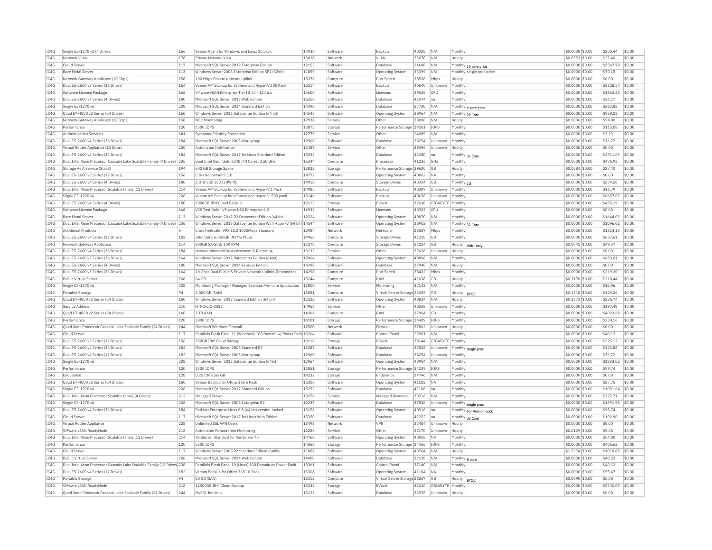| IC4G | Single E3-1270 v3 (4 Drives)                                           | 166         | Veeam Agent for Windows and Linux 10 pack                          | 14938 | Software | Backup                       | 40338 | N/A            | Monthly         |                           | \$0.0000 \$0.00  | \$200.44  | \$0.00 |
|------|------------------------------------------------------------------------|-------------|--------------------------------------------------------------------|-------|----------|------------------------------|-------|----------------|-----------------|---------------------------|------------------|-----------|--------|
| TC4G | Network VI AN                                                          | 178         | Private Network Vlan                                               | 13028 | Network  | VI AN                        | 33078 | N/A            | Hourly          |                           | $$0.0553$ \$0.00 | \$27.40   | \$0.00 |
| IC4G | Cloud Server                                                           | 117         | Microsoft SQL Server 2012 Enterprise Edition                       | 12153 | Software | Database                     | 24688 | N/A            |                 | Monthly 16 core price     | \$0.0000 \$0.00  | \$5567.78 | \$0.00 |
| IC4G | <b>Bare Metal Server</b>                                               | 113         | Windows Server 2008 Enterprise Edition SP2 (32bit)                 | 11859 | Software | <b>Operating System</b>      | 33399 | IN/A           |                 | Monthly single proc price | \$0,0000 \$0,00  | \$70.15   | \$0.00 |
| IC4G | Network Gateway Appliance (10 Gbps)                                    | 158         | 100 Mbps Private Network Uplink                                    | 13376 | Compute  | Port Speed                   | 38528 | Mbps           | Hourly          |                           | \$0.0000 \$0.00  | \$0.00    | \$0.00 |
| TC4G | Dual E5-2600 v3 Series (36 Drives)                                     | 164         | Veeam VM Backup for vSphere and Hyper-V 200 Pack                   | 15114 | Software | Backup                       | 40640 | Unknown        | Monthly         |                           | \$0.0000 \$0.00  | \$3328.54 | \$0.00 |
| IC4G | Software License Package                                               | 168         | VMware vSAN Enterprise Tier III 64 - 124 6.x                       | 14600 | Software | Licenses                     | 39026 | <b>CPU</b>     | Monthly         |                           | \$0.0000 \$0.00  | \$1863.23 | \$0.00 |
|      |                                                                        |             |                                                                    |       |          |                              |       |                |                 |                           |                  |           |        |
| IC4G | Dual E5-2600 v4 Series (4 Drives)                                      | 180         | Microsoft SOL Server 2017 Web Edition                              | 15250 | Software | Database                     | 41074 | na             | Monthly         |                           | \$0.0000 \$0.00  | \$36.17   | \$0.00 |
| TC4G | Single E3-1270 v6                                                      | 208         | Microsoft SQL Server 2014 Standard Edition                         | 14396 | Software | Database                     | 37730 | N/A            |                 | Monthly 4 core price      | \$0.0000 \$0.00  | \$363.88  | \$0.00 |
| IC4G | Quad E7-4800 v2 Series (24 Drives)                                     | 160         | Windows Server 2016 Datacenter Edition (64 bit)                    | 14546 | Software | <b>Operating System</b>      | 38964 | N/A            | Monthly 28 Core |                           | \$0.0000 \$0.00  | \$959.02  | \$0.00 |
| IC4G | Network Gateway Appliance (10 Gbps)                                    | 158         | NOC Monitoring                                                     | 12938 | Service  | Other                        | 38008 | N/A            | Hourly          |                           | \$0,1096 \$0.00  | \$54.80   | \$0.00 |
| IC4G | Performance                                                            | 120         | 1500 IOPS                                                          | 13873 | Storage  | Performance Storage          | 34261 | IOPS           | Monthly         |                           | \$0.0000 \$0.00  | \$115.08  | \$0.00 |
| IC4G | <b>Authentication Services</b>                                         | 641         | Symantec Identity Protection                                       | 12779 | Service  | Other                        | 24089 | N/A            | Monthly         |                           | \$0,0000 \$0.00  | \$3.29    | \$0.00 |
| IC4G | Dual E5-2600 v4 Series (36 Drives                                      | 184         | Microsoft SQL Server 2005 Workgroup                                | 12960 | Software | Database                     | 38254 | Unknown        | Monthly         |                           | \$0.0000 \$0.00  | \$76.72   | \$0.00 |
| TC4G | Virtual Router Appliance (10 Gpbs                                      | 230         | Automated Notification                                             | 13487 | Service  | Other                        | 38496 | Unknown        | Hourly          |                           | \$0,0000 \$0.00  | \$0.00    | \$0.00 |
| TC4G | Dual E5-2600 v4 Series (36 Drives)                                     | 184         | Microsoft SQL Server 2017 for Linux Standard Edition               | 15352 | Software | Database                     | 41280 | lna            |                 | Monthly 32 Core           | \$0.0000 \$0.00  | \$2911.03 | \$0.00 |
| IC4G | Dual Intel Xeon Processor Cascade Lake Scalable Family (4 Drives) 236  |             | Dual Intel Xeon Gold 6248 (40 Cores, 2.50 GHz)                     | 15344 | Compute  | Processor                    | 41226 | GHz            | Monthly         |                           | \$0.0000 \$0.00  | \$476.92  | \$0.00 |
| TC4G | Storage As A Service (StaaS)                                           | 194         |                                                                    | 13823 | Storage  | Performance Storage 39620    |       | GB             | Hourly          |                           | \$0.0384 \$0.00  | \$27.40   | \$0.00 |
|      |                                                                        |             | 500 GB Storage Space                                               |       |          |                              |       |                |                 |                           |                  |           |        |
| IC4G | Dual E5-2600 v3 Series (12 Drives)                                     | 156         | Citrix XenServer 7.1.0                                             | 14772 | Software | Operating System             | 40062 | <b>NA</b>      | Monthly         |                           | \$0,0000 \$0.00  | \$0.00    | \$0.00 |
| IC4G | Dual E5-2600 v4 Series (4 Drives)                                      | 180         | 3.8TB SSD SED (3DWPD)                                              | 14918 | Compute  | Storage Drives               | 40314 | <b>GB</b>      | Monthly 1U      |                           | \$0,0000 \$0.00  | \$274.50  | \$0.00 |
| IC4G | Dual Intel Xeon Processor Scalable family (12 Drives)                  | 214         | Veeam VM Backup for vSphere and Hyper-V 1 Pack                     | 14985 | Software | Backup                       | 40387 | Unknown        | Monthly         |                           | \$0.0000 \$0.00  | \$16.79   | \$0.00 |
| TC4G | Single E3-1270 v6                                                      | 208         | Veeam VM Backup for vSphere and Hyper-V 500 pack                   | 15146 | Software | Backun                       | 40678 | Unknown        | Monthly         |                           | $$0.0000$ \$0.00 | \$6657.09 | \$0.00 |
| IC4G | Dual E5-2600 v4 Series (4 Drives)                                      | 180         | 1000GB IBM Cloud Backup                                            | 12113 | Storage  | EVault                       | 37638 | GIGABYTE       | Monthly         |                           | \$0.0000 \$0.00  | \$455.19  | \$0.00 |
| TC4G | Software License Package                                               | 168         | VCS Test Only - VMware NSX Enterprise 6.3                          | 14932 | Software | Licenses                     | 40332 | CPU            | Monthly         |                           | \$0,0000 \$0,00  | \$0.00    | \$0.00 |
| IC4G | <b>Bare Metal Server</b>                                               | 113         | Windows Server 2012 R2 Datacenter Edition (64bit)                  | 12324 | Software | Operating System             | 40870 | N/A            | Monthly         |                           | \$0,0000 \$0.00  | \$1644.03 | \$0.00 |
| TC4G | Dual Intel Xeon Processor Cascade Lake Scalable Family (4 Drives) 236  |             | Windows Server 2016 Datacenter Edition With Hyper-V (64 bit) 14544 |       | Software | <b>Operating System</b>      | 38952 | N/A            |                 | Monthly 32 Core           | $$0.0000$ \$0.00 | \$1096.02 | \$0.00 |
| IC4G | <b>Additional Products</b>                                             | $\mathbf 0$ | Citrix NetScaler VPX 10.0 1000Mbps Standard                        | 12984 | Network  | NetScale                     | 25587 | Mbps           | Monthly         |                           | \$0.0000 \$0.00  | \$1314.13 | \$0.00 |
| TCAG | Dual E5-2600 v4 Series (12 Drives)                                     | 182         | Intel Ontane 750GB (NVMe PCIe)                                     | 14962 | Compute  | Storage Drives               | 41318 | G <sub>B</sub> | Monthly         |                           | \$0,0000 \$0.00  | \$657.61  | \$0.00 |
| TC4G | Network Gateway Appliance                                              |             | 300GB SA-SCST 10K RPM                                              |       | Compute  | Storage Drives               |       |                |                 |                           |                  |           | \$0.00 |
|      |                                                                        | 114         |                                                                    | 12278 |          |                              | 22224 | GB             |                 | Hourly disk1 only         | $$0.0741$ \$0.00 | \$49.37   |        |
| IC4G | Dual E5-2600 v4 Series (36 Drives)                                     | 184         | Nessus Vulnerability Assessment & Reporting                        | 13132 | Service  | Other                        | 37626 | Unknown        | Hourly          |                           | \$0.0000 \$0.00  | \$0.00    | \$0.00 |
| TC4G | Dual E5-2600 v3 Series (36 Drives)                                     | 164         | Windows Server 2012 Datacenter Edition (64bit)                     | 12964 | Software | Operating System             | 40896 | N/A            | Monthly         |                           | \$0.0000 \$0.00  | \$685.01  | \$0.00 |
| TC4G | Dual E5-2600 v4 Series (4 Drives)                                      | 180         | Microsoft SOL Server 2014 Express Edition                          | 14398 | Software | Database                     | 37948 | N/A            | Hourly          |                           | \$0,0000 \$0.00  | \$0.00    | \$0.00 |
| IC4G | Dual E5-2600 v3 Series (36 Drives)                                     | 164         | 10 Gbos Dual Public & Private Network Uplinks (Unbonded)           | 14298 | Compute  | Port Speed                   | 38432 | Mbps           | Monthly         |                           | \$0,0000 \$0.00  | \$219.20  | \$0.00 |
| IC4G | Public Virtual Server                                                  | 206         | 64 GB                                                              | 15244 | Compute  | RAM                          | 41038 | GB             | Hourly          |                           | \$0.3170 \$0.00  | \$210.44  | \$0.00 |
| TC4G | Single F3-1270 v6                                                      | 208         | Monitoring Package - Managed Services Premium Annlication          | 13800 | Service  | Monitoring                   | 37142 | N/A            | Monthly         |                           | \$0,0000 \$0.00  | \$10.96   | \$0.00 |
| IC4G | Portable Storage                                                       | 94          | 2,000 GB (SAN)                                                     | 13081 | Compute  | Virtual Server Storage 26355 |       | GB             | Hourly BYOC     |                           | \$0.1718\$0.00   | \$125.26  | \$0.00 |
| IC4G | Ouad E7-4800 v2 Series (24 Drives)                                     | 160         | Windows Server 2012 Standard Edition (64 bit)                      | 12322 | Software | <b>Operating System</b>      | 40834 | N/A            | Hourly          |                           | \$0.3673 \$0.00  | \$236.74  | \$0.00 |
| IC4G | Service Addons                                                         | 210         | HTKC-LIC-3022                                                      | 14958 | Service  | Othe                         | 40358 | Unknown        | Monthly         |                           | \$0,0000 \$0.00  | \$197.48  | \$0.00 |
| TC4G |                                                                        |             |                                                                    |       |          | RAM                          |       |                |                 |                           |                  |           | \$0.00 |
|      | Quad E7-4800 v2 Series (24 Drives)                                     | 160         | 2 TR RAM                                                           | 14366 | Compute  |                              | 37964 | GB             | Monthly         |                           | \$0.0000 \$0.00  | \$4023.68 |        |
| IC4G | Performance                                                            | 120         | 3000 IOPS                                                          | 14101 | Storage  | Performance Storage 34489    |       | IOPS           | Monthly         |                           | \$0.0000 \$0.00  | \$230.16  | \$0.00 |
| IC4G | Quad Xeon Processor Cascade Lake Scalable Family (24 Drives)           | 244         | Microsoft Windows Firewall                                         | 12500 | Network  | Firewall                     | 37802 | Unknown        | Hourly          |                           | \$0.0000 \$0.00  | \$0.00    | \$0.00 |
| TC4G | Cloud Server                                                           | 117         | Parallels Plesk Panel 11 (Windows) 100 Domain w/ Power Pack 13264  |       | Software | Control Panel                | 27901 | N/A            | Monthly         |                           | \$0.0000 \$0.00  | \$40.12   | \$0.00 |
| IC4G | Dual E5-2600 v3 Series (12 Drives)                                     | 156         | 350GB IBM Cloud Backup                                             | 12116 | Storage  | EVault                       | 38144 | GIGABYTE       | Monthly         |                           | \$0.0000 \$0.00  | \$225.13  | \$0.00 |
| IC4G | Dual E5-2600 v4 Series (36 Drives)                                     | 184         | Microsoft SOL Server 2008 Standard R2                              | 13287 | Software | Database                     | 37828 | Unknown        |                 | Monthly single proc       | \$0,0000 \$0.00  | \$363.88  | \$0.00 |
| IC4G | Dual E5-2600 v4 Series (12 Drives)                                     | 182         | Microsoft SOL Server 2005 Workgroup                                | 12960 | Software | <b>Databas</b>               | 38254 | Unknown        | Monthly         |                           | \$0.0000 \$0.00  | \$76.72   | \$0.00 |
| IC4G | Single E3-1270 v6                                                      | 208         | Windows Server 2012 Datacenter Edition (64bit)                     | 12964 | Software | <b>Operating System</b>      | 40904 | N/A            | Monthly         |                           | \$0,0000 \$0.00  | \$1233.02 | \$0.00 |
| IC4G | Performance                                                            | 120         | 1300 IOPS                                                          | 13851 | Storage  | Performance Storage          | 34239 | IOPS           | Monthly         |                           | \$0,0000 \$0.00  | \$99.74   | \$0.00 |
| TC4G | Endurance                                                              | 128         | 0.25 TOPS per GB                                                   | 14232 |          | Endurance                    | 34746 | N/A            | Monthly         |                           |                  | \$0.00    | \$0.00 |
|      |                                                                        |             |                                                                    |       | Storage  |                              |       |                |                 |                           | \$0,0000 \$0.00  |           |        |
| TC4G | Quad E7-4800 v2 Series (24 Drives)                                     | 160         | Veeam Backup for Office 365 5 Pack                                 | 15306 | Software | <b>Operating System</b>      | 41182 | <b>NA</b>      | Monthly         |                           | \$0.0000 \$0.00  | \$27.75   | \$0.00 |
| IC4G | Single E3-1270 v6                                                      | 208         | Microsoft SOL Server 2017 Standard Edition                         | 15252 | Software | Database                     | 41106 | Ina            | Monthly         |                           | \$0.0000 \$0.00  | \$1091.64 | \$0.00 |
| IC4G | Dual Intel Xeon Processor Scalable family (4 Drives)                   | 212         | Managed Server                                                     | 13256 | Service  | Managed Resource             | 38716 | N/A            | Monthly         |                           | \$0.0000 \$0.00  | \$327.71  | \$0.00 |
| IC4G | Single E3-1270 v6                                                      | 208         | Microsoft SOL Server 2008 Enterprise R2                            | 12237 | Software | Database                     | 37836 | Unknown        |                 | Monthly single proc       | \$0.0000 \$0.00  | \$1391.95 | \$0.00 |
| IC4G | Dual E5-2600 v4 Series (36 Drives)                                     | 184         | Red Hat Enterprise Linux 6.8 (64 bit) version-locked               | 15156 | Software | <b>Operating System</b>      | 40916 | Ina            |                 | Monthly For Version Lock  | \$0.0000 \$0.00  | \$98.74   | \$0.00 |
| IC4G | Cloud Server                                                           | 117         | Microsoft SQL Server 2017 for Linux Web Edition                    | 15350 | Software | Database                     | 41252 | na             |                 | Monthly 32 Core           | \$0.0000 \$0.00  | \$192.90  | \$0.00 |
| IC4G | Virtual Router Appliance                                               | 228         | Unlimited SSL VPN Users                                            | 13498 | Network  | VPN                          | 37404 | Unknown        | Hourly          |                           | \$0.0000 \$0.00  | \$0.00    | \$0.00 |
| IC4G | VMware vSAN ReadyNode                                                  | 218         | Automated Reboot from Monitoring                                   | 12285 | Service  | Othe                         | 37170 | Unknown        | Hourly          |                           | \$0.0109 \$0.00  | \$5.48    | \$0.00 |
| IC4G | Dual Intel Xeon Processor Scalable family (12 Drives)                  | 214         | XenServer Standard for XenServer 7.>                               | 14768 | Software | Operating System             | 40058 | <b>NA</b>      | Monthly         |                           | \$0,0000 \$0.00  | \$54.80   | \$0.00 |
|      |                                                                        |             |                                                                    |       |          |                              |       |                |                 |                           |                  |           |        |
| IC4G | Performance                                                            | 120         | 5300 IOPS                                                          | 14068 | Storage  | Performance Storage 34456    |       | IOPS           | Monthly         |                           | \$0.0000 \$0.00  | \$406.62  | \$0.00 |
| TC4G | Cloud Server                                                           | 117         | Windows Server 2008 R2 Standard Edition (64bit)                    | 11887 | Software | <b>Operating System</b>      | 40764 | N/A            | Hourly          |                           | \$1.5374 \$0.00  | \$1019.08 | \$0.00 |
| IC4G | Public Virtual Server                                                  | 206         | Microsoft SOL Server 2014 Web Edition                              | 14400 | Software | Database                     | 37128 | N/A            | Monthly 8 core  |                           | \$0.0000 \$0.00  | \$48.22   | \$0.00 |
| TCAG | Dual Intel Xeon Processor Cascade Lake Scalable Family (12 Drives) 238 |             | Parallels Plesk Panel 10 (Linux) 100 Domain w/ Power Pack          | 13361 | Software | Control Panel                | 37140 | N/A            | Monthly         |                           | \$0,0000 \$0,00  | \$40.12   | \$0.00 |
| TC4G | Dual E5-2600 v4 Series (12 Drives)                                     | 182         | Veeam Backup for Office 365 10 Pack                                | 15308 | Software | Operating System             | 41184 | <b>NA</b>      | Monthly         |                           | \$0.0000 \$0.00  | \$55.47   | \$0.00 |
|      |                                                                        |             | 50 GB (SAN)                                                        | 13312 | Compute  | Virtual Server Storage 28267 |       | GB             | Hourly          | RYOC                      | \$0.0090 \$0.00  | \$6.58    | \$0.00 |
| IC4G | Portable Storage                                                       | 94          |                                                                    |       |          |                              |       |                |                 |                           |                  |           |        |
| IC4G | VMware vSAN ReadvNode                                                  | 218         | 12000GB IBM Cloud Backup                                           | 15332 | Storage  | FVault                       | 41210 | GIGABYTE       | Monthly         |                           | \$0,0000 \$0.00  | \$2740.05 | \$0.00 |
| IC4G | Quad Xeon Processor Cascade Lake Scalable Family (24 Drives)           | 244         | MySQL for Linux                                                    | 13122 | Software | Database                     | 36978 | Unknown        | Hourly          |                           | $$0.0000$ \$0.00 | \$0.00    | \$0.00 |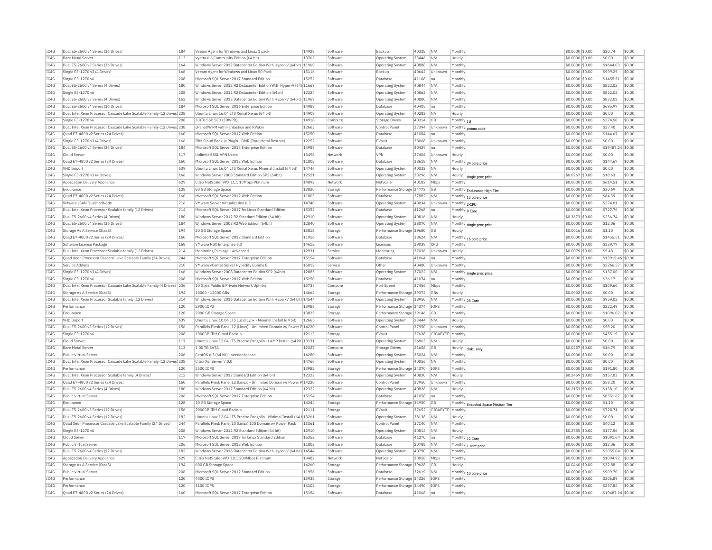| IC4G         | Dual E5-2600 v4 Series (36 Drives)                                     | 184        | Veeam Agent for Windows and Linux 1 pack                              | 14928          | Software             | Backup                                  | 40328          | N/A            | Monthly            |                                    | \$0.0000 \$0.00                     | \$20.74                       | \$0.00 |
|--------------|------------------------------------------------------------------------|------------|-----------------------------------------------------------------------|----------------|----------------------|-----------------------------------------|----------------|----------------|--------------------|------------------------------------|-------------------------------------|-------------------------------|--------|
| TC4G         | <b>Bare Metal Server</b>                                               | 113        | Vvatta 6.6 Community Edition (64 bit)                                 | 13762          | Software             | <b>Operating System</b>                 | 33446          | N/A            | Hourly             |                                    | \$0,0000 \$0,00                     | \$0.00                        | \$0.00 |
| IC4G         | Dual E5-2600 v3 Series (36 Drives)                                     | 164        | Windows Server 2012 Datacenter Edition With Hyper-V (64bit) 11969     |                | Software             | Operating System                        | 40888          | N/A            | Monthly            |                                    | \$0,0000 \$0.00                     | \$1644.03                     | \$0.00 |
| IC4G         | Single E3-1270 v3 (4 Drives)                                           | 166        | Veeam Agent for Windows and Linux 50 Pack                             | 15116          | Software             | Backup                                  | 40642          | Unknown        | Monthly            |                                    | \$0,0000 \$0,00                     | \$999.25                      | \$0.00 |
| IC4G         | Single E3-1270 v6                                                      | 208        | Microsoft SQL Server 2017 Standard Edition                            | 15252          | Software             | Database                                | 41108          | Ina            | Monthly            |                                    | $$0.0000$ \$0.00                    | \$1455.51                     | \$0.00 |
| IC4G         | Dual E5-2600 v4 Series (4 Drives)                                      | 180        | Windows Server 2012 R2 Datacenter Edition With Hyper-V (64t 11669     |                | Software             | Operating System                        | 40844          | N/A            | Monthly            |                                    | \$0,0000 \$0.00                     | \$822.02                      | \$0.00 |
| IC4G         | Single E3-1270 v6                                                      | 208        | Windows Server 2012 R2 Datacenter Edition (64bit)                     | 12324          | Software             | <b>Operating System</b>                 | 40862          | N/A            | Monthly            |                                    | \$0,0000 \$0.00                     | \$822.02                      | \$0.00 |
| IC4G         | Dual E5-2600 v3 Series (4 Drives)                                      | 162        | Windows Server 2012 Datacenter Edition With Hyper-V (64bit) 11969     |                | Software             | Operating System                        | 40880          | N/A            | Monthly            |                                    | \$0.0000 \$0.00                     | \$822.02                      | \$0.00 |
| TC4G         | Dual E5-2600 v4 Series (36 Drives)                                     | 184        | Microsoft SOL Server 2016 Enterprise Edition                          | 14989          | Software             | Database                                | 40405          | Ina            | Monthly            |                                    | \$0,0000 \$0,00                     | \$695.97                      | \$0.00 |
|              |                                                                        |            |                                                                       |                |                      |                                         |                |                |                    |                                    |                                     |                               |        |
| TC4G         | Dual Intel Xeon Processor Cascade Lake Scalable Family (12 Drives) 238 |            | Ubuntu Linux 16.04 LTS Xenial Xerus (64 bit)                          | 14908          | Software             | <b>Operating System</b>                 | 40282          | <b>NA</b>      | Hourly             |                                    | $$0.0000$ \$0.00                    | \$0.00                        | \$0.00 |
| IC4G         | Single E3-1270 v6                                                      | 208        | 3.8TB SSD SED (3DWPD)                                                 | 14918          | Compute              | <b>Storage Drives</b>                   | 40314          | GB             | Monthly $ 10$      |                                    | \$0.0000 \$0.00                     | \$274.50                      | \$0.00 |
| IC4G         | Dual Intel Xeon Processor Cascade Lake Scalable Family (12 Drives 238  |            | cPanel/WHM with Fantastico and RVskin                                 | 12663          | Software             | Control Panel                           | 37394          | <b>Unknown</b> |                    | Monthly promo code                 | \$0,0000 \$0,00                     | \$27.40                       | \$0.00 |
| IC4G         | Quad E7-4800 v2 Series (24 Drives)                                     | 160        | Microsoft SQL Server 2017 Web Edition                                 | 15250          | Software             | Database                                | 41084          | Ina            | Monthly            |                                    | \$0.0000 \$0.00                     | \$144.67                      | \$0.00 |
| IC4G         | Single E3-1270 v3 (4 Drives)                                           | 166        | IBM Cloud Backup Plugin - BMR (Bare Metal Restore)                    | 12252          | Software             | EVault                                  | 38068          | Unknown        | Monthly            |                                    | \$0.0000 \$0.00                     | \$0.00                        | \$0.00 |
| IC4G         | Dual E5-2600 v4 Series (36 Drives)                                     | 184        | Microsoft SQL Server 2016 Enterprise Edition                          | 14989          | Software             | Database                                | 40429          | na             | Monthly            |                                    | \$0,0000 \$0,00                     | \$19487.24 \$0.00             |        |
| IC4G         | Cloud Serve                                                            | 117        | Unlimited SSL VPN Users                                               | 13498          | Network              | VPN                                     | 37404          | Unknown        | Hourly             |                                    | \$0,0000 \$0.00                     | \$0.00                        | \$0.00 |
| TC4G         | Ouad E7-4800 v2 Series (24 Drives)                                     | 160        | Microsoft SOL Server 2012 Web Edition                                 | 11803          | Software             | Database                                | 38618          | N/A            | Monthly            | 24 core price                      | \$0,0000 \$0,00                     | \$144.67                      | \$0.00 |
| IC4G         | <b>VHD Import</b>                                                      | 639        | Ubuntu Linux 16.04 LTS Xenial Xerus Minimal Install (64 bit)          | 14746          | Software             | Operating System                        | 40032          | <b>NA</b>      | Hourly             |                                    | \$0.0000 \$0.00                     | \$0.00                        | \$0.00 |
| IC4G         | Single E3-1270 v3 (4 Drives)                                           | 166        | Windows Server 2008 Standard Edition SP2 (64bit)                      | 12521          | Software             | <b>Operating System</b>                 | 38296          | N/A            | Hourly             | single proc price                  | \$0.0267 \$0.00                     | \$18.63                       | \$0.00 |
| IC4G         | Application Delivery Appliance                                         | 629        | Citrix NetScaler VPX 11.1 10Mbps Platinum                             | 14892          | Network              | NetScaler                               | 40182          | Mbps           | Monthly            |                                    | \$0,0000 \$0,00                     | \$614.51                      | \$0.00 |
| IC4G         | Endurance                                                              | 128        | 80 GB Storage Space                                                   | 13820          | Storage              | Performance Storage 34772               |                | GB             |                    | Monthly Endurance High Tier        | \$0,0000 \$0,00                     | \$30.69                       | \$0.00 |
| IC4G         | Ouad E7-4800 v2 Series (24 Drives)                                     | 160        | Microsoft SOL Server 2012 Web Edition                                 | 11803          | Software             | Database                                | 37882          | N/A            |                    | Monthly 13 core price              | \$0,0000 \$0,00                     | \$84.39                       | \$0.00 |
| IC4G         | VMware vSAN QualifiedNode                                              | 216        | VMware Server Virtualization 6.5                                      | 14740          | Software             | Operating System                        | 40034          | Unknown        | Monthly 2-CPU      |                                    | \$0.0000 \$0.00                     | \$274.01                      | \$0.00 |
| IC4G         | Dual Intel Xeon Processor Scalable family (12 Drives)                  | 214        | Microsoft SQL Server 2017 for Linux Standard Edition                  | 15352          |                      |                                         | 41268          |                |                    |                                    | \$0.0000 \$0.00                     | \$727.76                      | \$0.00 |
| TCAG         | Dual E5-2600 v4 Series (4 Drives)                                      | 180        | Windows Server 2012 R2 Standard Edition (64 bit)                      | 12910          | Software             | Database                                | 40816          | na             | Monthly 8 Core     |                                    | \$0,3673 \$0.00                     | \$236.74                      | \$0.00 |
|              |                                                                        |            |                                                                       |                | Software             | Operating System                        |                | N/A            | Hourly             |                                    |                                     |                               |        |
| IC4G         | Dual E5-2600 v4 Series (36 Drives)                                     | 184        | Windows Server 2008 R2 Web Edition (64bit)                            | 12840          | Software             | <b>Operating System</b>                 | 38070          | N/A            | Monthly            | single proc price                  | \$0.0000 \$0.00                     | \$12.06                       | \$0.00 |
| IC4G         | Storage As A Service (StaaS)                                           | 194        | 20 GB Storage Space                                                   | 13818          | Storage              | Performance Storage 39680               |                | <b>GB</b>      | Hourly             |                                    | \$0.0016 \$0.00                     | \$1.10                        | \$0.00 |
| IC4G         | Quad E7-4800 v2 Series (24 Drives)                                     | 160        | Microsoft SQL Server 2012 Standard Edition                            | 11956          | Software             | Database                                | 38624          | N/A            |                    | Monthly 16 core price              | \$0.0000 \$0.00                     | \$1455.51                     | \$0.00 |
| IC4G         | Software License Package                                               | 168        | VMware NSX Enterprise 6.3                                             | 14612          | Software             | Licenses                                | 39038          | CPU            | Monthly            |                                    | \$0.0000 \$0.00                     | \$339.77                      | \$0.00 |
| IC4G         | Dual Intel Xeon Processor Scalable family (12 Drives)                  | 214        | Monitoring Package - Advanced                                         | 12931          | Service              | Monitoring                              | 37036          | Unknown        | Hourly             |                                    | \$0,0079 \$0,00                     | \$5.48                        | \$0.00 |
| IC4G         | Ouad Xeon Processor Cascade Lake Scalable Family (24 Drives)           | 244        | Microsoft SQL Server 2017 Enterprise Edition                          | 15154          | Software             | Database                                | 41064          | na             | Monthly            |                                    | \$0,0000 \$0,00                     | \$13919.46 \$0.00             |        |
| TC4G         | Service Addons                                                         | 210        | VMware yCenter Server Hybridity Bundle B                              | 15012          | Service              | Other                                   | 40480          | Unknown        | Monthly            |                                    | \$0,0000 \$0,00                     | \$2266.57                     | \$0.00 |
|              |                                                                        |            |                                                                       |                |                      |                                         |                |                |                    |                                    |                                     |                               |        |
| IC4G         | Single E3-1270 v3 (4 Drives)                                           | 166        | Windows Server 2008 Datacenter Edition SP2 (64bit)                    | 12085          | Software             | Operating System                        | 37022          | N/A            |                    |                                    | \$0.0000 \$0.00                     | \$137.00                      | \$0.00 |
| IC4G         | Single E3-1270 v6                                                      | 208        | Microsoft SOL Server 2017 Web Edition                                 | 15250          | Software             | Database                                | 41074          | Ina            | Monthly            | Monthly single proc price          | \$0,0000 \$0.00                     | \$36.17                       | \$0.00 |
| TCAG         | Dual Intel Xeon Processor Cascade Lake Scalable Family (4 Drives) 236  |            | 10 Ghns Public & Private Network Unlinks                              | 13735          | Compute              | Port Speed                              | 37456          | Mhns           | Monthly            |                                    | $$0.0000$ \$0.00                    | \$109.60                      | \$0.00 |
| IC4G         | Storage As A Service (StaaS)                                           | 194        | 10000 - 12000 GBs                                                     | 14662          |                      | Performance Storage 39372               |                | <b>GBs</b>     | Hourly             |                                    | \$0,0002 \$0.00                     | \$0.00                        | \$0.00 |
|              |                                                                        |            |                                                                       |                | Storage              |                                         |                | N/A            |                    |                                    |                                     | \$959.02                      |        |
| IC4G         | Dual Intel Xeon Processor Scalable family (12 Drives)                  | 214        | Windows Server 2016 Datacenter Edition With Hyper-V (64 bit) 14544    |                | Software             | Operating System                        | 38950          |                | Monthly 28 Core    |                                    | \$0,0000 \$0,00                     |                               | \$0.00 |
| TCAG         | Performance                                                            | 120        | 2900 TOPS                                                             | 13986          | Storage              | Performance Storage 34374               |                | <b>TOPS</b>    | Monthly            |                                    | \$0.0000 \$0.00                     | \$222.49                      | \$0.00 |
| IC4G         | Endurance                                                              | 128        | 2000 GB Storage Space                                                 | 13825          | Storage              | Performance Storage 39146               |                | GB             | Monthly            |                                    | \$0.0000 \$0.00                     | \$1096.02                     | \$0.00 |
| IC4G         | <b>VHD Import</b>                                                      | 639        | Ubuntu Linux 10.04 LTS Lucid Lynx - Minimal Install (64 bit)          | 12665          | Software             | <b>Operating System</b>                 | 23444          | N/A            | Hourly             |                                    | \$0,0000 \$0,00                     | \$0.00                        | \$0.00 |
| IC4G         | Dual E5-2600 v3 Series (12 Drives                                      | 156        | Parallels Plesk Panel 12 (Linux) - Unlimited Domain w/ Power P 14220  |                | Software             | Control Pane                            | 37950          | Unknown        | Monthly            |                                    | \$0.0000 \$0.00                     | \$58.20                       | \$0.00 |
| IC4G         | Single E3-1270 v6                                                      | 208        | 1000GB IBM Cloud Backup                                               | 12113          | Storage              | FVault                                  | 37638          | GIGABYTE       | Monthly            |                                    | \$0,0000 \$0,00                     | \$455.19                      | \$0.00 |
| IC4G         | Cloud Serve                                                            | 117        | Ubuntu Linux 12.04 LTS Precise Pangolin - LAMP Install (64 bit 13131  |                | Software             | Operating System                        | 26863          | N/A            | Hourly             |                                    | \$0,0000 \$0,00                     | \$0.00                        | \$0.00 |
| IC4G         | <b>Bare Metal Server</b>                                               | 113        | 1.00 TB SATA                                                          | 12327          | Compute              | <b>Storage Drives</b>                   | 21658          | GB             | Hourly             | disk1 only                         | \$0.0257 \$0.00                     | \$16.79                       | \$0.00 |
| IC4G         | Public Virtual Server                                                  | 206        | CentOS 6.5 (64 bit) - version locked                                  | 14280          | Software             | <b>Operating System</b>                 | 35024          | N/A            | Monthly            |                                    | \$0.0000 \$0.00                     | \$0.00                        | \$0.00 |
| IC4G         | Dual Intel Xeon Processor Cascade Lake Scalable Family (12 Drives 238  |            | Citrix XenServer 7.0.0                                                | 14766          | Software             | Operating System                        | 40056          | <b>NA</b>      | Monthly            |                                    | \$0,0000 \$0.00                     | \$0.00                        | \$0.00 |
| IC4G         | Performance                                                            | 120        | 2500 TOPS                                                             | 13982          | Storage              | Performance Storage 34370               |                | <b>IOPS</b>    | Monthly            |                                    | \$0,0000 \$0.00                     | \$191.80                      | \$0.00 |
| IC4G         | Dual Intel Xeon Processor Scalable family (4 Drives)                   | 212        | Windows Server 2012 Standard Edition (64 bit)                         | 12322          | Software             | Operating System                        | 40830          | N/A            | Hourly             |                                    | \$0.2459 \$0.00                     | \$157.83                      | \$0.00 |
| IC4G         | Quad E7-4800 v2 Series (24 Drives)                                     | 160        | Parallels Plesk Panel 12 (Linux) - Unlimited Domain w/ Power P 14220  |                | Software             | Control Pane                            | 37950          | Unknown        | Monthly            |                                    | \$0.0000 \$0.00                     | \$58.20                       | \$0.00 |
| TC4G         | Dual E5-2600 v4 Series (4 Drives)                                      | 180        | Windows Server 2012 Standard Edition (64 bit)                         | 12322          | Software             | Operating System                        | 40828          | N/A            | Hourly             |                                    | \$0,2153 \$0.00                     | \$138.10                      | \$0.00 |
| IC4G         | Public Virtual Server                                                  | 206        | Microsoft SQL Server 2017 Enterprise Edition                          | 15154          | Software             | Database                                | 41058          | na             | Monthly            |                                    | \$0.0000 \$0.00                     | \$8351.67                     | \$0.00 |
| TC4G         | Endurance                                                              | 128        | 10 GB Storage Space                                                   | 14244          |                      | Performance Storage 34950               |                | GB             |                    |                                    | \$0,0000 \$0,00                     | \$1.10                        | \$0.00 |
| TC4G         | Dual E5-2600 v3 Series (12 Drives                                      |            | 2000GB TBM Cloud Backup                                               | 12111          | Storage<br>Storage   | FVault                                  |                | GIGARYTE       |                    | Monthly Snapshot Space Medium Tier |                                     |                               | \$0.00 |
|              | Dual E5-2600 v4 Series (12 Drives)                                     | 156        |                                                                       |                |                      |                                         | 37652          |                | Monthly            |                                    | \$0.0000 \$0.00                     | \$728.71                      | \$0.00 |
| IC4G         |                                                                        | 182        | Ubuntu Linux 12.04 LTS Precise Pangolin - Minimal Install (64 t 13261 | 13361          | Software<br>Software | <b>Operating System</b><br>Control Pane | 38138<br>37140 | N/A<br>N/A     | Hourly<br>Monthly  |                                    | \$0.0000 \$0.00<br>\$0,0000 \$0,00  | \$0.00                        | \$0.00 |
| IC4G         | Quad Xeon Processor Cascade Lake Scalable Family (24 Drives)           | 244        | Parallels Plesk Panel 10 (Linux) 100 Domain w/ Power Pack             |                |                      |                                         |                |                |                    |                                    |                                     | \$40.12                       |        |
| IC4G         | Single E3-1270 v6                                                      | 208        | Windows Server 2012 R2 Standard Edition (64 bit                       | 12910          | Software             | Operating System                        | 40814          | N/A            | Hourly             |                                    | \$0,2755 \$0.00                     | \$177.56                      | \$0.00 |
| IC4G         | Cloud Server                                                           | 117        | Microsoft SOL Server 2017 for Linux Standard Edition                  | 15352          | Software             | Database                                | 41270          | Ina            | Monthly 12 Core    |                                    | \$0,0000 \$0,00                     | \$1091.64                     | \$0.00 |
| IC4G         | Public Virtual Server                                                  | 206        | Microsoft SQL Server 2012 Web Edition                                 | 11803          | Software             | Database                                | 20788          | N/A            |                    | Monthly 1 core price               | $$0.0000$ \$0.00                    | \$12.06                       | \$0.00 |
| IC4G         | Dual E5-2600 v4 Series (12 Drives)                                     | 182        | Windows Server 2016 Datacenter Edition With Hyper-V (64 bit) 14544    |                | Software             | <b>Operating System</b>                 | 40790          | N/A            | Monthly            |                                    | \$0.0000 \$0.00                     | \$2055.04                     | \$0.00 |
| IC4G         | Application Delivery Appliance                                         | 629        | Citrix NetScaler VPX 10.1 200Mbps Platinum                            | 13482          | Network              | NetScaler                               | 30058          | Mbps           | Monthly            |                                    | \$0,0000 \$0,00                     | \$1094.92                     | \$0.00 |
| IC4G         | Storage As A Service (StaaS)                                           | 194        | 600 GB Storage Space                                                  | 14260          | Storage              | Performance Storage 39628               |                | GB             | Hourly             |                                    | \$0,0460 \$0,00                     | \$32.88                       | \$0.00 |
| IC4G         | Public Virtual Server                                                  | 206        | Microsoft SOL Server 2012 Standard Edition                            | 11956          | Software             | Database                                | 32619          | N/A            | Monthly            | 10 core price                      | \$0,0000 \$0,00                     | \$909.70                      | \$0.00 |
| IC4G         | Performance                                                            | 120        | 4000 IOPS                                                             | 13938          | Storage              | Performance Storage 34326               |                | IOPS           | Monthly            |                                    | \$0.0000 \$0.00                     | \$306.89                      | \$0.00 |
| IC4G<br>TC4G | Performance<br>Ouad E7-4800 v2 Series (24 Drives)                      | 120<br>160 | 3100 IOPS<br>Microsoft SOL Server 2017 Enterprise Edition             | 14102<br>15154 | Storage<br>Software  | Performance Storage 34490<br>Database   | 41068          | IOPS<br>Ina    | Monthly<br>Monthly |                                    | \$0.0000 \$0.00<br>$$0.0000$ \$0.00 | \$237.84<br>\$19487.24 \$0.00 | \$0.00 |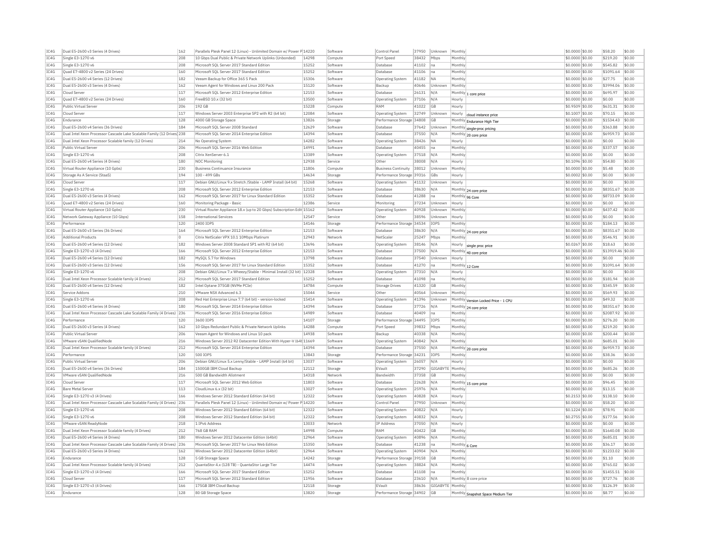| IC4G         | Dual E5-2600 v3 Series (4 Drives)                                                 | 162        | Parallels Plesk Panel 12 (Linux) - Unlimited Domain w/ Power P 14220                                              |                | Software             | Control Pane                        | 37950          | Unknown                | Monthly           |                                      | \$0.0000 \$0.00                     | \$58.20            | \$0.00           |
|--------------|-----------------------------------------------------------------------------------|------------|-------------------------------------------------------------------------------------------------------------------|----------------|----------------------|-------------------------------------|----------------|------------------------|-------------------|--------------------------------------|-------------------------------------|--------------------|------------------|
| TC4G         | Single E3-1270 v6                                                                 | 208        | 10 Gbos Dual Public & Private Network Uplinks (Unbonded)                                                          | 14298          | Compute              | Port Speed                          | 38432          | Mbps                   | Monthly           |                                      | \$0,0000 \$0.00                     | \$219.20           | \$0.00           |
| IC4G         | Single E3-1270 v6                                                                 | 208        | Microsoft SOL Server 2017 Standard Edition                                                                        | 15252          | Software             | Database                            | 41102          | na                     | Monthly           |                                      | \$0,0000 \$0.00                     | \$545.82           | \$0.00           |
| IC4G         | Ouad E7-4800 v2 Series (24 Drives)                                                | 160        | Microsoft SOL Server 2017 Standard Edition                                                                        | 15252          | Software             | Database                            | 41106          | na                     | Monthly           |                                      | \$0.0000 \$0.00                     | \$1091.64          | \$0.00           |
| IC4G         | Dual E5-2600 v4 Series (12 Drives)                                                | 182        | Veeam Backup for Office 365 5 Pack                                                                                | 15306          | Software             | Operating System                    | 41182          | <b>NA</b>              | Monthly           |                                      | \$0,0000 \$0.00                     | \$27.75            | \$0.00           |
| IC4G         | Dual E5-2600 v3 Series (4 Drives)                                                 | 162        | Veeam Agent for Windows and Linux 200 Pack                                                                        | 15120          | Software             | Backup                              | 40646          | Unknown                | Monthly           |                                      | \$0,0000 \$0.00                     | \$3994.06          | \$0.00           |
| TC4G         | Cloud Server                                                                      | 117        | Microsoft SOL Server 2012 Enterprise Edition                                                                      | 12153          | Software             | Database                            | 26131          | N/A                    |                   | Monthly 1 core price                 | \$0,0000 \$0.00                     | \$695.97           | \$0.00           |
| IC4G         | Quad E7-4800 v2 Series (24 Drives)                                                | 160        | FreeBSD 10.x (32 bit)                                                                                             | 13500          | Software             | Operating System                    | 37106          | N/A                    | Hourly            |                                      | \$0.0000 \$0.00                     | \$0.00             | \$0.00           |
| IC4G         | Public Virtual Server                                                             | 206        | 192 GB                                                                                                            | 15228          | Compute              | RAM                                 | 41022          | GB                     | Hourly            |                                      | \$0,9509 \$0.00                     | \$631.31           | \$0.00           |
| TC4G         | Cloud Server                                                                      | 117        | Windows Server 2003 Enterprise SP2 with R2 (64 bit)                                                               | 12084          | Software             | <b>Operating System</b>             | 32749          | Unknown                | Hourly            |                                      | \$0,1007 \$0.00                     | \$70.15            | \$0.00           |
| IC4G         | Endurance                                                                         | 128        | 4000 GB Storage Space                                                                                             | 13826          | Storage              | Performance Storage                 | 34808          | GB                     |                   | cloud instance price                 | \$0,0000 \$0.00                     | \$1534.43          | \$0.00           |
| IC4G         | Dual E5-2600 v4 Series (36 Drives)                                                | 184        | Microsoft SOL Server 2008 Standard                                                                                | 12629          | Software             | Database                            | 37642          | Unknown                |                   | Monthly Endurance High Tier          | \$0,0000 \$0.00                     | \$363.88           | \$0.00           |
| IC4G         | Dual Intel Xeon Processor Cascade Lake Scalable Family (12 Drives) 238            |            | Microsoft SQL Server 2014 Enterprise Edition                                                                      | 14394          | Software             | Database                            | 37550          | N/A                    |                   | Monthly single-proc pricing          | \$0.0000 \$0.00                     | \$6959.73          | \$0.00           |
| IC4G         |                                                                                   |            | No Operating System                                                                                               |                | Software             | Operating System                    |                |                        | Hourly            | Monthly 20 core price                |                                     | \$0.00             |                  |
| TCAG         | Dual Intel Xeon Processor Scalable family (12 Drives)<br>Public Virtual Server    | 214<br>206 | Microsoft SOL Server 2016 Web Edition                                                                             | 14282<br>14991 |                      | Database                            | 38426<br>40455 | <b>NA</b>              | Monthly           |                                      | \$0.0000 \$0.00<br>$$0.0000$ \$0.00 | \$337.57           | \$0.00<br>\$0.00 |
| TC4G         | Single E3-1270 v6                                                                 | 208        | Citrix XenServer 6.1                                                                                              | 13389          | Software             |                                     |                | lna.<br>N/A            | Monthly           |                                      |                                     | \$0.00             | \$0.00           |
|              |                                                                                   |            |                                                                                                                   |                | Software             | <b>Operating System</b>             | 37518          |                        |                   |                                      | \$0.0000 \$0.00                     |                    |                  |
| IC4G         | Dual E5-2600 v4 Series (4 Drives)                                                 | 180        | NOC Monitoring                                                                                                    | 12938          | Service              | Other                               | 38008          | N/A                    | Hourly            |                                      | \$0.1096 \$0.00                     | \$54.80            | \$0.00           |
| IC4G         | Virtual Router Appliance (10 Gpbs)                                                | 230        | Business Continuance Insurance                                                                                    | 11806          | Compute              | <b>Business Continuity</b>          | 38012          | Unknown                | Monthly           |                                      | \$0,0000 \$0.00                     | \$5.48             | \$0.00           |
| IC4G         | Storage As A Service (StaaS)                                                      | 194        | 100 - 499 GBs                                                                                                     | 14634          | Storage              | Performance Storage 39316           |                | <b>GBs</b>             | Hourly            |                                      | \$0.0002 \$0.00                     | \$0.00             | \$0.00           |
| IC4G         | Cloud Serve                                                                       | 117        | Debian GNU/Linux 9.x Stretch /Stable - LAMP Install (64 bit)                                                      | 15268          | Software             | Operating System                    | 41132          | Unknown                | Hourly            |                                      | \$0.0000 \$0.00                     | \$0.00             | \$0.00           |
| IC4G         | Single E3-1270 v6                                                                 | 208        | Microsoft SQL Server 2012 Enterprise Edition                                                                      | 12153          | Software             | Database                            | 38630          | N/A                    |                   | Monthly 24 core price                | \$0.0000 \$0.00                     | \$8351.67          | \$0.00           |
| IC4G         | Dual E5-2600 v3 Series (4 Drives)                                                 | 162        | Microsoft SOL Server 2017 for Linux Standard Edition                                                              | 15352          | Software             | Database                            | 41288          | na                     | Monthly 96 Core   |                                      | \$0.0000 \$0.00                     | \$8733.09          | \$0.00           |
| IC4G         | Quad E7-4800 v2 Series (24 Drives)                                                | 160        | Monitoring Package - Basic                                                                                        | 12386          | Service              | Monitoring                          | 37234          | Unknown                | Hourly            |                                      | \$0,0000 \$0.00                     | \$0.00             | \$0.00           |
| IC4G         | Virtual Router Appliance (10 Gpbs)                                                | 230        | Virtual Router Appliance 18.x (up to 20 Gbps) Subscription Edit 15162                                             |                | Software             | Operating System                    | 40928          | Unknown                | Monthly           |                                      | \$0,0000 \$0.00                     | \$437.42           | \$0.00           |
| IC4G         | Network Gateway Appliance (10 Gbps)                                               | 158        | <b>International Services</b>                                                                                     | 12547          | Service              | Other                               | 38596          | Unknown                | Hourly            |                                      | \$0.0000 \$0.00                     | \$0.00             | \$0.00           |
| IC4G         | Performance                                                                       | 120        | 2400 IOPS                                                                                                         | 14146          | Storage              | Performance Storage 34534           |                | IOPS                   | Monthly           |                                      | \$0.0000 \$0.00                     | \$184.13           | \$0.00           |
| IC4G         | Dual E5-2600 v3 Series (36 Drives)                                                | 164        | Microsoft SOL Server 2012 Enterprise Edition                                                                      | 12153          | Software             | Database                            | 38630          | N/A                    |                   | Monthly 24 core price                | \$0.0000 \$0.00                     | \$8351.67          | \$0.00           |
| IC4G         | <b>Additional Products</b>                                                        | l O        | Citrix NetScaler VPX 10.1 10Mbps Platinum                                                                         | 12943          | Network              | NetScale                            | 25247          | Mbps                   | Monthly           |                                      | \$0.0000 \$0.00                     | \$546.91           | \$0.00           |
| IC4G         | Dual E5-2600 v4 Series (12 Drives)                                                | 182        | Windows Server 2008 Standard SP1 with R2 (64 bit)                                                                 | 13696          | Software             | Operating System                    | 38146          | N/A                    | Hourly            | single proc price                    | \$0,0267 \$0,00                     | \$18.63            | \$0.00           |
| IC4G         | Single E3-1270 v3 (4 Drives)                                                      | 166        | Microsoft SOL Server 2012 Enterprise Edition                                                                      | 12153          | Software             | Database                            | 37500          | N/A                    |                   | Monthly 40 core price                | \$0.0000 \$0.00                     | \$13919.46 \$0.00  |                  |
| IC4G         | Dual E5-2600 v4 Series (12 Drives)                                                | 182        | MySOL 5.7 for Windows                                                                                             | 13798          | Software             | Database                            | 37540          | Unknown                | Hourly            |                                      | \$0.0000 \$0.00                     | \$0.00             | \$0.00           |
| IC4G         | Dual E5-2600 v3 Series (12 Drives)                                                | 156        | Microsoft SOL Server 2017 for Linux Standard Edition                                                              | 15352          | Software             | Database                            | 41270          | na                     | Monthly 12 Core   |                                      | \$0,0000 \$0.00                     | \$1091.64          | \$0.00           |
| TC4G         | Single E3-1270 v6                                                                 | 208        | Debian GNU/Linux 7.x Wheezy/Stable - Minimal Install (32 bit) 12328                                               |                | Software             | <b>Operating System</b>             | 37310          | N/A                    | Hourly            |                                      | \$0,0000 \$0.00                     | \$0.00             | \$0.00           |
| IC4G         | Dual Intel Xeon Processor Scalable family (4 Drives)                              | 212        | Microsoft SOL Server 2017 Standard Edition                                                                        | 15252          | Software             | Database                            | 41098          | Ina                    | Monthly           |                                      | \$0,0000 \$0.00                     | \$181.94           | \$0.00           |
| IC4G         | Dual E5-2600 v4 Series (12 Drives)                                                | 182        | Intel Ontane 375GB (NVMe PCIe)                                                                                    | 14784          | Compute              | Storage Drives                      | 41320          | GB                     | Monthly           |                                      | \$0,0000 \$0.00                     | \$345.59           | \$0.00           |
| IC4G         | Service Addons                                                                    | 210        | VMware NSX Advanced 6.3                                                                                           | 15044          | Service              | Other                               | 40564          | Unknown                | Monthly           |                                      | \$0.0000 \$0.00                     | \$569.93           | \$0.00           |
| IC4G         | Single E3-1270 v6                                                                 | 208        | Red Hat Enterprise Linux 7.7 (64 bit) - version-locked                                                            | 15414          | Software             | Operating System                    | 41396          | Unknown                |                   | Monthly Version Locked Price - 1 CPU | \$0.0000 \$0.00                     | \$49.32            | \$0.00           |
| TCAG         | Dual E5-2600 v4 Series (4 Drives)                                                 | 180        | Microsoft SOL Server 2014 Enterprise Edition                                                                      | 14394          | Software             | Database                            | 37726          | N/A                    |                   | Monthly 24 core price                | \$0,0000 \$0.00                     | \$8351.67          | \$0.00           |
| TC4G         | Dual Intel Xeon Processor Cascade Lake Scalable Family (4 Drives)                 | 236        | Microsoft SQL Server 2016 Enterprise Edition                                                                      | 14989          | Software             | Database                            | 40409          | lna                    | Monthly           |                                      | \$0.0000 \$0.00                     | \$2087.92          | \$0.00           |
| IC4G         | Performance                                                                       | 120        | 3600 TOPS                                                                                                         | 14107          | Storage              | Performance Storage 34495           |                | <b>TOPS</b>            | Monthly           |                                      | \$0.0000 \$0.00                     | \$276.20           | \$0.00           |
| IC4G         | Dual E5-2600 v3 Series (4 Drives)                                                 | 162        | 10 Gbps Redundant Public & Private Network Uplinks                                                                | 14288          | Compute              | Port Speed                          | 39832          | Mbps                   | Monthly           |                                      | \$0,0000 \$0.00                     | \$219.20           | \$0.00           |
| IC4G         | Public Virtual Server                                                             | 206        | Veeam Agent for Windows and Linux 10 pack                                                                         | 14938          | Software             | Backup                              | 40338          | N/A                    | Monthly           |                                      | \$0.0000 \$0.00                     | \$200.44           | \$0.00           |
|              |                                                                                   | 216        |                                                                                                                   |                |                      |                                     | 40842          | N/A                    | Monthly           |                                      |                                     | \$685.01           | \$0.00           |
| IC4G<br>IC4G | VMware vSAN QualifiedNode<br>Dual Intel Xeon Processor Scalable family (4 Drives) | 212        | Windows Server 2012 R2 Datacenter Edition With Hyper-V (64t 11669<br>Microsoft SOL Server 2014 Enterprise Edition | 14394          | Software<br>Software | <b>Operating System</b><br>Database | 37550          | N/A                    |                   |                                      | \$0.0000 \$0.00<br>\$0.0000 \$0.00  | \$6959.73          | \$0.00           |
| IC4G         | Performance                                                                       |            | 500 IOPS                                                                                                          | 13843          |                      |                                     |                | IOPS                   |                   | Monthly 20 core price                |                                     | \$38.36            | \$0.00           |
| IC4G         | Public Virtual Server                                                             | 120<br>206 | Debian GNU/Linux 5.x Lenny/Stable - LAMP Install (64 bit)                                                         | 13037          | Storage<br>Software  | Performance Storage                 | 34231<br>26057 | N/A                    | Monthly<br>Hourly |                                      | \$0.0000 \$0.00<br>\$0,0000 \$0.00  | \$0.00             | \$0.00           |
|              |                                                                                   |            |                                                                                                                   |                |                      | <b>Operating System</b>             |                |                        |                   |                                      |                                     |                    |                  |
| IC4G         | Dual E5-2600 v4 Series (36 Drives)                                                | 184        | 1500GB IBM Cloud Backup                                                                                           | 12112          | Storage              | EVault                              | 37290          | GIGABYTE               | Monthly           |                                      | \$0,0000 \$0.00                     | \$685.26           | \$0.00           |
| IC4G         | VMware vSAN OualifiedNode                                                         | 216        | 500 GB Bandwidth Allotment                                                                                        | 14318          | Network              | <b>Bandwidth</b>                    | 37358          | GB                     | Monthly           |                                      | \$0,0000 \$0,00                     | \$0.00             | \$0.00           |
| IC4G         | Cloud Server                                                                      | 117        | Microsoft SQL Server 2012 Web Edition                                                                             | 11803          | Software             | Database                            | 22628          | N/A                    |                   | Monthly 15 core price                | \$0,0000 \$0.00                     | \$96.45            | \$0.00           |
| IC4G         | <b>Bare Metal Server</b>                                                          | 113        | CloudLinux 6.x (32 bit)                                                                                           | 13027          | Software             | Operating System                    | 25976          | N/A                    | Monthly           |                                      | \$0.0000 \$0.00                     | \$13.15            | \$0.00           |
| IC4G         | Single E3-1270 v3 (4 Drives)                                                      | 166        | Windows Server 2012 Standard Edition (64 bit)                                                                     | 12322          | Software             | Operating System                    | 40828          | N/A                    | Hourly            |                                      | \$0,2153 \$0.00                     | \$138.10           | \$0.00           |
| IC4G         | Dual Intel Xeon Processor Cascade Lake Scalable Family (4 Drives)                 | 236        | Parallels Plesk Panel 12 (Linux) - Unlimited Domain w/ Power P 14220                                              |                | Software             | Control Pane                        | 37950          | Unknown                | Monthly           |                                      | \$0,0000 \$0.00                     | \$58.20            | \$0.00           |
| IC4G         | Single E3-1270 v6                                                                 | 208        | Windows Server 2012 Standard Edition (64 bit)                                                                     | 12322          | Software             | <b>Operating System</b>             | 40822          | N/A                    | Hourly            |                                      | \$0,1224 \$0.00                     | \$78.91            | \$0.00           |
| IC4G         | Single E3-1270 v6                                                                 | 208        | Windows Server 2012 Standard Edition (64 bit)                                                                     | 12322          | Software             | Operating System                    | 40832          | N/A                    | Hourly            |                                      | \$0.2755 \$0.00                     | \$177.56           | \$0.00           |
| IC4G         | VMware vSAN ReadvNode                                                             | 218        | 1 IPv6 Address                                                                                                    | 13033          | Network              | IP Address                          | 37050          | N/A                    | Hourly            |                                      | \$0,0000 \$0.00                     | \$0.00             | \$0.00           |
| TC4G         | Dual Intel Xeon Processor Scalable family (4 Drives)                              | 212        | <b>768 GB RAM</b>                                                                                                 | 14998          | Compute              | RAM                                 | 40422          | <b>GB</b>              | Monthly           |                                      | \$0,0000 \$0.00                     | \$1640.08          | \$0.00           |
| IC4G         | Dual E5-2600 v4 Series (4 Drives)                                                 | 180        | Windows Server 2012 Datacenter Edition (64bit)                                                                    | 12964          | Software             | Operating System                    | 40896          | N/A                    | Monthly           |                                      | \$0,0000 \$0.00                     | \$685.01           | \$0.00           |
| IC4G         | Dual Intel Xeon Processor Cascade Lake Scalable Family (4 Drives)                 | 236        | Microsoft SOL Server 2017 for Linux Web Edition                                                                   | 15350          | Software             | Database                            | 41238          | Ina                    | Monthly 6 Core    |                                      | \$0,0000 \$0.00                     | \$36.17            | \$0.00           |
| IC4G         | Dual E5-2600 v3 Series (4 Drives)                                                 | 162        | Windows Server 2012 Datacenter Edition (64bit)                                                                    | 12964          | Software             | Operating System                    | 40904          | N/A                    | Monthly           |                                      | \$0.0000 \$0.00                     | \$1233.02          | \$0.00           |
| IC4G         | Endurance                                                                         | 128        | 5 GB Storage Space                                                                                                | 14242          | Storage              | Performance Storage                 | 39158          | GB                     | Monthly           |                                      | \$0.0000 \$0.00                     | \$1.10             | \$0.00           |
| TCAG         | Dual Intel Xeon Processor Scalable family (4 Drives)                              | 212        | QuantaStor 4 x (128 TB) - QuantaStor Large Tier                                                                   | 14474          | Software             | Operating System                    | 38824          | N/A                    | Monthly           |                                      | \$0,0000 \$0.00                     | \$765.02           | \$0.00           |
| TC4G         | Single E3-1270 v3 (4 Drives)                                                      | 166        | Microsoft SQL Server 2017 Standard Edition                                                                        | 15252          | Software             | Database                            | 41108          | lna                    | Monthly           |                                      | \$0.0000 \$0.00                     | \$1455.51          | \$0.00           |
| IC4G         | Cloud Server                                                                      | 117        | Microsoft SOL Server 2012 Standard Edition                                                                        | 11956          | Software             | Database                            | 23610          | N/A                    |                   | Monthly 8 core price                 | \$0,0000 \$0.00                     | \$727.76           | \$0.00           |
| IC4G         |                                                                                   |            |                                                                                                                   |                |                      |                                     |                |                        |                   |                                      |                                     |                    |                  |
| IC4G         | Single E3-1270 v3 (4 Drives)<br>Endurance                                         | 166<br>128 | 175GB IBM Cloud Backup<br>80 GB Storage Space                                                                     | 12118<br>13820 | Storage<br>Storage   | EVault<br>Performance Storage 34902 | 38636          | GIGABYTE Monthly<br>GB |                   | Monthly Snapshot Space Medium Tier   | \$0,0000 \$0.00<br>\$0.0000 \$0.00  | \$126.39<br>\$8.77 | \$0.00<br>\$0.00 |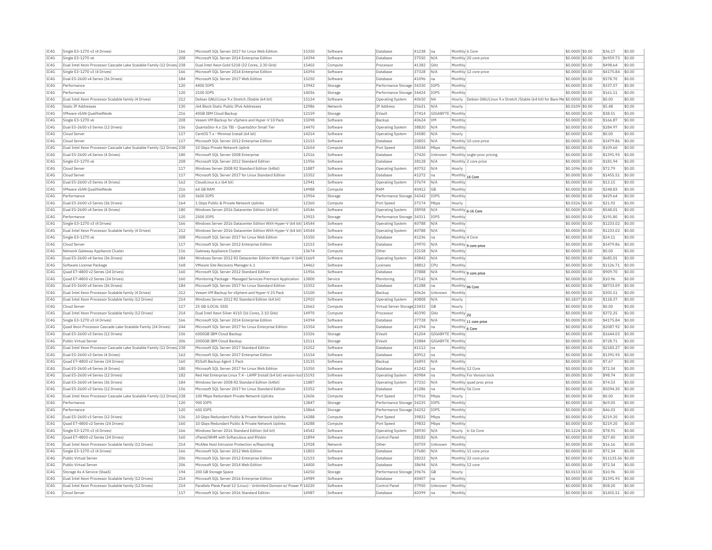| IC4G | Single E3-1270 v3 (4 Drives)                                           | 166 | Microsoft SQL Server 2017 for Linux Web Editior                        | 15350 | Software | Database                     | 41238 | na               | Monthly 6 Core                                                                      | \$0.0000 \$0.00  | \$36.17    | \$0.00     |
|------|------------------------------------------------------------------------|-----|------------------------------------------------------------------------|-------|----------|------------------------------|-------|------------------|-------------------------------------------------------------------------------------|------------------|------------|------------|
| IC4G | Single E3-1270 v6                                                      | 208 | Microsoft SOL Server 2014 Enterprise Edition                           | 14394 | Software | Database                     | 37550 | N/A              | Monthly 20 core price                                                               | \$0.0000 \$0.00  | \$6959.73  | \$0.00     |
| IC4G | Dual Intel Xeon Processor Cascade Lake Scalable Family (12 Drives) 238 |     | Dual Intel Xeon Gold 5218 (32 Cores, 2.30 GHz)                         | 15402 | Compute  | Processor                    | 41382 | GHz              | Monthly                                                                             | \$0.0000 \$0.00  | \$498.64   | \$0.00     |
| IC4G | Single E3-1270 v3 (4 Drives)                                           | 166 | Microsoft SOL Server 2014 Enterprise Edition                           | 14394 | Software | Database                     | 37328 | N/A              | Monthly 12 core price                                                               | \$0,0000 \$0,00  | \$4175.84  | $ $ \$0.00 |
| IC4G | Dual E5-2600 v4 Series (36 Drives)                                     | 184 | Microsoft SOL Server 2017 Web Edition                                  | 15250 | Software | Database                     | 41096 | na               | Monthly                                                                             | \$0.0000 \$0.00  | \$578.70   | \$0.00     |
| IC4G | Performance                                                            | 120 | 4400 IOPS                                                              | 13942 | Storage  | Performance Storage 34330    |       | IOPS             | Monthly                                                                             | \$0,0000 \$0.00  | \$337.57   | \$0.00     |
| IC4G | Performance                                                            | 120 | 2100 TOPS                                                              | 14036 | Storage  | Performance Storage 34424    |       | IOPS             | Monthly                                                                             | \$0,0000 \$0.00  | \$161.11   | \$0.00     |
| IC4G | Dual Intel Xeon Processor Scalable family (4 Drives)                   | 212 | Debian GNU/Linux 9.x Stretch /Stable (64 bit)                          | 15124 | Software |                              | 40650 | <b>NA</b>        | Debian GNU/Linux 9.x Stretch /Stable (64 bit) for Bare Me \$0.0000 \$0.00<br>Hourly |                  | \$0.00     | \$0.00     |
|      |                                                                        |     |                                                                        |       |          | Operating System             |       |                  |                                                                                     |                  |            |            |
| TC4G | Static TP Addresses                                                    | 130 | /64 Block Static Public IPv6 Addresses                                 | 12986 | Network  | IP Address                   | 25621 | N/A              | Hourly                                                                              | \$0,0109 \$0.00  | \$5.48     | \$0.00     |
| IC4G | VMware vSAN QualifiedNode                                              | 216 | 40GB IBM Cloud Backup                                                  | 12159 | Storage  | EVault                       | 37414 | GIGABYTE Monthly |                                                                                     | \$0.0000 \$0.00  | \$38.51    | \$0.00     |
| IC4G | Single E3-1270 v6                                                      | 208 | Veeam VM Backup for vSphere and Hyper-V 10 Pack                        | 15098 | Software | Backup                       | 40624 | VM               | Monthly                                                                             | \$0.0000 \$0.00  | \$166.87   | \$0.00     |
| TC4G | Dual E5-2600 v3 Series (12 Drives)                                     | 156 | OuantaStor 4.x (16 TB) - OuantaStor Small Tier                         | 14470 | Software | <b>Operating System</b>      | 38820 | N/A              | Monthly                                                                             | $$0.0000$ \$0.00 | \$284.97   | \$0.00     |
| IC4G | Cloud Serve                                                            | 117 | CentOS 7.x - Minimal Install (64 bit)                                  | 14214 | Software | <b>Operating System</b>      | 34580 | N/f              | Hourly                                                                              | \$0,0000 \$0.00  | \$0.00     | \$0.00     |
| IC4G | Cloud Serve                                                            | 117 | Microsoft SQL Server 2012 Enterprise Edition                           | 12153 | Software | Database                     | 20855 | N/A              | Monthly 10 core price                                                               | \$0,0000 \$0.00  | \$3479.86  | $ $ \$0.00 |
| IC4G | Dual Intel Xeon Processor Cascade Lake Scalable Family (12 Drives) 238 |     | 10 Gbps Private Network Uplink                                         | 12654 | Compute  | Port Speed                   | 38344 | Mbps             | Monthly                                                                             | \$0.0000 \$0.00  | \$109.60   | \$0.00     |
| IC4G | Dual E5-2600 v4 Series (4 Drives)                                      | 180 | Microsoft SQL Server 2008 Enterprise                                   | 12516 | Software | Database                     | 37420 | Unknown          | Monthly sngle-proc pricing                                                          | \$0.0000 \$0.00  | \$1391.95  | \$0.00     |
| IC4G | Single E3-1270 v6                                                      | 208 | Microsoft SQL Server 2012 Standard Edition                             | 11956 | Software | Database                     | 38128 | N/A              | Monthly 2 core price                                                                | $$0.0000$ \$0.00 | \$181.94   | \$0.00     |
| IC4G | Cloud Server                                                           | 117 | Windows Server 2008 R2 Standard Edition (64bit)                        | 11887 | Software | Operating System             | 40752 | N/A              | Hourly                                                                              | \$0.1096 \$0.00  | \$72.79    | \$0.00     |
|      |                                                                        |     |                                                                        |       |          |                              |       |                  |                                                                                     |                  |            |            |
| IC4G | Cloud Serve                                                            | 117 | Microsoft SOL Server 2017 for Linux Standard Edition                   | 15352 | Software | Database                     | 41272 | na               | Monthly 16 Core                                                                     | \$0,0000 \$0.00  | \$1455.51  | $ $ \$0.00 |
| TC4G | Dual E5-2600 v3 Series (4 Drives)                                      | 162 | CloudLinux 6.x (64 bit)                                                | 12941 | Software | <b>Operating System</b>      | 37674 | N/A              | Monthly                                                                             | $$0.0000$ \$0.00 | \$13.15    | \$0.00     |
| IC4G | VMware vSAN QualifiedNode                                              | 216 | 64 GB RAM                                                              | 14988 | Compute  | RAM                          | 40412 | GB               | Monthly                                                                             | \$0,0000 \$0.00  | \$248.83   | \$0.00     |
| IC4G | Performance                                                            | 120 | 5600 TOPS                                                              | 13954 | Storage  | Performance Storage 34342    |       | <b>IOPS</b>      | Monthly                                                                             | \$0,0000 \$0.00  | \$429.64   | \$0.00     |
| IC4G | Dual E5-2600 v3 Series (36 Drives)                                     | 164 | 1 Gbps Public & Private Network Uplinks                                | 12360 | Compute  | Port Speed                   | 37174 | Mbps             | Hourly                                                                              | \$0.0326 \$0.00  | \$21.92    | \$0.00     |
| IC4G | Dual E5-2600 v4 Series (4 Drives)                                      | 180 | Windows Server 2016 Datacenter Edition (64 bit)                        | 14546 | Software | Operating System             | 38958 | N/A              | Monthly 6-16 Core                                                                   | \$0.0000 \$0.00  | \$548.01   | \$0.00     |
| TCAG | Performance                                                            | 120 | 2500 TOPS                                                              | 13923 | Storage  | Performance Storage 34311    |       | TOP5             | Monthly                                                                             | $$0.0000$ \$0.00 | \$191.80   | \$0.00     |
| IC4G | Single E3-1270 v3 (4 Drives)                                           | 166 | Windows Server 2016 Datacenter Edition With Hyper-V (64 bit) 14544     |       | Software | Operating System             | 40788 | N/A              | Monthly                                                                             | \$0,0000 \$0.00  | \$1233.02  | \$0.00     |
| IC4G | Dual Intel Xeon Processor Scalable family (4 Drives)                   | 212 | Windows Server 2016 Datacenter Edition With Hyper-V (64 bit) 14544     |       | Software | Operating System             | 40788 | N/A              | Monthly                                                                             | \$0.0000 \$0.00  | \$1233.02  | \$0.00     |
| IC4G | Single E3-1270 v6                                                      | 208 | Microsoft SQL Server 2017 for Linux Web Edition                        | 15350 | Software | Database                     | 41236 | Ina              | Monthly 4 Core                                                                      | \$0.0000 \$0.00  | \$24.11    | \$0.00     |
|      |                                                                        |     |                                                                        | 12153 |          |                              |       |                  |                                                                                     |                  |            |            |
| IC4G | Cloud Serve                                                            | 117 | Microsoft SQL Server 2012 Enterprise Edition                           |       | Software | Database                     | 29970 | N/A              | Monthly 9 core price                                                                | \$0.0000 \$0.00  | \$3479.86  | \$0.00     |
| TC4G | Network Gateway Appliance Cluster                                      | 116 | Gateway Appliance Cluster                                              | 13674 | Compute  | Other                        | 32158 | N/A              | Monthly                                                                             | $$0.0000$ \$0.00 | \$0.00     | \$0.00     |
| IC4G | Dual E5-2600 v4 Series (36 Drives)                                     | 184 | Windows Server 2012 R2 Datacenter Edition With Hyper-V (64t 11669      |       | Software | <b>Operating System</b>      | 40842 | N/A              | Monthly                                                                             | \$0.0000 \$0.00  | \$685.01   | \$0.00     |
| IC4G | Software License Package                                               | 168 | VMware Site Recovery Manager 6.1                                       | 14462 | Software | Licenses                     | 38812 | <b>CPU</b>       | Monthly                                                                             | \$0,0000 \$0.00  | \$1126.71  | $ $ \$0.00 |
| IC4G | Ouad E7-4800 v2 Series (24 Drives                                      | 160 | Microsoft SOL Server 2012 Standard Edition                             | 11956 | Software | Database                     | 37888 | N/A              | Monthly 9 core price                                                                | \$0,0000 \$0.00  | \$909.70   | \$0.00     |
| IC4G | Quad E7-4800 v2 Series (24 Drives)                                     | 160 | Monitoring Package - Managed Services Premium Application              | 13800 | Service  | Monitoring                   | 37142 | N/A              | Monthly                                                                             | \$0.0000 \$0.00  | \$10.96    | \$0.00     |
| IC4G | Dual E5-2600 v4 Series (36 Drives)                                     | 184 | Microsoft SOL Server 2017 for Linux Standard Edition                   | 15352 | Software | Database                     | 41288 | na               | Monthly 96 Core                                                                     | \$0,0000 \$0,00  | \$8733.09  | $ $ \$0.00 |
| IC4G | Dual Intel Xeon Processor Scalable family (4 Drives)                   | 212 | Veeam VM Backup for vSphere and Hyper-V 25 Pack                        | 15100 | Software | Backup                       | 40626 | Unknown          | Monthly                                                                             | \$0.0000 \$0.00  | \$305.11   | \$0.00     |
| IC4G | Dual Intel Xeon Processor Scalable family (12 Drives)                  | 214 | Windows Server 2012 R2 Standard Edition (64 bit)                       | 12910 | Software | <b>Operating System</b>      | 40808 | N/A              | Hourly                                                                              | \$0.1837 \$0.00  | \$118.37   | \$0.00     |
| IC4G | Cloud Server                                                           | 117 | 25 GB (LOCAL SSD)                                                      | 12662 | Compute  | Virtual Server Storage 23432 |       | <b>GB</b>        | Hourly                                                                              | \$0,0000 \$0.00  | \$0.00     | \$0.00     |
| IC4G | Dual Intel Xeon Processor Scalable family (12 Drives)                  | 214 | Dual Intel Xeon Silver 4110 (16 Cores, 2.10 GHz)                       | 14970 | Compute  | Processor                    | 40390 | GHz              | Monthly 2U                                                                          | \$0,0000 \$0.00  | \$372.25   | \$0.00     |
|      |                                                                        |     |                                                                        | 14394 |          |                              |       |                  |                                                                                     |                  |            | $ $ \$0.00 |
| IC4G | Single E3-1270 v3 (4 Drives)                                           | 166 | Microsoft SQL Server 2014 Enterprise Edition                           |       | Software | Database                     | 37728 | N/A              | Monthly 11 core price                                                               | \$0,0000 \$0.00  | \$4175.84  |            |
| IC4G | Quad Xeon Processor Cascade Lake Scalable Family (24 Drives)           | 244 | Microsoft SQL Server 2017 for Linux Enterprise Edition                 | 15354 | Software | Database                     | 41294 | Ina              | Monthly 6 Core                                                                      | \$0.0000 \$0.00  | \$2087.92  | \$0.00     |
| IC4G | Dual E5-2600 v3 Series (12 Drives)                                     | 156 | 6000GB IBM Cloud Backup                                                | 15326 | Storage  | EVault                       | 41204 | GIGABYTE Monthly |                                                                                     | \$0,0000 \$0.00  | \$1644.03  | $ $ \$0.00 |
| IC4G | Public Virtual Server                                                  | 206 | 2000GB IBM Cloud Backup                                                | 12111 | Storage  | FVault                       | 33884 | GIGABYTE Monthly |                                                                                     | \$0,0000 \$0.00  | \$728.71   | $ $ \$0.00 |
| IC4G | Dual Intel Xeon Processor Cascade Lake Scalable Family (12 Drives 238  |     | Microsoft SOL Server 2017 Standard Edition                             | 15252 | Software | Database                     | 41112 | na               | Monthly                                                                             | \$0,0000 \$0.00  | \$2183.27  | \$0.00     |
| IC4G | Dual E5-2600 v3 Series (4 Drives)                                      | 162 | Microsoft SOL Server 2017 Enterprise Edition                           | 15154 | Software | Database                     | 40912 | na               | Monthly                                                                             | \$0,0000 \$0.00  | \$1391.95  | $ $ \$0.00 |
| IC4G | Quad E7-4800 v2 Series (24 Drives)                                     | 160 | R1Soft Backup Agent 1 Pack                                             | 13135 | Software | Backup                       | 26893 | N/A              | Monthly                                                                             | \$0,0000 \$0.00  | \$7.67     | \$0.00     |
| IC4G | Dual E5-2600 v4 Series (4 Drives)                                      | 180 | Microsoft SOL Server 2017 for Linux Web Edition                        | 15350 | Software | Database                     | 41242 | Ina              | Monthly 12 Core                                                                     | \$0,0000 \$0.00  | \$72.34    | \$0.00     |
| TCAG | Dual E5-2600 v4 Series (12 Drives)                                     | 182 | Red Hat Enterprise Linux 7.4 - LAMP Install (64 bit) version-loc 15192 |       | Software | <b>Operating System</b>      | 40984 | Ina              | Monthly For Version lock                                                            | $$0.0000$ \$0.00 | \$98.74    | \$0.00     |
| IC4G | Dual E5-2600 v4 Series (36 Drives)                                     | 184 | Windows Server 2008 R2 Standard Edition (64bit)                        | 11887 | Software | Operating System             | 37210 | N/A              | Monthly quad proc price                                                             | \$0.0000 \$0.00  | \$74.53    | \$0.00     |
| IC4G | Dual E5-2600 v3 Series (12 Drives)                                     | 156 | Microsoft SQL Server 2017 for Linux Standard Edition                   | 15352 | Software | Database                     | 41286 | Ina              | Monthly 56 Core                                                                     | \$0,0000 \$0.00  | \$5094.30  | \$0.00     |
| IC4G | Dual Intel Xeon Processor Cascade Lake Scalable Family (12 Drives) 238 |     | 100 Mbps Redundant Private Network Uplinks                             | 12606 | Compute  | Port Speed                   | 37916 | Mbps             | Hourly                                                                              | \$0.0000 \$0.00  | \$0.00     | \$0.00     |
|      |                                                                        |     |                                                                        |       |          |                              |       |                  |                                                                                     |                  |            |            |
| IC4G | Performance                                                            | 120 | 900 IOPS                                                               | 13847 | Storage  | Performance Storage 34235    |       | IOPS             | Monthly                                                                             | \$0.0000 \$0.00  | \$69.05    | \$0.00     |
| TC4G | Performance                                                            | 120 | 600 TOPS                                                               | 13864 | Storage  | Performance Storage 34252    |       | TOPS             | Monthly                                                                             | $$0.0000$ \$0.00 | \$46.03    | \$0.00     |
| IC4G | Dual E5-2600 v3 Series (12 Drives)                                     | 156 | 10 Gbps Redundant Public & Private Network Uplinks                     | 14288 | Compute  | Port Speed                   | 39832 | Mbps             | Monthly                                                                             | \$0.0000 \$0.00  | \$219.20   | \$0.00     |
| IC4G | Quad E7-4800 v2 Series (24 Drives)                                     | 160 | 10 Gbns Redundant Public & Private Network Unlinks                     | 14288 | Compute  | Port Speed                   | 39832 | Mbps             | Monthly                                                                             | \$0,0000 \$0.00  | \$219.20   | \$0.00     |
| IC4G | Single E3-1270 v3 (4 Drives)                                           | 166 | Windows Server 2016 Standard Edition (64 bit)                          | 14542 | Software | <b>Operating System</b>      | 38930 | N/A              | Hourly   6-16 Core                                                                  | \$0.1224 \$0.00  | \$78.91    | \$0.00     |
| IC4G | Quad E7-4800 v2 Series (24 Drives)                                     | 160 | cPanel/WHM with Softaculous and RVskin                                 | 11894 | Software | Control Pane                 | 38182 | N/A              | Monthly                                                                             | \$0.0000 \$0.00  | \$27.40    | \$0.00     |
| IC4G | Dual Intel Xeon Processor Scalable family (12 Drives)                  | 214 | McAfee Host Intrusion Protection w/Reporting                           | 12928 | Network  | Other                        | 30759 | Unknown          | Monthly                                                                             | \$0,0000 \$0.00  | \$16.16    | \$0.00     |
| IC4G | Single E3-1270 v3 (4 Drives)                                           | 166 | Microsoft SQL Server 2012 Web Edition                                  | 11803 | Software | Database                     | 37680 | N/A              | Monthly 11 core price                                                               | \$0.0000 \$0.00  | \$72.34    | \$0.00     |
| IC4G | Public Virtual Server                                                  | 206 | Microsoft SQL Server 2012 Enterprise Edition                           | 12153 | Software | Database                     | 28222 | N/A              | Monthly 32 core price                                                               | \$0.0000 \$0.00  | \$11135.56 | \$0.00     |
| TCAG | <b>Public Virtual Server</b>                                           | 206 | Microsoft SQL Server 2014 Web Edition                                  | 14400 | Software | Database                     | 38694 | N/A              | Monthly 12 core                                                                     | $$0.0000$ \$0.00 | \$72.34    | \$0.00     |
| TC4G |                                                                        | 194 |                                                                        | 14250 |          |                              |       |                  |                                                                                     |                  | \$10.96    | \$0.00     |
|      | Storage As A Service (StaaS)                                           |     | 200 GB Storage Space                                                   |       | Storage  | Performance Storage 39676    |       | GB               | Hourly                                                                              | $$0.0153$ \$0.00 |            |            |
| IC4G | Dual Intel Xeon Processor Scalable family (12 Drives)                  | 214 | Microsoft SQL Server 2016 Enterprise Edition                           | 14989 | Software | Database                     | 40407 | Ina              | Monthly                                                                             | \$0,0000 \$0.00  | \$1391.95  | \$0.00     |
| IC4G | Dual Intel Xeon Processor Scalable family (12 Drives)                  | 214 | Parallels Plesk Panel 12 (Linux) - Unlimited Domain w/ Power P 14220   |       | Software | Control Pane                 | 37950 | Unknown          | Monthly                                                                             | \$0,0000 \$0.00  | \$58.20    | \$0.00     |
| IC4G | Cloud Server                                                           | 117 | Microsoft SQL Server 2016 Standard Edition                             | 14987 | Software | Database                     | 40399 | na               | Monthly                                                                             | \$0.0000 \$0.00  | \$1455.51  | \$0.00     |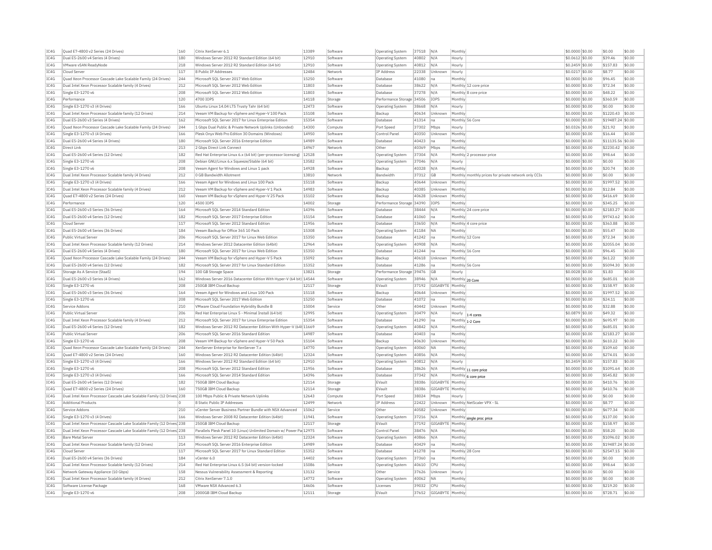| IC4G         | Ouad E7-4800 v2 Series (24 Drives)                                     | 160        | Citrix XenServer 6.1                                                    | 13389          | Software            | <b>Operating System</b>   | 37518          | IN/A                    | Monthly        |                                                      | \$0.0000 \$0.00                    | \$0.00               | \$0.00           |
|--------------|------------------------------------------------------------------------|------------|-------------------------------------------------------------------------|----------------|---------------------|---------------------------|----------------|-------------------------|----------------|------------------------------------------------------|------------------------------------|----------------------|------------------|
| IC4G         | Dual E5-2600 v4 Series (4 Drives)                                      | 180        | Windows Server 2012 R2 Standard Edition (64 bit)                        | 12910          | Software            | <b>Operating System</b>   | 40802          | N/A                     | Hourly         |                                                      | \$0,0612 \$0.00                    | \$39.46              | \$0.00           |
| TCAG         | VMware vSAN ReadyNode                                                  | 218        | Windows Server 2012 R2 Standard Edition (64 bit)                        | 12910          | Software            | Operating System          | 40812          | N/A                     | Hourly         |                                                      | \$0,2459 \$0.00                    | \$157.83             | \$0.00           |
| IC4G         | Cloud Server                                                           | 117        | 8 Public IP Addresses                                                   | 12484          | Network             | <b>IP Address</b>         | 22338          | Unknown                 | Hourly         |                                                      | $$0.0217$ \$0.00                   | \$8.77               | \$0.00           |
| IC4G         | Quad Xeon Processor Cascade Lake Scalable Family (24 Drives)           | 244        | Microsoft SOL Server 2017 Web Edition                                   | 15250          | Software            | Database                  | 41080          | Ina                     | Monthly        |                                                      | \$0,0000 \$0,00                    | \$96.45              | \$0.00           |
| TCAG         |                                                                        |            |                                                                         |                |                     |                           |                | N/A                     |                |                                                      |                                    |                      | \$0.00           |
|              | Dual Intel Xeon Processor Scalable family (4 Drives)                   | 212        | Microsoft SQL Server 2012 Web Edition                                   | 11803          | Software            | Database                  | 38622          |                         |                | Monthly 12 core price                                | \$0.0000 \$0.00                    | \$72.34              |                  |
| TC4G         | Single E3-1270 v6                                                      | 208        | Microsoft SOL Server 2012 Web Edition                                   | 11803          | Software            | Database                  | 37278          | N/A                     |                | Monthly 8 core price                                 | \$0,0000 \$0.00                    | \$48.22              | \$0.00           |
| IC4G         | Performance                                                            | 120        | 4700 IOPS                                                               | 14118          | Storage             | Performance Storage 34506 |                | <b>IOPS</b>             | Monthly        |                                                      | \$0,0000 \$0.00                    | \$360.59             | \$0.00           |
| IC4G         | Single E3-1270 v3 (4 Drives)                                           | 166        | Ubuntu Linux 14.04 LTS Trusty Tahr (64 bit)                             | 12473          | Software            | Operating System          | 38668          | N/A                     | Hourly         |                                                      | \$0.0000 \$0.00                    | \$0.00               | \$0.00           |
| TC4G         | Dual Intel Xeon Processor Scalable family (12 Drives)                  | 214        | Veeam VM Backup for vSphere and Hyper-V 100 Pack                        | 15108          | Software            | Backun                    | 40634          | Unknown                 | Monthly        |                                                      | $$0.0000$ \$0.00                   | \$1220.43            | \$0.00           |
| IC4G         | Dual E5-2600 v3 Series (4 Drives)                                      | 162        | Microsoft SQL Server 2017 for Linux Enterprise Edition                  | 15354          | Software            | Database                  | 41314          | na                      |                | Monthly 56 Core                                      | \$0.0000 \$0.00                    | \$19487.24 \$0.00    |                  |
| IC4G         |                                                                        | 244        |                                                                         | 14300          |                     | Port Speed                |                |                         |                |                                                      |                                    | \$21.92              | \$0.00           |
|              | Quad Xeon Processor Cascade Lake Scalable Family (24 Drives)           |            | 1 Gbps Dual Public & Private Network Uplinks (Unbonded)                 |                | Compute             |                           | 37302          | Mbps                    | Hourly         |                                                      | \$0.0326 \$0.00                    |                      |                  |
| IC4G         | Single E3-1270 v3 (4 Drives)                                           | 166        | Plesk Onvx Web Pro Edition 30 Domains (Windows)                         | 14950          | Software            | Control Panel             | 40350          | Unknown                 | Monthly        |                                                      | \$0,0000 \$0.00                    | \$16.44              | \$0.00           |
| TC4G         | Dual E5-2600 v4 Series (4 Drives)                                      | 180        | Microsoft SOL Server 2016 Enterprise Edition                            | 14989          | Software            | Database                  | 40423          | Ina                     | Monthly        |                                                      | \$0,0000 \$0.00                    | \$11135.56           | \$0.00           |
| IC4G         | <b>Direct Link</b>                                                     | 213        | 2 Gbps Direct Link Connect                                              | 14967          | Network             | Other                     | 40369          | Mbps                    | Monthly        |                                                      | \$0.0000 \$0.00                    | \$2230.42            | \$0.00           |
| IC4G         | Dual E5-2600 v4 Series (12 Drives)                                     | 182        | Red Hat Enterprise Linux 6.x (64 bit) (per-processor licensing)   12528 |                | Software            | Operating System          | 37304          | N/A                     |                | Monthly 2 processor price                            | \$0.0000 \$0.00                    | \$98.64              | \$0.00           |
| IC4G         | Single E3-1270 v6                                                      | 208        | Debian GNU/Linux 6.x Squeeze/Stable (64 bit)                            | 13582          | Software            | Operating System          | 37046          | N/A                     | Hourly         |                                                      | \$0.0000 \$0.00                    | \$0.00               | \$0.00           |
|              |                                                                        |            |                                                                         | 14928          |                     |                           |                |                         |                |                                                      |                                    |                      |                  |
| IC4G         | Single E3-1270 v6                                                      | 208        | Veeam Agent for Windows and Linux 1 pack                                |                | Software            | Backup                    | 40328          | N/A                     | Monthly        |                                                      | \$0.0000 \$0.00                    | \$20.74              | \$0.00           |
| IC4G         | Dual Intel Xeon Processor Scalable family (4 Drives)                   | 212        | 0 GB Bandwidth Allotment                                                | 13810          | Network             | Bandwidth                 | 37312          | <b>GB</b>               |                | Monthly monthly prices for private network only CCIs | \$0,0000 \$0.00                    | \$0.00               | \$0.00           |
| IC4G         | Single E3-1270 v3 (4 Drives)                                           | 166        | Veeam Agent for Windows and Linux 100 Pack                              | 15118          | Software            | Backup                    | 40644          | Unknown                 | Monthly        |                                                      | \$0,0000 \$0.00                    | \$1997.52            | \$0.00           |
| TC4G         | Dual Intel Xeon Processor Scalable family (4 Drives)                   | 212        | Veeam VM Backup for vSphere and Hyper-V 1 Pack                          | 14983          | Software            | Backun                    | 40385          | Unknown                 | Monthly        |                                                      | \$0,0000 \$0.00                    | \$12.84              | \$0.00           |
| IC4G         | Quad E7-4800 v2 Series (24 Drives)                                     | 160        | Veeam VM Backup for vSphere and Hyper-V 25 Pack                         | 15102          | Software            | Backup                    | 40628          | Unknown                 | <b>Monthly</b> |                                                      | \$0.0000 \$0.00                    | \$416.69             | \$0.00           |
| TC4G         | Performance                                                            | 120        | 4500 TOPS                                                               | 14002          |                     |                           |                |                         | Monthly        |                                                      |                                    |                      | \$0.00           |
|              |                                                                        |            |                                                                         |                | Storage             | Performance Storage 34390 |                | IOPS                    |                |                                                      | \$0.0000 \$0.00                    | \$345.25             |                  |
| TC4G         | Dual E5-2600 v3 Series (36 Drives)                                     | 164        | Microsoft SQL Server 2014 Standard Edition                              | 14396          | Software            | Database                  | 38444          | N/A                     |                | Monthly 24 core price                                | \$0.0000 \$0.00                    | \$2183.27            | \$0.00           |
| TC4G         | Dual E5-2600 v4 Series (12 Drives)                                     | 182        | Microsoft SOL Server 2017 Enterprise Edition                            | 15154          | Software            | Database                  | 41060          | Ina                     | Monthly        |                                                      | \$0,0000 \$0.00                    | \$9743.62            | \$0.00           |
| IC4G         | Cloud Server                                                           | 117        | Microsoft SQL Server 2012 Standard Edition                              | 11956          | Software            | Database                  | 33650          | N/A                     |                | Monthly 4 core price                                 | \$0.0000 \$0.00                    | \$363.88             | \$0.00           |
| IC4G         | Dual E5-2600 v4 Series (36 Drives)                                     | 184        | Veeam Backup for Office 365 10 Pack                                     | 15308          | Software            | Operating System          | 41184          | <b>NA</b>               | Monthly        |                                                      | \$0.0000 \$0.00                    | \$55.47              | \$0.00           |
| TCAG         | Public Virtual Server                                                  | 206        | Microsoft SQL Server 2017 for Linux Web Edition                         | 15350          | Software            | Database                  | 41242          | Ina                     |                | Monthly 12 Core                                      | \$0.0000 \$0.00                    | \$72.34              | \$0.00           |
|              |                                                                        |            |                                                                         |                |                     |                           |                |                         |                |                                                      |                                    |                      |                  |
| IC4G         | Dual Intel Xeon Processor Scalable family (12 Drives)                  | 214        | Windows Server 2012 Datacenter Edition (64bit)                          | 12964          | Software            | <b>Operating System</b>   | 40908          | N/A                     | Monthly        |                                                      | \$0.0000 \$0.00                    | \$2055.04            | \$0.00           |
| IC4G         | Dual E5-2600 v4 Series (4 Drives)                                      | 180        | Microsoft SOL Server 2017 for Linux Web Edition                         | 15350          | Software            | Database                  | 41244          | Ina                     |                | Monthly 16 Core                                      | \$0,0000 \$0.00                    | \$96.45              | \$0.00           |
| IC4G         | Ouad Xeon Processor Cascade Lake Scalable Family (24 Drives)           | 244        | Veeam VM Backup for vSphere and Hyper-V 5 Pack                          | 15092          | Software            | Backup                    | 40618          | Unknown                 | Monthly        |                                                      | \$0,0000 \$0.00                    | \$61.22              | \$0.00           |
| TC4G         | Dual E5-2600 v4 Series (12 Drives)                                     | 182        | Microsoft SOL Server 2017 for Linux Standard Edition                    | 15352          | Software            | Database                  | 41286          | lna                     |                | Monthly 56 Core                                      | \$0,0000 \$0.00                    | \$5094.30            | \$0.00           |
| IC4G         | Storage As A Service (StaaS)                                           | 194        | 100 GB Storage Space                                                    | 13821          | Storage             | Performance Storage 39476 |                | <b>GB</b>               | Hourly         |                                                      | $$0.0028$$ \$0.00                  | \$1.83               | \$0.00           |
|              |                                                                        |            |                                                                         |                |                     |                           |                |                         |                |                                                      |                                    |                      |                  |
| TC4G         | Dual E5-2600 v3 Series (4 Drives)                                      | 162        | Windows Server 2016 Datacenter Edition With Hyper-V (64 bit) 14544      |                | Software            | <b>Operating System</b>   | 38946          | N/A                     |                | Monthly 20 Core                                      | \$0,0000 \$0.00                    | \$685.01             | \$0.00           |
| TC4G         | Single E3-1270 v6                                                      | 208        | 250GB IBM Cloud Backup                                                  | 12117          | Storage             | FVault                    | 37192          | GIGARYTE                | Monthly        |                                                      | \$0.0000 \$0.00                    | \$158.97             | \$0.00           |
| TC4G         | Dual E5-2600 v3 Series (36 Drives)                                     | 164        | Veeam Agent for Windows and Linux 100 Pack                              | 15118          | Software            | Backup                    | 40644          | Unknown                 | Monthly        |                                                      | \$0,0000 \$0.00                    | \$1997.52            | \$0.00           |
| IC4G         | Single E3-1270 v6                                                      | 208        | Microsoft SOL Server 2017 Web Edition                                   | 15250          | Software            | Database                  | 41072          | Ina                     | Monthly        |                                                      | \$0,0000 \$0.00                    | \$24.11              | \$0.00           |
| IC4G         | Service Addons                                                         | 210        | VMware Cloud Foundation Hybridity Bundle B                              | 15004          | Service             | Other                     | 40442          | Unknown                 | Monthly        |                                                      | \$0.0000 \$0.00                    | \$32.88              | \$0.00           |
|              |                                                                        |            |                                                                         |                |                     |                           |                |                         |                |                                                      |                                    |                      |                  |
| TC4G         | Public Virtual Server                                                  | 206        | Red Hat Enterprise Linux 5 - Minimal Install (64 bit)                   | 12995          | Software            | Operating System          | 30479          | N/A                     |                | Hourly $ 1-4$ cores                                  | \$0.0879 \$0.00                    | \$49.32              | \$0.00           |
| IC4G         | Dual Intel Xeon Processor Scalable family (4 Drives)                   | 212        | Microsoft SQL Server 2017 for Linux Enterprise Edition                  | 15354          | Software            | <b>Databas</b>            | 41290          | na                      |                | Monthly 1-2 Core                                     | \$0.0000 \$0.00                    | \$695.97             | \$0.00           |
| TC4G         | Dual E5-2600 v4 Series (12 Drives)                                     | 182        | Windows Server 2012 R2 Datacenter Edition With Hyper-V (64t 11669       |                | Software            | <b>Operating System</b>   | 40842          | N/A                     | Monthly        |                                                      | \$0,0000 \$0,00                    | \$685.01             | \$0.00           |
| IC4G         | Public Virtual Server                                                  | 206        | Microsoft SOL Server 2016 Standard Edition                              | 14987          | Software            | <b>Databas</b>            | 40403          | Ina                     | Monthly        |                                                      | \$0,0000 \$0.00                    | \$2183.27            | \$0.00           |
| IC4G         | Single E3-1270 v6                                                      | 208        | Veeam VM Backup for vSphere and Hyper-V 50 Pack                         | 15104          | Software            | Backun                    | 40630          | Unknown                 | Monthly        |                                                      | \$0,0000 \$0.00                    | \$610.22             | \$0.00           |
|              |                                                                        |            |                                                                         |                |                     |                           |                |                         |                |                                                      |                                    |                      |                  |
| IC4G         | Quad Xeon Processor Cascade Lake Scalable Family (24 Drives)           | 244        | XenServer Enterprise for XenServer 7.x                                  | 14770          | Software            | <b>Operating System</b>   | 40060          | <b>NA</b>               | Monthly        |                                                      | \$0.0000 \$0.00                    | \$109.60             | \$0.00           |
| IC4G         | Quad E7-4800 v2 Series (24 Drives)                                     | 160        | Windows Server 2012 R2 Datacenter Edition (64bit)                       | 12324          | Software            | <b>Operating System</b>   | 40856          | N/A                     | Monthly        |                                                      | \$0.0000 \$0.00                    | \$274.01             | \$0.00           |
| IC4G         | Single E3-1270 v3 (4 Drives)                                           | 166        | Windows Server 2012 R2 Standard Edition (64 bit)                        | 12910          | Software            | Operating System          | 40812          | N/A                     | Hourly         |                                                      | \$0.2459 \$0.00                    | \$157.83             | \$0.00           |
| IC4G         | Single E3-1270 v6                                                      | 208        | Microsoft SQL Server 2012 Standard Edition                              | 11956          | Software            | <b>Databas</b>            | 38626          | N/A                     |                | Monthly 11 core price                                | \$0.0000 \$0.00                    | \$1091.64            | \$0.00           |
| IC4G         | Single E3-1270 v3 (4 Drives)                                           | 166        | Microsoft SOL Server 2014 Standard Edition                              | 14396          | Software            | Database                  | 37342          | N/A                     |                |                                                      | \$0,0000 \$0.00                    | \$545.82             | \$0.00           |
|              |                                                                        |            |                                                                         |                |                     |                           |                |                         |                | Monthly 6 core price                                 |                                    |                      |                  |
| IC4G         | Dual E5-2600 v4 Series (12 Drives)                                     | 182        | 750GB IBM Cloud Backup                                                  | 12114          | Storage             | EVault                    | 38386          | GIGABYTE                | Monthly        |                                                      | \$0,0000 \$0.00                    | \$410.76             | \$0.00           |
| TC4G         | Quad E7-4800 v2 Series (24 Drives)                                     | 160        | 750GB TBM Cloud Backup                                                  | 12114          | Storage             | FVault                    | 38386          | GIGARYTE                | Monthly        |                                                      | \$0,0000 \$0.00                    | \$410.76             | \$0.00           |
| IC4G         | Dual Intel Xeon Processor Cascade Lake Scalable Family (12 Drives) 238 |            | 100 Mbps Public & Private Network Uplinks                               | 12643          | Compute             | Port Speed                | 38024          | Mbps                    | Hourly         |                                                      | \$0.0000 \$0.00                    | \$0.00               | \$0.00           |
| TC4G         | <b>Additional Products</b>                                             | n          | 8 Static Public TP Addresses                                            | 12499          | Network             | <b>TP Address</b>         | 22422          | Unknown                 |                | Monthly NetScaler VPX - SL                           | \$0.0000 \$0.00                    | \$8.77               | \$0.00           |
| IC4G         | Service Addons                                                         | 210        | vCenter Server Business Partner Bundle with NSX Advanced                | 15062          | Service             | Other                     | 40582          | Unknown                 | Monthly        |                                                      | \$0,0000 \$0.00                    | \$677.34             | \$0.00           |
| TC4G         |                                                                        |            |                                                                         | 11941          |                     |                           |                |                         |                |                                                      |                                    |                      | \$0.00           |
|              | Single E3-1270 v3 (4 Drives)                                           | 166        | Windows Server 2008 R2 Datacenter Edition (64bit)                       |                | Software            | Operating System          | 37216          | N/A                     |                | Monthly single proc price                            | \$0,0000 \$0.00                    | \$137.00             |                  |
| IC4G         | Dual Intel Xeon Processor Cascade Lake Scalable Family (12 Drives) 238 |            | 250GB IBM Cloud Backup                                                  | 12117          | Storage             | EVault                    | 37192          | <b>GIGABYTE</b>         | Monthly        |                                                      | \$0.0000 \$0.00                    | \$158.97             | \$0.00           |
| IC4G         | Dual Intel Xeon Processor Cascade Lake Scalable Family (12 Drives) 238 |            | Parallels Plesk Panel 10 (Linux) Unlimited Domain w/ Power Pa 12975     |                | Software            | Control Panel             | 38476          | N/A                     | Monthl         |                                                      | \$0.0000 \$0.00                    | \$58.20              | \$0.00           |
| TCAG         | <b>Bare Metal Server</b>                                               | 113        | Windows Server 2012 R2 Datacenter Edition (64bit)                       | 12324          | Software            | Operating System          | 40866          | N/A                     | Monthly        |                                                      | \$0.0000 \$0.00                    | \$1096.02            | \$0.00           |
| IC4G         | Dual Intel Xeon Processor Scalable family (12 Drives)                  | 214        | Microsoft SQL Server 2016 Enterprise Edition                            | 14989          | Software            | <b>Databas</b>            | 40429          | na                      | Monthly        |                                                      | \$0.0000 \$0.00                    | \$19487.24 \$0.00    |                  |
| IC4G         |                                                                        |            |                                                                         |                |                     |                           |                |                         |                |                                                      | \$0,0000 \$0.00                    |                      |                  |
|              | Cloud Server                                                           | 117        | Microsoft SOL Server 2017 for Linux Standard Edition                    | 15352          | Software            | Database                  | 41278          | Ina                     |                | Monthly 28 Core                                      |                                    | \$2547.15            | \$0.00           |
| IC4G         | Dual E5-2600 v4 Series (36 Drives)                                     | 184        | vCenter 6.0                                                             | 14402          | Software            | <b>Operating System</b>   | 37360          | Ina                     | Monthly        |                                                      | \$0,0000 \$0.00                    | \$0.00               | \$0.00           |
| TCAG         | Dual Intel Xeon Processor Scalable family (12 Drives)                  | 214        | Red Hat Enterprise Linux 6.5 (64 bit) version-locked                    | 15086          | Software            | Operating System          | 40610          | CPI                     | Monthly        |                                                      | \$0,0000 \$0.00                    | \$98.64              | \$0.00           |
|              | Network Gateway Appliance (10 Gbps)                                    | 158        | Nessus Vulnerability Assessment & Reporting                             | 13132          | Service             | Other                     | 37626          | Unknown                 | Hourly         |                                                      | \$0.0000 \$0.00                    | \$0.00               | \$0.00           |
| IC4G         |                                                                        |            | Citrix XenServer 7.1.0                                                  | 14772          | Software            | Operating System          | 40062          | <b>NA</b>               | Monthly        |                                                      | \$0,0000 \$0.00                    | \$0.00               | \$0.00           |
|              |                                                                        |            |                                                                         |                |                     |                           |                |                         |                |                                                      |                                    |                      |                  |
| IC4G         | Dual Intel Xeon Processor Scalable family (4 Drives)                   | 212        |                                                                         |                |                     |                           |                |                         |                |                                                      |                                    |                      |                  |
| TCAG<br>IC4G | Software License Package<br>Single E3-1270 v6                          | 168<br>208 | VMware NSX Advanced 6.3<br>2000GB TBM Cloud Backup                      | 14606<br>12111 | Software<br>Storage | Licenses<br>FVault        | 39032<br>37652 | CPI<br>GIGABYTE Monthly | Monthly        |                                                      | \$0.0000 \$0.00<br>\$0,0000 \$0.00 | \$219.20<br>\$728.71 | \$0.00<br>\$0.00 |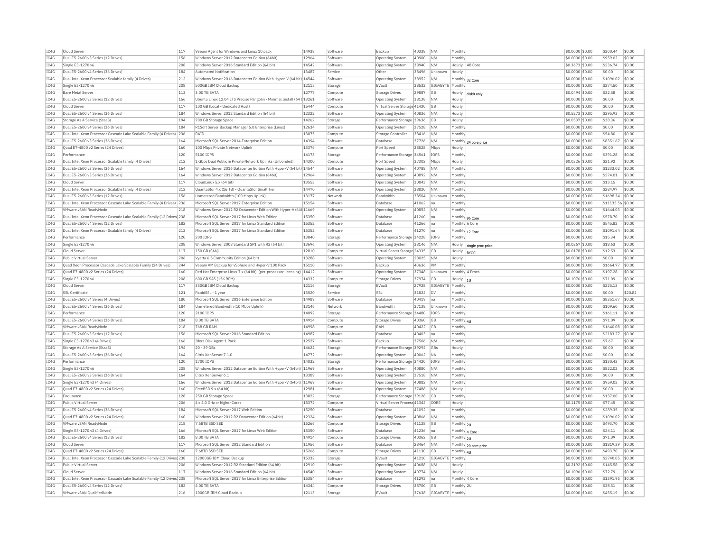| TCAG         | Cloud Server                                                           | 117 | Veeam Agent for Windows and Linux 10 pack                             | 14938 | Software | Backup                            | 40338 N/A |                        | Monthly                           | \$0.0000 \$0.00  | \$200.44          | \$0.00  |
|--------------|------------------------------------------------------------------------|-----|-----------------------------------------------------------------------|-------|----------|-----------------------------------|-----------|------------------------|-----------------------------------|------------------|-------------------|---------|
| TC4G         | Dual E5-2600 v3 Series (12 Drives)                                     | 156 | Windows Server 2012 Datacenter Edition (64bit)                        | 12964 | Software | <b>Operating System</b>           | 40900     | N/A                    | Monthly                           | \$0,0000 \$0.00  | \$959.02          | \$0.00  |
| TC4G         | Single E3-1270 v6                                                      | 208 | Windows Server 2016 Standard Edition (64 bit)                         | 14542 | Software | <b>Operating System</b>           | 38940     | N/A                    | Hourly 48 Core                    | \$0.3673 \$0.00  | \$236.74          | \$0.00  |
| IC4G         | Dual E5-2600 v4 Series (36 Drives)                                     | 184 | Automated Notification                                                | 13487 | Service  | <b>Other</b>                      | 38496     | Unknown                | Hourly                            | \$0,0000 \$0.00  | \$0.00            | \$0.00  |
| TC4G         | Dual Intel Xeon Processor Scalable family (4 Drives)                   | 212 | Windows Server 2016 Datacenter Edition With Hyper-V (64 bit) 14544    |       | Softwan  | <b>Operating System</b>           | 38952     | N/A                    |                                   | \$0.0000 \$0.00  | \$1096.02 \$0.00  |         |
| IC4G         | Single E3-1270 v6                                                      | 208 | 500GB IBM Cloud Backup                                                | 12115 | Storage  | EVault                            |           | 38532 GIGABYTE Monthly | Monthly 32 Core                   | \$0.0000 \$0.00  | \$274.50          | \$0.00  |
| IC4G         | <b>Bare Metal Server</b>                                               | 113 | 3.00 TB SATA                                                          | 12777 | Compute  | <b>Storage Drives</b>             | 29887     | GE                     |                                   | \$0.0494 \$0.00  | \$32.58           | \$0.00  |
| TC4G         | Dual E5-2600 v3 Series (12 Drives)                                     | 156 |                                                                       |       |          |                                   |           |                        | Hourly<br>disk0 only              |                  | \$0.00            | \$0.00  |
| IC4G         |                                                                        |     | Ubuntu Linux 12.04 LTS Precise Pangolin - Minimal Install (64 t 13261 | 15444 | Software | Operating System                  | 38138 N/A |                        | Hourly                            | \$0,0000 \$0,00  |                   |         |
|              | Cloud Serve                                                            | 117 | 100 GB (Local - Dedicated Host)                                       |       | Compute  | Virtual Server Storage 41430      |           | GE                     | Hourly                            | \$0.0000 \$0.00  | \$0.00            | \$0.00  |
| TC4G         | Dual E5-2600 v4 Series (36 Drives)                                     | 184 | Windows Server 2012 Standard Edition (64 bit)                         | 12322 | Software | <b>Operating System</b>           | 40836     | N/A                    | Hourly                            | \$0.5273 \$0.00  | \$295.93          | \$0.00  |
| IC4G         | Storage As A Service (StaaS)                                           | 194 | 700 GB Storage Space                                                  | 14262 | Storage  | Performance Storage 39636         |           | GB                     | Hourly                            | \$0.0537 \$0.00  | \$38.36           | \$0.00  |
| TC4G         | Dual E5-2600 v4 Series (36 Drives)                                     | 184 | R1Soft Server Backup Manager 5.0 Enterprise (Linux)                   | 12634 | Software | <b>Operating System</b>           | 37528 N/A |                        | Monthly                           | \$0.0000 \$0.00  | \$0.00            | \$0.00  |
| TC4G         | Dual Intel Xeon Processor Cascade Lake Scalable Family (4 Drives)      | 236 | RAID                                                                  | 13075 | Compute  | Storage Controller                | 38416     | N/A                    | Monthly                           | \$0.0000 \$0.00  | \$54.80           | \$0.00  |
| TC4G         | Dual E5-2600 v3 Series (36 Drives                                      | 164 | Microsoft SQL Server 2014 Enterprise Edition                          | 14394 | Software | Database                          | 37726     | N/A                    | Monthly 24 core price             | $$0.0000$ \$0.00 | \$8351.67         | \$0.00  |
| IC4G         | Quad E7-4800 v2 Series (24 Drives)                                     | 160 | 100 Mbps Private Network Uplink                                       | 13376 | Compute  | Port Speed                        | 38528     | Mbps                   | Hourly                            | \$0.0000 \$0.00  | \$0.00            | \$0.00  |
| IC4G         | Performance                                                            | 120 | 5100 IOPS                                                             | 14173 | Storage  | Performance Storage 34561         |           | IOPS                   | Monthly                           | \$0.0000 \$0.00  | \$391.28          | \$0.00  |
| IC4G         | Dual Intel Xeon Processor Scalable family (4 Drives)                   | 212 | 1 Gbps Dual Public & Private Network Uplinks (Unbonded)               | 14300 | Compute  | Port Speed                        | 37302     | Mbps                   | Hourly                            | \$0.0326 \$0.00  | \$21.92           | \$0.00  |
| TC4G         | Dual E5-2600 v3 Series (36 Drives)                                     | 164 | Windows Server 2016 Datacenter Edition With Hyper-V (64 bit) 14544    |       | Software | Operating System                  | 40788     | N/A                    | Monthly                           | \$0.0000 \$0.00  | \$1233.02         | \$0.00  |
| IC4G         | Dual E5-2600 v3 Series (36 Drives)                                     | 164 | Windows Server 2012 Datacenter Edition (64bit)                        | 12964 | Software | <b>Operating System</b>           | 40892     | N/A                    | Monthly                           | \$0.0000 \$0.00  | \$274.01          | \$0.00  |
| TC4G         | Cloud Server                                                           | 117 | CloudLinux 5.x (64 bit)                                               | 13553 | Software | <b>Operating System</b>           | 30843 N/A |                        | Monthly                           | \$0.0000 \$0.00  | \$13.15           | \$0.00  |
| TCAG         | Dual Intel Xeon Processor Scalable family (4 Drives)                   | 212 | QuantaStor 4.x (16 TB) - QuantaStor Small Tier                        | 14470 | Software | Operating System                  | 38820     | N/A                    | Monthly                           | \$0.0000 \$0.00  | \$284.97          | \$0.00  |
| IC4G         | Dual E5-2600 v3 Series (12 Drives                                      | 156 | Unmetered Bandwidth (100 Mbps Uplink)                                 | 13177 | Network  | Bandwidth                         | 38504     | Unknown                | Monthly                           | \$0.0000 \$0.00  | \$1698.34 \$0.00  |         |
| TCAG         | Dual Intel Xeon Processor Cascade Lake Scalable Family (4 Drives) 236  |     | Microsoft SOL Server 2017 Enterprise Edition                          | 15154 | Software | Database                          | 41062     | n <sub>z</sub>         | Monthly                           | \$0.0000 \$0.00  | \$11135.56 \$0.00 |         |
| IC4G         | VMware vSAN ReadyNode                                                  | 218 | Windows Server 2012 R2 Datacenter Edition With Hyper-V (64t 11669     |       | Software | <b>Operating System</b>           | 40852     | N/A                    | Monthly                           | \$0.0000 \$0.00  | \$1644.03 \$0.00  |         |
| IC4G         | Dual Intel Xeon Processor Cascade Lake Scalable Family (12 Drives 238  |     | Microsoft SOL Server 2017 for Linux Web Edition                       | 15350 | Software | Database                          | 41260     | Ina                    |                                   | \$0,0000 \$0.00  | \$578.70          | \$0.00  |
| TC4G         | Dual E5-2600 v4 Series (12 Drives)                                     | 182 | Microsoft SQL Server 2017 for Linux Standard Edition                  | 15352 | Software | Database                          | 41266     | lηε                    | Monthly 96 Core<br>Monthly 6 Core | $$0.0000$ \$0.00 | \$545.82          | \$0.00  |
| IC4G         | Dual Intel Xeon Processor Scalable family (4 Drives)                   | 212 | Microsoft SOL Server 2017 for Linux Standard Edition                  | 15352 |          |                                   | 41270     |                        |                                   | \$0,0000 \$0.00  | \$1091.64         | \$0.00  |
| TC4G         |                                                                        |     |                                                                       |       | Software | Database                          |           | Ina                    | Monthly 12 Core                   |                  |                   |         |
|              | Performance                                                            | 120 | 200 IOPS                                                              | 13840 | Storage  | Performance Storage 34228   IOPS  |           |                        | Monthly                           | \$0.0000 \$0.00  | \$15.34           | \$0.00  |
| IC4G         | Single E3-1270 v6                                                      | 208 | Windows Server 2008 Standard SP1 with R2 (64 bit)                     | 13696 | Software | <b>Operating System</b>           | 38146 N/A |                        | Hourly single proc price          | \$0.0267 \$0.00  | \$18.63           | \$0.00  |
| IC4G         | Cloud Serve                                                            | 117 | <b>150 GB (SAN</b>                                                    | 12810 | Compute  | Virtual Server Storage 24335      |           | <b>GB</b>              | Hourly  BYOC                      | \$0.0178 \$0.00  | \$12.53           | \$0.00  |
| TC4G         | Public Virtual Server                                                  | 206 | Vyatta 6.5 Community Edition (64 bit)                                 | 13288 | Software | <b>Operating System</b>           | 28025 N/A |                        | Hourly                            | $$0.0000$ \$0.00 | \$0.00            | \$0.00  |
| IC4G         | Quad Xeon Processor Cascade Lake Scalable Family (24 Drives)           | 244 | Veeam VM Backup for vSphere and Hyper-V 100 Pack                      | 15110 | Software | Backup                            | 40636     | <b>VM</b>              | Monthl                            | \$0.0000 \$0.00  | \$1664.77 \$0.00  |         |
| TCAG         | Ouad E7-4800 v2 Series (24 Drives)                                     | 160 | Red Hat Enterprise Linux 7.x (64 bit) (per-processor licensing) 14412 |       | Software | Operating System                  | 37348     | <b>Unknown</b>         | Monthly 4 Procs                   | \$0.0000 \$0.00  | \$197.28          | \$0.00  |
| IC4G         | Single E3-1270 v6                                                      | 208 | 600 GB SAS (15K RPM)                                                  | 14332 | Compute  | <b>Storage Drives</b>             | 37974     | GB                     | Hourly<br>hu                      | \$0.1076 \$0.00  | \$71.09           | \$0.00  |
| TC4G         | Cloud Server                                                           | 117 | 350GB IBM Cloud Backup                                                | 12116 | Storage  | FVault                            | 27928     | GIGABYTE Monthly       |                                   | \$0.0000 \$0.00  | \$225.13          | \$0.00  |
| IC4G         | <b>SSL Certificate</b>                                                 | 121 | RapidSSL - 1 vea                                                      | 13520 | Service  | <b>SSL</b>                        | 31822     | IDV                    | Monthly                           | \$0.0000 \$0.00  | \$0.00            | \$20.82 |
| TC4G         | Dual E5-2600 v4 Series (4 Drives)                                      | 180 | Microsoft SQL Server 2016 Enterprise Edition                          | 14989 | Software | Database                          | 40419     | Ina                    | Monthly                           | \$0.0000 \$0.00  | \$8351.67 \$0.00  |         |
| IC4G         | Dual E5-2600 v4 Series (36 Drives)                                     | 184 | Unmetered Bandwidth (10 Mbps Uplink)                                  | 13146 | Network  | Bandwidth                         | 37138     | Unknown                | Monthly                           | \$0.0000 \$0.00  | \$109.60          | \$0.00  |
| TCAG         | Performance                                                            | 120 | 2100 IOPS                                                             | 14092 | Storage  | Performance Storage 34480         |           | <b>TOPS</b>            | Monthly                           | \$0.0000 \$0.00  | \$161.11          | \$0.00  |
| IC4G         | Dual E5-2600 v4 Series (36 Drives)                                     | 184 | 8.00 TB SATA                                                          | 14914 | Compute  | Storage Drives                    | 40360     | GB                     | Monthly 4U                        | \$0.0000 \$0.00  | \$71.09           | \$0.00  |
| TC4G         | VMware vSAN ReadyNode                                                  | 218 | <b>768 GB RAM</b>                                                     | 14998 | Compute  | RAM                               | 40422     | GB                     | Monthly                           | $$0.0000$ \$0.00 | \$1640.08 \$0.00  |         |
| IC4G         | Dual E5-2600 v3 Series (12 Drives)                                     | 156 | Microsoft SQL Server 2016 Standard Edition                            | 14987 | Software | Database                          | 40403     | Ina                    | Monthly                           | \$0.0000 \$0.00  | \$2183.27         | \$0.00  |
| TC4G         | Single E3-1270 v3 (4 Drives)                                           | 166 | Idera Disk Agent 1 Pack                                               | 12527 | Software | Backup                            | 37506     | N/A                    | Monthly                           | \$0.0000 \$0.00  | \$7.67            | \$0.00  |
| IC4G         | Storage As A Service (StaaS)                                           | 194 | 20 - 39 GBs                                                           | 14622 | Storage  | Performance Storage 39292 GBs     |           |                        |                                   | $$0.0002$ \$0.00 | \$0.00            | \$0.00  |
|              |                                                                        |     |                                                                       |       |          |                                   |           |                        | Hourly                            |                  |                   |         |
| IC4G<br>TCAG | Dual E5-2600 v3 Series (36 Drives)                                     | 164 | Citrix XenServer 7.1.0<br>1700 TOPS                                   | 14772 | Software | <b>Operating System</b>           | 40062     | <b>NA</b>              | Monthly                           | \$0.0000 \$0.00  | \$0.00            | \$0.00  |
|              | Performance                                                            | 120 |                                                                       | 14032 | Storage  | Performance Storage 34420         |           | <b>TOPS</b>            | Monthly                           | \$0.0000 \$0.00  | \$130.43          | \$0.00  |
| IC4G         | Single E3-1270 v6                                                      | 208 | Windows Server 2012 Datacenter Edition With Hyper-V (64bit) 11969     |       | Software | <b>Operating System</b>           | 40880     | N/A                    | Monthly                           | \$0.0000 \$0.00  | \$822.02          | \$0.00  |
| TCAG         | Dual E5-2600 v3 Series (36 Drives)                                     | 164 | Citrix XenServer 6.1                                                  | 13389 | Software | <b>Operating System</b>           | 37518     | N/A                    | Monthly                           | \$0,0000 \$0.00  | \$0.00            | \$0.00  |
| IC4G         | Single E3-1270 v3 (4 Drives)                                           | 166 | Windows Server 2012 Datacenter Edition With Hyper-V (64bit) 11969     |       | Software | <b>Operating System</b>           | 40882     | N/A                    | Monthly                           | \$0.0000 \$0.00  | \$959.02          | \$0.00  |
| IC4G         | Quad E7-4800 v2 Series (24 Drives)                                     | 160 | FreeBSD 9.x (64 bit)                                                  | 12981 | Software | <b>Operating System</b>           | 37488     | N/A                    | Hourly                            | \$0,0000 \$0.00  | \$0.00            | \$0.00  |
| TC4G         | Endurance                                                              | 128 | 250 GB Storage Space                                                  | 13822 | Storage  | Performance Storage 39128 GB      |           |                        | Monthly                           | \$0.0000 \$0.00  | \$137.00          | \$0.00  |
| IC4G         | Public Virtual Server                                                  | 206 | 4 x 2.0 GHz or higher Cores                                           | 15372 | Compute  | Virtual Server Process 41342 CORE |           |                        | Hourly                            | \$0,1175 \$0.00  | \$77.45           | \$0.00  |
| IC4G         | Dual E5-2600 v4 Series (36 Drives)                                     | 184 | Microsoft SQL Server 2017 Web Edition                                 | 15250 | Software | Database                          | 41092     | 'nε                    | Monthly                           | \$0.0000 \$0.00  | \$289.35          | \$0.00  |
| IC4G         | Ouad E7-4800 v2 Series (24 Drives)                                     | 160 | Windows Server 2012 R2 Datacenter Edition (64bit)                     | 12324 | Software | <b>Operating System</b>           | 40866     | IN/A                   | Monthly                           | \$0,0000 \$0.00  | \$1096.02 \$0.00  |         |
| TC4G         | VMware vSAN ReadyNode                                                  | 218 | 7.68TB SSD SED                                                        | 15266 | Compute  | Storage Drives                    | 41128     | <b>GB</b>              | Monthly 2U                        | \$0.0000 \$0.00  | \$493.70          | \$0.00  |
| TCAG         | Single E3-1270 v3 (4 Drives)                                           | 166 | Microsoft SOL Server 2017 for Linux Web Edition                       | 15350 | Software | Database                          | 41236     | Ina                    | Monthly 4 Core                    | \$0,0000 \$0.00  | \$24.11           | \$0.00  |
| IC4G         | Dual E5-2600 v4 Series (12 Drives)                                     | 182 | 8.00 TB SATA                                                          | 14914 | Compute  | <b>Storage Drives</b>             | 40362     | GB                     | Monthly 2U                        | \$0.0000 \$0.00  | \$71.09           | \$0.00  |
| TC4G         | Cloud Server                                                           | 117 | Microsoft SOL Server 2012 Standard Edition                            | 11956 | Software | Database                          | 28464 N/A |                        | Monthly 20 core price             | \$0,0000 \$0.00  | \$1819.39 \$0.00  |         |
| TC4G         | Quad E7-4800 v2 Series (24 Drives)                                     | 160 | 7.68TB SSD SED                                                        | 15266 | Compute  | <b>Storage Drives</b>             | 41130     | GB                     | Monthly 4U                        | \$0.0000 \$0.00  | \$493.70          | \$0.00  |
| TC4G         | Dual Intel Xeon Processor Cascade Lake Scalable Family (12 Drives) 238 |     | 12000GB IBM Cloud Backup                                              | 15332 | Storage  | EVault                            | 41210     | GIGABYTE   Monthly     |                                   | $$0.0000$ \$0.00 | \$2740.05 \$0.00  |         |
| IC4G         | Public Virtual Server                                                  | 206 | Windows Server 2012 R2 Standard Edition (64 bit)                      | 12910 | Software | Operating System                  | 40688     | N/A                    | Hourly                            | \$0.2192 \$0.00  | \$145.58          | \$0.00  |
| TC4G         |                                                                        |     |                                                                       |       |          |                                   |           |                        |                                   |                  |                   |         |
|              | Cloud Server                                                           | 117 | Windows Server 2016 Standard Edition (64 bit)                         | 14540 | Software | Operating System                  | 40774 N/A |                        | Hourly                            | $$0.1096$ \$0.00 | \$72.79           | \$0.00  |
| IC4G         | Dual Intel Xeon Processor Cascade Lake Scalable Family (12 Drives) 238 |     | Microsoft SQL Server 2017 for Linux Enterprise Edition                | 15354 | Software | Database                          | 41292     | 'nε                    | Monthly 4 Core                    | \$0.0000 \$0.00  | \$1391.95         | \$0.00  |
| TC4G         | Dual E5-2600 v4 Series (12 Drives)                                     | 182 | 4.00 TB SATA                                                          | 14344 | Compute  | <b>Storage Drives</b>             | 38700     | GB                     | Monthly 2U                        | $$0.0000$ \$0.00 | \$38.51           | \$0.00  |
|              | VMware vSAN QualifiedNode                                              | 216 | 1000GB IBM Cloud Backup                                               | 12113 | Storage  | EVault                            |           | 37638 GIGABYTE Monthly |                                   | \$0.0000 \$0.00  | \$455.19          | \$0.00  |
| IC4G         |                                                                        |     |                                                                       |       |          |                                   |           |                        |                                   |                  |                   |         |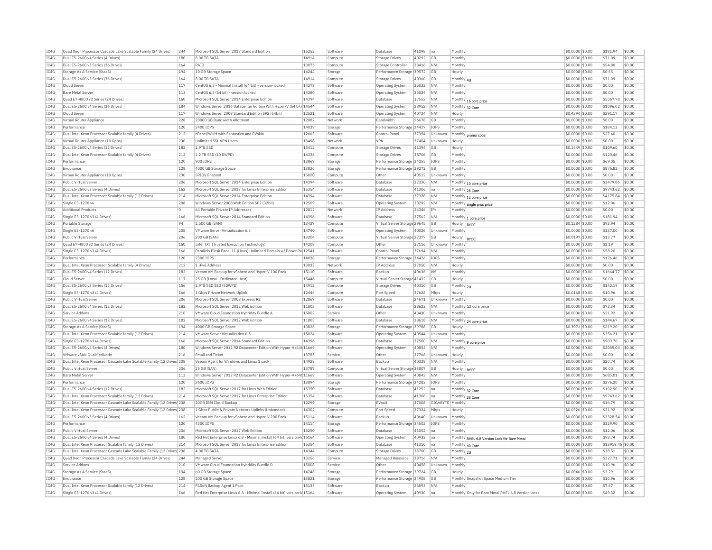| IC4G | Quad Xeon Processor Cascade Lake Scalable Family (24 Drives)           | 244 | Microsoft SQL Server 2017 Standard Edition                               | 15252 | Software | Database                     | 41098 | na          | Monthly         |                                                    | \$0.0000 \$0.00  | \$181.94          | \$0.00 |
|------|------------------------------------------------------------------------|-----|--------------------------------------------------------------------------|-------|----------|------------------------------|-------|-------------|-----------------|----------------------------------------------------|------------------|-------------------|--------|
| IC4G | Dual E5-2600 v4 Series (4 Drives)                                      | 180 | 8.00 TB SATA                                                             | 14914 | Compute  | <b>Storage Drives</b>        | 40292 | GB          | Monthly         |                                                    | \$0.0000 \$0.00  | \$71.09           | \$0.00 |
| IC4G | Dual E5-2600 v3 Series (36 Drives)                                     | 164 | RAID                                                                     | 13075 | Compute  | Storage Controller           | 38416 | N/A         | Monthly         |                                                    | \$0.0000 \$0.00  | \$54.80           | \$0.00 |
| IC4G | Storage As A Service (StaaS)                                           | 194 | 10 GB Storage Space                                                      | 14244 | Storage  | Performance Storage 39572    |       | <b>GB</b>   | Hourly          |                                                    | \$0,0008 \$0,00  | \$0.55            | \$0.00 |
| IC4G | Dual E5-2600 v3 Series (36 Drives)                                     | 164 | 8.00 TB SATA                                                             | 14914 | Compute  | <b>Storage Drives</b>        | 40360 | GB          | Monthly 4U      |                                                    | \$0.0000 \$0.00  | \$71.09           | \$0.00 |
| IC4G | Cloud Server                                                           | 117 | CentOS 6.5 - Minimal Install (64 bit) - version-locked                   | 14278 | Software | Operating System             | 35022 | N/A         | Monthly         |                                                    | \$0.0000 \$0.00  | \$0.00            | \$0.00 |
| IC4G | <b>Bare Metal Server</b>                                               | 113 | CentOS 6.5 (64 bit) - version locked                                     | 14280 | Software | <b>Operating System</b>      | 35024 | N/A         | Monthly         |                                                    | \$0.0000 \$0.00  | \$0.00            | \$0.00 |
| IC4G | Quad E7-4800 v2 Series (24 Drives)                                     | 160 | Microsoft SQL Server 2014 Enterprise Edition                             | 14394 | Software | Database                     | 37552 | N/A         |                 |                                                    | \$0.0000 \$0.00  | \$5567.78         | \$0.00 |
| TC4G | Dual E5-2600 v4 Series (36 Drives)                                     | 184 | Windows Server 2016 Datacenter Edition With Hyper-V (64 bit) 14544       |       | Software |                              | 38952 | N/A         |                 | Monthly 16 core price                              | \$0,0000 \$0.00  | \$1096.02         | 50.00  |
|      |                                                                        |     |                                                                          |       |          | Operating System             |       |             | Monthly 32 Core |                                                    |                  |                   |        |
| IC4G | Cloud Server                                                           | 117 | Windows Server 2008 Standard Edition SP2 (64bit)                         | 12521 | Software | Operating System             | 40734 | N/A         | Hourly          |                                                    | \$0.4394 \$0.00  | \$291.17          | \$0.00 |
| IC4G | Virtual Router Appliance                                               | 228 | 20000 GB Bandwidth Allotment                                             | 12082 | Network  | <b>Bandwidth</b>             | 26678 | GB          | Monthly         |                                                    | \$0,0000 \$0.00  | \$0.00            | \$0.00 |
| TCAG | Performance                                                            | 120 | 2400 TOPS                                                                | 14039 | Storage  | Performance Storage 34427    |       | <b>TOPS</b> | Monthly         |                                                    | \$0,0000 \$0.00  | \$184.13          | \$0.00 |
| IC4G | Dual Intel Xeon Processor Scalable family (4 Drives)                   | 212 | cPanel/WHM with Fantastico and RVskir                                    | 12663 | Software | Control Pane                 | 37394 | Unknowr     |                 | Monthly promo code                                 | \$0.0000 \$0.00  | \$27.40           | \$0.00 |
| IC4G | Virtual Router Appliance (10 Gpbs)                                     | 230 | <b>Unlimited SSL VPN Users</b>                                           | 13498 | Network  | <b>VPN</b>                   | 37404 | Unknown     | Hourly          |                                                    | \$0.0000 \$0.00  | \$0.00            | \$0.00 |
| IC4G | Dual E5-2600 v4 Series (12 Drives)                                     | 182 | 1.9TB SSD                                                                | 15412 | Compute  | <b>Storage Drives</b>        | 41394 | GB          | Hourly          |                                                    | \$0.1649 \$0.00  | \$109.60          | \$0.00 |
| IC4G | Dual Intel Xeon Processor Scalable family (4 Drives)                   | 212 | 1.2 TB SSD (10 DWPD)                                                     | 14336 | Compute  | Storage Drive:               | 38706 | GB          | Monthly         |                                                    | \$0.0000 \$0.00  | \$120.46          | \$0.00 |
| IC4G | Performance                                                            | 120 | 900 IOPS                                                                 | 13867 | Storage  | Performance Storage 34255    |       | IOPS        | Monthly         |                                                    | \$0,0000 \$0.00  | \$69.05           | \$0.00 |
| IC4G | Endurance                                                              | 128 | 4000 GB Storage Space                                                    | 13826 | Storage  | Performance Storage 39272    |       | GB          | Monthly         |                                                    | \$0.0000 \$0.00  | \$876.82          | \$0.00 |
| IC4G | Virtual Router Appliance (10 Gpbs)                                     | 230 | SRTOV Enabled                                                            | 15020 | Compute  | Other                        | 40512 | Unknown     | Monthly         |                                                    | \$0,0000 \$0,00  | \$0.00            | \$0.00 |
| IC4G | Public Virtual Server                                                  | 206 | Microsoft SOL Server 2014 Enterprise Edition                             | 14394 | Software | Database                     | 37330 | N/A         |                 |                                                    | \$0,0000 \$0.00  | \$3479.86         | \$0.00 |
| IC4G | Dual E5-2600 v3 Series (4 Drives)                                      | 162 | Microsoft SQL Server 2017 for Linux Enterprise Edition                   | 15354 | Software | Database                     | 41306 | na          |                 | Monthly 10 core price                              | \$0.0000 \$0.00  | \$9743.62         | \$0.00 |
|      |                                                                        |     |                                                                          |       |          |                              |       |             | Monthly 28 Core |                                                    |                  |                   |        |
| TC4G | Dual Intel Xeon Processor Scalable family (12 Drives)                  | 214 | Microsoft SOL Server 2014 Enterprise Edition                             | 14394 | Software | Database                     | 37328 | N/A         |                 | Monthly 12 core price                              | \$0,0000 \$0.00  | \$4175.84         | \$0.00 |
| IC4G | Single E3-1270 v6                                                      | 208 | Windows Server 2008 Web Edition SP2 (32bit)                              | 12509 | Software | Operating System             | 38292 | N/A         |                 | Monthly single proc price                          | \$0,0000 \$0.00  | \$12.06           | \$0.00 |
| IC4G | <b>Additional Products</b>                                             | lo. | 64 Portable Private IP Addresses                                         | 12812 | Network  | IP Address                   | 24346 | IPs         | Monthly         |                                                    | \$0.0000 \$0.00  | \$0.00            | \$0.00 |
| IC4G | Single E3-1270 v3 (4 Drives)                                           | 166 | Microsoft SQL Server 2014 Standard Edition                               | 14396 | Software | Database                     | 37562 | N/L         |                 | Monthly 1 core price                               | \$0.0000 \$0.00  | \$181.94          | \$0.00 |
| IC4G | Portable Storage                                                       | 94  | 1.500 GB (SAN)                                                           | 13437 | Compute  | Virtual Server Storage 29645 |       | GB          | Hourly  BYOC    |                                                    | \$0.1284 \$0.00  | \$93.94           | \$0.00 |
| IC4G | Single E3-1270 v6                                                      | 208 | VMware Server Virtualization 6.5                                         | 14740 | Software | Operating System             | 40026 | Unknown     | Monthly         |                                                    | \$0,0000 \$0.00  | \$137.00          | \$0.00 |
| IC4G | Public Virtual Server                                                  | 206 | 200 GB (SAN)                                                             | 13204 | Compute  | Virtual Server Storage 27377 |       | GB          | Hourly          | <b>BYOC</b>                                        | \$0,0197 \$0,00  | \$13.77           | \$0.00 |
| TCAG | Quad E7-4800 v2 Series (24 Drives)                                     | 160 | Intel TXT (Trusted Execution Technology)                                 | 14208 | Compute  | Other                        | 37116 | Unknown     | Monthly         |                                                    | \$0,0000 \$0.00  | \$2.19            | \$0.00 |
| IC4G | Single E3-1270 v3 (4 Drives)                                           | 166 | Parallels Plesk Panel 11 (Linux) Unlimited Domain w/ Power Pa 12541      |       | Software | Control Panel                | 37694 | N/A         | Monthly         |                                                    | \$0.0000 \$0.00  | \$58.20           | \$0.00 |
| IC4G | Performance                                                            | 120 | 2300 IOPS                                                                | 14038 | Storage  | Performance Storage 34426    |       | <b>IOPS</b> | Monthly         |                                                    | \$0.0000 \$0.00  | \$176.46          | \$0.00 |
| IC4G | Dual Intel Xeon Processor Scalable family (4 Drives)                   | 212 | 1 TPv6 Address                                                           | 13033 | Network  | <b>TP Address</b>            | 37050 | N/A         | Hourly          |                                                    | $$0.0000$ \$0.00 | \$0.00            | \$0.00 |
| IC4G | Dual E5-2600 v4 Series (12 Drives)                                     | 182 | Veeam VM Backup for vSphere and Hyper-V 100 Pack                         | 15110 | Software | Backup                       | 40636 | <b>VM</b>   | Monthly         |                                                    | \$0.0000 \$0.00  | \$1664.77         | \$0.00 |
|      |                                                                        | 117 |                                                                          | 15446 |          |                              |       |             |                 |                                                    |                  |                   |        |
| IC4G | Cloud Server                                                           |     | 25 GB (Local - Dedicated Host)                                           |       | Compute  | Virtual Server Storage 41432 |       | <b>GB</b>   | Hourly          |                                                    | \$0.0000 \$0.00  | \$0.00            | \$0.00 |
| IC4G | Dual E5-2600 v3 Series (12 Drives)                                     | 156 | 1.9TB SSD SED (5DWPD)                                                    | 14912 | Compute  | Storage Drives               | 40310 | <b>GB</b>   | Monthly 2U      |                                                    | \$0,0000 \$0.00  | \$142.19          | \$0.00 |
| IC4G | Single E3-1270 v3 (4 Drives)                                           | 166 | 1 Gbps Private Network Uplink                                            | 12446 | Compute  | Port Speed                   | 37628 | Mbps        | Hourly          |                                                    | \$0.0168 \$0.00  | \$10.96           | \$0.00 |
| IC4G | Public Virtual Server                                                  | 206 | Microsoft SOL Server 2008 Express R2                                     | 12867 | Software | Database                     | 24671 | Unknown     | Monthly         |                                                    | \$0,0000 \$0,00  | \$0.00            | \$0.00 |
| IC4G | Dual E5-2600 v4 Series (12 Drives)                                     | 182 | Microsoft SOL Server 2012 Web Edition                                    | 11803 | Software | Database                     | 38622 | N/A         |                 | Monthly 12 core price                              | \$0.0000 \$0.00  | \$72.34           | \$0.00 |
| IC4G | Service Addons                                                         | 210 | VMware Cloud Foundation Hybridity Bundle A                               | 15002 | Service  | Other                        | 40430 | Unknown     | Monthly         |                                                    | \$0.0000 \$0.00  | \$21.92           | \$0.00 |
| IC4G | Dual E5-2600 v4 Series (12 Drives)                                     | 182 | Microsoft SOL Server 2012 Web Edition                                    | 11803 | Software | Database                     | 38618 | N/A         |                 | Monthly 24 core price                              | \$0,0000 \$0.00  | \$144.67          | \$0.00 |
| IC4G | Storage As A Service (StaaS)                                           | 194 | 4000 GB Storage Space                                                    | 13826 | Storage  | Performance Storage 39788    |       | GB          | Hourly          |                                                    | \$0,3071 \$0.00  | \$219.20          | \$0.00 |
| TC4G | Dual Intel Xeon Processor Scalable family (12 Drives)                  | 214 | VMware Server Virtualization 6.5                                         | 15024 | Software | Operating System             | 40544 | Unknown     | Monthly         |                                                    | \$0,0000 \$0.00  | \$356.21          | \$0.00 |
| IC4G | Single E3-1270 v3 (4 Drives)                                           | 166 | Microsoft SQL Server 2014 Standard Edition                               | 14396 | Software | Database                     | 37560 | N/A         |                 | Monthly 9 core price                               | \$0.0000 \$0.00  | \$909.70          | \$0.00 |
| IC4G | Dual E5-2600 v4 Series (4 Drives)                                      | 180 | Windows Server 2012 R2 Datacenter Edition With Hyper-V (64t 11669        |       | Software | Operating System             | 40854 | N/A         | Monthl          |                                                    | \$0,0000 \$0.00  | \$2055.04         | \$0.00 |
| TC4G | VMware vSAN QualifiedNode                                              | 216 | <b>Email and Ticket</b>                                                  | 13785 | Service  | Other                        | 37768 | Unknown     | Hourly          |                                                    | \$0,0000 \$0.00  | \$0.00            | \$0.00 |
| IC4G | Dual Intel Xeon Processor Cascade Lake Scalable Family (12 Drives 238  |     | Veeam Agent for Windows and Linux 1 pack                                 | 14928 | Software | Backup                       | 40328 | N/A         | Monthly         |                                                    | \$0.0000 \$0.00  | \$20.74           | \$0.00 |
|      |                                                                        |     |                                                                          | 13787 |          |                              |       |             |                 |                                                    |                  |                   |        |
| IC4G | Public Virtual Server                                                  | 206 | 25 GB (SAN)                                                              |       | Compute  | Virtual Server Storage 33807 |       | GB          | Hourly  BYOC    |                                                    | \$0,0000 \$0.00  | \$0.00            | \$0.00 |
| IC4G | <b>Bare Metal Server</b>                                               | 113 | Windows Server 2012 R2 Datacenter Edition With Hyper-V (64t 11669        |       | Software | Operating System             | 40842 | N/A         | Monthly         |                                                    | \$0.0000 \$0.00  | \$685.01          | \$0.00 |
| TC4G | Performance                                                            | 120 | 3600 TOPS                                                                | 13894 | Storage  | Performance Storage 34282    |       | <b>TOPS</b> | Monthly         |                                                    | \$0.0000 \$0.00  | \$276.20          | \$0.00 |
| TC4G | Dual E5-2600 v4 Series (12 Drives)                                     | 182 | Microsoft SOL Server 2017 for Linux Web Edition                          | 15350 | Software | Database                     | 41252 | na          | Monthly 32 Core |                                                    | $$0.0000$ \$0.00 | \$192.90          | \$0.00 |
| IC4G | Dual Intel Xeon Processor Scalable family (12 Drives)                  | 214 | Microsoft SQL Server 2017 for Linux Enterprise Edition                   | 15354 | Software | Database                     | 41306 | na          | Monthly 28 Core |                                                    | \$0.0000 \$0.00  | \$9743.62         | \$0.00 |
| IC4G | Dual Intel Xeon Processor Cascade Lake Scalable Family (12 Drives 238  |     | 20GB IBM Cloud Backup                                                    | 12299 | Storage  | EVault                       | 37008 | GIGABYTE    | Monthly         |                                                    | \$0,0000 \$0,00  | \$16.79           | \$0.00 |
| IC4G | Dual Intel Xeon Processor Cascade Lake Scalable Family (12 Drives) 238 |     | 1 Gbps Public & Private Network Uplinks (Unbonded)                       | 14302 | Compute  | Port Speed                   | 37324 | Mbps        | Hourly          |                                                    | \$0.0326 \$0.00  | \$21.92           | \$0.00 |
| IC4G | Dual E5-2600 v3 Series (4 Drives)                                      | 162 | Veeam VM Backup for vSphere and Hyper-V 200 Pack                         | 15114 | Software | Backup                       | 40640 | Unknown     | Monthly         |                                                    | \$0.0000 \$0.00  | \$3328.54         | \$0.00 |
| IC4G | Performance                                                            | 120 | 4300 IOPS                                                                | 14114 | Storage  | Performance Storage 34502    |       | <b>TOPS</b> | Monthly         |                                                    | \$0,0000 \$0.00  | \$329.90          | \$0.00 |
| IC4G | Public Virtual Server                                                  | 206 | Microsoft SOL Server 2017 Web Edition                                    | 15250 | Software | Database                     | 41052 | na          | Monthly         |                                                    | \$0,0000 \$0.00  | \$12.06           | \$0.00 |
| TC4G | Dual E5-2600 v4 Series (4 Drives)                                      | 180 | Red Hat Enterprise Linux 6.8 - Minimal Install (64 bit) version-Id 15164 |       | Software | Operating System             | 40932 | Ina         |                 |                                                    | \$0,0000 \$0,00  | \$98.74           | \$0.00 |
| IC4G | Dual Intel Xeon Processor Scalable family (12 Drives)                  | 214 | Microsoft SQL Server 2017 for Linux Enterprise Edition                   | 15354 | Software | Database                     | 41310 | na          |                 | Monthly RHEL 6.8 Version Lock for Bare Metal       | \$0.0000 \$0.00  | \$13919.46 \$0.00 |        |
| IC4G |                                                                        |     | 4.00 TB SATA                                                             | 14344 |          |                              | 38700 | GB          | Monthly 40 Core |                                                    |                  | \$38.51           | \$0.00 |
|      | Dual Intel Xeon Processor Cascade Lake Scalable Family (12 Drives) 238 |     |                                                                          |       | Compute  | <b>Storage Drives</b>        |       |             | Monthly 2U      |                                                    | \$0.0000 \$0.00  |                   |        |
| IC4G | Ouad Xeon Processor Cascade Lake Scalable Family (24 Drives)           | 244 | Managed Server                                                           | 13256 | Service  | Managed Resource             | 38716 | N/A         | Monthly         |                                                    | \$0.0000 \$0.00  | \$327.71          | \$0.00 |
| IC4G | Service Addons                                                         | 210 | VMware Cloud Foundation Hybridity Bundle D                               | 15008 | Service  | Other                        | 40458 | Unknown     | Monthly         |                                                    | \$0,0000 \$0.00  | \$10.96           | \$0.00 |
| IC4G | Storage As A Service (StaaS)                                           | 194 | 60 GB Storage Space                                                      | 14246 | Storage  | Performance Storage 39724    |       | GB          | Hourly          |                                                    | \$0,0046 \$0,00  | \$3.29            | \$0.00 |
| IC4G | Endurance                                                              | 128 | 100 GB Storage Space                                                     | 13821 | Storage  | Performance Storage 34908    |       | GB          |                 | Monthly Snapshot Space Medium Tier                 | \$0.0000 \$0.00  | \$10.96           | \$0.00 |
| IC4G | Dual Intel Xeon Processor Scalable family (12 Drives)                  | 214 | R1Soft Backup Agent 1 Pack                                               | 13135 | Software | Backup                       | 26893 | N/A         | Monthly         |                                                    | \$0.0000 \$0.00  | \$7.67            | \$0.00 |
| IC4G | Single E3-1270 v3 (4 Drives)                                           | 166 | Red Hat Enterprise Linux 6.8 - Minimal Install (64 bit) version-Id 15164 |       | Software | Operating System             | 40930 | Ina         |                 | Monthly Only for Bare Metal RHEL 6.8 Version locks | $$0.0000$ \$0.00 | \$49.32           | \$0.00 |
|      |                                                                        |     |                                                                          |       |          |                              |       |             |                 |                                                    |                  |                   |        |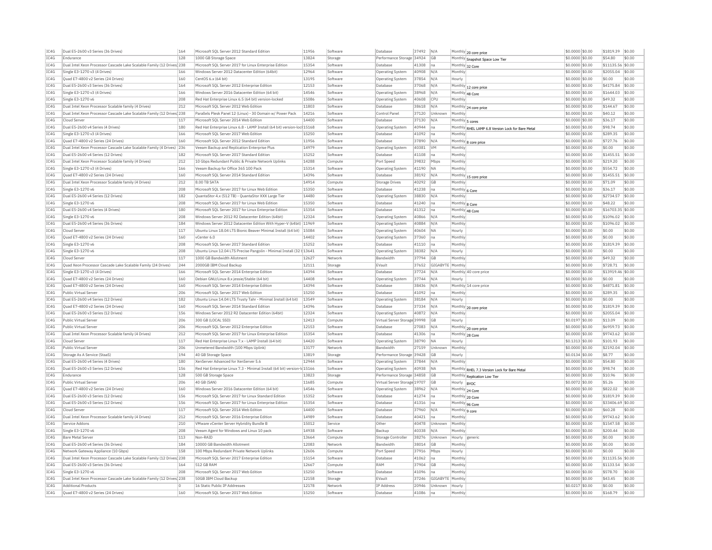| TC4G | Dual E5-2600 v3 Series (36 Drives)                                     | 164 | Microsoft SOL Server 2012 Standard Edition                               | 11956 | Software | Database                     | 37492 N/A |                  |                                                   | \$0,0000 \$0.00                    | \$1819.39 \$0.00  |        |
|------|------------------------------------------------------------------------|-----|--------------------------------------------------------------------------|-------|----------|------------------------------|-----------|------------------|---------------------------------------------------|------------------------------------|-------------------|--------|
| TC4G | Endurance                                                              | 128 | 1000 GB Storage Space                                                    | 13824 | Storage  | Performance Storage 34924    |           | <b>GB</b>        | Monthly 20 core price                             | \$0.0000 \$0.00                    | \$54.80           | \$0.00 |
| TC4G | Dual Intel Xeon Processor Cascade Lake Scalable Family (12 Drives 238  |     | Microsoft SOL Server 2017 for Linux Enterprise Edition                   | 15354 | Software | Database                     | 41308     |                  | Monthly Snapshot Space Low Tier                   |                                    | \$11135.56 \$0.00 |        |
| TCAG | Single E3-1270 v3 (4 Drives)                                           | 166 | Windows Server 2012 Datacenter Edition (64bit)                           | 12964 | Software |                              | 40908 N/A | $n\varepsilon$   | Monthly 32 Core<br>Monthly                        | \$0.0000 \$0.00<br>\$0,0000 \$0.00 | \$2055.04 \$0.00  |        |
|      |                                                                        |     |                                                                          |       |          | Operating System             |           |                  |                                                   |                                    |                   |        |
| IC4G | Quad E7-4800 v2 Series (24 Drives)                                     | 160 | CentOS 6.x (64 bit)                                                      | 13195 | Softwar  | <b>Operating System</b>      | 37854 N/A |                  | Hourly                                            | \$0.0000 \$0.00                    | \$0.00            | \$0.00 |
| TCAG | Dual E5-2600 v3 Series (36 Drives)                                     | 164 | Microsoft SOL Server 2012 Enterprise Edition                             | 12153 | Software | Database                     | 37068 N/A |                  | Monthly 12 core price                             | \$0.0000 \$0.00                    | \$4175.84 \$0.00  |        |
| IC4G | Single E3-1270 v3 (4 Drives)                                           | 166 | Windows Server 2016 Datacenter Edition (64 bit)                          | 14546 | Software | <b>Operating System</b>      | 38968     | N/A              | Monthly 48 Core                                   | \$0.0000 \$0.00                    | \$1644.03 \$0.00  |        |
| TCAG | Single E3-1270 v6                                                      | 208 | Red Hat Enterprise Linux 6.5 (64 bit) version-locked                     | 15086 | Software | Operating System             | 40608     | CPIJ             | Monthly                                           | \$0,0000 \$0,00                    | \$49.32           | \$0.00 |
| IC4G | Dual Intel Xeon Processor Scalable family (4 Drives)                   | 212 | Microsoft SOL Server 2012 Web Edition                                    | 11803 | Software | Database                     | 38618     | N/A              | Monthly 24 core price                             | \$0,0000 \$0,00                    | \$144.67          | \$0.00 |
| TC4G | Dual Intel Xeon Processor Cascade Lake Scalable Family (12 Drives) 238 |     | Parallels Plesk Panel 12 (Linux) - 30 Domain w/ Power Pack               | 14216 | Software | Control Panel                | 37120     | <b>Illnknown</b> | Monthly                                           | \$0.0000 \$0.00                    | \$40.12           | \$0.00 |
| IC4G | Cloud Server                                                           | 117 | Microsoft SOL Server 2014 Web Edition                                    | 14400 | Software | Database                     | 37130     | N/A              | Monthly 5 cores                                   | \$0.0000 \$0.00                    | \$36.17           | \$0.00 |
| TC4G | Dual E5-2600 v4 Series (4 Drives)                                      | 180 | Red Hat Enterprise Linux 6.8 - LAMP Install (64 bit) version-loc 15168   |       | Software | Operating System             | 40944 na  |                  | Monthly RHEL LAMP 6.8 Version Lock for Bare Metal | \$0.0000 \$0.00                    | \$98.74           | \$0.00 |
| IC4G | Single E3-1270 v3 (4 Drives)                                           | 166 | Microsoft SQL Server 2017 Web Edition                                    | 15250 | Software | Database                     | 41092 na  |                  | Monthly                                           | \$0.0000 \$0.00                    | \$289.35          | \$0.00 |
| IC4G | Ouad E7-4800 v2 Series (24 Drives)                                     | 160 | Microsoft SOL Server 2012 Standard Edition                               | 11956 | Software | Database                     | 37890     | N/A              | Monthly 8 core price                              | \$0.0000 \$0.00                    | \$727.76          | \$0.00 |
| TCAG | Dual Intel Xeon Processor Cascade Lake Scalable Family (4 Drives) 236  |     | Veeam Backup and Replication Enterprise Plus                             | 14979 | Software | Operating System             | 40381     | <b>VM</b>        | Monthly                                           | \$0.0000 \$0.00                    | \$0.00            | \$0.00 |
| IC4G | Dual E5-2600 v4 Series (12 Drives)                                     | 182 | Microsoft SQL Server 2017 Standard Edition                               | 15252 | Softwar  | Database                     | 41108     | $n\varepsilon$   | Monthly                                           | \$0.0000 \$0.00                    | \$1455.51 \$0.00  |        |
| TCAG | Dual Intel Xeon Processor Scalable family (4 Drives)                   | 212 | 10 Gbps Redundant Public & Private Network Uplinks                       | 14288 | Compute  | Port Speed                   | 39832     | Mbps             | Monthly                                           | \$0,0000 \$0.00                    | \$219.20          | \$0.00 |
| IC4G | Single E3-1270 v3 (4 Drives)                                           | 166 | Veeam Backup for Office 365 100 Pack                                     | 15314 | Software | Operating System             | 41190     | <b>NA</b>        | Monthly                                           | \$0.0000 \$0.00                    | \$554.72          | \$0.00 |
| TC4G | Ouad E7-4800 v2 Series (24 Drives)                                     | 160 | Microsoft SOL Server 2014 Standard Edition                               | 14396 | Software | Database                     | 38192     | N/A              |                                                   | \$0,0000 \$0,00                    | \$1455.51         | \$0.00 |
|      |                                                                        |     |                                                                          |       |          |                              |           |                  | Monthly 15 core price                             |                                    |                   |        |
| TC4G | Dual Intel Xeon Processor Scalable family (4 Drives                    | 212 | 8.00 TB SATA                                                             | 14914 | Compute  | <b>Storage Drives</b>        | 40292     | <b>GB</b>        | Monthly                                           | \$0,0000 \$0,00                    | \$71.09           | \$0.00 |
| TCAG | Single E3-1270 v6                                                      | 208 | Microsoft SOL Server 2017 for Linux Web Edition                          | 15350 | Software | Database                     | 41238 na  |                  | Monthly 6 Core                                    | \$0,0000 \$0.00                    | \$36.17           | \$0.00 |
| IC4G | Dual E5-2600 v4 Series (12 Drives)                                     | 182 | OuantaStor 4.x (512 TB) - OuantaStor XXX Large Tier                      | 14480 | Software | Operating System             | 38830     | N/A              | Monthly                                           | \$0.0000 \$0.00                    | \$2734.57         | \$0.00 |
| TCAG | Single E3-1270 v6                                                      | 208 | Microsoft SOL Server 2017 for Linux Web Edition                          | 15350 | Software | Database                     | 41240     | Ina              | Monthly 8 Core                                    | \$0,0000 \$0,00                    | \$48.22           | \$0.00 |
| TCAG | Dual E5-2600 v4 Series (4 Drives)                                      | 180 | Microsoft SQL Server 2017 for Linux Enterprise Edition                   | 15354 | Software | Database                     | 41312     | Ina              | Monthly 48 Core                                   | \$0.0000 \$0.00                    | \$16703.35 \$0.00 |        |
| TC4G | Single E3-1270 v6                                                      | 208 | Windows Server 2012 R2 Datacenter Edition (64bit)                        | 12324 | Software | Operating System             | 40866     | N/A              | Monthly                                           | \$0.0000 \$0.00                    | \$1096.02 \$0.00  |        |
| IC4G | Dual E5-2600 v4 Series (36 Drives)                                     | 184 | Windows Server 2012 Datacenter Edition With Hyper-V (64bit) 11969        |       | Software | Operating System             | 40884     | N/A              | Monthly                                           | \$0,0000 \$0,00                    | \$1096.02         | \$0.00 |
| TC4G | Cloud Server                                                           | 117 | Ubuntu Linux 18.04 LTS Bionic Beaver Minimal Install (64 bit)            | 15084 | Software | Operating System             | 40604 NA  |                  | Hourly                                            | \$0.0000 \$0.00                    | \$0.00            | \$0.00 |
| IC4G | Ouad E7-4800 v2 Series (24 Drives)                                     | 160 | vCenter 6.0                                                              | 14402 | Software | <b>Operating System</b>      | 37360     | Ina              | Monthly                                           | \$0.0000 \$0.00                    | \$0.00            | \$0.00 |
| IC4G | Single E3-1270 v6                                                      | 208 | Microsoft SOL Server 2017 Standard Edition                               | 15252 | Software | Database                     | 41110     | na               | Monthly                                           | \$0.0000 \$0.00                    | \$1819.39         | \$0.00 |
| TCAG | Single E3-1270 v6                                                      | 208 | Ubuntu Linux 12.04 LTS Precise Pangolin - Minimal Install (32 t 13641    |       | Software | Operating System             | 38382     | N/A              | Hourly                                            | \$0.0000 \$0.00                    | \$0.00            | \$0.00 |
| IC4G | Cloud Server                                                           | 117 | 1000 GB Bandwidth Allotment                                              | 12627 | Network  | Bandwidth                    | 37794     | <b>GB</b>        | Monthly                                           | \$0.0000 \$0.00                    | \$49.32           | \$0.00 |
| TCAG | Ouad Xeon Processor Cascade Lake Scalable Family (24 Drives)           | 244 | 2000GB IBM Cloud Backup                                                  | 12111 | Storage  | EVault                       | 37652     | GIGABYTE Monthly |                                                   | \$0,0000 \$0.00                    | \$728.71          | \$0.00 |
| TCAG |                                                                        |     |                                                                          |       |          |                              |           | N/A              |                                                   |                                    |                   |        |
| TCAG | Single E3-1270 v3 (4 Drives)                                           | 166 | Microsoft SQL Server 2014 Enterprise Edition                             | 14394 | Software | Database                     | 37724     |                  | Monthly 40 core price                             | \$0.0000 \$0.00                    | \$13919.46 \$0.00 |        |
|      | Quad E7-4800 v2 Series (24 Drives)                                     | 160 | Debian GNU/Linux 8.x iessie/Stable (64 bit)                              | 14408 | Software | Operating System             | 37744     | N/A              | Hourly                                            | \$0,0000 \$0.00                    | \$0.00            | \$0.00 |
| TCAG | Quad E7-4800 v2 Series (24 Drives)                                     | 160 | Microsoft SOL Server 2014 Enterprise Edition                             | 14394 | Software | Database                     | 38436     | N/A              | Monthly 14 core price                             | \$0.0000 \$0.00                    | \$4871.81         | \$0.00 |
| TCAG | Public Virtual Server                                                  | 206 | Microsoft SOL Server 2017 Web Edition                                    | 15250 | Software | Database                     | 41092     | Ina              | Monthly                                           | \$0.0000 \$0.00                    | \$289.35          | \$0.00 |
| IC4G | Dual E5-2600 v4 Series (12 Drives                                      | 182 | Ubuntu Linux 14.04 LTS Trusty Tahr - Minimal Install (64 bit)            | 13549 | Software | Operating System             | 38184     | N/A              | Hourly                                            | \$0.0000 \$0.00                    | \$0.00            | \$0.00 |
| TCAG | Quad E7-4800 v2 Series (24 Drives)                                     | 160 | Microsoft SOL Server 2014 Standard Edition                               | 14396 | Software | Database                     | 37334 N/A |                  | Monthly 20 core price                             | \$0,0000 \$0,00                    | \$1819.39 \$0.00  |        |
| IC4G | Dual E5-2600 v3 Series (12 Drives)                                     | 156 | Windows Server 2012 R2 Datacenter Edition (64bit)                        | 12324 | Software | <b>Operating System</b>      | 40872     | N/A              | Monthly                                           | \$0.0000 \$0.00                    | \$2055.04         | \$0.00 |
| TCAG | Public Virtual Server                                                  | 206 | 300 GB (LOCAL SSD)                                                       | 12413 | Compute  | Virtual Server Storage 39998 |           | <b>GB</b>        | Hourly                                            | \$0.0197 \$0.00                    | \$13.09           | \$0.00 |
| TCAG | Public Virtual Server                                                  | 206 | Microsoft SQL Server 2012 Enterprise Edition                             | 12153 | Software | Database                     | 27083     | N/A              | Monthly 20 core price                             | \$0.0000 \$0.00                    | \$6959.73         | \$0.00 |
| TC4G | Dual Intel Xeon Processor Scalable family (4 Drives)                   | 212 | Microsoft SQL Server 2017 for Linux Enterprise Edition                   | 15354 | Software | Database                     | 41306 na  |                  | Monthly 28 Core                                   | \$0.0000 \$0.00                    | \$9743.62 \$0.00  |        |
| TC4G | Cloud Server                                                           | 117 | Red Hat Enterprise Linux 7.x - LAMP Install (64 bit)                     | 14420 | Software | Operating System             | 38790     | <b>NA</b>        | Hourly                                            | \$0,1313 \$0.00                    | \$101.93          | \$0.00 |
| IC4G | Public Virtual Server                                                  | 206 | Unmetered Bandwidth (100 Mbps Uplink)                                    | 13177 | Network  | Bandwidth                    | 27159     | Unknown          | Monthly                                           | \$0.0000 \$0.00                    | \$2192.04 \$0.00  |        |
| IC4G | Storage As A Service (StaaS)                                           | 194 | 40 GB Storage Space                                                      | 13819 | Storage  | Performance Storage 39428    |           | <b>GB</b>        | Hourly                                            | \$0,0134 \$0,00                    | \$8.77            | \$0.00 |
| TC4G | Dual E5-2600 v4 Series (4 Drives)                                      | 180 | XenServer Advanced for XenServer 5.6                                     | 12944 | Software | Operating System             | 37844 N/A |                  | Monthly                                           | \$0.0000 \$0.00                    | \$54.80           | \$0.00 |
| TC4G | Dual E5-2600 v3 Series (12 Drives)                                     | 156 | Red Hat Enterprise Linux 7.3 - Minimal Install (64 bit) version-Id 15166 |       | Software |                              | 40938     | <b>NA</b>        |                                                   | \$0,0000 \$0.00                    | \$98.74           | \$0.00 |
|      |                                                                        |     |                                                                          |       |          | <b>Operating System</b>      |           |                  | Monthly RHEL 7.3 Version Lock for Bare Metal      |                                    |                   |        |
| IC4G | Endurance                                                              | 128 | 500 GB Storage Space                                                     | 13823 | Storage  | Performance Storage 34858    |           | GB               | Monthly Replication Low Tier                      | \$0.0000 \$0.00                    | \$10.96           | \$0.00 |
| TC4G | Public Virtual Server                                                  | 206 | 40 GB (SAN)                                                              | 11685 | Compute  | Virtual Server Storage 19707 |           | $G$ <sub>B</sub> | Hourly BYOC                                       | \$0,0072 \$0.00                    | \$5.26            | \$0.00 |
| TC4G | Ouad E7-4800 v2 Series (24 Drives)                                     | 160 | Windows Server 2016 Datacenter Edition (64 bit)                          | 14546 | Software | Operating System             | 38962 N/A |                  | Monthly 24 Core                                   | \$0.0000 \$0.00                    | \$822.02          | \$0.00 |
| IC4G | Dual E5-2600 v3 Series (12 Drives)                                     | 156 | Microsoft SOL Server 2017 for Linux Standard Edition                     | 15352 | Software | Database                     | 41274 na  |                  | Monthly 20 Core                                   | \$0.0000 \$0.00                    | \$1819.39 \$0.00  |        |
| IC4G | Dual E5-2600 v3 Series (12 Drives)                                     | 156 | Microsoft SOL Server 2017 for Linux Enterprise Edition                   | 15354 | Software | Database                     | 41316     | Ina              | Monthly 96 Core                                   | \$0,0000 \$0.00                    | \$33406.69 \$0.00 |        |
| TCAG | Cloud Server                                                           | 117 | Microsoft SOL Server 2014 Web Edition                                    | 14400 | Software | Database                     | 37960 N/A |                  | Monthly 9 core                                    | $$0.0000$ \$0.00                   | \$60.28           | \$0.00 |
| IC4G | Dual Intel Xeon Processor Scalable family (4 Drives)                   | 212 | Microsoft SQL Server 2016 Enterprise Edition                             | 14989 | Software | Database                     | 40421     | Ina              | Monthly                                           | \$0.0000 \$0.00                    | \$9743.62         | \$0.00 |
| TCAG | Service Addons                                                         | 210 | VMware vCenter Server Hybridity Bundle B                                 | 15012 | Service  | Other                        | 40478     | Unknown          | Monthly                                           | \$0,0000 \$0,00                    | \$1547.58 \$0.00  |        |
| TCAG | Single E3-1270 v6                                                      | 208 | Veeam Agent for Windows and Linux 10 pack                                | 14938 | Software | Backup                       | 40338     | N/A              | Monthly                                           | \$0.0000 \$0.00                    | \$200.44          | \$0.00 |
| TC4G | <b>Bare Metal Server</b>                                               | 113 | Non-RATD                                                                 | 13664 | Compute  | Storage Controller           | 38276     | Unknown          | Hourly generic                                    | \$0.0000 \$0.00                    | \$0.00            | \$0.00 |
| TCAG | Dual E5-2600 v4 Series (36 Drives)                                     | 184 | 10000 GB Bandwidth Allotment                                             | 12083 | Network  | Bandwidth                    | 38014     | <b>GR</b>        | Monthly                                           | \$0.0000 \$0.00                    | \$0.00            | \$0.00 |
| TC4G | Network Gateway Appliance (10 Gbps)                                    | 158 | 100 Mbos Redundant Private Network Uplinks                               | 12606 |          | Port Speed                   |           |                  |                                                   |                                    | \$0.00            | \$0.00 |
|      |                                                                        |     |                                                                          |       | Compute  |                              | 37916     | Mbps             | Hourly                                            | \$0.0000 \$0.00                    |                   |        |
| IC4G | Dual Intel Xeon Processor Cascade Lake Scalable Family (12 Drives) 238 |     | Microsoft SQL Server 2017 Enterprise Edition                             | 15154 | Software | Database                     | 41062     | Ina              | Monthly                                           | \$0,0000 \$0.00                    | \$11135.56 \$0.00 |        |
| TC4G | Dual E5-2600 v3 Series (36 Drives)                                     | 164 | 512 GB RAM                                                               | 12667 | Compute  | RAM                          | 37904     | <b>GB</b>        | Monthly                                           | \$0.0000 \$0.00                    | \$1133.54 \$0.00  |        |
| TCAG | Single E3-1270 v6                                                      | 208 | Microsoft SOL Server 2017 Web Edition                                    | 15250 | Software | Database                     | 41096     | Ina              | Monthly                                           | \$0,0000 \$0.00                    | \$578.70          | \$0.00 |
| IC4G | Dual Intel Xeon Processor Cascade Lake Scalable Family (12 Drives) 238 |     | 50GB IBM Cloud Backup                                                    | 12158 | Storage  | EVault                       | 37246     | GIGABYTE Monthl  |                                                   | \$0.0000 \$0.00                    | \$43.45           | \$0.00 |
| TCAG | <b>Additional Products</b>                                             | l O | 16 Static Public TP Addresses                                            | 12178 | Network  | <b>IP Address</b>            | 20946     | <b>Unknown</b>   | Hourly                                            | \$0.0217 \$0.00                    | \$0.00            | \$0.00 |
|      |                                                                        |     |                                                                          |       |          |                              |           |                  |                                                   |                                    |                   |        |
| IC4G | Quad E7-4800 v2 Series (24 Drives)                                     | 160 | Microsoft SQL Server 2017 Web Edition                                    | 15250 | Software | Database                     | 41086     | 'nε              | Monthly                                           | \$0.0000 \$0.00                    | \$168.79          | \$0.00 |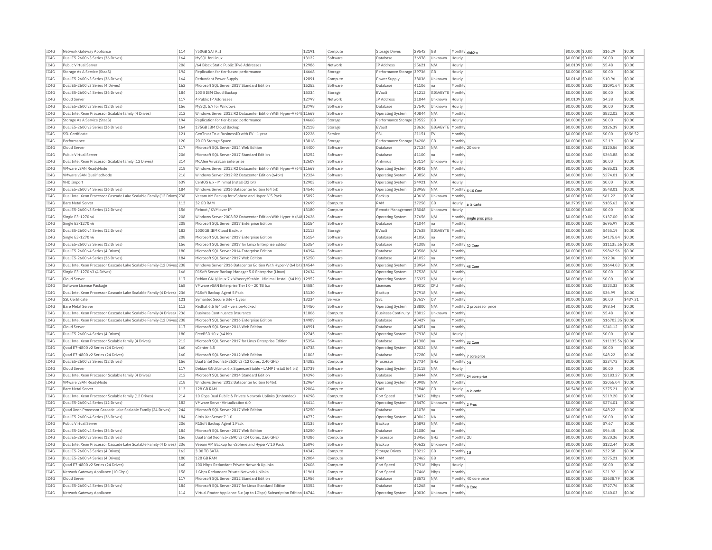| IC4G | Network Gateway Appliance                                              | 114 | 750GB SATA IT                                                                                                              | 12191 | Compute  | <b>Storage Drives</b>                       | 29542          | <b>GB</b>          | Monthly disk2-x            |                           | \$0,0000 \$0.00 | \$16.29             | s0.00            |
|------|------------------------------------------------------------------------|-----|----------------------------------------------------------------------------------------------------------------------------|-------|----------|---------------------------------------------|----------------|--------------------|----------------------------|---------------------------|-----------------|---------------------|------------------|
| TC4G | Dual E5-2600 v3 Series (36 Drives)                                     | 164 | MySQL for Linux                                                                                                            | 13122 | Software | Database                                    | 36978          | Unknown            | Hourly                     |                           | \$0.0000 \$0.00 | \$0.00              | \$0.00           |
| IC4G | Public Virtual Server                                                  | 206 | /64 Block Static Public IPv6 Addresses                                                                                     | 12986 | Network  | <b>TP Address</b>                           | 25621          | N/A                | Hourly                     |                           | \$0,0109 \$0.00 | \$5.48              | \$0.00           |
| TCAG | Storage As A Service (StaaS)                                           | 194 | Replication for tier-based performance                                                                                     | 14668 | Storage  | Performance Storage 39736                   |                | <b>GB</b>          | Hourly                     |                           | \$0,0000 \$0.00 | \$0.00              | \$0.00           |
| IC4G | Dual E5-2600 v3 Series (36 Drives)                                     | 164 | Redundant Power Supply                                                                                                     | 12891 | Compute  | Power Supply                                | 38036          | Unknown            | Hourly                     |                           | \$0,0168 \$0,00 | \$10.96             | \$0.00           |
| IC4G | Dual E5-2600 v3 Series (4 Drives)                                      | 162 | Microsoft SOL Server 2017 Standard Edition                                                                                 | 15252 | Software | Database                                    | 41106          | na                 | Monthly                    |                           | \$0,0000 \$0.00 | \$1091.64           | \$0.00           |
| IC4G | Dual E5-2600 v4 Series (36 Drives)                                     | 184 | 10GB IBM Cloud Backup                                                                                                      | 15334 | Storage  | FVault                                      | 41212          | GIGABYTE   Monthly |                            |                           | \$0.0000 \$0.00 | \$0.00              | \$0.00           |
| IC4G | Cloud Serve                                                            | 117 | 4 Public IP Addresses                                                                                                      | 12799 | Network  | <b>TP Address</b>                           | 31844          | Unknowr            | Hourly                     |                           | \$0.0109 \$0.00 | \$4.38              | \$0.00           |
| TC4G | Dual E5-2600 v3 Series (12 Drives)                                     | 156 | MySOL 5.7 for Windows                                                                                                      | 13798 | Software | Database                                    | 37540          | Unknown            | Hourly                     |                           | \$0,0000 \$0.00 | \$0.00              | \$0.00           |
| IC4G | Dual Intel Xeon Processor Scalable family (4 Drives)                   | 212 | Windows Server 2012 R2 Datacenter Edition With Hyper-V (64t 11669                                                          |       | Software | Operating System                            | 40844          | N/A                | Monthly                    |                           | \$0.0000 \$0.00 | \$822.02            | \$0.00           |
| IC4G | Storage As A Service (StaaS)                                           | 194 | Replication for tier-based performance                                                                                     | 14668 | Storage  | Performance Storage 39552                   |                | GR                 | Hourly                     |                           | \$0,0000 \$0,00 | \$0.00              | \$0.00           |
| IC4G | Dual E5-2600 v3 Series (36 Drives)                                     | 164 | 175GB IBM Cloud Backup                                                                                                     | 12118 | Storage  | EVault                                      | 38636          | GIGABYTE Monthly   |                            |                           | \$0,0000 \$0.00 | \$126.39            | \$0.00           |
| IC4G | <b>SSL Certificate</b>                                                 | 121 | GeoTrust True BusinessID with EV - 1 year                                                                                  | 12226 | Service  | SSL                                         | 21151          | IE۱                | Monthly                    |                           | \$0.0000 \$0.00 | \$0.00              | \$656.52         |
| IC4G | Performance                                                            | 120 | 20 GB Storage Space                                                                                                        | 13818 | Storage  | Performance Storage 34206                   |                | <b>GB</b>          | Monthly                    |                           | \$0,0000 \$0,00 | \$2.19              | \$0.00           |
| IC4G | Cloud Serve                                                            | 117 | Microsoft SQL Server 2014 Web Edition                                                                                      | 14400 | Software | Database                                    | 37124          | N/A                | Monthly 20 core            |                           | \$0,0000 \$0.00 | \$120.56            | \$0.00           |
| IC4G | Public Virtual Server                                                  | 206 | Microsoft SQL Server 2017 Standard Edition                                                                                 | 15252 | Software | Database                                    | 41100          | na                 | Monthly                    |                           | \$0.0000 \$0.00 | \$363.88            | \$0.00           |
| IC4G | Dual Intel Xeon Processor Scalable family (12 Drives)                  | 214 | McAfee VirusScan Enterprise                                                                                                | 12607 | Software | Antivirus                                   | 23114          | Unknown            | Hourly                     |                           | \$0.0000 \$0.00 | \$0.00              | \$0.00           |
| IC4G | VMware vSAN ReadvNode                                                  | 218 | Windows Server 2012 R2 Datacenter Edition With Hyper-V (64t 11669                                                          |       | Software | Operating System                            | 40842          | N/A                | Monthly                    |                           | \$0,0000 \$0.00 | \$685.01            | \$0.00           |
| IC4G | VMware vSAN OualifiedNode                                              | 216 | Windows Server 2012 R2 Datacenter Edition (64bit)                                                                          | 12324 | Software | <b>Operating System</b>                     | 40856          | N/A                | Monthly                    |                           | \$0,0000 \$0.00 | \$274.01            | \$0.00           |
| IC4G | VHD Import                                                             | 639 | CentOS 6.x - Minimal Install (32 bit)                                                                                      | 12903 | Software | Operating System                            | 24921          | N/A                | Hourly                     |                           | \$0.0000 \$0.00 | \$0.00              | \$0.00           |
| IC4G | Dual E5-2600 v4 Series (36 Drives)                                     | 184 | Windows Server 2016 Datacenter Edition (64 bit)                                                                            | 14546 | Software | <b>Operating System</b>                     | 38958          | N/A                |                            | Monthly 6-16 Core         | \$0,0000 \$0.00 | \$548.01            | \$0.00           |
| TC4G | Dual Intel Xeon Processor Cascade Lake Scalable Family (12 Drives) 238 |     | Veeam VM Backup for vSphere and Hyper-V 5 Pack                                                                             | 15092 | Software | Backup                                      | 40618          | Unknown            | Monthly                    |                           | \$0,0000 \$0.00 | \$61.22             | \$0.00           |
| IC4G | <b>Bare Metal Server</b>                                               | 113 | 32 GB RAM                                                                                                                  | 12699 | Compute  | RAM                                         | 37258          | GB                 | Hourly                     |                           | \$0,2705 \$0.00 | \$185.63            | \$0.00           |
| IC4G | Dual E5-2600 v3 Series (12 Drives)                                     | 156 | Reboot / KVM over TP                                                                                                       | 13180 | Compute  | Remote Management 38048                     |                | Unknown            | Hourly                     | a la carte                | \$0.0000 \$0.00 | \$0.00              | \$0.00           |
| IC4G | Single E3-1270 v6                                                      | 208 | Windows Server 2008 R2 Datacenter Edition With Hyper-V (64t 12626                                                          |       | Software | <b>Operating System</b>                     | 37656          | N/A                |                            | Monthly single proc price | \$0.0000 \$0.00 | \$137.00            | \$0.00           |
| IC4G | Single E3-1270 v6                                                      | 208 | Microsoft SQL Server 2017 Enterprise Edition                                                                               | 15154 | Software | Database                                    | 41044          | Ina                | Monthly                    |                           | \$0.0000 \$0.00 | \$695.97            | \$0.00           |
| IC4G | Dual E5-2600 v4 Series (12 Drives)                                     | 182 | 1000GB IBM Cloud Backup                                                                                                    | 12113 | Storage  | EVault                                      | 37638          | GIGABYTE Monthly   |                            |                           | \$0,0000 \$0.00 | \$455.19            | \$0.00           |
| IC4G | Single E3-1270 v6                                                      | 208 | Microsoft SQL Server 2017 Enterprise Edition                                                                               | 15154 | Software | Database                                    | 41050          | na                 | Monthly                    |                           | \$0.0000 \$0.00 | \$4175.84           | \$0.00           |
| IC4G | Dual E5-2600 v3 Series (12 Drives)                                     | 156 | Microsoft SQL Server 2017 for Linux Enterprise Edition                                                                     | 15354 | Software | Database                                    | 41308          | Ina                |                            |                           | \$0,0000 \$0,00 | \$11135.56 \$0.00   |                  |
| IC4G | Dual E5-2600 v4 Series (4 Drives)                                      | 180 | Microsoft SQL Server 2014 Enterprise Edition                                                                               | 14394 | Software | Database                                    | 40506          | N/A                | Monthly 32 Core<br>Monthly |                           | \$0.0000 \$0.00 | \$9862.96           | \$0.00           |
| IC4G | Dual E5-2600 v4 Series (36 Drives)                                     | 184 | Microsoft SQL Server 2017 Web Edition                                                                                      | 15250 | Software | Database                                    | 41052          | na                 | Monthly                    |                           | \$0.0000 \$0.00 | \$12.06             | \$0.00           |
| IC4G | Dual Intel Xeon Processor Cascade Lake Scalable Family (12 Drives 238  |     | Windows Server 2016 Datacenter Edition With Hyper-V (64 bit) 14544                                                         |       | Software | <b>Operating System</b>                     | 38954          | N/A                |                            |                           | \$0,0000 \$0.00 | \$1644.03           | \$0.00           |
| IC4G | Single E3-1270 v3 (4 Drives)                                           | 166 |                                                                                                                            | 12634 | Software |                                             | 37528          | N/A                | Monthly 48 Core<br>Monthly |                           | \$0,0000 \$0,00 | \$0.00              | \$0.00           |
| IC4G | Cloud Server                                                           | 117 | R1Soft Server Backup Manager 5.0 Enterprise (Linux)<br>Debian GNU/Linux 7.x Wheezy/Stable - Minimal Install (64 bit) 12952 |       | Software | Operating System<br><b>Operating System</b> | 25327          | N/A                | Hourly                     |                           | \$0,0000 \$0.00 | \$0.00              | \$0.00           |
|      |                                                                        | 168 |                                                                                                                            | 14584 |          |                                             |                |                    |                            |                           |                 |                     |                  |
| IC4G | Software License Package                                               |     | VMware vSAN Enterprise Tier I 0 - 20 TB 6.x                                                                                | 13130 | Software | Licenses                                    | 39010          | CPU<br>N/A         | <b>Monthly</b><br>Monthly  |                           | \$0.0000 \$0.00 | \$323.33<br>\$36.99 | \$0.00<br>\$0.00 |
| IC4G | Dual Intel Xeon Processor Cascade Lake Scalable Family (4 Drives) 236  | 121 | R1Soft Backup Agent 5 Pack                                                                                                 |       | Software | Backup                                      | 37918<br>27617 |                    |                            |                           | \$0.0000 \$0.00 |                     | \$437.31         |
| TC4G | SSL Certificate                                                        |     | Symantec Secure Site - 1 year                                                                                              | 13234 | Service  | SSI                                         |                | $\sim$             | Monthly                    |                           | \$0,0000 \$0.00 | \$0.00              |                  |
| IC4G | <b>Bare Metal Serve</b>                                                | 113 | Redhat 6.5 (64 bit) - version-locked                                                                                       | 14450 | Software | Operating System                            | 38800          | N/A                |                            | Monthly 2 processor price | \$0,0000 \$0.00 | \$98.64             | \$0.00           |
| IC4G | Dual Intel Xeon Processor Cascade Lake Scalable Family (4 Drives) 236  |     | <b>Business Continuance Insurance</b>                                                                                      | 11806 | Compute  | <b>Business Continuity</b>                  | 38012          | Unknown            | Monthly                    |                           | \$0,0000 \$0.00 | \$5.48              | \$0.00           |
| IC4G | Dual Intel Xeon Processor Cascade Lake Scalable Family (12 Drives 238  |     | Microsoft SQL Server 2016 Enterprise Edition                                                                               | 14989 | Software | Database                                    | 40427          | na                 | Monthly                    |                           | \$0.0000 \$0.00 | \$16703.35 \$0.00   |                  |
| IC4G | Cloud Serve                                                            | 117 | Microsoft SQL Server 2016 Web Edition                                                                                      | 14991 | Software | Database                                    | 40451          | na                 | Monthly                    |                           | \$0.0000 \$0.00 | \$241.12            | \$0.00           |
| TC4G | Dual E5-2600 v4 Series (4 Drives)                                      | 180 | FreeBSD 10 x (64 bit)                                                                                                      | 12745 | Software | Operating System                            | 37938          | N/A                | Hourly                     |                           | \$0,0000 \$0.00 | \$0.00              | \$0.00           |
| TCAG | Dual Intel Xeon Processor Scalable family (4 Drives)                   | 212 | Microsoft SQL Server 2017 for Linux Enterprise Edition                                                                     | 15354 | Software | Database                                    | 41308          | na                 |                            | Monthly 32 Core           | \$0.0000 \$0.00 | \$11135.56 \$0.00   |                  |
| IC4G | Ouad E7-4800 v2 Series (24 Drives)                                     | 160 | vCenter 6.5                                                                                                                | 14738 | Software | <b>Operating System</b>                     | 40024          | N/A                | Monthly                    |                           | \$0.0000 \$0.00 | \$0.00              | \$0.00           |
| IC4G | Ouad E7-4800 v2 Series (24 Drives)                                     | 160 | Microsoft SOL Server 2012 Web Edition                                                                                      | 11803 | Software | Database                                    | 37280          | N/A                |                            | Monthly 7 core price      | \$0,0000 \$0.00 | \$48.22             | \$0.00           |
| IC4G | Dual E5-2600 v3 Series (12 Drives)                                     | 156 | Dual Intel Xeon E5-2620 v3 (12 Cores, 2.40 GHz)                                                                            | 14382 | Compute  | Processo                                    | 37734          | GHz                | Monthly 2U                 |                           | \$0.0000 \$0.00 | \$334.73            | \$0.00           |
| IC4G | Cloud Server                                                           | 117 | Debian GNU/Linux 6.x Squeeze/Stable - LAMP Install (64 bit)                                                                | 13739 | Software | <b>Operating System</b>                     | 33118          | N/A                | Hourly                     |                           | \$0,0000 \$0,00 | \$0.00              | \$0.00           |
| IC4G | Dual Intel Xeon Processor Scalable family (4 Drives)                   | 212 | Microsoft SQL Server 2014 Standard Edition                                                                                 | 14396 | Software | Database                                    | 38444          | N/f                |                            | Monthly 24 core price     | \$0,0000 \$0.00 | \$2183.27           | \$0.00           |
| IC4G | VMware vSAN ReadyNode                                                  | 218 | Windows Server 2012 Datacenter Edition (64bit)                                                                             | 12964 | Software | Operating System                            | 40908          | N/A                | Monthly                    |                           | \$0.0000 \$0.00 | \$2055.04           | \$0.00           |
| IC4G | <b>Bare Metal Server</b>                                               | 113 | 128 GB RAM                                                                                                                 | 12004 | Compute  | RAM                                         | 37846          | <b>GB</b>          | Hourly                     | a la carte                | \$0.5480 \$0.00 | \$375.21            | \$0.00           |
| IC4G | Dual Intel Xeon Processor Scalable family (12 Drives)                  | 214 | 10 Gbps Dual Public & Private Network Uplinks (Unbonded)                                                                   | 14298 | Compute  | Port Speed                                  | 38432          | Mbps               | Monthly                    |                           | \$0.0000 \$0.00 | \$219.20            | \$0.00           |
| IC4G | Dual E5-2600 v4 Series (12 Drives)                                     | 182 | VMware Server Virtualization 6.0                                                                                           | 14414 | Software | <b>Operating System</b>                     | 38470          | Unknown            | Monthly 2 Proc             |                           | \$0,0000 \$0.00 | \$274.01            | \$0.00           |
| IC4G | Ouad Xeon Processor Cascade Lake Scalable Family (24 Drives)           | 244 | Microsoft SOL Server 2017 Web Edition                                                                                      | 15250 | Software | Database                                    | 41076          | na                 | Monthly                    |                           | \$0,0000 \$0.00 | \$48.22             | \$0.00           |
| IC4G | Dual E5-2600 v4 Series (36 Drives)                                     | 184 | Citrix XenServer 7.1.0                                                                                                     | 14772 | Software | Operating System                            | 40062          | <b>NA</b>          | Monthly                    |                           | \$0.0000 \$0.00 | \$0.00              | \$0.00           |
| IC4G | Public Virtual Server                                                  | 206 | R1Soft Backup Agent 1 Pack                                                                                                 | 13135 | Software | Backup                                      | 26893          | N/A                | Monthly                    |                           | \$0.0000 \$0.00 | \$7.67              | \$0.00           |
| IC4G | Dual E5-2600 v4 Series (36 Drives)                                     | 184 | Microsoft SQL Server 2017 Web Edition                                                                                      | 15250 | Software | Database                                    | 41080          | Ina                | Monthly                    |                           | \$0,0000 \$0.00 | \$96.45             | \$0.00           |
| TCAG | Dual E5-2600 v3 Series (12 Drives)                                     | 156 | Dual Intel Xeon E5-2690 v3 (24 Cores, 2.60 GHz)                                                                            | 14386 | Compute  | Processor                                   | 38456          | GHZ                | Monthly 2U                 |                           | \$0,0000 \$0.00 | \$520.36            | \$0.00           |
| TC4G | Dual Intel Xeon Processor Cascade Lake Scalable Family (4 Drives)      | 236 | Veeam VM Backup for vSphere and Hyper-V 10 Pack                                                                            | 15096 | Software | Backup                                      | 40622          | Unknown            | Monthly                    |                           | \$0.0000 \$0.00 | \$122.44            | \$0.00           |
| IC4G | Dual E5-2600 v3 Series (4 Drives)                                      | 162 | 3.00 TB SATA                                                                                                               | 14342 | Compute  | <b>Storage Drives</b>                       | 38212          | <b>GB</b>          | Monthly 1U                 |                           | \$0,0000 \$0.00 | \$32.58             | \$0.00           |
| TCAG | Dual E5-2600 v4 Series (4 Drives)                                      | 180 | 128 GB RAM                                                                                                                 | 12004 | Compute  | RAM                                         | 37462          | GB                 | Monthly                    |                           | \$0,0000 \$0.00 | \$375.21            | \$0.00           |
| IC4G | Quad E7-4800 v2 Series (24 Drives)                                     | 160 | 100 Mbps Redundant Private Network Uplinks                                                                                 | 12606 | Compute  | Port Speed                                  | 37916          | Mbps               | Hourly                     |                           | \$0.0000 \$0.00 | \$0.00              | \$0.00           |
| IC4G | Network Gateway Appliance (10 Gbps)                                    | 158 | 1 Gbps Redundant Private Network Uplinks                                                                                   | 11961 | Compute  | Port Speed                                  | 37466          | Mbps               | Monthly                    |                           | \$0,0000 \$0,00 | \$21.92             | \$0.00           |
| IC4G | Cloud Serve                                                            | 117 | Microsoft SOL Server 2012 Standard Edition                                                                                 | 11956 | Software | Database                                    | 28572          | N/A                |                            | Monthly 40 core price     | \$0,0000 \$0.00 | \$3638.79           | \$0.00           |
| IC4G | Dual E5-2600 v4 Series (36 Drives)                                     | 184 | Microsoft SOL Server 2017 for Linux Standard Edition                                                                       | 15352 | Software | Database                                    | 41268          | na                 | Monthly 8 Core             |                           | \$0.0000 \$0.00 | \$727.76            | \$0.00           |
| IC4G | Network Gateway Appliance                                              | 114 | Virtual Router Appliance 5.x (up to 1Gbps) Subscription Edition 14744                                                      |       | Software | Operating System                            | 40030          | Unknown            | Monthly                    |                           | \$0.0000 \$0.00 | \$240.03            | \$0.00           |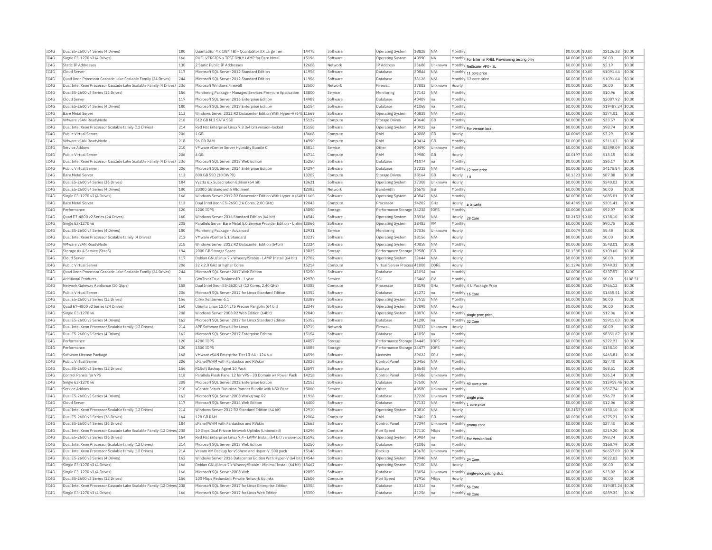| IC4G | Dual E5-2600 v4 Series (4 Drives)                                      | 180 | QuantaStor 4.x (384 TB) - QuantaStor XX Large Tier                     | 14478 | Software             | Operating System             | 38828 | N/A        | Monthly                   |                                                     | \$0.0000 \$0.00  | \$2126.28         | \$0.00   |
|------|------------------------------------------------------------------------|-----|------------------------------------------------------------------------|-------|----------------------|------------------------------|-------|------------|---------------------------|-----------------------------------------------------|------------------|-------------------|----------|
| IC4G | Single E3-1270 v3 (4 Drives)                                           | 166 | RHEL VERSION x TEST ONLY LAMP for Bare Metal                           | 15196 | Software             | Operating System             | 40990 | <b>NA</b>  |                           | Monthly For Internal RHEL Provisioning testing only | \$0.0000 \$0.00  | \$0.00            | \$0.00   |
| IC4G | <b>Static IP Addresses</b>                                             | 130 | 2 Static Public IP Addresses                                           | 12608 | Network              | IP Address                   | 33688 | Unknown    |                           | Monthly NetScaler VPX - SL                          | \$0.0000 \$0.00  | \$2.19            | \$0.00   |
| IC4G | Cloud Server                                                           | 117 | Microsoft SOL Server 2012 Standard Edition                             | 11956 | Software             | Database                     | 20844 | N/A        |                           | $ \text{Monthly} _{11}$ core price                  | \$0,0000 \$0,00  | \$1091.64         | \$0.00   |
| IC4G | Ouad Xeon Processor Cascade Lake Scalable Family (24 Drives)           | 244 | Microsoft SOL Server 2012 Standard Edition                             | 11956 | Software             | Database                     | 38126 | N/A        |                           | Monthly 12 core price                               | \$0.0000 \$0.00  | \$1091.64         | \$0.00   |
| IC4G | Dual Intel Xeon Processor Cascade Lake Scalable Family (4 Drives)      | 236 | Microsoft Windows Firewall                                             | 12500 | Network              | Firewall                     | 37802 | Unknown    | Hourly                    |                                                     | \$0.0000 \$0.00  | \$0.00            | \$0.00   |
| IC4G | Dual E5-2600 v3 Series (12 Drives)                                     | 156 | Monitoring Package - Managed Services Premium Application              | 13800 | Service              | Monitoring                   | 37142 | N/A        | Monthly                   |                                                     | \$0,0000 \$0.00  | \$10.96           | \$0.00   |
| IC4G | Cloud Serve                                                            | 117 | Microsoft SOL Server 2016 Enterprise Edition                           | 14989 | Software             | Database                     | 40409 | na         | Monthly                   |                                                     | \$0,0000 \$0.00  | \$2087.92         | \$0.00   |
| IC4G | Dual E5-2600 v4 Series (4 Drives)                                      | 180 | Microsoft SOL Server 2017 Enterprise Edition                           | 15154 | Software             | Database                     | 41068 | Ina        | Monthly                   |                                                     | \$0,0000 \$0,00  | \$19487.24 \$0.00 |          |
| IC4G | <b>Bare Metal Server</b>                                               | 113 | Windows Server 2012 R2 Datacenter Edition With Hyper-V (64t 11669      |       | Software             | Operating System             | 40838 | N/A        | Monthly                   |                                                     | \$0.0000 \$0.00  | \$274.01          | \$0.00   |
| IC4G | VMware vSAN ReadyNode                                                  | 218 | 512 GB M.2 SATA SSD                                                    | 15122 | Compute              | <b>Storage Drives</b>        | 40648 | GB         | Monthly                   |                                                     | \$0.0000 \$0.00  | \$33.57           | \$0.00   |
| TC4G | Dual Intel Xeon Processor Scalable family (12 Drives)                  | 214 | Red Hat Enterprise Linux 7.3 (64 bit) version-locked                   | 15158 | Software             | <b>Operating System</b>      | 40922 | Ina        |                           | Monthly For version lock                            | \$0,0000 \$0.00  | \$98.74           | \$0.00   |
| IC4G | Public Virtual Serve                                                   | 206 | 1 GB                                                                   | 13668 | Compute              | RAM                          | 40008 | GB         | Hourly                    |                                                     | \$0,0049 \$0.00  | \$3.29            | \$0.00   |
| IC4G | VMware vSAN ReadvNode                                                  | 218 | 96 GB RAM                                                              | 14990 | Compute              | RAM                          | 40414 | <b>GB</b>  | Monthly                   |                                                     | \$0.0000 \$0.00  | \$311.03          | \$0.00   |
| IC4G | Service Addons                                                         | 210 | VMware vCenter Server Hybridity Bundle C                               | 15014 | Service              | Othe                         | 40490 | Unknown    | Monthly                   |                                                     | \$0.0000 \$0.00  | \$2398.09         | \$0.00   |
| IC4G | Public Virtual Server                                                  | 206 | 4 GB                                                                   | 14714 | Compute              | RAM                          | 39980 | GB         | Hourly                    |                                                     | \$0.0197 \$0.00  | \$13.15           | \$0.00   |
| IC4G | Dual Intel Xeon Processor Cascade Lake Scalable Family (4 Drives) 236  |     | Microsoft SOL Server 2017 Web Edition                                  | 15250 | Software             | Database                     | 41074 | Ina        | Monthly                   |                                                     | \$0,0000 \$0.00  | \$36.17           | \$0.00   |
| TC4G | Public Virtual Server                                                  | 206 | Microsoft SQL Server 2014 Enterprise Edition                           | 14394 | Software             | Database                     | 37328 | N/A        |                           |                                                     | \$0.0000 \$0.00  | \$4175.84         | s0.00    |
| IC4G | <b>Bare Metal Server</b>                                               | 113 | 800 GB SSD (10 DWPD)                                                   | 13202 | Compute              | <b>Storage Drives</b>        | 38164 | GB         |                           | Monthly 12 core price                               | \$0.1323 \$0.00  | \$87.88           | \$0.00   |
| TC4G | Dual E5-2600 v4 Series (36 Drives)                                     | 184 |                                                                        | 13621 | Software             |                              | 37308 | Unknown    | Hourly $ _{11}$<br>Hourly |                                                     | \$0,0000 \$0.00  | \$240.03          | \$0.00   |
|      |                                                                        |     | Vyatta 6.x Subscription Edition (64 bit)                               |       |                      | <b>Operating System</b>      |       |            |                           |                                                     |                  |                   |          |
| IC4G | Dual E5-2600 v4 Series (4 Drives)                                      | 180 | 20000 GB Bandwidth Allotment                                           | 12082 | Network              | Bandwidth                    | 26678 | GB         | Monthly                   |                                                     | \$0.0000 \$0.00  | \$0.00            | \$0.00   |
| IC4G | Single E3-1270 v3 (4 Drives)                                           | 166 | Windows Server 2012 R2 Datacenter Edition With Hyper-V (64t 11669      |       | Software             | Operating System             | 40842 | N/A        | Monthly                   |                                                     | \$0,0000 \$0.00  | \$685.01          | s0.00    |
| IC4G | <b>Bare Metal Server</b>                                               | 113 | Dual Intel Xeon E5-2650 (16 Cores, 2.00 GHz)                           | 12043 | Compute              | Processo                     | 34202 | GHz        | Hourly                    | a la carte                                          | \$0.4345 \$0.00  | \$301.41          | \$0.00   |
| IC4G | Performance                                                            | 120 | 1200 TOPS                                                              | 13850 | Storage              | Performance Storage          | 34238 | IOPS       | Monthly                   |                                                     | \$0.0000 \$0.00  | \$92.07           | \$0.00   |
| TCAG | Ouad E7-4800 v2 Series (24 Drives)                                     | 160 | Windows Server 2016 Standard Edition (64 bit)                          | 14542 | Software             | Operating System             | 38936 | N/A        | Hourly                    | 28 Core                                             | \$0.2153 \$0.00  | \$138.10          | \$0.00   |
| IC4G | Single E3-1270 v6                                                      | 208 | Parallels Server Bare Metal 5.0 Service Provider Edition - Unlim 13066 |       | Software             | Operating System             | 38482 | <b>VM</b>  | Monthly                   |                                                     | \$0.0000 \$0.00  | \$90.75           | \$0.00   |
| IC4G | Dual E5-2600 v4 Series (4 Drives)                                      | 180 | Monitoring Package - Advanced                                          | 12931 | Service              | Monitoring                   | 37036 | Unknown    | Hourly                    |                                                     | \$0.0079 \$0.00  | \$5.48            | \$0.00   |
| IC4G | Dual Intel Xeon Processor Scalable family (4 Drives)                   | 212 | VMware vCenter 5.1 Standard                                            | 13237 | Software             | Operating System             | 38156 | N/A        | Hourly                    |                                                     | \$0.0000 \$0.00  | \$0.00            | \$0.00   |
| IC4G | VMware vSAN ReadyNode                                                  | 218 | Windows Server 2012 R2 Datacenter Edition (64bit)                      | 12324 | Software             | <b>Operating System</b>      | 40858 | N/A        | Monthly                   |                                                     | \$0.0000 \$0.00  | \$548.01          | \$0.00   |
| TC4G | Storage As A Service (StaaS)                                           | 194 | 2000 GB Storage Space                                                  | 13825 | Storage              | Performance Storage 39580    |       | <b>GB</b>  | Hourly                    |                                                     | \$0.1530 \$0.00  | \$109.60          | \$0.00   |
| IC4G | Cloud Server                                                           | 117 | Debian GNU/Linux 7.x Wheezy/Stable - LAMP Install (64 bit)             | 12702 | Software             | Operating System             | 23644 | N/A        | Hourly                    |                                                     | \$0.0000 \$0.00  | \$0.00            | \$0.00   |
| IC4G | Public Virtual Server                                                  | 206 | 32 x 2.0 GHz or higher Cores                                           | 15214 | Compute              | Virtual Server Process 41008 |       | CORE       | Hourly                    |                                                     | \$1,1296 \$0,00  | \$749.32          | \$0.00   |
| IC4G | Ouad Xeon Processor Cascade Lake Scalable Family (24 Drives)           | 244 | Microsoft SQL Server 2017 Web Edition                                  | 15250 | Software             | Database                     | 41094 | Ina        | Monthly                   |                                                     | \$0,0000 \$0.00  | \$337.57          | \$0.00   |
| IC4G | <b>Additional Products</b>                                             |     | GeoTrust True BusinessID - 1 year                                      | 12970 | Service              | SSL                          | 25468 | <b>OV</b>  | Monthly                   |                                                     | \$0.0000 \$0.00  | \$0.00            | \$108.51 |
| IC4G | Network Gateway Appliance (10 Gbps)                                    | 158 | Dual Intel Xeon E5-2620 v3 (12 Cores, 2.40 GHz)                        | 14382 | Compute              | Processor                    | 38198 | GHz        |                           | Monthly 4 U Package Price                           | \$0,0000 \$0,00  | \$766.12          | \$0.00   |
| IC4G | Public Virtual Serve                                                   | 206 | Microsoft SQL Server 2017 for Linux Standard Edition                   | 15352 | Software             | Database                     | 41272 | Ina        |                           | Monthly 16 Core                                     | \$0.0000 \$0.00  | \$1455.51         | \$0.00   |
| IC4G | Dual E5-2600 v3 Series (12 Drives)                                     | 156 | Citrix XenServer 6.1                                                   | 13389 | Software             | Operating System             | 37518 | N/A        | Monthly                   |                                                     | \$0.0000 \$0.00  | \$0.00            | \$0.00   |
| IC4G | Quad E7-4800 v2 Series (24 Drives)                                     | 160 | Ubuntu Linux 12.04 LTS Precise Pangolin (64 bit)                       | 12349 | Software             | <b>Operating System</b>      | 37898 | N/A        | Hourly                    |                                                     | \$0,0000 \$0.00  | \$0.00            | \$0.00   |
| IC4G | Single E3-1270 v6                                                      | 208 | Windows Server 2008 R2 Web Edition (64bit)                             | 12840 | Software             | Operating System             | 38070 | N/A        |                           | Monthly single proc price                           | \$0,0000 \$0.00  | \$12.06           | \$0.00   |
| IC4G | Dual E5-2600 v3 Series (4 Drives)                                      | 162 | Microsoft SOL Server 2017 for Linux Standard Edition                   | 15352 | Software             | Database                     | 41280 | Ina        |                           | Monthly 32 Core                                     | \$0.0000 \$0.00  | \$2911.03         | \$0.00   |
| IC4G | Dual Intel Xeon Processor Scalable family (12 Drives)                  | 214 | APF Software Firewall for Linux                                        | 13719 | Network              | Firewall                     | 38032 | Unknown    | Hourly                    |                                                     | \$0.0000 \$0.00  | \$0.00            | \$0.00   |
| IC4G | Dual E5-2600 v3 Series (4 Drives)                                      | 162 | Microsoft SQL Server 2017 Enterprise Edition                           | 15154 | Software             | Database                     | 41058 | na         | Monthly                   |                                                     | \$0.0000 \$0.00  | \$8351.67         | \$0.00   |
| IC4G | Performance                                                            | 120 | 4200 TOPS                                                              | 14057 | Storage              | Performance Storage 34445    |       | TOPS       | Monthly                   |                                                     | \$0,0000 \$0.00  | \$322.23          | \$0.00   |
| IC4G | Performance                                                            | 120 | 1800 IOPS                                                              | 14089 | Storage              | Performance Storage          | 34477 | IOPS       | Monthly                   |                                                     | \$0,0000 \$0.00  | \$138.10          | \$0.00   |
| IC4G | Software License Package                                               | 168 | VMware vSAN Enterprise Tier III 64 - 124 6.x                           | 14596 | Software             | Licenses                     | 39022 | CPU        | Monthly                   |                                                     | \$0,0000 \$0.00  | \$465.81          | \$0.00   |
| IC4G | Public Virtual Server                                                  | 206 | cPanel/WHM with Fantastico and RVskin                                  | 12026 | Software             | Control Pane                 | 20456 | N/A        | Monthly                   |                                                     | \$0.0000 \$0.00  | \$27.40           | \$0.00   |
| IC4G | Dual E5-2600 v3 Series (12 Drives)                                     | 156 | R1Soft Backup Agent 10 Pack                                            | 13597 | Software             | Backup                       | 38648 | N/A        | Monthly                   |                                                     | \$0.0000 \$0.00  | \$68.51           | \$0.00   |
| TCAG | Control Panels for VPS                                                 | 118 | Parallels Plesk Panel 12 for VPS - 30 Domain w/ Power Pack             | 14218 | Software             | Control Pane                 | 34586 | Unknown    | Monthly                   |                                                     | \$0,0000 \$0.00  | \$36.14           | \$0.00   |
| IC4G | Single E3-1270 v6                                                      | 208 | Microsoft SQL Server 2012 Enterprise Edition                           | 12153 | Software             | Database                     | 37500 | N/A        |                           | Monthly 40 core price                               | \$0.0000 \$0.00  | \$13919.46 \$0.00 |          |
| IC4G | Service Addons                                                         | 210 | vCenter Server Business Partner Bundle with NSX Base                   | 15060 | Service              | Other                        | 40580 | Unknown    | Monthly                   |                                                     | \$0,0000 \$0.00  | \$567.74          | \$0.00   |
| IC4G | Dual E5-2600 v3 Series (4 Drives)                                      | 162 | Microsoft SQL Server 2008 Workgroup R2                                 | 11918 | Software             | Database                     | 37228 | Unknown    |                           | Monthly single proc                                 | \$0.0000 \$0.00  | \$76.72           | \$0.00   |
| IC4G | Cloud Serve                                                            | 117 | Microsoft SQL Server 2014 Web Edition                                  | 14400 | Software             | Database                     | 37132 | N/A        |                           | Monthly 1 core price                                | \$0.0000 \$0.00  | \$12.06           | \$0.00   |
| TC4G | Dual Intel Xeon Processor Scalable family (12 Drives)                  | 214 | Windows Server 2012 R2 Standard Edition (64 bit)                       | 12910 | Software             | <b>Operating System</b>      | 40810 | N/A        | Hourly                    |                                                     | \$0,2153 \$0.00  | \$138.10          | \$0.00   |
| IC4G | Dual E5-2600 v3 Series (36 Drives)                                     | 164 | 128 GB RAM                                                             | 12004 | Compute              | RAM                          | 37462 | GB         | Monthly                   |                                                     | \$0.0000 \$0.00  | \$375.21          | \$0.00   |
| IC4G | Dual E5-2600 v4 Series (36 Drives)                                     | 184 | cPanel/WHM with Fantastico and RVskin                                  | 12663 | Software             | Control Pane                 | 37394 | Unknown    | Monthly                   |                                                     | \$0,0000 \$0.00  | \$27.40           | \$0.00   |
| TC4G | Dual Intel Xeon Processor Cascade Lake Scalable Family (12 Drives) 238 |     | 10 Ghns Dual Private Network Unlinks (Unbonded)                        | 14296 | Compute              | Port Speed                   | 37110 | Mhns       | Monthly                   | promo code                                          | \$0,0000 \$0.00  | \$219.20          | \$0.00   |
| IC4G | Dual E5-2600 v3 Series (36 Drives)                                     | 164 | Red Hat Enterprise Linux 7.4 - LAMP Install (64 bit) version-loc 15192 |       | Software             | Operating System             | 40984 | na         |                           |                                                     | \$0,0000 \$0.00  | \$98.74           | \$0.00   |
| IC4G | Dual Intel Xeon Processor Scalable family (12 Drives)                  | 214 | Microsoft SOL Server 2017 Web Edition                                  | 15250 | Software             | Database                     | 41086 | na         | Monthly                   | Monthly For Version lock                            | \$0,0000 \$0.00  | \$168.79          | \$0.00   |
| IC4G | Dual Intel Xeon Processor Scalable family (12 Drives)                  | 214 | Veeam VM Backup for vSphere and Hyper-V 500 pack                       | 15146 | Software             | Backup                       | 40678 | Unknown    | Monthly                   |                                                     | \$0.0000 \$0.00  | \$6657.09         | \$0.00   |
| IC4G | Dual E5-2600 v3 Series (4 Drives)                                      | 162 | Windows Server 2016 Datacenter Edition With Hyper-V (64 bit) 14544     |       |                      |                              | 38948 |            |                           |                                                     | \$0.0000 \$0.00  | \$822.02          | \$0.00   |
| TCAG | Single E3-1270 v3 (4 Drives)                                           | 166 | Debian GNU/Linux 7 x Wheezy/Stable - Minimal Install (64 bit) 13467    |       | Software<br>Software | <b>Operating System</b>      | 37100 | N/A<br>N/A |                           | Monthly 24 Core                                     | $$0.0000$ \$0.00 | \$0.00            | \$0.00   |
| TC4G |                                                                        | 166 |                                                                        | 12859 |                      | Operating System<br>Database | 38054 | Unknown    | Hourly                    |                                                     |                  | \$23.02           | \$0.00   |
|      | Single E3-1270 v3 (4 Drives)                                           |     | Microsoft SQL Server 2008 Web                                          |       | Software             |                              |       |            |                           | Monthly single-proc pricing stub                    | \$0.0000 \$0.00  |                   | sin n    |
| IC4G | Dual E5-2600 v3 Series (12 Drives)                                     | 156 | 100 Mbos Redundant Private Network Unlinks                             | 12606 | Compute              | Port Speed                   | 37916 | Mbps       | Hourly                    |                                                     | \$0,0000 \$0.00  | \$0.00            |          |
| IC4G | Dual Intel Xeon Processor Cascade Lake Scalable Family (12 Drives 238  |     | Microsoft SQL Server 2017 for Linux Enterprise Edition                 | 15354 | Software             | Database                     | 41314 | na         |                           | Monthly 56 Core                                     | \$0,0000 \$0.00  | \$19487.24 \$0.00 |          |
| IC4G | Single E3-1270 v3 (4 Drives)                                           | 166 | Microsoft SQL Server 2017 for Linux Web Edition                        | 15350 | Software             | Database                     | 41256 | na         |                           | Monthly 48 Core                                     | \$0.0000 \$0.00  | \$289.35          | \$0.00   |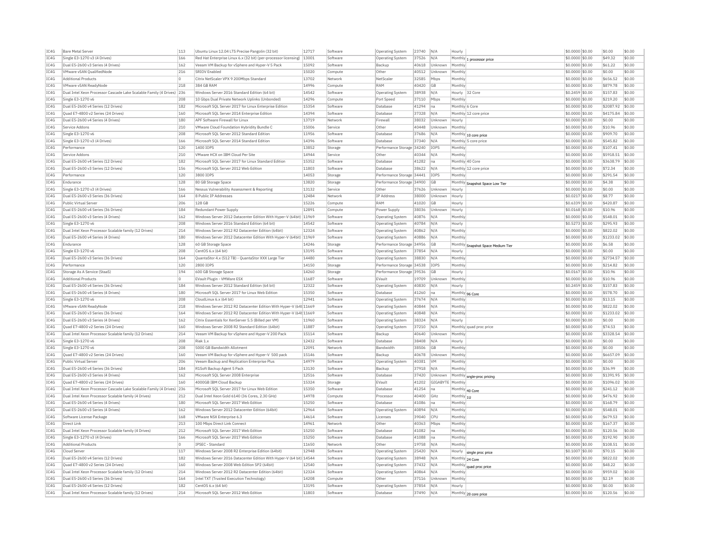| IC4G | <b>Bare Metal Server</b>                                              | 113      | Ubuntu Linux 12.04 LTS Precise Pangolin (32 bit)                        | 12717 | Software           | <b>Operating System</b>            | 23740 | N/A                  | Hourly                            |                                    | \$0.0000 \$0.00  | \$0.00    | \$0.00 |
|------|-----------------------------------------------------------------------|----------|-------------------------------------------------------------------------|-------|--------------------|------------------------------------|-------|----------------------|-----------------------------------|------------------------------------|------------------|-----------|--------|
| TC4G | Single E3-1270 v3 (4 Drives)                                          | 166      | Red Hat Enterprise Linux 6.x (32 bit) (per-processor licensing)   13001 |       | Software           | Operating System                   | 37526 | N/A                  |                                   | Monthly $1$ processor price        | \$0,0000 \$0.00  | \$49.32   | \$0.00 |
| IC4G | Dual E5-2600 v3 Series (4 Drives)                                     | 162      | Veeam VM Backup for vSphere and Hyper-V 5 Pack                          | 15092 | Software           | Backup                             | 40618 | Unknown              | Monthly                           |                                    | \$0.0000 \$0.00  | \$61.22   | \$0.00 |
| IC4G | VMware vSAN OualifiedNode                                             | 216      | <b>SRIOV</b> Enabled                                                    | 15020 | Compute            | Other                              | 40512 | Unknown              | Monthly                           |                                    | \$0.0000 \$0.00  | \$0.00    | \$0.00 |
| TC4G | <b>Additional Products</b>                                            | $\Omega$ | Citrix NetScaler VPX 9 200Mbps Standard                                 | 13702 | Network            | NetScale                           | 32585 | Mbps                 | Monthly                           |                                    | \$0.0000 \$0.00  | \$656.52  | \$0.00 |
| IC4G | VMware vSAN ReadyNode                                                 | 218      | 384 GB RAM                                                              | 14996 | Compute            | RAM                                | 40420 | GB                   | Monthly                           |                                    | \$0.0000 \$0.00  | \$879.78  | \$0.00 |
| IC4G | Dual Intel Xeon Processor Cascade Lake Scalable Family (4 Drives) 236 |          | Windows Server 2016 Standard Edition (64 bit)                           | 14542 | Software           | Operating System                   | 38938 | N/A                  | Hourly 32 Core                    |                                    | \$0,2459 \$0.00  | \$157.83  | \$0.00 |
| IC4G | Single E3-1270 v6                                                     | 208      | 10 Gbps Dual Private Network Uplinks (Unbonded)                         | 14296 | Compute            | Port Speer                         | 37110 | Mbps                 | Monthly                           |                                    | \$0,0000 \$0.00  | \$219.20  | \$0.00 |
| IC4G | Dual E5-2600 v4 Series (12 Drives)                                    | 182      | Microsoft SOL Server 2017 for Linux Enterprise Edition                  | 15354 | Software           | Database                           | 41294 | <b>I</b> na          | Monthly 6 Core                    |                                    | \$0,0000 \$0.00  | \$2087.92 | \$0.00 |
| IC4G | Quad E7-4800 v2 Series (24 Drives)                                    | 160      | Microsoft SQL Server 2014 Enterprise Edition                            | 14394 | Software           | <b>Databas</b>                     | 37328 | N/A                  |                                   | Monthly 12 core price              | \$0.0000 \$0.00  | \$4175.84 | \$0.00 |
| TC4G | Dual E5-2600 v4 Series (4 Drives)                                     | 180      | APF Software Firewall for Linux                                         | 13719 | Network            | Firewall                           | 38032 | Unknown              | Hourly                            |                                    | \$0,0000 \$0.00  | \$0.00    | \$0.00 |
| IC4G | Service Addons                                                        | 210      | VMware Cloud Foundation Hybridity Bundle C                              | 15006 | Service            | Other                              | 40448 | Unknown              | Monthly                           |                                    | \$0.0000 \$0.00  | \$10.96   | \$0.00 |
| TCAG | Single E3-1270 v6                                                     | 208      | Microsoft SOL Server 2012 Standard Edition                              | 11956 | Software           | Database                           | 37686 | N/A                  |                                   | Monthly 10 core price              | \$0,0000 \$0.00  | \$909.70  | \$0.00 |
| IC4G | Single E3-1270 v3 (4 Drives)                                          | 166      | Microsoft SOL Server 2014 Standard Edition                              | 14396 | Software           | Database                           | 37340 | N/A                  |                                   | Monthly 5 core price               | \$0.0000 \$0.00  | \$545.82  | \$0.00 |
| IC4G | Performance                                                           | 120      | 1400 TOPS                                                               | 13852 | Storage            | Performance Storage 34240          |       | <b>TOPS</b>          | Monthly                           |                                    | \$0.0000 \$0.00  | \$107.41  | \$0.00 |
| IC4G | Service Addons                                                        | 210      | VMware HCX on IBM Cloud Per Site                                        | 14944 | Service            | Other                              | 40344 | N/A                  | Monthly                           |                                    | \$0,0000 \$0.00  | \$5918.51 | \$0.00 |
| IC4G | Dual E5-2600 v4 Series (12 Drives)                                    | 182      | Microsoft SOL Server 2017 for Linux Standard Edition                    | 15352 | Software           | Database                           | 41282 | na                   | Monthly 40 Core                   |                                    | \$0.0000 \$0.00  | \$3638.79 | \$0.00 |
| TC4G | Dual E5-2600 v3 Series (12 Drives)                                    | 156      | Microsoft SOL Server 2012 Web Edition                                   | 11803 | Software           | Database                           | 38622 | N/A                  |                                   |                                    | $$0.0000$ \$0.00 | \$72.34   | \$0.00 |
| IC4G | Performance                                                           | 120      | 3800 IOPS                                                               | 14053 | Storage            | Performance Storage 34441          |       | IOPS                 | Monthly                           | Monthly 12 core price              | \$0.0000 \$0.00  | \$291.54  | \$0.00 |
| TC4G |                                                                       | 128      |                                                                         | 13820 |                    |                                    |       |                      |                                   |                                    |                  | \$4.38    | \$0.00 |
|      | Endurance<br>Single E3-1270 v3 (4 Drives)                             | 166      | 80 GB Storage Space<br>Nessus Vulnerability Assessment & Reporting      |       | Storage<br>Service | Performance Storage 34900<br>Other | 37626 | <b>GB</b><br>Unknown | Hourly                            | Monthly Snapshot Space Low Tier    | \$0,0000 \$0.00  | \$0.00    |        |
| IC4G |                                                                       |          |                                                                         | 13132 |                    |                                    |       |                      |                                   |                                    | \$0.0000 \$0.00  |           | \$0.00 |
| TC4G | Dual E5-2600 v3 Series (36 Drives)                                    | 164      | 8 Public IP Addresses                                                   | 12484 | Network            | IP Address                         | 38000 | Unknown              | Hourly                            |                                    | \$0.0217 \$0.00  | \$8.77    | \$0.00 |
| IC4G | Public Virtual Server                                                 | 206      | 128 GB                                                                  | 15226 | Compute            | RAM                                | 41020 | GB                   | Hourly                            |                                    | \$0,6339 \$0.00  | \$420.87  | \$0.00 |
| TC4G | Dual E5-2600 v4 Series (36 Drives)                                    | 184      | Redundant Power Supply                                                  | 12891 | Compute            | Power Supply                       | 38036 | Unknown              | Hourly                            |                                    | $$0.0168$ \$0.00 | \$10.96   | \$0.00 |
| IC4G | Dual E5-2600 v3 Series (4 Drives)                                     | 162      | Windows Server 2012 Datacenter Edition With Hyper-V (64bit)             | 11969 | Software           | <b>Operating System</b>            | 40876 | N/A                  | Monthly                           |                                    | \$0.0000 \$0.00  | \$548.01  | \$0.00 |
| IC4G | Single E3-1270 v6                                                     | 208      | Windows Server 2016 Standard Edition (64 bit)                           | 14542 | Software           | Operating System                   | 40784 | N/A                  | Hourly                            |                                    | \$0.5273 \$0.00  | \$295.93  | \$0.00 |
| TC4G | Dual Intel Xeon Processor Scalable family (12 Drives)                 | 214      | Windows Server 2012 R2 Datacenter Edition (64bit)                       | 12324 | Software           | Operating System                   | 40862 | N/A                  | Monthly                           |                                    | \$0.0000 \$0.00  | \$822.02  | \$0.00 |
| IC4G | Dual E5-2600 v4 Series (4 Drives)                                     | 180      | Windows Server 2012 Datacenter Edition With Hyper-V (64bit) 11969       |       | Software           | Operating System                   | 40886 | N/A                  | Monthly                           |                                    | \$0.0000 \$0.00  | \$1233.02 | \$0.00 |
| IC4G | Endurance                                                             | 128      | 60 GB Storage Space                                                     | 14246 | Storage            | Performance Storage 34956          |       | <b>GB</b>            |                                   | Monthly Snapshot Space Medium Tier | \$0,0000 \$0.00  | \$6.58    | \$0.00 |
| IC4G | Single E3-1270 v6                                                     | 208      | CentOS 6.x (64 bit)                                                     | 13195 | Software           | <b>Operating System</b>            | 37854 | N/A                  | Hourly                            |                                    | \$0.0000 \$0.00  | \$0.00    | \$0.00 |
| IC4G | Dual E5-2600 v3 Series (36 Drives)                                    | 164      | QuantaStor 4.x (512 TB) - QuantaStor XXX Large Tier                     | 14480 | Software           | <b>Operating System</b>            | 38830 | N/A                  | Monthly                           |                                    | \$0,0000 \$0.00  | \$2734.57 | \$0.00 |
| IC4G | Performance                                                           | 120      | 2800 IOPS                                                               | 14150 | Storage            | Performance Storage 34538          |       | <b>IOPS</b>          | Monthly                           |                                    | \$0.0000 \$0.00  | \$214.82  | \$0.00 |
| TC4G | Storage As A Service (StaaS)                                          | 194      | 600 GB Storage Space                                                    | 14260 | Storage            | Performance Storage 39536          |       | G <sub>B</sub>       | Hourly                            |                                    | \$0,0167 \$0.00  | \$10.96   | \$0.00 |
| IC4G | <b>Additional Products</b>                                            | $\circ$  | EVault Plugin - VMWare ESX                                              | 11687 | Software           | EVault                             | 19709 | Unknown              | Monthly                           |                                    | \$0.0000 \$0.00  | \$10.96   | \$0.00 |
| TC4G | Dual E5-2600 v4 Series (36 Drives)                                    | 184      | Windows Server 2012 Standard Edition (64 bit)                           | 12322 | Software           | <b>Operating System</b>            | 40830 | N/A                  | Hourly                            |                                    | \$0,2459 \$0.00  | \$157.83  | \$0.00 |
| IC4G | Dual E5-2600 v4 Series (4 Drives)                                     | 180      | Microsoft SOL Server 2017 for Linux Web Edition                         | 15350 | Software           | <b>Databas</b>                     | 41260 | Ina                  | Monthly 96 Core                   |                                    | \$0.0000 \$0.00  | \$578.70  | \$0.00 |
| IC4G | Single E3-1270 v6                                                     | 208      | CloudLinux 6.x (64 bit)                                                 | 12941 | Software           | Operating System                   | 37674 | N/A                  | Monthl                            |                                    | \$0.0000 \$0.00  | \$13.15   | \$0.00 |
| IC4G | VMware vSAN ReadvNode                                                 | 218      | Windows Server 2012 R2 Datacenter Edition With Hyper-V (64t 11669       |       | Software           | <b>Operating System</b>            | 40844 | N/A                  | Monthly                           |                                    | \$0.0000 \$0.00  | \$822.02  | \$0.00 |
| IC4G | Dual E5-2600 v3 Series (36 Drives)                                    | 164      | Windows Server 2012 R2 Datacenter Edition With Hyper-V (64t 11669       |       | Software           | <b>Operating System</b>            | 40848 | N/A                  | Monthly                           |                                    | \$0.0000 \$0.00  | \$1233.02 | \$0.00 |
| TC4G | Dual E5-2600 v3 Series (4 Drives)                                     | 162      | Citrix Essentials for XenServer 5.5 (Billed per VM)                     | 11960 | Software           | Operating System                   | 38324 | N/A                  | Hourly                            |                                    | \$0.0000 \$0.00  | \$0.00    | \$0.00 |
| IC4G | Quad E7-4800 v2 Series (24 Drives)                                    | 160      | Windows Server 2008 R2 Standard Edition (64bit)                         | 11887 | Software           | <b>Operating System</b>            | 37210 | N/A                  |                                   | Monthly quad proc price            | \$0.0000 \$0.00  | \$74.53   | \$0.00 |
| IC4G | Dual Intel Xeon Processor Scalable family (12 Drives)                 | 214      | Veeam VM Backup for vSphere and Hyper-V 200 Pack                        | 15114 | Software           | Backup                             | 40640 | Unknown              | Monthly                           |                                    | \$0.0000 \$0.00  | \$3328.54 | \$0.00 |
| IC4G | Single E3-1270 v6                                                     | 208      | Riak 1.x                                                                | 12432 | Software           | <b>Databas</b>                     | 38408 | N/A                  | Hourly                            |                                    | \$0.0000 \$0.00  | \$0.00    | \$0.00 |
| IC4G | Single E3-1270 v6                                                     | 208      | 5000 GB Bandwidth Allotment                                             | 12091 | Network            | Bandwidtl                          | 38506 | <b>GB</b>            | Monthly                           |                                    | \$0,0000 \$0.00  | \$0.00    | \$0.00 |
| IC4G | Ouad E7-4800 v2 Series (24 Drives)                                    | 160      | Veeam VM Backup for vSphere and Hyper-V 500 pack                        | 15146 | Software           | Backup                             | 40678 | Unknown              | Monthly                           |                                    | \$0,0000 \$0.00  | \$6657.09 | \$0.00 |
| TC4G | Public Virtual Server                                                 | 206      | Veeam Backup and Replication Enterprise Plus                            | 14979 | Software           | Operating System                   | 40381 | <b>VM</b>            | Monthly                           |                                    | $$0.0000$ \$0.00 | \$0.00    | \$0.00 |
|      |                                                                       |          |                                                                         |       |                    |                                    |       |                      |                                   |                                    |                  |           | \$0.00 |
|      |                                                                       |          |                                                                         |       |                    |                                    |       |                      |                                   |                                    |                  |           |        |
| IC4G | Dual E5-2600 v4 Series (36 Drives)                                    | 184      | R1Soft Backup Agent 5 Pack                                              | 13130 | Software           | Backup<br>Database                 | 37918 | N/A                  | Monthly                           |                                    | \$0.0000 \$0.00  | \$36.99   | \$0.00 |
| IC4G | Dual E5-2600 v3 Series (4 Drives)                                     | 162      | Microsoft SQL Server 2008 Enterprise                                    | 12516 | Software           |                                    | 37420 | Unknown              |                                   | Monthly sngle-proc pricing         | \$0.0000 \$0.00  | \$1391.95 |        |
| TC4G | Quad E7-4800 v2 Series (24 Drives)                                    | 160      | 4000GB TBM Cloud Backup                                                 | 15324 | Storage            | EVault                             | 41202 | <b>GIGARYTE</b>      | Monthly                           |                                    | \$0.0000 \$0.00  | \$1096.02 | \$0.00 |
| IC4G | Dual Intel Xeon Processor Cascade Lake Scalable Family (4 Drives) 236 |          | Microsoft SQL Server 2017 for Linux Web Edition                         | 15350 | Software           | Database                           | 41254 | Ina                  | Monthly 40 Core                   |                                    | \$0.0000 \$0.00  | \$241.12  | \$0.00 |
| IC4G | Dual Intel Xeon Processor Scalable family (4 Drives)                  | 212      | Dual Intel Xeon Gold 6140 (36 Cores, 2.30 GHz)                          | 14978 | Compute            | Processo                           | 40400 | GHz                  | $\overline{\text{Monthly}} _{10}$ |                                    | \$0.0000 \$0.00  | \$476.92  | \$0.00 |
| IC4G | Dual E5-2600 v4 Series (4 Drives)                                     | 180      | Microsoft SOL Server 2017 Web Edition                                   | 15250 | Software           | Database                           | 41086 | Ina                  | Monthly                           |                                    | \$0.0000 \$0.00  | \$168.79  | \$0.00 |
| TCAG | Dual E5-2600 v3 Series (4 Drives)                                     | 162      | Windows Server 2012 Datacenter Edition (64bit)                          | 12964 | Software           | <b>Operating System</b>            | 40894 | N/A                  | Monthly                           |                                    | \$0.0000 \$0.00  | \$548.01  | \$0.00 |
| IC4G | Software License Package                                              | 168      | VMware NSX Enterprise 6.3                                               | 14614 | Software           | License:                           | 39040 | <b>CPU</b>           | Monthly                           |                                    | \$0.0000 \$0.00  | \$679.53  | \$0.00 |
| IC4G | Direct Link                                                           | 213      | 100 Mbps Direct Link Connect                                            | 14961 | Network            | Other                              | 40363 | Mbps                 | Monthly                           |                                    | \$0,0000 \$0.00  | \$167.37  | \$0.00 |
| IC4G | Dual Intel Xeon Processor Scalable family (4 Drives)                  | 212      | Microsoft SQL Server 2017 Web Edition                                   | 15250 | Software           | <b>Databas</b>                     | 41082 | na                   | Monthly                           |                                    | \$0.0000 \$0.00  | \$120.56  | \$0.00 |
| IC4G | Single E3-1270 v3 (4 Drives)                                          | 166      | Microsoft SOL Server 2017 Web Edition                                   | 15250 | Software           | Database                           | 41088 | Ina                  | Monthly                           |                                    | \$0,0000 \$0.00  | \$192.90  | \$0.00 |
| IC4G | <b>Additional Products</b>                                            | $\Omega$ | IPSEC - Standard                                                        | 11650 | Network            | Other                              | 19758 | N/A                  | Monthly                           |                                    | \$0.0000 \$0.00  | \$108.51  | \$0.00 |
| TC4G | Cloud Server                                                          | 117      | Windows Server 2008 R2 Enterprise Edition (64bit)                       | 12948 | Software           | Operating System                   | 25420 | N/A                  |                                   |                                    | \$0,1007 \$0.00  | \$70.15   | \$0.00 |
| IC4G | Dual E5-2600 v4 Series (12 Drives)                                    | 182      | Windows Server 2016 Datacenter Edition With Hyper-V (64 bit) 14544      |       | Software           | <b>Operating System</b>            | 38948 | N/A                  | Monthly 24 Core                   | Hourly single proc price           | \$0.0000 \$0.00  | \$822.02  | \$0.00 |
| TC4G | Quad E7-4800 v2 Series (24 Drives)                                    | 160      | Windows Server 2008 Web Edition SP2 (64bit                              | 12540 | Software           | <b>Operating System</b>            | 37432 | N/A                  | Monthly                           | quad proc price                    | \$0,0000 \$0,00  | \$48.22   | \$0.00 |
| TC4G | Dual Intel Xeon Processor Scalable family (12 Drives)                 | 214      | Windows Server 2012 R2 Datacenter Edition (64bit)                       | 12324 | Software           | Operating System                   | 40864 | N/A                  | Monthly                           |                                    | \$0.0000 \$0.00  | \$959.02  | \$0.00 |
| IC4G | Dual E5-2600 v3 Series (36 Drives)                                    | 164      | Intel TXT (Trusted Execution Technology)                                | 14208 | Compute            | <b>Othe</b>                        | 37116 | Unknown              | Monthly                           |                                    | \$0.0000 \$0.00  | \$2.19    | \$0.00 |
| TC4G | Dual E5-2600 v4 Series (12 Drives)                                    | 182      | CentOS 6.x (64 bit)                                                     | 13195 | Software           | <b>Operating System</b>            | 37854 | N/A                  | Hourly                            |                                    | \$0.0000 \$0.00  | \$0.00    | \$0.00 |
| TCAG | Dual Intel Xeon Processor Scalable family (12 Drives)                 | 214      | Microsoft SOL Server 2012 Web Edition                                   | 11803 | Software           | Database                           | 37490 | N/A                  |                                   | Monthly 20 core price              | $$0.0000$ \$0.00 | \$120.56  | \$0.00 |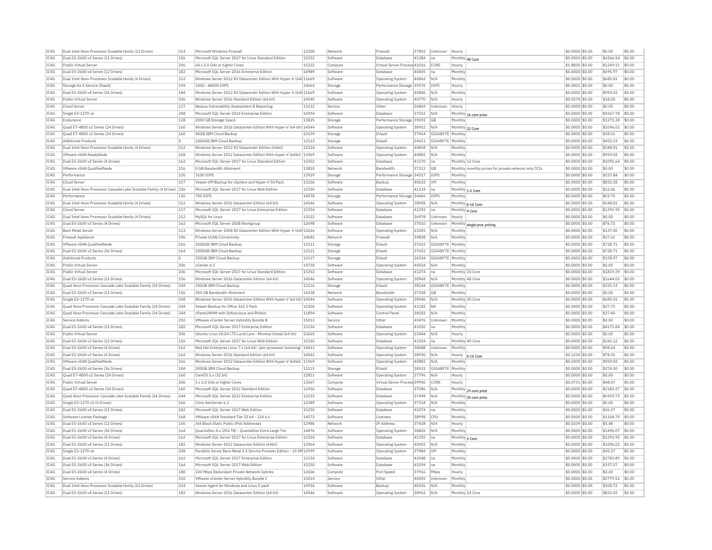|              | Dual Intel Xeon Processor Scalable family (12 Drives)                  | 214        | Microsoft Windows Firewall                                                                                               | 12500 | Network              | Firewall                     | 37802          | Unknown               | Hourly                     |                                                      | \$0,0000 \$0.00                    | \$0.00              | \$0.00           |
|--------------|------------------------------------------------------------------------|------------|--------------------------------------------------------------------------------------------------------------------------|-------|----------------------|------------------------------|----------------|-----------------------|----------------------------|------------------------------------------------------|------------------------------------|---------------------|------------------|
| TC4G         | Dual E5-2600 v3 Series (12 Drives)                                     | 156        | Microsoft SQL Server 2017 for Linux Standard Edition                                                                     | 15352 | Software             | Database                     | 41284          | na                    |                            | Monthly 48 Core                                      | \$0.0000 \$0.00                    | \$4366.54           | \$0.00           |
| IC4G         | Public Virtual Server                                                  | 206        | 64 x 2.0 GHz or higher Cores                                                                                             | 15222 | Compute              | Virtual Server Process 41016 |                | CORE                  | Hourly                     |                                                      | \$1,8830 \$0.00                    | \$1249.11           | \$0.00           |
| IC4G         | Dual E5-2600 v4 Series (12 Drives)                                     | 182        | Microsoft SOL Server 2016 Enterprise Edition                                                                             | 14989 | Software             | Database                     | 40405          | na                    | Monthly                    |                                                      | \$0,0000 \$0.00                    | \$695.97            | \$0.00           |
| TC4G         | Dual Intel Xeon Processor Scalable family (4 Drives)                   | 212        | Windows Server 2012 R2 Datacenter Edition With Hyper-V (64t 11669                                                        |       | Software             | Operating System             | 40842          | N/A                   | Monthly                    |                                                      | \$0,0000 \$0.00                    | \$685.01            | \$0.00           |
| IC4G         | Storage As A Service (StaaS                                            | 194        | 1000 - 48000 IOPS                                                                                                        | 14664 | Storage              | Performance Storage 39376    |                | IOPS                  | Hourly                     |                                                      | \$0.0001 \$0.00                    | \$0.00              | \$0.00           |
| TC4G         | Dual E5-2600 v4 Series (36 Drives)                                     | 184        | Windows Server 2012 R2 Datacenter Edition With Hyper-V (64t 11669                                                        |       | Software             | <b>Operating System</b>      | 40846          | N/A                   | Monthly                    |                                                      | \$0,0000 \$0.00                    | \$959.02            | \$0.00           |
| TC4G         | Public Virtual Server                                                  | 206        | Windows Server 2016 Standard Edition (64 bit)                                                                            | 14540 | Software             | <b>Operating System</b>      | 40770          | N/A                   | Hourly                     |                                                      | \$0.0274 \$0.00                    | \$18.20             | \$0.00           |
| TC4G         | Cloud Server                                                           | 117        | Nessus Vulnerability Assessment & Reporting                                                                              | 13132 | Service              | Other                        | 26869          | Unknown               | Hourly                     |                                                      | \$0,0000 \$0,00                    | \$0.00              | \$0.00           |
| IC4G         | Single E3-1270 v6                                                      | 208        | Microsoft SOL Server 2014 Enterprise Edition                                                                             | 14394 | Software             | Database                     | 37552          | N/A                   |                            | Monthly 16 core price                                | \$0.0000 \$0.00                    | \$5567.78           | \$0.00           |
| IC4G         | Endurance                                                              | 128        | 2000 GB Storage Space                                                                                                    | 13825 | Storage              | Performance Storage 39092    |                | GB                    | Monthly                    |                                                      | \$0.0000 \$0.00                    | \$1271.38           | \$0.00           |
| IC4G         | Quad E7-4800 v2 Series (24 Drives)                                     | 160        | Windows Server 2016 Datacenter Edition With Hyper-V (64 bit) 14544                                                       |       | Software             | Operating System             | 38952          | N/A                   |                            | Monthly 32 Core                                      | \$0,0000 \$0.00                    | \$1096.02           | \$0.00           |
| IC4G         | Ouad E7-4800 v2 Series (24 Drives)                                     | 160        | 40GB IBM Cloud Backup                                                                                                    | 12159 | Storage              | EVault                       | 37414          | GIGABYTE              | Monthly                    |                                                      | \$0.0000 \$0.00                    | \$38.51             | \$0.00           |
| TC4G         | <b>Additional Products</b>                                             | $\Omega$   | 1000GB TBM Cloud Backup                                                                                                  | 12113 | Storage              | FVault                       | 24011          | GIGARYTE              | Monthly                    |                                                      | $$0.0000$ \$0.00                   | \$455.19            | \$0.00           |
| IC4G         | Dual Intel Xeon Processor Scalable family (4 Drives)                   | 212        | Windows Server 2012 R2 Datacenter Edition (64bit)                                                                        | 12324 | Software             | <b>Operating System</b>      | 40858          | N/A                   | Monthly                    |                                                      | \$0.0000 \$0.00                    | \$548.01            | \$0.00           |
| TC4G         | VMware vSAN ReadyNode                                                  | 218        | Windows Server 2012 Datacenter Edition With Hyper-V (64bit) 11969                                                        |       | Software             | Operating System             | 40882          | N/A                   | Monthly                    |                                                      | \$0,0000 \$0.00                    | \$959.02            | \$0.00           |
| IC4G         | Dual E5-2600 v3 Series (4 Drives)                                      | 162        | Microsoft SQL Server 2017 for Linux Standard Editior                                                                     | 15352 | Software             | <b>Databas</b>               | 41270          | na                    | Monthly 12 Core            |                                                      | \$0.0000 \$0.00                    | \$1091.64           | \$0.00           |
| TC4G         | VMware vSAN OualifiedNode                                              | 216        | 0 GB Bandwidth Allotment                                                                                                 | 13810 | Network              | <b>Bandwidth</b>             | 37312          | G <sub>B</sub>        |                            |                                                      | \$0,0000 \$0.00                    | \$0.00              | \$0.00           |
| IC4G         | Performance                                                            | 120        | 3100 IOPS                                                                                                                | 13929 |                      | Performance Storage          | 34317          | IOPS                  | Monthly                    | Monthly monthly prices for private network only CCIs | \$0,0000 \$0.00                    | \$237.84            | \$0.00           |
|              |                                                                        |            |                                                                                                                          |       | Storage              |                              |                |                       |                            |                                                      |                                    |                     | sin nn           |
| TC4G         | Cloud Server                                                           | 117        | Veeam VM Backup for vSphere and Hyper-V 50 Pack                                                                          | 15106 | Software             | Backup                       | 40632          | <b>VM</b>             | Monthly                    |                                                      | \$0.0000 \$0.00                    | \$832.38            |                  |
| IC4G         | Dual Intel Xeon Processor Cascade Lake Scalable Family (4 Drives)      | 236        | Microsoft SOL Server 2017 for Linux Web Edition                                                                          | 15350 | Software             | Database                     | 41234          | Ina                   |                            | Monthly 1-2 Core                                     | \$0.0000 \$0.00                    | \$12.06             | \$0.00           |
| IC4G         | Performance                                                            | 120        | 700 TOPS                                                                                                                 | 14078 | Storage              | Performance Storage 34466    |                | <b>TOPS</b>           | Monthly                    |                                                      | \$0.0000 \$0.00                    | \$53.70             | \$0.00           |
| TC4G         | Dual Intel Xeon Processor Scalable family (4 Drives)                   | 212        | Windows Server 2016 Datacenter Edition (64 bit)                                                                          | 14546 | Software             | <b>Operating System</b>      | 38958          | N/A                   |                            | Monthly 6-16 Core                                    | \$0.0000 \$0.00                    | \$548.01            | \$0.00           |
| IC4G         | Cloud Server                                                           | 117        | Microsoft SQL Server 2017 for Linux Enterprise Edition                                                                   | 15354 | Software             | <b>Databas</b>               | 41292          | na                    | Monthly 4 Core             |                                                      | \$0.0000 \$0.00                    | \$1391.95           | \$0.00           |
| IC4G         | Dual Intel Xeon Processor Scalable family (4 Drives)                   | 212        | MySOL for Linux                                                                                                          | 13122 | Software             | Database                     | 36978          | Unknown               | Hourly                     |                                                      | \$0,0000 \$0.00                    | \$0.00              | \$0.00           |
| IC4G         | Dual E5-2600 v3 Series (4 Drives)                                      | 162        | Microsoft SQL Server 2008 Workgroup                                                                                      | 12698 | Software             | Database                     | 37010          | Unknown               | Monthly                    | single-proc pricing                                  | \$0,0000 \$0.00                    | \$76.72             | \$0.00           |
| IC4G         | <b>Bare Metal Server</b>                                               | 113        | Windows Server 2008 R2 Datacenter Edition With Hyper-V (64t 12626                                                        |       | Software             | Operating System             | 23205          | N/A                   | Monthly                    |                                                      | \$0,0000 \$0.00                    | \$137.00            | \$0.00           |
| IC4G         | Firewall Appliance                                                     | 196        | Private VLAN Connectivity                                                                                                | 14682 | Network              | Firewal                      | 39838          | N/A                   | Monthly                    |                                                      | \$0.0000 \$0.00                    | \$27.65             | \$0.00           |
| TC4G         | VMware vSAN QualifiedNode                                              | 216        | 2000GB TBM Cloud Backup                                                                                                  | 12111 | Storage              | FVault                       | 37652          | GIGARYTE              | Monthly                    |                                                      | $$0.0000$ \$0.00                   | \$728.71            | \$0.00           |
| IC4G         | Dual E5-2600 v3 Series (36 Drives)                                     | 164        | 2000GB IBM Cloud Backup                                                                                                  | 12111 | Storage              | EVault                       | 37652          | GIGABYTE              | Monthly                    |                                                      | \$0.0000 \$0.00                    | \$728.71            | \$0.00           |
| TC4G         | <b>Additional Products</b>                                             | $\Omega$   | 250GB TBM Cloud Backup                                                                                                   | 12117 | Storage              | FVault                       | 26534          | GIGARYTE Monthly      |                            |                                                      | \$0,0000 \$0.00                    | \$158.97            | \$0.00           |
| IC4G         | Public Virtual Serve                                                   | 206        | vCenter 6.5                                                                                                              | 14738 | Software             | Operating System             | 40024          | N/A                   | Monthly                    |                                                      | \$0,0000 \$0.00                    | \$0.00              | \$0.00           |
| IC4G         | Public Virtual Server                                                  | 206        | Microsoft SOL Server 2017 for Linux Standard Edition                                                                     | 15352 | Software             | Database                     | 41274          | Ina                   |                            | Monthly 20 Core                                      | \$0,0000 \$0.00                    | \$1819.39           | \$0.00           |
| IC4G         | Dual E5-2600 v3 Series (12 Drives)                                     | 156        | Windows Server 2016 Datacenter Edition (64 bit)                                                                          | 14546 | Software             | Operating System             | 38968          | N/A                   |                            | Monthly 48 Core                                      | \$0,0000 \$0.00                    | \$1644.03           | \$0.00           |
| TC4G         | Ouad Xeon Processor Cascade Lake Scalable Family (24 Drives)           | 244        | 350GB TBM Cloud Backup                                                                                                   | 12116 | Storage              | FVault                       | 38144          | GIGABYTE Monthly      |                            |                                                      | \$0,0000 \$0.00                    | \$225.13            | \$0.00           |
| IC4G         | Dual E5-2600 v3 Series (12 Drives)                                     | 156        | 500 GB Bandwidth Allotment                                                                                               | 14318 | Network              | Bandwidth                    | 37358          | <b>GB</b>             | Monthly                    |                                                      | \$0.0000 \$0.00                    | \$0.00              | \$0.00           |
| IC4G         | Single E3-1270 v6                                                      | 208        | Windows Server 2016 Datacenter Edition With Hyper-V (64 bit) 14544                                                       |       | Software             | Operating System             | 38946          | N/A                   | Monthly 20 Core            |                                                      | \$0.0000 \$0.00                    | \$685.01            | \$0.00           |
| TC4G         | Quad Xeon Processor Cascade Lake Scalable Family (24 Drives)           | 244        | Veeam Backup for Office 365.5 Pack                                                                                       | 15306 | Software             | Operating System             | 41182          | <b>NA</b>             | Monthly                    |                                                      | \$0.0000 \$0.00                    | \$27.75             | \$0.00           |
| IC4G         | Quad Xeon Processor Cascade Lake Scalable Family (24 Drives)           | 244        | cPanel/WHM with Softaculous and RVskin                                                                                   | 11894 | Software             | Control Panel                | 38182          | N/A                   | Monthly                    |                                                      | \$0.0000 \$0.00                    | \$27.40             | \$0.00           |
| IC4G         | Service Addons                                                         | 210        | VMware vCenter Server Hybridity Bundle B                                                                                 | 15012 | Service              | Other                        | 40476          | Unknown               | Monthly                    |                                                      | \$0,0000 \$0.00                    | \$0.00              | \$0.00           |
| IC4G         |                                                                        |            | Microsoft SQL Server 2017 Enterprise Edition                                                                             | 15154 | Software             | <b>Databas</b>               | 41050          | na                    | Monthly                    |                                                      | \$0.0000 \$0.00                    |                     | \$0.00           |
|              |                                                                        |            |                                                                                                                          |       |                      |                              |                |                       |                            |                                                      |                                    |                     |                  |
|              | Dual E5-2600 v4 Series (12 Drives)                                     | 182        | Ubuntu Linux 10.04 LTS Lucid Lynx - Minimal Install (64 bit)                                                             | 12665 | Software             | Operating System             | 23444          | N/A                   | Hourly                     |                                                      | \$0,0000 \$0,00                    | \$4175.84<br>\$0.00 | \$0.00           |
| IC4G         | Public Virtual Server                                                  | 206        |                                                                                                                          |       |                      |                              |                |                       |                            |                                                      |                                    |                     |                  |
| IC4G<br>TC4G | Dual E5-2600 v3 Series (12 Drives<br>Dual E5-2600 v3 Series (4 Drives) | 156<br>162 | Microsoft SOL Server 2017 for Linux Web Edition<br>Red Hat Enterprise Linux 7.x (64 bit) (per-processor licensing) 14412 | 15350 | Software<br>Software | Database                     | 41254<br>38688 | Ina<br><b>Unknown</b> | Monthly 40 Core<br>Monthly |                                                      | \$0,0000 \$0.00<br>\$0,0000 \$0.00 | \$241.12<br>\$98.64 | \$0.00<br>\$0.00 |
|              |                                                                        |            |                                                                                                                          |       |                      | Operating System             |                |                       |                            |                                                      |                                    |                     |                  |
| IC4G<br>TC4G | Dual E5-2600 v3 Series (4 Drives)<br>VMware vSAN QualifiedNode         | 162<br>216 | Windows Server 2016 Standard Edition (64 bit)                                                                            | 14542 | Software<br>Software | <b>Operating System</b>      | 38930<br>40882 | N/A<br>N/A            | Monthly                    | Hourly 6-16 Core                                     | \$0,1224 \$0.00                    | \$78.91<br>\$959.02 | \$0.00<br>\$0.00 |
|              |                                                                        |            | Windows Server 2012 Datacenter Edition With Hyper-V (64bit) 11969                                                        |       |                      | <b>Operating System</b>      |                |                       |                            |                                                      | \$0,0000 \$0,00                    |                     |                  |
| TC4G         | Dual E5-2600 v4 Series (36 Drives)                                     | 184        | 500GB IBM Cloud Backup                                                                                                   | 12115 | Storage              | FVault                       | 38532          | GIGARYTE              | Monthly                    |                                                      | \$0.0000 \$0.00                    | \$274.50            | \$0.00           |
| IC4G         | Quad E7-4800 v2 Series (24 Drives)                                     | 160        | CentOS 5.x (32 bit)                                                                                                      | 12811 | Software             | Operating System             | 37796          | N/A                   | Hourly                     |                                                      | \$0.0000 \$0.00                    | \$0.00              | \$0.00           |
| TC4G         | Public Virtual Server                                                  | 206        | 2 x 2.0 GHz or higher Cores                                                                                              | 13567 | Compute              | Virtual Server Process 39950 |                | CORE                  | Hourly                     |                                                      | \$0,0731 \$0.00                    | \$48.07             | \$0.00           |
| TC4G         | Ouad E7-4800 v2 Series (24 Drives)                                     | 160        | Microsoft SOL Server 2012 Standard Edition                                                                               | 11956 | Software             | Database                     | 37286          | N/A                   |                            | Monthly 24 core price                                | $$0.0000$ \$0.00                   | \$2183.27           | \$0.00           |
| IC4G         | Quad Xeon Processor Cascade Lake Scalable Family (24 Drives)           | 244        | Microsoft SQL Server 2012 Enterprise Edition                                                                             | 12153 | Software             | Database                     | 37498          | N/A                   |                            | Monthly 20 core price                                | \$0.0000 \$0.00                    | \$6959.73           | \$0.00           |
| IC4G         | Single E3-1270 v3 (4 Drives)                                           | 166        | Citrix XenServer 6.1                                                                                                     | 13389 | Software             | Operating System             | 37518          | N/A                   | Monthl                     |                                                      | \$0.0000 \$0.00                    | \$0.00              | \$0.00           |
| TCAG         | Dual E5-2600 v4 Series (12 Drives)                                     | 182        | Microsoft SQL Server 2017 Web Edition                                                                                    | 15250 | Software             | Database                     | 41074          | Ina                   | Monthly                    |                                                      | \$0.0000 \$0.00                    | \$36.17             | \$0.00           |
| IC4G         | Software License Package                                               | 168        | VMware vSAN Standard Tier III 64 - 124 6.x                                                                               | 14572 | Software             | Licenses                     | 38998          | <b>CPU</b>            | Monthly                    |                                                      | \$0.0000 \$0.00                    | \$1104.79           | \$0.00           |
| IC4G         | Dual E5-2600 v3 Series (12 Drives)                                     | 156        | /64 Block Static Public IPv6 Addresses                                                                                   | 12986 | Network              | IP Address                   | 37428          | N/A                   | Hourly                     |                                                      | \$0,0109 \$0.00                    | \$5.48              | \$0.00           |
| IC4G         | Dual E5-2600 v3 Series (36 Drives)                                     | 164        | OuantaStor 4.x (256 TB) - OuantaStor Extra Large Tie                                                                     | 14476 | Software             | Operating System             | 38826          | N/A                   | Monthly                    |                                                      | \$0.0000 \$0.00                    | \$1496.07           | \$0.00           |
| IC4G         | Dual E5-2600 v3 Series (4 Drives)                                      | 162        | Microsoft SOL Server 2017 for Linux Enterprise Edition                                                                   | 15354 | Software             | Database                     | 41292          | <b>I</b> na           | Monthly 4 Core             |                                                      | \$0,0000 \$0.00                    | \$1391.95           | \$0.00           |
| IC4G         | Dual E5-2600 v4 Series (12 Drives                                      | 182        | Windows Server 2012 Datacenter Edition (64bit)                                                                           | 12964 | Software             | Operating System             | 40902          | N/A                   | Monthly                    |                                                      | \$0.0000 \$0.00                    | \$1096.02           | \$0.00           |
| TC4G         | Single E3-1270 v6                                                      | 208        | Parallels Server Bare Metal 4.5 Service Provider Edition - 10 VM 12999                                                   |       | Software             | <b>Operating System</b>      | 37984          | <b>VM</b>             | Monthly                    |                                                      | \$0,0000 \$0.00                    | \$45.37             | \$0.00           |
| IC4G         | Dual E5-2600 v3 Series (4 Drives)                                      | 162        | Microsoft SQL Server 2017 Enterprise Edition                                                                             | 15154 | Software             | Database                     | 41048          | Ina                   | Monthly                    |                                                      | \$0.0000 \$0.00                    | \$2783.89           | \$0.00           |
| TC4G         | Dual E5-2600 v3 Series (36 Drives)                                     | 164        | Microsoft SOL Server 2017 Web Edition                                                                                    | 15250 | Software             | Database                     | 41094          | Ina                   | Monthly                    |                                                      | \$0,0000 \$0,00                    | \$337.57            | \$0.00           |
| TC4G         | Dual E5-2600 v4 Series (4 Drives)                                      | 180        | 100 Mbps Redundant Private Network Uplinks                                                                               | 12606 | Compute              | Port Speed                   | 37916          | Mbps                  | Hourly                     |                                                      | \$0.0000 \$0.00                    | \$0.00              | \$0.00           |
| IC4G         | Service Addons                                                         | 210        | VMware vCenter Server Hybridity Bundle C                                                                                 | 15014 | Service              | nther                        | 40492          | <b>Ilnknown</b>       | Monthly                    |                                                      | \$0,0000 \$0.00                    | \$2779.51           | \$0.00           |
| TC4G         | Dual Intel Xeon Processor Scalable family (12 Drives)                  | 214        | Veeam Agent for Windows and Linux 5 pack                                                                                 | 14936 | Software             | Backun                       | 40336          | N/A                   | Monthly                    |                                                      | \$0,0000 \$0.00                    | \$100.72            | \$0.00           |
| TCAG         | Dual E5-2600 v4 Series (12 Drives)                                     | 182        | Windows Server 2016 Datacenter Edition (64 bit)                                                                          | 14546 | Software             | Operating System             | 38962          | N/A                   |                            | Monthly 24 Core                                      | $$0.0000$ \$0.00                   | \$822.02            | \$0.00           |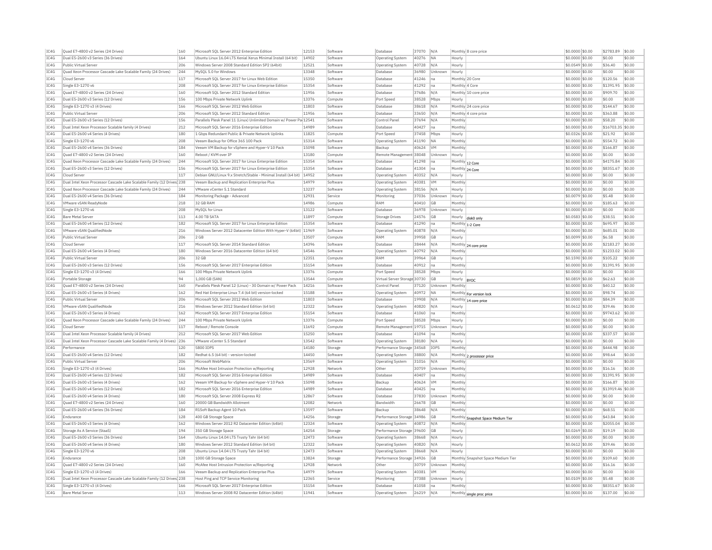| TC4G<br>IC4G<br>IC4G<br>IC4G<br>IC4G<br>IC4G<br>TC4G<br>TC4G<br>IC4G<br>IC4G<br>IC4G<br>IC4G<br>TC4G<br>IC4G<br>TC4G<br>IC4G<br>TC4G<br>IC4G<br>TC4G<br>IC4G<br>IC4G<br>TC4G<br>IC4G | Dual E5-2600 v3 Series (36 Drives)<br>Public Virtual Server<br>Ouad Xeon Processor Cascade Lake Scalable Family (24 Drives)<br>Cloud Server<br>Single E3-1270 v6<br>Ouad E7-4800 v2 Series (24 Drives)<br>Dual E5-2600 v3 Series (12 Drives)<br>Single E3-1270 v3 (4 Drives)<br>Public Virtual Server<br>Dual E5-2600 v3 Series (12 Drives)<br>Dual Intel Xeon Processor Scalable family (4 Drives)<br>Dual E5-2600 v4 Series (4 Drives)<br>Single E3-1270 v6<br>Dual E5-2600 v4 Series (36 Drives)<br>Quad E7-4800 v2 Series (24 Drives)<br>Quad Xeon Processor Cascade Lake Scalable Family (24 Drives)<br>Dual E5-2600 v3 Series (12 Drives)<br>Cloud Server<br>Dual Intel Xeon Processor Cascade Lake Scalable Family (12 Drives) 238<br>Quad Xeon Processor Cascade Lake Scalable Family (24 Drives) | 164<br>206<br>244<br>117<br>208<br>160<br>156<br>166<br>206<br>156<br>212<br>180<br>208<br>184<br>160<br>244<br>156<br>117 | Ubuntu Linux 16.04 LTS Xenial Xerus Minimal Install (64 bit)<br>Windows Server 2008 Standard Edition SP2 (64bit)<br>MySOL 5.0 for Windows<br>Microsoft SOL Server 2017 for Linux Web Edition<br>Microsoft SOL Server 2017 for Linux Enterprise Edition<br>Microsoft SOL Server 2012 Standard Edition<br>100 Mbns Private Network Unlink<br>Microsoft SOL Server 2012 Web Edition<br>Microsoft SQL Server 2012 Standard Edition<br>Parallels Plesk Panel 11 (Linux) Unlimited Domain w/ Power Pa 12541<br>Microsoft SOL Server 2016 Enterprise Edition<br>1 Gbps Redundant Public & Private Network Uplinks<br>Veeam Backup for Office 365 100 Pack<br>Veeam VM Backup for vSphere and Hyper-V 10 Pack<br>Reboot / KVM over TP | 14902<br>12521<br>13348<br>15350<br>15354<br>11956<br>13376<br>11803<br>11956<br>14989<br>11825<br>15314 | Software<br>Software<br>Software<br>Software<br>Software<br>Software<br>Compute<br>Software<br>Software<br>Software<br>Software<br>Compute | <b>Operating System</b><br>Operating System<br>Database<br>Database<br>Database<br>Database<br>Port Speed<br>Database<br>Database<br>Control Pane<br>Database | 40276<br>40728<br>36980<br>41246<br>41292<br>37686<br>38528<br>38618<br>33650<br>37694 | NA<br>N/A<br>Unknown<br>Ina<br>Ina<br>N/A<br>Mhns<br>N/A<br>N/A<br>N/A | Hourly<br>Hourly<br>Hourly<br>Monthly 20 Core<br>Monthly 4 Core<br>Hourly | Monthly 10 core price<br>Monthly 24 core price<br>Monthly 4 core price | \$0.0000 \$0.00<br>\$0,0549 \$0.00<br>\$0,0000 \$0.00<br>\$0,0000 \$0.00<br>\$0.0000 \$0.00<br>\$0,0000 \$0.00<br>\$0.0000 \$0.00<br>\$0.0000 \$0.00<br>\$0.0000 \$0.00<br>\$0.0000 \$0.00 | \$0.00<br>\$36.40<br>\$0.00<br>\$120.56<br>\$1391.95<br>\$909.70<br>\$0.00<br>\$144.67<br>\$363.88<br>\$58.20 | \$0.00<br>\$0.00<br>\$0.00<br>\$0.00<br>\$0.00<br>\$0.00<br>\$0.00<br>\$0.00<br>\$0.00<br>\$0.00 |
|--------------------------------------------------------------------------------------------------------------------------------------------------------------------------------------|-----------------------------------------------------------------------------------------------------------------------------------------------------------------------------------------------------------------------------------------------------------------------------------------------------------------------------------------------------------------------------------------------------------------------------------------------------------------------------------------------------------------------------------------------------------------------------------------------------------------------------------------------------------------------------------------------------------------------------------------------------------------------------------------------------------|----------------------------------------------------------------------------------------------------------------------------|-------------------------------------------------------------------------------------------------------------------------------------------------------------------------------------------------------------------------------------------------------------------------------------------------------------------------------------------------------------------------------------------------------------------------------------------------------------------------------------------------------------------------------------------------------------------------------------------------------------------------------------------------------------------------------------------------------------------------------|----------------------------------------------------------------------------------------------------------|--------------------------------------------------------------------------------------------------------------------------------------------|---------------------------------------------------------------------------------------------------------------------------------------------------------------|----------------------------------------------------------------------------------------|------------------------------------------------------------------------|---------------------------------------------------------------------------|------------------------------------------------------------------------|--------------------------------------------------------------------------------------------------------------------------------------------------------------------------------------------|---------------------------------------------------------------------------------------------------------------|--------------------------------------------------------------------------------------------------|
|                                                                                                                                                                                      |                                                                                                                                                                                                                                                                                                                                                                                                                                                                                                                                                                                                                                                                                                                                                                                                           |                                                                                                                            |                                                                                                                                                                                                                                                                                                                                                                                                                                                                                                                                                                                                                                                                                                                               |                                                                                                          |                                                                                                                                            |                                                                                                                                                               |                                                                                        |                                                                        |                                                                           |                                                                        |                                                                                                                                                                                            |                                                                                                               |                                                                                                  |
|                                                                                                                                                                                      |                                                                                                                                                                                                                                                                                                                                                                                                                                                                                                                                                                                                                                                                                                                                                                                                           |                                                                                                                            |                                                                                                                                                                                                                                                                                                                                                                                                                                                                                                                                                                                                                                                                                                                               |                                                                                                          |                                                                                                                                            |                                                                                                                                                               |                                                                                        |                                                                        |                                                                           |                                                                        |                                                                                                                                                                                            |                                                                                                               |                                                                                                  |
|                                                                                                                                                                                      |                                                                                                                                                                                                                                                                                                                                                                                                                                                                                                                                                                                                                                                                                                                                                                                                           |                                                                                                                            |                                                                                                                                                                                                                                                                                                                                                                                                                                                                                                                                                                                                                                                                                                                               |                                                                                                          |                                                                                                                                            |                                                                                                                                                               |                                                                                        |                                                                        |                                                                           |                                                                        |                                                                                                                                                                                            |                                                                                                               |                                                                                                  |
|                                                                                                                                                                                      |                                                                                                                                                                                                                                                                                                                                                                                                                                                                                                                                                                                                                                                                                                                                                                                                           |                                                                                                                            |                                                                                                                                                                                                                                                                                                                                                                                                                                                                                                                                                                                                                                                                                                                               |                                                                                                          |                                                                                                                                            |                                                                                                                                                               |                                                                                        |                                                                        |                                                                           |                                                                        |                                                                                                                                                                                            |                                                                                                               |                                                                                                  |
|                                                                                                                                                                                      |                                                                                                                                                                                                                                                                                                                                                                                                                                                                                                                                                                                                                                                                                                                                                                                                           |                                                                                                                            |                                                                                                                                                                                                                                                                                                                                                                                                                                                                                                                                                                                                                                                                                                                               |                                                                                                          |                                                                                                                                            |                                                                                                                                                               |                                                                                        |                                                                        |                                                                           |                                                                        |                                                                                                                                                                                            |                                                                                                               |                                                                                                  |
|                                                                                                                                                                                      |                                                                                                                                                                                                                                                                                                                                                                                                                                                                                                                                                                                                                                                                                                                                                                                                           |                                                                                                                            |                                                                                                                                                                                                                                                                                                                                                                                                                                                                                                                                                                                                                                                                                                                               |                                                                                                          |                                                                                                                                            |                                                                                                                                                               |                                                                                        |                                                                        |                                                                           |                                                                        |                                                                                                                                                                                            |                                                                                                               |                                                                                                  |
|                                                                                                                                                                                      |                                                                                                                                                                                                                                                                                                                                                                                                                                                                                                                                                                                                                                                                                                                                                                                                           |                                                                                                                            |                                                                                                                                                                                                                                                                                                                                                                                                                                                                                                                                                                                                                                                                                                                               |                                                                                                          |                                                                                                                                            |                                                                                                                                                               |                                                                                        |                                                                        |                                                                           |                                                                        |                                                                                                                                                                                            |                                                                                                               |                                                                                                  |
|                                                                                                                                                                                      |                                                                                                                                                                                                                                                                                                                                                                                                                                                                                                                                                                                                                                                                                                                                                                                                           |                                                                                                                            |                                                                                                                                                                                                                                                                                                                                                                                                                                                                                                                                                                                                                                                                                                                               |                                                                                                          |                                                                                                                                            |                                                                                                                                                               |                                                                                        |                                                                        |                                                                           |                                                                        |                                                                                                                                                                                            |                                                                                                               |                                                                                                  |
|                                                                                                                                                                                      |                                                                                                                                                                                                                                                                                                                                                                                                                                                                                                                                                                                                                                                                                                                                                                                                           |                                                                                                                            |                                                                                                                                                                                                                                                                                                                                                                                                                                                                                                                                                                                                                                                                                                                               |                                                                                                          |                                                                                                                                            |                                                                                                                                                               |                                                                                        |                                                                        |                                                                           |                                                                        |                                                                                                                                                                                            |                                                                                                               |                                                                                                  |
|                                                                                                                                                                                      |                                                                                                                                                                                                                                                                                                                                                                                                                                                                                                                                                                                                                                                                                                                                                                                                           |                                                                                                                            |                                                                                                                                                                                                                                                                                                                                                                                                                                                                                                                                                                                                                                                                                                                               |                                                                                                          |                                                                                                                                            |                                                                                                                                                               |                                                                                        |                                                                        |                                                                           |                                                                        |                                                                                                                                                                                            |                                                                                                               |                                                                                                  |
|                                                                                                                                                                                      |                                                                                                                                                                                                                                                                                                                                                                                                                                                                                                                                                                                                                                                                                                                                                                                                           |                                                                                                                            |                                                                                                                                                                                                                                                                                                                                                                                                                                                                                                                                                                                                                                                                                                                               |                                                                                                          |                                                                                                                                            |                                                                                                                                                               |                                                                                        |                                                                        | Monthly                                                                   |                                                                        |                                                                                                                                                                                            |                                                                                                               |                                                                                                  |
|                                                                                                                                                                                      |                                                                                                                                                                                                                                                                                                                                                                                                                                                                                                                                                                                                                                                                                                                                                                                                           |                                                                                                                            |                                                                                                                                                                                                                                                                                                                                                                                                                                                                                                                                                                                                                                                                                                                               |                                                                                                          |                                                                                                                                            |                                                                                                                                                               | 40427                                                                                  | Ina                                                                    | Monthly                                                                   |                                                                        | \$0.0000 \$0.00                                                                                                                                                                            | \$16703.35 \$0.00                                                                                             |                                                                                                  |
|                                                                                                                                                                                      |                                                                                                                                                                                                                                                                                                                                                                                                                                                                                                                                                                                                                                                                                                                                                                                                           |                                                                                                                            |                                                                                                                                                                                                                                                                                                                                                                                                                                                                                                                                                                                                                                                                                                                               |                                                                                                          |                                                                                                                                            | Port Speed                                                                                                                                                    | 37458                                                                                  | Mbps                                                                   | Hourly                                                                    |                                                                        | \$0.0326 \$0.00                                                                                                                                                                            | \$21.92                                                                                                       | \$0.00                                                                                           |
|                                                                                                                                                                                      |                                                                                                                                                                                                                                                                                                                                                                                                                                                                                                                                                                                                                                                                                                                                                                                                           |                                                                                                                            |                                                                                                                                                                                                                                                                                                                                                                                                                                                                                                                                                                                                                                                                                                                               |                                                                                                          | Software                                                                                                                                   | Operating System                                                                                                                                              | 41190                                                                                  | <b>NA</b>                                                              | Monthly                                                                   |                                                                        | $$0.0000$ \$0.00                                                                                                                                                                           | \$554.72                                                                                                      | \$0.00                                                                                           |
|                                                                                                                                                                                      |                                                                                                                                                                                                                                                                                                                                                                                                                                                                                                                                                                                                                                                                                                                                                                                                           |                                                                                                                            |                                                                                                                                                                                                                                                                                                                                                                                                                                                                                                                                                                                                                                                                                                                               | 15098                                                                                                    | Software                                                                                                                                   | Backup                                                                                                                                                        | 40624                                                                                  | <b>VM</b>                                                              | Monthly                                                                   |                                                                        | \$0.0000 \$0.00                                                                                                                                                                            | \$166.87                                                                                                      | \$0.00                                                                                           |
|                                                                                                                                                                                      |                                                                                                                                                                                                                                                                                                                                                                                                                                                                                                                                                                                                                                                                                                                                                                                                           |                                                                                                                            |                                                                                                                                                                                                                                                                                                                                                                                                                                                                                                                                                                                                                                                                                                                               | 13180                                                                                                    | Compute                                                                                                                                    | Remote Management 38048                                                                                                                                       |                                                                                        | Unknown                                                                | Hourly                                                                    |                                                                        | $$0.0000$ \$0.00                                                                                                                                                                           | \$0.00                                                                                                        | \$0.00                                                                                           |
|                                                                                                                                                                                      |                                                                                                                                                                                                                                                                                                                                                                                                                                                                                                                                                                                                                                                                                                                                                                                                           |                                                                                                                            | Microsoft SQL Server 2017 for Linux Enterprise Edition                                                                                                                                                                                                                                                                                                                                                                                                                                                                                                                                                                                                                                                                        | 15354                                                                                                    | Software                                                                                                                                   | <b>Databas</b>                                                                                                                                                | 41298                                                                                  | na                                                                     | Monthly 12 Core                                                           |                                                                        | \$0.0000 \$0.00                                                                                                                                                                            | \$4175.84                                                                                                     | \$0.00                                                                                           |
|                                                                                                                                                                                      |                                                                                                                                                                                                                                                                                                                                                                                                                                                                                                                                                                                                                                                                                                                                                                                                           |                                                                                                                            | Microsoft SOL Server 2017 for Linux Enterprise Edition                                                                                                                                                                                                                                                                                                                                                                                                                                                                                                                                                                                                                                                                        | 15354                                                                                                    | Software                                                                                                                                   | Database                                                                                                                                                      | 41304                                                                                  | Ina                                                                    | Monthly 24 Core                                                           |                                                                        | \$0,0000 \$0.00                                                                                                                                                                            | \$8351.67                                                                                                     | \$0.00                                                                                           |
|                                                                                                                                                                                      |                                                                                                                                                                                                                                                                                                                                                                                                                                                                                                                                                                                                                                                                                                                                                                                                           |                                                                                                                            | Debian GNU/Linux 9.x Stretch/Stable - Minimal Install (64 bit)                                                                                                                                                                                                                                                                                                                                                                                                                                                                                                                                                                                                                                                                | 14952                                                                                                    | Software                                                                                                                                   | <b>Operating System</b>                                                                                                                                       | 40352                                                                                  | N/A                                                                    | Hourly                                                                    |                                                                        | \$0,0000 \$0.00                                                                                                                                                                            | \$0.00                                                                                                        | \$0.00                                                                                           |
|                                                                                                                                                                                      |                                                                                                                                                                                                                                                                                                                                                                                                                                                                                                                                                                                                                                                                                                                                                                                                           |                                                                                                                            | Veeam Backup and Replication Enterprise Plus                                                                                                                                                                                                                                                                                                                                                                                                                                                                                                                                                                                                                                                                                  | 14979                                                                                                    | Software                                                                                                                                   |                                                                                                                                                               | 40381                                                                                  | <b>VM</b>                                                              | Monthly                                                                   |                                                                        | \$0.0000 \$0.00                                                                                                                                                                            | \$0.00                                                                                                        | \$0.00                                                                                           |
|                                                                                                                                                                                      |                                                                                                                                                                                                                                                                                                                                                                                                                                                                                                                                                                                                                                                                                                                                                                                                           | 244                                                                                                                        | VMware vCenter 5.1 Standard                                                                                                                                                                                                                                                                                                                                                                                                                                                                                                                                                                                                                                                                                                   | 13237                                                                                                    | Software                                                                                                                                   | Operating System                                                                                                                                              |                                                                                        | N/A                                                                    |                                                                           |                                                                        |                                                                                                                                                                                            | \$0.00                                                                                                        | \$0.00                                                                                           |
|                                                                                                                                                                                      |                                                                                                                                                                                                                                                                                                                                                                                                                                                                                                                                                                                                                                                                                                                                                                                                           |                                                                                                                            |                                                                                                                                                                                                                                                                                                                                                                                                                                                                                                                                                                                                                                                                                                                               |                                                                                                          |                                                                                                                                            | <b>Operating System</b>                                                                                                                                       | 38156                                                                                  |                                                                        | Hourly                                                                    |                                                                        | \$0.0000 \$0.00                                                                                                                                                                            |                                                                                                               |                                                                                                  |
|                                                                                                                                                                                      | Dual E5-2600 v4 Series (36 Drives)                                                                                                                                                                                                                                                                                                                                                                                                                                                                                                                                                                                                                                                                                                                                                                        | 184                                                                                                                        | Monitoring Package - Advanced                                                                                                                                                                                                                                                                                                                                                                                                                                                                                                                                                                                                                                                                                                 | 12931                                                                                                    | Service                                                                                                                                    | Monitoring                                                                                                                                                    | 37036                                                                                  | Unknown                                                                | Hourly                                                                    |                                                                        | \$0.0079 \$0.00                                                                                                                                                                            | \$5.48                                                                                                        | \$0.00                                                                                           |
|                                                                                                                                                                                      | VMware vSAN ReadyNode                                                                                                                                                                                                                                                                                                                                                                                                                                                                                                                                                                                                                                                                                                                                                                                     | 218                                                                                                                        | 32 GB RAM                                                                                                                                                                                                                                                                                                                                                                                                                                                                                                                                                                                                                                                                                                                     | 14986                                                                                                    | Compute                                                                                                                                    | RAM                                                                                                                                                           | 40410                                                                                  | GB                                                                     | Monthly                                                                   |                                                                        | \$0.0000 \$0.00                                                                                                                                                                            | \$185.63                                                                                                      | \$0.00                                                                                           |
|                                                                                                                                                                                      | Single E3-1270 v6                                                                                                                                                                                                                                                                                                                                                                                                                                                                                                                                                                                                                                                                                                                                                                                         | 208                                                                                                                        | MySQL for Linux                                                                                                                                                                                                                                                                                                                                                                                                                                                                                                                                                                                                                                                                                                               | 13122                                                                                                    | Software                                                                                                                                   | Database                                                                                                                                                      | 36978                                                                                  | Unknown                                                                | Hourly                                                                    |                                                                        | \$0.0000 \$0.00                                                                                                                                                                            | \$0.00                                                                                                        | \$0.00                                                                                           |
| TC4G                                                                                                                                                                                 | <b>Bare Metal Server</b>                                                                                                                                                                                                                                                                                                                                                                                                                                                                                                                                                                                                                                                                                                                                                                                  | 113                                                                                                                        | 4.00 TR SATA                                                                                                                                                                                                                                                                                                                                                                                                                                                                                                                                                                                                                                                                                                                  | 11897                                                                                                    | Compute                                                                                                                                    | Storage Drives                                                                                                                                                | 24576                                                                                  | <b>GB</b>                                                              |                                                                           | Hourly disk0 only                                                      | \$0.0583 \$0.00                                                                                                                                                                            | \$38.51                                                                                                       | \$0.00                                                                                           |
| IC4G                                                                                                                                                                                 | Dual E5-2600 v4 Series (12 Drives)                                                                                                                                                                                                                                                                                                                                                                                                                                                                                                                                                                                                                                                                                                                                                                        | 182                                                                                                                        | Microsoft SOL Server 2017 for Linux Enterprise Edition                                                                                                                                                                                                                                                                                                                                                                                                                                                                                                                                                                                                                                                                        | 15354                                                                                                    | Software                                                                                                                                   | Database                                                                                                                                                      | 41290                                                                                  | Ina                                                                    | Monthly 1-2 Core                                                          |                                                                        | \$0,0000 \$0.00                                                                                                                                                                            | \$695.97                                                                                                      | \$0.00                                                                                           |
| IC4G                                                                                                                                                                                 | VMware vSAN OualifiedNode                                                                                                                                                                                                                                                                                                                                                                                                                                                                                                                                                                                                                                                                                                                                                                                 | 216                                                                                                                        | Windows Server 2012 Datacenter Edition With Hyper-V (64bit) 11969                                                                                                                                                                                                                                                                                                                                                                                                                                                                                                                                                                                                                                                             |                                                                                                          | Software                                                                                                                                   | Operating System                                                                                                                                              | 40878                                                                                  | N/A                                                                    | Monthly                                                                   |                                                                        | \$0,0000 \$0.00                                                                                                                                                                            | \$685.01                                                                                                      | \$0.00                                                                                           |
| IC4G                                                                                                                                                                                 | Public Virtual Server                                                                                                                                                                                                                                                                                                                                                                                                                                                                                                                                                                                                                                                                                                                                                                                     | 206                                                                                                                        | 2 GB                                                                                                                                                                                                                                                                                                                                                                                                                                                                                                                                                                                                                                                                                                                          | 13507                                                                                                    | Compute                                                                                                                                    | RAM                                                                                                                                                           | 39958                                                                                  | <b>GB</b>                                                              | Hourly                                                                    |                                                                        | \$0.0099 \$0.00                                                                                                                                                                            | \$6.58                                                                                                        | \$0.00                                                                                           |
| TC4G                                                                                                                                                                                 | Cloud Server                                                                                                                                                                                                                                                                                                                                                                                                                                                                                                                                                                                                                                                                                                                                                                                              | 117                                                                                                                        | Microsoft SOL Server 2014 Standard Edition                                                                                                                                                                                                                                                                                                                                                                                                                                                                                                                                                                                                                                                                                    | 14396                                                                                                    | Software                                                                                                                                   | Database                                                                                                                                                      | 38444                                                                                  | N/A                                                                    |                                                                           | Monthly 24 core price                                                  | $$0.0000$ \$0.00                                                                                                                                                                           | \$2183.27                                                                                                     | \$0.00                                                                                           |
| IC4G                                                                                                                                                                                 | Dual E5-2600 v4 Series (4 Drives)                                                                                                                                                                                                                                                                                                                                                                                                                                                                                                                                                                                                                                                                                                                                                                         | 180                                                                                                                        | Windows Server 2016 Datacenter Edition (64 bit)                                                                                                                                                                                                                                                                                                                                                                                                                                                                                                                                                                                                                                                                               | 14546                                                                                                    | Software                                                                                                                                   | <b>Operating System</b>                                                                                                                                       | 40792                                                                                  | N/A                                                                    | Monthly                                                                   |                                                                        | \$0.0000 \$0.00                                                                                                                                                                            | \$1233.02                                                                                                     | \$0.00                                                                                           |
| TC4G                                                                                                                                                                                 | Public Virtual Server                                                                                                                                                                                                                                                                                                                                                                                                                                                                                                                                                                                                                                                                                                                                                                                     | 206                                                                                                                        | 32 GB                                                                                                                                                                                                                                                                                                                                                                                                                                                                                                                                                                                                                                                                                                                         | 12351                                                                                                    | Compute                                                                                                                                    | RAM                                                                                                                                                           | 39964                                                                                  | G <sub>B</sub>                                                         | Hourly                                                                    |                                                                        | \$0,1590 \$0.00                                                                                                                                                                            | \$105.22                                                                                                      | \$0.00                                                                                           |
| IC4G                                                                                                                                                                                 | Dual E5-2600 v3 Series (12 Drives)                                                                                                                                                                                                                                                                                                                                                                                                                                                                                                                                                                                                                                                                                                                                                                        | 156                                                                                                                        | Microsoft SOL Server 2017 Enterprise Edition                                                                                                                                                                                                                                                                                                                                                                                                                                                                                                                                                                                                                                                                                  | 15154                                                                                                    | Software                                                                                                                                   | <b>Databas</b>                                                                                                                                                | 40912                                                                                  | Ina                                                                    | Monthly                                                                   |                                                                        | \$0,0000 \$0.00                                                                                                                                                                            | \$1391.95                                                                                                     | \$0.00                                                                                           |
|                                                                                                                                                                                      |                                                                                                                                                                                                                                                                                                                                                                                                                                                                                                                                                                                                                                                                                                                                                                                                           |                                                                                                                            |                                                                                                                                                                                                                                                                                                                                                                                                                                                                                                                                                                                                                                                                                                                               |                                                                                                          |                                                                                                                                            |                                                                                                                                                               |                                                                                        |                                                                        |                                                                           |                                                                        |                                                                                                                                                                                            |                                                                                                               |                                                                                                  |
| IC4G                                                                                                                                                                                 | Single E3-1270 v3 (4 Drives)                                                                                                                                                                                                                                                                                                                                                                                                                                                                                                                                                                                                                                                                                                                                                                              | 166                                                                                                                        | 100 Mbps Private Network Uplink                                                                                                                                                                                                                                                                                                                                                                                                                                                                                                                                                                                                                                                                                               | 13376                                                                                                    | Compute                                                                                                                                    | Port Speed                                                                                                                                                    | 38528                                                                                  | Mbps                                                                   | Hourly                                                                    |                                                                        | \$0,0000 \$0.00                                                                                                                                                                            | \$0.00                                                                                                        | \$0.00                                                                                           |
| IC4G                                                                                                                                                                                 | Portable Storage                                                                                                                                                                                                                                                                                                                                                                                                                                                                                                                                                                                                                                                                                                                                                                                          | 94                                                                                                                         | 1.000 GB (SAN)                                                                                                                                                                                                                                                                                                                                                                                                                                                                                                                                                                                                                                                                                                                | 13544                                                                                                    | Compute                                                                                                                                    | Virtual Server Storage 30730                                                                                                                                  |                                                                                        | GB                                                                     | Hourly  BYOC                                                              |                                                                        | \$0,0859 \$0.00                                                                                                                                                                            | \$62.63                                                                                                       | \$0.00                                                                                           |
| TC4G                                                                                                                                                                                 | Ouad E7-4800 v2 Series (24 Drives)                                                                                                                                                                                                                                                                                                                                                                                                                                                                                                                                                                                                                                                                                                                                                                        | 160                                                                                                                        | Parallels Plesk Panel 12 (Linux) - 30 Domain w/ Power Pack                                                                                                                                                                                                                                                                                                                                                                                                                                                                                                                                                                                                                                                                    | 14216                                                                                                    | Software                                                                                                                                   | Control Panel                                                                                                                                                 | 37120                                                                                  | Unknown                                                                | Monthly                                                                   |                                                                        | \$0,0000 \$0.00                                                                                                                                                                            | \$40.12                                                                                                       | \$0.00                                                                                           |
| IC4G                                                                                                                                                                                 | Dual E5-2600 v3 Series (4 Drives)                                                                                                                                                                                                                                                                                                                                                                                                                                                                                                                                                                                                                                                                                                                                                                         | 162                                                                                                                        | Red Hat Enterprise Linux 7.4 (64 bit) version-locked                                                                                                                                                                                                                                                                                                                                                                                                                                                                                                                                                                                                                                                                          | 15188                                                                                                    | Software                                                                                                                                   | <b>Operating System</b>                                                                                                                                       | 40972                                                                                  | <b>NA</b>                                                              |                                                                           | Monthly For version lock                                               | \$0.0000 \$0.00                                                                                                                                                                            | \$98.74                                                                                                       | \$0.00                                                                                           |
| IC4G                                                                                                                                                                                 | Public Virtual Server                                                                                                                                                                                                                                                                                                                                                                                                                                                                                                                                                                                                                                                                                                                                                                                     | 206                                                                                                                        | Microsoft SOL Server 2012 Web Edition                                                                                                                                                                                                                                                                                                                                                                                                                                                                                                                                                                                                                                                                                         | 11803                                                                                                    | Software                                                                                                                                   | Database                                                                                                                                                      | 19908                                                                                  | N/A                                                                    |                                                                           | Monthly 14 core price                                                  | \$0.0000 \$0.00                                                                                                                                                                            | \$84.39                                                                                                       | \$0.00                                                                                           |
| TC4G                                                                                                                                                                                 | VMware vSAN QualifiedNode                                                                                                                                                                                                                                                                                                                                                                                                                                                                                                                                                                                                                                                                                                                                                                                 | 216                                                                                                                        | Windows Server 2012 Standard Edition (64 bit)                                                                                                                                                                                                                                                                                                                                                                                                                                                                                                                                                                                                                                                                                 | 12322                                                                                                    | Software                                                                                                                                   | Operating System                                                                                                                                              | 40820                                                                                  | N/A                                                                    | Hourly                                                                    |                                                                        | $$0.0612$ \$0.00                                                                                                                                                                           | \$39.46                                                                                                       | \$0.00                                                                                           |
| IC4G                                                                                                                                                                                 | Dual E5-2600 v3 Series (4 Drives)                                                                                                                                                                                                                                                                                                                                                                                                                                                                                                                                                                                                                                                                                                                                                                         | 162                                                                                                                        | Microsoft SQL Server 2017 Enterprise Edition                                                                                                                                                                                                                                                                                                                                                                                                                                                                                                                                                                                                                                                                                  | 15154                                                                                                    | Software                                                                                                                                   | <b>Databas</b>                                                                                                                                                | 41060                                                                                  | na                                                                     | Monthly                                                                   |                                                                        | \$0.0000 \$0.00                                                                                                                                                                            | \$9743.62                                                                                                     | \$0.00                                                                                           |
| IC4G                                                                                                                                                                                 | Ouad Xeon Processor Cascade Lake Scalable Family (24 Drives)                                                                                                                                                                                                                                                                                                                                                                                                                                                                                                                                                                                                                                                                                                                                              | 244                                                                                                                        | 100 Mbps Private Network Uplink                                                                                                                                                                                                                                                                                                                                                                                                                                                                                                                                                                                                                                                                                               | 13376                                                                                                    | Compute                                                                                                                                    | Port Speed                                                                                                                                                    | 38528                                                                                  | Mbps                                                                   | Hourly                                                                    |                                                                        | \$0,0000 \$0.00                                                                                                                                                                            | \$0.00                                                                                                        | \$0.00                                                                                           |
| IC4G                                                                                                                                                                                 | Cloud Serve                                                                                                                                                                                                                                                                                                                                                                                                                                                                                                                                                                                                                                                                                                                                                                                               | 117                                                                                                                        | Reboot / Remote Console                                                                                                                                                                                                                                                                                                                                                                                                                                                                                                                                                                                                                                                                                                       | 11692                                                                                                    | Compute                                                                                                                                    | Remote Management 19715                                                                                                                                       |                                                                                        | Unknown                                                                | Hourly                                                                    |                                                                        | \$0.0000 \$0.00                                                                                                                                                                            | \$0.00                                                                                                        | \$0.00                                                                                           |
| IC4G                                                                                                                                                                                 | Dual Intel Xeon Processor Scalable family (4 Drives)                                                                                                                                                                                                                                                                                                                                                                                                                                                                                                                                                                                                                                                                                                                                                      | 212                                                                                                                        | Microsoft SOL Server 2017 Web Edition                                                                                                                                                                                                                                                                                                                                                                                                                                                                                                                                                                                                                                                                                         | 15250                                                                                                    | Software                                                                                                                                   | Database                                                                                                                                                      | 41094                                                                                  | Ina                                                                    | Monthly                                                                   |                                                                        | \$0,0000 \$0,00                                                                                                                                                                            | \$337.57                                                                                                      | \$0.00                                                                                           |
| IC4G                                                                                                                                                                                 | Dual Intel Xeon Processor Cascade Lake Scalable Family (4 Drives)                                                                                                                                                                                                                                                                                                                                                                                                                                                                                                                                                                                                                                                                                                                                         | 236                                                                                                                        | VMware vCenter 5.5 Standard                                                                                                                                                                                                                                                                                                                                                                                                                                                                                                                                                                                                                                                                                                   | 13542                                                                                                    | Software                                                                                                                                   | <b>Operating System</b>                                                                                                                                       | 38180                                                                                  | N/A                                                                    | Hourly                                                                    |                                                                        | \$0,0000 \$0.00                                                                                                                                                                            | \$0.00                                                                                                        | \$0.00                                                                                           |
| TC4G                                                                                                                                                                                 | Performance                                                                                                                                                                                                                                                                                                                                                                                                                                                                                                                                                                                                                                                                                                                                                                                               | 120                                                                                                                        | 5800 TOPS                                                                                                                                                                                                                                                                                                                                                                                                                                                                                                                                                                                                                                                                                                                     | 14180                                                                                                    | Storage                                                                                                                                    | Performance Storage 34568                                                                                                                                     |                                                                                        | <b>TOPS</b>                                                            | Monthly                                                                   |                                                                        | \$0,0000 \$0.00                                                                                                                                                                            | \$444.98                                                                                                      | \$0.00                                                                                           |
|                                                                                                                                                                                      |                                                                                                                                                                                                                                                                                                                                                                                                                                                                                                                                                                                                                                                                                                                                                                                                           |                                                                                                                            |                                                                                                                                                                                                                                                                                                                                                                                                                                                                                                                                                                                                                                                                                                                               |                                                                                                          |                                                                                                                                            |                                                                                                                                                               |                                                                                        |                                                                        |                                                                           |                                                                        |                                                                                                                                                                                            |                                                                                                               |                                                                                                  |
| IC4G                                                                                                                                                                                 | Dual E5-2600 v4 Series (12 Drives)                                                                                                                                                                                                                                                                                                                                                                                                                                                                                                                                                                                                                                                                                                                                                                        | 182                                                                                                                        | Redhat 6.5 (64 bit) - version-locked                                                                                                                                                                                                                                                                                                                                                                                                                                                                                                                                                                                                                                                                                          | 14450                                                                                                    | Software                                                                                                                                   | Operating System                                                                                                                                              | 38800                                                                                  | N/A                                                                    |                                                                           | Monthly 2 processor price                                              | \$0,0000 \$0.00                                                                                                                                                                            | \$98.64                                                                                                       | \$0.00                                                                                           |
| TC4G                                                                                                                                                                                 | Public Virtual Server                                                                                                                                                                                                                                                                                                                                                                                                                                                                                                                                                                                                                                                                                                                                                                                     | 206                                                                                                                        | Microsoft WebMatrix                                                                                                                                                                                                                                                                                                                                                                                                                                                                                                                                                                                                                                                                                                           | 13569                                                                                                    | Software                                                                                                                                   | <b>Operating System</b>                                                                                                                                       | 31016                                                                                  | N/A                                                                    | Monthly                                                                   |                                                                        | \$0,0000 \$0,00                                                                                                                                                                            | \$0.00                                                                                                        | \$0.00                                                                                           |
| TC4G                                                                                                                                                                                 | Single E3-1270 v3 (4 Drives)                                                                                                                                                                                                                                                                                                                                                                                                                                                                                                                                                                                                                                                                                                                                                                              | 166                                                                                                                        | McAfee Host Intrusion Protection w/Reporting                                                                                                                                                                                                                                                                                                                                                                                                                                                                                                                                                                                                                                                                                  | 12928                                                                                                    | Network                                                                                                                                    | Other                                                                                                                                                         | 30759                                                                                  | Unknown                                                                | Monthly                                                                   |                                                                        | \$0.0000 \$0.00                                                                                                                                                                            | \$16.16                                                                                                       | \$0.00                                                                                           |
| IC4G                                                                                                                                                                                 | Dual E5-2600 v4 Series (12 Drives)                                                                                                                                                                                                                                                                                                                                                                                                                                                                                                                                                                                                                                                                                                                                                                        | 182                                                                                                                        | Microsoft SOL Server 2016 Enterprise Edition                                                                                                                                                                                                                                                                                                                                                                                                                                                                                                                                                                                                                                                                                  | 14989                                                                                                    | Software                                                                                                                                   | Database                                                                                                                                                      | 40407                                                                                  | Ina                                                                    | Monthly                                                                   |                                                                        | \$0.0000 \$0.00                                                                                                                                                                            | \$1391.95                                                                                                     | \$0.00                                                                                           |
| TC4G                                                                                                                                                                                 | Dual E5-2600 v3 Series (4 Drives)                                                                                                                                                                                                                                                                                                                                                                                                                                                                                                                                                                                                                                                                                                                                                                         | 162                                                                                                                        | Veeam VM Backup for vSphere and Hyper-V 10 Pack                                                                                                                                                                                                                                                                                                                                                                                                                                                                                                                                                                                                                                                                               | 15098                                                                                                    | Software                                                                                                                                   | Backup                                                                                                                                                        | 40624                                                                                  | <b>VM</b>                                                              | Monthly                                                                   |                                                                        | \$0.0000 \$0.00                                                                                                                                                                            | \$166.87                                                                                                      | \$0.00                                                                                           |
| TC4G                                                                                                                                                                                 | Dual E5-2600 v4 Series (12 Drives)                                                                                                                                                                                                                                                                                                                                                                                                                                                                                                                                                                                                                                                                                                                                                                        | 182                                                                                                                        | Microsoft SOL Server 2016 Enterprise Edition                                                                                                                                                                                                                                                                                                                                                                                                                                                                                                                                                                                                                                                                                  | 14989                                                                                                    | Software                                                                                                                                   | Database                                                                                                                                                      | 40425                                                                                  | Ina                                                                    | Monthly                                                                   |                                                                        | $$0.0000$ \$0.00                                                                                                                                                                           | \$13919.46                                                                                                    | \$0.00                                                                                           |
| IC4G                                                                                                                                                                                 | Dual E5-2600 v4 Series (4 Drives)                                                                                                                                                                                                                                                                                                                                                                                                                                                                                                                                                                                                                                                                                                                                                                         | 180                                                                                                                        | Microsoft SQL Server 2008 Express R2                                                                                                                                                                                                                                                                                                                                                                                                                                                                                                                                                                                                                                                                                          | 12867                                                                                                    | Software                                                                                                                                   | Database                                                                                                                                                      | 37830                                                                                  | Unknown                                                                | Monthly                                                                   |                                                                        | \$0.0000 \$0.00                                                                                                                                                                            | \$0.00                                                                                                        | \$0.00                                                                                           |
| IC4G                                                                                                                                                                                 | Ouad E7-4800 v2 Series (24 Drives)                                                                                                                                                                                                                                                                                                                                                                                                                                                                                                                                                                                                                                                                                                                                                                        | 160                                                                                                                        | 20000 GB Bandwidth Allotment                                                                                                                                                                                                                                                                                                                                                                                                                                                                                                                                                                                                                                                                                                  | 12082                                                                                                    | Network                                                                                                                                    | <b>Bandwidth</b>                                                                                                                                              | 26678                                                                                  | <b>GB</b>                                                              | Monthly                                                                   |                                                                        | \$0.0000 \$0.00                                                                                                                                                                            | \$0.00                                                                                                        | \$0.00                                                                                           |
| TCAG                                                                                                                                                                                 | Dual E5-2600 v4 Series (36 Drives)                                                                                                                                                                                                                                                                                                                                                                                                                                                                                                                                                                                                                                                                                                                                                                        | 184                                                                                                                        | R1Soft Backup Agent 10 Pack                                                                                                                                                                                                                                                                                                                                                                                                                                                                                                                                                                                                                                                                                                   | 13597                                                                                                    | Software                                                                                                                                   | Backup                                                                                                                                                        | 38648                                                                                  | N/A                                                                    | Monthly                                                                   |                                                                        | \$0.0000 \$0.00                                                                                                                                                                            | \$68.51                                                                                                       | \$0.00                                                                                           |
| IC4G                                                                                                                                                                                 | Endurance                                                                                                                                                                                                                                                                                                                                                                                                                                                                                                                                                                                                                                                                                                                                                                                                 | 128                                                                                                                        | 400 GB Storage Space                                                                                                                                                                                                                                                                                                                                                                                                                                                                                                                                                                                                                                                                                                          | 14256                                                                                                    | Storage                                                                                                                                    | Performance Storage 34986                                                                                                                                     |                                                                                        | GB                                                                     |                                                                           |                                                                        | \$0.0000 \$0.00                                                                                                                                                                            | \$43.84                                                                                                       | \$0.00                                                                                           |
| IC4G                                                                                                                                                                                 | Dual E5-2600 v3 Series (4 Drives)                                                                                                                                                                                                                                                                                                                                                                                                                                                                                                                                                                                                                                                                                                                                                                         | 162                                                                                                                        | Windows Server 2012 R2 Datacenter Edition (64bit)                                                                                                                                                                                                                                                                                                                                                                                                                                                                                                                                                                                                                                                                             | 12324                                                                                                    | Software                                                                                                                                   | <b>Operating System</b>                                                                                                                                       | 40872                                                                                  | N/A                                                                    | Monthly                                                                   | Monthly Snapshot Space Medium Tier                                     | \$0,0000 \$0.00                                                                                                                                                                            | \$2055.04                                                                                                     | \$0.00                                                                                           |
|                                                                                                                                                                                      |                                                                                                                                                                                                                                                                                                                                                                                                                                                                                                                                                                                                                                                                                                                                                                                                           |                                                                                                                            |                                                                                                                                                                                                                                                                                                                                                                                                                                                                                                                                                                                                                                                                                                                               |                                                                                                          |                                                                                                                                            |                                                                                                                                                               |                                                                                        |                                                                        |                                                                           |                                                                        |                                                                                                                                                                                            |                                                                                                               |                                                                                                  |
| IC4G                                                                                                                                                                                 | Storage As A Service (StaaS                                                                                                                                                                                                                                                                                                                                                                                                                                                                                                                                                                                                                                                                                                                                                                               | 194                                                                                                                        | 350 GB Storage Space                                                                                                                                                                                                                                                                                                                                                                                                                                                                                                                                                                                                                                                                                                          | 14254                                                                                                    | Storage                                                                                                                                    | Performance Storage                                                                                                                                           | 39600                                                                                  | <b>GB</b>                                                              | Hourly                                                                    |                                                                        | \$0,0269 \$0.00                                                                                                                                                                            | \$19.19                                                                                                       | \$0.00                                                                                           |
| IC4G                                                                                                                                                                                 | Dual E5-2600 v3 Series (36 Drives                                                                                                                                                                                                                                                                                                                                                                                                                                                                                                                                                                                                                                                                                                                                                                         | 164                                                                                                                        | Ubuntu Linux 14.04 LTS Trusty Tahr (64 bit)                                                                                                                                                                                                                                                                                                                                                                                                                                                                                                                                                                                                                                                                                   | 12473                                                                                                    | Software                                                                                                                                   | <b>Operating System</b>                                                                                                                                       | 38668                                                                                  | N/A                                                                    | Hourly                                                                    |                                                                        | \$0,0000 \$0,00                                                                                                                                                                            | \$0.00                                                                                                        | \$0.00                                                                                           |
| IC4G                                                                                                                                                                                 | Dual E5-2600 v4 Series (4 Drives)                                                                                                                                                                                                                                                                                                                                                                                                                                                                                                                                                                                                                                                                                                                                                                         | 180                                                                                                                        | Windows Server 2012 Standard Edition (64 bit)                                                                                                                                                                                                                                                                                                                                                                                                                                                                                                                                                                                                                                                                                 | 12322                                                                                                    | Software                                                                                                                                   | <b>Operating System</b>                                                                                                                                       | 40820                                                                                  | N/A                                                                    | Hourly                                                                    |                                                                        | \$0.0612 \$0.00                                                                                                                                                                            | \$39.46                                                                                                       | \$0.00                                                                                           |
| IC4G                                                                                                                                                                                 | Single E3-1270 v6                                                                                                                                                                                                                                                                                                                                                                                                                                                                                                                                                                                                                                                                                                                                                                                         | 208                                                                                                                        | Ubuntu Linux 14.04 LTS Trusty Tahr (64 bit)                                                                                                                                                                                                                                                                                                                                                                                                                                                                                                                                                                                                                                                                                   | 12473                                                                                                    | Software                                                                                                                                   | <b>Operating System</b>                                                                                                                                       | 38668                                                                                  | N/A                                                                    | Hourly                                                                    |                                                                        | \$0,0000 \$0.00                                                                                                                                                                            | \$0.00                                                                                                        | \$0.00                                                                                           |
| IC4G                                                                                                                                                                                 | Endurance                                                                                                                                                                                                                                                                                                                                                                                                                                                                                                                                                                                                                                                                                                                                                                                                 | 128                                                                                                                        | 1000 GB Storage Space                                                                                                                                                                                                                                                                                                                                                                                                                                                                                                                                                                                                                                                                                                         | 13824                                                                                                    | Storage                                                                                                                                    | Performance Storage 34926                                                                                                                                     |                                                                                        | GB                                                                     |                                                                           | Monthly Snapshot Space Medium Tier                                     | \$0.0000 \$0.00                                                                                                                                                                            | \$109.60                                                                                                      | \$0.00                                                                                           |
| TC4G                                                                                                                                                                                 | Ouad E7-4800 v2 Series (24 Drives)                                                                                                                                                                                                                                                                                                                                                                                                                                                                                                                                                                                                                                                                                                                                                                        | 160                                                                                                                        | McAfee Host Intrusion Protection w/Reporting                                                                                                                                                                                                                                                                                                                                                                                                                                                                                                                                                                                                                                                                                  | 12928                                                                                                    | Network                                                                                                                                    | Other                                                                                                                                                         | 30759                                                                                  | <b>Unknown</b>                                                         | Monthly                                                                   |                                                                        | \$0,0000 \$0,00                                                                                                                                                                            | \$16.16                                                                                                       | \$0.00                                                                                           |
| TC4G                                                                                                                                                                                 | Single E3-1270 v3 (4 Drives)                                                                                                                                                                                                                                                                                                                                                                                                                                                                                                                                                                                                                                                                                                                                                                              | 166                                                                                                                        | Veeam Backup and Replication Enterprise Plus                                                                                                                                                                                                                                                                                                                                                                                                                                                                                                                                                                                                                                                                                  | 14979                                                                                                    | Software                                                                                                                                   | Operating System                                                                                                                                              | 40381                                                                                  | <b>VM</b>                                                              | Monthly                                                                   |                                                                        | \$0.0000 \$0.00                                                                                                                                                                            | \$0.00                                                                                                        | \$0.00                                                                                           |
| IC4G                                                                                                                                                                                 | Dual Intel Xeon Processor Cascade Lake Scalable Family (12 Drives) 238                                                                                                                                                                                                                                                                                                                                                                                                                                                                                                                                                                                                                                                                                                                                    |                                                                                                                            | Host Ping and TCP Service Monitoring                                                                                                                                                                                                                                                                                                                                                                                                                                                                                                                                                                                                                                                                                          | 12365                                                                                                    | Service                                                                                                                                    | Monitoring                                                                                                                                                    | 37388                                                                                  | Unknown                                                                | Hourly                                                                    |                                                                        | \$0.0109 \$0.00                                                                                                                                                                            | \$5.48                                                                                                        | \$0.00                                                                                           |
| IC4G                                                                                                                                                                                 | Single E3-1270 v3 (4 Drives)                                                                                                                                                                                                                                                                                                                                                                                                                                                                                                                                                                                                                                                                                                                                                                              | 166                                                                                                                        | Microsoft SQL Server 2017 Enterprise Edition                                                                                                                                                                                                                                                                                                                                                                                                                                                                                                                                                                                                                                                                                  | 15154                                                                                                    | Software                                                                                                                                   | Database                                                                                                                                                      | 41058                                                                                  | na                                                                     | Monthly                                                                   |                                                                        | \$0.0000 \$0.00                                                                                                                                                                            | \$8351.67                                                                                                     | \$0.00                                                                                           |
| IC4G                                                                                                                                                                                 | <b>Bare Metal Server</b>                                                                                                                                                                                                                                                                                                                                                                                                                                                                                                                                                                                                                                                                                                                                                                                  | 113                                                                                                                        | Windows Server 2008 R2 Datacenter Edition (64bit)                                                                                                                                                                                                                                                                                                                                                                                                                                                                                                                                                                                                                                                                             | 11941                                                                                                    | Software                                                                                                                                   | Operating System                                                                                                                                              | 26219                                                                                  | N/A                                                                    |                                                                           |                                                                        | \$0.0000 \$0.00                                                                                                                                                                            | \$137.00                                                                                                      | \$0.00                                                                                           |
|                                                                                                                                                                                      |                                                                                                                                                                                                                                                                                                                                                                                                                                                                                                                                                                                                                                                                                                                                                                                                           |                                                                                                                            |                                                                                                                                                                                                                                                                                                                                                                                                                                                                                                                                                                                                                                                                                                                               |                                                                                                          |                                                                                                                                            |                                                                                                                                                               |                                                                                        |                                                                        |                                                                           | Monthly single proc price                                              |                                                                                                                                                                                            |                                                                                                               |                                                                                                  |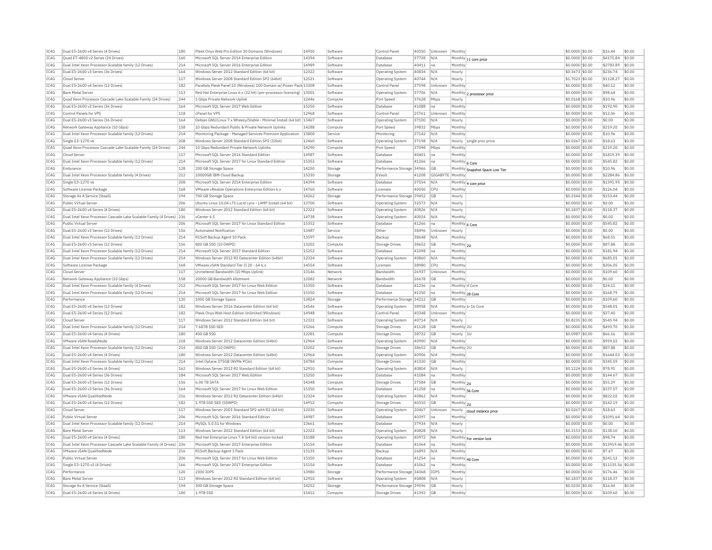| IC4G | Dual E5-2600 v4 Series (4 Drives)                                 | 180 | Plesk Onvx Web Pro Edition 30 Domains (Windows)                         | 14950 | Software | Control Pane              | 40350 | Unknown    | Monthly         |                                 | \$0,0000 \$0.00   | \$16.44           | \$0.00 |
|------|-------------------------------------------------------------------|-----|-------------------------------------------------------------------------|-------|----------|---------------------------|-------|------------|-----------------|---------------------------------|-------------------|-------------------|--------|
| IC4G | Ouad E7-4800 v2 Series (24 Drives)                                | 160 | Microsoft SOL Server 2014 Enterprise Edition                            | 14394 | Software | Database                  | 37728 | N/A        |                 | Monthly 11 core price           | \$0,0000 \$0.00   | \$4175.84         | \$0.00 |
| IC4G | Dual Intel Xeon Processor Scalable family (12 Drives)             | 214 | Microsoft SQL Server 2016 Enterprise Edition                            | 14989 | Software | Database                  | 40411 | Ina        | Monthly         |                                 | \$0,0000 \$0.00   | \$2783.89         | \$0.00 |
| IC4G | Dual E5-2600 v3 Series (36 Drives)                                | 164 | Windows Server 2012 Standard Edition (64 bit)                           | 12322 | Software | Operating System          | 40834 | N/A        | Hourly          |                                 | \$0,3673 \$0.00   | \$236.74          | \$0.00 |
| TC4G | Cloud Server                                                      | 117 | Windows Server 2008 Standard Edition SP2 (64bit)                        | 12521 | Software | Operating System          | 40744 | N/A        | Hourly          |                                 | \$1,7023 \$0.00   | \$1128.27         | \$0.00 |
| IC4G | Dual E5-2600 v4 Series (12 Drives)                                | 182 | Parallels Plesk Panel 10 (Windows) 100 Domain w/ Power Pack 13308       |       | Software | Control Pane              | 37598 | Unknown    | Monthly         |                                 | \$0.0000 \$0.00   | \$40.12           | \$0.00 |
| IC4G | <b>Bare Metal Server</b>                                          | 113 | Red Hat Enterprise Linux 6.x (32 bit) (per-processor licensing)   13001 |       | Software | Operating System          | 37706 | N/A        |                 | Monthly 2 processor price       | \$0.0000 \$0.00   | \$98.64           | \$0.00 |
| TC4G | Quad Xeon Processor Cascade Lake Scalable Family (24 Drives)      | 244 | 1 Gbns Private Network Unlink                                           | 12446 | Compute  | Port Speed                | 37628 | Mhns       | Hourly          |                                 | \$0.0168 \$0.00   | \$10.96           | \$0.00 |
| IC4G | Dual E5-2600 v3 Series (36 Drives)                                | 164 | Microsoft SQL Server 2017 Web Edition                                   | 15250 | Software | Database                  | 41088 | na         | Monthly         |                                 | \$0,0000 \$0.00   | \$192.90          | \$0.00 |
| IC4G | Control Panels for VPS                                            | 118 | cPanel for VPS                                                          | 12968 | Software | Control Panel             | 25761 | Unknown    | Monthly         |                                 | \$0,0000 \$0.00   | \$12.06           | \$0.00 |
| TCAG | Dual E5-2600 v3 Series (36 Drives)                                | 164 | Debian GNU/Linux 7.x Wheezy/Stable - Minimal Install (64 bit)           | 13467 | Software | <b>Operating System</b>   | 37100 | N/A        | Hourly          |                                 | \$0.0000 \$0.00   | \$0.00            | \$0.00 |
| IC4G | Network Gateway Appliance (10 Gbps)                               | 158 | 10 Gbps Redundant Public & Private Network Uplinks                      | 14288 | Compute  | Port Speed                | 39832 | Mbps       | Monthly         |                                 | \$0.0000 \$0.00   | \$219.20          | \$0.00 |
| IC4G | Dual Intel Xeon Processor Scalable family (12 Drives)             | 214 | Monitoring Package - Managed Services Premium Application               | 13800 | Service  | Monitoring                | 37142 | N/A        | Monthly         |                                 | \$0,0000 \$0.00   | \$10.96           | \$0.00 |
|      | Single E3-1270 v6                                                 | 208 | Windows Server 2008 Standard Edition SP2 (32bit)                        | 12460 | Software |                           |       | N/A        |                 |                                 |                   | \$18.63           | \$0.00 |
| IC4G |                                                                   | 244 |                                                                         | 14290 |          | Operating System          | 37198 |            |                 | Hourly single proc price        | \$0.0267 \$0.00   |                   |        |
| IC4G | Quad Xeon Processor Cascade Lake Scalable Family (24 Drives)      |     | 10 Gbps Redundant Private Network Uplinks                               |       | Compute  | Port Speed                | 37098 | Mbps       | Monthly         |                                 | \$0.0000 \$0.00   | \$219.20          | \$0.00 |
| IC4G | Cloud Server                                                      | 117 | Microsoft SOL Server 2016 Standard Edition                              | 14987 | Software | Database                  | 40401 | Ina        | Monthly         |                                 | \$0,0000 \$0.00   | \$1819.39         | \$0.00 |
| IC4G | Dual Intel Xeon Processor Scalable family (12 Drives)             | 214 | Microsoft SQL Server 2017 for Linux Standard Edition                    | 15352 | Software | Database                  | 41266 | na         | Monthly 6 Core  |                                 | \$0.0000 \$0.00   | \$545.82          | \$0.00 |
| TC4G | Endurance                                                         | 128 | 200 GB Storage Space                                                    | 14250 | Storage  | Performance Storage 34966 |       | GB         |                 | Monthly Snapshot Space Low Tier | \$0,0000 \$0,00   | \$10.96           | \$0.00 |
| IC4G | Dual Intel Xeon Processor Scalable family (4 Drives)              | 212 | 10000GB IBM Cloud Backup                                                | 15330 | Storage  | EVault                    | 41208 | GIGABYTE   | Monthly         |                                 | \$0,0000 \$0.00   | \$2284.86         | \$0.00 |
| IC4G | Single E3-1270 v6                                                 | 208 | Microsoft SOL Server 2014 Enterprise Edition                            | 14394 | Software | Database                  | 37554 | N/A        |                 | Monthly 4 core price            | \$0.0000 \$0.00   | \$1391.95         | \$0.00 |
| IC4G | Software License Package                                          | 168 | VMware vRealize Operations Enterprise Edition 6.x                       | 14760 | Software | Licenses                  | 40050 | CPU        | Monthly         |                                 | \$0.0000 \$0.00   | \$126.04          | \$0.00 |
| IC4G | Storage As A Service (StaaS)                                      | 194 | 700 GB Storage Space                                                    | 14262 | Storage  | Performance Storage       | 39452 | GB         | Hourly          |                                 | \$0,2344 \$0,00   | \$153.44          | \$0.00 |
| IC4G | Public Virtual Server                                             | 206 | Ubuntu Linux 10.04 LTS Lucid Lynx - LAMP Install (64 bit)               | 13700 | Software | <b>Operating System</b>   | 32573 | N/A        | Hourly          |                                 | \$0,0000 \$0.00   | \$0.00            | \$0.00 |
| IC4G | Dual E5-2600 v4 Series (4 Drives)                                 | 180 | Windows Server 2012 Standard Edition (64 bit)                           | 12322 | Software | Operating System          | 40826 | N/A        | Hourly          |                                 | \$0.1837 \$0.00   | \$118.37          | \$0.00 |
| IC4G | Dual Intel Xeon Processor Cascade Lake Scalable Family (4 Drives) | 236 | vCenter 6.5                                                             | 14738 | Software | Operating System          | 40024 | N/A        | Monthly         |                                 | \$0,0000 \$0.00   | \$0.00            | \$0.00 |
| IC4G | Public Virtual Server                                             | 206 | Microsoft SQL Server 2017 for Linux Standard Edition                    | 15352 | Software | Database                  | 41266 | Ina        | Monthly 6 Core  |                                 | \$0.0000 \$0.00   | \$545.82          | \$0.00 |
| IC4G | Dual E5-2600 v3 Series (12 Drives)                                | 156 | Automated Notification                                                  | 13487 | Service  | Other                     | 38496 | Unknown    | Hourly          |                                 | \$0.0000 \$0.00   | \$0.00            | \$0.00 |
| TC4G | Dual Intel Xeon Processor Scalable family (12 Drives)             | 214 | R1Soft Backup Agent 10 Pack                                             | 13597 | Software | Backun                    | 38648 | N/A        | Monthly         |                                 | \$0,0000 \$0.00   | \$68.51           | \$0.00 |
| TC4G | Dual E5-2600 v3 Series (12 Drives)                                | 156 | 800 GB SSD (10 DWPD)                                                    | 13202 | Compute  | <b>Storage Drives</b>     | 38652 | GB         | Monthly 2U      |                                 | \$0.0000 \$0.00   | \$87.88           | \$0.00 |
| IC4G | Dual Intel Xeon Processor Scalable family (12 Drives)             | 214 | Microsoft SQL Server 2017 Standard Edition                              | 15252 | Software | Database                  | 41098 | Ina        | Monthly         |                                 | $$0.0000$ $$0.00$ | \$181.94          | \$0.00 |
| IC4G | Dual Intel Xeon Processor Scalable family (12 Drives)             | 214 | Windows Server 2012 R2 Datacenter Edition (64bit)                       | 12324 | Software |                           | 40860 | N/A        | Monthly         |                                 | \$0,0000 \$0.00   | \$685.01          | \$0.00 |
|      |                                                                   | 168 |                                                                         | 14554 |          | Operating System          |       | <b>CPU</b> |                 |                                 |                   |                   |        |
| IC4G | Software License Package                                          |     | VMware vSAN Standard Tier II 20 - 64 6.x                                |       | Software | Licenses                  | 38980 |            | Monthly         |                                 | \$0.0000 \$0.00   | \$206.05          | \$0.00 |
| IC4G | Cloud Server                                                      | 117 | Unmetered Bandwidth (10 Mbps Uplink)                                    | 13146 | Network  | <b>Bandwidth</b>          | 26937 | Unknown    | Monthly         |                                 | \$0,0000 \$0,00   | \$109.60          | \$0.00 |
| IC4G | Network Gateway Appliance (10 Gbps)                               | 158 | 20000 GB Bandwidth Allotment                                            | 12082 | Network  | Bandwidth                 | 26678 | GB         | Monthly         |                                 | \$0,0000 \$0.00   | \$0.00            | \$0.00 |
| IC4G | Dual Intel Xeon Processor Scalable family (4 Drives)              | 212 | Microsoft SOL Server 2017 for Linux Web Edition                         | 15350 | Software | Database                  | 41236 | na         | Monthly 4 Core  |                                 | \$0.0000 \$0.00   | \$24.11           | \$0.00 |
| IC4G | Dual Intel Xeon Processor Scalable family (12 Drives)             | 214 | Microsoft SQL Server 2017 for Linux Web Edition                         | 15350 | Software | Database                  | 41250 | Ina        | Monthly 28 Core |                                 | \$0,0000 \$0.00   | \$168.79          | \$0.00 |
| IC4G | Performance                                                       | 120 | 1000 GB Storage Space                                                   | 13824 | Storage  | Performance Storage       | 34212 | <b>GB</b>  | Monthly         |                                 | \$0,0000 \$0.00   | \$109.60          | \$0.00 |
| TC4G | Dual E5-2600 v4 Series (12 Drives)                                | 182 | Windows Server 2016 Datacenter Edition (64 bit)                         | 14546 | Software | Operating System          | 38958 | N/A        |                 | Monthly 6-16 Core               | \$0,0000 \$0.00   | \$548.01          | \$0.00 |
| IC4G | Dual E5-2600 v4 Series (12 Drives)                                | 182 | Plesk Onvx Web Host Edition Unlimited (Windows)                         | 14948 | Software | Control Panel             | 40348 | Unknown    | Monthly         |                                 | \$0.0000 \$0.00   | \$27.40           | \$0.00 |
| IC4G | Cloud Server                                                      | 117 | Windows Server 2012 Standard Edition (64 bit)                           | 12322 | Software | Operating System          | 40714 | N/A        | Hourly          |                                 | \$0.8235 \$0.00   | \$545.94          | \$0.00 |
| TC4G | Dual Intel Xeon Processor Scalable family (12 Drives)             | 214 | 7.68TB SSD SED                                                          | 15266 | Compute  | Storage Drives            | 41128 | GB         | Monthly 2U      |                                 | \$0,0000 \$0.00   | \$493.70          | \$0.00 |
| IC4G | Dual E5-2600 v4 Series (4 Drives)                                 | 180 | 400 GB SSE                                                              | 12281 | Compute  | Storage Drives            | 38722 | <b>GB</b>  | Hourly 1U       |                                 | \$0.0987 \$0.00   | \$66.16           | \$0.00 |
| IC4G | VMware vSAN ReadvNode                                             | 218 | Windows Server 2012 Datacenter Edition (64bit)                          | 12964 | Software | Operating System          | 40900 | N/A        | Monthly         |                                 | \$0,0000 \$0.00   | \$959.02          | \$0.00 |
| IC4G | Dual Intel Xeon Processor Scalable family (12 Drives)             | 214 | 800 GB SSD (10 DWPD)                                                    | 13202 | Compute  | <b>Storage Drives</b>     | 38652 | GB         | Monthly 2U      |                                 | \$0.0000 \$0.00   | \$87.88           | \$0.00 |
| IC4G | Dual E5-2600 v4 Series (4 Drives)                                 | 180 | Windows Server 2012 Datacenter Edition (64bit)                          | 12964 | Software | <b>Operating System</b>   | 40906 | N/A        | Monthly         |                                 | \$0.0000 \$0.00   | \$1644.03         | \$0.00 |
| TC4G | Dual Intel Xeon Processor Scalable family (12 Drives)             | 214 | Intel Ontane 375GB (NVMe PCIe)                                          | 14784 | Compute  | Storage Drives            | 41320 | <b>GB</b>  | Monthly         |                                 | \$0,0000 \$0.00   | \$345.59          | \$0.00 |
| IC4G | Dual E5-2600 v3 Series (4 Drives)                                 | 162 | Windows Server 2012 R2 Standard Edition (64 bit)                        | 12910 | Software | <b>Operating System</b>   | 40804 | N/A        | Hourly          |                                 | \$0,1224 \$0.00   | \$78.91           | \$0.00 |
| IC4G | Dual E5-2600 v4 Series (36 Drives)                                | 184 | Microsoft SOL Server 2017 Web Edition                                   | 15250 | Software | Database                  | 41084 | na         | Monthly         |                                 | \$0.0000 \$0.00   | \$144.67          | \$0.00 |
| IC4G | Dual E5-2600 v3 Series (12 Drives)                                | 156 | 6.00 TR SATA                                                            | 14348 | Compute  | Storage Drives            | 37584 | <b>GB</b>  | Monthly 2U      |                                 | \$0,0000 \$0.00   | \$55.29           | \$0.00 |
| IC4G | Dual E5-2600 v3 Series (36 Drives)                                | 164 | Microsoft SQL Server 2017 for Linux Web Edition                         | 15350 | Software | Database                  | 41258 | na         | Monthly 56 Core |                                 | \$0.0000 \$0.00   | \$337.57          | \$0.00 |
| IC4G | VMware vSAN OualifiedNode                                         | 216 | Windows Server 2012 R2 Datacenter Edition (64bit)                       | 12324 | Software | Operating System          | 40862 | N/A        | Monthly         |                                 | \$0,0000 \$0.00   | \$822.02          | \$0.00 |
| IC4G | Dual E5-2600 v4 Series (12 Drives)                                | 182 | 1.9TB SSD SED (5DWPD)                                                   | 14912 | Compute  |                           | 40310 | <b>GB</b>  |                 |                                 | \$0,0000 \$0.00   | \$142.19          | \$0.00 |
| TC4G | Cloud Server                                                      | 117 | Windows Server 2003 Standard SP2 with R2 (64 bit)                       | 12030 |          | Storage Drives            |       |            | Monthly 2U      |                                 |                   |                   | \$0.00 |
|      |                                                                   |     |                                                                         |       | Software | <b>Operating System</b>   | 20467 | Unknown    | Hourly          | cloud instance price            | \$0.0267 \$0.00   | \$18.63           |        |
| IC4G | Public Virtual Server                                             | 206 | Microsoft SQL Server 2016 Standard Edition                              | 14987 | Software | Database                  | 40397 | na         | Monthly         |                                 | \$0.0000 \$0.00   | \$1091.64         | \$0.00 |
| IC4G | Dual Intel Xeon Processor Scalable family (12 Drives)             | 214 | MySOL 5.0.51 for Windows                                                | 13661 | Software | Database                  | 37934 | N/A        | Hourly          |                                 | \$0.0000 \$0.00   | \$0.00            | \$0.00 |
| IC4G | <b>Bare Metal Server</b>                                          | 113 | Windows Server 2012 Standard Edition (64 bit)                           | 12322 | Software | <b>Operating System</b>   | 40828 | N/A        | Hourly          |                                 | \$0.2153 \$0.00   | \$138.10          | \$0.00 |
| IC4G | Dual E5-2600 v4 Series (4 Drives)                                 | 180 | Red Hat Enterprise Linux 7.4 (64 bit) version-locked                    | 15188 | Software | Operating System          | 40972 | <b>NA</b>  |                 | Monthly For version lock        | \$0,0000 \$0.00   | \$98.74           | \$0.00 |
| IC4G | Dual Intel Xeon Processor Cascade Lake Scalable Family (4 Drives) | 236 | Microsoft SOL Server 2017 Enterprise Edition                            | 15154 | Software | Database                  | 41064 | Ina        | Monthly         |                                 | \$0,0000 \$0.00   | \$13919.46 \$0.00 |        |
| IC4G | VMware vSAN QualifiedNode                                         | 216 | R1Soft Backup Agent 1 Pack                                              | 13135 | Software | Backup                    | 26893 | N/A        | Monthly         |                                 | \$0.0000 \$0.00   | \$7.67            | \$0.00 |
| IC4G | Public Virtual Server                                             | 206 | Microsoft SQL Server 2017 for Linux Web Edition                         | 15350 | Software | Database                  | 41254 | Ina        | Monthly 40 Core |                                 | \$0.0000 \$0.00   | \$241.12          | \$0.00 |
| TC4G | Single E3-1270 v3 (4 Drives)                                      | 166 | Microsoft SQL Server 2017 Enterprise Edition                            | 15154 | Software | Database                  | 41062 | Ina        | Monthly         |                                 | \$0,0000 \$0.00   | \$11135.56 \$0.00 |        |
| TCAG | Performance                                                       | 120 | 2300 TOPS                                                               | 13980 | Storage  | Performance Storage 34368 |       | TOPS       | Monthly         |                                 | \$0.0000 \$0.00   | \$176.46          | \$0.00 |
| IC4G | <b>Bare Metal Server</b>                                          | 113 | Windows Server 2012 R2 Standard Edition (64 bit                         | 12910 | Software | Operating System          | 40808 | N/A        | Hourly          |                                 | \$0.1837 \$0.00   | \$118.37          | \$0.00 |
| IC4G | Storage As A Service (StaaS)                                      | 194 | 300 GB Storage Space                                                    | 14252 | Storage  | Performance Storage 39596 |       | GB         | Hourly          |                                 | \$0,0230 \$0.00   | \$16.44           | \$0.00 |
| IC4G | Dual E5-2600 v4 Series (4 Drives)                                 | 180 | 1.9TB SSD                                                               | 15412 | Compute  | <b>Storage Drives</b>     | 41392 | GB         | Monthly         |                                 | \$0.0000 \$0.00   | \$109.60          | \$0.00 |
|      |                                                                   |     |                                                                         |       |          |                           |       |            |                 |                                 |                   |                   |        |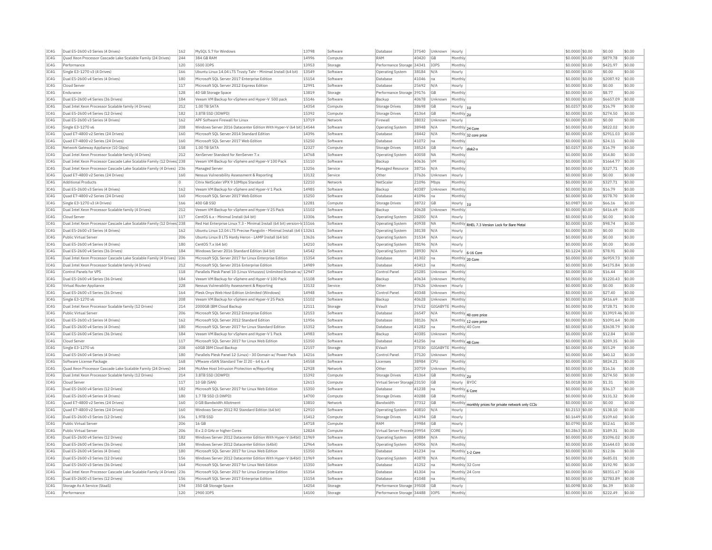| IC4G         | Dual E5-2600 v3 Series (4 Drives)                                      | 162        | MySQL 5.7 for Windows                                                    | 13798          | Software           | Database                                                      | 37540 | Unknown          | Hourly            |                                                      | \$0,0000 \$0.00                     | \$0.00             | \$0.00           |
|--------------|------------------------------------------------------------------------|------------|--------------------------------------------------------------------------|----------------|--------------------|---------------------------------------------------------------|-------|------------------|-------------------|------------------------------------------------------|-------------------------------------|--------------------|------------------|
| TC4G         | Ouad Xeon Processor Cascade Lake Scalable Family (24 Drives)           | 244        | 384 GB RAM                                                               | 14996          | Compute            | RAM                                                           | 40420 | <b>GB</b>        | Monthly           |                                                      | \$0,0000 \$0.00                     | \$879.78           | \$0.00           |
| IC4G         | Performance                                                            | 120        | 5500 IOPS                                                                | 13953          | Storage            | Performance Storage 34341                                     |       | IOPS             | Monthly           |                                                      | \$0.0000 \$0.00                     | \$421.97           | \$0.00           |
| IC4G         | Single E3-1270 v3 (4 Drives)                                           | 166        | Ubuntu Linux 14.04 LTS Trusty Tahr - Minimal Install (64 bit)            | 13549          | Software           | Operating System                                              | 38184 | N/A              | Hourly            |                                                      | \$0,0000 \$0.00                     | \$0.00             | \$0.00           |
| TC4G         | Dual E5-2600 v4 Series (4 Drives)                                      | 180        | Microsoft SQL Server 2017 Enterprise Edition                             | 15154          | Software           | Database                                                      | 41046 | Ina              | Monthly           |                                                      | \$0.0000 \$0.00                     | \$2087.92          | \$0.00           |
| IC4G         | Cloud Server                                                           | 117        | Microsoft SQL Server 2012 Express Edition                                | 12991          | Software           | Database                                                      | 25692 | N/A              | Hourly            |                                                      | \$0.0000 \$0.00                     | \$0.00             | \$0.00           |
| IC4G         | Endurance                                                              | 128        | 40 GB Storage Space                                                      | 13819          | Storage            | Performance Storage 39176                                     |       | <b>GB</b>        | Monthly           |                                                      | \$0,0000 \$0.00                     | \$8.77             | \$0.00           |
|              |                                                                        |            |                                                                          |                |                    |                                                               |       |                  |                   |                                                      |                                     |                    |                  |
| IC4G         | Dual E5-2600 v4 Series (36 Drives)                                     | 184        | Veeam VM Backup for vSphere and Hyper-V 500 pack                         | 15146          | Software           | Backup                                                        | 40678 | Unknown          | Monthly           |                                                      | \$0.0000 \$0.00                     | \$6657.09          | \$0.00           |
| IC4G         | Dual Intel Xeon Processor Scalable family (4 Drives)                   | 212        | 1.00 TB SATA                                                             | 14354          | Compute            | Storage Drives                                                | 38698 | GB               | Hourly  1U        |                                                      | \$0,0257 \$0,00                     | \$16.79            | \$0.00           |
| IC4G         | Dual E5-2600 v4 Series (12 Drives)                                     | 182        | 3.8TB SSD (3DWPD)                                                        | 15392          | Compute            | <b>Storage Drives</b>                                         | 41364 | GB               | Monthly 2U        |                                                      | \$0.0000 \$0.00                     | \$274.50           | \$0.00           |
| TC4G         | Dual E5-2600 v3 Series (4 Drives)                                      | 162        | APF Software Firewall for Linux                                          | 13719          | Network            | Firewall                                                      | 38032 | Unknown          | Hourly            |                                                      | \$0,0000 \$0.00                     | \$0.00             | \$0.00           |
| IC4G         | Single E3-1270 v6                                                      | 208        | Windows Server 2016 Datacenter Edition With Hyper-V (64 bit) 14544       |                | Software           | <b>Operating System</b>                                       | 38948 | N/A              |                   | Monthly 24 Core                                      | \$0,0000 \$0,00                     | \$822.02           | \$0.00           |
| TCAG         | Quad E7-4800 v2 Series (24 Drives)                                     | 160        | Microsoft SOL Server 2014 Standard Edition                               | 14396          | Software           | Database                                                      | 38442 | N/A              |                   | Monthly 32 core price                                | \$0,0000 \$0.00                     | \$2911.03          | \$0.00           |
| TC4G         | Quad E7-4800 v2 Series (24 Drives)                                     | 160        | Microsoft SQL Server 2017 Web Edition                                    | 15250          | Software           | Database                                                      | 41072 | Ina              | Monthly           |                                                      | \$0.0000 \$0.00                     | \$24.11            | \$0.00           |
| IC4G         | Network Gateway Appliance (10 Gbps)                                    | 158        | 1 00 TR SATA                                                             | 12327          | Compute            | Storage Drives                                                | 38524 | <b>GB</b>        | Hourly            |                                                      | \$0.0257 \$0.00                     | \$16.79            | \$0.00           |
| IC4G         | Dual Intel Xeon Processor Scalable family (4 Drives)                   | 212        | XenServer Standard for XenServer 7.x                                     | 14768          | Software           | Operating System                                              | 40058 | <b>NA</b>        | Monthly           | disk <sub>2-v</sub>                                  | \$0.0000 \$0.00                     | \$54.80            | \$0.00           |
|              |                                                                        |            |                                                                          |                |                    |                                                               |       |                  |                   |                                                      |                                     | \$1664.77          |                  |
| IC4G         | Dual Intel Xeon Processor Cascade Lake Scalable Family (12 Drives) 238 |            | Veeam VM Backup for vSphere and Hyper-V 100 Pack                         | 15110          | Software           | Backup                                                        | 40636 | <b>VM</b>        | Monthly           |                                                      | \$0,0000 \$0.00                     |                    | \$0.00           |
| TC4G         | Dual Intel Xeon Processor Cascade Lake Scalable Family (4 Drives) 236  |            | Managed Server                                                           | 13256          | Service            | Managed Resource                                              | 38716 | N/A              | Monthly           |                                                      | $$0.0000$ \$0.00                    | \$327.71           | \$0.00           |
| IC4G         | Quad E7-4800 v2 Series (24 Drives)                                     | 160        | Nessus Vulnerability Assessment & Reporting                              | 13132          | Service            | Othe                                                          | 37626 | Unknow           | Hourly            |                                                      | \$0.0000 \$0.00                     | \$0.00             | \$0.00           |
| TC4G         | <b>Additional Products</b>                                             | lo.        | Citrix NetScaler VPX 9 10Mbns Standard                                   | 12210          | Network            | NetScale                                                      | 21096 | Mhns             | Monthly           |                                                      | $$0.0000$ \$0.00                    | \$327.71           | \$0.00           |
| IC4G         | Dual E5-2600 v3 Series (4 Drives)                                      | 162        | Veeam VM Backup for vSphere and Hyper-V 1 Pack                           | 14985          | Software           | Backup                                                        | 40387 | Unknown          | Monthly           |                                                      | \$0.0000 \$0.00                     | \$16.79            | \$0.00           |
| IC4G         | Ouad E7-4800 v2 Series (24 Drives)                                     | 160        | Microsoft SOL Server 2017 Web Edition                                    | 15250          | Software           | Database                                                      | 41096 | Ina              | Monthly           |                                                      | \$0.0000 \$0.00                     | \$578.70           | \$0.00           |
| IC4G         | Single E3-1270 v3 (4 Drives)                                           | 166        | 400 GB SSD                                                               | 12281          | Compute            | <b>Storage Drives</b>                                         | 38722 | <b>GB</b>        | Hourly $ _{10}$   |                                                      | \$0,0987 \$0.00                     | \$66.16            | \$0.00           |
| TC4G         | Dual Intel Xeon Processor Scalable family (4 Drives)                   | 212        | Veeam VM Backup for vSphere and Hyper-V 25 Pack                          | 15102          | Software           | Backup                                                        | 40628 | Unknown          | Monthly           |                                                      | \$0,0000 \$0.00                     | \$416.69           | \$0.00           |
| IC4G         | Cloud Server                                                           | 117        | CentOS 6.x - Minimal Install (64 bit)                                    | 13306          | Software           |                                                               | 28200 | N/A              |                   |                                                      |                                     | \$0.00             | \$0.00           |
|              |                                                                        |            |                                                                          |                |                    | <b>Operating System</b>                                       |       |                  | Hourly            |                                                      | \$0.0000 \$0.00                     |                    |                  |
| IC4G         | Dual Intel Xeon Processor Cascade Lake Scalable Family (12 Drives) 238 |            | Red Hat Enterprise Linux 7.3 - Minimal Install (64 bit) version-Id 15166 |                | Software           | <b>Operating System</b>                                       | 40938 | <b>NA</b>        |                   | Monthly RHEL 7.3 Version Lock for Bare Metal         | \$0,0000 \$0,00                     | \$98.74            | \$0.00           |
| TC4G         | Dual E5-2600 v3 Series (4 Drives)                                      | 162        | Ubuntu Linux 12.04 LTS Precise Pangolin - Minimal Install (64 t 13261    |                | Software           | Operating System                                              | 38138 | N/A              | Hourly            |                                                      | \$0.0000 \$0.00                     | \$0.00             | \$0.00           |
| TC4G         | Public Virtual Server                                                  | 206        | Ubuntu Linux 8 LTS Hardy Heron - LAMP Install (64 bit)                   | 13626          | Software           | Operating System                                              | 31534 | N/A              | Hourly            |                                                      | \$0.0000 \$0.00                     | \$0.00             | \$0.00           |
| IC4G         | Dual E5-2600 v4 Series (4 Drives)                                      | 180        | CentOS 7 x (64 bit)                                                      | 14210          | Software           | Operating System                                              | 38196 | N/A              | Hourly            |                                                      | \$0.0000 \$0.00                     | \$0.00             | \$0.00           |
| IC4G         | Dual E5-2600 v4 Series (36 Drives)                                     | 184        | Windows Server 2016 Standard Edition (64 bit)                            | 14542          | Software           | Operating System                                              | 38930 | N/A              |                   | Hourly 6-16 Core                                     | \$0.1224 \$0.00                     | \$78.91            | \$0.00           |
| IC4G         | Dual Intel Xeon Processor Cascade Lake Scalable Family (4 Drives) 236  |            | Microsoft SOL Server 2017 for Linux Enterprise Edition                   | 15354          | Software           | Database                                                      | 41302 | <b>I</b> na      | Monthly 20 Core   |                                                      | \$0,0000 \$0,00                     | \$6959.73          | \$0.00           |
| IC4G         | Dual Intel Xeon Processor Scalable family (4 Drives)                   | 212        | Microsoft SQL Server 2016 Enterprise Edition                             | 14989          | Software           | Database                                                      | 40413 | na               | Monthly           |                                                      | \$0.0000 \$0.00                     | \$4175.84          | \$0.00           |
| TC4G         | Control Panels for VPS                                                 | 118        | Parallels Plesk Panel 10 (Linux Virtuozzo) Unlimited Domain w/ 12947     |                | Software           | Control Panel                                                 | 25285 | Unknown          | Monthly           |                                                      | $$0.0000$ \$0.00                    | \$16.44            | \$0.00           |
|              |                                                                        |            |                                                                          |                |                    |                                                               |       |                  |                   |                                                      |                                     |                    |                  |
| IC4G         | Dual E5-2600 v4 Series (36 Drives)                                     | 184        | Veeam VM Backup for vSphere and Hyper-V 100 Pack                         | 15108          | Software           | Backup                                                        | 40634 | Unknown          | Monthly           |                                                      | \$0.0000 \$0.00                     | \$1220.43          | \$0.00           |
| TC4G         | Virtual Router Annliance                                               | 228        | Nessus Vulnerability Assessment & Reporting                              | 13132          | Service            | Other                                                         | 37626 | Unknown          | Hourly            |                                                      | \$0,0000 \$0.00                     | \$0.00             | \$0.00           |
| IC4G         | Dual E5-2600 v3 Series (36 Drives)                                     | 164        | Plesk Onvx Web Host Edition Unlimited (Windows)                          | 14948          | Software           | Control Panel                                                 | 40348 | Unknown          | Monthly           |                                                      | \$0,0000 \$0.00                     | \$27.40            | \$0.00           |
| IC4G         | Single E3-1270 v6                                                      | 208        | Veeam VM Backup for vSphere and Hyper-V 25 Pack                          | 15102          | Software           | Backup                                                        | 40628 | Unknown          | Monthly           |                                                      | \$0.0000 \$0.00                     | \$416.69           | \$0.00           |
| IC4G         | Dual Intel Xeon Processor Scalable family (12 Drives)                  | 214        | 2000GB IBM Cloud Backup                                                  | 12111          | Storage            | EVault                                                        | 37652 | GIGABYTE         | Monthly           |                                                      | \$0,0000 \$0.00                     | \$728.71           | \$0.00           |
| IC4G         | Public Virtual Server                                                  | 206        | Microsoft SOL Server 2012 Enterprise Edition                             | 12153          | Software           | Database                                                      | 26547 | N/A              |                   | Monthly 40 core price                                | \$0,0000 \$0.00                     | \$13919.46 \$0.00  |                  |
| TC4G         | Dual E5-2600 v3 Series (4 Drives)                                      | 162        | Microsoft SQL Server 2012 Standard Edition                               | 11956          | Software           | Database                                                      | 38126 | N/A              |                   |                                                      | \$0.0000 \$0.00                     | \$1091.64          | \$0.00           |
| IC4G         | Dual E5-2600 v4 Series (4 Drives)                                      |            |                                                                          |                | Software           | Database                                                      | 41282 |                  | Monthly 40 Core   | Monthly 12 core price                                |                                     | \$3638.79          | \$0.00           |
|              |                                                                        | 180        | Microsoft SQL Server 2017 for Linux Standard Edition                     | 15352          |                    |                                                               |       | Ina              |                   |                                                      | \$0.0000 \$0.00                     |                    |                  |
| TC4G         | Dual E5-2600 v4 Series (36 Drives)                                     | 184        | Veeam VM Backup for vSphere and Hyper-V 1 Pack                           | 14983          | Software           | Backup                                                        | 40385 | Unknown          | Monthly           |                                                      | \$0.0000 \$0.00                     | \$12.84            | \$0.00           |
| IC4G         | Cloud Server                                                           | 117        | Microsoft SQL Server 2017 for Linux Web Edition                          | 15350          | Software           | <b>Databas</b>                                                | 41256 | Ina              |                   | Monthly 48 Core                                      | \$0.0000 \$0.00                     | \$289.35           | \$0.00           |
| IC4G         | Single E3-1270 v6                                                      | 208        | 60GB IBM Cloud Backup                                                    | 12157          | Storage            | EVault                                                        | 37030 | GIGABYTE Monthly |                   |                                                      | \$0,0000 \$0.00                     | \$55.29            | \$0.00           |
| IC4G         | Dual E5-2600 v4 Series (4 Drives)                                      | 180        | Parallels Plesk Panel 12 (Linux) - 30 Domain w/ Power Pack               | 14216          | Software           | Control Panel                                                 | 37120 | Unknown          | Monthly           |                                                      | \$0,0000 \$0.00                     | \$40.12            | \$0.00           |
| TCAG         | Software License Package                                               | 168        | VMware vSAN Standard Tier II 20 - 64 6 x 4                               | 14558          | Software           | Licenses                                                      | 38984 | CPU              | Monthly           |                                                      | $$0.0000$ \$0.00                    | \$824.21           | \$0.00           |
| IC4G         | Quad Xeon Processor Cascade Lake Scalable Family (24 Drives)           | 244        | McAfee Host Intrusion Protection w/Reporting                             | 12928          | Network            | Other                                                         | 30759 | Unknown          | Monthly           |                                                      | \$0,0000 \$0.00                     | \$16.16            | \$0.00           |
| IC4G         | Dual Intel Xeon Processor Scalable family (12 Drives)                  | 214        | 3.8TB SSD (3DWPD)                                                        | 15392          | Compute            | Storage Drives                                                | 41364 | <b>GB</b>        | Monthly 2U        |                                                      | \$0,0000 \$0.00                     | \$274.50           | \$0.00           |
| TCAG         | Cloud Server                                                           | 117        | 10 GB (SAN)                                                              |                |                    |                                                               |       | GB               |                   |                                                      |                                     | \$1.31             | \$0.00           |
|              |                                                                        |            |                                                                          | 12615          | Compute            | Virtual Server Storage 23150                                  |       |                  | Hourly BYOC       |                                                      | \$0.0018 \$0.00                     |                    |                  |
| IC4G         | Dual E5-2600 v4 Series (12 Drives)                                     | 182        | Microsoft SOL Server 2017 for Linux Web Edition                          | 15350          | Software           | Database                                                      | 41238 | Ina              | Monthly 6 Core    |                                                      | \$0.0000 \$0.00                     | \$36.17            | \$0.00           |
| IC4G         | Dual E5-2600 v4 Series (4 Drives)                                      | 180        | 1.7 TB SSD (3 DWPD)                                                      | 14700          | Compute            | <b>Storage Drives</b>                                         | 40288 | <b>GB</b>        | Monthly           |                                                      | \$0.0000 \$0.00                     | \$131.32           | \$0.00           |
| IC4G         | Ouad E7-4800 v2 Series (24 Drives)                                     | 160        | 0 GB Bandwidth Allotment                                                 | 13810          | Network            | <b>Bandwidth</b>                                              | 37312 | <b>GB</b>        |                   | Monthly monthly prices for private network only CCIs | \$0.0000 \$0.00                     | \$0.00             | \$0.00           |
| TC4G         | Quad E7-4800 v2 Series (24 Drives)                                     | 160        | Windows Server 2012 R2 Standard Edition (64 bit)                         | 12910          | Software           | Operating System                                              | 40810 | N/A              | Hourly            |                                                      | $$0.2153$ \$0.00                    | \$138.10           | \$0.00           |
| IC4G         | Dual E5-2600 v3 Series (12 Drives)                                     | 156        | 1.9TB SSD                                                                | 15412          | Compute            | Storage Drives                                                | 41394 | <b>GB</b>        | Hourly            |                                                      | \$0.1649 \$0.00                     | \$109.60           | \$0.00           |
| IC4G         | Public Virtual Server                                                  | 206        | 16 GB                                                                    | 14718          | Compute            | RAM                                                           | 39984 | <b>GB</b>        | Hourly            |                                                      | \$0.0790 \$0.00                     | \$52.61            | \$0.00           |
| IC4G         | Public Virtual Server                                                  | 206        | 8 x 2.0 GHz or higher Cores                                              | 12824          | Compute            | Virtual Server Process 39954                                  |       | CORI             | Hourly            |                                                      | $$0.2863$ \$0.00                    | \$189.31           | \$0.00           |
| IC4G         | Dual E5-2600 v4 Series (12 Drives)                                     | 182        | Windows Server 2012 Datacenter Edition With Hyper-V (64bit) 11969        |                | Software           | Operating System                                              | 40884 | N/A              | Monthly           |                                                      | \$0,0000 \$0.00                     | \$1096.02          | \$0.00           |
|              |                                                                        |            |                                                                          |                |                    |                                                               |       |                  |                   |                                                      |                                     |                    |                  |
| IC4G         | Dual E5-2600 v4 Series (36 Drives)                                     | 184        | Windows Server 2012 Datacenter Edition (64bit)                           | 12964          | Software           | <b>Operating System</b>                                       | 40906 | N/A              | Monthly           |                                                      | \$0.0000 \$0.00                     | \$1644.03          | \$0.00           |
| TC4G         | Dual E5-2600 v4 Series (4 Drives)                                      | 180        | Microsoft SOL Server 2017 for Linux Web Edition                          | 15350          | Software           | Database                                                      | 41234 | Ina              |                   | Monthly 1-2 Core                                     | \$0.0000 \$0.00                     | \$12.06            | \$0.00           |
| IC4G         | Dual E5-2600 v3 Series (12 Drives)                                     | 156        | Windows Server 2012 Datacenter Edition With Hyper-V (64bit) 11969        |                | Software           | Operating System                                              | 40878 | N/A              | Monthly           |                                                      | \$0,0000 \$0.00                     | \$685.01           | \$0.00           |
|              |                                                                        | 164        | Microsoft SOL Server 2017 for Linux Web Edition                          | 15350          | Software           | Database                                                      | 41252 | Ina              |                   | Monthly 32 Core                                      | \$0,0000 \$0,00                     | \$192.90           | \$0.00           |
| TC4G         | Dual E5-2600 v3 Series (36 Drives)                                     |            |                                                                          |                |                    |                                                               |       |                  | Monthly 24 Core   |                                                      | \$0.0000 \$0.00                     | \$8351.67          | \$0.00           |
| TC4G         |                                                                        |            |                                                                          |                |                    | Database                                                      |       | Ina              |                   |                                                      |                                     |                    |                  |
|              | Dual Intel Xeon Processor Cascade Lake Scalable Family (4 Drives) 236  |            | Microsoft SQL Server 2017 for Linux Enterprise Edition                   | 15354          | Software           | Database                                                      | 41304 | Ina              |                   |                                                      |                                     |                    |                  |
| IC4G         | Dual E5-2600 v3 Series (12 Drives)                                     | 156        | Microsoft SQL Server 2017 Enterprise Edition                             | 15154          | Software           |                                                               | 41048 |                  | Monthly           |                                                      | \$0,0000 \$0.00                     | \$2783.89          | \$0.00           |
| TCAG<br>IC4G | Storage As A Service (StaaS)<br>Performance                            | 194<br>120 | 350 GB Storage Space<br>2900 IOPS                                        | 14254<br>14100 | Storage<br>Storage | Performance Storage 39508<br>Performance Storage 34488   IOPS |       | <b>GB</b>        | Hourly<br>Monthly |                                                      | \$0.0098 \$0.00<br>$$0.0000$ \$0.00 | \$6.39<br>\$222.49 | \$0.00<br>\$0.00 |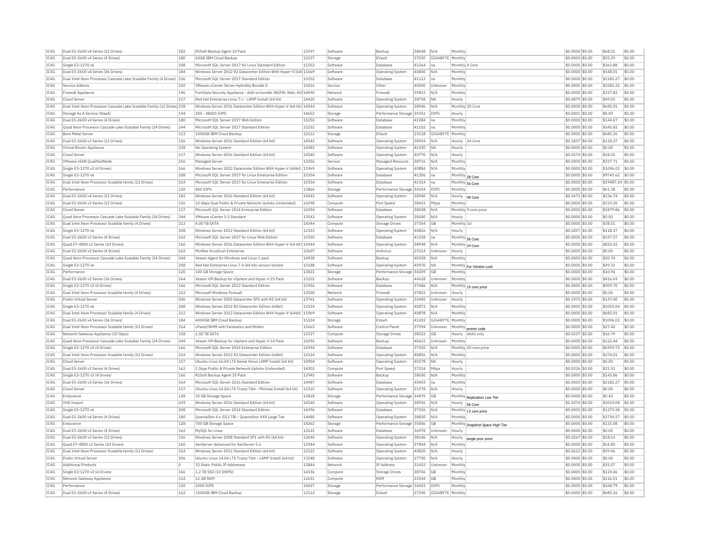| IC4G         | Dual E5-2600 v4 Series (12 Drives)                                      | 182        | R1Soft Backup Agent 10 Pack                                                          | 13597          | Software             | Backup                        | 38648          | N/A                      | Monthly                   |                                         | \$0.0000 \$0.00                     | \$68.51              | \$0.00           |
|--------------|-------------------------------------------------------------------------|------------|--------------------------------------------------------------------------------------|----------------|----------------------|-------------------------------|----------------|--------------------------|---------------------------|-----------------------------------------|-------------------------------------|----------------------|------------------|
| TCAG         | Dual E5-2600 v4 Series (4 Drives)                                       | 180        | 60GB IBM Cloud Backup                                                                | 12157          | Storage              | FVault                        | 37030          | GIGABYTE Monthly         |                           |                                         | \$0,0000 \$0.00                     | \$55.29              | \$0.00           |
| IC4G         | Single E3-1270 v6                                                       | 208        | Microsoft SOL Server 2017 for Linux Standard Edition                                 | 15352          | Software             | Database                      | 41264          | na                       | Monthly 4 Core            |                                         | \$0,0000 \$0.00                     | \$363.88             | \$0.00           |
| IC4G         | Dual E5-2600 v4 Series (36 Drives)                                      | 184        | Windows Server 2012 R2 Datacenter Edition With Hyper-V (64t 11669                    |                | Software             | Operating System              | 40840          | N/A                      | Monthly                   |                                         | \$0,0000 \$0.00                     | \$548.01             | \$0.00           |
| IC4G         | Dual Intel Xeon Processor Cascade Lake Scalable Family (4 Drives) 236   |            | Microsoft SQL Server 2017 Standard Edition                                           | 15252          | Software             | Database                      | 41112          | na.                      | Monthly                   |                                         | \$0,0000 \$0.00                     | \$2183.27            | \$0.00           |
| IC4G         | Service Addons                                                          | 210        | VMware vCenter Server Hybridity Bundle D                                             | 15016          | Service              | Other                         | 40500          | Unknown                  | Monthly                   |                                         | \$0,0000 \$0.00                     | \$2582.22            | \$0.00           |
| IC4G         | <b>Firewall Appliance</b>                                               | 196        | FortiGate Security Appliance - Add-on bundle (NGFW, Web, AV) 14690                   |                | Network              | Firewall                      | 39852          | N/A                      | Monthly                   |                                         | \$0,0000 \$0.00                     | \$327.82             | \$0.00           |
| IC4G         | Cloud Server                                                            | 117        | Red Hat Enterprise Linux 7.x - LAMP Install (64 bit)                                 | 14420          | Software             | Operating System              | 38758          | <b>NA</b>                | Hourly                    |                                         | \$0.0879 \$0.00                     | \$49.02              | \$0.00           |
| TCAG         | Dual Intel Xeon Processor Cascade Lake Scalable Family (12 Drives 238   |            | Windows Server 2016 Datacenter Edition With Hyper-V (64 bit) 14544                   |                | Software             | Operating System              | 38946          | N/A                      |                           | Monthly 20 Core                         | \$0,0000 \$0.00                     | \$685.01             | \$0.00           |
| TC4G         | Storage As A Service (StaaS)                                            | 194        | 200 - 48000 TOPS                                                                     | 14652          |                      | Performance Storage 39352     |                | TOP5                     | Hourly                    |                                         | \$0,0001 \$0.00                     | \$0.00               | \$0.00           |
|              |                                                                         |            |                                                                                      |                | Storage              |                               |                |                          |                           |                                         |                                     |                      |                  |
| IC4G         | Dual E5-2600 v4 Series (4 Drives)                                       | 180        | Microsoft SQL Server 2017 Web Edition                                                | 15250          | Software             | Database                      | 41084          | na                       | Monthly                   |                                         | \$0.0000 \$0.00                     | \$144.67             | \$0.00           |
| IC4G         | Ouad Xeon Processor Cascade Lake Scalable Family (24 Drives)            | 244        | Microsoft SOL Server 2017 Standard Edition                                           | 15252          | Software             | Database                      | 41102          | na                       | Monthly                   |                                         | \$0,0000 \$0,00                     | \$545.82             | sin nn           |
| IC4G         | <b>Bare Metal Server</b>                                                | 113        | 1500GB IBM Cloud Backup                                                              | 12112          | Storage              | EVault                        | 23118          | GIGABYTE                 | Monthly                   |                                         | \$0.0000 \$0.00                     | \$685.26             | \$0.00           |
| IC4G         | Dual E5-2600 v3 Series (12 Drives)                                      | 156        | Windows Server 2016 Standard Edition (64 bit)                                        | 14542          | Software             | Operating System              | 38934          | N/A                      |                           | Hourly 24 Core                          | \$0.1837 \$0.00                     | \$118.37             | \$0.00           |
| IC4G         | Virtual Router Appliance                                                | 228        | No Operating System                                                                  | 14282          | Software             | Operating System              | 41330          | <b>NA</b>                | Hourly                    |                                         | \$0,0000 \$0.00                     | \$0.00               | \$0.00           |
| IC4G         | Cloud Server                                                            | 117        | Windows Server 2016 Standard Edition (64 bit)                                        | 14540          | Software             | <b>Operating System</b>       | 40770          | N/A                      | Hourly                    |                                         | \$0,0274 \$0,00                     | \$18.20              | \$0.00           |
| TC4G         | VMware vSAN OualifiedNode                                               | 216        | Managed Server                                                                       | 13256          | Service              | Managed Resource              | 38716          | N/A                      | Monthly                   |                                         | \$0.0000 \$0.00                     | \$327.71             | \$0.00           |
| IC4G         | Single E3-1270 v3 (4 Drives)                                            | 166        | Windows Server 2012 Datacenter Edition With Hyper-V (64bit) 11969                    |                | Software             | Operating System              | 40884          | N/A                      | Monthly                   |                                         | \$0.0000 \$0.00                     | \$1096.02            | \$0.00           |
| IC4G         | Single E3-1270 v6                                                       | 208        | Microsoft SOL Server 2017 for Linux Enterprise Edition                               | 15354          | Software             | Database                      | 41306          | na                       | Monthly 28 Core           |                                         | \$0,0000 \$0.00                     | \$9743.62            | \$0.00           |
| IC4G         | Dual Intel Xeon Processor Scalable family (12 Drives)                   | 214        | Microsoft SOL Server 2017 for Linux Enterprise Edition                               | 15354          | Software             | Database                      | 41314          | Ina                      | Monthly 56 Core           |                                         | \$0,0000 \$0.00                     | \$19487.24 \$0.00    |                  |
| IC4G         | Performance                                                             | 120        | 800 IOPS                                                                             | 13866          | Storage              | Performance Storage 34254     |                | IOP:                     | Monthly                   |                                         | \$0.0000 \$0.00                     | \$61.38              | \$0.00           |
| TC4G         | Dual E5-2600 v4 Series (12 Drives)                                      | 182        | Windows Server 2016 Standard Edition (64 bit)                                        | 14542          | Software             | Operating System              | 38940          | N/A                      | Hourly                    | 48 Core                                 | \$0,3673 \$0.00                     | \$236.74             | \$0.00           |
| IC4G         | Dual E5-2600 v3 Series (12 Drives)                                      | 156        | 10 Gbps Dual Public & Private Network Uplinks (Unbonded)                             | 14298          | Compute              | Port Speed                    | 38432          | Mbps                     | Monthly                   |                                         | \$0.0000 \$0.00                     | \$219.20             | \$0.00           |
| IC4G         | Cloud Server                                                            | 117        | Microsoft SQL Server 2014 Enterprise Edition                                         | 14394          | Software             | Database                      | 38438          | N/A                      |                           | Monthly 9 core price                    | \$0.0000 \$0.00                     | \$3479.86            | \$0.00           |
| TC4G         | Quad Xeon Processor Cascade Lake Scalable Family (24 Drives)            | 244        | VMware vCenter 5.5 Standard                                                          | 13542          | Software             | Operating System              | 38180          | N/A                      | Hourly                    |                                         | $$0.0000$ \$0.00                    | \$0.00               | \$0.00           |
| IC4G         | Dual Intel Xeon Processor Scalable family (4 Drives)                    | 212        | 4.00 TR SATA                                                                         | 14344          | Compute              | <b>Storage Drives</b>         | 37354          | GB                       | Monthly 1U                |                                         | \$0.0000 \$0.00                     | \$38.51              | \$0.00           |
|              |                                                                         | 208        | Windows Server 2012 Standard Edition (64 bit)                                        | 12322          |                      |                               | 40826          | N/A                      |                           |                                         |                                     | \$118.37             | \$0.00           |
| IC4G<br>IC4G | Single E3-1270 v6<br>Dual E5-2600 v3 Series (4 Drives)                  | 162        | Microsoft SOL Server 2017 for Linux Web Edition                                      | 15350          | Software<br>Software | Operating System<br>Database  | 41258          |                          | Hourly                    |                                         | \$0.1837 \$0.00                     | \$337.57             | \$0.00           |
|              |                                                                         |            |                                                                                      |                |                      |                               |                | na                       | Monthly 56 Core           |                                         | \$0.0000 \$0.00                     |                      |                  |
| IC4G         | Ouad E7-4800 v2 Series (24 Drives)                                      | 160        | Windows Server 2016 Datacenter Edition With Hyper-V (64 bit) 14544                   |                | Software             | <b>Operating System</b>       | 38948          | N/A                      | Monthly 24 Core           |                                         | \$0.0000 \$0.00                     | \$822.02             | \$0.00           |
| IC4G         | Dual E5-2600 v3 Series (4 Drives)                                       | 162        | McAfee VirusScan Enterprise                                                          | 12607          | Software             | Antivirus                     | 23114          | Unknown                  | Hourly                    |                                         | \$0,0000 \$0.00                     | \$0.00               | \$0.00           |
| IC4G         | Ouad Xeon Processor Cascade Lake Scalable Family (24 Drives)            | 244        | Veeam Agent for Windows and Linux 1 pack                                             | 14928          | Software             | Backup                        | 40328          | N/A                      | Monthly                   |                                         | \$0,0000 \$0.00                     | \$20.74              | \$0.00           |
| TCAG         | Single E3-1270 v6                                                       | 208        | Red Hat Enterprise Linux 7.4 (64 bit) version-locked                                 | 15188          | Software             | <b>Operating System</b>       | 40970          | <b>NA</b>                |                           | Monthly For Version Lock                | \$0.0000 \$0.00                     | \$49.32              | \$0.00           |
| IC4G         | Performance                                                             | 120        | 100 GB Storage Space                                                                 | 13821          | Storage              | Performance Storage 34209     |                | GB                       | Monthly                   |                                         | \$0.0000 \$0.00                     | \$10.96              | \$0.00           |
|              |                                                                         |            |                                                                                      |                |                      |                               |                |                          |                           |                                         |                                     |                      |                  |
| IC4G         | Dual E5-2600 v3 Series (36 Drives)                                      | 164        | Veeam VM Backup for vSphere and Hyper-V 25 Pack                                      | 15102          | Software             | Backup                        | 40628          | Unknown                  | Monthly                   |                                         | \$0.0000 \$0.00                     | \$416.69             | \$0.00           |
| TC4G         | Single E3-1270 v3 (4 Drives)                                            | 166        | Microsoft SOL Server 2012 Standard Edition                                           | 11956          | Software             | Database                      | 37686          | N/A                      |                           | Monthly 10 core price                   | $$0.0000$ \$0.00                    | \$909.70             | \$0.00           |
| IC4G         | Dual Intel Xeon Processor Scalable family (4 Drives)                    | 212        | Microsoft Windows Firewall                                                           | 12500          | Network              | Firewall                      | 37802          | Unknown                  | Hourly                    |                                         | \$0.0000 \$0.00                     | \$0.00               | \$0.00           |
| IC4G         | Public Virtual Server                                                   | 206        | Windows Server 2003 Datacenter SP2 with R2 (64 bit)                                  | 13761          | Software             | Operating System              | 33445          | Unknown                  | Hourly                    |                                         | \$0,1975 \$0.00                     | \$137.00             | \$0.00           |
| IC4G         | Single E3-1270 v6                                                       | 208        | Windows Server 2012 R2 Datacenter Edition (64bit)                                    | 12324          | Software             | Operating System              | 40872          | N/A                      | Monthly                   |                                         | \$0.0000 \$0.00                     | \$2055.04            | \$0.00           |
| TCAG         | Dual Intel Xeon Processor Scalable family (4 Drives)                    | 212        | Windows Server 2012 Datacenter Edition With Hyper-V (64bit) 11969                    |                | Software             | <b>Operating System</b>       | 40878          | N/A                      | Monthly                   |                                         | \$0.0000 \$0.00                     | \$685.01             | \$0.00           |
| IC4G         | Dual E5-2600 v4 Series (36 Drives)                                      | 184        | 4000GB IBM Cloud Backup                                                              | 15324          | Storage              | EVault                        | 41202          | GIGABYTE Monthly         |                           |                                         | \$0,0000 \$0.00                     | \$1096.02            | \$0.00           |
| IC4G         | Dual Intel Xeon Processor Scalable family (12 Drives)                   | 214        | cPanel/WHM with Fantastico and RVskin                                                | 12663          | Software             | Control Pane                  | 37394          | Unknown                  |                           |                                         | \$0.0000 \$0.00                     | \$27.40              | \$0.00           |
| IC4G         | Network Gateway Appliance (10 Gbps)                                     | 158        | 1.00 TR SATA                                                                         | 12327          | Compute              | <b>Storage Drives</b>         | 38522          | GB                       |                           | Monthly promo code<br>Hourly disk1 only | \$0,0257 \$0,00                     | \$16.79              | \$0.00           |
| IC4G         | Ouad Xeon Processor Cascade Lake Scalable Family (24 Drives)            | 244        | Veeam VM Backup for vSphere and Hyper-V 10 Pack                                      | 15096          | Software             | Backup                        | 40622          | Unknown                  | Monthly                   |                                         | \$0,0000 \$0.00                     | \$122.44             | \$0.00           |
| IC4G         | Single E3-1270 v3 (4 Drives)                                            | 166        | Microsoft SQL Server 2014 Enterprise Edition                                         | 14394          | Software             | Database                      | 37550          | N/A                      |                           | Monthly 20 core price                   | \$0.0000 \$0.00                     | \$6959.73            | \$0.00           |
| TC4G         | Dual Intel Xeon Processor Scalable family (12 Drives)                   | 214        | Windows Server 2012 R2 Datacenter Edition (64bit)                                    | 12324          | Software             | Operating System              | 40856          | N/L                      | Monthly                   |                                         | \$0.0000 \$0.00                     | \$274.01             | \$0.00           |
| IC4G         | Cloud Server                                                            | 117        | Ubuntu Linux 16.04 LTS Xenial Xerus LAMP Install (64 bit)                            | 14904          | Software             | Operating System              | 40278          | <b>NA</b>                | Hourly                    |                                         | \$0,0000 \$0.00                     | \$0.00               | \$0.00           |
| IC4G         | Dual E5-2600 v3 Series (4 Drives)                                       | 162        | 1 Gbps Public & Private Network Uplinks (Unbonded)                                   | 14302          | Compute              | Port Speed                    | 37324          | Mbps                     | Hourly                    |                                         | \$0.0326 \$0.00                     | \$21.92              | \$0.00           |
| IC4G         | Single E3-1270 v3 (4 Drives)                                            | 166        | R1Soft Backup Agent 25 Pack                                                          | 12945          | Software             | Backup                        | 38650          | N/A                      | Monthly                   |                                         | \$0.0000 \$0.00                     | \$143.86             | \$0.00           |
| IC4G         | Dual E5-2600 v3 Series (36 Drives)                                      | 164        | Microsoft SQL Server 2016 Standard Edition                                           | 14987          | Software             | Database                      | 40403          | na                       | Monthly                   |                                         | \$0.0000 \$0.00                     | \$2183.27            | \$0.00           |
| TC4G         | Cloud Server                                                            | 117        |                                                                                      | 12310          | Software             | Operating System              | 21578          | N/A                      | Hourly                    |                                         | \$0,0000 \$0.00                     | \$0.00               | \$0.00           |
| IC4G         | Endurance                                                               | 128        | Ubuntu Linux 14.04 LTS Trusty Tahr - Minimal Install (64 bit)<br>20 GB Storage Space | 13818          | Storage              | Performance Storage           | 34870          | GB                       |                           |                                         | \$0,0000 \$0.00                     | \$0.43               | \$0.00           |
| TCAG         | VHD Import                                                              |            | Windows Server 2016 Standard Edition (64 bit)                                        | 14540          | Software             | Operating System              | 38926          | N/A                      |                           | Monthly Replication Low Tier            | \$1,5374 \$0.00                     | \$1019.08            | 50.00            |
| TCAG         | Single E3-1270 v6                                                       | 639<br>208 |                                                                                      | 14396          |                      | Database                      |                | N/A                      | Hourly 56 Core<br>Monthly |                                         |                                     |                      | 50.00            |
|              |                                                                         |            | Microsoft SQL Server 2014 Standard Edition                                           | 14480          | Software<br>Software | <b>Operating System</b>       | 37336          |                          |                           | 13 core price                           | \$0.0000 \$0.00                     | \$1273.58            |                  |
| IC4G         | Dual E5-2600 v4 Series (4 Drives)                                       | 180        | QuantaStor 4.x (512 TB) - QuantaStor XXX Large Tier                                  |                |                      |                               | 38830          | N/A                      | Monthly                   |                                         | \$0.0000 \$0.00                     | \$2734.57            | \$0.00           |
| IC4G         | Endurance                                                               | 128        | 700 GB Storage Space                                                                 | 14262          | Storage              | Performance Storage 35006     |                | GB                       |                           | Monthly Snapshot Space High Tier        | \$0,0000 \$0.00                     | \$115.08             | \$0.00           |
| IC4G         | Dual E5-2600 v3 Series (4 Drives)<br>Dual E5-2600 v3 Series (12 Drives) | 162<br>156 | MySOL for Linux                                                                      | 13122<br>13696 | Software             | Database                      | 36978          | Unknown<br>N/A           | Hourly                    |                                         | \$0,0000 \$0.00                     | \$0.00               | \$0.00<br>\$0.00 |
| TC4G         |                                                                         |            | Windows Server 2008 Standard SP1 with R2 (64 bit)                                    |                | Software             | <b>Operating System</b>       | 38146          |                          | Hourly                    | single proc price                       | \$0,0267 \$0,00                     | \$18.63              |                  |
| IC4G         | Quad E7-4800 v2 Series (24 Drives)                                      | 160        | XenServer Advanced for XenServer 5.6                                                 | 12944          | Software             | Operating System              | 37844          | N/A                      | Monthly                   |                                         | \$0,0000 \$0.00                     | \$54.80              | \$0.00           |
| IC4G         | Dual Intel Xeon Processor Scalable family (12 Drives)                   | 214        | Windows Server 2012 Standard Edition (64 bit)                                        | 12322          | Software             | <b>Operating Systen</b>       | 40820          | N/A                      | Hourly                    |                                         | \$0.0612 \$0.00                     | \$39.46              | \$0.00           |
| IC4G         | Public Virtual Server                                                   | 206        | Ubuntu Linux 14.04 LTS Trusty Tahr - LAMP Install (64 bit)                           | 13248          | Software             | <b>Operating System</b>       | 27700          | N/A                      | Hourly                    |                                         | \$0,0000 \$0,00                     | \$0.00               | \$0.00           |
| IC4G         | <b>Additional Products</b>                                              | O          | 32 Static Public IP Addresses                                                        | 12844          | Network              | IP Address                    | 31452          | Unknown                  | Monthly                   |                                         | \$0,0000 \$0.00                     | \$35.07              | \$0.00           |
| IC4G         | Single E3-1270 v3 (4 Drives)                                            | 166        | 1.2 TB SSD (10 DWPD)                                                                 | 14336          | Compute              | Storage Drives                | 38706          | GB                       | Monthly                   |                                         | \$0,0000 \$0.00                     | \$120.46             | \$0.00           |
| IC4G         | Network Gateway Appliance                                               | 114        | 12 GB RAM                                                                            | 12651          | Compute              | RAM                           | 23344          | GB                       | Monthly                   |                                         | \$0.0000 \$0.00                     | \$116.51             | \$0.00           |
| IC4G<br>IC4G | Performance<br>Dual E5-2600 v3 Series (4 Drives)                        | 120<br>162 | 2200 IOPS<br>1500GB TBM Cloud Backup                                                 | 14037<br>12112 | Storage<br>Storage   | Performance Storage<br>FVault | 34425<br>37290 | IOP:<br>GIGARYTE Monthly | Monthly                   |                                         | \$0.0000 \$0.00<br>$$0.0000$ \$0.00 | \$168.79<br>\$685.26 | \$0.00<br>\$0.00 |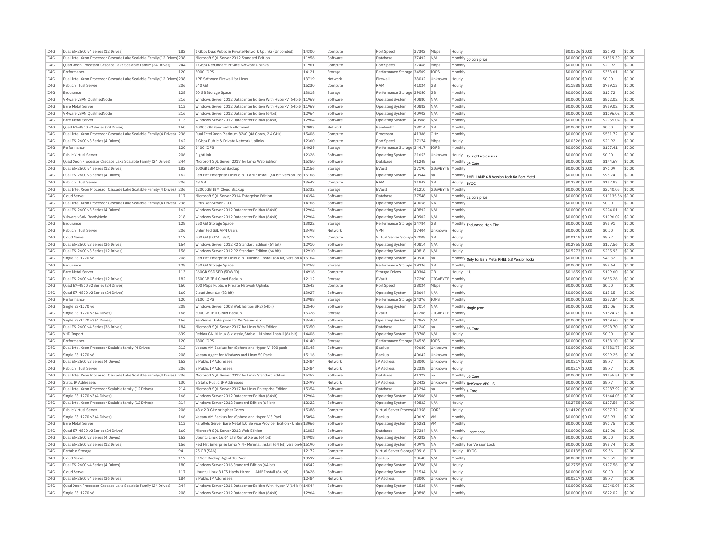| IC4G         | Dual E5-2600 v4 Series (12 Drives)                                                 | 182        | 1 Gbps Dual Public & Private Network Uplinks (Unbonded)                                                          | 14300          | Compute             | Port Speed                     | 37302          | Mbps               | Hourly                     |                                                    | \$0.0326 \$0.00                    | \$21.92            | \$0.00           |
|--------------|------------------------------------------------------------------------------------|------------|------------------------------------------------------------------------------------------------------------------|----------------|---------------------|--------------------------------|----------------|--------------------|----------------------------|----------------------------------------------------|------------------------------------|--------------------|------------------|
| IC4G         | Dual Intel Xeon Processor Cascade Lake Scalable Family (12 Drives) 238             |            | Microsoft SQL Server 2012 Standard Edition                                                                       | 11956          | Software            | <b>Databas</b>                 | 37492          | N/A                |                            | Monthly 20 core price                              | \$0.0000 \$0.00                    | \$1819.39          | \$0.00           |
| IC4G         | Ouad Xeon Processor Cascade Lake Scalable Family (24 Drives)                       | 244        | 1 Gbps Redundant Private Network Uplinks                                                                         | 11961          | Compute             | Port Speed                     | 37466          | Mbps               | Monthly                    |                                                    | \$0,0000 \$0.00                    | \$21.92            | \$0.00           |
| IC4G         | Performance                                                                        | 120        | 5000 IOPS                                                                                                        | 14121          | Storage             | Performance Storage            | 34509          | <b>IOPS</b>        | Monthly                    |                                                    | \$0,0000 \$0.00                    | \$383.61           | \$0.00           |
| TCAG         | Dual Intel Xeon Processor Cascade Lake Scalable Family (12 Drives <sup>1</sup> 238 |            | APF Software Firewall for Linux                                                                                  | 13719          | Network             | Firewall                       | 38032          | <b>Unknown</b>     | Hourly                     |                                                    | \$0,0000 \$0.00                    | \$0.00             | \$0.00           |
| IC4G         | Public Virtual Serve                                                               | 206        | 240 GB                                                                                                           | 15230          | Compute             | RAM                            | 41024          | <b>GB</b>          | Hourly                     |                                                    | \$1.1888 \$0.00                    | \$789.13           | \$0.00           |
| TC4G         | Endurance                                                                          | 128        | 20 GB Storage Space                                                                                              | 13818          | Storage             | Performance Storage 39050      |                | G <sub>B</sub>     | Monthly                    |                                                    | \$0,0000 \$0.00                    | \$12.72            | \$0.00           |
| TC4G         | VMware vSAN QualifiedNode                                                          | 216        | Windows Server 2012 Datacenter Edition With Hyper-V (64bit) 11969                                                |                | Software            | <b>Operating System</b>        | 40880          | N/A                | Monthly                    |                                                    | \$0.0000 \$0.00                    | \$822.02           | \$0.00           |
| TC4G         | <b>Bare Metal Server</b>                                                           | 113        | Windows Server 2012 Datacenter Edition With Hyper-V (64bit) 11969                                                |                | Software            | <b>Operating System</b>        | 40882          | N/A                | Monthly                    |                                                    | \$0.0000 \$0.00                    | \$959.02           | \$0.00           |
| IC4G         | VMware vSAN OualifiedNode                                                          | 216        | Windows Server 2012 Datacenter Edition (64bit)                                                                   | 12964          | Software            | Operating System               | 40902          | N/A                | Monthly                    |                                                    | \$0.0000 \$0.00                    | \$1096.02          | \$0.00           |
| IC4G         | <b>Bare Metal Server</b>                                                           | 113        | Windows Server 2012 Datacenter Edition (64bit)                                                                   | 12964          | Software            | Operating System               | 40908          | N/A                | Monthly                    |                                                    | \$0.0000 \$0.00                    | \$2055.04          | \$0.00           |
| IC4G         | Quad E7-4800 v2 Series (24 Drives)                                                 | 160        | 10000 GB Bandwidth Allotment                                                                                     | 12083          | Network             | Bandwidth                      | 38014          | <b>GB</b>          | Monthly                    |                                                    | \$0,0000 \$0.00                    | \$0.00             | \$0.00           |
| IC4G         | Dual Intel Xeon Processor Cascade Lake Scalable Family (4 Drives)                  | 236        | Dual Intel Xeon Platinum 8260 (48 Cores, 2.4 GHz)                                                                | 15406          | Compute             | Processo                       | 41386          | GHz                | Monthly                    |                                                    | \$0.0000 \$0.00                    | \$531.72           | \$0.00           |
| TC4G         | Dual E5-2600 v3 Series (4 Drives)                                                  | 162        | 1 Gbns Public & Private Network Unlinks                                                                          | 12360          | Compute             | Port Speed                     | 37174          | <b>Mhns</b>        | Hourly                     |                                                    | \$0.0326 \$0.00                    | \$21.92            | \$0.00           |
| IC4G         | Performance                                                                        | 120        | 1400 IOPS                                                                                                        | 14029          | Storage             | Performance Storage 34417      |                | <b>IOPS</b>        | Monthly                    |                                                    | \$0.0000 \$0.00                    | \$107.41           | \$0.00           |
| TC4G         | Public Virtual Server                                                              | 206        | RightLink                                                                                                        | 12326          | Software            | Operating System               | 21653          | Unknown            |                            |                                                    | \$0,0000 \$0.00                    | \$0.00             | \$0.00           |
| IC4G         | Quad Xeon Processor Cascade Lake Scalable Family (24 Drives)                       | 244        | Microsoft SQL Server 2017 for Linux Web Editior                                                                  | 15350          | Software            | Databas                        | 41248          | na                 |                            | Hourly  for rightscale users                       | \$0.0000 \$0.00                    | \$144.67           | \$0.00           |
| IC4G         | Dual E5-2600 v4 Series (12 Drives)                                                 | 182        | 100GB IBM Cloud Backup                                                                                           | 12156          |                     | EVault                         | 37190          | GIGABYTE           | Monthly 24 Core<br>Monthly |                                                    |                                    | \$71.09            | \$0.00           |
| IC4G         | Dual E5-2600 v3 Series (4 Drives)                                                  | 162        | Red Hat Enterprise Linux 6.8 - LAMP Install (64 bit) version-loc 15168                                           |                | Storage<br>Software |                                | 40944          |                    |                            |                                                    | \$0.0000 \$0.00<br>\$0,0000 \$0.00 | \$98.74            | \$0.00           |
| TC4G         |                                                                                    |            | 48 GR                                                                                                            |                |                     | <b>Operating System</b><br>RAM |                | na                 |                            | Monthly RHEL LAMP 6.8 Version Lock for Bare Metal  |                                    |                    | \$0.00           |
|              | Public Virtual Server                                                              | 206        |                                                                                                                  | 13647          | Compute             |                                | 31842          | GB                 | Hourly  BYOC               |                                                    | \$0.2380 \$0.00                    | \$157.83           |                  |
| IC4G         | Dual Intel Xeon Processor Cascade Lake Scalable Family (4 Drives)                  | 236        | 12000GB IBM Cloud Backup                                                                                         | 15332          | Storage             | EVault                         | 41210          | GIGABYTE           | Monthly                    |                                                    | \$0.0000 \$0.00                    | \$2740.05          | \$0.00           |
| IC4G         | Cloud Serve                                                                        | 117        | Microsoft SQL Server 2014 Enterprise Edition                                                                     | 14394          | Software            | Database                       | 37548          | N/A                |                            | Monthly 32 core price                              | \$0.0000 \$0.00                    | \$11135.56         | \$0.00           |
| TC4G         | Dual Intel Xeon Processor Cascade Lake Scalable Family (4 Drives) 236              |            | Citrix XenServer 7.0.0                                                                                           | 14766          | Software            | <b>Operating System</b>        | 40056          | <b>NA</b>          | Monthly                    |                                                    | \$0.0000 \$0.00                    | \$0.00             | \$0.00           |
| IC4G         | Dual E5-2600 v3 Series (4 Drives)                                                  | 162        | Windows Server 2012 Datacenter Edition (64bit)                                                                   | 12964          | Software            | <b>Operating System</b>        | 40892          | N/A                | Monthly                    |                                                    | \$0.0000 \$0.00                    | \$274.01           | \$0.00           |
| IC4G         | VMware vSAN ReadvNode                                                              | 218        | Windows Server 2012 Datacenter Edition (64bit)                                                                   | 12964          | Software            | Operating System               | 40902          | N/A                | Monthly                    |                                                    | \$0,0000 \$0.00                    | \$1096.02          | \$0.00           |
| IC4G         | Endurance                                                                          | 128        | 250 GB Storage Space                                                                                             | 13822          | Storage             | Performance Storage            | 34784          | <b>GB</b>          |                            | Monthly Endurance High Tier                        | \$0,0000 \$0.00                    | \$95.91            | \$0.00           |
| IC4G         | Public Virtual Server                                                              | 206        | Unlimited SSL VPN Users                                                                                          | 13498          | Network             | <b>VPN</b>                     | 37404          | Unknown            | Hourly                     |                                                    | \$0,0000 \$0.00                    | \$0.00             | \$0.00           |
| IC4G         | Cloud Server                                                                       | 117        | 200 GB (LOCAL SSD)                                                                                               | 12417          | Compute             | Virtual Server Storage 22008   |                | <b>GB</b>          | Hourly                     |                                                    | \$0.0118 \$0.00                    | \$8.77             | \$0.00           |
| TC4G         | Dual E5-2600 v3 Series (36 Drives)                                                 | 164        | Windows Server 2012 R2 Standard Edition (64 bit)                                                                 | 12910          | Software            | Operating System               | 40814          | N/A                | Hourly                     |                                                    | \$0.2755 \$0.00                    | \$177.56           | \$0.00           |
| IC4G         | Dual E5-2600 v3 Series (12 Drives)                                                 | 156        | Windows Server 2012 R2 Standard Edition (64 bit)                                                                 | 12910          | Software            | <b>Operating System</b>        | 40818          | N/A                | Hourly                     |                                                    | \$0.5273 \$0.00                    | \$295.93           | \$0.00           |
| TC4G         | Single E3-1270 v6                                                                  | 208        | Red Hat Enterprise Linux 6.8 - Minimal Install (64 bit) version-ld 15164                                         |                | Software            | <b>Operating System</b>        | 40930          | Ina                |                            | Monthly Only for Bare Metal RHEL 6.8 Version locks | \$0,0000 \$0,00                    | \$49.32            | \$0.00           |
| IC4G         | Endurance                                                                          | 128        | 450 GB Storage Space                                                                                             | 14258          | Storage             | Performance Storage            | 39236          | <b>GB</b>          | Monthly                    |                                                    | \$0,0000 \$0.00                    | \$98.64            | \$0.00           |
| IC4G         | <b>Bare Metal Server</b>                                                           | 113        | 960GB SSD SED (5DWPD)                                                                                            | 14916          | Compute             | Storage Drives                 | 40304          | G <sub>B</sub>     | Hourly                     | 111                                                | \$0.1659 \$0.00                    | \$109.60           | \$0.00           |
|              |                                                                                    |            |                                                                                                                  |                |                     |                                |                |                    |                            |                                                    |                                    |                    |                  |
| IC4G         | Dual E5-2600 v4 Series (12 Drives)                                                 | 182        | 1500GB IBM Cloud Backup                                                                                          | 12112          | Storage             | EVault                         | 37290          | GIGABYTE           | Monthly                    |                                                    | \$0.0000 \$0.00                    | \$685.26           | \$0.00           |
| TC4G         | Quad E7-4800 v2 Series (24 Drives)                                                 | 160        | 100 Mbos Public & Private Network Uplinks                                                                        | 12643          | Compute             | Port Speed                     | 38024          | Mbps               | Hourly                     |                                                    | \$0,0000 \$0.00                    | \$0.00             | \$0.00           |
| IC4G         | Quad E7-4800 v2 Series (24 Drives)                                                 | 160        | CloudLinux 6.x (32 bit)                                                                                          | 13027          | Software            | Operating System               | 38604          | N/A                | Monthly                    |                                                    | \$0.0000 \$0.00                    | \$13.15            | \$0.00           |
| IC4G         | Performance                                                                        | 120        | 3100 TOPS                                                                                                        | 13988          | Storage             | Performance Storage 34376      |                | <b>IOPS</b>        | Monthly                    |                                                    | \$0.0000 \$0.00                    | \$237.84           | \$0.00           |
| TCAG         | Single E3-1270 v6                                                                  | 208        | Windows Server 2008 Web Edition SP2 (64bit)                                                                      | 12540          | Software            | Operating System               | 37014          | N/A                |                            |                                                    | \$0.0000 \$0.00                    | \$12.06            | \$0.00           |
| IC4G         | Single E3-1270 v3 (4 Drives)                                                       | 166        | 8000GB IBM Cloud Backup                                                                                          | 15328          | Storage             | EVault                         | 41206          | GIGABYTE           | Monthly                    | Monthly single proc                                | \$0.0000 \$0.00                    | \$1824.73          | \$0.00           |
| IC4G         | Single E3-1270 v3 (4 Drives)                                                       | 166        | XenServer Enterprise for XenServer 6.x                                                                           | 13440          | Software            | Operating System               | 37862          | N/A                | Monthly                    |                                                    | \$0,0000 \$0.00                    | \$109.60           | \$0.00           |
|              |                                                                                    |            |                                                                                                                  |                | Software            | <b>Databas</b>                 |                | Ina                |                            |                                                    |                                    |                    |                  |
| IC4G         | Dual E5-2600 v4 Series (36 Drives)<br><b>VHD Import</b>                            | 184<br>639 | Microsoft SQL Server 2017 for Linux Web Edition<br>Debian GNU/Linux 8.x iessie/Stable - Minimal Install (64 bit) | 15350<br>14406 | Software            | Operating System               | 41260<br>38708 | N/A                | Monthly 96 Core<br>Hourly  |                                                    | \$0.0000 \$0.00<br>\$0,0000 \$0,00 | \$578.70<br>\$0.00 | \$0.00<br>\$0.00 |
| IC4G<br>IC4G | Performance                                                                        | 120        | 1800 IOPS                                                                                                        | 14140          |                     | Performance Storage 34528      |                | IOPS               | Monthly                    |                                                    | \$0,0000 \$0.00                    | \$138.10           | \$0.00           |
| TC4G         | Dual Intel Xeon Processor Scalable family (4 Drives)                               | 212        | Veeam VM Backup for vSphere and Hyper-V 500 pack                                                                 | 15148          | Storage<br>Software | Backun                         | 40680          | Unknown            | Monthly                    |                                                    | \$0,0000 \$0.00                    | \$4881.73          | \$0.00           |
|              |                                                                                    |            |                                                                                                                  |                |                     |                                |                |                    |                            |                                                    |                                    |                    |                  |
| IC4G<br>TC4G | Single E3-1270 v6                                                                  | 208        | Veeam Agent for Windows and Linux 50 Pack<br>8 Public TP Addresses                                               | 15116<br>12484 | Software<br>Network | Backup<br><b>IP Address</b>    | 40642<br>38000 | Unknown<br>Unknown | Monthly                    |                                                    | \$0,0000 \$0.00                    | \$999.25<br>\$8.77 | \$0.00<br>\$0.00 |
|              | Dual E5-2600 v3 Series (4 Drives)                                                  | 162        |                                                                                                                  |                |                     |                                |                |                    | Hourly                     |                                                    | \$0,0217 \$0,00                    |                    |                  |
| TC4G         | Public Virtual Server                                                              | 206        | 8 Public TP Addresses                                                                                            | 12484          | Network             | <b>TP Address</b>              | 22338          | Unknown            | Hourly                     |                                                    | \$0.0217 \$0.00                    | \$8.77             | \$0.00           |
| IC4G         | Dual Intel Xeon Processor Cascade Lake Scalable Family (4 Drives) 236              |            | Microsoft SQL Server 2017 for Linux Standard Edition                                                             | 15352          | Software            | Database                       | 41272          | Ina                | Monthly 16 Core            |                                                    | \$0.0000 \$0.00                    | \$1455.51          | \$0.00           |
| TC4G         | Static IP Addresses                                                                | 130        | 8 Static Public IP Addresses                                                                                     | 12499          | Network             | <b>IP Address</b>              | 22422          | Unknown            |                            | Monthly NetScaler VPX - SL                         | \$0,0000 \$0.00                    | \$8.77             | \$0.00           |
| IC4G         | Dual Intel Xeon Processor Scalable family (12 Drives)                              | 214        | Microsoft SOL Server 2017 for Linux Enterprise Edition                                                           | 15354          | Software            | Database                       | 41294          | Ina                | Monthly 6 Core             |                                                    | $$0.0000$ \$0.00                   | \$2087.92          | \$0.00           |
| IC4G         | Single E3-1270 v3 (4 Drives)                                                       | 166        | Windows Server 2012 Datacenter Edition (64bit)                                                                   | 12964          | Software            | Operating System               | 40906          | N/A                | Monthly                    |                                                    | \$0.0000 \$0.00                    | \$1644.03          | \$0.00           |
| IC4G         | Dual Intel Xeon Processor Scalable family (12 Drives)                              | 214        | Windows Server 2012 Standard Edition (64 bit)                                                                    | 12322          | Software            | <b>Operating System</b>        | 40832          | N/A                | Hourly                     |                                                    | \$0.2755 \$0.00                    | \$177.56           | \$0.00           |
| TCAG         | Public Virtual Server                                                              | 206        | 48 x 2.0 GHz or higher Cores                                                                                     | 15388          | Compute             | Virtual Server Process 41358   |                | CORE               | Hourly                     |                                                    | \$1,4120 \$0.00                    | \$937.32           | \$0.00           |
| IC4G         | Single E3-1270 v3 (4 Drives)                                                       | 166        | Veeam VM Backup for vSphere and Hyper-V 5 Pack                                                                   | 15094          | Software            | Backup                         | 40620          | <b>VM</b>          | Monthly                    |                                                    | \$0.0000 \$0.00                    | \$83.93            | \$0.00           |
| IC4G         | <b>Bare Metal Server</b>                                                           | 113        | Parallels Server Bare Metal 5.0 Service Provider Edition - Unlim 13066                                           |                | Software            | Operating System               | 26251          | <b>VM</b>          | Monthly                    |                                                    | \$0,0000 \$0.00                    | \$90.75            | \$0.00           |
| IC4G         | Quad E7-4800 v2 Series (24 Drives)                                                 | 160        | Microsoft SQL Server 2012 Web Edition                                                                            | 11803          | Software            | <b>Databas</b>                 | 37284          | N/A                |                            | Monthly 1 core price                               | \$0,0000 \$0.00                    | \$12.06            | \$0.00           |
| IC4G         | Dual E5-2600 v3 Series (4 Drives)                                                  | 162        | Ubuntu Linux 16.04 LTS Xenial Xerus (64 bit)                                                                     | 14908          | Software            | Operating System               | 40282          | <b>INA</b>         | Hourly                     |                                                    | \$0,0000 \$0,00                    | \$0.00             | \$0.00           |
| IC4G         | Dual E5-2600 v3 Series (12 Drives)                                                 | 156        | Red Hat Enterprise Linux 7.4 - Minimal Install (64 bit) version                                                  | d 15190        | Software            | <b>Operating System</b>        | 40978          | <b>NA</b>          |                            | Monthly For Version Lock                           | \$0.0000 \$0.00                    | \$98.74            | \$0.00           |
| TC4G         | Portable Storage                                                                   | 94         | 75 GB (SAN)                                                                                                      | 12172          | Compute             | Virtual Server Storage 20916   |                | <b>GB</b>          | Hourly BYOC                |                                                    | \$0.0135 \$0.00                    | \$9.86             | \$0.00           |
| IC4G         | Cloud Server                                                                       | 117        | R1Soft Backup Agent 10 Pack                                                                                      | 13597          | Software            | Backup                         | 38648          | N/A                | Monthly                    |                                                    | \$0.0000 \$0.00                    | \$68.51            | \$0.00           |
| TCAG         | Dual E5-2600 v4 Series (4 Drives)                                                  | 180        | Windows Server 2016 Standard Edition (64 bit)                                                                    | 14542          | Software            | <b>Operating System</b>        | 40786          | N/A                | Hourly                     |                                                    | \$0,2755 \$0,00                    | \$177.56           | \$0.00           |
| TC4G         | Cloud Server                                                                       | 117        | Ubuntu Linux 8 LTS Hardy Heron - LAMP Install (64 bit)                                                           | 13626          | Software            | Operating System               | 31534          | N/A                | Hourly                     |                                                    | \$0.0000 \$0.00                    | \$0.00             | \$0.00           |
| IC4G         | Dual E5-2600 v4 Series (36 Drives)                                                 | 184        | 8 Public IP Addresses                                                                                            | 12484          | Network             | IP Address                     | 38000          | Unknown            | Hourly                     |                                                    | \$0.0217 \$0.00                    | \$8.77             | \$0.00           |
| TC4G         | Quad Xeon Processor Cascade Lake Scalable Family (24 Drives)                       | 244        | Windows Server 2016 Datacenter Edition With Hyper-V (64 bit) 14544                                               |                | Software            | Operating System               | 41526          | N/A                | Monthly                    |                                                    | \$0,0000 \$0.00                    | \$2740.05          | \$0.00           |
| IC4G         | Single E3-1270 v6                                                                  | 208        | Windows Server 2012 Datacenter Edition (64bit)                                                                   | 12964          | Software            | <b>Operating System</b>        | 40898          | N/A                | Monthly                    |                                                    | $$0.0000$ \$0.00                   | \$822.02           | \$0.00           |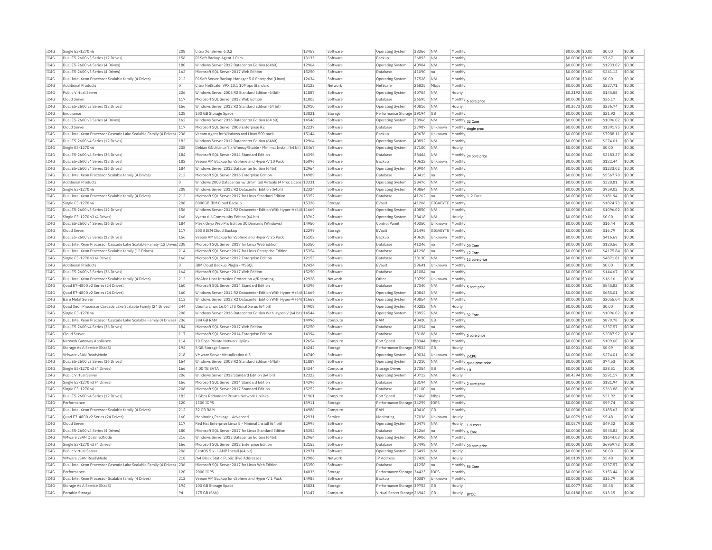| IC4G         | Single E3-1270 v6                                                                  | 208       | Citrix XenServer 6.0.2                                                           | 13459          | Software           | Operating System                                             | 38366 N/A |                  | Monthly                 | \$0.0000 \$0.00                    | \$0.00            | \$0.00           |
|--------------|------------------------------------------------------------------------------------|-----------|----------------------------------------------------------------------------------|----------------|--------------------|--------------------------------------------------------------|-----------|------------------|-------------------------|------------------------------------|-------------------|------------------|
| IC4G         | Dual E5-2600 v3 Series (12 Drives)                                                 | 156       | R1Soft Backup Agent 1 Pack                                                       | 13135          | Software           | Backup                                                       | 26893     | N/A              | Monthly                 | \$0.0000 \$0.00                    | \$7.67            | \$0.00           |
| IC4G         | Dual E5-2600 v4 Series (4 Drives)                                                  | 180       | Windows Server 2012 Datacenter Edition (64bit)                                   | 12964          | Software           | Operating System                                             | 40904     | N/A              | Monthly                 | \$0.0000 \$0.00                    | \$1233.02         | \$0.00           |
| IC4G         | Dual E5-2600 v3 Series (4 Drives)                                                  | 162       | Microsoft SQL Server 2017 Web Edition                                            | 15250          | Software           | Database                                                     | 41090     | Ina              | Monthly                 | \$0.0000 \$0.00                    | \$241.12          | \$0.00           |
| IC4G         | Dual Intel Xeon Processor Scalable family (4 Drives)                               | 212       | R1Soft Server Backup Manager 5.0 Enterprise (Linux)                              | 12634          | Software           | Operating System                                             | 37528     | N/A              | Monthly                 | \$0,0000 \$0.00                    | \$0.00            | \$0.00           |
| IC4G         | <b>Additional Products</b>                                                         | I٥        | Citrix NetScaler VPX 10.1 10Mbps Standard                                        | 13123          | Network            | NetScale                                                     | 26825     | Mbps             | Monthly                 | \$0.0000 \$0.00                    | \$327.71          | \$0.00           |
| TC4G         | Public Virtual Server                                                              | 206       | Windows Server 2008 R2 Standard Edition (64bit)                                  | 11887          | Software           | <b>Operating System</b>                                      | 40754     | N/A              | Hourly                  | \$0.2192 \$0.00                    | \$145.58          | \$0.00           |
| IC4G         | Cloud Server                                                                       | 117       | Microsoft SQL Server 2012 Web Edition                                            | 11803          | Software           | Database                                                     | 26595     | N/A              |                         | \$0.0000 \$0.00                    | \$36.17           | \$0.00           |
| TC4G         | Dual E5-2600 v3 Series (12 Drives)                                                 | 156       | Windows Server 2012 R2 Standard Edition (64 bit)                                 | 12910          | Software           |                                                              |           | N/A              | Monthly 6 core price    |                                    | \$236.74          | \$0.00           |
| TC4G         | Endurance                                                                          | 128       |                                                                                  |                |                    | <b>Operating System</b>                                      | 40816     |                  | Hourly                  | \$0.3673 \$0.00                    |                   |                  |
|              |                                                                                    |           | 100 GB Storage Space                                                             | 13821          | Storage            | Performance Storage 39194                                    |           | <b>GB</b>        | Monthly                 | \$0.0000 \$0.00                    | \$21.92           | \$0.00           |
| IC4G         | Dual E5-2600 v3 Series (4 Drives)                                                  | 162       | Windows Server 2016 Datacenter Edition (64 bit)                                  | 14546          | Software           | Operating System                                             | 38966     | N/A              | Monthly 32 Core         | \$0.0000 \$0.00                    | \$1096.02         | \$0.00           |
| IC4G         | Cloud Server                                                                       | 117       | Microsoft SQL Server 2008 Enterprise R2                                          | 12237          | Software           | Database                                                     | 27987     | Unknown          | Monthly single proc     | \$0.0000 \$0.00                    | \$1391.95         | \$0.00           |
| IC4G         | Dual Intel Xeon Processor Cascade Lake Scalable Family (4 Drives) 236              |           | Veeam Agent for Windows and Linux 500 pack                                       | 15144          | Software           | Backup                                                       | 40676     | Unknown          | Monthly                 | \$0.0000 \$0.00                    | \$7988.11         | \$0.00           |
| IC4G         | Dual E5-2600 v4 Series (12 Drives)                                                 | 182       | Windows Server 2012 Datacenter Edition (64bit)                                   | 12964          | Software           | Operating System                                             | 40892     | IN/A             | Monthly                 | \$0,0000 \$0,00                    | \$274.01          | \$0.00           |
| IC4G         | Single E3-1270 v6                                                                  | 208       | Debian GNU/Linux 7.x Wheezy/Stable - Minimal Install (64 bit) 13467              |                | Software           | Operating System                                             | 37100     | N/A              | Hourly                  | \$0.0000 \$0.00                    | \$0.00            | \$0.00           |
| TC4G         | Dual E5-2600 v4 Series (36 Drives)                                                 | 184       | Microsoft SOL Server 2014 Standard Edition                                       | 14396          | Software           | Database                                                     | 38444     | N/A              | Monthly 24 core price   | \$0.0000 \$0.00                    | \$2183.27         | \$0.00           |
| IC4G         | Dual E5-2600 v4 Series (12 Drives)                                                 | 182       | Veeam VM Backup for vSphere and Hyper-V 10 Pack                                  | 15096          | Software           | Backup                                                       | 40622     | Unknown          | Monthly                 | \$0.0000 \$0.00                    | \$122.44          | \$0.00           |
| TC4G         | Dual E5-2600 v4 Series (36 Drives)                                                 | 184       | Windows Server 2012 Datacenter Edition (64bit)                                   | 12964          | Software           | <b>Operating System</b>                                      | 40904     | N/A              | Monthly                 | \$0.0000 \$0.00                    | \$1233.02         | \$0.00           |
| IC4G         | Dual Intel Xeon Processor Scalable family (4 Drives)                               | 212       | Microsoft SQL Server 2016 Enterprise Edition                                     | 14989          | Software           | Database                                                     | 40415     | Ina              | Monthly                 | \$0.0000 \$0.00                    | \$5567.78         | \$0.00           |
| TC4G         | <b>Additional Products</b>                                                         | IO.       | Windows 2008 Datacenter w/ Unlimited Virtuals (4 Proc Licens 13331               |                | Software           | <b>Operating System</b>                                      | 28476 N/A |                  | Monthly                 | \$0.0000 \$0.00                    | \$328.81          | \$0.00           |
| IC4G         | Single E3-1270 v6                                                                  | 208       | Windows Server 2012 R2 Datacenter Edition (64bit)                                | 12324          | Software           | Operating System                                             | 40864     | N/A              | Monthly                 | \$0.0000 \$0.00                    | \$959.02          | \$0.00           |
| IC4G         | Dual Intel Xeon Processor Scalable family (4 Drives)                               | 212       | Microsoft SOL Server 2017 for Linux Standard Edition                             | 15352          | Software           | Database                                                     | 41262     | Ina              | Monthly 1-2 Core        | \$0,0000 \$0.00                    | \$181.94          | \$0.00           |
| TC4G         | Single E3-1270 v6                                                                  | 208       | 8000GB TBM Cloud Backup                                                          | 15328          | Storage            | FVault                                                       | 41206     | GIGABYTE Monthly |                         | \$0.0000 \$0.00                    | \$1824.73         | \$0.00           |
|              |                                                                                    |           |                                                                                  |                |                    |                                                              |           |                  |                         |                                    |                   |                  |
| IC4G         | Dual E5-2600 v3 Series (12 Drives)                                                 | 156       | Windows Server 2012 R2 Datacenter Edition With Hyper-V (64t 11669                |                | Software           | <b>Operating System</b>                                      | 40850     | N/A              | Monthly                 | \$0.0000 \$0.00                    | \$1096.02         | \$0.00           |
| TC4G         | Single E3-1270 v3 (4 Drives)                                                       | 166       | Vyatta 6.6 Community Edition (64 bit)                                            | 13762          | Software           | Operating System                                             | 38418     | N/A              | Hourly                  | \$0.0000 \$0.00                    | \$0.00            | \$0.00           |
| IC4G         | Dual E5-2600 v4 Series (36 Drives)                                                 | 184       | Plesk Onvx Web Pro Edition 30 Domains (Windows)                                  | 14950          | Software           | Control Panel                                                | 40350     | Unknown          | Monthly                 | \$0,0000 \$0.00                    | \$16.44           | \$0.00           |
| IC4G         | Cloud Server                                                                       | 117       | 20GB IBM Cloud Backup                                                            | 12299          | Storage            | EVault                                                       | 21495     | GIGABYTE Monthly |                         | \$0.0000 \$0.00                    | \$16.79           | \$0.00           |
| IC4G         | Dual E5-2600 v3 Series (12 Drives)                                                 | 156       | Veeam VM Backup for vSphere and Hyper-V 25 Pack                                  | 15102          | Software           | Backup                                                       | 40628     | Unknown          | Monthly                 | \$0.0000 \$0.00                    | \$416.69          | \$0.00           |
| TCAG         | Dual Intel Xeon Processor Cascade Lake Scalable Family (12 Drives <sup>1</sup> 238 |           | Microsoft SQL Server 2017 for Linux Web Edition                                  | 15350          | Software           | Database                                                     | 41246     | Ina              | Monthly 20 Core         | \$0,0000 \$0.00                    | \$120.56          | \$0.00           |
| IC4G         | Dual Intel Xeon Processor Scalable family (12 Drives)                              | 214       | Microsoft SQL Server 2017 for Linux Enterprise Edition                           | 15354          | Software           | Database                                                     | 41298     | na               | Monthly 12 Core         | \$0.0000 \$0.00                    | \$4175.84         | \$0.00           |
| TCAG         | Single E3-1270 v3 (4 Drives)                                                       | 166       | Microsoft SOL Server 2012 Enterprise Edition                                     | 12153          | Software           | Database                                                     | 38130     | N/A              | Monthly 13 core price   | \$0.0000 \$0.00                    | \$4871.81         | \$0.00           |
| IC4G         | <b>Additional Products</b>                                                         | I٥        | IBM Cloud Backup Plugin - MSSQL                                                  | 12424          | Software           | EVault                                                       | 29641     | Unknown          | Monthly                 | \$0.0000 \$0.00                    | \$0.00            | \$0.00           |
| IC4G         | Dual E5-2600 v3 Series (36 Drives)                                                 | 164       | Microsoft SOL Server 2017 Web Edition                                            | 15250          | Software           | Database                                                     | 41084     | Ina              | Monthly                 | $50.0000$ \$0.00                   | \$144.67          | \$0.00           |
| IC4G         | Dual Intel Xeon Processor Scalable family (4 Drives)                               | 212       | McAfee Host Intrusion Protection w/Reporting                                     | 12928          | Network            | Othe                                                         | 30759     | Unknown          | Monthly                 | \$0,0000 \$0.00                    | \$16.16           | \$0.00           |
| TCAG         | Quad E7-4800 v2 Series (24 Drives)                                                 | 160       | Microsoft SOL Server 2014 Standard Edition                                       | 14396          | Software           | Database                                                     | 37340     | N/A              | Monthly 5 core price    | \$0.0000 \$0.00                    | \$545.82          | sin nn           |
| IC4G         | Quad E7-4800 v2 Series (24 Drives)                                                 | 160       | Windows Server 2012 R2 Datacenter Edition With Hyper-V (64t 11669                |                | Software           | Operating System                                             | 40842     | N/A              | Monthly                 | \$0.0000 \$0.00                    | \$685.01          | \$0.00           |
| IC4G         | <b>Bare Metal Server</b>                                                           | 113       | Windows Server 2012 R2 Datacenter Edition With Hyper-V (64t 11669                |                | Software           | Operating System                                             | 40854 N/A |                  | Monthly                 | \$0.0000 \$0.00                    | \$2055.04         | \$0.00           |
| TC4G         | Quad Xeon Processor Cascade Lake Scalable Family (24 Drives)                       | 244       | Ubuntu Linux 16.04 LTS Xenial Xerus (64 bit)                                     | 14908          | Software           | <b>Operating System</b>                                      | 40282     | <b>NA</b>        | Hourly                  | \$0.0000 \$0.00                    | \$0.00            | \$0.00           |
| IC4G         | Single E3-1270 v6                                                                  | 208       |                                                                                  |                | Software           |                                                              |           |                  |                         |                                    | \$1096.02         | \$0.00           |
|              |                                                                                    |           | Windows Server 2016 Datacenter Edition With Hyper-V (64 bit) 14544<br>384 GB RAM |                |                    | <b>Operating System</b><br>RAM                               | 38952     | N/A              | Monthly 32 Core         | \$0.0000 \$0.00                    |                   |                  |
| IC4G         | Dual Intel Xeon Processor Cascade Lake Scalable Family (4 Drives) 236              |           |                                                                                  | 14996          | Compute            |                                                              | 40420     | <b>GB</b>        | Monthly                 | \$0.0000 \$0.00                    | \$879.78          | \$0.00           |
| IC4G         | Dual E5-2600 v4 Series (36 Drives)                                                 | 184       | Microsoft SQL Server 2017 Web Edition                                            | 15250          | Software           | Database                                                     | 41094     | na               | Monthly                 | \$0.0000 \$0.00                    | \$337.57          | \$0.00           |
| IC4G         | Cloud Server                                                                       | 117       | Microsoft SQL Server 2014 Enterprise Edition                                     | 14394          | Software           | Database                                                     | 38186     | N/A              | Monthly 5 core price    | \$0.0000 \$0.00                    | \$2087.92         | \$0.00           |
| IC4G         | Network Gateway Appliance                                                          | 114       | 10 Gbps Private Network Uplink                                                   | 12654          | Compute            | Port Speed                                                   | 38344     | Mbps             | Monthly                 | \$0.0000 \$0.00                    | \$109.60          | \$0.00           |
| TC4G         | Storage As A Service (StaaS)                                                       | 194       | 5 GB Storage Space                                                               | 14242          | Storage            | Performance Storage 39532                                    |           | <b>GR</b>        | Hourly                  | \$0,0001 \$0.00                    | \$0.09            | \$0.00           |
| IC4G         | <b>VMware vSAN ReadvNode</b>                                                       | 218       | VMware Server Virtualization 6.5                                                 | 14740          | Software           | Operating System                                             | 40034     | Unknown          | Monthly 2-CPU           | \$0,0000 \$0.00                    | \$274.01          | \$0.00           |
| TC4G         | Dual E5-2600 v3 Series (36 Drives)                                                 | 164       | Windows Server 2008 R2 Standard Edition (64bit)                                  | 11887          | Software           | <b>Operating System</b>                                      | 37210     | N/A              | Monthly quad proc price | \$0.0000 \$0.00                    | \$74.53           | \$0.00           |
| TC4G         | Single E3-1270 v3 (4 Drives)                                                       | 166       | 4.00 TR SATA                                                                     | 14344          | Compute            | Storage Drives                                               | 37354     | GB               | Monthly $ _{10}$        | \$0.0000 \$0.00                    | \$38.51           | \$0.00           |
| IC4G         | Public Virtual Server                                                              | 206       | Windows Server 2012 Standard Edition (64 bit)                                    | 12322          | Software           | <b>Operating System</b>                                      | 40712     | N/A              | Hourly                  | \$0.4394 \$0.00                    | \$291.17          | \$0.00           |
| IC4G         | Single E3-1270 v3 (4 Drives)                                                       | 166       | Microsoft SQL Server 2014 Standard Edition                                       | 14396          | Software           | Database                                                     | 38194     | N/A              | Monthly 2 core price    | \$0.0000 \$0.00                    | \$181.94          | \$0.00           |
| IC4G         | Single E3-1270 v6                                                                  | 208       | Microsoft SOL Server 2017 Standard Edition                                       | 15252          | Software           | Database                                                     | 41100     | Ina              | Monthly                 | \$0,0000 \$0.00                    | \$363.88          | \$0.00           |
| IC4G         | Dual E5-2600 v4 Series (12 Drives)                                                 | 182       | 1 Gbps Redundant Private Network Uplinks                                         | 11961          | Compute            | Port Speed                                                   | 37466     | Mbps             | Monthly                 | \$0.0000 \$0.00                    | \$21.92           | \$0.00           |
| IC4G         | Performance                                                                        | 120       | 1300 IOPS                                                                        | 13911          | Storage            | Performance Storage 34299                                    |           | <b>IOPS</b>      | Monthly                 | \$0.0000 \$0.00                    | \$99.74           | \$0.00           |
| IC4G         | Dual Intel Xeon Processor Scalable family (4 Drives)                               | 212       | 32 GB RAM                                                                        | 14986          | Compute            | RAM                                                          | 40410     | GB               | Monthly                 | \$0.0000 \$0.00                    | \$185.63          | \$0.00           |
|              |                                                                                    |           |                                                                                  |                |                    |                                                              |           |                  |                         |                                    |                   |                  |
| IC4G         | Quad E7-4800 v2 Series (24 Drives)                                                 | 160       | Monitoring Package - Advanced                                                    | 12931          | Service            | Monitoring                                                   | 37036     | Unknown          | Hourly                  | \$0.0079 \$0.00                    | \$5.48            | \$0.00           |
| IC4G         | Cloud Server                                                                       | 117       | Red Hat Enterprise Linux 5 - Minimal Install (64 bit)                            | 12995          | Software           | Operating System                                             | 30479     | N/A              | Hourly<br>1-4 cores     | \$0.0879 \$0.00                    | \$49.32           | \$0.00           |
| IC4G         | Dual E5-2600 v4 Series (4 Drives)                                                  | 180       | Microsoft SQL Server 2017 for Linux Standard Edition                             | 15352          | Software           | Database                                                     | 41266     | Ina              | Monthly 6 Core          | \$0.0000 \$0.00                    | \$545.82          | \$0.00           |
| IC4G         | VMware vSAN QualifiedNode                                                          | 216       | Windows Server 2012 Datacenter Edition (64bit)                                   | 12964          | Software           | Operating System                                             | 40906     | N/A              | Monthly                 | \$0,0000 \$0,00                    | \$1644.03         | \$0.00           |
| IC4G         | Single E3-1270 v3 (4 Drives)                                                       | 166       | Microsoft SQL Server 2012 Enterprise Edition                                     | 12153          | Software           | Database                                                     | 37498     | N/A              | Monthly 20 core price   | \$0.0000 \$0.00                    | \$6959.73         | \$0.00           |
| TC4G         | Public Virtual Server                                                              | 206       | CentOS 5 x - LAMP Tnstall (64 bit)                                               | 12971          | Software           | Operating System                                             | 25497     | N/A              | Hourly                  | \$0.0000 \$0.00                    | \$0.00            | \$0.00           |
| IC4G         | <b>VMware vSAN ReadvNode</b>                                                       | 218       | /64 Block Static Public IPv6 Addresses                                           | 12986          | Network            | IP Address                                                   | 37428     | N/A              | Hourly                  | \$0.0109 \$0.00                    | \$5.48            | \$0.00           |
| TCAG         | Dual Intel Xeon Processor Cascade Lake Scalable Family (4 Drives) 236              |           | Microsoft SOL Server 2017 for Linux Web Edition                                  | 15350          | Software           | Database                                                     | 41258     | Ina              | Monthly 56 Core         | \$0.0000 \$0.00                    | \$337.57          | \$0.00           |
| TC4G         | Performance                                                                        | 120       | 2000 TOPS                                                                        | 14035          | Storage            | Performance Storage 34423                                    |           | <b>IOPS</b>      | Monthly                 | \$0.0000 \$0.00                    | \$153.44          | \$0.00           |
|              |                                                                                    | 212       | Veeam VM Backup for vSphere and Hyper-V 1 Pack                                   | 14985          | Software           | Backup                                                       | 40387     | <b>Ilnknown</b>  | Monthly                 | \$0.0000 \$0.00                    | \$16.79           | \$0.00           |
| IC4G         |                                                                                    |           |                                                                                  |                |                    |                                                              |           |                  |                         |                                    |                   |                  |
|              | Dual Intel Xeon Processor Scalable family (4 Drives)                               |           |                                                                                  |                |                    |                                                              |           |                  |                         |                                    |                   |                  |
| IC4G<br>IC4G | Storage As A Service (StaaS)<br>Portable Storage                                   | 194<br>94 | 100 GB Storage Space<br>175 GB (SAN)                                             | 13821<br>13147 | Storage<br>Compute | Performance Storage 39752<br>Virtual Server Storage 26942 GB |           | <b>GB</b>        | Hourly<br>Hourly  BYOC  | \$0.0077 \$0.00<br>\$0.0188 \$0.00 | \$5.48<br>\$13.15 | \$0.00<br>\$0.00 |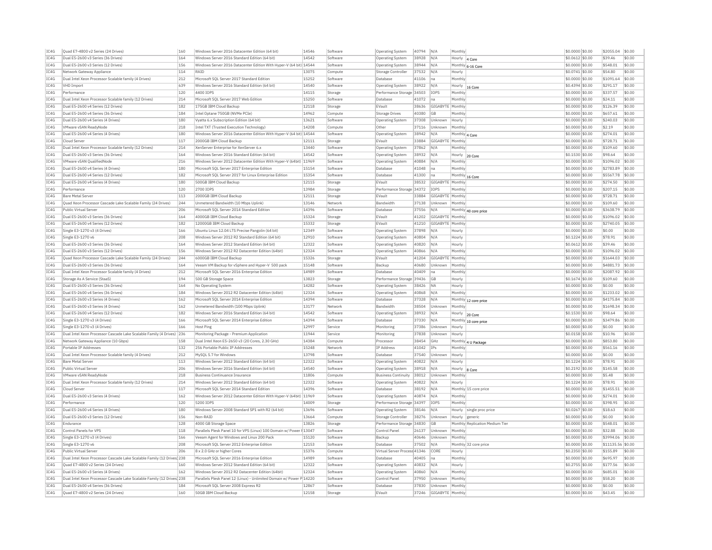| IC4G | Ouad E7-4800 v2 Series (24 Drives)                                     | 160        | Windows Server 2016 Datacenter Edition (64 bit)                      | 14546 | Software | <b>Operating System</b>      | 40794 | N/A                | Monthly                   |                                 | \$0,0000 \$0.00  | \$2055.04         | \$0.00     |
|------|------------------------------------------------------------------------|------------|----------------------------------------------------------------------|-------|----------|------------------------------|-------|--------------------|---------------------------|---------------------------------|------------------|-------------------|------------|
| IC4G | Dual E5-2600 v3 Series (36 Drives)                                     | 164        | Windows Server 2016 Standard Edition (64 bit)                        | 14542 | Software | <b>Operating System</b>      | 38928 | N/A                | Hourly                    | 4 Core                          | \$0.0612 \$0.00  | \$39.46           | \$0.00     |
| IC4G | Dual E5-2600 v3 Series (12 Drives)                                     | 156        | Windows Server 2016 Datacenter Edition With Hyper-V (64 bit) 14544   |       | Software | <b>Operating System</b>      | 38944 | N/A                |                           | Monthly 6-16 Core               | \$0.0000 \$0.00  | \$548.01          | \$0.00     |
| IC4G | Network Gateway Appliance                                              | 114        | RATD                                                                 | 13075 | Compute  | Storage Controlle            | 37532 | N/A                | Hourly                    |                                 | \$0.0741 \$0.00  | \$54.80           | \$0.00     |
| TC4G | Dual Intel Xeon Processor Scalable family (4 Drives)                   | 212        | Microsoft SOL Server 2017 Standard Edition                           | 15252 | Software | Database                     | 41106 | lna.               | Monthly                   |                                 | $$0.0000$ \$0.00 | \$1091.64         | \$0.00     |
| TC4G | VHD Import                                                             | 639        | Windows Server 2016 Standard Edition (64 bit)                        | 14540 | Software | <b>Operating System</b>      | 38922 | N/A                | Hourly                    | 16 Core                         | \$0.4394 \$0.00  | \$291.17          | \$0.00     |
| IC4G | Performance                                                            | 120        | 4400 TOPS                                                            | 14115 | Storage  | Performance Storage 34503    |       | <b>IOPS</b>        | Monthly                   |                                 | \$0.0000 \$0.00  | \$337.57          | \$0.00     |
| IC4G | Dual Intel Xeon Processor Scalable family (12 Drives)                  | 214        | Microsoft SQL Server 2017 Web Edition                                | 15250 | Software | Database                     | 41072 | na                 | Monthly                   |                                 | \$0,0000 \$0.00  | \$24.11           | \$0.00     |
| IC4G | Dual E5-2600 v4 Series (12 Drives)                                     | 182        | 175GB IBM Cloud Backup                                               | 12118 | Storage  | EVault                       | 38636 | GIGABYTE Monthly   |                           |                                 | \$0.0000 \$0.00  | \$126.39          | \$0.00     |
| TC4G | Dual E5-2600 v4 Series (36 Drives)                                     | 184        | Intel Optane 750GB (NVMe PCIe)                                       | 14962 | Compute  | Storage Drives               | 40380 | GB                 | Monthly                   |                                 | \$0.0000 \$0.00  | \$657.61          | \$0.00     |
| IC4G | Dual E5-2600 v4 Series (4 Drives)                                      | 180        | Vyatta 6.x Subscription Edition (64 bit)                             | 13621 | Software | Operating System             | 37308 | Unknown            | Hourly                    |                                 | \$0,0000 \$0.00  | \$240.03          | \$0.00     |
| TC4G | VMware vSAN ReadvNode                                                  | 218        | Intel TXT (Trusted Execution Technology)                             | 14208 | Compute  | Other                        | 37116 | Unknown            | Monthly                   |                                 | \$0,0000 \$0.00  | \$2.19            | \$0.00     |
| IC4G | Dual E5-2600 v4 Series (4 Drives)                                      | 180        | Windows Server 2016 Datacenter Edition With Hyper-V (64 bit) 14544   |       | Software | Operating System             | 38942 | N/A                |                           |                                 | \$0.0000 \$0.00  | \$274.01          | \$0.00     |
| IC4G | Cloud Serve                                                            | 117        | 2000GB IBM Cloud Backup                                              | 12111 | Storage  |                              | 33884 | GIGABYTE           | Monthly 4 Core<br>Monthly |                                 | \$0.0000 \$0.00  | \$728.71          | \$0.00     |
| TC4G | Dual Intel Xeon Processor Scalable family (12 Drives)                  | 214        | XenServer Enternrise for XenServer 6 x                               | 13440 | Software | EVault                       | 37862 | N/A                | Monthly                   |                                 | $$0.0000$ \$0.00 | \$109.60          | \$0.00     |
|      |                                                                        |            |                                                                      |       |          | <b>Operating System</b>      |       |                    |                           |                                 |                  |                   |            |
| IC4G | Dual E5-2600 v3 Series (36 Drives)                                     | 164        | Windows Server 2016 Standard Edition (64 bit)                        | 14542 | Software | <b>Operating System</b>      | 38932 | N/A                | Hourly                    | 20 Core                         | \$0.1530 \$0.00  | \$98.64           | \$0.00     |
| IC4G | VMware vSAN OualifiedNode                                              | 216        | Windows Server 2012 Datacenter Edition With Hyper-V (64bit) 11969    |       | Software | Operating System             | 40884 | N/A                | Monthly                   |                                 | \$0,0000 \$0,00  | \$1096.02         | \$0.00     |
| IC4G | Dual E5-2600 v4 Series (4 Drives)                                      | 180        | Microsoft SQL Server 2017 Enterprise Edition                         | 15154 | Software | Database                     | 41048 | Ina                | Monthly                   |                                 | \$0.0000 \$0.00  | \$2783.89         | s0.00      |
| IC4G | Dual E5-2600 v4 Series (12 Drives                                      | 182        | Microsoft SQL Server 2017 for Linux Enterprise Edition               | 15354 | Software | Database                     | 41300 | na                 | Monthly 16 Core           |                                 | \$0.0000 \$0.00  | \$5567.78         | \$0.00     |
| TC4G | Dual E5-2600 v4 Series (4 Drives)                                      | 180        | 500GB IBM Cloud Backup                                               | 12115 | Storage  | FVault                       | 38532 | GIGARYTE Monthly   |                           |                                 | \$0,0000 \$0.00  | \$274.50          | \$0.00     |
| IC4G | Performance                                                            | 120        | 2700 IOPS                                                            | 13984 | Storage  | Performance Storage 34372    |       | <b>IOPS</b>        | Monthly                   |                                 | \$0,0000 \$0.00  | \$207.15          | \$0.00     |
| TC4G | <b>Bare Metal Server</b>                                               | 113        | 2000GB TBM Cloud Backup                                              | 12111 | Storage  | FVault                       | 33884 | GIGARYTE Monthly   |                           |                                 | \$0,0000 \$0.00  | \$728.71          | \$0.00     |
| IC4G | Quad Xeon Processor Cascade Lake Scalable Family (24 Drives)           | 244        | Unmetered Bandwidth (10 Mbps Uplink)                                 | 13146 | Network  | <b>Bandwidth</b>             | 37138 | Unknown            | Monthly                   |                                 | \$0.0000 \$0.00  | \$109.60          | \$0.00     |
| IC4G | Public Virtual Server                                                  | 206        | Microsoft SQL Server 2014 Standard Edition                           | 14396 | Software | Database                     | 37556 | N/A                |                           | Monthly 40 core price           | \$0.0000 \$0.00  | \$3638.79         | \$0.00     |
| IC4G | Dual E5-2600 v3 Series (36 Drives)                                     | 164        | 4000GB IBM Cloud Backup                                              | 15324 | Storage  | FVault                       | 41202 | GIGABYTE Monthly   |                           |                                 | \$0,0000 \$0.00  | \$1096.02         | \$0.00     |
| IC4G | Dual E5-2600 v4 Series (12 Drives)                                     | 182        | 12000GB IBM Cloud Backup                                             | 15332 | Storage  | EVault                       | 41210 | GIGABYTE   Monthly |                           |                                 | \$0.0000 \$0.00  | \$2740.05         | \$0.00     |
| IC4G | Single E3-1270 v3 (4 Drives)                                           | 166        | Ubuntu Linux 12.04 LTS Precise Pangolin (64 bit)                     | 12349 | Software | <b>Operating System</b>      | 37898 | N/A                | Hourly                    |                                 | \$0,0000 \$0,00  | \$0.00            | \$0.00     |
| IC4G | Single E3-1270 v6                                                      | 208        | Windows Server 2012 R2 Standard Edition (64 bit)                     | 12910 | Software | <b>Operating System</b>      | 40804 | N/A                | Hourly                    |                                 | \$0,1224 \$0.00  | \$78.91           | \$0.00     |
| IC4G | Dual E5-2600 v3 Series (36 Drives)                                     | 164        | Windows Server 2012 Standard Edition (64 bit)                        | 12322 | Software | <b>Operating System</b>      | 40820 | N/A                | Hourly                    |                                 | \$0.0612 \$0.00  | \$39.46           | \$0.00     |
| IC4G | Dual E5-2600 v3 Series (12 Drives)                                     | 156        | Windows Server 2012 R2 Datacenter Edition (64bit)                    | 12324 | Software | Operating System             | 40866 | N/A                | Monthly                   |                                 | \$0.0000 \$0.00  | \$1096.02         | \$0.00     |
| IC4G | Quad Xeon Processor Cascade Lake Scalable Family (24 Drives)           | 244        | 6000GB IBM Cloud Backup                                              | 15326 | Storage  | EVault                       | 41204 | GIGABYTE           | Monthly                   |                                 | \$0.0000 \$0.00  | \$1644.03         | \$0.00     |
| TC4G | Dual E5-2600 v3 Series (36 Drives)                                     | 164        | Veeam VM Backup for vSphere and Hyper-V 500 pack                     | 15148 | Software | Backun                       | 40680 | Unknown            | Monthly                   |                                 | \$0,0000 \$0.00  | \$4881.73         | \$0.00     |
| IC4G |                                                                        |            |                                                                      | 14989 | Software | Database                     |       |                    | Monthly                   |                                 |                  |                   | \$0.00     |
|      | Dual Intel Xeon Processor Scalable family (4 Drives)                   | 212<br>194 | Microsoft SQL Server 2016 Enterprise Edition                         |       |          |                              | 40409 | Ina                |                           |                                 | \$0.0000 \$0.00  | \$2087.92         |            |
| IC4G | Storage As A Service (StaaS                                            |            | 500 GB Storage Space                                                 | 13823 | Storage  | Performance Storage 39436    |       | <b>GB</b>          | Hourly                    |                                 | \$0.1674 \$0.00  | \$109.60          | \$0.00     |
| IC4G | Dual E5-2600 v3 Series (36 Drives)                                     | 164        | No Operating System                                                  | 14282 | Software | Operating System             | 38426 | <b>NA</b>          | Hourly                    |                                 | \$0.0000 \$0.00  | \$0.00            | \$0.00     |
| IC4G | Dual E5-2600 v4 Series (36 Drives)                                     | 184        | Windows Server 2012 R2 Datacenter Edition (64bit)                    | 12324 | Software | <b>Operating System</b>      | 40868 | N/A                | Monthly                   |                                 | \$0.0000 \$0.00  | \$1233.02         | \$0.00     |
| TC4G | Dual E5-2600 v3 Series (4 Drives)                                      | 162        | Microsoft SQL Server 2014 Enterprise Edition                         | 14394 | Software | Database                     | 37328 | N/A                |                           | Monthly 12 core price           | \$0.0000 \$0.00  | \$4175.84         | \$0.00     |
| IC4G | Dual E5-2600 v3 Series (4 Drives)                                      | 162        | Unmetered Bandwidth (100 Mbps Uplink)                                | 13177 | Network  | Bandwidth                    | 38504 | Unknown            | Monthly                   |                                 | \$0,0000 \$0,00  | \$1698.34         | $ $ \$0.00 |
| TC4G | Dual F5-2600 v4 Series (12 Drives)                                     | 182        | Windows Server 2016 Standard Edition (64 bit)                        | 14542 | Software | Operating System             | 38932 | N/A                | Hourly 20 Core            |                                 | \$0,1530 \$0.00  | \$98.64           | \$0.00     |
| IC4G | Single E3-1270 v3 (4 Drives)                                           | 166        | Microsoft SQL Server 2014 Enterprise Edition                         | 14394 | Software | Database                     | 37330 | N/A                |                           | Monthly 10 core price           | \$0.0000 \$0.00  | \$3479.86         | \$0.00     |
| IC4G | Single E3-1270 v3 (4 Drives)                                           | 166        | <b>Host Ping</b>                                                     | 12997 | Service  | Monitoring                   | 37386 | Unknown            | Hourly                    |                                 | \$0.0000 \$0.00  | \$0.00            | \$0.00     |
| TC4G | Dual Intel Xeon Processor Cascade Lake Scalable Family (4 Drives) 236  |            | Monitoring Package - Premium Application                             | 11944 | Service  | Monitoring                   | 37838 | Unknown            | Hourly                    |                                 | \$0.0158 \$0.00  | \$10.96           | \$0.00     |
| IC4G | Network Gateway Appliance (10 Gbps)                                    | 158        | Dual Intel Xeon E5-2650 v3 (20 Cores, 2.30 GHz)                      | 14384 | Compute  | Processor                    | 38454 | GHz                |                           | Monthly 4 U Package             | \$0.0000 \$0.00  | \$853.80          | \$0.00     |
| IC4G | Portable IP Addresses                                                  | 132        | 256 Portable Public IP Addresses                                     | 15248 | Network  | <b>IP Address</b>            | 41042 | IPs                | Monthly                   |                                 | \$0,0000 \$0,00  | \$561.16          | \$0.00     |
| IC4G | Dual Intel Xeon Processor Scalable family (4 Drives)                   | 212        | MySQL 5.7 for Windows                                                | 13798 | Software | Database                     | 37540 | Unknown            | Hourly                    |                                 | \$0,0000 \$0,00  | \$0.00            | \$0.00     |
| IC4G | <b>Bare Metal Server</b>                                               | 113        | Windows Server 2012 Standard Edition (64 bit)                        | 12322 | Software | <b>Operating System</b>      | 40822 | N/A                | Hourly                    |                                 | \$0.1224 \$0.00  | \$78.91           | \$0.00     |
| TC4G | Public Virtual Server                                                  | 206        | Windows Server 2016 Standard Edition (64 bit)                        | 14540 | Software | <b>Operating System</b>      | 38918 | N/A                | Hourly $ _8$ Core         |                                 | \$0,2192 \$0.00  | \$145.58          | \$0.00     |
| IC4G | VMware vSAN ReadvNode                                                  | 218        | <b>Business Continuance Insurance</b>                                | 11806 | Compute  | <b>Business Continuity</b>   | 38012 | Unknown            | Monthly                   |                                 | \$0.0000 \$0.00  | \$5.48            | \$0.00     |
| TC4G | Dual Intel Xeon Processor Scalable family (12 Drives)                  | 214        | Windows Server 2012 Standard Edition (64 bit)                        | 12322 | Software | Operating System             | 40822 | N/A                | Hourly                    |                                 | \$0,1224 \$0.00  | \$78.91           | \$0.00     |
| IC4G | Cloud Server                                                           | 117        | Microsoft SQL Server 2014 Standard Edition                           | 14396 | Software | Database                     | 38192 | N/A                |                           | Monthly 15 core price           | \$0.0000 \$0.00  | \$1455.51         | \$0.00     |
| IC4G | Dual E5-2600 v3 Series (4 Drives)                                      | 162        | Windows Server 2012 Datacenter Edition With Hyper-V (64bit) 11969    |       | Software | Operating System             | 40874 | N/A                | Monthly                   |                                 | \$0.0000 \$0.00  | \$274.01          | \$0.00     |
| IC4G | Performance                                                            | 120        | 5200 IOPS                                                            | 14009 | Storage  | Performance Storage 34397    |       | <b>TOPS</b>        | Monthly                   |                                 | \$0,0000 \$0,00  | \$398.95          | \$0.00     |
| IC4G |                                                                        |            | Windows Server 2008 Standard SP1 with R2 (64 bit)                    | 13696 |          |                              |       |                    |                           |                                 |                  |                   |            |
|      | Dual E5-2600 v4 Series (4 Drives)                                      | 180        |                                                                      |       | Software | <b>Operating System</b>      | 38146 | N/A                | Hourly                    | single proc price               | \$0.0267 \$0.00  | \$18.63           | \$0.00     |
| IC4G | Dual E5-2600 v3 Series (12 Drives)                                     | 156        | Non-RAID                                                             | 13664 | Compute  | Storage Controller           | 38276 | Unknown            | Hourly generic            |                                 | \$0,0000 \$0,00  | \$0.00            | \$0.00     |
| IC4G | Endurance                                                              | 128        | 4000 GB Storage Space                                                | 13826 | Storage  | Performance Storage 34830    |       | GB                 |                           | Monthly Replication Medium Tier | \$0,0000 \$0,00  | \$548.01          | \$0.00     |
| IC4G | Control Panels for VPS                                                 | 118        | Parallels Plesk Panel 10 for VPS (Linux) 100 Domain w/ Power #13047  |       | Software | Control Panel                | 26137 | Unknown            | Monthly                   |                                 | \$0,0000 \$0,00  | \$32.88           | \$0.00     |
| IC4G | Single E3-1270 v3 (4 Drives)                                           | 166        | Veeam Agent for Windows and Linux 200 Pack                           | 15120 | Software | Backup                       | 40646 | Unknown            | Monthly                   |                                 | \$0.0000 \$0.00  | \$3994.06         | \$0.00     |
| IC4G | Single E3-1270 v6                                                      | 208        | Microsoft SQL Server 2012 Enterprise Edition                         | 12153 | Software | Database                     | 37502 | N/A                |                           | Monthly 32 core price           | \$0.0000 \$0.00  | \$11135.56 \$0.00 |            |
| TC4G | Public Virtual Server                                                  | 206        | 8 x 2.0 GHz or higher Cores                                          | 15376 | Compute  | Virtual Server Process 41346 |       | CORE               | Hourly                    |                                 | \$0,2350 \$0.00  | \$155.89          | \$0.00     |
| IC4G | Dual Intel Xeon Processor Cascade Lake Scalable Family (12 Drives) 238 |            | Microsoft SQL Server 2016 Enterprise Edition                         | 14989 | Software | Database                     | 40405 | Ina                | Monthly                   |                                 | \$0.0000 \$0.00  | \$695.97          | \$0.00     |
| IC4G | Ouad E7-4800 v2 Series (24 Drives)                                     | 160        | Windows Server 2012 Standard Edition (64 bit)                        | 12322 | Software | Operating System             | 40832 | N/A                | Hourly                    |                                 | \$0.2755 \$0.00  | \$177.56          | \$0.00     |
| IC4G | Dual E5-2600 v3 Series (4 Drives)                                      | 162        | Windows Server 2012 R2 Datacenter Edition (64bit)                    | 12324 | Software | Operating System             | 40860 | N/A                | Monthly                   |                                 | \$0,0000 \$0,00  | \$685.01          | \$0.00     |
| IC4G | Dual Intel Xeon Processor Cascade Lake Scalable Family (12 Drives) 238 |            | Parallels Plesk Panel 12 (Linux) - Unlimited Domain w/ Power P 14220 |       | Software | Control Pane                 | 37950 | Unknown            | Monthly                   |                                 | \$0,0000 \$0.00  | \$58.20           | \$0.00     |
| IC4G | Dual E5-2600 v4 Series (36 Drives)                                     | 184        | Microsoft SOL Server 2008 Express R2                                 | 12867 | Software | Database                     | 37830 | Unknown            | Monthly                   |                                 | \$0.0000 \$0.00  | \$0.00            | \$0.00     |
| IC4G | Quad E7-4800 v2 Series (24 Drives)                                     | 160        | 50GB IBM Cloud Backup                                                | 12158 | Storage  | EVault                       | 37246 | GIGABYTE Monthly   |                           |                                 | \$0.0000 \$0.00  | \$43.45           | \$0.00     |
|      |                                                                        |            |                                                                      |       |          |                              |       |                    |                           |                                 |                  |                   |            |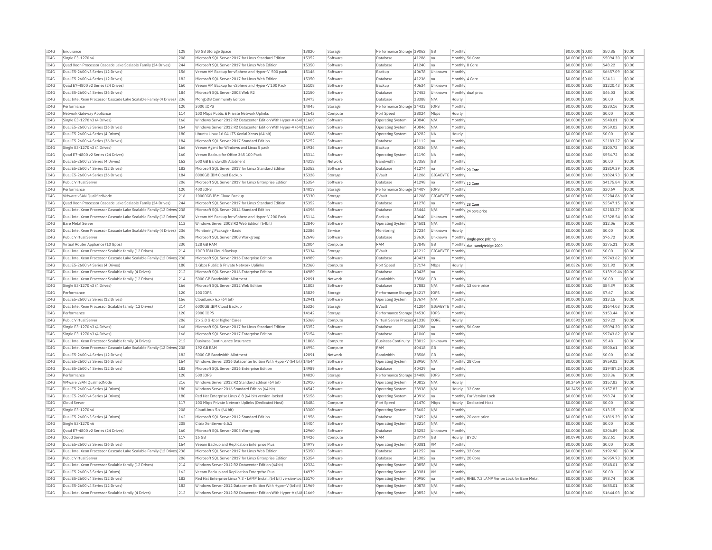| IC4G         | Endurance                                                                                  | 128        | 80 GB Storage Space                                                                                                                    | 13820 | Storage              | Performance Storage 39062                   |                | <b>GB</b>        | Monthly                    |                                                  | \$0,0000 \$0.00                    | \$50.85               | \$0.00           |
|--------------|--------------------------------------------------------------------------------------------|------------|----------------------------------------------------------------------------------------------------------------------------------------|-------|----------------------|---------------------------------------------|----------------|------------------|----------------------------|--------------------------------------------------|------------------------------------|-----------------------|------------------|
| IC4G         | Single E3-1270 v6                                                                          | 208        | Microsoft SQL Server 2017 for Linux Standard Edition                                                                                   | 15352 | Software             | Database                                    | 41286          | Ina              | Monthly 56 Core            |                                                  | \$0,0000 \$0,00                    | \$5094.30             | \$0.00           |
| IC4G         | Quad Xeon Processor Cascade Lake Scalable Family (24 Drives)                               | 244        | Microsoft SOL Server 2017 for Linux Web Edition                                                                                        | 15350 | Software             | Database                                    | 41240          | Ina              | Monthly 8 Core             |                                                  | \$0,0000 \$0.00                    | \$48.22               | \$0.00           |
| TCAG         | Dual E5-2600 v3 Series (12 Drives)                                                         | 156        | Veeam VM Backup for vSphere and Hyper-V 500 pack                                                                                       | 15146 | Software             | Backup                                      | 40678          | Unknown Monthly  |                            |                                                  | \$0,0000 \$0,00                    | \$6657.09             | \$0.00           |
| IC4G         | Dual E5-2600 v4 Series (12 Drives)                                                         | 182        | Microsoft SQL Server 2017 for Linux Web Edition                                                                                        | 15350 | Software             | Databas                                     | 41236          | na               | Monthly 4 Core             |                                                  | \$0.0000 \$0.00                    | \$24.11               | \$0.00           |
| TC4G         | Quad E7-4800 v2 Series (24 Drives)                                                         | 160        | Veeam VM Backup for vSphere and Hyper-V 100 Pack                                                                                       | 15108 | Software             | Backun                                      | 40634          | Unknown          | Monthly                    |                                                  | \$0.0000 \$0.00                    | \$1220.43             | \$0.00           |
| IC4G         | Dual E5-2600 v4 Series (36 Drives)                                                         | 184        | Microsoft SQL Server 2008 Web R2                                                                                                       | 12150 | Software             | Database                                    | 37452          | Unknown          |                            | Monthly dual proc                                | \$0.0000 \$0.00                    | \$46.03               | \$0.00           |
| IC4G         | Dual Intel Xeon Processor Cascade Lake Scalable Family (4 Drives) 236                      |            | MongoDB Community Edition                                                                                                              | 13473 | Software             | Database                                    | 38388          | N/A              | Hourly                     |                                                  | \$0,0000 \$0,00                    | \$0.00                | \$0.00           |
| TCAG         | Performance                                                                                | 120        | 3000 TOPS                                                                                                                              | 14045 | Storage              | Performance Storage 34433                   |                | IOPS             | Monthly                    |                                                  | \$0.0000 \$0.00                    | \$230.16              | \$0.00           |
| IC4G         | Network Gateway Appliance                                                                  | 114        | 100 Mbps Public & Private Network Uplinks                                                                                              | 12643 | Compute              | Port Speed                                  | 38024          | Mbps             | Hourly                     |                                                  | \$0,0000 \$0,00                    | \$0.00                | \$0.00           |
| TCAG         | Single E3-1270 v3 (4 Drives)                                                               | 166        | Windows Server 2012 R2 Datacenter Edition With Hyper-V (64t 11669                                                                      |       | Software             | Operating System                            | 40840          | N/A              | Monthly                    |                                                  | \$0,0000 \$0.00                    | \$548.01              | \$0.00           |
| TCAG         | Dual E5-2600 v3 Series (36 Drives)                                                         | 164        | Windows Server 2012 R2 Datacenter Edition With Hyper-V (64t 11669                                                                      |       | Software             | Operating System                            | 40846          | N/A              | Monthly                    |                                                  | \$0,0000 \$0.00                    | \$959.02              | \$0.00           |
| TC4G         | Dual E5-2600 v4 Series (4 Drives)                                                          | 180        | Ubuntu Linux 16.04 LTS Xenial Xerus (64 bit)                                                                                           | 14908 | Software             | Operating System                            | 40282          | <b>NA</b>        | Hourly                     |                                                  | \$0.0000 \$0.00                    | \$0.00                | \$0.00           |
| TCAG         | Dual E5-2600 v4 Series (36 Drives)                                                         | 184        | Microsoft SOL Server 2017 Standard Edition                                                                                             | 15252 | Software             | Database                                    | 41112          | Ina              | Monthly                    |                                                  | \$0,0000 \$0.00                    | \$2183.27             | \$0.00           |
| IC4G         | Single E3-1270 v3 (4 Drives)                                                               | 166        | Veeam Agent for Windows and Linux 5 pack                                                                                               | 14936 | Software             | Backup                                      | 40336          | N/A              | Monthly                    |                                                  | \$0.0000 \$0.00                    | \$100.72              | \$0.00           |
| IC4G         | Quad E7-4800 v2 Series (24 Drives)                                                         | 160        | Veeam Backup for Office 365 100 Pack                                                                                                   | 15314 | Software             | Operating System                            | 41190          | <b>NA</b>        | Monthly                    |                                                  | \$0.0000 \$0.00                    | \$554.72              | \$0.00           |
| TCAG         | Dual E5-2600 v3 Series (4 Drives)                                                          | 162        | 500 GB Bandwidth Allotment                                                                                                             | 14318 | Network              | <b>Bandwidth</b>                            | 37358          | GB               | Monthly                    |                                                  | \$0,0000 \$0.00                    | \$0.00                | \$0.00           |
| IC4G         | Dual E5-2600 v4 Series (12 Drives)                                                         | 182        | Microsoft SQL Server 2017 for Linux Standard Edition                                                                                   | 15352 | Software             | Database                                    | 41274          | lna              | Monthly 20 Core            |                                                  | \$0,0000 \$0.00                    | \$1819.39             | \$0.00           |
| TCAG         | Dual E5-2600 v4 Series (36 Drives)                                                         | 184        | 8000GB TBM Cloud Backup                                                                                                                | 15328 | Storage              | FVault                                      | 41206          | GIGARYTE Monthly |                            |                                                  | $$0.0000$ \$0.00                   | \$1824.73             | \$0.00           |
| IC4G         | Public Virtual Server                                                                      | 206        | Microsoft SOL Server 2017 for Linux Enterprise Edition                                                                                 | 15354 | Software             | Database                                    | 41298          | Ina              |                            |                                                  | \$0,0000 \$0.00                    | \$4175.84             | \$0.00           |
| IC4G         | Performance                                                                                | 120        | 400 IOPS                                                                                                                               | 14019 | Storage              | Performance Storage 34407                   |                | <b>IOPS</b>      | Monthly 12 Core<br>Monthly |                                                  | \$0,0000 \$0,00                    | \$30.69               | \$0.00           |
| IC4G         | VMware vSAN OualifiedNode                                                                  | 216        | 10000GB IBM Cloud Backup                                                                                                               | 15330 | Storage              | EVault                                      | 41208          | GIGABYTE Monthly |                            |                                                  | \$0,0000 \$0.00                    | \$2284.86             | \$0.00           |
| IC4G         | Ouad Xeon Processor Cascade Lake Scalable Family (24 Drives)                               | 244        | Microsoft SOL Server 2017 for Linux Standard Edition                                                                                   | 15352 | Software             |                                             | 41278          |                  |                            |                                                  | \$0,0000 \$0.00                    | \$2547.15             | \$0.00           |
|              |                                                                                            |            |                                                                                                                                        |       |                      | Database                                    |                | Ina              | Monthly 28 Core            |                                                  |                                    |                       |                  |
| IC4G         | Dual Intel Xeon Processor Cascade Lake Scalable Family (12 Drives) 238                     |            | Microsoft SQL Server 2014 Standard Edition                                                                                             | 14396 | Software             | Database                                    | 38444          | N/A              |                            | Monthly 24 core price                            | \$0.0000 \$0.00                    | \$2183.27             | \$0.00           |
| TCAG         | Dual Intel Xeon Processor Cascade Lake Scalable Family (12 Drives 238                      |            | Veeam VM Backup for vSphere and Hyper-V 200 Pack                                                                                       | 15114 | Software             | Backup                                      | 40640          | Unknown          | Monthly                    |                                                  | \$0.0000 \$0.00                    | \$3328.54             | \$0.00           |
| TC4G         | <b>Bare Metal Server</b>                                                                   | 113        | Windows Server 2008 R2 Web Edition (64bit)                                                                                             | 12840 | Software             | Operating System                            | 24501          | N/A              | Monthly                    |                                                  | \$0.0000 \$0.00                    | \$12.06               | \$0.00           |
| TCAG         | Dual Intel Xeon Processor Cascade Lake Scalable Family (4 Drives) 236                      |            | Monitoring Package - Basic                                                                                                             | 12386 | Service              | Monitorins                                  | 37234          | Unknown          | Hourly                     |                                                  | \$0.0000 \$0.00                    | \$0.00                | \$0.00           |
| TC4G         | Public Virtual Server                                                                      | 206        | Microsoft SQL Server 2008 Workgroup                                                                                                    | 12698 | Software             | Database                                    | 23630          | Unknown          |                            | Monthly single-proc pricing                      | \$0.0000 \$0.00                    | \$76.72               | \$0.00           |
| IC4G         | Virtual Router Appliance (10 Gpbs)                                                         | 230        | 128 GB RAM                                                                                                                             | 12004 | Compute              | <b>RAM</b>                                  | 37848          | GB               |                            | Monthly dual sandybridge 2000                    | \$0.0000 \$0.00                    | \$375.21              | \$0.00           |
| TCAG         | Dual Intel Xeon Processor Scalable family (12 Drives)                                      | 214        | 10GB TBM Cloud Backup                                                                                                                  | 15334 | Storage              | FVault                                      | 41212          | GIGARYTE Monthly |                            |                                                  | \$0,0000 \$0,00                    | \$0.00                | \$0.00           |
| IC4G         | Dual Intel Xeon Processor Cascade Lake Scalable Family (12 Drives) 238                     |            | Microsoft SQL Server 2016 Enterprise Edition                                                                                           | 14989 | Software             | Database                                    | 40421          | lna              | Monthly                    |                                                  | \$0.0000 \$0.00                    | \$9743.62             | \$0.00           |
| TC4G         | Dual E5-2600 v4 Series (4 Drives)                                                          | 180        | 1 Gbps Public & Private Network Uplinks                                                                                                | 12360 | Compute              | Port Speed                                  | 37174          | Mbps             | Hourly                     |                                                  | \$0,0326 \$0,00                    | \$21.92               | \$0.00           |
| IC4G         | Dual Intel Xeon Processor Scalable family (4 Drives)                                       | 212        | Microsoft SQL Server 2016 Enterprise Edition                                                                                           | 14989 | Software             | Database                                    | 40425          | na               | Monthly                    |                                                  | \$0,0000 \$0.00                    | \$13919.46 \$0.00     |                  |
| IC4G         | Dual Intel Xeon Processor Scalable family (12 Drives)                                      | 214        | 5000 GB Bandwidth Allotment                                                                                                            | 12091 | Network              | Bandwidth                                   | 38506          | <b>GB</b>        | Monthly                    |                                                  | \$0,0000 \$0,00                    | \$0.00                | \$0.00           |
| IC4G         | Single E3-1270 v3 (4 Drives)                                                               | 166        | Microsoft SOL Server 2012 Web Edition                                                                                                  | 11803 | Software             | Database                                    | 37882          | N/A              |                            | Monthly 13 core price                            | \$0,0000 \$0.00                    | \$84.39               | \$0.00           |
| IC4G         | Performance                                                                                | 120        | 100 IOPS                                                                                                                               | 13829 | Storage              | Performance Storage 34217                   |                | IOPS             | Monthly                    |                                                  | \$0,0000 \$0.00                    | \$7.67                | \$0.00           |
| IC4G         | Dual E5-2600 v3 Series (12 Drives)                                                         | 156        | CloudLinux 6.x (64 bit)                                                                                                                | 12941 | Software             | <b>Operating System</b>                     | 37674          | N/A              | Monthly                    |                                                  | \$0.0000 \$0.00                    | \$13.15               | \$0.00           |
| TCAG         | Dual Intel Xeon Processor Scalable family (12 Drives)                                      | 214        | 6000GB IBM Cloud Backup                                                                                                                | 15326 | Storage              | EVault                                      | 41204          | GIGABYTE Monthly |                            |                                                  | \$0,0000 \$0.00                    | \$1644.03             | \$0.00           |
| IC4G         | Performance                                                                                | 120        | 2000 IOPS                                                                                                                              | 14142 | Storage              | Performance Storage 34530                   |                | IOPS             | Monthly                    |                                                  | \$0.0000 \$0.00                    | \$153.44              | \$0.00           |
| IC4G         | Public Virtual Server                                                                      | 206        | 2 x 2.0 GHz or higher Cores                                                                                                            | 15368 | Compute              | Virtual Server Process 41338                |                | CORE             | Hourly                     |                                                  | \$0.0592 \$0.00                    | \$39.22               | \$0.00           |
| IC4G         | Single E3-1270 v3 (4 Drives)                                                               | 166        | Microsoft SQL Server 2017 for Linux Standard Edition                                                                                   | 15352 | Software             | Database                                    | 41286          | na               | Monthly 56 Core            |                                                  | \$0.0000 \$0.00                    | \$5094.30             | \$0.00           |
| IC4G         | Single E3-1270 v3 (4 Drives)                                                               | 166        | Microsoft SQL Server 2017 Enterprise Edition                                                                                           | 15154 | Software             | Database                                    | 41060          |                  | Monthly                    |                                                  | \$0.0000 \$0.00                    | \$9743.62             | \$0.00           |
|              |                                                                                            |            |                                                                                                                                        |       |                      |                                             |                | na               |                            |                                                  |                                    |                       |                  |
| TCAG         | Dual Intel Xeon Processor Scalable family (4 Drives)                                       | 212        | <b>Business Continuance Insurance</b>                                                                                                  | 11806 | Compute              | <b>Business Continuity</b>                  | 38012          | Unknown          | Monthly                    |                                                  | \$0,0000 \$0.00                    | \$5.48                | \$0.00           |
| IC4G         | Dual Intel Xeon Processor Cascade Lake Scalable Family (12 Drives) 238                     |            | 192 GB RAM                                                                                                                             | 14994 | Compute              | RAM                                         | 40418          | GB               | Monthly                    |                                                  | \$0.0000 \$0.00                    | \$500.61              | \$0.00           |
| TC4G         | Dual E5-2600 v4 Series (12 Drives)                                                         | 182        | 5000 GB Bandwidth Allotment                                                                                                            | 12091 | Network              | Randwidth                                   | 38506          | GB               | Monthly                    |                                                  | \$0.0000 \$0.00                    | \$0.00                | \$0.00           |
| IC4G         | Dual E5-2600 v3 Series (36 Drives                                                          | 164        | Windows Server 2016 Datacenter Edition With Hyper-V (64 bit) 14544                                                                     |       | Software             | Operating System                            | 38950          | N/A              | Monthly 28 Core            |                                                  | \$0,0000 \$0.00                    | \$959.02              | \$0.00           |
| TC4G         | Dual E5-2600 v4 Series (12 Drives)                                                         | 182        | Microsoft SOL Server 2016 Enterprise Edition                                                                                           | 14989 | Software             | Database                                    | 40429          | Ina              | Monthly                    |                                                  | \$0,0000 \$0,00                    | \$19487.24 \$0.00     |                  |
| IC4G         | Performance                                                                                | 120        | 500 IOPS                                                                                                                               | 14020 | Storage              | Performance Storage 34408                   |                | IOPS             | Monthly                    |                                                  | \$0,0000 \$0.00                    | \$38.36               | \$0.00           |
| TC4G         | VMware vSAN OualifiedNode                                                                  | 216        | Windows Server 2012 R2 Standard Edition (64 bit)                                                                                       | 12910 | Software             | Operating System                            | 40812          | N/A              | Hourly                     |                                                  | \$0.2459 \$0.00                    | \$157.83              | \$0.00           |
| IC4G         | Dual E5-2600 v4 Series (4 Drives)                                                          | 180        | Windows Server 2016 Standard Edition (64 bit)                                                                                          | 14542 | Software             | <b>Operating System</b>                     | 38938          | N/A              | Hourly 32 Core             |                                                  | \$0.2459 \$0.00                    | \$157.83              | \$0.00           |
| TCAG         | Dual E5-2600 v4 Series (4 Drives)                                                          | 180        | Red Hat Enterprise Linux 6.8 (64 bit) version-locked                                                                                   | 15156 | Software             | Operating System                            | 40916          | Ina              |                            | Monthly For Version Lock                         | \$0.0000 \$0.00                    | \$98.74               | \$0.00           |
| IC4G         | Cloud Serve                                                                                | 117        | 100 Mbps Private Network Uplinks (Dedicated Host)                                                                                      | 15484 | Compute              | Port Speed                                  | 41470          | Mbps             |                            | Hourly Dedicated Host                            | \$0.0000 \$0.00                    | \$0.00                | \$0.00           |
| TCAG         | Single E3-1270 v6                                                                          | 208        | CloudLinux 5.x (64 bit)                                                                                                                | 13300 | Software             | Operating System                            | 38602          | N/A              | Monthly                    |                                                  | \$0.0000 \$0.00                    | \$13.15               | \$0.00           |
| IC4G         | Dual E5-2600 v3 Series (4 Drives)                                                          | 162        | Microsoft SQL Server 2012 Standard Edition                                                                                             | 11956 | Software             | Database                                    | 37492          | N/A              |                            | Monthly 20 core price                            | \$0.0000 \$0.00                    | \$1819.39             | \$0.00           |
| IC4G         | Single E3-1270 v6                                                                          | 208        | Citrix XenServer 6.5.1                                                                                                                 | 14404 | Software             | Operating System                            | 38214          | N/A              | Monthly                    |                                                  | \$0.0000 \$0.00                    | \$0.00                | \$0.00           |
| TCAG         | Ouad E7-4800 v2 Series (24 Drives)                                                         | 160        | Microsoft SQL Server 2005 Workgroup                                                                                                    | 12960 | Software             | Database                                    | 38252          | Unknown          | Monthly                    |                                                  | \$0,0000 \$0.00                    | \$306.89              | \$0.00           |
| IC4G         | Cloud Server                                                                               | 117        | 16 GB                                                                                                                                  | 14426 | Compute              | RAM                                         | 38774          | GB               | Hourly BYOC                |                                                  | \$0.0790 \$0.00                    | \$52.61               | \$0.00           |
| IC4G         | Dual E5-2600 v3 Series (36 Drives)                                                         | 164        | Veeam Backup and Replication Enterprise Plus                                                                                           | 14979 | Software             | Operating System                            | 40381          | <b>VM</b>        | Monthly                    |                                                  | \$0.0000 \$0.00                    | \$0.00                | \$0.00           |
| IC4G         | Dual Intel Xeon Processor Cascade Lake Scalable Family (12 Drives 238                      |            | Microsoft SOL Server 2017 for Linux Web Edition                                                                                        | 15350 | Software             | Database                                    | 41252          | Ina              | Monthly 32 Core            |                                                  | \$0,0000 \$0.00                    | \$192.90              | \$0.00           |
| TC4G         | Public Virtual Server                                                                      | 206        | Microsoft SOL Server 2017 for Linux Enterprise Edition                                                                                 | 15354 | Software             | Database                                    | 41302          | Ina              | Monthly 20 Core            |                                                  | \$0,0000 \$0,00                    | \$6959.73             | \$0.00           |
| TCAG         | Dual Intel Xeon Processor Scalable family (12 Drives)                                      | 214        | Windows Server 2012 R2 Datacenter Edition (64bit)                                                                                      | 12324 | Software             |                                             | 40858          | N/A              | Monthly                    |                                                  | \$0,0000 \$0.00                    | \$548.01              | \$0.00           |
|              |                                                                                            |            |                                                                                                                                        |       |                      | Operating System                            |                |                  |                            |                                                  |                                    |                       |                  |
| TCAG         | Dual E5-2600 v3 Series (4 Drives)                                                          | 162        | Veeam Backup and Replication Enterprise Plus                                                                                           | 14979 | Software             | Operating System                            | 40381          | <b>VM</b>        | Monthly                    |                                                  | \$0.0000 \$0.00                    | \$0.00                | \$0.00           |
|              |                                                                                            | 182        | Red Hat Enterprise Linux 7.3 - LAMP Install (64 bit) version-loc 15170                                                                 |       | Software             | <b>Operating System</b>                     | 40950          | na               |                            | Monthly RHEL 7.3 LAMP Verion Lock for Bare Metal | \$0.0000 \$0.00                    | \$98.74               | \$0.00           |
| IC4G         | Dual E5-2600 v4 Series (12 Drives)                                                         |            |                                                                                                                                        |       |                      |                                             |                |                  |                            |                                                  |                                    |                       |                  |
| TCAG<br>IC4G | Dual E5-2600 v4 Series (12 Drives)<br>Dual Intel Xeon Processor Scalable family (4 Drives) | 182<br>212 | Windows Server 2012 Datacenter Edition With Hyper-V (64bit) 11969<br>Windows Server 2012 R2 Datacenter Edition With Hyper-V (64t 11669 |       | Software<br>Software | <b>Operating System</b><br>Operating System | 40878<br>40852 | N/A<br>N/A       | Monthly<br>Monthly         |                                                  | \$0,0000 \$0.00<br>\$0.0000 \$0.00 | \$685.01<br>\$1644.03 | \$0.00<br>\$0.00 |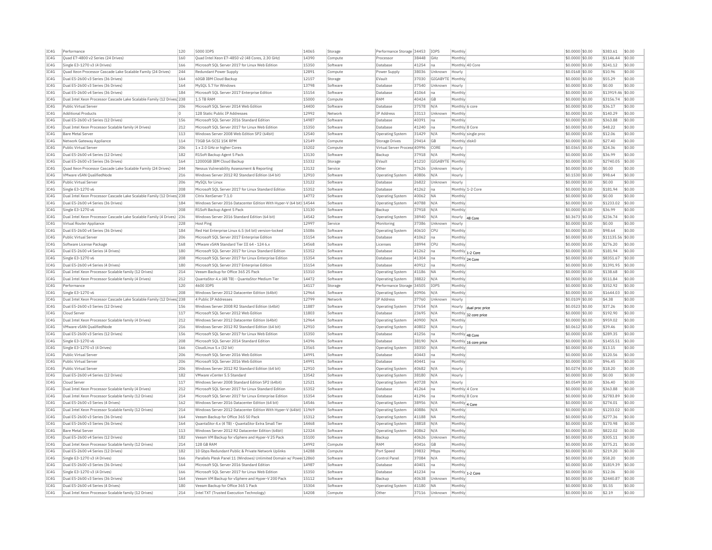| IC4G<br>Quad E7-4800 v2 Series (24 Drives)<br>160<br>Quad Intel Xeon E7-4850 v2 (48 Cores, 2.30 GHz)<br>14390<br>Compute<br>38448<br>GHz<br>Monthly<br>\$0,0000 \$0.00<br>\$1146.44<br>\$0.00<br>Processo<br>\$241.12<br>\$0.00<br>IC4G<br>Single E3-1270 v3 (4 Drives)<br>166<br>Microsoft SOL Server 2017 for Linux Web Edition<br>15350<br>Software<br>Database<br>41254<br>Ina<br>Monthly 40 Core<br>\$0,0000 \$0.00<br>TCAG<br>Quad Xeon Processor Cascade Lake Scalable Family (24 Drives)<br>244<br>12891<br>38036<br>$$0.0168$ \$0.00<br>\$10.96<br>\$0.00<br>Redundant Power Supply<br>Power Supply<br>Unknown<br>Compute<br>Hourly<br>IC4G<br>12157<br>\$0.00<br>Dual E5-2600 v3 Series (36 Drives)<br>164<br>60GB IBM Cloud Backup<br>Storage<br>EVault<br>37030<br>GIGABYTE<br>Monthly<br>\$0.0000 \$0.00<br>\$55.29<br>IC4G<br>13798<br>37540<br>\$0.00<br>Dual E5-2600 v3 Series (36 Drives)<br>164<br>MySOL 5.7 for Windows<br>Software<br>Database<br>Unknown<br>\$0,0000 \$0.00<br>\$0.00<br>Hourly<br>IC4G<br>Dual E5-2600 v4 Series (36 Drives)<br>184<br>Microsoft SOL Server 2017 Enterprise Edition<br>15154<br>Software<br>Database<br>41064<br>Monthly<br>\$0.0000 \$0.00<br>\$13919.46 \$0.00<br>Ina<br>IC4G<br>Dual Intel Xeon Processor Cascade Lake Scalable Family (12 Drives) 238<br>1.5 TB RAM<br>15000<br>50.00<br>RAM<br>40424<br>\$0,0000 \$0.00<br>\$3156.74<br><b>GB</b><br>Compute<br>Monthly<br>IC4G<br>Public Virtual Server<br>Microsoft SOL Server 2014 Web Edition<br>14400<br>Database<br>37578<br>N/A<br>Monthly 6 core<br>\$0.0000 \$0.00<br>\$36.17<br>\$0.00<br>206<br>Software<br>TC4G<br>128 Static Public IP Addresses<br>12992<br><b>IP Address</b><br>\$140.29<br>\$0.00<br><b>Additional Products</b><br>n.<br>33113<br>Unknown<br>$$0.0000$ \$0.00<br>Network<br>Monthly<br>IC4G<br>Dual E5-2600 v3 Series (12 Drives)<br>156<br>Microsoft SQL Server 2016 Standard Edition<br>14987<br>Database<br>40391<br>\$0.0000 \$0.00<br>\$363.88<br>\$0.00<br>Software<br>na<br>Monthly<br>TC4G<br>\$0.00<br>Dual Intel Xeon Processor Scalable family (4 Drives)<br>212<br>Microsoft SOL Server 2017 for Linux Web Edition<br>15350<br>41240<br>\$0,0000 \$0.00<br>\$48.22<br>Software<br>Database<br>Ina<br>Monthly 8 Core<br>IC4G<br>113<br>Windows Server 2008 Web Edition SP2 (64bit)<br>12540<br>31429<br>\$0.0000 \$0.00<br>\$0.00<br><b>Bare Metal Server</b><br>Software<br>Operating System<br>N/A<br>Monthly single prod<br>\$12.06<br>IC4G<br>114<br>\$0.00<br>Network Gateway Appliance<br>73GB SA-SCST 15K RPM<br>12149<br>Compute<br>Storage Drives<br>29414<br><b>GB</b><br>Monthly disk0<br>\$0.0000 \$0.00<br>\$27.40<br>IC4G<br>206<br>Public Virtual Server<br>1 x 2.0 GHz or higher Cores<br>15202<br>Compute<br>Virtual Server Process 40996<br>CORE<br>Hourly<br>\$0,0365 \$0.00<br>\$24.36<br>\$0.00<br>TC4G<br>Dual E5-2600 v4 Series (12 Drives)<br>182<br>R1Soft Backup Agent 5 Pack<br>13130<br>Software<br>Backup<br>37918<br>N/A<br>Monthly<br>\$0.0000 \$0.00<br>\$36.99<br>\$0.00<br>IC4G<br>Dual E5-2600 v3 Series (36 Drives)<br>164<br>12000GB IBM Cloud Backup<br>15332<br>Storage<br>EVault<br>41210<br>GIGABYTE<br>Monthly<br>\$0.0000 \$0.00<br>\$2740.05<br>\$0.00<br>IC4G<br>Quad Xeon Processor Cascade Lake Scalable Family (24 Drives)<br>244<br>Nessus Vulnerability Assessment & Reporting<br>13132<br>Other<br>37626<br>Unknown<br>\$0,0000 \$0.00<br>\$0.00<br>\$0.00<br>Service<br>Hourly<br>TC4G<br>VMware vSAN QualifiedNode<br>216<br>Windows Server 2012 R2 Standard Edition (64 bit)<br>12910<br>Software<br>40806<br>$$0.1530$ \$0.00<br>\$98.64<br>\$0.00<br><b>Operating System</b><br>N/A<br>Hourly<br>IC4G<br>Public Virtual Server<br>206<br>13122<br>Software<br>Database<br>26822<br>Unknown<br>\$0.0000 \$0.00<br>\$0.00<br>\$0.00<br>MySQL for Linux<br>Hourly<br>IC4G<br>208<br>Microsoft SQL Server 2017 for Linux Standard Edition<br>15352<br>41262<br>\$0.0000 \$0.00<br>\$181.94<br>\$0.00<br>Single E3-1270 v6<br>Software<br>Database<br>Monthly 1-2 Core<br>Ina<br>IC4G<br>Dual Intel Xeon Processor Cascade Lake Scalable Family (12 Drives) 238<br>14772<br>40062<br>\$0.0000 \$0.00<br>\$0.00<br>\$0.00<br>Citrix XenServer 7.1.0<br>Software<br><b>Operating System</b><br><b>NA</b><br>Monthly<br>IC4G<br>Windows Server 2016 Datacenter Edition With Hyper-V (64 bit) 14544<br>\$1233.02<br>\$0.00<br>Dual E5-2600 v4 Series (36 Drives)<br>184<br>40788<br>N/A<br>\$0,0000 \$0.00<br>Software<br>Operating System<br>Monthly<br>IC4G<br>\$0.00<br>Single E3-1270 v6<br>208<br>R1Soft Backup Agent 5 Pack<br>13130<br>Software<br>Backup<br>37918<br>N/A<br>Monthly<br>\$0,0000 \$0.00<br>\$36.99<br>TC4G<br>Windows Server 2016 Standard Edition (64 bit)<br>14542<br>38940<br>\$236.74<br>\$0.00<br>Dual Intel Xeon Processor Cascade Lake Scalable Family (4 Drives) 236<br>Software<br>N/A<br>\$0,3673 \$0.00<br><b>Operating System</b><br>Hourly<br>48 Core<br>IC4G<br>228<br>12997<br>37386<br>\$0.0000 \$0.00<br>\$0.00<br>\$0.00<br>Virtual Router Appliance<br>Host Ping<br>Service<br>Monitoring<br>Unknown<br>Hourly<br>TCAG<br>15086<br>\$0.00<br>Dual E5-2600 v4 Series (36 Drives)<br>184<br>Red Hat Enterprise Linux 6.5 (64 bit) version-locked<br>\$0,0000 \$0.00<br>\$98.64<br>Software<br>Operating System<br>40610<br>CPIJ<br>Monthly<br>IC4G<br>206<br>Microsoft SQL Server 2017 Enterprise Edition<br>15154<br>41062<br>\$0.0000 \$0.00<br>\$11135.56<br>\$0.00<br>Public Virtual Server<br>Software<br><b>Databas</b><br> na<br>Monthly<br>IC4G<br>VMware vSAN Standard Tier III 64 - 124 6.x<br>14568<br>\$0.00<br>Software License Package<br>168<br>Software<br>Licenses<br>38994<br>CPI<br>Monthly<br>\$0,0000 \$0.00<br>\$276.20<br>IC4G<br>180<br>15352<br>\$0.00<br>Dual E5-2600 v4 Series (4 Drives)<br>Microsoft SOL Server 2017 for Linux Standard Edition<br>Software<br>Database<br>41262<br>Ina<br>Monthly 1-2 Core<br>\$0,0000 \$0.00<br>\$181.94<br>IC4G<br>Single E3-1270 v6<br>208<br>\$8351.67<br>\$0.00<br>Microsoft SOL Server 2017 for Linux Enterprise Edition<br>15354<br>Software<br>Database<br>41304<br>- Ina<br>Monthly 24 Core<br>\$0.0000 \$0.00<br>IC4G<br>Dual E5-2600 v4 Series (4 Drives)<br>180<br>Microsoft SOL Server 2017 Enterprise Edition<br>15154<br>Software<br>Database<br>40912<br>Ina<br>Monthly<br>\$0,0000 \$0.00<br>\$1391.95<br>\$0.00<br>IC4G<br>Dual Intel Xeon Processor Scalable family (12 Drives)<br> 214<br>Veeam Backup for Office 365 25 Pack<br>15310<br>Software<br>Operating System<br>41186<br><b>NA</b><br>Monthly<br>\$0,0000 \$0.00<br>\$138.68<br>\$0.00<br>IC4G<br>Dual Intel Xeon Processor Scalable family (4 Drives)<br>212<br>QuantaStor 4.x (48 TB) - QuantaStor Medium Tier<br>14472<br>Software<br>38822<br>N/A<br>Monthly<br>\$0.0000 \$0.00<br>\$511.84<br>\$0.00<br><b>Operating System</b><br>IC4G<br>Performance<br>120<br>4600 IOPS<br>14117<br>34505<br><b>IOPS</b><br>Monthly<br>\$0.0000 \$0.00<br>\$352.92<br>\$0.00<br>Storage<br>Performance Storage<br>IC4G<br>208<br>Windows Server 2012 Datacenter Edition (64bit)<br>12964<br>Monthly<br>\$0.0000 \$0.00<br>\$1644.03<br>\$0.00<br>Single E3-1270 v6<br>Software<br>40906<br>N/A<br>Operating System<br>IC4G<br>Dual Intel Xeon Processor Cascade Lake Scalable Family (12 Drives) 238<br>4 Public IP Addresses<br>12799<br>IP Address<br>\$0.0109 \$0.00<br>\$4.38<br>\$0.00<br>Network<br>37760<br>Unknown<br>Hourly<br>IC4G<br>Dual E5-2600 v3 Series (12 Drives)<br>Windows Server 2008 R2 Standard Edition (64bit)<br>11887<br>\$37.26<br>\$0.00<br>156<br>37654<br>\$0.0523 \$0.00<br>Software<br>N/A<br>Operating System<br>Hourly dual proc price<br>IC4G<br>Microsoft SQL Server 2012 Web Edition<br>11803<br>23695<br>\$0.0000 \$0.00<br>\$192.90<br>\$0.00<br>Cloud Serve<br>117<br>Software<br><b>Databas</b><br>N/A<br>Monthly 32 core price<br>IC4G<br>Windows Server 2012 Datacenter Edition (64bit)<br>12964<br>40900<br>\$959.02<br>\$0.00<br>Dual Intel Xeon Processor Scalable family (4 Drives)<br>212<br>Software<br>N/A<br>\$0,0000 \$0.00<br><b>Operating System</b><br>Monthl<br>VMware vSAN QualifiedNode<br>216<br>IC4G<br>Windows Server 2012 R2 Standard Edition (64 bit<br>12910<br>Software<br><b>Operating System</b><br>40802<br>N/A<br>\$0,0612 \$0.00<br>\$39.46<br>\$0.00<br>Hourly<br>TCAG<br>Dual E5-2600 v3 Series (12 Drives)<br>156<br>Microsoft SOL Server 2017 for Linux Web Edition<br>15350<br>\$289.35<br>\$0.00<br>41256<br>\$0,0000 \$0.00<br>Software<br>Database<br>Ina<br>Monthly 48 Core<br>IC4G<br>Single E3-1270 v6<br>208<br>Microsoft SQL Server 2014 Standard Edition<br>14396<br>Software<br>38190<br>N/A<br>\$0.0000 \$0.00<br>\$1455.51<br>\$0.00<br>Database<br>Monthly 16 core price<br>IC4G<br>13565<br>\$0.00<br>Single E3-1270 v3 (4 Drives)<br>166<br>CloudLinux 5.x (32 bit)<br>Software<br><b>Operating System</b><br>38350<br>N/A<br>Monthly<br>\$0,0000 \$0.00<br>\$13.15<br>TC4G<br>206<br>Microsoft SQL Server 2016 Web Edition<br>14991<br>Database<br>40443<br>Monthly<br>\$0.0000 \$0.00<br>\$120.56<br>\$0.00<br>Public Virtual Server<br>Software<br>Ina<br>IC4G<br>206<br>14991<br>40441<br>\$0.00<br>Public Virtual Server<br>Microsoft SOL Server 2016 Web Edition<br>Software<br>Database<br>Ina<br>Monthly<br>\$0.0000 \$0.00<br>\$96.45<br>TC4G<br>206<br>Windows Server 2012 R2 Standard Edition (64 bit)<br>12910<br>40682<br>N/A<br>\$0.0274 \$0.00<br>\$18.20<br>\$0.00<br>Public Virtual Server<br>Software<br>Operating System<br>Hourly<br>IC4G<br>Dual E5-2600 v4 Series (12 Drives)<br>182<br>VMware vCenter 5.5 Standard<br>13542<br>Software<br>Operating System<br>38180<br>N/A<br>\$0,0000 \$0.00<br>\$0.00<br>\$0.00<br>Hourly<br>IC4G<br>117<br>Windows Server 2008 Standard Edition SP2 (64bit)<br>12521<br>\$0.00<br>Software<br>40728<br>\$0,0549 \$0.00<br>\$36.40<br>Cloud Server<br>Operating System<br>N/A<br>Hourly<br>IC4G<br>Dual Intel Xeon Processor Scalable family (4 Drives)<br>212<br>Microsoft SQL Server 2017 for Linux Standard Edition<br>15352<br>Software<br>Database<br>41264<br>Monthly 4 Core<br>\$0.0000 \$0.00<br>\$363.88<br>\$0.00<br>na<br>TC4G<br>Dual Intel Xeon Processor Scalable family (12 Drives)<br>214<br>Microsoft SQL Server 2017 for Linux Enterprise Edition<br>15354<br>41296<br>Monthly 8 Core<br>\$0.0000 \$0.00<br>\$2783.89<br>\$0.00<br>Software<br>Database<br>Ina<br>IC4G<br>Dual E5-2600 v3 Series (4 Drives)<br>162<br>Windows Server 2016 Datacenter Edition (64 bit)<br>14546<br>Software<br>38956<br>\$0.0000 \$0.00<br>\$274.01<br>\$0.00<br><b>Operating System</b><br>N/A<br>Monthly 4 Core<br>TC4G<br>214<br>Windows Server 2012 Datacenter Edition With Hyper-V (64bit) 11969<br>40886<br>\$0.0000 \$0.00<br>\$1233.02<br>\$0.00<br>Dual Intel Xeon Processor Scalable family (12 Drives)<br>Software<br>N/A<br>Operating System<br>Monthly<br>IC4G<br>Dual E5-2600 v3 Series (36 Drives)<br>164<br>Veeam Backup for Office 365 50 Pack<br>15312<br>41188<br>Monthly<br>\$0.0000 \$0.00<br>\$277.36<br>\$0.00<br>Software<br><b>Operating System</b><br>NA<br>IC4G<br>Dual E5-2600 v3 Series (36 Drives)<br>164<br>OuantaStor 4.x (4 TB) - OuantaStor Extra Small Tier<br>14468<br>Software<br>38818<br>\$0,0000 \$0.00<br>\$170.98<br>\$0.00<br>N/A<br>Monthly<br><b>Operating System</b><br>113<br>12324<br>\$0.00<br>IC4G<br><b>Bare Metal Server</b><br>Windows Server 2012 R2 Datacenter Edition (64bit)<br>Software<br>Operating System<br>40862<br>N/A<br>Monthly<br>\$0,0000 \$0.00<br>\$822.02<br>TCAG<br>182<br>Veeam VM Backup for vSphere and Hyper-V 25 Pack<br>15100<br>\$305.11<br>\$0.00<br>Dual E5-2600 v4 Series (12 Drives)<br>Backun<br>40626<br>\$0,0000 \$0.00<br>Software<br><b>Unknown</b><br>Monthly<br>14992<br>IC4G<br>Dual Intel Xeon Processor Scalable family (12 Drives)<br>214<br>128 GB RAM<br>Compute<br>RAM<br>40416<br><b>GB</b><br>Monthly<br>\$0.0000 \$0.00<br>\$375.21<br>\$0.00<br>14288<br>TC4G<br>182<br>39832<br>\$0,0000 \$0.00<br>\$0.00<br>Dual E5-2600 v4 Series (12 Drives)<br>10 Ghns Redundant Public & Private Network Unlinks<br>Compute<br>Port Speed<br>Mbps<br>Monthly<br>\$219.20<br>IC4G<br>Single E3-1270 v3 (4 Drives)<br>166<br>Parallels Plesk Panel 11 (Windows) Unlimited Domain w/ Powe 12860<br>Software<br>Control Pane<br>37084<br>N/A<br>Monthly<br>\$0.0000 \$0.00<br>\$58.20<br>\$0.00<br>TC4G<br>14987<br>40401<br>\$1819.39<br>\$0.00<br>Dual E5-2600 v3 Series (36 Drives)<br>164<br>Microsoft SOL Server 2016 Standard Edition<br>Software<br>Database<br>Ina<br>Monthly<br>\$0,0000 \$0,00<br>TC4G<br>Single E3-1270 v3 (4 Drives)<br>166<br>Microsoft SQL Server 2017 for Linux Web Edition<br>15350<br>41234<br>\$0.0000 \$0.00<br>\$12.06<br>\$0.00<br>Software<br>Database<br>Monthly 1-2 Core<br>Ina<br>TC4G<br>Dual E5-2600 v3 Series (36 Drives)<br>164<br>Veeam VM Backup for vSphere and Hyper-V 200 Pack<br>15112<br>Software<br>Backun<br>40638<br>Unknown<br>Monthly<br>\$0.0000 \$0.00<br>\$2440.87<br>\$0.00<br>TC4G<br>Dual E5-2600 v4 Series (4 Drives)<br>180<br>Veeam Backup for Office 365 1 Pack<br>15304<br>\$0.00<br>Software<br>41180<br>\$0,0000 \$0.00<br>\$5.55<br>Operating System<br>Monthly<br><b>NA</b><br>IC4G<br>Dual Intel Xeon Processor Scalable family (12 Drives)<br>214<br>Intel TXT (Trusted Execution Technology<br>14208<br>Other<br>37116 Unknown<br>Monthly<br>$$0.0000$ \$0.00<br>\$2.19<br>\$0.00<br>Compute | TC4G | Performance | 120 | 5000 TOPS | 14065 | Storage | Performance Storage 34453 | <b>TOPS</b> | Monthly | \$0,0000 \$0.00 | \$383.61 | \$0.00 |
|----------------------------------------------------------------------------------------------------------------------------------------------------------------------------------------------------------------------------------------------------------------------------------------------------------------------------------------------------------------------------------------------------------------------------------------------------------------------------------------------------------------------------------------------------------------------------------------------------------------------------------------------------------------------------------------------------------------------------------------------------------------------------------------------------------------------------------------------------------------------------------------------------------------------------------------------------------------------------------------------------------------------------------------------------------------------------------------------------------------------------------------------------------------------------------------------------------------------------------------------------------------------------------------------------------------------------------------------------------------------------------------------------------------------------------------------------------------------------------------------------------------------------------------------------------------------------------------------------------------------------------------------------------------------------------------------------------------------------------------------------------------------------------------------------------------------------------------------------------------------------------------------------------------------------------------------------------------------------------------------------------------------------------------------------------------------------------------------------------------------------------------------------------------------------------------------------------------------------------------------------------------------------------------------------------------------------------------------------------------------------------------------------------------------------------------------------------------------------------------------------------------------------------------------------------------------------------------------------------------------------------------------------------------------------------------------------------------------------------------------------------------------------------------------------------------------------------------------------------------------------------------------------------------------------------------------------------------------------------------------------------------------------------------------------------------------------------------------------------------------------------------------------------------------------------------------------------------------------------------------------------------------------------------------------------------------------------------------------------------------------------------------------------------------------------------------------------------------------------------------------------------------------------------------------------------------------------------------------------------------------------------------------------------------------------------------------------------------------------------------------------------------------------------------------------------------------------------------------------------------------------------------------------------------------------------------------------------------------------------------------------------------------------------------------------------------------------------------------------------------------------------------------------------------------------------------------------------------------------------------------------------------------------------------------------------------------------------------------------------------------------------------------------------------------------------------------------------------------------------------------------------------------------------------------------------------------------------------------------------------------------------------------------------------------------------------------------------------------------------------------------------------------------------------------------------------------------------------------------------------------------------------------------------------------------------------------------------------------------------------------------------------------------------------------------------------------------------------------------------------------------------------------------------------------------------------------------------------------------------------------------------------------------------------------------------------------------------------------------------------------------------------------------------------------------------------------------------------------------------------------------------------------------------------------------------------------------------------------------------------------------------------------------------------------------------------------------------------------------------------------------------------------------------------------------------------------------------------------------------------------------------------------------------------------------------------------------------------------------------------------------------------------------------------------------------------------------------------------------------------------------------------------------------------------------------------------------------------------------------------------------------------------------------------------------------------------------------------------------------------------------------------------------------------------------------------------------------------------------------------------------------------------------------------------------------------------------------------------------------------------------------------------------------------------------------------------------------------------------------------------------------------------------------------------------------------------------------------------------------------------------------------------------------------------------------------------------------------------------------------------------------------------------------------------------------------------------------------------------------------------------------------------------------------------------------------------------------------------------------------------------------------------------------------------------------------------------------------------------------------------------------------------------------------------------------------------------------------------------------------------------------------------------------------------------------------------------------------------------------------------------------------------------------------------------------------------------------------------------------------------------------------------------------------------------------------------------------------------------------------------------------------------------------------------------------------------------------------------------------------------------------------------------------------------------------------------------------------------------------------------------------------------------------------------------------------------------------------------------------------------------------------------------------------------------------------------------------------------------------------------------------------------------------------------------------------------------------------------------------------------------------------------------------------------------------------------------------------------------------------------------------------------------------------------------------------------------------------------------------------------------------------------------------------------------------------------------------------------------------------------------------------------------------------------------------------------------------------------------------------------------------------------------------------------------------------------------------------------------------------------------------------------------------------------------------------------------------------------------------------------------------------------------------------------------------------------------------------------------------------------------------------------------------------------------------------------------------------------------------------------------------------------------------------------------------------------------------------------------------------------------------------------------------------------------------------------------------------------------------------------------------------------------------------------------------------------------------------------------------------------------------------------------------------------------------------------------------------------------------------------------------------------------------------------------------------------------------------------------------------------------------------------------------------------------------------------------------------------------------------------------------------------------------------------------------------------------------------------------------------------------------------------------------------------------------------------------------------------------------------------------------------------------------------------------------------------------------------------------------------------------------------------------------------------------------------------------------------------------------------------------------------------------------------------------------------------------------------------------------------------------------------------------------------------------------------------------------------------------------------------------------------------------------------------------------------------------------------------------------------------------------------------------------------------------------------------------------------------------------------------------------------------------------------------------------------------------------------------------------------------------------------------------------------------------------------------------------------------------------------------------------------------------------------------------------------------------------------------------------------------------------------------------------------------------------------------------------------------------------------------------------------------------------------------------------------------------------------------------------------------------------------------------------------------------------------------------------------------------------------------------------------------------------------------------------------------------------------------------------------------------------------------------------------------------------------------------------------------------------------------------------------------------------------------------------------------------------------------------------------------------------------------------------------------------------------------------------------------------------------------------------------------------------------------------------------------------------------------------------------------------------------------------------------------------------------------------------------------------------------------------------------------------------------------------------------------------------------------------------------------------------------------------------------------------------------------------------------------------------------------------------------------------------------------------------------------------------------------------------------------------------------------------------------------------------------------------------------------------------------------------------------------------------------------------------------------------------------------------------------------------------------------------------------------------------------------------------------------------------------------------------------------------------------------------------------------------------------------|------|-------------|-----|-----------|-------|---------|---------------------------|-------------|---------|-----------------|----------|--------|
|                                                                                                                                                                                                                                                                                                                                                                                                                                                                                                                                                                                                                                                                                                                                                                                                                                                                                                                                                                                                                                                                                                                                                                                                                                                                                                                                                                                                                                                                                                                                                                                                                                                                                                                                                                                                                                                                                                                                                                                                                                                                                                                                                                                                                                                                                                                                                                                                                                                                                                                                                                                                                                                                                                                                                                                                                                                                                                                                                                                                                                                                                                                                                                                                                                                                                                                                                                                                                                                                                                                                                                                                                                                                                                                                                                                                                                                                                                                                                                                                                                                                                                                                                                                                                                                                                                                                                                                                                                                                                                                                                                                                                                                                                                                                                                                                                                                                                                                                                                                                                                                                                                                                                                                                                                                                                                                                                                                                                                                                                                                                                                                                                                                                                                                                                                                                                                                                                                                                                                                                                                                                                                                                                                                                                                                                                                                                                                                                                                                                                                                                                                                                                                                                                                                                                                                                                                                                                                                                                                                                                                                                                                                                                                                                                                                                                                                                                                                                                                                                                                                                                                                                                                                                                                                                                                                                                                                                                                                                                                                                                                                                                                                                                                                                                                                                                                                                                                                                                                                                                                                                                                                                                                                                                                                                                                                                                                                                                                                                                                                                                                                                                                                                                                                                                                                                                                                                                                                                                                                                                                                                                                                                                                                                                                                                                                                                                                                                                                                                                                                                                                                                                                                                                                                                                                                                                                                                                                                                                                                                                                                                                                                                                                                                                                                                                                                                                                                                                                                                                                                                                                                                                                                                                                                                                                                                                                                                                                                                                                                                                                                                                                                                                                                                                                                                                                                                                                                                                                                                                                                                                                                                                                                                                                                                                                                                                                                                                                                                                                                                                                                                                                                                                                                                                                                                                                                                                                                                                                                                                                                                                                                                                                                                                                                                                                                                                                                                                                                                                                                                                                                                                                                                    |      |             |     |           |       |         |                           |             |         |                 |          |        |
|                                                                                                                                                                                                                                                                                                                                                                                                                                                                                                                                                                                                                                                                                                                                                                                                                                                                                                                                                                                                                                                                                                                                                                                                                                                                                                                                                                                                                                                                                                                                                                                                                                                                                                                                                                                                                                                                                                                                                                                                                                                                                                                                                                                                                                                                                                                                                                                                                                                                                                                                                                                                                                                                                                                                                                                                                                                                                                                                                                                                                                                                                                                                                                                                                                                                                                                                                                                                                                                                                                                                                                                                                                                                                                                                                                                                                                                                                                                                                                                                                                                                                                                                                                                                                                                                                                                                                                                                                                                                                                                                                                                                                                                                                                                                                                                                                                                                                                                                                                                                                                                                                                                                                                                                                                                                                                                                                                                                                                                                                                                                                                                                                                                                                                                                                                                                                                                                                                                                                                                                                                                                                                                                                                                                                                                                                                                                                                                                                                                                                                                                                                                                                                                                                                                                                                                                                                                                                                                                                                                                                                                                                                                                                                                                                                                                                                                                                                                                                                                                                                                                                                                                                                                                                                                                                                                                                                                                                                                                                                                                                                                                                                                                                                                                                                                                                                                                                                                                                                                                                                                                                                                                                                                                                                                                                                                                                                                                                                                                                                                                                                                                                                                                                                                                                                                                                                                                                                                                                                                                                                                                                                                                                                                                                                                                                                                                                                                                                                                                                                                                                                                                                                                                                                                                                                                                                                                                                                                                                                                                                                                                                                                                                                                                                                                                                                                                                                                                                                                                                                                                                                                                                                                                                                                                                                                                                                                                                                                                                                                                                                                                                                                                                                                                                                                                                                                                                                                                                                                                                                                                                                                                                                                                                                                                                                                                                                                                                                                                                                                                                                                                                                                                                                                                                                                                                                                                                                                                                                                                                                                                                                                                                                                                                                                                                                                                                                                                                                                                                                                                                                                                                                                                    |      |             |     |           |       |         |                           |             |         |                 |          |        |
|                                                                                                                                                                                                                                                                                                                                                                                                                                                                                                                                                                                                                                                                                                                                                                                                                                                                                                                                                                                                                                                                                                                                                                                                                                                                                                                                                                                                                                                                                                                                                                                                                                                                                                                                                                                                                                                                                                                                                                                                                                                                                                                                                                                                                                                                                                                                                                                                                                                                                                                                                                                                                                                                                                                                                                                                                                                                                                                                                                                                                                                                                                                                                                                                                                                                                                                                                                                                                                                                                                                                                                                                                                                                                                                                                                                                                                                                                                                                                                                                                                                                                                                                                                                                                                                                                                                                                                                                                                                                                                                                                                                                                                                                                                                                                                                                                                                                                                                                                                                                                                                                                                                                                                                                                                                                                                                                                                                                                                                                                                                                                                                                                                                                                                                                                                                                                                                                                                                                                                                                                                                                                                                                                                                                                                                                                                                                                                                                                                                                                                                                                                                                                                                                                                                                                                                                                                                                                                                                                                                                                                                                                                                                                                                                                                                                                                                                                                                                                                                                                                                                                                                                                                                                                                                                                                                                                                                                                                                                                                                                                                                                                                                                                                                                                                                                                                                                                                                                                                                                                                                                                                                                                                                                                                                                                                                                                                                                                                                                                                                                                                                                                                                                                                                                                                                                                                                                                                                                                                                                                                                                                                                                                                                                                                                                                                                                                                                                                                                                                                                                                                                                                                                                                                                                                                                                                                                                                                                                                                                                                                                                                                                                                                                                                                                                                                                                                                                                                                                                                                                                                                                                                                                                                                                                                                                                                                                                                                                                                                                                                                                                                                                                                                                                                                                                                                                                                                                                                                                                                                                                                                                                                                                                                                                                                                                                                                                                                                                                                                                                                                                                                                                                                                                                                                                                                                                                                                                                                                                                                                                                                                                                                                                                                                                                                                                                                                                                                                                                                                                                                                                                                                                                    |      |             |     |           |       |         |                           |             |         |                 |          |        |
|                                                                                                                                                                                                                                                                                                                                                                                                                                                                                                                                                                                                                                                                                                                                                                                                                                                                                                                                                                                                                                                                                                                                                                                                                                                                                                                                                                                                                                                                                                                                                                                                                                                                                                                                                                                                                                                                                                                                                                                                                                                                                                                                                                                                                                                                                                                                                                                                                                                                                                                                                                                                                                                                                                                                                                                                                                                                                                                                                                                                                                                                                                                                                                                                                                                                                                                                                                                                                                                                                                                                                                                                                                                                                                                                                                                                                                                                                                                                                                                                                                                                                                                                                                                                                                                                                                                                                                                                                                                                                                                                                                                                                                                                                                                                                                                                                                                                                                                                                                                                                                                                                                                                                                                                                                                                                                                                                                                                                                                                                                                                                                                                                                                                                                                                                                                                                                                                                                                                                                                                                                                                                                                                                                                                                                                                                                                                                                                                                                                                                                                                                                                                                                                                                                                                                                                                                                                                                                                                                                                                                                                                                                                                                                                                                                                                                                                                                                                                                                                                                                                                                                                                                                                                                                                                                                                                                                                                                                                                                                                                                                                                                                                                                                                                                                                                                                                                                                                                                                                                                                                                                                                                                                                                                                                                                                                                                                                                                                                                                                                                                                                                                                                                                                                                                                                                                                                                                                                                                                                                                                                                                                                                                                                                                                                                                                                                                                                                                                                                                                                                                                                                                                                                                                                                                                                                                                                                                                                                                                                                                                                                                                                                                                                                                                                                                                                                                                                                                                                                                                                                                                                                                                                                                                                                                                                                                                                                                                                                                                                                                                                                                                                                                                                                                                                                                                                                                                                                                                                                                                                                                                                                                                                                                                                                                                                                                                                                                                                                                                                                                                                                                                                                                                                                                                                                                                                                                                                                                                                                                                                                                                                                                                                                                                                                                                                                                                                                                                                                                                                                                                                                                                                                    |      |             |     |           |       |         |                           |             |         |                 |          |        |
|                                                                                                                                                                                                                                                                                                                                                                                                                                                                                                                                                                                                                                                                                                                                                                                                                                                                                                                                                                                                                                                                                                                                                                                                                                                                                                                                                                                                                                                                                                                                                                                                                                                                                                                                                                                                                                                                                                                                                                                                                                                                                                                                                                                                                                                                                                                                                                                                                                                                                                                                                                                                                                                                                                                                                                                                                                                                                                                                                                                                                                                                                                                                                                                                                                                                                                                                                                                                                                                                                                                                                                                                                                                                                                                                                                                                                                                                                                                                                                                                                                                                                                                                                                                                                                                                                                                                                                                                                                                                                                                                                                                                                                                                                                                                                                                                                                                                                                                                                                                                                                                                                                                                                                                                                                                                                                                                                                                                                                                                                                                                                                                                                                                                                                                                                                                                                                                                                                                                                                                                                                                                                                                                                                                                                                                                                                                                                                                                                                                                                                                                                                                                                                                                                                                                                                                                                                                                                                                                                                                                                                                                                                                                                                                                                                                                                                                                                                                                                                                                                                                                                                                                                                                                                                                                                                                                                                                                                                                                                                                                                                                                                                                                                                                                                                                                                                                                                                                                                                                                                                                                                                                                                                                                                                                                                                                                                                                                                                                                                                                                                                                                                                                                                                                                                                                                                                                                                                                                                                                                                                                                                                                                                                                                                                                                                                                                                                                                                                                                                                                                                                                                                                                                                                                                                                                                                                                                                                                                                                                                                                                                                                                                                                                                                                                                                                                                                                                                                                                                                                                                                                                                                                                                                                                                                                                                                                                                                                                                                                                                                                                                                                                                                                                                                                                                                                                                                                                                                                                                                                                                                                                                                                                                                                                                                                                                                                                                                                                                                                                                                                                                                                                                                                                                                                                                                                                                                                                                                                                                                                                                                                                                                                                                                                                                                                                                                                                                                                                                                                                                                                                                                                                                    |      |             |     |           |       |         |                           |             |         |                 |          |        |
|                                                                                                                                                                                                                                                                                                                                                                                                                                                                                                                                                                                                                                                                                                                                                                                                                                                                                                                                                                                                                                                                                                                                                                                                                                                                                                                                                                                                                                                                                                                                                                                                                                                                                                                                                                                                                                                                                                                                                                                                                                                                                                                                                                                                                                                                                                                                                                                                                                                                                                                                                                                                                                                                                                                                                                                                                                                                                                                                                                                                                                                                                                                                                                                                                                                                                                                                                                                                                                                                                                                                                                                                                                                                                                                                                                                                                                                                                                                                                                                                                                                                                                                                                                                                                                                                                                                                                                                                                                                                                                                                                                                                                                                                                                                                                                                                                                                                                                                                                                                                                                                                                                                                                                                                                                                                                                                                                                                                                                                                                                                                                                                                                                                                                                                                                                                                                                                                                                                                                                                                                                                                                                                                                                                                                                                                                                                                                                                                                                                                                                                                                                                                                                                                                                                                                                                                                                                                                                                                                                                                                                                                                                                                                                                                                                                                                                                                                                                                                                                                                                                                                                                                                                                                                                                                                                                                                                                                                                                                                                                                                                                                                                                                                                                                                                                                                                                                                                                                                                                                                                                                                                                                                                                                                                                                                                                                                                                                                                                                                                                                                                                                                                                                                                                                                                                                                                                                                                                                                                                                                                                                                                                                                                                                                                                                                                                                                                                                                                                                                                                                                                                                                                                                                                                                                                                                                                                                                                                                                                                                                                                                                                                                                                                                                                                                                                                                                                                                                                                                                                                                                                                                                                                                                                                                                                                                                                                                                                                                                                                                                                                                                                                                                                                                                                                                                                                                                                                                                                                                                                                                                                                                                                                                                                                                                                                                                                                                                                                                                                                                                                                                                                                                                                                                                                                                                                                                                                                                                                                                                                                                                                                                                                                                                                                                                                                                                                                                                                                                                                                                                                                                                                                                    |      |             |     |           |       |         |                           |             |         |                 |          |        |
|                                                                                                                                                                                                                                                                                                                                                                                                                                                                                                                                                                                                                                                                                                                                                                                                                                                                                                                                                                                                                                                                                                                                                                                                                                                                                                                                                                                                                                                                                                                                                                                                                                                                                                                                                                                                                                                                                                                                                                                                                                                                                                                                                                                                                                                                                                                                                                                                                                                                                                                                                                                                                                                                                                                                                                                                                                                                                                                                                                                                                                                                                                                                                                                                                                                                                                                                                                                                                                                                                                                                                                                                                                                                                                                                                                                                                                                                                                                                                                                                                                                                                                                                                                                                                                                                                                                                                                                                                                                                                                                                                                                                                                                                                                                                                                                                                                                                                                                                                                                                                                                                                                                                                                                                                                                                                                                                                                                                                                                                                                                                                                                                                                                                                                                                                                                                                                                                                                                                                                                                                                                                                                                                                                                                                                                                                                                                                                                                                                                                                                                                                                                                                                                                                                                                                                                                                                                                                                                                                                                                                                                                                                                                                                                                                                                                                                                                                                                                                                                                                                                                                                                                                                                                                                                                                                                                                                                                                                                                                                                                                                                                                                                                                                                                                                                                                                                                                                                                                                                                                                                                                                                                                                                                                                                                                                                                                                                                                                                                                                                                                                                                                                                                                                                                                                                                                                                                                                                                                                                                                                                                                                                                                                                                                                                                                                                                                                                                                                                                                                                                                                                                                                                                                                                                                                                                                                                                                                                                                                                                                                                                                                                                                                                                                                                                                                                                                                                                                                                                                                                                                                                                                                                                                                                                                                                                                                                                                                                                                                                                                                                                                                                                                                                                                                                                                                                                                                                                                                                                                                                                                                                                                                                                                                                                                                                                                                                                                                                                                                                                                                                                                                                                                                                                                                                                                                                                                                                                                                                                                                                                                                                                                                                                                                                                                                                                                                                                                                                                                                                                                                                                                                                                    |      |             |     |           |       |         |                           |             |         |                 |          |        |
|                                                                                                                                                                                                                                                                                                                                                                                                                                                                                                                                                                                                                                                                                                                                                                                                                                                                                                                                                                                                                                                                                                                                                                                                                                                                                                                                                                                                                                                                                                                                                                                                                                                                                                                                                                                                                                                                                                                                                                                                                                                                                                                                                                                                                                                                                                                                                                                                                                                                                                                                                                                                                                                                                                                                                                                                                                                                                                                                                                                                                                                                                                                                                                                                                                                                                                                                                                                                                                                                                                                                                                                                                                                                                                                                                                                                                                                                                                                                                                                                                                                                                                                                                                                                                                                                                                                                                                                                                                                                                                                                                                                                                                                                                                                                                                                                                                                                                                                                                                                                                                                                                                                                                                                                                                                                                                                                                                                                                                                                                                                                                                                                                                                                                                                                                                                                                                                                                                                                                                                                                                                                                                                                                                                                                                                                                                                                                                                                                                                                                                                                                                                                                                                                                                                                                                                                                                                                                                                                                                                                                                                                                                                                                                                                                                                                                                                                                                                                                                                                                                                                                                                                                                                                                                                                                                                                                                                                                                                                                                                                                                                                                                                                                                                                                                                                                                                                                                                                                                                                                                                                                                                                                                                                                                                                                                                                                                                                                                                                                                                                                                                                                                                                                                                                                                                                                                                                                                                                                                                                                                                                                                                                                                                                                                                                                                                                                                                                                                                                                                                                                                                                                                                                                                                                                                                                                                                                                                                                                                                                                                                                                                                                                                                                                                                                                                                                                                                                                                                                                                                                                                                                                                                                                                                                                                                                                                                                                                                                                                                                                                                                                                                                                                                                                                                                                                                                                                                                                                                                                                                                                                                                                                                                                                                                                                                                                                                                                                                                                                                                                                                                                                                                                                                                                                                                                                                                                                                                                                                                                                                                                                                                                                                                                                                                                                                                                                                                                                                                                                                                                                                                                                                                    |      |             |     |           |       |         |                           |             |         |                 |          |        |
|                                                                                                                                                                                                                                                                                                                                                                                                                                                                                                                                                                                                                                                                                                                                                                                                                                                                                                                                                                                                                                                                                                                                                                                                                                                                                                                                                                                                                                                                                                                                                                                                                                                                                                                                                                                                                                                                                                                                                                                                                                                                                                                                                                                                                                                                                                                                                                                                                                                                                                                                                                                                                                                                                                                                                                                                                                                                                                                                                                                                                                                                                                                                                                                                                                                                                                                                                                                                                                                                                                                                                                                                                                                                                                                                                                                                                                                                                                                                                                                                                                                                                                                                                                                                                                                                                                                                                                                                                                                                                                                                                                                                                                                                                                                                                                                                                                                                                                                                                                                                                                                                                                                                                                                                                                                                                                                                                                                                                                                                                                                                                                                                                                                                                                                                                                                                                                                                                                                                                                                                                                                                                                                                                                                                                                                                                                                                                                                                                                                                                                                                                                                                                                                                                                                                                                                                                                                                                                                                                                                                                                                                                                                                                                                                                                                                                                                                                                                                                                                                                                                                                                                                                                                                                                                                                                                                                                                                                                                                                                                                                                                                                                                                                                                                                                                                                                                                                                                                                                                                                                                                                                                                                                                                                                                                                                                                                                                                                                                                                                                                                                                                                                                                                                                                                                                                                                                                                                                                                                                                                                                                                                                                                                                                                                                                                                                                                                                                                                                                                                                                                                                                                                                                                                                                                                                                                                                                                                                                                                                                                                                                                                                                                                                                                                                                                                                                                                                                                                                                                                                                                                                                                                                                                                                                                                                                                                                                                                                                                                                                                                                                                                                                                                                                                                                                                                                                                                                                                                                                                                                                                                                                                                                                                                                                                                                                                                                                                                                                                                                                                                                                                                                                                                                                                                                                                                                                                                                                                                                                                                                                                                                                                                                                                                                                                                                                                                                                                                                                                                                                                                                                                                                                    |      |             |     |           |       |         |                           |             |         |                 |          |        |
|                                                                                                                                                                                                                                                                                                                                                                                                                                                                                                                                                                                                                                                                                                                                                                                                                                                                                                                                                                                                                                                                                                                                                                                                                                                                                                                                                                                                                                                                                                                                                                                                                                                                                                                                                                                                                                                                                                                                                                                                                                                                                                                                                                                                                                                                                                                                                                                                                                                                                                                                                                                                                                                                                                                                                                                                                                                                                                                                                                                                                                                                                                                                                                                                                                                                                                                                                                                                                                                                                                                                                                                                                                                                                                                                                                                                                                                                                                                                                                                                                                                                                                                                                                                                                                                                                                                                                                                                                                                                                                                                                                                                                                                                                                                                                                                                                                                                                                                                                                                                                                                                                                                                                                                                                                                                                                                                                                                                                                                                                                                                                                                                                                                                                                                                                                                                                                                                                                                                                                                                                                                                                                                                                                                                                                                                                                                                                                                                                                                                                                                                                                                                                                                                                                                                                                                                                                                                                                                                                                                                                                                                                                                                                                                                                                                                                                                                                                                                                                                                                                                                                                                                                                                                                                                                                                                                                                                                                                                                                                                                                                                                                                                                                                                                                                                                                                                                                                                                                                                                                                                                                                                                                                                                                                                                                                                                                                                                                                                                                                                                                                                                                                                                                                                                                                                                                                                                                                                                                                                                                                                                                                                                                                                                                                                                                                                                                                                                                                                                                                                                                                                                                                                                                                                                                                                                                                                                                                                                                                                                                                                                                                                                                                                                                                                                                                                                                                                                                                                                                                                                                                                                                                                                                                                                                                                                                                                                                                                                                                                                                                                                                                                                                                                                                                                                                                                                                                                                                                                                                                                                                                                                                                                                                                                                                                                                                                                                                                                                                                                                                                                                                                                                                                                                                                                                                                                                                                                                                                                                                                                                                                                                                                                                                                                                                                                                                                                                                                                                                                                                                                                                                                                                    |      |             |     |           |       |         |                           |             |         |                 |          |        |
|                                                                                                                                                                                                                                                                                                                                                                                                                                                                                                                                                                                                                                                                                                                                                                                                                                                                                                                                                                                                                                                                                                                                                                                                                                                                                                                                                                                                                                                                                                                                                                                                                                                                                                                                                                                                                                                                                                                                                                                                                                                                                                                                                                                                                                                                                                                                                                                                                                                                                                                                                                                                                                                                                                                                                                                                                                                                                                                                                                                                                                                                                                                                                                                                                                                                                                                                                                                                                                                                                                                                                                                                                                                                                                                                                                                                                                                                                                                                                                                                                                                                                                                                                                                                                                                                                                                                                                                                                                                                                                                                                                                                                                                                                                                                                                                                                                                                                                                                                                                                                                                                                                                                                                                                                                                                                                                                                                                                                                                                                                                                                                                                                                                                                                                                                                                                                                                                                                                                                                                                                                                                                                                                                                                                                                                                                                                                                                                                                                                                                                                                                                                                                                                                                                                                                                                                                                                                                                                                                                                                                                                                                                                                                                                                                                                                                                                                                                                                                                                                                                                                                                                                                                                                                                                                                                                                                                                                                                                                                                                                                                                                                                                                                                                                                                                                                                                                                                                                                                                                                                                                                                                                                                                                                                                                                                                                                                                                                                                                                                                                                                                                                                                                                                                                                                                                                                                                                                                                                                                                                                                                                                                                                                                                                                                                                                                                                                                                                                                                                                                                                                                                                                                                                                                                                                                                                                                                                                                                                                                                                                                                                                                                                                                                                                                                                                                                                                                                                                                                                                                                                                                                                                                                                                                                                                                                                                                                                                                                                                                                                                                                                                                                                                                                                                                                                                                                                                                                                                                                                                                                                                                                                                                                                                                                                                                                                                                                                                                                                                                                                                                                                                                                                                                                                                                                                                                                                                                                                                                                                                                                                                                                                                                                                                                                                                                                                                                                                                                                                                                                                                                                                                                                    |      |             |     |           |       |         |                           |             |         |                 |          |        |
|                                                                                                                                                                                                                                                                                                                                                                                                                                                                                                                                                                                                                                                                                                                                                                                                                                                                                                                                                                                                                                                                                                                                                                                                                                                                                                                                                                                                                                                                                                                                                                                                                                                                                                                                                                                                                                                                                                                                                                                                                                                                                                                                                                                                                                                                                                                                                                                                                                                                                                                                                                                                                                                                                                                                                                                                                                                                                                                                                                                                                                                                                                                                                                                                                                                                                                                                                                                                                                                                                                                                                                                                                                                                                                                                                                                                                                                                                                                                                                                                                                                                                                                                                                                                                                                                                                                                                                                                                                                                                                                                                                                                                                                                                                                                                                                                                                                                                                                                                                                                                                                                                                                                                                                                                                                                                                                                                                                                                                                                                                                                                                                                                                                                                                                                                                                                                                                                                                                                                                                                                                                                                                                                                                                                                                                                                                                                                                                                                                                                                                                                                                                                                                                                                                                                                                                                                                                                                                                                                                                                                                                                                                                                                                                                                                                                                                                                                                                                                                                                                                                                                                                                                                                                                                                                                                                                                                                                                                                                                                                                                                                                                                                                                                                                                                                                                                                                                                                                                                                                                                                                                                                                                                                                                                                                                                                                                                                                                                                                                                                                                                                                                                                                                                                                                                                                                                                                                                                                                                                                                                                                                                                                                                                                                                                                                                                                                                                                                                                                                                                                                                                                                                                                                                                                                                                                                                                                                                                                                                                                                                                                                                                                                                                                                                                                                                                                                                                                                                                                                                                                                                                                                                                                                                                                                                                                                                                                                                                                                                                                                                                                                                                                                                                                                                                                                                                                                                                                                                                                                                                                                                                                                                                                                                                                                                                                                                                                                                                                                                                                                                                                                                                                                                                                                                                                                                                                                                                                                                                                                                                                                                                                                                                                                                                                                                                                                                                                                                                                                                                                                                                                                                                                    |      |             |     |           |       |         |                           |             |         |                 |          |        |
|                                                                                                                                                                                                                                                                                                                                                                                                                                                                                                                                                                                                                                                                                                                                                                                                                                                                                                                                                                                                                                                                                                                                                                                                                                                                                                                                                                                                                                                                                                                                                                                                                                                                                                                                                                                                                                                                                                                                                                                                                                                                                                                                                                                                                                                                                                                                                                                                                                                                                                                                                                                                                                                                                                                                                                                                                                                                                                                                                                                                                                                                                                                                                                                                                                                                                                                                                                                                                                                                                                                                                                                                                                                                                                                                                                                                                                                                                                                                                                                                                                                                                                                                                                                                                                                                                                                                                                                                                                                                                                                                                                                                                                                                                                                                                                                                                                                                                                                                                                                                                                                                                                                                                                                                                                                                                                                                                                                                                                                                                                                                                                                                                                                                                                                                                                                                                                                                                                                                                                                                                                                                                                                                                                                                                                                                                                                                                                                                                                                                                                                                                                                                                                                                                                                                                                                                                                                                                                                                                                                                                                                                                                                                                                                                                                                                                                                                                                                                                                                                                                                                                                                                                                                                                                                                                                                                                                                                                                                                                                                                                                                                                                                                                                                                                                                                                                                                                                                                                                                                                                                                                                                                                                                                                                                                                                                                                                                                                                                                                                                                                                                                                                                                                                                                                                                                                                                                                                                                                                                                                                                                                                                                                                                                                                                                                                                                                                                                                                                                                                                                                                                                                                                                                                                                                                                                                                                                                                                                                                                                                                                                                                                                                                                                                                                                                                                                                                                                                                                                                                                                                                                                                                                                                                                                                                                                                                                                                                                                                                                                                                                                                                                                                                                                                                                                                                                                                                                                                                                                                                                                                                                                                                                                                                                                                                                                                                                                                                                                                                                                                                                                                                                                                                                                                                                                                                                                                                                                                                                                                                                                                                                                                                                                                                                                                                                                                                                                                                                                                                                                                                                                                                                                    |      |             |     |           |       |         |                           |             |         |                 |          |        |
|                                                                                                                                                                                                                                                                                                                                                                                                                                                                                                                                                                                                                                                                                                                                                                                                                                                                                                                                                                                                                                                                                                                                                                                                                                                                                                                                                                                                                                                                                                                                                                                                                                                                                                                                                                                                                                                                                                                                                                                                                                                                                                                                                                                                                                                                                                                                                                                                                                                                                                                                                                                                                                                                                                                                                                                                                                                                                                                                                                                                                                                                                                                                                                                                                                                                                                                                                                                                                                                                                                                                                                                                                                                                                                                                                                                                                                                                                                                                                                                                                                                                                                                                                                                                                                                                                                                                                                                                                                                                                                                                                                                                                                                                                                                                                                                                                                                                                                                                                                                                                                                                                                                                                                                                                                                                                                                                                                                                                                                                                                                                                                                                                                                                                                                                                                                                                                                                                                                                                                                                                                                                                                                                                                                                                                                                                                                                                                                                                                                                                                                                                                                                                                                                                                                                                                                                                                                                                                                                                                                                                                                                                                                                                                                                                                                                                                                                                                                                                                                                                                                                                                                                                                                                                                                                                                                                                                                                                                                                                                                                                                                                                                                                                                                                                                                                                                                                                                                                                                                                                                                                                                                                                                                                                                                                                                                                                                                                                                                                                                                                                                                                                                                                                                                                                                                                                                                                                                                                                                                                                                                                                                                                                                                                                                                                                                                                                                                                                                                                                                                                                                                                                                                                                                                                                                                                                                                                                                                                                                                                                                                                                                                                                                                                                                                                                                                                                                                                                                                                                                                                                                                                                                                                                                                                                                                                                                                                                                                                                                                                                                                                                                                                                                                                                                                                                                                                                                                                                                                                                                                                                                                                                                                                                                                                                                                                                                                                                                                                                                                                                                                                                                                                                                                                                                                                                                                                                                                                                                                                                                                                                                                                                                                                                                                                                                                                                                                                                                                                                                                                                                                                                                                                    |      |             |     |           |       |         |                           |             |         |                 |          |        |
|                                                                                                                                                                                                                                                                                                                                                                                                                                                                                                                                                                                                                                                                                                                                                                                                                                                                                                                                                                                                                                                                                                                                                                                                                                                                                                                                                                                                                                                                                                                                                                                                                                                                                                                                                                                                                                                                                                                                                                                                                                                                                                                                                                                                                                                                                                                                                                                                                                                                                                                                                                                                                                                                                                                                                                                                                                                                                                                                                                                                                                                                                                                                                                                                                                                                                                                                                                                                                                                                                                                                                                                                                                                                                                                                                                                                                                                                                                                                                                                                                                                                                                                                                                                                                                                                                                                                                                                                                                                                                                                                                                                                                                                                                                                                                                                                                                                                                                                                                                                                                                                                                                                                                                                                                                                                                                                                                                                                                                                                                                                                                                                                                                                                                                                                                                                                                                                                                                                                                                                                                                                                                                                                                                                                                                                                                                                                                                                                                                                                                                                                                                                                                                                                                                                                                                                                                                                                                                                                                                                                                                                                                                                                                                                                                                                                                                                                                                                                                                                                                                                                                                                                                                                                                                                                                                                                                                                                                                                                                                                                                                                                                                                                                                                                                                                                                                                                                                                                                                                                                                                                                                                                                                                                                                                                                                                                                                                                                                                                                                                                                                                                                                                                                                                                                                                                                                                                                                                                                                                                                                                                                                                                                                                                                                                                                                                                                                                                                                                                                                                                                                                                                                                                                                                                                                                                                                                                                                                                                                                                                                                                                                                                                                                                                                                                                                                                                                                                                                                                                                                                                                                                                                                                                                                                                                                                                                                                                                                                                                                                                                                                                                                                                                                                                                                                                                                                                                                                                                                                                                                                                                                                                                                                                                                                                                                                                                                                                                                                                                                                                                                                                                                                                                                                                                                                                                                                                                                                                                                                                                                                                                                                                                                                                                                                                                                                                                                                                                                                                                                                                                                                                                                                    |      |             |     |           |       |         |                           |             |         |                 |          |        |
|                                                                                                                                                                                                                                                                                                                                                                                                                                                                                                                                                                                                                                                                                                                                                                                                                                                                                                                                                                                                                                                                                                                                                                                                                                                                                                                                                                                                                                                                                                                                                                                                                                                                                                                                                                                                                                                                                                                                                                                                                                                                                                                                                                                                                                                                                                                                                                                                                                                                                                                                                                                                                                                                                                                                                                                                                                                                                                                                                                                                                                                                                                                                                                                                                                                                                                                                                                                                                                                                                                                                                                                                                                                                                                                                                                                                                                                                                                                                                                                                                                                                                                                                                                                                                                                                                                                                                                                                                                                                                                                                                                                                                                                                                                                                                                                                                                                                                                                                                                                                                                                                                                                                                                                                                                                                                                                                                                                                                                                                                                                                                                                                                                                                                                                                                                                                                                                                                                                                                                                                                                                                                                                                                                                                                                                                                                                                                                                                                                                                                                                                                                                                                                                                                                                                                                                                                                                                                                                                                                                                                                                                                                                                                                                                                                                                                                                                                                                                                                                                                                                                                                                                                                                                                                                                                                                                                                                                                                                                                                                                                                                                                                                                                                                                                                                                                                                                                                                                                                                                                                                                                                                                                                                                                                                                                                                                                                                                                                                                                                                                                                                                                                                                                                                                                                                                                                                                                                                                                                                                                                                                                                                                                                                                                                                                                                                                                                                                                                                                                                                                                                                                                                                                                                                                                                                                                                                                                                                                                                                                                                                                                                                                                                                                                                                                                                                                                                                                                                                                                                                                                                                                                                                                                                                                                                                                                                                                                                                                                                                                                                                                                                                                                                                                                                                                                                                                                                                                                                                                                                                                                                                                                                                                                                                                                                                                                                                                                                                                                                                                                                                                                                                                                                                                                                                                                                                                                                                                                                                                                                                                                                                                                                                                                                                                                                                                                                                                                                                                                                                                                                                                                                                                    |      |             |     |           |       |         |                           |             |         |                 |          |        |
|                                                                                                                                                                                                                                                                                                                                                                                                                                                                                                                                                                                                                                                                                                                                                                                                                                                                                                                                                                                                                                                                                                                                                                                                                                                                                                                                                                                                                                                                                                                                                                                                                                                                                                                                                                                                                                                                                                                                                                                                                                                                                                                                                                                                                                                                                                                                                                                                                                                                                                                                                                                                                                                                                                                                                                                                                                                                                                                                                                                                                                                                                                                                                                                                                                                                                                                                                                                                                                                                                                                                                                                                                                                                                                                                                                                                                                                                                                                                                                                                                                                                                                                                                                                                                                                                                                                                                                                                                                                                                                                                                                                                                                                                                                                                                                                                                                                                                                                                                                                                                                                                                                                                                                                                                                                                                                                                                                                                                                                                                                                                                                                                                                                                                                                                                                                                                                                                                                                                                                                                                                                                                                                                                                                                                                                                                                                                                                                                                                                                                                                                                                                                                                                                                                                                                                                                                                                                                                                                                                                                                                                                                                                                                                                                                                                                                                                                                                                                                                                                                                                                                                                                                                                                                                                                                                                                                                                                                                                                                                                                                                                                                                                                                                                                                                                                                                                                                                                                                                                                                                                                                                                                                                                                                                                                                                                                                                                                                                                                                                                                                                                                                                                                                                                                                                                                                                                                                                                                                                                                                                                                                                                                                                                                                                                                                                                                                                                                                                                                                                                                                                                                                                                                                                                                                                                                                                                                                                                                                                                                                                                                                                                                                                                                                                                                                                                                                                                                                                                                                                                                                                                                                                                                                                                                                                                                                                                                                                                                                                                                                                                                                                                                                                                                                                                                                                                                                                                                                                                                                                                                                                                                                                                                                                                                                                                                                                                                                                                                                                                                                                                                                                                                                                                                                                                                                                                                                                                                                                                                                                                                                                                                                                                                                                                                                                                                                                                                                                                                                                                                                                                                                                                                    |      |             |     |           |       |         |                           |             |         |                 |          |        |
|                                                                                                                                                                                                                                                                                                                                                                                                                                                                                                                                                                                                                                                                                                                                                                                                                                                                                                                                                                                                                                                                                                                                                                                                                                                                                                                                                                                                                                                                                                                                                                                                                                                                                                                                                                                                                                                                                                                                                                                                                                                                                                                                                                                                                                                                                                                                                                                                                                                                                                                                                                                                                                                                                                                                                                                                                                                                                                                                                                                                                                                                                                                                                                                                                                                                                                                                                                                                                                                                                                                                                                                                                                                                                                                                                                                                                                                                                                                                                                                                                                                                                                                                                                                                                                                                                                                                                                                                                                                                                                                                                                                                                                                                                                                                                                                                                                                                                                                                                                                                                                                                                                                                                                                                                                                                                                                                                                                                                                                                                                                                                                                                                                                                                                                                                                                                                                                                                                                                                                                                                                                                                                                                                                                                                                                                                                                                                                                                                                                                                                                                                                                                                                                                                                                                                                                                                                                                                                                                                                                                                                                                                                                                                                                                                                                                                                                                                                                                                                                                                                                                                                                                                                                                                                                                                                                                                                                                                                                                                                                                                                                                                                                                                                                                                                                                                                                                                                                                                                                                                                                                                                                                                                                                                                                                                                                                                                                                                                                                                                                                                                                                                                                                                                                                                                                                                                                                                                                                                                                                                                                                                                                                                                                                                                                                                                                                                                                                                                                                                                                                                                                                                                                                                                                                                                                                                                                                                                                                                                                                                                                                                                                                                                                                                                                                                                                                                                                                                                                                                                                                                                                                                                                                                                                                                                                                                                                                                                                                                                                                                                                                                                                                                                                                                                                                                                                                                                                                                                                                                                                                                                                                                                                                                                                                                                                                                                                                                                                                                                                                                                                                                                                                                                                                                                                                                                                                                                                                                                                                                                                                                                                                                                                                                                                                                                                                                                                                                                                                                                                                                                                                                                                                    |      |             |     |           |       |         |                           |             |         |                 |          |        |
|                                                                                                                                                                                                                                                                                                                                                                                                                                                                                                                                                                                                                                                                                                                                                                                                                                                                                                                                                                                                                                                                                                                                                                                                                                                                                                                                                                                                                                                                                                                                                                                                                                                                                                                                                                                                                                                                                                                                                                                                                                                                                                                                                                                                                                                                                                                                                                                                                                                                                                                                                                                                                                                                                                                                                                                                                                                                                                                                                                                                                                                                                                                                                                                                                                                                                                                                                                                                                                                                                                                                                                                                                                                                                                                                                                                                                                                                                                                                                                                                                                                                                                                                                                                                                                                                                                                                                                                                                                                                                                                                                                                                                                                                                                                                                                                                                                                                                                                                                                                                                                                                                                                                                                                                                                                                                                                                                                                                                                                                                                                                                                                                                                                                                                                                                                                                                                                                                                                                                                                                                                                                                                                                                                                                                                                                                                                                                                                                                                                                                                                                                                                                                                                                                                                                                                                                                                                                                                                                                                                                                                                                                                                                                                                                                                                                                                                                                                                                                                                                                                                                                                                                                                                                                                                                                                                                                                                                                                                                                                                                                                                                                                                                                                                                                                                                                                                                                                                                                                                                                                                                                                                                                                                                                                                                                                                                                                                                                                                                                                                                                                                                                                                                                                                                                                                                                                                                                                                                                                                                                                                                                                                                                                                                                                                                                                                                                                                                                                                                                                                                                                                                                                                                                                                                                                                                                                                                                                                                                                                                                                                                                                                                                                                                                                                                                                                                                                                                                                                                                                                                                                                                                                                                                                                                                                                                                                                                                                                                                                                                                                                                                                                                                                                                                                                                                                                                                                                                                                                                                                                                                                                                                                                                                                                                                                                                                                                                                                                                                                                                                                                                                                                                                                                                                                                                                                                                                                                                                                                                                                                                                                                                                                                                                                                                                                                                                                                                                                                                                                                                                                                                                                                                    |      |             |     |           |       |         |                           |             |         |                 |          |        |
|                                                                                                                                                                                                                                                                                                                                                                                                                                                                                                                                                                                                                                                                                                                                                                                                                                                                                                                                                                                                                                                                                                                                                                                                                                                                                                                                                                                                                                                                                                                                                                                                                                                                                                                                                                                                                                                                                                                                                                                                                                                                                                                                                                                                                                                                                                                                                                                                                                                                                                                                                                                                                                                                                                                                                                                                                                                                                                                                                                                                                                                                                                                                                                                                                                                                                                                                                                                                                                                                                                                                                                                                                                                                                                                                                                                                                                                                                                                                                                                                                                                                                                                                                                                                                                                                                                                                                                                                                                                                                                                                                                                                                                                                                                                                                                                                                                                                                                                                                                                                                                                                                                                                                                                                                                                                                                                                                                                                                                                                                                                                                                                                                                                                                                                                                                                                                                                                                                                                                                                                                                                                                                                                                                                                                                                                                                                                                                                                                                                                                                                                                                                                                                                                                                                                                                                                                                                                                                                                                                                                                                                                                                                                                                                                                                                                                                                                                                                                                                                                                                                                                                                                                                                                                                                                                                                                                                                                                                                                                                                                                                                                                                                                                                                                                                                                                                                                                                                                                                                                                                                                                                                                                                                                                                                                                                                                                                                                                                                                                                                                                                                                                                                                                                                                                                                                                                                                                                                                                                                                                                                                                                                                                                                                                                                                                                                                                                                                                                                                                                                                                                                                                                                                                                                                                                                                                                                                                                                                                                                                                                                                                                                                                                                                                                                                                                                                                                                                                                                                                                                                                                                                                                                                                                                                                                                                                                                                                                                                                                                                                                                                                                                                                                                                                                                                                                                                                                                                                                                                                                                                                                                                                                                                                                                                                                                                                                                                                                                                                                                                                                                                                                                                                                                                                                                                                                                                                                                                                                                                                                                                                                                                                                                                                                                                                                                                                                                                                                                                                                                                                                                                                                                                    |      |             |     |           |       |         |                           |             |         |                 |          |        |
|                                                                                                                                                                                                                                                                                                                                                                                                                                                                                                                                                                                                                                                                                                                                                                                                                                                                                                                                                                                                                                                                                                                                                                                                                                                                                                                                                                                                                                                                                                                                                                                                                                                                                                                                                                                                                                                                                                                                                                                                                                                                                                                                                                                                                                                                                                                                                                                                                                                                                                                                                                                                                                                                                                                                                                                                                                                                                                                                                                                                                                                                                                                                                                                                                                                                                                                                                                                                                                                                                                                                                                                                                                                                                                                                                                                                                                                                                                                                                                                                                                                                                                                                                                                                                                                                                                                                                                                                                                                                                                                                                                                                                                                                                                                                                                                                                                                                                                                                                                                                                                                                                                                                                                                                                                                                                                                                                                                                                                                                                                                                                                                                                                                                                                                                                                                                                                                                                                                                                                                                                                                                                                                                                                                                                                                                                                                                                                                                                                                                                                                                                                                                                                                                                                                                                                                                                                                                                                                                                                                                                                                                                                                                                                                                                                                                                                                                                                                                                                                                                                                                                                                                                                                                                                                                                                                                                                                                                                                                                                                                                                                                                                                                                                                                                                                                                                                                                                                                                                                                                                                                                                                                                                                                                                                                                                                                                                                                                                                                                                                                                                                                                                                                                                                                                                                                                                                                                                                                                                                                                                                                                                                                                                                                                                                                                                                                                                                                                                                                                                                                                                                                                                                                                                                                                                                                                                                                                                                                                                                                                                                                                                                                                                                                                                                                                                                                                                                                                                                                                                                                                                                                                                                                                                                                                                                                                                                                                                                                                                                                                                                                                                                                                                                                                                                                                                                                                                                                                                                                                                                                                                                                                                                                                                                                                                                                                                                                                                                                                                                                                                                                                                                                                                                                                                                                                                                                                                                                                                                                                                                                                                                                                                                                                                                                                                                                                                                                                                                                                                                                                                                                                                                                    |      |             |     |           |       |         |                           |             |         |                 |          |        |
|                                                                                                                                                                                                                                                                                                                                                                                                                                                                                                                                                                                                                                                                                                                                                                                                                                                                                                                                                                                                                                                                                                                                                                                                                                                                                                                                                                                                                                                                                                                                                                                                                                                                                                                                                                                                                                                                                                                                                                                                                                                                                                                                                                                                                                                                                                                                                                                                                                                                                                                                                                                                                                                                                                                                                                                                                                                                                                                                                                                                                                                                                                                                                                                                                                                                                                                                                                                                                                                                                                                                                                                                                                                                                                                                                                                                                                                                                                                                                                                                                                                                                                                                                                                                                                                                                                                                                                                                                                                                                                                                                                                                                                                                                                                                                                                                                                                                                                                                                                                                                                                                                                                                                                                                                                                                                                                                                                                                                                                                                                                                                                                                                                                                                                                                                                                                                                                                                                                                                                                                                                                                                                                                                                                                                                                                                                                                                                                                                                                                                                                                                                                                                                                                                                                                                                                                                                                                                                                                                                                                                                                                                                                                                                                                                                                                                                                                                                                                                                                                                                                                                                                                                                                                                                                                                                                                                                                                                                                                                                                                                                                                                                                                                                                                                                                                                                                                                                                                                                                                                                                                                                                                                                                                                                                                                                                                                                                                                                                                                                                                                                                                                                                                                                                                                                                                                                                                                                                                                                                                                                                                                                                                                                                                                                                                                                                                                                                                                                                                                                                                                                                                                                                                                                                                                                                                                                                                                                                                                                                                                                                                                                                                                                                                                                                                                                                                                                                                                                                                                                                                                                                                                                                                                                                                                                                                                                                                                                                                                                                                                                                                                                                                                                                                                                                                                                                                                                                                                                                                                                                                                                                                                                                                                                                                                                                                                                                                                                                                                                                                                                                                                                                                                                                                                                                                                                                                                                                                                                                                                                                                                                                                                                                                                                                                                                                                                                                                                                                                                                                                                                                                                                                                    |      |             |     |           |       |         |                           |             |         |                 |          |        |
|                                                                                                                                                                                                                                                                                                                                                                                                                                                                                                                                                                                                                                                                                                                                                                                                                                                                                                                                                                                                                                                                                                                                                                                                                                                                                                                                                                                                                                                                                                                                                                                                                                                                                                                                                                                                                                                                                                                                                                                                                                                                                                                                                                                                                                                                                                                                                                                                                                                                                                                                                                                                                                                                                                                                                                                                                                                                                                                                                                                                                                                                                                                                                                                                                                                                                                                                                                                                                                                                                                                                                                                                                                                                                                                                                                                                                                                                                                                                                                                                                                                                                                                                                                                                                                                                                                                                                                                                                                                                                                                                                                                                                                                                                                                                                                                                                                                                                                                                                                                                                                                                                                                                                                                                                                                                                                                                                                                                                                                                                                                                                                                                                                                                                                                                                                                                                                                                                                                                                                                                                                                                                                                                                                                                                                                                                                                                                                                                                                                                                                                                                                                                                                                                                                                                                                                                                                                                                                                                                                                                                                                                                                                                                                                                                                                                                                                                                                                                                                                                                                                                                                                                                                                                                                                                                                                                                                                                                                                                                                                                                                                                                                                                                                                                                                                                                                                                                                                                                                                                                                                                                                                                                                                                                                                                                                                                                                                                                                                                                                                                                                                                                                                                                                                                                                                                                                                                                                                                                                                                                                                                                                                                                                                                                                                                                                                                                                                                                                                                                                                                                                                                                                                                                                                                                                                                                                                                                                                                                                                                                                                                                                                                                                                                                                                                                                                                                                                                                                                                                                                                                                                                                                                                                                                                                                                                                                                                                                                                                                                                                                                                                                                                                                                                                                                                                                                                                                                                                                                                                                                                                                                                                                                                                                                                                                                                                                                                                                                                                                                                                                                                                                                                                                                                                                                                                                                                                                                                                                                                                                                                                                                                                                                                                                                                                                                                                                                                                                                                                                                                                                                                                                                                    |      |             |     |           |       |         |                           |             |         |                 |          |        |
|                                                                                                                                                                                                                                                                                                                                                                                                                                                                                                                                                                                                                                                                                                                                                                                                                                                                                                                                                                                                                                                                                                                                                                                                                                                                                                                                                                                                                                                                                                                                                                                                                                                                                                                                                                                                                                                                                                                                                                                                                                                                                                                                                                                                                                                                                                                                                                                                                                                                                                                                                                                                                                                                                                                                                                                                                                                                                                                                                                                                                                                                                                                                                                                                                                                                                                                                                                                                                                                                                                                                                                                                                                                                                                                                                                                                                                                                                                                                                                                                                                                                                                                                                                                                                                                                                                                                                                                                                                                                                                                                                                                                                                                                                                                                                                                                                                                                                                                                                                                                                                                                                                                                                                                                                                                                                                                                                                                                                                                                                                                                                                                                                                                                                                                                                                                                                                                                                                                                                                                                                                                                                                                                                                                                                                                                                                                                                                                                                                                                                                                                                                                                                                                                                                                                                                                                                                                                                                                                                                                                                                                                                                                                                                                                                                                                                                                                                                                                                                                                                                                                                                                                                                                                                                                                                                                                                                                                                                                                                                                                                                                                                                                                                                                                                                                                                                                                                                                                                                                                                                                                                                                                                                                                                                                                                                                                                                                                                                                                                                                                                                                                                                                                                                                                                                                                                                                                                                                                                                                                                                                                                                                                                                                                                                                                                                                                                                                                                                                                                                                                                                                                                                                                                                                                                                                                                                                                                                                                                                                                                                                                                                                                                                                                                                                                                                                                                                                                                                                                                                                                                                                                                                                                                                                                                                                                                                                                                                                                                                                                                                                                                                                                                                                                                                                                                                                                                                                                                                                                                                                                                                                                                                                                                                                                                                                                                                                                                                                                                                                                                                                                                                                                                                                                                                                                                                                                                                                                                                                                                                                                                                                                                                                                                                                                                                                                                                                                                                                                                                                                                                                                                                                                    |      |             |     |           |       |         |                           |             |         |                 |          |        |
|                                                                                                                                                                                                                                                                                                                                                                                                                                                                                                                                                                                                                                                                                                                                                                                                                                                                                                                                                                                                                                                                                                                                                                                                                                                                                                                                                                                                                                                                                                                                                                                                                                                                                                                                                                                                                                                                                                                                                                                                                                                                                                                                                                                                                                                                                                                                                                                                                                                                                                                                                                                                                                                                                                                                                                                                                                                                                                                                                                                                                                                                                                                                                                                                                                                                                                                                                                                                                                                                                                                                                                                                                                                                                                                                                                                                                                                                                                                                                                                                                                                                                                                                                                                                                                                                                                                                                                                                                                                                                                                                                                                                                                                                                                                                                                                                                                                                                                                                                                                                                                                                                                                                                                                                                                                                                                                                                                                                                                                                                                                                                                                                                                                                                                                                                                                                                                                                                                                                                                                                                                                                                                                                                                                                                                                                                                                                                                                                                                                                                                                                                                                                                                                                                                                                                                                                                                                                                                                                                                                                                                                                                                                                                                                                                                                                                                                                                                                                                                                                                                                                                                                                                                                                                                                                                                                                                                                                                                                                                                                                                                                                                                                                                                                                                                                                                                                                                                                                                                                                                                                                                                                                                                                                                                                                                                                                                                                                                                                                                                                                                                                                                                                                                                                                                                                                                                                                                                                                                                                                                                                                                                                                                                                                                                                                                                                                                                                                                                                                                                                                                                                                                                                                                                                                                                                                                                                                                                                                                                                                                                                                                                                                                                                                                                                                                                                                                                                                                                                                                                                                                                                                                                                                                                                                                                                                                                                                                                                                                                                                                                                                                                                                                                                                                                                                                                                                                                                                                                                                                                                                                                                                                                                                                                                                                                                                                                                                                                                                                                                                                                                                                                                                                                                                                                                                                                                                                                                                                                                                                                                                                                                                                                                                                                                                                                                                                                                                                                                                                                                                                                                                                                                                    |      |             |     |           |       |         |                           |             |         |                 |          |        |
|                                                                                                                                                                                                                                                                                                                                                                                                                                                                                                                                                                                                                                                                                                                                                                                                                                                                                                                                                                                                                                                                                                                                                                                                                                                                                                                                                                                                                                                                                                                                                                                                                                                                                                                                                                                                                                                                                                                                                                                                                                                                                                                                                                                                                                                                                                                                                                                                                                                                                                                                                                                                                                                                                                                                                                                                                                                                                                                                                                                                                                                                                                                                                                                                                                                                                                                                                                                                                                                                                                                                                                                                                                                                                                                                                                                                                                                                                                                                                                                                                                                                                                                                                                                                                                                                                                                                                                                                                                                                                                                                                                                                                                                                                                                                                                                                                                                                                                                                                                                                                                                                                                                                                                                                                                                                                                                                                                                                                                                                                                                                                                                                                                                                                                                                                                                                                                                                                                                                                                                                                                                                                                                                                                                                                                                                                                                                                                                                                                                                                                                                                                                                                                                                                                                                                                                                                                                                                                                                                                                                                                                                                                                                                                                                                                                                                                                                                                                                                                                                                                                                                                                                                                                                                                                                                                                                                                                                                                                                                                                                                                                                                                                                                                                                                                                                                                                                                                                                                                                                                                                                                                                                                                                                                                                                                                                                                                                                                                                                                                                                                                                                                                                                                                                                                                                                                                                                                                                                                                                                                                                                                                                                                                                                                                                                                                                                                                                                                                                                                                                                                                                                                                                                                                                                                                                                                                                                                                                                                                                                                                                                                                                                                                                                                                                                                                                                                                                                                                                                                                                                                                                                                                                                                                                                                                                                                                                                                                                                                                                                                                                                                                                                                                                                                                                                                                                                                                                                                                                                                                                                                                                                                                                                                                                                                                                                                                                                                                                                                                                                                                                                                                                                                                                                                                                                                                                                                                                                                                                                                                                                                                                                                                                                                                                                                                                                                                                                                                                                                                                                                                                                                                                                    |      |             |     |           |       |         |                           |             |         |                 |          |        |
|                                                                                                                                                                                                                                                                                                                                                                                                                                                                                                                                                                                                                                                                                                                                                                                                                                                                                                                                                                                                                                                                                                                                                                                                                                                                                                                                                                                                                                                                                                                                                                                                                                                                                                                                                                                                                                                                                                                                                                                                                                                                                                                                                                                                                                                                                                                                                                                                                                                                                                                                                                                                                                                                                                                                                                                                                                                                                                                                                                                                                                                                                                                                                                                                                                                                                                                                                                                                                                                                                                                                                                                                                                                                                                                                                                                                                                                                                                                                                                                                                                                                                                                                                                                                                                                                                                                                                                                                                                                                                                                                                                                                                                                                                                                                                                                                                                                                                                                                                                                                                                                                                                                                                                                                                                                                                                                                                                                                                                                                                                                                                                                                                                                                                                                                                                                                                                                                                                                                                                                                                                                                                                                                                                                                                                                                                                                                                                                                                                                                                                                                                                                                                                                                                                                                                                                                                                                                                                                                                                                                                                                                                                                                                                                                                                                                                                                                                                                                                                                                                                                                                                                                                                                                                                                                                                                                                                                                                                                                                                                                                                                                                                                                                                                                                                                                                                                                                                                                                                                                                                                                                                                                                                                                                                                                                                                                                                                                                                                                                                                                                                                                                                                                                                                                                                                                                                                                                                                                                                                                                                                                                                                                                                                                                                                                                                                                                                                                                                                                                                                                                                                                                                                                                                                                                                                                                                                                                                                                                                                                                                                                                                                                                                                                                                                                                                                                                                                                                                                                                                                                                                                                                                                                                                                                                                                                                                                                                                                                                                                                                                                                                                                                                                                                                                                                                                                                                                                                                                                                                                                                                                                                                                                                                                                                                                                                                                                                                                                                                                                                                                                                                                                                                                                                                                                                                                                                                                                                                                                                                                                                                                                                                                                                                                                                                                                                                                                                                                                                                                                                                                                                                                                                    |      |             |     |           |       |         |                           |             |         |                 |          |        |
|                                                                                                                                                                                                                                                                                                                                                                                                                                                                                                                                                                                                                                                                                                                                                                                                                                                                                                                                                                                                                                                                                                                                                                                                                                                                                                                                                                                                                                                                                                                                                                                                                                                                                                                                                                                                                                                                                                                                                                                                                                                                                                                                                                                                                                                                                                                                                                                                                                                                                                                                                                                                                                                                                                                                                                                                                                                                                                                                                                                                                                                                                                                                                                                                                                                                                                                                                                                                                                                                                                                                                                                                                                                                                                                                                                                                                                                                                                                                                                                                                                                                                                                                                                                                                                                                                                                                                                                                                                                                                                                                                                                                                                                                                                                                                                                                                                                                                                                                                                                                                                                                                                                                                                                                                                                                                                                                                                                                                                                                                                                                                                                                                                                                                                                                                                                                                                                                                                                                                                                                                                                                                                                                                                                                                                                                                                                                                                                                                                                                                                                                                                                                                                                                                                                                                                                                                                                                                                                                                                                                                                                                                                                                                                                                                                                                                                                                                                                                                                                                                                                                                                                                                                                                                                                                                                                                                                                                                                                                                                                                                                                                                                                                                                                                                                                                                                                                                                                                                                                                                                                                                                                                                                                                                                                                                                                                                                                                                                                                                                                                                                                                                                                                                                                                                                                                                                                                                                                                                                                                                                                                                                                                                                                                                                                                                                                                                                                                                                                                                                                                                                                                                                                                                                                                                                                                                                                                                                                                                                                                                                                                                                                                                                                                                                                                                                                                                                                                                                                                                                                                                                                                                                                                                                                                                                                                                                                                                                                                                                                                                                                                                                                                                                                                                                                                                                                                                                                                                                                                                                                                                                                                                                                                                                                                                                                                                                                                                                                                                                                                                                                                                                                                                                                                                                                                                                                                                                                                                                                                                                                                                                                                                                                                                                                                                                                                                                                                                                                                                                                                                                                                                                                                    |      |             |     |           |       |         |                           |             |         |                 |          |        |
|                                                                                                                                                                                                                                                                                                                                                                                                                                                                                                                                                                                                                                                                                                                                                                                                                                                                                                                                                                                                                                                                                                                                                                                                                                                                                                                                                                                                                                                                                                                                                                                                                                                                                                                                                                                                                                                                                                                                                                                                                                                                                                                                                                                                                                                                                                                                                                                                                                                                                                                                                                                                                                                                                                                                                                                                                                                                                                                                                                                                                                                                                                                                                                                                                                                                                                                                                                                                                                                                                                                                                                                                                                                                                                                                                                                                                                                                                                                                                                                                                                                                                                                                                                                                                                                                                                                                                                                                                                                                                                                                                                                                                                                                                                                                                                                                                                                                                                                                                                                                                                                                                                                                                                                                                                                                                                                                                                                                                                                                                                                                                                                                                                                                                                                                                                                                                                                                                                                                                                                                                                                                                                                                                                                                                                                                                                                                                                                                                                                                                                                                                                                                                                                                                                                                                                                                                                                                                                                                                                                                                                                                                                                                                                                                                                                                                                                                                                                                                                                                                                                                                                                                                                                                                                                                                                                                                                                                                                                                                                                                                                                                                                                                                                                                                                                                                                                                                                                                                                                                                                                                                                                                                                                                                                                                                                                                                                                                                                                                                                                                                                                                                                                                                                                                                                                                                                                                                                                                                                                                                                                                                                                                                                                                                                                                                                                                                                                                                                                                                                                                                                                                                                                                                                                                                                                                                                                                                                                                                                                                                                                                                                                                                                                                                                                                                                                                                                                                                                                                                                                                                                                                                                                                                                                                                                                                                                                                                                                                                                                                                                                                                                                                                                                                                                                                                                                                                                                                                                                                                                                                                                                                                                                                                                                                                                                                                                                                                                                                                                                                                                                                                                                                                                                                                                                                                                                                                                                                                                                                                                                                                                                                                                                                                                                                                                                                                                                                                                                                                                                                                                                                                                                                    |      |             |     |           |       |         |                           |             |         |                 |          |        |
|                                                                                                                                                                                                                                                                                                                                                                                                                                                                                                                                                                                                                                                                                                                                                                                                                                                                                                                                                                                                                                                                                                                                                                                                                                                                                                                                                                                                                                                                                                                                                                                                                                                                                                                                                                                                                                                                                                                                                                                                                                                                                                                                                                                                                                                                                                                                                                                                                                                                                                                                                                                                                                                                                                                                                                                                                                                                                                                                                                                                                                                                                                                                                                                                                                                                                                                                                                                                                                                                                                                                                                                                                                                                                                                                                                                                                                                                                                                                                                                                                                                                                                                                                                                                                                                                                                                                                                                                                                                                                                                                                                                                                                                                                                                                                                                                                                                                                                                                                                                                                                                                                                                                                                                                                                                                                                                                                                                                                                                                                                                                                                                                                                                                                                                                                                                                                                                                                                                                                                                                                                                                                                                                                                                                                                                                                                                                                                                                                                                                                                                                                                                                                                                                                                                                                                                                                                                                                                                                                                                                                                                                                                                                                                                                                                                                                                                                                                                                                                                                                                                                                                                                                                                                                                                                                                                                                                                                                                                                                                                                                                                                                                                                                                                                                                                                                                                                                                                                                                                                                                                                                                                                                                                                                                                                                                                                                                                                                                                                                                                                                                                                                                                                                                                                                                                                                                                                                                                                                                                                                                                                                                                                                                                                                                                                                                                                                                                                                                                                                                                                                                                                                                                                                                                                                                                                                                                                                                                                                                                                                                                                                                                                                                                                                                                                                                                                                                                                                                                                                                                                                                                                                                                                                                                                                                                                                                                                                                                                                                                                                                                                                                                                                                                                                                                                                                                                                                                                                                                                                                                                                                                                                                                                                                                                                                                                                                                                                                                                                                                                                                                                                                                                                                                                                                                                                                                                                                                                                                                                                                                                                                                                                                                                                                                                                                                                                                                                                                                                                                                                                                                                                                                                    |      |             |     |           |       |         |                           |             |         |                 |          |        |
|                                                                                                                                                                                                                                                                                                                                                                                                                                                                                                                                                                                                                                                                                                                                                                                                                                                                                                                                                                                                                                                                                                                                                                                                                                                                                                                                                                                                                                                                                                                                                                                                                                                                                                                                                                                                                                                                                                                                                                                                                                                                                                                                                                                                                                                                                                                                                                                                                                                                                                                                                                                                                                                                                                                                                                                                                                                                                                                                                                                                                                                                                                                                                                                                                                                                                                                                                                                                                                                                                                                                                                                                                                                                                                                                                                                                                                                                                                                                                                                                                                                                                                                                                                                                                                                                                                                                                                                                                                                                                                                                                                                                                                                                                                                                                                                                                                                                                                                                                                                                                                                                                                                                                                                                                                                                                                                                                                                                                                                                                                                                                                                                                                                                                                                                                                                                                                                                                                                                                                                                                                                                                                                                                                                                                                                                                                                                                                                                                                                                                                                                                                                                                                                                                                                                                                                                                                                                                                                                                                                                                                                                                                                                                                                                                                                                                                                                                                                                                                                                                                                                                                                                                                                                                                                                                                                                                                                                                                                                                                                                                                                                                                                                                                                                                                                                                                                                                                                                                                                                                                                                                                                                                                                                                                                                                                                                                                                                                                                                                                                                                                                                                                                                                                                                                                                                                                                                                                                                                                                                                                                                                                                                                                                                                                                                                                                                                                                                                                                                                                                                                                                                                                                                                                                                                                                                                                                                                                                                                                                                                                                                                                                                                                                                                                                                                                                                                                                                                                                                                                                                                                                                                                                                                                                                                                                                                                                                                                                                                                                                                                                                                                                                                                                                                                                                                                                                                                                                                                                                                                                                                                                                                                                                                                                                                                                                                                                                                                                                                                                                                                                                                                                                                                                                                                                                                                                                                                                                                                                                                                                                                                                                                                                                                                                                                                                                                                                                                                                                                                                                                                                                                                                                    |      |             |     |           |       |         |                           |             |         |                 |          |        |
|                                                                                                                                                                                                                                                                                                                                                                                                                                                                                                                                                                                                                                                                                                                                                                                                                                                                                                                                                                                                                                                                                                                                                                                                                                                                                                                                                                                                                                                                                                                                                                                                                                                                                                                                                                                                                                                                                                                                                                                                                                                                                                                                                                                                                                                                                                                                                                                                                                                                                                                                                                                                                                                                                                                                                                                                                                                                                                                                                                                                                                                                                                                                                                                                                                                                                                                                                                                                                                                                                                                                                                                                                                                                                                                                                                                                                                                                                                                                                                                                                                                                                                                                                                                                                                                                                                                                                                                                                                                                                                                                                                                                                                                                                                                                                                                                                                                                                                                                                                                                                                                                                                                                                                                                                                                                                                                                                                                                                                                                                                                                                                                                                                                                                                                                                                                                                                                                                                                                                                                                                                                                                                                                                                                                                                                                                                                                                                                                                                                                                                                                                                                                                                                                                                                                                                                                                                                                                                                                                                                                                                                                                                                                                                                                                                                                                                                                                                                                                                                                                                                                                                                                                                                                                                                                                                                                                                                                                                                                                                                                                                                                                                                                                                                                                                                                                                                                                                                                                                                                                                                                                                                                                                                                                                                                                                                                                                                                                                                                                                                                                                                                                                                                                                                                                                                                                                                                                                                                                                                                                                                                                                                                                                                                                                                                                                                                                                                                                                                                                                                                                                                                                                                                                                                                                                                                                                                                                                                                                                                                                                                                                                                                                                                                                                                                                                                                                                                                                                                                                                                                                                                                                                                                                                                                                                                                                                                                                                                                                                                                                                                                                                                                                                                                                                                                                                                                                                                                                                                                                                                                                                                                                                                                                                                                                                                                                                                                                                                                                                                                                                                                                                                                                                                                                                                                                                                                                                                                                                                                                                                                                                                                                                                                                                                                                                                                                                                                                                                                                                                                                                                                                                                                    |      |             |     |           |       |         |                           |             |         |                 |          |        |
|                                                                                                                                                                                                                                                                                                                                                                                                                                                                                                                                                                                                                                                                                                                                                                                                                                                                                                                                                                                                                                                                                                                                                                                                                                                                                                                                                                                                                                                                                                                                                                                                                                                                                                                                                                                                                                                                                                                                                                                                                                                                                                                                                                                                                                                                                                                                                                                                                                                                                                                                                                                                                                                                                                                                                                                                                                                                                                                                                                                                                                                                                                                                                                                                                                                                                                                                                                                                                                                                                                                                                                                                                                                                                                                                                                                                                                                                                                                                                                                                                                                                                                                                                                                                                                                                                                                                                                                                                                                                                                                                                                                                                                                                                                                                                                                                                                                                                                                                                                                                                                                                                                                                                                                                                                                                                                                                                                                                                                                                                                                                                                                                                                                                                                                                                                                                                                                                                                                                                                                                                                                                                                                                                                                                                                                                                                                                                                                                                                                                                                                                                                                                                                                                                                                                                                                                                                                                                                                                                                                                                                                                                                                                                                                                                                                                                                                                                                                                                                                                                                                                                                                                                                                                                                                                                                                                                                                                                                                                                                                                                                                                                                                                                                                                                                                                                                                                                                                                                                                                                                                                                                                                                                                                                                                                                                                                                                                                                                                                                                                                                                                                                                                                                                                                                                                                                                                                                                                                                                                                                                                                                                                                                                                                                                                                                                                                                                                                                                                                                                                                                                                                                                                                                                                                                                                                                                                                                                                                                                                                                                                                                                                                                                                                                                                                                                                                                                                                                                                                                                                                                                                                                                                                                                                                                                                                                                                                                                                                                                                                                                                                                                                                                                                                                                                                                                                                                                                                                                                                                                                                                                                                                                                                                                                                                                                                                                                                                                                                                                                                                                                                                                                                                                                                                                                                                                                                                                                                                                                                                                                                                                                                                                                                                                                                                                                                                                                                                                                                                                                                                                                                                                                                    |      |             |     |           |       |         |                           |             |         |                 |          |        |
|                                                                                                                                                                                                                                                                                                                                                                                                                                                                                                                                                                                                                                                                                                                                                                                                                                                                                                                                                                                                                                                                                                                                                                                                                                                                                                                                                                                                                                                                                                                                                                                                                                                                                                                                                                                                                                                                                                                                                                                                                                                                                                                                                                                                                                                                                                                                                                                                                                                                                                                                                                                                                                                                                                                                                                                                                                                                                                                                                                                                                                                                                                                                                                                                                                                                                                                                                                                                                                                                                                                                                                                                                                                                                                                                                                                                                                                                                                                                                                                                                                                                                                                                                                                                                                                                                                                                                                                                                                                                                                                                                                                                                                                                                                                                                                                                                                                                                                                                                                                                                                                                                                                                                                                                                                                                                                                                                                                                                                                                                                                                                                                                                                                                                                                                                                                                                                                                                                                                                                                                                                                                                                                                                                                                                                                                                                                                                                                                                                                                                                                                                                                                                                                                                                                                                                                                                                                                                                                                                                                                                                                                                                                                                                                                                                                                                                                                                                                                                                                                                                                                                                                                                                                                                                                                                                                                                                                                                                                                                                                                                                                                                                                                                                                                                                                                                                                                                                                                                                                                                                                                                                                                                                                                                                                                                                                                                                                                                                                                                                                                                                                                                                                                                                                                                                                                                                                                                                                                                                                                                                                                                                                                                                                                                                                                                                                                                                                                                                                                                                                                                                                                                                                                                                                                                                                                                                                                                                                                                                                                                                                                                                                                                                                                                                                                                                                                                                                                                                                                                                                                                                                                                                                                                                                                                                                                                                                                                                                                                                                                                                                                                                                                                                                                                                                                                                                                                                                                                                                                                                                                                                                                                                                                                                                                                                                                                                                                                                                                                                                                                                                                                                                                                                                                                                                                                                                                                                                                                                                                                                                                                                                                                                                                                                                                                                                                                                                                                                                                                                                                                                                                                                                                    |      |             |     |           |       |         |                           |             |         |                 |          |        |
|                                                                                                                                                                                                                                                                                                                                                                                                                                                                                                                                                                                                                                                                                                                                                                                                                                                                                                                                                                                                                                                                                                                                                                                                                                                                                                                                                                                                                                                                                                                                                                                                                                                                                                                                                                                                                                                                                                                                                                                                                                                                                                                                                                                                                                                                                                                                                                                                                                                                                                                                                                                                                                                                                                                                                                                                                                                                                                                                                                                                                                                                                                                                                                                                                                                                                                                                                                                                                                                                                                                                                                                                                                                                                                                                                                                                                                                                                                                                                                                                                                                                                                                                                                                                                                                                                                                                                                                                                                                                                                                                                                                                                                                                                                                                                                                                                                                                                                                                                                                                                                                                                                                                                                                                                                                                                                                                                                                                                                                                                                                                                                                                                                                                                                                                                                                                                                                                                                                                                                                                                                                                                                                                                                                                                                                                                                                                                                                                                                                                                                                                                                                                                                                                                                                                                                                                                                                                                                                                                                                                                                                                                                                                                                                                                                                                                                                                                                                                                                                                                                                                                                                                                                                                                                                                                                                                                                                                                                                                                                                                                                                                                                                                                                                                                                                                                                                                                                                                                                                                                                                                                                                                                                                                                                                                                                                                                                                                                                                                                                                                                                                                                                                                                                                                                                                                                                                                                                                                                                                                                                                                                                                                                                                                                                                                                                                                                                                                                                                                                                                                                                                                                                                                                                                                                                                                                                                                                                                                                                                                                                                                                                                                                                                                                                                                                                                                                                                                                                                                                                                                                                                                                                                                                                                                                                                                                                                                                                                                                                                                                                                                                                                                                                                                                                                                                                                                                                                                                                                                                                                                                                                                                                                                                                                                                                                                                                                                                                                                                                                                                                                                                                                                                                                                                                                                                                                                                                                                                                                                                                                                                                                                                                                                                                                                                                                                                                                                                                                                                                                                                                                                                                                                    |      |             |     |           |       |         |                           |             |         |                 |          |        |
|                                                                                                                                                                                                                                                                                                                                                                                                                                                                                                                                                                                                                                                                                                                                                                                                                                                                                                                                                                                                                                                                                                                                                                                                                                                                                                                                                                                                                                                                                                                                                                                                                                                                                                                                                                                                                                                                                                                                                                                                                                                                                                                                                                                                                                                                                                                                                                                                                                                                                                                                                                                                                                                                                                                                                                                                                                                                                                                                                                                                                                                                                                                                                                                                                                                                                                                                                                                                                                                                                                                                                                                                                                                                                                                                                                                                                                                                                                                                                                                                                                                                                                                                                                                                                                                                                                                                                                                                                                                                                                                                                                                                                                                                                                                                                                                                                                                                                                                                                                                                                                                                                                                                                                                                                                                                                                                                                                                                                                                                                                                                                                                                                                                                                                                                                                                                                                                                                                                                                                                                                                                                                                                                                                                                                                                                                                                                                                                                                                                                                                                                                                                                                                                                                                                                                                                                                                                                                                                                                                                                                                                                                                                                                                                                                                                                                                                                                                                                                                                                                                                                                                                                                                                                                                                                                                                                                                                                                                                                                                                                                                                                                                                                                                                                                                                                                                                                                                                                                                                                                                                                                                                                                                                                                                                                                                                                                                                                                                                                                                                                                                                                                                                                                                                                                                                                                                                                                                                                                                                                                                                                                                                                                                                                                                                                                                                                                                                                                                                                                                                                                                                                                                                                                                                                                                                                                                                                                                                                                                                                                                                                                                                                                                                                                                                                                                                                                                                                                                                                                                                                                                                                                                                                                                                                                                                                                                                                                                                                                                                                                                                                                                                                                                                                                                                                                                                                                                                                                                                                                                                                                                                                                                                                                                                                                                                                                                                                                                                                                                                                                                                                                                                                                                                                                                                                                                                                                                                                                                                                                                                                                                                                                                                                                                                                                                                                                                                                                                                                                                                                                                                                                                                                    |      |             |     |           |       |         |                           |             |         |                 |          |        |
|                                                                                                                                                                                                                                                                                                                                                                                                                                                                                                                                                                                                                                                                                                                                                                                                                                                                                                                                                                                                                                                                                                                                                                                                                                                                                                                                                                                                                                                                                                                                                                                                                                                                                                                                                                                                                                                                                                                                                                                                                                                                                                                                                                                                                                                                                                                                                                                                                                                                                                                                                                                                                                                                                                                                                                                                                                                                                                                                                                                                                                                                                                                                                                                                                                                                                                                                                                                                                                                                                                                                                                                                                                                                                                                                                                                                                                                                                                                                                                                                                                                                                                                                                                                                                                                                                                                                                                                                                                                                                                                                                                                                                                                                                                                                                                                                                                                                                                                                                                                                                                                                                                                                                                                                                                                                                                                                                                                                                                                                                                                                                                                                                                                                                                                                                                                                                                                                                                                                                                                                                                                                                                                                                                                                                                                                                                                                                                                                                                                                                                                                                                                                                                                                                                                                                                                                                                                                                                                                                                                                                                                                                                                                                                                                                                                                                                                                                                                                                                                                                                                                                                                                                                                                                                                                                                                                                                                                                                                                                                                                                                                                                                                                                                                                                                                                                                                                                                                                                                                                                                                                                                                                                                                                                                                                                                                                                                                                                                                                                                                                                                                                                                                                                                                                                                                                                                                                                                                                                                                                                                                                                                                                                                                                                                                                                                                                                                                                                                                                                                                                                                                                                                                                                                                                                                                                                                                                                                                                                                                                                                                                                                                                                                                                                                                                                                                                                                                                                                                                                                                                                                                                                                                                                                                                                                                                                                                                                                                                                                                                                                                                                                                                                                                                                                                                                                                                                                                                                                                                                                                                                                                                                                                                                                                                                                                                                                                                                                                                                                                                                                                                                                                                                                                                                                                                                                                                                                                                                                                                                                                                                                                                                                                                                                                                                                                                                                                                                                                                                                                                                                                                                                                                    |      |             |     |           |       |         |                           |             |         |                 |          |        |
|                                                                                                                                                                                                                                                                                                                                                                                                                                                                                                                                                                                                                                                                                                                                                                                                                                                                                                                                                                                                                                                                                                                                                                                                                                                                                                                                                                                                                                                                                                                                                                                                                                                                                                                                                                                                                                                                                                                                                                                                                                                                                                                                                                                                                                                                                                                                                                                                                                                                                                                                                                                                                                                                                                                                                                                                                                                                                                                                                                                                                                                                                                                                                                                                                                                                                                                                                                                                                                                                                                                                                                                                                                                                                                                                                                                                                                                                                                                                                                                                                                                                                                                                                                                                                                                                                                                                                                                                                                                                                                                                                                                                                                                                                                                                                                                                                                                                                                                                                                                                                                                                                                                                                                                                                                                                                                                                                                                                                                                                                                                                                                                                                                                                                                                                                                                                                                                                                                                                                                                                                                                                                                                                                                                                                                                                                                                                                                                                                                                                                                                                                                                                                                                                                                                                                                                                                                                                                                                                                                                                                                                                                                                                                                                                                                                                                                                                                                                                                                                                                                                                                                                                                                                                                                                                                                                                                                                                                                                                                                                                                                                                                                                                                                                                                                                                                                                                                                                                                                                                                                                                                                                                                                                                                                                                                                                                                                                                                                                                                                                                                                                                                                                                                                                                                                                                                                                                                                                                                                                                                                                                                                                                                                                                                                                                                                                                                                                                                                                                                                                                                                                                                                                                                                                                                                                                                                                                                                                                                                                                                                                                                                                                                                                                                                                                                                                                                                                                                                                                                                                                                                                                                                                                                                                                                                                                                                                                                                                                                                                                                                                                                                                                                                                                                                                                                                                                                                                                                                                                                                                                                                                                                                                                                                                                                                                                                                                                                                                                                                                                                                                                                                                                                                                                                                                                                                                                                                                                                                                                                                                                                                                                                                                                                                                                                                                                                                                                                                                                                                                                                                                                                                                                    |      |             |     |           |       |         |                           |             |         |                 |          |        |
|                                                                                                                                                                                                                                                                                                                                                                                                                                                                                                                                                                                                                                                                                                                                                                                                                                                                                                                                                                                                                                                                                                                                                                                                                                                                                                                                                                                                                                                                                                                                                                                                                                                                                                                                                                                                                                                                                                                                                                                                                                                                                                                                                                                                                                                                                                                                                                                                                                                                                                                                                                                                                                                                                                                                                                                                                                                                                                                                                                                                                                                                                                                                                                                                                                                                                                                                                                                                                                                                                                                                                                                                                                                                                                                                                                                                                                                                                                                                                                                                                                                                                                                                                                                                                                                                                                                                                                                                                                                                                                                                                                                                                                                                                                                                                                                                                                                                                                                                                                                                                                                                                                                                                                                                                                                                                                                                                                                                                                                                                                                                                                                                                                                                                                                                                                                                                                                                                                                                                                                                                                                                                                                                                                                                                                                                                                                                                                                                                                                                                                                                                                                                                                                                                                                                                                                                                                                                                                                                                                                                                                                                                                                                                                                                                                                                                                                                                                                                                                                                                                                                                                                                                                                                                                                                                                                                                                                                                                                                                                                                                                                                                                                                                                                                                                                                                                                                                                                                                                                                                                                                                                                                                                                                                                                                                                                                                                                                                                                                                                                                                                                                                                                                                                                                                                                                                                                                                                                                                                                                                                                                                                                                                                                                                                                                                                                                                                                                                                                                                                                                                                                                                                                                                                                                                                                                                                                                                                                                                                                                                                                                                                                                                                                                                                                                                                                                                                                                                                                                                                                                                                                                                                                                                                                                                                                                                                                                                                                                                                                                                                                                                                                                                                                                                                                                                                                                                                                                                                                                                                                                                                                                                                                                                                                                                                                                                                                                                                                                                                                                                                                                                                                                                                                                                                                                                                                                                                                                                                                                                                                                                                                                                                                                                                                                                                                                                                                                                                                                                                                                                                                                                                                                    |      |             |     |           |       |         |                           |             |         |                 |          |        |
|                                                                                                                                                                                                                                                                                                                                                                                                                                                                                                                                                                                                                                                                                                                                                                                                                                                                                                                                                                                                                                                                                                                                                                                                                                                                                                                                                                                                                                                                                                                                                                                                                                                                                                                                                                                                                                                                                                                                                                                                                                                                                                                                                                                                                                                                                                                                                                                                                                                                                                                                                                                                                                                                                                                                                                                                                                                                                                                                                                                                                                                                                                                                                                                                                                                                                                                                                                                                                                                                                                                                                                                                                                                                                                                                                                                                                                                                                                                                                                                                                                                                                                                                                                                                                                                                                                                                                                                                                                                                                                                                                                                                                                                                                                                                                                                                                                                                                                                                                                                                                                                                                                                                                                                                                                                                                                                                                                                                                                                                                                                                                                                                                                                                                                                                                                                                                                                                                                                                                                                                                                                                                                                                                                                                                                                                                                                                                                                                                                                                                                                                                                                                                                                                                                                                                                                                                                                                                                                                                                                                                                                                                                                                                                                                                                                                                                                                                                                                                                                                                                                                                                                                                                                                                                                                                                                                                                                                                                                                                                                                                                                                                                                                                                                                                                                                                                                                                                                                                                                                                                                                                                                                                                                                                                                                                                                                                                                                                                                                                                                                                                                                                                                                                                                                                                                                                                                                                                                                                                                                                                                                                                                                                                                                                                                                                                                                                                                                                                                                                                                                                                                                                                                                                                                                                                                                                                                                                                                                                                                                                                                                                                                                                                                                                                                                                                                                                                                                                                                                                                                                                                                                                                                                                                                                                                                                                                                                                                                                                                                                                                                                                                                                                                                                                                                                                                                                                                                                                                                                                                                                                                                                                                                                                                                                                                                                                                                                                                                                                                                                                                                                                                                                                                                                                                                                                                                                                                                                                                                                                                                                                                                                                                                                                                                                                                                                                                                                                                                                                                                                                                                                                                                                    |      |             |     |           |       |         |                           |             |         |                 |          |        |
|                                                                                                                                                                                                                                                                                                                                                                                                                                                                                                                                                                                                                                                                                                                                                                                                                                                                                                                                                                                                                                                                                                                                                                                                                                                                                                                                                                                                                                                                                                                                                                                                                                                                                                                                                                                                                                                                                                                                                                                                                                                                                                                                                                                                                                                                                                                                                                                                                                                                                                                                                                                                                                                                                                                                                                                                                                                                                                                                                                                                                                                                                                                                                                                                                                                                                                                                                                                                                                                                                                                                                                                                                                                                                                                                                                                                                                                                                                                                                                                                                                                                                                                                                                                                                                                                                                                                                                                                                                                                                                                                                                                                                                                                                                                                                                                                                                                                                                                                                                                                                                                                                                                                                                                                                                                                                                                                                                                                                                                                                                                                                                                                                                                                                                                                                                                                                                                                                                                                                                                                                                                                                                                                                                                                                                                                                                                                                                                                                                                                                                                                                                                                                                                                                                                                                                                                                                                                                                                                                                                                                                                                                                                                                                                                                                                                                                                                                                                                                                                                                                                                                                                                                                                                                                                                                                                                                                                                                                                                                                                                                                                                                                                                                                                                                                                                                                                                                                                                                                                                                                                                                                                                                                                                                                                                                                                                                                                                                                                                                                                                                                                                                                                                                                                                                                                                                                                                                                                                                                                                                                                                                                                                                                                                                                                                                                                                                                                                                                                                                                                                                                                                                                                                                                                                                                                                                                                                                                                                                                                                                                                                                                                                                                                                                                                                                                                                                                                                                                                                                                                                                                                                                                                                                                                                                                                                                                                                                                                                                                                                                                                                                                                                                                                                                                                                                                                                                                                                                                                                                                                                                                                                                                                                                                                                                                                                                                                                                                                                                                                                                                                                                                                                                                                                                                                                                                                                                                                                                                                                                                                                                                                                                                                                                                                                                                                                                                                                                                                                                                                                                                                                                                                                    |      |             |     |           |       |         |                           |             |         |                 |          |        |
|                                                                                                                                                                                                                                                                                                                                                                                                                                                                                                                                                                                                                                                                                                                                                                                                                                                                                                                                                                                                                                                                                                                                                                                                                                                                                                                                                                                                                                                                                                                                                                                                                                                                                                                                                                                                                                                                                                                                                                                                                                                                                                                                                                                                                                                                                                                                                                                                                                                                                                                                                                                                                                                                                                                                                                                                                                                                                                                                                                                                                                                                                                                                                                                                                                                                                                                                                                                                                                                                                                                                                                                                                                                                                                                                                                                                                                                                                                                                                                                                                                                                                                                                                                                                                                                                                                                                                                                                                                                                                                                                                                                                                                                                                                                                                                                                                                                                                                                                                                                                                                                                                                                                                                                                                                                                                                                                                                                                                                                                                                                                                                                                                                                                                                                                                                                                                                                                                                                                                                                                                                                                                                                                                                                                                                                                                                                                                                                                                                                                                                                                                                                                                                                                                                                                                                                                                                                                                                                                                                                                                                                                                                                                                                                                                                                                                                                                                                                                                                                                                                                                                                                                                                                                                                                                                                                                                                                                                                                                                                                                                                                                                                                                                                                                                                                                                                                                                                                                                                                                                                                                                                                                                                                                                                                                                                                                                                                                                                                                                                                                                                                                                                                                                                                                                                                                                                                                                                                                                                                                                                                                                                                                                                                                                                                                                                                                                                                                                                                                                                                                                                                                                                                                                                                                                                                                                                                                                                                                                                                                                                                                                                                                                                                                                                                                                                                                                                                                                                                                                                                                                                                                                                                                                                                                                                                                                                                                                                                                                                                                                                                                                                                                                                                                                                                                                                                                                                                                                                                                                                                                                                                                                                                                                                                                                                                                                                                                                                                                                                                                                                                                                                                                                                                                                                                                                                                                                                                                                                                                                                                                                                                                                                                                                                                                                                                                                                                                                                                                                                                                                                                                                                                                    |      |             |     |           |       |         |                           |             |         |                 |          |        |
|                                                                                                                                                                                                                                                                                                                                                                                                                                                                                                                                                                                                                                                                                                                                                                                                                                                                                                                                                                                                                                                                                                                                                                                                                                                                                                                                                                                                                                                                                                                                                                                                                                                                                                                                                                                                                                                                                                                                                                                                                                                                                                                                                                                                                                                                                                                                                                                                                                                                                                                                                                                                                                                                                                                                                                                                                                                                                                                                                                                                                                                                                                                                                                                                                                                                                                                                                                                                                                                                                                                                                                                                                                                                                                                                                                                                                                                                                                                                                                                                                                                                                                                                                                                                                                                                                                                                                                                                                                                                                                                                                                                                                                                                                                                                                                                                                                                                                                                                                                                                                                                                                                                                                                                                                                                                                                                                                                                                                                                                                                                                                                                                                                                                                                                                                                                                                                                                                                                                                                                                                                                                                                                                                                                                                                                                                                                                                                                                                                                                                                                                                                                                                                                                                                                                                                                                                                                                                                                                                                                                                                                                                                                                                                                                                                                                                                                                                                                                                                                                                                                                                                                                                                                                                                                                                                                                                                                                                                                                                                                                                                                                                                                                                                                                                                                                                                                                                                                                                                                                                                                                                                                                                                                                                                                                                                                                                                                                                                                                                                                                                                                                                                                                                                                                                                                                                                                                                                                                                                                                                                                                                                                                                                                                                                                                                                                                                                                                                                                                                                                                                                                                                                                                                                                                                                                                                                                                                                                                                                                                                                                                                                                                                                                                                                                                                                                                                                                                                                                                                                                                                                                                                                                                                                                                                                                                                                                                                                                                                                                                                                                                                                                                                                                                                                                                                                                                                                                                                                                                                                                                                                                                                                                                                                                                                                                                                                                                                                                                                                                                                                                                                                                                                                                                                                                                                                                                                                                                                                                                                                                                                                                                                                                                                                                                                                                                                                                                                                                                                                                                                                                                                                                                    |      |             |     |           |       |         |                           |             |         |                 |          |        |
|                                                                                                                                                                                                                                                                                                                                                                                                                                                                                                                                                                                                                                                                                                                                                                                                                                                                                                                                                                                                                                                                                                                                                                                                                                                                                                                                                                                                                                                                                                                                                                                                                                                                                                                                                                                                                                                                                                                                                                                                                                                                                                                                                                                                                                                                                                                                                                                                                                                                                                                                                                                                                                                                                                                                                                                                                                                                                                                                                                                                                                                                                                                                                                                                                                                                                                                                                                                                                                                                                                                                                                                                                                                                                                                                                                                                                                                                                                                                                                                                                                                                                                                                                                                                                                                                                                                                                                                                                                                                                                                                                                                                                                                                                                                                                                                                                                                                                                                                                                                                                                                                                                                                                                                                                                                                                                                                                                                                                                                                                                                                                                                                                                                                                                                                                                                                                                                                                                                                                                                                                                                                                                                                                                                                                                                                                                                                                                                                                                                                                                                                                                                                                                                                                                                                                                                                                                                                                                                                                                                                                                                                                                                                                                                                                                                                                                                                                                                                                                                                                                                                                                                                                                                                                                                                                                                                                                                                                                                                                                                                                                                                                                                                                                                                                                                                                                                                                                                                                                                                                                                                                                                                                                                                                                                                                                                                                                                                                                                                                                                                                                                                                                                                                                                                                                                                                                                                                                                                                                                                                                                                                                                                                                                                                                                                                                                                                                                                                                                                                                                                                                                                                                                                                                                                                                                                                                                                                                                                                                                                                                                                                                                                                                                                                                                                                                                                                                                                                                                                                                                                                                                                                                                                                                                                                                                                                                                                                                                                                                                                                                                                                                                                                                                                                                                                                                                                                                                                                                                                                                                                                                                                                                                                                                                                                                                                                                                                                                                                                                                                                                                                                                                                                                                                                                                                                                                                                                                                                                                                                                                                                                                                                                                                                                                                                                                                                                                                                                                                                                                                                                                                                                                                    |      |             |     |           |       |         |                           |             |         |                 |          |        |
|                                                                                                                                                                                                                                                                                                                                                                                                                                                                                                                                                                                                                                                                                                                                                                                                                                                                                                                                                                                                                                                                                                                                                                                                                                                                                                                                                                                                                                                                                                                                                                                                                                                                                                                                                                                                                                                                                                                                                                                                                                                                                                                                                                                                                                                                                                                                                                                                                                                                                                                                                                                                                                                                                                                                                                                                                                                                                                                                                                                                                                                                                                                                                                                                                                                                                                                                                                                                                                                                                                                                                                                                                                                                                                                                                                                                                                                                                                                                                                                                                                                                                                                                                                                                                                                                                                                                                                                                                                                                                                                                                                                                                                                                                                                                                                                                                                                                                                                                                                                                                                                                                                                                                                                                                                                                                                                                                                                                                                                                                                                                                                                                                                                                                                                                                                                                                                                                                                                                                                                                                                                                                                                                                                                                                                                                                                                                                                                                                                                                                                                                                                                                                                                                                                                                                                                                                                                                                                                                                                                                                                                                                                                                                                                                                                                                                                                                                                                                                                                                                                                                                                                                                                                                                                                                                                                                                                                                                                                                                                                                                                                                                                                                                                                                                                                                                                                                                                                                                                                                                                                                                                                                                                                                                                                                                                                                                                                                                                                                                                                                                                                                                                                                                                                                                                                                                                                                                                                                                                                                                                                                                                                                                                                                                                                                                                                                                                                                                                                                                                                                                                                                                                                                                                                                                                                                                                                                                                                                                                                                                                                                                                                                                                                                                                                                                                                                                                                                                                                                                                                                                                                                                                                                                                                                                                                                                                                                                                                                                                                                                                                                                                                                                                                                                                                                                                                                                                                                                                                                                                                                                                                                                                                                                                                                                                                                                                                                                                                                                                                                                                                                                                                                                                                                                                                                                                                                                                                                                                                                                                                                                                                                                                                                                                                                                                                                                                                                                                                                                                                                                                                                                                                                    |      |             |     |           |       |         |                           |             |         |                 |          |        |
|                                                                                                                                                                                                                                                                                                                                                                                                                                                                                                                                                                                                                                                                                                                                                                                                                                                                                                                                                                                                                                                                                                                                                                                                                                                                                                                                                                                                                                                                                                                                                                                                                                                                                                                                                                                                                                                                                                                                                                                                                                                                                                                                                                                                                                                                                                                                                                                                                                                                                                                                                                                                                                                                                                                                                                                                                                                                                                                                                                                                                                                                                                                                                                                                                                                                                                                                                                                                                                                                                                                                                                                                                                                                                                                                                                                                                                                                                                                                                                                                                                                                                                                                                                                                                                                                                                                                                                                                                                                                                                                                                                                                                                                                                                                                                                                                                                                                                                                                                                                                                                                                                                                                                                                                                                                                                                                                                                                                                                                                                                                                                                                                                                                                                                                                                                                                                                                                                                                                                                                                                                                                                                                                                                                                                                                                                                                                                                                                                                                                                                                                                                                                                                                                                                                                                                                                                                                                                                                                                                                                                                                                                                                                                                                                                                                                                                                                                                                                                                                                                                                                                                                                                                                                                                                                                                                                                                                                                                                                                                                                                                                                                                                                                                                                                                                                                                                                                                                                                                                                                                                                                                                                                                                                                                                                                                                                                                                                                                                                                                                                                                                                                                                                                                                                                                                                                                                                                                                                                                                                                                                                                                                                                                                                                                                                                                                                                                                                                                                                                                                                                                                                                                                                                                                                                                                                                                                                                                                                                                                                                                                                                                                                                                                                                                                                                                                                                                                                                                                                                                                                                                                                                                                                                                                                                                                                                                                                                                                                                                                                                                                                                                                                                                                                                                                                                                                                                                                                                                                                                                                                                                                                                                                                                                                                                                                                                                                                                                                                                                                                                                                                                                                                                                                                                                                                                                                                                                                                                                                                                                                                                                                                                                                                                                                                                                                                                                                                                                                                                                                                                                                                                                                                    |      |             |     |           |       |         |                           |             |         |                 |          |        |
|                                                                                                                                                                                                                                                                                                                                                                                                                                                                                                                                                                                                                                                                                                                                                                                                                                                                                                                                                                                                                                                                                                                                                                                                                                                                                                                                                                                                                                                                                                                                                                                                                                                                                                                                                                                                                                                                                                                                                                                                                                                                                                                                                                                                                                                                                                                                                                                                                                                                                                                                                                                                                                                                                                                                                                                                                                                                                                                                                                                                                                                                                                                                                                                                                                                                                                                                                                                                                                                                                                                                                                                                                                                                                                                                                                                                                                                                                                                                                                                                                                                                                                                                                                                                                                                                                                                                                                                                                                                                                                                                                                                                                                                                                                                                                                                                                                                                                                                                                                                                                                                                                                                                                                                                                                                                                                                                                                                                                                                                                                                                                                                                                                                                                                                                                                                                                                                                                                                                                                                                                                                                                                                                                                                                                                                                                                                                                                                                                                                                                                                                                                                                                                                                                                                                                                                                                                                                                                                                                                                                                                                                                                                                                                                                                                                                                                                                                                                                                                                                                                                                                                                                                                                                                                                                                                                                                                                                                                                                                                                                                                                                                                                                                                                                                                                                                                                                                                                                                                                                                                                                                                                                                                                                                                                                                                                                                                                                                                                                                                                                                                                                                                                                                                                                                                                                                                                                                                                                                                                                                                                                                                                                                                                                                                                                                                                                                                                                                                                                                                                                                                                                                                                                                                                                                                                                                                                                                                                                                                                                                                                                                                                                                                                                                                                                                                                                                                                                                                                                                                                                                                                                                                                                                                                                                                                                                                                                                                                                                                                                                                                                                                                                                                                                                                                                                                                                                                                                                                                                                                                                                                                                                                                                                                                                                                                                                                                                                                                                                                                                                                                                                                                                                                                                                                                                                                                                                                                                                                                                                                                                                                                                                                                                                                                                                                                                                                                                                                                                                                                                                                                                                                                                    |      |             |     |           |       |         |                           |             |         |                 |          |        |
|                                                                                                                                                                                                                                                                                                                                                                                                                                                                                                                                                                                                                                                                                                                                                                                                                                                                                                                                                                                                                                                                                                                                                                                                                                                                                                                                                                                                                                                                                                                                                                                                                                                                                                                                                                                                                                                                                                                                                                                                                                                                                                                                                                                                                                                                                                                                                                                                                                                                                                                                                                                                                                                                                                                                                                                                                                                                                                                                                                                                                                                                                                                                                                                                                                                                                                                                                                                                                                                                                                                                                                                                                                                                                                                                                                                                                                                                                                                                                                                                                                                                                                                                                                                                                                                                                                                                                                                                                                                                                                                                                                                                                                                                                                                                                                                                                                                                                                                                                                                                                                                                                                                                                                                                                                                                                                                                                                                                                                                                                                                                                                                                                                                                                                                                                                                                                                                                                                                                                                                                                                                                                                                                                                                                                                                                                                                                                                                                                                                                                                                                                                                                                                                                                                                                                                                                                                                                                                                                                                                                                                                                                                                                                                                                                                                                                                                                                                                                                                                                                                                                                                                                                                                                                                                                                                                                                                                                                                                                                                                                                                                                                                                                                                                                                                                                                                                                                                                                                                                                                                                                                                                                                                                                                                                                                                                                                                                                                                                                                                                                                                                                                                                                                                                                                                                                                                                                                                                                                                                                                                                                                                                                                                                                                                                                                                                                                                                                                                                                                                                                                                                                                                                                                                                                                                                                                                                                                                                                                                                                                                                                                                                                                                                                                                                                                                                                                                                                                                                                                                                                                                                                                                                                                                                                                                                                                                                                                                                                                                                                                                                                                                                                                                                                                                                                                                                                                                                                                                                                                                                                                                                                                                                                                                                                                                                                                                                                                                                                                                                                                                                                                                                                                                                                                                                                                                                                                                                                                                                                                                                                                                                                                                                                                                                                                                                                                                                                                                                                                                                                                                                                                                                                    |      |             |     |           |       |         |                           |             |         |                 |          |        |
|                                                                                                                                                                                                                                                                                                                                                                                                                                                                                                                                                                                                                                                                                                                                                                                                                                                                                                                                                                                                                                                                                                                                                                                                                                                                                                                                                                                                                                                                                                                                                                                                                                                                                                                                                                                                                                                                                                                                                                                                                                                                                                                                                                                                                                                                                                                                                                                                                                                                                                                                                                                                                                                                                                                                                                                                                                                                                                                                                                                                                                                                                                                                                                                                                                                                                                                                                                                                                                                                                                                                                                                                                                                                                                                                                                                                                                                                                                                                                                                                                                                                                                                                                                                                                                                                                                                                                                                                                                                                                                                                                                                                                                                                                                                                                                                                                                                                                                                                                                                                                                                                                                                                                                                                                                                                                                                                                                                                                                                                                                                                                                                                                                                                                                                                                                                                                                                                                                                                                                                                                                                                                                                                                                                                                                                                                                                                                                                                                                                                                                                                                                                                                                                                                                                                                                                                                                                                                                                                                                                                                                                                                                                                                                                                                                                                                                                                                                                                                                                                                                                                                                                                                                                                                                                                                                                                                                                                                                                                                                                                                                                                                                                                                                                                                                                                                                                                                                                                                                                                                                                                                                                                                                                                                                                                                                                                                                                                                                                                                                                                                                                                                                                                                                                                                                                                                                                                                                                                                                                                                                                                                                                                                                                                                                                                                                                                                                                                                                                                                                                                                                                                                                                                                                                                                                                                                                                                                                                                                                                                                                                                                                                                                                                                                                                                                                                                                                                                                                                                                                                                                                                                                                                                                                                                                                                                                                                                                                                                                                                                                                                                                                                                                                                                                                                                                                                                                                                                                                                                                                                                                                                                                                                                                                                                                                                                                                                                                                                                                                                                                                                                                                                                                                                                                                                                                                                                                                                                                                                                                                                                                                                                                                                                                                                                                                                                                                                                                                                                                                                                                                                                                                                                    |      |             |     |           |       |         |                           |             |         |                 |          |        |
|                                                                                                                                                                                                                                                                                                                                                                                                                                                                                                                                                                                                                                                                                                                                                                                                                                                                                                                                                                                                                                                                                                                                                                                                                                                                                                                                                                                                                                                                                                                                                                                                                                                                                                                                                                                                                                                                                                                                                                                                                                                                                                                                                                                                                                                                                                                                                                                                                                                                                                                                                                                                                                                                                                                                                                                                                                                                                                                                                                                                                                                                                                                                                                                                                                                                                                                                                                                                                                                                                                                                                                                                                                                                                                                                                                                                                                                                                                                                                                                                                                                                                                                                                                                                                                                                                                                                                                                                                                                                                                                                                                                                                                                                                                                                                                                                                                                                                                                                                                                                                                                                                                                                                                                                                                                                                                                                                                                                                                                                                                                                                                                                                                                                                                                                                                                                                                                                                                                                                                                                                                                                                                                                                                                                                                                                                                                                                                                                                                                                                                                                                                                                                                                                                                                                                                                                                                                                                                                                                                                                                                                                                                                                                                                                                                                                                                                                                                                                                                                                                                                                                                                                                                                                                                                                                                                                                                                                                                                                                                                                                                                                                                                                                                                                                                                                                                                                                                                                                                                                                                                                                                                                                                                                                                                                                                                                                                                                                                                                                                                                                                                                                                                                                                                                                                                                                                                                                                                                                                                                                                                                                                                                                                                                                                                                                                                                                                                                                                                                                                                                                                                                                                                                                                                                                                                                                                                                                                                                                                                                                                                                                                                                                                                                                                                                                                                                                                                                                                                                                                                                                                                                                                                                                                                                                                                                                                                                                                                                                                                                                                                                                                                                                                                                                                                                                                                                                                                                                                                                                                                                                                                                                                                                                                                                                                                                                                                                                                                                                                                                                                                                                                                                                                                                                                                                                                                                                                                                                                                                                                                                                                                                                                                                                                                                                                                                                                                                                                                                                                                                                                                                                                                                    |      |             |     |           |       |         |                           |             |         |                 |          |        |
|                                                                                                                                                                                                                                                                                                                                                                                                                                                                                                                                                                                                                                                                                                                                                                                                                                                                                                                                                                                                                                                                                                                                                                                                                                                                                                                                                                                                                                                                                                                                                                                                                                                                                                                                                                                                                                                                                                                                                                                                                                                                                                                                                                                                                                                                                                                                                                                                                                                                                                                                                                                                                                                                                                                                                                                                                                                                                                                                                                                                                                                                                                                                                                                                                                                                                                                                                                                                                                                                                                                                                                                                                                                                                                                                                                                                                                                                                                                                                                                                                                                                                                                                                                                                                                                                                                                                                                                                                                                                                                                                                                                                                                                                                                                                                                                                                                                                                                                                                                                                                                                                                                                                                                                                                                                                                                                                                                                                                                                                                                                                                                                                                                                                                                                                                                                                                                                                                                                                                                                                                                                                                                                                                                                                                                                                                                                                                                                                                                                                                                                                                                                                                                                                                                                                                                                                                                                                                                                                                                                                                                                                                                                                                                                                                                                                                                                                                                                                                                                                                                                                                                                                                                                                                                                                                                                                                                                                                                                                                                                                                                                                                                                                                                                                                                                                                                                                                                                                                                                                                                                                                                                                                                                                                                                                                                                                                                                                                                                                                                                                                                                                                                                                                                                                                                                                                                                                                                                                                                                                                                                                                                                                                                                                                                                                                                                                                                                                                                                                                                                                                                                                                                                                                                                                                                                                                                                                                                                                                                                                                                                                                                                                                                                                                                                                                                                                                                                                                                                                                                                                                                                                                                                                                                                                                                                                                                                                                                                                                                                                                                                                                                                                                                                                                                                                                                                                                                                                                                                                                                                                                                                                                                                                                                                                                                                                                                                                                                                                                                                                                                                                                                                                                                                                                                                                                                                                                                                                                                                                                                                                                                                                                                                                                                                                                                                                                                                                                                                                                                                                                                                                                                                                    |      |             |     |           |       |         |                           |             |         |                 |          |        |
|                                                                                                                                                                                                                                                                                                                                                                                                                                                                                                                                                                                                                                                                                                                                                                                                                                                                                                                                                                                                                                                                                                                                                                                                                                                                                                                                                                                                                                                                                                                                                                                                                                                                                                                                                                                                                                                                                                                                                                                                                                                                                                                                                                                                                                                                                                                                                                                                                                                                                                                                                                                                                                                                                                                                                                                                                                                                                                                                                                                                                                                                                                                                                                                                                                                                                                                                                                                                                                                                                                                                                                                                                                                                                                                                                                                                                                                                                                                                                                                                                                                                                                                                                                                                                                                                                                                                                                                                                                                                                                                                                                                                                                                                                                                                                                                                                                                                                                                                                                                                                                                                                                                                                                                                                                                                                                                                                                                                                                                                                                                                                                                                                                                                                                                                                                                                                                                                                                                                                                                                                                                                                                                                                                                                                                                                                                                                                                                                                                                                                                                                                                                                                                                                                                                                                                                                                                                                                                                                                                                                                                                                                                                                                                                                                                                                                                                                                                                                                                                                                                                                                                                                                                                                                                                                                                                                                                                                                                                                                                                                                                                                                                                                                                                                                                                                                                                                                                                                                                                                                                                                                                                                                                                                                                                                                                                                                                                                                                                                                                                                                                                                                                                                                                                                                                                                                                                                                                                                                                                                                                                                                                                                                                                                                                                                                                                                                                                                                                                                                                                                                                                                                                                                                                                                                                                                                                                                                                                                                                                                                                                                                                                                                                                                                                                                                                                                                                                                                                                                                                                                                                                                                                                                                                                                                                                                                                                                                                                                                                                                                                                                                                                                                                                                                                                                                                                                                                                                                                                                                                                                                                                                                                                                                                                                                                                                                                                                                                                                                                                                                                                                                                                                                                                                                                                                                                                                                                                                                                                                                                                                                                                                                                                                                                                                                                                                                                                                                                                                                                                                                                                                                                                                    |      |             |     |           |       |         |                           |             |         |                 |          |        |
|                                                                                                                                                                                                                                                                                                                                                                                                                                                                                                                                                                                                                                                                                                                                                                                                                                                                                                                                                                                                                                                                                                                                                                                                                                                                                                                                                                                                                                                                                                                                                                                                                                                                                                                                                                                                                                                                                                                                                                                                                                                                                                                                                                                                                                                                                                                                                                                                                                                                                                                                                                                                                                                                                                                                                                                                                                                                                                                                                                                                                                                                                                                                                                                                                                                                                                                                                                                                                                                                                                                                                                                                                                                                                                                                                                                                                                                                                                                                                                                                                                                                                                                                                                                                                                                                                                                                                                                                                                                                                                                                                                                                                                                                                                                                                                                                                                                                                                                                                                                                                                                                                                                                                                                                                                                                                                                                                                                                                                                                                                                                                                                                                                                                                                                                                                                                                                                                                                                                                                                                                                                                                                                                                                                                                                                                                                                                                                                                                                                                                                                                                                                                                                                                                                                                                                                                                                                                                                                                                                                                                                                                                                                                                                                                                                                                                                                                                                                                                                                                                                                                                                                                                                                                                                                                                                                                                                                                                                                                                                                                                                                                                                                                                                                                                                                                                                                                                                                                                                                                                                                                                                                                                                                                                                                                                                                                                                                                                                                                                                                                                                                                                                                                                                                                                                                                                                                                                                                                                                                                                                                                                                                                                                                                                                                                                                                                                                                                                                                                                                                                                                                                                                                                                                                                                                                                                                                                                                                                                                                                                                                                                                                                                                                                                                                                                                                                                                                                                                                                                                                                                                                                                                                                                                                                                                                                                                                                                                                                                                                                                                                                                                                                                                                                                                                                                                                                                                                                                                                                                                                                                                                                                                                                                                                                                                                                                                                                                                                                                                                                                                                                                                                                                                                                                                                                                                                                                                                                                                                                                                                                                                                                                                                                                                                                                                                                                                                                                                                                                                                                                                                                                                                                    |      |             |     |           |       |         |                           |             |         |                 |          |        |
|                                                                                                                                                                                                                                                                                                                                                                                                                                                                                                                                                                                                                                                                                                                                                                                                                                                                                                                                                                                                                                                                                                                                                                                                                                                                                                                                                                                                                                                                                                                                                                                                                                                                                                                                                                                                                                                                                                                                                                                                                                                                                                                                                                                                                                                                                                                                                                                                                                                                                                                                                                                                                                                                                                                                                                                                                                                                                                                                                                                                                                                                                                                                                                                                                                                                                                                                                                                                                                                                                                                                                                                                                                                                                                                                                                                                                                                                                                                                                                                                                                                                                                                                                                                                                                                                                                                                                                                                                                                                                                                                                                                                                                                                                                                                                                                                                                                                                                                                                                                                                                                                                                                                                                                                                                                                                                                                                                                                                                                                                                                                                                                                                                                                                                                                                                                                                                                                                                                                                                                                                                                                                                                                                                                                                                                                                                                                                                                                                                                                                                                                                                                                                                                                                                                                                                                                                                                                                                                                                                                                                                                                                                                                                                                                                                                                                                                                                                                                                                                                                                                                                                                                                                                                                                                                                                                                                                                                                                                                                                                                                                                                                                                                                                                                                                                                                                                                                                                                                                                                                                                                                                                                                                                                                                                                                                                                                                                                                                                                                                                                                                                                                                                                                                                                                                                                                                                                                                                                                                                                                                                                                                                                                                                                                                                                                                                                                                                                                                                                                                                                                                                                                                                                                                                                                                                                                                                                                                                                                                                                                                                                                                                                                                                                                                                                                                                                                                                                                                                                                                                                                                                                                                                                                                                                                                                                                                                                                                                                                                                                                                                                                                                                                                                                                                                                                                                                                                                                                                                                                                                                                                                                                                                                                                                                                                                                                                                                                                                                                                                                                                                                                                                                                                                                                                                                                                                                                                                                                                                                                                                                                                                                                                                                                                                                                                                                                                                                                                                                                                                                                                                                                                                                    |      |             |     |           |       |         |                           |             |         |                 |          |        |
|                                                                                                                                                                                                                                                                                                                                                                                                                                                                                                                                                                                                                                                                                                                                                                                                                                                                                                                                                                                                                                                                                                                                                                                                                                                                                                                                                                                                                                                                                                                                                                                                                                                                                                                                                                                                                                                                                                                                                                                                                                                                                                                                                                                                                                                                                                                                                                                                                                                                                                                                                                                                                                                                                                                                                                                                                                                                                                                                                                                                                                                                                                                                                                                                                                                                                                                                                                                                                                                                                                                                                                                                                                                                                                                                                                                                                                                                                                                                                                                                                                                                                                                                                                                                                                                                                                                                                                                                                                                                                                                                                                                                                                                                                                                                                                                                                                                                                                                                                                                                                                                                                                                                                                                                                                                                                                                                                                                                                                                                                                                                                                                                                                                                                                                                                                                                                                                                                                                                                                                                                                                                                                                                                                                                                                                                                                                                                                                                                                                                                                                                                                                                                                                                                                                                                                                                                                                                                                                                                                                                                                                                                                                                                                                                                                                                                                                                                                                                                                                                                                                                                                                                                                                                                                                                                                                                                                                                                                                                                                                                                                                                                                                                                                                                                                                                                                                                                                                                                                                                                                                                                                                                                                                                                                                                                                                                                                                                                                                                                                                                                                                                                                                                                                                                                                                                                                                                                                                                                                                                                                                                                                                                                                                                                                                                                                                                                                                                                                                                                                                                                                                                                                                                                                                                                                                                                                                                                                                                                                                                                                                                                                                                                                                                                                                                                                                                                                                                                                                                                                                                                                                                                                                                                                                                                                                                                                                                                                                                                                                                                                                                                                                                                                                                                                                                                                                                                                                                                                                                                                                                                                                                                                                                                                                                                                                                                                                                                                                                                                                                                                                                                                                                                                                                                                                                                                                                                                                                                                                                                                                                                                                                                                                                                                                                                                                                                                                                                                                                                                                                                                                                                                                                    |      |             |     |           |       |         |                           |             |         |                 |          |        |
|                                                                                                                                                                                                                                                                                                                                                                                                                                                                                                                                                                                                                                                                                                                                                                                                                                                                                                                                                                                                                                                                                                                                                                                                                                                                                                                                                                                                                                                                                                                                                                                                                                                                                                                                                                                                                                                                                                                                                                                                                                                                                                                                                                                                                                                                                                                                                                                                                                                                                                                                                                                                                                                                                                                                                                                                                                                                                                                                                                                                                                                                                                                                                                                                                                                                                                                                                                                                                                                                                                                                                                                                                                                                                                                                                                                                                                                                                                                                                                                                                                                                                                                                                                                                                                                                                                                                                                                                                                                                                                                                                                                                                                                                                                                                                                                                                                                                                                                                                                                                                                                                                                                                                                                                                                                                                                                                                                                                                                                                                                                                                                                                                                                                                                                                                                                                                                                                                                                                                                                                                                                                                                                                                                                                                                                                                                                                                                                                                                                                                                                                                                                                                                                                                                                                                                                                                                                                                                                                                                                                                                                                                                                                                                                                                                                                                                                                                                                                                                                                                                                                                                                                                                                                                                                                                                                                                                                                                                                                                                                                                                                                                                                                                                                                                                                                                                                                                                                                                                                                                                                                                                                                                                                                                                                                                                                                                                                                                                                                                                                                                                                                                                                                                                                                                                                                                                                                                                                                                                                                                                                                                                                                                                                                                                                                                                                                                                                                                                                                                                                                                                                                                                                                                                                                                                                                                                                                                                                                                                                                                                                                                                                                                                                                                                                                                                                                                                                                                                                                                                                                                                                                                                                                                                                                                                                                                                                                                                                                                                                                                                                                                                                                                                                                                                                                                                                                                                                                                                                                                                                                                                                                                                                                                                                                                                                                                                                                                                                                                                                                                                                                                                                                                                                                                                                                                                                                                                                                                                                                                                                                                                                                                                                                                                                                                                                                                                                                                                                                                                                                                                                                                                                                    |      |             |     |           |       |         |                           |             |         |                 |          |        |
|                                                                                                                                                                                                                                                                                                                                                                                                                                                                                                                                                                                                                                                                                                                                                                                                                                                                                                                                                                                                                                                                                                                                                                                                                                                                                                                                                                                                                                                                                                                                                                                                                                                                                                                                                                                                                                                                                                                                                                                                                                                                                                                                                                                                                                                                                                                                                                                                                                                                                                                                                                                                                                                                                                                                                                                                                                                                                                                                                                                                                                                                                                                                                                                                                                                                                                                                                                                                                                                                                                                                                                                                                                                                                                                                                                                                                                                                                                                                                                                                                                                                                                                                                                                                                                                                                                                                                                                                                                                                                                                                                                                                                                                                                                                                                                                                                                                                                                                                                                                                                                                                                                                                                                                                                                                                                                                                                                                                                                                                                                                                                                                                                                                                                                                                                                                                                                                                                                                                                                                                                                                                                                                                                                                                                                                                                                                                                                                                                                                                                                                                                                                                                                                                                                                                                                                                                                                                                                                                                                                                                                                                                                                                                                                                                                                                                                                                                                                                                                                                                                                                                                                                                                                                                                                                                                                                                                                                                                                                                                                                                                                                                                                                                                                                                                                                                                                                                                                                                                                                                                                                                                                                                                                                                                                                                                                                                                                                                                                                                                                                                                                                                                                                                                                                                                                                                                                                                                                                                                                                                                                                                                                                                                                                                                                                                                                                                                                                                                                                                                                                                                                                                                                                                                                                                                                                                                                                                                                                                                                                                                                                                                                                                                                                                                                                                                                                                                                                                                                                                                                                                                                                                                                                                                                                                                                                                                                                                                                                                                                                                                                                                                                                                                                                                                                                                                                                                                                                                                                                                                                                                                                                                                                                                                                                                                                                                                                                                                                                                                                                                                                                                                                                                                                                                                                                                                                                                                                                                                                                                                                                                                                                                                                                                                                                                                                                                                                                                                                                                                                                                                                                                                                                    |      |             |     |           |       |         |                           |             |         |                 |          |        |
|                                                                                                                                                                                                                                                                                                                                                                                                                                                                                                                                                                                                                                                                                                                                                                                                                                                                                                                                                                                                                                                                                                                                                                                                                                                                                                                                                                                                                                                                                                                                                                                                                                                                                                                                                                                                                                                                                                                                                                                                                                                                                                                                                                                                                                                                                                                                                                                                                                                                                                                                                                                                                                                                                                                                                                                                                                                                                                                                                                                                                                                                                                                                                                                                                                                                                                                                                                                                                                                                                                                                                                                                                                                                                                                                                                                                                                                                                                                                                                                                                                                                                                                                                                                                                                                                                                                                                                                                                                                                                                                                                                                                                                                                                                                                                                                                                                                                                                                                                                                                                                                                                                                                                                                                                                                                                                                                                                                                                                                                                                                                                                                                                                                                                                                                                                                                                                                                                                                                                                                                                                                                                                                                                                                                                                                                                                                                                                                                                                                                                                                                                                                                                                                                                                                                                                                                                                                                                                                                                                                                                                                                                                                                                                                                                                                                                                                                                                                                                                                                                                                                                                                                                                                                                                                                                                                                                                                                                                                                                                                                                                                                                                                                                                                                                                                                                                                                                                                                                                                                                                                                                                                                                                                                                                                                                                                                                                                                                                                                                                                                                                                                                                                                                                                                                                                                                                                                                                                                                                                                                                                                                                                                                                                                                                                                                                                                                                                                                                                                                                                                                                                                                                                                                                                                                                                                                                                                                                                                                                                                                                                                                                                                                                                                                                                                                                                                                                                                                                                                                                                                                                                                                                                                                                                                                                                                                                                                                                                                                                                                                                                                                                                                                                                                                                                                                                                                                                                                                                                                                                                                                                                                                                                                                                                                                                                                                                                                                                                                                                                                                                                                                                                                                                                                                                                                                                                                                                                                                                                                                                                                                                                                                                                                                                                                                                                                                                                                                                                                                                                                                                                                                                                                    |      |             |     |           |       |         |                           |             |         |                 |          |        |
|                                                                                                                                                                                                                                                                                                                                                                                                                                                                                                                                                                                                                                                                                                                                                                                                                                                                                                                                                                                                                                                                                                                                                                                                                                                                                                                                                                                                                                                                                                                                                                                                                                                                                                                                                                                                                                                                                                                                                                                                                                                                                                                                                                                                                                                                                                                                                                                                                                                                                                                                                                                                                                                                                                                                                                                                                                                                                                                                                                                                                                                                                                                                                                                                                                                                                                                                                                                                                                                                                                                                                                                                                                                                                                                                                                                                                                                                                                                                                                                                                                                                                                                                                                                                                                                                                                                                                                                                                                                                                                                                                                                                                                                                                                                                                                                                                                                                                                                                                                                                                                                                                                                                                                                                                                                                                                                                                                                                                                                                                                                                                                                                                                                                                                                                                                                                                                                                                                                                                                                                                                                                                                                                                                                                                                                                                                                                                                                                                                                                                                                                                                                                                                                                                                                                                                                                                                                                                                                                                                                                                                                                                                                                                                                                                                                                                                                                                                                                                                                                                                                                                                                                                                                                                                                                                                                                                                                                                                                                                                                                                                                                                                                                                                                                                                                                                                                                                                                                                                                                                                                                                                                                                                                                                                                                                                                                                                                                                                                                                                                                                                                                                                                                                                                                                                                                                                                                                                                                                                                                                                                                                                                                                                                                                                                                                                                                                                                                                                                                                                                                                                                                                                                                                                                                                                                                                                                                                                                                                                                                                                                                                                                                                                                                                                                                                                                                                                                                                                                                                                                                                                                                                                                                                                                                                                                                                                                                                                                                                                                                                                                                                                                                                                                                                                                                                                                                                                                                                                                                                                                                                                                                                                                                                                                                                                                                                                                                                                                                                                                                                                                                                                                                                                                                                                                                                                                                                                                                                                                                                                                                                                                                                                                                                                                                                                                                                                                                                                                                                                                                                                                                                                                                    |      |             |     |           |       |         |                           |             |         |                 |          |        |
|                                                                                                                                                                                                                                                                                                                                                                                                                                                                                                                                                                                                                                                                                                                                                                                                                                                                                                                                                                                                                                                                                                                                                                                                                                                                                                                                                                                                                                                                                                                                                                                                                                                                                                                                                                                                                                                                                                                                                                                                                                                                                                                                                                                                                                                                                                                                                                                                                                                                                                                                                                                                                                                                                                                                                                                                                                                                                                                                                                                                                                                                                                                                                                                                                                                                                                                                                                                                                                                                                                                                                                                                                                                                                                                                                                                                                                                                                                                                                                                                                                                                                                                                                                                                                                                                                                                                                                                                                                                                                                                                                                                                                                                                                                                                                                                                                                                                                                                                                                                                                                                                                                                                                                                                                                                                                                                                                                                                                                                                                                                                                                                                                                                                                                                                                                                                                                                                                                                                                                                                                                                                                                                                                                                                                                                                                                                                                                                                                                                                                                                                                                                                                                                                                                                                                                                                                                                                                                                                                                                                                                                                                                                                                                                                                                                                                                                                                                                                                                                                                                                                                                                                                                                                                                                                                                                                                                                                                                                                                                                                                                                                                                                                                                                                                                                                                                                                                                                                                                                                                                                                                                                                                                                                                                                                                                                                                                                                                                                                                                                                                                                                                                                                                                                                                                                                                                                                                                                                                                                                                                                                                                                                                                                                                                                                                                                                                                                                                                                                                                                                                                                                                                                                                                                                                                                                                                                                                                                                                                                                                                                                                                                                                                                                                                                                                                                                                                                                                                                                                                                                                                                                                                                                                                                                                                                                                                                                                                                                                                                                                                                                                                                                                                                                                                                                                                                                                                                                                                                                                                                                                                                                                                                                                                                                                                                                                                                                                                                                                                                                                                                                                                                                                                                                                                                                                                                                                                                                                                                                                                                                                                                                                                                                                                                                                                                                                                                                                                                                                                                                                                                                                                                                    |      |             |     |           |       |         |                           |             |         |                 |          |        |
|                                                                                                                                                                                                                                                                                                                                                                                                                                                                                                                                                                                                                                                                                                                                                                                                                                                                                                                                                                                                                                                                                                                                                                                                                                                                                                                                                                                                                                                                                                                                                                                                                                                                                                                                                                                                                                                                                                                                                                                                                                                                                                                                                                                                                                                                                                                                                                                                                                                                                                                                                                                                                                                                                                                                                                                                                                                                                                                                                                                                                                                                                                                                                                                                                                                                                                                                                                                                                                                                                                                                                                                                                                                                                                                                                                                                                                                                                                                                                                                                                                                                                                                                                                                                                                                                                                                                                                                                                                                                                                                                                                                                                                                                                                                                                                                                                                                                                                                                                                                                                                                                                                                                                                                                                                                                                                                                                                                                                                                                                                                                                                                                                                                                                                                                                                                                                                                                                                                                                                                                                                                                                                                                                                                                                                                                                                                                                                                                                                                                                                                                                                                                                                                                                                                                                                                                                                                                                                                                                                                                                                                                                                                                                                                                                                                                                                                                                                                                                                                                                                                                                                                                                                                                                                                                                                                                                                                                                                                                                                                                                                                                                                                                                                                                                                                                                                                                                                                                                                                                                                                                                                                                                                                                                                                                                                                                                                                                                                                                                                                                                                                                                                                                                                                                                                                                                                                                                                                                                                                                                                                                                                                                                                                                                                                                                                                                                                                                                                                                                                                                                                                                                                                                                                                                                                                                                                                                                                                                                                                                                                                                                                                                                                                                                                                                                                                                                                                                                                                                                                                                                                                                                                                                                                                                                                                                                                                                                                                                                                                                                                                                                                                                                                                                                                                                                                                                                                                                                                                                                                                                                                                                                                                                                                                                                                                                                                                                                                                                                                                                                                                                                                                                                                                                                                                                                                                                                                                                                                                                                                                                                                                                                                                                                                                                                                                                                                                                                                                                                                                                                                                                                                                                    |      |             |     |           |       |         |                           |             |         |                 |          |        |
|                                                                                                                                                                                                                                                                                                                                                                                                                                                                                                                                                                                                                                                                                                                                                                                                                                                                                                                                                                                                                                                                                                                                                                                                                                                                                                                                                                                                                                                                                                                                                                                                                                                                                                                                                                                                                                                                                                                                                                                                                                                                                                                                                                                                                                                                                                                                                                                                                                                                                                                                                                                                                                                                                                                                                                                                                                                                                                                                                                                                                                                                                                                                                                                                                                                                                                                                                                                                                                                                                                                                                                                                                                                                                                                                                                                                                                                                                                                                                                                                                                                                                                                                                                                                                                                                                                                                                                                                                                                                                                                                                                                                                                                                                                                                                                                                                                                                                                                                                                                                                                                                                                                                                                                                                                                                                                                                                                                                                                                                                                                                                                                                                                                                                                                                                                                                                                                                                                                                                                                                                                                                                                                                                                                                                                                                                                                                                                                                                                                                                                                                                                                                                                                                                                                                                                                                                                                                                                                                                                                                                                                                                                                                                                                                                                                                                                                                                                                                                                                                                                                                                                                                                                                                                                                                                                                                                                                                                                                                                                                                                                                                                                                                                                                                                                                                                                                                                                                                                                                                                                                                                                                                                                                                                                                                                                                                                                                                                                                                                                                                                                                                                                                                                                                                                                                                                                                                                                                                                                                                                                                                                                                                                                                                                                                                                                                                                                                                                                                                                                                                                                                                                                                                                                                                                                                                                                                                                                                                                                                                                                                                                                                                                                                                                                                                                                                                                                                                                                                                                                                                                                                                                                                                                                                                                                                                                                                                                                                                                                                                                                                                                                                                                                                                                                                                                                                                                                                                                                                                                                                                                                                                                                                                                                                                                                                                                                                                                                                                                                                                                                                                                                                                                                                                                                                                                                                                                                                                                                                                                                                                                                                                                                                                                                                                                                                                                                                                                                                                                                                                                                                                                                                                    |      |             |     |           |       |         |                           |             |         |                 |          |        |
|                                                                                                                                                                                                                                                                                                                                                                                                                                                                                                                                                                                                                                                                                                                                                                                                                                                                                                                                                                                                                                                                                                                                                                                                                                                                                                                                                                                                                                                                                                                                                                                                                                                                                                                                                                                                                                                                                                                                                                                                                                                                                                                                                                                                                                                                                                                                                                                                                                                                                                                                                                                                                                                                                                                                                                                                                                                                                                                                                                                                                                                                                                                                                                                                                                                                                                                                                                                                                                                                                                                                                                                                                                                                                                                                                                                                                                                                                                                                                                                                                                                                                                                                                                                                                                                                                                                                                                                                                                                                                                                                                                                                                                                                                                                                                                                                                                                                                                                                                                                                                                                                                                                                                                                                                                                                                                                                                                                                                                                                                                                                                                                                                                                                                                                                                                                                                                                                                                                                                                                                                                                                                                                                                                                                                                                                                                                                                                                                                                                                                                                                                                                                                                                                                                                                                                                                                                                                                                                                                                                                                                                                                                                                                                                                                                                                                                                                                                                                                                                                                                                                                                                                                                                                                                                                                                                                                                                                                                                                                                                                                                                                                                                                                                                                                                                                                                                                                                                                                                                                                                                                                                                                                                                                                                                                                                                                                                                                                                                                                                                                                                                                                                                                                                                                                                                                                                                                                                                                                                                                                                                                                                                                                                                                                                                                                                                                                                                                                                                                                                                                                                                                                                                                                                                                                                                                                                                                                                                                                                                                                                                                                                                                                                                                                                                                                                                                                                                                                                                                                                                                                                                                                                                                                                                                                                                                                                                                                                                                                                                                                                                                                                                                                                                                                                                                                                                                                                                                                                                                                                                                                                                                                                                                                                                                                                                                                                                                                                                                                                                                                                                                                                                                                                                                                                                                                                                                                                                                                                                                                                                                                                                                                                                                                                                                                                                                                                                                                                                                                                                                                                                                                                                                    |      |             |     |           |       |         |                           |             |         |                 |          |        |
|                                                                                                                                                                                                                                                                                                                                                                                                                                                                                                                                                                                                                                                                                                                                                                                                                                                                                                                                                                                                                                                                                                                                                                                                                                                                                                                                                                                                                                                                                                                                                                                                                                                                                                                                                                                                                                                                                                                                                                                                                                                                                                                                                                                                                                                                                                                                                                                                                                                                                                                                                                                                                                                                                                                                                                                                                                                                                                                                                                                                                                                                                                                                                                                                                                                                                                                                                                                                                                                                                                                                                                                                                                                                                                                                                                                                                                                                                                                                                                                                                                                                                                                                                                                                                                                                                                                                                                                                                                                                                                                                                                                                                                                                                                                                                                                                                                                                                                                                                                                                                                                                                                                                                                                                                                                                                                                                                                                                                                                                                                                                                                                                                                                                                                                                                                                                                                                                                                                                                                                                                                                                                                                                                                                                                                                                                                                                                                                                                                                                                                                                                                                                                                                                                                                                                                                                                                                                                                                                                                                                                                                                                                                                                                                                                                                                                                                                                                                                                                                                                                                                                                                                                                                                                                                                                                                                                                                                                                                                                                                                                                                                                                                                                                                                                                                                                                                                                                                                                                                                                                                                                                                                                                                                                                                                                                                                                                                                                                                                                                                                                                                                                                                                                                                                                                                                                                                                                                                                                                                                                                                                                                                                                                                                                                                                                                                                                                                                                                                                                                                                                                                                                                                                                                                                                                                                                                                                                                                                                                                                                                                                                                                                                                                                                                                                                                                                                                                                                                                                                                                                                                                                                                                                                                                                                                                                                                                                                                                                                                                                                                                                                                                                                                                                                                                                                                                                                                                                                                                                                                                                                                                                                                                                                                                                                                                                                                                                                                                                                                                                                                                                                                                                                                                                                                                                                                                                                                                                                                                                                                                                                                                                                                                                                                                                                                                                                                                                                                                                                                                                                                                                                                                                    |      |             |     |           |       |         |                           |             |         |                 |          |        |
|                                                                                                                                                                                                                                                                                                                                                                                                                                                                                                                                                                                                                                                                                                                                                                                                                                                                                                                                                                                                                                                                                                                                                                                                                                                                                                                                                                                                                                                                                                                                                                                                                                                                                                                                                                                                                                                                                                                                                                                                                                                                                                                                                                                                                                                                                                                                                                                                                                                                                                                                                                                                                                                                                                                                                                                                                                                                                                                                                                                                                                                                                                                                                                                                                                                                                                                                                                                                                                                                                                                                                                                                                                                                                                                                                                                                                                                                                                                                                                                                                                                                                                                                                                                                                                                                                                                                                                                                                                                                                                                                                                                                                                                                                                                                                                                                                                                                                                                                                                                                                                                                                                                                                                                                                                                                                                                                                                                                                                                                                                                                                                                                                                                                                                                                                                                                                                                                                                                                                                                                                                                                                                                                                                                                                                                                                                                                                                                                                                                                                                                                                                                                                                                                                                                                                                                                                                                                                                                                                                                                                                                                                                                                                                                                                                                                                                                                                                                                                                                                                                                                                                                                                                                                                                                                                                                                                                                                                                                                                                                                                                                                                                                                                                                                                                                                                                                                                                                                                                                                                                                                                                                                                                                                                                                                                                                                                                                                                                                                                                                                                                                                                                                                                                                                                                                                                                                                                                                                                                                                                                                                                                                                                                                                                                                                                                                                                                                                                                                                                                                                                                                                                                                                                                                                                                                                                                                                                                                                                                                                                                                                                                                                                                                                                                                                                                                                                                                                                                                                                                                                                                                                                                                                                                                                                                                                                                                                                                                                                                                                                                                                                                                                                                                                                                                                                                                                                                                                                                                                                                                                                                                                                                                                                                                                                                                                                                                                                                                                                                                                                                                                                                                                                                                                                                                                                                                                                                                                                                                                                                                                                                                                                                                                                                                                                                                                                                                                                                                                                                                                                                                                                                                                    |      |             |     |           |       |         |                           |             |         |                 |          |        |
|                                                                                                                                                                                                                                                                                                                                                                                                                                                                                                                                                                                                                                                                                                                                                                                                                                                                                                                                                                                                                                                                                                                                                                                                                                                                                                                                                                                                                                                                                                                                                                                                                                                                                                                                                                                                                                                                                                                                                                                                                                                                                                                                                                                                                                                                                                                                                                                                                                                                                                                                                                                                                                                                                                                                                                                                                                                                                                                                                                                                                                                                                                                                                                                                                                                                                                                                                                                                                                                                                                                                                                                                                                                                                                                                                                                                                                                                                                                                                                                                                                                                                                                                                                                                                                                                                                                                                                                                                                                                                                                                                                                                                                                                                                                                                                                                                                                                                                                                                                                                                                                                                                                                                                                                                                                                                                                                                                                                                                                                                                                                                                                                                                                                                                                                                                                                                                                                                                                                                                                                                                                                                                                                                                                                                                                                                                                                                                                                                                                                                                                                                                                                                                                                                                                                                                                                                                                                                                                                                                                                                                                                                                                                                                                                                                                                                                                                                                                                                                                                                                                                                                                                                                                                                                                                                                                                                                                                                                                                                                                                                                                                                                                                                                                                                                                                                                                                                                                                                                                                                                                                                                                                                                                                                                                                                                                                                                                                                                                                                                                                                                                                                                                                                                                                                                                                                                                                                                                                                                                                                                                                                                                                                                                                                                                                                                                                                                                                                                                                                                                                                                                                                                                                                                                                                                                                                                                                                                                                                                                                                                                                                                                                                                                                                                                                                                                                                                                                                                                                                                                                                                                                                                                                                                                                                                                                                                                                                                                                                                                                                                                                                                                                                                                                                                                                                                                                                                                                                                                                                                                                                                                                                                                                                                                                                                                                                                                                                                                                                                                                                                                                                                                                                                                                                                                                                                                                                                                                                                                                                                                                                                                                                                                                                                                                                                                                                                                                                                                                                                                                                                                                                                                                    |      |             |     |           |       |         |                           |             |         |                 |          |        |
|                                                                                                                                                                                                                                                                                                                                                                                                                                                                                                                                                                                                                                                                                                                                                                                                                                                                                                                                                                                                                                                                                                                                                                                                                                                                                                                                                                                                                                                                                                                                                                                                                                                                                                                                                                                                                                                                                                                                                                                                                                                                                                                                                                                                                                                                                                                                                                                                                                                                                                                                                                                                                                                                                                                                                                                                                                                                                                                                                                                                                                                                                                                                                                                                                                                                                                                                                                                                                                                                                                                                                                                                                                                                                                                                                                                                                                                                                                                                                                                                                                                                                                                                                                                                                                                                                                                                                                                                                                                                                                                                                                                                                                                                                                                                                                                                                                                                                                                                                                                                                                                                                                                                                                                                                                                                                                                                                                                                                                                                                                                                                                                                                                                                                                                                                                                                                                                                                                                                                                                                                                                                                                                                                                                                                                                                                                                                                                                                                                                                                                                                                                                                                                                                                                                                                                                                                                                                                                                                                                                                                                                                                                                                                                                                                                                                                                                                                                                                                                                                                                                                                                                                                                                                                                                                                                                                                                                                                                                                                                                                                                                                                                                                                                                                                                                                                                                                                                                                                                                                                                                                                                                                                                                                                                                                                                                                                                                                                                                                                                                                                                                                                                                                                                                                                                                                                                                                                                                                                                                                                                                                                                                                                                                                                                                                                                                                                                                                                                                                                                                                                                                                                                                                                                                                                                                                                                                                                                                                                                                                                                                                                                                                                                                                                                                                                                                                                                                                                                                                                                                                                                                                                                                                                                                                                                                                                                                                                                                                                                                                                                                                                                                                                                                                                                                                                                                                                                                                                                                                                                                                                                                                                                                                                                                                                                                                                                                                                                                                                                                                                                                                                                                                                                                                                                                                                                                                                                                                                                                                                                                                                                                                                                                                                                                                                                                                                                                                                                                                                                                                                                                                                                                                    |      |             |     |           |       |         |                           |             |         |                 |          |        |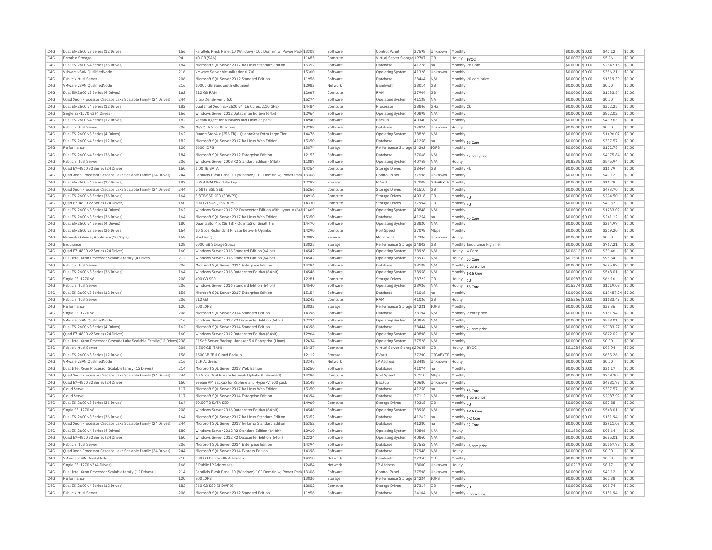| IC4G         | Dual E5-2600 v3 Series (12 Drives)                                     | 156        | Parallels Plesk Panel 10 (Windows) 100 Domain w/ Power Pack 13308 |                | Software            | Control Pane                 | 37598          | Unknown     | Monthly      |                             | \$0.0000 \$0.00                     | \$40.12             | \$0.00           |
|--------------|------------------------------------------------------------------------|------------|-------------------------------------------------------------------|----------------|---------------------|------------------------------|----------------|-------------|--------------|-----------------------------|-------------------------------------|---------------------|------------------|
| IC4G         | Portable Storage                                                       | 94         | 40 GB (SAN)                                                       | 11685          | Compute             | Virtual Server Storage 19707 |                | GB          | Hourly  BYOC |                             | \$0.0072 \$0.00                     | \$5.26              | \$0.00           |
| IC4G         | Dual E5-2600 v4 Series (36 Drives)                                     | 184        | Microsoft SOL Server 2017 for Linux Standard Edition              | 15352          | Software            | Database                     | 41278          | na          |              | Monthly 28 Core             | \$0.0000 \$0.00                     | \$2547.15           | \$0.00           |
| IC4G         | VMware vSAN QualifiedNode                                              | 216        | VMware Server Virtualization 6.7u1                                | 15360          | Software            | <b>Operating System</b>      | 41328          | Unknown     | Monthly      |                             | \$0,0000 \$0,00                     | \$356.21            | $ $ \$0.00       |
| IC4G         | Public Virtual Server                                                  | 206        | Microsoft SQL Server 2012 Standard Edition                        | 11956          | Software            | Database                     | 28464          | N/A         |              | Monthly 20 core price       | \$0,0000 \$0.00                     | \$1819.39           | \$0.00           |
| IC4G         | VMware vSAN OualifiedNode                                              | 216        | 10000 GB Bandwidth Allotment                                      | 12083          | Network             | <b>Bandwidth</b>             | 38014          | GB          | Monthly      |                             | \$0,0000 \$0.00                     | \$0.00              | \$0.00           |
| IC4G         | Dual E5-2600 v3 Series (4 Drives)                                      | 162        | 512 GB RAM                                                        | 12667          | Compute             | RAM                          | 37904          | GB          | Monthly      |                             | \$0,0000 \$0.00                     | \$1133.54           | \$0.00           |
| IC4G         | Quad Xeon Processor Cascade Lake Scalable Family (24 Drives)           | 244        | Citrix XenServer 7.6.0                                            | 15274          | Software            |                              | 41138          | <b>NA</b>   | Monthly      |                             | \$0,0000 \$0.00                     | \$0.00              | \$0.00           |
|              |                                                                        |            |                                                                   |                |                     | Operating System             |                |             |              |                             |                                     |                     |                  |
| TC4G         | Dual E5-2600 v4 Series (12 Drives)                                     | 182        | Dual Intel Xeon E5-2620 v4 (16 Cores, 2.10 GHz)                   | 14484          | Compute             | Processor                    | 38846          | GHZ         | Monthly 2U   |                             | $$0.0000$ \$0.00                    | \$372.25            | \$0.00           |
| IC4G         | Single E3-1270 v3 (4 Drives)                                           | 166        | Windows Server 2012 Datacenter Edition (64bit)                    | 12964          | Software            | Operating System             | 40898          | N/A         | Monthly      |                             | \$0.0000 \$0.00                     | \$822.02            | \$0.00           |
| IC4G         | Dual E5-2600 v4 Series (12 Drives)                                     | 182        | Veeam Agent for Windows and Linux 25 pack                         | 14940          | Software            | Backup                       | 40340          | N/A         | Monthly      |                             | \$0,0000 \$0.00                     | \$499.63            | \$0.00           |
| TC4G         | <b>Public Virtual Server</b>                                           | 206        | MySOL 5.7 for Windows                                             | 13798          | Software            | Database                     | 33974          | Unknown     | Hourly       |                             | $$0.0000$ \$0.00                    | \$0.00              | \$0.00           |
| IC4G         | Dual E5-2600 v3 Series (4 Drives)                                      | 162        | QuantaStor 4.x (256 TB) - QuantaStor Extra Large Tie              | 14476          | Software            | Operating System             | 38826          | N/A         | Monthly      |                             | \$0.0000 \$0.00                     | \$1496.07           | \$0.00           |
| IC4G         | Dual E5-2600 v4 Series (12 Drives)                                     | 182        | Microsoft SQL Server 2017 for Linux Web Edition                   | 15350          | Software            | Database                     | 41258          | Ina         |              | Monthly 56 Core             | \$0.0000 \$0.00                     | \$337.57            | \$0.00           |
| IC4G         | Performance                                                            | 120        | 1600 TOPS                                                         | 13874          | Storage             | Performance Storage 34262    |                | TOP5        | Monthly      |                             | \$0.0000 \$0.00                     | \$122.75            | \$0.00           |
| IC4G         | Dual E5-2600 v4 Series (36 Drives)                                     | 184        | Microsoft SQL Server 2012 Enterprise Edition                      | 12153          | Software            | Database                     | 37068          | N/A         |              |                             | \$0.0000 \$0.00                     | \$4175.84           | \$0.00           |
| IC4G         | Public Virtual Server                                                  | 206        | Windows Server 2008 R2 Standard Edition (64bit)                   | 11887          | Software            |                              | 40758          | N/A         |              | Monthly 12 core price       | \$0,8235 \$0.00                     | \$545.94            | \$0.00           |
|              |                                                                        |            |                                                                   |                |                     | <b>Operating System</b>      |                |             | Hourly       |                             |                                     |                     |                  |
| IC4G         | Ouad E7-4800 v2 Series (24 Drives)                                     | 160        | 1.00 TB SATA                                                      | 14354          | Compute             | <b>Storage Drives</b>        | 38464          | GB          | Monthly 4U   |                             | \$0,0000 \$0.00                     | \$16.79             | \$0.00           |
| TC4G         | Ouad Xeon Processor Cascade Lake Scalable Family (24 Drives)           | 244        | Parallels Plesk Panel 10 (Windows) 100 Domain w/ Power Pack 13308 |                | Software            | Control Pane                 | 37598          | Unknown     | Monthly      |                             | \$0,0000 \$0.00                     | \$40.12             | \$0.00           |
| IC4G         | Dual E5-2600 v4 Series (12 Drives)                                     | 182        | 20GB IBM Cloud Backup                                             | 12299          | Storage             | EVault                       | 37008          | GIGABYTE    | Monthly      |                             | \$0,0000 \$0.00                     | \$16.79             | \$0.00           |
| IC4G         | Quad Xeon Processor Cascade Lake Scalable Family (24 Drives)           | 244        | 7.68TB SSD SED                                                    | 15266          | Compute             | <b>Storage Drives</b>        | 41510          | GB          | Monthly      |                             | \$0.0000 \$0.00                     | \$493.70            | \$0.00           |
| TC4G         | Dual E5-2600 v3 Series (36 Drives)                                     | 164        | 3.8TB SSD SED (3DWPD)                                             | 14918          | Compute             | <b>Storage Drives</b>        | 40318          | GB          | Monthly 4U   |                             | $$0.0000$ \$0.00                    | \$274.50            | \$0.00           |
| IC4G         | Ouad E7-4800 v2 Series (24 Drives)                                     | 160        | 300 GB SAS (15K RPM)                                              | 14330          | Compute             | <b>Storage Drives</b>        | 37994          | GB          | Monthly 4U   |                             | \$0,0000 \$0.00                     | \$49.37             | \$0.00           |
| IC4G         | Dual E5-2600 v3 Series (4 Drives)                                      | 162        | Windows Server 2012 R2 Datacenter Edition With Hyper-V (64t 11669 |                | Software            | Operating System             | 40848          | N/A         | Monthly      |                             | \$0,0000 \$0.00                     | \$1233.02           | \$0.00           |
| IC4G         | Dual E5-2600 v3 Series (36 Drives)                                     | 164        | Microsoft SQL Server 2017 for Linux Web Edition                   | 15350          | Software            | Database                     | 41254          | na          |              |                             | \$0.0000 \$0.00                     | \$241.12            | \$0.00           |
| IC4G         | Dual E5-2600 v4 Series (4 Drives)                                      | 180        | OuantaStor 4.x (16 TB) - OuantaStor Small Tier                    | 14470          | Software            |                              |                | N/A         | Monthly      | Monthly 40 Core             | \$0,0000 \$0.00                     | \$284.97            | \$0.00           |
|              |                                                                        |            |                                                                   |                |                     | <b>Operating System</b>      | 38820          |             |              |                             |                                     |                     |                  |
| TC4G         | Dual E5-2600 v3 Series (36 Drives)                                     | 164        | 10 Gbns Redundant Private Network Unlinks                         | 14290          | Compute             | Port Speed                   | 37098          | Mbps        | Monthly      |                             | \$0,0000 \$0.00                     | \$219.20            | \$0.00           |
| IC4G         | Network Gateway Appliance (10 Gbps)                                    | 158        | Host Ping                                                         | 12997          | Service             | Monitoring                   | 37386          | Unknown     | Hourly       |                             | \$0,0000 \$0.00                     | \$0.00              | \$0.00           |
| TC4G         | Endurance                                                              | 128        | 2000 GB Storage Space                                             | 13825          | Storage             | Performance Storage 34802    |                | GB          |              | Monthly Endurance High Tier | \$0,0000 \$0.00                     | \$767.21            | \$0.00           |
| IC4G         | Quad E7-4800 v2 Series (24 Drives)                                     | 160        | Windows Server 2016 Standard Edition (64 bit)                     | 14542          | Software            | Operating System             | 38928          | N/A         | Hourly       | 4 Core                      | \$0.0612 \$0.00                     | \$39.46             | \$0.00           |
| IC4G         | Dual Intel Xeon Processor Scalable family (4 Drives)                   | 212        | Windows Server 2016 Standard Edition (64 bit)                     | 14542          | Software            | Operating System             | 38932          | N/A         | Hourly       | 20 Core                     | \$0.1530 \$0.00                     | \$98.64             | \$0.00           |
| IC4G         | <b>Public Virtual Server</b>                                           | 206        | Microsoft SOL Server 2014 Enterprise Edition                      | 14394          | Software            | Database                     | 38188          | N/A         |              | Monthly 2 core price        | $$0.0000$ \$0.00                    | \$695.97            | \$0.00           |
| IC4G         | Dual E5-2600 v3 Series (36 Drives)                                     | 164        | Windows Server 2016 Datacenter Edition (64 bit)                   | 14546          | Software            | <b>Operating System</b>      | 38958          | N/A         |              | Monthly 6-16 Core           | \$0.0000 \$0.00                     | \$548.01            | \$0.00           |
| IC4G         | Single E3-1270 v6                                                      | 208        | 400 GR SSD                                                        | 12281          | Compute             | <b>Storage Drives</b>        | 38722          | <b>GB</b>   | Hourly       |                             | \$0.0987 \$0.00                     | \$66.16             | \$0.00           |
| IC4G         | Public Virtual Server                                                  | 206        | Windows Server 2016 Standard Edition (64 bit)                     | 14540          | Software            | <b>Operating System</b>      | 38926          | N/A         |              | $\frac{1}{1}$               | \$1,5374 \$0.00                     | \$1019.08           | \$0.00           |
|              |                                                                        |            |                                                                   |                |                     |                              |                |             |              | Hourly 56 Core              |                                     |                     |                  |
| IC4G         | Dual E5-2600 v3 Series (12 Drives)                                     | 156        | Microsoft SQL Server 2017 Enterprise Edition                      | 15154          | Software            | Database                     | 41068          | na          | Monthly      |                             | \$0.0000 \$0.00                     | \$19487.24 \$0.00   |                  |
| IC4G         | Public Virtual Server                                                  | 206        | 512 GB                                                            | 15242          | Compute             | RAM                          | 41036          | <b>GB</b>   | Hourly       |                             | \$2.5366 \$0.00                     | \$1683.49           | \$0.00           |
| IC4G         | Performance                                                            | 120        | 500 IOPS                                                          | 13833          | Storage             | Performance Storage 34221    |                | IOPS        | Monthly      |                             | \$0.0000 \$0.00                     | \$38.36             | \$0.00           |
| IC4G         | Single E3-1270 v6                                                      | 208        | Microsoft SOL Server 2014 Standard Edition                        | 14396          | Software            | Database                     | 38194          | N/A         |              | Monthly 2 core price        | \$0,0000 \$0.00                     | \$181.94            | \$0.00           |
| IC4G         | VMware vSAN OualifiedNode                                              | 216        | Windows Server 2012 R2 Datacenter Edition (64bit)                 | 12324          | Software            | Operating System             | 40858          | N/A         | Monthly      |                             | \$0,0000 \$0.00                     | \$548.01            | \$0.00           |
| IC4G         | Dual E5-2600 v3 Series (4 Drives)                                      | 162        | Microsoft SQL Server 2014 Standard Edition                        | 14396          | Software            | Database                     | 38444          | N/A         |              | Monthly 24 core price       | \$0,0000 \$0.00                     | \$2183.27           | \$0.00           |
| TC4G         | Quad E7-4800 v2 Series (24 Drives)                                     | 160        | Windows Server 2012 Datacenter Edition (64bit)                    | 12964          | Software            | <b>Operating System</b>      | 40898          | N/A         | Monthly      |                             | \$0,0000 \$0.00                     | \$822.02            | \$0.00           |
| IC4G         | Dual Intel Xeon Processor Cascade Lake Scalable Family (12 Drives) 238 |            | R1Soft Server Backup Manager 5.0 Enterprise (Linux)               | 12634          | Software            | Operating System             | 37528          | N/A         | Monthly      |                             | \$0.0000 \$0.00                     | \$0.00              | \$0.00           |
| IC4G         | Public Virtual Server                                                  | 206        | 1.500 GB (SAN)                                                    | 13437          | Compute             | Virtual Server Storage 29645 |                | GB          | Hourly       | <b>BYOC</b>                 | \$0,1284 \$0.00                     | \$93.94             | \$0.00           |
| TC4G         | Dual E5-2600 v3 Series (12 Drives)                                     | 156        | 1500GB TBM Cloud Backup                                           | 12112          | Storage             | FVault                       | 37290          | GIGARYTE    | Monthly      |                             | $$0.0000$ \$0.00                    | \$685.26            | \$0.00           |
|              |                                                                        |            |                                                                   |                |                     |                              |                |             |              |                             |                                     |                     |                  |
| IC4G         | VMware vSAN OualifiedNode                                              | 216        | 1 IP Address                                                      | 13345          | Networl             | <b>IP Address</b>            | 38488          | Unknown     | Hourly       |                             | \$0.0000 \$0.00                     | \$0.00              | \$0.00           |
| IC4G         | Dual Intel Xeon Processor Scalable family (12 Drives                   | 214        | Microsoft SOL Server 2017 Web Edition                             | 15250          | Software            | Database                     | 41074          | Ina         | Monthly      |                             | \$0,0000 \$0.00                     | \$36.17             | \$0.00           |
| IC4G         | Quad Xeon Processor Cascade Lake Scalable Family (24 Drives)           | 244        | 10 Gbps Dual Private Network Uplinks (Unbonded)                   | 14296          | Compute             | Port Speed                   | 37110          | Mbps        | Monthly      |                             | \$0.0000 \$0.00                     | \$219.20            | \$0.00           |
| IC4G         | Quad E7-4800 v2 Series (24 Drives)                                     | 160        | Veeam VM Backup for vSphere and Hyper-V 500 pack                  | 15148          | Software            | Backup                       | 40680          | Unknown     | Monthly      |                             | \$0.0000 \$0.00                     | \$4881.73           | \$0.00           |
| TC4G         | Cloud Server                                                           | 117        | Microsoft SOL Server 2017 for Linux Web Edition                   | 15350          | Software            | Database                     | 41258          | na          |              | Monthly 56 Core             | $$0.0000$ \$0.00                    | \$337.57            | \$0.00           |
| IC4G         | Cloud Server                                                           | 117        | Microsoft SQL Server 2014 Enterprise Edition                      | 14394          | Software            | Database                     | 37112          | N/A         |              | Monthly 6 core price        | \$0.0000 \$0.00                     | \$2087.92           | \$0.00           |
| IC4G         | Dual E5-2600 v3 Series (36 Drives)                                     | 164        | 10.00 TB SATA SED                                                 | 14960          | Compute             | <b>Storage Drives</b>        | 40368          | GB          | Monthly 41   |                             | \$0,0000 \$0.00                     | \$87.88             | \$0.00           |
| IC4G         | Single E3-1270 v6                                                      | 208        | Windows Server 2016 Datacenter Edition (64 bit)                   | 14546          | Software            | Operating System             | 38958          | N/A         |              | Monthly 6-16 Core           | \$0.0000 \$0.00                     | \$548.01            | \$0.00           |
| IC4G         | Dual E5-2600 v3 Series (36 Drives)                                     | 164        | Microsoft SQL Server 2017 for Linux Standard Edition              | 15352          | Software            | Database                     | 41262          | Ina         |              |                             | \$0.0000 \$0.00                     | \$181.94            | \$0.00           |
|              |                                                                        |            |                                                                   |                |                     |                              |                |             |              | Monthly 1-2 Core            |                                     |                     |                  |
| IC4G         | Quad Xeon Processor Cascade Lake Scalable Family (24 Drives)           | 244        | Microsoft SQL Server 2017 for Linux Standard Edition              | 15352          | Software            | Database                     | 41280          | Ina         |              | Monthly 32 Core             | \$0,0000 \$0.00                     | \$2911.03           | \$0.00           |
| IC4G         | Dual E5-2600 v4 Series (4 Drives)                                      | 180        | Windows Server 2012 R2 Standard Edition (64 bit)                  | 12910          | Software            | Operating System             | 40806          | N/A         | Hourly       |                             | \$0,1530 \$0.00                     | \$98.64             | \$0.00           |
| IC4G         | Ouad E7-4800 v2 Series (24 Drives)                                     | 160        | Windows Server 2012 R2 Datacenter Edition (64bit)                 | 12324          | Software            | <b>Operating System</b>      | 40860          | N/A         | Monthly      |                             | \$0,0000 \$0.00                     | \$685.01            | \$0.00           |
| IC4G         | Public Virtual Server                                                  | 206        | Microsoft SQL Server 2014 Enterprise Edition                      | 14394          | Software            | Database                     | 37552          | N/A         |              | Monthly 16 core price       | \$0.0000 \$0.00                     | \$5567.78           | \$0.00           |
| IC4G         | Quad Xeon Processor Cascade Lake Scalable Family (24 Drives)           | 244        | Microsoft SQL Server 2014 Express Edition                         | 14398          | Software            | Database                     | 37948          | N/A         | Hourly       |                             | \$0.0000 \$0.00                     | \$0.00              | \$0.00           |
| TC4G         | VMware vSAN ReadvNode                                                  | 218        | 500 GB Bandwidth Allotment                                        | 14318          | Network             | Bandwidth                    | 37358          | GB          | Monthly      |                             | \$0,0000 \$0,00                     | \$0.00              | \$0.00           |
| IC4G         | Single E3-1270 v3 (4 Drives)                                           | 166        | 8 Public IP Addresses                                             | 12484          | Network             | IP Address                   | 38000          | Unknown     | Hourly       |                             | \$0.0217 \$0.00                     | \$8.77              | \$0.00           |
| IC4G         |                                                                        |            |                                                                   |                |                     | Control Panel                | 37598          | Unknown     | Monthly      |                             | \$0,0000 \$0.00                     | \$40.12             | \$0.00           |
|              |                                                                        | 214        |                                                                   |                | Software            |                              |                |             |              |                             |                                     |                     |                  |
|              | Dual Intel Xeon Processor Scalable family (12 Drives)                  |            | Parallels Plesk Panel 10 (Windows) 100 Domain w/ Power Pack 13308 |                |                     |                              |                |             |              |                             |                                     |                     |                  |
| IC4G         | Performance                                                            | 120        | 800 TOPS                                                          | 13836          | Storage             | Performance Storage 34224    |                | <b>TOPS</b> | Monthly      |                             | \$0.0000 \$0.00                     | \$61.38             | \$0.00           |
| IC4G<br>IC4G | Dual E5-2600 v4 Series (12 Drives)<br>Public Virtual Server            | 182<br>206 | 960 GB SSD (3 DWPD)<br>Microsoft SOL Server 2012 Standard Edition | 12802<br>11956 | Compute<br>Software | Storage Drives<br>Database   | 37314<br>24104 | GB<br>N/A   | Monthly 2U   | Monthly 2 core price        | \$0.0000 \$0.00<br>$$0.0000$ \$0.00 | \$98.74<br>\$181.94 | \$0.00<br>\$0.00 |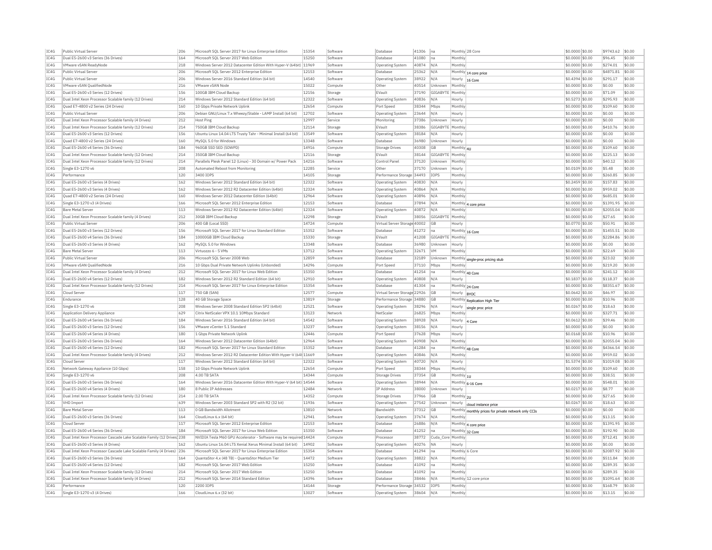| Dual E5-2600 v3 Series (36 Drives)<br>164<br>Microsoft SOL Server 2017 Web Edition<br>15250<br>Software<br>Database<br>41080<br>Ina<br>Monthly<br>\$0,0000 \$0.00<br>\$96.45<br>VMware vSAN ReadvNode<br>218<br>Windows Server 2012 Datacenter Edition With Hyper-V (64bit)<br>11969<br>Software<br>Operating System<br>40874<br>N/A<br>Monthly<br>\$0.0000 \$0.00<br>\$274.01<br>\$0.00<br>Public Virtual Server<br>206<br>Microsoft SOL Server 2012 Enterprise Edition<br>12153<br>Software<br>Database<br>25362<br>N/A<br>\$0,0000 \$0.00<br>\$4871.81<br>\$0.00<br>Monthly 14 core price<br>Public Virtual Server<br>206<br>Windows Server 2016 Standard Edition (64 bit)<br>14540<br>Software<br>38922<br>\$0.4394 \$0.00<br>\$291.17<br>\$0.00<br>Operating System<br>N/A<br>Hourly<br>16 Core<br>VMware vSAN OualifiedNode<br>216<br><b>VMware vSAN Node</b><br>15022<br>40514<br>Monthly<br>\$0.0000 \$0.00<br>\$0.00<br>\$0.00<br>Compute<br>Other<br>Unknown<br>IC4G<br>156<br>12156<br>\$0.0000 \$0.00<br>\$71.09<br>\$0.00<br>Dual E5-2600 v3 Series (12 Drives)<br>100GB IBM Cloud Backup<br>EVault<br>37190<br>GIGABYTE<br>Monthly<br>Storage<br>IC4G<br>Dual Intel Xeon Processor Scalable family (12 Drives)<br>214<br>Windows Server 2012 Standard Edition (64 bit)<br>12322<br>40836<br>\$0.5273 \$0.00<br>\$295.93<br>\$0.00<br>Software<br>Operating System<br>N/A<br>Hourly<br>IC4G<br>Ouad E7-4800 v2 Series (24 Drives)<br>160<br>10 Gbps Private Network Uplink<br>12654<br>38344<br>\$0,0000 \$0,00<br>\$109.60<br>\$0.00<br>Port Speed<br>Mbps<br>Monthly<br>Compute<br>206<br>Debian GNU/Linux 7.x Wheezy/Stable - LAMP Install (64 bit)<br>12702<br>IC4G<br>Public Virtual Server<br>Software<br><b>Operating System</b><br>23644<br>N/A<br>Hourly<br>\$0,0000 \$0.00<br>\$0.00<br>\$0.00<br>\$0.00<br>TC4G<br>Dual Intel Xeon Processor Scalable family (4 Drives)<br>212<br>12997<br>\$0,0000 \$0.00<br>\$0.00<br>Host Ping<br>Service<br>Monitorins<br>37386<br>Unknown<br>Hourly<br>214<br>IC4G<br>Dual Intel Xeon Processor Scalable family (12 Drives)<br>750GB IBM Cloud Backup<br>12114<br>Storage<br>EVault<br>38386<br>GIGABYTE<br>Monthly<br>\$0,0000 \$0,00<br>\$410.76<br>\$0.00<br>TC4G<br>Dual E5-2600 v3 Series (12 Drives)<br>156<br>Ubuntu Linux 14.04 LTS Trusty Tahr - Minimal Install (64 bit)<br>13549<br>38184<br>\$0,0000 \$0.00<br>\$0.00<br>\$0.00<br>Software<br><b>Operating System</b><br>N/A<br>Hourly<br>TC4G<br>Quad E7-4800 v2 Series (24 Drives)<br>160<br>MySQL 5.0 for Windows<br>13348<br>36980<br>\$0.0000 \$0.00<br>\$0.00<br>\$0.00<br>Software<br>Database<br>Unknown<br>Hourly<br>IC4G<br>Dual E5-2600 v4 Series (36 Drives)<br>184<br>960GB SSD SED (5DWPD)<br>14916<br>Compute<br><b>Storage Drives</b><br>40308<br>GB<br>Monthly 4U<br>\$0.0000 \$0.00<br>\$109.60<br>\$0.00<br>IC4G<br>Dual Intel Xeon Processor Scalable family (12 Drives)<br>214<br>12116<br>\$0.0000 \$0.00<br>\$225.13<br>\$0.00<br>350GB IBM Cloud Backup<br>EVault<br>38144<br>GIGABYTE   Monthly<br>Storage<br>Dual Intel Xeon Processor Scalable family (12 Drives)<br>214<br>Parallels Plesk Panel 12 (Linux) - 30 Domain w/ Power Pack<br>14216<br>Software<br>Control Panel<br>37120<br>Unknown<br>Monthly<br>\$0,0000 \$0.00<br>\$40.12<br>\$0.00<br>208<br>12285<br>37170<br>\$5.48<br>\$0.00<br>Single E3-1270 v6<br>Automated Reboot from Monitoring<br>Service<br>Other<br>Unknown<br>\$0.0109 \$0.00<br>Hourly<br>120<br>3400 IOPS<br>14105<br>Storage<br>Performance Storage 34493<br>\$0.0000 \$0.00<br>\$260.85<br>\$0.00<br>Performance<br>IOPS<br>Monthl<br>\$0.00<br>Dual E5-2600 v3 Series (4 Drives)<br>162<br>Windows Server 2012 Standard Edition (64 bit)<br>12322<br>40830<br>N/A<br>\$0.2459 \$0.00<br>\$157.83<br>Software<br>Operating System<br>Hourly<br>Dual E5-2600 v3 Series (4 Drives)<br>162<br>Windows Server 2012 R2 Datacenter Edition (64bit)<br>12324<br>40864<br>\$0.0000 \$0.00<br>\$959.02<br>\$0.00<br>Software<br>Operating System<br>N/A<br>Monthly<br>160<br>Windows Server 2012 Datacenter Edition (64bit<br>12964<br>\$0.00<br>Ouad E7-4800 v2 Series (24 Drives)<br>Software<br>Operating System<br>40896<br>N/A<br>Monthly<br>\$0.0000 \$0.00<br>\$685.01<br>166<br>12153<br>\$0.00<br>Single E3-1270 v3 (4 Drives)<br>Microsoft SOL Server 2012 Enterprise Edition<br>Software<br>Database<br>37894<br>N/A<br>$\overline{\text{Monthly}}$ 4 core price<br>\$0,0000 \$0.00<br>\$1391.95<br>TC4G<br>Windows Server 2012 R2 Datacenter Edition (64bit)<br>sin nn<br><b>Bare Metal Server</b><br>113<br>12324<br>Software<br>Operating System<br>40872<br>N/A<br>Monthly<br>\$0,0000 \$0.00<br>\$2055.04<br>IC4G<br>Dual Intel Xeon Processor Scalable family (4 Drives)<br>212<br>30GB IBM Cloud Backup<br>12298<br>Storage<br>EVault<br>38056<br>GIGABYTE<br>Monthly<br>\$0.0000 \$0.00<br>\$27.65<br>\$0.00<br>TC4G<br>206<br>400 GB (Local SSD)<br>14724<br>\$50.91<br>\$0.00<br>Public Virtual Server<br>Compute<br>Virtual Server Storage 40002<br>GB<br>Hourly<br>\$0,0770 \$0.00<br>TC4G<br>Dual E5-2600 v3 Series (12 Drives)<br>156<br>Microsoft SQL Server 2017 for Linux Standard Edition<br>15352<br>Software<br>Database<br>41272<br>\$0.0000 \$0.00<br>\$1455.51<br>\$0.00<br>Monthly 16 Core<br>lna<br>TC4G<br>Dual E5-2600 v4 Series (36 Drives)<br>15330<br>\$0.00<br>184<br>10000GB IBM Cloud Backup<br>Storage<br><b>EVault</b><br>41208<br>GIGABYTE<br>Monthly<br>\$0.0000 \$0.00<br>\$2284.86<br>IC4G<br>Dual E5-2600 v3 Series (4 Drives)<br>162<br>13348<br>36980<br>\$0.0000 \$0.00<br>\$0.00<br>\$0.00<br>MySOL 5.0 for Windows<br>Software<br>Database<br>Unknown<br>Hourly<br>IC4G<br><b>Bare Metal Server</b><br>113<br>Virtuozzo 6 - 5 VMs<br>13712<br>Software<br>Operating System<br>32671<br><b>VM</b><br>Monthly<br>\$0.0000 \$0.00<br>\$22.69<br>\$0.00<br>IC4G<br>206<br>12859<br>\$0.00<br>Microsoft SOL Server 2008 Web<br>32189<br>\$0,0000 \$0,00<br>\$23.02<br>Public Virtual Server<br>Software<br>Database<br>Unknown<br>Monthly single-proc pricing stub<br>VMware vSAN OualifiedNode<br>216<br>10 Gbos Dual Private Network Uplinks (Unbonded)<br>14296<br>Port Speed<br>37110<br>\$0.0000 \$0.00<br>\$219.20<br>\$0.00<br>Compute<br>Mbps<br>Monthly<br>Dual Intel Xeon Processor Scalable family (4 Drives)<br>Microsoft SOL Server 2017 for Linux Web Edition<br>15350<br>\$241.12<br>\$0.00<br>212<br>Software<br>41254<br>$$0.0000$ \$0.00<br>Database<br>Ina<br>Monthly 40 Core<br>Dual E5-2600 v4 Series (12 Drives)<br>182<br>Windows Server 2012 R2 Standard Edition (64 bit)<br>12910<br>Software<br>40808<br>$$0.1837$ \$0.00<br>\$118.37<br>\$0.00<br><b>Operating System</b><br>N/A<br>Hourly<br>Dual Intel Xeon Processor Scalable family (12 Drives)<br>214<br>Microsoft SOL Server 2017 for Linux Enterprise Edition<br>15354<br>41304<br>\$0,0000 \$0.00<br>\$8351.67<br>\$0.00<br>Software<br>Database<br>Ina<br>Monthly 24 Core<br>117<br>12577<br>Cloud Server<br>750 GB (SAN)<br>Compute<br>Virtual Server Storage 22926<br><b>GB</b><br>\$0.0642 \$0.00<br>\$46.97<br>\$0.00<br>Hourly  BYOC<br>IC4G<br>Endurance<br>128<br>40 GB Storage Space<br>13819<br>Storage<br>Performance Storage 34880<br>GB<br>\$0.0000 \$0.00<br>\$10.96<br>\$0.00<br>Monthly Replication High Tier<br>208<br>Single E3-1270 v6<br>Windows Server 2008 Standard Edition SP2 (64bit)<br>12521<br>Software<br>Operating System<br>38296<br>N/A<br>\$0,0267 \$0.00<br>\$18.63<br>\$0.00<br>Hourly<br>single proc price<br>IC4G<br>Application Delivery Appliance<br>629<br>Citrix NetScaler VPX 10.1 10Mbps Standard<br>13123<br>Network<br>NetScale<br>26825<br>Mbps<br>Monthly<br>\$0,0000 \$0.00<br>\$327.71<br>\$0.00<br>TC4G<br>Dual E5-2600 v4 Series (36 Drives)<br>184<br>Windows Server 2016 Standard Edition (64 bit)<br>14542<br>Software<br>38928<br>N/A<br>$$0.0612$ \$0.00<br>\$39.46<br>\$0.00<br>Operating System<br>Hourly<br>4 Core<br>IC4G<br>Dual E5-2600 v3 Series (12 Drives)<br>156<br>VMware vCenter 5.1 Standard<br>13237<br>Software<br>38156<br>N/A<br>\$0.0000 \$0.00<br>\$0.00<br>\$0.00<br><b>Operating System</b><br>Hourly<br>TC4G<br>Dual E5-2600 v4 Series (4 Drives)<br>180<br>12446<br>$$0.0168$ \$0.00<br>\$10.96<br>\$0.00<br>1 Gbps Private Network Uplink<br>Port Speed<br>37628<br>Mbps<br>Compute<br>Hourly<br>IC4G<br>Dual E5-2600 v3 Series (36 Drives)<br>164<br>Windows Server 2012 Datacenter Edition (64bit)<br>12964<br>40908<br>\$0.0000 \$0.00<br>\$2055.04<br>\$0.00<br>Software<br>Operating System<br>N/A<br>Monthly<br>IC4G<br>182<br>15352<br>Dual E5-2600 v4 Series (12 Drives)<br>Microsoft SOL Server 2017 for Linux Standard Edition<br>Software<br>41284<br>\$0,0000 \$0.00<br>\$4366.54<br>\$0.00<br>Database<br>Ina<br>Monthly 48 Core<br>IC4G<br>Dual Intel Xeon Processor Scalable family (4 Drives)<br>212<br>Windows Server 2012 R2 Datacenter Edition With Hyper-V (64t 11669<br>Software<br>Operating System<br>40846<br>N/A<br>Monthly<br>\$0,0000 \$0.00<br>\$959.02<br>\$0.00<br>IC4G<br>117<br>Windows Server 2012 Standard Edition (64 bit)<br>12322<br>\$1019.08<br>\$0.00<br>Cloud Server<br>40720<br>N/A<br>\$1,5374 \$0.00<br>Software<br>Operating System<br>Hourly<br>Network Gateway Appliance (10 Gbps)<br>158<br>10 Gbps Private Network Uplink<br>12654<br>Compute<br>Port Speed<br>38344<br>Mbps<br>Monthly<br>\$0,0000 \$0.00<br>\$109.60<br>\$0.00<br>Single E3-1270 v6<br>208<br>4.00 TR SATA<br>14344<br>\$38.51<br>\$0.00<br>Compute<br><b>Storage Drives</b><br>37354<br><b>GB</b><br>Monthly 1U<br>\$0,0000 \$0.00<br>Dual E5-2600 v3 Series (36 Drives)<br>164<br>Windows Server 2016 Datacenter Edition With Hyper-V (64 bit) 14544<br>Software<br>38944<br>N/A<br>\$0.0000 \$0.00<br>\$548.01<br>\$0.00<br>Operating System<br>Monthly 6-16 Core<br>12484<br>\$8.77<br>\$0.00<br>Dual E5-2600 v4 Series (4 Drives)<br>180<br>8 Public IP Addresses<br>Network<br>IP Address<br>38000<br>Unknown<br>Hourly<br>\$0.0217 \$0.00<br>Dual Intel Xeon Processor Scalable family (12 Drives)<br>214<br>2.00 TB SATA<br>14352<br>Compute<br><b>Storage Drives</b><br>37966<br>GB<br>$\overline{\text{Monthly}}$ <sub>2U</sub><br>\$0.0000 \$0.00<br>\$27.65<br>\$0.00<br><b>VHD Import</b><br>639<br>Windows Server 2003 Standard SP2 with R2 (32 bit)<br>11936<br>Software<br>Operating System<br>27542<br>Unknown<br>\$0.0267 \$0.00<br>\$18.63<br>\$0.00<br>Hourly cloud instance price<br><b>Bare Metal Server</b><br>113<br>0 GB Bandwidth Allotment<br>13810<br>37312<br>G <sub>B</sub><br>\$0.0000 \$0.00<br>\$0.00<br>\$0.00<br>Network<br><b>Bandwidth</b><br>Monthly monthly prices for private network only CCIs<br>Dual E5-2600 v3 Series (36 Drives)<br>164<br>CloudLinux 6.x (64 bit)<br>12941<br>Software<br>37674<br>N/A<br>\$0.0000 \$0.00<br>\$13.15<br>\$0.00<br><b>Operating System</b><br>Monthly<br>IC4G<br>117<br>Microsoft SQL Server 2012 Enterprise Edition<br>12153<br>26886<br>\$1391.95<br>\$0.00<br>Cloud Server<br>Software<br>Database<br>N/A<br>\$0,0000 \$0.00<br>Monthly 4 core price<br>IC4G<br>Dual E5-2600 v4 Series (36 Drives)<br>184<br>Microsoft SQL Server 2017 for Linux Web Edition<br>15350<br>Software<br>Database<br>41252<br>\$0.0000 \$0.00<br>\$192.90<br>\$0.00<br> na<br>Monthly 32 Core<br>IC4G<br>Dual Intel Xeon Processor Cascade Lake Scalable Family (12 Drives) 238<br>NVIDIA Tesla M60 GPU Accelerator - Software may be required 14424<br>38772<br>\$712.41<br>\$0.00<br>\$0,0000 \$0.00<br>Compute<br>Cuda Core Monthly<br>Processor<br>IC4G<br>14902<br>\$0.0000 \$0.00<br>\$0.00<br>Dual E5-2600 v3 Series (4 Drives)<br>162<br>Ubuntu Linux 16.04 LTS Xenial Xerus Minimal Install (64 bit)<br>Software<br><b>Operating System</b><br>40276<br><b>NA</b><br>Hourly<br>\$0.00<br>TC4G<br>Dual Intel Xeon Processor Cascade Lake Scalable Family (4 Drives) 236<br>41294<br>\$0.0000 \$0.00<br>\$2087.92<br>\$0.00<br>Microsoft SOL Server 2017 for Linux Enterprise Edition<br>15354<br>Software<br>Database<br>Ina<br>Monthly 6 Core<br>IC4G<br>\$0.00<br>Dual E5-2600 v3 Series (36 Drives)<br>164<br>OuantaStor 4.x (48 TB) - OuantaStor Medium Tier<br>14472<br>Software<br>Operating System<br>38822<br>N/A<br>Monthly<br>\$0.0000 \$0.00<br>\$511.84<br>15250<br>\$0.00<br>Dual E5-2600 v4 Series (12 Drives)<br>182<br>Microsoft SOL Server 2017 Web Edition<br>41092<br>\$289.35<br>Software<br>Database<br>Ina<br>Monthly<br>\$0,0000 \$0,00<br>Dual Intel Xeon Processor Scalable family (12 Drives)<br>214<br>Microsoft SQL Server 2017 Web Edition<br>15250<br>Software<br>Database<br>41092<br>\$0.0000 \$0.00<br>\$289.35<br>\$0.00<br>Ina<br>Monthly<br>Dual Intel Xeon Processor Scalable family (4 Drives)<br>212<br>Microsoft SOL Server 2014 Standard Edition<br>14396<br>Software<br>Database<br>38446<br>$N/\Delta$<br>Monthly 12 core price<br>\$0,0000 \$0.00<br>\$1091.64<br>\$0.00<br>IC4G<br>Performance<br>120<br>2200 TOPS<br>14144<br>\$0.0000 \$0.00<br>\$168.79<br>\$0.00<br>Performance Storage 34532<br>TOP5<br>Monthly<br>Storage<br>Single E3-1270 v3 (4 Drives)<br>166<br>CloudLinux 6.x (32 bit)<br>13027<br>Software<br>Operating System<br>38604<br>N/A<br>Monthly<br>\$0.0000 \$0.00<br>\$13.15<br>\$0.00 | IC4G | Public Virtual Server | 206 | Microsoft SOL Server 2017 for Linux Enterprise Edition | 15354 | Software | Database | 41306 | Ina | Monthly 28 Core | \$0,0000 \$0.00 | \$9743.62 | \$0.00 |
|------------------------------------------------------------------------------------------------------------------------------------------------------------------------------------------------------------------------------------------------------------------------------------------------------------------------------------------------------------------------------------------------------------------------------------------------------------------------------------------------------------------------------------------------------------------------------------------------------------------------------------------------------------------------------------------------------------------------------------------------------------------------------------------------------------------------------------------------------------------------------------------------------------------------------------------------------------------------------------------------------------------------------------------------------------------------------------------------------------------------------------------------------------------------------------------------------------------------------------------------------------------------------------------------------------------------------------------------------------------------------------------------------------------------------------------------------------------------------------------------------------------------------------------------------------------------------------------------------------------------------------------------------------------------------------------------------------------------------------------------------------------------------------------------------------------------------------------------------------------------------------------------------------------------------------------------------------------------------------------------------------------------------------------------------------------------------------------------------------------------------------------------------------------------------------------------------------------------------------------------------------------------------------------------------------------------------------------------------------------------------------------------------------------------------------------------------------------------------------------------------------------------------------------------------------------------------------------------------------------------------------------------------------------------------------------------------------------------------------------------------------------------------------------------------------------------------------------------------------------------------------------------------------------------------------------------------------------------------------------------------------------------------------------------------------------------------------------------------------------------------------------------------------------------------------------------------------------------------------------------------------------------------------------------------------------------------------------------------------------------------------------------------------------------------------------------------------------------------------------------------------------------------------------------------------------------------------------------------------------------------------------------------------------------------------------------------------------------------------------------------------------------------------------------------------------------------------------------------------------------------------------------------------------------------------------------------------------------------------------------------------------------------------------------------------------------------------------------------------------------------------------------------------------------------------------------------------------------------------------------------------------------------------------------------------------------------------------------------------------------------------------------------------------------------------------------------------------------------------------------------------------------------------------------------------------------------------------------------------------------------------------------------------------------------------------------------------------------------------------------------------------------------------------------------------------------------------------------------------------------------------------------------------------------------------------------------------------------------------------------------------------------------------------------------------------------------------------------------------------------------------------------------------------------------------------------------------------------------------------------------------------------------------------------------------------------------------------------------------------------------------------------------------------------------------------------------------------------------------------------------------------------------------------------------------------------------------------------------------------------------------------------------------------------------------------------------------------------------------------------------------------------------------------------------------------------------------------------------------------------------------------------------------------------------------------------------------------------------------------------------------------------------------------------------------------------------------------------------------------------------------------------------------------------------------------------------------------------------------------------------------------------------------------------------------------------------------------------------------------------------------------------------------------------------------------------------------------------------------------------------------------------------------------------------------------------------------------------------------------------------------------------------------------------------------------------------------------------------------------------------------------------------------------------------------------------------------------------------------------------------------------------------------------------------------------------------------------------------------------------------------------------------------------------------------------------------------------------------------------------------------------------------------------------------------------------------------------------------------------------------------------------------------------------------------------------------------------------------------------------------------------------------------------------------------------------------------------------------------------------------------------------------------------------------------------------------------------------------------------------------------------------------------------------------------------------------------------------------------------------------------------------------------------------------------------------------------------------------------------------------------------------------------------------------------------------------------------------------------------------------------------------------------------------------------------------------------------------------------------------------------------------------------------------------------------------------------------------------------------------------------------------------------------------------------------------------------------------------------------------------------------------------------------------------------------------------------------------------------------------------------------------------------------------------------------------------------------------------------------------------------------------------------------------------------------------------------------------------------------------------------------------------------------------------------------------------------------------------------------------------------------------------------------------------------------------------------------------------------------------------------------------------------------------------------------------------------------------------------------------------------------------------------------------------------------------------------------------------------------------------------------------------------------------------------------------------------------------------------------------------------------------------------------------------------------------------------------------------------------------------------------------------------------------------------------------------------------------------------------------------------------------------------------------------------------------------------------------------------------------------------------------------------------------------------------------------------------------------------------------------------------------------------------------------------------------------------------------------------------------------------------------------------------------------------------------------------------------------------------------------------------------------------------------------------------------------------------------------------------------------------------------------------------------------------------------------------------------------------------------------------------------------------------------------------------------------------------------------------------------------------------------------------------------------------------------------------------------------------------------------------------------------------------------------------------------------------------------------------------------------------------------------------------------------------------------------------------------------------------------------------------------------------------------------------------------------------------------------------------------------------------------------------------------------------------------------------------------------------------------------------------------------------------------------------------------------------------------------------------------------------------------------------------------------------------------------------------------------------------------------------------------------------------------------------------------------------------------------------------------------------------------------------------------------------------------------------------------------------------------------------------------------------------------------------------------------------------------------------------------------------------------------------------------------------------------------------------------------------------------------------------------------------------------------------------------------------------------------------------------------------------------------------------------------------------------------------------------------------------------------------------------------------------------------------------------------------------------------------------------------------------------------------------------------------------------------------------------------------------------------------------------------------------------------------------------------------------------------------------------------------------------------------------------------------------------------------------------------------------------------------------------------------------------------------------------------------------------------------------------------------------------------------------------------------------------------------------------------------------------------------------------------------------------------------------------------------------------------------------------------------------------------------------------------------------------------------------------------------------------------------------------------------------------------------------------------------------------------------------------------------------------------------------------------------------------------------------------------|------|-----------------------|-----|--------------------------------------------------------|-------|----------|----------|-------|-----|-----------------|-----------------|-----------|--------|
|                                                                                                                                                                                                                                                                                                                                                                                                                                                                                                                                                                                                                                                                                                                                                                                                                                                                                                                                                                                                                                                                                                                                                                                                                                                                                                                                                                                                                                                                                                                                                                                                                                                                                                                                                                                                                                                                                                                                                                                                                                                                                                                                                                                                                                                                                                                                                                                                                                                                                                                                                                                                                                                                                                                                                                                                                                                                                                                                                                                                                                                                                                                                                                                                                                                                                                                                                                                                                                                                                                                                                                                                                                                                                                                                                                                                                                                                                                                                                                                                                                                                                                                                                                                                                                                                                                                                                                                                                                                                                                                                                                                                                                                                                                                                                                                                                                                                                                                                                                                                                                                                                                                                                                                                                                                                                                                                                                                                                                                                                                                                                                                                                                                                                                                                                                                                                                                                                                                                                                                                                                                                                                                                                                                                                                                                                                                                                                                                                                                                                                                                                                                                                                                                                                                                                                                                                                                                                                                                                                                                                                                                                                                                                                                                                                                                                                                                                                                                                                                                                                                                                                                                                                                                                                                                                                                                                                                                                                                                                                                                                                                                                                                                                                                                                                                                                                                                                                                                                                                                                                                                                                                                                                                                                                                                                                                                                                                                                                                                                                                                                                                                                                                                                                                                                                                                                                                                                                                                                                                                                                                                                                                                                                                                                                                                                                                                                                                                                                                                                                                                                                                                                                                                                                                                                                                                                                                                                                                                                                                                                                                                                                                                                                                                                                                                                                                                                                                                                                                                                                                                                                                                                                                                                                                                                                                                                                                                                                                                                                                                                                                                                                                                                                                                                                                                                                                                                                                                                                                                                                                                                                                                                                                                                                                                                                                                                                                                                                                                                                                                                                                                                                                                                                                                                                                                                                                                                                                                                                                                                                                                                                                                                                                                                                                                                                                                                                                                                      | TC4G |                       |     |                                                        |       |          |          |       |     |                 |                 |           | \$0.00 |
|                                                                                                                                                                                                                                                                                                                                                                                                                                                                                                                                                                                                                                                                                                                                                                                                                                                                                                                                                                                                                                                                                                                                                                                                                                                                                                                                                                                                                                                                                                                                                                                                                                                                                                                                                                                                                                                                                                                                                                                                                                                                                                                                                                                                                                                                                                                                                                                                                                                                                                                                                                                                                                                                                                                                                                                                                                                                                                                                                                                                                                                                                                                                                                                                                                                                                                                                                                                                                                                                                                                                                                                                                                                                                                                                                                                                                                                                                                                                                                                                                                                                                                                                                                                                                                                                                                                                                                                                                                                                                                                                                                                                                                                                                                                                                                                                                                                                                                                                                                                                                                                                                                                                                                                                                                                                                                                                                                                                                                                                                                                                                                                                                                                                                                                                                                                                                                                                                                                                                                                                                                                                                                                                                                                                                                                                                                                                                                                                                                                                                                                                                                                                                                                                                                                                                                                                                                                                                                                                                                                                                                                                                                                                                                                                                                                                                                                                                                                                                                                                                                                                                                                                                                                                                                                                                                                                                                                                                                                                                                                                                                                                                                                                                                                                                                                                                                                                                                                                                                                                                                                                                                                                                                                                                                                                                                                                                                                                                                                                                                                                                                                                                                                                                                                                                                                                                                                                                                                                                                                                                                                                                                                                                                                                                                                                                                                                                                                                                                                                                                                                                                                                                                                                                                                                                                                                                                                                                                                                                                                                                                                                                                                                                                                                                                                                                                                                                                                                                                                                                                                                                                                                                                                                                                                                                                                                                                                                                                                                                                                                                                                                                                                                                                                                                                                                                                                                                                                                                                                                                                                                                                                                                                                                                                                                                                                                                                                                                                                                                                                                                                                                                                                                                                                                                                                                                                                                                                                                                                                                                                                                                                                                                                                                                                                                                                                                                                                                                      | IC4G |                       |     |                                                        |       |          |          |       |     |                 |                 |           |        |
|                                                                                                                                                                                                                                                                                                                                                                                                                                                                                                                                                                                                                                                                                                                                                                                                                                                                                                                                                                                                                                                                                                                                                                                                                                                                                                                                                                                                                                                                                                                                                                                                                                                                                                                                                                                                                                                                                                                                                                                                                                                                                                                                                                                                                                                                                                                                                                                                                                                                                                                                                                                                                                                                                                                                                                                                                                                                                                                                                                                                                                                                                                                                                                                                                                                                                                                                                                                                                                                                                                                                                                                                                                                                                                                                                                                                                                                                                                                                                                                                                                                                                                                                                                                                                                                                                                                                                                                                                                                                                                                                                                                                                                                                                                                                                                                                                                                                                                                                                                                                                                                                                                                                                                                                                                                                                                                                                                                                                                                                                                                                                                                                                                                                                                                                                                                                                                                                                                                                                                                                                                                                                                                                                                                                                                                                                                                                                                                                                                                                                                                                                                                                                                                                                                                                                                                                                                                                                                                                                                                                                                                                                                                                                                                                                                                                                                                                                                                                                                                                                                                                                                                                                                                                                                                                                                                                                                                                                                                                                                                                                                                                                                                                                                                                                                                                                                                                                                                                                                                                                                                                                                                                                                                                                                                                                                                                                                                                                                                                                                                                                                                                                                                                                                                                                                                                                                                                                                                                                                                                                                                                                                                                                                                                                                                                                                                                                                                                                                                                                                                                                                                                                                                                                                                                                                                                                                                                                                                                                                                                                                                                                                                                                                                                                                                                                                                                                                                                                                                                                                                                                                                                                                                                                                                                                                                                                                                                                                                                                                                                                                                                                                                                                                                                                                                                                                                                                                                                                                                                                                                                                                                                                                                                                                                                                                                                                                                                                                                                                                                                                                                                                                                                                                                                                                                                                                                                                                                                                                                                                                                                                                                                                                                                                                                                                                                                                                                                                      | IC4G |                       |     |                                                        |       |          |          |       |     |                 |                 |           |        |
|                                                                                                                                                                                                                                                                                                                                                                                                                                                                                                                                                                                                                                                                                                                                                                                                                                                                                                                                                                                                                                                                                                                                                                                                                                                                                                                                                                                                                                                                                                                                                                                                                                                                                                                                                                                                                                                                                                                                                                                                                                                                                                                                                                                                                                                                                                                                                                                                                                                                                                                                                                                                                                                                                                                                                                                                                                                                                                                                                                                                                                                                                                                                                                                                                                                                                                                                                                                                                                                                                                                                                                                                                                                                                                                                                                                                                                                                                                                                                                                                                                                                                                                                                                                                                                                                                                                                                                                                                                                                                                                                                                                                                                                                                                                                                                                                                                                                                                                                                                                                                                                                                                                                                                                                                                                                                                                                                                                                                                                                                                                                                                                                                                                                                                                                                                                                                                                                                                                                                                                                                                                                                                                                                                                                                                                                                                                                                                                                                                                                                                                                                                                                                                                                                                                                                                                                                                                                                                                                                                                                                                                                                                                                                                                                                                                                                                                                                                                                                                                                                                                                                                                                                                                                                                                                                                                                                                                                                                                                                                                                                                                                                                                                                                                                                                                                                                                                                                                                                                                                                                                                                                                                                                                                                                                                                                                                                                                                                                                                                                                                                                                                                                                                                                                                                                                                                                                                                                                                                                                                                                                                                                                                                                                                                                                                                                                                                                                                                                                                                                                                                                                                                                                                                                                                                                                                                                                                                                                                                                                                                                                                                                                                                                                                                                                                                                                                                                                                                                                                                                                                                                                                                                                                                                                                                                                                                                                                                                                                                                                                                                                                                                                                                                                                                                                                                                                                                                                                                                                                                                                                                                                                                                                                                                                                                                                                                                                                                                                                                                                                                                                                                                                                                                                                                                                                                                                                                                                                                                                                                                                                                                                                                                                                                                                                                                                                                                                                                      | TCAG |                       |     |                                                        |       |          |          |       |     |                 |                 |           |        |
|                                                                                                                                                                                                                                                                                                                                                                                                                                                                                                                                                                                                                                                                                                                                                                                                                                                                                                                                                                                                                                                                                                                                                                                                                                                                                                                                                                                                                                                                                                                                                                                                                                                                                                                                                                                                                                                                                                                                                                                                                                                                                                                                                                                                                                                                                                                                                                                                                                                                                                                                                                                                                                                                                                                                                                                                                                                                                                                                                                                                                                                                                                                                                                                                                                                                                                                                                                                                                                                                                                                                                                                                                                                                                                                                                                                                                                                                                                                                                                                                                                                                                                                                                                                                                                                                                                                                                                                                                                                                                                                                                                                                                                                                                                                                                                                                                                                                                                                                                                                                                                                                                                                                                                                                                                                                                                                                                                                                                                                                                                                                                                                                                                                                                                                                                                                                                                                                                                                                                                                                                                                                                                                                                                                                                                                                                                                                                                                                                                                                                                                                                                                                                                                                                                                                                                                                                                                                                                                                                                                                                                                                                                                                                                                                                                                                                                                                                                                                                                                                                                                                                                                                                                                                                                                                                                                                                                                                                                                                                                                                                                                                                                                                                                                                                                                                                                                                                                                                                                                                                                                                                                                                                                                                                                                                                                                                                                                                                                                                                                                                                                                                                                                                                                                                                                                                                                                                                                                                                                                                                                                                                                                                                                                                                                                                                                                                                                                                                                                                                                                                                                                                                                                                                                                                                                                                                                                                                                                                                                                                                                                                                                                                                                                                                                                                                                                                                                                                                                                                                                                                                                                                                                                                                                                                                                                                                                                                                                                                                                                                                                                                                                                                                                                                                                                                                                                                                                                                                                                                                                                                                                                                                                                                                                                                                                                                                                                                                                                                                                                                                                                                                                                                                                                                                                                                                                                                                                                                                                                                                                                                                                                                                                                                                                                                                                                                                                                                                      | IC4G |                       |     |                                                        |       |          |          |       |     |                 |                 |           |        |
|                                                                                                                                                                                                                                                                                                                                                                                                                                                                                                                                                                                                                                                                                                                                                                                                                                                                                                                                                                                                                                                                                                                                                                                                                                                                                                                                                                                                                                                                                                                                                                                                                                                                                                                                                                                                                                                                                                                                                                                                                                                                                                                                                                                                                                                                                                                                                                                                                                                                                                                                                                                                                                                                                                                                                                                                                                                                                                                                                                                                                                                                                                                                                                                                                                                                                                                                                                                                                                                                                                                                                                                                                                                                                                                                                                                                                                                                                                                                                                                                                                                                                                                                                                                                                                                                                                                                                                                                                                                                                                                                                                                                                                                                                                                                                                                                                                                                                                                                                                                                                                                                                                                                                                                                                                                                                                                                                                                                                                                                                                                                                                                                                                                                                                                                                                                                                                                                                                                                                                                                                                                                                                                                                                                                                                                                                                                                                                                                                                                                                                                                                                                                                                                                                                                                                                                                                                                                                                                                                                                                                                                                                                                                                                                                                                                                                                                                                                                                                                                                                                                                                                                                                                                                                                                                                                                                                                                                                                                                                                                                                                                                                                                                                                                                                                                                                                                                                                                                                                                                                                                                                                                                                                                                                                                                                                                                                                                                                                                                                                                                                                                                                                                                                                                                                                                                                                                                                                                                                                                                                                                                                                                                                                                                                                                                                                                                                                                                                                                                                                                                                                                                                                                                                                                                                                                                                                                                                                                                                                                                                                                                                                                                                                                                                                                                                                                                                                                                                                                                                                                                                                                                                                                                                                                                                                                                                                                                                                                                                                                                                                                                                                                                                                                                                                                                                                                                                                                                                                                                                                                                                                                                                                                                                                                                                                                                                                                                                                                                                                                                                                                                                                                                                                                                                                                                                                                                                                                                                                                                                                                                                                                                                                                                                                                                                                                                                                                                                      |      |                       |     |                                                        |       |          |          |       |     |                 |                 |           |        |
|                                                                                                                                                                                                                                                                                                                                                                                                                                                                                                                                                                                                                                                                                                                                                                                                                                                                                                                                                                                                                                                                                                                                                                                                                                                                                                                                                                                                                                                                                                                                                                                                                                                                                                                                                                                                                                                                                                                                                                                                                                                                                                                                                                                                                                                                                                                                                                                                                                                                                                                                                                                                                                                                                                                                                                                                                                                                                                                                                                                                                                                                                                                                                                                                                                                                                                                                                                                                                                                                                                                                                                                                                                                                                                                                                                                                                                                                                                                                                                                                                                                                                                                                                                                                                                                                                                                                                                                                                                                                                                                                                                                                                                                                                                                                                                                                                                                                                                                                                                                                                                                                                                                                                                                                                                                                                                                                                                                                                                                                                                                                                                                                                                                                                                                                                                                                                                                                                                                                                                                                                                                                                                                                                                                                                                                                                                                                                                                                                                                                                                                                                                                                                                                                                                                                                                                                                                                                                                                                                                                                                                                                                                                                                                                                                                                                                                                                                                                                                                                                                                                                                                                                                                                                                                                                                                                                                                                                                                                                                                                                                                                                                                                                                                                                                                                                                                                                                                                                                                                                                                                                                                                                                                                                                                                                                                                                                                                                                                                                                                                                                                                                                                                                                                                                                                                                                                                                                                                                                                                                                                                                                                                                                                                                                                                                                                                                                                                                                                                                                                                                                                                                                                                                                                                                                                                                                                                                                                                                                                                                                                                                                                                                                                                                                                                                                                                                                                                                                                                                                                                                                                                                                                                                                                                                                                                                                                                                                                                                                                                                                                                                                                                                                                                                                                                                                                                                                                                                                                                                                                                                                                                                                                                                                                                                                                                                                                                                                                                                                                                                                                                                                                                                                                                                                                                                                                                                                                                                                                                                                                                                                                                                                                                                                                                                                                                                                                                                                      |      |                       |     |                                                        |       |          |          |       |     |                 |                 |           |        |
|                                                                                                                                                                                                                                                                                                                                                                                                                                                                                                                                                                                                                                                                                                                                                                                                                                                                                                                                                                                                                                                                                                                                                                                                                                                                                                                                                                                                                                                                                                                                                                                                                                                                                                                                                                                                                                                                                                                                                                                                                                                                                                                                                                                                                                                                                                                                                                                                                                                                                                                                                                                                                                                                                                                                                                                                                                                                                                                                                                                                                                                                                                                                                                                                                                                                                                                                                                                                                                                                                                                                                                                                                                                                                                                                                                                                                                                                                                                                                                                                                                                                                                                                                                                                                                                                                                                                                                                                                                                                                                                                                                                                                                                                                                                                                                                                                                                                                                                                                                                                                                                                                                                                                                                                                                                                                                                                                                                                                                                                                                                                                                                                                                                                                                                                                                                                                                                                                                                                                                                                                                                                                                                                                                                                                                                                                                                                                                                                                                                                                                                                                                                                                                                                                                                                                                                                                                                                                                                                                                                                                                                                                                                                                                                                                                                                                                                                                                                                                                                                                                                                                                                                                                                                                                                                                                                                                                                                                                                                                                                                                                                                                                                                                                                                                                                                                                                                                                                                                                                                                                                                                                                                                                                                                                                                                                                                                                                                                                                                                                                                                                                                                                                                                                                                                                                                                                                                                                                                                                                                                                                                                                                                                                                                                                                                                                                                                                                                                                                                                                                                                                                                                                                                                                                                                                                                                                                                                                                                                                                                                                                                                                                                                                                                                                                                                                                                                                                                                                                                                                                                                                                                                                                                                                                                                                                                                                                                                                                                                                                                                                                                                                                                                                                                                                                                                                                                                                                                                                                                                                                                                                                                                                                                                                                                                                                                                                                                                                                                                                                                                                                                                                                                                                                                                                                                                                                                                                                                                                                                                                                                                                                                                                                                                                                                                                                                                                                                                      |      |                       |     |                                                        |       |          |          |       |     |                 |                 |           |        |
|                                                                                                                                                                                                                                                                                                                                                                                                                                                                                                                                                                                                                                                                                                                                                                                                                                                                                                                                                                                                                                                                                                                                                                                                                                                                                                                                                                                                                                                                                                                                                                                                                                                                                                                                                                                                                                                                                                                                                                                                                                                                                                                                                                                                                                                                                                                                                                                                                                                                                                                                                                                                                                                                                                                                                                                                                                                                                                                                                                                                                                                                                                                                                                                                                                                                                                                                                                                                                                                                                                                                                                                                                                                                                                                                                                                                                                                                                                                                                                                                                                                                                                                                                                                                                                                                                                                                                                                                                                                                                                                                                                                                                                                                                                                                                                                                                                                                                                                                                                                                                                                                                                                                                                                                                                                                                                                                                                                                                                                                                                                                                                                                                                                                                                                                                                                                                                                                                                                                                                                                                                                                                                                                                                                                                                                                                                                                                                                                                                                                                                                                                                                                                                                                                                                                                                                                                                                                                                                                                                                                                                                                                                                                                                                                                                                                                                                                                                                                                                                                                                                                                                                                                                                                                                                                                                                                                                                                                                                                                                                                                                                                                                                                                                                                                                                                                                                                                                                                                                                                                                                                                                                                                                                                                                                                                                                                                                                                                                                                                                                                                                                                                                                                                                                                                                                                                                                                                                                                                                                                                                                                                                                                                                                                                                                                                                                                                                                                                                                                                                                                                                                                                                                                                                                                                                                                                                                                                                                                                                                                                                                                                                                                                                                                                                                                                                                                                                                                                                                                                                                                                                                                                                                                                                                                                                                                                                                                                                                                                                                                                                                                                                                                                                                                                                                                                                                                                                                                                                                                                                                                                                                                                                                                                                                                                                                                                                                                                                                                                                                                                                                                                                                                                                                                                                                                                                                                                                                                                                                                                                                                                                                                                                                                                                                                                                                                                                                                                      |      |                       |     |                                                        |       |          |          |       |     |                 |                 |           |        |
|                                                                                                                                                                                                                                                                                                                                                                                                                                                                                                                                                                                                                                                                                                                                                                                                                                                                                                                                                                                                                                                                                                                                                                                                                                                                                                                                                                                                                                                                                                                                                                                                                                                                                                                                                                                                                                                                                                                                                                                                                                                                                                                                                                                                                                                                                                                                                                                                                                                                                                                                                                                                                                                                                                                                                                                                                                                                                                                                                                                                                                                                                                                                                                                                                                                                                                                                                                                                                                                                                                                                                                                                                                                                                                                                                                                                                                                                                                                                                                                                                                                                                                                                                                                                                                                                                                                                                                                                                                                                                                                                                                                                                                                                                                                                                                                                                                                                                                                                                                                                                                                                                                                                                                                                                                                                                                                                                                                                                                                                                                                                                                                                                                                                                                                                                                                                                                                                                                                                                                                                                                                                                                                                                                                                                                                                                                                                                                                                                                                                                                                                                                                                                                                                                                                                                                                                                                                                                                                                                                                                                                                                                                                                                                                                                                                                                                                                                                                                                                                                                                                                                                                                                                                                                                                                                                                                                                                                                                                                                                                                                                                                                                                                                                                                                                                                                                                                                                                                                                                                                                                                                                                                                                                                                                                                                                                                                                                                                                                                                                                                                                                                                                                                                                                                                                                                                                                                                                                                                                                                                                                                                                                                                                                                                                                                                                                                                                                                                                                                                                                                                                                                                                                                                                                                                                                                                                                                                                                                                                                                                                                                                                                                                                                                                                                                                                                                                                                                                                                                                                                                                                                                                                                                                                                                                                                                                                                                                                                                                                                                                                                                                                                                                                                                                                                                                                                                                                                                                                                                                                                                                                                                                                                                                                                                                                                                                                                                                                                                                                                                                                                                                                                                                                                                                                                                                                                                                                                                                                                                                                                                                                                                                                                                                                                                                                                                                                                                                      |      |                       |     |                                                        |       |          |          |       |     |                 |                 |           |        |
|                                                                                                                                                                                                                                                                                                                                                                                                                                                                                                                                                                                                                                                                                                                                                                                                                                                                                                                                                                                                                                                                                                                                                                                                                                                                                                                                                                                                                                                                                                                                                                                                                                                                                                                                                                                                                                                                                                                                                                                                                                                                                                                                                                                                                                                                                                                                                                                                                                                                                                                                                                                                                                                                                                                                                                                                                                                                                                                                                                                                                                                                                                                                                                                                                                                                                                                                                                                                                                                                                                                                                                                                                                                                                                                                                                                                                                                                                                                                                                                                                                                                                                                                                                                                                                                                                                                                                                                                                                                                                                                                                                                                                                                                                                                                                                                                                                                                                                                                                                                                                                                                                                                                                                                                                                                                                                                                                                                                                                                                                                                                                                                                                                                                                                                                                                                                                                                                                                                                                                                                                                                                                                                                                                                                                                                                                                                                                                                                                                                                                                                                                                                                                                                                                                                                                                                                                                                                                                                                                                                                                                                                                                                                                                                                                                                                                                                                                                                                                                                                                                                                                                                                                                                                                                                                                                                                                                                                                                                                                                                                                                                                                                                                                                                                                                                                                                                                                                                                                                                                                                                                                                                                                                                                                                                                                                                                                                                                                                                                                                                                                                                                                                                                                                                                                                                                                                                                                                                                                                                                                                                                                                                                                                                                                                                                                                                                                                                                                                                                                                                                                                                                                                                                                                                                                                                                                                                                                                                                                                                                                                                                                                                                                                                                                                                                                                                                                                                                                                                                                                                                                                                                                                                                                                                                                                                                                                                                                                                                                                                                                                                                                                                                                                                                                                                                                                                                                                                                                                                                                                                                                                                                                                                                                                                                                                                                                                                                                                                                                                                                                                                                                                                                                                                                                                                                                                                                                                                                                                                                                                                                                                                                                                                                                                                                                                                                                                                                                      |      |                       |     |                                                        |       |          |          |       |     |                 |                 |           |        |
|                                                                                                                                                                                                                                                                                                                                                                                                                                                                                                                                                                                                                                                                                                                                                                                                                                                                                                                                                                                                                                                                                                                                                                                                                                                                                                                                                                                                                                                                                                                                                                                                                                                                                                                                                                                                                                                                                                                                                                                                                                                                                                                                                                                                                                                                                                                                                                                                                                                                                                                                                                                                                                                                                                                                                                                                                                                                                                                                                                                                                                                                                                                                                                                                                                                                                                                                                                                                                                                                                                                                                                                                                                                                                                                                                                                                                                                                                                                                                                                                                                                                                                                                                                                                                                                                                                                                                                                                                                                                                                                                                                                                                                                                                                                                                                                                                                                                                                                                                                                                                                                                                                                                                                                                                                                                                                                                                                                                                                                                                                                                                                                                                                                                                                                                                                                                                                                                                                                                                                                                                                                                                                                                                                                                                                                                                                                                                                                                                                                                                                                                                                                                                                                                                                                                                                                                                                                                                                                                                                                                                                                                                                                                                                                                                                                                                                                                                                                                                                                                                                                                                                                                                                                                                                                                                                                                                                                                                                                                                                                                                                                                                                                                                                                                                                                                                                                                                                                                                                                                                                                                                                                                                                                                                                                                                                                                                                                                                                                                                                                                                                                                                                                                                                                                                                                                                                                                                                                                                                                                                                                                                                                                                                                                                                                                                                                                                                                                                                                                                                                                                                                                                                                                                                                                                                                                                                                                                                                                                                                                                                                                                                                                                                                                                                                                                                                                                                                                                                                                                                                                                                                                                                                                                                                                                                                                                                                                                                                                                                                                                                                                                                                                                                                                                                                                                                                                                                                                                                                                                                                                                                                                                                                                                                                                                                                                                                                                                                                                                                                                                                                                                                                                                                                                                                                                                                                                                                                                                                                                                                                                                                                                                                                                                                                                                                                                                                                                                      |      |                       |     |                                                        |       |          |          |       |     |                 |                 |           |        |
|                                                                                                                                                                                                                                                                                                                                                                                                                                                                                                                                                                                                                                                                                                                                                                                                                                                                                                                                                                                                                                                                                                                                                                                                                                                                                                                                                                                                                                                                                                                                                                                                                                                                                                                                                                                                                                                                                                                                                                                                                                                                                                                                                                                                                                                                                                                                                                                                                                                                                                                                                                                                                                                                                                                                                                                                                                                                                                                                                                                                                                                                                                                                                                                                                                                                                                                                                                                                                                                                                                                                                                                                                                                                                                                                                                                                                                                                                                                                                                                                                                                                                                                                                                                                                                                                                                                                                                                                                                                                                                                                                                                                                                                                                                                                                                                                                                                                                                                                                                                                                                                                                                                                                                                                                                                                                                                                                                                                                                                                                                                                                                                                                                                                                                                                                                                                                                                                                                                                                                                                                                                                                                                                                                                                                                                                                                                                                                                                                                                                                                                                                                                                                                                                                                                                                                                                                                                                                                                                                                                                                                                                                                                                                                                                                                                                                                                                                                                                                                                                                                                                                                                                                                                                                                                                                                                                                                                                                                                                                                                                                                                                                                                                                                                                                                                                                                                                                                                                                                                                                                                                                                                                                                                                                                                                                                                                                                                                                                                                                                                                                                                                                                                                                                                                                                                                                                                                                                                                                                                                                                                                                                                                                                                                                                                                                                                                                                                                                                                                                                                                                                                                                                                                                                                                                                                                                                                                                                                                                                                                                                                                                                                                                                                                                                                                                                                                                                                                                                                                                                                                                                                                                                                                                                                                                                                                                                                                                                                                                                                                                                                                                                                                                                                                                                                                                                                                                                                                                                                                                                                                                                                                                                                                                                                                                                                                                                                                                                                                                                                                                                                                                                                                                                                                                                                                                                                                                                                                                                                                                                                                                                                                                                                                                                                                                                                                                                                                                      |      |                       |     |                                                        |       |          |          |       |     |                 |                 |           |        |
|                                                                                                                                                                                                                                                                                                                                                                                                                                                                                                                                                                                                                                                                                                                                                                                                                                                                                                                                                                                                                                                                                                                                                                                                                                                                                                                                                                                                                                                                                                                                                                                                                                                                                                                                                                                                                                                                                                                                                                                                                                                                                                                                                                                                                                                                                                                                                                                                                                                                                                                                                                                                                                                                                                                                                                                                                                                                                                                                                                                                                                                                                                                                                                                                                                                                                                                                                                                                                                                                                                                                                                                                                                                                                                                                                                                                                                                                                                                                                                                                                                                                                                                                                                                                                                                                                                                                                                                                                                                                                                                                                                                                                                                                                                                                                                                                                                                                                                                                                                                                                                                                                                                                                                                                                                                                                                                                                                                                                                                                                                                                                                                                                                                                                                                                                                                                                                                                                                                                                                                                                                                                                                                                                                                                                                                                                                                                                                                                                                                                                                                                                                                                                                                                                                                                                                                                                                                                                                                                                                                                                                                                                                                                                                                                                                                                                                                                                                                                                                                                                                                                                                                                                                                                                                                                                                                                                                                                                                                                                                                                                                                                                                                                                                                                                                                                                                                                                                                                                                                                                                                                                                                                                                                                                                                                                                                                                                                                                                                                                                                                                                                                                                                                                                                                                                                                                                                                                                                                                                                                                                                                                                                                                                                                                                                                                                                                                                                                                                                                                                                                                                                                                                                                                                                                                                                                                                                                                                                                                                                                                                                                                                                                                                                                                                                                                                                                                                                                                                                                                                                                                                                                                                                                                                                                                                                                                                                                                                                                                                                                                                                                                                                                                                                                                                                                                                                                                                                                                                                                                                                                                                                                                                                                                                                                                                                                                                                                                                                                                                                                                                                                                                                                                                                                                                                                                                                                                                                                                                                                                                                                                                                                                                                                                                                                                                                                                                                                                      |      |                       |     |                                                        |       |          |          |       |     |                 |                 |           |        |
|                                                                                                                                                                                                                                                                                                                                                                                                                                                                                                                                                                                                                                                                                                                                                                                                                                                                                                                                                                                                                                                                                                                                                                                                                                                                                                                                                                                                                                                                                                                                                                                                                                                                                                                                                                                                                                                                                                                                                                                                                                                                                                                                                                                                                                                                                                                                                                                                                                                                                                                                                                                                                                                                                                                                                                                                                                                                                                                                                                                                                                                                                                                                                                                                                                                                                                                                                                                                                                                                                                                                                                                                                                                                                                                                                                                                                                                                                                                                                                                                                                                                                                                                                                                                                                                                                                                                                                                                                                                                                                                                                                                                                                                                                                                                                                                                                                                                                                                                                                                                                                                                                                                                                                                                                                                                                                                                                                                                                                                                                                                                                                                                                                                                                                                                                                                                                                                                                                                                                                                                                                                                                                                                                                                                                                                                                                                                                                                                                                                                                                                                                                                                                                                                                                                                                                                                                                                                                                                                                                                                                                                                                                                                                                                                                                                                                                                                                                                                                                                                                                                                                                                                                                                                                                                                                                                                                                                                                                                                                                                                                                                                                                                                                                                                                                                                                                                                                                                                                                                                                                                                                                                                                                                                                                                                                                                                                                                                                                                                                                                                                                                                                                                                                                                                                                                                                                                                                                                                                                                                                                                                                                                                                                                                                                                                                                                                                                                                                                                                                                                                                                                                                                                                                                                                                                                                                                                                                                                                                                                                                                                                                                                                                                                                                                                                                                                                                                                                                                                                                                                                                                                                                                                                                                                                                                                                                                                                                                                                                                                                                                                                                                                                                                                                                                                                                                                                                                                                                                                                                                                                                                                                                                                                                                                                                                                                                                                                                                                                                                                                                                                                                                                                                                                                                                                                                                                                                                                                                                                                                                                                                                                                                                                                                                                                                                                                                                                                                      |      |                       |     |                                                        |       |          |          |       |     |                 |                 |           |        |
|                                                                                                                                                                                                                                                                                                                                                                                                                                                                                                                                                                                                                                                                                                                                                                                                                                                                                                                                                                                                                                                                                                                                                                                                                                                                                                                                                                                                                                                                                                                                                                                                                                                                                                                                                                                                                                                                                                                                                                                                                                                                                                                                                                                                                                                                                                                                                                                                                                                                                                                                                                                                                                                                                                                                                                                                                                                                                                                                                                                                                                                                                                                                                                                                                                                                                                                                                                                                                                                                                                                                                                                                                                                                                                                                                                                                                                                                                                                                                                                                                                                                                                                                                                                                                                                                                                                                                                                                                                                                                                                                                                                                                                                                                                                                                                                                                                                                                                                                                                                                                                                                                                                                                                                                                                                                                                                                                                                                                                                                                                                                                                                                                                                                                                                                                                                                                                                                                                                                                                                                                                                                                                                                                                                                                                                                                                                                                                                                                                                                                                                                                                                                                                                                                                                                                                                                                                                                                                                                                                                                                                                                                                                                                                                                                                                                                                                                                                                                                                                                                                                                                                                                                                                                                                                                                                                                                                                                                                                                                                                                                                                                                                                                                                                                                                                                                                                                                                                                                                                                                                                                                                                                                                                                                                                                                                                                                                                                                                                                                                                                                                                                                                                                                                                                                                                                                                                                                                                                                                                                                                                                                                                                                                                                                                                                                                                                                                                                                                                                                                                                                                                                                                                                                                                                                                                                                                                                                                                                                                                                                                                                                                                                                                                                                                                                                                                                                                                                                                                                                                                                                                                                                                                                                                                                                                                                                                                                                                                                                                                                                                                                                                                                                                                                                                                                                                                                                                                                                                                                                                                                                                                                                                                                                                                                                                                                                                                                                                                                                                                                                                                                                                                                                                                                                                                                                                                                                                                                                                                                                                                                                                                                                                                                                                                                                                                                                                                                                      |      |                       |     |                                                        |       |          |          |       |     |                 |                 |           |        |
|                                                                                                                                                                                                                                                                                                                                                                                                                                                                                                                                                                                                                                                                                                                                                                                                                                                                                                                                                                                                                                                                                                                                                                                                                                                                                                                                                                                                                                                                                                                                                                                                                                                                                                                                                                                                                                                                                                                                                                                                                                                                                                                                                                                                                                                                                                                                                                                                                                                                                                                                                                                                                                                                                                                                                                                                                                                                                                                                                                                                                                                                                                                                                                                                                                                                                                                                                                                                                                                                                                                                                                                                                                                                                                                                                                                                                                                                                                                                                                                                                                                                                                                                                                                                                                                                                                                                                                                                                                                                                                                                                                                                                                                                                                                                                                                                                                                                                                                                                                                                                                                                                                                                                                                                                                                                                                                                                                                                                                                                                                                                                                                                                                                                                                                                                                                                                                                                                                                                                                                                                                                                                                                                                                                                                                                                                                                                                                                                                                                                                                                                                                                                                                                                                                                                                                                                                                                                                                                                                                                                                                                                                                                                                                                                                                                                                                                                                                                                                                                                                                                                                                                                                                                                                                                                                                                                                                                                                                                                                                                                                                                                                                                                                                                                                                                                                                                                                                                                                                                                                                                                                                                                                                                                                                                                                                                                                                                                                                                                                                                                                                                                                                                                                                                                                                                                                                                                                                                                                                                                                                                                                                                                                                                                                                                                                                                                                                                                                                                                                                                                                                                                                                                                                                                                                                                                                                                                                                                                                                                                                                                                                                                                                                                                                                                                                                                                                                                                                                                                                                                                                                                                                                                                                                                                                                                                                                                                                                                                                                                                                                                                                                                                                                                                                                                                                                                                                                                                                                                                                                                                                                                                                                                                                                                                                                                                                                                                                                                                                                                                                                                                                                                                                                                                                                                                                                                                                                                                                                                                                                                                                                                                                                                                                                                                                                                                                                                                                      | IC4G |                       |     |                                                        |       |          |          |       |     |                 |                 |           |        |
|                                                                                                                                                                                                                                                                                                                                                                                                                                                                                                                                                                                                                                                                                                                                                                                                                                                                                                                                                                                                                                                                                                                                                                                                                                                                                                                                                                                                                                                                                                                                                                                                                                                                                                                                                                                                                                                                                                                                                                                                                                                                                                                                                                                                                                                                                                                                                                                                                                                                                                                                                                                                                                                                                                                                                                                                                                                                                                                                                                                                                                                                                                                                                                                                                                                                                                                                                                                                                                                                                                                                                                                                                                                                                                                                                                                                                                                                                                                                                                                                                                                                                                                                                                                                                                                                                                                                                                                                                                                                                                                                                                                                                                                                                                                                                                                                                                                                                                                                                                                                                                                                                                                                                                                                                                                                                                                                                                                                                                                                                                                                                                                                                                                                                                                                                                                                                                                                                                                                                                                                                                                                                                                                                                                                                                                                                                                                                                                                                                                                                                                                                                                                                                                                                                                                                                                                                                                                                                                                                                                                                                                                                                                                                                                                                                                                                                                                                                                                                                                                                                                                                                                                                                                                                                                                                                                                                                                                                                                                                                                                                                                                                                                                                                                                                                                                                                                                                                                                                                                                                                                                                                                                                                                                                                                                                                                                                                                                                                                                                                                                                                                                                                                                                                                                                                                                                                                                                                                                                                                                                                                                                                                                                                                                                                                                                                                                                                                                                                                                                                                                                                                                                                                                                                                                                                                                                                                                                                                                                                                                                                                                                                                                                                                                                                                                                                                                                                                                                                                                                                                                                                                                                                                                                                                                                                                                                                                                                                                                                                                                                                                                                                                                                                                                                                                                                                                                                                                                                                                                                                                                                                                                                                                                                                                                                                                                                                                                                                                                                                                                                                                                                                                                                                                                                                                                                                                                                                                                                                                                                                                                                                                                                                                                                                                                                                                                                                                                                      | TC4G |                       |     |                                                        |       |          |          |       |     |                 |                 |           |        |
|                                                                                                                                                                                                                                                                                                                                                                                                                                                                                                                                                                                                                                                                                                                                                                                                                                                                                                                                                                                                                                                                                                                                                                                                                                                                                                                                                                                                                                                                                                                                                                                                                                                                                                                                                                                                                                                                                                                                                                                                                                                                                                                                                                                                                                                                                                                                                                                                                                                                                                                                                                                                                                                                                                                                                                                                                                                                                                                                                                                                                                                                                                                                                                                                                                                                                                                                                                                                                                                                                                                                                                                                                                                                                                                                                                                                                                                                                                                                                                                                                                                                                                                                                                                                                                                                                                                                                                                                                                                                                                                                                                                                                                                                                                                                                                                                                                                                                                                                                                                                                                                                                                                                                                                                                                                                                                                                                                                                                                                                                                                                                                                                                                                                                                                                                                                                                                                                                                                                                                                                                                                                                                                                                                                                                                                                                                                                                                                                                                                                                                                                                                                                                                                                                                                                                                                                                                                                                                                                                                                                                                                                                                                                                                                                                                                                                                                                                                                                                                                                                                                                                                                                                                                                                                                                                                                                                                                                                                                                                                                                                                                                                                                                                                                                                                                                                                                                                                                                                                                                                                                                                                                                                                                                                                                                                                                                                                                                                                                                                                                                                                                                                                                                                                                                                                                                                                                                                                                                                                                                                                                                                                                                                                                                                                                                                                                                                                                                                                                                                                                                                                                                                                                                                                                                                                                                                                                                                                                                                                                                                                                                                                                                                                                                                                                                                                                                                                                                                                                                                                                                                                                                                                                                                                                                                                                                                                                                                                                                                                                                                                                                                                                                                                                                                                                                                                                                                                                                                                                                                                                                                                                                                                                                                                                                                                                                                                                                                                                                                                                                                                                                                                                                                                                                                                                                                                                                                                                                                                                                                                                                                                                                                                                                                                                                                                                                                                                                                      | IC4G |                       |     |                                                        |       |          |          |       |     |                 |                 |           |        |
|                                                                                                                                                                                                                                                                                                                                                                                                                                                                                                                                                                                                                                                                                                                                                                                                                                                                                                                                                                                                                                                                                                                                                                                                                                                                                                                                                                                                                                                                                                                                                                                                                                                                                                                                                                                                                                                                                                                                                                                                                                                                                                                                                                                                                                                                                                                                                                                                                                                                                                                                                                                                                                                                                                                                                                                                                                                                                                                                                                                                                                                                                                                                                                                                                                                                                                                                                                                                                                                                                                                                                                                                                                                                                                                                                                                                                                                                                                                                                                                                                                                                                                                                                                                                                                                                                                                                                                                                                                                                                                                                                                                                                                                                                                                                                                                                                                                                                                                                                                                                                                                                                                                                                                                                                                                                                                                                                                                                                                                                                                                                                                                                                                                                                                                                                                                                                                                                                                                                                                                                                                                                                                                                                                                                                                                                                                                                                                                                                                                                                                                                                                                                                                                                                                                                                                                                                                                                                                                                                                                                                                                                                                                                                                                                                                                                                                                                                                                                                                                                                                                                                                                                                                                                                                                                                                                                                                                                                                                                                                                                                                                                                                                                                                                                                                                                                                                                                                                                                                                                                                                                                                                                                                                                                                                                                                                                                                                                                                                                                                                                                                                                                                                                                                                                                                                                                                                                                                                                                                                                                                                                                                                                                                                                                                                                                                                                                                                                                                                                                                                                                                                                                                                                                                                                                                                                                                                                                                                                                                                                                                                                                                                                                                                                                                                                                                                                                                                                                                                                                                                                                                                                                                                                                                                                                                                                                                                                                                                                                                                                                                                                                                                                                                                                                                                                                                                                                                                                                                                                                                                                                                                                                                                                                                                                                                                                                                                                                                                                                                                                                                                                                                                                                                                                                                                                                                                                                                                                                                                                                                                                                                                                                                                                                                                                                                                                                                                                                      | TC4G |                       |     |                                                        |       |          |          |       |     |                 |                 |           |        |
|                                                                                                                                                                                                                                                                                                                                                                                                                                                                                                                                                                                                                                                                                                                                                                                                                                                                                                                                                                                                                                                                                                                                                                                                                                                                                                                                                                                                                                                                                                                                                                                                                                                                                                                                                                                                                                                                                                                                                                                                                                                                                                                                                                                                                                                                                                                                                                                                                                                                                                                                                                                                                                                                                                                                                                                                                                                                                                                                                                                                                                                                                                                                                                                                                                                                                                                                                                                                                                                                                                                                                                                                                                                                                                                                                                                                                                                                                                                                                                                                                                                                                                                                                                                                                                                                                                                                                                                                                                                                                                                                                                                                                                                                                                                                                                                                                                                                                                                                                                                                                                                                                                                                                                                                                                                                                                                                                                                                                                                                                                                                                                                                                                                                                                                                                                                                                                                                                                                                                                                                                                                                                                                                                                                                                                                                                                                                                                                                                                                                                                                                                                                                                                                                                                                                                                                                                                                                                                                                                                                                                                                                                                                                                                                                                                                                                                                                                                                                                                                                                                                                                                                                                                                                                                                                                                                                                                                                                                                                                                                                                                                                                                                                                                                                                                                                                                                                                                                                                                                                                                                                                                                                                                                                                                                                                                                                                                                                                                                                                                                                                                                                                                                                                                                                                                                                                                                                                                                                                                                                                                                                                                                                                                                                                                                                                                                                                                                                                                                                                                                                                                                                                                                                                                                                                                                                                                                                                                                                                                                                                                                                                                                                                                                                                                                                                                                                                                                                                                                                                                                                                                                                                                                                                                                                                                                                                                                                                                                                                                                                                                                                                                                                                                                                                                                                                                                                                                                                                                                                                                                                                                                                                                                                                                                                                                                                                                                                                                                                                                                                                                                                                                                                                                                                                                                                                                                                                                                                                                                                                                                                                                                                                                                                                                                                                                                                                                                                                      | IC4G |                       |     |                                                        |       |          |          |       |     |                 |                 |           |        |
|                                                                                                                                                                                                                                                                                                                                                                                                                                                                                                                                                                                                                                                                                                                                                                                                                                                                                                                                                                                                                                                                                                                                                                                                                                                                                                                                                                                                                                                                                                                                                                                                                                                                                                                                                                                                                                                                                                                                                                                                                                                                                                                                                                                                                                                                                                                                                                                                                                                                                                                                                                                                                                                                                                                                                                                                                                                                                                                                                                                                                                                                                                                                                                                                                                                                                                                                                                                                                                                                                                                                                                                                                                                                                                                                                                                                                                                                                                                                                                                                                                                                                                                                                                                                                                                                                                                                                                                                                                                                                                                                                                                                                                                                                                                                                                                                                                                                                                                                                                                                                                                                                                                                                                                                                                                                                                                                                                                                                                                                                                                                                                                                                                                                                                                                                                                                                                                                                                                                                                                                                                                                                                                                                                                                                                                                                                                                                                                                                                                                                                                                                                                                                                                                                                                                                                                                                                                                                                                                                                                                                                                                                                                                                                                                                                                                                                                                                                                                                                                                                                                                                                                                                                                                                                                                                                                                                                                                                                                                                                                                                                                                                                                                                                                                                                                                                                                                                                                                                                                                                                                                                                                                                                                                                                                                                                                                                                                                                                                                                                                                                                                                                                                                                                                                                                                                                                                                                                                                                                                                                                                                                                                                                                                                                                                                                                                                                                                                                                                                                                                                                                                                                                                                                                                                                                                                                                                                                                                                                                                                                                                                                                                                                                                                                                                                                                                                                                                                                                                                                                                                                                                                                                                                                                                                                                                                                                                                                                                                                                                                                                                                                                                                                                                                                                                                                                                                                                                                                                                                                                                                                                                                                                                                                                                                                                                                                                                                                                                                                                                                                                                                                                                                                                                                                                                                                                                                                                                                                                                                                                                                                                                                                                                                                                                                                                                                                                                                                      | IC4G |                       |     |                                                        |       |          |          |       |     |                 |                 |           |        |
|                                                                                                                                                                                                                                                                                                                                                                                                                                                                                                                                                                                                                                                                                                                                                                                                                                                                                                                                                                                                                                                                                                                                                                                                                                                                                                                                                                                                                                                                                                                                                                                                                                                                                                                                                                                                                                                                                                                                                                                                                                                                                                                                                                                                                                                                                                                                                                                                                                                                                                                                                                                                                                                                                                                                                                                                                                                                                                                                                                                                                                                                                                                                                                                                                                                                                                                                                                                                                                                                                                                                                                                                                                                                                                                                                                                                                                                                                                                                                                                                                                                                                                                                                                                                                                                                                                                                                                                                                                                                                                                                                                                                                                                                                                                                                                                                                                                                                                                                                                                                                                                                                                                                                                                                                                                                                                                                                                                                                                                                                                                                                                                                                                                                                                                                                                                                                                                                                                                                                                                                                                                                                                                                                                                                                                                                                                                                                                                                                                                                                                                                                                                                                                                                                                                                                                                                                                                                                                                                                                                                                                                                                                                                                                                                                                                                                                                                                                                                                                                                                                                                                                                                                                                                                                                                                                                                                                                                                                                                                                                                                                                                                                                                                                                                                                                                                                                                                                                                                                                                                                                                                                                                                                                                                                                                                                                                                                                                                                                                                                                                                                                                                                                                                                                                                                                                                                                                                                                                                                                                                                                                                                                                                                                                                                                                                                                                                                                                                                                                                                                                                                                                                                                                                                                                                                                                                                                                                                                                                                                                                                                                                                                                                                                                                                                                                                                                                                                                                                                                                                                                                                                                                                                                                                                                                                                                                                                                                                                                                                                                                                                                                                                                                                                                                                                                                                                                                                                                                                                                                                                                                                                                                                                                                                                                                                                                                                                                                                                                                                                                                                                                                                                                                                                                                                                                                                                                                                                                                                                                                                                                                                                                                                                                                                                                                                                                                                                                                      | IC4G |                       |     |                                                        |       |          |          |       |     |                 |                 |           |        |
|                                                                                                                                                                                                                                                                                                                                                                                                                                                                                                                                                                                                                                                                                                                                                                                                                                                                                                                                                                                                                                                                                                                                                                                                                                                                                                                                                                                                                                                                                                                                                                                                                                                                                                                                                                                                                                                                                                                                                                                                                                                                                                                                                                                                                                                                                                                                                                                                                                                                                                                                                                                                                                                                                                                                                                                                                                                                                                                                                                                                                                                                                                                                                                                                                                                                                                                                                                                                                                                                                                                                                                                                                                                                                                                                                                                                                                                                                                                                                                                                                                                                                                                                                                                                                                                                                                                                                                                                                                                                                                                                                                                                                                                                                                                                                                                                                                                                                                                                                                                                                                                                                                                                                                                                                                                                                                                                                                                                                                                                                                                                                                                                                                                                                                                                                                                                                                                                                                                                                                                                                                                                                                                                                                                                                                                                                                                                                                                                                                                                                                                                                                                                                                                                                                                                                                                                                                                                                                                                                                                                                                                                                                                                                                                                                                                                                                                                                                                                                                                                                                                                                                                                                                                                                                                                                                                                                                                                                                                                                                                                                                                                                                                                                                                                                                                                                                                                                                                                                                                                                                                                                                                                                                                                                                                                                                                                                                                                                                                                                                                                                                                                                                                                                                                                                                                                                                                                                                                                                                                                                                                                                                                                                                                                                                                                                                                                                                                                                                                                                                                                                                                                                                                                                                                                                                                                                                                                                                                                                                                                                                                                                                                                                                                                                                                                                                                                                                                                                                                                                                                                                                                                                                                                                                                                                                                                                                                                                                                                                                                                                                                                                                                                                                                                                                                                                                                                                                                                                                                                                                                                                                                                                                                                                                                                                                                                                                                                                                                                                                                                                                                                                                                                                                                                                                                                                                                                                                                                                                                                                                                                                                                                                                                                                                                                                                                                                                                                                      |      |                       |     |                                                        |       |          |          |       |     |                 |                 |           |        |
|                                                                                                                                                                                                                                                                                                                                                                                                                                                                                                                                                                                                                                                                                                                                                                                                                                                                                                                                                                                                                                                                                                                                                                                                                                                                                                                                                                                                                                                                                                                                                                                                                                                                                                                                                                                                                                                                                                                                                                                                                                                                                                                                                                                                                                                                                                                                                                                                                                                                                                                                                                                                                                                                                                                                                                                                                                                                                                                                                                                                                                                                                                                                                                                                                                                                                                                                                                                                                                                                                                                                                                                                                                                                                                                                                                                                                                                                                                                                                                                                                                                                                                                                                                                                                                                                                                                                                                                                                                                                                                                                                                                                                                                                                                                                                                                                                                                                                                                                                                                                                                                                                                                                                                                                                                                                                                                                                                                                                                                                                                                                                                                                                                                                                                                                                                                                                                                                                                                                                                                                                                                                                                                                                                                                                                                                                                                                                                                                                                                                                                                                                                                                                                                                                                                                                                                                                                                                                                                                                                                                                                                                                                                                                                                                                                                                                                                                                                                                                                                                                                                                                                                                                                                                                                                                                                                                                                                                                                                                                                                                                                                                                                                                                                                                                                                                                                                                                                                                                                                                                                                                                                                                                                                                                                                                                                                                                                                                                                                                                                                                                                                                                                                                                                                                                                                                                                                                                                                                                                                                                                                                                                                                                                                                                                                                                                                                                                                                                                                                                                                                                                                                                                                                                                                                                                                                                                                                                                                                                                                                                                                                                                                                                                                                                                                                                                                                                                                                                                                                                                                                                                                                                                                                                                                                                                                                                                                                                                                                                                                                                                                                                                                                                                                                                                                                                                                                                                                                                                                                                                                                                                                                                                                                                                                                                                                                                                                                                                                                                                                                                                                                                                                                                                                                                                                                                                                                                                                                                                                                                                                                                                                                                                                                                                                                                                                                                                                                                      |      |                       |     |                                                        |       |          |          |       |     |                 |                 |           |        |
|                                                                                                                                                                                                                                                                                                                                                                                                                                                                                                                                                                                                                                                                                                                                                                                                                                                                                                                                                                                                                                                                                                                                                                                                                                                                                                                                                                                                                                                                                                                                                                                                                                                                                                                                                                                                                                                                                                                                                                                                                                                                                                                                                                                                                                                                                                                                                                                                                                                                                                                                                                                                                                                                                                                                                                                                                                                                                                                                                                                                                                                                                                                                                                                                                                                                                                                                                                                                                                                                                                                                                                                                                                                                                                                                                                                                                                                                                                                                                                                                                                                                                                                                                                                                                                                                                                                                                                                                                                                                                                                                                                                                                                                                                                                                                                                                                                                                                                                                                                                                                                                                                                                                                                                                                                                                                                                                                                                                                                                                                                                                                                                                                                                                                                                                                                                                                                                                                                                                                                                                                                                                                                                                                                                                                                                                                                                                                                                                                                                                                                                                                                                                                                                                                                                                                                                                                                                                                                                                                                                                                                                                                                                                                                                                                                                                                                                                                                                                                                                                                                                                                                                                                                                                                                                                                                                                                                                                                                                                                                                                                                                                                                                                                                                                                                                                                                                                                                                                                                                                                                                                                                                                                                                                                                                                                                                                                                                                                                                                                                                                                                                                                                                                                                                                                                                                                                                                                                                                                                                                                                                                                                                                                                                                                                                                                                                                                                                                                                                                                                                                                                                                                                                                                                                                                                                                                                                                                                                                                                                                                                                                                                                                                                                                                                                                                                                                                                                                                                                                                                                                                                                                                                                                                                                                                                                                                                                                                                                                                                                                                                                                                                                                                                                                                                                                                                                                                                                                                                                                                                                                                                                                                                                                                                                                                                                                                                                                                                                                                                                                                                                                                                                                                                                                                                                                                                                                                                                                                                                                                                                                                                                                                                                                                                                                                                                                                                                                                      |      |                       |     |                                                        |       |          |          |       |     |                 |                 |           |        |
|                                                                                                                                                                                                                                                                                                                                                                                                                                                                                                                                                                                                                                                                                                                                                                                                                                                                                                                                                                                                                                                                                                                                                                                                                                                                                                                                                                                                                                                                                                                                                                                                                                                                                                                                                                                                                                                                                                                                                                                                                                                                                                                                                                                                                                                                                                                                                                                                                                                                                                                                                                                                                                                                                                                                                                                                                                                                                                                                                                                                                                                                                                                                                                                                                                                                                                                                                                                                                                                                                                                                                                                                                                                                                                                                                                                                                                                                                                                                                                                                                                                                                                                                                                                                                                                                                                                                                                                                                                                                                                                                                                                                                                                                                                                                                                                                                                                                                                                                                                                                                                                                                                                                                                                                                                                                                                                                                                                                                                                                                                                                                                                                                                                                                                                                                                                                                                                                                                                                                                                                                                                                                                                                                                                                                                                                                                                                                                                                                                                                                                                                                                                                                                                                                                                                                                                                                                                                                                                                                                                                                                                                                                                                                                                                                                                                                                                                                                                                                                                                                                                                                                                                                                                                                                                                                                                                                                                                                                                                                                                                                                                                                                                                                                                                                                                                                                                                                                                                                                                                                                                                                                                                                                                                                                                                                                                                                                                                                                                                                                                                                                                                                                                                                                                                                                                                                                                                                                                                                                                                                                                                                                                                                                                                                                                                                                                                                                                                                                                                                                                                                                                                                                                                                                                                                                                                                                                                                                                                                                                                                                                                                                                                                                                                                                                                                                                                                                                                                                                                                                                                                                                                                                                                                                                                                                                                                                                                                                                                                                                                                                                                                                                                                                                                                                                                                                                                                                                                                                                                                                                                                                                                                                                                                                                                                                                                                                                                                                                                                                                                                                                                                                                                                                                                                                                                                                                                                                                                                                                                                                                                                                                                                                                                                                                                                                                                                                                                                      |      |                       |     |                                                        |       |          |          |       |     |                 |                 |           |        |
|                                                                                                                                                                                                                                                                                                                                                                                                                                                                                                                                                                                                                                                                                                                                                                                                                                                                                                                                                                                                                                                                                                                                                                                                                                                                                                                                                                                                                                                                                                                                                                                                                                                                                                                                                                                                                                                                                                                                                                                                                                                                                                                                                                                                                                                                                                                                                                                                                                                                                                                                                                                                                                                                                                                                                                                                                                                                                                                                                                                                                                                                                                                                                                                                                                                                                                                                                                                                                                                                                                                                                                                                                                                                                                                                                                                                                                                                                                                                                                                                                                                                                                                                                                                                                                                                                                                                                                                                                                                                                                                                                                                                                                                                                                                                                                                                                                                                                                                                                                                                                                                                                                                                                                                                                                                                                                                                                                                                                                                                                                                                                                                                                                                                                                                                                                                                                                                                                                                                                                                                                                                                                                                                                                                                                                                                                                                                                                                                                                                                                                                                                                                                                                                                                                                                                                                                                                                                                                                                                                                                                                                                                                                                                                                                                                                                                                                                                                                                                                                                                                                                                                                                                                                                                                                                                                                                                                                                                                                                                                                                                                                                                                                                                                                                                                                                                                                                                                                                                                                                                                                                                                                                                                                                                                                                                                                                                                                                                                                                                                                                                                                                                                                                                                                                                                                                                                                                                                                                                                                                                                                                                                                                                                                                                                                                                                                                                                                                                                                                                                                                                                                                                                                                                                                                                                                                                                                                                                                                                                                                                                                                                                                                                                                                                                                                                                                                                                                                                                                                                                                                                                                                                                                                                                                                                                                                                                                                                                                                                                                                                                                                                                                                                                                                                                                                                                                                                                                                                                                                                                                                                                                                                                                                                                                                                                                                                                                                                                                                                                                                                                                                                                                                                                                                                                                                                                                                                                                                                                                                                                                                                                                                                                                                                                                                                                                                                                                                                      |      |                       |     |                                                        |       |          |          |       |     |                 |                 |           |        |
|                                                                                                                                                                                                                                                                                                                                                                                                                                                                                                                                                                                                                                                                                                                                                                                                                                                                                                                                                                                                                                                                                                                                                                                                                                                                                                                                                                                                                                                                                                                                                                                                                                                                                                                                                                                                                                                                                                                                                                                                                                                                                                                                                                                                                                                                                                                                                                                                                                                                                                                                                                                                                                                                                                                                                                                                                                                                                                                                                                                                                                                                                                                                                                                                                                                                                                                                                                                                                                                                                                                                                                                                                                                                                                                                                                                                                                                                                                                                                                                                                                                                                                                                                                                                                                                                                                                                                                                                                                                                                                                                                                                                                                                                                                                                                                                                                                                                                                                                                                                                                                                                                                                                                                                                                                                                                                                                                                                                                                                                                                                                                                                                                                                                                                                                                                                                                                                                                                                                                                                                                                                                                                                                                                                                                                                                                                                                                                                                                                                                                                                                                                                                                                                                                                                                                                                                                                                                                                                                                                                                                                                                                                                                                                                                                                                                                                                                                                                                                                                                                                                                                                                                                                                                                                                                                                                                                                                                                                                                                                                                                                                                                                                                                                                                                                                                                                                                                                                                                                                                                                                                                                                                                                                                                                                                                                                                                                                                                                                                                                                                                                                                                                                                                                                                                                                                                                                                                                                                                                                                                                                                                                                                                                                                                                                                                                                                                                                                                                                                                                                                                                                                                                                                                                                                                                                                                                                                                                                                                                                                                                                                                                                                                                                                                                                                                                                                                                                                                                                                                                                                                                                                                                                                                                                                                                                                                                                                                                                                                                                                                                                                                                                                                                                                                                                                                                                                                                                                                                                                                                                                                                                                                                                                                                                                                                                                                                                                                                                                                                                                                                                                                                                                                                                                                                                                                                                                                                                                                                                                                                                                                                                                                                                                                                                                                                                                                                                                                      |      |                       |     |                                                        |       |          |          |       |     |                 |                 |           |        |
|                                                                                                                                                                                                                                                                                                                                                                                                                                                                                                                                                                                                                                                                                                                                                                                                                                                                                                                                                                                                                                                                                                                                                                                                                                                                                                                                                                                                                                                                                                                                                                                                                                                                                                                                                                                                                                                                                                                                                                                                                                                                                                                                                                                                                                                                                                                                                                                                                                                                                                                                                                                                                                                                                                                                                                                                                                                                                                                                                                                                                                                                                                                                                                                                                                                                                                                                                                                                                                                                                                                                                                                                                                                                                                                                                                                                                                                                                                                                                                                                                                                                                                                                                                                                                                                                                                                                                                                                                                                                                                                                                                                                                                                                                                                                                                                                                                                                                                                                                                                                                                                                                                                                                                                                                                                                                                                                                                                                                                                                                                                                                                                                                                                                                                                                                                                                                                                                                                                                                                                                                                                                                                                                                                                                                                                                                                                                                                                                                                                                                                                                                                                                                                                                                                                                                                                                                                                                                                                                                                                                                                                                                                                                                                                                                                                                                                                                                                                                                                                                                                                                                                                                                                                                                                                                                                                                                                                                                                                                                                                                                                                                                                                                                                                                                                                                                                                                                                                                                                                                                                                                                                                                                                                                                                                                                                                                                                                                                                                                                                                                                                                                                                                                                                                                                                                                                                                                                                                                                                                                                                                                                                                                                                                                                                                                                                                                                                                                                                                                                                                                                                                                                                                                                                                                                                                                                                                                                                                                                                                                                                                                                                                                                                                                                                                                                                                                                                                                                                                                                                                                                                                                                                                                                                                                                                                                                                                                                                                                                                                                                                                                                                                                                                                                                                                                                                                                                                                                                                                                                                                                                                                                                                                                                                                                                                                                                                                                                                                                                                                                                                                                                                                                                                                                                                                                                                                                                                                                                                                                                                                                                                                                                                                                                                                                                                                                                                                                                      |      |                       |     |                                                        |       |          |          |       |     |                 |                 |           |        |
|                                                                                                                                                                                                                                                                                                                                                                                                                                                                                                                                                                                                                                                                                                                                                                                                                                                                                                                                                                                                                                                                                                                                                                                                                                                                                                                                                                                                                                                                                                                                                                                                                                                                                                                                                                                                                                                                                                                                                                                                                                                                                                                                                                                                                                                                                                                                                                                                                                                                                                                                                                                                                                                                                                                                                                                                                                                                                                                                                                                                                                                                                                                                                                                                                                                                                                                                                                                                                                                                                                                                                                                                                                                                                                                                                                                                                                                                                                                                                                                                                                                                                                                                                                                                                                                                                                                                                                                                                                                                                                                                                                                                                                                                                                                                                                                                                                                                                                                                                                                                                                                                                                                                                                                                                                                                                                                                                                                                                                                                                                                                                                                                                                                                                                                                                                                                                                                                                                                                                                                                                                                                                                                                                                                                                                                                                                                                                                                                                                                                                                                                                                                                                                                                                                                                                                                                                                                                                                                                                                                                                                                                                                                                                                                                                                                                                                                                                                                                                                                                                                                                                                                                                                                                                                                                                                                                                                                                                                                                                                                                                                                                                                                                                                                                                                                                                                                                                                                                                                                                                                                                                                                                                                                                                                                                                                                                                                                                                                                                                                                                                                                                                                                                                                                                                                                                                                                                                                                                                                                                                                                                                                                                                                                                                                                                                                                                                                                                                                                                                                                                                                                                                                                                                                                                                                                                                                                                                                                                                                                                                                                                                                                                                                                                                                                                                                                                                                                                                                                                                                                                                                                                                                                                                                                                                                                                                                                                                                                                                                                                                                                                                                                                                                                                                                                                                                                                                                                                                                                                                                                                                                                                                                                                                                                                                                                                                                                                                                                                                                                                                                                                                                                                                                                                                                                                                                                                                                                                                                                                                                                                                                                                                                                                                                                                                                                                                                                                                      |      |                       |     |                                                        |       |          |          |       |     |                 |                 |           |        |
|                                                                                                                                                                                                                                                                                                                                                                                                                                                                                                                                                                                                                                                                                                                                                                                                                                                                                                                                                                                                                                                                                                                                                                                                                                                                                                                                                                                                                                                                                                                                                                                                                                                                                                                                                                                                                                                                                                                                                                                                                                                                                                                                                                                                                                                                                                                                                                                                                                                                                                                                                                                                                                                                                                                                                                                                                                                                                                                                                                                                                                                                                                                                                                                                                                                                                                                                                                                                                                                                                                                                                                                                                                                                                                                                                                                                                                                                                                                                                                                                                                                                                                                                                                                                                                                                                                                                                                                                                                                                                                                                                                                                                                                                                                                                                                                                                                                                                                                                                                                                                                                                                                                                                                                                                                                                                                                                                                                                                                                                                                                                                                                                                                                                                                                                                                                                                                                                                                                                                                                                                                                                                                                                                                                                                                                                                                                                                                                                                                                                                                                                                                                                                                                                                                                                                                                                                                                                                                                                                                                                                                                                                                                                                                                                                                                                                                                                                                                                                                                                                                                                                                                                                                                                                                                                                                                                                                                                                                                                                                                                                                                                                                                                                                                                                                                                                                                                                                                                                                                                                                                                                                                                                                                                                                                                                                                                                                                                                                                                                                                                                                                                                                                                                                                                                                                                                                                                                                                                                                                                                                                                                                                                                                                                                                                                                                                                                                                                                                                                                                                                                                                                                                                                                                                                                                                                                                                                                                                                                                                                                                                                                                                                                                                                                                                                                                                                                                                                                                                                                                                                                                                                                                                                                                                                                                                                                                                                                                                                                                                                                                                                                                                                                                                                                                                                                                                                                                                                                                                                                                                                                                                                                                                                                                                                                                                                                                                                                                                                                                                                                                                                                                                                                                                                                                                                                                                                                                                                                                                                                                                                                                                                                                                                                                                                                                                                                                                                                      |      |                       |     |                                                        |       |          |          |       |     |                 |                 |           |        |
|                                                                                                                                                                                                                                                                                                                                                                                                                                                                                                                                                                                                                                                                                                                                                                                                                                                                                                                                                                                                                                                                                                                                                                                                                                                                                                                                                                                                                                                                                                                                                                                                                                                                                                                                                                                                                                                                                                                                                                                                                                                                                                                                                                                                                                                                                                                                                                                                                                                                                                                                                                                                                                                                                                                                                                                                                                                                                                                                                                                                                                                                                                                                                                                                                                                                                                                                                                                                                                                                                                                                                                                                                                                                                                                                                                                                                                                                                                                                                                                                                                                                                                                                                                                                                                                                                                                                                                                                                                                                                                                                                                                                                                                                                                                                                                                                                                                                                                                                                                                                                                                                                                                                                                                                                                                                                                                                                                                                                                                                                                                                                                                                                                                                                                                                                                                                                                                                                                                                                                                                                                                                                                                                                                                                                                                                                                                                                                                                                                                                                                                                                                                                                                                                                                                                                                                                                                                                                                                                                                                                                                                                                                                                                                                                                                                                                                                                                                                                                                                                                                                                                                                                                                                                                                                                                                                                                                                                                                                                                                                                                                                                                                                                                                                                                                                                                                                                                                                                                                                                                                                                                                                                                                                                                                                                                                                                                                                                                                                                                                                                                                                                                                                                                                                                                                                                                                                                                                                                                                                                                                                                                                                                                                                                                                                                                                                                                                                                                                                                                                                                                                                                                                                                                                                                                                                                                                                                                                                                                                                                                                                                                                                                                                                                                                                                                                                                                                                                                                                                                                                                                                                                                                                                                                                                                                                                                                                                                                                                                                                                                                                                                                                                                                                                                                                                                                                                                                                                                                                                                                                                                                                                                                                                                                                                                                                                                                                                                                                                                                                                                                                                                                                                                                                                                                                                                                                                                                                                                                                                                                                                                                                                                                                                                                                                                                                                                                                                                      | IC4G |                       |     |                                                        |       |          |          |       |     |                 |                 |           |        |
|                                                                                                                                                                                                                                                                                                                                                                                                                                                                                                                                                                                                                                                                                                                                                                                                                                                                                                                                                                                                                                                                                                                                                                                                                                                                                                                                                                                                                                                                                                                                                                                                                                                                                                                                                                                                                                                                                                                                                                                                                                                                                                                                                                                                                                                                                                                                                                                                                                                                                                                                                                                                                                                                                                                                                                                                                                                                                                                                                                                                                                                                                                                                                                                                                                                                                                                                                                                                                                                                                                                                                                                                                                                                                                                                                                                                                                                                                                                                                                                                                                                                                                                                                                                                                                                                                                                                                                                                                                                                                                                                                                                                                                                                                                                                                                                                                                                                                                                                                                                                                                                                                                                                                                                                                                                                                                                                                                                                                                                                                                                                                                                                                                                                                                                                                                                                                                                                                                                                                                                                                                                                                                                                                                                                                                                                                                                                                                                                                                                                                                                                                                                                                                                                                                                                                                                                                                                                                                                                                                                                                                                                                                                                                                                                                                                                                                                                                                                                                                                                                                                                                                                                                                                                                                                                                                                                                                                                                                                                                                                                                                                                                                                                                                                                                                                                                                                                                                                                                                                                                                                                                                                                                                                                                                                                                                                                                                                                                                                                                                                                                                                                                                                                                                                                                                                                                                                                                                                                                                                                                                                                                                                                                                                                                                                                                                                                                                                                                                                                                                                                                                                                                                                                                                                                                                                                                                                                                                                                                                                                                                                                                                                                                                                                                                                                                                                                                                                                                                                                                                                                                                                                                                                                                                                                                                                                                                                                                                                                                                                                                                                                                                                                                                                                                                                                                                                                                                                                                                                                                                                                                                                                                                                                                                                                                                                                                                                                                                                                                                                                                                                                                                                                                                                                                                                                                                                                                                                                                                                                                                                                                                                                                                                                                                                                                                                                                                                                                      | TC4G |                       |     |                                                        |       |          |          |       |     |                 |                 |           |        |
|                                                                                                                                                                                                                                                                                                                                                                                                                                                                                                                                                                                                                                                                                                                                                                                                                                                                                                                                                                                                                                                                                                                                                                                                                                                                                                                                                                                                                                                                                                                                                                                                                                                                                                                                                                                                                                                                                                                                                                                                                                                                                                                                                                                                                                                                                                                                                                                                                                                                                                                                                                                                                                                                                                                                                                                                                                                                                                                                                                                                                                                                                                                                                                                                                                                                                                                                                                                                                                                                                                                                                                                                                                                                                                                                                                                                                                                                                                                                                                                                                                                                                                                                                                                                                                                                                                                                                                                                                                                                                                                                                                                                                                                                                                                                                                                                                                                                                                                                                                                                                                                                                                                                                                                                                                                                                                                                                                                                                                                                                                                                                                                                                                                                                                                                                                                                                                                                                                                                                                                                                                                                                                                                                                                                                                                                                                                                                                                                                                                                                                                                                                                                                                                                                                                                                                                                                                                                                                                                                                                                                                                                                                                                                                                                                                                                                                                                                                                                                                                                                                                                                                                                                                                                                                                                                                                                                                                                                                                                                                                                                                                                                                                                                                                                                                                                                                                                                                                                                                                                                                                                                                                                                                                                                                                                                                                                                                                                                                                                                                                                                                                                                                                                                                                                                                                                                                                                                                                                                                                                                                                                                                                                                                                                                                                                                                                                                                                                                                                                                                                                                                                                                                                                                                                                                                                                                                                                                                                                                                                                                                                                                                                                                                                                                                                                                                                                                                                                                                                                                                                                                                                                                                                                                                                                                                                                                                                                                                                                                                                                                                                                                                                                                                                                                                                                                                                                                                                                                                                                                                                                                                                                                                                                                                                                                                                                                                                                                                                                                                                                                                                                                                                                                                                                                                                                                                                                                                                                                                                                                                                                                                                                                                                                                                                                                                                                                                                                                      | IC4G |                       |     |                                                        |       |          |          |       |     |                 |                 |           |        |
|                                                                                                                                                                                                                                                                                                                                                                                                                                                                                                                                                                                                                                                                                                                                                                                                                                                                                                                                                                                                                                                                                                                                                                                                                                                                                                                                                                                                                                                                                                                                                                                                                                                                                                                                                                                                                                                                                                                                                                                                                                                                                                                                                                                                                                                                                                                                                                                                                                                                                                                                                                                                                                                                                                                                                                                                                                                                                                                                                                                                                                                                                                                                                                                                                                                                                                                                                                                                                                                                                                                                                                                                                                                                                                                                                                                                                                                                                                                                                                                                                                                                                                                                                                                                                                                                                                                                                                                                                                                                                                                                                                                                                                                                                                                                                                                                                                                                                                                                                                                                                                                                                                                                                                                                                                                                                                                                                                                                                                                                                                                                                                                                                                                                                                                                                                                                                                                                                                                                                                                                                                                                                                                                                                                                                                                                                                                                                                                                                                                                                                                                                                                                                                                                                                                                                                                                                                                                                                                                                                                                                                                                                                                                                                                                                                                                                                                                                                                                                                                                                                                                                                                                                                                                                                                                                                                                                                                                                                                                                                                                                                                                                                                                                                                                                                                                                                                                                                                                                                                                                                                                                                                                                                                                                                                                                                                                                                                                                                                                                                                                                                                                                                                                                                                                                                                                                                                                                                                                                                                                                                                                                                                                                                                                                                                                                                                                                                                                                                                                                                                                                                                                                                                                                                                                                                                                                                                                                                                                                                                                                                                                                                                                                                                                                                                                                                                                                                                                                                                                                                                                                                                                                                                                                                                                                                                                                                                                                                                                                                                                                                                                                                                                                                                                                                                                                                                                                                                                                                                                                                                                                                                                                                                                                                                                                                                                                                                                                                                                                                                                                                                                                                                                                                                                                                                                                                                                                                                                                                                                                                                                                                                                                                                                                                                                                                                                                                                                                      | TCAG |                       |     |                                                        |       |          |          |       |     |                 |                 |           |        |
|                                                                                                                                                                                                                                                                                                                                                                                                                                                                                                                                                                                                                                                                                                                                                                                                                                                                                                                                                                                                                                                                                                                                                                                                                                                                                                                                                                                                                                                                                                                                                                                                                                                                                                                                                                                                                                                                                                                                                                                                                                                                                                                                                                                                                                                                                                                                                                                                                                                                                                                                                                                                                                                                                                                                                                                                                                                                                                                                                                                                                                                                                                                                                                                                                                                                                                                                                                                                                                                                                                                                                                                                                                                                                                                                                                                                                                                                                                                                                                                                                                                                                                                                                                                                                                                                                                                                                                                                                                                                                                                                                                                                                                                                                                                                                                                                                                                                                                                                                                                                                                                                                                                                                                                                                                                                                                                                                                                                                                                                                                                                                                                                                                                                                                                                                                                                                                                                                                                                                                                                                                                                                                                                                                                                                                                                                                                                                                                                                                                                                                                                                                                                                                                                                                                                                                                                                                                                                                                                                                                                                                                                                                                                                                                                                                                                                                                                                                                                                                                                                                                                                                                                                                                                                                                                                                                                                                                                                                                                                                                                                                                                                                                                                                                                                                                                                                                                                                                                                                                                                                                                                                                                                                                                                                                                                                                                                                                                                                                                                                                                                                                                                                                                                                                                                                                                                                                                                                                                                                                                                                                                                                                                                                                                                                                                                                                                                                                                                                                                                                                                                                                                                                                                                                                                                                                                                                                                                                                                                                                                                                                                                                                                                                                                                                                                                                                                                                                                                                                                                                                                                                                                                                                                                                                                                                                                                                                                                                                                                                                                                                                                                                                                                                                                                                                                                                                                                                                                                                                                                                                                                                                                                                                                                                                                                                                                                                                                                                                                                                                                                                                                                                                                                                                                                                                                                                                                                                                                                                                                                                                                                                                                                                                                                                                                                                                                                                                                                      | IC4G |                       |     |                                                        |       |          |          |       |     |                 |                 |           |        |
|                                                                                                                                                                                                                                                                                                                                                                                                                                                                                                                                                                                                                                                                                                                                                                                                                                                                                                                                                                                                                                                                                                                                                                                                                                                                                                                                                                                                                                                                                                                                                                                                                                                                                                                                                                                                                                                                                                                                                                                                                                                                                                                                                                                                                                                                                                                                                                                                                                                                                                                                                                                                                                                                                                                                                                                                                                                                                                                                                                                                                                                                                                                                                                                                                                                                                                                                                                                                                                                                                                                                                                                                                                                                                                                                                                                                                                                                                                                                                                                                                                                                                                                                                                                                                                                                                                                                                                                                                                                                                                                                                                                                                                                                                                                                                                                                                                                                                                                                                                                                                                                                                                                                                                                                                                                                                                                                                                                                                                                                                                                                                                                                                                                                                                                                                                                                                                                                                                                                                                                                                                                                                                                                                                                                                                                                                                                                                                                                                                                                                                                                                                                                                                                                                                                                                                                                                                                                                                                                                                                                                                                                                                                                                                                                                                                                                                                                                                                                                                                                                                                                                                                                                                                                                                                                                                                                                                                                                                                                                                                                                                                                                                                                                                                                                                                                                                                                                                                                                                                                                                                                                                                                                                                                                                                                                                                                                                                                                                                                                                                                                                                                                                                                                                                                                                                                                                                                                                                                                                                                                                                                                                                                                                                                                                                                                                                                                                                                                                                                                                                                                                                                                                                                                                                                                                                                                                                                                                                                                                                                                                                                                                                                                                                                                                                                                                                                                                                                                                                                                                                                                                                                                                                                                                                                                                                                                                                                                                                                                                                                                                                                                                                                                                                                                                                                                                                                                                                                                                                                                                                                                                                                                                                                                                                                                                                                                                                                                                                                                                                                                                                                                                                                                                                                                                                                                                                                                                                                                                                                                                                                                                                                                                                                                                                                                                                                                                                                                      |      |                       |     |                                                        |       |          |          |       |     |                 |                 |           |        |
|                                                                                                                                                                                                                                                                                                                                                                                                                                                                                                                                                                                                                                                                                                                                                                                                                                                                                                                                                                                                                                                                                                                                                                                                                                                                                                                                                                                                                                                                                                                                                                                                                                                                                                                                                                                                                                                                                                                                                                                                                                                                                                                                                                                                                                                                                                                                                                                                                                                                                                                                                                                                                                                                                                                                                                                                                                                                                                                                                                                                                                                                                                                                                                                                                                                                                                                                                                                                                                                                                                                                                                                                                                                                                                                                                                                                                                                                                                                                                                                                                                                                                                                                                                                                                                                                                                                                                                                                                                                                                                                                                                                                                                                                                                                                                                                                                                                                                                                                                                                                                                                                                                                                                                                                                                                                                                                                                                                                                                                                                                                                                                                                                                                                                                                                                                                                                                                                                                                                                                                                                                                                                                                                                                                                                                                                                                                                                                                                                                                                                                                                                                                                                                                                                                                                                                                                                                                                                                                                                                                                                                                                                                                                                                                                                                                                                                                                                                                                                                                                                                                                                                                                                                                                                                                                                                                                                                                                                                                                                                                                                                                                                                                                                                                                                                                                                                                                                                                                                                                                                                                                                                                                                                                                                                                                                                                                                                                                                                                                                                                                                                                                                                                                                                                                                                                                                                                                                                                                                                                                                                                                                                                                                                                                                                                                                                                                                                                                                                                                                                                                                                                                                                                                                                                                                                                                                                                                                                                                                                                                                                                                                                                                                                                                                                                                                                                                                                                                                                                                                                                                                                                                                                                                                                                                                                                                                                                                                                                                                                                                                                                                                                                                                                                                                                                                                                                                                                                                                                                                                                                                                                                                                                                                                                                                                                                                                                                                                                                                                                                                                                                                                                                                                                                                                                                                                                                                                                                                                                                                                                                                                                                                                                                                                                                                                                                                                                                                                      | IC4G |                       |     |                                                        |       |          |          |       |     |                 |                 |           |        |
|                                                                                                                                                                                                                                                                                                                                                                                                                                                                                                                                                                                                                                                                                                                                                                                                                                                                                                                                                                                                                                                                                                                                                                                                                                                                                                                                                                                                                                                                                                                                                                                                                                                                                                                                                                                                                                                                                                                                                                                                                                                                                                                                                                                                                                                                                                                                                                                                                                                                                                                                                                                                                                                                                                                                                                                                                                                                                                                                                                                                                                                                                                                                                                                                                                                                                                                                                                                                                                                                                                                                                                                                                                                                                                                                                                                                                                                                                                                                                                                                                                                                                                                                                                                                                                                                                                                                                                                                                                                                                                                                                                                                                                                                                                                                                                                                                                                                                                                                                                                                                                                                                                                                                                                                                                                                                                                                                                                                                                                                                                                                                                                                                                                                                                                                                                                                                                                                                                                                                                                                                                                                                                                                                                                                                                                                                                                                                                                                                                                                                                                                                                                                                                                                                                                                                                                                                                                                                                                                                                                                                                                                                                                                                                                                                                                                                                                                                                                                                                                                                                                                                                                                                                                                                                                                                                                                                                                                                                                                                                                                                                                                                                                                                                                                                                                                                                                                                                                                                                                                                                                                                                                                                                                                                                                                                                                                                                                                                                                                                                                                                                                                                                                                                                                                                                                                                                                                                                                                                                                                                                                                                                                                                                                                                                                                                                                                                                                                                                                                                                                                                                                                                                                                                                                                                                                                                                                                                                                                                                                                                                                                                                                                                                                                                                                                                                                                                                                                                                                                                                                                                                                                                                                                                                                                                                                                                                                                                                                                                                                                                                                                                                                                                                                                                                                                                                                                                                                                                                                                                                                                                                                                                                                                                                                                                                                                                                                                                                                                                                                                                                                                                                                                                                                                                                                                                                                                                                                                                                                                                                                                                                                                                                                                                                                                                                                                                                                                                      |      |                       |     |                                                        |       |          |          |       |     |                 |                 |           |        |
|                                                                                                                                                                                                                                                                                                                                                                                                                                                                                                                                                                                                                                                                                                                                                                                                                                                                                                                                                                                                                                                                                                                                                                                                                                                                                                                                                                                                                                                                                                                                                                                                                                                                                                                                                                                                                                                                                                                                                                                                                                                                                                                                                                                                                                                                                                                                                                                                                                                                                                                                                                                                                                                                                                                                                                                                                                                                                                                                                                                                                                                                                                                                                                                                                                                                                                                                                                                                                                                                                                                                                                                                                                                                                                                                                                                                                                                                                                                                                                                                                                                                                                                                                                                                                                                                                                                                                                                                                                                                                                                                                                                                                                                                                                                                                                                                                                                                                                                                                                                                                                                                                                                                                                                                                                                                                                                                                                                                                                                                                                                                                                                                                                                                                                                                                                                                                                                                                                                                                                                                                                                                                                                                                                                                                                                                                                                                                                                                                                                                                                                                                                                                                                                                                                                                                                                                                                                                                                                                                                                                                                                                                                                                                                                                                                                                                                                                                                                                                                                                                                                                                                                                                                                                                                                                                                                                                                                                                                                                                                                                                                                                                                                                                                                                                                                                                                                                                                                                                                                                                                                                                                                                                                                                                                                                                                                                                                                                                                                                                                                                                                                                                                                                                                                                                                                                                                                                                                                                                                                                                                                                                                                                                                                                                                                                                                                                                                                                                                                                                                                                                                                                                                                                                                                                                                                                                                                                                                                                                                                                                                                                                                                                                                                                                                                                                                                                                                                                                                                                                                                                                                                                                                                                                                                                                                                                                                                                                                                                                                                                                                                                                                                                                                                                                                                                                                                                                                                                                                                                                                                                                                                                                                                                                                                                                                                                                                                                                                                                                                                                                                                                                                                                                                                                                                                                                                                                                                                                                                                                                                                                                                                                                                                                                                                                                                                                                                                                                      |      |                       |     |                                                        |       |          |          |       |     |                 |                 |           |        |
|                                                                                                                                                                                                                                                                                                                                                                                                                                                                                                                                                                                                                                                                                                                                                                                                                                                                                                                                                                                                                                                                                                                                                                                                                                                                                                                                                                                                                                                                                                                                                                                                                                                                                                                                                                                                                                                                                                                                                                                                                                                                                                                                                                                                                                                                                                                                                                                                                                                                                                                                                                                                                                                                                                                                                                                                                                                                                                                                                                                                                                                                                                                                                                                                                                                                                                                                                                                                                                                                                                                                                                                                                                                                                                                                                                                                                                                                                                                                                                                                                                                                                                                                                                                                                                                                                                                                                                                                                                                                                                                                                                                                                                                                                                                                                                                                                                                                                                                                                                                                                                                                                                                                                                                                                                                                                                                                                                                                                                                                                                                                                                                                                                                                                                                                                                                                                                                                                                                                                                                                                                                                                                                                                                                                                                                                                                                                                                                                                                                                                                                                                                                                                                                                                                                                                                                                                                                                                                                                                                                                                                                                                                                                                                                                                                                                                                                                                                                                                                                                                                                                                                                                                                                                                                                                                                                                                                                                                                                                                                                                                                                                                                                                                                                                                                                                                                                                                                                                                                                                                                                                                                                                                                                                                                                                                                                                                                                                                                                                                                                                                                                                                                                                                                                                                                                                                                                                                                                                                                                                                                                                                                                                                                                                                                                                                                                                                                                                                                                                                                                                                                                                                                                                                                                                                                                                                                                                                                                                                                                                                                                                                                                                                                                                                                                                                                                                                                                                                                                                                                                                                                                                                                                                                                                                                                                                                                                                                                                                                                                                                                                                                                                                                                                                                                                                                                                                                                                                                                                                                                                                                                                                                                                                                                                                                                                                                                                                                                                                                                                                                                                                                                                                                                                                                                                                                                                                                                                                                                                                                                                                                                                                                                                                                                                                                                                                                                                                                      |      |                       |     |                                                        |       |          |          |       |     |                 |                 |           |        |
|                                                                                                                                                                                                                                                                                                                                                                                                                                                                                                                                                                                                                                                                                                                                                                                                                                                                                                                                                                                                                                                                                                                                                                                                                                                                                                                                                                                                                                                                                                                                                                                                                                                                                                                                                                                                                                                                                                                                                                                                                                                                                                                                                                                                                                                                                                                                                                                                                                                                                                                                                                                                                                                                                                                                                                                                                                                                                                                                                                                                                                                                                                                                                                                                                                                                                                                                                                                                                                                                                                                                                                                                                                                                                                                                                                                                                                                                                                                                                                                                                                                                                                                                                                                                                                                                                                                                                                                                                                                                                                                                                                                                                                                                                                                                                                                                                                                                                                                                                                                                                                                                                                                                                                                                                                                                                                                                                                                                                                                                                                                                                                                                                                                                                                                                                                                                                                                                                                                                                                                                                                                                                                                                                                                                                                                                                                                                                                                                                                                                                                                                                                                                                                                                                                                                                                                                                                                                                                                                                                                                                                                                                                                                                                                                                                                                                                                                                                                                                                                                                                                                                                                                                                                                                                                                                                                                                                                                                                                                                                                                                                                                                                                                                                                                                                                                                                                                                                                                                                                                                                                                                                                                                                                                                                                                                                                                                                                                                                                                                                                                                                                                                                                                                                                                                                                                                                                                                                                                                                                                                                                                                                                                                                                                                                                                                                                                                                                                                                                                                                                                                                                                                                                                                                                                                                                                                                                                                                                                                                                                                                                                                                                                                                                                                                                                                                                                                                                                                                                                                                                                                                                                                                                                                                                                                                                                                                                                                                                                                                                                                                                                                                                                                                                                                                                                                                                                                                                                                                                                                                                                                                                                                                                                                                                                                                                                                                                                                                                                                                                                                                                                                                                                                                                                                                                                                                                                                                                                                                                                                                                                                                                                                                                                                                                                                                                                                                                                                      |      |                       |     |                                                        |       |          |          |       |     |                 |                 |           |        |
|                                                                                                                                                                                                                                                                                                                                                                                                                                                                                                                                                                                                                                                                                                                                                                                                                                                                                                                                                                                                                                                                                                                                                                                                                                                                                                                                                                                                                                                                                                                                                                                                                                                                                                                                                                                                                                                                                                                                                                                                                                                                                                                                                                                                                                                                                                                                                                                                                                                                                                                                                                                                                                                                                                                                                                                                                                                                                                                                                                                                                                                                                                                                                                                                                                                                                                                                                                                                                                                                                                                                                                                                                                                                                                                                                                                                                                                                                                                                                                                                                                                                                                                                                                                                                                                                                                                                                                                                                                                                                                                                                                                                                                                                                                                                                                                                                                                                                                                                                                                                                                                                                                                                                                                                                                                                                                                                                                                                                                                                                                                                                                                                                                                                                                                                                                                                                                                                                                                                                                                                                                                                                                                                                                                                                                                                                                                                                                                                                                                                                                                                                                                                                                                                                                                                                                                                                                                                                                                                                                                                                                                                                                                                                                                                                                                                                                                                                                                                                                                                                                                                                                                                                                                                                                                                                                                                                                                                                                                                                                                                                                                                                                                                                                                                                                                                                                                                                                                                                                                                                                                                                                                                                                                                                                                                                                                                                                                                                                                                                                                                                                                                                                                                                                                                                                                                                                                                                                                                                                                                                                                                                                                                                                                                                                                                                                                                                                                                                                                                                                                                                                                                                                                                                                                                                                                                                                                                                                                                                                                                                                                                                                                                                                                                                                                                                                                                                                                                                                                                                                                                                                                                                                                                                                                                                                                                                                                                                                                                                                                                                                                                                                                                                                                                                                                                                                                                                                                                                                                                                                                                                                                                                                                                                                                                                                                                                                                                                                                                                                                                                                                                                                                                                                                                                                                                                                                                                                                                                                                                                                                                                                                                                                                                                                                                                                                                                                                                                      |      |                       |     |                                                        |       |          |          |       |     |                 |                 |           |        |
|                                                                                                                                                                                                                                                                                                                                                                                                                                                                                                                                                                                                                                                                                                                                                                                                                                                                                                                                                                                                                                                                                                                                                                                                                                                                                                                                                                                                                                                                                                                                                                                                                                                                                                                                                                                                                                                                                                                                                                                                                                                                                                                                                                                                                                                                                                                                                                                                                                                                                                                                                                                                                                                                                                                                                                                                                                                                                                                                                                                                                                                                                                                                                                                                                                                                                                                                                                                                                                                                                                                                                                                                                                                                                                                                                                                                                                                                                                                                                                                                                                                                                                                                                                                                                                                                                                                                                                                                                                                                                                                                                                                                                                                                                                                                                                                                                                                                                                                                                                                                                                                                                                                                                                                                                                                                                                                                                                                                                                                                                                                                                                                                                                                                                                                                                                                                                                                                                                                                                                                                                                                                                                                                                                                                                                                                                                                                                                                                                                                                                                                                                                                                                                                                                                                                                                                                                                                                                                                                                                                                                                                                                                                                                                                                                                                                                                                                                                                                                                                                                                                                                                                                                                                                                                                                                                                                                                                                                                                                                                                                                                                                                                                                                                                                                                                                                                                                                                                                                                                                                                                                                                                                                                                                                                                                                                                                                                                                                                                                                                                                                                                                                                                                                                                                                                                                                                                                                                                                                                                                                                                                                                                                                                                                                                                                                                                                                                                                                                                                                                                                                                                                                                                                                                                                                                                                                                                                                                                                                                                                                                                                                                                                                                                                                                                                                                                                                                                                                                                                                                                                                                                                                                                                                                                                                                                                                                                                                                                                                                                                                                                                                                                                                                                                                                                                                                                                                                                                                                                                                                                                                                                                                                                                                                                                                                                                                                                                                                                                                                                                                                                                                                                                                                                                                                                                                                                                                                                                                                                                                                                                                                                                                                                                                                                                                                                                                                                                                      |      |                       |     |                                                        |       |          |          |       |     |                 |                 |           |        |
|                                                                                                                                                                                                                                                                                                                                                                                                                                                                                                                                                                                                                                                                                                                                                                                                                                                                                                                                                                                                                                                                                                                                                                                                                                                                                                                                                                                                                                                                                                                                                                                                                                                                                                                                                                                                                                                                                                                                                                                                                                                                                                                                                                                                                                                                                                                                                                                                                                                                                                                                                                                                                                                                                                                                                                                                                                                                                                                                                                                                                                                                                                                                                                                                                                                                                                                                                                                                                                                                                                                                                                                                                                                                                                                                                                                                                                                                                                                                                                                                                                                                                                                                                                                                                                                                                                                                                                                                                                                                                                                                                                                                                                                                                                                                                                                                                                                                                                                                                                                                                                                                                                                                                                                                                                                                                                                                                                                                                                                                                                                                                                                                                                                                                                                                                                                                                                                                                                                                                                                                                                                                                                                                                                                                                                                                                                                                                                                                                                                                                                                                                                                                                                                                                                                                                                                                                                                                                                                                                                                                                                                                                                                                                                                                                                                                                                                                                                                                                                                                                                                                                                                                                                                                                                                                                                                                                                                                                                                                                                                                                                                                                                                                                                                                                                                                                                                                                                                                                                                                                                                                                                                                                                                                                                                                                                                                                                                                                                                                                                                                                                                                                                                                                                                                                                                                                                                                                                                                                                                                                                                                                                                                                                                                                                                                                                                                                                                                                                                                                                                                                                                                                                                                                                                                                                                                                                                                                                                                                                                                                                                                                                                                                                                                                                                                                                                                                                                                                                                                                                                                                                                                                                                                                                                                                                                                                                                                                                                                                                                                                                                                                                                                                                                                                                                                                                                                                                                                                                                                                                                                                                                                                                                                                                                                                                                                                                                                                                                                                                                                                                                                                                                                                                                                                                                                                                                                                                                                                                                                                                                                                                                                                                                                                                                                                                                                                                                                                      |      |                       |     |                                                        |       |          |          |       |     |                 |                 |           |        |
|                                                                                                                                                                                                                                                                                                                                                                                                                                                                                                                                                                                                                                                                                                                                                                                                                                                                                                                                                                                                                                                                                                                                                                                                                                                                                                                                                                                                                                                                                                                                                                                                                                                                                                                                                                                                                                                                                                                                                                                                                                                                                                                                                                                                                                                                                                                                                                                                                                                                                                                                                                                                                                                                                                                                                                                                                                                                                                                                                                                                                                                                                                                                                                                                                                                                                                                                                                                                                                                                                                                                                                                                                                                                                                                                                                                                                                                                                                                                                                                                                                                                                                                                                                                                                                                                                                                                                                                                                                                                                                                                                                                                                                                                                                                                                                                                                                                                                                                                                                                                                                                                                                                                                                                                                                                                                                                                                                                                                                                                                                                                                                                                                                                                                                                                                                                                                                                                                                                                                                                                                                                                                                                                                                                                                                                                                                                                                                                                                                                                                                                                                                                                                                                                                                                                                                                                                                                                                                                                                                                                                                                                                                                                                                                                                                                                                                                                                                                                                                                                                                                                                                                                                                                                                                                                                                                                                                                                                                                                                                                                                                                                                                                                                                                                                                                                                                                                                                                                                                                                                                                                                                                                                                                                                                                                                                                                                                                                                                                                                                                                                                                                                                                                                                                                                                                                                                                                                                                                                                                                                                                                                                                                                                                                                                                                                                                                                                                                                                                                                                                                                                                                                                                                                                                                                                                                                                                                                                                                                                                                                                                                                                                                                                                                                                                                                                                                                                                                                                                                                                                                                                                                                                                                                                                                                                                                                                                                                                                                                                                                                                                                                                                                                                                                                                                                                                                                                                                                                                                                                                                                                                                                                                                                                                                                                                                                                                                                                                                                                                                                                                                                                                                                                                                                                                                                                                                                                                                                                                                                                                                                                                                                                                                                                                                                                                                                                                                                                      |      |                       |     |                                                        |       |          |          |       |     |                 |                 |           |        |
|                                                                                                                                                                                                                                                                                                                                                                                                                                                                                                                                                                                                                                                                                                                                                                                                                                                                                                                                                                                                                                                                                                                                                                                                                                                                                                                                                                                                                                                                                                                                                                                                                                                                                                                                                                                                                                                                                                                                                                                                                                                                                                                                                                                                                                                                                                                                                                                                                                                                                                                                                                                                                                                                                                                                                                                                                                                                                                                                                                                                                                                                                                                                                                                                                                                                                                                                                                                                                                                                                                                                                                                                                                                                                                                                                                                                                                                                                                                                                                                                                                                                                                                                                                                                                                                                                                                                                                                                                                                                                                                                                                                                                                                                                                                                                                                                                                                                                                                                                                                                                                                                                                                                                                                                                                                                                                                                                                                                                                                                                                                                                                                                                                                                                                                                                                                                                                                                                                                                                                                                                                                                                                                                                                                                                                                                                                                                                                                                                                                                                                                                                                                                                                                                                                                                                                                                                                                                                                                                                                                                                                                                                                                                                                                                                                                                                                                                                                                                                                                                                                                                                                                                                                                                                                                                                                                                                                                                                                                                                                                                                                                                                                                                                                                                                                                                                                                                                                                                                                                                                                                                                                                                                                                                                                                                                                                                                                                                                                                                                                                                                                                                                                                                                                                                                                                                                                                                                                                                                                                                                                                                                                                                                                                                                                                                                                                                                                                                                                                                                                                                                                                                                                                                                                                                                                                                                                                                                                                                                                                                                                                                                                                                                                                                                                                                                                                                                                                                                                                                                                                                                                                                                                                                                                                                                                                                                                                                                                                                                                                                                                                                                                                                                                                                                                                                                                                                                                                                                                                                                                                                                                                                                                                                                                                                                                                                                                                                                                                                                                                                                                                                                                                                                                                                                                                                                                                                                                                                                                                                                                                                                                                                                                                                                                                                                                                                                                                                                      |      |                       |     |                                                        |       |          |          |       |     |                 |                 |           |        |
|                                                                                                                                                                                                                                                                                                                                                                                                                                                                                                                                                                                                                                                                                                                                                                                                                                                                                                                                                                                                                                                                                                                                                                                                                                                                                                                                                                                                                                                                                                                                                                                                                                                                                                                                                                                                                                                                                                                                                                                                                                                                                                                                                                                                                                                                                                                                                                                                                                                                                                                                                                                                                                                                                                                                                                                                                                                                                                                                                                                                                                                                                                                                                                                                                                                                                                                                                                                                                                                                                                                                                                                                                                                                                                                                                                                                                                                                                                                                                                                                                                                                                                                                                                                                                                                                                                                                                                                                                                                                                                                                                                                                                                                                                                                                                                                                                                                                                                                                                                                                                                                                                                                                                                                                                                                                                                                                                                                                                                                                                                                                                                                                                                                                                                                                                                                                                                                                                                                                                                                                                                                                                                                                                                                                                                                                                                                                                                                                                                                                                                                                                                                                                                                                                                                                                                                                                                                                                                                                                                                                                                                                                                                                                                                                                                                                                                                                                                                                                                                                                                                                                                                                                                                                                                                                                                                                                                                                                                                                                                                                                                                                                                                                                                                                                                                                                                                                                                                                                                                                                                                                                                                                                                                                                                                                                                                                                                                                                                                                                                                                                                                                                                                                                                                                                                                                                                                                                                                                                                                                                                                                                                                                                                                                                                                                                                                                                                                                                                                                                                                                                                                                                                                                                                                                                                                                                                                                                                                                                                                                                                                                                                                                                                                                                                                                                                                                                                                                                                                                                                                                                                                                                                                                                                                                                                                                                                                                                                                                                                                                                                                                                                                                                                                                                                                                                                                                                                                                                                                                                                                                                                                                                                                                                                                                                                                                                                                                                                                                                                                                                                                                                                                                                                                                                                                                                                                                                                                                                                                                                                                                                                                                                                                                                                                                                                                                                                                                                      | IC4G |                       |     |                                                        |       |          |          |       |     |                 |                 |           |        |
|                                                                                                                                                                                                                                                                                                                                                                                                                                                                                                                                                                                                                                                                                                                                                                                                                                                                                                                                                                                                                                                                                                                                                                                                                                                                                                                                                                                                                                                                                                                                                                                                                                                                                                                                                                                                                                                                                                                                                                                                                                                                                                                                                                                                                                                                                                                                                                                                                                                                                                                                                                                                                                                                                                                                                                                                                                                                                                                                                                                                                                                                                                                                                                                                                                                                                                                                                                                                                                                                                                                                                                                                                                                                                                                                                                                                                                                                                                                                                                                                                                                                                                                                                                                                                                                                                                                                                                                                                                                                                                                                                                                                                                                                                                                                                                                                                                                                                                                                                                                                                                                                                                                                                                                                                                                                                                                                                                                                                                                                                                                                                                                                                                                                                                                                                                                                                                                                                                                                                                                                                                                                                                                                                                                                                                                                                                                                                                                                                                                                                                                                                                                                                                                                                                                                                                                                                                                                                                                                                                                                                                                                                                                                                                                                                                                                                                                                                                                                                                                                                                                                                                                                                                                                                                                                                                                                                                                                                                                                                                                                                                                                                                                                                                                                                                                                                                                                                                                                                                                                                                                                                                                                                                                                                                                                                                                                                                                                                                                                                                                                                                                                                                                                                                                                                                                                                                                                                                                                                                                                                                                                                                                                                                                                                                                                                                                                                                                                                                                                                                                                                                                                                                                                                                                                                                                                                                                                                                                                                                                                                                                                                                                                                                                                                                                                                                                                                                                                                                                                                                                                                                                                                                                                                                                                                                                                                                                                                                                                                                                                                                                                                                                                                                                                                                                                                                                                                                                                                                                                                                                                                                                                                                                                                                                                                                                                                                                                                                                                                                                                                                                                                                                                                                                                                                                                                                                                                                                                                                                                                                                                                                                                                                                                                                                                                                                                                                                                                      | IC4G |                       |     |                                                        |       |          |          |       |     |                 |                 |           |        |
|                                                                                                                                                                                                                                                                                                                                                                                                                                                                                                                                                                                                                                                                                                                                                                                                                                                                                                                                                                                                                                                                                                                                                                                                                                                                                                                                                                                                                                                                                                                                                                                                                                                                                                                                                                                                                                                                                                                                                                                                                                                                                                                                                                                                                                                                                                                                                                                                                                                                                                                                                                                                                                                                                                                                                                                                                                                                                                                                                                                                                                                                                                                                                                                                                                                                                                                                                                                                                                                                                                                                                                                                                                                                                                                                                                                                                                                                                                                                                                                                                                                                                                                                                                                                                                                                                                                                                                                                                                                                                                                                                                                                                                                                                                                                                                                                                                                                                                                                                                                                                                                                                                                                                                                                                                                                                                                                                                                                                                                                                                                                                                                                                                                                                                                                                                                                                                                                                                                                                                                                                                                                                                                                                                                                                                                                                                                                                                                                                                                                                                                                                                                                                                                                                                                                                                                                                                                                                                                                                                                                                                                                                                                                                                                                                                                                                                                                                                                                                                                                                                                                                                                                                                                                                                                                                                                                                                                                                                                                                                                                                                                                                                                                                                                                                                                                                                                                                                                                                                                                                                                                                                                                                                                                                                                                                                                                                                                                                                                                                                                                                                                                                                                                                                                                                                                                                                                                                                                                                                                                                                                                                                                                                                                                                                                                                                                                                                                                                                                                                                                                                                                                                                                                                                                                                                                                                                                                                                                                                                                                                                                                                                                                                                                                                                                                                                                                                                                                                                                                                                                                                                                                                                                                                                                                                                                                                                                                                                                                                                                                                                                                                                                                                                                                                                                                                                                                                                                                                                                                                                                                                                                                                                                                                                                                                                                                                                                                                                                                                                                                                                                                                                                                                                                                                                                                                                                                                                                                                                                                                                                                                                                                                                                                                                                                                                                                                                                                                      | TC4G |                       |     |                                                        |       |          |          |       |     |                 |                 |           |        |
|                                                                                                                                                                                                                                                                                                                                                                                                                                                                                                                                                                                                                                                                                                                                                                                                                                                                                                                                                                                                                                                                                                                                                                                                                                                                                                                                                                                                                                                                                                                                                                                                                                                                                                                                                                                                                                                                                                                                                                                                                                                                                                                                                                                                                                                                                                                                                                                                                                                                                                                                                                                                                                                                                                                                                                                                                                                                                                                                                                                                                                                                                                                                                                                                                                                                                                                                                                                                                                                                                                                                                                                                                                                                                                                                                                                                                                                                                                                                                                                                                                                                                                                                                                                                                                                                                                                                                                                                                                                                                                                                                                                                                                                                                                                                                                                                                                                                                                                                                                                                                                                                                                                                                                                                                                                                                                                                                                                                                                                                                                                                                                                                                                                                                                                                                                                                                                                                                                                                                                                                                                                                                                                                                                                                                                                                                                                                                                                                                                                                                                                                                                                                                                                                                                                                                                                                                                                                                                                                                                                                                                                                                                                                                                                                                                                                                                                                                                                                                                                                                                                                                                                                                                                                                                                                                                                                                                                                                                                                                                                                                                                                                                                                                                                                                                                                                                                                                                                                                                                                                                                                                                                                                                                                                                                                                                                                                                                                                                                                                                                                                                                                                                                                                                                                                                                                                                                                                                                                                                                                                                                                                                                                                                                                                                                                                                                                                                                                                                                                                                                                                                                                                                                                                                                                                                                                                                                                                                                                                                                                                                                                                                                                                                                                                                                                                                                                                                                                                                                                                                                                                                                                                                                                                                                                                                                                                                                                                                                                                                                                                                                                                                                                                                                                                                                                                                                                                                                                                                                                                                                                                                                                                                                                                                                                                                                                                                                                                                                                                                                                                                                                                                                                                                                                                                                                                                                                                                                                                                                                                                                                                                                                                                                                                                                                                                                                                                                                                      | IC4G |                       |     |                                                        |       |          |          |       |     |                 |                 |           |        |
|                                                                                                                                                                                                                                                                                                                                                                                                                                                                                                                                                                                                                                                                                                                                                                                                                                                                                                                                                                                                                                                                                                                                                                                                                                                                                                                                                                                                                                                                                                                                                                                                                                                                                                                                                                                                                                                                                                                                                                                                                                                                                                                                                                                                                                                                                                                                                                                                                                                                                                                                                                                                                                                                                                                                                                                                                                                                                                                                                                                                                                                                                                                                                                                                                                                                                                                                                                                                                                                                                                                                                                                                                                                                                                                                                                                                                                                                                                                                                                                                                                                                                                                                                                                                                                                                                                                                                                                                                                                                                                                                                                                                                                                                                                                                                                                                                                                                                                                                                                                                                                                                                                                                                                                                                                                                                                                                                                                                                                                                                                                                                                                                                                                                                                                                                                                                                                                                                                                                                                                                                                                                                                                                                                                                                                                                                                                                                                                                                                                                                                                                                                                                                                                                                                                                                                                                                                                                                                                                                                                                                                                                                                                                                                                                                                                                                                                                                                                                                                                                                                                                                                                                                                                                                                                                                                                                                                                                                                                                                                                                                                                                                                                                                                                                                                                                                                                                                                                                                                                                                                                                                                                                                                                                                                                                                                                                                                                                                                                                                                                                                                                                                                                                                                                                                                                                                                                                                                                                                                                                                                                                                                                                                                                                                                                                                                                                                                                                                                                                                                                                                                                                                                                                                                                                                                                                                                                                                                                                                                                                                                                                                                                                                                                                                                                                                                                                                                                                                                                                                                                                                                                                                                                                                                                                                                                                                                                                                                                                                                                                                                                                                                                                                                                                                                                                                                                                                                                                                                                                                                                                                                                                                                                                                                                                                                                                                                                                                                                                                                                                                                                                                                                                                                                                                                                                                                                                                                                                                                                                                                                                                                                                                                                                                                                                                                                                                                                                                      | IC4G |                       |     |                                                        |       |          |          |       |     |                 |                 |           |        |
|                                                                                                                                                                                                                                                                                                                                                                                                                                                                                                                                                                                                                                                                                                                                                                                                                                                                                                                                                                                                                                                                                                                                                                                                                                                                                                                                                                                                                                                                                                                                                                                                                                                                                                                                                                                                                                                                                                                                                                                                                                                                                                                                                                                                                                                                                                                                                                                                                                                                                                                                                                                                                                                                                                                                                                                                                                                                                                                                                                                                                                                                                                                                                                                                                                                                                                                                                                                                                                                                                                                                                                                                                                                                                                                                                                                                                                                                                                                                                                                                                                                                                                                                                                                                                                                                                                                                                                                                                                                                                                                                                                                                                                                                                                                                                                                                                                                                                                                                                                                                                                                                                                                                                                                                                                                                                                                                                                                                                                                                                                                                                                                                                                                                                                                                                                                                                                                                                                                                                                                                                                                                                                                                                                                                                                                                                                                                                                                                                                                                                                                                                                                                                                                                                                                                                                                                                                                                                                                                                                                                                                                                                                                                                                                                                                                                                                                                                                                                                                                                                                                                                                                                                                                                                                                                                                                                                                                                                                                                                                                                                                                                                                                                                                                                                                                                                                                                                                                                                                                                                                                                                                                                                                                                                                                                                                                                                                                                                                                                                                                                                                                                                                                                                                                                                                                                                                                                                                                                                                                                                                                                                                                                                                                                                                                                                                                                                                                                                                                                                                                                                                                                                                                                                                                                                                                                                                                                                                                                                                                                                                                                                                                                                                                                                                                                                                                                                                                                                                                                                                                                                                                                                                                                                                                                                                                                                                                                                                                                                                                                                                                                                                                                                                                                                                                                                                                                                                                                                                                                                                                                                                                                                                                                                                                                                                                                                                                                                                                                                                                                                                                                                                                                                                                                                                                                                                                                                                                                                                                                                                                                                                                                                                                                                                                                                                                                                                                                                      | IC4G |                       |     |                                                        |       |          |          |       |     |                 |                 |           |        |
|                                                                                                                                                                                                                                                                                                                                                                                                                                                                                                                                                                                                                                                                                                                                                                                                                                                                                                                                                                                                                                                                                                                                                                                                                                                                                                                                                                                                                                                                                                                                                                                                                                                                                                                                                                                                                                                                                                                                                                                                                                                                                                                                                                                                                                                                                                                                                                                                                                                                                                                                                                                                                                                                                                                                                                                                                                                                                                                                                                                                                                                                                                                                                                                                                                                                                                                                                                                                                                                                                                                                                                                                                                                                                                                                                                                                                                                                                                                                                                                                                                                                                                                                                                                                                                                                                                                                                                                                                                                                                                                                                                                                                                                                                                                                                                                                                                                                                                                                                                                                                                                                                                                                                                                                                                                                                                                                                                                                                                                                                                                                                                                                                                                                                                                                                                                                                                                                                                                                                                                                                                                                                                                                                                                                                                                                                                                                                                                                                                                                                                                                                                                                                                                                                                                                                                                                                                                                                                                                                                                                                                                                                                                                                                                                                                                                                                                                                                                                                                                                                                                                                                                                                                                                                                                                                                                                                                                                                                                                                                                                                                                                                                                                                                                                                                                                                                                                                                                                                                                                                                                                                                                                                                                                                                                                                                                                                                                                                                                                                                                                                                                                                                                                                                                                                                                                                                                                                                                                                                                                                                                                                                                                                                                                                                                                                                                                                                                                                                                                                                                                                                                                                                                                                                                                                                                                                                                                                                                                                                                                                                                                                                                                                                                                                                                                                                                                                                                                                                                                                                                                                                                                                                                                                                                                                                                                                                                                                                                                                                                                                                                                                                                                                                                                                                                                                                                                                                                                                                                                                                                                                                                                                                                                                                                                                                                                                                                                                                                                                                                                                                                                                                                                                                                                                                                                                                                                                                                                                                                                                                                                                                                                                                                                                                                                                                                                                                                                                      | TCAG |                       |     |                                                        |       |          |          |       |     |                 |                 |           |        |
|                                                                                                                                                                                                                                                                                                                                                                                                                                                                                                                                                                                                                                                                                                                                                                                                                                                                                                                                                                                                                                                                                                                                                                                                                                                                                                                                                                                                                                                                                                                                                                                                                                                                                                                                                                                                                                                                                                                                                                                                                                                                                                                                                                                                                                                                                                                                                                                                                                                                                                                                                                                                                                                                                                                                                                                                                                                                                                                                                                                                                                                                                                                                                                                                                                                                                                                                                                                                                                                                                                                                                                                                                                                                                                                                                                                                                                                                                                                                                                                                                                                                                                                                                                                                                                                                                                                                                                                                                                                                                                                                                                                                                                                                                                                                                                                                                                                                                                                                                                                                                                                                                                                                                                                                                                                                                                                                                                                                                                                                                                                                                                                                                                                                                                                                                                                                                                                                                                                                                                                                                                                                                                                                                                                                                                                                                                                                                                                                                                                                                                                                                                                                                                                                                                                                                                                                                                                                                                                                                                                                                                                                                                                                                                                                                                                                                                                                                                                                                                                                                                                                                                                                                                                                                                                                                                                                                                                                                                                                                                                                                                                                                                                                                                                                                                                                                                                                                                                                                                                                                                                                                                                                                                                                                                                                                                                                                                                                                                                                                                                                                                                                                                                                                                                                                                                                                                                                                                                                                                                                                                                                                                                                                                                                                                                                                                                                                                                                                                                                                                                                                                                                                                                                                                                                                                                                                                                                                                                                                                                                                                                                                                                                                                                                                                                                                                                                                                                                                                                                                                                                                                                                                                                                                                                                                                                                                                                                                                                                                                                                                                                                                                                                                                                                                                                                                                                                                                                                                                                                                                                                                                                                                                                                                                                                                                                                                                                                                                                                                                                                                                                                                                                                                                                                                                                                                                                                                                                                                                                                                                                                                                                                                                                                                                                                                                                                                                                                                      | IC4G |                       |     |                                                        |       |          |          |       |     |                 |                 |           |        |
|                                                                                                                                                                                                                                                                                                                                                                                                                                                                                                                                                                                                                                                                                                                                                                                                                                                                                                                                                                                                                                                                                                                                                                                                                                                                                                                                                                                                                                                                                                                                                                                                                                                                                                                                                                                                                                                                                                                                                                                                                                                                                                                                                                                                                                                                                                                                                                                                                                                                                                                                                                                                                                                                                                                                                                                                                                                                                                                                                                                                                                                                                                                                                                                                                                                                                                                                                                                                                                                                                                                                                                                                                                                                                                                                                                                                                                                                                                                                                                                                                                                                                                                                                                                                                                                                                                                                                                                                                                                                                                                                                                                                                                                                                                                                                                                                                                                                                                                                                                                                                                                                                                                                                                                                                                                                                                                                                                                                                                                                                                                                                                                                                                                                                                                                                                                                                                                                                                                                                                                                                                                                                                                                                                                                                                                                                                                                                                                                                                                                                                                                                                                                                                                                                                                                                                                                                                                                                                                                                                                                                                                                                                                                                                                                                                                                                                                                                                                                                                                                                                                                                                                                                                                                                                                                                                                                                                                                                                                                                                                                                                                                                                                                                                                                                                                                                                                                                                                                                                                                                                                                                                                                                                                                                                                                                                                                                                                                                                                                                                                                                                                                                                                                                                                                                                                                                                                                                                                                                                                                                                                                                                                                                                                                                                                                                                                                                                                                                                                                                                                                                                                                                                                                                                                                                                                                                                                                                                                                                                                                                                                                                                                                                                                                                                                                                                                                                                                                                                                                                                                                                                                                                                                                                                                                                                                                                                                                                                                                                                                                                                                                                                                                                                                                                                                                                                                                                                                                                                                                                                                                                                                                                                                                                                                                                                                                                                                                                                                                                                                                                                                                                                                                                                                                                                                                                                                                                                                                                                                                                                                                                                                                                                                                                                                                                                                                                                                                                      |      |                       |     |                                                        |       |          |          |       |     |                 |                 |           |        |
|                                                                                                                                                                                                                                                                                                                                                                                                                                                                                                                                                                                                                                                                                                                                                                                                                                                                                                                                                                                                                                                                                                                                                                                                                                                                                                                                                                                                                                                                                                                                                                                                                                                                                                                                                                                                                                                                                                                                                                                                                                                                                                                                                                                                                                                                                                                                                                                                                                                                                                                                                                                                                                                                                                                                                                                                                                                                                                                                                                                                                                                                                                                                                                                                                                                                                                                                                                                                                                                                                                                                                                                                                                                                                                                                                                                                                                                                                                                                                                                                                                                                                                                                                                                                                                                                                                                                                                                                                                                                                                                                                                                                                                                                                                                                                                                                                                                                                                                                                                                                                                                                                                                                                                                                                                                                                                                                                                                                                                                                                                                                                                                                                                                                                                                                                                                                                                                                                                                                                                                                                                                                                                                                                                                                                                                                                                                                                                                                                                                                                                                                                                                                                                                                                                                                                                                                                                                                                                                                                                                                                                                                                                                                                                                                                                                                                                                                                                                                                                                                                                                                                                                                                                                                                                                                                                                                                                                                                                                                                                                                                                                                                                                                                                                                                                                                                                                                                                                                                                                                                                                                                                                                                                                                                                                                                                                                                                                                                                                                                                                                                                                                                                                                                                                                                                                                                                                                                                                                                                                                                                                                                                                                                                                                                                                                                                                                                                                                                                                                                                                                                                                                                                                                                                                                                                                                                                                                                                                                                                                                                                                                                                                                                                                                                                                                                                                                                                                                                                                                                                                                                                                                                                                                                                                                                                                                                                                                                                                                                                                                                                                                                                                                                                                                                                                                                                                                                                                                                                                                                                                                                                                                                                                                                                                                                                                                                                                                                                                                                                                                                                                                                                                                                                                                                                                                                                                                                                                                                                                                                                                                                                                                                                                                                                                                                                                                                                                                                      |      |                       |     |                                                        |       |          |          |       |     |                 |                 |           |        |
|                                                                                                                                                                                                                                                                                                                                                                                                                                                                                                                                                                                                                                                                                                                                                                                                                                                                                                                                                                                                                                                                                                                                                                                                                                                                                                                                                                                                                                                                                                                                                                                                                                                                                                                                                                                                                                                                                                                                                                                                                                                                                                                                                                                                                                                                                                                                                                                                                                                                                                                                                                                                                                                                                                                                                                                                                                                                                                                                                                                                                                                                                                                                                                                                                                                                                                                                                                                                                                                                                                                                                                                                                                                                                                                                                                                                                                                                                                                                                                                                                                                                                                                                                                                                                                                                                                                                                                                                                                                                                                                                                                                                                                                                                                                                                                                                                                                                                                                                                                                                                                                                                                                                                                                                                                                                                                                                                                                                                                                                                                                                                                                                                                                                                                                                                                                                                                                                                                                                                                                                                                                                                                                                                                                                                                                                                                                                                                                                                                                                                                                                                                                                                                                                                                                                                                                                                                                                                                                                                                                                                                                                                                                                                                                                                                                                                                                                                                                                                                                                                                                                                                                                                                                                                                                                                                                                                                                                                                                                                                                                                                                                                                                                                                                                                                                                                                                                                                                                                                                                                                                                                                                                                                                                                                                                                                                                                                                                                                                                                                                                                                                                                                                                                                                                                                                                                                                                                                                                                                                                                                                                                                                                                                                                                                                                                                                                                                                                                                                                                                                                                                                                                                                                                                                                                                                                                                                                                                                                                                                                                                                                                                                                                                                                                                                                                                                                                                                                                                                                                                                                                                                                                                                                                                                                                                                                                                                                                                                                                                                                                                                                                                                                                                                                                                                                                                                                                                                                                                                                                                                                                                                                                                                                                                                                                                                                                                                                                                                                                                                                                                                                                                                                                                                                                                                                                                                                                                                                                                                                                                                                                                                                                                                                                                                                                                                                                                                                                      |      |                       |     |                                                        |       |          |          |       |     |                 |                 |           |        |
|                                                                                                                                                                                                                                                                                                                                                                                                                                                                                                                                                                                                                                                                                                                                                                                                                                                                                                                                                                                                                                                                                                                                                                                                                                                                                                                                                                                                                                                                                                                                                                                                                                                                                                                                                                                                                                                                                                                                                                                                                                                                                                                                                                                                                                                                                                                                                                                                                                                                                                                                                                                                                                                                                                                                                                                                                                                                                                                                                                                                                                                                                                                                                                                                                                                                                                                                                                                                                                                                                                                                                                                                                                                                                                                                                                                                                                                                                                                                                                                                                                                                                                                                                                                                                                                                                                                                                                                                                                                                                                                                                                                                                                                                                                                                                                                                                                                                                                                                                                                                                                                                                                                                                                                                                                                                                                                                                                                                                                                                                                                                                                                                                                                                                                                                                                                                                                                                                                                                                                                                                                                                                                                                                                                                                                                                                                                                                                                                                                                                                                                                                                                                                                                                                                                                                                                                                                                                                                                                                                                                                                                                                                                                                                                                                                                                                                                                                                                                                                                                                                                                                                                                                                                                                                                                                                                                                                                                                                                                                                                                                                                                                                                                                                                                                                                                                                                                                                                                                                                                                                                                                                                                                                                                                                                                                                                                                                                                                                                                                                                                                                                                                                                                                                                                                                                                                                                                                                                                                                                                                                                                                                                                                                                                                                                                                                                                                                                                                                                                                                                                                                                                                                                                                                                                                                                                                                                                                                                                                                                                                                                                                                                                                                                                                                                                                                                                                                                                                                                                                                                                                                                                                                                                                                                                                                                                                                                                                                                                                                                                                                                                                                                                                                                                                                                                                                                                                                                                                                                                                                                                                                                                                                                                                                                                                                                                                                                                                                                                                                                                                                                                                                                                                                                                                                                                                                                                                                                                                                                                                                                                                                                                                                                                                                                                                                                                                                                                                      |      |                       |     |                                                        |       |          |          |       |     |                 |                 |           |        |
|                                                                                                                                                                                                                                                                                                                                                                                                                                                                                                                                                                                                                                                                                                                                                                                                                                                                                                                                                                                                                                                                                                                                                                                                                                                                                                                                                                                                                                                                                                                                                                                                                                                                                                                                                                                                                                                                                                                                                                                                                                                                                                                                                                                                                                                                                                                                                                                                                                                                                                                                                                                                                                                                                                                                                                                                                                                                                                                                                                                                                                                                                                                                                                                                                                                                                                                                                                                                                                                                                                                                                                                                                                                                                                                                                                                                                                                                                                                                                                                                                                                                                                                                                                                                                                                                                                                                                                                                                                                                                                                                                                                                                                                                                                                                                                                                                                                                                                                                                                                                                                                                                                                                                                                                                                                                                                                                                                                                                                                                                                                                                                                                                                                                                                                                                                                                                                                                                                                                                                                                                                                                                                                                                                                                                                                                                                                                                                                                                                                                                                                                                                                                                                                                                                                                                                                                                                                                                                                                                                                                                                                                                                                                                                                                                                                                                                                                                                                                                                                                                                                                                                                                                                                                                                                                                                                                                                                                                                                                                                                                                                                                                                                                                                                                                                                                                                                                                                                                                                                                                                                                                                                                                                                                                                                                                                                                                                                                                                                                                                                                                                                                                                                                                                                                                                                                                                                                                                                                                                                                                                                                                                                                                                                                                                                                                                                                                                                                                                                                                                                                                                                                                                                                                                                                                                                                                                                                                                                                                                                                                                                                                                                                                                                                                                                                                                                                                                                                                                                                                                                                                                                                                                                                                                                                                                                                                                                                                                                                                                                                                                                                                                                                                                                                                                                                                                                                                                                                                                                                                                                                                                                                                                                                                                                                                                                                                                                                                                                                                                                                                                                                                                                                                                                                                                                                                                                                                                                                                                                                                                                                                                                                                                                                                                                                                                                                                                                                                      |      |                       |     |                                                        |       |          |          |       |     |                 |                 |           |        |
|                                                                                                                                                                                                                                                                                                                                                                                                                                                                                                                                                                                                                                                                                                                                                                                                                                                                                                                                                                                                                                                                                                                                                                                                                                                                                                                                                                                                                                                                                                                                                                                                                                                                                                                                                                                                                                                                                                                                                                                                                                                                                                                                                                                                                                                                                                                                                                                                                                                                                                                                                                                                                                                                                                                                                                                                                                                                                                                                                                                                                                                                                                                                                                                                                                                                                                                                                                                                                                                                                                                                                                                                                                                                                                                                                                                                                                                                                                                                                                                                                                                                                                                                                                                                                                                                                                                                                                                                                                                                                                                                                                                                                                                                                                                                                                                                                                                                                                                                                                                                                                                                                                                                                                                                                                                                                                                                                                                                                                                                                                                                                                                                                                                                                                                                                                                                                                                                                                                                                                                                                                                                                                                                                                                                                                                                                                                                                                                                                                                                                                                                                                                                                                                                                                                                                                                                                                                                                                                                                                                                                                                                                                                                                                                                                                                                                                                                                                                                                                                                                                                                                                                                                                                                                                                                                                                                                                                                                                                                                                                                                                                                                                                                                                                                                                                                                                                                                                                                                                                                                                                                                                                                                                                                                                                                                                                                                                                                                                                                                                                                                                                                                                                                                                                                                                                                                                                                                                                                                                                                                                                                                                                                                                                                                                                                                                                                                                                                                                                                                                                                                                                                                                                                                                                                                                                                                                                                                                                                                                                                                                                                                                                                                                                                                                                                                                                                                                                                                                                                                                                                                                                                                                                                                                                                                                                                                                                                                                                                                                                                                                                                                                                                                                                                                                                                                                                                                                                                                                                                                                                                                                                                                                                                                                                                                                                                                                                                                                                                                                                                                                                                                                                                                                                                                                                                                                                                                                                                                                                                                                                                                                                                                                                                                                                                                                                                                                                                                      |      |                       |     |                                                        |       |          |          |       |     |                 |                 |           |        |
|                                                                                                                                                                                                                                                                                                                                                                                                                                                                                                                                                                                                                                                                                                                                                                                                                                                                                                                                                                                                                                                                                                                                                                                                                                                                                                                                                                                                                                                                                                                                                                                                                                                                                                                                                                                                                                                                                                                                                                                                                                                                                                                                                                                                                                                                                                                                                                                                                                                                                                                                                                                                                                                                                                                                                                                                                                                                                                                                                                                                                                                                                                                                                                                                                                                                                                                                                                                                                                                                                                                                                                                                                                                                                                                                                                                                                                                                                                                                                                                                                                                                                                                                                                                                                                                                                                                                                                                                                                                                                                                                                                                                                                                                                                                                                                                                                                                                                                                                                                                                                                                                                                                                                                                                                                                                                                                                                                                                                                                                                                                                                                                                                                                                                                                                                                                                                                                                                                                                                                                                                                                                                                                                                                                                                                                                                                                                                                                                                                                                                                                                                                                                                                                                                                                                                                                                                                                                                                                                                                                                                                                                                                                                                                                                                                                                                                                                                                                                                                                                                                                                                                                                                                                                                                                                                                                                                                                                                                                                                                                                                                                                                                                                                                                                                                                                                                                                                                                                                                                                                                                                                                                                                                                                                                                                                                                                                                                                                                                                                                                                                                                                                                                                                                                                                                                                                                                                                                                                                                                                                                                                                                                                                                                                                                                                                                                                                                                                                                                                                                                                                                                                                                                                                                                                                                                                                                                                                                                                                                                                                                                                                                                                                                                                                                                                                                                                                                                                                                                                                                                                                                                                                                                                                                                                                                                                                                                                                                                                                                                                                                                                                                                                                                                                                                                                                                                                                                                                                                                                                                                                                                                                                                                                                                                                                                                                                                                                                                                                                                                                                                                                                                                                                                                                                                                                                                                                                                                                                                                                                                                                                                                                                                                                                                                                                                                                                                                                                      |      |                       |     |                                                        |       |          |          |       |     |                 |                 |           |        |
|                                                                                                                                                                                                                                                                                                                                                                                                                                                                                                                                                                                                                                                                                                                                                                                                                                                                                                                                                                                                                                                                                                                                                                                                                                                                                                                                                                                                                                                                                                                                                                                                                                                                                                                                                                                                                                                                                                                                                                                                                                                                                                                                                                                                                                                                                                                                                                                                                                                                                                                                                                                                                                                                                                                                                                                                                                                                                                                                                                                                                                                                                                                                                                                                                                                                                                                                                                                                                                                                                                                                                                                                                                                                                                                                                                                                                                                                                                                                                                                                                                                                                                                                                                                                                                                                                                                                                                                                                                                                                                                                                                                                                                                                                                                                                                                                                                                                                                                                                                                                                                                                                                                                                                                                                                                                                                                                                                                                                                                                                                                                                                                                                                                                                                                                                                                                                                                                                                                                                                                                                                                                                                                                                                                                                                                                                                                                                                                                                                                                                                                                                                                                                                                                                                                                                                                                                                                                                                                                                                                                                                                                                                                                                                                                                                                                                                                                                                                                                                                                                                                                                                                                                                                                                                                                                                                                                                                                                                                                                                                                                                                                                                                                                                                                                                                                                                                                                                                                                                                                                                                                                                                                                                                                                                                                                                                                                                                                                                                                                                                                                                                                                                                                                                                                                                                                                                                                                                                                                                                                                                                                                                                                                                                                                                                                                                                                                                                                                                                                                                                                                                                                                                                                                                                                                                                                                                                                                                                                                                                                                                                                                                                                                                                                                                                                                                                                                                                                                                                                                                                                                                                                                                                                                                                                                                                                                                                                                                                                                                                                                                                                                                                                                                                                                                                                                                                                                                                                                                                                                                                                                                                                                                                                                                                                                                                                                                                                                                                                                                                                                                                                                                                                                                                                                                                                                                                                                                                                                                                                                                                                                                                                                                                                                                                                                                                                                                                                                      | TC4G |                       |     |                                                        |       |          |          |       |     |                 |                 |           |        |
|                                                                                                                                                                                                                                                                                                                                                                                                                                                                                                                                                                                                                                                                                                                                                                                                                                                                                                                                                                                                                                                                                                                                                                                                                                                                                                                                                                                                                                                                                                                                                                                                                                                                                                                                                                                                                                                                                                                                                                                                                                                                                                                                                                                                                                                                                                                                                                                                                                                                                                                                                                                                                                                                                                                                                                                                                                                                                                                                                                                                                                                                                                                                                                                                                                                                                                                                                                                                                                                                                                                                                                                                                                                                                                                                                                                                                                                                                                                                                                                                                                                                                                                                                                                                                                                                                                                                                                                                                                                                                                                                                                                                                                                                                                                                                                                                                                                                                                                                                                                                                                                                                                                                                                                                                                                                                                                                                                                                                                                                                                                                                                                                                                                                                                                                                                                                                                                                                                                                                                                                                                                                                                                                                                                                                                                                                                                                                                                                                                                                                                                                                                                                                                                                                                                                                                                                                                                                                                                                                                                                                                                                                                                                                                                                                                                                                                                                                                                                                                                                                                                                                                                                                                                                                                                                                                                                                                                                                                                                                                                                                                                                                                                                                                                                                                                                                                                                                                                                                                                                                                                                                                                                                                                                                                                                                                                                                                                                                                                                                                                                                                                                                                                                                                                                                                                                                                                                                                                                                                                                                                                                                                                                                                                                                                                                                                                                                                                                                                                                                                                                                                                                                                                                                                                                                                                                                                                                                                                                                                                                                                                                                                                                                                                                                                                                                                                                                                                                                                                                                                                                                                                                                                                                                                                                                                                                                                                                                                                                                                                                                                                                                                                                                                                                                                                                                                                                                                                                                                                                                                                                                                                                                                                                                                                                                                                                                                                                                                                                                                                                                                                                                                                                                                                                                                                                                                                                                                                                                                                                                                                                                                                                                                                                                                                                                                                                                                                                                      | TC4G |                       |     |                                                        |       |          |          |       |     |                 |                 |           |        |
|                                                                                                                                                                                                                                                                                                                                                                                                                                                                                                                                                                                                                                                                                                                                                                                                                                                                                                                                                                                                                                                                                                                                                                                                                                                                                                                                                                                                                                                                                                                                                                                                                                                                                                                                                                                                                                                                                                                                                                                                                                                                                                                                                                                                                                                                                                                                                                                                                                                                                                                                                                                                                                                                                                                                                                                                                                                                                                                                                                                                                                                                                                                                                                                                                                                                                                                                                                                                                                                                                                                                                                                                                                                                                                                                                                                                                                                                                                                                                                                                                                                                                                                                                                                                                                                                                                                                                                                                                                                                                                                                                                                                                                                                                                                                                                                                                                                                                                                                                                                                                                                                                                                                                                                                                                                                                                                                                                                                                                                                                                                                                                                                                                                                                                                                                                                                                                                                                                                                                                                                                                                                                                                                                                                                                                                                                                                                                                                                                                                                                                                                                                                                                                                                                                                                                                                                                                                                                                                                                                                                                                                                                                                                                                                                                                                                                                                                                                                                                                                                                                                                                                                                                                                                                                                                                                                                                                                                                                                                                                                                                                                                                                                                                                                                                                                                                                                                                                                                                                                                                                                                                                                                                                                                                                                                                                                                                                                                                                                                                                                                                                                                                                                                                                                                                                                                                                                                                                                                                                                                                                                                                                                                                                                                                                                                                                                                                                                                                                                                                                                                                                                                                                                                                                                                                                                                                                                                                                                                                                                                                                                                                                                                                                                                                                                                                                                                                                                                                                                                                                                                                                                                                                                                                                                                                                                                                                                                                                                                                                                                                                                                                                                                                                                                                                                                                                                                                                                                                                                                                                                                                                                                                                                                                                                                                                                                                                                                                                                                                                                                                                                                                                                                                                                                                                                                                                                                                                                                                                                                                                                                                                                                                                                                                                                                                                                                                                                                                      | IC4G |                       |     |                                                        |       |          |          |       |     |                 |                 |           |        |
|                                                                                                                                                                                                                                                                                                                                                                                                                                                                                                                                                                                                                                                                                                                                                                                                                                                                                                                                                                                                                                                                                                                                                                                                                                                                                                                                                                                                                                                                                                                                                                                                                                                                                                                                                                                                                                                                                                                                                                                                                                                                                                                                                                                                                                                                                                                                                                                                                                                                                                                                                                                                                                                                                                                                                                                                                                                                                                                                                                                                                                                                                                                                                                                                                                                                                                                                                                                                                                                                                                                                                                                                                                                                                                                                                                                                                                                                                                                                                                                                                                                                                                                                                                                                                                                                                                                                                                                                                                                                                                                                                                                                                                                                                                                                                                                                                                                                                                                                                                                                                                                                                                                                                                                                                                                                                                                                                                                                                                                                                                                                                                                                                                                                                                                                                                                                                                                                                                                                                                                                                                                                                                                                                                                                                                                                                                                                                                                                                                                                                                                                                                                                                                                                                                                                                                                                                                                                                                                                                                                                                                                                                                                                                                                                                                                                                                                                                                                                                                                                                                                                                                                                                                                                                                                                                                                                                                                                                                                                                                                                                                                                                                                                                                                                                                                                                                                                                                                                                                                                                                                                                                                                                                                                                                                                                                                                                                                                                                                                                                                                                                                                                                                                                                                                                                                                                                                                                                                                                                                                                                                                                                                                                                                                                                                                                                                                                                                                                                                                                                                                                                                                                                                                                                                                                                                                                                                                                                                                                                                                                                                                                                                                                                                                                                                                                                                                                                                                                                                                                                                                                                                                                                                                                                                                                                                                                                                                                                                                                                                                                                                                                                                                                                                                                                                                                                                                                                                                                                                                                                                                                                                                                                                                                                                                                                                                                                                                                                                                                                                                                                                                                                                                                                                                                                                                                                                                                                                                                                                                                                                                                                                                                                                                                                                                                                                                                                                                                      |      |                       |     |                                                        |       |          |          |       |     |                 |                 |           |        |
|                                                                                                                                                                                                                                                                                                                                                                                                                                                                                                                                                                                                                                                                                                                                                                                                                                                                                                                                                                                                                                                                                                                                                                                                                                                                                                                                                                                                                                                                                                                                                                                                                                                                                                                                                                                                                                                                                                                                                                                                                                                                                                                                                                                                                                                                                                                                                                                                                                                                                                                                                                                                                                                                                                                                                                                                                                                                                                                                                                                                                                                                                                                                                                                                                                                                                                                                                                                                                                                                                                                                                                                                                                                                                                                                                                                                                                                                                                                                                                                                                                                                                                                                                                                                                                                                                                                                                                                                                                                                                                                                                                                                                                                                                                                                                                                                                                                                                                                                                                                                                                                                                                                                                                                                                                                                                                                                                                                                                                                                                                                                                                                                                                                                                                                                                                                                                                                                                                                                                                                                                                                                                                                                                                                                                                                                                                                                                                                                                                                                                                                                                                                                                                                                                                                                                                                                                                                                                                                                                                                                                                                                                                                                                                                                                                                                                                                                                                                                                                                                                                                                                                                                                                                                                                                                                                                                                                                                                                                                                                                                                                                                                                                                                                                                                                                                                                                                                                                                                                                                                                                                                                                                                                                                                                                                                                                                                                                                                                                                                                                                                                                                                                                                                                                                                                                                                                                                                                                                                                                                                                                                                                                                                                                                                                                                                                                                                                                                                                                                                                                                                                                                                                                                                                                                                                                                                                                                                                                                                                                                                                                                                                                                                                                                                                                                                                                                                                                                                                                                                                                                                                                                                                                                                                                                                                                                                                                                                                                                                                                                                                                                                                                                                                                                                                                                                                                                                                                                                                                                                                                                                                                                                                                                                                                                                                                                                                                                                                                                                                                                                                                                                                                                                                                                                                                                                                                                                                                                                                                                                                                                                                                                                                                                                                                                                                                                                                                                                      |      |                       |     |                                                        |       |          |          |       |     |                 |                 |           |        |
|                                                                                                                                                                                                                                                                                                                                                                                                                                                                                                                                                                                                                                                                                                                                                                                                                                                                                                                                                                                                                                                                                                                                                                                                                                                                                                                                                                                                                                                                                                                                                                                                                                                                                                                                                                                                                                                                                                                                                                                                                                                                                                                                                                                                                                                                                                                                                                                                                                                                                                                                                                                                                                                                                                                                                                                                                                                                                                                                                                                                                                                                                                                                                                                                                                                                                                                                                                                                                                                                                                                                                                                                                                                                                                                                                                                                                                                                                                                                                                                                                                                                                                                                                                                                                                                                                                                                                                                                                                                                                                                                                                                                                                                                                                                                                                                                                                                                                                                                                                                                                                                                                                                                                                                                                                                                                                                                                                                                                                                                                                                                                                                                                                                                                                                                                                                                                                                                                                                                                                                                                                                                                                                                                                                                                                                                                                                                                                                                                                                                                                                                                                                                                                                                                                                                                                                                                                                                                                                                                                                                                                                                                                                                                                                                                                                                                                                                                                                                                                                                                                                                                                                                                                                                                                                                                                                                                                                                                                                                                                                                                                                                                                                                                                                                                                                                                                                                                                                                                                                                                                                                                                                                                                                                                                                                                                                                                                                                                                                                                                                                                                                                                                                                                                                                                                                                                                                                                                                                                                                                                                                                                                                                                                                                                                                                                                                                                                                                                                                                                                                                                                                                                                                                                                                                                                                                                                                                                                                                                                                                                                                                                                                                                                                                                                                                                                                                                                                                                                                                                                                                                                                                                                                                                                                                                                                                                                                                                                                                                                                                                                                                                                                                                                                                                                                                                                                                                                                                                                                                                                                                                                                                                                                                                                                                                                                                                                                                                                                                                                                                                                                                                                                                                                                                                                                                                                                                                                                                                                                                                                                                                                                                                                                                                                                                                                                                                                                                                      | IC4G |                       |     |                                                        |       |          |          |       |     |                 |                 |           |        |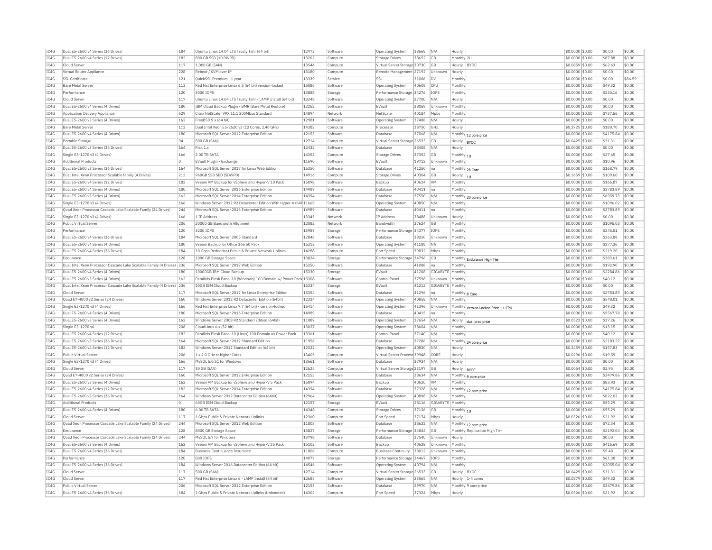| TC4G         | Dual E5-2600 v4 Series (36 Drives)                                    | 184     | Ubuntu Linux 14.04 LTS Trusty Tahr (64 bit)                       | 12473 | Software | <b>Operating System</b>      | 38668          | N/A            | Hourly                |                                      | \$0,0000 \$0.00                     | \$0.00             | \$0.00  |
|--------------|-----------------------------------------------------------------------|---------|-------------------------------------------------------------------|-------|----------|------------------------------|----------------|----------------|-----------------------|--------------------------------------|-------------------------------------|--------------------|---------|
| IC4G         | Dual E5-2600 v4 Series (12 Drives)                                    | 182     | 800 GB SSD (10 DWPD)                                              | 13202 | Compute  | <b>Storage Drives</b>        | 38652          | GB             | Monthly 2L            |                                      | \$0.0000 \$0.00                     | \$87.88            | \$0.00  |
| TC4G         | Cloud Server                                                          | 117     | 1.000 GB (SAN)                                                    | 13544 | Compute  | Virtual Server Storage 30730 |                | <b>GB</b>      | Hourly BYOC           |                                      | \$0,0859 \$0.00                     | \$62.63            | \$0.00  |
| TCAG         | Virtual Router Appliance                                              | 228     | Reboot / KVM over TP                                              | 13180 | Compute  | Remote Management 27192      |                | Unknown        | Hourly                |                                      | \$0.0000 \$0.00                     | \$0.00             | \$0.00  |
| IC4G         | SSL Certificate                                                       | 121     | OuickSSL Premium - 1 year                                         | 13339 | Service  | S2                           | 31006          | Inv            | Monthly               |                                      | \$0.0000 \$0.00                     | Isn nn             | \$86.59 |
| IC4G         | <b>Bare Metal Server</b>                                              | 113     | Red Hat Enterprise Linux 6.5 (64 bit) version-locked              | 15086 | Software | Operating System             | 40608          | <b>CPU</b>     | Monthly               |                                      | \$0.0000 \$0.00                     | \$49.32            | \$0.00  |
| IC4G         | Performance                                                           | 120     | 3000 TOPS                                                         | 13888 | Storage  | Performance Storage 34276    |                | <b>TOPS</b>    | Monthly               |                                      | \$0.0000 \$0.00                     | \$230.16           | \$0.00  |
| IC4G         | Cloud Server                                                          | 117     | Ubuntu Linux 14.04 LTS Trusty Tahr - LAMP Install (64 bit)        | 13248 | Software | Operating System             | 27700          | N/A            | Hourly                |                                      | \$0,0000 \$0.00                     | \$0.00             | \$0.00  |
| IC4G         | Dual E5-2600 v4 Series (4 Drives)                                     | 180     | IBM Cloud Backup Plugin - BMR (Bare Metal Restore)                | 12252 | Software | FVault                       | 38068          | Unknown        | Monthly               |                                      | \$0,0000 \$0.00                     | \$0.00             | \$0.00  |
| TC4G         | Application Delivery Appliance                                        | 629     | Citrix NetScaler VPX 11.1 200Mbns Standard                        | 14894 | Network  | NetScale                     | 40184          | Mnhs           | Monthly               |                                      | $$0.0000$ \$0.00                    | \$737.56           | \$0.00  |
| IC4G         | Dual E5-2600 v3 Series (4 Drives)                                     | 162     | FreeBSD 9.x (64 bit)                                              | 12981 | Software | <b>Operating System</b>      | 37488          | N/A            | Hourly                |                                      | \$0.0000 \$0.00                     | \$0.00             | \$0.00  |
| TCAG         | <b>Bare Metal Server</b>                                              | 113     | Dual Intel Xeon E5-2620 v3 (12 Cores, 2.40 GHz)                   | 14382 | Compute  | Processor                    | 38750          | GHz            | Hourly                |                                      | \$0.2725 \$0.00                     | \$180.70           | \$0.00  |
| IC4G         | Dual E5-2600 v4 Series (4 Drives)                                     | 180     | Microsoft SOL Server 2012 Enterprise Edition                      | 12153 | Software | Database                     | 37068          | N/A            |                       | Monthly 12 core price                | \$0.0000 \$0.00                     | \$4175.84          | \$0.00  |
| IC4G         | Portable Storage                                                      | 94      | 500 GB (SAN)                                                      | 12714 | Compute  | Virtual Server Storage 26533 |                | <b>GB</b>      | Hourly BYOC           |                                      | \$0.0425 \$0.00                     | \$31.31            | \$0.00  |
| IC4G         | Dual E5-2600 v3 Series (36 Drives)                                    | 164     | Riak 1.x                                                          | 12432 | Software | <b>Databas</b>               | 38408          | N/A            | Hourly                |                                      | \$0,0000 \$0.00                     | \$0.00             | \$0.00  |
| TC4G         | Single E3-1270 v3 (4 Drives)                                          | 166     | 2.00 TR SATA                                                      | 14352 | Compute  | Storage Drives               | 37352          | GB             | Monthly $ _{10}$      |                                      | \$0.0000 \$0.00                     | \$27.65            | \$0.00  |
| IC4G         | <b>Additional Products</b>                                            | $\circ$ | EVault Plugin - Exchange                                          | 11690 | Software | EVault                       | 19712          | Unknown        | Monthly               |                                      | \$0,0000 \$0.00                     | \$10.96            | \$0.00  |
| IC4G         | Dual E5-2600 v3 Series (36 Drives)                                    | 164     | Microsoft SOL Server 2017 for Linux Web Edition                   | 15350 | Software | Database                     | 41250          | Ina            |                       |                                      | \$0,0000 \$0.00                     | \$168.79           | \$0.00  |
| TC4G         | Dual Intel Xeon Processor Scalable family (4 Drives)                  | 212     | 960GB SSD SED (5DWPD)                                             | 14916 | Compute  | Storage Drives               | 40304          | GB             |                       | Monthly 28 Core                      | $$0.1659$ \$0.00                    | \$109.60           | \$0.00  |
| IC4G         | Dual E5-2600 v4 Series (12 Drives)                                    | 182     | Veeam VM Backup for vSphere and Hyper-V 10 Pack                   | 15098 | Software | Backup                       | 40624          | <b>VM</b>      | Hourly  1U<br>Monthly |                                      | \$0.0000 \$0.00                     | \$166.87           | \$0.00  |
| IC4G         | Dual E5-2600 v4 Series (4 Drives)                                     | 180     | Microsoft SQL Server 2016 Enterprise Edition                      | 14989 | Software | Database                     | 40411          | Ina            | Monthly               |                                      | \$0.0000 \$0.00                     | \$2783.89          | \$0.00  |
|              |                                                                       |         |                                                                   | 14394 |          | Database                     |                |                |                       |                                      |                                     |                    | \$0.00  |
| IC4G         | Dual E5-2600 v3 Series (4 Drives)                                     | 162     | Microsoft SQL Server 2014 Enterprise Edition                      |       | Software |                              | 37550          | N/A            |                       | Monthly 20 core price                | \$0.0000 \$0.00                     | \$6959.73          |         |
| IC4G         | Single E3-1270 v3 (4 Drives)                                          | 166     | Windows Server 2012 R2 Datacenter Edition With Hyper-V (64t 11669 |       | Software | Operating System             | 40850          | N/A            | Monthly               |                                      | \$0,0000 \$0.00                     | \$1096.02          | \$0.00  |
| IC4G         | Ouad Xeon Processor Cascade Lake Scalable Family (24 Drives)          | 244     | Microsoft SOL Server 2016 Enterprise Edition                      | 14989 | Software | <b>Databas</b>               | 40411          | Ina            | Monthly               |                                      | \$0.0000 \$0.00                     | \$2783.89          | \$0.00  |
| TC4G         | Single E3-1270 v3 (4 Drives)                                          | 166     | 1 IP Address                                                      | 13345 | Network  | <b>IP Address</b>            | 38488          | Unknown        | Hourly                |                                      | \$0,0000 \$0.00                     | \$0.00             | \$0.00  |
| IC4G         | Public Virtual Server                                                 | 206     | 20000 GB Bandwidth Allotment                                      | 12082 | Network  | Bandwidth                    | 37624          | GB             | Monthly               |                                      | \$0.0000 \$0.00                     | \$1095.03          | \$0.00  |
| TCAG         | Performance                                                           | 120     | 3200 TOPS                                                         | 13989 | Storage  | Performance Storage 34377    |                | <b>TOPS</b>    | Monthly               |                                      | $$0.0000$ \$0.00                    | \$245.51           | \$0.00  |
| IC4G         | Dual E5-2600 v4 Series (36 Drives)                                    | 184     | Microsoft SQL Server 2005 Standard                                | 12846 | Software | Database                     | 38250          | Unknow         | Monthly               |                                      | \$0.0000 \$0.00                     | \$363.88           | \$0.00  |
| TC4G         | Dual E5-2600 v4 Series (4 Drives)                                     | 180     | Veeam Backup for Office 365.50 Pack                               | 15312 | Software | <b>Operating System</b>      | 41188          | <b>NA</b>      | Monthly               |                                      | \$0,0000 \$0.00                     | \$277.36           | \$0.00  |
| IC4G         | Dual E5-2600 v4 Series (36 Drives)                                    | 184     | 10 Gbos Redundant Public & Private Network Uplinks                | 14288 | Compute  | Port Speed                   | 39832          | Mbps           | Monthly               |                                      | \$0,0000 \$0.00                     | \$219.20           | \$0.00  |
| TC4G         | Endurance                                                             | 128     | 1000 GB Storage Space                                             | 13824 | Storage  | Performance Storage 34796    |                | <b>GB</b>      |                       | Monthly Endurance High Tier          | \$0.0000 \$0.00                     | \$383.61           | sin nn  |
| IC4G         | Dual Intel Xeon Processor Cascade Lake Scalable Family (4 Drives)     | 236     | Microsoft SOL Server 2017 Web Edition                             | 15250 | Software | <b>Databas</b>               | 41088          | Ina            | Monthly               |                                      | \$0,0000 \$0.00                     | \$192.90           | \$0.00  |
| IC4G         | Dual E5-2600 v4 Series (4 Drives)                                     | 180     | 10000GB IBM Cloud Backup                                          | 15330 | Storage  | FVault                       | 41208          | GIGABYTE       | Monthly               |                                      | \$0,0000 \$0.00                     | \$2284.86          | \$0.00  |
| IC4G         | Dual E5-2600 v3 Series (4 Drives)                                     | 162     | Parallels Plesk Panel 10 (Windows) 100 Domain w/ Power Pack 13308 |       | Software | Control Panel                | 37598          | Unknown        | Monthly               |                                      | \$0.0000 \$0.00                     | \$40.12            | \$0.00  |
| IC4G         | Dual Intel Xeon Processor Cascade Lake Scalable Family (4 Drives) 236 |         | 10GB IBM Cloud Backup                                             | 15334 | Storage  | EVault                       | 41212          | GIGABYTE       | Monthly               |                                      | \$0.0000 \$0.00                     | \$0.00             | \$0.00  |
| IC4G         | Cloud Server                                                          | 117     | Microsoft SQL Server 2017 for Linux Enterprise Edition            | 15354 | Software | Database                     | 41296          | Ina            | Monthly 8 Core        |                                      | \$0.0000 \$0.00                     | \$2783.89          | \$0.00  |
| IC4G         | Quad E7-4800 v2 Series (24 Drives)                                    | 160     | Windows Server 2012 R2 Datacenter Edition (64bit)                 | 12324 | Software | <b>Operating System</b>      | 40858          | N/A            | Monthly               |                                      | \$0.0000 \$0.00                     | \$548.01           | \$0.00  |
| TC4G         | Single E3-1270 v3 (4 Drives)                                          | 166     | Red Hat Enterprise Linux 7.7 (64 bit) - version-locked            | 15414 | Software | Operating System             | 41396          | Unknown        |                       | Monthly Version Locked Price - 1 CPU | \$0,0000 \$0.00                     | \$49.32            | \$0.00  |
| IC4G         | Dual E5-2600 v4 Series (4 Drives)                                     | 180     | Microsoft SQL Server 2016 Enterprise Edition                      | 14989 | Software | <b>Databas</b>               | 40415          | Ina            | Monthly               |                                      | \$0.0000 \$0.00                     | \$5567.78          | \$0.00  |
| IC4G         | Dual E5-2600 v3 Series (4 Drives)                                     | 162     | Windows Server 2008 R2 Standard Edition (64bit)                   | 11887 | Software | <b>Operating System</b>      | 37654          | N/A            | Hourly                | dual proc price                      | \$0,0523 \$0.00                     | \$37.26            | \$0.00  |
| IC4G         | Single E3-1270 v6                                                     | 208     | CloudLinux 6.x (32 bit)                                           | 13027 | Software | <b>Operating System</b>      | 38604          | N/A            | Monthly               |                                      | \$0,0000 \$0.00                     | \$13.15            | \$0.00  |
| TCAG         | Dual E5-2600 v4 Series (12 Drives)                                    | 182     | Parallels Plesk Panel 10 (Linux) 100 Domain w/ Power Pack         | 13361 | Software | Control Panel                | 37140          | N/A            | Monthly               |                                      | \$0,0000 \$0.00                     | \$40.12            | \$0.00  |
| IC4G         | Dual E5-2600 v3 Series (36 Drives                                     | 164     | Microsoft SOL Server 2012 Standard Edition                        | 11956 | Software | Database                     | 37286          | N/A            |                       | Monthly 24 core price                | \$0.0000 \$0.00                     | \$2183.27          | \$0.00  |
| IC4G         | Dual E5-2600 v4 Series (12 Drives)                                    | 182     | Windows Server 2012 Standard Edition (64 bit)                     | 12322 | Software | <b>Operating System</b>      | 40830          | N/A            | Hourly                |                                      | \$0,2459 \$0.00                     | \$157.83           | \$0.00  |
| TC4G         | Public Virtual Server                                                 | 206     | 1 x 2.0 GHz or higher Cores                                       | 13405 | Compute  | Virtual Server Process 39948 |                | CORE           | Hourly                |                                      | \$0.0296 \$0.00                     | \$19.59            | \$0.00  |
| TC4G         | Single E3-1270 v3 (4 Drives)                                          | 166     | MySQL 5.0.51 for Windows                                          | 13661 | Software | Database                     | 37934          | N/A            | Hourly                |                                      | \$0,0000 \$0,00                     | \$0.00             | \$0.00  |
| TC4G         | Cloud Server                                                          | 117     | 30 GB (SAN)                                                       | 12625 | Compute  | Virtual Server Storage 23197 |                | GB             | Hourly                | BYOC                                 | \$0.0054 \$0.00                     | \$3.95             | \$0.00  |
| IC4G         | Ouad E7-4800 v2 Series (24 Drives)                                    | 160     | Microsoft SOL Server 2012 Enterprise Edition                      | 12153 | Software | Database                     | 38634          | N/A            |                       |                                      | \$0,0000 \$0.00                     | \$3479.86          | \$0.00  |
| TC4G         | Dual E5-2600 v3 Series (4 Drives)                                     | 162     | Veeam VM Backup for vSphere and Hyper-V 5 Pack                    | 15094 | Software | Backup                       | 40620          | <b>VM</b>      | Monthly               | Monthly 9 core price                 | \$0,0000 \$0.00                     | \$83.93            | \$0.00  |
| IC4G         | Dual E5-2600 v4 Series (12 Drives                                     | 182     | Microsoft SQL Server 2014 Enterprise Edition                      | 14394 | Software | Database                     | 37328          | N/A            |                       |                                      | \$0.0000 \$0.00                     | \$4175.84          | \$0.00  |
| TC4G         | Dual E5-2600 v3 Series (36 Drives)                                    | 164     | Windows Server 2012 Datacenter Edition (64bit)                    | 12964 | Software | Operating System             | 40898          | N/A            | Monthly               | Monthly 12 core price                | \$0.0000 \$0.00                     | \$822.02           | \$0.00  |
|              |                                                                       |         |                                                                   |       |          |                              |                |                |                       |                                      |                                     |                    |         |
| IC4G<br>TCAG | <b>Additional Products</b>                                            | ١o      | 60GB IBM Cloud Backup<br>6.00 TR SATA                             | 12157 | Storage  | EVault                       | 28116          | GIGABYTE       | Monthly               |                                      | \$0.0000 \$0.00                     | \$55.29            | \$0.00  |
|              | Dual E5-2600 v4 Series (4 Drives)                                     | 180     |                                                                   | 14348 | Compute  | Storage Drives               | 37136          | GB             | Monthly 1U            |                                      | \$0.0000 \$0.00                     | \$55.29            | \$0.00  |
| IC4G         |                                                                       |         | 1 Gbps Public & Private Network Uplinks                           | 12360 | Compute  | Port Speer                   | 37174<br>38622 | Mbps           | Hourly                |                                      | $$0.0326$ \$0.00<br>\$0,0000 \$0.00 | \$21.92<br>\$72.34 | \$0.00  |
| IC4G         | Cloud Serve                                                           | 117     |                                                                   |       |          |                              |                |                |                       |                                      |                                     |                    | \$0.00  |
|              | Ouad Xeon Processor Cascade Lake Scalable Family (24 Drives)          | 244     | Microsoft SOL Server 2012 Web Edition                             | 11803 | Software | Database                     |                | N/A            |                       | Monthly 12 core price                |                                     |                    |         |
| IC4G         | Endurance                                                             | 128     | 8000 GB Storage Space                                             | 13827 | Storage  | Performance Storage 34844    |                | GB             |                       | Monthly Replication High Tier        | \$0,0000 \$0.00                     | \$2192.04          | \$0.00  |
| TCAG         | Quad Xeon Processor Cascade Lake Scalable Family (24 Drives)          | 244     | MySOL 5.7 for Windows                                             | 13798 | Software | Database                     | 37540          | <b>Unknown</b> | Hourly                |                                      | $$0.0000$ \$0.00                    | \$0.00             | \$0.00  |
| IC4G         | Dual E5-2600 v3 Series (4 Drives)                                     | 162     | Veeam VM Backup for vSphere and Hyper-V 25 Pack                   | 15102 | Software | Backup                       | 40628          | Unknown        | Monthly               |                                      | \$0.0000 \$0.00                     | \$416.69           | \$0.00  |
| TC4G         | Dual E5-2600 v4 Series (36 Drives)                                    | 184     | <b>Business Continuance Insurance</b>                             | 11806 | Compute  | <b>Business Continuity</b>   | 38012          | Unknown        | Monthly               |                                      | \$0,0000 \$0.00                     | \$5.48             | \$0.00  |
| IC4G         | Performance                                                           | 120     | 800 IOPS                                                          | 14079 | Storage  | Performance Storage          | 34467          | <b>TOPS</b>    | Monthly               |                                      | \$0.0000 \$0.00                     | \$61.38            | \$0.00  |
| TCAG         | Dual E5-2600 v4 Series (36 Drives)                                    | 184     | Windows Server 2016 Datacenter Edition (64 bit)                   | 14546 | Software | <b>Operating System</b>      | 40794          | N/A            | Monthly               |                                      | \$0,0000 \$0,00                     | \$2055.04          | \$0.00  |
| IC4G         | Cloud Server                                                          | 117     | 500 GB (SAN)                                                      | 12714 | Compute  | Virtual Server Storage 26533 |                | <b>GB</b>      | Hourly BYOC           |                                      | $$0.0425$ \$0.00                    | \$31.31            | \$0.00  |
| IC4G         | Cloud Server                                                          | 117     | Red Hat Enterprise Linux 6 - LAMP Install (64 bit)                | 12685 | Software | <b>Operating System</b>      | 23565          | N/A            |                       | Hourly 1-4 cores                     | \$0.0879 \$0.00                     | \$49.32            | \$0.00  |
| TC4G         | Public Virtual Server                                                 | 206     | Microsoft SQL Server 2012 Enterprise Edition                      | 12153 | Software | Database                     | 29970          | N/A            |                       | Monthly 9 core price                 | \$0,0000 \$0.00                     | \$3479.86          | \$0.00  |
| TCAG         | Dual E5-2600 v4 Series (36 Drives)                                    | 184     | 1 Gbps Public & Private Network Uplinks (Unbonded)                | 14302 | Compute  | Port Speed                   | 37324 Mbps     |                | Hourly                |                                      | \$0.0326 \$0.00                     | \$21.92            | \$0.00  |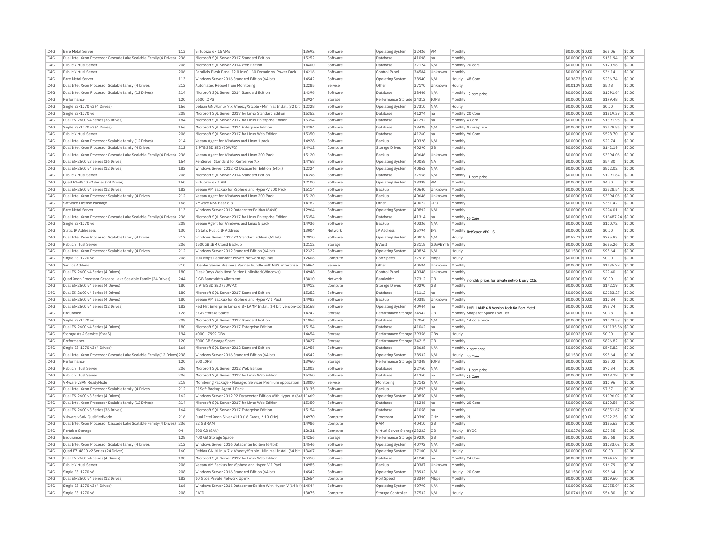| IC4G         | <b>Bare Metal Server</b>                                               | 113        | Virtuozzo 6 - 15 VMs                                                                              | 13692          | Software             | Operating System                      | 32426          | <b>VM</b>        | Monthly           |                                                                                      | \$0,0000 \$0.00                     | \$68.06              | \$0.00           |
|--------------|------------------------------------------------------------------------|------------|---------------------------------------------------------------------------------------------------|----------------|----------------------|---------------------------------------|----------------|------------------|-------------------|--------------------------------------------------------------------------------------|-------------------------------------|----------------------|------------------|
| IC4G         | Dual Intel Xeon Processor Cascade Lake Scalable Family (4 Drives) 236  |            | Microsoft SOL Server 2017 Standard Edition                                                        | 15252          | Software             | Database                              | 41098          | na               | Monthly           |                                                                                      | \$0,0000 \$0.00                     | \$181.94             | \$0.00           |
| IC4G         | Public Virtual Server                                                  | 206        | Microsoft SQL Server 2014 Web Edition                                                             | 14400          | Software             | Database                              | 37124          | N/A              |                   | Monthly 20 core                                                                      | \$0,0000 \$0.00                     | \$120.56             | \$0.00           |
| IC4G         | Public Virtual Server                                                  | 206        | Parallels Plesk Panel 12 (Linux) - 30 Domain w/ Power Pack                                        | 14216          | Software             | Control Pane                          | 34584          | Unknown          | Monthly           |                                                                                      | \$0,0000 \$0.00                     | \$36.14              | \$0.00           |
| TC4G         | <b>Bare Metal Server</b>                                               | 113        | Windows Server 2016 Standard Edition (64 bit)                                                     | 14542          | Software             | Operating System                      | 38940          | N/A              | Hourly            | 48 Core                                                                              | \$0.3673 \$0.00                     | \$236.74             | \$0.00           |
| IC4G         | Dual Intel Xeon Processor Scalable family (4 Drives)                   | 212        | Automated Reboot from Monitoring                                                                  | 12285          | Service              | Other                                 | 37170          | Unknown          | Hourly            |                                                                                      | \$0.0109 \$0.00                     | \$5.48               | \$0.00           |
| IC4G         | Dual Intel Xeon Processor Scalable family (12 Drives)                  | 214        | Microsoft SOL Server 2014 Standard Edition                                                        | 14396          | Software             | Database                              | 38446          | N/A              |                   | Monthly 12 core price                                                                | \$0.0000 \$0.00                     | \$1091.64            | \$0.00           |
| TC4G         | Performance                                                            | 120        | 2600 TOPS                                                                                         | 13924          | Storage              | Performance Storage 34312             |                | TOPS             | Monthly           |                                                                                      | $$0.0000$ \$0.00                    | \$199.48             | \$0.00           |
| IC4G         | Single E3-1270 v3 (4 Drives)                                           | 166        | Debian GNU/Linux 7.x Wheezy/Stable - Minimal Install (32 bit) 12328                               |                | Software             | Operating System                      | 37310          | N/A              | Hourly            |                                                                                      | \$0.0000 \$0.00                     | \$0.00               | \$0.00           |
| IC4G         | Single E3-1270 v6                                                      | 208        | Microsoft SQL Server 2017 for Linux Standard Edition                                              | 15352          | Software             | Database                              | 41274          | Ina              |                   | Monthly 20 Core                                                                      | \$0,0000 \$0.00                     | \$1819.39            | \$0.00           |
| TCAG         | Dual E5-2600 v4 Series (36 Drives)                                     | 184        | Microsoft SQL Server 2017 for Linux Enterprise Edition                                            | 15354          | Software             | Database                              | 41292          | lna              | Monthly 4 Core    |                                                                                      | \$0.0000 \$0.00                     | \$1391.95            | \$0.00           |
| IC4G         | Single E3-1270 v3 (4 Drives)                                           | 166        | Microsoft SQL Server 2014 Enterprise Edition                                                      | 14394          | Software             | Database                              | 38438          | N/A              |                   | Monthly 9 core price                                                                 | \$0.0000 \$0.00                     | \$3479.86            | \$0.00           |
| IC4G         | Public Virtual Server                                                  | 206        | Microsoft SOL Server 2017 for Linux Web Edition                                                   | 15350          | Software             | Database                              | 41260          | Ina              |                   | Monthly 96 Core                                                                      | \$0,0000 \$0.00                     | \$578.70             | \$0.00           |
| IC4G         | Dual Intel Xeon Processor Scalable family (12 Drives)                  | 214        |                                                                                                   | 14928          | Software             | Backup                                | 40328          | N/A              | Monthly           |                                                                                      |                                     | \$20.74              | \$0.00           |
|              |                                                                        |            | Veeam Agent for Windows and Linux 1 pack                                                          | 14912          |                      |                                       |                |                  |                   |                                                                                      | \$0.0000 \$0.00                     |                      |                  |
| IC4G         | Dual Intel Xeon Processor Scalable family (4 Drives)                   | 212        | 1.9TB SSD SED (5DWPD)                                                                             |                | Compute              | <b>Storage Drives</b>                 | 40290          | GB               | Monthly           |                                                                                      | \$0.0000 \$0.00                     | \$142.19             | \$0.00           |
| IC4G         | Dual Intel Xeon Processor Cascade Lake Scalable Family (4 Drives) 236  |            | Veeam Agent for Windows and Linux 200 Pack                                                        | 15120          | Software             | Backup                                | 40646          | Unknown          | Monthly           |                                                                                      | \$0,0000 \$0.00                     | \$3994.06            | \$0.00           |
| IC4G         | Dual E5-2600 v3 Series (36 Drives)                                     | 164        | XenServer Standard for XenServer 7.x                                                              | 14768          | Software             | <b>Operating System</b>               | 40058          | <b>NA</b>        | Monthly           |                                                                                      | \$0.0000 \$0.00                     | \$54.80              | \$0.00           |
| TC4G         | Dual E5-2600 v4 Series (12 Drives)                                     | 182        | Windows Server 2012 R2 Datacenter Edition (64bit)                                                 | 12324          | Software             | <b>Operating System</b>               | 40862          | N/A              | Monthly           |                                                                                      | \$0,0000 \$0.00                     | \$822.02             | \$0.00           |
| IC4G         | Public Virtual Server                                                  | 206        | Microsoft SOL Server 2014 Standard Edition                                                        | 14396          | Software             | Database                              | 37558          | $N/\beta$        |                   | Monthly 11 core price                                                                | \$0,0000 \$0.00                     | \$1091.64            | \$0.00           |
| IC4G         | Ouad E7-4800 v2 Series (24 Drives)                                     | 160        | Virtuozzo 6 - 1 VM                                                                                | 12100          | Software             | Operating System                      | 38398          | <b>VM</b>        | Monthly           |                                                                                      | \$0.0000 \$0.00                     | \$4.60               | \$0.00           |
| IC4G         | Dual E5-2600 v4 Series (12 Drives)                                     | 182        | Veeam VM Backup for vSphere and Hyper-V 200 Pack                                                  | 15114          | Software             | Backup                                | 40640          | Unknown          | Monthly           |                                                                                      | \$0.0000 \$0.00                     | \$3328.54            | \$0.00           |
| IC4G         | Dual Intel Xeon Processor Scalable family (4 Drives)                   | 212        | Veeam Agent for Windows and Linux 200 Pack                                                        | 15120          | Software             | Backup                                | 40646          | Jnknown          | Monthly           |                                                                                      | \$0.0000 \$0.00                     | \$3994.06            | \$0.00           |
| IC4G         | Software License Package                                               | 168        | VMware NSX Base 6.3                                                                               | 14782          | Software             | Other                                 | 40072          | CPU              | Monthly           |                                                                                      | \$0,0000 \$0.00                     | \$381.42             | 50.00            |
| IC4G         | <b>Bare Metal Server</b>                                               | 113        | Windows Server 2012 Datacenter Edition (64bit)                                                    | 12964          | Software             | Operating System                      | 40892          | N/A              | Monthly           |                                                                                      | \$0.0000 \$0.00                     | \$274.01             | \$0.00           |
| IC4G         | Dual Intel Xeon Processor Cascade Lake Scalable Family (4 Drives)      | 236        | Microsoft SOL Server 2017 for Linux Enterprise Edition                                            | 15354          | Software             | Database                              | 41314          | na               |                   | Monthly 56 Core                                                                      | \$0,0000 \$0.00                     | \$19487.24 \$0.00    |                  |
| IC4G         | Single E3-1270 v6                                                      | 208        | Veeam Agent for Windows and Linux 5 pack                                                          | 14936          | Software             | Backup                                | 40336          | N/A              | Monthly           |                                                                                      | \$0.0000 \$0.00                     | \$100.72             | \$0.00           |
| IC4G         | <b>Static IP Addresses</b>                                             | 130        | 1 Static Public IP Address                                                                        | 13004          | Network              | <b>IP Address</b>                     | 25794          | IPs              |                   | Monthly NetScaler VPX - SL                                                           | \$0.0000 \$0.00                     | \$0.00               | \$0.00           |
| TC4G         | Dual Intel Xeon Processor Scalable family (4 Drives)                   | 212        | Windows Server 2012 R2 Standard Edition (64 bit)                                                  | 12910          | Software             | Operating System                      | 40818          | N/A              | Hourly            |                                                                                      | \$0,5273 \$0.00                     | \$295.93             | \$0.00           |
| TCAG         | Public Virtual Server                                                  | 206        | 1500GB TBM Cloud Backup                                                                           | 12112          | Storage              | <b>FVault</b>                         | 23118          | GIGARYTE Monthly |                   |                                                                                      | \$0.0000 \$0.00                     | \$685.26             | \$0.00           |
| IC4G         | Dual Intel Xeon Processor Scalable family (4 Drives)                   | 212        | Windows Server 2012 Standard Edition (64 bit)                                                     | 12322          | Software             | <b>Operating System</b>               | 40824          | $N/\Delta$       | Hourly            |                                                                                      | \$0.1530 \$0.00                     | \$98.64              | \$0.00           |
| IC4G         | Single E3-1270 v6                                                      | 208        |                                                                                                   | 12606          |                      |                                       |                |                  |                   |                                                                                      |                                     |                      | \$0.00           |
|              |                                                                        |            | 100 Mbps Redundant Private Network Uplinks                                                        |                | Compute              | Port Speed                            | 37916          | Mbps             | Hourly            |                                                                                      | \$0,0000 \$0,00                     | \$0.00               |                  |
| IC4G         | Service Addons                                                         | 210        | vCenter Server Business Partner Bundle with NSX Enterprise                                        | 15064          | Service              | Other                                 | 40584          | Unknowr          | Monthly           |                                                                                      | \$0.0000 \$0.00                     | \$1435.79            | \$0.00           |
|              |                                                                        |            |                                                                                                   |                |                      |                                       |                |                  |                   |                                                                                      |                                     |                      |                  |
| IC4G         | Dual E5-2600 v4 Series (4 Drives)                                      | 180        | Plesk Onyx Web Host Edition Unlimited (Windows)                                                   | 14948          | Software             | Control Pane                          | 40348          | Unknown          | Monthly           |                                                                                      | \$0.0000 \$0.00                     | \$27.40              | \$0.00           |
| IC4G         | Ouad Xeon Processor Cascade Lake Scalable Family (24 Drives)           | 244        | 0 GB Bandwidth Allotment                                                                          | 13810          | Network              | Bandwidth                             | 37312          | GB               |                   | Monthly monthly prices for private network only CCIs                                 | \$0.0000 \$0.00                     | \$0.00               | \$0.00           |
| IC4G         | Dual E5-2600 v4 Series (4 Drives)                                      | 180        | 1.9TB SSD SED (5DWPD)                                                                             | 14912          | Compute              | <b>Storage Drives</b>                 | 40290          | GB               | Monthly           |                                                                                      | \$0.0000 \$0.00                     | \$142.19             | \$0.00           |
| IC4G         | Dual E5-2600 v4 Series (4 Drives)                                      | 180        | Microsoft SQL Server 2017 Standard Edition                                                        | 15252          | Software             | Database                              | 41112          | na               | Monthly           |                                                                                      | \$0,0000 \$0,00                     | \$2183.27            | \$0.00           |
| IC4G         | Dual E5-2600 v4 Series (4 Drives)                                      | 180        | Veeam VM Backup for vSphere and Hyper-V 1 Pack                                                    | 14983          | Software             | Backup                                | 40385          | Unknown          | Monthly           |                                                                                      | \$0,0000 \$0,00                     | \$12.84              | \$0.00           |
| TC4G         | Dual E5-2600 v4 Series (12 Drives)                                     | 182        | Red Hat Enterprise Linux 6.8 - LAMP Install (64 bit) version-loc 15168                            |                | Software             | Operating System                      | 40944          | Ina              |                   |                                                                                      | \$0,0000 \$0.00                     | \$98.74              | \$0.00           |
| IC4G         | Endurance                                                              | 128        | 5 GB Storage Space                                                                                | 14242          | Storage              | Performance Storage 34942             |                | GB               |                   | Monthly RHEL LAMP 6.8 Version Lock for Bare Metal<br>Monthly Snapshot Space Low Tier | \$0.0000 \$0.00                     | \$0.28               | \$0.00           |
| IC4G         | Single E3-1270 v6                                                      | 208        | Microsoft SQL Server 2012 Standard Edition                                                        | 11956          | Software             | Database                              | 37060          | N/A              |                   | Monthly 14 core price                                                                | \$0.0000 \$0.00                     | \$1273.58            | \$0.00           |
| TC4G         | Dual E5-2600 v4 Series (4 Drives)                                      | 180        | Microsoft SOL Server 2017 Enterprise Edition                                                      | 15154          | Software             | Database                              | 41062          | lna.             | Monthly           |                                                                                      | \$0,0000 \$0.00                     | \$11135.56 \$0.00    |                  |
| IC4G         | Storage As A Service (StaaS)                                           | 194        | 4000 - 7999 GBs                                                                                   | 14654          | Storage              | Performance Storage 39356             |                | GBs              | Hourly            |                                                                                      | \$0.0002 \$0.00                     | \$0.00               | \$0.00           |
| IC4G         | Performance                                                            | 120        | 8000 GB Storage Space                                                                             | 13827          |                      | Performance Storage 34215             |                | <b>GB</b>        | Monthly           |                                                                                      | \$0,0000 \$0,00                     | \$876.82             | \$0.00           |
|              | Single E3-1270 v3 (4 Drives)                                           | 166        |                                                                                                   | 11956          | Storage              | Database                              |                | N/A              |                   |                                                                                      |                                     | \$545.82             | \$0.00           |
| IC4G         |                                                                        |            | Microsoft SQL Server 2012 Standard Edition                                                        |                | Software             |                                       | 38628          |                  |                   | Monthly 5 core price                                                                 | \$0.0000 \$0.00                     |                      |                  |
| IC4G         | Dual Intel Xeon Processor Cascade Lake Scalable Family (12 Drives) 238 |            | Windows Server 2016 Standard Edition (64 bit)                                                     | 14542          | Software             | <b>Operating System</b>               | 38932          | N/A              |                   | Hourly 20 Core                                                                       | \$0.1530 \$0.00                     | \$98.64              | \$0.00           |
| TC4G         | Performance                                                            | 120        | 300 TOPS                                                                                          | 13960          | Storage              | Performance Storage 34348             |                | TOP5             | Monthly           |                                                                                      | $$0.0000$ \$0.00                    | \$23.02              | \$0.00           |
| IC4G         | Public Virtual Server                                                  | 206        | Microsoft SOL Server 2012 Web Edition                                                             | 11803          | Software             | Database                              | 22750          | N/A              |                   | Monthly 11 core price                                                                | \$0.0000 \$0.00                     | \$72.34              | \$0.00           |
| IC4G         | Public Virtual Server                                                  | 206        | Microsoft SOL Server 2017 for Linux Web Edition                                                   | 15350          | Software             | Database                              | 41250          | na               | Monthly 28 Core   |                                                                                      | \$0.0000 \$0.00                     | \$168.79             | \$0.00           |
| IC4G         | VMware vSAN ReadvNode                                                  | 218        | Monitoring Package - Managed Services Premium Application                                         | 13800          | Service              | Monitoring                            | 37142          | N/f              | Monthly           |                                                                                      | \$0,0000 \$0,00                     | \$10.96              | \$0.00           |
| IC4G         | Dual Intel Xeon Processor Scalable family (4 Drives)                   | 212        | R1Soft Backup Agent 1 Pack                                                                        | 13135          | Software             | Backup                                | 26893          | N/A              | Monthly           |                                                                                      | \$0.0000 \$0.00                     | \$7.67               | \$0.00           |
| IC4G         | Dual E5-2600 v3 Series (4 Drives)                                      | 162        | Windows Server 2012 R2 Datacenter Edition With Hyper-V (64t 11669                                 |                | Software             | Operating System                      | 40850          | N/A              | Monthly           |                                                                                      | \$0,0000 \$0,00                     | \$1096.02            | \$0.00           |
| IC4G         | Dual Intel Xeon Processor Scalable family (12 Drives)                  | 214        | Microsoft SOL Server 2017 for Linux Web Edition                                                   | 15350          | Software             | Database                              | 41246          | Ina              |                   | Monthly 20 Core                                                                      | \$0.0000 \$0.00                     | \$120.56             | \$0.00           |
| TC4G         | Dual E5-2600 v3 Series (36 Drives)                                     | 164        | Microsoft SOL Server 2017 Enterprise Edition                                                      | 15154          | Software             | Database                              | 41058          | Ina              | Monthly           |                                                                                      | \$0,0000 \$0,00                     | \$8351.67            | \$0.00           |
| IC4G         | VMware vSAN QualifiedNode                                              | 216        | Dual Intel Xeon Silver 4110 (16 Cores, 2.10 GHz)                                                  | 14970          | Compute              | Processor                             | 40390          | GHz              | Monthly 2U        |                                                                                      | \$0.0000 \$0.00                     | \$372.25             | \$0.00           |
| IC4G         | Dual Intel Xeon Processor Cascade Lake Scalable Family (4 Drives) 236  |            | 32 GB RAM                                                                                         | 14986          | Compute              | RAM                                   | 40410          | GB               | Monthly           |                                                                                      | \$0.0000 \$0.00                     | \$185.63             | \$0.00           |
| IC4G         | Portable Storage                                                       | 94         | 300 GB (SAN)                                                                                      | 12631          | Compute              | Virtual Server Storage 23232          |                | <b>GB</b>        | Hourly            | <b>BYOC</b>                                                                          | \$0,0276 \$0,00                     | \$20.35              | \$0.00           |
| IC4G         | Endurance                                                              | 128        | 400 GB Storage Space                                                                              | 14256          | Storage              | Performance Storage 39230             |                | GB               | Monthly           |                                                                                      | \$0,0000 \$0,00                     | \$87.68              | \$0.00           |
| IC4G         | Dual Intel Xeon Processor Scalable family (4 Drives)                   | 212        | Windows Server 2016 Datacenter Edition (64 bit)                                                   | 14546          | Software             |                                       | 40792          | N/A              | Monthly           |                                                                                      | \$0,0000 \$0,00                     | \$1233.02            | \$0.00           |
| IC4G         | Quad E7-4800 v2 Series (24 Drives)                                     | 160        | Debian GNU/Linux 7.x Wheezy/Stable - Minimal Install (64 bit) 13467                               |                | Software             | Operating System<br>Operating System  | 37100          | N/A              | Hourly            |                                                                                      | \$0.0000 \$0.00                     | \$0.00               | \$0.00           |
|              |                                                                        |            |                                                                                                   |                |                      |                                       |                |                  |                   |                                                                                      |                                     |                      |                  |
| IC4G<br>TC4G | Dual E5-2600 v4 Series (4 Drives)<br>Public Virtual Server             | 180<br>206 | Microsoft SQL Server 2017 for Linux Web Edition<br>Veeam VM Backup for vSphere and Hyper-V 1 Pack | 15350<br>14985 | Software<br>Software | Database<br>Backup                    | 41248<br>40387 | Ina<br>Unknown   | Monthly           | Monthly 24 Core                                                                      | \$0.0000 \$0.00<br>\$0,0000 \$0.00  | \$144.67<br>\$16.79  | \$0.00<br>\$0.00 |
|              |                                                                        |            |                                                                                                   |                |                      |                                       |                |                  |                   |                                                                                      |                                     |                      |                  |
| TCAG         | Single E3-1270 v6                                                      | 208        | Windows Server 2016 Standard Edition (64 bit)                                                     | 14542          | Software             | Operating System                      | 38932          | N/A              | Hourly            | 20 Core                                                                              | \$0.1530 \$0.00                     | \$98.64              | \$0.00           |
| IC4G         | Dual E5-2600 v4 Series (12 Drives)                                     | 182        | 10 Gbns Private Network Unlink                                                                    | 12654          | Compute              | Port Speed                            | 38344          | Mbps             | Monthly           |                                                                                      | \$0,0000 \$0.00                     | \$109.60             | \$0.00           |
| IC4G<br>IC4G | Single E3-1270 v3 (4 Drives)<br>Single E3-1270 v6                      | 166<br>208 | Windows Server 2016 Datacenter Edition With Hyper-V (64 bit) 14544<br>RATD                        | 13075          | Software<br>Compute  | Operating System<br>Storage Controlle | 40790<br>37532 | N/L<br>N/A       | Monthly<br>Hourly |                                                                                      | $$0.0000$ \$0.00<br>\$0.0741 \$0.00 | \$2055.04<br>\$54.80 | \$0.00<br>\$0.00 |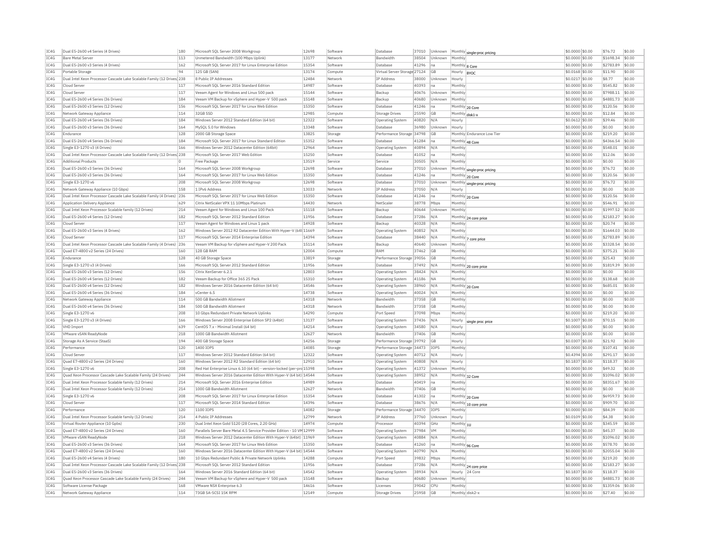| IC4G | Dual E5-2600 v4 Series (4 Drives)                                                  | 180 | Microsoft SQL Server 2008 Workgroup                                    | 12698 | Software | Database                     | 37010 | Unknown     |                            | $\big \mathsf{Monthly}\big \mathsf{single\text{-}proc\, pricing}\big $ | \$0,0000 \$0.00   | \$76.72   | \$0.00 |
|------|------------------------------------------------------------------------------------|-----|------------------------------------------------------------------------|-------|----------|------------------------------|-------|-------------|----------------------------|------------------------------------------------------------------------|-------------------|-----------|--------|
| IC4G | <b>Bare Metal Server</b>                                                           | 113 | Unmetered Bandwidth (100 Mbps Uplink)                                  | 13177 | Network  | <b>Bandwidth</b>             | 38504 | Unknown     | Monthly                    |                                                                        | \$0,0000 \$0.00   | \$1698.34 | \$0.00 |
| IC4G | Dual E5-2600 v3 Series (4 Drives)                                                  | 162 | Microsoft SOL Server 2017 for Linux Enterprise Edition                 | 15354 | Software | Database                     | 41296 | na          | Monthly 8 Core             |                                                                        | \$0,0000 \$0.00   | \$2783.89 | \$0.00 |
| IC4G | Portable Storage                                                                   | 94  | 125 GB (SAN)                                                           | 13174 | Compute  | Virtual Server Storage 27124 |       | <b>GB</b>   | Hourly                     | <b>BYOC</b>                                                            | \$0,0168 \$0,00   | \$11.90   | \$0.00 |
| TC4G | Dual Intel Xeon Processor Cascade Lake Scalable Family (12 Drives 238              |     | 8 Public IP Addresses                                                  | 12484 | Network  | <b>TP Address</b>            | 38000 | Unknown     | Hourly                     |                                                                        | \$0.0217 \$0.00   | \$8.77    | \$0.00 |
| IC4G | Cloud Serve                                                                        | 117 | Microsoft SQL Server 2016 Standard Edition                             | 14987 | Software | Database                     | 40393 | na          | Monthly                    |                                                                        | \$0.0000 \$0.00   | \$545.82  | \$0.00 |
| IC4G | Cloud Serve                                                                        | 117 | Veeam Agent for Windows and Linux 500 pack                             | 15144 | Software | Backup                       | 40676 | Unknown     | Monthly                    |                                                                        | \$0.0000 \$0.00   | \$7988.11 | \$0.00 |
| TCAG | Dual E5-2600 v4 Series (36 Drives)                                                 | 184 | Veeam VM Backup for vSphere and Hyper-V 500 pack                       | 15148 | Software | Backup                       | 40680 | Unknown     | Monthly                    |                                                                        | \$0,0000 \$0.00   | \$4881.73 | \$0.00 |
| IC4G | Dual E5-2600 v3 Series (12 Drives)                                                 | 156 | Microsoft SQL Server 2017 for Linux Web Edition                        | 15350 | Software | Database                     | 41246 | ha          |                            | Monthly 20 Core                                                        | \$0,0000 \$0.00   | \$120.56  | \$0.00 |
| IC4G | Network Gateway Appliance                                                          | 114 | 32GR SSD                                                               | 12985 | Compute  | Storage Drives               | 25590 | <b>GB</b>   | Monthly disk1-x            |                                                                        | \$0,0000 \$0.00   | \$12.84   | \$0.00 |
| TCAG | Dual E5-2600 v4 Series (36 Drives)                                                 | 184 | Windows Server 2012 Standard Edition (64 bit)                          | 12322 | Software | <b>Operating System</b>      | 40820 | N/A         | Hourly                     |                                                                        | \$0.0612 \$0.00   | \$39.46   | \$0.00 |
| IC4G | Dual E5-2600 v3 Series (36 Drives                                                  | 164 | MySQL 5.0 for Windows                                                  | 13348 | Software | Database                     | 36980 | Unknown     | Hourly                     |                                                                        | \$0.0000 \$0.00   | \$0.00    | \$0.00 |
| IC4G | Endurance                                                                          | 128 | 2000 GB Storage Space                                                  | 13825 | Storage  | Performance Storage 34798    |       | <b>GB</b>   |                            | Monthly Endurance Low Tier                                             | \$0,0000 \$0.00   | \$219.20  | \$0.00 |
| IC4G | Dual E5-2600 v4 Series (36 Drives)                                                 | 184 | Microsoft SOL Server 2017 for Linux Standard Edition                   | 15352 | Software | Database                     | 41284 | na          |                            | Monthly 48 Core                                                        | \$0.0000 \$0.00   | \$4366.54 | \$0.00 |
| IC4G | Single E3-1270 v3 (4 Drives)                                                       | 166 | Windows Server 2012 Datacenter Edition (64bit)                         | 12964 | Software | <b>Operating System</b>      | 40894 | N/A         | Monthly                    |                                                                        | \$0.0000 \$0.00   | \$548.01  | \$0.00 |
| IC4G | Dual Intel Xeon Processor Cascade Lake Scalable Family (12 Drives 238              |     | Microsoft SQL Server 2017 Web Edition                                  | 15250 | Software | Database                     | 41052 | Ina         | Monthly                    |                                                                        | \$0,0000 \$0.00   | \$12.06   | \$0.00 |
|      | <b>Additional Products</b>                                                         |     |                                                                        | 13519 |          |                              |       | N/A         |                            |                                                                        |                   |           | \$0.00 |
| IC4G |                                                                                    |     | Free Package                                                           |       | Service  | Service                      | 30505 |             | Monthly                    |                                                                        | \$0.0000 \$0.00   | \$0.00    |        |
| IC4G | Dual E5-2600 v3 Series (36 Drives)                                                 | 164 | Microsoft SOL Server 2008 Workgroud                                    | 12698 | Software | Database                     | 37010 | Unknown     |                            | Monthly single-proc pricing                                            | \$0.0000 \$0.00   | \$76.72   | \$0.00 |
| IC4G | Dual E5-2600 v3 Series (36 Drives)                                                 | 164 | Microsoft SOL Server 2017 for Linux Web Edition                        | 15350 | Software | Database                     | 41246 | na          |                            | Monthly 20 Core                                                        | \$0,0000 \$0.00   | \$120.56  | \$0.00 |
| IC4G | Single E3-1270 v6                                                                  | 208 | Microsoft SQL Server 2008 Workgroup                                    | 12698 | Software | Database                     | 37010 | Unknown     |                            | Monthly single-proc pricing                                            | \$0,0000 \$0.00   | \$76.72   | \$0.00 |
| IC4G | Network Gateway Appliance (10 Gbps)                                                | 158 | 1 TPv6 Address                                                         | 13033 | Network  | <b>IP Address</b>            | 37050 | N/A         | Hourly                     |                                                                        | \$0.0000 \$0.00   | \$0.00    | \$0.00 |
| IC4G | Dual Intel Xeon Processor Cascade Lake Scalable Family (4 Drives)                  | 236 | Microsoft SQL Server 2017 for Linux Web Edition                        | 15350 | Software | Database                     | 41246 | na          |                            | Monthly 20 Core                                                        | \$0,0000 \$0.00   | \$120.56  | \$0.00 |
| IC4G | Application Delivery Appliance                                                     | 629 | Citrix NetScaler VPX 11 10Mbns Platinum                                | 14430 | Network  | NetScale                     | 38778 | Mbps        | Monthly                    |                                                                        | \$0,0000 \$0.00   | \$546.91  | \$0.00 |
| TC4G | Dual Intel Xeon Processor Scalable family (12 Drives)                              | 214 | Veeam Agent for Windows and Linux 100 Pack                             | 15118 | Software | Backup                       | 40644 | Unknown     | Monthly                    |                                                                        | \$0.0000 \$0.00   | \$1997.52 | \$0.00 |
| IC4G | Dual E5-2600 v4 Series (12 Drives)                                                 | 182 | Microsoft SOL Server 2012 Standard Edition                             | 11956 | Software | Database                     | 37286 | N/A         |                            | Monthly 24 core price                                                  | \$0,0000 \$0.00   | \$2183.27 | \$0.00 |
| IC4G | Cloud Serve                                                                        | 117 | Veeam Agent for Windows and Linux 1 pack                               | 14928 | Software | Backup                       | 40328 | N/A         | Monthly                    |                                                                        | \$0.0000 \$0.00   | \$20.74   | \$0.00 |
| IC4G | Dual E5-2600 v3 Series (4 Drives)                                                  | 162 | Windows Server 2012 R2 Datacenter Edition With Hyper-V (64t 11669      |       | Software | Operating System             | 40852 | N/A         | Monthly                    |                                                                        | \$0.0000 \$0.00   | \$1644.03 | \$0.00 |
| TCAG | Cloud Serve                                                                        | 117 | Microsoft SOL Server 2014 Enterprise Edition                           | 14394 | Software | Database                     | 38440 | N/A         |                            | Monthly 7 core price                                                   | \$0,0000 \$0.00   | \$2783.89 | \$0.00 |
| TCAG | Dual Intel Xeon Processor Cascade Lake Scalable Family (4 Drives)                  | 236 | Veeam VM Backup for vSphere and Hyper-V 200 Pack                       | 15114 | Software | Backup                       | 40640 | Unknown     | Monthly                    |                                                                        | \$0.0000 \$0.00   | \$3328.54 | \$0.00 |
| IC4G | Quad E7-4800 v2 Series (24 Drives)                                                 | 160 | 128 GB RAM                                                             | 12004 | Compute  | RAM                          | 37462 | GB          | Monthly                    |                                                                        | $$0.0000$ $$0.00$ | \$375.21  | \$0.00 |
| IC4G | Endurance                                                                          | 128 | 40 GB Storage Space                                                    | 13819 | Storage  | Performance Storage 39056    |       | <b>GB</b>   | Monthly                    |                                                                        | \$0,0000 \$0.00   | \$25.43   | \$0.00 |
| IC4G | Single E3-1270 v3 (4 Drives)                                                       | 166 | Microsoft SQL Server 2012 Standard Edition                             | 11956 | Software | Database                     | 37492 | N/A         |                            | Monthly 20 core price                                                  | \$0.0000 \$0.00   | \$1819.39 | \$0.00 |
| IC4G | Dual E5-2600 v3 Series (12 Drives)                                                 | 156 | Citrix XenServer 6.2.1                                                 | 12803 | Software | <b>Operating System</b>      | 38424 | N/A         | Monthly                    |                                                                        | \$0,0000 \$0,00   | \$0.00    | \$0.00 |
| IC4G | Dual E5-2600 v4 Series (12 Drives)                                                 | 182 | Veeam Backup for Office 365 25 Pack                                    | 15310 | Software | Operating System             | 41186 | <b>NA</b>   | Monthly                    |                                                                        | \$0.0000 \$0.00   | \$138.68  | \$0.00 |
| IC4G | Dual E5-2600 v4 Series (12 Drives)                                                 | 182 | Windows Server 2016 Datacenter Edition (64 bit)                        | 14546 | Software | <b>Operating System</b>      | 38960 | N/A         |                            |                                                                        | \$0.0000 \$0.00   | \$685.01  | \$0.00 |
| IC4G | Dual E5-2600 v4 Series (36 Drives)                                                 | 184 | vCenter 6.5                                                            | 14738 | Software | <b>Operating System</b>      | 40024 | N/A         | Monthly 20 Core<br>Monthly |                                                                        | \$0,0000 \$0.00   | \$0.00    | \$0.00 |
| IC4G | Network Gateway Appliance                                                          | 114 | 500 GB Bandwidth Allotment                                             | 14318 | Network  | Bandwidth                    | 37358 | <b>GB</b>   | Monthly                    |                                                                        | \$0,0000 \$0,00   | \$0.00    | \$0.00 |
| IC4G | Dual E5-2600 v4 Series (36 Drives)                                                 | 184 | 500 GB Bandwidth Allotment                                             | 14318 | Network  | <b>Bandwidth</b>             | 37358 | <b>GB</b>   | Monthly                    |                                                                        | \$0.0000 \$0.00   | \$0.00    | \$0.00 |
|      |                                                                                    |     |                                                                        |       |          |                              |       |             |                            |                                                                        |                   |           |        |
| IC4G | Single E3-1270 v6                                                                  | 208 | 10 Gbps Redundant Private Network Uplinks                              | 14290 | Compute  | Port Speed                   | 37098 | Mbps        | Monthly                    |                                                                        | \$0.0000 \$0.00   | \$219.20  | \$0.00 |
| IC4G | Single E3-1270 v3 (4 Drives)                                                       | 166 | Windows Server 2008 Enterprise Edition SP2 (64bit)                     | 13137 | Software | Operating System             | 37436 | N/A         | Hourly                     | single proc price                                                      | \$0.1007 \$0.00   | \$70.15   | \$0.00 |
| TCAG | VHD Import                                                                         | 639 | CentOS 7 x - Minimal Install (64 hit)                                  | 14214 | Software | Operating System             | 34580 | N/A         | Hourly                     |                                                                        | \$0,0000 \$0.00   | \$0.00    | \$0.00 |
| IC4G | VMware vSAN ReadyNode                                                              | 218 | 1000 GB Bandwidth Allotment                                            | 12627 | Network  | Bandwidth                    | 37406 | GB          | Monthly                    |                                                                        | \$0,0000 \$0.00   | \$0.00    | \$0.00 |
| IC4G | Storage As A Service (StaaS)                                                       | 194 | 400 GB Storage Space                                                   | 14256 | Storage  | Performance Storage 39792    |       | <b>GB</b>   | Hourly                     |                                                                        | \$0,0307 \$0.00   | \$21.92   | \$0.00 |
| TCAG | Performance                                                                        | 120 | 1400 TOPS                                                              | 14085 | Storage  | Performance Storage 34473    |       | <b>TOPS</b> | Monthly                    |                                                                        | \$0.0000 \$0.00   | \$107.41  | \$0.00 |
| IC4G | Cloud Serve                                                                        | 117 | Windows Server 2012 Standard Edition (64 bit)                          | 12322 | Software | <b>Operating System</b>      | 40712 | N/A         | Hourly                     |                                                                        | \$0.4394 \$0.00   | \$291.17  | \$0.00 |
| TC4G | Quad E7-4800 v2 Series (24 Drives)                                                 | 160 | Windows Server 2012 R2 Standard Edition (64 bit)                       | 12910 | Software | <b>Operating System</b>      | 40808 | N/A         | Hourly                     |                                                                        | \$0.1837 \$0.00   | \$118.37  | \$0.00 |
| IC4G | Single E3-1270 v6                                                                  | 208 | Red Hat Enterprise Linux 6.10 (64 bit) - version-locked (per-prc 15398 |       | Software | <b>Operating System</b>      | 41372 | Unknown     | Monthly                    |                                                                        | \$0,0000 \$0.00   | \$49.32   | \$0.00 |
| IC4G | Quad Xeon Processor Cascade Lake Scalable Family (24 Drives)                       | 244 | Windows Server 2016 Datacenter Edition With Hyper-V (64 bit) 14544     |       | Software | Operating System             | 38952 | N/A         | Monthly 32 Core            |                                                                        | \$0.0000 \$0.00   | \$1096.02 | \$0.00 |
| IC4G | Dual Intel Xeon Processor Scalable family (12 Drives)                              | 214 | Microsoft SOL Server 2016 Enterprise Edition                           | 14989 | Software | Database                     | 40419 | na          | Monthly                    |                                                                        | \$0,0000 \$0.00   | \$8351.67 | \$0.00 |
| IC4G | Dual Intel Xeon Processor Scalable family (12 Drives)                              | 214 | 1000 GB Bandwidth Allotment                                            | 12627 | Network  | Bandwidth                    | 37406 | <b>GB</b>   | Monthly                    |                                                                        | \$0.0000 \$0.00   | \$0.00    | \$0.00 |
| IC4G | Single E3-1270 v6                                                                  | 208 | Microsoft SOL Server 2017 for Linux Enterprise Edition                 | 15354 | Software | Database                     | 41302 | Ina         | Monthly 20 Core            |                                                                        | \$0,0000 \$0.00   | \$6959.73 | \$0.00 |
| IC4G | Cloud Serve                                                                        | 117 | Microsoft SQL Server 2014 Standard Edition                             | 14396 | Software | Database                     | 38676 | N/A         |                            | Monthly 10 core price                                                  | \$0,0000 \$0.00   | \$909.70  | \$0.00 |
| IC4G | Performance                                                                        | 120 | 1100 TOPS                                                              | 14082 | Storage  | Performance Storage 34470    |       | <b>TOPS</b> | Monthly                    |                                                                        | \$0,0000 \$0,00   | \$84.39   | \$0.00 |
| IC4G | Dual Intel Xeon Processor Scalable family (12 Drives)                              | 214 | 4 Public TP Addresses                                                  | 12799 | Network  | <b>IP Address</b>            | 37760 | Unknown     | Hourly                     |                                                                        | \$0.0109 \$0.00   | \$4.38    | \$0.00 |
| IC4G | Virtual Router Appliance (10 Gpbs)                                                 | 230 | Dual Intel Xeon Gold 5120 (28 Cores, 2.20 GHz)                         | 14974 | Compute  | Processor                    | 40394 | GHZ         | Monthly 1U                 |                                                                        | \$0.0000 \$0.00   | \$345.59  | \$0.00 |
| IC4G | Quad E7-4800 v2 Series (24 Drives)                                                 | 160 | Parallels Server Bare Metal 4.5 Service Provider Edition - 10 VM 12999 |       | Software | <b>Operating System</b>      | 37984 | <b>VM</b>   | Monthly                    |                                                                        | \$0,0000 \$0.00   | \$45.37   | \$0.00 |
| IC4G | <b>VMware vSAN ReadvNode</b>                                                       | 218 | Windows Server 2012 Datacenter Edition With Hyper-V (64bit) 11969      |       | Software | Operating System             | 40884 | N/A         | Monthly                    |                                                                        | \$0,0000 \$0.00   | \$1096.02 | \$0.00 |
| IC4G | Dual E5-2600 v3 Series (36 Drives)                                                 | 164 | Microsoft SOL Server 2017 for Linux Web Edition                        | 15350 | Software | Database                     | 41260 | Ina         |                            |                                                                        | \$0,0000 \$0.00   | \$578.70  | \$0.00 |
|      |                                                                                    |     |                                                                        |       |          |                              |       |             |                            | Monthly 96 Core                                                        |                   |           |        |
| IC4G | Quad E7-4800 v2 Series (24 Drives)                                                 | 160 | Windows Server 2016 Datacenter Edition With Hyper-V (64 bit) 14544     |       | Software | Operating System             | 40790 | N/A         | Monthly                    |                                                                        | \$0.0000 \$0.00   | \$2055.04 | \$0.00 |
| IC4G | Dual E5-2600 v4 Series (4 Drives)                                                  | 180 | 10 Gbps Redundant Public & Private Network Uplinks                     | 14288 | Compute  | Port Speed                   | 39832 | Mbps        | Monthly                    |                                                                        | \$0.0000 \$0.00   | \$219.20  | \$0.00 |
| TCAG | Dual Intel Xeon Processor Cascade Lake Scalable Family (12 Drives <sup>1</sup> 238 |     | Microsoft SOL Server 2012 Standard Edition                             | 11956 | Software | Database                     | 37286 | N/A         |                            | Monthly 24 core price                                                  | \$0,0000 \$0.00   | \$2183.27 | \$0.00 |
| TCAG | Dual E5-2600 v3 Series (36 Drives)                                                 | 164 | Windows Server 2016 Standard Edition (64 bit)                          | 14542 | Software | Operating System             | 38934 | N/A         | Hourly                     | 24 Core                                                                | \$0.1837 \$0.00   | \$118.37  | \$0.00 |
| IC4G | Ouad Xeon Processor Cascade Lake Scalable Family (24 Drives)                       | 244 | Veeam VM Backup for vSphere and Hyper-V 500 pack                       | 15148 | Software | Backup                       | 40680 | Unknown     | Monthly                    |                                                                        | \$0,0000 \$0.00   | \$4881.73 | \$0.00 |
| TCAG | Software License Package                                                           | 168 | VMware NSX Enterprise 6.3                                              | 14616 | Software | Licenses                     | 39042 | CPU         | Monthly                    |                                                                        | \$0,0000 \$0.00   | \$1359.06 | \$0.00 |
| IC4G | Network Gateway Appliance                                                          | 114 | 73GB SA-SCSI 15K RPM                                                   | 12149 | Compute  | <b>Storage Drives</b>        | 25958 | GB          | Monthly disk2-             |                                                                        | \$0.0000 \$0.00   | \$27.40   | \$0.00 |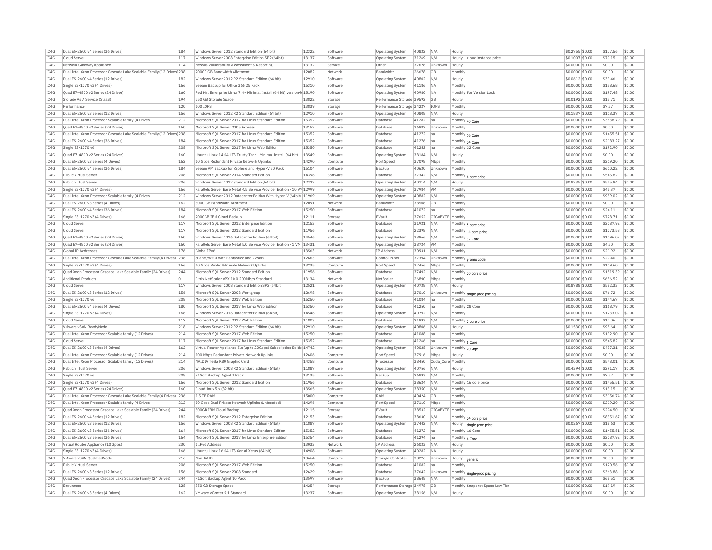| IC4G | Dual E5-2600 v4 Series (36 Drives)                                     | 184 | Windows Server 2012 Standard Edition (64 bit)                            | 12322 | Software | <b>Operating System</b>   | 40832 | N/A               | Hourly          |                                 | \$0.2755 \$0.00   | \$177.56  | \$0.00 |
|------|------------------------------------------------------------------------|-----|--------------------------------------------------------------------------|-------|----------|---------------------------|-------|-------------------|-----------------|---------------------------------|-------------------|-----------|--------|
| TC4G | Cloud Server                                                           | 117 | Windows Server 2008 Enterprise Edition SP2 (64bit)                       | 13137 | Software | <b>Operating System</b>   | 31269 | N/A               | Hourly          | cloud instance price            | \$0,1007 \$0.00   | \$70.15   | \$0.00 |
| IC4G | Network Gateway Appliance                                              | 114 | Nessus Vulnerability Assessment & Reporting                              | 13132 | Service  | Othe                      | 37626 | Unknown           | Hourly          |                                 | \$0,0000 \$0.00   | \$0.00    | \$0.00 |
| IC4G | Dual Intel Xeon Processor Cascade Lake Scalable Family (12 Drives) 238 |     | 20000 GB Bandwidth Allotment                                             | 12082 | Network  | Bandwidth                 | 26678 | <b>GB</b>         | Monthl          |                                 | \$0.0000 \$0.00   | \$0.00    | \$0.00 |
| IC4G | Dual E5-2600 v4 Series (12 Drives)                                     | 182 | Windows Server 2012 R2 Standard Edition (64 bit)                         | 12910 | Software | Operating System          | 40802 | N/A               | Hourly          |                                 | \$0.0612 \$0.00   | \$39.46   | \$0.00 |
| IC4G | Single E3-1270 v3 (4 Drives)                                           | 166 | Veeam Backup for Office 365 25 Pack                                      | 15310 | Software | <b>Operating System</b>   | 41186 | <b>NA</b>         | Monthly         |                                 | \$0,0000 \$0.00   | \$138.68  | \$0.00 |
| IC4G | Ouad E7-4800 v2 Series (24 Drives)                                     | 160 | Red Hat Enterprise Linux 7.4 - Minimal Install (64 bit) version-Id 15190 |       | Software | <b>Operating System</b>   | 40980 | <b>NA</b>         |                 | Monthly For Version Lock        | \$0,0000 \$0.00   | \$197.48  | \$0.00 |
| IC4G | Storage As A Service (StaaS)                                           | 194 | 250 GB Storage Space                                                     | 13822 | Storage  | Performance Storage 39592 |       | <b>GB</b>         | Hourly          |                                 | \$0.0192 \$0.00   | \$13.71   | \$0.00 |
| IC4G | Performance                                                            | 120 | 100 TOPS                                                                 | 13839 | Storage  | Performance Storage 34227 |       | IOPS              | Monthly         |                                 | \$0,0000 \$0.00   | \$7.67    | \$0.00 |
| TC4G | Dual E5-2600 v3 Series (12 Drives)                                     | 156 | Windows Server 2012 R2 Standard Edition (64 bit)                         | 12910 | Software |                           | 40808 | N/A               |                 |                                 | \$0,1837 \$0.00   | \$118.37  | \$0.00 |
|      |                                                                        |     |                                                                          |       |          | <b>Operating System</b>   |       |                   | Hourly          |                                 |                   |           |        |
| IC4G | Dual Intel Xeon Processor Scalable family (4 Drives)                   | 212 | Microsoft SQL Server 2017 for Linux Standard Edition                     | 15352 | Software | Database                  | 41282 | Ina               | Monthly 40 Core |                                 | \$0,0000 \$0.00   | \$3638.79 | \$0.00 |
| TCAG | Quad E7-4800 v2 Series (24 Drives)                                     | 160 | Microsoft SOL Server 2005 Express                                        | 13152 | Software | Database                  | 36982 | <b>Unknown</b>    | Monthly         |                                 | \$0,0000 \$0.00   | \$0.00    | \$0.00 |
| IC4G | Dual Intel Xeon Processor Cascade Lake Scalable Family (12 Drives 238  |     | Microsoft SQL Server 2017 for Linux Standard Edition                     | 15352 | Software | Database                  | 41272 | Ina               | Monthly 16 Core |                                 | \$0.0000 \$0.00   | \$1455.51 | \$0.00 |
| IC4G | Dual E5-2600 v4 Series (36 Drives)                                     | 184 | Microsoft SQL Server 2017 for Linux Standard Edition                     | 15352 | Software | Database                  | 41276 | Ina               | Monthly 24 Core |                                 | \$0.0000 \$0.00   | \$2183.27 | \$0.00 |
| TC4G | Single E3-1270 v6                                                      | 208 | Microsoft SOL Server 2017 for Linux Web Edition                          | 15350 | Software | Database                  | 41252 | Ina               | Monthly 32 Core |                                 | $$0.0000$ \$0.00  | \$192.90  | \$0.00 |
| TC4G | Quad E7-4800 v2 Series (24 Drives)                                     | 160 | Ubuntu Linux 14.04 LTS Trusty Tahr - Minimal Install (64 bit)            | 13549 | Software | <b>Operating System</b>   | 38184 | N/A               | Hourly          |                                 | \$0.0000 \$0.00   | \$0.00    | \$0.00 |
| IC4G | Dual E5-2600 v3 Series (4 Drives                                       | 162 | 10 Gbps Redundant Private Network Uplinks                                | 14290 | Compute  | Port Speed                | 37098 | Mbps              | Monthly         |                                 | $$0.0000$ $$0.00$ | \$219.20  | \$0.00 |
| IC4G | Dual E5-2600 v4 Series (36 Drives)                                     | 184 | Veeam VM Backup for vSphere and Hyper-V 50 Pack                          | 15104 | Software | Backup                    | 40630 | Unknown           | Monthly         |                                 | \$0,0000 \$0.00   | \$610.22  | \$0.00 |
| IC4G | Public Virtual Server                                                  | 206 | Microsoft SQL Server 2014 Standard Edition                               | 14396 | Software | Database                  | 37342 | N/A               |                 | Monthly 6 core price            | \$0.0000 \$0.00   | \$545.82  | \$0.00 |
| IC4G | Public Virtual Server                                                  | 206 | Windows Server 2012 Standard Edition (64 bit)                            | 12322 | Software | <b>Operating System</b>   | 40714 | N/A               | Hourly          |                                 | \$0.8235 \$0.00   | \$545.94  | \$0.00 |
| IC4G | Single E3-1270 v3 (4 Drives)                                           | 166 | Parallels Server Bare Metal 4.5 Service Provider Edition - 10 VM 12999   |       | Software | <b>Operating System</b>   | 37984 | VM                | Monthly         |                                 | \$0.0000 \$0.00   | \$45.37   | \$0.00 |
| IC4G | Dual Intel Xeon Processor Scalable family (4 Drives)                   | 212 | Windows Server 2012 Datacenter Edition With Hyper-V (64bit) 11969        |       | Software | <b>Operating System</b>   | 40882 | N/A               | Monthly         |                                 | \$0.0000 \$0.00   | \$959.02  | \$0.00 |
| IC4G | Dual E5-2600 v3 Series (4 Drives)                                      | 162 | 5000 GB Bandwidth Allotment                                              | 12091 | Network  | Bandwidth                 | 38506 | <b>GB</b>         | Monthly         |                                 | \$0,0000 \$0.00   | \$0.00    | \$0.00 |
| IC4G | Dual E5-2600 v4 Series (36 Drives)                                     | 184 | Microsoft SOL Server 2017 Web Edition                                    | 15250 | Software | Database                  | 41072 | na                | Monthly         |                                 | \$0,0000 \$0.00   | \$24.11   | \$0.00 |
| TC4G | Single E3-1270 v3 (4 Drives)                                           | 166 | 2000GB TBM Cloud Backup                                                  | 12111 | Storage  | FVault                    | 37652 | GIGARYTE          | Monthly         |                                 | \$0.0000 \$0.00   | \$728.71  | \$0.00 |
| IC4G | Cloud Server                                                           | 117 | Microsoft SOL Server 2012 Enterprise Edition                             | 12153 | Software | Database                  | 31921 | N/f               |                 |                                 | \$0,0000 \$0.00   | \$2087.92 | \$0.00 |
|      | Cloud Server                                                           | 117 | Microsoft SOL Server 2012 Standard Edition                               | 11956 |          | Database                  | 22398 |                   |                 | Monthly 5 core price            |                   |           | \$0.00 |
| IC4G |                                                                        |     |                                                                          | 14546 | Software |                           |       | N/A               |                 | Monthly 14 core price           | \$0.0000 \$0.00   | \$1273.58 |        |
| IC4G | Quad E7-4800 v2 Series (24 Drives)                                     | 160 | Windows Server 2016 Datacenter Edition (64 bit)                          |       | Software | Operating System          | 38966 | N/A               | Monthly 32 Core |                                 | \$0.0000 \$0.00   | \$1096.02 | \$0.00 |
| IC4G | Quad E7-4800 v2 Series (24 Drives)                                     | 160 | Parallels Server Bare Metal 5.0 Service Provider Edition - 1 VM          | 13431 | Software | Operating System          | 38724 | <b>VM</b>         | Monthly         |                                 | \$0,0000 \$0.00   | \$4.60    | \$0.00 |
| IC4G | Global TP Addresses                                                    | 176 | Global TPv6                                                              | 13563 | Network  | IP Address                | 30931 | N/A               | Monthly         |                                 | \$0,0000 \$0,00   | \$21.92   | \$0.00 |
| IC4G | Dual Intel Xeon Processor Cascade Lake Scalable Family (4 Drives) 236  |     | cPanel/WHM with Fantastico and RVskin                                    | 12663 | Software | Control Panel             | 37394 | Unknown           |                 | Monthly promo code              | \$0.0000 \$0.00   | \$27.40   | \$0.00 |
| IC4G | Single E3-1270 v3 (4 Drives)                                           | 166 | 10 Gbps Public & Private Network Uplinks                                 | 13735 | Compute  | Port Speed                | 37456 | Mbps              | Monthly         |                                 | \$0,0000 \$0.00   | \$109.60  | \$0.00 |
| TC4G | Quad Xeon Processor Cascade Lake Scalable Family (24 Drives)           | 244 | Microsoft SOL Server 2012 Standard Edition                               | 11956 | Software | Database                  | 37492 | N/A               |                 | Monthly 20 core price           | $$0.0000$ \$0.00  | \$1819.39 | \$0.00 |
| IC4G | <b>Additional Products</b>                                             |     | Citrix NetScaler VPX 10.0 200Mbps Standard                               | 13134 | Network  | NetScaler                 | 26890 | Mbps              | Monthly         |                                 | \$0,0000 \$0.00   | \$656.52  | \$0.00 |
| TCAG | Cloud Server                                                           | 117 | Windows Server 2008 Standard Edition SP2 (64bit)                         | 12521 | Software | Operating System          | 40738 | N/A               | Hourly          |                                 | \$0,8788 \$0,00   | \$582.33  | \$0.00 |
| IC4G | Dual E5-2600 v3 Series (12 Drives)                                     | 156 | Microsoft SQL Server 2008 Workgroup                                      | 12698 | Software | Database                  | 37010 | Unknown           | Monthly         | single-proc pricing             | \$0.0000 \$0.00   | \$76.72   | \$0.00 |
| IC4G | Single E3-1270 v6                                                      | 208 | Microsoft SQL Server 2017 Web Edition                                    | 15250 | Software | Database                  | 41084 | <b>n</b> a        | Monthly         |                                 | \$0.0000 \$0.00   | \$144.67  | \$0.00 |
| TC4G | Dual E5-2600 v4 Series (4 Drives)                                      | 180 | Microsoft SOL Server 2017 for Linux Web Edition                          | 15350 | Software | Database                  | 41250 | na                | Monthly 28 Core |                                 | $$0.0000$ \$0.00  | \$168.79  | \$0.00 |
| TC4G | Single E3-1270 v3 (4 Drives)                                           | 166 | Windows Server 2016 Datacenter Edition (64 bit)                          | 14546 | Software | Operating System          | 40792 | N/A               | Monthly         |                                 | \$0.0000 \$0.00   | \$1233.02 | \$0.00 |
| IC4G | Cloud Server                                                           | 117 | Microsoft SOL Server 2012 Web Edition                                    | 11803 | Software | Database                  | 21993 | N/A               |                 | Monthly 2 core price            | $$0.0000$ $$0.00$ | \$12.06   | \$0.00 |
| IC4G | VMware vSAN ReadvNode                                                  | 218 | Windows Server 2012 R2 Standard Edition (64 bit)                         | 12910 | Software | <b>Operating System</b>   | 40806 | N/A               | Hourly          |                                 | \$0,1530 \$0.00   | \$98.64   | \$0.00 |
| IC4G | Dual Intel Xeon Processor Scalable family (12 Drives)                  | 214 | Microsoft SQL Server 2017 Web Edition                                    | 15250 | Software | Database                  | 41088 | na                | Monthly         |                                 | \$0.0000 \$0.00   | \$192.90  | \$0.00 |
| IC4G | Cloud Server                                                           | 117 | Microsoft SQL Server 2017 for Linux Standard Edition                     | 15352 | Software | Database                  | 41266 | na                | Monthly 6 Core  |                                 | \$0.0000 \$0.00   | \$545.82  | \$0.00 |
| IC4G | Dual E5-2600 v3 Series (4 Drives)                                      | 162 | Virtual Router Appliance 5.x (up to 20Gbps) Subscription Editio 14742    |       | Software | Operating System          | 40028 | Unknown           | Monthly 20Gbps  |                                 | \$0.0000 \$0.00   | \$437.31  | \$0.00 |
| IC4G | Dual Intel Xeon Processor Scalable family (12 Drives)                  | 214 | 100 Mbps Redundant Private Network Uplinks                               | 12606 | Compute  | Port Speed                | 37916 | Mbps              | Hourly          |                                 | \$0,0000 \$0.00   | \$0.00    | \$0.00 |
| IC4G | Dual Intel Xeon Processor Scalable family (12 Drives)                  | 214 | NVIDIA Tesla K80 Graphic Card                                            | 14358 | Compute  | Processor                 | 38450 | Cuda Core Monthly |                 |                                 | \$0,0000 \$0.00   | \$548.01  | \$0.00 |
| IC4G | Public Virtual Server                                                  | 206 | Windows Server 2008 R2 Standard Edition (64bit)                          | 11887 | Software | Operating System          | 40756 | N/A               | Hourly          |                                 | \$0,4394 \$0.00   | \$291.17  | \$0.00 |
| IC4G | Single E3-1270 v6                                                      | 208 | R1Soft Backup Agent 1 Pack                                               | 13135 | Software | Backup                    | 26893 | N/A               | Monthly         |                                 | \$0,0000 \$0,00   | \$7.67    | \$0.00 |
| IC4G | Single E3-1270 v3 (4 Drives)                                           | 166 | Microsoft SQL Server 2012 Standard Edition                               | 11956 | Software | Database                  | 38624 | N/A               |                 | Monthly 16 core price           | \$0.0000 \$0.00   | \$1455.51 | \$0.00 |
| IC4G | Ouad E7-4800 v2 Series (24 Drives)                                     | 160 | CloudLinux 5.x (32 bit)                                                  | 13565 | Software | Operating System          | 38350 | N/A               | Monthly         |                                 | \$0.0000 \$0.00   | \$13.15   | \$0.00 |
| IC4G | Dual Intel Xeon Processor Cascade Lake Scalable Family (4 Drives) 236  |     | 1.5 TB RAM                                                               | 15000 | Compute  | RAM                       | 40424 | GB                | Monthly         |                                 | $$0.0000$ \$0.00  | \$3156.74 | \$0.00 |
| IC4G | Dual Intel Xeon Processor Scalable family (4 Drives)                   | 212 | 10 Gbps Dual Private Network Uplinks (Unbonded                           | 14296 | Compute  | Port Speed                | 37110 | Mbps              | Monthly         |                                 | \$0,0000 \$0.00   | \$219.20  | \$0.00 |
| IC4G | Ouad Xeon Processor Cascade Lake Scalable Family (24 Drives)           | 244 | 500GB TBM Cloud Backup                                                   | 12115 | Storage  | FVault                    | 38532 | GIGABYTE          | Monthly         |                                 | \$0,0000 \$0.00   | \$274.50  | \$0.00 |
| IC4G | Dual E5-2600 v4 Series (12 Drives)                                     | 182 | Microsoft SQL Server 2012 Enterprise Edition                             | 12153 | Software | Database                  | 38630 | N/A               |                 | Monthly 24 core price           | \$0.0000 \$0.00   | \$8351.67 | \$0.00 |
| TC4G | Dual E5-2600 v3 Series (12 Drives)                                     | 156 | Windows Server 2008 R2 Standard Edition (64bit)                          | 11887 | Software | Operating System          | 37442 | N/A               | Hourly          | single proc price               | \$0,0267 \$0,00   | \$18.63   | \$0.00 |
| TC4G | Dual E5-2600 v3 Series (36 Drives)                                     | 164 | Microsoft SOL Server 2017 for Linux Standard Edition                     | 15352 | Software | Database                  | 41272 | Ina               | Monthly 16 Core |                                 | $$0.0000$ \$0.00  | \$1455.51 | \$0.00 |
| IC4G | Dual E5-2600 v3 Series (36 Drives)                                     | 164 | Microsoft SQL Server 2017 for Linux Enterprise Edition                   | 15354 | Software | Database                  | 41294 | <b>n</b> a        | Monthly 6 Core  |                                 | \$0,0000 \$0.00   | \$2087.92 | \$0.00 |
| IC4G | Virtual Router Appliance (10 Gobs)                                     | 230 | 1 TPv6 Address                                                           | 13033 | Network  | <b>IP Address</b>         | 26033 | N/A               | Hourly          |                                 | \$0,0000 \$0.00   | \$0.00    | \$0.00 |
| IC4G | Single E3-1270 v3 (4 Drives)                                           | 166 | Ubuntu Linux 16.04 LTS Xenial Xerus (64 bit)                             | 14908 | Software | Operating System          | 40282 | <b>NA</b>         | Hourly          |                                 | \$0.0000 \$0.00   | \$0.00    | \$0.00 |
| IC4G | VMware vSAN QualifiedNode                                              | 216 | Non-RATO                                                                 | 13664 | Compute  | Storage Controlle         | 38276 | Unknown           | Hourly          | generic                         | \$0.0000 \$0.00   | \$0.00    | \$0.00 |
| TC4G | Public Virtual Server                                                  | 206 | Microsoft SOL Server 2017 Web Edition                                    | 15250 | Software | Database                  | 41082 | na                | Monthly         |                                 | $$0.0000$ \$0.00  | \$120.56  | \$0.00 |
| TCAG | Dual E5-2600 v3 Series (12 Drives)                                     | 156 | Microsoft SQL Server 2008 Standard                                       | 12629 | Software | Database                  | 37642 | Unknown           |                 | Monthly single-proc pricing     | $$0.0000$ \$0.00  | \$363.88  | \$0.00 |
| IC4G | Quad Xeon Processor Cascade Lake Scalable Family (24 Drives)           | 244 | R1Soft Backup Agent 10 Pack                                              | 13597 | Software | Backup                    | 38648 | N/A               | Monthly         |                                 | $$0.0000$ $$0.00$ | \$68.51   | \$0.00 |
| IC4G | Endurance                                                              | 128 | 350 GB Storage Space                                                     | 14254 | Storage  | Performance Storage 34978 |       | GB                |                 | Monthly Snapshot Space Low Tier | \$0,0000 \$0.00   | \$19.19   | \$0.00 |
|      |                                                                        |     |                                                                          | 13237 | Software | <b>Operating System</b>   | 38156 | N/A               | Hourly          |                                 | \$0.0000 \$0.00   | \$0.00    | \$0.00 |
| IC4G | Dual E5-2600 v3 Series (4 Drives)                                      | 162 | VMware vCenter 5.1 Standard                                              |       |          |                           |       |                   |                 |                                 |                   |           |        |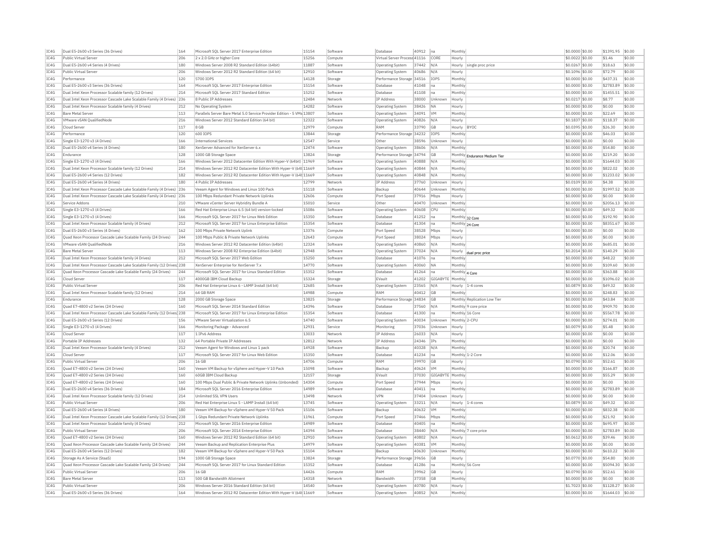| Public Virtual Server<br>206<br>2 x 2.0 GHz or higher Core<br>15256<br>Compute<br>Virtual Server Process 41116<br>CORE<br>\$0,0022 \$0.00<br>\$1.46<br>\$0.00<br>Hourly<br>Dual E5-2600 v4 Series (4 Drives)<br>180<br>Windows Server 2008 R2 Standard Edition (64bit)<br>11887<br>Software<br>37442<br>N/A<br>$$0.0267$ \$0.00<br>\$18.63<br>\$0.00<br><b>Operating System</b><br>Hourly<br>single proc price<br>Public Virtual Server<br>206<br>Windows Server 2012 R2 Standard Edition (64 bit)<br>12910<br>Software<br>Operating System<br>40686<br>\$0.1096 \$0.00<br>\$72.79<br>\$0.00<br>N/A<br>Hourly<br>Performance<br>120<br>5700 TOPS<br>14128<br>Performance Storage 34516<br>TOPS<br>\$0.0000 \$0.00<br>\$437.31<br>\$0.00<br>Monthly<br>Storage<br>IC4G<br>Dual E5-2600 v3 Series (36 Drives)<br>164<br>Microsoft SQL Server 2017 Enterprise Edition<br>15154<br>41048<br>Monthly<br>\$0.0000 \$0.00<br>\$2783.89<br>\$0.00<br>Software<br>Database<br>na<br>IC4G<br>214<br>15252<br>Dual Intel Xeon Processor Scalable family (12 Drives)<br>Microsoft SOL Server 2017 Standard Edition<br>Software<br>41108<br>\$0,0000 \$0.00<br>\$1455.51<br>\$0.00<br>Database<br>Monthly<br><b>I</b> na<br>IC4G<br>Dual Intel Xeon Processor Cascade Lake Scalable Family (4 Drives) 236<br>12484<br>IP Address<br>\$0.00<br>8 Public IP Addresses<br>Network<br>38000<br>Unknown<br>Hourly<br>\$0,0217 \$0.00<br>\$8.77<br>IC4G<br>Dual Intel Xeon Processor Scalable family (4 Drives)<br>14282<br>\$0.00<br>212<br>38426<br>\$0,0000 \$0.00<br>\$0.00<br>No Operating System<br>Software<br>Operating System<br><b>INA</b><br>Hourly<br>Parallels Server Bare Metal 5.0 Service Provider Edition - 5 VMs 13807<br><b>Bare Metal Server</b><br>113<br>Software<br>Operating System<br>34091<br><b>VM</b><br>Monthly<br>\$0,0000 \$0.00<br>\$22.69<br>\$0.00<br>VMware vSAN QualifiedNode<br>216<br>40826<br>\$118.37<br>\$0.00<br>Windows Server 2012 Standard Edition (64 bit)<br>12322<br>Software<br><b>Operating System</b><br>N/A<br>Hourly<br>\$0,1837 \$0.00<br>Cloud Server<br>117<br>8 GB<br>12979<br><b>RAM</b><br>33790<br>BYOC<br>\$0.0395 \$0.00<br>\$26.30<br>\$0.00<br>Compute<br><b>GB</b><br>Hourly<br>120<br>13844<br>\$46.03<br>\$0.00<br>Performance<br>600 TOPS<br>Storage<br>Performance Storage 34232<br><b>TOPS</b><br>Monthly<br>\$0,0000 \$0.00<br>166<br>12547<br>38596<br>\$0.0000 \$0.00<br>\$0.00<br>\$0.00<br>Single E3-1270 v3 (4 Drives)<br><b>International Services</b><br>Other<br>Unknown<br>Service<br>Hourly<br>Dual E5-2600 v4 Series (4 Drives)<br>180<br>XenServer Advanced for XenServer 6.x<br>12474<br>Software<br>Operating System<br>38606<br>N/A<br>Monthly<br>\$0.0000 \$0.00<br>\$54.80<br>\$0.00<br>128<br>13824<br>\$0.00<br>Performance Storage 34794<br>\$0,0000 \$0.00<br>\$219.20<br>Endurance<br>1000 GB Storage Space<br><b>GB</b><br>Storage<br>Monthly Endurance Medium Tier<br>Single E3-1270 v3 (4 Drives)<br>166<br>Windows Server 2012 Datacenter Edition With Hyper-V (64bit) 11969<br>40888<br>N/A<br>Monthly<br>\$0.0000 \$0.00<br>\$1644.03<br>\$0.00<br>Software<br><b>Operating System</b><br>TC4G<br>Dual Intel Xeon Processor Scalable family (12 Drives)<br>\$822.02<br>\$0.00<br>214<br>Windows Server 2012 R2 Datacenter Edition With Hyper-V (64t 11669<br>Software<br>40844<br>N/A<br>$$0.0000$ \$0.00<br><b>Operating System</b><br>Monthly<br>IC4G<br>Dual E5-2600 v4 Series (12 Drives)<br>182<br>Windows Server 2012 R2 Datacenter Edition With Hyper-V (64t 11669<br>40848<br>Monthly<br>\$0.0000 \$0.00<br>\$1233.02<br>\$0.00<br>Software<br><b>Operating System</b><br>N/A<br>TC4G<br>Dual E5-2600 v4 Series (4 Drives)<br>180<br>12799<br><b>IP Address</b><br>\$0.0109 \$0.00<br>\$4.38<br>\$0.00<br>4 Public IP Addresses<br>Network<br>37760<br>Unknown<br>Hourly<br>IC4G<br>40644<br>\$0.0000 \$0.00<br>\$1997.52<br>\$0.00<br>Dual Intel Xeon Processor Cascade Lake Scalable Family (4 Drives)<br>236<br>Veeam Agent for Windows and Linux 100 Pack<br>15118<br>Software<br>Backup<br>Unknow<br>Monthly<br>12606<br>\$0.00<br>Dual Intel Xeon Processor Cascade Lake Scalable Family (4 Drives) 236<br>100 Mbps Redundant Private Network Uplinks<br>Compute<br>Port Speed<br>37916<br>Mbps<br>Hourly<br>\$0.0000 \$0.00<br>\$0.00<br>15010<br>\$2056.13<br>\$0.00<br>Service Addons<br>210<br>VMware vCenter Server Hybridity Bundle A<br>Service<br>Othe<br>40470<br>Unknown<br>Monthly<br>\$0,0000 \$0.00<br>Single E3-1270 v3 (4 Drives)<br>166<br>Red Hat Enterprise Linux 6.5 (64 bit) version-locked<br>15086<br>Software<br>40608<br>CPU<br>Monthly<br>\$0,0000 \$0.00<br>\$49.32<br>\$0.00<br>Operating System<br>Single E3-1270 v3 (4 Drives)<br>166<br>Microsoft SQL Server 2017 for Linux Web Edition<br>15350<br>Software<br>Database<br>41252<br>Monthly 32 Core<br>\$0.0000 \$0.00<br>\$192.90<br>\$0.00<br>Ina<br>\$0.00<br>Dual Intel Xeon Processor Scalable family (4 Drives)<br>212<br>Microsoft SQL Server 2017 for Linux Enterprise Edition<br>15354<br>Software<br>Database<br>41304<br>Ina<br>Monthly 24 Core<br>\$0,0000 \$0.00<br>\$8351.67<br>Dual E5-2600 v3 Series (4 Drives)<br>162<br>13376<br>38528<br>Mhns<br>\$0.0000 \$0.00<br>\$0.00<br>\$0.00<br>100 Mbps Private Network Uplink<br>Port Speed<br>Compute<br>Hourly<br>IC4G<br>Quad Xeon Processor Cascade Lake Scalable Family (24 Drives)<br>244<br>100 Mbos Public & Private Network Uplinks<br>12643<br>Compute<br>Port Speed<br>38024<br>Mbps<br>Hourly<br>\$0.0000 \$0.00<br>\$0.00<br>\$0.00<br>IC4G<br>12324<br>40860<br>\$685.01<br>VMware vSAN OualifiedNode<br>216<br>Windows Server 2012 R2 Datacenter Edition (64bit)<br>Software<br>N/A<br>\$0,0000 \$0.00<br>\$0.00<br>Operating System<br>Monthly<br>IC4G<br><b>Bare Metal Serve</b><br>113<br>Windows Server 2008 R2 Enterprise Edition (64bit)<br>12948<br>Software<br>Operating System<br>37024<br>\$0.2014 \$0.00<br>\$140.29<br>\$0.00<br>N/A<br>Hourly<br>dual proc price<br>IC4G<br>15250<br>212<br>Microsoft SOL Server 2017 Web Edition<br>41076<br>\$0,0000 \$0,00<br>\$48.22<br>\$0.00<br>Dual Intel Xeon Processor Scalable family (4 Drives)<br>Monthly<br>Software<br>Database<br><b>I</b> na<br>Dual Intel Xeon Processor Cascade Lake Scalable Family (12 Drives) 238<br>XenServer Enterprise for XenServer 7.x<br>14770<br>40060<br><b>NA</b><br>\$0.0000 \$0.00<br>\$109.60<br>\$0.00<br>Software<br><b>Operating System</b><br>Monthly<br>Ouad Xeon Processor Cascade Lake Scalable Family (24 Drives)<br>244<br>Microsoft SOL Server 2017 for Linux Standard Edition<br>15352<br>$$0.0000$ \$0.00<br>\$363.88<br>\$0.00<br>Software<br>Database<br>41264<br>Ina<br>Monthly 4 Core<br>15324<br>\$1096.02<br>\$0.00<br>Cloud Server<br>117<br>4000GB IBM Cloud Backup<br>Storage<br>EVault<br>41202<br>GIGABYTE<br>Monthly<br>\$0.0000 \$0.00<br>206<br>12685<br>\$49.32<br>\$0.00<br>Public Virtual Server<br>Red Hat Enterprise Linux 6 - LAMP Install (64 bit)<br>Software<br><b>Operating System</b><br>23565<br>N/A<br>Hourly 1-4 cores<br>\$0,0879 \$0,00<br>14988<br>Dual Intel Xeon Processor Scalable family (12 Drives)<br>214<br>64 GB RAM<br>Compute<br>RAM<br>40412<br><b>GB</b><br>Monthly<br>\$0.0000 \$0.00<br>\$248.83<br>\$0.00<br>Endurance<br>128<br>2000 GB Storage Space<br>13825<br>Storage<br>Performance Storage 34834<br>G <sub>B</sub><br>Monthly Replication Low Tier<br>\$0.0000 \$0.00<br>\$43.84<br>\$0.00<br>IC4G<br>Ouad E7-4800 v2 Series (24 Drives)<br>160<br>Microsoft SOL Server 2014 Standard Edition<br>14396<br>Software<br>Database<br>37560<br>N/A<br>Monthly 9 core price<br>\$0,0000 \$0.00<br>\$909.70<br>\$0.00<br>IC4G<br>Dual Intel Xeon Processor Cascade Lake Scalable Family (12 Drives) 238<br>Microsoft SOL Server 2017 for Linux Enterprise Edition<br>15354<br>Software<br>Database<br>41300<br>Monthly 16 Core<br>\$0.0000 \$0.00<br>\$5567.78<br>\$0.00<br>Ina<br>TC4G<br>156<br>14740<br>40034<br>Monthly 2-CPU<br>\$0.0000 \$0.00<br>\$274.01<br>\$0.00<br>Dual E5-2600 v3 Series (12 Drives)<br>VMware Server Virtualization 6.5<br>Software<br>Operating System<br>Unknown<br>IC4G<br>Single E3-1270 v3 (4 Drives)<br>166<br>12931<br>37036<br>\$0.0079 \$0.00<br>\$5.48<br>\$0.00<br>Monitoring Package - Advanced<br>Service<br>Monitoring<br>Unknown<br>Hourly<br>IC4G<br>117<br>13033<br>IP Address<br>\$0.00<br>\$0.00<br>Cloud Server<br>1 TPv6 Address<br>26033<br>\$0,0000 \$0.00<br>Network<br>N/A<br>Hourly<br>132<br>12812<br>IP Address<br>24346<br>\$0.0000 \$0.00<br>\$0.00<br>\$0.00<br>Portable IP Addresses<br>64 Portable Private IP Addresses<br>Network<br>IPs<br>Monthly<br>14928<br>Dual Intel Xeon Processor Scalable family (4 Drives)<br>212<br>40328<br>\$0,0000 \$0.00<br>\$20.74<br>\$0.00<br>Veeam Agent for Windows and Linux 1 pack<br>Software<br>Backup<br>N/A<br>Monthly<br>117<br>15350<br>Cloud Server<br>Microsoft SOL Server 2017 for Linux Web Edition<br>Software<br>Database<br>41234<br>Ina<br>Monthly 1-2 Core<br>\$0,0000 \$0.00<br>\$12.06<br>\$0.00<br>14706<br>39970<br>\$52.61<br>\$0.00<br>206<br>RAM<br>\$0.0790 \$0.00<br>Public Virtual Server<br>16 GB<br>Compute<br><b>GB</b><br>Hourly<br>Quad E7-4800 v2 Series (24 Drives)<br>160<br>Veeam VM Backup for vSphere and Hyper-V 10 Pack<br>15098<br>Software<br>40624<br><b>VM</b><br>Monthly<br>\$0,0000 \$0.00<br>\$166.87<br>\$0.00<br>Backup<br>IC4G<br>12157<br>\$55.29<br>\$0.00<br>Ouad E7-4800 v2 Series (24 Drives)<br>160<br>60GB TBM Cloud Backup<br>Storage<br>FVault<br>37030<br>GIGARYTE<br>Monthly<br>\$0,0000 \$0.00<br>TC4G<br>Quad E7-4800 v2 Series (24 Drives)<br>160<br>100 Mbps Dual Public & Private Network Uplinks (Unbonded)<br>14304<br>Port Speed<br>37944<br>\$0.0000 \$0.00<br>\$0.00<br>\$0.00<br>Mbps<br>Compute<br>Hourly<br>IC4G<br>14989<br>\$0.00<br>Dual E5-2600 v4 Series (36 Drives)<br>184<br>Microsoft SQL Server 2016 Enterprise Edition<br>Software<br>Database<br>40411<br>Ina<br>Monthly<br>\$0.0000 \$0.00<br>\$2783.89<br>Dual Intel Xeon Processor Scalable family (12 Drives<br>214<br>Unlimited SSL VPN Users<br>13498<br>Network<br>VPN<br>37404<br>Unknown<br>\$0.0000 \$0.00<br>\$0.00<br>\$0.00<br>Hourly<br>Public Virtual Server<br>206<br>Red Hat Enterprise Linux 5 - LAMP Install (64 bit)<br>13745<br>Software<br>Operating System<br>33211<br>N/A<br>\$0.0879 \$0.00<br>\$49.32<br>\$0.00<br>Hourly 1-4 cores<br>Dual E5-2600 v4 Series (4 Drives)<br>180<br>Veeam VM Backup for vSphere and Hyper-V 50 Pack<br>15106<br>40632<br><b>VM</b><br>Monthly<br>\$0.0000 \$0.00<br>\$832.38<br>\$0.00<br>Software<br>Backup<br>Dual Intel Xeon Processor Cascade Lake Scalable Family (12 Drives) 238<br>1 Gbps Redundant Private Network Uplinks<br>11961<br>Port Speed<br>37466<br>Monthly<br>\$0.0000 \$0.00<br>\$21.92<br>\$0.00<br>Compute<br>Mbps<br>14989<br>40405<br>\$0.00<br>Dual Intel Xeon Processor Scalable family (4 Drives)<br>212<br>Microsoft SOL Server 2016 Enterprise Edition<br>Software<br>Database<br>\$0,0000 \$0.00<br>\$695.97<br>Monthly<br>Ina<br>206<br>Microsoft SQL Server 2014 Enterprise Edition<br>14394<br>38440<br>\$0.0000 \$0.00<br>\$2783.89<br>\$0.00<br>Public Virtual Serve<br>Software<br>Database<br>N/A<br>Monthly 7 core price<br>Ouad E7-4800 v2 Series (24 Drives)<br>160<br>Windows Server 2012 R2 Standard Edition (64 bit)<br>12910<br>40802<br>\$0,0612 \$0.00<br>\$39.46<br>\$0.00<br>N/A<br>Software<br>Operating System<br>Hourly<br>IC4G<br>244<br>14979<br>\$0.0000 \$0.00<br>Ouad Xeon Processor Cascade Lake Scalable Family (24 Drives)<br>Veeam Backup and Replication Enterprise Plus<br>Software<br>Operating System<br>40381<br><b>VM</b><br>Monthly<br>\$0.00<br>\$0.00<br>TC4G<br>Dual E5-2600 v4 Series (12 Drives)<br>182<br>15104<br>40630<br>\$0,0000 \$0.00<br>\$610.22<br>\$0.00<br>Veeam VM Backup for vSphere and Hyper-V 50 Pack<br>Software<br>Backun<br>Unknown<br>Monthly<br>Storage As A Service (StaaS)<br>194<br>1000 GB Storage Space<br>13824<br>Performance Storage 39656<br>GB<br>\$0,0770 \$0,00<br>\$54.80<br>\$0.00<br>Storage<br>Hourly<br>244<br>15352<br>\$5094.30<br>\$0.00<br>Ouad Xeon Processor Cascade Lake Scalable Family (24 Drives)<br>Microsoft SOL Server 2017 for Linux Standard Edition<br>Software<br>Database<br>41286<br>Ina<br>Monthly 56 Core<br>\$0,0000 \$0,00<br>206<br><b>16 GB</b><br>14426<br>RAM<br>39962<br>GB<br>\$0.0790 \$0.00<br>\$52.61<br>\$0.00<br>Public Virtual Server<br>Compute<br>Hourly<br><b>Bare Metal Server</b><br>113<br>500 GB Bandwidth Allotment<br>14318<br>Network<br>Randwidth<br>37358<br><b>GB</b><br>Monthly<br>\$0.0000 \$0.00<br>\$0.00<br>\$0.00<br>206<br>14540<br>\$1128.27<br>\$0.00<br>Public Virtual Server<br>Windows Server 2016 Standard Edition (64 bit)<br>Software<br>40780<br>N/A<br>\$1,7023 \$0.00<br>Operating System<br>Hourly<br>Dual E5-2600 v3 Series (36 Drives)<br>164<br>Windows Server 2012 R2 Datacenter Edition With Hyper-V (64t 11669<br>Software<br>Operating System<br>40852<br>N/A<br>Monthly<br>$$0.0000$ \$0.00<br>\$1644.03<br> \$0.00 | IC4G | Dual E5-2600 v3 Series (36 Drives) | 164 | Microsoft SQL Server 2017 Enterprise Edition | 15154 | Software | Database | 40912 | Ina | Monthly | \$0,0000 \$0.00 | \$1391.95 | \$0.00 |
|---------------------------------------------------------------------------------------------------------------------------------------------------------------------------------------------------------------------------------------------------------------------------------------------------------------------------------------------------------------------------------------------------------------------------------------------------------------------------------------------------------------------------------------------------------------------------------------------------------------------------------------------------------------------------------------------------------------------------------------------------------------------------------------------------------------------------------------------------------------------------------------------------------------------------------------------------------------------------------------------------------------------------------------------------------------------------------------------------------------------------------------------------------------------------------------------------------------------------------------------------------------------------------------------------------------------------------------------------------------------------------------------------------------------------------------------------------------------------------------------------------------------------------------------------------------------------------------------------------------------------------------------------------------------------------------------------------------------------------------------------------------------------------------------------------------------------------------------------------------------------------------------------------------------------------------------------------------------------------------------------------------------------------------------------------------------------------------------------------------------------------------------------------------------------------------------------------------------------------------------------------------------------------------------------------------------------------------------------------------------------------------------------------------------------------------------------------------------------------------------------------------------------------------------------------------------------------------------------------------------------------------------------------------------------------------------------------------------------------------------------------------------------------------------------------------------------------------------------------------------------------------------------------------------------------------------------------------------------------------------------------------------------------------------------------------------------------------------------------------------------------------------------------------------------------------------------------------------------------------------------------------------------------------------------------------------------------------------------------------------------------------------------------------------------------------------------------------------------------------------------------------------------------------------------------------------------------------------------------------------------------------------------------------------------------------------------------------------------------------------------------------------------------------------------------------------------------------------------------------------------------------------------------------------------------------------------------------------------------------------------------------------------------------------------------------------------------------------------------------------------------------------------------------------------------------------------------------------------------------------------------------------------------------------------------------------------------------------------------------------------------------------------------------------------------------------------------------------------------------------------------------------------------------------------------------------------------------------------------------------------------------------------------------------------------------------------------------------------------------------------------------------------------------------------------------------------------------------------------------------------------------------------------------------------------------------------------------------------------------------------------------------------------------------------------------------------------------------------------------------------------------------------------------------------------------------------------------------------------------------------------------------------------------------------------------------------------------------------------------------------------------------------------------------------------------------------------------------------------------------------------------------------------------------------------------------------------------------------------------------------------------------------------------------------------------------------------------------------------------------------------------------------------------------------------------------------------------------------------------------------------------------------------------------------------------------------------------------------------------------------------------------------------------------------------------------------------------------------------------------------------------------------------------------------------------------------------------------------------------------------------------------------------------------------------------------------------------------------------------------------------------------------------------------------------------------------------------------------------------------------------------------------------------------------------------------------------------------------------------------------------------------------------------------------------------------------------------------------------------------------------------------------------------------------------------------------------------------------------------------------------------------------------------------------------------------------------------------------------------------------------------------------------------------------------------------------------------------------------------------------------------------------------------------------------------------------------------------------------------------------------------------------------------------------------------------------------------------------------------------------------------------------------------------------------------------------------------------------------------------------------------------------------------------------------------------------------------------------------------------------------------------------------------------------------------------------------------------------------------------------------------------------------------------------------------------------------------------------------------------------------------------------------------------------------------------------------------------------------------------------------------------------------------------------------------------------------------------------------------------------------------------------------------------------------------------------------------------------------------------------------------------------------------------------------------------------------------------------------------------------------------------------------------------------------------------------------------------------------------------------------------------------------------------------------------------------------------------------------------------------------------------------------------------------------------------------------------------------------------------------------------------------------------------------------------------------------------------------------------------------------------------------------------------------------------------------------------------------------------------------------------------------------------------------------------------------------------------------------------------------------------------------------------------------------------------------------------------------------------------------------------------------------------------------------------------------------------------------------------------------------------------------------------------------------------------------------------------------------------------------------------------------------------------------------------------------------------------------------------------------------------------------------------------------------------------------------------------------------------------------------------------------------------------------------------------------------------------------------------------------------------------------------------------------------------------------------------------------------------------------------------------------------------------------------------------------------------------------------------------------------------------------------------------------------------------------------------------------------------------------------------------------------------------------------------------------------------------------------------------------------------------------------------------------------------------------------------------------------------------------------------------------------------------------------------------------------------------------------------------------------------------------------------------------------------------------------------------------------------------------------------------------------------------------------------------------------------------------------------------------------------------------------------------------------------------------------------------------------------------------------------------------------------------------------------------------------------------------------------------------------------------------------------------------------------------------------------------------------------------------------------------------------------------------------------------------------------------------------------------------------------------------------------------------------------------------------------------------------------------------------------------------------------------------------------------------------------------------------------------------------------------------------------------------------------------------------------------------------------------------------------------------------------------------------------------------------------------------------------------------------------------------------------------------------------------------------------------------------------------------------------------------------------------------------------------------------------------------------------------------------------------------------------------------------------------------------------------------------------------------------------------------------------------------------------------------------------------------------------------------------------------------------------------------------------------------------------------------------------------------------------------------------------------------------------------------------------------------------------------------------------------------------------------------------------------------------------------------------------------------------------------------------------------------------------------------------------------------------------------------------------------------------------------------------------------------------------------------------------------------------------------------------------------------------------------------------------------------------------------------------------------------------------------------------------------------------------------------------|------|------------------------------------|-----|----------------------------------------------|-------|----------|----------|-------|-----|---------|-----------------|-----------|--------|
|                                                                                                                                                                                                                                                                                                                                                                                                                                                                                                                                                                                                                                                                                                                                                                                                                                                                                                                                                                                                                                                                                                                                                                                                                                                                                                                                                                                                                                                                                                                                                                                                                                                                                                                                                                                                                                                                                                                                                                                                                                                                                                                                                                                                                                                                                                                                                                                                                                                                                                                                                                                                                                                                                                                                                                                                                                                                                                                                                                                                                                                                                                                                                                                                                                                                                                                                                                                                                                                                                                                                                                                                                                                                                                                                                                                                                                                                                                                                                                                                                                                                                                                                                                                                                                                                                                                                                                                                                                                                                                                                                                                                                                                                                                                                                                                                                                                                                                                                                                                                                                                                                                                                                                                                                                                                                                                                                                                                                                                                                                                                                                                                                                                                                                                                                                                                                                                                                                                                                                                                                                                                                                                                                                                                                                                                                                                                                                                                                                                                                                                                                                                                                                                                                                                                                                                                                                                                                                                                                                                                                                                                                                                                                                                                                                                                                                                                                                                                                                                                                                                                                                                                                                                                                                                                                                                                                                                                                                                                                                                                                                                                                                                                                                                                                                                                                                                                                                                                                                                                                                                                                                                                                                                                                                                                                                                                                                                                                                                                                                                                                                                                                                                                                                                                                                                                                                                                                                                                                                                                                                                                                                                                                                                                                                                                                                                                                                                                                                                                                                                                                                                                                                                                                                                                                                                                                                                                                                                                                                                                                                                                                                                                                                                                                                                                                                                                                                                                                                                                                                                                                                                                                                                                                                                                                                                                                                                                                                                                                                                                                                                                                                                                                                                                                                                                                                                                                                                                                                                                                                                                                                                                                                                                                                                                                                                                                                                                                                                                                                                                                                                                                                                                                                                                                                                                                                                                                                                                                                                                                                                                                                                                                                                                                                                                                                 | TC4G |                                    |     |                                              |       |          |          |       |     |         |                 |           |        |
|                                                                                                                                                                                                                                                                                                                                                                                                                                                                                                                                                                                                                                                                                                                                                                                                                                                                                                                                                                                                                                                                                                                                                                                                                                                                                                                                                                                                                                                                                                                                                                                                                                                                                                                                                                                                                                                                                                                                                                                                                                                                                                                                                                                                                                                                                                                                                                                                                                                                                                                                                                                                                                                                                                                                                                                                                                                                                                                                                                                                                                                                                                                                                                                                                                                                                                                                                                                                                                                                                                                                                                                                                                                                                                                                                                                                                                                                                                                                                                                                                                                                                                                                                                                                                                                                                                                                                                                                                                                                                                                                                                                                                                                                                                                                                                                                                                                                                                                                                                                                                                                                                                                                                                                                                                                                                                                                                                                                                                                                                                                                                                                                                                                                                                                                                                                                                                                                                                                                                                                                                                                                                                                                                                                                                                                                                                                                                                                                                                                                                                                                                                                                                                                                                                                                                                                                                                                                                                                                                                                                                                                                                                                                                                                                                                                                                                                                                                                                                                                                                                                                                                                                                                                                                                                                                                                                                                                                                                                                                                                                                                                                                                                                                                                                                                                                                                                                                                                                                                                                                                                                                                                                                                                                                                                                                                                                                                                                                                                                                                                                                                                                                                                                                                                                                                                                                                                                                                                                                                                                                                                                                                                                                                                                                                                                                                                                                                                                                                                                                                                                                                                                                                                                                                                                                                                                                                                                                                                                                                                                                                                                                                                                                                                                                                                                                                                                                                                                                                                                                                                                                                                                                                                                                                                                                                                                                                                                                                                                                                                                                                                                                                                                                                                                                                                                                                                                                                                                                                                                                                                                                                                                                                                                                                                                                                                                                                                                                                                                                                                                                                                                                                                                                                                                                                                                                                                                                                                                                                                                                                                                                                                                                                                                                                                                                                 | IC4G |                                    |     |                                              |       |          |          |       |     |         |                 |           |        |
|                                                                                                                                                                                                                                                                                                                                                                                                                                                                                                                                                                                                                                                                                                                                                                                                                                                                                                                                                                                                                                                                                                                                                                                                                                                                                                                                                                                                                                                                                                                                                                                                                                                                                                                                                                                                                                                                                                                                                                                                                                                                                                                                                                                                                                                                                                                                                                                                                                                                                                                                                                                                                                                                                                                                                                                                                                                                                                                                                                                                                                                                                                                                                                                                                                                                                                                                                                                                                                                                                                                                                                                                                                                                                                                                                                                                                                                                                                                                                                                                                                                                                                                                                                                                                                                                                                                                                                                                                                                                                                                                                                                                                                                                                                                                                                                                                                                                                                                                                                                                                                                                                                                                                                                                                                                                                                                                                                                                                                                                                                                                                                                                                                                                                                                                                                                                                                                                                                                                                                                                                                                                                                                                                                                                                                                                                                                                                                                                                                                                                                                                                                                                                                                                                                                                                                                                                                                                                                                                                                                                                                                                                                                                                                                                                                                                                                                                                                                                                                                                                                                                                                                                                                                                                                                                                                                                                                                                                                                                                                                                                                                                                                                                                                                                                                                                                                                                                                                                                                                                                                                                                                                                                                                                                                                                                                                                                                                                                                                                                                                                                                                                                                                                                                                                                                                                                                                                                                                                                                                                                                                                                                                                                                                                                                                                                                                                                                                                                                                                                                                                                                                                                                                                                                                                                                                                                                                                                                                                                                                                                                                                                                                                                                                                                                                                                                                                                                                                                                                                                                                                                                                                                                                                                                                                                                                                                                                                                                                                                                                                                                                                                                                                                                                                                                                                                                                                                                                                                                                                                                                                                                                                                                                                                                                                                                                                                                                                                                                                                                                                                                                                                                                                                                                                                                                                                                                                                                                                                                                                                                                                                                                                                                                                                                                                                                 | IC4G |                                    |     |                                              |       |          |          |       |     |         |                 |           |        |
|                                                                                                                                                                                                                                                                                                                                                                                                                                                                                                                                                                                                                                                                                                                                                                                                                                                                                                                                                                                                                                                                                                                                                                                                                                                                                                                                                                                                                                                                                                                                                                                                                                                                                                                                                                                                                                                                                                                                                                                                                                                                                                                                                                                                                                                                                                                                                                                                                                                                                                                                                                                                                                                                                                                                                                                                                                                                                                                                                                                                                                                                                                                                                                                                                                                                                                                                                                                                                                                                                                                                                                                                                                                                                                                                                                                                                                                                                                                                                                                                                                                                                                                                                                                                                                                                                                                                                                                                                                                                                                                                                                                                                                                                                                                                                                                                                                                                                                                                                                                                                                                                                                                                                                                                                                                                                                                                                                                                                                                                                                                                                                                                                                                                                                                                                                                                                                                                                                                                                                                                                                                                                                                                                                                                                                                                                                                                                                                                                                                                                                                                                                                                                                                                                                                                                                                                                                                                                                                                                                                                                                                                                                                                                                                                                                                                                                                                                                                                                                                                                                                                                                                                                                                                                                                                                                                                                                                                                                                                                                                                                                                                                                                                                                                                                                                                                                                                                                                                                                                                                                                                                                                                                                                                                                                                                                                                                                                                                                                                                                                                                                                                                                                                                                                                                                                                                                                                                                                                                                                                                                                                                                                                                                                                                                                                                                                                                                                                                                                                                                                                                                                                                                                                                                                                                                                                                                                                                                                                                                                                                                                                                                                                                                                                                                                                                                                                                                                                                                                                                                                                                                                                                                                                                                                                                                                                                                                                                                                                                                                                                                                                                                                                                                                                                                                                                                                                                                                                                                                                                                                                                                                                                                                                                                                                                                                                                                                                                                                                                                                                                                                                                                                                                                                                                                                                                                                                                                                                                                                                                                                                                                                                                                                                                                                                                                 | TCAG |                                    |     |                                              |       |          |          |       |     |         |                 |           |        |
|                                                                                                                                                                                                                                                                                                                                                                                                                                                                                                                                                                                                                                                                                                                                                                                                                                                                                                                                                                                                                                                                                                                                                                                                                                                                                                                                                                                                                                                                                                                                                                                                                                                                                                                                                                                                                                                                                                                                                                                                                                                                                                                                                                                                                                                                                                                                                                                                                                                                                                                                                                                                                                                                                                                                                                                                                                                                                                                                                                                                                                                                                                                                                                                                                                                                                                                                                                                                                                                                                                                                                                                                                                                                                                                                                                                                                                                                                                                                                                                                                                                                                                                                                                                                                                                                                                                                                                                                                                                                                                                                                                                                                                                                                                                                                                                                                                                                                                                                                                                                                                                                                                                                                                                                                                                                                                                                                                                                                                                                                                                                                                                                                                                                                                                                                                                                                                                                                                                                                                                                                                                                                                                                                                                                                                                                                                                                                                                                                                                                                                                                                                                                                                                                                                                                                                                                                                                                                                                                                                                                                                                                                                                                                                                                                                                                                                                                                                                                                                                                                                                                                                                                                                                                                                                                                                                                                                                                                                                                                                                                                                                                                                                                                                                                                                                                                                                                                                                                                                                                                                                                                                                                                                                                                                                                                                                                                                                                                                                                                                                                                                                                                                                                                                                                                                                                                                                                                                                                                                                                                                                                                                                                                                                                                                                                                                                                                                                                                                                                                                                                                                                                                                                                                                                                                                                                                                                                                                                                                                                                                                                                                                                                                                                                                                                                                                                                                                                                                                                                                                                                                                                                                                                                                                                                                                                                                                                                                                                                                                                                                                                                                                                                                                                                                                                                                                                                                                                                                                                                                                                                                                                                                                                                                                                                                                                                                                                                                                                                                                                                                                                                                                                                                                                                                                                                                                                                                                                                                                                                                                                                                                                                                                                                                                                                                                 |      |                                    |     |                                              |       |          |          |       |     |         |                 |           |        |
|                                                                                                                                                                                                                                                                                                                                                                                                                                                                                                                                                                                                                                                                                                                                                                                                                                                                                                                                                                                                                                                                                                                                                                                                                                                                                                                                                                                                                                                                                                                                                                                                                                                                                                                                                                                                                                                                                                                                                                                                                                                                                                                                                                                                                                                                                                                                                                                                                                                                                                                                                                                                                                                                                                                                                                                                                                                                                                                                                                                                                                                                                                                                                                                                                                                                                                                                                                                                                                                                                                                                                                                                                                                                                                                                                                                                                                                                                                                                                                                                                                                                                                                                                                                                                                                                                                                                                                                                                                                                                                                                                                                                                                                                                                                                                                                                                                                                                                                                                                                                                                                                                                                                                                                                                                                                                                                                                                                                                                                                                                                                                                                                                                                                                                                                                                                                                                                                                                                                                                                                                                                                                                                                                                                                                                                                                                                                                                                                                                                                                                                                                                                                                                                                                                                                                                                                                                                                                                                                                                                                                                                                                                                                                                                                                                                                                                                                                                                                                                                                                                                                                                                                                                                                                                                                                                                                                                                                                                                                                                                                                                                                                                                                                                                                                                                                                                                                                                                                                                                                                                                                                                                                                                                                                                                                                                                                                                                                                                                                                                                                                                                                                                                                                                                                                                                                                                                                                                                                                                                                                                                                                                                                                                                                                                                                                                                                                                                                                                                                                                                                                                                                                                                                                                                                                                                                                                                                                                                                                                                                                                                                                                                                                                                                                                                                                                                                                                                                                                                                                                                                                                                                                                                                                                                                                                                                                                                                                                                                                                                                                                                                                                                                                                                                                                                                                                                                                                                                                                                                                                                                                                                                                                                                                                                                                                                                                                                                                                                                                                                                                                                                                                                                                                                                                                                                                                                                                                                                                                                                                                                                                                                                                                                                                                                                                                 |      |                                    |     |                                              |       |          |          |       |     |         |                 |           |        |
|                                                                                                                                                                                                                                                                                                                                                                                                                                                                                                                                                                                                                                                                                                                                                                                                                                                                                                                                                                                                                                                                                                                                                                                                                                                                                                                                                                                                                                                                                                                                                                                                                                                                                                                                                                                                                                                                                                                                                                                                                                                                                                                                                                                                                                                                                                                                                                                                                                                                                                                                                                                                                                                                                                                                                                                                                                                                                                                                                                                                                                                                                                                                                                                                                                                                                                                                                                                                                                                                                                                                                                                                                                                                                                                                                                                                                                                                                                                                                                                                                                                                                                                                                                                                                                                                                                                                                                                                                                                                                                                                                                                                                                                                                                                                                                                                                                                                                                                                                                                                                                                                                                                                                                                                                                                                                                                                                                                                                                                                                                                                                                                                                                                                                                                                                                                                                                                                                                                                                                                                                                                                                                                                                                                                                                                                                                                                                                                                                                                                                                                                                                                                                                                                                                                                                                                                                                                                                                                                                                                                                                                                                                                                                                                                                                                                                                                                                                                                                                                                                                                                                                                                                                                                                                                                                                                                                                                                                                                                                                                                                                                                                                                                                                                                                                                                                                                                                                                                                                                                                                                                                                                                                                                                                                                                                                                                                                                                                                                                                                                                                                                                                                                                                                                                                                                                                                                                                                                                                                                                                                                                                                                                                                                                                                                                                                                                                                                                                                                                                                                                                                                                                                                                                                                                                                                                                                                                                                                                                                                                                                                                                                                                                                                                                                                                                                                                                                                                                                                                                                                                                                                                                                                                                                                                                                                                                                                                                                                                                                                                                                                                                                                                                                                                                                                                                                                                                                                                                                                                                                                                                                                                                                                                                                                                                                                                                                                                                                                                                                                                                                                                                                                                                                                                                                                                                                                                                                                                                                                                                                                                                                                                                                                                                                                                                                 |      |                                    |     |                                              |       |          |          |       |     |         |                 |           |        |
|                                                                                                                                                                                                                                                                                                                                                                                                                                                                                                                                                                                                                                                                                                                                                                                                                                                                                                                                                                                                                                                                                                                                                                                                                                                                                                                                                                                                                                                                                                                                                                                                                                                                                                                                                                                                                                                                                                                                                                                                                                                                                                                                                                                                                                                                                                                                                                                                                                                                                                                                                                                                                                                                                                                                                                                                                                                                                                                                                                                                                                                                                                                                                                                                                                                                                                                                                                                                                                                                                                                                                                                                                                                                                                                                                                                                                                                                                                                                                                                                                                                                                                                                                                                                                                                                                                                                                                                                                                                                                                                                                                                                                                                                                                                                                                                                                                                                                                                                                                                                                                                                                                                                                                                                                                                                                                                                                                                                                                                                                                                                                                                                                                                                                                                                                                                                                                                                                                                                                                                                                                                                                                                                                                                                                                                                                                                                                                                                                                                                                                                                                                                                                                                                                                                                                                                                                                                                                                                                                                                                                                                                                                                                                                                                                                                                                                                                                                                                                                                                                                                                                                                                                                                                                                                                                                                                                                                                                                                                                                                                                                                                                                                                                                                                                                                                                                                                                                                                                                                                                                                                                                                                                                                                                                                                                                                                                                                                                                                                                                                                                                                                                                                                                                                                                                                                                                                                                                                                                                                                                                                                                                                                                                                                                                                                                                                                                                                                                                                                                                                                                                                                                                                                                                                                                                                                                                                                                                                                                                                                                                                                                                                                                                                                                                                                                                                                                                                                                                                                                                                                                                                                                                                                                                                                                                                                                                                                                                                                                                                                                                                                                                                                                                                                                                                                                                                                                                                                                                                                                                                                                                                                                                                                                                                                                                                                                                                                                                                                                                                                                                                                                                                                                                                                                                                                                                                                                                                                                                                                                                                                                                                                                                                                                                                                                                 |      |                                    |     |                                              |       |          |          |       |     |         |                 |           |        |
|                                                                                                                                                                                                                                                                                                                                                                                                                                                                                                                                                                                                                                                                                                                                                                                                                                                                                                                                                                                                                                                                                                                                                                                                                                                                                                                                                                                                                                                                                                                                                                                                                                                                                                                                                                                                                                                                                                                                                                                                                                                                                                                                                                                                                                                                                                                                                                                                                                                                                                                                                                                                                                                                                                                                                                                                                                                                                                                                                                                                                                                                                                                                                                                                                                                                                                                                                                                                                                                                                                                                                                                                                                                                                                                                                                                                                                                                                                                                                                                                                                                                                                                                                                                                                                                                                                                                                                                                                                                                                                                                                                                                                                                                                                                                                                                                                                                                                                                                                                                                                                                                                                                                                                                                                                                                                                                                                                                                                                                                                                                                                                                                                                                                                                                                                                                                                                                                                                                                                                                                                                                                                                                                                                                                                                                                                                                                                                                                                                                                                                                                                                                                                                                                                                                                                                                                                                                                                                                                                                                                                                                                                                                                                                                                                                                                                                                                                                                                                                                                                                                                                                                                                                                                                                                                                                                                                                                                                                                                                                                                                                                                                                                                                                                                                                                                                                                                                                                                                                                                                                                                                                                                                                                                                                                                                                                                                                                                                                                                                                                                                                                                                                                                                                                                                                                                                                                                                                                                                                                                                                                                                                                                                                                                                                                                                                                                                                                                                                                                                                                                                                                                                                                                                                                                                                                                                                                                                                                                                                                                                                                                                                                                                                                                                                                                                                                                                                                                                                                                                                                                                                                                                                                                                                                                                                                                                                                                                                                                                                                                                                                                                                                                                                                                                                                                                                                                                                                                                                                                                                                                                                                                                                                                                                                                                                                                                                                                                                                                                                                                                                                                                                                                                                                                                                                                                                                                                                                                                                                                                                                                                                                                                                                                                                                                                                 |      |                                    |     |                                              |       |          |          |       |     |         |                 |           |        |
|                                                                                                                                                                                                                                                                                                                                                                                                                                                                                                                                                                                                                                                                                                                                                                                                                                                                                                                                                                                                                                                                                                                                                                                                                                                                                                                                                                                                                                                                                                                                                                                                                                                                                                                                                                                                                                                                                                                                                                                                                                                                                                                                                                                                                                                                                                                                                                                                                                                                                                                                                                                                                                                                                                                                                                                                                                                                                                                                                                                                                                                                                                                                                                                                                                                                                                                                                                                                                                                                                                                                                                                                                                                                                                                                                                                                                                                                                                                                                                                                                                                                                                                                                                                                                                                                                                                                                                                                                                                                                                                                                                                                                                                                                                                                                                                                                                                                                                                                                                                                                                                                                                                                                                                                                                                                                                                                                                                                                                                                                                                                                                                                                                                                                                                                                                                                                                                                                                                                                                                                                                                                                                                                                                                                                                                                                                                                                                                                                                                                                                                                                                                                                                                                                                                                                                                                                                                                                                                                                                                                                                                                                                                                                                                                                                                                                                                                                                                                                                                                                                                                                                                                                                                                                                                                                                                                                                                                                                                                                                                                                                                                                                                                                                                                                                                                                                                                                                                                                                                                                                                                                                                                                                                                                                                                                                                                                                                                                                                                                                                                                                                                                                                                                                                                                                                                                                                                                                                                                                                                                                                                                                                                                                                                                                                                                                                                                                                                                                                                                                                                                                                                                                                                                                                                                                                                                                                                                                                                                                                                                                                                                                                                                                                                                                                                                                                                                                                                                                                                                                                                                                                                                                                                                                                                                                                                                                                                                                                                                                                                                                                                                                                                                                                                                                                                                                                                                                                                                                                                                                                                                                                                                                                                                                                                                                                                                                                                                                                                                                                                                                                                                                                                                                                                                                                                                                                                                                                                                                                                                                                                                                                                                                                                                                                                                                 | IC4G |                                    |     |                                              |       |          |          |       |     |         |                 |           |        |
|                                                                                                                                                                                                                                                                                                                                                                                                                                                                                                                                                                                                                                                                                                                                                                                                                                                                                                                                                                                                                                                                                                                                                                                                                                                                                                                                                                                                                                                                                                                                                                                                                                                                                                                                                                                                                                                                                                                                                                                                                                                                                                                                                                                                                                                                                                                                                                                                                                                                                                                                                                                                                                                                                                                                                                                                                                                                                                                                                                                                                                                                                                                                                                                                                                                                                                                                                                                                                                                                                                                                                                                                                                                                                                                                                                                                                                                                                                                                                                                                                                                                                                                                                                                                                                                                                                                                                                                                                                                                                                                                                                                                                                                                                                                                                                                                                                                                                                                                                                                                                                                                                                                                                                                                                                                                                                                                                                                                                                                                                                                                                                                                                                                                                                                                                                                                                                                                                                                                                                                                                                                                                                                                                                                                                                                                                                                                                                                                                                                                                                                                                                                                                                                                                                                                                                                                                                                                                                                                                                                                                                                                                                                                                                                                                                                                                                                                                                                                                                                                                                                                                                                                                                                                                                                                                                                                                                                                                                                                                                                                                                                                                                                                                                                                                                                                                                                                                                                                                                                                                                                                                                                                                                                                                                                                                                                                                                                                                                                                                                                                                                                                                                                                                                                                                                                                                                                                                                                                                                                                                                                                                                                                                                                                                                                                                                                                                                                                                                                                                                                                                                                                                                                                                                                                                                                                                                                                                                                                                                                                                                                                                                                                                                                                                                                                                                                                                                                                                                                                                                                                                                                                                                                                                                                                                                                                                                                                                                                                                                                                                                                                                                                                                                                                                                                                                                                                                                                                                                                                                                                                                                                                                                                                                                                                                                                                                                                                                                                                                                                                                                                                                                                                                                                                                                                                                                                                                                                                                                                                                                                                                                                                                                                                                                                                                                 | TC4G |                                    |     |                                              |       |          |          |       |     |         |                 |           |        |
|                                                                                                                                                                                                                                                                                                                                                                                                                                                                                                                                                                                                                                                                                                                                                                                                                                                                                                                                                                                                                                                                                                                                                                                                                                                                                                                                                                                                                                                                                                                                                                                                                                                                                                                                                                                                                                                                                                                                                                                                                                                                                                                                                                                                                                                                                                                                                                                                                                                                                                                                                                                                                                                                                                                                                                                                                                                                                                                                                                                                                                                                                                                                                                                                                                                                                                                                                                                                                                                                                                                                                                                                                                                                                                                                                                                                                                                                                                                                                                                                                                                                                                                                                                                                                                                                                                                                                                                                                                                                                                                                                                                                                                                                                                                                                                                                                                                                                                                                                                                                                                                                                                                                                                                                                                                                                                                                                                                                                                                                                                                                                                                                                                                                                                                                                                                                                                                                                                                                                                                                                                                                                                                                                                                                                                                                                                                                                                                                                                                                                                                                                                                                                                                                                                                                                                                                                                                                                                                                                                                                                                                                                                                                                                                                                                                                                                                                                                                                                                                                                                                                                                                                                                                                                                                                                                                                                                                                                                                                                                                                                                                                                                                                                                                                                                                                                                                                                                                                                                                                                                                                                                                                                                                                                                                                                                                                                                                                                                                                                                                                                                                                                                                                                                                                                                                                                                                                                                                                                                                                                                                                                                                                                                                                                                                                                                                                                                                                                                                                                                                                                                                                                                                                                                                                                                                                                                                                                                                                                                                                                                                                                                                                                                                                                                                                                                                                                                                                                                                                                                                                                                                                                                                                                                                                                                                                                                                                                                                                                                                                                                                                                                                                                                                                                                                                                                                                                                                                                                                                                                                                                                                                                                                                                                                                                                                                                                                                                                                                                                                                                                                                                                                                                                                                                                                                                                                                                                                                                                                                                                                                                                                                                                                                                                                                                                 | IC4G |                                    |     |                                              |       |          |          |       |     |         |                 |           |        |
|                                                                                                                                                                                                                                                                                                                                                                                                                                                                                                                                                                                                                                                                                                                                                                                                                                                                                                                                                                                                                                                                                                                                                                                                                                                                                                                                                                                                                                                                                                                                                                                                                                                                                                                                                                                                                                                                                                                                                                                                                                                                                                                                                                                                                                                                                                                                                                                                                                                                                                                                                                                                                                                                                                                                                                                                                                                                                                                                                                                                                                                                                                                                                                                                                                                                                                                                                                                                                                                                                                                                                                                                                                                                                                                                                                                                                                                                                                                                                                                                                                                                                                                                                                                                                                                                                                                                                                                                                                                                                                                                                                                                                                                                                                                                                                                                                                                                                                                                                                                                                                                                                                                                                                                                                                                                                                                                                                                                                                                                                                                                                                                                                                                                                                                                                                                                                                                                                                                                                                                                                                                                                                                                                                                                                                                                                                                                                                                                                                                                                                                                                                                                                                                                                                                                                                                                                                                                                                                                                                                                                                                                                                                                                                                                                                                                                                                                                                                                                                                                                                                                                                                                                                                                                                                                                                                                                                                                                                                                                                                                                                                                                                                                                                                                                                                                                                                                                                                                                                                                                                                                                                                                                                                                                                                                                                                                                                                                                                                                                                                                                                                                                                                                                                                                                                                                                                                                                                                                                                                                                                                                                                                                                                                                                                                                                                                                                                                                                                                                                                                                                                                                                                                                                                                                                                                                                                                                                                                                                                                                                                                                                                                                                                                                                                                                                                                                                                                                                                                                                                                                                                                                                                                                                                                                                                                                                                                                                                                                                                                                                                                                                                                                                                                                                                                                                                                                                                                                                                                                                                                                                                                                                                                                                                                                                                                                                                                                                                                                                                                                                                                                                                                                                                                                                                                                                                                                                                                                                                                                                                                                                                                                                                                                                                                                                                 | TCAG |                                    |     |                                              |       |          |          |       |     |         |                 |           |        |
|                                                                                                                                                                                                                                                                                                                                                                                                                                                                                                                                                                                                                                                                                                                                                                                                                                                                                                                                                                                                                                                                                                                                                                                                                                                                                                                                                                                                                                                                                                                                                                                                                                                                                                                                                                                                                                                                                                                                                                                                                                                                                                                                                                                                                                                                                                                                                                                                                                                                                                                                                                                                                                                                                                                                                                                                                                                                                                                                                                                                                                                                                                                                                                                                                                                                                                                                                                                                                                                                                                                                                                                                                                                                                                                                                                                                                                                                                                                                                                                                                                                                                                                                                                                                                                                                                                                                                                                                                                                                                                                                                                                                                                                                                                                                                                                                                                                                                                                                                                                                                                                                                                                                                                                                                                                                                                                                                                                                                                                                                                                                                                                                                                                                                                                                                                                                                                                                                                                                                                                                                                                                                                                                                                                                                                                                                                                                                                                                                                                                                                                                                                                                                                                                                                                                                                                                                                                                                                                                                                                                                                                                                                                                                                                                                                                                                                                                                                                                                                                                                                                                                                                                                                                                                                                                                                                                                                                                                                                                                                                                                                                                                                                                                                                                                                                                                                                                                                                                                                                                                                                                                                                                                                                                                                                                                                                                                                                                                                                                                                                                                                                                                                                                                                                                                                                                                                                                                                                                                                                                                                                                                                                                                                                                                                                                                                                                                                                                                                                                                                                                                                                                                                                                                                                                                                                                                                                                                                                                                                                                                                                                                                                                                                                                                                                                                                                                                                                                                                                                                                                                                                                                                                                                                                                                                                                                                                                                                                                                                                                                                                                                                                                                                                                                                                                                                                                                                                                                                                                                                                                                                                                                                                                                                                                                                                                                                                                                                                                                                                                                                                                                                                                                                                                                                                                                                                                                                                                                                                                                                                                                                                                                                                                                                                                                                                 | IC4G |                                    |     |                                              |       |          |          |       |     |         |                 |           |        |
|                                                                                                                                                                                                                                                                                                                                                                                                                                                                                                                                                                                                                                                                                                                                                                                                                                                                                                                                                                                                                                                                                                                                                                                                                                                                                                                                                                                                                                                                                                                                                                                                                                                                                                                                                                                                                                                                                                                                                                                                                                                                                                                                                                                                                                                                                                                                                                                                                                                                                                                                                                                                                                                                                                                                                                                                                                                                                                                                                                                                                                                                                                                                                                                                                                                                                                                                                                                                                                                                                                                                                                                                                                                                                                                                                                                                                                                                                                                                                                                                                                                                                                                                                                                                                                                                                                                                                                                                                                                                                                                                                                                                                                                                                                                                                                                                                                                                                                                                                                                                                                                                                                                                                                                                                                                                                                                                                                                                                                                                                                                                                                                                                                                                                                                                                                                                                                                                                                                                                                                                                                                                                                                                                                                                                                                                                                                                                                                                                                                                                                                                                                                                                                                                                                                                                                                                                                                                                                                                                                                                                                                                                                                                                                                                                                                                                                                                                                                                                                                                                                                                                                                                                                                                                                                                                                                                                                                                                                                                                                                                                                                                                                                                                                                                                                                                                                                                                                                                                                                                                                                                                                                                                                                                                                                                                                                                                                                                                                                                                                                                                                                                                                                                                                                                                                                                                                                                                                                                                                                                                                                                                                                                                                                                                                                                                                                                                                                                                                                                                                                                                                                                                                                                                                                                                                                                                                                                                                                                                                                                                                                                                                                                                                                                                                                                                                                                                                                                                                                                                                                                                                                                                                                                                                                                                                                                                                                                                                                                                                                                                                                                                                                                                                                                                                                                                                                                                                                                                                                                                                                                                                                                                                                                                                                                                                                                                                                                                                                                                                                                                                                                                                                                                                                                                                                                                                                                                                                                                                                                                                                                                                                                                                                                                                                                                                 | IC4G |                                    |     |                                              |       |          |          |       |     |         |                 |           |        |
|                                                                                                                                                                                                                                                                                                                                                                                                                                                                                                                                                                                                                                                                                                                                                                                                                                                                                                                                                                                                                                                                                                                                                                                                                                                                                                                                                                                                                                                                                                                                                                                                                                                                                                                                                                                                                                                                                                                                                                                                                                                                                                                                                                                                                                                                                                                                                                                                                                                                                                                                                                                                                                                                                                                                                                                                                                                                                                                                                                                                                                                                                                                                                                                                                                                                                                                                                                                                                                                                                                                                                                                                                                                                                                                                                                                                                                                                                                                                                                                                                                                                                                                                                                                                                                                                                                                                                                                                                                                                                                                                                                                                                                                                                                                                                                                                                                                                                                                                                                                                                                                                                                                                                                                                                                                                                                                                                                                                                                                                                                                                                                                                                                                                                                                                                                                                                                                                                                                                                                                                                                                                                                                                                                                                                                                                                                                                                                                                                                                                                                                                                                                                                                                                                                                                                                                                                                                                                                                                                                                                                                                                                                                                                                                                                                                                                                                                                                                                                                                                                                                                                                                                                                                                                                                                                                                                                                                                                                                                                                                                                                                                                                                                                                                                                                                                                                                                                                                                                                                                                                                                                                                                                                                                                                                                                                                                                                                                                                                                                                                                                                                                                                                                                                                                                                                                                                                                                                                                                                                                                                                                                                                                                                                                                                                                                                                                                                                                                                                                                                                                                                                                                                                                                                                                                                                                                                                                                                                                                                                                                                                                                                                                                                                                                                                                                                                                                                                                                                                                                                                                                                                                                                                                                                                                                                                                                                                                                                                                                                                                                                                                                                                                                                                                                                                                                                                                                                                                                                                                                                                                                                                                                                                                                                                                                                                                                                                                                                                                                                                                                                                                                                                                                                                                                                                                                                                                                                                                                                                                                                                                                                                                                                                                                                                                                                 | IC4G |                                    |     |                                              |       |          |          |       |     |         |                 |           |        |
|                                                                                                                                                                                                                                                                                                                                                                                                                                                                                                                                                                                                                                                                                                                                                                                                                                                                                                                                                                                                                                                                                                                                                                                                                                                                                                                                                                                                                                                                                                                                                                                                                                                                                                                                                                                                                                                                                                                                                                                                                                                                                                                                                                                                                                                                                                                                                                                                                                                                                                                                                                                                                                                                                                                                                                                                                                                                                                                                                                                                                                                                                                                                                                                                                                                                                                                                                                                                                                                                                                                                                                                                                                                                                                                                                                                                                                                                                                                                                                                                                                                                                                                                                                                                                                                                                                                                                                                                                                                                                                                                                                                                                                                                                                                                                                                                                                                                                                                                                                                                                                                                                                                                                                                                                                                                                                                                                                                                                                                                                                                                                                                                                                                                                                                                                                                                                                                                                                                                                                                                                                                                                                                                                                                                                                                                                                                                                                                                                                                                                                                                                                                                                                                                                                                                                                                                                                                                                                                                                                                                                                                                                                                                                                                                                                                                                                                                                                                                                                                                                                                                                                                                                                                                                                                                                                                                                                                                                                                                                                                                                                                                                                                                                                                                                                                                                                                                                                                                                                                                                                                                                                                                                                                                                                                                                                                                                                                                                                                                                                                                                                                                                                                                                                                                                                                                                                                                                                                                                                                                                                                                                                                                                                                                                                                                                                                                                                                                                                                                                                                                                                                                                                                                                                                                                                                                                                                                                                                                                                                                                                                                                                                                                                                                                                                                                                                                                                                                                                                                                                                                                                                                                                                                                                                                                                                                                                                                                                                                                                                                                                                                                                                                                                                                                                                                                                                                                                                                                                                                                                                                                                                                                                                                                                                                                                                                                                                                                                                                                                                                                                                                                                                                                                                                                                                                                                                                                                                                                                                                                                                                                                                                                                                                                                                                                                 | IC4G |                                    |     |                                              |       |          |          |       |     |         |                 |           |        |
|                                                                                                                                                                                                                                                                                                                                                                                                                                                                                                                                                                                                                                                                                                                                                                                                                                                                                                                                                                                                                                                                                                                                                                                                                                                                                                                                                                                                                                                                                                                                                                                                                                                                                                                                                                                                                                                                                                                                                                                                                                                                                                                                                                                                                                                                                                                                                                                                                                                                                                                                                                                                                                                                                                                                                                                                                                                                                                                                                                                                                                                                                                                                                                                                                                                                                                                                                                                                                                                                                                                                                                                                                                                                                                                                                                                                                                                                                                                                                                                                                                                                                                                                                                                                                                                                                                                                                                                                                                                                                                                                                                                                                                                                                                                                                                                                                                                                                                                                                                                                                                                                                                                                                                                                                                                                                                                                                                                                                                                                                                                                                                                                                                                                                                                                                                                                                                                                                                                                                                                                                                                                                                                                                                                                                                                                                                                                                                                                                                                                                                                                                                                                                                                                                                                                                                                                                                                                                                                                                                                                                                                                                                                                                                                                                                                                                                                                                                                                                                                                                                                                                                                                                                                                                                                                                                                                                                                                                                                                                                                                                                                                                                                                                                                                                                                                                                                                                                                                                                                                                                                                                                                                                                                                                                                                                                                                                                                                                                                                                                                                                                                                                                                                                                                                                                                                                                                                                                                                                                                                                                                                                                                                                                                                                                                                                                                                                                                                                                                                                                                                                                                                                                                                                                                                                                                                                                                                                                                                                                                                                                                                                                                                                                                                                                                                                                                                                                                                                                                                                                                                                                                                                                                                                                                                                                                                                                                                                                                                                                                                                                                                                                                                                                                                                                                                                                                                                                                                                                                                                                                                                                                                                                                                                                                                                                                                                                                                                                                                                                                                                                                                                                                                                                                                                                                                                                                                                                                                                                                                                                                                                                                                                                                                                                                                                                 |      |                                    |     |                                              |       |          |          |       |     |         |                 |           |        |
|                                                                                                                                                                                                                                                                                                                                                                                                                                                                                                                                                                                                                                                                                                                                                                                                                                                                                                                                                                                                                                                                                                                                                                                                                                                                                                                                                                                                                                                                                                                                                                                                                                                                                                                                                                                                                                                                                                                                                                                                                                                                                                                                                                                                                                                                                                                                                                                                                                                                                                                                                                                                                                                                                                                                                                                                                                                                                                                                                                                                                                                                                                                                                                                                                                                                                                                                                                                                                                                                                                                                                                                                                                                                                                                                                                                                                                                                                                                                                                                                                                                                                                                                                                                                                                                                                                                                                                                                                                                                                                                                                                                                                                                                                                                                                                                                                                                                                                                                                                                                                                                                                                                                                                                                                                                                                                                                                                                                                                                                                                                                                                                                                                                                                                                                                                                                                                                                                                                                                                                                                                                                                                                                                                                                                                                                                                                                                                                                                                                                                                                                                                                                                                                                                                                                                                                                                                                                                                                                                                                                                                                                                                                                                                                                                                                                                                                                                                                                                                                                                                                                                                                                                                                                                                                                                                                                                                                                                                                                                                                                                                                                                                                                                                                                                                                                                                                                                                                                                                                                                                                                                                                                                                                                                                                                                                                                                                                                                                                                                                                                                                                                                                                                                                                                                                                                                                                                                                                                                                                                                                                                                                                                                                                                                                                                                                                                                                                                                                                                                                                                                                                                                                                                                                                                                                                                                                                                                                                                                                                                                                                                                                                                                                                                                                                                                                                                                                                                                                                                                                                                                                                                                                                                                                                                                                                                                                                                                                                                                                                                                                                                                                                                                                                                                                                                                                                                                                                                                                                                                                                                                                                                                                                                                                                                                                                                                                                                                                                                                                                                                                                                                                                                                                                                                                                                                                                                                                                                                                                                                                                                                                                                                                                                                                                                                                 |      |                                    |     |                                              |       |          |          |       |     |         |                 |           |        |
|                                                                                                                                                                                                                                                                                                                                                                                                                                                                                                                                                                                                                                                                                                                                                                                                                                                                                                                                                                                                                                                                                                                                                                                                                                                                                                                                                                                                                                                                                                                                                                                                                                                                                                                                                                                                                                                                                                                                                                                                                                                                                                                                                                                                                                                                                                                                                                                                                                                                                                                                                                                                                                                                                                                                                                                                                                                                                                                                                                                                                                                                                                                                                                                                                                                                                                                                                                                                                                                                                                                                                                                                                                                                                                                                                                                                                                                                                                                                                                                                                                                                                                                                                                                                                                                                                                                                                                                                                                                                                                                                                                                                                                                                                                                                                                                                                                                                                                                                                                                                                                                                                                                                                                                                                                                                                                                                                                                                                                                                                                                                                                                                                                                                                                                                                                                                                                                                                                                                                                                                                                                                                                                                                                                                                                                                                                                                                                                                                                                                                                                                                                                                                                                                                                                                                                                                                                                                                                                                                                                                                                                                                                                                                                                                                                                                                                                                                                                                                                                                                                                                                                                                                                                                                                                                                                                                                                                                                                                                                                                                                                                                                                                                                                                                                                                                                                                                                                                                                                                                                                                                                                                                                                                                                                                                                                                                                                                                                                                                                                                                                                                                                                                                                                                                                                                                                                                                                                                                                                                                                                                                                                                                                                                                                                                                                                                                                                                                                                                                                                                                                                                                                                                                                                                                                                                                                                                                                                                                                                                                                                                                                                                                                                                                                                                                                                                                                                                                                                                                                                                                                                                                                                                                                                                                                                                                                                                                                                                                                                                                                                                                                                                                                                                                                                                                                                                                                                                                                                                                                                                                                                                                                                                                                                                                                                                                                                                                                                                                                                                                                                                                                                                                                                                                                                                                                                                                                                                                                                                                                                                                                                                                                                                                                                                                                                 |      |                                    |     |                                              |       |          |          |       |     |         |                 |           |        |
|                                                                                                                                                                                                                                                                                                                                                                                                                                                                                                                                                                                                                                                                                                                                                                                                                                                                                                                                                                                                                                                                                                                                                                                                                                                                                                                                                                                                                                                                                                                                                                                                                                                                                                                                                                                                                                                                                                                                                                                                                                                                                                                                                                                                                                                                                                                                                                                                                                                                                                                                                                                                                                                                                                                                                                                                                                                                                                                                                                                                                                                                                                                                                                                                                                                                                                                                                                                                                                                                                                                                                                                                                                                                                                                                                                                                                                                                                                                                                                                                                                                                                                                                                                                                                                                                                                                                                                                                                                                                                                                                                                                                                                                                                                                                                                                                                                                                                                                                                                                                                                                                                                                                                                                                                                                                                                                                                                                                                                                                                                                                                                                                                                                                                                                                                                                                                                                                                                                                                                                                                                                                                                                                                                                                                                                                                                                                                                                                                                                                                                                                                                                                                                                                                                                                                                                                                                                                                                                                                                                                                                                                                                                                                                                                                                                                                                                                                                                                                                                                                                                                                                                                                                                                                                                                                                                                                                                                                                                                                                                                                                                                                                                                                                                                                                                                                                                                                                                                                                                                                                                                                                                                                                                                                                                                                                                                                                                                                                                                                                                                                                                                                                                                                                                                                                                                                                                                                                                                                                                                                                                                                                                                                                                                                                                                                                                                                                                                                                                                                                                                                                                                                                                                                                                                                                                                                                                                                                                                                                                                                                                                                                                                                                                                                                                                                                                                                                                                                                                                                                                                                                                                                                                                                                                                                                                                                                                                                                                                                                                                                                                                                                                                                                                                                                                                                                                                                                                                                                                                                                                                                                                                                                                                                                                                                                                                                                                                                                                                                                                                                                                                                                                                                                                                                                                                                                                                                                                                                                                                                                                                                                                                                                                                                                                                                                 |      |                                    |     |                                              |       |          |          |       |     |         |                 |           |        |
|                                                                                                                                                                                                                                                                                                                                                                                                                                                                                                                                                                                                                                                                                                                                                                                                                                                                                                                                                                                                                                                                                                                                                                                                                                                                                                                                                                                                                                                                                                                                                                                                                                                                                                                                                                                                                                                                                                                                                                                                                                                                                                                                                                                                                                                                                                                                                                                                                                                                                                                                                                                                                                                                                                                                                                                                                                                                                                                                                                                                                                                                                                                                                                                                                                                                                                                                                                                                                                                                                                                                                                                                                                                                                                                                                                                                                                                                                                                                                                                                                                                                                                                                                                                                                                                                                                                                                                                                                                                                                                                                                                                                                                                                                                                                                                                                                                                                                                                                                                                                                                                                                                                                                                                                                                                                                                                                                                                                                                                                                                                                                                                                                                                                                                                                                                                                                                                                                                                                                                                                                                                                                                                                                                                                                                                                                                                                                                                                                                                                                                                                                                                                                                                                                                                                                                                                                                                                                                                                                                                                                                                                                                                                                                                                                                                                                                                                                                                                                                                                                                                                                                                                                                                                                                                                                                                                                                                                                                                                                                                                                                                                                                                                                                                                                                                                                                                                                                                                                                                                                                                                                                                                                                                                                                                                                                                                                                                                                                                                                                                                                                                                                                                                                                                                                                                                                                                                                                                                                                                                                                                                                                                                                                                                                                                                                                                                                                                                                                                                                                                                                                                                                                                                                                                                                                                                                                                                                                                                                                                                                                                                                                                                                                                                                                                                                                                                                                                                                                                                                                                                                                                                                                                                                                                                                                                                                                                                                                                                                                                                                                                                                                                                                                                                                                                                                                                                                                                                                                                                                                                                                                                                                                                                                                                                                                                                                                                                                                                                                                                                                                                                                                                                                                                                                                                                                                                                                                                                                                                                                                                                                                                                                                                                                                                                                                 |      |                                    |     |                                              |       |          |          |       |     |         |                 |           |        |
|                                                                                                                                                                                                                                                                                                                                                                                                                                                                                                                                                                                                                                                                                                                                                                                                                                                                                                                                                                                                                                                                                                                                                                                                                                                                                                                                                                                                                                                                                                                                                                                                                                                                                                                                                                                                                                                                                                                                                                                                                                                                                                                                                                                                                                                                                                                                                                                                                                                                                                                                                                                                                                                                                                                                                                                                                                                                                                                                                                                                                                                                                                                                                                                                                                                                                                                                                                                                                                                                                                                                                                                                                                                                                                                                                                                                                                                                                                                                                                                                                                                                                                                                                                                                                                                                                                                                                                                                                                                                                                                                                                                                                                                                                                                                                                                                                                                                                                                                                                                                                                                                                                                                                                                                                                                                                                                                                                                                                                                                                                                                                                                                                                                                                                                                                                                                                                                                                                                                                                                                                                                                                                                                                                                                                                                                                                                                                                                                                                                                                                                                                                                                                                                                                                                                                                                                                                                                                                                                                                                                                                                                                                                                                                                                                                                                                                                                                                                                                                                                                                                                                                                                                                                                                                                                                                                                                                                                                                                                                                                                                                                                                                                                                                                                                                                                                                                                                                                                                                                                                                                                                                                                                                                                                                                                                                                                                                                                                                                                                                                                                                                                                                                                                                                                                                                                                                                                                                                                                                                                                                                                                                                                                                                                                                                                                                                                                                                                                                                                                                                                                                                                                                                                                                                                                                                                                                                                                                                                                                                                                                                                                                                                                                                                                                                                                                                                                                                                                                                                                                                                                                                                                                                                                                                                                                                                                                                                                                                                                                                                                                                                                                                                                                                                                                                                                                                                                                                                                                                                                                                                                                                                                                                                                                                                                                                                                                                                                                                                                                                                                                                                                                                                                                                                                                                                                                                                                                                                                                                                                                                                                                                                                                                                                                                                                                 | IC4G |                                    |     |                                              |       |          |          |       |     |         |                 |           |        |
|                                                                                                                                                                                                                                                                                                                                                                                                                                                                                                                                                                                                                                                                                                                                                                                                                                                                                                                                                                                                                                                                                                                                                                                                                                                                                                                                                                                                                                                                                                                                                                                                                                                                                                                                                                                                                                                                                                                                                                                                                                                                                                                                                                                                                                                                                                                                                                                                                                                                                                                                                                                                                                                                                                                                                                                                                                                                                                                                                                                                                                                                                                                                                                                                                                                                                                                                                                                                                                                                                                                                                                                                                                                                                                                                                                                                                                                                                                                                                                                                                                                                                                                                                                                                                                                                                                                                                                                                                                                                                                                                                                                                                                                                                                                                                                                                                                                                                                                                                                                                                                                                                                                                                                                                                                                                                                                                                                                                                                                                                                                                                                                                                                                                                                                                                                                                                                                                                                                                                                                                                                                                                                                                                                                                                                                                                                                                                                                                                                                                                                                                                                                                                                                                                                                                                                                                                                                                                                                                                                                                                                                                                                                                                                                                                                                                                                                                                                                                                                                                                                                                                                                                                                                                                                                                                                                                                                                                                                                                                                                                                                                                                                                                                                                                                                                                                                                                                                                                                                                                                                                                                                                                                                                                                                                                                                                                                                                                                                                                                                                                                                                                                                                                                                                                                                                                                                                                                                                                                                                                                                                                                                                                                                                                                                                                                                                                                                                                                                                                                                                                                                                                                                                                                                                                                                                                                                                                                                                                                                                                                                                                                                                                                                                                                                                                                                                                                                                                                                                                                                                                                                                                                                                                                                                                                                                                                                                                                                                                                                                                                                                                                                                                                                                                                                                                                                                                                                                                                                                                                                                                                                                                                                                                                                                                                                                                                                                                                                                                                                                                                                                                                                                                                                                                                                                                                                                                                                                                                                                                                                                                                                                                                                                                                                                                                                 | IC4G |                                    |     |                                              |       |          |          |       |     |         |                 |           |        |
|                                                                                                                                                                                                                                                                                                                                                                                                                                                                                                                                                                                                                                                                                                                                                                                                                                                                                                                                                                                                                                                                                                                                                                                                                                                                                                                                                                                                                                                                                                                                                                                                                                                                                                                                                                                                                                                                                                                                                                                                                                                                                                                                                                                                                                                                                                                                                                                                                                                                                                                                                                                                                                                                                                                                                                                                                                                                                                                                                                                                                                                                                                                                                                                                                                                                                                                                                                                                                                                                                                                                                                                                                                                                                                                                                                                                                                                                                                                                                                                                                                                                                                                                                                                                                                                                                                                                                                                                                                                                                                                                                                                                                                                                                                                                                                                                                                                                                                                                                                                                                                                                                                                                                                                                                                                                                                                                                                                                                                                                                                                                                                                                                                                                                                                                                                                                                                                                                                                                                                                                                                                                                                                                                                                                                                                                                                                                                                                                                                                                                                                                                                                                                                                                                                                                                                                                                                                                                                                                                                                                                                                                                                                                                                                                                                                                                                                                                                                                                                                                                                                                                                                                                                                                                                                                                                                                                                                                                                                                                                                                                                                                                                                                                                                                                                                                                                                                                                                                                                                                                                                                                                                                                                                                                                                                                                                                                                                                                                                                                                                                                                                                                                                                                                                                                                                                                                                                                                                                                                                                                                                                                                                                                                                                                                                                                                                                                                                                                                                                                                                                                                                                                                                                                                                                                                                                                                                                                                                                                                                                                                                                                                                                                                                                                                                                                                                                                                                                                                                                                                                                                                                                                                                                                                                                                                                                                                                                                                                                                                                                                                                                                                                                                                                                                                                                                                                                                                                                                                                                                                                                                                                                                                                                                                                                                                                                                                                                                                                                                                                                                                                                                                                                                                                                                                                                                                                                                                                                                                                                                                                                                                                                                                                                                                                                                                 | TC4G |                                    |     |                                              |       |          |          |       |     |         |                 |           |        |
|                                                                                                                                                                                                                                                                                                                                                                                                                                                                                                                                                                                                                                                                                                                                                                                                                                                                                                                                                                                                                                                                                                                                                                                                                                                                                                                                                                                                                                                                                                                                                                                                                                                                                                                                                                                                                                                                                                                                                                                                                                                                                                                                                                                                                                                                                                                                                                                                                                                                                                                                                                                                                                                                                                                                                                                                                                                                                                                                                                                                                                                                                                                                                                                                                                                                                                                                                                                                                                                                                                                                                                                                                                                                                                                                                                                                                                                                                                                                                                                                                                                                                                                                                                                                                                                                                                                                                                                                                                                                                                                                                                                                                                                                                                                                                                                                                                                                                                                                                                                                                                                                                                                                                                                                                                                                                                                                                                                                                                                                                                                                                                                                                                                                                                                                                                                                                                                                                                                                                                                                                                                                                                                                                                                                                                                                                                                                                                                                                                                                                                                                                                                                                                                                                                                                                                                                                                                                                                                                                                                                                                                                                                                                                                                                                                                                                                                                                                                                                                                                                                                                                                                                                                                                                                                                                                                                                                                                                                                                                                                                                                                                                                                                                                                                                                                                                                                                                                                                                                                                                                                                                                                                                                                                                                                                                                                                                                                                                                                                                                                                                                                                                                                                                                                                                                                                                                                                                                                                                                                                                                                                                                                                                                                                                                                                                                                                                                                                                                                                                                                                                                                                                                                                                                                                                                                                                                                                                                                                                                                                                                                                                                                                                                                                                                                                                                                                                                                                                                                                                                                                                                                                                                                                                                                                                                                                                                                                                                                                                                                                                                                                                                                                                                                                                                                                                                                                                                                                                                                                                                                                                                                                                                                                                                                                                                                                                                                                                                                                                                                                                                                                                                                                                                                                                                                                                                                                                                                                                                                                                                                                                                                                                                                                                                                                                                 | IC4G |                                    |     |                                              |       |          |          |       |     |         |                 |           |        |
|                                                                                                                                                                                                                                                                                                                                                                                                                                                                                                                                                                                                                                                                                                                                                                                                                                                                                                                                                                                                                                                                                                                                                                                                                                                                                                                                                                                                                                                                                                                                                                                                                                                                                                                                                                                                                                                                                                                                                                                                                                                                                                                                                                                                                                                                                                                                                                                                                                                                                                                                                                                                                                                                                                                                                                                                                                                                                                                                                                                                                                                                                                                                                                                                                                                                                                                                                                                                                                                                                                                                                                                                                                                                                                                                                                                                                                                                                                                                                                                                                                                                                                                                                                                                                                                                                                                                                                                                                                                                                                                                                                                                                                                                                                                                                                                                                                                                                                                                                                                                                                                                                                                                                                                                                                                                                                                                                                                                                                                                                                                                                                                                                                                                                                                                                                                                                                                                                                                                                                                                                                                                                                                                                                                                                                                                                                                                                                                                                                                                                                                                                                                                                                                                                                                                                                                                                                                                                                                                                                                                                                                                                                                                                                                                                                                                                                                                                                                                                                                                                                                                                                                                                                                                                                                                                                                                                                                                                                                                                                                                                                                                                                                                                                                                                                                                                                                                                                                                                                                                                                                                                                                                                                                                                                                                                                                                                                                                                                                                                                                                                                                                                                                                                                                                                                                                                                                                                                                                                                                                                                                                                                                                                                                                                                                                                                                                                                                                                                                                                                                                                                                                                                                                                                                                                                                                                                                                                                                                                                                                                                                                                                                                                                                                                                                                                                                                                                                                                                                                                                                                                                                                                                                                                                                                                                                                                                                                                                                                                                                                                                                                                                                                                                                                                                                                                                                                                                                                                                                                                                                                                                                                                                                                                                                                                                                                                                                                                                                                                                                                                                                                                                                                                                                                                                                                                                                                                                                                                                                                                                                                                                                                                                                                                                                                                                 | IC4G |                                    |     |                                              |       |          |          |       |     |         |                 |           |        |
|                                                                                                                                                                                                                                                                                                                                                                                                                                                                                                                                                                                                                                                                                                                                                                                                                                                                                                                                                                                                                                                                                                                                                                                                                                                                                                                                                                                                                                                                                                                                                                                                                                                                                                                                                                                                                                                                                                                                                                                                                                                                                                                                                                                                                                                                                                                                                                                                                                                                                                                                                                                                                                                                                                                                                                                                                                                                                                                                                                                                                                                                                                                                                                                                                                                                                                                                                                                                                                                                                                                                                                                                                                                                                                                                                                                                                                                                                                                                                                                                                                                                                                                                                                                                                                                                                                                                                                                                                                                                                                                                                                                                                                                                                                                                                                                                                                                                                                                                                                                                                                                                                                                                                                                                                                                                                                                                                                                                                                                                                                                                                                                                                                                                                                                                                                                                                                                                                                                                                                                                                                                                                                                                                                                                                                                                                                                                                                                                                                                                                                                                                                                                                                                                                                                                                                                                                                                                                                                                                                                                                                                                                                                                                                                                                                                                                                                                                                                                                                                                                                                                                                                                                                                                                                                                                                                                                                                                                                                                                                                                                                                                                                                                                                                                                                                                                                                                                                                                                                                                                                                                                                                                                                                                                                                                                                                                                                                                                                                                                                                                                                                                                                                                                                                                                                                                                                                                                                                                                                                                                                                                                                                                                                                                                                                                                                                                                                                                                                                                                                                                                                                                                                                                                                                                                                                                                                                                                                                                                                                                                                                                                                                                                                                                                                                                                                                                                                                                                                                                                                                                                                                                                                                                                                                                                                                                                                                                                                                                                                                                                                                                                                                                                                                                                                                                                                                                                                                                                                                                                                                                                                                                                                                                                                                                                                                                                                                                                                                                                                                                                                                                                                                                                                                                                                                                                                                                                                                                                                                                                                                                                                                                                                                                                                                                                                 | TC4G |                                    |     |                                              |       |          |          |       |     |         |                 |           |        |
|                                                                                                                                                                                                                                                                                                                                                                                                                                                                                                                                                                                                                                                                                                                                                                                                                                                                                                                                                                                                                                                                                                                                                                                                                                                                                                                                                                                                                                                                                                                                                                                                                                                                                                                                                                                                                                                                                                                                                                                                                                                                                                                                                                                                                                                                                                                                                                                                                                                                                                                                                                                                                                                                                                                                                                                                                                                                                                                                                                                                                                                                                                                                                                                                                                                                                                                                                                                                                                                                                                                                                                                                                                                                                                                                                                                                                                                                                                                                                                                                                                                                                                                                                                                                                                                                                                                                                                                                                                                                                                                                                                                                                                                                                                                                                                                                                                                                                                                                                                                                                                                                                                                                                                                                                                                                                                                                                                                                                                                                                                                                                                                                                                                                                                                                                                                                                                                                                                                                                                                                                                                                                                                                                                                                                                                                                                                                                                                                                                                                                                                                                                                                                                                                                                                                                                                                                                                                                                                                                                                                                                                                                                                                                                                                                                                                                                                                                                                                                                                                                                                                                                                                                                                                                                                                                                                                                                                                                                                                                                                                                                                                                                                                                                                                                                                                                                                                                                                                                                                                                                                                                                                                                                                                                                                                                                                                                                                                                                                                                                                                                                                                                                                                                                                                                                                                                                                                                                                                                                                                                                                                                                                                                                                                                                                                                                                                                                                                                                                                                                                                                                                                                                                                                                                                                                                                                                                                                                                                                                                                                                                                                                                                                                                                                                                                                                                                                                                                                                                                                                                                                                                                                                                                                                                                                                                                                                                                                                                                                                                                                                                                                                                                                                                                                                                                                                                                                                                                                                                                                                                                                                                                                                                                                                                                                                                                                                                                                                                                                                                                                                                                                                                                                                                                                                                                                                                                                                                                                                                                                                                                                                                                                                                                                                                                                                 |      |                                    |     |                                              |       |          |          |       |     |         |                 |           |        |
|                                                                                                                                                                                                                                                                                                                                                                                                                                                                                                                                                                                                                                                                                                                                                                                                                                                                                                                                                                                                                                                                                                                                                                                                                                                                                                                                                                                                                                                                                                                                                                                                                                                                                                                                                                                                                                                                                                                                                                                                                                                                                                                                                                                                                                                                                                                                                                                                                                                                                                                                                                                                                                                                                                                                                                                                                                                                                                                                                                                                                                                                                                                                                                                                                                                                                                                                                                                                                                                                                                                                                                                                                                                                                                                                                                                                                                                                                                                                                                                                                                                                                                                                                                                                                                                                                                                                                                                                                                                                                                                                                                                                                                                                                                                                                                                                                                                                                                                                                                                                                                                                                                                                                                                                                                                                                                                                                                                                                                                                                                                                                                                                                                                                                                                                                                                                                                                                                                                                                                                                                                                                                                                                                                                                                                                                                                                                                                                                                                                                                                                                                                                                                                                                                                                                                                                                                                                                                                                                                                                                                                                                                                                                                                                                                                                                                                                                                                                                                                                                                                                                                                                                                                                                                                                                                                                                                                                                                                                                                                                                                                                                                                                                                                                                                                                                                                                                                                                                                                                                                                                                                                                                                                                                                                                                                                                                                                                                                                                                                                                                                                                                                                                                                                                                                                                                                                                                                                                                                                                                                                                                                                                                                                                                                                                                                                                                                                                                                                                                                                                                                                                                                                                                                                                                                                                                                                                                                                                                                                                                                                                                                                                                                                                                                                                                                                                                                                                                                                                                                                                                                                                                                                                                                                                                                                                                                                                                                                                                                                                                                                                                                                                                                                                                                                                                                                                                                                                                                                                                                                                                                                                                                                                                                                                                                                                                                                                                                                                                                                                                                                                                                                                                                                                                                                                                                                                                                                                                                                                                                                                                                                                                                                                                                                                                                                 |      |                                    |     |                                              |       |          |          |       |     |         |                 |           |        |
|                                                                                                                                                                                                                                                                                                                                                                                                                                                                                                                                                                                                                                                                                                                                                                                                                                                                                                                                                                                                                                                                                                                                                                                                                                                                                                                                                                                                                                                                                                                                                                                                                                                                                                                                                                                                                                                                                                                                                                                                                                                                                                                                                                                                                                                                                                                                                                                                                                                                                                                                                                                                                                                                                                                                                                                                                                                                                                                                                                                                                                                                                                                                                                                                                                                                                                                                                                                                                                                                                                                                                                                                                                                                                                                                                                                                                                                                                                                                                                                                                                                                                                                                                                                                                                                                                                                                                                                                                                                                                                                                                                                                                                                                                                                                                                                                                                                                                                                                                                                                                                                                                                                                                                                                                                                                                                                                                                                                                                                                                                                                                                                                                                                                                                                                                                                                                                                                                                                                                                                                                                                                                                                                                                                                                                                                                                                                                                                                                                                                                                                                                                                                                                                                                                                                                                                                                                                                                                                                                                                                                                                                                                                                                                                                                                                                                                                                                                                                                                                                                                                                                                                                                                                                                                                                                                                                                                                                                                                                                                                                                                                                                                                                                                                                                                                                                                                                                                                                                                                                                                                                                                                                                                                                                                                                                                                                                                                                                                                                                                                                                                                                                                                                                                                                                                                                                                                                                                                                                                                                                                                                                                                                                                                                                                                                                                                                                                                                                                                                                                                                                                                                                                                                                                                                                                                                                                                                                                                                                                                                                                                                                                                                                                                                                                                                                                                                                                                                                                                                                                                                                                                                                                                                                                                                                                                                                                                                                                                                                                                                                                                                                                                                                                                                                                                                                                                                                                                                                                                                                                                                                                                                                                                                                                                                                                                                                                                                                                                                                                                                                                                                                                                                                                                                                                                                                                                                                                                                                                                                                                                                                                                                                                                                                                                                                                 |      |                                    |     |                                              |       |          |          |       |     |         |                 |           |        |
|                                                                                                                                                                                                                                                                                                                                                                                                                                                                                                                                                                                                                                                                                                                                                                                                                                                                                                                                                                                                                                                                                                                                                                                                                                                                                                                                                                                                                                                                                                                                                                                                                                                                                                                                                                                                                                                                                                                                                                                                                                                                                                                                                                                                                                                                                                                                                                                                                                                                                                                                                                                                                                                                                                                                                                                                                                                                                                                                                                                                                                                                                                                                                                                                                                                                                                                                                                                                                                                                                                                                                                                                                                                                                                                                                                                                                                                                                                                                                                                                                                                                                                                                                                                                                                                                                                                                                                                                                                                                                                                                                                                                                                                                                                                                                                                                                                                                                                                                                                                                                                                                                                                                                                                                                                                                                                                                                                                                                                                                                                                                                                                                                                                                                                                                                                                                                                                                                                                                                                                                                                                                                                                                                                                                                                                                                                                                                                                                                                                                                                                                                                                                                                                                                                                                                                                                                                                                                                                                                                                                                                                                                                                                                                                                                                                                                                                                                                                                                                                                                                                                                                                                                                                                                                                                                                                                                                                                                                                                                                                                                                                                                                                                                                                                                                                                                                                                                                                                                                                                                                                                                                                                                                                                                                                                                                                                                                                                                                                                                                                                                                                                                                                                                                                                                                                                                                                                                                                                                                                                                                                                                                                                                                                                                                                                                                                                                                                                                                                                                                                                                                                                                                                                                                                                                                                                                                                                                                                                                                                                                                                                                                                                                                                                                                                                                                                                                                                                                                                                                                                                                                                                                                                                                                                                                                                                                                                                                                                                                                                                                                                                                                                                                                                                                                                                                                                                                                                                                                                                                                                                                                                                                                                                                                                                                                                                                                                                                                                                                                                                                                                                                                                                                                                                                                                                                                                                                                                                                                                                                                                                                                                                                                                                                                                                                                 |      |                                    |     |                                              |       |          |          |       |     |         |                 |           |        |
|                                                                                                                                                                                                                                                                                                                                                                                                                                                                                                                                                                                                                                                                                                                                                                                                                                                                                                                                                                                                                                                                                                                                                                                                                                                                                                                                                                                                                                                                                                                                                                                                                                                                                                                                                                                                                                                                                                                                                                                                                                                                                                                                                                                                                                                                                                                                                                                                                                                                                                                                                                                                                                                                                                                                                                                                                                                                                                                                                                                                                                                                                                                                                                                                                                                                                                                                                                                                                                                                                                                                                                                                                                                                                                                                                                                                                                                                                                                                                                                                                                                                                                                                                                                                                                                                                                                                                                                                                                                                                                                                                                                                                                                                                                                                                                                                                                                                                                                                                                                                                                                                                                                                                                                                                                                                                                                                                                                                                                                                                                                                                                                                                                                                                                                                                                                                                                                                                                                                                                                                                                                                                                                                                                                                                                                                                                                                                                                                                                                                                                                                                                                                                                                                                                                                                                                                                                                                                                                                                                                                                                                                                                                                                                                                                                                                                                                                                                                                                                                                                                                                                                                                                                                                                                                                                                                                                                                                                                                                                                                                                                                                                                                                                                                                                                                                                                                                                                                                                                                                                                                                                                                                                                                                                                                                                                                                                                                                                                                                                                                                                                                                                                                                                                                                                                                                                                                                                                                                                                                                                                                                                                                                                                                                                                                                                                                                                                                                                                                                                                                                                                                                                                                                                                                                                                                                                                                                                                                                                                                                                                                                                                                                                                                                                                                                                                                                                                                                                                                                                                                                                                                                                                                                                                                                                                                                                                                                                                                                                                                                                                                                                                                                                                                                                                                                                                                                                                                                                                                                                                                                                                                                                                                                                                                                                                                                                                                                                                                                                                                                                                                                                                                                                                                                                                                                                                                                                                                                                                                                                                                                                                                                                                                                                                                                                                 |      |                                    |     |                                              |       |          |          |       |     |         |                 |           |        |
|                                                                                                                                                                                                                                                                                                                                                                                                                                                                                                                                                                                                                                                                                                                                                                                                                                                                                                                                                                                                                                                                                                                                                                                                                                                                                                                                                                                                                                                                                                                                                                                                                                                                                                                                                                                                                                                                                                                                                                                                                                                                                                                                                                                                                                                                                                                                                                                                                                                                                                                                                                                                                                                                                                                                                                                                                                                                                                                                                                                                                                                                                                                                                                                                                                                                                                                                                                                                                                                                                                                                                                                                                                                                                                                                                                                                                                                                                                                                                                                                                                                                                                                                                                                                                                                                                                                                                                                                                                                                                                                                                                                                                                                                                                                                                                                                                                                                                                                                                                                                                                                                                                                                                                                                                                                                                                                                                                                                                                                                                                                                                                                                                                                                                                                                                                                                                                                                                                                                                                                                                                                                                                                                                                                                                                                                                                                                                                                                                                                                                                                                                                                                                                                                                                                                                                                                                                                                                                                                                                                                                                                                                                                                                                                                                                                                                                                                                                                                                                                                                                                                                                                                                                                                                                                                                                                                                                                                                                                                                                                                                                                                                                                                                                                                                                                                                                                                                                                                                                                                                                                                                                                                                                                                                                                                                                                                                                                                                                                                                                                                                                                                                                                                                                                                                                                                                                                                                                                                                                                                                                                                                                                                                                                                                                                                                                                                                                                                                                                                                                                                                                                                                                                                                                                                                                                                                                                                                                                                                                                                                                                                                                                                                                                                                                                                                                                                                                                                                                                                                                                                                                                                                                                                                                                                                                                                                                                                                                                                                                                                                                                                                                                                                                                                                                                                                                                                                                                                                                                                                                                                                                                                                                                                                                                                                                                                                                                                                                                                                                                                                                                                                                                                                                                                                                                                                                                                                                                                                                                                                                                                                                                                                                                                                                                                                                 | IC4G |                                    |     |                                              |       |          |          |       |     |         |                 |           |        |
|                                                                                                                                                                                                                                                                                                                                                                                                                                                                                                                                                                                                                                                                                                                                                                                                                                                                                                                                                                                                                                                                                                                                                                                                                                                                                                                                                                                                                                                                                                                                                                                                                                                                                                                                                                                                                                                                                                                                                                                                                                                                                                                                                                                                                                                                                                                                                                                                                                                                                                                                                                                                                                                                                                                                                                                                                                                                                                                                                                                                                                                                                                                                                                                                                                                                                                                                                                                                                                                                                                                                                                                                                                                                                                                                                                                                                                                                                                                                                                                                                                                                                                                                                                                                                                                                                                                                                                                                                                                                                                                                                                                                                                                                                                                                                                                                                                                                                                                                                                                                                                                                                                                                                                                                                                                                                                                                                                                                                                                                                                                                                                                                                                                                                                                                                                                                                                                                                                                                                                                                                                                                                                                                                                                                                                                                                                                                                                                                                                                                                                                                                                                                                                                                                                                                                                                                                                                                                                                                                                                                                                                                                                                                                                                                                                                                                                                                                                                                                                                                                                                                                                                                                                                                                                                                                                                                                                                                                                                                                                                                                                                                                                                                                                                                                                                                                                                                                                                                                                                                                                                                                                                                                                                                                                                                                                                                                                                                                                                                                                                                                                                                                                                                                                                                                                                                                                                                                                                                                                                                                                                                                                                                                                                                                                                                                                                                                                                                                                                                                                                                                                                                                                                                                                                                                                                                                                                                                                                                                                                                                                                                                                                                                                                                                                                                                                                                                                                                                                                                                                                                                                                                                                                                                                                                                                                                                                                                                                                                                                                                                                                                                                                                                                                                                                                                                                                                                                                                                                                                                                                                                                                                                                                                                                                                                                                                                                                                                                                                                                                                                                                                                                                                                                                                                                                                                                                                                                                                                                                                                                                                                                                                                                                                                                                                                                 | TC4G |                                    |     |                                              |       |          |          |       |     |         |                 |           |        |
|                                                                                                                                                                                                                                                                                                                                                                                                                                                                                                                                                                                                                                                                                                                                                                                                                                                                                                                                                                                                                                                                                                                                                                                                                                                                                                                                                                                                                                                                                                                                                                                                                                                                                                                                                                                                                                                                                                                                                                                                                                                                                                                                                                                                                                                                                                                                                                                                                                                                                                                                                                                                                                                                                                                                                                                                                                                                                                                                                                                                                                                                                                                                                                                                                                                                                                                                                                                                                                                                                                                                                                                                                                                                                                                                                                                                                                                                                                                                                                                                                                                                                                                                                                                                                                                                                                                                                                                                                                                                                                                                                                                                                                                                                                                                                                                                                                                                                                                                                                                                                                                                                                                                                                                                                                                                                                                                                                                                                                                                                                                                                                                                                                                                                                                                                                                                                                                                                                                                                                                                                                                                                                                                                                                                                                                                                                                                                                                                                                                                                                                                                                                                                                                                                                                                                                                                                                                                                                                                                                                                                                                                                                                                                                                                                                                                                                                                                                                                                                                                                                                                                                                                                                                                                                                                                                                                                                                                                                                                                                                                                                                                                                                                                                                                                                                                                                                                                                                                                                                                                                                                                                                                                                                                                                                                                                                                                                                                                                                                                                                                                                                                                                                                                                                                                                                                                                                                                                                                                                                                                                                                                                                                                                                                                                                                                                                                                                                                                                                                                                                                                                                                                                                                                                                                                                                                                                                                                                                                                                                                                                                                                                                                                                                                                                                                                                                                                                                                                                                                                                                                                                                                                                                                                                                                                                                                                                                                                                                                                                                                                                                                                                                                                                                                                                                                                                                                                                                                                                                                                                                                                                                                                                                                                                                                                                                                                                                                                                                                                                                                                                                                                                                                                                                                                                                                                                                                                                                                                                                                                                                                                                                                                                                                                                                                                                 | IC4G |                                    |     |                                              |       |          |          |       |     |         |                 |           |        |
|                                                                                                                                                                                                                                                                                                                                                                                                                                                                                                                                                                                                                                                                                                                                                                                                                                                                                                                                                                                                                                                                                                                                                                                                                                                                                                                                                                                                                                                                                                                                                                                                                                                                                                                                                                                                                                                                                                                                                                                                                                                                                                                                                                                                                                                                                                                                                                                                                                                                                                                                                                                                                                                                                                                                                                                                                                                                                                                                                                                                                                                                                                                                                                                                                                                                                                                                                                                                                                                                                                                                                                                                                                                                                                                                                                                                                                                                                                                                                                                                                                                                                                                                                                                                                                                                                                                                                                                                                                                                                                                                                                                                                                                                                                                                                                                                                                                                                                                                                                                                                                                                                                                                                                                                                                                                                                                                                                                                                                                                                                                                                                                                                                                                                                                                                                                                                                                                                                                                                                                                                                                                                                                                                                                                                                                                                                                                                                                                                                                                                                                                                                                                                                                                                                                                                                                                                                                                                                                                                                                                                                                                                                                                                                                                                                                                                                                                                                                                                                                                                                                                                                                                                                                                                                                                                                                                                                                                                                                                                                                                                                                                                                                                                                                                                                                                                                                                                                                                                                                                                                                                                                                                                                                                                                                                                                                                                                                                                                                                                                                                                                                                                                                                                                                                                                                                                                                                                                                                                                                                                                                                                                                                                                                                                                                                                                                                                                                                                                                                                                                                                                                                                                                                                                                                                                                                                                                                                                                                                                                                                                                                                                                                                                                                                                                                                                                                                                                                                                                                                                                                                                                                                                                                                                                                                                                                                                                                                                                                                                                                                                                                                                                                                                                                                                                                                                                                                                                                                                                                                                                                                                                                                                                                                                                                                                                                                                                                                                                                                                                                                                                                                                                                                                                                                                                                                                                                                                                                                                                                                                                                                                                                                                                                                                                                                                 | TCAG |                                    |     |                                              |       |          |          |       |     |         |                 |           |        |
|                                                                                                                                                                                                                                                                                                                                                                                                                                                                                                                                                                                                                                                                                                                                                                                                                                                                                                                                                                                                                                                                                                                                                                                                                                                                                                                                                                                                                                                                                                                                                                                                                                                                                                                                                                                                                                                                                                                                                                                                                                                                                                                                                                                                                                                                                                                                                                                                                                                                                                                                                                                                                                                                                                                                                                                                                                                                                                                                                                                                                                                                                                                                                                                                                                                                                                                                                                                                                                                                                                                                                                                                                                                                                                                                                                                                                                                                                                                                                                                                                                                                                                                                                                                                                                                                                                                                                                                                                                                                                                                                                                                                                                                                                                                                                                                                                                                                                                                                                                                                                                                                                                                                                                                                                                                                                                                                                                                                                                                                                                                                                                                                                                                                                                                                                                                                                                                                                                                                                                                                                                                                                                                                                                                                                                                                                                                                                                                                                                                                                                                                                                                                                                                                                                                                                                                                                                                                                                                                                                                                                                                                                                                                                                                                                                                                                                                                                                                                                                                                                                                                                                                                                                                                                                                                                                                                                                                                                                                                                                                                                                                                                                                                                                                                                                                                                                                                                                                                                                                                                                                                                                                                                                                                                                                                                                                                                                                                                                                                                                                                                                                                                                                                                                                                                                                                                                                                                                                                                                                                                                                                                                                                                                                                                                                                                                                                                                                                                                                                                                                                                                                                                                                                                                                                                                                                                                                                                                                                                                                                                                                                                                                                                                                                                                                                                                                                                                                                                                                                                                                                                                                                                                                                                                                                                                                                                                                                                                                                                                                                                                                                                                                                                                                                                                                                                                                                                                                                                                                                                                                                                                                                                                                                                                                                                                                                                                                                                                                                                                                                                                                                                                                                                                                                                                                                                                                                                                                                                                                                                                                                                                                                                                                                                                                                                                 | IC4G |                                    |     |                                              |       |          |          |       |     |         |                 |           |        |
|                                                                                                                                                                                                                                                                                                                                                                                                                                                                                                                                                                                                                                                                                                                                                                                                                                                                                                                                                                                                                                                                                                                                                                                                                                                                                                                                                                                                                                                                                                                                                                                                                                                                                                                                                                                                                                                                                                                                                                                                                                                                                                                                                                                                                                                                                                                                                                                                                                                                                                                                                                                                                                                                                                                                                                                                                                                                                                                                                                                                                                                                                                                                                                                                                                                                                                                                                                                                                                                                                                                                                                                                                                                                                                                                                                                                                                                                                                                                                                                                                                                                                                                                                                                                                                                                                                                                                                                                                                                                                                                                                                                                                                                                                                                                                                                                                                                                                                                                                                                                                                                                                                                                                                                                                                                                                                                                                                                                                                                                                                                                                                                                                                                                                                                                                                                                                                                                                                                                                                                                                                                                                                                                                                                                                                                                                                                                                                                                                                                                                                                                                                                                                                                                                                                                                                                                                                                                                                                                                                                                                                                                                                                                                                                                                                                                                                                                                                                                                                                                                                                                                                                                                                                                                                                                                                                                                                                                                                                                                                                                                                                                                                                                                                                                                                                                                                                                                                                                                                                                                                                                                                                                                                                                                                                                                                                                                                                                                                                                                                                                                                                                                                                                                                                                                                                                                                                                                                                                                                                                                                                                                                                                                                                                                                                                                                                                                                                                                                                                                                                                                                                                                                                                                                                                                                                                                                                                                                                                                                                                                                                                                                                                                                                                                                                                                                                                                                                                                                                                                                                                                                                                                                                                                                                                                                                                                                                                                                                                                                                                                                                                                                                                                                                                                                                                                                                                                                                                                                                                                                                                                                                                                                                                                                                                                                                                                                                                                                                                                                                                                                                                                                                                                                                                                                                                                                                                                                                                                                                                                                                                                                                                                                                                                                                                                                 | IC4G |                                    |     |                                              |       |          |          |       |     |         |                 |           |        |
|                                                                                                                                                                                                                                                                                                                                                                                                                                                                                                                                                                                                                                                                                                                                                                                                                                                                                                                                                                                                                                                                                                                                                                                                                                                                                                                                                                                                                                                                                                                                                                                                                                                                                                                                                                                                                                                                                                                                                                                                                                                                                                                                                                                                                                                                                                                                                                                                                                                                                                                                                                                                                                                                                                                                                                                                                                                                                                                                                                                                                                                                                                                                                                                                                                                                                                                                                                                                                                                                                                                                                                                                                                                                                                                                                                                                                                                                                                                                                                                                                                                                                                                                                                                                                                                                                                                                                                                                                                                                                                                                                                                                                                                                                                                                                                                                                                                                                                                                                                                                                                                                                                                                                                                                                                                                                                                                                                                                                                                                                                                                                                                                                                                                                                                                                                                                                                                                                                                                                                                                                                                                                                                                                                                                                                                                                                                                                                                                                                                                                                                                                                                                                                                                                                                                                                                                                                                                                                                                                                                                                                                                                                                                                                                                                                                                                                                                                                                                                                                                                                                                                                                                                                                                                                                                                                                                                                                                                                                                                                                                                                                                                                                                                                                                                                                                                                                                                                                                                                                                                                                                                                                                                                                                                                                                                                                                                                                                                                                                                                                                                                                                                                                                                                                                                                                                                                                                                                                                                                                                                                                                                                                                                                                                                                                                                                                                                                                                                                                                                                                                                                                                                                                                                                                                                                                                                                                                                                                                                                                                                                                                                                                                                                                                                                                                                                                                                                                                                                                                                                                                                                                                                                                                                                                                                                                                                                                                                                                                                                                                                                                                                                                                                                                                                                                                                                                                                                                                                                                                                                                                                                                                                                                                                                                                                                                                                                                                                                                                                                                                                                                                                                                                                                                                                                                                                                                                                                                                                                                                                                                                                                                                                                                                                                                                                                 |      |                                    |     |                                              |       |          |          |       |     |         |                 |           |        |
|                                                                                                                                                                                                                                                                                                                                                                                                                                                                                                                                                                                                                                                                                                                                                                                                                                                                                                                                                                                                                                                                                                                                                                                                                                                                                                                                                                                                                                                                                                                                                                                                                                                                                                                                                                                                                                                                                                                                                                                                                                                                                                                                                                                                                                                                                                                                                                                                                                                                                                                                                                                                                                                                                                                                                                                                                                                                                                                                                                                                                                                                                                                                                                                                                                                                                                                                                                                                                                                                                                                                                                                                                                                                                                                                                                                                                                                                                                                                                                                                                                                                                                                                                                                                                                                                                                                                                                                                                                                                                                                                                                                                                                                                                                                                                                                                                                                                                                                                                                                                                                                                                                                                                                                                                                                                                                                                                                                                                                                                                                                                                                                                                                                                                                                                                                                                                                                                                                                                                                                                                                                                                                                                                                                                                                                                                                                                                                                                                                                                                                                                                                                                                                                                                                                                                                                                                                                                                                                                                                                                                                                                                                                                                                                                                                                                                                                                                                                                                                                                                                                                                                                                                                                                                                                                                                                                                                                                                                                                                                                                                                                                                                                                                                                                                                                                                                                                                                                                                                                                                                                                                                                                                                                                                                                                                                                                                                                                                                                                                                                                                                                                                                                                                                                                                                                                                                                                                                                                                                                                                                                                                                                                                                                                                                                                                                                                                                                                                                                                                                                                                                                                                                                                                                                                                                                                                                                                                                                                                                                                                                                                                                                                                                                                                                                                                                                                                                                                                                                                                                                                                                                                                                                                                                                                                                                                                                                                                                                                                                                                                                                                                                                                                                                                                                                                                                                                                                                                                                                                                                                                                                                                                                                                                                                                                                                                                                                                                                                                                                                                                                                                                                                                                                                                                                                                                                                                                                                                                                                                                                                                                                                                                                                                                                                                                                 |      |                                    |     |                                              |       |          |          |       |     |         |                 |           |        |
|                                                                                                                                                                                                                                                                                                                                                                                                                                                                                                                                                                                                                                                                                                                                                                                                                                                                                                                                                                                                                                                                                                                                                                                                                                                                                                                                                                                                                                                                                                                                                                                                                                                                                                                                                                                                                                                                                                                                                                                                                                                                                                                                                                                                                                                                                                                                                                                                                                                                                                                                                                                                                                                                                                                                                                                                                                                                                                                                                                                                                                                                                                                                                                                                                                                                                                                                                                                                                                                                                                                                                                                                                                                                                                                                                                                                                                                                                                                                                                                                                                                                                                                                                                                                                                                                                                                                                                                                                                                                                                                                                                                                                                                                                                                                                                                                                                                                                                                                                                                                                                                                                                                                                                                                                                                                                                                                                                                                                                                                                                                                                                                                                                                                                                                                                                                                                                                                                                                                                                                                                                                                                                                                                                                                                                                                                                                                                                                                                                                                                                                                                                                                                                                                                                                                                                                                                                                                                                                                                                                                                                                                                                                                                                                                                                                                                                                                                                                                                                                                                                                                                                                                                                                                                                                                                                                                                                                                                                                                                                                                                                                                                                                                                                                                                                                                                                                                                                                                                                                                                                                                                                                                                                                                                                                                                                                                                                                                                                                                                                                                                                                                                                                                                                                                                                                                                                                                                                                                                                                                                                                                                                                                                                                                                                                                                                                                                                                                                                                                                                                                                                                                                                                                                                                                                                                                                                                                                                                                                                                                                                                                                                                                                                                                                                                                                                                                                                                                                                                                                                                                                                                                                                                                                                                                                                                                                                                                                                                                                                                                                                                                                                                                                                                                                                                                                                                                                                                                                                                                                                                                                                                                                                                                                                                                                                                                                                                                                                                                                                                                                                                                                                                                                                                                                                                                                                                                                                                                                                                                                                                                                                                                                                                                                                                                                                 |      |                                    |     |                                              |       |          |          |       |     |         |                 |           |        |
|                                                                                                                                                                                                                                                                                                                                                                                                                                                                                                                                                                                                                                                                                                                                                                                                                                                                                                                                                                                                                                                                                                                                                                                                                                                                                                                                                                                                                                                                                                                                                                                                                                                                                                                                                                                                                                                                                                                                                                                                                                                                                                                                                                                                                                                                                                                                                                                                                                                                                                                                                                                                                                                                                                                                                                                                                                                                                                                                                                                                                                                                                                                                                                                                                                                                                                                                                                                                                                                                                                                                                                                                                                                                                                                                                                                                                                                                                                                                                                                                                                                                                                                                                                                                                                                                                                                                                                                                                                                                                                                                                                                                                                                                                                                                                                                                                                                                                                                                                                                                                                                                                                                                                                                                                                                                                                                                                                                                                                                                                                                                                                                                                                                                                                                                                                                                                                                                                                                                                                                                                                                                                                                                                                                                                                                                                                                                                                                                                                                                                                                                                                                                                                                                                                                                                                                                                                                                                                                                                                                                                                                                                                                                                                                                                                                                                                                                                                                                                                                                                                                                                                                                                                                                                                                                                                                                                                                                                                                                                                                                                                                                                                                                                                                                                                                                                                                                                                                                                                                                                                                                                                                                                                                                                                                                                                                                                                                                                                                                                                                                                                                                                                                                                                                                                                                                                                                                                                                                                                                                                                                                                                                                                                                                                                                                                                                                                                                                                                                                                                                                                                                                                                                                                                                                                                                                                                                                                                                                                                                                                                                                                                                                                                                                                                                                                                                                                                                                                                                                                                                                                                                                                                                                                                                                                                                                                                                                                                                                                                                                                                                                                                                                                                                                                                                                                                                                                                                                                                                                                                                                                                                                                                                                                                                                                                                                                                                                                                                                                                                                                                                                                                                                                                                                                                                                                                                                                                                                                                                                                                                                                                                                                                                                                                                                                                 |      |                                    |     |                                              |       |          |          |       |     |         |                 |           |        |
|                                                                                                                                                                                                                                                                                                                                                                                                                                                                                                                                                                                                                                                                                                                                                                                                                                                                                                                                                                                                                                                                                                                                                                                                                                                                                                                                                                                                                                                                                                                                                                                                                                                                                                                                                                                                                                                                                                                                                                                                                                                                                                                                                                                                                                                                                                                                                                                                                                                                                                                                                                                                                                                                                                                                                                                                                                                                                                                                                                                                                                                                                                                                                                                                                                                                                                                                                                                                                                                                                                                                                                                                                                                                                                                                                                                                                                                                                                                                                                                                                                                                                                                                                                                                                                                                                                                                                                                                                                                                                                                                                                                                                                                                                                                                                                                                                                                                                                                                                                                                                                                                                                                                                                                                                                                                                                                                                                                                                                                                                                                                                                                                                                                                                                                                                                                                                                                                                                                                                                                                                                                                                                                                                                                                                                                                                                                                                                                                                                                                                                                                                                                                                                                                                                                                                                                                                                                                                                                                                                                                                                                                                                                                                                                                                                                                                                                                                                                                                                                                                                                                                                                                                                                                                                                                                                                                                                                                                                                                                                                                                                                                                                                                                                                                                                                                                                                                                                                                                                                                                                                                                                                                                                                                                                                                                                                                                                                                                                                                                                                                                                                                                                                                                                                                                                                                                                                                                                                                                                                                                                                                                                                                                                                                                                                                                                                                                                                                                                                                                                                                                                                                                                                                                                                                                                                                                                                                                                                                                                                                                                                                                                                                                                                                                                                                                                                                                                                                                                                                                                                                                                                                                                                                                                                                                                                                                                                                                                                                                                                                                                                                                                                                                                                                                                                                                                                                                                                                                                                                                                                                                                                                                                                                                                                                                                                                                                                                                                                                                                                                                                                                                                                                                                                                                                                                                                                                                                                                                                                                                                                                                                                                                                                                                                                                                                 |      |                                    |     |                                              |       |          |          |       |     |         |                 |           |        |
|                                                                                                                                                                                                                                                                                                                                                                                                                                                                                                                                                                                                                                                                                                                                                                                                                                                                                                                                                                                                                                                                                                                                                                                                                                                                                                                                                                                                                                                                                                                                                                                                                                                                                                                                                                                                                                                                                                                                                                                                                                                                                                                                                                                                                                                                                                                                                                                                                                                                                                                                                                                                                                                                                                                                                                                                                                                                                                                                                                                                                                                                                                                                                                                                                                                                                                                                                                                                                                                                                                                                                                                                                                                                                                                                                                                                                                                                                                                                                                                                                                                                                                                                                                                                                                                                                                                                                                                                                                                                                                                                                                                                                                                                                                                                                                                                                                                                                                                                                                                                                                                                                                                                                                                                                                                                                                                                                                                                                                                                                                                                                                                                                                                                                                                                                                                                                                                                                                                                                                                                                                                                                                                                                                                                                                                                                                                                                                                                                                                                                                                                                                                                                                                                                                                                                                                                                                                                                                                                                                                                                                                                                                                                                                                                                                                                                                                                                                                                                                                                                                                                                                                                                                                                                                                                                                                                                                                                                                                                                                                                                                                                                                                                                                                                                                                                                                                                                                                                                                                                                                                                                                                                                                                                                                                                                                                                                                                                                                                                                                                                                                                                                                                                                                                                                                                                                                                                                                                                                                                                                                                                                                                                                                                                                                                                                                                                                                                                                                                                                                                                                                                                                                                                                                                                                                                                                                                                                                                                                                                                                                                                                                                                                                                                                                                                                                                                                                                                                                                                                                                                                                                                                                                                                                                                                                                                                                                                                                                                                                                                                                                                                                                                                                                                                                                                                                                                                                                                                                                                                                                                                                                                                                                                                                                                                                                                                                                                                                                                                                                                                                                                                                                                                                                                                                                                                                                                                                                                                                                                                                                                                                                                                                                                                                                                                                 |      |                                    |     |                                              |       |          |          |       |     |         |                 |           |        |
|                                                                                                                                                                                                                                                                                                                                                                                                                                                                                                                                                                                                                                                                                                                                                                                                                                                                                                                                                                                                                                                                                                                                                                                                                                                                                                                                                                                                                                                                                                                                                                                                                                                                                                                                                                                                                                                                                                                                                                                                                                                                                                                                                                                                                                                                                                                                                                                                                                                                                                                                                                                                                                                                                                                                                                                                                                                                                                                                                                                                                                                                                                                                                                                                                                                                                                                                                                                                                                                                                                                                                                                                                                                                                                                                                                                                                                                                                                                                                                                                                                                                                                                                                                                                                                                                                                                                                                                                                                                                                                                                                                                                                                                                                                                                                                                                                                                                                                                                                                                                                                                                                                                                                                                                                                                                                                                                                                                                                                                                                                                                                                                                                                                                                                                                                                                                                                                                                                                                                                                                                                                                                                                                                                                                                                                                                                                                                                                                                                                                                                                                                                                                                                                                                                                                                                                                                                                                                                                                                                                                                                                                                                                                                                                                                                                                                                                                                                                                                                                                                                                                                                                                                                                                                                                                                                                                                                                                                                                                                                                                                                                                                                                                                                                                                                                                                                                                                                                                                                                                                                                                                                                                                                                                                                                                                                                                                                                                                                                                                                                                                                                                                                                                                                                                                                                                                                                                                                                                                                                                                                                                                                                                                                                                                                                                                                                                                                                                                                                                                                                                                                                                                                                                                                                                                                                                                                                                                                                                                                                                                                                                                                                                                                                                                                                                                                                                                                                                                                                                                                                                                                                                                                                                                                                                                                                                                                                                                                                                                                                                                                                                                                                                                                                                                                                                                                                                                                                                                                                                                                                                                                                                                                                                                                                                                                                                                                                                                                                                                                                                                                                                                                                                                                                                                                                                                                                                                                                                                                                                                                                                                                                                                                                                                                                                                                 | IC4G |                                    |     |                                              |       |          |          |       |     |         |                 |           |        |
|                                                                                                                                                                                                                                                                                                                                                                                                                                                                                                                                                                                                                                                                                                                                                                                                                                                                                                                                                                                                                                                                                                                                                                                                                                                                                                                                                                                                                                                                                                                                                                                                                                                                                                                                                                                                                                                                                                                                                                                                                                                                                                                                                                                                                                                                                                                                                                                                                                                                                                                                                                                                                                                                                                                                                                                                                                                                                                                                                                                                                                                                                                                                                                                                                                                                                                                                                                                                                                                                                                                                                                                                                                                                                                                                                                                                                                                                                                                                                                                                                                                                                                                                                                                                                                                                                                                                                                                                                                                                                                                                                                                                                                                                                                                                                                                                                                                                                                                                                                                                                                                                                                                                                                                                                                                                                                                                                                                                                                                                                                                                                                                                                                                                                                                                                                                                                                                                                                                                                                                                                                                                                                                                                                                                                                                                                                                                                                                                                                                                                                                                                                                                                                                                                                                                                                                                                                                                                                                                                                                                                                                                                                                                                                                                                                                                                                                                                                                                                                                                                                                                                                                                                                                                                                                                                                                                                                                                                                                                                                                                                                                                                                                                                                                                                                                                                                                                                                                                                                                                                                                                                                                                                                                                                                                                                                                                                                                                                                                                                                                                                                                                                                                                                                                                                                                                                                                                                                                                                                                                                                                                                                                                                                                                                                                                                                                                                                                                                                                                                                                                                                                                                                                                                                                                                                                                                                                                                                                                                                                                                                                                                                                                                                                                                                                                                                                                                                                                                                                                                                                                                                                                                                                                                                                                                                                                                                                                                                                                                                                                                                                                                                                                                                                                                                                                                                                                                                                                                                                                                                                                                                                                                                                                                                                                                                                                                                                                                                                                                                                                                                                                                                                                                                                                                                                                                                                                                                                                                                                                                                                                                                                                                                                                                                                                                                 | IC4G |                                    |     |                                              |       |          |          |       |     |         |                 |           |        |
|                                                                                                                                                                                                                                                                                                                                                                                                                                                                                                                                                                                                                                                                                                                                                                                                                                                                                                                                                                                                                                                                                                                                                                                                                                                                                                                                                                                                                                                                                                                                                                                                                                                                                                                                                                                                                                                                                                                                                                                                                                                                                                                                                                                                                                                                                                                                                                                                                                                                                                                                                                                                                                                                                                                                                                                                                                                                                                                                                                                                                                                                                                                                                                                                                                                                                                                                                                                                                                                                                                                                                                                                                                                                                                                                                                                                                                                                                                                                                                                                                                                                                                                                                                                                                                                                                                                                                                                                                                                                                                                                                                                                                                                                                                                                                                                                                                                                                                                                                                                                                                                                                                                                                                                                                                                                                                                                                                                                                                                                                                                                                                                                                                                                                                                                                                                                                                                                                                                                                                                                                                                                                                                                                                                                                                                                                                                                                                                                                                                                                                                                                                                                                                                                                                                                                                                                                                                                                                                                                                                                                                                                                                                                                                                                                                                                                                                                                                                                                                                                                                                                                                                                                                                                                                                                                                                                                                                                                                                                                                                                                                                                                                                                                                                                                                                                                                                                                                                                                                                                                                                                                                                                                                                                                                                                                                                                                                                                                                                                                                                                                                                                                                                                                                                                                                                                                                                                                                                                                                                                                                                                                                                                                                                                                                                                                                                                                                                                                                                                                                                                                                                                                                                                                                                                                                                                                                                                                                                                                                                                                                                                                                                                                                                                                                                                                                                                                                                                                                                                                                                                                                                                                                                                                                                                                                                                                                                                                                                                                                                                                                                                                                                                                                                                                                                                                                                                                                                                                                                                                                                                                                                                                                                                                                                                                                                                                                                                                                                                                                                                                                                                                                                                                                                                                                                                                                                                                                                                                                                                                                                                                                                                                                                                                                                                                                 | IC4G |                                    |     |                                              |       |          |          |       |     |         |                 |           |        |
|                                                                                                                                                                                                                                                                                                                                                                                                                                                                                                                                                                                                                                                                                                                                                                                                                                                                                                                                                                                                                                                                                                                                                                                                                                                                                                                                                                                                                                                                                                                                                                                                                                                                                                                                                                                                                                                                                                                                                                                                                                                                                                                                                                                                                                                                                                                                                                                                                                                                                                                                                                                                                                                                                                                                                                                                                                                                                                                                                                                                                                                                                                                                                                                                                                                                                                                                                                                                                                                                                                                                                                                                                                                                                                                                                                                                                                                                                                                                                                                                                                                                                                                                                                                                                                                                                                                                                                                                                                                                                                                                                                                                                                                                                                                                                                                                                                                                                                                                                                                                                                                                                                                                                                                                                                                                                                                                                                                                                                                                                                                                                                                                                                                                                                                                                                                                                                                                                                                                                                                                                                                                                                                                                                                                                                                                                                                                                                                                                                                                                                                                                                                                                                                                                                                                                                                                                                                                                                                                                                                                                                                                                                                                                                                                                                                                                                                                                                                                                                                                                                                                                                                                                                                                                                                                                                                                                                                                                                                                                                                                                                                                                                                                                                                                                                                                                                                                                                                                                                                                                                                                                                                                                                                                                                                                                                                                                                                                                                                                                                                                                                                                                                                                                                                                                                                                                                                                                                                                                                                                                                                                                                                                                                                                                                                                                                                                                                                                                                                                                                                                                                                                                                                                                                                                                                                                                                                                                                                                                                                                                                                                                                                                                                                                                                                                                                                                                                                                                                                                                                                                                                                                                                                                                                                                                                                                                                                                                                                                                                                                                                                                                                                                                                                                                                                                                                                                                                                                                                                                                                                                                                                                                                                                                                                                                                                                                                                                                                                                                                                                                                                                                                                                                                                                                                                                                                                                                                                                                                                                                                                                                                                                                                                                                                                                                                 | TCAG |                                    |     |                                              |       |          |          |       |     |         |                 |           |        |
|                                                                                                                                                                                                                                                                                                                                                                                                                                                                                                                                                                                                                                                                                                                                                                                                                                                                                                                                                                                                                                                                                                                                                                                                                                                                                                                                                                                                                                                                                                                                                                                                                                                                                                                                                                                                                                                                                                                                                                                                                                                                                                                                                                                                                                                                                                                                                                                                                                                                                                                                                                                                                                                                                                                                                                                                                                                                                                                                                                                                                                                                                                                                                                                                                                                                                                                                                                                                                                                                                                                                                                                                                                                                                                                                                                                                                                                                                                                                                                                                                                                                                                                                                                                                                                                                                                                                                                                                                                                                                                                                                                                                                                                                                                                                                                                                                                                                                                                                                                                                                                                                                                                                                                                                                                                                                                                                                                                                                                                                                                                                                                                                                                                                                                                                                                                                                                                                                                                                                                                                                                                                                                                                                                                                                                                                                                                                                                                                                                                                                                                                                                                                                                                                                                                                                                                                                                                                                                                                                                                                                                                                                                                                                                                                                                                                                                                                                                                                                                                                                                                                                                                                                                                                                                                                                                                                                                                                                                                                                                                                                                                                                                                                                                                                                                                                                                                                                                                                                                                                                                                                                                                                                                                                                                                                                                                                                                                                                                                                                                                                                                                                                                                                                                                                                                                                                                                                                                                                                                                                                                                                                                                                                                                                                                                                                                                                                                                                                                                                                                                                                                                                                                                                                                                                                                                                                                                                                                                                                                                                                                                                                                                                                                                                                                                                                                                                                                                                                                                                                                                                                                                                                                                                                                                                                                                                                                                                                                                                                                                                                                                                                                                                                                                                                                                                                                                                                                                                                                                                                                                                                                                                                                                                                                                                                                                                                                                                                                                                                                                                                                                                                                                                                                                                                                                                                                                                                                                                                                                                                                                                                                                                                                                                                                                                                                 | IC4G |                                    |     |                                              |       |          |          |       |     |         |                 |           |        |
|                                                                                                                                                                                                                                                                                                                                                                                                                                                                                                                                                                                                                                                                                                                                                                                                                                                                                                                                                                                                                                                                                                                                                                                                                                                                                                                                                                                                                                                                                                                                                                                                                                                                                                                                                                                                                                                                                                                                                                                                                                                                                                                                                                                                                                                                                                                                                                                                                                                                                                                                                                                                                                                                                                                                                                                                                                                                                                                                                                                                                                                                                                                                                                                                                                                                                                                                                                                                                                                                                                                                                                                                                                                                                                                                                                                                                                                                                                                                                                                                                                                                                                                                                                                                                                                                                                                                                                                                                                                                                                                                                                                                                                                                                                                                                                                                                                                                                                                                                                                                                                                                                                                                                                                                                                                                                                                                                                                                                                                                                                                                                                                                                                                                                                                                                                                                                                                                                                                                                                                                                                                                                                                                                                                                                                                                                                                                                                                                                                                                                                                                                                                                                                                                                                                                                                                                                                                                                                                                                                                                                                                                                                                                                                                                                                                                                                                                                                                                                                                                                                                                                                                                                                                                                                                                                                                                                                                                                                                                                                                                                                                                                                                                                                                                                                                                                                                                                                                                                                                                                                                                                                                                                                                                                                                                                                                                                                                                                                                                                                                                                                                                                                                                                                                                                                                                                                                                                                                                                                                                                                                                                                                                                                                                                                                                                                                                                                                                                                                                                                                                                                                                                                                                                                                                                                                                                                                                                                                                                                                                                                                                                                                                                                                                                                                                                                                                                                                                                                                                                                                                                                                                                                                                                                                                                                                                                                                                                                                                                                                                                                                                                                                                                                                                                                                                                                                                                                                                                                                                                                                                                                                                                                                                                                                                                                                                                                                                                                                                                                                                                                                                                                                                                                                                                                                                                                                                                                                                                                                                                                                                                                                                                                                                                                                                                                 |      |                                    |     |                                              |       |          |          |       |     |         |                 |           |        |
|                                                                                                                                                                                                                                                                                                                                                                                                                                                                                                                                                                                                                                                                                                                                                                                                                                                                                                                                                                                                                                                                                                                                                                                                                                                                                                                                                                                                                                                                                                                                                                                                                                                                                                                                                                                                                                                                                                                                                                                                                                                                                                                                                                                                                                                                                                                                                                                                                                                                                                                                                                                                                                                                                                                                                                                                                                                                                                                                                                                                                                                                                                                                                                                                                                                                                                                                                                                                                                                                                                                                                                                                                                                                                                                                                                                                                                                                                                                                                                                                                                                                                                                                                                                                                                                                                                                                                                                                                                                                                                                                                                                                                                                                                                                                                                                                                                                                                                                                                                                                                                                                                                                                                                                                                                                                                                                                                                                                                                                                                                                                                                                                                                                                                                                                                                                                                                                                                                                                                                                                                                                                                                                                                                                                                                                                                                                                                                                                                                                                                                                                                                                                                                                                                                                                                                                                                                                                                                                                                                                                                                                                                                                                                                                                                                                                                                                                                                                                                                                                                                                                                                                                                                                                                                                                                                                                                                                                                                                                                                                                                                                                                                                                                                                                                                                                                                                                                                                                                                                                                                                                                                                                                                                                                                                                                                                                                                                                                                                                                                                                                                                                                                                                                                                                                                                                                                                                                                                                                                                                                                                                                                                                                                                                                                                                                                                                                                                                                                                                                                                                                                                                                                                                                                                                                                                                                                                                                                                                                                                                                                                                                                                                                                                                                                                                                                                                                                                                                                                                                                                                                                                                                                                                                                                                                                                                                                                                                                                                                                                                                                                                                                                                                                                                                                                                                                                                                                                                                                                                                                                                                                                                                                                                                                                                                                                                                                                                                                                                                                                                                                                                                                                                                                                                                                                                                                                                                                                                                                                                                                                                                                                                                                                                                                                                                                 |      |                                    |     |                                              |       |          |          |       |     |         |                 |           |        |
|                                                                                                                                                                                                                                                                                                                                                                                                                                                                                                                                                                                                                                                                                                                                                                                                                                                                                                                                                                                                                                                                                                                                                                                                                                                                                                                                                                                                                                                                                                                                                                                                                                                                                                                                                                                                                                                                                                                                                                                                                                                                                                                                                                                                                                                                                                                                                                                                                                                                                                                                                                                                                                                                                                                                                                                                                                                                                                                                                                                                                                                                                                                                                                                                                                                                                                                                                                                                                                                                                                                                                                                                                                                                                                                                                                                                                                                                                                                                                                                                                                                                                                                                                                                                                                                                                                                                                                                                                                                                                                                                                                                                                                                                                                                                                                                                                                                                                                                                                                                                                                                                                                                                                                                                                                                                                                                                                                                                                                                                                                                                                                                                                                                                                                                                                                                                                                                                                                                                                                                                                                                                                                                                                                                                                                                                                                                                                                                                                                                                                                                                                                                                                                                                                                                                                                                                                                                                                                                                                                                                                                                                                                                                                                                                                                                                                                                                                                                                                                                                                                                                                                                                                                                                                                                                                                                                                                                                                                                                                                                                                                                                                                                                                                                                                                                                                                                                                                                                                                                                                                                                                                                                                                                                                                                                                                                                                                                                                                                                                                                                                                                                                                                                                                                                                                                                                                                                                                                                                                                                                                                                                                                                                                                                                                                                                                                                                                                                                                                                                                                                                                                                                                                                                                                                                                                                                                                                                                                                                                                                                                                                                                                                                                                                                                                                                                                                                                                                                                                                                                                                                                                                                                                                                                                                                                                                                                                                                                                                                                                                                                                                                                                                                                                                                                                                                                                                                                                                                                                                                                                                                                                                                                                                                                                                                                                                                                                                                                                                                                                                                                                                                                                                                                                                                                                                                                                                                                                                                                                                                                                                                                                                                                                                                                                                                                 |      |                                    |     |                                              |       |          |          |       |     |         |                 |           |        |
|                                                                                                                                                                                                                                                                                                                                                                                                                                                                                                                                                                                                                                                                                                                                                                                                                                                                                                                                                                                                                                                                                                                                                                                                                                                                                                                                                                                                                                                                                                                                                                                                                                                                                                                                                                                                                                                                                                                                                                                                                                                                                                                                                                                                                                                                                                                                                                                                                                                                                                                                                                                                                                                                                                                                                                                                                                                                                                                                                                                                                                                                                                                                                                                                                                                                                                                                                                                                                                                                                                                                                                                                                                                                                                                                                                                                                                                                                                                                                                                                                                                                                                                                                                                                                                                                                                                                                                                                                                                                                                                                                                                                                                                                                                                                                                                                                                                                                                                                                                                                                                                                                                                                                                                                                                                                                                                                                                                                                                                                                                                                                                                                                                                                                                                                                                                                                                                                                                                                                                                                                                                                                                                                                                                                                                                                                                                                                                                                                                                                                                                                                                                                                                                                                                                                                                                                                                                                                                                                                                                                                                                                                                                                                                                                                                                                                                                                                                                                                                                                                                                                                                                                                                                                                                                                                                                                                                                                                                                                                                                                                                                                                                                                                                                                                                                                                                                                                                                                                                                                                                                                                                                                                                                                                                                                                                                                                                                                                                                                                                                                                                                                                                                                                                                                                                                                                                                                                                                                                                                                                                                                                                                                                                                                                                                                                                                                                                                                                                                                                                                                                                                                                                                                                                                                                                                                                                                                                                                                                                                                                                                                                                                                                                                                                                                                                                                                                                                                                                                                                                                                                                                                                                                                                                                                                                                                                                                                                                                                                                                                                                                                                                                                                                                                                                                                                                                                                                                                                                                                                                                                                                                                                                                                                                                                                                                                                                                                                                                                                                                                                                                                                                                                                                                                                                                                                                                                                                                                                                                                                                                                                                                                                                                                                                                                                                 |      |                                    |     |                                              |       |          |          |       |     |         |                 |           |        |
|                                                                                                                                                                                                                                                                                                                                                                                                                                                                                                                                                                                                                                                                                                                                                                                                                                                                                                                                                                                                                                                                                                                                                                                                                                                                                                                                                                                                                                                                                                                                                                                                                                                                                                                                                                                                                                                                                                                                                                                                                                                                                                                                                                                                                                                                                                                                                                                                                                                                                                                                                                                                                                                                                                                                                                                                                                                                                                                                                                                                                                                                                                                                                                                                                                                                                                                                                                                                                                                                                                                                                                                                                                                                                                                                                                                                                                                                                                                                                                                                                                                                                                                                                                                                                                                                                                                                                                                                                                                                                                                                                                                                                                                                                                                                                                                                                                                                                                                                                                                                                                                                                                                                                                                                                                                                                                                                                                                                                                                                                                                                                                                                                                                                                                                                                                                                                                                                                                                                                                                                                                                                                                                                                                                                                                                                                                                                                                                                                                                                                                                                                                                                                                                                                                                                                                                                                                                                                                                                                                                                                                                                                                                                                                                                                                                                                                                                                                                                                                                                                                                                                                                                                                                                                                                                                                                                                                                                                                                                                                                                                                                                                                                                                                                                                                                                                                                                                                                                                                                                                                                                                                                                                                                                                                                                                                                                                                                                                                                                                                                                                                                                                                                                                                                                                                                                                                                                                                                                                                                                                                                                                                                                                                                                                                                                                                                                                                                                                                                                                                                                                                                                                                                                                                                                                                                                                                                                                                                                                                                                                                                                                                                                                                                                                                                                                                                                                                                                                                                                                                                                                                                                                                                                                                                                                                                                                                                                                                                                                                                                                                                                                                                                                                                                                                                                                                                                                                                                                                                                                                                                                                                                                                                                                                                                                                                                                                                                                                                                                                                                                                                                                                                                                                                                                                                                                                                                                                                                                                                                                                                                                                                                                                                                                                                                                                 | IC4G |                                    |     |                                              |       |          |          |       |     |         |                 |           |        |
|                                                                                                                                                                                                                                                                                                                                                                                                                                                                                                                                                                                                                                                                                                                                                                                                                                                                                                                                                                                                                                                                                                                                                                                                                                                                                                                                                                                                                                                                                                                                                                                                                                                                                                                                                                                                                                                                                                                                                                                                                                                                                                                                                                                                                                                                                                                                                                                                                                                                                                                                                                                                                                                                                                                                                                                                                                                                                                                                                                                                                                                                                                                                                                                                                                                                                                                                                                                                                                                                                                                                                                                                                                                                                                                                                                                                                                                                                                                                                                                                                                                                                                                                                                                                                                                                                                                                                                                                                                                                                                                                                                                                                                                                                                                                                                                                                                                                                                                                                                                                                                                                                                                                                                                                                                                                                                                                                                                                                                                                                                                                                                                                                                                                                                                                                                                                                                                                                                                                                                                                                                                                                                                                                                                                                                                                                                                                                                                                                                                                                                                                                                                                                                                                                                                                                                                                                                                                                                                                                                                                                                                                                                                                                                                                                                                                                                                                                                                                                                                                                                                                                                                                                                                                                                                                                                                                                                                                                                                                                                                                                                                                                                                                                                                                                                                                                                                                                                                                                                                                                                                                                                                                                                                                                                                                                                                                                                                                                                                                                                                                                                                                                                                                                                                                                                                                                                                                                                                                                                                                                                                                                                                                                                                                                                                                                                                                                                                                                                                                                                                                                                                                                                                                                                                                                                                                                                                                                                                                                                                                                                                                                                                                                                                                                                                                                                                                                                                                                                                                                                                                                                                                                                                                                                                                                                                                                                                                                                                                                                                                                                                                                                                                                                                                                                                                                                                                                                                                                                                                                                                                                                                                                                                                                                                                                                                                                                                                                                                                                                                                                                                                                                                                                                                                                                                                                                                                                                                                                                                                                                                                                                                                                                                                                                                                                                 | IC4G |                                    |     |                                              |       |          |          |       |     |         |                 |           |        |
|                                                                                                                                                                                                                                                                                                                                                                                                                                                                                                                                                                                                                                                                                                                                                                                                                                                                                                                                                                                                                                                                                                                                                                                                                                                                                                                                                                                                                                                                                                                                                                                                                                                                                                                                                                                                                                                                                                                                                                                                                                                                                                                                                                                                                                                                                                                                                                                                                                                                                                                                                                                                                                                                                                                                                                                                                                                                                                                                                                                                                                                                                                                                                                                                                                                                                                                                                                                                                                                                                                                                                                                                                                                                                                                                                                                                                                                                                                                                                                                                                                                                                                                                                                                                                                                                                                                                                                                                                                                                                                                                                                                                                                                                                                                                                                                                                                                                                                                                                                                                                                                                                                                                                                                                                                                                                                                                                                                                                                                                                                                                                                                                                                                                                                                                                                                                                                                                                                                                                                                                                                                                                                                                                                                                                                                                                                                                                                                                                                                                                                                                                                                                                                                                                                                                                                                                                                                                                                                                                                                                                                                                                                                                                                                                                                                                                                                                                                                                                                                                                                                                                                                                                                                                                                                                                                                                                                                                                                                                                                                                                                                                                                                                                                                                                                                                                                                                                                                                                                                                                                                                                                                                                                                                                                                                                                                                                                                                                                                                                                                                                                                                                                                                                                                                                                                                                                                                                                                                                                                                                                                                                                                                                                                                                                                                                                                                                                                                                                                                                                                                                                                                                                                                                                                                                                                                                                                                                                                                                                                                                                                                                                                                                                                                                                                                                                                                                                                                                                                                                                                                                                                                                                                                                                                                                                                                                                                                                                                                                                                                                                                                                                                                                                                                                                                                                                                                                                                                                                                                                                                                                                                                                                                                                                                                                                                                                                                                                                                                                                                                                                                                                                                                                                                                                                                                                                                                                                                                                                                                                                                                                                                                                                                                                                                                                                 | TC4G |                                    |     |                                              |       |          |          |       |     |         |                 |           |        |
|                                                                                                                                                                                                                                                                                                                                                                                                                                                                                                                                                                                                                                                                                                                                                                                                                                                                                                                                                                                                                                                                                                                                                                                                                                                                                                                                                                                                                                                                                                                                                                                                                                                                                                                                                                                                                                                                                                                                                                                                                                                                                                                                                                                                                                                                                                                                                                                                                                                                                                                                                                                                                                                                                                                                                                                                                                                                                                                                                                                                                                                                                                                                                                                                                                                                                                                                                                                                                                                                                                                                                                                                                                                                                                                                                                                                                                                                                                                                                                                                                                                                                                                                                                                                                                                                                                                                                                                                                                                                                                                                                                                                                                                                                                                                                                                                                                                                                                                                                                                                                                                                                                                                                                                                                                                                                                                                                                                                                                                                                                                                                                                                                                                                                                                                                                                                                                                                                                                                                                                                                                                                                                                                                                                                                                                                                                                                                                                                                                                                                                                                                                                                                                                                                                                                                                                                                                                                                                                                                                                                                                                                                                                                                                                                                                                                                                                                                                                                                                                                                                                                                                                                                                                                                                                                                                                                                                                                                                                                                                                                                                                                                                                                                                                                                                                                                                                                                                                                                                                                                                                                                                                                                                                                                                                                                                                                                                                                                                                                                                                                                                                                                                                                                                                                                                                                                                                                                                                                                                                                                                                                                                                                                                                                                                                                                                                                                                                                                                                                                                                                                                                                                                                                                                                                                                                                                                                                                                                                                                                                                                                                                                                                                                                                                                                                                                                                                                                                                                                                                                                                                                                                                                                                                                                                                                                                                                                                                                                                                                                                                                                                                                                                                                                                                                                                                                                                                                                                                                                                                                                                                                                                                                                                                                                                                                                                                                                                                                                                                                                                                                                                                                                                                                                                                                                                                                                                                                                                                                                                                                                                                                                                                                                                                                                                                                 | IC4G |                                    |     |                                              |       |          |          |       |     |         |                 |           |        |
|                                                                                                                                                                                                                                                                                                                                                                                                                                                                                                                                                                                                                                                                                                                                                                                                                                                                                                                                                                                                                                                                                                                                                                                                                                                                                                                                                                                                                                                                                                                                                                                                                                                                                                                                                                                                                                                                                                                                                                                                                                                                                                                                                                                                                                                                                                                                                                                                                                                                                                                                                                                                                                                                                                                                                                                                                                                                                                                                                                                                                                                                                                                                                                                                                                                                                                                                                                                                                                                                                                                                                                                                                                                                                                                                                                                                                                                                                                                                                                                                                                                                                                                                                                                                                                                                                                                                                                                                                                                                                                                                                                                                                                                                                                                                                                                                                                                                                                                                                                                                                                                                                                                                                                                                                                                                                                                                                                                                                                                                                                                                                                                                                                                                                                                                                                                                                                                                                                                                                                                                                                                                                                                                                                                                                                                                                                                                                                                                                                                                                                                                                                                                                                                                                                                                                                                                                                                                                                                                                                                                                                                                                                                                                                                                                                                                                                                                                                                                                                                                                                                                                                                                                                                                                                                                                                                                                                                                                                                                                                                                                                                                                                                                                                                                                                                                                                                                                                                                                                                                                                                                                                                                                                                                                                                                                                                                                                                                                                                                                                                                                                                                                                                                                                                                                                                                                                                                                                                                                                                                                                                                                                                                                                                                                                                                                                                                                                                                                                                                                                                                                                                                                                                                                                                                                                                                                                                                                                                                                                                                                                                                                                                                                                                                                                                                                                                                                                                                                                                                                                                                                                                                                                                                                                                                                                                                                                                                                                                                                                                                                                                                                                                                                                                                                                                                                                                                                                                                                                                                                                                                                                                                                                                                                                                                                                                                                                                                                                                                                                                                                                                                                                                                                                                                                                                                                                                                                                                                                                                                                                                                                                                                                                                                                                                                                                 | IC4G |                                    |     |                                              |       |          |          |       |     |         |                 |           |        |
|                                                                                                                                                                                                                                                                                                                                                                                                                                                                                                                                                                                                                                                                                                                                                                                                                                                                                                                                                                                                                                                                                                                                                                                                                                                                                                                                                                                                                                                                                                                                                                                                                                                                                                                                                                                                                                                                                                                                                                                                                                                                                                                                                                                                                                                                                                                                                                                                                                                                                                                                                                                                                                                                                                                                                                                                                                                                                                                                                                                                                                                                                                                                                                                                                                                                                                                                                                                                                                                                                                                                                                                                                                                                                                                                                                                                                                                                                                                                                                                                                                                                                                                                                                                                                                                                                                                                                                                                                                                                                                                                                                                                                                                                                                                                                                                                                                                                                                                                                                                                                                                                                                                                                                                                                                                                                                                                                                                                                                                                                                                                                                                                                                                                                                                                                                                                                                                                                                                                                                                                                                                                                                                                                                                                                                                                                                                                                                                                                                                                                                                                                                                                                                                                                                                                                                                                                                                                                                                                                                                                                                                                                                                                                                                                                                                                                                                                                                                                                                                                                                                                                                                                                                                                                                                                                                                                                                                                                                                                                                                                                                                                                                                                                                                                                                                                                                                                                                                                                                                                                                                                                                                                                                                                                                                                                                                                                                                                                                                                                                                                                                                                                                                                                                                                                                                                                                                                                                                                                                                                                                                                                                                                                                                                                                                                                                                                                                                                                                                                                                                                                                                                                                                                                                                                                                                                                                                                                                                                                                                                                                                                                                                                                                                                                                                                                                                                                                                                                                                                                                                                                                                                                                                                                                                                                                                                                                                                                                                                                                                                                                                                                                                                                                                                                                                                                                                                                                                                                                                                                                                                                                                                                                                                                                                                                                                                                                                                                                                                                                                                                                                                                                                                                                                                                                                                                                                                                                                                                                                                                                                                                                                                                                                                                                                                                                 | IC4G |                                    |     |                                              |       |          |          |       |     |         |                 |           |        |
|                                                                                                                                                                                                                                                                                                                                                                                                                                                                                                                                                                                                                                                                                                                                                                                                                                                                                                                                                                                                                                                                                                                                                                                                                                                                                                                                                                                                                                                                                                                                                                                                                                                                                                                                                                                                                                                                                                                                                                                                                                                                                                                                                                                                                                                                                                                                                                                                                                                                                                                                                                                                                                                                                                                                                                                                                                                                                                                                                                                                                                                                                                                                                                                                                                                                                                                                                                                                                                                                                                                                                                                                                                                                                                                                                                                                                                                                                                                                                                                                                                                                                                                                                                                                                                                                                                                                                                                                                                                                                                                                                                                                                                                                                                                                                                                                                                                                                                                                                                                                                                                                                                                                                                                                                                                                                                                                                                                                                                                                                                                                                                                                                                                                                                                                                                                                                                                                                                                                                                                                                                                                                                                                                                                                                                                                                                                                                                                                                                                                                                                                                                                                                                                                                                                                                                                                                                                                                                                                                                                                                                                                                                                                                                                                                                                                                                                                                                                                                                                                                                                                                                                                                                                                                                                                                                                                                                                                                                                                                                                                                                                                                                                                                                                                                                                                                                                                                                                                                                                                                                                                                                                                                                                                                                                                                                                                                                                                                                                                                                                                                                                                                                                                                                                                                                                                                                                                                                                                                                                                                                                                                                                                                                                                                                                                                                                                                                                                                                                                                                                                                                                                                                                                                                                                                                                                                                                                                                                                                                                                                                                                                                                                                                                                                                                                                                                                                                                                                                                                                                                                                                                                                                                                                                                                                                                                                                                                                                                                                                                                                                                                                                                                                                                                                                                                                                                                                                                                                                                                                                                                                                                                                                                                                                                                                                                                                                                                                                                                                                                                                                                                                                                                                                                                                                                                                                                                                                                                                                                                                                                                                                                                                                                                                                                                                                 | IC4G |                                    |     |                                              |       |          |          |       |     |         |                 |           |        |
|                                                                                                                                                                                                                                                                                                                                                                                                                                                                                                                                                                                                                                                                                                                                                                                                                                                                                                                                                                                                                                                                                                                                                                                                                                                                                                                                                                                                                                                                                                                                                                                                                                                                                                                                                                                                                                                                                                                                                                                                                                                                                                                                                                                                                                                                                                                                                                                                                                                                                                                                                                                                                                                                                                                                                                                                                                                                                                                                                                                                                                                                                                                                                                                                                                                                                                                                                                                                                                                                                                                                                                                                                                                                                                                                                                                                                                                                                                                                                                                                                                                                                                                                                                                                                                                                                                                                                                                                                                                                                                                                                                                                                                                                                                                                                                                                                                                                                                                                                                                                                                                                                                                                                                                                                                                                                                                                                                                                                                                                                                                                                                                                                                                                                                                                                                                                                                                                                                                                                                                                                                                                                                                                                                                                                                                                                                                                                                                                                                                                                                                                                                                                                                                                                                                                                                                                                                                                                                                                                                                                                                                                                                                                                                                                                                                                                                                                                                                                                                                                                                                                                                                                                                                                                                                                                                                                                                                                                                                                                                                                                                                                                                                                                                                                                                                                                                                                                                                                                                                                                                                                                                                                                                                                                                                                                                                                                                                                                                                                                                                                                                                                                                                                                                                                                                                                                                                                                                                                                                                                                                                                                                                                                                                                                                                                                                                                                                                                                                                                                                                                                                                                                                                                                                                                                                                                                                                                                                                                                                                                                                                                                                                                                                                                                                                                                                                                                                                                                                                                                                                                                                                                                                                                                                                                                                                                                                                                                                                                                                                                                                                                                                                                                                                                                                                                                                                                                                                                                                                                                                                                                                                                                                                                                                                                                                                                                                                                                                                                                                                                                                                                                                                                                                                                                                                                                                                                                                                                                                                                                                                                                                                                                                                                                                                                                                 |      |                                    |     |                                              |       |          |          |       |     |         |                 |           |        |
|                                                                                                                                                                                                                                                                                                                                                                                                                                                                                                                                                                                                                                                                                                                                                                                                                                                                                                                                                                                                                                                                                                                                                                                                                                                                                                                                                                                                                                                                                                                                                                                                                                                                                                                                                                                                                                                                                                                                                                                                                                                                                                                                                                                                                                                                                                                                                                                                                                                                                                                                                                                                                                                                                                                                                                                                                                                                                                                                                                                                                                                                                                                                                                                                                                                                                                                                                                                                                                                                                                                                                                                                                                                                                                                                                                                                                                                                                                                                                                                                                                                                                                                                                                                                                                                                                                                                                                                                                                                                                                                                                                                                                                                                                                                                                                                                                                                                                                                                                                                                                                                                                                                                                                                                                                                                                                                                                                                                                                                                                                                                                                                                                                                                                                                                                                                                                                                                                                                                                                                                                                                                                                                                                                                                                                                                                                                                                                                                                                                                                                                                                                                                                                                                                                                                                                                                                                                                                                                                                                                                                                                                                                                                                                                                                                                                                                                                                                                                                                                                                                                                                                                                                                                                                                                                                                                                                                                                                                                                                                                                                                                                                                                                                                                                                                                                                                                                                                                                                                                                                                                                                                                                                                                                                                                                                                                                                                                                                                                                                                                                                                                                                                                                                                                                                                                                                                                                                                                                                                                                                                                                                                                                                                                                                                                                                                                                                                                                                                                                                                                                                                                                                                                                                                                                                                                                                                                                                                                                                                                                                                                                                                                                                                                                                                                                                                                                                                                                                                                                                                                                                                                                                                                                                                                                                                                                                                                                                                                                                                                                                                                                                                                                                                                                                                                                                                                                                                                                                                                                                                                                                                                                                                                                                                                                                                                                                                                                                                                                                                                                                                                                                                                                                                                                                                                                                                                                                                                                                                                                                                                                                                                                                                                                                                                                                                 |      |                                    |     |                                              |       |          |          |       |     |         |                 |           |        |
|                                                                                                                                                                                                                                                                                                                                                                                                                                                                                                                                                                                                                                                                                                                                                                                                                                                                                                                                                                                                                                                                                                                                                                                                                                                                                                                                                                                                                                                                                                                                                                                                                                                                                                                                                                                                                                                                                                                                                                                                                                                                                                                                                                                                                                                                                                                                                                                                                                                                                                                                                                                                                                                                                                                                                                                                                                                                                                                                                                                                                                                                                                                                                                                                                                                                                                                                                                                                                                                                                                                                                                                                                                                                                                                                                                                                                                                                                                                                                                                                                                                                                                                                                                                                                                                                                                                                                                                                                                                                                                                                                                                                                                                                                                                                                                                                                                                                                                                                                                                                                                                                                                                                                                                                                                                                                                                                                                                                                                                                                                                                                                                                                                                                                                                                                                                                                                                                                                                                                                                                                                                                                                                                                                                                                                                                                                                                                                                                                                                                                                                                                                                                                                                                                                                                                                                                                                                                                                                                                                                                                                                                                                                                                                                                                                                                                                                                                                                                                                                                                                                                                                                                                                                                                                                                                                                                                                                                                                                                                                                                                                                                                                                                                                                                                                                                                                                                                                                                                                                                                                                                                                                                                                                                                                                                                                                                                                                                                                                                                                                                                                                                                                                                                                                                                                                                                                                                                                                                                                                                                                                                                                                                                                                                                                                                                                                                                                                                                                                                                                                                                                                                                                                                                                                                                                                                                                                                                                                                                                                                                                                                                                                                                                                                                                                                                                                                                                                                                                                                                                                                                                                                                                                                                                                                                                                                                                                                                                                                                                                                                                                                                                                                                                                                                                                                                                                                                                                                                                                                                                                                                                                                                                                                                                                                                                                                                                                                                                                                                                                                                                                                                                                                                                                                                                                                                                                                                                                                                                                                                                                                                                                                                                                                                                                                                                 |      |                                    |     |                                              |       |          |          |       |     |         |                 |           |        |
|                                                                                                                                                                                                                                                                                                                                                                                                                                                                                                                                                                                                                                                                                                                                                                                                                                                                                                                                                                                                                                                                                                                                                                                                                                                                                                                                                                                                                                                                                                                                                                                                                                                                                                                                                                                                                                                                                                                                                                                                                                                                                                                                                                                                                                                                                                                                                                                                                                                                                                                                                                                                                                                                                                                                                                                                                                                                                                                                                                                                                                                                                                                                                                                                                                                                                                                                                                                                                                                                                                                                                                                                                                                                                                                                                                                                                                                                                                                                                                                                                                                                                                                                                                                                                                                                                                                                                                                                                                                                                                                                                                                                                                                                                                                                                                                                                                                                                                                                                                                                                                                                                                                                                                                                                                                                                                                                                                                                                                                                                                                                                                                                                                                                                                                                                                                                                                                                                                                                                                                                                                                                                                                                                                                                                                                                                                                                                                                                                                                                                                                                                                                                                                                                                                                                                                                                                                                                                                                                                                                                                                                                                                                                                                                                                                                                                                                                                                                                                                                                                                                                                                                                                                                                                                                                                                                                                                                                                                                                                                                                                                                                                                                                                                                                                                                                                                                                                                                                                                                                                                                                                                                                                                                                                                                                                                                                                                                                                                                                                                                                                                                                                                                                                                                                                                                                                                                                                                                                                                                                                                                                                                                                                                                                                                                                                                                                                                                                                                                                                                                                                                                                                                                                                                                                                                                                                                                                                                                                                                                                                                                                                                                                                                                                                                                                                                                                                                                                                                                                                                                                                                                                                                                                                                                                                                                                                                                                                                                                                                                                                                                                                                                                                                                                                                                                                                                                                                                                                                                                                                                                                                                                                                                                                                                                                                                                                                                                                                                                                                                                                                                                                                                                                                                                                                                                                                                                                                                                                                                                                                                                                                                                                                                                                                                                                                 | IC4G |                                    |     |                                              |       |          |          |       |     |         |                 |           |        |
|                                                                                                                                                                                                                                                                                                                                                                                                                                                                                                                                                                                                                                                                                                                                                                                                                                                                                                                                                                                                                                                                                                                                                                                                                                                                                                                                                                                                                                                                                                                                                                                                                                                                                                                                                                                                                                                                                                                                                                                                                                                                                                                                                                                                                                                                                                                                                                                                                                                                                                                                                                                                                                                                                                                                                                                                                                                                                                                                                                                                                                                                                                                                                                                                                                                                                                                                                                                                                                                                                                                                                                                                                                                                                                                                                                                                                                                                                                                                                                                                                                                                                                                                                                                                                                                                                                                                                                                                                                                                                                                                                                                                                                                                                                                                                                                                                                                                                                                                                                                                                                                                                                                                                                                                                                                                                                                                                                                                                                                                                                                                                                                                                                                                                                                                                                                                                                                                                                                                                                                                                                                                                                                                                                                                                                                                                                                                                                                                                                                                                                                                                                                                                                                                                                                                                                                                                                                                                                                                                                                                                                                                                                                                                                                                                                                                                                                                                                                                                                                                                                                                                                                                                                                                                                                                                                                                                                                                                                                                                                                                                                                                                                                                                                                                                                                                                                                                                                                                                                                                                                                                                                                                                                                                                                                                                                                                                                                                                                                                                                                                                                                                                                                                                                                                                                                                                                                                                                                                                                                                                                                                                                                                                                                                                                                                                                                                                                                                                                                                                                                                                                                                                                                                                                                                                                                                                                                                                                                                                                                                                                                                                                                                                                                                                                                                                                                                                                                                                                                                                                                                                                                                                                                                                                                                                                                                                                                                                                                                                                                                                                                                                                                                                                                                                                                                                                                                                                                                                                                                                                                                                                                                                                                                                                                                                                                                                                                                                                                                                                                                                                                                                                                                                                                                                                                                                                                                                                                                                                                                                                                                                                                                                                                                                                                                                                 | TC4G |                                    |     |                                              |       |          |          |       |     |         |                 |           |        |
|                                                                                                                                                                                                                                                                                                                                                                                                                                                                                                                                                                                                                                                                                                                                                                                                                                                                                                                                                                                                                                                                                                                                                                                                                                                                                                                                                                                                                                                                                                                                                                                                                                                                                                                                                                                                                                                                                                                                                                                                                                                                                                                                                                                                                                                                                                                                                                                                                                                                                                                                                                                                                                                                                                                                                                                                                                                                                                                                                                                                                                                                                                                                                                                                                                                                                                                                                                                                                                                                                                                                                                                                                                                                                                                                                                                                                                                                                                                                                                                                                                                                                                                                                                                                                                                                                                                                                                                                                                                                                                                                                                                                                                                                                                                                                                                                                                                                                                                                                                                                                                                                                                                                                                                                                                                                                                                                                                                                                                                                                                                                                                                                                                                                                                                                                                                                                                                                                                                                                                                                                                                                                                                                                                                                                                                                                                                                                                                                                                                                                                                                                                                                                                                                                                                                                                                                                                                                                                                                                                                                                                                                                                                                                                                                                                                                                                                                                                                                                                                                                                                                                                                                                                                                                                                                                                                                                                                                                                                                                                                                                                                                                                                                                                                                                                                                                                                                                                                                                                                                                                                                                                                                                                                                                                                                                                                                                                                                                                                                                                                                                                                                                                                                                                                                                                                                                                                                                                                                                                                                                                                                                                                                                                                                                                                                                                                                                                                                                                                                                                                                                                                                                                                                                                                                                                                                                                                                                                                                                                                                                                                                                                                                                                                                                                                                                                                                                                                                                                                                                                                                                                                                                                                                                                                                                                                                                                                                                                                                                                                                                                                                                                                                                                                                                                                                                                                                                                                                                                                                                                                                                                                                                                                                                                                                                                                                                                                                                                                                                                                                                                                                                                                                                                                                                                                                                                                                                                                                                                                                                                                                                                                                                                                                                                                                                                 | TC4G |                                    |     |                                              |       |          |          |       |     |         |                 |           |        |
|                                                                                                                                                                                                                                                                                                                                                                                                                                                                                                                                                                                                                                                                                                                                                                                                                                                                                                                                                                                                                                                                                                                                                                                                                                                                                                                                                                                                                                                                                                                                                                                                                                                                                                                                                                                                                                                                                                                                                                                                                                                                                                                                                                                                                                                                                                                                                                                                                                                                                                                                                                                                                                                                                                                                                                                                                                                                                                                                                                                                                                                                                                                                                                                                                                                                                                                                                                                                                                                                                                                                                                                                                                                                                                                                                                                                                                                                                                                                                                                                                                                                                                                                                                                                                                                                                                                                                                                                                                                                                                                                                                                                                                                                                                                                                                                                                                                                                                                                                                                                                                                                                                                                                                                                                                                                                                                                                                                                                                                                                                                                                                                                                                                                                                                                                                                                                                                                                                                                                                                                                                                                                                                                                                                                                                                                                                                                                                                                                                                                                                                                                                                                                                                                                                                                                                                                                                                                                                                                                                                                                                                                                                                                                                                                                                                                                                                                                                                                                                                                                                                                                                                                                                                                                                                                                                                                                                                                                                                                                                                                                                                                                                                                                                                                                                                                                                                                                                                                                                                                                                                                                                                                                                                                                                                                                                                                                                                                                                                                                                                                                                                                                                                                                                                                                                                                                                                                                                                                                                                                                                                                                                                                                                                                                                                                                                                                                                                                                                                                                                                                                                                                                                                                                                                                                                                                                                                                                                                                                                                                                                                                                                                                                                                                                                                                                                                                                                                                                                                                                                                                                                                                                                                                                                                                                                                                                                                                                                                                                                                                                                                                                                                                                                                                                                                                                                                                                                                                                                                                                                                                                                                                                                                                                                                                                                                                                                                                                                                                                                                                                                                                                                                                                                                                                                                                                                                                                                                                                                                                                                                                                                                                                                                                                                                                                                 | IC4G |                                    |     |                                              |       |          |          |       |     |         |                 |           |        |
|                                                                                                                                                                                                                                                                                                                                                                                                                                                                                                                                                                                                                                                                                                                                                                                                                                                                                                                                                                                                                                                                                                                                                                                                                                                                                                                                                                                                                                                                                                                                                                                                                                                                                                                                                                                                                                                                                                                                                                                                                                                                                                                                                                                                                                                                                                                                                                                                                                                                                                                                                                                                                                                                                                                                                                                                                                                                                                                                                                                                                                                                                                                                                                                                                                                                                                                                                                                                                                                                                                                                                                                                                                                                                                                                                                                                                                                                                                                                                                                                                                                                                                                                                                                                                                                                                                                                                                                                                                                                                                                                                                                                                                                                                                                                                                                                                                                                                                                                                                                                                                                                                                                                                                                                                                                                                                                                                                                                                                                                                                                                                                                                                                                                                                                                                                                                                                                                                                                                                                                                                                                                                                                                                                                                                                                                                                                                                                                                                                                                                                                                                                                                                                                                                                                                                                                                                                                                                                                                                                                                                                                                                                                                                                                                                                                                                                                                                                                                                                                                                                                                                                                                                                                                                                                                                                                                                                                                                                                                                                                                                                                                                                                                                                                                                                                                                                                                                                                                                                                                                                                                                                                                                                                                                                                                                                                                                                                                                                                                                                                                                                                                                                                                                                                                                                                                                                                                                                                                                                                                                                                                                                                                                                                                                                                                                                                                                                                                                                                                                                                                                                                                                                                                                                                                                                                                                                                                                                                                                                                                                                                                                                                                                                                                                                                                                                                                                                                                                                                                                                                                                                                                                                                                                                                                                                                                                                                                                                                                                                                                                                                                                                                                                                                                                                                                                                                                                                                                                                                                                                                                                                                                                                                                                                                                                                                                                                                                                                                                                                                                                                                                                                                                                                                                                                                                                                                                                                                                                                                                                                                                                                                                                                                                                                                                                                 | TC4G |                                    |     |                                              |       |          |          |       |     |         |                 |           |        |
|                                                                                                                                                                                                                                                                                                                                                                                                                                                                                                                                                                                                                                                                                                                                                                                                                                                                                                                                                                                                                                                                                                                                                                                                                                                                                                                                                                                                                                                                                                                                                                                                                                                                                                                                                                                                                                                                                                                                                                                                                                                                                                                                                                                                                                                                                                                                                                                                                                                                                                                                                                                                                                                                                                                                                                                                                                                                                                                                                                                                                                                                                                                                                                                                                                                                                                                                                                                                                                                                                                                                                                                                                                                                                                                                                                                                                                                                                                                                                                                                                                                                                                                                                                                                                                                                                                                                                                                                                                                                                                                                                                                                                                                                                                                                                                                                                                                                                                                                                                                                                                                                                                                                                                                                                                                                                                                                                                                                                                                                                                                                                                                                                                                                                                                                                                                                                                                                                                                                                                                                                                                                                                                                                                                                                                                                                                                                                                                                                                                                                                                                                                                                                                                                                                                                                                                                                                                                                                                                                                                                                                                                                                                                                                                                                                                                                                                                                                                                                                                                                                                                                                                                                                                                                                                                                                                                                                                                                                                                                                                                                                                                                                                                                                                                                                                                                                                                                                                                                                                                                                                                                                                                                                                                                                                                                                                                                                                                                                                                                                                                                                                                                                                                                                                                                                                                                                                                                                                                                                                                                                                                                                                                                                                                                                                                                                                                                                                                                                                                                                                                                                                                                                                                                                                                                                                                                                                                                                                                                                                                                                                                                                                                                                                                                                                                                                                                                                                                                                                                                                                                                                                                                                                                                                                                                                                                                                                                                                                                                                                                                                                                                                                                                                                                                                                                                                                                                                                                                                                                                                                                                                                                                                                                                                                                                                                                                                                                                                                                                                                                                                                                                                                                                                                                                                                                                                                                                                                                                                                                                                                                                                                                                                                                                                                                                                 | TCAG |                                    |     |                                              |       |          |          |       |     |         |                 |           |        |
|                                                                                                                                                                                                                                                                                                                                                                                                                                                                                                                                                                                                                                                                                                                                                                                                                                                                                                                                                                                                                                                                                                                                                                                                                                                                                                                                                                                                                                                                                                                                                                                                                                                                                                                                                                                                                                                                                                                                                                                                                                                                                                                                                                                                                                                                                                                                                                                                                                                                                                                                                                                                                                                                                                                                                                                                                                                                                                                                                                                                                                                                                                                                                                                                                                                                                                                                                                                                                                                                                                                                                                                                                                                                                                                                                                                                                                                                                                                                                                                                                                                                                                                                                                                                                                                                                                                                                                                                                                                                                                                                                                                                                                                                                                                                                                                                                                                                                                                                                                                                                                                                                                                                                                                                                                                                                                                                                                                                                                                                                                                                                                                                                                                                                                                                                                                                                                                                                                                                                                                                                                                                                                                                                                                                                                                                                                                                                                                                                                                                                                                                                                                                                                                                                                                                                                                                                                                                                                                                                                                                                                                                                                                                                                                                                                                                                                                                                                                                                                                                                                                                                                                                                                                                                                                                                                                                                                                                                                                                                                                                                                                                                                                                                                                                                                                                                                                                                                                                                                                                                                                                                                                                                                                                                                                                                                                                                                                                                                                                                                                                                                                                                                                                                                                                                                                                                                                                                                                                                                                                                                                                                                                                                                                                                                                                                                                                                                                                                                                                                                                                                                                                                                                                                                                                                                                                                                                                                                                                                                                                                                                                                                                                                                                                                                                                                                                                                                                                                                                                                                                                                                                                                                                                                                                                                                                                                                                                                                                                                                                                                                                                                                                                                                                                                                                                                                                                                                                                                                                                                                                                                                                                                                                                                                                                                                                                                                                                                                                                                                                                                                                                                                                                                                                                                                                                                                                                                                                                                                                                                                                                                                                                                                                                                                                                                                 |      |                                    |     |                                              |       |          |          |       |     |         |                 |           |        |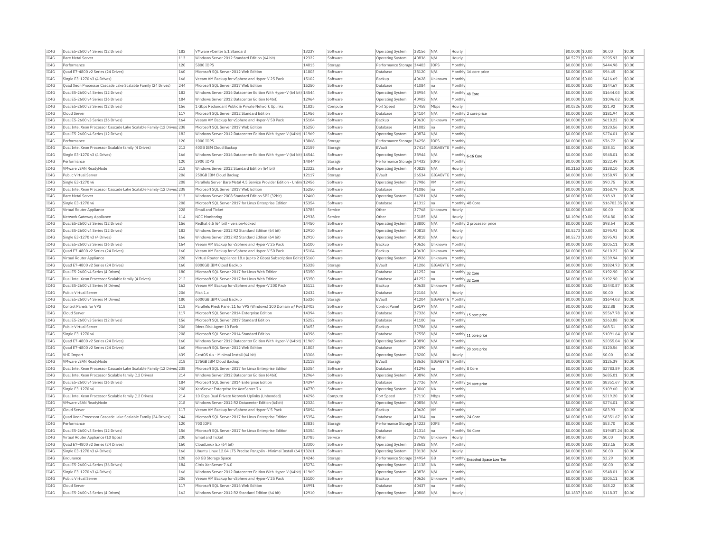| IC4G | Dual E5-2600 v4 Series (12 Drives)                                     | 182 | VMware vCenter 5.1 Standard                                            | 13237 | Software | Operating System          | 38156 | N/A         | Hourly                          | \$0.0000 \$0.00  | \$0.00            | \$0.00 |
|------|------------------------------------------------------------------------|-----|------------------------------------------------------------------------|-------|----------|---------------------------|-------|-------------|---------------------------------|------------------|-------------------|--------|
| IC4G | <b>Bare Metal Server</b>                                               | 113 | Windows Server 2012 Standard Edition (64 bit)                          | 12322 | Software | Operating System          | 40836 | N/A         | Hourly                          | \$0.5273 \$0.00  | \$295.93          | \$0.00 |
| TC4G | Performance                                                            | 120 | 5800 TOPS                                                              | 14015 | Storage  | Performance Storage 34403 |       | IOPS        | Monthly                         | $$0.0000$ \$0.00 | \$444.98          | \$0.00 |
| IC4G | Quad E7-4800 v2 Series (24 Drives)                                     | 160 | Microsoft SQL Server 2012 Web Edition                                  | 11803 | Software | Database                  | 38120 | N/A         | Monthly 16 core price           | \$0.0000 \$0.00  | \$96.45           | \$0.00 |
| IC4G | Single E3-1270 v3 (4 Drives)                                           | 166 | Veeam VM Backup for vSphere and Hyper-V 25 Pack                        | 15102 | Software | Backup                    | 40628 | Unknown     | Monthly                         | \$0,0000 \$0.00  | \$416.69          | \$0.00 |
| TC4G | Quad Xeon Processor Cascade Lake Scalable Family (24 Drives)           | 244 | Microsoft SOL Server 2017 Web Edition                                  | 15250 | Software | Database                  | 41084 | Ina         | Monthly                         | $$0.0000$ \$0.00 | \$144.67          | \$0.00 |
| IC4G | Dual E5-2600 v4 Series (12 Drives)                                     | 182 | Windows Server 2016 Datacenter Edition With Hyper-V (64 bit) 14544     |       | Software | Operating System          | 38954 | N/A         | Monthly 48 Core                 | \$0.0000 \$0.00  | \$1644.03         | \$0.00 |
| TCAG | Dual E5-2600 v4 Series (36 Drives)                                     | 184 | Windows Server 2012 Datacenter Edition (64bit)                         | 12964 | Software | Operating System          | 40902 | N/A         | Monthly                         | \$0.0000 \$0.00  | \$1096.02         | \$0.00 |
| IC4G | Dual E5-2600 v3 Series (12 Drives)                                     | 156 | 1 Gbps Redundant Public & Private Network Uplinks                      | 11825 | Compute  | Port Speed                | 37458 | Mbps        | Hourly                          | $$0.0326$ \$0.00 | \$21.92           | \$0.00 |
|      |                                                                        |     |                                                                        |       |          |                           |       |             |                                 |                  |                   |        |
| IC4G | Cloud Serve                                                            | 117 | Microsoft SQL Server 2012 Standard Edition                             | 11956 | Software | Database                  | 24104 | N/A         | Monthly 2 core price            | \$0.0000 \$0.00  | \$181.94          | \$0.00 |
| IC4G | Dual E5-2600 v3 Series (36 Drives)                                     | 164 | Veeam VM Backup for vSphere and Hyper-V 50 Pack                        | 15104 | Software | Backup                    | 40630 | Unknown     | Monthly                         | \$0,0000 \$0.00  | \$610.22          | \$0.00 |
| IC4G | Dual Intel Xeon Processor Cascade Lake Scalable Family (12 Drives 238  |     | Microsoft SOL Server 2017 Web Edition                                  | 15250 | Software | Database                  | 41082 | na          | Monthly                         | \$0.0000 \$0.00  | \$120.56          | \$0.00 |
| TC4G | Dual E5-2600 v4 Series (12 Drives)                                     | 182 | Windows Server 2012 Datacenter Edition With Hyper-V (64bit) 11969      |       | Software | <b>Operating System</b>   | 40874 | N/A         | Monthly                         | $50.0000$ \$0.00 | \$274.01          | \$0.00 |
| IC4G | Performance                                                            | 120 | 1000 TOPS                                                              | 13868 | Storage  | Performance Storage 34256 |       | <b>TOPS</b> | Monthly                         | \$0.0000 \$0.00  | \$76.72           | \$0.00 |
| IC4G | Dual Intel Xeon Processor Scalable family (4 Drives)                   | 212 | 40GB IBM Cloud Backup                                                  | 12159 | Storage  | EVault                    | 37414 | GIGABYTE    | Monthly                         | \$0.0000 \$0.00  | \$38.51           | \$0.00 |
| IC4G | Single E3-1270 v3 (4 Drives)                                           | 166 | Windows Server 2016 Datacenter Edition With Hyper-V (64 bit) 14544     |       | Software | <b>Operating System</b>   | 38944 | N/A         | Monthly 6-16 Core               | \$0,0000 \$0.00  | \$548.01          | \$0.00 |
| IC4G | Performance                                                            | 120 | 2900 IOPS                                                              | 14044 | Storage  | Performance Storage       | 34432 | IOPS        | Monthly                         | \$0,0000 \$0.00  | \$222.49          | \$0.00 |
| IC4G | VMware vSAN ReadvNode                                                  | 218 | Windows Server 2012 Standard Edition (64 bit)                          | 12322 | Software | Operating System          | 40828 | N/A         | Hourly                          | \$0,2153 \$0.00  | \$138.10          | \$0.00 |
| IC4G | Public Virtual Server                                                  | 206 | 250GB TBM Cloud Backup                                                 | 12117 | Storage  | EVault                    | 26534 | GIGABYTE    | Monthly                         | \$0.0000 \$0.00  | \$158.97          | \$0.00 |
| IC4G | Single E3-1270 v6                                                      | 208 | Parallels Server Bare Metal 4.5 Service Provider Edition - Unlim 12456 |       | Software | Operating System          | 37986 | <b>VM</b>   | Monthly                         | \$0.0000 \$0.00  | \$90.75           | \$0.00 |
| IC4G | Dual Intel Xeon Processor Cascade Lake Scalable Family (12 Drives 238  |     | Microsoft SOL Server 2017 Web Edition                                  | 15250 | Software | Database                  | 41086 | na.         | Monthly                         | $$0.0000$ \$0.00 | \$168.79          | \$0.00 |
| IC4G | <b>Bare Metal Server</b>                                               | 113 | Windows Server 2008 Standard Edition SP2 (32bit)                       | 12460 | Software | <b>Operating System</b>   | 24281 | N/A         | Monthly                         | \$0.0000 \$0.00  | \$18.63           | \$0.00 |
| IC4G | Single E3-1270 v6                                                      | 208 | Microsoft SQL Server 2017 for Linux Enterprise Edition                 | 15354 | Software | Database                  | 41312 | Ina         | Monthly 48 Core                 | \$0.0000 \$0.00  | \$16703.35 \$0.00 |        |
| IC4G | Virtual Router Appliance                                               | 228 | <b>Email and Ticket</b>                                                | 13785 |          |                           | 37768 |             |                                 | \$0,0000 \$0.00  | \$0.00            | \$0.00 |
|      |                                                                        |     |                                                                        |       | Service  | Other                     |       | Unknown     | Hourly                          |                  |                   |        |
| IC4G | Network Gateway Appliance                                              | 114 | <b>NOC Monitoring</b>                                                  | 12938 | Service  | Other                     | 25185 | N/A         | Hourly                          | \$0.1096 \$0.00  | \$54.80           | \$0.00 |
| IC4G | Dual E5-2600 v3 Series (12 Drives)                                     | 156 | Redhat 6.5 (64 bit) - version-locked                                   | 14450 | Software | <b>Operating System</b>   | 38800 | N/A         | Monthly 2 processor price       | \$0,0000 \$0.00  | \$98.64           | \$0.00 |
| IC4G | Dual E5-2600 v4 Series (12 Drives)                                     | 182 | Windows Server 2012 R2 Standard Edition (64 bit)                       | 12910 | Software | Operating System          | 40818 | N/A         | Hourly                          | \$0.5273 \$0.00  | \$295.93          | \$0.00 |
| TC4G | Single E3-1270 v3 (4 Drives)                                           | 166 | Windows Server 2012 R2 Standard Edition (64 bit)                       | 12910 | Software | <b>Operating System</b>   | 40818 | N/A         | Hourly                          | \$0,5273 \$0.00  | \$295.93          | \$0.00 |
| IC4G | Dual E5-2600 v3 Series (36 Drives)                                     | 164 | Veeam VM Backup for vSphere and Hyper-V 25 Pack                        | 15100 | Software | Backup                    | 40626 | Unknown     | Monthly                         | \$0.0000 \$0.00  | \$305.11          | \$0.00 |
| IC4G | Ouad E7-4800 v2 Series (24 Drives)                                     | 160 | Veeam VM Backup for vSphere and Hyper-V 50 Pack                        | 15104 | Software | Backup                    | 40630 | Unknown     | Monthly                         | \$0.0000 \$0.00  | \$610.22          | \$0.00 |
| TC4G | Virtual Router Appliance                                               | 228 | Virtual Router Appliance 18.x (up to 2 Gbps) Subscription Editic 15160 |       | Software | Operating System          | 40926 | Unknown     | Monthly                         | \$0,0000 \$0.00  | \$239.94          | \$0.00 |
| IC4G | Ouad E7-4800 v2 Series (24 Drives)                                     | 160 | 8000GB IBM Cloud Backup                                                | 15328 | Storage  | EVault                    | 41206 | GIGABYTE    | Monthly                         | \$0,0000 \$0.00  | \$1824.73         | \$0.00 |
| IC4G | Dual E5-2600 v4 Series (4 Drives)                                      | 180 | Microsoft SOL Server 2017 for Linux Web Edition                        | 15350 | Software | Database                  | 41252 | Ina         | Monthly 32 Core                 | \$0,0000 \$0.00  | \$192.90          | \$0.00 |
| IC4G | Dual Intel Xeon Processor Scalable family (4 Drives)                   | 212 | Microsoft SQL Server 2017 for Linux Web Edition                        | 15350 | Software | Database                  | 41252 | Ina         | Monthly 32 Core                 | \$0.0000 \$0.00  | \$192.90          | \$0.00 |
| IC4G | Dual E5-2600 v3 Series (4 Drives)                                      | 162 | Veeam VM Backup for vSphere and Hyper-V 200 Pack                       | 15112 | Software | Backup                    | 40638 | Unknown     | Monthly                         | \$0.0000 \$0.00  | \$2440.87         | \$0.00 |
| TC4G | Public Virtual Server                                                  | 206 | Riak 1.x                                                               | 12432 | Software | Database                  | 22104 | N/A         | Hourly                          | $$0.0000$ \$0.00 | \$0.00            | \$0.00 |
| IC4G | Dual E5-2600 v4 Series (4 Drives)                                      | 180 | 6000GB IBM Cloud Backup                                                | 15326 | Storage  | EVault                    | 41204 | GIGABYTE    | Monthly                         | \$0.0000 \$0.00  | \$1644.03         | \$0.00 |
| IC4G | Control Panels for VPS                                                 | 118 | Parallels Plesk Panel 11 for VPS (Windows) 100 Domain w/ Pov 13403     |       | Software | Control Pane              | 29197 | N/A         | Monthly                         | \$0.0000 \$0.00  | \$32.88           | \$0.00 |
| IC4G | Cloud Server                                                           | 117 | Microsoft SOL Server 2014 Enterprise Edition                           | 14394 | Software | Database                  | 37326 | N/A         |                                 | \$0.0000 \$0.00  | \$5567.78         | \$0.00 |
|      |                                                                        |     |                                                                        |       |          |                           |       |             | Monthly 15 core price           |                  |                   | \$0.00 |
| IC4G | Dual E5-2600 v3 Series (12 Drives)                                     | 156 | Microsoft SQL Server 2017 Standard Edition                             | 15252 | Software | Database                  | 41100 | na          | Monthly                         | \$0.0000 \$0.00  | \$363.88          |        |
| TC4G | Public Virtual Server                                                  | 206 | Idera Disk Agent 10 Pack                                               | 13653 | Software | Backup                    | 33786 | N/A         | Monthly                         | \$0,0000 \$0.00  | \$68.51           | \$0.00 |
| IC4G | Single E3-1270 v6                                                      | 208 | Microsoft SOL Server 2014 Standard Edition                             | 14396 | Software | Database                  | 37558 | N/A         | Monthly 11 core price           | \$0,0000 \$0.00  | \$1091.64         | \$0.00 |
| IC4G | Quad E7-4800 v2 Series (24 Drives)                                     | 160 | Windows Server 2012 Datacenter Edition With Hyper-V (64bit)            | 11969 | Software | Operating System          | 40890 | N/A         | Monthl                          | \$0,0000 \$0.00  | \$2055.04         | \$0.00 |
| IC4G | Quad E7-4800 v2 Series (24 Drives)                                     | 160 | Microsoft SQL Server 2012 Web Edition                                  | 11803 | Software | Database                  | 37490 | N/A         | Monthly 20 core price           | \$0.0000 \$0.00  | \$120.56          | \$0.00 |
| IC4G | <b>VHD Import</b>                                                      | 639 | CentOS 6.x - Minimal Install (64 bit)                                  | 13306 | Software | Operating System          | 28200 | N/A         | Hourly                          | \$0,0000 \$0.00  | \$0.00            | \$0.00 |
| IC4G | VMware vSAN ReadvNode                                                  | 218 | 175GB TBM Cloud Backup                                                 | 12118 | Storage  | FVault                    | 38636 | GIGARYTE    | Monthly                         | \$0.0000 \$0.00  | \$126.39          | \$0.00 |
| IC4G | Dual Intel Xeon Processor Cascade Lake Scalable Family (12 Drives) 238 |     | Microsoft SQL Server 2017 for Linux Enterprise Edition                 | 15354 | Software | Database                  | 41296 | na          | Monthly 8 Core                  | \$0.0000 \$0.00  | \$2783.89         | \$0.00 |
| IC4G | Dual Intel Xeon Processor Scalable family (12 Drives)                  | 214 | Windows Server 2012 Datacenter Edition (64bit)                         | 12964 | Software | Operating System          | 40896 | N/A         | Monthly                         | \$0,0000 \$0.00  | \$685.01          | \$0.00 |
| TC4G | Dual E5-2600 v4 Series (36 Drives)                                     | 184 | Microsoft SOL Server 2014 Enterprise Edition                           | 14394 | Software | Database                  | 37726 | N/A         | Monthly 24 core price           | $$0.0000$ \$0.00 | \$8351.67         | \$0.00 |
| IC4G | Single E3-1270 v6                                                      | 208 | XenServer Enterprise for XenServer 7.x                                 | 14770 | Software | <b>Operating System</b>   | 40060 | <b>NA</b>   | Monthly                         | \$0.0000 \$0.00  | \$109.60          | \$0.00 |
| TC4G | Dual Intel Xeon Processor Scalable family (12 Drives)                  | 214 | 10 Ghns Dual Private Network Unlinks (Unbonded                         | 14296 | Compute  | Port Speed                | 37110 | Mhns        | Monthly                         | $$0.0000$ \$0.00 | \$219.20          | \$0.00 |
| IC4G | VMware vSAN ReadyNode                                                  | 218 | Windows Server 2012 R2 Datacenter Edition (64bit)                      | 12324 | Software | <b>Operating System</b>   | 40856 | N/A         | Monthly                         | \$0.0000 \$0.00  | \$274.01          | \$0.00 |
| IC4G | Cloud Server                                                           | 117 | Veeam VM Backup for vSphere and Hyper-V 5 Pack                         | 15094 | Software | Backup                    | 40620 | <b>VM</b>   | Monthly                         | \$0.0000 \$0.00  | \$83.93           | \$0.00 |
| IC4G | Quad Xeon Processor Cascade Lake Scalable Family (24 Drives)           | 244 | Microsoft SQL Server 2017 for Linux Enterprise Edition                 | 15354 | Software | Database                  | 41304 | Ina         | Monthly 24 Core                 | \$0.0000 \$0.00  | \$8351.67         | \$0.00 |
| IC4G | Performance                                                            | 120 | 700 IOPS                                                               | 13835 | Storage  | Performance Storage 34223 |       | IOPS        | Monthly                         | \$0.0000 \$0.00  | \$53.70           | \$0.00 |
|      |                                                                        |     |                                                                        |       |          |                           |       |             |                                 |                  |                   |        |
| IC4G | Dual E5-2600 v3 Series (12 Drives)                                     | 156 | Microsoft SQL Server 2017 for Linux Enterprise Edition                 | 15354 | Software | Database                  | 41314 | lna.        | Monthly 56 Core                 | \$0,0000 \$0.00  | \$19487.24 \$0.00 |        |
| IC4G | Virtual Router Appliance (10 Gpbs)                                     | 230 | <b>Email and Ticket</b>                                                | 13785 | Service  | Other                     | 37768 | Unknown     | Hourly                          | \$0,0000 \$0.00  | \$0.00            | \$0.00 |
| IC4G | Ouad E7-4800 v2 Series (24 Drives)                                     | 160 | CloudLinux 5.x (64 bit)                                                | 13300 | Software | <b>Operating System</b>   | 38602 | N/A         | Monthly                         | \$0,0000 \$0.00  | \$13.15           | \$0.00 |
| IC4G | Single E3-1270 v3 (4 Drives)                                           | 166 | Ubuntu Linux 12.04 LTS Precise Pangolin - Minimal Install (64 l 13261  |       | Software | Operating System          | 38138 | N/A         | Hourly                          | \$0.0000 \$0.00  | \$0.00            | \$0.00 |
| IC4G | Endurance                                                              | 128 | 60 GB Storage Space                                                    | 14246 | Storage  | Performance Storage 34954 |       | GB          | Monthly Snapshot Space Low Tier | \$0.0000 \$0.00  | \$3.29            | \$0.00 |
| TC4G | Dual E5-2600 v4 Series (36 Drives)                                     | 184 | Citrix XenServer 7.6.0                                                 | 15274 | Software | Operating System          | 41138 | <b>NA</b>   | Monthly                         | $$0.0000$ \$0.00 | \$0.00            | \$0.00 |
| TCAG | Single E3-1270 v3 (4 Drives)                                           | 166 | Windows Server 2012 Datacenter Edition With Hyper-V (64bit)            | 11969 | Software | Operating System          | 40876 | N/A         | Monthly                         | \$0.0000 \$0.00  | \$548.01          | \$0.00 |
| IC4G | Public Virtual Server                                                  | 206 | Veeam VM Backup for vSphere and Hyper-V 25 Pack                        | 15100 | Software | Backur                    | 40626 | Unknown     | Monthly                         | $$0.0000$ \$0.00 | \$305.11          | \$0.00 |
| IC4G | Cloud Server                                                           | 117 | Microsoft SQL Server 2016 Web Edition                                  | 14991 | Software | Database                  | 40437 | lna         | Monthly                         | $$0.0000$ \$0.00 | \$48.22           | \$0.00 |
| IC4G | Dual E5-2600 v3 Series (4 Drives)                                      | 162 | Windows Server 2012 R2 Standard Edition (64 bit)                       | 12910 | Software | <b>Operating System</b>   | 40808 | N/A         | Hourly                          | \$0.1837 \$0.00  | \$118.37          | \$0.00 |
|      |                                                                        |     |                                                                        |       |          |                           |       |             |                                 |                  |                   |        |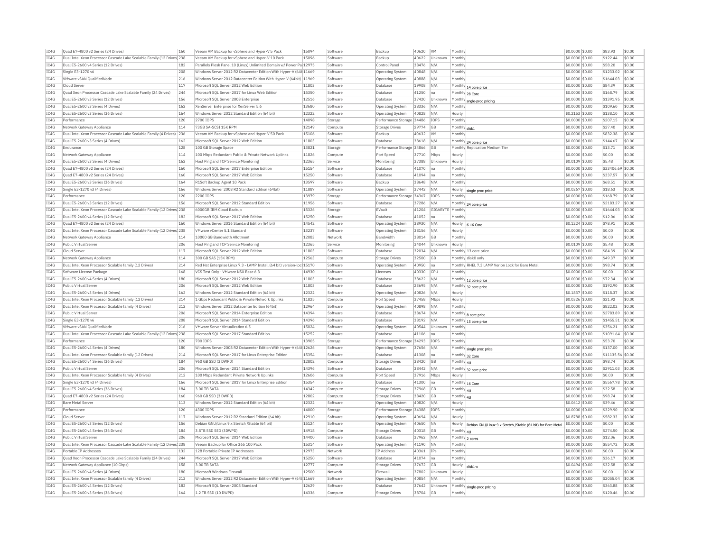| IC4G | Quad E7-4800 v2 Series (24 Drives)                                                 | 160 | Veeam VM Backup for vSphere and Hyper-V 5 Pack                         | 15094 | Software | Backun                    | 40620 | <b>VM</b>        | Monthly                                                                | \$0.0000 \$0.00     | \$83.93    | \$0.00 |
|------|------------------------------------------------------------------------------------|-----|------------------------------------------------------------------------|-------|----------|---------------------------|-------|------------------|------------------------------------------------------------------------|---------------------|------------|--------|
| IC4G | Dual Intel Xeon Processor Cascade Lake Scalable Family (12 Drives) 238             |     | Veeam VM Backup for vSphere and Hyper-V 10 Pack                        | 15096 | Software | Backur                    | 40622 | Unknown          | Monthly                                                                | \$0.0000 \$0.00     | \$122.44   | \$0.00 |
| IC4G | Dual E5-2600 v4 Series (12 Drives)                                                 | 182 | Parallels Plesk Panel 10 (Linux) Unlimited Domain w/ Power Pa 12975    |       | Software | Control Panel             | 38476 | N/A              | Monthly                                                                | \$0,0000 \$0.00     | \$58.20    | \$0.00 |
| TC4G | Single E3-1270 v6                                                                  | 208 | Windows Server 2012 R2 Datacenter Edition With Hyper-V (64t 11669      |       | Software | Operating System          | 40848 | N/A              | Monthly                                                                | \$0,0000 \$0.00     | \$1233.02  | \$0.00 |
| IC4G | VMware vSAN QualifiedNode                                                          | 216 | Windows Server 2012 Datacenter Edition With Hyper-V (64bit)            | 11969 | Software | Operating System          | 40888 | N/A              | Monthly                                                                | \$0.0000 \$0.00     | \$1644.03  | \$0.00 |
| IC4G | Cloud Server                                                                       | 117 | Microsoft SOL Server 2012 Web Edition                                  | 11803 | Software | Database                  | 19908 | N/A              | Monthly 14 core price                                                  | \$0.0000 \$0.00     | \$84.39    | \$0.00 |
| IC4G | Quad Xeon Processor Cascade Lake Scalable Family (24 Drives)                       | 244 | Microsoft SQL Server 2017 for Linux Web Edition                        | 15350 | Software | Database                  | 41250 | na               | Monthly 28 Core                                                        | \$0.0000 \$0.00     | \$168.79   | \$0.00 |
| IC4G | Dual E5-2600 v3 Series (12 Drives)                                                 | 156 | Microsoft SQL Server 2008 Enterprise                                   | 12516 | Software | Database                  | 37420 | Unknown          | Monthly sngle-proc pricing                                             | \$0.0000 \$0.00     | \$1391.95  | \$0.00 |
| IC4G | Dual E5-2600 v3 Series (4 Drives)                                                  | 162 | XenServer Enterprise for XenServer 5.6                                 | 13680 | Software | Operating System          | 38336 | N/A              | Monthly                                                                | \$0,0000 \$0.00     | \$109.60   | \$0.00 |
| IC4G | Dual E5-2600 v3 Series (36 Drives)                                                 | 164 | Windows Server 2012 Standard Edition (64 bit)                          | 12322 | Software | Operating System          | 40828 | N/A              | Hourly                                                                 | \$0,2153 \$0.00     | \$138.10   | \$0.00 |
| TC4G | Performance                                                                        | 120 | 2700 TOPS                                                              | 14098 | Storage  | Performance Storage 34486 |       | <b>TOPS</b>      | Monthly                                                                | \$0,0000 \$0.00     | \$207.15   | \$0.00 |
| IC4G | Network Gateway Appliance                                                          | 114 | 73GB SA-SCST 15K RPM                                                   | 12149 | Compute  | Storage Drives            | 29774 | GB               | Monthly disk1                                                          | \$0.0000 \$0.00     | \$27.40    | \$0.00 |
| IC4G | Dual Intel Xeon Processor Cascade Lake Scalable Family (4 Drives) 236              |     | Veeam VM Backup for vSphere and Hyper-V 50 Pack                        | 15106 | Software | Backup                    | 40632 | <b>VM</b>        | Monthly                                                                | \$0.0000 \$0.00     | \$832.38   | \$0.00 |
| TC4G | Dual E5-2600 v3 Series (4 Drives)                                                  | 162 | Microsoft SOL Server 2012 Web Edition                                  | 11803 | Software | Database                  | 38618 | N/A              | Monthly 24 core price                                                  | $$0.0000$ \$0.00    | \$144.67   | \$0.00 |
| IC4G | Endurance                                                                          | 128 | 100 GB Storage Space                                                   | 13821 | Storage  | Performance Storage 34866 |       | GB               | Monthly Replication Medium Tier                                        | \$0,0000 \$0.00     | \$13.71    | \$0.00 |
| IC4G | Network Gateway Appliance                                                          | 114 | 100 Mbps Redundant Public & Private Network Uplinks                    | 11826 | Compute  | Port Speed                | 37710 | Mbps             | Hourly                                                                 | \$0,0000 \$0.00     | \$0.00     | \$0.00 |
| IC4G | Dual E5-2600 v3 Series (4 Drives)                                                  | 162 | Host Ping and TCP Service Monitoring                                   | 12365 | Service  | Monitoring                | 37388 | Unknown          | Hourly                                                                 | \$0.0109 \$0.00     | \$5.48     | \$0.00 |
| IC4G | Ouad E7-4800 v2 Series (24 Drives)                                                 | 160 | Microsoft SQL Server 2017 Enterprise Edition                           | 15154 | Software | Database                  | 41070 | na               | Monthly                                                                | \$0.0000 \$0.00     | \$33406.69 | \$0.00 |
| IC4G | Ouad E7-4800 v2 Series (24 Drives)                                                 | 160 | Microsoft SOL Server 2017 Web Edition                                  | 15250 | Software | Database                  | 41094 | Ina              | Monthly                                                                | \$0,0000 \$0.00     | \$337.57   | \$0.00 |
| IC4G | Dual E5-2600 v3 Series (36 Drives)                                                 | 164 |                                                                        | 13597 | Software | Backup                    | 38648 | N/A              | Monthly                                                                | \$0,0000 \$0.00     | \$68.51    | \$0.00 |
|      |                                                                                    |     | R1Soft Backup Agent 10 Pack                                            | 11887 |          |                           |       |                  |                                                                        |                     | \$18.63    | \$0.00 |
| IC4G | Single E3-1270 v3 (4 Drives)                                                       | 166 | Windows Server 2008 R2 Standard Edition (64bit)                        |       | Software | <b>Operating System</b>   | 37442 | N/A              | Hourly<br>single proc price                                            | \$0.0267 \$0.00     |            |        |
| IC4G | Performance                                                                        | 120 | 2200 TOPS                                                              | 13979 | Storage  | Performance Storage 34367 |       | IOPS             | Monthly                                                                | \$0.0000 \$0.00     | \$168.79   | \$0.00 |
| IC4G | Dual E5-2600 v3 Series (12 Drives)                                                 | 156 | Microsoft SOL Server 2012 Standard Edition                             | 11956 | Software | Database                  | 37286 | N/A              | Monthly 24 core price                                                  | \$0,0000 \$0.00     | \$2183.27  | \$0.00 |
| TC4G | Dual Intel Xeon Processor Cascade Lake Scalable Family (12 Drives <sup>1</sup> 238 |     | 6000GB TBM Cloud Backup                                                | 15326 | Storage  | FVault                    | 41204 | GIGARYTE Monthly |                                                                        | $$0.0000$ \$0.00    | \$1644.03  | \$0.00 |
| IC4G | Dual E5-2600 v4 Series (12 Drives)                                                 | 182 | Microsoft SQL Server 2017 Web Edition                                  | 15250 | Software | Database                  | 41052 | na               | Monthly                                                                | \$0.0000 \$0.00     | \$12.06    | \$0.00 |
| TC4G | Quad E7-4800 v2 Series (24 Drives)                                                 | 160 | Windows Server 2016 Standard Edition (64 bit)                          | 14542 | Software | Operating System          | 38930 | N/A              | Hourly<br>6-16 Core                                                    | \$0,1224 \$0.00     | \$78.91    | \$0.00 |
| IC4G | Dual Intel Xeon Processor Cascade Lake Scalable Family (12 Drives) 238             |     | VMware vCenter 5.1 Standard                                            | 13237 | Software | Operating System          | 38156 | N/A              | Hourly                                                                 | \$0.0000 \$0.00     | \$0.00     | \$0.00 |
| TC4G | Network Gateway Appliance                                                          | 114 | 10000 GB Bandwidth Allotment                                           | 12083 | Network  | <b>Bandwidth</b>          | 38014 | GB               | Monthly                                                                | \$0,0000 \$0.00     | \$0.00     | \$0.00 |
| TC4G | Public Virtual Server                                                              | 206 | Host Ping and TCP Service Monitoring                                   | 12365 | Service  | Monitoring                | 34044 | Unknown          | Hourly                                                                 | \$0,0109 \$0.00     | \$5.48     | \$0.00 |
| IC4G | Cloud Server                                                                       | 117 | Microsoft SQL Server 2012 Web Edition                                  | 11803 | Software | Database                  | 32034 | N/A              | Monthly 13 core price                                                  | \$0.0000 \$0.00     | \$84.39    | \$0.00 |
| IC4G | Network Gateway Appliance                                                          | 114 | 300 GB SAS (15K RPM)                                                   | 12563 | Compute  | Storage Drives            | 32500 | GB               | Monthly disk0 only                                                     | \$0,0000 \$0,00     | \$49.37    | \$0.00 |
| IC4G | Dual Intel Xeon Processor Scalable family (12 Drives)                              | 214 | Red Hat Enterprise Linux 7.3 - LAMP Install (64 bit) version-loc 15170 |       | Software | <b>Operating System</b>   | 40950 | Ina              | Monthly RHEL 7.3 LAMP Verion Lock for Bare Meta                        | \$0.0000 \$0.00     | \$98.74    | \$0.00 |
| IC4G | Software License Package                                                           | 168 | VCS Test Only - VMware NSX Base 6.3                                    | 14930 | Software | Licenses                  | 40330 | <b>CPU</b>       | Monthly                                                                | \$0.0000 \$0.00     | \$0.00     | \$0.00 |
| IC4G | Dual E5-2600 v4 Series (4 Drives)                                                  | 180 | Microsoft SQL Server 2012 Web Edition                                  | 11803 | Software | Database                  | 38622 | N/A              | Monthly 12 core price                                                  | \$0,0000 \$0.00     | \$72.34    | \$0.00 |
| IC4G | Public Virtual Server                                                              | 206 | Microsoft SQL Server 2012 Web Edition                                  | 11803 | Software | Database                  | 23695 | N/A              | Monthly 32 core price                                                  | \$0,0000 \$0.00     | \$192.90   | \$0.00 |
| IC4G | Dual E5-2600 v3 Series (4 Drives)                                                  | 162 | Windows Server 2012 Standard Edition (64 bit)                          | 12322 | Software | Operating System          | 40826 | N/A              | Hourly                                                                 | $ $0.1837$ $ $0.00$ | \$118.37   | \$0.00 |
| IC4G | Dual Intel Xeon Processor Scalable family (12 Drives)                              | 214 | 1 Gbps Redundant Public & Private Network Uplinks                      | 11825 | Compute  | Port Speed                | 37458 | Mbps             | Hourly                                                                 | \$0.0326 \$0.00     | \$21.92    | \$0.00 |
| IC4G | Dual Intel Xeon Processor Scalable family (4 Drives)                               | 212 | Windows Server 2012 Datacenter Edition (64bit)                         | 12964 | Software | Operating System          | 40898 | N/A              | Monthly                                                                | \$0,0000 \$0.00     | \$822.02   | \$0.00 |
| TC4G | Public Virtual Server                                                              | 206 | Microsoft SOL Server 2014 Enterprise Edition                           | 14394 | Software | Database                  | 38674 | N/A              |                                                                        | $$0.0000$ \$0.00    | \$2783.89  | \$0.00 |
| IC4G | Single E3-1270 v6                                                                  | 208 | Microsoft SQL Server 2014 Standard Edition                             | 14396 | Software | Database                  | 38192 | N/A              | Monthly 8 core price                                                   | \$0.0000 \$0.00     | \$1455.51  | \$0.00 |
| IC4G | VMware vSAN OualifiedNode                                                          | 216 | VMware Server Virtualization 6.5                                       | 15024 | Software | <b>Operating System</b>   | 40544 | Unknown          | Monthly 15 core price<br>Monthly                                       | \$0.0000 \$0.00     | \$356.21   | \$0.00 |
| IC4G | Dual Intel Xeon Processor Cascade Lake Scalable Family (12 Drives) 238             |     | Microsoft SQL Server 2017 Standard Edition                             | 15252 | Software | Database                  | 41106 | na               | Monthly                                                                | \$0.0000 \$0.00     | \$1091.64  | \$0.00 |
|      |                                                                                    |     | 700 TOPS                                                               |       |          |                           |       |                  |                                                                        |                     |            |        |
| IC4G | Performance                                                                        | 120 |                                                                        | 13905 | Storage  | Performance Storage 34293 |       | IOPS             | Monthly                                                                | \$0.0000 \$0.00     | \$53.70    | \$0.00 |
| IC4G | Dual E5-2600 v4 Series (4 Drives)                                                  | 180 | Windows Server 2008 R2 Datacenter Edition With Hyper-V (64t 12626      |       | Software | Operating System          | 37656 | N/A              | Monthly single proc price                                              | \$0,0000 \$0.00     | \$137.00   | \$0.00 |
| IC4G | Dual Intel Xeon Processor Scalable family (12 Drives)                              | 214 | Microsoft SOL Server 2017 for Linux Enterprise Edition                 | 15354 | Software | Database                  | 41308 | Ina              | Monthly 32 Core                                                        | \$0,0000 \$0.00     | \$11135.56 | \$0.00 |
| TC4G | Dual E5-2600 v4 Series (36 Drives)                                                 | 184 | 960 GB SSD (3 DWPD)                                                    | 12802 | Compute  | <b>Storage Drives</b>     | 38420 | <b>GB</b>        | Monthly 4U                                                             | \$0,0000 \$0,00     | \$98.74    | \$0.00 |
| IC4G | Public Virtual Server                                                              | 206 | Microsoft SQL Server 2014 Standard Edition                             | 14396 | Software | Database                  | 38442 | N/A              | Monthly 32 core price                                                  | \$0.0000 \$0.00     | \$2911.03  | \$0.00 |
| IC4G | Dual Intel Xeon Processor Scalable family (4 Drives)                               | 212 | 100 Mbps Redundant Private Network Uplinks                             | 12606 | Compute  | Port Speed                | 37916 | Mbps             | Hourly                                                                 | \$0,0000 \$0.00     | \$0.00     | \$0.00 |
| IC4G | Single E3-1270 v3 (4 Drives)                                                       | 166 | Microsoft SOL Server 2017 for Linux Enterprise Edition                 | 15354 | Software | Database                  | 41300 | Ina              | Monthly 16 Core                                                        | $$0.0000$ \$0.00    | \$5567.78  | \$0.00 |
| IC4G | Dual E5-2600 v4 Series (36 Drives)                                                 | 184 | 3.00 TR SATA                                                           | 14342 | Compute  | Storage Drives            | 37968 | GB               | Monthly 4U                                                             | \$0,0000 \$0.00     | \$32.58    | \$0.00 |
| TC4G | Quad E7-4800 v2 Series (24 Drives)                                                 | 160 | 960 GB SSD (3 DWPD)                                                    | 12802 | Compute  | Storage Drives            | 38420 | GB               | Monthly 4U                                                             | $$0.0000$ \$0.00    | \$98.74    | \$0.00 |
| TC4G | <b>Bare Metal Server</b>                                                           | 113 | Windows Server 2012 Standard Edition (64 bit)                          | 12322 | Software | <b>Operating System</b>   | 40820 | N/A              | Hourly                                                                 | $$0.0612$ \$0.00    | \$39.46    | \$0.00 |
| IC4G | Performance                                                                        | 120 | 4300 TOPS                                                              | 14000 | Storage  | Performance Storage 34388 |       | <b>TOPS</b>      | Monthly                                                                | \$0.0000 \$0.00     | \$329.90   | \$0.00 |
| IC4G | Cloud Server                                                                       | 117 | Windows Server 2012 R2 Standard Edition (64 bit)                       | 12910 | Software | Operating System          | 40694 | N/A              | Hourly                                                                 | \$0.8788 \$0.00     | \$582.33   | \$0.00 |
| IC4G | Dual E5-2600 v3 Series (12 Drives)                                                 | 156 | Debian GNU/Linux 9.x Stretch / Stable (64 bit)                         | 15124 | Software | <b>Operating System</b>   | 40650 | <b>NA</b>        | Hourly<br>Debian GNU/Linux 9.x Stretch /Stable (64 bit) for Bare Metal | \$0.0000 \$0.00     | \$0.00     | \$0.00 |
| IC4G | Dual E5-2600 v4 Series (36 Drives)                                                 | 184 | 3.8TB SSD SED (3DWPD)                                                  | 14918 | Compute  | Storage Drives            | 40318 | <b>GB</b>        | Monthly 4U                                                             | \$0,0000 \$0,00     | \$274.50   | \$0.00 |
| IC4G | Public Virtual Server                                                              | 206 | Microsoft SOL Server 2014 Web Edition                                  | 14400 | Software | Database                  | 37962 | N/A              | $\overline{\text{Monthly}}$ 2 cores                                    | \$0.0000 \$0.00     | \$12.06    | \$0.00 |
| IC4G | Dual Intel Xeon Processor Cascade Lake Scalable Family (12 Drives) 238             |     | Veeam Backup for Office 365 100 Pack                                   | 15314 | Software | <b>Operating System</b>   | 41190 | <b>NA</b>        | Monthly                                                                | \$0.0000 \$0.00     | \$554.72   | \$0.00 |
| IC4G | Portable IP Addresses                                                              | 132 | 128 Portable Private IP Addresses                                      | 12973 | Network  | IP Address                | 40361 | IPs              | Monthly                                                                | \$0.0000 \$0.00     | \$0.00     | \$0.00 |
| IC4G | Quad Xeon Processor Cascade Lake Scalable Family (24 Drives)                       | 244 | Microsoft SQL Server 2017 Web Edition                                  | 15250 | Software | Database                  | 41074 | Ina              | Monthly                                                                | \$0.0000 \$0.00     | \$36.17    | \$0.00 |
| TC4G | Network Gateway Appliance (10 Gbps)                                                | 158 | 3.00 TR SATA                                                           | 12777 | Compute  | Storage Drives            | 37672 | GB               | Hourly                                                                 | \$0.0494 \$0.00     | \$32.58    | \$0.00 |
| IC4G | Dual E5-2600 v4 Series (4 Drives)                                                  | 180 | Microsoft Windows Firewall                                             | 12500 | Network  | Firewall                  | 37802 | Unknown          | disk1-x<br>Hourly                                                      | \$0.0000 \$0.00     | \$0.00     | \$0.00 |
| IC4G | Dual Intel Xeon Processor Scalable family (4 Drives)                               | 212 | Windows Server 2012 R2 Datacenter Edition With Hyper-V (64t 11669      |       | Software | Operating System          | 40854 | $N/\Delta$       | Monthly                                                                | $$0.0000$ \$0.00    | \$2055.04  | \$0.00 |
| IC4G | Dual E5-2600 v4 Series (12 Drives)                                                 | 182 | Microsoft SQL Server 2008 Standard                                     | 12629 | Software | Database                  | 37642 | Unknown          |                                                                        | $$0.0000$ \$0.00    | \$363.88   | \$0.00 |
| IC4G | Dual E5-2600 v3 Series (36 Drives)                                                 | 164 | 1.2 TB SSD (10 DWPD)                                                   | 14336 | Compute  | Storage Drives            | 38704 | GB               | Monthly single-proc pricing<br>Monthly                                 | \$0.0000 \$0.00     | \$120.46   | \$0.00 |
|      |                                                                                    |     |                                                                        |       |          |                           |       |                  |                                                                        |                     |            |        |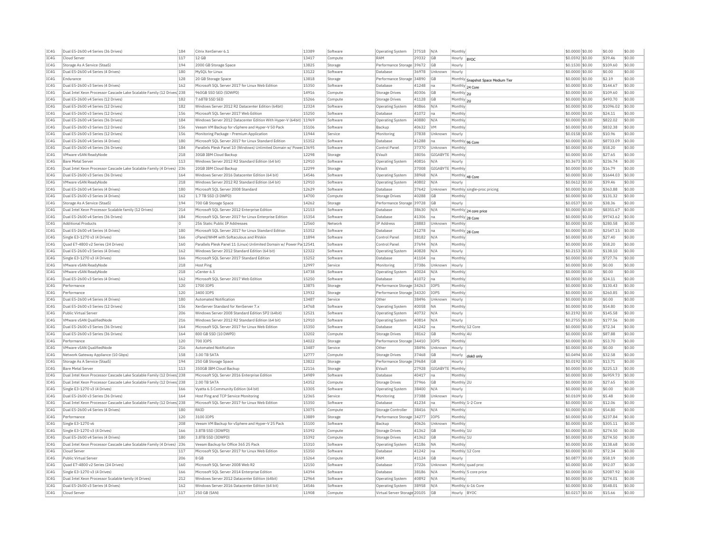| IC4G | Dual E5-2600 v4 Series (36 Drives)                                     | 184            | Citrix XenServer 6.1                                                | 13389 | Software | <b>Operating System</b>      | 37518    | N/A              | Monthly               |                                    | \$0.0000 \$0.00  | \$0.00    | \$0.00 |
|------|------------------------------------------------------------------------|----------------|---------------------------------------------------------------------|-------|----------|------------------------------|----------|------------------|-----------------------|------------------------------------|------------------|-----------|--------|
| TC4G | Cloud Server                                                           | 117            | 12 GB                                                               | 13417 | Compute  | RAM                          | 29332    | G <sub>B</sub>   | Hourly                | <b>BYOC</b>                        | \$0,0592 \$0.00  | \$39.46   | \$0.00 |
| IC4G | Storage As A Service (StaaS)                                           | 194            | 2000 GB Storage Space                                               | 13825 | Storage  | Performance Storage 39672    |          | GB               | Hourly                |                                    | $$0.1530$ \$0.00 | \$109.60  | \$0.00 |
| IC4G | Dual E5-2600 v4 Series (4 Drives)                                      | 180            | MySQL for Linux                                                     | 13122 | Software | Database                     | 36978    | Unknown          | Hourly                |                                    | \$0,0000 \$0.00  | \$0.00    | \$0.00 |
| IC4G | Endurance                                                              | 128            | 20 GB Storage Space                                                 | 13818 | Storage  | Performance Storage 34890    |          | GB               |                       |                                    | \$0.0000 \$0.00  | \$2.19    | \$0.00 |
| TC4G | Dual E5-2600 v3 Series (4 Drives)                                      | 162            | Microsoft SQL Server 2017 for Linux Web Edition                     | 15350 | Software | Database                     | 41248    | Ina              |                       | Monthly Snapshot Space Medium Tier | \$0.0000 \$0.00  | \$144.67  | \$0.00 |
|      |                                                                        |                |                                                                     |       |          |                              |          |                  |                       | Monthly 24 Core                    |                  |           |        |
| IC4G | Dual Intel Xeon Processor Cascade Lake Scalable Family (12 Drives 238  |                | 960GB SSD SED (5DWPD)                                               | 14916 | Compute  | <b>Storage Drives</b>        | 40306    | <b>GB</b>        | Monthly 2U            |                                    | \$0.0000 \$0.00  | \$109.60  | \$0.00 |
| IC4G | Dual E5-2600 v4 Series (12 Drives)                                     | 182            | 7.68TB SSD SED                                                      | 15266 | Compute  | Storage Drives               | 41128 GB |                  | Monthly <sub>2U</sub> |                                    | \$0.0000 \$0.00  | \$493.70  | \$0.00 |
| TC4G | Dual E5-2600 v4 Series (12 Drives)                                     | 182            | Windows Server 2012 R2 Datacenter Edition (64bit)                   | 12324 | Software | Operating System             | 40866    | N/A              | Monthly               |                                    | \$0.0000 \$0.00  | \$1096.02 | \$0.00 |
| IC4G | Dual E5-2600 v3 Series (12 Drives)                                     | 156            | Microsoft SQL Server 2017 Web Edition                               | 15250 | Software | <b>Databas</b>               | 41072    | na               | Monthly               |                                    | \$0.0000 \$0.00  | \$24.11   | \$0.00 |
| IC4G | Dual E5-2600 v4 Series (36 Drives)                                     | 184            | Windows Server 2012 Datacenter Edition With Hyper-V (64bit) 11969   |       | Software | Operating System             | 40880    | N/A              | Monthly               |                                    | \$0,0000 \$0.00  | \$822.02  | \$0.00 |
| IC4G | Dual E5-2600 v3 Series (12 Drives)                                     | 156            | Veeam VM Backup for vSphere and Hyper-V 50 Pack                     | 15106 | Software | Backup                       | 40632    | <b>VM</b>        | Monthly               |                                    | \$0.0000 \$0.00  | \$832.38  | \$0.00 |
| IC4G | Dual E5-2600 v3 Series (12 Drives)                                     | 156            | Monitoring Package - Premium Application                            | 11944 | Service  | Monitoring                   | 37838    | Unknown          | Hourly                |                                    | \$0,0158 \$0.00  | \$10.96   | \$0.00 |
| IC4G | Dual E5-2600 v4 Series (4 Drives)                                      | 180            | Microsoft SOL Server 2017 for Linux Standard Edition                | 15352 | Software | Database                     | 41288    | Ina              |                       | Monthly 96 Core                    | \$0.0000 \$0.00  | \$8733.09 | \$0.00 |
| TC4G | Dual E5-2600 v4 Series (36 Drives)                                     | 184            | Parallels Plesk Panel 10 (Windows) Unlimited Domain w/ Powe 13695   |       | Software | Control Panel                | 37370    | Unknown          | Monthly               |                                    | \$0,0000 \$0.00  | \$58.20   | \$0.00 |
| TC4G |                                                                        | 218            | 30GB TBM Cloud Backup                                               | 12298 |          | FVault                       |          | GIGARYTE         | Monthly               |                                    |                  |           | \$0.00 |
|      | VMware vSAN ReadyNode                                                  |                |                                                                     |       | Storage  |                              | 38056    |                  |                       |                                    | \$0.0000 \$0.00  | \$27.65   |        |
| IC4G | <b>Bare Metal Server</b>                                               | 113            | Windows Server 2012 R2 Standard Edition (64 bit)                    | 12910 | Software | Operating System             | 40816    | N/A              | Hourly                |                                    | \$0.3673 \$0.00  | \$236.74  | \$0.00 |
| TC4G | Dual Intel Xeon Processor Cascade Lake Scalable Family (4 Drives) 236  |                | 20GB TBM Cloud Backup                                               | 12299 | Storage  | FVault                       | 37008    | GIGABYTE Monthly |                       |                                    | \$0.0000 \$0.00  | \$16.79   | \$0.00 |
| IC4G | Dual E5-2600 v3 Series (36 Drives)                                     | 164            | Windows Server 2016 Datacenter Edition (64 bit)                     | 14546 | Software | Operating System             | 38968    | N/A              |                       | Monthly 48 Core                    | \$0,0000 \$0.00  | \$1644.03 | \$0.00 |
| IC4G | VMware vSAN ReadvNode                                                  | 218            | Windows Server 2012 R2 Standard Edition (64 bit)                    | 12910 | Software | Operating System             | 40802    | N/A              | Hourly                |                                    | \$0.0612 \$0.00  | \$39.46   | \$0.00 |
| IC4G | Dual E5-2600 v4 Series (4 Drives)                                      | 180            | Microsoft SOL Server 2008 Standard                                  | 12629 | Software | Database                     | 37642    | Unknown          |                       | Monthly single-proc pricing        | \$0.0000 \$0.00  | \$363.88  | \$0.00 |
| TC4G | Dual E5-2600 v3 Series (4 Drives)                                      | 162            | 1.7 TB SSD (3 DWPD)                                                 | 14700 | Compute  | Storage Drives               | 40288    | <b>GB</b>        | Monthly               |                                    | $$0.0000$ \$0.00 | \$131.32  | \$0.00 |
| IC4G | Storage As A Service (StaaS                                            | 194            | 700 GB Storage Space                                                | 14262 | Storage  | Performance Storage 39728    |          | GB               | Hourly                |                                    | \$0.0537 \$0.00  | \$38.36   | \$0.00 |
| TC4G | Dual Intel Xeon Processor Scalable family (12 Drives)                  | 214            | Microsoft SOL Server 2012 Enterprise Edition                        | 12153 | Software | Database                     | 38630    | N/A              |                       |                                    | \$0,0000 \$0.00  | \$8351.67 | \$0.00 |
| IC4G | Dual E5-2600 v4 Series (36 Drives)                                     | 184            | Microsoft SQL Server 2017 for Linux Enterprise Edition              | 15354 | Software | Database                     | 41306    | Ina              |                       | Monthly 24 core price              | \$0,0000 \$0.00  | \$9743.62 | \$0.00 |
| TC4G | <b>Additional Products</b>                                             | $\overline{0}$ | 256 Static Public TP Addresses                                      | 12560 | Network  | <b>IP Address</b>            | 28883    | Unknown          |                       | Monthly 28 Core                    | \$0,0000 \$0.00  | \$280.58  | \$0.00 |
|      |                                                                        |                |                                                                     |       |          |                              |          |                  | Monthly               |                                    |                  |           |        |
| IC4G | Dual E5-2600 v4 Series (4 Drives)                                      | 180            | Microsoft SOL Server 2017 for Linux Standard Edition                | 15352 | Software | Database                     | 41278    | Ina              |                       | Monthly 28 Core                    | \$0.0000 \$0.00  | \$2547.15 | \$0.00 |
| TCAG | Single E3-1270 v3 (4 Drives)                                           | 166            | cPanel/WHM with Softaculous and RVskin                              | 11894 | Software | Control Panel                | 38182    | N/A              | Monthly               |                                    | \$0,0000 \$0.00  | \$27.40   | \$0.00 |
| TC4G | Quad E7-4800 v2 Series (24 Drives)                                     | 160            | Parallels Plesk Panel 11 (Linux) Unlimited Domain w/ Power Pa 12541 |       | Software | Control Panel                | 37694    | N/A              | Monthly               |                                    | \$0.0000 \$0.00  | \$58.20   | \$0.00 |
| IC4G | Dual E5-2600 v3 Series (4 Drives)                                      | 162            | Windows Server 2012 Standard Edition (64 bit)                       | 12322 | Software | <b>Operating System</b>      | 40828    | N/A              | Hourly                |                                    | \$0.2153 \$0.00  | \$138.10  | \$0.00 |
| IC4G | Single E3-1270 v3 (4 Drives)                                           | 166            | Microsoft SQL Server 2017 Standard Edition                          | 15252 | Software | Database                     | 41104    | Ina              | Monthly               |                                    | \$0.0000 \$0.00  | \$727.76  | \$0.00 |
| TC4G | VMware vSAN ReadvNode                                                  | 218            | Host Ping                                                           | 12997 | Service  | Monitoring                   | 37386    | Unknown          | Hourly                |                                    | \$0,0000 \$0.00  | \$0.00    | \$0.00 |
| IC4G | VMware vSAN ReadvNode                                                  | 218            | vCenter 6.5                                                         | 14738 | Software | Operating System             | 40024    | N/A              | Monthly               |                                    | \$0,0000 \$0.00  | \$0.00    | \$0.00 |
| IC4G | Dual E5-2600 v3 Series (4 Drives)                                      | 162            | Microsoft SOL Server 2017 Web Edition                               | 15250 | Software | Database                     | 41072    | Ina              | Monthly               |                                    | \$0.0000 \$0.00  | \$24.11   | \$0.00 |
| TC4G |                                                                        | 120            | 1700 TOPS                                                           | 13875 |          | Performance Storage 34263    |          |                  |                       |                                    | \$0,0000 \$0.00  | \$130.43  | \$0.00 |
|      | Performance                                                            |                |                                                                     |       | Storage  |                              |          | <b>TOPS</b>      | Monthly               |                                    |                  |           |        |
| IC4G | Performance                                                            | 120            | 3400 IOPS                                                           | 13932 | Storage  | Performance Storage 34320    |          | IOPS             | Monthly               |                                    | \$0.0000 \$0.00  | \$260.85  | \$0.00 |
| IC4G | Dual E5-2600 v4 Series (4 Drives)                                      | 180            | <b>Automated Notification</b>                                       | 13487 | Service  | Other                        | 38496    | Unknown          | Hourly                |                                    | \$0.0000 \$0.00  | \$0.00    | \$0.00 |
| IC4G | Dual E5-2600 v3 Series (12 Drives)                                     | 156            | XenServer Standard for XenServer 7.>                                | 14768 | Software | Operating System             | 40058    | <b>NA</b>        | Monthly               |                                    | \$0,0000 \$0.00  | \$54.80   | \$0.00 |
| TC4G | Public Virtual Server                                                  | 206            | Windows Server 2008 Standard Edition SP2 (64bit)                    | 12521 | Software | Operating System             | 40732    | N/A              | Hourly                |                                    | \$0.2192 \$0.00  | \$145.58  | \$0.00 |
| IC4G | VMware vSAN QualifiedNode                                              | 216            | Windows Server 2012 R2 Standard Edition (64 bit)                    | 12910 | Software | <b>Operating System</b>      | 40814    | N/A              | Hourly                |                                    | $$0.2755$ \$0.00 | \$177.56  | \$0.00 |
| IC4G | Dual E5-2600 v3 Series (36 Drives)                                     | 164            | Microsoft SOL Server 2017 for Linux Web Edition                     | 15350 | Software | Database                     | 41242    | Ina              |                       | Monthly 12 Core                    | \$0.0000 \$0.00  | \$72.34   | \$0.00 |
| TC4G | Dual E5-2600 v3 Series (36 Drives)                                     | 164            | 800 GB SSD (10 DWPD)                                                | 13202 | Compute  | Storage Drives               | 38162    | <b>GB</b>        | Monthly 4U            |                                    | \$0.0000 \$0.00  | \$87.88   | \$0.00 |
| IC4G | Performance                                                            | 120            | 700 IOPS                                                            | 14022 | Storage  | Performance Storage 34410    |          | IOPS             | Monthly               |                                    | \$0.0000 \$0.00  | \$53.70   | \$0.00 |
|      |                                                                        |                |                                                                     |       |          |                              |          |                  |                       |                                    |                  |           |        |
| IC4G | VMware vSAN OualifiedNode                                              | 216            | Automated Notification                                              | 13487 | Service  | Other                        | 38496    | Unknown          | Hourly                |                                    | \$0.0000 \$0.00  | \$0.00    | \$0.00 |
| IC4G | Network Gateway Appliance (10 Gbps)                                    | 158            | 3.00 TB SATA                                                        | 12777 | Compute  | <b>Storage Drives</b>        | 37468    | <b>GB</b>        |                       | Hourly disk0 only                  | \$0.0494 \$0.00  | \$32.58   | \$0.00 |
| IC4G | Storage As A Service (StaaS)                                           | 194            | 250 GB Storage Space                                                | 13822 | Storage  | Performance Storage 39684    |          | <b>GB</b>        | Hourly                |                                    | \$0,0192 \$0,00  | \$13.71   | \$0.00 |
| IC4G | <b>Bare Metal Server</b>                                               | 113            | 350GB IBM Cloud Backup                                              | 12116 | Storage  | EVault                       | 27928    | GIGABYTE         | Monthly               |                                    | \$0,0000 \$0.00  | \$225.13  | \$0.00 |
| TC4G | Dual Intel Xeon Processor Cascade Lake Scalable Family (12 Drives) 238 |                | Microsoft SOL Server 2016 Enterprise Edition                        | 14989 | Software | Database                     | 40417    | Ina              | Monthly               |                                    | $$0.0000$ \$0.00 | \$6959.73 | \$0.00 |
| TC4G | Dual Intel Xeon Processor Cascade Lake Scalable Family (12 Drives) 238 |                | 2.00 TR SATA                                                        | 14352 | Compute  | <b>Storage Drives</b>        | 37966    | GB               | Monthly 2U            |                                    | \$0.0000 \$0.00  | \$27.65   | \$0.00 |
| IC4G | Single E3-1270 v3 (4 Drives)                                           | 166            | Vyatta 6.5 Community Edition (64 bit)                               | 13305 | Software | <b>Operating System</b>      | 38400    | N/A              | Hourly                |                                    | \$0.0000 \$0.00  | \$0.00    | \$0.00 |
| IC4G | Dual E5-2600 v3 Series (36 Drives)                                     | 164            | Host Ping and TCP Service Monitoring                                | 12365 | Service  | Monitoring                   | 37388    | Unknown          | Hourly                |                                    | \$0.0109 \$0.00  | \$5.48    | \$0.00 |
| IC4G | Dual Intel Xeon Processor Cascade Lake Scalable Family (12 Drives 238  |                | Microsoft SOL Server 2017 for Linux Web Edition                     | 15350 | Software | Database                     | 41234    | Ina              |                       | Monthly 1-2 Core                   | $$0.0000$ \$0.00 | \$12.06   | \$0.00 |
| IC4G | Dual E5-2600 v4 Series (4 Drives)                                      | 180            | RAID                                                                | 13075 |          |                              | 38416    | N/A              | Monthly               |                                    | \$0.0000 \$0.00  | \$54.80   | \$0.00 |
|      |                                                                        |                |                                                                     |       | Compute  | Storage Controller           |          |                  |                       |                                    |                  |           |        |
| IC4G | Performance                                                            | 120            | 3100 IOPS                                                           | 13889 | Storage  | Performance Storage 34277    |          | <b>IOPS</b>      | Monthly               |                                    | \$0.0000 \$0.00  | \$237.84  | \$0.00 |
| IC4G | Single E3-1270 v6                                                      | 208            | Veeam VM Backup for vSphere and Hyper-V 25 Pack                     | 15100 | Software | Backup                       | 40626    | Unknown          | Monthly               |                                    | \$0.0000 \$0.00  | \$305.11  | \$0.00 |
|      |                                                                        | 166            | 3.8TB SSD (3DWPD)                                                   | 15392 | Compute  | Storage Drives               | 41362    | GB               | Monthly 1L            |                                    | \$0.0000 \$0.00  | \$274.50  | \$0.00 |
| IC4G | Single E3-1270 v3 (4 Drives)                                           |                |                                                                     | 15392 | Compute  | Storage Drives               | 41362    | <b>GB</b>        | Monthly 1L            |                                    | \$0,0000 \$0.00  | \$274.50  | \$0.00 |
| IC4G | Dual E5-2600 v4 Series (4 Drives)                                      | 180            | 3.8TB SSD (3DWPD)                                                   |       |          |                              | 41186    | <b>NA</b>        | Monthly               |                                    | \$0.0000 \$0.00  | \$138.68  | \$0.00 |
| IC4G | Dual Intel Xeon Processor Cascade Lake Scalable Family (4 Drives)      | 236            | Veeam Backup for Office 365 25 Pack                                 | 15310 | Software | Operating System             |          |                  |                       |                                    |                  |           |        |
| TC4G | Cloud Server                                                           | 117            | Microsoft SOL Server 2017 for Linux Web Edition                     | 15350 | Software | Database                     | 41242    | Ina              |                       | Monthly 12 Core                    | \$0.0000 \$0.00  | \$72.34   | \$0.00 |
|      |                                                                        |                |                                                                     |       |          |                              |          |                  |                       |                                    |                  |           |        |
| IC4G | Public Virtual Server                                                  | 206            | 8 GB                                                                | 15264 | Compute  | RAM                          | 41124    | <b>GB</b>        | Hourly                |                                    | \$0,0877 \$0,00  | \$58.19   | \$0.00 |
| TCAG | Ouad E7-4800 v2 Series (24 Drives)                                     | 160            | Microsoft SOL Server 2008 Web R2                                    | 12150 | Software | Database                     | 37226    | <b>Unknown</b>   |                       | Monthly quad proc                  | \$0,0000 \$0,00  | \$92.07   | \$0.00 |
| TC4G | Single E3-1270 v3 (4 Drives)                                           | 166            | Microsoft SQL Server 2014 Enterprise Edition                        | 14394 | Software | Database                     | 38186    | N/A              |                       | Monthly 5 core price               | \$0.0000 \$0.00  | \$2087.92 | \$0.00 |
| IC4G | Dual Intel Xeon Processor Scalable family (4 Drives)                   | 212            | Windows Server 2012 Datacenter Edition (64bit)                      | 12964 | Software | <b>Operating System</b>      | 40892    | N/A              | Monthly               |                                    | \$0,0000 \$0.00  | \$274.01  | \$0.00 |
| TC4G | Dual E5-2600 v3 Series (4 Drives)                                      | 162            | Windows Server 2016 Datacenter Edition (64 bit)                     | 14546 | Software | Operating System             | 38958    | N/A              |                       | Monthly 6-16 Core                  | \$0.0000 \$0.00  | \$548.01  | \$0.00 |
| TCAG | Cloud Server                                                           | 117            | 250 GB (SAN)                                                        | 11908 | Compute  | Virtual Server Storage 20105 |          | <b>GB</b>        | Hourly BYOC           |                                    | \$0.0217 \$0.00  | \$15.66   | \$0.00 |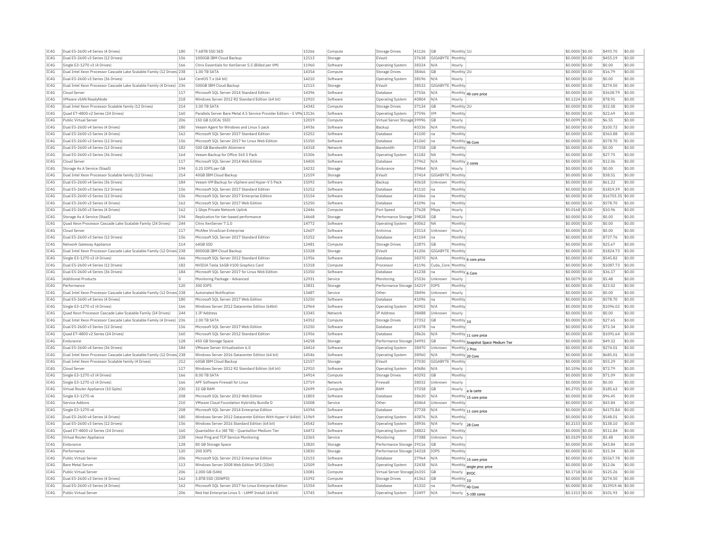| IC4G         | Dual E5-2600 v4 Series (4 Drives)                                                    | 180      | 7.68TB SSD SED                                                         | 15266          | Compute  | <b>Storage Drives</b>        | 41126          | GB                | Monthly 1U                                         | \$0,0000 \$0.00                     | \$493.70          | \$0.00           |
|--------------|--------------------------------------------------------------------------------------|----------|------------------------------------------------------------------------|----------------|----------|------------------------------|----------------|-------------------|----------------------------------------------------|-------------------------------------|-------------------|------------------|
| IC4G         | Dual E5-2600 v3 Series (12 Drives)                                                   | 156      | 1000GB IBM Cloud Backup                                                | 12113          | Storage  | EVault                       | 37638          | GIGABYTE Monthly  |                                                    | \$0,0000 \$0.00                     | \$455.19          | \$0.00           |
| IC4G         | Single E3-1270 v3 (4 Drives)                                                         | 166      | Citrix Essentials for XenServer 5.5 (Billed per VM)                    | 11960          | Software | Operating System             | 38324          | N/A               | Hourly                                             | \$0,0000 \$0.00                     | \$0.00            | \$0.00           |
| IC4G         | Dual Intel Xeon Processor Cascade Lake Scalable Family (12 Drives 238                |          | 1.00 TB SATA                                                           | 14354          | Compute  | <b>Storage Drives</b>        | 38466          | GB                | Monthly 2U                                         | \$0,0000 \$0.00                     | \$16.79           | \$0.00           |
| TC4G         | Dual E5-2600 v3 Series (36 Drives)                                                   | 164      | CentOS 7 x (64 bit)                                                    | 14210          | Software | Operating System             | 38196          | N/A               | Hourly                                             | \$0,0000 \$0.00                     | \$0.00            | \$0.00           |
| IC4G         | Dual Intel Xeon Processor Cascade Lake Scalable Family (4 Drives) 236                |          | 500GB IBM Cloud Backup                                                 | 12115          | Storage  | EVault                       | 38532          | GIGABYTE          | Monthly                                            | \$0.0000 \$0.00                     | \$274.50          | \$0.00           |
| IC4G         | Cloud Server                                                                         | 117      | Microsoft SOL Server 2014 Standard Edition                             | 14396          | Software | Database                     | 37556          | N/A               | Monthly 40 core price                              | \$0.0000 \$0.00                     | \$3638.79         | \$0.00           |
| TC4G         | VMware vSAN ReadvNode                                                                | 218      | Windows Server 2012 R2 Standard Edition (64 bit                        | 12910          | Software | Operating System             | 40804          | N/A               | Hourly                                             | \$0.1224 \$0.00                     | \$78.91           | \$0.00           |
| IC4G         | Dual Intel Xeon Processor Scalable family (12 Drives)                                | 214      | 3.00 TR SATA                                                           | 14342          | Compute  | Storage Drives               | 37134          | GB                | Monthly 2U                                         | \$0,0000 \$0.00                     | \$32.58           | \$0.00           |
| IC4G         | Ouad E7-4800 v2 Series (24 Drives)                                                   | 160      | Parallels Server Bare Metal 4.5 Service Provider Edition - 5 VMs 13136 |                | Software | Operating System             | 37596          | <b>VM</b>         | Monthly                                            | \$0,0000 \$0.00                     | \$22.69           | \$0.00           |
| IC4G         | Public Virtual Server                                                                | 206      | 150 GB (LOCAL SSD)                                                     | 12019          | Compute  | Virtual Server Storage 39996 |                | GB                | Hourly                                             | \$0.0099 \$0.00                     | \$6.55            | \$0.00           |
| IC4G         | Dual E5-2600 v4 Series (4 Drives)                                                    | 180      | Veeam Agent for Windows and Linux 5 pack                               | 14936          | Software | Backup                       | 40336          | N/A               | Monthly                                            | \$0.0000 \$0.00                     | \$100.72          | \$0.00           |
| TC4G         | Dual E5-2600 v3 Series (4 Drives)                                                    | 162      | Microsoft SOL Server 2017 Standard Edition                             | 15252          | Software | Database                     | 41100          | Ina               | Monthly                                            | $$0.0000$ \$0.00                    | \$363.88          | \$0.00           |
|              | Dual E5-2600 v3 Series (12 Drives)                                                   | 156      |                                                                        | 15350          | Software | Database                     |                |                   |                                                    |                                     | \$578.70          | \$0.00           |
| IC4G<br>TCAG | Dual E5-2600 v4 Series (12 Drives)                                                   | 182      | Microsoft SQL Server 2017 for Linux Web Edition                        | 14318          |          |                              | 41260<br>37358 | na<br><b>GB</b>   | Monthly 96 Core                                    | \$0.0000 \$0.00                     |                   | \$0.00           |
|              |                                                                                      |          | 500 GB Bandwidth Allotment                                             |                | Network  | Randwidth                    |                |                   | Monthly                                            | \$0.0000 \$0.00                     | \$0.00            |                  |
| IC4G         | Dual E5-2600 v3 Series (36 Drives)                                                   | 164      | Veeam Backup for Office 365 5 Pack                                     | 15306          | Software | Operating System             | 41182          | <b>NA</b>         | Monthly                                            | \$0,0000 \$0.00                     | \$27.75           | \$0.00           |
| IC4G         | Cloud Serve                                                                          | 117      | Microsoft SQL Server 2014 Web Edition                                  | 14400          | Software | Database                     | 37962          | N/A               | Monthly 2 cores                                    | \$0.0000 \$0.00                     | \$12.06           | \$0.00           |
| IC4G         | Storage As A Service (StaaS)                                                         | 194      | 0.25 IOPS per GB                                                       | 14232          | Storage  | Endurance                    | 39464          | N/A               | Hourly                                             | \$0,0000 \$0,00                     | \$0.00            | \$0.00           |
| IC4G         | Dual Intel Xeon Processor Scalable family (12 Drives)                                | 214      | 40GB IBM Cloud Backup                                                  | 12159          | Storage  | EVault                       | 37414          | GIGABYT           | Monthly                                            | \$0.0000 \$0.00                     | \$38.51           | \$0.00           |
| IC4G         | Dual E5-2600 v4 Series (36 Drives)                                                   | 184      | Veeam VM Backup for vSphere and Hyper-V 5 Pack                         | 15092          | Software | Backup                       | 40618          | Unknown           | Monthly                                            | \$0.0000 \$0.00                     | \$61.22           | \$0.00           |
| IC4G         | Dual E5-2600 v3 Series (12 Drives)                                                   | 156      | Microsoft SQL Server 2017 Standard Edition                             | 15252          | Software | Database                     | 41110          | na                | Monthly                                            | \$0,0000 \$0.00                     | \$1819.39         | \$0.00           |
| IC4G         | Dual E5-2600 v3 Series (12 Drives                                                    | 156      | Microsoft SQL Server 2017 Enterprise Edition                           | 15154          | Software | Database                     | 41066          | na                | Monthly                                            | \$0,0000 \$0.00                     | \$16703.35        | \$0.00           |
| IC4G         | Dual E5-2600 v3 Series (4 Drives)                                                    | 162      | Microsoft SOL Server 2017 Web Edition                                  | 15250          | Software | Database                     | 41096          | lna.              | Monthly                                            | \$0,0000 \$0,00                     | \$578.70          | \$0.00           |
| IC4G         | Dual E5-2600 v3 Series (4 Drives)                                                    | 162      | 1 Gbps Private Network Uplink                                          | 12446          | Compute  | Port Speed                   | 37628          | Mbps              | Hourly                                             | \$0,0168 \$0.00                     | \$10.96           | \$0.00           |
| IC4G         | Storage As A Service (StaaS)                                                         | 194      | Replication for tier-based performance                                 | 14668          | Storage  | Performance Storage 39828    |                | GB                | Hourly                                             | \$0.0000 \$0.00                     | \$0.00            | \$0.00           |
| IC4G         | Ouad Xeon Processor Cascade Lake Scalable Family (24 Drives)                         | 244      | Citrix XenServer 7.1.0                                                 | 14772          | Software | Operating System             | 40062          | <b>NA</b>         | Monthly                                            | \$0.0000 \$0.00                     | \$0.00            | \$0.00           |
| IC4G         | Cloud Serve                                                                          | 117      | McAfee VirusScan Enterprise                                            | 12607          | Software | Antivirus                    | 23114          | Unknown           | Hourly                                             | \$0,0000 \$0.00                     | \$0.00            | \$0.00           |
| TC4G         | Dual E5-2600 v3 Series (12 Drives)                                                   | 156      | Microsoft SQL Server 2017 Standard Edition                             | 15252          | Software | Database                     | 41104          | Ina               | Monthly                                            | \$0,0000 \$0.00                     | \$727.76          | \$0.00           |
| IC4G         | Network Gateway Appliance                                                            | 114      | 64GB SSD                                                               | 12481          | Compute  | Storage Drives               | 22875          | GB                | Monthly                                            | \$0.0000 \$0.00                     | \$25.67           | \$0.00           |
| IC4G         | Dual Intel Xeon Processor Cascade Lake Scalable Family (12 Drives) 238               |          | 8000GB IBM Cloud Backup                                                | 15328          | Storage  | EVault                       | 41206          | GIGABYTE Monthly  |                                                    | \$0,0000 \$0.00                     | \$1824.73         | \$0.00           |
| TC4G         | Single E3-1270 v3 (4 Drives)                                                         | 166      | Microsoft SOL Server 2012 Standard Edition                             | 11956          | Software | Database                     | 38370          | N/A               |                                                    | \$0,0000 \$0.00                     | \$545.82          | \$0.00           |
| IC4G         | Dual E5-2600 v4 Series (12 Drives)                                                   | 182      | NVIDIA Tesla 16GB V100 Graphics Card                                   | 15318          | Compute  | Processo                     | 41196          | Cuda Core Monthly | Monthly 6 core price                               | \$0,0000 \$0.00                     | \$1087.73         | \$0.00           |
| IC4G         | Dual E5-2600 v4 Series (36 Drives)                                                   | 184      | Microsoft SOL Server 2017 for Linux Web Edition                        | 15350          | Software | Database                     | 41238          | Ina               |                                                    | \$0,0000 \$0.00                     | \$36.17           | \$0.00           |
| IC4G         | <b>Additional Products</b>                                                           | $\Omega$ | Monitoring Package - Advanced                                          | 12931          | Service  | Monitoring                   | 25536          | Unknown           | Monthly 6 Core<br>Hourly                           | \$0.0079 \$0.00                     | \$5.48            | \$0.00           |
|              |                                                                                      |          |                                                                        |                |          |                              |                |                   |                                                    |                                     |                   |                  |
| IC4G<br>TC4G | Performance<br>Dual Intel Xeon Processor Cascade Lake Scalable Family (12 Drives 238 | 120      | 300 IOPS<br><b>Automated Notification</b>                              | 13831<br>13487 | Storage  | Performance Storage 34219    | 38496          | <b>IOPS</b>       | Monthly                                            | \$0.0000 \$0.00<br>$$0.0000$ \$0.00 | \$23.02<br>\$0.00 | \$0.00<br>\$0.00 |
|              |                                                                                      |          |                                                                        |                | Service  | Other                        |                | Unknown           | Hourly                                             |                                     |                   |                  |
| IC4G         | Dual E5-2600 v4 Series (4 Drives)                                                    | 180      | Microsoft SOL Server 2017 Web Edition                                  | 15250          | Software | Database                     | 41096          | na                | Monthly                                            | \$0.0000 \$0.00                     | \$578.70          | \$0.00           |
| TCAG         | Single E3-1270 v3 (4 Drives)                                                         | 166      | Windows Server 2012 Datacenter Edition (64bit)                         | 12964          | Software | <b>Operating System</b>      | 40902          | N/A               | Monthly                                            | \$0.0000 \$0.00                     | \$1096.02         | \$0.00           |
| IC4G         | Ouad Xeon Processor Cascade Lake Scalable Family (24 Drives)                         | 244      | 1 IP Address                                                           | 13345          | Network  | IP Address                   | 38488          | Unknown           | Hourly                                             | \$0,0000 \$0.00                     | \$0.00            | \$0.00           |
| IC4G         | Dual Intel Xeon Processor Cascade Lake Scalable Family (4 Drives) 236                |          | 2.00 TB SATA                                                           | 14352          | Compute  | Storage Drives               | 37352          | GB                | Monthly 1U                                         | \$0.0000 \$0.00                     | \$27.65           | \$0.00           |
| IC4G         | Dual E5-2600 v3 Series (12 Drives)                                                   | 156      | Microsoft SOL Server 2017 Web Edition                                  | 15250          | Software | Database                     | 41078          | Ina               | Monthly                                            | \$0,0000 \$0,00                     | \$72.34           | \$0.00           |
| IC4G         | Quad E7-4800 v2 Series (24 Drives)                                                   | 160      | Microsoft SQL Server 2012 Standard Edition                             | 11956          | Software | Database                     | 38626          | N/A               | Monthly 11 core price                              | \$0.0000 \$0.00                     | \$1091.64         | \$0.00           |
| IC4G         | Endurance                                                                            | 128      | 450 GB Storage Space                                                   | 14258          | Storage  | Performance Storage 34992    |                | GB                | Monthly Snapshot Space Medium Tier                 | \$0.0000 \$0.00                     | \$49.32           | \$0.00           |
| IC4G         | Dual E5-2600 v4 Series (36 Drives)                                                   | 184      | VMware Server Virtualization 6.0                                       | 14414          | Software | Operating System             | 38470          | Unknown           | Monthly 2 Proc                                     | \$0,0000 \$0.00                     | \$274.01          | \$0.00           |
| IC4G         | Dual Intel Xeon Processor Cascade Lake Scalable Family (12 Drives 238                |          | Windows Server 2016 Datacenter Edition (64 bit)                        | 14546          | Software | <b>Operating System</b>      | 38960          | N/A               | Monthly 20 Core                                    | \$0,0000 \$0.00                     | \$685.01          | \$0.00           |
| IC4G         | Dual Intel Xeon Processor Scalable family (4 Drives)                                 | 212      | 60GB IBM Cloud Backup                                                  | 12157          | Storage  | EVault                       | 37030          | GIGABYTE Monthly  |                                                    | \$0.0000 \$0.00                     | \$55.29           | \$0.00           |
| IC4G         | Cloud Server                                                                         | 117      | Windows Server 2012 R2 Standard Edition (64 bit)                       | 12910          | Software | Operating System             | 40686          | N/A               | Hourly                                             | \$0.1096 \$0.00                     | \$72.79           | \$0.00           |
| IC4G         | Single E3-1270 v3 (4 Drives)                                                         | 166      | 8.00 TB SATA                                                           | 14914          | Compute  | Storage Drives               | 40292          | GB                | Monthly                                            | \$0.0000 \$0.00                     | \$71.09           | \$0.00           |
| IC4G         | Single E3-1270 v3 (4 Drives)                                                         | 166      | APF Software Firewall for Linux                                        | 13719          | Network  | Firewal                      | 38032          | Unknown           | Hourly                                             | \$0,0000 \$0.00                     | \$0.00            | \$0.00           |
| IC4G         | Virtual Router Appliance (10 Gpbs)                                                   | 230      | 32 GB RAM                                                              | 12699          | Compute  | RAM                          | 37258          | GB                | Hourly                                             | \$0,2705 \$0.00                     | \$185.63          | \$0.00           |
| TC4G         | Single E3-1270 v6                                                                    | 208      | Microsoft SOL Server 2012 Web Edition                                  | 11803          | Software | Database                     | 38620          | N/A               | a la carte                                         | \$0,0000 \$0.00                     | \$96.45           | \$0.00           |
| IC4G         | Service Addons                                                                       | 210      | VMware Cloud Foundation Hybridity Bundle D                             | 15008          | Service  | Other                        | 40464          | Unknown           | Monthly 15 core price<br>Monthly                   | \$0.0000 \$0.00                     | \$43.84           | \$0.00           |
| IC4G         | Single E3-1270 v6                                                                    | 208      | Microsoft SOL Server 2014 Enterprise Edition                           | 14394          | Software | Database                     | 37728          | N/A               |                                                    | \$0.0000 \$0.00                     | \$4175.84         | \$0.00           |
| TC4G         | Dual E5-2600 v4 Series (4 Drives)                                                    | 180      | Windows Server 2012 Datacenter Edition With Hyper-V (64bit) 11969      |                |          |                              | 40876          | N/A               | Monthly 11 core price<br>Monthly                   | $$0.0000$ \$0.00                    | \$548.01          | \$0.00           |
|              |                                                                                      |          |                                                                        |                | Software | Operating System             |                |                   |                                                    |                                     |                   |                  |
| IC4G         | Dual E5-2600 v3 Series (12 Drives)                                                   | 156      | Windows Server 2016 Standard Edition (64 bit)                          | 14542          | Software | Operating System             | 38936          | N/A               | Hourly<br>28 Core                                  | \$0,2153 \$0.00                     | \$138.10          | \$0.00           |
| IC4G         | Ouad E7-4800 v2 Series (24 Drives)                                                   | 160      | OuantaStor 4.x (48 TB) - OuantaStor Medium Tie                         | 14472          | Software | Operating System             | 38822          | N/A               | Monthly                                            | \$0,0000 \$0.00                     | \$511.84          | \$0.00           |
| IC4G         | Virtual Router Appliance                                                             | 228      | Host Ping and TCP Service Monitoring                                   | 12365          | Service  | Monitoring                   | 37388          | Unknown           | Hourly                                             | \$0.0109 \$0.00                     | \$5.48            | \$0.00           |
| IC4G         |                                                                                      |          | 80 GB Storage Space                                                    | 13820          | Storage  | Performance Storage 39116    |                | GB                | Monthly                                            | \$0.0000 \$0.00                     | \$43.84           | \$0.00           |
| TC4G         | Endurance                                                                            | 128      |                                                                        |                |          |                              |                |                   |                                                    |                                     |                   |                  |
|              | Performance                                                                          | 120      | 200 TOPS                                                               | 13830          | Storage  | Performance Storage 34218    |                | <b>TOPS</b>       | Monthly                                            | \$0.0000 \$0.00                     | \$15.34           | \$0.00           |
| IC4G         | Public Virtual Server                                                                | 206      | Microsoft SQL Server 2012 Enterprise Edition                           | 12153          | Software | Database                     | 27964          | N/A               |                                                    | \$0.0000 \$0.00                     | \$5567.78         | \$0.00           |
| TCAG         | <b>Bare Metal Server</b>                                                             | 113      | Windows Server 2008 Web Edition SP2 (32bit)                            | 12509          | Software | Operating System             | 32438          | N/A               | Monthly 15 core price                              | \$0.0000 \$0.00                     | \$12.06           | \$0.00           |
| IC4G         | Public Virtual Server                                                                | 206      | 2.000 GB (SAN)                                                         | 13081          | Compute  | Virtual Server Storage 26355 |                | <b>GB</b>         | Monthly single proc price<br>Hourly<br><b>BYOC</b> | \$0,1718 \$0.00                     | \$125.26          | \$0.00           |
| IC4G         | Dual E5-2600 v3 Series (4 Drives)                                                    | 162      | 3.8TB SSD (3DWPD)                                                      | 15392          | Compute  | Storage Drives               | 41362          | GB                |                                                    | \$0.0000 \$0.00                     | \$274.50          | \$0.00           |
| IC4G         | Dual E5-2600 v3 Series (4 Drives)                                                    | 162      | Microsoft SOL Server 2017 for Linux Enterprise Edition                 | 15354          | Software | Database                     | 41310          | Ina               | $\overline{\text{Monthly}} _{10}$                  | \$0.0000 \$0.00                     | \$13919.46 \$0.00 |                  |
| IC4G         | Public Virtual Server                                                                | 206      | Red Hat Enterprise Linux 5 - LAMP Install (64 bit)                     | 13745          | Software | <b>Operating System</b>      | 33497          | N/A               | Monthly 40 Core<br>Hourly 5-100 cores              | $$0.1313$ \$0.00                    | \$101.93          | \$0.00           |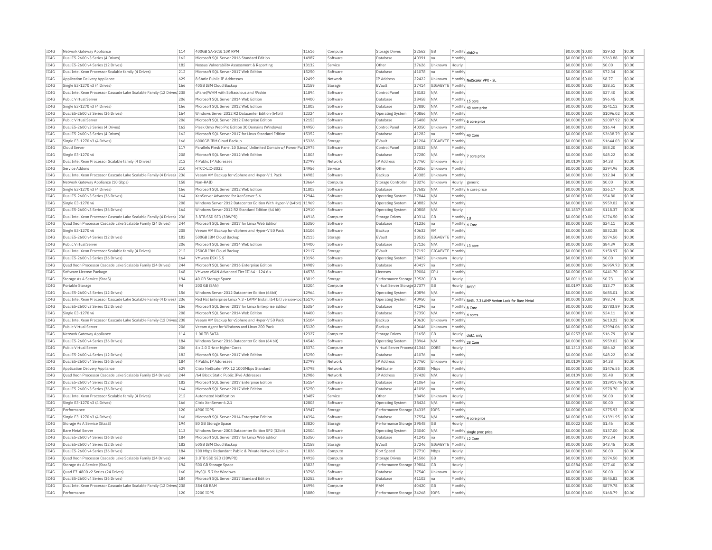| TC4G<br>IC4G |                                                                                      |     |                                                                        | 11616          | Compute            | Storage Drives                        | 22562 | <b>GB</b>        | Monthly disk2-x    |                                                  | \$0,0000 \$0.00                     | \$29.62              | \$0.00           |
|--------------|--------------------------------------------------------------------------------------|-----|------------------------------------------------------------------------|----------------|--------------------|---------------------------------------|-------|------------------|--------------------|--------------------------------------------------|-------------------------------------|----------------------|------------------|
|              | Dual E5-2600 v3 Series (4 Drives)                                                    | 162 | Microsoft SOL Server 2016 Standard Edition                             | 14987          | Software           | Database                              | 40391 | lna              | Monthly            |                                                  | \$0,0000 \$0.00                     | \$363.88             | \$0.00           |
|              | Dual E5-2600 v4 Series (12 Drives)                                                   | 182 | Nessus Vulnerability Assessment & Reporting                            | 13132          | Service            | Other                                 | 37626 | Unknown          | Hourly             |                                                  | $$0.0000$ \$0.00                    | \$0.00               | \$0.00           |
| IC4G         | Dual Intel Xeon Processor Scalable family (4 Drives)                                 | 212 | Microsoft SOL Server 2017 Web Edition                                  | 15250          | Software           | Database                              | 41078 | Ina              | Monthly            |                                                  | \$0.0000 \$0.00                     | \$72.34              | \$0.00           |
| TCAG         | Application Delivery Appliance                                                       | 629 | 8 Static Public TP Addresses                                           | 12499          | Network            | <b>TP Address</b>                     | 22422 | Unknown          |                    | Monthly NetScaler VPX - SL                       | \$0.0000 \$0.00                     | \$8.77               | \$0.00           |
| IC4G         | Single E3-1270 v3 (4 Drives)                                                         | 166 | 40GB IBM Cloud Backup                                                  | 12159          | Storage            | EVault                                | 37414 | GIGABYTE         | Monthly            |                                                  | \$0.0000 \$0.00                     | \$38.51              | \$0.00           |
| IC4G         | Dual Intel Xeon Processor Cascade Lake Scalable Family (12 Drives 238                |     | cPanel/WHM with Softaculous and RVskin                                 | 11894          | Software           | Control Panel                         | 38182 | N/A              | Monthly            |                                                  | \$0,0000 \$0.00                     | \$27.40              | \$0.00           |
| IC4G         | Public Virtual Serve                                                                 | 206 | Microsoft SQL Server 2014 Web Edition                                  | 14400          | Software           | Database                              | 38458 | N/A              |                    |                                                  | \$0.0000 \$0.00                     | \$96.45              | \$0.00           |
|              |                                                                                      |     |                                                                        |                |                    |                                       |       |                  | Monthly 15 core    |                                                  |                                     |                      |                  |
| IC4G         | Single E3-1270 v3 (4 Drives)                                                         | 166 | Microsoft SOL Server 2012 Web Edition                                  | 11803          | Software           | Database                              | 37880 | N/A              |                    | Monthly 40 core price                            | \$0,0000 \$0,00                     | \$241.12             | \$0.00           |
| IC4G         | Dual E5-2600 v3 Series (36 Drives)                                                   | 164 | Windows Server 2012 R2 Datacenter Edition (64bit)                      | 12324          | Software           | <b>Operating System</b>               | 40866 | N/A              | Monthly            |                                                  | \$0,0000 \$0.00                     | \$1096.02            | \$0.00           |
| TC4G         | Public Virtual Server                                                                | 206 | Microsoft SOL Server 2012 Enterprise Edition                           | 12153          | Software           | Database                              | 25408 | N/A              |                    | Monthly 6 core price                             | \$0,0000 \$0.00                     | \$2087.92            | \$0.00           |
| IC4G         | Dual E5-2600 v3 Series (4 Drives)                                                    | 162 | Plesk Onyx Web Pro Edition 30 Domains (Windows)                        | 14950          | Software           | Control Panel                         | 40350 | Unknown          | Monthly            |                                                  | \$0,0000 \$0,00                     | \$16.44              | \$0.00           |
| TCAG         | Dual E5-2600 v3 Series (4 Drives)                                                    | 162 | Microsoft SOL Server 2017 for Linux Standard Edition                   | 15352          | Software           | Database                              | 41282 | Ina              | Monthly 40 Core    |                                                  | \$0,0000 \$0.00                     | \$3638.79            | \$0.00           |
| TC4G         | Single E3-1270 v3 (4 Drives)                                                         | 166 | 6000GB IBM Cloud Backup                                                | 15326          | Storage            | EVault                                | 41204 | GIGABYTE         | Monthly            |                                                  | \$0.0000 \$0.00                     | \$1644.03            | \$0.00           |
| IC4G         | Cloud Server                                                                         | 117 | Parallels Plesk Panel 10 (Linux) Unlimited Domain w/ Power Pa 12975    |                | Software           | Control Panel                         | 25532 | N/A              | Monthly            |                                                  | \$0.0000 \$0.00                     | \$58.20              | \$0.00           |
| IC4G         | Single E3-1270 v6                                                                    | 208 | Microsoft SQL Server 2012 Web Edition                                  | 11803          | Software           | Database                              | 37280 | N/A              |                    |                                                  | \$0,0000 \$0.00                     | \$48.22              | \$0.00           |
| IC4G         | Dual Intel Xeon Processor Scalable family (4 Drives)                                 | 212 | 4 Public TP Addresses                                                  | 12799          | Network            | <b>IP Address</b>                     | 37760 | Unknown          | Hourly             | Monthly 7 core price                             | \$0.0109 \$0.00                     | \$4.38               | \$0.00           |
| TC4G         |                                                                                      | 210 | HTCC-I TC-3032                                                         | 14956          |                    | Other                                 | 40356 | Unknown          | Monthly            |                                                  | $$0.0000$ \$0.00                    | \$394.96             | \$0.00           |
|              | Service Addons                                                                       |     |                                                                        |                | Service            |                                       |       |                  |                    |                                                  |                                     |                      |                  |
| IC4G         | Dual Intel Xeon Processor Cascade Lake Scalable Family (4 Drives) 236                |     | Veeam VM Backup for vSphere and Hyper-V 1 Pack                         | 14983          | Software           | Backup                                | 40385 | Unknown          | Monthly            |                                                  | \$0.0000 \$0.00                     | \$12.84              | \$0.00           |
| TC4G         | Network Gateway Appliance (10 Gbps)                                                  | 158 | Non-RAID                                                               | 13664          | Compute            | Storage Controller                    | 38276 | Unknown          | Hourly generic     |                                                  | $$0.0000$ \$0.00                    | \$0.00               | \$0.00           |
| IC4G         | Single E3-1270 v3 (4 Drives)                                                         | 166 | Microsoft SQL Server 2012 Web Edition                                  | 11803          | Software           | <b>Databas</b>                        | 37682 | N/A              |                    | Monthly 6 core price                             | \$0.0000 \$0.00                     | \$36.17              | \$0.00           |
| IC4G         | Dual E5-2600 v3 Series (36 Drives)                                                   | 164 | XenServer Advanced for XenServer 5.6                                   | 12944          | Software           | <b>Operating System</b>               | 37844 | N/A              | Monthly            |                                                  | \$0.0000 \$0.00                     | \$54.80              | \$0.00           |
| IC4G         | Single E3-1270 v6                                                                    | 208 | Windows Server 2012 Datacenter Edition With Hyper-V (64bit) 11969      |                | Software           | Operating System                      | 40882 | N/A              | Monthly            |                                                  | \$0,0000 \$0.00                     | \$959.02             | \$0.00           |
| TC4G         | Dual E5-2600 v3 Series (36 Drives)                                                   | 164 | Windows Server 2012 R2 Standard Edition (64 bit)                       | 12910          | Software           | Operating System                      | 40808 | N/A              | Hourly             |                                                  | \$0,1837 \$0.00                     | \$118.37             | \$0.00           |
| IC4G         | Dual Intel Xeon Processor Cascade Lake Scalable Family (4 Drives)                    | 236 | 3.8TB SSD SED (3DWPD)                                                  | 14918          | Compute            | <b>Storage Drives</b>                 | 40314 | <b>GB</b>        | Monthly $ 10$      |                                                  | \$0.0000 \$0.00                     | \$274.50             | \$0.00           |
| IC4G         | Ouad Xeon Processor Cascade Lake Scalable Family (24 Drives)                         | 244 | Microsoft SOL Server 2017 for Linux Web Edition                        | 15350          | Software           | Database                              | 41236 | Ina              | Monthly 4 Core     |                                                  | \$0,0000 \$0.00                     | \$24.11              | \$0.00           |
| TCAG         | Single E3-1270 v6                                                                    | 208 | Veeam VM Backup for vSphere and Hyper-V 50 Pack                        | 15106          | Software           | Backun                                | 40632 | <b>VM</b>        | Monthly            |                                                  | \$0.0000 \$0.00                     | \$832.38             | \$0.00           |
|              |                                                                                      |     |                                                                        |                |                    |                                       |       |                  |                    |                                                  |                                     |                      | \$0.00           |
| IC4G         | Dual E5-2600 v4 Series (12 Drives)                                                   | 182 | 500GB IBM Cloud Backup                                                 | 12115          | Storage            | <b>EVault</b>                         | 38532 | GIGABYTE         | Monthly            |                                                  | \$0.0000 \$0.00                     | \$274.50             |                  |
| IC4G         | Public Virtual Server                                                                | 206 | Microsoft SQL Server 2014 Web Edition                                  | 14400          | Software           | Database                              | 37126 | N/A              | Monthly 13 core    |                                                  | \$0,0000 \$0.00                     | \$84.39              | \$0.00           |
| IC4G         | Dual Intel Xeon Processor Scalable family (4 Drives)                                 | 212 | 250GB IBM Cloud Backup                                                 | 12117          | Storage            | EVault                                | 37192 | GIGABYTE Monthly |                    |                                                  | \$0.0000 \$0.00                     | \$158.97             | \$0.00           |
| IC4G         | Dual E5-2600 v3 Series (36 Drives)                                                   | 164 | VMware ESXi 5.5                                                        | 13196          | Software           | Operating System                      | 38422 | Unknown          | Hourly             |                                                  | \$0,0000 \$0,00                     | \$0.00               | \$0.00           |
| IC4G         | Quad Xeon Processor Cascade Lake Scalable Family (24 Drives)                         | 244 | Microsoft SQL Server 2016 Enterprise Edition                           | 14989          | Software           | <b>Databas</b>                        | 40417 | Ina              | Monthly            |                                                  | \$0.0000 \$0.00                     | \$6959.73            | \$0.00           |
| TC4G         | Software License Package                                                             | 168 | VMware vSAN Advanced Tier III 64 - 124 6 x                             | 14578          | Software           | Licenses                              | 39004 | CPU              | Monthly            |                                                  | $$0.0000$ \$0.00                    | \$441.70             | \$0.00           |
| IC4G         | Storage As A Service (StaaS)                                                         | 194 | 40 GB Storage Space                                                    | 13819          | Storage            | Performance Storage 39520             |       | GB               | Hourly             |                                                  | \$0.0011 \$0.00                     | \$0.73               | \$0.00           |
| TCAG         | Portable Storage                                                                     | 94  | 200 GB (SAN)                                                           | 13204          | Compute            | Virtual Server Storage 27377          |       | G <sub>B</sub>   | Hourly  BYOC       |                                                  | \$0,0197 \$0.00                     | \$13.77              | \$0.00           |
| IC4G         | Dual E5-2600 v3 Series (12 Drives)                                                   | 156 | Windows Server 2012 Datacenter Edition (64bit)                         | 12964          | Software           | <b>Operating System</b>               | 40896 | N/A              | Monthly            |                                                  | \$0.0000 \$0.00                     | \$685.01             | \$0.00           |
|              | Dual Intel Xeon Processor Cascade Lake Scalable Family (4 Drives) 236                |     |                                                                        |                | Software           |                                       |       |                  |                    |                                                  |                                     | \$98.74              | \$0.00           |
| IC4G         |                                                                                      |     | Red Hat Enterprise Linux 7.3 - LAMP Install (64 bit) version-loc 15170 |                |                    | Operating System                      | 40950 | na               |                    | Monthly RHEL 7.3 LAMP Verion Lock for Bare Metal | \$0.0000 \$0.00                     |                      |                  |
| IC4G         | Dual E5-2600 v3 Series (12 Drives)                                                   | 156 | Microsoft SOL Server 2017 for Linux Enterprise Edition                 | 15354          | Software           | Database                              | 41296 | Ina              | Monthly 8 Core     |                                                  | \$0,0000 \$0.00                     | \$2783.89            | \$0.00           |
| IC4G         | Single E3-1270 v6                                                                    | 208 | Microsoft SOL Server 2014 Web Edition                                  | 14400          | Software           | Database                              | 37350 | N/A              | Monthly 4 cores    |                                                  | \$0.0000 \$0.00                     | \$24.11              | \$0.00           |
| TC4G         | Dual Intel Xeon Processor Cascade Lake Scalable Family (12 Drives) 238               |     | Veeam VM Backup for vSphere and Hyper-V 50 Pack                        | 15104          | Software           | Backun                                | 40630 | Unknown          | Monthly            |                                                  | \$0.0000 \$0.00                     | \$610.22             | \$0.00           |
| IC4G         | Public Virtual Server                                                                | 206 | Veeam Agent for Windows and Linux 200 Pack                             | 15120          | Software           | Backup                                | 40646 | Unknown          | Monthl             |                                                  | \$0.0000 \$0.00                     | \$3994.06            | \$0.00           |
| TCAG         | Network Gateway Appliance                                                            | 114 | 1.00 TR SATA                                                           | 12327          | Compute            | Storage Drives                        | 21658 | GB               |                    | Hourly disk1 only                                | \$0.0257 \$0.00                     | \$16.79              | \$0.00           |
| IC4G         | Dual E5-2600 v4 Series (36 Drives)                                                   | 184 | Windows Server 2016 Datacenter Edition (64 bit)                        | 14546          | Software           | Operating System                      | 38964 | N/A              | Monthly 28 Core    |                                                  | \$0.0000 \$0.00                     | \$959.02             | \$0.00           |
| IC4G         | Public Virtual Server                                                                | 206 | 4 x 2.0 GHz or higher Cores                                            | 15374          | Compute            | Virtual Server Process 41344          |       | CORE             | Hourly             |                                                  | \$0,1313 \$0.00                     | \$86.62              | \$0.00           |
| IC4G         | Dual E5-2600 v4 Series (12 Drives)                                                   | 182 | Microsoft SOL Server 2017 Web Edition                                  | 15250          | Software           | Database                              | 41076 | Ina              | Monthly            |                                                  | \$0,0000 \$0.00                     | \$48.22              | \$0.00           |
| TC4G         | Dual E5-2600 v4 Series (36 Drives)                                                   | 184 | 4 Public TP Addresses                                                  | 12799          | Network            | <b>IP Address</b>                     | 37760 | <b>Unknown</b>   | Hourly             |                                                  | \$0.0109 \$0.00                     | \$4.38               | \$0.00           |
|              |                                                                                      |     |                                                                        |                |                    |                                       |       |                  |                    |                                                  |                                     |                      |                  |
| IC4G         | <b>Application Delivery Appliance</b>                                                | 629 | Citrix NetScaler VPX 12 1000Mbps Standard                              | 14798          | Network            | NetScale                              | 40088 | Mbps             | Monthly            |                                                  | \$0,0000 \$0.00                     | \$1476.55            | \$0.00           |
| IC4G         | Quad Xeon Processor Cascade Lake Scalable Family (24 Drives)                         | 244 | /64 Block Static Public IPv6 Addresses                                 | 12986          | Network            | <b>IP Address</b>                     | 37428 | N/A              | Hourly             |                                                  | \$0.0109 \$0.00                     | \$5.48               | \$0.00           |
| TC4G         | Dual E5-2600 v4 Series (12 Drives)                                                   | 182 | Microsoft SQL Server 2017 Enterprise Edition                           | 15154          | Software           | Database                              | 41064 | Ina              | Monthly            |                                                  | \$0.0000 \$0.00                     | \$13919.46 \$0.00    |                  |
| IC4G         | Dual E5-2600 v3 Series (36 Drives)                                                   | 164 | Microsoft SOL Server 2017 Web Edition                                  | 15250          | Software           | Database                              | 41096 | Ina              | Monthly            |                                                  | \$0.0000 \$0.00                     | \$578.70             | \$0.00           |
| IC4G         | Dual Intel Xeon Processor Scalable family (4 Drives)                                 | 212 | <b>Automated Notification</b>                                          | 13487          | Service            | Other                                 | 38496 | Unknown          | Hourly             |                                                  | \$0.0000 \$0.00                     | \$0.00               | \$0.00           |
| IC4G         | Single E3-1270 v3 (4 Drives)                                                         | 166 | Citrix XenServer 6.2.1                                                 | 12803          | Software           | Operating System                      | 38424 | N/A              | Monthly            |                                                  | \$0.0000 \$0.00                     | \$0.00               | \$0.00           |
| TCAG         | Performance                                                                          | 120 | 4900 TOPS                                                              | 13947          | Storage            | Performance Storage 34335             |       | <b>TOPS</b>      | Monthly            |                                                  | \$0.0000 \$0.00                     | \$375.93             | \$0.00           |
| IC4G         | Single E3-1270 v3 (4 Drives)                                                         | 166 | Microsoft SQL Server 2014 Enterprise Edition                           | 14394          | Software           | Database                              | 37554 | N/A              |                    |                                                  | \$0.0000 \$0.00                     | \$1391.95            | \$0.00           |
| IC4G         | Storage As A Service (StaaS)                                                         | 194 | 80 GB Storage Space                                                    | 13820          | Storage            | Performance Storage 39548             |       | <b>GB</b>        | Hourly             | Monthly 4 core price                             | \$0,0022 \$0.00                     | \$1.46               | \$0.00           |
|              |                                                                                      |     |                                                                        |                |                    |                                       |       |                  |                    |                                                  |                                     |                      |                  |
| IC4G         | <b>Bare Metal Serve</b>                                                              | 113 | Windows Server 2008 Datacenter Edition SP2 (32bit)                     | 12504          | Software           | <b>Operating System</b>               | 25040 | N/A              |                    | Monthly single proc price                        | \$0.0000 \$0.00                     | \$137.00             | \$0.00           |
| IC4G         | Dual E5-2600 v4 Series (36 Drives)                                                   | 184 | Microsoft SQL Server 2017 for Linux Web Edition                        | 15350          | Software           | Database                              | 41242 | <b>I</b> na      | Monthly 12 Core    |                                                  | \$0,0000 \$0.00                     | \$72.34              | \$0.00           |
| IC4G         | Dual E5-2600 v4 Series (12 Drives                                                    | 182 | 50GB IBM Cloud Backup                                                  | 12158          | Storage            | EVault                                | 37246 | GIGABYTE         | Monthly            |                                                  | \$0.0000 \$0.00                     | \$43.45              | \$0.00           |
| TC4G         | Dual E5-2600 v4 Series (36 Drives)                                                   | 184 | 100 Mbps Redundant Public & Private Network Uplinks                    | 11826          | Compute            | Port Speed                            | 37710 | Mbps             | Hourly             |                                                  | \$0.0000 \$0.00                     | \$0.00               | \$0.00           |
| IC4G         | Quad Xeon Processor Cascade Lake Scalable Family (24 Drives)                         | 244 | 3.8TB SSD SED (3DWPD)                                                  | 14918          | Compute            | <b>Storage Drives</b>                 | 41506 | GB               | Monthly            |                                                  | \$0,0000 \$0.00                     | \$274.50             | \$0.00           |
| TC4G         | Storage As A Service (StaaS)                                                         | 194 | 500 GB Storage Space                                                   | 13823          | Storage            | Performance Storage 39804             |       | G <sub>B</sub>   | Hourly             |                                                  | \$0,0384 \$0,00                     | \$27.40              | \$0.00           |
|              | Quad E7-4800 v2 Series (24 Drives)                                                   | 160 | MySOL 5.7 for Windows                                                  | 13798          | Software           | Database                              | 37540 | Unknown          | Hourly             |                                                  | \$0.0000 \$0.00                     | \$0.00               | \$0.00           |
| TC4G         |                                                                                      | 184 | Microsoft SQL Server 2017 Standard Edition                             | 15252          | Software           | Database                              | 41102 | lna              | Monthly            |                                                  | \$0,0000 \$0.00                     | \$545.82             | \$0.00           |
| IC4G         | Dual E5-2600 v4 Series (36 Drives)                                                   |     |                                                                        |                |                    |                                       |       |                  |                    |                                                  |                                     |                      |                  |
|              |                                                                                      |     |                                                                        |                |                    |                                       |       |                  |                    |                                                  |                                     |                      |                  |
| TC4G<br>TC4G | Dual Intel Xeon Processor Cascade Lake Scalable Family (12 Drives 238<br>Performance | 120 | 384 GB RAM<br>2200 IOPS                                                | 14996<br>13880 | Compute<br>Storage | RAM<br>Performance Storage 34268 IOPS | 40420 | <b>GB</b>        | Monthly<br>Monthly |                                                  | \$0.0000 \$0.00<br>$$0.0000$ \$0.00 | \$879.78<br>\$168.79 | \$0.00<br>\$0.00 |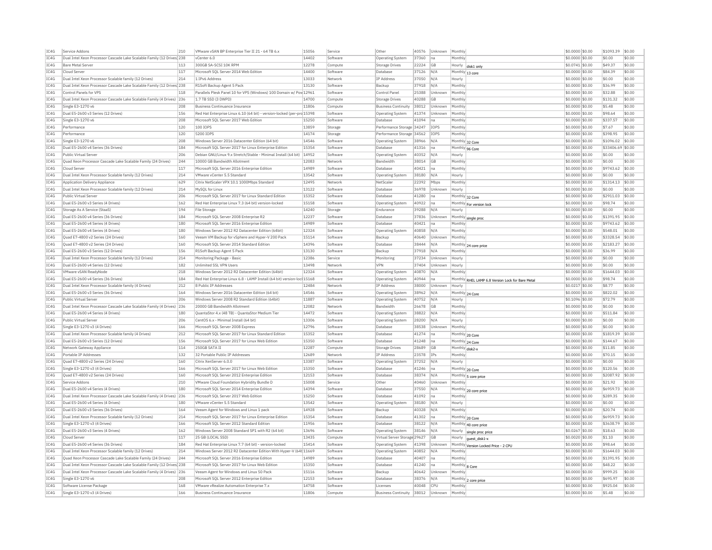| TC4G<br>Dual Intel Xeon Processor Cascade Lake Scalable Family (12 Drives 238<br>vCenter 6.0<br>14402<br>Software<br>Operating System<br>37360<br>Ina<br>Monthly<br>IC4G<br><b>Bare Metal Server</b><br>113<br>300GB SA-SCSI 10K RPM<br>12278<br>Compute<br>22224<br> GB<br>Storage Drives<br>Hourly disk1 only<br>IC4G<br>117<br>Microsoft SOL Server 2014 Web Edition<br>14400<br>Software<br>Database<br>37126<br>N/A<br>Cloud Serve<br>Monthly 13 core<br>TCAG<br>Dual Intel Xeon Processor Scalable family (12 Drives)<br>214<br>1 TPv6 Address<br>13033<br><b>TP Address</b><br>37050<br>N/A<br>Network<br>Hourly<br>IC4G<br>Dual Intel Xeon Processor Cascade Lake Scalable Family (12 Drives) 238<br>13130<br>37918<br>N/A<br>Monthly<br>R1Soft Backup Agent 5 Pack<br>Software<br>Backup<br>IC4G<br>Parallels Plesk Panel 10 for VPS (Windows) 100 Domain w/ Pov 12961<br>118<br>Software<br>25388<br>Unknown<br>Control Panels for VPS<br>Control Panel<br>Monthly<br>IC4G<br>Dual Intel Xeon Processor Cascade Lake Scalable Family (4 Drives) 236<br>40288<br>1.7 TB SSD (3 DWPD)<br>14700<br>Compute<br>Storage Drives<br>GB<br>Monthly<br>IC4G<br>Single E3-1270 v6<br>208<br>11806<br><b>Business Continuance Insurance</b><br>38012<br>Compute<br><b>Business Continuity</b><br>Unknown<br>Monthly<br>IC4G<br>Dual E5-2600 v3 Series (12 Drives)<br>156<br>Red Hat Enterprise Linux 6.10 (64 bit) - version-locked (per-prc 15398<br>Software<br>Operating System<br>41374<br>Unknown<br>Monthly<br>TC4G<br>Single E3-1270 v6<br>208<br>Microsoft SOL Server 2017 Web Edition<br>15250<br>41094<br>Software<br>Database<br>Ina<br>Monthly<br>IC4G<br>Performance<br>120<br>100 IOPS<br>13859<br>Performance Storage 34247<br>IOPS<br>Monthly<br>Storage<br>TCAG<br>120<br>14174<br>Performance<br>5200 TOPS<br>Storage<br>Performance Storage 34562<br><b>TOPS</b><br>Monthly<br>IC4G<br>208<br>Windows Server 2016 Datacenter Edition (64 bit)<br>14546<br>38966<br>Single E3-1270 v6<br>Software<br>Operating System<br>N/A<br>Monthly 32 Core<br>IC4G<br>Dual E5-2600 v4 Series (36 Drives)<br>184<br>Microsoft SQL Server 2017 for Linux Enterprise Edition<br>15354<br>Software<br>Database<br>41316<br>Ina<br>Monthly 96 Core<br>\$0.0000 \$0.00<br>IC4G<br>206<br>Debian GNU/Linux 9.x Stretch/Stable - Minimal Install (64 bit)<br>14952<br>Public Virtual Server<br>40352<br>N/A<br>\$0,0000 \$0,00<br>Software<br>Operating System<br>Hourly<br>IC4G<br>Ouad Xeon Processor Cascade Lake Scalable Family (24 Drives)<br>244<br>10000 GB Bandwidth Allotment<br>12083<br><b>Bandwidth</b><br>38014<br><b>GB</b><br>Monthly<br>\$0.0000 \$0.00<br>Network<br>TC4G<br>117<br>Microsoft SOL Server 2016 Enterprise Edition<br>14989<br>40421<br>Cloud Server<br>Software<br>Monthly<br>$$0.0000$ \$0.00<br>Database<br>Ina<br>IC4G<br>Dual Intel Xeon Processor Scalable family (12 Drives)<br>214<br>VMware vCenter 5.5 Standard<br>13542<br>Software<br>38180<br><b>Operating System</b><br>N/A<br>Hourly<br>TC4G<br>629<br>Citrix NetScaler VPX 10.1 1000Mbps Standard<br>12495<br>NetScale<br>22392<br>Application Delivery Appliance<br>Network<br>Mhns<br>Monthly<br>IC4G<br>214<br>13122<br>Dual Intel Xeon Processor Scalable family (12 Drives)<br>MySOL for Linux<br>Software<br><b>Databas</b><br>36978<br>Unknown<br>Hourly<br>IC4G<br>206<br>15352<br>Public Virtual Server<br>Microsoft SOL Server 2017 for Linux Standard Edition<br>Software<br>Database<br>41280<br>Ina<br>Monthly 32 Core<br>IC4G<br>162<br>15158<br>Dual E5-2600 v3 Series (4 Drives)<br>Red Hat Enterprise Linux 7.3 (64 bit) version-locked<br>Software<br>Operating System<br>40922<br>Ina<br>Monthly For version lock<br>TC4G<br>Storage As A Service (StaaS)<br>194<br>File Storage<br>14240<br>Storage<br>Endurance<br>39288<br>N/A<br>Hourly<br>IC4G<br>Dual E5-2600 v4 Series (36 Drives)<br>184<br>Microsoft SQL Server 2008 Enterprise R2<br>12237<br>Software<br>Database<br>37836<br>Unknown<br>Monthly single proc<br>TC4G<br>14989<br>40421<br>Dual E5-2600 v4 Series (4 Drives)<br>180<br>Microsoft SOL Server 2016 Enterprise Edition<br>Software<br>Database<br>Ina<br>Monthly<br>TC4G<br>Dual E5-2600 v4 Series (4 Drives)<br>180<br>Windows Server 2012 R2 Datacenter Edition (64bit)<br>12324<br>40858<br>Software<br>Operating System<br>N/A<br>Monthly<br>TC4G<br>15114<br>Ouad E7-4800 v2 Series (24 Drives)<br>160<br>Veeam VM Backup for vSphere and Hyper-V 200 Pack<br>Software<br>Backup<br>40640<br>Unknown<br>Monthly<br>IC4G<br>160<br>14396<br>38444<br>Ouad E7-4800 v2 Series (24 Drives)<br>Microsoft SOL Server 2014 Standard Edition<br>Software<br>Database<br>N/A<br>Monthly 24 core price<br>IC4G<br>Dual E5-2600 v3 Series (12 Drives)<br>156<br>R1Soft Backup Agent 5 Pack<br>13130<br>Software<br>Backup<br>37918<br>N/A<br>Monthl<br>IC4G<br>12386<br>Dual Intel Xeon Processor Scalable family (12 Drives)<br>214<br>Monitoring Package - Basic<br>Monitoring<br>37234<br>Service<br>Unknown<br>Hourly<br>IC4G<br>Dual E5-2600 v4 Series (12 Drives)<br>182<br>Unlimited SSL VPN Users<br>13498<br><b>VPN</b><br>37404<br>Network<br>Unknown<br>Hourly<br>12324<br>TC4G<br>VMware vSAN ReadvNode<br>218<br>Windows Server 2012 R2 Datacenter Edition (64bit)<br>40870<br>Software<br><b>Operating System</b><br>N/A<br>Monthly<br>IC4G<br>184<br>Red Hat Enterprise Linux 6.8 - LAMP Install (64 bit) version-loc 15168<br>40944<br>Dual E5-2600 v4 Series (36 Drives)<br>Software<br><b>Operating System</b><br> na<br>Monthly RHEL LAMP 6.8 Version Lock for Bare Metal | \$0,0000 \$0.00<br>\$0.00<br>$$0.0741$ \$0.00<br>\$49.37<br>\$0.0000 \$0.00<br>\$84.39<br>\$0.0000 \$0.00<br>\$0.00<br>\$0.0000 \$0.00<br>\$36.99<br>\$0,0000 \$0.00<br>\$32.88<br>\$131.32<br>\$0,0000 \$0.00<br>\$5.48<br>\$0,0000 \$0.00<br>\$0,0000 \$0.00<br>\$98.64<br>\$337.57<br>\$0,0000 \$0.00<br>\$0.0000 \$0.00<br>\$7.67<br>\$398.95<br>\$0,0000 \$0.00<br>\$0.0000 \$0.00<br>\$1096.02<br>\$33406.69 \$0.00 | \$0.00<br>\$0.00<br>\$0.00<br>\$0.00<br>\$0.00<br>\$0.00<br>\$0.00<br>\$0.00<br>\$0.00<br>\$0.00<br>\$0.00 |
|--------------------------------------------------------------------------------------------------------------------------------------------------------------------------------------------------------------------------------------------------------------------------------------------------------------------------------------------------------------------------------------------------------------------------------------------------------------------------------------------------------------------------------------------------------------------------------------------------------------------------------------------------------------------------------------------------------------------------------------------------------------------------------------------------------------------------------------------------------------------------------------------------------------------------------------------------------------------------------------------------------------------------------------------------------------------------------------------------------------------------------------------------------------------------------------------------------------------------------------------------------------------------------------------------------------------------------------------------------------------------------------------------------------------------------------------------------------------------------------------------------------------------------------------------------------------------------------------------------------------------------------------------------------------------------------------------------------------------------------------------------------------------------------------------------------------------------------------------------------------------------------------------------------------------------------------------------------------------------------------------------------------------------------------------------------------------------------------------------------------------------------------------------------------------------------------------------------------------------------------------------------------------------------------------------------------------------------------------------------------------------------------------------------------------------------------------------------------------------------------------------------------------------------------------------------------------------------------------------------------------------------------------------------------------------------------------------------------------------------------------------------------------------------------------------------------------------------------------------------------------------------------------------------------------------------------------------------------------------------------------------------------------------------------------------------------------------------------------------------------------------------------------------------------------------------------------------------------------------------------------------------------------------------------------------------------------------------------------------------------------------------------------------------------------------------------------------------------------------------------------------------------------------------------------------------------------------------------------------------------------------------------------------------------------------------------------------------------------------------------------------------------------------------------------------------------------------------------------------------------------------------------------------------------------------------------------------------------------------------------------------------------------------------------------------------------------------------------------------------------------------------------------------------------------------------------------------------------------------------------------------------------------------------------------------------------------------------------------------------------------------------------------------------------------------------------------------------------------------------------------------------------------------------------------------------------------------------------------------------------------------------------------------------------------------------------------------------------------------------------------------------------------------------------------------------------------------------------------------------------------------------------------------------------------------------------------------------------------------------------------------------------------------------------------------------------------------------------------------------------------------------------------------------------------------------------------------------------------------------------------------------------------------------------------------------------------------------------------------------------------------------------------------------------------------------------------------------------------------------------------------------------------------------------------------------------------------------------------------------------------------|---------------------------------------------------------------------------------------------------------------------------------------------------------------------------------------------------------------------------------------------------------------------------------------------------------------------------------------------------------------------------------------------------------------------------|------------------------------------------------------------------------------------------------------------|
|                                                                                                                                                                                                                                                                                                                                                                                                                                                                                                                                                                                                                                                                                                                                                                                                                                                                                                                                                                                                                                                                                                                                                                                                                                                                                                                                                                                                                                                                                                                                                                                                                                                                                                                                                                                                                                                                                                                                                                                                                                                                                                                                                                                                                                                                                                                                                                                                                                                                                                                                                                                                                                                                                                                                                                                                                                                                                                                                                                                                                                                                                                                                                                                                                                                                                                                                                                                                                                                                                                                                                                                                                                                                                                                                                                                                                                                                                                                                                                                                                                                                                                                                                                                                                                                                                                                                                                                                                                                                                                                                                                                                                                                                                                                                                                                                                                                                                                                                                                                                                                                                                                                                                                                                                                                                                                                                                                                                                                                                                                                                                                                                                                |                                                                                                                                                                                                                                                                                                                                                                                                                           |                                                                                                            |
|                                                                                                                                                                                                                                                                                                                                                                                                                                                                                                                                                                                                                                                                                                                                                                                                                                                                                                                                                                                                                                                                                                                                                                                                                                                                                                                                                                                                                                                                                                                                                                                                                                                                                                                                                                                                                                                                                                                                                                                                                                                                                                                                                                                                                                                                                                                                                                                                                                                                                                                                                                                                                                                                                                                                                                                                                                                                                                                                                                                                                                                                                                                                                                                                                                                                                                                                                                                                                                                                                                                                                                                                                                                                                                                                                                                                                                                                                                                                                                                                                                                                                                                                                                                                                                                                                                                                                                                                                                                                                                                                                                                                                                                                                                                                                                                                                                                                                                                                                                                                                                                                                                                                                                                                                                                                                                                                                                                                                                                                                                                                                                                                                                |                                                                                                                                                                                                                                                                                                                                                                                                                           |                                                                                                            |
|                                                                                                                                                                                                                                                                                                                                                                                                                                                                                                                                                                                                                                                                                                                                                                                                                                                                                                                                                                                                                                                                                                                                                                                                                                                                                                                                                                                                                                                                                                                                                                                                                                                                                                                                                                                                                                                                                                                                                                                                                                                                                                                                                                                                                                                                                                                                                                                                                                                                                                                                                                                                                                                                                                                                                                                                                                                                                                                                                                                                                                                                                                                                                                                                                                                                                                                                                                                                                                                                                                                                                                                                                                                                                                                                                                                                                                                                                                                                                                                                                                                                                                                                                                                                                                                                                                                                                                                                                                                                                                                                                                                                                                                                                                                                                                                                                                                                                                                                                                                                                                                                                                                                                                                                                                                                                                                                                                                                                                                                                                                                                                                                                                |                                                                                                                                                                                                                                                                                                                                                                                                                           |                                                                                                            |
|                                                                                                                                                                                                                                                                                                                                                                                                                                                                                                                                                                                                                                                                                                                                                                                                                                                                                                                                                                                                                                                                                                                                                                                                                                                                                                                                                                                                                                                                                                                                                                                                                                                                                                                                                                                                                                                                                                                                                                                                                                                                                                                                                                                                                                                                                                                                                                                                                                                                                                                                                                                                                                                                                                                                                                                                                                                                                                                                                                                                                                                                                                                                                                                                                                                                                                                                                                                                                                                                                                                                                                                                                                                                                                                                                                                                                                                                                                                                                                                                                                                                                                                                                                                                                                                                                                                                                                                                                                                                                                                                                                                                                                                                                                                                                                                                                                                                                                                                                                                                                                                                                                                                                                                                                                                                                                                                                                                                                                                                                                                                                                                                                                |                                                                                                                                                                                                                                                                                                                                                                                                                           |                                                                                                            |
|                                                                                                                                                                                                                                                                                                                                                                                                                                                                                                                                                                                                                                                                                                                                                                                                                                                                                                                                                                                                                                                                                                                                                                                                                                                                                                                                                                                                                                                                                                                                                                                                                                                                                                                                                                                                                                                                                                                                                                                                                                                                                                                                                                                                                                                                                                                                                                                                                                                                                                                                                                                                                                                                                                                                                                                                                                                                                                                                                                                                                                                                                                                                                                                                                                                                                                                                                                                                                                                                                                                                                                                                                                                                                                                                                                                                                                                                                                                                                                                                                                                                                                                                                                                                                                                                                                                                                                                                                                                                                                                                                                                                                                                                                                                                                                                                                                                                                                                                                                                                                                                                                                                                                                                                                                                                                                                                                                                                                                                                                                                                                                                                                                |                                                                                                                                                                                                                                                                                                                                                                                                                           |                                                                                                            |
|                                                                                                                                                                                                                                                                                                                                                                                                                                                                                                                                                                                                                                                                                                                                                                                                                                                                                                                                                                                                                                                                                                                                                                                                                                                                                                                                                                                                                                                                                                                                                                                                                                                                                                                                                                                                                                                                                                                                                                                                                                                                                                                                                                                                                                                                                                                                                                                                                                                                                                                                                                                                                                                                                                                                                                                                                                                                                                                                                                                                                                                                                                                                                                                                                                                                                                                                                                                                                                                                                                                                                                                                                                                                                                                                                                                                                                                                                                                                                                                                                                                                                                                                                                                                                                                                                                                                                                                                                                                                                                                                                                                                                                                                                                                                                                                                                                                                                                                                                                                                                                                                                                                                                                                                                                                                                                                                                                                                                                                                                                                                                                                                                                |                                                                                                                                                                                                                                                                                                                                                                                                                           |                                                                                                            |
|                                                                                                                                                                                                                                                                                                                                                                                                                                                                                                                                                                                                                                                                                                                                                                                                                                                                                                                                                                                                                                                                                                                                                                                                                                                                                                                                                                                                                                                                                                                                                                                                                                                                                                                                                                                                                                                                                                                                                                                                                                                                                                                                                                                                                                                                                                                                                                                                                                                                                                                                                                                                                                                                                                                                                                                                                                                                                                                                                                                                                                                                                                                                                                                                                                                                                                                                                                                                                                                                                                                                                                                                                                                                                                                                                                                                                                                                                                                                                                                                                                                                                                                                                                                                                                                                                                                                                                                                                                                                                                                                                                                                                                                                                                                                                                                                                                                                                                                                                                                                                                                                                                                                                                                                                                                                                                                                                                                                                                                                                                                                                                                                                                |                                                                                                                                                                                                                                                                                                                                                                                                                           |                                                                                                            |
|                                                                                                                                                                                                                                                                                                                                                                                                                                                                                                                                                                                                                                                                                                                                                                                                                                                                                                                                                                                                                                                                                                                                                                                                                                                                                                                                                                                                                                                                                                                                                                                                                                                                                                                                                                                                                                                                                                                                                                                                                                                                                                                                                                                                                                                                                                                                                                                                                                                                                                                                                                                                                                                                                                                                                                                                                                                                                                                                                                                                                                                                                                                                                                                                                                                                                                                                                                                                                                                                                                                                                                                                                                                                                                                                                                                                                                                                                                                                                                                                                                                                                                                                                                                                                                                                                                                                                                                                                                                                                                                                                                                                                                                                                                                                                                                                                                                                                                                                                                                                                                                                                                                                                                                                                                                                                                                                                                                                                                                                                                                                                                                                                                |                                                                                                                                                                                                                                                                                                                                                                                                                           |                                                                                                            |
|                                                                                                                                                                                                                                                                                                                                                                                                                                                                                                                                                                                                                                                                                                                                                                                                                                                                                                                                                                                                                                                                                                                                                                                                                                                                                                                                                                                                                                                                                                                                                                                                                                                                                                                                                                                                                                                                                                                                                                                                                                                                                                                                                                                                                                                                                                                                                                                                                                                                                                                                                                                                                                                                                                                                                                                                                                                                                                                                                                                                                                                                                                                                                                                                                                                                                                                                                                                                                                                                                                                                                                                                                                                                                                                                                                                                                                                                                                                                                                                                                                                                                                                                                                                                                                                                                                                                                                                                                                                                                                                                                                                                                                                                                                                                                                                                                                                                                                                                                                                                                                                                                                                                                                                                                                                                                                                                                                                                                                                                                                                                                                                                                                |                                                                                                                                                                                                                                                                                                                                                                                                                           |                                                                                                            |
|                                                                                                                                                                                                                                                                                                                                                                                                                                                                                                                                                                                                                                                                                                                                                                                                                                                                                                                                                                                                                                                                                                                                                                                                                                                                                                                                                                                                                                                                                                                                                                                                                                                                                                                                                                                                                                                                                                                                                                                                                                                                                                                                                                                                                                                                                                                                                                                                                                                                                                                                                                                                                                                                                                                                                                                                                                                                                                                                                                                                                                                                                                                                                                                                                                                                                                                                                                                                                                                                                                                                                                                                                                                                                                                                                                                                                                                                                                                                                                                                                                                                                                                                                                                                                                                                                                                                                                                                                                                                                                                                                                                                                                                                                                                                                                                                                                                                                                                                                                                                                                                                                                                                                                                                                                                                                                                                                                                                                                                                                                                                                                                                                                |                                                                                                                                                                                                                                                                                                                                                                                                                           |                                                                                                            |
|                                                                                                                                                                                                                                                                                                                                                                                                                                                                                                                                                                                                                                                                                                                                                                                                                                                                                                                                                                                                                                                                                                                                                                                                                                                                                                                                                                                                                                                                                                                                                                                                                                                                                                                                                                                                                                                                                                                                                                                                                                                                                                                                                                                                                                                                                                                                                                                                                                                                                                                                                                                                                                                                                                                                                                                                                                                                                                                                                                                                                                                                                                                                                                                                                                                                                                                                                                                                                                                                                                                                                                                                                                                                                                                                                                                                                                                                                                                                                                                                                                                                                                                                                                                                                                                                                                                                                                                                                                                                                                                                                                                                                                                                                                                                                                                                                                                                                                                                                                                                                                                                                                                                                                                                                                                                                                                                                                                                                                                                                                                                                                                                                                |                                                                                                                                                                                                                                                                                                                                                                                                                           |                                                                                                            |
|                                                                                                                                                                                                                                                                                                                                                                                                                                                                                                                                                                                                                                                                                                                                                                                                                                                                                                                                                                                                                                                                                                                                                                                                                                                                                                                                                                                                                                                                                                                                                                                                                                                                                                                                                                                                                                                                                                                                                                                                                                                                                                                                                                                                                                                                                                                                                                                                                                                                                                                                                                                                                                                                                                                                                                                                                                                                                                                                                                                                                                                                                                                                                                                                                                                                                                                                                                                                                                                                                                                                                                                                                                                                                                                                                                                                                                                                                                                                                                                                                                                                                                                                                                                                                                                                                                                                                                                                                                                                                                                                                                                                                                                                                                                                                                                                                                                                                                                                                                                                                                                                                                                                                                                                                                                                                                                                                                                                                                                                                                                                                                                                                                |                                                                                                                                                                                                                                                                                                                                                                                                                           | \$0.00                                                                                                     |
|                                                                                                                                                                                                                                                                                                                                                                                                                                                                                                                                                                                                                                                                                                                                                                                                                                                                                                                                                                                                                                                                                                                                                                                                                                                                                                                                                                                                                                                                                                                                                                                                                                                                                                                                                                                                                                                                                                                                                                                                                                                                                                                                                                                                                                                                                                                                                                                                                                                                                                                                                                                                                                                                                                                                                                                                                                                                                                                                                                                                                                                                                                                                                                                                                                                                                                                                                                                                                                                                                                                                                                                                                                                                                                                                                                                                                                                                                                                                                                                                                                                                                                                                                                                                                                                                                                                                                                                                                                                                                                                                                                                                                                                                                                                                                                                                                                                                                                                                                                                                                                                                                                                                                                                                                                                                                                                                                                                                                                                                                                                                                                                                                                |                                                                                                                                                                                                                                                                                                                                                                                                                           | \$0.00                                                                                                     |
|                                                                                                                                                                                                                                                                                                                                                                                                                                                                                                                                                                                                                                                                                                                                                                                                                                                                                                                                                                                                                                                                                                                                                                                                                                                                                                                                                                                                                                                                                                                                                                                                                                                                                                                                                                                                                                                                                                                                                                                                                                                                                                                                                                                                                                                                                                                                                                                                                                                                                                                                                                                                                                                                                                                                                                                                                                                                                                                                                                                                                                                                                                                                                                                                                                                                                                                                                                                                                                                                                                                                                                                                                                                                                                                                                                                                                                                                                                                                                                                                                                                                                                                                                                                                                                                                                                                                                                                                                                                                                                                                                                                                                                                                                                                                                                                                                                                                                                                                                                                                                                                                                                                                                                                                                                                                                                                                                                                                                                                                                                                                                                                                                                |                                                                                                                                                                                                                                                                                                                                                                                                                           |                                                                                                            |
|                                                                                                                                                                                                                                                                                                                                                                                                                                                                                                                                                                                                                                                                                                                                                                                                                                                                                                                                                                                                                                                                                                                                                                                                                                                                                                                                                                                                                                                                                                                                                                                                                                                                                                                                                                                                                                                                                                                                                                                                                                                                                                                                                                                                                                                                                                                                                                                                                                                                                                                                                                                                                                                                                                                                                                                                                                                                                                                                                                                                                                                                                                                                                                                                                                                                                                                                                                                                                                                                                                                                                                                                                                                                                                                                                                                                                                                                                                                                                                                                                                                                                                                                                                                                                                                                                                                                                                                                                                                                                                                                                                                                                                                                                                                                                                                                                                                                                                                                                                                                                                                                                                                                                                                                                                                                                                                                                                                                                                                                                                                                                                                                                                | \$0.00                                                                                                                                                                                                                                                                                                                                                                                                                    | \$0.00                                                                                                     |
|                                                                                                                                                                                                                                                                                                                                                                                                                                                                                                                                                                                                                                                                                                                                                                                                                                                                                                                                                                                                                                                                                                                                                                                                                                                                                                                                                                                                                                                                                                                                                                                                                                                                                                                                                                                                                                                                                                                                                                                                                                                                                                                                                                                                                                                                                                                                                                                                                                                                                                                                                                                                                                                                                                                                                                                                                                                                                                                                                                                                                                                                                                                                                                                                                                                                                                                                                                                                                                                                                                                                                                                                                                                                                                                                                                                                                                                                                                                                                                                                                                                                                                                                                                                                                                                                                                                                                                                                                                                                                                                                                                                                                                                                                                                                                                                                                                                                                                                                                                                                                                                                                                                                                                                                                                                                                                                                                                                                                                                                                                                                                                                                                                | \$0.00                                                                                                                                                                                                                                                                                                                                                                                                                    |                                                                                                            |
|                                                                                                                                                                                                                                                                                                                                                                                                                                                                                                                                                                                                                                                                                                                                                                                                                                                                                                                                                                                                                                                                                                                                                                                                                                                                                                                                                                                                                                                                                                                                                                                                                                                                                                                                                                                                                                                                                                                                                                                                                                                                                                                                                                                                                                                                                                                                                                                                                                                                                                                                                                                                                                                                                                                                                                                                                                                                                                                                                                                                                                                                                                                                                                                                                                                                                                                                                                                                                                                                                                                                                                                                                                                                                                                                                                                                                                                                                                                                                                                                                                                                                                                                                                                                                                                                                                                                                                                                                                                                                                                                                                                                                                                                                                                                                                                                                                                                                                                                                                                                                                                                                                                                                                                                                                                                                                                                                                                                                                                                                                                                                                                                                                |                                                                                                                                                                                                                                                                                                                                                                                                                           | \$0.00                                                                                                     |
|                                                                                                                                                                                                                                                                                                                                                                                                                                                                                                                                                                                                                                                                                                                                                                                                                                                                                                                                                                                                                                                                                                                                                                                                                                                                                                                                                                                                                                                                                                                                                                                                                                                                                                                                                                                                                                                                                                                                                                                                                                                                                                                                                                                                                                                                                                                                                                                                                                                                                                                                                                                                                                                                                                                                                                                                                                                                                                                                                                                                                                                                                                                                                                                                                                                                                                                                                                                                                                                                                                                                                                                                                                                                                                                                                                                                                                                                                                                                                                                                                                                                                                                                                                                                                                                                                                                                                                                                                                                                                                                                                                                                                                                                                                                                                                                                                                                                                                                                                                                                                                                                                                                                                                                                                                                                                                                                                                                                                                                                                                                                                                                                                                | \$9743.62                                                                                                                                                                                                                                                                                                                                                                                                                 | \$0.00                                                                                                     |
|                                                                                                                                                                                                                                                                                                                                                                                                                                                                                                                                                                                                                                                                                                                                                                                                                                                                                                                                                                                                                                                                                                                                                                                                                                                                                                                                                                                                                                                                                                                                                                                                                                                                                                                                                                                                                                                                                                                                                                                                                                                                                                                                                                                                                                                                                                                                                                                                                                                                                                                                                                                                                                                                                                                                                                                                                                                                                                                                                                                                                                                                                                                                                                                                                                                                                                                                                                                                                                                                                                                                                                                                                                                                                                                                                                                                                                                                                                                                                                                                                                                                                                                                                                                                                                                                                                                                                                                                                                                                                                                                                                                                                                                                                                                                                                                                                                                                                                                                                                                                                                                                                                                                                                                                                                                                                                                                                                                                                                                                                                                                                                                                                                | \$0.0000 \$0.00<br>\$0.00                                                                                                                                                                                                                                                                                                                                                                                                 | \$0.00                                                                                                     |
|                                                                                                                                                                                                                                                                                                                                                                                                                                                                                                                                                                                                                                                                                                                                                                                                                                                                                                                                                                                                                                                                                                                                                                                                                                                                                                                                                                                                                                                                                                                                                                                                                                                                                                                                                                                                                                                                                                                                                                                                                                                                                                                                                                                                                                                                                                                                                                                                                                                                                                                                                                                                                                                                                                                                                                                                                                                                                                                                                                                                                                                                                                                                                                                                                                                                                                                                                                                                                                                                                                                                                                                                                                                                                                                                                                                                                                                                                                                                                                                                                                                                                                                                                                                                                                                                                                                                                                                                                                                                                                                                                                                                                                                                                                                                                                                                                                                                                                                                                                                                                                                                                                                                                                                                                                                                                                                                                                                                                                                                                                                                                                                                                                | $$0.0000$ \$0.00<br>\$1314.13                                                                                                                                                                                                                                                                                                                                                                                             | \$0.00                                                                                                     |
|                                                                                                                                                                                                                                                                                                                                                                                                                                                                                                                                                                                                                                                                                                                                                                                                                                                                                                                                                                                                                                                                                                                                                                                                                                                                                                                                                                                                                                                                                                                                                                                                                                                                                                                                                                                                                                                                                                                                                                                                                                                                                                                                                                                                                                                                                                                                                                                                                                                                                                                                                                                                                                                                                                                                                                                                                                                                                                                                                                                                                                                                                                                                                                                                                                                                                                                                                                                                                                                                                                                                                                                                                                                                                                                                                                                                                                                                                                                                                                                                                                                                                                                                                                                                                                                                                                                                                                                                                                                                                                                                                                                                                                                                                                                                                                                                                                                                                                                                                                                                                                                                                                                                                                                                                                                                                                                                                                                                                                                                                                                                                                                                                                | \$0.0000 \$0.00<br>\$0.00                                                                                                                                                                                                                                                                                                                                                                                                 | \$0.00                                                                                                     |
|                                                                                                                                                                                                                                                                                                                                                                                                                                                                                                                                                                                                                                                                                                                                                                                                                                                                                                                                                                                                                                                                                                                                                                                                                                                                                                                                                                                                                                                                                                                                                                                                                                                                                                                                                                                                                                                                                                                                                                                                                                                                                                                                                                                                                                                                                                                                                                                                                                                                                                                                                                                                                                                                                                                                                                                                                                                                                                                                                                                                                                                                                                                                                                                                                                                                                                                                                                                                                                                                                                                                                                                                                                                                                                                                                                                                                                                                                                                                                                                                                                                                                                                                                                                                                                                                                                                                                                                                                                                                                                                                                                                                                                                                                                                                                                                                                                                                                                                                                                                                                                                                                                                                                                                                                                                                                                                                                                                                                                                                                                                                                                                                                                | \$0.0000 \$0.00<br>\$2911.03                                                                                                                                                                                                                                                                                                                                                                                              | \$0.00                                                                                                     |
|                                                                                                                                                                                                                                                                                                                                                                                                                                                                                                                                                                                                                                                                                                                                                                                                                                                                                                                                                                                                                                                                                                                                                                                                                                                                                                                                                                                                                                                                                                                                                                                                                                                                                                                                                                                                                                                                                                                                                                                                                                                                                                                                                                                                                                                                                                                                                                                                                                                                                                                                                                                                                                                                                                                                                                                                                                                                                                                                                                                                                                                                                                                                                                                                                                                                                                                                                                                                                                                                                                                                                                                                                                                                                                                                                                                                                                                                                                                                                                                                                                                                                                                                                                                                                                                                                                                                                                                                                                                                                                                                                                                                                                                                                                                                                                                                                                                                                                                                                                                                                                                                                                                                                                                                                                                                                                                                                                                                                                                                                                                                                                                                                                | \$0,0000 \$0.00<br>\$98.74                                                                                                                                                                                                                                                                                                                                                                                                | \$0.00                                                                                                     |
|                                                                                                                                                                                                                                                                                                                                                                                                                                                                                                                                                                                                                                                                                                                                                                                                                                                                                                                                                                                                                                                                                                                                                                                                                                                                                                                                                                                                                                                                                                                                                                                                                                                                                                                                                                                                                                                                                                                                                                                                                                                                                                                                                                                                                                                                                                                                                                                                                                                                                                                                                                                                                                                                                                                                                                                                                                                                                                                                                                                                                                                                                                                                                                                                                                                                                                                                                                                                                                                                                                                                                                                                                                                                                                                                                                                                                                                                                                                                                                                                                                                                                                                                                                                                                                                                                                                                                                                                                                                                                                                                                                                                                                                                                                                                                                                                                                                                                                                                                                                                                                                                                                                                                                                                                                                                                                                                                                                                                                                                                                                                                                                                                                | \$0,0000 \$0.00<br>\$0.00                                                                                                                                                                                                                                                                                                                                                                                                 | \$0.00                                                                                                     |
|                                                                                                                                                                                                                                                                                                                                                                                                                                                                                                                                                                                                                                                                                                                                                                                                                                                                                                                                                                                                                                                                                                                                                                                                                                                                                                                                                                                                                                                                                                                                                                                                                                                                                                                                                                                                                                                                                                                                                                                                                                                                                                                                                                                                                                                                                                                                                                                                                                                                                                                                                                                                                                                                                                                                                                                                                                                                                                                                                                                                                                                                                                                                                                                                                                                                                                                                                                                                                                                                                                                                                                                                                                                                                                                                                                                                                                                                                                                                                                                                                                                                                                                                                                                                                                                                                                                                                                                                                                                                                                                                                                                                                                                                                                                                                                                                                                                                                                                                                                                                                                                                                                                                                                                                                                                                                                                                                                                                                                                                                                                                                                                                                                | \$0.0000 \$0.00<br>\$1391.95                                                                                                                                                                                                                                                                                                                                                                                              | \$0.00                                                                                                     |
|                                                                                                                                                                                                                                                                                                                                                                                                                                                                                                                                                                                                                                                                                                                                                                                                                                                                                                                                                                                                                                                                                                                                                                                                                                                                                                                                                                                                                                                                                                                                                                                                                                                                                                                                                                                                                                                                                                                                                                                                                                                                                                                                                                                                                                                                                                                                                                                                                                                                                                                                                                                                                                                                                                                                                                                                                                                                                                                                                                                                                                                                                                                                                                                                                                                                                                                                                                                                                                                                                                                                                                                                                                                                                                                                                                                                                                                                                                                                                                                                                                                                                                                                                                                                                                                                                                                                                                                                                                                                                                                                                                                                                                                                                                                                                                                                                                                                                                                                                                                                                                                                                                                                                                                                                                                                                                                                                                                                                                                                                                                                                                                                                                | \$9743.62<br>\$0,0000 \$0.00                                                                                                                                                                                                                                                                                                                                                                                              | \$0.00                                                                                                     |
|                                                                                                                                                                                                                                                                                                                                                                                                                                                                                                                                                                                                                                                                                                                                                                                                                                                                                                                                                                                                                                                                                                                                                                                                                                                                                                                                                                                                                                                                                                                                                                                                                                                                                                                                                                                                                                                                                                                                                                                                                                                                                                                                                                                                                                                                                                                                                                                                                                                                                                                                                                                                                                                                                                                                                                                                                                                                                                                                                                                                                                                                                                                                                                                                                                                                                                                                                                                                                                                                                                                                                                                                                                                                                                                                                                                                                                                                                                                                                                                                                                                                                                                                                                                                                                                                                                                                                                                                                                                                                                                                                                                                                                                                                                                                                                                                                                                                                                                                                                                                                                                                                                                                                                                                                                                                                                                                                                                                                                                                                                                                                                                                                                | \$0.0000 \$0.00<br>\$548.01                                                                                                                                                                                                                                                                                                                                                                                               | \$0.00                                                                                                     |
|                                                                                                                                                                                                                                                                                                                                                                                                                                                                                                                                                                                                                                                                                                                                                                                                                                                                                                                                                                                                                                                                                                                                                                                                                                                                                                                                                                                                                                                                                                                                                                                                                                                                                                                                                                                                                                                                                                                                                                                                                                                                                                                                                                                                                                                                                                                                                                                                                                                                                                                                                                                                                                                                                                                                                                                                                                                                                                                                                                                                                                                                                                                                                                                                                                                                                                                                                                                                                                                                                                                                                                                                                                                                                                                                                                                                                                                                                                                                                                                                                                                                                                                                                                                                                                                                                                                                                                                                                                                                                                                                                                                                                                                                                                                                                                                                                                                                                                                                                                                                                                                                                                                                                                                                                                                                                                                                                                                                                                                                                                                                                                                                                                | \$0.0000 \$0.00<br>\$3328.54                                                                                                                                                                                                                                                                                                                                                                                              | \$0.00                                                                                                     |
|                                                                                                                                                                                                                                                                                                                                                                                                                                                                                                                                                                                                                                                                                                                                                                                                                                                                                                                                                                                                                                                                                                                                                                                                                                                                                                                                                                                                                                                                                                                                                                                                                                                                                                                                                                                                                                                                                                                                                                                                                                                                                                                                                                                                                                                                                                                                                                                                                                                                                                                                                                                                                                                                                                                                                                                                                                                                                                                                                                                                                                                                                                                                                                                                                                                                                                                                                                                                                                                                                                                                                                                                                                                                                                                                                                                                                                                                                                                                                                                                                                                                                                                                                                                                                                                                                                                                                                                                                                                                                                                                                                                                                                                                                                                                                                                                                                                                                                                                                                                                                                                                                                                                                                                                                                                                                                                                                                                                                                                                                                                                                                                                                                | \$2183.27<br>\$0,0000 \$0.00                                                                                                                                                                                                                                                                                                                                                                                              | \$0.00                                                                                                     |
|                                                                                                                                                                                                                                                                                                                                                                                                                                                                                                                                                                                                                                                                                                                                                                                                                                                                                                                                                                                                                                                                                                                                                                                                                                                                                                                                                                                                                                                                                                                                                                                                                                                                                                                                                                                                                                                                                                                                                                                                                                                                                                                                                                                                                                                                                                                                                                                                                                                                                                                                                                                                                                                                                                                                                                                                                                                                                                                                                                                                                                                                                                                                                                                                                                                                                                                                                                                                                                                                                                                                                                                                                                                                                                                                                                                                                                                                                                                                                                                                                                                                                                                                                                                                                                                                                                                                                                                                                                                                                                                                                                                                                                                                                                                                                                                                                                                                                                                                                                                                                                                                                                                                                                                                                                                                                                                                                                                                                                                                                                                                                                                                                                | \$0.0000 \$0.00<br>\$36.99                                                                                                                                                                                                                                                                                                                                                                                                | \$0.00                                                                                                     |
|                                                                                                                                                                                                                                                                                                                                                                                                                                                                                                                                                                                                                                                                                                                                                                                                                                                                                                                                                                                                                                                                                                                                                                                                                                                                                                                                                                                                                                                                                                                                                                                                                                                                                                                                                                                                                                                                                                                                                                                                                                                                                                                                                                                                                                                                                                                                                                                                                                                                                                                                                                                                                                                                                                                                                                                                                                                                                                                                                                                                                                                                                                                                                                                                                                                                                                                                                                                                                                                                                                                                                                                                                                                                                                                                                                                                                                                                                                                                                                                                                                                                                                                                                                                                                                                                                                                                                                                                                                                                                                                                                                                                                                                                                                                                                                                                                                                                                                                                                                                                                                                                                                                                                                                                                                                                                                                                                                                                                                                                                                                                                                                                                                | \$0,0000 \$0,00<br>\$0.00                                                                                                                                                                                                                                                                                                                                                                                                 | \$0.00                                                                                                     |
|                                                                                                                                                                                                                                                                                                                                                                                                                                                                                                                                                                                                                                                                                                                                                                                                                                                                                                                                                                                                                                                                                                                                                                                                                                                                                                                                                                                                                                                                                                                                                                                                                                                                                                                                                                                                                                                                                                                                                                                                                                                                                                                                                                                                                                                                                                                                                                                                                                                                                                                                                                                                                                                                                                                                                                                                                                                                                                                                                                                                                                                                                                                                                                                                                                                                                                                                                                                                                                                                                                                                                                                                                                                                                                                                                                                                                                                                                                                                                                                                                                                                                                                                                                                                                                                                                                                                                                                                                                                                                                                                                                                                                                                                                                                                                                                                                                                                                                                                                                                                                                                                                                                                                                                                                                                                                                                                                                                                                                                                                                                                                                                                                                | \$0.0000 \$0.00<br>\$0.00                                                                                                                                                                                                                                                                                                                                                                                                 | \$0.00                                                                                                     |
|                                                                                                                                                                                                                                                                                                                                                                                                                                                                                                                                                                                                                                                                                                                                                                                                                                                                                                                                                                                                                                                                                                                                                                                                                                                                                                                                                                                                                                                                                                                                                                                                                                                                                                                                                                                                                                                                                                                                                                                                                                                                                                                                                                                                                                                                                                                                                                                                                                                                                                                                                                                                                                                                                                                                                                                                                                                                                                                                                                                                                                                                                                                                                                                                                                                                                                                                                                                                                                                                                                                                                                                                                                                                                                                                                                                                                                                                                                                                                                                                                                                                                                                                                                                                                                                                                                                                                                                                                                                                                                                                                                                                                                                                                                                                                                                                                                                                                                                                                                                                                                                                                                                                                                                                                                                                                                                                                                                                                                                                                                                                                                                                                                | $$0.0000$ \$0.00<br>\$1644.03                                                                                                                                                                                                                                                                                                                                                                                             | \$0.00                                                                                                     |
|                                                                                                                                                                                                                                                                                                                                                                                                                                                                                                                                                                                                                                                                                                                                                                                                                                                                                                                                                                                                                                                                                                                                                                                                                                                                                                                                                                                                                                                                                                                                                                                                                                                                                                                                                                                                                                                                                                                                                                                                                                                                                                                                                                                                                                                                                                                                                                                                                                                                                                                                                                                                                                                                                                                                                                                                                                                                                                                                                                                                                                                                                                                                                                                                                                                                                                                                                                                                                                                                                                                                                                                                                                                                                                                                                                                                                                                                                                                                                                                                                                                                                                                                                                                                                                                                                                                                                                                                                                                                                                                                                                                                                                                                                                                                                                                                                                                                                                                                                                                                                                                                                                                                                                                                                                                                                                                                                                                                                                                                                                                                                                                                                                | \$98.74<br>\$0.0000 \$0.00                                                                                                                                                                                                                                                                                                                                                                                                | \$0.00                                                                                                     |
| TC4G<br>212<br>12484<br>Dual Intel Xeon Processor Scalable family (4 Drives)<br>8 Public IP Addresses<br>Network<br>IP Address<br>38000<br><b>Unknown</b><br>Hourly                                                                                                                                                                                                                                                                                                                                                                                                                                                                                                                                                                                                                                                                                                                                                                                                                                                                                                                                                                                                                                                                                                                                                                                                                                                                                                                                                                                                                                                                                                                                                                                                                                                                                                                                                                                                                                                                                                                                                                                                                                                                                                                                                                                                                                                                                                                                                                                                                                                                                                                                                                                                                                                                                                                                                                                                                                                                                                                                                                                                                                                                                                                                                                                                                                                                                                                                                                                                                                                                                                                                                                                                                                                                                                                                                                                                                                                                                                                                                                                                                                                                                                                                                                                                                                                                                                                                                                                                                                                                                                                                                                                                                                                                                                                                                                                                                                                                                                                                                                                                                                                                                                                                                                                                                                                                                                                                                                                                                                                            | \$0.0217 \$0.00<br>\$8.77                                                                                                                                                                                                                                                                                                                                                                                                 | \$0.00                                                                                                     |
| 14546<br>IC4G<br>Dual E5-2600 v3 Series (36 Drives)<br>164<br>Windows Server 2016 Datacenter Edition (64 bit)<br>Software<br>Operating System<br>38962<br>N/A<br>Monthly 24 Core                                                                                                                                                                                                                                                                                                                                                                                                                                                                                                                                                                                                                                                                                                                                                                                                                                                                                                                                                                                                                                                                                                                                                                                                                                                                                                                                                                                                                                                                                                                                                                                                                                                                                                                                                                                                                                                                                                                                                                                                                                                                                                                                                                                                                                                                                                                                                                                                                                                                                                                                                                                                                                                                                                                                                                                                                                                                                                                                                                                                                                                                                                                                                                                                                                                                                                                                                                                                                                                                                                                                                                                                                                                                                                                                                                                                                                                                                                                                                                                                                                                                                                                                                                                                                                                                                                                                                                                                                                                                                                                                                                                                                                                                                                                                                                                                                                                                                                                                                                                                                                                                                                                                                                                                                                                                                                                                                                                                                                               | \$0,0000 \$0.00<br>\$822.02                                                                                                                                                                                                                                                                                                                                                                                               | \$0.00                                                                                                     |
| 206<br>IC4G<br>Public Virtual Server<br>Windows Server 2008 R2 Standard Edition (64bit)<br>11887<br>Software<br>Operating System<br>40752<br>N/A<br>Hourly                                                                                                                                                                                                                                                                                                                                                                                                                                                                                                                                                                                                                                                                                                                                                                                                                                                                                                                                                                                                                                                                                                                                                                                                                                                                                                                                                                                                                                                                                                                                                                                                                                                                                                                                                                                                                                                                                                                                                                                                                                                                                                                                                                                                                                                                                                                                                                                                                                                                                                                                                                                                                                                                                                                                                                                                                                                                                                                                                                                                                                                                                                                                                                                                                                                                                                                                                                                                                                                                                                                                                                                                                                                                                                                                                                                                                                                                                                                                                                                                                                                                                                                                                                                                                                                                                                                                                                                                                                                                                                                                                                                                                                                                                                                                                                                                                                                                                                                                                                                                                                                                                                                                                                                                                                                                                                                                                                                                                                                                     | \$0.1096 \$0.00<br>\$72.79                                                                                                                                                                                                                                                                                                                                                                                                | \$0.00                                                                                                     |
| IC4G<br>Dual Intel Xeon Processor Cascade Lake Scalable Family (4 Drives) 236<br>20000 GB Bandwidth Allotment<br>12082<br>Network<br>Bandwidth<br>26678<br><b>GB</b><br>Monthly                                                                                                                                                                                                                                                                                                                                                                                                                                                                                                                                                                                                                                                                                                                                                                                                                                                                                                                                                                                                                                                                                                                                                                                                                                                                                                                                                                                                                                                                                                                                                                                                                                                                                                                                                                                                                                                                                                                                                                                                                                                                                                                                                                                                                                                                                                                                                                                                                                                                                                                                                                                                                                                                                                                                                                                                                                                                                                                                                                                                                                                                                                                                                                                                                                                                                                                                                                                                                                                                                                                                                                                                                                                                                                                                                                                                                                                                                                                                                                                                                                                                                                                                                                                                                                                                                                                                                                                                                                                                                                                                                                                                                                                                                                                                                                                                                                                                                                                                                                                                                                                                                                                                                                                                                                                                                                                                                                                                                                                | \$0,0000 \$0.00<br>\$0.00                                                                                                                                                                                                                                                                                                                                                                                                 | \$0.00                                                                                                     |
| IC4G<br>Dual E5-2600 v4 Series (4 Drives)<br>180<br>OuantaStor 4.x (48 TB) - OuantaStor Medium Tier<br>14472<br>Software<br>38822<br>N/A<br>Monthly<br><b>Operating System</b>                                                                                                                                                                                                                                                                                                                                                                                                                                                                                                                                                                                                                                                                                                                                                                                                                                                                                                                                                                                                                                                                                                                                                                                                                                                                                                                                                                                                                                                                                                                                                                                                                                                                                                                                                                                                                                                                                                                                                                                                                                                                                                                                                                                                                                                                                                                                                                                                                                                                                                                                                                                                                                                                                                                                                                                                                                                                                                                                                                                                                                                                                                                                                                                                                                                                                                                                                                                                                                                                                                                                                                                                                                                                                                                                                                                                                                                                                                                                                                                                                                                                                                                                                                                                                                                                                                                                                                                                                                                                                                                                                                                                                                                                                                                                                                                                                                                                                                                                                                                                                                                                                                                                                                                                                                                                                                                                                                                                                                                 | \$0.0000 \$0.00<br>\$511.84                                                                                                                                                                                                                                                                                                                                                                                               | \$0.00                                                                                                     |
| TC4G<br>Public Virtual Server<br>206<br>CentOS 6.x - Minimal Install (64 bit)<br>13306<br>Software<br>28200<br>N/A<br>Operating System<br>Hourly                                                                                                                                                                                                                                                                                                                                                                                                                                                                                                                                                                                                                                                                                                                                                                                                                                                                                                                                                                                                                                                                                                                                                                                                                                                                                                                                                                                                                                                                                                                                                                                                                                                                                                                                                                                                                                                                                                                                                                                                                                                                                                                                                                                                                                                                                                                                                                                                                                                                                                                                                                                                                                                                                                                                                                                                                                                                                                                                                                                                                                                                                                                                                                                                                                                                                                                                                                                                                                                                                                                                                                                                                                                                                                                                                                                                                                                                                                                                                                                                                                                                                                                                                                                                                                                                                                                                                                                                                                                                                                                                                                                                                                                                                                                                                                                                                                                                                                                                                                                                                                                                                                                                                                                                                                                                                                                                                                                                                                                                               | \$0.0000 \$0.00<br>\$0.00                                                                                                                                                                                                                                                                                                                                                                                                 | \$0.00                                                                                                     |
| IC4G<br>Single E3-1270 v3 (4 Drives)<br>166<br>Microsoft SQL Server 2008 Express<br>12796<br>Software<br>Database<br>38538<br>Unknown<br>Monthly                                                                                                                                                                                                                                                                                                                                                                                                                                                                                                                                                                                                                                                                                                                                                                                                                                                                                                                                                                                                                                                                                                                                                                                                                                                                                                                                                                                                                                                                                                                                                                                                                                                                                                                                                                                                                                                                                                                                                                                                                                                                                                                                                                                                                                                                                                                                                                                                                                                                                                                                                                                                                                                                                                                                                                                                                                                                                                                                                                                                                                                                                                                                                                                                                                                                                                                                                                                                                                                                                                                                                                                                                                                                                                                                                                                                                                                                                                                                                                                                                                                                                                                                                                                                                                                                                                                                                                                                                                                                                                                                                                                                                                                                                                                                                                                                                                                                                                                                                                                                                                                                                                                                                                                                                                                                                                                                                                                                                                                                               | \$0.0000 \$0.00<br>\$0.00                                                                                                                                                                                                                                                                                                                                                                                                 | \$0.00                                                                                                     |
| TCAG<br>Dual Intel Xeon Processor Scalable family (4 Drives)<br>212<br>15352<br>41274<br>Microsoft SOL Server 2017 for Linux Standard Edition<br>Software<br>Database<br>Ina                                                                                                                                                                                                                                                                                                                                                                                                                                                                                                                                                                                                                                                                                                                                                                                                                                                                                                                                                                                                                                                                                                                                                                                                                                                                                                                                                                                                                                                                                                                                                                                                                                                                                                                                                                                                                                                                                                                                                                                                                                                                                                                                                                                                                                                                                                                                                                                                                                                                                                                                                                                                                                                                                                                                                                                                                                                                                                                                                                                                                                                                                                                                                                                                                                                                                                                                                                                                                                                                                                                                                                                                                                                                                                                                                                                                                                                                                                                                                                                                                                                                                                                                                                                                                                                                                                                                                                                                                                                                                                                                                                                                                                                                                                                                                                                                                                                                                                                                                                                                                                                                                                                                                                                                                                                                                                                                                                                                                                                   | \$0.0000 \$0.00<br>\$1819.39                                                                                                                                                                                                                                                                                                                                                                                              | \$0.00                                                                                                     |
| Monthly 20 Core<br>Software<br>Database<br>Ina                                                                                                                                                                                                                                                                                                                                                                                                                                                                                                                                                                                                                                                                                                                                                                                                                                                                                                                                                                                                                                                                                                                                                                                                                                                                                                                                                                                                                                                                                                                                                                                                                                                                                                                                                                                                                                                                                                                                                                                                                                                                                                                                                                                                                                                                                                                                                                                                                                                                                                                                                                                                                                                                                                                                                                                                                                                                                                                                                                                                                                                                                                                                                                                                                                                                                                                                                                                                                                                                                                                                                                                                                                                                                                                                                                                                                                                                                                                                                                                                                                                                                                                                                                                                                                                                                                                                                                                                                                                                                                                                                                                                                                                                                                                                                                                                                                                                                                                                                                                                                                                                                                                                                                                                                                                                                                                                                                                                                                                                                                                                                                                 |                                                                                                                                                                                                                                                                                                                                                                                                                           | \$0.00                                                                                                     |
| IC4G<br>Dual E5-2600 v3 Series (12 Drives)<br>156<br>Microsoft SQL Server 2017 for Linux Web Edition<br>15350<br>41248<br>Monthly 24 Core<br>IC4G<br>114<br>250GR SATA IT<br>12287<br>28689<br> GB                                                                                                                                                                                                                                                                                                                                                                                                                                                                                                                                                                                                                                                                                                                                                                                                                                                                                                                                                                                                                                                                                                                                                                                                                                                                                                                                                                                                                                                                                                                                                                                                                                                                                                                                                                                                                                                                                                                                                                                                                                                                                                                                                                                                                                                                                                                                                                                                                                                                                                                                                                                                                                                                                                                                                                                                                                                                                                                                                                                                                                                                                                                                                                                                                                                                                                                                                                                                                                                                                                                                                                                                                                                                                                                                                                                                                                                                                                                                                                                                                                                                                                                                                                                                                                                                                                                                                                                                                                                                                                                                                                                                                                                                                                                                                                                                                                                                                                                                                                                                                                                                                                                                                                                                                                                                                                                                                                                                                             | \$0.0000 \$0.00<br>\$144.67<br>\$0,0000 \$0.00<br>\$11.85                                                                                                                                                                                                                                                                                                                                                                 | \$0.00                                                                                                     |
| Network Gateway Appliance<br>Compute<br>Storage Drives<br>Monthly disk2-x                                                                                                                                                                                                                                                                                                                                                                                                                                                                                                                                                                                                                                                                                                                                                                                                                                                                                                                                                                                                                                                                                                                                                                                                                                                                                                                                                                                                                                                                                                                                                                                                                                                                                                                                                                                                                                                                                                                                                                                                                                                                                                                                                                                                                                                                                                                                                                                                                                                                                                                                                                                                                                                                                                                                                                                                                                                                                                                                                                                                                                                                                                                                                                                                                                                                                                                                                                                                                                                                                                                                                                                                                                                                                                                                                                                                                                                                                                                                                                                                                                                                                                                                                                                                                                                                                                                                                                                                                                                                                                                                                                                                                                                                                                                                                                                                                                                                                                                                                                                                                                                                                                                                                                                                                                                                                                                                                                                                                                                                                                                                                      |                                                                                                                                                                                                                                                                                                                                                                                                                           |                                                                                                            |
| IC4G<br>132<br>Portable IP Addresses<br>32 Portable Public IP Addresses<br>12689<br>Network<br>IP Address<br>23578<br>IPs<br>Monthly                                                                                                                                                                                                                                                                                                                                                                                                                                                                                                                                                                                                                                                                                                                                                                                                                                                                                                                                                                                                                                                                                                                                                                                                                                                                                                                                                                                                                                                                                                                                                                                                                                                                                                                                                                                                                                                                                                                                                                                                                                                                                                                                                                                                                                                                                                                                                                                                                                                                                                                                                                                                                                                                                                                                                                                                                                                                                                                                                                                                                                                                                                                                                                                                                                                                                                                                                                                                                                                                                                                                                                                                                                                                                                                                                                                                                                                                                                                                                                                                                                                                                                                                                                                                                                                                                                                                                                                                                                                                                                                                                                                                                                                                                                                                                                                                                                                                                                                                                                                                                                                                                                                                                                                                                                                                                                                                                                                                                                                                                           | \$0,0000 \$0.00<br>\$70.15                                                                                                                                                                                                                                                                                                                                                                                                | \$0.00                                                                                                     |
| TC4G<br>13387<br>Quad E7-4800 v2 Series (24 Drives)<br>160<br>37252<br>N/A<br>Citrix XenServer 6.0.0<br>Software<br>Operating System<br>Hourly                                                                                                                                                                                                                                                                                                                                                                                                                                                                                                                                                                                                                                                                                                                                                                                                                                                                                                                                                                                                                                                                                                                                                                                                                                                                                                                                                                                                                                                                                                                                                                                                                                                                                                                                                                                                                                                                                                                                                                                                                                                                                                                                                                                                                                                                                                                                                                                                                                                                                                                                                                                                                                                                                                                                                                                                                                                                                                                                                                                                                                                                                                                                                                                                                                                                                                                                                                                                                                                                                                                                                                                                                                                                                                                                                                                                                                                                                                                                                                                                                                                                                                                                                                                                                                                                                                                                                                                                                                                                                                                                                                                                                                                                                                                                                                                                                                                                                                                                                                                                                                                                                                                                                                                                                                                                                                                                                                                                                                                                                 | $$0.0000$ \$0.00<br>\$0.00                                                                                                                                                                                                                                                                                                                                                                                                | \$0.00                                                                                                     |
| IC4G<br>Single E3-1270 v3 (4 Drives)<br>166<br>Microsoft SQL Server 2017 for Linux Web Edition<br>15350<br>Software<br>Database<br>41246<br>Ina<br>Monthly 20 Core                                                                                                                                                                                                                                                                                                                                                                                                                                                                                                                                                                                                                                                                                                                                                                                                                                                                                                                                                                                                                                                                                                                                                                                                                                                                                                                                                                                                                                                                                                                                                                                                                                                                                                                                                                                                                                                                                                                                                                                                                                                                                                                                                                                                                                                                                                                                                                                                                                                                                                                                                                                                                                                                                                                                                                                                                                                                                                                                                                                                                                                                                                                                                                                                                                                                                                                                                                                                                                                                                                                                                                                                                                                                                                                                                                                                                                                                                                                                                                                                                                                                                                                                                                                                                                                                                                                                                                                                                                                                                                                                                                                                                                                                                                                                                                                                                                                                                                                                                                                                                                                                                                                                                                                                                                                                                                                                                                                                                                                             | \$0,0000 \$0.00<br>\$120.56                                                                                                                                                                                                                                                                                                                                                                                               | \$0.00                                                                                                     |
| IC4G<br>12153<br>Ouad E7-4800 v2 Series (24 Drives)<br>160<br>Microsoft SOL Server 2012 Enterprise Edition<br>Software<br>Database<br>38374<br>N/A<br>Monthly 5 core price                                                                                                                                                                                                                                                                                                                                                                                                                                                                                                                                                                                                                                                                                                                                                                                                                                                                                                                                                                                                                                                                                                                                                                                                                                                                                                                                                                                                                                                                                                                                                                                                                                                                                                                                                                                                                                                                                                                                                                                                                                                                                                                                                                                                                                                                                                                                                                                                                                                                                                                                                                                                                                                                                                                                                                                                                                                                                                                                                                                                                                                                                                                                                                                                                                                                                                                                                                                                                                                                                                                                                                                                                                                                                                                                                                                                                                                                                                                                                                                                                                                                                                                                                                                                                                                                                                                                                                                                                                                                                                                                                                                                                                                                                                                                                                                                                                                                                                                                                                                                                                                                                                                                                                                                                                                                                                                                                                                                                                                     | \$2087.92<br>\$0,0000 \$0.00                                                                                                                                                                                                                                                                                                                                                                                              | \$0.00                                                                                                     |
| TC4G<br>210<br>VMware Cloud Foundation Hybridity Bundle D<br>15008<br>Other<br>40460<br>Unknown<br>Service Addons<br>Monthly<br>Service                                                                                                                                                                                                                                                                                                                                                                                                                                                                                                                                                                                                                                                                                                                                                                                                                                                                                                                                                                                                                                                                                                                                                                                                                                                                                                                                                                                                                                                                                                                                                                                                                                                                                                                                                                                                                                                                                                                                                                                                                                                                                                                                                                                                                                                                                                                                                                                                                                                                                                                                                                                                                                                                                                                                                                                                                                                                                                                                                                                                                                                                                                                                                                                                                                                                                                                                                                                                                                                                                                                                                                                                                                                                                                                                                                                                                                                                                                                                                                                                                                                                                                                                                                                                                                                                                                                                                                                                                                                                                                                                                                                                                                                                                                                                                                                                                                                                                                                                                                                                                                                                                                                                                                                                                                                                                                                                                                                                                                                                                        | \$0.0000 \$0.00<br>\$21.92                                                                                                                                                                                                                                                                                                                                                                                                | \$0.00                                                                                                     |
| IC4G<br>180<br>14394<br>Dual E5-2600 v4 Series (4 Drives)<br>Microsoft SQL Server 2014 Enterprise Edition<br>Software<br>Database<br>37550<br>N/A<br>Monthly 20 core price                                                                                                                                                                                                                                                                                                                                                                                                                                                                                                                                                                                                                                                                                                                                                                                                                                                                                                                                                                                                                                                                                                                                                                                                                                                                                                                                                                                                                                                                                                                                                                                                                                                                                                                                                                                                                                                                                                                                                                                                                                                                                                                                                                                                                                                                                                                                                                                                                                                                                                                                                                                                                                                                                                                                                                                                                                                                                                                                                                                                                                                                                                                                                                                                                                                                                                                                                                                                                                                                                                                                                                                                                                                                                                                                                                                                                                                                                                                                                                                                                                                                                                                                                                                                                                                                                                                                                                                                                                                                                                                                                                                                                                                                                                                                                                                                                                                                                                                                                                                                                                                                                                                                                                                                                                                                                                                                                                                                                                                     | \$0.0000 \$0.00<br>\$6959.73                                                                                                                                                                                                                                                                                                                                                                                              | \$0.00                                                                                                     |
| IC4G<br>Dual Intel Xeon Processor Cascade Lake Scalable Family (4 Drives)<br>236<br>Microsoft SOL Server 2017 Web Edition<br>15250<br>Software<br>Database<br>41092<br>Ina<br>Monthly                                                                                                                                                                                                                                                                                                                                                                                                                                                                                                                                                                                                                                                                                                                                                                                                                                                                                                                                                                                                                                                                                                                                                                                                                                                                                                                                                                                                                                                                                                                                                                                                                                                                                                                                                                                                                                                                                                                                                                                                                                                                                                                                                                                                                                                                                                                                                                                                                                                                                                                                                                                                                                                                                                                                                                                                                                                                                                                                                                                                                                                                                                                                                                                                                                                                                                                                                                                                                                                                                                                                                                                                                                                                                                                                                                                                                                                                                                                                                                                                                                                                                                                                                                                                                                                                                                                                                                                                                                                                                                                                                                                                                                                                                                                                                                                                                                                                                                                                                                                                                                                                                                                                                                                                                                                                                                                                                                                                                                          | \$0.0000 \$0.00<br>\$289.35                                                                                                                                                                                                                                                                                                                                                                                               | \$0.00                                                                                                     |
| IC4G<br>Dual E5-2600 v4 Series (4 Drives)<br>180<br>VMware vCenter 5.5 Standard<br>13542<br>Software<br>Operating System<br>38180<br>N/A<br>Hourly                                                                                                                                                                                                                                                                                                                                                                                                                                                                                                                                                                                                                                                                                                                                                                                                                                                                                                                                                                                                                                                                                                                                                                                                                                                                                                                                                                                                                                                                                                                                                                                                                                                                                                                                                                                                                                                                                                                                                                                                                                                                                                                                                                                                                                                                                                                                                                                                                                                                                                                                                                                                                                                                                                                                                                                                                                                                                                                                                                                                                                                                                                                                                                                                                                                                                                                                                                                                                                                                                                                                                                                                                                                                                                                                                                                                                                                                                                                                                                                                                                                                                                                                                                                                                                                                                                                                                                                                                                                                                                                                                                                                                                                                                                                                                                                                                                                                                                                                                                                                                                                                                                                                                                                                                                                                                                                                                                                                                                                                             | \$0.0000 \$0.00<br>\$0.00                                                                                                                                                                                                                                                                                                                                                                                                 | \$0.00                                                                                                     |
| TC4G<br>Dual E5-2600 v3 Series (36 Drives)<br>164<br>Veeam Agent for Windows and Linux 1 pack<br>14928<br>Backun<br>40328<br>N/A<br>Monthly<br>Software                                                                                                                                                                                                                                                                                                                                                                                                                                                                                                                                                                                                                                                                                                                                                                                                                                                                                                                                                                                                                                                                                                                                                                                                                                                                                                                                                                                                                                                                                                                                                                                                                                                                                                                                                                                                                                                                                                                                                                                                                                                                                                                                                                                                                                                                                                                                                                                                                                                                                                                                                                                                                                                                                                                                                                                                                                                                                                                                                                                                                                                                                                                                                                                                                                                                                                                                                                                                                                                                                                                                                                                                                                                                                                                                                                                                                                                                                                                                                                                                                                                                                                                                                                                                                                                                                                                                                                                                                                                                                                                                                                                                                                                                                                                                                                                                                                                                                                                                                                                                                                                                                                                                                                                                                                                                                                                                                                                                                                                                        | \$0.0000 \$0.00<br>\$20.74                                                                                                                                                                                                                                                                                                                                                                                                | \$0.00                                                                                                     |
| IC4G<br>Dual Intel Xeon Processor Scalable family (12 Drives)<br>214<br>Microsoft SQL Server 2017 for Linux Enterprise Edition<br>15354<br>Database<br>41302<br>Software<br>na<br>Monthly 20 Core                                                                                                                                                                                                                                                                                                                                                                                                                                                                                                                                                                                                                                                                                                                                                                                                                                                                                                                                                                                                                                                                                                                                                                                                                                                                                                                                                                                                                                                                                                                                                                                                                                                                                                                                                                                                                                                                                                                                                                                                                                                                                                                                                                                                                                                                                                                                                                                                                                                                                                                                                                                                                                                                                                                                                                                                                                                                                                                                                                                                                                                                                                                                                                                                                                                                                                                                                                                                                                                                                                                                                                                                                                                                                                                                                                                                                                                                                                                                                                                                                                                                                                                                                                                                                                                                                                                                                                                                                                                                                                                                                                                                                                                                                                                                                                                                                                                                                                                                                                                                                                                                                                                                                                                                                                                                                                                                                                                                                              | \$0.0000 \$0.00<br>\$6959.73                                                                                                                                                                                                                                                                                                                                                                                              | \$0.00                                                                                                     |
| IC4G<br>11956<br>38122<br>Single E3-1270 v3 (4 Drives)<br>166<br>Microsoft SOL Server 2012 Standard Edition<br>Software<br>Database<br>N/A<br>Monthly 40 core price                                                                                                                                                                                                                                                                                                                                                                                                                                                                                                                                                                                                                                                                                                                                                                                                                                                                                                                                                                                                                                                                                                                                                                                                                                                                                                                                                                                                                                                                                                                                                                                                                                                                                                                                                                                                                                                                                                                                                                                                                                                                                                                                                                                                                                                                                                                                                                                                                                                                                                                                                                                                                                                                                                                                                                                                                                                                                                                                                                                                                                                                                                                                                                                                                                                                                                                                                                                                                                                                                                                                                                                                                                                                                                                                                                                                                                                                                                                                                                                                                                                                                                                                                                                                                                                                                                                                                                                                                                                                                                                                                                                                                                                                                                                                                                                                                                                                                                                                                                                                                                                                                                                                                                                                                                                                                                                                                                                                                                                            | \$3638.79<br>\$0,0000 \$0.00                                                                                                                                                                                                                                                                                                                                                                                              | \$0.00                                                                                                     |
| IC4G<br>Dual E5-2600 v3 Series (4 Drives)<br>162<br>Windows Server 2008 Standard SP1 with R2 (64 bit)<br>13696<br>38146<br>Software<br><b>Operating System</b><br>N/A<br>Hourly single proc price                                                                                                                                                                                                                                                                                                                                                                                                                                                                                                                                                                                                                                                                                                                                                                                                                                                                                                                                                                                                                                                                                                                                                                                                                                                                                                                                                                                                                                                                                                                                                                                                                                                                                                                                                                                                                                                                                                                                                                                                                                                                                                                                                                                                                                                                                                                                                                                                                                                                                                                                                                                                                                                                                                                                                                                                                                                                                                                                                                                                                                                                                                                                                                                                                                                                                                                                                                                                                                                                                                                                                                                                                                                                                                                                                                                                                                                                                                                                                                                                                                                                                                                                                                                                                                                                                                                                                                                                                                                                                                                                                                                                                                                                                                                                                                                                                                                                                                                                                                                                                                                                                                                                                                                                                                                                                                                                                                                                                              | $$0.0267$ \$0.00<br>\$18.63                                                                                                                                                                                                                                                                                                                                                                                               | \$0.00                                                                                                     |
| IC4G<br>117<br>13435<br>25 GB (LOCAL SSD)<br>Virtual Server Storage 29627<br><b>GB</b><br>Cloud Server<br>Compute<br>Hourly   guest_disk1-x                                                                                                                                                                                                                                                                                                                                                                                                                                                                                                                                                                                                                                                                                                                                                                                                                                                                                                                                                                                                                                                                                                                                                                                                                                                                                                                                                                                                                                                                                                                                                                                                                                                                                                                                                                                                                                                                                                                                                                                                                                                                                                                                                                                                                                                                                                                                                                                                                                                                                                                                                                                                                                                                                                                                                                                                                                                                                                                                                                                                                                                                                                                                                                                                                                                                                                                                                                                                                                                                                                                                                                                                                                                                                                                                                                                                                                                                                                                                                                                                                                                                                                                                                                                                                                                                                                                                                                                                                                                                                                                                                                                                                                                                                                                                                                                                                                                                                                                                                                                                                                                                                                                                                                                                                                                                                                                                                                                                                                                                                    | \$0,0020 \$0.00<br>\$1.10                                                                                                                                                                                                                                                                                                                                                                                                 | \$0.00                                                                                                     |
| IC4G<br>184<br>15414<br>Dual E5-2600 v4 Series (36 Drives)<br>Red Hat Enterprise Linux 7.7 (64 bit) - version-locked<br>Software<br><b>Operating System</b><br>41398<br>Unknown<br>Monthly Version Locked Price - 2 CPU                                                                                                                                                                                                                                                                                                                                                                                                                                                                                                                                                                                                                                                                                                                                                                                                                                                                                                                                                                                                                                                                                                                                                                                                                                                                                                                                                                                                                                                                                                                                                                                                                                                                                                                                                                                                                                                                                                                                                                                                                                                                                                                                                                                                                                                                                                                                                                                                                                                                                                                                                                                                                                                                                                                                                                                                                                                                                                                                                                                                                                                                                                                                                                                                                                                                                                                                                                                                                                                                                                                                                                                                                                                                                                                                                                                                                                                                                                                                                                                                                                                                                                                                                                                                                                                                                                                                                                                                                                                                                                                                                                                                                                                                                                                                                                                                                                                                                                                                                                                                                                                                                                                                                                                                                                                                                                                                                                                                        | \$0.0000 \$0.00<br>\$98.64                                                                                                                                                                                                                                                                                                                                                                                                | \$0.00                                                                                                     |
| TC4G<br>214<br>Dual Intel Xeon Processor Scalable family (12 Drives)<br>Windows Server 2012 R2 Datacenter Edition With Hyper-V (64t 11669<br>40852<br>N/A<br>Software<br>Operating System<br>Monthly                                                                                                                                                                                                                                                                                                                                                                                                                                                                                                                                                                                                                                                                                                                                                                                                                                                                                                                                                                                                                                                                                                                                                                                                                                                                                                                                                                                                                                                                                                                                                                                                                                                                                                                                                                                                                                                                                                                                                                                                                                                                                                                                                                                                                                                                                                                                                                                                                                                                                                                                                                                                                                                                                                                                                                                                                                                                                                                                                                                                                                                                                                                                                                                                                                                                                                                                                                                                                                                                                                                                                                                                                                                                                                                                                                                                                                                                                                                                                                                                                                                                                                                                                                                                                                                                                                                                                                                                                                                                                                                                                                                                                                                                                                                                                                                                                                                                                                                                                                                                                                                                                                                                                                                                                                                                                                                                                                                                                           | \$0,0000 \$0.00<br>\$1644.03                                                                                                                                                                                                                                                                                                                                                                                              | \$0.00                                                                                                     |
| IC4G<br>244<br>Ouad Xeon Processor Cascade Lake Scalable Family (24 Drives)<br>Microsoft SOL Server 2016 Enterprise Edition<br>14989<br>Software<br>Database<br>40407<br>Monthly<br>Ina                                                                                                                                                                                                                                                                                                                                                                                                                                                                                                                                                                                                                                                                                                                                                                                                                                                                                                                                                                                                                                                                                                                                                                                                                                                                                                                                                                                                                                                                                                                                                                                                                                                                                                                                                                                                                                                                                                                                                                                                                                                                                                                                                                                                                                                                                                                                                                                                                                                                                                                                                                                                                                                                                                                                                                                                                                                                                                                                                                                                                                                                                                                                                                                                                                                                                                                                                                                                                                                                                                                                                                                                                                                                                                                                                                                                                                                                                                                                                                                                                                                                                                                                                                                                                                                                                                                                                                                                                                                                                                                                                                                                                                                                                                                                                                                                                                                                                                                                                                                                                                                                                                                                                                                                                                                                                                                                                                                                                                        |                                                                                                                                                                                                                                                                                                                                                                                                                           | \$0.00                                                                                                     |
| TC4G<br>Microsoft SOL Server 2017 for Linux Web Edition<br>15350<br>Dual Intel Xeon Processor Cascade Lake Scalable Family (12 Drives) 238<br>Software<br>Database<br>41240<br>Ina<br>Monthly 8 Core                                                                                                                                                                                                                                                                                                                                                                                                                                                                                                                                                                                                                                                                                                                                                                                                                                                                                                                                                                                                                                                                                                                                                                                                                                                                                                                                                                                                                                                                                                                                                                                                                                                                                                                                                                                                                                                                                                                                                                                                                                                                                                                                                                                                                                                                                                                                                                                                                                                                                                                                                                                                                                                                                                                                                                                                                                                                                                                                                                                                                                                                                                                                                                                                                                                                                                                                                                                                                                                                                                                                                                                                                                                                                                                                                                                                                                                                                                                                                                                                                                                                                                                                                                                                                                                                                                                                                                                                                                                                                                                                                                                                                                                                                                                                                                                                                                                                                                                                                                                                                                                                                                                                                                                                                                                                                                                                                                                                                           | \$0,0000 \$0.00<br>\$1391.95                                                                                                                                                                                                                                                                                                                                                                                              | \$0.00                                                                                                     |
| TC4G<br>Dual Intel Xeon Processor Cascade Lake Scalable Family (4 Drives) 236<br>15116<br>Software<br>40642<br>Veeam Agent for Windows and Linux 50 Pack<br>Backun<br>Unknown<br>Monthly                                                                                                                                                                                                                                                                                                                                                                                                                                                                                                                                                                                                                                                                                                                                                                                                                                                                                                                                                                                                                                                                                                                                                                                                                                                                                                                                                                                                                                                                                                                                                                                                                                                                                                                                                                                                                                                                                                                                                                                                                                                                                                                                                                                                                                                                                                                                                                                                                                                                                                                                                                                                                                                                                                                                                                                                                                                                                                                                                                                                                                                                                                                                                                                                                                                                                                                                                                                                                                                                                                                                                                                                                                                                                                                                                                                                                                                                                                                                                                                                                                                                                                                                                                                                                                                                                                                                                                                                                                                                                                                                                                                                                                                                                                                                                                                                                                                                                                                                                                                                                                                                                                                                                                                                                                                                                                                                                                                                                                       | \$48.22<br>\$0,0000 \$0,00                                                                                                                                                                                                                                                                                                                                                                                                |                                                                                                            |
| IC4G<br>Single E3-1270 v6<br>208<br>Microsoft SQL Server 2012 Enterprise Edition<br>12153<br>Software<br>Database<br>38376<br>N/A<br>Monthly 2 core price                                                                                                                                                                                                                                                                                                                                                                                                                                                                                                                                                                                                                                                                                                                                                                                                                                                                                                                                                                                                                                                                                                                                                                                                                                                                                                                                                                                                                                                                                                                                                                                                                                                                                                                                                                                                                                                                                                                                                                                                                                                                                                                                                                                                                                                                                                                                                                                                                                                                                                                                                                                                                                                                                                                                                                                                                                                                                                                                                                                                                                                                                                                                                                                                                                                                                                                                                                                                                                                                                                                                                                                                                                                                                                                                                                                                                                                                                                                                                                                                                                                                                                                                                                                                                                                                                                                                                                                                                                                                                                                                                                                                                                                                                                                                                                                                                                                                                                                                                                                                                                                                                                                                                                                                                                                                                                                                                                                                                                                                      | \$0.0000 \$0.00<br>\$999.25                                                                                                                                                                                                                                                                                                                                                                                               | \$0.00                                                                                                     |
| TCAG<br>168<br>VMware vRealize Automation Enterprise 7.x<br>14758<br>CPI<br>Software License Package<br>Software<br>40048<br>Licenses<br>Monthly                                                                                                                                                                                                                                                                                                                                                                                                                                                                                                                                                                                                                                                                                                                                                                                                                                                                                                                                                                                                                                                                                                                                                                                                                                                                                                                                                                                                                                                                                                                                                                                                                                                                                                                                                                                                                                                                                                                                                                                                                                                                                                                                                                                                                                                                                                                                                                                                                                                                                                                                                                                                                                                                                                                                                                                                                                                                                                                                                                                                                                                                                                                                                                                                                                                                                                                                                                                                                                                                                                                                                                                                                                                                                                                                                                                                                                                                                                                                                                                                                                                                                                                                                                                                                                                                                                                                                                                                                                                                                                                                                                                                                                                                                                                                                                                                                                                                                                                                                                                                                                                                                                                                                                                                                                                                                                                                                                                                                                                                               | \$0,0000 \$0.00<br>\$695.97                                                                                                                                                                                                                                                                                                                                                                                               | \$0.00                                                                                                     |
| IC4G<br>Single E3-1270 v3 (4 Drives)<br>166<br><b>Business Continuance Insurance</b><br>11806<br>Compute<br>Business Continuity 38012 Unknown<br>Monthly                                                                                                                                                                                                                                                                                                                                                                                                                                                                                                                                                                                                                                                                                                                                                                                                                                                                                                                                                                                                                                                                                                                                                                                                                                                                                                                                                                                                                                                                                                                                                                                                                                                                                                                                                                                                                                                                                                                                                                                                                                                                                                                                                                                                                                                                                                                                                                                                                                                                                                                                                                                                                                                                                                                                                                                                                                                                                                                                                                                                                                                                                                                                                                                                                                                                                                                                                                                                                                                                                                                                                                                                                                                                                                                                                                                                                                                                                                                                                                                                                                                                                                                                                                                                                                                                                                                                                                                                                                                                                                                                                                                                                                                                                                                                                                                                                                                                                                                                                                                                                                                                                                                                                                                                                                                                                                                                                                                                                                                                       | \$0.0000 \$0.00<br>\$925.04                                                                                                                                                                                                                                                                                                                                                                                               | \$0.00                                                                                                     |
|                                                                                                                                                                                                                                                                                                                                                                                                                                                                                                                                                                                                                                                                                                                                                                                                                                                                                                                                                                                                                                                                                                                                                                                                                                                                                                                                                                                                                                                                                                                                                                                                                                                                                                                                                                                                                                                                                                                                                                                                                                                                                                                                                                                                                                                                                                                                                                                                                                                                                                                                                                                                                                                                                                                                                                                                                                                                                                                                                                                                                                                                                                                                                                                                                                                                                                                                                                                                                                                                                                                                                                                                                                                                                                                                                                                                                                                                                                                                                                                                                                                                                                                                                                                                                                                                                                                                                                                                                                                                                                                                                                                                                                                                                                                                                                                                                                                                                                                                                                                                                                                                                                                                                                                                                                                                                                                                                                                                                                                                                                                                                                                                                                | \$0.0000 \$0.00<br>\$5.48                                                                                                                                                                                                                                                                                                                                                                                                 | \$0.00                                                                                                     |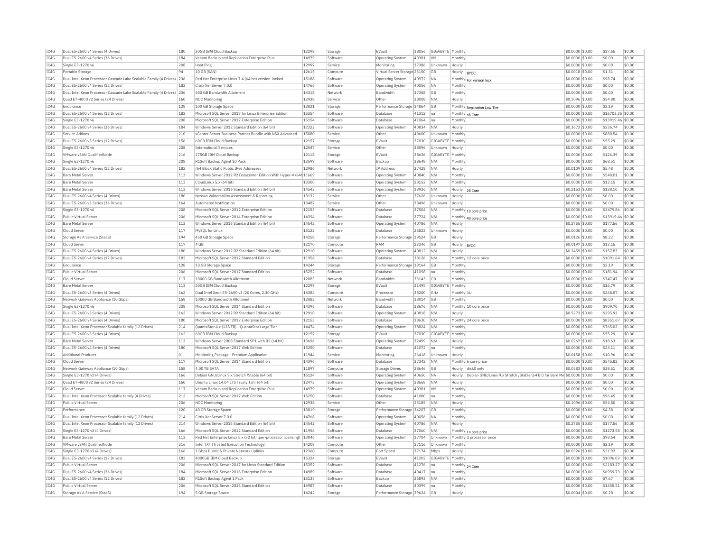| IC4G | Dual E5-2600 v4 Series (4 Drives)                                     | 180 | 30GB IBM Cloud Backup                                             | 12298 | Storage  | EVault                       | 38056 | GIGABYTE Monthly        |                                                                                     | \$0.0000 \$0.00   | \$27.65           | \$0.00 |
|------|-----------------------------------------------------------------------|-----|-------------------------------------------------------------------|-------|----------|------------------------------|-------|-------------------------|-------------------------------------------------------------------------------------|-------------------|-------------------|--------|
| IC4G | Dual E5-2600 v4 Series (36 Drives)                                    | 184 | Veeam Backup and Replication Enterprise Plus                      | 14979 | Software | Operating System             | 40381 | <b>VM</b>               | Monthly                                                                             | \$0.0000 \$0.00   | \$0.00            | \$0.00 |
| IC4G | Single E3-1270 v6                                                     | 208 | Host Ping                                                         | 12997 | Service  | Monitoring                   | 37386 | Unknown                 | Hourly                                                                              | \$0,0000 \$0.00   | \$0.00            | \$0.00 |
| IC4G | Portable Storage                                                      | 94  | 10 GB (SAN)                                                       | 12615 | Compute  | Virtual Server Storage 23150 |       | GB                      | Hourly<br>BYOC                                                                      | \$0.0018 \$0.00   | \$1.31            | \$0.00 |
| IC4G | Dual Intel Xeon Processor Cascade Lake Scalable Family (4 Drives) 236 |     | Red Hat Enterprise Linux 7.4 (64 bit) version-locked              | 15188 | Software | Operating System             | 40972 | <b>NA</b>               | Monthly<br>For version lock                                                         | \$0,0000 \$0.00   | \$98.74           | \$0.00 |
| TC4G | Dual E5-2600 v4 Series (12 Drives)                                    | 182 | Citrix XenServer 7.0.0                                            | 14766 | Software | Operating System             | 40056 | <b>NA</b>               | Monthly                                                                             | $$0.0000$ \$0.00  | \$0.00            | \$0.00 |
| IC4G | Dual Intel Xeon Processor Cascade Lake Scalable Family (4 Drives) 236 |     | 500 GB Bandwidth Allotment                                        | 14318 | Network  | Bandwidth                    | 37358 | GB                      | Monthly                                                                             | \$0.0000 \$0.00   | \$0.00            | \$0.00 |
| TCAG | Quad E7-4800 v2 Series (24 Drives)                                    | 160 | NOC Monitoring                                                    | 12938 | Service  | Other                        | 38008 | N/A                     | Hourly                                                                              | \$0.1096 \$0.00   | \$54.80           | \$0.00 |
| IC4G | Endurance                                                             | 128 | 100 GB Storage Space                                              | 13821 | Storage  | Performance Storage 34864    |       | GB                      | Monthly Replication Low Tier                                                        | \$0.0000 \$0.00   | \$2.19            | \$0.00 |
| IC4G | Dual E5-2600 v4 Series (12 Drives)                                    | 182 | Microsoft SQL Server 2017 for Linux Enterprise Edition            | 15354 | Software | Database                     | 41312 | Ina                     | Monthly 48 Core                                                                     | \$0.0000 \$0.00   | \$16703.35 \$0.00 |        |
| IC4G | Single E3-1270 v6                                                     | 208 | Microsoft SQL Server 2017 Enterprise Edition                      | 15154 | Software | Database                     | 41064 | Ina                     | Monthly                                                                             | \$0,0000 \$0.00   | \$13919.46 \$0.00 |        |
| IC4G | Dual E5-2600 v4 Series (36 Drives)                                    | 184 | Windows Server 2012 Standard Edition (64 bit)                     | 12322 | Software | <b>Operating System</b>      | 40834 | N/A                     | Hourly                                                                              | \$0,3673 \$0.00   | \$236.74          | \$0.00 |
| TC4G | Service Addons                                                        | 210 | yCenter Server Business Partner Bundle with NSX Advanced          | 15080 | Service  | Other                        | 40600 | Unknown                 | Monthly                                                                             |                   | \$880.54          | \$0.00 |
|      |                                                                       |     |                                                                   | 12157 |          |                              |       |                         |                                                                                     | \$0.0000 \$0.00   |                   |        |
| IC4G | Dual E5-2600 v3 Series (12 Drives)                                    | 156 | 60GB IBM Cloud Backup                                             |       | Storage  | EVault                       | 37030 | GIGABYTE Monthly        |                                                                                     | \$0.0000 \$0.00   | \$55.29           | \$0.00 |
| IC4G | Single E3-1270 v6                                                     | 208 | <b>International Services</b>                                     | 12547 | Service  | Other                        | 38596 | Unknown                 | Hourly                                                                              | \$0.0000 \$0.00   | \$0.00            | \$0.00 |
| IC4G | VMware vSAN QualifiedNode                                             | 216 | 175GB TBM Cloud Backup                                            | 12118 | Storage  | FVault                       | 38636 | <b>GIGARYTE</b> Monthly |                                                                                     | \$0,0000 \$0.00   | \$126.39          | \$0.00 |
| IC4G | Single E3-1270 v6                                                     | 208 | R1Soft Backup Agent 10 Pack                                       | 13597 | Software | Backup                       | 38648 | N/A                     | Monthly                                                                             | \$0,0000 \$0.00   | \$68.51           | \$0.00 |
| IC4G | Dual E5-2600 v4 Series (12 Drives)                                    | 182 | /64 Block Static Public IPv6 Addresses                            | 12986 | Network  | <b>IP Address</b>            | 37428 | N/A                     | Hourly                                                                              | \$0,0109 \$0.00   | \$5.48            | \$0.00 |
| IC4G | <b>Bare Metal Server</b>                                              | 113 | Windows Server 2012 R2 Datacenter Edition With Hyper-V (64t 11669 |       | Software | Operating System             | 40840 | N/A                     | Monthly                                                                             | \$0.0000 \$0.00   | \$548.01          | \$0.00 |
| IC4G | <b>Bare Metal Server</b>                                              | 113 | CloudLinux 5.x (64 bit)                                           | 13300 | Software | Operating System             | 28152 | N/A                     | Monthly                                                                             | \$0.0000 \$0.00   | \$13.15           | \$0.00 |
| IC4G | <b>Bare Metal Server</b>                                              | 113 | Windows Server 2016 Standard Edition (64 bit)                     | 14542 | Software | Operating System             | 38936 | N/A                     | Hourly<br>28 Core                                                                   | $$0.2153$ \$0.00  | \$138.10          | \$0.00 |
| IC4G | Dual E5-2600 v4 Series (4 Drives)                                     | 180 | Nessus Vulnerability Assessment & Reporting                       | 13132 | Service  | Other                        | 37626 | Unknown                 | Hourly                                                                              | \$0.0000 \$0.00   | \$0.00            | \$0.00 |
| IC4G | Dual E5-2600 v3 Series (36 Drives)                                    | 164 | <b>Automated Notification</b>                                     | 13487 | Service  | Other                        | 38496 | Unknown                 | Hourly                                                                              | \$0.0000 \$0.00   | \$0.00            | \$0.00 |
| IC4G | Single E3-1270 v6                                                     | 208 | Microsoft SQL Server 2012 Enterprise Edition                      | 12153 | Software | Database                     | 37504 | N/A                     | Monthly 10 core price                                                               | \$0,0000 \$0.00   | \$3479.86         | \$0.00 |
| IC4G | Public Virtual Server                                                 | 206 | Microsoft SQL Server 2014 Enterprise Edition                      | 14394 | Software | Database                     | 37724 | N/A                     | Monthly 40 core price                                                               | \$0.0000 \$0.00   | \$13919.46        | \$0.00 |
| IC4G | <b>Bare Metal Server</b>                                              | 113 | Windows Server 2016 Standard Edition (64 bit)                     | 14542 | Software | Operating System             | 40786 | N/A                     | Hourly                                                                              | \$0.2755 \$0.00   | \$177.56          | \$0.00 |
| IC4G | Cloud Server                                                          | 117 | MySOL for Linux                                                   | 13122 | Software | Database                     | 26822 | Unknown                 | Hourly                                                                              | \$0.0000 \$0.00   | \$0.00            | \$0.00 |
| TC4G | Storage As A Service (StaaS)                                          | 194 | 450 GB Storage Space                                              | 14258 | Storage  | Performance Storage 39524    |       | GB                      | Hourly                                                                              | \$0,0126 \$0.00   | \$8.22            | \$0.00 |
| IC4G | Cloud Server                                                          | 117 | 4 GB                                                              | 12170 | Compute  | RAM                          | 23246 | <b>GB</b>               | Hourly                                                                              | \$0.0197 \$0.00   | \$13.15           | \$0.00 |
| IC4G | Dual E5-2600 v4 Series (4 Drives)                                     | 180 | Windows Server 2012 R2 Standard Edition (64 bit                   | 12910 | Software | Operating System             | 40812 | N/A                     | <b>BYOC</b><br>Hourly                                                               | \$0.2459 \$0.00   | \$157.83          | \$0.00 |
| TC4G | Dual E5-2600 v4 Series (12 Drives)                                    | 182 | Microsoft SOL Server 2012 Standard Edition                        | 11956 | Software | Database                     | 38126 | N/A                     | Monthly 12 core price                                                               | \$0,0000 \$0.00   | \$1091.64         | \$0.00 |
| IC4G | Endurance                                                             | 128 | 10 GB Storage Space                                               | 14244 |          | Performance Storage 39164    |       | GB                      | Monthly                                                                             | \$0,0000 \$0.00   | \$2.19            | \$0.00 |
|      |                                                                       |     |                                                                   |       | Storage  |                              |       |                         |                                                                                     |                   |                   |        |
| IC4G | Public Virtual Server                                                 | 206 | Microsoft SOL Server 2017 Standard Edition                        | 15252 | Software | Database                     | 41098 | Ina                     | Monthly                                                                             | \$0,0000 \$0.00   | \$181.94          | \$0.00 |
| IC4G | Cloud Server                                                          | 117 | 10000 GB Bandwidth Allotment                                      | 12083 | Network  | Bandwidth                    | 33143 | GB                      | Monthly                                                                             | \$0.0000 \$0.00   | \$747.47          | \$0.00 |
| IC4G | <b>Bare Metal Server</b>                                              | 113 | 20GB IBM Cloud Backup                                             | 12299 | Storage  | EVault                       | 21495 | GIGABYTE                | Monthly                                                                             | \$0.0000 \$0.00   | \$16.79           | \$0.00 |
| TC4G | Dual E5-2600 v3 Series (4 Drives)                                     | 162 | Dual Intel Xeon E5-2650 v3 (20 Cores, 2.30 GHz)                   | 14384 | Compute  | Processor                    | 38200 | GHz                     | Monthly 1U                                                                          | $$0.0000$ \$0.00  | \$268.57          | \$0.00 |
| IC4G | Network Gateway Appliance (10 Gbps)                                   | 158 | 10000 GB Bandwidth Allotment                                      | 12083 | Network  | Bandwidth                    | 38014 | GB                      | Monthly                                                                             | \$0.0000 \$0.00   | \$0.00            | \$0.00 |
| IC4G | Single E3-1270 v6                                                     | 208 | Microsoft SOL Server 2014 Standard Edition                        | 14396 | Software | Database                     | 38676 | N/A                     | Monthly 10 core price                                                               | \$0.0000 \$0.00   | \$909.70          | \$0.00 |
| IC4G | Dual E5-2600 v3 Series (4 Drives)                                     | 162 | Windows Server 2012 R2 Standard Edition (64 bit)                  | 12910 | Software | Operating System             | 40818 | N/A                     | Hourly                                                                              | \$0.5273 \$0.00   | \$295.93          | \$0.00 |
| IC4G | Dual E5-2600 v4 Series (4 Drives)                                     | 180 | Microsoft SQL Server 2012 Enterprise Edition                      | 12153 | Software | Database                     | 38630 | N/A                     | Monthly 24 core price                                                               | \$0.0000 \$0.00   | \$8351.67         | \$0.00 |
| TC4G | Dual Intel Xeon Processor Scalable family (12 Drives)                 | 214 | OuantaStor 4.x (128 TB) - OuantaStor Large Tier                   | 14474 | Software | <b>Operating System</b>      | 38824 | N/A                     | Monthly                                                                             | \$0,0000 \$0.00   | \$765.02          | \$0.00 |
| IC4G | Dual E5-2600 v3 Series (4 Drives                                      | 162 | 60GB IBM Cloud Backup                                             | 12157 | Storage  | EVault                       | 37030 | GIGABYTI                | Monthly                                                                             | \$0,0000 \$0.00   | \$55.29           | \$0.00 |
| IC4G | Bare Metal Server                                                     | 113 | Windows Server 2008 Standard SP1 with R2 (64 bit)                 | 13696 | Software | Operating System             | 32499 | N/A                     | Hourly                                                                              | \$0,0267 \$0,00   | \$18.63           | \$0.00 |
| IC4G | Dual E5-2600 v4 Series (4 Drives)                                     | 180 | Microsoft SQL Server 2017 Web Edition                             | 15250 | Software | Database                     | 41072 | na                      | Monthly                                                                             | \$0.0000 \$0.00   | \$24.11           | \$0.00 |
| IC4G | <b>Additional Products</b>                                            | O   | Monitoring Package - Premium Application                          | 11944 | Service  | Monitoring                   | 26418 | Unknown                 | Hourly                                                                              | \$0,0158 \$0.00   | \$10.96           | \$0.00 |
| TC4G | Cloud Server                                                          | 117 | Microsoft SOL Server 2014 Standard Edition                        | 14396 | Software | Database                     | 37342 | N/A                     | Monthly 6 core price                                                                | \$0.0000 \$0.00   | \$545.82          | \$0.00 |
| IC4G | Network Gateway Appliance (10 Gbps)                                   | 158 | 4.00 TR SATA                                                      | 11897 | Compute  | Storage Drives               | 38646 | GB                      | disk0 only<br>Hourly                                                                | $$0.0583$ \$0.00  | \$38.51           | \$0.00 |
| IC4G | Single E3-1270 v3 (4 Drives)                                          | 166 | Debian GNU/Linux 9.x Stretch /Stable (64 bit)                     | 15124 | Software | Operating System             | 40650 | <b>NA</b>               | Hourly<br>Debian GNU/Linux 9.x Stretch /Stable (64 bit) for Bare Me \$0,0000 \$0.00 |                   | \$0.00            | \$0.00 |
| TC4G | Quad E7-4800 v2 Series (24 Drives)                                    | 160 | Ubuntu Linux 14.04 LTS Trusty Tahr (64 bit)                       | 12473 | Software | <b>Operating System</b>      | 38668 | N/A                     | Hourly                                                                              | $$0.0000$ \$0.00  | \$0.00            | \$0.00 |
| IC4G | Cloud Server                                                          | 117 | Veeam Backup and Replication Enterprise Plus                      | 14979 | Software | <b>Operating System</b>      | 40381 | VM                      | Monthly                                                                             | \$0.0000 \$0.00   | \$0.00            | \$0.00 |
| TC4G | Dual Intel Xeon Processor Scalable family (4 Drives)                  | 212 | Microsoft SQL Server 2017 Web Edition                             | 15250 | Software | Database                     | 41080 | lna.                    | Monthly                                                                             | $$0.0000$ \$0.00  | \$96.45           | \$0.00 |
| IC4G | Public Virtual Server                                                 | 206 | NOC Monitoring                                                    | 12938 | Service  | Other                        | 25185 | N/A                     |                                                                                     |                   | \$54.80           | \$0.00 |
|      | Performance                                                           | 120 |                                                                   | 13819 |          |                              |       | <b>GB</b>               | Hourly                                                                              | \$0.1096 \$0.00   |                   | \$0.00 |
| IC4G |                                                                       |     | 40 GB Storage Space                                               |       | Storage  | Performance Storage 34207    |       |                         | Monthly                                                                             | \$0.0000 \$0.00   | \$4.38            |        |
| IC4G | Dual Intel Xeon Processor Scalable family (12 Drives)                 | 214 | Citrix XenServer 7.0.0                                            | 14766 | Software | Operating System             | 40056 | <b>NA</b>               | Monthly                                                                             | \$0.0000 \$0.00   | \$0.00            | \$0.00 |
| IC4G | Dual Intel Xeon Processor Scalable family (12 Drives)                 | 214 | Windows Server 2016 Standard Edition (64 bit)                     | 14542 | Software | <b>Operating System</b>      | 40786 | N/A                     | Hourly                                                                              | \$0.2755 \$0.00   | \$177.56          | \$0.00 |
| IC4G | Single E3-1270 v3 (4 Drives)                                          | 166 | Microsoft SOL Server 2012 Standard Edition                        | 11956 | Software | Database                     | 37060 | N/A                     | Monthly 14 core price                                                               | \$0,0000 \$0.00   | \$1273.58         | \$0.00 |
| IC4G | <b>Bare Metal Server</b>                                              | 113 | Red Hat Enterprise Linux 5.x (32 bit) (per-processor licensing)   | 13046 | Software | Operating System             | 37704 | Unknown                 | Monthly 2 processor price                                                           | \$0,0000 \$0.00   | \$98.64           | \$0.00 |
| IC4G | VMware vSAN OualifiedNode                                             | 216 | Intel TXT (Trusted Execution Technology)                          | 14208 | Compute  | Other                        | 37116 | Unknown                 | Monthly                                                                             | \$0,0000 \$0.00   | \$2.19            | \$0.00 |
| IC4G | Single E3-1270 v3 (4 Drives)                                          | 166 | 1 Gbps Public & Private Network Uplinks                           | 12360 | Compute  | Port Speed                   | 37174 | Mbps                    | Hourly                                                                              | \$0.0326 \$0.00   | \$21.92           | \$0.00 |
| IC4G | Dual E5-2600 v4 Series (12 Drives)                                    | 182 | 4000GB IBM Cloud Backup                                           | 15324 | Storage  | EVault                       | 41202 | GIGABYTE                | Monthly                                                                             | \$0.0000 \$0.00   | \$1096.02         | \$0.00 |
| TC4G | Public Virtual Server                                                 | 206 | Microsoft SOL Server 2017 for Linux Standard Edition              | 15352 | Software | Database                     | 41276 | na.                     | Monthly 24 Core                                                                     | $$0.0000$ \$0.00  | \$2183.27         | \$0.00 |
| TCAG | Dual E5-2600 v4 Series (36 Drives)                                    | 184 | Microsoft SQL Server 2016 Enterprise Edition                      | 14989 | Software | Database                     | 40417 | Ina                     | Monthly                                                                             | \$0.0000 \$0.00   | \$6959.73         | \$0.00 |
| IC4G | Dual E5-2600 v4 Series (12 Drives)                                    | 182 | R1Soft Backup Agent 1 Pack                                        | 13135 | Software | Backun                       | 26893 | N/A                     | Monthly                                                                             | $$0.0000$ \$0.00  | \$7.67            | \$0.00 |
| IC4G | Public Virtual Server                                                 | 206 | Microsoft SQL Server 2016 Standard Edition                        | 14987 | Software | Database                     | 40399 | lna                     | Monthly                                                                             | $$0.0000$ \$0.00  | \$1455.51         | \$0.00 |
| IC4G | Storage As A Service (StaaS)                                          | 194 | 5 GB Storage Space                                                | 14242 | Storage  | Performance Storage 39624    |       | GB                      | Hourly                                                                              | $$0.0004$$ \$0.00 | \$0.28            | \$0.00 |
|      |                                                                       |     |                                                                   |       |          |                              |       |                         |                                                                                     |                   |                   |        |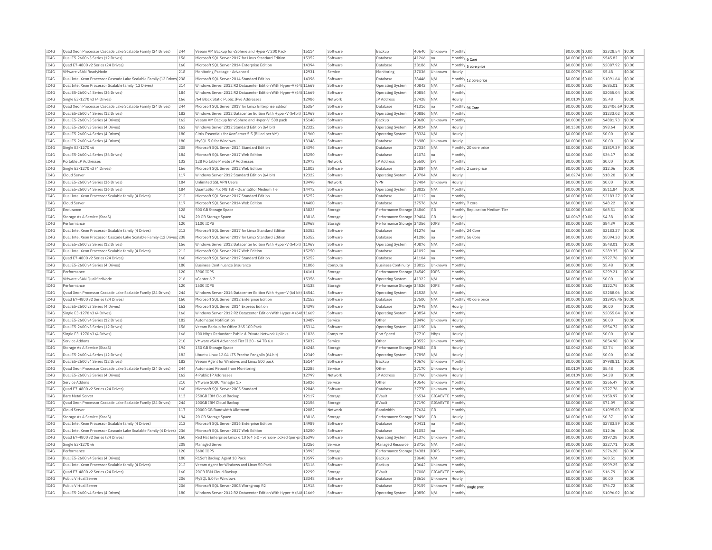| IC4G | Quad Xeon Processor Cascade Lake Scalable Family (24 Drives)           | 244 | Veeam VM Backup for vSphere and Hyper-V 200 Pack                       | 15114 | Software | Backup                     | 40640 | Unknown<br>Monthly        |                                 | \$0.0000 \$0.00  | \$3328.54         | \$0.00 |
|------|------------------------------------------------------------------------|-----|------------------------------------------------------------------------|-------|----------|----------------------------|-------|---------------------------|---------------------------------|------------------|-------------------|--------|
| IC4G | Dual E5-2600 v3 Series (12 Drives)                                     | 156 | Microsoft SOL Server 2017 for Linux Standard Edition                   | 15352 | Software | Database                   | 41266 | na                        | Monthly 6 Core                  | \$0.0000 \$0.00  | \$545.82          | \$0.00 |
| IC4G | Ouad E7-4800 v2 Series (24 Drives)                                     | 160 | Microsoft SQL Server 2014 Enterprise Edition                           | 14394 | Software | Database                   | 38186 | N/A                       | Monthly 5 core price            | \$0.0000 \$0.00  | \$2087.92         | \$0.00 |
| IC4G | VMware vSAN ReadvNode                                                  | 218 | Monitoring Package - Advanced                                          | 12931 | Service  | Monitoring                 | 37036 | Unknown<br>Hourly         |                                 | \$0,0079 \$0,00  | \$5.48            | \$0.00 |
| IC4G | Dual Intel Xeon Processor Cascade Lake Scalable Family (12 Drives) 238 |     | Microsoft SQL Server 2014 Standard Edition                             | 14396 | Software | Database                   | 38446 | $N/\beta$                 | Monthly 12 core price           | \$0.0000 \$0.00  | \$1091.64         | \$0.00 |
| IC4G | Dual Intel Xeon Processor Scalable family (12 Drives)                  | 214 | Windows Server 2012 R2 Datacenter Edition With Hyper-V (64t 11669      |       | Software | <b>Operating System</b>    | 40842 | N/A<br>Monthly            |                                 | \$0.0000 \$0.00  | \$685.01          | \$0.00 |
| IC4G | Dual E5-2600 v4 Series (36 Drives)                                     | 184 | Windows Server 2012 R2 Datacenter Edition With Hyper-V (64t 11669      |       | Software | Operating System           | 40854 | N/A<br>Monthly            |                                 | \$0,0000 \$0.00  | \$2055.04         | \$0.00 |
| IC4G | Single E3-1270 v3 (4 Drives)                                           | 166 | /64 Block Static Public IPv6 Addresses                                 | 12986 | Network  | IP Address                 | 37428 | N/A<br>Hourly             |                                 | \$0,0109 \$0.00  | \$5.48            | \$0.00 |
| TC4G |                                                                        | 244 | Microsoft SOL Server 2017 for Linux Enterprise Edition                 | 15354 |          |                            | 41316 |                           |                                 |                  | \$33406.69 \$0.00 |        |
|      | Ouad Xeon Processor Cascade Lake Scalable Family (24 Drives)           |     |                                                                        |       | Software | Database                   |       | na                        | Monthly 96 Core                 | \$0,0000 \$0,00  |                   |        |
| IC4G | Dual E5-2600 v4 Series (12 Drives)                                     | 182 | Windows Server 2012 Datacenter Edition With Hyper-V (64bit) 11969      |       | Software | Operating System           | 40886 | Monthly<br>N/A            |                                 | \$0.0000 \$0.00  | \$1233.02         | \$0.00 |
| IC4G | Dual E5-2600 v3 Series (4 Drives)                                      | 162 | Veeam VM Backup for vSphere and Hyper-V 500 pack                       | 15148 | Software | Backup                     | 40680 | Unknown<br>Monthly        |                                 | \$0.0000 \$0.00  | \$4881.73         | \$0.00 |
| TCAG | Dual E5-2600 v3 Series (4 Drives)                                      | 162 | Windows Server 2012 Standard Edition (64 bit)                          | 12322 | Software | Operating System           | 40824 | N/A<br>Hourly             |                                 | \$0.1530 \$0.00  | \$98.64           | \$0.00 |
| IC4G | Dual E5-2600 v4 Series (4 Drives                                       | 180 | Citrix Essentials for XenServer 5.5 (Billed per VM                     | 11960 | Software | Operating System           | 38324 | $N/\beta$<br>Hourly       |                                 | \$0,0000 \$0.00  | \$0.00            | \$0.00 |
| IC4G | Dual E5-2600 v4 Series (4 Drives)                                      | 180 | MySOL 5.0 for Windows                                                  | 13348 | Software | Database                   | 36980 | Unknown<br>Hourly         |                                 | \$0.0000 \$0.00  | \$0.00            | \$0.00 |
| IC4G | Single E3-1270 v6                                                      | 208 | Microsoft SQL Server 2014 Standard Edition                             | 14396 | Software | Database                   | 37334 | N/A                       | Monthly 20 core price           | \$0.0000 \$0.00  | \$1819.39         | \$0.00 |
| IC4G | Dual E5-2600 v4 Series (36 Drives)                                     | 184 | Microsoft SQL Server 2017 Web Edition                                  | 15250 | Software | Database                   | 41074 | Monthly<br>na             |                                 | \$0,0000 \$0.00  | \$36.17           | \$0.00 |
| IC4G | Portable IP Addresses                                                  | 132 | 128 Portable Private IP Addresses                                      | 12973 | Network  | <b>TP Address</b>          | 25500 | <b>IPs</b><br>Monthly     |                                 | \$0,0000 \$0.00  | \$0.00            | 50.00  |
| IC4G | Single E3-1270 v3 (4 Drives)                                           | 166 | Microsoft SQL Server 2012 Web Edition                                  | 11803 | Software | Database                   | 37884 | N/A                       | Monthly 2 core price            | \$0.0000 \$0.00  | \$12.06           | \$0.00 |
| IC4G | Cloud Server                                                           | 117 | Windows Server 2012 Standard Edition (64 bit)                          | 12322 | Software | Operating System           | 40704 | N/A<br>Hourly             |                                 | \$0,0274 \$0,00  | \$18.20           | \$0.00 |
| TC4G | Dual E5-2600 v4 Series (36 Drives)                                     | 184 | <b>Unlimited SSL VPN Users</b>                                         | 13498 | Network  | VPN                        | 37404 | Unknown<br>Hourly         |                                 | \$0,0000 \$0.00  | \$0.00            | \$0.00 |
| IC4G | Dual E5-2600 v4 Series (36 Drives)                                     | 184 | QuantaStor 4.x (48 TB) - QuantaStor Medium Tier                        | 14472 | Software | Operating System           | 38822 | N/A<br>Monthly            |                                 | \$0.0000 \$0.00  | \$511.84          | \$0.00 |
|      |                                                                        |     |                                                                        |       |          |                            |       |                           |                                 |                  |                   |        |
| IC4G | Dual Intel Xeon Processor Scalable family (4 Drives)                   | 212 | Microsoft SOL Server 2017 Standard Edition                             | 15252 | Software | Database                   | 41112 | Ina<br>Monthly            |                                 | \$0,0000 \$0.00  | \$2183.27         | \$0.00 |
| IC4G | Cloud Server                                                           | 117 | Microsoft SQL Server 2014 Web Edition                                  | 14400 | Software | Database                   | 37576 | N/A                       | Monthly 7 core                  | \$0.0000 \$0.00  | \$48.22           | \$0.00 |
| IC4G | Endurance                                                              | 128 | 500 GB Storage Space                                                   | 13823 | Storage  | Performance Storage 34860  |       | GB                        | Monthly Replication Medium Tier | \$0.0000 \$0.00  | \$68.51           | \$0.00 |
| TCAG | Storage As A Service (StaaS)                                           | 194 | 20 GB Storage Space                                                    | 13818 | Storage  | Performance Storage 39404  |       | GB<br>Hourly              |                                 | $$0.0067$ \$0.00 | \$4.38            | \$0.00 |
| IC4G | Performance                                                            | 120 | 1100 IOPS                                                              | 13968 | Storage  | Performance Storage 34356  |       | <b>IOPS</b><br>Monthly    |                                 | \$0,0000 \$0.00  | \$84.39           | \$0.00 |
| IC4G | Dual Intel Xeon Processor Scalable family (4 Drives)                   | 212 | Microsoft SOL Server 2017 for Linux Standard Edition                   | 15352 | Software | Database                   | 41276 | na                        | Monthly 24 Core                 | \$0.0000 \$0.00  | \$2183.27         | \$0.00 |
| IC4G | Dual Intel Xeon Processor Cascade Lake Scalable Family (12 Drives) 238 |     | Microsoft SQL Server 2017 for Linux Standard Edition                   | 15352 | Software | Database                   | 41286 | na                        | Monthly 56 Core                 | \$0.0000 \$0.00  | \$5094.30         | \$0.00 |
| IC4G | Dual E5-2600 v3 Series (12 Drives)                                     | 156 | Windows Server 2012 Datacenter Edition With Hyper-V (64bit) 11969      |       | Software | <b>Operating System</b>    | 40876 | N/A<br>Monthly            |                                 | \$0.0000 \$0.00  | \$548.01          | \$0.00 |
| TC4G | Dual Intel Xeon Processor Scalable family (4 Drives)                   | 212 | Microsoft SOL Server 2017 Web Edition                                  | 15250 | Software | Database                   | 41092 | Monthly<br>na             |                                 | $$0.0000$ \$0.00 | \$289.35          | \$0.00 |
| IC4G | Ouad E7-4800 v2 Series (24 Drives)                                     | 160 | Microsoft SOL Server 2017 Standard Edition                             | 15252 | Software | Database                   | 41104 | Monthly<br>na             |                                 | \$0.0000 \$0.00  | \$727.76          | \$0.00 |
| IC4G | Dual E5-2600 v4 Series (4 Drives)                                      | 180 | <b>Business Continuance Insurance</b>                                  | 11806 | Compute  | <b>Business Continuity</b> | 38012 | Unknown<br>Monthly        |                                 | \$0.0000 \$0.00  | \$5.48            | \$0.00 |
| IC4G |                                                                        | 120 | 3900 IOPS                                                              | 14161 | Storage  | Performance Storage 34549  |       | IOPS                      |                                 | \$0,0000 \$0.00  | \$299.21          | \$0.00 |
|      | Performance                                                            |     |                                                                        |       |          |                            |       | Monthly                   |                                 |                  |                   |        |
| IC4G | VMware vSAN QualifiedNode                                              | 216 | vCenter 6.7                                                            | 15356 | Software | <b>Operating System</b>    | 41322 | Monthly<br>N/A            |                                 | \$0.0000 \$0.00  | \$0.00            | \$0.00 |
| IC4G | Performance                                                            | 120 | 1600 TOPS                                                              | 14138 | Storage  | Performance Storage 34526  |       | <b>TOPS</b><br>Monthly    |                                 | \$0,0000 \$0,00  | \$122.75          | \$0.00 |
| IC4G | Quad Xeon Processor Cascade Lake Scalable Family (24 Drives)           | 244 | Windows Server 2016 Datacenter Edition With Hyper-V (64 bit) 14544     |       | Software | <b>Operating System</b>    | 41528 | N/A<br>Monthly            |                                 | \$0.0000 \$0.00  | \$3288.06         | \$0.00 |
| IC4G | Ouad E7-4800 v2 Series (24 Drives)                                     | 160 | Microsoft SOL Server 2012 Enterprise Edition                           | 12153 | Software | Database                   | 37500 | N/A                       | Monthly 40 core price           | \$0.0000 \$0.00  | \$13919.46 \$0.00 |        |
| IC4G | Dual E5-2600 v3 Series (4 Drives)                                      | 162 | Microsoft SOL Server 2014 Express Edition                              | 14398 | Software | Database                   | 37948 | N/A<br>Hourly             |                                 | \$0,0000 \$0.00  | \$0.00            | \$0.00 |
| IC4G | Single E3-1270 v3 (4 Drives)                                           | 166 | Windows Server 2012 R2 Datacenter Edition With Hyper-V (64t 11669      |       | Software | <b>Operating System</b>    | 40854 | N/A<br>Monthly            |                                 | \$0.0000 \$0.00  | \$2055.04         | \$0.00 |
| IC4G | Dual E5-2600 v4 Series (12 Drives                                      | 182 | Automated Notification                                                 | 13487 | Service  | Other                      | 38496 | Unknown<br>Hourly         |                                 | \$0,0000 \$0,00  | \$0.00            | \$0.00 |
| IC4G | Dual E5-2600 v3 Series (12 Drives)                                     | 156 | Veeam Backup for Office 365 100 Pack                                   | 15314 | Software | Operating System           | 41190 | Monthly<br><b>NA</b>      |                                 | \$0.0000 \$0.00  | \$554.72          | \$0.00 |
| IC4G | Single E3-1270 v3 (4 Drives)                                           | 166 | 100 Mbps Redundant Public & Private Network Uplinks                    | 11826 | Compute  | Port Speed                 | 37710 | Mbps<br>Hourly            |                                 | \$0.0000 \$0.00  | \$0.00            | \$0.00 |
| IC4G | Service Addons                                                         | 210 | VMware vSAN Advanced Tier II 20 - 64 TB 6.x                            | 15032 | Service  | Other                      | 40552 | Unknown<br>Monthly        |                                 | \$0,0000 \$0,00  | \$854.90          | \$0.00 |
| IC4G | Storage As A Service (StaaS)                                           | 194 | 150 GB Storage Space                                                   | 14248 | Storage  | Performance Storage 39484  |       | GB<br>Hourly              |                                 | \$0,0042 \$0,00  | \$2.74            | \$0.00 |
| IC4G | Dual E5-2600 v4 Series (12 Drives)                                     | 182 |                                                                        | 12349 | Software |                            | 37898 | N/A                       |                                 | \$0,0000 \$0.00  | \$0.00            | \$0.00 |
|      |                                                                        |     | Ubuntu Linux 12.04 LTS Precise Pangolin (64 bit)                       |       |          | Operating System           |       | Hourly                    |                                 |                  |                   |        |
| IC4G | Dual E5-2600 v4 Series (12 Drives)                                     | 182 | Veeam Agent for Windows and Linux 500 pack                             | 15144 | Software | Backup                     | 40676 | Monthly<br>Unknown        |                                 | \$0,0000 \$0.00  | \$7988.11         | \$0.00 |
| IC4G | Ouad Xeon Processor Cascade Lake Scalable Family (24 Drives)           | 244 | Automated Reboot from Monitoring                                       | 12285 | Service  | Other                      | 37170 | Jnknown<br>Hourly         |                                 | \$0,0109 \$0,00  | \$5.48            | \$0.00 |
| TC4G | Dual E5-2600 v3 Series (4 Drives)                                      | 162 | 4 Public IP Addresses                                                  | 12799 | Network  | <b>TP Address</b>          | 37760 | Unknown<br>Hourly         |                                 | \$0,0109 \$0,00  | \$4.38            | \$0.00 |
| IC4G | Service Addons                                                         | 210 | VMware SDDC Manager 1.x                                                | 15026 | Service  | Other                      | 40546 | Unknown<br>Monthly        |                                 | \$0.0000 \$0.00  | \$256.47          | \$0.00 |
| IC4G | Ouad E7-4800 v2 Series (24 Drives)                                     | 160 | Microsoft SOL Server 2005 Standard                                     | 12846 | Software | Database                   | 37770 | Unknown<br>Monthly        |                                 | \$0,0000 \$0.00  | \$727.76          | \$0.00 |
| IC4G | <b>Bare Metal Server</b>                                               | 113 | 250GB IBM Cloud Backup                                                 | 12117 | Storage  | FVault                     | 26534 | GIGABYTE Monthly          |                                 | \$0.0000 \$0.00  | \$158.97          | \$0.00 |
| IC4G | Ouad Xeon Processor Cascade Lake Scalable Family (24 Drives)           | 244 | 100GB IBM Cloud Backup                                                 | 12156 | Storage  | EVault                     | 37190 | GIGABYTE Monthly          |                                 | \$0,0000 \$0.00  | \$71.09           | \$0.00 |
| TC4G | Cloud Server                                                           | 117 | 20000 GB Bandwidth Allotment                                           | 12082 | Network  | <b>Bandwidth</b>           | 37624 | GB<br>Monthly             |                                 | \$0,0000 \$0.00  | \$1095.03         | \$0.00 |
| IC4G | Storage As A Service (StaaS)                                           | 194 | 20 GB Storage Space                                                    | 13818 | Storage  | Performance Storage 39496  |       | GB<br>Hourly              |                                 | \$0.0006 \$0.00  | \$0.37            | \$0.00 |
| IC4G | Dual Intel Xeon Processor Scalable family (4 Drives)                   | 212 | Microsoft SOL Server 2016 Enterprise Edition                           | 14989 | Software | Database                   | 40411 | Monthly<br>Ina            |                                 | \$0,0000 \$0.00  | \$2783.89         | \$0.00 |
| IC4G | Dual Intel Xeon Processor Cascade Lake Scalable Family (4 Drives) 236  |     | Microsoft SOL Server 2017 Web Edition                                  | 15250 | Software | Database                   | 41052 | Monthly<br>Ina            |                                 | \$0,0000 \$0.00  | \$12.06           | \$0.00 |
| IC4G | Quad E7-4800 v2 Series (24 Drives)                                     | 160 | Red Hat Enterprise Linux 6.10 (64 bit) - version-locked (per-prc 15398 |       | Software | Operating System           | 41376 | Unknown<br>Monthly        |                                 | \$0,0000 \$0.00  | \$197.28          | \$0.00 |
|      |                                                                        | 208 |                                                                        |       |          |                            |       |                           |                                 |                  |                   | \$0.00 |
| IC4G | Single E3-1270 v6                                                      |     | Managed Server                                                         | 13256 | Service  | Managed Resource           | 38716 | N/A<br>Monthly            |                                 | \$0,0000 \$0.00  | \$327.71          |        |
| IC4G | Performance                                                            | 120 | 3600 TOPS                                                              | 13993 | Storage  | Performance Storage 34381  |       | TOPS<br>Monthly           |                                 | \$0.0000 \$0.00  | \$276.20          | \$0.00 |
| IC4G | Dual E5-2600 v4 Series (4 Drives)                                      | 180 | R1Soft Backup Agent 10 Pack                                            | 13597 | Software | Backup                     | 38648 | Monthly<br>N/A            |                                 | \$0.0000 \$0.00  | \$68.51           | \$0.00 |
| TC4G | Dual Intel Xeon Processor Scalable family (4 Drives)                   | 212 | Veeam Agent for Windows and Linux 50 Pack                              | 15116 | Software | <b>Backup</b>              | 40642 | Unknown<br>Monthly        |                                 | $$0.0000$ \$0.00 | \$999.25          | \$0.00 |
| TCAG | Quad E7-4800 v2 Series (24 Drives)                                     | 160 | 20GB IBM Cloud Backup                                                  | 12299 | Storage  | FVault                     | 37008 | GIGARYTE<br>Monthly       |                                 | \$0.0000 \$0.00  | \$16.79           | \$0.00 |
| IC4G | Public Virtual Server                                                  | 206 | MySQL 5.0 for Windows                                                  | 13348 | Software | Database                   | 28616 | <b>Linknown</b><br>Hourly |                                 | \$0,0000 \$0.00  | \$0.00            | sin nn |
| IC4G | Public Virtual Server                                                  | 206 | Microsoft SOL Server 2008 Workgroup R2                                 | 11918 | Software | Database                   | 29159 | Unknown                   | Monthly single proc             | \$0,0000 \$0,00  | \$76.72           | \$0.00 |
| IC4G | Dual E5-2600 v4 Series (4 Drives)                                      | 180 | Windows Server 2012 R2 Datacenter Edition With Hyper-V (64t 11669      |       | Software | <b>Operating System</b>    | 40850 | N/A<br>Monthly            |                                 | \$0.0000 \$0.00  | \$1096.02         | \$0.00 |
|      |                                                                        |     |                                                                        |       |          |                            |       |                           |                                 |                  |                   |        |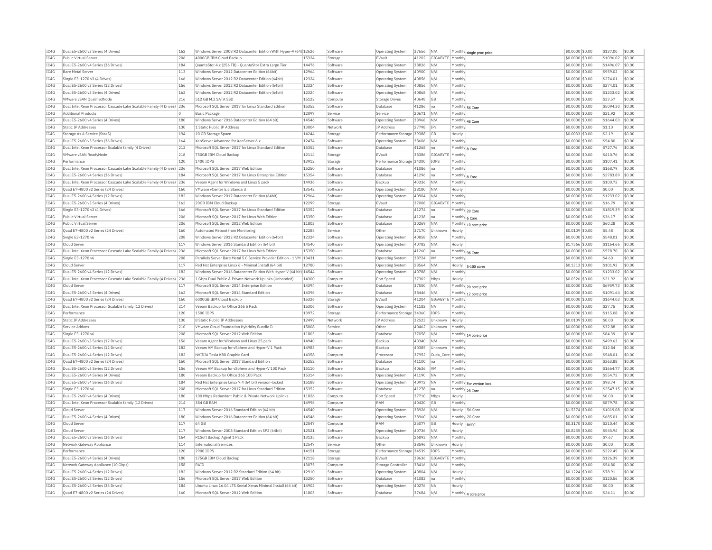| IC4G         | Dual E5-2600 v3 Series (4 Drives)                                     | 162        | Windows Server 2008 R2 Datacenter Edition With Hyper-V (64t 12626  |       | Software             | <b>Operating System</b>   | 37656 | N/A                             |                 | Monthly single proc price | \$0.0000 \$0.00  | \$137.00  | \$0.00     |
|--------------|-----------------------------------------------------------------------|------------|--------------------------------------------------------------------|-------|----------------------|---------------------------|-------|---------------------------------|-----------------|---------------------------|------------------|-----------|------------|
| TC4G         | Public Virtual Server                                                 | 206        | 4000GB IBM Cloud Backup                                            | 15324 | Storage              | FVault                    | 41202 | GIGABYTE Monthly                |                 |                           | \$0,0000 \$0,00  | \$1096.02 | \$0.00     |
| IC4G         | Dual E5-2600 v4 Series (36 Drives)                                    | 184        | QuantaStor 4.x (256 TB) - QuantaStor Extra Large Tier              | 14476 | Software             | Operating System          | 38826 | N/A                             | Monthly         |                           | \$0,0000 \$0,00  | \$1496.07 | $ $ \$0.00 |
| IC4G         | Bare Metal Server                                                     | 113        | Windows Server 2012 Datacenter Edition (64bit)                     | 12964 | Software             | Operating System          | 40900 | N/A                             | Monthly         |                           | \$0,0000 \$0,00  | \$959.02  | \$0.00     |
| IC4G         | Single E3-1270 v3 (4 Drives)                                          | 166        | Windows Server 2012 R2 Datacenter Edition (64bit)                  | 12324 | Software             | <b>Operating System</b>   | 40856 | N/A                             | Monthly         |                           | \$0,0000 \$0,00  | \$274.01  | \$0.00     |
| IC4G         | Dual E5-2600 v3 Series (12 Drives)                                    | 156        | Windows Server 2012 R2 Datacenter Edition (64bit)                  | 12324 | Software             | Operating System          | 40856 | N/A                             | Monthly         |                           | \$0,0000 \$0.00  | \$274.01  | \$0.00     |
| IC4G         | Dual E5-2600 v3 Series (4 Drives)                                     | 162        | Windows Server 2012 R2 Datacenter Edition (64bit)                  | 12324 | Software             | <b>Operating System</b>   | 40868 | N/A                             | Monthly         |                           | \$0,0000 \$0,00  | \$1233.02 | \$0.00     |
| IC4G         | VMware vSAN QualifiedNode                                             | 216        | 512 GB M.2 SATA SSD                                                | 15122 | Compute              | Storage Drives            | 40648 | GB                              | Monthly         |                           | \$0.0000 \$0.00  | \$33.57   | \$0.00     |
| IC4G         | Dual Intel Xeon Processor Cascade Lake Scalable Family (4 Drives) 236 |            | Microsoft SQL Server 2017 for Linux Standard Edition               | 15352 | Software             | Database                  | 41286 | na                              |                 | Monthly 56 Core           | \$0,0000 \$0,00  | \$5094.30 | \$0.00     |
| TC4G         | <b>Additional Products</b>                                            | l n        | Basic Package                                                      | 12097 | Service              | Service                   | 20671 | N/A                             | Monthly         |                           | \$0,0000 \$0.00  | \$21.92   | \$0.00     |
| IC4G         | Dual E5-2600 v4 Series (4 Drives)                                     | 180        | Windows Server 2016 Datacenter Edition (64 bit)                    | 14546 | Software             | Operating System          | 38968 | N/A                             |                 |                           | \$0,0000 \$0,00  | \$1644.03 | \$0.00     |
| IC4G         | <b>Static IP Addresses</b>                                            | 130        | 1 Static Public IP Address                                         | 13004 | Network              | <b>TP Address</b>         | 27798 | <b>TPs</b>                      | Monthly         | Monthly 48 Core           | \$0,0000 \$0,00  | \$1.10    | \$0.00     |
| IC4G         | Storage As A Service (StaaS)                                          | 194        | 10 GB Storage Space                                                | 14244 | Storage              | Performance Storage 39388 |       | GB                              | Hourly          |                           | \$0.0033 \$0.00  | \$2.19    | \$0.00     |
| IC4G         | Dual E5-2600 v3 Series (36 Drives)                                    | 164        | XenServer Advanced for XenServer 6.x                               | 12474 | Software             | Operating System          | 38606 | N/A                             | Monthly         |                           | \$0.0000 \$0.00  | \$54.80   | \$0.00     |
| TCAG         | Dual Intel Xeon Processor Scalable family (4 Drives)                  | 212        | Microsoft SOL Server 2017 for Linux Standard Edition               | 15352 | Software             | Database                  | 41268 | lna.                            |                 |                           | $$0.0000$ \$0.00 | \$727.76  | \$0.00     |
| TC4G         |                                                                       | 218        | 750GB TBM Cloud Backup                                             | 12114 |                      | FVault                    |       |                                 | Monthly 8 Core  |                           |                  | \$410.76  | \$0.00     |
|              | VMware vSAN ReadyNode<br>Performance                                  |            | 1400 TOPS                                                          | 13912 | Storage              |                           | 38386 | GIGABYTE Monthly<br><b>TOPS</b> | Monthly         |                           | \$0.0000 \$0.00  |           | \$0.00     |
| IC4G         |                                                                       | 120        |                                                                    |       | Storage              | Performance Storage 34300 |       |                                 |                 |                           | \$0.0000 \$0.00  | \$107.41  |            |
| IC4G         | Dual Intel Xeon Processor Cascade Lake Scalable Family (4 Drives) 236 |            | Microsoft SQL Server 2017 Web Edition                              | 15250 | Software             | Database                  | 41086 | Ina                             | Monthly         |                           | \$0,0000 \$0,00  | \$168.79  | \$0.00     |
| IC4G         | Dual E5-2600 v4 Series (36 Drives)                                    | 184        | Microsoft SQL Server 2017 for Linux Enterprise Edition             | 15354 | Software             | Database                  | 41296 | na                              | Monthly 8 Core  |                           | \$0.0000 \$0.00  | \$2783.89 | \$0.00     |
| IC4G         | Dual Intel Xeon Processor Cascade Lake Scalable Family (4 Drives) 236 |            | Veeam Agent for Windows and Linux 5 pack                           | 14936 | Software             | Backup                    | 40336 | N/A                             | Monthly         |                           | \$0.0000 \$0.00  | \$100.72  | \$0.00     |
| IC4G         | Ouad E7-4800 v2 Series (24 Drives)                                    | 160        | VMware vCenter 5.5 Standard                                        | 13542 | Software             | Operating System          | 38180 | N/A                             | Hourly          |                           | \$0.0000 \$0.00  | \$0.00    | \$0.00     |
| IC4G         | Dual E5-2600 v4 Series (12 Drives)                                    | 182        | Windows Server 2012 Datacenter Edition (64bit)                     | 12964 | Software             | <b>Operating System</b>   | 40904 | N/A                             | Monthly         |                           | \$0.0000 \$0.00  | \$1233.02 | \$0.00     |
| IC4G         | Dual E5-2600 v3 Series (4 Drives)                                     | 162        | 20GB IBM Cloud Backup                                              | 12299 | Storage              | EVault                    | 37008 | GIGABYTE Monthly                |                 |                           | \$0,0000 \$0,00  | \$16.79   | \$0.00     |
| IC4G         | Single E3-1270 v3 (4 Drives)                                          | 166        | Microsoft SQL Server 2017 for Linux Standard Edition               | 15352 | Software             | Database                  | 41274 | na                              |                 | Monthly 20 Core           | \$0,0000 \$0,00  | \$1819.39 | \$0.00     |
| IC4G         | Public Virtual Server                                                 | 206        | Microsoft SOL Server 2017 for Linux Web Edition                    | 15350 | Software             | Database                  | 41238 | Ina                             | Monthly 6 Core  |                           | \$0.0000 \$0.00  | \$36.17   | \$0.00     |
| IC4G         | Public Virtual Server                                                 | 206        | Microsoft SOL Server 2012 Web Edition                              | 11803 | Software             | Database                  | 30269 | N/A                             |                 | Monthly 10 core price     | \$0.0000 \$0.00  | \$60.28   | \$0.00     |
| IC4G         | Quad E7-4800 v2 Series (24 Drives)                                    | 160        | Automated Reboot from Monitoring                                   | 12285 | Service              | Other                     | 37170 | Unknown                         | Hourly          |                           | \$0.0109 \$0.00  | \$5.48    | \$0.00     |
| IC4G         | Single E3-1270 v6                                                     | 208        | Windows Server 2012 R2 Datacenter Edition (64bit)                  | 12324 | Software             | Operating System          | 40858 | N/A                             | Monthly         |                           | \$0.0000 \$0.00  | \$548.01  | \$0.00     |
| IC4G         | Cloud Serve                                                           | 117        | Windows Server 2016 Standard Edition (64 bit)                      | 14540 | Software             | Operating System          | 40782 | N/A                             | Hourly          |                           | \$1,7566 \$0.00  | \$1164.66 | \$0.00     |
| IC4G         | Dual Intel Xeon Processor Cascade Lake Scalable Family (4 Drives) 236 |            | Microsoft SOL Server 2017 for Linux Web Edition                    | 15350 | Software             | Database                  | 41260 | Ina                             |                 | Monthly 96 Core           | \$0.0000 \$0.00  | \$578.70  | \$0.00     |
| IC4G         | Single E3-1270 v6                                                     | 208        | Parallels Server Bare Metal 5.0 Service Provider Edition - 1 VM    | 13431 | Software             | Operating System          | 38724 | <b>VM</b>                       | Monthly         |                           | \$0.0000 \$0.00  | \$4.60    | \$0.00     |
| IC4G         | Cloud Server                                                          | 117        | Red Hat Enterprise Linux 6 - Minimal Install (64 bit)              | 12780 | Software             | Operating System          | 28564 | N/A                             | Hourly          | 5-100 cores               | \$0.1313 \$0.00  | \$101.93  | \$0.00     |
| TC4G         | Dual E5-2600 v4 Series (12 Drives)                                    | 182        | Windows Server 2016 Datacenter Edition With Hyper-V (64 bit) 14544 |       | Software             | <b>Operating System</b>   | 40788 | N/A                             | Monthly         |                           | \$0,0000 \$0.00  | \$1233.02 | \$0.00     |
| IC4G         | Dual Intel Xeon Processor Cascade Lake Scalable Family (4 Drives) 236 |            | 1 Gbps Dual Public & Private Network Uplinks (Unbonded)            | 14300 | Compute              | Port Speed                | 37302 | Mbps                            | Hourly          |                           | \$0.0326 \$0.00  | \$21.92   | \$0.00     |
| IC4G         | Cloud Server                                                          | 117        | Microsoft SOL Server 2014 Enterprise Edition                       | 14394 | Software             | Database                  | 37550 | N/A                             |                 | Monthly 20 core price     | \$0,0000 \$0.00  | \$6959.73 | \$0.00     |
| IC4G         | Dual E5-2600 v3 Series (4 Drives)                                     | 162        | Microsoft SQL Server 2014 Standard Edition                         | 14396 | Software             | Database                  | 38446 | N/A                             |                 | Monthly 12 core price     | \$0.0000 \$0.00  | \$1091.64 | \$0.00     |
| IC4G         | Quad E7-4800 v2 Series (24 Drives)                                    | 160        | 6000GB IBM Cloud Backup                                            | 15326 | Storage              | EVault                    | 41204 | GIGABYTE Monthly                |                 |                           | \$0.0000 \$0.00  | \$1644.03 | \$0.00     |
| TCAG         | Dual Intel Xeon Processor Scalable family (12 Drives)                 | 214        | Veeam Backup for Office 365 5 Pack                                 | 15306 | Software             | Operating System          | 41182 | <b>NA</b>                       | Monthly         |                           | \$0,0000 \$0.00  | \$27.75   | \$0.00     |
| TC4G         | Performance                                                           | 120        | 1500 TOPS                                                          | 13972 | Storage              | Performance Storage 34360 |       | <b>TOPS</b>                     | Monthly         |                           | \$0.0000 \$0.00  | \$115.08  | \$0.00     |
| IC4G         | Static IP Addresses                                                   | 130        | 8 Static Public IP Addresses                                       | 12499 | Network              | IP Address                | 32523 | Unknown                         | Hourly          |                           | \$0.0109 \$0.00  | \$0.00    | \$0.00     |
| IC4G         | Service Addons                                                        | 210        | VMware Cloud Foundation Hybridity Bundle D                         | 15008 | Service              | Other                     | 40462 | Unknown                         | Monthly         |                           | \$0,0000 \$0.00  | \$32.88   | \$0.00     |
| IC4G         | Single E3-1270 v6                                                     | 208        | Microsoft SQL Server 2012 Web Edition                              | 11803 | Software             | Database                  | 37058 | N/A                             |                 |                           | \$0.0000 \$0.00  | \$84.39   | \$0.00     |
|              | Dual E5-2600 v3 Series (12 Drives)                                    |            |                                                                    | 14940 |                      |                           | 40340 |                                 | Monthly         | Monthly 14 core price     |                  | \$499.63  | \$0.00     |
| IC4G<br>IC4G | Dual E5-2600 v4 Series (12 Drives)                                    | 156<br>182 | Veeam Agent for Windows and Linux 25 pack                          | 14983 | Software<br>Software | Backup<br>Backup          |       | N/A<br>Unknown                  | Monthly         |                           | \$0.0000 \$0.00  | \$12.84   | \$0.00     |
|              |                                                                       |            | Veeam VM Backup for vSphere and Hyper-V 1 Pack                     |       |                      |                           | 40385 |                                 |                 |                           | \$0.0000 \$0.00  |           |            |
| IC4G         | Dual E5-2600 v4 Series (12 Drives)                                    | 182        | NVIDIA Tesla K80 Graphic Card                                      | 14358 | Compute              | Processo                  | 37952 | Cuda_Core Monthly               |                 |                           | \$0.0000 \$0.00  | \$548.01  | \$0.00     |
| IC4G         | Ouad E7-4800 v2 Series (24 Drives)                                    | 160        | Microsoft SOL Server 2017 Standard Edition                         | 15252 | Software             | Database                  | 41100 | Ina                             | Monthly         |                           | \$0,0000 \$0.00  | \$363.88  | \$0.00     |
| IC4G         | Dual E5-2600 v3 Series (12 Drives)                                    | 156        | Veeam VM Backup for vSphere and Hyper-V 100 Pack                   | 15110 | Software             | Backup                    | 40636 | <b>VM</b>                       | Monthly         |                           | \$0,0000 \$0.00  | \$1664.77 | \$0.00     |
| IC4G         | Dual E5-2600 v4 Series (4 Drives)                                     | 180        | Veeam Backup for Office 365 100 Pack                               | 15314 | Software             | <b>Operating System</b>   | 41190 | <b>NA</b>                       | Monthly         |                           | \$0,0000 \$0,00  | \$554.72  | \$0.00     |
| IC4G         | Dual E5-2600 v4 Series (36 Drives)                                    | 184        | Red Hat Enterprise Linux 7.4 (64 bit) version-locked               | 15188 | Software             | Operating System          | 40972 | <b>NA</b>                       |                 | Monthly For version lock  | \$0,0000 \$0.00  | \$98.74   | \$0.00     |
| IC4G         | Single E3-1270 v6                                                     | 208        | Microsoft SQL Server 2017 for Linux Standard Edition               | 15352 | Software             | Database                  | 41278 | na                              | Monthly 28 Core |                           | \$0.0000 \$0.00  | \$2547.15 | \$0.00     |
| IC4G         | Dual E5-2600 v4 Series (4 Drives)                                     | 180        | 100 Mbps Redundant Public & Private Network Uplinks                | 11826 | Compute              | Port Speed                | 37710 | Mbps                            | Hourly          |                           | \$0,0000 \$0.00  | \$0.00    | \$0.00     |
| IC4G         | Dual Intel Xeon Processor Scalable family (12 Drives)                 | 214        | 384 GB RAM                                                         | 14996 | Compute              | RAM                       | 40420 | GB                              | Monthly         |                           | \$0,0000 \$0.00  | \$879.78  | \$0.00     |
| IC4G         | Cloud Server                                                          | 117        | Windows Server 2016 Standard Edition (64 bit)                      | 14540 | Software             | <b>Operating System</b>   | 38926 | N/A                             |                 | Hourly 56 Core            | \$1,5374 \$0.00  | \$1019.08 | \$0.00     |
| IC4G         | Dual E5-2600 v4 Series (4 Drives)                                     | 180        | Windows Server 2016 Datacenter Edition (64 bit)                    | 14546 | Software             | Operating System          | 38960 | N/A                             |                 | Monthly 20 Core           | \$0.0000 \$0.00  | \$685.01  | \$0.00     |
| IC4G         | Cloud Serve                                                           | 117        | 64 GB                                                              | 12047 | Compute              | RAM                       | 25077 | GB                              | Hourly          | <b>BYOC</b>               | \$0,3170 \$0.00  | \$210.44  | \$0.00     |
| TC4G         | Cloud Server                                                          | 117        | Windows Server 2008 Standard Edition SP2 (64bit)                   | 12521 | Software             | <b>Operating System</b>   | 40736 | N/A                             | Hourly          |                           | \$0.8235 \$0.00  | \$545.94  | \$0.00     |
| IC4G         | Dual E5-2600 v3 Series (36 Drives)                                    | 164        | R1Soft Backup Agent 1 Pack                                         | 13135 | Software             | Backup                    | 26893 | N/A                             | Monthly         |                           | \$0,0000 \$0.00  | \$7.67    | \$0.00     |
| IC4G         | Network Gateway Appliance                                             | 114        | <b>International Services</b>                                      | 12547 | Service              | Other                     | 38596 | Unknown                         | Hourly          |                           | \$0,0000 \$0.00  | \$0.00    | \$0.00     |
| IC4G         | Performance                                                           | 120        | 2900 TOPS                                                          | 14151 | Storage              | Performance Storage 34539 |       | <b>TOPS</b>                     | Monthly         |                           | \$0.0000 \$0.00  | \$222.49  | \$0.00     |
| IC4G         | Dual E5-2600 v4 Series (4 Drives)                                     | 180        | 175GB IBM Cloud Backup                                             | 12118 | Storage              | EVault                    | 38636 | GIGABYTE                        | Monthly         |                           | \$0.0000 \$0.00  | \$126.39  | \$0.00     |
| TCAG         | Network Gateway Appliance (10 Gbps)                                   | 158        | RATO                                                               | 13075 | Compute              | Storage Controller        | 38416 | N/A                             | Monthly         |                           | \$0,0000 \$0.00  | \$54.80   | \$0.00     |
| TC4G         | Dual E5-2600 v4 Series (12 Drives)                                    | 182        | Windows Server 2012 R2 Standard Edition (64 bit)                   | 12910 | Software             | <b>Operating System</b>   | 40804 | N/A                             | Hourly          |                           | \$0.1224 \$0.00  | \$78.91   | \$0.00     |
| IC4G         | Dual E5-2600 v3 Series (12 Drives)                                    | 156        | Microsoft SOL Server 2017 Web Edition                              | 15250 | Software             | Database                  | 41082 | Ina                             | Monthly         |                           | \$0.0000 \$0.00  | \$120.56  | \$0.00     |
| IC4G         | Dual E5-2600 v4 Series (36 Drives)                                    | 184        | Ubuntu Linux 16.04 LTS Xenial Xerus Minimal Install (64 bit)       | 14902 | Software             | Operating System          | 40276 | <b>NA</b>                       | Hourly          |                           | \$0,0000 \$0.00  | \$0.00    | \$0.00     |
| IC4G         | Quad E7-4800 v2 Series (24 Drives)                                    | 160        | Microsoft SQL Server 2012 Web Edition                              | 11803 | Software             | Database                  | 37684 | N/A                             |                 | Monthly 4 core price      | \$0.0000 \$0.00  | \$24.11   | \$0.00     |
|              |                                                                       |            |                                                                    |       |                      |                           |       |                                 |                 |                           |                  |           |            |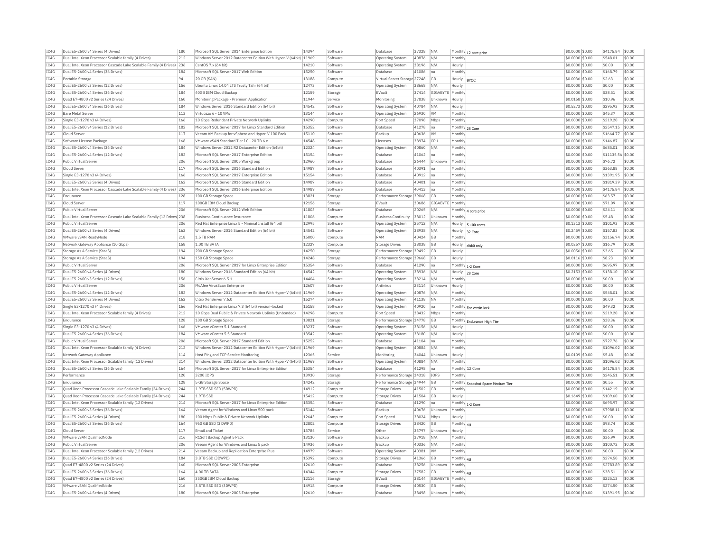| IC4G | Dual E5-2600 v4 Series (4 Drives)                                     | 180 | Microsoft SQL Server 2014 Enterprise Edition                      | 14394 | Software | Database                     | 37328 | N/A              |                  | Monthly 12 core price              | \$0,0000 \$0.00  | \$4175.84         | \$0.00 |
|------|-----------------------------------------------------------------------|-----|-------------------------------------------------------------------|-------|----------|------------------------------|-------|------------------|------------------|------------------------------------|------------------|-------------------|--------|
| IC4G | Dual Intel Xeon Processor Scalable family (4 Drives)                  | 212 | Windows Server 2012 Datacenter Edition With Hyper-V (64bit) 11969 |       | Software | <b>Operating System</b>      | 40876 | N/A              | Monthly          |                                    | \$0,0000 \$0.00  | \$548.01          | \$0.00 |
| IC4G | Dual Intel Xeon Processor Cascade Lake Scalable Family (4 Drives) 236 |     | CentOS 7.x (64 bit)                                               | 14210 | Software | Operating System             | 38196 | N/A              | Hourly           |                                    | \$0.0000 \$0.00  | \$0.00            | \$0.00 |
| IC4G | Dual E5-2600 v4 Series (36 Drives)                                    | 184 | Microsoft SQL Server 2017 Web Edition                             | 15250 | Software | Database                     | 41086 | na               | Monthly          |                                    | \$0,0000 \$0.00  | \$168.79          | \$0.00 |
| TCAG | Portable Storage                                                      | 94  | 20 GB (SAN)                                                       | 13188 | Compute  | Virtual Server Storage 27248 |       | GB               | Hourly           | <b>RYOC</b>                        | \$0,0036 \$0.00  | \$2.63            | \$0.00 |
| IC4G | Dual E5-2600 v3 Series (12 Drives)                                    | 156 | Ubuntu Linux 14.04 LTS Trusty Tahr (64 bit)                       | 12473 | Software | Operating System             | 38668 | N/A              | Hourly           |                                    | \$0.0000 \$0.00  | \$0.00            | \$0.00 |
| IC4G | Dual E5-2600 v4 Series (36 Drives)                                    | 184 | 40GB TBM Cloud Backup                                             | 12159 | Storage  | EVault                       | 37414 | GIGABYTE Monthl  |                  |                                    | \$0.0000 \$0.00  | \$38.51           | \$0.00 |
| TCAG | Quad E7-4800 v2 Series (24 Drives)                                    | 160 | Monitoring Package - Premium Application                          | 11944 | Service  | Monitoring                   | 37838 | Unknown          | Hourly           |                                    | \$0.0158 \$0.00  | \$10.96           | \$0.00 |
| IC4G | Dual E5-2600 v4 Series (36 Drives)                                    | 184 | Windows Server 2016 Standard Edition (64 bit)                     | 14542 | Software | Operating System             | 40784 | N/A              | Hourly           |                                    | \$0.5273 \$0.00  | \$295.93          | \$0.00 |
| IC4G | <b>Bare Metal Server</b>                                              | 113 | Virtuozzo 6 - 10 VMs                                              | 13144 | Software | Operating System             | 26930 | <b>VM</b>        | Monthly          |                                    | \$0,0000 \$0,00  | \$45.37           | \$0.00 |
| TCAG | Single E3-1270 v3 (4 Drives)                                          | 166 | 10 Gbns Redundant Private Network Unlinks                         | 14290 | Compute  | Port Speed                   | 37098 | Mbps             | Monthly          |                                    | \$0.0000 \$0.00  | \$219.20          | \$0.00 |
| IC4G | Dual E5-2600 v4 Series (12 Drives)                                    | 182 | Microsoft SQL Server 2017 for Linux Standard Edition              | 15352 | Software | Database                     | 41278 | na               | Monthly 28 Core  |                                    | \$0.0000 \$0.00  | \$2547.15         | \$0.00 |
| IC4G | Cloud Server                                                          | 117 | Veeam VM Backup for vSphere and Hyper-V 100 Pack                  | 15110 | Software | Backup                       | 40636 | <b>IVM</b>       | Monthly          |                                    | \$0,0000 \$0,00  | \$1664.77         | \$0.00 |
| IC4G | Software License Package                                              | 168 | VMware vSAN Standard Tier I 0 - 20 TB 6.x                         | 14548 | Software | Licenses                     | 38974 | <b>CPU</b>       | Monthly          |                                    |                  | \$146.87          | \$0.00 |
|      |                                                                       | 184 |                                                                   |       |          |                              |       |                  |                  |                                    | \$0.0000 \$0.00  |                   |        |
| IC4G | Dual E5-2600 v4 Series (36 Drives)                                    |     | Windows Server 2012 R2 Datacenter Edition (64bit)                 | 12324 | Software | <b>Operating System</b>      | 40860 | N/A              | Monthly          |                                    | \$0.0000 \$0.00  | \$685.01          | \$0.00 |
| IC4G | Dual E5-2600 v4 Series (12 Drives)                                    | 182 | Microsoft SQL Server 2017 Enterprise Edition                      | 15154 | Software | Database                     | 41062 | Ina              | Monthly          |                                    | \$0.0000 \$0.00  | \$11135.56 \$0.00 |        |
| IC4G | Public Virtual Server                                                 | 206 | Microsoft SQL Server 2005 Workgroup                               | 12960 | Software | Database                     | 26444 | Unknown          | Monthly          |                                    | \$0.0000 \$0.00  | \$76.72           | \$0.00 |
| IC4G | Cloud Server                                                          | 117 | Microsoft SOL Server 2016 Standard Edition                        | 14987 | Software | Database                     | 40391 | Ina              | Monthly          |                                    | \$0,0000 \$0,00  | \$363.88          | \$0.00 |
| IC4G | Single E3-1270 v3 (4 Drives)                                          | 166 | Microsoft SOL Server 2017 Enterprise Edition                      | 15154 | Software | Database                     | 40912 | Ina              | Monthly          |                                    | \$0,0000 \$0.00  | \$1391.95         | \$0.00 |
| IC4G | Dual E5-2600 v3 Series (4 Drives                                      | 162 | Microsoft SOL Server 2016 Standard Edition                        | 14987 | Software | Database                     | 40401 | na               | Monthly          |                                    | \$0,0000 \$0,00  | \$1819.39         | \$0.00 |
| IC4G | Dual Intel Xeon Processor Cascade Lake Scalable Family (4 Drives) 236 |     | Microsoft SQL Server 2016 Enterprise Edition                      | 14989 | Software | Database                     | 40413 | lna              | Monthly          |                                    | \$0.0000 \$0.00  | \$4175.84         | \$0.00 |
| IC4G | Endurance                                                             | 128 | 100 GB Storage Space                                              | 13821 | Storage  | Performance Storage 39068    |       | GB               | Monthly          |                                    | \$0.0000 \$0.00  | \$63.57           | \$0.00 |
| TC4G | Cloud Server                                                          | 117 | 100GB TBM Cloud Backup                                            | 12156 | Storage  | FVault                       | 30686 | GIGARYTE Monthly |                  |                                    | \$0,0000 \$0.00  | \$71.09           | \$0.00 |
| TCAG | <b>Public Virtual Server</b>                                          | 206 | Microsoft SQL Server 2012 Web Edition                             | 11803 | Software | Database                     | 20265 | N/A              |                  | Monthly 4 core price               | \$0.0000 \$0.00  | \$24.11           | \$0.00 |
| IC4G | Dual Intel Xeon Processor Cascade Lake Scalable Family (12 Drives 238 |     | <b>Business Continuance Insurance</b>                             | 11806 | Compute  | <b>Business Continuity</b>   | 38012 | Unknown          | Monthly          |                                    | \$0,0000 \$0.00  | \$5.48            | \$0.00 |
| IC4G | Public Virtual Server                                                 | 206 | Red Hat Enterprise Linux 5 - Minimal Install (64 bit)             | 12995 | Software | Operating System             | 25712 | N/A              | Hourly           | 5-100 cores                        | \$0.1313 \$0.00  | \$101.93          | \$0.00 |
| IC4G | Dual E5-2600 v3 Series (4 Drives)                                     | 162 | Windows Server 2016 Standard Edition (64 bit)                     | 14542 | Software | Operating System             | 38938 | N/A              | Hourly           | 32 Core                            | $$0.2459$ \$0.00 | \$157.83          | \$0.00 |
| TCAG | VMware vSAN ReadyNode                                                 | 218 | 1.5 TR RAM                                                        | 15000 | Compute  | RAM                          | 40424 | GB               | Monthly          |                                    | $$0.0000$ \$0.00 | \$3156.74         | \$0.00 |
| TC4G | Network Gateway Appliance (10 Gbps)                                   | 158 | 1.00 TR SATA                                                      | 12327 | Compute  | <b>Storage Drives</b>        | 38038 | GB               | Hourly           |                                    | $$0.0257$ \$0.00 | \$16.79           | \$0.00 |
| IC4G | Storage As A Service (StaaS)                                          | 194 | 200 GB Storage Space                                              | 14250 | Storage  | Performance Storage 39492    |       | <b>GB</b>        | Hourly           | disk0 only                         | \$0.0056 \$0.00  | \$3.65            | \$0.00 |
| IC4G | Storage As A Service (StaaS)                                          | 194 | 150 GB Storage Space                                              | 14248 | Storage  | Performance Storage 39668    |       | <b>GB</b>        | Hourly           |                                    | \$0,0116 \$0.00  | \$8.23            | \$0.00 |
|      | Public Virtual Server                                                 |     |                                                                   |       |          | Database                     |       |                  |                  |                                    |                  |                   |        |
| IC4G |                                                                       | 206 | Microsoft SQL Server 2017 for Linux Enterprise Edition            | 15354 | Software |                              | 41290 | na               | Monthly 1-2 Core |                                    | \$0.0000 \$0.00  | \$695.97          | \$0.00 |
| IC4G | Dual E5-2600 v4 Series (4 Drives                                      | 180 | Windows Server 2016 Standard Edition (64 bit)                     | 14542 | Software | <b>Operating System</b>      | 38936 | N/A              | Hourly           | 28 Core                            | \$0.2153 \$0.00  | \$138.10          | \$0.00 |
| IC4G | Dual E5-2600 v3 Series (12 Drives)                                    | 156 | Citrix XenServer 6.5.1                                            | 14404 | Software | Operating System             | 38214 | N/A              | Monthly          |                                    | \$0.0000 \$0.00  | \$0.00            | \$0.00 |
| IC4G | Public Virtual Server                                                 | 206 | McAfee VirusScan Enterprise                                       | 12607 | Software | Antivirus                    | 23114 | Unknown          | Hourly           |                                    | \$0.0000 \$0.00  | \$0.00            | \$0.00 |
| IC4G | Dual E5-2600 v4 Series (12 Drives)                                    | 182 | Windows Server 2012 Datacenter Edition With Hyper-V (64bit) 11969 |       | Software | <b>Operating System</b>      | 40876 | N/A              | Monthly          |                                    | \$0,0000 \$0.00  | \$548.01          | \$0.00 |
| IC4G | Dual E5-2600 v3 Series (4 Drives)                                     | 162 | Citrix XenServer 7.6.0                                            | 15274 | Software | Operating System             | 41138 | <b>NA</b>        | Monthly          |                                    | \$0,0000 \$0.00  | \$0.00            | \$0.00 |
| IC4G | Single E3-1270 v3 (4 Drives)                                          | 166 | Red Hat Enterprise Linux 7.3 (64 bit) version-locked              | 15158 | Software | <b>Operating System</b>      | 40920 | lna.             |                  | Monthly For versin lock            | \$0,0000 \$0.00  | \$49.32           | \$0.00 |
| IC4G | Dual Intel Xeon Processor Scalable family (4 Drives)                  | 212 | 10 Gbps Dual Public & Private Network Uplinks (Unbonded)          | 14298 | Compute  | Port Speed                   | 38432 | Mbps             | Monthly          |                                    | \$0.0000 \$0.00  | \$219.20          | \$0.00 |
| IC4G | Endurance                                                             | 128 | 100 GB Storage Space                                              | 13821 | Storage  | Performance Storage 34778    |       | <b>GB</b>        |                  | Monthly Endurance High Tier        | \$0.0000 \$0.00  | \$38.36           | \$0.00 |
| TC4G | Single E3-1270 v3 (4 Drives)                                          | 166 | VMware vCenter 5.1 Standard                                       | 13237 | Software | Operating System             | 38156 | N/A              | Hourly           |                                    | $$0.0000$ \$0.00 | \$0.00            | \$0.00 |
| IC4G | Dual E5-2600 v4 Series (36 Drives)                                    | 184 | VMware vCenter 5.5 Standard                                       | 13542 | Software | Operating System             | 38180 | N/A              | Hourly           |                                    | \$0.0000 \$0.00  | \$0.00            | \$0.00 |
| IC4G | Public Virtual Server                                                 | 206 | Microsoft SOL Server 2017 Standard Edition                        | 15252 | Software | Database                     | 41104 | Ina              | Monthly          |                                    | \$0,0000 \$0.00  | \$727.76          | \$0.00 |
| IC4G | Dual Intel Xeon Processor Scalable family (4 Drives)                  | 212 | Windows Server 2012 Datacenter Edition With Hyper-V (64bit) 11969 |       | Software | Operating System             | 40884 | N/A              | Monthly          |                                    | \$0.0000 \$0.00  | \$1096.02         | \$0.00 |
| IC4G | Network Gateway Appliance                                             | 114 | Host Ping and TCP Service Monitoring                              | 12365 | Service  | Monitoring                   | 34044 | Unknown          | Hourly           |                                    | \$0.0109 \$0.00  | \$5.48            | \$0.00 |
| TC4G | Dual Intel Xeon Processor Scalable family (12 Drives)                 | 214 | Windows Server 2012 Datacenter Edition With Hyper-V (64bit) 11969 |       | Software | <b>Operating System</b>      | 40884 | N/A              | Monthly          |                                    | $$0.0000$ \$0.00 | \$1096.02         | \$0.00 |
| IC4G | Dual E5-2600 v3 Series (36 Drives)                                    | 164 | Microsoft SOL Server 2017 for Linux Enterprise Edition            | 15354 | Software | Database                     | 41298 | Ina              |                  | Monthly 12 Core                    | \$0.0000 \$0.00  | \$4175.84         | \$0.00 |
| IC4G | Performance                                                           | 120 | 3200 IOPS                                                         | 13930 | Storage  | Performance Storage 34318    |       | IOPS             | Monthly          |                                    | \$0.0000 \$0.00  | \$245.51          | \$0.00 |
| IC4G | Endurance                                                             | 128 | 5 GB Storage Space                                                | 14242 | Storage  | Performance Storage 34944    |       | <b>GB</b>        |                  |                                    | \$0,0000 \$0.00  | \$0.55            | \$0.00 |
| IC4G | Quad Xeon Processor Cascade Lake Scalable Family (24 Drives)          | 244 | 1.9TB SSD SED (5DWPD)                                             | 14912 | Compute  | <b>Storage Drives</b>        | 41502 | GB               | Monthly          | Monthly Snapshot Space Medium Tier | \$0.0000 \$0.00  | \$142.19          | \$0.00 |
| IC4G | Ouad Xeon Processor Cascade Lake Scalable Family (24 Drives)          | 244 | 1.9TB SSD                                                         | 15412 | Compute  | Storage Drives               | 41504 | GB               | Hourly           |                                    | \$0,1649 \$0.00  | \$109.60          | \$0.00 |
|      |                                                                       |     |                                                                   |       |          |                              |       |                  |                  |                                    |                  |                   |        |
| IC4G | Dual Intel Xeon Processor Scalable family (12 Drives)                 | 214 | Microsoft SQL Server 2017 for Linux Enterprise Edition            | 15354 | Software | Database                     | 41290 | Ina              | Monthly 1-2 Core |                                    | \$0.0000 \$0.00  | \$695.97          | \$0.00 |
| IC4G | Dual E5-2600 v3 Series (36 Drives)                                    | 164 | Veeam Agent for Windows and Linux 500 pack                        | 15144 | Software | Backup                       | 40676 | Unknown          | Monthly          |                                    | \$0,0000 \$0,00  | \$7988.11         | \$0.00 |
| IC4G | Dual E5-2600 v4 Series (4 Drives)                                     | 180 | 100 Mbps Public & Private Network Uplinks                         | 12643 | Compute  | Port Speed                   | 38024 | Mbps             | Hourly           |                                    | \$0.0000 \$0.00  | \$0.00            | \$0.00 |
| IC4G | Dual E5-2600 v3 Series (36 Drives)                                    | 164 | 960 GB SSD (3 DWPD)                                               | 12802 | Compute  | <b>Storage Drives</b>        | 38420 | GВ               | Monthly 4U       |                                    | \$0.0000 \$0.00  | \$98.74           | \$0.00 |
| IC4G | Cloud Server                                                          | 117 | <b>Email and Ticket</b>                                           | 13785 | Service  | Other                        | 33797 | Unknown          | Hourly           |                                    | \$0,0000 \$0.00  | \$0.00            | \$0.00 |
| IC4G | VMware vSAN QualifiedNode                                             | 216 | R1Soft Backup Agent 5 Pack                                        | 13130 | Software | Backup                       | 37918 | N/A              | Monthly          |                                    | \$0,0000 \$0.00  | \$36.99           | \$0.00 |
| IC4G | Public Virtual Server                                                 | 206 | Veeam Agent for Windows and Linux 5 pack                          | 14936 | Software | Backup                       | 40336 | N/A              | Monthly          |                                    | \$0,0000 \$0.00  | \$100.72          | \$0.00 |
| IC4G | Dual Intel Xeon Processor Scalable family (12 Drives)                 | 214 | Veeam Backup and Replication Enterprise Plus                      | 14979 | Software | Operating System             | 40381 | <b>VM</b>        | Monthly          |                                    | \$0.0000 \$0.00  | \$0.00            | \$0.00 |
| IC4G | Dual E5-2600 v4 Series (36 Drives)                                    | 184 | 3.8TB SSD (3DWPD)                                                 | 15392 | Compute  | Storage Drives               | 41366 | GB               | Monthly 4U       |                                    | \$0.0000 \$0.00  | \$274.50          | \$0.00 |
| TCAG | Quad E7-4800 v2 Series (24 Drives)                                    | 160 | Microsoft SOL Server 2005 Enterprise                              | 12610 | Software | Database                     | 38256 | Unknown          | Monthly          |                                    | $$0.0000$ \$0.00 | \$2783.89         | \$0.00 |
| TC4G | Dual E5-2600 v3 Series (36 Drives)                                    | 164 | 4.00 TR SATA                                                      | 14344 | Compute  | Storage Drives               | 37582 | GB               | Monthly 4U       |                                    | \$0.0000 \$0.00  | \$38.51           | \$0.00 |
| IC4G | Quad E7-4800 v2 Series (24 Drives)                                    | 160 | 350GB IBM Cloud Backup                                            | 12116 | Storage  | FVault                       | 38144 | GIGARYTE Monthl  |                  |                                    | $$0.0000$ \$0.00 | \$225.13          | \$0.00 |
| TCAG | VMware vSAN QualifiedNode                                             | 216 | 3.8TB SSD SED (3DWPD)                                             | 14918 | Compute  | Storage Drives               | 40530 | <b>GR</b>        | Monthly          |                                    | $$0.0000$ \$0.00 | \$274.50          | \$0.00 |
| IC4G | Dual E5-2600 v4 Series (4 Drives                                      | 180 | Microsoft SQL Server 2005 Enterprise                              | 12610 | Software | Database                     | 38498 | Unknown          | Monthl           |                                    | \$0.0000 \$0.00  | \$1391.95         | \$0.00 |
|      |                                                                       |     |                                                                   |       |          |                              |       |                  |                  |                                    |                  |                   |        |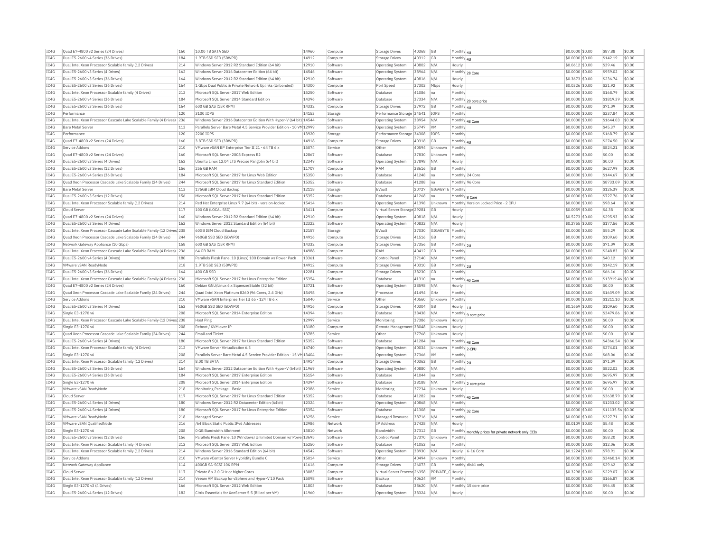| IC4G | Ouad E7-4800 v2 Series (24 Drives)                                    | 160 | 10.00 TB SATA SED                                                      | 14960 | Compute  | Storage Drives               | 40368     | <b>GB</b>        | Monthly 4U     |                                                      | \$0,0000 \$0.00  | \$87.88           | \$0.00 |
|------|-----------------------------------------------------------------------|-----|------------------------------------------------------------------------|-------|----------|------------------------------|-----------|------------------|----------------|------------------------------------------------------|------------------|-------------------|--------|
| IC4G | Dual E5-2600 v4 Series (36 Drives)                                    | 184 | 1.9TB SSD SED (5DWPD)                                                  | 14912 | Compute  | <b>Storage Drives</b>        | 40312     | GB               | Monthly 4U     |                                                      | \$0.0000 \$0.00  | \$142.19          | \$0.00 |
| IC4G | Dual Intel Xeon Processor Scalable family (12 Drives)                 | 214 | Windows Server 2012 R2 Standard Edition (64 bit)                       | 12910 | Software | <b>Operating System</b>      | 40802     | N/A              | Hourly         |                                                      | \$0,0612 \$0.00  | \$39.46           | \$0.00 |
| IC4G | Dual E5-2600 v3 Series (4 Drives)                                     | 162 | Windows Server 2016 Datacenter Edition (64 bit)                        | 14546 | Software | <b>Operating System</b>      | 38964     | N/A              |                | Monthly 28 Core                                      | \$0,0000 \$0.00  | \$959.02          | \$0.00 |
| TC4G | Dual E5-2600 v3 Series (36 Drives)                                    | 164 | Windows Server 2012 R2 Standard Edition (64 bit)                       | 12910 | Software | <b>Operating System</b>      | 40816     | N/A              | Hourly         |                                                      | \$0.3673 \$0.00  | \$236.74          | \$0.00 |
| IC4G | Dual E5-2600 v3 Series (36 Drives)                                    | 164 | 1 Gbps Dual Public & Private Network Uplinks (Unbonded)                | 14300 | Compute  | Port Speed                   | 37302     | Mbps             | Hourly         |                                                      | \$0.0326 \$0.00  | \$21.92           | \$0.00 |
| TC4G | Dual Intel Xeon Processor Scalable family (4 Drives)                  | 212 | Microsoft SOL Server 2017 Web Edition                                  | 15250 | Software | Database                     | 41086     | Ina              | Monthly        |                                                      | \$0,0000 \$0.00  | \$168.79          | \$0.00 |
| TC4G |                                                                       | 184 |                                                                        | 14396 |          | Database                     |           | N/A              |                |                                                      |                  | \$1819.39         | \$0.00 |
|      | Dual E5-2600 v4 Series (36 Drives)                                    |     | Microsoft SQL Server 2014 Standard Edition                             |       | Software |                              | 37334     |                  |                | Monthly 20 core price                                | \$0.0000 \$0.00  |                   |        |
| TC4G | Dual E5-2600 v3 Series (36 Drives)                                    | 164 | 600 GB SAS (15K RPM)                                                   | 14332 | Compute  | Storage Drives               | 37972     | <b>GB</b>        | Monthly 4U     |                                                      | \$0.0000 \$0.00  | \$71.09           | \$0.00 |
| IC4G | Performance                                                           | 120 | 3100 TOPS                                                              | 14153 | Storage  | Performance Storage 34541    |           | <b>IOPS</b>      | Monthly        |                                                      | \$0.0000 \$0.00  | \$237.84          | \$0.00 |
| IC4G | Dual Intel Xeon Processor Cascade Lake Scalable Family (4 Drives) 236 |     | Windows Server 2016 Datacenter Edition With Hyper-V (64 bit) 14544     |       | Software | Operating System             | 38954     | N/A              |                | Monthly 48 Core                                      | \$0.0000 \$0.00  | \$1644.03         | \$0.00 |
| IC4G | Bare Metal Server                                                     | 113 | Parallels Server Bare Metal 4.5 Service Provider Edition - 10 VM 12999 |       | Software | Operating System             | 25747     | <b>VM</b>        | Monthly        |                                                      | \$0,0000 \$0.00  | \$45.37           | \$0.00 |
| IC4G | Performance                                                           | 120 | 2200 IOPS                                                              | 13920 | Storage  | Performance Storage          | 34308     | <b>IOPS</b>      | Monthly        |                                                      | \$0.0000 \$0.00  | \$168.79          | \$0.00 |
| TC4G | Quad E7-4800 v2 Series (24 Drives)                                    | 160 | 3.8TB SSD SED (3DWPD)                                                  | 14918 | Compute  | Storage Drives               | 40318     | G <sub>B</sub>   | Monthly 4U     |                                                      | $$0.0000$ \$0.00 | \$274.50          | \$0.00 |
| IC4G | Service Addons                                                        | 210 | VMware vSAN BP Enterprise Tier II 21 - 64 TB 6.x                       | 15074 | Service  | Other                        | 40594     | Unknown          | Monthly        |                                                      | \$0.0000 \$0.00  | \$824.21          | \$0.00 |
| TC4G | Quad E7-4800 v2 Series (24 Drives)                                    | 160 | Microsoft SOL Server 2008 Express R2                                   | 12867 | Software | Database                     | 37830     | Unknown          | Monthly        |                                                      | $$0.0000$ \$0.00 | \$0.00            | \$0.00 |
|      |                                                                       |     |                                                                        |       |          |                              |           |                  |                |                                                      |                  |                   |        |
| IC4G | Dual E5-2600 v3 Series (4 Drives)                                     | 162 | Ubuntu Linux 12.04 LTS Precise Pangolin (64 bit)                       | 12349 | Software | Operating System             | 37898     | N/A              | Hourly         |                                                      | \$0.0000 \$0.00  | \$0.00            | \$0.00 |
| TC4G | Dual E5-2600 v3 Series (12 Drives                                     | 156 | <b>256 GB RAM</b>                                                      | 11707 | Compute  | RAM                          | 38616     | <b>GB</b>        | Monthly        |                                                      | \$0.0000 \$0.00  | \$627.99          | \$0.00 |
| IC4G | Dual E5-2600 v4 Series (36 Drives)                                    | 184 | Microsoft SOL Server 2017 for Linux Web Edition                        | 15350 | Software | <b>Databas</b>               | 41248     | Ina              |                | Monthly 24 Core                                      | \$0,0000 \$0.00  | \$144.67          | \$0.00 |
| TC4G | Quad Xeon Processor Cascade Lake Scalable Family (24 Drives)          | 244 | Microsoft SOL Server 2017 for Linux Standard Edition                   | 15352 | Software | Database                     | 41288     | Ina              |                | Monthly 96 Core                                      | \$0.0000 \$0.00  | \$8733.09         | sin nn |
| IC4G | <b>Bare Metal Server</b>                                              | 113 | 175GB IBM Cloud Backup                                                 | 12118 | Storage  | EVault                       | 20727     | GIGABYTE         | Monthly        |                                                      | \$0.0000 \$0.00  | \$126.39          | \$0.00 |
| IC4G | Dual E5-2600 v3 Series (12 Drives)                                    | 156 | Microsoft SQL Server 2017 for Linux Standard Edition                   | 15352 | Software | Database                     | 41268     | Ina              | Monthly 8 Core |                                                      | \$0.0000 \$0.00  | \$727.76          | \$0.00 |
| TC4G | Dual Intel Xeon Processor Scalable family (12 Drives)                 | 214 | Red Hat Enterprise Linux 7.7 (64 bit) - version-locked                 | 15414 | Software | <b>Operating System</b>      | 41398     | Unknown          |                | Monthly Version Locked Price - 2 CPU                 | \$0.0000 \$0.00  | \$98.64           | \$0.00 |
| IC4G | Cloud Serve                                                           | 117 | 100 GB (LOCAL SSD)                                                     | 13411 | Compute  | Virtual Server Storage 29281 |           | GB               | Hourly         |                                                      | \$0.0059 \$0.00  | \$4.38            | \$0.00 |
| TC4G | Ouad E7-4800 v2 Series (24 Drives)                                    | 160 | Windows Server 2012 R2 Standard Edition (64 bit)                       | 12910 | Software |                              | 40818     | N/A              | Hourly         |                                                      | \$0,5273 \$0.00  | \$295.93          | \$0.00 |
|      |                                                                       | 162 |                                                                        |       |          | Operating System             |           | N/A              |                |                                                      |                  |                   | \$0.00 |
| IC4G | Dual E5-2600 v3 Series (4 Drives)                                     |     | Windows Server 2012 Standard Edition (64 bit)                          | 12322 | Software | Operating System             | 40832     |                  | Hourly         |                                                      | \$0,2755 \$0.00  | \$177.56          |        |
| IC4G | Dual Intel Xeon Processor Cascade Lake Scalable Family (12 Drives 238 |     | 60GB IBM Cloud Backup                                                  | 12157 | Storage  | EVault                       | 37030     | GIGABYTE Monthly |                |                                                      | \$0,0000 \$0.00  | \$55.29           | \$0.00 |
| IC4G | Quad Xeon Processor Cascade Lake Scalable Family (24 Drives)          | 244 | 960GB SSD SED (5DWPD                                                   | 14916 | Compute  | <b>Storage Drives</b>        | 41516     | <b>GB</b>        | Monthly        |                                                      | \$0.0000 \$0.00  | \$109.60          | \$0.00 |
| TC4G | Network Gateway Appliance (10 Gbps)                                   | 158 | 600 GB SAS (15K RPM)                                                   | 14332 | Compute  | <b>Storage Drives</b>        | 37356     | <b>GB</b>        | Monthly 2U     |                                                      | $$0.0000$ \$0.00 | \$71.09           | \$0.00 |
| IC4G | Dual Intel Xeon Processor Cascade Lake Scalable Family (4 Drives) 236 |     | 64 GB RAM                                                              | 14988 | Compute  | <b>RAM</b>                   | 40412     | GB               | Monthly        |                                                      | \$0.0000 \$0.00  | \$248.83          | \$0.00 |
| TC4G | Dual E5-2600 v4 Series (4 Drives)                                     | 180 | Parallels Plesk Panel 10 (Linux) 100 Domain w/ Power Pack              | 13361 | Software | Control Panel                | 37140     | N/A              | Monthly        |                                                      | \$0,0000 \$0,00  | \$40.12           | \$0.00 |
| IC4G | VMware vSAN ReadvNode                                                 | 218 | 1.9TB SSD SED (5DWPD)                                                  | 14912 | Compute  | <b>Storage Drives</b>        | 40310     | <b>GB</b>        | Monthly 2U     |                                                      | \$0,0000 \$0.00  | \$142.19          | \$0.00 |
| IC4G | Dual E5-2600 v3 Series (36 Drives)                                    | 164 | 400 GB SSD                                                             | 12281 | Compute  | <b>Storage Drives</b>        | 38230     | <b>GB</b>        | Monthly        |                                                      | \$0.0000 \$0.00  | \$66.16           | \$0.00 |
| IC4G | Dual Intel Xeon Processor Cascade Lake Scalable Family (4 Drives) 236 |     | Microsoft SOL Server 2017 for Linux Enterprise Edition                 | 15354 | Software | Database                     | 41310     | Ina              |                |                                                      | \$0.0000 \$0.00  | \$13919.46        | \$0.00 |
| TC4G |                                                                       | 160 |                                                                        | 13721 | Software |                              | 38598     | N/A              |                | Monthly 40 Core                                      |                  | \$0.00            | \$0.00 |
|      | Ouad E7-4800 v2 Series (24 Drives)                                    |     | Debian GNU/Linux 6.x Squeeze/Stable (32 bit)                           |       |          | Operating System             |           |                  | Hourly         |                                                      | \$0,0000 \$0.00  |                   |        |
| IC4G | Quad Xeon Processor Cascade Lake Scalable Family (24 Drives)          | 244 | Quad Intel Xeon Platinum 8260 (96 Cores, 2.4 GHz)                      | 15498 | Compute  | Processo                     | 41494     | GHz              | Monthly        |                                                      | \$0.0000 \$0.00  | \$1639.09         | \$0.00 |
| IC4G | Service Addons                                                        | 210 | VMware vSAN Enterprise Tier III 65 - 124 TB 6.x                        | 15040 | Service  | <b>Other</b>                 | 40560     | Unknown          | Monthly        |                                                      | \$0.0000 \$0.00  | \$1211.10         | \$0.00 |
| TCAG | Dual E5-2600 v3 Series (4 Drives)                                     | 162 | 960GB SSD SED (5DWPD)                                                  | 14916 | Compute  | Storage Drives               | 40304     | GB               | Hourly  1U     |                                                      | $$0.1659$ \$0.00 | \$109.60          | \$0.00 |
| IC4G | Single E3-1270 v6                                                     | 208 | Microsoft SQL Server 2014 Enterprise Edition                           | 14394 | Software | <b>Databas</b>               | 38438     | N/A              |                | Monthly 9 core price                                 | \$0.0000 \$0.00  | \$3479.86         | \$0.00 |
| IC4G | Dual Intel Xeon Processor Cascade Lake Scalable Family (12 Drives 238 |     | Host Ping                                                              | 12997 | Service  | Monitoring                   | 37386     | Unknown          | Hourly         |                                                      | \$0,0000 \$0.00  | \$0.00            | \$0.00 |
| IC4G | Single E3-1270 v6                                                     | 208 | Reboot / KVM over IP                                                   | 13180 | Compute  | Remote Management 38048      |           | Unknown          | Hourly         |                                                      | \$0,0000 \$0.00  | \$0.00            | \$0.00 |
| IC4G | Ouad Xeon Processor Cascade Lake Scalable Family (24 Drives)          | 244 | <b>Email and Ticket</b>                                                | 13785 | Service  | Other                        | 37768     | Unknown          | Hourly         |                                                      | \$0,0000 \$0,00  | \$0.00            | \$0.00 |
| IC4G | Dual E5-2600 v4 Series (4 Drives)                                     | 180 | Microsoft SOL Server 2017 for Linux Standard Editio                    | 15352 | Software | Database                     | 41284     | Ina              |                |                                                      | \$0,0000 \$0.00  | \$4366.54         | \$0.00 |
| TC4G |                                                                       |     |                                                                        | 14740 |          |                              |           |                  |                | Monthly 48 Core                                      |                  |                   |        |
|      | Dual Intel Xeon Processor Scalable family (4 Drives)                  | 212 | VMware Server Virtualization 6.5                                       |       | Software | Operating System             | 40034     | <b>Unknown</b>   | Monthly 2-CPU  |                                                      | \$0,0000 \$0.00  | \$274.01          | \$0.00 |
| IC4G | Single E3-1270 v6                                                     | 208 | Parallels Server Bare Metal 4.5 Service Provider Edition - 15 VM 13404 |       | Software | <b>Operating System</b>      | 37366     | <b>VM</b>        | Monthly        |                                                      | \$0,0000 \$0.00  | \$68.06           | \$0.00 |
| TC4G | Dual Intel Xeon Processor Scalable family (12 Drives)                 | 214 | 8.00 TR SATA                                                           | 14914 | Compute  | Storage Drives               | 40362     | <b>GB</b>        | Monthly 2U     |                                                      | \$0,0000 \$0,00  | \$71.09           | \$0.00 |
| TC4G | Dual E5-2600 v3 Series (36 Drives)                                    | 164 | Windows Server 2012 Datacenter Edition With Hyper-V (64bit) 11969      |       | Software | Operating System             | 40880     | N/A              | Monthly        |                                                      | \$0.0000 \$0.00  | \$822.02          | \$0.00 |
| IC4G | Dual E5-2600 v4 Series (36 Drives)                                    | 184 | Microsoft SQL Server 2017 Enterprise Edition                           | 15154 | Software | Database                     | 41044     | Ina              | Monthly        |                                                      | \$0.0000 \$0.00  | \$695.97          | \$0.00 |
| IC4G | Single E3-1270 v6                                                     | 208 | Microsoft SOL Server 2014 Enterprise Edition                           | 14394 | Software | Database                     | 38188     | N/A              |                | Monthly 2 core price                                 | \$0,0000 \$0.00  | \$695.97          | \$0.00 |
| IC4G | VMware vSAN ReadvNode                                                 | 218 | Monitoring Package - Basic                                             | 12386 | Service  | Monitoring                   | 37234     | <b>Unknown</b>   | Hourly         |                                                      | $$0.0000$ \$0.00 | \$0.00            | \$0.00 |
| IC4G | Cloud Server                                                          | 117 | Microsoft SQL Server 2017 for Linux Standard Edition                   | 15352 | Software | Database                     | 41282     | Ina              |                |                                                      | \$0.0000 \$0.00  | \$3638.79         | \$0.00 |
|      |                                                                       |     |                                                                        |       |          |                              |           |                  |                | Monthly 40 Core                                      |                  |                   |        |
| IC4G | Dual E5-2600 v4 Series (4 Drives)                                     | 180 | Windows Server 2012 R2 Datacenter Edition (64bit)                      | 12324 | Software | <b>Operating System</b>      | 40868     | N/A              | Monthly        |                                                      | \$0.0000 \$0.00  | \$1233.02         | \$0.00 |
| TC4G | Dual E5-2600 v4 Series (4 Drives)                                     | 180 | Microsoft SQL Server 2017 for Linux Enterprise Edition                 | 15354 | Software | Database                     | 41308     | Ina              |                | Monthly 32 Core                                      | \$0.0000 \$0.00  | \$11135.56 \$0.00 |        |
| IC4G |                                                                       |     | Managed Serve                                                          | 13256 | Service  | Managed Resource             | 38716     | N/A              | Monthly        |                                                      | \$0.0000 \$0.00  | \$327.71          | \$0.00 |
|      | VMware vSAN ReadyNode                                                 | 218 |                                                                        |       |          | IP Address                   | 37428     | N/A              | Hourly         |                                                      | \$0,0109 \$0.00  | \$5.48            | \$0.00 |
| IC4G | VMware vSAN OualifiedNode                                             | 216 | /64 Block Static Public IPv6 Addresses                                 | 12986 | Network  |                              |           |                  |                |                                                      |                  |                   | \$0.00 |
| IC4G | Single E3-1270 v6                                                     | 208 | 0 GB Bandwidth Allotmen                                                | 13810 | Network  | <b>Bandwidth</b>             | 37312     | <b>GB</b>        |                |                                                      | \$0,0000 \$0.00  | \$0.00            |        |
| IC4G | Dual E5-2600 v3 Series (12 Drives)                                    | 156 | Parallels Plesk Panel 10 (Windows) Unlimited Domain w/ Powe 13695      |       | Software | Control Panel                | 37370     | Unknown          | Monthly        | Monthly monthly prices for private network only CCIs | \$0,0000 \$0,00  | \$58.20           | \$0.00 |
| IC4G |                                                                       | 212 | Microsoft SOL Server 2017 Web Edition                                  | 15250 | Software | Database                     | 41052     | Ina              | Monthly        |                                                      | \$0.0000 \$0.00  | \$12.06           | \$0.00 |
|      | Dual Intel Xeon Processor Scalable family (4 Drives)                  |     |                                                                        |       |          |                              |           |                  |                |                                                      |                  |                   |        |
| TC4G | Dual Intel Xeon Processor Scalable family (12 Drives)                 | 214 | Windows Server 2016 Standard Edition (64 bit)                          | 14542 | Software | <b>Operating System</b>      | 38930     | N/A              |                | Hourly 6-16 Core                                     | \$0,1224 \$0.00  | \$78.91           | \$0.00 |
| IC4G | Service Addons                                                        | 210 | VMware vCenter Server Hybridity Bundle C                               | 15014 | Service  | Other                        | 40494     | Unknown          | Monthly        |                                                      | \$0.0000 \$0.00  | \$3460.14         | \$0.00 |
| TCAG | Network Gateway Appliance                                             | 114 | 400GB SA-SCSI 10K RPM                                                  | 11616 | Compute  | Storage Drives               | 26073     | <b>GB</b>        |                | Monthly disk1 only                                   | \$0,0000 \$0,00  | \$29.62           | \$0.00 |
| TC4G | Cloud Server                                                          | 117 | Private 8 x 2.0 GHz or higher Cores                                    | 13083 | Compute  | Virtual Server Process 26358 |           | PRIVATE C Hourly |                |                                                      | \$0.3298 \$0.00  | \$229.07          | \$0.00 |
| IC4G | Dual Intel Xeon Processor Scalable family (12 Drives)                 | 214 | Veeam VM Backup for vSphere and Hyper-V 10 Pack                        | 15098 | Software | Backup                       | 40624     | <b>VM</b>        | Monthly        |                                                      | \$0.0000 \$0.00  | \$166.87          | \$0.00 |
| IC4G | Single E3-1270 v3 (4 Drives)                                          | 166 | Microsoft SQL Server 2012 Web Edition                                  | 11803 | Software | Database                     | 38620     | N/A              |                | Monthly 15 core price                                | \$0,0000 \$0.00  | \$96.45           | \$0.00 |
| TCAG | Dual E5-2600 v4 Series (12 Drives)                                    | 182 | Citrix Essentials for XenServer 5.5 (Billed per VM)                    | 11960 | Software | Operating System             | 38324 N/A |                  | Hourly         |                                                      | $$0.0000$ \$0.00 | \$0.00            | \$0.00 |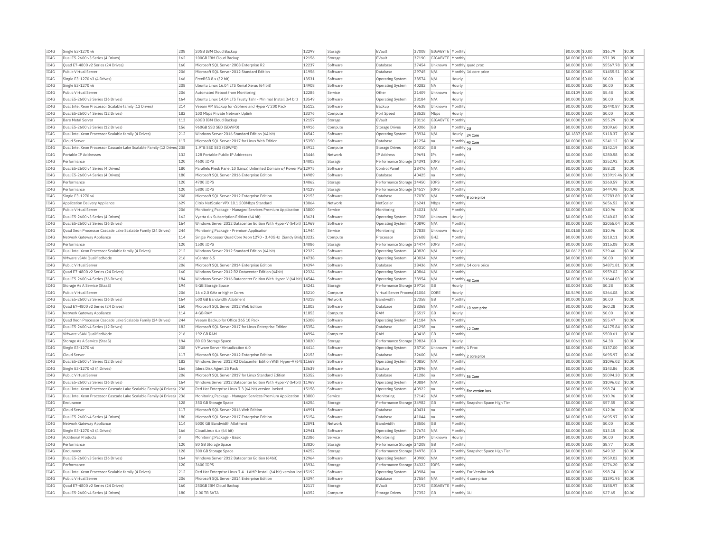| TCAG<br>TC4G<br>TC4G<br>TC4G         | Single E3-1270 v6<br>Dual E5-2600 v3 Series (4 Drives)<br>Ouad E7-4800 v2 Series (24 Drives)<br>Public Virtual Server | 208<br>162<br>160 | 20GB TBM Cloud Backup<br>100GB IBM Cloud Backup<br>Microsoft SQL Server 2008 Enterprise R2 | 12299<br>12156 | Storage<br>Storage   | FVault<br>EVault                              | 37008<br>37190 | GIGABYTE Monthly<br>GIGABYTE Monthly |                                  | \$0.0000 \$0.00<br>\$0,0000 \$0.00 | \$16.79<br>\$71.09  | \$0.00<br>\$0.00 |
|--------------------------------------|-----------------------------------------------------------------------------------------------------------------------|-------------------|--------------------------------------------------------------------------------------------|----------------|----------------------|-----------------------------------------------|----------------|--------------------------------------|----------------------------------|------------------------------------|---------------------|------------------|
|                                      |                                                                                                                       |                   |                                                                                            |                |                      |                                               |                |                                      |                                  |                                    |                     |                  |
|                                      |                                                                                                                       |                   |                                                                                            | 12237          | Software             | Database                                      | 37454          | Unknown                              | Monthly quad proc                | $$0.0000$ \$0.00                   | \$5567.78           | \$0.00           |
| TC4G<br>TCAG                         |                                                                                                                       | 206               | Microsoft SOL Server 2012 Standard Edition                                                 | 11956          | Software             | Database                                      | 29745          | $N/\Delta$                           | Monthly 16 core price            | \$0,0000 \$0,00                    | \$1455.51           | \$0.00           |
|                                      | Single E3-1270 v3 (4 Drives)                                                                                          | 166               | FreeBSD 8.x (32 bit)                                                                       | 13531          | Software             | <b>Operating System</b>                       | 38574          | N/A                                  | Hourly                           | \$0.0000 \$0.00                    | \$0.00              | \$0.00           |
|                                      | Single E3-1270 v6                                                                                                     | 208               | Ubuntu Linux 16.04 LTS Xenial Xerus (64 bit)                                               | 14908          | Software             | Operating System                              | 40282          | <b>NA</b>                            | Hourly                           | \$0,0000 \$0.00                    | \$0.00              | \$0.00           |
| IC4G                                 | Public Virtual Server                                                                                                 | 206               | Automated Reboot from Monitoring                                                           | 12285          | Service              | Other                                         | 21409          | Unknown                              | Hourly                           | \$0.0109 \$0.00                    | \$5.48              | \$0.00           |
| TCAG                                 | Dual E5-2600 v3 Series (36 Drives)                                                                                    | 164               | Ubuntu Linux 14.04 LTS Trusty Tahr - Minimal Install (64 bit)                              | 13549          | Software             | <b>Operating System</b>                       | 38184          | N/A                                  | Hourly                           | \$0,0000 \$0.00                    | \$0.00              | \$0.00           |
| TC4G                                 | Dual Intel Xeon Processor Scalable family (12 Drives)                                                                 | 214               | Veeam VM Backup for vSphere and Hyper-V 200 Pac                                            | 15112          | Software             | Backup                                        | 40638          | Jnknown                              | Monthl                           | \$0.0000 \$0.00                    | \$2440.87           | \$0.00           |
| TC4G                                 | Dual E5-2600 v4 Series (12 Drives)                                                                                    | 182               | 100 Mbps Private Network Uplink                                                            | 13376          | Compute              | Port Speed                                    | 38528          | Mbps                                 | Hourly                           | \$0.0000 \$0.00                    | \$0.00              | \$0.00           |
| IC4G                                 | Bare Metal Server                                                                                                     | 113               | 60GB IBM Cloud Backup                                                                      | 12157          | Storage              | EVault                                        | 28116          | GIGABYTE                             | Monthly                          | \$0.0000 \$0.00                    | \$55.29             | \$0.00           |
| TC4G                                 | Dual E5-2600 v3 Series (12 Drives)                                                                                    | 156               | 960GB SSD SED (5DWPD)                                                                      | 14916          | Compute              | Storage Drives                                | 40306          | <b>GR</b>                            | Monthly 2U                       | \$0.0000 \$0.00                    | \$109.60            | sin on           |
| IC4G                                 | Dual Intel Xeon Processor Scalable family (4 Drives)                                                                  | 212               | Windows Server 2016 Standard Edition (64 bit)                                              | 14542          | Software             | <b>Operating System</b>                       | 38934          | N/A                                  |                                  | \$0.1837 \$0.00                    | \$118.37            | \$0.00           |
| TC4G                                 | Cloud Serve                                                                                                           | 117               | Microsoft SOL Server 2017 for Linux Web Edition                                            | 15350          | Software             | Database                                      | 41254 na       |                                      | Hourly 24 Core                   |                                    | \$241.12            | \$0.00           |
| IC4G                                 | Dual Intel Xeon Processor Cascade Lake Scalable Family (12 Drives) 238                                                |                   | 1.9TB SSD SED (5DWPD)                                                                      | 14912          | Compute              | <b>Storage Drives</b>                         | 40310          | <b>GB</b>                            | Monthly 40 Core                  | \$0.0000 \$0.00<br>\$0.0000 \$0.00 | \$142.19            | \$0.00           |
| TC4G                                 | Portable IP Addresses                                                                                                 | 132               | 128 Portable Public IP Addresses                                                           | 13446          |                      | IP Address                                    | 29691 IPs      |                                      | Monthly 2U<br>Monthly            |                                    | \$280.58            | \$0.00           |
| TCAG                                 | Performance                                                                                                           |                   | 4600 TOPS                                                                                  | 14003          | Network              |                                               |                | <b>TOPS</b>                          | Monthly                          | \$0.0000 \$0.00                    |                     |                  |
|                                      |                                                                                                                       | 120               |                                                                                            |                | Storage              | Performance Storage 34391                     |                |                                      |                                  | \$0.0000 \$0.00                    | \$352.92            | \$0.00           |
| IC4G<br>TCAG                         | Dual E5-2600 v4 Series (4 Drives)                                                                                     | 180               | Parallels Plesk Panel 10 (Linux) Unlimited Domain w/ Power Pa 12975                        | 14989          | Software<br>Software | Control Panel                                 | 38476          | N/A                                  | Monthly                          | \$0.0000 \$0.00                    | \$58.20             | \$0.00           |
|                                      | Dual E5-2600 v4 Series (4 Drives)                                                                                     | 180               | Microsoft SQL Server 2016 Enterprise Edition                                               |                |                      | Database                                      | 40425          | Ina                                  | Monthly                          | \$0.0000 \$0.00                    | \$13919.46 \$0.00   |                  |
| IC4G                                 | Performance                                                                                                           | 120               | 4700 IOPS                                                                                  | 14062          | Storage              | Performance Storage 34450                     |                | <b>IOPS</b>                          | Monthly                          | \$0.0000 \$0.00                    | \$360.59            | \$0.00           |
| IC4G                                 | Performance                                                                                                           | 120               | 5800 IOPS                                                                                  | 14129          | Storage              | Performance Storage 34517                     |                | <b>IOPS</b>                          | Monthly                          | \$0,0000 \$0.00                    | \$444.98            | \$0.00           |
| IC4G                                 | Single E3-1270 v6                                                                                                     | 208               | Microsoft SOL Server 2012 Enterprise Edition                                               | 12153<br>13064 | Software             | Database                                      | 37070          | N/A                                  | Monthly 8 core price             | \$0,0000 \$0.00                    | \$2783.89           | \$0.00           |
| IC4G                                 | Application Delivery Appliance                                                                                        | 629               | Citrix NetScaler VPX 10.1 200Mbps Standard                                                 |                | Network              | NetScale                                      | 26241          | Mbps                                 | Monthly                          | \$0,0000 \$0,00                    | \$656.52            | \$0.00           |
| TC4G                                 | Public Virtual Server                                                                                                 | 206               | Monitoring Package - Managed Services Premium Application                                  | 13800          | Service              | Monitoring                                    | 34021          | N/A                                  | Monthly                          | \$0,0000 \$0,00                    | \$10.96             | \$0.00           |
| TCAG                                 | Dual E5-2600 v3 Series (4 Drives)                                                                                     | 162               | Vyatta 6.x Subscription Edition (64 bit)                                                   | 13621          | Software             | Operating System                              | 37308          | Unknown                              | Hourly                           | \$0,0000 \$0.00                    | \$240.03            | \$0.00           |
| TC4G                                 | Dual E5-2600 v3 Series (36 Drives)                                                                                    | 164               | Windows Server 2012 Datacenter Edition With Hyper-V (64bit) 11969                          |                | Software             | <b>Operating System</b>                       | 40890          | N/A                                  | Monthl                           | \$0.0000 \$0.00                    | \$2055.04           | \$0.00           |
| TC4G                                 | Quad Xeon Processor Cascade Lake Scalable Family (24 Drives)                                                          | 244               | Monitoring Package - Premium Application                                                   | 11944          | Service              | Monitoring                                    | 37838          | Unknown                              | Hourly                           | \$0.0158 \$0.00                    | \$10.96             | \$0.00           |
| TC4G                                 | Network Gateway Appliance                                                                                             | 114               | Single Processor Quad Core Xeon 1270 - 3.40GHz (Sandy Brid) 13232                          |                | Comput               | Processor                                     | 27608          | GHZ                                  | Monthly                          | \$0.0000 \$0.00                    | \$218.11            | \$0.00           |
| TC4G                                 | Performance                                                                                                           | 120               | 1500 TOPS                                                                                  | 14086          | Storage              | Performance Storage 34474                     |                | <b>TOPS</b>                          | Monthly                          | \$0.0000 \$0.00                    | \$115.08            | \$0.00           |
| IC4G                                 | Dual Intel Xeon Processor Scalable family (4 Drives)                                                                  | 212               | Windows Server 2012 Standard Edition (64 bit)                                              | 12322          | Software             | Operating System                              | 40820          | N/A                                  | Hourly                           | \$0.0612 \$0.00                    | \$39.46             | \$0.00           |
| TC4G                                 | VMware vSAN QualifiedNode                                                                                             | 216               | vCenter 6.5                                                                                | 14738          | Software             | Operating System                              | 40024 N/A      |                                      | Monthly                          | \$0.0000 \$0.00                    | \$0.00              | \$0.00           |
| IC4G                                 | Public Virtual Server                                                                                                 | 206               | Microsoft SOL Server 2014 Enterprise Edition                                               | 14394          | Software             | Database                                      | 38436          | N/A                                  | Monthly 14 core price            | \$0.0000 \$0.00                    | \$4871.81           | \$0.00           |
| TC4G                                 | Ouad E7-4800 v2 Series (24 Drives)                                                                                    | 160               | Windows Server 2012 R2 Datacenter Edition (64bit)                                          | 12324          | Software             | Operating System                              | 40864          | N/A                                  | Monthly                          | $$0.0000$ \$0.00                   | \$959.02            | \$0.00           |
| IC4G                                 | Dual E5-2600 v4 Series (36 Drives)                                                                                    | 184               | Windows Server 2016 Datacenter Edition With Hyper-V (64 bit) 14544                         |                | Software             | <b>Operating System</b>                       | 38954          | N/A                                  | Monthly 48 Core                  | \$0.0000 \$0.00                    | \$1644.03           | \$0.00           |
| TC4G                                 | Storage As A Service (StaaS)                                                                                          | 194               | 5 GB Storage Space                                                                         | 14242          | Storage              | Performance Storage 39716                     |                | <b>GB</b>                            | Hourly                           | \$0.0004 \$0.00                    | \$0.28              | \$0.00           |
| TCAG                                 | Public Virtual Server                                                                                                 | 206               | 16 x 2.0 GHz or higher Cores                                                               | 15210          | Compute              | Virtual Server Process 41004                  |                | CORE                                 | Hourly                           | \$0.5490 \$0.00                    | \$364.08            | \$0.00           |
| IC4G                                 | Dual E5-2600 v3 Series (36 Drives)                                                                                    | 164               | 500 GB Bandwidth Allotmen                                                                  | 14318          | Network              | Bandwidth                                     | 37358          | GB                                   | Monthly                          | \$0.0000 \$0.00                    | \$0.00              | \$0.00           |
| TCAG                                 | Ouad E7-4800 v2 Series (24 Drives)                                                                                    | 160               | Microsoft SOL Server 2012 Web Edition                                                      | 11803          | Software             | Database                                      | 38368          | N/A                                  | Monthly 10 core price            | \$0,0000 \$0.00                    | \$60.28             | \$0.00           |
| IC4G                                 | Network Gateway Appliance                                                                                             | 114               | 4 GB RAM                                                                                   | 11853          | Comput               | RAM                                           | 25517          | <b>GB</b>                            | Hourly                           | \$0.0000 \$0.00                    | \$0.00              | \$0.00           |
| IC4G                                 | Ouad Xeon Processor Cascade Lake Scalable Family (24 Drives)                                                          | 244               | Veeam Backup for Office 365 10 Pack                                                        | 15308          | Software             | <b>Operating System</b>                       | 41184          | <b>NA</b>                            | Monthly                          | \$0,0000 \$0.00                    | \$55.47             | \$0.00           |
| IC4G                                 | Dual E5-2600 v4 Series (12 Drives)                                                                                    | 182               | Microsoft SOL Server 2017 for Linux Enterprise Edition                                     | 15354          | Software             | Database                                      | 41298          | Ina                                  | Monthly 12 Core                  | \$0.0000 \$0.00                    | \$4175.84           | \$0.00           |
| IC4G                                 | VMware vSAN OualifiedNode                                                                                             | 216               | 192 GB RAM                                                                                 | 14994          | Compute              | RAM                                           | 40418          | <b>GB</b>                            | Monthly                          | \$0,0000 \$0,00                    | \$500.61            | \$0.00           |
| IC4G                                 | Storage As A Service (StaaS)                                                                                          | 194               | 80 GB Storage Space                                                                        | 13820          | Storage              | Performance Storage 39824                     |                | <b>GB</b>                            | Hourly                           | \$0.0061 \$0.00                    | \$4.38              | \$0.00           |
| TCAG                                 | Single E3-1270 v6                                                                                                     | 208               | VMware Server Virtualization 6.0                                                           | 14414          | Software             | Operating System                              |                | 38710 Unknown                        | Monthly 1 Proc                   | \$0,0000 \$0.00                    | \$137.00            | \$0.00           |
| IC4G                                 | Cloud Server                                                                                                          | 117               | Microsoft SOL Server 2012 Enterprise Edition                                               | 12153          | Software             | Database                                      | 32600          | N/A                                  | Monthly 2 core price             | \$0.0000 \$0.00                    | \$695.97            | \$0.00           |
| TCAG                                 | Dual E5-2600 v4 Series (12 Drives)                                                                                    | 182               | Windows Server 2012 R2 Datacenter Edition With Hyper-V (64t 11669                          |                | Software             | Operating System                              | 40850          | N/A                                  | Monthly                          | $$0.0000$ \$0.00                   | $$1096.02$ \$0.00   |                  |
| IC4G                                 | Single E3-1270 v3 (4 Drives)                                                                                          | 166               | Idera Disk Agent 25 Pack                                                                   | 13639          | Software             | Backup                                        | 37896          | N/A                                  | Monthly                          | \$0.0000 \$0.00                    | \$143.86            | \$0.00           |
| TC4G                                 | Public Virtual Server                                                                                                 | 206               | Microsoft SQL Server 2017 for Linux Standard Edition                                       | 15352          | Software             | Database                                      | 41286          | Ina                                  | Monthly 56 Core                  | \$0.0000 \$0.00                    | \$5094.30 \$0.00    |                  |
| C.4G                                 | Dual E5-2600 v3 Series (36 Drives)                                                                                    | 164               | Windows Server 2012 Datacenter Edition With Hyper-V (64bit) 11969                          |                | Software             | Operating System                              | 40884          | N/A                                  | Monthly                          | \$0.0000 \$0.00                    | \$1096.02           | s0.00            |
| TC4G                                 | Dual Intel Xeon Processor Cascade Lake Scalable Family (4 Drives) 236                                                 |                   | Red Hat Enterprise Linux 7.3 (64 bit) version-locked                                       | 15158          | Software             | Operating System                              | 40922 na       |                                      | Monthly For version lock         | \$0.0000 \$0.00                    | \$98.74             | \$0.00           |
| IC4G                                 | Dual Intel Xeon Processor Cascade Lake Scalable Family (4 Drives) 236                                                 |                   | Monitoring Package - Managed Services Premium Application                                  | 13800          | Service              | Monitoring                                    | 37142          | N/A                                  | Monthly                          | \$0.0000 \$0.00                    | \$10.96             | \$0.00           |
| TC4G                                 | Endurance                                                                                                             | 128               | 350 GB Storage Space                                                                       | 14254          | Storage              | Performance Storage 34982                     |                | GB                                   | Monthly Snapshot Space High Tier | \$0.0000 \$0.00                    | \$57.55             | \$0.00           |
| IC4G                                 | Cloud Server                                                                                                          | 117               | Microsoft SQL Server 2016 Web Edition                                                      | 14991          | Software             | Database                                      | 40431          | Ina                                  | Monthly                          | \$0.0000 \$0.00                    | \$12.06             | \$0.00           |
| TC4G                                 | Dual E5-2600 v4 Series (4 Drives)                                                                                     | 180               | Microsoft SQL Server 2017 Enterprise Edition                                               | 15154          | Software             | Database                                      | 41044 na       |                                      | Monthly                          | \$0.0000 \$0.00                    | \$695.97            | \$0.00           |
| TCAG                                 | Network Gateway Appliance                                                                                             | 114               | 5000 GB Bandwidth Allotment                                                                | 12091          | Network              | Bandwidth                                     | 38506          | GF                                   | Monthly                          | \$0.0000 \$0.00                    | \$0.00              | \$0.00           |
| IC4G                                 | Single E3-1270 v3 (4 Drives)                                                                                          | 166               | CloudLinux 6.x (64 bit)                                                                    | 12941          | Software             | <b>Operating System</b>                       | 37674          | N/A                                  | Monthly                          | \$0.0000 \$0.00                    | \$13.15             | \$0.00           |
| TCAG                                 | <b>Additional Products</b>                                                                                            | $\Omega$          | Monitoring Package - Basic                                                                 | 12386          | Service              | Monitoring                                    | 21847          | Unknown                              | Hourly                           | \$0.0000 \$0.00                    | \$0.00              | \$0.00           |
| IC4G                                 | Performance                                                                                                           | 120               | 80 GB Storage Space                                                                        | 13820          | Storage              | Performance Storage 34208                     |                | GB                                   | Monthly                          | \$0.0000 \$0.00                    | \$8.77              | \$0.00           |
| IC4G                                 | Endurance                                                                                                             | 128               | 300 GB Storage Space                                                                       | 14252          | Storage              | Performance Storage 34976                     |                | GE                                   | Monthly Snapshot Space High Tier | \$0,0000 \$0.00                    | \$49.32             | \$0.00           |
| IC4G                                 | Dual E5-2600 v3 Series (36 Drives)                                                                                    | 164               | Windows Server 2012 Datacenter Edition (64bit)                                             | 12964          | Software             |                                               | 40900          | N/A                                  | Monthly                          | \$0.0000 \$0.00                    | \$959.02            | \$0.00           |
|                                      | Performance                                                                                                           | 120               | 3600 IOPS                                                                                  | 13934          |                      | Operating System<br>Performance Storage 34322 |                | <b>TOPS</b>                          | Monthly                          | \$0,0000 \$0,00                    | \$276.20            | \$0.00           |
|                                      | Dual Intel Xeon Processor Scalable family (4 Drives)                                                                  | 212               | Red Hat Enterprise Linux 7.4 - LAMP Install (64 bit) version-loc 15192                     |                | Storage<br>Software  |                                               | 40984          |                                      | Monthly For Version lock         | \$0,0000 \$0,00                    | \$98.74             | \$0.00           |
|                                      |                                                                                                                       |                   |                                                                                            |                |                      | Operating System                              |                | lηε                                  |                                  |                                    |                     |                  |
|                                      |                                                                                                                       |                   |                                                                                            |                |                      |                                               |                |                                      |                                  |                                    |                     |                  |
|                                      | Public Virtual Server                                                                                                 | 206               | Microsoft SOL Server 2014 Enterprise Edition                                               | 14394          | Software             | Database                                      | 37554          | N/A                                  | Monthly 4 core price             | \$0,0000 \$0.00                    | \$1391.95           | \$0.00           |
| IC4G<br>IC4G<br>TCAG<br>IC4G<br>TCAG | Ouad E7-4800 v2 Series (24 Drives)<br>Dual E5-2600 v4 Series (4 Drives)                                               | 160<br>180        | 250GB IBM Cloud Backup<br>2.00 TB SATA                                                     | 12117<br>14352 | Storage<br>Compute   | EVault<br>Storage Drives                      | 37192<br>37352 | GIGABYTE Monthly<br><b>GB</b>        | Monthly 1L                       | \$0.0000 \$0.00<br>\$0,0000 \$0.00 | \$158.97<br>\$27.65 | \$0.00<br>\$0.00 |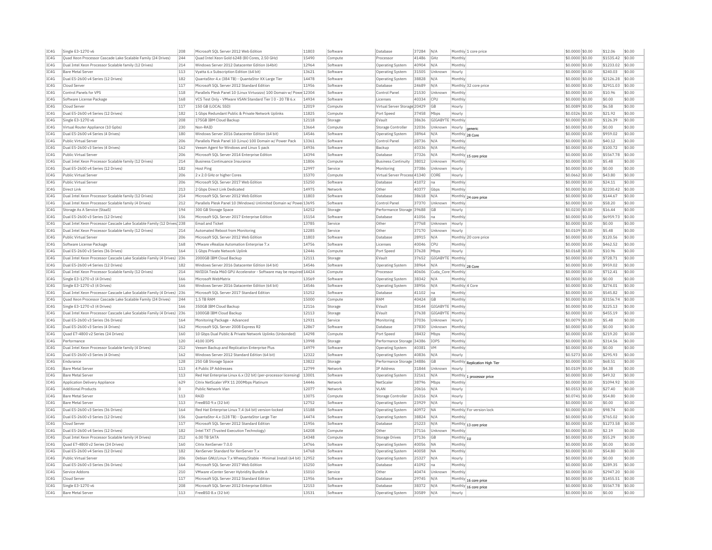| IC4G | Single E3-1270 v6                                                     | 208 | Microsoft SQL Server 2012 Web Edition                                 | 11803 | Software | Database                     | 37284 | N/A                     | Monthly 1 core price          | \$0.0000 \$0.00  | \$12.06   | \$0.00 |
|------|-----------------------------------------------------------------------|-----|-----------------------------------------------------------------------|-------|----------|------------------------------|-------|-------------------------|-------------------------------|------------------|-----------|--------|
| IC4G | Ouad Xeon Processor Cascade Lake Scalable Family (24 Drives)          | 244 | Ouad Intel Xeon Gold 6248 (80 Cores, 2.50 GHz)                        | 15490 | Compute  | Processor                    | 41486 | GHz                     | Monthly                       | \$0.0000 \$0.00  | \$1535.42 | \$0.00 |
| IC4G | Dual Intel Xeon Processor Scalable family (12 Drives)                 | 214 | Windows Server 2012 Datacenter Edition (64bit)                        | 12964 | Software | <b>Operating System</b>      | 40904 | N/A                     | Monthly                       | \$0.0000 \$0.00  | \$1233.02 | \$0.00 |
| IC4G | <b>Bare Metal Server</b>                                              | 113 | Vvatta 6.x Subscription Edition (64 bit)                              | 13621 | Software | Operating System             | 31505 | Unknown                 | Hourly                        | \$0,0000 \$0,00  | \$240.03  | \$0.00 |
| IC4G | Dual E5-2600 v4 Series (12 Drives)                                    | 182 | QuantaStor 4.x (384 TB) - QuantaStor XX Large Tier                    | 14478 | Software | Operating System             | 38828 | N/A                     | Monthly                       | \$0.0000 \$0.00  | \$2126.28 | \$0.00 |
| IC4G | Cloud Server                                                          | 117 | Microsoft SQL Server 2012 Standard Edition                            | 11956 | Software | Database                     | 24689 | N/A                     | Monthly 32 core price         | \$0.0000 \$0.00  | \$2911.03 | \$0.00 |
| IC4G | Control Panels for VPS                                                | 118 | Parallels Plesk Panel 10 (Linux Virtuozzo) 100 Domain w/ Powe 12304   |       | Software | Control Panel                | 21530 | Unknown                 | Monthly                       | \$0,0000 \$0.00  | \$10.96   | \$0.00 |
| IC4G | Software License Package                                              | 168 | VCS Test Only - VMware VSAN Standard Tier I 0 - 20 TB 6.x             | 14934 | Software | Licenses                     | 40334 | CPU                     | Monthly                       |                  | \$0.00    | \$0.00 |
|      |                                                                       |     |                                                                       |       |          |                              |       |                         |                               | \$0.0000 \$0.00  |           |        |
| IC4G | Cloud Server                                                          | 117 | 150 GB (LOCAL SSD)                                                    | 12019 | Compute  | Virtual Server Storage 20429 |       | GB                      | Hourly                        | \$0,0089 \$0,00  | \$6.58    | \$0.00 |
| IC4G | Dual E5-2600 v4 Series (12 Drives)                                    | 182 | 1 Gbps Redundant Public & Private Network Uplinks                     | 11825 | Compute  | Port Speed                   | 37458 | Mbps                    | Hourly                        | \$0.0326 \$0.00  | \$21.92   | \$0.00 |
| IC4G | Single E3-1270 v6                                                     | 208 | 175GB IBM Cloud Backup                                                | 12118 | Storage  | EVault                       | 38636 | GIGABYTE                | Monthly                       | \$0.0000 \$0.00  | \$126.39  | \$0.00 |
| TC4G | Virtual Router Appliance (10 Gpbs)                                    | 230 | Non-RAID                                                              | 13664 | Compute  | Storage Controlle            | 32036 | Unknown                 | Hourly<br>generic             | \$0,0000 \$0,00  | \$0.00    | \$0.00 |
| IC4G | Dual E5-2600 v4 Series (4 Drives)                                     | 180 | Windows Server 2016 Datacenter Edition (64 bit)                       | 14546 | Software | <b>Operating System</b>      | 38964 | N/A                     | Monthly 28 Core               | \$0,0000 \$0.00  | \$959.02  | \$0.00 |
| IC4G | Public Virtual Server                                                 | 206 | Parallels Plesk Panel 10 (Linux) 100 Domain w/ Power Pack             | 13361 | Software | Control Panel                | 28736 | N/A                     | Monthly                       | \$0.0000 \$0.00  | \$40.12   | \$0.00 |
| IC4G | Dual E5-2600 v3 Series (4 Drives)                                     | 162 | Veeam Agent for Windows and Linux 5 pack                              | 14936 | Software | Backup                       | 40336 | N/A                     | Monthly                       | \$0.0000 \$0.00  | \$100.72  | \$0.00 |
| IC4G | Public Virtual Server                                                 | 206 | Microsoft SOL Server 2014 Enterprise Edition                          | 14394 | Software | Database                     | 37326 | N/A                     | Monthly 15 core price         | \$0,0000 \$0.00  | \$5567.78 | \$0.00 |
| IC4G | Dual Intel Xeon Processor Scalable family (12 Drives)                 | 214 | Business Continuance Insurance                                        | 11806 | Compute  | <b>Business Continuity</b>   | 38012 | Unknown                 | Monthly                       | \$0,0000 \$0.00  | \$5.48    | \$0.00 |
|      |                                                                       |     | Host Ping                                                             |       |          |                              |       |                         |                               |                  |           | \$0.00 |
| IC4G | Dual E5-2600 v4 Series (12 Drives)                                    | 182 |                                                                       | 12997 | Service  | Monitoring                   | 37386 | Unknown                 | Hourly                        | \$0.0000 \$0.00  | \$0.00    |        |
| IC4G | Public Virtual Server                                                 | 206 | 2 x 2.0 GHz or higher Cores                                           | 15370 | Compute  | Virtual Server Process 41340 |       | CORE                    | Hourly                        | \$0.0662 \$0.00  | \$43.80   | \$0.00 |
| IC4G | Public Virtual Server                                                 | 206 | Microsoft SQL Server 2017 Web Edition                                 | 15250 | Software | Database                     | 41072 | Ina                     | Monthly                       | \$0,0000 \$0.00  | \$24.11   | \$0.00 |
| IC4G | Direct Link                                                           | 213 | 2 Gbps Direct Link Dedicated                                          | 14975 | Network  | Other                        | 40377 | Gbps                    | Monthly                       | \$0,0000 \$0.00  | \$2230.42 | \$0.00 |
| IC4G | Dual Intel Xeon Processor Scalable family (12 Drives)                 | 214 | Microsoft SOL Server 2012 Web Edition                                 | 11803 | Software | Database                     | 38618 | N/A                     | Monthly 24 core price         | \$0,0000 \$0.00  | \$144.67  | \$0.00 |
| IC4G | Dual Intel Xeon Processor Scalable family (4 Drives)                  | 212 | Parallels Plesk Panel 10 (Windows) Unlimited Domain w/ Powe 13695     |       | Software | Control Panel                | 37370 | Unknown                 | Monthly                       | \$0.0000 \$0.00  | \$58.20   | \$0.00 |
| IC4G | Storage As A Service (StaaS)                                          | 194 | 300 GB Storage Space                                                  | 14252 | Storage  | Performance Storage 39688    |       | GB                      | Hourly                        | \$0,0230 \$0.00  | \$16.44   | \$0.00 |
| TCAG | Dual E5-2600 v3 Series (12 Drives)                                    | 156 | Microsoft SOL Server 2017 Enterprise Edition                          | 15154 | Software | Database                     | 41056 | na.                     | Monthly                       | \$0,0000 \$0.00  | \$6959.73 | \$0.00 |
| IC4G | Dual Intel Xeon Processor Cascade Lake Scalable Family (12 Drives 238 |     | <b>Email and Ticket</b>                                               | 13785 | Service  | Other                        | 37768 | Unknowr                 | Hourly                        | \$0,0000 \$0.00  | \$0.00    | \$0.00 |
| IC4G | Dual Intel Xeon Processor Scalable family (12 Drives)                 | 214 | Automated Reboot from Monitoring                                      | 12285 | Service  | Other                        | 37170 | Unknown                 | Hourly                        | \$0.0109 \$0.00  | \$5.48    | \$0.00 |
| IC4G | Public Virtual Server                                                 | 206 | Microsoft SQL Server 2012 Web Edition                                 | 11803 | Software | Database                     | 28915 | N/A                     | Monthly 20 core price         | \$0.0000 \$0.00  | \$120.56  | \$0.00 |
|      |                                                                       |     |                                                                       |       |          |                              |       |                         |                               |                  |           |        |
| IC4G | Software License Package                                              | 168 | VMware vRealize Automation Enterprise 7.x                             | 14756 | Software | Licenses                     | 40046 | CPU                     | Monthly                       | \$0.0000 \$0.00  | \$462.52  | \$0.00 |
| IC4G | Dual E5-2600 v3 Series (36 Drives)                                    | 164 | 1 Gbns Private Network Unlink                                         | 12446 | Compute  | Port Speed                   | 37628 | Mhns                    | Hourly                        | \$0,0168 \$0.00  | \$10.96   | \$0.00 |
| IC4G | Dual Intel Xeon Processor Cascade Lake Scalable Family (4 Drives) 236 |     | 2000GB TBM Cloud Backup                                               | 12111 | Storage  | FVault                       | 37652 | GIGARYTE Monthly        |                               | \$0.0000 \$0.00  | \$728.71  | \$0.00 |
| IC4G | Dual E5-2600 v4 Series (12 Drives)                                    | 182 | Windows Server 2016 Datacenter Edition (64 bit)                       | 14546 | Software | <b>Operating System</b>      | 38964 | N/A                     | Monthly 28 Core               | \$0,0000 \$0.00  | \$959.02  | \$0.00 |
| TC4G | Dual Intel Xeon Processor Scalable family (12 Drives)                 | 214 | NVIDIA Tesla M60 GPU Accelerator - Software may be required 14424     |       | Compute  | Processo                     | 40606 | Cuda Core Monthly       |                               | \$0.0000 \$0.00  | \$712.41  | \$0.00 |
| IC4G | Single E3-1270 v3 (4 Drives)                                          | 166 | Microsoft WebMatrix                                                   | 13569 | Software | Operating System             | 38342 | N/A                     | Monthly                       | \$0,0000 \$0.00  | \$0.00    | \$0.00 |
| IC4G | Single E3-1270 v3 (4 Drives)                                          | 166 | Windows Server 2016 Datacenter Edition (64 bit)                       | 14546 | Software | Operating System             | 38956 | N/A                     | Monthly 4 Core                | \$0,0000 \$0.00  | \$274.01  | \$0.00 |
| IC4G | Dual Intel Xeon Processor Cascade Lake Scalable Family (4 Drives) 236 |     | Microsoft SQL Server 2017 Standard Edition                            | 15252 | Software | Database                     | 41102 | Ina                     | Monthly                       | \$0.0000 \$0.00  | \$545.82  | \$0.00 |
| IC4G | Quad Xeon Processor Cascade Lake Scalable Family (24 Drives)          | 244 | 1.5 TR RAM                                                            | 15000 | Compute  | RAM                          | 40424 | GB                      | Monthly                       | \$0.0000 \$0.00  | \$3156.74 | \$0.00 |
| TC4G | Single E3-1270 v3 (4 Drives)                                          | 166 | 350GB TBM Cloud Backup                                                | 12116 | Storage  | FVault                       | 38144 | <b>GIGARYTE</b> Monthly |                               | \$0,0000 \$0.00  | \$225.13  | \$0.00 |
| IC4G | Dual Intel Xeon Processor Cascade Lake Scalable Family (4 Drives) 236 |     | 1000GB IBM Cloud Backup                                               | 12113 | Storage  | EVault                       | 37638 | GIGARYTE                | Monthly                       | \$0.0000 \$0.00  | \$455.19  | \$0.00 |
| IC4G | Dual E5-2600 v3 Series (36 Drives)                                    | 164 | Monitoring Package - Advanced                                         | 12931 |          | Monitoring                   | 37036 | Unknown                 |                               | \$0,0079 \$0,00  | \$5.48    | \$0.00 |
|      |                                                                       |     |                                                                       |       | Service  |                              |       |                         | Hourly                        |                  |           |        |
| IC4G | Dual E5-2600 v3 Series (4 Drives)                                     | 162 | Microsoft SOL Server 2008 Express R2                                  | 12867 | Software | Database                     | 37830 | Unknown                 | Monthly                       | $$0.0000$ \$0.00 | \$0.00    | \$0.00 |
| IC4G | Quad E7-4800 v2 Series (24 Drives)                                    | 160 | 10 Gbps Dual Public & Private Network Uplinks (Unbonded)              | 14298 | Compute  | Port Speed                   | 38432 | Mbps                    | Monthly                       | \$0.0000 \$0.00  | \$219.20  | \$0.00 |
| IC4G | Performance                                                           | 120 | 4100 TOPS                                                             | 13998 | Storage  | Performance Storage 34386    |       | <b>TOPS</b>             | Monthly                       | \$0,0000 \$0.00  | \$314.56  | \$0.00 |
| IC4G | Dual Intel Xeon Processor Scalable family (4 Drives)                  | 212 | Veeam Backup and Replication Enterprise Plus                          | 14979 | Software | Operating System             | 40381 | <b>VM</b>               | Monthly                       | \$0.0000 \$0.00  | \$0.00    | \$0.00 |
| IC4G | Dual E5-2600 v3 Series (4 Drives)                                     | 162 | Windows Server 2012 Standard Edition (64 bit)                         | 12322 | Software | Operating System             | 40836 | N/A                     | Hourly                        | \$0.5273 \$0.00  | \$295.93  | \$0.00 |
| TC4G | Endurance                                                             | 128 | 250 GB Storage Space                                                  | 13822 | Storage  | Performance Storage 34886    |       | <b>GB</b>               | Monthly Replication High Tier | $$0.0000$ \$0.00 | \$68.51   | \$0.00 |
| IC4G | <b>Bare Metal Server</b>                                              | 113 | 4 Public IP Addresses                                                 | 12799 | Network  | IP Address                   | 31844 | Unknown                 | Hourly                        | \$0.0109 \$0.00  | \$4.38    | \$0.00 |
| TC4G | <b>Bare Metal Server</b>                                              | 113 | Red Hat Enterprise Linux 6.x (32 bit) (per-processor licensing) 13001 |       | Software | Operating System             | 32161 | N/A                     | Monthly<br>processor price    | \$0,0000 \$0.00  | \$49.32   | \$0.00 |
| TC4G | Application Delivery Appliance                                        | 629 | Citrix NetScaler VPX 11 200Mbns Platinum                              | 14446 | Network  | NetScale                     | 38796 | Mhns                    | Monthly                       | $$0.0000$ \$0.00 | \$1094.92 | \$0.00 |
| IC4G | <b>Additional Products</b>                                            | lo  | Public Network Vlan                                                   | 12077 | Network  | VI AN                        | 20616 | N/A                     | Hourly                        | $$0.0553$ \$0.00 | \$27.40   | \$0.00 |
| IC4G | <b>Bare Metal Server</b>                                              | 113 | RATD                                                                  | 13075 | Compute  | Storage Controller           | 26316 | N/A                     | Hourly                        | \$0.0741 \$0.00  | \$54.80   | \$0.00 |
|      |                                                                       |     |                                                                       |       |          |                              |       |                         |                               |                  |           |        |
| TCAG | <b>Bare Metal Server</b>                                              | 113 | FreeBSD 9 x (32 bit)                                                  | 12752 | Software | <b>Operating System</b>      | 23929 | N/A                     | Hourly                        | \$0.0000 \$0.00  | \$0.00    | \$0.00 |
| IC4G | Dual E5-2600 v3 Series (36 Drives)                                    | 164 | Red Hat Enterprise Linux 7.4 (64 bit) version-locked                  | 15188 | Software | Operating System             | 40972 | <b>NA</b>               | Monthly For version lock      | \$0.0000 \$0.00  | \$98.74   | \$0.00 |
| IC4G | Dual E5-2600 v3 Series (12 Drives)                                    | 156 | QuantaStor 4.x (128 TB) - QuantaStor Large Tier                       | 14474 | Software | Operating System             | 38824 | N/A                     | Monthly                       | $$0.0000$ \$0.00 | \$765.02  | \$0.00 |
| TC4G | Cloud Server                                                          | 117 | Microsoft SQL Server 2012 Standard Edition                            | 11956 | Software | Database                     | 25223 | N/A                     | Monthly<br>13 core price      | \$0.0000 \$0.00  | \$1273.58 | \$0.00 |
| IC4G | Dual E5-2600 v4 Series (12 Drives)                                    | 182 | Intel TXT (Trusted Execution Technology)                              | 14208 | Compute  | Other                        | 37116 | Unknown                 | Monthly                       | \$0.0000 \$0.00  | \$2.19    | \$0.00 |
| TCAG | Dual Intel Xeon Processor Scalable family (4 Drives)                  | 212 | 6.00 TR SATA                                                          | 14348 | Compute  | <b>Storage Drives</b>        | 37136 | GB                      | Monthly 1U                    | \$0.0000 \$0.00  | \$55.29   | \$0.00 |
| IC4G | Quad E7-4800 v2 Series (24 Drives)                                    | 160 | Citrix XenServer 7.0.0                                                | 14766 | Software | <b>Operating System</b>      | 40056 | <b>NA</b>               | Monthly                       | \$0.0000 \$0.00  | \$0.00    | \$0.00 |
| IC4G | Dual E5-2600 v4 Series (12 Drives)                                    | 182 | XenServer Standard for XenServer 7.x                                  | 14768 | Software | <b>Operating System</b>      | 40058 | <b>NA</b>               | Monthly                       | \$0,0000 \$0.00  | \$54.80   | \$0.00 |
| IC4G | Public Virtual Server                                                 | 206 | Debian GNU/Linux 7.x Wheezy/Stable - Minimal Install (64 bit)         | 12952 | Software | Operating System             | 25327 | N/A                     | Hourly                        | \$0.0000 \$0.00  | \$0.00    | \$0.00 |
| IC4G | Dual E5-2600 v3 Series (36 Drives)                                    | 164 | Microsoft SOL Server 2017 Web Edition                                 | 15250 | Software | Database                     | 41092 | Ina                     | Monthly                       | \$0,0000 \$0,00  | \$289.35  | \$0.00 |
| IC4G | Service Addons                                                        | 210 | VMware vCenter Server Hybridity Bundle A                              | 15010 | Service  |                              | 40474 |                         | Monthly                       | \$0,0000 \$0.00  | \$2947.20 | \$0.00 |
|      |                                                                       |     |                                                                       |       |          | Other                        |       | Unknown                 |                               |                  |           |        |
| IC4G | Cloud Server                                                          | 117 | Microsoft SQL Server 2012 Standard Edition                            | 11956 | Software | Database                     | 29745 | N/A                     | Monthly 16 core price         | \$0.0000 \$0.00  | \$1455.51 | \$0.00 |
| IC4G | Single E3-1270 v6                                                     | 208 | Microsoft SOL Server 2012 Enterprise Edition                          | 12153 | Software | Database                     | 38372 | N/A                     | Monthly 16 core price         | \$0,0000 \$0,00  | \$5567.78 | \$0.00 |
| IC4G | <b>Bare Metal Server</b>                                              | 113 | FreeBSD 8.x (32 bit)                                                  | 13531 | Software | <b>Operating System</b>      | 30589 | N/A                     | Hourly                        | \$0,0000 \$0.00  | \$0.00    | \$0.00 |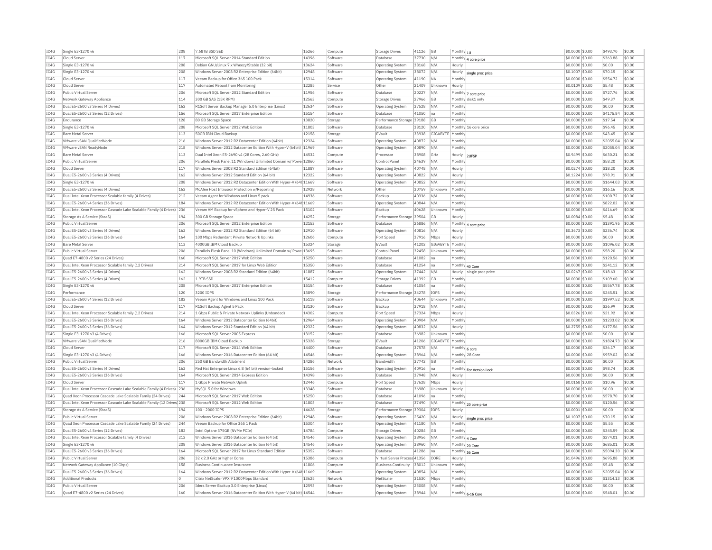| IC4G | Single E3-1270 v6                                                     | 208            | 7.68TB SSD SED                                                     | 15266 | Compute  | Storage Drives               | 41126 | <b>GB</b>   | Monthly 1U                      | \$0.0000 \$0.00  | \$493.70  | \$0.00 |
|------|-----------------------------------------------------------------------|----------------|--------------------------------------------------------------------|-------|----------|------------------------------|-------|-------------|---------------------------------|------------------|-----------|--------|
| IC4G | Cloud Server                                                          | 117            | Microsoft SQL Server 2014 Standard Edition                         | 14396 | Software | Database                     | 37730 | N/A         | Monthly 4 core price            | \$0.0000 \$0.00  | \$363.88  | \$0.00 |
| IC4G | Single E3-1270 v6                                                     | 208            | Debian GNU/Linux 7.x Wheezy/Stable (32 bit)                        | 13624 | Software | Operating System             | 38168 | N/A         | Hourly                          | \$0,0000 \$0.00  | \$0.00    | \$0.00 |
| TCAG | Single E3-1270 v6                                                     | 208            | Windows Server 2008 R2 Enterprise Edition (64bit)                  | 12948 | Software | Operating System             | 38072 | N/A         | Hourly<br>single proc price     | $$0.1007$ \$0.00 | \$70.15   | \$0.00 |
| IC4G | Cloud Serve                                                           | 117            | Veeam Backup for Office 365 100 Pack                               | 15314 | Software | Operating System             | 41190 | NA          | Monthly                         | \$0,0000 \$0.00  | \$554.72  | \$0.00 |
| IC4G | Cloud Server                                                          | 117            | Automated Reboot from Monitoring                                   | 12285 | Service  | Other                        | 21409 | Unknown     | Hourly                          | \$0.0109 \$0.00  | \$5.48    | \$0.00 |
| IC4G | Public Virtual Server                                                 | 206            | Microsoft SQL Server 2012 Standard Edition                         | 11956 | Software | Database                     | 20227 | N/A         | Monthly 7 core price            | \$0.0000 \$0.00  | \$727.76  | \$0.00 |
| IC4G | Network Gateway Appliance                                             | 114            | 300 GB SAS (15K RPM)                                               | 12563 | Compute  | <b>Storage Drives</b>        | 27966 | GB          | Monthly disk1 only              | \$0.0000 \$0.00  | \$49.37   | \$0.00 |
| IC4G | Dual E5-2600 v3 Series (4 Drives)                                     | 162            | R1Soft Server Backup Manager 5.0 Enterprise (Linux)                | 12634 | Software | Operating System             | 37528 | N/A         | Monthly                         | \$0,0000 \$0.00  | \$0.00    | \$0.00 |
| IC4G | Dual E5-2600 v3 Series (12 Drives)                                    | 156            | Microsoft SQL Server 2017 Enterprise Edition                       | 15154 | Software | Database                     | 41050 | na          | Monthly                         | \$0.0000 \$0.00  | \$4175.84 | \$0.00 |
| TC4G | Endurance                                                             | 128            |                                                                    | 13820 |          | Performance Storage 39188    |       | GB          | Monthly                         |                  | \$17.54   | \$0.00 |
|      |                                                                       |                | 80 GB Storage Space                                                |       | Storage  |                              |       |             |                                 | \$0,0000 \$0,00  |           |        |
| IC4G | Single E3-1270 v6                                                     | 208            | Microsoft SQL Server 2012 Web Edition                              | 11803 | Software | Database                     | 38120 | N/A         | Monthly 16 core price           | \$0.0000 \$0.00  | \$96.45   | \$0.00 |
| IC4G | <b>Bare Metal Server</b>                                              | 113            | 50GB IBM Cloud Backup                                              | 12158 | Storage  | EVault                       | 33938 | GIGABYTE    | Monthly                         | \$0.0000 \$0.00  | \$43.45   | \$0.00 |
| TC4G | VMware vSAN QualifiedNode                                             | 216            | Windows Server 2012 R2 Datacenter Edition (64bit)                  | 12324 | Software | <b>Operating System</b>      | 40872 | N/A         | Monthly                         | \$0,0000 \$0.00  | \$2055.04 | \$0.00 |
| IC4G | VMware vSAN ReadvNode                                                 | 218            | Windows Server 2012 Datacenter Edition With Hyper-V (64bit)        | 11969 | Software | Operating System             | 40890 | N/A         | Monthly                         | \$0,0000 \$0.00  | \$2055.04 | \$0.00 |
| IC4G | Bare Metal Server                                                     | 113            | Dual Intel Xeon E5-2690 v4 (28 Cores, 2.60 GHz)                    | 14532 | Compute  | Processo                     | 38908 | GHz         | Hourly<br>2LIESE                | \$0,9499 \$0.00  | \$630.21  | \$0.00 |
| IC4G | Public Virtual Server                                                 | 206            | Parallels Plesk Panel 11 (Windows) Unlimited Domain w/ Powe 12860  |       | Software | Control Panel                | 24639 | N/A         | Monthly                         | \$0.0000 \$0.00  | \$58.20   | \$0.00 |
| IC4G | Cloud Server                                                          | 117            | Windows Server 2008 R2 Standard Edition (64bit)                    | 11887 | Software | Operating System             | 40748 | N/A         | Hourly                          | \$0.0274 \$0.00  | \$18.20   | \$0.00 |
| TC4G | Dual E5-2600 v3 Series (4 Drives)                                     | 162            | Windows Server 2012 Standard Edition (64 bit)                      | 12322 | Software | <b>Operating System</b>      | 40822 | N/A         | Hourly                          | \$0.1224 \$0.00  | \$78.91   | \$0.00 |
| IC4G | Single E3-1270 v6                                                     | 208            | Windows Server 2012 R2 Datacenter Edition With Hyper-V (64t 11669  |       | Software | <b>Operating System</b>      | 40852 | N/A         | Monthly                         | \$0.0000 \$0.00  | \$1644.03 | \$0.00 |
| TCAG | Dual E5-2600 v3 Series (4 Drives)                                     | 162            | McAfee Host Intrusion Protection w/Reporting                       | 12928 | Network  | Other                        | 30759 | Unknown     | Monthly                         | \$0.0000 \$0.00  | \$16.16   | \$0.00 |
| IC4G | Dual Intel Xeon Processor Scalable family (4 Drives)                  | 212            | Veeam Agent for Windows and Linux 5 pack                           | 14936 | Software | Backup                       | 40336 | N/A         | Monthly                         | \$0,0000 \$0.00  | \$100.72  | \$0.00 |
| IC4G | Dual E5-2600 v4 Series (36 Drives)                                    | 184            | Windows Server 2012 R2 Datacenter Edition With Hyper-V (64t 11669  |       | Software | <b>Operating System</b>      | 40844 | N/A         | Monthly                         | \$0.0000 \$0.00  | \$822.02  | \$0.00 |
| IC4G | Dual Intel Xeon Processor Cascade Lake Scalable Family (4 Drives) 236 |                | Veeam VM Backup for vSphere and Hyper-V 25 Pack                    | 15102 | Software | Backup                       | 40628 | Unknown     | Monthly                         | \$0,0000 \$0,00  | \$416.69  | \$0.00 |
|      |                                                                       |                |                                                                    |       |          |                              |       |             |                                 |                  |           |        |
| IC4G | Storage As A Service (StaaS)                                          | 194            | 300 GB Storage Space                                               | 14252 | Storage  | Performance Storage 39504    |       | GB          | Hourly                          | \$0.0084 \$0.00  | \$5.48    | \$0.00 |
| TC4G | Public Virtual Server                                                 | 206            | Microsoft SQL Server 2012 Enterprise Edition                       | 12153 | Software | Database                     | 26886 | N/A         | Monthly 4 core price            | $50.0000$ \$0.00 | \$1391.95 | \$0.00 |
| IC4G | Dual E5-2600 v3 Series (4 Drives)                                     | 162            | Windows Server 2012 R2 Standard Edition (64 bit)                   | 12910 | Software | Operating System             | 40816 | N/A         | Hourly                          | \$0.3673 \$0.00  | \$236.74  | \$0.00 |
| IC4G | Dual E5-2600 v3 Series (36 Drives                                     | 164            | 100 Mbps Redundant Private Network Uplinks                         | 12606 | Compute  | Port Speed                   | 37916 | Mbps        | Hourly                          | \$0.0000 \$0.00  | \$0.00    | \$0.00 |
| IC4G | <b>Bare Metal Server</b>                                              | 113            | 4000GB TBM Cloud Backup                                            | 15324 | Storage  | FVault                       | 41202 | GIGARYTE    | Monthly                         | \$0,0000 \$0.00  | \$1096.02 | \$0.00 |
| IC4G | Public Virtual Server                                                 | 206            | Parallels Plesk Panel 10 (Windows) Unlimited Domain w/ Powe 13695  |       | Software | Control Pane                 | 32458 | Unknown     | Monthly                         | \$0,0000 \$0.00  | \$58.20   | \$0.00 |
| IC4G | Ouad E7-4800 v2 Series (24 Drives)                                    | 160            | Microsoft SOL Server 2017 Web Edition                              | 15250 | Software | Database                     | 41082 | Ina         | Monthly                         | \$0,0000 \$0.00  | \$120.56  | \$0.00 |
| IC4G | Dual Intel Xeon Processor Scalable family (12 Drives)                 | 214            | Microsoft SQL Server 2017 for Linux Web Edition                    | 15350 | Software | Database                     | 41254 | Ina         | Monthly 40 Core                 | \$0.0000 \$0.00  | \$241.12  | \$0.00 |
| IC4G | Dual E5-2600 v3 Series (4 Drives)                                     | 162            | Windows Server 2008 R2 Standard Edition (64bit)                    | 11887 | Software | Operating System             | 37442 | N/A         | Hourly<br>single proc price     | \$0.0267 \$0.00  | \$18.63   | \$0.00 |
| TC4G | Dual E5-2600 v3 Series (4 Drives)                                     | 162            | 1.9TR SSD                                                          | 15412 | Compute  | Storage Drives               | 41392 | GB          | Monthly                         | $$0.0000$ \$0.00 | \$109.60  | \$0.00 |
| IC4G | Single E3-1270 v6                                                     | 208            | Microsoft SQL Server 2017 Enterprise Edition                       | 15154 | Software | Database                     | 41054 | na          | Monthly                         | \$0.0000 \$0.00  | \$5567.78 | \$0.00 |
| IC4G | Performance                                                           | 120            | 3200 IOPS                                                          | 13890 | Storage  | Performance Storage 34278    |       | <b>IOPS</b> | Monthly                         | \$0.0000 \$0.00  | \$245.51  | \$0.00 |
| IC4G | Dual E5-2600 v4 Series (12 Drives)                                    | 182            | Veeam Agent for Windows and Linux 100 Pack                         | 15118 | Software | Backup                       | 40644 | Unknown     | Monthly                         | \$0,0000 \$0.00  | \$1997.52 | \$0.00 |
| IC4G | Cloud Server                                                          | 117            | R1Soft Backup Agent 5 Pack                                         | 13130 | Software | Backup                       | 37918 | N/A         | Monthly                         | \$0.0000 \$0.00  | \$36.99   | \$0.00 |
|      |                                                                       |                |                                                                    |       |          |                              |       |             |                                 |                  |           |        |
| IC4G | Dual Intel Xeon Processor Scalable family (12 Drives)                 | 214            | 1 Gbps Public & Private Network Uplinks (Unbonded)                 | 14302 | Compute  | Port Speed                   | 37324 | Mbps        | Hourly                          | \$0.0326 \$0.00  | \$21.92   | \$0.00 |
| IC4G | Dual E5-2600 v3 Series (36 Drives)                                    | 164            | Windows Server 2012 Datacenter Edition (64bit)                     | 12964 | Software | Operating System             | 40904 | N/A         | Monthly                         | \$0,0000 \$0.00  | \$1233.02 | \$0.00 |
| IC4G | Dual E5-2600 v3 Series (36 Drives)                                    | 164            | Windows Server 2012 Standard Edition (64 bit)                      | 12322 | Software | <b>Operating System</b>      | 40832 | N/A         | Hourly                          | \$0.2755 \$0.00  | \$177.56  | \$0.00 |
| IC4G | Single E3-1270 v3 (4 Drives)                                          | 166            | Microsoft SQL Server 2005 Express                                  | 13152 | Software | Database                     | 36982 | Unknown     | Monthly                         | \$0.0000 \$0.00  | \$0.00    | \$0.00 |
| IC4G | VMware vSAN QualifiedNode                                             | 216            | 8000GB IBM Cloud Backup                                            | 15328 | Storage  | EVault                       | 41206 | GIGABYTE    | Monthly                         | \$0,0000 \$0.00  | \$1824.73 | \$0.00 |
| TC4G | Cloud Server                                                          | 117            | Microsoft SOL Server 2014 Web Edition                              | 14400 | Software | Database                     | 37578 | N/A         | Monthly 6 core                  | \$0,0000 \$0.00  | \$36.17   | \$0.00 |
| IC4G | Single E3-1270 v3 (4 Drives)                                          | 166            | Windows Server 2016 Datacenter Edition (64 bit)                    | 14546 | Software | Operating System             | 38964 | N/A         | Monthly 28 Core                 | \$0.0000 \$0.00  | \$959.02  | \$0.00 |
| IC4G | Public Virtual Server                                                 | 206            | 250 GB Bandwidth Allotment                                         | 14286 | Network  | <b>Bandwidth</b>             | 37742 | <b>GB</b>   | Monthly                         | \$0,0000 \$0.00  | \$0.00    | \$0.00 |
| TC4G | Dual E5-2600 v3 Series (4 Drives)                                     | 162            | Red Hat Enterprise Linux 6.8 (64 bit) version-locked               | 15156 | Software | Operating System             | 40916 | l na        | Monthly For Version Lock        | $$0.0000$ \$0.00 | \$98.74   | \$0.00 |
| IC4G | Dual E5-2600 v3 Series (36 Drives)                                    | 164            | Microsoft SQL Server 2014 Express Edition                          | 14398 | Software | Database                     | 37948 | N/A         | Hourly                          | \$0.0000 \$0.00  | \$0.00    | \$0.00 |
| IC4G | Cloud Server                                                          | 117            | 1 Gbps Private Network Uplink                                      | 12446 | Compute  | Port Speed                   | 37628 | Mbps        | Hourly                          | \$0.0168 \$0.00  | \$10.96   | \$0.00 |
| IC4G | Dual Intel Xeon Processor Cascade Lake Scalable Family (4 Drives)     | 236            | MvSOL 5.0 for Windows                                              | 13348 | Software | Database                     | 36980 | Unknowr     | Hourly                          | \$0.0000 \$0.00  | \$0.00    | \$0.00 |
| IC4G | Quad Xeon Processor Cascade Lake Scalable Family (24 Drives)          | 244            | Microsoft SOL Server 2017 Web Edition                              | 15250 | Software | Database                     | 41096 | na          | Monthly                         | \$0.0000 \$0.00  | \$578.70  | \$0.00 |
| IC4G | Dual Intel Xeon Processor Cascade Lake Scalable Family (12 Drives 238 |                | Microsoft SOL Server 2012 Web Edition                              | 11803 | Software | Database                     | 37490 | N/A         |                                 | \$0,0000 \$0.00  | \$120.56  | \$0.00 |
| IC4G | Storage As A Service (StaaS)                                          | 194            | 100 - 2000 IOPS                                                    | 14628 | Storage  | Performance Storage 39304    |       | IOPS        | Monthly 20 core price<br>Hourly | \$0.0001 \$0.00  | \$0.00    | \$0.00 |
| IC4G | Public Virtual Server                                                 | 206            | Windows Server 2008 R2 Enterprise Edition (64bit)                  | 12948 | Software |                              | 25420 | N/A         |                                 | \$0,1007 \$0.00  | \$70.15   | \$0.00 |
|      |                                                                       |                |                                                                    |       |          | <b>Operating System</b>      |       |             | Hourly<br>single proc price     |                  |           |        |
| IC4G | Ouad Xeon Processor Cascade Lake Scalable Family (24 Drives)          | 244            | Veeam Backup for Office 365 1 Pack                                 | 15304 | Software | <b>Operating System</b>      | 41180 | <b>NA</b>   | Monthly                         | \$0,0000 \$0.00  | \$5.55    | \$0.00 |
| IC4G | Dual E5-2600 v4 Series (12 Drives)                                    | 182            | Intel Optane 375GB (NVMe PCIe)                                     | 14784 | Compute  | <b>Storage Drives</b>        | 40284 | <b>GB</b>   | Monthly                         | \$0,0000 \$0.00  | \$345.59  | \$0.00 |
| IC4G | Dual Intel Xeon Processor Scalable family (4 Drives)                  | 212            | Windows Server 2016 Datacenter Edition (64 bit)                    | 14546 | Software | Operating System             | 38956 | N/A         | Monthly 4 Core                  | \$0.0000 \$0.00  | \$274.01  | \$0.00 |
| IC4G | Single E3-1270 v6                                                     | 208            | Windows Server 2016 Datacenter Edition (64 bit)                    | 14546 | Software | Operating System             | 38960 | N/A         | Monthly 20 Core                 | \$0.0000 \$0.00  | \$685.01  | \$0.00 |
| IC4G | Dual E5-2600 v3 Series (36 Drives)                                    | 164            | Microsoft SOL Server 2017 for Linux Standard Edition               | 15352 | Software | Database                     | 41286 | Ina         | Monthly 56 Core                 | \$0.0000 \$0.00  | \$5094.30 | \$0.00 |
| IC4G | Public Virtual Server                                                 | 206            | 32 x 2.0 GHz or higher Cores                                       | 15386 | Compute  | Virtual Server Process 41356 |       | CORE        | Hourly                          | \$1.0496 \$0.00  | \$695.88  | \$0.00 |
| TCAG | Network Gateway Appliance (10 Gbps)                                   | 158            | Business Continuance Insurance                                     | 11806 | Compute  | <b>Business Continuity</b>   | 38012 | Unknown     | Monthly                         | \$0,0000 \$0.00  | \$5.48    | \$0.00 |
| TC4G | Dual E5-2600 v3 Series (36 Drives)                                    | 164            | Windows Server 2012 R2 Datacenter Edition With Hyper-V (64t 11669  |       | Software | <b>Operating System</b>      | 40854 | N/A         | Monthly                         | $$0.0000$ \$0.00 | \$2055.04 | \$0.00 |
| IC4G | <b>Additional Products</b>                                            | $\overline{0}$ | Citrix NetScaler VPX 9 1000Mbps Standard                           | 13625 | Network  | NetScale                     | 31530 | Mbps        | Monthly                         | \$0.0000 \$0.00  | \$1314.13 | \$0.00 |
| IC4G | Public Virtual Server                                                 | 206            | Idera Server Backup 3.0 Enterprise (Linux)                         | 12593 | Software | <b>Operating System</b>      | 23008 | N/A         | Monthly                         | \$0.0000 \$0.00  | \$0.00    | \$0.00 |
| IC4G | Ouad E7-4800 v2 Series (24 Drives)                                    | 160            | Windows Server 2016 Datacenter Edition With Hyper-V (64 bit) 14544 |       | Software | <b>Operating System</b>      | 38944 | N/A         | Monthly 6-16 Core               | \$0.0000 \$0.00  | \$548.01  | \$0.00 |
|      |                                                                       |                |                                                                    |       |          |                              |       |             |                                 |                  |           |        |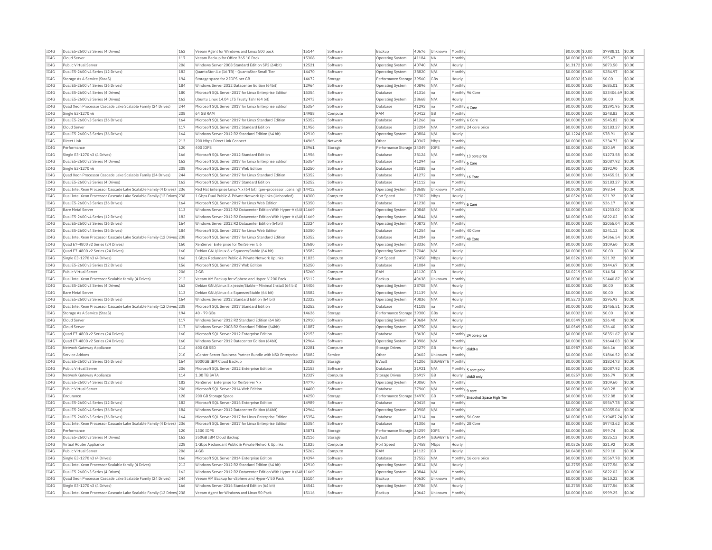| IC4G | Dual E5-2600 v3 Series (4 Drives)                                      | 162 | Veeam Agent for Windows and Linux 500 pack                              | 15144 | Software | Backup                       | 40676 | Unknown          | Monthly           |                                  | \$0.0000 \$0.00 | \$7988.11         | \$0.00     |
|------|------------------------------------------------------------------------|-----|-------------------------------------------------------------------------|-------|----------|------------------------------|-------|------------------|-------------------|----------------------------------|-----------------|-------------------|------------|
| IC4G | Cloud Server                                                           | 117 | Veeam Backup for Office 365 10 Pack                                     | 15308 | Software | Operating System             | 41184 | <b>NA</b>        | Monthly           |                                  | \$0.0000 \$0.00 | \$55.47           | \$0.00     |
| IC4G | Public Virtual Server                                                  | 206 | Windows Server 2008 Standard Edition SP2 (64bit)                        | 12521 | Software | <b>Operating System</b>      | 40740 | N/A              | Hourly            |                                  | \$1.3172 \$0.00 | \$873.50          | \$0.00     |
| IC4G | Dual E5-2600 v4 Series (12 Drives)                                     | 182 | OuantaStor 4.x (16 TB) - OuantaStor Small Tier                          | 14470 | Software | Operating System             | 38820 | N/A              | Monthly           |                                  | \$0,0000 \$0.00 | \$284.97          | \$0.00     |
| IC4G | Storage As A Service (StaaS)                                           | 194 | Storage space for 2 IOPS per GB                                         | 14672 | Storage  | Performance Storage          | 39560 | GBs              | Hourly            |                                  | \$0.0002 \$0.00 | \$0.00            | \$0.00     |
| IC4G | Dual E5-2600 v4 Series (36 Drives)                                     | 184 | Windows Server 2012 Datacenter Edition (64bit)                          | 12964 | Software | Operating System             | 40896 | N/A              | Monthly           |                                  | \$0.0000 \$0.00 | \$685.01          | \$0.00     |
| IC4G | Dual E5-2600 v4 Series (4 Drives)                                      | 180 | Microsoft SQL Server 2017 for Linux Enterprise Edition                  | 15354 | Software | Database                     | 41316 | Ina              |                   | Monthly 96 Core                  | \$0,0000 \$0.00 | \$33406.69 \$0.00 |            |
| IC4G | Dual E5-2600 v3 Series (4 Drives)                                      | 162 | Ubuntu Linux 14.04 LTS Trusty Tahr (64 bit)                             | 12473 | Software | Operating System             | 38668 | N/A              | Hourly            |                                  | \$0,0000 \$0.00 | \$0.00            | \$0.00     |
| IC4G | Quad Xeon Processor Cascade Lake Scalable Family (24 Drives)           | 244 | Microsoft SQL Server 2017 for Linux Enterprise Edition                  | 15354 | Software | Database                     | 41292 | Ina              | Monthly 4 Core    |                                  | \$0,0000 \$0.00 | \$1391.95         | \$0.00     |
| IC4G | Single E3-1270 v6                                                      | 208 | 64 GB RAM                                                               | 14988 | Compute  | RAM                          | 40412 | GB               | Monthly           |                                  | \$0.0000 \$0.00 | \$248.83          | \$0.00     |
| IC4G | Dual E5-2600 v3 Series (36 Drives)                                     | 164 | Microsoft SOL Server 2017 for Linux Standard Edition                    | 15352 | Software | Database                     | 41266 | na               | Monthly 6 Core    |                                  | \$0.0000 \$0.00 | \$545.82          | \$0.00     |
| TC4G | Cloud Server                                                           | 117 | Microsoft SOL Server 2012 Standard Edition                              | 11956 | Software | Database                     | 33204 | N/A              |                   | Monthly 24 core price            | \$0,0000 \$0.00 | \$2183.27         | \$0.00     |
| IC4G | Dual E5-2600 v3 Series (36 Drives)                                     | 164 | Windows Server 2012 R2 Standard Edition (64 bit)                        | 12910 | Software | Operating System             | 40804 | N/A              | Hourly            |                                  | \$0,1224 \$0.00 | \$78.91           | \$0.00     |
| IC4G | Direct Link                                                            | 213 | 200 Mbps Direct Link Connect                                            | 14965 | Network  | Other                        | 40367 | Mbps             | Monthly           |                                  | \$0,0000 \$0.00 | \$334.73          | \$0.00     |
| IC4G | Performance                                                            | 120 | 400 TOPS                                                                | 13961 | Storage  | Performance Storage 34349    |       | TOPS             | Monthly           |                                  | \$0.0000 \$0.00 | \$30.69           | \$0.00     |
| IC4G | Single E3-1270 v3 (4 Drives)                                           | 166 | Microsoft SQL Server 2012 Standard Edition                              | 11956 | Software | Database                     | 38124 | N/A              |                   |                                  | \$0.0000 \$0.00 | \$1273.58         | \$0.00     |
| TC4G | Dual E5-2600 v3 Series (4 Drives)                                      | 162 | Microsoft SOL Server 2017 for Linux Enterprise Edition                  | 15354 | Software |                              | 41294 |                  |                   | Monthly 13 core price            | \$0,0000 \$0.00 | \$2087.92         | \$0.00     |
|      |                                                                        |     |                                                                         |       |          | Database                     |       | Ina              | Monthly 6 Core    |                                  |                 |                   |            |
| TCAG | Single E3-1270 v6                                                      | 208 | Microsoft SOL Server 2017 Web Edition                                   | 15250 | Software | Database                     | 41088 | lna              | Monthly           |                                  | \$0.0000 \$0.00 | \$192.90          | \$0.00     |
| IC4G | Quad Xeon Processor Cascade Lake Scalable Family (24 Drives)           | 244 | Microsoft SQL Server 2017 for Linux Standard Edition                    | 15352 | Software | Database                     | 41272 | na               |                   | Monthly 16 Core                  | \$0.0000 \$0.00 | \$1455.51         | \$0.00     |
| IC4G | Dual E5-2600 v3 Series (4 Drives)                                      | 162 | Microsoft SOL Server 2017 Standard Edition                              | 15252 | Software | Database                     | 41112 | Ina              | Monthly           |                                  | \$0,0000 \$0.00 | \$2183.27         | \$0.00     |
| IC4G | Dual Intel Xeon Processor Cascade Lake Scalable Family (4 Drives) 236  |     | Red Hat Enterprise Linux 7.x (64 bit) (per-processor licensing)   14412 |       | Software | <b>Operating System</b>      | 38688 | Unknown          | Monthly           |                                  | \$0.0000 \$0.00 | \$98.64           | \$0.00     |
| IC4G | Dual Intel Xeon Processor Cascade Lake Scalable Family (12 Drives 238  |     | 1 Gbps Dual Public & Private Network Uplinks (Unbonded)                 | 14300 | Compute  | Port Speed                   | 37302 | Mbps             | Hourly            |                                  | \$0.0326 \$0.00 | \$21.92           | \$0.00     |
| IC4G | Dual E5-2600 v3 Series (36 Drives)                                     | 164 | Microsoft SQL Server 2017 for Linux Web Edition                         | 15350 | Software | Database                     | 41238 | na               | Monthly 6 Core    |                                  | \$0.0000 \$0.00 | \$36.17           | \$0.00     |
| IC4G | <b>Bare Metal Server</b>                                               | 113 | Windows Server 2012 R2 Datacenter Edition With Hyper-V (64t 11669       |       | Software | <b>Operating System</b>      | 40848 | N/A              | Monthly           |                                  | \$0.0000 \$0.00 | \$1233.02         | \$0.00     |
| IC4G | Dual E5-2600 v4 Series (12 Drives)                                     | 182 | Windows Server 2012 R2 Datacenter Edition With Hyper-V (64t 11669       |       | Software | <b>Operating System</b>      | 40844 | N/A              | Monthly           |                                  | \$0,0000 \$0.00 | \$822.02          | \$0.00     |
| IC4G | Dual E5-2600 v3 Series (36 Drives)                                     | 164 | Windows Server 2012 R2 Datacenter Edition (64bit)                       | 12324 | Software | <b>Operating Systen</b>      | 40872 | N/A              | Monthly           |                                  | \$0.0000 \$0.00 | \$2055.04         | \$0.00     |
| IC4G | Dual E5-2600 v4 Series (36 Drives)                                     | 184 | Microsoft SOL Server 2017 for Linux Web Edition                         | 15350 | Software | Database                     | 41254 | Ina              |                   | Monthly 40 Core                  | \$0.0000 \$0.00 | \$241.12          | \$0.00     |
| IC4G | Dual Intel Xeon Processor Cascade Lake Scalable Family (12 Drives 238  |     | Microsoft SOL Server 2017 for Linux Standard Edition                    | 15352 | Software | Database                     | 41284 | Ina              |                   | Monthly 48 Core                  | \$0,0000 \$0.00 | \$4366.54         | \$0.00     |
| IC4G | Ouad E7-4800 v2 Series (24 Drives)                                     | 160 | XenServer Enterprise for XenServer 5.6                                  | 13680 | Software | <b>Operating System</b>      | 38336 | N/A              | Monthly           |                                  | \$0.0000 \$0.00 | \$109.60          | \$0.00     |
| IC4G | Quad E7-4800 v2 Series (24 Drives)                                     | 160 | Debian GNU/Linux 6.x Squeeze/Stable (64 bit)                            | 13582 | Software | <b>Operating System</b>      | 37046 | N/A              | Hourly            |                                  | \$0,0000 \$0.00 | \$0.00            | \$0.00     |
| IC4G | Single E3-1270 v3 (4 Drives)                                           | 166 | 1 Gbps Redundant Public & Private Network Uplinks                       | 11825 | Compute  | Port Speed                   | 37458 | Mbps             | Hourly            |                                  | \$0.0326 \$0.00 | \$21.92           | \$0.00     |
| TC4G | Dual E5-2600 v3 Series (12 Drives)                                     | 156 | Microsoft SQL Server 2017 Web Edition                                   | 15250 | Software | Database                     | 41084 | Ina              | Monthly           |                                  | \$0,0000 \$0.00 | \$144.67          | \$0.00     |
| IC4G | Public Virtual Server                                                  | 206 | $2$ GB                                                                  | 15260 | Compute  | RAM                          | 41120 | <b>GB</b>        | Hourly            |                                  | \$0.0219 \$0.00 | \$14.54           | \$0.00     |
| IC4G | Dual Intel Xeon Processor Scalable family (4 Drives)                   | 212 | Veeam VM Backup for vSphere and Hyper-V 200 Pack                        | 15112 | Software | Backup                       | 40638 | Unknown          | Monthly           |                                  | \$0.0000 \$0.00 | \$2440.87         | \$0.00     |
| TCAG | Dual E5-2600 v3 Series (4 Drives)                                      | 162 | Debian GNU/Linux 8.x jessie/Stable - Minimal Install (64 bit)           | 14406 | Software | Operating System             | 38708 | N/A              | Hourly            |                                  | \$0,0000 \$0.00 | \$0.00            | \$0.00     |
| IC4G | <b>Bare Metal Server</b>                                               | 113 | Debian GNU/Linux 6.x Squeeze/Stable (64 bit)                            | 13582 | Software | Operating System             | 31139 | N/A              | Hourly            |                                  | \$0,0000 \$0.00 | \$0.00            | \$0.00     |
| IC4G | Dual E5-2600 v3 Series (36 Drives)                                     | 164 | Windows Server 2012 Standard Edition (64 bit)                           | 12322 | Software |                              | 40836 | N/A              |                   |                                  | \$0,5273 \$0.00 | \$295.93          | \$0.00     |
| IC4G | Dual Intel Xeon Processor Cascade Lake Scalable Family (12 Drives) 238 |     | Microsoft SQL Server 2017 Standard Edition                              | 15252 | Software | Operating System<br>Database | 41108 |                  | Hourly<br>Monthly |                                  | \$0.0000 \$0.00 | \$1455.51         | \$0.00     |
|      |                                                                        |     |                                                                         | 14626 |          |                              |       | Ina              |                   |                                  |                 |                   |            |
| IC4G | Storage As A Service (StaaS)                                           | 194 | 40 - 79 GBs                                                             |       | Storage  | Performance Storage          | 39300 | GBs              | Hourly            |                                  | \$0.0002 \$0.00 | \$0.00            | \$0.00     |
| TC4G | Cloud Server                                                           | 117 | Windows Server 2012 R2 Standard Edition (64 bit)                        | 12910 | Software | <b>Operating System</b>      | 40684 | N/A              | Hourly            |                                  | \$0,0549 \$0.00 | \$36.40           | \$0.00     |
| TCAG | Cloud Server                                                           | 117 | Windows Server 2008 R2 Standard Edition (64bit)                         | 11887 | Software | <b>Operating System</b>      | 40750 | N/A              | Hourly            |                                  | \$0.0549 \$0.00 | \$36.40           | \$0.00     |
| TC4G | Quad E7-4800 v2 Series (24 Drives)                                     | 160 | Microsoft SQL Server 2012 Enterprise Edition                            | 12153 | Software | Database                     | 38630 | N/A              |                   | Monthly 24 core price            | \$0.0000 \$0.00 | \$8351.67         | \$0.00     |
| IC4G | Quad E7-4800 v2 Series (24 Drives)                                     | 160 | Windows Server 2012 Datacenter Edition (64bit)                          | 12964 | Software | <b>Operating System</b>      | 40906 | N/A              | Monthly           |                                  | \$0,0000 \$0.00 | \$1644.03         | $ $ \$0.00 |
| IC4G | Network Gateway Appliance                                              | 114 | 400 GB SSD                                                              | 12281 | Compute  | <b>Storage Drives</b>        | 23279 | GB               | Hourly            | disk0-                           | \$0.0987 \$0.00 | \$66.16           | \$0.00     |
| IC4G | Service Addons                                                         | 210 | yCenter Server Business Partner Bundle with NSX Enterprise              | 15082 | Service  | Other                        | 40602 | Unknown          | Monthly           |                                  | \$0,0000 \$0,00 | \$1866.52         | $ $ \$0.00 |
| IC4G | Dual E5-2600 v3 Series (36 Drives)                                     | 164 | 8000GB IBM Cloud Backup                                                 | 15328 | Storage  | EVault                       | 41206 | GIGABYTE Monthly |                   |                                  | \$0.0000 \$0.00 | \$1824.73         | $ $ \$0.00 |
| IC4G | Public Virtual Server                                                  | 206 | Microsoft SQL Server 2012 Enterprise Edition                            | 12153 | Software | Database                     | 31921 | N/A              |                   | Monthly 5 core price             | \$0.0000 \$0.00 | \$2087.92         | \$0.00     |
| IC4G | Network Gateway Appliance                                              | 114 | 1.00 TB SATA                                                            | 12327 | Compute  | Storage Drives               | 26917 | <b>GB</b>        | Hourly            | disk0 only                       | \$0,0257 \$0,00 | \$16.79           | \$0.00     |
| IC4G | Dual E5-2600 v4 Series (12 Drives                                      | 182 | XenServer Enterprise for XenServer 7.x                                  | 14770 | Software | Operating System             | 40060 | <b>NA</b>        | Monthly           |                                  | \$0,0000 \$0.00 | \$109.60          | \$0.00     |
| IC4G | Public Virtual Server                                                  | 206 | Microsoft SOL Server 2014 Web Edition                                   | 14400 | Software | Database                     | 37960 | N/A              | Monthly   9 core  |                                  | \$0,0000 \$0,00 | \$60.28           | \$0.00     |
| IC4G | Endurance                                                              | 128 | 200 GB Storage Space                                                    | 14250 | Storage  | Performance Storage 34970    |       | GB               |                   | Monthly Snapshot Space High Tier | \$0.0000 \$0.00 | \$32.88           | \$0.00     |
| IC4G | Dual E5-2600 v4 Series (12 Drives)                                     | 182 | Microsoft SQL Server 2016 Enterprise Edition                            | 14989 | Software | Database                     | 40415 | na               | Monthly           |                                  | \$0.0000 \$0.00 | \$5567.78         | \$0.00     |
| IC4G | Dual E5-2600 v4 Series (36 Drives)                                     | 184 | Windows Server 2012 Datacenter Edition (64bit)                          | 12964 | Software | <b>Operating System</b>      | 40908 | N/A              | Monthly           |                                  | \$0,0000 \$0.00 | \$2055.04         | \$0.00     |
| IC4G | Dual E5-2600 v3 Series (36 Drives)                                     | 164 | Microsoft SOL Server 2017 for Linux Enterprise Edition                  | 15354 | Software | Database                     | 41314 | Ina              |                   | Monthly 56 Core                  | \$0,0000 \$0.00 | \$19487.24 \$0.00 |            |
| TC4G | Dual Intel Xeon Processor Cascade Lake Scalable Family (4 Drives) 236  |     | Microsoft SQL Server 2017 for Linux Enterprise Edition                  | 15354 | Software | Database                     | 41306 | Ina              |                   | Monthly 28 Core                  | \$0,0000 \$0.00 | \$9743.62         | \$0.00     |
| IC4G | Performance                                                            | 120 | 1300 TOPS                                                               | 13871 | Storage  | Performance Storage 34259    |       | <b>TOPS</b>      | Monthly           |                                  | \$0.0000 \$0.00 | \$99.74           | \$0.00     |
|      | Dual E5-2600 v3 Series (4 Drives)                                      |     | 350GB IBM Cloud Backup                                                  | 12116 |          | EVault                       |       |                  | Monthly           |                                  |                 |                   |            |
| IC4G |                                                                        | 162 |                                                                         |       | Storage  |                              | 38144 | GIGABYTE         |                   |                                  | \$0.0000 \$0.00 | \$225.13          | \$0.00     |
| TCAG | Virtual Router Appliance                                               | 228 | 1 Gbns Redundant Public & Private Network Unlinks                       | 11825 | Compute  | Port Speed                   | 37458 | Mbps             | Hourly            |                                  | \$0.0326 \$0.00 | \$21.92           | \$0.00     |
| IC4G | Public Virtual Server                                                  | 206 | 4 GB                                                                    | 15262 | Compute  | RAM                          | 41122 | GB               | Hourly            |                                  | \$0.0438 \$0.00 | \$29.10           | \$0.00     |
| IC4G | Single E3-1270 v3 (4 Drives)                                           | 166 | Microsoft SOL Server 2014 Enterprise Edition                            | 14394 | Software | Database                     | 37552 | N/A              |                   | Monthly 16 core price            | \$0,0000 \$0.00 | \$5567.78         | \$0.00     |
| IC4G | Dual Intel Xeon Processor Scalable family (4 Drives)                   | 212 | Windows Server 2012 R2 Standard Edition (64 bit)                        | 12910 | Software | Operating System             | 40814 | N/A              | Hourly            |                                  | \$0.2755 \$0.00 | \$177.56          | \$0.00     |
| IC4G | Dual E5-2600 v3 Series (4 Drives)                                      | 162 | Windows Server 2012 R2 Datacenter Edition With Hyper-V (64t 11669       |       | Software | Operating System             | 40844 | N/A              | Monthly           |                                  | \$0.0000 \$0.00 | \$822.02          | \$0.00     |
| TC4G | Quad Xeon Processor Cascade Lake Scalable Family (24 Drives)           | 244 | Veeam VM Backup for vSphere and Hyper-V 50 Pack                         | 15104 | Software | Backun                       | 40630 | Unknown          | Monthly           |                                  | \$0,0000 \$0.00 | \$610.22          | \$0.00     |
| TCAG | Single E3-1270 v3 (4 Drives)                                           | 166 | Windows Server 2016 Standard Edition (64 bit)                           | 14542 | Software | Operating System             | 40786 | N/A              | Hourly            |                                  | \$0.2755 \$0.00 | \$177.56          | \$0.00     |
| IC4G | Dual Intel Xeon Processor Cascade Lake Scalable Family (12 Drives) 238 |     | Veeam Agent for Windows and Linux 50 Pack                               | 15116 | Software | <b>Backup</b>                | 40642 | Unknown          | Monthly           |                                  | \$0.0000 \$0.00 | \$999.25          | \$0.00     |
|      |                                                                        |     |                                                                         |       |          |                              |       |                  |                   |                                  |                 |                   |            |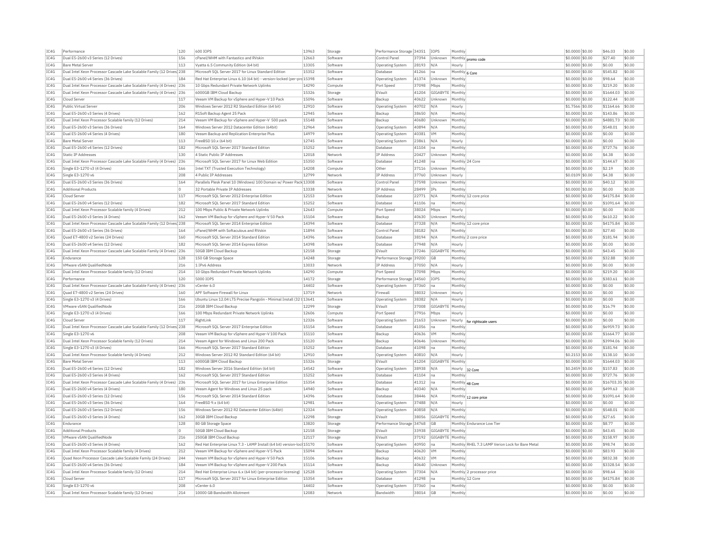| IC4G | Performance                                                           | 120            | 600 TOPS                                                               | 13963 | Storage  | Performance Storage 34351 |       | <b>IOPS</b>      | Monthly         |                                                 | \$0,0000 \$0.00  | \$46.03           | \$0.00 |
|------|-----------------------------------------------------------------------|----------------|------------------------------------------------------------------------|-------|----------|---------------------------|-------|------------------|-----------------|-------------------------------------------------|------------------|-------------------|--------|
| IC4G | Dual E5-2600 v3 Series (12 Drives)                                    | 156            | cPanel/WHM with Fantastico and RVskir                                  | 12663 | Software | Control Panel             | 37394 | Unknown          |                 | Monthly promo code                              | \$0.0000 \$0.00  | \$27.40           | \$0.00 |
| IC4G | <b>Bare Metal Server</b>                                              | 113            | Vyatta 6.5 Community Edition (64 bit)                                  | 13305 | Software | <b>Operating System</b>   | 28193 | N/A              | Hourly          |                                                 | \$0,0000 \$0.00  | \$0.00            | \$0.00 |
| IC4G | Dual Intel Xeon Processor Cascade Lake Scalable Family (12 Drives 238 |                | Microsoft SOL Server 2017 for Linux Standard Editio                    | 15352 | Software | Database                  | 41266 | Ina              | Monthly 6 Core  |                                                 | \$0.0000 \$0.00  | \$545.82          | \$0.00 |
| TC4G | Dual E5-2600 v4 Series (36 Drives)                                    | 184            | Red Hat Enterprise Linux 6.10 (64 bit) - version-locked (per-pro 15398 |       | Software | Operating System          | 41374 | <b>Unknown</b>   | Monthly         |                                                 | \$0,0000 \$0.00  | \$98.64           | \$0.00 |
| IC4G | Dual Intel Xeon Processor Cascade Lake Scalable Family (4 Drives) 236 |                | 10 Gbps Redundant Private Network Uplinks                              | 14290 | Compute  | Port Speed                | 37098 | Mbps             | Monthly         |                                                 | \$0.0000 \$0.00  | \$219.20          | \$0.00 |
| TC4G | Dual Intel Xeon Processor Cascade Lake Scalable Family (4 Drives) 236 |                | 6000GB TBM Cloud Backup                                                | 15326 | Storage  | FVault                    | 41204 | GIGARYTE         | Monthly         |                                                 | \$0,0000 \$0.00  | \$1644.03         | \$0.00 |
| TC4G | Cloud Server                                                          | 117            | Veeam VM Backup for vSphere and Hyper-V 10 Pack                        | 15096 | Software | Backun                    | 40622 | Unknown          | Monthly         |                                                 | \$0.0000 \$0.00  | \$122.44          | \$0.00 |
| TC4G | Public Virtual Server                                                 | 206            | Windows Server 2012 R2 Standard Edition (64 bit)                       | 12910 | Software | <b>Operating System</b>   | 40702 | N/A              | Hourly          |                                                 | \$1.7566 \$0.00  | \$1164.66         | \$0.00 |
| TC4G |                                                                       |                |                                                                        |       |          |                           |       |                  |                 |                                                 |                  |                   |        |
|      | Dual E5-2600 v3 Series (4 Drives)                                     | 162            | R1Soft Backup Agent 25 Pack                                            | 12945 | Software | Backup                    | 38650 | N/A              | Monthly         |                                                 | \$0.0000 \$0.00  | \$143.86          | \$0.00 |
| TC4G | Dual Intel Xeon Processor Scalable family (12 Drives)                 | 214            | Veeam VM Backup for vSphere and Hyper-V 500 pack                       | 15148 | Software | Backup                    | 40680 | Unknown          | Monthly         |                                                 | \$0.0000 \$0.00  | \$4881.73         | \$0.00 |
| IC4G | Dual E5-2600 v3 Series (36 Drives)                                    | 164            | Windows Server 2012 Datacenter Edition (64bit)                         | 12964 | Software | Operating System          | 40894 | N/A              | Monthly         |                                                 | \$0,0000 \$0.00  | \$548.01          | \$0.00 |
| IC4G | Dual E5-2600 v4 Series (4 Drives)                                     | 180            | Veeam Backup and Replication Enterprise Plus                           | 14979 | Software | <b>Operating System</b>   | 40381 | <b>VM</b>        | Monthly         |                                                 | \$0.0000 \$0.00  | \$0.00            | \$0.00 |
| TC4G | <b>Bare Metal Server</b>                                              | 113            | FreeBSD 10 x (64 bit)                                                  | 12745 | Software | <b>Operating System</b>   | 23861 | N/A              | Hourly          |                                                 | $$0.0000$ \$0.00 | \$0.00            | \$0.00 |
| IC4G | Dual E5-2600 v4 Series (12 Drives)                                    | 182            | Microsoft SQL Server 2017 Standard Edition                             | 15252 | Software | Databas                   | 41104 | na               | Monthly         |                                                 | \$0.0000 \$0.00  | \$727.76          | \$0.00 |
| TC4G | Static TP Addresses                                                   | 130            | 4 Static Public IP Addresses                                           | 12018 | Network  | <b>IP Address</b>         | 20427 | Unknown          | Monthly         |                                                 | \$0,0000 \$0.00  | \$4.38            | \$0.00 |
| IC4G | Dual Intel Xeon Processor Cascade Lake Scalable Family (4 Drives)     | 236            | Microsoft SQL Server 2017 for Linux Web Edition                        | 15350 | Software | Database                  | 41248 | na               | Monthly 24 Core |                                                 | \$0.0000 \$0.00  | \$144.67          | \$0.00 |
| IC4G | Single E3-1270 v3 (4 Drives)                                          | 166            | Intel TXT (Trusted Execution Technology)                               | 14208 | Compute  | Other                     | 37116 | Unknown          | Monthly         |                                                 | \$0.0000 \$0.00  | \$2.19            | \$0.00 |
| IC4G | Single E3-1270 v6                                                     | 208            | 4 Public IP Addresses                                                  | 12799 | Network  | IP Address                | 37760 | Unknown          | Hourly          |                                                 | \$0.0109 \$0.00  | \$4.38            | \$0.00 |
| TC4G | Dual E5-2600 v3 Series (36 Drives)                                    | 164            | Parallels Plesk Panel 10 (Windows) 100 Domain w/ Power Pack 13308      |       | Software | Control Panel             | 37598 | Unknown          | Monthly         |                                                 | \$0.0000 \$0.00  | \$40.12           | sin nn |
| IC4G | <b>Additional Products</b>                                            | $\circ$        | 32 Portable Private IP Addresses                                       | 13338 | Network  | <b>IP Address</b>         | 28499 | IPs              | Monthly         |                                                 | \$0.0000 \$0.00  | \$0.00            | \$0.00 |
| IC4G | Cloud Server                                                          | 117            | Microsoft SQL Server 2012 Enterprise Edition                           | 12153 | Software | Database                  | 22771 | N/A              |                 | Monthly 12 core price                           | \$0.0000 \$0.00  | \$4175.84         | \$0.00 |
| TC4G | Dual E5-2600 v4 Series (12 Drives)                                    | 182            | Microsoft SQL Server 2017 Standard Edition                             | 15252 | Software | Database                  | 41106 | Ina              | Monthly         |                                                 | \$0.0000 \$0.00  | \$1091.64         | \$0.00 |
|      |                                                                       |                |                                                                        |       |          |                           |       |                  |                 |                                                 |                  |                   |        |
| IC4G | Dual Intel Xeon Processor Scalable family (4 Drives)                  | 212            | 100 Mbps Public & Private Network Uplinks                              | 12643 | Compute  | Port Speed                | 38024 | Mbps             | Hourly          |                                                 | \$0.0000 \$0.00  | \$0.00            | \$0.00 |
| TC4G | Dual E5-2600 v3 Series (4 Drives)                                     | 162            | Veeam VM Backup for vSphere and Hyper-V 50 Pack                        | 15104 | Software | Backup                    | 40630 | Unknown          | Monthly         |                                                 | \$0,0000 \$0.00  | \$610.22          | \$0.00 |
| IC4G | Dual Intel Xeon Processor Cascade Lake Scalable Family (12 Drives 238 |                | Microsoft SOL Server 2014 Enterprise Edition                           | 14394 | Software | Database                  | 37328 | N/A              |                 | Monthly 12 core price                           | \$0,0000 \$0.00  | \$4175.84         | \$0.00 |
| TC4G | Dual E5-2600 v3 Series (36 Drives)                                    | 164            | cPanel/WHM with Softaculous and RVskin                                 | 11894 | Software | Control Panel             | 38182 | N/A              | Monthly         |                                                 | \$0,0000 \$0.00  | \$27.40           | \$0.00 |
| IC4G | Ouad E7-4800 v2 Series (24 Drives)                                    | 160            | Microsoft SQL Server 2014 Standard Edition                             | 14396 | Software | Database                  | 38194 | N/A              |                 | Monthly 2 core price                            | \$0.0000 \$0.00  | \$181.94          | \$0.00 |
| TC4G | Dual E5-2600 v4 Series (12 Drives)                                    | 182            | Microsoft SOL Server 2014 Express Edition                              | 14398 | Software | Database                  | 37948 | N/A              | Hourly          |                                                 | $$0.0000$ \$0.00 | \$0.00            | \$0.00 |
| IC4G | Dual Intel Xeon Processor Cascade Lake Scalable Family (4 Drives) 236 |                | 50GB IBM Cloud Backup                                                  | 12158 | Storage  | EVault                    | 37246 | GIGABYTI         | Monthly         |                                                 | \$0.0000 \$0.00  | \$43.45           | \$0.00 |
| TC4G | Endurance                                                             | 128            | 150 GB Storage Space                                                   | 14248 | Storage  | Performance Storage 39200 |       | GB               | Monthly         |                                                 | \$0,0000 \$0,00  | \$32.88           | \$0.00 |
| IC4G | VMware vSAN OualifiedNode                                             | 216            | 1 IPv6 Address                                                         | 13033 | Network  | IP Address                | 37050 | N/A              | Hourly          |                                                 | \$0,0000 \$0.00  | \$0.00            | \$0.00 |
| IC4G | Dual Intel Xeon Processor Scalable family (12 Drives)                 | 214            | 10 Gbps Redundant Private Network Uplinks                              | 14290 | Compute  | Port Speed                | 37098 | Mbps             | Monthly         |                                                 | \$0.0000 \$0.00  | \$219.20          | \$0.00 |
| IC4G | Performance                                                           | 120            | 5000 IOPS                                                              | 14172 | Storage  | Performance Storage 34560 |       | IOPS             | Monthly         |                                                 | \$0.0000 \$0.00  | \$383.61          | \$0.00 |
| TC4G | Dual Intel Xeon Processor Cascade Lake Scalable Family (4 Drives) 236 |                | vCenter 6.0                                                            | 14402 | Software | Operating System          | 37360 | Ina              | Monthly         |                                                 | \$0,0000 \$0.00  | \$0.00            | \$0.00 |
| IC4G | Quad E7-4800 v2 Series (24 Drives)                                    | 160            | APF Software Firewall for Linux                                        | 13719 | Network  | Firewal                   | 38032 | Unknown          | Hourly          |                                                 | \$0.0000 \$0.00  | \$0.00            | \$0.00 |
| IC4G | Single E3-1270 v3 (4 Drives)                                          | 166            | Ubuntu Linux 12.04 LTS Precise Pangolin - Minimal Install (32 l 13641  |       | Software | Operating System          | 38382 | N/A              | Hourly          |                                                 | \$0.0000 \$0.00  | \$0.00            | \$0.00 |
| TC4G | VMware vSAN OualifiedNode                                             | 216            | 20GB TBM Cloud Backup                                                  | 12299 | Storage  | EVault                    | 37008 | GIGABYTE         | Monthly         |                                                 | \$0.0000 \$0.00  | \$16.79           | \$0.00 |
|      |                                                                       |                |                                                                        |       |          |                           |       |                  |                 |                                                 |                  |                   |        |
| IC4G | Single E3-1270 v3 (4 Drives)                                          | 166            | 100 Mbps Redundant Private Network Uplinks                             | 12606 | Compute  | Port Speed                | 37916 | Mbps             | Hourly          |                                                 | \$0.0000 \$0.00  | \$0.00            | \$0.00 |
| IC4G | Cloud Server                                                          | 117            | RightLink                                                              | 12326 | Software | Operating System          | 21653 | Unknown          | Hourly          | for rightscale users                            | \$0,0000 \$0.00  | \$0.00            | \$0.00 |
| IC4G | Dual Intel Xeon Processor Cascade Lake Scalable Family (12 Drives 238 |                | Microsoft SQL Server 2017 Enterprise Edition                           | 15154 | Software | Databas                   | 41056 | na               | Monthl          |                                                 | \$0.0000 \$0.00  | \$6959.73         | \$0.00 |
| IC4G | Single E3-1270 v6                                                     | 208            | Veeam VM Backup for vSphere and Hyper-V 100 Pack                       | 15110 | Software | Backup                    | 40636 | <b>VM</b>        | Monthly         |                                                 | \$0,0000 \$0,00  | \$1664.77         | \$0.00 |
| IC4G | Dual Intel Xeon Processor Scalable family (12 Drives)                 | 214            | Veeam Agent for Windows and Linux 200 Pack                             | 15120 | Software | Backup                    | 40646 | Unknown          | Monthly         |                                                 | \$0,0000 \$0.00  | \$3994.06         | \$0.00 |
| TC4G | Single E3-1270 v3 (4 Drives)                                          | 166            | Microsoft SOL Server 2017 Standard Edition                             | 15252 | Software | Database                  | 41098 | Ina              | Monthly         |                                                 | \$0,0000 \$0.00  | \$181.94          | \$0.00 |
| IC4G | Dual Intel Xeon Processor Scalable family (4 Drives)                  | 212            | Windows Server 2012 R2 Standard Edition (64 bit)                       | 12910 | Software | <b>Operating System</b>   | 40810 | N/A              | Hourly          |                                                 | $$0.2153$ \$0.00 | \$138.10          | \$0.00 |
| TC4G | <b>Bare Metal Server</b>                                              | 113            | 6000GB TBM Cloud Backup                                                | 15326 | Storage  | FVault                    | 41204 | GIGARYTE Monthly |                 |                                                 | \$0,0000 \$0,00  | \$1644.03         | \$0.00 |
| TC4G | Dual E5-2600 v4 Series (12 Drives)                                    | 182            | Windows Server 2016 Standard Edition (64 bit)                          | 14542 | Software | Operating System          | 38938 | N/A              | Hourly          | 32 Core                                         | \$0.2459 \$0.00  | \$157.83          | \$0.00 |
| IC4G | Dual E5-2600 v3 Series (4 Drives)                                     | 162            | Microsoft SOL Server 2017 Standard Edition                             | 15252 | Software | Database                  | 41104 | Ina              | Monthly         |                                                 | \$0.0000 \$0.00  | \$727.76          | \$0.00 |
| TC4G | Dual Intel Xeon Processor Cascade Lake Scalable Family (4 Drives) 236 |                | Microsoft SOL Server 2017 for Linux Enterprise Edition                 | 15354 | Software | Database                  | 41312 | Ina              |                 | Monthly 48 Core                                 | \$0,0000 \$0.00  | \$16703.35 \$0.00 |        |
| TC4G |                                                                       |                | Veeam Agent for Windows and Linux 25 pack                              | 14940 | Software | Backup                    | 40340 | N/A              | Monthly         |                                                 | $$0.0000$ \$0.00 | \$499.63          | \$0.00 |
| IC4G | Dual E5-2600 v4 Series (4 Drives)                                     | 180            |                                                                        |       |          |                           |       |                  |                 | Monthly 12 core price                           | \$0.0000 \$0.00  | \$1091.64         | \$0.00 |
|      |                                                                       | 156            |                                                                        | 14396 | Software | Database                  | 38446 | N/A              |                 |                                                 |                  |                   | \$0.00 |
|      | Dual E5-2600 v3 Series (12 Drives)                                    |                | Microsoft SQL Server 2014 Standard Edition                             |       |          |                           |       |                  |                 |                                                 |                  |                   |        |
| IC4G | Dual E5-2600 v3 Series (36 Drives)                                    | 164            | FreeBSD 9 x (64 bit)                                                   | 12981 | Software | <b>Operating System</b>   | 37488 | N/A              | Hourly          |                                                 | \$0.0000 \$0.00  | \$0.00            |        |
| TC4G | Dual E5-2600 v3 Series (12 Drives)                                    | 156            | Windows Server 2012 R2 Datacenter Edition (64bit)                      | 12324 | Software | Operating System          | 40858 | N/A              | Monthly         |                                                 | \$0.0000 \$0.00  | \$548.01          | \$0.00 |
| IC4G | Dual E5-2600 v3 Series (4 Drives)                                     | 162            | 30GB IBM Cloud Backup                                                  | 12298 | Storage  | EVault                    | 38056 | GIGABYTE Monthly |                 |                                                 | \$0.0000 \$0.00  | \$27.65           | \$0.00 |
| IC4G | Endurance                                                             | 128            | 80 GB Storage Space                                                    | 13820 | Storage  | Performance Storage 34768 |       | GB               |                 | Monthly Endurance Low Tier                      | \$0,0000 \$0.00  | \$8.77            | \$0.00 |
| IC4G | <b>Additional Products</b>                                            | $\overline{0}$ | 50GB IBM Cloud Backup                                                  | 12158 | Storage  | EVault                    | 33938 | GIGABYTE         | Monthly         |                                                 | \$0,0000 \$0.00  | \$43.45           | \$0.00 |
| IC4G | VMware vSAN OualifiedNode                                             | 216            | 250GB IBM Cloud Backup                                                 | 12117 | Storage  | EVault                    | 37192 | GIGABYTE Monthly |                 |                                                 | \$0,0000 \$0.00  | \$158.97          | \$0.00 |
| IC4G | Dual E5-2600 v3 Series (4 Drives)                                     | 162            | Red Hat Enterprise Linux 7.3 - LAMP Install (64 bit) version-loc 15170 |       | Software | <b>Operating System</b>   | 40950 | Ina              |                 | Monthly RHEL 7.3 LAMP Verion Lock for Bare Meta | \$0.0000 \$0.00  | \$98.74           | \$0.00 |
| TC4G | Dual Intel Xeon Processor Scalable family (4 Drives)                  | 212            | Veeam VM Backup for vSphere and Hyper-V 5 Pack                         | 15094 | Software | Backun                    | 40620 | <b>VM</b>        | Monthly         |                                                 | \$0,0000 \$0.00  | \$83.93           | \$0.00 |
| IC4G | Quad Xeon Processor Cascade Lake Scalable Family (24 Drives)          | 244            | Veeam VM Backup for vSphere and Hyper-V 50 Pack                        | 15106 | Software | Backup                    | 40632 | <b>VM</b>        | Monthly         |                                                 | \$0.0000 \$0.00  | \$832.38          | \$0.00 |
| TC4G | Dual E5-2600 v4 Series (36 Drives)                                    | 184            | Veeam VM Backup for vSphere and Hyper-V 200 Pack                       | 15114 | Software | Backup                    | 40640 | Unknown          | Monthly         |                                                 | \$0,0000 \$0,00  | \$3328.54         | \$0.00 |
| TC4G | Dual Intel Xeon Processor Scalable family (12 Drives)                 | 214            | Red Hat Enterprise Linux 6.x (64 bit) (per-processor licensing)        | 12528 | Software | Operating System          | 37304 | N/A              |                 | Monthly 2 processor price                       | \$0.0000 \$0.00  | \$98.64           | \$0.00 |
| IC4G | Cloud Server                                                          | 117            | Microsoft SQL Server 2017 for Linux Enterprise Edition                 | 15354 | Software | Database                  | 41298 | Ina              | Monthly 12 Core |                                                 | \$0.0000 \$0.00  | \$4175.84         | \$0.00 |
| IC4G | Single E3-1270 v6                                                     | 208            | vCenter 6.0                                                            | 14402 | Software | Operating System          | 37360 | Ina              | Monthly         |                                                 | \$0.0000 \$0.00  |                   | \$0.00 |
| IC4G | Dual Intel Xeon Processor Scalable family (12 Drives)                 | 214            | 10000 GB Bandwidth Allotment                                           | 12083 | Network  | <b>Bandwidth</b>          | 38014 | <b>GB</b>        | Monthly         |                                                 | $$0.0000$ \$0.00 | \$0.00<br>\$0.00  | \$0.00 |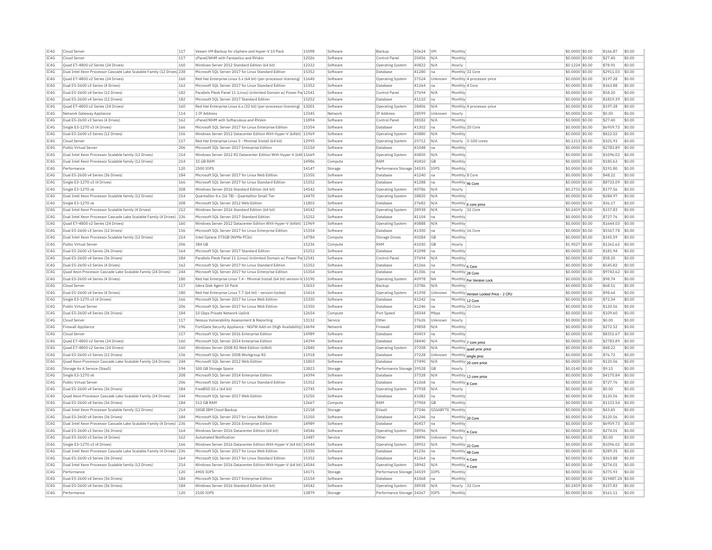| Cloud Server<br>Quad E7-4800 v2 Series (24 Drives)<br>Dual Intel Xeon Processor Cascade Lake Scalable Family (12 Drives 238<br>Ouad E7-4800 v2 Series (24 Drives)<br>Dual E5-2600 v3 Series (4 Drives)<br>Dual E5-2600 v4 Series (12 Drives)<br>Dual E5-2600 v4 Series (12 Drives)<br>Ouad E7-4800 v2 Series (24 Drives)<br>Network Gateway Appliance<br>Dual E5-2600 v3 Series (4 Drives)<br>Single E3-1270 v3 (4 Drives)<br>Dual E5-2600 v3 Series (12 Drives)<br>Cloud Server<br>Public Virtual Server<br>Dual Intel Xeon Processor Scalable family (12 Drives<br>Dual Intel Xeon Processor Scalable family (12 Drives)<br>Performance<br>Dual E5-2600 v4 Series (36 Drives)<br>Single E3-1270 v3 (4 Drives)<br>Single E3-1270 v6<br>Dual Intel Xeon Processor Scalable family (12 Drives) | 117<br>160<br>160<br>162<br>182<br>182<br>160<br>114<br>162<br>166<br>156<br>117<br>206<br>214<br>214<br>120<br>184 | cPanel/WHM with Fantastico and RVskin<br>Windows Server 2012 Standard Edition (64 bit)<br>Microsoft SOL Server 2017 for Linux Standard Edition<br>Red Hat Enterprise Linux 5.x (64 bit) (per-processor licensing)<br>Microsoft SOL Server 2017 for Linux Standard Edition<br>Parallels Plesk Panel 11 (Linux) Unlimited Domain w/ Power Pa 12541<br>Microsoft SOL Server 2017 Standard Edition<br>Red Hat Enterprise Linux 6.x (32 bit) (per-processor licensing)   13001<br>1 TP Address<br>cPanel/WHM with Softaculous and RVskin<br>Microsoft SOL Server 2017 for Linux Enterprise Edition<br>Windows Server 2012 Datacenter Edition With Hyper-V (64bit)<br>Red Hat Enterprise Linux 5 - Minimal Install (64 bit)<br>Microsoft SOL Server 2017 Enterprise Edition | 12026<br>12322<br>15352<br>11640<br>15352<br>15252<br>13345<br>11894<br>15354<br>11969                 | Software<br>Software<br>Software<br>Software<br>Software<br>Software<br>Software<br>Software<br>Network<br>Software | Control Panel<br>Operating System<br>Database<br><b>Operating System</b><br>Database<br>Control Pane<br>Database<br>Operating System<br><b>IP Address</b><br>Control Panel | 20456<br>40822<br>41280<br>37524<br>41264<br>37694<br>41110<br>38406<br>28599                                                                                 | N/A<br>N/A<br>Ina<br>Unknown<br>Ina<br>N/A<br>Ina<br>N/A                      | Monthly<br>Hourly<br>Monthly 4 Core<br>Monthly<br>Monthly                  | Monthly 32 Core<br>Monthly 4 processor price       | \$0.0000 \$0.00<br>\$0,1224 \$0.00<br>\$0,0000 \$0.00<br>\$0.0000 \$0.00<br>\$0,0000 \$0.00<br>\$0.0000 \$0.00<br>\$0.0000 \$0.00<br>\$0,0000 \$0.00 | \$27.40<br>\$78.91<br>\$2911.03<br>\$197.28<br>\$363.88<br>\$58.20<br>\$1819.39<br>\$197.28 | \$0.00<br>\$0.00<br>\$0.00<br>\$0.00<br>\$0.00<br>\$0.00<br>\$0.00                                |
|-----------------------------------------------------------------------------------------------------------------------------------------------------------------------------------------------------------------------------------------------------------------------------------------------------------------------------------------------------------------------------------------------------------------------------------------------------------------------------------------------------------------------------------------------------------------------------------------------------------------------------------------------------------------------------------------------------------------------------------------------------------------------------------------------|---------------------------------------------------------------------------------------------------------------------|-----------------------------------------------------------------------------------------------------------------------------------------------------------------------------------------------------------------------------------------------------------------------------------------------------------------------------------------------------------------------------------------------------------------------------------------------------------------------------------------------------------------------------------------------------------------------------------------------------------------------------------------------------------------------------------------------------------------------------------------------------------------------|--------------------------------------------------------------------------------------------------------|---------------------------------------------------------------------------------------------------------------------|----------------------------------------------------------------------------------------------------------------------------------------------------------------------------|---------------------------------------------------------------------------------------------------------------------------------------------------------------|-------------------------------------------------------------------------------|----------------------------------------------------------------------------|----------------------------------------------------|------------------------------------------------------------------------------------------------------------------------------------------------------|---------------------------------------------------------------------------------------------|---------------------------------------------------------------------------------------------------|
|                                                                                                                                                                                                                                                                                                                                                                                                                                                                                                                                                                                                                                                                                                                                                                                               |                                                                                                                     |                                                                                                                                                                                                                                                                                                                                                                                                                                                                                                                                                                                                                                                                                                                                                                       |                                                                                                        |                                                                                                                     |                                                                                                                                                                            |                                                                                                                                                               |                                                                               |                                                                            |                                                    |                                                                                                                                                      |                                                                                             |                                                                                                   |
|                                                                                                                                                                                                                                                                                                                                                                                                                                                                                                                                                                                                                                                                                                                                                                                               |                                                                                                                     |                                                                                                                                                                                                                                                                                                                                                                                                                                                                                                                                                                                                                                                                                                                                                                       |                                                                                                        |                                                                                                                     |                                                                                                                                                                            |                                                                                                                                                               |                                                                               |                                                                            |                                                    |                                                                                                                                                      |                                                                                             |                                                                                                   |
|                                                                                                                                                                                                                                                                                                                                                                                                                                                                                                                                                                                                                                                                                                                                                                                               |                                                                                                                     |                                                                                                                                                                                                                                                                                                                                                                                                                                                                                                                                                                                                                                                                                                                                                                       |                                                                                                        |                                                                                                                     |                                                                                                                                                                            |                                                                                                                                                               |                                                                               |                                                                            |                                                    |                                                                                                                                                      |                                                                                             |                                                                                                   |
|                                                                                                                                                                                                                                                                                                                                                                                                                                                                                                                                                                                                                                                                                                                                                                                               |                                                                                                                     |                                                                                                                                                                                                                                                                                                                                                                                                                                                                                                                                                                                                                                                                                                                                                                       |                                                                                                        |                                                                                                                     |                                                                                                                                                                            |                                                                                                                                                               |                                                                               |                                                                            |                                                    |                                                                                                                                                      |                                                                                             |                                                                                                   |
|                                                                                                                                                                                                                                                                                                                                                                                                                                                                                                                                                                                                                                                                                                                                                                                               |                                                                                                                     |                                                                                                                                                                                                                                                                                                                                                                                                                                                                                                                                                                                                                                                                                                                                                                       |                                                                                                        |                                                                                                                     |                                                                                                                                                                            |                                                                                                                                                               |                                                                               |                                                                            |                                                    |                                                                                                                                                      |                                                                                             |                                                                                                   |
|                                                                                                                                                                                                                                                                                                                                                                                                                                                                                                                                                                                                                                                                                                                                                                                               |                                                                                                                     |                                                                                                                                                                                                                                                                                                                                                                                                                                                                                                                                                                                                                                                                                                                                                                       |                                                                                                        |                                                                                                                     |                                                                                                                                                                            |                                                                                                                                                               |                                                                               |                                                                            |                                                    |                                                                                                                                                      |                                                                                             |                                                                                                   |
|                                                                                                                                                                                                                                                                                                                                                                                                                                                                                                                                                                                                                                                                                                                                                                                               |                                                                                                                     |                                                                                                                                                                                                                                                                                                                                                                                                                                                                                                                                                                                                                                                                                                                                                                       |                                                                                                        |                                                                                                                     |                                                                                                                                                                            |                                                                                                                                                               |                                                                               |                                                                            |                                                    |                                                                                                                                                      |                                                                                             |                                                                                                   |
|                                                                                                                                                                                                                                                                                                                                                                                                                                                                                                                                                                                                                                                                                                                                                                                               |                                                                                                                     |                                                                                                                                                                                                                                                                                                                                                                                                                                                                                                                                                                                                                                                                                                                                                                       |                                                                                                        |                                                                                                                     |                                                                                                                                                                            |                                                                                                                                                               |                                                                               |                                                                            |                                                    |                                                                                                                                                      |                                                                                             |                                                                                                   |
|                                                                                                                                                                                                                                                                                                                                                                                                                                                                                                                                                                                                                                                                                                                                                                                               |                                                                                                                     |                                                                                                                                                                                                                                                                                                                                                                                                                                                                                                                                                                                                                                                                                                                                                                       |                                                                                                        |                                                                                                                     |                                                                                                                                                                            |                                                                                                                                                               |                                                                               |                                                                            | Monthly 4 processor price                          |                                                                                                                                                      |                                                                                             | \$0.00                                                                                            |
|                                                                                                                                                                                                                                                                                                                                                                                                                                                                                                                                                                                                                                                                                                                                                                                               |                                                                                                                     |                                                                                                                                                                                                                                                                                                                                                                                                                                                                                                                                                                                                                                                                                                                                                                       |                                                                                                        |                                                                                                                     |                                                                                                                                                                            |                                                                                                                                                               | Unknown                                                                       | Hourly                                                                     |                                                    | \$0.0000 \$0.00                                                                                                                                      | \$0.00                                                                                      | \$0.00                                                                                            |
|                                                                                                                                                                                                                                                                                                                                                                                                                                                                                                                                                                                                                                                                                                                                                                                               |                                                                                                                     |                                                                                                                                                                                                                                                                                                                                                                                                                                                                                                                                                                                                                                                                                                                                                                       |                                                                                                        |                                                                                                                     |                                                                                                                                                                            | 38182                                                                                                                                                         | N/A                                                                           | Monthly                                                                    |                                                    | \$0.0000 \$0.00                                                                                                                                      | \$27.40                                                                                     | \$0.00                                                                                            |
|                                                                                                                                                                                                                                                                                                                                                                                                                                                                                                                                                                                                                                                                                                                                                                                               |                                                                                                                     |                                                                                                                                                                                                                                                                                                                                                                                                                                                                                                                                                                                                                                                                                                                                                                       |                                                                                                        | Software                                                                                                            | Database                                                                                                                                                                   | 41302                                                                                                                                                         | na                                                                            | Monthly 20 Core                                                            |                                                    | \$0.0000 \$0.00                                                                                                                                      | \$6959.73                                                                                   | \$0.00                                                                                            |
|                                                                                                                                                                                                                                                                                                                                                                                                                                                                                                                                                                                                                                                                                                                                                                                               |                                                                                                                     |                                                                                                                                                                                                                                                                                                                                                                                                                                                                                                                                                                                                                                                                                                                                                                       |                                                                                                        | Software                                                                                                            | Operating System                                                                                                                                                           | 40880                                                                                                                                                         | N/A                                                                           | Monthly                                                                    |                                                    | \$0.0000 \$0.00                                                                                                                                      | \$822.02                                                                                    | \$0.00                                                                                            |
|                                                                                                                                                                                                                                                                                                                                                                                                                                                                                                                                                                                                                                                                                                                                                                                               |                                                                                                                     |                                                                                                                                                                                                                                                                                                                                                                                                                                                                                                                                                                                                                                                                                                                                                                       | 12995                                                                                                  | Software                                                                                                            | <b>Operating System</b>                                                                                                                                                    | 25712                                                                                                                                                         | N/A                                                                           | Hourly                                                                     | 5-100 cores                                        | $$0.1313$ \$0.00                                                                                                                                     | \$101.93                                                                                    | \$0.00                                                                                            |
|                                                                                                                                                                                                                                                                                                                                                                                                                                                                                                                                                                                                                                                                                                                                                                                               |                                                                                                                     |                                                                                                                                                                                                                                                                                                                                                                                                                                                                                                                                                                                                                                                                                                                                                                       | 15154                                                                                                  | Software                                                                                                            | Database                                                                                                                                                                   | 41048                                                                                                                                                         | Ina                                                                           | Monthly                                                                    |                                                    | \$0,0000 \$0.00                                                                                                                                      | \$2783.89                                                                                   | \$0.00                                                                                            |
|                                                                                                                                                                                                                                                                                                                                                                                                                                                                                                                                                                                                                                                                                                                                                                                               |                                                                                                                     |                                                                                                                                                                                                                                                                                                                                                                                                                                                                                                                                                                                                                                                                                                                                                                       |                                                                                                        |                                                                                                                     |                                                                                                                                                                            |                                                                                                                                                               |                                                                               |                                                                            |                                                    |                                                                                                                                                      |                                                                                             |                                                                                                   |
|                                                                                                                                                                                                                                                                                                                                                                                                                                                                                                                                                                                                                                                                                                                                                                                               |                                                                                                                     | Windows Server 2012 R2 Datacenter Edition With Hyper-V (64t 11669                                                                                                                                                                                                                                                                                                                                                                                                                                                                                                                                                                                                                                                                                                     |                                                                                                        | Software                                                                                                            | Operating System                                                                                                                                                           | 40850                                                                                                                                                         | N/A                                                                           | Monthly                                                                    |                                                    | \$0,0000 \$0.00                                                                                                                                      | \$1096.02                                                                                   | \$0.00                                                                                            |
|                                                                                                                                                                                                                                                                                                                                                                                                                                                                                                                                                                                                                                                                                                                                                                                               |                                                                                                                     | 32 GB RAM                                                                                                                                                                                                                                                                                                                                                                                                                                                                                                                                                                                                                                                                                                                                                             | 14986                                                                                                  | Compute                                                                                                             | RAM                                                                                                                                                                        | 40410                                                                                                                                                         | G <sub>B</sub>                                                                | Monthly                                                                    |                                                    | $$0.0000$ \$0.00                                                                                                                                     | \$185.63                                                                                    | \$0.00                                                                                            |
|                                                                                                                                                                                                                                                                                                                                                                                                                                                                                                                                                                                                                                                                                                                                                                                               |                                                                                                                     | 2500 IOPS                                                                                                                                                                                                                                                                                                                                                                                                                                                                                                                                                                                                                                                                                                                                                             | 14147                                                                                                  | Storage                                                                                                             | Performance Storage 34535                                                                                                                                                  |                                                                                                                                                               | IOPS                                                                          | Monthly                                                                    |                                                    | \$0,0000 \$0.00                                                                                                                                      | \$191.80                                                                                    | \$0.00                                                                                            |
|                                                                                                                                                                                                                                                                                                                                                                                                                                                                                                                                                                                                                                                                                                                                                                                               |                                                                                                                     | Microsoft SOL Server 2017 for Linux Web Edition                                                                                                                                                                                                                                                                                                                                                                                                                                                                                                                                                                                                                                                                                                                       | 15350                                                                                                  | Software                                                                                                            | Database                                                                                                                                                                   | 41240                                                                                                                                                         | Ina                                                                           | Monthly 8 Core                                                             |                                                    | \$0,0000 \$0,00                                                                                                                                      | \$48.22                                                                                     | \$0.00                                                                                            |
|                                                                                                                                                                                                                                                                                                                                                                                                                                                                                                                                                                                                                                                                                                                                                                                               | 166                                                                                                                 | Microsoft SQL Server 2017 for Linux Standard Edition                                                                                                                                                                                                                                                                                                                                                                                                                                                                                                                                                                                                                                                                                                                  | 15352                                                                                                  | Software                                                                                                            | Database                                                                                                                                                                   | 41288                                                                                                                                                         | Ina                                                                           | Monthly 96 Core                                                            |                                                    | \$0.0000 \$0.00                                                                                                                                      | \$8733.09                                                                                   | \$0.00                                                                                            |
|                                                                                                                                                                                                                                                                                                                                                                                                                                                                                                                                                                                                                                                                                                                                                                                               | 208                                                                                                                 | Windows Server 2016 Standard Edition (64 bit)                                                                                                                                                                                                                                                                                                                                                                                                                                                                                                                                                                                                                                                                                                                         | 14542                                                                                                  | Software                                                                                                            | <b>Operating System</b>                                                                                                                                                    | 40786                                                                                                                                                         | N/A                                                                           | Hourly                                                                     |                                                    | \$0.2755 \$0.00                                                                                                                                      | \$177.56                                                                                    | \$0.00                                                                                            |
|                                                                                                                                                                                                                                                                                                                                                                                                                                                                                                                                                                                                                                                                                                                                                                                               | 214                                                                                                                 | OuantaStor 4.x (16 TB) - OuantaStor Small Tier                                                                                                                                                                                                                                                                                                                                                                                                                                                                                                                                                                                                                                                                                                                        | 14470                                                                                                  | Software                                                                                                            | <b>Operating System</b>                                                                                                                                                    | 38820                                                                                                                                                         | N/A                                                                           | Monthly                                                                    |                                                    | \$0,0000 \$0.00                                                                                                                                      | \$284.97                                                                                    | \$0.00                                                                                            |
| Single E3-1270 v6                                                                                                                                                                                                                                                                                                                                                                                                                                                                                                                                                                                                                                                                                                                                                                             | 208                                                                                                                 | Microsoft SOL Server 2012 Web Edition                                                                                                                                                                                                                                                                                                                                                                                                                                                                                                                                                                                                                                                                                                                                 | 11803                                                                                                  | Software                                                                                                            | Database                                                                                                                                                                   | 37682                                                                                                                                                         | N/A                                                                           |                                                                            |                                                    | \$0.0000 \$0.00                                                                                                                                      | \$36.17                                                                                     | \$0.00                                                                                            |
| Dual Intel Xeon Processor Scalable family (4 Drives)                                                                                                                                                                                                                                                                                                                                                                                                                                                                                                                                                                                                                                                                                                                                          | 212                                                                                                                 | Windows Server 2016 Standard Edition (64 bit)                                                                                                                                                                                                                                                                                                                                                                                                                                                                                                                                                                                                                                                                                                                         | 14542                                                                                                  |                                                                                                                     |                                                                                                                                                                            | 38938                                                                                                                                                         | N/A                                                                           |                                                                            | Monthly 6 core price                               | \$0.2459 \$0.00                                                                                                                                      | \$157.83                                                                                    | \$0.00                                                                                            |
|                                                                                                                                                                                                                                                                                                                                                                                                                                                                                                                                                                                                                                                                                                                                                                                               |                                                                                                                     |                                                                                                                                                                                                                                                                                                                                                                                                                                                                                                                                                                                                                                                                                                                                                                       |                                                                                                        | Software                                                                                                            | Operating System                                                                                                                                                           |                                                                                                                                                               |                                                                               | Hourly 32 Core                                                             |                                                    |                                                                                                                                                      |                                                                                             |                                                                                                   |
| Dual Intel Xeon Processor Cascade Lake Scalable Family (4 Drives) 236                                                                                                                                                                                                                                                                                                                                                                                                                                                                                                                                                                                                                                                                                                                         |                                                                                                                     | Microsoft SQL Server 2017 Standard Edition                                                                                                                                                                                                                                                                                                                                                                                                                                                                                                                                                                                                                                                                                                                            | 15252                                                                                                  | Software                                                                                                            | <b>Databas</b>                                                                                                                                                             | 41104                                                                                                                                                         | na                                                                            | Monthly                                                                    |                                                    | \$0.0000 \$0.00                                                                                                                                      | \$727.76                                                                                    | \$0.00                                                                                            |
| Ouad E7-4800 v2 Series (24 Drives)                                                                                                                                                                                                                                                                                                                                                                                                                                                                                                                                                                                                                                                                                                                                                            | 160                                                                                                                 | Windows Server 2012 Datacenter Edition With Hyper-V (64bit) 11969                                                                                                                                                                                                                                                                                                                                                                                                                                                                                                                                                                                                                                                                                                     |                                                                                                        | Software                                                                                                            | Operating System                                                                                                                                                           | 40888                                                                                                                                                         | N/A                                                                           | Monthly                                                                    |                                                    | \$0,0000 \$0.00                                                                                                                                      | \$1644.03                                                                                   | \$0.00                                                                                            |
| Dual E5-2600 v3 Series (12 Drives)                                                                                                                                                                                                                                                                                                                                                                                                                                                                                                                                                                                                                                                                                                                                                            | 156                                                                                                                 | Microsoft SQL Server 2017 for Linux Enterprise Edition                                                                                                                                                                                                                                                                                                                                                                                                                                                                                                                                                                                                                                                                                                                | 15354                                                                                                  | Software                                                                                                            | Database                                                                                                                                                                   | 41300                                                                                                                                                         | Ina                                                                           | Monthly 16 Core                                                            |                                                    | \$0.0000 \$0.00                                                                                                                                      | \$5567.78                                                                                   | \$0.00                                                                                            |
| Dual Intel Xeon Processor Scalable family (12 Drives)                                                                                                                                                                                                                                                                                                                                                                                                                                                                                                                                                                                                                                                                                                                                         | 214                                                                                                                 | Intel Optane 375GB (NVMe PCIe)                                                                                                                                                                                                                                                                                                                                                                                                                                                                                                                                                                                                                                                                                                                                        | 14784                                                                                                  | Compute                                                                                                             | Storage Drives                                                                                                                                                             | 40284                                                                                                                                                         | <b>GB</b>                                                                     | Monthly                                                                    |                                                    | \$0,0000 \$0.00                                                                                                                                      | \$345.59                                                                                    | \$0.00                                                                                            |
| Public Virtual Server                                                                                                                                                                                                                                                                                                                                                                                                                                                                                                                                                                                                                                                                                                                                                                         | 206                                                                                                                 | 384 GB                                                                                                                                                                                                                                                                                                                                                                                                                                                                                                                                                                                                                                                                                                                                                                | 15236                                                                                                  | Compute                                                                                                             | RAM                                                                                                                                                                        | 41030                                                                                                                                                         | <b>GB</b>                                                                     | Hourly                                                                     |                                                    | \$1,9027 \$0.00                                                                                                                                      | \$1262.62                                                                                   | \$0.00                                                                                            |
| Dual E5-2600 v3 Series (36 Drives)                                                                                                                                                                                                                                                                                                                                                                                                                                                                                                                                                                                                                                                                                                                                                            | 164                                                                                                                 | Microsoft SOL Server 2017 Standard Edition                                                                                                                                                                                                                                                                                                                                                                                                                                                                                                                                                                                                                                                                                                                            | 15252                                                                                                  | Software                                                                                                            | Database                                                                                                                                                                   | 41098                                                                                                                                                         | Ina                                                                           | Monthly                                                                    |                                                    | \$0,0000 \$0.00                                                                                                                                      | \$181.94                                                                                    | \$0.00                                                                                            |
| Dual E5-2600 v4 Series (36 Drives)                                                                                                                                                                                                                                                                                                                                                                                                                                                                                                                                                                                                                                                                                                                                                            | 184                                                                                                                 | Parallels Plesk Panel 11 (Linux) Unlimited Domain w/ Power Pa 12541                                                                                                                                                                                                                                                                                                                                                                                                                                                                                                                                                                                                                                                                                                   |                                                                                                        | Software                                                                                                            | Control Panel                                                                                                                                                              | 37694                                                                                                                                                         | N/A                                                                           | Monthly                                                                    |                                                    | \$0.0000 \$0.00                                                                                                                                      | \$58.20                                                                                     | \$0.00                                                                                            |
| Dual E5-2600 v3 Series (4 Drives)                                                                                                                                                                                                                                                                                                                                                                                                                                                                                                                                                                                                                                                                                                                                                             | 162                                                                                                                 | Microsoft SOL Server 2017 for Linux Standard Edition                                                                                                                                                                                                                                                                                                                                                                                                                                                                                                                                                                                                                                                                                                                  | 15352                                                                                                  | Software                                                                                                            | Database                                                                                                                                                                   | 41266                                                                                                                                                         | Ina                                                                           | Monthly 6 Core                                                             |                                                    | \$0.0000 \$0.00                                                                                                                                      | \$545.82                                                                                    | \$0.00                                                                                            |
| Ouad Xeon Processor Cascade Lake Scalable Family (24 Drives)                                                                                                                                                                                                                                                                                                                                                                                                                                                                                                                                                                                                                                                                                                                                  | 244                                                                                                                 | Microsoft SOL Server 2017 for Linux Enterprise Edition                                                                                                                                                                                                                                                                                                                                                                                                                                                                                                                                                                                                                                                                                                                | 15354                                                                                                  | Software                                                                                                            | Database                                                                                                                                                                   | 41306                                                                                                                                                         | Ina                                                                           |                                                                            |                                                    | \$0,0000 \$0.00                                                                                                                                      | \$9743.62                                                                                   | \$0.00                                                                                            |
|                                                                                                                                                                                                                                                                                                                                                                                                                                                                                                                                                                                                                                                                                                                                                                                               |                                                                                                                     |                                                                                                                                                                                                                                                                                                                                                                                                                                                                                                                                                                                                                                                                                                                                                                       |                                                                                                        | Software                                                                                                            |                                                                                                                                                                            |                                                                                                                                                               | <b>NA</b>                                                                     | Monthly 28 Core                                                            |                                                    |                                                                                                                                                      | \$98.74                                                                                     | \$0.00                                                                                            |
| Dual E5-2600 v4 Series (4 Drives)                                                                                                                                                                                                                                                                                                                                                                                                                                                                                                                                                                                                                                                                                                                                                             | 180                                                                                                                 | Red Hat Enterprise Linux 7.4 - Minimal Install (64 bit) version-Id 15190                                                                                                                                                                                                                                                                                                                                                                                                                                                                                                                                                                                                                                                                                              |                                                                                                        |                                                                                                                     | Operating System                                                                                                                                                           | 40978                                                                                                                                                         |                                                                               |                                                                            | Monthly For Version Lock                           | \$0,0000 \$0.00                                                                                                                                      |                                                                                             |                                                                                                   |
| Cloud Server                                                                                                                                                                                                                                                                                                                                                                                                                                                                                                                                                                                                                                                                                                                                                                                  | 117                                                                                                                 | Idera Disk Agent 10 Pack                                                                                                                                                                                                                                                                                                                                                                                                                                                                                                                                                                                                                                                                                                                                              | 13653                                                                                                  | Software                                                                                                            | Backup                                                                                                                                                                     | 33786                                                                                                                                                         | N/A                                                                           | Monthly                                                                    |                                                    | \$0,0000 \$0.00                                                                                                                                      | \$68.51                                                                                     | \$0.00                                                                                            |
| Dual E5-2600 v4 Series (4 Drives)                                                                                                                                                                                                                                                                                                                                                                                                                                                                                                                                                                                                                                                                                                                                                             | 180                                                                                                                 | Red Hat Enterprise Linux 7.7 (64 bit) - version-locked                                                                                                                                                                                                                                                                                                                                                                                                                                                                                                                                                                                                                                                                                                                | 15414                                                                                                  | Software                                                                                                            | <b>Operating System</b>                                                                                                                                                    | 41398                                                                                                                                                         | Unknown                                                                       |                                                                            | Monthly Version Locked Price - 2 CPU               | \$0.0000 \$0.00                                                                                                                                      | \$98.64                                                                                     | \$0.00                                                                                            |
| Single E3-1270 v3 (4 Drives)                                                                                                                                                                                                                                                                                                                                                                                                                                                                                                                                                                                                                                                                                                                                                                  | 166                                                                                                                 | Microsoft SOL Server 2017 for Linux Web Edition                                                                                                                                                                                                                                                                                                                                                                                                                                                                                                                                                                                                                                                                                                                       | 15350                                                                                                  | Software                                                                                                            | Database                                                                                                                                                                   | 41242                                                                                                                                                         | Ina                                                                           | Monthly 12 Core                                                            |                                                    | \$0,0000 \$0.00                                                                                                                                      | \$72.34                                                                                     | \$0.00                                                                                            |
| Public Virtual Server                                                                                                                                                                                                                                                                                                                                                                                                                                                                                                                                                                                                                                                                                                                                                                         | 206                                                                                                                 | Microsoft SQL Server 2017 for Linux Web Edition                                                                                                                                                                                                                                                                                                                                                                                                                                                                                                                                                                                                                                                                                                                       | 15350                                                                                                  | Software                                                                                                            | Database                                                                                                                                                                   | 41246                                                                                                                                                         | na                                                                            | Monthly 20 Core                                                            |                                                    | \$0.0000 \$0.00                                                                                                                                      | \$120.56                                                                                    | \$0.00                                                                                            |
| Dual E5-2600 v4 Series (36 Drives)                                                                                                                                                                                                                                                                                                                                                                                                                                                                                                                                                                                                                                                                                                                                                            | 184                                                                                                                 | 10 Gbos Private Network Uplink                                                                                                                                                                                                                                                                                                                                                                                                                                                                                                                                                                                                                                                                                                                                        | 12654                                                                                                  | Compute                                                                                                             | Port Speed                                                                                                                                                                 | 38344                                                                                                                                                         | Mbps                                                                          | Monthly                                                                    |                                                    | \$0,0000 \$0,00                                                                                                                                      | \$109.60                                                                                    | \$0.00                                                                                            |
| Cloud Serve                                                                                                                                                                                                                                                                                                                                                                                                                                                                                                                                                                                                                                                                                                                                                                                   | 117                                                                                                                 | Nessus Vulnerability Assessment & Reporting                                                                                                                                                                                                                                                                                                                                                                                                                                                                                                                                                                                                                                                                                                                           | 13132                                                                                                  | Service                                                                                                             | Othe                                                                                                                                                                       | 37626                                                                                                                                                         | Unknown                                                                       | Hourly                                                                     |                                                    | \$0,0000 \$0.00                                                                                                                                      | \$0.00                                                                                      | \$0.00                                                                                            |
| Firewall Appliance                                                                                                                                                                                                                                                                                                                                                                                                                                                                                                                                                                                                                                                                                                                                                                            | 196                                                                                                                 | FortiGate Security Appliance - NGFW Add-on (High Availability) 14694                                                                                                                                                                                                                                                                                                                                                                                                                                                                                                                                                                                                                                                                                                  |                                                                                                        | Network                                                                                                             | Firewall                                                                                                                                                                   | 39858                                                                                                                                                         | N/A                                                                           | Monthly                                                                    |                                                    | \$0,0000 \$0.00                                                                                                                                      | \$272.52                                                                                    | \$0.00                                                                                            |
| Cloud Server                                                                                                                                                                                                                                                                                                                                                                                                                                                                                                                                                                                                                                                                                                                                                                                  | 117                                                                                                                 | Microsoft SQL Server 2016 Enterprise Edition                                                                                                                                                                                                                                                                                                                                                                                                                                                                                                                                                                                                                                                                                                                          | 14989                                                                                                  | Software                                                                                                            | Database                                                                                                                                                                   | 40419                                                                                                                                                         | Ina                                                                           | Monthly                                                                    |                                                    | \$0.0000 \$0.00                                                                                                                                      | \$8351.67                                                                                   | \$0.00                                                                                            |
|                                                                                                                                                                                                                                                                                                                                                                                                                                                                                                                                                                                                                                                                                                                                                                                               |                                                                                                                     |                                                                                                                                                                                                                                                                                                                                                                                                                                                                                                                                                                                                                                                                                                                                                                       |                                                                                                        |                                                                                                                     |                                                                                                                                                                            |                                                                                                                                                               |                                                                               |                                                                            |                                                    |                                                                                                                                                      |                                                                                             |                                                                                                   |
| Ouad E7-4800 v2 Series (24 Drives)                                                                                                                                                                                                                                                                                                                                                                                                                                                                                                                                                                                                                                                                                                                                                            | 160                                                                                                                 | Microsoft SOL Server 2014 Enterprise Edition                                                                                                                                                                                                                                                                                                                                                                                                                                                                                                                                                                                                                                                                                                                          | 14394                                                                                                  | Software                                                                                                            | Database                                                                                                                                                                   | 38440                                                                                                                                                         | N/A                                                                           |                                                                            | Monthly 7 core price                               | \$0.0000 \$0.00                                                                                                                                      | \$2783.89                                                                                   | \$0.00                                                                                            |
| Quad E7-4800 v2 Series (24 Drives)                                                                                                                                                                                                                                                                                                                                                                                                                                                                                                                                                                                                                                                                                                                                                            | 160                                                                                                                 | Windows Server 2008 R2 Web Edition (64bit)                                                                                                                                                                                                                                                                                                                                                                                                                                                                                                                                                                                                                                                                                                                            | 12840                                                                                                  | Software                                                                                                            | Operating System                                                                                                                                                           | 37208                                                                                                                                                         | N/A                                                                           |                                                                            | Monthly quad proc price                            | \$0.0000 \$0.00                                                                                                                                      | \$48.22                                                                                     | \$0.00                                                                                            |
| Dual E5-2600 v3 Series (12 Drives)                                                                                                                                                                                                                                                                                                                                                                                                                                                                                                                                                                                                                                                                                                                                                            | 156                                                                                                                 | Microsoft SQL Server 2008 Workgroup R2                                                                                                                                                                                                                                                                                                                                                                                                                                                                                                                                                                                                                                                                                                                                | 11918                                                                                                  | Software                                                                                                            | Database                                                                                                                                                                   | 37228                                                                                                                                                         | Unknown                                                                       |                                                                            | Monthly single proc                                | \$0.0000 \$0.00                                                                                                                                      | \$76.72                                                                                     | \$0.00                                                                                            |
| Ouad Xeon Processor Cascade Lake Scalable Family (24 Drives)                                                                                                                                                                                                                                                                                                                                                                                                                                                                                                                                                                                                                                                                                                                                  | 244                                                                                                                 | Microsoft SOL Server 2012 Web Edition                                                                                                                                                                                                                                                                                                                                                                                                                                                                                                                                                                                                                                                                                                                                 | 11803                                                                                                  | Software                                                                                                            | Database                                                                                                                                                                   | 37490                                                                                                                                                         | N/A                                                                           |                                                                            | Monthly 20 core price                              | \$0,0000 \$0.00                                                                                                                                      | \$120.56                                                                                    | \$0.00                                                                                            |
| Storage As A Service (StaaS                                                                                                                                                                                                                                                                                                                                                                                                                                                                                                                                                                                                                                                                                                                                                                   | 194                                                                                                                 | 500 GB Storage Space                                                                                                                                                                                                                                                                                                                                                                                                                                                                                                                                                                                                                                                                                                                                                  | 13823                                                                                                  | Storage                                                                                                             | Performance Storage 39528                                                                                                                                                  |                                                                                                                                                               | <b>GB</b>                                                                     | Hourly                                                                     |                                                    | \$0,0140 \$0.00                                                                                                                                      | \$9.13                                                                                      | \$0.00                                                                                            |
| Single E3-1270 v6                                                                                                                                                                                                                                                                                                                                                                                                                                                                                                                                                                                                                                                                                                                                                                             | 208                                                                                                                 | Microsoft SQL Server 2014 Enterprise Edition                                                                                                                                                                                                                                                                                                                                                                                                                                                                                                                                                                                                                                                                                                                          | 14394                                                                                                  | Software                                                                                                            | Database                                                                                                                                                                   | 37328                                                                                                                                                         | N/A                                                                           |                                                                            | Monthly 12 core price                              | \$0,0000 \$0.00                                                                                                                                      | \$4175.84                                                                                   | \$0.00                                                                                            |
| Public Virtual Server                                                                                                                                                                                                                                                                                                                                                                                                                                                                                                                                                                                                                                                                                                                                                                         | 206                                                                                                                 | Microsoft SQL Server 2017 for Linux Standard Edition                                                                                                                                                                                                                                                                                                                                                                                                                                                                                                                                                                                                                                                                                                                  | 15352                                                                                                  | Software                                                                                                            | Database                                                                                                                                                                   | 41268                                                                                                                                                         | Ina                                                                           | Monthly 8 Core                                                             |                                                    | \$0,0000 \$0.00                                                                                                                                      | \$727.76                                                                                    | \$0.00                                                                                            |
|                                                                                                                                                                                                                                                                                                                                                                                                                                                                                                                                                                                                                                                                                                                                                                                               | 184                                                                                                                 | FreeBSD 10.x (64 bit)                                                                                                                                                                                                                                                                                                                                                                                                                                                                                                                                                                                                                                                                                                                                                 | 12745                                                                                                  | Software                                                                                                            | Operating System                                                                                                                                                           | 37938                                                                                                                                                         | N/A                                                                           | Hourly                                                                     |                                                    | \$0,0000 \$0.00                                                                                                                                      | \$0.00                                                                                      | \$0.00                                                                                            |
| Dual E5-2600 v4 Series (36 Drives)                                                                                                                                                                                                                                                                                                                                                                                                                                                                                                                                                                                                                                                                                                                                                            |                                                                                                                     |                                                                                                                                                                                                                                                                                                                                                                                                                                                                                                                                                                                                                                                                                                                                                                       |                                                                                                        |                                                                                                                     |                                                                                                                                                                            |                                                                                                                                                               |                                                                               |                                                                            |                                                    |                                                                                                                                                      |                                                                                             | \$0.00                                                                                            |
|                                                                                                                                                                                                                                                                                                                                                                                                                                                                                                                                                                                                                                                                                                                                                                                               |                                                                                                                     |                                                                                                                                                                                                                                                                                                                                                                                                                                                                                                                                                                                                                                                                                                                                                                       |                                                                                                        |                                                                                                                     |                                                                                                                                                                            |                                                                                                                                                               |                                                                               |                                                                            |                                                    |                                                                                                                                                      |                                                                                             |                                                                                                   |
| Ouad Xeon Processor Cascade Lake Scalable Family (24 Drives)                                                                                                                                                                                                                                                                                                                                                                                                                                                                                                                                                                                                                                                                                                                                  |                                                                                                                     |                                                                                                                                                                                                                                                                                                                                                                                                                                                                                                                                                                                                                                                                                                                                                                       |                                                                                                        |                                                                                                                     |                                                                                                                                                                            |                                                                                                                                                               |                                                                               |                                                                            |                                                    |                                                                                                                                                      |                                                                                             | \$0.00                                                                                            |
| Dual E5-2600 v4 Series (36 Drives)                                                                                                                                                                                                                                                                                                                                                                                                                                                                                                                                                                                                                                                                                                                                                            |                                                                                                                     |                                                                                                                                                                                                                                                                                                                                                                                                                                                                                                                                                                                                                                                                                                                                                                       |                                                                                                        |                                                                                                                     |                                                                                                                                                                            |                                                                                                                                                               |                                                                               |                                                                            |                                                    |                                                                                                                                                      |                                                                                             | \$0.00                                                                                            |
| Dual Intel Xeon Processor Scalable family (12 Drives)                                                                                                                                                                                                                                                                                                                                                                                                                                                                                                                                                                                                                                                                                                                                         |                                                                                                                     | Microsoft SOL Server 2017 for Linux Web Edition                                                                                                                                                                                                                                                                                                                                                                                                                                                                                                                                                                                                                                                                                                                       | 15350                                                                                                  | Software                                                                                                            |                                                                                                                                                                            |                                                                                                                                                               |                                                                               |                                                                            |                                                    | \$0.0000 \$0.00                                                                                                                                      | \$120.56                                                                                    | \$0.00                                                                                            |
| Dual E5-2600 v4 Series (36 Drives)                                                                                                                                                                                                                                                                                                                                                                                                                                                                                                                                                                                                                                                                                                                                                            | 184                                                                                                                 | Microsoft SQL Server 2016 Enterprise Edition                                                                                                                                                                                                                                                                                                                                                                                                                                                                                                                                                                                                                                                                                                                          | 14989                                                                                                  | Software                                                                                                            | Database                                                                                                                                                                   |                                                                                                                                                               |                                                                               |                                                                            |                                                    | \$0.0000 \$0.00                                                                                                                                      | \$6959.73                                                                                   | \$0.00                                                                                            |
|                                                                                                                                                                                                                                                                                                                                                                                                                                                                                                                                                                                                                                                                                                                                                                                               |                                                                                                                     | Windows Server 2016 Datacenter Edition (64 bit)                                                                                                                                                                                                                                                                                                                                                                                                                                                                                                                                                                                                                                                                                                                       | 14546                                                                                                  | Software                                                                                                            |                                                                                                                                                                            |                                                                                                                                                               |                                                                               |                                                                            |                                                    | \$0.0000 \$0.00                                                                                                                                      | \$274.01                                                                                    | \$0.00                                                                                            |
| Dual E5-2600 v3 Series (36 Drives)                                                                                                                                                                                                                                                                                                                                                                                                                                                                                                                                                                                                                                                                                                                                                            | 164                                                                                                                 |                                                                                                                                                                                                                                                                                                                                                                                                                                                                                                                                                                                                                                                                                                                                                                       | 13487                                                                                                  | Service                                                                                                             |                                                                                                                                                                            |                                                                                                                                                               |                                                                               |                                                                            |                                                    | \$0,0000 \$0.00                                                                                                                                      | \$0.00                                                                                      | \$0.00                                                                                            |
| Dual E5-2600 v3 Series (4 Drives)                                                                                                                                                                                                                                                                                                                                                                                                                                                                                                                                                                                                                                                                                                                                                             | 162                                                                                                                 |                                                                                                                                                                                                                                                                                                                                                                                                                                                                                                                                                                                                                                                                                                                                                                       |                                                                                                        | Software                                                                                                            | Operating System                                                                                                                                                           |                                                                                                                                                               |                                                                               |                                                                            |                                                    | \$0.0000 \$0.00                                                                                                                                      | \$1096.02                                                                                   | \$0.00                                                                                            |
| Single E3-1270 v3 (4 Drives)                                                                                                                                                                                                                                                                                                                                                                                                                                                                                                                                                                                                                                                                                                                                                                  | 166                                                                                                                 |                                                                                                                                                                                                                                                                                                                                                                                                                                                                                                                                                                                                                                                                                                                                                                       |                                                                                                        |                                                                                                                     |                                                                                                                                                                            |                                                                                                                                                               |                                                                               |                                                                            |                                                    |                                                                                                                                                      | \$289.35                                                                                    | \$0.00                                                                                            |
|                                                                                                                                                                                                                                                                                                                                                                                                                                                                                                                                                                                                                                                                                                                                                                                               |                                                                                                                     | Microsoft SOL Server 2017 for Linux Web Edition                                                                                                                                                                                                                                                                                                                                                                                                                                                                                                                                                                                                                                                                                                                       | 15350                                                                                                  | Software                                                                                                            |                                                                                                                                                                            |                                                                                                                                                               |                                                                               |                                                                            |                                                    |                                                                                                                                                      |                                                                                             | \$0.00                                                                                            |
|                                                                                                                                                                                                                                                                                                                                                                                                                                                                                                                                                                                                                                                                                                                                                                                               |                                                                                                                     |                                                                                                                                                                                                                                                                                                                                                                                                                                                                                                                                                                                                                                                                                                                                                                       |                                                                                                        |                                                                                                                     |                                                                                                                                                                            |                                                                                                                                                               |                                                                               |                                                                            |                                                    |                                                                                                                                                      |                                                                                             |                                                                                                   |
| Dual E5-2600 v3 Series (36 Drives)                                                                                                                                                                                                                                                                                                                                                                                                                                                                                                                                                                                                                                                                                                                                                            | 164                                                                                                                 | Microsoft SOL Server 2017 for Linux Standard Editio                                                                                                                                                                                                                                                                                                                                                                                                                                                                                                                                                                                                                                                                                                                   | 15352                                                                                                  | Software                                                                                                            | Database                                                                                                                                                                   |                                                                                                                                                               |                                                                               |                                                                            |                                                    |                                                                                                                                                      |                                                                                             |                                                                                                   |
| Dual Intel Xeon Processor Scalable family (12 Drives)                                                                                                                                                                                                                                                                                                                                                                                                                                                                                                                                                                                                                                                                                                                                         | 214                                                                                                                 | Windows Server 2016 Datacenter Edition With Hyper-V (64 bit) 14544                                                                                                                                                                                                                                                                                                                                                                                                                                                                                                                                                                                                                                                                                                    |                                                                                                        | Software                                                                                                            | Operating System                                                                                                                                                           | 38942                                                                                                                                                         | N/A                                                                           | Monthly 4 Core                                                             |                                                    | \$0,0000 \$0,00                                                                                                                                      | \$274.01                                                                                    | \$0.00                                                                                            |
| Performance                                                                                                                                                                                                                                                                                                                                                                                                                                                                                                                                                                                                                                                                                                                                                                                   | 120                                                                                                                 | 4900 TOPS                                                                                                                                                                                                                                                                                                                                                                                                                                                                                                                                                                                                                                                                                                                                                             | 14171                                                                                                  | Storage                                                                                                             | Performance Storage 34559                                                                                                                                                  |                                                                                                                                                               | <b>TOPS</b>                                                                   | Monthly                                                                    |                                                    | \$0.0000 \$0.00                                                                                                                                      | \$375.93                                                                                    | \$0.00                                                                                            |
| Dual E5-2600 v4 Series (36 Drives)                                                                                                                                                                                                                                                                                                                                                                                                                                                                                                                                                                                                                                                                                                                                                            | 184                                                                                                                 | Microsoft SQL Server 2017 Enterprise Edition                                                                                                                                                                                                                                                                                                                                                                                                                                                                                                                                                                                                                                                                                                                          | 15154                                                                                                  | Software                                                                                                            | Database                                                                                                                                                                   | 41068                                                                                                                                                         | Ina                                                                           | Monthly                                                                    |                                                    | \$0,0000 \$0.00                                                                                                                                      | \$19487.24 \$0.00                                                                           |                                                                                                   |
| Dual E5-2600 v4 Series (36 Drives)                                                                                                                                                                                                                                                                                                                                                                                                                                                                                                                                                                                                                                                                                                                                                            | 184                                                                                                                 | Windows Server 2016 Standard Edition (64 bit)                                                                                                                                                                                                                                                                                                                                                                                                                                                                                                                                                                                                                                                                                                                         | 14542                                                                                                  | Software                                                                                                            | Operating System                                                                                                                                                           | 38938                                                                                                                                                         | N/A                                                                           | Hourly 32 Core                                                             |                                                    | $$0.2459$ \$0.00                                                                                                                                     | \$157.83                                                                                    | \$0.00                                                                                            |
|                                                                                                                                                                                                                                                                                                                                                                                                                                                                                                                                                                                                                                                                                                                                                                                               |                                                                                                                     | 244<br>184<br>214<br>Dual Intel Xeon Processor Cascade Lake Scalable Family (4 Drives) 236                                                                                                                                                                                                                                                                                                                                                                                                                                                                                                                                                                                                                                                                            | Microsoft SOL Server 2017 Web Edition<br>512 GR RAM<br>50GB IBM Cloud Backup<br>Automated Notification | 15250<br>12667<br>12158<br>Windows Server 2016 Datacenter Edition With Hyper-V (64 bit) 14544                       | Software<br>Compute<br>Storage                                                                                                                                             | Databas<br>RAM<br>EVault<br>Database<br><b>Operating System</b><br>Other<br>Dual Intel Xeon Processor Cascade Lake Scalable Family (4 Drives) 236<br>Database | 41082<br>37904<br>37246<br>41246<br>40417<br>38956<br>38496<br>38952<br>41256 | Ina<br><b>GB</b><br>GIGABYTE<br>Ina<br>Ina<br>N/A<br>Unknown<br>N/A<br>Ina | Monthly<br>Monthly<br>Monthly<br>Monthly<br>Hourly | Monthly 20 Core<br>Monthly 4 Core<br>Monthly 32 Core<br>Monthly 48 Core                                                                              | \$0,0000 \$0.00<br>\$0.0000 \$0.00<br>\$0,0000 \$0.00<br>\$0.0000 \$0.00                    | \$120.56<br>\$1133.54<br>\$43.45<br>41264<br>Ina<br>Monthly 4 Core<br>\$0,0000 \$0.00<br>\$363.88 |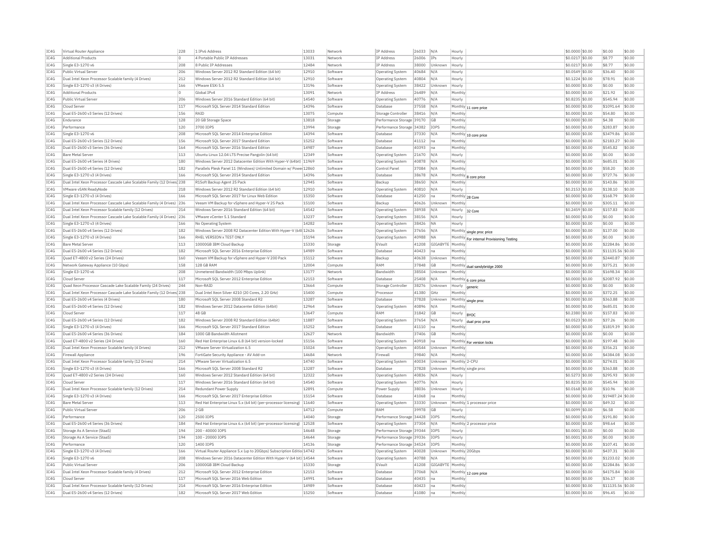| IC4G         | Virtual Router Appliance                                                                    | 228        | 1 IPv6 Address                                                                        | 13033          | Network              | IP Address                           | 26033          | N/A              | Hourly             |                                           | \$0.0000 \$0.00                    | \$0.00               | \$0.00                      |
|--------------|---------------------------------------------------------------------------------------------|------------|---------------------------------------------------------------------------------------|----------------|----------------------|--------------------------------------|----------------|------------------|--------------------|-------------------------------------------|------------------------------------|----------------------|-----------------------------|
| IC4G         | <b>Additional Products</b>                                                                  | $\Omega$   | 4 Portable Public IP Addresses                                                        | 13031          | Network              | IP Address                           | 26006          | IPs              | Hourly             |                                           | \$0.0217 \$0.00                    | \$8.77               | \$0.00                      |
| IC4G         | Single E3-1270 v6                                                                           | 208        | 8 Public IP Addresses                                                                 | 12484          | Network              | <b>IP Address</b>                    | 38000          | Unknown          | Hourly             |                                           | \$0.0217 \$0.00                    | \$8.77               | \$0.00                      |
| IC4G         | Public Virtual Server                                                                       | 206        | Windows Server 2012 R2 Standard Edition (64 bit)                                      | 12910          | Software             | Operating System                     | 40684          | N/A              | Hourly             |                                           | \$0,0549 \$0,00                    | \$36.40              | \$0.00                      |
| TC4G         | Dual Intel Xeon Processor Scalable family (4 Drives)                                        | 212        | Windows Server 2012 R2 Standard Edition (64 bit)                                      | 12910          | Software             | Operating System                     | 40804          | N/A              | Hourly             |                                           | \$0,1224 \$0.00                    | \$78.91              | \$0.00                      |
| IC4G         | Single E3-1270 v3 (4 Drives)                                                                | 166        | VMware FSXi 5.5                                                                       | 13196          | Software             | Operating System                     | 38422          | Unknown          | Hourly             |                                           | \$0.0000 \$0.00                    | \$0.00               | \$0.00                      |
| IC4G         | <b>Additional Products</b>                                                                  | $\circ$    | Global TPv4                                                                           | 13091          | Network              | IP Address                           | 26489          | N/A              | Monthly            |                                           | \$0.0000 \$0.00                    | \$21.92              | \$0.00                      |
| TC4G         | Public Virtual Server                                                                       | 206        | Windows Server 2016 Standard Edition (64 bit)                                         | 14540          | Software             | Operating System                     | 40776          | N/A              | Hourly             |                                           | \$0,8235 \$0.00                    | \$545.94             | \$0.00                      |
| IC4G         | Cloud Server                                                                                | 117        | Microsoft SQL Server 2014 Standard Edition                                            | 14396          | Software             | Database                             | 37558          | N/A              | Monthl             | 11 core price                             | \$0,0000 \$0.00                    | \$1091.64            | \$0.00                      |
| IC4G         | Dual E5-2600 v3 Series (12 Drives)                                                          | 156        | RATO                                                                                  | 13075          | Compute              | Storage Controller                   | 38416          | N/A              | Monthl             |                                           | \$0,0000 \$0.00                    | \$54.80              | \$0.00                      |
| TCAG         | Endurance                                                                                   | 128        | 20 GB Storage Space                                                                   | 13818          | Storage              | Performance Storage 39170            |                | GB               | Monthly            |                                           | \$0.0000 \$0.00                    | \$4.38               | \$0.00                      |
| IC4G         | Performance                                                                                 | 120        | 3700 IOPS                                                                             | 13994          | Storage              | Performance Storage                  | 34382          | IOPS             | Monthly            |                                           | \$0.0000 \$0.00                    | \$283.87             | \$0.00                      |
| IC4G         | Single E3-1270 v6                                                                           | 208        | Microsoft SOL Server 2014 Enterprise Edition                                          | 14394          | Software             | Database                             | 37330          | N/A              |                    |                                           | \$0,0000 \$0.00                    | \$3479.86            | \$0.00                      |
|              | Dual E5-2600 v3 Series (12 Drives)                                                          | 156        | Microsoft SOL Server 2017 Standard Edition                                            | 15252          | Software             | Database                             | 41112          |                  | Monthly            | Monthly 10 core price                     |                                    | \$2183.27            | \$0.00                      |
| IC4G         |                                                                                             |            |                                                                                       | 14987          |                      |                                      |                | Ina              |                    |                                           | \$0.0000 \$0.00                    |                      |                             |
| IC4G         | Dual E5-2600 v3 Series (36 Drives)                                                          | 164        | Microsoft SOL Server 2016 Standard Edition                                            |                | Software             | Database                             | 40393          | na               | Monthly            |                                           | \$0.0000 \$0.00                    | \$545.82             | \$0.00                      |
| IC4G         | <b>Bare Metal Server</b>                                                                    | 113        | Ubuntu Linux 12.04 LTS Precise Pangolin (64 bit)                                      | 12349          | Software             | Operating System                     | 21670          | N/A              | Hourly             |                                           | \$0,0000 \$0.00                    | \$0.00               | \$0.00                      |
| IC4G         | Dual E5-2600 v4 Series (4 Drives)                                                           | 180        | Windows Server 2012 Datacenter Edition With Hyper-V (64bit)                           | 11969          | Software             | <b>Operating System</b>              | 40878          | N/A              | Monthly            |                                           | \$0.0000 \$0.00                    | \$685.01             | \$0.00                      |
| TC4G         | Dual E5-2600 v4 Series (12 Drives)                                                          | 182        | Parallels Plesk Panel 11 (Windows) Unlimited Domain w/ Powe 12860                     |                | Software             | Control Panel                        | 37084          | N/A              | Monthly            |                                           | \$0,0000 \$0,00                    | \$58.20              | \$0.00                      |
| IC4G         | Single E3-1270 v3 (4 Drives)                                                                | 166        | Microsoft SOL Server 2014 Standard Edition                                            | 14396          | Software             | Database                             | 38678          | N/A              |                    | Monthly 8 core price                      | \$0,0000 \$0.00                    | \$727.76             | \$0.00                      |
| IC4G         | Dual Intel Xeon Processor Cascade Lake Scalable Family (12 Drives) 238                      |            | R1Soft Backup Agent 25 Pack                                                           | 12945          | Software             | Backup                               | 38650          | N/A              | Monthly            |                                           | \$0.0000 \$0.00                    | \$143.86             | \$0.00                      |
| IC4G         | VMware vSAN ReadyNode                                                                       | 218        | Windows Server 2012 R2 Standard Edition (64 bit)                                      | 12910          | Software             | Operating System                     | 40810          | N/A              | Hourly             |                                           | \$0.2153 \$0.00                    | \$138.10             | \$0.00                      |
| IC4G         | Single E3-1270 v3 (4 Drives)                                                                | 166        | Microsoft SQL Server 2017 for Linux Web Edition                                       | 15350          | Software             | Database                             | 41250          | na               | Monthly 28 Core    |                                           | \$0,0000 \$0.00                    | \$168.79             | \$0.00                      |
| IC4G         | Dual Intel Xeon Processor Cascade Lake Scalable Family (4 Drives) 236                       |            | Veeam VM Backup for vSphere and Hyper-V 25 Pack                                       | 15100          | Software             | Backun                               | 40626          | Unknown          | Monthly            |                                           | \$0,0000 \$0.00                    | \$305.11             | \$0.00                      |
| IC4G         | Dual Intel Xeon Processor Scalable family (12 Drives)                                       | 214        | Windows Server 2016 Standard Edition (64 bit)                                         | 14542          | Software             | Operating System                     | 38938          | N/A              | Hourly             | 32 Core                                   | \$0.2459 \$0.00                    | \$157.83             | \$0.00                      |
| IC4G         | Dual Intel Xeon Processor Cascade Lake Scalable Family (4 Drives) 236                       |            | VMware vCenter 5.1 Standard                                                           | 13237          | Software             | Operating System                     | 38156          | N/A              | Hourly             |                                           | \$0,0000 \$0.00                    | \$0.00               | \$0.00                      |
| IC4G         | Single E3-1270 v3 (4 Drives)                                                                | 166        | No Operating System                                                                   | 14282          | Software             | Operating System                     | 38426          | <b>NA</b>        | Hourly             |                                           | \$0.0000 \$0.00                    | \$0.00               | \$0.00                      |
| IC4G         | Dual E5-2600 v4 Series (12 Drives)                                                          | 182        | Windows Server 2008 R2 Datacenter Edition With Hyper-V (64t 12626                     |                | Software             | Operating System                     | 37656          | N/A              |                    | Monthly single proc price                 | \$0.0000 \$0.00                    | \$137.00             | \$0.00                      |
| TC4G         | Single E3-1270 v3 (4 Drives)                                                                | 166        | RHFL VERSION x TEST ONLY                                                              | 15194          | Software             | Operating System                     | 40988          | <b>NA</b>        |                    | Monthly For internal Provisioning Testing | \$0,0000 \$0.00                    | \$0.00               | \$0.00                      |
| TCAG         | <b>Bare Metal Server</b>                                                                    | 113        | 10000GB IBM Cloud Backup                                                              | 15330          | Storage              | FVault                               | 41208          | GIGABYTE Monthly |                    |                                           | \$0.0000 \$0.00                    | \$2284.86            | \$0.00                      |
| IC4G         | Dual E5-2600 v4 Series (12 Drives)                                                          | 182        | Microsoft SQL Server 2016 Enterprise Edition                                          | 14989          | Software             | Database                             | 40423          | lna              | Monthl             |                                           | $$0.0000$ $$0.00$                  |                      | \$11135.56 \$0.00           |
| IC4G         | Quad E7-4800 v2 Series (24 Drives)                                                          | 160        | Veeam VM Backup for vSphere and Hyper-V 200 Pack                                      | 15112          | Software             | Backup                               | 40638          | Unknown          | Monthly            |                                           | \$0,0000 \$0.00                    | \$2440.87            | \$0.00                      |
| IC4G         | Network Gateway Appliance (10 Gbps)                                                         | 158        | 128 GB RAM                                                                            | 12004          | Compute              | RAM                                  | 37848          | GB               |                    |                                           | \$0.0000 \$0.00                    | \$375.21             | \$0.00                      |
|              |                                                                                             |            |                                                                                       |                |                      |                                      |                |                  |                    | Monthly dual sandybridge 2000             |                                    |                      |                             |
|              |                                                                                             |            |                                                                                       |                |                      |                                      |                |                  |                    |                                           |                                    |                      |                             |
| IC4G         | Single E3-1270 v6                                                                           | 208        | Unmetered Bandwidth (100 Mbps Uplink)                                                 | 13177          | Network              | <b>Bandwidth</b>                     | 38504          | Unknown          | Monthly            |                                           | \$0.0000 \$0.00                    | \$1698.34            | \$0.00                      |
| IC4G         | Cloud Server                                                                                | 117        | Microsoft SOL Server 2012 Enterprise Edition                                          | 12153          | Software             | Database                             | 25408          | N/f              |                    | Monthly 6 core price                      | \$0,0000 \$0.00                    | \$2087.92            | \$0.00                      |
| IC4G         | Quad Xeon Processor Cascade Lake Scalable Family (24 Drives)                                | 244        | Non-RAID                                                                              | 13664          | Compute              | Storage Controller                   | 38276          | Unknown          | Hourly             |                                           | \$0.0000 \$0.00                    | \$0.00               | \$0.00                      |
| IC4G         | Dual Intel Xeon Processor Cascade Lake Scalable Family (12 Drives 238                       |            | Dual Intel Xeon Silver 4210 (20 Cores, 2.20 GHz)                                      | 15400          | Compute              | Processor                            | 41380          | GHz              | Monthly            |                                           | \$0,0000 \$0.00                    | \$372.25             | \$0.00                      |
| IC4G         | Dual E5-2600 v4 Series (4 Drives)                                                           | 180        | Microsoft SQL Server 2008 Standard R2                                                 | 13287          | Software             | Database                             | 37828          | Unknown          |                    |                                           | \$0,0000 \$0.00                    | \$363.88             | \$0.00                      |
| TC4G         | Dual E5-2600 v4 Series (12 Drives)                                                          | 182        | Windows Server 2012 Datacenter Edition (64bit)                                        | 12964          | Software             | Operating System                     | 40896          | N/A              | Monthly            | Monthly single proc                       | \$0,0000 \$0.00                    | \$685.01             | \$0.00                      |
| IC4G         | Cloud Server                                                                                | 117        | 48 GB                                                                                 | 13647          | Compute              | RAM                                  | 31842          | GB               | Hourly             | <b>BYOC</b>                               | \$0.2380 \$0.00                    | \$157.83             | \$0.00                      |
| IC4G         | Dual E5-2600 v4 Series (12 Drives)                                                          | 182        | Windows Server 2008 R2 Standard Edition (64bit)                                       | 11887          | Software             | Operating System                     | 37654          | N/A              | Hourly             |                                           | \$0.0523 \$0.00                    | \$37.26              | \$0.00                      |
| TC4G         | Single E3-1270 v3 (4 Drives)                                                                | 166        | Microsoft SOL Server 2017 Standard Edition                                            | 15252          | Software             | Database                             | 41110          | Ina              | Monthly            | dual proc price                           | \$0,0000 \$0.00                    | \$1819.39            | \$0.00                      |
| IC4G         | Dual E5-2600 v4 Series (36 Drives)                                                          | 184        | 1000 GB Bandwidth Allotment                                                           | 12627          | Network              | Bandwidth                            | 37406          | <b>GB</b>        | Monthly            |                                           | \$0,0000 \$0.00                    | \$0.00               | \$0.00                      |
| IC4G         | Ouad E7-4800 v2 Series (24 Drives)                                                          | 160        | Red Hat Enterprise Linux 6.8 (64 bit) version-locked                                  | 15156          | Software             |                                      | 40918          | Ina              |                    |                                           | \$0,0000 \$0.00                    | \$197.48             | \$0.00                      |
|              |                                                                                             |            |                                                                                       | 15024          |                      | Operating System<br>Operating System |                | Unknown          | Monthly            | Monthly For version locks                 |                                    |                      | \$0.00                      |
| IC4G         | Dual Intel Xeon Processor Scalable family (4 Drives)                                        | 212        | VMware Server Virtualization 6.5                                                      |                | Software             |                                      | 40544          |                  |                    |                                           | \$0.0000 \$0.00                    | \$356.21             |                             |
| IC4G         | Firewall Appliance                                                                          | 196        | FortiGate Security Appliance - AV Add-on                                              | 14684          | Network              | Firewall                             | 39840          | N/A              | Monthly            |                                           | \$0.0000 \$0.00                    | \$4384.08            | \$0.00                      |
| TC4G         | Dual Intel Xeon Processor Scalable family (12 Drives)                                       | 214        | VMware Server Virtualization 6.5                                                      | 14740          | Software             | <b>Operating System</b>              | 40034          | Unknown          | Monthly 2-CPL      |                                           | \$0,0000 \$0.00                    | \$274.01             | \$0.00                      |
| IC4G         | Single E3-1270 v3 (4 Drives)                                                                | 166        | Microsoft SOL Server 2008 Standard R2                                                 | 13287          | Software             | Database                             | 37828          | Unknown          |                    | Monthly single proc                       | \$0.0000 \$0.00                    | \$363.88             | \$0.00                      |
| IC4G         | Quad E7-4800 v2 Series (24 Drives)                                                          | 160        | Windows Server 2012 Standard Edition (64 bit)                                         | 12322          | Software             | Operating System                     | 40836          | $N/\Delta$       | Hourly             |                                           | \$0.5273 \$0.00                    | \$295.93             | \$0.00                      |
| IC4G         | Cloud Server                                                                                | 117        | Windows Server 2016 Standard Edition (64 bit)                                         | 14540          | Software             | <b>Operating System</b>              | 40776          | N/A              | Hourly             |                                           | \$0,8235 \$0.00                    | \$545.94             | \$0.00                      |
| IC4G         | Dual Intel Xeon Processor Scalable family (12 Drives)                                       | 214        | Redundant Power Supply                                                                | 12891          | Compute              | Power Supply                         | 38036          | Unknown          | Hourly             |                                           | \$0.0168 \$0.00                    | \$10.96              | \$0.00                      |
| IC4G         | Single E3-1270 v3 (4 Drives)                                                                | 166        | Microsoft SOL Server 2017 Enterprise Edition                                          | 15154          | Software             | Database                             | 41068          | na               | Monthly            |                                           | \$0,0000 \$0.00                    |                      | \$19487.24 \$0.00           |
| IC4G         | <b>Bare Metal Server</b>                                                                    | 113        | Red Hat Enterprise Linux 5.x (64 bit) (per-processor licensing)                       | 11640          | Software             | Operating System                     | 33330          | Unknown          |                    | Monthly 1 processor price                 | \$0,0000 \$0.00                    | \$49.32              | \$0.00                      |
| TC4G         | <b>Public Virtual Server</b>                                                                | 206        | $2$ GB                                                                                | 14712          | Compute              | RAM                                  | 39978          | GB               | Hourly             |                                           | \$0,0099 \$0,00                    | \$6.58               | \$0.00                      |
| IC4G         | Performance                                                                                 | 120        | 2500 TOPS                                                                             | 14040          | Storage              | Performance Storage 34428            |                | IOPS             | Monthly            |                                           | \$0,0000 \$0.00                    | \$191.80             | \$0.00                      |
| IC4G         | Dual E5-2600 v4 Series (36 Drives)                                                          | 184        | Red Hat Enterprise Linux 6.x (64 bit) (per-processor licensing)                       | 12528          | Software             | Operating System                     | 37304          | N/A              |                    | Monthly 2 processor price                 | \$0.0000 \$0.00                    | \$98.64              | \$0.00                      |
| IC4G         | Storage As A Service (StaaS)                                                                | 194        | 200 - 40000 TOPS                                                                      | 14648          | Storage              | Performance Storage 39344            |                | <b>TOPS</b>      | Hourly             |                                           | \$0,0001 \$0.00                    | \$0.00               | \$0.00                      |
| IC4G         | Storage As A Service (StaaS)                                                                | 194        | 100 - 20000 IOPS                                                                      | 14644          | Storage              | Performance Storage 39336            |                | IOPS             | Hourly             |                                           | \$0,0001 \$0.00                    | \$0.00               | \$0.00                      |
| IC4G         | Performance                                                                                 | 120        | 1400 IOPS                                                                             | 14136          | Storage              | Performance Storage 34524            |                | IOPS             | Monthly            |                                           | \$0,0000 \$0.00                    | \$107.41             | \$0.00                      |
| IC4G         | Single E3-1270 v3 (4 Drives)                                                                | 166        | Virtual Router Appliance 5.x (up to 20Gbps) Subscription Editio 14742                 |                | Software             | Operating System                     | 40028          | Unknown          |                    | Monthly 20Gbps                            | \$0.0000 \$0.00                    | \$437.31             | \$0.00                      |
| IC4G         | Single E3-1270 v6                                                                           | 208        | Windows Server 2016 Datacenter Edition With Hyper-V (64 bit) 14544                    |                | Software             | Operating System                     | 40788          | N/f              | <b>Monthly</b>     |                                           | \$0.0000 \$0.00                    | \$1233.02            | \$0.00                      |
| TC4G         | Public Virtual Server                                                                       | 206        | 10000GB TBM Cloud Backup                                                              | 15330          | Storage              | FVault                               | 41208          | GIGARYTE Monthly |                    |                                           | \$0,0000 \$0.00                    | \$2284.86            | \$0.00                      |
| TCAG         |                                                                                             | 212        |                                                                                       | 12153          | Software             | Database                             |                | N/A              |                    |                                           |                                    |                      | \$0.00                      |
|              | Dual Intel Xeon Processor Scalable family (4 Drives)<br>Cloud Server                        | 117        | Microsoft SQL Server 2012 Enterprise Edition<br>Microsoft SOL Server 2016 Web Edition | 14991          |                      | Database                             | 37068<br>40435 | lna              | Monthl             | Monthly 12 core price                     | \$0.0000 \$0.00<br>\$0,0000 \$0.00 | \$4175.84<br>\$36.17 | \$0.00                      |
| IC4G         |                                                                                             |            |                                                                                       |                | Software             |                                      |                |                  |                    |                                           |                                    |                      |                             |
| IC4G<br>IC4G | Dual Intel Xeon Processor Scalable family (12 Drives)<br>Dual E5-2600 v4 Series (12 Drives) | 214<br>182 | Microsoft SQL Server 2016 Enterprise Edition<br>Microsoft SQL Server 2017 Web Edition | 14989<br>15250 | Software<br>Software | Database<br>Database                 | 40423<br>41080 | Ina<br> na       | Monthly<br>Monthly |                                           | \$0,0000 \$0.00<br>\$0.0000 \$0.00 | \$96.45              | \$11135.56 \$0.00<br>\$0.00 |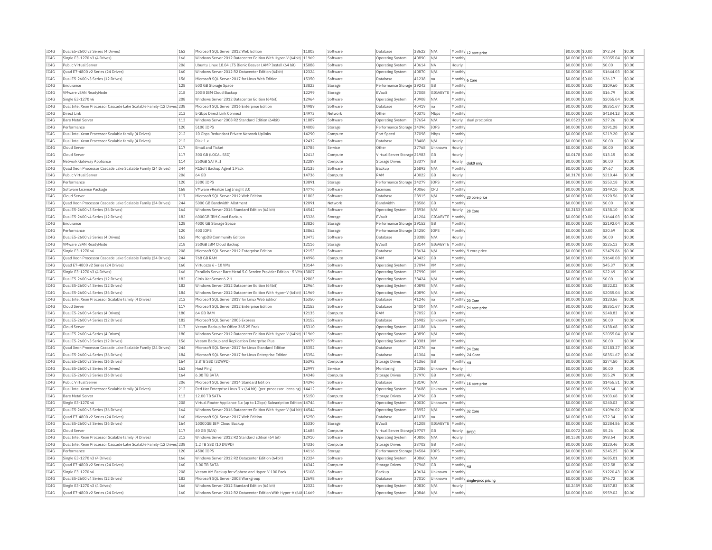| IC4G | Dual E5-2600 v3 Series (4 Drives)                                      | 162 | Microsoft SQL Server 2012 Web Edition                                   | 11803 | Software | Database                     | 38622 | N/A                |            | Monthly 12 core price       | \$0.0000 \$0.00  | \$72.34   | \$0.00 |
|------|------------------------------------------------------------------------|-----|-------------------------------------------------------------------------|-------|----------|------------------------------|-------|--------------------|------------|-----------------------------|------------------|-----------|--------|
| TC4G | Single E3-1270 v3 (4 Drives)                                           | 166 | Windows Server 2012 Datacenter Edition With Hyper-V (64bit) 11969       |       | Software | <b>Operating System</b>      | 40890 | N/A                | Monthly    |                             | \$0,0000 \$0,00  | \$2055.04 | \$0.00 |
| IC4G | Public Virtual Server                                                  | 206 | Ubuntu Linux 18.04 LTS Bionic Beaver LAMP Install (64 bit)              | 15088 | Software | <b>Operating System</b>      | 40614 | <b>NA</b>          | Hourly     |                             | \$0,0000 \$0.00  | \$0.00    | \$0.00 |
| IC4G | Ouad E7-4800 v2 Series (24 Drives)                                     | 160 | Windows Server 2012 R2 Datacenter Edition (64bit)                       | 12324 | Software | Operating System             | 40870 | N/A                | Monthly    |                             | \$0.0000 \$0.00  | \$1644.03 | \$0.00 |
| IC4G | Dual E5-2600 v3 Series (12 Drives)                                     | 156 | Microsoft SQL Server 2017 for Linux Web Edition                         | 15350 | Software | Database                     | 41238 | na                 |            | Monthly 6 Core              | \$0,0000 \$0,00  | \$36.17   | \$0.00 |
| IC4G | Endurance                                                              | 128 | 500 GB Storage Space                                                    | 13823 | Storage  | Performance Storage 39242    |       | GB                 | Monthly    |                             | \$0,0000 \$0.00  | \$109.60  | \$0.00 |
| IC4G | VMware vSAN ReadvNode                                                  | 218 | 20GB TBM Cloud Backup                                                   | 12299 | Storage  | EVault                       | 37008 | GIGABYTE   Monthly |            |                             | \$0,0000 \$0,00  | \$16.79   | \$0.00 |
| IC4G | Single E3-1270 v6                                                      | 208 | Windows Server 2012 Datacenter Edition (64bit)                          | 12964 | Software | Operating System             | 40908 | N/A                | Monthly    |                             | \$0.0000 \$0.00  | \$2055.04 | \$0.00 |
| IC4G | Dual Intel Xeon Processor Cascade Lake Scalable Family (12 Drives) 238 |     | Microsoft SOL Server 2016 Enterprise Edition                            | 14989 | Software | Database                     | 40419 | na                 | Monthly    |                             | \$0,0000 \$0,00  | \$8351.67 | \$0.00 |
| IC4G | Direct Link                                                            | 213 | 5 Gbns Direct Link Connect                                              | 14973 | Network  | Other                        | 40375 |                    | Monthly    |                             | \$0,0000 \$0.00  | \$4184.13 | \$0.00 |
|      |                                                                        |     |                                                                         |       |          |                              |       | Mbps               |            |                             |                  |           |        |
| IC4G | <b>Bare Metal Server</b>                                               | 113 | Windows Server 2008 R2 Standard Edition (64bit)                         | 11887 | Software | Operating System             | 37654 | N/A                | Hourly     | dual proc price             | \$0.0523 \$0.00  | \$37.26   | \$0.00 |
| IC4G | Performance                                                            | 120 | 5100 TOPS                                                               | 14008 | Storage  | Performance Storage 34396    |       | <b>TOPS</b>        | Monthly    |                             | \$0,0000 \$0,00  | \$391.28  | \$0.00 |
| IC4G | Dual Intel Xeon Processor Scalable family (4 Drives)                   | 212 | 10 Gbps Redundant Private Network Uplinks                               | 14290 | Compute  | Port Speed                   | 37098 | Mbps               | Monthly    |                             | \$0.0000 \$0.00  | \$219.20  | \$0.00 |
| IC4G | Dual Intel Xeon Processor Scalable family (4 Drives)                   | 212 | Riak 1.x                                                                | 12432 | Software | Database                     | 38408 | N/A                | Hourly     |                             | \$0.0000 \$0.00  | \$0.00    | \$0.00 |
| IC4G | Cloud Server                                                           | 117 | <b>Email and Ticket</b>                                                 | 13785 | Service  | Other                        | 37768 | Unknown            | Hourly     |                             | $$0.0000$ \$0.00 | \$0.00    | \$0.00 |
| TCAG | Cloud Server                                                           | 117 | 300 GB (LOCAL SSD)                                                      | 12413 | Compute  | Virtual Server Storage 21983 |       | <b>GB</b>          | Hourly     |                             | \$0.0178 \$0.00  | \$13.15   | \$0.00 |
| IC4G | Network Gateway Appliance                                              | 114 | 250GB SATA IT                                                           | 12287 | Compute  | <b>Storage Drives</b>        | 33377 | GB                 | Hourly     | disk0 only                  | \$0.0000 \$0.00  | \$0.00    | \$0.00 |
| IC4G | Ouad Xeon Processor Cascade Lake Scalable Family (24 Drives)           | 244 | R1Soft Backup Agent 1 Pack                                              | 13135 | Software | Backup                       | 26893 | N/A                | Monthly    |                             | \$0,0000 \$0,00  | \$7.67    | \$0.00 |
| IC4G | Public Virtual Server                                                  | 206 | 64 GB                                                                   | 14736 | Compute  | RAM                          | 40022 | GB                 | Hourly     |                             | \$0.3170 \$0.00  | \$210.44  | \$0.00 |
| IC4G | Performance                                                            | 120 | 3300 TOPS                                                               | 13891 | Storage  | Performance Storage 34279    |       | TOPS               | Monthly    |                             | \$0.0000 \$0.00  | \$253.18  | \$0.00 |
| IC4G | Software License Package                                               | 168 | VMware vRealize Log Insight 3.0                                         | 14776 | Software | Licenses                     | 40066 | CPU                | Monthly    |                             | \$0.0000 \$0.00  | \$149.10  | \$0.00 |
| IC4G | Cloud Server                                                           | 117 | Microsoft SQL Server 2012 Web Edition                                   | 11803 | Software | Database                     | 28915 | N/A                |            | Monthly 20 core price       | \$0.0000 \$0.00  | \$120.56  | \$0.00 |
| IC4G | Ouad Xeon Processor Cascade Lake Scalable Family (24 Drives)           | 244 | 5000 GB Bandwidth Allotment                                             | 12091 | Network  | Bandwidth                    | 38506 | GB                 | Monthly    |                             | \$0,0000 \$0,00  | \$0.00    | \$0.00 |
| IC4G | Dual E5-2600 v3 Series (36 Drives)                                     | 164 | Windows Server 2016 Standard Edition (64 bit)                           | 14542 | Software | Operating System             | 38936 | N/A                | Hourly     |                             | \$0,2153 \$0.00  | \$138.10  | \$0.00 |
| IC4G | Dual E5-2600 v4 Series (12 Drives)                                     | 182 | 6000GB IBM Cloud Backup                                                 | 15326 | Storage  | EVault                       | 41204 | GIGABYTE Monthly   |            | 28 Core                     | \$0,0000 \$0.00  | \$1644.03 | \$0.00 |
| IC4G | Endurance                                                              | 128 | 4000 GB Storage Space                                                   | 13826 | Storage  | Performance Storage 39152    |       | GB                 | Monthly    |                             | \$0.0000 \$0.00  | \$2192.04 | \$0.00 |
|      | Performance                                                            | 120 | 400 IOPS                                                                | 13862 |          |                              |       | IOPS               | Monthly    |                             |                  |           | \$0.00 |
| IC4G |                                                                        |     |                                                                         |       | Storage  | Performance Storage 34250    |       |                    |            |                             | \$0.0000 \$0.00  | \$30.69   |        |
| IC4G | Dual E5-2600 v3 Series (4 Drives)                                      | 162 | MongoDB Community Edition                                               | 13473 | Software | Database                     | 38388 | N/A                | Hourly     |                             | \$0,0000 \$0.00  | \$0.00    | \$0.00 |
| IC4G | VMware vSAN ReadyNode                                                  | 218 | 350GB IBM Cloud Backup                                                  | 12116 | Storage  | EVault                       | 38144 | GIGABYTE           | Monthly    |                             | \$0,0000 \$0.00  | \$225.13  | \$0.00 |
| IC4G | Single E3-1270 v6                                                      | 208 | Microsoft SOL Server 2012 Enterprise Edition                            | 12153 | Software | Database                     | 38634 | N/A                |            | Monthly 9 core price        | \$0,0000 \$0.00  | \$3479.86 | \$0.00 |
| IC4G | Quad Xeon Processor Cascade Lake Scalable Family (24 Drives)           | 244 | <b>768 GB RAM</b>                                                       | 14998 | Compute  | RAM                          | 40422 | GB                 | Monthly    |                             | \$0.0000 \$0.00  | \$1640.08 | \$0.00 |
| IC4G | Ouad E7-4800 v2 Series (24 Drives)                                     | 160 | Virtuozzo 6 - 10 VMs                                                    | 13144 | Software | <b>Operating System</b>      | 37094 | VM                 | Monthly    |                             | \$0.0000 \$0.00  | \$45.37   | \$0.00 |
| IC4G | Single E3-1270 v3 (4 Drives)                                           | 166 | Parallels Server Bare Metal 5.0 Service Provider Edition - 5 VMs 13807  |       | Software | <b>Operating System</b>      | 37990 | <b>VM</b>          | Monthly    |                             | \$0,0000 \$0.00  | \$22.69   | \$0.00 |
| IC4G | Dual E5-2600 v4 Series (12 Drives)                                     | 182 | Citrix XenServer 6.2.1                                                  | 12803 | Software | Operating System             | 38424 | N/A                | Monthly    |                             | \$0,0000 \$0.00  | \$0.00    | \$0.00 |
| TCAG | Dual E5-2600 v4 Series (12 Drives)                                     | 182 | Windows Server 2012 Datacenter Edition (64bit)                          | 12964 | Software | Operating System             | 40898 | N/A                | Monthly    |                             | \$0,0000 \$0.00  | \$822.02  | \$0.00 |
| IC4G | Dual E5-2600 v4 Series (36 Drives)                                     | 184 | Windows Server 2012 Datacenter Edition With Hyper-V (64bit) 11969       |       | Software | Operating System             | 40890 | N/A                | Monthly    |                             | \$0.0000 \$0.00  | \$2055.04 | \$0.00 |
| IC4G | Dual Intel Xeon Processor Scalable family (4 Drives)                   | 212 | Microsoft SQL Server 2017 for Linux Web Edition                         | 15350 | Software | Database                     | 41246 | Ina                |            | Monthly 20 Core             | \$0.0000 \$0.00  | \$120.56  | \$0.00 |
| TC4G | Cloud Server                                                           | 117 | Microsoft SOL Server 2012 Enterprise Edition                            | 12153 | Software | Database                     | 24004 | N/A                |            | Monthly 24 core price       | $$0.0000$ \$0.00 | \$8351.67 | \$0.00 |
| TC4G | Dual E5-2600 v4 Series (4 Drives)                                      | 180 | 64 GB RAM                                                               | 12135 | Compute  | RAM                          | 37052 | GB                 | Monthly    |                             | \$0.0000 \$0.00  | \$248.83  | \$0.00 |
| IC4G | Dual E5-2600 v4 Series (12 Drives)                                     | 182 | Microsoft SQL Server 2005 Express                                       | 13152 | Software | Database                     | 36982 | Unknown            | Monthly    |                             | \$0.0000 \$0.00  | \$0.00    | \$0.00 |
| IC4G | Cloud Server                                                           | 117 | Veeam Backup for Office 365 25 Pack                                     | 15310 | Software | Operating System             | 41186 | <b>NA</b>          | Monthly    |                             | \$0,0000 \$0.00  | \$138.68  | \$0.00 |
| IC4G | Dual E5-2600 v4 Series (4 Drives)                                      | 180 | Windows Server 2012 Datacenter Edition With Hyper-V (64bit) 11969       |       | Software | <b>Operating Systen</b>      | 40890 | N/A                | Monthly    |                             | \$0.0000 \$0.00  | \$2055.04 | \$0.00 |
| IC4G | Dual E5-2600 v3 Series (12 Drives)                                     | 156 | Veeam Backup and Replication Enterprise Plus                            | 14979 | Software | Operating System             | 40381 | <b>VM</b>          | Monthly    |                             | \$0.0000 \$0.00  | \$0.00    | \$0.00 |
| IC4G | Quad Xeon Processor Cascade Lake Scalable Family (24 Drives)           | 244 | Microsoft SQL Server 2017 for Linux Standard Edition                    | 15352 | Software | Database                     | 41276 | na                 |            | Monthly 24 Core             | \$0.0000 \$0.00  | \$2183.27 | \$0.00 |
| IC4G | Dual E5-2600 v4 Series (36 Drives)                                     | 184 | Microsoft SQL Server 2017 for Linux Enterprise Edition                  | 15354 | Software | Database                     | 41304 | na                 |            | Monthly 24 Core             | \$0.0000 \$0.00  | \$8351.67 | \$0.00 |
| IC4G | Dual E5-2600 v3 Series (36 Drives)                                     | 164 | 3.8TB SSD (3DWPD)                                                       | 15392 | Compute  | Storage Drives               | 41366 | GB                 | Monthly 4U |                             | \$0,0000 \$0.00  | \$274.50  | \$0.00 |
| IC4G | Dual E5-2600 v3 Series (4 Drives)                                      | 162 | Host Ping                                                               | 12997 | Service  | Monitoring                   | 37386 | Unknown            | Hourly     |                             | \$0.0000 \$0.00  | \$0.00    | \$0.00 |
| IC4G | Dual E5-2600 v3 Series (36 Drives)                                     | 164 | 6.00 TB SATA                                                            | 14348 | Compute  | <b>Storage Drives</b>        | 37970 | GB                 | Monthly 4U |                             | \$0,0000 \$0,00  | \$55.29   | \$0.00 |
| IC4G | Public Virtual Server                                                  | 206 | Microsoft SQL Server 2014 Standard Edition                              | 14396 | Software | Database                     | 38190 | N/A                |            | Monthly 16 core price       | \$0,0000 \$0.00  | \$1455.51 | \$0.00 |
| IC4G | Dual Intel Xeon Processor Scalable family (4 Drives)                   | 212 | Red Hat Enterprise Linux 7.x (64 bit) (per-processor licensing)   14412 |       | Software | Operating System             | 38688 | Unknown            | Monthly    |                             | \$0.0000 \$0.00  | \$98.64   | \$0.00 |
| IC4G | <b>Bare Metal Server</b>                                               | 113 | 12.00 TB SATA                                                           | 15150 | Compute  | Storage Drives               | 40796 | GB                 | Monthly    |                             | \$0,0000 \$0.00  | \$103.68  | \$0.00 |
| IC4G | Single E3-1270 v6                                                      | 208 | Virtual Router Appliance 5.x (up to 1Gbps) Subscription Edition 14744   |       | Software |                              | 40030 | Unknown            | Monthly    |                             | \$0,0000 \$0.00  | \$240.03  | \$0.00 |
| IC4G |                                                                        | 164 |                                                                         |       |          | Operating System             | 38952 | N/A                |            |                             | \$0,0000 \$0.00  | \$1096.02 | \$0.00 |
|      | Dual E5-2600 v3 Series (36 Drives)                                     |     | Windows Server 2016 Datacenter Edition With Hyper-V (64 bit) 14544      | 15250 | Software | <b>Operating System</b>      |       |                    |            | Monthly 32 Core             |                  |           | \$0.00 |
| IC4G | Quad E7-4800 v2 Series (24 Drives)                                     | 160 | Microsoft SQL Server 2017 Web Edition                                   |       | Software | Database                     | 41078 | na                 | Monthly    |                             | \$0.0000 \$0.00  | \$72.34   |        |
| IC4G | Dual E5-2600 v3 Series (36 Drives)                                     | 164 | 10000GB IBM Cloud Backup                                                | 15330 | Storage  | FVault                       | 41208 | GIGABYTE Monthly   |            |                             | \$0,0000 \$0.00  | \$2284.86 | \$0.00 |
| IC4G | Cloud Server                                                           | 117 | 40 GB (SAN)                                                             | 11685 | Compute  | Virtual Server Storage 19707 |       | GB                 | Hourly     | <b>RYOC</b>                 | \$0,0072 \$0.00  | \$5.26    | \$0.00 |
| IC4G | Dual Intel Xeon Processor Scalable family (4 Drives)                   | 212 | Windows Server 2012 R2 Standard Edition (64 bit)                        | 12910 | Software | Operating System             | 40806 | $N/\beta$          | Hourly     |                             | \$0,1530 \$0.00  | \$98.64   | \$0.00 |
| IC4G | Dual Intel Xeon Processor Cascade Lake Scalable Family (12 Drives 238  |     | 1.2 TB SSD (10 DWPD)                                                    | 14336 | Compute  | Storage Drives               | 38702 | GB                 | Monthly    |                             | \$0,0000 \$0.00  | \$120.46  | \$0.00 |
| IC4G | Performance                                                            | 120 | 4500 TOPS                                                               | 14116 | Storage  | Performance Storage 34504    |       | TOP5               | Monthly    |                             | \$0.0000 \$0.00  | \$345.25  | \$0.00 |
| IC4G | Single E3-1270 v3 (4 Drives)                                           | 166 | Windows Server 2012 R2 Datacenter Edition (64bit)                       | 12324 | Software | Operating System             | 40860 | N/A                | Monthly    |                             | \$0.0000 \$0.00  | \$685.01  | \$0.00 |
| TC4G | Quad E7-4800 v2 Series (24 Drives)                                     | 160 | 3.00 TR SATA                                                            | 14342 | Compute  | <b>Storage Drives</b>        | 37968 | GB                 | Monthly 4U |                             | \$0,0000 \$0.00  | \$32.58   | \$0.00 |
| TCAG | Single E3-1270 v6                                                      | 208 | Veeam VM Backup for vSphere and Hyper-V 100 Pack                        | 15108 | Software | Backun                       | 40634 | Unknown            | Monthly    |                             | \$0.0000 \$0.00  | \$1220.43 | \$0.00 |
| IC4G | Dual E5-2600 v4 Series (12 Drives)                                     | 182 | Microsoft SQL Server 2008 Workgroup                                     | 12698 | Software | Database                     | 37010 | Unknown            |            | Monthly single-proc pricing | \$0,0000 \$0.00  | \$76.72   | \$0.00 |
| IC4G | Single E3-1270 v3 (4 Drives)                                           | 166 | Windows Server 2012 Standard Edition (64 bit)                           | 12322 | Software | Operating System             | 40830 | N/f                | Hourly     |                             | \$0,2459 \$0.00  | \$157.83  | \$0.00 |
| IC4G | Quad E7-4800 v2 Series (24 Drives)                                     | 160 | Windows Server 2012 R2 Datacenter Edition With Hyper-V (64t 11669       |       | Software | <b>Operating System</b>      | 40846 | N/f                | Monthly    |                             | \$0.0000 \$0.00  | \$959.02  | \$0.00 |
|      |                                                                        |     |                                                                         |       |          |                              |       |                    |            |                             |                  |           |        |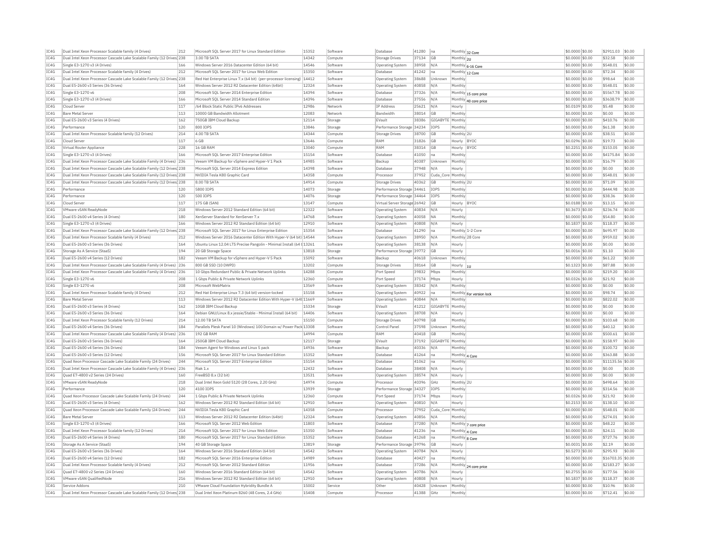| IC4G<br>Dual Intel Xeon Processor Cascade Lake Scalable Family (12 Drives) 238<br>3.00 TB SATA<br>14342<br>37134<br><b>GB</b><br>Monthly 2U<br>\$0.0000 \$0.00<br>\$32.58<br>\$0.00<br>Compute<br><b>Storage Drives</b><br>IC4G<br>14546<br>\$548.01<br>\$0.00<br>Single E3-1270 v3 (4 Drives)<br>166<br>Windows Server 2016 Datacenter Edition (64 bit)<br>Software<br><b>Operating System</b><br>38958<br>N/A<br>Monthly 6-16 Core<br>\$0,0000 \$0.00<br>TC4G<br>Dual Intel Xeon Processor Scalable family (4 Drives)<br>212<br>Microsoft SQL Server 2017 for Linux Web Edition<br>15350<br>41242<br>\$0.0000 \$0.00<br>\$72.34<br>\$0.00<br>Software<br>Database<br>Ina<br>Monthly 12 Core<br>IC4G<br>Red Hat Enterprise Linux 7.x (64 bit) (per-processor licensing)   14412<br>\$0.00<br>Dual Intel Xeon Processor Cascade Lake Scalable Family (12 Drives) 238<br>Software<br><b>Operating System</b><br>38688<br>Unknown<br>Monthly<br>\$0.0000 \$0.00<br>\$98.64<br>IC4G<br>Windows Server 2012 R2 Datacenter Edition (64bit)<br>12324<br>40858<br>\$548.01<br>\$0.00<br>Dual E5-2600 v3 Series (36 Drives)<br>164<br>Software<br>N/A<br>\$0,0000 \$0.00<br>Operating System<br>Monthly<br>IC4G<br>Single E3-1270 v6<br>208<br>Microsoft SOL Server 2014 Enterprise Edition<br>14394<br>Software<br>Database<br>37326<br>N/A<br>\$0.0000 \$0.00<br>\$5567.78<br>\$0.00<br>Monthly 15 core price<br>IC4G<br>14396<br>Single E3-1270 v3 (4 Drives)<br>166<br>Microsoft SOL Server 2014 Standard Edition<br>37556<br>\$0,0000 \$0.00<br>\$3638.79<br>\$0.00<br>N/A<br>Software<br>Database<br>Monthly 40 core price<br>IC4G<br>Cloud Serve<br>117<br>/64 Block Static Public IPv6 Addresses<br>12986<br><b>IP Address</b><br>25621<br>N/A<br>\$0.0109 \$0.00<br>\$5.48<br>\$0.00<br>Network<br>Hourly<br>TC4G<br>113<br>12083<br>\$0.00<br>10000 GB Bandwidth Allotment<br><b>Bandwidth</b><br>38014<br>G <sub>B</sub><br>$$0.0000$ \$0.00<br>\$0.00<br><b>Bare Metal Server</b><br>Network<br>Monthly<br>IC4G<br>Dual E5-2600 v3 Series (4 Drives)<br>162<br>12114<br>38386<br>Monthly<br>\$410.76<br>\$0.00<br>750GB IBM Cloud Backup<br>Storage<br>EVault<br>GIGABYTE<br>\$0.0000 \$0.00<br>TCAG<br>\$0.00<br>120<br>13846<br>\$0,0000 \$0.00<br>\$61.38<br>Performance<br>800 TOPS<br>Storage<br>Performance Storage 34234<br><b>TOPS</b><br>Monthly<br>IC4G<br>4.00 TB SATA<br>14344<br>\$38.51<br>\$0.00<br>Dual Intel Xeon Processor Scalable family (12 Drives)<br>214<br>Compute<br><b>Storage Drives</b><br>38700<br><b>GB</b><br>Monthly 2L<br>\$0,0000 \$0.00<br>IC4G<br>\$0.00<br>Cloud Server<br>117<br>6 GB<br>13646<br>Compute<br>RAM<br>31826<br><b>GB</b><br>Hourly BYOO<br>\$0.0296 \$0.00<br>\$19.73<br>IC4G<br>228<br>\$0.00<br>Virtual Router Appliance<br>16 GB RAM<br>13040<br>Compute<br>RAM<br>38314<br><b>GB</b><br>Hourly BYOC<br>\$0.2251 \$0.00<br>\$153.05<br>\$0.00<br>TC4G<br>Single E3-1270 v3 (4 Drives)<br>166<br>Microsoft SQL Server 2017 Enterprise Edition<br>15154<br>Software<br>Database<br>41050<br>Monthly<br>\$0.0000 \$0.00<br>\$4175.84<br>Ina<br>IC4G<br>Dual Intel Xeon Processor Cascade Lake Scalable Family (4 Drives) 236<br>Veeam VM Backup for vSphere and Hyper-V 1 Pack<br>14985<br>Software<br>Backup<br>40387<br>Unknown<br>Monthly<br>\$0.0000 \$0.00<br>\$16.79<br>\$0.00<br>IC4G<br>Dual Intel Xeon Processor Cascade Lake Scalable Family (12 Drives 238<br>Microsoft SOL Server 2014 Express Edition<br>14398<br>Software<br>Database<br>37948<br>N/A<br>\$0.0000 \$0.00<br>\$0.00<br>\$0.00<br>Hourly<br>TC4G<br>Dual Intel Xeon Processor Cascade Lake Scalable Family (12 Drives) 238<br>NVIDIA Tesla K80 Graphic Card<br>14358<br>37952<br>\$0.0000 \$0.00<br>\$548.01<br>\$0.00<br>Processor<br>Cuda Core Monthly<br>Compute<br>IC4G<br>Dual Intel Xeon Processor Cascade Lake Scalable Family (12 Drives) 238<br>8.00 TB SATA<br>14914<br>40362<br>\$0.0000 \$0.00<br>\$71.09<br>\$0.00<br>Compute<br><b>Storage Drives</b><br>GB<br>Monthly 2L<br>IC4G<br>5800 IOPS<br>14073<br>Performance Storage 34461<br>\$0.0000 \$0.00<br>\$444.98<br>\$0.00<br>Performance<br>120<br><b>IOPS</b><br>Monthly<br>Storage<br>IC4G<br>14076<br>Performance Storage 34464<br>\$0.0000 \$0.00<br>\$38.36<br>\$0.00<br>Performance<br>120<br>500 IOPS<br>Storage<br>IOPS<br>Monthly<br>IC4G<br>\$0.00<br>117<br>175 GB (SAN)<br>13147<br>Virtual Server Storage 26942<br><b>GB</b><br>\$0,0188 \$0.00<br>\$13.15<br>Cloud Server<br>Hourly BYOC<br>Compute<br>12322<br>40834<br>\$236.74<br>\$0.00<br>IC4G<br><b>VMware vSAN ReadvNode</b><br>218<br>Windows Server 2012 Standard Edition (64 bit)<br>Software<br>Operating System<br>N/A<br>Hourly<br>\$0,3673 \$0.00<br>TC4G<br>180<br>14768<br>\$54.80<br>\$0.00<br>Dual E5-2600 v4 Series (4 Drives)<br>XenServer Standard for XenServer 7.><br>Software<br>40058<br><b>NA</b><br>$$0.0000$ \$0.00<br><b>Operating System</b><br>Monthly<br>IC4G<br>Single E3-1270 v3 (4 Drives)<br>166<br>Windows Server 2012 R2 Standard Edition (64 bit)<br>12910<br>40808<br>\$0.1837 \$0.00<br>\$118.37<br>\$0.00<br>Software<br><b>Operating System</b><br>N/A<br>Hourly<br>TCAG<br>15354<br>\$0.00<br>Dual Intel Xeon Processor Cascade Lake Scalable Family (12 Drives) 238<br>Microsoft SOL Server 2017 for Linux Enterprise Edition<br>41290<br>\$0,0000 \$0.00<br>\$695.97<br>Software<br>Database<br>Ina<br>Monthly 1-2 Core<br>IC4G<br>Windows Server 2016 Datacenter Edition With Hyper-V (64 bit) 14544<br>\$0.0000 \$0.00<br>\$0.00<br>Dual Intel Xeon Processor Scalable family (4 Drives)<br>212<br>Software<br><b>Operating System</b><br>38950<br>N/A<br>Monthly 28 Core<br>\$959.02<br>IC4G<br>\$0.00<br>Dual E5-2600 v3 Series (36 Drives)<br>164<br>Ubuntu Linux 12.04 LTS Precise Pangolin - Minimal Install (64 t 13261<br>Software<br>Operating System<br>38138<br>N/A<br>Hourly<br>\$0.0000 \$0.00<br>\$0.00<br>IC4G<br>194<br>\$0.00<br>Storage As A Service (StaaS<br>20 GB Storage Space<br>13818<br>Storage<br>Performance Storage 39772<br><b>GB</b><br>Hourly<br>\$0,0016 \$0.00<br>\$1.10<br>IC4G<br>\$61.22<br>sin nn<br>Dual E5-2600 v4 Series (12 Drives)<br>182<br>Veeam VM Backup for vSphere and Hyper-V 5 Pack<br>15092<br>Software<br>Backup<br>40618<br>Unknown<br>Monthly<br>\$0.0000 \$0.00<br>IC4G<br>Dual Intel Xeon Processor Cascade Lake Scalable Family (4 Drives) 236<br>800 GB SSD (10 DWPD)<br>13202<br>Compute<br>38164<br>GB<br>$$0.1323$ \$0.00<br>\$87.88<br>\$0.00<br><b>Storage Drives</b><br>Hourly<br>IC4G<br>Dual Intel Xeon Processor Cascade Lake Scalable Family (4 Drives) 236<br>10 Gbps Redundant Public & Private Network Uplinks<br>14288<br>Port Speed<br>39832<br>Mbps<br>Monthl<br>$$0.0000$ \$0.00<br>\$219.20<br>\$0.00<br>Compute<br>IC4G<br>Single E3-1270 v6<br>208<br>1 Gbps Public & Private Network Uplinks<br>12360<br>37174<br>Mbps<br>\$0.0326 \$0.00<br>\$21.92<br>\$0.00<br>Compute<br>Port Speed<br>Hourly<br>IC4G<br>Single E3-1270 v6<br>208<br>13569<br>38342<br>N/A<br>Monthly<br>\$0.0000 \$0.00<br>\$0.00<br>\$0.00<br>Microsoft WebMatrix<br>Software<br><b>Operating System</b><br>IC4G<br>212<br>15158<br>40922<br>\$0.0000 \$0.00<br>\$98.74<br>\$0.00<br>Dual Intel Xeon Processor Scalable family (4 Drives)<br>Red Hat Enterprise Linux 7.3 (64 bit) version-locked<br>Software<br>Operating System<br>Ina<br>Monthly For version lock<br>IC4G<br>113<br>Windows Server 2012 R2 Datacenter Edition With Hyper-V (64t 11669<br>40844<br>\$0.0000 \$0.00<br>\$822.02<br>\$0.00<br><b>Bare Metal Serve</b><br>Software<br><b>Operating System</b><br>N/A<br>Monthly<br>IC4G<br>162<br>\$0.00<br>Dual E5-2600 v3 Series (4 Drives)<br>10GB IBM Cloud Backup<br>15334<br>41212<br>GIGABYTE Monthly<br>\$0,0000 \$0.00<br>\$0.00<br>EVault<br>Storage<br>IC4G<br>Dual E5-2600 v3 Series (36 Drives)<br>14406<br>\$0.0000 \$0.00<br>\$0.00<br>\$0.00<br>164<br>Debian GNU/Linux 8.x iessie/Stable - Minimal Install (64 bit)<br>Software<br>Operating System<br>38708<br>N/A<br>Hourly<br>IC4G<br>214<br>12.00 TB SATA<br>15150<br>\$103.68<br>\$0.00<br>Dual Intel Xeon Processor Scalable family (12 Drives)<br>40798<br><b>GB</b><br>Monthly<br>\$0,0000 \$0.00<br>Compute<br>Storage Drives<br>\$0.00<br>IC4G<br>Dual E5-2600 v4 Series (36 Drives)<br>184<br>Parallels Plesk Panel 10 (Windows) 100 Domain w/ Power Pack 13308<br>Software<br>Control Panel<br>37598<br>Unknown<br>Monthly<br>\$0.0000 \$0.00<br>\$40.12<br>TC4G<br>14994<br>\$500.61<br>\$0.00<br>Dual Intel Xeon Processor Cascade Lake Scalable Family (4 Drives) 236<br>192 GB RAM<br>RAM<br>40418<br>\$0,0000 \$0.00<br>Compute<br><b>GB</b><br>Monthly<br>IC4G<br>Dual E5-2600 v3 Series (36 Drives)<br>164<br>250GB IBM Cloud Backup<br>12117<br>EVault<br>37192<br>GIGABYTE<br>Monthly<br>\$0.0000 \$0.00<br>\$158.97<br>\$0.00<br>Storage<br>IC4G<br>14936<br>\$0.00<br>Dual E5-2600 v4 Series (36 Drives)<br>184<br>Veeam Agent for Windows and Linux 5 pack<br>Software<br>Backup<br>40336<br>N/A<br>Monthly<br>\$0,0000 \$0.00<br>\$100.72<br>TC4G<br>Dual E5-2600 v3 Series (12 Drives)<br>156<br>Microsoft SQL Server 2017 for Linux Standard Edition<br>15352<br>Database<br>41264<br>\$0.0000 \$0.00<br>\$363.88<br>\$0.00<br>Software<br>Monthly 4 Core<br>Ina<br>TC4G<br>15154<br>\$11135.56 \$0.00<br>Quad Xeon Processor Cascade Lake Scalable Family (24 Drives)<br>244<br>Microsoft SQL Server 2017 Enterprise Edition<br>Software<br>Database<br>41062<br>Ina<br>Monthly<br>\$0.0000 \$0.00<br>TC4G<br>236<br>Riak 1.x<br>12432<br>38408<br>\$0.0000 \$0.00<br>\$0.00<br>\$0.00<br>Dual Intel Xeon Processor Cascade Lake Scalable Family (4 Drives)<br>Software<br>Database<br>N/A<br>Hourly<br>IC4G<br>Ouad E7-4800 v2 Series (24 Drives)<br>160<br>FreeBSD 8.x (32 bit)<br>13531<br>Software<br>Operating System<br>38574<br>N/A<br>\$0,0000 \$0.00<br>\$0.00<br>\$0.00<br>Hourly<br>IC4G<br>14974<br>\$498.64<br>\$0.00<br>VMware vSAN ReadvNode<br>218<br>Dual Intel Xeon Gold 5120 (28 Cores, 2.20 GHz)<br>40396<br>Monthly 2L<br>\$0,0000 \$0.00<br>GHz<br>Compute<br>Processor<br>IC4G<br>120<br>4100 IOPS<br>13939<br>Performance Storage 34327<br><b>IOPS</b><br>Monthly<br>\$0.0000 \$0.00<br>\$314.56<br>\$0.00<br>Performance<br>Storage<br>TC4G<br>244<br>1 Gbps Public & Private Network Uplinks<br>12360<br>37174<br>Mbps<br>$$0.0326$ \$0.00<br>\$21.92<br>\$0.00<br>Ouad Xeon Processor Cascade Lake Scalable Family (24 Drives)<br>Compute<br>Port Speed<br>Hourly<br>IC4G<br>Dual E5-2600 v3 Series (4 Drives)<br>162<br>Windows Server 2012 R2 Standard Edition (64 bit)<br>12910<br>40810<br>\$0.2153 \$0.00<br>\$138.10<br>\$0.00<br>Software<br><b>Operating System</b><br>N/A<br>Hourly<br>IC4G<br>Quad Xeon Processor Cascade Lake Scalable Family (24 Drives)<br>244<br>14358<br>37952<br>\$548.01<br>\$0.00<br>NVIDIA Tesla K80 Graphic Card<br>Cuda Core Monthly<br>\$0,0000 \$0.00<br>Compute<br>Processo<br>IC4G<br><b>Bare Metal Server</b><br>113<br>Windows Server 2012 R2 Datacenter Edition (64bit)<br>12324<br>40856<br>\$0.0000 \$0.00<br>\$274.01<br>\$0.00<br>Software<br><b>Operating System</b><br>N/A<br>Monthly<br>IC4G<br>11803<br>Single E3-1270 v3 (4 Drives)<br>166<br>Microsoft SOL Server 2012 Web Edition<br>\$48.22<br>\$0.00<br>Software<br>Database<br>37280<br>N/A<br>\$0,0000 \$0.00<br>Monthly 7 core price<br>214<br>15350<br>\$0.00<br>IC4G<br>Dual Intel Xeon Processor Scalable family (12 Drives)<br>Microsoft SOL Server 2017 for Linux Web Edition<br>Software<br>Database<br>41236<br>Ina<br>Monthly 4 Core<br>\$0,0000 \$0.00<br>\$24.11<br>TCAG<br>Dual E5-2600 v4 Series (4 Drives)<br>180<br>Microsoft SOL Server 2017 for Linux Standard Edition<br>15352<br>41268<br>\$727.76<br>\$0.00<br>\$0,0000 \$0.00<br>Software<br>Database<br>Ina<br>Monthly 8 Core<br>194<br>13819<br>IC4G<br>Storage As A Service (StaaS)<br>40 GB Storage Space<br>Performance Storage 39796<br><b>GB</b><br>\$0.0031 \$0.00<br>\$2.19<br>\$0.00<br>Storage<br>Hourly<br>TC4G<br>164<br>14542<br>40784<br>\$0.00<br>Dual E5-2600 v3 Series (36 Drives)<br>Windows Server 2016 Standard Edition (64 bit)<br>Software<br><b>Operating System</b><br>N/A<br>Hourly<br>\$0.5273 \$0.00<br>\$295.93<br>IC4G<br>Dual E5-2600 v4 Series (12 Drives)<br>182<br>Microsoft SQL Server 2016 Enterprise Edition<br>14989<br>Database<br>40427<br>\$0.0000 \$0.00<br>\$16703.35<br>\$0.00<br>Software<br>Ina<br>Monthly<br>TC4G<br>11956<br>\$2183.27<br>\$0.00<br>Dual Intel Xeon Processor Scalable family (4 Drives)<br>212<br>Microsoft SOL Server 2012 Standard Edition<br>Software<br>Database<br>37286<br>N/A<br>Monthly 24 core price<br>\$0.0000 \$0.00<br>TC4G<br>160<br>14542<br>40786<br>$$0.2755$ \$0.00<br>\$177.56<br>\$0.00<br>Ouad E7-4800 v2 Series (24 Drives)<br>Windows Server 2016 Standard Edition (64 bit)<br>Software<br>N/A<br>Operating System<br>Hourly<br>IC4G<br>VMware vSAN QualifiedNode<br>216<br>Windows Server 2012 R2 Standard Edition (64 bit)<br>12910<br>Software<br><b>Operating System</b><br>40808<br>N/A<br>\$0.1837 \$0.00<br>\$118.37<br>\$0.00<br>Hourly<br>IC4G<br>15002<br>\$0.00<br>210<br>VMware Cloud Foundation Hybridity Bundle A<br>Other<br>40428<br>Monthly<br>\$0,0000 \$0.00<br>\$10.96<br>Service Addons<br>Unknown<br>Service<br>IC4G<br>Dual Intel Xeon Processor Cascade Lake Scalable Family (12 Drives 238<br>Dual Intel Xeon Platinum 8260 (48 Cores, 2.4 GHz)<br>15408<br>Processo<br>41388<br>GHz<br>Monthly<br>$$0.0000$ \$0.00<br>\$712.41<br>\$0.00<br>Compute | TC4G | Dual Intel Xeon Processor Scalable family (4 Drives) | 212 | Microsoft SOL Server 2017 for Linux Standard Edition | 15352 | Software | Database | 41280 | Ina | Monthly 32 Core | \$0,0000 \$0.00 | \$2911.03 | \$0.00 |
|----------------------------------------------------------------------------------------------------------------------------------------------------------------------------------------------------------------------------------------------------------------------------------------------------------------------------------------------------------------------------------------------------------------------------------------------------------------------------------------------------------------------------------------------------------------------------------------------------------------------------------------------------------------------------------------------------------------------------------------------------------------------------------------------------------------------------------------------------------------------------------------------------------------------------------------------------------------------------------------------------------------------------------------------------------------------------------------------------------------------------------------------------------------------------------------------------------------------------------------------------------------------------------------------------------------------------------------------------------------------------------------------------------------------------------------------------------------------------------------------------------------------------------------------------------------------------------------------------------------------------------------------------------------------------------------------------------------------------------------------------------------------------------------------------------------------------------------------------------------------------------------------------------------------------------------------------------------------------------------------------------------------------------------------------------------------------------------------------------------------------------------------------------------------------------------------------------------------------------------------------------------------------------------------------------------------------------------------------------------------------------------------------------------------------------------------------------------------------------------------------------------------------------------------------------------------------------------------------------------------------------------------------------------------------------------------------------------------------------------------------------------------------------------------------------------------------------------------------------------------------------------------------------------------------------------------------------------------------------------------------------------------------------------------------------------------------------------------------------------------------------------------------------------------------------------------------------------------------------------------------------------------------------------------------------------------------------------------------------------------------------------------------------------------------------------------------------------------------------------------------------------------------------------------------------------------------------------------------------------------------------------------------------------------------------------------------------------------------------------------------------------------------------------------------------------------------------------------------------------------------------------------------------------------------------------------------------------------------------------------------------------------------------------------------------------------------------------------------------------------------------------------------------------------------------------------------------------------------------------------------------------------------------------------------------------------------------------------------------------------------------------------------------------------------------------------------------------------------------------------------------------------------------------------------------------------------------------------------------------------------------------------------------------------------------------------------------------------------------------------------------------------------------------------------------------------------------------------------------------------------------------------------------------------------------------------------------------------------------------------------------------------------------------------------------------------------------------------------------------------------------------------------------------------------------------------------------------------------------------------------------------------------------------------------------------------------------------------------------------------------------------------------------------------------------------------------------------------------------------------------------------------------------------------------------------------------------------------------------------------------------------------------------------------------------------------------------------------------------------------------------------------------------------------------------------------------------------------------------------------------------------------------------------------------------------------------------------------------------------------------------------------------------------------------------------------------------------------------------------------------------------------------------------------------------------------------------------------------------------------------------------------------------------------------------------------------------------------------------------------------------------------------------------------------------------------------------------------------------------------------------------------------------------------------------------------------------------------------------------------------------------------------------------------------------------------------------------------------------------------------------------------------------------------------------------------------------------------------------------------------------------------------------------------------------------------------------------------------------------------------------------------------------------------------------------------------------------------------------------------------------------------------------------------------------------------------------------------------------------------------------------------------------------------------------------------------------------------------------------------------------------------------------------------------------------------------------------------------------------------------------------------------------------------------------------------------------------------------------------------------------------------------------------------------------------------------------------------------------------------------------------------------------------------------------------------------------------------------------------------------------------------------------------------------------------------------------------------------------------------------------------------------------------------------------------------------------------------------------------------------------------------------------------------------------------------------------------------------------------------------------------------------------------------------------------------------------------------------------------------------------------------------------------------------------------------------------------------------------------------------------------------------------------------------------------------------------------------------------------------------------------------------------------------------------------------------------------------------------------------------------------------------------------------------------------------------------------------------------------------------------------------------------------------------------------------------------------------------------------------------------------------------------------------------------------------------------------------------------------------------------------------------------------------------------------------------------------------------------------------------------------------------------------------------------------------------------------------------------------------------------------------------------------------------------------------------------------------------------------------------------------------------------------------------------------------------------------------------------------------------------------------------------------------------------------------------------------------------------------------------------------------------------------------------------------------------------------------------------------------------------------------------------------------------------------------------------------------------------------------------------------------------------------------------------------------------------------------------------------------------------------------------------------------------------------------------------------------------------------------------------------------------------------------------------------------------------------------------------------------------------------------------------------------------------------------------------------------------------------------------------------------------------------------------------------------------------------------------------------------------------------------------------------------------------------------------------------------------------------------------------------------------------------------------------------------------------------------------------------------------------------------------------------------------------------------------------------------------------------------------------------------------------------------------------------------------------------------------------------------------------------------------------------------------------------------------------------------------------------------------------------------------------------------------------------------------------------------------------------------------------------------------------------------------------------------------------------------------------------------------------------------------------------------------------------------------------------------------------------------------------------------------------------------------------------------------------------------------------------------------------------------------------------------------------------------------------------------------------------------------------------------------------------------------------------------------------------------------------------------------------------------------------------------------------------------------------------------------------------------------------------------------------------------------------------------------------------------------------------------------------------------------------------------------------------------------------------------------------------------------------------------------------------------------------------------------------------------------------------------------------------------------------------------------------------------------------------------------------------------------------------------------------------------------------------------------------------------------------------------------------------------------------------------------------------------------------------------------------------------------------------------------------------------------------------------------------------------------------------------------------------------------------------------------------------------------------------------------------------------------------------------------------------------------------------------------------------------------------------------------------------------------------------------------------------------------------------------------------------------------------------------------------------------------------------------------------------------------------------------------------------------------------------------------------------------------------------------------------------------------------------------------------------------|------|------------------------------------------------------|-----|------------------------------------------------------|-------|----------|----------|-------|-----|-----------------|-----------------|-----------|--------|
|                                                                                                                                                                                                                                                                                                                                                                                                                                                                                                                                                                                                                                                                                                                                                                                                                                                                                                                                                                                                                                                                                                                                                                                                                                                                                                                                                                                                                                                                                                                                                                                                                                                                                                                                                                                                                                                                                                                                                                                                                                                                                                                                                                                                                                                                                                                                                                                                                                                                                                                                                                                                                                                                                                                                                                                                                                                                                                                                                                                                                                                                                                                                                                                                                                                                                                                                                                                                                                                                                                                                                                                                                                                                                                                                                                                                                                                                                                                                                                                                                                                                                                                                                                                                                                                                                                                                                                                                                                                                                                                                                                                                                                                                                                                                                                                                                                                                                                                                                                                                                                                                                                                                                                                                                                                                                                                                                                                                                                                                                                                                                                                                                                                                                                                                                                                                                                                                                                                                                                                                                                                                                                                                                                                                                                                                                                                                                                                                                                                                                                                                                                                                                                                                                                                                                                                                                                                                                                                                                                                                                                                                                                                                                                                                                                                                                                                                                                                                                                                                                                                                                                                                                                                                                                                                                                                                                                                                                                                                                                                                                                                                                                                                                                                                                                                                                                                                                                                                                                                                                                                                                                                                                                                                                                                                                                                                                                                                                                                                                                                                                                                                                                                                                                                                                                                                                                                                                                                                                                                                                                                                                                                                                                                                                                                                                                                                                                                                                                                                                                                                                                                                                                                                                                                                                                                                                                                                                                                                                                                                                                                                                                                                                                                                                                                                                                                                                                                                                                                                                                                                                                                                                                                                                                                                                                                                                                                                                                                                                                                                                                                                                                                                                                                                                                                                                                                                                                                                                                                                                                                                                                                                                                                                                                                                                                                                                                                                                                                                                                                                                                                                                                                                                                                                                                                                                                                                                                                                                                                                                                                                                                                                                                                                                                                                                                                                                                                                                                                                                                                                                                                                                                                                                                                                      |      |                                                      |     |                                                      |       |          |          |       |     |                 |                 |           |        |
|                                                                                                                                                                                                                                                                                                                                                                                                                                                                                                                                                                                                                                                                                                                                                                                                                                                                                                                                                                                                                                                                                                                                                                                                                                                                                                                                                                                                                                                                                                                                                                                                                                                                                                                                                                                                                                                                                                                                                                                                                                                                                                                                                                                                                                                                                                                                                                                                                                                                                                                                                                                                                                                                                                                                                                                                                                                                                                                                                                                                                                                                                                                                                                                                                                                                                                                                                                                                                                                                                                                                                                                                                                                                                                                                                                                                                                                                                                                                                                                                                                                                                                                                                                                                                                                                                                                                                                                                                                                                                                                                                                                                                                                                                                                                                                                                                                                                                                                                                                                                                                                                                                                                                                                                                                                                                                                                                                                                                                                                                                                                                                                                                                                                                                                                                                                                                                                                                                                                                                                                                                                                                                                                                                                                                                                                                                                                                                                                                                                                                                                                                                                                                                                                                                                                                                                                                                                                                                                                                                                                                                                                                                                                                                                                                                                                                                                                                                                                                                                                                                                                                                                                                                                                                                                                                                                                                                                                                                                                                                                                                                                                                                                                                                                                                                                                                                                                                                                                                                                                                                                                                                                                                                                                                                                                                                                                                                                                                                                                                                                                                                                                                                                                                                                                                                                                                                                                                                                                                                                                                                                                                                                                                                                                                                                                                                                                                                                                                                                                                                                                                                                                                                                                                                                                                                                                                                                                                                                                                                                                                                                                                                                                                                                                                                                                                                                                                                                                                                                                                                                                                                                                                                                                                                                                                                                                                                                                                                                                                                                                                                                                                                                                                                                                                                                                                                                                                                                                                                                                                                                                                                                                                                                                                                                                                                                                                                                                                                                                                                                                                                                                                                                                                                                                                                                                                                                                                                                                                                                                                                                                                                                                                                                                                                                                                                                                                                                                                                                                                                                                                                                                                                                                                                                                      |      |                                                      |     |                                                      |       |          |          |       |     |                 |                 |           |        |
|                                                                                                                                                                                                                                                                                                                                                                                                                                                                                                                                                                                                                                                                                                                                                                                                                                                                                                                                                                                                                                                                                                                                                                                                                                                                                                                                                                                                                                                                                                                                                                                                                                                                                                                                                                                                                                                                                                                                                                                                                                                                                                                                                                                                                                                                                                                                                                                                                                                                                                                                                                                                                                                                                                                                                                                                                                                                                                                                                                                                                                                                                                                                                                                                                                                                                                                                                                                                                                                                                                                                                                                                                                                                                                                                                                                                                                                                                                                                                                                                                                                                                                                                                                                                                                                                                                                                                                                                                                                                                                                                                                                                                                                                                                                                                                                                                                                                                                                                                                                                                                                                                                                                                                                                                                                                                                                                                                                                                                                                                                                                                                                                                                                                                                                                                                                                                                                                                                                                                                                                                                                                                                                                                                                                                                                                                                                                                                                                                                                                                                                                                                                                                                                                                                                                                                                                                                                                                                                                                                                                                                                                                                                                                                                                                                                                                                                                                                                                                                                                                                                                                                                                                                                                                                                                                                                                                                                                                                                                                                                                                                                                                                                                                                                                                                                                                                                                                                                                                                                                                                                                                                                                                                                                                                                                                                                                                                                                                                                                                                                                                                                                                                                                                                                                                                                                                                                                                                                                                                                                                                                                                                                                                                                                                                                                                                                                                                                                                                                                                                                                                                                                                                                                                                                                                                                                                                                                                                                                                                                                                                                                                                                                                                                                                                                                                                                                                                                                                                                                                                                                                                                                                                                                                                                                                                                                                                                                                                                                                                                                                                                                                                                                                                                                                                                                                                                                                                                                                                                                                                                                                                                                                                                                                                                                                                                                                                                                                                                                                                                                                                                                                                                                                                                                                                                                                                                                                                                                                                                                                                                                                                                                                                                                                                                                                                                                                                                                                                                                                                                                                                                                                                                                                                                                      |      |                                                      |     |                                                      |       |          |          |       |     |                 |                 |           |        |
|                                                                                                                                                                                                                                                                                                                                                                                                                                                                                                                                                                                                                                                                                                                                                                                                                                                                                                                                                                                                                                                                                                                                                                                                                                                                                                                                                                                                                                                                                                                                                                                                                                                                                                                                                                                                                                                                                                                                                                                                                                                                                                                                                                                                                                                                                                                                                                                                                                                                                                                                                                                                                                                                                                                                                                                                                                                                                                                                                                                                                                                                                                                                                                                                                                                                                                                                                                                                                                                                                                                                                                                                                                                                                                                                                                                                                                                                                                                                                                                                                                                                                                                                                                                                                                                                                                                                                                                                                                                                                                                                                                                                                                                                                                                                                                                                                                                                                                                                                                                                                                                                                                                                                                                                                                                                                                                                                                                                                                                                                                                                                                                                                                                                                                                                                                                                                                                                                                                                                                                                                                                                                                                                                                                                                                                                                                                                                                                                                                                                                                                                                                                                                                                                                                                                                                                                                                                                                                                                                                                                                                                                                                                                                                                                                                                                                                                                                                                                                                                                                                                                                                                                                                                                                                                                                                                                                                                                                                                                                                                                                                                                                                                                                                                                                                                                                                                                                                                                                                                                                                                                                                                                                                                                                                                                                                                                                                                                                                                                                                                                                                                                                                                                                                                                                                                                                                                                                                                                                                                                                                                                                                                                                                                                                                                                                                                                                                                                                                                                                                                                                                                                                                                                                                                                                                                                                                                                                                                                                                                                                                                                                                                                                                                                                                                                                                                                                                                                                                                                                                                                                                                                                                                                                                                                                                                                                                                                                                                                                                                                                                                                                                                                                                                                                                                                                                                                                                                                                                                                                                                                                                                                                                                                                                                                                                                                                                                                                                                                                                                                                                                                                                                                                                                                                                                                                                                                                                                                                                                                                                                                                                                                                                                                                                                                                                                                                                                                                                                                                                                                                                                                                                                                                                                                      |      |                                                      |     |                                                      |       |          |          |       |     |                 |                 |           |        |
|                                                                                                                                                                                                                                                                                                                                                                                                                                                                                                                                                                                                                                                                                                                                                                                                                                                                                                                                                                                                                                                                                                                                                                                                                                                                                                                                                                                                                                                                                                                                                                                                                                                                                                                                                                                                                                                                                                                                                                                                                                                                                                                                                                                                                                                                                                                                                                                                                                                                                                                                                                                                                                                                                                                                                                                                                                                                                                                                                                                                                                                                                                                                                                                                                                                                                                                                                                                                                                                                                                                                                                                                                                                                                                                                                                                                                                                                                                                                                                                                                                                                                                                                                                                                                                                                                                                                                                                                                                                                                                                                                                                                                                                                                                                                                                                                                                                                                                                                                                                                                                                                                                                                                                                                                                                                                                                                                                                                                                                                                                                                                                                                                                                                                                                                                                                                                                                                                                                                                                                                                                                                                                                                                                                                                                                                                                                                                                                                                                                                                                                                                                                                                                                                                                                                                                                                                                                                                                                                                                                                                                                                                                                                                                                                                                                                                                                                                                                                                                                                                                                                                                                                                                                                                                                                                                                                                                                                                                                                                                                                                                                                                                                                                                                                                                                                                                                                                                                                                                                                                                                                                                                                                                                                                                                                                                                                                                                                                                                                                                                                                                                                                                                                                                                                                                                                                                                                                                                                                                                                                                                                                                                                                                                                                                                                                                                                                                                                                                                                                                                                                                                                                                                                                                                                                                                                                                                                                                                                                                                                                                                                                                                                                                                                                                                                                                                                                                                                                                                                                                                                                                                                                                                                                                                                                                                                                                                                                                                                                                                                                                                                                                                                                                                                                                                                                                                                                                                                                                                                                                                                                                                                                                                                                                                                                                                                                                                                                                                                                                                                                                                                                                                                                                                                                                                                                                                                                                                                                                                                                                                                                                                                                                                                                                                                                                                                                                                                                                                                                                                                                                                                                                                                                                                                      |      |                                                      |     |                                                      |       |          |          |       |     |                 |                 |           |        |
|                                                                                                                                                                                                                                                                                                                                                                                                                                                                                                                                                                                                                                                                                                                                                                                                                                                                                                                                                                                                                                                                                                                                                                                                                                                                                                                                                                                                                                                                                                                                                                                                                                                                                                                                                                                                                                                                                                                                                                                                                                                                                                                                                                                                                                                                                                                                                                                                                                                                                                                                                                                                                                                                                                                                                                                                                                                                                                                                                                                                                                                                                                                                                                                                                                                                                                                                                                                                                                                                                                                                                                                                                                                                                                                                                                                                                                                                                                                                                                                                                                                                                                                                                                                                                                                                                                                                                                                                                                                                                                                                                                                                                                                                                                                                                                                                                                                                                                                                                                                                                                                                                                                                                                                                                                                                                                                                                                                                                                                                                                                                                                                                                                                                                                                                                                                                                                                                                                                                                                                                                                                                                                                                                                                                                                                                                                                                                                                                                                                                                                                                                                                                                                                                                                                                                                                                                                                                                                                                                                                                                                                                                                                                                                                                                                                                                                                                                                                                                                                                                                                                                                                                                                                                                                                                                                                                                                                                                                                                                                                                                                                                                                                                                                                                                                                                                                                                                                                                                                                                                                                                                                                                                                                                                                                                                                                                                                                                                                                                                                                                                                                                                                                                                                                                                                                                                                                                                                                                                                                                                                                                                                                                                                                                                                                                                                                                                                                                                                                                                                                                                                                                                                                                                                                                                                                                                                                                                                                                                                                                                                                                                                                                                                                                                                                                                                                                                                                                                                                                                                                                                                                                                                                                                                                                                                                                                                                                                                                                                                                                                                                                                                                                                                                                                                                                                                                                                                                                                                                                                                                                                                                                                                                                                                                                                                                                                                                                                                                                                                                                                                                                                                                                                                                                                                                                                                                                                                                                                                                                                                                                                                                                                                                                                                                                                                                                                                                                                                                                                                                                                                                                                                                                                                                                      |      |                                                      |     |                                                      |       |          |          |       |     |                 |                 |           |        |
|                                                                                                                                                                                                                                                                                                                                                                                                                                                                                                                                                                                                                                                                                                                                                                                                                                                                                                                                                                                                                                                                                                                                                                                                                                                                                                                                                                                                                                                                                                                                                                                                                                                                                                                                                                                                                                                                                                                                                                                                                                                                                                                                                                                                                                                                                                                                                                                                                                                                                                                                                                                                                                                                                                                                                                                                                                                                                                                                                                                                                                                                                                                                                                                                                                                                                                                                                                                                                                                                                                                                                                                                                                                                                                                                                                                                                                                                                                                                                                                                                                                                                                                                                                                                                                                                                                                                                                                                                                                                                                                                                                                                                                                                                                                                                                                                                                                                                                                                                                                                                                                                                                                                                                                                                                                                                                                                                                                                                                                                                                                                                                                                                                                                                                                                                                                                                                                                                                                                                                                                                                                                                                                                                                                                                                                                                                                                                                                                                                                                                                                                                                                                                                                                                                                                                                                                                                                                                                                                                                                                                                                                                                                                                                                                                                                                                                                                                                                                                                                                                                                                                                                                                                                                                                                                                                                                                                                                                                                                                                                                                                                                                                                                                                                                                                                                                                                                                                                                                                                                                                                                                                                                                                                                                                                                                                                                                                                                                                                                                                                                                                                                                                                                                                                                                                                                                                                                                                                                                                                                                                                                                                                                                                                                                                                                                                                                                                                                                                                                                                                                                                                                                                                                                                                                                                                                                                                                                                                                                                                                                                                                                                                                                                                                                                                                                                                                                                                                                                                                                                                                                                                                                                                                                                                                                                                                                                                                                                                                                                                                                                                                                                                                                                                                                                                                                                                                                                                                                                                                                                                                                                                                                                                                                                                                                                                                                                                                                                                                                                                                                                                                                                                                                                                                                                                                                                                                                                                                                                                                                                                                                                                                                                                                                                                                                                                                                                                                                                                                                                                                                                                                                                                                                                                                      |      |                                                      |     |                                                      |       |          |          |       |     |                 |                 |           |        |
|                                                                                                                                                                                                                                                                                                                                                                                                                                                                                                                                                                                                                                                                                                                                                                                                                                                                                                                                                                                                                                                                                                                                                                                                                                                                                                                                                                                                                                                                                                                                                                                                                                                                                                                                                                                                                                                                                                                                                                                                                                                                                                                                                                                                                                                                                                                                                                                                                                                                                                                                                                                                                                                                                                                                                                                                                                                                                                                                                                                                                                                                                                                                                                                                                                                                                                                                                                                                                                                                                                                                                                                                                                                                                                                                                                                                                                                                                                                                                                                                                                                                                                                                                                                                                                                                                                                                                                                                                                                                                                                                                                                                                                                                                                                                                                                                                                                                                                                                                                                                                                                                                                                                                                                                                                                                                                                                                                                                                                                                                                                                                                                                                                                                                                                                                                                                                                                                                                                                                                                                                                                                                                                                                                                                                                                                                                                                                                                                                                                                                                                                                                                                                                                                                                                                                                                                                                                                                                                                                                                                                                                                                                                                                                                                                                                                                                                                                                                                                                                                                                                                                                                                                                                                                                                                                                                                                                                                                                                                                                                                                                                                                                                                                                                                                                                                                                                                                                                                                                                                                                                                                                                                                                                                                                                                                                                                                                                                                                                                                                                                                                                                                                                                                                                                                                                                                                                                                                                                                                                                                                                                                                                                                                                                                                                                                                                                                                                                                                                                                                                                                                                                                                                                                                                                                                                                                                                                                                                                                                                                                                                                                                                                                                                                                                                                                                                                                                                                                                                                                                                                                                                                                                                                                                                                                                                                                                                                                                                                                                                                                                                                                                                                                                                                                                                                                                                                                                                                                                                                                                                                                                                                                                                                                                                                                                                                                                                                                                                                                                                                                                                                                                                                                                                                                                                                                                                                                                                                                                                                                                                                                                                                                                                                                                                                                                                                                                                                                                                                                                                                                                                                                                                                                                                                      |      |                                                      |     |                                                      |       |          |          |       |     |                 |                 |           |        |
|                                                                                                                                                                                                                                                                                                                                                                                                                                                                                                                                                                                                                                                                                                                                                                                                                                                                                                                                                                                                                                                                                                                                                                                                                                                                                                                                                                                                                                                                                                                                                                                                                                                                                                                                                                                                                                                                                                                                                                                                                                                                                                                                                                                                                                                                                                                                                                                                                                                                                                                                                                                                                                                                                                                                                                                                                                                                                                                                                                                                                                                                                                                                                                                                                                                                                                                                                                                                                                                                                                                                                                                                                                                                                                                                                                                                                                                                                                                                                                                                                                                                                                                                                                                                                                                                                                                                                                                                                                                                                                                                                                                                                                                                                                                                                                                                                                                                                                                                                                                                                                                                                                                                                                                                                                                                                                                                                                                                                                                                                                                                                                                                                                                                                                                                                                                                                                                                                                                                                                                                                                                                                                                                                                                                                                                                                                                                                                                                                                                                                                                                                                                                                                                                                                                                                                                                                                                                                                                                                                                                                                                                                                                                                                                                                                                                                                                                                                                                                                                                                                                                                                                                                                                                                                                                                                                                                                                                                                                                                                                                                                                                                                                                                                                                                                                                                                                                                                                                                                                                                                                                                                                                                                                                                                                                                                                                                                                                                                                                                                                                                                                                                                                                                                                                                                                                                                                                                                                                                                                                                                                                                                                                                                                                                                                                                                                                                                                                                                                                                                                                                                                                                                                                                                                                                                                                                                                                                                                                                                                                                                                                                                                                                                                                                                                                                                                                                                                                                                                                                                                                                                                                                                                                                                                                                                                                                                                                                                                                                                                                                                                                                                                                                                                                                                                                                                                                                                                                                                                                                                                                                                                                                                                                                                                                                                                                                                                                                                                                                                                                                                                                                                                                                                                                                                                                                                                                                                                                                                                                                                                                                                                                                                                                                                                                                                                                                                                                                                                                                                                                                                                                                                                                                                                                      |      |                                                      |     |                                                      |       |          |          |       |     |                 |                 |           |        |
|                                                                                                                                                                                                                                                                                                                                                                                                                                                                                                                                                                                                                                                                                                                                                                                                                                                                                                                                                                                                                                                                                                                                                                                                                                                                                                                                                                                                                                                                                                                                                                                                                                                                                                                                                                                                                                                                                                                                                                                                                                                                                                                                                                                                                                                                                                                                                                                                                                                                                                                                                                                                                                                                                                                                                                                                                                                                                                                                                                                                                                                                                                                                                                                                                                                                                                                                                                                                                                                                                                                                                                                                                                                                                                                                                                                                                                                                                                                                                                                                                                                                                                                                                                                                                                                                                                                                                                                                                                                                                                                                                                                                                                                                                                                                                                                                                                                                                                                                                                                                                                                                                                                                                                                                                                                                                                                                                                                                                                                                                                                                                                                                                                                                                                                                                                                                                                                                                                                                                                                                                                                                                                                                                                                                                                                                                                                                                                                                                                                                                                                                                                                                                                                                                                                                                                                                                                                                                                                                                                                                                                                                                                                                                                                                                                                                                                                                                                                                                                                                                                                                                                                                                                                                                                                                                                                                                                                                                                                                                                                                                                                                                                                                                                                                                                                                                                                                                                                                                                                                                                                                                                                                                                                                                                                                                                                                                                                                                                                                                                                                                                                                                                                                                                                                                                                                                                                                                                                                                                                                                                                                                                                                                                                                                                                                                                                                                                                                                                                                                                                                                                                                                                                                                                                                                                                                                                                                                                                                                                                                                                                                                                                                                                                                                                                                                                                                                                                                                                                                                                                                                                                                                                                                                                                                                                                                                                                                                                                                                                                                                                                                                                                                                                                                                                                                                                                                                                                                                                                                                                                                                                                                                                                                                                                                                                                                                                                                                                                                                                                                                                                                                                                                                                                                                                                                                                                                                                                                                                                                                                                                                                                                                                                                                                                                                                                                                                                                                                                                                                                                                                                                                                                                                                                                      |      |                                                      |     |                                                      |       |          |          |       |     |                 |                 |           |        |
|                                                                                                                                                                                                                                                                                                                                                                                                                                                                                                                                                                                                                                                                                                                                                                                                                                                                                                                                                                                                                                                                                                                                                                                                                                                                                                                                                                                                                                                                                                                                                                                                                                                                                                                                                                                                                                                                                                                                                                                                                                                                                                                                                                                                                                                                                                                                                                                                                                                                                                                                                                                                                                                                                                                                                                                                                                                                                                                                                                                                                                                                                                                                                                                                                                                                                                                                                                                                                                                                                                                                                                                                                                                                                                                                                                                                                                                                                                                                                                                                                                                                                                                                                                                                                                                                                                                                                                                                                                                                                                                                                                                                                                                                                                                                                                                                                                                                                                                                                                                                                                                                                                                                                                                                                                                                                                                                                                                                                                                                                                                                                                                                                                                                                                                                                                                                                                                                                                                                                                                                                                                                                                                                                                                                                                                                                                                                                                                                                                                                                                                                                                                                                                                                                                                                                                                                                                                                                                                                                                                                                                                                                                                                                                                                                                                                                                                                                                                                                                                                                                                                                                                                                                                                                                                                                                                                                                                                                                                                                                                                                                                                                                                                                                                                                                                                                                                                                                                                                                                                                                                                                                                                                                                                                                                                                                                                                                                                                                                                                                                                                                                                                                                                                                                                                                                                                                                                                                                                                                                                                                                                                                                                                                                                                                                                                                                                                                                                                                                                                                                                                                                                                                                                                                                                                                                                                                                                                                                                                                                                                                                                                                                                                                                                                                                                                                                                                                                                                                                                                                                                                                                                                                                                                                                                                                                                                                                                                                                                                                                                                                                                                                                                                                                                                                                                                                                                                                                                                                                                                                                                                                                                                                                                                                                                                                                                                                                                                                                                                                                                                                                                                                                                                                                                                                                                                                                                                                                                                                                                                                                                                                                                                                                                                                                                                                                                                                                                                                                                                                                                                                                                                                                                                                                                      |      |                                                      |     |                                                      |       |          |          |       |     |                 |                 |           |        |
|                                                                                                                                                                                                                                                                                                                                                                                                                                                                                                                                                                                                                                                                                                                                                                                                                                                                                                                                                                                                                                                                                                                                                                                                                                                                                                                                                                                                                                                                                                                                                                                                                                                                                                                                                                                                                                                                                                                                                                                                                                                                                                                                                                                                                                                                                                                                                                                                                                                                                                                                                                                                                                                                                                                                                                                                                                                                                                                                                                                                                                                                                                                                                                                                                                                                                                                                                                                                                                                                                                                                                                                                                                                                                                                                                                                                                                                                                                                                                                                                                                                                                                                                                                                                                                                                                                                                                                                                                                                                                                                                                                                                                                                                                                                                                                                                                                                                                                                                                                                                                                                                                                                                                                                                                                                                                                                                                                                                                                                                                                                                                                                                                                                                                                                                                                                                                                                                                                                                                                                                                                                                                                                                                                                                                                                                                                                                                                                                                                                                                                                                                                                                                                                                                                                                                                                                                                                                                                                                                                                                                                                                                                                                                                                                                                                                                                                                                                                                                                                                                                                                                                                                                                                                                                                                                                                                                                                                                                                                                                                                                                                                                                                                                                                                                                                                                                                                                                                                                                                                                                                                                                                                                                                                                                                                                                                                                                                                                                                                                                                                                                                                                                                                                                                                                                                                                                                                                                                                                                                                                                                                                                                                                                                                                                                                                                                                                                                                                                                                                                                                                                                                                                                                                                                                                                                                                                                                                                                                                                                                                                                                                                                                                                                                                                                                                                                                                                                                                                                                                                                                                                                                                                                                                                                                                                                                                                                                                                                                                                                                                                                                                                                                                                                                                                                                                                                                                                                                                                                                                                                                                                                                                                                                                                                                                                                                                                                                                                                                                                                                                                                                                                                                                                                                                                                                                                                                                                                                                                                                                                                                                                                                                                                                                                                                                                                                                                                                                                                                                                                                                                                                                                                                                                                                      |      |                                                      |     |                                                      |       |          |          |       |     |                 |                 |           |        |
|                                                                                                                                                                                                                                                                                                                                                                                                                                                                                                                                                                                                                                                                                                                                                                                                                                                                                                                                                                                                                                                                                                                                                                                                                                                                                                                                                                                                                                                                                                                                                                                                                                                                                                                                                                                                                                                                                                                                                                                                                                                                                                                                                                                                                                                                                                                                                                                                                                                                                                                                                                                                                                                                                                                                                                                                                                                                                                                                                                                                                                                                                                                                                                                                                                                                                                                                                                                                                                                                                                                                                                                                                                                                                                                                                                                                                                                                                                                                                                                                                                                                                                                                                                                                                                                                                                                                                                                                                                                                                                                                                                                                                                                                                                                                                                                                                                                                                                                                                                                                                                                                                                                                                                                                                                                                                                                                                                                                                                                                                                                                                                                                                                                                                                                                                                                                                                                                                                                                                                                                                                                                                                                                                                                                                                                                                                                                                                                                                                                                                                                                                                                                                                                                                                                                                                                                                                                                                                                                                                                                                                                                                                                                                                                                                                                                                                                                                                                                                                                                                                                                                                                                                                                                                                                                                                                                                                                                                                                                                                                                                                                                                                                                                                                                                                                                                                                                                                                                                                                                                                                                                                                                                                                                                                                                                                                                                                                                                                                                                                                                                                                                                                                                                                                                                                                                                                                                                                                                                                                                                                                                                                                                                                                                                                                                                                                                                                                                                                                                                                                                                                                                                                                                                                                                                                                                                                                                                                                                                                                                                                                                                                                                                                                                                                                                                                                                                                                                                                                                                                                                                                                                                                                                                                                                                                                                                                                                                                                                                                                                                                                                                                                                                                                                                                                                                                                                                                                                                                                                                                                                                                                                                                                                                                                                                                                                                                                                                                                                                                                                                                                                                                                                                                                                                                                                                                                                                                                                                                                                                                                                                                                                                                                                                                                                                                                                                                                                                                                                                                                                                                                                                                                                                                                                      |      |                                                      |     |                                                      |       |          |          |       |     |                 |                 |           |        |
|                                                                                                                                                                                                                                                                                                                                                                                                                                                                                                                                                                                                                                                                                                                                                                                                                                                                                                                                                                                                                                                                                                                                                                                                                                                                                                                                                                                                                                                                                                                                                                                                                                                                                                                                                                                                                                                                                                                                                                                                                                                                                                                                                                                                                                                                                                                                                                                                                                                                                                                                                                                                                                                                                                                                                                                                                                                                                                                                                                                                                                                                                                                                                                                                                                                                                                                                                                                                                                                                                                                                                                                                                                                                                                                                                                                                                                                                                                                                                                                                                                                                                                                                                                                                                                                                                                                                                                                                                                                                                                                                                                                                                                                                                                                                                                                                                                                                                                                                                                                                                                                                                                                                                                                                                                                                                                                                                                                                                                                                                                                                                                                                                                                                                                                                                                                                                                                                                                                                                                                                                                                                                                                                                                                                                                                                                                                                                                                                                                                                                                                                                                                                                                                                                                                                                                                                                                                                                                                                                                                                                                                                                                                                                                                                                                                                                                                                                                                                                                                                                                                                                                                                                                                                                                                                                                                                                                                                                                                                                                                                                                                                                                                                                                                                                                                                                                                                                                                                                                                                                                                                                                                                                                                                                                                                                                                                                                                                                                                                                                                                                                                                                                                                                                                                                                                                                                                                                                                                                                                                                                                                                                                                                                                                                                                                                                                                                                                                                                                                                                                                                                                                                                                                                                                                                                                                                                                                                                                                                                                                                                                                                                                                                                                                                                                                                                                                                                                                                                                                                                                                                                                                                                                                                                                                                                                                                                                                                                                                                                                                                                                                                                                                                                                                                                                                                                                                                                                                                                                                                                                                                                                                                                                                                                                                                                                                                                                                                                                                                                                                                                                                                                                                                                                                                                                                                                                                                                                                                                                                                                                                                                                                                                                                                                                                                                                                                                                                                                                                                                                                                                                                                                                                                                                                      |      |                                                      |     |                                                      |       |          |          |       |     |                 |                 |           |        |
|                                                                                                                                                                                                                                                                                                                                                                                                                                                                                                                                                                                                                                                                                                                                                                                                                                                                                                                                                                                                                                                                                                                                                                                                                                                                                                                                                                                                                                                                                                                                                                                                                                                                                                                                                                                                                                                                                                                                                                                                                                                                                                                                                                                                                                                                                                                                                                                                                                                                                                                                                                                                                                                                                                                                                                                                                                                                                                                                                                                                                                                                                                                                                                                                                                                                                                                                                                                                                                                                                                                                                                                                                                                                                                                                                                                                                                                                                                                                                                                                                                                                                                                                                                                                                                                                                                                                                                                                                                                                                                                                                                                                                                                                                                                                                                                                                                                                                                                                                                                                                                                                                                                                                                                                                                                                                                                                                                                                                                                                                                                                                                                                                                                                                                                                                                                                                                                                                                                                                                                                                                                                                                                                                                                                                                                                                                                                                                                                                                                                                                                                                                                                                                                                                                                                                                                                                                                                                                                                                                                                                                                                                                                                                                                                                                                                                                                                                                                                                                                                                                                                                                                                                                                                                                                                                                                                                                                                                                                                                                                                                                                                                                                                                                                                                                                                                                                                                                                                                                                                                                                                                                                                                                                                                                                                                                                                                                                                                                                                                                                                                                                                                                                                                                                                                                                                                                                                                                                                                                                                                                                                                                                                                                                                                                                                                                                                                                                                                                                                                                                                                                                                                                                                                                                                                                                                                                                                                                                                                                                                                                                                                                                                                                                                                                                                                                                                                                                                                                                                                                                                                                                                                                                                                                                                                                                                                                                                                                                                                                                                                                                                                                                                                                                                                                                                                                                                                                                                                                                                                                                                                                                                                                                                                                                                                                                                                                                                                                                                                                                                                                                                                                                                                                                                                                                                                                                                                                                                                                                                                                                                                                                                                                                                                                                                                                                                                                                                                                                                                                                                                                                                                                                                                                                                      |      |                                                      |     |                                                      |       |          |          |       |     |                 |                 |           |        |
|                                                                                                                                                                                                                                                                                                                                                                                                                                                                                                                                                                                                                                                                                                                                                                                                                                                                                                                                                                                                                                                                                                                                                                                                                                                                                                                                                                                                                                                                                                                                                                                                                                                                                                                                                                                                                                                                                                                                                                                                                                                                                                                                                                                                                                                                                                                                                                                                                                                                                                                                                                                                                                                                                                                                                                                                                                                                                                                                                                                                                                                                                                                                                                                                                                                                                                                                                                                                                                                                                                                                                                                                                                                                                                                                                                                                                                                                                                                                                                                                                                                                                                                                                                                                                                                                                                                                                                                                                                                                                                                                                                                                                                                                                                                                                                                                                                                                                                                                                                                                                                                                                                                                                                                                                                                                                                                                                                                                                                                                                                                                                                                                                                                                                                                                                                                                                                                                                                                                                                                                                                                                                                                                                                                                                                                                                                                                                                                                                                                                                                                                                                                                                                                                                                                                                                                                                                                                                                                                                                                                                                                                                                                                                                                                                                                                                                                                                                                                                                                                                                                                                                                                                                                                                                                                                                                                                                                                                                                                                                                                                                                                                                                                                                                                                                                                                                                                                                                                                                                                                                                                                                                                                                                                                                                                                                                                                                                                                                                                                                                                                                                                                                                                                                                                                                                                                                                                                                                                                                                                                                                                                                                                                                                                                                                                                                                                                                                                                                                                                                                                                                                                                                                                                                                                                                                                                                                                                                                                                                                                                                                                                                                                                                                                                                                                                                                                                                                                                                                                                                                                                                                                                                                                                                                                                                                                                                                                                                                                                                                                                                                                                                                                                                                                                                                                                                                                                                                                                                                                                                                                                                                                                                                                                                                                                                                                                                                                                                                                                                                                                                                                                                                                                                                                                                                                                                                                                                                                                                                                                                                                                                                                                                                                                                                                                                                                                                                                                                                                                                                                                                                                                                                                                                                                      |      |                                                      |     |                                                      |       |          |          |       |     |                 |                 |           |        |
|                                                                                                                                                                                                                                                                                                                                                                                                                                                                                                                                                                                                                                                                                                                                                                                                                                                                                                                                                                                                                                                                                                                                                                                                                                                                                                                                                                                                                                                                                                                                                                                                                                                                                                                                                                                                                                                                                                                                                                                                                                                                                                                                                                                                                                                                                                                                                                                                                                                                                                                                                                                                                                                                                                                                                                                                                                                                                                                                                                                                                                                                                                                                                                                                                                                                                                                                                                                                                                                                                                                                                                                                                                                                                                                                                                                                                                                                                                                                                                                                                                                                                                                                                                                                                                                                                                                                                                                                                                                                                                                                                                                                                                                                                                                                                                                                                                                                                                                                                                                                                                                                                                                                                                                                                                                                                                                                                                                                                                                                                                                                                                                                                                                                                                                                                                                                                                                                                                                                                                                                                                                                                                                                                                                                                                                                                                                                                                                                                                                                                                                                                                                                                                                                                                                                                                                                                                                                                                                                                                                                                                                                                                                                                                                                                                                                                                                                                                                                                                                                                                                                                                                                                                                                                                                                                                                                                                                                                                                                                                                                                                                                                                                                                                                                                                                                                                                                                                                                                                                                                                                                                                                                                                                                                                                                                                                                                                                                                                                                                                                                                                                                                                                                                                                                                                                                                                                                                                                                                                                                                                                                                                                                                                                                                                                                                                                                                                                                                                                                                                                                                                                                                                                                                                                                                                                                                                                                                                                                                                                                                                                                                                                                                                                                                                                                                                                                                                                                                                                                                                                                                                                                                                                                                                                                                                                                                                                                                                                                                                                                                                                                                                                                                                                                                                                                                                                                                                                                                                                                                                                                                                                                                                                                                                                                                                                                                                                                                                                                                                                                                                                                                                                                                                                                                                                                                                                                                                                                                                                                                                                                                                                                                                                                                                                                                                                                                                                                                                                                                                                                                                                                                                                                                                                                      |      |                                                      |     |                                                      |       |          |          |       |     |                 |                 |           |        |
|                                                                                                                                                                                                                                                                                                                                                                                                                                                                                                                                                                                                                                                                                                                                                                                                                                                                                                                                                                                                                                                                                                                                                                                                                                                                                                                                                                                                                                                                                                                                                                                                                                                                                                                                                                                                                                                                                                                                                                                                                                                                                                                                                                                                                                                                                                                                                                                                                                                                                                                                                                                                                                                                                                                                                                                                                                                                                                                                                                                                                                                                                                                                                                                                                                                                                                                                                                                                                                                                                                                                                                                                                                                                                                                                                                                                                                                                                                                                                                                                                                                                                                                                                                                                                                                                                                                                                                                                                                                                                                                                                                                                                                                                                                                                                                                                                                                                                                                                                                                                                                                                                                                                                                                                                                                                                                                                                                                                                                                                                                                                                                                                                                                                                                                                                                                                                                                                                                                                                                                                                                                                                                                                                                                                                                                                                                                                                                                                                                                                                                                                                                                                                                                                                                                                                                                                                                                                                                                                                                                                                                                                                                                                                                                                                                                                                                                                                                                                                                                                                                                                                                                                                                                                                                                                                                                                                                                                                                                                                                                                                                                                                                                                                                                                                                                                                                                                                                                                                                                                                                                                                                                                                                                                                                                                                                                                                                                                                                                                                                                                                                                                                                                                                                                                                                                                                                                                                                                                                                                                                                                                                                                                                                                                                                                                                                                                                                                                                                                                                                                                                                                                                                                                                                                                                                                                                                                                                                                                                                                                                                                                                                                                                                                                                                                                                                                                                                                                                                                                                                                                                                                                                                                                                                                                                                                                                                                                                                                                                                                                                                                                                                                                                                                                                                                                                                                                                                                                                                                                                                                                                                                                                                                                                                                                                                                                                                                                                                                                                                                                                                                                                                                                                                                                                                                                                                                                                                                                                                                                                                                                                                                                                                                                                                                                                                                                                                                                                                                                                                                                                                                                                                                                                                                                      |      |                                                      |     |                                                      |       |          |          |       |     |                 |                 |           |        |
|                                                                                                                                                                                                                                                                                                                                                                                                                                                                                                                                                                                                                                                                                                                                                                                                                                                                                                                                                                                                                                                                                                                                                                                                                                                                                                                                                                                                                                                                                                                                                                                                                                                                                                                                                                                                                                                                                                                                                                                                                                                                                                                                                                                                                                                                                                                                                                                                                                                                                                                                                                                                                                                                                                                                                                                                                                                                                                                                                                                                                                                                                                                                                                                                                                                                                                                                                                                                                                                                                                                                                                                                                                                                                                                                                                                                                                                                                                                                                                                                                                                                                                                                                                                                                                                                                                                                                                                                                                                                                                                                                                                                                                                                                                                                                                                                                                                                                                                                                                                                                                                                                                                                                                                                                                                                                                                                                                                                                                                                                                                                                                                                                                                                                                                                                                                                                                                                                                                                                                                                                                                                                                                                                                                                                                                                                                                                                                                                                                                                                                                                                                                                                                                                                                                                                                                                                                                                                                                                                                                                                                                                                                                                                                                                                                                                                                                                                                                                                                                                                                                                                                                                                                                                                                                                                                                                                                                                                                                                                                                                                                                                                                                                                                                                                                                                                                                                                                                                                                                                                                                                                                                                                                                                                                                                                                                                                                                                                                                                                                                                                                                                                                                                                                                                                                                                                                                                                                                                                                                                                                                                                                                                                                                                                                                                                                                                                                                                                                                                                                                                                                                                                                                                                                                                                                                                                                                                                                                                                                                                                                                                                                                                                                                                                                                                                                                                                                                                                                                                                                                                                                                                                                                                                                                                                                                                                                                                                                                                                                                                                                                                                                                                                                                                                                                                                                                                                                                                                                                                                                                                                                                                                                                                                                                                                                                                                                                                                                                                                                                                                                                                                                                                                                                                                                                                                                                                                                                                                                                                                                                                                                                                                                                                                                                                                                                                                                                                                                                                                                                                                                                                                                                                                                                                      |      |                                                      |     |                                                      |       |          |          |       |     |                 |                 |           |        |
|                                                                                                                                                                                                                                                                                                                                                                                                                                                                                                                                                                                                                                                                                                                                                                                                                                                                                                                                                                                                                                                                                                                                                                                                                                                                                                                                                                                                                                                                                                                                                                                                                                                                                                                                                                                                                                                                                                                                                                                                                                                                                                                                                                                                                                                                                                                                                                                                                                                                                                                                                                                                                                                                                                                                                                                                                                                                                                                                                                                                                                                                                                                                                                                                                                                                                                                                                                                                                                                                                                                                                                                                                                                                                                                                                                                                                                                                                                                                                                                                                                                                                                                                                                                                                                                                                                                                                                                                                                                                                                                                                                                                                                                                                                                                                                                                                                                                                                                                                                                                                                                                                                                                                                                                                                                                                                                                                                                                                                                                                                                                                                                                                                                                                                                                                                                                                                                                                                                                                                                                                                                                                                                                                                                                                                                                                                                                                                                                                                                                                                                                                                                                                                                                                                                                                                                                                                                                                                                                                                                                                                                                                                                                                                                                                                                                                                                                                                                                                                                                                                                                                                                                                                                                                                                                                                                                                                                                                                                                                                                                                                                                                                                                                                                                                                                                                                                                                                                                                                                                                                                                                                                                                                                                                                                                                                                                                                                                                                                                                                                                                                                                                                                                                                                                                                                                                                                                                                                                                                                                                                                                                                                                                                                                                                                                                                                                                                                                                                                                                                                                                                                                                                                                                                                                                                                                                                                                                                                                                                                                                                                                                                                                                                                                                                                                                                                                                                                                                                                                                                                                                                                                                                                                                                                                                                                                                                                                                                                                                                                                                                                                                                                                                                                                                                                                                                                                                                                                                                                                                                                                                                                                                                                                                                                                                                                                                                                                                                                                                                                                                                                                                                                                                                                                                                                                                                                                                                                                                                                                                                                                                                                                                                                                                                                                                                                                                                                                                                                                                                                                                                                                                                                                                                                                      |      |                                                      |     |                                                      |       |          |          |       |     |                 |                 |           |        |
|                                                                                                                                                                                                                                                                                                                                                                                                                                                                                                                                                                                                                                                                                                                                                                                                                                                                                                                                                                                                                                                                                                                                                                                                                                                                                                                                                                                                                                                                                                                                                                                                                                                                                                                                                                                                                                                                                                                                                                                                                                                                                                                                                                                                                                                                                                                                                                                                                                                                                                                                                                                                                                                                                                                                                                                                                                                                                                                                                                                                                                                                                                                                                                                                                                                                                                                                                                                                                                                                                                                                                                                                                                                                                                                                                                                                                                                                                                                                                                                                                                                                                                                                                                                                                                                                                                                                                                                                                                                                                                                                                                                                                                                                                                                                                                                                                                                                                                                                                                                                                                                                                                                                                                                                                                                                                                                                                                                                                                                                                                                                                                                                                                                                                                                                                                                                                                                                                                                                                                                                                                                                                                                                                                                                                                                                                                                                                                                                                                                                                                                                                                                                                                                                                                                                                                                                                                                                                                                                                                                                                                                                                                                                                                                                                                                                                                                                                                                                                                                                                                                                                                                                                                                                                                                                                                                                                                                                                                                                                                                                                                                                                                                                                                                                                                                                                                                                                                                                                                                                                                                                                                                                                                                                                                                                                                                                                                                                                                                                                                                                                                                                                                                                                                                                                                                                                                                                                                                                                                                                                                                                                                                                                                                                                                                                                                                                                                                                                                                                                                                                                                                                                                                                                                                                                                                                                                                                                                                                                                                                                                                                                                                                                                                                                                                                                                                                                                                                                                                                                                                                                                                                                                                                                                                                                                                                                                                                                                                                                                                                                                                                                                                                                                                                                                                                                                                                                                                                                                                                                                                                                                                                                                                                                                                                                                                                                                                                                                                                                                                                                                                                                                                                                                                                                                                                                                                                                                                                                                                                                                                                                                                                                                                                                                                                                                                                                                                                                                                                                                                                                                                                                                                                                                                                      |      |                                                      |     |                                                      |       |          |          |       |     |                 |                 |           |        |
|                                                                                                                                                                                                                                                                                                                                                                                                                                                                                                                                                                                                                                                                                                                                                                                                                                                                                                                                                                                                                                                                                                                                                                                                                                                                                                                                                                                                                                                                                                                                                                                                                                                                                                                                                                                                                                                                                                                                                                                                                                                                                                                                                                                                                                                                                                                                                                                                                                                                                                                                                                                                                                                                                                                                                                                                                                                                                                                                                                                                                                                                                                                                                                                                                                                                                                                                                                                                                                                                                                                                                                                                                                                                                                                                                                                                                                                                                                                                                                                                                                                                                                                                                                                                                                                                                                                                                                                                                                                                                                                                                                                                                                                                                                                                                                                                                                                                                                                                                                                                                                                                                                                                                                                                                                                                                                                                                                                                                                                                                                                                                                                                                                                                                                                                                                                                                                                                                                                                                                                                                                                                                                                                                                                                                                                                                                                                                                                                                                                                                                                                                                                                                                                                                                                                                                                                                                                                                                                                                                                                                                                                                                                                                                                                                                                                                                                                                                                                                                                                                                                                                                                                                                                                                                                                                                                                                                                                                                                                                                                                                                                                                                                                                                                                                                                                                                                                                                                                                                                                                                                                                                                                                                                                                                                                                                                                                                                                                                                                                                                                                                                                                                                                                                                                                                                                                                                                                                                                                                                                                                                                                                                                                                                                                                                                                                                                                                                                                                                                                                                                                                                                                                                                                                                                                                                                                                                                                                                                                                                                                                                                                                                                                                                                                                                                                                                                                                                                                                                                                                                                                                                                                                                                                                                                                                                                                                                                                                                                                                                                                                                                                                                                                                                                                                                                                                                                                                                                                                                                                                                                                                                                                                                                                                                                                                                                                                                                                                                                                                                                                                                                                                                                                                                                                                                                                                                                                                                                                                                                                                                                                                                                                                                                                                                                                                                                                                                                                                                                                                                                                                                                                                                                                                                                      |      |                                                      |     |                                                      |       |          |          |       |     |                 |                 |           |        |
|                                                                                                                                                                                                                                                                                                                                                                                                                                                                                                                                                                                                                                                                                                                                                                                                                                                                                                                                                                                                                                                                                                                                                                                                                                                                                                                                                                                                                                                                                                                                                                                                                                                                                                                                                                                                                                                                                                                                                                                                                                                                                                                                                                                                                                                                                                                                                                                                                                                                                                                                                                                                                                                                                                                                                                                                                                                                                                                                                                                                                                                                                                                                                                                                                                                                                                                                                                                                                                                                                                                                                                                                                                                                                                                                                                                                                                                                                                                                                                                                                                                                                                                                                                                                                                                                                                                                                                                                                                                                                                                                                                                                                                                                                                                                                                                                                                                                                                                                                                                                                                                                                                                                                                                                                                                                                                                                                                                                                                                                                                                                                                                                                                                                                                                                                                                                                                                                                                                                                                                                                                                                                                                                                                                                                                                                                                                                                                                                                                                                                                                                                                                                                                                                                                                                                                                                                                                                                                                                                                                                                                                                                                                                                                                                                                                                                                                                                                                                                                                                                                                                                                                                                                                                                                                                                                                                                                                                                                                                                                                                                                                                                                                                                                                                                                                                                                                                                                                                                                                                                                                                                                                                                                                                                                                                                                                                                                                                                                                                                                                                                                                                                                                                                                                                                                                                                                                                                                                                                                                                                                                                                                                                                                                                                                                                                                                                                                                                                                                                                                                                                                                                                                                                                                                                                                                                                                                                                                                                                                                                                                                                                                                                                                                                                                                                                                                                                                                                                                                                                                                                                                                                                                                                                                                                                                                                                                                                                                                                                                                                                                                                                                                                                                                                                                                                                                                                                                                                                                                                                                                                                                                                                                                                                                                                                                                                                                                                                                                                                                                                                                                                                                                                                                                                                                                                                                                                                                                                                                                                                                                                                                                                                                                                                                                                                                                                                                                                                                                                                                                                                                                                                                                                                                                                      |      |                                                      |     |                                                      |       |          |          |       |     |                 |                 |           |        |
|                                                                                                                                                                                                                                                                                                                                                                                                                                                                                                                                                                                                                                                                                                                                                                                                                                                                                                                                                                                                                                                                                                                                                                                                                                                                                                                                                                                                                                                                                                                                                                                                                                                                                                                                                                                                                                                                                                                                                                                                                                                                                                                                                                                                                                                                                                                                                                                                                                                                                                                                                                                                                                                                                                                                                                                                                                                                                                                                                                                                                                                                                                                                                                                                                                                                                                                                                                                                                                                                                                                                                                                                                                                                                                                                                                                                                                                                                                                                                                                                                                                                                                                                                                                                                                                                                                                                                                                                                                                                                                                                                                                                                                                                                                                                                                                                                                                                                                                                                                                                                                                                                                                                                                                                                                                                                                                                                                                                                                                                                                                                                                                                                                                                                                                                                                                                                                                                                                                                                                                                                                                                                                                                                                                                                                                                                                                                                                                                                                                                                                                                                                                                                                                                                                                                                                                                                                                                                                                                                                                                                                                                                                                                                                                                                                                                                                                                                                                                                                                                                                                                                                                                                                                                                                                                                                                                                                                                                                                                                                                                                                                                                                                                                                                                                                                                                                                                                                                                                                                                                                                                                                                                                                                                                                                                                                                                                                                                                                                                                                                                                                                                                                                                                                                                                                                                                                                                                                                                                                                                                                                                                                                                                                                                                                                                                                                                                                                                                                                                                                                                                                                                                                                                                                                                                                                                                                                                                                                                                                                                                                                                                                                                                                                                                                                                                                                                                                                                                                                                                                                                                                                                                                                                                                                                                                                                                                                                                                                                                                                                                                                                                                                                                                                                                                                                                                                                                                                                                                                                                                                                                                                                                                                                                                                                                                                                                                                                                                                                                                                                                                                                                                                                                                                                                                                                                                                                                                                                                                                                                                                                                                                                                                                                                                                                                                                                                                                                                                                                                                                                                                                                                                                                                                                                      |      |                                                      |     |                                                      |       |          |          |       |     |                 |                 |           |        |
|                                                                                                                                                                                                                                                                                                                                                                                                                                                                                                                                                                                                                                                                                                                                                                                                                                                                                                                                                                                                                                                                                                                                                                                                                                                                                                                                                                                                                                                                                                                                                                                                                                                                                                                                                                                                                                                                                                                                                                                                                                                                                                                                                                                                                                                                                                                                                                                                                                                                                                                                                                                                                                                                                                                                                                                                                                                                                                                                                                                                                                                                                                                                                                                                                                                                                                                                                                                                                                                                                                                                                                                                                                                                                                                                                                                                                                                                                                                                                                                                                                                                                                                                                                                                                                                                                                                                                                                                                                                                                                                                                                                                                                                                                                                                                                                                                                                                                                                                                                                                                                                                                                                                                                                                                                                                                                                                                                                                                                                                                                                                                                                                                                                                                                                                                                                                                                                                                                                                                                                                                                                                                                                                                                                                                                                                                                                                                                                                                                                                                                                                                                                                                                                                                                                                                                                                                                                                                                                                                                                                                                                                                                                                                                                                                                                                                                                                                                                                                                                                                                                                                                                                                                                                                                                                                                                                                                                                                                                                                                                                                                                                                                                                                                                                                                                                                                                                                                                                                                                                                                                                                                                                                                                                                                                                                                                                                                                                                                                                                                                                                                                                                                                                                                                                                                                                                                                                                                                                                                                                                                                                                                                                                                                                                                                                                                                                                                                                                                                                                                                                                                                                                                                                                                                                                                                                                                                                                                                                                                                                                                                                                                                                                                                                                                                                                                                                                                                                                                                                                                                                                                                                                                                                                                                                                                                                                                                                                                                                                                                                                                                                                                                                                                                                                                                                                                                                                                                                                                                                                                                                                                                                                                                                                                                                                                                                                                                                                                                                                                                                                                                                                                                                                                                                                                                                                                                                                                                                                                                                                                                                                                                                                                                                                                                                                                                                                                                                                                                                                                                                                                                                                                                                                                                                      |      |                                                      |     |                                                      |       |          |          |       |     |                 |                 |           |        |
|                                                                                                                                                                                                                                                                                                                                                                                                                                                                                                                                                                                                                                                                                                                                                                                                                                                                                                                                                                                                                                                                                                                                                                                                                                                                                                                                                                                                                                                                                                                                                                                                                                                                                                                                                                                                                                                                                                                                                                                                                                                                                                                                                                                                                                                                                                                                                                                                                                                                                                                                                                                                                                                                                                                                                                                                                                                                                                                                                                                                                                                                                                                                                                                                                                                                                                                                                                                                                                                                                                                                                                                                                                                                                                                                                                                                                                                                                                                                                                                                                                                                                                                                                                                                                                                                                                                                                                                                                                                                                                                                                                                                                                                                                                                                                                                                                                                                                                                                                                                                                                                                                                                                                                                                                                                                                                                                                                                                                                                                                                                                                                                                                                                                                                                                                                                                                                                                                                                                                                                                                                                                                                                                                                                                                                                                                                                                                                                                                                                                                                                                                                                                                                                                                                                                                                                                                                                                                                                                                                                                                                                                                                                                                                                                                                                                                                                                                                                                                                                                                                                                                                                                                                                                                                                                                                                                                                                                                                                                                                                                                                                                                                                                                                                                                                                                                                                                                                                                                                                                                                                                                                                                                                                                                                                                                                                                                                                                                                                                                                                                                                                                                                                                                                                                                                                                                                                                                                                                                                                                                                                                                                                                                                                                                                                                                                                                                                                                                                                                                                                                                                                                                                                                                                                                                                                                                                                                                                                                                                                                                                                                                                                                                                                                                                                                                                                                                                                                                                                                                                                                                                                                                                                                                                                                                                                                                                                                                                                                                                                                                                                                                                                                                                                                                                                                                                                                                                                                                                                                                                                                                                                                                                                                                                                                                                                                                                                                                                                                                                                                                                                                                                                                                                                                                                                                                                                                                                                                                                                                                                                                                                                                                                                                                                                                                                                                                                                                                                                                                                                                                                                                                                                                                                                                      |      |                                                      |     |                                                      |       |          |          |       |     |                 |                 |           |        |
|                                                                                                                                                                                                                                                                                                                                                                                                                                                                                                                                                                                                                                                                                                                                                                                                                                                                                                                                                                                                                                                                                                                                                                                                                                                                                                                                                                                                                                                                                                                                                                                                                                                                                                                                                                                                                                                                                                                                                                                                                                                                                                                                                                                                                                                                                                                                                                                                                                                                                                                                                                                                                                                                                                                                                                                                                                                                                                                                                                                                                                                                                                                                                                                                                                                                                                                                                                                                                                                                                                                                                                                                                                                                                                                                                                                                                                                                                                                                                                                                                                                                                                                                                                                                                                                                                                                                                                                                                                                                                                                                                                                                                                                                                                                                                                                                                                                                                                                                                                                                                                                                                                                                                                                                                                                                                                                                                                                                                                                                                                                                                                                                                                                                                                                                                                                                                                                                                                                                                                                                                                                                                                                                                                                                                                                                                                                                                                                                                                                                                                                                                                                                                                                                                                                                                                                                                                                                                                                                                                                                                                                                                                                                                                                                                                                                                                                                                                                                                                                                                                                                                                                                                                                                                                                                                                                                                                                                                                                                                                                                                                                                                                                                                                                                                                                                                                                                                                                                                                                                                                                                                                                                                                                                                                                                                                                                                                                                                                                                                                                                                                                                                                                                                                                                                                                                                                                                                                                                                                                                                                                                                                                                                                                                                                                                                                                                                                                                                                                                                                                                                                                                                                                                                                                                                                                                                                                                                                                                                                                                                                                                                                                                                                                                                                                                                                                                                                                                                                                                                                                                                                                                                                                                                                                                                                                                                                                                                                                                                                                                                                                                                                                                                                                                                                                                                                                                                                                                                                                                                                                                                                                                                                                                                                                                                                                                                                                                                                                                                                                                                                                                                                                                                                                                                                                                                                                                                                                                                                                                                                                                                                                                                                                                                                                                                                                                                                                                                                                                                                                                                                                                                                                                                                                                      |      |                                                      |     |                                                      |       |          |          |       |     |                 |                 |           |        |
|                                                                                                                                                                                                                                                                                                                                                                                                                                                                                                                                                                                                                                                                                                                                                                                                                                                                                                                                                                                                                                                                                                                                                                                                                                                                                                                                                                                                                                                                                                                                                                                                                                                                                                                                                                                                                                                                                                                                                                                                                                                                                                                                                                                                                                                                                                                                                                                                                                                                                                                                                                                                                                                                                                                                                                                                                                                                                                                                                                                                                                                                                                                                                                                                                                                                                                                                                                                                                                                                                                                                                                                                                                                                                                                                                                                                                                                                                                                                                                                                                                                                                                                                                                                                                                                                                                                                                                                                                                                                                                                                                                                                                                                                                                                                                                                                                                                                                                                                                                                                                                                                                                                                                                                                                                                                                                                                                                                                                                                                                                                                                                                                                                                                                                                                                                                                                                                                                                                                                                                                                                                                                                                                                                                                                                                                                                                                                                                                                                                                                                                                                                                                                                                                                                                                                                                                                                                                                                                                                                                                                                                                                                                                                                                                                                                                                                                                                                                                                                                                                                                                                                                                                                                                                                                                                                                                                                                                                                                                                                                                                                                                                                                                                                                                                                                                                                                                                                                                                                                                                                                                                                                                                                                                                                                                                                                                                                                                                                                                                                                                                                                                                                                                                                                                                                                                                                                                                                                                                                                                                                                                                                                                                                                                                                                                                                                                                                                                                                                                                                                                                                                                                                                                                                                                                                                                                                                                                                                                                                                                                                                                                                                                                                                                                                                                                                                                                                                                                                                                                                                                                                                                                                                                                                                                                                                                                                                                                                                                                                                                                                                                                                                                                                                                                                                                                                                                                                                                                                                                                                                                                                                                                                                                                                                                                                                                                                                                                                                                                                                                                                                                                                                                                                                                                                                                                                                                                                                                                                                                                                                                                                                                                                                                                                                                                                                                                                                                                                                                                                                                                                                                                                                                                                                                      |      |                                                      |     |                                                      |       |          |          |       |     |                 |                 |           |        |
|                                                                                                                                                                                                                                                                                                                                                                                                                                                                                                                                                                                                                                                                                                                                                                                                                                                                                                                                                                                                                                                                                                                                                                                                                                                                                                                                                                                                                                                                                                                                                                                                                                                                                                                                                                                                                                                                                                                                                                                                                                                                                                                                                                                                                                                                                                                                                                                                                                                                                                                                                                                                                                                                                                                                                                                                                                                                                                                                                                                                                                                                                                                                                                                                                                                                                                                                                                                                                                                                                                                                                                                                                                                                                                                                                                                                                                                                                                                                                                                                                                                                                                                                                                                                                                                                                                                                                                                                                                                                                                                                                                                                                                                                                                                                                                                                                                                                                                                                                                                                                                                                                                                                                                                                                                                                                                                                                                                                                                                                                                                                                                                                                                                                                                                                                                                                                                                                                                                                                                                                                                                                                                                                                                                                                                                                                                                                                                                                                                                                                                                                                                                                                                                                                                                                                                                                                                                                                                                                                                                                                                                                                                                                                                                                                                                                                                                                                                                                                                                                                                                                                                                                                                                                                                                                                                                                                                                                                                                                                                                                                                                                                                                                                                                                                                                                                                                                                                                                                                                                                                                                                                                                                                                                                                                                                                                                                                                                                                                                                                                                                                                                                                                                                                                                                                                                                                                                                                                                                                                                                                                                                                                                                                                                                                                                                                                                                                                                                                                                                                                                                                                                                                                                                                                                                                                                                                                                                                                                                                                                                                                                                                                                                                                                                                                                                                                                                                                                                                                                                                                                                                                                                                                                                                                                                                                                                                                                                                                                                                                                                                                                                                                                                                                                                                                                                                                                                                                                                                                                                                                                                                                                                                                                                                                                                                                                                                                                                                                                                                                                                                                                                                                                                                                                                                                                                                                                                                                                                                                                                                                                                                                                                                                                                                                                                                                                                                                                                                                                                                                                                                                                                                                                                                                                      |      |                                                      |     |                                                      |       |          |          |       |     |                 |                 |           |        |
|                                                                                                                                                                                                                                                                                                                                                                                                                                                                                                                                                                                                                                                                                                                                                                                                                                                                                                                                                                                                                                                                                                                                                                                                                                                                                                                                                                                                                                                                                                                                                                                                                                                                                                                                                                                                                                                                                                                                                                                                                                                                                                                                                                                                                                                                                                                                                                                                                                                                                                                                                                                                                                                                                                                                                                                                                                                                                                                                                                                                                                                                                                                                                                                                                                                                                                                                                                                                                                                                                                                                                                                                                                                                                                                                                                                                                                                                                                                                                                                                                                                                                                                                                                                                                                                                                                                                                                                                                                                                                                                                                                                                                                                                                                                                                                                                                                                                                                                                                                                                                                                                                                                                                                                                                                                                                                                                                                                                                                                                                                                                                                                                                                                                                                                                                                                                                                                                                                                                                                                                                                                                                                                                                                                                                                                                                                                                                                                                                                                                                                                                                                                                                                                                                                                                                                                                                                                                                                                                                                                                                                                                                                                                                                                                                                                                                                                                                                                                                                                                                                                                                                                                                                                                                                                                                                                                                                                                                                                                                                                                                                                                                                                                                                                                                                                                                                                                                                                                                                                                                                                                                                                                                                                                                                                                                                                                                                                                                                                                                                                                                                                                                                                                                                                                                                                                                                                                                                                                                                                                                                                                                                                                                                                                                                                                                                                                                                                                                                                                                                                                                                                                                                                                                                                                                                                                                                                                                                                                                                                                                                                                                                                                                                                                                                                                                                                                                                                                                                                                                                                                                                                                                                                                                                                                                                                                                                                                                                                                                                                                                                                                                                                                                                                                                                                                                                                                                                                                                                                                                                                                                                                                                                                                                                                                                                                                                                                                                                                                                                                                                                                                                                                                                                                                                                                                                                                                                                                                                                                                                                                                                                                                                                                                                                                                                                                                                                                                                                                                                                                                                                                                                                                                                                                                      |      |                                                      |     |                                                      |       |          |          |       |     |                 |                 |           |        |
|                                                                                                                                                                                                                                                                                                                                                                                                                                                                                                                                                                                                                                                                                                                                                                                                                                                                                                                                                                                                                                                                                                                                                                                                                                                                                                                                                                                                                                                                                                                                                                                                                                                                                                                                                                                                                                                                                                                                                                                                                                                                                                                                                                                                                                                                                                                                                                                                                                                                                                                                                                                                                                                                                                                                                                                                                                                                                                                                                                                                                                                                                                                                                                                                                                                                                                                                                                                                                                                                                                                                                                                                                                                                                                                                                                                                                                                                                                                                                                                                                                                                                                                                                                                                                                                                                                                                                                                                                                                                                                                                                                                                                                                                                                                                                                                                                                                                                                                                                                                                                                                                                                                                                                                                                                                                                                                                                                                                                                                                                                                                                                                                                                                                                                                                                                                                                                                                                                                                                                                                                                                                                                                                                                                                                                                                                                                                                                                                                                                                                                                                                                                                                                                                                                                                                                                                                                                                                                                                                                                                                                                                                                                                                                                                                                                                                                                                                                                                                                                                                                                                                                                                                                                                                                                                                                                                                                                                                                                                                                                                                                                                                                                                                                                                                                                                                                                                                                                                                                                                                                                                                                                                                                                                                                                                                                                                                                                                                                                                                                                                                                                                                                                                                                                                                                                                                                                                                                                                                                                                                                                                                                                                                                                                                                                                                                                                                                                                                                                                                                                                                                                                                                                                                                                                                                                                                                                                                                                                                                                                                                                                                                                                                                                                                                                                                                                                                                                                                                                                                                                                                                                                                                                                                                                                                                                                                                                                                                                                                                                                                                                                                                                                                                                                                                                                                                                                                                                                                                                                                                                                                                                                                                                                                                                                                                                                                                                                                                                                                                                                                                                                                                                                                                                                                                                                                                                                                                                                                                                                                                                                                                                                                                                                                                                                                                                                                                                                                                                                                                                                                                                                                                                                                                                                      |      |                                                      |     |                                                      |       |          |          |       |     |                 |                 |           |        |
|                                                                                                                                                                                                                                                                                                                                                                                                                                                                                                                                                                                                                                                                                                                                                                                                                                                                                                                                                                                                                                                                                                                                                                                                                                                                                                                                                                                                                                                                                                                                                                                                                                                                                                                                                                                                                                                                                                                                                                                                                                                                                                                                                                                                                                                                                                                                                                                                                                                                                                                                                                                                                                                                                                                                                                                                                                                                                                                                                                                                                                                                                                                                                                                                                                                                                                                                                                                                                                                                                                                                                                                                                                                                                                                                                                                                                                                                                                                                                                                                                                                                                                                                                                                                                                                                                                                                                                                                                                                                                                                                                                                                                                                                                                                                                                                                                                                                                                                                                                                                                                                                                                                                                                                                                                                                                                                                                                                                                                                                                                                                                                                                                                                                                                                                                                                                                                                                                                                                                                                                                                                                                                                                                                                                                                                                                                                                                                                                                                                                                                                                                                                                                                                                                                                                                                                                                                                                                                                                                                                                                                                                                                                                                                                                                                                                                                                                                                                                                                                                                                                                                                                                                                                                                                                                                                                                                                                                                                                                                                                                                                                                                                                                                                                                                                                                                                                                                                                                                                                                                                                                                                                                                                                                                                                                                                                                                                                                                                                                                                                                                                                                                                                                                                                                                                                                                                                                                                                                                                                                                                                                                                                                                                                                                                                                                                                                                                                                                                                                                                                                                                                                                                                                                                                                                                                                                                                                                                                                                                                                                                                                                                                                                                                                                                                                                                                                                                                                                                                                                                                                                                                                                                                                                                                                                                                                                                                                                                                                                                                                                                                                                                                                                                                                                                                                                                                                                                                                                                                                                                                                                                                                                                                                                                                                                                                                                                                                                                                                                                                                                                                                                                                                                                                                                                                                                                                                                                                                                                                                                                                                                                                                                                                                                                                                                                                                                                                                                                                                                                                                                                                                                                                                                                                                      |      |                                                      |     |                                                      |       |          |          |       |     |                 |                 |           |        |
|                                                                                                                                                                                                                                                                                                                                                                                                                                                                                                                                                                                                                                                                                                                                                                                                                                                                                                                                                                                                                                                                                                                                                                                                                                                                                                                                                                                                                                                                                                                                                                                                                                                                                                                                                                                                                                                                                                                                                                                                                                                                                                                                                                                                                                                                                                                                                                                                                                                                                                                                                                                                                                                                                                                                                                                                                                                                                                                                                                                                                                                                                                                                                                                                                                                                                                                                                                                                                                                                                                                                                                                                                                                                                                                                                                                                                                                                                                                                                                                                                                                                                                                                                                                                                                                                                                                                                                                                                                                                                                                                                                                                                                                                                                                                                                                                                                                                                                                                                                                                                                                                                                                                                                                                                                                                                                                                                                                                                                                                                                                                                                                                                                                                                                                                                                                                                                                                                                                                                                                                                                                                                                                                                                                                                                                                                                                                                                                                                                                                                                                                                                                                                                                                                                                                                                                                                                                                                                                                                                                                                                                                                                                                                                                                                                                                                                                                                                                                                                                                                                                                                                                                                                                                                                                                                                                                                                                                                                                                                                                                                                                                                                                                                                                                                                                                                                                                                                                                                                                                                                                                                                                                                                                                                                                                                                                                                                                                                                                                                                                                                                                                                                                                                                                                                                                                                                                                                                                                                                                                                                                                                                                                                                                                                                                                                                                                                                                                                                                                                                                                                                                                                                                                                                                                                                                                                                                                                                                                                                                                                                                                                                                                                                                                                                                                                                                                                                                                                                                                                                                                                                                                                                                                                                                                                                                                                                                                                                                                                                                                                                                                                                                                                                                                                                                                                                                                                                                                                                                                                                                                                                                                                                                                                                                                                                                                                                                                                                                                                                                                                                                                                                                                                                                                                                                                                                                                                                                                                                                                                                                                                                                                                                                                                                                                                                                                                                                                                                                                                                                                                                                                                                                                                                                                      |      |                                                      |     |                                                      |       |          |          |       |     |                 |                 |           |        |
|                                                                                                                                                                                                                                                                                                                                                                                                                                                                                                                                                                                                                                                                                                                                                                                                                                                                                                                                                                                                                                                                                                                                                                                                                                                                                                                                                                                                                                                                                                                                                                                                                                                                                                                                                                                                                                                                                                                                                                                                                                                                                                                                                                                                                                                                                                                                                                                                                                                                                                                                                                                                                                                                                                                                                                                                                                                                                                                                                                                                                                                                                                                                                                                                                                                                                                                                                                                                                                                                                                                                                                                                                                                                                                                                                                                                                                                                                                                                                                                                                                                                                                                                                                                                                                                                                                                                                                                                                                                                                                                                                                                                                                                                                                                                                                                                                                                                                                                                                                                                                                                                                                                                                                                                                                                                                                                                                                                                                                                                                                                                                                                                                                                                                                                                                                                                                                                                                                                                                                                                                                                                                                                                                                                                                                                                                                                                                                                                                                                                                                                                                                                                                                                                                                                                                                                                                                                                                                                                                                                                                                                                                                                                                                                                                                                                                                                                                                                                                                                                                                                                                                                                                                                                                                                                                                                                                                                                                                                                                                                                                                                                                                                                                                                                                                                                                                                                                                                                                                                                                                                                                                                                                                                                                                                                                                                                                                                                                                                                                                                                                                                                                                                                                                                                                                                                                                                                                                                                                                                                                                                                                                                                                                                                                                                                                                                                                                                                                                                                                                                                                                                                                                                                                                                                                                                                                                                                                                                                                                                                                                                                                                                                                                                                                                                                                                                                                                                                                                                                                                                                                                                                                                                                                                                                                                                                                                                                                                                                                                                                                                                                                                                                                                                                                                                                                                                                                                                                                                                                                                                                                                                                                                                                                                                                                                                                                                                                                                                                                                                                                                                                                                                                                                                                                                                                                                                                                                                                                                                                                                                                                                                                                                                                                                                                                                                                                                                                                                                                                                                                                                                                                                                                                                                                      |      |                                                      |     |                                                      |       |          |          |       |     |                 |                 |           |        |
|                                                                                                                                                                                                                                                                                                                                                                                                                                                                                                                                                                                                                                                                                                                                                                                                                                                                                                                                                                                                                                                                                                                                                                                                                                                                                                                                                                                                                                                                                                                                                                                                                                                                                                                                                                                                                                                                                                                                                                                                                                                                                                                                                                                                                                                                                                                                                                                                                                                                                                                                                                                                                                                                                                                                                                                                                                                                                                                                                                                                                                                                                                                                                                                                                                                                                                                                                                                                                                                                                                                                                                                                                                                                                                                                                                                                                                                                                                                                                                                                                                                                                                                                                                                                                                                                                                                                                                                                                                                                                                                                                                                                                                                                                                                                                                                                                                                                                                                                                                                                                                                                                                                                                                                                                                                                                                                                                                                                                                                                                                                                                                                                                                                                                                                                                                                                                                                                                                                                                                                                                                                                                                                                                                                                                                                                                                                                                                                                                                                                                                                                                                                                                                                                                                                                                                                                                                                                                                                                                                                                                                                                                                                                                                                                                                                                                                                                                                                                                                                                                                                                                                                                                                                                                                                                                                                                                                                                                                                                                                                                                                                                                                                                                                                                                                                                                                                                                                                                                                                                                                                                                                                                                                                                                                                                                                                                                                                                                                                                                                                                                                                                                                                                                                                                                                                                                                                                                                                                                                                                                                                                                                                                                                                                                                                                                                                                                                                                                                                                                                                                                                                                                                                                                                                                                                                                                                                                                                                                                                                                                                                                                                                                                                                                                                                                                                                                                                                                                                                                                                                                                                                                                                                                                                                                                                                                                                                                                                                                                                                                                                                                                                                                                                                                                                                                                                                                                                                                                                                                                                                                                                                                                                                                                                                                                                                                                                                                                                                                                                                                                                                                                                                                                                                                                                                                                                                                                                                                                                                                                                                                                                                                                                                                                                                                                                                                                                                                                                                                                                                                                                                                                                                                                                                                      |      |                                                      |     |                                                      |       |          |          |       |     |                 |                 |           |        |
|                                                                                                                                                                                                                                                                                                                                                                                                                                                                                                                                                                                                                                                                                                                                                                                                                                                                                                                                                                                                                                                                                                                                                                                                                                                                                                                                                                                                                                                                                                                                                                                                                                                                                                                                                                                                                                                                                                                                                                                                                                                                                                                                                                                                                                                                                                                                                                                                                                                                                                                                                                                                                                                                                                                                                                                                                                                                                                                                                                                                                                                                                                                                                                                                                                                                                                                                                                                                                                                                                                                                                                                                                                                                                                                                                                                                                                                                                                                                                                                                                                                                                                                                                                                                                                                                                                                                                                                                                                                                                                                                                                                                                                                                                                                                                                                                                                                                                                                                                                                                                                                                                                                                                                                                                                                                                                                                                                                                                                                                                                                                                                                                                                                                                                                                                                                                                                                                                                                                                                                                                                                                                                                                                                                                                                                                                                                                                                                                                                                                                                                                                                                                                                                                                                                                                                                                                                                                                                                                                                                                                                                                                                                                                                                                                                                                                                                                                                                                                                                                                                                                                                                                                                                                                                                                                                                                                                                                                                                                                                                                                                                                                                                                                                                                                                                                                                                                                                                                                                                                                                                                                                                                                                                                                                                                                                                                                                                                                                                                                                                                                                                                                                                                                                                                                                                                                                                                                                                                                                                                                                                                                                                                                                                                                                                                                                                                                                                                                                                                                                                                                                                                                                                                                                                                                                                                                                                                                                                                                                                                                                                                                                                                                                                                                                                                                                                                                                                                                                                                                                                                                                                                                                                                                                                                                                                                                                                                                                                                                                                                                                                                                                                                                                                                                                                                                                                                                                                                                                                                                                                                                                                                                                                                                                                                                                                                                                                                                                                                                                                                                                                                                                                                                                                                                                                                                                                                                                                                                                                                                                                                                                                                                                                                                                                                                                                                                                                                                                                                                                                                                                                                                                                                                                                                      |      |                                                      |     |                                                      |       |          |          |       |     |                 |                 |           |        |
|                                                                                                                                                                                                                                                                                                                                                                                                                                                                                                                                                                                                                                                                                                                                                                                                                                                                                                                                                                                                                                                                                                                                                                                                                                                                                                                                                                                                                                                                                                                                                                                                                                                                                                                                                                                                                                                                                                                                                                                                                                                                                                                                                                                                                                                                                                                                                                                                                                                                                                                                                                                                                                                                                                                                                                                                                                                                                                                                                                                                                                                                                                                                                                                                                                                                                                                                                                                                                                                                                                                                                                                                                                                                                                                                                                                                                                                                                                                                                                                                                                                                                                                                                                                                                                                                                                                                                                                                                                                                                                                                                                                                                                                                                                                                                                                                                                                                                                                                                                                                                                                                                                                                                                                                                                                                                                                                                                                                                                                                                                                                                                                                                                                                                                                                                                                                                                                                                                                                                                                                                                                                                                                                                                                                                                                                                                                                                                                                                                                                                                                                                                                                                                                                                                                                                                                                                                                                                                                                                                                                                                                                                                                                                                                                                                                                                                                                                                                                                                                                                                                                                                                                                                                                                                                                                                                                                                                                                                                                                                                                                                                                                                                                                                                                                                                                                                                                                                                                                                                                                                                                                                                                                                                                                                                                                                                                                                                                                                                                                                                                                                                                                                                                                                                                                                                                                                                                                                                                                                                                                                                                                                                                                                                                                                                                                                                                                                                                                                                                                                                                                                                                                                                                                                                                                                                                                                                                                                                                                                                                                                                                                                                                                                                                                                                                                                                                                                                                                                                                                                                                                                                                                                                                                                                                                                                                                                                                                                                                                                                                                                                                                                                                                                                                                                                                                                                                                                                                                                                                                                                                                                                                                                                                                                                                                                                                                                                                                                                                                                                                                                                                                                                                                                                                                                                                                                                                                                                                                                                                                                                                                                                                                                                                                                                                                                                                                                                                                                                                                                                                                                                                                                                                                                                                      |      |                                                      |     |                                                      |       |          |          |       |     |                 |                 |           |        |
|                                                                                                                                                                                                                                                                                                                                                                                                                                                                                                                                                                                                                                                                                                                                                                                                                                                                                                                                                                                                                                                                                                                                                                                                                                                                                                                                                                                                                                                                                                                                                                                                                                                                                                                                                                                                                                                                                                                                                                                                                                                                                                                                                                                                                                                                                                                                                                                                                                                                                                                                                                                                                                                                                                                                                                                                                                                                                                                                                                                                                                                                                                                                                                                                                                                                                                                                                                                                                                                                                                                                                                                                                                                                                                                                                                                                                                                                                                                                                                                                                                                                                                                                                                                                                                                                                                                                                                                                                                                                                                                                                                                                                                                                                                                                                                                                                                                                                                                                                                                                                                                                                                                                                                                                                                                                                                                                                                                                                                                                                                                                                                                                                                                                                                                                                                                                                                                                                                                                                                                                                                                                                                                                                                                                                                                                                                                                                                                                                                                                                                                                                                                                                                                                                                                                                                                                                                                                                                                                                                                                                                                                                                                                                                                                                                                                                                                                                                                                                                                                                                                                                                                                                                                                                                                                                                                                                                                                                                                                                                                                                                                                                                                                                                                                                                                                                                                                                                                                                                                                                                                                                                                                                                                                                                                                                                                                                                                                                                                                                                                                                                                                                                                                                                                                                                                                                                                                                                                                                                                                                                                                                                                                                                                                                                                                                                                                                                                                                                                                                                                                                                                                                                                                                                                                                                                                                                                                                                                                                                                                                                                                                                                                                                                                                                                                                                                                                                                                                                                                                                                                                                                                                                                                                                                                                                                                                                                                                                                                                                                                                                                                                                                                                                                                                                                                                                                                                                                                                                                                                                                                                                                                                                                                                                                                                                                                                                                                                                                                                                                                                                                                                                                                                                                                                                                                                                                                                                                                                                                                                                                                                                                                                                                                                                                                                                                                                                                                                                                                                                                                                                                                                                                                                                                                      |      |                                                      |     |                                                      |       |          |          |       |     |                 |                 |           |        |
|                                                                                                                                                                                                                                                                                                                                                                                                                                                                                                                                                                                                                                                                                                                                                                                                                                                                                                                                                                                                                                                                                                                                                                                                                                                                                                                                                                                                                                                                                                                                                                                                                                                                                                                                                                                                                                                                                                                                                                                                                                                                                                                                                                                                                                                                                                                                                                                                                                                                                                                                                                                                                                                                                                                                                                                                                                                                                                                                                                                                                                                                                                                                                                                                                                                                                                                                                                                                                                                                                                                                                                                                                                                                                                                                                                                                                                                                                                                                                                                                                                                                                                                                                                                                                                                                                                                                                                                                                                                                                                                                                                                                                                                                                                                                                                                                                                                                                                                                                                                                                                                                                                                                                                                                                                                                                                                                                                                                                                                                                                                                                                                                                                                                                                                                                                                                                                                                                                                                                                                                                                                                                                                                                                                                                                                                                                                                                                                                                                                                                                                                                                                                                                                                                                                                                                                                                                                                                                                                                                                                                                                                                                                                                                                                                                                                                                                                                                                                                                                                                                                                                                                                                                                                                                                                                                                                                                                                                                                                                                                                                                                                                                                                                                                                                                                                                                                                                                                                                                                                                                                                                                                                                                                                                                                                                                                                                                                                                                                                                                                                                                                                                                                                                                                                                                                                                                                                                                                                                                                                                                                                                                                                                                                                                                                                                                                                                                                                                                                                                                                                                                                                                                                                                                                                                                                                                                                                                                                                                                                                                                                                                                                                                                                                                                                                                                                                                                                                                                                                                                                                                                                                                                                                                                                                                                                                                                                                                                                                                                                                                                                                                                                                                                                                                                                                                                                                                                                                                                                                                                                                                                                                                                                                                                                                                                                                                                                                                                                                                                                                                                                                                                                                                                                                                                                                                                                                                                                                                                                                                                                                                                                                                                                                                                                                                                                                                                                                                                                                                                                                                                                                                                                                                                                                      |      |                                                      |     |                                                      |       |          |          |       |     |                 |                 |           |        |
|                                                                                                                                                                                                                                                                                                                                                                                                                                                                                                                                                                                                                                                                                                                                                                                                                                                                                                                                                                                                                                                                                                                                                                                                                                                                                                                                                                                                                                                                                                                                                                                                                                                                                                                                                                                                                                                                                                                                                                                                                                                                                                                                                                                                                                                                                                                                                                                                                                                                                                                                                                                                                                                                                                                                                                                                                                                                                                                                                                                                                                                                                                                                                                                                                                                                                                                                                                                                                                                                                                                                                                                                                                                                                                                                                                                                                                                                                                                                                                                                                                                                                                                                                                                                                                                                                                                                                                                                                                                                                                                                                                                                                                                                                                                                                                                                                                                                                                                                                                                                                                                                                                                                                                                                                                                                                                                                                                                                                                                                                                                                                                                                                                                                                                                                                                                                                                                                                                                                                                                                                                                                                                                                                                                                                                                                                                                                                                                                                                                                                                                                                                                                                                                                                                                                                                                                                                                                                                                                                                                                                                                                                                                                                                                                                                                                                                                                                                                                                                                                                                                                                                                                                                                                                                                                                                                                                                                                                                                                                                                                                                                                                                                                                                                                                                                                                                                                                                                                                                                                                                                                                                                                                                                                                                                                                                                                                                                                                                                                                                                                                                                                                                                                                                                                                                                                                                                                                                                                                                                                                                                                                                                                                                                                                                                                                                                                                                                                                                                                                                                                                                                                                                                                                                                                                                                                                                                                                                                                                                                                                                                                                                                                                                                                                                                                                                                                                                                                                                                                                                                                                                                                                                                                                                                                                                                                                                                                                                                                                                                                                                                                                                                                                                                                                                                                                                                                                                                                                                                                                                                                                                                                                                                                                                                                                                                                                                                                                                                                                                                                                                                                                                                                                                                                                                                                                                                                                                                                                                                                                                                                                                                                                                                                                                                                                                                                                                                                                                                                                                                                                                                                                                                                                                                                      |      |                                                      |     |                                                      |       |          |          |       |     |                 |                 |           |        |
|                                                                                                                                                                                                                                                                                                                                                                                                                                                                                                                                                                                                                                                                                                                                                                                                                                                                                                                                                                                                                                                                                                                                                                                                                                                                                                                                                                                                                                                                                                                                                                                                                                                                                                                                                                                                                                                                                                                                                                                                                                                                                                                                                                                                                                                                                                                                                                                                                                                                                                                                                                                                                                                                                                                                                                                                                                                                                                                                                                                                                                                                                                                                                                                                                                                                                                                                                                                                                                                                                                                                                                                                                                                                                                                                                                                                                                                                                                                                                                                                                                                                                                                                                                                                                                                                                                                                                                                                                                                                                                                                                                                                                                                                                                                                                                                                                                                                                                                                                                                                                                                                                                                                                                                                                                                                                                                                                                                                                                                                                                                                                                                                                                                                                                                                                                                                                                                                                                                                                                                                                                                                                                                                                                                                                                                                                                                                                                                                                                                                                                                                                                                                                                                                                                                                                                                                                                                                                                                                                                                                                                                                                                                                                                                                                                                                                                                                                                                                                                                                                                                                                                                                                                                                                                                                                                                                                                                                                                                                                                                                                                                                                                                                                                                                                                                                                                                                                                                                                                                                                                                                                                                                                                                                                                                                                                                                                                                                                                                                                                                                                                                                                                                                                                                                                                                                                                                                                                                                                                                                                                                                                                                                                                                                                                                                                                                                                                                                                                                                                                                                                                                                                                                                                                                                                                                                                                                                                                                                                                                                                                                                                                                                                                                                                                                                                                                                                                                                                                                                                                                                                                                                                                                                                                                                                                                                                                                                                                                                                                                                                                                                                                                                                                                                                                                                                                                                                                                                                                                                                                                                                                                                                                                                                                                                                                                                                                                                                                                                                                                                                                                                                                                                                                                                                                                                                                                                                                                                                                                                                                                                                                                                                                                                                                                                                                                                                                                                                                                                                                                                                                                                                                                                                                                                      |      |                                                      |     |                                                      |       |          |          |       |     |                 |                 |           |        |
|                                                                                                                                                                                                                                                                                                                                                                                                                                                                                                                                                                                                                                                                                                                                                                                                                                                                                                                                                                                                                                                                                                                                                                                                                                                                                                                                                                                                                                                                                                                                                                                                                                                                                                                                                                                                                                                                                                                                                                                                                                                                                                                                                                                                                                                                                                                                                                                                                                                                                                                                                                                                                                                                                                                                                                                                                                                                                                                                                                                                                                                                                                                                                                                                                                                                                                                                                                                                                                                                                                                                                                                                                                                                                                                                                                                                                                                                                                                                                                                                                                                                                                                                                                                                                                                                                                                                                                                                                                                                                                                                                                                                                                                                                                                                                                                                                                                                                                                                                                                                                                                                                                                                                                                                                                                                                                                                                                                                                                                                                                                                                                                                                                                                                                                                                                                                                                                                                                                                                                                                                                                                                                                                                                                                                                                                                                                                                                                                                                                                                                                                                                                                                                                                                                                                                                                                                                                                                                                                                                                                                                                                                                                                                                                                                                                                                                                                                                                                                                                                                                                                                                                                                                                                                                                                                                                                                                                                                                                                                                                                                                                                                                                                                                                                                                                                                                                                                                                                                                                                                                                                                                                                                                                                                                                                                                                                                                                                                                                                                                                                                                                                                                                                                                                                                                                                                                                                                                                                                                                                                                                                                                                                                                                                                                                                                                                                                                                                                                                                                                                                                                                                                                                                                                                                                                                                                                                                                                                                                                                                                                                                                                                                                                                                                                                                                                                                                                                                                                                                                                                                                                                                                                                                                                                                                                                                                                                                                                                                                                                                                                                                                                                                                                                                                                                                                                                                                                                                                                                                                                                                                                                                                                                                                                                                                                                                                                                                                                                                                                                                                                                                                                                                                                                                                                                                                                                                                                                                                                                                                                                                                                                                                                                                                                                                                                                                                                                                                                                                                                                                                                                                                                                                                                                                      |      |                                                      |     |                                                      |       |          |          |       |     |                 |                 |           |        |
|                                                                                                                                                                                                                                                                                                                                                                                                                                                                                                                                                                                                                                                                                                                                                                                                                                                                                                                                                                                                                                                                                                                                                                                                                                                                                                                                                                                                                                                                                                                                                                                                                                                                                                                                                                                                                                                                                                                                                                                                                                                                                                                                                                                                                                                                                                                                                                                                                                                                                                                                                                                                                                                                                                                                                                                                                                                                                                                                                                                                                                                                                                                                                                                                                                                                                                                                                                                                                                                                                                                                                                                                                                                                                                                                                                                                                                                                                                                                                                                                                                                                                                                                                                                                                                                                                                                                                                                                                                                                                                                                                                                                                                                                                                                                                                                                                                                                                                                                                                                                                                                                                                                                                                                                                                                                                                                                                                                                                                                                                                                                                                                                                                                                                                                                                                                                                                                                                                                                                                                                                                                                                                                                                                                                                                                                                                                                                                                                                                                                                                                                                                                                                                                                                                                                                                                                                                                                                                                                                                                                                                                                                                                                                                                                                                                                                                                                                                                                                                                                                                                                                                                                                                                                                                                                                                                                                                                                                                                                                                                                                                                                                                                                                                                                                                                                                                                                                                                                                                                                                                                                                                                                                                                                                                                                                                                                                                                                                                                                                                                                                                                                                                                                                                                                                                                                                                                                                                                                                                                                                                                                                                                                                                                                                                                                                                                                                                                                                                                                                                                                                                                                                                                                                                                                                                                                                                                                                                                                                                                                                                                                                                                                                                                                                                                                                                                                                                                                                                                                                                                                                                                                                                                                                                                                                                                                                                                                                                                                                                                                                                                                                                                                                                                                                                                                                                                                                                                                                                                                                                                                                                                                                                                                                                                                                                                                                                                                                                                                                                                                                                                                                                                                                                                                                                                                                                                                                                                                                                                                                                                                                                                                                                                                                                                                                                                                                                                                                                                                                                                                                                                                                                                                                                                                      |      |                                                      |     |                                                      |       |          |          |       |     |                 |                 |           |        |
|                                                                                                                                                                                                                                                                                                                                                                                                                                                                                                                                                                                                                                                                                                                                                                                                                                                                                                                                                                                                                                                                                                                                                                                                                                                                                                                                                                                                                                                                                                                                                                                                                                                                                                                                                                                                                                                                                                                                                                                                                                                                                                                                                                                                                                                                                                                                                                                                                                                                                                                                                                                                                                                                                                                                                                                                                                                                                                                                                                                                                                                                                                                                                                                                                                                                                                                                                                                                                                                                                                                                                                                                                                                                                                                                                                                                                                                                                                                                                                                                                                                                                                                                                                                                                                                                                                                                                                                                                                                                                                                                                                                                                                                                                                                                                                                                                                                                                                                                                                                                                                                                                                                                                                                                                                                                                                                                                                                                                                                                                                                                                                                                                                                                                                                                                                                                                                                                                                                                                                                                                                                                                                                                                                                                                                                                                                                                                                                                                                                                                                                                                                                                                                                                                                                                                                                                                                                                                                                                                                                                                                                                                                                                                                                                                                                                                                                                                                                                                                                                                                                                                                                                                                                                                                                                                                                                                                                                                                                                                                                                                                                                                                                                                                                                                                                                                                                                                                                                                                                                                                                                                                                                                                                                                                                                                                                                                                                                                                                                                                                                                                                                                                                                                                                                                                                                                                                                                                                                                                                                                                                                                                                                                                                                                                                                                                                                                                                                                                                                                                                                                                                                                                                                                                                                                                                                                                                                                                                                                                                                                                                                                                                                                                                                                                                                                                                                                                                                                                                                                                                                                                                                                                                                                                                                                                                                                                                                                                                                                                                                                                                                                                                                                                                                                                                                                                                                                                                                                                                                                                                                                                                                                                                                                                                                                                                                                                                                                                                                                                                                                                                                                                                                                                                                                                                                                                                                                                                                                                                                                                                                                                                                                                                                                                                                                                                                                                                                                                                                                                                                                                                                                                                                                                                                      |      |                                                      |     |                                                      |       |          |          |       |     |                 |                 |           |        |
|                                                                                                                                                                                                                                                                                                                                                                                                                                                                                                                                                                                                                                                                                                                                                                                                                                                                                                                                                                                                                                                                                                                                                                                                                                                                                                                                                                                                                                                                                                                                                                                                                                                                                                                                                                                                                                                                                                                                                                                                                                                                                                                                                                                                                                                                                                                                                                                                                                                                                                                                                                                                                                                                                                                                                                                                                                                                                                                                                                                                                                                                                                                                                                                                                                                                                                                                                                                                                                                                                                                                                                                                                                                                                                                                                                                                                                                                                                                                                                                                                                                                                                                                                                                                                                                                                                                                                                                                                                                                                                                                                                                                                                                                                                                                                                                                                                                                                                                                                                                                                                                                                                                                                                                                                                                                                                                                                                                                                                                                                                                                                                                                                                                                                                                                                                                                                                                                                                                                                                                                                                                                                                                                                                                                                                                                                                                                                                                                                                                                                                                                                                                                                                                                                                                                                                                                                                                                                                                                                                                                                                                                                                                                                                                                                                                                                                                                                                                                                                                                                                                                                                                                                                                                                                                                                                                                                                                                                                                                                                                                                                                                                                                                                                                                                                                                                                                                                                                                                                                                                                                                                                                                                                                                                                                                                                                                                                                                                                                                                                                                                                                                                                                                                                                                                                                                                                                                                                                                                                                                                                                                                                                                                                                                                                                                                                                                                                                                                                                                                                                                                                                                                                                                                                                                                                                                                                                                                                                                                                                                                                                                                                                                                                                                                                                                                                                                                                                                                                                                                                                                                                                                                                                                                                                                                                                                                                                                                                                                                                                                                                                                                                                                                                                                                                                                                                                                                                                                                                                                                                                                                                                                                                                                                                                                                                                                                                                                                                                                                                                                                                                                                                                                                                                                                                                                                                                                                                                                                                                                                                                                                                                                                                                                                                                                                                                                                                                                                                                                                                                                                                                                                                                                                                                                      |      |                                                      |     |                                                      |       |          |          |       |     |                 |                 |           |        |
|                                                                                                                                                                                                                                                                                                                                                                                                                                                                                                                                                                                                                                                                                                                                                                                                                                                                                                                                                                                                                                                                                                                                                                                                                                                                                                                                                                                                                                                                                                                                                                                                                                                                                                                                                                                                                                                                                                                                                                                                                                                                                                                                                                                                                                                                                                                                                                                                                                                                                                                                                                                                                                                                                                                                                                                                                                                                                                                                                                                                                                                                                                                                                                                                                                                                                                                                                                                                                                                                                                                                                                                                                                                                                                                                                                                                                                                                                                                                                                                                                                                                                                                                                                                                                                                                                                                                                                                                                                                                                                                                                                                                                                                                                                                                                                                                                                                                                                                                                                                                                                                                                                                                                                                                                                                                                                                                                                                                                                                                                                                                                                                                                                                                                                                                                                                                                                                                                                                                                                                                                                                                                                                                                                                                                                                                                                                                                                                                                                                                                                                                                                                                                                                                                                                                                                                                                                                                                                                                                                                                                                                                                                                                                                                                                                                                                                                                                                                                                                                                                                                                                                                                                                                                                                                                                                                                                                                                                                                                                                                                                                                                                                                                                                                                                                                                                                                                                                                                                                                                                                                                                                                                                                                                                                                                                                                                                                                                                                                                                                                                                                                                                                                                                                                                                                                                                                                                                                                                                                                                                                                                                                                                                                                                                                                                                                                                                                                                                                                                                                                                                                                                                                                                                                                                                                                                                                                                                                                                                                                                                                                                                                                                                                                                                                                                                                                                                                                                                                                                                                                                                                                                                                                                                                                                                                                                                                                                                                                                                                                                                                                                                                                                                                                                                                                                                                                                                                                                                                                                                                                                                                                                                                                                                                                                                                                                                                                                                                                                                                                                                                                                                                                                                                                                                                                                                                                                                                                                                                                                                                                                                                                                                                                                                                                                                                                                                                                                                                                                                                                                                                                                                                                                                                                                      |      |                                                      |     |                                                      |       |          |          |       |     |                 |                 |           |        |
|                                                                                                                                                                                                                                                                                                                                                                                                                                                                                                                                                                                                                                                                                                                                                                                                                                                                                                                                                                                                                                                                                                                                                                                                                                                                                                                                                                                                                                                                                                                                                                                                                                                                                                                                                                                                                                                                                                                                                                                                                                                                                                                                                                                                                                                                                                                                                                                                                                                                                                                                                                                                                                                                                                                                                                                                                                                                                                                                                                                                                                                                                                                                                                                                                                                                                                                                                                                                                                                                                                                                                                                                                                                                                                                                                                                                                                                                                                                                                                                                                                                                                                                                                                                                                                                                                                                                                                                                                                                                                                                                                                                                                                                                                                                                                                                                                                                                                                                                                                                                                                                                                                                                                                                                                                                                                                                                                                                                                                                                                                                                                                                                                                                                                                                                                                                                                                                                                                                                                                                                                                                                                                                                                                                                                                                                                                                                                                                                                                                                                                                                                                                                                                                                                                                                                                                                                                                                                                                                                                                                                                                                                                                                                                                                                                                                                                                                                                                                                                                                                                                                                                                                                                                                                                                                                                                                                                                                                                                                                                                                                                                                                                                                                                                                                                                                                                                                                                                                                                                                                                                                                                                                                                                                                                                                                                                                                                                                                                                                                                                                                                                                                                                                                                                                                                                                                                                                                                                                                                                                                                                                                                                                                                                                                                                                                                                                                                                                                                                                                                                                                                                                                                                                                                                                                                                                                                                                                                                                                                                                                                                                                                                                                                                                                                                                                                                                                                                                                                                                                                                                                                                                                                                                                                                                                                                                                                                                                                                                                                                                                                                                                                                                                                                                                                                                                                                                                                                                                                                                                                                                                                                                                                                                                                                                                                                                                                                                                                                                                                                                                                                                                                                                                                                                                                                                                                                                                                                                                                                                                                                                                                                                                                                                                                                                                                                                                                                                                                                                                                                                                                                                                                                                                                                                      |      |                                                      |     |                                                      |       |          |          |       |     |                 |                 |           |        |
|                                                                                                                                                                                                                                                                                                                                                                                                                                                                                                                                                                                                                                                                                                                                                                                                                                                                                                                                                                                                                                                                                                                                                                                                                                                                                                                                                                                                                                                                                                                                                                                                                                                                                                                                                                                                                                                                                                                                                                                                                                                                                                                                                                                                                                                                                                                                                                                                                                                                                                                                                                                                                                                                                                                                                                                                                                                                                                                                                                                                                                                                                                                                                                                                                                                                                                                                                                                                                                                                                                                                                                                                                                                                                                                                                                                                                                                                                                                                                                                                                                                                                                                                                                                                                                                                                                                                                                                                                                                                                                                                                                                                                                                                                                                                                                                                                                                                                                                                                                                                                                                                                                                                                                                                                                                                                                                                                                                                                                                                                                                                                                                                                                                                                                                                                                                                                                                                                                                                                                                                                                                                                                                                                                                                                                                                                                                                                                                                                                                                                                                                                                                                                                                                                                                                                                                                                                                                                                                                                                                                                                                                                                                                                                                                                                                                                                                                                                                                                                                                                                                                                                                                                                                                                                                                                                                                                                                                                                                                                                                                                                                                                                                                                                                                                                                                                                                                                                                                                                                                                                                                                                                                                                                                                                                                                                                                                                                                                                                                                                                                                                                                                                                                                                                                                                                                                                                                                                                                                                                                                                                                                                                                                                                                                                                                                                                                                                                                                                                                                                                                                                                                                                                                                                                                                                                                                                                                                                                                                                                                                                                                                                                                                                                                                                                                                                                                                                                                                                                                                                                                                                                                                                                                                                                                                                                                                                                                                                                                                                                                                                                                                                                                                                                                                                                                                                                                                                                                                                                                                                                                                                                                                                                                                                                                                                                                                                                                                                                                                                                                                                                                                                                                                                                                                                                                                                                                                                                                                                                                                                                                                                                                                                                                                                                                                                                                                                                                                                                                                                                                                                                                                                                                                                                                      |      |                                                      |     |                                                      |       |          |          |       |     |                 |                 |           |        |
|                                                                                                                                                                                                                                                                                                                                                                                                                                                                                                                                                                                                                                                                                                                                                                                                                                                                                                                                                                                                                                                                                                                                                                                                                                                                                                                                                                                                                                                                                                                                                                                                                                                                                                                                                                                                                                                                                                                                                                                                                                                                                                                                                                                                                                                                                                                                                                                                                                                                                                                                                                                                                                                                                                                                                                                                                                                                                                                                                                                                                                                                                                                                                                                                                                                                                                                                                                                                                                                                                                                                                                                                                                                                                                                                                                                                                                                                                                                                                                                                                                                                                                                                                                                                                                                                                                                                                                                                                                                                                                                                                                                                                                                                                                                                                                                                                                                                                                                                                                                                                                                                                                                                                                                                                                                                                                                                                                                                                                                                                                                                                                                                                                                                                                                                                                                                                                                                                                                                                                                                                                                                                                                                                                                                                                                                                                                                                                                                                                                                                                                                                                                                                                                                                                                                                                                                                                                                                                                                                                                                                                                                                                                                                                                                                                                                                                                                                                                                                                                                                                                                                                                                                                                                                                                                                                                                                                                                                                                                                                                                                                                                                                                                                                                                                                                                                                                                                                                                                                                                                                                                                                                                                                                                                                                                                                                                                                                                                                                                                                                                                                                                                                                                                                                                                                                                                                                                                                                                                                                                                                                                                                                                                                                                                                                                                                                                                                                                                                                                                                                                                                                                                                                                                                                                                                                                                                                                                                                                                                                                                                                                                                                                                                                                                                                                                                                                                                                                                                                                                                                                                                                                                                                                                                                                                                                                                                                                                                                                                                                                                                                                                                                                                                                                                                                                                                                                                                                                                                                                                                                                                                                                                                                                                                                                                                                                                                                                                                                                                                                                                                                                                                                                                                                                                                                                                                                                                                                                                                                                                                                                                                                                                                                                                                                                                                                                                                                                                                                                                                                                                                                                                                                                                                                                      |      |                                                      |     |                                                      |       |          |          |       |     |                 |                 |           |        |
|                                                                                                                                                                                                                                                                                                                                                                                                                                                                                                                                                                                                                                                                                                                                                                                                                                                                                                                                                                                                                                                                                                                                                                                                                                                                                                                                                                                                                                                                                                                                                                                                                                                                                                                                                                                                                                                                                                                                                                                                                                                                                                                                                                                                                                                                                                                                                                                                                                                                                                                                                                                                                                                                                                                                                                                                                                                                                                                                                                                                                                                                                                                                                                                                                                                                                                                                                                                                                                                                                                                                                                                                                                                                                                                                                                                                                                                                                                                                                                                                                                                                                                                                                                                                                                                                                                                                                                                                                                                                                                                                                                                                                                                                                                                                                                                                                                                                                                                                                                                                                                                                                                                                                                                                                                                                                                                                                                                                                                                                                                                                                                                                                                                                                                                                                                                                                                                                                                                                                                                                                                                                                                                                                                                                                                                                                                                                                                                                                                                                                                                                                                                                                                                                                                                                                                                                                                                                                                                                                                                                                                                                                                                                                                                                                                                                                                                                                                                                                                                                                                                                                                                                                                                                                                                                                                                                                                                                                                                                                                                                                                                                                                                                                                                                                                                                                                                                                                                                                                                                                                                                                                                                                                                                                                                                                                                                                                                                                                                                                                                                                                                                                                                                                                                                                                                                                                                                                                                                                                                                                                                                                                                                                                                                                                                                                                                                                                                                                                                                                                                                                                                                                                                                                                                                                                                                                                                                                                                                                                                                                                                                                                                                                                                                                                                                                                                                                                                                                                                                                                                                                                                                                                                                                                                                                                                                                                                                                                                                                                                                                                                                                                                                                                                                                                                                                                                                                                                                                                                                                                                                                                                                                                                                                                                                                                                                                                                                                                                                                                                                                                                                                                                                                                                                                                                                                                                                                                                                                                                                                                                                                                                                                                                                                                                                                                                                                                                                                                                                                                                                                                                                                                                                                                                                      |      |                                                      |     |                                                      |       |          |          |       |     |                 |                 |           |        |
|                                                                                                                                                                                                                                                                                                                                                                                                                                                                                                                                                                                                                                                                                                                                                                                                                                                                                                                                                                                                                                                                                                                                                                                                                                                                                                                                                                                                                                                                                                                                                                                                                                                                                                                                                                                                                                                                                                                                                                                                                                                                                                                                                                                                                                                                                                                                                                                                                                                                                                                                                                                                                                                                                                                                                                                                                                                                                                                                                                                                                                                                                                                                                                                                                                                                                                                                                                                                                                                                                                                                                                                                                                                                                                                                                                                                                                                                                                                                                                                                                                                                                                                                                                                                                                                                                                                                                                                                                                                                                                                                                                                                                                                                                                                                                                                                                                                                                                                                                                                                                                                                                                                                                                                                                                                                                                                                                                                                                                                                                                                                                                                                                                                                                                                                                                                                                                                                                                                                                                                                                                                                                                                                                                                                                                                                                                                                                                                                                                                                                                                                                                                                                                                                                                                                                                                                                                                                                                                                                                                                                                                                                                                                                                                                                                                                                                                                                                                                                                                                                                                                                                                                                                                                                                                                                                                                                                                                                                                                                                                                                                                                                                                                                                                                                                                                                                                                                                                                                                                                                                                                                                                                                                                                                                                                                                                                                                                                                                                                                                                                                                                                                                                                                                                                                                                                                                                                                                                                                                                                                                                                                                                                                                                                                                                                                                                                                                                                                                                                                                                                                                                                                                                                                                                                                                                                                                                                                                                                                                                                                                                                                                                                                                                                                                                                                                                                                                                                                                                                                                                                                                                                                                                                                                                                                                                                                                                                                                                                                                                                                                                                                                                                                                                                                                                                                                                                                                                                                                                                                                                                                                                                                                                                                                                                                                                                                                                                                                                                                                                                                                                                                                                                                                                                                                                                                                                                                                                                                                                                                                                                                                                                                                                                                                                                                                                                                                                                                                                                                                                                                                                                                                                                                                                                      |      |                                                      |     |                                                      |       |          |          |       |     |                 |                 |           |        |
|                                                                                                                                                                                                                                                                                                                                                                                                                                                                                                                                                                                                                                                                                                                                                                                                                                                                                                                                                                                                                                                                                                                                                                                                                                                                                                                                                                                                                                                                                                                                                                                                                                                                                                                                                                                                                                                                                                                                                                                                                                                                                                                                                                                                                                                                                                                                                                                                                                                                                                                                                                                                                                                                                                                                                                                                                                                                                                                                                                                                                                                                                                                                                                                                                                                                                                                                                                                                                                                                                                                                                                                                                                                                                                                                                                                                                                                                                                                                                                                                                                                                                                                                                                                                                                                                                                                                                                                                                                                                                                                                                                                                                                                                                                                                                                                                                                                                                                                                                                                                                                                                                                                                                                                                                                                                                                                                                                                                                                                                                                                                                                                                                                                                                                                                                                                                                                                                                                                                                                                                                                                                                                                                                                                                                                                                                                                                                                                                                                                                                                                                                                                                                                                                                                                                                                                                                                                                                                                                                                                                                                                                                                                                                                                                                                                                                                                                                                                                                                                                                                                                                                                                                                                                                                                                                                                                                                                                                                                                                                                                                                                                                                                                                                                                                                                                                                                                                                                                                                                                                                                                                                                                                                                                                                                                                                                                                                                                                                                                                                                                                                                                                                                                                                                                                                                                                                                                                                                                                                                                                                                                                                                                                                                                                                                                                                                                                                                                                                                                                                                                                                                                                                                                                                                                                                                                                                                                                                                                                                                                                                                                                                                                                                                                                                                                                                                                                                                                                                                                                                                                                                                                                                                                                                                                                                                                                                                                                                                                                                                                                                                                                                                                                                                                                                                                                                                                                                                                                                                                                                                                                                                                                                                                                                                                                                                                                                                                                                                                                                                                                                                                                                                                                                                                                                                                                                                                                                                                                                                                                                                                                                                                                                                                                                                                                                                                                                                                                                                                                                                                                                                                                                                                                                                                      |      |                                                      |     |                                                      |       |          |          |       |     |                 |                 |           |        |
|                                                                                                                                                                                                                                                                                                                                                                                                                                                                                                                                                                                                                                                                                                                                                                                                                                                                                                                                                                                                                                                                                                                                                                                                                                                                                                                                                                                                                                                                                                                                                                                                                                                                                                                                                                                                                                                                                                                                                                                                                                                                                                                                                                                                                                                                                                                                                                                                                                                                                                                                                                                                                                                                                                                                                                                                                                                                                                                                                                                                                                                                                                                                                                                                                                                                                                                                                                                                                                                                                                                                                                                                                                                                                                                                                                                                                                                                                                                                                                                                                                                                                                                                                                                                                                                                                                                                                                                                                                                                                                                                                                                                                                                                                                                                                                                                                                                                                                                                                                                                                                                                                                                                                                                                                                                                                                                                                                                                                                                                                                                                                                                                                                                                                                                                                                                                                                                                                                                                                                                                                                                                                                                                                                                                                                                                                                                                                                                                                                                                                                                                                                                                                                                                                                                                                                                                                                                                                                                                                                                                                                                                                                                                                                                                                                                                                                                                                                                                                                                                                                                                                                                                                                                                                                                                                                                                                                                                                                                                                                                                                                                                                                                                                                                                                                                                                                                                                                                                                                                                                                                                                                                                                                                                                                                                                                                                                                                                                                                                                                                                                                                                                                                                                                                                                                                                                                                                                                                                                                                                                                                                                                                                                                                                                                                                                                                                                                                                                                                                                                                                                                                                                                                                                                                                                                                                                                                                                                                                                                                                                                                                                                                                                                                                                                                                                                                                                                                                                                                                                                                                                                                                                                                                                                                                                                                                                                                                                                                                                                                                                                                                                                                                                                                                                                                                                                                                                                                                                                                                                                                                                                                                                                                                                                                                                                                                                                                                                                                                                                                                                                                                                                                                                                                                                                                                                                                                                                                                                                                                                                                                                                                                                                                                                                                                                                                                                                                                                                                                                                                                                                                                                                                                                                                                      |      |                                                      |     |                                                      |       |          |          |       |     |                 |                 |           |        |
|                                                                                                                                                                                                                                                                                                                                                                                                                                                                                                                                                                                                                                                                                                                                                                                                                                                                                                                                                                                                                                                                                                                                                                                                                                                                                                                                                                                                                                                                                                                                                                                                                                                                                                                                                                                                                                                                                                                                                                                                                                                                                                                                                                                                                                                                                                                                                                                                                                                                                                                                                                                                                                                                                                                                                                                                                                                                                                                                                                                                                                                                                                                                                                                                                                                                                                                                                                                                                                                                                                                                                                                                                                                                                                                                                                                                                                                                                                                                                                                                                                                                                                                                                                                                                                                                                                                                                                                                                                                                                                                                                                                                                                                                                                                                                                                                                                                                                                                                                                                                                                                                                                                                                                                                                                                                                                                                                                                                                                                                                                                                                                                                                                                                                                                                                                                                                                                                                                                                                                                                                                                                                                                                                                                                                                                                                                                                                                                                                                                                                                                                                                                                                                                                                                                                                                                                                                                                                                                                                                                                                                                                                                                                                                                                                                                                                                                                                                                                                                                                                                                                                                                                                                                                                                                                                                                                                                                                                                                                                                                                                                                                                                                                                                                                                                                                                                                                                                                                                                                                                                                                                                                                                                                                                                                                                                                                                                                                                                                                                                                                                                                                                                                                                                                                                                                                                                                                                                                                                                                                                                                                                                                                                                                                                                                                                                                                                                                                                                                                                                                                                                                                                                                                                                                                                                                                                                                                                                                                                                                                                                                                                                                                                                                                                                                                                                                                                                                                                                                                                                                                                                                                                                                                                                                                                                                                                                                                                                                                                                                                                                                                                                                                                                                                                                                                                                                                                                                                                                                                                                                                                                                                                                                                                                                                                                                                                                                                                                                                                                                                                                                                                                                                                                                                                                                                                                                                                                                                                                                                                                                                                                                                                                                                                                                                                                                                                                                                                                                                                                                                                                                                                                                                                                                                      |      |                                                      |     |                                                      |       |          |          |       |     |                 |                 |           |        |
|                                                                                                                                                                                                                                                                                                                                                                                                                                                                                                                                                                                                                                                                                                                                                                                                                                                                                                                                                                                                                                                                                                                                                                                                                                                                                                                                                                                                                                                                                                                                                                                                                                                                                                                                                                                                                                                                                                                                                                                                                                                                                                                                                                                                                                                                                                                                                                                                                                                                                                                                                                                                                                                                                                                                                                                                                                                                                                                                                                                                                                                                                                                                                                                                                                                                                                                                                                                                                                                                                                                                                                                                                                                                                                                                                                                                                                                                                                                                                                                                                                                                                                                                                                                                                                                                                                                                                                                                                                                                                                                                                                                                                                                                                                                                                                                                                                                                                                                                                                                                                                                                                                                                                                                                                                                                                                                                                                                                                                                                                                                                                                                                                                                                                                                                                                                                                                                                                                                                                                                                                                                                                                                                                                                                                                                                                                                                                                                                                                                                                                                                                                                                                                                                                                                                                                                                                                                                                                                                                                                                                                                                                                                                                                                                                                                                                                                                                                                                                                                                                                                                                                                                                                                                                                                                                                                                                                                                                                                                                                                                                                                                                                                                                                                                                                                                                                                                                                                                                                                                                                                                                                                                                                                                                                                                                                                                                                                                                                                                                                                                                                                                                                                                                                                                                                                                                                                                                                                                                                                                                                                                                                                                                                                                                                                                                                                                                                                                                                                                                                                                                                                                                                                                                                                                                                                                                                                                                                                                                                                                                                                                                                                                                                                                                                                                                                                                                                                                                                                                                                                                                                                                                                                                                                                                                                                                                                                                                                                                                                                                                                                                                                                                                                                                                                                                                                                                                                                                                                                                                                                                                                                                                                                                                                                                                                                                                                                                                                                                                                                                                                                                                                                                                                                                                                                                                                                                                                                                                                                                                                                                                                                                                                                                                                                                                                                                                                                                                                                                                                                                                                                                                                                                                                                                      |      |                                                      |     |                                                      |       |          |          |       |     |                 |                 |           |        |
|                                                                                                                                                                                                                                                                                                                                                                                                                                                                                                                                                                                                                                                                                                                                                                                                                                                                                                                                                                                                                                                                                                                                                                                                                                                                                                                                                                                                                                                                                                                                                                                                                                                                                                                                                                                                                                                                                                                                                                                                                                                                                                                                                                                                                                                                                                                                                                                                                                                                                                                                                                                                                                                                                                                                                                                                                                                                                                                                                                                                                                                                                                                                                                                                                                                                                                                                                                                                                                                                                                                                                                                                                                                                                                                                                                                                                                                                                                                                                                                                                                                                                                                                                                                                                                                                                                                                                                                                                                                                                                                                                                                                                                                                                                                                                                                                                                                                                                                                                                                                                                                                                                                                                                                                                                                                                                                                                                                                                                                                                                                                                                                                                                                                                                                                                                                                                                                                                                                                                                                                                                                                                                                                                                                                                                                                                                                                                                                                                                                                                                                                                                                                                                                                                                                                                                                                                                                                                                                                                                                                                                                                                                                                                                                                                                                                                                                                                                                                                                                                                                                                                                                                                                                                                                                                                                                                                                                                                                                                                                                                                                                                                                                                                                                                                                                                                                                                                                                                                                                                                                                                                                                                                                                                                                                                                                                                                                                                                                                                                                                                                                                                                                                                                                                                                                                                                                                                                                                                                                                                                                                                                                                                                                                                                                                                                                                                                                                                                                                                                                                                                                                                                                                                                                                                                                                                                                                                                                                                                                                                                                                                                                                                                                                                                                                                                                                                                                                                                                                                                                                                                                                                                                                                                                                                                                                                                                                                                                                                                                                                                                                                                                                                                                                                                                                                                                                                                                                                                                                                                                                                                                                                                                                                                                                                                                                                                                                                                                                                                                                                                                                                                                                                                                                                                                                                                                                                                                                                                                                                                                                                                                                                                                                                                                                                                                                                                                                                                                                                                                                                                                                                                                                                                                                                      |      |                                                      |     |                                                      |       |          |          |       |     |                 |                 |           |        |
|                                                                                                                                                                                                                                                                                                                                                                                                                                                                                                                                                                                                                                                                                                                                                                                                                                                                                                                                                                                                                                                                                                                                                                                                                                                                                                                                                                                                                                                                                                                                                                                                                                                                                                                                                                                                                                                                                                                                                                                                                                                                                                                                                                                                                                                                                                                                                                                                                                                                                                                                                                                                                                                                                                                                                                                                                                                                                                                                                                                                                                                                                                                                                                                                                                                                                                                                                                                                                                                                                                                                                                                                                                                                                                                                                                                                                                                                                                                                                                                                                                                                                                                                                                                                                                                                                                                                                                                                                                                                                                                                                                                                                                                                                                                                                                                                                                                                                                                                                                                                                                                                                                                                                                                                                                                                                                                                                                                                                                                                                                                                                                                                                                                                                                                                                                                                                                                                                                                                                                                                                                                                                                                                                                                                                                                                                                                                                                                                                                                                                                                                                                                                                                                                                                                                                                                                                                                                                                                                                                                                                                                                                                                                                                                                                                                                                                                                                                                                                                                                                                                                                                                                                                                                                                                                                                                                                                                                                                                                                                                                                                                                                                                                                                                                                                                                                                                                                                                                                                                                                                                                                                                                                                                                                                                                                                                                                                                                                                                                                                                                                                                                                                                                                                                                                                                                                                                                                                                                                                                                                                                                                                                                                                                                                                                                                                                                                                                                                                                                                                                                                                                                                                                                                                                                                                                                                                                                                                                                                                                                                                                                                                                                                                                                                                                                                                                                                                                                                                                                                                                                                                                                                                                                                                                                                                                                                                                                                                                                                                                                                                                                                                                                                                                                                                                                                                                                                                                                                                                                                                                                                                                                                                                                                                                                                                                                                                                                                                                                                                                                                                                                                                                                                                                                                                                                                                                                                                                                                                                                                                                                                                                                                                                                                                                                                                                                                                                                                                                                                                                                                                                                                                                                                                                                      |      |                                                      |     |                                                      |       |          |          |       |     |                 |                 |           |        |
|                                                                                                                                                                                                                                                                                                                                                                                                                                                                                                                                                                                                                                                                                                                                                                                                                                                                                                                                                                                                                                                                                                                                                                                                                                                                                                                                                                                                                                                                                                                                                                                                                                                                                                                                                                                                                                                                                                                                                                                                                                                                                                                                                                                                                                                                                                                                                                                                                                                                                                                                                                                                                                                                                                                                                                                                                                                                                                                                                                                                                                                                                                                                                                                                                                                                                                                                                                                                                                                                                                                                                                                                                                                                                                                                                                                                                                                                                                                                                                                                                                                                                                                                                                                                                                                                                                                                                                                                                                                                                                                                                                                                                                                                                                                                                                                                                                                                                                                                                                                                                                                                                                                                                                                                                                                                                                                                                                                                                                                                                                                                                                                                                                                                                                                                                                                                                                                                                                                                                                                                                                                                                                                                                                                                                                                                                                                                                                                                                                                                                                                                                                                                                                                                                                                                                                                                                                                                                                                                                                                                                                                                                                                                                                                                                                                                                                                                                                                                                                                                                                                                                                                                                                                                                                                                                                                                                                                                                                                                                                                                                                                                                                                                                                                                                                                                                                                                                                                                                                                                                                                                                                                                                                                                                                                                                                                                                                                                                                                                                                                                                                                                                                                                                                                                                                                                                                                                                                                                                                                                                                                                                                                                                                                                                                                                                                                                                                                                                                                                                                                                                                                                                                                                                                                                                                                                                                                                                                                                                                                                                                                                                                                                                                                                                                                                                                                                                                                                                                                                                                                                                                                                                                                                                                                                                                                                                                                                                                                                                                                                                                                                                                                                                                                                                                                                                                                                                                                                                                                                                                                                                                                                                                                                                                                                                                                                                                                                                                                                                                                                                                                                                                                                                                                                                                                                                                                                                                                                                                                                                                                                                                                                                                                                                                                                                                                                                                                                                                                                                                                                                                                                                                                                                                                                      |      |                                                      |     |                                                      |       |          |          |       |     |                 |                 |           |        |
|                                                                                                                                                                                                                                                                                                                                                                                                                                                                                                                                                                                                                                                                                                                                                                                                                                                                                                                                                                                                                                                                                                                                                                                                                                                                                                                                                                                                                                                                                                                                                                                                                                                                                                                                                                                                                                                                                                                                                                                                                                                                                                                                                                                                                                                                                                                                                                                                                                                                                                                                                                                                                                                                                                                                                                                                                                                                                                                                                                                                                                                                                                                                                                                                                                                                                                                                                                                                                                                                                                                                                                                                                                                                                                                                                                                                                                                                                                                                                                                                                                                                                                                                                                                                                                                                                                                                                                                                                                                                                                                                                                                                                                                                                                                                                                                                                                                                                                                                                                                                                                                                                                                                                                                                                                                                                                                                                                                                                                                                                                                                                                                                                                                                                                                                                                                                                                                                                                                                                                                                                                                                                                                                                                                                                                                                                                                                                                                                                                                                                                                                                                                                                                                                                                                                                                                                                                                                                                                                                                                                                                                                                                                                                                                                                                                                                                                                                                                                                                                                                                                                                                                                                                                                                                                                                                                                                                                                                                                                                                                                                                                                                                                                                                                                                                                                                                                                                                                                                                                                                                                                                                                                                                                                                                                                                                                                                                                                                                                                                                                                                                                                                                                                                                                                                                                                                                                                                                                                                                                                                                                                                                                                                                                                                                                                                                                                                                                                                                                                                                                                                                                                                                                                                                                                                                                                                                                                                                                                                                                                                                                                                                                                                                                                                                                                                                                                                                                                                                                                                                                                                                                                                                                                                                                                                                                                                                                                                                                                                                                                                                                                                                                                                                                                                                                                                                                                                                                                                                                                                                                                                                                                                                                                                                                                                                                                                                                                                                                                                                                                                                                                                                                                                                                                                                                                                                                                                                                                                                                                                                                                                                                                                                                                                                                                                                                                                                                                                                                                                                                                                                                                                                                                                                                                      |      |                                                      |     |                                                      |       |          |          |       |     |                 |                 |           |        |
|                                                                                                                                                                                                                                                                                                                                                                                                                                                                                                                                                                                                                                                                                                                                                                                                                                                                                                                                                                                                                                                                                                                                                                                                                                                                                                                                                                                                                                                                                                                                                                                                                                                                                                                                                                                                                                                                                                                                                                                                                                                                                                                                                                                                                                                                                                                                                                                                                                                                                                                                                                                                                                                                                                                                                                                                                                                                                                                                                                                                                                                                                                                                                                                                                                                                                                                                                                                                                                                                                                                                                                                                                                                                                                                                                                                                                                                                                                                                                                                                                                                                                                                                                                                                                                                                                                                                                                                                                                                                                                                                                                                                                                                                                                                                                                                                                                                                                                                                                                                                                                                                                                                                                                                                                                                                                                                                                                                                                                                                                                                                                                                                                                                                                                                                                                                                                                                                                                                                                                                                                                                                                                                                                                                                                                                                                                                                                                                                                                                                                                                                                                                                                                                                                                                                                                                                                                                                                                                                                                                                                                                                                                                                                                                                                                                                                                                                                                                                                                                                                                                                                                                                                                                                                                                                                                                                                                                                                                                                                                                                                                                                                                                                                                                                                                                                                                                                                                                                                                                                                                                                                                                                                                                                                                                                                                                                                                                                                                                                                                                                                                                                                                                                                                                                                                                                                                                                                                                                                                                                                                                                                                                                                                                                                                                                                                                                                                                                                                                                                                                                                                                                                                                                                                                                                                                                                                                                                                                                                                                                                                                                                                                                                                                                                                                                                                                                                                                                                                                                                                                                                                                                                                                                                                                                                                                                                                                                                                                                                                                                                                                                                                                                                                                                                                                                                                                                                                                                                                                                                                                                                                                                                                                                                                                                                                                                                                                                                                                                                                                                                                                                                                                                                                                                                                                                                                                                                                                                                                                                                                                                                                                                                                                                                                                                                                                                                                                                                                                                                                                                                                                                                                                                                                                                      |      |                                                      |     |                                                      |       |          |          |       |     |                 |                 |           |        |
|                                                                                                                                                                                                                                                                                                                                                                                                                                                                                                                                                                                                                                                                                                                                                                                                                                                                                                                                                                                                                                                                                                                                                                                                                                                                                                                                                                                                                                                                                                                                                                                                                                                                                                                                                                                                                                                                                                                                                                                                                                                                                                                                                                                                                                                                                                                                                                                                                                                                                                                                                                                                                                                                                                                                                                                                                                                                                                                                                                                                                                                                                                                                                                                                                                                                                                                                                                                                                                                                                                                                                                                                                                                                                                                                                                                                                                                                                                                                                                                                                                                                                                                                                                                                                                                                                                                                                                                                                                                                                                                                                                                                                                                                                                                                                                                                                                                                                                                                                                                                                                                                                                                                                                                                                                                                                                                                                                                                                                                                                                                                                                                                                                                                                                                                                                                                                                                                                                                                                                                                                                                                                                                                                                                                                                                                                                                                                                                                                                                                                                                                                                                                                                                                                                                                                                                                                                                                                                                                                                                                                                                                                                                                                                                                                                                                                                                                                                                                                                                                                                                                                                                                                                                                                                                                                                                                                                                                                                                                                                                                                                                                                                                                                                                                                                                                                                                                                                                                                                                                                                                                                                                                                                                                                                                                                                                                                                                                                                                                                                                                                                                                                                                                                                                                                                                                                                                                                                                                                                                                                                                                                                                                                                                                                                                                                                                                                                                                                                                                                                                                                                                                                                                                                                                                                                                                                                                                                                                                                                                                                                                                                                                                                                                                                                                                                                                                                                                                                                                                                                                                                                                                                                                                                                                                                                                                                                                                                                                                                                                                                                                                                                                                                                                                                                                                                                                                                                                                                                                                                                                                                                                                                                                                                                                                                                                                                                                                                                                                                                                                                                                                                                                                                                                                                                                                                                                                                                                                                                                                                                                                                                                                                                                                                                                                                                                                                                                                                                                                                                                                                                                                                                                                                                                                      |      |                                                      |     |                                                      |       |          |          |       |     |                 |                 |           |        |
|                                                                                                                                                                                                                                                                                                                                                                                                                                                                                                                                                                                                                                                                                                                                                                                                                                                                                                                                                                                                                                                                                                                                                                                                                                                                                                                                                                                                                                                                                                                                                                                                                                                                                                                                                                                                                                                                                                                                                                                                                                                                                                                                                                                                                                                                                                                                                                                                                                                                                                                                                                                                                                                                                                                                                                                                                                                                                                                                                                                                                                                                                                                                                                                                                                                                                                                                                                                                                                                                                                                                                                                                                                                                                                                                                                                                                                                                                                                                                                                                                                                                                                                                                                                                                                                                                                                                                                                                                                                                                                                                                                                                                                                                                                                                                                                                                                                                                                                                                                                                                                                                                                                                                                                                                                                                                                                                                                                                                                                                                                                                                                                                                                                                                                                                                                                                                                                                                                                                                                                                                                                                                                                                                                                                                                                                                                                                                                                                                                                                                                                                                                                                                                                                                                                                                                                                                                                                                                                                                                                                                                                                                                                                                                                                                                                                                                                                                                                                                                                                                                                                                                                                                                                                                                                                                                                                                                                                                                                                                                                                                                                                                                                                                                                                                                                                                                                                                                                                                                                                                                                                                                                                                                                                                                                                                                                                                                                                                                                                                                                                                                                                                                                                                                                                                                                                                                                                                                                                                                                                                                                                                                                                                                                                                                                                                                                                                                                                                                                                                                                                                                                                                                                                                                                                                                                                                                                                                                                                                                                                                                                                                                                                                                                                                                                                                                                                                                                                                                                                                                                                                                                                                                                                                                                                                                                                                                                                                                                                                                                                                                                                                                                                                                                                                                                                                                                                                                                                                                                                                                                                                                                                                                                                                                                                                                                                                                                                                                                                                                                                                                                                                                                                                                                                                                                                                                                                                                                                                                                                                                                                                                                                                                                                                                                                                                                                                                                                                                                                                                                                                                                                                                                                                                                                      |      |                                                      |     |                                                      |       |          |          |       |     |                 |                 |           |        |
|                                                                                                                                                                                                                                                                                                                                                                                                                                                                                                                                                                                                                                                                                                                                                                                                                                                                                                                                                                                                                                                                                                                                                                                                                                                                                                                                                                                                                                                                                                                                                                                                                                                                                                                                                                                                                                                                                                                                                                                                                                                                                                                                                                                                                                                                                                                                                                                                                                                                                                                                                                                                                                                                                                                                                                                                                                                                                                                                                                                                                                                                                                                                                                                                                                                                                                                                                                                                                                                                                                                                                                                                                                                                                                                                                                                                                                                                                                                                                                                                                                                                                                                                                                                                                                                                                                                                                                                                                                                                                                                                                                                                                                                                                                                                                                                                                                                                                                                                                                                                                                                                                                                                                                                                                                                                                                                                                                                                                                                                                                                                                                                                                                                                                                                                                                                                                                                                                                                                                                                                                                                                                                                                                                                                                                                                                                                                                                                                                                                                                                                                                                                                                                                                                                                                                                                                                                                                                                                                                                                                                                                                                                                                                                                                                                                                                                                                                                                                                                                                                                                                                                                                                                                                                                                                                                                                                                                                                                                                                                                                                                                                                                                                                                                                                                                                                                                                                                                                                                                                                                                                                                                                                                                                                                                                                                                                                                                                                                                                                                                                                                                                                                                                                                                                                                                                                                                                                                                                                                                                                                                                                                                                                                                                                                                                                                                                                                                                                                                                                                                                                                                                                                                                                                                                                                                                                                                                                                                                                                                                                                                                                                                                                                                                                                                                                                                                                                                                                                                                                                                                                                                                                                                                                                                                                                                                                                                                                                                                                                                                                                                                                                                                                                                                                                                                                                                                                                                                                                                                                                                                                                                                                                                                                                                                                                                                                                                                                                                                                                                                                                                                                                                                                                                                                                                                                                                                                                                                                                                                                                                                                                                                                                                                                                                                                                                                                                                                                                                                                                                                                                                                                                                                                                                                      |      |                                                      |     |                                                      |       |          |          |       |     |                 |                 |           |        |
|                                                                                                                                                                                                                                                                                                                                                                                                                                                                                                                                                                                                                                                                                                                                                                                                                                                                                                                                                                                                                                                                                                                                                                                                                                                                                                                                                                                                                                                                                                                                                                                                                                                                                                                                                                                                                                                                                                                                                                                                                                                                                                                                                                                                                                                                                                                                                                                                                                                                                                                                                                                                                                                                                                                                                                                                                                                                                                                                                                                                                                                                                                                                                                                                                                                                                                                                                                                                                                                                                                                                                                                                                                                                                                                                                                                                                                                                                                                                                                                                                                                                                                                                                                                                                                                                                                                                                                                                                                                                                                                                                                                                                                                                                                                                                                                                                                                                                                                                                                                                                                                                                                                                                                                                                                                                                                                                                                                                                                                                                                                                                                                                                                                                                                                                                                                                                                                                                                                                                                                                                                                                                                                                                                                                                                                                                                                                                                                                                                                                                                                                                                                                                                                                                                                                                                                                                                                                                                                                                                                                                                                                                                                                                                                                                                                                                                                                                                                                                                                                                                                                                                                                                                                                                                                                                                                                                                                                                                                                                                                                                                                                                                                                                                                                                                                                                                                                                                                                                                                                                                                                                                                                                                                                                                                                                                                                                                                                                                                                                                                                                                                                                                                                                                                                                                                                                                                                                                                                                                                                                                                                                                                                                                                                                                                                                                                                                                                                                                                                                                                                                                                                                                                                                                                                                                                                                                                                                                                                                                                                                                                                                                                                                                                                                                                                                                                                                                                                                                                                                                                                                                                                                                                                                                                                                                                                                                                                                                                                                                                                                                                                                                                                                                                                                                                                                                                                                                                                                                                                                                                                                                                                                                                                                                                                                                                                                                                                                                                                                                                                                                                                                                                                                                                                                                                                                                                                                                                                                                                                                                                                                                                                                                                                                                                                                                                                                                                                                                                                                                                                                                                                                                                                                                                                      |      |                                                      |     |                                                      |       |          |          |       |     |                 |                 |           |        |
|                                                                                                                                                                                                                                                                                                                                                                                                                                                                                                                                                                                                                                                                                                                                                                                                                                                                                                                                                                                                                                                                                                                                                                                                                                                                                                                                                                                                                                                                                                                                                                                                                                                                                                                                                                                                                                                                                                                                                                                                                                                                                                                                                                                                                                                                                                                                                                                                                                                                                                                                                                                                                                                                                                                                                                                                                                                                                                                                                                                                                                                                                                                                                                                                                                                                                                                                                                                                                                                                                                                                                                                                                                                                                                                                                                                                                                                                                                                                                                                                                                                                                                                                                                                                                                                                                                                                                                                                                                                                                                                                                                                                                                                                                                                                                                                                                                                                                                                                                                                                                                                                                                                                                                                                                                                                                                                                                                                                                                                                                                                                                                                                                                                                                                                                                                                                                                                                                                                                                                                                                                                                                                                                                                                                                                                                                                                                                                                                                                                                                                                                                                                                                                                                                                                                                                                                                                                                                                                                                                                                                                                                                                                                                                                                                                                                                                                                                                                                                                                                                                                                                                                                                                                                                                                                                                                                                                                                                                                                                                                                                                                                                                                                                                                                                                                                                                                                                                                                                                                                                                                                                                                                                                                                                                                                                                                                                                                                                                                                                                                                                                                                                                                                                                                                                                                                                                                                                                                                                                                                                                                                                                                                                                                                                                                                                                                                                                                                                                                                                                                                                                                                                                                                                                                                                                                                                                                                                                                                                                                                                                                                                                                                                                                                                                                                                                                                                                                                                                                                                                                                                                                                                                                                                                                                                                                                                                                                                                                                                                                                                                                                                                                                                                                                                                                                                                                                                                                                                                                                                                                                                                                                                                                                                                                                                                                                                                                                                                                                                                                                                                                                                                                                                                                                                                                                                                                                                                                                                                                                                                                                                                                                                                                                                                                                                                                                                                                                                                                                                                                                                                                                                                                                                                                                      |      |                                                      |     |                                                      |       |          |          |       |     |                 |                 |           |        |
|                                                                                                                                                                                                                                                                                                                                                                                                                                                                                                                                                                                                                                                                                                                                                                                                                                                                                                                                                                                                                                                                                                                                                                                                                                                                                                                                                                                                                                                                                                                                                                                                                                                                                                                                                                                                                                                                                                                                                                                                                                                                                                                                                                                                                                                                                                                                                                                                                                                                                                                                                                                                                                                                                                                                                                                                                                                                                                                                                                                                                                                                                                                                                                                                                                                                                                                                                                                                                                                                                                                                                                                                                                                                                                                                                                                                                                                                                                                                                                                                                                                                                                                                                                                                                                                                                                                                                                                                                                                                                                                                                                                                                                                                                                                                                                                                                                                                                                                                                                                                                                                                                                                                                                                                                                                                                                                                                                                                                                                                                                                                                                                                                                                                                                                                                                                                                                                                                                                                                                                                                                                                                                                                                                                                                                                                                                                                                                                                                                                                                                                                                                                                                                                                                                                                                                                                                                                                                                                                                                                                                                                                                                                                                                                                                                                                                                                                                                                                                                                                                                                                                                                                                                                                                                                                                                                                                                                                                                                                                                                                                                                                                                                                                                                                                                                                                                                                                                                                                                                                                                                                                                                                                                                                                                                                                                                                                                                                                                                                                                                                                                                                                                                                                                                                                                                                                                                                                                                                                                                                                                                                                                                                                                                                                                                                                                                                                                                                                                                                                                                                                                                                                                                                                                                                                                                                                                                                                                                                                                                                                                                                                                                                                                                                                                                                                                                                                                                                                                                                                                                                                                                                                                                                                                                                                                                                                                                                                                                                                                                                                                                                                                                                                                                                                                                                                                                                                                                                                                                                                                                                                                                                                                                                                                                                                                                                                                                                                                                                                                                                                                                                                                                                                                                                                                                                                                                                                                                                                                                                                                                                                                                                                                                                                                                                                                                                                                                                                                                                                                                                                                                                                                                                                                                                      |      |                                                      |     |                                                      |       |          |          |       |     |                 |                 |           |        |
|                                                                                                                                                                                                                                                                                                                                                                                                                                                                                                                                                                                                                                                                                                                                                                                                                                                                                                                                                                                                                                                                                                                                                                                                                                                                                                                                                                                                                                                                                                                                                                                                                                                                                                                                                                                                                                                                                                                                                                                                                                                                                                                                                                                                                                                                                                                                                                                                                                                                                                                                                                                                                                                                                                                                                                                                                                                                                                                                                                                                                                                                                                                                                                                                                                                                                                                                                                                                                                                                                                                                                                                                                                                                                                                                                                                                                                                                                                                                                                                                                                                                                                                                                                                                                                                                                                                                                                                                                                                                                                                                                                                                                                                                                                                                                                                                                                                                                                                                                                                                                                                                                                                                                                                                                                                                                                                                                                                                                                                                                                                                                                                                                                                                                                                                                                                                                                                                                                                                                                                                                                                                                                                                                                                                                                                                                                                                                                                                                                                                                                                                                                                                                                                                                                                                                                                                                                                                                                                                                                                                                                                                                                                                                                                                                                                                                                                                                                                                                                                                                                                                                                                                                                                                                                                                                                                                                                                                                                                                                                                                                                                                                                                                                                                                                                                                                                                                                                                                                                                                                                                                                                                                                                                                                                                                                                                                                                                                                                                                                                                                                                                                                                                                                                                                                                                                                                                                                                                                                                                                                                                                                                                                                                                                                                                                                                                                                                                                                                                                                                                                                                                                                                                                                                                                                                                                                                                                                                                                                                                                                                                                                                                                                                                                                                                                                                                                                                                                                                                                                                                                                                                                                                                                                                                                                                                                                                                                                                                                                                                                                                                                                                                                                                                                                                                                                                                                                                                                                                                                                                                                                                                                                                                                                                                                                                                                                                                                                                                                                                                                                                                                                                                                                                                                                                                                                                                                                                                                                                                                                                                                                                                                                                                                                                                                                                                                                                                                                                                                                                                                                                                                                                                                                                                                      |      |                                                      |     |                                                      |       |          |          |       |     |                 |                 |           |        |
|                                                                                                                                                                                                                                                                                                                                                                                                                                                                                                                                                                                                                                                                                                                                                                                                                                                                                                                                                                                                                                                                                                                                                                                                                                                                                                                                                                                                                                                                                                                                                                                                                                                                                                                                                                                                                                                                                                                                                                                                                                                                                                                                                                                                                                                                                                                                                                                                                                                                                                                                                                                                                                                                                                                                                                                                                                                                                                                                                                                                                                                                                                                                                                                                                                                                                                                                                                                                                                                                                                                                                                                                                                                                                                                                                                                                                                                                                                                                                                                                                                                                                                                                                                                                                                                                                                                                                                                                                                                                                                                                                                                                                                                                                                                                                                                                                                                                                                                                                                                                                                                                                                                                                                                                                                                                                                                                                                                                                                                                                                                                                                                                                                                                                                                                                                                                                                                                                                                                                                                                                                                                                                                                                                                                                                                                                                                                                                                                                                                                                                                                                                                                                                                                                                                                                                                                                                                                                                                                                                                                                                                                                                                                                                                                                                                                                                                                                                                                                                                                                                                                                                                                                                                                                                                                                                                                                                                                                                                                                                                                                                                                                                                                                                                                                                                                                                                                                                                                                                                                                                                                                                                                                                                                                                                                                                                                                                                                                                                                                                                                                                                                                                                                                                                                                                                                                                                                                                                                                                                                                                                                                                                                                                                                                                                                                                                                                                                                                                                                                                                                                                                                                                                                                                                                                                                                                                                                                                                                                                                                                                                                                                                                                                                                                                                                                                                                                                                                                                                                                                                                                                                                                                                                                                                                                                                                                                                                                                                                                                                                                                                                                                                                                                                                                                                                                                                                                                                                                                                                                                                                                                                                                                                                                                                                                                                                                                                                                                                                                                                                                                                                                                                                                                                                                                                                                                                                                                                                                                                                                                                                                                                                                                                                                                                                                                                                                                                                                                                                                                                                                                                                                                                                                                                                      |      |                                                      |     |                                                      |       |          |          |       |     |                 |                 |           |        |
|                                                                                                                                                                                                                                                                                                                                                                                                                                                                                                                                                                                                                                                                                                                                                                                                                                                                                                                                                                                                                                                                                                                                                                                                                                                                                                                                                                                                                                                                                                                                                                                                                                                                                                                                                                                                                                                                                                                                                                                                                                                                                                                                                                                                                                                                                                                                                                                                                                                                                                                                                                                                                                                                                                                                                                                                                                                                                                                                                                                                                                                                                                                                                                                                                                                                                                                                                                                                                                                                                                                                                                                                                                                                                                                                                                                                                                                                                                                                                                                                                                                                                                                                                                                                                                                                                                                                                                                                                                                                                                                                                                                                                                                                                                                                                                                                                                                                                                                                                                                                                                                                                                                                                                                                                                                                                                                                                                                                                                                                                                                                                                                                                                                                                                                                                                                                                                                                                                                                                                                                                                                                                                                                                                                                                                                                                                                                                                                                                                                                                                                                                                                                                                                                                                                                                                                                                                                                                                                                                                                                                                                                                                                                                                                                                                                                                                                                                                                                                                                                                                                                                                                                                                                                                                                                                                                                                                                                                                                                                                                                                                                                                                                                                                                                                                                                                                                                                                                                                                                                                                                                                                                                                                                                                                                                                                                                                                                                                                                                                                                                                                                                                                                                                                                                                                                                                                                                                                                                                                                                                                                                                                                                                                                                                                                                                                                                                                                                                                                                                                                                                                                                                                                                                                                                                                                                                                                                                                                                                                                                                                                                                                                                                                                                                                                                                                                                                                                                                                                                                                                                                                                                                                                                                                                                                                                                                                                                                                                                                                                                                                                                                                                                                                                                                                                                                                                                                                                                                                                                                                                                                                                                                                                                                                                                                                                                                                                                                                                                                                                                                                                                                                                                                                                                                                                                                                                                                                                                                                                                                                                                                                                                                                                                                                                                                                                                                                                                                                                                                                                                                                                                                                                                                                                                      |      |                                                      |     |                                                      |       |          |          |       |     |                 |                 |           |        |
|                                                                                                                                                                                                                                                                                                                                                                                                                                                                                                                                                                                                                                                                                                                                                                                                                                                                                                                                                                                                                                                                                                                                                                                                                                                                                                                                                                                                                                                                                                                                                                                                                                                                                                                                                                                                                                                                                                                                                                                                                                                                                                                                                                                                                                                                                                                                                                                                                                                                                                                                                                                                                                                                                                                                                                                                                                                                                                                                                                                                                                                                                                                                                                                                                                                                                                                                                                                                                                                                                                                                                                                                                                                                                                                                                                                                                                                                                                                                                                                                                                                                                                                                                                                                                                                                                                                                                                                                                                                                                                                                                                                                                                                                                                                                                                                                                                                                                                                                                                                                                                                                                                                                                                                                                                                                                                                                                                                                                                                                                                                                                                                                                                                                                                                                                                                                                                                                                                                                                                                                                                                                                                                                                                                                                                                                                                                                                                                                                                                                                                                                                                                                                                                                                                                                                                                                                                                                                                                                                                                                                                                                                                                                                                                                                                                                                                                                                                                                                                                                                                                                                                                                                                                                                                                                                                                                                                                                                                                                                                                                                                                                                                                                                                                                                                                                                                                                                                                                                                                                                                                                                                                                                                                                                                                                                                                                                                                                                                                                                                                                                                                                                                                                                                                                                                                                                                                                                                                                                                                                                                                                                                                                                                                                                                                                                                                                                                                                                                                                                                                                                                                                                                                                                                                                                                                                                                                                                                                                                                                                                                                                                                                                                                                                                                                                                                                                                                                                                                                                                                                                                                                                                                                                                                                                                                                                                                                                                                                                                                                                                                                                                                                                                                                                                                                                                                                                                                                                                                                                                                                                                                                                                                                                                                                                                                                                                                                                                                                                                                                                                                                                                                                                                                                                                                                                                                                                                                                                                                                                                                                                                                                                                                                                                                                                                                                                                                                                                                                                                                                                                                                                                                                                                                                                      |      |                                                      |     |                                                      |       |          |          |       |     |                 |                 |           |        |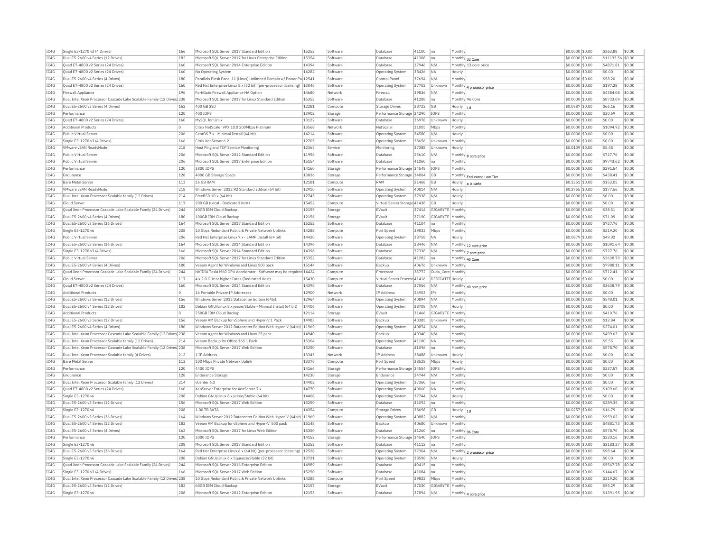| IC4G | Single E3-1270 v3 (4 Drives)                                           | 166            | Microsoft SOL Server 2017 Standard Edition                          | 15252 | Software            | Database                            | 41100          | Ina               | Monthly           |                            | \$0,0000 \$0.00                     | \$363.88          | \$0.00 |
|------|------------------------------------------------------------------------|----------------|---------------------------------------------------------------------|-------|---------------------|-------------------------------------|----------------|-------------------|-------------------|----------------------------|-------------------------------------|-------------------|--------|
| TC4G | Dual E5-2600 v4 Series (12 Drives)                                     | 182            | Microsoft SOL Server 2017 for Linux Enterprise Edition              | 15354 | Software            | Database                            | 41308          | Ina               |                   | Monthly 32 Core            | \$0,0000 \$0.00                     | \$11135.56 \$0.00 |        |
| IC4G | Quad E7-4800 v2 Series (24 Drives)                                     | 160            | Microsoft SQL Server 2014 Enterprise Edition                        | 14394 | Software            | Database                            | 37946          | N/A               |                   | Monthly 13 core price      | \$0.0000 \$0.00                     | \$4871.81         | \$0.00 |
| IC4G | Quad E7-4800 v2 Series (24 Drives)                                     | 160            | No Operating System                                                 | 14282 | Software            | <b>Operating System</b>             | 38426          | <b>NA</b>         | Hourly            |                            | \$0.0000 \$0.00                     | \$0.00            | \$0.00 |
| TC4G | Dual E5-2600 v4 Series (4 Drives)                                      | 180            | Parallels Plesk Panel 11 (Linux) Unlimited Domain w/ Power Pa 12541 |       | Software            | Control Panel                       | 37694          | N/A               | Monthly           |                            | \$0.0000 \$0.00                     | \$58.20           | \$0.00 |
| IC4G | Quad E7-4800 v2 Series (24 Drives)                                     | 160            | Red Hat Enterprise Linux 5.x (32 bit) (per-processor licensing)     | 13046 | Software            | <b>Operating System</b>             | 37702          | Unknown           |                   | Monthly 4 processor price  | \$0.0000 \$0.00                     | \$197.28          | \$0.00 |
| IC4G | <b>Firewall Appliance</b>                                              | 196            | FortiGate Firewall Appliance HA Option                              | 14680 | Network             | Firewall                            | 39836          | N/A               | Monthly           |                            | \$0,0000 \$0.00                     | \$4384.08         | \$0.00 |
| IC4G | Dual Intel Xeon Processor Cascade Lake Scalable Family (12 Drives 238  |                | Microsoft SQL Server 2017 for Linux Standard Edition                | 15352 | Software            | Database                            | 41288          | Ina               |                   | Monthly 96 Core            | \$0,0000 \$0.00                     | \$8733.09         | \$0.00 |
| IC4G | Dual E5-2600 v3 Series (4 Drives)                                      | 162            | 400 GB SSD                                                          | 12281 | Compute             | Storage Drives                      | 38722          | <b>GB</b>         | Hourly            | lш                         | \$0,0987 \$0,00                     | \$66.16           | \$0.00 |
| IC4G | Performance                                                            | 120            | 400 IOPS                                                            | 13902 | Storage             | Performance Storage 34290           |                | IOPS              | Monthly           |                            | \$0.0000 \$0.00                     | \$30.69           | \$0.00 |
| TC4G | Ouad E7-4800 v2 Series (24 Drives)                                     | 160            | MySOL for Linux                                                     | 13122 | Software            | Database                            | 36978          | Unknown           | Hourly            |                            | \$0,0000 \$0.00                     | \$0.00            | \$0.00 |
| IC4G | <b>Additional Products</b>                                             | $\overline{0}$ | Citrix NetScaler VPX 10.0 200Mbps Platinum                          | 13568 | Network             | NetScale                            | 31005          | Mbps              | Monthly           |                            | \$0.0000 \$0.00                     | \$1094.92         | \$0.00 |
| TCAG | Public Virtual Server                                                  | 206            | CentOS 7.x - Minimal Install (64 bit)                               | 14214 | Software            | <b>Operating System</b>             | 34580          | N/A               | Hourly            |                            | \$0.0000 \$0.00                     | \$0.00            | \$0.00 |
| IC4G | Single E3-1270 v3 (4 Drives)                                           | 166            | Citrix XenServer 6.2                                                | 12705 | Software            | Operating System                    | 38656          | Unknown           | Monthly           |                            | \$0.0000 \$0.00                     | \$0.00            | \$0.00 |
| IC4G | VMware vSAN ReadyNode                                                  | 218            | Host Ping and TCP Service Monitoring                                | 12365 | Service             | Monitoring                          | 37388          | Unknown           | Hourly            |                            | \$0.0109 \$0.00                     | \$5.48            | \$0.00 |
| IC4G | Public Virtual Server                                                  | 206            | Microsoft SOL Server 2012 Standard Edition                          | 11956 | Software            | Database                            | 23610          | N/A               |                   |                            | \$0,0000 \$0.00                     | \$727.76          | \$0.00 |
| IC4G | Public Virtual Server                                                  | 206            | Microsoft SQL Server 2017 Enterprise Edition                        | 15154 | Software            | Database                            | 41060          | na                | Monthly           | Monthly 8 core price       | \$0.0000 \$0.00                     | \$9743.62         | \$0.00 |
| TC4G | Performance                                                            | 120            | 3800 TOPS                                                           | 14160 | Storage             | Performance Storage 34548           |                | <b>TOPS</b>       | Monthly           |                            | $$0.0000$ \$0.00                    | \$291.54          | \$0.00 |
| IC4G | Endurance                                                              | 128            | 4000 GB Storage Space                                               | 13826 | Storage             | Performance Storage                 | 34804          | GB                |                   |                            | \$0.0000 \$0.00                     | \$438.41          | \$0.00 |
| TC4G | <b>Bare Metal Server</b>                                               | 113            | 16 GB RAM                                                           | 12181 |                     | RAM                                 | 21468          | <b>GB</b>         |                   | Monthly Endurance Low Tier | \$0,2251 \$0.00                     | \$153.05          | \$0.00 |
|      | VMware vSAN ReadvNode                                                  |                | Windows Server 2012 R2 Standard Edition (64 bit                     |       | Compute<br>Software | Operating System                    |                | N/A               | Hourly<br>Hourly  | la la carte                | \$0,2755 \$0.00                     | \$177.56          |        |
| IC4G |                                                                        | 218            |                                                                     | 12910 |                     |                                     | 40814          |                   |                   |                            |                                     |                   | \$0.00 |
| IC4G | Dual Intel Xeon Processor Scalable family (12 Drives)                  | 214            | FreeBSD 10.x (64 bit)                                               | 12745 | Software            | Operating System                    | 37938          | N/A               | Hourly            |                            | \$0.0000 \$0.00                     | \$0.00            | \$0.00 |
| IC4G | Cloud Server                                                           | 117            | 200 GB (Local - Dedicated Host)                                     | 15452 | Compute             | Virtual Server Storage 41438        |                | GB                | Hourly            |                            | \$0.0000 \$0.00                     | \$0.00            | \$0.00 |
| TC4G | Ouad Xeon Processor Cascade Lake Scalable Family (24 Drives)           | 244            | 40GB IBM Cloud Backup                                               | 12159 | Storage             | FVault                              | 37414          | GIGARYTE          | Monthly           |                            | \$0,0000 \$0.00                     | \$38.51           | \$0.00 |
| IC4G | Dual E5-2600 v4 Series (4 Drives)                                      | 180            | 100GB IBM Cloud Backup                                              | 12156 | Storage             | EVault                              | 37190          | GIGABYTE          | Monthly           |                            | \$0.0000 \$0.00                     | \$71.09           | \$0.00 |
| IC4G | Dual E5-2600 v3 Series (36 Drives)                                     | 164            | Microsoft SOL Server 2017 Standard Edition                          | 15252 | Software            | Database                            | 41104          | lna               | Monthly           |                            | \$0,0000 \$0.00                     | \$727.76          | \$0.00 |
| IC4G | Single E3-1270 v6                                                      | 208            | 10 Gbps Redundant Public & Private Network Uplinks                  | 14288 | Compute             | Port Speed                          | 39832          | Mbps              | Monthly           |                            | \$0.0000 \$0.00                     | \$219.20          | \$0.00 |
| IC4G | Public Virtual Server                                                  | 206            | Red Hat Enterprise Linux 7.x - LAMP Install (64 bit)                | 14420 | Software            | <b>Operating System</b>             | 38758          | <b>NA</b>         | Hourly            |                            | \$0.0879 \$0.00                     | \$49.02           | \$0.00 |
| IC4G | Dual E5-2600 v3 Series (36 Drives)                                     | 164            | Microsoft SOL Server 2014 Standard Edition                          | 14396 | Software            | Database                            | 38446          | N/A               |                   | Monthly 12 core price      | \$0,0000 \$0.00                     | \$1091.64         | \$0.00 |
| IC4G | Single E3-1270 v3 (4 Drives)                                           | 166            | Microsoft SOL Server 2014 Standard Edition                          | 14396 | Software            | Database                            | 37338          | N/A               |                   | Monthly 7 core price       | \$0.0000 \$0.00                     | \$727.76          | \$0.00 |
| IC4G | Public Virtual Server                                                  | 206            | Microsoft SOL Server 2017 for Linux Standard Edition                | 15352 | Software            | Database                            | 41282          | Ina               |                   | Monthly 40 Core            | \$0,0000 \$0.00                     | \$3638.79         | \$0.00 |
| IC4G | Dual E5-2600 v4 Series (4 Drives)                                      | 180            | Veeam Agent for Windows and Linux 500 pack                          | 15144 | Software            | Backup                              | 40676          | Unknown           | Monthly           |                            | \$0.0000 \$0.00                     | \$7988.11         | \$0.00 |
| TC4G | Ouad Xeon Processor Cascade Lake Scalable Family (24 Drives)           | 244            | NVIDIA Tesla M60 GPU Accelerator - Software may be required 14424   |       | Compute             | Processor                           | 38772          | Cuda Core Monthly |                   |                            | $$0.0000$ \$0.00                    | \$712.41          | \$0.00 |
| IC4G | Cloud Server                                                           | 117            | 4 x 2.0 GHz or higher Cores (Dedicated Host)                        | 15430 | Compute             | Virtual Server Process 41416        |                | DEDICATED Hourly  |                   |                            | \$0.0000 \$0.00                     | \$0.00            | \$0.00 |
| TC4G | Ouad E7-4800 v2 Series (24 Drives)                                     | 160            | Microsoft SOL Server 2014 Standard Edition                          | 14396 | Software            | Database                            | 37556          | N/A               |                   | Monthly 40 core price      | \$0,0000 \$0.00                     | \$3638.79         | \$0.00 |
| IC4G | <b>Additional Products</b>                                             | $\Omega$       | 16 Portable Private IP Addresses                                    | 12900 | Network             | IP Address                          | 24903          | IPs               | Monthl            |                            | \$0.0000 \$0.00                     | \$0.00            | \$0.00 |
| IC4G | Dual E5-2600 v3 Series (12 Drives)                                     | 156            | Windows Server 2012 Datacenter Edition (64bit)                      | 12964 | Software            | Operating System                    | 40894          | N/A               | Monthly           |                            | \$0.0000 \$0.00                     | \$548.01          | \$0.00 |
| IC4G | Dual E5-2600 v4 Series (12 Drives)                                     | 182            | Debian GNU/Linux 8.x jessie/Stable - Minimal Install (64 bit)       | 14406 | Software            | <b>Operating System</b>             | 38708          | N/A               | Hourly            |                            | \$0.0000 \$0.00                     | \$0.00            | \$0.00 |
| IC4G | <b>Additional Products</b>                                             | $\Omega$       | 750GB IBM Cloud Backup                                              | 12114 | Storage             | EVault                              | 31468          | GIGABYTE          | Monthly           |                            | \$0.0000 \$0.00                     | \$410.76          | \$0.00 |
| TC4G | Dual E5-2600 v3 Series (12 Drives)                                     | 156            | Veeam VM Backup for vSphere and Hyper-V 1 Pack                      | 14983 | Software            | Backup                              | 40385          | Unknown           | Monthly           |                            | \$0.0000 \$0.00                     | \$12.84           | \$0.00 |
| IC4G | Dual E5-2600 v4 Series (4 Drives)                                      | 180            | Windows Server 2012 Datacenter Edition With Hyper-V (64bit) 11969   |       | Software            | <b>Operating System</b>             | 40874          | N/A               | Monthl            |                            | \$0.0000 \$0.00                     | \$274.01          | \$0.00 |
| TC4G | Dual Intel Xeon Processor Cascade Lake Scalable Family (12 Drives 238  |                | Veeam Agent for Windows and Linux 25 pack                           | 14940 | Software            | Backup                              | 40340          | N/A               | Monthly           |                            | \$0,0000 \$0.00                     | \$499.63          | \$0.00 |
| IC4G | Dual Intel Xeon Processor Scalable family (12 Drives)                  | 214            | Veeam Backup for Office 365 1 Pack                                  | 15304 | Software            | Operating System                    | 41180          | <b>NA</b>         | Monthly           |                            | \$0.0000 \$0.00                     | \$5.55            | \$0.00 |
| IC4G |                                                                        |                | Microsoft SQL Server 2017 Web Edition                               | 15250 |                     |                                     | 41096          |                   |                   |                            | \$0,0000 \$0.00                     | \$578.70          | \$0.00 |
|      | Dual Intel Xeon Processor Cascade Lake Scalable Family (12 Drives) 238 |                |                                                                     |       | Software            | Database                            |                | Ina               | Monthly           |                            |                                     |                   |        |
| IC4G | Dual Intel Xeon Processor Scalable family (4 Drives)                   | 212            | 1 IP Address                                                        | 13345 | Network<br>Compute  | IP Address                          | 38488<br>38528 | Unknown           | Hourly            |                            | \$0,0000 \$0.00<br>$$0.0000$ \$0.00 | \$0.00            | \$0.00 |
| TCAG | <b>Bare Metal Server</b>                                               |                | 100 Mbns Private Network Unlink                                     | 13376 |                     |                                     |                |                   | Hourly            |                            |                                     | \$0.00            | \$0.00 |
| IC4G |                                                                        | 113            |                                                                     |       |                     | Port Speed                          |                | Mbps              |                   |                            |                                     |                   |        |
|      | Performance                                                            | 120            | 4400 IOPS                                                           | 14166 | Storage             | Performance Storage 34554           |                | IOPS              | Monthly           |                            | \$0.0000 \$0.00                     | \$337.57          | \$0.00 |
| TC4G | Endurance                                                              | 128            | <b>Endurance Storage</b>                                            | 14230 | Storage             | Endurance                           | 34744          | N/A               | Monthly           |                            | \$0,0000 \$0.00                     | \$0.00            | \$0.00 |
| TC4G | Dual Intel Xeon Processor Scalable family (12 Drives)                  | 214            | vCenter 6.0                                                         | 14402 | Software            | Operating System                    | 37360          | lna               | Monthly           |                            | \$0.0000 \$0.00                     | \$0.00            | \$0.00 |
| IC4G | Quad E7-4800 v2 Series (24 Drives)                                     | 160            | XenServer Enterprise for XenServer 7.x                              | 14770 | Software            | Operating System                    | 40060          | <b>NA</b>         | Monthly           |                            | \$0.0000 \$0.00                     | \$109.60          | \$0.00 |
| IC4G | Single E3-1270 v6                                                      | 208            | Debian GNU/Linux 8.x jessie/Stable (64 bit)                         | 14408 | Software            | <b>Operating System</b>             | 37744          | N/A               | Hourly            |                            | \$0.0000 \$0.00                     | \$0.00            | \$0.00 |
| IC4G | Dual E5-2600 v3 Series (12 Drives)                                     | 156            | Microsoft SOL Server 2017 Web Edition                               | 15250 | Software            | Database                            | 41092          | Ina               | Monthly           |                            | \$0.0000 \$0.00                     | \$289.35          | \$0.00 |
| TC4G | Single E3-1270 v6                                                      | 208            | 1.00 TR SATA                                                        | 14354 | Compute             | Storage Drives                      | 38698          | GB                | Hourly  1U        |                            | \$0.0257 \$0.00                     | \$16.79           | \$0.00 |
| IC4G | Dual E5-2600 v3 Series (36 Drives)                                     | 164            | Windows Server 2012 Datacenter Edition With Hyper-V (64bit) 11969   |       | Software            | <b>Operating System</b>             | 40882          | N/A               | Monthly           |                            | \$0.0000 \$0.00                     | \$959.02          | \$0.00 |
| IC4G | Dual E5-2600 v4 Series (12 Drives)                                     | 182            | Veeam VM Backup for vSphere and Hyper-V 500 pack                    | 15148 | Software            | Backup                              | 40680          | Unknown           | Monthly           |                            | \$0,0000 \$0.00                     | \$4881.73         | \$0.00 |
| IC4G | Dual E5-2600 v3 Series (4 Drives)                                      | 162            | Microsoft SQL Server 2017 for Linux Web Edition                     | 15350 | Software            | <b>Databas</b>                      | 41260          | na                |                   |                            | \$0.0000 \$0.00                     | \$578.70          | \$0.00 |
| IC4G | Performance                                                            | 120            | 3000 IOPS                                                           | 14152 | Storage             | Performance Storage 34540           |                | IOPS              | Monthly           | Monthly 96 Core            | \$0,0000 \$0.00                     | \$230.16          | \$0.00 |
| IC4G | Single E3-1270 v6                                                      | 208            | Microsoft SOL Server 2017 Standard Edition                          | 15252 | Software            | Database                            | 41112          | Ina               | Monthly           |                            | \$0.0000 \$0.00                     | \$2183.27         | \$0.00 |
| TC4G | Dual E5-2600 v3 Series (36 Drives)                                     | 164            | Red Hat Enterprise Linux 6.x (64 bit) (per-processor licensing)     | 12528 | Software            | Operating System                    | 37304          | N/A               |                   |                            | \$0,0000 \$0.00                     | \$98.64           | \$0.00 |
| IC4G | Single E3-1270 v6                                                      |                |                                                                     | 13721 | Software            |                                     | 38598          | N/A               |                   | Monthly 2 processor price  |                                     | \$0.00            | \$0.00 |
| TC4G |                                                                        | 208<br>244     | Debian GNU/Linux 6.x Squeeze/Stable (32 bit)                        | 14989 | Software            | <b>Operating System</b><br>Database |                | Ina               | Hourly<br>Monthly |                            | \$0.0000 \$0.00                     | \$5567.78         | \$0.00 |
|      | Ouad Xeon Processor Cascade Lake Scalable Family (24 Drives)           |                | Microsoft SOL Server 2016 Enterprise Edition                        |       |                     |                                     | 40415          |                   |                   |                            | \$0,0000 \$0,00                     |                   |        |
| TC4G | Single E3-1270 v3 (4 Drives)                                           | 166            | Microsoft SOL Server 2017 Web Edition                               | 15250 | Software            | Database                            | 41084          | Ina               | Monthly           |                            | \$0.0000 \$0.00                     | \$144.67          | \$0.00 |
| IC4G | Dual Intel Xeon Processor Cascade Lake Scalable Family (12 Drives) 238 |                | 10 Gbps Redundant Public & Private Network Uplinks                  | 14288 | Compute             | Port Speed                          | 39832          | Mbps              | Monthly           |                            | \$0.0000 \$0.00                     | \$219.20          | \$0.00 |
| TC4G | Dual E5-2600 v4 Series (12 Drives)                                     | 182            | 60GB IBM Cloud Backup                                               | 12157 | Storage             | EVault                              | 37030          | GIGARYTE          | Monthly           |                            | \$0,0000 \$0.00                     | \$55.29           | \$0.00 |
| IC4G | Single E3-1270 v6                                                      | 208            | Microsoft SOL Server 2012 Enterprise Edition                        | 12153 | Software            | Database                            | 37894          | N/A               |                   | Monthly 4 core price       | $$0.0000$ \$0.00                    | \$1391.95         | \$0.00 |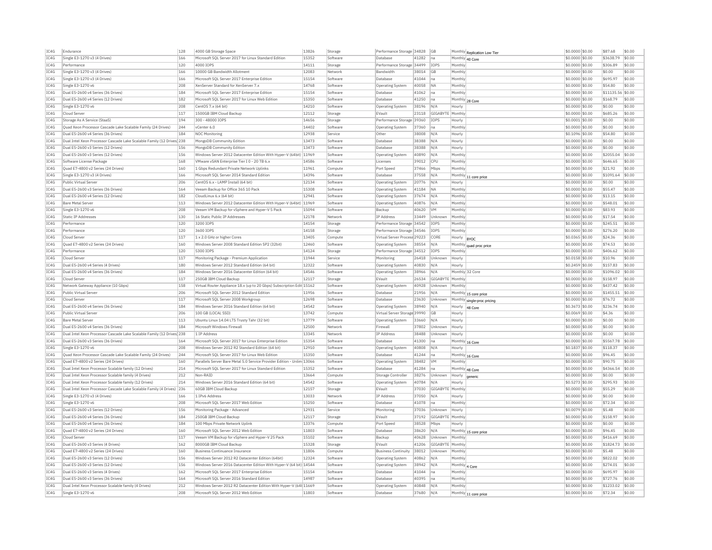| IC4G         | Endurance                                                                                             | 128        | 4000 GB Storage Space                                                  | 13826          | Storage            | Performance Storage          | 34828          | GB                      |                           | Monthly Replication Low Tier | \$0.0000 \$0.00                    | \$87.68           | \$0.00           |
|--------------|-------------------------------------------------------------------------------------------------------|------------|------------------------------------------------------------------------|----------------|--------------------|------------------------------|----------------|-------------------------|---------------------------|------------------------------|------------------------------------|-------------------|------------------|
| TC4G         | Single E3-1270 v3 (4 Drives)                                                                          | 166        | Microsoft SOL Server 2017 for Linux Standard Edition                   | 15352          | Software           | Database                     | 41282          | Ina                     |                           | Monthly 40 Core              | \$0,0000 \$0.00                    | \$3638.79         | \$0.00           |
| IC4G         | Performance                                                                                           | 120        | 4000 IOPS                                                              | 14111          | Storage            | Performance Storage 34499    |                | IOPS                    | Monthly                   |                              | \$0,0000 \$0.00                    | \$306.89          | \$0.00           |
| IC4G         | Single E3-1270 v3 (4 Drives)                                                                          | 166        | 10000 GB Bandwidth Allotment                                           | 12083          | Network            | Bandwidth                    | 38014          | <b>GB</b>               | Monthly                   |                              | \$0,0000 \$0,00                    | \$0.00            | \$0.00           |
| IC4G         | Single E3-1270 v3 (4 Drives)                                                                          | 166        | Microsoft SQL Server 2017 Enterprise Edition                           | 15154          | Software           | Database                     | 41044          | Ina                     | Monthly                   |                              | \$0,0000 \$0.00                    | \$695.97          | \$0.00           |
| IC4G         | Single E3-1270 v6                                                                                     | 208        | XenServer Standard for XenServer 7.x                                   | 14768          | Software           | Operating System             | 40058          | <b>NA</b>               | Monthly                   |                              | \$0,0000 \$0.00                    | \$54.80           | \$0.00           |
| IC4G         | Dual E5-2600 v4 Series (36 Drives)                                                                    | 184        | Microsoft SOL Server 2017 Enterprise Edition                           | 15154          | Software           | Database                     | 41062          | Ina                     | Monthly                   |                              | \$0,0000 \$0,00                    | \$11135.56 \$0.00 |                  |
| IC4G         | Dual E5-2600 v4 Series (12 Drives)                                                                    | 182        | Microsoft SQL Server 2017 for Linux Web Edition                        | 15350          | Software           | Database                     | 41250          | lna                     | Monthly 28 Core           |                              | \$0.0000 \$0.00                    | \$168.79          | \$0.00           |
| IC4G         | Single E3-1270 v6                                                                                     | 208        | CentOS 7.x (64 bit)                                                    | 14210          | Software           | Operating System             | 38196          | N/A                     | Hourly                    |                              | \$0.0000 \$0.00                    | \$0.00            | \$0.00           |
| IC4G         | Cloud Server                                                                                          | 117        | 1500GB TBM Cloud Backup                                                | 12112          | Storage            | FVault                       | 23118          | GIGARYTE Monthly        |                           |                              | \$0,0000 \$0.00                    | \$685.26          | \$0.00           |
| IC4G         | Storage As A Service (StaaS)                                                                          | 194        | 300 - 48000 IOPS                                                       | 14656          | Storage            | Performance Storage 39360    |                | IOPS                    | Hourly                    |                              | \$0,0001 \$0.00                    | \$0.00            | \$0.00           |
| IC4G         | Ouad Xeon Processor Cascade Lake Scalable Family (24 Drives)                                          | 244        | vCenter 6.0                                                            | 14402          | Software           | Operating System             | 37360          | Ina                     | Monthly                   |                              | \$0,0000 \$0.00                    | \$0.00            | \$0.00           |
| IC4G         | Dual E5-2600 v4 Series (36 Drives)                                                                    | 184        | <b>NOC Monitoring</b>                                                  | 12938          | Service            | Other                        | 38008          | N/A                     | Hourly                    |                              | \$0.1096 \$0.00                    | \$54.80           | \$0.00           |
| IC4G         | Dual Intel Xeon Processor Cascade Lake Scalable Family (12 Drives) 238                                |            | MongoDB Community Edition                                              | 13473          | Software           | Database                     | 38388          | N/A                     | Hourly                    |                              | \$0.0000 \$0.00                    | \$0.00            | \$0.00           |
| TCAG         | Dual E5-2600 v3 Series (12 Drives)                                                                    | 156        | MongoDB Community Edition                                              | 13473          | Software           | Database                     | 38388          | N/A                     | Hourly                    |                              | $$0.0000$ \$0.00                   | \$0.00            | \$0.00           |
| TC4G         | Dual E5-2600 v3 Series (12 Drives)                                                                    | 156        | Windows Server 2012 Datacenter Edition With Hyper-V (64bit)            | 11969          | Software           | <b>Operating System</b>      | 40890          | N/A                     | Monthly                   |                              | \$0.0000 \$0.00                    | \$2055.04         | \$0.00           |
|              |                                                                                                       |            |                                                                        | 14586          |                    | Licenses                     |                | CPI                     | Monthly                   |                              |                                    |                   | \$0.00           |
| IC4G         | Software License Package<br>Quad E7-4800 v2 Series (24 Drives)                                        | 168<br>160 | VMware vSAN Enterprise Tier I 0 - 20 TB 6.x                            |                | Software           |                              | 39012          |                         |                           |                              | \$0.0000 \$0.00                    | \$646.65          | \$0.00           |
| IC4G         |                                                                                                       |            | 1 Gbps Redundant Private Network Uplinks                               | 11961          | Compute            | Port Speed                   | 37466          | Mbps                    | Monthly                   |                              | \$0,0000 \$0.00                    | \$21.92           |                  |
| IC4G         | Single E3-1270 v3 (4 Drives)                                                                          | 166        | Microsoft SQL Server 2014 Standard Edition                             | 14396          | Software           | Database                     | 37558          | N/A                     |                           | Monthly 11 core price        | \$0.0000 \$0.00                    | \$1091.64         | \$0.00           |
| IC4G         | Public Virtual Server                                                                                 | 206        | CentOS 6.x - LAMP Install (64 bit)                                     | 12134          | Software           | <b>Operating System</b>      | 20776          | N/A                     | Hourly                    |                              | \$0.0000 \$0.00                    | \$0.00            | \$0.00           |
| IC4G         | Dual E5-2600 v3 Series (36 Drives)                                                                    | 164        | Veeam Backup for Office 365 10 Pack                                    | 15308          | Software           | Operating System             | 41184          | <b>NA</b>               | Monthly                   |                              | \$0.0000 \$0.00                    | \$55.47           | \$0.00           |
| IC4G         | Dual E5-2600 v4 Series (12 Drives)                                                                    | 182        | CloudLinux 6.x (64 bit)                                                | 12941          | Software           | <b>Operating System</b>      | 37674          | N/A                     | Monthly                   |                              | \$0.0000 \$0.00                    | \$13.15           | \$0.00           |
| IC4G         | <b>Bare Metal Server</b>                                                                              | 113        | Windows Server 2012 Datacenter Edition With Hyper-V (64bit) 11969      |                | Software           | <b>Operating System</b>      | 40876          | N/A                     | Monthly                   |                              | \$0,0000 \$0,00                    | \$548.01          | \$0.00           |
| IC4G         | Single E3-1270 v6                                                                                     | 208        | Veeam VM Backup for vSphere and Hyper-V 5 Pack                         | 15094          | Software           | Backup                       | 40620          | <b>VM</b>               | Monthly                   |                              | \$0,0000 \$0.00                    | \$83.93           | \$0.00           |
| IC4G         | Static TP Addresses                                                                                   | 130        | 16 Static Public IP Addresses                                          | 12178          | Network            | <b>IP Address</b>            | 33449          | Unknown                 | Monthly                   |                              | \$0,0000 \$0,00                    | \$17.54           | \$0.00           |
| IC4G         | Performance                                                                                           | 120        | 3200 IOPS                                                              | 14154          | Storage            | Performance Storage 34542    |                | IOPS                    | Monthly                   |                              | \$0.0000 \$0.00                    | \$245.51          | \$0.00           |
| IC4G         | Performance                                                                                           | 120        | 3600 IOPS                                                              | 14158          | Storage            | Performance Storage 34546    |                | IOPS                    | Monthly                   |                              | \$0.0000 \$0.00                    | \$276.20          | \$0.00           |
| IC4G         | Cloud Server                                                                                          | 117        | 1 x 2.0 GHz or higher Cores                                            | 13405          | Compute            | Virtual Server Process 29223 |                | CORE                    | Hourly                    | <b>BYOC</b>                  | \$0.0365 \$0.00                    | \$24.36           | \$0.00           |
| IC4G         | Ouad E7-4800 v2 Series (24 Drives)                                                                    | 160        | Windows Server 2008 Standard Edition SP2 (32bit)                       | 12460          | Software           | Operating System             | 38554          | N/A                     |                           | Monthly quad proc price      | \$0,0000 \$0.00                    | \$74.53           | \$0.00           |
| TC4G         | Performance                                                                                           | 120        | 5300 TOPS                                                              | 14124          | Storage            | Performance Storage 34512    |                | <b>TOPS</b>             | Monthly                   |                              | \$0,0000 \$0,00                    | \$406.62          | \$0.00           |
| IC4G         | Cloud Server                                                                                          | 117        | Monitoring Package - Premium Application                               | 11944          | Service            | Monitoring                   | 26418          | Unknown                 | Hourly                    |                              | \$0.0158 \$0.00                    | \$10.96           | \$0.00           |
| IC4G         | Dual E5-2600 v4 Series (4 Drives)                                                                     | 180        | Windows Server 2012 Standard Edition (64 bit)                          | 12322          | Software           | <b>Operating System</b>      | 40830          | N/A                     | Hourly                    |                              | \$0.2459 \$0.00                    | \$157.83          | \$0.00           |
| TC4G         | Dual E5-2600 v4 Series (36 Drives)                                                                    | 184        | Windows Server 2016 Datacenter Edition (64 bit)                        | 14546          | Software           | <b>Operating System</b>      | 38966          | N/A                     |                           | Monthly 32 Core              | \$0.0000 \$0.00                    | \$1096.02         | \$0.00           |
| IC4G         | Cloud Serve                                                                                           | 117        | 250GB IBM Cloud Backup                                                 | 12117          | Storage            | EVault                       | 26534          | GIGABYTE Monthly        |                           |                              | \$0,0000 \$0.00                    | \$158.97          | \$0.00           |
| IC4G         | Network Gateway Appliance (10 Gbps)                                                                   | 158        | Virtual Router Appliance 18.x (up to 20 Gbps) Subscription Edit 15162  |                | Software           | Operating System             | 40928          | Unknown                 | Monthly                   |                              | \$0,0000 \$0.00                    | \$437.42          | \$0.00           |
| IC4G         | Public Virtual Server                                                                                 | 206        | Microsoft SQL Server 2012 Standard Edition                             | 11956          | Software           | Database                     | 21956          | N/A                     |                           | Monthly 15 core price        | \$0.0000 \$0.00                    | \$1455.51         | \$0.00           |
| IC4G         | Cloud Server                                                                                          | 117        | Microsoft SQL Server 2008 Workgroup                                    | 12698          | Software           | Database                     | 23630          | Unknown                 |                           | Monthly single-proc pricing  | \$0.0000 \$0.00                    | \$76.72           | \$0.00           |
| TCAG         | Dual E5-2600 v4 Series (36 Drives)                                                                    | 184        | Windows Server 2016 Standard Edition (64 bit)                          | 14542          | Software           | Operating System             | 38940          | N/A                     | Hourly                    | 48 Core                      | \$0.3673 \$0.00                    | \$236.74          | \$0.00           |
| TC4G         | Public Virtual Server                                                                                 | 206        | 100 GB (LOCAL SSD)                                                     | 13742          | Compute            | Virtual Server Storage 39990 |                | GB                      | Hourly                    |                              | \$0.0069 \$0.00                    | \$4.36            | \$0.00           |
| IC4G         | <b>Bare Metal Server</b>                                                                              | 113        | Ubuntu Linux 14.04 LTS Trusty Tahr (32 bit)                            | 13779          | Software           | Operating System             | 33660          | N/A                     | Hourly                    |                              | \$0.0000 \$0.00                    | \$0.00            | \$0.00           |
| IC4G         | Dual E5-2600 v4 Series (36 Drives)                                                                    | 184        | Microsoft Windows Firewall                                             | 12500          | Network            | Firewall                     | 37802          | Unknown                 | Hourly                    |                              | \$0,0000 \$0.00                    | \$0.00            | \$0.00           |
| IC4G         | Dual Intel Xeon Processor Cascade Lake Scalable Family (12 Drives) 238                                |            | 1 IP Address                                                           | 13345          | Network            | <b>IP Address</b>            | 38488          | Unknown                 | Hourly                    |                              | \$0.0000 \$0.00                    | \$0.00            | \$0.00           |
| IC4G         | Dual E5-2600 v3 Series (36 Drives)                                                                    | 164        | Microsoft SOL Server 2017 for Linux Enterprise Edition                 | 15354          | Software           | Database                     | 41300          | na                      |                           | Monthly 16 Core              | \$0.0000 \$0.00                    | \$5567.78         | \$0.00           |
| IC4G         | Single E3-1270 v6                                                                                     | 208        | Windows Server 2012 R2 Standard Edition (64 bit                        | 12910          | Software           | Operating System             | 40808          | N/A                     | Hourly                    |                              | \$0,1837 \$0.00                    | \$118.37          | \$0.00           |
| IC4G         | Quad Xeon Processor Cascade Lake Scalable Family (24 Drives)                                          | 244        | Microsoft SOL Server 2017 for Linux Web Edition                        | 15350          | Software           | Database                     | 41244          | Ina                     |                           | Monthly 16 Core              | \$0.0000 \$0.00                    | \$96.45           | \$0.00           |
| IC4G         | Ouad E7-4800 v2 Series (24 Drives)                                                                    | 160        | Parallels Server Bare Metal 5.0 Service Provider Edition - Unlim 13066 |                | Software           | Operating System             | 38482          | <b>VM</b>               | Monthly                   |                              | \$0,0000 \$0.00                    | \$90.75           | \$0.00           |
| IC4G         | Dual Intel Xeon Processor Scalable family (12 Drives)                                                 | 214        | Microsoft SOL Server 2017 for Linux Standard Edition                   | 15352          | Software           | Database                     | 41284          | na                      |                           |                              | \$0.0000 \$0.00                    | \$4366.54         | \$0.00           |
| IC4G         | Dual Intel Xeon Processor Scalable family (4 Drives)                                                  | 212        | Non-RATD                                                               | 13664          | Compute            | Storage Controller           | 38276          | Unknown                 | Monthly 48 Core<br>Hourly |                              | \$0,0000 \$0.00                    | \$0.00            | \$0.00           |
| IC4G         | Dual Intel Xeon Processor Scalable family (12 Drives)                                                 | 214        | Windows Server 2016 Standard Edition (64 bit)                          | 14542          | Software           | Operating System             | 40784          | N/A                     | Hourly                    |                              | \$0.5273 \$0.00                    | \$295.93          | \$0.00           |
|              |                                                                                                       |            | 60GB IBM Cloud Backup                                                  | 12157          |                    | EVault                       |                |                         |                           |                              |                                    | \$55.29           | \$0.00           |
| IC4G<br>IC4G | Dual Intel Xeon Processor Cascade Lake Scalable Family (4 Drives) 236<br>Single E3-1270 v3 (4 Drives) | 166        | 1 TPv6 Address                                                         | 13033          | Storage<br>Network | <b>IP Address</b>            | 37030<br>37050 | GIGABYTE Monthly<br>N/A | Hourly                    |                              | \$0.0000 \$0.00<br>\$0,0000 \$0.00 | \$0.00            | \$0.00           |
|              |                                                                                                       |            |                                                                        |                |                    |                              |                |                         |                           |                              |                                    |                   |                  |
| IC4G         | Single E3-1270 v6                                                                                     | 208        | Microsoft SQL Server 2017 Web Edition                                  | 15250<br>12931 | Software           | Database                     | 41078          | na                      | Monthly                   |                              | \$0,0000 \$0.00                    | \$72.34           | \$0.00<br>\$0.00 |
| IC4G         | Dual E5-2600 v3 Series (12 Drives)                                                                    | 156        | Monitoring Package - Advanced                                          |                | Service            | Monitoring                   | 37036          | Unknown                 | Hourly                    |                              | \$0,0079 \$0,00                    | \$5.48            |                  |
| IC4G         | Dual E5-2600 v4 Series (36 Drives)                                                                    | 184        | 250GB IBM Cloud Backup                                                 | 12117          | Storage            | EVault                       | 37192          | GIGABYTE Monthly        |                           |                              | \$0.0000 \$0.00                    | \$158.97          | \$0.00           |
| IC4G         | Dual E5-2600 v4 Series (36 Drives)                                                                    | 184        | 100 Mbps Private Network Uplink                                        | 13376          | Compute            | Port Speed                   | 38528          | Mbps                    | Hourly                    |                              | \$0.0000 \$0.00                    | \$0.00            | \$0.00           |
| IC4G         | Quad E7-4800 v2 Series (24 Drives)                                                                    | 160        | Microsoft SQL Server 2012 Web Edition                                  | 11803          | Software           | Database                     | 38620          | N/A                     | Monthly                   | 15 core price                | $$0.0000$ \$0.00                   | \$96.45           | \$0.00           |
| IC4G         | Cloud Serve                                                                                           | 117        | Veeam VM Backup for vSphere and Hyper-V 25 Pack                        | 15102          | Software           | Backup                       | 40628          | Unknown                 | Monthly                   |                              | \$0,0000 \$0.00                    | \$416.69          | \$0.00           |
| IC4G         | Dual E5-2600 v3 Series (4 Drives)                                                                     | 162        | 8000GB TBM Cloud Backup                                                | 15328          | Storage            | FVault                       | 41206          | <b>GIGABYTE Monthly</b> |                           |                              | \$0,0000 \$0.00                    | \$1824.73         | \$0.00           |
| IC4G         | Quad E7-4800 v2 Series (24 Drives)                                                                    | 160        | <b>Business Continuance Insurance</b>                                  | 11806          | Compute            | <b>Business Continuity</b>   | 38012          | Unknown                 | Monthly                   |                              | \$0.0000 \$0.00                    | \$5.48            | \$0.00           |
| IC4G         | Dual E5-2600 v3 Series (12 Drives)                                                                    | 156        | Windows Server 2012 R2 Datacenter Edition (64bit)                      | 12324          | Software           | Operating System             | 40862          | N/A                     | Monthly                   |                              | \$0.0000 \$0.00                    | \$822.02          | \$0.00           |
| TCAG         | Dual E5-2600 v3 Series (12 Drives)                                                                    | 156        | Windows Server 2016 Datacenter Edition With Hyper-V (64 bit) 14544     |                | Software           | Operating System             | 38942          | N/A                     | Monthly 4 Core            |                              | $$0.0000$ \$0.00                   | \$274.01          | \$0.00           |
| TC4G         | Dual E5-2600 v3 Series (4 Drives)                                                                     | 162        | Microsoft SQL Server 2017 Enterprise Edition                           | 15154          | Software           | Database                     | 41044          | Ina                     | Monthly                   |                              | \$0.0000 \$0.00                    | \$695.97          | \$0.00           |
| IC4G         | Dual E5-2600 v3 Series (36 Drives)                                                                    | 164        | Microsoft SOL Server 2016 Standard Edition                             | 14987          | Software           | Database                     | 40395          | Ina                     | Monthly                   |                              | $$0.0000$ \$0.00                   | \$727.76          | \$0.00           |
| IC4G         | Dual Intel Xeon Processor Scalable family (4 Drives)                                                  | 212        | Windows Server 2012 R2 Datacenter Edition With Hyper-V (64t 11669      |                | Software           | Operating System             | 40848          | N/A                     | Monthly                   |                              | \$0,0000 \$0.00                    | \$1233.02         | \$0.00           |
| IC4G         | Single E3-1270 v6                                                                                     | 208        | Microsoft SQL Server 2012 Web Edition                                  | 11803          | Software           | Database                     | 37680          | N/A                     |                           | Monthly 11 core price        | \$0.0000 \$0.00                    | \$72.34           | \$0.00           |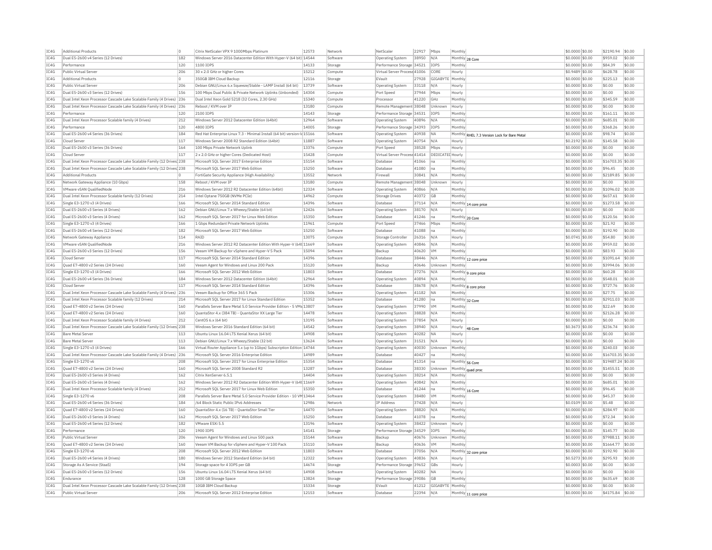| IC4G | <b>Additional Products</b>                                             |     | Citrix NetScaler VPX 9 1000Mbps Platinum                               | 12573   | Network  | NetScale                     | 22917 | Mbps                    | Monthly                                      | \$0.0000 \$0.00  | \$2190.94         | \$0.00 |
|------|------------------------------------------------------------------------|-----|------------------------------------------------------------------------|---------|----------|------------------------------|-------|-------------------------|----------------------------------------------|------------------|-------------------|--------|
| IC4G | Dual E5-2600 v4 Series (12 Drives)                                     | 182 | Windows Server 2016 Datacenter Edition With Hyper-V (64 bit) 14544     |         | Software | Operating System             | 38950 | N/A                     | Monthly 28 Core                              | \$0.0000 \$0.00  | \$959.02          | \$0.00 |
| IC4G | Performance                                                            | 120 | 1100 IOPS                                                              | 14133   | Storage  | Performance Storage          | 34521 | IOPS                    | Monthly                                      | \$0.0000 \$0.00  | \$84.39           | \$0.00 |
| IC4G | Public Virtual Server                                                  | 206 | 30 x 2.0 GHz or higher Cores                                           | 15212   | Compute  | Virtual Server Process 41006 |       | CORE                    | Hourly                                       | \$0,9489 \$0,00  | \$628.78          | \$0.00 |
| IC4G | <b>Additional Products</b>                                             |     | 350GB IBM Cloud Backup                                                 | 12116   | Storage  | EVault                       | 27928 | GIGABYTE                | Monthly                                      | \$0.0000 \$0.00  | \$225.13          | \$0.00 |
| IC4G | Public Virtual Server                                                  | 206 | Debian GNU/Linux 6.x Squeeze/Stable - LAMP Install (64 bit)            | 13739   | Software | <b>Operating System</b>      | 33118 | N/A                     | Hourly                                       | \$0.0000 \$0.00  | \$0.00            | \$0.00 |
| IC4G | Dual E5-2600 v3 Series (12 Drives)                                     | 156 | 100 Mbps Dual Public & Private Network Uplinks (Unbonded)              | 14304   | Compute  | Port Speed                   | 37944 | Mbps                    | Hourly                                       | \$0,0000 \$0.00  | \$0.00            | \$0.00 |
| IC4G | Dual Intel Xeon Processor Cascade Lake Scalable Family (4 Drives) 236  |     | Dual Intel Xeon Gold 5218 (32 Cores, 2.30 GHz)                         | 15340   | Compute  | Processor                    | 41220 | GHz                     | Monthly                                      | \$0.0000 \$0.00  | \$345.59          | \$0.00 |
| TC4G | Dual Intel Xeon Processor Cascade Lake Scalable Family (4 Drives) 236  |     | Reboot / KVM over TP                                                   | 13180   | Compute  | Remote Management 38048      |       | Unknown                 | Hourly                                       | \$0,0000 \$0.00  | \$0.00            | \$0.00 |
|      |                                                                        |     | 2100 TOPS                                                              |         |          |                              |       |                         |                                              |                  |                   |        |
| IC4G | Performance                                                            | 120 |                                                                        | 14143   | Storage  | Performance Storage 34531    |       | IOPS                    | Monthly                                      | \$0.0000 \$0.00  | \$161.11          | \$0.00 |
| IC4G | Dual Intel Xeon Processor Scalable family (4 Drives)                   | 212 | Windows Server 2012 Datacenter Edition (64bit)                         | 12964   | Software | Operating System             | 40896 | N/A                     | Monthly                                      | \$0.0000 \$0.00  | \$685.01          | \$0.00 |
| TC4G | Performance                                                            | 120 | 4800 TOPS                                                              | 14005   | Storage  | Performance Storage 34393    |       | <b>TOPS</b>             | Monthly                                      | \$0,0000 \$0.00  | \$368.26          | \$0.00 |
| IC4G | Dual E5-2600 v4 Series (36 Drives)                                     | 184 | Red Hat Enterprise Linux 7.3 - Minimal Install (64 bit) version-       | d 15166 | Software | Operating System             | 40938 | <b>NA</b>               | Monthly RHEL 7.3 Version Lock for Bare Metal | \$0,0000 \$0.00  | \$98.74           | \$0.00 |
| IC4G | Cloud Serve                                                            | 117 | Windows Server 2008 R2 Standard Edition (64bit)                        | 11887   | Software | Operating System             | 40754 | N/A                     | Hourly                                       | \$0.2192 \$0.00  | \$145.58          | \$0.00 |
| IC4G | Dual E5-2600 v3 Series (36 Drives)                                     | 164 | 100 Mbps Private Network Uplink                                        | 13376   | Compute  | Port Speed                   | 38528 | Mbps                    | Hourly                                       | \$0.0000 \$0.00  | \$0.00            | \$0.00 |
| IC4G | Cloud Serve                                                            | 117 | 2 x 2.0 GHz or higher Cores (Dedicated Host)                           | 15428   | Compute  | Virtual Server Process 41414 |       | <b>DEDICATED Hourly</b> |                                              | \$0,0000 \$0.00  | \$0.00            | \$0.00 |
| TC4G | Dual Intel Xeon Processor Cascade Lake Scalable Family (12 Drives) 238 |     | Microsoft SOL Server 2017 Enterprise Edition                           | 15154   | Software | Database                     | 41066 | lna                     | Monthly                                      | \$0,0000 \$0.00  | \$16703.35 \$0.00 |        |
| IC4G | Dual Intel Xeon Processor Cascade Lake Scalable Family (12 Drives) 238 |     | Microsoft SQL Server 2017 Web Edition                                  | 15250   | Software | Database                     | 41080 | na                      | Monthly                                      | \$0.0000 \$0.00  | \$96.45           | \$0.00 |
| IC4G | <b>Additional Products</b>                                             | ln. | FortiGate Security Appliance (High Availability)                       | 13552   | Network  | Firewall                     | 30841 | N/A                     | Monthly                                      | \$0,0000 \$0.00  | \$2189.85         | \$0.00 |
| TC4G | Network Gateway Appliance (10 Gbps)                                    | 158 | Reboot / KVM over TP                                                   | 13180   | Compute  | Remote Management 38048      |       | Unknown                 | Hourly                                       | \$0.0000 \$0.00  | \$0.00            | \$0.00 |
| IC4G | VMware vSAN OualifiedNode                                              | 216 | Windows Server 2012 R2 Datacenter Edition (64bit)                      | 12324   | Software | Operating System             | 40866 | N/A                     | Monthly                                      | \$0,0000 \$0.00  | \$1096.02         | \$0.00 |
| IC4G | Dual Intel Xeon Processor Scalable family (12 Drives)                  | 214 | Intel Ontane 750GB (NVMe PCIe)                                         | 14962   | Compute  | Storage Drives               | 40372 | <b>GB</b>               | Monthly                                      | \$0,0000 \$0.00  | \$657.61          | \$0.00 |
| IC4G | Single E3-1270 v3 (4 Drives)                                           | 166 | Microsoft SQL Server 2014 Standard Edition                             | 14396   | Software | Database                     | 37114 | N/A                     | Monthly                                      | \$0.0000 \$0.00  | \$1273.58         | \$0.00 |
|      |                                                                        |     |                                                                        |         |          |                              |       |                         | 14 core price                                |                  |                   |        |
| IC4G | Dual E5-2600 v3 Series (4 Drives)                                      | 162 | Debian GNU/Linux 7.x Wheezy/Stable (64 bit)                            | 12426   | Software | Operating System             | 38170 | N/A                     | Hourly                                       | \$0.0000 \$0.00  | \$0.00            | \$0.00 |
| TCAG | Dual E5-2600 v3 Series (4 Drives                                       | 162 | Microsoft SOL Server 2017 for Linux Web Edition                        | 15350   | Software | Database                     | 41246 | l na                    | Monthly 20 Core                              | $$0.0000$ \$0.00 | \$120.56          | \$0.00 |
| IC4G | Single E3-1270 v3 (4 Drives)                                           | 166 | 1 Gbps Redundant Private Network Uplinks                               | 11961   | Compute  | Port Speed                   | 37466 | Mbps                    | Monthly                                      | \$0.0000 \$0.00  | \$21.92           | \$0.00 |
| IC4G | Dual E5-2600 v4 Series (12 Drives)                                     | 182 | Microsoft SQL Server 2017 Web Edition                                  | 15250   | Software | Database                     | 41088 | Ina                     | Monthly                                      | \$0.0000 \$0.00  | \$192.90          | \$0.00 |
| IC4G | Network Gateway Appliance                                              | 114 | RATD                                                                   | 13075   | Compute  | Storage Controlle            | 26316 | N/A                     | Hourly                                       | $$0.0741$ \$0.00 | \$54.80           | \$0.00 |
| IC4G | VMware vSAN QualifiedNode                                              | 216 | Windows Server 2012 R2 Datacenter Edition With Hyper-V (64t 11669      |         | Software | <b>Operating System</b>      | 40846 | N/A                     | Monthly                                      | \$0.0000 \$0.00  | \$959.02          | \$0.00 |
| TC4G | Dual E5-2600 v3 Series (12 Drives)                                     | 156 | Veeam VM Backup for vSphere and Hyper-V 5 Pack                         | 15094   | Software | Backup                       | 40620 | <b>VM</b>               | Monthly                                      | $$0.0000$ \$0.00 | \$83.93           | \$0.00 |
| IC4G | Cloud Server                                                           | 117 | Microsoft SOL Server 2014 Standard Edition                             | 14396   | Software | Database                     | 38446 | N/A                     | Monthly 12 core price                        | \$0.0000 \$0.00  | \$1091.64         | \$0.00 |
| IC4G | Ouad E7-4800 v2 Series (24 Drives)                                     | 160 | Veeam Agent for Windows and Linux 200 Pack                             | 15120   | Software | Backup                       | 40646 | Unknown                 | Monthly                                      | \$0.0000 \$0.00  | \$3994.06         | \$0.00 |
| IC4G | Single E3-1270 v3 (4 Drives)                                           | 166 | Microsoft SOL Server 2012 Web Edition                                  | 11803   | Software | Database                     | 37276 | N/A                     | Monthly 9 core price                         | \$0,0000 \$0.00  | \$60.28           | \$0.00 |
| IC4G | Dual E5-2600 v4 Series (36 Drives)                                     | 184 | Windows Server 2012 Datacenter Edition (64bit)                         | 12964   | Software | <b>Operating System</b>      | 40894 | N/A                     | Monthly                                      | \$0.0000 \$0.00  | \$548.01          | \$0.00 |
| IC4G | Cloud Server                                                           | 117 | Microsoft SOL Server 2014 Standard Edition                             | 14396   | Software | Database                     | 38678 | N/A                     | Monthly 8 core price                         | \$0.0000 \$0.00  | \$727.76          | \$0.00 |
| IC4G | Dual Intel Xeon Processor Cascade Lake Scalable Family (4 Drives)      | 236 | Veeam Backup for Office 365 5 Pack                                     | 15306   | Software | <b>Operating System</b>      | 41182 | <b>NA</b>               | Monthly                                      | \$0.0000 \$0.00  | \$27.75           | \$0.00 |
| IC4G | Dual Intel Xeon Processor Scalable family (12 Drives)                  | 214 | Microsoft SQL Server 2017 for Linux Standard Edition                   | 15352   | Software | Database                     | 41280 | na                      |                                              | \$0,0000 \$0.00  | \$2911.03         | \$0.00 |
| IC4G | Quad E7-4800 v2 Series (24 Drives)                                     | 160 | Parallels Server Bare Metal 5.0 Service Provider Edition - 5 VMs 13807 |         | Software |                              | 37990 | <b>VM</b>               | Monthly 32 Core<br>Monthly                   | \$0,0000 \$0.00  | \$22.69           | \$0.00 |
|      |                                                                        |     |                                                                        |         |          | Operating System             |       |                         |                                              |                  |                   |        |
| IC4G | Ouad E7-4800 v2 Series (24 Drives)                                     | 160 | QuantaStor 4.x (384 TB) - QuantaStor XX Large Tier                     | 14478   | Software | <b>Operating System</b>      | 38828 | N/A                     | Monthly                                      | \$0.0000 \$0.00  | \$2126.28         | \$0.00 |
| IC4G | Dual Intel Xeon Processor Scalable family (4 Drives)                   | 212 | CentOS 6 x (64 bit)                                                    | 13195   | Software | <b>Operating System</b>      | 37854 | N/A                     | Hourly                                       | \$0,0000 \$0.00  | \$0.00            | \$0.00 |
| IC4G | Dual Intel Xeon Processor Cascade Lake Scalable Family (12 Drives 238  |     | Windows Server 2016 Standard Edition (64 bit)                          | 14542   | Software | Operating System             | 38940 | N/A                     | Hourly<br>48 Core                            | \$0.3673 \$0.00  | \$236.74          | \$0.00 |
| IC4G | <b>Bare Metal Server</b>                                               | 113 | Ubuntu Linux 16.04 LTS Xenial Xerus (64 bit)                           | 14908   | Software | <b>Operating System</b>      | 40282 | <b>NA</b>               | Hourly                                       | \$0.0000 \$0.00  | \$0.00            | \$0.00 |
| IC4G | <b>Bare Metal Server</b>                                               | 113 | Debian GNU/Linux 7.x Wheezy/Stable (32 bit)                            | 13624   | Software | <b>Operating System</b>      | 31521 | N/A                     | Hourly                                       | \$0,0000 \$0,00  | \$0.00            | \$0.00 |
| IC4G | Single E3-1270 v3 (4 Drives)                                           | 166 | Virtual Router Appliance 5.x (up to 1Gbps) Subscription Edition 14744  |         | Software | Operating System             | 40030 | Unknown                 | Monthly                                      | \$0,0000 \$0.00  | \$240.03          | \$0.00 |
| IC4G | Dual Intel Xeon Processor Cascade Lake Scalable Family (4 Drives) 236  |     | Microsoft SOL Server 2016 Enterprise Edition                           | 14989   | Software | Database                     | 40427 | Ina                     | Monthly                                      | \$0,0000 \$0.00  | \$16703.35 \$0.00 |        |
| IC4G | Single E3-1270 v6                                                      | 208 | Microsoft SQL Server 2017 for Linux Enterprise Edition                 | 15354   | Software | Database                     | 41314 | Ina                     | Monthly 56 Core                              | \$0.0000 \$0.00  | \$19487.24 \$0.00 |        |
| IC4G | Ouad E7-4800 v2 Series (24 Drives)                                     | 160 | Microsoft SOL Server 2008 Standard R2                                  | 13287   | Software | Database                     | 38330 | Unknown                 | Monthly quad proc                            | \$0,0000 \$0.00  | \$1455.51         | \$0.00 |
| TC4G | Dual E5-2600 v3 Series (4 Drives                                       | 162 | Citrix XenServer 6.5.1                                                 | 14404   | Software | Operating System             | 38214 | N/A                     | Monthly                                      | \$0,0000 \$0.00  | \$0.00            | \$0.00 |
| IC4G | Dual E5-2600 v3 Series (4 Drives)                                      | 162 | Windows Server 2012 R2 Datacenter Edition With Hyper-V (64t 11669      |         | Software | Operating System             | 40842 | N/A                     | Monthly                                      | \$0.0000 \$0.00  | \$685.01          | \$0.00 |
| IC4G | Dual Intel Xeon Processor Scalable family (4 Drives)                   | 212 | Microsoft SOL Server 2017 for Linux Web Edition                        | 15350   | Software | Database                     | 41244 | Ina                     | Monthly 16 Core                              | \$0,0000 \$0.00  | \$96.45           | \$0.00 |
| IC4G | Single E3-1270 v6                                                      | 208 | Parallels Server Bare Metal 5.0 Service Provider Edition - 10 VM 13464 |         | Software | Operating System             | 38480 | <b>VM</b>               | Monthly                                      | \$0.0000 \$0.00  | \$45.37           | \$0.00 |
| IC4G | Dual E5-2600 v4 Series (36 Drives)                                     | 184 | /64 Block Static Public IPv6 Addresses                                 | 12986   | Network  | IP Address                   | 37428 | N/A                     | Hourly                                       | \$0,0109 \$0.00  | \$5.48            | \$0.00 |
| TC4G | Quad E7-4800 v2 Series (24 Drives)                                     | 160 | OuantaStor 4.x (16 TB) - OuantaStor Small Tier                         | 14470   | Software | Operating System             | 38820 | N/A                     | Monthly                                      | \$0,0000 \$0.00  | \$284.97          | \$0.00 |
|      |                                                                        |     |                                                                        | 15250   |          | Database                     |       |                         |                                              |                  | \$72.34           | \$0.00 |
| IC4G | Dual E5-2600 v3 Series (4 Drives)                                      | 162 | Microsoft SQL Server 2017 Web Edition                                  |         | Software |                              | 41078 | lna                     | Monthly                                      | \$0.0000 \$0.00  |                   |        |
| IC4G | Dual E5-2600 v4 Series (12 Drives                                      | 182 | VMware FSXi 5.5                                                        | 13196   | Software | Operating System             | 38422 | Unknown                 | Hourly                                       | \$0,0000 \$0.00  | \$0.00            | \$0.00 |
| TC4G | Performance                                                            | 120 | 1900 TOPS                                                              | 14141   | Storage  | Performance Storage 34529    |       | <b>TOPS</b>             | Monthly                                      | $$0.0000$ \$0.00 | \$145.77          | \$0.00 |
| IC4G | Public Virtual Server                                                  | 206 | Veeam Agent for Windows and Linux 500 pack                             | 15144   | Software | Backup                       | 40676 | Unknown                 | Monthly                                      | \$0,0000 \$0.00  | \$7988.11         | \$0.00 |
| TC4G | Quad E7-4800 v2 Series (24 Drives)                                     | 160 | Veeam VM Backup for vSphere and Hyper-V 100 Pack                       | 15110   | Software | Backup                       | 40636 | <b>VM</b>               | Monthly                                      | \$0,0000 \$0.00  | \$1664.77         | \$0.00 |
| IC4G | Single E3-1270 v6                                                      | 208 | Microsoft SQL Server 2012 Web Edition                                  | 11803   | Software | Database                     | 37056 | N/A                     | Monthly 32 core price                        | \$0.0000 \$0.00  | \$192.90          | \$0.00 |
| IC4G | Dual E5-2600 v4 Series (4 Drives)                                      | 180 | Windows Server 2012 Standard Edition (64 bit)                          | 12322   | Software | Operating System             | 40836 | N/A                     | Hourly                                       | \$0.5273 \$0.00  | \$295.93          | \$0.00 |
| TCAG | Storage As A Service (StaaS)                                           | 194 | Storage space for 4 TOPS per GB                                        | 14674   | Storage  | Performance Storage 39652    |       | GBs                     | Hourly                                       | $$0.0003$ \$0.00 | \$0.00            | \$0.00 |
| TC4G | Dual E5-2600 v3 Series (12 Drives)                                     | 156 | Ubuntu Linux 16.04 LTS Xenial Xerus (64 bit)                           | 14908   | Software | <b>Operating System</b>      | 40282 | <b>NA</b>               | Hourly                                       | \$0.0000 \$0.00  | \$0.00            | \$0.00 |
| IC4G | Endurance                                                              | 128 | 1000 GB Storage Space                                                  | 13824   | Storage  | Performance Storage 39086    |       | GB                      | Monthly                                      | $$0.0000$ \$0.00 | \$635.69          | \$0.00 |
| IC4G | Dual Intel Xeon Processor Cascade Lake Scalable Family (12 Drives 238  |     | 10GB IBM Cloud Backup                                                  | 15334   | Storage  | EVault                       | 41212 | GIGABYTE Monthly        |                                              | \$0,0000 \$0.00  | \$0.00            | \$0.00 |
| IC4G | Public Virtual Server                                                  | 206 | Microsoft SQL Server 2012 Enterprise Edition                           | 12153   | Software | Database                     | 22394 | N/A                     | Monthly 11 core price                        | \$0.0000 \$0.00  | \$4175.84         | \$0.00 |
|      |                                                                        |     |                                                                        |         |          |                              |       |                         |                                              |                  |                   |        |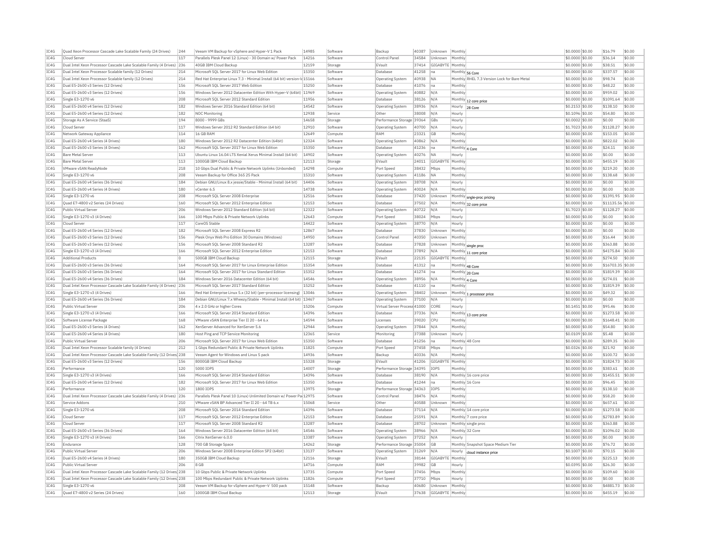| IC4G | Quad Xeon Processor Cascade Lake Scalable Family (24 Drives)           | 244     | Veeam VM Backup for vSphere and Hyper-V 1 Pack                           | 14985 | Software | Backup                       | 40387 | Unknown          | Monthly         |                                             | \$0.0000 \$0.00  | \$16.79           | \$0.00 |
|------|------------------------------------------------------------------------|---------|--------------------------------------------------------------------------|-------|----------|------------------------------|-------|------------------|-----------------|---------------------------------------------|------------------|-------------------|--------|
| IC4G | Cloud Server                                                           | 117     | Parallels Plesk Panel 12 (Linux) - 30 Domain w/ Power Pack               | 14216 | Software | Control Pane                 | 34584 | Unknown          | Monthly         |                                             | \$0.0000 \$0.00  | \$36.14           | \$0.00 |
| IC4G | Dual Intel Xeon Processor Cascade Lake Scalable Family (4 Drives)      | 236     | 40GB IBM Cloud Backup                                                    | 12159 | Storage  | EVault                       | 37414 | GIGABYTE         | Monthl          |                                             | \$0.0000 \$0.00  | \$38.51           | \$0.00 |
| TC4G | Dual Intel Xeon Processor Scalable family (12 Drives)                  | 214     | Microsoft SOL Server 2017 for Linux Web Edition                          | 15350 | Software | Database                     | 41258 | lna              | Monthly 56 Core |                                             | \$0,0000 \$0,00  | \$337.57          | \$0.00 |
| IC4G | Dual Intel Xeon Processor Scalable family (12 Drives)                  | 214     | Red Hat Enterprise Linux 7.3 - Minimal Install (64 bit) version-Id 15166 |       | Software | Operating System             | 40938 | <b>NA</b>        |                 | Monthly RHEL 7.3 Version Lock for Bare Meta | \$0,0000 \$0.00  | \$98.74           | \$0.00 |
|      |                                                                        |         |                                                                          |       |          |                              |       |                  |                 |                                             |                  |                   |        |
| IC4G | Dual E5-2600 v3 Series (12 Drives)                                     | 156     | Microsoft SOL Server 2017 Web Edition                                    | 15250 | Software | Database                     | 41076 | na               | Monthly         |                                             | \$0.0000 \$0.00  | \$48.22           | \$0.00 |
| IC4G | Dual E5-2600 v3 Series (12 Drives)                                     | 156     | Windows Server 2012 Datacenter Edition With Hyper-V (64bit) 11969        |       | Software | Operating System             | 40882 | N/A              | Monthly         |                                             | \$0.0000 \$0.00  | \$959.02          | \$0.00 |
| IC4G | Single E3-1270 v6                                                      | 208     | Microsoft SQL Server 2012 Standard Edition                               | 11956 | Software | Database                     | 38126 | N/A              |                 | Monthly 12 core price                       | \$0,0000 \$0.00  | \$1091.64         | \$0.00 |
| TC4G | Dual E5-2600 v4 Series (12 Drives)                                     | 182     | Windows Server 2016 Standard Edition (64 bit)                            | 14542 | Software | <b>Operating System</b>      | 38936 | N/A              | Hourly          | 28 Core                                     | \$0,2153 \$0.00  | \$138.10          | \$0.00 |
| IC4G | Dual E5-2600 v4 Series (12 Drives)                                     | 182     | NOC Monitoring                                                           | 12938 | Service  | Other                        | 38008 | N/A              | Hourly          |                                             | \$0.1096 \$0.00  | \$54.80           | \$0.00 |
| IC4G | Storage As A Service (StaaS)                                           | 194     | 8000 - 9999 GBs                                                          | 14658 | Storage  | Performance Storage 39364    |       | GBs              | Hourly          |                                             | \$0,0002 \$0.00  | \$0.00            | \$0.00 |
| TC4G | Cloud Server                                                           | 117     | Windows Server 2012 R2 Standard Edition (64 bit)                         | 12910 | Software |                              | 40700 | N/A              | Hourly          |                                             | \$1,7023 \$0.00  | \$1128.27         | \$0.00 |
|      |                                                                        |         |                                                                          |       |          | Operating System             |       |                  |                 |                                             |                  |                   |        |
| IC4G | Network Gateway Appliance                                              | 114     | 16 GB RAM                                                                | 12649 | Compute  | RAM                          | 23321 | GB               | Monthly         |                                             | \$0,0000 \$0.00  | \$153.05          | \$0.00 |
| IC4G | Dual E5-2600 v4 Series (4 Drives)                                      | 180     | Windows Server 2012 R2 Datacenter Edition (64bit)                        | 12324 | Software | Operating System             | 40862 | N/A              | Monthly         |                                             | \$0,0000 \$0.00  | \$822.02          | \$0.00 |
| IC4G | Dual E5-2600 v3 Series (4 Drives)                                      | 162     | Microsoft SQL Server 2017 for Linux Web Edition                          | 15350 | Software | Database                     | 41236 | Ina              | Monthly         | 4 Core                                      | \$0.0000 \$0.00  | \$24.11           | \$0.00 |
| IC4G | <b>Bare Metal Serve</b>                                                | 113     | Ubuntu Linux 16.04 LTS Xenial Xerus Minimal Install (64 bit)             | 14902 | Software | Operating System             | 40276 | <b>NA</b>        | Hourly          |                                             | \$0.0000 \$0.00  | \$0.00            | \$0.00 |
| TC4G | Bare Metal Server                                                      | 113     | 1000GB TBM Cloud Backup                                                  | 12113 | Storage  | FVault                       | 24011 | GIGARYTE         | Monthly         |                                             | $$0.0000$ \$0.00 | \$455.19          | \$0.00 |
| TC4G | VMware vSAN ReadvNode                                                  | 218     | 10 Ghos Dual Public & Private Network Unlinks (Unbonded)                 | 14298 | Compute  | Port Speed                   | 38432 | Mhns             | Monthly         |                                             | \$0.0000 \$0.00  | \$219.20          | \$0.00 |
| IC4G | Single E3-1270 v6                                                      | 208     | Veeam Backup for Office 365 25 Pack                                      | 15310 | Software | <b>Operating System</b>      | 41186 | NA.              | Monthly         |                                             | \$0.0000 \$0.00  | \$138.68          | \$0.00 |
|      |                                                                        |         |                                                                          |       |          |                              |       |                  |                 |                                             |                  |                   |        |
| IC4G | Dual E5-2600 v4 Series (36 Drives)                                     | 184     | Debian GNU/Linux 8.x iessie/Stable - Minimal Install (64 bit)            | 14406 | Software | Operating System             | 38708 | N/A              | Hourly          |                                             | \$0,0000 \$0.00  | \$0.00            | \$0.00 |
| IC4G | Dual E5-2600 v4 Series (4 Drives)                                      | 180     | vCenter 6.5                                                              | 14738 | Software | <b>Operating System</b>      | 40024 | N/A              | Monthly         |                                             | \$0.0000 \$0.00  | \$0.00            | \$0.00 |
| IC4G | Single E3-1270 v6                                                      | 208     | Microsoft SOL Server 2008 Enterprise                                     | 12516 | Software | Database                     | 37420 | Unknown          |                 | Monthly sngle-proc pricing                  | \$0,0000 \$0.00  | \$1391.95         | \$0.00 |
| IC4G | Ouad E7-4800 v2 Series (24 Drives                                      | 160     | Microsoft SQL Server 2012 Enterprise Edition                             | 12153 | Software | Database                     | 37502 | N/A              | Monthly         | 32 core price                               | \$0,0000 \$0.00  | \$11135.56 \$0.00 |        |
| IC4G | Public Virtual Serve                                                   | 206     | Windows Server 2012 Standard Edition (64 bit)                            | 12322 | Software | Operating System             | 40722 | N/A              | Hourly          |                                             | \$1.7023 \$0.00  | \$1128.27         | \$0.00 |
| IC4G | Single E3-1270 v3 (4 Drives)                                           | 166     | 100 Mbps Public & Private Network Uplinks                                | 12643 | Compute  | Port Speed                   | 38024 | Mbps             | Hourly          |                                             | \$0,0000 \$0.00  | \$0.00            | \$0.00 |
| IC4G | Cloud Server                                                           | 117     | CoreOS Stable                                                            | 14422 | Software | <b>Operating System</b>      | 38770 | N/A              | Hourly          |                                             | \$0.0000 \$0.00  | \$0.00            | \$0.00 |
| IC4G | Dual E5-2600 v4 Series (12 Drives)                                     | 182     | Microsoft SOL Server 2008 Express R2                                     | 12867 | Software | Database                     |       | Unknown          | Monthly         |                                             |                  | \$0.00            | \$0.00 |
|      |                                                                        |         |                                                                          |       |          |                              | 37830 |                  |                 |                                             | \$0.0000 \$0.00  |                   |        |
| IC4G | Dual E5-2600 v3 Series (12 Drives)                                     | 156     | Plesk Onvx Web Pro Edition 30 Domains (Windows)                          | 14950 | Software | Control Pane                 | 40350 | Unknown          | Monthly         |                                             | \$0,0000 \$0.00  | \$16.44           | \$0.00 |
| IC4G | Dual E5-2600 v3 Series (12 Drives)                                     | 156     | Microsoft SOL Server 2008 Standard R2                                    | 13287 | Software | Database                     | 37828 | Unknown          |                 | Monthly single proc                         | \$0,0000 \$0.00  | \$363.88          | \$0.00 |
| IC4G | Single E3-1270 v3 (4 Drives)                                           | 166     | Microsoft SQL Server 2012 Enterprise Edition                             | 12153 | Software | Database                     | 37892 | N/A              | Monthly         | 11 core price                               | \$0,0000 \$0.00  | \$4175.84         | \$0.00 |
| IC4G | <b>Additional Products</b>                                             | $\circ$ | 500GB IBM Cloud Backup                                                   | 12115 | Storage  | EVault                       | 22135 | GIGABYTE         | Monthly         |                                             | \$0,0000 \$0.00  | \$274.50          | \$0.00 |
| TCAG | Dual E5-2600 v3 Series (36 Drives)                                     | 164     | Microsoft SOL Server 2017 for Linux Enterprise Edition                   | 15354 | Software | Database                     | 41312 | lna              | Monthly 48 Core |                                             | \$0,0000 \$0.00  | \$16703.35 \$0.00 |        |
| IC4G | Dual E5-2600 v3 Series (36 Drives)                                     | 164     | Microsoft SQL Server 2017 for Linux Standard Edition                     | 15352 | Software | Database                     | 41274 | Ina              | Monthly 20 Core |                                             | \$0.0000 \$0.00  | \$1819.39         | \$0.00 |
| IC4G | Dual E5-2600 v4 Series (36 Drives)                                     | 184     | Windows Server 2016 Datacenter Edition (64 bit)                          | 14546 | Software | Operating System             | 38956 | N/A              | Monthly 4 Core  |                                             | \$0.0000 \$0.00  | \$274.01          | \$0.00 |
| TC4G | Dual Intel Xeon Processor Cascade Lake Scalable Family (4 Drives) 236  |         | Microsoft SOL Server 2017 Standard Edition                               | 15252 | Software | Database                     | 41110 | Ina              | Monthly         |                                             | $$0.0000$ \$0.00 | \$1819.39         | \$0.00 |
| IC4G | Single E3-1270 v3 (4 Drives)                                           | 166     | Red Hat Enterprise Linux 5.x (32 bit) (per-processor licensing)          | 13046 | Software |                              | 38402 | Unknown          | Monthly         |                                             | \$0,0000 \$0.00  | \$49.32           | \$0.00 |
|      |                                                                        |         |                                                                          |       |          | Operating System             |       |                  |                 | processor price                             |                  |                   |        |
| IC4G | Dual E5-2600 v4 Series (36 Drives)                                     | 184     | Debian GNU/Linux 7.x Wheezy/Stable - Minimal Install (64 bit) 13467      |       | Software | Operating System             | 37100 | N/A              | Hourly          |                                             | \$0,0000 \$0.00  | \$0.00            | \$0.00 |
| IC4G | Public Virtual Server                                                  | 206     | 4 x 2.0 GHz or higher Cores                                              | 15206 | Compute  | Virtual Server Process 41000 |       | CORE             | Hourly          |                                             | $$0.1451$ \$0.00 | \$95.46           | \$0.00 |
| IC4G | Single E3-1270 v3 (4 Drives)                                           | 166     | Microsoft SQL Server 2014 Standard Edition                               | 14396 | Software | Database                     | 37336 | N/A              |                 | Monthly 13 core price                       | \$0.0000 \$0.00  | \$1273.58         | \$0.00 |
| TC4G | Software License Package                                               | 168     | VMware vSAN Enterprise Tier II 20 - 64 6 x                               | 14594 | Software | I icenses                    | 39020 | CPI              | Monthly         |                                             | $$0.0000$ \$0.00 | \$1648.41         | \$0.00 |
| IC4G | Dual E5-2600 v3 Series (4 Drives)                                      | 162     | XenServer Advanced for XenServer 5.6                                     | 12944 | Software | <b>Operating System</b>      | 37844 | N/A              | Monthly         |                                             | \$0.0000 \$0.00  | \$54.80           | \$0.00 |
| TC4G | Dual E5-2600 v4 Series (4 Drives)                                      | 180     | Host Ping and TCP Service Monitoring                                     | 12365 | Service  | Monitoring                   | 37388 | Unknown          | Hourly          |                                             | \$0.0109 \$0.00  | \$5.48            | \$0.00 |
| IC4G | Public Virtual Server                                                  | 206     | Microsoft SOL Server 2017 for Linux Web Edition                          | 15350 | Software | Database                     | 41256 | Ina              | Monthly 48 Core |                                             | \$0,0000 \$0.00  | \$289.35          | \$0.00 |
|      |                                                                        |         |                                                                          |       |          |                              |       |                  |                 |                                             |                  |                   | \$0.00 |
| IC4G | Dual Intel Xeon Processor Scalable family (4 Drives)                   | 212     | 1 Gbps Redundant Public & Private Network Uplinks                        | 11825 | Compute  | Port Speed                   | 37458 | Mbps             | Hourly          |                                             | \$0.0326 \$0.00  | \$21.92           |        |
| IC4G | Dual Intel Xeon Processor Cascade Lake Scalable Family (12 Drives 238  |         | Veeam Agent for Windows and Linux 5 pack                                 | 14936 | Software | Backup                       |       |                  |                 |                                             | \$0,0000 \$0.00  | \$100.72          | \$0.00 |
| IC4G |                                                                        |         |                                                                          |       |          |                              | 40336 | N/A              | Monthly         |                                             |                  | \$1824.73         | \$0.00 |
| IC4G | Dual E5-2600 v3 Series (12 Drives)                                     | 156     | 8000GB IBM Cloud Backup                                                  | 15328 | Storage  | EVault                       | 41206 | GIGABYTE         | Monthly         |                                             | \$0.0000 \$0.00  |                   |        |
| IC4G | Performance                                                            | 120     | 5000 IOPS                                                                | 14007 | Storage  | Performance Storage 34395    |       | IOPS             | Monthly         |                                             | \$0.0000 \$0.00  | \$383.61          | \$0.00 |
| IC4G | Single E3-1270 v3 (4 Drives)                                           | 166     | Microsoft SOL Server 2014 Standard Edition                               | 14396 | Software | Database                     | 38190 | N/A              |                 | Monthly 16 core price                       | \$0,0000 \$0.00  | \$1455.51         | \$0.00 |
|      | Dual E5-2600 v4 Series (12 Drives)                                     | 182     | Microsoft SOL Server 2017 for Linux Web Edition                          | 15350 | Software | Database                     | 41244 | na               | Monthly 16 Core |                                             | \$0,0000 \$0.00  | \$96.45           | \$0.00 |
|      | Performance                                                            | 120     | 1800 TOPS                                                                | 13975 |          |                              |       |                  | Monthly         |                                             |                  |                   |        |
| IC4G |                                                                        |         |                                                                          |       | Storage  | Performance Storage 34363    |       | <b>IOPS</b>      |                 |                                             | \$0,0000 \$0.00  | \$138.10          | \$0.00 |
| IC4G | Dual Intel Xeon Processor Cascade Lake Scalable Family (4 Drives)      | 236     | Parallels Plesk Panel 10 (Linux) Unlimited Domain w/ Power Pa 12975      |       | Software | Control Pane                 | 38476 | N/A              | Monthly         |                                             | \$0,0000 \$0.00  | \$58.20           | \$0.00 |
| IC4G | Service Addons                                                         | 210     | VMware vSAN BP Advanced Tier II 20 - 64 TB 6.x                           | 15068 | Service  | Other                        | 40588 | Unknown          | Monthly         |                                             | \$0.0000 \$0.00  | \$657.61          | \$0.00 |
| IC4G | Single E3-1270 v6                                                      | 208     | Microsoft SQL Server 2014 Standard Edition                               | 14396 | Software | Database                     | 37114 | N/A              |                 | Monthly 14 core price                       | \$0,0000 \$0.00  | \$1273.58         | \$0.00 |
| IC4G | Cloud Server                                                           | 117     | Microsoft SOL Server 2012 Enterprise Edition                             | 12153 | Software | Database                     | 25591 | N/A              |                 | Monthly 7 core price                        | \$0,0000 \$0.00  | \$2783.89         | \$0.00 |
| TC4G | Cloud Server                                                           | 117     | Microsoft SOL Server 2008 Standard R2                                    | 13287 | Software | Database                     | 28702 | Unknown          |                 | Monthly single proc                         | \$0,0000 \$0.00  | \$363.88          | \$0.00 |
| IC4G | Dual E5-2600 v3 Series (36 Drives)                                     | 164     | Windows Server 2016 Datacenter Edition (64 bit)                          | 14546 | Software | Operating System             | 38966 | N/A              | Monthly 32 Core |                                             | \$0.0000 \$0.00  | \$1096.02         | \$0.00 |
| IC4G | Single E3-1270 v3 (4 Drives)                                           | 166     | Citrix XenServer 6.0.0                                                   | 13387 | Software | Operating System             | 37252 | N/A              | Hourly          |                                             | \$0,0000 \$0.00  | \$0.00            | \$0.00 |
| TC4G | Endurance                                                              | 128     | 700 GB Storage Space                                                     | 14262 | Storage  |                              |       | GB               |                 | Monthly Snanshot Space Medium Tie           | \$0,0000 \$0.00  | \$76.72           | \$0.00 |
|      |                                                                        |         |                                                                          |       |          | Performance Storage 35004    |       |                  |                 |                                             |                  |                   |        |
| IC4G | Public Virtual Serve                                                   | 206     | Windows Server 2008 Enterprise Edition SP2 (64bit)                       | 13137 | Software | <b>Operating System</b>      | 31269 | N/A              | Hourly          | cloud instance price                        | \$0,1007 \$0.00  | \$70.15           | \$0.00 |
| IC4G | Dual E5-2600 v4 Series (4 Drives)                                      | 180     | 350GB IBM Cloud Backup                                                   | 12116 | Storage  | EVault                       | 38144 | GIGABYTE         | Monthl          |                                             | \$0,0000 \$0.00  | \$225.13          | \$0.00 |
| IC4G | Public Virtual Server                                                  | 206     | 8 GB                                                                     | 14716 | Compute  | RAM                          | 39982 | GB               | Hourly          |                                             | \$0.0395 \$0.00  | \$26.30           | \$0.00 |
| IC4G | Dual Intel Xeon Processor Cascade Lake Scalable Family (12 Drives) 238 |         | 10 Gbps Public & Private Network Uplinks                                 | 13735 | Compute  | Port Speed                   | 37456 | Mbps             | Monthly         |                                             | \$0,0000 \$0.00  | \$109.60          | \$0.00 |
| TC4G | Dual Intel Xeon Processor Cascade Lake Scalable Family (12 Drives 238  |         | 100 Mbps Redundant Public & Private Network Uplinks                      | 11826 | Compute  | Port Speed                   | 37710 | Mhns             | Hourly          |                                             | $$0.0000$ \$0.00 | \$0.00            | \$0.00 |
| TCAG | Single F3-1270 v6                                                      | 208     | Veeam VM Backup for vSphere and Hyper-V 500 pack                         | 15148 | Software | Backup                       | 40680 | Unknown          | Monthly         |                                             | $$0.0000$ \$0.00 | \$4881.73         | \$0.00 |
| TC4G | Quad E7-4800 v2 Series (24 Drives)                                     | 160     | 1000GB IBM Cloud Backup                                                  | 12113 | Storage  | FVault                       | 37638 | GIGABYTE Monthly |                 |                                             | \$0.0000 \$0.00  | \$455.19          | \$0.00 |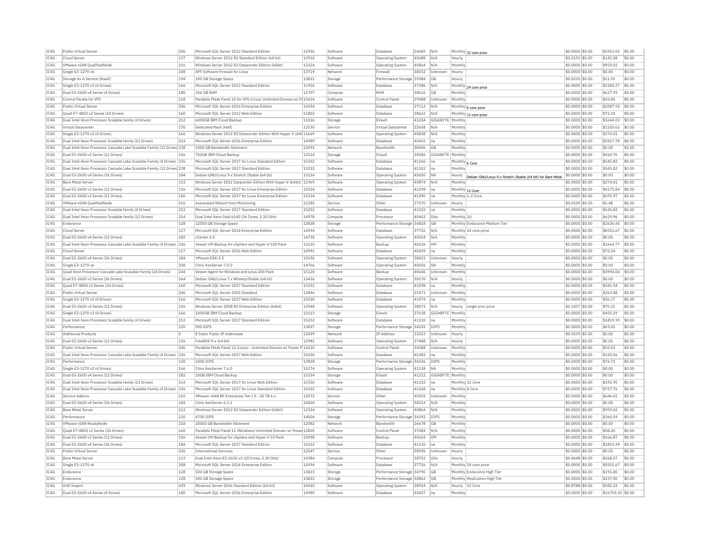| IC4G | Public Virtual Server                                                              | 206      | Microsoft SOL Server 2012 Standard Edition                           | 11956 | Software | Database                  | 24689 | N/A              |                | Monthly 32 core price                                               | \$0,0000 \$0.00  | \$2911.03         | \$0.00 |
|------|------------------------------------------------------------------------------------|----------|----------------------------------------------------------------------|-------|----------|---------------------------|-------|------------------|----------------|---------------------------------------------------------------------|------------------|-------------------|--------|
| TC4G | Cloud Server                                                                       | 117      | Windows Server 2012 R2 Standard Edition (64 bit)                     | 12910 | Software | Operating System          | 40688 | N/A              | Hourly         |                                                                     | \$0,2192 \$0.00  | \$145.58          | \$0.00 |
| IC4G | VMware vSAN OualifiedNode                                                          | 216      | Windows Server 2012 R2 Datacenter Edition (64bit)                    | 12324 | Software | <b>Operating System</b>   | 40864 | N/A              | Monthly        |                                                                     | \$0.0000 \$0.00  | \$959.02          | \$0.00 |
| IC4G | Single E3-1270 v6                                                                  | 208      | APF Software Firewall for Linux                                      | 13719 | Network  | Firewall                  | 38032 | Unknown          | Hourly         |                                                                     | \$0.0000 \$0.00  | \$0.00            | \$0.00 |
| TCAG | Storage As A Service (StaaS)                                                       | 194      | 100 GB Storage Space                                                 | 13821 | Storage  | Performance Storage 39384 |       | GB               | Hourly         |                                                                     | $$0.0335$ \$0.00 | \$21.92           | \$0.00 |
| IC4G | Single E3-1270 v3 (4 Drives)                                                       | 166      | Microsoft SQL Server 2012 Standard Edition                           | 11956 | Software | <b>Database</b>           | 37286 | N/A              |                |                                                                     | \$0.0000 \$0.00  | \$2183.27         | \$0.00 |
| IC4G | Dual E5-2600 v4 Series (4 Drives)                                                  | 180      | 256 GB RAM                                                           | 11707 | Compute  | RAM                       | 38616 | <b>GB</b>        | Monthly        | Monthly 24 core price                                               | \$0,0000 \$0.00  | \$627.99          | \$0.00 |
|      |                                                                                    |          |                                                                      |       |          |                           |       |                  |                |                                                                     |                  |                   |        |
| IC4G | Control Panels for VPS                                                             | 118      | Parallels Plesk Panel 10 for VPS (Linux) Unlimited Domain w/ P(13424 |       | Software | Control Panel             | 29488 | Unknown          | Monthly        |                                                                     | \$0.0000 \$0.00  | \$43.84           | \$0.00 |
| IC4G | Public Virtual Server                                                              | 206      | Microsoft SOL Server 2014 Enterprise Edition                         | 14394 | Software | Database                  | 37112 | N/A              |                | Monthly 6 core price                                                | \$0,0000 \$0,00  | \$2087.92         | \$0.00 |
| IC4G | Ouad E7-4800 v2 Series (24 Drives)                                                 | 160      | Microsoft SQL Server 2012 Web Edition                                | 11803 | Software | <b>Databas</b>            | 38622 | N/A              |                | Monthly 12 core price                                               | \$0,0000 \$0.00  | \$72.34           | \$0.00 |
| TC4G | Dual Intel Xeon Processor Scalable family (4 Drives)                               | 212      | 6000GB TBM Cloud Backup                                              | 15326 | Storage  | FVault                    | 41204 | GIGARYTE         | Monthly        |                                                                     | \$0,0000 \$0.00  | \$1644.03         | \$0.00 |
| IC4G | Virtual Datacenter                                                                 | 170      | Dedicated Rack (Half)                                                | 12530 | Service  | Virtual Datacente         | 22658 | N/A              | Monthly        |                                                                     | \$0,0000 \$0,00  | \$1205.62         | \$0.00 |
| TCAG | Single E3-1270 v3 (4 Drives)                                                       | 166      | Windows Server 2012 R2 Datacenter Edition With Hyper-V (64t 11669    |       | Software | <b>Operating System</b>   | 40838 | N/A              | Monthly        |                                                                     | \$0,0000 \$0.00  | \$274.01          | \$0.00 |
| IC4G | Dual Intel Xeon Processor Scalable family (12 Drives)                              | 214      | Microsoft SQL Server 2016 Enterprise Edition                         | 14989 | Software | Database                  | 40415 | Ina              | Monthly        |                                                                     | \$0.0000 \$0.00  | \$5567.78         | \$0.00 |
| IC4G | Dual Intel Xeon Processor Cascade Lake Scalable Family (12 Drives) 238             |          | 5000 GB Bandwidth Allotment                                          | 12091 | Network  | <b>Bandwidth</b>          | 38506 | <b>GB</b>        | Monthly        |                                                                     | \$0.0000 \$0.00  | \$0.00            | \$0.00 |
| IC4G | Dual E5-2600 v3 Series (12 Drives)                                                 | 156      | 750GB IBM Cloud Backup                                               | 12114 | Storage  | EVault                    | 38386 | GIGABYTE Monthly |                |                                                                     | \$0,0000 \$0.00  | \$410.76          | \$0.00 |
|      |                                                                                    |          |                                                                      |       |          |                           |       |                  |                |                                                                     |                  |                   |        |
| IC4G | Dual Intel Xeon Processor Cascade Lake Scalable Family (4 Drives) 236              |          | Microsoft SOL Server 2017 for Linux Standard Edition                 | 15352 | Software | Database                  | 41266 | Ina              | Monthly 6 Core |                                                                     | \$0,0000 \$0.00  | \$545.82          | \$0.00 |
| TC4G | Dual Intel Xeon Processor Cascade Lake Scalable Family (12 Drives <sup>1</sup> 238 |          | Microsoft SOL Server 2017 Standard Edition                           | 15252 | Software | Database                  | 41102 | Ina              | Monthly        |                                                                     | $$0.0000$ \$0.00 | \$545.82          | \$0.00 |
| IC4G | Dual E5-2600 v4 Series (36 Drives)                                                 | 184      | Debian GNU/Linux 9.x Stretch /Stable (64 bit)                        | 15124 | Software | Operating System          | 40650 | <b>NA</b>        |                | Hourly Debian GNU/Linux 9.x Stretch /Stable (64 bit) for Bare Metal | \$0.0000 \$0.00  | \$0.00            | \$0.00 |
| TC4G | <b>Bare Metal Server</b>                                                           | 113      | Windows Server 2012 Datacenter Edition With Hyper-V (64bit) 11969    |       | Software | Operating System          | 40874 | N/A              | Monthly        |                                                                     | \$0,0000 \$0.00  | \$274.01          | \$0.00 |
| IC4G | Dual E5-2600 v3 Series (12 Drives)                                                 | 156      | Microsoft SQL Server 2017 for Linux Enterprise Edition               | 15354 | Software | <b>Databas</b>            | 41298 | Ina              |                | Monthly 12 Core                                                     | \$0.0000 \$0.00  | \$4175.84         | \$0.00 |
| TC4G | Dual E5-2600 v3 Series (12 Drives)                                                 | 156      | Microsoft SQL Server 2017 for Linux Enterprise Edition               | 15354 | Software | Database                  | 41290 | Ina              |                | Monthly 1-2 Core                                                    | \$0.0000 \$0.00  | \$695.97          | \$0.00 |
| IC4G | VMware vSAN OualifiedNode                                                          | 216      | Automated Reboot from Monitoring                                     | 12285 | Service  | Othe                      | 37170 | Unknown          | Hourly         |                                                                     | \$0,0109 \$0.00  | \$5.48            | \$0.00 |
| TC4G | Dual Intel Xeon Processor Scalable family (4 Drives)                               | 212      | Microsoft SOL Server 2017 Standard Edition                           | 15252 | Software | Database                  | 41102 | Ina              | Monthly        |                                                                     | \$0,0000 \$0.00  | \$545.82          | \$0.00 |
| IC4G |                                                                                    | 214      |                                                                      | 14978 |          | Processo                  | 40402 | GHz              |                |                                                                     |                  | \$629.96          | \$0.00 |
|      | Dual Intel Xeon Processor Scalable family (12 Drives)                              |          | Dual Intel Xeon Gold 6140 (36 Cores, 2.30 GHz)                       |       | Compute  |                           |       |                  | Monthly 2U     |                                                                     | \$0.0000 \$0.00  |                   |        |
| IC4G | Endurance                                                                          | 128      | 12000 GB Storage Space                                               | 13828 | Storage  | Performance Storage 34818 |       | <b>GB</b>        |                | Monthly Endurance Medium Tier                                       | \$0,0000 \$0.00  | \$2630.45         | \$0.00 |
| TCAG | Cloud Server                                                                       | 117      | Microsoft SQL Server 2014 Enterprise Edition                         | 14394 | Software | Database                  | 37726 | N/A              |                | Monthly 24 core price                                               | \$0.0000 \$0.00  | \$8351.67         | \$0.00 |
| IC4G | Dual E5-2600 v4 Series (12 Drives)                                                 | 182      | vCenter 6 5                                                          | 14738 | Software | <b>Operating System</b>   | 40024 | N/A              | Monthly        |                                                                     | \$0.0000 \$0.00  | \$0.00            | \$0.00 |
| IC4G | Dual Intel Xeon Processor Cascade Lake Scalable Family (4 Drives)                  | 236      | Veeam VM Backup for vSphere and Hyper-V 100 Pack                     | 15110 | Software | Backup                    | 40636 | <b>VM</b>        | Monthly        |                                                                     | \$0,0000 \$0.00  | \$1664.77         | \$0.00 |
| IC4G | Cloud Server                                                                       | 117      | Microsoft SOL Server 2016 Web Edition                                | 14991 | Software | Database                  | 40439 | Ina              | Monthly        |                                                                     | \$0.0000 \$0.00  | \$72.34           | \$0.00 |
| IC4G | Dual E5-2600 v4 Series (36 Drives)                                                 | 184      | VMware ESXi 5.5                                                      | 13196 | Software | Operating System          | 38422 | Unknown          | Hourly         |                                                                     | \$0,0000 \$0,00  | \$0.00            | \$0.00 |
| IC4G | Single E3-1270 v6                                                                  | 208      | Citrix XenServer 7.0.0                                               | 14766 | Software | <b>Operating System</b>   | 40056 | <b>NA</b>        | Monthly        |                                                                     | \$0.0000 \$0.00  | \$0.00            | \$0.00 |
| TC4G |                                                                                    | 244      | Veeam Agent for Windows and Linux 200 Pack                           | 15120 | Software |                           | 40646 |                  |                |                                                                     | $$0.0000$ \$0.00 | \$3994.06         | \$0.00 |
|      | Ouad Xeon Processor Cascade Lake Scalable Family (24 Drives)                       |          |                                                                      |       |          | Backun                    |       | Unknown          | Monthly        |                                                                     |                  |                   |        |
| IC4G | Dual E5-2600 v3 Series (36 Drives)                                                 | 164      | Debian GNU/Linux 7.x Wheezy/Stable (64 bit)                          | 12426 | Software | <b>Operating System</b>   | 38170 | N/A              | Hourly         |                                                                     | \$0.0000 \$0.00  | \$0.00            | \$0.00 |
| TC4G | Quad E7-4800 v2 Series (24 Drives)                                                 | 160      | Microsoft SOL Server 2017 Standard Edition                           | 15252 | Software | Database                  | 41098 | Ina              | Monthly        |                                                                     | \$0,0000 \$0.00  | \$181.94          | \$0.00 |
| IC4G | Public Virtual Server                                                              | 206      | Microsoft SOL Server 2005 Standard                                   | 12846 | Software | Database                  | 25471 | Unknown          | Monthly        |                                                                     | \$0.0000 \$0.00  | \$363.88          | \$0.00 |
| IC4G | Single E3-1270 v3 (4 Drives)                                                       | 166      | Microsoft SQL Server 2017 Web Edition                                | 15250 | Software | Database                  | 41074 | Ina              | Monthly        |                                                                     | \$0.0000 \$0.00  | \$36.17           | \$0.00 |
| IC4G | Dual E5-2600 v3 Series (12 Drives)                                                 | 156      | Windows Server 2008 R2 Enterprise Edition (64bit)                    | 12948 | Software | Operating System          | 38072 | N/A              |                | Hourly single proc price                                            | \$0.1007 \$0.00  | \$70.15           | \$0.00 |
| IC4G | Single E3-1270 v3 (4 Drives)                                                       | 166      | 1000GB IBM Cloud Backup                                              | 12113 | Storage  | FVault                    | 37638 | GIGABYTE Monthly |                |                                                                     | \$0,0000 \$0.00  | \$455.19          | \$0.00 |
| TC4G | Dual Intel Xeon Processor Scalable family (4 Drives)                               | 212      | Microsoft SQL Server 2017 Standard Edition                           | 15252 | Software | Database                  | 41110 | Ina              | Monthly        |                                                                     | \$0.0000 \$0.00  | \$1819.39         | \$0.00 |
|      |                                                                                    |          |                                                                      |       |          |                           |       |                  |                |                                                                     |                  |                   |        |
| IC4G | Performance                                                                        | 120      | 900 TOPS                                                             | 13837 | Storage  | Performance Storage 34225 |       | IOPS             | Monthly        |                                                                     | \$0.0000 \$0.00  | \$69.05           | \$0.00 |
| TCAG | <b>Additional Products</b>                                                         | $\Omega$ | 8 Static Public IP Addresses                                         | 12499 | Network  | <b>TP Address</b>         | 32523 | Unknown          | Hourly         |                                                                     | \$0.0109 \$0.00  | \$0.00            | \$0.00 |
| IC4G | Dual E5-2600 v3 Series (12 Drives)                                                 | 156      | FreeBSD 9.x (64 bit)                                                 | 12981 | Software | Operating System          | 37488 | N/A              | Hourly         |                                                                     | \$0.0000 \$0.00  | \$0.00            | \$0.00 |
| IC4G | Public Virtual Server                                                              | 206      | Parallels Plesk Panel 12 (Linux) - Unlimited Domain w/ Power P 14220 |       | Software | Control Panel             | 34588 | Unknown          | Monthly        |                                                                     | \$0,0000 \$0.00  | \$52.43           | \$0.00 |
| IC4G | Dual Intel Xeon Processor Cascade Lake Scalable Family (4 Drives) 236              |          | Microsoft SOL Server 2017 Web Edition                                | 15250 | Software | Database                  | 41082 | na               | Monthly        |                                                                     | \$0,0000 \$0.00  | \$120.56          | \$0.00 |
| TCAG | Performance                                                                        | 120      | 1000 TOPS                                                            | 13838 | Storage  | Performance Storage 34226 |       | <b>TOPS</b>      | Monthly        |                                                                     | $$0.0000$ \$0.00 | \$76.72           | \$0.00 |
| IC4G | Single E3-1270 v3 (4 Drives)                                                       | 166      | Citrix XenServer 7.6.0                                               | 15274 | Software | <b>Operating System</b>   | 41138 | <b>NA</b>        | Monthly        |                                                                     | \$0,0000 \$0.00  | \$0.00            | \$0.00 |
| IC4G |                                                                                    | 182      |                                                                      |       |          |                           |       |                  |                |                                                                     |                  | \$0.00            | \$0.00 |
|      | Dual E5-2600 v4 Series (12 Drives)                                                 |          | 10GB IBM Cloud Backup                                                | 15334 | Storage  | FVault                    | 41212 | GIGABYTE         | Monthly        |                                                                     | \$0,0000 \$0.00  |                   |        |
| TC4G | Dual Intel Xeon Processor Scalable family (12 Drives)                              | 214      | Microsoft SQL Server 2017 for Linux Web Edition                      | 15350 | Software | Database                  | 41252 | Ina              |                | Monthly 32 Core                                                     | \$0.0000 \$0.00  | \$192.90          | \$0.00 |
| IC4G | Dual Intel Xeon Processor Cascade Lake Scalable Family (4 Drives) 236              |          | Microsoft SOL Server 2017 for Linux Standard Edition                 | 15352 | Software | Database                  | 41268 | Ina              | Monthly 8 Core |                                                                     | \$0.0000 \$0.00  | \$727.76          | \$0.00 |
| IC4G | Service Addons                                                                     | 210      | VMware vSAN BP Enterprise Tier I 0 - 20 TB 6.>                       | 15072 | Service  | Other                     | 40592 | Unknown          | Monthly        |                                                                     | \$0.0000 \$0.00  | \$646.65          | \$0.00 |
| IC4G | Dual E5-2600 v4 Series (36 Drives)                                                 | 184      | Citrix XenServer 6.5.1                                               | 14404 | Software | Operating System          | 38214 | N/A              | Monthly        |                                                                     | \$0.0000 \$0.00  | \$0.00            | \$0.00 |
| TCAG | <b>Bare Metal Server</b>                                                           | 113      | Windows Server 2012 R2 Datacenter Edition (64bit)                    | 12324 | Software | <b>Operating System</b>   | 40864 | N/A              | Monthly        |                                                                     | \$0.0000 \$0.00  | \$959.02          | \$0.00 |
| IC4G |                                                                                    |          | 4700 IOPS                                                            | 14004 | Storage  | Performance Storage 34392 |       | <b>IOPS</b>      | Monthly        |                                                                     | \$0.0000 \$0.00  | \$360.59          | \$0.00 |
|      |                                                                                    |          |                                                                      |       |          |                           | 26678 | <b>GB</b>        | Monthly        |                                                                     | \$0,0000 \$0.00  | \$0.00            | \$0.00 |
|      | Performance                                                                        | 120      |                                                                      |       |          |                           |       |                  |                |                                                                     |                  |                   |        |
| IC4G | VMware vSAN ReadvNode                                                              | 218      | 20000 GB Bandwidth Allotment                                         | 12082 | Network  | Bandwidth                 |       |                  |                |                                                                     |                  |                   | \$0.00 |
| IC4G | Quad E7-4800 v2 Series (24 Drives)                                                 | 160      | Parallels Plesk Panel 11 (Windows) Unlimited Domain w/ Powe 12860    |       | Software | Control Panel             | 37084 | N/A              | Monthly        |                                                                     | \$0.0000 \$0.00  | \$58.20           |        |
| IC4G | Dual E5-2600 v3 Series (12 Drives)                                                 | 156      | Veeam VM Backup for vSphere and Hyper-V 10 Pack                      | 15098 | Software | Backup                    | 40624 | <b>VM</b>        | Monthly        |                                                                     | \$0,0000 \$0.00  | \$166.87          | \$0.00 |
| IC4G | Dual E5-2600 v4 Series (36 Drives)                                                 | 184      | Microsoft SQL Server 2017 Standard Edition                           | 15252 | Software | <b>Databas</b>            | 41110 | Ina              | Monthly        |                                                                     | \$0.0000 \$0.00  | \$1819.39         | \$0.00 |
| TC4G | Public Virtual Server                                                              | 206      | <b>International Services</b>                                        | 12547 | Service  | Other                     | 38596 | Unknown          | Hourly         |                                                                     | \$0.0000 \$0.00  | \$0.00            | \$0.00 |
| IC4G | <b>Bare Metal Server</b>                                                           | 113      | Dual Intel Xeon E5-2650 v3 (20 Cores, 2.30 GHz)                      | 14384 | Compute  | Processo                  |       | GHZ              | Hourly         |                                                                     | \$0,4048 \$0,00  | \$268.57          | \$0.00 |
|      |                                                                                    |          |                                                                      |       |          |                           | 38752 |                  |                |                                                                     |                  |                   |        |
| TCAG | Single E3-1270 v6                                                                  | 208      | Microsoft SQL Server 2014 Enterprise Edition                         | 14394 | Software | Database                  | 37726 | N/A              |                | Monthly 24 core price                                               | \$0,0000 \$0,00  | \$8351.67         | \$0.00 |
| TC4G | Endurance                                                                          | 128      | 500 GB Storage Space                                                 | 13823 | Storage  | Performance Storage 34790 |       | <b>GB</b>        |                | Monthly Endurance High Tier                                         | \$0.0000 \$0.00  | \$191.80          | \$0.00 |
| IC4G | Endurance                                                                          | 128      | 500 GB Storage Space                                                 | 13823 | Storage  | Performance Storage 34862 |       | <b>GB</b>        |                | Monthly Replication High Tier                                       | \$0,0000 \$0.00  | \$137.00          | \$0.00 |
| TC4G | VHD Import                                                                         | 639      | Windows Server 2016 Standard Edition (64 bit)                        | 14540 | Software | Operating System          | 38924 | N/A              |                | Hourly 32 Core                                                      | \$0.8788 \$0.00  | \$582.33          | \$0.00 |
| TCAG | Dual E5-2600 v4 Series (4 Drives)                                                  | 180      | Microsoft SOL Server 2016 Enterprise Edition                         | 14989 | Software | Database                  | 40427 | -lna             | Monthly        |                                                                     | \$0.0000 \$0.00  | \$16703.35 \$0.00 |        |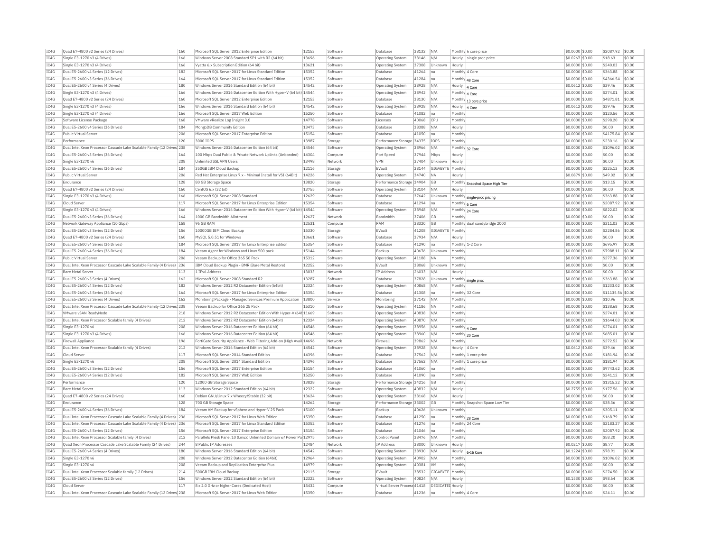| IC4G         | Quad E7-4800 v2 Series (24 Drives)                                                    | 160        | Microsoft SQL Server 2012 Enterprise Edition                          | 12153          | Software | Database                     | 38132 | N/A              |                 | Monthly 6 core price             | \$0.0000 \$0.00                     | \$2087.92             | \$0.00           |
|--------------|---------------------------------------------------------------------------------------|------------|-----------------------------------------------------------------------|----------------|----------|------------------------------|-------|------------------|-----------------|----------------------------------|-------------------------------------|-----------------------|------------------|
| TC4G         | Single E3-1270 v3 (4 Drives)                                                          | 166        | Windows Server 2008 Standard SP1 with R2 (64 bit)                     | 13696          | Software | <b>Operating System</b>      | 38146 | N/A              |                 | Hourly single proc price         | \$0,0267 \$0,00                     | \$18.63               | \$0.00           |
| IC4G         | Single E3-1270 v3 (4 Drives)                                                          | 166        | Vyatta 6.x Subscription Edition (64 bit)                              | 13621          | Software | <b>Operating System</b>      | 37308 | Unknown          | Hourly          |                                  | \$0,0000 \$0.00                     | \$240.03              | \$0.00           |
| IC4G         | Dual E5-2600 v4 Series (12 Drives                                                     | 182        | Microsoft SQL Server 2017 for Linux Standard Edition                  | 15352          | Software | Database                     | 41264 | na               | Monthly 4 Core  |                                  | \$0.0000 \$0.00                     | \$363.88              | \$0.00           |
| IC4G         | Dual E5-2600 v3 Series (36 Drives)                                                    | 164        | Microsoft SQL Server 2017 for Linux Standard Edition                  | 15352          | Software | Database                     | 41284 | Ina              | Monthly 48 Core |                                  | \$0,0000 \$0,00                     | \$4366.54             | \$0.00           |
| IC4G         | Dual E5-2600 v4 Series (4 Drives)                                                     | 180        | Windows Server 2016 Standard Edition (64 bit)                         | 14542          | Software | Operating System             | 38928 | N/A              | Hourly          | 4 Core                           | \$0,0612 \$0.00                     | \$39.46               | \$0.00           |
| IC4G         | Single E3-1270 v3 (4 Drives)                                                          | 166        | Windows Server 2016 Datacenter Edition With Hyper-V (64 bit) 14544    |                | Software | <b>Operating System</b>      | 38942 | N/A              | Monthly 4 Core  |                                  | \$0,0000 \$0.00                     | \$274.01              | \$0.00           |
| IC4G         | Quad E7-4800 v2 Series (24 Drives)                                                    | 160        | Microsoft SQL Server 2012 Enterprise Edition                          | 12153          | Software | Database                     | 38130 | N/A              |                 | Monthly 13 core price            | \$0.0000 \$0.00                     | \$4871.81             | \$0.00           |
| IC4G         | Single E3-1270 v3 (4 Drives)                                                          | 166        | Windows Server 2016 Standard Edition (64 bit)                         | 14542          | Software | <b>Operating System</b>      | 38928 | N/A              | Hourly          |                                  | $$0.0612$ \$0.00                    | \$39.46               | \$0.00           |
| IC4G         | Single E3-1270 v3 (4 Drives)                                                          | 166        | Microsoft SOL Server 2017 Web Edition                                 | 15250          | Software | Database                     | 41082 | Ina              | Monthly         | 4 Core                           | \$0,0000 \$0.00                     | \$120.56              | \$0.00           |
| IC4G         | Software License Package                                                              | 168        | VMware vRealize Log Insight 3.0                                       | 14778          | Software | Licenses                     | 40068 | <b>CPL</b>       | Monthly         |                                  | \$0,0000 \$0,00                     | \$298.20              | \$0.00           |
| IC4G         | Dual E5-2600 v4 Series (36 Drives)                                                    | 184        | MongoDB Community Edition                                             | 13473          | Software | Database                     | 38388 | N/A              | Hourly          |                                  | \$0,0000 \$0,00                     | \$0.00                | \$0.00           |
| IC4G         | Public Virtual Server                                                                 | 206        | Microsoft SQL Server 2017 Enterprise Edition                          | 15154          | Software |                              | 41050 | Ina              | Monthly         |                                  | \$0.0000 \$0.00                     | \$4175.84             | \$0.00           |
|              |                                                                                       |            |                                                                       |                |          | Database                     |       |                  |                 |                                  |                                     |                       |                  |
| IC4G<br>TCAG | Performance<br>Dual Intel Xeon Processor Cascade Lake Scalable Family (12 Drives) 238 | 120        | 3000 TOPS<br>Windows Server 2016 Datacenter Edition (64 bit)          | 13987<br>14546 | Storage  | Performance Storage 34375    | 38966 | IOPS             | Monthly         |                                  | \$0.0000 \$0.00<br>$$0.0000$ \$0.00 | \$230.16<br>\$1096.02 | \$0.00<br>\$0.00 |
|              |                                                                                       |            |                                                                       |                | Software | Operating System             |       | N/A              | Monthly 32 Core |                                  |                                     |                       |                  |
| TC4G         | Dual E5-2600 v3 Series (36 Drives)                                                    | 164        | 100 Mbps Dual Public & Private Network Uplinks (Unbonded)             | 14304          | Compute  | Port Speed                   | 37944 | Mbps             | Hourly          |                                  | \$0.0000 \$0.00                     | \$0.00                | \$0.00           |
| IC4G         | Single E3-1270 v6                                                                     | 208        | <b>Unlimited SSL VPN Users</b>                                        | 13498          | Network  | <b>VPN</b>                   | 37404 | <b>Linknown</b>  | Hourly          |                                  | \$0.0000 \$0.00                     | \$0.00                | \$0.00           |
| IC4G         | Dual E5-2600 v4 Series (36 Drives)                                                    | 184        | 350GB IBM Cloud Backup                                                | 12116          | Storage  | EVault                       | 38144 | GIGABYTE         | Monthly         |                                  | \$0,0000 \$0,00                     | \$225.13              | \$0.00           |
| IC4G         | Public Virtual Server                                                                 | 206        | Red Hat Enterprise Linux 7.x - Minimal Install for VSI (64Bit)        | 14226          | Software | <b>Operating System</b>      | 34740 | <b>NA</b>        | Hourly          |                                  | \$0.0879 \$0.00                     | \$49.02               | \$0.00           |
| IC4G         | Endurance                                                                             | 128        | 80 GB Storage Space                                                   | 13820          | Storage  | Performance Storage 34904    |       | <b>GB</b>        |                 | Monthly Snapshot Space High Tier | \$0.0000 \$0.00                     | \$13.15               | \$0.00           |
| IC4G         | Ouad E7-4800 v2 Series (24 Drives)                                                    | 160        | CentOS 6.x (32 bit)                                                   | 13755          | Software | Operating System             | 38104 | N/A              | Hourly          |                                  | \$0.0000 \$0.00                     | \$0.00                | \$0.00           |
| IC4G         | Single E3-1270 v3 (4 Drives)                                                          | 166        | Microsoft SOL Server 2008 Standard                                    | 12629          | Software | Database                     | 37642 | Unknown          |                 | Monthly single-proc pricing      | \$0.0000 \$0.00                     | \$363.88              | \$0.00           |
| IC4G         | Cloud Server                                                                          | 117        | Microsoft SQL Server 2017 for Linux Enterprise Edition                | 15354          | Software | Database                     | 41294 | Ina              | Monthly 6 Core  |                                  | \$0,0000 \$0,00                     | \$2087.92             | \$0.00           |
| IC4G         | Single E3-1270 v3 (4 Drives)                                                          | 166        | Windows Server 2016 Datacenter Edition With Hyper-V (64 bit) 14544    |                | Software | Operating System             | 38948 | N/A              | Monthly 24 Core |                                  | \$0,0000 \$0,00                     | \$822.02              | \$0.00           |
| IC4G         | Dual E5-2600 v3 Series (36 Drives                                                     | 164        | 1000 GB Bandwidth Allotment                                           | 12627          | Network  | Bandwidth                    | 37406 | GB               | Monthly         |                                  | \$0,0000 \$0,00                     | \$0.00                | \$0.00           |
| IC4G         | Network Gateway Appliance (10 Gbps)                                                   | 158        | 96 GB RAM                                                             | 12531          | Compute  | RAM                          | 38320 | GB               |                 | Monthly dual sandybridge 2000    | \$0,0000 \$0.00                     | \$311.03              | \$0.00           |
| IC4G         | Dual E5-2600 v3 Series (12 Drives)                                                    | 156        | 10000GB IBM Cloud Backup                                              | 15330          | Storage  | EVault                       | 41208 | GIGABYTE         | Monthly         |                                  | \$0.0000 \$0.00                     | \$2284.86             | \$0.00           |
| IC4G         | Quad E7-4800 v2 Series (24 Drives)                                                    | 160        | MySQL 5.0.51 for Windows                                              | 13661          | Software | Database                     | 37934 | N/A              | Hourly          |                                  | \$0.0000 \$0.00                     | \$0.00                | \$0.00           |
|              |                                                                                       |            |                                                                       |                |          |                              |       |                  |                 |                                  |                                     |                       |                  |
| IC4G         | Dual E5-2600 v4 Series (36 Drives)                                                    | 184<br>184 | Microsoft SQL Server 2017 for Linux Enterprise Edition                | 15354<br>15144 | Software | Database                     | 41290 | na               |                 | Monthly 1-2 Core                 | \$0,0000 \$0.00                     | \$695.97<br>\$7988.11 | \$0.00<br>\$0.00 |
| IC4G         | Dual E5-2600 v4 Series (36 Drives)                                                    |            | Veeam Agent for Windows and Linux 500 pack                            |                | Software | Backun                       | 40676 | Unknown          | Monthly         |                                  | \$0,0000 \$0.00                     |                       |                  |
| IC4G         | Public Virtual Server                                                                 | 206        | Veeam Backup for Office 365 50 Pack                                   | 15312          | Software | Operating System             | 41188 | <b>ΝΑ</b>        | Monthly         |                                  | \$0.0000 \$0.00                     | \$277.36              | \$0.00           |
| IC4G         | Dual Intel Xeon Processor Cascade Lake Scalable Family (4 Drives)                     | 236        | IBM Cloud Backup Plugin - BMR (Bare Metal Restore)                    | 12252          | Software | EVault                       | 38068 | Unknown          | Monthly         |                                  | \$0.0000 \$0.00                     | \$0.00                | \$0.00           |
| TC4G         | <b>Bare Metal Server</b>                                                              | 113        | 1 TPv6 Address                                                        | 13033          | Network  | <b>IP Address</b>            | 26033 | N/A              | Hourly          |                                  | \$0,0000 \$0.00                     | \$0.00                | \$0.00           |
| IC4G         | Dual E5-2600 v3 Series (4 Drives)                                                     | 162        | Microsoft SQL Server 2008 Standard R2                                 | 13287          | Software | Database                     | 37828 | Unknown          |                 | Monthly single proc              | \$0,0000 \$0,00                     | \$363.88              | \$0.00           |
| IC4G         | Dual E5-2600 v4 Series (12 Drives                                                     | 182        | Windows Server 2012 R2 Datacenter Edition (64bit)                     | 12324          | Software | Operating System             | 40868 | N/A              | Monthly         |                                  | \$0,0000 \$0,00                     | \$1233.02             | \$0.00           |
| IC4G         | Dual E5-2600 v3 Series (36 Drives)                                                    | 164        | Microsoft SQL Server 2017 for Linux Enterprise Edition                | 15354          | Software | Database                     | 41308 | Ina              | Monthly 32 Core |                                  | \$0.0000 \$0.00                     | \$11135.56 \$0.00     |                  |
| IC4G         | Dual E5-2600 v3 Series (4 Drives)                                                     | 162        | Monitoring Package - Managed Services Premium Application             | 13800          | Service  | Monitoring                   | 37142 | N/A              | Monthly         |                                  | \$0.0000 \$0.00                     | \$10.96               | \$0.00           |
| TCAG         | Dual Intel Xeon Processor Cascade Lake Scalable Family (12 Drives) 238                |            | Veeam Backup for Office 365 25 Pack                                   | 15310          | Software | Operating System             | 41186 | <b>NA</b>        | Monthly         |                                  | $$0.0000$ \$0.00                    | \$138.68              | \$0.00           |
| TC4G         | VMware vSAN ReadyNode                                                                 | 218        | Windows Server 2012 R2 Datacenter Edition With Hyper-V (64t 11669     |                | Software | <b>Operating System</b>      | 40838 | N/A              | Monthly         |                                  | \$0.0000 \$0.00                     | \$274.01              | \$0.00           |
| IC4G         | Dual Intel Xeon Processor Scalable family (4 Drives)                                  | 212        | Windows Server 2012 R2 Datacenter Edition (64bit)                     | 12324          | Software | Operating System             | 40870 | N/A              | Monthly         |                                  | \$0.0000 \$0.00                     | \$1644.03             | \$0.00           |
| IC4G         | Single E3-1270 v6                                                                     | 208        | Windows Server 2016 Datacenter Edition (64 bit)                       | 14546          | Software | <b>Operating System</b>      | 38956 | N/A              | Monthly 4 Core  |                                  | \$0,0000 \$0,00                     | \$274.01              | \$0.00           |
| IC4G         | Single E3-1270 v3 (4 Drives)                                                          | 166        | Windows Server 2016 Datacenter Edition (64 bit)                       | 14546          | Software | <b>Operating Systen</b>      | 38960 | N/A              | Monthly 20 Core |                                  | \$0.0000 \$0.00                     | \$685.01              | \$0.00           |
| IC4G         | Firewall Appliance                                                                    | 196        | FortiGate Security Appliance - Web Filtering Add-on (High Avail 14696 |                | Network  | Firewall                     | 39862 | N/A              | Monthly         |                                  | \$0.0000 \$0.00                     | \$272.52              | \$0.00           |
| IC4G         | Dual Intel Xeon Processor Scalable family (4 Drives)                                  | 212        | Windows Server 2016 Standard Edition (64 bit)                         | 14542          | Software | Operating System             | 38928 | N/A              | Hourly 4 Core   |                                  | $$0.0612$ \$0.00                    | \$39.46               | \$0.00           |
| IC4G         | Cloud Serve                                                                           | 117        | Microsoft SOL Server 2014 Standard Edition                            | 14396          | Software | Database                     | 37562 | N/A              |                 | Monthly 1 core price             | \$0.0000 \$0.00                     | \$181.94              | \$0.00           |
| IC4G         | Single E3-1270 v6                                                                     | 208        | Microsoft SQL Server 2014 Standard Edition                            | 14396          | Software | Database                     | 37562 | N/A              |                 | Monthly 1 core price             | \$0,0000 \$0,00                     | \$181.94              | \$0.00           |
| IC4G         | Dual E5-2600 v3 Series (12 Drives)                                                    | 156        | Microsoft SOL Server 2017 Enterprise Edition                          | 15154          | Software | Database                     | 41060 | Ina              | Monthly         |                                  | \$0,0000 \$0,00                     | \$9743.62             | \$0.00           |
| IC4G         | Dual E5-2600 v4 Series (12 Drives)                                                    | 182        | Microsoft SOL Server 2017 Web Edition                                 | 15250          | Software | Database                     | 41090 | Ina              | Monthly         |                                  | \$0,0000 \$0,00                     | \$241.12              | \$0.00           |
|              | Performance                                                                           |            |                                                                       |                |          |                              |       |                  |                 |                                  |                                     |                       |                  |
| IC4G         |                                                                                       | 120        | 12000 GB Storage Space                                                | 13828          | Storage  | Performance Storage 34216    |       | <b>GB</b>        | Monthly         |                                  | \$0,0000 \$0,00                     | \$1315.22             | \$0.00           |
| IC4G         | <b>Bare Metal Server</b>                                                              | 113        | Windows Server 2012 Standard Edition (64 bit)                         | 12322          | Software | Operating System             | 40832 | N/A              | Hourly          |                                  | $$0.2755$ \$0.00                    | \$177.56              | \$0.00           |
| IC4G         | Quad E7-4800 v2 Series (24 Drives)                                                    | 160        | Debian GNU/Linux 7.x Wheezy/Stable (32 bit)                           | 13624          | Software | Operating System             | 38168 | N/A              | Hourly          |                                  | \$0.0000 \$0.00                     | \$0.00                | \$0.00           |
| IC4G         | Endurance                                                                             | 128        | 700 GB Storage Space                                                  | 14262          | Storage  | Performance Storage 35002    |       | GB               |                 | Monthly Snapshot Space Low Tier  | \$0,0000 \$0.00                     | \$38.36               | \$0.00           |
| IC4G         | Dual E5-2600 v4 Series (36 Drives)                                                    | 184        | Veeam VM Backup for vSphere and Hyper-V 25 Pack                       | 15100          | Software | Backup                       | 40626 | Unknown          | Monthly         |                                  | \$0,0000 \$0,00                     | \$305.11              | \$0.00           |
| IC4G         | Dual Intel Xeon Processor Cascade Lake Scalable Family (4 Drives) 236                 |            | Microsoft SQL Server 2017 for Linux Web Editior                       | 15350          | Software | Database                     | 41250 | lna              | Monthly 28 Core |                                  | \$0.0000 \$0.00                     | \$168.79              | \$0.00           |
| IC4G         | Dual Intel Xeon Processor Cascade Lake Scalable Family (4 Drives)                     | 236        | Microsoft SOL Server 2017 for Linux Standard Edition                  | 15352          | Software | Database                     | 41276 | Ina              | Monthly 24 Core |                                  | \$0,0000 \$0,00                     | \$2183.27             | \$0.00           |
| TC4G         | Dual E5-2600 v3 Series (12 Drives)                                                    | 156        | Microsoft SQL Server 2017 Enterprise Edition                          | 15154          | Software | Database                     | 41046 | Ina              | Monthly         |                                  | \$0,0000 \$0.00                     | \$2087.92             | \$0.00           |
| IC4G         | Dual Intel Xeon Processor Scalable family (4 Drives)                                  | 212        | Parallels Plesk Panel 10 (Linux) Unlimited Domain w/ Power Pa 12975   |                | Software | Control Pane                 | 38476 | N/A              | Monthly         |                                  | \$0,0000 \$0,00                     | \$58.20               | \$0.00           |
| IC4G         | Ouad Xeon Processor Cascade Lake Scalable Family (24 Drives)                          | 244        | 8 Public TP Addresses                                                 | 12484          | Network  | <b>TP Address</b>            | 38000 | Unknown          | Hourly          |                                  | \$0,0217 \$0,00                     | \$8.77                | \$0.00           |
| IC4G         | Dual E5-2600 v4 Series (4 Drives)                                                     | 180        | Windows Server 2016 Standard Edition (64 bit)                         | 14542          | Software | Operating System             | 38930 | N/A              | Hourly          | 6-16 Core                        | $$0.1224$ \$0.00                    | \$78.91               | \$0.00           |
| IC4G         | Single E3-1270 v6                                                                     | 208        | Windows Server 2012 Datacenter Edition (64bit                         | 12964          | Software | Operating System             | 40902 | N/A              | Monthl          |                                  | \$0.0000 \$0.00                     | \$1096.02             | \$0.00           |
| TCAG         | Single F3-1270 v6                                                                     | 208        | Veeam Backup and Replication Enterprise Plus                          | 14979          | Software | Operating System             | 40381 | <b>VM</b>        | Monthly         |                                  | \$0,0000 \$0.00                     | \$0.00                | \$0.00           |
| TC4G         | Dual Intel Xeon Processor Scalable family (12 Drives)                                 | 214        | 500GB TBM Cloud Backup                                                | 12115          | Storage  | <b>FVault</b>                | 38532 | GIGARYTE         | Monthly         |                                  | \$0,0000 \$0.00                     | \$274.50              | \$0.00           |
| IC4G         | Dual E5-2600 v3 Series (12 Drives)                                                    | 156        | Windows Server 2012 Standard Edition (64 bit)                         | 12322          | Software | <b>Operating System</b>      | 40824 | $N/\Delta$       | Hourly          |                                  | \$0.1530 \$0.00                     | \$98.64               | \$0.00           |
| IC4G         | Cloud Server                                                                          | 117        | 8 x 2.0 GHz or higher Cores (Dedicated Host)                          | 15432          | Compute  | Virtual Server Process 41418 |       | DEDICATED Hourly |                 |                                  | \$0,0000 \$0,00                     | \$0.00                | \$0.00           |
| IC4G         | Dual Intel Xeon Processor Cascade Lake Scalable Family (12 Drives) 238                |            | Microsoft SQL Server 2017 for Linux Web Editior                       | 15350          | Software | Database                     | 41236 |                  | Monthly 4 Con   |                                  | \$0.0000 \$0.00                     | \$24.11               | \$0.00           |
|              |                                                                                       |            |                                                                       |                |          |                              |       |                  |                 |                                  |                                     |                       |                  |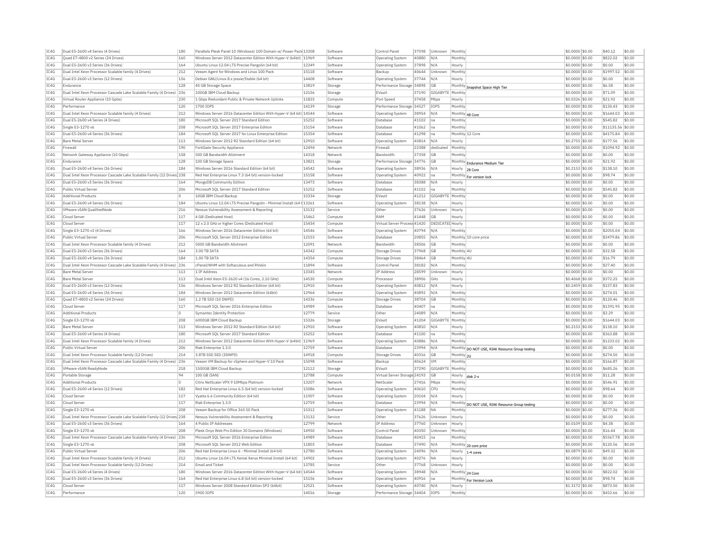| IC4G         | Dual E5-2600 v4 Series (4 Drives)                                      | 180        | Parallels Plesk Panel 10 (Windows) 100 Domain w/ Power Pack 13308     |                | Software            | Control Panel                     | 37598 | Unknown          | Monthly                |                                                 | \$0.0000 \$0.00                    | \$40.12           | \$0.00           |
|--------------|------------------------------------------------------------------------|------------|-----------------------------------------------------------------------|----------------|---------------------|-----------------------------------|-------|------------------|------------------------|-------------------------------------------------|------------------------------------|-------------------|------------------|
| IC4G         | Quad E7-4800 v2 Series (24 Drives)                                     | 160        | Windows Server 2012 Datacenter Edition With Hyper-V (64bit) 11969     |                | Software            | Operating System                  | 40880 | N/A              | Monthly                |                                                 | \$0.0000 \$0.00                    | \$822.02          | \$0.00           |
| IC4G         | Dual E5-2600 v3 Series (36 Drives)                                     | 164        | Ubuntu Linux 12.04 LTS Precise Pangolin (64 bit)                      | 12349          | Software            | <b>Operating Systen</b>           | 37898 | N/A              | Hourly                 |                                                 | \$0.0000 \$0.00                    | \$0.00            | \$0.00           |
| IC4G         | Dual Intel Xeon Processor Scalable family (4 Drives)                   | 212        | Veeam Agent for Windows and Linux 100 Pack                            | 15118          | Software            | Backup                            | 40644 | Unknown          | Monthly                |                                                 | \$0,0000 \$0,00                    | \$1997.52         | \$0.00           |
| IC4G         | Dual E5-2600 v3 Series (12 Drives)                                     | 156        | Debian GNU/Linux 8.x jessie/Stable (64 bit)                           | 14408          | Software            | Operating System                  | 37744 | N/A              | Hourly                 |                                                 | \$0,0000 \$0,00                    | \$0.00            | \$0.00           |
| IC4G         | Endurance                                                              | 128        | 40 GB Storage Space                                                   | 13819          | Storage             | Performance Storage 34898         |       | GB               |                        | Monthly Snapshot Space High Tier                | \$0.0000 \$0.00                    | \$6.58            | \$0.00           |
| IC4G         | Dual Intel Xeon Processor Cascade Lake Scalable Family (4 Drives)      | 236        | 100GB IBM Cloud Backup                                                | 12156          | Storage             | EVault                            | 37190 | GIGABYTE         | Monthly                |                                                 | \$0,0000 \$0,00                    | \$71.09           | \$0.00           |
| IC4G         | Virtual Router Appliance (10 Gpbs                                      | 230        | 1 Gbps Redundant Public & Private Network Uplinks                     | 11825          | Compute             | Port Speed                        | 37458 | Mbps             | Hourly                 |                                                 | \$0,0326 \$0,00                    | \$21.92           | \$0.00           |
| TC4G         | Performance                                                            | 120        | 1700 TOPS                                                             | 14139          | Storage             | Performance Storage 34527         |       | <b>TOPS</b>      | Monthly                |                                                 | \$0,0000 \$0,00                    | \$130.43          | \$0.00           |
| IC4G         | Dual Intel Xeon Processor Scalable family (4 Drives)                   | 212        | Windows Server 2016 Datacenter Edition With Hyper-V (64 bit) 14544    |                | Software            | Operating System                  | 38954 | N/A              | Monthly 48 Core        |                                                 | \$0.0000 \$0.00                    | \$1644.03         | \$0.00           |
| IC4G         | Dual E5-2600 v4 Series (4 Drives)                                      | 180        | Microsoft SOL Server 2017 Standard Edition                            | 15252          | Software            | Database                          | 41102 | Ina              | Monthl                 |                                                 | \$0,0000 \$0,00                    | \$545.82          | \$0.00           |
| TCAG         | Single E3-1270 v6                                                      | 208        | Microsoft SOL Server 2017 Enterprise Edition                          | 15154          | Software            | Database                          | 41062 | Ina              | Monthly                |                                                 | \$0,0000 \$0.00                    | \$11135.56 \$0.00 |                  |
| IC4G         | Dual E5-2600 v4 Series (36 Drives)                                     | 184        | Microsoft SQL Server 2017 for Linux Enterprise Edition                | 15354          | Software            | Database                          | 41298 | Ina              | Monthly 12 Core        |                                                 | \$0,0000 \$0.00                    | \$4175.84         | \$0.00           |
| IC4G         | <b>Bare Metal Server</b>                                               | 113        | Windows Server 2012 R2 Standard Edition (64 bit)                      | 12910          | Software            | Operating System                  | 40814 | N/A              | Hourly                 |                                                 | \$0,2755 \$0,00                    | \$177.56          | \$0.00           |
| IC4G         | Firewall                                                               | 190        | FortiGate Security Appliance                                          | 12494          | Network             | Firewal                           | 22388 | dedicated        | Monthly                |                                                 | \$0.0000 \$0.00                    | \$1094.92         | \$0.00           |
|              | Network Gateway Appliance (10 Gbps                                     |            |                                                                       |                | Network             | <b>Bandwidth</b>                  |       | GB               |                        |                                                 |                                    |                   |                  |
| IC4G<br>TC4G | Endurance                                                              | 158<br>128 | 500 GB Bandwidth Allotment                                            | 14318<br>13821 |                     | Performance Storage 34776         | 37358 |                  | Monthly<br>Monthly     |                                                 | \$0.0000 \$0.00<br>\$0,0000 \$0.00 | \$0.00<br>\$21.92 | \$0.00<br>\$0.00 |
|              |                                                                        |            | 100 GB Storage Space                                                  |                | Storage             |                                   |       | <b>GB</b>        |                        | <b>Endurance Medium Tier</b>                    |                                    |                   |                  |
| TC4G         | Dual E5-2600 v4 Series (36 Drives)                                     | 184        | Windows Server 2016 Standard Edition (64 bit)                         | 14542          | Software            | Operating System                  | 38936 | N/A              | Hourly 28 Core         |                                                 | $$0.2153$ \$0.00                   | \$138.10          | \$0.00           |
| TC4G         | Dual Intel Xeon Processor Cascade Lake Scalable Family (12 Drives) 238 |            | Red Hat Enterprise Linux 7.3 (64 bit) version-locked                  | 15158          | Software            | Operating System                  | 40922 | Ina              |                        | Monthly For version lock                        | \$0,0000 \$0.00                    | \$98.74           | \$0.00           |
| IC4G         | Dual E5-2600 v3 Series (36 Drives)                                     | 164        | MongoDB Community Edition                                             | 13473          | Software            | Database                          | 38388 | N/A              | Hourly                 |                                                 | \$0,0000 \$0,00                    | \$0.00            | \$0.00           |
| IC4G         | Public Virtual Server                                                  | 206        | Microsoft SQL Server 2017 Standard Edition                            | 15252          | Software            | Database                          | 41102 | na               | Monthly                |                                                 | \$0.0000 \$0.00                    | \$545.82          | \$0.00           |
| IC4G         | <b>Additional Products</b>                                             | l0.        | 10GB TBM Cloud Backup                                                 | 15334          | Storage             | FVault                            | 41212 | GIGABYTE         | Monthly                |                                                 | \$0,0000 \$0,00                    | \$0.00            | \$0.00           |
| IC4G         | Dual E5-2600 v4 Series (36 Drives)                                     | 184        | Ubuntu Linux 12.04 LTS Precise Pangolin - Minimal Install (64 t 13261 |                | Software            | Operating System                  | 38138 | N/A              | Hourly                 |                                                 | \$0,0000 \$0,00                    | \$0.00            | \$0.00           |
| IC4G         | VMware vSAN QualifiedNode                                              | 216        | Nessus Vulnerability Assessment & Reporting                           | 13132          | Service             | Othe                              | 37626 | Unknown          | Hourly                 |                                                 | \$0.0000 \$0.00                    | \$0.00            | \$0.00           |
| IC4G         | Cloud Server                                                           | 117        | 4 GB (Dedicated Host)                                                 | 15462          | Compute             | RAM                               | 41448 | GB               | Hourly                 |                                                 | \$0,0000 \$0,00                    | \$0.00            | \$0.00           |
| IC4G         | Cloud Serve                                                            | 117        | 12 x 2.0 GHz or higher Cores (Dedicated Host)                         | 15434          | Compute             | Virtual Server Process 41420      |       | DEDICATED Hourly |                        |                                                 | \$0.0000 \$0.00                    | \$0.00            | \$0.00           |
| IC4G         | Single E3-1270 v3 (4 Drives)                                           | 166        | Windows Server 2016 Datacenter Edition (64 bit)                       | 14546          | Software            | <b>Operating System</b>           | 40794 | N/A              | Monthly                |                                                 | \$0,0000 \$0,00                    | \$2055.04         | \$0.00           |
| IC4G         | Public Virtual Server                                                  | 206        | Microsoft SOL Server 2012 Enterprise Edition                          | 12153          | Software            | Database                          | 20855 | N/A              |                        | Monthly 10 core price                           | \$0,0000 \$0,00                    | \$3479.86         | \$0.00           |
| IC4G         | Dual Intel Xeon Processor Scalable family (4 Drives)                   | 212        | 5000 GB Bandwidth Allotment                                           | 12091          | Network             | <b>Bandwidth</b>                  | 38506 | GB               | Monthly                |                                                 | \$0.0000 \$0.00                    | \$0.00            | \$0.00           |
| IC4G         | Dual E5-2600 v3 Series (36 Drives)                                     | 164        | 3.00 TB SATA                                                          | 14342          | Compute             | <b>Storage Drives</b>             | 37968 | <b>GB</b>        | Monthly 4U             |                                                 | \$0,0000 \$0,00                    | \$32.58           | \$0.00           |
| IC4G         | Dual E5-2600 v4 Series (36 Drives)                                     | 184        | 1.00 TB SATA                                                          | 14354          | Compute             | <b>Storage Drives</b>             | 38464 | GB               | Monthly 4L             |                                                 | \$0,0000 \$0,00                    | \$16.79           | \$0.00           |
| TC4G         | Dual Intel Xeon Processor Cascade Lake Scalable Family (4 Drives)      | 236        | cPanel/WHM with Softaculous and RVskin                                | 11894          | Software            | Control Panel                     | 38182 | N/A              | Monthly                |                                                 | \$0,0000 \$0.00                    | \$27.40           | \$0.00           |
| IC4G         | <b>Bare Metal Server</b>                                               | 113        | 1 TP Address                                                          | 13345          | Network             | <b>IP Address</b>                 | 28599 | Unknown          | Hourly                 |                                                 | \$0.0000 \$0.00                    | \$0.00            | \$0.00           |
| IC4G         | <b>Bare Metal Server</b>                                               | 113        | Dual Intel Xeon E5-2620 v4 (16 Cores, 2.10 GHz)                       | 14530          | Compute             | Processor                         | 38906 | GHZ              | Hourly                 |                                                 | \$0.4068 \$0.00                    | \$372.25          | \$0.00           |
| TCAG         | Dual E5-2600 v3 Series (12 Drives)                                     | 156        | Windows Server 2012 R2 Standard Edition (64 bit)                      | 12910          | Software            | Operating System                  | 40812 | N/A              | Hourly                 |                                                 | \$0.2459 \$0.00                    | \$157.83          | \$0.00           |
| IC4G         | Dual E5-2600 v4 Series (36 Drives)                                     | 184        | Windows Server 2012 Datacenter Edition (64bit)                        | 12964          | Software            | Operating System                  | 40892 | N/A              | Monthly                |                                                 | \$0,0000 \$0.00                    | \$274.01          | \$0.00           |
| IC4G         | Ouad E7-4800 v2 Series (24 Drives)                                     | 160        | 1.2 TB SSD (10 DWPD)                                                  | 14336          |                     |                                   | 38704 | <b>GB</b>        | Monthly                |                                                 | \$0,0000 \$0,00                    | \$120.46          | \$0.00           |
| IC4G         | Cloud Server                                                           | 117        | Microsoft SQL Server 2016 Enterprise Edition                          | 14989          | Compute<br>Software | <b>Storage Drives</b><br>Database | 40407 |                  | Monthly                |                                                 | \$0.0000 \$0.00                    | \$1391.95         | \$0.00           |
|              |                                                                        |            |                                                                       |                |                     |                                   |       | lna              |                        |                                                 |                                    |                   |                  |
| IC4G         | <b>Additional Products</b>                                             | lo.        | Symantec Identity Protection                                          | 12779          | Service             | Other                             | 24089 | N/A              | Monthly                |                                                 | \$0.0000 \$0.00                    | \$3.29            | \$0.00           |
| TC4G         | Single E3-1270 v6                                                      | 208        | 6000GB TBM Cloud Backup                                               | 15326          | Storage             | FVault                            | 41204 | GIGARYTE         | Monthly                |                                                 | $$0.0000$ \$0.00                   | \$1644.03         | \$0.00           |
| IC4G         | <b>Bare Metal Server</b>                                               | 113        | Windows Server 2012 R2 Standard Edition (64 bit)                      | 12910          | Software            | <b>Operating System</b>           | 40810 | N/A              | Hourly                 |                                                 | $$0.2153$ \$0.00                   | \$138.10          | \$0.00           |
| IC4G         | Dual E5-2600 v4 Series (4 Drives)                                      | 180        | Microsoft SQL Server 2017 Standard Edition                            | 15252          | Software            | Database                          | 41100 | Ina              | Monthly                |                                                 | \$0.0000 \$0.00                    | \$363.88          | \$0.00           |
| IC4G         | Dual Intel Xeon Processor Scalable family (4 Drives)                   | 212        | Windows Server 2012 Datacenter Edition With Hyper-V (64bit) 11969     |                | Software            | <b>Operating System</b>           | 40886 | N/A              | Monthly                |                                                 | \$0,0000 \$0,00                    | \$1233.02         | \$0.00           |
| IC4G         | Public Virtual Server                                                  | 206        | Riak Enterprise 1.3.0                                                 | 12759          | Software            | Database                          | 23994 | N/A              |                        | Monthly DO NOT USE, RIAK Resource Group testing | \$0.0000 \$0.00                    | \$0.00            | \$0.00           |
| IC4G         | Dual Intel Xeon Processor Scalable family (12 Drives)                  | 214        | 3.8TB SSD SED (3DWPD)                                                 | 14918          | Compute             | <b>Storage Drives</b>             | 40316 | GB               | Monthly <sub>211</sub> |                                                 | \$0,0000 \$0,00                    | <b>\$274.50</b>   | sin nn           |
| IC4G         | Dual Intel Xeon Processor Cascade Lake Scalable Family (4 Drives)      | 236        | Veeam VM Backup for vSphere and Hyper-V 10 Pack                       | 15098          | Software            | Backup                            | 40624 | VM               | Monthly                |                                                 | \$0.0000 \$0.00                    | \$166.87          | \$0.00           |
| IC4G         | VMware vSAN ReadyNode                                                  | 218        | 1500GB IBM Cloud Backup                                               | 12112          | Storage             | EVault                            | 37290 | GIGABYTE         | Monthly                |                                                 | \$0.0000 \$0.00                    | \$685.26          | \$0.00           |
| IC4G         | Portable Storage                                                       | 94         | 100 GB (SAN)                                                          | 12788          | Compute             | Virtual Server Storage 24193      |       | GB               | Hourly                 | disk 7-y                                        | \$0.0158 \$0.00                    | \$11.28           | \$0.00           |
| IC4G         | <b>Additional Products</b>                                             |            | Citrix NetScaler VPX 9 10Mbps Platinum                                | 13207          | Network             | NetScale                          | 27416 | Mbps             | Monthly                |                                                 | \$0,0000 \$0.00                    | \$546.91          | \$0.00           |
| IC4G         | Dual E5-2600 v4 Series (12 Drives)                                     | 182        | Red Hat Enterprise Linux 6.5 (64 bit) version-locked                  | 15086          | Software            | <b>Operating System</b>           | 40610 | CPU              | Monthly                |                                                 | \$0,0000 \$0,00                    | \$98.64           | \$0.00           |
| IC4G         | Cloud Serve                                                            | 117        | Vyatta 6.6 Community Edition (64 bit)                                 | 11907          | Software            | <b>Operating System</b>           | 20104 | N/A              | Hourly                 |                                                 | \$0,0000 \$0,00                    | \$0.00            | \$0.00           |
| IC4G         | Cloud Serve                                                            | 117        | Riak Enterprise 1.3.0                                                 | 12759          | Software            | Database                          | 23994 | N/A              |                        | Monthly DO NOT USE, RIAK Resource Group testing | \$0,0000 \$0,00                    | \$0.00            | \$0.00           |
| IC4G         | Single E3-1270 v6                                                      | 208        | Veeam Backup for Office 365 50 Pack                                   | 15312          | Software            | Operating System                  | 41188 | <b>NA</b>        | Monthly                |                                                 | \$0,0000 \$0,00                    | \$277.36          | \$0.00           |
| IC4G         | Dual Intel Xeon Processor Cascade Lake Scalable Family (12 Drives) 238 |            | Nessus Vulnerability Assessment & Reporting                           | 13132          | Service             | Other                             | 37626 | Unknown          | Hourly                 |                                                 | \$0,0000 \$0,00                    | \$0.00            | \$0.00           |
| TCAG         | Dual E5-2600 v3 Series (36 Drives)                                     | 164        | 4 Public TP Addresses                                                 | 12799          | Network             | <b>TP Address</b>                 | 37760 | Unknown          | Hourly                 |                                                 | \$0,0109 \$0,00                    | \$4.38            | \$0.00           |
| IC4G         | Single E3-1270 v6                                                      | 208        | Plesk Onyx Web Pro Edition 30 Domains (Windows)                       | 14950          | Software            | Control Pane                      | 40350 | Unknown          | Monthly                |                                                 | \$0.0000 \$0.00                    | \$16.44           | \$0.00           |
| IC4G         | Dual Intel Xeon Processor Cascade Lake Scalable Family (4 Drives) 236  |            | Microsoft SOL Server 2016 Enterprise Edition                          | 14989          | Software            | Database                          | 40415 | na               | Monthly                |                                                 | \$0.0000 \$0.00                    | \$5567.78         | \$0.00           |
| TCAG         | Single E3-1270 v6                                                      | 208        | Microsoft SOL Server 2012 Web Edition                                 | 11803          |                     |                                   | 37490 |                  |                        |                                                 | \$0,0000 \$0.00                    | \$120.56          | \$0.00           |
|              |                                                                        |            |                                                                       |                | Software            | Database                          |       | N/A              |                        | Monthly 20 core price                           |                                    |                   |                  |
| IC4G         | Public Virtual Server                                                  | 206        | Red Hat Enterprise Linux 6 - Minimal Install (64 bit)                 | 12780          | Software            | Operating System                  | 24096 | N/A              | Hourly                 | 1-4 cores                                       | \$0,0879 \$0,00                    | \$49.32           | \$0.00           |
| IC4G         | Dual Intel Xeon Processor Scalable family (4 Drives)                   | 212        | Ubuntu Linux 16.04 LTS Xenial Xerus Minimal Install (64 bit)          | 14902          | Software            | Operating System                  | 40276 | <b>NA</b>        | Hourly                 |                                                 | \$0,0000 \$0.00                    | \$0.00            | \$0.00           |
| IC4G         | Dual Intel Xeon Processor Scalable family (12 Drives)                  | 214        | <b>Email and Ticket</b>                                               | 13785          | Service             | Other                             | 37768 | Unknown          | Hourly                 |                                                 | \$0.0000 \$0.00                    | \$0.00            | \$0.00           |
| IC4G         | Dual E5-2600 v4 Series (4 Drives)                                      | 180        | Windows Server 2016 Datacenter Edition With Hyper-V (64 bit) 14544    |                | Software            | Operating System                  | 38948 | N/A              | Monthly 24 Core        |                                                 | \$0.0000 \$0.00                    | \$822.02          | \$0.00           |
| TC4G         | Dual E5-2600 v3 Series (36 Drives                                      | 164        | Red Hat Enterprise Linux 6.8 (64 bit) version-locked                  | 15156          | Software            | Operating System                  | 40916 | lna              | Monthly                | For Version Lock                                | \$0,0000 \$0.00                    | \$98.74           | \$0.00           |
| TCAG         | Cloud Server                                                           | 117        | Windows Server 2008 Standard Edition SP2 (64bit)                      | 12521          | Software            | <b>Operating System</b>           | 40740 | N/A              | Hourly                 |                                                 | \$1.3172 \$0.00                    | \$873.50          | \$0.00           |
| TCAG         | Performance                                                            | 120        | 5900 TOPS                                                             | 14016          | Storage             | Performance Storage 34404         |       | IOPS             | Monthly                |                                                 | \$0.0000 \$0.00                    | \$452.66          | \$0.00           |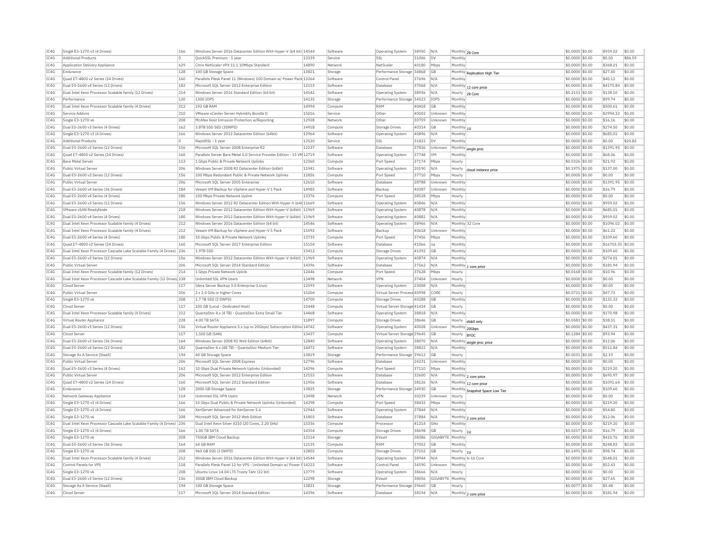| IC4G | Single E3-1270 v3 (4 Drives)                                           | 166 | Windows Server 2016 Datacenter Edition With Hyper-V (64 bit) 14544     |                | Software | Operating System             | 38950 | N/A              |                 | Monthly 28 Core                 | \$0.0000 \$0.00  | \$959.02          | \$0.00  |
|------|------------------------------------------------------------------------|-----|------------------------------------------------------------------------|----------------|----------|------------------------------|-------|------------------|-----------------|---------------------------------|------------------|-------------------|---------|
| IC4G | <b>Additional Products</b>                                             |     | OuickSSL Premium - 1 year                                              | 13339          | Service  | SSL                          | 31006 | <b>DV</b>        | Monthly         |                                 | \$0.0000 \$0.00  | \$0.00            | \$86.59 |
| IC4G | Application Delivery Appliance                                         | 629 | Citrix NetScaler VPX 11.1 10Mbps Standard                              | 14890          | Network  | NetScale                     | 40180 | Mbps             | Monthly         |                                 | \$0.0000 \$0.00  | \$368.21          | \$0.00  |
| IC4G | Endurance                                                              | 128 | 100 GB Storage Space                                                   | 13821          | Storage  | Performance Storage 34868    |       | GB               |                 | Monthly Replication High Tier   | \$0,0000 \$0,00  | \$27.40           | \$0.00  |
| IC4G | Ouad E7-4800 v2 Series (24 Drives)                                     | 160 | Parallels Plesk Panel 11 (Windows) 100 Domain w/ Power Pack 13264      |                | Software | Control Panel                | 37696 | N/A              | Monthly         |                                 | \$0.0000 \$0.00  | \$40.12           | \$0.00  |
| IC4G | Dual E5-2600 v4 Series (12 Drives)                                     | 182 | Microsoft SQL Server 2012 Enterprise Edition                           | 12153          | Software | Database                     | 37068 | N/A              |                 | Monthly 12 core price           | \$0.0000 \$0.00  | \$4175.84         | \$0.00  |
| IC4G | Dual Intel Xeon Processor Scalable family (12 Drives)                  | 214 | Windows Server 2016 Standard Edition (64 bit)                          | 14542          | Software | Operating System             | 38936 | N/A              | Hourly          | 28 Core                         | \$0,2153 \$0.00  | \$138.10          | \$0.00  |
| IC4G | Performance                                                            | 120 | 1300 IOPS                                                              | 14135          | Storage  | Performance Storage 34523    |       | IOPS             | Monthly         |                                 | \$0,0000 \$0.00  | \$99.74           | \$0.00  |
| IC4G | Dual Intel Xeon Processor Scalable family (4 Drives)                   | 212 | 192 GB RAM                                                             | 14994          | Compute  | RAM                          | 40418 | GB               | Monthly         |                                 | \$0,0000 \$0,00  | \$500.61          | \$0.00  |
| IC4G | Service Addons                                                         | 210 | VMware vCenter Server Hybridity Bundle D                               | 15016          | Service  | Other                        | 40502 | Unknown          | Monthly         |                                 | \$0.0000 \$0.00  | \$2994.33         | \$0.00  |
| IC4G | Single E3-1270 v6                                                      | 208 | McAfee Host Intrusion Protection w/Reporting                           | 12928          | Network  | Othe                         | 30759 | Unknown          | Monthly         |                                 | \$0.0000 \$0.00  | \$16.16           | \$0.00  |
| TC4G | Dual E5-2600 v3 Series (4 Drives)                                      | 162 | 3.8TB SSD SED (3DWPD)                                                  | 14918          | Compute  | Storage Drives               | 40314 | GB               | Monthly 11      |                                 | \$0,0000 \$0.00  | \$274.50          | \$0.00  |
| IC4G | Single E3-1270 v3 (4 Drives)                                           | 166 | Windows Server 2012 Datacenter Edition (64bit)                         | 12964          | Software | Operating System             | 40896 | N/A              | Monthly         |                                 | \$0,0000 \$0.00  | \$685.01          | \$0.00  |
| IC4G | <b>Additional Products</b>                                             | l n | RapidSSL - 1 year                                                      | 13520          | Service  | SSL                          | 31822 | Inv              | Monthly         |                                 | \$0,0000 \$0,00  | \$0.00            | \$20.82 |
| IC4G | Dual E5-2600 v3 Series (12 Drives)                                     | 156 | Microsoft SQL Server 2008 Enterprise R2                                | 12237          | Software | Database                     | 37836 | Unknown          |                 |                                 | \$0.0000 \$0.00  | \$1391.95         | \$0.00  |
| IC4G | Quad E7-4800 v2 Series (24 Drives)                                     | 160 | Parallels Server Bare Metal 5.0 Service Provider Edition - 15 VM 12719 |                | Software | Operating System             | 37748 | <b>VM</b>        | Monthly         | Monthly single proc             | \$0.0000 \$0.00  | \$68.06           | \$0.00  |
| IC4G | <b>Bare Metal Server</b>                                               | 113 | 1 Gbns Public & Private Network Unlinks                                | 12360          | Compute  | Port Speed                   | 37174 | Mbps             | Hourly          |                                 | \$0.0326 \$0.00  | \$21.92           | \$0.00  |
| TC4G | Public Virtual Server                                                  | 206 | Windows Server 2008 R2 Datacenter Edition (64bit)                      | 11941          | Software | Operating System             | 20190 | N/A              | Hourly          |                                 | \$0.1975 \$0.00  | \$137.00          | \$0.00  |
| IC4G | Dual E5-2600 v3 Series (12 Drives)                                     | 156 | 100 Mbps Redundant Public & Private Network Uplinks                    | 11826          |          |                              |       |                  |                 | cloud instance price            | \$0,0000 \$0,00  | \$0.00            | \$0.00  |
|      |                                                                        | 206 |                                                                        | 12610          | Compute  | Port Speed                   | 37710 | Mbps             | Hourly          |                                 |                  |                   | \$0.00  |
| TC4G | Public Virtual Server                                                  |     | Microsoft SOL Server 2005 Enterprise                                   |                | Software | Database                     | 28788 | Unknown          | Monthly         |                                 | \$0,0000 \$0.00  | \$1391.95         |         |
| IC4G | Dual E5-2600 v4 Series (36 Drives)                                     | 184 | Veeam VM Backup for vSphere and Hyper-V 1 Pack                         | 14985          | Software | Backup                       | 40387 | Unknown          | Monthly         |                                 | \$0.0000 \$0.00  | \$16.79           | \$0.00  |
| IC4G | Dual E5-2600 v4 Series (4 Drives)                                      | 180 | 100 Mbns Private Network Unlink                                        | 13376          | Compute  | Port Speed                   | 38528 | Mbps             | Hourly          |                                 | \$0,0000 \$0,00  | \$0.00            | \$0.00  |
| IC4G | Dual E5-2600 v3 Series (12 Drives)                                     | 156 | Windows Server 2012 R2 Datacenter Edition With Hyper-V (64t 11669      |                | Software | Operating System             | 40846 | N/A              | Monthly         |                                 | \$0.0000 \$0.00  | \$959.02          | \$0.00  |
| IC4G | VMware vSAN ReadyNode                                                  | 218 | Windows Server 2012 Datacenter Edition With Hyper-V (64bit) 11969      |                | Software | Operating System             | 40878 | N/A              | Monthly         |                                 | \$0.0000 \$0.00  | \$685.01          | \$0.00  |
| TCAG | Dual E5-2600 v4 Series (4 Drives)                                      | 180 | Windows Server 2012 Datacenter Edition With Hyper-V (64bit) 11969      |                | Software | Operating System             | 40882 | N/A              | Monthly         |                                 | $$0.0000$ \$0.00 | \$959.02          | \$0.00  |
| IC4G | Dual Intel Xeon Processor Scalable family (4 Drives)                   | 212 | Windows Server 2016 Datacenter Edition (64 bit)                        | 14546          | Software | Operating System             | 38966 | N/A              |                 | Monthly 32 Core                 | \$0,0000 \$0.00  | \$1096.02         | \$0.00  |
| IC4G | Dual Intel Xeon Processor Scalable family (4 Drives)                   | 212 | Veeam VM Backup for vSphere and Hyper-V 5 Pack                         | 15092          | Software | Backup                       | 40618 | Unknown          | Monthly         |                                 | \$0.0000 \$0.00  | \$61.22           | \$0.00  |
| IC4G | Dual F5-2600 v4 Series (4 Drives)                                      | 180 | 10 Gbps Public & Private Network Uplinks                               | 13735          | Compute  | Port Speed                   | 37456 | Mbps             | Monthly         |                                 | \$0.0000 \$0.00  | \$109.60          | \$0.00  |
| IC4G | Quad E7-4800 v2 Series (24 Drives)                                     | 160 | Microsoft SQL Server 2017 Enterprise Edition                           | 15154          | Software | Database                     | 41066 | na               | Monthly         |                                 | \$0.0000 \$0.00  | \$16703.35 \$0.00 |         |
| TC4G | Dual Intel Xeon Processor Cascade Lake Scalable Family (4 Drives) 236  |     | 1.9TR SSD                                                              | 15412          | Compute  | <b>Storage Drives</b>        | 41392 | <b>GB</b>        | Monthly         |                                 | $$0.0000$ \$0.00 | \$109.60          | \$0.00  |
| IC4G | Dual E5-2600 v3 Series (12 Drives)                                     | 156 | Windows Server 2012 Datacenter Edition With Hyper-V (64bit)            | 11969          | Software | Operating System             | 40874 | N/A              | Monthly         |                                 | \$0.0000 \$0.00  | \$274.01          | \$0.00  |
| IC4G | Public Virtual Server                                                  | 206 | Microsoft SOL Server 2014 Standard Edition                             | 14396          | Software | Database                     | 37562 | N/A              |                 | Monthly 1 core price            | \$0,0000 \$0,00  | \$181.94          | \$0.00  |
| IC4G | Dual Intel Xeon Processor Scalable family (12 Drives)                  | 214 | 1 Gbps Private Network Uplink                                          | 12446          | Compute  | Port Speed                   | 37628 | Mbps             | Hourly          |                                 | \$0,0168 \$0,00  | \$10.96           | \$0.00  |
| IC4G | Dual Intel Xeon Processor Cascade Lake Scalable Family (12 Drives) 238 |     | Unlimited SSL VPN Users                                                | 13498          | Network  | <b>VPN</b>                   | 37404 | Unknown          | Hourly          |                                 | \$0.0000 \$0.00  | \$0.00            | \$0.00  |
| IC4G | Cloud Server                                                           | 117 | Idera Server Backup 3.0 Enterprise (Linux)                             | 12593          | Software | <b>Operating System</b>      | 23008 | N/A              | Monthly         |                                 | \$0,0000 \$0,00  | \$0.00            | \$0.00  |
| IC4G | Public Virtual Server                                                  | 206 | 2 x 2.0 GHz or higher Cores                                            | 15204          | Compute  | Virtual Server Process 40998 |       | CORE             | Hourly          |                                 | \$0.0721 \$0.00  | \$47.73           | \$0.00  |
| IC4G | Single E3-1270 v6                                                      | 208 | 1.7 TB SSD (3 DWPD)                                                    | 14700          | Compute  | <b>Storage Drives</b>        | 40288 | GB               | Monthly         |                                 | \$0.0000 \$0.00  | \$131.32          | \$0.00  |
| IC4G | Cloud Server                                                           | 117 | 100 GB (Local - Dedicated Host)                                        | 15448          | Compute  | Virtual Server Storage 41434 |       | GB               | Hourly          |                                 | \$0,0000 \$0,00  | \$0.00            | \$0.00  |
| IC4G | Dual Intel Xeon Processor Scalable family (4 Drives)                   | 212 | QuantaStor 4.x (4 TB) - QuantaStor Extra Small Tie                     | 14468          | Software | Operating System             | 38818 | N/A              | Monthly         |                                 | \$0,0000 \$0,00  | \$170.98          | \$0.00  |
| IC4G | Virtual Router Appliance                                               | 228 | 4.00 TR SATA                                                           | 11897          | Compute  | <b>Storage Drives</b>        | 38646 | GB               | Hourly          | disk0 only                      | \$0,0583 \$0,00  | \$38.51           | \$0.00  |
| IC4G | Dual E5-2600 v3 Series (12 Drives)                                     | 156 | Virtual Router Appliance 5.x (up to 20Gbps) Subscription Editio 14742  |                | Software | Operating System             | 40028 | Unknown          | Monthly 20Gbps  |                                 | \$0.0000 \$0.00  | \$437.31          | \$0.00  |
| IC4G | Cloud Serve                                                            | 117 | 1.500 GB (SAN)                                                         | 13437          | Compute  | Virtual Server Storage 29645 |       | GB               | Hourly          |                                 | \$0,1284 \$0.00  | \$93.94           | \$0.00  |
| IC4G | Dual E5-2600 v3 Series (36 Drives)                                     | 164 | Windows Server 2008 R2 Web Edition (64bit)                             | 12840          | Software | Operating System             | 38070 | N/A              |                 | <b>BYO</b>                      | \$0,0000 \$0,00  | \$12.06           | \$0.00  |
| IC4G | Dual E5-2600 v4 Series (12 Drives)                                     | 182 | QuantaStor 4.x (48 TB) - QuantaStor Medium Tier                        | 14472          | Software | Operating System             | 38822 | N/A              | Monthly         | Monthly single proc price       | \$0.0000 \$0.00  | \$511.84          | \$0.00  |
| IC4G | Storage As A Service (StaaS)                                           | 194 | 40 GB Storage Space                                                    | 13819          | Storage  | Performance Storage 39612    |       | GB               | Hourly          |                                 | \$0,0031 \$0.00  | \$2.19            | \$0.00  |
| IC4G | Public Virtual Server                                                  | 206 | Microsoft SQL Server 2008 Express                                      | 12796          | Software | Database                     | 24231 | Unknown          | Monthly         |                                 | \$0.0000 \$0.00  | \$0.00            | \$0.00  |
| IC4G | Dual E5-2600 v3 Series (4 Drives)                                      | 162 | 10 Gbps Dual Private Network Uplinks (Unbonded)                        | 14296          | Compute  | Port Speed                   | 37110 | Mbps             | Monthly         |                                 | \$0.0000 \$0.00  | \$219.20          | \$0.00  |
| TC4G | <b>Public Virtual Server</b>                                           | 206 | Microsoft SOL Server 2012 Enterprise Edition                           | 12153          | Software | Database                     | 32600 | N/A              |                 |                                 | \$0,0000 \$0,00  | \$695.97          | \$0.00  |
|      |                                                                        |     |                                                                        |                |          |                              |       |                  |                 | Monthly 2 core price            |                  |                   |         |
| IC4G | Quad E7-4800 v2 Series (24 Drives)                                     | 160 | Microsoft SQL Server 2012 Standard Edition                             | 11956          | Software | Database                     | 38126 | N/A              |                 | Monthly 12 core price           | \$0.0000 \$0.00  | \$1091.64         | \$0.00  |
| IC4G | Endurance                                                              | 128 | 2000 GB Storage Space                                                  | 13825<br>13498 | Storage  | Performance Storage 34930    |       | GB               |                 | Monthly Snapshot Space Low Tier | \$0,0000 \$0,00  | \$109.60          | \$0.00  |
| IC4G | Network Gateway Appliance                                              | 114 | Unlimited SSL VPN Users                                                |                | Network  | <b>VPN</b>                   | 30239 | Unknown          | Hourly          |                                 | \$0.0000 \$0.00  | \$0.00            | \$0.00  |
| IC4G | Single E3-1270 v3 (4 Drives)                                           | 166 | 10 Gbps Dual Public & Private Network Uplinks (Unbonded)               | 14298          | Compute  | Port Speed                   | 38432 | Mbps             | Monthly         |                                 | \$0,0000 \$0.00  | \$219.20          | \$0.00  |
| TC4G | Single E3-1270 v3 (4 Drives)                                           | 166 | XenServer Advanced for XenServer 5.6                                   | 12944          | Software | <b>Operating System</b>      | 37844 | N/A              | Monthly         |                                 | \$0,0000 \$0,00  | \$54.80           | \$0.00  |
| IC4G | Single E3-1270 v6                                                      | 208 | Microsoft SQL Server 2012 Web Edition                                  | 11803          | Software | Database                     | 37884 | N/A              |                 | Monthly 2 core price            | \$0.0000 \$0.00  | \$12.06           | \$0.00  |
| IC4G | Dual Intel Xeon Processor Cascade Lake Scalable Family (4 Drives) 236  |     | Dual Intel Xeon Silver 4210 (20 Cores, 2.20 GHz)                       | 15336          | Compute  | Processor                    | 41214 | GHz              | Monthly         |                                 | \$0,0000 \$0,00  | \$219.20          | \$0.00  |
| IC4G | Single E3-1270 v3 (4 Drives)                                           | 166 | 1.00 TR SATA                                                           | 14354          | Compute  | Storage Drives               | 38698 | GB               | Hourly          |                                 | \$0.0257 \$0.00  | \$16.79           | \$0.00  |
| IC4G | Single E3-1270 v6                                                      | 208 | 750GB IBM Cloud Backup                                                 | 12114          | Storage  | EVault                       | 38386 | GIGABYTE         | Monthly         |                                 | \$0.0000 \$0.00  | \$410.76          | \$0.00  |
| IC4G | Dual E5-2600 v3 Series (36 Drives)                                     | 164 | 64 GB RAM                                                              | 12135          | Compute  | RAM                          | 37052 | GB               | Monthly         |                                 | \$0,0000 \$0,00  | \$248.83          | \$0.00  |
| IC4G | Single E3-1270 v6                                                      | 208 | 960 GB SSD (3 DWPD)                                                    | 12802          | Compute  | Storage Drives               | 37102 | GB               | Hourly $ _{10}$ |                                 | \$0.1491 \$0.00  | \$98.74           | \$0.00  |
| IC4G | Dual Intel Xeon Processor Scalable family (4 Drives)                   | 212 | Windows Server 2016 Datacenter Edition With Hyper-V (64 bit) 14544     |                | Software | <b>Operating System</b>      | 38944 | N/A              |                 | Monthly 6-16 Core               | \$0.0000 \$0.00  | \$548.01          | \$0.00  |
| TCAG | Control Panels for VPS                                                 | 118 | Parallels Plesk Panel 12 for VPS - Unlimited Domain w/ Power F14222    |                | Software | Control Panel                | 34590 | Unknown          | Monthly         |                                 | \$0,0000 \$0.00  | \$52.43           | \$0.00  |
| TC4G | Single E3-1270 v6                                                      | 208 | Ubuntu Linux 14.04 LTS Trusty Tahr (32 bit)                            | 13779          | Software | <b>Operating System</b>      | 38666 | N/A              | Hourly          |                                 | \$0.0000 \$0.00  | \$0.00            | \$0.00  |
| IC4G | Dual E5-2600 v3 Series (12 Drives)                                     | 156 | 30GB IBM Cloud Backup                                                  | 12298          | Storage  | FVault                       | 38056 | GIGARYTE Monthly |                 |                                 | \$0,0000 \$0.00  | \$27.65           | \$0.00  |
| IC4G | Storage As A Service (StaaS)                                           | 194 | 100 GB Storage Space                                                   | 13821          | Storage  | Performance Storage 39660    |       | GB               | Hourly          |                                 | \$0,0077 \$0,00  | \$5.48            | \$0.00  |
| IC4G | Cloud Server                                                           | 117 | Microsoft SQL Server 2014 Standard Edition                             | 14396          | Software | Database                     | 38194 | N/A              |                 | Monthly 2 core price            | \$0.0000 \$0.00  | \$181.94          | \$0.00  |
|      |                                                                        |     |                                                                        |                |          |                              |       |                  |                 |                                 |                  |                   |         |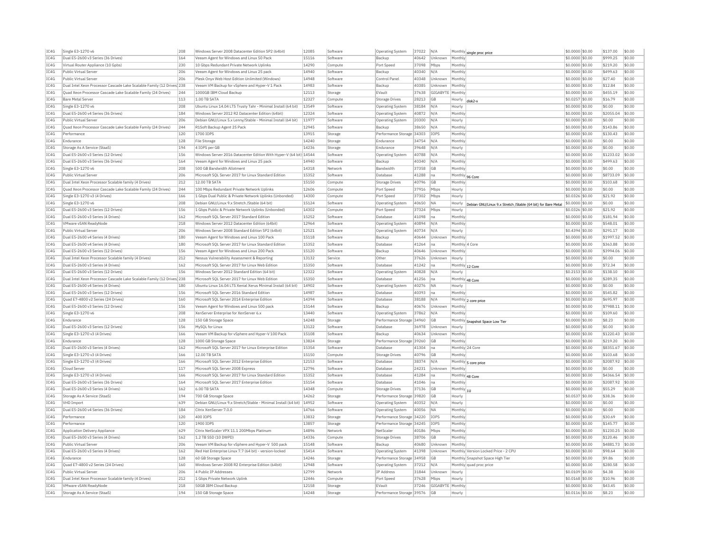| IC4G         | Single E3-1270 v6                                                      | 208        | Windows Server 2008 Datacenter Edition SP2 (64bit)                                       | 12085 | Software | <b>Operating System</b>   | 37022          | N/A         | Monthly single proc price                                              | \$0,0000 \$0.00  | \$137.00         | \$0.00           |
|--------------|------------------------------------------------------------------------|------------|------------------------------------------------------------------------------------------|-------|----------|---------------------------|----------------|-------------|------------------------------------------------------------------------|------------------|------------------|------------------|
| IC4G         | Dual E5-2600 v3 Series (36 Drives)                                     | 164        | Veeam Agent for Windows and Linux 50 Pack                                                | 15116 | Software | Backup                    | 40642          | Unknown     | Monthly                                                                | \$0.0000 \$0.00  | \$999.25         | \$0.00           |
| TC4G         | Virtual Router Appliance (10 Gpbs)                                     | 230        | 10 Gbps Redundant Private Network Uplinks                                                | 14290 | Compute  | Port Speed                | 37098          | Mhns        | Monthly                                                                | $$0.0000$ \$0.00 | \$219.20         | \$0.00           |
| TC4G         | Public Virtual Server                                                  | 206        | Veeam Agent for Windows and Linux 25 pack                                                | 14940 | Software | Backup                    | 40340          | N/A         | Monthly                                                                | \$0.0000 \$0.00  | \$499.63         | \$0.00           |
| TC4G         | Public Virtual Server                                                  | 206        | Plesk Onvx Web Host Edition Unlimited (Windows)                                          | 14948 | Software | Control Panel             | 40348          | Unknown     | Monthly                                                                | \$0,0000 \$0.00  | \$27.40          | \$0.00           |
| TC4G         | Dual Intel Xeon Processor Cascade Lake Scalable Family (12 Drives) 238 |            | Veeam VM Backup for vSphere and Hyper-V 1 Pack                                           | 14983 | Software | Backun                    | 40385          | Unknown     | Monthly                                                                | $$0.0000$ \$0.00 | \$12.84          | \$0.00           |
| IC4G         | Quad Xeon Processor Cascade Lake Scalable Family (24 Drives)           | 244        | 1000GB IBM Cloud Backup                                                                  | 12113 | Storage  | EVault                    | 37638          | GIGABYTE    | Monthly                                                                | \$0.0000 \$0.00  | \$455.19         | \$0.00           |
| IC4G         | Bare Metal Server                                                      | 113        | 1 00 TR SATA                                                                             | 12327 | Compute  | <b>Storage Drives</b>     | 28213          | GR          | Hourly<br>disk <sub>2-y</sub>                                          | \$0.0257 \$0.00  | \$16.79          | \$0.00           |
| IC4G         | Single E3-1270 v6                                                      | 208        | Ubuntu Linux 14.04 LTS Trusty Tahr - Minimal Install (64 bit)                            | 13549 | Software | <b>Operating System</b>   | 38184          | N/A         | Hourly                                                                 | \$0.0000 \$0.00  | \$0.00           | \$0.00           |
| IC4G         | Dual E5-2600 v4 Series (36 Drives)                                     | 184        | Windows Server 2012 R2 Datacenter Edition (64bit)                                        | 12324 | Software | <b>Operating System</b>   | 40872          | N/A         | Monthly                                                                | \$0,0000 \$0.00  | \$2055.04        | \$0.00           |
| IC4G         | Public Virtual Server                                                  | 206        | Debian GNU/Linux 5.x Lenny/Stable - Minimal Install (64 bit)                             | 11977 | Software | Operating System          | 20300          | N/A         | Hourly                                                                 | \$0,0000 \$0.00  | \$0.00           | \$0.00           |
| IC4G         | Ouad Xeon Processor Cascade Lake Scalable Family (24 Drives)           | 244        | R1Soft Backup Agent 25 Pack                                                              | 12945 | Software | Backup                    | 38650          | N/A         | Monthly                                                                | \$0,0000 \$0.00  | \$143.86         | \$0.00           |
| IC4G         | Performance                                                            | 120        | 1700 TOPS                                                                                | 13915 |          | Performance Storage 34303 |                | <b>TOPS</b> | Monthly                                                                | \$0,0000 \$0,00  | \$130.43         | \$0.00           |
|              |                                                                        |            |                                                                                          | 14240 | Storage  |                           |                |             |                                                                        |                  | \$0.00           | \$0.00           |
| IC4G         | Endurance                                                              | 128        | <b>File Storage</b>                                                                      |       | Storage  | Endurance                 | 34754          | N/A         | Monthly                                                                | \$0.0000 \$0.00  |                  |                  |
| IC4G         | Storage As A Service (StaaS)                                           | 194        | 4 IOPS per GB                                                                            | 14236 | Storage  | Endurance                 | 39648          | N/A         | Hourly                                                                 | \$0,0000 \$0.00  | \$0.00           | \$0.00           |
| TC4G         | Dual E5-2600 v3 Series (12 Drives)                                     | 156        | Windows Server 2016 Datacenter Edition With Hyper-V (64 bit) 14544                       |       | Software | Operating System          | 40788          | N/A         | Monthly                                                                | $$0.0000$ \$0.00 | \$1233.02        | \$0.00           |
| IC4G         | Dual E5-2600 v3 Series (36 Drives)                                     | 164        | Veeam Agent for Windows and Linux 25 pack                                                | 14940 | Software | Backup                    | 40340          | N/A         | Monthly                                                                | \$0,0000 \$0.00  | \$499.63         | \$0.00           |
| TC4G         | Single F3-1270 v6                                                      | 208        | 500 GB Bandwidth Allotment                                                               | 14318 | Network  | Randwidth                 | 37358          | <b>GB</b>   | Monthly                                                                | \$0,0000 \$0.00  | \$0.00           | \$0.00           |
| IC4G         | Public Virtual Server                                                  | 206        | Microsoft SQL Server 2017 for Linux Standard Edition                                     | 15352 | Software | Database                  | 41288          | Ina         | Monthly 96 Core                                                        | \$0.0000 \$0.00  | \$8733.09        | \$0.00           |
| IC4G         | Dual Intel Xeon Processor Scalable family (4 Drives)                   | 212        | 12.00 TB SATA                                                                            | 15150 | Compute  | Storage Drives            | 40796          | GB          | Monthly                                                                | \$0.0000 \$0.00  | \$103.68         | \$0.00           |
| IC4G         | Quad Xeon Processor Cascade Lake Scalable Family (24 Drives)           | 244        | 100 Mbps Redundant Private Network Uplinks                                               | 12606 | Compute  | Port Speed                | 37916          | Mbps        | Hourly                                                                 | \$0.0000 \$0.00  | \$0.00           | \$0.00           |
| IC4G         | Single E3-1270 v3 (4 Drives)                                           | 166        | 1 Gbps Dual Public & Private Network Uplinks (Unbonded)                                  | 14300 | Compute  | Port Speed                | 37302          | Mbps        | Hourly                                                                 | \$0.0326 \$0.00  | \$21.92          | \$0.00           |
| IC4G         | Single E3-1270 v6                                                      | 208        | Debian GNU/Linux 9.x Stretch /Stable (64 bit)                                            | 15124 | Software | <b>Operating System</b>   | 40650          | <b>NA</b>   | Hourly<br>Debian GNU/Linux 9.x Stretch /Stable (64 bit) for Bare Metal | \$0.0000 \$0.00  | \$0.00           | \$0.00           |
| IC4G         | Dual E5-2600 v3 Series (12 Drives)                                     | 156        | 1 Gbps Public & Private Network Uplinks (Unbonded)                                       | 14302 | Compute  | Port Speed                | 37324          | Mbps        | Hourly                                                                 | \$0,0326 \$0.00  | \$21.92          | \$0.00           |
| IC4G         | Dual E5-2600 v3 Series (4 Drives)                                      | 162        | Microsoft SOL Server 2017 Standard Edition                                               | 15252 | Software | Database                  | 41098          | na          | Monthly                                                                | \$0,0000 \$0.00  | \$181.94         | \$0.00           |
| IC4G         | VMware vSAN ReadvNode                                                  | 218        | Windows Server 2012 Datacenter Edition (64bit)                                           | 12964 | Software | Operating System          | 40894          | N/A         | Monthly                                                                | \$0.0000 \$0.00  | \$548.01         | \$0.00           |
| IC4G         | Public Virtual Server                                                  | 206        | Windows Server 2008 Standard Edition SP2 (64bit)                                         | 12521 | Software | Operating System          | 40734          | N/A         | Hourly                                                                 | \$0.4394 \$0.00  | \$291.17         | \$0.00           |
| TC4G         | Dual E5-2600 v4 Series (4 Drives)                                      | 180        | Veeam Agent for Windows and Linux 100 Pack                                               | 15118 | Software | Backun                    | 40644          | Unknown     | Monthly                                                                | $$0.0000$ \$0.00 | \$1997.52        | \$0.00           |
| TC4G         | Dual E5-2600 v4 Series (4 Drives)                                      | 180        | Microsoft SQL Server 2017 for Linux Standard Edition                                     | 15352 | Software | Database                  | 41264          | na          | Monthly 4 Core                                                         | \$0.0000 \$0.00  | \$363.88         | \$0.00           |
| IC4G         | Dual E5-2600 v3 Series (12 Drives)                                     | 156        | Veeam Agent for Windows and Linux 200 Pack                                               | 15120 | Software | Backup                    | 40646          | Unknown     | Monthly                                                                | \$0,0000 \$0.00  | \$3994.06        | \$0.00           |
| IC4G         | Dual Intel Xeon Processor Scalable family (4 Drives)                   | 212        | Nessus Vulnerability Assessment & Reporting                                              | 13132 |          | Other                     | 37626          |             | Hourly                                                                 | \$0,0000 \$0.00  | \$0.00           | \$0.00           |
| IC4G         |                                                                        |            |                                                                                          |       | Service  | Database                  |                | Unknown     |                                                                        |                  |                  |                  |
|              | Dual E5-2600 v3 Series (4 Drives)                                      | 162        | Microsoft SQL Server 2017 for Linux Web Edition                                          | 15350 | Software |                           | 41242          | na          | Monthly 12 Core                                                        | \$0.0000 \$0.00  | \$72.34          | \$0.00           |
| IC4G         | Dual E5-2600 v3 Series (12 Drives)                                     | 156        | Windows Server 2012 Standard Edition (64 bit)                                            | 12322 | Software | <b>Operating System</b>   | 40828          | N/A         | Hourly                                                                 | \$0.2153 \$0.00  | \$138.10         | \$0.00           |
| IC4G         | Dual Intel Xeon Processor Cascade Lake Scalable Family (12 Drives 238  |            | Microsoft SOL Server 2017 for Linux Web Edition                                          | 15350 | Software | Database                  | 41256          | Ina         | Monthly 48 Core                                                        | \$0,0000 \$0.00  | \$289.35         | \$0.00           |
| IC4G         | Dual E5-2600 v4 Series (4 Drives)                                      | 180        | Ubuntu Linux 16.04 LTS Xenial Xerus Minimal Install (64 bit)                             | 14902 | Software | <b>Operating System</b>   | 40276          | <b>NA</b>   | Hourly                                                                 | \$0,0000 \$0.00  | \$0.00           | \$0.00           |
| IC4G         | Dual E5-2600 v3 Series (12 Drives)                                     | 156        | Microsoft SQL Server 2016 Standard Edition                                               | 14987 | Software | Database                  | 40393          | Ina         | Monthly                                                                | \$0,0000 \$0.00  | \$545.82         | \$0.00           |
| IC4G         | Quad E7-4800 v2 Series (24 Drives)                                     | 160        | Microsoft SQL Server 2014 Enterprise Edition                                             | 14394 | Software | Database                  | 38188          | N/A         | Monthly 2 core price                                                   | \$0,0000 \$0.00  | \$695.97         | \$0.00           |
| TC4G         | Dual E5-2600 v3 Series (12 Drives)                                     | 156        | Veeam Agent for Windows and Linux 500 pack                                               | 15144 | Software | Backup                    | 40676          | Unknown     | Monthly                                                                | \$0,0000 \$0.00  | \$7988.11        | \$0.00           |
| IC4G         | Single E3-1270 v6                                                      | 208        | XenServer Enterprise for XenServer 6.x                                                   | 13440 | Software | Operating System          | 37862          | N/A         | Monthly                                                                | \$0.0000 \$0.00  | \$109.60         | \$0.00           |
| IC4G         | Endurance                                                              | 128        | 150 GB Storage Space                                                                     | 14248 | Storage  | Performance Storage 34960 |                | GB          | Monthly Snapshot Space Low Tier                                        | \$0.0000 \$0.00  | \$8.23           | \$0.00           |
| IC4G         | Dual E5-2600 v3 Series (12 Drives)                                     | 156        | MySOL for Linux                                                                          | 13122 | Software | Database                  | 36978          | Unknown     | Hourly                                                                 | $$0.0000$ \$0.00 | \$0.00           | \$0.00           |
| IC4G         | Single E3-1270 v3 (4 Drives)                                           | 166        | Veeam VM Backup for vSphere and Hyper-V 100 Pack                                         | 15108 | Software | Backup                    | 40634          | Unknown     | Monthly                                                                | \$0.0000 \$0.00  | \$1220.43        | \$0.00           |
| IC4G         | Endurance                                                              | 128        | 1000 GB Storage Space                                                                    | 13824 | Storage  | Performance Storage 39260 |                | GB          | Monthly                                                                | \$0.0000 \$0.00  | \$219.20         | \$0.00           |
| IC4G         | Dual E5-2600 v3 Series (4 Drives)                                      | 162        | Microsoft SQL Server 2017 for Linux Enterprise Edition                                   | 15354 | Software | Database                  | 41304          | na          | Monthly 24 Core                                                        | \$0.0000 \$0.00  | \$8351.67        | \$0.00           |
| IC4G         | Single E3-1270 v3 (4 Drives)                                           | 166        | 12.00 TB SATA                                                                            | 15150 | Compute  | Storage Drives            | 40796          | <b>GB</b>   | Monthly                                                                | \$0.0000 \$0.00  | \$103.68         | \$0.00           |
| IC4G         | Single E3-1270 v3 (4 Drives)                                           | 166        | Microsoft SQL Server 2012 Enterprise Edition                                             | 12153 | Software | Database                  | 38374          | N/A         | Monthly 5 core price                                                   | \$0,0000 \$0.00  | \$2087.92        | \$0.00           |
| IC4G         | Cloud Server                                                           | 117        | Microsoft SOL Server 2008 Express                                                        | 12796 | Software | Database                  | 24231          | Unknown     | Monthly                                                                | \$0,0000 \$0.00  | \$0.00           | \$0.00           |
| TC4G         | Single E3-1270 v3 (4 Drives)                                           | 166        | Microsoft SOL Server 2017 for Linux Standard Edition                                     | 15352 | Software | Database                  | 41284          | Ina         | Monthly 48 Core                                                        | \$0,0000 \$0.00  | \$4366.54        | \$0.00           |
| IC4G         | Dual E5-2600 v3 Series (36 Drives)                                     | 164        | Microsoft SQL Server 2017 Enterprise Edition                                             | 15154 | Software | Database                  | 41046          | Ina         | Monthly                                                                | \$0.0000 \$0.00  | \$2087.92        | \$0.00           |
| IC4G         | Dual E5-2600 v3 Series (4 Drives)                                      | 162        | 6.00 TB SATA                                                                             | 14348 | Compute  | <b>Storage Drives</b>     | 37136          | <b>GB</b>   | Monthly 1U                                                             | \$0,0000 \$0.00  | \$55.29          | \$0.00           |
| IC4G         | Storage As A Service (StaaS)                                           | 194        | 700 GB Storage Space                                                                     | 14262 | Storage  | Performance Storage 39820 |                | GB          | Hourly                                                                 | \$0.0537 \$0.00  | \$38.36          | \$0.00           |
|              | <b>VHD Import</b>                                                      |            |                                                                                          | 14952 | Software |                           |                | N/A         | Hourly                                                                 |                  |                  |                  |
| IC4G<br>TC4G | Dual E5-2600 v4 Series (36 Drives)                                     | 639<br>184 | Debian GNU/Linux 9.x Stretch/Stable - Minimal Install (64 bit)<br>Citrix XenServer 7.0.0 | 14766 | Software | Operating System          | 40352<br>40056 | <b>NA</b>   | Monthly                                                                | \$0.0000 \$0.00  | \$0.00<br>\$0.00 | \$0.00<br>\$0.00 |
|              |                                                                        |            |                                                                                          |       |          | <b>Operating System</b>   |                |             |                                                                        | \$0.0000 \$0.00  |                  |                  |
| IC4G         | Performance                                                            | 120        | 400 TOPS                                                                                 | 13832 | Storage  | Performance Storage 34220 |                | <b>TOPS</b> | Monthly                                                                | \$0.0000 \$0.00  | \$30.69          | \$0.00           |
| IC4G         | Performance                                                            | 120        | 1900 IOPS                                                                                | 13857 | Storage  | Performance Storage 34245 |                | <b>TOPS</b> | Monthly                                                                | \$0.0000 \$0.00  | \$145.77         | \$0.00           |
| IC4G         | Application Delivery Appliance                                         | 629        | Citrix NetScaler VPX 11.1 200Mbps Platinum                                               | 14896 | Network  | NetScale                  | 40186          | Mbps        | Monthly                                                                | \$0,0000 \$0.00  | \$1230.25        | \$0.00           |
| IC4G         | Dual E5-2600 v3 Series (4 Drives)                                      | 162        | 1.2 TB SSD (10 DWPD)                                                                     | 14336 | Compute  | <b>Storage Drives</b>     | 38706          | GB          | Monthly                                                                | \$0.0000 \$0.00  | \$120.46         | \$0.00           |
| IC4G         | Public Virtual Server                                                  | 206        | Veeam VM Backup for vSphere and Hyper-V 500 pack                                         | 15148 | Software | Backup                    | 40680          | Unknown     | Monthly                                                                | \$0,0000 \$0,00  | \$4881.73        | \$0.00           |
| IC4G         | Dual E5-2600 v3 Series (4 Drives)                                      | 162        | Red Hat Enterprise Linux 7.7 (64 bit) - version-locked                                   | 15414 | Software | <b>Operating System</b>   | 41398          | Unknown     | Monthly Version Locked Price - 2 CPU                                   | \$0,0000 \$0.00  | \$98.64          | \$0.00           |
| IC4G         | Endurance                                                              | 128        | 60 GB Storage Space                                                                      | 14246 | Storage  | Performance Storage 34958 |                | GB          | Monthly Snapshot Space High Tier                                       | \$0.0000 \$0.00  | \$9.86           | \$0.00           |
| IC4G         | Quad E7-4800 v2 Series (24 Drives)                                     | 160        | Windows Server 2008 R2 Enterprise Edition (64bit)                                        | 12948 | Software | Operating System          | 37212          | N/A         | Monthly quad proc price                                                | \$0.0000 \$0.00  | \$280.58         | \$0.00           |
| IC4G         | Public Virtual Server                                                  | 206        | 4 Public IP Addresses                                                                    | 12799 | Network  | IP Address                | 31844          | Unknown     | Hourly                                                                 | \$0,0109 \$0.00  | \$4.38           | \$0.00           |
| TC4G         | Dual Intel Xeon Processor Scalable family (4 Drives)                   | 212        | 1 Gbns Private Network Unlink                                                            | 12446 | Compute  | Port Speed                | 37628          | Mhns        | Hourly                                                                 | \$0.0168 \$0.00  | \$10.96          | \$0.00           |
| TCAG         | VMware vSAN ReadvNode                                                  | 218        | 50GB IBM Cloud Backup                                                                    | 12158 | Storage  | FVault                    | 37246          | GIGARYTE    | Monthly                                                                | \$0.0000 \$0.00  | \$43.45          | \$0.00           |
| IC4G         | Storage As A Service (StaaS)                                           | 194        | 150 GB Storage Space                                                                     | 14248 | Storage  | Performance Storage 39576 |                | GB          | Hourly                                                                 | $$0.0116$ \$0.00 | \$8.23           | \$0.00           |
|              |                                                                        |            |                                                                                          |       |          |                           |                |             |                                                                        |                  |                  |                  |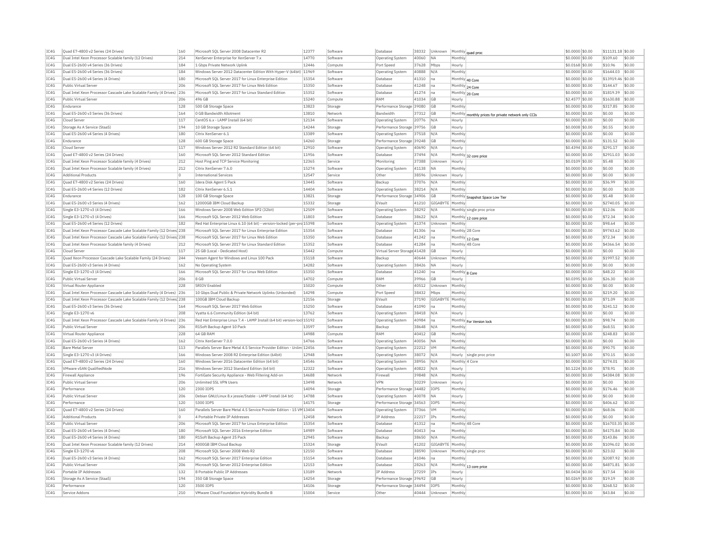| IC4G | Quad E7-4800 v2 Series (24 Drives)                                    | 160     | Microsoft SQL Server 2008 Datacenter R2                                | 12377 | Software | Database                     | 38332 | Unknown          |                 | Monthly quad proc                            | \$0.0000 \$0.00   | \$11131.18 \$0.00 |        |
|------|-----------------------------------------------------------------------|---------|------------------------------------------------------------------------|-------|----------|------------------------------|-------|------------------|-----------------|----------------------------------------------|-------------------|-------------------|--------|
| IC4G | Dual Intel Xeon Processor Scalable family (12 Drives)                 | 214     | XenServer Enterprise for XenServer 7.x                                 | 14770 | Software | Operating System             | 40060 | <b>NA</b>        | Monthly         |                                              | \$0.0000 \$0.00   | \$109.60          | \$0.00 |
| IC4G | Dual E5-2600 v4 Series (36 Drives)                                    | 184     | 1 Gbps Private Network Uplink                                          | 12446 | Compute  | Port Speed                   | 37628 | Mbps             | Hourly          |                                              | \$0.0168 \$0.00   | \$10.96           | \$0.00 |
| TC4G | Dual E5-2600 v4 Series (36 Drives)                                    | 184     | Windows Server 2012 Datacenter Edition With Hyper-V (64bit) 11969      |       | Software | <b>Operating System</b>      | 40888 | N/A              | Monthly         |                                              | \$0,0000 \$0.00   | \$1644.03         | \$0.00 |
| IC4G | Dual E5-2600 v4 Series (4 Drives)                                     | 180     | Microsoft SOL Server 2017 for Linux Enterprise Edition                 | 15354 | Software | Database                     | 41310 | Ina              | Monthly 40 Core |                                              | \$0,0000 \$0.00   | \$13919.46 \$0.00 |        |
| IC4G | Public Virtual Server                                                 | 206     | Microsoft SOL Server 2017 for Linux Web Edition                        | 15350 | Software | Database                     | 41248 | na               | Monthly 24 Core |                                              | \$0.0000 \$0.00   | \$144.67          | \$0.00 |
| IC4G | Dual Intel Xeon Processor Cascade Lake Scalable Family (4 Drives)     | 236     | Microsoft SQL Server 2017 for Linux Standard Edition                   | 15352 | Software | Database                     | 41274 | - Ina            | Monthly 20 Core |                                              | \$0.0000 \$0.00   | \$1819.39         | \$0.00 |
| IC4G | Public Virtual Server                                                 | 206     | 496 GB                                                                 | 15240 | Compute  | RAM                          | 41034 | <b>GB</b>        | Hourly          |                                              | \$2,4577 \$0.00   | \$1630.88         | \$0.00 |
| TC4G | Endurance                                                             | 128     | 500 GB Storage Space                                                   | 13823 | Storage  | Performance Storage 39080    |       | GB               | Monthly         |                                              | \$0,0000 \$0.00   | \$317.85          | \$0.00 |
|      |                                                                       | 164     |                                                                        | 13810 |          | <b>Bandwidth</b>             |       |                  |                 |                                              |                   |                   |        |
| IC4G | Dual E5-2600 v3 Series (36 Drives)                                    |         | 0 GB Bandwidth Allotment                                               |       | Network  |                              | 37312 | GB               | Monthly         | monthly prices for private network only CCIs | \$0.0000 \$0.00   | \$0.00            | \$0.00 |
| IC4G | Cloud Server                                                          | 117     | CentOS 6.x - LAMP Install (64 bit)                                     | 12134 | Software | Operating System             | 20776 | N/A              | Hourly          |                                              | \$0,0000 \$0.00   | \$0.00            | \$0.00 |
| TC4G | Storage As A Service (StaaS)                                          | 194     | 10 GB Storage Space                                                    | 14244 | Storage  | Performance Storage 39756    |       | GB               | Hourly          |                                              | \$0,0008 \$0.00   | \$0.55            | \$0.00 |
| IC4G | Dual E5-2600 v4 Series (4 Drives)                                     | 180     | Citrix XenServer 6.1                                                   | 13389 | Software | Operating System             | 37518 | N/A              | Monthly         |                                              | \$0,0000 \$0.00   | \$0.00            | \$0.00 |
| IC4G | Endurance                                                             | 128     | 600 GB Storage Space                                                   | 14260 | Storage  | Performance Storage 39248    |       | GB               | Monthly         |                                              | \$0.0000 \$0.00   | \$131.52          | \$0.00 |
| IC4G | Cloud Server                                                          | 117     | Windows Server 2012 R2 Standard Edition (64 bit)                       | 12910 | Software | <b>Operating System</b>      | 40690 | N/A              | Hourly          |                                              | \$0.4394 \$0.00   | \$291.17          | \$0.00 |
| IC4G | Quad E7-4800 v2 Series (24 Drives)                                    | 160     | Microsoft SQL Server 2012 Standard Edition                             | 11956 | Software | Database                     | 37494 | N/A              |                 | Monthly 32 core price                        | \$0.0000 \$0.00   | \$2911.03         | \$0.00 |
| IC4G | Dual Intel Xeon Processor Scalable family (4 Drives)                  | 212     | Host Ping and TCP Service Monitoring                                   | 12365 | Service  | Monitoring                   | 37388 | Unknown          | Hourly          |                                              | \$0,0109 \$0.00   | \$5.48            | \$0.00 |
| IC4G | Dual Intel Xeon Processor Scalable family (4 Drives)                  | 212     | Citrix XenServer 7.6.0                                                 | 15274 | Software | Operating System             | 41138 | <b>NA</b>        | Monthly         |                                              | \$0,0000 \$0.00   | \$0.00            | \$0.00 |
| IC4G | <b>Additional Products</b>                                            | $\circ$ | <b>International Services</b>                                          | 12547 | Service  | Other                        | 38596 | Unknown          | Hourly          |                                              | \$0,0000 \$0.00   | \$0.00            | \$0.00 |
| IC4G | Quad E7-4800 v2 Series (24 Drives)                                    | 160     | Idera Disk Agent 5 Pack                                                | 13445 | Software | Backup                       | 37076 | N/A              | Monthly         |                                              | \$0,0000 \$0.00   | \$36.99           | \$0.00 |
| IC4G | Dual E5-2600 v4 Series (12 Drives)                                    | 182     | Citrix XenServer 6.5.1                                                 | 14404 | Software | Operating System             | 38214 | N/A              | Monthly         |                                              | \$0.0000 \$0.00   | \$0.00            | \$0.00 |
| TC4G | Endurance                                                             | 128     | 100 GB Storage Space                                                   | 13821 | Storage  | Performance Storage 34906    |       | GB               |                 | Monthly Snapshot Space Low Tier              | \$0,0000 \$0.00   | \$5.48            | \$0.00 |
| IC4G | Dual E5-2600 v3 Series (4 Drives)                                     | 162     | 12000GB IBM Cloud Backup                                               | 15332 | Storage  | EVault                       | 41210 | GIGABYTE Monthly |                 |                                              | \$0,0000 \$0.00   | \$2740.05         | \$0.00 |
| IC4G | Single E3-1270 v3 (4 Drives)                                          | 166     | Windows Server 2008 Web Edition SP2 (32bit)                            | 12509 | Software | Operating System             | 38292 | N/A              |                 | Monthly single proc price                    | \$0,0000 \$0.00   | \$12.06           | \$0.00 |
| IC4G | Single E3-1270 v3 (4 Drives)                                          | 166     | Microsoft SQL Server 2012 Web Edition                                  | 11803 | Software | Database                     | 38622 | N/A              |                 |                                              | \$0.0000 \$0.00   | \$72.34           | \$0.00 |
| IC4G | Dual E5-2600 v4 Series (12 Drives)                                    | 182     |                                                                        |       | Software |                              | 41374 | Unknown          |                 | Monthly 12 core price                        |                   | \$98.64           | \$0.00 |
|      |                                                                       |         | Red Hat Enterprise Linux 6.10 (64 bit) - version-locked (per-prc 15398 |       |          | Operating System             |       |                  | Monthly         |                                              | \$0.0000 \$0.00   |                   |        |
| TC4G | Dual Intel Xeon Processor Cascade Lake Scalable Family (12 Drives 238 |         | Microsoft SOL Server 2017 for Linux Enterprise Edition                 | 15354 | Software | Database                     | 41306 | Ina              |                 | Monthly 28 Core                              | \$0,0000 \$0.00   | \$9743.62         | \$0.00 |
| IC4G | Dual Intel Xeon Processor Cascade Lake Scalable Family (12 Drives 238 |         | Microsoft SOL Server 2017 for Linux Web Edition                        | 15350 | Software | Database                     | 41242 | Ina              | Monthly 12 Core |                                              | \$0,0000 \$0.00   | \$72.34           | \$0.00 |
| IC4G | Dual Intel Xeon Processor Scalable family (4 Drives)                  | 212     | Microsoft SOL Server 2017 for Linux Standard Edition                   | 15352 | Software | Database                     | 41284 | Ina              | Monthly 48 Core |                                              | \$0,0000 \$0.00   | \$4366.54         | \$0.00 |
| IC4G | Cloud Server                                                          | 117     | 25 GB (Local - Dedicated Host)                                         | 15442 | Compute  | Virtual Server Storage 41428 |       | GB               | Hourly          |                                              | \$0.0000 \$0.00   | \$0.00            | \$0.00 |
| IC4G | Quad Xeon Processor Cascade Lake Scalable Family (24 Drives)          | 244     | Veeam Agent for Windows and Linux 100 Pack                             | 15118 | Software | Backup                       | 40644 | Unknown          | Monthl          |                                              | \$0.0000 \$0.00   | \$1997.52         | \$0.00 |
| IC4G | Dual E5-2600 v3 Series (4 Drives)                                     | 162     | No Operating System                                                    | 14282 | Software | Operating System             | 38426 | <b>NA</b>        | Hourly          |                                              | \$0,0000 \$0.00   | \$0.00            | \$0.00 |
| IC4G | Single E3-1270 v3 (4 Drives)                                          | 166     | Microsoft SQL Server 2017 for Linux Web Edition                        | 15350 | Software | Database                     | 41240 | Ina              | Monthly 8 Core  |                                              | \$0.0000 \$0.00   | \$48.22           | \$0.00 |
| IC4G | Public Virtual Server                                                 | 206     | 8 GB                                                                   | 14702 | Compute  | RAM                          | 39966 | GB               | Hourly          |                                              | \$0.0395 \$0.00   | \$26.30           | \$0.00 |
| IC4G | Virtual Router Appliance                                              | 228     | <b>SRIOV Enabled</b>                                                   | 15020 | Compute  | Other                        | 40512 | Unknown          | Monthly         |                                              | \$0,0000 \$0.00   | \$0.00            | \$0.00 |
| IC4G | Dual Intel Xeon Processor Cascade Lake Scalable Family (4 Drives)     | 236     | 10 Gbps Dual Public & Private Network Uplinks (Unbonded)               | 14298 | Compute  | Port Speed                   | 38432 | Mbps             | Monthly         |                                              | \$0.0000 \$0.00   | \$219.20          | \$0.00 |
| TC4G | Dual Intel Xeon Processor Cascade Lake Scalable Family (12 Drives 238 |         | 100GB IBM Cloud Backup                                                 | 12156 | Storage  | FVault                       | 37190 | GIGABYTE Monthly |                 |                                              | \$0,0000 \$0,00   | \$71.09           | \$0.00 |
| IC4G | Dual E5-2600 v3 Series (36 Drives)                                    | 164     | Microsoft SOL Server 2017 Web Edition                                  | 15250 | Software | Database                     | 41090 | na               | Monthly         |                                              | \$0,0000 \$0.00   | \$241.12          | \$0.00 |
| IC4G | Single E3-1270 v6                                                     | 208     | Vyatta 6.6 Community Edition (64 bit)                                  | 13762 | Software | Operating System             | 38418 | N/A              | Hourly          |                                              | \$0.0000 \$0.00   | \$0.00            | \$0.00 |
| IC4G | Dual Intel Xeon Processor Cascade Lake Scalable Family (4 Drives) 236 |         | Red Hat Enterprise Linux 7.4 - LAMP Install (64 bit) version-loc 15192 |       | Software | Operating System             | 40984 | Ina              |                 |                                              | \$0,0000 \$0.00   | \$98.74           | \$0.00 |
| IC4G | Public Virtual Serve                                                  | 206     | R1Soft Backup Agent 10 Pack                                            | 13597 | Software | Backup                       | 38648 | N/f              | Monthly         | Monthly For Version lock                     | \$0,0000 \$0.00   | \$68.51           | \$0.00 |
| TC4G | Virtual Router Appliance                                              | 228     | 64 GB RAM                                                              | 14988 | Compute  | RAM                          | 40412 | <b>GB</b>        | Monthly         |                                              | \$0,0000 \$0.00   | \$248.83          | \$0.00 |
|      |                                                                       |         | Citrix XenServer 7.0.0                                                 | 14766 |          |                              |       |                  |                 |                                              |                   |                   | \$0.00 |
| IC4G | Dual E5-2600 v3 Series (4 Drives)                                     | 162     |                                                                        |       | Software | Operating System             | 40056 | NA               | Monthly         |                                              | \$0.0000 \$0.00   | \$0.00            |        |
| IC4G | Bare Metal Server                                                     | 113     | Parallels Server Bare Metal 4.5 Service Provider Edition - Unlim 12456 |       | Software | Operating System             | 22212 | <b>VM</b>        | Monthly         |                                              | \$0,0000 \$0.00   | \$90.75           | \$0.00 |
| TC4G | Single E3-1270 v3 (4 Drives)                                          | 166     | Windows Server 2008 R2 Enterprise Edition (64bit)                      | 12948 | Software | Operating System             | 38072 | N/A              |                 | Hourly single proc price                     | \$0.1007 \$0.00   | \$70.15           | \$0.00 |
| IC4G | Quad E7-4800 v2 Series (24 Drives)                                    | 160     | Windows Server 2016 Datacenter Edition (64 bit)                        | 14546 | Software | Operating System             | 38956 | N/A              | Monthly 4 Core  |                                              | \$0.0000 \$0.00   | \$274.01          | \$0.00 |
| IC4G | VMware vSAN OualifiedNode                                             | 216     | Windows Server 2012 Standard Edition (64 bit)                          | 12322 | Software | Operating System             | 40822 | N/A              | Hourly          |                                              | \$0,1224 \$0.00   | \$78.91           | \$0.00 |
| IC4G | Firewall Appliance                                                    | 196     | FortiGate Security Appliance - Web Filtering Add-on                    | 14688 | Network  | Firewall                     | 39848 | N/A              | Monthly         |                                              | \$0.0000 \$0.00   | \$4384.08         | \$0.00 |
| TC4G | Public Virtual Server                                                 | 206     | Unlimited SSL VPN Users                                                | 13498 | Network  | <b>VPN</b>                   | 30239 | Unknown          | Hourly          |                                              | \$0.0000 \$0.00   | \$0.00            | \$0.00 |
| TC4G | Performance                                                           | 120     | 2300 TOPS                                                              | 14094 | Storage  | Performance Storage 34482    |       | <b>TOPS</b>      | Monthly         |                                              | \$0,0000 \$0.00   | \$176.46          | \$0.00 |
| IC4G | Public Virtual Server                                                 | 206     | Debian GNU/Linux 8.x jessie/Stable - LAMP Install (64 bit)             | 14788 | Software | <b>Operating System</b>      | 40078 | N <sub>A</sub>   | Hourly          |                                              | \$0.0000 \$0.00   | \$0.00            | \$0.00 |
| IC4G | Performance                                                           | 120     | 5300 IOPS                                                              | 14175 | Storage  | Performance Storage 34563    |       | <b>IOPS</b>      | Monthly         |                                              | \$0,0000 \$0,00   | \$406.62          | sin nn |
| IC4G | Ouad E7-4800 v2 Series (24 Drives)                                    | 160     | Parallels Server Bare Metal 4.5 Service Provider Edition - 15 VM       | 13404 | Software | <b>Operating System</b>      | 37366 | <b>VM</b>        | Monthly         |                                              | \$0.0000 \$0.00   | \$68.06           | \$0.00 |
| IC4G | <b>Additional Products</b>                                            | ١o      | 4 Portable Private IP Addresses                                        | 12458 | Network  | IP Address                   | 22217 | IPs              | Monthly         |                                              | \$0.0000 \$0.00   | \$0.00            | \$0.00 |
| IC4G | Public Virtual Server                                                 | 206     | Microsoft SQL Server 2017 for Linux Enterprise Edition                 | 15354 | Software | Database                     | 41312 | Ina              |                 | Monthly 48 Core                              | \$0,0000 \$0.00   | \$16703.35 \$0.00 |        |
| IC4G | Dual E5-2600 v4 Series (4 Drives                                      | 180     | Microsoft SQL Server 2016 Enterprise Edition                           | 14989 | Software | Database                     | 40413 | Ina              | Monthly         |                                              | \$0,0000 \$0.00   | \$4175.84         | \$0.00 |
| IC4G | Dual E5-2600 v4 Series (4 Drives)                                     | 180     | R1Soft Backup Agent 25 Pack                                            | 12945 | Software | Backup                       | 38650 | N/A              | Monthly         |                                              | $$0.0000$ $$0.00$ | \$143.86          | \$0.00 |
| IC4G | Dual Intel Xeon Processor Scalable family (12 Drives)                 | 214     | 4000GB IBM Cloud Backup                                                | 15324 | Storage  | EVault                       | 41202 | GIGABYTE Monthly |                 |                                              | \$0.0000 \$0.00   | \$1096.02         | \$0.00 |
| IC4G | Single E3-1270 v6                                                     | 208     | Microsoft SOL Server 2008 Web R2                                       | 12150 | Software | Database                     | 38590 | Unknown          |                 | Monthly single proc                          | \$0.0000 \$0.00   | \$23.02           | \$0.00 |
| IC4G | Dual E5-2600 v3 Series (4 Drives)                                     | 162     | Microsoft SOL Server 2017 Enterprise Edition                           | 15154 |          | Database                     | 41046 | Ina              | Monthly         |                                              | \$0,0000 \$0.00   | \$2087.92         | \$0.00 |
|      |                                                                       |         |                                                                        |       | Software |                              |       |                  |                 |                                              |                   |                   |        |
| IC4G | Public Virtual Serve                                                  | 206     | Microsoft SQL Server 2012 Enterprise Edition                           | 12153 | Software | Database                     | 28263 | N/A              |                 | Monthly 13 core price                        | \$0,0000 \$0.00   | \$4871.81         | \$0.00 |
| TCAG | Portable IP Addresses                                                 | 132     | 8 Portable Public IP Addresses                                         | 13189 | Network  | <b>IP Address</b>            | 27259 | <b>TPs</b>       | Hourly          |                                              | \$0.0434 \$0.00   | \$17.54           | \$0.00 |
| IC4G | Storage As A Service (StaaS)                                          | 194     | 350 GB Storage Space                                                   | 14254 | Storage  | Performance Storage 39692    |       | GB               | Hourly          |                                              | \$0.0269 \$0.00   | \$19.19           | \$0.00 |
| IC4G | Performance                                                           | 120     | 3500 IOPS                                                              | 14106 | Storage  | Performance Storage          | 34494 | IOPS             | <b>Monthly</b>  |                                              | \$0.0000 \$0.00   | \$268.52          | \$0.00 |
| IC4G | Service Addons                                                        | 210     | VMware Cloud Foundation Hybridity Bundle B                             | 15004 | Service  | Other                        | 40444 | Unknown          | Monthly         |                                              | \$0,0000 \$0.00   | \$43.84           | \$0.00 |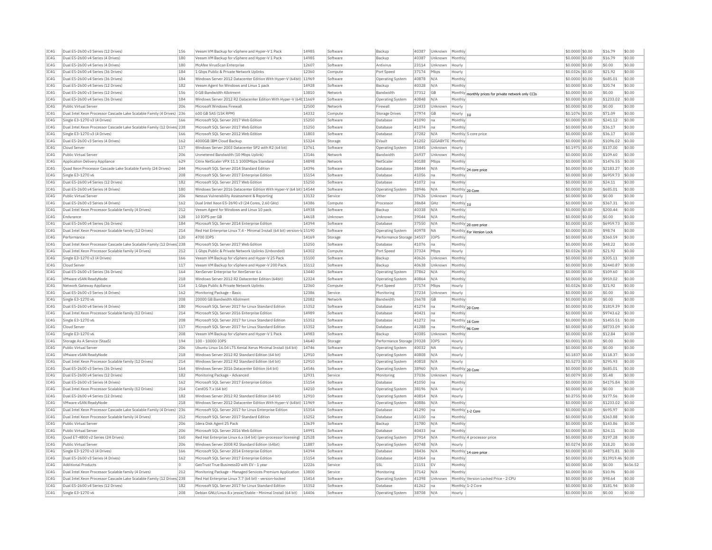| IC4G | Dual E5-2600 v3 Series (12 Drives)                                     | 156 | Veeam VM Backup for vSphere and Hyper-V 1 Pack                           | 14985 | Software | Backup                    | 40387 | Unknown     | Monthly                                              | \$0,0000 \$0.00  | \$16.79           | \$0.00   |
|------|------------------------------------------------------------------------|-----|--------------------------------------------------------------------------|-------|----------|---------------------------|-------|-------------|------------------------------------------------------|------------------|-------------------|----------|
| IC4G | Dual E5-2600 v4 Series (4 Drives)                                      | 180 | Veeam VM Backup for vSphere and Hyper-V 1 Pack                           | 14985 | Software | Backup                    | 40387 | Unknown     | Monthly                                              | \$0,0000 \$0.00  | \$16.79           | \$0.00   |
| IC4G | Dual E5-2600 v4 Series (4 Drives)                                      | 180 | McAfee VirusScan Enterprise                                              | 12607 | Software | Antivirus                 | 23114 | Unknown     | Hourly                                               | \$0,0000 \$0.00  | \$0.00            | \$0.00   |
| IC4G | Dual E5-2600 v4 Series (36 Drives)                                     | 184 | 1 Gbps Public & Private Network Uplinks                                  | 12360 | Compute  | Port Speed                | 37174 | Mbps        | Hourly                                               | \$0.0326 \$0.00  | \$21.92           | \$0.00   |
| TCAG | Dual E5-2600 v4 Series (36 Drives                                      | 184 | Windows Server 2012 Datacenter Edition With Hyper-V (64bit) 11969        |       | Software | Operating System          | 40878 | N/A         | Monthly                                              | $$0.0000$ \$0.00 | \$685.01          | \$0.00   |
| TC4G | Dual E5-2600 v4 Series (12 Drives)                                     | 182 | Veeam Agent for Windows and Linux 1 pack                                 | 14928 | Software | Backup                    | 40328 | N/A         | Monthly                                              | \$0.0000 \$0.00  | \$20.74           | \$0.00   |
| IC4G | Dual E5-2600 v3 Series (12 Drives)                                     | 156 | 0 GB Bandwidth Allotment                                                 | 13810 | Network  | Bandwidth                 | 37312 | <b>GB</b>   | Monthly monthly prices for private network only CCIs | \$0.0000 \$0.00  | \$0.00            | \$0.00   |
| TCAG | Dual E5-2600 v4 Series (36 Drives)                                     | 184 | Windows Server 2012 R2 Datacenter Edition With Hyper-V (64H11669         |       | Software | Operating System          | 40848 | N/A         | Monthly                                              | $$0.0000$ \$0.00 | \$1233.02         | \$0.00   |
| IC4G | Public Virtual Server                                                  | 206 | Microsoft Windows Firewall                                               | 12500 | Network  | Firewal                   | 22433 | Unknown     | Hourly                                               | \$0.0000 \$0.00  | \$0.00            | \$0.00   |
| IC4G | Dual Intel Xeon Processor Cascade Lake Scalable Family (4 Drives) 236  |     | 600 GB SAS (15K RPM)                                                     | 14332 | Compute  | <b>Storage Drives</b>     | 37974 | GB          | Hourly                                               | \$0,1076 \$0.00  | \$71.09           | \$0.00   |
| TCAG | Single E3-1270 v3 (4 Drives)                                           | 166 | Microsoft SOL Server 2017 Web Edition                                    | 15250 | Software | Database                  | 41090 | na          | Monthly                                              | \$0.0000 \$0.00  | \$241.12          | \$0.00   |
| IC4G | Dual Intel Xeon Processor Cascade Lake Scalable Family (12 Drives) 238 |     | Microsoft SQL Server 2017 Web Edition                                    | 15250 | Software | Database                  | 41074 | na          | Monthly                                              | \$0.0000 \$0.00  | \$36.17           | \$0.00   |
| IC4G | Single E3-1270 v3 (4 Drives)                                           | 166 | Microsoft SOL Server 2012 Web Edition                                    | 11803 | Software | Database                  | 37282 | N/A         | Monthly 5 core price                                 | \$0,0000 \$0.00  | \$36.17           | \$0.00   |
|      |                                                                        |     |                                                                          |       |          |                           |       |             |                                                      |                  |                   |          |
| IC4G | Dual E5-2600 v3 Series (4 Drives)                                      | 162 | 4000GB IBM Cloud Backup                                                  | 15324 | Storage  | EVault                    | 41202 | GIGABYTE    | Monthly                                              | \$0,0000 \$0.00  | \$1096.02         | \$0.00   |
| IC4G | Cloud Serve                                                            | 117 | Windows Server 2003 Datacenter SP2 with R2 (64 bit)                      | 13761 | Software | <b>Operating System</b>   | 33445 | Unknown     | Hourly                                               | \$0,1975 \$0.00  | \$137.00          | \$0.00   |
| IC4G | Public Virtual Server                                                  | 206 | Unmetered Bandwidth (10 Mbps Uplink)                                     | 13146 | Network  | Bandwidth                 | 26937 | Unknown     | Monthly                                              | \$0.0000 \$0.00  | \$109.60          | \$0.00   |
| IC4G | Application Delivery Appliance                                         | 629 | Citrix NetScaler VPX 11.1 1000Mbps Standard                              | 14898 | Network  | NetScale                  | 40188 | Mbps        | Monthly                                              | \$0.0000 \$0.00  | \$1476.55         | \$0.00   |
| IC4G | Ouad Xeon Processor Cascade Lake Scalable Family (24 Drives)           | 244 | Microsoft SOL Server 2014 Standard Edition                               | 14396 | Software | Database                  | 38444 | N/A         | Monthly 24 core price                                | \$0.0000 \$0.00  | \$2183.27         | 50.00    |
| IC4G | Single E3-1270 v6                                                      | 208 | Microsoft SOL Server 2017 Enterprise Edition                             | 15154 | Software | Database                  | 41056 | Ina         | Monthly                                              | \$0,0000 \$0.00  | \$6959.73         | \$0.00   |
| IC4G | Dual E5-2600 v4 Series (12 Drives)                                     | 182 | Microsoft SOL Server 2017 Web Edition                                    | 15250 | Software | Database                  | 41072 | na          | Monthly                                              | \$0,0000 \$0.00  | \$24.11           | \$0.00   |
| IC4G | Dual E5-2600 v4 Series (4 Drives)                                      | 180 | Windows Server 2016 Datacenter Edition With Hyper-V (64 bit) 14544       |       | Software | Operating System          | 38946 | N/A         | Monthly 20 Core                                      | \$0.0000 \$0.00  | \$685.01          | \$0.00   |
| IC4G | Public Virtual Server                                                  | 206 | Nessus Vulnerability Assessment & Reporting                              | 13132 | Service  | Other                     | 37626 | Unknown     | Hourly                                               | \$0,0000 \$0.00  | \$0.00            | \$0.00   |
| IC4G | Dual E5-2600 v3 Series (4 Drives)                                      | 162 | Dual Intel Xeon E5-2690 v3 (24 Cores, 2.60 GHz)                          | 14386 | Compute  | Processor                 | 38684 | GHz         | Monthly 1U                                           | $$0.0000$ \$0.00 | \$367.31          | \$0.00   |
| IC4G | Dual Intel Xeon Processor Scalable family (4 Drives)                   | 212 | Veeam Agent for Windows and Linux 10 pack                                | 14938 | Software | Backup                    | 40338 | N/A         | Monthly                                              | \$0.0000 \$0.00  | \$200.44          | \$0.00   |
| IC4G | Endurance                                                              | 128 | 10 IOPS per GB                                                           | 14618 | Unknown  | Unknown                   | 39044 | N/A         | Monthly                                              | \$0,0000 \$0.00  | \$0.00            | \$0.00   |
| IC4G | Dual E5-2600 v4 Series (36 Drives)                                     | 184 | Microsoft SQL Server 2014 Enterprise Edition                             | 14394 | Software | Database                  | 37550 | N/A         | Monthly 20 core price                                | \$0.0000 \$0.00  | \$6959.73         | \$0.00   |
| IC4G | Dual Intel Xeon Processor Scalable family (12 Drives)                  | 214 | Red Hat Enterprise Linux 7.4 - Minimal Install (64 bit) version-Id 15190 |       | Software | Operating System          | 40978 | NA          | Monthly For Version Lock                             | \$0.0000 \$0.00  | \$98.74           | \$0.00   |
| TCAG | Performance                                                            | 120 | 4700 TOPS                                                                | 14169 | Storage  | Performance Storage 34557 |       | <b>TOPS</b> | Monthly                                              | $$0.0000$ \$0.00 | \$360.59          | \$0.00   |
| TCAG | Dual Intel Xeon Processor Cascade Lake Scalable Family (12 Drives) 238 |     | Microsoft SOL Server 2017 Web Edition                                    | 15250 | Software | Database                  | 41076 | Ina         | Monthly                                              | \$0.0000 \$0.00  | \$48.22           | \$0.00   |
| IC4G | Dual Intel Xeon Processor Scalable family (4 Drives)                   | 212 | 1 Gbps Public & Private Network Uplinks (Unbonded                        | 14302 |          | Port Speed                | 37324 | Mbps        | Hourly                                               | \$0.0326 \$0.00  | \$21.92           | \$0.00   |
| IC4G | Single E3-1270 v3 (4 Drives)                                           | 166 | Veeam VM Backup for vSphere and Hyper-V 25 Pack                          | 15100 | Compute  | Backup                    | 40626 |             | Monthly                                              | \$0,0000 \$0.00  | \$305.11          | \$0.00   |
|      |                                                                        |     |                                                                          |       | Software |                           |       | Unknown     |                                                      |                  |                   |          |
| IC4G | Cloud Serve                                                            | 117 | Veeam VM Backup for vSphere and Hyper-V 200 Pack                         | 15112 | Software | Backup                    | 40638 | Unknown     | Monthly                                              | \$0.0000 \$0.00  | \$2440.87         | \$0.00   |
| IC4G | Dual E5-2600 v3 Series (36 Drives)                                     | 164 | XenServer Enterprise for XenServer 6.x                                   | 13440 | Software | Operating System          | 37862 | N/A         | Monthly                                              | \$0,0000 \$0.00  | \$109.60          | \$0.00   |
| IC4G | VMware vSAN ReadvNode                                                  | 218 | Windows Server 2012 R2 Datacenter Edition (64bit                         | 12324 | Software | <b>Operating System</b>   | 40864 | N/A         | Monthly                                              | \$0,0000 \$0.00  | \$959.02          | \$0.00   |
| IC4G | Network Gateway Appliance                                              | 114 | 1 Gbps Public & Private Network Uplinks                                  | 12360 | Compute  | Port Speed                | 37174 | Mbps        | Hourly                                               | \$0.0326 \$0.00  | \$21.92           | \$0.00   |
| IC4G | Dual E5-2600 v3 Series (4 Drives)                                      | 162 | Monitoring Package - Basic                                               | 12386 | Service  | Monitoring                | 37234 | Unknown     | Hourly                                               | \$0,0000 \$0.00  | \$0.00            | \$0.00   |
| IC4G | Single E3-1270 v6                                                      | 208 | 20000 GB Bandwidth Allotment                                             | 12082 | Network  | Bandwidth                 | 26678 | GB          | Monthly                                              | \$0,0000 \$0.00  | \$0.00            | \$0.00   |
| TC4G | Dual E5-2600 v4 Series (4 Drives)                                      | 180 | Microsoft SOL Server 2017 for Linux Standard Edition                     | 15352 | Software | Database                  | 41274 | Ina         | Monthly 20 Core                                      | \$0,0000 \$0.00  | \$1819.39         | \$0.00   |
| IC4G | Dual Intel Xeon Processor Scalable family (12 Drives)                  | 214 | Microsoft SQL Server 2016 Enterprise Edition                             | 14989 | Software | Database                  | 40421 | Ina         | Monthly                                              | \$0.0000 \$0.00  | \$9743.62         | \$0.00   |
| IC4G | Single E3-1270 v6                                                      | 208 | Microsoft SOL Server 2017 for Linux Standard Edition                     | 15352 | Software | Database                  | 41272 | na          | Monthly 16 Core                                      | \$0.0000 \$0.00  | \$1455.51         | \$0.00   |
| TCAG | Cloud Serve                                                            | 117 | Microsoft SOL Server 2017 for Linux Standard Edition                     | 15352 | Software | Database                  | 41288 | Ina         | Monthly 96 Core                                      | $$0.0000$ \$0.00 | \$8733.09         | \$0.00   |
| IC4G | Single E3-1270 v6                                                      | 208 | Veeam VM Backup for vSphere and Hyper-V 1 Pack                           | 14983 | Software | Backup                    | 40385 | Unknown     | Monthly                                              | \$0,0000 \$0.00  | \$12.84           | \$0.00   |
| IC4G | Storage As A Service (StaaS)                                           | 194 | 100 - 10000 TOPS                                                         | 14640 | Storage  | Performance Storage 39328 |       | IOPS        | Hourly                                               | \$0,0001 \$0.00  | \$0.00            | \$0.00   |
| IC4G | Public Virtual Server                                                  | 206 | Ubuntu Linux 16.04 LTS Xenial Xerus Minimal Install (64 bit)             | 14746 | Software | Operating System          | 40032 | <b>NA</b>   | Hourly                                               | \$0.0000 \$0.00  | \$0.00            | \$0.00   |
| IC4G | VMware vSAN ReadyNode                                                  | 218 | Windows Server 2012 R2 Standard Edition (64 bit)                         | 12910 | Software | <b>Operating System</b>   | 40808 | N/A         | Hourly                                               | \$0.1837 \$0.00  | \$118.37          | \$0.00   |
| TC4G | Dual Intel Xeon Processor Scalable family (12 Drives)                  | 214 | Windows Server 2012 R2 Standard Edition (64 bit)                         | 12910 | Software | Operating System          | 40818 | N/A         | Hourly                                               | \$0,5273 \$0.00  | \$295.93          | \$0.00   |
| IC4G | Dual E5-2600 v3 Series (36 Drives)                                     | 164 | Windows Server 2016 Datacenter Edition (64 bit)                          | 14546 | Software | Operating System          | 38960 | N/A         | Monthly 20 Core                                      | \$0.0000 \$0.00  | \$685.01          | \$0.00   |
| IC4G | Dual E5-2600 v4 Series (12 Drives)                                     | 182 | Monitoring Package - Advanced                                            | 12931 | Service  | Monitoring                | 37036 | Unknown     | Hourly                                               | \$0,0079 \$0,00  | \$5.48            | \$0.00   |
| IC4G | Dual E5-2600 v3 Series (4 Drives)                                      | 162 | Microsoft SOL Server 2017 Enterprise Edition                             | 15154 | Software | Database                  | 41050 | na          | Monthly                                              | \$0,0000 \$0.00  | \$4175.84         | \$0.00   |
| IC4G | Dual Intel Xeon Processor Scalable family (12 Drives)                  | 214 | CentOS 7.x (64 bit)                                                      | 14210 | Software | <b>Operating System</b>   | 38196 | N/A         | Hourly                                               | \$0.0000 \$0.00  | \$0.00            | \$0.00   |
| IC4G | Dual E5-2600 v4 Series (12 Drives)                                     | 182 | Windows Server 2012 R2 Standard Edition (64 bit)                         | 12910 | Software |                           | 40814 | N/A         | Hourly                                               | \$0,2755 \$0.00  | \$177.56          | \$0.00   |
|      |                                                                        |     |                                                                          |       |          | <b>Operating System</b>   |       |             |                                                      |                  |                   |          |
| IC4G | VMware vSAN ReadvNode                                                  | 218 | Windows Server 2012 Datacenter Edition With Hyper-V (64bit) 11969        |       | Software | <b>Operating System</b>   | 40886 | $N/\beta$   | Monthly                                              | \$0,0000 \$0.00  | \$1233.02         | \$0.00   |
| IC4G | Dual Intel Xeon Processor Cascade Lake Scalable Family (4 Drives) 236  |     | Microsoft SQL Server 2017 for Linux Enterprise Edition                   | 15354 | Software | Database                  | 41290 | na          | Monthly 1-2 Core                                     | \$0,0000 \$0.00  | \$695.97          | \$0.00   |
| IC4G | Dual Intel Xeon Processor Scalable family (4 Drives)                   | 212 | Microsoft SQL Server 2017 Standard Edition                               | 15252 | Software | Database                  | 41100 | Ina         | Monthly                                              | \$0.0000 \$0.00  | \$363.88          | \$0.00   |
| IC4G | Public Virtual Server                                                  | 206 | Idera Disk Agent 25 Pack                                                 | 13639 | Software | Backup                    | 31780 | N/A         | Monthly                                              | \$0,0000 \$0.00  | \$143.86          | \$0.00   |
| IC4G | Public Virtual Server                                                  | 206 | Microsoft SOL Server 2016 Web Edition                                    | 14991 | Software | Database                  | 40433 | Ina         | Monthly                                              | \$0,0000 \$0.00  | \$24.11           | \$0.00   |
| IC4G | Quad E7-4800 v2 Series (24 Drives)                                     | 160 | Red Hat Enterprise Linux 6.x (64 bit) (per-processor licensing)          | 12528 | Software | Operating System          | 37914 | N/A         | Monthly 4 processor price                            | \$0,0000 \$0.00  | \$197.28          | \$0.00   |
| IC4G | Public Virtual Server                                                  | 206 | Windows Server 2008 R2 Standard Edition (64bit)                          | 11887 | Software | <b>Operating System</b>   | 40748 | N/A         | Hourly                                               | \$0,0274 \$0,00  | \$18.20           | \$0.00   |
| IC4G | Single E3-1270 v3 (4 Drives)                                           | 166 | Microsoft SQL Server 2014 Enterprise Edition                             | 14394 | Software | Database                  | 38436 | N/A         | Monthly 14 core price                                | \$0.0000 \$0.00  | \$4871.81         | \$0.00   |
| IC4G | Dual E5-2600 v3 Series (4 Drives)                                      | 162 | Microsoft SQL Server 2017 Enterprise Edition                             | 15154 | Software | Database                  | 41064 | Ina         | Monthly                                              | \$0.0000 \$0.00  | \$13919.46 \$0.00 |          |
| TCAG | <b>Additional Products</b>                                             | ln. | GeoTrust True BusinessID with EV - 1 year                                | 12226 | Service  | SSI                       | 21151 | FV          | Monthly                                              | $$0.0000$ \$0.00 | \$0.00            | \$656.52 |
| TC4G | Dual Intel Xeon Processor Scalable family (4 Drives)                   | 212 | Monitoring Package - Managed Services Premium Application                | 13800 | Service  | Monitoring                | 37142 | N/A         | Monthly                                              | \$0.0000 \$0.00  | \$10.96           | \$0.00   |
| IC4G | Dual Intel Xeon Processor Cascade Lake Scalable Family (12 Drives 238  |     | Red Hat Enterprise Linux 7.7 (64 bit) - version-locked                   | 15414 | Software | Operating System          | 41398 | Linknown    | Monthly Version Locked Price - 2 CPU                 | \$0,0000 \$0.00  | \$98.64           | \$0.00   |
| IC4G | Dual E5-2600 v4 Series (12 Drives)                                     | 182 | Microsoft SQL Server 2017 for Linux Standard Edition                     | 15352 | Software | Database                  | 41262 | na          | Monthly 1-2 Core                                     | $$0.0000$ \$0.00 | \$181.94          | \$0.00   |
| IC4G | Single E3-1270 v6                                                      | 208 | Debian GNU/Linux 8.x jessie/Stable - Minimal Install (64 bit)            | 14406 | Software | <b>Operating System</b>   | 38708 | N/A         | Hourly                                               | \$0.0000 \$0.00  | \$0.00            | \$0.00   |
|      |                                                                        |     |                                                                          |       |          |                           |       |             |                                                      |                  |                   |          |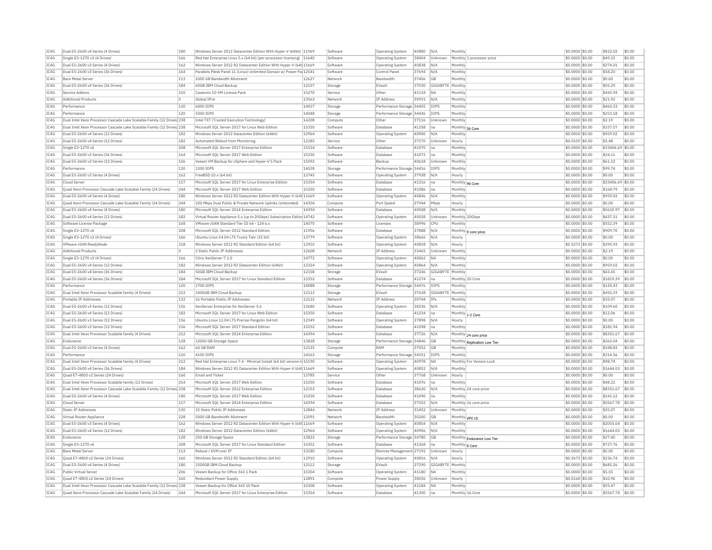| IC4G         | Dual E5-2600 v4 Series (4 Drives)                                                                                                     | 180        | Windows Server 2012 Datacenter Edition With Hyper-V (64bit) 11969                             |                | Software             | <b>Operating System</b>      | 40880          | N/A              | Monthly                   |                              | \$0.0000 \$0.00                     | \$822.02                    | \$0.00           |
|--------------|---------------------------------------------------------------------------------------------------------------------------------------|------------|-----------------------------------------------------------------------------------------------|----------------|----------------------|------------------------------|----------------|------------------|---------------------------|------------------------------|-------------------------------------|-----------------------------|------------------|
| TC4G         | Single E3-1270 v3 (4 Drives)                                                                                                          | 166        | Red Hat Enterprise Linux 5.x (64 bit) (per-processor licensing)   11640                       |                | Software             | <b>Operating System</b>      | 38404          | Unknown          |                           | Monthly 1 processor price    | \$0,0000 \$0,00                     | \$49.32                     | \$0.00           |
| IC4G         | Dual E5-2600 v3 Series (4 Drives)                                                                                                     | 162        | Windows Server 2012 R2 Datacenter Edition With Hyper-V (64t 11669                             |                | Software             | Operating System             | 40838          | N/A              | Monthly                   |                              | \$0,0000 \$0,00                     | \$274.01                    | \$0.00           |
| IC4G         | Dual E5-2600 v3 Series (36 Drives)                                                                                                    | 164        | Parallels Plesk Panel 11 (Linux) Unlimited Domain w/ Power Pa 12541                           |                | Software             | Control Pane                 | 37694          | N/A              | Monthly                   |                              | \$0.0000 \$0.00                     | \$58.20                     | \$0.00           |
| IC4G         | <b>Bare Metal Server</b>                                                                                                              | 113        | 1000 GB Bandwidth Allotment                                                                   | 12627          | Network              | Bandwidth                    | 37406          | GB               | Monthly                   |                              | \$0,0000 \$0.00                     | \$0.00                      | \$0.00           |
| IC4G         | Dual E5-2600 v4 Series (36 Drives)                                                                                                    | 184        | 60GB IBM Cloud Backup                                                                         | 12157          | Storage              | EVault                       | 37030          | GIGABYTE         | Monthly                   |                              | \$0,0000 \$0,00                     | \$55.29                     | \$0.00           |
| IC4G         | Service Addons                                                                                                                        | 210        | Caveonix 10-VM License Pack                                                                   | 15270          | Service              | Other                        | 41134          | <b>NA</b>        | Monthly                   |                              | \$0,0000 \$0,00                     | \$443.94                    | \$0.00           |
| IC4G         | <b>Additional Products</b>                                                                                                            | $\Omega$   | Global TPv6                                                                                   | 13563          | Network              | <b>TP Address</b>            | 30931          | N/A              | Monthly                   |                              | \$0.0000 \$0.00                     | \$21.92                     | \$0.00           |
| IC4G         | Performance                                                                                                                           | 120        | 6000 IOPS                                                                                     | 14017          | Storage              | Performance Storage 34405    |                | IOPS             | Monthly                   |                              | \$0,0000 \$0,00                     | \$460.33                    | \$0.00           |
| IC4G         | Performance                                                                                                                           | 120        | 3300 TOPS                                                                                     | 14048          | Storage              | Performance Storage 34436    |                | <b>TOPS</b>      | Monthly                   |                              | \$0,0000 \$0.00                     | \$253.18                    | \$0.00           |
| IC4G         | Dual Intel Xeon Processor Cascade Lake Scalable Family (12 Drives) 238                                                                |            | Intel TXT (Trusted Execution Technology)                                                      | 14208          | Compute              | Other                        | 37116          | Unknown          | Monthly                   |                              | \$0,0000 \$0,00                     | \$2.19                      | \$0.00           |
| TC4G         | Dual Intel Xeon Processor Cascade Lake Scalable Family (12 Drives 238                                                                 |            | Microsoft SQL Server 2017 for Linux Web Edition                                               | 15350          | Software             | Database                     | 41258          | na               |                           |                              | \$0,0000 \$0,00                     | \$337.57                    | \$0.00           |
| IC4G         | Dual E5-2600 v4 Series (12 Drives)                                                                                                    | 182        | Windows Server 2012 Datacenter Edition (64bit)                                                | 12964          |                      | Operating System             | 40900          | N/A              | Monthly                   | Monthly 56 Core              | \$0.0000 \$0.00                     | \$959.02                    | \$0.00           |
|              |                                                                                                                                       |            |                                                                                               |                | Software             |                              |                |                  |                           |                              |                                     |                             |                  |
| IC4G<br>IC4G | Dual E5-2600 v4 Series (12 Drives)<br>Single E3-1270 v6                                                                               | 182<br>208 | Automated Reboot from Monitoring<br>Microsoft SOL Server 2017 Enterprise Edition              | 12285<br>15154 | Service<br>Software  | Other<br>Database            | 37170          | Unknown          | Hourly<br>Monthly         |                              | \$0,0109 \$0,00<br>$$0.0000$ \$0.00 | \$5.48<br>\$33406.69 \$0.00 | \$0.00           |
|              |                                                                                                                                       |            |                                                                                               |                |                      |                              | 41070          | na               |                           |                              |                                     |                             |                  |
| TC4G         | Dual E5-2600 v3 Series (36 Drives)                                                                                                    | 164        | Microsoft SQL Server 2017 Web Edition                                                         | 15250          | Software             | Database                     | 41072          | Ina              | Monthly                   |                              | \$0.0000 \$0.00                     | \$24.11                     | \$0.00           |
| IC4G         | Dual E5-2600 v3 Series (12 Drives)                                                                                                    | 156        | Veeam VM Backup for vSphere and Hyper-V 5 Pack                                                | 15092          | Software             | Backup                       | 40618          | Unknown          | Monthly                   |                              | \$0.0000 \$0.00                     | \$61.22                     | \$0.00           |
| IC4G         | Performance                                                                                                                           | 120        | 1300 IOPS                                                                                     | 14028          | Storage              | Performance Storage 34416    |                | IOPS             | Monthly                   |                              | \$0,0000 \$0,00                     | \$99.74                     | \$0.00           |
| IC4G         | Dual E5-2600 v3 Series (4 Drives)                                                                                                     | 162        | FreeBSD 10.x (64 bit)                                                                         | 12745          | Software             | <b>Operating System</b>      | 37938          | N/A              | Hourly                    |                              | \$0.0000 \$0.00                     | \$0.00                      | \$0.00           |
| IC4G         | Cloud Server                                                                                                                          | 117        | Microsoft SQL Server 2017 for Linux Enterprise Edition                                        | 15354          | Software             | Database                     | 41316          | Ina              | Monthly 96 Core           |                              | \$0.0000 \$0.00                     | \$33406.69 \$0.00           |                  |
| IC4G         | Ouad Xeon Processor Cascade Lake Scalable Family (24 Drives)                                                                          | 244        | Microsoft SOL Server 2017 Web Edition                                                         | 15250          | Software             | Database                     | 41086          | na               | Monthly                   |                              | \$0.0000 \$0.00                     | \$168.79                    | \$0.00           |
| IC4G         | Dual E5-2600 v4 Series (4 Drives)                                                                                                     | 180        | Windows Server 2012 R2 Datacenter Edition With Hyper-V (64t 11669                             |                | Software             | <b>Operating System</b>      | 40846          | N/A              | Monthly                   |                              | \$0.0000 \$0.00                     | \$959.02                    | \$0.00           |
| IC4G         | Ouad Xeon Processor Cascade Lake Scalable Family (24 Drives)                                                                          | 244        | 100 Mbps Dual Public & Private Network Uplinks (Unbonded)                                     | 14304          | Compute              | Port Speed                   | 37944          | Mbps             | Hourly                    |                              | \$0,0000 \$0,00                     | \$0.00                      | \$0.00           |
| IC4G         | Dual E5-2600 v4 Series (4 Drives)                                                                                                     | 180        | Microsoft SOL Server 2014 Enterprise Edition                                                  | 14394          | Software             | Database                     | 40508          | N/A              | Monthly                   |                              | \$0,0000 \$0.00                     | \$5635.97                   | \$0.00           |
| IC4G         | Dual E5-2600 v4 Series (12 Drives)                                                                                                    | 182        | Virtual Router Appliance 5.x (up to 20Gbps) Subscription Editio 14742                         |                | Software             | <b>Operating System</b>      | 40028          | Unknown          |                           | Monthly 20Gbps               | \$0,0000 \$0,00                     | \$437.31                    | \$0.00           |
| IC4G         | Software License Package                                                                                                              | 168        | VMware vSAN Standard Tier III 64 - 124 6.                                                     | 14570          | Software             | Licenses                     | 38996          | CPU              | Monthly                   |                              | \$0,0000 \$0,00                     | \$552.39                    | \$0.00           |
| IC4G         | Single E3-1270 v6                                                                                                                     | 208        | Microsoft SOL Server 2012 Standard Edition                                                    | 11956          | Software             | Database                     | 37888          | N/A              |                           | Monthly 9 core price         | \$0.0000 \$0.00                     | \$909.70                    | \$0.00           |
| IC4G         | Single E3-1270 v3 (4 Drives)                                                                                                          | 166        | Ubuntu Linux 14.04 LTS Trusty Tahr (32 bit)                                                   | 13779          | Software             | Operating System             | 38666          | N/A              | Hourly                    |                              | \$0.0000 \$0.00                     | \$0.00                      | \$0.00           |
| IC4G         | VMware vSAN ReadyNode                                                                                                                 | 218        | Windows Server 2012 R2 Standard Edition (64 bit)                                              | 12910          | Software             | Operating System             | 40818          | N/A              | Hourly                    |                              | \$0.5273 \$0.00                     | \$295.93                    | \$0.00           |
| IC4G         | <b>Additional Products</b>                                                                                                            | lo.        | 2 Static Public TP Addresses                                                                  | 12608          | Network              | <b>IP Address</b>            | 33465          | Unknown          | Monthly                   |                              | \$0,0000 \$0.00                     | \$2.19                      | \$0.00           |
| IC4G         | Single E3-1270 v3 (4 Drives)                                                                                                          | 166        | Citrix XenServer 7.1.0                                                                        | 14772          | Software             | Operating System             | 40062          | <b>NA</b>        | Monthly                   |                              | \$0.0000 \$0.00                     | \$0.00                      | \$0.00           |
| IC4G         | Dual E5-2600 v4 Series (12 Drives)                                                                                                    | 182        | Windows Server 2012 R2 Datacenter Edition (64bit)                                             | 12324          | Software             | <b>Operating System</b>      | 40864          | N/A              | Monthly                   |                              | \$0.0000 \$0.00                     | \$959.02                    | \$0.00           |
| TC4G         | Dual E5-2600 v4 Series (36 Drives)                                                                                                    | 184        | 50GB TBM Cloud Backup                                                                         | 12158          | Storage              | FVault                       | 37246          | GIGARYTE Monthly |                           |                              | \$0,0000 \$0.00                     | \$43.45                     | \$0.00           |
| IC4G         | Dual E5-2600 v4 Series (36 Drives)                                                                                                    | 184        | Microsoft SQL Server 2017 for Linux Standard Edition                                          | 15352          | Software             | Database                     | 41274          | na               |                           | Monthly 20 Core              | \$0,0000 \$0,00                     | \$1819.39                   | \$0.00           |
| IC4G         | Performance                                                                                                                           | 120        | 1700 TOPS                                                                                     | 14088          |                      | Performance Storage 34476    |                | <b>TOPS</b>      | Monthly                   |                              | \$0,0000 \$0,00                     | \$130.43                    | \$0.00           |
| IC4G         | Dual Intel Xeon Processor Scalable family (4 Drives)                                                                                  | 212        | 1000GB IBM Cloud Backup                                                                       | 12113          | Storage<br>Storage   | FVault                       | 37638          | GIGABYTE Monthly |                           |                              | \$0.0000 \$0.00                     | \$455.19                    | \$0.00           |
|              |                                                                                                                                       |            |                                                                                               |                |                      |                              |                |                  |                           |                              |                                     |                             |                  |
| IC4G<br>IC4G | Portable IP Addresses<br>Dual E5-2600 v3 Series (12 Drives)                                                                           | 132<br>156 | 16 Portable Public IP Addresses<br>XenServer Enterprise for XenServer 5.6                     | 12122<br>13680 | Network<br>Software  | IP Address                   | 20744<br>38336 | IPs<br>N/A       | Monthly<br>Monthly        |                              | \$0.0000 \$0.00<br>$$0.0000$ \$0.00 | \$35.07<br>\$109.60         | \$0.00<br>\$0.00 |
|              |                                                                                                                                       |            |                                                                                               |                |                      | Operating System             |                |                  |                           |                              |                                     |                             |                  |
| TC4G         | Dual E5-2600 v4 Series (12 Drives)                                                                                                    | 182        | Microsoft SQL Server 2017 for Linux Web Edition                                               | 15350          | Software             | Database                     | 41234          | Ina              |                           | Monthly 1-2 Core             | \$0.0000 \$0.00                     | \$12.06                     | \$0.00           |
| IC4G         | Dual E5-2600 v3 Series (12 Drives)                                                                                                    | 156        | Ubuntu Linux 12.04 LTS Precise Pangolin (64 bit)                                              | 12349          | Software             | Operating System             | 37898          | N/A              | Hourly                    |                              | \$0.0000 \$0.00                     | \$0.00                      | \$0.00           |
| IC4G         | Dual E5-2600 v3 Series (12 Drives)                                                                                                    | 156        | Microsoft SQL Server 2017 Standard Edition                                                    | 15252          | Software             | Database                     | 41098          | Ina              | Monthly                   |                              | \$0,0000 \$0.00                     | \$181.94                    | \$0.00           |
| IC4G         | Dual Intel Xeon Processor Scalable family (4 Drives)                                                                                  | 212        | Microsoft SQL Server 2014 Enterprise Edition                                                  | 14394          | Software             | Database                     | 37726          | N/A              |                           | Monthly 24 core price        | \$0.0000 \$0.00                     | \$8351.67                   | \$0.00           |
| IC4G         | Endurance                                                                                                                             | 128        | 12000 GB Storage Space                                                                        | 13828          | Storage              | Performance Storage 34846    |                | <b>GB</b>        |                           | Monthly Replication Low Tier | \$0.0000 \$0.00                     | \$263.04                    | \$0.00           |
| IC4G         | Dual E5-2600 v3 Series (4 Drives)                                                                                                     | 162        | 64 GB RAM                                                                                     | 12135          | Compute              | RAM                          | 37052          | <b>GB</b>        | Monthly                   |                              | \$0.0000 \$0.00                     | \$248.83                    | \$0.00           |
| IC4G         | Performance                                                                                                                           | 120        | 4100 IOPS                                                                                     | 14163          | Storage              | Performance Storage 34551    |                | IOPS             | Monthly                   |                              | \$0.0000 \$0.00                     | \$314.56                    | \$0.00           |
| IC4G         | Dual Intel Xeon Processor Scalable family (4 Drives)                                                                                  | 212        | Red Hat Enterprise Linux 7.4 - Minimal Install (64 bit) version-Id 15190                      |                | Software             | <b>Operating System</b>      | 40978          | <b>NA</b>        |                           | Monthly For Version Lock     | \$0,0000 \$0,00                     | \$98.74                     | \$0.00           |
| IC4G         | Dual E5-2600 v4 Series (36 Drives)                                                                                                    | 184        | Windows Server 2012 R2 Datacenter Edition With Hyper-V (64t 11669                             |                | Software             | Operating System             | 40852          | N/A              | Monthly                   |                              | \$0,0000 \$0.00                     | \$1644.03                   | \$0.00           |
| IC4G         | Ouad E7-4800 v2 Series (24 Drives)                                                                                                    | 160        | <b>Email and Ticket</b>                                                                       | 13785          | Service              | Other                        | 37768          | Unknown          | Hourly                    |                              | \$0,0000 \$0,00                     | \$0.00                      | \$0.00           |
| IC4G         |                                                                                                                                       |            |                                                                                               |                |                      |                              |                |                  |                           |                              | \$0,0000 \$0,00                     | \$48.22                     | \$0.00           |
| IC4G         | Dual Intel Xeon Processor Scalable family (12 Drives)                                                                                 | 214        | Microsoft SQL Server 2017 Web Edition                                                         | 15250          | Software             | Database                     | 41076          | na               | Monthly                   |                              |                                     |                             | \$0.00           |
|              | Dual Intel Xeon Processor Cascade Lake Scalable Family (12 Drives) 238                                                                |            | Microsoft SOL Server 2012 Enterprise Edition                                                  | 12153          | Software             | Database                     | 38630          | N/A              |                           | Monthly 24 core price        | \$0.0000 \$0.00                     | \$8351.67                   |                  |
| IC4G         | Dual E5-2600 v4 Series (4 Drives)                                                                                                     | 180        | Microsoft SQL Server 2017 Web Edition                                                         | 15250          | Software             | Database                     | 41090          | na               | Monthly                   |                              | \$0,0000 \$0,00                     | \$241.12                    | \$0.00           |
| IC4G         | Cloud Server                                                                                                                          | 117        | Microsoft SQL Server 2014 Enterprise Edition                                                  | 14394          | Software             | Database                     | 37552          | N/A              |                           | Monthly 16 core price        | \$0,0000 \$0,00                     | \$5567.78                   | \$0.00           |
| IC4G         | Static TP Addresses                                                                                                                   | 130        | 32 Static Public TP Addresses                                                                 | 12844          | Network              | <b>IP Address</b>            | 31452          | Unknown          | Monthly                   |                              | \$0,0000 \$0,00                     | \$35.07                     | \$0.00           |
|              |                                                                                                                                       |            | 5000 GB Bandwidth Allotment                                                                   | 12091          | Network              | <b>Bandwidth</b>             |                | GB               |                           |                              |                                     | \$0.00                      | \$0.00           |
| IC4G<br>IC4G | Virtual Router Appliance<br>Dual E5-2600 v3 Series (4 Drives)                                                                         | 228<br>162 | Windows Server 2012 R2 Datacenter Edition With Hyper-V (64t 11669                             |                | Software             |                              | 30200<br>40854 | N/A              | Monthly VPX 10<br>Monthly |                              | \$0.0000 \$0.00<br>\$0,0000 \$0,00  | \$2055.04                   | \$0.00           |
| TC4G         | Dual E5-2600 v4 Series (12 Drives)                                                                                                    | 182        |                                                                                               | 12964          | Software             | Operating System             | 40906          | N/A              | Monthly                   |                              | \$0,0000 \$0.00                     | \$1644.03                   | 50.00            |
|              |                                                                                                                                       |            | Windows Server 2012 Datacenter Edition (64bit)                                                |                |                      | <b>Operating System</b>      |                |                  |                           |                              |                                     |                             |                  |
| IC4G         | Endurance                                                                                                                             | 128        | 250 GB Storage Space                                                                          | 13822          | Storage              | Performance Storage          | 34780          | <b>GB</b>        |                           | Monthly Endurance Low Tier   | \$0,0000 \$0,00                     | \$27.40                     | \$0.00           |
| IC4G         | Single E3-1270 v6                                                                                                                     | 208        | Microsoft SOL Server 2017 for Linux Standard Edition                                          | 15352          | Software             | Database                     | 41268          | na               | Monthly 8 Core            |                              | \$0,0000 \$0,00                     | \$727.76                    | \$0.00           |
| IC4G         | <b>Bare Metal Server</b>                                                                                                              | 113        | Reboot / KVM over TP                                                                          | 13180          | Compute              | Remote Management 27192      |                | Unknown          | Hourly                    |                              | \$0.0000 \$0.00                     | \$0.00                      | \$0.00           |
| IC4G         | Quad E7-4800 v2 Series (24 Drives)                                                                                                    | 160        | Windows Server 2012 R2 Standard Edition (64 bit)                                              | 12910          | Software             | Operating System             | 40816          | N/f              | Hourly                    |                              | \$0.3673 \$0.00                     | \$236.74                    | \$0.00           |
| TC4G         | Dual E5-2600 v4 Series (4 Drives)                                                                                                     | 180        | 1500GB TBM Cloud Backup                                                                       | 12112          | Storage              | FVault                       | 37290          | GIGARYTE Monthly |                           |                              | \$0,0000 \$0.00                     | \$685.26                    | \$0.00           |
| TC4G         | Public Virtual Server                                                                                                                 | 206        | Veeam Backup for Office 365 1 Pack                                                            | 15304          | Software             | <b>Operating System</b>      | 41180          | NΑ               | Monthly                   |                              | \$0.0000 \$0.00                     | \$5.55                      | \$0.00           |
| IC4G         | Quad E7-4800 v2 Series (24 Drives)                                                                                                    | 160        | Redundant Power Supply                                                                        | 12891          | Compute              | Power Suppl                  | 38036          | Unknown          | Hourly                    |                              | \$0.0168 \$0.00                     | \$10.96                     | \$0.00           |
| IC4G<br>IC4G | Dual Intel Xeon Processor Cascade Lake Scalable Family (12 Drives 238<br>Quad Xeon Processor Cascade Lake Scalable Family (24 Drives) | 244        | Veeam Backup for Office 365 10 Pack<br>Microsoft SQL Server 2017 for Linux Enterprise Edition | 15308<br>15354 | Software<br>Software | Operating System<br>Database | 41184<br>41300 | <b>NA</b><br>na  | Monthly                   | Monthly 16 Core              | \$0,0000 \$0,00<br>\$0.0000 \$0.00  | \$55.47<br>\$5567.78        | \$0.00<br>\$0.00 |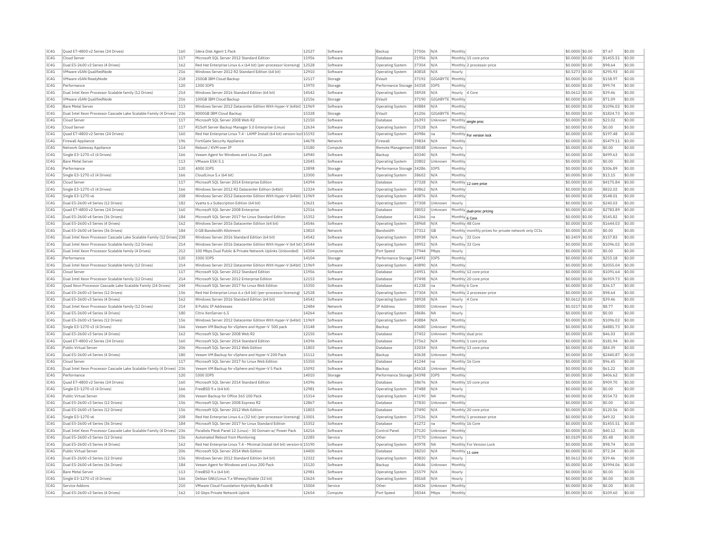| IC4G | Ouad E7-4800 v2 Series (24 Drives)                                    | 160 | Idera Disk Agent 1 Pack                                                  | 12527 | Software | Backup                    | 37506 | N/A              | Monthly        |                                                      | \$0,0000 \$0.00  | \$7.67    | \$0.00 |
|------|-----------------------------------------------------------------------|-----|--------------------------------------------------------------------------|-------|----------|---------------------------|-------|------------------|----------------|------------------------------------------------------|------------------|-----------|--------|
| IC4G | Cloud Serve                                                           | 117 | Microsoft SOL Server 2012 Standard Edition                               | 11956 | Software | Database                  | 21956 | N/A              |                | Monthly 15 core price                                | \$0.0000 \$0.00  | \$1455.51 | \$0.00 |
| TC4G | Dual E5-2600 v3 Series (4 Drives)                                     | 162 | Red Hat Enterprise Linux 6.x (64 bit) (per-processor licensing) 12528    |       | Software | Operating System          | 37304 | N/A              |                | Monthly 2 processor price                            | \$0,0000 \$0.00  | \$98.64   | \$0.00 |
| TCAG | VMware vSAN QualifiedNode                                             | 216 | Windows Server 2012 R2 Standard Edition (64 bit)                         | 12910 | Software | Operating System          | 40818 | N/A              | Hourly         |                                                      | \$0.5273 \$0.00  | \$295.93  | \$0.00 |
| IC4G | VMware vSAN ReadvNode                                                 | 218 | 250GB IBM Cloud Backup                                                   | 12117 | Storage  | EVault                    | 37192 | GIGABYTE Monthly |                |                                                      | \$0,0000 \$0.00  | \$158.97  | \$0.00 |
| TC4G | Performance                                                           | 120 | 1300 TOPS                                                                | 13970 | Storage  | Performance Storage 34358 |       | <b>TOPS</b>      | Monthly        |                                                      | $$0.0000$ \$0.00 | \$99.74   | \$0.00 |
| IC4G | Dual Intel Xeon Processor Scalable family (12 Drives)                 | 214 | Windows Server 2016 Standard Edition (64 bit)                            | 14542 | Software | Operating System          | 38928 | N/A              |                | Hourly 4 Core                                        | \$0.0612 \$0.00  | \$39.46   | \$0.00 |
| TC4G | VMware vSAN QualifiedNode                                             | 216 | 100GB IBM Cloud Backun                                                   | 12156 | Storage  | FVault                    | 37190 | GIGARYTE Monthh  |                |                                                      | \$0.0000 \$0.00  | \$71.09   | \$0.00 |
| IC4G | <b>Bare Metal Server</b>                                              | 113 | Windows Server 2012 Datacenter Edition With Hyper-V (64bit)              | 11969 | Software | <b>Operating System</b>   | 40884 | N/A              | Monthly        |                                                      | \$0.0000 \$0.00  | \$1096.02 | \$0.00 |
| IC4G | Dual Intel Xeon Processor Cascade Lake Scalable Family (4 Drives) 236 |     | 8000GB IBM Cloud Backup                                                  | 15328 | Storage  | EVault                    | 41206 | GIGABYTE Monthly |                |                                                      | \$0.0000 \$0.00  | \$1824.73 | \$0.00 |
| IC4G | Cloud Serve                                                           | 117 | Microsoft SOL Server 2008 Web R2                                         | 12150 | Software | Database                  | 26393 | Unknown          | Monthly        | single proc                                          | \$0,0000 \$0.00  | \$23.02   | \$0.00 |
| IC4G | Cloud Serve                                                           | 117 | R1Soft Server Backup Manager 5.0 Enterprise (Linux)                      | 12634 | Software | <b>Operating System</b>   | 37528 | N/A              | Monthly        |                                                      | \$0.0000 \$0.00  | \$0.00    | \$0.00 |
| IC4G | Ouad E7-4800 v2 Series (24 Drives)                                    | 160 | Red Hat Enterprise Linux 7.4 - LAMP Install (64 bit) version-loc 15192   |       | Software | <b>Operating System</b>   | 40986 | Ina              | Monthly        | For version lock                                     | \$0,0000 \$0.00  | \$197.48  | \$0.00 |
| IC4G | Firewall Appliance                                                    | 196 | FortiGate Security Appliance                                             | 14678 | Network  | Firewall                  | 39834 | N/A              | Monthly        |                                                      | \$0.0000 \$0.00  | \$5479.11 | \$0.00 |
| IC4G | Network Gateway Appliance                                             | 114 | Reboot / KVM over IP                                                     | 13180 | Compute  | Remote Management 38048   |       | Unknown          | Hourly         |                                                      | \$0.0000 \$0.00  | \$0.00    | \$0.00 |
| IC4G | Single E3-1270 v3 (4 Drives)                                          | 166 | Veeam Agent for Windows and Linux 25 pack                                | 14940 | Software | Backup                    | 40340 | N/A              | Monthly        |                                                      | \$0,0000 \$0.00  | \$499.63  | \$0.00 |
| IC4G | <b>Bare Metal Server</b>                                              | 113 | VMware ESXi 5.1                                                          | 12045 | Software | Operating System          | 20802 | Unknowr          | Monthly        |                                                      | \$0,0000 \$0.00  | \$0.00    | \$0.00 |
| IC4G | Performance                                                           | 120 | 4000 TOPS                                                                | 13898 | Storage  | Performance Storage 34286 |       | <b>IOPS</b>      | Monthly        |                                                      | \$0,0000 \$0.00  | \$306.89  | \$0.00 |
| IC4G | Single E3-1270 v3 (4 Drives)                                          | 166 | CloudLinux 5.x (64 bit)                                                  | 13300 | Software | Operating System          | 38602 | N/A              | Monthly        |                                                      | \$0.0000 \$0.00  | \$13.15   | \$0.00 |
| IC4G | Cloud Serve                                                           | 117 | Microsoft SQL Server 2014 Enterprise Edition                             | 14394 | Software | Database                  | 37328 | N/A              |                | Monthly 12 core price                                | \$0.0000 \$0.00  | \$4175.84 | \$0.00 |
| TCAG | Single E3-1270 v3 (4 Drives)                                          | 166 | Windows Server 2012 R2 Datacenter Edition (64bit)                        | 12324 | Software | Operating System          | 40862 | N/A              | Monthly        |                                                      | $$0.0000$ \$0.00 | \$822.02  | \$0.00 |
| IC4G | Single E3-1270 v6                                                     | 208 | Windows Server 2012 Datacenter Edition With Hyper-V (64bit)              | 11969 | Software | <b>Operating System</b>   | 40876 | N/A              | Monthly        |                                                      | \$0.0000 \$0.00  | \$548.01  | \$0.00 |
| IC4G | Dual E5-2600 v4 Series (12 Drives)                                    | 182 | Vyatta 6.x Subscription Edition (64 bit)                                 | 13621 | Software | Operating System          | 37308 | Unknown          | Hourly         |                                                      | \$0.0000 \$0.00  | \$240.03  | \$0.00 |
| IC4G | Quad E7-4800 v2 Series (24 Drives)                                    | 160 | Microsoft SQL Server 2008 Enterprise                                     | 12516 | Software | Database                  | 38052 | Unknown          |                | Monthly dual-proc pricing                            | \$0,0000 \$0.00  | \$2783.89 | \$0.00 |
| IC4G | Dual E5-2600 v4 Series (36 Drives)                                    | 184 | Microsoft SQL Server 2017 for Linux Standard Edition                     | 15352 | Software | Database                  | 41266 | na               | Monthly 6 Core |                                                      | \$0.0000 \$0.00  | \$545.82  | \$0.00 |
| IC4G | Dual E5-2600 v3 Series (4 Drives)                                     | 162 | Windows Server 2016 Datacenter Edition (64 bit)                          | 14546 | Software | Operating System          | 38968 | N/A              |                | Monthly 48 Core                                      | \$0.0000 \$0.00  | \$1644.03 | \$0.00 |
| IC4G | Dual E5-2600 v4 Series (36 Drives)                                    | 184 | 0 GB Bandwidth Allotment                                                 | 13810 | Network  | Bandwidth                 | 37312 | GB               |                | Monthly monthly prices for private network only CCIs | \$0.0000 \$0.00  | \$0.00    | \$0.00 |
| TC4G | Dual Intel Xeon Processor Cascade Lake Scalable Family (12 Drives 238 |     | Windows Server 2016 Standard Edition (64 bit)                            | 14542 | Software | <b>Operating System</b>   | 38938 | N/A              |                | Hourly 32 Core                                       | \$0,2459 \$0.00  | \$157.83  | \$0.00 |
| IC4G | Dual Intel Xeon Processor Scalable family (12 Drives)                 | 214 | Windows Server 2016 Datacenter Edition With Hyper-V (64 bit) 14544       |       | Software | <b>Operating System</b>   | 38952 | N/A              |                | Monthly 32 Core                                      | \$0.0000 \$0.00  | \$1096.02 | \$0.00 |
| IC4G | Dual Intel Xeon Processor Scalable family (4 Drives)                  | 212 | 100 Mbps Dual Public & Private Network Uplinks (Unbonded)                | 14304 | Compute  | Port Speed                | 37944 | Mbps             | Hourly         |                                                      | \$0,0000 \$0.00  | \$0.00    | \$0.00 |
| TC4G | Performance                                                           | 120 | 3300 TOPS                                                                | 14104 | Storage  | Performance Storage 34492 |       | <b>TOPS</b>      | Monthly        |                                                      | $$0.0000$ \$0.00 | \$253.18  | \$0.00 |
| IC4G | Dual Intel Xeon Processor Scalable family (12 Drives)                 | 214 | Windows Server 2012 Datacenter Edition With Hyper-V (64bit)              | 11969 | Software | Operating System          | 40890 | N/A              | Monthly        |                                                      | \$0,0000 \$0.00  | \$2055.04 | \$0.00 |
| IC4G | Cloud Serve                                                           | 117 | Microsoft SOL Server 2012 Standard Edition                               | 11956 | Software | Database                  | 24951 | N/A              |                | Monthly 12 core price                                | \$0,0000 \$0.00  | \$1091.64 | \$0.00 |
| IC4G | Dual Intel Xeon Processor Scalable family (12 Drives)                 | 214 | Microsoft SQL Server 2012 Enterprise Edition                             | 12153 | Software | Database                  | 37498 | N/A              |                | Monthly 20 core price                                | \$0.0000 \$0.00  | \$6959.73 | \$0.00 |
| IC4G | Quad Xeon Processor Cascade Lake Scalable Family (24 Drives)          | 244 | Microsoft SQL Server 2017 for Linux Web Edition                          | 15350 | Software | Database                  | 41238 | na               | Monthly 6 Core |                                                      | \$0.0000 \$0.00  | \$36.17   | \$0.00 |
| TC4G | Dual E5-2600 v3 Series (12 Drives)                                    | 156 | Red Hat Enterprise Linux 6.x (64 bit) (per-processor licensing)          | 12528 | Software | <b>Operating System</b>   | 37304 | N/A              |                | Monthly 2 processor price                            | $$0.0000$ \$0.00 | \$98.64   | \$0.00 |
| IC4G | Dual E5-2600 v3 Series (4 Drives)                                     | 162 | Windows Server 2016 Standard Edition (64 bit)                            | 14542 | Software | Operating System          | 38928 | N/A              | Hourly         | 4 Core                                               | \$0.0612 \$0.00  | \$39.46   | \$0.00 |
| IC4G | Dual Intel Xeon Processor Scalable family (12 Drives)                 | 214 | <b>8 Public IP Addresses</b>                                             | 12484 | Network  | IP Address                | 38000 | Unknown          | Hourly         |                                                      | \$0.0217 \$0.00  | \$8.77    | \$0.00 |
| IC4G | Dual E5-2600 v4 Series (4 Drives                                      | 180 | Citrix XenServer 6.5                                                     | 14264 | Software | <b>Operating System</b>   | 38686 | <b>NA</b>        | Hourly         |                                                      | \$0,0000 \$0.00  | \$0.00    | \$0.00 |
| IC4G | Dual E5-2600 v3 Series (12 Drives)                                    | 156 | Windows Server 2012 Datacenter Edition With Hyper-V (64bit) 11969        |       | Software | <b>Operating System</b>   | 40884 | N/A              | Monthly        |                                                      | \$0.0000 \$0.00  | \$1096.02 | \$0.00 |
| IC4G | Single E3-1270 v3 (4 Drives)                                          | 166 | Veeam VM Backup for vSphere and Hyper-V 500 pack                         | 15148 | Software | Backup                    | 40680 | Unknown          | Monthly        |                                                      | \$0,0000 \$0.00  | \$4881.73 | \$0.00 |
| IC4G | Dual E5-2600 v3 Series (4 Drives                                      | 162 | Microsoft SOL Server 2008 Web R2                                         | 12150 | Software | Database                  | 37452 | Unknown          |                | Monthly dual proc                                    | \$0,0000 \$0.00  | \$46.03   | \$0.00 |
| IC4G | Ouad E7-4800 v2 Series (24 Drives)                                    | 160 | Microsoft SOL Server 2014 Standard Edition                               | 14396 | Software | Database                  | 37562 | N/A              |                | Monthly 1 core price                                 | \$0,0000 \$0.00  | \$181.94  | \$0.00 |
| IC4G | Public Virtual Server                                                 | 206 | Microsoft SQL Server 2012 Web Edition                                    | 11803 | Software | Database                  | 32034 | N/A              |                | Monthly 13 core price                                | \$0.0000 \$0.00  | \$84.39   | \$0.00 |
| IC4G | Dual E5-2600 v4 Series (4 Drives                                      | 180 | Veeam VM Backup for vSphere and Hyper-V 200 Pack                         | 15112 | Software | Backup                    | 40638 | Unknown          | Monthly        |                                                      | \$0,0000 \$0.00  | \$2440.87 | \$0.00 |
| TC4G | Cloud Server                                                          | 117 | Microsoft SOL Server 2017 for Linux Web Edition                          | 15350 | Software | Database                  | 41244 | Ina              |                | Monthly 16 Core                                      | \$0.0000 \$0.00  | \$96.45   | \$0.00 |
| IC4G | Dual Intel Xeon Processor Cascade Lake Scalable Family (4 Drives) 236 |     | Veeam VM Backup for vSphere and Hyper-V 5 Pack                           | 15092 | Software | Backup                    | 40618 | Unknown          | Monthly        |                                                      | \$0.0000 \$0.00  | \$61.22   | \$0.00 |
| IC4G | Performance                                                           | 120 | 5300 TOPS                                                                | 14010 | Storage  | Performance Storage 34398 |       | <b>TOPS</b>      | Monthly        |                                                      | \$0,0000 \$0.00  | \$406.62  | \$0.00 |
| TC4G | Quad E7-4800 v2 Series (24 Drives)                                    | 160 | Microsoft SOL Server 2014 Standard Edition                               | 14396 | Software | Database                  | 38676 | N/A              |                | Monthly 10 core price                                | $$0.0000$ \$0.00 | \$909.70  | \$0.00 |
| IC4G | Single E3-1270 v3 (4 Drives)                                          | 166 | FreeBSD 9.x (64 bit)                                                     | 12981 | Software | <b>Operating System</b>   | 37488 | N/A              | Hourly         |                                                      | \$0.0000 \$0.00  | \$0.00    | \$0.00 |
| TCAG | <b>Public Virtual Server</b>                                          | 206 | Veeam Backup for Office 365 100 Pack                                     | 15314 | Software | <b>Operating System</b>   | 41190 | <b>NA</b>        | Monthly        |                                                      | $$0.0000$ \$0.00 | \$554.72  | \$0.00 |
| IC4G | Dual E5-2600 v3 Series (12 Drives)                                    | 156 | Microsoft SQL Server 2008 Express R2                                     | 12867 | Software | Database                  | 37830 | Unknown          | Monthly        |                                                      | \$0.0000 \$0.00  | \$0.00    | \$0.00 |
| IC4G | Dual E5-2600 v3 Series (12 Drives)                                    | 156 | Microsoft SOL Server 2012 Web Edition                                    | 11803 | Software | Database                  | 37490 | N/A              |                | Monthly 20 core price                                | \$0.0000 \$0.00  | \$120.56  | \$0.00 |
| IC4G | Single E3-1270 v6                                                     | 208 | Red Hat Enterprise Linux 6.x (32 bit) (per-processor licensing)          | 13001 | Software | Operating System          | 37526 | N/A              |                | Monthly 1 processor price                            | \$0.0000 \$0.00  | \$49.32   | \$0.00 |
| IC4G | Dual E5-2600 v4 Series (36 Drives)                                    | 184 | Microsoft SQL Server 2017 for Linux Standard Edition                     | 15352 | Software | Database                  | 41272 | na               |                | Monthly 16 Core                                      | \$0.0000 \$0.00  | \$1455.51 | \$0.00 |
| IC4G | Dual Intel Xeon Processor Cascade Lake Scalable Family (4 Drives) 236 |     | Parallels Plesk Panel 12 (Linux) - 30 Domain w/ Power Pack               | 14216 | Software | Control Panel             | 37120 | Unknown          | Monthly        |                                                      | \$0,0000 \$0,00  | \$40.12   | \$0.00 |
| IC4G | Dual E5-2600 v3 Series (12 Drives)                                    | 156 | Automated Reboot from Monitoring                                         | 12285 | Service  | Other                     | 37170 | Unknown          | Hourly         |                                                      | \$0,0109 \$0.00  | \$5.48    | \$0.00 |
| IC4G | Dual E5-2600 v3 Series (4 Drives)                                     | 162 | Red Hat Enterprise Linux 7.4 - Minimal Install (64 bit) version-Id 15190 |       | Software | <b>Operating System</b>   | 40978 | <b>NA</b>        |                | Monthly For Version Lock                             | \$0,0000 \$0.00  | \$98.74   | \$0.00 |
| IC4G | <b>Public Virtual Server</b>                                          | 206 | Microsoft SQL Server 2014 Web Edition                                    | 14400 | Software | Database                  | 38210 | N/A              |                | Monthly 11 core                                      | \$0.0000 \$0.00  | \$72.34   | \$0.00 |
| IC4G | Dual E5-2600 v3 Series (12 Drives)                                    | 156 | Windows Server 2012 Standard Edition (64 bit)                            | 12322 | Software | Operating System          | 40820 | N/A              | Hourly         |                                                      | \$0.0612 \$0.00  | \$39.46   | \$0.00 |
| TCAG | Dual E5-2600 v4 Series (36 Drives)                                    | 184 | Veeam Agent for Windows and Linux 200 Pack                               | 15120 | Software | Backun                    | 40646 | Unknown          | Monthly        |                                                      | $$0.0000$ \$0.00 | \$3994.06 | \$0.00 |
| TC4G | <b>Bare Metal Server</b>                                              | 113 | FreeBSD 9.x (64 bit)                                                     | 12981 | Software | Operating System          | 25579 | N/A              | Hourly         |                                                      | \$0.0000 \$0.00  | \$0.00    | \$0.00 |
| IC4G | Single E3-1270 v3 (4 Drives)                                          | 166 | Debian GNU/Linux 7.x Wheezy/Stable (32 bit)                              | 13624 | Software | Operating System          | 38168 | N/A              | Hourly         |                                                      | $$0.0000$ \$0.00 | \$0.00    | \$0.00 |
| TCAG | Service Addons                                                        | 210 | VMware Cloud Foundation Hybridity Bundle B                               | 15004 | Service  | Other                     | 40436 | Unknown          | Monthly        |                                                      | $$0.0000$ \$0.00 | \$0.00    | \$0.00 |
| IC4G | Dual E5-2600 v3 Series (4 Drives)                                     | 162 | 10 Gbps Private Network Uplink                                           | 12654 | Compute  | Port Speed                | 38344 | Mbps             | Monthly        |                                                      | \$0.0000 \$0.00  | \$109.60  | \$0.00 |
|      |                                                                       |     |                                                                          |       |          |                           |       |                  |                |                                                      |                  |           |        |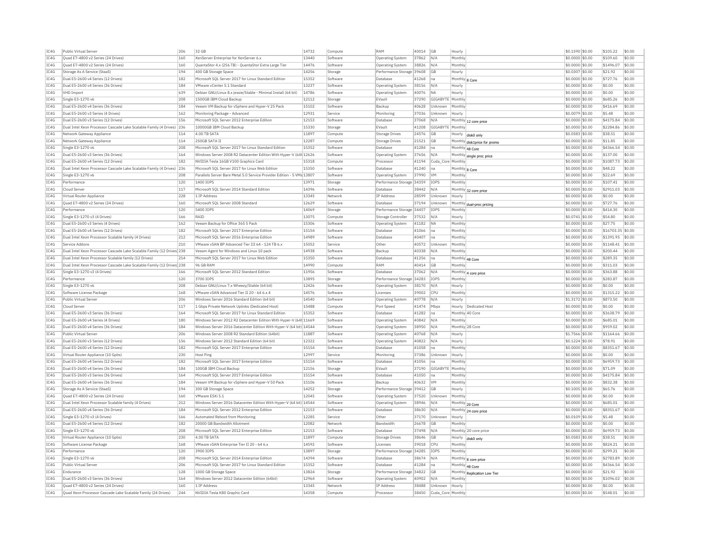| IC4G | Public Virtual Server                                                 | 206 | 32 GB                                                                  | 14732 | Compute  | RAM                       | 40014 | GB                | Hourly          |                              | \$0.1590 \$0.00     |          | \$105.22          | \$0.00 |
|------|-----------------------------------------------------------------------|-----|------------------------------------------------------------------------|-------|----------|---------------------------|-------|-------------------|-----------------|------------------------------|---------------------|----------|-------------------|--------|
| IC4G | Quad E7-4800 v2 Series (24 Drives)                                    | 160 | XenServer Enterprise for XenServer 6.x                                 | 13440 | Software | Operating System          | 37862 | N/A               | Monthly         |                              | \$0.0000 \$0.00     |          | \$109.60          | \$0.00 |
| IC4G | Quad E7-4800 v2 Series (24 Drives)                                    | 160 | QuantaStor 4.x (256 TB) - QuantaStor Extra Large Tier                  | 14476 | Software | <b>Operating System</b>   | 38826 | N/A               | Monthly         |                              | \$0.0000 \$0.00     |          | \$1496.07         | \$0.00 |
| IC4G | Storage As A Service (StaaS)                                          | 194 | 400 GB Storage Space                                                   | 14256 | Storage  | Performance Storage 39608 |       | GB                | Hourly          |                              | \$0,0307 \$0.00     | \$21.92  |                   | \$0.00 |
| IC4G | Dual E5-2600 v4 Series (12 Drives)                                    | 182 | Microsoft SQL Server 2017 for Linux Standard Edition                   | 15352 | Software | Database                  | 41268 | Ina               | Monthly 8 Core  |                              | \$0,0000 \$0.00     |          | \$727.76          | \$0.00 |
| IC4G | Dual E5-2600 v4 Series (36 Drives)                                    | 184 | VMware vCenter 5.1 Standard                                            | 13237 | Software | <b>Operating System</b>   | 38156 | N/A               | Hourly          |                              | \$0.0000 \$0.00     | \$0.00   |                   | \$0.00 |
| IC4G | <b>VHD Import</b>                                                     | 639 | Debian GNU/Linux 8.x iessie/Stable - Minimal Install (64 bit)          | 14786 | Software | Operating System          | 40076 | <b>NA</b>         | Hourly          |                              | \$0,0000 \$0.00     | \$0.00   |                   | \$0.00 |
| IC4G | Single E3-1270 v6                                                     | 208 | 1500GB IBM Cloud Backup                                                | 12112 | Storage  | EVault                    | 37290 | GIGABYTE          | Monthly         |                              | \$0,0000 \$0.00     |          | \$685.26          | \$0.00 |
| IC4G | Dual E5-2600 v4 Series (36 Drives)                                    | 184 | Veeam VM Backup for vSphere and Hyper-V 25 Pack                        | 15102 |          |                           |       | Unknown           | Monthly         |                              |                     |          | \$416.69          | \$0.00 |
|      |                                                                       |     |                                                                        |       | Software | Backup                    | 40628 |                   |                 |                              | \$0,0000 \$0,00     |          |                   |        |
| IC4G | Dual E5-2600 v3 Series (4 Drives)                                     | 162 | Monitoring Package - Advanced                                          | 12931 | Service  | Monitoring                | 37036 | Unknown           | Hourly          |                              | \$0.0079 \$0.00     | \$5.48   |                   | \$0.00 |
| IC4G | Dual E5-2600 v3 Series (12 Drives)                                    | 156 | Microsoft SQL Server 2012 Enterprise Edition                           | 12153 | Software | Database                  | 37068 | N/A               |                 | Monthly 12 core price        | \$0.0000 \$0.00     |          | \$4175.84         | \$0.00 |
| TC4G | Dual Intel Xeon Processor Cascade Lake Scalable Family (4 Drives)     | 236 | 10000GB TBM Cloud Backup                                               | 15330 | Storage  | FVault                    | 41208 | GIGARYTE Monthly  |                 |                              | \$0,0000 \$0.00     |          | \$2284.86         | \$0.00 |
| IC4G | Network Gateway Appliance                                             | 114 | 4.00 TB SATA                                                           | 11897 | Compute  | <b>Storage Drives</b>     | 24576 | <b>GB</b>         | Hourly          | disk0 only                   | \$0.0583 \$0.00     | \$38.51  |                   | \$0.00 |
| IC4G | Network Gateway Appliance                                             | 114 | 250GB SATA IT                                                          | 12287 | Compute  | <b>Storage Drives</b>     | 21521 | <b>GB</b>         |                 | Monthly disk1price for promo | \$0.0000 \$0.00     | \$11.85  |                   | \$0.00 |
| IC4G | Single E3-1270 v6                                                     | 208 | Microsoft SQL Server 2017 for Linux Standard Edition                   | 15352 | Software | Database                  | 41284 | Ina               | Monthly 48 Core |                              | \$0.0000 \$0.00     |          | \$4366.54         | \$0.00 |
| IC4G | Dual E5-2600 v3 Series (36 Drives)                                    | 164 | Windows Server 2008 R2 Datacenter Edition With Hyper-V (64t 12626      |       | Software | Operating System          | 37656 | N/A               |                 | Monthly single proc price    | \$0,0000 \$0.00     |          | \$137.00          | \$0.00 |
| IC4G | Dual E5-2600 v4 Series (12 Drives)                                    | 182 | NVIDIA Tesla 16GB V100 Graphics Card                                   | 15318 | Compute  | Processor                 | 41194 | Cuda Core Monthl  |                 |                              | \$0,0000 \$0.00     |          | \$1087.73         | \$0.00 |
| TC4G | Dual Intel Xeon Processor Cascade Lake Scalable Family (4 Drives) 236 |     | Microsoft SQL Server 2017 for Linux Web Edition                        | 15350 | Software | Database                  | 41240 | lna               | Monthly 8 Core  |                              | \$0.0000 \$0.00     | \$48.22  |                   | \$0.00 |
| IC4G | Single E3-1270 v6                                                     | 208 | Parallels Server Bare Metal 5.0 Service Provider Edition - 5 VMs 13807 |       | Software | Operating System          | 37990 | <b>VM</b>         | Monthly         |                              | \$0,0000 \$0.00     | \$22.69  |                   | \$0.00 |
| TC4G | Performance                                                           | 120 | 1400 TOPS                                                              | 13971 | Storage  | Performance Storage 34359 |       | <b>TOPS</b>       | Monthly         |                              | \$0,0000 \$0.00     |          | \$107.41          | s0.00  |
| IC4G | Cloud Server                                                          | 117 | Microsoft SQL Server 2014 Standard Edition                             | 14396 | Software | Database                  | 38442 | N/A               |                 |                              | \$0.0000 \$0.00     |          | \$2911.03         | \$0.00 |
| IC4G | Virtual Router Appliance                                              | 228 | 1 TP Address                                                           | 13345 | Network  | <b>IP Address</b>         | 28599 | Unknown           |                 | Monthly 32 core price        | \$0,0000 \$0.00     | \$0.00   |                   | \$0.00 |
|      |                                                                       |     |                                                                        |       |          | Database                  |       |                   | Hourly          |                              |                     |          |                   |        |
| IC4G | Quad E7-4800 v2 Series (24 Drives)                                    | 160 | Microsoft SQL Server 2008 Standard                                     | 12629 | Software |                           | 37194 | Unknown           | Monthly         | dual-proc pricino            | \$0.0000 \$0.00     |          | \$727.76          | \$0.00 |
| IC4G | Performance                                                           | 120 | 5400 TOPS                                                              | 14069 | Storage  | Performance Storage       | 34457 | IOPS              | Monthly         |                              | \$0,0000 \$0.00     |          | \$414.30          | \$0.00 |
| TC4G | Single E3-1270 v3 (4 Drives)                                          | 166 | RATO                                                                   | 13075 | Compute  | Storage Controller        | 37532 | N/A               | Hourly          |                              | \$0,0741 \$0.00     | \$54.80  |                   | \$0.00 |
| IC4G | Dual E5-2600 v3 Series (4 Drives)                                     | 162 | Veeam Backup for Office 365 5 Pack                                     | 15306 | Software | Operating System          | 41182 | <b>NA</b>         | Monthly         |                              | \$0,0000 \$0.00     | \$27.75  |                   | \$0.00 |
| IC4G | Dual E5-2600 v4 Series (12 Drives)                                    | 182 | Microsoft SQL Server 2017 Enterprise Edition                           | 15154 | Software | Database                  | 41066 | na                | Monthly         |                              | \$0.0000 \$0.00     |          | \$16703.35 \$0.00 |        |
| IC4G | Dual Intel Xeon Processor Scalable family (4 Drives)                  | 212 | Microsoft SQL Server 2016 Enterprise Edition                           | 14989 | Software | Database                  | 40407 | Ina               | Monthly         |                              | \$0.0000 \$0.00     |          | \$1391.95         | \$0.00 |
| TCAG | Service Addons                                                        | 210 | VMware vSAN BP Advanced Tier III 64 - 124 TB 6.x                       | 15052 | Service  | Other                     | 40572 | Unknown           | Monthly         |                              | \$0.0000 \$0.00     |          | \$1148.41         | \$0.00 |
| TC4G | Dual Intel Xeon Processor Cascade Lake Scalable Family (12 Drives 238 |     | Veeam Agent for Windows and Linux 10 pack                              | 14938 | Software | Backup                    | 40338 | N/A               | Monthly         |                              | \$0,0000 \$0.00     |          | \$200.44          | \$0.00 |
| IC4G | Dual Intel Xeon Processor Scalable family (12 Drives)                 | 214 | Microsoft SOL Server 2017 for Linux Web Edition                        | 15350 | Software | Database                  | 41256 | Ina               | Monthly 48 Core |                              | \$0.0000 \$0.00     |          | \$289.35          | \$0.00 |
| IC4G | Dual Intel Xeon Processor Cascade Lake Scalable Family (12 Drives 238 |     | 96 GR RAM                                                              | 14990 | Compute  | RAM                       | 40414 | <b>GB</b>         | Monthly         |                              | \$0.0000 \$0.00     |          | \$311.03          | \$0.00 |
| IC4G | Single E3-1270 v3 (4 Drives)                                          | 166 | Microsoft SOL Server 2012 Standard Edition                             | 11956 | Software | Database                  | 37062 | N/f               |                 | Monthly 4 core price         | \$0,0000 \$0.00     |          | \$363.88          | \$0.00 |
| IC4G | Performance                                                           | 120 | 3700 IOPS                                                              | 13895 | Storage  | Performance Storage       | 34283 | IOPS              | Monthly         |                              | \$0.0000 \$0.00     |          | \$283.87          | \$0.00 |
| IC4G | Single E3-1270 v6                                                     | 208 | Debian GNU/Linux 7.x Wheezy/Stable (64 bit)                            | 12426 | Software | <b>Operating System</b>   | 38170 | N/A               | Hourly          |                              | \$0,0000 \$0,00     | \$0.00   |                   | \$0.00 |
| IC4G |                                                                       | 168 | VMware vSAN Advanced Tier II 20 - 64 6.x 4                             | 14576 | Software |                           | 39002 | CPU               | Monthly         |                              |                     |          | \$1315.22         | \$0.00 |
|      | Software License Package                                              |     |                                                                        |       |          | Licenses                  |       |                   |                 |                              | \$0.0000 \$0.00     |          |                   |        |
| IC4G | Public Virtual Server                                                 | 206 | Windows Server 2016 Standard Edition (64 bit)                          | 14540 | Software | <b>Operating System</b>   | 40778 | N/A               | Hourly          |                              | \$1.3172 \$0.00     |          | \$873.50          | \$0.00 |
| IC4G | Cloud Server                                                          | 117 | 1 Gbps Private Network Uplinks (Dedicated Host)                        | 15488 | Compute  | Port Speed                | 41474 | Mbps              | Hourly          | Dedicated Host               | \$0,0000 \$0.00     | \$0.00   |                   | \$0.00 |
| IC4G | Dual E5-2600 v3 Series (36 Drives                                     | 164 | Microsoft SOL Server 2017 for Linux Standard Edition                   | 15352 | Software | Database                  | 41282 | Ina               | Monthly 40 Core |                              | \$0,0000 \$0.00     |          | \$3638.79         | \$0.00 |
| TC4G | Dual E5-2600 v4 Series (4 Drives)                                     | 180 | Windows Server 2012 R2 Datacenter Edition With Hyper-V (64t 11669      |       | Software | <b>Operating System</b>   | 40842 | N/A               | Monthly         |                              | \$0,0000 \$0,00     |          | \$685.01          | \$0.00 |
| IC4G | Dual E5-2600 v4 Series (36 Drives)                                    | 184 | Windows Server 2016 Datacenter Edition With Hyper-V (64 bit) 14544     |       | Software | Operating System          | 38950 | N/A               |                 | Monthly 28 Core              | \$0.0000 \$0.00     |          | \$959.02          | \$0.00 |
| IC4G | Public Virtual Server                                                 | 206 | Windows Server 2008 R2 Standard Edition (64bit)                        | 11887 | Software | <b>Operating System</b>   | 40768 | N/A               | Hourly          |                              | \$1.7566 \$0.00     |          | \$1164.66         | \$0.00 |
| IC4G | Dual E5-2600 v3 Series (12 Drives)                                    | 156 | Windows Server 2012 Standard Edition (64 bit)                          | 12322 | Software | <b>Operating System</b>   | 40822 | N/A               | Hourly          |                              | \$0,1224 \$0.00     | \$78.91  |                   | \$0.00 |
| IC4G | Dual E5-2600 v4 Series (12 Drives)                                    | 182 | Microsoft SQL Server 2017 Enterprise Edition                           | 15154 | Software | Database                  | 41058 | Ina               | Monthly         |                              | \$0,0000 \$0.00     |          | \$8351.67         | \$0.00 |
| IC4G | Virtual Router Appliance (10 Gpbs)                                    | 230 | Host Ping                                                              | 12997 | Service  | Monitoring                | 37386 | Unknown           | Hourly          |                              | \$0.0000 \$0.00     | \$0.00   |                   | \$0.00 |
| IC4G | Dual E5-2600 v4 Series (12 Drives)                                    | 182 | Microsoft SQL Server 2017 Enterprise Edition                           | 15154 | Software | Database                  | 41056 | Ina               | Monthly         |                              | \$0.0000 \$0.00     |          | \$6959.73         | \$0.00 |
| IC4G | Dual E5-2600 v4 Series (36 Drives)                                    | 184 | 100GB IBM Cloud Backup                                                 | 12156 | Storage  | EVault                    | 37190 | GIGABYTE Monthly  |                 |                              | \$0,0000 \$0.00     | \$71.09  |                   | \$0.00 |
| TC4G | Dual E5-2600 v3 Series (36 Drives)                                    | 164 | Microsoft SOL Server 2017 Enterprise Edition                           | 15154 | Software | Database                  | 41050 | na                | Monthly         |                              | \$0,0000 \$0.00     |          | \$4175.84         | \$0.00 |
| IC4G | Dual E5-2600 v4 Series (36 Drives)                                    | 184 | Veeam VM Backup for vSphere and Hyper-V 50 Pack                        | 15106 | Software | Backup                    | 40632 | <b>VM</b>         | Monthly         |                              | \$0.0000 \$0.00     |          | \$832.38          | \$0.00 |
| IC4G | Storage As A Service (StaaS)                                          | 194 | 300 GB Storage Space                                                   | 14252 | Storage  | Performance Storage 39412 |       | <b>GB</b>         | Hourly          |                              | \$0,1005 \$0.00     | \$65.76  |                   | \$0.00 |
| IC4G | Quad E7-4800 v2 Series (24 Drives)                                    | 160 | VMware ESXi 5.1                                                        | 12045 | Software | Operating System          | 37520 | Unknown           | Monthly         |                              | \$0.0000 \$0.00     | \$0.00   |                   | \$0.00 |
|      |                                                                       |     |                                                                        |       |          |                           |       |                   |                 |                              |                     |          |                   |        |
| IC4G | Dual Intel Xeon Processor Scalable family (4 Drives)                  | 212 | Windows Server 2016 Datacenter Edition With Hyper-V (64 bit) 14544     |       | Software | Operating System          | 38946 | N/A               | Monthly 20 Core |                              | \$0.0000 \$0.00     | \$685.01 |                   | \$0.00 |
| TC4G | Dual E5-2600 v4 Series (36 Drives)                                    | 184 | Microsoft SOL Server 2012 Enterprise Edition                           | 12153 | Software | Database                  | 38630 | N/A               |                 | Monthly 24 core price        | \$0,0000 \$0.00     |          | \$8351.67         | \$0.00 |
| IC4G | Single E3-1270 v3 (4 Drives)                                          | 166 | Automated Reboot from Monitoring                                       | 12285 | Service  | Other                     | 37170 | Unknown           | Hourly          |                              | \$0.0109 \$0.00     | \$5.48   |                   | \$0.00 |
| IC4G | Dual E5-2600 v4 Series (12 Drives)                                    | 182 | 20000 GB Bandwidth Allotment                                           | 12082 | Network  | <b>Bandwidth</b>          | 26678 | GB                | Monthly         |                              | \$0,0000 \$0.00     | \$0.00   |                   | \$0.00 |
| IC4G | Single F3-1270 v6                                                     | 208 | Microsoft SQL Server 2012 Enterprise Edition                           | 12153 | Software | Database                  | 37498 | N/A               |                 | Monthly 20 core price        | \$0,0000 \$0.00     |          | \$6959.73         | \$0.00 |
| IC4G | Virtual Router Appliance (10 Gpbs)                                    | 230 | 4.00 TR SATA                                                           | 11897 | Compute  | Storage Drives            | 38646 | <b>GB</b>         | Hourly          | disk0 only                   | \$0.0583 \$0.00     | \$38.51  |                   | \$0.00 |
| IC4G | Software License Package                                              | 168 | VMware vSAN Enternrise Tier II 20 - 64 6 x                             | 14592 | Software | Licenses                  | 39018 | CP1               | Monthly         |                              | \$0,0000 \$0.00     |          | \$824.21          | \$0.00 |
| IC4G | Performance                                                           | 120 | 3900 TOPS                                                              | 13897 | Storage  | Performance Storage 34285 |       | IOPS              | Monthly         |                              | \$0.0000 \$0.00     |          | \$299.21          | \$0.00 |
| IC4G | Single E3-1270 v6                                                     | 208 | Microsoft SQL Server 2014 Enterprise Edition                           | 14394 | Software | Database                  | 38674 | N/A               |                 | Monthly 8 core price         | \$0.0000 \$0.00     |          | \$2783.89         | \$0.00 |
| TC4G | Public Virtual Server                                                 | 206 | Microsoft SOL Server 2017 for Linux Standard Edition                   | 15352 | Software | Database                  | 41284 | Ina               | Monthly 48 Core |                              | \$0,0000 \$0.00     |          | \$4366.54         | \$0.00 |
| TCAG | Endurance                                                             | 128 | 1000 GB Storage Space                                                  | 13824 | Storage  | Performance Storage 34822 |       | GB                |                 | Monthly Replication Low Tier | $$0.0000$ \$0.00    | \$21.92  |                   | \$0.00 |
| IC4G | Dual E5-2600 v3 Series (36 Drives)                                    | 164 | Windows Server 2012 Datacenter Edition (64bit)                         | 12964 | Software | <b>Operating System</b>   | 40902 | N/A               | Month           |                              | $ $0.0000$ $ $0.00$ |          | \$1096.02         | \$0.00 |
| IC4G | Quad E7-4800 v2 Series (24 Drives)                                    | 160 | 1 TP Address                                                           | 13345 | Network  | IP Address                | 38488 | Unknown           | Hourly          |                              | \$0,0000 \$0.00     | \$0.00   |                   | \$0.00 |
|      | Quad Xeon Processor Cascade Lake Scalable Family (24 Drives)          | 244 | NVIDIA Tesla K80 Graphic Card                                          | 14358 | Compute  | Processo                  | 38450 | Cuda_Core Monthly |                 |                              | \$0.0000 \$0.00     |          | \$548.01          | \$0.00 |
| IC4G |                                                                       |     |                                                                        |       |          |                           |       |                   |                 |                              |                     |          |                   |        |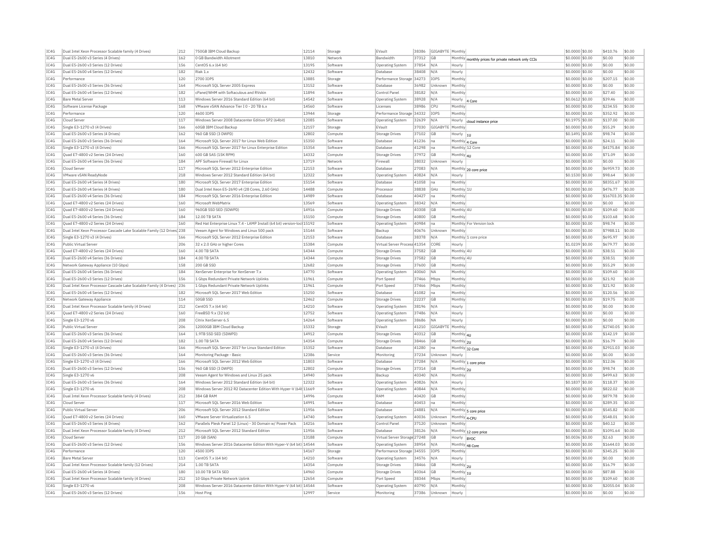| TC4G | Dual Intel Xeon Processor Scalable family (4 Drives)                   | 212        | 750GB TBM Cloud Backup                                                                          | 12114 | Storage             | FVault                       |                | 38386 GIGABYTE Monthly |                                                      | \$0.0000 \$0.00                    | \$410.76              | \$0.00 |
|------|------------------------------------------------------------------------|------------|-------------------------------------------------------------------------------------------------|-------|---------------------|------------------------------|----------------|------------------------|------------------------------------------------------|------------------------------------|-----------------------|--------|
| TC4G | Dual E5-2600 v3 Series (4 Drives)                                      | 162        | 0 GB Bandwidth Allotment                                                                        | 13810 | Network             | Bandwidth                    | 37312          | <b>GB</b>              | Monthly monthly prices for private network only CCIs | \$0.0000 \$0.00                    | \$0.00                | \$0.00 |
| TC4G | Dual E5-2600 v3 Series (12 Drives                                      | 156        | CentOS 6.x (64 bit)                                                                             | 13195 | Software            | Operating System             | 37854          | N/A                    | Hourly                                               | $$0.0000$ \$0.00                   | \$0.00                | \$0.00 |
| TC4G | Dual E5-2600 v4 Series (12 Drives                                      | 182        | Riak 1 v                                                                                        | 12432 | Software            | Database                     | 38408          | N/A                    | Hourly                                               | \$0,0000 \$0,00                    | \$0.00                | \$0.00 |
| TC4G | Performance                                                            | 120        | 2700 TOPS                                                                                       | 13885 | Storage             | Performance Storage 34273    |                | <b>IOPS</b>            | Monthly                                              | \$0.0000 \$0.00                    | \$207.15              | \$0.00 |
| TCAG | Dual E5-2600 v3 Series (36 Drives)                                     | 164        | Microsoft SOL Server 2005 Express                                                               | 13152 | Software            | Database                     | 36982          | Unknown                | Monthly                                              | \$0,0000 \$0.00                    | \$0.00                | \$0.00 |
| IC4G | Dual E5-2600 v4 Series (12 Drives)                                     | 182        | cPanel/WHM with Softaculous and RVskin                                                          | 11894 | Software            | Control Panel                | 38182          | N/A                    | Monthly                                              | \$0.0000 \$0.00                    | \$27.40               | \$0.00 |
| TCAG | Bare Metal Server                                                      | 113        | Windows Server 2016 Standard Edition (64 bit)                                                   | 14542 | Software            | Operating System             | 38928          | N/A                    | Hourly  4 Core                                       | \$0,0612 \$0,00                    | \$39.46               | \$0.00 |
| TCAG | Software License Package                                               | 168        | VMware vSAN Advance Tier I 0 - 20 TB 6.x                                                        | 14560 | Software            | Licenses                     | 38986          | CPU                    | Monthl                                               | \$0.0000 \$0.00                    | \$234.55              | \$0.00 |
| TCAG | Performance                                                            | 120        | 4600 TOPS                                                                                       | 13944 | Storage             | Performance Storage 34332    |                | <b>TOPS</b>            | Monthly                                              | \$0.0000 \$0.00                    | \$352.92              | \$0.00 |
| IC4G | Cloud Serve                                                            | 117        | Windows Server 2008 Datacenter Edition SP2 (64bit)                                              | 12085 | Software            | Operating System             | 32639          | N/A                    | Hourly<br>cloud instance price                       | \$0,1975 \$0,00                    | \$137.00              | \$0.00 |
| TC4G | Single E3-1270 v3 (4 Drives)                                           | 166        | 60GB IBM Cloud Backup                                                                           | 12157 | Storage             | EVault                       | 37030          | GIGABYTE Monthly       |                                                      | \$0.0000 \$0.00                    | \$55.29               | sin on |
| IC4G | Dual E5-2600 v3 Series (4 Drives)                                      | 162        | 960 GB SSD (3 DWPD)                                                                             | 12802 | Compute             | <b>Storage Drives</b>        | 37102          | <b>GB</b>              | Hourly  1U                                           | \$0.1491 \$0.00                    | \$98.74               | \$0.00 |
| TC4G | Dual E5-2600 v3 Series (36 Drives)                                     | 164        | Microsoft SOL Server 2017 for Linux Web Edition                                                 | 15350 | Software            | Database                     | 41236          | na                     | Monthly 4 Core                                       | \$0.0000 \$0.00                    | \$24.11               | \$0.00 |
| IC4G | Single E3-1270 v3 (4 Drives)                                           | 166        | Microsoft SQL Server 2017 for Linux Enterprise Edition                                          | 15354 | Software            | Database                     | 41298          | Ina                    | Monthly 12 Core                                      | \$0.0000 \$0.00                    | \$4175.84             | \$0.00 |
| TC4G | Ouad E7-4800 v2 Series (24 Drives)                                     | 160        | 600 GB SAS (15K RPM)                                                                            | 14332 | Compute             | Storage Drives               | 37972 GB       |                        | Monthly 4U                                           | \$0.0000 \$0.00                    | \$71.09               | \$0.00 |
| TCAG | Dual E5-2600 v4 Series (36 Drives)                                     | 184        | APF Software Firewall for Linux                                                                 | 13719 | Network             | Firewall                     | 38032          | Unknown                | Hourly                                               | \$0.0000 \$0.00                    | \$0.00                | \$0.00 |
| IC4G | Cloud Serve                                                            | 117        | Microsoft SQL Server 2012 Enterprise Edition                                                    | 12153 | Software            | Database                     | 27083          | N/A                    |                                                      | \$0.0000 \$0.00                    | \$6959.73             | \$0.00 |
| TCAG | VMware vSAN ReadvNode                                                  | 218        | Windows Server 2012 Standard Edition (64 bit)                                                   | 12322 | Software            | Operating System             | 40824          | N/A                    | Monthly 20 core price<br>Hourly                      | \$0.1530 \$0.00                    | \$98.64               | \$0.00 |
| IC4G |                                                                        |            |                                                                                                 | 15154 |                     |                              |                |                        |                                                      |                                    |                       | \$0.00 |
| TCAG | Dual E5-2600 v4 Series (4 Drives)<br>Dual E5-2600 v4 Series (4 Drives) | 180<br>180 | Microsoft SQL Server 2017 Enterprise Edition<br>Dual Intel Xeon E5-2690 v4 (28 Cores, 2.60 GHz) | 14488 | Software<br>Compute | Database<br>Processor        | 41058<br>38838 | na<br>GHz              | Monthly<br>Monthly 1L                                | \$0.0000 \$0.00<br>\$0.0000 \$0.00 | \$8351.67<br>\$476.77 | \$0.00 |
|      |                                                                        |            |                                                                                                 |       |                     |                              |                |                        |                                                      |                                    |                       |        |
| IC4G | Dual E5-2600 v4 Series (36 Drives                                      | 184        | Microsoft SOL Server 2016 Enterprise Edition                                                    | 14989 | Software            | Database                     | 40427          | Ina                    | Monthly                                              | \$0,0000 \$0.00                    | \$16703.35 \$0.00     |        |
| IC4G | Ouad E7-4800 v2 Series (24 Drives)                                     | 160        | Microsoft WebMatrix                                                                             | 13569 | Software            | Operating System             | 38342          | N/A                    | Monthly                                              | \$0,0000 \$0,00                    | \$0.00                | \$0.00 |
| TC4G | Ouad E7-4800 v2 Series (24 Drives)                                     | 160        | 960GB SSD SED (5DWPD)                                                                           | 14916 | Compute             | <b>Storage Drives</b>        | 40308          | <b>GB</b>              | Monthly 4L                                           | \$0,0000 \$0,00                    | \$109.60              | \$0.00 |
| TCAG | Dual E5-2600 v4 Series (36 Drives)                                     | 184        | 12.00 TB SATA                                                                                   | 15150 | Compute             | Storage Drives               | 40800          | <b>GB</b>              | Monthly                                              | \$0,0000 \$0.00                    | \$103.68              | \$0.00 |
| IC4G | Quad E7-4800 v2 Series (24 Drives)                                     | 160        | Red Hat Enterprise Linux 7.4 - LAMP Install (64 bit) version-loc 15192                          |       | Software            | <b>Operating System</b>      | 40984          | na                     | Monthly For Version lock                             | \$0.0000 \$0.00                    | \$98.74               | \$0.00 |
| TCAG | Dual Intel Xeon Processor Cascade Lake Scalable Family (12 Drives 238  |            | Veeam Agent for Windows and Linux 500 pack                                                      | 15144 | Software            | Backup                       | 40676          | <b>Unknown</b>         | Monthly                                              | \$0,0000 \$0.00                    | \$7988.11 \$0.00      |        |
| TCAG | Single E3-1270 v3 (4 Drives)                                           | 166        | Microsoft SQL Server 2012 Enterprise Edition                                                    | 12153 | Software            | Database                     | 38378          | N/A                    | Monthly 1 core price                                 | \$0.0000 \$0.00                    | \$695.97              | \$0.00 |
| TCAG | Public Virtual Server                                                  | 206        | 32 x 2.0 GHz or higher Cores                                                                    | 15384 | Compute             | Virtual Server Process 41354 |                | CORE                   | Hourly                                               | \$1.0239 \$0.00                    | \$679.77              | \$0.00 |
| IC4G | Ouad E7-4800 v2 Series (24 Drives)                                     | 160        | 4.00 TB SATA                                                                                    | 14344 | Compute             | Storage Drives               | 37582          | <b>GB</b>              | Monthly 4U                                           | \$0,0000 \$0.00                    | \$38.51               | \$0.00 |
| TC4G | Dual E5-2600 v4 Series (36 Drives)                                     | 184        | 4.00 TB SATA                                                                                    | 14344 | Compute             | Storage Drives               | 37582          | <b>GR</b>              | Monthly 4L                                           | \$0.0000 \$0.00                    | \$38.51               | \$0.00 |
| IC4G | Network Gateway Appliance (10 Gbps)                                    | 158        | 200 GB SSD                                                                                      | 12682 | Compute             | <b>Storage Drives</b>        | 37600          | <b>GB</b>              | Monthly                                              | \$0.0000 \$0.00                    | \$55.29               | \$0.00 |
| TC4G | Dual E5-2600 v4 Series (36 Drives                                      | 184        | XenServer Enterprise for XenServer 7.x                                                          | 14770 | Software            | Operating System             | 40060          | <b>NA</b>              | Monthly                                              | $$0.0000$ \$0.00                   | \$109.60              | \$0.00 |
| IC4G | Dual E5-2600 v3 Series (12 Drives)                                     | 156        | 1 Gbps Redundant Private Network Uplinks                                                        | 11961 | Compute             | Port Speed                   | 37466          | Mbps                   | Monthly                                              | \$0.0000 \$0.00                    | \$21.92               | \$0.00 |
| TC4G | Dual Intel Xeon Processor Cascade Lake Scalable Family (4 Drives) 236  |            | 1 Gbps Redundant Private Network Uplinks                                                        | 11961 | Compute             | Port Speed                   | 37466          | Mbps                   | Monthly                                              | \$0.0000 \$0.00                    | \$21.92               | \$0.00 |
| TCAG | Dual E5-2600 v4 Series (12 Drives)                                     | 182        | Microsoft SQL Server 2017 Web Edition                                                           | 15250 | Software            | Database                     | 41082          | Ina                    | Monthly                                              | \$0.0000 \$0.00                    | \$120.56              | \$0.00 |
| IC4G | Network Gateway Appliance                                              | 114        | 50GB SSD                                                                                        | 12462 | Compute             | Storage Drives               | 22237          | <b>GB</b>              | Monthly                                              | \$0.0000 \$0.00                    | \$19.75               | \$0.00 |
| TCAG | Dual Intel Xeon Processor Scalable family (4 Drives)                   | 212        | CentOS 7.x (64 bit)                                                                             | 14210 | Software            | Operating System             | 38196          | N/A                    | Hourly                                               | \$0,0000 \$0.00                    | \$0.00                | \$0.00 |
| IC4G | Quad E7-4800 v2 Series (24 Drives)                                     | 160        | FreeBSD 9.x (32 bit)                                                                            | 12752 | Software            | <b>Operating System</b>      | 37486          | N/A                    | Hourly                                               | \$0.0000 \$0.00                    | \$0.00                | \$0.00 |
| IC4G | Single E3-1270 v6                                                      | 208        | Citrix XenServer 6.5                                                                            | 14264 | Software            | <b>Operating System</b>      | 38686          | <b>NA</b>              | Hourly                                               | \$0,0000 \$0.00                    | \$0.00                | \$0.00 |
| IC4G | Public Virtual Serve                                                   | 206        | 12000GB IBM Cloud Backup                                                                        | 15332 | Storage             | EVault                       | 41210          | GIGABYTE Monthly       |                                                      | \$0.0000 \$0.00                    | \$2740.05             | \$0.00 |
| TCAG | Dual E5-2600 v3 Series (36 Drives                                      | 164        | 1.9TB SSD SED (5DWPD)                                                                           | 14912 | Compute             | Storage Drives               | 40312          | <b>GB</b>              | Monthly 4U                                           | \$0,0000 \$0,00                    | \$142.19              | \$0.00 |
| TC4G | Dual E5-2600 v4 Series (12 Drives                                      | 182        | 1.00 TB SATA                                                                                    | 14354 | Compute             | <b>Storage Drives</b>        | 38466          | <b>GE</b>              | Monthly 2U                                           | \$0.0000 \$0.00                    | \$16.79               | \$0.00 |
| TCAG | Single E3-1270 v3 (4 Drives)                                           | 166        | Microsoft SOL Server 2017 for Linux Standard Edition                                            | 15352 | Software            | Database                     | 41280          | Ina                    | Monthly 32 Core                                      | \$0,0000 \$0.00                    | \$2911.03 \$0.00      |        |
| IC4G | Dual E5-2600 v3 Series (36 Drives)                                     | 164        | Monitoring Package - Basic                                                                      | 12386 | Service             | Monitoring                   | 37234          | Unknown                | Hourly                                               | \$0.0000 \$0.00                    | \$0.00                | \$0.00 |
| TCAG | Single E3-1270 v3 (4 Drives)                                           | 166        | Microsoft SOL Server 2012 Web Edition                                                           | 11803 | Software            | Database                     | 37284          | N/A                    | $\overline{\text{Monthly}} _1$ core price            | \$0,0000 \$0,00                    | \$12.06               | \$0.00 |
| IC4G | Dual E5-2600 v3 Series (12 Drives)                                     | 156        | 960 GB SSD (3 DWPD)                                                                             | 12802 | Compute             | Storage Drives               | 37314          | <b>GB</b>              | Monthly 2U                                           | \$0.0000 \$0.00                    | \$98.74               | \$0.00 |
| TCAG | Single E3-1270 v6                                                      | 208        | Veeam Agent for Windows and Linux 25 pack                                                       | 14940 | Software            | Backup                       | 40340          | N/A                    | Monthly                                              | \$0.0000 \$0.00                    | \$499.63              | \$0.00 |
| C.4G | Dual E5-2600 v3 Series (36 Drives)                                     | 164        | Windows Server 2012 Standard Edition (64 bit)                                                   | 12322 | Software            | Operating System             | 40826          | N/A                    | Hourly                                               | \$0.1837 \$0.00                    | \$118.37              | \$0.00 |
| TC4G | Single E3-1270 v6                                                      | 208        | Windows Server 2012 R2 Datacenter Edition With Hyper-V (64t 11669                               |       | Software            |                              | 40844 N/A      |                        | Monthly                                              | \$0.0000 \$0.00                    | \$822.02              | \$0.00 |
| IC4G | Dual Intel Xeon Processor Scalable family (4 Drives)                   | 212        | 384 GB RAM                                                                                      | 14996 | Compute             | Operating System<br>RAM      | 40420          | <b>GB</b>              | Monthly                                              | \$0.0000 \$0.00                    | \$879.78              | \$0.00 |
| TC4G | Cloud Server                                                           | 117        | Microsoft SOL Server 2016 Web Edition                                                           | 14991 | Software            | Database                     |                | Ina                    | Monthly                                              |                                    | \$289.35              | \$0.00 |
| IC4G | Public Virtual Server                                                  | 206        | Microsoft SQL Server 2012 Standard Edition                                                      | 11956 | Software            | Database                     | 40453<br>24881 | N/A                    |                                                      | \$0.0000 \$0.00<br>\$0.0000 \$0.00 | \$545.82              | \$0.00 |
| TC4G | Ouad E7-4800 v2 Series (24 Drives)                                     | 160        | VMware Server Virtualization 6.5                                                                | 14740 | Software            |                              | 40036          |                        | Monthly 5 core price                                 |                                    | \$548.01              | \$0.00 |
| TCAG |                                                                        |            |                                                                                                 |       |                     | Operating System             |                | Unknown                | Monthly 4-CPU                                        | \$0.0000 \$0.00                    | \$40.12               |        |
|      | Dual E5-2600 v3 Series (4 Drives)                                      | 162        | Parallels Plesk Panel 12 (Linux) - 30 Domain w/ Power Pack                                      | 14216 | Software            | Control Pane                 | 37120          | Unknown                | Monthly                                              | \$0.0000 \$0.00                    |                       | \$0.00 |
| IC4G | Dual Intel Xeon Processor Scalable family (4 Drives)                   | 212        | Microsoft SOL Server 2012 Standard Edition                                                      | 11956 | Software            | Database                     | 38126          | N/A                    | Monthly 12 core price                                | \$0.0000 \$0.00                    | \$1091.64 \$0.00      |        |
| TCAG | Cloud Server                                                           | 117        | 20 GB (SAN)                                                                                     | 13188 | Compute             | Virtual Server Storage 27248 |                | GB                     | Hourly  BYOC                                         | \$0.0036 \$0.00                    | \$2.63                | \$0.00 |
| IC4G | Dual E5-2600 v3 Series (12 Drives)                                     | 156        | Windows Server 2016 Datacenter Edition With Hyper-V (64 bit) 14544                              |       | Softwar             | <b>Operating System</b>      | 38954 N/A      |                        | Monthly 48 Core                                      | \$0.0000 \$0.00                    | \$1644.03 \$0.00      |        |
| IC4G | Performance                                                            | 120        | 4500 IOPS                                                                                       | 14167 | Storage             | Performance Storage 34555    |                | <b>IOPS</b>            | Monthly                                              | \$0,0000 \$0.00                    | \$345.25              | \$0.00 |
| IC4G | Bare Metal Serve                                                       | 113        | CentOS 7.x (64 bit)                                                                             | 14210 | Software            | Operating System             | 34576          | N/A                    | Hourly                                               | \$0.0000 \$0.00                    | \$0.00                | \$0.00 |
| IC4G | Dual Intel Xeon Processor Scalable family (12 Drives)                  | 214        | 1.00 TB SATA                                                                                    | 14354 | Compute             | Storage Drives               | 38466          | <b>GB</b>              | Monthly 2U                                           | \$0,0000 \$0,00                    | \$16.79               | \$0.00 |
| TC4G | Dual E5-2600 v4 Series (4 Drives)                                      | 180        | 10.00 TB SATA SED                                                                               | 14960 | Compute             | <b>Storage Drives</b>        | 40364          | <b>GE</b>              | Monthly 1U                                           | \$0,0000 \$0,00                    | \$87.88               | \$0.00 |
| TCAG | Dual Intel Xeon Processor Scalable family (4 Drives)                   | 212        | 10 Gbns Private Network Unlink                                                                  | 12654 | Compute             | Port Speed                   | 38344          | Mhns                   | Monthly                                              | \$0,0000 \$0.00                    | \$109.60              | \$0.00 |
| IC4G | Single E3-1270 v6                                                      | 208        | Windows Server 2016 Datacenter Edition With Hyper-V (64 bit) 14544                              |       | Software            | Operating System             | 40790          | N/A                    | Monthly                                              | \$0.0000 \$0.00                    | \$2055.04             | \$0.00 |
|      | Dual E5-2600 v3 Series (12 Drives)                                     | 156        | Host Ping                                                                                       | 12997 | Service             | Monitoring                   |                | 37386 Unknown          | Hourly                                               | \$0.0000 \$0.00                    | \$0.00                | \$0.00 |
| TCAG |                                                                        |            |                                                                                                 |       |                     |                              |                |                        |                                                      |                                    |                       |        |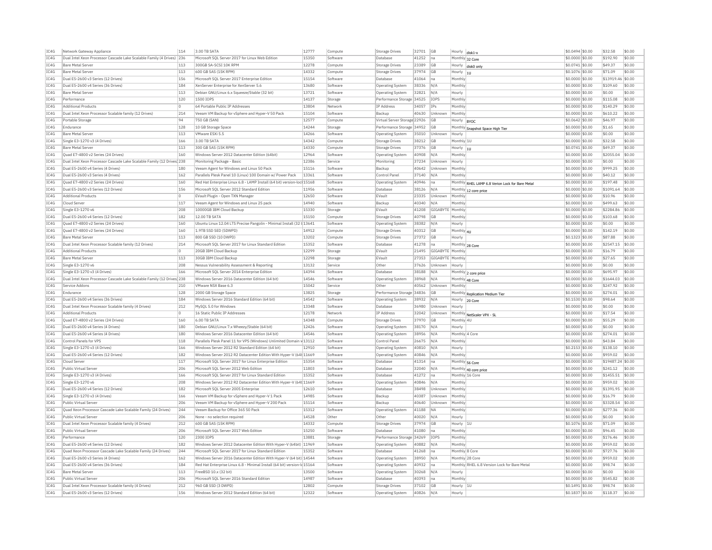| Hourly disk1-x<br>TC4G<br>41252<br>Dual Intel Xeon Processor Cascade Lake Scalable Family (4 Drives) 236<br>Microsoft SOL Server 2017 for Linux Web Edition<br>15350<br>Software<br>Database<br>Ina<br>Monthly 32 Core<br>IC4G<br><b>Bare Metal Server</b><br>113<br>300GB SA-SCSI 10K RPM<br>12278<br>Compute<br>23389<br><b>GB</b><br><b>Storage Drives</b><br>Hourly<br>disk0 only<br>IC4G<br><b>Bare Metal Server</b><br>113<br>600 GB SAS (15K RPM)<br>14332<br><b>Storage Drives</b><br>37974<br><b>GB</b><br>Compute<br>Hourly $ _{10}$<br>TCAG<br>Dual E5-2600 v3 Series (12 Drives)<br>156<br>Microsoft SQL Server 2017 Enterprise Edition<br>15154<br>Software<br>41064<br>Database<br>Monthly<br>Ina<br>IC4G<br>Dual E5-2600 v4 Series (36 Drives)<br>184<br>XenServer Enterprise for XenServer 5.6<br>13680<br>38336<br>N/A<br>Monthly<br>Software<br><b>Operating System</b><br>IC4G<br>113<br>13721<br>32821<br><b>Bare Metal Server</b><br>Debian GNU/Linux 6.x Squeeze/Stable (32 bit)<br>Software<br>N/A<br>Operating System<br>Hourly<br>IC4G<br>120<br>14137<br>Performance<br>1500 IOPS<br>Storage<br>Performance Storage<br>34525<br><b>IOPS</b><br>Monthly<br>13804<br>IC4G<br>64 Portable Public IP Addresses<br>IP Address<br>34057<br><b>Additional Products</b><br>$\circ$<br>IP <sub>s</sub><br>Monthly<br>Network<br>IC4G<br>Dual Intel Xeon Processor Scalable family (12 Drives)<br>214<br>Veeam VM Backup for vSphere and Hyper-V 50 Pack<br>15104<br>Software<br>Backup<br>40630<br>Unknown<br>Monthly<br>94<br>TC4G<br>750 GB (SAN)<br>12577<br>Portable Storage<br>Compute<br>Virtual Server Storage 22926<br><b>GB</b><br>Hourly  BYOC<br>IC4G<br>Endurance<br>128<br>10 GB Storage Space<br>14244<br>Performance Storage 34952<br>GB<br>Storage<br>Monthly Snapshot Space High Tier<br>TCAG<br>113<br>VMware FSXi 5.5<br>14266<br><b>Bare Metal Server</b><br>Software<br><b>Operating System</b><br>35010<br><b>Unknown</b><br>Hourly<br>IC4G<br>Single E3-1270 v3 (4 Drives)<br>166<br>3.00 TR SATA<br>14342<br>38212<br>GB<br>Monthly 1U<br>Compute<br>Storage Drives<br>IC4G<br><b>Bare Metal Server</b><br>113<br>300 GB SAS (15K RPM)<br>14330<br>Compute<br><b>Storage Drives</b><br>37376<br>GB<br>Hourly<br>IC4G<br>160<br>Windows Server 2012 Datacenter Edition (64bit)<br>12964<br>Ouad E7-4800 v2 Series (24 Drives)<br>40908<br>N/A<br>Monthly<br>Software<br>Operating System<br>TC4G<br>Dual Intel Xeon Processor Cascade Lake Scalable Family (12 Drives 238<br>Monitoring Package - Basic<br>12386<br>37234<br>Unknown<br>Service<br>Monitoring<br>Hourly<br>TC4G<br>180<br>15116<br>40642<br>Dual E5-2600 v4 Series (4 Drives)<br>Veeam Agent for Windows and Linux 50 Pack<br>Software<br>Backun<br>Unknown<br>Monthly<br>IC4G<br>Dual E5-2600 v3 Series (4 Drives)<br>162<br>Parallels Plesk Panel 10 (Linux) 100 Domain w/ Power Pack<br>13361<br>Software<br>Control Panel<br>37140<br>N/A<br>Monthly<br>TC4G<br>Red Hat Enterprise Linux 6.8 - LAMP Install (64 bit) version-loc 15168<br>Quad E7-4800 v2 Series (24 Drives)<br>160<br>40946<br>Software<br>Operating System<br>Ina<br>Monthly RHEL LAMP 6.8 Verion Lock for Bare Metal<br>IC4G<br>156<br>Microsoft SQL Server 2012 Standard Edition<br>11956<br>Dual E5-2600 v3 Series (12 Drives<br>Software<br>Databas<br>38126<br>N/A<br>Monthly 12 core price<br>TC4G<br>$\circ$<br>12650<br><b>Additional Products</b><br>EVault Plugin - Open TXN Manage<br>Software<br>EVault<br>23335<br><b>Unknown</b><br>Monthly<br>IC4G<br>117<br>14940<br>Cloud Server<br>Veeam Agent for Windows and Linux 25 pack<br>Software<br>Backup<br>40340<br>N/A<br>Monthly<br>TC4G<br>Single E3-1270 v6<br>208<br>10000GB IBM Cloud Backup<br>15330<br>Storage<br>FVault<br>41208<br>GIGABYTE Monthly<br>IC4G<br>Dual E5-2600 v4 Series (12 Drives)<br>182<br>12.00 TB SATA<br>15150<br>Compute<br>40798<br>GB<br>Monthly<br><b>Storage Drives</b><br>IC4G<br>Ouad E7-4800 v2 Series (24 Drives)<br>Ubuntu Linux 12.04 LTS Precise Pangolin - Minimal Install (32 t 13641<br>160<br>Software<br><b>Operating System</b><br>38382<br>N/A<br>Hourly<br>TC4G<br>Quad E7-4800 v2 Series (24 Drives)<br>160<br>1.9TB SSD SED (5DWPD)<br>14912<br>40312<br>Storage Drives<br>GB<br>Monthly 4U<br>Compute<br>IC4G<br>13202<br><b>Rare Metal Server</b><br>113<br>800 GB SSD (10 DWPD)<br>Compute<br>Storage Drives<br>27372<br><b>GB</b><br>Hourly<br>IC4G<br>214<br>Microsoft SQL Server 2017 for Linux Standard Edition<br>15352<br>Dual Intel Xeon Processor Scalable family (12 Drives)<br>Software<br>Database<br>41278<br>Monthly 28 Core<br>Ina<br>IC4G<br><b>Additional Products</b><br>$\circ$<br>20GB IBM Cloud Backup<br>12299<br>Storage<br>EVault<br>21495<br>GIGABYTE Monthly<br>IC4G<br><b>Bare Metal Server</b><br>113<br>30GB IBM Cloud Backup<br>12298<br>27353<br>GIGABYTE Monthly<br>EVault<br>Storage<br>IC4G<br>Single E3-1270 v6<br>208<br>Nessus Vulnerability Assessment & Reporting<br>13132<br>37626<br>Unknown<br>Service<br>Other<br>Hourly<br>14394<br>TC4G<br>Single E3-1270 v3 (4 Drives)<br>166<br>Microsoft SOL Server 2014 Enterprise Edition<br>Software<br>38188<br>Database<br>N/A<br>Monthly 2 core price<br>IC4G<br>Dual Intel Xeon Processor Cascade Lake Scalable Family (12 Drives) 238<br>Windows Server 2016 Datacenter Edition (64 bit)<br>14546<br>38968<br>Software<br><b>Operating System</b><br>N/A<br>Monthly 48 Core<br>TC4G<br>210<br>15042<br>Service Addons<br>VMware NSX Base 6.3<br>Service<br>Other<br>40562<br>Unknown<br>Monthly<br>IC4G<br>Endurance<br>128<br>2000 GB Storage Space<br>13825<br>Storage<br>Performance Storage 34836<br>GB<br>Monthly Replication Medium Tier<br>IC4G<br>Dual E5-2600 v4 Series (36 Drives)<br>184<br>Windows Server 2016 Standard Edition (64 bit)<br>14542<br>Software<br>Operating System<br>38932<br>N/A<br>Hourly 20 Core<br>212<br>IC4G<br>Dual Intel Xeon Processor Scalable family (4 Drives)<br>MvSOL 5.0 for Windows<br>13348<br>Software<br>Database<br>36980<br>Unknown<br>Hourly<br>IC4G<br><b>Additional Products</b><br>16 Static Public IP Addresses<br>12178<br>Network<br><b>IP Address</b><br>32042<br>Unknown<br>Monthly NetScaler VPX - SL<br>$\Omega$<br>TC4G<br>Quad E7-4800 v2 Series (24 Drives)<br>160<br>6.00 TR SATA<br>14348<br>37970<br>GB<br>Monthly 4U<br>Compute<br>Storage Drives<br>IC4G<br>Dual E5-2600 v4 Series (4 Drives)<br>180<br>Debian GNU/Linux 7.x Wheezy/Stable (64 bit)<br>12426<br>Software<br>38170<br><b>Operating System</b><br>N/A<br>Hourly<br>TC4G<br>Dual E5-2600 v4 Series (4 Drives)<br>180<br>Windows Server 2016 Datacenter Edition (64 bit)<br>14546<br>Software<br>Operating System<br>38956<br>N/A<br>Monthly 4 Core<br>IC4G<br>118<br>Parallels Plesk Panel 11 for VPS (Windows) Unlimited Domain v 13112<br>26675<br>Control Panels for VPS<br>Software<br>Control Panel<br>N/A<br>Monthly<br>IC4G<br>Single E3-1270 v3 (4 Drives)<br>166<br>Windows Server 2012 R2 Standard Edition (64 bit)<br>12910<br>40810<br>Software<br>Operating System<br>N/A<br>Hourly | \$0,0000 \$0.00<br>\$192.90<br>\$0.00<br>$$0.0741$ \$0.00<br>\$49.37<br>\$0.00<br>\$0.1076 \$0.00<br>\$71.09<br>\$0.00<br>\$0.0000 \$0.00<br>\$13919.46<br>\$0.00<br>\$0.0000 \$0.00<br>\$109.60<br>\$0.00<br>\$0,0000 \$0.00<br>\$0.00<br>\$0.00<br>\$0.0000 \$0.00<br>\$115.08<br>\$0.00<br>\$0,0000 \$0,00<br>\$140.29<br>\$0.00<br>\$0,0000 \$0.00<br>\$610.22<br>\$0.00<br>\$46.97<br>\$0.00<br>$ $0.0642$ $ $0.00$<br>\$0,0000 \$0,00<br>\$1.65<br>\$0.00<br>\$0.00<br>\$0.00<br>\$0,0000 \$0.00<br>\$0.0000 \$0.00<br>\$32.58<br>\$0.00<br>\$0.0741 \$0.00<br>\$49.37<br>\$0.00<br>\$2055.04<br>\$0.00<br>\$0,0000 \$0.00<br>\$0,0000 \$0.00<br>\$0.00<br>\$0.00<br>\$999.25<br>\$0.00<br>$$0.0000$ \$0.00<br>\$0.0000 \$0.00<br>\$40.12<br>\$0.00<br>\$0.00<br>$$0.0000$ \$0.00<br>\$197.48 |
|----------------------------------------------------------------------------------------------------------------------------------------------------------------------------------------------------------------------------------------------------------------------------------------------------------------------------------------------------------------------------------------------------------------------------------------------------------------------------------------------------------------------------------------------------------------------------------------------------------------------------------------------------------------------------------------------------------------------------------------------------------------------------------------------------------------------------------------------------------------------------------------------------------------------------------------------------------------------------------------------------------------------------------------------------------------------------------------------------------------------------------------------------------------------------------------------------------------------------------------------------------------------------------------------------------------------------------------------------------------------------------------------------------------------------------------------------------------------------------------------------------------------------------------------------------------------------------------------------------------------------------------------------------------------------------------------------------------------------------------------------------------------------------------------------------------------------------------------------------------------------------------------------------------------------------------------------------------------------------------------------------------------------------------------------------------------------------------------------------------------------------------------------------------------------------------------------------------------------------------------------------------------------------------------------------------------------------------------------------------------------------------------------------------------------------------------------------------------------------------------------------------------------------------------------------------------------------------------------------------------------------------------------------------------------------------------------------------------------------------------------------------------------------------------------------------------------------------------------------------------------------------------------------------------------------------------------------------------------------------------------------------------------------------------------------------------------------------------------------------------------------------------------------------------------------------------------------------------------------------------------------------------------------------------------------------------------------------------------------------------------------------------------------------------------------------------------------------------------------------------------------------------------------------------------------------------------------------------------------------------------------------------------------------------------------------------------------------------------------------------------------------------------------------------------------------------------------------------------------------------------------------------------------------------------------------------------------------------------------------------------------------------------------------------------------------------------------------------------------------------------------------------------------------------------------------------------------------------------------------------------------------------------------------------------------------------------------------------------------------------------------------------------------------------------------------------------------------------------------------------------------------------------------------------------------------------------------------------------------------------------------------------------------------------------------------------------------------------------------------------------------------------------------------------------------------------------------------------------------------------------------------------------------------------------------------------------------------------------------------------------------------------------------------------------------------------------------------------------------------------------------------------------------------------------------------------------------------------------------------------------------------------------------------------------------------------------------------------------------------------------------------------------------------------------------------------------------------------------------------------------------------------------------------------------------------------------------------------------------------------------------------------------------------------------------------------------------------------------------------------------------------------------------------------------------------------------------------------------------------------------------------------------------------------------------------------------------------------------------------------------------------------------------------------------------------------------------------------------------------------------------------------------------------------------------------------------------------------------------------------------------------------------------------------------------------------------------------------------------------------------------------------------------------------------------------------------------------------------------------------------------------------------------------------------------------------------------------------------------------------------------------------------------------------------------------------------------------------------------------------------------------------------------------------------------------------------------------------------------------------------------------------------------------------------------------------------------------------------------------------------------------------------------------------------------------------------------------------------------------------------|-----------------------------------------------------------------------------------------------------------------------------------------------------------------------------------------------------------------------------------------------------------------------------------------------------------------------------------------------------------------------------------------------------------------------------------------------------------------------------------------------------------------------------------------------------------------------------------------------------------------------------------------------------------------------------------------------------------------------------------------------------------------------------------------------------|
|                                                                                                                                                                                                                                                                                                                                                                                                                                                                                                                                                                                                                                                                                                                                                                                                                                                                                                                                                                                                                                                                                                                                                                                                                                                                                                                                                                                                                                                                                                                                                                                                                                                                                                                                                                                                                                                                                                                                                                                                                                                                                                                                                                                                                                                                                                                                                                                                                                                                                                                                                                                                                                                                                                                                                                                                                                                                                                                                                                                                                                                                                                                                                                                                                                                                                                                                                                                                                                                                                                                                                                                                                                                                                                                                                                                                                                                                                                                                                                                                                                                                                                                                                                                                                                                                                                                                                                                                                                                                                                                                                                                                                                                                                                                                                                                                                                                                                                                                                                                                                                                                                                                                                                                                                                                                                                                                                                                                                                                                                                                                                                                                                                                                                                                                                                                                                                                                                                                                                                                                                                                                                                                                                                                                                                                                                                                                                                                                                                                                                                                                                                                                                                                                                                                                                                                                                                                                                                                                                                                                                                                                                                                            |                                                                                                                                                                                                                                                                                                                                                                                                                                                                                                                                                                                                                                                                                                                                                                                                     |
|                                                                                                                                                                                                                                                                                                                                                                                                                                                                                                                                                                                                                                                                                                                                                                                                                                                                                                                                                                                                                                                                                                                                                                                                                                                                                                                                                                                                                                                                                                                                                                                                                                                                                                                                                                                                                                                                                                                                                                                                                                                                                                                                                                                                                                                                                                                                                                                                                                                                                                                                                                                                                                                                                                                                                                                                                                                                                                                                                                                                                                                                                                                                                                                                                                                                                                                                                                                                                                                                                                                                                                                                                                                                                                                                                                                                                                                                                                                                                                                                                                                                                                                                                                                                                                                                                                                                                                                                                                                                                                                                                                                                                                                                                                                                                                                                                                                                                                                                                                                                                                                                                                                                                                                                                                                                                                                                                                                                                                                                                                                                                                                                                                                                                                                                                                                                                                                                                                                                                                                                                                                                                                                                                                                                                                                                                                                                                                                                                                                                                                                                                                                                                                                                                                                                                                                                                                                                                                                                                                                                                                                                                                                            |                                                                                                                                                                                                                                                                                                                                                                                                                                                                                                                                                                                                                                                                                                                                                                                                     |
|                                                                                                                                                                                                                                                                                                                                                                                                                                                                                                                                                                                                                                                                                                                                                                                                                                                                                                                                                                                                                                                                                                                                                                                                                                                                                                                                                                                                                                                                                                                                                                                                                                                                                                                                                                                                                                                                                                                                                                                                                                                                                                                                                                                                                                                                                                                                                                                                                                                                                                                                                                                                                                                                                                                                                                                                                                                                                                                                                                                                                                                                                                                                                                                                                                                                                                                                                                                                                                                                                                                                                                                                                                                                                                                                                                                                                                                                                                                                                                                                                                                                                                                                                                                                                                                                                                                                                                                                                                                                                                                                                                                                                                                                                                                                                                                                                                                                                                                                                                                                                                                                                                                                                                                                                                                                                                                                                                                                                                                                                                                                                                                                                                                                                                                                                                                                                                                                                                                                                                                                                                                                                                                                                                                                                                                                                                                                                                                                                                                                                                                                                                                                                                                                                                                                                                                                                                                                                                                                                                                                                                                                                                                            |                                                                                                                                                                                                                                                                                                                                                                                                                                                                                                                                                                                                                                                                                                                                                                                                     |
|                                                                                                                                                                                                                                                                                                                                                                                                                                                                                                                                                                                                                                                                                                                                                                                                                                                                                                                                                                                                                                                                                                                                                                                                                                                                                                                                                                                                                                                                                                                                                                                                                                                                                                                                                                                                                                                                                                                                                                                                                                                                                                                                                                                                                                                                                                                                                                                                                                                                                                                                                                                                                                                                                                                                                                                                                                                                                                                                                                                                                                                                                                                                                                                                                                                                                                                                                                                                                                                                                                                                                                                                                                                                                                                                                                                                                                                                                                                                                                                                                                                                                                                                                                                                                                                                                                                                                                                                                                                                                                                                                                                                                                                                                                                                                                                                                                                                                                                                                                                                                                                                                                                                                                                                                                                                                                                                                                                                                                                                                                                                                                                                                                                                                                                                                                                                                                                                                                                                                                                                                                                                                                                                                                                                                                                                                                                                                                                                                                                                                                                                                                                                                                                                                                                                                                                                                                                                                                                                                                                                                                                                                                                            |                                                                                                                                                                                                                                                                                                                                                                                                                                                                                                                                                                                                                                                                                                                                                                                                     |
|                                                                                                                                                                                                                                                                                                                                                                                                                                                                                                                                                                                                                                                                                                                                                                                                                                                                                                                                                                                                                                                                                                                                                                                                                                                                                                                                                                                                                                                                                                                                                                                                                                                                                                                                                                                                                                                                                                                                                                                                                                                                                                                                                                                                                                                                                                                                                                                                                                                                                                                                                                                                                                                                                                                                                                                                                                                                                                                                                                                                                                                                                                                                                                                                                                                                                                                                                                                                                                                                                                                                                                                                                                                                                                                                                                                                                                                                                                                                                                                                                                                                                                                                                                                                                                                                                                                                                                                                                                                                                                                                                                                                                                                                                                                                                                                                                                                                                                                                                                                                                                                                                                                                                                                                                                                                                                                                                                                                                                                                                                                                                                                                                                                                                                                                                                                                                                                                                                                                                                                                                                                                                                                                                                                                                                                                                                                                                                                                                                                                                                                                                                                                                                                                                                                                                                                                                                                                                                                                                                                                                                                                                                                            |                                                                                                                                                                                                                                                                                                                                                                                                                                                                                                                                                                                                                                                                                                                                                                                                     |
|                                                                                                                                                                                                                                                                                                                                                                                                                                                                                                                                                                                                                                                                                                                                                                                                                                                                                                                                                                                                                                                                                                                                                                                                                                                                                                                                                                                                                                                                                                                                                                                                                                                                                                                                                                                                                                                                                                                                                                                                                                                                                                                                                                                                                                                                                                                                                                                                                                                                                                                                                                                                                                                                                                                                                                                                                                                                                                                                                                                                                                                                                                                                                                                                                                                                                                                                                                                                                                                                                                                                                                                                                                                                                                                                                                                                                                                                                                                                                                                                                                                                                                                                                                                                                                                                                                                                                                                                                                                                                                                                                                                                                                                                                                                                                                                                                                                                                                                                                                                                                                                                                                                                                                                                                                                                                                                                                                                                                                                                                                                                                                                                                                                                                                                                                                                                                                                                                                                                                                                                                                                                                                                                                                                                                                                                                                                                                                                                                                                                                                                                                                                                                                                                                                                                                                                                                                                                                                                                                                                                                                                                                                                            |                                                                                                                                                                                                                                                                                                                                                                                                                                                                                                                                                                                                                                                                                                                                                                                                     |
|                                                                                                                                                                                                                                                                                                                                                                                                                                                                                                                                                                                                                                                                                                                                                                                                                                                                                                                                                                                                                                                                                                                                                                                                                                                                                                                                                                                                                                                                                                                                                                                                                                                                                                                                                                                                                                                                                                                                                                                                                                                                                                                                                                                                                                                                                                                                                                                                                                                                                                                                                                                                                                                                                                                                                                                                                                                                                                                                                                                                                                                                                                                                                                                                                                                                                                                                                                                                                                                                                                                                                                                                                                                                                                                                                                                                                                                                                                                                                                                                                                                                                                                                                                                                                                                                                                                                                                                                                                                                                                                                                                                                                                                                                                                                                                                                                                                                                                                                                                                                                                                                                                                                                                                                                                                                                                                                                                                                                                                                                                                                                                                                                                                                                                                                                                                                                                                                                                                                                                                                                                                                                                                                                                                                                                                                                                                                                                                                                                                                                                                                                                                                                                                                                                                                                                                                                                                                                                                                                                                                                                                                                                                            |                                                                                                                                                                                                                                                                                                                                                                                                                                                                                                                                                                                                                                                                                                                                                                                                     |
|                                                                                                                                                                                                                                                                                                                                                                                                                                                                                                                                                                                                                                                                                                                                                                                                                                                                                                                                                                                                                                                                                                                                                                                                                                                                                                                                                                                                                                                                                                                                                                                                                                                                                                                                                                                                                                                                                                                                                                                                                                                                                                                                                                                                                                                                                                                                                                                                                                                                                                                                                                                                                                                                                                                                                                                                                                                                                                                                                                                                                                                                                                                                                                                                                                                                                                                                                                                                                                                                                                                                                                                                                                                                                                                                                                                                                                                                                                                                                                                                                                                                                                                                                                                                                                                                                                                                                                                                                                                                                                                                                                                                                                                                                                                                                                                                                                                                                                                                                                                                                                                                                                                                                                                                                                                                                                                                                                                                                                                                                                                                                                                                                                                                                                                                                                                                                                                                                                                                                                                                                                                                                                                                                                                                                                                                                                                                                                                                                                                                                                                                                                                                                                                                                                                                                                                                                                                                                                                                                                                                                                                                                                                            |                                                                                                                                                                                                                                                                                                                                                                                                                                                                                                                                                                                                                                                                                                                                                                                                     |
|                                                                                                                                                                                                                                                                                                                                                                                                                                                                                                                                                                                                                                                                                                                                                                                                                                                                                                                                                                                                                                                                                                                                                                                                                                                                                                                                                                                                                                                                                                                                                                                                                                                                                                                                                                                                                                                                                                                                                                                                                                                                                                                                                                                                                                                                                                                                                                                                                                                                                                                                                                                                                                                                                                                                                                                                                                                                                                                                                                                                                                                                                                                                                                                                                                                                                                                                                                                                                                                                                                                                                                                                                                                                                                                                                                                                                                                                                                                                                                                                                                                                                                                                                                                                                                                                                                                                                                                                                                                                                                                                                                                                                                                                                                                                                                                                                                                                                                                                                                                                                                                                                                                                                                                                                                                                                                                                                                                                                                                                                                                                                                                                                                                                                                                                                                                                                                                                                                                                                                                                                                                                                                                                                                                                                                                                                                                                                                                                                                                                                                                                                                                                                                                                                                                                                                                                                                                                                                                                                                                                                                                                                                                            |                                                                                                                                                                                                                                                                                                                                                                                                                                                                                                                                                                                                                                                                                                                                                                                                     |
|                                                                                                                                                                                                                                                                                                                                                                                                                                                                                                                                                                                                                                                                                                                                                                                                                                                                                                                                                                                                                                                                                                                                                                                                                                                                                                                                                                                                                                                                                                                                                                                                                                                                                                                                                                                                                                                                                                                                                                                                                                                                                                                                                                                                                                                                                                                                                                                                                                                                                                                                                                                                                                                                                                                                                                                                                                                                                                                                                                                                                                                                                                                                                                                                                                                                                                                                                                                                                                                                                                                                                                                                                                                                                                                                                                                                                                                                                                                                                                                                                                                                                                                                                                                                                                                                                                                                                                                                                                                                                                                                                                                                                                                                                                                                                                                                                                                                                                                                                                                                                                                                                                                                                                                                                                                                                                                                                                                                                                                                                                                                                                                                                                                                                                                                                                                                                                                                                                                                                                                                                                                                                                                                                                                                                                                                                                                                                                                                                                                                                                                                                                                                                                                                                                                                                                                                                                                                                                                                                                                                                                                                                                                            |                                                                                                                                                                                                                                                                                                                                                                                                                                                                                                                                                                                                                                                                                                                                                                                                     |
|                                                                                                                                                                                                                                                                                                                                                                                                                                                                                                                                                                                                                                                                                                                                                                                                                                                                                                                                                                                                                                                                                                                                                                                                                                                                                                                                                                                                                                                                                                                                                                                                                                                                                                                                                                                                                                                                                                                                                                                                                                                                                                                                                                                                                                                                                                                                                                                                                                                                                                                                                                                                                                                                                                                                                                                                                                                                                                                                                                                                                                                                                                                                                                                                                                                                                                                                                                                                                                                                                                                                                                                                                                                                                                                                                                                                                                                                                                                                                                                                                                                                                                                                                                                                                                                                                                                                                                                                                                                                                                                                                                                                                                                                                                                                                                                                                                                                                                                                                                                                                                                                                                                                                                                                                                                                                                                                                                                                                                                                                                                                                                                                                                                                                                                                                                                                                                                                                                                                                                                                                                                                                                                                                                                                                                                                                                                                                                                                                                                                                                                                                                                                                                                                                                                                                                                                                                                                                                                                                                                                                                                                                                                            |                                                                                                                                                                                                                                                                                                                                                                                                                                                                                                                                                                                                                                                                                                                                                                                                     |
|                                                                                                                                                                                                                                                                                                                                                                                                                                                                                                                                                                                                                                                                                                                                                                                                                                                                                                                                                                                                                                                                                                                                                                                                                                                                                                                                                                                                                                                                                                                                                                                                                                                                                                                                                                                                                                                                                                                                                                                                                                                                                                                                                                                                                                                                                                                                                                                                                                                                                                                                                                                                                                                                                                                                                                                                                                                                                                                                                                                                                                                                                                                                                                                                                                                                                                                                                                                                                                                                                                                                                                                                                                                                                                                                                                                                                                                                                                                                                                                                                                                                                                                                                                                                                                                                                                                                                                                                                                                                                                                                                                                                                                                                                                                                                                                                                                                                                                                                                                                                                                                                                                                                                                                                                                                                                                                                                                                                                                                                                                                                                                                                                                                                                                                                                                                                                                                                                                                                                                                                                                                                                                                                                                                                                                                                                                                                                                                                                                                                                                                                                                                                                                                                                                                                                                                                                                                                                                                                                                                                                                                                                                                            |                                                                                                                                                                                                                                                                                                                                                                                                                                                                                                                                                                                                                                                                                                                                                                                                     |
|                                                                                                                                                                                                                                                                                                                                                                                                                                                                                                                                                                                                                                                                                                                                                                                                                                                                                                                                                                                                                                                                                                                                                                                                                                                                                                                                                                                                                                                                                                                                                                                                                                                                                                                                                                                                                                                                                                                                                                                                                                                                                                                                                                                                                                                                                                                                                                                                                                                                                                                                                                                                                                                                                                                                                                                                                                                                                                                                                                                                                                                                                                                                                                                                                                                                                                                                                                                                                                                                                                                                                                                                                                                                                                                                                                                                                                                                                                                                                                                                                                                                                                                                                                                                                                                                                                                                                                                                                                                                                                                                                                                                                                                                                                                                                                                                                                                                                                                                                                                                                                                                                                                                                                                                                                                                                                                                                                                                                                                                                                                                                                                                                                                                                                                                                                                                                                                                                                                                                                                                                                                                                                                                                                                                                                                                                                                                                                                                                                                                                                                                                                                                                                                                                                                                                                                                                                                                                                                                                                                                                                                                                                                            |                                                                                                                                                                                                                                                                                                                                                                                                                                                                                                                                                                                                                                                                                                                                                                                                     |
|                                                                                                                                                                                                                                                                                                                                                                                                                                                                                                                                                                                                                                                                                                                                                                                                                                                                                                                                                                                                                                                                                                                                                                                                                                                                                                                                                                                                                                                                                                                                                                                                                                                                                                                                                                                                                                                                                                                                                                                                                                                                                                                                                                                                                                                                                                                                                                                                                                                                                                                                                                                                                                                                                                                                                                                                                                                                                                                                                                                                                                                                                                                                                                                                                                                                                                                                                                                                                                                                                                                                                                                                                                                                                                                                                                                                                                                                                                                                                                                                                                                                                                                                                                                                                                                                                                                                                                                                                                                                                                                                                                                                                                                                                                                                                                                                                                                                                                                                                                                                                                                                                                                                                                                                                                                                                                                                                                                                                                                                                                                                                                                                                                                                                                                                                                                                                                                                                                                                                                                                                                                                                                                                                                                                                                                                                                                                                                                                                                                                                                                                                                                                                                                                                                                                                                                                                                                                                                                                                                                                                                                                                                                            |                                                                                                                                                                                                                                                                                                                                                                                                                                                                                                                                                                                                                                                                                                                                                                                                     |
|                                                                                                                                                                                                                                                                                                                                                                                                                                                                                                                                                                                                                                                                                                                                                                                                                                                                                                                                                                                                                                                                                                                                                                                                                                                                                                                                                                                                                                                                                                                                                                                                                                                                                                                                                                                                                                                                                                                                                                                                                                                                                                                                                                                                                                                                                                                                                                                                                                                                                                                                                                                                                                                                                                                                                                                                                                                                                                                                                                                                                                                                                                                                                                                                                                                                                                                                                                                                                                                                                                                                                                                                                                                                                                                                                                                                                                                                                                                                                                                                                                                                                                                                                                                                                                                                                                                                                                                                                                                                                                                                                                                                                                                                                                                                                                                                                                                                                                                                                                                                                                                                                                                                                                                                                                                                                                                                                                                                                                                                                                                                                                                                                                                                                                                                                                                                                                                                                                                                                                                                                                                                                                                                                                                                                                                                                                                                                                                                                                                                                                                                                                                                                                                                                                                                                                                                                                                                                                                                                                                                                                                                                                                            |                                                                                                                                                                                                                                                                                                                                                                                                                                                                                                                                                                                                                                                                                                                                                                                                     |
|                                                                                                                                                                                                                                                                                                                                                                                                                                                                                                                                                                                                                                                                                                                                                                                                                                                                                                                                                                                                                                                                                                                                                                                                                                                                                                                                                                                                                                                                                                                                                                                                                                                                                                                                                                                                                                                                                                                                                                                                                                                                                                                                                                                                                                                                                                                                                                                                                                                                                                                                                                                                                                                                                                                                                                                                                                                                                                                                                                                                                                                                                                                                                                                                                                                                                                                                                                                                                                                                                                                                                                                                                                                                                                                                                                                                                                                                                                                                                                                                                                                                                                                                                                                                                                                                                                                                                                                                                                                                                                                                                                                                                                                                                                                                                                                                                                                                                                                                                                                                                                                                                                                                                                                                                                                                                                                                                                                                                                                                                                                                                                                                                                                                                                                                                                                                                                                                                                                                                                                                                                                                                                                                                                                                                                                                                                                                                                                                                                                                                                                                                                                                                                                                                                                                                                                                                                                                                                                                                                                                                                                                                                                            |                                                                                                                                                                                                                                                                                                                                                                                                                                                                                                                                                                                                                                                                                                                                                                                                     |
|                                                                                                                                                                                                                                                                                                                                                                                                                                                                                                                                                                                                                                                                                                                                                                                                                                                                                                                                                                                                                                                                                                                                                                                                                                                                                                                                                                                                                                                                                                                                                                                                                                                                                                                                                                                                                                                                                                                                                                                                                                                                                                                                                                                                                                                                                                                                                                                                                                                                                                                                                                                                                                                                                                                                                                                                                                                                                                                                                                                                                                                                                                                                                                                                                                                                                                                                                                                                                                                                                                                                                                                                                                                                                                                                                                                                                                                                                                                                                                                                                                                                                                                                                                                                                                                                                                                                                                                                                                                                                                                                                                                                                                                                                                                                                                                                                                                                                                                                                                                                                                                                                                                                                                                                                                                                                                                                                                                                                                                                                                                                                                                                                                                                                                                                                                                                                                                                                                                                                                                                                                                                                                                                                                                                                                                                                                                                                                                                                                                                                                                                                                                                                                                                                                                                                                                                                                                                                                                                                                                                                                                                                                                            |                                                                                                                                                                                                                                                                                                                                                                                                                                                                                                                                                                                                                                                                                                                                                                                                     |
|                                                                                                                                                                                                                                                                                                                                                                                                                                                                                                                                                                                                                                                                                                                                                                                                                                                                                                                                                                                                                                                                                                                                                                                                                                                                                                                                                                                                                                                                                                                                                                                                                                                                                                                                                                                                                                                                                                                                                                                                                                                                                                                                                                                                                                                                                                                                                                                                                                                                                                                                                                                                                                                                                                                                                                                                                                                                                                                                                                                                                                                                                                                                                                                                                                                                                                                                                                                                                                                                                                                                                                                                                                                                                                                                                                                                                                                                                                                                                                                                                                                                                                                                                                                                                                                                                                                                                                                                                                                                                                                                                                                                                                                                                                                                                                                                                                                                                                                                                                                                                                                                                                                                                                                                                                                                                                                                                                                                                                                                                                                                                                                                                                                                                                                                                                                                                                                                                                                                                                                                                                                                                                                                                                                                                                                                                                                                                                                                                                                                                                                                                                                                                                                                                                                                                                                                                                                                                                                                                                                                                                                                                                                            |                                                                                                                                                                                                                                                                                                                                                                                                                                                                                                                                                                                                                                                                                                                                                                                                     |
|                                                                                                                                                                                                                                                                                                                                                                                                                                                                                                                                                                                                                                                                                                                                                                                                                                                                                                                                                                                                                                                                                                                                                                                                                                                                                                                                                                                                                                                                                                                                                                                                                                                                                                                                                                                                                                                                                                                                                                                                                                                                                                                                                                                                                                                                                                                                                                                                                                                                                                                                                                                                                                                                                                                                                                                                                                                                                                                                                                                                                                                                                                                                                                                                                                                                                                                                                                                                                                                                                                                                                                                                                                                                                                                                                                                                                                                                                                                                                                                                                                                                                                                                                                                                                                                                                                                                                                                                                                                                                                                                                                                                                                                                                                                                                                                                                                                                                                                                                                                                                                                                                                                                                                                                                                                                                                                                                                                                                                                                                                                                                                                                                                                                                                                                                                                                                                                                                                                                                                                                                                                                                                                                                                                                                                                                                                                                                                                                                                                                                                                                                                                                                                                                                                                                                                                                                                                                                                                                                                                                                                                                                                                            |                                                                                                                                                                                                                                                                                                                                                                                                                                                                                                                                                                                                                                                                                                                                                                                                     |
|                                                                                                                                                                                                                                                                                                                                                                                                                                                                                                                                                                                                                                                                                                                                                                                                                                                                                                                                                                                                                                                                                                                                                                                                                                                                                                                                                                                                                                                                                                                                                                                                                                                                                                                                                                                                                                                                                                                                                                                                                                                                                                                                                                                                                                                                                                                                                                                                                                                                                                                                                                                                                                                                                                                                                                                                                                                                                                                                                                                                                                                                                                                                                                                                                                                                                                                                                                                                                                                                                                                                                                                                                                                                                                                                                                                                                                                                                                                                                                                                                                                                                                                                                                                                                                                                                                                                                                                                                                                                                                                                                                                                                                                                                                                                                                                                                                                                                                                                                                                                                                                                                                                                                                                                                                                                                                                                                                                                                                                                                                                                                                                                                                                                                                                                                                                                                                                                                                                                                                                                                                                                                                                                                                                                                                                                                                                                                                                                                                                                                                                                                                                                                                                                                                                                                                                                                                                                                                                                                                                                                                                                                                                            |                                                                                                                                                                                                                                                                                                                                                                                                                                                                                                                                                                                                                                                                                                                                                                                                     |
|                                                                                                                                                                                                                                                                                                                                                                                                                                                                                                                                                                                                                                                                                                                                                                                                                                                                                                                                                                                                                                                                                                                                                                                                                                                                                                                                                                                                                                                                                                                                                                                                                                                                                                                                                                                                                                                                                                                                                                                                                                                                                                                                                                                                                                                                                                                                                                                                                                                                                                                                                                                                                                                                                                                                                                                                                                                                                                                                                                                                                                                                                                                                                                                                                                                                                                                                                                                                                                                                                                                                                                                                                                                                                                                                                                                                                                                                                                                                                                                                                                                                                                                                                                                                                                                                                                                                                                                                                                                                                                                                                                                                                                                                                                                                                                                                                                                                                                                                                                                                                                                                                                                                                                                                                                                                                                                                                                                                                                                                                                                                                                                                                                                                                                                                                                                                                                                                                                                                                                                                                                                                                                                                                                                                                                                                                                                                                                                                                                                                                                                                                                                                                                                                                                                                                                                                                                                                                                                                                                                                                                                                                                                            |                                                                                                                                                                                                                                                                                                                                                                                                                                                                                                                                                                                                                                                                                                                                                                                                     |
|                                                                                                                                                                                                                                                                                                                                                                                                                                                                                                                                                                                                                                                                                                                                                                                                                                                                                                                                                                                                                                                                                                                                                                                                                                                                                                                                                                                                                                                                                                                                                                                                                                                                                                                                                                                                                                                                                                                                                                                                                                                                                                                                                                                                                                                                                                                                                                                                                                                                                                                                                                                                                                                                                                                                                                                                                                                                                                                                                                                                                                                                                                                                                                                                                                                                                                                                                                                                                                                                                                                                                                                                                                                                                                                                                                                                                                                                                                                                                                                                                                                                                                                                                                                                                                                                                                                                                                                                                                                                                                                                                                                                                                                                                                                                                                                                                                                                                                                                                                                                                                                                                                                                                                                                                                                                                                                                                                                                                                                                                                                                                                                                                                                                                                                                                                                                                                                                                                                                                                                                                                                                                                                                                                                                                                                                                                                                                                                                                                                                                                                                                                                                                                                                                                                                                                                                                                                                                                                                                                                                                                                                                                                            | \$0.0000 \$0.00<br>\$1091.64<br>\$0.00                                                                                                                                                                                                                                                                                                                                                                                                                                                                                                                                                                                                                                                                                                                                                              |
|                                                                                                                                                                                                                                                                                                                                                                                                                                                                                                                                                                                                                                                                                                                                                                                                                                                                                                                                                                                                                                                                                                                                                                                                                                                                                                                                                                                                                                                                                                                                                                                                                                                                                                                                                                                                                                                                                                                                                                                                                                                                                                                                                                                                                                                                                                                                                                                                                                                                                                                                                                                                                                                                                                                                                                                                                                                                                                                                                                                                                                                                                                                                                                                                                                                                                                                                                                                                                                                                                                                                                                                                                                                                                                                                                                                                                                                                                                                                                                                                                                                                                                                                                                                                                                                                                                                                                                                                                                                                                                                                                                                                                                                                                                                                                                                                                                                                                                                                                                                                                                                                                                                                                                                                                                                                                                                                                                                                                                                                                                                                                                                                                                                                                                                                                                                                                                                                                                                                                                                                                                                                                                                                                                                                                                                                                                                                                                                                                                                                                                                                                                                                                                                                                                                                                                                                                                                                                                                                                                                                                                                                                                                            | \$0.00<br>\$0.0000 \$0.00<br>\$10.96                                                                                                                                                                                                                                                                                                                                                                                                                                                                                                                                                                                                                                                                                                                                                                |
|                                                                                                                                                                                                                                                                                                                                                                                                                                                                                                                                                                                                                                                                                                                                                                                                                                                                                                                                                                                                                                                                                                                                                                                                                                                                                                                                                                                                                                                                                                                                                                                                                                                                                                                                                                                                                                                                                                                                                                                                                                                                                                                                                                                                                                                                                                                                                                                                                                                                                                                                                                                                                                                                                                                                                                                                                                                                                                                                                                                                                                                                                                                                                                                                                                                                                                                                                                                                                                                                                                                                                                                                                                                                                                                                                                                                                                                                                                                                                                                                                                                                                                                                                                                                                                                                                                                                                                                                                                                                                                                                                                                                                                                                                                                                                                                                                                                                                                                                                                                                                                                                                                                                                                                                                                                                                                                                                                                                                                                                                                                                                                                                                                                                                                                                                                                                                                                                                                                                                                                                                                                                                                                                                                                                                                                                                                                                                                                                                                                                                                                                                                                                                                                                                                                                                                                                                                                                                                                                                                                                                                                                                                                            | \$0.00<br>\$0,0000 \$0.00<br>\$499.63                                                                                                                                                                                                                                                                                                                                                                                                                                                                                                                                                                                                                                                                                                                                                               |
|                                                                                                                                                                                                                                                                                                                                                                                                                                                                                                                                                                                                                                                                                                                                                                                                                                                                                                                                                                                                                                                                                                                                                                                                                                                                                                                                                                                                                                                                                                                                                                                                                                                                                                                                                                                                                                                                                                                                                                                                                                                                                                                                                                                                                                                                                                                                                                                                                                                                                                                                                                                                                                                                                                                                                                                                                                                                                                                                                                                                                                                                                                                                                                                                                                                                                                                                                                                                                                                                                                                                                                                                                                                                                                                                                                                                                                                                                                                                                                                                                                                                                                                                                                                                                                                                                                                                                                                                                                                                                                                                                                                                                                                                                                                                                                                                                                                                                                                                                                                                                                                                                                                                                                                                                                                                                                                                                                                                                                                                                                                                                                                                                                                                                                                                                                                                                                                                                                                                                                                                                                                                                                                                                                                                                                                                                                                                                                                                                                                                                                                                                                                                                                                                                                                                                                                                                                                                                                                                                                                                                                                                                                                            | \$0,0000 \$0.00<br>\$2284.86<br>\$0.00                                                                                                                                                                                                                                                                                                                                                                                                                                                                                                                                                                                                                                                                                                                                                              |
|                                                                                                                                                                                                                                                                                                                                                                                                                                                                                                                                                                                                                                                                                                                                                                                                                                                                                                                                                                                                                                                                                                                                                                                                                                                                                                                                                                                                                                                                                                                                                                                                                                                                                                                                                                                                                                                                                                                                                                                                                                                                                                                                                                                                                                                                                                                                                                                                                                                                                                                                                                                                                                                                                                                                                                                                                                                                                                                                                                                                                                                                                                                                                                                                                                                                                                                                                                                                                                                                                                                                                                                                                                                                                                                                                                                                                                                                                                                                                                                                                                                                                                                                                                                                                                                                                                                                                                                                                                                                                                                                                                                                                                                                                                                                                                                                                                                                                                                                                                                                                                                                                                                                                                                                                                                                                                                                                                                                                                                                                                                                                                                                                                                                                                                                                                                                                                                                                                                                                                                                                                                                                                                                                                                                                                                                                                                                                                                                                                                                                                                                                                                                                                                                                                                                                                                                                                                                                                                                                                                                                                                                                                                            | \$0.0000 \$0.00<br>\$103.68<br>\$0.00                                                                                                                                                                                                                                                                                                                                                                                                                                                                                                                                                                                                                                                                                                                                                               |
|                                                                                                                                                                                                                                                                                                                                                                                                                                                                                                                                                                                                                                                                                                                                                                                                                                                                                                                                                                                                                                                                                                                                                                                                                                                                                                                                                                                                                                                                                                                                                                                                                                                                                                                                                                                                                                                                                                                                                                                                                                                                                                                                                                                                                                                                                                                                                                                                                                                                                                                                                                                                                                                                                                                                                                                                                                                                                                                                                                                                                                                                                                                                                                                                                                                                                                                                                                                                                                                                                                                                                                                                                                                                                                                                                                                                                                                                                                                                                                                                                                                                                                                                                                                                                                                                                                                                                                                                                                                                                                                                                                                                                                                                                                                                                                                                                                                                                                                                                                                                                                                                                                                                                                                                                                                                                                                                                                                                                                                                                                                                                                                                                                                                                                                                                                                                                                                                                                                                                                                                                                                                                                                                                                                                                                                                                                                                                                                                                                                                                                                                                                                                                                                                                                                                                                                                                                                                                                                                                                                                                                                                                                                            |                                                                                                                                                                                                                                                                                                                                                                                                                                                                                                                                                                                                                                                                                                                                                                                                     |
|                                                                                                                                                                                                                                                                                                                                                                                                                                                                                                                                                                                                                                                                                                                                                                                                                                                                                                                                                                                                                                                                                                                                                                                                                                                                                                                                                                                                                                                                                                                                                                                                                                                                                                                                                                                                                                                                                                                                                                                                                                                                                                                                                                                                                                                                                                                                                                                                                                                                                                                                                                                                                                                                                                                                                                                                                                                                                                                                                                                                                                                                                                                                                                                                                                                                                                                                                                                                                                                                                                                                                                                                                                                                                                                                                                                                                                                                                                                                                                                                                                                                                                                                                                                                                                                                                                                                                                                                                                                                                                                                                                                                                                                                                                                                                                                                                                                                                                                                                                                                                                                                                                                                                                                                                                                                                                                                                                                                                                                                                                                                                                                                                                                                                                                                                                                                                                                                                                                                                                                                                                                                                                                                                                                                                                                                                                                                                                                                                                                                                                                                                                                                                                                                                                                                                                                                                                                                                                                                                                                                                                                                                                                            | \$0.00<br>\$0,0000 \$0.00<br>\$0.00                                                                                                                                                                                                                                                                                                                                                                                                                                                                                                                                                                                                                                                                                                                                                                 |
|                                                                                                                                                                                                                                                                                                                                                                                                                                                                                                                                                                                                                                                                                                                                                                                                                                                                                                                                                                                                                                                                                                                                                                                                                                                                                                                                                                                                                                                                                                                                                                                                                                                                                                                                                                                                                                                                                                                                                                                                                                                                                                                                                                                                                                                                                                                                                                                                                                                                                                                                                                                                                                                                                                                                                                                                                                                                                                                                                                                                                                                                                                                                                                                                                                                                                                                                                                                                                                                                                                                                                                                                                                                                                                                                                                                                                                                                                                                                                                                                                                                                                                                                                                                                                                                                                                                                                                                                                                                                                                                                                                                                                                                                                                                                                                                                                                                                                                                                                                                                                                                                                                                                                                                                                                                                                                                                                                                                                                                                                                                                                                                                                                                                                                                                                                                                                                                                                                                                                                                                                                                                                                                                                                                                                                                                                                                                                                                                                                                                                                                                                                                                                                                                                                                                                                                                                                                                                                                                                                                                                                                                                                                            | \$0.0000 \$0.00<br>\$142.19<br>\$0.00                                                                                                                                                                                                                                                                                                                                                                                                                                                                                                                                                                                                                                                                                                                                                               |
|                                                                                                                                                                                                                                                                                                                                                                                                                                                                                                                                                                                                                                                                                                                                                                                                                                                                                                                                                                                                                                                                                                                                                                                                                                                                                                                                                                                                                                                                                                                                                                                                                                                                                                                                                                                                                                                                                                                                                                                                                                                                                                                                                                                                                                                                                                                                                                                                                                                                                                                                                                                                                                                                                                                                                                                                                                                                                                                                                                                                                                                                                                                                                                                                                                                                                                                                                                                                                                                                                                                                                                                                                                                                                                                                                                                                                                                                                                                                                                                                                                                                                                                                                                                                                                                                                                                                                                                                                                                                                                                                                                                                                                                                                                                                                                                                                                                                                                                                                                                                                                                                                                                                                                                                                                                                                                                                                                                                                                                                                                                                                                                                                                                                                                                                                                                                                                                                                                                                                                                                                                                                                                                                                                                                                                                                                                                                                                                                                                                                                                                                                                                                                                                                                                                                                                                                                                                                                                                                                                                                                                                                                                                            | \$0.1323 \$0.00<br><b>\$8788</b><br>\$0.00                                                                                                                                                                                                                                                                                                                                                                                                                                                                                                                                                                                                                                                                                                                                                          |
|                                                                                                                                                                                                                                                                                                                                                                                                                                                                                                                                                                                                                                                                                                                                                                                                                                                                                                                                                                                                                                                                                                                                                                                                                                                                                                                                                                                                                                                                                                                                                                                                                                                                                                                                                                                                                                                                                                                                                                                                                                                                                                                                                                                                                                                                                                                                                                                                                                                                                                                                                                                                                                                                                                                                                                                                                                                                                                                                                                                                                                                                                                                                                                                                                                                                                                                                                                                                                                                                                                                                                                                                                                                                                                                                                                                                                                                                                                                                                                                                                                                                                                                                                                                                                                                                                                                                                                                                                                                                                                                                                                                                                                                                                                                                                                                                                                                                                                                                                                                                                                                                                                                                                                                                                                                                                                                                                                                                                                                                                                                                                                                                                                                                                                                                                                                                                                                                                                                                                                                                                                                                                                                                                                                                                                                                                                                                                                                                                                                                                                                                                                                                                                                                                                                                                                                                                                                                                                                                                                                                                                                                                                                            | \$0.0000 \$0.00<br>\$2547.15<br>\$0.00                                                                                                                                                                                                                                                                                                                                                                                                                                                                                                                                                                                                                                                                                                                                                              |
|                                                                                                                                                                                                                                                                                                                                                                                                                                                                                                                                                                                                                                                                                                                                                                                                                                                                                                                                                                                                                                                                                                                                                                                                                                                                                                                                                                                                                                                                                                                                                                                                                                                                                                                                                                                                                                                                                                                                                                                                                                                                                                                                                                                                                                                                                                                                                                                                                                                                                                                                                                                                                                                                                                                                                                                                                                                                                                                                                                                                                                                                                                                                                                                                                                                                                                                                                                                                                                                                                                                                                                                                                                                                                                                                                                                                                                                                                                                                                                                                                                                                                                                                                                                                                                                                                                                                                                                                                                                                                                                                                                                                                                                                                                                                                                                                                                                                                                                                                                                                                                                                                                                                                                                                                                                                                                                                                                                                                                                                                                                                                                                                                                                                                                                                                                                                                                                                                                                                                                                                                                                                                                                                                                                                                                                                                                                                                                                                                                                                                                                                                                                                                                                                                                                                                                                                                                                                                                                                                                                                                                                                                                                            | \$0.0000 \$0.00<br>\$16.79<br>\$0.00                                                                                                                                                                                                                                                                                                                                                                                                                                                                                                                                                                                                                                                                                                                                                                |
|                                                                                                                                                                                                                                                                                                                                                                                                                                                                                                                                                                                                                                                                                                                                                                                                                                                                                                                                                                                                                                                                                                                                                                                                                                                                                                                                                                                                                                                                                                                                                                                                                                                                                                                                                                                                                                                                                                                                                                                                                                                                                                                                                                                                                                                                                                                                                                                                                                                                                                                                                                                                                                                                                                                                                                                                                                                                                                                                                                                                                                                                                                                                                                                                                                                                                                                                                                                                                                                                                                                                                                                                                                                                                                                                                                                                                                                                                                                                                                                                                                                                                                                                                                                                                                                                                                                                                                                                                                                                                                                                                                                                                                                                                                                                                                                                                                                                                                                                                                                                                                                                                                                                                                                                                                                                                                                                                                                                                                                                                                                                                                                                                                                                                                                                                                                                                                                                                                                                                                                                                                                                                                                                                                                                                                                                                                                                                                                                                                                                                                                                                                                                                                                                                                                                                                                                                                                                                                                                                                                                                                                                                                                            | \$0,0000 \$0,00<br>\$27.65<br>\$0.00                                                                                                                                                                                                                                                                                                                                                                                                                                                                                                                                                                                                                                                                                                                                                                |
|                                                                                                                                                                                                                                                                                                                                                                                                                                                                                                                                                                                                                                                                                                                                                                                                                                                                                                                                                                                                                                                                                                                                                                                                                                                                                                                                                                                                                                                                                                                                                                                                                                                                                                                                                                                                                                                                                                                                                                                                                                                                                                                                                                                                                                                                                                                                                                                                                                                                                                                                                                                                                                                                                                                                                                                                                                                                                                                                                                                                                                                                                                                                                                                                                                                                                                                                                                                                                                                                                                                                                                                                                                                                                                                                                                                                                                                                                                                                                                                                                                                                                                                                                                                                                                                                                                                                                                                                                                                                                                                                                                                                                                                                                                                                                                                                                                                                                                                                                                                                                                                                                                                                                                                                                                                                                                                                                                                                                                                                                                                                                                                                                                                                                                                                                                                                                                                                                                                                                                                                                                                                                                                                                                                                                                                                                                                                                                                                                                                                                                                                                                                                                                                                                                                                                                                                                                                                                                                                                                                                                                                                                                                            | \$0.0000 \$0.00<br>\$0.00<br>\$0.00                                                                                                                                                                                                                                                                                                                                                                                                                                                                                                                                                                                                                                                                                                                                                                 |
|                                                                                                                                                                                                                                                                                                                                                                                                                                                                                                                                                                                                                                                                                                                                                                                                                                                                                                                                                                                                                                                                                                                                                                                                                                                                                                                                                                                                                                                                                                                                                                                                                                                                                                                                                                                                                                                                                                                                                                                                                                                                                                                                                                                                                                                                                                                                                                                                                                                                                                                                                                                                                                                                                                                                                                                                                                                                                                                                                                                                                                                                                                                                                                                                                                                                                                                                                                                                                                                                                                                                                                                                                                                                                                                                                                                                                                                                                                                                                                                                                                                                                                                                                                                                                                                                                                                                                                                                                                                                                                                                                                                                                                                                                                                                                                                                                                                                                                                                                                                                                                                                                                                                                                                                                                                                                                                                                                                                                                                                                                                                                                                                                                                                                                                                                                                                                                                                                                                                                                                                                                                                                                                                                                                                                                                                                                                                                                                                                                                                                                                                                                                                                                                                                                                                                                                                                                                                                                                                                                                                                                                                                                                            | \$0.00<br>$$0.0000$ \$0.00<br>\$695.97                                                                                                                                                                                                                                                                                                                                                                                                                                                                                                                                                                                                                                                                                                                                                              |
|                                                                                                                                                                                                                                                                                                                                                                                                                                                                                                                                                                                                                                                                                                                                                                                                                                                                                                                                                                                                                                                                                                                                                                                                                                                                                                                                                                                                                                                                                                                                                                                                                                                                                                                                                                                                                                                                                                                                                                                                                                                                                                                                                                                                                                                                                                                                                                                                                                                                                                                                                                                                                                                                                                                                                                                                                                                                                                                                                                                                                                                                                                                                                                                                                                                                                                                                                                                                                                                                                                                                                                                                                                                                                                                                                                                                                                                                                                                                                                                                                                                                                                                                                                                                                                                                                                                                                                                                                                                                                                                                                                                                                                                                                                                                                                                                                                                                                                                                                                                                                                                                                                                                                                                                                                                                                                                                                                                                                                                                                                                                                                                                                                                                                                                                                                                                                                                                                                                                                                                                                                                                                                                                                                                                                                                                                                                                                                                                                                                                                                                                                                                                                                                                                                                                                                                                                                                                                                                                                                                                                                                                                                                            | \$1644.03<br>\$0.00<br>\$0.0000 \$0.00                                                                                                                                                                                                                                                                                                                                                                                                                                                                                                                                                                                                                                                                                                                                                              |
|                                                                                                                                                                                                                                                                                                                                                                                                                                                                                                                                                                                                                                                                                                                                                                                                                                                                                                                                                                                                                                                                                                                                                                                                                                                                                                                                                                                                                                                                                                                                                                                                                                                                                                                                                                                                                                                                                                                                                                                                                                                                                                                                                                                                                                                                                                                                                                                                                                                                                                                                                                                                                                                                                                                                                                                                                                                                                                                                                                                                                                                                                                                                                                                                                                                                                                                                                                                                                                                                                                                                                                                                                                                                                                                                                                                                                                                                                                                                                                                                                                                                                                                                                                                                                                                                                                                                                                                                                                                                                                                                                                                                                                                                                                                                                                                                                                                                                                                                                                                                                                                                                                                                                                                                                                                                                                                                                                                                                                                                                                                                                                                                                                                                                                                                                                                                                                                                                                                                                                                                                                                                                                                                                                                                                                                                                                                                                                                                                                                                                                                                                                                                                                                                                                                                                                                                                                                                                                                                                                                                                                                                                                                            |                                                                                                                                                                                                                                                                                                                                                                                                                                                                                                                                                                                                                                                                                                                                                                                                     |
|                                                                                                                                                                                                                                                                                                                                                                                                                                                                                                                                                                                                                                                                                                                                                                                                                                                                                                                                                                                                                                                                                                                                                                                                                                                                                                                                                                                                                                                                                                                                                                                                                                                                                                                                                                                                                                                                                                                                                                                                                                                                                                                                                                                                                                                                                                                                                                                                                                                                                                                                                                                                                                                                                                                                                                                                                                                                                                                                                                                                                                                                                                                                                                                                                                                                                                                                                                                                                                                                                                                                                                                                                                                                                                                                                                                                                                                                                                                                                                                                                                                                                                                                                                                                                                                                                                                                                                                                                                                                                                                                                                                                                                                                                                                                                                                                                                                                                                                                                                                                                                                                                                                                                                                                                                                                                                                                                                                                                                                                                                                                                                                                                                                                                                                                                                                                                                                                                                                                                                                                                                                                                                                                                                                                                                                                                                                                                                                                                                                                                                                                                                                                                                                                                                                                                                                                                                                                                                                                                                                                                                                                                                                            | \$0,0000 \$0.00<br>\$247.92<br>\$0.00                                                                                                                                                                                                                                                                                                                                                                                                                                                                                                                                                                                                                                                                                                                                                               |
|                                                                                                                                                                                                                                                                                                                                                                                                                                                                                                                                                                                                                                                                                                                                                                                                                                                                                                                                                                                                                                                                                                                                                                                                                                                                                                                                                                                                                                                                                                                                                                                                                                                                                                                                                                                                                                                                                                                                                                                                                                                                                                                                                                                                                                                                                                                                                                                                                                                                                                                                                                                                                                                                                                                                                                                                                                                                                                                                                                                                                                                                                                                                                                                                                                                                                                                                                                                                                                                                                                                                                                                                                                                                                                                                                                                                                                                                                                                                                                                                                                                                                                                                                                                                                                                                                                                                                                                                                                                                                                                                                                                                                                                                                                                                                                                                                                                                                                                                                                                                                                                                                                                                                                                                                                                                                                                                                                                                                                                                                                                                                                                                                                                                                                                                                                                                                                                                                                                                                                                                                                                                                                                                                                                                                                                                                                                                                                                                                                                                                                                                                                                                                                                                                                                                                                                                                                                                                                                                                                                                                                                                                                                            | \$0,0000 \$0.00<br>\$274.01<br>\$0.00                                                                                                                                                                                                                                                                                                                                                                                                                                                                                                                                                                                                                                                                                                                                                               |
|                                                                                                                                                                                                                                                                                                                                                                                                                                                                                                                                                                                                                                                                                                                                                                                                                                                                                                                                                                                                                                                                                                                                                                                                                                                                                                                                                                                                                                                                                                                                                                                                                                                                                                                                                                                                                                                                                                                                                                                                                                                                                                                                                                                                                                                                                                                                                                                                                                                                                                                                                                                                                                                                                                                                                                                                                                                                                                                                                                                                                                                                                                                                                                                                                                                                                                                                                                                                                                                                                                                                                                                                                                                                                                                                                                                                                                                                                                                                                                                                                                                                                                                                                                                                                                                                                                                                                                                                                                                                                                                                                                                                                                                                                                                                                                                                                                                                                                                                                                                                                                                                                                                                                                                                                                                                                                                                                                                                                                                                                                                                                                                                                                                                                                                                                                                                                                                                                                                                                                                                                                                                                                                                                                                                                                                                                                                                                                                                                                                                                                                                                                                                                                                                                                                                                                                                                                                                                                                                                                                                                                                                                                                            | \$0.1530 \$0.00<br>\$98.64<br>\$0.00                                                                                                                                                                                                                                                                                                                                                                                                                                                                                                                                                                                                                                                                                                                                                                |
|                                                                                                                                                                                                                                                                                                                                                                                                                                                                                                                                                                                                                                                                                                                                                                                                                                                                                                                                                                                                                                                                                                                                                                                                                                                                                                                                                                                                                                                                                                                                                                                                                                                                                                                                                                                                                                                                                                                                                                                                                                                                                                                                                                                                                                                                                                                                                                                                                                                                                                                                                                                                                                                                                                                                                                                                                                                                                                                                                                                                                                                                                                                                                                                                                                                                                                                                                                                                                                                                                                                                                                                                                                                                                                                                                                                                                                                                                                                                                                                                                                                                                                                                                                                                                                                                                                                                                                                                                                                                                                                                                                                                                                                                                                                                                                                                                                                                                                                                                                                                                                                                                                                                                                                                                                                                                                                                                                                                                                                                                                                                                                                                                                                                                                                                                                                                                                                                                                                                                                                                                                                                                                                                                                                                                                                                                                                                                                                                                                                                                                                                                                                                                                                                                                                                                                                                                                                                                                                                                                                                                                                                                                                            | \$0,0000 \$0.00<br>\$0.00<br>\$0.00                                                                                                                                                                                                                                                                                                                                                                                                                                                                                                                                                                                                                                                                                                                                                                 |
|                                                                                                                                                                                                                                                                                                                                                                                                                                                                                                                                                                                                                                                                                                                                                                                                                                                                                                                                                                                                                                                                                                                                                                                                                                                                                                                                                                                                                                                                                                                                                                                                                                                                                                                                                                                                                                                                                                                                                                                                                                                                                                                                                                                                                                                                                                                                                                                                                                                                                                                                                                                                                                                                                                                                                                                                                                                                                                                                                                                                                                                                                                                                                                                                                                                                                                                                                                                                                                                                                                                                                                                                                                                                                                                                                                                                                                                                                                                                                                                                                                                                                                                                                                                                                                                                                                                                                                                                                                                                                                                                                                                                                                                                                                                                                                                                                                                                                                                                                                                                                                                                                                                                                                                                                                                                                                                                                                                                                                                                                                                                                                                                                                                                                                                                                                                                                                                                                                                                                                                                                                                                                                                                                                                                                                                                                                                                                                                                                                                                                                                                                                                                                                                                                                                                                                                                                                                                                                                                                                                                                                                                                                                            | \$0.0000 \$0.00<br>\$17.54<br>\$0.00                                                                                                                                                                                                                                                                                                                                                                                                                                                                                                                                                                                                                                                                                                                                                                |
|                                                                                                                                                                                                                                                                                                                                                                                                                                                                                                                                                                                                                                                                                                                                                                                                                                                                                                                                                                                                                                                                                                                                                                                                                                                                                                                                                                                                                                                                                                                                                                                                                                                                                                                                                                                                                                                                                                                                                                                                                                                                                                                                                                                                                                                                                                                                                                                                                                                                                                                                                                                                                                                                                                                                                                                                                                                                                                                                                                                                                                                                                                                                                                                                                                                                                                                                                                                                                                                                                                                                                                                                                                                                                                                                                                                                                                                                                                                                                                                                                                                                                                                                                                                                                                                                                                                                                                                                                                                                                                                                                                                                                                                                                                                                                                                                                                                                                                                                                                                                                                                                                                                                                                                                                                                                                                                                                                                                                                                                                                                                                                                                                                                                                                                                                                                                                                                                                                                                                                                                                                                                                                                                                                                                                                                                                                                                                                                                                                                                                                                                                                                                                                                                                                                                                                                                                                                                                                                                                                                                                                                                                                                            | \$0.0000 \$0.00<br>\$55.29<br>\$0.00                                                                                                                                                                                                                                                                                                                                                                                                                                                                                                                                                                                                                                                                                                                                                                |
|                                                                                                                                                                                                                                                                                                                                                                                                                                                                                                                                                                                                                                                                                                                                                                                                                                                                                                                                                                                                                                                                                                                                                                                                                                                                                                                                                                                                                                                                                                                                                                                                                                                                                                                                                                                                                                                                                                                                                                                                                                                                                                                                                                                                                                                                                                                                                                                                                                                                                                                                                                                                                                                                                                                                                                                                                                                                                                                                                                                                                                                                                                                                                                                                                                                                                                                                                                                                                                                                                                                                                                                                                                                                                                                                                                                                                                                                                                                                                                                                                                                                                                                                                                                                                                                                                                                                                                                                                                                                                                                                                                                                                                                                                                                                                                                                                                                                                                                                                                                                                                                                                                                                                                                                                                                                                                                                                                                                                                                                                                                                                                                                                                                                                                                                                                                                                                                                                                                                                                                                                                                                                                                                                                                                                                                                                                                                                                                                                                                                                                                                                                                                                                                                                                                                                                                                                                                                                                                                                                                                                                                                                                                            | \$0.0000 \$0.00<br>\$0.00<br>\$0.00                                                                                                                                                                                                                                                                                                                                                                                                                                                                                                                                                                                                                                                                                                                                                                 |
|                                                                                                                                                                                                                                                                                                                                                                                                                                                                                                                                                                                                                                                                                                                                                                                                                                                                                                                                                                                                                                                                                                                                                                                                                                                                                                                                                                                                                                                                                                                                                                                                                                                                                                                                                                                                                                                                                                                                                                                                                                                                                                                                                                                                                                                                                                                                                                                                                                                                                                                                                                                                                                                                                                                                                                                                                                                                                                                                                                                                                                                                                                                                                                                                                                                                                                                                                                                                                                                                                                                                                                                                                                                                                                                                                                                                                                                                                                                                                                                                                                                                                                                                                                                                                                                                                                                                                                                                                                                                                                                                                                                                                                                                                                                                                                                                                                                                                                                                                                                                                                                                                                                                                                                                                                                                                                                                                                                                                                                                                                                                                                                                                                                                                                                                                                                                                                                                                                                                                                                                                                                                                                                                                                                                                                                                                                                                                                                                                                                                                                                                                                                                                                                                                                                                                                                                                                                                                                                                                                                                                                                                                                                            | \$0.0000 \$0.00<br>\$274.01<br>\$0.00                                                                                                                                                                                                                                                                                                                                                                                                                                                                                                                                                                                                                                                                                                                                                               |
|                                                                                                                                                                                                                                                                                                                                                                                                                                                                                                                                                                                                                                                                                                                                                                                                                                                                                                                                                                                                                                                                                                                                                                                                                                                                                                                                                                                                                                                                                                                                                                                                                                                                                                                                                                                                                                                                                                                                                                                                                                                                                                                                                                                                                                                                                                                                                                                                                                                                                                                                                                                                                                                                                                                                                                                                                                                                                                                                                                                                                                                                                                                                                                                                                                                                                                                                                                                                                                                                                                                                                                                                                                                                                                                                                                                                                                                                                                                                                                                                                                                                                                                                                                                                                                                                                                                                                                                                                                                                                                                                                                                                                                                                                                                                                                                                                                                                                                                                                                                                                                                                                                                                                                                                                                                                                                                                                                                                                                                                                                                                                                                                                                                                                                                                                                                                                                                                                                                                                                                                                                                                                                                                                                                                                                                                                                                                                                                                                                                                                                                                                                                                                                                                                                                                                                                                                                                                                                                                                                                                                                                                                                                            | \$0.0000 \$0.00<br>\$43.84<br>\$0.00                                                                                                                                                                                                                                                                                                                                                                                                                                                                                                                                                                                                                                                                                                                                                                |
|                                                                                                                                                                                                                                                                                                                                                                                                                                                                                                                                                                                                                                                                                                                                                                                                                                                                                                                                                                                                                                                                                                                                                                                                                                                                                                                                                                                                                                                                                                                                                                                                                                                                                                                                                                                                                                                                                                                                                                                                                                                                                                                                                                                                                                                                                                                                                                                                                                                                                                                                                                                                                                                                                                                                                                                                                                                                                                                                                                                                                                                                                                                                                                                                                                                                                                                                                                                                                                                                                                                                                                                                                                                                                                                                                                                                                                                                                                                                                                                                                                                                                                                                                                                                                                                                                                                                                                                                                                                                                                                                                                                                                                                                                                                                                                                                                                                                                                                                                                                                                                                                                                                                                                                                                                                                                                                                                                                                                                                                                                                                                                                                                                                                                                                                                                                                                                                                                                                                                                                                                                                                                                                                                                                                                                                                                                                                                                                                                                                                                                                                                                                                                                                                                                                                                                                                                                                                                                                                                                                                                                                                                                                            |                                                                                                                                                                                                                                                                                                                                                                                                                                                                                                                                                                                                                                                                                                                                                                                                     |
|                                                                                                                                                                                                                                                                                                                                                                                                                                                                                                                                                                                                                                                                                                                                                                                                                                                                                                                                                                                                                                                                                                                                                                                                                                                                                                                                                                                                                                                                                                                                                                                                                                                                                                                                                                                                                                                                                                                                                                                                                                                                                                                                                                                                                                                                                                                                                                                                                                                                                                                                                                                                                                                                                                                                                                                                                                                                                                                                                                                                                                                                                                                                                                                                                                                                                                                                                                                                                                                                                                                                                                                                                                                                                                                                                                                                                                                                                                                                                                                                                                                                                                                                                                                                                                                                                                                                                                                                                                                                                                                                                                                                                                                                                                                                                                                                                                                                                                                                                                                                                                                                                                                                                                                                                                                                                                                                                                                                                                                                                                                                                                                                                                                                                                                                                                                                                                                                                                                                                                                                                                                                                                                                                                                                                                                                                                                                                                                                                                                                                                                                                                                                                                                                                                                                                                                                                                                                                                                                                                                                                                                                                                                            | \$0,2153 \$0.00<br>\$138.10<br>\$0.00                                                                                                                                                                                                                                                                                                                                                                                                                                                                                                                                                                                                                                                                                                                                                               |
| IC4G<br>182<br>Dual E5-2600 v4 Series (12 Drives)<br>Windows Server 2012 R2 Datacenter Edition With Hyper-V (64t 11669<br>Software<br>Operating System<br>40846<br>N/A<br>Monthly                                                                                                                                                                                                                                                                                                                                                                                                                                                                                                                                                                                                                                                                                                                                                                                                                                                                                                                                                                                                                                                                                                                                                                                                                                                                                                                                                                                                                                                                                                                                                                                                                                                                                                                                                                                                                                                                                                                                                                                                                                                                                                                                                                                                                                                                                                                                                                                                                                                                                                                                                                                                                                                                                                                                                                                                                                                                                                                                                                                                                                                                                                                                                                                                                                                                                                                                                                                                                                                                                                                                                                                                                                                                                                                                                                                                                                                                                                                                                                                                                                                                                                                                                                                                                                                                                                                                                                                                                                                                                                                                                                                                                                                                                                                                                                                                                                                                                                                                                                                                                                                                                                                                                                                                                                                                                                                                                                                                                                                                                                                                                                                                                                                                                                                                                                                                                                                                                                                                                                                                                                                                                                                                                                                                                                                                                                                                                                                                                                                                                                                                                                                                                                                                                                                                                                                                                                                                                                                                          | \$0,0000 \$0.00<br>\$959.02<br>\$0.00                                                                                                                                                                                                                                                                                                                                                                                                                                                                                                                                                                                                                                                                                                                                                               |
| IC4G<br>Microsoft SOL Server 2017 for Linux Enterprise Edition<br>15354<br>Cloud Server<br>117<br>41314<br>Software<br>Database<br>Ina<br>Monthly 56 Core                                                                                                                                                                                                                                                                                                                                                                                                                                                                                                                                                                                                                                                                                                                                                                                                                                                                                                                                                                                                                                                                                                                                                                                                                                                                                                                                                                                                                                                                                                                                                                                                                                                                                                                                                                                                                                                                                                                                                                                                                                                                                                                                                                                                                                                                                                                                                                                                                                                                                                                                                                                                                                                                                                                                                                                                                                                                                                                                                                                                                                                                                                                                                                                                                                                                                                                                                                                                                                                                                                                                                                                                                                                                                                                                                                                                                                                                                                                                                                                                                                                                                                                                                                                                                                                                                                                                                                                                                                                                                                                                                                                                                                                                                                                                                                                                                                                                                                                                                                                                                                                                                                                                                                                                                                                                                                                                                                                                                                                                                                                                                                                                                                                                                                                                                                                                                                                                                                                                                                                                                                                                                                                                                                                                                                                                                                                                                                                                                                                                                                                                                                                                                                                                                                                                                                                                                                                                                                                                                                  | \$19487.24 \$0.00<br>$$0.0000$ \$0.00                                                                                                                                                                                                                                                                                                                                                                                                                                                                                                                                                                                                                                                                                                                                                               |
| IC4G<br>Public Virtual Server<br>206<br>Microsoft SQL Server 2012 Web Edition<br>11803<br>Software<br>Database<br>32040<br>N/A<br>Monthly 40 core price                                                                                                                                                                                                                                                                                                                                                                                                                                                                                                                                                                                                                                                                                                                                                                                                                                                                                                                                                                                                                                                                                                                                                                                                                                                                                                                                                                                                                                                                                                                                                                                                                                                                                                                                                                                                                                                                                                                                                                                                                                                                                                                                                                                                                                                                                                                                                                                                                                                                                                                                                                                                                                                                                                                                                                                                                                                                                                                                                                                                                                                                                                                                                                                                                                                                                                                                                                                                                                                                                                                                                                                                                                                                                                                                                                                                                                                                                                                                                                                                                                                                                                                                                                                                                                                                                                                                                                                                                                                                                                                                                                                                                                                                                                                                                                                                                                                                                                                                                                                                                                                                                                                                                                                                                                                                                                                                                                                                                                                                                                                                                                                                                                                                                                                                                                                                                                                                                                                                                                                                                                                                                                                                                                                                                                                                                                                                                                                                                                                                                                                                                                                                                                                                                                                                                                                                                                                                                                                                                                    | \$0,0000 \$0.00<br>\$241.12<br>\$0.00                                                                                                                                                                                                                                                                                                                                                                                                                                                                                                                                                                                                                                                                                                                                                               |
| TC4G<br>Single E3-1270 v3 (4 Drives)<br>15352<br>166<br>Microsoft SOL Server 2017 for Linux Standard Edition<br>Software<br>Database<br>41272<br>Ina<br>Monthly 16 Core                                                                                                                                                                                                                                                                                                                                                                                                                                                                                                                                                                                                                                                                                                                                                                                                                                                                                                                                                                                                                                                                                                                                                                                                                                                                                                                                                                                                                                                                                                                                                                                                                                                                                                                                                                                                                                                                                                                                                                                                                                                                                                                                                                                                                                                                                                                                                                                                                                                                                                                                                                                                                                                                                                                                                                                                                                                                                                                                                                                                                                                                                                                                                                                                                                                                                                                                                                                                                                                                                                                                                                                                                                                                                                                                                                                                                                                                                                                                                                                                                                                                                                                                                                                                                                                                                                                                                                                                                                                                                                                                                                                                                                                                                                                                                                                                                                                                                                                                                                                                                                                                                                                                                                                                                                                                                                                                                                                                                                                                                                                                                                                                                                                                                                                                                                                                                                                                                                                                                                                                                                                                                                                                                                                                                                                                                                                                                                                                                                                                                                                                                                                                                                                                                                                                                                                                                                                                                                                                                    | \$1455.51<br>\$0.00<br>\$0,0000 \$0.00                                                                                                                                                                                                                                                                                                                                                                                                                                                                                                                                                                                                                                                                                                                                                              |
| TC4G<br>Single F3-1270 v6<br>208<br>Windows Server 2012 R2 Datacenter Edition With Hyper-V (64t 11669<br>Software<br>40846<br>Monthly<br>Operating System<br>N/A                                                                                                                                                                                                                                                                                                                                                                                                                                                                                                                                                                                                                                                                                                                                                                                                                                                                                                                                                                                                                                                                                                                                                                                                                                                                                                                                                                                                                                                                                                                                                                                                                                                                                                                                                                                                                                                                                                                                                                                                                                                                                                                                                                                                                                                                                                                                                                                                                                                                                                                                                                                                                                                                                                                                                                                                                                                                                                                                                                                                                                                                                                                                                                                                                                                                                                                                                                                                                                                                                                                                                                                                                                                                                                                                                                                                                                                                                                                                                                                                                                                                                                                                                                                                                                                                                                                                                                                                                                                                                                                                                                                                                                                                                                                                                                                                                                                                                                                                                                                                                                                                                                                                                                                                                                                                                                                                                                                                                                                                                                                                                                                                                                                                                                                                                                                                                                                                                                                                                                                                                                                                                                                                                                                                                                                                                                                                                                                                                                                                                                                                                                                                                                                                                                                                                                                                                                                                                                                                                           | \$0.0000 \$0.00<br>\$959.02<br>\$0.00                                                                                                                                                                                                                                                                                                                                                                                                                                                                                                                                                                                                                                                                                                                                                               |
| IC4G<br>182<br>Dual E5-2600 v4 Series (12 Drives)<br>Microsoft SQL Server 2005 Enterprise<br>12610<br>Software<br>Database<br>38498<br>Unknown<br>Monthly                                                                                                                                                                                                                                                                                                                                                                                                                                                                                                                                                                                                                                                                                                                                                                                                                                                                                                                                                                                                                                                                                                                                                                                                                                                                                                                                                                                                                                                                                                                                                                                                                                                                                                                                                                                                                                                                                                                                                                                                                                                                                                                                                                                                                                                                                                                                                                                                                                                                                                                                                                                                                                                                                                                                                                                                                                                                                                                                                                                                                                                                                                                                                                                                                                                                                                                                                                                                                                                                                                                                                                                                                                                                                                                                                                                                                                                                                                                                                                                                                                                                                                                                                                                                                                                                                                                                                                                                                                                                                                                                                                                                                                                                                                                                                                                                                                                                                                                                                                                                                                                                                                                                                                                                                                                                                                                                                                                                                                                                                                                                                                                                                                                                                                                                                                                                                                                                                                                                                                                                                                                                                                                                                                                                                                                                                                                                                                                                                                                                                                                                                                                                                                                                                                                                                                                                                                                                                                                                                                  | \$0.00<br>\$0.0000 \$0.00<br>\$1391.95                                                                                                                                                                                                                                                                                                                                                                                                                                                                                                                                                                                                                                                                                                                                                              |
| IC4G<br>Single E3-1270 v3 (4 Drives)<br>166<br>Veeam VM Backup for vSphere and Hyper-V 1 Pack<br>14985<br>Software<br>Backup<br>40387<br>Unknown<br>Monthly                                                                                                                                                                                                                                                                                                                                                                                                                                                                                                                                                                                                                                                                                                                                                                                                                                                                                                                                                                                                                                                                                                                                                                                                                                                                                                                                                                                                                                                                                                                                                                                                                                                                                                                                                                                                                                                                                                                                                                                                                                                                                                                                                                                                                                                                                                                                                                                                                                                                                                                                                                                                                                                                                                                                                                                                                                                                                                                                                                                                                                                                                                                                                                                                                                                                                                                                                                                                                                                                                                                                                                                                                                                                                                                                                                                                                                                                                                                                                                                                                                                                                                                                                                                                                                                                                                                                                                                                                                                                                                                                                                                                                                                                                                                                                                                                                                                                                                                                                                                                                                                                                                                                                                                                                                                                                                                                                                                                                                                                                                                                                                                                                                                                                                                                                                                                                                                                                                                                                                                                                                                                                                                                                                                                                                                                                                                                                                                                                                                                                                                                                                                                                                                                                                                                                                                                                                                                                                                                                                | \$0.0000 \$0.00<br>\$16.79<br>\$0.00                                                                                                                                                                                                                                                                                                                                                                                                                                                                                                                                                                                                                                                                                                                                                                |
|                                                                                                                                                                                                                                                                                                                                                                                                                                                                                                                                                                                                                                                                                                                                                                                                                                                                                                                                                                                                                                                                                                                                                                                                                                                                                                                                                                                                                                                                                                                                                                                                                                                                                                                                                                                                                                                                                                                                                                                                                                                                                                                                                                                                                                                                                                                                                                                                                                                                                                                                                                                                                                                                                                                                                                                                                                                                                                                                                                                                                                                                                                                                                                                                                                                                                                                                                                                                                                                                                                                                                                                                                                                                                                                                                                                                                                                                                                                                                                                                                                                                                                                                                                                                                                                                                                                                                                                                                                                                                                                                                                                                                                                                                                                                                                                                                                                                                                                                                                                                                                                                                                                                                                                                                                                                                                                                                                                                                                                                                                                                                                                                                                                                                                                                                                                                                                                                                                                                                                                                                                                                                                                                                                                                                                                                                                                                                                                                                                                                                                                                                                                                                                                                                                                                                                                                                                                                                                                                                                                                                                                                                                                            |                                                                                                                                                                                                                                                                                                                                                                                                                                                                                                                                                                                                                                                                                                                                                                                                     |
| IC4G<br>Public Virtual Server<br>206<br>Veeam VM Backup for vSphere and Hyper-V 200 Pack<br>15114<br>Software<br>Backup<br>40640<br>Unknown<br>Monthly                                                                                                                                                                                                                                                                                                                                                                                                                                                                                                                                                                                                                                                                                                                                                                                                                                                                                                                                                                                                                                                                                                                                                                                                                                                                                                                                                                                                                                                                                                                                                                                                                                                                                                                                                                                                                                                                                                                                                                                                                                                                                                                                                                                                                                                                                                                                                                                                                                                                                                                                                                                                                                                                                                                                                                                                                                                                                                                                                                                                                                                                                                                                                                                                                                                                                                                                                                                                                                                                                                                                                                                                                                                                                                                                                                                                                                                                                                                                                                                                                                                                                                                                                                                                                                                                                                                                                                                                                                                                                                                                                                                                                                                                                                                                                                                                                                                                                                                                                                                                                                                                                                                                                                                                                                                                                                                                                                                                                                                                                                                                                                                                                                                                                                                                                                                                                                                                                                                                                                                                                                                                                                                                                                                                                                                                                                                                                                                                                                                                                                                                                                                                                                                                                                                                                                                                                                                                                                                                                                     | \$0.0000 \$0.00<br>\$3328.54<br>\$0.00                                                                                                                                                                                                                                                                                                                                                                                                                                                                                                                                                                                                                                                                                                                                                              |
| TCAG<br>Quad Xeon Processor Cascade Lake Scalable Family (24 Drives)<br>244<br>Veeam Backup for Office 365 50 Pack<br>15312<br>Software<br>41188<br>Monthly<br><b>Operating System</b><br><b>NA</b>                                                                                                                                                                                                                                                                                                                                                                                                                                                                                                                                                                                                                                                                                                                                                                                                                                                                                                                                                                                                                                                                                                                                                                                                                                                                                                                                                                                                                                                                                                                                                                                                                                                                                                                                                                                                                                                                                                                                                                                                                                                                                                                                                                                                                                                                                                                                                                                                                                                                                                                                                                                                                                                                                                                                                                                                                                                                                                                                                                                                                                                                                                                                                                                                                                                                                                                                                                                                                                                                                                                                                                                                                                                                                                                                                                                                                                                                                                                                                                                                                                                                                                                                                                                                                                                                                                                                                                                                                                                                                                                                                                                                                                                                                                                                                                                                                                                                                                                                                                                                                                                                                                                                                                                                                                                                                                                                                                                                                                                                                                                                                                                                                                                                                                                                                                                                                                                                                                                                                                                                                                                                                                                                                                                                                                                                                                                                                                                                                                                                                                                                                                                                                                                                                                                                                                                                                                                                                                                        | \$0.0000 \$0.00<br>\$277.36<br>\$0.00                                                                                                                                                                                                                                                                                                                                                                                                                                                                                                                                                                                                                                                                                                                                                               |
| IC4G<br>206<br>None - no selection required<br>14528<br>Other<br>Other<br>40020<br>Public Virtual Server<br>N/A<br>Hourly                                                                                                                                                                                                                                                                                                                                                                                                                                                                                                                                                                                                                                                                                                                                                                                                                                                                                                                                                                                                                                                                                                                                                                                                                                                                                                                                                                                                                                                                                                                                                                                                                                                                                                                                                                                                                                                                                                                                                                                                                                                                                                                                                                                                                                                                                                                                                                                                                                                                                                                                                                                                                                                                                                                                                                                                                                                                                                                                                                                                                                                                                                                                                                                                                                                                                                                                                                                                                                                                                                                                                                                                                                                                                                                                                                                                                                                                                                                                                                                                                                                                                                                                                                                                                                                                                                                                                                                                                                                                                                                                                                                                                                                                                                                                                                                                                                                                                                                                                                                                                                                                                                                                                                                                                                                                                                                                                                                                                                                                                                                                                                                                                                                                                                                                                                                                                                                                                                                                                                                                                                                                                                                                                                                                                                                                                                                                                                                                                                                                                                                                                                                                                                                                                                                                                                                                                                                                                                                                                                                                  | \$0.0000 \$0.00<br>\$0.00<br>\$0.00                                                                                                                                                                                                                                                                                                                                                                                                                                                                                                                                                                                                                                                                                                                                                                 |
| IC4G<br>Dual Intel Xeon Processor Scalable family (4 Drives)<br>14332<br>37974<br>212<br>600 GB SAS (15K RPM)<br><b>GB</b><br>Compute<br>Storage Drives<br>Hourly                                                                                                                                                                                                                                                                                                                                                                                                                                                                                                                                                                                                                                                                                                                                                                                                                                                                                                                                                                                                                                                                                                                                                                                                                                                                                                                                                                                                                                                                                                                                                                                                                                                                                                                                                                                                                                                                                                                                                                                                                                                                                                                                                                                                                                                                                                                                                                                                                                                                                                                                                                                                                                                                                                                                                                                                                                                                                                                                                                                                                                                                                                                                                                                                                                                                                                                                                                                                                                                                                                                                                                                                                                                                                                                                                                                                                                                                                                                                                                                                                                                                                                                                                                                                                                                                                                                                                                                                                                                                                                                                                                                                                                                                                                                                                                                                                                                                                                                                                                                                                                                                                                                                                                                                                                                                                                                                                                                                                                                                                                                                                                                                                                                                                                                                                                                                                                                                                                                                                                                                                                                                                                                                                                                                                                                                                                                                                                                                                                                                                                                                                                                                                                                                                                                                                                                                                                                                                                                                                          | \$71.09<br>\$0.00<br>\$0,1076 \$0.00                                                                                                                                                                                                                                                                                                                                                                                                                                                                                                                                                                                                                                                                                                                                                                |
| IC4G<br>206<br>Microsoft SQL Server 2017 Web Edition<br>15250<br>41080<br>Public Virtual Server<br>Software<br><b>Databas</b><br> na<br>Monthly                                                                                                                                                                                                                                                                                                                                                                                                                                                                                                                                                                                                                                                                                                                                                                                                                                                                                                                                                                                                                                                                                                                                                                                                                                                                                                                                                                                                                                                                                                                                                                                                                                                                                                                                                                                                                                                                                                                                                                                                                                                                                                                                                                                                                                                                                                                                                                                                                                                                                                                                                                                                                                                                                                                                                                                                                                                                                                                                                                                                                                                                                                                                                                                                                                                                                                                                                                                                                                                                                                                                                                                                                                                                                                                                                                                                                                                                                                                                                                                                                                                                                                                                                                                                                                                                                                                                                                                                                                                                                                                                                                                                                                                                                                                                                                                                                                                                                                                                                                                                                                                                                                                                                                                                                                                                                                                                                                                                                                                                                                                                                                                                                                                                                                                                                                                                                                                                                                                                                                                                                                                                                                                                                                                                                                                                                                                                                                                                                                                                                                                                                                                                                                                                                                                                                                                                                                                                                                                                                                            | \$0.0000 \$0.00<br>\$96.45<br>\$0.00                                                                                                                                                                                                                                                                                                                                                                                                                                                                                                                                                                                                                                                                                                                                                                |
| IC4G<br>120<br>13881<br>2300 IOPS<br>Performance Storage 34269<br><b>IOPS</b><br>Performance<br>Monthly<br>Storage                                                                                                                                                                                                                                                                                                                                                                                                                                                                                                                                                                                                                                                                                                                                                                                                                                                                                                                                                                                                                                                                                                                                                                                                                                                                                                                                                                                                                                                                                                                                                                                                                                                                                                                                                                                                                                                                                                                                                                                                                                                                                                                                                                                                                                                                                                                                                                                                                                                                                                                                                                                                                                                                                                                                                                                                                                                                                                                                                                                                                                                                                                                                                                                                                                                                                                                                                                                                                                                                                                                                                                                                                                                                                                                                                                                                                                                                                                                                                                                                                                                                                                                                                                                                                                                                                                                                                                                                                                                                                                                                                                                                                                                                                                                                                                                                                                                                                                                                                                                                                                                                                                                                                                                                                                                                                                                                                                                                                                                                                                                                                                                                                                                                                                                                                                                                                                                                                                                                                                                                                                                                                                                                                                                                                                                                                                                                                                                                                                                                                                                                                                                                                                                                                                                                                                                                                                                                                                                                                                                                         | \$0,0000 \$0.00<br>\$176.46<br>\$0.00                                                                                                                                                                                                                                                                                                                                                                                                                                                                                                                                                                                                                                                                                                                                                               |
| IC4G<br>182<br>11969<br>Dual E5-2600 v4 Series (12 Drives)<br>Windows Server 2012 Datacenter Edition With Hyper-V (64bit)<br>Software<br><b>Operating System</b><br>40882<br>N/A<br>Monthly                                                                                                                                                                                                                                                                                                                                                                                                                                                                                                                                                                                                                                                                                                                                                                                                                                                                                                                                                                                                                                                                                                                                                                                                                                                                                                                                                                                                                                                                                                                                                                                                                                                                                                                                                                                                                                                                                                                                                                                                                                                                                                                                                                                                                                                                                                                                                                                                                                                                                                                                                                                                                                                                                                                                                                                                                                                                                                                                                                                                                                                                                                                                                                                                                                                                                                                                                                                                                                                                                                                                                                                                                                                                                                                                                                                                                                                                                                                                                                                                                                                                                                                                                                                                                                                                                                                                                                                                                                                                                                                                                                                                                                                                                                                                                                                                                                                                                                                                                                                                                                                                                                                                                                                                                                                                                                                                                                                                                                                                                                                                                                                                                                                                                                                                                                                                                                                                                                                                                                                                                                                                                                                                                                                                                                                                                                                                                                                                                                                                                                                                                                                                                                                                                                                                                                                                                                                                                                                                | \$0.0000 \$0.00<br>\$0.00<br>\$959.02                                                                                                                                                                                                                                                                                                                                                                                                                                                                                                                                                                                                                                                                                                                                                               |
| TC4G<br>244<br>15352<br>Ouad Xeon Processor Cascade Lake Scalable Family (24 Drives)<br>Microsoft SOL Server 2017 for Linux Standard Edition<br>Software<br>41268<br>Database<br>Ina<br>Monthly 8 Core                                                                                                                                                                                                                                                                                                                                                                                                                                                                                                                                                                                                                                                                                                                                                                                                                                                                                                                                                                                                                                                                                                                                                                                                                                                                                                                                                                                                                                                                                                                                                                                                                                                                                                                                                                                                                                                                                                                                                                                                                                                                                                                                                                                                                                                                                                                                                                                                                                                                                                                                                                                                                                                                                                                                                                                                                                                                                                                                                                                                                                                                                                                                                                                                                                                                                                                                                                                                                                                                                                                                                                                                                                                                                                                                                                                                                                                                                                                                                                                                                                                                                                                                                                                                                                                                                                                                                                                                                                                                                                                                                                                                                                                                                                                                                                                                                                                                                                                                                                                                                                                                                                                                                                                                                                                                                                                                                                                                                                                                                                                                                                                                                                                                                                                                                                                                                                                                                                                                                                                                                                                                                                                                                                                                                                                                                                                                                                                                                                                                                                                                                                                                                                                                                                                                                                                                                                                                                                                     | \$0.0000 \$0.00<br>\$0.00<br>\$727.76                                                                                                                                                                                                                                                                                                                                                                                                                                                                                                                                                                                                                                                                                                                                                               |
| IC4G<br>Dual E5-2600 v3 Series (4 Drives)<br>162<br>Software<br>38950<br>N/A<br>Monthly 28 Core                                                                                                                                                                                                                                                                                                                                                                                                                                                                                                                                                                                                                                                                                                                                                                                                                                                                                                                                                                                                                                                                                                                                                                                                                                                                                                                                                                                                                                                                                                                                                                                                                                                                                                                                                                                                                                                                                                                                                                                                                                                                                                                                                                                                                                                                                                                                                                                                                                                                                                                                                                                                                                                                                                                                                                                                                                                                                                                                                                                                                                                                                                                                                                                                                                                                                                                                                                                                                                                                                                                                                                                                                                                                                                                                                                                                                                                                                                                                                                                                                                                                                                                                                                                                                                                                                                                                                                                                                                                                                                                                                                                                                                                                                                                                                                                                                                                                                                                                                                                                                                                                                                                                                                                                                                                                                                                                                                                                                                                                                                                                                                                                                                                                                                                                                                                                                                                                                                                                                                                                                                                                                                                                                                                                                                                                                                                                                                                                                                                                                                                                                                                                                                                                                                                                                                                                                                                                                                                                                                                                                            |                                                                                                                                                                                                                                                                                                                                                                                                                                                                                                                                                                                                                                                                                                                                                                                                     |
| Windows Server 2016 Datacenter Edition With Hyper-V (64 bit) 14544<br>Operating System                                                                                                                                                                                                                                                                                                                                                                                                                                                                                                                                                                                                                                                                                                                                                                                                                                                                                                                                                                                                                                                                                                                                                                                                                                                                                                                                                                                                                                                                                                                                                                                                                                                                                                                                                                                                                                                                                                                                                                                                                                                                                                                                                                                                                                                                                                                                                                                                                                                                                                                                                                                                                                                                                                                                                                                                                                                                                                                                                                                                                                                                                                                                                                                                                                                                                                                                                                                                                                                                                                                                                                                                                                                                                                                                                                                                                                                                                                                                                                                                                                                                                                                                                                                                                                                                                                                                                                                                                                                                                                                                                                                                                                                                                                                                                                                                                                                                                                                                                                                                                                                                                                                                                                                                                                                                                                                                                                                                                                                                                                                                                                                                                                                                                                                                                                                                                                                                                                                                                                                                                                                                                                                                                                                                                                                                                                                                                                                                                                                                                                                                                                                                                                                                                                                                                                                                                                                                                                                                                                                                                                     |                                                                                                                                                                                                                                                                                                                                                                                                                                                                                                                                                                                                                                                                                                                                                                                                     |
| TCAG<br>Dual E5-2600 v4 Series (36 Drives)<br>184<br>Red Hat Enterprise Linux 6.8 - Minimal Install (64 bit) version-ld 15164<br>40932<br>Monthly RHEL 6.8 Version Lock for Bare Metal<br>Software<br><b>Operating System</b><br>Ina                                                                                                                                                                                                                                                                                                                                                                                                                                                                                                                                                                                                                                                                                                                                                                                                                                                                                                                                                                                                                                                                                                                                                                                                                                                                                                                                                                                                                                                                                                                                                                                                                                                                                                                                                                                                                                                                                                                                                                                                                                                                                                                                                                                                                                                                                                                                                                                                                                                                                                                                                                                                                                                                                                                                                                                                                                                                                                                                                                                                                                                                                                                                                                                                                                                                                                                                                                                                                                                                                                                                                                                                                                                                                                                                                                                                                                                                                                                                                                                                                                                                                                                                                                                                                                                                                                                                                                                                                                                                                                                                                                                                                                                                                                                                                                                                                                                                                                                                                                                                                                                                                                                                                                                                                                                                                                                                                                                                                                                                                                                                                                                                                                                                                                                                                                                                                                                                                                                                                                                                                                                                                                                                                                                                                                                                                                                                                                                                                                                                                                                                                                                                                                                                                                                                                                                                                                                                                       | \$0.0000 \$0.00<br>\$959.02<br>\$0.00                                                                                                                                                                                                                                                                                                                                                                                                                                                                                                                                                                                                                                                                                                                                                               |
| TC4G<br><b>Bare Metal Server</b><br>113<br>FreeBSD 10.x (32 bit)<br>13500<br>Software<br>30268<br>Operating System<br>N/A<br>Hourly                                                                                                                                                                                                                                                                                                                                                                                                                                                                                                                                                                                                                                                                                                                                                                                                                                                                                                                                                                                                                                                                                                                                                                                                                                                                                                                                                                                                                                                                                                                                                                                                                                                                                                                                                                                                                                                                                                                                                                                                                                                                                                                                                                                                                                                                                                                                                                                                                                                                                                                                                                                                                                                                                                                                                                                                                                                                                                                                                                                                                                                                                                                                                                                                                                                                                                                                                                                                                                                                                                                                                                                                                                                                                                                                                                                                                                                                                                                                                                                                                                                                                                                                                                                                                                                                                                                                                                                                                                                                                                                                                                                                                                                                                                                                                                                                                                                                                                                                                                                                                                                                                                                                                                                                                                                                                                                                                                                                                                                                                                                                                                                                                                                                                                                                                                                                                                                                                                                                                                                                                                                                                                                                                                                                                                                                                                                                                                                                                                                                                                                                                                                                                                                                                                                                                                                                                                                                                                                                                                                        | \$98.74<br>\$0.00<br>\$0,0000 \$0,00                                                                                                                                                                                                                                                                                                                                                                                                                                                                                                                                                                                                                                                                                                                                                                |
| 206<br>IC4G<br>Public Virtual Server<br>Microsoft SQL Server 2016 Standard Edition<br>14987<br>Software<br>Database<br>40393<br>Ina<br>Monthly                                                                                                                                                                                                                                                                                                                                                                                                                                                                                                                                                                                                                                                                                                                                                                                                                                                                                                                                                                                                                                                                                                                                                                                                                                                                                                                                                                                                                                                                                                                                                                                                                                                                                                                                                                                                                                                                                                                                                                                                                                                                                                                                                                                                                                                                                                                                                                                                                                                                                                                                                                                                                                                                                                                                                                                                                                                                                                                                                                                                                                                                                                                                                                                                                                                                                                                                                                                                                                                                                                                                                                                                                                                                                                                                                                                                                                                                                                                                                                                                                                                                                                                                                                                                                                                                                                                                                                                                                                                                                                                                                                                                                                                                                                                                                                                                                                                                                                                                                                                                                                                                                                                                                                                                                                                                                                                                                                                                                                                                                                                                                                                                                                                                                                                                                                                                                                                                                                                                                                                                                                                                                                                                                                                                                                                                                                                                                                                                                                                                                                                                                                                                                                                                                                                                                                                                                                                                                                                                                                             | \$0.0000 \$0.00<br>\$0.00<br>\$0.00                                                                                                                                                                                                                                                                                                                                                                                                                                                                                                                                                                                                                                                                                                                                                                 |
| TC4G<br>Dual Intel Xeon Processor Scalable family (4 Drives)<br>212<br>960 GB SSD (3 DWPD)<br>12802<br>37102<br><b>GB</b><br>Compute<br>Storage Drives<br>Hourly 1L                                                                                                                                                                                                                                                                                                                                                                                                                                                                                                                                                                                                                                                                                                                                                                                                                                                                                                                                                                                                                                                                                                                                                                                                                                                                                                                                                                                                                                                                                                                                                                                                                                                                                                                                                                                                                                                                                                                                                                                                                                                                                                                                                                                                                                                                                                                                                                                                                                                                                                                                                                                                                                                                                                                                                                                                                                                                                                                                                                                                                                                                                                                                                                                                                                                                                                                                                                                                                                                                                                                                                                                                                                                                                                                                                                                                                                                                                                                                                                                                                                                                                                                                                                                                                                                                                                                                                                                                                                                                                                                                                                                                                                                                                                                                                                                                                                                                                                                                                                                                                                                                                                                                                                                                                                                                                                                                                                                                                                                                                                                                                                                                                                                                                                                                                                                                                                                                                                                                                                                                                                                                                                                                                                                                                                                                                                                                                                                                                                                                                                                                                                                                                                                                                                                                                                                                                                                                                                                                                        | \$0,0000 \$0.00<br>\$545.82<br>\$0.00                                                                                                                                                                                                                                                                                                                                                                                                                                                                                                                                                                                                                                                                                                                                                               |
| TCAG<br>156<br>Dual E5-2600 v3 Series (12 Drives)<br>Windows Server 2012 Standard Edition (64 bit)<br>12322<br>Software<br>Operating System<br>40826<br>N/A<br>Hourly                                                                                                                                                                                                                                                                                                                                                                                                                                                                                                                                                                                                                                                                                                                                                                                                                                                                                                                                                                                                                                                                                                                                                                                                                                                                                                                                                                                                                                                                                                                                                                                                                                                                                                                                                                                                                                                                                                                                                                                                                                                                                                                                                                                                                                                                                                                                                                                                                                                                                                                                                                                                                                                                                                                                                                                                                                                                                                                                                                                                                                                                                                                                                                                                                                                                                                                                                                                                                                                                                                                                                                                                                                                                                                                                                                                                                                                                                                                                                                                                                                                                                                                                                                                                                                                                                                                                                                                                                                                                                                                                                                                                                                                                                                                                                                                                                                                                                                                                                                                                                                                                                                                                                                                                                                                                                                                                                                                                                                                                                                                                                                                                                                                                                                                                                                                                                                                                                                                                                                                                                                                                                                                                                                                                                                                                                                                                                                                                                                                                                                                                                                                                                                                                                                                                                                                                                                                                                                                                                      | $$0.1491$ \$0.00<br>\$98.74<br>\$0.00                                                                                                                                                                                                                                                                                                                                                                                                                                                                                                                                                                                                                                                                                                                                                               |
|                                                                                                                                                                                                                                                                                                                                                                                                                                                                                                                                                                                                                                                                                                                                                                                                                                                                                                                                                                                                                                                                                                                                                                                                                                                                                                                                                                                                                                                                                                                                                                                                                                                                                                                                                                                                                                                                                                                                                                                                                                                                                                                                                                                                                                                                                                                                                                                                                                                                                                                                                                                                                                                                                                                                                                                                                                                                                                                                                                                                                                                                                                                                                                                                                                                                                                                                                                                                                                                                                                                                                                                                                                                                                                                                                                                                                                                                                                                                                                                                                                                                                                                                                                                                                                                                                                                                                                                                                                                                                                                                                                                                                                                                                                                                                                                                                                                                                                                                                                                                                                                                                                                                                                                                                                                                                                                                                                                                                                                                                                                                                                                                                                                                                                                                                                                                                                                                                                                                                                                                                                                                                                                                                                                                                                                                                                                                                                                                                                                                                                                                                                                                                                                                                                                                                                                                                                                                                                                                                                                                                                                                                                                            | \$0.1837 \$0.00<br>\$118.37<br>\$0.00                                                                                                                                                                                                                                                                                                                                                                                                                                                                                                                                                                                                                                                                                                                                                               |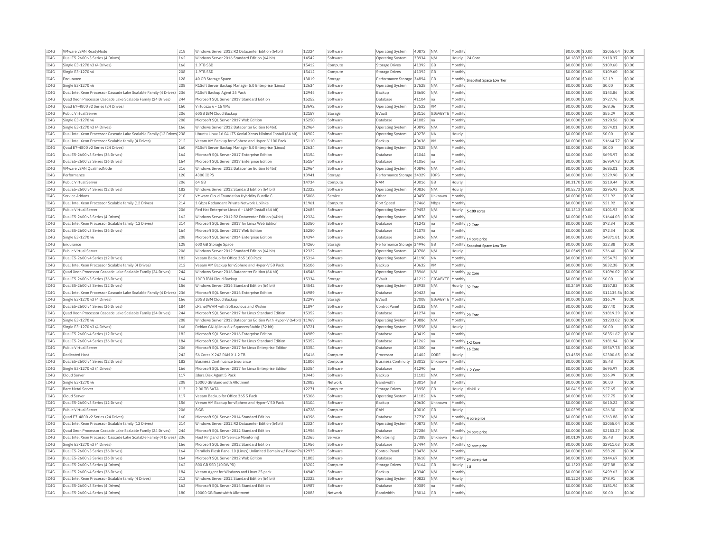| IC4G | VMware vSAN ReadvNode                                                 | 218 | Windows Server 2012 R2 Datacenter Edition (64bit)                   | 12324 | Software | Operating System          | 40872 | N/A       | Monthly                                   | \$0,0000 \$0.00  | \$2055.04         | \$0.00 |
|------|-----------------------------------------------------------------------|-----|---------------------------------------------------------------------|-------|----------|---------------------------|-------|-----------|-------------------------------------------|------------------|-------------------|--------|
| IC4G | Dual E5-2600 v3 Series (4 Drives)                                     | 162 | Windows Server 2016 Standard Edition (64 bit)                       | 14542 | Software | <b>Operating System</b>   | 38934 | N/A       | Hourly 24 Core                            | \$0,1837 \$0.00  | \$118.37          | \$0.00 |
| IC4G | Single E3-1270 v3 (4 Drives)                                          | 166 | 1.9TR SSD                                                           | 15412 | Compute  | Storage Drives            | 41392 | GB        | Monthly                                   | \$0.0000 \$0.00  | \$109.60          | \$0.00 |
| IC4G | Single E3-1270 v6                                                     | 208 | 1.9TB SSD                                                           | 15412 | Compute  | Storage Drives            | 41392 | GB        | Monthly                                   | \$0,0000 \$0.00  | \$109.60          | \$0.00 |
| TC4G | Endurance                                                             | 128 | 40 GB Storage Space                                                 | 13819 | Storage  | Performance Storage 34894 |       | <b>GB</b> | Monthly Snapshot Space Low Tier           | \$0,0000 \$0.00  | \$2.19            | \$0.00 |
| IC4G | Single E3-1270 v6                                                     | 208 | R1Soft Server Backup Manager 5.0 Enterprise (Linux)                 | 12634 | Software | Operating System          | 37528 | N/A       | Monthly                                   | \$0.0000 \$0.00  | \$0.00            | \$0.00 |
| IC4G | Dual Intel Xeon Processor Cascade Lake Scalable Family (4 Drives) 236 |     | R1Soft Backup Agent 25 Pack                                         | 12945 | Software | Backup                    | 38650 | N/A       | Monthly                                   | \$0.0000 \$0.00  | \$143.86          | \$0.00 |
| TC4G | Quad Xeon Processor Cascade Lake Scalable Family (24 Drives)          | 244 | Microsoft SOL Server 2017 Standard Edition                          | 15252 | Software | Database                  | 41104 | lna.      | Monthly                                   | $$0.0000$ \$0.00 | \$727.76          | \$0.00 |
| IC4G | Quad E7-4800 v2 Series (24 Drives)                                    | 160 | Virtuozzo 6 - 15 VMs                                                | 13692 | Software | Operating System          | 37522 | VM        | Monthly                                   | \$0,0000 \$0.00  | \$68.06           | \$0.00 |
| IC4G | Public Virtual Server                                                 | 206 | 60GB IBM Cloud Backup                                               | 12157 | Storage  | EVault                    | 28116 | GIGARYTE  | Monthly                                   | \$0,0000 \$0.00  | \$55.29           | \$0.00 |
| IC4G | Single E3-1270 v6                                                     | 208 | Microsoft SQL Server 2017 Web Edition                               | 15250 | Software | Database                  | 41082 | na        | Monthly                                   | \$0.0000 \$0.00  | \$120.56          | \$0.00 |
| IC4G | Single E3-1270 v3 (4 Drives)                                          | 166 | Windows Server 2012 Datacenter Edition (64bit)                      | 12964 | Software | <b>Operating System</b>   | 40892 | N/A       | Monthly                                   | \$0.0000 \$0.00  | \$274.01          | \$0.00 |
| IC4G | Dual Intel Xeon Processor Cascade Lake Scalable Family (12 Drives 238 |     | Ubuntu Linux 16.04 LTS Xenial Xerus Minimal Install (64 bit)        | 14902 | Software | Operating System          | 40276 | <b>NA</b> | Hourly                                    | \$0,0000 \$0.00  | \$0.00            | \$0.00 |
| IC4G | Dual Intel Xeon Processor Scalable family (4 Drives)                  | 212 |                                                                     | 15110 | Software | Backup                    | 40636 | VM        | Monthly                                   |                  | \$1664.77         | \$0.00 |
|      |                                                                       |     | Veeam VM Backup for vSphere and Hyper-V 100 Pack                    | 12634 |          |                           |       |           |                                           | \$0.0000 \$0.00  |                   | \$0.00 |
| IC4G | Ouad E7-4800 v2 Series (24 Drives)                                    | 160 | R1Soft Server Backup Manager 5.0 Enterprise (Linux)                 |       | Software | <b>Operating System</b>   | 37528 | N/A       | Monthly                                   | \$0,0000 \$0,00  | \$0.00            |        |
| IC4G | Dual E5-2600 v3 Series (36 Drives)                                    | 164 | Microsoft SQL Server 2017 Enterprise Edition                        | 15154 | Software | Database                  | 41044 | Ina       | Monthly                                   | \$0.0000 \$0.00  | \$695.97          | \$0.00 |
| IC4G | Dual E5-2600 v3 Series (36 Drives)                                    | 164 | Microsoft SQL Server 2017 Enterprise Edition                        | 15154 | Software | Database                  | 41056 | Ina       | Monthly                                   | \$0.0000 \$0.00  | \$6959.73         | \$0.00 |
| TC4G | VMware vSAN QualifiedNode                                             | 216 | Windows Server 2012 Datacenter Edition (64bit)                      | 12964 | Software | <b>Operating System</b>   | 40896 | N/A       | Monthly                                   | \$0,0000 \$0.00  | \$685.01          | \$0.00 |
| IC4G | Performance                                                           | 120 | 4300 IOPS                                                           | 13941 | Storage  | Performance Storage 34329 |       | IOPS      | Monthly                                   | \$0,0000 \$0.00  | \$329.90          | \$0.00 |
| IC4G | Public Virtual Server                                                 | 206 | 64 GB                                                               | 14734 | Compute  | RAM                       | 40016 | <b>GB</b> | Hourly                                    | \$0.3170 \$0.00  | \$210.44          | \$0.00 |
| IC4G | Dual E5-2600 v4 Series (12 Drives)                                    | 182 | Windows Server 2012 Standard Edition (64 bit)                       | 12322 | Software | Operating System          | 40836 | N/A       | Hourly                                    | \$0.5273 \$0.00  | \$295.93          | \$0.00 |
| IC4G | Service Addons                                                        | 210 | VMware Cloud Foundation Hybridity Bundle C                          | 15006 | Service  | Other                     | 40450 | Unknow    | Monthly                                   | \$0.0000 \$0.00  | \$21.92           | \$0.00 |
| IC4G | Dual Intel Xeon Processor Scalable family (12 Drives)                 | 214 | 1 Gbns Redundant Private Network Unlinks                            | 11961 | Compute  | Port Speed                | 37466 | Mbps      | Monthly                                   | $$0.0000$ \$0.00 | \$21.92           | \$0.00 |
| IC4G | Public Virtual Server                                                 | 206 | Red Hat Enterprise Linux 6 - LAMP Install (64 bit)                  | 12685 | Software | Operating System          | 29453 | N/A       | Hourly<br>5-100 cores                     | $$0.1313$ \$0.00 | \$101.93          | \$0.00 |
| IC4G | Dual E5-2600 v3 Series (4 Drives)                                     | 162 | Windows Server 2012 R2 Datacenter Edition (64bit)                   | 12324 | Software | Operating System          | 40870 | N/A       | Monthly                                   | \$0,0000 \$0.00  | \$1644.03         | \$0.00 |
| IC4G | Dual Intel Xeon Processor Scalable family (12 Drives)                 | 214 | Microsoft SQL Server 2017 for Linux Web Edition                     | 15350 | Software | Database                  | 41242 | Ina       | Monthly 12 Core                           | \$0.0000 \$0.00  | \$72.34           | \$0.00 |
| IC4G | Dual E5-2600 v3 Series (36 Drives)                                    | 164 | Microsoft SQL Server 2017 Web Edition                               | 15250 | Software | Database                  | 41078 | Ina       | Monthly                                   | \$0.0000 \$0.00  | \$72.34           | \$0.00 |
| IC4G | Single E3-1270 v6                                                     | 208 | Microsoft SOL Server 2014 Enterprise Edition                        | 14394 | Software | Database                  | 38436 | N/A       |                                           | $$0.0000$ \$0.00 | \$4871.81         | \$0.00 |
| IC4G | Endurance                                                             | 128 | 600 GB Storage Space                                                | 14260 | Storage  | Performance Storage 34996 |       | GB        | Monthly 14 core price                     | \$0.0000 \$0.00  | \$32.88           | \$0.00 |
| IC4G | Public Virtual Server                                                 | 206 | Windows Server 2012 Standard Edition (64 bit)                       | 12322 | Software | Operating System          | 40706 | N/A       | Monthly Snapshot Space Low Tier<br>Hourly | \$0.0549 \$0.00  | \$36.40           | \$0.00 |
| IC4G | Dual E5-2600 v4 Series (12 Drives)                                    | 182 | Veeam Backup for Office 365 100 Pack                                | 15314 | Software | Operating System          | 41190 | <b>NA</b> | Monthly                                   | \$0,0000 \$0.00  | \$554.72          | \$0.00 |
|      |                                                                       |     |                                                                     |       |          |                           |       |           |                                           |                  |                   | \$0.00 |
| IC4G | Dual Intel Xeon Processor Scalable family (4 Drives)                  | 212 | Veeam VM Backup for vSphere and Hyper-V 50 Pack                     | 15106 | Software | Backup                    | 40632 | <b>VM</b> | Monthly                                   | \$0.0000 \$0.00  | \$832.38          |        |
| IC4G | Ouad Xeon Processor Cascade Lake Scalable Family (24 Drives)          | 244 | Windows Server 2016 Datacenter Edition (64 bit)                     | 14546 | Software | <b>Operating System</b>   | 38966 | N/A       | Monthly 32 Core                           | \$0.0000 \$0.00  | \$1096.02         | \$0.00 |
| IC4G | Dual E5-2600 v3 Series (36 Drives)                                    | 164 | 10GB IBM Cloud Backup                                               | 15334 | Storage  | EVault                    | 41212 | GIGABYTE  | Monthly                                   | \$0.0000 \$0.00  | \$0.00            | \$0.00 |
| IC4G | Dual E5-2600 v3 Series (12 Drives)                                    | 156 | Windows Server 2016 Standard Edition (64 bit)                       | 14542 | Software | <b>Operating System</b>   | 38938 | N/A       | Hourly<br>32 Core                         | \$0.2459 \$0.00  | \$157.83          | \$0.00 |
| IC4G | Dual Intel Xeon Processor Cascade Lake Scalable Family (4 Drives) 236 |     | Microsoft SQL Server 2016 Enterprise Edition                        | 14989 | Software | Database                  | 40423 | Ina       | Monthly                                   | \$0.0000 \$0.00  | \$11135.56 \$0.00 |        |
| IC4G | Single E3-1270 v3 (4 Drives)                                          | 166 | 20GB IBM Cloud Backup                                               | 12299 | Storage  | EVault                    | 37008 | GIGABYTE  | Monthly                                   | \$0,0000 \$0.00  | \$16.79           | \$0.00 |
| TC4G | Dual E5-2600 v4 Series (36 Drives)                                    | 184 | cPanel/WHM with Softaculous and RVskin                              | 11894 | Software | Control Panel             | 38182 | N/A       | Monthly                                   | \$0,0000 \$0.00  | \$27.40           | \$0.00 |
| IC4G | Quad Xeon Processor Cascade Lake Scalable Family (24 Drives)          | 244 | Microsoft SQL Server 2017 for Linux Standard Edition                | 15352 | Software | Database                  | 41274 | Ina       | Monthly 20 Core                           | \$0.0000 \$0.00  | \$1819.39         | \$0.00 |
| IC4G | Single E3-1270 v6                                                     | 208 | Windows Server 2012 Datacenter Edition With Hyper-V (64bit) 11969   |       | Software | Operating System          | 40886 | N/A       | Monthly                                   | \$0.0000 \$0.00  | \$1233.02         | \$0.00 |
| TC4G | Single E3-1270 v3 (4 Drives)                                          | 166 | Debian GNU/Linux 6 x Squeeze/Stable (32 bit)                        | 13721 | Software | Operating System          | 38598 | N/A       | Hourly                                    | $$0.0000$ \$0.00 | \$0.00            | \$0.00 |
| IC4G | Dual E5-2600 v4 Series (12 Drives)                                    | 182 | Microsoft SQL Server 2016 Enterprise Edition                        | 14989 | Software | Database                  | 40419 | na        | Monthly                                   | \$0.0000 \$0.00  | \$8351.67         | \$0.00 |
| IC4G | Dual E5-2600 v4 Series (36 Drives)                                    | 184 | Microsoft SOL Server 2017 for Linux Standard Edition                | 15352 | Software | Database                  | 41262 | Ina       | Monthly 1-2 Core                          | \$0,0000 \$0.00  | \$181.94          | \$0.00 |
| IC4G | Public Virtual Server                                                 | 206 | Microsoft SQL Server 2017 for Linux Enterprise Edition              | 15354 | Software | Database                  | 41300 | lna       | Monthly 16 Core                           | \$0.0000 \$0.00  | \$5567.78         | \$0.00 |
| TC4G | Dedicated Host                                                        | 242 | 56 Cores X 242 RAM X 1.2 TR                                         | 15416 | Compute  | Processo                  | 41402 | CORE      | Hourly                                    | \$3.4559 \$0.00  | \$2300.65         | \$0.00 |
| TC4G | Dual E5-2600 v4 Series (12 Drives)                                    | 182 | <b>Business Continuance Insurance</b>                               | 11806 | Compute  | Business Continuity       | 38012 | Unknown   | Monthly                                   | $$0.0000$ \$0.00 | \$5.48            | \$0.00 |
| IC4G | Single E3-1270 v3 (4 Drives)                                          | 166 | Microsoft SQL Server 2017 for Linux Enterprise Edition              | 15354 | Software | Database                  | 41290 | na        | Monthly 1-2 Core                          | \$0.0000 \$0.00  | \$695.97          | \$0.00 |
| IC4G | Cloud Server                                                          | 117 | Idera Disk Agent 5 Pack                                             | 13445 | Software | Backup                    | 31103 | N/A       | Monthly                                   | \$0.0000 \$0.00  | \$36.99           | \$0.00 |
| IC4G | Single E3-1270 v6                                                     | 208 | 10000 GB Bandwidth Allotment                                        | 12083 | Network  | Bandwidth                 | 38014 | GB        | Monthly                                   | \$0,0000 \$0.00  | \$0.00            | \$0.00 |
| IC4G | <b>Bare Metal Server</b>                                              | 113 | 2.00 TB SATA                                                        | 12271 | Compute  | <b>Storage Drives</b>     | 28958 | GB        | Hourly<br>disk0-                          | $$0.0415$ \$0.00 | \$27.65           | \$0.00 |
| IC4G | Cloud Server                                                          | 117 | Veeam Backup for Office 365 5 Pack                                  | 15306 | Software | Operating System          | 41182 | <b>NA</b> | Monthly                                   | \$0,0000 \$0.00  | \$27.75           | \$0.00 |
| IC4G | Dual E5-2600 v3 Series (12 Drives)                                    | 156 |                                                                     | 15104 | Software | Backup                    | 40630 | Unknown   | Monthly                                   |                  | \$610.22          | \$0.00 |
| TC4G |                                                                       | 206 | Veeam VM Backup for vSphere and Hyper-V 50 Pack<br>8 GB             | 14728 |          | RAM                       |       |           |                                           | \$0.0000 \$0.00  |                   | \$0.00 |
|      | Public Virtual Server                                                 |     |                                                                     |       | Compute  |                           | 40010 | <b>GB</b> | Hourly                                    | \$0.0395 \$0.00  | \$26.30           |        |
| IC4G | Quad E7-4800 v2 Series (24 Drives)                                    | 160 | Microsoft SQL Server 2014 Standard Edition                          | 14396 | Software | Database                  | 37730 | N/A       | Monthly 4 core price                      | \$0.0000 \$0.00  | \$363.88          | \$0.00 |
| IC4G | Dual Intel Xeon Processor Scalable family (12 Drives)                 | 214 | Windows Server 2012 R2 Datacenter Edition (64bit)                   | 12324 | Software | <b>Operating System</b>   | 40872 | N/A       | Monthly                                   | \$0.0000 \$0.00  | \$2055.04         | \$0.00 |
| IC4G | Ouad Xeon Processor Cascade Lake Scalable Family (24 Drives)          | 244 | Microsoft SQL Server 2012 Standard Edition                          | 11956 | Software | Database                  | 37286 | N/A       | Monthly 24 core price                     | \$0,0000 \$0.00  | \$2183.27         | \$0.00 |
| IC4G | Dual Intel Xeon Processor Cascade Lake Scalable Family (4 Drives)     | 236 | Host Ping and TCP Service Monitoring                                | 12365 | Service  | Monitoring                | 37388 | Unknowr   | Hourly                                    | \$0,0109 \$0.00  | \$5.48            | \$0.00 |
| IC4G | Single E3-1270 v3 (4 Drives)                                          | 166 | Microsoft SOL Server 2012 Standard Edition                          | 11956 | Software | Database                  | 37494 | N/A       | Monthly 32 core price                     | \$0,0000 \$0.00  | \$2911.03         | \$0.00 |
| IC4G | Dual E5-2600 v3 Series (36 Drives)                                    | 164 | Parallels Plesk Panel 10 (Linux) Unlimited Domain w/ Power Pa 12975 |       | Software | Control Panel             | 38476 | N/A       | Monthly                                   | \$0.0000 \$0.00  | \$58.20           | \$0.00 |
| IC4G | Dual E5-2600 v3 Series (36 Drives)                                    | 164 | Microsoft SQL Server 2012 Web Edition                               | 11803 | Software | Database                  | 38618 | N/A       | Monthly 24 core price                     | \$0.0000 \$0.00  | \$144.67          | \$0.00 |
| TC4G | Dual E5-2600 v3 Series (4 Drives)                                     | 162 | 800 GB SSD (10 DWPD)                                                | 13202 | Compute  | Storage Drives            | 38164 | <b>GB</b> | Hourly<br>1U                              | $$0.1323$ \$0.00 | \$87.88           | \$0.00 |
| TCAG | Dual E5-2600 v4 Series (36 Drives)                                    | 184 | Veeam Agent for Windows and Linux 25 pack                           | 14940 | Software | Backun                    | 40340 | N/A       | Monthly                                   | \$0.0000 \$0.00  | \$499.63          | \$0.00 |
| IC4G | Dual Intel Xeon Processor Scalable family (4 Drives)                  | 212 | Windows Server 2012 Standard Edition (64 bit)                       | 12322 | Software | Operating System          | 40822 | N/A       | Hourly                                    | \$0,1224 \$0.00  | \$78.91           | \$0.00 |
| IC4G | Dual E5-2600 v3 Series (4 Drives)                                     | 162 | Microsoft SQL Server 2016 Standard Edition                          | 14987 | Software | Database                  | 40389 | lna       | Monthly                                   | $$0.0000$ \$0.00 | \$181.94          | \$0.00 |
| IC4G | Dual E5-2600 v4 Series (4 Drives)                                     | 180 | 10000 GB Bandwidth Allotment                                        | 12083 | Network  | <b>Bandwidtl</b>          | 38014 | GB        | Monthly                                   | \$0.0000 \$0.00  | \$0.00            | \$0.00 |
|      |                                                                       |     |                                                                     |       |          |                           |       |           |                                           |                  |                   |        |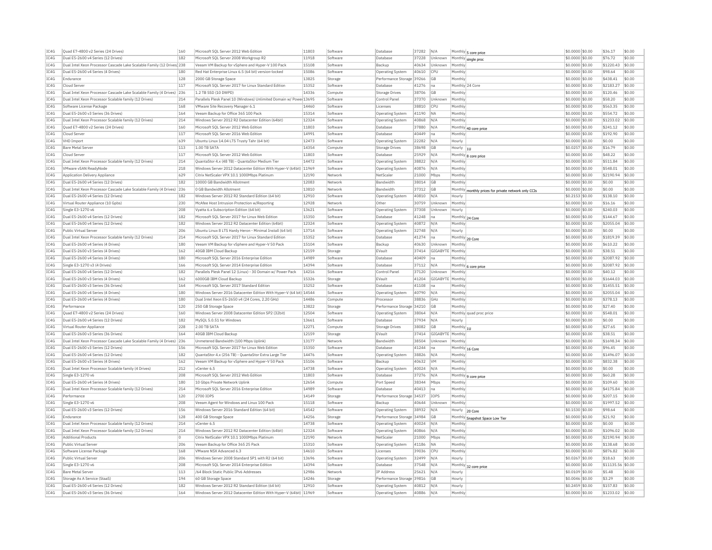| IC4G         | Ouad E7-4800 v2 Series (24 Drives)                                     | 160 | Microsoft SOL Server 2012 Web Edition                              | 11803 | Software | Database                     | 37282 | N/A            |                 | Monthly 5 core price                                 | \$0,0000 \$0.00                     | \$36.17              | \$0.00           |
|--------------|------------------------------------------------------------------------|-----|--------------------------------------------------------------------|-------|----------|------------------------------|-------|----------------|-----------------|------------------------------------------------------|-------------------------------------|----------------------|------------------|
| TC4G         | Dual E5-2600 v4 Series (12 Drives)                                     | 182 | Microsoft SQL Server 2008 Workgroup R2                             | 11918 | Software | Database                     | 37228 | Unknown        |                 | Monthly single proc                                  | \$0.0000 \$0.00                     | \$76.72              | \$0.00           |
| IC4G         | Dual Intel Xeon Processor Cascade Lake Scalable Family (12 Drives) 238 |     | Veeam VM Backup for vSphere and Hyper-V 100 Pack                   | 15108 | Software | Backup                       | 40634 | Unknown        | Monthly         |                                                      | \$0,0000 \$0.00                     | \$1220.43            | \$0.00           |
| IC4G         | Dual E5-2600 v4 Series (4 Drives)                                      | 180 | Red Hat Enterprise Linux 6.5 (64 bit) version-locked               | 15086 | Software | Operating System             | 40610 | <b>CPU</b>     | Monthly         |                                                      | \$0,0000 \$0.00                     | \$98.64              | \$0.00           |
| TCAG         | Endurance                                                              | 128 | 2000 GB Storage Space                                              | 13825 | Storage  | Performance Storage 39266    |       | GB             | Monthly         |                                                      | \$0,0000 \$0.00                     | \$438.41             | \$0.00           |
| IC4G         | Cloud Server                                                           | 117 | Microsoft SOL Server 2017 for Linux Standard Editio                | 15352 | Software | Database                     | 41276 | Ina            |                 | Monthly 24 Core                                      | \$0.0000 \$0.00                     | \$2183.27            | \$0.00           |
| TC4G         | Dual Intel Xeon Processor Cascade Lake Scalable Family (4 Drives) 236  |     | 1.2 TB SSD (10 DWPD)                                               | 14336 | Compute  | Storage Drives               | 38706 | G <sub>B</sub> | Monthly         |                                                      | \$0,0000 \$0.00                     | \$120.46             | \$0.00           |
| TC4G         | Dual Intel Xeon Processor Scalable family (12 Drives)                  | 214 | Parallels Plesk Panel 10 (Windows) Unlimited Domain w/ Powe 13695  |       | Software | Control Panel                | 37370 | Unknown        | Monthly         |                                                      | \$0.0000 \$0.00                     | \$58.20              | \$0.00           |
| TC4G         | Software License Package                                               | 168 | VMware Site Recovery Manager 6.1                                   | 14460 | Software | Licenses                     | 38810 | CPIJ           | Monthly         |                                                      | \$0,0000 \$0.00                     | \$563.35             | \$0.00           |
| IC4G         | Dual E5-2600 v3 Series (36 Drives)                                     | 164 | Veeam Backup for Office 365 100 Pack                               | 15314 | Software | Operating System             | 41190 | <b>NA</b>      | Monthly         |                                                      | \$0.0000 \$0.00                     | \$554.72             | \$0.00           |
| TC4G         | Dual Intel Xeon Processor Scalable family (12 Drives)                  | 214 | Windows Server 2012 R2 Datacenter Edition (64bit)                  | 12324 | Software | Operating System             | 40868 | N/A            | Monthly         |                                                      | \$0.0000 \$0.00                     | \$1233.02            | \$0.00           |
| IC4G         | Quad E7-4800 v2 Series (24 Drives)                                     | 160 | Microsoft SQL Server 2012 Web Edition                              | 11803 | Software | Database                     | 37880 | N/A            |                 | Monthly 40 core price                                | \$0,0000 \$0.00                     | \$241.12             | \$0.00           |
| IC4G         | Cloud Server                                                           | 117 | Microsoft SOL Server 2016 Web Edition                              | 14991 | Software | Database                     | 40449 | Ina            | Monthly         |                                                      | \$0.0000 \$0.00                     | \$192.90             | \$0.00           |
| TC4G         | VHD Import                                                             | 639 | Ubuntu Linux 14.04 LTS Trusty Tahr (64 bit)                        | 12473 | Software | <b>Operating System</b>      | 22282 | N/A            | Hourly          |                                                      | $$0.0000$ \$0.00                    | \$0.00               | \$0.00           |
| IC4G         | <b>Bare Metal Serve</b>                                                | 113 | 1.00 TB SATA                                                       | 14354 | Compute  | Storage Drive                | 38698 | GB             | Hourly $ _{10}$ |                                                      | \$0.0257 \$0.00                     | \$16.79              | \$0.00           |
| TC4G         | Cloud Server                                                           | 117 | Microsoft SOL Server 2012 Web Edition                              | 11803 | Software | Database                     | 25929 | N/A            |                 |                                                      | $$0.0000$ \$0.00                    | \$48.22              | \$0.00           |
| IC4G         | Dual Intel Xeon Processor Scalable family (12 Drives)                  | 214 | QuantaStor 4.x (48 TB) - QuantaStor Medium Tier                    | 14472 | Software | Operating System             | 38822 | N/A            | Monthly         | Monthly 8 core price                                 | \$0.0000 \$0.00                     | \$511.84             | \$0.00           |
| IC4G         | VMware vSAN ReadvNode                                                  | 218 | Windows Server 2012 Datacenter Edition With Hyper-V (64bit) 11969  |       | Software |                              | 40876 | N/A            | Monthly         |                                                      | \$0,0000 \$0.00                     | \$548.01             | \$0.00           |
| IC4G         | Application Delivery Appliance                                         | 629 | Citrix NetScaler VPX 10.1 1000Mbps Platinum                        | 12190 | Network  | Operating System<br>NetScale | 21000 | Mbps           | Monthly         |                                                      | \$0,0000 \$0.00                     | \$2190.94            | \$0.00           |
| TC4G         | Dual E5-2600 v4 Series (12 Drives)                                     | 182 | 10000 GB Bandwidth Allotment                                       | 12083 | Network  | <b>Randwidth</b>             | 38014 |                |                 |                                                      |                                     | \$0.00               | \$0.00           |
|              |                                                                        |     |                                                                    |       |          |                              |       | GB             | Monthly         |                                                      | \$0.0000 \$0.00                     |                      |                  |
| IC4G         | Dual Intel Xeon Processor Cascade Lake Scalable Family (4 Drives)      | 236 | 0 GB Bandwidth Allotment                                           | 13810 | Network  | Bandwidth                    | 37312 | <b>GB</b>      |                 | Monthly monthly prices for private network only CCIs | \$0.0000 \$0.00                     | \$0.00               | \$0.00           |
| IC4G         | Dual E5-2600 v4 Series (12 Drives)                                     | 182 | Windows Server 2012 R2 Standard Edition (64 bit)                   | 12910 | Software | Operating System             | 40810 | N/A            | Hourly          |                                                      | \$0.2153 \$0.00                     | \$138.10             | \$0.00           |
| TC4G         | Virtual Router Appliance (10 Gpbs)                                     | 230 | McAfee Host Intrusion Protection w/Reporting                       | 12928 | Network  | Other                        | 30759 | Unknown        | Monthly         |                                                      | \$0.0000 \$0.00                     | \$16.16              | \$0.00           |
| IC4G         | Single E3-1270 v6                                                      | 208 | Vyatta 6.x Subscription Edition (64 bit)                           | 13621 | Software | <b>Operating System</b>      | 37308 | Unknown        | Hourly          |                                                      | \$0.0000 \$0.00                     | \$240.03             | \$0.00           |
| TC4G         | Dual E5-2600 v4 Series (12 Drives)                                     | 182 | Microsoft SQL Server 2017 for Linux Web Edition                    | 15350 | Software | Database                     | 41248 | Ina            |                 | Monthly 24 Core                                      | \$0,0000 \$0.00                     | \$144.67             | \$0.00           |
| IC4G         | Dual E5-2600 v4 Series (12 Drives)                                     | 182 | Windows Server 2012 R2 Datacenter Edition (64bit)                  | 12324 | Software | Operating System             | 40872 | N/A            | Monthl          |                                                      | \$0,0000 \$0.00                     | \$2055.04            | \$0.00           |
| IC4G         | Public Virtual Server                                                  | 206 | Ubuntu Linux 8 LTS Hardy Heron - Minimal Install (64 bit)          | 13714 | Software | Operating System             | 32748 | N/A            | Hourly          |                                                      | \$0,0000 \$0.00                     | \$0.00               | \$0.00           |
| IC4G         | Dual Intel Xeon Processor Scalable family (12 Drives)                  | 214 | Microsoft SQL Server 2017 for Linux Standard Edition               | 15352 | Software | <b>Databas</b>               | 41274 | Ina            |                 | Monthly 20 Core                                      | \$0.0000 \$0.00                     | \$1819.39            | \$0.00           |
| TC4G         | Dual E5-2600 v4 Series (4 Drives)                                      | 180 | Veeam VM Backup for vSphere and Hyper-V 50 Pack                    | 15104 | Software | Backun                       | 40630 | <b>Unknown</b> | Monthly         |                                                      | $$0.0000$ \$0.00                    | \$610.22             | \$0.00           |
| IC4G         | Dual E5-2600 v3 Series (4 Drives)                                      | 162 | 40GB IBM Cloud Backup                                              | 12159 | Storage  | EVault                       | 37414 | GIGABYTE       | Monthly         |                                                      | \$0.0000 \$0.00                     | \$38.51              | \$0.00           |
| TC4G         | Dual E5-2600 v4 Series (4 Drives)                                      | 180 | Microsoft SOL Server 2016 Enterprise Edition                       | 14989 | Software | Database                     | 40409 | lna            | Monthly         |                                                      | \$0,0000 \$0.00                     | \$2087.92            | \$0.00           |
| IC4G         | Single E3-1270 v3 (4 Drives)                                           | 166 | Microsoft SOL Server 2014 Enterprise Edition                       | 14394 | Software | Database                     | 37112 | N/A            |                 | Monthly 6 core price                                 | \$0,0000 \$0.00                     | \$2087.92            | \$0.00           |
| IC4G         | Dual E5-2600 v4 Series (12 Drives)                                     | 182 | Parallels Plesk Panel 12 (Linux) - 30 Domain w/ Power Pack         | 14216 | Software | Control Panel                | 37120 | Unknown        | Monthly         |                                                      | \$0,0000 \$0.00                     | \$40.12              | \$0.00           |
| IC4G         | Dual E5-2600 v3 Series (4 Drives)                                      | 162 | 6000GB IBM Cloud Backup                                            | 15326 | Storage  | EVault                       | 41204 | GIGABYTE       | Monthly         |                                                      | \$0,0000 \$0.00                     | \$1644.03            | \$0.00           |
| TC4G         | Dual E5-2600 v3 Series (36 Drives)                                     | 164 | Microsoft SOL Server 2017 Standard Edition                         | 15252 | Software | Database                     | 41108 | Ina            | Monthly         |                                                      | \$0,0000 \$0.00                     | \$1455.51            | \$0.00           |
| IC4G         | Dual E5-2600 v4 Series (4 Drives)                                      | 180 | Windows Server 2016 Datacenter Edition With Hyper-V (64 bit) 14544 |       | Software | <b>Operating System</b>      | 40790 | N/A            | Monthly         |                                                      | \$0.0000 \$0.00                     | \$2055.04            | \$0.00           |
| IC4G         | Dual E5-2600 v4 Series (4 Drives)                                      | 180 | Dual Intel Xeon E5-2650 v4 (24 Cores, 2.20 GHz)                    | 14486 | Compute  | Processo                     | 38836 | GHz            | Monthly         |                                                      | \$0.0000 \$0.00                     | \$378.13             | \$0.00           |
| TCAG         | Performance                                                            | 120 | 250 GB Storage Space                                               | 13822 | Storage  | Performance Storage 34210    |       | <b>GB</b>      | Monthly         |                                                      | \$0.0000 \$0.00                     | \$27.40              | \$0.00           |
| IC4G         | Quad E7-4800 v2 Series (24 Drives)                                     | 160 | Windows Server 2008 Datacenter Edition SP2 (32bit)                 | 12504 | Software | <b>Operating System</b>      | 38064 | N/A            |                 | Monthly quad proc price                              | \$0.0000 \$0.00                     | \$548.01             | \$0.00           |
| IC4G         | Dual E5-2600 v4 Series (12 Drives)                                     | 182 | MvSOL 5.0.51 for Windows                                           | 13661 | Software | Database                     | 37934 | N/A            | Hourly          |                                                      | \$0,0000 \$0.00                     | \$0.00               | \$0.00           |
| IC4G         | Virtual Router Appliance                                               | 228 | 2.00 TB SATA                                                       | 12271 | Compute  | Storage Drives               | 38082 | <b>GB</b>      | Monthly 1U      |                                                      | \$0.0000 \$0.00                     | \$27.65              | \$0.00           |
| IC4G         | Dual E5-2600 v3 Series (36 Drives)                                     | 164 | 40GB IBM Cloud Backup                                              | 12159 | Storage  | EVault                       | 37414 | GIGABYTE       | Monthly         |                                                      | \$0,0000 \$0.00                     | \$38.51              | \$0.00           |
| IC4G         | Dual Intel Xeon Processor Cascade Lake Scalable Family (4 Drives)      | 236 | Unmetered Bandwidth (100 Mbps Uplink)                              | 13177 | Network  | Bandwidtl                    | 38504 | Unknown        | Monthly         |                                                      | \$0,0000 \$0.00                     | \$1698.34            | \$0.00           |
| TC4G         | Dual E5-2600 v3 Series (12 Drives)                                     | 156 | Microsoft SOL Server 2017 for Linux Web Edition                    | 15350 | Software | Database                     | 41244 | Ina            |                 | Monthly 16 Core                                      | \$0,0000 \$0.00                     | \$96.45              | \$0.00           |
| IC4G         | Dual E5-2600 v4 Series (12 Drives)                                     | 182 | QuantaStor 4.x (256 TB) - QuantaStor Extra Large Tier              | 14476 | Software | <b>Operating System</b>      | 38826 | N/A            | Monthly         |                                                      | \$0,0000 \$0.00                     | \$1496.07            | \$0.00           |
| TC4G         | Dual E5-2600 v3 Series (4 Drives)                                      | 162 | Veeam VM Backup for vSphere and Hyper-V 50 Pack                    | 15106 | Software | Backup                       | 40632 | <b>VM</b>      | Monthly         |                                                      | \$0,0000 \$0,00                     | \$832.38             | \$0.00           |
| TC4G         | Dual Intel Xeon Processor Scalable family (4 Drives)                   | 212 | vCenter 6.5                                                        | 14738 | Software | Operating System             | 40024 | N/A            | Monthly         |                                                      | \$0.0000 \$0.00                     | \$0.00               | \$0.00           |
| IC4G         | Single E3-1270 v6                                                      | 208 | Microsoft SQL Server 2012 Web Edition                              | 11803 | Software | Database                     | 37276 | N/A            |                 |                                                      | \$0.0000 \$0.00                     | \$60.28              | \$0.00           |
| TC4G         | Dual E5-2600 v4 Series (4 Drives)                                      | 180 | 10 Gbps Private Network Uplink                                     | 12654 | Compute  | Port Speed                   | 38344 | Mbps           | Monthly         | Monthly 9 core price                                 | \$0,0000 \$0.00                     | \$109.60             | \$0.00           |
| IC4G         | Dual Intel Xeon Processor Scalable family (12 Drives)                  | 214 | Microsoft SOL Server 2016 Enterprise Edition                       | 14989 | Software | Database                     | 40413 | Ina            | Monthly         |                                                      |                                     | \$4175.84            | \$0.00           |
| IC4G         | Performance                                                            | 120 | 2700 IOPS                                                          | 14149 | Storage  | Performance Storage 34537    |       | <b>IOPS</b>    | Monthly         |                                                      | $$0.0000$ \$0.00<br>\$0.0000 \$0.00 | \$207.15             | \$0.00           |
|              |                                                                        |     |                                                                    |       |          |                              |       |                |                 |                                                      |                                     |                      |                  |
| IC4G<br>TCAG | Single E3-1270 v6                                                      | 208 | Veeam Agent for Windows and Linux 100 Pack                         | 15118 | Software | Backup                       | 40644 | Unknown        | Monthly         |                                                      | \$0.0000 \$0.00                     | \$1997.52<br>\$98.64 | \$0.00<br>\$0.00 |
|              | Dual E5-2600 v3 Series (12 Drives)                                     | 156 | Windows Server 2016 Standard Edition (64 bit)                      | 14542 | Software | Operating System             | 38932 | N/A            |                 | Hourly 20 Core                                       | \$0.1530 \$0.00                     |                      |                  |
| IC4G         | Endurance                                                              | 128 | 400 GB Storage Space                                               | 14256 | Storage  | Performance Storage          | 34984 | GB             |                 | Monthly Snapshot Space Low Tier                      | \$0.0000 \$0.00                     | \$21.92              | \$0.00           |
| IC4G         | Dual Intel Xeon Processor Scalable family (12 Drives)                  | 214 | vCenter 6.5                                                        | 14738 | Software | <b>Operating System</b>      | 40024 | N/A            | Monthly         |                                                      | \$0,0000 \$0.00                     | \$0.00               | \$0.00           |
| IC4G         | Dual Intel Xeon Processor Scalable family (12 Drives)                  | 214 | Windows Server 2012 R2 Datacenter Edition (64bit)                  | 12324 | Software | Operating System             | 40866 | N/A            | Monthly         |                                                      | \$0,0000 \$0.00                     | \$1096.02            | \$0.00           |
|              | <b>Additional Products</b>                                             | 0   | Citrix NetScaler VPX 10.1 1000Mbps Platinum                        | 12190 | Network  | NetScale                     | 21000 | Mbps           | Monthly         |                                                      | \$0,0000 \$0.00                     | \$2190.94            | \$0.00           |
| IC4G         |                                                                        |     | Veeam Backup for Office 365 25 Pack                                | 15310 | Software | <b>Operating System</b>      | 41186 | <b>NA</b>      | Monthly         |                                                      | \$0.0000 \$0.00                     | \$138.68             | \$0.00           |
| IC4G         | Public Virtual Serve                                                   | 206 |                                                                    | 14610 | Software | Licenses                     | 39036 | CPU            | Monthly         |                                                      | \$0,0000 \$0.00                     | \$876.82             | \$0.00           |
| TC4G         | Software License Package                                               | 168 | VMware NSX Advanced 6.3                                            |       |          |                              |       |                |                 |                                                      |                                     |                      |                  |
| IC4G         | Public Virtual Server                                                  | 206 | Windows Server 2008 Standard SP1 with R2 (64 bit)                  | 13696 | Software | <b>Operating System</b>      | 32499 | N/A            | Hourly          |                                                      | $$0.0267$ \$0.00                    | \$18.63              | \$0.00           |
| TCAG         | Single E3-1270 v6                                                      | 208 | Microsoft SOL Server 2014 Enterprise Edition                       | 14394 | Software | Database                     | 37548 | N/A            | Monthly         | 32 core price                                        | \$0,0000 \$0,00                     | \$11135.56 \$0.00    |                  |
| TC4G         | <b>Bare Metal Server</b>                                               | 113 | /64 Block Static Public IPv6 Addresses                             | 12986 | Network  | <b>TP Address</b>            | 25621 | N/A            | Hourly          |                                                      | \$0.0109 \$0.00                     | \$5.48               | \$0.00           |
| IC4G         | Storage As A Service (StaaS)                                           | 194 | 60 GB Storage Space                                                | 14246 | Storage  | Performance Storage 39816    |       | <b>GB</b>      | Hourly          |                                                      | \$0.0046 \$0.00                     | \$3.29               | \$0.00           |
| TC4G         | Dual E5-2600 v4 Series (12 Drives)                                     | 182 | Windows Server 2012 R2 Standard Edition (64 bit)                   | 12910 | Software | Operating System             | 40812 | N/A            | Hourly          |                                                      | \$0,2459 \$0.00                     | \$157.83             | \$0.00           |
| TCAG         | Dual E5-2600 v3 Series (36 Drives                                      | 164 | Windows Server 2012 Datacenter Edition With Hyper-V (64bit) 11969  |       | Software | Operating System             | 40886 | N/A            | Monthly         |                                                      | \$0.0000 \$0.00                     | \$1233.02            | \$0.00           |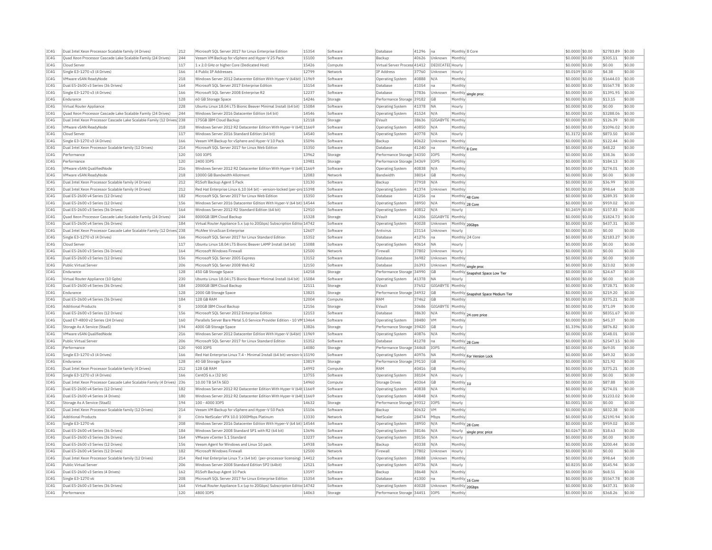| IC4G | Dual Intel Xeon Processor Scalable family (4 Drives)                  | 212        | Microsoft SOL Server 2017 for Linux Enterprise Edition                             | 15354 | Software | Database<br>41296                | na                      | Monthly 8 Core                                | \$0,0000 \$0.00  | \$2783.89 | \$0.00 |
|------|-----------------------------------------------------------------------|------------|------------------------------------------------------------------------------------|-------|----------|----------------------------------|-------------------------|-----------------------------------------------|------------------|-----------|--------|
| IC4G | Quad Xeon Processor Cascade Lake Scalable Family (24 Drives)          | 244        | Veeam VM Backup for vSphere and Hyper-V 25 Pack                                    | 15100 | Software | Backup<br>40626                  | Unknown                 | Monthly                                       | \$0,0000 \$0.00  | \$305.11  | \$0.00 |
| IC4G | Cloud Server                                                          | 117        | 1 x 2.0 GHz or higher Core (Dedicated Host)                                        | 15426 | Compute  | Virtual Server Process 41412     | <b>DEDICATED Hourly</b> |                                               | \$0,0000 \$0.00  | \$0.00    | \$0.00 |
| IC4G | Single E3-1270 v3 (4 Drives)                                          | 166        | 4 Public IP Addresses                                                              | 12799 | Network  | IP Address<br>37760              | Unknown                 | Hourly                                        | \$0.0109 \$0.00  | \$4.38    | \$0.00 |
| TCAG | <b>VMware vSAN ReadvNode</b>                                          | 218        | Windows Server 2012 Datacenter Edition With Hyper-V (64bit) 11969                  |       | Software | 40888<br>Operating System        | N/A                     | Monthly                                       | \$0,0000 \$0.00  | \$1644.03 | \$0.00 |
| IC4G | Dual E5-2600 v3 Series (36 Drives)                                    | 164        | Microsoft SQL Server 2017 Enterprise Edition                                       | 15154 | Software | 41054<br>Database                | na                      | Monthly                                       | \$0.0000 \$0.00  | \$5567.78 | \$0.00 |
| IC4G | Single E3-1270 v3 (4 Drives)                                          | 166        | Microsoft SQL Server 2008 Enterprise R2                                            | 12237 | Software | Database<br>37836                | Unknown                 | Monthly single proc                           | \$0.0000 \$0.00  | \$1391.95 | \$0.00 |
| TC4G | Endurance                                                             | 128        | 60 GB Storage Space                                                                | 14246 | Storage  | Performance Storage 39182        | GB                      | Monthly                                       | $$0.0000$ \$0.00 | \$13.15   | \$0.00 |
| IC4G | Virtual Router Appliance                                              | 228        | Ubuntu Linux 18.04 LTS Bionic Beaver Minimal Install (64 bit)                      | 15084 | Software | Operating System<br>41378        | <b>NA</b>               | Hourly                                        | \$0,0000 \$0.00  | \$0.00    | \$0.00 |
| IC4G | Ouad Xeon Processor Cascade Lake Scalable Family (24 Drives)          | 244        | Windows Server 2016 Datacenter Edition (64 bit)                                    | 14546 | Software | Operating System<br>41524        | N/A                     | Monthly                                       | \$0,0000 \$0.00  | \$3288.06 | \$0.00 |
| IC4G | Dual Intel Xeon Processor Cascade Lake Scalable Family (12 Drives 238 |            | 175GB TBM Cloud Backup                                                             | 12118 | Storage  | 38636<br>FVault                  | GIGABYTE Monthly        |                                               | \$0.0000 \$0.00  | \$126.39  | \$0.00 |
| IC4G | VMware vSAN ReadyNode                                                 | 218        | Windows Server 2012 R2 Datacenter Edition With Hyper-V (64t 11669                  |       | Software | 40850<br>Operating System        | N/A                     | Monthly                                       | \$0.0000 \$0.00  | \$1096.02 | \$0.00 |
| TC4G | Cloud Server                                                          | 117        | Windows Server 2016 Standard Edition (64 bit)                                      | 14540 | Software | 40778<br>Operating System        | N/A                     | Hourly                                        | \$1.3172 \$0.00  | \$873.50  | \$0.00 |
|      |                                                                       |            |                                                                                    | 15096 | Software | Backup<br>40622                  | Unknown                 |                                               |                  | \$122.44  | \$0.00 |
| IC4G | Single E3-1270 v3 (4 Drives)                                          | 166<br>214 | Veeam VM Backup for vSphere and Hyper-V 10 Pack                                    | 15350 |          |                                  |                         | Monthly                                       | \$0.0000 \$0.00  | \$48.22   | \$0.00 |
| TC4G | Dual Intel Xeon Processor Scalable family (12 Drives)                 |            | Microsoft SQL Server 2017 for Linux Web Edition                                    |       | Software | Database<br>41240                | na                      | Monthly 8 Core                                | \$0.0000 \$0.00  |           |        |
| IC4G | Performance                                                           | 120        | 500 IOPS                                                                           | 13962 | Storage  | Performance Storage 34350        | IOPS                    | Monthly                                       | \$0,0000 \$0.00  | \$38.36   | \$0.00 |
| IC4G | Performance                                                           | 120        | 2400 IOPS                                                                          | 13981 | Storage  | Performance Storage<br>34369     | IOPS                    | Monthly                                       | \$0.0000 \$0.00  | \$184.13  | \$0.00 |
| IC4G | VMware vSAN OualifiedNode                                             | 216        | Windows Server 2012 R2 Datacenter Edition With Hyper-V (64t 11669                  |       | Software | <b>Operating System</b><br>40838 | N/A                     | Monthly                                       | \$0,0000 \$0,00  | \$274.01  | \$0.00 |
| IC4G | VMware vSAN ReadvNode                                                 | 218        | 10000 GB Bandwidth Allotmen                                                        | 12083 | Network  | Bandwidth<br>38014               | <b>GB</b>               | Monthly                                       | \$0.0000 \$0.00  | \$0.00    | \$0.00 |
| IC4G | Dual Intel Xeon Processor Scalable family (4 Drives)                  | 212        | R1Soft Backup Agent 5 Pack                                                         | 13130 | Software | Backup<br>37918                  | N/A                     | Monthly                                       | \$0.0000 \$0.00  | \$36.99   | \$0.00 |
| IC4G | Dual Intel Xeon Processor Scalable family (4 Drives)                  | 212        | Red Hat Enterprise Linux 6.10 (64 bit) - version-locked (per-prc 15398             |       | Software | 41374<br>Operating System        | Unknown                 | Monthly                                       | \$0.0000 \$0.00  | \$98.64   | \$0.00 |
| IC4G | Dual E5-2600 v4 Series (12 Drives)                                    | 182        | Microsoft SOL Server 2017 for Linux Web Edition                                    | 15350 | Software | Database<br>41256                | na                      | Monthly 48 Core                               | \$0.0000 \$0.00  | \$289.35  | \$0.00 |
| TC4G | Dual E5-2600 v3 Series (12 Drives)                                    | 156        | Windows Server 2016 Datacenter Edition With Hyper-V (64 bit) 14544                 |       | Software | 38950<br><b>Operating System</b> | N/A                     | Monthly 28 Core                               | \$0,0000 \$0,00  | \$959.02  | \$0.00 |
| IC4G | Dual E5-2600 v3 Series (36 Drives)                                    | 164        | Windows Server 2012 R2 Standard Edition (64 bit)                                   | 12910 | Software | 40812<br>Operating System        | N/A                     | Hourly                                        | \$0.2459 \$0.00  | \$157.83  | \$0.00 |
| IC4G | Quad Xeon Processor Cascade Lake Scalable Family (24 Drives)          | 244        | 8000GB IBM Cloud Backup                                                            | 15328 | Storage  | EVault<br>41206                  | GIGABYTE                | Monthly                                       | \$0.0000 \$0.00  | \$1824.73 | \$0.00 |
| IC4G | Dual E5-2600 v4 Series (36 Drives)                                    | 184        | Virtual Router Appliance 5.x (up to 20Gbps) Subscription Editio 14742              |       | Software | 40028<br>Operating System        | Unknown                 | Monthly 20Gbps                                | \$0.0000 \$0.00  | \$437.31  | \$0.00 |
| IC4G | Dual Intel Xeon Processor Cascade Lake Scalable Family (12 Drives 238 |            | McAfee VirusScan Enterprise                                                        | 12607 | Software | Antivirus<br>23114               | Unknown                 | Hourly                                        | \$0,0000 \$0.00  | \$0.00    | \$0.00 |
| TC4G | Single E3-1270 v3 (4 Drives)                                          | 166        | Microsoft SOL Server 2017 for Linux Standard Edition                               | 15352 | Software | 41276<br>Database                | na                      | Monthly 24 Core                               | \$0,0000 \$0.00  | \$2183.27 | \$0.00 |
| IC4G | Cloud Server                                                          | 117        | Ubuntu Linux 18.04 LTS Bionic Beaver LAMP Install (64 bit)                         | 15088 | Software | 40614<br><b>Operating System</b> | <b>NA</b>               | Hourly                                        | \$0.0000 \$0.00  | \$0.00    | \$0.00 |
| IC4G | Dual E5-2600 v3 Series (36 Drives)                                    | 164        | Microsoft Windows Firewall                                                         | 12500 | Network  | Firewall<br>37802                | Unknown                 | Hourly                                        | \$0,0000 \$0.00  | \$0.00    | \$0.00 |
| TCAG | Dual E5-2600 v3 Series (12 Drives)                                    | 156        | Microsoft SOL Server 2005 Express                                                  | 13152 | Software | 36982<br>Database                | Unknown                 | Monthly                                       | \$0,0000 \$0.00  | \$0.00    | \$0.00 |
| IC4G | Public Virtual Server                                                 | 206        | Microsoft SQL Server 2008 Web R2                                                   | 12150 | Software | Database<br>26393                | Unknown                 |                                               | \$0,0000 \$0.00  | \$23.02   | \$0.00 |
|      |                                                                       |            |                                                                                    |       |          |                                  |                         | Monthly single proc                           |                  |           |        |
|      |                                                                       |            |                                                                                    |       |          |                                  |                         |                                               |                  |           |        |
| IC4G | Endurance                                                             | 128        | 450 GB Storage Space                                                               | 14258 | Storage  | Performance Storage 34990        | GB                      | Monthly Snapshot Space Low Tier               | \$0,0000 \$0.00  | \$24.67   | \$0.00 |
| IC4G | Virtual Router Appliance (10 Gpbs)                                    | 230        | Ubuntu Linux 18.04 LTS Bionic Beaver Minimal Install (64 bit)                      | 15084 | Software | 41378<br>Operating System        | <b>NA</b>               | Hourly                                        | \$0.0000 \$0.00  | \$0.00    | \$0.00 |
| IC4G | Dual E5-2600 v4 Series (36 Drives)                                    | 184        | 2000GB IBM Cloud Backup                                                            | 12111 | Storage  | EVault<br>37652                  | GIGABYTE Monthly        |                                               | \$0.0000 \$0.00  | \$728.71  | \$0.00 |
| TC4G | Endurance                                                             | 128        | 2000 GB Storage Space                                                              | 13825 | Storage  | Performance Storage 34932        | GB                      |                                               | $$0.0000$ \$0.00 | \$219.20  | \$0.00 |
| TCAG | Dual E5-2600 v4 Series (36 Drives)                                    | 184        | 128 GB RAM                                                                         | 12004 | Compute  | RAM<br>37462                     | GB                      | Monthly Snapshot Space Medium Tier<br>Monthly | \$0.0000 \$0.00  | \$375.21  | \$0.00 |
| TC4G | Additional Products                                                   | n          | 100GB TBM Cloud Backup                                                             | 12156 | Storage  | FVault<br>30686                  | GIGARYTE Monthly        |                                               | \$0.0000 \$0.00  | \$71.09   | \$0,00 |
| IC4G | Dual E5-2600 v3 Series (12 Drives)                                    | 156        | Microsoft SOL Server 2012 Enterprise Edition                                       | 12153 | Software | 38630<br>Database                | N/A                     |                                               | \$0,0000 \$0.00  | \$8351.67 | \$0.00 |
| IC4G | Quad E7-4800 v2 Series (24 Drives)                                    | 160        | Parallels Server Bare Metal 5.0 Service Provider Edition - 10 VM 13464             |       | Software | 38480<br><b>Operating System</b> | VM                      | Monthly 24 core price<br>Monthly              | \$0.0000 \$0.00  | \$45.37   | \$0.00 |
| IC4G | Storage As A Service (StaaS)                                          | 194        | 4000 GB Storage Space                                                              | 13826 | Storage  | Performance Storage 39420        | GB                      | Hourly                                        | \$1,3396 \$0.00  | \$876.82  | \$0.00 |
| IC4G | VMware vSAN QualifiedNode                                             | 216        | Windows Server 2012 Datacenter Edition With Hyper-V (64bit) 11969                  |       | Software | 40876<br><b>Operating System</b> | N/A                     | Monthly                                       | \$0.0000 \$0.00  | \$548.01  | \$0.00 |
| IC4G | Public Virtual Server                                                 | 206        | Microsoft SQL Server 2017 for Linux Standard Edition                               | 15352 | Software | Database<br>41278                | na                      |                                               | \$0.0000 \$0.00  | \$2547.15 | \$0.00 |
| IC4G | Performance                                                           | 120        | 900 TOPS                                                                           | 14080 | Storage  | Performance Storage 34468        | <b>TOPS</b>             | Monthly 28 Core<br>Monthly                    | \$0,0000 \$0.00  | \$69.05   | \$0.00 |
| IC4G | Single E3-1270 v3 (4 Drives)                                          | 166        | Red Hat Enterprise Linux 7.4 - Minimal Install (64 bit) version-Id 15190           |       | Software | 40976                            | <b>NA</b>               |                                               | \$0,0000 \$0.00  | \$49.32   | \$0.00 |
|      | Endurance                                                             | 128        |                                                                                    | 13819 |          | Operating System                 | IGR                     | Monthly For Version Lock<br>Monthly           |                  | \$21.92   | \$0.00 |
| IC4G |                                                                       |            | 40 GB Storage Space                                                                |       | Storage  | Performance Storage 39110        |                         |                                               | \$0.0000 \$0.00  |           |        |
| IC4G | Dual Intel Xeon Processor Scalable family (4 Drives)                  | 212        | 128 GB RAM                                                                         | 14992 | Compute  | RAM<br>40416                     | GB                      | Monthly                                       | \$0.0000 \$0.00  | \$375.21  | \$0.00 |
| IC4G | Single E3-1270 v3 (4 Drives)                                          | 166        | CentOS 6.x (32 bit)                                                                | 13755 | Software | 38104<br><b>Operating System</b> | N/A                     | Hourly                                        | \$0,0000 \$0.00  | \$0.00    | \$0.00 |
| IC4G | Dual Intel Xeon Processor Cascade Lake Scalable Family (4 Drives) 236 |            | 10.00 TB SATA SED                                                                  | 14960 | Compute  | 40364<br>Storage Drives          | GB                      | Monthly 1U                                    | \$0,0000 \$0.00  | \$87.88   | \$0.00 |
| IC4G | Dual E5-2600 v4 Series (12 Drives)                                    | 182        | Windows Server 2012 R2 Datacenter Edition With Hyper-V (64t 11669                  |       | Software | 40838<br>Operating System        | N/A                     | Monthly                                       | \$0,0000 \$0.00  | \$274.01  | \$0.00 |
| TCAG | Dual E5-2600 v4 Series (4 Drives)                                     | 180        | Windows Server 2012 R2 Datacenter Edition With Hyper-V (64t 11669                  |       | Software | <b>Operating System</b><br>40848 | N/A                     | Monthly                                       | \$0,0000 \$0.00  | \$1233.02 | \$0.00 |
| IC4G | Storage As A Service (StaaS)                                          | 194        | 100 - 4000 TOPS                                                                    | 14632 | Storage  | Performance Storage 39312        | IOPS                    | Hourly                                        | $$0.0001$ \$0.00 | \$0.00    | \$0.00 |
| IC4G | Dual Intel Xeon Processor Scalable family (12 Drives)                 | 214        | Veeam VM Backup for vSphere and Hyper-V 50 Pack                                    | 15106 | Software | Backup<br>40632                  | VM                      | Monthly                                       | \$0.0000 \$0.00  | \$832.38  | \$0.00 |
| TC4G | <b>Additional Products</b>                                            | 0          | Citrix NetScaler VPX 10.0 1000Mbns Platinum                                        | 13330 | Network  | 28474<br>NetScale                | Mhns                    | Monthly                                       | $$0.0000$ \$0.00 | \$2190.94 | \$0.00 |
| IC4G | Single E3-1270 v6                                                     | 208        | Windows Server 2016 Datacenter Edition With Hyper-V (64 bit) 14544                 |       | Software | Operating System<br>38950        | N/A                     | Monthly 28 Core                               | \$0,0000 \$0.00  | \$959.02  | \$0.00 |
| IC4G | Dual E5-2600 v4 Series (36 Drives)                                    | 184        | Windows Server 2008 Standard SP1 with R2 (64 bit)                                  | 13696 | Software | Operating System<br>38146        | N/A                     | Hourly<br>single proc price                   | \$0,0267 \$0,00  | \$18.63   | \$0.00 |
| TCAG | Dual E5-2600 v3 Series (36 Drives)                                    | 164        | VMware vCenter 5.1 Standard                                                        | 13237 | Software | 38156<br>Operating System        | N/A                     | Hourly                                        | \$0.0000 \$0.00  | \$0.00    | \$0.00 |
| IC4G | Dual E5-2600 v3 Series (12 Drives)                                    | 156        | Veeam Agent for Windows and Linux 10 pack                                          | 14938 | Software | 40338<br>Backup                  | N/A                     | Monthly                                       | \$0.0000 \$0.00  | \$200.44  | \$0.00 |
| TC4G | Dual E5-2600 v4 Series (12 Drives)                                    | 182        | Microsoft Windows Firewal                                                          | 12500 | Network  | 37802<br>Firewall                | Unknown                 | Hourly                                        | \$0,0000 \$0.00  | \$0.00    | \$0.00 |
| IC4G | Dual Intel Xeon Processor Scalable family (12 Drives)                 | 214        | Red Hat Enterprise Linux 7.x (64 bit) (per-processor licensing) 14412              |       | Software | <b>Operating System</b><br>38688 | Unknown                 | Monthly                                       | \$0.0000 \$0.00  | \$98.64   | \$0.00 |
| TC4G | Public Virtual Server                                                 | 206        | Windows Server 2008 Standard Edition SP2 (64bit)                                   | 12521 | Software | Operating System<br>40736        | N/A                     | Hourly                                        | \$0.8235 \$0.00  | \$545.94  | \$0.00 |
| IC4G | Dual E5-2600 v3 Series (4 Drives)                                     | 162        | R1Soft Backup Agent 10 Pack                                                        | 13597 | Software | 38648<br>Backup                  | N/A                     | Monthly                                       | \$0,0000 \$0.00  | \$68.51   | \$0.00 |
| IC4G | Single E3-1270 v6                                                     | 208        | Microsoft SQL Server 2017 for Linux Enterprise Edition                             | 15354 | Software | Databas<br>41300                 | na                      |                                               | \$0.0000 \$0.00  | \$5567.78 | \$0.00 |
| IC4G | Dual E5-2600 v3 Series (36 Drives)                                    | 164        |                                                                                    |       | Software | <b>Operating System</b><br>40028 | Unknown                 | Monthly 16 Core                               | \$0,0000 \$0,00  | \$437.31  | \$0.00 |
| IC4G | Performance                                                           | 120        | Virtual Router Appliance 5.x (up to 20Gbps) Subscription Editio 14742<br>4800 IOPS | 14063 | Storage  | Performance Storage 34451        | IOPS                    | Monthly 20Gbps<br>Monthly                     | \$0,0000 \$0.00  | \$368.26  | \$0.00 |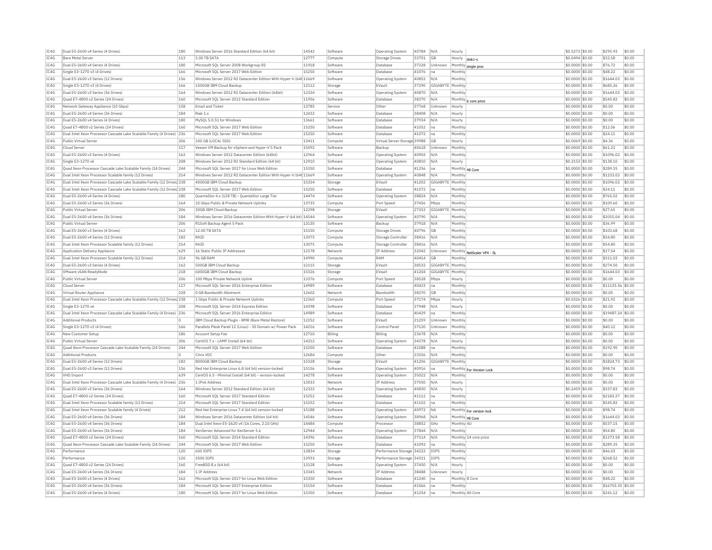| IC4G         | Dual E5-2600 v4 Series (4 Drives)                                        | 180        | Windows Server 2016 Standard Edition (64 bit)                                                      | 14542          | Software             | <b>Operating System</b>      | 40784          | N/A              | Hourly             |                            | \$0.5273 \$0.00                     | \$295.93                      | \$0.00           |
|--------------|--------------------------------------------------------------------------|------------|----------------------------------------------------------------------------------------------------|----------------|----------------------|------------------------------|----------------|------------------|--------------------|----------------------------|-------------------------------------|-------------------------------|------------------|
| TC4G         | <b>Bare Metal Server</b>                                                 | 113        | 3.00 TR SATA                                                                                       | 12777          | Compute              | Storage Drives               | 32701          | <b>GB</b>        | Hourly             | disk1-y                    | \$0,0494 \$0,00                     | \$32.58                       | \$0.00           |
| IC4G         | Dual E5-2600 v4 Series (4 Drives)                                        | 180        | Microsoft SOL Server 2008 Workgroup R2                                                             | 11918          | Software             | Database                     | 37228          | Unknown          | Monthly            | single proc                | \$0,0000 \$0.00                     | \$76.72                       | \$0.00           |
| IC4G         | Single E3-1270 v3 (4 Drives)                                             | 166        | Microsoft SOL Server 2017 Web Edition                                                              | 15250          | Software             | Database                     | 41076          | Ina              | Monthly            |                            | \$0,0000 \$0.00                     | \$48.22                       | \$0.00           |
| IC4G         | Dual E5-2600 v3 Series (12 Drives)                                       | 156        | Windows Server 2012 R2 Datacenter Edition With Hyper-V (64t 11669                                  |                | Software             | Operating System             | 40852          | N/A              | Monthly            |                            | \$0,0000 \$0.00                     | \$1644.03                     | \$0.00           |
| IC4G         | Single E3-1270 v3 (4 Drives)                                             | 166        | 1500GB IBM Cloud Backup                                                                            | 12112          | Storage              | EVault                       | 37290          | GIGABYTE         | Monthly            |                            | \$0,0000 \$0.00                     | \$685.26                      | \$0.00           |
| TC4G         | Dual E5-2600 v3 Series (36 Drives)                                       | 164        | Windows Server 2012 R2 Datacenter Edition (64bit)                                                  | 12324          | Software             | <b>Operating System</b>      | 40870          | N/A              | Monthly            |                            | \$0,0000 \$0.00                     | \$1644.03                     | \$0.00           |
| IC4G         | Quad E7-4800 v2 Series (24 Drives)                                       | 160        | Microsoft SOL Server 2012 Standard Edition                                                         | 11956          | Software             | Database                     | 38370          | N/A              |                    |                            | \$0.0000 \$0.00                     | \$545.82                      | \$0.00           |
| IC4G         | Network Gateway Appliance (10 Gbps)                                      | 158        | <b>Email and Ticket</b>                                                                            | 13785          | Service              | Other                        | 37768          | Unknown          | Hourly             | Monthly 6 core price       | \$0,0000 \$0.00                     | \$0.00                        | \$0.00           |
|              |                                                                          |            |                                                                                                    |                |                      |                              |                |                  |                    |                            |                                     |                               |                  |
| TC4G         | Dual E5-2600 v4 Series (36 Drives)                                       | 184        | Riak 1.x                                                                                           | 12432          | Software             | Database                     | 38408          | N/A              | Hourly             |                            | \$0,0000 \$0.00                     | \$0.00                        | \$0.00           |
| IC4G         | Dual E5-2600 v4 Series (4 Drives)                                        | 180        | MySQL 5.0.51 for Windows                                                                           | 13661          | Software             | Database                     | 37934          | N/A              | Hourly             |                            | \$0.0000 \$0.00                     | \$0.00                        | \$0.00           |
| IC4G         | Quad E7-4800 v2 Series (24 Drives)                                       | 160        | Microsoft SOL Server 2017 Web Edition                                                              | 15250          | Software             | Database                     | 41052          | na               | Monthly            |                            | \$0,0000 \$0,00                     | \$12.06                       | sin nn           |
| IC4G         | Dual Intel Xeon Processor Cascade Lake Scalable Family (4 Drives)        | 236        | Microsoft SQL Server 2017 Web Edition                                                              | 15250          | Software             | Database                     | 41072          | Ina              | Monthly            |                            | \$0.0000 \$0.00                     | \$24.11                       | \$0.00           |
| IC4G         | Public Virtual Server                                                    | 206        | 100 GB (LOCAL SSD)                                                                                 | 13411          | Compute              | Virtual Server Storage 39988 |                | GB               | Hourly             |                            | \$0.0069 \$0.00                     | \$4.36                        | \$0.00           |
| IC4G         | Cloud Server                                                             | 117        | Veeam VM Backup for vSphere and Hyper-V 5 Pack                                                     | 15092          | Software             | Backup                       | 40618          | Unknown          | Monthly            |                            | \$0,0000 \$0.00                     | \$61.22                       | \$0.00           |
| IC4G         | Dual E5-2600 v3 Series (4 Drives)                                        | 162        | Windows Server 2012 Datacenter Edition (64bit)                                                     | 12964          | Software             | Operating System             | 40902          | N/A              | Monthly            |                            | \$0,0000 \$0.00                     | \$1096.02                     | \$0.00           |
| IC4G         | Single E3-1270 v6                                                        | 208        | Windows Server 2012 R2 Standard Edition (64 bit)                                                   | 12910          | Software             | <b>Operating System</b>      | 40810          | N/A              | Hourly             |                            | \$0,2153 \$0,00                     | \$138.10                      | \$0.00           |
| IC4G         | Quad Xeon Processor Cascade Lake Scalable Family (24 Drives)             | 244        | Microsoft SQL Server 2017 for Linux Web Edition                                                    | 15350          | Software             | Database                     | 41256          | Ina              |                    | Monthly 48 Core            | \$0.0000 \$0.00                     | \$289.35                      | \$0.00           |
| IC4G         | Dual Intel Xeon Processor Scalable family (12 Drives)                    | 214        | Windows Server 2012 R2 Datacenter Edition With Hyper-V (64t 11669                                  |                | Software             | Operating System             | 40848          | N/A              | Monthly            |                            | \$0,0000 \$0.00                     | \$1233.02                     | \$0.00           |
| TC4G         | Dual Intel Xeon Processor Cascade Lake Scalable Family (12 Drives 238    |            | 4000GB TBM Cloud Backup                                                                            | 15324          | Storage              | FVault                       | 41202          | GIGARYTE Monthly |                    |                            | \$0,0000 \$0.00                     | \$1096.02                     | \$0.00           |
| IC4G         | Dual Intel Xeon Processor Cascade Lake Scalable Family (12 Drives 238    |            | Microsoft SQL Server 2017 Web Edition                                                              | 15250          | Software             | Database                     | 41072          | na               | Monthly            |                            | \$0,0000 \$0.00                     | \$24.11                       | \$0.00           |
| IC4G         | Dual E5-2600 v4 Series (4 Drives)                                        | 180        | OuantaStor 4.x (128 TB) - OuantaStor Large Tier                                                    | 14474          | Software             | Operating System             | 38824          | N/A              | Monthly            |                            | \$0,0000 \$0,00                     | \$765.02                      | \$0.00           |
| IC4G         | Dual E5-2600 v3 Series (36 Drives)                                       | 164        | 10 Gbps Public & Private Network Uplinks                                                           | 13735          | Compute              | Port Speed                   | 37456          | Mbps             | Monthly            |                            | \$0.0000 \$0.00                     | \$109.60                      | \$0.00           |
|              |                                                                          |            |                                                                                                    | 12298          |                      |                              |                |                  |                    |                            |                                     |                               |                  |
| IC4G         | Public Virtual Server                                                    | 206        | 30GB IBM Cloud Backup<br>Windows Server 2016 Datacenter Edition With Hyper-V (64 bit) 14544        |                | Storage              | EVault                       | 27353<br>40790 | GIGABYTE         | Monthly<br>Monthly |                            | \$0.0000 \$0.00<br>$$0.0000$ \$0.00 | \$27.65<br>\$2055.04          | \$0.00<br>\$0.00 |
| IC4G         | Dual E5-2600 v4 Series (36 Drives)                                       | 184        |                                                                                                    |                | Software             | Operating System             |                | N/A              |                    |                            |                                     |                               |                  |
| IC4G         | Public Virtual Server                                                    | 206        | R1Soft Backup Agent 5 Pack                                                                         | 13130          | Software             | Backup                       | 37918          | N/A              | Monthly            |                            | \$0.0000 \$0.00                     | \$36.99                       | \$0.00           |
| IC4G         | Dual E5-2600 v3 Series (4 Drives)                                        | 162        | 12.00 TB SATA                                                                                      | 15150          | Compute              | <b>Storage Drives</b>        | 40796          | <b>GB</b>        | Monthly            |                            | \$0.0000 \$0.00                     | \$103.68                      | \$0.00           |
| IC4G         | Dual E5-2600 v4 Series (12 Drives)                                       | 182        | RAID                                                                                               | 13075          | Compute              | Storage Controller           | 38416          | N/A              | Monthly            |                            | \$0.0000 \$0.00                     | \$54.80                       | \$0.00           |
| IC4G         | Dual Intel Xeon Processor Scalable family (12 Drives)                    | 214        | RATD                                                                                               | 13075          | Compute              | Storage Controlle            | 38416          | N/A              | Monthly            |                            | \$0.0000 \$0.00                     | \$54.80                       | \$0.00           |
| IC4G         | Application Delivery Appliance                                           | 629        | 16 Static Public IP Addresses                                                                      | 12178          | Network              | IP Address                   | 32042          | Unknown          |                    | Monthly NetScaler VPX - SL | \$0,0000 \$0,00                     | \$17.54                       | \$0.00           |
| IC4G         | Dual Intel Xeon Processor Scalable family (12 Drives)                    | 214        | 96 GB RAM                                                                                          | 14990          | Compute              | RAM                          | 40414          | GB               | Monthly            |                            | \$0,0000 \$0,00                     | \$311.03                      | \$0.00           |
|              |                                                                          |            |                                                                                                    | 12115          |                      | FVault                       |                |                  | GIGARYTE Monthly   |                            | \$0,0000 \$0.00                     | \$274.50                      | \$0.00           |
| TC4G         | Dual E5-2600 v3 Series (4 Drives)                                        | 162        | 500GB TBM Cloud Backup                                                                             |                | Storage              |                              | 38532          |                  |                    |                            |                                     |                               |                  |
| IC4G         | VMware vSAN ReadyNode                                                    | 218        | 6000GB IBM Cloud Backup                                                                            | 15326          | Storage              | EVault                       | 41204          | GIGABYTE Monthly |                    |                            | \$0.0000 \$0.00                     | \$1644.03                     | \$0.00           |
| IC4G         | Public Virtual Server                                                    | 206        | 100 Mbps Private Network Uplink                                                                    | 13376          | Compute              | Port Speed                   | 38528          | Mbps             | Hourly             |                            | \$0.0000 \$0.00                     | \$0.00                        | \$0.00           |
| TC4G         | Cloud Server                                                             | 117        | Microsoft SOL Server 2016 Enterprise Edition                                                       | 14989          | Software             | Database                     | 40423          | na               | Monthly            |                            | \$0,0000 \$0.00                     | \$11135.56 \$0.00             |                  |
|              | Virtual Router Appliance                                                 | 228        |                                                                                                    |                | Network              | Bandwidtl                    |                | GB               | Monthly            |                            | \$0,0000 \$0.00                     |                               |                  |
| IC4G         |                                                                          |            | 0 GB Bandwidth Allotment                                                                           | 12602<br>12360 |                      |                              | 38270          |                  |                    |                            |                                     | \$0.00                        | \$0.00<br>\$0.00 |
| IC4G         | Dual Intel Xeon Processor Cascade Lake Scalable Family (12 Drives 238    |            | 1 Gbps Public & Private Network Uplinks                                                            |                | Compute              | Port Speed                   | 37174          | Mbps             | Hourly             |                            | \$0.0326 \$0.00                     | \$21.92                       |                  |
| IC4G         | Single E3-1270 v6                                                        | 208        | Microsoft SQL Server 2014 Express Edition                                                          | 14398          | Software             | Database                     | 37948          | N/A              | Hourly             |                            | \$0.0000 \$0.00                     | \$0.00                        | \$0.00           |
| IC4G         | Dual Intel Xeon Processor Cascade Lake Scalable Family (4 Drives)        | 236        | Microsoft SQL Server 2016 Enterprise Edition                                                       | 14989          | Software             | Database                     | 40429          | na               | Monthly            |                            | \$0.0000 \$0.00                     | \$19487                       | $.24$ \$0.00     |
| IC4G         | Additional Products                                                      | In.        | IBM Cloud Backup Plugin - BMR (Bare Metal Restore)                                                 | 12252          | Software             | EVault                       | 21259          | Unknown          | Monthly            |                            | \$0,0000 \$0.00                     | \$0.00                        | \$0.00           |
| IC4G         | Single E3-1270 v3 (4 Drives)                                             | 166        | Parallels Plesk Panel 12 (Linux) - 30 Domain w/ Power Pack                                         | 14216          | Software             | Control Pane                 | 37120          | Unknown          | Monthly            |                            | \$0.0000 \$0.00                     | \$40.12                       | \$0.00           |
| IC4G         | New Customer Setup                                                       | 186        | Account Setup Fee                                                                                  | 12710          | Billing              | Billing                      | 23678          | N/A              | Monthly            |                            | \$0.0000 \$0.00                     | \$0.00                        | \$0.00           |
| IC4G         | Public Virtual Server                                                    | 206        | CentOS 7.x - LAMP Install (64 bit)                                                                 | 14212          | Software             | Operating System             | 34578          | N/A              | Hourly             |                            | \$0,0000 \$0,00                     | \$0.00                        | \$0.00           |
| IC4G         | Quad Xeon Processor Cascade Lake Scalable Family (24 Drives)             | 244        | Microsoft SQL Server 2017 Web Edition                                                              | 15250          | Software             | Database                     | 41088          | na               | Monthly            |                            | \$0.0000 \$0.00                     | \$192.90                      | \$0.00           |
| TC4G         | <b>Additional Products</b>                                               | l n        | Citrix VDC                                                                                         | 12684          | Compute              | Other                        | 23556          | N/A              | Monthly            |                            | \$0,0000 \$0.00                     | \$0.00                        | \$0.00           |
| IC4G         | Dual E5-2600 v4 Series (12 Drives                                        | 182        | 8000GB IBM Cloud Backup                                                                            | 15328          | Storage              | EVault                       | 41206          | GIGABYTE Monthly |                    |                            | \$0,0000 \$0.00                     | \$1824.73                     | $ $ \$0.00       |
| IC4G         | Dual E5-2600 v3 Series (12 Drives)                                       | 156        | Red Hat Enterprise Linux 6.8 (64 bit) version-locked                                               | 15156          | Software             | Operating System             | 40916          | Ina              |                    | Monthly For Version Lock   | \$0,0000 \$0,00                     | \$98.74                       | \$0.00           |
| IC4G         | VHD Import                                                               | 639        | CentOS 6.5 - Minimal Install (64 bit) - version-locked                                             | 14278          | Software             | Operating System             | 35022          | N/A              | Monthly            |                            | \$0.0000 \$0.00                     | \$0.00                        | \$0.00           |
| IC4G         | Dual Intel Xeon Processor Cascade Lake Scalable Family (4 Drives)        | 236        | 1 TPv6 Address                                                                                     | 13033          | Network              | IP Address                   | 37050          | N/A              | Hourly             |                            | \$0.0000 \$0.00                     | \$0.00                        | \$0.00           |
| TC4G         | Dual E5-2600 v3 Series (36 Drives)                                       | 164        | Windows Server 2012 Standard Edition (64 bit)                                                      | 12322          | Software             | Operating System             | 40830          | N/A              | Hourly             |                            | \$0.2459 \$0.00                     | \$157.83                      | \$0.00           |
| IC4G         | Ouad E7-4800 v2 Series (24 Drives)                                       | 160        | Microsoft SQL Server 2017 Standard Edition                                                         | 15252          | Software             | Database                     | 41112          | Ina              | Monthly            |                            | \$0,0000 \$0,00                     | \$2183.27                     | \$0.00           |
| TC4G         | Dual Intel Xeon Processor Scalable family (12 Drives)                    | 214        | Microsoft SOL Server 2017 Standard Edition                                                         | 15252          | Software             | Database                     | 41102          | Ina              | Monthly            |                            | \$0,0000 \$0,00                     | \$545.82                      | \$0.00           |
| TC4G         | Dual Intel Xeon Processor Scalable family (4 Drives)                     | 212        | Red Hat Enterprise Linux 7.4 (64 bit) version-locked                                               | 15188          | Software             | <b>Operating System</b>      | 40972          | <b>NA</b>        |                    |                            | \$0.0000 \$0.00                     | \$98.74                       | \$0.00           |
|              |                                                                          |            |                                                                                                    |                | Software             | <b>Operating System</b>      |                |                  |                    | Monthly For version lock   |                                     |                               |                  |
| IC4G<br>IC4G | Dual E5-2600 v4 Series (36 Drives)<br>Dual E5-2600 v4 Series (36 Drives) | 184<br>184 | Windows Server 2016 Datacenter Edition (64 bit)<br>Dual Intel Xeon E5-2620 v4 (16 Cores, 2.10 GHz) | 14546<br>14484 | Compute              | Processor                    | 38968<br>38852 | N/A<br>GHz       | Monthly 4U         | Monthly 48 Core            | \$0.0000 \$0.00<br>\$0,0000 \$0,00  | \$1644.03<br>\$537.15         | \$0.00<br>\$0.00 |
| IC4G         | Dual E5-2600 v4 Series (36 Drives                                        | 184        | XenServer Advanced for XenServer 5.6                                                               | 12944          | Software             |                              | 37844          | N/A              | Monthly            |                            | \$0,0000 \$0.00                     | \$54.80                       | \$0.00           |
|              |                                                                          |            |                                                                                                    |                |                      | <b>Operating System</b>      |                |                  |                    |                            |                                     |                               |                  |
| IC4G         | Ouad E7-4800 v2 Series (24 Drives)                                       | 160        | Microsoft SOL Server 2014 Standard Edition                                                         | 14396          | Software             | Database                     | 37114          | N/A              |                    | Monthly 14 core price      | \$0,0000 \$0,00                     | \$1273.58                     | \$0.00           |
| IC4G         | Quad Xeon Processor Cascade Lake Scalable Family (24 Drives)             | 244        | Microsoft SQL Server 2017 Web Edition                                                              | 15250          | Software             | Database                     | 41092          | Ina              | Monthly            |                            | \$0,0000 \$0,00                     | \$289.35                      | \$0.00           |
| IC4G         | Performance                                                              | 120        | 600 IOPS                                                                                           | 13834          | Storage              | Performance Storage 34222    |                | IOP:             | Monthly            |                            | \$0.0000 \$0.00                     | \$46.03                       | \$0.00           |
| IC4G         | Performance                                                              | 120        | 3500 TOPS                                                                                          | 13933          | Storage              | Performance Storage 34321    |                | TOPS             | Monthly            |                            | \$0,0000 \$0,00                     | \$268.52                      | \$0.00           |
| IC4G         | Ouad E7-4800 v2 Series (24 Drives)                                       | 160        | FreeBSD 8.x (64 bit)                                                                               | 13128          | Software             | Operating System             | 37450          | N/A              | Hourly             |                            | \$0,0000 \$0.00                     | \$0.00                        | \$0.00           |
| IC4G         | Dual E5-2600 v4 Series (36 Drives)                                       | 184        | 1 TP Address                                                                                       | 13345          | Network              | IP Address                   | 38488          | Unknown          | Hourly             |                            | \$0,0000 \$0,00                     | \$0.00                        | \$0.00           |
| IC4G         | Dual E5-2600 v3 Series (4 Drives)                                        | 162        | Microsoft SQL Server 2017 for Linux Web Edition                                                    | 15350          | Software             | Database                     | 41240          | Ina              | Monthly 8 Core     |                            | \$0.0000 \$0.00                     | \$48.22                       | \$0.00           |
| IC4G<br>TC4G | Dual E5-2600 v4 Series (36 Drives)<br>Dual E5-2600 v4 Series (4 Drives)  | 184<br>180 | Microsoft SQL Server 2017 Enterprise Edition<br>Microsoft SOL Server 2017 for Linux Web Edition    | 15154<br>15350 | Software<br>Software | Database<br>Database         | 41066<br>41254 | na<br>Ina        | Monthly            | Monthly 40 Core            | \$0.0000 \$0.00<br>$$0.0000$ \$0.00 | \$16703.35 \$0.00<br>\$241.12 | \$0.00           |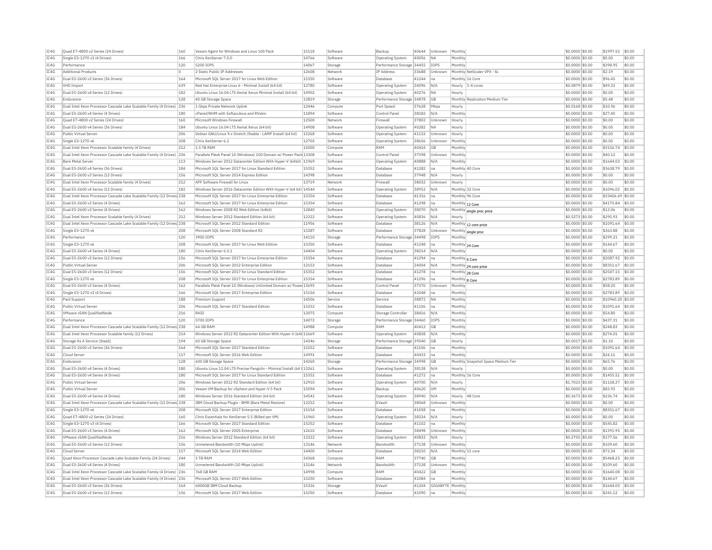| IC4G         | Ouad E7-4800 v2 Series (24 Drives)                                       | 160        | Veeam Agent for Windows and Linux 100 Pack                            | 15118          | Software | Backup                    | 40644          | Unknown          | Monthly                            | \$0.0000 \$0.00                     | \$1997.52             | \$0.00           |
|--------------|--------------------------------------------------------------------------|------------|-----------------------------------------------------------------------|----------------|----------|---------------------------|----------------|------------------|------------------------------------|-------------------------------------|-----------------------|------------------|
| IC4G         | Single E3-1270 v3 (4 Drives)                                             | 166        | Citrix XenServer 7.0.0                                                | 14766          | Software | Operating System          | 40056          | <b>NA</b>        | Monthly                            | \$0.0000 \$0.00                     | \$0.00                | \$0.00           |
| IC4G         | Performance                                                              | 120        | 5200 TOPS                                                             | 14067          | Storage  | Performance Storage 34455 |                | <b>TOPS</b>      | Monthly                            | $$0.0000$ \$0.00                    | \$398.95              | \$0.00           |
| TC4G         | <b>Additional Products</b>                                               | $\Omega$   | 2 Static Public IP Addresses                                          | 12608          | Network  | <b>TP Address</b>         | 33688          | Unknown          | Monthly NetScaler VPX - SI         | \$0.0000 \$0.00                     | \$2.19                | \$0.00           |
| TC4G         | Dual E5-2600 v3 Series (36 Drives)                                       | 164        | Microsoft SOL Server 2017 for Linux Web Edition                       | 15350          | Software | Database                  | 41244          | Ina              | Monthly 16 Core                    | \$0,0000 \$0.00                     | \$96.45               | \$0.00           |
| TC4G         | VHD Import                                                               | 639        | Red Hat Enterprise Linux 6 - Minimal Install (64 bit)                 | 12780          | Software | Operating System          | 24096          | N/A              | Hourly<br>$1-4$ cores              | \$0,0879 \$0.00                     | \$49.32               | \$0.00           |
| IC4G         | Dual E5-2600 v4 Series (12 Drives)                                       | 182        | Ubuntu Linux 16.04 LTS Xenial Xerus Minimal Install (64 bit)          | 14902          | Software | Operating System          | 40276          | NA               | Hourly                             | \$0.0000 \$0.00                     | \$0.00                | \$0.00           |
| TC4G         | Endurance                                                                | 128        | 40 GB Storage Space                                                   | 13819          | Storage  | Performance Storage 34878 |                | <b>GB</b>        | Monthly Replication Medium Tier    | \$0.0000 \$0.00                     | \$5.48                | \$0.00           |
| IC4G         | Dual Intel Xeon Processor Cascade Lake Scalable Family (4 Drives)        | 236        | 1 Gbps Private Network Uplink                                         | 12446          | Compute  | Port Speed                | 37628          | Mbps             | Hourly                             | $$0.0168$ \$0.00                    | \$10.96               | \$0.00           |
| IC4G         | Dual E5-2600 v4 Series (4 Drives)                                        | 180        | cPanel/WHM with Softaculous and RVskin                                | 11894          | Software | Control Panel             | 38182          | N/A              | Monthly                            | \$0.0000 \$0.00                     | \$27.40               | \$0.00           |
| IC4G         | Quad E7-4800 v2 Series (24 Drives)                                       | 160        | Microsoft Windows Firewall                                            | 12500          | Network  | Firewall                  | 37802          | Unknown          | Hourly                             | \$0,0000 \$0.00                     | \$0.00                | \$0.00           |
| IC4G         | Dual E5-2600 v4 Series (36 Drives)                                       | 184        | Ubuntu Linux 16.04 LTS Xenial Xerus (64 bit)                          | 14908          | Software | <b>Operating System</b>   | 40282          | <b>NA</b>        | Hourly                             | \$0.0000 \$0.00                     | \$0.00                | \$0.00           |
| TC4G         | <b>Public Virtual Server</b>                                             | 206        |                                                                       | 15268          | Software |                           |                | Unknown          |                                    |                                     | \$0.00                | \$0.00           |
|              |                                                                          |            | Debian GNU/Linux 9.x Stretch / Stable - LAMP Install (64 bit)         | 12705          |          | <b>Operating System</b>   | 41132          |                  | Hourly                             | $50.0000$ \$0.00                    |                       | \$0.00           |
| IC4G         | Single E3-1270 v6                                                        | 208        | Citrix XenServer 6.2                                                  |                | Software | Operating System          | 38656          | Unknown          | Monthly                            | \$0.0000 \$0.00                     | \$0.00                |                  |
| IC4G         | Dual Intel Xeon Processor Scalable family (4 Drives)                     | 212        | 1.5 TB RAM                                                            | 15000          | Compute  | RAM                       | 40424          | GB               | Monthly                            | \$0.0000 \$0.00                     | \$3156.74             | \$0.00           |
| IC4G         | Dual Intel Xeon Processor Cascade Lake Scalable Family (4 Drives) 236    |            | Parallels Plesk Panel 10 (Windows) 100 Domain w/ Power Pack 13308     |                | Software | Control Panel             | 37598          | Unknown          | Monthly                            | $$0.0000$ \$0.00                    | \$40.12               | \$0.00           |
| IC4G         | <b>Bare Metal Server</b>                                                 | 113        | Windows Server 2012 Datacenter Edition With Hyper-V (64bit)           | 11969          | Software | Operating System          | 40888          | N/A              | Monthly                            | \$0,0000 \$0.00                     | \$1644.03             | \$0.00           |
| TC4G         | Dual E5-2600 v4 Series (36 Drives)                                       | 184        | Microsoft SOL Server 2017 for Linux Standard Edition                  | 15352          | Software | Database                  | 41282          | Ina              | Monthly 40 Core                    | \$0,0000 \$0.00                     | \$3638.79             | \$0.00           |
| IC4G         | Dual E5-2600 v3 Series (12 Drives)                                       | 156        | Microsoft SQL Server 2014 Express Edition                             | 14398          | Software | Database                  | 37948          | N/A              | Hourly                             | \$0.0000 \$0.00                     | \$0.00                | \$0.00           |
| IC4G         | Dual Intel Xeon Processor Scalable family (4 Drives)                     | 212        | APF Software Firewall for Linux                                       | 13719          | Network  | Firewall                  | 38032          | Unknown          | Hourly                             | \$0.0000 \$0.00                     | \$0.00                | \$0.00           |
| IC4G         | Dual E5-2600 v4 Series (12 Drives)                                       | 182        | Windows Server 2016 Datacenter Edition With Hyper-V (64 bit) 14544    |                | Software | Operating System          | 38952          | N/A              | Monthly 32 Core                    | $$0.0000$ \$0.00                    | \$1096.02             | \$0.00           |
| IC4G         | Dual Intel Xeon Processor Cascade Lake Scalable Family (12 Drives 238    |            | Microsoft SQL Server 2017 for Linux Enterprise Edition                | 15354          | Software | Database                  | 41316          | na               | Monthly 96 Core                    | \$0.0000 \$0.00                     | \$33406.69            | \$0.00           |
| IC4G         | Dual E5-2600 v3 Series (4 Drives)                                        | 162        | Microsoft SQL Server 2017 for Linux Enterprise Edition                | 15354          | Software | Database                  | 41298          | Ina              | Monthly 12 Core                    | \$0.0000 \$0.00                     | \$4175.84             | \$0.00           |
| IC4G         | Dual E5-2600 v3 Series (4 Drives)                                        | 162        | Windows Server 2008 R2 Web Edition (64bit)                            | 12840          | Software | Operating System          | 38070          | N/A              | Monthly single proc price          | \$0,0000 \$0.00                     | \$12.06               | \$0.00           |
| IC4G         | Dual Intel Xeon Processor Scalable family (4 Drives)                     | 212        | Windows Server 2012 Standard Edition (64 bit)                         | 12322          | Software | <b>Operating System</b>   | 40836          | N/A              | Hourly                             | \$0.5273 \$0.00                     | \$295.93              | \$0.00           |
| IC4G         | Dual Intel Xeon Processor Cascade Lake Scalable Family (12 Drives 238    |            | Microsoft SOL Server 2012 Standard Edition                            | 11956          | Software | Database                  | 38126          | N/A              | Monthly 12 core price              | \$0,0000 \$0.00                     | \$1091.64             | \$0.00           |
| IC4G         | Single E3-1270 v6                                                        | 208        | Microsoft SOL Server 2008 Standard R2                                 | 13287          | Software | Database                  | 37828          | Unknowr          | Monthly single proc                | \$0.0000 \$0.00                     | \$363.88              | \$0.00           |
| TC4G         | Performance                                                              | 120        | 3900 TOPS                                                             | 14110          | Storage  | Performance Storage 34498 |                | <b>TOPS</b>      | Monthly                            | \$0,0000 \$0.00                     | \$299.21              | \$0.00           |
| IC4G         | Single E3-1270 v6                                                        | 208        | Microsoft SQL Server 2017 for Linux Web Edition                       | 15350          | Software | Database                  | 41248          | Ina              | Monthly 24 Core                    | \$0.0000 \$0.00                     | \$144.67              | \$0.00           |
| IC4G         | Dual E5-2600 v4 Series (4 Drives)                                        | 180        | Citrix XenServer 6.5.1                                                | 14404          | Software | Operating System          | 38214          | N/A              | Monthly                            | \$0.0000 \$0.00                     | \$0.00                | \$0.00           |
| TC4G         | Dual E5-2600 v3 Series (12 Drives)                                       | 156        | Microsoft SOL Server 2017 for Linux Enterprise Edition                | 15354          | Software | Database                  | 41294          | Ina              | Monthly 6 Core                     | \$0,0000 \$0.00                     | \$2087.92             | \$0.00           |
| IC4G         | Public Virtual Server                                                    | 206        | Microsoft SQL Server 2012 Enterprise Edition                          | 12153          | Software | Database                  | 24004          | N/A              | Monthly 24 core price              | \$0,0000 \$0.00                     | \$8351.67             | \$0.00           |
| IC4G         | Dual E5-2600 v3 Series (12 Drives)                                       | 156        | Microsoft SOL Server 2017 for Linux Standard Edition                  | 15352          | Software | Database                  | 41278          | Ina              | Monthly 28 Core                    | \$0,0000 \$0.00                     | \$2547.15             | \$0.00           |
| IC4G         | Single E3-1270 v6                                                        | 208        | Microsoft SQL Server 2017 for Linux Enterprise Edition                | 15354          | Software | Database                  | 41296          | Ina              |                                    | \$0.0000 \$0.00                     | \$2783.89             | \$0.00           |
| IC4G         | Dual E5-2600 v3 Series (4 Drives)                                        | 162        | Parallels Plesk Panel 10 (Windows) Unlimited Domain w/ Powe 13695     |                | Software | Control Pane              | 37370          | Unknown          | Monthly 8 Core<br>Monthly          | \$0.0000 \$0.00                     | \$58.20               | \$0.00           |
| TC4G         | Single E3-1270 v3 (4 Drives)                                             | 166        | Microsoft SOL Server 2017 Enterprise Edition                          | 15154          | Software | Database                  | 41048          | lna              | Monthly                            | $$0.0000$ \$0.00                    | \$2783.89             | \$0.00           |
|              |                                                                          |            |                                                                       |                |          |                           |                |                  |                                    |                                     |                       |                  |
| IC4G         | Paid Support                                                             | 188        | Premium Support                                                       | 14506          | Service  | Service                   | 38872          | <b>NA</b>        | Monthly                            | \$0.0000 \$0.00                     | \$10960.20 \$0.00     |                  |
| IC4G         | Public Virtual Server                                                    | 206        | Microsoft SOL Server 2017 Standard Edition                            | 15252          | Software | Database                  | 41106          | Ina              | Monthly                            | \$0.0000 \$0.00                     | \$1091.64             | sin n            |
| IC4G         | VMware vSAN OualifiedNode                                                | 216        | RATD                                                                  | 13075          | Compute  | Storage Controller        | 38416          | N/A              | Monthly                            | \$0,0000 \$0.00                     | \$54.80               | \$0.00           |
| IC4G         | Performance                                                              | 120        | 5700 IOPS                                                             | 14072          | Storage  | Performance Storage 34460 |                | IOPS             | Monthly                            | \$0.0000 \$0.00                     | \$437.31              | \$0.00           |
| IC4G         | Dual Intel Xeon Processor Cascade Lake Scalable Family (12 Drives 238    |            | 64 GB RAM                                                             | 14988          | Compute  | RAM                       | 40412          | GB               | Monthly                            | \$0,0000 \$0.00                     | \$248.83              | \$0.00           |
| IC4G         | Dual Intel Xeon Processor Scalable family (12 Drives)                    | 214        | Windows Server 2012 R2 Datacenter Edition With Hyper-V (64t 11669     |                | Software | Operating System          | 40838          | N/f              | Monthly                            | \$0,0000 \$0.00                     | \$274.01              | \$0.00           |
| IC4G         | Storage As A Service (StaaS)                                             | 194        | 60 GB Storage Space                                                   | 14246          | Storage  | Performance Storage 39540 |                | <b>GB</b>        | Hourly                             | \$0,0017 \$0.00                     | \$1.10                | \$0.00           |
| IC4G         | Dual E5-2600 v3 Series (36 Drives)                                       | 164        | Microsoft SQL Server 2017 Standard Edition                            | 15252          | Software | Database                  | 41106          | Ina              | Monthly                            | \$0.0000 \$0.00                     | \$1091.64             | \$0.00           |
| IC4G         | Cloud Serve                                                              | 117        | Microsoft SQL Server 2016 Web Edition                                 | 14991          | Software | Database                  | 40433          | Ina              | Monthly                            | \$0,0000 \$0.00                     | \$24.11               | \$0.00           |
| TC4G         | Endurance                                                                | 128        | 600 GB Storage Space                                                  | 14260          | Storage  | Performance Storage 34998 |                | <b>GB</b>        | Monthly Snanshot Space Medium Tier | \$0.0000 \$0.00                     | \$65.76               | \$0.00           |
| IC4G         | Dual E5-2600 v4 Series (4 Drives)                                        | 180        | Ubuntu Linux 12.04 LTS Precise Pangolin - Minimal Install (64 t 13261 |                | Software | Operating System          | 38138          | N/A              | Hourly                             | \$0.0000 \$0.00                     | \$0.00                | \$0.00           |
| IC4G         | Dual E5-2600 v4 Series (4 Drives)                                        | 180        | Microsoft SOL Server 2017 for Linux Standard Edition                  | 15352          | Software | Database                  | 41272          | Ina              | Monthly 16 Core                    | \$0,0000 \$0.00                     | \$1455.51             | \$0.00           |
| TC4G         | Public Virtual Server                                                    | 206        | Windows Server 2012 R2 Standard Edition (64 bit)                      | 12910          | Software | <b>Operating System</b>   | 40700          | N/A              | Hourly                             | \$1,7023 \$0.00                     | \$1128.27             | \$0.00           |
| IC4G         | Public Virtual Server                                                    | 206        | Veeam VM Backup for vSphere and Hyper-V 5 Pack                        | 15094          | Software | Backup                    | 40620          | VM               | Monthly                            | \$0.0000 \$0.00                     | \$83.93               | \$0.00           |
| IC4G         | Dual E5-2600 v4 Series (4 Drives)                                        | 180        | Windows Server 2016 Standard Edition (64 bit)                         | 14542          | Software | Operating System          | 38940          | N/A              | Hourly<br>48 Core                  | \$0.3673 \$0.00                     | \$236.74              | \$0.00           |
| IC4G         | Dual Intel Xeon Processor Cascade Lake Scalable Family (12 Drives 238    |            | IBM Cloud Backup Plugin - BMR (Bare Metal Restore)                    | 12252          | Software | EVault                    | 38068          | Unknown          | Monthly                            | \$0.0000 \$0.00                     | \$0.00                | \$0.00           |
| IC4G         | Single E3-1270 v6                                                        | 208        | Microsoft SOL Server 2017 Enterprise Edition                          | 15154          | Software | Database                  | 41058          | lna              | Monthly                            | \$0.0000 \$0.00                     | \$8351.67             | \$0.00           |
| IC4G         | Quad E7-4800 v2 Series (24 Drives)                                       | 160        | Citrix Essentials for XenServer 5.5 (Billed per VM)                   | 11960          | Software | Operating System          | 38324          | N/A              | Hourly                             | \$0.0000 \$0.00                     | \$0.00                | \$0.00           |
| IC4G         | Single E3-1270 v3 (4 Drives)                                             | 166        | Microsoft SQL Server 2017 Standard Edition                            | 15252          | Software | Database                  | 41102          | na               | Monthly                            | \$0.0000 \$0.00                     | \$545.82              | \$0.00           |
| IC4G         | Dual E5-2600 v3 Series (4 Drives)                                        | 162        | Microsoft SOL Server 2005 Enterprise                                  | 12610          | Software | Database                  | 38498          | Unknown          | Monthly                            | \$0,0000 \$0.00                     | \$1391.95             | \$0.00           |
| IC4G         | VMware vSAN OualifiedNode                                                | 216        | Windows Server 2012 Standard Edition (64 bit)                         | 12322          | Software | Operating System          | 40832          | N/A              | Hourly                             | \$0,2755 \$0.00                     | \$177.56              | \$0.00           |
|              |                                                                          |            |                                                                       |                |          |                           |                |                  |                                    |                                     |                       |                  |
| IC4G         | Dual E5-2600 v3 Series (12 Drives)                                       | 156        | Unmetered Bandwidth (10 Mbps Uplink)                                  | 13146          | Network  | Bandwidth                 | 37138          | Unknown          | Monthly                            | \$0,0000 \$0.00                     | \$109.60              | \$0.00           |
| IC4G         | Cloud Server                                                             | 117        | Microsoft SOL Server 2014 Web Edition                                 | 14400          | Software | Database                  | 38210          | N/A              | Monthly 11 core                    | \$0.0000 \$0.00                     | \$72.34               | \$0.00           |
| IC4G         | Quad Xeon Processor Cascade Lake Scalable Family (24 Drives)             | 244        | 3 TB RAM                                                              | 14368          | Compute  | RAM                       | 37740          | GB               | Monthly                            | \$0.0000 \$0.00                     | \$5468.25             | \$0.00           |
| TC4G         | Dual E5-2600 v4 Series (4 Drives)                                        | 180        | Unmetered Bandwidth (10 Mbns Unlink)                                  | 13146          | Network  | <b>Bandwidth</b>          | 37138          | Unknown          | Monthly                            | $$0.0000$ \$0.00                    | \$109.60              | \$0.00           |
| TCAG         | Dual Intel Xeon Processor Cascade Lake Scalable Family (4 Drives) 236    |            | <b>768 GB RAM</b>                                                     | 14998          | Compute  | RAM                       | 40422          | GB               | Monthly                            | \$0.0000 \$0.00                     | \$1640.08             | \$0.00           |
| IC4G         | Dual Intel Xeon Processor Cascade Lake Scalable Family (4 Drives) 236    |            | Microsoft SOL Server 2017 Web Edition                                 | 15250          | Software | Database                  | 41084          | na               | Monthly                            | $$0.0000$ \$0.00                    | \$144.67              | \$0.00           |
|              |                                                                          |            |                                                                       |                |          |                           |                |                  |                                    |                                     |                       |                  |
| IC4G<br>IC4G | Dual E5-2600 v3 Series (36 Drives)<br>Dual E5-2600 v3 Series (12 Drives) | 164<br>156 | 6000GB IBM Cloud Backup<br>Microsoft SQL Server 2017 Web Edition      | 15326<br>15250 | Storage  | FVault                    | 41204<br>41090 | GIGARYTE Monthly |                                    | $$0.0000$ \$0.00<br>\$0.0000 \$0.00 | \$1644.03<br>\$241.12 | \$0.00<br>\$0.00 |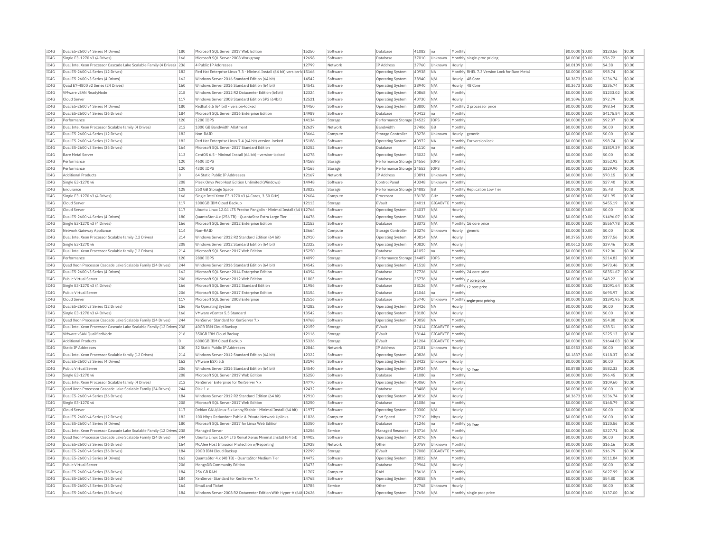| IC4G | Dual E5-2600 v4 Series (4 Drives)                                      | 180      | Microsoft SQL Server 2017 Web Edition                                    | 15250 | Software | Database                  | 41082 | na               | Monthly                                      | \$0.0000 \$0.00  | \$120.56  | \$0.00 |
|------|------------------------------------------------------------------------|----------|--------------------------------------------------------------------------|-------|----------|---------------------------|-------|------------------|----------------------------------------------|------------------|-----------|--------|
| TC4G | Single E3-1270 v3 (4 Drives)                                           | 166      | Microsoft SOL Server 2008 Workgroup                                      | 12698 | Software | Database                  | 37010 | Unknown          | Monthly single-proc pricing                  | \$0,0000 \$0.00  | \$76.72   | \$0.00 |
| IC4G | Dual Intel Xeon Processor Cascade Lake Scalable Family (4 Drives)      | 236      | 4 Public IP Addresses                                                    | 12799 | Network  | IP Address                | 37760 | Unknown          | Hourly                                       | \$0,0109 \$0.00  | \$4.38    | \$0.00 |
| IC4G | Dual E5-2600 v4 Series (12 Drives)                                     | 182      | Red Hat Enterprise Linux 7.3 - Minimal Install (64 bit) version-Id 15166 |       | Software | Operating System          | 40938 | <b>NA</b>        | Monthly RHEL 7.3 Version Lock for Bare Metal | \$0,0000 \$0.00  | \$98.74   | \$0.00 |
| IC4G | Dual E5-2600 v3 Series (4 Drives)                                      | 162      | Windows Server 2016 Standard Edition (64 bit)                            | 14542 | Software | Operating System          | 38940 | N/A              | 48 Core<br>Hourly                            | \$0.3673 \$0.00  | \$236.74  | \$0.00 |
| IC4G | Quad E7-4800 v2 Series (24 Drives)                                     | 160      | Windows Server 2016 Standard Edition (64 bit)                            | 14542 | Software | Operating System          | 38940 | N/A              | Hourly<br>48 Core                            | \$0,3673 \$0.00  | \$236.74  | \$0.00 |
| IC4G | VMware vSAN ReadyNode                                                  | 218      | Windows Server 2012 R2 Datacenter Edition (64bit)                        | 12324 | Software | <b>Operating System</b>   | 40868 | N/A              | Monthly                                      | \$0.0000 \$0.00  | \$1233.02 | \$0.00 |
| IC4G | Cloud Server                                                           | 117      | Windows Server 2008 Standard Edition SP2 (64bit)                         | 12521 | Software | Operating System          | 40730 | N/A              | Hourly                                       | \$0.1096 \$0.00  | \$72.79   | \$0.00 |
| IC4G | Dual E5-2600 v4 Series (4 Drives)                                      | 180      | Redhat 6.5 (64 bit) - version-locked                                     | 14450 | Software | <b>Operating System</b>   | 38800 | N/A              | Monthly 2 processor price                    | \$0,0000 \$0.00  | \$98.64   | \$0.00 |
| IC4G | Dual E5-2600 v4 Series (36 Drives)                                     | 184      | Microsoft SOL Server 2016 Enterprise Edition                             | 14989 | Software | Database                  | 40413 | Ina              | Monthly                                      | $$0.0000$ \$0.00 | \$4175.84 | \$0.00 |
| IC4G | Performance                                                            | 120      | 1200 IOPS                                                                | 14134 | Storage  | Performance Storage 34522 |       | IOPS             | Monthly                                      | \$0,0000 \$0.00  | \$92.07   | \$0.00 |
| TC4G | Dual Intel Xeon Processor Scalable family (4 Drives)                   | 212      | 1000 GB Bandwidth Allotment                                              | 12627 | Network  | Bandwidth                 | 37406 | GB               | Monthly                                      | \$0,0000 \$0.00  | \$0.00    | \$0.00 |
| IC4G | Dual E5-2600 v4 Series (12 Drives)                                     | 182      | Non-RAID                                                                 | 13664 | Compute  | Storage Controller        | 38276 | Unknown          | Hourly generic                               | \$0.0000 \$0.00  | \$0.00    | \$0.00 |
| IC4G | Dual E5-2600 v4 Series (12 Drives)                                     | 182      | Red Hat Enterprise Linux 7.4 (64 bit) version-locked                     | 15188 | Software | Operating System          | 40972 | <b>NA</b>        | Monthly For version lock                     | \$0.0000 \$0.00  | \$98.74   | \$0.00 |
| IC4G | Dual E5-2600 v3 Series (36 Drives)                                     | 164      | Microsoft SOL Server 2017 Standard Edition                               | 15252 | Software | Database                  | 41110 |                  | Monthly                                      | $$0.0000$ \$0.00 | \$1819.39 | \$0.00 |
| TC4G | <b>Bare Metal Server</b>                                               | 113      | CentOS 6.5 - Minimal Install (64 bit) - version-locked                   | 14278 | Software |                           |       | Ina<br>N/A       | Monthly                                      |                  | \$0.00    | \$0.00 |
|      |                                                                        |          |                                                                          |       |          | <b>Operating System</b>   | 35022 |                  |                                              | \$0.0000 \$0.00  |           | \$0.00 |
| IC4G | Performance                                                            | 120      | 4600 TOPS                                                                | 14168 | Storage  | Performance Storage 34556 |       | <b>TOPS</b>      | Monthly                                      | \$0.0000 \$0.00  | \$352.92  |        |
| IC4G | Performance                                                            | 120      | 4300 IOPS                                                                | 14165 | Storage  | Performance Storage 34553 |       | IOPS             | Monthly                                      | \$0,0000 \$0.00  | \$329.90  | \$0.00 |
| IC4G | <b>Additional Products</b>                                             | O        | 64 Static Public IP Addresses                                            | 12167 | Network  | IP Address                | 20891 | Unknown          | Monthly                                      | \$0.0000 \$0.00  | \$70.15   | \$0.00 |
| IC4G | Single E3-1270 v6                                                      | 208      | Plesk Onyx Web Host Edition Unlimited (Windows)                          | 14948 | Software | Control Pane              | 40348 | Unknown          | Monthly                                      | \$0.0000 \$0.00  | \$27.40   | \$0.00 |
| IC4G | Endurance                                                              | 128      | 250 GB Storage Space                                                     | 13822 | Storage  | Performance Storage 34882 |       | ĠΒ               | Monthly Replication Low Tier                 | \$0.0000 \$0.00  | \$5.48    | \$0.00 |
| IC4G | Single E3-1270 v3 (4 Drives)                                           | 166      | Single Intel Xeon E3-1270 v3 (4 Cores, 3.50 GHz)                         | 12604 | Compute  | Processo                  | 38178 | GHz              | Monthly                                      | \$0.0000 \$0.00  | \$81.95   | \$0.00 |
| IC4G | Cloud Server                                                           | 117      | 1000GB IBM Cloud Backup                                                  | 12113 | Storage  | EVault                    | 24011 | GIGABYTE Monthly |                                              | \$0,0000 \$0.00  | \$455.19  | \$0.00 |
| IC4G | Cloud Server                                                           | 117      | Ubuntu Linux 12.04 LTS Precise Pangolin - Minimal Install (64 t 12766    |       | Software | Operating System          | 24037 | N/A              | Hourly                                       | \$0,0000 \$0.00  | \$0.00    | \$0.00 |
| TCAG | Dual E5-2600 v4 Series (4 Drives)                                      | 180      | QuantaStor 4.x (256 TB) - QuantaStor Extra Large Tier                    | 14476 | Software | <b>Operating System</b>   | 38826 | N/A              | Monthly                                      | \$0,0000 \$0.00  | \$1496.07 | \$0.00 |
| IC4G | Single E3-1270 v3 (4 Drives)                                           | 166      | Microsoft SQL Server 2012 Enterprise Edition                             | 12153 | Software | Database                  | 38372 | N/A              | Monthly 16 core price                        | \$0.0000 \$0.00  | \$5567.78 | \$0.00 |
| IC4G | Network Gateway Appliance                                              | 114      | Non-RAID                                                                 | 13664 | Compute  | Storage Controller        | 38276 | Unknown          | Hourly generic                               | \$0.0000 \$0.00  | \$0.00    | \$0.00 |
| IC4G | Dual Intel Xeon Processor Scalable family (12 Drives)                  | 214      | Windows Server 2012 R2 Standard Edition (64 bit)                         | 12910 | Software | Operating System          | 40814 | N/A              | Hourly                                       | \$0.2755 \$0.00  | \$177.56  | \$0.00 |
| IC4G | Single E3-1270 v6                                                      | 208      | Windows Server 2012 Standard Edition (64 bit)                            | 12322 | Software | Operating System          | 40820 | N/A              | Hourly                                       | $$0.0612$ \$0.00 | \$39.46   | \$0.00 |
| IC4G | Dual Intel Xeon Processor Scalable family (12 Drives)                  | 214      | Microsoft SOL Server 2017 Web Edition                                    | 15250 | Software | Database                  | 41052 | Ina              | Monthly                                      | \$0,0000 \$0.00  | \$12.06   | \$0.00 |
| IC4G | Performance                                                            | 120      | 2800 TOPS                                                                | 14099 | Storage  | Performance Storage 34487 |       | <b>IOPS</b>      | Monthly                                      | \$0.0000 \$0.00  | \$214.82  | \$0.00 |
| IC4G | Ouad Xeon Processor Cascade Lake Scalable Family (24 Drives)           | 244      | Windows Server 2016 Standard Edition (64 bit)                            | 14542 | Software | Operating System          | 41518 | N/A              | Monthly                                      | \$0,0000 \$0.00  | \$473.46  | \$0.00 |
| TC4G | Dual E5-2600 v3 Series (4 Drives)                                      | 162      | Microsoft SOL Server 2014 Enterprise Edition                             | 14394 | Software | Database                  | 37726 | N/A              | Monthly 24 core price                        | \$0.0000 \$0.00  | \$8351.67 | \$0.00 |
| IC4G | Public Virtual Server                                                  | 206      | Microsoft SQL Server 2012 Web Edition                                    | 11803 | Software | Database                  | 25776 | N/A              | Monthly 7 core price                         | \$0.0000 \$0.00  | \$48.22   | \$0.00 |
| IC4G | Single E3-1270 v3 (4 Drives)                                           | 166      | Microsoft SOL Server 2012 Standard Edition                               | 11956 | Software | Database                  | 38126 | N/A              | Monthly 12 core price                        | \$0,0000 \$0.00  | \$1091.64 | \$0.00 |
| IC4G | Public Virtual Server                                                  | 206      | Microsoft SQL Server 2017 Enterprise Edition                             | 15154 | Software | Database                  | 41044 | na               | Monthly                                      | \$0.0000 \$0.00  | \$695.97  | \$0.00 |
| IC4G | Cloud Server                                                           | 117      | Microsoft SQL Server 2008 Enterprise                                     | 12516 | Software | Database                  | 25740 | Unknown          |                                              | \$0.0000 \$0.00  | \$1391.95 | \$0.00 |
| IC4G | Dual E5-2600 v3 Series (12 Drives)                                     | 156      | No Operating System                                                      | 14282 | Software |                           | 38426 | <b>NA</b>        | Monthly sngle-proc pricing                   | $$0.0000$ \$0.00 | \$0.00    | \$0.00 |
| TC4G |                                                                        | 166      | VMware vCenter 5.5 Standard                                              | 13542 | Software | Operating System          |       | N/A              | Hourly                                       |                  | \$0.00    | \$0.00 |
|      | Single E3-1270 v3 (4 Drives)                                           |          |                                                                          |       |          | <b>Operating System</b>   | 38180 |                  | Hourly                                       | \$0.0000 \$0.00  |           |        |
| IC4G | Quad Xeon Processor Cascade Lake Scalable Family (24 Drives)           | 244      | XenServer Standard for XenServer 7 x                                     | 14768 | Software | Operating System          | 40058 | <b>NA</b>        | Monthly                                      | \$0.0000 \$0.00  | \$54.80   | \$0.00 |
| IC4G | Dual Intel Xeon Processor Cascade Lake Scalable Family (12 Drives) 238 |          | 40GB IBM Cloud Backup                                                    | 12159 | Storage  | EVault                    | 37414 | GIGABYTE Monthly |                                              | \$0,0000 \$0.00  | \$38.51   | \$0.00 |
| IC4G | VMware vSAN QualifiedNode                                              | 216      | 350GB IBM Cloud Backup                                                   | 12116 | Storage  | EVault                    | 38144 | GIGABYTE Monthly |                                              | \$0.0000 \$0.00  | \$225.13  | \$0.00 |
| IC4G | <b>Additional Products</b>                                             | $\Omega$ | 6000GB IBM Cloud Backup                                                  | 15326 | Storage  | EVault                    | 41204 | GIGABYTE Monthly |                                              | \$0.0000 \$0.00  | \$1644.03 | \$0.00 |
| IC4G | <b>Static IP Addresses</b>                                             | 130      | 32 Static Public IP Addresses                                            | 12844 | Network  | IP Address                | 27181 | Unknown          | Hourly                                       | \$0.0553 \$0.00  | \$0.00    | \$0.00 |
| IC4G | Dual Intel Xeon Processor Scalable family (12 Drives)                  | 214      | Windows Server 2012 Standard Edition (64 bit)                            | 12322 | Software | <b>Operating System</b>   | 40826 | N/A              | Hourly                                       | \$0.1837 \$0.00  | \$118.37  | \$0.00 |
| IC4G | Dual E5-2600 v3 Series (4 Drives)                                      | 162      | VMware FSXi 5.5                                                          | 13196 | Software | <b>Operating System</b>   | 38422 | Unknown          | Hourly                                       | \$0.0000 \$0.00  | \$0.00    | \$0.00 |
| IC4G | Public Virtual Server                                                  | 206      | Windows Server 2016 Standard Edition (64 bit)                            | 14540 | Software | Operating System          | 38924 | N/A              | Hourly 32 Core                               | \$0,8788 \$0.00  | \$582.33  | \$0.00 |
| IC4G | Single E3-1270 v6                                                      | 208      | Microsoft SOL Server 2017 Web Edition                                    | 15250 | Software | Database                  | 41080 | na               | Monthly                                      | \$0,0000 \$0.00  | \$96.45   | \$0.00 |
| IC4G | Dual Intel Xeon Processor Scalable family (4 Drives)                   | 212      | XenServer Enterprise for XenServer 7.x                                   | 14770 | Software | Operating System          | 40060 | <b>NA</b>        | Monthly                                      | \$0,0000 \$0.00  | \$109.60  | \$0.00 |
| IC4G | Ouad Xeon Processor Cascade Lake Scalable Family (24 Drives)           | 244      | Riak 1.x                                                                 | 12432 | Software | Database                  | 38408 | N/A              | Hourly                                       | \$0,0000 \$0.00  | \$0.00    | \$0.00 |
| IC4G | Dual E5-2600 v4 Series (36 Drives)                                     | 184      | Windows Server 2012 R2 Standard Edition (64 bit)                         | 12910 | Software | Operating System          | 40816 | N/A              | Hourly                                       | \$0,3673 \$0.00  | \$236.74  | \$0.00 |
| IC4G | Single E3-1270 v6                                                      | 208      | Microsoft SOL Server 2017 Web Edition                                    | 15250 | Software | Database                  | 41086 | Ina              | Monthly                                      | \$0,0000 \$0.00  | \$168.79  | \$0.00 |
| IC4G | Cloud Server                                                           | 117      | Debian GNU/Linux 5.x Lenny/Stable - Minimal Install (64 bit)             | 11977 | Software | <b>Operating System</b>   | 20300 | N/A              | Hourly                                       | \$0,0000 \$0.00  | \$0.00    | \$0.00 |
| IC4G | Dual E5-2600 v4 Series (12 Drives)                                     | 182      | 100 Mbps Redundant Public & Private Network Uplinks                      | 11826 | Compute  | Port Speed                | 37710 | Mbps             | Hourly                                       | \$0.0000 \$0.00  | \$0.00    | \$0.00 |
| IC4G | Dual E5-2600 v4 Series (4 Drives)                                      | 180      | Microsoft SOL Server 2017 for Linux Web Edition                          | 15350 | Software | Database                  | 41246 | na               | Monthly 20 Core                              | \$0,0000 \$0.00  | \$120.56  | \$0.00 |
| IC4G | Dual Intel Xeon Processor Cascade Lake Scalable Family (12 Drives 238  |          | Managed Server                                                           | 13256 | Service  | Managed Resource          | 38716 | N/A              | Monthly                                      | $$0.0000$ \$0.00 | \$327.71  | \$0.00 |
| IC4G | Ouad Xeon Processor Cascade Lake Scalable Family (24 Drives)           | 244      | Ubuntu Linux 16.04 LTS Xenial Xerus Minimal Install (64 bit)             | 14902 | Software | Operating System          | 40276 | <b>NA</b>        | Hourly                                       | \$0,0000 \$0.00  | \$0.00    | \$0.00 |
| TC4G | Dual E5-2600 v3 Series (36 Drives)                                     | 164      | McAfee Host Intrusion Protection w/Reporting                             | 12928 | Network  | Other                     | 30759 | Unknown          | Monthly                                      | \$0,0000 \$0.00  | \$16.16   | \$0.00 |
| IC4G | Dual E5-2600 v4 Series (36 Drives)                                     | 184      | 20GB TBM Cloud Backup                                                    | 12299 | Storage  | EVault                    | 37008 | GIGABYTE         | Monthly                                      | \$0.0000 \$0.00  | \$16.79   | \$0.00 |
| IC4G | Dual E5-2600 v3 Series (4 Drives)                                      | 162      | QuantaStor 4.x (48 TB) - QuantaStor Medium Tier                          | 14472 | Software | Operating System          | 38822 | N/A              | Monthly                                      | \$0.0000 \$0.00  | \$511.84  | \$0.00 |
| TC4G | Public Virtual Server                                                  | 206      | MongoDB Community Edition                                                | 13473 | Software | Database                  | 29964 | N/A              | Hourly                                       | $$0.0000$ \$0.00 | \$0.00    | \$0.00 |
| TC4G | Dual E5-2600 v4 Series (36 Drives)                                     | 184      | <b>256 GB RAM</b>                                                        | 11707 |          | RAM                       |       | GB               | Monthly                                      |                  | \$627.99  | \$0.00 |
|      |                                                                        | 184      |                                                                          |       | Compute  |                           | 38616 |                  |                                              | \$0.0000 \$0.00  |           |        |
| TC4G | Dual E5-2600 v4 Series (36 Drives)                                     |          | XenServer Standard for XenServer 7.x                                     | 14768 | Software | <b>Operating System</b>   | 40058 | NΔ               | Monthly                                      | $$0.0000$ \$0.00 | \$54.80   | \$0.00 |
| IC4G | Dual E5-2600 v3 Series (36 Drives)                                     | 164      | Email and Ticket                                                         | 13785 | Service  | Other                     | 37768 | Unknown          | Hourly                                       | \$0,0000 \$0.00  | \$0.00    | \$0.00 |
| IC4G | Dual E5-2600 v4 Series (36 Drives)                                     | 184      | Windows Server 2008 R2 Datacenter Edition With Hyper-V (64t 12626        |       | Software | <b>Operating System</b>   | 37656 | N/A              | Monthly single proc price                    | \$0.0000 \$0.00  | \$137.00  | \$0.00 |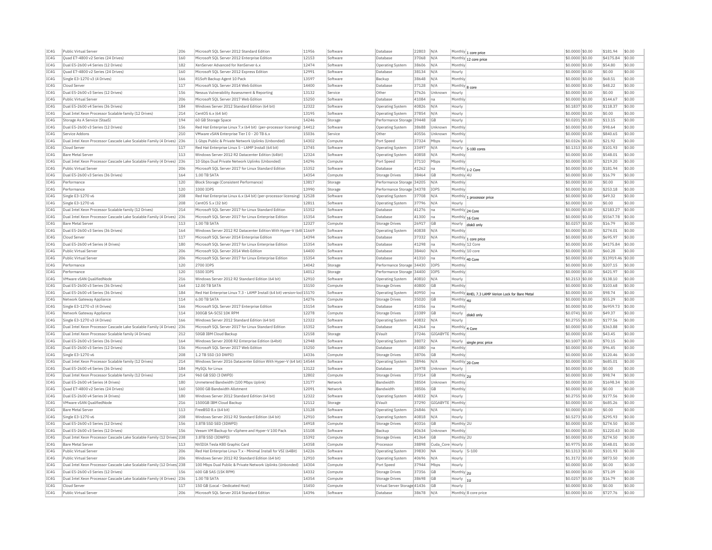| TC4G<br>Quad E7-4800 v2 Series (24 Drives)<br>$$0.0000$ \$0.00<br>\$4175.84<br>\$0.00<br>160<br>Microsoft SOL Server 2012 Enterprise Edition<br>12153<br>37068<br>N/A<br>Software<br>Database<br>Monthly 12 core price<br>Dual E5-2600 v4 Series (12 Drives)<br>XenServer Advanced for XenServer 6.x<br>12474<br>38606<br>N/A<br>\$0.0000 \$0.00<br>\$54.80<br>\$0.00<br>182<br>Software<br><b>Operating System</b><br>Monthly<br>\$0.00<br>Ouad E7-4800 v2 Series (24 Drives)<br>160<br>Microsoft SOL Server 2012 Express Edition<br>12991<br>Software<br>Database<br>38134<br>N/A<br>Hourly<br>\$0,0000 \$0,00<br>\$0.00<br>13597<br>\$68.51<br>\$0.00<br>Single E3-1270 v3 (4 Drives)<br>166<br>R1Soft Backup Agent 10 Pack<br>Software<br>Backup<br>38648<br>N/A<br>Monthly<br>\$0,0000 \$0.00<br>117<br>14400<br>Cloud Server<br>Microsoft SQL Server 2014 Web Edition<br>Software<br>Database<br>37128<br>N/A<br>Monthly 8 core<br>\$0.0000 \$0.00<br>\$48.22<br>\$0.00<br>IC4G<br>Dual E5-2600 v3 Series (12 Drives)<br>156<br>Nessus Vulnerability Assessment & Reporting<br>13132<br>Other<br>37626<br>Unknown<br>\$0.0000 \$0.00<br>\$0.00<br>\$0.00<br>Service<br>Hourly<br>IC4G<br>Public Virtual Server<br>206<br>Microsoft SOL Server 2017 Web Edition<br>15250<br>Software<br>Database<br>41084<br>Monthly<br>\$0.0000 \$0.00<br>\$144.67<br>\$0.00<br>Ina<br>TC4G<br>Dual E5-2600 v4 Series (36 Drives)<br>184<br>Windows Server 2012 Standard Edition (64 bit)<br>12322<br>40826<br>$$0.1837$ \$0.00<br>\$118.37<br>\$0.00<br>Software<br>Operating System<br>N/A<br>Hourly<br>IC4G<br>Dual Intel Xeon Processor Scalable family (12 Drives)<br>214<br>13195<br>37854<br>N/A<br>\$0.0000 \$0.00<br>\$0.00<br>\$0.00<br>CentOS 6.x (64 bit)<br>Software<br><b>Operating System</b><br>Hourly<br>IC4G<br>194<br>14246<br>\$0.00<br>Storage As A Service (StaaS)<br>60 GB Storage Space<br>Performance Storage 39448<br><b>GB</b><br>\$0,0201 \$0.00<br>\$13.15<br>Storage<br>Hourly<br>156<br>Red Hat Enterprise Linux 7.x (64 bit) (per-processor licensing)   14412<br>\$0.0000 \$0.00<br>\$98.64<br>\$0.00<br>Dual E5-2600 v3 Series (12 Drives)<br>Software<br>Operating System<br>38688<br>Unknown<br>Monthly<br>210<br>VMware vSAN Enterprise Tier I 0 - 20 TB 6.x<br>15036<br>\$0,0000 \$0.00<br>\$840.65<br>\$0.00<br>Service Addons<br>Other<br>40556<br>Service<br>Unknown<br>Monthly<br>Dual Intel Xeon Processor Cascade Lake Scalable Family (4 Drives)<br>236<br>1 Gbps Public & Private Network Uplinks (Unbonded)<br>14302<br>Compute<br>Port Speed<br>37324<br>Mbps<br>\$0.0326 \$0.00<br>\$21.92<br>\$0.00<br>Hourly<br>Red Hat Enterprise Linux 5 - LAMP Install (64 bit)<br>117<br>13745<br>33497<br>\$0.1313 \$0.00<br>\$101.93<br>\$0.00<br>Cloud Server<br>Software<br><b>Operating System</b><br>N/A<br>Hourly 5-100 cores<br><b>Bare Metal Server</b><br>113<br>Windows Server 2012 R2 Datacenter Edition (64bit)<br>12324<br>Software<br><b>Operating System</b><br>40858<br>N/A<br>Monthly<br>\$0.0000 \$0.00<br>\$548.01<br>\$0.00<br>Dual Intel Xeon Processor Cascade Lake Scalable Family (4 Drives) 236<br>14296<br>\$0.00<br>10 Gbps Dual Private Network Uplinks (Unbonded)<br>Compute<br>Port Speed<br>37110<br>Mbps<br>Monthly<br>\$0.0000 \$0.00<br>\$219.20<br>TC4G<br>206<br>15352<br>41262<br>\$0.0000 \$0.00<br>\$181.94<br>\$0.00<br>Public Virtual Server<br>Microsoft SOL Server 2017 for Linux Standard Edition<br>Software<br>Database<br>Monthly 1-2 Core<br>Ina<br>IC4G<br>Dual E5-2600 v3 Series (36 Drives)<br>164<br>1.00 TR SATA<br>14354<br>Compute<br><b>Storage Drives</b><br>38464<br><b>GB</b><br>Monthly 4L<br>\$0,0000 \$0.00<br>\$16.79<br>\$0.00<br>IC4G<br>13817<br>\$0.00<br>\$0.00<br>Performance<br>120<br>Performance Storage 34205<br>\$0,0000 \$0.00<br>Block Storage (Consistent Performance)<br>Storage<br>N/A<br>Monthly<br>Performance<br>120<br>3300 IOPS<br>13990<br>Performance Storage 34378<br><b>IOPS</b><br>Monthly<br>\$0.0000 \$0.00<br>\$253.18<br>\$0.00<br>Storage<br>208<br>\$0.00<br>Single E3-1270 v6<br>Red Hat Enterprise Linux 6.x (64 bit) (per-processor licensing)<br>12528<br>Software<br>37708<br>$$0.0000$ \$0.00<br>\$49.32<br>Operating System<br>N/A<br>Monthly 1 processor price<br>208<br>12811<br>\$0.0000 \$0.00<br>\$0.00<br>\$0.00<br>Single E3-1270 v6<br>CentOS 5.x (32 bit)<br>Software<br><b>Operating System</b><br>37796<br>N/A<br>Hourly<br>15352<br>214<br>41276<br>\$2183.27<br>\$0.00<br>Dual Intel Xeon Processor Scalable family (12 Drives)<br>Microsoft SOL Server 2017 for Linux Standard Edition<br>Software<br>Database<br>Ina<br>Monthly 24 Core<br>\$0,0000 \$0,00<br>15354<br>41300<br>\$5567.78<br>Dual Intel Xeon Processor Cascade Lake Scalable Family (4 Drives)<br>236<br>Microsoft SOL Server 2017 for Linux Enterprise Edition<br>Software<br>Database<br>Ina<br>Monthly 16 Core<br>\$0,0000 \$0.00<br>\$0.00<br>1.00 TB SATA<br>12327<br>26917<br>\$16.79<br>\$0.00<br><b>Bare Metal Server</b><br>113<br><b>GB</b><br>\$0.0257 \$0.00<br>Compute<br>Storage Drives<br>Hourly<br>disk0 only<br>Dual E5-2600 v3 Series (36 Drives)<br>164<br>Windows Server 2012 R2 Datacenter Edition With Hyper-V (64t 11669<br>Software<br><b>Operating System</b><br>40838<br>N/A<br>Monthly<br>\$0.0000 \$0.00<br>\$274.01<br>\$0.00<br>TCAG<br>14394<br>\$0.00<br>117<br>Microsoft SOL Server 2014 Enterprise Edition<br>\$0.0000 \$0.00<br>\$695.97<br>Cloud Server<br>Software<br>Database<br>37332<br>N/A<br>Monthly 1 core price<br>TC4G<br>Dual E5-2600 v4 Series (4 Drives)<br>180<br>Microsoft SQL Server 2017 for Linux Enterprise Edition<br>15354<br>41298<br>\$0.0000 \$0.00<br>\$4175.84<br>\$0.00<br>Software<br>Database<br>Ina<br>Monthly 12 Core<br>IC4G<br>Public Virtual Server<br>206<br>Microsoft SOL Server 2014 Web Edition<br>14400<br>Software<br>Database<br>38460<br>N/A<br>Monthly 10 core<br>\$0.0000 \$0.00<br>\$60.28<br>\$0.00<br>IC4G<br>206<br>Microsoft SQL Server 2017 for Linux Enterprise Edition<br>15354<br>41310<br>\$0.0000 \$0.00<br>\$13919.46 \$0.00<br>Public Virtual Server<br>Software<br>Database<br>Monthly 40 Core<br>Ina<br>Performance<br>120<br>2700 TOPS<br>14042<br>Storage<br>Performance Storage 34430<br><b>IOPS</b><br>Monthly<br>\$0,0000 \$0.00<br>\$207.15<br>\$0.00<br>14012<br>120<br>5500 IOPS<br><b>IOPS</b><br>\$0,0000 \$0.00<br>\$421.97<br>\$0.00<br>Performance<br>Storage<br>Performance Storage 34400<br>Monthly<br>VMware vSAN QualifiedNode<br>216<br>Windows Server 2012 R2 Standard Edition (64 bit)<br>12910<br>Software<br>40810<br>\$0.2153 \$0.00<br>\$138.10<br>\$0.00<br><b>Operating System</b><br>N/A<br>Hourly<br>12.00 TB SATA<br>15150<br>\$103.68<br>\$0.00<br>Dual E5-2600 v3 Series (36 Drives)<br>164<br>40800<br>\$0,0000 \$0.00<br>Compute<br>Storage Drives<br><b>GB</b><br>Monthly<br>Dual E5-2600 v4 Series (36 Drives)<br>184<br>Red Hat Enterprise Linux 7.3 - LAMP Install (64 bit) version-loo<br>15170<br>40950<br>\$0.0000 \$0.00<br>\$0.00<br>Software<br><b>Operating System</b><br> na<br>Monthly RHEL 7.3 LAMP Verion Lock for Bare Meta<br>\$98.74<br>\$0.00<br>Network Gateway Appliance<br>114<br>6.00 TR SATA<br>14276<br>Compute<br>Storage Drives<br>35020 GB<br>Monthly 4U<br>\$0.0000 \$0.00<br>\$55.29<br>IC4G<br>166<br>\$0.00<br>Single E3-1270 v3 (4 Drives)<br>Microsoft SOL Server 2017 Enterprise Edition<br>15154<br>Software<br>Database<br>41056<br>Ina<br>Monthly<br>\$0,0000 \$0.00<br>\$6959.73<br>300GB SA-SCSI 10K RPM<br>12278<br>\$0.00<br>Network Gateway Appliance<br>114<br>Compute<br>Storage Drives<br>23389<br>G <sub>B</sub><br>\$0.0741 \$0.00<br>\$49.37<br>Hourly<br>disk0 only<br>Single E3-1270 v3 (4 Drives)<br>166<br>Windows Server 2012 Standard Edition (64 bit)<br>12322<br>Software<br>40832<br>N/A<br>$$0.2755$ \$0.00<br>\$177.56<br>\$0.00<br><b>Operating System</b><br>Hourly<br>Dual Intel Xeon Processor Cascade Lake Scalable Family (4 Drives) 236<br>Microsoft SOL Server 2017 for Linux Standard Edition<br>15352<br>Software<br>Database<br>41264<br>\$0,0000 \$0.00<br>\$363.88<br>\$0.00<br>Ina<br>Monthly 4 Core<br>Dual Intel Xeon Processor Scalable family (4 Drives)<br>212<br>50GB TBM Cloud Backup<br>12158<br>37246<br>GIGARYTE<br>\$0.0000 \$0.00<br>\$43.45<br>\$0.00<br>Storage<br>EVault<br>Monthly<br>Dual E5-2600 v3 Series (36 Drives)<br>164<br>Windows Server 2008 R2 Enterprise Edition (64bit)<br>12948<br>38072<br>N/A<br>\$0.1007 \$0.00<br>\$70.15<br>\$0.00<br>Software<br><b>Operating System</b><br>Hourly<br>single proc price<br>156<br>15250<br>41080<br>\$96.45<br>\$0.00<br>Dual E5-2600 v3 Series (12 Drives)<br>Microsoft SOL Server 2017 Web Edition<br>Software<br>\$0,0000 \$0.00<br>Database<br>Monthly<br>Ina<br>208<br>14336<br>\$0.0000 \$0.00<br>Single E3-1270 v6<br>1.2 TB SSD (10 DWPD)<br>Compute<br><b>Storage Drives</b><br>38706<br><b>GB</b><br>Monthly<br>\$120.46<br>\$0.00<br>214<br>Dual Intel Xeon Processor Scalable family (12 Drives)<br>Windows Server 2016 Datacenter Edition With Hyper-V (64 bit) 14544<br>38946<br>\$0,0000 \$0,00<br>\$685.01<br>\$0.00<br>N/A<br>Software<br>Operating System<br>Monthly 20 Core<br>Dual E5-2600 v4 Series (36 Drives)<br>184<br>MySOL for Linu><br>13122<br>Software<br>Database<br>36978<br>Unknown<br>\$0,0000 \$0.00<br>\$0.00<br>\$0.00<br>Hourly<br>12802<br>\$0.00<br>Dual Intel Xeon Processor Scalable family (12 Drives)<br>214<br>960 GB SSD (3 DWPD)<br><b>GB</b><br>\$98.74<br>Compute<br>Storage Drives<br>37314<br>Monthly<br>\$0,0000 \$0.00<br>$\overline{21}$<br>Dual E5-2600 v4 Series (4 Drives)<br>180<br>Unmetered Bandwidth (100 Mbps Uplink)<br>13177<br><b>Bandwidth</b><br>38504<br>Unknown<br>Monthly<br>\$0.0000 \$0.00<br>\$1698.34<br>\$0.00<br>Network<br>12091<br>\$0.00<br>Ouad E7-4800 v2 Series (24 Drives)<br>160<br>5000 GB Bandwidth Allotment<br>Network<br>Bandwidth<br>38506<br>GB<br>Monthly<br>\$0.0000 \$0.00<br>\$0.00<br>Dual E5-2600 v4 Series (4 Drives)<br>180<br>Windows Server 2012 Standard Edition (64 bit)<br>12322<br>Software<br>Operating System<br>40832<br>N/A<br>Hourly<br>\$0,2755 \$0.00<br>\$177.56<br>\$0.00<br>VMware vSAN OualifiedNode<br>216<br>1500GB IBM Cloud Backup<br>12112<br>Storage<br>FVault<br>37290<br>GIGABYTE<br>Monthly<br>\$0,0000 \$0.00<br>\$685.26<br>\$0.00<br><b>Bare Metal Server</b><br>113<br>FreeBSD 8.x (64 bit)<br>13128<br>Software<br>26846<br>N/A<br>\$0.0000 \$0.00<br>\$0.00<br>\$0.00<br><b>Operating System</b><br>Hourly<br>Single E3-1270 v6<br>208<br>Windows Server 2012 R2 Standard Edition (64 bit)<br>12910<br>Software<br>40818<br>N/A<br>Hourly<br>\$0.5273 \$0.00<br>\$295.93<br>\$0.00<br><b>Operating System</b><br>156<br>14918<br>40316<br>Monthly 2U<br>\$0.0000 \$0.00<br>\$274.50<br>\$0.00<br>Dual E5-2600 v3 Series (12 Drives)<br>3.8TB SSD SED (3DWPD)<br>Compute<br>Storage Drives<br>GB<br>Dual E5-2600 v3 Series (12 Drives)<br>156<br>Veeam VM Backup for vSphere and Hyper-V 100 Pack<br>15108<br>40634<br>Monthly<br>\$0.0000 \$0.00<br>\$1220.43<br>\$0.00<br>Software<br>Backup<br>Unknown<br>15392<br>\$274.50<br>\$0.00<br>Dual Intel Xeon Processor Cascade Lake Scalable Family (12 Drives 238<br>3.8TB SSD (3DWPD)<br>41364<br>GB<br>\$0,0000 \$0.00<br>Monthly 2L<br>Compute<br>Storage Drives<br>14358<br>38898<br>\$0.9775 \$0.00<br>\$548.01<br>\$0.00<br><b>Bare Metal Server</b><br>113<br>NVIDIA Tesla K80 Graphic Card<br>Compute<br>Processo<br>Cuda Core Hourly<br>206<br>14226<br>39830<br>\$0.1313 \$0.00<br>\$0.00<br>Public Virtual Server<br>Red Hat Enterprise Linux 7.x - Minimal Install for VSI (64Bit)<br>Software<br><b>NA</b><br>Hourly 5-100<br>\$101.93<br><b>Operating System</b><br>206<br>Public Virtual Server<br>Windows Server 2012 R2 Standard Edition (64 bit)<br>12910<br>Software<br><b>Operating System</b><br>40696<br>N/A<br>Hourly<br>\$1,3172 \$0.00<br>\$873.50<br>\$0.00<br>Dual Intel Xeon Processor Cascade Lake Scalable Family (12 Drives) 238<br>100 Mbps Dual Public & Private Network Uplinks (Upbonded)<br>14304<br>37944<br>\$0.00<br>Compute<br>Port Speed<br>Mbps<br>Hourly<br>\$0,0000 \$0,00<br>\$0.00<br>Dual E5-2600 v3 Series (12 Drives)<br>156<br>600 GB SAS (15K RPM)<br>14332<br>37356<br>GB<br>\$0.0000 \$0.00<br>\$71.09<br>\$0.00<br>Compute<br>Storage Drives<br>Monthly 2U<br>Dual Intel Xeon Processor Cascade Lake Scalable Family (4 Drives) 236<br>1.00 TB SATA<br>14354<br>Compute<br>Storage Drives<br>38698<br><b>GB</b><br>\$0.0257 \$0.00<br>\$16.79<br>\$0.00<br>Hourly 1U<br>15450<br>\$0.0000 \$0.00<br>\$0.00<br>\$0.00<br>Cloud Server<br>117<br>150 GB (Local - Dedicated Host)<br>Virtual Server Storage 41436<br>Compute<br><b>GB</b><br>Hourly<br>Public Virtual Server<br>206<br>Microsoft SOL Server 2014 Standard Edition<br>14396<br>Software<br>Database<br>38678 N/A<br>Monthly 8 core price<br>$$0.0000$ \$0.00<br>\$727.76<br>\$0.00 |      | Public Virtual Server | 206 | Microsoft SQL Server 2012 Standard Editior | 11956 | Software | Database | 22803 | N/A | Monthly 1 core price | \$0.0000 \$0.00 | \$181.94 | \$0.00 |
|---------------------------------------------------------------------------------------------------------------------------------------------------------------------------------------------------------------------------------------------------------------------------------------------------------------------------------------------------------------------------------------------------------------------------------------------------------------------------------------------------------------------------------------------------------------------------------------------------------------------------------------------------------------------------------------------------------------------------------------------------------------------------------------------------------------------------------------------------------------------------------------------------------------------------------------------------------------------------------------------------------------------------------------------------------------------------------------------------------------------------------------------------------------------------------------------------------------------------------------------------------------------------------------------------------------------------------------------------------------------------------------------------------------------------------------------------------------------------------------------------------------------------------------------------------------------------------------------------------------------------------------------------------------------------------------------------------------------------------------------------------------------------------------------------------------------------------------------------------------------------------------------------------------------------------------------------------------------------------------------------------------------------------------------------------------------------------------------------------------------------------------------------------------------------------------------------------------------------------------------------------------------------------------------------------------------------------------------------------------------------------------------------------------------------------------------------------------------------------------------------------------------------------------------------------------------------------------------------------------------------------------------------------------------------------------------------------------------------------------------------------------------------------------------------------------------------------------------------------------------------------------------------------------------------------------------------------------------------------------------------------------------------------------------------------------------------------------------------------------------------------------------------------------------------------------------------------------------------------------------------------------------------------------------------------------------------------------------------------------------------------------------------------------------------------------------------------------------------------------------------------------------------------------------------------------------------------------------------------------------------------------------------------------------------------------------------------------------------------------------------------------------------------------------------------------------------------------------------------------------------------------------------------------------------------------------------------------------------------------------------------------------------------------------------------------------------------------------------------------------------------------------------------------------------------------------------------------------------------------------------------------------------------------------------------------------------------------------------------------------------------------------------------------------------------------------------------------------------------------------------------------------------------------------------------------------------------------------------------------------------------------------------------------------------------------------------------------------------------------------------------------------------------------------------------------------------------------------------------------------------------------------------------------------------------------------------------------------------------------------------------------------------------------------------------------------------------------------------------------------------------------------------------------------------------------------------------------------------------------------------------------------------------------------------------------------------------------------------------------------------------------------------------------------------------------------------------------------------------------------------------------------------------------------------------------------------------------------------------------------------------------------------------------------------------------------------------------------------------------------------------------------------------------------------------------------------------------------------------------------------------------------------------------------------------------------------------------------------------------------------------------------------------------------------------------------------------------------------------------------------------------------------------------------------------------------------------------------------------------------------------------------------------------------------------------------------------------------------------------------------------------------------------------------------------------------------------------------------------------------------------------------------------------------------------------------------------------------------------------------------------------------------------------------------------------------------------------------------------------------------------------------------------------------------------------------------------------------------------------------------------------------------------------------------------------------------------------------------------------------------------------------------------------------------------------------------------------------------------------------------------------------------------------------------------------------------------------------------------------------------------------------------------------------------------------------------------------------------------------------------------------------------------------------------------------------------------------------------------------------------------------------------------------------------------------------------------------------------------------------------------------------------------------------------------------------------------------------------------------------------------------------------------------------------------------------------------------------------------------------------------------------------------------------------------------------------------------------------------------------------------------------------------------------------------------------------------------------------------------------------------------------------------------------------------------------------------------------------------------------------------------------------------------------------------------------------------------------------------------------------------------------------------------------------------------------------------------------------------------------------------------------------------------------------------------------------------------------------------------------------------------------------------------------------------------------------------------------------------------------------------------------------------------------------------------------------------------------------------------------------------------------------------------------------------------------------------------------------------------------------------------------------------------------------------------------------------------------------------------------------------------------------------------------------------------------------------------------------------------------------------------------------------------------------------------------------------------------------------------------------------------------------------------------------------------------------------------------------------------------------------------------------------------------------------------------------------------------------------------------------------------------------------------------------------------------------------------------------------------------------------------------------------------------------------------------------------------------------------------------------------------------------------------------------------------------------------------------------------------------------------------------------------------------------------------------------------------------------------------------------------------------------------------------------------------------------------------------------------------------------------------------------------------------------------------------------------------------------------------------------------------------------------------------------------------------------------------------------------------------------------------------------------------------------------------------------------------------------------------------------------------------------------------------------------------------------------------------------------------------------------------------------------------------------------------------------------------------------------------------------------------------------------------------------------------------------------------------------------------------------------------------------------------------------------------------------------------------------------------------------------------------------------------------------------------------------------------------------------------------------------------------------------------------------------------------------------------------------------------------------------------------------------------------------------------------------------------------------------------------------------------------------------------------------------------------------------------------------------------------------------------------------------------------------------------------------------------------------------------------------------------------------------------------------------------------------------------------------------------------------------------------------------------------------------------------------------------------------------------------------------------------------------------------------------------------------------------------------------------------------------------------------------------------------------------------------------------------------------------------------------------------------------------------------------------------------------------------------------------------------------------------------------------------------------------------------------------------------------------------------------------------------------------------------------------------------------------------------------------------------------------------------------------------------------------------------------------------------------------------------------------------------------------------------------------------------------------------------------------------------------------------------------------------------------------------------------------------------------------------------------------------------------------------------------------------------------------|------|-----------------------|-----|--------------------------------------------|-------|----------|----------|-------|-----|----------------------|-----------------|----------|--------|
|                                                                                                                                                                                                                                                                                                                                                                                                                                                                                                                                                                                                                                                                                                                                                                                                                                                                                                                                                                                                                                                                                                                                                                                                                                                                                                                                                                                                                                                                                                                                                                                                                                                                                                                                                                                                                                                                                                                                                                                                                                                                                                                                                                                                                                                                                                                                                                                                                                                                                                                                                                                                                                                                                                                                                                                                                                                                                                                                                                                                                                                                                                                                                                                                                                                                                                                                                                                                                                                                                                                                                                                                                                                                                                                                                                                                                                                                                                                                                                                                                                                                                                                                                                                                                                                                                                                                                                                                                                                                                                                                                                                                                                                                                                                                                                                                                                                                                                                                                                                                                                                                                                                                                                                                                                                                                                                                                                                                                                                                                                                                                                                                                                                                                                                                                                                                                                                                                                                                                                                                                                                                                                                                                                                                                                                                                                                                                                                                                                                                                                                                                                                                                                                                                                                                                                                                                                                                                                                                                                                                                                                                                                                                                                                                                                                                                                                                                                                                                                                                                                                                                                                                                                                                                                                                                                                                                                                                                                                                                                                                                                                                                                                                                                                                                                                                                                                                                                                                                                                                                                                                                                                                                                                                                                                                                                                                                                                                                                                                                                                                                                                                                                                                                                                                                                                                                                                                                                                                                                                                                                                                                                                                                                                                                                                                                                                                                                                                                                                                                                                                                                                                                                                                                                                                                                                                                                                                                                                                                                                                                                                                                                                                                                                                                                                                                                                                                                                                                                                                                                                                                                                                                                                                                                                                                                                                                                                                                                                                                                                                                                                                                                                                                                                                                                                                                                                                                                                                                                                                                                                                                                                                                                                                                                                                                                                                                                                                                                                                                                                                                                                                                                                                                                                                                                                                                                                                                                                                                                                                                                                                                                                                                       |      |                       |     |                                            |       |          |          |       |     |                      |                 |          |        |
|                                                                                                                                                                                                                                                                                                                                                                                                                                                                                                                                                                                                                                                                                                                                                                                                                                                                                                                                                                                                                                                                                                                                                                                                                                                                                                                                                                                                                                                                                                                                                                                                                                                                                                                                                                                                                                                                                                                                                                                                                                                                                                                                                                                                                                                                                                                                                                                                                                                                                                                                                                                                                                                                                                                                                                                                                                                                                                                                                                                                                                                                                                                                                                                                                                                                                                                                                                                                                                                                                                                                                                                                                                                                                                                                                                                                                                                                                                                                                                                                                                                                                                                                                                                                                                                                                                                                                                                                                                                                                                                                                                                                                                                                                                                                                                                                                                                                                                                                                                                                                                                                                                                                                                                                                                                                                                                                                                                                                                                                                                                                                                                                                                                                                                                                                                                                                                                                                                                                                                                                                                                                                                                                                                                                                                                                                                                                                                                                                                                                                                                                                                                                                                                                                                                                                                                                                                                                                                                                                                                                                                                                                                                                                                                                                                                                                                                                                                                                                                                                                                                                                                                                                                                                                                                                                                                                                                                                                                                                                                                                                                                                                                                                                                                                                                                                                                                                                                                                                                                                                                                                                                                                                                                                                                                                                                                                                                                                                                                                                                                                                                                                                                                                                                                                                                                                                                                                                                                                                                                                                                                                                                                                                                                                                                                                                                                                                                                                                                                                                                                                                                                                                                                                                                                                                                                                                                                                                                                                                                                                                                                                                                                                                                                                                                                                                                                                                                                                                                                                                                                                                                                                                                                                                                                                                                                                                                                                                                                                                                                                                                                                                                                                                                                                                                                                                                                                                                                                                                                                                                                                                                                                                                                                                                                                                                                                                                                                                                                                                                                                                                                                                                                                                                                                                                                                                                                                                                                                                                                                                                                                                                                                                       | IC4G |                       |     |                                            |       |          |          |       |     |                      |                 |          |        |
|                                                                                                                                                                                                                                                                                                                                                                                                                                                                                                                                                                                                                                                                                                                                                                                                                                                                                                                                                                                                                                                                                                                                                                                                                                                                                                                                                                                                                                                                                                                                                                                                                                                                                                                                                                                                                                                                                                                                                                                                                                                                                                                                                                                                                                                                                                                                                                                                                                                                                                                                                                                                                                                                                                                                                                                                                                                                                                                                                                                                                                                                                                                                                                                                                                                                                                                                                                                                                                                                                                                                                                                                                                                                                                                                                                                                                                                                                                                                                                                                                                                                                                                                                                                                                                                                                                                                                                                                                                                                                                                                                                                                                                                                                                                                                                                                                                                                                                                                                                                                                                                                                                                                                                                                                                                                                                                                                                                                                                                                                                                                                                                                                                                                                                                                                                                                                                                                                                                                                                                                                                                                                                                                                                                                                                                                                                                                                                                                                                                                                                                                                                                                                                                                                                                                                                                                                                                                                                                                                                                                                                                                                                                                                                                                                                                                                                                                                                                                                                                                                                                                                                                                                                                                                                                                                                                                                                                                                                                                                                                                                                                                                                                                                                                                                                                                                                                                                                                                                                                                                                                                                                                                                                                                                                                                                                                                                                                                                                                                                                                                                                                                                                                                                                                                                                                                                                                                                                                                                                                                                                                                                                                                                                                                                                                                                                                                                                                                                                                                                                                                                                                                                                                                                                                                                                                                                                                                                                                                                                                                                                                                                                                                                                                                                                                                                                                                                                                                                                                                                                                                                                                                                                                                                                                                                                                                                                                                                                                                                                                                                                                                                                                                                                                                                                                                                                                                                                                                                                                                                                                                                                                                                                                                                                                                                                                                                                                                                                                                                                                                                                                                                                                                                                                                                                                                                                                                                                                                                                                                                                                                                                                                                       | TC4G |                       |     |                                            |       |          |          |       |     |                      |                 |          |        |
|                                                                                                                                                                                                                                                                                                                                                                                                                                                                                                                                                                                                                                                                                                                                                                                                                                                                                                                                                                                                                                                                                                                                                                                                                                                                                                                                                                                                                                                                                                                                                                                                                                                                                                                                                                                                                                                                                                                                                                                                                                                                                                                                                                                                                                                                                                                                                                                                                                                                                                                                                                                                                                                                                                                                                                                                                                                                                                                                                                                                                                                                                                                                                                                                                                                                                                                                                                                                                                                                                                                                                                                                                                                                                                                                                                                                                                                                                                                                                                                                                                                                                                                                                                                                                                                                                                                                                                                                                                                                                                                                                                                                                                                                                                                                                                                                                                                                                                                                                                                                                                                                                                                                                                                                                                                                                                                                                                                                                                                                                                                                                                                                                                                                                                                                                                                                                                                                                                                                                                                                                                                                                                                                                                                                                                                                                                                                                                                                                                                                                                                                                                                                                                                                                                                                                                                                                                                                                                                                                                                                                                                                                                                                                                                                                                                                                                                                                                                                                                                                                                                                                                                                                                                                                                                                                                                                                                                                                                                                                                                                                                                                                                                                                                                                                                                                                                                                                                                                                                                                                                                                                                                                                                                                                                                                                                                                                                                                                                                                                                                                                                                                                                                                                                                                                                                                                                                                                                                                                                                                                                                                                                                                                                                                                                                                                                                                                                                                                                                                                                                                                                                                                                                                                                                                                                                                                                                                                                                                                                                                                                                                                                                                                                                                                                                                                                                                                                                                                                                                                                                                                                                                                                                                                                                                                                                                                                                                                                                                                                                                                                                                                                                                                                                                                                                                                                                                                                                                                                                                                                                                                                                                                                                                                                                                                                                                                                                                                                                                                                                                                                                                                                                                                                                                                                                                                                                                                                                                                                                                                                                                                                                                                       | IC4G |                       |     |                                            |       |          |          |       |     |                      |                 |          |        |
|                                                                                                                                                                                                                                                                                                                                                                                                                                                                                                                                                                                                                                                                                                                                                                                                                                                                                                                                                                                                                                                                                                                                                                                                                                                                                                                                                                                                                                                                                                                                                                                                                                                                                                                                                                                                                                                                                                                                                                                                                                                                                                                                                                                                                                                                                                                                                                                                                                                                                                                                                                                                                                                                                                                                                                                                                                                                                                                                                                                                                                                                                                                                                                                                                                                                                                                                                                                                                                                                                                                                                                                                                                                                                                                                                                                                                                                                                                                                                                                                                                                                                                                                                                                                                                                                                                                                                                                                                                                                                                                                                                                                                                                                                                                                                                                                                                                                                                                                                                                                                                                                                                                                                                                                                                                                                                                                                                                                                                                                                                                                                                                                                                                                                                                                                                                                                                                                                                                                                                                                                                                                                                                                                                                                                                                                                                                                                                                                                                                                                                                                                                                                                                                                                                                                                                                                                                                                                                                                                                                                                                                                                                                                                                                                                                                                                                                                                                                                                                                                                                                                                                                                                                                                                                                                                                                                                                                                                                                                                                                                                                                                                                                                                                                                                                                                                                                                                                                                                                                                                                                                                                                                                                                                                                                                                                                                                                                                                                                                                                                                                                                                                                                                                                                                                                                                                                                                                                                                                                                                                                                                                                                                                                                                                                                                                                                                                                                                                                                                                                                                                                                                                                                                                                                                                                                                                                                                                                                                                                                                                                                                                                                                                                                                                                                                                                                                                                                                                                                                                                                                                                                                                                                                                                                                                                                                                                                                                                                                                                                                                                                                                                                                                                                                                                                                                                                                                                                                                                                                                                                                                                                                                                                                                                                                                                                                                                                                                                                                                                                                                                                                                                                                                                                                                                                                                                                                                                                                                                                                                                                                                                                                                       | TC4G |                       |     |                                            |       |          |          |       |     |                      |                 |          |        |
|                                                                                                                                                                                                                                                                                                                                                                                                                                                                                                                                                                                                                                                                                                                                                                                                                                                                                                                                                                                                                                                                                                                                                                                                                                                                                                                                                                                                                                                                                                                                                                                                                                                                                                                                                                                                                                                                                                                                                                                                                                                                                                                                                                                                                                                                                                                                                                                                                                                                                                                                                                                                                                                                                                                                                                                                                                                                                                                                                                                                                                                                                                                                                                                                                                                                                                                                                                                                                                                                                                                                                                                                                                                                                                                                                                                                                                                                                                                                                                                                                                                                                                                                                                                                                                                                                                                                                                                                                                                                                                                                                                                                                                                                                                                                                                                                                                                                                                                                                                                                                                                                                                                                                                                                                                                                                                                                                                                                                                                                                                                                                                                                                                                                                                                                                                                                                                                                                                                                                                                                                                                                                                                                                                                                                                                                                                                                                                                                                                                                                                                                                                                                                                                                                                                                                                                                                                                                                                                                                                                                                                                                                                                                                                                                                                                                                                                                                                                                                                                                                                                                                                                                                                                                                                                                                                                                                                                                                                                                                                                                                                                                                                                                                                                                                                                                                                                                                                                                                                                                                                                                                                                                                                                                                                                                                                                                                                                                                                                                                                                                                                                                                                                                                                                                                                                                                                                                                                                                                                                                                                                                                                                                                                                                                                                                                                                                                                                                                                                                                                                                                                                                                                                                                                                                                                                                                                                                                                                                                                                                                                                                                                                                                                                                                                                                                                                                                                                                                                                                                                                                                                                                                                                                                                                                                                                                                                                                                                                                                                                                                                                                                                                                                                                                                                                                                                                                                                                                                                                                                                                                                                                                                                                                                                                                                                                                                                                                                                                                                                                                                                                                                                                                                                                                                                                                                                                                                                                                                                                                                                                                                                                                                       |      |                       |     |                                            |       |          |          |       |     |                      |                 |          |        |
|                                                                                                                                                                                                                                                                                                                                                                                                                                                                                                                                                                                                                                                                                                                                                                                                                                                                                                                                                                                                                                                                                                                                                                                                                                                                                                                                                                                                                                                                                                                                                                                                                                                                                                                                                                                                                                                                                                                                                                                                                                                                                                                                                                                                                                                                                                                                                                                                                                                                                                                                                                                                                                                                                                                                                                                                                                                                                                                                                                                                                                                                                                                                                                                                                                                                                                                                                                                                                                                                                                                                                                                                                                                                                                                                                                                                                                                                                                                                                                                                                                                                                                                                                                                                                                                                                                                                                                                                                                                                                                                                                                                                                                                                                                                                                                                                                                                                                                                                                                                                                                                                                                                                                                                                                                                                                                                                                                                                                                                                                                                                                                                                                                                                                                                                                                                                                                                                                                                                                                                                                                                                                                                                                                                                                                                                                                                                                                                                                                                                                                                                                                                                                                                                                                                                                                                                                                                                                                                                                                                                                                                                                                                                                                                                                                                                                                                                                                                                                                                                                                                                                                                                                                                                                                                                                                                                                                                                                                                                                                                                                                                                                                                                                                                                                                                                                                                                                                                                                                                                                                                                                                                                                                                                                                                                                                                                                                                                                                                                                                                                                                                                                                                                                                                                                                                                                                                                                                                                                                                                                                                                                                                                                                                                                                                                                                                                                                                                                                                                                                                                                                                                                                                                                                                                                                                                                                                                                                                                                                                                                                                                                                                                                                                                                                                                                                                                                                                                                                                                                                                                                                                                                                                                                                                                                                                                                                                                                                                                                                                                                                                                                                                                                                                                                                                                                                                                                                                                                                                                                                                                                                                                                                                                                                                                                                                                                                                                                                                                                                                                                                                                                                                                                                                                                                                                                                                                                                                                                                                                                                                                                                                                                       |      |                       |     |                                            |       |          |          |       |     |                      |                 |          |        |
|                                                                                                                                                                                                                                                                                                                                                                                                                                                                                                                                                                                                                                                                                                                                                                                                                                                                                                                                                                                                                                                                                                                                                                                                                                                                                                                                                                                                                                                                                                                                                                                                                                                                                                                                                                                                                                                                                                                                                                                                                                                                                                                                                                                                                                                                                                                                                                                                                                                                                                                                                                                                                                                                                                                                                                                                                                                                                                                                                                                                                                                                                                                                                                                                                                                                                                                                                                                                                                                                                                                                                                                                                                                                                                                                                                                                                                                                                                                                                                                                                                                                                                                                                                                                                                                                                                                                                                                                                                                                                                                                                                                                                                                                                                                                                                                                                                                                                                                                                                                                                                                                                                                                                                                                                                                                                                                                                                                                                                                                                                                                                                                                                                                                                                                                                                                                                                                                                                                                                                                                                                                                                                                                                                                                                                                                                                                                                                                                                                                                                                                                                                                                                                                                                                                                                                                                                                                                                                                                                                                                                                                                                                                                                                                                                                                                                                                                                                                                                                                                                                                                                                                                                                                                                                                                                                                                                                                                                                                                                                                                                                                                                                                                                                                                                                                                                                                                                                                                                                                                                                                                                                                                                                                                                                                                                                                                                                                                                                                                                                                                                                                                                                                                                                                                                                                                                                                                                                                                                                                                                                                                                                                                                                                                                                                                                                                                                                                                                                                                                                                                                                                                                                                                                                                                                                                                                                                                                                                                                                                                                                                                                                                                                                                                                                                                                                                                                                                                                                                                                                                                                                                                                                                                                                                                                                                                                                                                                                                                                                                                                                                                                                                                                                                                                                                                                                                                                                                                                                                                                                                                                                                                                                                                                                                                                                                                                                                                                                                                                                                                                                                                                                                                                                                                                                                                                                                                                                                                                                                                                                                                                                                                                       |      |                       |     |                                            |       |          |          |       |     |                      |                 |          |        |
|                                                                                                                                                                                                                                                                                                                                                                                                                                                                                                                                                                                                                                                                                                                                                                                                                                                                                                                                                                                                                                                                                                                                                                                                                                                                                                                                                                                                                                                                                                                                                                                                                                                                                                                                                                                                                                                                                                                                                                                                                                                                                                                                                                                                                                                                                                                                                                                                                                                                                                                                                                                                                                                                                                                                                                                                                                                                                                                                                                                                                                                                                                                                                                                                                                                                                                                                                                                                                                                                                                                                                                                                                                                                                                                                                                                                                                                                                                                                                                                                                                                                                                                                                                                                                                                                                                                                                                                                                                                                                                                                                                                                                                                                                                                                                                                                                                                                                                                                                                                                                                                                                                                                                                                                                                                                                                                                                                                                                                                                                                                                                                                                                                                                                                                                                                                                                                                                                                                                                                                                                                                                                                                                                                                                                                                                                                                                                                                                                                                                                                                                                                                                                                                                                                                                                                                                                                                                                                                                                                                                                                                                                                                                                                                                                                                                                                                                                                                                                                                                                                                                                                                                                                                                                                                                                                                                                                                                                                                                                                                                                                                                                                                                                                                                                                                                                                                                                                                                                                                                                                                                                                                                                                                                                                                                                                                                                                                                                                                                                                                                                                                                                                                                                                                                                                                                                                                                                                                                                                                                                                                                                                                                                                                                                                                                                                                                                                                                                                                                                                                                                                                                                                                                                                                                                                                                                                                                                                                                                                                                                                                                                                                                                                                                                                                                                                                                                                                                                                                                                                                                                                                                                                                                                                                                                                                                                                                                                                                                                                                                                                                                                                                                                                                                                                                                                                                                                                                                                                                                                                                                                                                                                                                                                                                                                                                                                                                                                                                                                                                                                                                                                                                                                                                                                                                                                                                                                                                                                                                                                                                                                                                                                       |      |                       |     |                                            |       |          |          |       |     |                      |                 |          |        |
|                                                                                                                                                                                                                                                                                                                                                                                                                                                                                                                                                                                                                                                                                                                                                                                                                                                                                                                                                                                                                                                                                                                                                                                                                                                                                                                                                                                                                                                                                                                                                                                                                                                                                                                                                                                                                                                                                                                                                                                                                                                                                                                                                                                                                                                                                                                                                                                                                                                                                                                                                                                                                                                                                                                                                                                                                                                                                                                                                                                                                                                                                                                                                                                                                                                                                                                                                                                                                                                                                                                                                                                                                                                                                                                                                                                                                                                                                                                                                                                                                                                                                                                                                                                                                                                                                                                                                                                                                                                                                                                                                                                                                                                                                                                                                                                                                                                                                                                                                                                                                                                                                                                                                                                                                                                                                                                                                                                                                                                                                                                                                                                                                                                                                                                                                                                                                                                                                                                                                                                                                                                                                                                                                                                                                                                                                                                                                                                                                                                                                                                                                                                                                                                                                                                                                                                                                                                                                                                                                                                                                                                                                                                                                                                                                                                                                                                                                                                                                                                                                                                                                                                                                                                                                                                                                                                                                                                                                                                                                                                                                                                                                                                                                                                                                                                                                                                                                                                                                                                                                                                                                                                                                                                                                                                                                                                                                                                                                                                                                                                                                                                                                                                                                                                                                                                                                                                                                                                                                                                                                                                                                                                                                                                                                                                                                                                                                                                                                                                                                                                                                                                                                                                                                                                                                                                                                                                                                                                                                                                                                                                                                                                                                                                                                                                                                                                                                                                                                                                                                                                                                                                                                                                                                                                                                                                                                                                                                                                                                                                                                                                                                                                                                                                                                                                                                                                                                                                                                                                                                                                                                                                                                                                                                                                                                                                                                                                                                                                                                                                                                                                                                                                                                                                                                                                                                                                                                                                                                                                                                                                                                                                                                       |      |                       |     |                                            |       |          |          |       |     |                      |                 |          |        |
|                                                                                                                                                                                                                                                                                                                                                                                                                                                                                                                                                                                                                                                                                                                                                                                                                                                                                                                                                                                                                                                                                                                                                                                                                                                                                                                                                                                                                                                                                                                                                                                                                                                                                                                                                                                                                                                                                                                                                                                                                                                                                                                                                                                                                                                                                                                                                                                                                                                                                                                                                                                                                                                                                                                                                                                                                                                                                                                                                                                                                                                                                                                                                                                                                                                                                                                                                                                                                                                                                                                                                                                                                                                                                                                                                                                                                                                                                                                                                                                                                                                                                                                                                                                                                                                                                                                                                                                                                                                                                                                                                                                                                                                                                                                                                                                                                                                                                                                                                                                                                                                                                                                                                                                                                                                                                                                                                                                                                                                                                                                                                                                                                                                                                                                                                                                                                                                                                                                                                                                                                                                                                                                                                                                                                                                                                                                                                                                                                                                                                                                                                                                                                                                                                                                                                                                                                                                                                                                                                                                                                                                                                                                                                                                                                                                                                                                                                                                                                                                                                                                                                                                                                                                                                                                                                                                                                                                                                                                                                                                                                                                                                                                                                                                                                                                                                                                                                                                                                                                                                                                                                                                                                                                                                                                                                                                                                                                                                                                                                                                                                                                                                                                                                                                                                                                                                                                                                                                                                                                                                                                                                                                                                                                                                                                                                                                                                                                                                                                                                                                                                                                                                                                                                                                                                                                                                                                                                                                                                                                                                                                                                                                                                                                                                                                                                                                                                                                                                                                                                                                                                                                                                                                                                                                                                                                                                                                                                                                                                                                                                                                                                                                                                                                                                                                                                                                                                                                                                                                                                                                                                                                                                                                                                                                                                                                                                                                                                                                                                                                                                                                                                                                                                                                                                                                                                                                                                                                                                                                                                                                                                                                                                       |      |                       |     |                                            |       |          |          |       |     |                      |                 |          |        |
|                                                                                                                                                                                                                                                                                                                                                                                                                                                                                                                                                                                                                                                                                                                                                                                                                                                                                                                                                                                                                                                                                                                                                                                                                                                                                                                                                                                                                                                                                                                                                                                                                                                                                                                                                                                                                                                                                                                                                                                                                                                                                                                                                                                                                                                                                                                                                                                                                                                                                                                                                                                                                                                                                                                                                                                                                                                                                                                                                                                                                                                                                                                                                                                                                                                                                                                                                                                                                                                                                                                                                                                                                                                                                                                                                                                                                                                                                                                                                                                                                                                                                                                                                                                                                                                                                                                                                                                                                                                                                                                                                                                                                                                                                                                                                                                                                                                                                                                                                                                                                                                                                                                                                                                                                                                                                                                                                                                                                                                                                                                                                                                                                                                                                                                                                                                                                                                                                                                                                                                                                                                                                                                                                                                                                                                                                                                                                                                                                                                                                                                                                                                                                                                                                                                                                                                                                                                                                                                                                                                                                                                                                                                                                                                                                                                                                                                                                                                                                                                                                                                                                                                                                                                                                                                                                                                                                                                                                                                                                                                                                                                                                                                                                                                                                                                                                                                                                                                                                                                                                                                                                                                                                                                                                                                                                                                                                                                                                                                                                                                                                                                                                                                                                                                                                                                                                                                                                                                                                                                                                                                                                                                                                                                                                                                                                                                                                                                                                                                                                                                                                                                                                                                                                                                                                                                                                                                                                                                                                                                                                                                                                                                                                                                                                                                                                                                                                                                                                                                                                                                                                                                                                                                                                                                                                                                                                                                                                                                                                                                                                                                                                                                                                                                                                                                                                                                                                                                                                                                                                                                                                                                                                                                                                                                                                                                                                                                                                                                                                                                                                                                                                                                                                                                                                                                                                                                                                                                                                                                                                                                                                                                                                       | IC4G |                       |     |                                            |       |          |          |       |     |                      |                 |          |        |
|                                                                                                                                                                                                                                                                                                                                                                                                                                                                                                                                                                                                                                                                                                                                                                                                                                                                                                                                                                                                                                                                                                                                                                                                                                                                                                                                                                                                                                                                                                                                                                                                                                                                                                                                                                                                                                                                                                                                                                                                                                                                                                                                                                                                                                                                                                                                                                                                                                                                                                                                                                                                                                                                                                                                                                                                                                                                                                                                                                                                                                                                                                                                                                                                                                                                                                                                                                                                                                                                                                                                                                                                                                                                                                                                                                                                                                                                                                                                                                                                                                                                                                                                                                                                                                                                                                                                                                                                                                                                                                                                                                                                                                                                                                                                                                                                                                                                                                                                                                                                                                                                                                                                                                                                                                                                                                                                                                                                                                                                                                                                                                                                                                                                                                                                                                                                                                                                                                                                                                                                                                                                                                                                                                                                                                                                                                                                                                                                                                                                                                                                                                                                                                                                                                                                                                                                                                                                                                                                                                                                                                                                                                                                                                                                                                                                                                                                                                                                                                                                                                                                                                                                                                                                                                                                                                                                                                                                                                                                                                                                                                                                                                                                                                                                                                                                                                                                                                                                                                                                                                                                                                                                                                                                                                                                                                                                                                                                                                                                                                                                                                                                                                                                                                                                                                                                                                                                                                                                                                                                                                                                                                                                                                                                                                                                                                                                                                                                                                                                                                                                                                                                                                                                                                                                                                                                                                                                                                                                                                                                                                                                                                                                                                                                                                                                                                                                                                                                                                                                                                                                                                                                                                                                                                                                                                                                                                                                                                                                                                                                                                                                                                                                                                                                                                                                                                                                                                                                                                                                                                                                                                                                                                                                                                                                                                                                                                                                                                                                                                                                                                                                                                                                                                                                                                                                                                                                                                                                                                                                                                                                                                                                                       | IC4G |                       |     |                                            |       |          |          |       |     |                      |                 |          |        |
|                                                                                                                                                                                                                                                                                                                                                                                                                                                                                                                                                                                                                                                                                                                                                                                                                                                                                                                                                                                                                                                                                                                                                                                                                                                                                                                                                                                                                                                                                                                                                                                                                                                                                                                                                                                                                                                                                                                                                                                                                                                                                                                                                                                                                                                                                                                                                                                                                                                                                                                                                                                                                                                                                                                                                                                                                                                                                                                                                                                                                                                                                                                                                                                                                                                                                                                                                                                                                                                                                                                                                                                                                                                                                                                                                                                                                                                                                                                                                                                                                                                                                                                                                                                                                                                                                                                                                                                                                                                                                                                                                                                                                                                                                                                                                                                                                                                                                                                                                                                                                                                                                                                                                                                                                                                                                                                                                                                                                                                                                                                                                                                                                                                                                                                                                                                                                                                                                                                                                                                                                                                                                                                                                                                                                                                                                                                                                                                                                                                                                                                                                                                                                                                                                                                                                                                                                                                                                                                                                                                                                                                                                                                                                                                                                                                                                                                                                                                                                                                                                                                                                                                                                                                                                                                                                                                                                                                                                                                                                                                                                                                                                                                                                                                                                                                                                                                                                                                                                                                                                                                                                                                                                                                                                                                                                                                                                                                                                                                                                                                                                                                                                                                                                                                                                                                                                                                                                                                                                                                                                                                                                                                                                                                                                                                                                                                                                                                                                                                                                                                                                                                                                                                                                                                                                                                                                                                                                                                                                                                                                                                                                                                                                                                                                                                                                                                                                                                                                                                                                                                                                                                                                                                                                                                                                                                                                                                                                                                                                                                                                                                                                                                                                                                                                                                                                                                                                                                                                                                                                                                                                                                                                                                                                                                                                                                                                                                                                                                                                                                                                                                                                                                                                                                                                                                                                                                                                                                                                                                                                                                                                                                                                       | IC4G |                       |     |                                            |       |          |          |       |     |                      |                 |          |        |
|                                                                                                                                                                                                                                                                                                                                                                                                                                                                                                                                                                                                                                                                                                                                                                                                                                                                                                                                                                                                                                                                                                                                                                                                                                                                                                                                                                                                                                                                                                                                                                                                                                                                                                                                                                                                                                                                                                                                                                                                                                                                                                                                                                                                                                                                                                                                                                                                                                                                                                                                                                                                                                                                                                                                                                                                                                                                                                                                                                                                                                                                                                                                                                                                                                                                                                                                                                                                                                                                                                                                                                                                                                                                                                                                                                                                                                                                                                                                                                                                                                                                                                                                                                                                                                                                                                                                                                                                                                                                                                                                                                                                                                                                                                                                                                                                                                                                                                                                                                                                                                                                                                                                                                                                                                                                                                                                                                                                                                                                                                                                                                                                                                                                                                                                                                                                                                                                                                                                                                                                                                                                                                                                                                                                                                                                                                                                                                                                                                                                                                                                                                                                                                                                                                                                                                                                                                                                                                                                                                                                                                                                                                                                                                                                                                                                                                                                                                                                                                                                                                                                                                                                                                                                                                                                                                                                                                                                                                                                                                                                                                                                                                                                                                                                                                                                                                                                                                                                                                                                                                                                                                                                                                                                                                                                                                                                                                                                                                                                                                                                                                                                                                                                                                                                                                                                                                                                                                                                                                                                                                                                                                                                                                                                                                                                                                                                                                                                                                                                                                                                                                                                                                                                                                                                                                                                                                                                                                                                                                                                                                                                                                                                                                                                                                                                                                                                                                                                                                                                                                                                                                                                                                                                                                                                                                                                                                                                                                                                                                                                                                                                                                                                                                                                                                                                                                                                                                                                                                                                                                                                                                                                                                                                                                                                                                                                                                                                                                                                                                                                                                                                                                                                                                                                                                                                                                                                                                                                                                                                                                                                                                                                                       | TC4G |                       |     |                                            |       |          |          |       |     |                      |                 |          |        |
|                                                                                                                                                                                                                                                                                                                                                                                                                                                                                                                                                                                                                                                                                                                                                                                                                                                                                                                                                                                                                                                                                                                                                                                                                                                                                                                                                                                                                                                                                                                                                                                                                                                                                                                                                                                                                                                                                                                                                                                                                                                                                                                                                                                                                                                                                                                                                                                                                                                                                                                                                                                                                                                                                                                                                                                                                                                                                                                                                                                                                                                                                                                                                                                                                                                                                                                                                                                                                                                                                                                                                                                                                                                                                                                                                                                                                                                                                                                                                                                                                                                                                                                                                                                                                                                                                                                                                                                                                                                                                                                                                                                                                                                                                                                                                                                                                                                                                                                                                                                                                                                                                                                                                                                                                                                                                                                                                                                                                                                                                                                                                                                                                                                                                                                                                                                                                                                                                                                                                                                                                                                                                                                                                                                                                                                                                                                                                                                                                                                                                                                                                                                                                                                                                                                                                                                                                                                                                                                                                                                                                                                                                                                                                                                                                                                                                                                                                                                                                                                                                                                                                                                                                                                                                                                                                                                                                                                                                                                                                                                                                                                                                                                                                                                                                                                                                                                                                                                                                                                                                                                                                                                                                                                                                                                                                                                                                                                                                                                                                                                                                                                                                                                                                                                                                                                                                                                                                                                                                                                                                                                                                                                                                                                                                                                                                                                                                                                                                                                                                                                                                                                                                                                                                                                                                                                                                                                                                                                                                                                                                                                                                                                                                                                                                                                                                                                                                                                                                                                                                                                                                                                                                                                                                                                                                                                                                                                                                                                                                                                                                                                                                                                                                                                                                                                                                                                                                                                                                                                                                                                                                                                                                                                                                                                                                                                                                                                                                                                                                                                                                                                                                                                                                                                                                                                                                                                                                                                                                                                                                                                                                                                                                       | TC4G |                       |     |                                            |       |          |          |       |     |                      |                 |          |        |
|                                                                                                                                                                                                                                                                                                                                                                                                                                                                                                                                                                                                                                                                                                                                                                                                                                                                                                                                                                                                                                                                                                                                                                                                                                                                                                                                                                                                                                                                                                                                                                                                                                                                                                                                                                                                                                                                                                                                                                                                                                                                                                                                                                                                                                                                                                                                                                                                                                                                                                                                                                                                                                                                                                                                                                                                                                                                                                                                                                                                                                                                                                                                                                                                                                                                                                                                                                                                                                                                                                                                                                                                                                                                                                                                                                                                                                                                                                                                                                                                                                                                                                                                                                                                                                                                                                                                                                                                                                                                                                                                                                                                                                                                                                                                                                                                                                                                                                                                                                                                                                                                                                                                                                                                                                                                                                                                                                                                                                                                                                                                                                                                                                                                                                                                                                                                                                                                                                                                                                                                                                                                                                                                                                                                                                                                                                                                                                                                                                                                                                                                                                                                                                                                                                                                                                                                                                                                                                                                                                                                                                                                                                                                                                                                                                                                                                                                                                                                                                                                                                                                                                                                                                                                                                                                                                                                                                                                                                                                                                                                                                                                                                                                                                                                                                                                                                                                                                                                                                                                                                                                                                                                                                                                                                                                                                                                                                                                                                                                                                                                                                                                                                                                                                                                                                                                                                                                                                                                                                                                                                                                                                                                                                                                                                                                                                                                                                                                                                                                                                                                                                                                                                                                                                                                                                                                                                                                                                                                                                                                                                                                                                                                                                                                                                                                                                                                                                                                                                                                                                                                                                                                                                                                                                                                                                                                                                                                                                                                                                                                                                                                                                                                                                                                                                                                                                                                                                                                                                                                                                                                                                                                                                                                                                                                                                                                                                                                                                                                                                                                                                                                                                                                                                                                                                                                                                                                                                                                                                                                                                                                                                                                                       | IC4G |                       |     |                                            |       |          |          |       |     |                      |                 |          |        |
|                                                                                                                                                                                                                                                                                                                                                                                                                                                                                                                                                                                                                                                                                                                                                                                                                                                                                                                                                                                                                                                                                                                                                                                                                                                                                                                                                                                                                                                                                                                                                                                                                                                                                                                                                                                                                                                                                                                                                                                                                                                                                                                                                                                                                                                                                                                                                                                                                                                                                                                                                                                                                                                                                                                                                                                                                                                                                                                                                                                                                                                                                                                                                                                                                                                                                                                                                                                                                                                                                                                                                                                                                                                                                                                                                                                                                                                                                                                                                                                                                                                                                                                                                                                                                                                                                                                                                                                                                                                                                                                                                                                                                                                                                                                                                                                                                                                                                                                                                                                                                                                                                                                                                                                                                                                                                                                                                                                                                                                                                                                                                                                                                                                                                                                                                                                                                                                                                                                                                                                                                                                                                                                                                                                                                                                                                                                                                                                                                                                                                                                                                                                                                                                                                                                                                                                                                                                                                                                                                                                                                                                                                                                                                                                                                                                                                                                                                                                                                                                                                                                                                                                                                                                                                                                                                                                                                                                                                                                                                                                                                                                                                                                                                                                                                                                                                                                                                                                                                                                                                                                                                                                                                                                                                                                                                                                                                                                                                                                                                                                                                                                                                                                                                                                                                                                                                                                                                                                                                                                                                                                                                                                                                                                                                                                                                                                                                                                                                                                                                                                                                                                                                                                                                                                                                                                                                                                                                                                                                                                                                                                                                                                                                                                                                                                                                                                                                                                                                                                                                                                                                                                                                                                                                                                                                                                                                                                                                                                                                                                                                                                                                                                                                                                                                                                                                                                                                                                                                                                                                                                                                                                                                                                                                                                                                                                                                                                                                                                                                                                                                                                                                                                                                                                                                                                                                                                                                                                                                                                                                                                                                                                                                       |      |                       |     |                                            |       |          |          |       |     |                      |                 |          |        |
|                                                                                                                                                                                                                                                                                                                                                                                                                                                                                                                                                                                                                                                                                                                                                                                                                                                                                                                                                                                                                                                                                                                                                                                                                                                                                                                                                                                                                                                                                                                                                                                                                                                                                                                                                                                                                                                                                                                                                                                                                                                                                                                                                                                                                                                                                                                                                                                                                                                                                                                                                                                                                                                                                                                                                                                                                                                                                                                                                                                                                                                                                                                                                                                                                                                                                                                                                                                                                                                                                                                                                                                                                                                                                                                                                                                                                                                                                                                                                                                                                                                                                                                                                                                                                                                                                                                                                                                                                                                                                                                                                                                                                                                                                                                                                                                                                                                                                                                                                                                                                                                                                                                                                                                                                                                                                                                                                                                                                                                                                                                                                                                                                                                                                                                                                                                                                                                                                                                                                                                                                                                                                                                                                                                                                                                                                                                                                                                                                                                                                                                                                                                                                                                                                                                                                                                                                                                                                                                                                                                                                                                                                                                                                                                                                                                                                                                                                                                                                                                                                                                                                                                                                                                                                                                                                                                                                                                                                                                                                                                                                                                                                                                                                                                                                                                                                                                                                                                                                                                                                                                                                                                                                                                                                                                                                                                                                                                                                                                                                                                                                                                                                                                                                                                                                                                                                                                                                                                                                                                                                                                                                                                                                                                                                                                                                                                                                                                                                                                                                                                                                                                                                                                                                                                                                                                                                                                                                                                                                                                                                                                                                                                                                                                                                                                                                                                                                                                                                                                                                                                                                                                                                                                                                                                                                                                                                                                                                                                                                                                                                                                                                                                                                                                                                                                                                                                                                                                                                                                                                                                                                                                                                                                                                                                                                                                                                                                                                                                                                                                                                                                                                                                                                                                                                                                                                                                                                                                                                                                                                                                                                                                                                       |      |                       |     |                                            |       |          |          |       |     |                      |                 |          |        |
|                                                                                                                                                                                                                                                                                                                                                                                                                                                                                                                                                                                                                                                                                                                                                                                                                                                                                                                                                                                                                                                                                                                                                                                                                                                                                                                                                                                                                                                                                                                                                                                                                                                                                                                                                                                                                                                                                                                                                                                                                                                                                                                                                                                                                                                                                                                                                                                                                                                                                                                                                                                                                                                                                                                                                                                                                                                                                                                                                                                                                                                                                                                                                                                                                                                                                                                                                                                                                                                                                                                                                                                                                                                                                                                                                                                                                                                                                                                                                                                                                                                                                                                                                                                                                                                                                                                                                                                                                                                                                                                                                                                                                                                                                                                                                                                                                                                                                                                                                                                                                                                                                                                                                                                                                                                                                                                                                                                                                                                                                                                                                                                                                                                                                                                                                                                                                                                                                                                                                                                                                                                                                                                                                                                                                                                                                                                                                                                                                                                                                                                                                                                                                                                                                                                                                                                                                                                                                                                                                                                                                                                                                                                                                                                                                                                                                                                                                                                                                                                                                                                                                                                                                                                                                                                                                                                                                                                                                                                                                                                                                                                                                                                                                                                                                                                                                                                                                                                                                                                                                                                                                                                                                                                                                                                                                                                                                                                                                                                                                                                                                                                                                                                                                                                                                                                                                                                                                                                                                                                                                                                                                                                                                                                                                                                                                                                                                                                                                                                                                                                                                                                                                                                                                                                                                                                                                                                                                                                                                                                                                                                                                                                                                                                                                                                                                                                                                                                                                                                                                                                                                                                                                                                                                                                                                                                                                                                                                                                                                                                                                                                                                                                                                                                                                                                                                                                                                                                                                                                                                                                                                                                                                                                                                                                                                                                                                                                                                                                                                                                                                                                                                                                                                                                                                                                                                                                                                                                                                                                                                                                                                                                                                       |      |                       |     |                                            |       |          |          |       |     |                      |                 |          |        |
|                                                                                                                                                                                                                                                                                                                                                                                                                                                                                                                                                                                                                                                                                                                                                                                                                                                                                                                                                                                                                                                                                                                                                                                                                                                                                                                                                                                                                                                                                                                                                                                                                                                                                                                                                                                                                                                                                                                                                                                                                                                                                                                                                                                                                                                                                                                                                                                                                                                                                                                                                                                                                                                                                                                                                                                                                                                                                                                                                                                                                                                                                                                                                                                                                                                                                                                                                                                                                                                                                                                                                                                                                                                                                                                                                                                                                                                                                                                                                                                                                                                                                                                                                                                                                                                                                                                                                                                                                                                                                                                                                                                                                                                                                                                                                                                                                                                                                                                                                                                                                                                                                                                                                                                                                                                                                                                                                                                                                                                                                                                                                                                                                                                                                                                                                                                                                                                                                                                                                                                                                                                                                                                                                                                                                                                                                                                                                                                                                                                                                                                                                                                                                                                                                                                                                                                                                                                                                                                                                                                                                                                                                                                                                                                                                                                                                                                                                                                                                                                                                                                                                                                                                                                                                                                                                                                                                                                                                                                                                                                                                                                                                                                                                                                                                                                                                                                                                                                                                                                                                                                                                                                                                                                                                                                                                                                                                                                                                                                                                                                                                                                                                                                                                                                                                                                                                                                                                                                                                                                                                                                                                                                                                                                                                                                                                                                                                                                                                                                                                                                                                                                                                                                                                                                                                                                                                                                                                                                                                                                                                                                                                                                                                                                                                                                                                                                                                                                                                                                                                                                                                                                                                                                                                                                                                                                                                                                                                                                                                                                                                                                                                                                                                                                                                                                                                                                                                                                                                                                                                                                                                                                                                                                                                                                                                                                                                                                                                                                                                                                                                                                                                                                                                                                                                                                                                                                                                                                                                                                                                                                                                                                                                       |      |                       |     |                                            |       |          |          |       |     |                      |                 |          |        |
|                                                                                                                                                                                                                                                                                                                                                                                                                                                                                                                                                                                                                                                                                                                                                                                                                                                                                                                                                                                                                                                                                                                                                                                                                                                                                                                                                                                                                                                                                                                                                                                                                                                                                                                                                                                                                                                                                                                                                                                                                                                                                                                                                                                                                                                                                                                                                                                                                                                                                                                                                                                                                                                                                                                                                                                                                                                                                                                                                                                                                                                                                                                                                                                                                                                                                                                                                                                                                                                                                                                                                                                                                                                                                                                                                                                                                                                                                                                                                                                                                                                                                                                                                                                                                                                                                                                                                                                                                                                                                                                                                                                                                                                                                                                                                                                                                                                                                                                                                                                                                                                                                                                                                                                                                                                                                                                                                                                                                                                                                                                                                                                                                                                                                                                                                                                                                                                                                                                                                                                                                                                                                                                                                                                                                                                                                                                                                                                                                                                                                                                                                                                                                                                                                                                                                                                                                                                                                                                                                                                                                                                                                                                                                                                                                                                                                                                                                                                                                                                                                                                                                                                                                                                                                                                                                                                                                                                                                                                                                                                                                                                                                                                                                                                                                                                                                                                                                                                                                                                                                                                                                                                                                                                                                                                                                                                                                                                                                                                                                                                                                                                                                                                                                                                                                                                                                                                                                                                                                                                                                                                                                                                                                                                                                                                                                                                                                                                                                                                                                                                                                                                                                                                                                                                                                                                                                                                                                                                                                                                                                                                                                                                                                                                                                                                                                                                                                                                                                                                                                                                                                                                                                                                                                                                                                                                                                                                                                                                                                                                                                                                                                                                                                                                                                                                                                                                                                                                                                                                                                                                                                                                                                                                                                                                                                                                                                                                                                                                                                                                                                                                                                                                                                                                                                                                                                                                                                                                                                                                                                                                                                                                                                       | IC4G |                       |     |                                            |       |          |          |       |     |                      |                 |          |        |
|                                                                                                                                                                                                                                                                                                                                                                                                                                                                                                                                                                                                                                                                                                                                                                                                                                                                                                                                                                                                                                                                                                                                                                                                                                                                                                                                                                                                                                                                                                                                                                                                                                                                                                                                                                                                                                                                                                                                                                                                                                                                                                                                                                                                                                                                                                                                                                                                                                                                                                                                                                                                                                                                                                                                                                                                                                                                                                                                                                                                                                                                                                                                                                                                                                                                                                                                                                                                                                                                                                                                                                                                                                                                                                                                                                                                                                                                                                                                                                                                                                                                                                                                                                                                                                                                                                                                                                                                                                                                                                                                                                                                                                                                                                                                                                                                                                                                                                                                                                                                                                                                                                                                                                                                                                                                                                                                                                                                                                                                                                                                                                                                                                                                                                                                                                                                                                                                                                                                                                                                                                                                                                                                                                                                                                                                                                                                                                                                                                                                                                                                                                                                                                                                                                                                                                                                                                                                                                                                                                                                                                                                                                                                                                                                                                                                                                                                                                                                                                                                                                                                                                                                                                                                                                                                                                                                                                                                                                                                                                                                                                                                                                                                                                                                                                                                                                                                                                                                                                                                                                                                                                                                                                                                                                                                                                                                                                                                                                                                                                                                                                                                                                                                                                                                                                                                                                                                                                                                                                                                                                                                                                                                                                                                                                                                                                                                                                                                                                                                                                                                                                                                                                                                                                                                                                                                                                                                                                                                                                                                                                                                                                                                                                                                                                                                                                                                                                                                                                                                                                                                                                                                                                                                                                                                                                                                                                                                                                                                                                                                                                                                                                                                                                                                                                                                                                                                                                                                                                                                                                                                                                                                                                                                                                                                                                                                                                                                                                                                                                                                                                                                                                                                                                                                                                                                                                                                                                                                                                                                                                                                                                                                                       | TC4G |                       |     |                                            |       |          |          |       |     |                      |                 |          |        |
|                                                                                                                                                                                                                                                                                                                                                                                                                                                                                                                                                                                                                                                                                                                                                                                                                                                                                                                                                                                                                                                                                                                                                                                                                                                                                                                                                                                                                                                                                                                                                                                                                                                                                                                                                                                                                                                                                                                                                                                                                                                                                                                                                                                                                                                                                                                                                                                                                                                                                                                                                                                                                                                                                                                                                                                                                                                                                                                                                                                                                                                                                                                                                                                                                                                                                                                                                                                                                                                                                                                                                                                                                                                                                                                                                                                                                                                                                                                                                                                                                                                                                                                                                                                                                                                                                                                                                                                                                                                                                                                                                                                                                                                                                                                                                                                                                                                                                                                                                                                                                                                                                                                                                                                                                                                                                                                                                                                                                                                                                                                                                                                                                                                                                                                                                                                                                                                                                                                                                                                                                                                                                                                                                                                                                                                                                                                                                                                                                                                                                                                                                                                                                                                                                                                                                                                                                                                                                                                                                                                                                                                                                                                                                                                                                                                                                                                                                                                                                                                                                                                                                                                                                                                                                                                                                                                                                                                                                                                                                                                                                                                                                                                                                                                                                                                                                                                                                                                                                                                                                                                                                                                                                                                                                                                                                                                                                                                                                                                                                                                                                                                                                                                                                                                                                                                                                                                                                                                                                                                                                                                                                                                                                                                                                                                                                                                                                                                                                                                                                                                                                                                                                                                                                                                                                                                                                                                                                                                                                                                                                                                                                                                                                                                                                                                                                                                                                                                                                                                                                                                                                                                                                                                                                                                                                                                                                                                                                                                                                                                                                                                                                                                                                                                                                                                                                                                                                                                                                                                                                                                                                                                                                                                                                                                                                                                                                                                                                                                                                                                                                                                                                                                                                                                                                                                                                                                                                                                                                                                                                                                                                                                                                       | IC4G |                       |     |                                            |       |          |          |       |     |                      |                 |          |        |
|                                                                                                                                                                                                                                                                                                                                                                                                                                                                                                                                                                                                                                                                                                                                                                                                                                                                                                                                                                                                                                                                                                                                                                                                                                                                                                                                                                                                                                                                                                                                                                                                                                                                                                                                                                                                                                                                                                                                                                                                                                                                                                                                                                                                                                                                                                                                                                                                                                                                                                                                                                                                                                                                                                                                                                                                                                                                                                                                                                                                                                                                                                                                                                                                                                                                                                                                                                                                                                                                                                                                                                                                                                                                                                                                                                                                                                                                                                                                                                                                                                                                                                                                                                                                                                                                                                                                                                                                                                                                                                                                                                                                                                                                                                                                                                                                                                                                                                                                                                                                                                                                                                                                                                                                                                                                                                                                                                                                                                                                                                                                                                                                                                                                                                                                                                                                                                                                                                                                                                                                                                                                                                                                                                                                                                                                                                                                                                                                                                                                                                                                                                                                                                                                                                                                                                                                                                                                                                                                                                                                                                                                                                                                                                                                                                                                                                                                                                                                                                                                                                                                                                                                                                                                                                                                                                                                                                                                                                                                                                                                                                                                                                                                                                                                                                                                                                                                                                                                                                                                                                                                                                                                                                                                                                                                                                                                                                                                                                                                                                                                                                                                                                                                                                                                                                                                                                                                                                                                                                                                                                                                                                                                                                                                                                                                                                                                                                                                                                                                                                                                                                                                                                                                                                                                                                                                                                                                                                                                                                                                                                                                                                                                                                                                                                                                                                                                                                                                                                                                                                                                                                                                                                                                                                                                                                                                                                                                                                                                                                                                                                                                                                                                                                                                                                                                                                                                                                                                                                                                                                                                                                                                                                                                                                                                                                                                                                                                                                                                                                                                                                                                                                                                                                                                                                                                                                                                                                                                                                                                                                                                                                                                                       | TC4G |                       |     |                                            |       |          |          |       |     |                      |                 |          |        |
|                                                                                                                                                                                                                                                                                                                                                                                                                                                                                                                                                                                                                                                                                                                                                                                                                                                                                                                                                                                                                                                                                                                                                                                                                                                                                                                                                                                                                                                                                                                                                                                                                                                                                                                                                                                                                                                                                                                                                                                                                                                                                                                                                                                                                                                                                                                                                                                                                                                                                                                                                                                                                                                                                                                                                                                                                                                                                                                                                                                                                                                                                                                                                                                                                                                                                                                                                                                                                                                                                                                                                                                                                                                                                                                                                                                                                                                                                                                                                                                                                                                                                                                                                                                                                                                                                                                                                                                                                                                                                                                                                                                                                                                                                                                                                                                                                                                                                                                                                                                                                                                                                                                                                                                                                                                                                                                                                                                                                                                                                                                                                                                                                                                                                                                                                                                                                                                                                                                                                                                                                                                                                                                                                                                                                                                                                                                                                                                                                                                                                                                                                                                                                                                                                                                                                                                                                                                                                                                                                                                                                                                                                                                                                                                                                                                                                                                                                                                                                                                                                                                                                                                                                                                                                                                                                                                                                                                                                                                                                                                                                                                                                                                                                                                                                                                                                                                                                                                                                                                                                                                                                                                                                                                                                                                                                                                                                                                                                                                                                                                                                                                                                                                                                                                                                                                                                                                                                                                                                                                                                                                                                                                                                                                                                                                                                                                                                                                                                                                                                                                                                                                                                                                                                                                                                                                                                                                                                                                                                                                                                                                                                                                                                                                                                                                                                                                                                                                                                                                                                                                                                                                                                                                                                                                                                                                                                                                                                                                                                                                                                                                                                                                                                                                                                                                                                                                                                                                                                                                                                                                                                                                                                                                                                                                                                                                                                                                                                                                                                                                                                                                                                                                                                                                                                                                                                                                                                                                                                                                                                                                                                                                                                       | IC4G |                       |     |                                            |       |          |          |       |     |                      |                 |          |        |
|                                                                                                                                                                                                                                                                                                                                                                                                                                                                                                                                                                                                                                                                                                                                                                                                                                                                                                                                                                                                                                                                                                                                                                                                                                                                                                                                                                                                                                                                                                                                                                                                                                                                                                                                                                                                                                                                                                                                                                                                                                                                                                                                                                                                                                                                                                                                                                                                                                                                                                                                                                                                                                                                                                                                                                                                                                                                                                                                                                                                                                                                                                                                                                                                                                                                                                                                                                                                                                                                                                                                                                                                                                                                                                                                                                                                                                                                                                                                                                                                                                                                                                                                                                                                                                                                                                                                                                                                                                                                                                                                                                                                                                                                                                                                                                                                                                                                                                                                                                                                                                                                                                                                                                                                                                                                                                                                                                                                                                                                                                                                                                                                                                                                                                                                                                                                                                                                                                                                                                                                                                                                                                                                                                                                                                                                                                                                                                                                                                                                                                                                                                                                                                                                                                                                                                                                                                                                                                                                                                                                                                                                                                                                                                                                                                                                                                                                                                                                                                                                                                                                                                                                                                                                                                                                                                                                                                                                                                                                                                                                                                                                                                                                                                                                                                                                                                                                                                                                                                                                                                                                                                                                                                                                                                                                                                                                                                                                                                                                                                                                                                                                                                                                                                                                                                                                                                                                                                                                                                                                                                                                                                                                                                                                                                                                                                                                                                                                                                                                                                                                                                                                                                                                                                                                                                                                                                                                                                                                                                                                                                                                                                                                                                                                                                                                                                                                                                                                                                                                                                                                                                                                                                                                                                                                                                                                                                                                                                                                                                                                                                                                                                                                                                                                                                                                                                                                                                                                                                                                                                                                                                                                                                                                                                                                                                                                                                                                                                                                                                                                                                                                                                                                                                                                                                                                                                                                                                                                                                                                                                                                                                                                                       | TC4G |                       |     |                                            |       |          |          |       |     |                      |                 |          |        |
|                                                                                                                                                                                                                                                                                                                                                                                                                                                                                                                                                                                                                                                                                                                                                                                                                                                                                                                                                                                                                                                                                                                                                                                                                                                                                                                                                                                                                                                                                                                                                                                                                                                                                                                                                                                                                                                                                                                                                                                                                                                                                                                                                                                                                                                                                                                                                                                                                                                                                                                                                                                                                                                                                                                                                                                                                                                                                                                                                                                                                                                                                                                                                                                                                                                                                                                                                                                                                                                                                                                                                                                                                                                                                                                                                                                                                                                                                                                                                                                                                                                                                                                                                                                                                                                                                                                                                                                                                                                                                                                                                                                                                                                                                                                                                                                                                                                                                                                                                                                                                                                                                                                                                                                                                                                                                                                                                                                                                                                                                                                                                                                                                                                                                                                                                                                                                                                                                                                                                                                                                                                                                                                                                                                                                                                                                                                                                                                                                                                                                                                                                                                                                                                                                                                                                                                                                                                                                                                                                                                                                                                                                                                                                                                                                                                                                                                                                                                                                                                                                                                                                                                                                                                                                                                                                                                                                                                                                                                                                                                                                                                                                                                                                                                                                                                                                                                                                                                                                                                                                                                                                                                                                                                                                                                                                                                                                                                                                                                                                                                                                                                                                                                                                                                                                                                                                                                                                                                                                                                                                                                                                                                                                                                                                                                                                                                                                                                                                                                                                                                                                                                                                                                                                                                                                                                                                                                                                                                                                                                                                                                                                                                                                                                                                                                                                                                                                                                                                                                                                                                                                                                                                                                                                                                                                                                                                                                                                                                                                                                                                                                                                                                                                                                                                                                                                                                                                                                                                                                                                                                                                                                                                                                                                                                                                                                                                                                                                                                                                                                                                                                                                                                                                                                                                                                                                                                                                                                                                                                                                                                                                                                                                       | IC4G |                       |     |                                            |       |          |          |       |     |                      |                 |          |        |
|                                                                                                                                                                                                                                                                                                                                                                                                                                                                                                                                                                                                                                                                                                                                                                                                                                                                                                                                                                                                                                                                                                                                                                                                                                                                                                                                                                                                                                                                                                                                                                                                                                                                                                                                                                                                                                                                                                                                                                                                                                                                                                                                                                                                                                                                                                                                                                                                                                                                                                                                                                                                                                                                                                                                                                                                                                                                                                                                                                                                                                                                                                                                                                                                                                                                                                                                                                                                                                                                                                                                                                                                                                                                                                                                                                                                                                                                                                                                                                                                                                                                                                                                                                                                                                                                                                                                                                                                                                                                                                                                                                                                                                                                                                                                                                                                                                                                                                                                                                                                                                                                                                                                                                                                                                                                                                                                                                                                                                                                                                                                                                                                                                                                                                                                                                                                                                                                                                                                                                                                                                                                                                                                                                                                                                                                                                                                                                                                                                                                                                                                                                                                                                                                                                                                                                                                                                                                                                                                                                                                                                                                                                                                                                                                                                                                                                                                                                                                                                                                                                                                                                                                                                                                                                                                                                                                                                                                                                                                                                                                                                                                                                                                                                                                                                                                                                                                                                                                                                                                                                                                                                                                                                                                                                                                                                                                                                                                                                                                                                                                                                                                                                                                                                                                                                                                                                                                                                                                                                                                                                                                                                                                                                                                                                                                                                                                                                                                                                                                                                                                                                                                                                                                                                                                                                                                                                                                                                                                                                                                                                                                                                                                                                                                                                                                                                                                                                                                                                                                                                                                                                                                                                                                                                                                                                                                                                                                                                                                                                                                                                                                                                                                                                                                                                                                                                                                                                                                                                                                                                                                                                                                                                                                                                                                                                                                                                                                                                                                                                                                                                                                                                                                                                                                                                                                                                                                                                                                                                                                                                                                                                                                                       |      |                       |     |                                            |       |          |          |       |     |                      |                 |          |        |
|                                                                                                                                                                                                                                                                                                                                                                                                                                                                                                                                                                                                                                                                                                                                                                                                                                                                                                                                                                                                                                                                                                                                                                                                                                                                                                                                                                                                                                                                                                                                                                                                                                                                                                                                                                                                                                                                                                                                                                                                                                                                                                                                                                                                                                                                                                                                                                                                                                                                                                                                                                                                                                                                                                                                                                                                                                                                                                                                                                                                                                                                                                                                                                                                                                                                                                                                                                                                                                                                                                                                                                                                                                                                                                                                                                                                                                                                                                                                                                                                                                                                                                                                                                                                                                                                                                                                                                                                                                                                                                                                                                                                                                                                                                                                                                                                                                                                                                                                                                                                                                                                                                                                                                                                                                                                                                                                                                                                                                                                                                                                                                                                                                                                                                                                                                                                                                                                                                                                                                                                                                                                                                                                                                                                                                                                                                                                                                                                                                                                                                                                                                                                                                                                                                                                                                                                                                                                                                                                                                                                                                                                                                                                                                                                                                                                                                                                                                                                                                                                                                                                                                                                                                                                                                                                                                                                                                                                                                                                                                                                                                                                                                                                                                                                                                                                                                                                                                                                                                                                                                                                                                                                                                                                                                                                                                                                                                                                                                                                                                                                                                                                                                                                                                                                                                                                                                                                                                                                                                                                                                                                                                                                                                                                                                                                                                                                                                                                                                                                                                                                                                                                                                                                                                                                                                                                                                                                                                                                                                                                                                                                                                                                                                                                                                                                                                                                                                                                                                                                                                                                                                                                                                                                                                                                                                                                                                                                                                                                                                                                                                                                                                                                                                                                                                                                                                                                                                                                                                                                                                                                                                                                                                                                                                                                                                                                                                                                                                                                                                                                                                                                                                                                                                                                                                                                                                                                                                                                                                                                                                                                                                                                                       |      |                       |     |                                            |       |          |          |       |     |                      |                 |          |        |
|                                                                                                                                                                                                                                                                                                                                                                                                                                                                                                                                                                                                                                                                                                                                                                                                                                                                                                                                                                                                                                                                                                                                                                                                                                                                                                                                                                                                                                                                                                                                                                                                                                                                                                                                                                                                                                                                                                                                                                                                                                                                                                                                                                                                                                                                                                                                                                                                                                                                                                                                                                                                                                                                                                                                                                                                                                                                                                                                                                                                                                                                                                                                                                                                                                                                                                                                                                                                                                                                                                                                                                                                                                                                                                                                                                                                                                                                                                                                                                                                                                                                                                                                                                                                                                                                                                                                                                                                                                                                                                                                                                                                                                                                                                                                                                                                                                                                                                                                                                                                                                                                                                                                                                                                                                                                                                                                                                                                                                                                                                                                                                                                                                                                                                                                                                                                                                                                                                                                                                                                                                                                                                                                                                                                                                                                                                                                                                                                                                                                                                                                                                                                                                                                                                                                                                                                                                                                                                                                                                                                                                                                                                                                                                                                                                                                                                                                                                                                                                                                                                                                                                                                                                                                                                                                                                                                                                                                                                                                                                                                                                                                                                                                                                                                                                                                                                                                                                                                                                                                                                                                                                                                                                                                                                                                                                                                                                                                                                                                                                                                                                                                                                                                                                                                                                                                                                                                                                                                                                                                                                                                                                                                                                                                                                                                                                                                                                                                                                                                                                                                                                                                                                                                                                                                                                                                                                                                                                                                                                                                                                                                                                                                                                                                                                                                                                                                                                                                                                                                                                                                                                                                                                                                                                                                                                                                                                                                                                                                                                                                                                                                                                                                                                                                                                                                                                                                                                                                                                                                                                                                                                                                                                                                                                                                                                                                                                                                                                                                                                                                                                                                                                                                                                                                                                                                                                                                                                                                                                                                                                                                                                                                                       |      |                       |     |                                            |       |          |          |       |     |                      |                 |          |        |
|                                                                                                                                                                                                                                                                                                                                                                                                                                                                                                                                                                                                                                                                                                                                                                                                                                                                                                                                                                                                                                                                                                                                                                                                                                                                                                                                                                                                                                                                                                                                                                                                                                                                                                                                                                                                                                                                                                                                                                                                                                                                                                                                                                                                                                                                                                                                                                                                                                                                                                                                                                                                                                                                                                                                                                                                                                                                                                                                                                                                                                                                                                                                                                                                                                                                                                                                                                                                                                                                                                                                                                                                                                                                                                                                                                                                                                                                                                                                                                                                                                                                                                                                                                                                                                                                                                                                                                                                                                                                                                                                                                                                                                                                                                                                                                                                                                                                                                                                                                                                                                                                                                                                                                                                                                                                                                                                                                                                                                                                                                                                                                                                                                                                                                                                                                                                                                                                                                                                                                                                                                                                                                                                                                                                                                                                                                                                                                                                                                                                                                                                                                                                                                                                                                                                                                                                                                                                                                                                                                                                                                                                                                                                                                                                                                                                                                                                                                                                                                                                                                                                                                                                                                                                                                                                                                                                                                                                                                                                                                                                                                                                                                                                                                                                                                                                                                                                                                                                                                                                                                                                                                                                                                                                                                                                                                                                                                                                                                                                                                                                                                                                                                                                                                                                                                                                                                                                                                                                                                                                                                                                                                                                                                                                                                                                                                                                                                                                                                                                                                                                                                                                                                                                                                                                                                                                                                                                                                                                                                                                                                                                                                                                                                                                                                                                                                                                                                                                                                                                                                                                                                                                                                                                                                                                                                                                                                                                                                                                                                                                                                                                                                                                                                                                                                                                                                                                                                                                                                                                                                                                                                                                                                                                                                                                                                                                                                                                                                                                                                                                                                                                                                                                                                                                                                                                                                                                                                                                                                                                                                                                                                                                                       |      |                       |     |                                            |       |          |          |       |     |                      |                 |          |        |
|                                                                                                                                                                                                                                                                                                                                                                                                                                                                                                                                                                                                                                                                                                                                                                                                                                                                                                                                                                                                                                                                                                                                                                                                                                                                                                                                                                                                                                                                                                                                                                                                                                                                                                                                                                                                                                                                                                                                                                                                                                                                                                                                                                                                                                                                                                                                                                                                                                                                                                                                                                                                                                                                                                                                                                                                                                                                                                                                                                                                                                                                                                                                                                                                                                                                                                                                                                                                                                                                                                                                                                                                                                                                                                                                                                                                                                                                                                                                                                                                                                                                                                                                                                                                                                                                                                                                                                                                                                                                                                                                                                                                                                                                                                                                                                                                                                                                                                                                                                                                                                                                                                                                                                                                                                                                                                                                                                                                                                                                                                                                                                                                                                                                                                                                                                                                                                                                                                                                                                                                                                                                                                                                                                                                                                                                                                                                                                                                                                                                                                                                                                                                                                                                                                                                                                                                                                                                                                                                                                                                                                                                                                                                                                                                                                                                                                                                                                                                                                                                                                                                                                                                                                                                                                                                                                                                                                                                                                                                                                                                                                                                                                                                                                                                                                                                                                                                                                                                                                                                                                                                                                                                                                                                                                                                                                                                                                                                                                                                                                                                                                                                                                                                                                                                                                                                                                                                                                                                                                                                                                                                                                                                                                                                                                                                                                                                                                                                                                                                                                                                                                                                                                                                                                                                                                                                                                                                                                                                                                                                                                                                                                                                                                                                                                                                                                                                                                                                                                                                                                                                                                                                                                                                                                                                                                                                                                                                                                                                                                                                                                                                                                                                                                                                                                                                                                                                                                                                                                                                                                                                                                                                                                                                                                                                                                                                                                                                                                                                                                                                                                                                                                                                                                                                                                                                                                                                                                                                                                                                                                                                                                                                                       |      |                       |     |                                            |       |          |          |       |     |                      |                 |          |        |
|                                                                                                                                                                                                                                                                                                                                                                                                                                                                                                                                                                                                                                                                                                                                                                                                                                                                                                                                                                                                                                                                                                                                                                                                                                                                                                                                                                                                                                                                                                                                                                                                                                                                                                                                                                                                                                                                                                                                                                                                                                                                                                                                                                                                                                                                                                                                                                                                                                                                                                                                                                                                                                                                                                                                                                                                                                                                                                                                                                                                                                                                                                                                                                                                                                                                                                                                                                                                                                                                                                                                                                                                                                                                                                                                                                                                                                                                                                                                                                                                                                                                                                                                                                                                                                                                                                                                                                                                                                                                                                                                                                                                                                                                                                                                                                                                                                                                                                                                                                                                                                                                                                                                                                                                                                                                                                                                                                                                                                                                                                                                                                                                                                                                                                                                                                                                                                                                                                                                                                                                                                                                                                                                                                                                                                                                                                                                                                                                                                                                                                                                                                                                                                                                                                                                                                                                                                                                                                                                                                                                                                                                                                                                                                                                                                                                                                                                                                                                                                                                                                                                                                                                                                                                                                                                                                                                                                                                                                                                                                                                                                                                                                                                                                                                                                                                                                                                                                                                                                                                                                                                                                                                                                                                                                                                                                                                                                                                                                                                                                                                                                                                                                                                                                                                                                                                                                                                                                                                                                                                                                                                                                                                                                                                                                                                                                                                                                                                                                                                                                                                                                                                                                                                                                                                                                                                                                                                                                                                                                                                                                                                                                                                                                                                                                                                                                                                                                                                                                                                                                                                                                                                                                                                                                                                                                                                                                                                                                                                                                                                                                                                                                                                                                                                                                                                                                                                                                                                                                                                                                                                                                                                                                                                                                                                                                                                                                                                                                                                                                                                                                                                                                                                                                                                                                                                                                                                                                                                                                                                                                                                                                                                                       | IC4G |                       |     |                                            |       |          |          |       |     |                      |                 |          |        |
|                                                                                                                                                                                                                                                                                                                                                                                                                                                                                                                                                                                                                                                                                                                                                                                                                                                                                                                                                                                                                                                                                                                                                                                                                                                                                                                                                                                                                                                                                                                                                                                                                                                                                                                                                                                                                                                                                                                                                                                                                                                                                                                                                                                                                                                                                                                                                                                                                                                                                                                                                                                                                                                                                                                                                                                                                                                                                                                                                                                                                                                                                                                                                                                                                                                                                                                                                                                                                                                                                                                                                                                                                                                                                                                                                                                                                                                                                                                                                                                                                                                                                                                                                                                                                                                                                                                                                                                                                                                                                                                                                                                                                                                                                                                                                                                                                                                                                                                                                                                                                                                                                                                                                                                                                                                                                                                                                                                                                                                                                                                                                                                                                                                                                                                                                                                                                                                                                                                                                                                                                                                                                                                                                                                                                                                                                                                                                                                                                                                                                                                                                                                                                                                                                                                                                                                                                                                                                                                                                                                                                                                                                                                                                                                                                                                                                                                                                                                                                                                                                                                                                                                                                                                                                                                                                                                                                                                                                                                                                                                                                                                                                                                                                                                                                                                                                                                                                                                                                                                                                                                                                                                                                                                                                                                                                                                                                                                                                                                                                                                                                                                                                                                                                                                                                                                                                                                                                                                                                                                                                                                                                                                                                                                                                                                                                                                                                                                                                                                                                                                                                                                                                                                                                                                                                                                                                                                                                                                                                                                                                                                                                                                                                                                                                                                                                                                                                                                                                                                                                                                                                                                                                                                                                                                                                                                                                                                                                                                                                                                                                                                                                                                                                                                                                                                                                                                                                                                                                                                                                                                                                                                                                                                                                                                                                                                                                                                                                                                                                                                                                                                                                                                                                                                                                                                                                                                                                                                                                                                                                                                                                                                                                       | IC4G |                       |     |                                            |       |          |          |       |     |                      |                 |          |        |
|                                                                                                                                                                                                                                                                                                                                                                                                                                                                                                                                                                                                                                                                                                                                                                                                                                                                                                                                                                                                                                                                                                                                                                                                                                                                                                                                                                                                                                                                                                                                                                                                                                                                                                                                                                                                                                                                                                                                                                                                                                                                                                                                                                                                                                                                                                                                                                                                                                                                                                                                                                                                                                                                                                                                                                                                                                                                                                                                                                                                                                                                                                                                                                                                                                                                                                                                                                                                                                                                                                                                                                                                                                                                                                                                                                                                                                                                                                                                                                                                                                                                                                                                                                                                                                                                                                                                                                                                                                                                                                                                                                                                                                                                                                                                                                                                                                                                                                                                                                                                                                                                                                                                                                                                                                                                                                                                                                                                                                                                                                                                                                                                                                                                                                                                                                                                                                                                                                                                                                                                                                                                                                                                                                                                                                                                                                                                                                                                                                                                                                                                                                                                                                                                                                                                                                                                                                                                                                                                                                                                                                                                                                                                                                                                                                                                                                                                                                                                                                                                                                                                                                                                                                                                                                                                                                                                                                                                                                                                                                                                                                                                                                                                                                                                                                                                                                                                                                                                                                                                                                                                                                                                                                                                                                                                                                                                                                                                                                                                                                                                                                                                                                                                                                                                                                                                                                                                                                                                                                                                                                                                                                                                                                                                                                                                                                                                                                                                                                                                                                                                                                                                                                                                                                                                                                                                                                                                                                                                                                                                                                                                                                                                                                                                                                                                                                                                                                                                                                                                                                                                                                                                                                                                                                                                                                                                                                                                                                                                                                                                                                                                                                                                                                                                                                                                                                                                                                                                                                                                                                                                                                                                                                                                                                                                                                                                                                                                                                                                                                                                                                                                                                                                                                                                                                                                                                                                                                                                                                                                                                                                                                                                                       | IC4G |                       |     |                                            |       |          |          |       |     |                      |                 |          |        |
|                                                                                                                                                                                                                                                                                                                                                                                                                                                                                                                                                                                                                                                                                                                                                                                                                                                                                                                                                                                                                                                                                                                                                                                                                                                                                                                                                                                                                                                                                                                                                                                                                                                                                                                                                                                                                                                                                                                                                                                                                                                                                                                                                                                                                                                                                                                                                                                                                                                                                                                                                                                                                                                                                                                                                                                                                                                                                                                                                                                                                                                                                                                                                                                                                                                                                                                                                                                                                                                                                                                                                                                                                                                                                                                                                                                                                                                                                                                                                                                                                                                                                                                                                                                                                                                                                                                                                                                                                                                                                                                                                                                                                                                                                                                                                                                                                                                                                                                                                                                                                                                                                                                                                                                                                                                                                                                                                                                                                                                                                                                                                                                                                                                                                                                                                                                                                                                                                                                                                                                                                                                                                                                                                                                                                                                                                                                                                                                                                                                                                                                                                                                                                                                                                                                                                                                                                                                                                                                                                                                                                                                                                                                                                                                                                                                                                                                                                                                                                                                                                                                                                                                                                                                                                                                                                                                                                                                                                                                                                                                                                                                                                                                                                                                                                                                                                                                                                                                                                                                                                                                                                                                                                                                                                                                                                                                                                                                                                                                                                                                                                                                                                                                                                                                                                                                                                                                                                                                                                                                                                                                                                                                                                                                                                                                                                                                                                                                                                                                                                                                                                                                                                                                                                                                                                                                                                                                                                                                                                                                                                                                                                                                                                                                                                                                                                                                                                                                                                                                                                                                                                                                                                                                                                                                                                                                                                                                                                                                                                                                                                                                                                                                                                                                                                                                                                                                                                                                                                                                                                                                                                                                                                                                                                                                                                                                                                                                                                                                                                                                                                                                                                                                                                                                                                                                                                                                                                                                                                                                                                                                                                                                                                       | TC4G |                       |     |                                            |       |          |          |       |     |                      |                 |          |        |
|                                                                                                                                                                                                                                                                                                                                                                                                                                                                                                                                                                                                                                                                                                                                                                                                                                                                                                                                                                                                                                                                                                                                                                                                                                                                                                                                                                                                                                                                                                                                                                                                                                                                                                                                                                                                                                                                                                                                                                                                                                                                                                                                                                                                                                                                                                                                                                                                                                                                                                                                                                                                                                                                                                                                                                                                                                                                                                                                                                                                                                                                                                                                                                                                                                                                                                                                                                                                                                                                                                                                                                                                                                                                                                                                                                                                                                                                                                                                                                                                                                                                                                                                                                                                                                                                                                                                                                                                                                                                                                                                                                                                                                                                                                                                                                                                                                                                                                                                                                                                                                                                                                                                                                                                                                                                                                                                                                                                                                                                                                                                                                                                                                                                                                                                                                                                                                                                                                                                                                                                                                                                                                                                                                                                                                                                                                                                                                                                                                                                                                                                                                                                                                                                                                                                                                                                                                                                                                                                                                                                                                                                                                                                                                                                                                                                                                                                                                                                                                                                                                                                                                                                                                                                                                                                                                                                                                                                                                                                                                                                                                                                                                                                                                                                                                                                                                                                                                                                                                                                                                                                                                                                                                                                                                                                                                                                                                                                                                                                                                                                                                                                                                                                                                                                                                                                                                                                                                                                                                                                                                                                                                                                                                                                                                                                                                                                                                                                                                                                                                                                                                                                                                                                                                                                                                                                                                                                                                                                                                                                                                                                                                                                                                                                                                                                                                                                                                                                                                                                                                                                                                                                                                                                                                                                                                                                                                                                                                                                                                                                                                                                                                                                                                                                                                                                                                                                                                                                                                                                                                                                                                                                                                                                                                                                                                                                                                                                                                                                                                                                                                                                                                                                                                                                                                                                                                                                                                                                                                                                                                                                                                                                                       | IC4G |                       |     |                                            |       |          |          |       |     |                      |                 |          |        |
|                                                                                                                                                                                                                                                                                                                                                                                                                                                                                                                                                                                                                                                                                                                                                                                                                                                                                                                                                                                                                                                                                                                                                                                                                                                                                                                                                                                                                                                                                                                                                                                                                                                                                                                                                                                                                                                                                                                                                                                                                                                                                                                                                                                                                                                                                                                                                                                                                                                                                                                                                                                                                                                                                                                                                                                                                                                                                                                                                                                                                                                                                                                                                                                                                                                                                                                                                                                                                                                                                                                                                                                                                                                                                                                                                                                                                                                                                                                                                                                                                                                                                                                                                                                                                                                                                                                                                                                                                                                                                                                                                                                                                                                                                                                                                                                                                                                                                                                                                                                                                                                                                                                                                                                                                                                                                                                                                                                                                                                                                                                                                                                                                                                                                                                                                                                                                                                                                                                                                                                                                                                                                                                                                                                                                                                                                                                                                                                                                                                                                                                                                                                                                                                                                                                                                                                                                                                                                                                                                                                                                                                                                                                                                                                                                                                                                                                                                                                                                                                                                                                                                                                                                                                                                                                                                                                                                                                                                                                                                                                                                                                                                                                                                                                                                                                                                                                                                                                                                                                                                                                                                                                                                                                                                                                                                                                                                                                                                                                                                                                                                                                                                                                                                                                                                                                                                                                                                                                                                                                                                                                                                                                                                                                                                                                                                                                                                                                                                                                                                                                                                                                                                                                                                                                                                                                                                                                                                                                                                                                                                                                                                                                                                                                                                                                                                                                                                                                                                                                                                                                                                                                                                                                                                                                                                                                                                                                                                                                                                                                                                                                                                                                                                                                                                                                                                                                                                                                                                                                                                                                                                                                                                                                                                                                                                                                                                                                                                                                                                                                                                                                                                                                                                                                                                                                                                                                                                                                                                                                                                                                                                                                                                       | IC4G |                       |     |                                            |       |          |          |       |     |                      |                 |          |        |
|                                                                                                                                                                                                                                                                                                                                                                                                                                                                                                                                                                                                                                                                                                                                                                                                                                                                                                                                                                                                                                                                                                                                                                                                                                                                                                                                                                                                                                                                                                                                                                                                                                                                                                                                                                                                                                                                                                                                                                                                                                                                                                                                                                                                                                                                                                                                                                                                                                                                                                                                                                                                                                                                                                                                                                                                                                                                                                                                                                                                                                                                                                                                                                                                                                                                                                                                                                                                                                                                                                                                                                                                                                                                                                                                                                                                                                                                                                                                                                                                                                                                                                                                                                                                                                                                                                                                                                                                                                                                                                                                                                                                                                                                                                                                                                                                                                                                                                                                                                                                                                                                                                                                                                                                                                                                                                                                                                                                                                                                                                                                                                                                                                                                                                                                                                                                                                                                                                                                                                                                                                                                                                                                                                                                                                                                                                                                                                                                                                                                                                                                                                                                                                                                                                                                                                                                                                                                                                                                                                                                                                                                                                                                                                                                                                                                                                                                                                                                                                                                                                                                                                                                                                                                                                                                                                                                                                                                                                                                                                                                                                                                                                                                                                                                                                                                                                                                                                                                                                                                                                                                                                                                                                                                                                                                                                                                                                                                                                                                                                                                                                                                                                                                                                                                                                                                                                                                                                                                                                                                                                                                                                                                                                                                                                                                                                                                                                                                                                                                                                                                                                                                                                                                                                                                                                                                                                                                                                                                                                                                                                                                                                                                                                                                                                                                                                                                                                                                                                                                                                                                                                                                                                                                                                                                                                                                                                                                                                                                                                                                                                                                                                                                                                                                                                                                                                                                                                                                                                                                                                                                                                                                                                                                                                                                                                                                                                                                                                                                                                                                                                                                                                                                                                                                                                                                                                                                                                                                                                                                                                                                                                                                                       |      |                       |     |                                            |       |          |          |       |     |                      |                 |          |        |
|                                                                                                                                                                                                                                                                                                                                                                                                                                                                                                                                                                                                                                                                                                                                                                                                                                                                                                                                                                                                                                                                                                                                                                                                                                                                                                                                                                                                                                                                                                                                                                                                                                                                                                                                                                                                                                                                                                                                                                                                                                                                                                                                                                                                                                                                                                                                                                                                                                                                                                                                                                                                                                                                                                                                                                                                                                                                                                                                                                                                                                                                                                                                                                                                                                                                                                                                                                                                                                                                                                                                                                                                                                                                                                                                                                                                                                                                                                                                                                                                                                                                                                                                                                                                                                                                                                                                                                                                                                                                                                                                                                                                                                                                                                                                                                                                                                                                                                                                                                                                                                                                                                                                                                                                                                                                                                                                                                                                                                                                                                                                                                                                                                                                                                                                                                                                                                                                                                                                                                                                                                                                                                                                                                                                                                                                                                                                                                                                                                                                                                                                                                                                                                                                                                                                                                                                                                                                                                                                                                                                                                                                                                                                                                                                                                                                                                                                                                                                                                                                                                                                                                                                                                                                                                                                                                                                                                                                                                                                                                                                                                                                                                                                                                                                                                                                                                                                                                                                                                                                                                                                                                                                                                                                                                                                                                                                                                                                                                                                                                                                                                                                                                                                                                                                                                                                                                                                                                                                                                                                                                                                                                                                                                                                                                                                                                                                                                                                                                                                                                                                                                                                                                                                                                                                                                                                                                                                                                                                                                                                                                                                                                                                                                                                                                                                                                                                                                                                                                                                                                                                                                                                                                                                                                                                                                                                                                                                                                                                                                                                                                                                                                                                                                                                                                                                                                                                                                                                                                                                                                                                                                                                                                                                                                                                                                                                                                                                                                                                                                                                                                                                                                                                                                                                                                                                                                                                                                                                                                                                                                                                                                                                                       |      |                       |     |                                            |       |          |          |       |     |                      |                 |          |        |
|                                                                                                                                                                                                                                                                                                                                                                                                                                                                                                                                                                                                                                                                                                                                                                                                                                                                                                                                                                                                                                                                                                                                                                                                                                                                                                                                                                                                                                                                                                                                                                                                                                                                                                                                                                                                                                                                                                                                                                                                                                                                                                                                                                                                                                                                                                                                                                                                                                                                                                                                                                                                                                                                                                                                                                                                                                                                                                                                                                                                                                                                                                                                                                                                                                                                                                                                                                                                                                                                                                                                                                                                                                                                                                                                                                                                                                                                                                                                                                                                                                                                                                                                                                                                                                                                                                                                                                                                                                                                                                                                                                                                                                                                                                                                                                                                                                                                                                                                                                                                                                                                                                                                                                                                                                                                                                                                                                                                                                                                                                                                                                                                                                                                                                                                                                                                                                                                                                                                                                                                                                                                                                                                                                                                                                                                                                                                                                                                                                                                                                                                                                                                                                                                                                                                                                                                                                                                                                                                                                                                                                                                                                                                                                                                                                                                                                                                                                                                                                                                                                                                                                                                                                                                                                                                                                                                                                                                                                                                                                                                                                                                                                                                                                                                                                                                                                                                                                                                                                                                                                                                                                                                                                                                                                                                                                                                                                                                                                                                                                                                                                                                                                                                                                                                                                                                                                                                                                                                                                                                                                                                                                                                                                                                                                                                                                                                                                                                                                                                                                                                                                                                                                                                                                                                                                                                                                                                                                                                                                                                                                                                                                                                                                                                                                                                                                                                                                                                                                                                                                                                                                                                                                                                                                                                                                                                                                                                                                                                                                                                                                                                                                                                                                                                                                                                                                                                                                                                                                                                                                                                                                                                                                                                                                                                                                                                                                                                                                                                                                                                                                                                                                                                                                                                                                                                                                                                                                                                                                                                                                                                                                                                                       |      |                       |     |                                            |       |          |          |       |     |                      |                 |          |        |
|                                                                                                                                                                                                                                                                                                                                                                                                                                                                                                                                                                                                                                                                                                                                                                                                                                                                                                                                                                                                                                                                                                                                                                                                                                                                                                                                                                                                                                                                                                                                                                                                                                                                                                                                                                                                                                                                                                                                                                                                                                                                                                                                                                                                                                                                                                                                                                                                                                                                                                                                                                                                                                                                                                                                                                                                                                                                                                                                                                                                                                                                                                                                                                                                                                                                                                                                                                                                                                                                                                                                                                                                                                                                                                                                                                                                                                                                                                                                                                                                                                                                                                                                                                                                                                                                                                                                                                                                                                                                                                                                                                                                                                                                                                                                                                                                                                                                                                                                                                                                                                                                                                                                                                                                                                                                                                                                                                                                                                                                                                                                                                                                                                                                                                                                                                                                                                                                                                                                                                                                                                                                                                                                                                                                                                                                                                                                                                                                                                                                                                                                                                                                                                                                                                                                                                                                                                                                                                                                                                                                                                                                                                                                                                                                                                                                                                                                                                                                                                                                                                                                                                                                                                                                                                                                                                                                                                                                                                                                                                                                                                                                                                                                                                                                                                                                                                                                                                                                                                                                                                                                                                                                                                                                                                                                                                                                                                                                                                                                                                                                                                                                                                                                                                                                                                                                                                                                                                                                                                                                                                                                                                                                                                                                                                                                                                                                                                                                                                                                                                                                                                                                                                                                                                                                                                                                                                                                                                                                                                                                                                                                                                                                                                                                                                                                                                                                                                                                                                                                                                                                                                                                                                                                                                                                                                                                                                                                                                                                                                                                                                                                                                                                                                                                                                                                                                                                                                                                                                                                                                                                                                                                                                                                                                                                                                                                                                                                                                                                                                                                                                                                                                                                                                                                                                                                                                                                                                                                                                                                                                                                                                                                                       | TC4G |                       |     |                                            |       |          |          |       |     |                      |                 |          |        |
|                                                                                                                                                                                                                                                                                                                                                                                                                                                                                                                                                                                                                                                                                                                                                                                                                                                                                                                                                                                                                                                                                                                                                                                                                                                                                                                                                                                                                                                                                                                                                                                                                                                                                                                                                                                                                                                                                                                                                                                                                                                                                                                                                                                                                                                                                                                                                                                                                                                                                                                                                                                                                                                                                                                                                                                                                                                                                                                                                                                                                                                                                                                                                                                                                                                                                                                                                                                                                                                                                                                                                                                                                                                                                                                                                                                                                                                                                                                                                                                                                                                                                                                                                                                                                                                                                                                                                                                                                                                                                                                                                                                                                                                                                                                                                                                                                                                                                                                                                                                                                                                                                                                                                                                                                                                                                                                                                                                                                                                                                                                                                                                                                                                                                                                                                                                                                                                                                                                                                                                                                                                                                                                                                                                                                                                                                                                                                                                                                                                                                                                                                                                                                                                                                                                                                                                                                                                                                                                                                                                                                                                                                                                                                                                                                                                                                                                                                                                                                                                                                                                                                                                                                                                                                                                                                                                                                                                                                                                                                                                                                                                                                                                                                                                                                                                                                                                                                                                                                                                                                                                                                                                                                                                                                                                                                                                                                                                                                                                                                                                                                                                                                                                                                                                                                                                                                                                                                                                                                                                                                                                                                                                                                                                                                                                                                                                                                                                                                                                                                                                                                                                                                                                                                                                                                                                                                                                                                                                                                                                                                                                                                                                                                                                                                                                                                                                                                                                                                                                                                                                                                                                                                                                                                                                                                                                                                                                                                                                                                                                                                                                                                                                                                                                                                                                                                                                                                                                                                                                                                                                                                                                                                                                                                                                                                                                                                                                                                                                                                                                                                                                                                                                                                                                                                                                                                                                                                                                                                                                                                                                                                                                                                       | IC4G |                       |     |                                            |       |          |          |       |     |                      |                 |          |        |
|                                                                                                                                                                                                                                                                                                                                                                                                                                                                                                                                                                                                                                                                                                                                                                                                                                                                                                                                                                                                                                                                                                                                                                                                                                                                                                                                                                                                                                                                                                                                                                                                                                                                                                                                                                                                                                                                                                                                                                                                                                                                                                                                                                                                                                                                                                                                                                                                                                                                                                                                                                                                                                                                                                                                                                                                                                                                                                                                                                                                                                                                                                                                                                                                                                                                                                                                                                                                                                                                                                                                                                                                                                                                                                                                                                                                                                                                                                                                                                                                                                                                                                                                                                                                                                                                                                                                                                                                                                                                                                                                                                                                                                                                                                                                                                                                                                                                                                                                                                                                                                                                                                                                                                                                                                                                                                                                                                                                                                                                                                                                                                                                                                                                                                                                                                                                                                                                                                                                                                                                                                                                                                                                                                                                                                                                                                                                                                                                                                                                                                                                                                                                                                                                                                                                                                                                                                                                                                                                                                                                                                                                                                                                                                                                                                                                                                                                                                                                                                                                                                                                                                                                                                                                                                                                                                                                                                                                                                                                                                                                                                                                                                                                                                                                                                                                                                                                                                                                                                                                                                                                                                                                                                                                                                                                                                                                                                                                                                                                                                                                                                                                                                                                                                                                                                                                                                                                                                                                                                                                                                                                                                                                                                                                                                                                                                                                                                                                                                                                                                                                                                                                                                                                                                                                                                                                                                                                                                                                                                                                                                                                                                                                                                                                                                                                                                                                                                                                                                                                                                                                                                                                                                                                                                                                                                                                                                                                                                                                                                                                                                                                                                                                                                                                                                                                                                                                                                                                                                                                                                                                                                                                                                                                                                                                                                                                                                                                                                                                                                                                                                                                                                                                                                                                                                                                                                                                                                                                                                                                                                                                                                                                                       | IC4G |                       |     |                                            |       |          |          |       |     |                      |                 |          |        |
|                                                                                                                                                                                                                                                                                                                                                                                                                                                                                                                                                                                                                                                                                                                                                                                                                                                                                                                                                                                                                                                                                                                                                                                                                                                                                                                                                                                                                                                                                                                                                                                                                                                                                                                                                                                                                                                                                                                                                                                                                                                                                                                                                                                                                                                                                                                                                                                                                                                                                                                                                                                                                                                                                                                                                                                                                                                                                                                                                                                                                                                                                                                                                                                                                                                                                                                                                                                                                                                                                                                                                                                                                                                                                                                                                                                                                                                                                                                                                                                                                                                                                                                                                                                                                                                                                                                                                                                                                                                                                                                                                                                                                                                                                                                                                                                                                                                                                                                                                                                                                                                                                                                                                                                                                                                                                                                                                                                                                                                                                                                                                                                                                                                                                                                                                                                                                                                                                                                                                                                                                                                                                                                                                                                                                                                                                                                                                                                                                                                                                                                                                                                                                                                                                                                                                                                                                                                                                                                                                                                                                                                                                                                                                                                                                                                                                                                                                                                                                                                                                                                                                                                                                                                                                                                                                                                                                                                                                                                                                                                                                                                                                                                                                                                                                                                                                                                                                                                                                                                                                                                                                                                                                                                                                                                                                                                                                                                                                                                                                                                                                                                                                                                                                                                                                                                                                                                                                                                                                                                                                                                                                                                                                                                                                                                                                                                                                                                                                                                                                                                                                                                                                                                                                                                                                                                                                                                                                                                                                                                                                                                                                                                                                                                                                                                                                                                                                                                                                                                                                                                                                                                                                                                                                                                                                                                                                                                                                                                                                                                                                                                                                                                                                                                                                                                                                                                                                                                                                                                                                                                                                                                                                                                                                                                                                                                                                                                                                                                                                                                                                                                                                                                                                                                                                                                                                                                                                                                                                                                                                                                                                                                                                       | TC4G |                       |     |                                            |       |          |          |       |     |                      |                 |          |        |
|                                                                                                                                                                                                                                                                                                                                                                                                                                                                                                                                                                                                                                                                                                                                                                                                                                                                                                                                                                                                                                                                                                                                                                                                                                                                                                                                                                                                                                                                                                                                                                                                                                                                                                                                                                                                                                                                                                                                                                                                                                                                                                                                                                                                                                                                                                                                                                                                                                                                                                                                                                                                                                                                                                                                                                                                                                                                                                                                                                                                                                                                                                                                                                                                                                                                                                                                                                                                                                                                                                                                                                                                                                                                                                                                                                                                                                                                                                                                                                                                                                                                                                                                                                                                                                                                                                                                                                                                                                                                                                                                                                                                                                                                                                                                                                                                                                                                                                                                                                                                                                                                                                                                                                                                                                                                                                                                                                                                                                                                                                                                                                                                                                                                                                                                                                                                                                                                                                                                                                                                                                                                                                                                                                                                                                                                                                                                                                                                                                                                                                                                                                                                                                                                                                                                                                                                                                                                                                                                                                                                                                                                                                                                                                                                                                                                                                                                                                                                                                                                                                                                                                                                                                                                                                                                                                                                                                                                                                                                                                                                                                                                                                                                                                                                                                                                                                                                                                                                                                                                                                                                                                                                                                                                                                                                                                                                                                                                                                                                                                                                                                                                                                                                                                                                                                                                                                                                                                                                                                                                                                                                                                                                                                                                                                                                                                                                                                                                                                                                                                                                                                                                                                                                                                                                                                                                                                                                                                                                                                                                                                                                                                                                                                                                                                                                                                                                                                                                                                                                                                                                                                                                                                                                                                                                                                                                                                                                                                                                                                                                                                                                                                                                                                                                                                                                                                                                                                                                                                                                                                                                                                                                                                                                                                                                                                                                                                                                                                                                                                                                                                                                                                                                                                                                                                                                                                                                                                                                                                                                                                                                                                                                                       | IC4G |                       |     |                                            |       |          |          |       |     |                      |                 |          |        |
|                                                                                                                                                                                                                                                                                                                                                                                                                                                                                                                                                                                                                                                                                                                                                                                                                                                                                                                                                                                                                                                                                                                                                                                                                                                                                                                                                                                                                                                                                                                                                                                                                                                                                                                                                                                                                                                                                                                                                                                                                                                                                                                                                                                                                                                                                                                                                                                                                                                                                                                                                                                                                                                                                                                                                                                                                                                                                                                                                                                                                                                                                                                                                                                                                                                                                                                                                                                                                                                                                                                                                                                                                                                                                                                                                                                                                                                                                                                                                                                                                                                                                                                                                                                                                                                                                                                                                                                                                                                                                                                                                                                                                                                                                                                                                                                                                                                                                                                                                                                                                                                                                                                                                                                                                                                                                                                                                                                                                                                                                                                                                                                                                                                                                                                                                                                                                                                                                                                                                                                                                                                                                                                                                                                                                                                                                                                                                                                                                                                                                                                                                                                                                                                                                                                                                                                                                                                                                                                                                                                                                                                                                                                                                                                                                                                                                                                                                                                                                                                                                                                                                                                                                                                                                                                                                                                                                                                                                                                                                                                                                                                                                                                                                                                                                                                                                                                                                                                                                                                                                                                                                                                                                                                                                                                                                                                                                                                                                                                                                                                                                                                                                                                                                                                                                                                                                                                                                                                                                                                                                                                                                                                                                                                                                                                                                                                                                                                                                                                                                                                                                                                                                                                                                                                                                                                                                                                                                                                                                                                                                                                                                                                                                                                                                                                                                                                                                                                                                                                                                                                                                                                                                                                                                                                                                                                                                                                                                                                                                                                                                                                                                                                                                                                                                                                                                                                                                                                                                                                                                                                                                                                                                                                                                                                                                                                                                                                                                                                                                                                                                                                                                                                                                                                                                                                                                                                                                                                                                                                                                                                                                                                                                       | IC4G |                       |     |                                            |       |          |          |       |     |                      |                 |          |        |
|                                                                                                                                                                                                                                                                                                                                                                                                                                                                                                                                                                                                                                                                                                                                                                                                                                                                                                                                                                                                                                                                                                                                                                                                                                                                                                                                                                                                                                                                                                                                                                                                                                                                                                                                                                                                                                                                                                                                                                                                                                                                                                                                                                                                                                                                                                                                                                                                                                                                                                                                                                                                                                                                                                                                                                                                                                                                                                                                                                                                                                                                                                                                                                                                                                                                                                                                                                                                                                                                                                                                                                                                                                                                                                                                                                                                                                                                                                                                                                                                                                                                                                                                                                                                                                                                                                                                                                                                                                                                                                                                                                                                                                                                                                                                                                                                                                                                                                                                                                                                                                                                                                                                                                                                                                                                                                                                                                                                                                                                                                                                                                                                                                                                                                                                                                                                                                                                                                                                                                                                                                                                                                                                                                                                                                                                                                                                                                                                                                                                                                                                                                                                                                                                                                                                                                                                                                                                                                                                                                                                                                                                                                                                                                                                                                                                                                                                                                                                                                                                                                                                                                                                                                                                                                                                                                                                                                                                                                                                                                                                                                                                                                                                                                                                                                                                                                                                                                                                                                                                                                                                                                                                                                                                                                                                                                                                                                                                                                                                                                                                                                                                                                                                                                                                                                                                                                                                                                                                                                                                                                                                                                                                                                                                                                                                                                                                                                                                                                                                                                                                                                                                                                                                                                                                                                                                                                                                                                                                                                                                                                                                                                                                                                                                                                                                                                                                                                                                                                                                                                                                                                                                                                                                                                                                                                                                                                                                                                                                                                                                                                                                                                                                                                                                                                                                                                                                                                                                                                                                                                                                                                                                                                                                                                                                                                                                                                                                                                                                                                                                                                                                                                                                                                                                                                                                                                                                                                                                                                                                                                                                                                                                                       | IC4G |                       |     |                                            |       |          |          |       |     |                      |                 |          |        |
|                                                                                                                                                                                                                                                                                                                                                                                                                                                                                                                                                                                                                                                                                                                                                                                                                                                                                                                                                                                                                                                                                                                                                                                                                                                                                                                                                                                                                                                                                                                                                                                                                                                                                                                                                                                                                                                                                                                                                                                                                                                                                                                                                                                                                                                                                                                                                                                                                                                                                                                                                                                                                                                                                                                                                                                                                                                                                                                                                                                                                                                                                                                                                                                                                                                                                                                                                                                                                                                                                                                                                                                                                                                                                                                                                                                                                                                                                                                                                                                                                                                                                                                                                                                                                                                                                                                                                                                                                                                                                                                                                                                                                                                                                                                                                                                                                                                                                                                                                                                                                                                                                                                                                                                                                                                                                                                                                                                                                                                                                                                                                                                                                                                                                                                                                                                                                                                                                                                                                                                                                                                                                                                                                                                                                                                                                                                                                                                                                                                                                                                                                                                                                                                                                                                                                                                                                                                                                                                                                                                                                                                                                                                                                                                                                                                                                                                                                                                                                                                                                                                                                                                                                                                                                                                                                                                                                                                                                                                                                                                                                                                                                                                                                                                                                                                                                                                                                                                                                                                                                                                                                                                                                                                                                                                                                                                                                                                                                                                                                                                                                                                                                                                                                                                                                                                                                                                                                                                                                                                                                                                                                                                                                                                                                                                                                                                                                                                                                                                                                                                                                                                                                                                                                                                                                                                                                                                                                                                                                                                                                                                                                                                                                                                                                                                                                                                                                                                                                                                                                                                                                                                                                                                                                                                                                                                                                                                                                                                                                                                                                                                                                                                                                                                                                                                                                                                                                                                                                                                                                                                                                                                                                                                                                                                                                                                                                                                                                                                                                                                                                                                                                                                                                                                                                                                                                                                                                                                                                                                                                                                                                                                                                       | IC4G |                       |     |                                            |       |          |          |       |     |                      |                 |          |        |
|                                                                                                                                                                                                                                                                                                                                                                                                                                                                                                                                                                                                                                                                                                                                                                                                                                                                                                                                                                                                                                                                                                                                                                                                                                                                                                                                                                                                                                                                                                                                                                                                                                                                                                                                                                                                                                                                                                                                                                                                                                                                                                                                                                                                                                                                                                                                                                                                                                                                                                                                                                                                                                                                                                                                                                                                                                                                                                                                                                                                                                                                                                                                                                                                                                                                                                                                                                                                                                                                                                                                                                                                                                                                                                                                                                                                                                                                                                                                                                                                                                                                                                                                                                                                                                                                                                                                                                                                                                                                                                                                                                                                                                                                                                                                                                                                                                                                                                                                                                                                                                                                                                                                                                                                                                                                                                                                                                                                                                                                                                                                                                                                                                                                                                                                                                                                                                                                                                                                                                                                                                                                                                                                                                                                                                                                                                                                                                                                                                                                                                                                                                                                                                                                                                                                                                                                                                                                                                                                                                                                                                                                                                                                                                                                                                                                                                                                                                                                                                                                                                                                                                                                                                                                                                                                                                                                                                                                                                                                                                                                                                                                                                                                                                                                                                                                                                                                                                                                                                                                                                                                                                                                                                                                                                                                                                                                                                                                                                                                                                                                                                                                                                                                                                                                                                                                                                                                                                                                                                                                                                                                                                                                                                                                                                                                                                                                                                                                                                                                                                                                                                                                                                                                                                                                                                                                                                                                                                                                                                                                                                                                                                                                                                                                                                                                                                                                                                                                                                                                                                                                                                                                                                                                                                                                                                                                                                                                                                                                                                                                                                                                                                                                                                                                                                                                                                                                                                                                                                                                                                                                                                                                                                                                                                                                                                                                                                                                                                                                                                                                                                                                                                                                                                                                                                                                                                                                                                                                                                                                                                                                                                                                                       | IC4G |                       |     |                                            |       |          |          |       |     |                      |                 |          |        |
|                                                                                                                                                                                                                                                                                                                                                                                                                                                                                                                                                                                                                                                                                                                                                                                                                                                                                                                                                                                                                                                                                                                                                                                                                                                                                                                                                                                                                                                                                                                                                                                                                                                                                                                                                                                                                                                                                                                                                                                                                                                                                                                                                                                                                                                                                                                                                                                                                                                                                                                                                                                                                                                                                                                                                                                                                                                                                                                                                                                                                                                                                                                                                                                                                                                                                                                                                                                                                                                                                                                                                                                                                                                                                                                                                                                                                                                                                                                                                                                                                                                                                                                                                                                                                                                                                                                                                                                                                                                                                                                                                                                                                                                                                                                                                                                                                                                                                                                                                                                                                                                                                                                                                                                                                                                                                                                                                                                                                                                                                                                                                                                                                                                                                                                                                                                                                                                                                                                                                                                                                                                                                                                                                                                                                                                                                                                                                                                                                                                                                                                                                                                                                                                                                                                                                                                                                                                                                                                                                                                                                                                                                                                                                                                                                                                                                                                                                                                                                                                                                                                                                                                                                                                                                                                                                                                                                                                                                                                                                                                                                                                                                                                                                                                                                                                                                                                                                                                                                                                                                                                                                                                                                                                                                                                                                                                                                                                                                                                                                                                                                                                                                                                                                                                                                                                                                                                                                                                                                                                                                                                                                                                                                                                                                                                                                                                                                                                                                                                                                                                                                                                                                                                                                                                                                                                                                                                                                                                                                                                                                                                                                                                                                                                                                                                                                                                                                                                                                                                                                                                                                                                                                                                                                                                                                                                                                                                                                                                                                                                                                                                                                                                                                                                                                                                                                                                                                                                                                                                                                                                                                                                                                                                                                                                                                                                                                                                                                                                                                                                                                                                                                                                                                                                                                                                                                                                                                                                                                                                                                                                                                                                                                       |      |                       |     |                                            |       |          |          |       |     |                      |                 |          |        |
|                                                                                                                                                                                                                                                                                                                                                                                                                                                                                                                                                                                                                                                                                                                                                                                                                                                                                                                                                                                                                                                                                                                                                                                                                                                                                                                                                                                                                                                                                                                                                                                                                                                                                                                                                                                                                                                                                                                                                                                                                                                                                                                                                                                                                                                                                                                                                                                                                                                                                                                                                                                                                                                                                                                                                                                                                                                                                                                                                                                                                                                                                                                                                                                                                                                                                                                                                                                                                                                                                                                                                                                                                                                                                                                                                                                                                                                                                                                                                                                                                                                                                                                                                                                                                                                                                                                                                                                                                                                                                                                                                                                                                                                                                                                                                                                                                                                                                                                                                                                                                                                                                                                                                                                                                                                                                                                                                                                                                                                                                                                                                                                                                                                                                                                                                                                                                                                                                                                                                                                                                                                                                                                                                                                                                                                                                                                                                                                                                                                                                                                                                                                                                                                                                                                                                                                                                                                                                                                                                                                                                                                                                                                                                                                                                                                                                                                                                                                                                                                                                                                                                                                                                                                                                                                                                                                                                                                                                                                                                                                                                                                                                                                                                                                                                                                                                                                                                                                                                                                                                                                                                                                                                                                                                                                                                                                                                                                                                                                                                                                                                                                                                                                                                                                                                                                                                                                                                                                                                                                                                                                                                                                                                                                                                                                                                                                                                                                                                                                                                                                                                                                                                                                                                                                                                                                                                                                                                                                                                                                                                                                                                                                                                                                                                                                                                                                                                                                                                                                                                                                                                                                                                                                                                                                                                                                                                                                                                                                                                                                                                                                                                                                                                                                                                                                                                                                                                                                                                                                                                                                                                                                                                                                                                                                                                                                                                                                                                                                                                                                                                                                                                                                                                                                                                                                                                                                                                                                                                                                                                                                                                                                                                       | TC4G |                       |     |                                            |       |          |          |       |     |                      |                 |          |        |
|                                                                                                                                                                                                                                                                                                                                                                                                                                                                                                                                                                                                                                                                                                                                                                                                                                                                                                                                                                                                                                                                                                                                                                                                                                                                                                                                                                                                                                                                                                                                                                                                                                                                                                                                                                                                                                                                                                                                                                                                                                                                                                                                                                                                                                                                                                                                                                                                                                                                                                                                                                                                                                                                                                                                                                                                                                                                                                                                                                                                                                                                                                                                                                                                                                                                                                                                                                                                                                                                                                                                                                                                                                                                                                                                                                                                                                                                                                                                                                                                                                                                                                                                                                                                                                                                                                                                                                                                                                                                                                                                                                                                                                                                                                                                                                                                                                                                                                                                                                                                                                                                                                                                                                                                                                                                                                                                                                                                                                                                                                                                                                                                                                                                                                                                                                                                                                                                                                                                                                                                                                                                                                                                                                                                                                                                                                                                                                                                                                                                                                                                                                                                                                                                                                                                                                                                                                                                                                                                                                                                                                                                                                                                                                                                                                                                                                                                                                                                                                                                                                                                                                                                                                                                                                                                                                                                                                                                                                                                                                                                                                                                                                                                                                                                                                                                                                                                                                                                                                                                                                                                                                                                                                                                                                                                                                                                                                                                                                                                                                                                                                                                                                                                                                                                                                                                                                                                                                                                                                                                                                                                                                                                                                                                                                                                                                                                                                                                                                                                                                                                                                                                                                                                                                                                                                                                                                                                                                                                                                                                                                                                                                                                                                                                                                                                                                                                                                                                                                                                                                                                                                                                                                                                                                                                                                                                                                                                                                                                                                                                                                                                                                                                                                                                                                                                                                                                                                                                                                                                                                                                                                                                                                                                                                                                                                                                                                                                                                                                                                                                                                                                                                                                                                                                                                                                                                                                                                                                                                                                                                                                                                                                                       | TC4G |                       |     |                                            |       |          |          |       |     |                      |                 |          |        |
|                                                                                                                                                                                                                                                                                                                                                                                                                                                                                                                                                                                                                                                                                                                                                                                                                                                                                                                                                                                                                                                                                                                                                                                                                                                                                                                                                                                                                                                                                                                                                                                                                                                                                                                                                                                                                                                                                                                                                                                                                                                                                                                                                                                                                                                                                                                                                                                                                                                                                                                                                                                                                                                                                                                                                                                                                                                                                                                                                                                                                                                                                                                                                                                                                                                                                                                                                                                                                                                                                                                                                                                                                                                                                                                                                                                                                                                                                                                                                                                                                                                                                                                                                                                                                                                                                                                                                                                                                                                                                                                                                                                                                                                                                                                                                                                                                                                                                                                                                                                                                                                                                                                                                                                                                                                                                                                                                                                                                                                                                                                                                                                                                                                                                                                                                                                                                                                                                                                                                                                                                                                                                                                                                                                                                                                                                                                                                                                                                                                                                                                                                                                                                                                                                                                                                                                                                                                                                                                                                                                                                                                                                                                                                                                                                                                                                                                                                                                                                                                                                                                                                                                                                                                                                                                                                                                                                                                                                                                                                                                                                                                                                                                                                                                                                                                                                                                                                                                                                                                                                                                                                                                                                                                                                                                                                                                                                                                                                                                                                                                                                                                                                                                                                                                                                                                                                                                                                                                                                                                                                                                                                                                                                                                                                                                                                                                                                                                                                                                                                                                                                                                                                                                                                                                                                                                                                                                                                                                                                                                                                                                                                                                                                                                                                                                                                                                                                                                                                                                                                                                                                                                                                                                                                                                                                                                                                                                                                                                                                                                                                                                                                                                                                                                                                                                                                                                                                                                                                                                                                                                                                                                                                                                                                                                                                                                                                                                                                                                                                                                                                                                                                                                                                                                                                                                                                                                                                                                                                                                                                                                                                                                                                       | TC4G |                       |     |                                            |       |          |          |       |     |                      |                 |          |        |
|                                                                                                                                                                                                                                                                                                                                                                                                                                                                                                                                                                                                                                                                                                                                                                                                                                                                                                                                                                                                                                                                                                                                                                                                                                                                                                                                                                                                                                                                                                                                                                                                                                                                                                                                                                                                                                                                                                                                                                                                                                                                                                                                                                                                                                                                                                                                                                                                                                                                                                                                                                                                                                                                                                                                                                                                                                                                                                                                                                                                                                                                                                                                                                                                                                                                                                                                                                                                                                                                                                                                                                                                                                                                                                                                                                                                                                                                                                                                                                                                                                                                                                                                                                                                                                                                                                                                                                                                                                                                                                                                                                                                                                                                                                                                                                                                                                                                                                                                                                                                                                                                                                                                                                                                                                                                                                                                                                                                                                                                                                                                                                                                                                                                                                                                                                                                                                                                                                                                                                                                                                                                                                                                                                                                                                                                                                                                                                                                                                                                                                                                                                                                                                                                                                                                                                                                                                                                                                                                                                                                                                                                                                                                                                                                                                                                                                                                                                                                                                                                                                                                                                                                                                                                                                                                                                                                                                                                                                                                                                                                                                                                                                                                                                                                                                                                                                                                                                                                                                                                                                                                                                                                                                                                                                                                                                                                                                                                                                                                                                                                                                                                                                                                                                                                                                                                                                                                                                                                                                                                                                                                                                                                                                                                                                                                                                                                                                                                                                                                                                                                                                                                                                                                                                                                                                                                                                                                                                                                                                                                                                                                                                                                                                                                                                                                                                                                                                                                                                                                                                                                                                                                                                                                                                                                                                                                                                                                                                                                                                                                                                                                                                                                                                                                                                                                                                                                                                                                                                                                                                                                                                                                                                                                                                                                                                                                                                                                                                                                                                                                                                                                                                                                                                                                                                                                                                                                                                                                                                                                                                                                                                                                                       | IC4G |                       |     |                                            |       |          |          |       |     |                      |                 |          |        |
|                                                                                                                                                                                                                                                                                                                                                                                                                                                                                                                                                                                                                                                                                                                                                                                                                                                                                                                                                                                                                                                                                                                                                                                                                                                                                                                                                                                                                                                                                                                                                                                                                                                                                                                                                                                                                                                                                                                                                                                                                                                                                                                                                                                                                                                                                                                                                                                                                                                                                                                                                                                                                                                                                                                                                                                                                                                                                                                                                                                                                                                                                                                                                                                                                                                                                                                                                                                                                                                                                                                                                                                                                                                                                                                                                                                                                                                                                                                                                                                                                                                                                                                                                                                                                                                                                                                                                                                                                                                                                                                                                                                                                                                                                                                                                                                                                                                                                                                                                                                                                                                                                                                                                                                                                                                                                                                                                                                                                                                                                                                                                                                                                                                                                                                                                                                                                                                                                                                                                                                                                                                                                                                                                                                                                                                                                                                                                                                                                                                                                                                                                                                                                                                                                                                                                                                                                                                                                                                                                                                                                                                                                                                                                                                                                                                                                                                                                                                                                                                                                                                                                                                                                                                                                                                                                                                                                                                                                                                                                                                                                                                                                                                                                                                                                                                                                                                                                                                                                                                                                                                                                                                                                                                                                                                                                                                                                                                                                                                                                                                                                                                                                                                                                                                                                                                                                                                                                                                                                                                                                                                                                                                                                                                                                                                                                                                                                                                                                                                                                                                                                                                                                                                                                                                                                                                                                                                                                                                                                                                                                                                                                                                                                                                                                                                                                                                                                                                                                                                                                                                                                                                                                                                                                                                                                                                                                                                                                                                                                                                                                                                                                                                                                                                                                                                                                                                                                                                                                                                                                                                                                                                                                                                                                                                                                                                                                                                                                                                                                                                                                                                                                                                                                                                                                                                                                                                                                                                                                                                                                                                                                                                                                       | IC4G |                       |     |                                            |       |          |          |       |     |                      |                 |          |        |
|                                                                                                                                                                                                                                                                                                                                                                                                                                                                                                                                                                                                                                                                                                                                                                                                                                                                                                                                                                                                                                                                                                                                                                                                                                                                                                                                                                                                                                                                                                                                                                                                                                                                                                                                                                                                                                                                                                                                                                                                                                                                                                                                                                                                                                                                                                                                                                                                                                                                                                                                                                                                                                                                                                                                                                                                                                                                                                                                                                                                                                                                                                                                                                                                                                                                                                                                                                                                                                                                                                                                                                                                                                                                                                                                                                                                                                                                                                                                                                                                                                                                                                                                                                                                                                                                                                                                                                                                                                                                                                                                                                                                                                                                                                                                                                                                                                                                                                                                                                                                                                                                                                                                                                                                                                                                                                                                                                                                                                                                                                                                                                                                                                                                                                                                                                                                                                                                                                                                                                                                                                                                                                                                                                                                                                                                                                                                                                                                                                                                                                                                                                                                                                                                                                                                                                                                                                                                                                                                                                                                                                                                                                                                                                                                                                                                                                                                                                                                                                                                                                                                                                                                                                                                                                                                                                                                                                                                                                                                                                                                                                                                                                                                                                                                                                                                                                                                                                                                                                                                                                                                                                                                                                                                                                                                                                                                                                                                                                                                                                                                                                                                                                                                                                                                                                                                                                                                                                                                                                                                                                                                                                                                                                                                                                                                                                                                                                                                                                                                                                                                                                                                                                                                                                                                                                                                                                                                                                                                                                                                                                                                                                                                                                                                                                                                                                                                                                                                                                                                                                                                                                                                                                                                                                                                                                                                                                                                                                                                                                                                                                                                                                                                                                                                                                                                                                                                                                                                                                                                                                                                                                                                                                                                                                                                                                                                                                                                                                                                                                                                                                                                                                                                                                                                                                                                                                                                                                                                                                                                                                                                                                                                                       | IC4G |                       |     |                                            |       |          |          |       |     |                      |                 |          |        |
|                                                                                                                                                                                                                                                                                                                                                                                                                                                                                                                                                                                                                                                                                                                                                                                                                                                                                                                                                                                                                                                                                                                                                                                                                                                                                                                                                                                                                                                                                                                                                                                                                                                                                                                                                                                                                                                                                                                                                                                                                                                                                                                                                                                                                                                                                                                                                                                                                                                                                                                                                                                                                                                                                                                                                                                                                                                                                                                                                                                                                                                                                                                                                                                                                                                                                                                                                                                                                                                                                                                                                                                                                                                                                                                                                                                                                                                                                                                                                                                                                                                                                                                                                                                                                                                                                                                                                                                                                                                                                                                                                                                                                                                                                                                                                                                                                                                                                                                                                                                                                                                                                                                                                                                                                                                                                                                                                                                                                                                                                                                                                                                                                                                                                                                                                                                                                                                                                                                                                                                                                                                                                                                                                                                                                                                                                                                                                                                                                                                                                                                                                                                                                                                                                                                                                                                                                                                                                                                                                                                                                                                                                                                                                                                                                                                                                                                                                                                                                                                                                                                                                                                                                                                                                                                                                                                                                                                                                                                                                                                                                                                                                                                                                                                                                                                                                                                                                                                                                                                                                                                                                                                                                                                                                                                                                                                                                                                                                                                                                                                                                                                                                                                                                                                                                                                                                                                                                                                                                                                                                                                                                                                                                                                                                                                                                                                                                                                                                                                                                                                                                                                                                                                                                                                                                                                                                                                                                                                                                                                                                                                                                                                                                                                                                                                                                                                                                                                                                                                                                                                                                                                                                                                                                                                                                                                                                                                                                                                                                                                                                                                                                                                                                                                                                                                                                                                                                                                                                                                                                                                                                                                                                                                                                                                                                                                                                                                                                                                                                                                                                                                                                                                                                                                                                                                                                                                                                                                                                                                                                                                                                                                                                       | IC4G |                       |     |                                            |       |          |          |       |     |                      |                 |          |        |
|                                                                                                                                                                                                                                                                                                                                                                                                                                                                                                                                                                                                                                                                                                                                                                                                                                                                                                                                                                                                                                                                                                                                                                                                                                                                                                                                                                                                                                                                                                                                                                                                                                                                                                                                                                                                                                                                                                                                                                                                                                                                                                                                                                                                                                                                                                                                                                                                                                                                                                                                                                                                                                                                                                                                                                                                                                                                                                                                                                                                                                                                                                                                                                                                                                                                                                                                                                                                                                                                                                                                                                                                                                                                                                                                                                                                                                                                                                                                                                                                                                                                                                                                                                                                                                                                                                                                                                                                                                                                                                                                                                                                                                                                                                                                                                                                                                                                                                                                                                                                                                                                                                                                                                                                                                                                                                                                                                                                                                                                                                                                                                                                                                                                                                                                                                                                                                                                                                                                                                                                                                                                                                                                                                                                                                                                                                                                                                                                                                                                                                                                                                                                                                                                                                                                                                                                                                                                                                                                                                                                                                                                                                                                                                                                                                                                                                                                                                                                                                                                                                                                                                                                                                                                                                                                                                                                                                                                                                                                                                                                                                                                                                                                                                                                                                                                                                                                                                                                                                                                                                                                                                                                                                                                                                                                                                                                                                                                                                                                                                                                                                                                                                                                                                                                                                                                                                                                                                                                                                                                                                                                                                                                                                                                                                                                                                                                                                                                                                                                                                                                                                                                                                                                                                                                                                                                                                                                                                                                                                                                                                                                                                                                                                                                                                                                                                                                                                                                                                                                                                                                                                                                                                                                                                                                                                                                                                                                                                                                                                                                                                                                                                                                                                                                                                                                                                                                                                                                                                                                                                                                                                                                                                                                                                                                                                                                                                                                                                                                                                                                                                                                                                                                                                                                                                                                                                                                                                                                                                                                                                                                                                                                                       | TC4G |                       |     |                                            |       |          |          |       |     |                      |                 |          |        |
|                                                                                                                                                                                                                                                                                                                                                                                                                                                                                                                                                                                                                                                                                                                                                                                                                                                                                                                                                                                                                                                                                                                                                                                                                                                                                                                                                                                                                                                                                                                                                                                                                                                                                                                                                                                                                                                                                                                                                                                                                                                                                                                                                                                                                                                                                                                                                                                                                                                                                                                                                                                                                                                                                                                                                                                                                                                                                                                                                                                                                                                                                                                                                                                                                                                                                                                                                                                                                                                                                                                                                                                                                                                                                                                                                                                                                                                                                                                                                                                                                                                                                                                                                                                                                                                                                                                                                                                                                                                                                                                                                                                                                                                                                                                                                                                                                                                                                                                                                                                                                                                                                                                                                                                                                                                                                                                                                                                                                                                                                                                                                                                                                                                                                                                                                                                                                                                                                                                                                                                                                                                                                                                                                                                                                                                                                                                                                                                                                                                                                                                                                                                                                                                                                                                                                                                                                                                                                                                                                                                                                                                                                                                                                                                                                                                                                                                                                                                                                                                                                                                                                                                                                                                                                                                                                                                                                                                                                                                                                                                                                                                                                                                                                                                                                                                                                                                                                                                                                                                                                                                                                                                                                                                                                                                                                                                                                                                                                                                                                                                                                                                                                                                                                                                                                                                                                                                                                                                                                                                                                                                                                                                                                                                                                                                                                                                                                                                                                                                                                                                                                                                                                                                                                                                                                                                                                                                                                                                                                                                                                                                                                                                                                                                                                                                                                                                                                                                                                                                                                                                                                                                                                                                                                                                                                                                                                                                                                                                                                                                                                                                                                                                                                                                                                                                                                                                                                                                                                                                                                                                                                                                                                                                                                                                                                                                                                                                                                                                                                                                                                                                                                                                                                                                                                                                                                                                                                                                                                                                                                                                                                                                                                       |      |                       |     |                                            |       |          |          |       |     |                      |                 |          |        |
|                                                                                                                                                                                                                                                                                                                                                                                                                                                                                                                                                                                                                                                                                                                                                                                                                                                                                                                                                                                                                                                                                                                                                                                                                                                                                                                                                                                                                                                                                                                                                                                                                                                                                                                                                                                                                                                                                                                                                                                                                                                                                                                                                                                                                                                                                                                                                                                                                                                                                                                                                                                                                                                                                                                                                                                                                                                                                                                                                                                                                                                                                                                                                                                                                                                                                                                                                                                                                                                                                                                                                                                                                                                                                                                                                                                                                                                                                                                                                                                                                                                                                                                                                                                                                                                                                                                                                                                                                                                                                                                                                                                                                                                                                                                                                                                                                                                                                                                                                                                                                                                                                                                                                                                                                                                                                                                                                                                                                                                                                                                                                                                                                                                                                                                                                                                                                                                                                                                                                                                                                                                                                                                                                                                                                                                                                                                                                                                                                                                                                                                                                                                                                                                                                                                                                                                                                                                                                                                                                                                                                                                                                                                                                                                                                                                                                                                                                                                                                                                                                                                                                                                                                                                                                                                                                                                                                                                                                                                                                                                                                                                                                                                                                                                                                                                                                                                                                                                                                                                                                                                                                                                                                                                                                                                                                                                                                                                                                                                                                                                                                                                                                                                                                                                                                                                                                                                                                                                                                                                                                                                                                                                                                                                                                                                                                                                                                                                                                                                                                                                                                                                                                                                                                                                                                                                                                                                                                                                                                                                                                                                                                                                                                                                                                                                                                                                                                                                                                                                                                                                                                                                                                                                                                                                                                                                                                                                                                                                                                                                                                                                                                                                                                                                                                                                                                                                                                                                                                                                                                                                                                                                                                                                                                                                                                                                                                                                                                                                                                                                                                                                                                                                                                                                                                                                                                                                                                                                                                                                                                                                                                                                                                       | IC4G |                       |     |                                            |       |          |          |       |     |                      |                 |          |        |
|                                                                                                                                                                                                                                                                                                                                                                                                                                                                                                                                                                                                                                                                                                                                                                                                                                                                                                                                                                                                                                                                                                                                                                                                                                                                                                                                                                                                                                                                                                                                                                                                                                                                                                                                                                                                                                                                                                                                                                                                                                                                                                                                                                                                                                                                                                                                                                                                                                                                                                                                                                                                                                                                                                                                                                                                                                                                                                                                                                                                                                                                                                                                                                                                                                                                                                                                                                                                                                                                                                                                                                                                                                                                                                                                                                                                                                                                                                                                                                                                                                                                                                                                                                                                                                                                                                                                                                                                                                                                                                                                                                                                                                                                                                                                                                                                                                                                                                                                                                                                                                                                                                                                                                                                                                                                                                                                                                                                                                                                                                                                                                                                                                                                                                                                                                                                                                                                                                                                                                                                                                                                                                                                                                                                                                                                                                                                                                                                                                                                                                                                                                                                                                                                                                                                                                                                                                                                                                                                                                                                                                                                                                                                                                                                                                                                                                                                                                                                                                                                                                                                                                                                                                                                                                                                                                                                                                                                                                                                                                                                                                                                                                                                                                                                                                                                                                                                                                                                                                                                                                                                                                                                                                                                                                                                                                                                                                                                                                                                                                                                                                                                                                                                                                                                                                                                                                                                                                                                                                                                                                                                                                                                                                                                                                                                                                                                                                                                                                                                                                                                                                                                                                                                                                                                                                                                                                                                                                                                                                                                                                                                                                                                                                                                                                                                                                                                                                                                                                                                                                                                                                                                                                                                                                                                                                                                                                                                                                                                                                                                                                                                                                                                                                                                                                                                                                                                                                                                                                                                                                                                                                                                                                                                                                                                                                                                                                                                                                                                                                                                                                                                                                                                                                                                                                                                                                                                                                                                                                                                                                                                                                                                                       | IC4G |                       |     |                                            |       |          |          |       |     |                      |                 |          |        |
|                                                                                                                                                                                                                                                                                                                                                                                                                                                                                                                                                                                                                                                                                                                                                                                                                                                                                                                                                                                                                                                                                                                                                                                                                                                                                                                                                                                                                                                                                                                                                                                                                                                                                                                                                                                                                                                                                                                                                                                                                                                                                                                                                                                                                                                                                                                                                                                                                                                                                                                                                                                                                                                                                                                                                                                                                                                                                                                                                                                                                                                                                                                                                                                                                                                                                                                                                                                                                                                                                                                                                                                                                                                                                                                                                                                                                                                                                                                                                                                                                                                                                                                                                                                                                                                                                                                                                                                                                                                                                                                                                                                                                                                                                                                                                                                                                                                                                                                                                                                                                                                                                                                                                                                                                                                                                                                                                                                                                                                                                                                                                                                                                                                                                                                                                                                                                                                                                                                                                                                                                                                                                                                                                                                                                                                                                                                                                                                                                                                                                                                                                                                                                                                                                                                                                                                                                                                                                                                                                                                                                                                                                                                                                                                                                                                                                                                                                                                                                                                                                                                                                                                                                                                                                                                                                                                                                                                                                                                                                                                                                                                                                                                                                                                                                                                                                                                                                                                                                                                                                                                                                                                                                                                                                                                                                                                                                                                                                                                                                                                                                                                                                                                                                                                                                                                                                                                                                                                                                                                                                                                                                                                                                                                                                                                                                                                                                                                                                                                                                                                                                                                                                                                                                                                                                                                                                                                                                                                                                                                                                                                                                                                                                                                                                                                                                                                                                                                                                                                                                                                                                                                                                                                                                                                                                                                                                                                                                                                                                                                                                                                                                                                                                                                                                                                                                                                                                                                                                                                                                                                                                                                                                                                                                                                                                                                                                                                                                                                                                                                                                                                                                                                                                                                                                                                                                                                                                                                                                                                                                                                                                                                                                       | IC4G |                       |     |                                            |       |          |          |       |     |                      |                 |          |        |
|                                                                                                                                                                                                                                                                                                                                                                                                                                                                                                                                                                                                                                                                                                                                                                                                                                                                                                                                                                                                                                                                                                                                                                                                                                                                                                                                                                                                                                                                                                                                                                                                                                                                                                                                                                                                                                                                                                                                                                                                                                                                                                                                                                                                                                                                                                                                                                                                                                                                                                                                                                                                                                                                                                                                                                                                                                                                                                                                                                                                                                                                                                                                                                                                                                                                                                                                                                                                                                                                                                                                                                                                                                                                                                                                                                                                                                                                                                                                                                                                                                                                                                                                                                                                                                                                                                                                                                                                                                                                                                                                                                                                                                                                                                                                                                                                                                                                                                                                                                                                                                                                                                                                                                                                                                                                                                                                                                                                                                                                                                                                                                                                                                                                                                                                                                                                                                                                                                                                                                                                                                                                                                                                                                                                                                                                                                                                                                                                                                                                                                                                                                                                                                                                                                                                                                                                                                                                                                                                                                                                                                                                                                                                                                                                                                                                                                                                                                                                                                                                                                                                                                                                                                                                                                                                                                                                                                                                                                                                                                                                                                                                                                                                                                                                                                                                                                                                                                                                                                                                                                                                                                                                                                                                                                                                                                                                                                                                                                                                                                                                                                                                                                                                                                                                                                                                                                                                                                                                                                                                                                                                                                                                                                                                                                                                                                                                                                                                                                                                                                                                                                                                                                                                                                                                                                                                                                                                                                                                                                                                                                                                                                                                                                                                                                                                                                                                                                                                                                                                                                                                                                                                                                                                                                                                                                                                                                                                                                                                                                                                                                                                                                                                                                                                                                                                                                                                                                                                                                                                                                                                                                                                                                                                                                                                                                                                                                                                                                                                                                                                                                                                                                                                                                                                                                                                                                                                                                                                                                                                                                                                                                                                                       | TC4G |                       |     |                                            |       |          |          |       |     |                      |                 |          |        |
|                                                                                                                                                                                                                                                                                                                                                                                                                                                                                                                                                                                                                                                                                                                                                                                                                                                                                                                                                                                                                                                                                                                                                                                                                                                                                                                                                                                                                                                                                                                                                                                                                                                                                                                                                                                                                                                                                                                                                                                                                                                                                                                                                                                                                                                                                                                                                                                                                                                                                                                                                                                                                                                                                                                                                                                                                                                                                                                                                                                                                                                                                                                                                                                                                                                                                                                                                                                                                                                                                                                                                                                                                                                                                                                                                                                                                                                                                                                                                                                                                                                                                                                                                                                                                                                                                                                                                                                                                                                                                                                                                                                                                                                                                                                                                                                                                                                                                                                                                                                                                                                                                                                                                                                                                                                                                                                                                                                                                                                                                                                                                                                                                                                                                                                                                                                                                                                                                                                                                                                                                                                                                                                                                                                                                                                                                                                                                                                                                                                                                                                                                                                                                                                                                                                                                                                                                                                                                                                                                                                                                                                                                                                                                                                                                                                                                                                                                                                                                                                                                                                                                                                                                                                                                                                                                                                                                                                                                                                                                                                                                                                                                                                                                                                                                                                                                                                                                                                                                                                                                                                                                                                                                                                                                                                                                                                                                                                                                                                                                                                                                                                                                                                                                                                                                                                                                                                                                                                                                                                                                                                                                                                                                                                                                                                                                                                                                                                                                                                                                                                                                                                                                                                                                                                                                                                                                                                                                                                                                                                                                                                                                                                                                                                                                                                                                                                                                                                                                                                                                                                                                                                                                                                                                                                                                                                                                                                                                                                                                                                                                                                                                                                                                                                                                                                                                                                                                                                                                                                                                                                                                                                                                                                                                                                                                                                                                                                                                                                                                                                                                                                                                                                                                                                                                                                                                                                                                                                                                                                                                                                                                                                                                       | IC4G |                       |     |                                            |       |          |          |       |     |                      |                 |          |        |
|                                                                                                                                                                                                                                                                                                                                                                                                                                                                                                                                                                                                                                                                                                                                                                                                                                                                                                                                                                                                                                                                                                                                                                                                                                                                                                                                                                                                                                                                                                                                                                                                                                                                                                                                                                                                                                                                                                                                                                                                                                                                                                                                                                                                                                                                                                                                                                                                                                                                                                                                                                                                                                                                                                                                                                                                                                                                                                                                                                                                                                                                                                                                                                                                                                                                                                                                                                                                                                                                                                                                                                                                                                                                                                                                                                                                                                                                                                                                                                                                                                                                                                                                                                                                                                                                                                                                                                                                                                                                                                                                                                                                                                                                                                                                                                                                                                                                                                                                                                                                                                                                                                                                                                                                                                                                                                                                                                                                                                                                                                                                                                                                                                                                                                                                                                                                                                                                                                                                                                                                                                                                                                                                                                                                                                                                                                                                                                                                                                                                                                                                                                                                                                                                                                                                                                                                                                                                                                                                                                                                                                                                                                                                                                                                                                                                                                                                                                                                                                                                                                                                                                                                                                                                                                                                                                                                                                                                                                                                                                                                                                                                                                                                                                                                                                                                                                                                                                                                                                                                                                                                                                                                                                                                                                                                                                                                                                                                                                                                                                                                                                                                                                                                                                                                                                                                                                                                                                                                                                                                                                                                                                                                                                                                                                                                                                                                                                                                                                                                                                                                                                                                                                                                                                                                                                                                                                                                                                                                                                                                                                                                                                                                                                                                                                                                                                                                                                                                                                                                                                                                                                                                                                                                                                                                                                                                                                                                                                                                                                                                                                                                                                                                                                                                                                                                                                                                                                                                                                                                                                                                                                                                                                                                                                                                                                                                                                                                                                                                                                                                                                                                                                                                                                                                                                                                                                                                                                                                                                                                                                                                                                                                                       | TC4G |                       |     |                                            |       |          |          |       |     |                      |                 |          |        |
|                                                                                                                                                                                                                                                                                                                                                                                                                                                                                                                                                                                                                                                                                                                                                                                                                                                                                                                                                                                                                                                                                                                                                                                                                                                                                                                                                                                                                                                                                                                                                                                                                                                                                                                                                                                                                                                                                                                                                                                                                                                                                                                                                                                                                                                                                                                                                                                                                                                                                                                                                                                                                                                                                                                                                                                                                                                                                                                                                                                                                                                                                                                                                                                                                                                                                                                                                                                                                                                                                                                                                                                                                                                                                                                                                                                                                                                                                                                                                                                                                                                                                                                                                                                                                                                                                                                                                                                                                                                                                                                                                                                                                                                                                                                                                                                                                                                                                                                                                                                                                                                                                                                                                                                                                                                                                                                                                                                                                                                                                                                                                                                                                                                                                                                                                                                                                                                                                                                                                                                                                                                                                                                                                                                                                                                                                                                                                                                                                                                                                                                                                                                                                                                                                                                                                                                                                                                                                                                                                                                                                                                                                                                                                                                                                                                                                                                                                                                                                                                                                                                                                                                                                                                                                                                                                                                                                                                                                                                                                                                                                                                                                                                                                                                                                                                                                                                                                                                                                                                                                                                                                                                                                                                                                                                                                                                                                                                                                                                                                                                                                                                                                                                                                                                                                                                                                                                                                                                                                                                                                                                                                                                                                                                                                                                                                                                                                                                                                                                                                                                                                                                                                                                                                                                                                                                                                                                                                                                                                                                                                                                                                                                                                                                                                                                                                                                                                                                                                                                                                                                                                                                                                                                                                                                                                                                                                                                                                                                                                                                                                                                                                                                                                                                                                                                                                                                                                                                                                                                                                                                                                                                                                                                                                                                                                                                                                                                                                                                                                                                                                                                                                                                                                                                                                                                                                                                                                                                                                                                                                                                                                                                                                       | TC4G |                       |     |                                            |       |          |          |       |     |                      |                 |          |        |
|                                                                                                                                                                                                                                                                                                                                                                                                                                                                                                                                                                                                                                                                                                                                                                                                                                                                                                                                                                                                                                                                                                                                                                                                                                                                                                                                                                                                                                                                                                                                                                                                                                                                                                                                                                                                                                                                                                                                                                                                                                                                                                                                                                                                                                                                                                                                                                                                                                                                                                                                                                                                                                                                                                                                                                                                                                                                                                                                                                                                                                                                                                                                                                                                                                                                                                                                                                                                                                                                                                                                                                                                                                                                                                                                                                                                                                                                                                                                                                                                                                                                                                                                                                                                                                                                                                                                                                                                                                                                                                                                                                                                                                                                                                                                                                                                                                                                                                                                                                                                                                                                                                                                                                                                                                                                                                                                                                                                                                                                                                                                                                                                                                                                                                                                                                                                                                                                                                                                                                                                                                                                                                                                                                                                                                                                                                                                                                                                                                                                                                                                                                                                                                                                                                                                                                                                                                                                                                                                                                                                                                                                                                                                                                                                                                                                                                                                                                                                                                                                                                                                                                                                                                                                                                                                                                                                                                                                                                                                                                                                                                                                                                                                                                                                                                                                                                                                                                                                                                                                                                                                                                                                                                                                                                                                                                                                                                                                                                                                                                                                                                                                                                                                                                                                                                                                                                                                                                                                                                                                                                                                                                                                                                                                                                                                                                                                                                                                                                                                                                                                                                                                                                                                                                                                                                                                                                                                                                                                                                                                                                                                                                                                                                                                                                                                                                                                                                                                                                                                                                                                                                                                                                                                                                                                                                                                                                                                                                                                                                                                                                                                                                                                                                                                                                                                                                                                                                                                                                                                                                                                                                                                                                                                                                                                                                                                                                                                                                                                                                                                                                                                                                                                                                                                                                                                                                                                                                                                                                                                                                                                                                                                                       | IC4G |                       |     |                                            |       |          |          |       |     |                      |                 |          |        |
|                                                                                                                                                                                                                                                                                                                                                                                                                                                                                                                                                                                                                                                                                                                                                                                                                                                                                                                                                                                                                                                                                                                                                                                                                                                                                                                                                                                                                                                                                                                                                                                                                                                                                                                                                                                                                                                                                                                                                                                                                                                                                                                                                                                                                                                                                                                                                                                                                                                                                                                                                                                                                                                                                                                                                                                                                                                                                                                                                                                                                                                                                                                                                                                                                                                                                                                                                                                                                                                                                                                                                                                                                                                                                                                                                                                                                                                                                                                                                                                                                                                                                                                                                                                                                                                                                                                                                                                                                                                                                                                                                                                                                                                                                                                                                                                                                                                                                                                                                                                                                                                                                                                                                                                                                                                                                                                                                                                                                                                                                                                                                                                                                                                                                                                                                                                                                                                                                                                                                                                                                                                                                                                                                                                                                                                                                                                                                                                                                                                                                                                                                                                                                                                                                                                                                                                                                                                                                                                                                                                                                                                                                                                                                                                                                                                                                                                                                                                                                                                                                                                                                                                                                                                                                                                                                                                                                                                                                                                                                                                                                                                                                                                                                                                                                                                                                                                                                                                                                                                                                                                                                                                                                                                                                                                                                                                                                                                                                                                                                                                                                                                                                                                                                                                                                                                                                                                                                                                                                                                                                                                                                                                                                                                                                                                                                                                                                                                                                                                                                                                                                                                                                                                                                                                                                                                                                                                                                                                                                                                                                                                                                                                                                                                                                                                                                                                                                                                                                                                                                                                                                                                                                                                                                                                                                                                                                                                                                                                                                                                                                                                                                                                                                                                                                                                                                                                                                                                                                                                                                                                                                                                                                                                                                                                                                                                                                                                                                                                                                                                                                                                                                                                                                                                                                                                                                                                                                                                                                                                                                                                                                                                                                       | IC4G |                       |     |                                            |       |          |          |       |     |                      |                 |          |        |
|                                                                                                                                                                                                                                                                                                                                                                                                                                                                                                                                                                                                                                                                                                                                                                                                                                                                                                                                                                                                                                                                                                                                                                                                                                                                                                                                                                                                                                                                                                                                                                                                                                                                                                                                                                                                                                                                                                                                                                                                                                                                                                                                                                                                                                                                                                                                                                                                                                                                                                                                                                                                                                                                                                                                                                                                                                                                                                                                                                                                                                                                                                                                                                                                                                                                                                                                                                                                                                                                                                                                                                                                                                                                                                                                                                                                                                                                                                                                                                                                                                                                                                                                                                                                                                                                                                                                                                                                                                                                                                                                                                                                                                                                                                                                                                                                                                                                                                                                                                                                                                                                                                                                                                                                                                                                                                                                                                                                                                                                                                                                                                                                                                                                                                                                                                                                                                                                                                                                                                                                                                                                                                                                                                                                                                                                                                                                                                                                                                                                                                                                                                                                                                                                                                                                                                                                                                                                                                                                                                                                                                                                                                                                                                                                                                                                                                                                                                                                                                                                                                                                                                                                                                                                                                                                                                                                                                                                                                                                                                                                                                                                                                                                                                                                                                                                                                                                                                                                                                                                                                                                                                                                                                                                                                                                                                                                                                                                                                                                                                                                                                                                                                                                                                                                                                                                                                                                                                                                                                                                                                                                                                                                                                                                                                                                                                                                                                                                                                                                                                                                                                                                                                                                                                                                                                                                                                                                                                                                                                                                                                                                                                                                                                                                                                                                                                                                                                                                                                                                                                                                                                                                                                                                                                                                                                                                                                                                                                                                                                                                                                                                                                                                                                                                                                                                                                                                                                                                                                                                                                                                                                                                                                                                                                                                                                                                                                                                                                                                                                                                                                                                                                                                                                                                                                                                                                                                                                                                                                                                                                                                                                                                                       | TCAG |                       |     |                                            |       |          |          |       |     |                      |                 |          |        |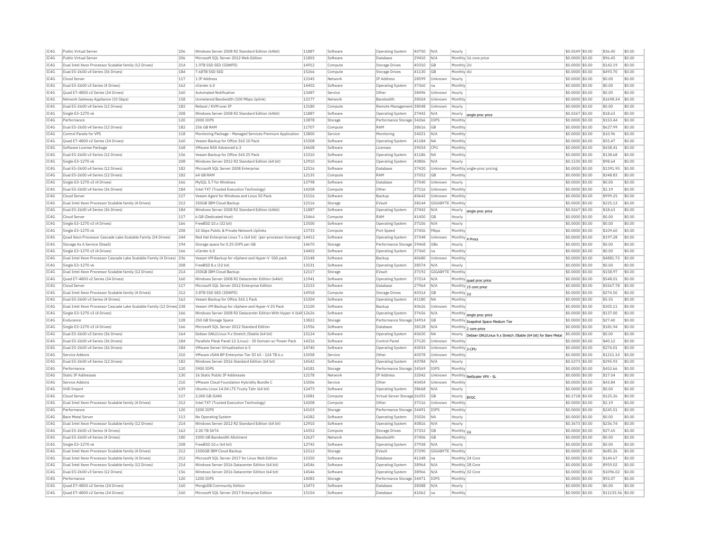| IC4G         | Public Virtual Server                                                  | 206 | Windows Server 2008 R2 Standard Edition (64bit)                         | 11887          | Software | <b>Operating System</b>      | 40750 | N/A              | Hourly           |                                                             | \$0.0549 \$0.00  | \$36.40           | \$0.00           |
|--------------|------------------------------------------------------------------------|-----|-------------------------------------------------------------------------|----------------|----------|------------------------------|-------|------------------|------------------|-------------------------------------------------------------|------------------|-------------------|------------------|
| TCAG         | <b>Public Virtual Server</b>                                           | 206 | Microsoft SOL Server 2012 Web Edition                                   | 11803          | Software | Database                     | 29410 | N/A              |                  | Monthly 16 core price                                       | \$0,0000 \$0.00  | \$96.45           | \$0.00           |
| IC4G         | Dual Intel Xeon Processor Scalable family (12 Drives)                  | 214 | 1.9TB SSD SED (5DWPD)                                                   | 14912          | Compute  | <b>Storage Drives</b>        | 40310 | GB               | Monthly 2U       |                                                             | \$0,0000 \$0.00  | \$142.19          | \$0.00           |
| IC4G         | Dual E5-2600 v4 Series (36 Drives)                                     | 184 | 7.68TB SSD SED                                                          | 15266          | Compute  | <b>Storage Drives</b>        | 41130 | GB               | Monthly 4U       |                                                             | \$0,0000 \$0.00  | \$493.70          | \$0.00           |
| IC4G         | Cloud Server                                                           | 117 | 1 TP Address                                                            | 13345          | Network  | <b>IP Address</b>            | 28599 | Unknown          | Hourly           |                                                             | \$0.0000 \$0.00  | \$0.00            | \$0.00           |
| IC4G         | Dual E5-2600 v3 Series (4 Drives)                                      | 162 | vCenter 6.0                                                             | 14402          | Software | Operating System             | 37360 | na               | Monthly          |                                                             | \$0,0000 \$0.00  | \$0.00            | \$0.00           |
| TC4G         | Quad E7-4800 v2 Series (24 Drives)                                     | 160 | Automated Notification                                                  | 13487          | Service  | Other                        | 38496 | Unknown          | Hourly           |                                                             | \$0,0000 \$0.00  | \$0.00            | \$0.00           |
|              |                                                                        |     |                                                                         |                |          | <b>Bandwidth</b>             |       |                  | Monthly          |                                                             |                  | \$1698.34         | \$0.00           |
| IC4G         | Network Gateway Appliance (10 Gbps)                                    | 158 | Unmetered Bandwidth (100 Mbps Uplink)                                   | 13177          | Network  |                              | 38504 | Unknown          |                  |                                                             | \$0.0000 \$0.00  |                   |                  |
| TCAG         | Dual E5-2600 v4 Series (12 Drives)                                     | 182 | Reboot / KVM over TP                                                    | 13180          | Compute  | Remote Management 38048      |       | Unknown          | Hourly           |                                                             | \$0,0000 \$0.00  | \$0.00            | \$0.00           |
| TC4G         | Single E3-1270 v6                                                      | 208 | Windows Server 2008 R2 Standard Edition (64bit)                         | 11887          | Software | <b>Operating System</b>      | 37442 | N/A              | Hourly           | single proc price                                           | $$0.0267$ \$0.00 | \$18.63           | \$0.00           |
| IC4G         | Performance                                                            | 120 | 2000 IOPS                                                               | 13878          | Storage  | Performance Storage 34266    |       | TOP5             | Monthly          |                                                             | \$0.0000 \$0.00  | \$153.44          | \$0.00           |
| IC4G         | Dual E5-2600 v4 Series (12 Drives)                                     | 182 | 256 GB RAM                                                              | 11707          | Compute  | RAM                          | 38616 | GB               | Monthly          |                                                             | \$0,0000 \$0,00  | \$627.99          | sin nn           |
| IC4G         | Control Panels for VPS                                                 | 118 | Monitoring Package - Managed Services Premium Application               | 13800          | Service  | Monitoring                   | 34021 | N/A              | Monthly          |                                                             | \$0.0000 \$0.00  | \$10.96           | \$0.00           |
| IC4G         | Quad E7-4800 v2 Series (24 Drives)                                     | 160 | Veeam Backup for Office 365 10 Pack                                     | 15308          | Software | Operating System             | 41184 | <b>NA</b>        | Monthly          |                                                             | \$0.0000 \$0.00  | \$55.47           | \$0.00           |
| IC4G         | Software License Package                                               | 168 | VMware NSX Advanced 6.3                                                 | 14608          | Software | Licenses                     | 39034 | CPU              | Monthly          |                                                             | \$0,0000 \$0.00  | \$438.41          | \$0.00           |
| IC4G         | Dual E5-2600 v3 Series (12 Drives)                                     | 156 | Veeam Backup for Office 365 25 Pack                                     | 15310          | Software | Operating System             | 41186 | <b>NA</b>        | Monthly          |                                                             | \$0,0000 \$0.00  | \$138.68          | \$0.00           |
| IC4G         | Single E3-1270 v6                                                      | 208 | Windows Server 2012 R2 Standard Edition (64 bit)                        | 12910          | Software | <b>Operating System</b>      | 40806 | N/A              | Hourly           |                                                             | \$0.1530 \$0.00  | \$98.64           | \$0.00           |
| IC4G         | Dual E5-2600 v4 Series (12 Drives)                                     | 182 | Microsoft SQL Server 2008 Enterprise                                    | 12516          | Software | Database                     | 37420 | Unknown          |                  | Monthly sngle-proc pricing                                  | \$0.0000 \$0.00  | \$1391.95         | \$0.00           |
| IC4G         | Dual E5-2600 v4 Series (12 Drives)                                     | 182 | 64 GB RAM                                                               | 12135          | Compute  | RAM                          | 37052 | GB               | Monthly          |                                                             | \$0,0000 \$0.00  | \$248.83          | \$0.00           |
|              |                                                                        |     |                                                                         | 13798          |          |                              | 37540 |                  |                  |                                                             |                  |                   |                  |
| IC4G         | Single E3-1270 v3 (4 Drives)                                           | 166 | MySOL 5.7 for Windows                                                   |                | Software | Database                     |       | Unknown          | Hourly           |                                                             | \$0,0000 \$0.00  | \$0.00            | \$0.00           |
| IC4G         | Dual E5-2600 v4 Series (36 Drives)                                     | 184 | Intel TXT (Trusted Execution Technology)                                | 14208          | Compute  | Other                        | 37116 | Unknown          | Monthly          |                                                             | \$0,0000 \$0.00  | \$2.19            | \$0.00           |
| TC4G         | Cloud Server                                                           | 117 | Veeam Agent for Windows and Linux 50 Pack                               | 15116          | Software | Backup                       | 40642 | Unknown          | Monthly          |                                                             | \$0,0000 \$0.00  | \$999.25          | \$0.00           |
| IC4G         | Dual Intel Xeon Processor Scalable family (4 Drives)                   | 212 | 350GB IBM Cloud Backup                                                  | 12116          | Storage  | FVault                       | 38144 | GIGARYTE Monthly |                  |                                                             | \$0.0000 \$0.00  | \$225.13          | \$0.00           |
| IC4G         | Dual E5-2600 v4 Series (36 Drives)                                     | 184 | Windows Server 2008 R2 Standard Edition (64bit)                         | 11887          | Software | <b>Operating System</b>      | 37442 | N/A              | Hourly           | single proc price                                           | \$0.0267 \$0.00  | \$18.63           | \$0.00           |
| IC4G         | Cloud Server                                                           | 117 | 6 GB (Dedicated Host)                                                   | 15464          | Compute  | RAM                          | 41450 | GB               | Hourly           |                                                             | $$0.0000$ \$0.00 | \$0.00            | \$0.00           |
| IC4G         | Single E3-1270 v3 (4 Drives)                                           | 166 | FreeBSD 10.x (32 bit)                                                   | 13500          | Software | <b>Operating System</b>      | 37106 | N/A              | Hourly           |                                                             | \$0.0000 \$0.00  | \$0.00            | \$0.00           |
| IC4G         | Single E3-1270 v6                                                      | 208 | 10 Gbps Public & Private Network Uplinks                                | 13735          | Compute  | Port Speed                   | 37456 | Mbps             | Monthly          |                                                             | \$0,0000 \$0,00  | \$109.60          | \$0.00           |
| IC4G         | Quad Xeon Processor Cascade Lake Scalable Family (24 Drives)           | 244 | Red Hat Enterprise Linux 7.x (64 bit) (per-processor licensing)   14412 |                | Software | <b>Operating System</b>      | 37348 | Unknown          | Monthly 4 Procs  |                                                             | \$0.0000 \$0.00  | \$197.28          | \$0.00           |
| IC4G         | Storage As A Service (StaaS)                                           | 194 | Storage space for 0.25 IOPS per GB                                      | 14670          | Storage  | Performance Storage 39468    |       | GBs              | Hourly           |                                                             | \$0.0001 \$0.00  | \$0.00            | \$0.00           |
| IC4G         | Single E3-1270 v3 (4 Drives)                                           | 166 | vCenter 6.0                                                             | 14402          | Software | Operating System             | 37360 | na.              | Monthly          |                                                             | \$0,0000 \$0,00  | \$0.00            | \$0.00           |
|              |                                                                        |     |                                                                         |                |          |                              |       |                  |                  |                                                             |                  |                   |                  |
| IC4G<br>TCAG | Dual Intel Xeon Processor Cascade Lake Scalable Family (4 Drives)      | 236 | Veeam VM Backup for vSphere and Hyper-V 500 pack                        | 15148<br>13531 | Software | Backup                       | 40680 | Unknown          | Monthly          |                                                             | \$0,0000 \$0,00  | \$4881.73         | \$0.00<br>\$0.00 |
|              | Single E3-1270 v6                                                      | 208 | FreeBSD 8.x (32 bit)                                                    |                | Software | Operating System             | 38574 | N/A              | Hourly           |                                                             | \$0,0000 \$0,00  | \$0.00            |                  |
| IC4G         | Dual Intel Xeon Processor Scalable family (12 Drives)                  | 214 | 250GB IBM Cloud Backup                                                  | 12117          | Storage  | EVault                       | 37192 | GIGABYTE Monthly |                  |                                                             | \$0.0000 \$0.00  | \$158.97          | \$0.00           |
| IC4G         | Ouad E7-4800 v2 Series (24 Drives)                                     | 160 | Windows Server 2008 R2 Datacenter Edition (64bit)                       | 11941          | Software | Operating System             | 37214 | $N/\beta$        |                  | Monthly quad proc price                                     | \$0,0000 \$0,00  | \$548.01          | \$0.00           |
| IC4G         | Cloud Server                                                           | 117 | Microsoft SOL Server 2012 Enterprise Edition                            | 12153          | Software | Database                     | 27964 | N/A              |                  | Monthly 15 core price                                       | $$0.0000$ \$0.00 | \$5567.78         | \$0.00           |
| IC4G         | Dual Intel Xeon Processor Scalable family (4 Drives)                   | 212 | 3.8TB SSD SED (3DWPD)                                                   | 14918          | Compute  | Storage Drives               | 40314 | GB               | Monthly $ 10$    |                                                             | \$0.0000 \$0.00  | \$274.50          | \$0.00           |
| IC4G         | Dual E5-2600 v3 Series (4 Drives)                                      | 162 | Veeam Backup for Office 365 1 Pack                                      | 15304          | Software | Operating System             | 41180 | NΔ               | Monthly          |                                                             | \$0,0000 \$0,00  | \$5.55            | \$0.00           |
| TCAG         | Dual Intel Xeon Processor Cascade Lake Scalable Family (12 Drives) 238 |     | Veeam VM Backup for vSphere and Hyper-V 25 Pack                         | 15100          | Software | Backup                       | 40626 | Unknown          | Monthly          |                                                             | \$0.0000 \$0.00  | \$305.11          | \$0.00           |
| IC4G         | Single E3-1270 v3 (4 Drives)                                           | 166 | Windows Server 2008 R2 Datacenter Edition With Hyper-V (64t 12626       |                | Software | <b>Operating System</b>      | 37656 | N/A              |                  | Monthly single proc price                                   | \$0.0000 \$0.00  | \$137.00          | \$0.00           |
| IC4G         | Endurance                                                              | 128 | 250 GB Storage Space                                                    | 13822          | Storage  | Performance Storage 34914    |       | <b>GB</b>        |                  | Monthly Snapshot Space Medium Tier                          | \$0,0000 \$0,00  | \$27.40           | \$0.00           |
| IC4G         | Single E3-1270 v3 (4 Drives)                                           | 166 | Microsoft SOL Server 2012 Standard Edition                              | 11956          | Software | Database                     | 38128 | N/A              |                  |                                                             | \$0.0000 \$0.00  | \$181.94          | \$0.00           |
| IC4G         | Dual E5-2600 v3 Series (36 Drives)                                     | 164 | Debian GNU/Linux 9.x Stretch /Stable (64 bit)                           | 15124          | Software | <b>Operating System</b>      | 40650 | <b>NA</b>        |                  | Monthly 2 core price                                        | \$0.0000 \$0.00  | \$0.00            | \$0.00           |
|              |                                                                        |     |                                                                         |                |          |                              |       |                  | Hourly           | Debian GNU/Linux 9.x Stretch /Stable (64 bit) for Bare Meta |                  |                   |                  |
| IC4G         | Dual E5-2600 v4 Series (36 Drives)                                     | 184 | Parallels Plesk Panel 12 (Linux) - 30 Domain w/ Power Pack              | 14216          | Software | Control Pane                 | 37120 | Unknown          | Monthly          |                                                             | \$0,0000 \$0,00  | \$40.12           | \$0.00           |
| IC4G         | Dual E5-2600 v4 Series (36 Drives)                                     | 184 | VMware Server Virtualization 6.5                                        | 14740          | Software | Operating System             | 40034 | Unknown          | Monthly 2-CPU    |                                                             | \$0.0000 \$0.00  | \$274.01          | \$0.00           |
| TC4G         | Service Addons                                                         | 210 | VMware vSAN BP Enterprise Tier III 65 - 124 TB 6 x                      | 15058          | Service  | Other                        | 40578 | Unknown          | Monthly          |                                                             | \$0,0000 \$0,00  | \$1211.10         | \$0.00           |
| IC4G         | Dual E5-2600 v4 Series (12 Drives                                      | 182 | Windows Server 2016 Standard Edition (64 bit)                           | 14542          | Software | Operating System             | 40784 | N/A              | Hourly           |                                                             | \$0,5273 \$0.00  | \$295.93          | \$0.00           |
| IC4G         | Performance                                                            | 120 | 5900 TOPS                                                               | 14181          | Storage  | Performance Storage 34569    |       | <b>TOPS</b>      | Monthly          |                                                             | \$0,0000 \$0,00  | \$452.66          | \$0.00           |
| IC4G         | <b>Static IP Addresses</b>                                             | 130 | 16 Static Public IP Addresses                                           | 12178          | Network  | <b>IP Address</b>            | 32042 | Unknown          |                  | Monthly NetScaler VPX - SL                                  | \$0.0000 \$0.00  | \$17.54           | \$0.00           |
| IC4G         | Service Addons                                                         | 210 | VMware Cloud Foundation Hybridity Bundle C                              | 15006          | Service  | Othe                         | 40454 | Jnknown          | Monthly          |                                                             | \$0.0000 \$0.00  | \$43.84           | \$0.00           |
| IC4G         | VHD Import                                                             | 639 | Ubuntu Linux 14.04 LTS Trusty Tahr (64 bit)                             | 12473          | Software | Operating System             | 38668 | N/A              | Hourly           |                                                             | \$0,0000 \$0.00  | \$0.00            | \$0.00           |
| IC4G         | Cloud Server                                                           | 117 | 2.000 GB (SAN)                                                          | 13081          | Compute  | Virtual Server Storage 26355 |       | GB               | Hourly           | <b>BYOC</b>                                                 | \$0,1718 \$0.00  | \$125.26          | \$0.00           |
| TCAG         | Dual Intel Xeon Processor Scalable family (4 Drives)                   |     | Intel TXT (Trusted Execution Technology)                                | 14208          | Compute  | Other                        | 37116 | Unknown          | Monthly          |                                                             | \$0,0000 \$0,00  | \$2.19            | \$0.00           |
| TCAG         |                                                                        |     |                                                                         |                |          |                              |       |                  |                  |                                                             |                  | \$245.51          | \$0.00           |
| IC4G         |                                                                        | 212 |                                                                         |                |          |                              |       |                  |                  |                                                             |                  |                   |                  |
|              | Performance                                                            | 120 | 3200 TOPS                                                               | 14103          | Storage  | Performance Storage 34491    |       | <b>TOPS</b>      | Monthly          |                                                             | \$0.0000 \$0.00  |                   |                  |
|              | <b>Bare Metal Server</b>                                               | 113 | No Operating System                                                     | 14282          | Software | Operating System             | 35026 | <b>NA</b>        | Hourly           |                                                             | \$0.0000 \$0.00  | \$0.00            | \$0.00           |
| IC4G         | Dual Intel Xeon Processor Scalable family (12 Drives)                  | 214 | Windows Server 2012 R2 Standard Edition (64 bit)                        | 12910          | Software | <b>Operating System</b>      | 40816 | N/A              | Hourly           |                                                             | \$0,3673 \$0.00  | \$236.74          | \$0.00           |
| IC4G         | Dual E5-2600 v3 Series (4 Drives                                       | 162 | 2.00 TB SATA                                                            | 14352          | Compute  | <b>Storage Drives</b>        | 37352 | GB               | Monthly $ _{10}$ |                                                             | \$0,0000 \$0,00  | \$27.65           | \$0.00           |
| IC4G         | Dual E5-2600 v4 Series (4 Drives)                                      | 180 | 1000 GB Bandwidth Allotment                                             | 12627          | Network  | <b>Bandwidth</b>             | 37406 | GB               | Monthly          |                                                             | \$0,0000 \$0,00  | \$0.00            | \$0.00           |
| IC4G         | Single E3-1270 v6                                                      | 208 | FreeBSD 10.x (64 bit)                                                   | 12745          | Software | Operating System             | 37938 | N/A              | Hourly           |                                                             | \$0,0000 \$0,00  | \$0.00            | \$0.00           |
| IC4G         | Dual Intel Xeon Processor Scalable family (4 Drives)                   | 212 | 1500GB IBM Cloud Backup                                                 | 12112          | Storage  | EVault                       | 37290 | GIGABYTE         | Monthly          |                                                             | \$0.0000 \$0.00  | \$685.26          | \$0.00           |
| IC4G         | Dual Intel Xeon Processor Scalable family (4 Drives)                   | 212 | Microsoft SQL Server 2017 for Linux Web Edition                         | 15350          | Software | Database                     | 41248 | Ina              |                  | Monthly 24 Core                                             | \$0,0000 \$0,00  | \$144.67          | \$0.00           |
| IC4G         | Dual Intel Xeon Processor Scalable family (12 Drives)                  | 214 | Windows Server 2016 Datacenter Edition (64 bit)                         | 14546          | Software | Operating System             | 38964 | N/A              |                  | Monthly 28 Core                                             | \$0,0000 \$0.00  | \$959.02          | \$0.00           |
| TCAG         | Dual E5-2600 v3 Series (12 Drives)                                     | 156 | Windows Server 2016 Datacenter Edition (64 bit)                         | 14546          | Software | Operating System             | 38966 | N/A              |                  | Monthly 32 Core                                             | \$0,0000 \$0.00  | \$1096.02         | \$0.00           |
| IC4G         | Performance                                                            | 120 | 1200 TOPS                                                               | 14083          | Storage  | Performance Storage 34471    |       | TOP5             | Monthly          |                                                             | \$0.0000 \$0.00  | \$92.07           | \$0.00           |
| IC4G         | Quad E7-4800 v2 Series (24 Drives)                                     | 160 | MongoDB Community Edition                                               | 13473          | Software | Database                     | 38388 | N/A              | Hourly           |                                                             | \$0.0000 \$0.00  | \$0.00            | \$0.00           |
| IC4G         | Ouad E7-4800 v2 Series (24 Drives)                                     | 160 | Microsoft SOL Server 2017 Enterprise Edition                            | 15154          | Software | Database                     | 41062 | Ina              | Monthly          |                                                             | $$0.0000$ \$0.00 | \$11135.56 \$0.00 |                  |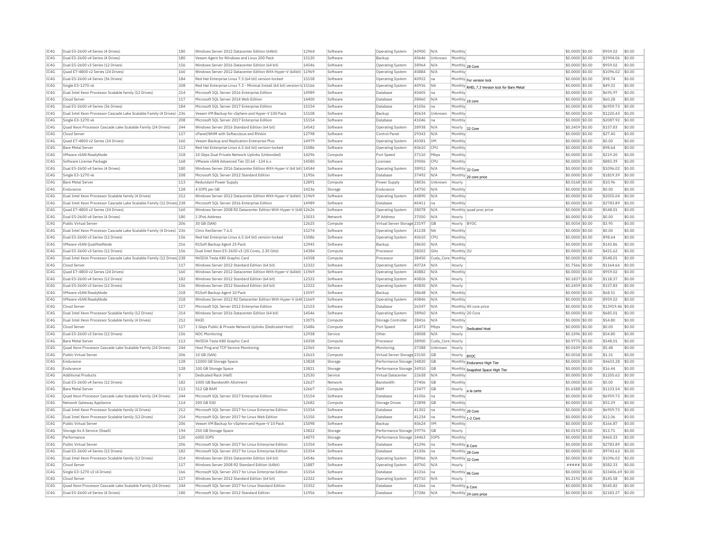| TC4G | Dual E5-2600 v4 Series (4 Drives)                                      | 180            | Windows Server 2012 Datacenter Edition (64bit)                           | 12964 | Software | <b>Operating System</b>      | 40900 N/A           |                  | Monthly                                      | \$0.0000 \$0.00      | \$959.02          | \$0.00 |
|------|------------------------------------------------------------------------|----------------|--------------------------------------------------------------------------|-------|----------|------------------------------|---------------------|------------------|----------------------------------------------|----------------------|-------------------|--------|
| TCAG | Dual E5-2600 v4 Series (4 Drives)                                      | 180            | Veeam Agent for Windows and Linux 200 Pack                               | 15120 | Software | Backup                       | 40646               | Unknown          | Monthly                                      | \$0.0000 \$0.00      | \$3994.06         | \$0.00 |
| TC4G | Dual E5-2600 v3 Series (12 Drives                                      | 156            | Windows Server 2016 Datacenter Edition (64 bit)                          | 14546 | Software | Operating System             | 38964<br>N/A        |                  | Monthly 28 Core                              | \$0.0000 \$0.00      | \$959.02          | \$0.00 |
| TC4G | Quad E7-4800 v2 Series (24 Drives)                                     | 160            | Windows Server 2012 Datacenter Edition With Hyper-V (64bit) 11969        |       | Software | Operating System             | 40884<br>N/A        |                  | Monthly                                      | \$0,0000 \$0.00      | \$1096.02         | \$0.00 |
| TC4G | Dual E5-2600 v4 Series (36 Drives)                                     | 184            | Red Hat Enterprise Linux 7.3 (64 bit) version-locked                     | 15158 | Software | <b>Operating System</b>      | 40922 na            |                  | Monthly For version lock                     | \$0.0000 \$0.00      | \$98.74           | \$0.00 |
| TCAG | Single E3-1270 v6                                                      | 208            | Red Hat Enterprise Linux 7.3 - Minimal Install (64 bit) version-Id 15166 |       | Software | <b>Operating System</b>      | 40936 NA            |                  | Monthly RHEL 7.3 Version lock for Bare Metal | $$0.0000$ \$0.00     | \$49.32           | \$0.00 |
| IC4G | Dual Intel Xeon Processor Scalable family (12 Drives)                  | 214            | Microsoft SQL Server 2016 Enterprise Edition                             | 14989 | Software | Database                     | 40405<br>na         |                  | Monthly                                      | \$0.0000 \$0.00      | \$695.97          | \$0.00 |
| TCAG | Cloud Server                                                           | 117            | Microsoft SOL Server 2014 Web Edition                                    | 14400 | Software | Database                     | 38460<br>IN/A       |                  | Monthly 10 core                              | \$0,0000 \$0.00      | \$60.28           | \$0.00 |
| IC4G | Dual E5-2600 v4 Series (36 Drives)                                     | 184            | Microsoft SQL Server 2017 Enterprise Edition                             | 15154 | Software | Database                     | 41056<br>na         |                  | Monthl                                       | \$0.0000 \$0.00      | \$6959.73 \$0.00  |        |
| TCAG | Dual Intel Xeon Processor Cascade Lake Scalable Family (4 Drives) 236  |                | Veeam VM Backup for vSphere and Hyper-V 100 Pack                         | 15108 | Software | Backup                       | 40634               | Unknown          | Monthly                                      | \$0,0000 \$0,00      | $$1220.43$ \$0.00 |        |
| IC4G | Single E3-1270 v6                                                      | 208            | Microsoft SOL Server 2017 Enterprise Edition                             | 15154 | Software | Database                     | 41046<br>Ina        |                  | Monthly                                      | \$0.0000 \$0.00      | \$2087.92         | \$0.00 |
| TC4G | Ouad Xeon Processor Cascade Lake Scalable Family (24 Drives)           | 244            | Windows Server 2016 Standard Edition (64 bit)                            | 14542 | Software | <b>Operating System</b>      | 38938 N/A           |                  | Hourly 32 Core                               | \$0.2459 \$0.00      | \$157.83          | \$0.00 |
| IC4G | Cloud Server                                                           | 117            | cPanel/WHM with Softaculous and RVskin                                   | 12798 | Software | Control Pane                 | 29343 N/A           |                  | Monthly                                      | \$0.0000 \$0.00      | \$27.40           | \$0.00 |
| TC4G | Quad E7-4800 v2 Series (24 Drives)                                     | 160            | Veeam Backup and Replication Enterprise Plus                             | 14979 | Software | Operating System             | 40381<br><b>VM</b>  |                  | Monthly                                      | \$0.0000 \$0.00      | \$0.00            | \$0.00 |
| IC4G | <b>Bare Metal Server</b>                                               | 113            | Red Hat Enterprise Linux 6.5 (64 bit) version-locked                     | 15086 | Software | Operating System             | 40610<br><b>CPU</b> |                  | Monthly                                      | \$0.0000 \$0.00      | \$98.64           | \$0.00 |
| TC4G | VMware vSAN ReadvNode                                                  | 218            | 10 Gbps Dual Private Network Uplinks (Unbonded)                          | 14296 | Compute  | Port Speed                   | 37110<br>Mbps       |                  | Monthly                                      | \$0,0000 \$0.00      | \$219.20          | \$0.00 |
| IC4G | Software License Package                                               | 168            | VMware vSAN Advanced Tier III 64 - 124 6.x                               | 14580 | Software | Licenses                     | 39006<br>CPU        |                  | Monthly                                      | \$0.0000 \$0.00      | \$883.39          | \$0.00 |
| IC4G | Dual E5-2600 v4 Series (4 Drives)                                      | 180            | Windows Server 2016 Datacenter Edition With Hyper-V (64 bit) 14544       |       | Software | Operating System             | 38952<br>N/A        |                  | Monthly 32 Core                              | \$0.0000 \$0.00      | \$1096.02         | \$0.00 |
| TCAG | Single E3-1270 v6                                                      | 208            | Microsoft SQL Server 2012 Standard Edition                               | 11956 | Software | Database                     | 37492<br>N/A        |                  | Monthly 20 core price                        | \$0.0000 \$0.00      | \$1819.39         | \$0.00 |
| TC4G | <b>Bare Metal Server</b>                                               | 113            | Redundant Power Supply                                                   | 12891 | Compute  | Power Supply                 | 38036               | Unknown          | Hourly                                       | \$0.0168 \$0.00      | \$10.96           | \$0.00 |
| TCAG | Endurance                                                              | 128            | 4 IOPS per GB                                                            | 14236 | Storage  | Endurance                    | 34750<br>N/A        |                  | Monthly                                      | \$0.0000 \$0.00      | \$0.00            | \$0.00 |
| IC4G | Dual Intel Xeon Processor Scalable family (4 Drives)                   | 212            | Windows Server 2012 Datacenter Edition With Hyper-V (64bit) 11969        |       | Software | <b>Operating System</b>      | 40890<br>N/A        |                  | Monthly                                      | \$0.0000 \$0.00      | \$2055.04 \$0.00  |        |
| TCAG | Dual Intel Xeon Processor Cascade Lake Scalable Family (12 Drives 238  |                | Microsoft SQL Server 2016 Enterprise Edition                             | 14989 | Software | Database                     | 40411<br>Ina        |                  | Monthly                                      | \$0,0000 \$0.00      | \$2783.89         | \$0.00 |
| TCAG | Quad E7-4800 v2 Series (24 Drives)                                     | 160            | Windows Server 2008 R2 Datacenter Edition With Hyper-V (64t 12626        |       | Software | Operating System             | 38078 N/A           |                  | Monthly quad proc price                      | \$0.0000 \$0.00      | \$548.01          | \$0.00 |
| IC4G | Dual E5-2600 v4 Series (4 Drives)                                      | 180            | 1 IPv6 Address                                                           | 13033 | Network  | IP Address                   | 37050<br>N/A        |                  | Hourly                                       | \$0,0000 \$0.00      | \$0.00            | \$0.00 |
| TC4G | Public Virtual Server                                                  | 206            | 30 GB (SAN)                                                              | 12625 | Compute  | Virtual Server Storage 23197 | <b>GB</b>           |                  | Hourly BYOC                                  | \$0.0054 \$0.00      | \$3.95            | \$0.00 |
| TC4G | Dual Intel Xeon Processor Cascade Lake Scalable Family (4 Drives) 236  |                | Citrix XenServer 7.6.0                                                   | 15274 | Software | Operating System             | 41138<br><b>NA</b>  |                  | Monthly                                      | $$0.0000$ \$0.00     | \$0.00            | \$0.00 |
| TC4G | Dual E5-2600 v3 Series (12 Drives)                                     | 156            | Red Hat Enterprise Linux 6.5 (64 bit) version-locked                     | 15086 | Softwan  | <b>Operating System</b>      | 40610 CPU           |                  | Monthly                                      | \$0.0000 \$0.00      | \$98.64           | \$0.00 |
| TCAG | VMware vSAN QualifiedNode                                              | 216            | R1Soft Backup Agent 25 Pack                                              | 12945 | Software | Backup                       | 38650<br>N/A        |                  | Monthly                                      | \$0,0000 \$0.00      | \$143.86          | \$0.00 |
|      |                                                                        |                |                                                                          |       |          |                              |                     |                  |                                              |                      |                   |        |
| IC4G | Dual E5-2600 v3 Series (12 Drives                                      | 156            | Dual Intel Xeon E5-2650 v3 (20 Cores, 2.30 GHz)                          | 14384 | Compute  | Processo                     | 38202<br>GHz        |                  | Monthly 2U                                   | \$0.0000 \$0.00      | \$421.62          | \$0.00 |
| TCAG | Dual Intel Xeon Processor Cascade Lake Scalable Family (12 Drives) 238 |                | NVIDIA Tesla K80 Graphic Card                                            | 14358 | Compute  | Processor                    | 38450               |                  | Cuda Core Monthly                            | \$0,0000 \$0,00      | \$548.01          | \$0.00 |
| TCAG | Cloud Server                                                           | 117            | Windows Server 2012 Standard Edition (64 bit)                            | 12322 | Software | Operating System             | 40724<br>N/A        |                  | Hourly                                       | \$1,7566 \$0.00      | \$1164.66         | \$0.00 |
| TC4G | Ouad E7-4800 v2 Series (24 Drives)                                     | 160            | Windows Server 2012 Datacenter Edition With Hyper-V (64bit) 11969        |       | Software | <b>Operating System</b>      | 40882<br>N/A        |                  | Monthly                                      | \$0,0000 \$0,00      | \$959.02          | \$0.00 |
| IC4G | Dual E5-2600 v4 Series (12 Drives                                      | 182            | Windows Server 2012 Standard Edition (64 bit)                            | 12322 | Software | Operating System             | 40826<br>N/A        |                  | Hourly                                       | \$0,1837 \$0,00      | \$118.37          | \$0.00 |
| TC4G | Dual E5-2600 v3 Series (12 Drives)                                     | 156            | Windows Server 2012 Standard Edition (64 bit)                            | 12322 | Software | <b>Operating System</b>      | 40830 N/A           |                  | Hourly                                       | \$0.2459 \$0.00      | \$157.83          | Isn nn |
| IC4G | VMware vSAN ReadvNode                                                  | 218            | R1Soft Backup Agent 10 Pack                                              | 13597 | Software | Backup                       | 38648<br>N/A        |                  | Monthly                                      | \$0.0000 \$0.00      | \$68.51           | \$0.00 |
| IC4G | VMware vSAN ReadvNode                                                  | 218            | Windows Server 2012 R2 Datacenter Edition With Hyper-V (64t 11669        |       | Software | Operating System             | 40846<br>N/A        |                  | Monthly                                      | \$0.0000 \$0.00      | \$959.02          | \$0.00 |
| IC4G | Cloud Server                                                           | 117            | Microsoft SQL Server 2012 Enterprise Edition                             | 12153 | Software | Database                     | 26547<br>N/A        |                  | Monthly 40 core price                        | \$0.0000 \$0.00      | \$13919.46 \$0.00 |        |
| TC4G | Dual Intel Xeon Processor Scalable family (12 Drives)                  | 214            | Windows Server 2016 Datacenter Edition (64 bit)                          | 14546 | Software | <b>Operating System</b>      | 38960<br>N/A        |                  | Monthly 20 Core                              | \$0,0000 \$0.00      | \$685.01          | \$0.00 |
| TCAG | Dual Intel Xeon Processor Scalable family (4 Drives)                   | 212            | RATD                                                                     | 13075 | Compute  | Storage Controller           | 38416<br>N/A        |                  | Monthly                                      | \$0.0000 \$0.00      | \$54.80           | \$0.00 |
| IC4G | Cloud Server                                                           | 117            | 1 Gbps Public & Private Network Uplinks (Dedicated Host)                 | 15486 | Compute  | Port Speed                   | 41472<br>Mbps       |                  | Hourly<br>Dedicated Host                     | \$0.0000 \$0.00      | \$0.00            | \$0.00 |
| TCAG | Dual E5-2600 v3 Series (12 Drives)                                     | 156            | NOC Monitoring                                                           | 12938 | Service  | Other                        | 38008<br>N/A        |                  | Hourly                                       | \$0.1096 \$0.00      | \$54.80           | \$0.00 |
| IC4G | Bare Metal Server                                                      | 113            | NVIDIA Tesla K80 Graphic Card                                            | 14358 | Comput   | Processor                    | 38900               | Cuda_Core Hourly |                                              | \$0.9775 \$0.00      | \$548.01          | \$0.00 |
| TCAG | Ouad Xeon Processor Cascade Lake Scalable Family (24 Drives)           | 244            | Host Ping and TCP Service Monitoring                                     | 12365 | Service  | Monitoring                   | 37388               | Unknown          | Hourly                                       | \$0.0109 \$0.00      | \$5.48            | \$0.00 |
| IC4G | Public Virtual Server                                                  | 206            | 10 GB (SAN)                                                              | 12615 | Compute  | Virtual Server Storage 23150 | GB                  |                  | Hourly  BYOC                                 | \$0.0018 \$0.00      | \$1.31            | \$0.00 |
| IC4G | Endurance                                                              | 128            | 12000 GB Storage Space                                                   | 13828 | Storage  | Performance Storage 34820    | <b>GR</b>           |                  | Monthly Endurance High Tier                  | \$0,0000 \$0.00      | \$4603.28         | \$0.00 |
| TC4G | Endurance                                                              | 128            | 100 GB Storage Space                                                     | 13821 | Storage  | Performance Storage 34910    | <b>GE</b>           |                  | Monthly Snapshot Space High Tier             | \$0,0000 \$0,00      | \$16.44           | \$0.00 |
| TCAG | Additional Products                                                    | $\overline{0}$ | Dedicated Rack (Half)                                                    | 12530 | Service  | Virtual Datacenter           | 22658<br>N/A        |                  | Monthly                                      | $$0.0000$ \$0.00     | \$1205.62         | \$0.00 |
| IC4G | Dual E5-2600 v4 Series (12 Drives)                                     | 182            | 1000 GB Bandwidth Allotment                                              | 12627 | Network  | Bandwidth                    | 37406<br><b>GB</b>  |                  | Monthly                                      | \$0,0000 \$0,00      | \$0.00            | \$0.00 |
| TCAG | <b>Bare Metal Server</b>                                               | 113            | 512 GB RAM                                                               | 12667 | Compute  | RAM                          | 23477<br> GB        |                  | Hourly                                       | \$1,6588 \$0.00      | \$1133.54         | \$0.00 |
| IC4G | Quad Xeon Processor Cascade Lake Scalable Family (24 Drives)           | 244            | Microsoft SQL Server 2017 Enterprise Edition                             | 15154 | Softwar  | Database                     | 41056<br>na         |                  | la la carte<br>Monthly                       | \$0.0000 \$0.00      | \$6959.73 \$0.00  |        |
| TCAG | Network Gateway Appliance                                              | 114            | 200 GB SSD                                                               | 12682 | Compute  | Storage Drives               | 23898 GB            |                  | Monthly                                      | \$0.0000 \$0.00      | \$55.29           | \$0.00 |
| IC4G | Dual Intel Xeon Processor Scalable family (4 Drives)                   | 212            | Microsoft SQL Server 2017 for Linux Enterprise Edition                   | 15354 | Software | Database                     | 41302<br>Ina        |                  |                                              | \$0.0000 \$0.00      | \$6959.73         | \$0.00 |
| TCAG | Dual Intel Xeon Processor Scalable family (12 Drives)                  | 214            | Microsoft SOL Server 2017 for Linux Web Edition                          | 15350 | Software | Database                     | 41234 na            |                  | Monthly 20 Core                              |                      | \$12.06           | \$0.00 |
|      |                                                                        |                |                                                                          |       |          |                              |                     |                  | Monthly 1-2 Core                             | \$0.0000 \$0.00      |                   |        |
| IC4G | Public Virtual Server                                                  | 206            | Veeam VM Backup for vSphere and Hyper-V 10 Pack                          | 15098 | Software | Backup                       | 40624 VM            |                  | Monthly                                      | \$0,0000 \$0,00      | \$166.87          | \$0.00 |
| TC4G | Storage As A Service (StaaS)                                           | 194            | 250 GB Storage Space                                                     | 13822 | Storage  | Performance Storage 39776    | <b>GB</b>           |                  | Hourly                                       | \$0.0192 \$0.00      | \$13.71           | Isn nn |
| IC4G | Performance                                                            | 120            | 6000 IOPS                                                                | 14075 | Storage  | Performance Storage 34463    | IOPS                |                  | Monthly                                      | \$0,0000 \$0,00      | \$460.33          | \$0.00 |
| TC4G | Public Virtual Server                                                  | 206            | Microsoft SOL Server 2017 for Linux Enterprise Edition                   | 15354 | Software | Database                     | 41296<br>Ina        |                  | Monthly 8 Core                               | \$0.0000 \$0.00      | \$2783.89         | \$0.00 |
| IC4G | Dual E5-2600 v4 Series (12 Drives                                      | 182            | Microsoft SQL Server 2017 for Linux Enterprise Edition                   | 15354 | Software | Database                     | 41306<br>Ina        |                  | Monthly 28 Core                              | \$0.0000 \$0.00      | \$9743.62         | \$0.00 |
| IC4G | Dual Intel Xeon Processor Scalable family (12 Drives)                  | 214            | Windows Server 2016 Datacenter Edition (64 bit)                          | 14546 | Software | Operating System             | 38966<br>N/A        |                  | Monthly 32 Core                              | \$0.0000 \$0.00      | \$1096.02 \$0.00  |        |
| TCAG | Cloud Server                                                           | 117            | Windows Server 2008 R2 Standard Edition (64bit)                          | 11887 | Software | <b>Operating System</b>      | 40760<br>N/A        |                  | Hourly                                       | $\# \# \# \#$ \$0.00 | \$582.33          | \$0.00 |
| IC4G | Single E3-1270 v3 (4 Drives)                                           | 166            | Microsoft SOL Server 2017 for Linux Enterprise Edition                   | 15354 | Software | Database                     | 41316<br>na         |                  | Monthly 96 Core                              | \$0.0000 \$0.00      | \$33406.69 \$0.00 |        |
| TCAG | Cloud Server                                                           | 117            | Windows Server 2012 Standard Edition (64 bit)                            | 12322 | Software | Operating System             | 40710<br>N/A        |                  | Hourly                                       | \$0.2192 \$0.00      | \$145.58          | \$0.00 |
| IC4G | Ouad Xeon Processor Cascade Lake Scalable Family (24 Drives)           | 244            | Microsoft SOL Server 2017 for Linux Standard Edition                     | 15352 | Software | Database                     | 41266<br> na        |                  | Monthly 6 Core                               | \$0.0000 \$0.00      | \$545.82          | \$0.00 |
| TCAG | Dual E5-2600 v4 Series (4 Drives)                                      | 180            | Microsoft SQL Server 2012 Standard Edition                               | 11956 | Software | Database                     | 37286 N/A           |                  | Monthly 24 core price                        | \$0.0000 \$0.00      | \$2183.27         | \$0.00 |
|      |                                                                        |                |                                                                          |       |          |                              |                     |                  |                                              |                      |                   |        |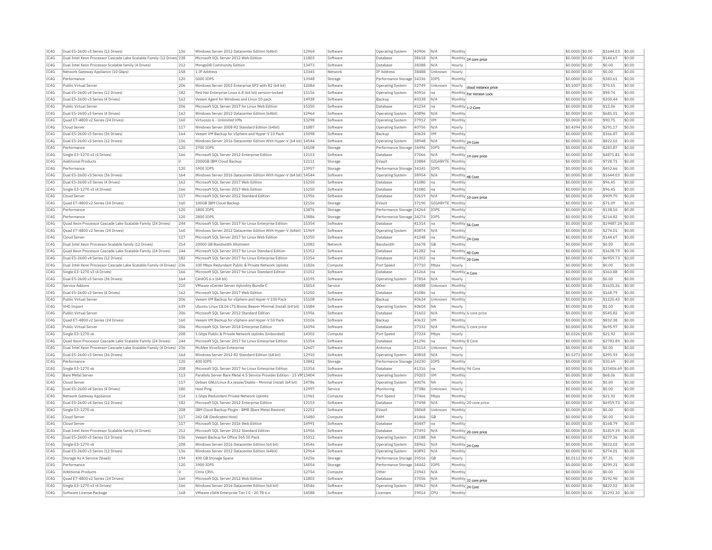| IC4G         | Dual E5-2600 v3 Series (12 Drives)                                    | 156      | Windows Server 2012 Datacenter Edition (64bit)                         | 12964 | Software | Operating System          | 40906 | N/A            | Monthly                        | \$0,0000 \$0.00  | \$1644.03         | \$0.00 |
|--------------|-----------------------------------------------------------------------|----------|------------------------------------------------------------------------|-------|----------|---------------------------|-------|----------------|--------------------------------|------------------|-------------------|--------|
| IC4G         | Dual Intel Xeon Processor Cascade Lake Scalable Family (12 Drives 238 |          | Microsoft SOL Server 2012 Web Edition                                  | 11803 | Software | Database                  | 38618 | N/A            | Monthly 24 core price          | \$0,0000 \$0.00  | \$144.67          | \$0.00 |
| IC4G         | Dual Intel Xeon Processor Scalable family (4 Drives)                  | 212      | MongoDB Community Edition                                              | 13473 | Software | Database                  | 38388 | N/A            | Hourly                         | \$0,0000 \$0.00  | \$0.00            | \$0.00 |
| IC4G         | Network Gateway Appliance (10 Gbps)                                   | 158      | 1 IP Address                                                           | 13345 | Network  | IP Address                | 38488 | Unknown        | Hourly                         | \$0,0000 \$0.00  | \$0.00            | \$0.00 |
| TC4G         | Performance                                                           | 120      | 5000 TOPS                                                              | 13948 | Storage  | Performance Storage 34336 |       | <b>TOPS</b>    | Monthly                        | \$0,0000 \$0.00  | \$383.61          | \$0.00 |
| IC4G         | Public Virtual Server                                                 | 206      | Windows Server 2003 Enterprise SP2 with R2 (64 bit)                    | 12084 | Software | <b>Operating System</b>   | 32749 | Unknown        | Hourly<br>cloud instance price | \$0.1007 \$0.00  | \$70.15           | \$0.00 |
| IC4G         | Dual E5-2600 v4 Series (12 Drives)                                    | 182      | Red Hat Enterprise Linux 6.8 (64 bit) version-locked                   | 15156 | Software | <b>Operating System</b>   | 40916 | na             | Monthly For Version Lock       | \$0.0000 \$0.00  | \$98.74           | \$0.00 |
| TC4G         | Dual E5-2600 v3 Series (4 Drives)                                     | 162      | Veeam Agent for Windows and Linux 10 pack                              | 14938 | Software | Backup                    | 40338 | N/A            | Monthly                        | \$0,0000 \$0.00  | \$200.44          | \$0.00 |
| IC4G         | Public Virtual Server                                                 | 206      | Microsoft SQL Server 2017 for Linux Web Edition                        | 15350 | Software | Database                  | 41234 | Ina            | Monthly 1-2 Core               | \$0,0000 \$0.00  | \$12.06           | \$0.00 |
| IC4G         | Dual E5-2600 v3 Series (4 Drives)                                     | 162      | Windows Server 2012 Datacenter Edition (64bit)                         | 12964 | Software | Operating System          | 40896 | N/A            | Monthl                         | \$0,0000 \$0.00  | \$685.01          | \$0.00 |
| IC4G         | Quad E7-4800 v2 Series (24 Drives)                                    | 160      | Virtuozzo 6 - Unlimited VMs                                            | 13298 | Software | Operating System          | 37912 | <b>VM</b>      | Monthly                        | \$0.0000 \$0.00  | \$90.75           | \$0.00 |
| IC4G         | Cloud Serve                                                           | 117      | Windows Server 2008 R2 Standard Edition (64bit)                        | 11887 | Software | Operating System          | 40756 | N/A            | Hourly                         | \$0.4394 \$0.00  | \$291.17          | \$0.00 |
| TC4G         | Dual E5-2600 v3 Series (36 Drives)                                    | 164      | Veeam VM Backup for vSphere and Hyper-V 10 Pack                        | 15098 | Software | Backup                    | 40624 | <b>VM</b>      | Monthly                        | $$0.0000$ \$0.00 | \$166.87          | \$0.00 |
|              | Dual E5-2600 v3 Series (12 Drives)                                    | 156      |                                                                        |       |          |                           |       | N/A            |                                |                  |                   | \$0.00 |
| IC4G<br>TCAG |                                                                       |          | Windows Server 2016 Datacenter Edition With Hyper-V (64 bit) 14544     |       | Software | Operating System          | 38948 |                | Monthly 24 Core                | \$0.0000 \$0.00  | \$822.02          | \$0.00 |
|              | Performance                                                           | 120      | 3700 TOPS                                                              | 14108 | Storage  | Performance Storage 34496 |       | <b>TOPS</b>    | Monthly                        | \$0,0000 \$0.00  | \$283.87          |        |
| IC4G         | Single E3-1270 v3 (4 Drives)                                          | 166      | Microsoft SOL Server 2012 Enterprise Edition                           | 12153 | Software | Database                  | 37066 | N/A            | Monthly 14 core price          | $$0.0000$ \$0.00 | \$4871.81         | \$0.00 |
| IC4G         | <b>Additional Products</b>                                            | lo       | 2000GB IBM Cloud Backup                                                | 12111 | Storage  | EVault                    | 33884 | <b>GIGABYT</b> | Monthly                        | \$0,0000 \$0.00  | \$728.71          | \$0.00 |
| TC4G         | Performance                                                           | 120      | 5900 TOPS                                                              | 13957 | Storage  | Performance Storage 34345 |       | <b>TOPS</b>    | Monthly                        | $$0.0000$ \$0.00 | \$452.66          | \$0.00 |
| IC4G         | Dual E5-2600 v3 Series (36 Drives)                                    | 164      | Windows Server 2016 Datacenter Edition With Hyper-V (64 bit) 14544     |       | Software | Operating System          | 38954 | N/A            | Monthly 48 Core                | \$0.0000 \$0.00  | \$1644.03         | \$0.00 |
| IC4G         | Dual E5-2600 v3 Series (4 Drives)                                     | 162      | Microsoft SQL Server 2017 Web Edition                                  | 15250 | Software | Database                  | 41080 | Ina            | Monthly                        | \$0.0000 \$0.00  | \$96.45           | \$0.00 |
| IC4G         | Single E3-1270 v3 (4 Drives)                                          | 166      | Microsoft SOL Server 2017 Web Edition                                  | 15250 | Software | Database                  | 41080 | lna            | Monthly                        | $$0.0000$ \$0.00 | \$96.45           | \$0.00 |
| IC4G         | Cloud Server                                                          | 117      | Microsoft SQL Server 2012 Standard Edition                             | 11956 | Software | Database                  | 32619 | N/A            | Monthly 10 core price          | \$0.0000 \$0.00  | \$909.70          | \$0.00 |
| IC4G         | Quad E7-4800 v2 Series (24 Drives)                                    | 160      | 100GB IBM Cloud Backup                                                 | 12156 | Storage  | FVault                    | 37190 | GIGARYTI       | Monthly                        | \$0.0000 \$0.00  | \$71.09           | \$0.00 |
| IC4G         | Performance                                                           | 120      | 1800 IOPS                                                              | 13876 | Storage  | Performance Storage 34264 |       | <b>IOPS</b>    | Monthly                        | \$0,0000 \$0.00  | \$138.10          | \$0.00 |
| IC4G         | Performance                                                           | 120      | 2800 IOPS                                                              | 13886 | Storage  | Performance Storage 34274 |       | IOPS           | Monthly                        | \$0.0000 \$0.00  | \$214.82          | \$0.00 |
| IC4G         | Ouad Xeon Processor Cascade Lake Scalable Family (24 Drives)          | 244      | Microsoft SOL Server 2017 for Linux Enterprise Edition                 | 15354 | Software | Database                  | 41314 | Ina            | Monthly 56 Core                | \$0,0000 \$0.00  | \$19487.24 \$0.00 |        |
| IC4G         | Ouad E7-4800 v2 Series (24 Drives)                                    | 160      | Windows Server 2012 Datacenter Edition With Hyper-V (64bit)            | 11969 | Software | Operating System          | 40874 | N/A            | Monthly                        | \$0.0000 \$0.00  | \$274.01          | \$0.00 |
| IC4G         | Cloud Server                                                          | 117      | Microsoft SOL Server 2017 for Linux Web Edition                        | 15350 | Software | Database                  | 41248 | Ina            |                                | \$0,0000 \$0,00  | \$144.67          | \$0.00 |
| IC4G         | Dual Intel Xeon Processor Scalable family (12 Drives)                 | 214      | 20000 GB Bandwidth Allotment                                           | 12082 | Network  | Bandwidth                 | 26678 | <b>GB</b>      | Monthly 24 Core<br>Monthly     | \$0,0000 \$0.00  | \$0.00            | \$0.00 |
|              |                                                                       |          |                                                                        | 15352 |          |                           |       |                |                                |                  |                   |        |
| IC4G         | Quad Xeon Processor Cascade Lake Scalable Family (24 Drives)          | 244      | Microsoft SQL Server 2017 for Linux Standard Edition                   |       | Software | Database                  | 41282 | na             | Monthly 40 Core                | \$0.0000 \$0.00  | \$3638.79         | \$0.00 |
| TCAG         | Dual E5-2600 v4 Series (12 Drives)                                    | 182      | Microsoft SQL Server 2017 for Linux Enterprise Edition                 | 15354 | Software | Database                  | 41302 | Ina            | Monthly 20 Core                | \$0,0000 \$0,00  | \$6959.73         | \$0.00 |
| IC4G         | Dual Intel Xeon Processor Cascade Lake Scalable Family (4 Drives)     | 236      | 100 Mbps Redundant Public & Private Network Uplinks                    | 11826 | Compute  | Port Speed                | 37710 | Mbps           | Hourly                         | \$0.0000 \$0.00  | \$0.00            | \$0.00 |
| IC4G         | Single E3-1270 v3 (4 Drives)                                          | 166      | Microsoft SQL Server 2017 for Linux Standard Edition                   | 15352 | Software | Database                  | 41264 | na             | Monthly 4 Core                 | \$0.0000 \$0.00  | \$363.88          | \$0.00 |
| IC4G         | Dual E5-2600 v3 Series (36 Drives)                                    | 164      | CentOS 6.x (64 bit)                                                    | 13195 | Software | Operating System          | 37854 | N/A            | Hourly                         | \$0.0000 \$0.00  | \$0.00            | \$0.00 |
| IC4G         | Service Addons                                                        | 210      | VMware vCenter Server Hybridity Bundle C                               | 15014 | Service  | Other                     | 40488 | Unknown        | Monthly                        | \$0,0000 \$0.00  | \$1635.26         | \$0.00 |
| IC4G         | Dual E5-2600 v3 Series (4 Drives)                                     | 162      | Microsoft SOL Server 2017 Web Edition                                  | 15250 | Software | Database                  | 41086 | Ina            | Monthly                        | \$0,0000 \$0,00  | \$168.79          | \$0.00 |
| IC4G         | Public Virtual Server                                                 | 206      | Veeam VM Backup for vSphere and Hyper-V 100 Pack                       | 15108 | Software | Backup                    | 40634 | Unknown        | Monthly                        | \$0.0000 \$0.00  | \$1220.43         | \$0.00 |
| IC4G         | <b>VHD Import</b>                                                     | 639      | Ubuntu Linux 18.04 LTS Bionic Beaver Minimal Install (64 bit)          | 15084 | Software | <b>Operating System</b>   | 40604 | <b>NA</b>      | Hourly                         | \$0,0000 \$0.00  | \$0.00            | \$0.00 |
| IC4G         | <b>Public Virtual Server</b>                                          | 206      | Microsoft SOL Server 2012 Standard Edition                             | 11956 | Software | Database                  | 31602 | N/A            | Monthly 6 core price           | \$0,0000 \$0.00  | \$545.82          | \$0.00 |
| IC4G         | Quad E7-4800 v2 Series (24 Drives)                                    | 160      | Veeam VM Backup for vSphere and Hyper-V 50 Pack                        | 15106 | Software | Backup                    | 40632 | <b>VM</b>      | Monthly                        | \$0,0000 \$0.00  | \$832.38          | \$0.00 |
| IC4G         | Public Virtual Server                                                 | 206      | Microsoft SOL Server 2014 Enterprise Edition                           | 14394 | Software | Database                  | 37332 | N/A            | Monthly 1 core price           | \$0,0000 \$0.00  | \$695.97          | \$0.00 |
| IC4G         | Single E3-1270 v6                                                     | 208      | 1 Gbps Public & Private Network Uplinks (Unbonded)                     | 14302 | Compute  | Port Speed                | 37324 | Mbps           | Hourly                         | \$0.0326 \$0.00  | \$21.92           | \$0.00 |
| IC4G         | Quad Xeon Processor Cascade Lake Scalable Family (24 Drives)          | 244      | Microsoft SQL Server 2017 for Linux Enterprise Edition                 | 15354 | Software | Database                  | 41296 | na             | Monthly 8 Core                 | \$0,0000 \$0.00  | \$2783.89         | \$0.00 |
| TC4G         | Dual Intel Xeon Processor Cascade Lake Scalable Family (4 Drives)     | 236      | McAfee VirusScan Enterprise                                            | 12607 | Software | Antivirus                 | 23114 | Unknown        | Hourly                         | \$0,0000 \$0.00  | \$0.00            | \$0.00 |
| IC4G         | Dual E5-2600 v3 Series (36 Drives)                                    | 164      | Windows Server 2012 R2 Standard Edition (64 bit)                       | 12910 | Software | Operating System          | 40818 | N/A            | Hourly                         | \$0.5273 \$0.00  | \$295.93          | \$0.00 |
| IC4G         | Performance                                                           | 120      | 400 TOPS                                                               | 13842 | Storage  | Performance Storage 34230 |       | <b>IOPS</b>    | Monthly                        | \$0,0000 \$0.00  | \$30.69           | \$0.00 |
| TC4G         | Single E3-1270 v6                                                     | 208      | Microsoft SOL Server 2017 for Linux Enterprise Edition                 | 15354 |          |                           | 41316 |                | Monthly 96 Core                | $$0.0000$ \$0.00 | \$33406.69 \$0.00 |        |
|              |                                                                       |          |                                                                        |       | Software | Database                  |       | lna.           |                                |                  |                   |        |
| IC4G         | <b>Bare Metal Serve</b>                                               | 113      | Parallels Server Bare Metal 4.5 Service Provider Edition - 15 VM 13404 |       | Software | Operating System          | 29203 | <b>VM</b>      | Monthly                        | \$0.0000 \$0.00  | \$68.06           | \$0.00 |
| IC4G         | Cloud Server                                                          | 117      | Debian GNU/Linux 8.x iessie/Stable - Minimal Install (64 bit)          | 14786 | Software | Operating System          | 40076 | <b>NA</b>      | Hourly                         | \$0,0000 \$0.00  | \$0.00            | \$0.00 |
| IC4G         | Dual E5-2600 v4 Series (4 Drives)                                     | 180      | Host Ping                                                              | 12997 | Service  | Monitoring                | 37386 | Unknown        | Hourly                         | \$0.0000 \$0.00  | \$0.00            | \$0.00 |
| TCAG         | Network Gateway Appliance                                             | 114      | 1 Gbns Redundant Private Network Unlinks                               | 11961 | Compute  | Port Speed                | 37466 | Mbps           | Monthly                        | \$0,0000 \$0.00  | \$21.92           | \$0.00 |
| TC4G         | Dual E5-2600 v4 Series (12 Drives)                                    | 182      | Microsoft SOL Server 2012 Enterprise Edition                           | 12153 | Software | Database                  | 37498 | N/A            | Monthly 20 core price          | $$0.0000$ \$0.00 | \$6959.73         | \$0.00 |
| IC4G         | Single E3-1270 v6                                                     | 208      | IBM Cloud Backup Plugin - BMR (Bare Metal Restore)                     | 12252 | Software | EVault                    | 38068 | Unknown        | Monthly                        | \$0.0000 \$0.00  | \$0.00            | \$0.00 |
| TCAG         | Cloud Server                                                          | 117      | 242 GB (Dedicated Host)                                                | 15480 | Compute  | RAM                       | 41466 | GB             | Hourly                         | \$0.0000 \$0.00  | \$0.00            | \$0.00 |
| IC4G         | Cloud Server                                                          | 117      | Microsoft SQL Server 2016 Web Edition                                  | 14991 | Software | Database                  | 40447 | Ina            | Monthly                        | \$0.0000 \$0.00  | \$168.79          | \$0.00 |
| IC4G         | Dual Intel Xeon Processor Scalable family (4 Drives)                  | 212      | Microsoft SQL Server 2012 Standard Edition                             | 11956 | Software | Database                  | 37492 | N/A            | Monthly 20 core price          | \$0.0000 \$0.00  | \$1819.39         | \$0.00 |
| IC4G         | Dual E5-2600 v3 Series (12 Drives)                                    | 156      | Veeam Backup for Office 365 50 Pack                                    | 15312 | Software | <b>Operating System</b>   | 41188 | <b>NA</b>      | Monthly                        | $$0.0000$ \$0.00 | \$277.36          | \$0.00 |
| IC4G         | Single E3-1270 v6                                                     | 208      | Windows Server 2016 Datacenter Edition (64 bit)                        | 14546 | Software | <b>Operating System</b>   | 38962 | N/A            | Monthly 24 Core                | \$0.0000 \$0.00  | \$822.02          | \$0.00 |
| IC4G         | Dual E5-2600 v3 Series (12 Drives)                                    | 156      | Windows Server 2012 Datacenter Edition (64bit)                         | 12964 | Software | Operating System          | 40892 | N/A            | Monthly                        | \$0.0000 \$0.00  | \$274.01          | \$0.00 |
| IC4G         | Storage As A Service (StaaS)                                          | 194      | 400 GB Storage Space                                                   | 14256 | Storage  | Performance Storage 39516 |       | GB             | Hourly                         | \$0,0112 \$0.00  | \$7.31            | \$0.00 |
| IC4G         | Performance                                                           | 120      | 3900 IOPS                                                              | 14054 | Storage  | Performance Storage 34442 |       | IOPS           | Monthly                        | \$0.0000 \$0.00  | \$299.21          | \$0.00 |
|              |                                                                       |          |                                                                        | 12754 |          |                           |       |                |                                |                  |                   | \$0.00 |
| IC4G         | <b>Additional Products</b>                                            | $\Omega$ | Citrix CRVI                                                            |       | Compute  | Other                     | 23943 | N/A            | Monthly                        | \$0,0000 \$0,00  | \$0.00            |        |
| IC4G         | Ouad E7-4800 v2 Series (24 Drives)                                    | 160      | Microsoft SOL Server 2012 Web Edition                                  | 11803 | Software | Database                  | 37056 | N/A            | Monthly 32 core price          | \$0.0000 \$0.00  | \$192.90          | \$0.00 |
| IC4G         | Single E3-1270 v3 (4 Drives)                                          | 166      | Windows Server 2016 Datacenter Edition (64 bit)                        | 14546 | Software | <b>Operating System</b>   | 38962 | N/A            | Monthly 24 Core                | \$0.0000 \$0.00  | \$822.02          | \$0.00 |
| IC4G         | Software License Package                                              | 168      | VMware vSAN Enterprise Tier I 0 - 20 TB 6.x                            | 14588 | Software | Licenses                  | 39014 | <b>CPU</b>     | Monthly                        | \$0.0000 \$0.00  | \$1293.30         | \$0.00 |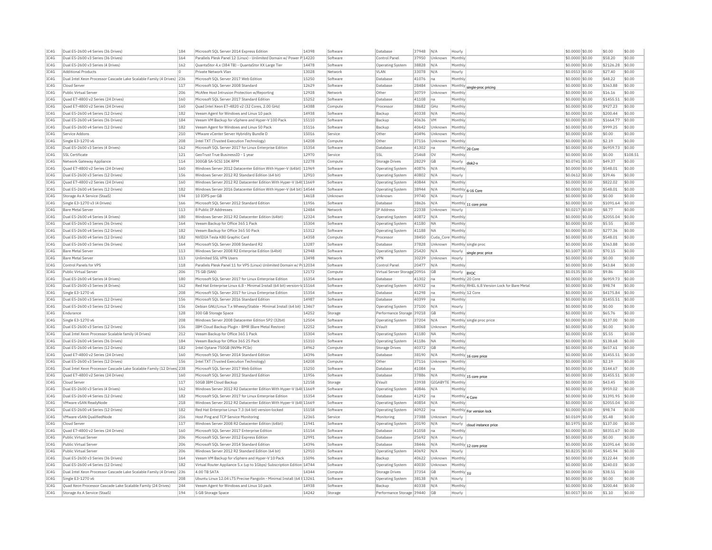| IC4G | Dual E5-2600 v4 Series (36 Drives                                     | 184 | Microsoft SQL Server 2014 Express Edition                                | 14398 | Software | Database                     | 37948          | N/A               | Hourly                     |                                              | \$0.0000 \$0.00  | \$0.00    | \$0.00   |
|------|-----------------------------------------------------------------------|-----|--------------------------------------------------------------------------|-------|----------|------------------------------|----------------|-------------------|----------------------------|----------------------------------------------|------------------|-----------|----------|
| IC4G | Dual E5-2600 v3 Series (36 Drives)                                    | 164 | Parallels Plesk Panel 12 (Linux) - Unlimited Domain w/ Power P 14220     |       | Software | Control Pane                 | 37950          | Unknown           | Monthly                    |                                              | \$0.0000 \$0.00  | \$58.20   | \$0.00   |
| IC4G | Dual E5-2600 v3 Series (4 Drives)                                     | 162 | QuantaStor 4.x (384 TB) - QuantaStor XX Large Tier                       | 14478 | Software | <b>Operating System</b>      | 38828          | N/A               | Monthly                    |                                              | \$0.0000 \$0.00  | \$2126.28 | \$0.00   |
| IC4G | <b>Additional Products</b>                                            |     | Private Network Vlan                                                     | 13028 | Network  | VI AN                        | 33078          | N/A               | Hourly                     |                                              | \$0,0553 \$0,00  | \$27.40   | \$0.00   |
| IC4G | Dual Intel Xeon Processor Cascade Lake Scalable Family (4 Drives) 236 |     | Microsoft SQL Server 2017 Web Edition                                    | 15250 | Software | Database                     | 41076          | na                | Monthly                    |                                              | \$0,0000 \$0,00  | \$48.22   | \$0.00   |
| IC4G | Cloud Server                                                          | 117 | Microsoft SOL Server 2008 Standard                                       | 12629 | Software | Database                     | 28484          | Unknown           |                            | Monthly single-proc pricing                  | \$0,0000 \$0,00  | \$363.88  | \$0.00   |
| IC4G | Public Virtual Server                                                 | 206 | McAfee Host Intrusion Protection w/Reporting                             | 12928 | Network  | Other                        | 30759          | Unknown           | Monthly                    |                                              | \$0.0000 \$0.00  | \$16.16   | \$0.00   |
| IC4G | Quad E7-4800 v2 Series (24 Drives)                                    | 160 | Microsoft SQL Server 2017 Standard Edition                               | 15252 | Software | Database                     | 41108          |                   | Monthly                    |                                              | \$0.0000 \$0.00  | \$1455.51 | \$0.00   |
| TCAG | Quad E7-4800 v2 Series (24 Drives)                                    | 160 | Quad Intel Xeon F7-4820 v2 (32 Cores, 2.00 GHz)                          | 14388 | Compute  | Processor                    | 38682          | GHZ               | Monthly                    |                                              | $$0.0000$ \$0.00 | \$927.23  | \$0.00   |
| TC4G | Dual E5-2600 v4 Series (12 Drives)                                    | 182 | Veeam Agent for Windows and Linux 10 pack                                | 14938 | Software | Backun                       | 40338          | N/A               | Monthly                    |                                              | \$0.0000 \$0.00  | \$200.44  | \$0.00   |
| IC4G | Dual E5-2600 v4 Series (36 Drives)                                    | 184 | Veeam VM Backup for vSphere and Hyper-V 100 Pack                         | 15110 | Software | Backun                       | 40636          | <b>VM</b>         | Monthly                    |                                              | \$0,0000 \$0.00  | \$1664.77 | \$0.00   |
| IC4G | Dual E5-2600 v4 Series (12 Drives)                                    | 182 | Veeam Agent for Windows and Linux 50 Pack                                | 15116 | Software | Backup                       | 40642          | Unknown           | Monthly                    |                                              | \$0,0000 \$0,00  | \$999.25  | \$0.00   |
| IC4G | Service Addons                                                        | 210 | VMware vCenter Server Hybridity Bundle D                                 | 15016 | Service  | Other                        | 40496          | Unknowr           | Monthly                    |                                              | \$0.0000 \$0.00  | \$0.00    | \$0.00   |
| IC4G | Single E3-1270 v6                                                     | 208 | Intel TXT (Trusted Execution Technology)                                 | 14208 | Compute  | Other                        | 37116          | Unknown           | Monthly                    |                                              | \$0,0000 \$0,00  | \$2.19    | \$0.00   |
| IC4G | Dual E5-2600 v3 Series (4 Drives)                                     | 162 | Microsoft SOL Server 2017 for Linux Enterprise Edition                   | 15354 | Software | Database                     | 41302          | Ina               |                            |                                              | \$0,0000 \$0.00  | \$6959.73 | \$0.00   |
| IC4G | <b>SSL Certificate</b>                                                | 121 | GeoTrust True BusinessID - 1 year                                        | 12970 | Service  | SSL                          | 25468          | lov               | Monthly 20 Core<br>Monthly |                                              | \$0,0000 \$0,00  | \$0.00    | \$108.51 |
| IC4G | Network Gateway Appliance                                             | 114 | 300GB SA-SCSI 10K RPM                                                    | 12278 | Compute  | Storage Drives               | 28229          | GB                |                            |                                              | \$0.0741 \$0.00  | \$49.37   | \$0.00   |
|      |                                                                       |     |                                                                          |       |          |                              |                |                   | Hourly                     | disk <sub>2-1</sub>                          |                  |           |          |
| IC4G | Quad E7-4800 v2 Series (24 Drives)                                    | 160 | Windows Server 2012 Datacenter Edition With Hyper-V (64bit) 11969        |       | Software | Operating System             | 40876          | N/A               | Monthly                    |                                              | \$0,0000 \$0,00  | \$548.01  | \$0.00   |
| TCAG | Dual E5-2600 v3 Series (12 Drives                                     | 156 | Windows Server 2012 R2 Standard Edition (64 bit)                         | 12910 | Software | <b>Operating System</b>      | 40802          | N/A               | Hourly                     |                                              | \$0.0612 \$0.00  | \$39.46   | \$0.00   |
| TC4G | Quad E7-4800 v2 Series (24 Drives)                                    | 160 | Windows Server 2012 R2 Datacenter Edition With Hyper-V (64t 11669        |       | Software | Operating System             | 40844          | N/A               | Monthly                    |                                              | \$0.0000 \$0.00  | \$822.02  | \$0.00   |
| IC4G | Dual E5-2600 v4 Series (12 Drives)                                    | 182 | Windows Server 2016 Datacenter Edition With Hyper-V (64 bit) 14544       |       | Software | Operating System             | 38944          | N/A               |                            | Monthly 6-16 Core                            | \$0,0000 \$0.00  | \$548.01  | \$0.00   |
| TC4G | Storage As A Service (StaaS)                                          | 194 | 10 TOPS per GB                                                           | 14618 | Unknown  | Unknown                      | 39740          | N/A               | Hourly                     |                                              | $$0.0000$ \$0.00 | \$0.00    | \$0.00   |
| IC4G | Single E3-1270 v3 (4 Drives)                                          | 166 | Microsoft SQL Server 2012 Standard Edition                               | 11956 | Software | Database                     | 38626          | N/A               | Monthly                    | 1 core price                                 | \$0.0000 \$0.00  | \$1091.64 | \$0.00   |
| IC4G | <b>Bare Metal Server</b>                                              | 113 | 8 Public IP Addresses                                                    | 12484 | Network  | IP Address                   | 22338          | Unknown           | Hourly                     |                                              | \$0.0217 \$0.00  | \$8.77    | \$0.00   |
| IC4G | Dual E5-2600 v4 Series (4 Drives)                                     | 180 | Windows Server 2012 R2 Datacenter Edition (64bit)                        | 12324 | Software | <b>Operating System</b>      | 40872          | N/A               | Monthly                    |                                              | \$0.0000 \$0.00  | \$2055.04 | \$0.00   |
| IC4G | Dual E5-2600 v3 Series (36 Drives)                                    | 164 | Veeam Backup for Office 365 1 Pack                                       | 15304 | Software | <b>Operating System</b>      | 41180          | <b>NA</b>         | Monthly                    |                                              | \$0,0000 \$0,00  | \$5.55    | \$0.00   |
| IC4G | Dual E5-2600 v4 Series (12 Drives)                                    | 182 | Veeam Backup for Office 365 50 Pack                                      | 15312 | Software | <b>Operating System</b>      | 41188          | <b>NA</b>         | Monthly                    |                                              | \$0,0000 \$0,00  | \$277.36  | \$0.00   |
| IC4G | Dual E5-2600 v4 Series (12 Drives)                                    | 182 | NVIDIA Tesla K80 Graphic Card                                            | 14358 | Compute  | Processor                    | 38450          | Cuda_Core Monthly |                            |                                              | \$0.0000 \$0.00  | \$548.01  | \$0.00   |
| TCAG | Dual E5-2600 v3 Series (36 Drives                                     | 164 | Microsoft SOL Server 2008 Standard R2                                    | 13287 | Software | Database                     | 37828          | Unknown           |                            | Monthly single proc                          | \$0,0000 \$0.00  | \$363.88  | \$0.00   |
| IC4G | <b>Bare Metal Serve</b>                                               | 113 | Windows Server 2008 R2 Enterprise Edition (64bit)                        | 12948 | Software | Operating System             | 25420          | N/A               | Hourly                     | single proc price                            | \$0,1007 \$0.00  | \$70.15   | \$0.00   |
| IC4G | Bare Metal Server                                                     | 113 | Unlimited SSL VPN Users                                                  | 13498 | Network  | <b>VPN</b>                   | 30239          | Unknown           | Hourly                     |                                              | \$0,0000 \$0,00  | \$0.00    | \$0.00   |
| TCAG | Control Panels for VPS                                                | 118 | Parallels Plesk Panel 11 for VPS (Linux) Unlimited Domain w/ P(12034     |       | Software | Control Pane                 | 20477          | N/A               | Monthly                    |                                              | \$0.0000 \$0.00  | \$43.84   | \$0.00   |
| IC4G | Public Virtual Server                                                 | 206 | 75 GB (SAN)                                                              | 12172 | Compute  | Virtual Server Storage 20916 |                | GB                | Hourly                     | <b>BYOC</b>                                  | $$0.0135$ \$0.00 | \$9.86    | \$0.00   |
|      |                                                                       | 180 | Microsoft SOL Server 2017 for Linux Enterprise Edition                   | 15354 |          |                              |                |                   |                            | Monthly 20 Core                              | $$0.0000$ \$0.00 | \$6959.73 |          |
| TC4G | Dual E5-2600 v4 Series (4 Drives)                                     |     |                                                                          |       | Software | Database                     |                | Ina               |                            |                                              |                  |           | \$0.00   |
|      |                                                                       |     |                                                                          |       |          |                              | 41302          |                   |                            |                                              |                  |           |          |
| IC4G | Dual E5-2600 v3 Series (4 Drives)                                     | 162 | Red Hat Enterprise Linux 6.8 - Minimal Install (64 bit) version-Id 15164 |       | Software | Operating System             | 40932          | Ina               |                            | Monthly RHEL 6.8 Version Lock for Bare Metal | \$0.0000 \$0.00  | \$98.74   | \$0.00   |
| IC4G | Single E3-1270 v6                                                     | 208 | Microsoft SOL Server 2017 for Linux Enterprise Edition                   | 15354 | Software | Database                     | 41298          | <b>I</b> na       |                            | Monthly 12 Core                              | \$0.0000 \$0.00  | \$4175.84 | \$0.00   |
| IC4G | Dual E5-2600 v3 Series (12 Drives)                                    | 156 | Microsoft SQL Server 2016 Standard Edition                               | 14987 | Software | Database                     | 40399          | Ina               | Monthly                    |                                              | \$0,0000 \$0,00  | \$1455.51 | \$0.00   |
| IC4G | Dual E5-2600 v3 Series (12 Drives)                                    | 156 | Debian GNU/Linux 7.x Wheezy/Stable - Minimal Install (64 bit) 13467      |       | Software | <b>Operating System</b>      | 37100          | N/A               | Hourly                     |                                              | \$0.0000 \$0.00  | \$0.00    | \$0.00   |
| IC4G | Endurance                                                             | 128 | 300 GB Storage Space                                                     | 14252 | Storage  | Performance Storage 39218    |                | <b>GB</b>         | Monthly                    |                                              | \$0.0000 \$0.00  | \$65.76   | \$0.00   |
| IC4G | Single E3-1270 v6                                                     | 208 | Windows Server 2008 Datacenter Edition SP2 (32bit)                       | 12504 | Software | Operating System             | 37204          | N/A               |                            | Monthly single proc price                    | \$0,0000 \$0.00  | \$137.00  | \$0.00   |
| IC4G | Dual E5-2600 v3 Series (12 Drives)                                    | 156 | IBM Cloud Backup Plugin - BMR (Bare Metal Restore)                       | 12252 | Software | EVault                       | 38068          | Unknown           | Monthly                    |                                              | \$0,0000 \$0.00  | \$0.00    | \$0.00   |
| IC4G | Dual Intel Xeon Processor Scalable family (4 Drives)                  | 212 | Veeam Backup for Office 365 1 Pack                                       | 15304 | Software | Operating System             | 41180          | NΑ                | Monthly                    |                                              | \$0.0000 \$0.00  | \$5.55    | \$0.00   |
| IC4G | Dual E5-2600 v4 Series (36 Drives)                                    | 184 | Veeam Backup for Office 365 25 Pack                                      | 15310 | Software | Operating Systen             | 41186          | <b>NA</b>         | Monthly                    |                                              | \$0,0000 \$0.00  | \$138.68  | \$0.00   |
| TC4G | Dual E5-2600 v4 Series (12 Drives                                     | 182 | Intel Ontane 750GB (NVMe PCIe)                                           | 14962 | Compute  | <b>Storage Drives</b>        | 40372          | <b>GB</b>         | Monthly                    |                                              | \$0,0000 \$0.00  | \$657.61  | \$0.00   |
| TCAG | Quad E7-4800 v2 Series (24 Drives)                                    | 160 | Microsoft SQL Server 2014 Standard Edition                               | 14396 | Software | Database                     | 38190          | N/A               |                            | Monthly 16 core price                        | \$0.0000 \$0.00  | \$1455.51 | \$0.00   |
| TCAG | Dual E5-2600 v3 Series (12 Drives)                                    | 156 | Intel TXT (Trusted Execution Technology)                                 | 14208 | Compute  | Other                        | 37116          | Unknown           | Monthly                    |                                              | \$0.0000 \$0.00  | \$2.19    | \$0.00   |
| IC4G | Dual Intel Xeon Processor Cascade Lake Scalable Family (12 Drives 238 |     | Microsoft SOL Server 2017 Web Edition                                    | 15250 | Software | Database                     | 41084          | Ina               | Monthly                    |                                              | \$0,0000 \$0,00  | \$144.67  | \$0.00   |
| IC4G | Quad E7-4800 v2 Series (24 Drives)                                    | 160 | Microsoft SQL Server 2012 Standard Edition                               | 11956 | Software | Database                     | 37886          | N/A               |                            |                                              | \$0.0000 \$0.00  | \$1455.51 | \$0.00   |
| IC4G | Cloud Server                                                          | 117 | 50GB TBM Cloud Backup                                                    | 12158 | Storage  | FVault                       | 33938          | GIGABYTE          | Monthly                    | Monthly 15 core price                        | \$0,0000 \$0,00  | \$43.45   | \$0.00   |
| IC4G | Dual E5-2600 v3 Series (4 Drives)                                     | 162 | Windows Server 2012 R2 Datacenter Edition With Hyper-V (64t 11669        |       | Software | Operating System             | 40846          | N/A               | Monthly                    |                                              | \$0,0000 \$0.00  | \$959.02  | \$0.00   |
| TC4G | Dual E5-2600 v4 Series (12 Drives)                                    | 182 | Microsoft SOL Server 2017 for Linux Enterprise Edition                   | 15354 | Software | Database                     | 41292          | Ina               | Monthly                    |                                              | \$0,0000 \$0,00  | \$1391.95 | \$0.00   |
| IC4G | VMware vSAN ReadyNode                                                 | 218 | Windows Server 2012 R2 Datacenter Edition With Hyper-V (64t 11669        |       | Software | Operating System             | 40854          | N/A               | Monthly                    | 4 Core                                       | \$0.0000 \$0.00  | \$2055.04 | \$0.00   |
| IC4G | Dual E5-2600 v4 Series (12 Drives                                     | 182 | Red Hat Enterprise Linux 7.3 (64 bit) version-locked                     | 15158 | Software | <b>Operating System</b>      |                | na                |                            |                                              |                  | \$98.74   | \$0.00   |
| TC4G | VMware vSAN QualifiedNode                                             | 216 |                                                                          | 12365 | Service  |                              | 40922<br>37388 | Unknown           |                            | Monthly For version lock                     | \$0.0000 \$0.00  | \$5.48    | \$0.00   |
|      |                                                                       |     | Host Ping and TCP Service Monitoring                                     |       |          | Monitoring                   |                |                   | Hourly                     |                                              | \$0,0109 \$0,00  |           |          |
| IC4G | Cloud Serve                                                           | 117 | Windows Server 2008 R2 Datacenter Edition (64bit)                        | 11941 | Software | Operating System             | 20190          | N/A               | Hourly                     | cloud instance price                         | \$0,1975 \$0.00  | \$137.00  | \$0.00   |
| TC4G | Quad E7-4800 v2 Series (24 Drives)                                    | 160 | Microsoft SOL Server 2017 Enterprise Edition                             | 15154 | Software | Database                     | 41058          | Ina               | Monthly                    |                                              | \$0,0000 \$0,00  | \$8351.67 | \$0.00   |
| TC4G | Public Virtual Server                                                 | 206 | Microsoft SQL Server 2012 Express Edition                                | 12991 | Software | Database                     | 25692          | N/A               | Hourly                     |                                              | \$0.0000 \$0.00  | \$0.00    | \$0.00   |
| IC4G | Public Virtual Server                                                 | 206 | Microsoft SQL Server 2014 Standard Edition                               | 14396 | Software | Database                     | 38446          | N/A               | Monthly                    | 12 core price                                | \$0.0000 \$0.00  | \$1091.64 | \$0.00   |
| IC4G | Public Virtual Server                                                 | 206 | Windows Server 2012 R2 Standard Edition (64 bit)                         | 12910 | Software | <b>Operating System</b>      | 40692          | N/A               | Hourly                     |                                              | \$0,8235 \$0,00  | \$545.94  | \$0.00   |
| IC4G | Dual E5-2600 v3 Series (36 Drives                                     | 164 | Veeam VM Backup for vSphere and Hyper-V 10 Pack                          | 15096 | Software | Backup                       | 40622          | Unknown           | Monthly                    |                                              | \$0,0000 \$0.00  | \$122.44  | \$0.00   |
| IC4G | Dual E5-2600 v4 Series (12 Drives)                                    | 182 | Virtual Router Appliance 5.x (up to 1Gbps) Subscription Edition 14744    |       | Software | <b>Operating System</b>      | 40030          | Unknown           | Monthly                    |                                              | \$0.0000 \$0.00  | \$240.03  | \$0.00   |
| IC4G | Dual Intel Xeon Processor Cascade Lake Scalable Family (4 Drives)     | 236 | 4.00 TR SATA                                                             | 14344 | Compute  | Storage Drives               | 37354          | GB                | Monthly 1U                 |                                              | \$0,0000 \$0.00  | \$38.51   | \$0.00   |
| IC4G | Single E3-1270 v6                                                     | 208 | Ubuntu Linux 12.04 LTS Precise Pangolin - Minimal Install (64 t 13261    |       | Software | <b>Operating System</b>      | 38138          | N/A               | Hourly                     |                                              | \$0,0000 \$0.00  | \$0.00    | \$0.00   |
| IC4G | Ouad Xeon Processor Cascade Lake Scalable Family (24 Drives)          | 244 | Veeam Agent for Windows and Linux 10 pack                                | 14938 | Software | Backun                       | 40338          | N/A               | Monthly                    |                                              | \$0,0000 \$0,00  | \$200.44  | \$0.00   |
| IC4G | Storage As A Service (StaaS)                                          | 194 | 5 GB Storage Space                                                       | 14242 | Storage  | Performance Storage 39440    |                | <b>GB</b>         | Hourly                     |                                              | \$0.0017 \$0.00  | \$1.10    | \$0.00   |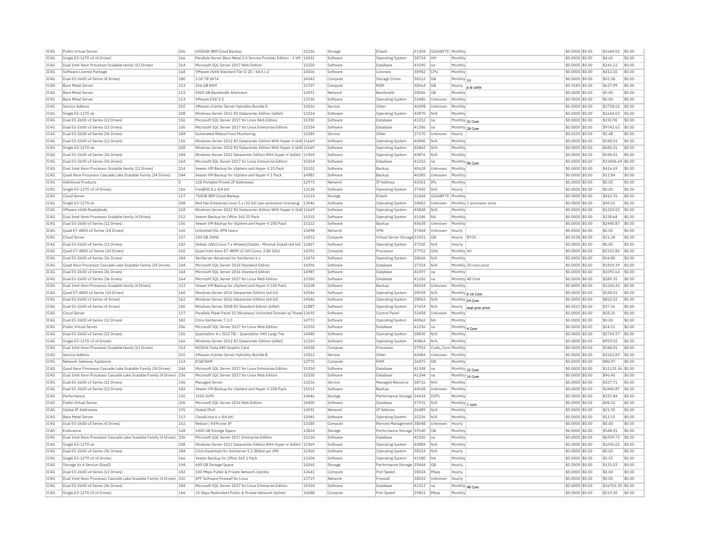| IC4G         | Public Virtual Server                                                 | 206        | 6000GB IBM Cloud Backup                                                 | 15326 | Storage  | EVault                       | 41204 | GIGABYTE Monthly  |                           | \$0,0000 \$0.00  | \$1644.03         | \$0.00 |
|--------------|-----------------------------------------------------------------------|------------|-------------------------------------------------------------------------|-------|----------|------------------------------|-------|-------------------|---------------------------|------------------|-------------------|--------|
| IC4G         | Single E3-1270 v3 (4 Drives)                                          | 166        | Parallels Server Bare Metal 5.0 Service Provider Edition - 1 VM 13431   |       | Software | <b>Operating System</b>      | 38724 | VM                | Monthly                   | \$0,0000 \$0.00  | \$4.60            | \$0.00 |
| IC4G         | Dual Intel Xeon Processor Scalable family (12 Drives)                 | 214        | Microsoft SQL Server 2017 Web Edition                                   | 15250 | Software | Database                     | 41090 | Ina               | Monthly                   | \$0,0000 \$0.00  | \$241.12          | \$0.00 |
| IC4G         | Software License Package                                              | 168        | VMware vSAN Standard Tier II 20 - 64 6.x 2                              | 14556 | Software | Licenses                     | 38982 | <b>CPU</b>        | Monthly                   | \$0,0000 \$0.00  | \$412.10          | \$0.00 |
| TC4G         | Dual E5-2600 v4 Series (4 Drives)                                     | 180        | 3.00 TR SATA                                                            | 14342 | Compute  | Storage Drives               | 38212 | GB                | Monthly 1U                | \$0,0000 \$0.00  | \$32.58           | \$0.00 |
| IC4G         | <b>Bare Metal Server</b>                                              | 113        | 256 GB RAM                                                              | 11707 | Compute  | RAM                          | 38364 | GB                | Hourly<br>a la carte      | \$0.9183 \$0.00  | \$627.99          | \$0.00 |
| IC4G         | <b>Bare Metal Server</b>                                              | 113        | 5000 GB Bandwidth Allotment                                             | 12091 | Network  | Bandwidth                    | 38506 | GB                | Monthl                    | \$0.0000 \$0.00  | \$0.00            | \$0.00 |
| TC4G         | <b>Bare Metal Server</b>                                              | 113        | VMware FSXi 5.5                                                         | 13196 | Software | Operating System             | 32486 | Unknown           | Monthly                   | $$0.0000$ \$0.00 | \$0.00            | \$0.00 |
| IC4G         | Service Addons                                                        | 210        | VMware vCenter Server Hybridity Bundle D                                | 15016 | Service  | Other                        | 40498 | Unknowr           | Monthly                   | \$0,0000 \$0.00  | \$1758.02         | \$0.00 |
| IC4G         | Single E3-1270 v6                                                     | 208        | Windows Server 2012 R2 Datacenter Edition (64bit)                       | 12324 | Software | Operating System             | 40870 | N/A               | Monthly                   | \$0,0000 \$0.00  | \$1644.03         | \$0.00 |
| IC4G         | Dual E5-2600 v3 Series (12 Drives)                                    | 156        | Microsoft SQL Server 2017 for Linux Web Edition                         | 15350 | Software | Database                     | 41252 | Ina               | Monthly 32 Core           | \$0.0000 \$0.00  | \$192.90          | \$0.00 |
| IC4G         | Dual E5-2600 v3 Series (12 Drives)                                    | 156        | Microsoft SQL Server 2017 for Linux Enterprise Edition                  | 15354 | Software | Database                     | 41306 | na                |                           | \$0.0000 \$0.00  | \$9743.62         | \$0.00 |
| TC4G         | Dual E5-2600 v4 Series (36 Drives)                                    | 184        | Automated Reboot from Monitoring                                        | 12285 | Service  | Other                        | 37170 | Unknown           | Monthly 28 Core<br>Hourly | \$0.0109 \$0.00  | \$5.48            | \$0.00 |
|              |                                                                       |            |                                                                         |       | Software |                              | 40840 | N/A               | Monthly                   |                  |                   | \$0.00 |
| IC4G<br>TCAG | Dual E5-2600 v3 Series (12 Drives)<br>Single E3-1270 v6               | 156<br>208 | Windows Server 2012 R2 Datacenter Edition With Hyper-V (64t 11669       |       |          | <b>Operating System</b>      |       |                   |                           | \$0.0000 \$0.00  | \$548.01          | \$0.00 |
|              |                                                                       |            | Windows Server 2012 R2 Datacenter Edition With Hyper-V (64t 11669       |       | Software | Operating System             | 40842 | N/A               | Monthly                   | \$0.0000 \$0.00  | \$685.01          |        |
| IC4G         | Dual E5-2600 v4 Series (36 Drives)                                    | 184        | Windows Server 2012 Datacenter Edition With Hyper-V (64bit) 11969       |       | Software | <b>Operating System</b>      | 40876 | N/A               | Monthly                   | \$0,0000 \$0.00  | \$548.01          | \$0.00 |
| IC4G         | Dual E5-2600 v3 Series (36 Drives)                                    | 164        | Microsoft SQL Server 2017 for Linux Enterprise Edition                  | 15354 | Software | Database                     | 41316 | na                | Monthly 96 Core           | \$0.0000 \$0.00  | \$33406.69        | \$0.00 |
| IC4G         | Dual Intel Xeon Processor Scalable family (12 Drives)                 | 214        | Veeam VM Backup for vSphere and Hyper-V 25 Pack                         | 15102 | Software | Backup                       | 40628 | Unknown           | Monthly                   | \$0,0000 \$0,00  | \$416.69          | \$0.00 |
| IC4G         | Quad Xeon Processor Cascade Lake Scalable Family (24 Drives)          | 244        | Veeam VM Backup for vSphere and Hyper-V 1 Pack                          | 14983 | Software | Backup                       | 40385 | Unknown           | Monthly                   | \$0.0000 \$0.00  | \$12.84           | \$0.00 |
| IC4G         | <b>Additional Products</b>                                            | O          | 128 Portable Private IP Addresses                                       | 12973 | Network  | IP Address                   | 40361 | IPs               | Monthly                   | \$0.0000 \$0.00  | \$0.00            | \$0.00 |
| IC4G         | Single E3-1270 v3 (4 Drives)                                          | 166        | FreeBSD 8.x (64 bit)                                                    | 13128 | Software | Operating System             | 37450 | N/A               | Hourly                    | \$0.0000 \$0.00  | \$0.00            | \$0.00 |
| IC4G         | Cloud Serve                                                           | 117        | 750GB IBM Cloud Backup                                                  | 12114 | Storage  | EVault                       | 31468 | GIGABYTE          | Monthly                   | \$0,0000 \$0.00  | \$410.76          | \$0.00 |
| IC4G         | Single E3-1270 v6                                                     | 208        | Red Hat Enterprise Linux 5.x (32 bit) (per-processor licensing)   13046 |       | Software | Operating System             | 38402 | Unknown           | Monthly 1 processor price | \$0,0000 \$0,00  | \$49.32           | \$0.00 |
| IC4G         | VMware vSAN ReadyNode                                                 | 218        | Windows Server 2012 R2 Datacenter Edition With Hyper-V (64t 11669       |       | Software | Operating System             | 40848 | N/A               | Monthly                   | \$0.0000 \$0.00  | \$1233.02         | \$0.00 |
| IC4G         | Dual Intel Xeon Processor Scalable family (4 Drives)                  | 212        | Veeam Backup for Office 365 25 Pack                                     | 15310 | Software | <b>Operating System</b>      | 41186 | <b>NA</b>         | Monthly                   | \$0.0000 \$0.00  | \$138.68          | \$0.00 |
| IC4G         | Dual E5-2600 v3 Series (12 Drives)                                    | 156        | Veeam VM Backup for vSphere and Hyper-V 200 Pack                        | 15112 | Software | Backup                       | 40638 | Unknown           | Monthly                   | \$0.0000 \$0.00  | \$2440.87         | \$0.00 |
| IC4G         | Quad E7-4800 v2 Series (24 Drives)                                    | 160        | Unlimited SSL VPN Users                                                 | 13498 | Network  | VPN                          | 37404 | Unknown           | Hourly                    | \$0,0000 \$0.00  | \$0.00            | \$0.00 |
| TC4G         | Cloud Server                                                          | 117        | 100 GB (SAN)                                                            | 12012 | Compute  | Virtual Server Storage 23301 |       | GB                | Hourly BYOC               | \$0,0158 \$0.00  | \$11.28           | \$0.00 |
| IC4G         | Dual E5-2600 v4 Series (12 Drives)                                    | 182        | Debian GNU/Linux 7.x Wheezy/Stable - Minimal Install (64 bit)           | 13467 | Software | Operating System             | 37100 | N/A               | Hourly                    | \$0.0000 \$0.00  | \$0.00            | \$0.00 |
| IC4G         | Ouad E7-4800 v2 Series (24 Drives)                                    | 160        | Ouad Intel Xeon E7-4890 v2 (60 Cores, 2,80 GHz)                         | 14392 |          | Processo                     |       | GHz               | Monthly 4U                | \$0,0000 \$0.00  | \$2132.86         | \$0.00 |
|              |                                                                       |            |                                                                         |       | Compute  |                              | 37752 |                   |                           |                  |                   |        |
| TC4G         | Dual E5-2600 v4 Series (36 Drives)                                    | 184        | XenServer Advanced for XenServer 6 x                                    | 12474 | Software | Operating System             | 38606 | N/A               | Monthly                   | \$0,0000 \$0.00  | \$54.80           | \$0.00 |
| IC4G         | Ouad Xeon Processor Cascade Lake Scalable Family (24 Drives)          | 244        | Microsoft SQL Server 2014 Standard Edition                              | 14396 | Software | Database                     | 37334 | N/A               | Monthly 20 core price     | \$0,0000 \$0.00  | \$1819.39         | \$0.00 |
| IC4G         | Dual E5-2600 v3 Series (36 Drives)                                    | 164        | Microsoft SOL Server 2016 Standard Edition                              | 14987 | Software | Database                     | 40397 | na                | Monthly                   | \$0,0000 \$0.00  | \$1091.64         | \$0.00 |
| IC4G         | Dual E5-2600 v3 Series (36 Drives)                                    | 164        | Microsoft SQL Server 2017 for Linux Web Edition                         | 15350 | Software | Database                     | 41256 | Ina               | Monthly 48 Core           | \$0.0000 \$0.00  | \$289.35          | \$0.00 |
| IC4G         | Dual Intel Xeon Processor Scalable family (4 Drives)                  | 212        | Veeam VM Backup for vSphere and Hyper-V 100 Pack                        | 15108 | Software | Backup                       | 40634 | Unknown           | Monthly                   | \$0.0000 \$0.00  | \$1220.43         | \$0.00 |
| IC4G         | Quad E7-4800 v2 Series (24 Drives)                                    | 160        | Windows Server 2016 Datacenter Edition (64 bit)                         | 14546 | Software | Operating System             | 38958 | N/A               | Monthly 6-16 Core         | $$0.0000$ \$0.00 | \$548.01          | \$0.00 |
| TCAG         | Dual E5-2600 v3 Series (4 Drives)                                     | 162        | Windows Server 2016 Datacenter Edition (64 bit)                         | 14546 | Software | <b>Operating System</b>      | 38962 | N/A               | Monthly 24 Core           | \$0.0000 \$0.00  | \$822.02          | \$0.00 |
| TCAG         | Dual E5-2600 v4 Series (4 Drives)                                     | 180        | Windows Server 2008 R2 Standard Edition (64bit)                         | 11887 | Software | Operating System             | 37654 | N/A               | Hourly<br>dual proc price | \$0.0523 \$0.00  | \$37.26           | \$0.00 |
| IC4G         | Cloud Server                                                          | 117        | Parallels Plesk Panel 10 (Windows) Unlimited Domain w/ Powe 13695       |       | Software | Control Panel                | 32458 | Unknown           | Monthly                   | \$0,0000 \$0.00  | \$58.20           | \$0.00 |
| IC4G         | Dual E5-2600 v4 Series (12 Drives)                                    | 182        | Citrix XenServer 7.1.0                                                  | 14772 | Software | <b>Operating System</b>      | 40062 | <b>NA</b>         | Monthly                   | \$0.0000 \$0.00  | \$0.00            | \$0.00 |
| IC4G         | Public Virtual Server                                                 | 206        | Microsoft SOL Server 2017 for Linux Web Edition                         | 15350 | Software | Database                     | 41236 | Ina               | Monthly 4 Core            | \$0,0000 \$0,00  | \$24.11           | \$0.00 |
| IC4G         | Dual E5-2600 v3 Series (12 Drives)                                    | 156        | QuantaStor 4.x (512 TB) - QuantaStor XXX Large Tier                     | 14480 | Software | <b>Operating System</b>      | 38830 | N/A               | Monthly                   | \$0.0000 \$0.00  | \$2734.57         | \$0.00 |
| IC4G         | Single E3-1270 v3 (4 Drives)                                          | 166        | Windows Server 2012 R2 Datacenter Edition (64bit)                       | 12324 | Software | <b>Operating System</b>      | 40864 | N/A               | Monthly                   | \$0.0000 \$0.00  | \$959.02          | \$0.00 |
| IC4G         | Dual Intel Xeon Processor Scalable family (12 Drives)                 | 214        | NVIDIA Tesla K80 Graphic Card                                           | 14358 | Compute  | Processor                    | 37952 | Cuda Core Monthly |                           | \$0,0000 \$0.00  | \$548.01          | \$0.00 |
|              |                                                                       |            |                                                                         |       |          |                              |       |                   |                           |                  |                   |        |
| IC4G         | Service Addons                                                        | 210        | VMware vCenter Server Hybridity Bundle B                                | 15012 | Service  | Other                        | 40484 | Unknown           | Monthly                   | \$0,0000 \$0.00  | \$3262.85         | \$0.00 |
| IC4G         | Network Gateway Appliance                                             | 114        | 8 GB RAM                                                                | 12770 | Compute  | RAM                          | 26475 | GB                | Monthly                   | \$0.0000 \$0.00  | \$80.97           | \$0.00 |
| IC4G         | Ouad Xeon Processor Cascade Lake Scalable Family (24 Drives)          | 244        | Microsoft SQL Server 2017 for Linux Enterprise Edition                  | 15354 | Software | Database                     | 41308 | Ina               | Monthly 32 Core           | \$0.0000 \$0.00  | \$11135.56 \$0.00 |        |
| IC4G         | Dual Intel Xeon Processor Cascade Lake Scalable Family (4 Drives) 236 |            | Microsoft SOL Server 2017 for Linux Web Edition                         | 15350 | Software | Database                     | 41244 | na                | Monthly 16 Core           | \$0,0000 \$0.00  | \$96.45           | \$0.00 |
| IC4G         | Dual E5-2600 v3 Series (12 Drives)                                    | 156        | Managed Server                                                          | 13256 | Service  | Managed Resource             | 38716 | N/A               | Monthly                   | \$0,0000 \$0.00  | \$327.71          | \$0.00 |
| IC4G         | Dual E5-2600 v4 Series (12 Drives)                                    | 182        | Veeam VM Backup for vSphere and Hyper-V 200 Pack                        | 15112 | Software | Backup                       | 40638 | Unknown           | Monthly                   | \$0,0000 \$0.00  | \$2440.87         | \$0.00 |
| TCAG         | Performance                                                           | 120        | 3100 TOPS                                                               | 14046 | Storage  | Performance Storage 34434    |       | <b>TOPS</b>       | Monthly                   | \$0,0000 \$0.00  | \$237.84          | \$0.00 |
| IC4G         | Public Virtual Server                                                 | 206        | Microsoft SQL Server 2014 Web Edition                                   | 14400 | Software | Database                     | 37576 | N/A               | Monthly   7 core          | \$0.0000 \$0.00  | \$48.22           | \$0.00 |
| IC4G         | Global IP Addresses                                                   | 176        | Global TPv4                                                             | 13091 | Network  | IP Address                   | 26489 | N/A               | Monthly                   | \$0.0000 \$0.00  | \$21.92           | \$0.00 |
| TC4G         | <b>Bare Metal Server</b>                                              | 113        | Cloudl inux 6 x (64 bit)                                                | 12941 | Software | Operating System             | 25236 | N/A               | Monthly                   | $$0.0000$ \$0.00 | \$13.15           | \$0.00 |
| IC4G         | Dual E5-2600 v3 Series (4 Drives)                                     | 162        | Reboot / KVM over IP                                                    | 13180 | Compute  | Remote Management 38048      |       | Unknown           | Hourly                    | \$0,0000 \$0.00  | \$0.00            | \$0.00 |
| IC4G         | Endurance                                                             | 128        | 1000 GB Storage Space                                                   | 13824 | Storage  | Performance Storage 39140    |       | GB                | Monthly                   | \$0,0000 \$0.00  | \$548.01          | \$0.00 |
| IC4G         | Dual Intel Xeon Processor Cascade Lake Scalable Family (4 Drives) 236 |            | Microsoft SQL Server 2017 Enterprise Edition                            | 15154 | Software | Database                     | 41056 | Ina               | Monthly                   | \$0.0000 \$0.00  | \$6959.73         | \$0.00 |
| IC4G         | Single E3-1270 v6                                                     | 208        | Windows Server 2012 Datacenter Edition With Hyper-V (64bit)             | 11969 | Software | Operating System             | 40884 | N/A               | Monthly                   | \$0.0000 \$0.00  | \$1096.02         | \$0.00 |
| TC4G         | Dual E5-2600 v4 Series (36 Drives)                                    | 184        | Citrix Essentials for XenServer 5.5 (Billed per VM)                     | 11960 | Software |                              | 38324 | N/A               |                           | \$0.0000 \$0.00  | \$0.00            | \$0.00 |
| IC4G         |                                                                       |            |                                                                         | 15304 |          | <b>Operating System</b>      |       | <b>NA</b>         | Hourly                    |                  | \$5.55            | \$0.00 |
| TCAG         | Single E3-1270 v3 (4 Drives)                                          | 166        | Veeam Backup for Office 365 1 Pack                                      | 14260 | Software | <b>Operating System</b>      | 41180 |                   | Monthly                   | \$0.0000 \$0.00  | \$131.52          | \$0.00 |
|              | Storage As A Service (StaaS)                                          | 194        | 600 GB Storage Space                                                    |       | Storage  | Performance Storage 39444    |       | <b>GB</b>         | Hourly                    | \$0.2009 \$0.00  |                   |        |
| IC4G         | Dual E5-2600 v4 Series (12 Drives)                                    | 182        | 100 Mbps Public & Private Network Uplinks                               | 12643 | Compute  | Port Speed                   | 38024 | Mbps              | Hourly                    | \$0,0000 \$0.00  | \$0.00            | \$0.00 |
| IC4G         | Dual Intel Xeon Processor Cascade Lake Scalable Family (4 Drives)     | 236        | APF Software Firewall for Linux                                         | 13719 | Network  | Firewal                      | 38032 | Unknow            | Hourly                    | \$0.0000 \$0.00  | \$0.00            | \$0.00 |
| IC4G         | Dual E5-2600 v4 Series (36 Drives)                                    | 184        | Microsoft SOL Server 2017 for Linux Enterprise Edition                  | 15354 | Software | Database                     | 41312 | Ina               | Monthly 48 Core           | \$0.0000 \$0.00  | \$16703.35 \$0.00 |        |
| IC4G         | Single E3-1270 v3 (4 Drives)                                          | 166        | 10 Gbps Redundant Public & Private Network Uplinks                      | 14288 | Compute  | Port Speed                   | 39832 | Mbps              | Monthly                   | \$0,0000 \$0.00  | \$219.20          | \$0.00 |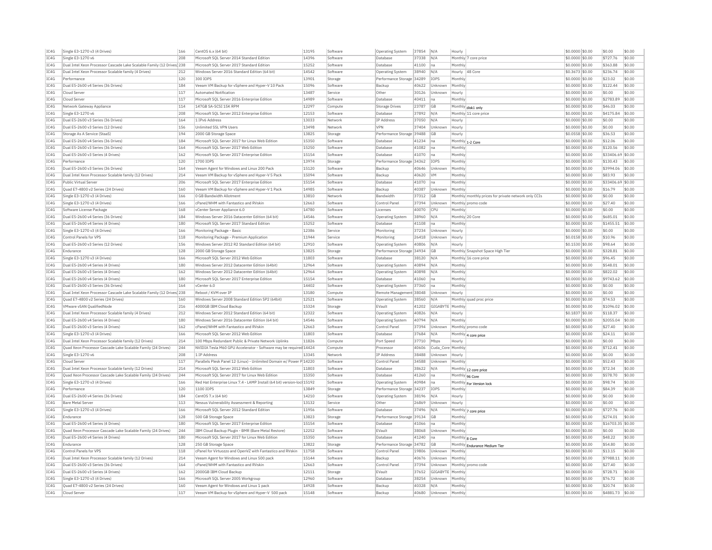| IC4G         | Single E3-1270 v3 (4 Drives)                                           | 166        | CentOS 6.x (64 bit)                                                                          | 13195          | Software             | <b>Operating System</b>   | 37854          | N/A               | Hourly                                               | \$0,0000 \$0.00                     | \$0.00               | \$0.00           |
|--------------|------------------------------------------------------------------------|------------|----------------------------------------------------------------------------------------------|----------------|----------------------|---------------------------|----------------|-------------------|------------------------------------------------------|-------------------------------------|----------------------|------------------|
| IC4G         | Single E3-1270 v6                                                      | 208        | Microsoft SOL Server 2014 Standard Edition                                                   | 14396          | Software             | Database                  | 37338          | N/A               | Monthly 7 core price                                 | \$0.0000 \$0.00                     | \$727.76             | \$0.00           |
| IC4G         | Dual Intel Xeon Processor Cascade Lake Scalable Family (12 Drives 238  |            | Microsoft SOL Server 2017 Standard Edition                                                   | 15252          | Software             | Database                  | 41100          | lna.              | Monthly                                              | \$0,0000 \$0.00                     | \$363.88             | \$0.00           |
| IC4G         | Dual Intel Xeon Processor Scalable family (4 Drives)                   | 212        | Windows Server 2016 Standard Edition (64 bit)                                                | 14542          | Software             | Operating System          | 38940          | N/A               | 48 Core<br>Hourly                                    | \$0.3673 \$0.00                     | \$236.74             | \$0.00           |
| IC4G         | Performance                                                            | 120        | 300 TOPS                                                                                     | 13901          | Storage              | Performance Storage 34289 |                | <b>IOPS</b>       | Monthly                                              | \$0,0000 \$0.00                     | \$23.02              | \$0.00           |
| TC4G         | Dual E5-2600 v4 Series (36 Drives)                                     | 184        | Veeam VM Backup for vSphere and Hyper-V 10 Pack                                              | 15096          | Software             | Backun                    | 40622          | Unknown           | Monthly                                              | $$0.0000$ \$0.00                    | \$122.44             | \$0.00           |
| IC4G         | Cloud Serve                                                            | 117        | <b>Automated Notification</b>                                                                | 13487          | Service              | Other                     | 30126          | Unknown           | Hourly                                               | \$0.0000 \$0.00                     | \$0.00               | \$0.00           |
| TCAG         | Cloud Server                                                           | 117        | Microsoft SQL Server 2016 Enterprise Edition                                                 | 14989          | Software             | Database                  | 40411          | na                | Monthly                                              | \$0.0000 \$0.00                     | \$2783.89            | \$0.00           |
| IC4G         | Network Gateway Appliance                                              | 114        | 147GB SA-SCST 15K RPM                                                                        | 12297          | Compute              | <b>Storage Drives</b>     | 23787          | GB                | Monthly disk1 only                                   | \$0.0000 \$0.00                     | \$46.03              | \$0.00           |
| IC4G         | Single E3-1270 v6                                                      | 208        | Microsoft SQL Server 2012 Enterprise Edition                                                 | 12153          | Software             | Database                  | 37892          | N/A               | Monthly 11 core price                                | \$0.0000 \$0.00                     | \$4175.84            | \$0.00           |
| IC4G         | Dual E5-2600 v3 Series (36 Drives)                                     | 164        | 1 IPv6 Address                                                                               | 13033          | Network              | IP Address                | 37050          | N/A               | Hourly                                               | \$0,0000 \$0.00                     | \$0.00               | \$0.00           |
| IC4G         | Dual E5-2600 v3 Series (12 Drives)                                     | 156        | Unlimited SSL VPN Users                                                                      | 13498          | Network              | VPN                       | 37404          | Unknown           | Hourly                                               | \$0.0000 \$0.00                     | \$0.00               | \$0.00           |
| IC4G         | Storage As A Service (StaaS)                                           | 194        | 2000 GB Storage Space                                                                        | 13825          | Storage              | Performance Storage 39488 |                | GB                | Hourly                                               | \$0.0558 \$0.00                     | \$36.53              | \$0.00           |
| IC4G         | Dual E5-2600 v4 Series (36 Drives)                                     | 184        | Microsoft SQL Server 2017 for Linux Web Edition                                              | 15350          | Software             | Database                  | 41234          | Ina               | Monthly 1-2 Core                                     | \$0.0000 \$0.00                     | \$12.06              | \$0.00           |
| IC4G         | Dual E5-2600 v3 Series (36 Drives)                                     | 164        | Microsoft SOL Server 2017 Web Edition                                                        | 15250          | Software             | Database                  | 41082          | na                | Monthly                                              | \$0.0000 \$0.00                     | \$120.56             | \$0.00           |
| IC4G         | Dual E5-2600 v3 Series (4 Drives)                                      | 162        | Microsoft SOL Server 2017 Enterprise Edition                                                 | 15154          | Software             | Database                  | 41070          | Ina               | Monthly                                              | \$0,0000 \$0.00                     | \$33406.69 \$0.00    |                  |
| IC4G         | Performance                                                            | 120        | 1700 IOPS                                                                                    | 13974          | Storage              | Performance Storage 34362 |                | <b>IOPS</b>       | Monthly                                              | \$0,0000 \$0.00                     | \$130.43             | \$0.00           |
| TC4G         | Dual E5-2600 v3 Series (36 Drives)                                     | 164        | Veeam Agent for Windows and Linux 200 Pack                                                   | 15120          | Software             | Backup                    | 40646          | Unknown           | Monthly                                              | \$0,0000 \$0.00                     | \$3994.06            | \$0.00           |
| IC4G         | Dual Intel Xeon Processor Scalable family (12 Drives)                  | 214        | Veeam VM Backup for vSphere and Hyper-V 5 Pack                                               | 15094          | Software             | Backup                    | 40620          | VM                | Monthly                                              | \$0.0000 \$0.00                     | \$83.93              | \$0.00           |
| IC4G         | Public Virtual Server                                                  | 206        | Microsoft SQL Server 2017 Enterprise Edition                                                 | 15154          | Software             | Database                  | 41070          | na                | Monthly                                              | \$0.0000 \$0.00                     | \$33406.69           | \$0.00           |
| IC4G         | Ouad E7-4800 v2 Series (24 Drives)                                     | 160        | Veeam VM Backup for vSphere and Hyper-V 1 Pack                                               | 14985          | Software             | Backup                    | 40387          | Unknown           | Monthly                                              | $$0.0000$ \$0.00                    | \$16.79              | \$0.00           |
| IC4G         | Single E3-1270 v3 (4 Drives)                                           | 166        | 0 GB Bandwidth Allotment                                                                     | 13810          | Network              | Bandwidth                 | 37312          | GB                | Monthly monthly prices for private network only CCIs | \$0.0000 \$0.00                     | \$0.00               | \$0.00           |
| IC4G         | Single E3-1270 v3 (4 Drives)                                           | 166        | cPanel/WHM with Fantastico and RVskin                                                        | 12663          | Software             | Control Pane              | 37394          | Unknown           | Monthly promo code                                   | \$0.0000 \$0.00                     | \$27.40              | \$0.00           |
| IC4G         | Software License Package                                               | 168        | vCenter Server Appliance 6.0                                                                 | 14780          | Software             | Licenses                  | 40070          | CPU               | Monthly                                              | \$0,0000 \$0.00                     | \$0.00               | \$0.00           |
| IC4G         | Dual E5-2600 v4 Series (36 Drives)                                     | 184        | Windows Server 2016 Datacenter Edition (64 bit)                                              | 14546          | Software             | <b>Operating System</b>   | 38960          | N/A               | Monthly 20 Core                                      | \$0.0000 \$0.00                     | \$685.01             | \$0.00           |
| IC4G         | Dual E5-2600 v4 Series (4 Drives)                                      | 180        | Microsoft SOL Server 2017 Standard Edition                                                   | 15252          | Software             | Database                  | 41108          | lna               | Monthly                                              | \$0,0000 \$0.00                     | \$1455.51            | \$0.00           |
| IC4G         | Single E3-1270 v3 (4 Drives)                                           | 166        | Monitoring Package - Basic                                                                   | 12386          | Service              | Monitoring                | 37234          | Unknown           | Hourly                                               | \$0.0000 \$0.00                     | \$0.00               | \$0.00           |
| TC4G         | Control Panels for VPS                                                 | 118        | Monitoring Package - Premium Application                                                     | 11944          | Service              | Monitoring                | 26418          | Unknown           | Hourly                                               | \$0,0158 \$0.00                     | \$10.96              | \$0.00           |
| IC4G         | Dual E5-2600 v3 Series (12 Drives)                                     | 156        | Windows Server 2012 R2 Standard Edition (64 bit)                                             | 12910          | Software             | Operating System          | 40806          | N/A               | Hourly                                               | \$0.1530 \$0.00                     | \$98.64              | \$0.00           |
| IC4G         | Endurance                                                              | 128        | 2000 GB Storage Space                                                                        | 13825          | Storage              | Performance Storage       | 34934          | GB                | Monthly Snapshot Space High Tier                     | \$0.0000 \$0.00                     | \$328.81             | \$0.00           |
| TCAG         | Single E3-1270 v3 (4 Drives)                                           | 166        | Microsoft SOL Server 2012 Web Edition                                                        | 11803          | Software             | Database                  | 38120          | N/A               | Monthly 16 core price                                | \$0,0000 \$0.00                     | \$96.45              | \$0.00           |
| IC4G         | Dual E5-2600 v4 Series (4 Drives)                                      | 180        | Windows Server 2012 Datacenter Edition (64bit)                                               | 12964          | Software             | Operating System          | 40894          | N/A               | Monthly                                              | \$0,0000 \$0.00                     | \$548.01             | \$0.00           |
| IC4G         | Dual E5-2600 v3 Series (4 Drives)                                      | 162        | Windows Server 2012 Datacenter Edition (64bit)                                               | 12964          | Software             | Operating System          | 40898          | N/A               | Monthly                                              | \$0,0000 \$0.00                     | \$822.02             | \$0.00           |
| IC4G         | Dual E5-2600 v4 Series (4 Drives)                                      | 180        | Microsoft SQL Server 2017 Enterprise Edition                                                 | 15154          | Software             | Database                  | 41060          | Ina               | Monthly                                              | \$0.0000 \$0.00                     | \$9743.62            | \$0.00           |
| IC4G         | Dual E5-2600 v3 Series (36 Drives)                                     | 164        | vCenter 6.0                                                                                  | 14402          | Software             | Operating System          | 37360          | na                | Monthly                                              | \$0.0000 \$0.00                     | \$0.00               | \$0.00           |
| TC4G         | Dual Intel Xeon Processor Cascade Lake Scalable Family (12 Drives) 238 |            | Reboot / KVM over TP                                                                         | 13180          | Compute              | Remote Management 38048   |                | Unknown           | Hourly                                               | $$0.0000$ \$0.00                    | \$0.00               | \$0.00           |
| IC4G         | Ouad E7-4800 v2 Series (24 Drives)                                     | 160        | Windows Server 2008 Standard Edition SP2 (64bit)                                             | 12521          | Software             | Operating System          | 38560          | N/A               | Monthly quad proc price                              | \$0.0000 \$0.00                     | \$74.53              | \$0.00           |
| IC4G         | VMware vSAN OualifiedNode                                              | 216        | 4000GB IBM Cloud Backup                                                                      | 15324          | Storage              | EVault                    | 41202          | GIGABYTE Monthly  |                                                      | \$0.0000 \$0.00                     | \$1096.02            | \$0.00           |
| IC4G         | Dual Intel Xeon Processor Scalable family (4 Drives)                   | 212        | Windows Server 2012 Standard Edition (64 bit)                                                | 12322          | Software             | <b>Operating System</b>   | 40826          | N/A               | Hourly                                               | \$0.1837 \$0.00                     | \$118.37             | \$0.00           |
| IC4G         | Dual E5-2600 v4 Series (4 Drives)                                      | 180        | Windows Server 2016 Datacenter Edition (64 bit)                                              | 14546          | Software             | <b>Operating System</b>   | 40794          | N/A               | Monthly                                              | \$0.0000 \$0.00                     | \$2055.04            | \$0.00           |
| IC4G         | Dual E5-2600 v3 Series (4 Drives)                                      | 162        | cPanel/WHM with Fantastico and RVskin                                                        | 12663          | Software             | Control Panel             | 37394          | Unknown           | Monthly oromo code                                   | \$0,0000 \$0.00                     | \$27.40              | \$0.00           |
| IC4G         | Single E3-1270 v3 (4 Drives)                                           | 166        | Microsoft SOL Server 2012 Web Edition                                                        | 11803          | Software             | Database                  | 37684          | N/A               | Monthly 4 core price                                 | \$0,0000 \$0.00                     | \$24.11              | \$0.00           |
| IC4G         | Dual Intel Xeon Processor Scalable family (12 Drives)                  | 214        | 100 Mbps Redundant Public & Private Network Uplinks                                          | 11826          | Compute              | Port Speed                | 37710          | Mbps              | Hourly                                               | \$0,0000 \$0.00                     | \$0.00               | \$0.00           |
| IC4G         | Quad Xeon Processor Cascade Lake Scalable Family (24 Drives)           | 244        | NVIDIA Tesla M60 GPU Accelerator - Software may be required 14424                            |                | Compute              | Processor                 | 40606          | Cuda Core Monthly |                                                      | \$0.0000 \$0.00                     | \$712.41             | \$0.00           |
| IC4G         | Single E3-1270 v6                                                      | 208        | 1 IP Address                                                                                 | 13345          | Network              | IP Address                | 38488          | Unknowr           | Hourly                                               | \$0,0000 \$0.00                     | \$0.00               | \$0.00           |
| IC4G         | Cloud Server                                                           | 117        | Parallels Plesk Panel 12 (Linux) - Unlimited Domain w/ Power P 14220                         |                | Software             | Control Pane              | 34588          | Unknown           | Monthly                                              | \$0.0000 \$0.00                     | \$52.43              | \$0.00           |
| IC4G         | Dual Intel Xeon Processor Scalable family (12 Drives)                  | 214        | Microsoft SOL Server 2012 Web Edition                                                        | 11803          | Software             | Database                  | 38622          | N/A               | Monthly 12 core price                                | \$0.0000 \$0.00                     | \$72.34              | \$0.00           |
| IC4G         | Ouad Xeon Processor Cascade Lake Scalable Family (24 Drives)           | 244        | Microsoft SOL Server 2017 for Linux Web Edition                                              | 15350          | Software             | Database                  | 41260          | na                | Monthly 96 Core                                      | \$0,0000 \$0.00                     | \$578.70             | \$0.00           |
| TC4G         | Single E3-1270 v3 (4 Drives)                                           | 166        | Red Hat Enterprise Linux 7.4 - LAMP Install (64 bit) version-loc 15192                       |                | Software             | <b>Operating System</b>   | 40984          | Ina               | Monthly For Version lock                             | $$0.0000$ \$0.00                    | \$98.74              | \$0.00           |
| IC4G         | Performance                                                            | 120        | 1100 TOPS                                                                                    | 13849          | Storage              | Performance Storage       | 34237          | IOPS              | Monthly                                              | \$0.0000 \$0.00                     | \$84.39              | \$0.00           |
| TCAG         | Dual E5-2600 v4 Series (36 Drives)                                     | 184        | CentOS 7 x (64 bit)                                                                          | 14210          | Software             | <b>Operating System</b>   | 38196          | N/A               | Hourly                                               | $$0.0000$ \$0.00                    | \$0.00               | \$0.00           |
| IC4G         | <b>Bare Metal Server</b>                                               | 113        | Nessus Vulnerability Assessment & Reporting                                                  | 13132          | Service              | Other                     | 26869          | Unknown           | Hourly                                               | \$0.0000 \$0.00                     | \$0.00               | \$0.00           |
| IC4G         | Single E3-1270 v3 (4 Drives)                                           | 166        | Microsoft SQL Server 2012 Standard Edition                                                   | 11956          | Software             | Database                  | 37496          | N/A               |                                                      | \$0.0000 \$0.00                     | \$727.76             | \$0.00           |
| IC4G         | Endurance                                                              | 128        | 500 GB Storage Space                                                                         | 13823          | Storage              | Performance Storage 39134 |                | GB                | Monthly 7 core price<br>Monthly                      | \$0.0000 \$0.00                     | \$274.01             | \$0.00           |
| IC4G         | Dual E5-2600 v4 Series (4 Drives)                                      | 180        | Microsoft SQL Server 2017 Enterprise Edition                                                 | 15154          | Software             | Database                  | 41066          | na                | Monthly                                              | \$0.0000 \$0.00                     | \$16703.35           | \$0.00           |
| IC4G         | Quad Xeon Processor Cascade Lake Scalable Family (24 Drives)           | 244        | IBM Cloud Backup Plugin - BMR (Bare Metal Restore)                                           | 12252          | Software             | FVault                    | 38068          | Unknown           | Monthly                                              | \$0,0000 \$0.00                     | \$0.00               | \$0.00           |
| IC4G         | Dual E5-2600 v4 Series (4 Drives)                                      | 180        | Microsoft SQL Server 2017 for Linux Web Edition                                              | 15350          | Software             | Database                  | 41240          | na                |                                                      | \$0,0000 \$0.00                     | \$48.22              | \$0.00           |
| IC4G         | Endurance                                                              | 128        | 250 GB Storage Space                                                                         | 13822          | Storage              | Performance Storage 34782 |                | GB                | Monthly 8 Core                                       | \$0,0000 \$0.00                     | \$54.80              | \$0.00           |
| IC4G         | Control Panels for VPS                                                 | 118        | cPanel for Virtuozzo and OpenVZ with Fantastico and RVskin                                   | 11758          | Software             | Control Panel             | 19806          | Unknown           | Monthly Endurance Medium Tier<br>Monthly             | \$0.0000 \$0.00                     | \$13.15              | \$0.00           |
| IC4G         |                                                                        |            |                                                                                              | 15144          | Software             | Backup                    | 40676          | Unknown           | Monthly                                              | \$0.0000 \$0.00                     | \$7988.11            | \$0.00           |
|              |                                                                        |            |                                                                                              |                |                      |                           |                |                   |                                                      |                                     |                      |                  |
|              | Dual Intel Xeon Processor Scalable family (12 Drives)                  | 214        | Veeam Agent for Windows and Linux 500 pack                                                   |                |                      |                           |                |                   |                                                      |                                     |                      |                  |
| TC4G         | Dual E5-2600 v3 Series (36 Drives)                                     | 164        | cPanel/WHM with Fantastico and RVskin                                                        | 12663          | Software             | Control Panel             | 37394          | Unknown           | Monthly promo code                                   | $$0.0000$ \$0.00                    | \$27.40              | \$0.00           |
| TCAG         | Dual E5-2600 v3 Series (4 Drives)                                      | 162        | 2000GB IBM Cloud Backup                                                                      | 12111          | Storage              | FVault                    | 37652          | GIGARYTE Monthly  |                                                      | \$0.0000 \$0.00                     | \$728.71             | \$0.00           |
| IC4G         | Single E3-1270 v3 (4 Drives)                                           | 166        | Microsoft SQL Server 2005 Workgroup                                                          | 12960          | Software             | Database                  | 38254          | <b>Inknown</b>    | Monthly                                              | $$0.0000$ \$0.00                    | \$76.72              | \$0.00           |
| IC4G<br>IC4G | Quad E7-4800 v2 Series (24 Drives)<br>Cloud Server                     | 160<br>117 | Veeam Agent for Windows and Linux 1 pack<br>Veeam VM Backup for vSphere and Hyper-V 500 pack | 14928<br>15148 | Software<br>Software | Backun<br>Backup          | 40328<br>40680 | N/A<br>Unknown    | Monthly<br>Monthly                                   | $$0.0000$ \$0.00<br>\$0.0000 \$0.00 | \$20.74<br>\$4881.73 | \$0.00<br>\$0.00 |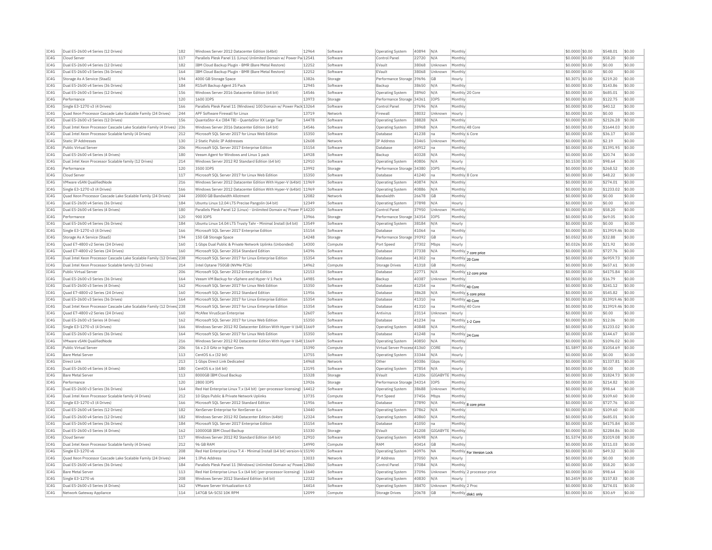| IC4G | Dual E5-2600 v4 Series (12 Drives)                                    | 182 | Windows Server 2012 Datacenter Edition (64bit)                           | 12964 | Software | Operating System             | 40894 | N/A<br>Monthly          |                           | \$0.0000 \$0.00  | \$548.01          | \$0.00 |
|------|-----------------------------------------------------------------------|-----|--------------------------------------------------------------------------|-------|----------|------------------------------|-------|-------------------------|---------------------------|------------------|-------------------|--------|
| IC4G | Cloud Server                                                          | 117 | Parallels Plesk Panel 11 (Linux) Unlimited Domain w/ Power Pa 12541      |       | Software | Control Pane                 | 22720 | N/A<br>Monthly          |                           | \$0.0000 \$0.00  | \$58.20           | \$0.00 |
| IC4G | Dual E5-2600 v4 Series (12 Drives)                                    | 182 | IBM Cloud Backup Plugin - BMR (Bare Metal Restore)                       | 12252 | Software | EVault                       | 38068 | Monthly<br>Unknown      |                           | \$0.0000 \$0.00  | \$0.00            | \$0.00 |
| IC4G | Dual E5-2600 v3 Series (36 Drives)                                    | 164 | IBM Cloud Backup Plugin - BMR (Bare Metal Restore)                       | 12252 | Software | FVault                       | 38068 | Unknown<br>Monthly      |                           | \$0,0000 \$0.00  | \$0.00            | \$0.00 |
| IC4G | Storage As A Service (StaaS)                                          | 194 | 4000 GB Storage Space                                                    | 13826 | Storage  | Performance Storage 39696    |       | GB<br>Hourly            |                           | \$0.3071 \$0.00  | \$219.20          | \$0.00 |
| IC4G | Dual E5-2600 v4 Series (36 Drives)                                    | 184 | R1Soft Backup Agent 25 Pack                                              | 12945 | Software | Backup                       | 38650 | N/A<br>Monthly          |                           | \$0.0000 \$0.00  | \$143.86          | \$0.00 |
| IC4G | Dual E5-2600 v3 Series (12 Drives)                                    | 156 | Windows Server 2016 Datacenter Edition (64 bit)                          | 14546 | Software | Operating System             | 38960 | N/A                     | Monthly 20 Core           | \$0,0000 \$0.00  | \$685.01          | \$0.00 |
| IC4G | Performance                                                           | 120 | 1600 IOPS                                                                | 13973 |          | Performance Storage 34361    |       | IOPS<br>Monthly         |                           | \$0,0000 \$0,00  | \$122.75          | \$0.00 |
|      |                                                                       |     |                                                                          |       | Storage  |                              |       |                         |                           |                  |                   |        |
| IC4G | Single E3-1270 v3 (4 Drives)                                          | 166 | Parallels Plesk Panel 11 (Windows) 100 Domain w/ Power Pack 13264        |       | Software | Control Pane                 | 37696 | N/A<br>Monthly          |                           | \$0,0000 \$0,00  | \$40.12           | \$0.00 |
| IC4G | Quad Xeon Processor Cascade Lake Scalable Family (24 Drives)          | 244 | APF Software Firewall for Linux                                          | 13719 | Network  | Firewall                     | 38032 | Unknown<br>Hourly       |                           | \$0.0000 \$0.00  | \$0.00            | \$0.00 |
| IC4G | Dual E5-2600 v3 Series (12 Drives)                                    | 156 | QuantaStor 4.x (384 TB) - QuantaStor XX Large Tier                       | 14478 | Software | Operating System             | 38828 | Monthly<br>N/A          |                           | \$0.0000 \$0.00  | \$2126.28         | \$0.00 |
| TC4G | Dual Intel Xeon Processor Cascade Lake Scalable Family (4 Drives) 236 |     | Windows Server 2016 Datacenter Edition (64 bit)                          | 14546 | Software | <b>Operating System</b>      | 38968 | N/A                     | Monthly 48 Core           | \$0,0000 \$0.00  | \$1644.03         | \$0.00 |
| IC4G | Dual Intel Xeon Processor Scalable family (4 Drives)                  | 212 | Microsoft SOL Server 2017 for Linux Web Edition                          | 15350 | Software | Database                     | 41238 | na                      | Monthly 6 Cor             | \$0,0000 \$0.00  | \$36.17           | \$0.00 |
| IC4G | <b>Static IP Addresses</b>                                            | 130 | 2 Static Public TP Addresses                                             | 12608 | Network  | IP Address                   | 33465 | Unknown<br>Monthly      |                           | \$0.0000 \$0.00  | \$2.19            | \$0.00 |
| IC4G | Public Virtual Server                                                 | 206 | Microsoft SQL Server 2017 Enterprise Edition                             | 15154 | Software | Database                     | 40912 | Monthly<br>na           |                           | \$0.0000 \$0.00  | \$1391.95         | \$0.00 |
| IC4G | Dual E5-2600 v4 Series (4 Drives)                                     | 180 | Veeam Agent for Windows and Linux 1 pack                                 | 14928 | Software | Backup                       | 40328 | $N/\beta$<br>Monthly    |                           | \$0,0000 \$0.00  | \$20.74           | \$0.00 |
| IC4G | Dual Intel Xeon Processor Scalable family (12 Drives)                 | 214 | Windows Server 2012 R2 Standard Edition (64 bit)                         | 12910 | Software | Operating System             | 40806 | N/A<br>Hourly           |                           | \$0,1530 \$0.00  | \$98.64           | \$0.00 |
| IC4G | Performance                                                           | 120 | 3500 TOPS                                                                | 13992 |          | Performance Storage 34380    |       | <b>TOPS</b><br>Monthly  |                           | \$0.0000 \$0.00  | \$268.52          | \$0.00 |
|      |                                                                       |     |                                                                          |       | Storage  |                              |       |                         |                           |                  |                   |        |
| IC4G | Cloud Server                                                          | 117 | Microsoft SOL Server 2017 for Linux Web Edition                          | 15350 | Software | Database                     | 41240 | Ina                     | Monthly 8 Core            | \$0,0000 \$0.00  | \$48.22           | \$0.00 |
| TC4G | VMware vSAN QualifiedNode                                             | 216 | Windows Server 2012 Datacenter Edition With Hyper-V (64bit) 11969        |       | Software | <b>Operating System</b>      | 40874 | N/A<br>Monthly          |                           | \$0,0000 \$0.00  | \$274.01          | \$0.00 |
| IC4G | Single E3-1270 v3 (4 Drives)                                          | 166 | Windows Server 2012 Datacenter Edition With Hyper-V (64bit) 11969        |       | Software | Operating System             | 40886 | N/A<br>Monthly          |                           | \$0.0000 \$0.00  | \$1233.02         | \$0.00 |
| IC4G | Ouad Xeon Processor Cascade Lake Scalable Family (24 Drives)          | 244 | 20000 GB Bandwidth Allotment                                             | 12082 | Network  | <b>Bandwidth</b>             | 26678 | GB<br>Monthly           |                           | \$0,0000 \$0.00  | \$0.00            | \$0.00 |
| IC4G | Dual E5-2600 v4 Series (36 Drives)                                    | 184 | Ubuntu Linux 12.04 LTS Precise Pangolin (64 bit)                         | 12349 | Software | Operating System             | 37898 | N/A<br>Hourly           |                           | \$0.0000 \$0.00  | \$0.00            | \$0.00 |
| IC4G | Dual E5-2600 v4 Series (4 Drives)                                     | 180 | Parallels Plesk Panel 12 (Linux) - Unlimited Domain w/ Power P 14220     |       | Software | Control Pane                 | 37950 | Unknowr<br>Monthly      |                           | \$0.0000 \$0.00  | \$58.20           | \$0.00 |
| IC4G | Performance                                                           | 120 | 900 TOPS                                                                 | 13966 | Storage  | Performance Storage 34354    |       | <b>TOPS</b><br>Monthly  |                           | $$0.0000$ \$0.00 | \$69.05           | \$0.00 |
| IC4G | Dual E5-2600 v4 Series (36 Drives)                                    | 184 | Ubuntu Linux 14.04 LTS Trusty Tahr - Minimal Install (64 bit)            | 13549 | Software | Operating System             | 38184 | N/A<br>Hourly           |                           | \$0,0000 \$0.00  | \$0.00            | \$0.00 |
| IC4G | Single E3-1270 v3 (4 Drives)                                          | 166 | Microsoft SQL Server 2017 Enterprise Edition                             | 15154 | Software | Database                     | 41064 | Monthly<br>Ina          |                           | \$0.0000 \$0.00  | \$13919.46 \$0.00 |        |
| IC4G | Storage As A Service (StaaS)                                          | 194 | 150 GB Storage Space                                                     | 14248 | Storage  | Performance Storage 39392    |       | GB<br>Hourly            |                           | \$0.0502 \$0.00  | \$32.88           | \$0.00 |
|      |                                                                       |     |                                                                          |       |          |                              |       |                         |                           |                  |                   |        |
| IC4G | Quad E7-4800 v2 Series (24 Drives)                                    | 160 | 1 Gbps Dual Public & Private Network Uplinks (Unbonded)                  | 14300 | Compute  | Port Speed                   | 37302 | Mbps<br>Hourly          |                           | \$0.0326 \$0.00  | \$21.92           | \$0.00 |
| TC4G | Quad E7-4800 v2 Series (24 Drives)                                    | 160 | Microsoft SOL Server 2014 Standard Edition                               | 14396 | Software | Database                     | 37338 | N/A                     | Monthly 7 core price      | $$0.0000$ \$0.00 | \$727.76          | \$0.00 |
| IC4G | Dual Intel Xeon Processor Cascade Lake Scalable Family (12 Drives 238 |     | Microsoft SOL Server 2017 for Linux Enterprise Edition                   | 15354 | Software | Database                     | 41302 | na                      | Monthly 20 Core           | \$0.0000 \$0.00  | \$6959.73         | \$0.00 |
| IC4G | Dual Intel Xeon Processor Scalable family (12 Drives)                 | 214 | Intel Optane 750GB (NVMe PCIe)                                           | 14962 | Compute  | <b>Storage Drives</b>        | 41318 | GB<br>Monthly           |                           | \$0.0000 \$0.00  | \$657.61          | \$0.00 |
| IC4G | Public Virtual Server                                                 | 206 | Microsoft SOL Server 2012 Enterprise Edition                             | 12153 | Software | Database                     | 22771 | N/A                     | Monthly 12 core price     | \$0,0000 \$0.00  | \$4175.84         | \$0.00 |
| IC4G | Dual E5-2600 v3 Series (36 Drives)                                    | 164 | Veeam VM Backup for vSphere and Hyper-V 1 Pack                           | 14985 | Software | Backup                       | 40387 | Unknown<br>Monthly      |                           | \$0.0000 \$0.00  | \$16.79           | \$0.00 |
| IC4G | Dual E5-2600 v3 Series (4 Drives)                                     | 162 | Microsoft SOL Server 2017 for Linux Web Edition                          | 15350 | Software | Database                     | 41254 | na                      | Monthly 40 Core           | \$0,0000 \$0,00  | \$241.12          | \$0.00 |
| IC4G | Ouad E7-4800 v2 Series (24 Drives)                                    | 160 | Microsoft SQL Server 2012 Standard Edition                               | 11956 | Software | Database                     | 38628 | $N/\beta$               | Monthly 5 core price      | \$0.0000 \$0.00  | \$545.82          | \$0.00 |
| IC4G | Dual E5-2600 v3 Series (36 Drives)                                    | 164 | Microsoft SQL Server 2017 for Linux Enterprise Edition                   | 15354 | Software | Database                     | 41310 | Ina                     | Monthly 40 Core           | \$0.0000 \$0.00  | \$13919.46 \$0.00 |        |
| IC4G | Dual Intel Xeon Processor Cascade Lake Scalable Family (12 Drives 238 |     | Microsoft SQL Server 2017 for Linux Enterprise Edition                   | 15354 | Software | Database                     | 41310 | na                      | Monthly 40 Core           | \$0,0000 \$0.00  | \$13919.46 \$0.00 |        |
|      |                                                                       |     |                                                                          |       |          |                              |       |                         |                           |                  |                   |        |
| IC4G | Ouad E7-4800 v2 Series (24 Drives)                                    | 160 | McAfee VirusScan Enterprise                                              | 12607 | Software | Antivirus                    | 23114 | Unknown<br>Hourly       |                           | \$0.0000 \$0.00  | \$0.00            | \$0.00 |
| TC4G | Dual E5-2600 v3 Series (4 Drives)                                     | 162 | Microsoft SOL Server 2017 for Linux Web Edition                          | 15350 | Software | Database                     | 41234 | Ina                     | Monthly 1-2 Core          | \$0,0000 \$0,00  | \$12.06           | \$0.00 |
| IC4G | Single E3-1270 v3 (4 Drives)                                          | 166 | Windows Server 2012 R2 Datacenter Edition With Hyper-V (64t 11669        |       | Software | Operating System             | 40848 | N/A<br>Monthly          |                           | \$0.0000 \$0.00  | \$1233.02         | \$0.00 |
| IC4G | Dual E5-2600 v3 Series (36 Drives)                                    | 164 | Microsoft SQL Server 2017 for Linux Web Edition                          | 15350 | Software | Database                     | 41248 | na                      | Monthly 24 Core           | \$0.0000 \$0.00  | \$144.67          | \$0.00 |
| IC4G | VMware vSAN OualifiedNode                                             | 216 | Windows Server 2012 R2 Datacenter Edition With Hyper-V (64t 11669        |       | Software | <b>Operating System</b>      | 40850 | N/A<br>Monthly          |                           | \$0,0000 \$0,00  | \$1096.02         | \$0.00 |
| IC4G | Public Virtual Server                                                 | 206 | 56 x 2.0 GHz or higher Cores                                             | 15390 | Compute  | Virtual Server Process 41360 |       | CORE<br>Hourly          |                           | \$1,5897 \$0.00  | \$1054.69         | \$0.00 |
| IC4G | <b>Bare Metal Server</b>                                              | 113 | CentOS 6.x (32 bit)                                                      | 13755 | Software | Operating System             | 33344 | N/A<br>Hourly           |                           | \$0,0000 \$0.00  | \$0.00            | \$0.00 |
| IC4G | Direct Link                                                           | 213 | 1 Gbps Direct Link Dedicated                                             | 14968 | Network  | Other                        | 40386 | Gbps<br>Monthly         |                           | \$0,0000 \$0,00  | \$1337.81         | \$0.00 |
| IC4G | Dual E5-2600 v4 Series (4 Drives)                                     | 180 | CentOS 6.x (64 bit)                                                      | 13195 | Software | Operating System             | 37854 | N/A<br>Hourly           |                           | \$0,0000 \$0,00  | \$0.00            | \$0.00 |
| TC4G | <b>Bare Metal Server</b>                                              | 113 | 8000GB TBM Cloud Backup                                                  | 15328 | Storage  | FVault                       | 41206 | GIGARYTE Monthly        |                           | \$0,0000 \$0.00  | \$1824.73         | \$0.00 |
| IC4G | Performance                                                           | 120 | 2800 TOPS                                                                | 13926 | Storage  | Performance Storage 34314    |       | <b>TOPS</b><br>Monthly  |                           | \$0.0000 \$0.00  | \$214.82          | \$0.00 |
|      |                                                                       |     |                                                                          |       |          |                              |       |                         |                           |                  |                   |        |
| IC4G | Dual E5-2600 v3 Series (36 Drives)                                    | 164 | Red Hat Enterprise Linux 7.x (64 bit) (per-processor licensing)   14412  |       | Software | Operating System             | 38688 | Unknown<br>Monthly      |                           | \$0,0000 \$0,00  | \$98.64           | \$0.00 |
| IC4G | Dual Intel Xeon Processor Scalable family (4 Drives)                  | 212 | 10 Gbps Public & Private Network Uplinks                                 | 13735 | Compute  | Port Speed                   | 37456 | Mbps<br>Monthly         |                           | \$0.0000 \$0.00  | \$109.60          | \$0.00 |
| IC4G | Single E3-1270 v3 (4 Drives)                                          | 166 | Microsoft SQL Server 2012 Standard Edition                               | 11956 | Software | Database                     | 37890 | N/A                     | Monthly 8 core price      | \$0,0000 \$0.00  | \$727.76          | \$0.00 |
| IC4G | Dual E5-2600 v4 Series (12 Drives)                                    | 182 | XenServer Enterprise for XenServer 6.x                                   | 13440 | Software | <b>Operating System</b>      | 37862 | N/A<br>Monthly          |                           | \$0,0000 \$0,00  | \$109.60          | \$0.00 |
| IC4G | Dual E5-2600 v4 Series (12 Drives)                                    | 182 | Windows Server 2012 R2 Datacenter Edition (64bit)                        | 12324 | Software | Operating System             | 40860 | N/A<br>Monthly          |                           | \$0.0000 \$0.00  | \$685.01          | \$0.00 |
| TCAG | Dual E5-2600 v4 Series (36 Drives)                                    | 184 | Microsoft SOL Server 2017 Enterprise Edition                             | 15154 | Software | Database                     | 41050 | Monthly<br>na           |                           | \$0,0000 \$0,00  | \$4175.84         | \$0.00 |
| IC4G | Dual E5-2600 v3 Series (4 Drives)                                     | 162 | 10000GB TBM Cloud Backup                                                 | 15330 | Storage  | FVault                       | 41208 | <b>GIGARYTE</b> Monthly |                           | $$0.0000$ \$0.00 | \$2284.86         | \$0.00 |
| IC4G | Cloud Server                                                          | 117 | Windows Server 2012 R2 Standard Edition (64 bit)                         | 12910 | Software | Operating System             | 40698 | N/A<br>Hourly           |                           | \$1,5374 \$0.00  | \$1019.08         | \$0.00 |
| IC4G | Dual Intel Xeon Processor Scalable family (4 Drives)                  | 212 | 96 GB RAM                                                                | 14990 | Compute  | RAM                          | 40414 | GB<br>Monthly           |                           | \$0,0000 \$0,00  | \$311.03          | \$0.00 |
|      |                                                                       | 208 |                                                                          |       |          |                              |       | <b>NA</b>               |                           |                  |                   | \$0.00 |
| IC4G | Single E3-1270 v6                                                     |     | Red Hat Enterprise Linux 7.4 - Minimal Install (64 bit) version-Id 15190 |       | Software | Operating System             | 40976 |                         | Monthly For Version Lock  | \$0.0000 \$0.00  | \$49.32           |        |
| IC4G | Quad Xeon Processor Cascade Lake Scalable Family (24 Drives)          | 244 | 1 TPv6 Address                                                           | 13033 | Network  | <b>IP Address</b>            | 37050 | N/A<br>Hourly           |                           | \$0.0000 \$0.00  | \$0.00            | \$0.00 |
| TC4G | Dual E5-2600 v4 Series (36 Drives)                                    | 184 | Parallels Plesk Panel 11 (Windows) Unlimited Domain w/ Powe 12860        |       | Software | Control Panel                | 37084 | N/A<br>Monthly          |                           | $$0.0000$ \$0.00 | \$58.20           | \$0.00 |
| TCAG | <b>Bare Metal Server</b>                                              | 113 | Red Hat Enterprise Linux 5.x (64 bit) (per-processor licensing)          | 11640 | Software | <b>Operating System</b>      | 37096 | Unknown                 | Monthly 2 processor price | \$0.0000 \$0.00  | \$98.64           | \$0.00 |
| IC4G | Single E3-1270 v6                                                     | 208 | Windows Server 2012 Standard Edition (64 bit)                            | 12322 | Software | <b>Operating System</b>      | 40830 | N/L<br>Hourly           |                           | $$0.2459$ \$0.00 | \$157.83          | sin nn |
| IC4G | Dual E5-2600 v3 Series (4 Drives)                                     | 162 | VMware Server Virtualization 6.0                                         | 14414 | Software | Operating System             | 38470 | Unknown                 | Monthly 2 Proc            | \$0,0000 \$0,00  | \$274.01          | \$0.00 |
| IC4G | Network Gateway Appliance                                             | 114 | 147GB SA-SCSI 10K RPM                                                    | 12099 | Compute  | <b>Storage Drives</b>        | 20678 | GB                      | Monthly disk1 only        | \$0.0000 \$0.00  | \$30.69           | \$0.00 |
|      |                                                                       |     |                                                                          |       |          |                              |       |                         |                           |                  |                   |        |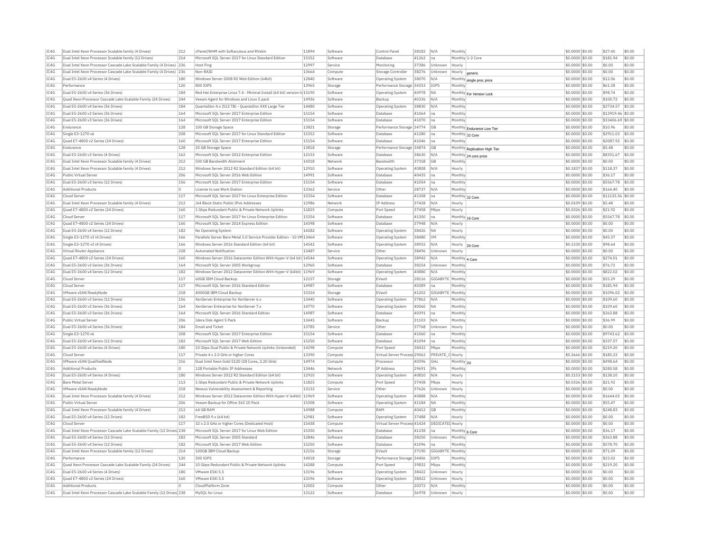| IC4G | Dual Intel Xeon Processor Scalable family (4 Drives)                  | 212      | cPanel/WHM with Softaculous and RVskin                                   | 11894          | Software | Control Panel                | 38182 | N/A              | Monthly                       | \$0,0000 \$0.00  | \$27.40           | \$0.00 |
|------|-----------------------------------------------------------------------|----------|--------------------------------------------------------------------------|----------------|----------|------------------------------|-------|------------------|-------------------------------|------------------|-------------------|--------|
| IC4G | Dual Intel Xeon Processor Scalable family (12 Drives)                 | 214      | Microsoft SOL Server 2017 for Linux Standard Edition                     | 15352          | Software | Database                     | 41262 | na               | Monthly 1-2 Core              | \$0,0000 \$0.00  | \$181.94          | \$0.00 |
| IC4G | Dual Intel Xeon Processor Cascade Lake Scalable Family (4 Drives) 236 |          | <b>Host Ping</b>                                                         | 12997          | Service  | Monitoring                   | 37386 | Unknown          | Hourly                        | \$0,0000 \$0.00  | \$0.00            | \$0.00 |
| IC4G | Dual Intel Xeon Processor Cascade Lake Scalable Family (4 Drives) 236 |          | Non-RAID                                                                 | 13664          | Compute  | Storage Controlle            | 38276 | Unknown          | Hourly<br>generic             | \$0,0000 \$0.00  | \$0.00            | \$0.00 |
| TC4G | Dual E5-2600 v4 Series (4 Drives)                                     | 180      | Windows Server 2008 R2 Web Edition (64bit)                               | 12840          | Software | <b>Operating System</b>      | 38070 | N/A              | Monthly single proc price     | \$0,0000 \$0.00  | \$12.06           | \$0.00 |
| IC4G | Performance                                                           | 120      | 800 TOPS                                                                 | 13965          | Storage  | Performance Storage 34353    |       | IOPS             | Monthly                       | \$0.0000 \$0.00  | \$61.38           | \$0.00 |
| IC4G | Dual E5-2600 v4 Series (36 Drives)                                    | 184      | Red Hat Enterprise Linux 7.4 - Minimal Install (64 bit) version-Id 15190 |                | Software | Operating System             | 40978 | <b>NA</b>        | Monthly For Version Lock      | \$0.0000 \$0.00  | \$98.74           | \$0.00 |
| TC4G | Quad Xeon Processor Cascade Lake Scalable Family (24 Drives)          | 244      | Veeam Agent for Windows and Linux 5 pack                                 | 14936          | Software | Backup                       | 40336 | N/A              | Monthly                       | $$0.0000$ \$0.00 | \$100.72          | \$0.00 |
| IC4G | Dual E5-2600 v4 Series (36 Drives)                                    | 184      | QuantaStor 4.x (512 TB) - QuantaStor XXX Large Tier                      | 14480          | Software | Operating System             | 38830 | N/A              | Monthly                       | \$0,0000 \$0.00  | \$2734.57         | \$0.00 |
| IC4G | Dual E5-2600 v3 Series (36 Drives)                                    | 164      | Microsoft SOL Server 2017 Enterprise Edition                             | 15154          | Software | Database                     | 41064 | Ina              | Monthly                       | \$0,0000 \$0.00  | \$13919.46 \$0.00 |        |
| TCAG | Dual E5-2600 v3 Series (36 Drives)                                    | 164      | Microsoft SQL Server 2017 Enterprise Edition                             | 15154          | Software | Database                     | 41070 | lna              | Monthly                       | \$0.0000 \$0.00  | \$33406.69 \$0.00 |        |
| IC4G | Endurance                                                             | 128      | 100 GB Storage Space                                                     | 13821          | Storage  | Performance Storage 34774    |       | GB               |                               | \$0.0000 \$0.00  | \$10.96           | \$0.00 |
| IC4G | Single E3-1270 v6                                                     | 208      | Microsoft SOL Server 2017 for Linux Standard Edition                     | 15352          | Software | Database                     | 41280 | Ina              | Monthly Endurance Low Tier    | \$0,0000 \$0,00  | \$2911.03         | \$0.00 |
|      |                                                                       |          |                                                                          |                |          |                              |       |                  | Monthly 32 Core               |                  |                   |        |
| IC4G | Ouad E7-4800 v2 Series (24 Drives)<br>Endurance                       | 160      | Microsoft SQL Server 2017 Enterprise Edition                             | 15154<br>13818 | Software | Database                     | 41046 | Ina              | Monthly                       | \$0.0000 \$0.00  | \$2087.92         | \$0.00 |
| IC4G |                                                                       | 128      | 20 GB Storage Space                                                      |                | Storage  | Performance Storage 34874    |       | <b>GB</b>        | Monthly Replication High Tier | \$0,0000 \$0,00  | \$5.48            | \$0.00 |
| IC4G | Dual E5-2600 v3 Series (4 Drives)                                     | 162      | Microsoft SQL Server 2012 Enterprise Edition                             | 12153          | Software | Database                     | 38630 | N/A              | Monthly 24 core price         | \$0,0000 \$0.00  | \$8351.67         | \$0.00 |
| IC4G | Dual Intel Xeon Processor Scalable family (4 Drives)                  | 212      | 500 GB Bandwidth Allotment                                               | 14318          | Network  | Bandwidth                    | 37358 | <b>GB</b>        | Monthly                       | \$0.0000 \$0.00  | \$0.00            | \$0.00 |
| IC4G | Dual Intel Xeon Processor Scalable family (4 Drives)                  | 212      | Windows Server 2012 R2 Standard Edition (64 bit)                         | 12910          | Software | <b>Operating System</b>      | 40808 | N/A              | Hourly                        | \$0,1837 \$0.00  | \$118.37          | \$0.00 |
| IC4G | Public Virtual Server                                                 | 206      | Microsoft SQL Server 2016 Web Edition                                    | 14991          | Software | Database                     | 40435 | Ina              | Monthly                       | \$0,0000 \$0.00  | \$36.17           | \$0.00 |
| IC4G | Dual E5-2600 v3 Series (12 Drives)                                    | 156      | Microsoft SQL Server 2017 Enterprise Edition                             | 15154          | Software | Database                     | 41054 | na               | Monthly                       | \$0,0000 \$0,00  | \$5567.78         | \$0.00 |
| IC4G | <b>Additional Products</b>                                            | $\circ$  | License to use Work Station                                              | 13362          | Service  | Other                        | 28737 | N/A              | Monthly                       | \$0.0000 \$0.00  | \$164.40          | \$0.00 |
| IC4G | Cloud Serve                                                           | 117      | Microsoft SQL Server 2017 for Linux Enterprise Edition                   | 15354          | Software | Database                     | 41308 | Ina              | Monthly 32 Core               | \$0,0000 \$0.00  | \$11135.56        | \$0.00 |
| IC4G | Dual Intel Xeon Processor Scalable family (4 Drives)                  | 212      | /64 Block Static Public TPv6 Addresses                                   | 12986          | Network  | <b>TP Address</b>            | 37428 | N/A              | Hourly                        | \$0,0109 \$0.00  | \$5.48            | \$0.00 |
| IC4G | Quad E7-4800 v2 Series (24 Drives)                                    | 160      | 1 Gbps Redundant Public & Private Network Uplinks                        | 11825          | Compute  | Port Speed                   | 37458 | Mhns             | Hourly                        | \$0.0326 \$0.00  | \$21.92           | \$0.00 |
| IC4G | Cloud Server                                                          | 117      | Microsoft SOL Server 2017 for Linux Enterprise Edition                   | 15354          | Software | Database                     | 41300 | Ina              | Monthly 16 Core               | \$0,0000 \$0.00  | \$5567.78         | \$0.00 |
| IC4G | Quad E7-4800 v2 Series (24 Drives)                                    | 160      | Microsoft SQL Server 2014 Express Edition                                | 14398          | Software | Database                     | 37948 | N/A              | Hourly                        | \$0.0000 \$0.00  | \$0.00            | \$0.00 |
| IC4G | Dual E5-2600 v4 Series (12 Drives)                                    | 182      | No Operating System                                                      | 14282          | Software | Operating System             | 38426 | NA               | Hourly                        | \$0.0000 \$0.00  | \$0.00            | \$0.00 |
| IC4G | Single E3-1270 v3 (4 Drives)                                          | 166      | Parallels Server Bare Metal 5.0 Service Provider Edition - 10 VM 13464   |                | Software | Operating System             | 38480 | <b>VM</b>        | Monthly                       | $$0.0000$ \$0.00 | \$45.37           | \$0.00 |
| IC4G | Single E3-1270 v3 (4 Drives)                                          | 166      | Windows Server 2016 Standard Edition (64 bit)                            | 14542          | Software | <b>Operating System</b>      | 38932 | N/A              | Hourly                        | $$0.1530$ \$0.00 | \$98.64           | \$0.00 |
| IC4G | Virtual Router Appliance                                              | 228      | Automated Notification                                                   | 13487          | Service  | Other                        | 38496 | <b>Linknown</b>  | 20 Core<br>Hourly             | \$0.0000 \$0.00  | \$0.00            | \$0.00 |
| IC4G | Quad E7-4800 v2 Series (24 Drives)                                    | 160      | Windows Server 2016 Datacenter Edition With Hyper-V (64 bit) 14544       |                | Software | Operating System             | 38942 | N/A              |                               | \$0,0000 \$0.00  | \$274.01          | \$0.00 |
| IC4G |                                                                       |          |                                                                          | 12960          |          |                              |       |                  | Monthly 4 Core                |                  |                   | \$0.00 |
|      | Dual E5-2600 v3 Series (36 Drives)                                    | 164      | Microsoft SQL Server 2005 Workgroup                                      |                | Software | Database                     | 38254 | Unknowr          | Monthly                       | \$0.0000 \$0.00  | \$76.72           |        |
| TC4G | Dual E5-2600 v4 Series (12 Drives)                                    | 182      | Windows Server 2012 Datacenter Edition With Hyper-V (64bit) 11969        |                | Software | <b>Operating System</b>      | 40880 | N/A              | Monthly                       | $50.0000$ \$0.00 | \$822.02          | \$0.00 |
| IC4G | Cloud Server                                                          | 117      | 60GB IBM Cloud Backup                                                    | 12157          | Storage  | EVault                       | 28116 | GIGABYTE Monthly |                               | \$0.0000 \$0.00  | \$55.29           | \$0.00 |
| IC4G | Cloud Server                                                          | 117      | Microsoft SQL Server 2016 Standard Edition                               | 14987          | Software | Database                     | 40389 | na               | Monthly                       | \$0.0000 \$0.00  | \$181.94          | \$0.00 |
| IC4G | VMware vSAN ReadvNode                                                 | 218      | 4000GB IBM Cloud Backup                                                  | 15324          | Storage  | EVault                       | 41202 | GIGABYTE Monthly |                               | \$0,0000 \$0.00  | \$1096.02         | \$0.00 |
| IC4G | Dual E5-2600 v3 Series (12 Drives)                                    | 156      | XenServer Enterprise for XenServer 6.x                                   | 13440          | Software | Operating System             | 37862 | N/A              | Monthly                       | \$0,0000 \$0.00  | \$109.60          | \$0.00 |
| TCAG | Dual E5-2600 v3 Series (36 Drives)                                    | 164      | XenServer Enterprise for XenServer 7.x                                   | 14770          | Software | <b>Operating System</b>      | 40060 | <b>NA</b>        | Monthly                       | \$0,0000 \$0.00  | \$109.60          | \$0.00 |
| IC4G | Dual E5-2600 v3 Series (36 Drives)                                    | 164      | Microsoft SQL Server 2016 Standard Edition                               | 14987          | Software | Database                     | 40391 | Ina              | Monthly                       | \$0.0000 \$0.00  | \$363.88          | \$0.00 |
| IC4G | Public Virtual Server                                                 | 206      | Idera Disk Agent 5 Pack                                                  | 13445          | Software | Backup                       | 31103 | N/A              | Monthly                       | \$0.0000 \$0.00  | \$36.99           | \$0.00 |
| TC4G | Dual E5-2600 v4 Series (36 Drives)                                    | 184      | <b>Email and Ticket</b>                                                  | 13785          | Service  | Other                        | 37768 | Unknown          | Hourly                        | $$0.0000$ \$0.00 | \$0.00            | \$0.00 |
| IC4G | Single E3-1270 v6                                                     | 208      | Microsoft SQL Server 2017 Enterprise Edition                             | 15154          | Software | Database                     | 41060 | na               | Monthly                       | \$0,0000 \$0.00  | \$9743.62         | \$0.00 |
| IC4G | Dual E5-2600 v4 Series (12 Drives)                                    | 182      | Microsoft SOL Server 2017 Web Edition                                    | 15250          | Software | Database                     | 41094 | Ina              | Monthly                       | \$0,0000 \$0.00  | \$337.57          | \$0.00 |
| IC4G | Dual E5-2600 v4 Series (4 Drives)                                     | 180      | 10 Gbps Dual Public & Private Network Uplinks (Unbonded)                 | 14298          | Compute  | Port Speed                   | 38432 | Mhns             | Monthly                       | \$0.0000 \$0.00  | \$219.20          | \$0.00 |
| TC4G | Cloud Server                                                          | 117      | Private 4 x 2.0 GHz or higher Cores                                      | 13390          | Compute  | Virtual Server Process 29062 |       | PRIVATE          | C Hourly                      | \$0.2666 \$0.00  | \$185.23          | \$0.00 |
| TC4G | VMware vSAN QualifiedNode                                             | 216      | Dual Intel Xeon Gold 5120 (28 Cores, 2.20 GHz)                           | 14974          | Compute  | Processor                    | 40396 | GHz              | Monthly 2U                    | $$0.0000$ \$0.00 | \$498.64          | \$0.00 |
| IC4G | <b>Additional Products</b>                                            | O        | 128 Portable Public IP Addresses                                         | 13446          | Network  | IP Address                   | 29691 | IPs              | Monthly                       | \$0.0000 \$0.00  | \$280.58          | \$0.00 |
| IC4G | Dual E5-2600 v4 Series (4 Drives)                                     | 180      | Windows Server 2012 R2 Standard Edition (64 bit)                         | 12910          | Software | <b>Operating System</b>      | 40810 | N/A              | Hourly                        | \$0.2153 \$0.00  | \$138.10          | \$0.00 |
| IC4G | <b>Bare Metal Server</b>                                              | 113      | 1 Gbps Redundant Public & Private Network Uplinks                        | 11825          | Compute  | Port Speed                   | 37458 | Mbps             | Hourly                        | \$0.0326 \$0.00  | \$21.92           | \$0.00 |
| IC4G | VMware vSAN ReadyNode                                                 | 218      | Nessus Vulnerability Assessment & Reporting                              | 13132          | Service  | Other                        | 37626 | Unknow           | Hourly                        | \$0.0000 \$0.00  | \$0.00            | \$0.00 |
| IC4G | Dual Intel Xeon Processor Scalable family (4 Drives)                  | 212      | Windows Server 2012 Datacenter Edition With Hyper-V (64bit)              | 11969          | Software | Operating System             | 40888 | N/A              | Monthly                       | \$0,0000 \$0.00  | \$1644.03         | \$0.00 |
|      |                                                                       |          |                                                                          |                |          |                              |       |                  |                               |                  |                   |        |
| IC4G | Public Virtual Server                                                 | 206      | Veeam Backup for Office 365 10 Pack                                      | 15308          | Software | <b>Operating System</b>      | 41184 | <b>NA</b>        | Monthly                       | \$0.0000 \$0.00  | \$55.47           | \$0.00 |
| TC4G | Dual Intel Xeon Processor Scalable family (4 Drives)                  | 212      | 64 GB RAM                                                                | 14988          | Compute  | RAM                          | 40412 | <b>GB</b>        | Monthly                       | \$0,0000 \$0.00  | \$248.83          | \$0.00 |
| IC4G | Dual E5-2600 v4 Series (12 Drives)                                    | 182      | FreeBSD 9.x (64 bit)                                                     | 12981          | Software | Operating System             | 37488 | N/A              | Hourly                        | \$0.0000 \$0.00  | \$0.00            | \$0.00 |
| IC4G | Cloud Server                                                          | 117      | 32 x 2.0 GHz or higher Cores (Dedicated Host)                            | 15438          | Compute  | Virtual Server Process 41424 |       | DEDICATED Hourly |                               | \$0.0000 \$0.00  | \$0.00            | \$0.00 |
| IC4G | Dual Intel Xeon Processor Cascade Lake Scalable Family (12 Drives 238 |          | Microsoft SOL Server 2017 for Linux Web Edition                          | 15350          | Software | Database                     | 41238 | Ina              | Monthly<br>6 Core             | \$0,0000 \$0.00  | \$36.17           | \$0.00 |
| IC4G | Dual E5-2600 v4 Series (12 Drives)                                    | 182      | Microsoft SQL Server 2005 Standard                                       | 12846          | Software | Database                     | 38250 | Unknown          | Monthly                       | \$0,0000 \$0.00  | \$363.88          | \$0.00 |
| TC4G | Dual E5-2600 v4 Series (12 Drives)                                    | 182      | Microsoft SOL Server 2017 Web Edition                                    | 15250          | Software | Database                     | 41096 | na               | Monthly                       | \$0,0000 \$0.00  | \$578.70          | \$0.00 |
| IC4G | Dual Intel Xeon Processor Scalable family (12 Drives)                 | 214      | 100GB IBM Cloud Backup                                                   | 12156          | Storage  | EVault                       | 37190 | GIGABYTE         | Monthly                       | \$0.0000 \$0.00  | \$71.09           | \$0.00 |
| IC4G | Performance                                                           | 120      | 300 TOPS                                                                 | 14018          | Storage  | Performance Storage 34406    |       | <b>IOPS</b>      | Monthly                       | \$0.0000 \$0.00  | \$23.02           | \$0.00 |
| TC4G | Quad Xeon Processor Cascade Lake Scalable Family (24 Drives)          | 244      | 10 Gbns Redundant Public & Private Network Unlinks                       | 14288          | Compute  | Port Speed                   | 39832 | Mhns             | Monthly                       | $$0.0000$ \$0.00 | \$219.20          | \$0.00 |
| TC4G | Dual E5-2600 v4 Series (4 Drives)                                     | 180      | VMware ESXi 5.5                                                          | 13196          | Software | Operating System             | 38422 | Unknown          | Hourly                        | \$0.0000 \$0.00  | \$0.00            | \$0.00 |
| IC4G | Ouad E7-4800 v2 Series (24 Drives                                     | 160      | VMware ESXi 5.5                                                          | 13196          | Software | Operating System             | 38422 | <b>Linknown</b>  | Hourly                        | $$0.0000$ \$0.00 | \$0.00            | \$0.00 |
| IC4G | <b>Additional Products</b>                                            | $\Omega$ | CloudPlatform Zone                                                       | 12002          | Compute  | Other                        | 20372 | N/A              | Monthly                       | $$0.0000$ \$0.00 | \$0.00            | \$0.00 |
| IC4G | Dual Intel Xeon Processor Cascade Lake Scalable Family (12 Drives 238 |          | MySQL for Linux                                                          | 13122          | Software | Database                     | 36978 | Unknown          | Hourly                        | \$0.0000 \$0.00  | \$0.00            | \$0.00 |
|      |                                                                       |          |                                                                          |                |          |                              |       |                  |                               |                  |                   |        |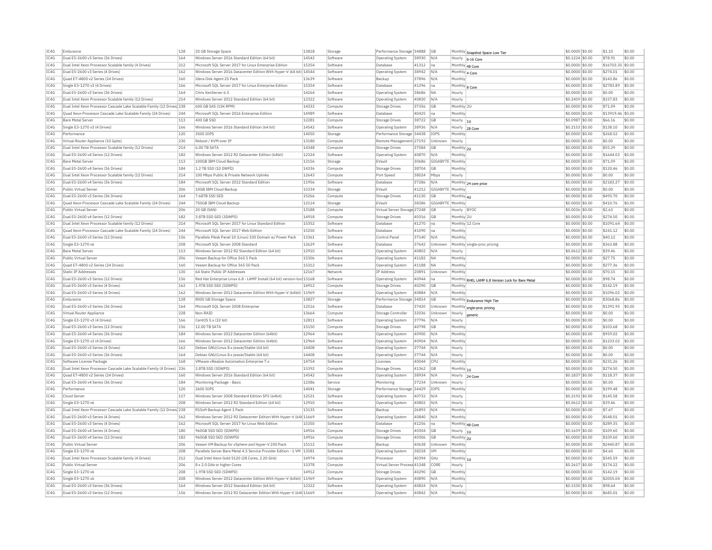| TC4G<br>Dual E5-2600 v3 Series (36 Drives)<br>164<br>Windows Server 2016 Standard Edition (64 bit)<br>14542<br>Software<br>Operating System<br>38930 N/A<br>\$0,1224 \$0.00<br>\$78.91<br>Hourly 6-16 Core<br>IC4G<br>Dual Intel Xeon Processor Scalable family (4 Drives)<br>212<br>Microsoft SQL Server 2017 for Linux Enterprise Edition<br>15354<br>Software<br>Database<br>41312<br>Ina<br>\$0.0000 \$0.00<br>\$16703.35 \$0.00<br>Monthly 48 Core<br>IC4G<br>Dual E5-2600 v3 Series (4 Drives)<br>162<br>Windows Server 2016 Datacenter Edition With Hyper-V (64 bit) 14544<br>Software<br>Operating System<br>38942<br>N/A<br>\$0.0000 \$0.00<br>\$274.01<br>Monthly 4 Core<br>TC4G<br>Quad E7-4800 v2 Series (24 Drives)<br>160<br>13639<br>37896<br>N/A<br>\$0.0000 \$0.00<br>\$143.86<br>Idera Disk Agent 25 Pack<br>Software<br>Backup<br>Monthly<br>IC4G<br>Single E3-1270 v3 (4 Drives)<br>166<br>Microsoft SQL Server 2017 for Linux Enterprise Edition<br>15354<br>41296<br>\$0.0000 \$0.00<br>\$2783.89<br>Software<br><b>Databas</b><br>na<br>Monthly 8 Core<br>IC4G<br>Dual E5-2600 v3 Series (36 Drives)<br>164<br>Citrix XenServer 6.5<br>14264<br>38686<br><b>NA</b><br>\$0,0000 \$0.00<br>\$0.00<br>Software<br>Operating System<br>Hourly<br>IC4G<br>214<br>Windows Server 2012 Standard Edition (64 bit)<br>12322<br>40830<br>\$0.2459 \$0.00<br>Dual Intel Xeon Processor Scalable family (12 Drives)<br>Software<br>Operating System<br>N/A<br>Hourly<br>\$157.83<br>IC4G<br>Dual Intel Xeon Processor Cascade Lake Scalable Family (12 Drives 238<br>600 GB SAS (15K RPM)<br>14332<br>\$71.09<br>37356<br><b>GB</b><br>Monthly 2L<br>\$0,0000 \$0.00<br>Compute<br>Storage Drives<br>14989<br>40425<br>\$13919.46<br>IC4G<br>Quad Xeon Processor Cascade Lake Scalable Family (24 Drives)<br>244<br>Microsoft SQL Server 2016 Enterprise Edition<br>Software<br>Database<br>Ina<br>Monthly<br>\$0,0000 \$0.00<br>TC4G<br>113<br>400 GB SSD<br>12281<br>38722<br>\$66.16<br><b>Bare Metal Server</b><br>Compute<br>Storage Drives<br>G <sub>B</sub><br>Hourly<br>\$0,0987 \$0.00<br>$\vert$ 10<br>IC4G<br>Single E3-1270 v3 (4 Drives)<br>166<br>Windows Server 2016 Standard Edition (64 bit)<br>14542<br>Software<br>38936<br>N/A<br>$$0.2153$ \$0.00<br>\$138.10<br><b>Operating System</b><br>Hourly 28 Core<br>TCAG<br>14050<br>120<br>3500 TOPS<br>\$268.52<br>Performance<br>Storage<br>Performance Storage 34438<br><b>TOPS</b><br>Monthly<br>\$0,0000 \$0.00<br>IC4G<br>230<br>Reboot / KVM over TF<br>13180<br>Remote Management 27192<br>\$0.0000 \$0.00<br>\$0.00<br>Virtual Router Appliance (10 Gpbs)<br>Unknown<br>Compute<br>Hourly<br>IC4G<br>Dual Intel Xeon Processor Scalable family (12 Drives)<br>214<br>6.00 TR SATA<br>14348<br>Compute<br>Storage Drives<br>37584<br>G <sub>B</sub><br>\$0.0000 \$0.00<br>\$55.29<br>Monthly 2U<br>IC4G<br>182<br>Windows Server 2012 R2 Datacenter Edition (64bit)<br>12324<br>Dual E5-2600 v4 Series (12 Drives)<br>40870<br>N/A<br>\$0,0000 \$0.00<br>\$1644.03<br>Software<br>Monthly<br>Operating System<br>IC4G<br><b>Bare Metal Server</b><br>113<br>100GB IBM Cloud Backup<br>12156<br>30686<br>GIGABYTE Monthly<br>\$0.0000 \$0.00<br>\$71.09<br>Storage<br>EVault<br>TC4G<br>184<br>1.2 TB SSD (10 DWPD)<br>14336<br>38704<br>\$120.46<br>Dual E5-2600 v4 Series (36 Drives)<br>GB<br>Monthly<br>$$0.0000$ \$0.00<br>Compute<br>Storage Drives<br>IC4G<br>Dual Intel Xeon Processor Scalable family (12 Drives)<br>214<br>100 Mbps Public & Private Network Uplinks<br>12643<br>38024<br>\$0.0000 \$0.00<br>\$0.00<br>Compute<br>Port Speed<br>Mbps<br>Hourly<br>TC4G<br>184<br>Dual E5-2600 v4 Series (36 Drives)<br>Microsoft SOL Server 2012 Standard Edition<br>11956<br>37286<br>$$0.0000$ \$0.00<br>\$2183.27<br>Software<br>Database<br>N/A<br>Monthly 24 core price<br>IC4G<br>206<br>15334<br>41212<br>\$0.0000 \$0.00<br>Public Virtual Server<br>10GB IBM Cloud Backup<br>Storage<br>EVault<br>GIGABYTE<br>Monthly<br>\$0.00<br>TC4G<br>15266<br>Dual E5-2600 v3 Series (36 Drives)<br>164<br>7.68TB SSD SED<br>Compute<br><b>Storage Drives</b><br>41130<br><b>GB</b><br>Monthly 4U<br>\$0.0000 \$0.00<br>\$493.70<br>IC4G<br>244<br>Ouad Xeon Processor Cascade Lake Scalable Family (24 Drives)<br>750GB IBM Cloud Backup<br>12114<br>Storage<br>EVault<br>38386<br>GIGABYTE<br>Monthly<br>\$0,0000 \$0.00<br>\$410.76<br>TC4G<br>Public Virtual Server<br>206<br>20 GB (SAN)<br>13188<br>Compute<br>Virtual Server Storage 27248<br>GB<br>Hourly BYOC<br>\$0,0036 \$0.00<br>\$2.63<br>IC4G<br>Dual E5-2600 v4 Series (12 Drives)<br>182<br>3.8TB SSD SED (3DWPD)<br>14918<br>Compute<br><b>Storage Drives</b><br>40316<br>GB<br>Monthly 2U<br>\$0.0000 \$0.00<br>\$274.50<br>IC4G<br>15352<br>\$1091.64<br>Dual Intel Xeon Processor Scalable family (12 Drives)<br>214<br>Microsoft SOL Server 2017 for Linux Standard Edition<br>Software<br>Database<br>41270<br>Ina<br>Monthly 12 Core<br>\$0,0000 \$0.00<br>TC4G<br>Quad Xeon Processor Cascade Lake Scalable Family (24 Drives)<br>244<br>Microsoft SQL Server 2017 Web Edition<br>15250<br>41090<br>\$0.0000 \$0.00<br>\$241.12<br>Software<br>Database<br>Monthly<br>Ina<br>IC4G<br>13361<br>Dual E5-2600 v3 Series (12 Drives)<br>156<br>Parallels Plesk Panel 10 (Linux) 100 Domain w/ Power Pack<br>Software<br>Control Panel<br>37140<br>N/A<br>Monthly<br>\$0.0000 \$0.00<br>\$40.12<br>IC4G<br>208<br>12629<br>37642<br>\$363.88<br>Single E3-1270 v6<br>Microsoft SOL Server 2008 Standard<br>Software<br>Database<br>Unknown<br>\$0,0000 \$0.00<br>Monthly single-proc pricing<br>IC4G<br><b>Bare Metal Server</b><br>113<br>Windows Server 2012 R2 Standard Edition (64 bit)<br>12910<br>Software<br>Operating System<br>40802<br>\$0.0612 \$0.00<br>\$39.46<br>N/A<br>Hourly<br>IC4G<br>15306<br>206<br>Veeam Backup for Office 365 5 Pack<br>41182<br>\$0,0000 \$0,00<br>\$27.75<br>Public Virtual Server<br>Software<br>Operating System<br><b>INA</b><br>Monthly<br>IC4G<br>Quad E7-4800 v2 Series (24 Drives)<br>160<br>Veeam Backup for Office 365 50 Pack<br>15312<br>41188<br>Monthly<br>\$0.0000 \$0.00<br>\$277.36<br>Software<br><b>Operating System</b><br><b>NA</b><br>12167<br>\$70.15<br>TC4G<br>Static TP Addresses<br>130<br><b>IP Address</b><br>20891<br>$$0.0000$ \$0.00<br>64 Static Public TP Addresses<br>Network<br>Unknown<br>Monthly<br>IC4G<br>Dual E5-2600 v3 Series (12 Drives)<br>156<br>Red Hat Enterprise Linux 6.8 - LAMP Install (64 bit) version-loc 15168<br>40944<br>\$98.74<br>Software<br><b>Operating System</b><br>na<br>Monthly RHEL LAMP 6.8 Version Lock for Bare Metal<br>\$0.0000 \$0.00<br>TC4G<br>Dual E5-2600 v3 Series (4 Drives)<br>162<br>14912<br>\$142.19<br>1.9TB SSD SED (5DWPD)<br>Compute<br><b>Storage Drives</b><br>40290<br>G <sub>B</sub><br>Monthly<br>\$0,0000 \$0.00<br>IC4G<br>Dual E5-2600 v3 Series (4 Drives)<br>162<br>Windows Server 2012 Datacenter Edition With Hyper-V (64bit) 11969<br>Software<br>40884<br>N/A<br>Monthly<br>\$0.0000 \$0.00<br>\$1096.02<br><b>Operating System</b><br>IC4G<br>Endurance<br>128<br>8000 GB Storage Space<br>13827<br>Storage<br>Performance Storage 34814<br>GB<br>Monthly Endurance High Tier<br>\$0.0000 \$0.00<br>\$3068.86<br>IC4G<br>Dual E5-2600 v3 Series (36 Drives)<br>164<br>Microsoft SQL Server 2008 Enterprise<br>12516<br>Software<br>Database<br>37420<br>Unknown<br>\$0.0000 \$0.00<br>\$1391.95<br>Monthly sngle-proc pricing<br>IC4G<br>Virtual Router Appliance<br>228<br>Non-RAID<br>13664<br>32036<br>Unknown<br>\$0.0000 \$0.00<br>\$0.00<br>Compute<br>Storage Controller<br>Hourly<br>TC4G<br>Single E3-1270 v3 (4 Drives)<br>166<br>12811<br>Software<br>37796<br>\$0.0000 \$0.00<br>\$0.00<br>CentOS 5.x (32 bit)<br>N/A<br>Operating System<br>Hourly<br>IC4G<br>Dual E5-2600 v3 Series (12 Drives)<br>156<br>12.00 TB SATA<br>15150<br>40798<br>\$0.0000 \$0.00<br>\$103.68<br>Compute<br><b>Storage Drives</b><br>GB<br>Monthl<br>TC4G<br>Dual E5-2600 v4 Series (36 Drives)<br>184<br>12964<br>\$0.0000 \$0.00<br>\$959.02<br>Windows Server 2012 Datacenter Edition (64bit)<br>Software<br>40900<br>N/A<br>Operating System<br>Monthly<br>IC4G<br>Single E3-1270 v3 (4 Drives)<br>166<br>Windows Server 2012 Datacenter Edition (64bit)<br>12964<br>40904<br>\$0.0000 \$0.00<br>\$1233.02<br>Software<br>Operating System<br>N/A<br>Monthly<br>IC4G<br>14408<br>Dual E5-2600 v3 Series (4 Drives)<br>162<br>Debian GNU/Linux 8.x iessie/Stable (64 bit)<br>37744<br>\$0,0000 \$0.00<br>\$0.00<br>Software<br>N/A<br><b>Operating System</b><br>Hourly<br>IC4G<br>164<br>14408<br>Dual E5-2600 v3 Series (36 Drives)<br>Debian GNU/Linux 8.x iessie/Stable (64 bit)<br>Software<br><b>Operating System</b><br>37744<br>N/A<br>Hourly<br>\$0,0000 \$0.00<br>\$0.00<br>TC4G<br>14754<br>\$231.26<br>168<br>40044<br>CPI<br>$$0.0000$ \$0.00<br>Software License Package<br>VMware vRealize Automation Enternrise 7 x<br>Software<br>Licenses<br>Monthly<br>IC4G<br>Dual Intel Xeon Processor Cascade Lake Scalable Family (4 Drives) 236<br>3.8TB SSD (3DWPD)<br>15392<br>41362<br><b>GB</b><br>Monthly $ _{10}$<br>\$0.0000 \$0.00<br>\$274.50<br>Compute<br><b>Storage Drives</b><br>IC4G<br>14542<br>\$118.37<br>Ouad E7-4800 v2 Series (24 Drives)<br>160<br>Windows Server 2016 Standard Edition (64 bit)<br>Software<br><b>Operating System</b><br>38934<br>N/A<br>Hourly<br>\$0,1837 \$0.00<br>24 Core<br>TC4G<br>Dual E5-2600 v4 Series (36 Drives)<br>184<br>12386<br>37234<br>\$0.0000 \$0.00<br>\$0.00<br>Monitoring Package - Basic<br>Monitoring<br>Unknown<br>Service<br>Hourly<br>IC4G<br>14041<br>Performance<br>120<br>2600 IOPS<br>Storage<br>Performance Storage 34429<br>IOPS<br>Monthly<br>\$0.0000 \$0.00<br>\$199.48<br>IC4G<br>Cloud Server<br>117<br>Windows Server 2008 Standard Edition SP2 (64bit)<br>12521<br>Software<br>40732<br>N/A<br>\$0.2192 \$0.00<br>\$145.58<br><b>Operating System</b><br>Hourly<br>IC4G<br>Single E3-1270 v6<br>208<br>Windows Server 2012 R2 Standard Edition (64 bit)<br>12910<br>Software<br>40802<br>\$0.0612 \$0.00<br>\$39.46<br><b>Operating System</b><br>N/A<br>Hourly<br>TC4G<br>Dual Intel Xeon Processor Cascade Lake Scalable Family (12 Drives) 238<br>R1Soft Backup Agent 1 Pack<br>13135<br>26893<br>Monthly<br>\$0.0000 \$0.00<br>\$7.67<br>Software<br>Backup<br>N/A<br>IC4G<br>Dual E5-2600 v3 Series (4 Drives)<br>162<br>Windows Server 2012 R2 Datacenter Edition With Hyper-V (64t 11669<br>40840<br>N/A<br>Monthly<br>\$0.0000 \$0.00<br>\$548.01<br>Software<br><b>Operating System</b><br>IC4G<br>162<br>15350<br>\$289.35<br>Dual E5-2600 v3 Series (4 Drives)<br>Microsoft SOL Server 2017 for Linux Web Edition<br>Software<br>Database<br>41256<br>\$0,0000 \$0.00<br>Monthly 48 Core<br>Ina<br>IC4G<br>Dual E5-2600 v4 Series (4 Drives)<br>180<br>14916<br>40304<br>$$0.1659$ \$0.00<br>\$109.60<br>960GB SSD SED (5DWPD)<br>Compute<br><b>Storage Drives</b><br>GB<br>Hourly $ _{10}$<br>IC4G<br>182<br>14916<br>Dual E5-2600 v4 Series (12 Drives)<br>960GB SSD SED (5DWPD)<br>40306<br><b>GB</b><br>\$0,0000 \$0.00<br>\$109.60<br>Monthly 2U<br>Compute<br>Storage Drives<br>IC4G<br>206<br>15112<br>\$0.0000 \$0.00<br>\$2440.87<br>Public Virtual Serve<br>Veeam VM Backup for vSphere and Hyper-V 200 Pack<br>Software<br>Backup<br>40638<br>Unknown<br>Monthly<br>TC4G<br>208<br>13581<br>Single E3-1270 v6<br>Parallels Server Bare Metal 4.5 Service Provider Edition - 1 VM<br>38218<br><b>VM</b><br>\$0,0000 \$0.00<br>\$4.60<br>Software<br>Operating System<br>Monthly<br>IC4G<br>212<br>14974<br>Dual Intel Xeon Processor Scalable family (4 Drives)<br>Dual Intel Xeon Gold 5120 (28 Cores, 2.20 GHz)<br>40394<br>GHZ<br>Monthly 1U<br>\$0,0000 \$0.00<br>\$345.59<br>Compute<br>Processo<br>TCAG<br>206<br>15378<br>\$174.22<br>Public Virtual Server<br>8 x 2.0 GHz or higher Cores<br>Compute<br>Virtual Server Process 41348<br>CORE<br>Hourly<br>\$0,2617 \$0.00<br>TC4G<br>Single E3-1270 v6<br>208<br>1.9TB SSD SED (5DWPD)<br>14912<br>40290<br>GB<br>Monthly<br>\$0.0000 \$0.00<br>\$142.19<br>Compute<br>Storage Drives<br>IC4G<br>Single E3-1270 v6<br>208<br>Windows Server 2012 Datacenter Edition With Hyper-V (64bit) 11969<br>Software<br>Operating System<br>40890<br>N/A<br>Monthly<br>\$0,0000 \$0.00<br>\$2055.04<br>TC4G<br>Dual E5-2600 v3 Series (36 Drives)<br>164<br>Windows Server 2012 Standard Edition (64 bit)<br>12322<br>\$98.64<br>Software<br>40824<br>N/A<br>\$0,1530 \$0.00<br>Operating System<br>Hourly<br>TCAG<br>Dual E5-2600 v3 Series (12 Drives)<br>156<br>Windows Server 2012 R2 Datacenter Edition With Hyper-V (64t 11669<br>Software<br>Operating System<br>40842<br>N/A<br>Monthly<br>\$0.0000 \$0.00<br>\$685.01 | IC4G | Endurance | 128 | 20 GB Storage Space | 13818 | Storage | Performance Storage 34888 | <b>GB</b> | Monthly Snapshot Space Low Tier | \$0.0000 \$0.00 | \$1.10 | \$0.00           |
|-------------------------------------------------------------------------------------------------------------------------------------------------------------------------------------------------------------------------------------------------------------------------------------------------------------------------------------------------------------------------------------------------------------------------------------------------------------------------------------------------------------------------------------------------------------------------------------------------------------------------------------------------------------------------------------------------------------------------------------------------------------------------------------------------------------------------------------------------------------------------------------------------------------------------------------------------------------------------------------------------------------------------------------------------------------------------------------------------------------------------------------------------------------------------------------------------------------------------------------------------------------------------------------------------------------------------------------------------------------------------------------------------------------------------------------------------------------------------------------------------------------------------------------------------------------------------------------------------------------------------------------------------------------------------------------------------------------------------------------------------------------------------------------------------------------------------------------------------------------------------------------------------------------------------------------------------------------------------------------------------------------------------------------------------------------------------------------------------------------------------------------------------------------------------------------------------------------------------------------------------------------------------------------------------------------------------------------------------------------------------------------------------------------------------------------------------------------------------------------------------------------------------------------------------------------------------------------------------------------------------------------------------------------------------------------------------------------------------------------------------------------------------------------------------------------------------------------------------------------------------------------------------------------------------------------------------------------------------------------------------------------------------------------------------------------------------------------------------------------------------------------------------------------------------------------------------------------------------------------------------------------------------------------------------------------------------------------------------------------------------------------------------------------------------------------------------------------------------------------------------------------------------------------------------------------------------------------------------------------------------------------------------------------------------------------------------------------------------------------------------------------------------------------------------------------------------------------------------------------------------------------------------------------------------------------------------------------------------------------------------------------------------------------------------------------------------------------------------------------------------------------------------------------------------------------------------------------------------------------------------------------------------------------------------------------------------------------------------------------------------------------------------------------------------------------------------------------------------------------------------------------------------------------------------------------------------------------------------------------------------------------------------------------------------------------------------------------------------------------------------------------------------------------------------------------------------------------------------------------------------------------------------------------------------------------------------------------------------------------------------------------------------------------------------------------------------------------------------------------------------------------------------------------------------------------------------------------------------------------------------------------------------------------------------------------------------------------------------------------------------------------------------------------------------------------------------------------------------------------------------------------------------------------------------------------------------------------------------------------------------------------------------------------------------------------------------------------------------------------------------------------------------------------------------------------------------------------------------------------------------------------------------------------------------------------------------------------------------------------------------------------------------------------------------------------------------------------------------------------------------------------------------------------------------------------------------------------------------------------------------------------------------------------------------------------------------------------------------------------------------------------------------------------------------------------------------------------------------------------------------------------------------------------------------------------------------------------------------------------------------------------------------------------------------------------------------------------------------------------------------------------------------------------------------------------------------------------------------------------------------------------------------------------------------------------------------------------------------------------------------------------------------------------------------------------------------------------------------------------------------------------------------------------------------------------------------------------------------------------------------------------------------------------------------------------------------------------------------------------------------------------------------------------------------------------------------------------------------------------------------------------------------------------------------------------------------------------------------------------------------------------------------------------------------------------------------------------------------------------------------------------------------------------------------------------------------------------------------------------------------------------------------------------------------------------------------------------------------------------------------------------------------------------------------------------------------------------------------------------------------------------------------------------------------------------------------------------------------------------------------------------------------------------------------------------------------------------------------------------------------------------------------------------------------------------------------------------------------------------------------------------------------------------------------------------------------------------------------------------------------------------------------------------------------------------------------------------------------------------------------------------------------------------------------------------------------------------------------------------------------------------------------------------------------------------------------------------------------------------------------------------------------------------------------------------------------------------------------------------------------------------------------------------------------------------------------------------------------------------------------------------------------------------------------------------------------------------------------------------------------------------------------------------------------------------------------------------------------------------------------------------------------------------------------------------------------------------------------------------------------------------------------------------------------------------------------------------------------------------------------------------------------------------------------------------------------------------------------------------------------------------------------------------------------------------------------------------------------------------------------------------------------------------------------------------------------------------------------------------------------------------------------------------------------------------------------------------------------------------------------------------------------------------------------------------------------------------------------------------------------------------------------------------------------------------------------------------------------------------------------------------------------------------------------------------------------------------------------------------------------------------------------------------------------------------------------------------------------------------------------------------------------------------------------------------------------------------------------------------------------------------------------------------------------------------------------------------------------------------------------------------------------------------------------------------------------------------------------------------------------------------------------------------------------------------------------------------------------------------------------------------------------------------------------------------------------------------------------------------------------------------------------------------------------------------------------------------------------------------------------------------------------------------------------------------------------------------------------------------------------------------------------------------------------------------------------------------------------------------------------------------------------------------------------------------------------------------------------------------------------------------------------------------------------------------------------------------------------------------------------------------------------------------------------------------------------------------------------------------------------------------------------------------------------------------------------------------------------------------------------------------------------------------------------------------------------------------------------------------------------------------------------------------------------------------------------------------------------------------------------------------------------------------------------------------------------------------------------------------------------------------------------------------------------------------------------------------------------------------------------------------------------------------------------------------------------------------------------------------------------------------------------|------|-----------|-----|---------------------|-------|---------|---------------------------|-----------|---------------------------------|-----------------|--------|------------------|
|                                                                                                                                                                                                                                                                                                                                                                                                                                                                                                                                                                                                                                                                                                                                                                                                                                                                                                                                                                                                                                                                                                                                                                                                                                                                                                                                                                                                                                                                                                                                                                                                                                                                                                                                                                                                                                                                                                                                                                                                                                                                                                                                                                                                                                                                                                                                                                                                                                                                                                                                                                                                                                                                                                                                                                                                                                                                                                                                                                                                                                                                                                                                                                                                                                                                                                                                                                                                                                                                                                                                                                                                                                                                                                                                                                                                                                                                                                                                                                                                                                                                                                                                                                                                                                                                                                                                                                                                                                                                                                                                                                                                                                                                                                                                                                                                                                                                                                                                                                                                                                                                                                                                                                                                                                                                                                                                                                                                                                                                                                                                                                                                                                                                                                                                                                                                                                                                                                                                                                                                                                                                                                                                                                                                                                                                                                                                                                                                                                                                                                                                                                                                                                                                                                                                                                                                                                                                                                                                                                                                                                                                                                                                                                                                                                                                                                                                                                                                                                                                                                                                                                                                                                                                                                                                                                                                                                                                                                                                                                                                                                                                                                                                                                                                                                                                                                                                                                                                                                                                                                                                                                                                                                                                                                                                                                                                                                                                                                                                                                                                                                                                                                                                                                                                                                                                                                                                                                                                                                                                                                                                                                                                                                                                                                                                                                                                                                                                                                                                                                                                                                                                                                                                                                                                                                                                                                                                                                                                                                                                                                                                                                                                                                                                                                                                                                                                                                                                                                                                                                                                                                                                                                                                                                                                                                                                                                                                                                                                                                                                                                                                                                                                                                                                                                                                                                                                                                                                                                                                                                                                                                                                                                                                                                                                                                                                                                                                                                                                                                                                                                                                                                                                                                                                                                                                                                                                                                                                                                 |      |           |     |                     |       |         |                           |           |                                 |                 |        | \$0.00           |
|                                                                                                                                                                                                                                                                                                                                                                                                                                                                                                                                                                                                                                                                                                                                                                                                                                                                                                                                                                                                                                                                                                                                                                                                                                                                                                                                                                                                                                                                                                                                                                                                                                                                                                                                                                                                                                                                                                                                                                                                                                                                                                                                                                                                                                                                                                                                                                                                                                                                                                                                                                                                                                                                                                                                                                                                                                                                                                                                                                                                                                                                                                                                                                                                                                                                                                                                                                                                                                                                                                                                                                                                                                                                                                                                                                                                                                                                                                                                                                                                                                                                                                                                                                                                                                                                                                                                                                                                                                                                                                                                                                                                                                                                                                                                                                                                                                                                                                                                                                                                                                                                                                                                                                                                                                                                                                                                                                                                                                                                                                                                                                                                                                                                                                                                                                                                                                                                                                                                                                                                                                                                                                                                                                                                                                                                                                                                                                                                                                                                                                                                                                                                                                                                                                                                                                                                                                                                                                                                                                                                                                                                                                                                                                                                                                                                                                                                                                                                                                                                                                                                                                                                                                                                                                                                                                                                                                                                                                                                                                                                                                                                                                                                                                                                                                                                                                                                                                                                                                                                                                                                                                                                                                                                                                                                                                                                                                                                                                                                                                                                                                                                                                                                                                                                                                                                                                                                                                                                                                                                                                                                                                                                                                                                                                                                                                                                                                                                                                                                                                                                                                                                                                                                                                                                                                                                                                                                                                                                                                                                                                                                                                                                                                                                                                                                                                                                                                                                                                                                                                                                                                                                                                                                                                                                                                                                                                                                                                                                                                                                                                                                                                                                                                                                                                                                                                                                                                                                                                                                                                                                                                                                                                                                                                                                                                                                                                                                                                                                                                                                                                                                                                                                                                                                                                                                                                                                                                                                                                 |      |           |     |                     |       |         |                           |           |                                 |                 |        |                  |
|                                                                                                                                                                                                                                                                                                                                                                                                                                                                                                                                                                                                                                                                                                                                                                                                                                                                                                                                                                                                                                                                                                                                                                                                                                                                                                                                                                                                                                                                                                                                                                                                                                                                                                                                                                                                                                                                                                                                                                                                                                                                                                                                                                                                                                                                                                                                                                                                                                                                                                                                                                                                                                                                                                                                                                                                                                                                                                                                                                                                                                                                                                                                                                                                                                                                                                                                                                                                                                                                                                                                                                                                                                                                                                                                                                                                                                                                                                                                                                                                                                                                                                                                                                                                                                                                                                                                                                                                                                                                                                                                                                                                                                                                                                                                                                                                                                                                                                                                                                                                                                                                                                                                                                                                                                                                                                                                                                                                                                                                                                                                                                                                                                                                                                                                                                                                                                                                                                                                                                                                                                                                                                                                                                                                                                                                                                                                                                                                                                                                                                                                                                                                                                                                                                                                                                                                                                                                                                                                                                                                                                                                                                                                                                                                                                                                                                                                                                                                                                                                                                                                                                                                                                                                                                                                                                                                                                                                                                                                                                                                                                                                                                                                                                                                                                                                                                                                                                                                                                                                                                                                                                                                                                                                                                                                                                                                                                                                                                                                                                                                                                                                                                                                                                                                                                                                                                                                                                                                                                                                                                                                                                                                                                                                                                                                                                                                                                                                                                                                                                                                                                                                                                                                                                                                                                                                                                                                                                                                                                                                                                                                                                                                                                                                                                                                                                                                                                                                                                                                                                                                                                                                                                                                                                                                                                                                                                                                                                                                                                                                                                                                                                                                                                                                                                                                                                                                                                                                                                                                                                                                                                                                                                                                                                                                                                                                                                                                                                                                                                                                                                                                                                                                                                                                                                                                                                                                                                                                                                 |      |           |     |                     |       |         |                           |           |                                 |                 |        | \$0.00           |
|                                                                                                                                                                                                                                                                                                                                                                                                                                                                                                                                                                                                                                                                                                                                                                                                                                                                                                                                                                                                                                                                                                                                                                                                                                                                                                                                                                                                                                                                                                                                                                                                                                                                                                                                                                                                                                                                                                                                                                                                                                                                                                                                                                                                                                                                                                                                                                                                                                                                                                                                                                                                                                                                                                                                                                                                                                                                                                                                                                                                                                                                                                                                                                                                                                                                                                                                                                                                                                                                                                                                                                                                                                                                                                                                                                                                                                                                                                                                                                                                                                                                                                                                                                                                                                                                                                                                                                                                                                                                                                                                                                                                                                                                                                                                                                                                                                                                                                                                                                                                                                                                                                                                                                                                                                                                                                                                                                                                                                                                                                                                                                                                                                                                                                                                                                                                                                                                                                                                                                                                                                                                                                                                                                                                                                                                                                                                                                                                                                                                                                                                                                                                                                                                                                                                                                                                                                                                                                                                                                                                                                                                                                                                                                                                                                                                                                                                                                                                                                                                                                                                                                                                                                                                                                                                                                                                                                                                                                                                                                                                                                                                                                                                                                                                                                                                                                                                                                                                                                                                                                                                                                                                                                                                                                                                                                                                                                                                                                                                                                                                                                                                                                                                                                                                                                                                                                                                                                                                                                                                                                                                                                                                                                                                                                                                                                                                                                                                                                                                                                                                                                                                                                                                                                                                                                                                                                                                                                                                                                                                                                                                                                                                                                                                                                                                                                                                                                                                                                                                                                                                                                                                                                                                                                                                                                                                                                                                                                                                                                                                                                                                                                                                                                                                                                                                                                                                                                                                                                                                                                                                                                                                                                                                                                                                                                                                                                                                                                                                                                                                                                                                                                                                                                                                                                                                                                                                                                                                                                 |      |           |     |                     |       |         |                           |           |                                 |                 |        | \$0.00           |
|                                                                                                                                                                                                                                                                                                                                                                                                                                                                                                                                                                                                                                                                                                                                                                                                                                                                                                                                                                                                                                                                                                                                                                                                                                                                                                                                                                                                                                                                                                                                                                                                                                                                                                                                                                                                                                                                                                                                                                                                                                                                                                                                                                                                                                                                                                                                                                                                                                                                                                                                                                                                                                                                                                                                                                                                                                                                                                                                                                                                                                                                                                                                                                                                                                                                                                                                                                                                                                                                                                                                                                                                                                                                                                                                                                                                                                                                                                                                                                                                                                                                                                                                                                                                                                                                                                                                                                                                                                                                                                                                                                                                                                                                                                                                                                                                                                                                                                                                                                                                                                                                                                                                                                                                                                                                                                                                                                                                                                                                                                                                                                                                                                                                                                                                                                                                                                                                                                                                                                                                                                                                                                                                                                                                                                                                                                                                                                                                                                                                                                                                                                                                                                                                                                                                                                                                                                                                                                                                                                                                                                                                                                                                                                                                                                                                                                                                                                                                                                                                                                                                                                                                                                                                                                                                                                                                                                                                                                                                                                                                                                                                                                                                                                                                                                                                                                                                                                                                                                                                                                                                                                                                                                                                                                                                                                                                                                                                                                                                                                                                                                                                                                                                                                                                                                                                                                                                                                                                                                                                                                                                                                                                                                                                                                                                                                                                                                                                                                                                                                                                                                                                                                                                                                                                                                                                                                                                                                                                                                                                                                                                                                                                                                                                                                                                                                                                                                                                                                                                                                                                                                                                                                                                                                                                                                                                                                                                                                                                                                                                                                                                                                                                                                                                                                                                                                                                                                                                                                                                                                                                                                                                                                                                                                                                                                                                                                                                                                                                                                                                                                                                                                                                                                                                                                                                                                                                                                                                                                 |      |           |     |                     |       |         |                           |           |                                 |                 |        | \$0.00           |
|                                                                                                                                                                                                                                                                                                                                                                                                                                                                                                                                                                                                                                                                                                                                                                                                                                                                                                                                                                                                                                                                                                                                                                                                                                                                                                                                                                                                                                                                                                                                                                                                                                                                                                                                                                                                                                                                                                                                                                                                                                                                                                                                                                                                                                                                                                                                                                                                                                                                                                                                                                                                                                                                                                                                                                                                                                                                                                                                                                                                                                                                                                                                                                                                                                                                                                                                                                                                                                                                                                                                                                                                                                                                                                                                                                                                                                                                                                                                                                                                                                                                                                                                                                                                                                                                                                                                                                                                                                                                                                                                                                                                                                                                                                                                                                                                                                                                                                                                                                                                                                                                                                                                                                                                                                                                                                                                                                                                                                                                                                                                                                                                                                                                                                                                                                                                                                                                                                                                                                                                                                                                                                                                                                                                                                                                                                                                                                                                                                                                                                                                                                                                                                                                                                                                                                                                                                                                                                                                                                                                                                                                                                                                                                                                                                                                                                                                                                                                                                                                                                                                                                                                                                                                                                                                                                                                                                                                                                                                                                                                                                                                                                                                                                                                                                                                                                                                                                                                                                                                                                                                                                                                                                                                                                                                                                                                                                                                                                                                                                                                                                                                                                                                                                                                                                                                                                                                                                                                                                                                                                                                                                                                                                                                                                                                                                                                                                                                                                                                                                                                                                                                                                                                                                                                                                                                                                                                                                                                                                                                                                                                                                                                                                                                                                                                                                                                                                                                                                                                                                                                                                                                                                                                                                                                                                                                                                                                                                                                                                                                                                                                                                                                                                                                                                                                                                                                                                                                                                                                                                                                                                                                                                                                                                                                                                                                                                                                                                                                                                                                                                                                                                                                                                                                                                                                                                                                                                                                                                 |      |           |     |                     |       |         |                           |           |                                 |                 |        | \$0.00           |
|                                                                                                                                                                                                                                                                                                                                                                                                                                                                                                                                                                                                                                                                                                                                                                                                                                                                                                                                                                                                                                                                                                                                                                                                                                                                                                                                                                                                                                                                                                                                                                                                                                                                                                                                                                                                                                                                                                                                                                                                                                                                                                                                                                                                                                                                                                                                                                                                                                                                                                                                                                                                                                                                                                                                                                                                                                                                                                                                                                                                                                                                                                                                                                                                                                                                                                                                                                                                                                                                                                                                                                                                                                                                                                                                                                                                                                                                                                                                                                                                                                                                                                                                                                                                                                                                                                                                                                                                                                                                                                                                                                                                                                                                                                                                                                                                                                                                                                                                                                                                                                                                                                                                                                                                                                                                                                                                                                                                                                                                                                                                                                                                                                                                                                                                                                                                                                                                                                                                                                                                                                                                                                                                                                                                                                                                                                                                                                                                                                                                                                                                                                                                                                                                                                                                                                                                                                                                                                                                                                                                                                                                                                                                                                                                                                                                                                                                                                                                                                                                                                                                                                                                                                                                                                                                                                                                                                                                                                                                                                                                                                                                                                                                                                                                                                                                                                                                                                                                                                                                                                                                                                                                                                                                                                                                                                                                                                                                                                                                                                                                                                                                                                                                                                                                                                                                                                                                                                                                                                                                                                                                                                                                                                                                                                                                                                                                                                                                                                                                                                                                                                                                                                                                                                                                                                                                                                                                                                                                                                                                                                                                                                                                                                                                                                                                                                                                                                                                                                                                                                                                                                                                                                                                                                                                                                                                                                                                                                                                                                                                                                                                                                                                                                                                                                                                                                                                                                                                                                                                                                                                                                                                                                                                                                                                                                                                                                                                                                                                                                                                                                                                                                                                                                                                                                                                                                                                                                                                                                 |      |           |     |                     |       |         |                           |           |                                 |                 |        | \$0.00           |
|                                                                                                                                                                                                                                                                                                                                                                                                                                                                                                                                                                                                                                                                                                                                                                                                                                                                                                                                                                                                                                                                                                                                                                                                                                                                                                                                                                                                                                                                                                                                                                                                                                                                                                                                                                                                                                                                                                                                                                                                                                                                                                                                                                                                                                                                                                                                                                                                                                                                                                                                                                                                                                                                                                                                                                                                                                                                                                                                                                                                                                                                                                                                                                                                                                                                                                                                                                                                                                                                                                                                                                                                                                                                                                                                                                                                                                                                                                                                                                                                                                                                                                                                                                                                                                                                                                                                                                                                                                                                                                                                                                                                                                                                                                                                                                                                                                                                                                                                                                                                                                                                                                                                                                                                                                                                                                                                                                                                                                                                                                                                                                                                                                                                                                                                                                                                                                                                                                                                                                                                                                                                                                                                                                                                                                                                                                                                                                                                                                                                                                                                                                                                                                                                                                                                                                                                                                                                                                                                                                                                                                                                                                                                                                                                                                                                                                                                                                                                                                                                                                                                                                                                                                                                                                                                                                                                                                                                                                                                                                                                                                                                                                                                                                                                                                                                                                                                                                                                                                                                                                                                                                                                                                                                                                                                                                                                                                                                                                                                                                                                                                                                                                                                                                                                                                                                                                                                                                                                                                                                                                                                                                                                                                                                                                                                                                                                                                                                                                                                                                                                                                                                                                                                                                                                                                                                                                                                                                                                                                                                                                                                                                                                                                                                                                                                                                                                                                                                                                                                                                                                                                                                                                                                                                                                                                                                                                                                                                                                                                                                                                                                                                                                                                                                                                                                                                                                                                                                                                                                                                                                                                                                                                                                                                                                                                                                                                                                                                                                                                                                                                                                                                                                                                                                                                                                                                                                                                                                                                 |      |           |     |                     |       |         |                           |           |                                 |                 |        | \$0.00           |
|                                                                                                                                                                                                                                                                                                                                                                                                                                                                                                                                                                                                                                                                                                                                                                                                                                                                                                                                                                                                                                                                                                                                                                                                                                                                                                                                                                                                                                                                                                                                                                                                                                                                                                                                                                                                                                                                                                                                                                                                                                                                                                                                                                                                                                                                                                                                                                                                                                                                                                                                                                                                                                                                                                                                                                                                                                                                                                                                                                                                                                                                                                                                                                                                                                                                                                                                                                                                                                                                                                                                                                                                                                                                                                                                                                                                                                                                                                                                                                                                                                                                                                                                                                                                                                                                                                                                                                                                                                                                                                                                                                                                                                                                                                                                                                                                                                                                                                                                                                                                                                                                                                                                                                                                                                                                                                                                                                                                                                                                                                                                                                                                                                                                                                                                                                                                                                                                                                                                                                                                                                                                                                                                                                                                                                                                                                                                                                                                                                                                                                                                                                                                                                                                                                                                                                                                                                                                                                                                                                                                                                                                                                                                                                                                                                                                                                                                                                                                                                                                                                                                                                                                                                                                                                                                                                                                                                                                                                                                                                                                                                                                                                                                                                                                                                                                                                                                                                                                                                                                                                                                                                                                                                                                                                                                                                                                                                                                                                                                                                                                                                                                                                                                                                                                                                                                                                                                                                                                                                                                                                                                                                                                                                                                                                                                                                                                                                                                                                                                                                                                                                                                                                                                                                                                                                                                                                                                                                                                                                                                                                                                                                                                                                                                                                                                                                                                                                                                                                                                                                                                                                                                                                                                                                                                                                                                                                                                                                                                                                                                                                                                                                                                                                                                                                                                                                                                                                                                                                                                                                                                                                                                                                                                                                                                                                                                                                                                                                                                                                                                                                                                                                                                                                                                                                                                                                                                                                                                                                 |      |           |     |                     |       |         |                           |           |                                 |                 |        | \$0.00           |
|                                                                                                                                                                                                                                                                                                                                                                                                                                                                                                                                                                                                                                                                                                                                                                                                                                                                                                                                                                                                                                                                                                                                                                                                                                                                                                                                                                                                                                                                                                                                                                                                                                                                                                                                                                                                                                                                                                                                                                                                                                                                                                                                                                                                                                                                                                                                                                                                                                                                                                                                                                                                                                                                                                                                                                                                                                                                                                                                                                                                                                                                                                                                                                                                                                                                                                                                                                                                                                                                                                                                                                                                                                                                                                                                                                                                                                                                                                                                                                                                                                                                                                                                                                                                                                                                                                                                                                                                                                                                                                                                                                                                                                                                                                                                                                                                                                                                                                                                                                                                                                                                                                                                                                                                                                                                                                                                                                                                                                                                                                                                                                                                                                                                                                                                                                                                                                                                                                                                                                                                                                                                                                                                                                                                                                                                                                                                                                                                                                                                                                                                                                                                                                                                                                                                                                                                                                                                                                                                                                                                                                                                                                                                                                                                                                                                                                                                                                                                                                                                                                                                                                                                                                                                                                                                                                                                                                                                                                                                                                                                                                                                                                                                                                                                                                                                                                                                                                                                                                                                                                                                                                                                                                                                                                                                                                                                                                                                                                                                                                                                                                                                                                                                                                                                                                                                                                                                                                                                                                                                                                                                                                                                                                                                                                                                                                                                                                                                                                                                                                                                                                                                                                                                                                                                                                                                                                                                                                                                                                                                                                                                                                                                                                                                                                                                                                                                                                                                                                                                                                                                                                                                                                                                                                                                                                                                                                                                                                                                                                                                                                                                                                                                                                                                                                                                                                                                                                                                                                                                                                                                                                                                                                                                                                                                                                                                                                                                                                                                                                                                                                                                                                                                                                                                                                                                                                                                                                                                                                 |      |           |     |                     |       |         |                           |           |                                 |                 |        | \$0.00           |
|                                                                                                                                                                                                                                                                                                                                                                                                                                                                                                                                                                                                                                                                                                                                                                                                                                                                                                                                                                                                                                                                                                                                                                                                                                                                                                                                                                                                                                                                                                                                                                                                                                                                                                                                                                                                                                                                                                                                                                                                                                                                                                                                                                                                                                                                                                                                                                                                                                                                                                                                                                                                                                                                                                                                                                                                                                                                                                                                                                                                                                                                                                                                                                                                                                                                                                                                                                                                                                                                                                                                                                                                                                                                                                                                                                                                                                                                                                                                                                                                                                                                                                                                                                                                                                                                                                                                                                                                                                                                                                                                                                                                                                                                                                                                                                                                                                                                                                                                                                                                                                                                                                                                                                                                                                                                                                                                                                                                                                                                                                                                                                                                                                                                                                                                                                                                                                                                                                                                                                                                                                                                                                                                                                                                                                                                                                                                                                                                                                                                                                                                                                                                                                                                                                                                                                                                                                                                                                                                                                                                                                                                                                                                                                                                                                                                                                                                                                                                                                                                                                                                                                                                                                                                                                                                                                                                                                                                                                                                                                                                                                                                                                                                                                                                                                                                                                                                                                                                                                                                                                                                                                                                                                                                                                                                                                                                                                                                                                                                                                                                                                                                                                                                                                                                                                                                                                                                                                                                                                                                                                                                                                                                                                                                                                                                                                                                                                                                                                                                                                                                                                                                                                                                                                                                                                                                                                                                                                                                                                                                                                                                                                                                                                                                                                                                                                                                                                                                                                                                                                                                                                                                                                                                                                                                                                                                                                                                                                                                                                                                                                                                                                                                                                                                                                                                                                                                                                                                                                                                                                                                                                                                                                                                                                                                                                                                                                                                                                                                                                                                                                                                                                                                                                                                                                                                                                                                                                                                                                 |      |           |     |                     |       |         |                           |           |                                 |                 |        | \$0.00           |
|                                                                                                                                                                                                                                                                                                                                                                                                                                                                                                                                                                                                                                                                                                                                                                                                                                                                                                                                                                                                                                                                                                                                                                                                                                                                                                                                                                                                                                                                                                                                                                                                                                                                                                                                                                                                                                                                                                                                                                                                                                                                                                                                                                                                                                                                                                                                                                                                                                                                                                                                                                                                                                                                                                                                                                                                                                                                                                                                                                                                                                                                                                                                                                                                                                                                                                                                                                                                                                                                                                                                                                                                                                                                                                                                                                                                                                                                                                                                                                                                                                                                                                                                                                                                                                                                                                                                                                                                                                                                                                                                                                                                                                                                                                                                                                                                                                                                                                                                                                                                                                                                                                                                                                                                                                                                                                                                                                                                                                                                                                                                                                                                                                                                                                                                                                                                                                                                                                                                                                                                                                                                                                                                                                                                                                                                                                                                                                                                                                                                                                                                                                                                                                                                                                                                                                                                                                                                                                                                                                                                                                                                                                                                                                                                                                                                                                                                                                                                                                                                                                                                                                                                                                                                                                                                                                                                                                                                                                                                                                                                                                                                                                                                                                                                                                                                                                                                                                                                                                                                                                                                                                                                                                                                                                                                                                                                                                                                                                                                                                                                                                                                                                                                                                                                                                                                                                                                                                                                                                                                                                                                                                                                                                                                                                                                                                                                                                                                                                                                                                                                                                                                                                                                                                                                                                                                                                                                                                                                                                                                                                                                                                                                                                                                                                                                                                                                                                                                                                                                                                                                                                                                                                                                                                                                                                                                                                                                                                                                                                                                                                                                                                                                                                                                                                                                                                                                                                                                                                                                                                                                                                                                                                                                                                                                                                                                                                                                                                                                                                                                                                                                                                                                                                                                                                                                                                                                                                                                                                 |      |           |     |                     |       |         |                           |           |                                 |                 |        | \$0.00           |
|                                                                                                                                                                                                                                                                                                                                                                                                                                                                                                                                                                                                                                                                                                                                                                                                                                                                                                                                                                                                                                                                                                                                                                                                                                                                                                                                                                                                                                                                                                                                                                                                                                                                                                                                                                                                                                                                                                                                                                                                                                                                                                                                                                                                                                                                                                                                                                                                                                                                                                                                                                                                                                                                                                                                                                                                                                                                                                                                                                                                                                                                                                                                                                                                                                                                                                                                                                                                                                                                                                                                                                                                                                                                                                                                                                                                                                                                                                                                                                                                                                                                                                                                                                                                                                                                                                                                                                                                                                                                                                                                                                                                                                                                                                                                                                                                                                                                                                                                                                                                                                                                                                                                                                                                                                                                                                                                                                                                                                                                                                                                                                                                                                                                                                                                                                                                                                                                                                                                                                                                                                                                                                                                                                                                                                                                                                                                                                                                                                                                                                                                                                                                                                                                                                                                                                                                                                                                                                                                                                                                                                                                                                                                                                                                                                                                                                                                                                                                                                                                                                                                                                                                                                                                                                                                                                                                                                                                                                                                                                                                                                                                                                                                                                                                                                                                                                                                                                                                                                                                                                                                                                                                                                                                                                                                                                                                                                                                                                                                                                                                                                                                                                                                                                                                                                                                                                                                                                                                                                                                                                                                                                                                                                                                                                                                                                                                                                                                                                                                                                                                                                                                                                                                                                                                                                                                                                                                                                                                                                                                                                                                                                                                                                                                                                                                                                                                                                                                                                                                                                                                                                                                                                                                                                                                                                                                                                                                                                                                                                                                                                                                                                                                                                                                                                                                                                                                                                                                                                                                                                                                                                                                                                                                                                                                                                                                                                                                                                                                                                                                                                                                                                                                                                                                                                                                                                                                                                                                                                 |      |           |     |                     |       |         |                           |           |                                 |                 |        | \$0.00           |
|                                                                                                                                                                                                                                                                                                                                                                                                                                                                                                                                                                                                                                                                                                                                                                                                                                                                                                                                                                                                                                                                                                                                                                                                                                                                                                                                                                                                                                                                                                                                                                                                                                                                                                                                                                                                                                                                                                                                                                                                                                                                                                                                                                                                                                                                                                                                                                                                                                                                                                                                                                                                                                                                                                                                                                                                                                                                                                                                                                                                                                                                                                                                                                                                                                                                                                                                                                                                                                                                                                                                                                                                                                                                                                                                                                                                                                                                                                                                                                                                                                                                                                                                                                                                                                                                                                                                                                                                                                                                                                                                                                                                                                                                                                                                                                                                                                                                                                                                                                                                                                                                                                                                                                                                                                                                                                                                                                                                                                                                                                                                                                                                                                                                                                                                                                                                                                                                                                                                                                                                                                                                                                                                                                                                                                                                                                                                                                                                                                                                                                                                                                                                                                                                                                                                                                                                                                                                                                                                                                                                                                                                                                                                                                                                                                                                                                                                                                                                                                                                                                                                                                                                                                                                                                                                                                                                                                                                                                                                                                                                                                                                                                                                                                                                                                                                                                                                                                                                                                                                                                                                                                                                                                                                                                                                                                                                                                                                                                                                                                                                                                                                                                                                                                                                                                                                                                                                                                                                                                                                                                                                                                                                                                                                                                                                                                                                                                                                                                                                                                                                                                                                                                                                                                                                                                                                                                                                                                                                                                                                                                                                                                                                                                                                                                                                                                                                                                                                                                                                                                                                                                                                                                                                                                                                                                                                                                                                                                                                                                                                                                                                                                                                                                                                                                                                                                                                                                                                                                                                                                                                                                                                                                                                                                                                                                                                                                                                                                                                                                                                                                                                                                                                                                                                                                                                                                                                                                                                                                 |      |           |     |                     |       |         |                           |           |                                 |                 |        | \$0.00           |
|                                                                                                                                                                                                                                                                                                                                                                                                                                                                                                                                                                                                                                                                                                                                                                                                                                                                                                                                                                                                                                                                                                                                                                                                                                                                                                                                                                                                                                                                                                                                                                                                                                                                                                                                                                                                                                                                                                                                                                                                                                                                                                                                                                                                                                                                                                                                                                                                                                                                                                                                                                                                                                                                                                                                                                                                                                                                                                                                                                                                                                                                                                                                                                                                                                                                                                                                                                                                                                                                                                                                                                                                                                                                                                                                                                                                                                                                                                                                                                                                                                                                                                                                                                                                                                                                                                                                                                                                                                                                                                                                                                                                                                                                                                                                                                                                                                                                                                                                                                                                                                                                                                                                                                                                                                                                                                                                                                                                                                                                                                                                                                                                                                                                                                                                                                                                                                                                                                                                                                                                                                                                                                                                                                                                                                                                                                                                                                                                                                                                                                                                                                                                                                                                                                                                                                                                                                                                                                                                                                                                                                                                                                                                                                                                                                                                                                                                                                                                                                                                                                                                                                                                                                                                                                                                                                                                                                                                                                                                                                                                                                                                                                                                                                                                                                                                                                                                                                                                                                                                                                                                                                                                                                                                                                                                                                                                                                                                                                                                                                                                                                                                                                                                                                                                                                                                                                                                                                                                                                                                                                                                                                                                                                                                                                                                                                                                                                                                                                                                                                                                                                                                                                                                                                                                                                                                                                                                                                                                                                                                                                                                                                                                                                                                                                                                                                                                                                                                                                                                                                                                                                                                                                                                                                                                                                                                                                                                                                                                                                                                                                                                                                                                                                                                                                                                                                                                                                                                                                                                                                                                                                                                                                                                                                                                                                                                                                                                                                                                                                                                                                                                                                                                                                                                                                                                                                                                                                                                                                 |      |           |     |                     |       |         |                           |           |                                 |                 |        | \$0.00           |
|                                                                                                                                                                                                                                                                                                                                                                                                                                                                                                                                                                                                                                                                                                                                                                                                                                                                                                                                                                                                                                                                                                                                                                                                                                                                                                                                                                                                                                                                                                                                                                                                                                                                                                                                                                                                                                                                                                                                                                                                                                                                                                                                                                                                                                                                                                                                                                                                                                                                                                                                                                                                                                                                                                                                                                                                                                                                                                                                                                                                                                                                                                                                                                                                                                                                                                                                                                                                                                                                                                                                                                                                                                                                                                                                                                                                                                                                                                                                                                                                                                                                                                                                                                                                                                                                                                                                                                                                                                                                                                                                                                                                                                                                                                                                                                                                                                                                                                                                                                                                                                                                                                                                                                                                                                                                                                                                                                                                                                                                                                                                                                                                                                                                                                                                                                                                                                                                                                                                                                                                                                                                                                                                                                                                                                                                                                                                                                                                                                                                                                                                                                                                                                                                                                                                                                                                                                                                                                                                                                                                                                                                                                                                                                                                                                                                                                                                                                                                                                                                                                                                                                                                                                                                                                                                                                                                                                                                                                                                                                                                                                                                                                                                                                                                                                                                                                                                                                                                                                                                                                                                                                                                                                                                                                                                                                                                                                                                                                                                                                                                                                                                                                                                                                                                                                                                                                                                                                                                                                                                                                                                                                                                                                                                                                                                                                                                                                                                                                                                                                                                                                                                                                                                                                                                                                                                                                                                                                                                                                                                                                                                                                                                                                                                                                                                                                                                                                                                                                                                                                                                                                                                                                                                                                                                                                                                                                                                                                                                                                                                                                                                                                                                                                                                                                                                                                                                                                                                                                                                                                                                                                                                                                                                                                                                                                                                                                                                                                                                                                                                                                                                                                                                                                                                                                                                                                                                                                                                                                 |      |           |     |                     |       |         |                           |           |                                 |                 |        | \$0.00           |
|                                                                                                                                                                                                                                                                                                                                                                                                                                                                                                                                                                                                                                                                                                                                                                                                                                                                                                                                                                                                                                                                                                                                                                                                                                                                                                                                                                                                                                                                                                                                                                                                                                                                                                                                                                                                                                                                                                                                                                                                                                                                                                                                                                                                                                                                                                                                                                                                                                                                                                                                                                                                                                                                                                                                                                                                                                                                                                                                                                                                                                                                                                                                                                                                                                                                                                                                                                                                                                                                                                                                                                                                                                                                                                                                                                                                                                                                                                                                                                                                                                                                                                                                                                                                                                                                                                                                                                                                                                                                                                                                                                                                                                                                                                                                                                                                                                                                                                                                                                                                                                                                                                                                                                                                                                                                                                                                                                                                                                                                                                                                                                                                                                                                                                                                                                                                                                                                                                                                                                                                                                                                                                                                                                                                                                                                                                                                                                                                                                                                                                                                                                                                                                                                                                                                                                                                                                                                                                                                                                                                                                                                                                                                                                                                                                                                                                                                                                                                                                                                                                                                                                                                                                                                                                                                                                                                                                                                                                                                                                                                                                                                                                                                                                                                                                                                                                                                                                                                                                                                                                                                                                                                                                                                                                                                                                                                                                                                                                                                                                                                                                                                                                                                                                                                                                                                                                                                                                                                                                                                                                                                                                                                                                                                                                                                                                                                                                                                                                                                                                                                                                                                                                                                                                                                                                                                                                                                                                                                                                                                                                                                                                                                                                                                                                                                                                                                                                                                                                                                                                                                                                                                                                                                                                                                                                                                                                                                                                                                                                                                                                                                                                                                                                                                                                                                                                                                                                                                                                                                                                                                                                                                                                                                                                                                                                                                                                                                                                                                                                                                                                                                                                                                                                                                                                                                                                                                                                                                                                 |      |           |     |                     |       |         |                           |           |                                 |                 |        | \$0.00           |
|                                                                                                                                                                                                                                                                                                                                                                                                                                                                                                                                                                                                                                                                                                                                                                                                                                                                                                                                                                                                                                                                                                                                                                                                                                                                                                                                                                                                                                                                                                                                                                                                                                                                                                                                                                                                                                                                                                                                                                                                                                                                                                                                                                                                                                                                                                                                                                                                                                                                                                                                                                                                                                                                                                                                                                                                                                                                                                                                                                                                                                                                                                                                                                                                                                                                                                                                                                                                                                                                                                                                                                                                                                                                                                                                                                                                                                                                                                                                                                                                                                                                                                                                                                                                                                                                                                                                                                                                                                                                                                                                                                                                                                                                                                                                                                                                                                                                                                                                                                                                                                                                                                                                                                                                                                                                                                                                                                                                                                                                                                                                                                                                                                                                                                                                                                                                                                                                                                                                                                                                                                                                                                                                                                                                                                                                                                                                                                                                                                                                                                                                                                                                                                                                                                                                                                                                                                                                                                                                                                                                                                                                                                                                                                                                                                                                                                                                                                                                                                                                                                                                                                                                                                                                                                                                                                                                                                                                                                                                                                                                                                                                                                                                                                                                                                                                                                                                                                                                                                                                                                                                                                                                                                                                                                                                                                                                                                                                                                                                                                                                                                                                                                                                                                                                                                                                                                                                                                                                                                                                                                                                                                                                                                                                                                                                                                                                                                                                                                                                                                                                                                                                                                                                                                                                                                                                                                                                                                                                                                                                                                                                                                                                                                                                                                                                                                                                                                                                                                                                                                                                                                                                                                                                                                                                                                                                                                                                                                                                                                                                                                                                                                                                                                                                                                                                                                                                                                                                                                                                                                                                                                                                                                                                                                                                                                                                                                                                                                                                                                                                                                                                                                                                                                                                                                                                                                                                                                                                                                 |      |           |     |                     |       |         |                           |           |                                 |                 |        |                  |
|                                                                                                                                                                                                                                                                                                                                                                                                                                                                                                                                                                                                                                                                                                                                                                                                                                                                                                                                                                                                                                                                                                                                                                                                                                                                                                                                                                                                                                                                                                                                                                                                                                                                                                                                                                                                                                                                                                                                                                                                                                                                                                                                                                                                                                                                                                                                                                                                                                                                                                                                                                                                                                                                                                                                                                                                                                                                                                                                                                                                                                                                                                                                                                                                                                                                                                                                                                                                                                                                                                                                                                                                                                                                                                                                                                                                                                                                                                                                                                                                                                                                                                                                                                                                                                                                                                                                                                                                                                                                                                                                                                                                                                                                                                                                                                                                                                                                                                                                                                                                                                                                                                                                                                                                                                                                                                                                                                                                                                                                                                                                                                                                                                                                                                                                                                                                                                                                                                                                                                                                                                                                                                                                                                                                                                                                                                                                                                                                                                                                                                                                                                                                                                                                                                                                                                                                                                                                                                                                                                                                                                                                                                                                                                                                                                                                                                                                                                                                                                                                                                                                                                                                                                                                                                                                                                                                                                                                                                                                                                                                                                                                                                                                                                                                                                                                                                                                                                                                                                                                                                                                                                                                                                                                                                                                                                                                                                                                                                                                                                                                                                                                                                                                                                                                                                                                                                                                                                                                                                                                                                                                                                                                                                                                                                                                                                                                                                                                                                                                                                                                                                                                                                                                                                                                                                                                                                                                                                                                                                                                                                                                                                                                                                                                                                                                                                                                                                                                                                                                                                                                                                                                                                                                                                                                                                                                                                                                                                                                                                                                                                                                                                                                                                                                                                                                                                                                                                                                                                                                                                                                                                                                                                                                                                                                                                                                                                                                                                                                                                                                                                                                                                                                                                                                                                                                                                                                                                                                                                 |      |           |     |                     |       |         |                           |           |                                 |                 |        | \$0.00           |
|                                                                                                                                                                                                                                                                                                                                                                                                                                                                                                                                                                                                                                                                                                                                                                                                                                                                                                                                                                                                                                                                                                                                                                                                                                                                                                                                                                                                                                                                                                                                                                                                                                                                                                                                                                                                                                                                                                                                                                                                                                                                                                                                                                                                                                                                                                                                                                                                                                                                                                                                                                                                                                                                                                                                                                                                                                                                                                                                                                                                                                                                                                                                                                                                                                                                                                                                                                                                                                                                                                                                                                                                                                                                                                                                                                                                                                                                                                                                                                                                                                                                                                                                                                                                                                                                                                                                                                                                                                                                                                                                                                                                                                                                                                                                                                                                                                                                                                                                                                                                                                                                                                                                                                                                                                                                                                                                                                                                                                                                                                                                                                                                                                                                                                                                                                                                                                                                                                                                                                                                                                                                                                                                                                                                                                                                                                                                                                                                                                                                                                                                                                                                                                                                                                                                                                                                                                                                                                                                                                                                                                                                                                                                                                                                                                                                                                                                                                                                                                                                                                                                                                                                                                                                                                                                                                                                                                                                                                                                                                                                                                                                                                                                                                                                                                                                                                                                                                                                                                                                                                                                                                                                                                                                                                                                                                                                                                                                                                                                                                                                                                                                                                                                                                                                                                                                                                                                                                                                                                                                                                                                                                                                                                                                                                                                                                                                                                                                                                                                                                                                                                                                                                                                                                                                                                                                                                                                                                                                                                                                                                                                                                                                                                                                                                                                                                                                                                                                                                                                                                                                                                                                                                                                                                                                                                                                                                                                                                                                                                                                                                                                                                                                                                                                                                                                                                                                                                                                                                                                                                                                                                                                                                                                                                                                                                                                                                                                                                                                                                                                                                                                                                                                                                                                                                                                                                                                                                                                                                 |      |           |     |                     |       |         |                           |           |                                 |                 |        | \$0.00           |
|                                                                                                                                                                                                                                                                                                                                                                                                                                                                                                                                                                                                                                                                                                                                                                                                                                                                                                                                                                                                                                                                                                                                                                                                                                                                                                                                                                                                                                                                                                                                                                                                                                                                                                                                                                                                                                                                                                                                                                                                                                                                                                                                                                                                                                                                                                                                                                                                                                                                                                                                                                                                                                                                                                                                                                                                                                                                                                                                                                                                                                                                                                                                                                                                                                                                                                                                                                                                                                                                                                                                                                                                                                                                                                                                                                                                                                                                                                                                                                                                                                                                                                                                                                                                                                                                                                                                                                                                                                                                                                                                                                                                                                                                                                                                                                                                                                                                                                                                                                                                                                                                                                                                                                                                                                                                                                                                                                                                                                                                                                                                                                                                                                                                                                                                                                                                                                                                                                                                                                                                                                                                                                                                                                                                                                                                                                                                                                                                                                                                                                                                                                                                                                                                                                                                                                                                                                                                                                                                                                                                                                                                                                                                                                                                                                                                                                                                                                                                                                                                                                                                                                                                                                                                                                                                                                                                                                                                                                                                                                                                                                                                                                                                                                                                                                                                                                                                                                                                                                                                                                                                                                                                                                                                                                                                                                                                                                                                                                                                                                                                                                                                                                                                                                                                                                                                                                                                                                                                                                                                                                                                                                                                                                                                                                                                                                                                                                                                                                                                                                                                                                                                                                                                                                                                                                                                                                                                                                                                                                                                                                                                                                                                                                                                                                                                                                                                                                                                                                                                                                                                                                                                                                                                                                                                                                                                                                                                                                                                                                                                                                                                                                                                                                                                                                                                                                                                                                                                                                                                                                                                                                                                                                                                                                                                                                                                                                                                                                                                                                                                                                                                                                                                                                                                                                                                                                                                                                                                                                 |      |           |     |                     |       |         |                           |           |                                 |                 |        | \$0.00           |
|                                                                                                                                                                                                                                                                                                                                                                                                                                                                                                                                                                                                                                                                                                                                                                                                                                                                                                                                                                                                                                                                                                                                                                                                                                                                                                                                                                                                                                                                                                                                                                                                                                                                                                                                                                                                                                                                                                                                                                                                                                                                                                                                                                                                                                                                                                                                                                                                                                                                                                                                                                                                                                                                                                                                                                                                                                                                                                                                                                                                                                                                                                                                                                                                                                                                                                                                                                                                                                                                                                                                                                                                                                                                                                                                                                                                                                                                                                                                                                                                                                                                                                                                                                                                                                                                                                                                                                                                                                                                                                                                                                                                                                                                                                                                                                                                                                                                                                                                                                                                                                                                                                                                                                                                                                                                                                                                                                                                                                                                                                                                                                                                                                                                                                                                                                                                                                                                                                                                                                                                                                                                                                                                                                                                                                                                                                                                                                                                                                                                                                                                                                                                                                                                                                                                                                                                                                                                                                                                                                                                                                                                                                                                                                                                                                                                                                                                                                                                                                                                                                                                                                                                                                                                                                                                                                                                                                                                                                                                                                                                                                                                                                                                                                                                                                                                                                                                                                                                                                                                                                                                                                                                                                                                                                                                                                                                                                                                                                                                                                                                                                                                                                                                                                                                                                                                                                                                                                                                                                                                                                                                                                                                                                                                                                                                                                                                                                                                                                                                                                                                                                                                                                                                                                                                                                                                                                                                                                                                                                                                                                                                                                                                                                                                                                                                                                                                                                                                                                                                                                                                                                                                                                                                                                                                                                                                                                                                                                                                                                                                                                                                                                                                                                                                                                                                                                                                                                                                                                                                                                                                                                                                                                                                                                                                                                                                                                                                                                                                                                                                                                                                                                                                                                                                                                                                                                                                                                                                                                 |      |           |     |                     |       |         |                           |           |                                 |                 |        | \$0.00           |
|                                                                                                                                                                                                                                                                                                                                                                                                                                                                                                                                                                                                                                                                                                                                                                                                                                                                                                                                                                                                                                                                                                                                                                                                                                                                                                                                                                                                                                                                                                                                                                                                                                                                                                                                                                                                                                                                                                                                                                                                                                                                                                                                                                                                                                                                                                                                                                                                                                                                                                                                                                                                                                                                                                                                                                                                                                                                                                                                                                                                                                                                                                                                                                                                                                                                                                                                                                                                                                                                                                                                                                                                                                                                                                                                                                                                                                                                                                                                                                                                                                                                                                                                                                                                                                                                                                                                                                                                                                                                                                                                                                                                                                                                                                                                                                                                                                                                                                                                                                                                                                                                                                                                                                                                                                                                                                                                                                                                                                                                                                                                                                                                                                                                                                                                                                                                                                                                                                                                                                                                                                                                                                                                                                                                                                                                                                                                                                                                                                                                                                                                                                                                                                                                                                                                                                                                                                                                                                                                                                                                                                                                                                                                                                                                                                                                                                                                                                                                                                                                                                                                                                                                                                                                                                                                                                                                                                                                                                                                                                                                                                                                                                                                                                                                                                                                                                                                                                                                                                                                                                                                                                                                                                                                                                                                                                                                                                                                                                                                                                                                                                                                                                                                                                                                                                                                                                                                                                                                                                                                                                                                                                                                                                                                                                                                                                                                                                                                                                                                                                                                                                                                                                                                                                                                                                                                                                                                                                                                                                                                                                                                                                                                                                                                                                                                                                                                                                                                                                                                                                                                                                                                                                                                                                                                                                                                                                                                                                                                                                                                                                                                                                                                                                                                                                                                                                                                                                                                                                                                                                                                                                                                                                                                                                                                                                                                                                                                                                                                                                                                                                                                                                                                                                                                                                                                                                                                                                                                                                 |      |           |     |                     |       |         |                           |           |                                 |                 |        | \$0.00           |
|                                                                                                                                                                                                                                                                                                                                                                                                                                                                                                                                                                                                                                                                                                                                                                                                                                                                                                                                                                                                                                                                                                                                                                                                                                                                                                                                                                                                                                                                                                                                                                                                                                                                                                                                                                                                                                                                                                                                                                                                                                                                                                                                                                                                                                                                                                                                                                                                                                                                                                                                                                                                                                                                                                                                                                                                                                                                                                                                                                                                                                                                                                                                                                                                                                                                                                                                                                                                                                                                                                                                                                                                                                                                                                                                                                                                                                                                                                                                                                                                                                                                                                                                                                                                                                                                                                                                                                                                                                                                                                                                                                                                                                                                                                                                                                                                                                                                                                                                                                                                                                                                                                                                                                                                                                                                                                                                                                                                                                                                                                                                                                                                                                                                                                                                                                                                                                                                                                                                                                                                                                                                                                                                                                                                                                                                                                                                                                                                                                                                                                                                                                                                                                                                                                                                                                                                                                                                                                                                                                                                                                                                                                                                                                                                                                                                                                                                                                                                                                                                                                                                                                                                                                                                                                                                                                                                                                                                                                                                                                                                                                                                                                                                                                                                                                                                                                                                                                                                                                                                                                                                                                                                                                                                                                                                                                                                                                                                                                                                                                                                                                                                                                                                                                                                                                                                                                                                                                                                                                                                                                                                                                                                                                                                                                                                                                                                                                                                                                                                                                                                                                                                                                                                                                                                                                                                                                                                                                                                                                                                                                                                                                                                                                                                                                                                                                                                                                                                                                                                                                                                                                                                                                                                                                                                                                                                                                                                                                                                                                                                                                                                                                                                                                                                                                                                                                                                                                                                                                                                                                                                                                                                                                                                                                                                                                                                                                                                                                                                                                                                                                                                                                                                                                                                                                                                                                                                                                                                                                 |      |           |     |                     |       |         |                           |           |                                 |                 |        | \$0.00           |
|                                                                                                                                                                                                                                                                                                                                                                                                                                                                                                                                                                                                                                                                                                                                                                                                                                                                                                                                                                                                                                                                                                                                                                                                                                                                                                                                                                                                                                                                                                                                                                                                                                                                                                                                                                                                                                                                                                                                                                                                                                                                                                                                                                                                                                                                                                                                                                                                                                                                                                                                                                                                                                                                                                                                                                                                                                                                                                                                                                                                                                                                                                                                                                                                                                                                                                                                                                                                                                                                                                                                                                                                                                                                                                                                                                                                                                                                                                                                                                                                                                                                                                                                                                                                                                                                                                                                                                                                                                                                                                                                                                                                                                                                                                                                                                                                                                                                                                                                                                                                                                                                                                                                                                                                                                                                                                                                                                                                                                                                                                                                                                                                                                                                                                                                                                                                                                                                                                                                                                                                                                                                                                                                                                                                                                                                                                                                                                                                                                                                                                                                                                                                                                                                                                                                                                                                                                                                                                                                                                                                                                                                                                                                                                                                                                                                                                                                                                                                                                                                                                                                                                                                                                                                                                                                                                                                                                                                                                                                                                                                                                                                                                                                                                                                                                                                                                                                                                                                                                                                                                                                                                                                                                                                                                                                                                                                                                                                                                                                                                                                                                                                                                                                                                                                                                                                                                                                                                                                                                                                                                                                                                                                                                                                                                                                                                                                                                                                                                                                                                                                                                                                                                                                                                                                                                                                                                                                                                                                                                                                                                                                                                                                                                                                                                                                                                                                                                                                                                                                                                                                                                                                                                                                                                                                                                                                                                                                                                                                                                                                                                                                                                                                                                                                                                                                                                                                                                                                                                                                                                                                                                                                                                                                                                                                                                                                                                                                                                                                                                                                                                                                                                                                                                                                                                                                                                                                                                                                                                 |      |           |     |                     |       |         |                           |           |                                 |                 |        | \$0.00           |
|                                                                                                                                                                                                                                                                                                                                                                                                                                                                                                                                                                                                                                                                                                                                                                                                                                                                                                                                                                                                                                                                                                                                                                                                                                                                                                                                                                                                                                                                                                                                                                                                                                                                                                                                                                                                                                                                                                                                                                                                                                                                                                                                                                                                                                                                                                                                                                                                                                                                                                                                                                                                                                                                                                                                                                                                                                                                                                                                                                                                                                                                                                                                                                                                                                                                                                                                                                                                                                                                                                                                                                                                                                                                                                                                                                                                                                                                                                                                                                                                                                                                                                                                                                                                                                                                                                                                                                                                                                                                                                                                                                                                                                                                                                                                                                                                                                                                                                                                                                                                                                                                                                                                                                                                                                                                                                                                                                                                                                                                                                                                                                                                                                                                                                                                                                                                                                                                                                                                                                                                                                                                                                                                                                                                                                                                                                                                                                                                                                                                                                                                                                                                                                                                                                                                                                                                                                                                                                                                                                                                                                                                                                                                                                                                                                                                                                                                                                                                                                                                                                                                                                                                                                                                                                                                                                                                                                                                                                                                                                                                                                                                                                                                                                                                                                                                                                                                                                                                                                                                                                                                                                                                                                                                                                                                                                                                                                                                                                                                                                                                                                                                                                                                                                                                                                                                                                                                                                                                                                                                                                                                                                                                                                                                                                                                                                                                                                                                                                                                                                                                                                                                                                                                                                                                                                                                                                                                                                                                                                                                                                                                                                                                                                                                                                                                                                                                                                                                                                                                                                                                                                                                                                                                                                                                                                                                                                                                                                                                                                                                                                                                                                                                                                                                                                                                                                                                                                                                                                                                                                                                                                                                                                                                                                                                                                                                                                                                                                                                                                                                                                                                                                                                                                                                                                                                                                                                                                                                                                 |      |           |     |                     |       |         |                           |           |                                 |                 |        | \$0.00           |
|                                                                                                                                                                                                                                                                                                                                                                                                                                                                                                                                                                                                                                                                                                                                                                                                                                                                                                                                                                                                                                                                                                                                                                                                                                                                                                                                                                                                                                                                                                                                                                                                                                                                                                                                                                                                                                                                                                                                                                                                                                                                                                                                                                                                                                                                                                                                                                                                                                                                                                                                                                                                                                                                                                                                                                                                                                                                                                                                                                                                                                                                                                                                                                                                                                                                                                                                                                                                                                                                                                                                                                                                                                                                                                                                                                                                                                                                                                                                                                                                                                                                                                                                                                                                                                                                                                                                                                                                                                                                                                                                                                                                                                                                                                                                                                                                                                                                                                                                                                                                                                                                                                                                                                                                                                                                                                                                                                                                                                                                                                                                                                                                                                                                                                                                                                                                                                                                                                                                                                                                                                                                                                                                                                                                                                                                                                                                                                                                                                                                                                                                                                                                                                                                                                                                                                                                                                                                                                                                                                                                                                                                                                                                                                                                                                                                                                                                                                                                                                                                                                                                                                                                                                                                                                                                                                                                                                                                                                                                                                                                                                                                                                                                                                                                                                                                                                                                                                                                                                                                                                                                                                                                                                                                                                                                                                                                                                                                                                                                                                                                                                                                                                                                                                                                                                                                                                                                                                                                                                                                                                                                                                                                                                                                                                                                                                                                                                                                                                                                                                                                                                                                                                                                                                                                                                                                                                                                                                                                                                                                                                                                                                                                                                                                                                                                                                                                                                                                                                                                                                                                                                                                                                                                                                                                                                                                                                                                                                                                                                                                                                                                                                                                                                                                                                                                                                                                                                                                                                                                                                                                                                                                                                                                                                                                                                                                                                                                                                                                                                                                                                                                                                                                                                                                                                                                                                                                                                                                                                 |      |           |     |                     |       |         |                           |           |                                 |                 |        | \$0.00           |
|                                                                                                                                                                                                                                                                                                                                                                                                                                                                                                                                                                                                                                                                                                                                                                                                                                                                                                                                                                                                                                                                                                                                                                                                                                                                                                                                                                                                                                                                                                                                                                                                                                                                                                                                                                                                                                                                                                                                                                                                                                                                                                                                                                                                                                                                                                                                                                                                                                                                                                                                                                                                                                                                                                                                                                                                                                                                                                                                                                                                                                                                                                                                                                                                                                                                                                                                                                                                                                                                                                                                                                                                                                                                                                                                                                                                                                                                                                                                                                                                                                                                                                                                                                                                                                                                                                                                                                                                                                                                                                                                                                                                                                                                                                                                                                                                                                                                                                                                                                                                                                                                                                                                                                                                                                                                                                                                                                                                                                                                                                                                                                                                                                                                                                                                                                                                                                                                                                                                                                                                                                                                                                                                                                                                                                                                                                                                                                                                                                                                                                                                                                                                                                                                                                                                                                                                                                                                                                                                                                                                                                                                                                                                                                                                                                                                                                                                                                                                                                                                                                                                                                                                                                                                                                                                                                                                                                                                                                                                                                                                                                                                                                                                                                                                                                                                                                                                                                                                                                                                                                                                                                                                                                                                                                                                                                                                                                                                                                                                                                                                                                                                                                                                                                                                                                                                                                                                                                                                                                                                                                                                                                                                                                                                                                                                                                                                                                                                                                                                                                                                                                                                                                                                                                                                                                                                                                                                                                                                                                                                                                                                                                                                                                                                                                                                                                                                                                                                                                                                                                                                                                                                                                                                                                                                                                                                                                                                                                                                                                                                                                                                                                                                                                                                                                                                                                                                                                                                                                                                                                                                                                                                                                                                                                                                                                                                                                                                                                                                                                                                                                                                                                                                                                                                                                                                                                                                                                                                                                 |      |           |     |                     |       |         |                           |           |                                 |                 |        | \$0.00           |
|                                                                                                                                                                                                                                                                                                                                                                                                                                                                                                                                                                                                                                                                                                                                                                                                                                                                                                                                                                                                                                                                                                                                                                                                                                                                                                                                                                                                                                                                                                                                                                                                                                                                                                                                                                                                                                                                                                                                                                                                                                                                                                                                                                                                                                                                                                                                                                                                                                                                                                                                                                                                                                                                                                                                                                                                                                                                                                                                                                                                                                                                                                                                                                                                                                                                                                                                                                                                                                                                                                                                                                                                                                                                                                                                                                                                                                                                                                                                                                                                                                                                                                                                                                                                                                                                                                                                                                                                                                                                                                                                                                                                                                                                                                                                                                                                                                                                                                                                                                                                                                                                                                                                                                                                                                                                                                                                                                                                                                                                                                                                                                                                                                                                                                                                                                                                                                                                                                                                                                                                                                                                                                                                                                                                                                                                                                                                                                                                                                                                                                                                                                                                                                                                                                                                                                                                                                                                                                                                                                                                                                                                                                                                                                                                                                                                                                                                                                                                                                                                                                                                                                                                                                                                                                                                                                                                                                                                                                                                                                                                                                                                                                                                                                                                                                                                                                                                                                                                                                                                                                                                                                                                                                                                                                                                                                                                                                                                                                                                                                                                                                                                                                                                                                                                                                                                                                                                                                                                                                                                                                                                                                                                                                                                                                                                                                                                                                                                                                                                                                                                                                                                                                                                                                                                                                                                                                                                                                                                                                                                                                                                                                                                                                                                                                                                                                                                                                                                                                                                                                                                                                                                                                                                                                                                                                                                                                                                                                                                                                                                                                                                                                                                                                                                                                                                                                                                                                                                                                                                                                                                                                                                                                                                                                                                                                                                                                                                                                                                                                                                                                                                                                                                                                                                                                                                                                                                                                                                                                 |      |           |     |                     |       |         |                           |           |                                 |                 |        | \$0.00           |
|                                                                                                                                                                                                                                                                                                                                                                                                                                                                                                                                                                                                                                                                                                                                                                                                                                                                                                                                                                                                                                                                                                                                                                                                                                                                                                                                                                                                                                                                                                                                                                                                                                                                                                                                                                                                                                                                                                                                                                                                                                                                                                                                                                                                                                                                                                                                                                                                                                                                                                                                                                                                                                                                                                                                                                                                                                                                                                                                                                                                                                                                                                                                                                                                                                                                                                                                                                                                                                                                                                                                                                                                                                                                                                                                                                                                                                                                                                                                                                                                                                                                                                                                                                                                                                                                                                                                                                                                                                                                                                                                                                                                                                                                                                                                                                                                                                                                                                                                                                                                                                                                                                                                                                                                                                                                                                                                                                                                                                                                                                                                                                                                                                                                                                                                                                                                                                                                                                                                                                                                                                                                                                                                                                                                                                                                                                                                                                                                                                                                                                                                                                                                                                                                                                                                                                                                                                                                                                                                                                                                                                                                                                                                                                                                                                                                                                                                                                                                                                                                                                                                                                                                                                                                                                                                                                                                                                                                                                                                                                                                                                                                                                                                                                                                                                                                                                                                                                                                                                                                                                                                                                                                                                                                                                                                                                                                                                                                                                                                                                                                                                                                                                                                                                                                                                                                                                                                                                                                                                                                                                                                                                                                                                                                                                                                                                                                                                                                                                                                                                                                                                                                                                                                                                                                                                                                                                                                                                                                                                                                                                                                                                                                                                                                                                                                                                                                                                                                                                                                                                                                                                                                                                                                                                                                                                                                                                                                                                                                                                                                                                                                                                                                                                                                                                                                                                                                                                                                                                                                                                                                                                                                                                                                                                                                                                                                                                                                                                                                                                                                                                                                                                                                                                                                                                                                                                                                                                                                                                 |      |           |     |                     |       |         |                           |           |                                 |                 |        | \$0.00           |
|                                                                                                                                                                                                                                                                                                                                                                                                                                                                                                                                                                                                                                                                                                                                                                                                                                                                                                                                                                                                                                                                                                                                                                                                                                                                                                                                                                                                                                                                                                                                                                                                                                                                                                                                                                                                                                                                                                                                                                                                                                                                                                                                                                                                                                                                                                                                                                                                                                                                                                                                                                                                                                                                                                                                                                                                                                                                                                                                                                                                                                                                                                                                                                                                                                                                                                                                                                                                                                                                                                                                                                                                                                                                                                                                                                                                                                                                                                                                                                                                                                                                                                                                                                                                                                                                                                                                                                                                                                                                                                                                                                                                                                                                                                                                                                                                                                                                                                                                                                                                                                                                                                                                                                                                                                                                                                                                                                                                                                                                                                                                                                                                                                                                                                                                                                                                                                                                                                                                                                                                                                                                                                                                                                                                                                                                                                                                                                                                                                                                                                                                                                                                                                                                                                                                                                                                                                                                                                                                                                                                                                                                                                                                                                                                                                                                                                                                                                                                                                                                                                                                                                                                                                                                                                                                                                                                                                                                                                                                                                                                                                                                                                                                                                                                                                                                                                                                                                                                                                                                                                                                                                                                                                                                                                                                                                                                                                                                                                                                                                                                                                                                                                                                                                                                                                                                                                                                                                                                                                                                                                                                                                                                                                                                                                                                                                                                                                                                                                                                                                                                                                                                                                                                                                                                                                                                                                                                                                                                                                                                                                                                                                                                                                                                                                                                                                                                                                                                                                                                                                                                                                                                                                                                                                                                                                                                                                                                                                                                                                                                                                                                                                                                                                                                                                                                                                                                                                                                                                                                                                                                                                                                                                                                                                                                                                                                                                                                                                                                                                                                                                                                                                                                                                                                                                                                                                                                                                                                                                 |      |           |     |                     |       |         |                           |           |                                 |                 |        | \$0.00           |
|                                                                                                                                                                                                                                                                                                                                                                                                                                                                                                                                                                                                                                                                                                                                                                                                                                                                                                                                                                                                                                                                                                                                                                                                                                                                                                                                                                                                                                                                                                                                                                                                                                                                                                                                                                                                                                                                                                                                                                                                                                                                                                                                                                                                                                                                                                                                                                                                                                                                                                                                                                                                                                                                                                                                                                                                                                                                                                                                                                                                                                                                                                                                                                                                                                                                                                                                                                                                                                                                                                                                                                                                                                                                                                                                                                                                                                                                                                                                                                                                                                                                                                                                                                                                                                                                                                                                                                                                                                                                                                                                                                                                                                                                                                                                                                                                                                                                                                                                                                                                                                                                                                                                                                                                                                                                                                                                                                                                                                                                                                                                                                                                                                                                                                                                                                                                                                                                                                                                                                                                                                                                                                                                                                                                                                                                                                                                                                                                                                                                                                                                                                                                                                                                                                                                                                                                                                                                                                                                                                                                                                                                                                                                                                                                                                                                                                                                                                                                                                                                                                                                                                                                                                                                                                                                                                                                                                                                                                                                                                                                                                                                                                                                                                                                                                                                                                                                                                                                                                                                                                                                                                                                                                                                                                                                                                                                                                                                                                                                                                                                                                                                                                                                                                                                                                                                                                                                                                                                                                                                                                                                                                                                                                                                                                                                                                                                                                                                                                                                                                                                                                                                                                                                                                                                                                                                                                                                                                                                                                                                                                                                                                                                                                                                                                                                                                                                                                                                                                                                                                                                                                                                                                                                                                                                                                                                                                                                                                                                                                                                                                                                                                                                                                                                                                                                                                                                                                                                                                                                                                                                                                                                                                                                                                                                                                                                                                                                                                                                                                                                                                                                                                                                                                                                                                                                                                                                                                                                                                 |      |           |     |                     |       |         |                           |           |                                 |                 |        | \$0.00           |
|                                                                                                                                                                                                                                                                                                                                                                                                                                                                                                                                                                                                                                                                                                                                                                                                                                                                                                                                                                                                                                                                                                                                                                                                                                                                                                                                                                                                                                                                                                                                                                                                                                                                                                                                                                                                                                                                                                                                                                                                                                                                                                                                                                                                                                                                                                                                                                                                                                                                                                                                                                                                                                                                                                                                                                                                                                                                                                                                                                                                                                                                                                                                                                                                                                                                                                                                                                                                                                                                                                                                                                                                                                                                                                                                                                                                                                                                                                                                                                                                                                                                                                                                                                                                                                                                                                                                                                                                                                                                                                                                                                                                                                                                                                                                                                                                                                                                                                                                                                                                                                                                                                                                                                                                                                                                                                                                                                                                                                                                                                                                                                                                                                                                                                                                                                                                                                                                                                                                                                                                                                                                                                                                                                                                                                                                                                                                                                                                                                                                                                                                                                                                                                                                                                                                                                                                                                                                                                                                                                                                                                                                                                                                                                                                                                                                                                                                                                                                                                                                                                                                                                                                                                                                                                                                                                                                                                                                                                                                                                                                                                                                                                                                                                                                                                                                                                                                                                                                                                                                                                                                                                                                                                                                                                                                                                                                                                                                                                                                                                                                                                                                                                                                                                                                                                                                                                                                                                                                                                                                                                                                                                                                                                                                                                                                                                                                                                                                                                                                                                                                                                                                                                                                                                                                                                                                                                                                                                                                                                                                                                                                                                                                                                                                                                                                                                                                                                                                                                                                                                                                                                                                                                                                                                                                                                                                                                                                                                                                                                                                                                                                                                                                                                                                                                                                                                                                                                                                                                                                                                                                                                                                                                                                                                                                                                                                                                                                                                                                                                                                                                                                                                                                                                                                                                                                                                                                                                                                                                 |      |           |     |                     |       |         |                           |           |                                 |                 |        | \$0.00           |
|                                                                                                                                                                                                                                                                                                                                                                                                                                                                                                                                                                                                                                                                                                                                                                                                                                                                                                                                                                                                                                                                                                                                                                                                                                                                                                                                                                                                                                                                                                                                                                                                                                                                                                                                                                                                                                                                                                                                                                                                                                                                                                                                                                                                                                                                                                                                                                                                                                                                                                                                                                                                                                                                                                                                                                                                                                                                                                                                                                                                                                                                                                                                                                                                                                                                                                                                                                                                                                                                                                                                                                                                                                                                                                                                                                                                                                                                                                                                                                                                                                                                                                                                                                                                                                                                                                                                                                                                                                                                                                                                                                                                                                                                                                                                                                                                                                                                                                                                                                                                                                                                                                                                                                                                                                                                                                                                                                                                                                                                                                                                                                                                                                                                                                                                                                                                                                                                                                                                                                                                                                                                                                                                                                                                                                                                                                                                                                                                                                                                                                                                                                                                                                                                                                                                                                                                                                                                                                                                                                                                                                                                                                                                                                                                                                                                                                                                                                                                                                                                                                                                                                                                                                                                                                                                                                                                                                                                                                                                                                                                                                                                                                                                                                                                                                                                                                                                                                                                                                                                                                                                                                                                                                                                                                                                                                                                                                                                                                                                                                                                                                                                                                                                                                                                                                                                                                                                                                                                                                                                                                                                                                                                                                                                                                                                                                                                                                                                                                                                                                                                                                                                                                                                                                                                                                                                                                                                                                                                                                                                                                                                                                                                                                                                                                                                                                                                                                                                                                                                                                                                                                                                                                                                                                                                                                                                                                                                                                                                                                                                                                                                                                                                                                                                                                                                                                                                                                                                                                                                                                                                                                                                                                                                                                                                                                                                                                                                                                                                                                                                                                                                                                                                                                                                                                                                                                                                                                                                                                 |      |           |     |                     |       |         |                           |           |                                 |                 |        | \$0.00           |
|                                                                                                                                                                                                                                                                                                                                                                                                                                                                                                                                                                                                                                                                                                                                                                                                                                                                                                                                                                                                                                                                                                                                                                                                                                                                                                                                                                                                                                                                                                                                                                                                                                                                                                                                                                                                                                                                                                                                                                                                                                                                                                                                                                                                                                                                                                                                                                                                                                                                                                                                                                                                                                                                                                                                                                                                                                                                                                                                                                                                                                                                                                                                                                                                                                                                                                                                                                                                                                                                                                                                                                                                                                                                                                                                                                                                                                                                                                                                                                                                                                                                                                                                                                                                                                                                                                                                                                                                                                                                                                                                                                                                                                                                                                                                                                                                                                                                                                                                                                                                                                                                                                                                                                                                                                                                                                                                                                                                                                                                                                                                                                                                                                                                                                                                                                                                                                                                                                                                                                                                                                                                                                                                                                                                                                                                                                                                                                                                                                                                                                                                                                                                                                                                                                                                                                                                                                                                                                                                                                                                                                                                                                                                                                                                                                                                                                                                                                                                                                                                                                                                                                                                                                                                                                                                                                                                                                                                                                                                                                                                                                                                                                                                                                                                                                                                                                                                                                                                                                                                                                                                                                                                                                                                                                                                                                                                                                                                                                                                                                                                                                                                                                                                                                                                                                                                                                                                                                                                                                                                                                                                                                                                                                                                                                                                                                                                                                                                                                                                                                                                                                                                                                                                                                                                                                                                                                                                                                                                                                                                                                                                                                                                                                                                                                                                                                                                                                                                                                                                                                                                                                                                                                                                                                                                                                                                                                                                                                                                                                                                                                                                                                                                                                                                                                                                                                                                                                                                                                                                                                                                                                                                                                                                                                                                                                                                                                                                                                                                                                                                                                                                                                                                                                                                                                                                                                                                                                                                                                 |      |           |     |                     |       |         |                           |           |                                 |                 |        | \$0.00           |
|                                                                                                                                                                                                                                                                                                                                                                                                                                                                                                                                                                                                                                                                                                                                                                                                                                                                                                                                                                                                                                                                                                                                                                                                                                                                                                                                                                                                                                                                                                                                                                                                                                                                                                                                                                                                                                                                                                                                                                                                                                                                                                                                                                                                                                                                                                                                                                                                                                                                                                                                                                                                                                                                                                                                                                                                                                                                                                                                                                                                                                                                                                                                                                                                                                                                                                                                                                                                                                                                                                                                                                                                                                                                                                                                                                                                                                                                                                                                                                                                                                                                                                                                                                                                                                                                                                                                                                                                                                                                                                                                                                                                                                                                                                                                                                                                                                                                                                                                                                                                                                                                                                                                                                                                                                                                                                                                                                                                                                                                                                                                                                                                                                                                                                                                                                                                                                                                                                                                                                                                                                                                                                                                                                                                                                                                                                                                                                                                                                                                                                                                                                                                                                                                                                                                                                                                                                                                                                                                                                                                                                                                                                                                                                                                                                                                                                                                                                                                                                                                                                                                                                                                                                                                                                                                                                                                                                                                                                                                                                                                                                                                                                                                                                                                                                                                                                                                                                                                                                                                                                                                                                                                                                                                                                                                                                                                                                                                                                                                                                                                                                                                                                                                                                                                                                                                                                                                                                                                                                                                                                                                                                                                                                                                                                                                                                                                                                                                                                                                                                                                                                                                                                                                                                                                                                                                                                                                                                                                                                                                                                                                                                                                                                                                                                                                                                                                                                                                                                                                                                                                                                                                                                                                                                                                                                                                                                                                                                                                                                                                                                                                                                                                                                                                                                                                                                                                                                                                                                                                                                                                                                                                                                                                                                                                                                                                                                                                                                                                                                                                                                                                                                                                                                                                                                                                                                                                                                                                                                 |      |           |     |                     |       |         |                           |           |                                 |                 |        | \$0.00           |
|                                                                                                                                                                                                                                                                                                                                                                                                                                                                                                                                                                                                                                                                                                                                                                                                                                                                                                                                                                                                                                                                                                                                                                                                                                                                                                                                                                                                                                                                                                                                                                                                                                                                                                                                                                                                                                                                                                                                                                                                                                                                                                                                                                                                                                                                                                                                                                                                                                                                                                                                                                                                                                                                                                                                                                                                                                                                                                                                                                                                                                                                                                                                                                                                                                                                                                                                                                                                                                                                                                                                                                                                                                                                                                                                                                                                                                                                                                                                                                                                                                                                                                                                                                                                                                                                                                                                                                                                                                                                                                                                                                                                                                                                                                                                                                                                                                                                                                                                                                                                                                                                                                                                                                                                                                                                                                                                                                                                                                                                                                                                                                                                                                                                                                                                                                                                                                                                                                                                                                                                                                                                                                                                                                                                                                                                                                                                                                                                                                                                                                                                                                                                                                                                                                                                                                                                                                                                                                                                                                                                                                                                                                                                                                                                                                                                                                                                                                                                                                                                                                                                                                                                                                                                                                                                                                                                                                                                                                                                                                                                                                                                                                                                                                                                                                                                                                                                                                                                                                                                                                                                                                                                                                                                                                                                                                                                                                                                                                                                                                                                                                                                                                                                                                                                                                                                                                                                                                                                                                                                                                                                                                                                                                                                                                                                                                                                                                                                                                                                                                                                                                                                                                                                                                                                                                                                                                                                                                                                                                                                                                                                                                                                                                                                                                                                                                                                                                                                                                                                                                                                                                                                                                                                                                                                                                                                                                                                                                                                                                                                                                                                                                                                                                                                                                                                                                                                                                                                                                                                                                                                                                                                                                                                                                                                                                                                                                                                                                                                                                                                                                                                                                                                                                                                                                                                                                                                                                                                                                 |      |           |     |                     |       |         |                           |           |                                 |                 |        | \$0.00           |
|                                                                                                                                                                                                                                                                                                                                                                                                                                                                                                                                                                                                                                                                                                                                                                                                                                                                                                                                                                                                                                                                                                                                                                                                                                                                                                                                                                                                                                                                                                                                                                                                                                                                                                                                                                                                                                                                                                                                                                                                                                                                                                                                                                                                                                                                                                                                                                                                                                                                                                                                                                                                                                                                                                                                                                                                                                                                                                                                                                                                                                                                                                                                                                                                                                                                                                                                                                                                                                                                                                                                                                                                                                                                                                                                                                                                                                                                                                                                                                                                                                                                                                                                                                                                                                                                                                                                                                                                                                                                                                                                                                                                                                                                                                                                                                                                                                                                                                                                                                                                                                                                                                                                                                                                                                                                                                                                                                                                                                                                                                                                                                                                                                                                                                                                                                                                                                                                                                                                                                                                                                                                                                                                                                                                                                                                                                                                                                                                                                                                                                                                                                                                                                                                                                                                                                                                                                                                                                                                                                                                                                                                                                                                                                                                                                                                                                                                                                                                                                                                                                                                                                                                                                                                                                                                                                                                                                                                                                                                                                                                                                                                                                                                                                                                                                                                                                                                                                                                                                                                                                                                                                                                                                                                                                                                                                                                                                                                                                                                                                                                                                                                                                                                                                                                                                                                                                                                                                                                                                                                                                                                                                                                                                                                                                                                                                                                                                                                                                                                                                                                                                                                                                                                                                                                                                                                                                                                                                                                                                                                                                                                                                                                                                                                                                                                                                                                                                                                                                                                                                                                                                                                                                                                                                                                                                                                                                                                                                                                                                                                                                                                                                                                                                                                                                                                                                                                                                                                                                                                                                                                                                                                                                                                                                                                                                                                                                                                                                                                                                                                                                                                                                                                                                                                                                                                                                                                                                                                                                 |      |           |     |                     |       |         |                           |           |                                 |                 |        | \$0.00           |
|                                                                                                                                                                                                                                                                                                                                                                                                                                                                                                                                                                                                                                                                                                                                                                                                                                                                                                                                                                                                                                                                                                                                                                                                                                                                                                                                                                                                                                                                                                                                                                                                                                                                                                                                                                                                                                                                                                                                                                                                                                                                                                                                                                                                                                                                                                                                                                                                                                                                                                                                                                                                                                                                                                                                                                                                                                                                                                                                                                                                                                                                                                                                                                                                                                                                                                                                                                                                                                                                                                                                                                                                                                                                                                                                                                                                                                                                                                                                                                                                                                                                                                                                                                                                                                                                                                                                                                                                                                                                                                                                                                                                                                                                                                                                                                                                                                                                                                                                                                                                                                                                                                                                                                                                                                                                                                                                                                                                                                                                                                                                                                                                                                                                                                                                                                                                                                                                                                                                                                                                                                                                                                                                                                                                                                                                                                                                                                                                                                                                                                                                                                                                                                                                                                                                                                                                                                                                                                                                                                                                                                                                                                                                                                                                                                                                                                                                                                                                                                                                                                                                                                                                                                                                                                                                                                                                                                                                                                                                                                                                                                                                                                                                                                                                                                                                                                                                                                                                                                                                                                                                                                                                                                                                                                                                                                                                                                                                                                                                                                                                                                                                                                                                                                                                                                                                                                                                                                                                                                                                                                                                                                                                                                                                                                                                                                                                                                                                                                                                                                                                                                                                                                                                                                                                                                                                                                                                                                                                                                                                                                                                                                                                                                                                                                                                                                                                                                                                                                                                                                                                                                                                                                                                                                                                                                                                                                                                                                                                                                                                                                                                                                                                                                                                                                                                                                                                                                                                                                                                                                                                                                                                                                                                                                                                                                                                                                                                                                                                                                                                                                                                                                                                                                                                                                                                                                                                                                                                                                 |      |           |     |                     |       |         |                           |           |                                 |                 |        | \$0.00           |
|                                                                                                                                                                                                                                                                                                                                                                                                                                                                                                                                                                                                                                                                                                                                                                                                                                                                                                                                                                                                                                                                                                                                                                                                                                                                                                                                                                                                                                                                                                                                                                                                                                                                                                                                                                                                                                                                                                                                                                                                                                                                                                                                                                                                                                                                                                                                                                                                                                                                                                                                                                                                                                                                                                                                                                                                                                                                                                                                                                                                                                                                                                                                                                                                                                                                                                                                                                                                                                                                                                                                                                                                                                                                                                                                                                                                                                                                                                                                                                                                                                                                                                                                                                                                                                                                                                                                                                                                                                                                                                                                                                                                                                                                                                                                                                                                                                                                                                                                                                                                                                                                                                                                                                                                                                                                                                                                                                                                                                                                                                                                                                                                                                                                                                                                                                                                                                                                                                                                                                                                                                                                                                                                                                                                                                                                                                                                                                                                                                                                                                                                                                                                                                                                                                                                                                                                                                                                                                                                                                                                                                                                                                                                                                                                                                                                                                                                                                                                                                                                                                                                                                                                                                                                                                                                                                                                                                                                                                                                                                                                                                                                                                                                                                                                                                                                                                                                                                                                                                                                                                                                                                                                                                                                                                                                                                                                                                                                                                                                                                                                                                                                                                                                                                                                                                                                                                                                                                                                                                                                                                                                                                                                                                                                                                                                                                                                                                                                                                                                                                                                                                                                                                                                                                                                                                                                                                                                                                                                                                                                                                                                                                                                                                                                                                                                                                                                                                                                                                                                                                                                                                                                                                                                                                                                                                                                                                                                                                                                                                                                                                                                                                                                                                                                                                                                                                                                                                                                                                                                                                                                                                                                                                                                                                                                                                                                                                                                                                                                                                                                                                                                                                                                                                                                                                                                                                                                                                                                                                 |      |           |     |                     |       |         |                           |           |                                 |                 |        |                  |
|                                                                                                                                                                                                                                                                                                                                                                                                                                                                                                                                                                                                                                                                                                                                                                                                                                                                                                                                                                                                                                                                                                                                                                                                                                                                                                                                                                                                                                                                                                                                                                                                                                                                                                                                                                                                                                                                                                                                                                                                                                                                                                                                                                                                                                                                                                                                                                                                                                                                                                                                                                                                                                                                                                                                                                                                                                                                                                                                                                                                                                                                                                                                                                                                                                                                                                                                                                                                                                                                                                                                                                                                                                                                                                                                                                                                                                                                                                                                                                                                                                                                                                                                                                                                                                                                                                                                                                                                                                                                                                                                                                                                                                                                                                                                                                                                                                                                                                                                                                                                                                                                                                                                                                                                                                                                                                                                                                                                                                                                                                                                                                                                                                                                                                                                                                                                                                                                                                                                                                                                                                                                                                                                                                                                                                                                                                                                                                                                                                                                                                                                                                                                                                                                                                                                                                                                                                                                                                                                                                                                                                                                                                                                                                                                                                                                                                                                                                                                                                                                                                                                                                                                                                                                                                                                                                                                                                                                                                                                                                                                                                                                                                                                                                                                                                                                                                                                                                                                                                                                                                                                                                                                                                                                                                                                                                                                                                                                                                                                                                                                                                                                                                                                                                                                                                                                                                                                                                                                                                                                                                                                                                                                                                                                                                                                                                                                                                                                                                                                                                                                                                                                                                                                                                                                                                                                                                                                                                                                                                                                                                                                                                                                                                                                                                                                                                                                                                                                                                                                                                                                                                                                                                                                                                                                                                                                                                                                                                                                                                                                                                                                                                                                                                                                                                                                                                                                                                                                                                                                                                                                                                                                                                                                                                                                                                                                                                                                                                                                                                                                                                                                                                                                                                                                                                                                                                                                                                                                                                 |      |           |     |                     |       |         |                           |           |                                 |                 |        |                  |
|                                                                                                                                                                                                                                                                                                                                                                                                                                                                                                                                                                                                                                                                                                                                                                                                                                                                                                                                                                                                                                                                                                                                                                                                                                                                                                                                                                                                                                                                                                                                                                                                                                                                                                                                                                                                                                                                                                                                                                                                                                                                                                                                                                                                                                                                                                                                                                                                                                                                                                                                                                                                                                                                                                                                                                                                                                                                                                                                                                                                                                                                                                                                                                                                                                                                                                                                                                                                                                                                                                                                                                                                                                                                                                                                                                                                                                                                                                                                                                                                                                                                                                                                                                                                                                                                                                                                                                                                                                                                                                                                                                                                                                                                                                                                                                                                                                                                                                                                                                                                                                                                                                                                                                                                                                                                                                                                                                                                                                                                                                                                                                                                                                                                                                                                                                                                                                                                                                                                                                                                                                                                                                                                                                                                                                                                                                                                                                                                                                                                                                                                                                                                                                                                                                                                                                                                                                                                                                                                                                                                                                                                                                                                                                                                                                                                                                                                                                                                                                                                                                                                                                                                                                                                                                                                                                                                                                                                                                                                                                                                                                                                                                                                                                                                                                                                                                                                                                                                                                                                                                                                                                                                                                                                                                                                                                                                                                                                                                                                                                                                                                                                                                                                                                                                                                                                                                                                                                                                                                                                                                                                                                                                                                                                                                                                                                                                                                                                                                                                                                                                                                                                                                                                                                                                                                                                                                                                                                                                                                                                                                                                                                                                                                                                                                                                                                                                                                                                                                                                                                                                                                                                                                                                                                                                                                                                                                                                                                                                                                                                                                                                                                                                                                                                                                                                                                                                                                                                                                                                                                                                                                                                                                                                                                                                                                                                                                                                                                                                                                                                                                                                                                                                                                                                                                                                                                                                                                                                                                 |      |           |     |                     |       |         |                           |           |                                 |                 |        | \$0.00           |
|                                                                                                                                                                                                                                                                                                                                                                                                                                                                                                                                                                                                                                                                                                                                                                                                                                                                                                                                                                                                                                                                                                                                                                                                                                                                                                                                                                                                                                                                                                                                                                                                                                                                                                                                                                                                                                                                                                                                                                                                                                                                                                                                                                                                                                                                                                                                                                                                                                                                                                                                                                                                                                                                                                                                                                                                                                                                                                                                                                                                                                                                                                                                                                                                                                                                                                                                                                                                                                                                                                                                                                                                                                                                                                                                                                                                                                                                                                                                                                                                                                                                                                                                                                                                                                                                                                                                                                                                                                                                                                                                                                                                                                                                                                                                                                                                                                                                                                                                                                                                                                                                                                                                                                                                                                                                                                                                                                                                                                                                                                                                                                                                                                                                                                                                                                                                                                                                                                                                                                                                                                                                                                                                                                                                                                                                                                                                                                                                                                                                                                                                                                                                                                                                                                                                                                                                                                                                                                                                                                                                                                                                                                                                                                                                                                                                                                                                                                                                                                                                                                                                                                                                                                                                                                                                                                                                                                                                                                                                                                                                                                                                                                                                                                                                                                                                                                                                                                                                                                                                                                                                                                                                                                                                                                                                                                                                                                                                                                                                                                                                                                                                                                                                                                                                                                                                                                                                                                                                                                                                                                                                                                                                                                                                                                                                                                                                                                                                                                                                                                                                                                                                                                                                                                                                                                                                                                                                                                                                                                                                                                                                                                                                                                                                                                                                                                                                                                                                                                                                                                                                                                                                                                                                                                                                                                                                                                                                                                                                                                                                                                                                                                                                                                                                                                                                                                                                                                                                                                                                                                                                                                                                                                                                                                                                                                                                                                                                                                                                                                                                                                                                                                                                                                                                                                                                                                                                                                                                                                 |      |           |     |                     |       |         |                           |           |                                 |                 |        | \$0.00           |
|                                                                                                                                                                                                                                                                                                                                                                                                                                                                                                                                                                                                                                                                                                                                                                                                                                                                                                                                                                                                                                                                                                                                                                                                                                                                                                                                                                                                                                                                                                                                                                                                                                                                                                                                                                                                                                                                                                                                                                                                                                                                                                                                                                                                                                                                                                                                                                                                                                                                                                                                                                                                                                                                                                                                                                                                                                                                                                                                                                                                                                                                                                                                                                                                                                                                                                                                                                                                                                                                                                                                                                                                                                                                                                                                                                                                                                                                                                                                                                                                                                                                                                                                                                                                                                                                                                                                                                                                                                                                                                                                                                                                                                                                                                                                                                                                                                                                                                                                                                                                                                                                                                                                                                                                                                                                                                                                                                                                                                                                                                                                                                                                                                                                                                                                                                                                                                                                                                                                                                                                                                                                                                                                                                                                                                                                                                                                                                                                                                                                                                                                                                                                                                                                                                                                                                                                                                                                                                                                                                                                                                                                                                                                                                                                                                                                                                                                                                                                                                                                                                                                                                                                                                                                                                                                                                                                                                                                                                                                                                                                                                                                                                                                                                                                                                                                                                                                                                                                                                                                                                                                                                                                                                                                                                                                                                                                                                                                                                                                                                                                                                                                                                                                                                                                                                                                                                                                                                                                                                                                                                                                                                                                                                                                                                                                                                                                                                                                                                                                                                                                                                                                                                                                                                                                                                                                                                                                                                                                                                                                                                                                                                                                                                                                                                                                                                                                                                                                                                                                                                                                                                                                                                                                                                                                                                                                                                                                                                                                                                                                                                                                                                                                                                                                                                                                                                                                                                                                                                                                                                                                                                                                                                                                                                                                                                                                                                                                                                                                                                                                                                                                                                                                                                                                                                                                                                                                                                                                                                 |      |           |     |                     |       |         |                           |           |                                 |                 |        | \$0.00           |
|                                                                                                                                                                                                                                                                                                                                                                                                                                                                                                                                                                                                                                                                                                                                                                                                                                                                                                                                                                                                                                                                                                                                                                                                                                                                                                                                                                                                                                                                                                                                                                                                                                                                                                                                                                                                                                                                                                                                                                                                                                                                                                                                                                                                                                                                                                                                                                                                                                                                                                                                                                                                                                                                                                                                                                                                                                                                                                                                                                                                                                                                                                                                                                                                                                                                                                                                                                                                                                                                                                                                                                                                                                                                                                                                                                                                                                                                                                                                                                                                                                                                                                                                                                                                                                                                                                                                                                                                                                                                                                                                                                                                                                                                                                                                                                                                                                                                                                                                                                                                                                                                                                                                                                                                                                                                                                                                                                                                                                                                                                                                                                                                                                                                                                                                                                                                                                                                                                                                                                                                                                                                                                                                                                                                                                                                                                                                                                                                                                                                                                                                                                                                                                                                                                                                                                                                                                                                                                                                                                                                                                                                                                                                                                                                                                                                                                                                                                                                                                                                                                                                                                                                                                                                                                                                                                                                                                                                                                                                                                                                                                                                                                                                                                                                                                                                                                                                                                                                                                                                                                                                                                                                                                                                                                                                                                                                                                                                                                                                                                                                                                                                                                                                                                                                                                                                                                                                                                                                                                                                                                                                                                                                                                                                                                                                                                                                                                                                                                                                                                                                                                                                                                                                                                                                                                                                                                                                                                                                                                                                                                                                                                                                                                                                                                                                                                                                                                                                                                                                                                                                                                                                                                                                                                                                                                                                                                                                                                                                                                                                                                                                                                                                                                                                                                                                                                                                                                                                                                                                                                                                                                                                                                                                                                                                                                                                                                                                                                                                                                                                                                                                                                                                                                                                                                                                                                                                                                                                                                 |      |           |     |                     |       |         |                           |           |                                 |                 |        | \$0.00           |
|                                                                                                                                                                                                                                                                                                                                                                                                                                                                                                                                                                                                                                                                                                                                                                                                                                                                                                                                                                                                                                                                                                                                                                                                                                                                                                                                                                                                                                                                                                                                                                                                                                                                                                                                                                                                                                                                                                                                                                                                                                                                                                                                                                                                                                                                                                                                                                                                                                                                                                                                                                                                                                                                                                                                                                                                                                                                                                                                                                                                                                                                                                                                                                                                                                                                                                                                                                                                                                                                                                                                                                                                                                                                                                                                                                                                                                                                                                                                                                                                                                                                                                                                                                                                                                                                                                                                                                                                                                                                                                                                                                                                                                                                                                                                                                                                                                                                                                                                                                                                                                                                                                                                                                                                                                                                                                                                                                                                                                                                                                                                                                                                                                                                                                                                                                                                                                                                                                                                                                                                                                                                                                                                                                                                                                                                                                                                                                                                                                                                                                                                                                                                                                                                                                                                                                                                                                                                                                                                                                                                                                                                                                                                                                                                                                                                                                                                                                                                                                                                                                                                                                                                                                                                                                                                                                                                                                                                                                                                                                                                                                                                                                                                                                                                                                                                                                                                                                                                                                                                                                                                                                                                                                                                                                                                                                                                                                                                                                                                                                                                                                                                                                                                                                                                                                                                                                                                                                                                                                                                                                                                                                                                                                                                                                                                                                                                                                                                                                                                                                                                                                                                                                                                                                                                                                                                                                                                                                                                                                                                                                                                                                                                                                                                                                                                                                                                                                                                                                                                                                                                                                                                                                                                                                                                                                                                                                                                                                                                                                                                                                                                                                                                                                                                                                                                                                                                                                                                                                                                                                                                                                                                                                                                                                                                                                                                                                                                                                                                                                                                                                                                                                                                                                                                                                                                                                                                                                                                                                 |      |           |     |                     |       |         |                           |           |                                 |                 |        | \$0.00           |
|                                                                                                                                                                                                                                                                                                                                                                                                                                                                                                                                                                                                                                                                                                                                                                                                                                                                                                                                                                                                                                                                                                                                                                                                                                                                                                                                                                                                                                                                                                                                                                                                                                                                                                                                                                                                                                                                                                                                                                                                                                                                                                                                                                                                                                                                                                                                                                                                                                                                                                                                                                                                                                                                                                                                                                                                                                                                                                                                                                                                                                                                                                                                                                                                                                                                                                                                                                                                                                                                                                                                                                                                                                                                                                                                                                                                                                                                                                                                                                                                                                                                                                                                                                                                                                                                                                                                                                                                                                                                                                                                                                                                                                                                                                                                                                                                                                                                                                                                                                                                                                                                                                                                                                                                                                                                                                                                                                                                                                                                                                                                                                                                                                                                                                                                                                                                                                                                                                                                                                                                                                                                                                                                                                                                                                                                                                                                                                                                                                                                                                                                                                                                                                                                                                                                                                                                                                                                                                                                                                                                                                                                                                                                                                                                                                                                                                                                                                                                                                                                                                                                                                                                                                                                                                                                                                                                                                                                                                                                                                                                                                                                                                                                                                                                                                                                                                                                                                                                                                                                                                                                                                                                                                                                                                                                                                                                                                                                                                                                                                                                                                                                                                                                                                                                                                                                                                                                                                                                                                                                                                                                                                                                                                                                                                                                                                                                                                                                                                                                                                                                                                                                                                                                                                                                                                                                                                                                                                                                                                                                                                                                                                                                                                                                                                                                                                                                                                                                                                                                                                                                                                                                                                                                                                                                                                                                                                                                                                                                                                                                                                                                                                                                                                                                                                                                                                                                                                                                                                                                                                                                                                                                                                                                                                                                                                                                                                                                                                                                                                                                                                                                                                                                                                                                                                                                                                                                                                                                                                 |      |           |     |                     |       |         |                           |           |                                 |                 |        | \$0.00           |
|                                                                                                                                                                                                                                                                                                                                                                                                                                                                                                                                                                                                                                                                                                                                                                                                                                                                                                                                                                                                                                                                                                                                                                                                                                                                                                                                                                                                                                                                                                                                                                                                                                                                                                                                                                                                                                                                                                                                                                                                                                                                                                                                                                                                                                                                                                                                                                                                                                                                                                                                                                                                                                                                                                                                                                                                                                                                                                                                                                                                                                                                                                                                                                                                                                                                                                                                                                                                                                                                                                                                                                                                                                                                                                                                                                                                                                                                                                                                                                                                                                                                                                                                                                                                                                                                                                                                                                                                                                                                                                                                                                                                                                                                                                                                                                                                                                                                                                                                                                                                                                                                                                                                                                                                                                                                                                                                                                                                                                                                                                                                                                                                                                                                                                                                                                                                                                                                                                                                                                                                                                                                                                                                                                                                                                                                                                                                                                                                                                                                                                                                                                                                                                                                                                                                                                                                                                                                                                                                                                                                                                                                                                                                                                                                                                                                                                                                                                                                                                                                                                                                                                                                                                                                                                                                                                                                                                                                                                                                                                                                                                                                                                                                                                                                                                                                                                                                                                                                                                                                                                                                                                                                                                                                                                                                                                                                                                                                                                                                                                                                                                                                                                                                                                                                                                                                                                                                                                                                                                                                                                                                                                                                                                                                                                                                                                                                                                                                                                                                                                                                                                                                                                                                                                                                                                                                                                                                                                                                                                                                                                                                                                                                                                                                                                                                                                                                                                                                                                                                                                                                                                                                                                                                                                                                                                                                                                                                                                                                                                                                                                                                                                                                                                                                                                                                                                                                                                                                                                                                                                                                                                                                                                                                                                                                                                                                                                                                                                                                                                                                                                                                                                                                                                                                                                                                                                                                                                                                                                 |      |           |     |                     |       |         |                           |           |                                 |                 |        | \$0.00           |
|                                                                                                                                                                                                                                                                                                                                                                                                                                                                                                                                                                                                                                                                                                                                                                                                                                                                                                                                                                                                                                                                                                                                                                                                                                                                                                                                                                                                                                                                                                                                                                                                                                                                                                                                                                                                                                                                                                                                                                                                                                                                                                                                                                                                                                                                                                                                                                                                                                                                                                                                                                                                                                                                                                                                                                                                                                                                                                                                                                                                                                                                                                                                                                                                                                                                                                                                                                                                                                                                                                                                                                                                                                                                                                                                                                                                                                                                                                                                                                                                                                                                                                                                                                                                                                                                                                                                                                                                                                                                                                                                                                                                                                                                                                                                                                                                                                                                                                                                                                                                                                                                                                                                                                                                                                                                                                                                                                                                                                                                                                                                                                                                                                                                                                                                                                                                                                                                                                                                                                                                                                                                                                                                                                                                                                                                                                                                                                                                                                                                                                                                                                                                                                                                                                                                                                                                                                                                                                                                                                                                                                                                                                                                                                                                                                                                                                                                                                                                                                                                                                                                                                                                                                                                                                                                                                                                                                                                                                                                                                                                                                                                                                                                                                                                                                                                                                                                                                                                                                                                                                                                                                                                                                                                                                                                                                                                                                                                                                                                                                                                                                                                                                                                                                                                                                                                                                                                                                                                                                                                                                                                                                                                                                                                                                                                                                                                                                                                                                                                                                                                                                                                                                                                                                                                                                                                                                                                                                                                                                                                                                                                                                                                                                                                                                                                                                                                                                                                                                                                                                                                                                                                                                                                                                                                                                                                                                                                                                                                                                                                                                                                                                                                                                                                                                                                                                                                                                                                                                                                                                                                                                                                                                                                                                                                                                                                                                                                                                                                                                                                                                                                                                                                                                                                                                                                                                                                                                                                                                 |      |           |     |                     |       |         |                           |           |                                 |                 |        | \$0.00           |
|                                                                                                                                                                                                                                                                                                                                                                                                                                                                                                                                                                                                                                                                                                                                                                                                                                                                                                                                                                                                                                                                                                                                                                                                                                                                                                                                                                                                                                                                                                                                                                                                                                                                                                                                                                                                                                                                                                                                                                                                                                                                                                                                                                                                                                                                                                                                                                                                                                                                                                                                                                                                                                                                                                                                                                                                                                                                                                                                                                                                                                                                                                                                                                                                                                                                                                                                                                                                                                                                                                                                                                                                                                                                                                                                                                                                                                                                                                                                                                                                                                                                                                                                                                                                                                                                                                                                                                                                                                                                                                                                                                                                                                                                                                                                                                                                                                                                                                                                                                                                                                                                                                                                                                                                                                                                                                                                                                                                                                                                                                                                                                                                                                                                                                                                                                                                                                                                                                                                                                                                                                                                                                                                                                                                                                                                                                                                                                                                                                                                                                                                                                                                                                                                                                                                                                                                                                                                                                                                                                                                                                                                                                                                                                                                                                                                                                                                                                                                                                                                                                                                                                                                                                                                                                                                                                                                                                                                                                                                                                                                                                                                                                                                                                                                                                                                                                                                                                                                                                                                                                                                                                                                                                                                                                                                                                                                                                                                                                                                                                                                                                                                                                                                                                                                                                                                                                                                                                                                                                                                                                                                                                                                                                                                                                                                                                                                                                                                                                                                                                                                                                                                                                                                                                                                                                                                                                                                                                                                                                                                                                                                                                                                                                                                                                                                                                                                                                                                                                                                                                                                                                                                                                                                                                                                                                                                                                                                                                                                                                                                                                                                                                                                                                                                                                                                                                                                                                                                                                                                                                                                                                                                                                                                                                                                                                                                                                                                                                                                                                                                                                                                                                                                                                                                                                                                                                                                                                                                                                 |      |           |     |                     |       |         |                           |           |                                 |                 |        | \$0.00           |
|                                                                                                                                                                                                                                                                                                                                                                                                                                                                                                                                                                                                                                                                                                                                                                                                                                                                                                                                                                                                                                                                                                                                                                                                                                                                                                                                                                                                                                                                                                                                                                                                                                                                                                                                                                                                                                                                                                                                                                                                                                                                                                                                                                                                                                                                                                                                                                                                                                                                                                                                                                                                                                                                                                                                                                                                                                                                                                                                                                                                                                                                                                                                                                                                                                                                                                                                                                                                                                                                                                                                                                                                                                                                                                                                                                                                                                                                                                                                                                                                                                                                                                                                                                                                                                                                                                                                                                                                                                                                                                                                                                                                                                                                                                                                                                                                                                                                                                                                                                                                                                                                                                                                                                                                                                                                                                                                                                                                                                                                                                                                                                                                                                                                                                                                                                                                                                                                                                                                                                                                                                                                                                                                                                                                                                                                                                                                                                                                                                                                                                                                                                                                                                                                                                                                                                                                                                                                                                                                                                                                                                                                                                                                                                                                                                                                                                                                                                                                                                                                                                                                                                                                                                                                                                                                                                                                                                                                                                                                                                                                                                                                                                                                                                                                                                                                                                                                                                                                                                                                                                                                                                                                                                                                                                                                                                                                                                                                                                                                                                                                                                                                                                                                                                                                                                                                                                                                                                                                                                                                                                                                                                                                                                                                                                                                                                                                                                                                                                                                                                                                                                                                                                                                                                                                                                                                                                                                                                                                                                                                                                                                                                                                                                                                                                                                                                                                                                                                                                                                                                                                                                                                                                                                                                                                                                                                                                                                                                                                                                                                                                                                                                                                                                                                                                                                                                                                                                                                                                                                                                                                                                                                                                                                                                                                                                                                                                                                                                                                                                                                                                                                                                                                                                                                                                                                                                                                                                                                                                 |      |           |     |                     |       |         |                           |           |                                 |                 |        | \$0.00           |
|                                                                                                                                                                                                                                                                                                                                                                                                                                                                                                                                                                                                                                                                                                                                                                                                                                                                                                                                                                                                                                                                                                                                                                                                                                                                                                                                                                                                                                                                                                                                                                                                                                                                                                                                                                                                                                                                                                                                                                                                                                                                                                                                                                                                                                                                                                                                                                                                                                                                                                                                                                                                                                                                                                                                                                                                                                                                                                                                                                                                                                                                                                                                                                                                                                                                                                                                                                                                                                                                                                                                                                                                                                                                                                                                                                                                                                                                                                                                                                                                                                                                                                                                                                                                                                                                                                                                                                                                                                                                                                                                                                                                                                                                                                                                                                                                                                                                                                                                                                                                                                                                                                                                                                                                                                                                                                                                                                                                                                                                                                                                                                                                                                                                                                                                                                                                                                                                                                                                                                                                                                                                                                                                                                                                                                                                                                                                                                                                                                                                                                                                                                                                                                                                                                                                                                                                                                                                                                                                                                                                                                                                                                                                                                                                                                                                                                                                                                                                                                                                                                                                                                                                                                                                                                                                                                                                                                                                                                                                                                                                                                                                                                                                                                                                                                                                                                                                                                                                                                                                                                                                                                                                                                                                                                                                                                                                                                                                                                                                                                                                                                                                                                                                                                                                                                                                                                                                                                                                                                                                                                                                                                                                                                                                                                                                                                                                                                                                                                                                                                                                                                                                                                                                                                                                                                                                                                                                                                                                                                                                                                                                                                                                                                                                                                                                                                                                                                                                                                                                                                                                                                                                                                                                                                                                                                                                                                                                                                                                                                                                                                                                                                                                                                                                                                                                                                                                                                                                                                                                                                                                                                                                                                                                                                                                                                                                                                                                                                                                                                                                                                                                                                                                                                                                                                                                                                                                                                                                                                 |      |           |     |                     |       |         |                           |           |                                 |                 |        | \$0.00           |
|                                                                                                                                                                                                                                                                                                                                                                                                                                                                                                                                                                                                                                                                                                                                                                                                                                                                                                                                                                                                                                                                                                                                                                                                                                                                                                                                                                                                                                                                                                                                                                                                                                                                                                                                                                                                                                                                                                                                                                                                                                                                                                                                                                                                                                                                                                                                                                                                                                                                                                                                                                                                                                                                                                                                                                                                                                                                                                                                                                                                                                                                                                                                                                                                                                                                                                                                                                                                                                                                                                                                                                                                                                                                                                                                                                                                                                                                                                                                                                                                                                                                                                                                                                                                                                                                                                                                                                                                                                                                                                                                                                                                                                                                                                                                                                                                                                                                                                                                                                                                                                                                                                                                                                                                                                                                                                                                                                                                                                                                                                                                                                                                                                                                                                                                                                                                                                                                                                                                                                                                                                                                                                                                                                                                                                                                                                                                                                                                                                                                                                                                                                                                                                                                                                                                                                                                                                                                                                                                                                                                                                                                                                                                                                                                                                                                                                                                                                                                                                                                                                                                                                                                                                                                                                                                                                                                                                                                                                                                                                                                                                                                                                                                                                                                                                                                                                                                                                                                                                                                                                                                                                                                                                                                                                                                                                                                                                                                                                                                                                                                                                                                                                                                                                                                                                                                                                                                                                                                                                                                                                                                                                                                                                                                                                                                                                                                                                                                                                                                                                                                                                                                                                                                                                                                                                                                                                                                                                                                                                                                                                                                                                                                                                                                                                                                                                                                                                                                                                                                                                                                                                                                                                                                                                                                                                                                                                                                                                                                                                                                                                                                                                                                                                                                                                                                                                                                                                                                                                                                                                                                                                                                                                                                                                                                                                                                                                                                                                                                                                                                                                                                                                                                                                                                                                                                                                                                                                                                                                 |      |           |     |                     |       |         |                           |           |                                 |                 |        | \$0.00           |
|                                                                                                                                                                                                                                                                                                                                                                                                                                                                                                                                                                                                                                                                                                                                                                                                                                                                                                                                                                                                                                                                                                                                                                                                                                                                                                                                                                                                                                                                                                                                                                                                                                                                                                                                                                                                                                                                                                                                                                                                                                                                                                                                                                                                                                                                                                                                                                                                                                                                                                                                                                                                                                                                                                                                                                                                                                                                                                                                                                                                                                                                                                                                                                                                                                                                                                                                                                                                                                                                                                                                                                                                                                                                                                                                                                                                                                                                                                                                                                                                                                                                                                                                                                                                                                                                                                                                                                                                                                                                                                                                                                                                                                                                                                                                                                                                                                                                                                                                                                                                                                                                                                                                                                                                                                                                                                                                                                                                                                                                                                                                                                                                                                                                                                                                                                                                                                                                                                                                                                                                                                                                                                                                                                                                                                                                                                                                                                                                                                                                                                                                                                                                                                                                                                                                                                                                                                                                                                                                                                                                                                                                                                                                                                                                                                                                                                                                                                                                                                                                                                                                                                                                                                                                                                                                                                                                                                                                                                                                                                                                                                                                                                                                                                                                                                                                                                                                                                                                                                                                                                                                                                                                                                                                                                                                                                                                                                                                                                                                                                                                                                                                                                                                                                                                                                                                                                                                                                                                                                                                                                                                                                                                                                                                                                                                                                                                                                                                                                                                                                                                                                                                                                                                                                                                                                                                                                                                                                                                                                                                                                                                                                                                                                                                                                                                                                                                                                                                                                                                                                                                                                                                                                                                                                                                                                                                                                                                                                                                                                                                                                                                                                                                                                                                                                                                                                                                                                                                                                                                                                                                                                                                                                                                                                                                                                                                                                                                                                                                                                                                                                                                                                                                                                                                                                                                                                                                                                                                                                 |      |           |     |                     |       |         |                           |           |                                 |                 |        | \$0.00           |
|                                                                                                                                                                                                                                                                                                                                                                                                                                                                                                                                                                                                                                                                                                                                                                                                                                                                                                                                                                                                                                                                                                                                                                                                                                                                                                                                                                                                                                                                                                                                                                                                                                                                                                                                                                                                                                                                                                                                                                                                                                                                                                                                                                                                                                                                                                                                                                                                                                                                                                                                                                                                                                                                                                                                                                                                                                                                                                                                                                                                                                                                                                                                                                                                                                                                                                                                                                                                                                                                                                                                                                                                                                                                                                                                                                                                                                                                                                                                                                                                                                                                                                                                                                                                                                                                                                                                                                                                                                                                                                                                                                                                                                                                                                                                                                                                                                                                                                                                                                                                                                                                                                                                                                                                                                                                                                                                                                                                                                                                                                                                                                                                                                                                                                                                                                                                                                                                                                                                                                                                                                                                                                                                                                                                                                                                                                                                                                                                                                                                                                                                                                                                                                                                                                                                                                                                                                                                                                                                                                                                                                                                                                                                                                                                                                                                                                                                                                                                                                                                                                                                                                                                                                                                                                                                                                                                                                                                                                                                                                                                                                                                                                                                                                                                                                                                                                                                                                                                                                                                                                                                                                                                                                                                                                                                                                                                                                                                                                                                                                                                                                                                                                                                                                                                                                                                                                                                                                                                                                                                                                                                                                                                                                                                                                                                                                                                                                                                                                                                                                                                                                                                                                                                                                                                                                                                                                                                                                                                                                                                                                                                                                                                                                                                                                                                                                                                                                                                                                                                                                                                                                                                                                                                                                                                                                                                                                                                                                                                                                                                                                                                                                                                                                                                                                                                                                                                                                                                                                                                                                                                                                                                                                                                                                                                                                                                                                                                                                                                                                                                                                                                                                                                                                                                                                                                                                                                                                                                                                 |      |           |     |                     |       |         |                           |           |                                 |                 |        | \$0.00           |
|                                                                                                                                                                                                                                                                                                                                                                                                                                                                                                                                                                                                                                                                                                                                                                                                                                                                                                                                                                                                                                                                                                                                                                                                                                                                                                                                                                                                                                                                                                                                                                                                                                                                                                                                                                                                                                                                                                                                                                                                                                                                                                                                                                                                                                                                                                                                                                                                                                                                                                                                                                                                                                                                                                                                                                                                                                                                                                                                                                                                                                                                                                                                                                                                                                                                                                                                                                                                                                                                                                                                                                                                                                                                                                                                                                                                                                                                                                                                                                                                                                                                                                                                                                                                                                                                                                                                                                                                                                                                                                                                                                                                                                                                                                                                                                                                                                                                                                                                                                                                                                                                                                                                                                                                                                                                                                                                                                                                                                                                                                                                                                                                                                                                                                                                                                                                                                                                                                                                                                                                                                                                                                                                                                                                                                                                                                                                                                                                                                                                                                                                                                                                                                                                                                                                                                                                                                                                                                                                                                                                                                                                                                                                                                                                                                                                                                                                                                                                                                                                                                                                                                                                                                                                                                                                                                                                                                                                                                                                                                                                                                                                                                                                                                                                                                                                                                                                                                                                                                                                                                                                                                                                                                                                                                                                                                                                                                                                                                                                                                                                                                                                                                                                                                                                                                                                                                                                                                                                                                                                                                                                                                                                                                                                                                                                                                                                                                                                                                                                                                                                                                                                                                                                                                                                                                                                                                                                                                                                                                                                                                                                                                                                                                                                                                                                                                                                                                                                                                                                                                                                                                                                                                                                                                                                                                                                                                                                                                                                                                                                                                                                                                                                                                                                                                                                                                                                                                                                                                                                                                                                                                                                                                                                                                                                                                                                                                                                                                                                                                                                                                                                                                                                                                                                                                                                                                                                                                                                                                 |      |           |     |                     |       |         |                           |           |                                 |                 |        | \$0.00           |
|                                                                                                                                                                                                                                                                                                                                                                                                                                                                                                                                                                                                                                                                                                                                                                                                                                                                                                                                                                                                                                                                                                                                                                                                                                                                                                                                                                                                                                                                                                                                                                                                                                                                                                                                                                                                                                                                                                                                                                                                                                                                                                                                                                                                                                                                                                                                                                                                                                                                                                                                                                                                                                                                                                                                                                                                                                                                                                                                                                                                                                                                                                                                                                                                                                                                                                                                                                                                                                                                                                                                                                                                                                                                                                                                                                                                                                                                                                                                                                                                                                                                                                                                                                                                                                                                                                                                                                                                                                                                                                                                                                                                                                                                                                                                                                                                                                                                                                                                                                                                                                                                                                                                                                                                                                                                                                                                                                                                                                                                                                                                                                                                                                                                                                                                                                                                                                                                                                                                                                                                                                                                                                                                                                                                                                                                                                                                                                                                                                                                                                                                                                                                                                                                                                                                                                                                                                                                                                                                                                                                                                                                                                                                                                                                                                                                                                                                                                                                                                                                                                                                                                                                                                                                                                                                                                                                                                                                                                                                                                                                                                                                                                                                                                                                                                                                                                                                                                                                                                                                                                                                                                                                                                                                                                                                                                                                                                                                                                                                                                                                                                                                                                                                                                                                                                                                                                                                                                                                                                                                                                                                                                                                                                                                                                                                                                                                                                                                                                                                                                                                                                                                                                                                                                                                                                                                                                                                                                                                                                                                                                                                                                                                                                                                                                                                                                                                                                                                                                                                                                                                                                                                                                                                                                                                                                                                                                                                                                                                                                                                                                                                                                                                                                                                                                                                                                                                                                                                                                                                                                                                                                                                                                                                                                                                                                                                                                                                                                                                                                                                                                                                                                                                                                                                                                                                                                                                                                                                                                 |      |           |     |                     |       |         |                           |           |                                 |                 |        | \$0.00           |
|                                                                                                                                                                                                                                                                                                                                                                                                                                                                                                                                                                                                                                                                                                                                                                                                                                                                                                                                                                                                                                                                                                                                                                                                                                                                                                                                                                                                                                                                                                                                                                                                                                                                                                                                                                                                                                                                                                                                                                                                                                                                                                                                                                                                                                                                                                                                                                                                                                                                                                                                                                                                                                                                                                                                                                                                                                                                                                                                                                                                                                                                                                                                                                                                                                                                                                                                                                                                                                                                                                                                                                                                                                                                                                                                                                                                                                                                                                                                                                                                                                                                                                                                                                                                                                                                                                                                                                                                                                                                                                                                                                                                                                                                                                                                                                                                                                                                                                                                                                                                                                                                                                                                                                                                                                                                                                                                                                                                                                                                                                                                                                                                                                                                                                                                                                                                                                                                                                                                                                                                                                                                                                                                                                                                                                                                                                                                                                                                                                                                                                                                                                                                                                                                                                                                                                                                                                                                                                                                                                                                                                                                                                                                                                                                                                                                                                                                                                                                                                                                                                                                                                                                                                                                                                                                                                                                                                                                                                                                                                                                                                                                                                                                                                                                                                                                                                                                                                                                                                                                                                                                                                                                                                                                                                                                                                                                                                                                                                                                                                                                                                                                                                                                                                                                                                                                                                                                                                                                                                                                                                                                                                                                                                                                                                                                                                                                                                                                                                                                                                                                                                                                                                                                                                                                                                                                                                                                                                                                                                                                                                                                                                                                                                                                                                                                                                                                                                                                                                                                                                                                                                                                                                                                                                                                                                                                                                                                                                                                                                                                                                                                                                                                                                                                                                                                                                                                                                                                                                                                                                                                                                                                                                                                                                                                                                                                                                                                                                                                                                                                                                                                                                                                                                                                                                                                                                                                                                                                                                 |      |           |     |                     |       |         |                           |           |                                 |                 |        | \$0.00           |
|                                                                                                                                                                                                                                                                                                                                                                                                                                                                                                                                                                                                                                                                                                                                                                                                                                                                                                                                                                                                                                                                                                                                                                                                                                                                                                                                                                                                                                                                                                                                                                                                                                                                                                                                                                                                                                                                                                                                                                                                                                                                                                                                                                                                                                                                                                                                                                                                                                                                                                                                                                                                                                                                                                                                                                                                                                                                                                                                                                                                                                                                                                                                                                                                                                                                                                                                                                                                                                                                                                                                                                                                                                                                                                                                                                                                                                                                                                                                                                                                                                                                                                                                                                                                                                                                                                                                                                                                                                                                                                                                                                                                                                                                                                                                                                                                                                                                                                                                                                                                                                                                                                                                                                                                                                                                                                                                                                                                                                                                                                                                                                                                                                                                                                                                                                                                                                                                                                                                                                                                                                                                                                                                                                                                                                                                                                                                                                                                                                                                                                                                                                                                                                                                                                                                                                                                                                                                                                                                                                                                                                                                                                                                                                                                                                                                                                                                                                                                                                                                                                                                                                                                                                                                                                                                                                                                                                                                                                                                                                                                                                                                                                                                                                                                                                                                                                                                                                                                                                                                                                                                                                                                                                                                                                                                                                                                                                                                                                                                                                                                                                                                                                                                                                                                                                                                                                                                                                                                                                                                                                                                                                                                                                                                                                                                                                                                                                                                                                                                                                                                                                                                                                                                                                                                                                                                                                                                                                                                                                                                                                                                                                                                                                                                                                                                                                                                                                                                                                                                                                                                                                                                                                                                                                                                                                                                                                                                                                                                                                                                                                                                                                                                                                                                                                                                                                                                                                                                                                                                                                                                                                                                                                                                                                                                                                                                                                                                                                                                                                                                                                                                                                                                                                                                                                                                                                                                                                                                                                 |      |           |     |                     |       |         |                           |           |                                 |                 |        | \$0.00           |
|                                                                                                                                                                                                                                                                                                                                                                                                                                                                                                                                                                                                                                                                                                                                                                                                                                                                                                                                                                                                                                                                                                                                                                                                                                                                                                                                                                                                                                                                                                                                                                                                                                                                                                                                                                                                                                                                                                                                                                                                                                                                                                                                                                                                                                                                                                                                                                                                                                                                                                                                                                                                                                                                                                                                                                                                                                                                                                                                                                                                                                                                                                                                                                                                                                                                                                                                                                                                                                                                                                                                                                                                                                                                                                                                                                                                                                                                                                                                                                                                                                                                                                                                                                                                                                                                                                                                                                                                                                                                                                                                                                                                                                                                                                                                                                                                                                                                                                                                                                                                                                                                                                                                                                                                                                                                                                                                                                                                                                                                                                                                                                                                                                                                                                                                                                                                                                                                                                                                                                                                                                                                                                                                                                                                                                                                                                                                                                                                                                                                                                                                                                                                                                                                                                                                                                                                                                                                                                                                                                                                                                                                                                                                                                                                                                                                                                                                                                                                                                                                                                                                                                                                                                                                                                                                                                                                                                                                                                                                                                                                                                                                                                                                                                                                                                                                                                                                                                                                                                                                                                                                                                                                                                                                                                                                                                                                                                                                                                                                                                                                                                                                                                                                                                                                                                                                                                                                                                                                                                                                                                                                                                                                                                                                                                                                                                                                                                                                                                                                                                                                                                                                                                                                                                                                                                                                                                                                                                                                                                                                                                                                                                                                                                                                                                                                                                                                                                                                                                                                                                                                                                                                                                                                                                                                                                                                                                                                                                                                                                                                                                                                                                                                                                                                                                                                                                                                                                                                                                                                                                                                                                                                                                                                                                                                                                                                                                                                                                                                                                                                                                                                                                                                                                                                                                                                                                                                                                                                                                 |      |           |     |                     |       |         |                           |           |                                 |                 |        | \$0.00           |
|                                                                                                                                                                                                                                                                                                                                                                                                                                                                                                                                                                                                                                                                                                                                                                                                                                                                                                                                                                                                                                                                                                                                                                                                                                                                                                                                                                                                                                                                                                                                                                                                                                                                                                                                                                                                                                                                                                                                                                                                                                                                                                                                                                                                                                                                                                                                                                                                                                                                                                                                                                                                                                                                                                                                                                                                                                                                                                                                                                                                                                                                                                                                                                                                                                                                                                                                                                                                                                                                                                                                                                                                                                                                                                                                                                                                                                                                                                                                                                                                                                                                                                                                                                                                                                                                                                                                                                                                                                                                                                                                                                                                                                                                                                                                                                                                                                                                                                                                                                                                                                                                                                                                                                                                                                                                                                                                                                                                                                                                                                                                                                                                                                                                                                                                                                                                                                                                                                                                                                                                                                                                                                                                                                                                                                                                                                                                                                                                                                                                                                                                                                                                                                                                                                                                                                                                                                                                                                                                                                                                                                                                                                                                                                                                                                                                                                                                                                                                                                                                                                                                                                                                                                                                                                                                                                                                                                                                                                                                                                                                                                                                                                                                                                                                                                                                                                                                                                                                                                                                                                                                                                                                                                                                                                                                                                                                                                                                                                                                                                                                                                                                                                                                                                                                                                                                                                                                                                                                                                                                                                                                                                                                                                                                                                                                                                                                                                                                                                                                                                                                                                                                                                                                                                                                                                                                                                                                                                                                                                                                                                                                                                                                                                                                                                                                                                                                                                                                                                                                                                                                                                                                                                                                                                                                                                                                                                                                                                                                                                                                                                                                                                                                                                                                                                                                                                                                                                                                                                                                                                                                                                                                                                                                                                                                                                                                                                                                                                                                                                                                                                                                                                                                                                                                                                                                                                                                                                                                                                 |      |           |     |                     |       |         |                           |           |                                 |                 |        | \$0.00           |
|                                                                                                                                                                                                                                                                                                                                                                                                                                                                                                                                                                                                                                                                                                                                                                                                                                                                                                                                                                                                                                                                                                                                                                                                                                                                                                                                                                                                                                                                                                                                                                                                                                                                                                                                                                                                                                                                                                                                                                                                                                                                                                                                                                                                                                                                                                                                                                                                                                                                                                                                                                                                                                                                                                                                                                                                                                                                                                                                                                                                                                                                                                                                                                                                                                                                                                                                                                                                                                                                                                                                                                                                                                                                                                                                                                                                                                                                                                                                                                                                                                                                                                                                                                                                                                                                                                                                                                                                                                                                                                                                                                                                                                                                                                                                                                                                                                                                                                                                                                                                                                                                                                                                                                                                                                                                                                                                                                                                                                                                                                                                                                                                                                                                                                                                                                                                                                                                                                                                                                                                                                                                                                                                                                                                                                                                                                                                                                                                                                                                                                                                                                                                                                                                                                                                                                                                                                                                                                                                                                                                                                                                                                                                                                                                                                                                                                                                                                                                                                                                                                                                                                                                                                                                                                                                                                                                                                                                                                                                                                                                                                                                                                                                                                                                                                                                                                                                                                                                                                                                                                                                                                                                                                                                                                                                                                                                                                                                                                                                                                                                                                                                                                                                                                                                                                                                                                                                                                                                                                                                                                                                                                                                                                                                                                                                                                                                                                                                                                                                                                                                                                                                                                                                                                                                                                                                                                                                                                                                                                                                                                                                                                                                                                                                                                                                                                                                                                                                                                                                                                                                                                                                                                                                                                                                                                                                                                                                                                                                                                                                                                                                                                                                                                                                                                                                                                                                                                                                                                                                                                                                                                                                                                                                                                                                                                                                                                                                                                                                                                                                                                                                                                                                                                                                                                                                                                                                                                                                                                 |      |           |     |                     |       |         |                           |           |                                 |                 |        |                  |
|                                                                                                                                                                                                                                                                                                                                                                                                                                                                                                                                                                                                                                                                                                                                                                                                                                                                                                                                                                                                                                                                                                                                                                                                                                                                                                                                                                                                                                                                                                                                                                                                                                                                                                                                                                                                                                                                                                                                                                                                                                                                                                                                                                                                                                                                                                                                                                                                                                                                                                                                                                                                                                                                                                                                                                                                                                                                                                                                                                                                                                                                                                                                                                                                                                                                                                                                                                                                                                                                                                                                                                                                                                                                                                                                                                                                                                                                                                                                                                                                                                                                                                                                                                                                                                                                                                                                                                                                                                                                                                                                                                                                                                                                                                                                                                                                                                                                                                                                                                                                                                                                                                                                                                                                                                                                                                                                                                                                                                                                                                                                                                                                                                                                                                                                                                                                                                                                                                                                                                                                                                                                                                                                                                                                                                                                                                                                                                                                                                                                                                                                                                                                                                                                                                                                                                                                                                                                                                                                                                                                                                                                                                                                                                                                                                                                                                                                                                                                                                                                                                                                                                                                                                                                                                                                                                                                                                                                                                                                                                                                                                                                                                                                                                                                                                                                                                                                                                                                                                                                                                                                                                                                                                                                                                                                                                                                                                                                                                                                                                                                                                                                                                                                                                                                                                                                                                                                                                                                                                                                                                                                                                                                                                                                                                                                                                                                                                                                                                                                                                                                                                                                                                                                                                                                                                                                                                                                                                                                                                                                                                                                                                                                                                                                                                                                                                                                                                                                                                                                                                                                                                                                                                                                                                                                                                                                                                                                                                                                                                                                                                                                                                                                                                                                                                                                                                                                                                                                                                                                                                                                                                                                                                                                                                                                                                                                                                                                                                                                                                                                                                                                                                                                                                                                                                                                                                                                                                                                                                 |      |           |     |                     |       |         |                           |           |                                 |                 |        | \$0.00           |
|                                                                                                                                                                                                                                                                                                                                                                                                                                                                                                                                                                                                                                                                                                                                                                                                                                                                                                                                                                                                                                                                                                                                                                                                                                                                                                                                                                                                                                                                                                                                                                                                                                                                                                                                                                                                                                                                                                                                                                                                                                                                                                                                                                                                                                                                                                                                                                                                                                                                                                                                                                                                                                                                                                                                                                                                                                                                                                                                                                                                                                                                                                                                                                                                                                                                                                                                                                                                                                                                                                                                                                                                                                                                                                                                                                                                                                                                                                                                                                                                                                                                                                                                                                                                                                                                                                                                                                                                                                                                                                                                                                                                                                                                                                                                                                                                                                                                                                                                                                                                                                                                                                                                                                                                                                                                                                                                                                                                                                                                                                                                                                                                                                                                                                                                                                                                                                                                                                                                                                                                                                                                                                                                                                                                                                                                                                                                                                                                                                                                                                                                                                                                                                                                                                                                                                                                                                                                                                                                                                                                                                                                                                                                                                                                                                                                                                                                                                                                                                                                                                                                                                                                                                                                                                                                                                                                                                                                                                                                                                                                                                                                                                                                                                                                                                                                                                                                                                                                                                                                                                                                                                                                                                                                                                                                                                                                                                                                                                                                                                                                                                                                                                                                                                                                                                                                                                                                                                                                                                                                                                                                                                                                                                                                                                                                                                                                                                                                                                                                                                                                                                                                                                                                                                                                                                                                                                                                                                                                                                                                                                                                                                                                                                                                                                                                                                                                                                                                                                                                                                                                                                                                                                                                                                                                                                                                                                                                                                                                                                                                                                                                                                                                                                                                                                                                                                                                                                                                                                                                                                                                                                                                                                                                                                                                                                                                                                                                                                                                                                                                                                                                                                                                                                                                                                                                                                                                                                                                                                 |      |           |     |                     |       |         |                           |           |                                 |                 |        | \$0.00           |
|                                                                                                                                                                                                                                                                                                                                                                                                                                                                                                                                                                                                                                                                                                                                                                                                                                                                                                                                                                                                                                                                                                                                                                                                                                                                                                                                                                                                                                                                                                                                                                                                                                                                                                                                                                                                                                                                                                                                                                                                                                                                                                                                                                                                                                                                                                                                                                                                                                                                                                                                                                                                                                                                                                                                                                                                                                                                                                                                                                                                                                                                                                                                                                                                                                                                                                                                                                                                                                                                                                                                                                                                                                                                                                                                                                                                                                                                                                                                                                                                                                                                                                                                                                                                                                                                                                                                                                                                                                                                                                                                                                                                                                                                                                                                                                                                                                                                                                                                                                                                                                                                                                                                                                                                                                                                                                                                                                                                                                                                                                                                                                                                                                                                                                                                                                                                                                                                                                                                                                                                                                                                                                                                                                                                                                                                                                                                                                                                                                                                                                                                                                                                                                                                                                                                                                                                                                                                                                                                                                                                                                                                                                                                                                                                                                                                                                                                                                                                                                                                                                                                                                                                                                                                                                                                                                                                                                                                                                                                                                                                                                                                                                                                                                                                                                                                                                                                                                                                                                                                                                                                                                                                                                                                                                                                                                                                                                                                                                                                                                                                                                                                                                                                                                                                                                                                                                                                                                                                                                                                                                                                                                                                                                                                                                                                                                                                                                                                                                                                                                                                                                                                                                                                                                                                                                                                                                                                                                                                                                                                                                                                                                                                                                                                                                                                                                                                                                                                                                                                                                                                                                                                                                                                                                                                                                                                                                                                                                                                                                                                                                                                                                                                                                                                                                                                                                                                                                                                                                                                                                                                                                                                                                                                                                                                                                                                                                                                                                                                                                                                                                                                                                                                                                                                                                                                                                                                                                                                                                 |      |           |     |                     |       |         |                           |           |                                 |                 |        | \$0.00           |
|                                                                                                                                                                                                                                                                                                                                                                                                                                                                                                                                                                                                                                                                                                                                                                                                                                                                                                                                                                                                                                                                                                                                                                                                                                                                                                                                                                                                                                                                                                                                                                                                                                                                                                                                                                                                                                                                                                                                                                                                                                                                                                                                                                                                                                                                                                                                                                                                                                                                                                                                                                                                                                                                                                                                                                                                                                                                                                                                                                                                                                                                                                                                                                                                                                                                                                                                                                                                                                                                                                                                                                                                                                                                                                                                                                                                                                                                                                                                                                                                                                                                                                                                                                                                                                                                                                                                                                                                                                                                                                                                                                                                                                                                                                                                                                                                                                                                                                                                                                                                                                                                                                                                                                                                                                                                                                                                                                                                                                                                                                                                                                                                                                                                                                                                                                                                                                                                                                                                                                                                                                                                                                                                                                                                                                                                                                                                                                                                                                                                                                                                                                                                                                                                                                                                                                                                                                                                                                                                                                                                                                                                                                                                                                                                                                                                                                                                                                                                                                                                                                                                                                                                                                                                                                                                                                                                                                                                                                                                                                                                                                                                                                                                                                                                                                                                                                                                                                                                                                                                                                                                                                                                                                                                                                                                                                                                                                                                                                                                                                                                                                                                                                                                                                                                                                                                                                                                                                                                                                                                                                                                                                                                                                                                                                                                                                                                                                                                                                                                                                                                                                                                                                                                                                                                                                                                                                                                                                                                                                                                                                                                                                                                                                                                                                                                                                                                                                                                                                                                                                                                                                                                                                                                                                                                                                                                                                                                                                                                                                                                                                                                                                                                                                                                                                                                                                                                                                                                                                                                                                                                                                                                                                                                                                                                                                                                                                                                                                                                                                                                                                                                                                                                                                                                                                                                                                                                                                                                                                 |      |           |     |                     |       |         |                           |           |                                 |                 |        | \$0.00           |
|                                                                                                                                                                                                                                                                                                                                                                                                                                                                                                                                                                                                                                                                                                                                                                                                                                                                                                                                                                                                                                                                                                                                                                                                                                                                                                                                                                                                                                                                                                                                                                                                                                                                                                                                                                                                                                                                                                                                                                                                                                                                                                                                                                                                                                                                                                                                                                                                                                                                                                                                                                                                                                                                                                                                                                                                                                                                                                                                                                                                                                                                                                                                                                                                                                                                                                                                                                                                                                                                                                                                                                                                                                                                                                                                                                                                                                                                                                                                                                                                                                                                                                                                                                                                                                                                                                                                                                                                                                                                                                                                                                                                                                                                                                                                                                                                                                                                                                                                                                                                                                                                                                                                                                                                                                                                                                                                                                                                                                                                                                                                                                                                                                                                                                                                                                                                                                                                                                                                                                                                                                                                                                                                                                                                                                                                                                                                                                                                                                                                                                                                                                                                                                                                                                                                                                                                                                                                                                                                                                                                                                                                                                                                                                                                                                                                                                                                                                                                                                                                                                                                                                                                                                                                                                                                                                                                                                                                                                                                                                                                                                                                                                                                                                                                                                                                                                                                                                                                                                                                                                                                                                                                                                                                                                                                                                                                                                                                                                                                                                                                                                                                                                                                                                                                                                                                                                                                                                                                                                                                                                                                                                                                                                                                                                                                                                                                                                                                                                                                                                                                                                                                                                                                                                                                                                                                                                                                                                                                                                                                                                                                                                                                                                                                                                                                                                                                                                                                                                                                                                                                                                                                                                                                                                                                                                                                                                                                                                                                                                                                                                                                                                                                                                                                                                                                                                                                                                                                                                                                                                                                                                                                                                                                                                                                                                                                                                                                                                                                                                                                                                                                                                                                                                                                                                                                                                                                                                                                                                 |      |           |     |                     |       |         |                           |           |                                 |                 |        | \$0.00<br>\$0.00 |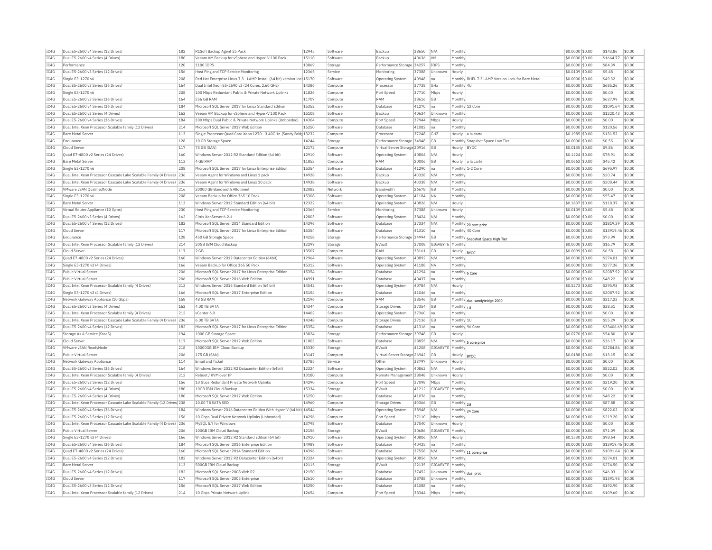| IC4G | Dual E5-2600 v4 Series (12 Drives)                                                          | 182 | R1Soft Backup Agent 25 Pack                                             | 12945          | Software | Backup                       | 38650 | N/A             | Monthly        |                                                   | \$0,0000 \$0.00  | \$143.86          | \$0.00           |
|------|---------------------------------------------------------------------------------------------|-----|-------------------------------------------------------------------------|----------------|----------|------------------------------|-------|-----------------|----------------|---------------------------------------------------|------------------|-------------------|------------------|
| TC4G | Dual E5-2600 v4 Series (4 Drives)                                                           | 180 | Veeam VM Backup for vSphere and Hyper-V 100 Pack                        | 15110          | Software | Backup                       | 40636 | <b>VM</b>       | Monthly        |                                                   | \$0,0000 \$0.00  | \$1664.77         | \$0.00           |
| IC4G | Performance                                                                                 | 120 | 1100 IOPS                                                               | 13869          | Storage  | Performance Storage 34257    |       | <b>IOPS</b>     | Monthly        |                                                   | \$0.0000 \$0.00  | \$84.39           | \$0.00           |
| IC4G | Dual E5-2600 v3 Series (12 Drives)                                                          | 156 | Host Ping and TCP Service Monitoring                                    | 12365          | Service  | Monitoring                   | 37388 | Unknown         | Hourly         |                                                   | \$0.0109 \$0.00  | \$5.48            | \$0.00           |
| TCAG | Single E3-1270 v6                                                                           | 208 | Red Hat Enterprise Linux 7.3 - LAMP Install (64 bit) version-loc 15170  |                | Software | Operating System             | 40948 | lna             |                | Monthly RHEL 7.3 LAMP Version Lock for Bare Metal | \$0.0000 \$0.00  | \$49.32           | \$0.00           |
| IC4G | Dual E5-2600 v3 Series (36 Drives)                                                          | 164 | Dual Intel Xeon E5-2690 v3 (24 Cores, 2.60 GHz)                         | 14386          | Compute  | Processo                     | 37738 | GHZ             | Monthly 4U     |                                                   | \$0.0000 \$0.00  | \$685.26          | \$0.00           |
| IC4G | Single E3-1270 v6                                                                           | 208 | 100 Mbps Redundant Public & Private Network Uplinks                     | 11826          | Compute  | Port Speed                   | 37710 | Mbps            | Hourly         |                                                   | \$0,0000 \$0.00  | \$0.00            | \$0.00           |
|      |                                                                                             |     |                                                                         |                |          |                              |       |                 |                |                                                   |                  |                   |                  |
| IC4G | Dual E5-2600 v3 Series (36 Drives)                                                          | 164 | 256 GB RAM                                                              | 11707          | Compute  | RAM                          | 38616 | <b>GB</b>       | Monthly        |                                                   | \$0,0000 \$0.00  | \$627.99          | \$0.00           |
| IC4G | Dual E5-2600 v4 Series (36 Drives)                                                          | 184 | Microsoft SOL Server 2017 for Linux Standard Edition                    | 15352          | Software | Database                     | 41270 | <b>I</b> na     |                | Monthly 12 Core                                   | \$0,0000 \$0.00  | \$1091.64         | \$0.00           |
| IC4G | Dual E5-2600 v3 Series (4 Drives)                                                           | 162 | Veeam VM Backup for vSphere and Hyper-V 100 Pack                        | 15108          | Software | Backup                       | 40634 | Unknown         | Monthly        |                                                   | \$0,0000 \$0.00  | \$1220.43         | \$0.00           |
| TC4G | Dual E5-2600 v4 Series (36 Drives)                                                          | 184 | 100 Mbps Dual Public & Private Network Uplinks (Upbonded)               | 14304          | Compute  | Port Speed                   | 37944 | Mbps            | Hourly         |                                                   | \$0,0000 \$0.00  | \$0.00            | \$0.00           |
| IC4G | Dual Intel Xeon Processor Scalable family (12 Drives)                                       | 214 | Microsoft SOL Server 2017 Web Edition                                   | 15250          | Software | Database                     | 41082 | Ina             | Monthly        |                                                   | \$0.0000 \$0.00  | \$120.56          | \$0.00           |
| TCAG | <b>Bare Metal Server</b>                                                                    | 113 | Single Processor Quad Core Xeon 1270 - 3.40GHz (Sandy Brid 13232        |                | Compute  | Processor                    | 37248 | GH <sub>7</sub> |                | Hourly a la carte                                 | \$0,1985 \$0.00  | \$131.52          | \$0.00           |
| IC4G | Endurance                                                                                   | 128 | 10 GB Storage Space                                                     | 14244          | Storage  | Performance Storage 34948    |       | <b>GR</b>       |                | Monthly Snapshot Space Low Tier                   | \$0.0000 \$0.00  | \$0.55            | \$0.00           |
| IC4G | Cloud Server                                                                                | 117 | 75 GB (SAN)                                                             | 12172          | Compute  | Virtual Server Storage 20916 |       | <b>GB</b>       | Hourly BYOC    |                                                   | \$0.0135 \$0.00  | \$9.86            | \$0.00           |
| IC4G | Quad E7-4800 v2 Series (24 Drives)                                                          | 160 | Windows Server 2012 R2 Standard Edition (64 bit)                        | 12910          | Software | Operating System             | 40804 | N/A             | Hourly         |                                                   | \$0,1224 \$0.00  | \$78.91           | \$0.00           |
|      |                                                                                             |     |                                                                         |                |          |                              |       |                 |                |                                                   |                  |                   |                  |
| IC4G | <b>Bare Metal Server</b>                                                                    | 113 | 4 GB RAM                                                                | 11853          | Compute  | RAM                          | 20006 | <b>GB</b>       |                | Hourly a la carte                                 | \$0.0662 \$0.00  | \$45.42           | \$0.00           |
| TC4G | Single E3-1270 v6                                                                           | 208 | Microsoft SOL Server 2017 for Linux Enterprise Edition                  | 15354          | Software | Database                     | 41290 | Ina             |                | Monthly 1-2 Core                                  | $$0.0000$ \$0.00 | \$695.97          | \$0.00           |
| IC4G | Dual Intel Xeon Processor Cascade Lake Scalable Family (4 Drives) 236                       |     | Veeam Agent for Windows and Linux 1 pack                                | 14928          | Software | Backup                       | 40328 | N/A             | Monthly        |                                                   | \$0.0000 \$0.00  | \$20.74           | \$0.00           |
| TC4G | Dual Intel Xeon Processor Cascade Lake Scalable Family (4 Drives) 236                       |     | Veeam Agent for Windows and Linux 10 pack                               | 14938          | Software | Backup                       | 40338 | N/A             | Monthly        |                                                   | $$0.0000$ \$0.00 | \$200.44          | \$0.00           |
| IC4G | VMware vSAN OualifiedNode                                                                   | 216 | 20000 GB Bandwidth Allotment                                            | 12082          | Network  | Bandwidth                    | 26678 | <b>GB</b>       | Monthly        |                                                   | \$0.0000 \$0.00  | \$0.00            | \$0.00           |
| IC4G | Single E3-1270 v6                                                                           | 208 | Veeam Backup for Office 365 10 Pack                                     | 15308          | Software | <b>Operating System</b>      | 41184 | <b>NA</b>       | Monthly        |                                                   | \$0.0000 \$0.00  | \$55.47           | \$0.00           |
| IC4G | <b>Bare Metal Server</b>                                                                    | 113 | Windows Server 2012 Standard Edition (64 bit)                           | 12322          | Software | <b>Operating System</b>      | 40826 | N/A             | Hourly         |                                                   | \$0,1837 \$0.00  | \$118.37          | \$0.00           |
| TC4G | Virtual Router Appliance (10 Gpbs                                                           | 230 | Host Ping and TCP Service Monitoring                                    | 12365          | Service  | Monitoring                   | 37388 | Unknown         | Hourly         |                                                   | \$0,0109 \$0.00  | \$5.48            | \$0.00           |
| IC4G |                                                                                             | 162 | Citrix XenServer 6.2.1                                                  | 12803          | Software |                              | 38424 | N/A             | Monthly        |                                                   |                  | \$0.00            | \$0.00           |
|      | Dual E5-2600 v3 Series (4 Drives)                                                           |     |                                                                         |                |          | <b>Operating System</b>      |       |                 |                |                                                   | \$0.0000 \$0.00  |                   |                  |
| IC4G | Dual E5-2600 v4 Series (12 Drives)                                                          | 182 | Microsoft SQL Server 2014 Standard Edition                              | 14396          | Software | Database                     | 37334 | N/A             |                | Monthly 20 core price                             | \$0,0000 \$0,00  | \$1819.39         | \$0.00           |
| TCAG | Cloud Server                                                                                | 117 | Microsoft SQL Server 2017 for Linux Enterprise Edition                  | 15354          | Software | Database                     | 41310 | Ina             |                | Monthly 40 Core                                   | \$0.0000 \$0.00  | \$13919.46 \$0.00 |                  |
| IC4G | Endurance                                                                                   | 128 | 450 GB Storage Space                                                    | 14258          | Storage  | Performance Storage 34994    |       | <b>GB</b>       |                | Monthly Snapshot Space High Tier                  | \$0.0000 \$0.00  | \$73.99           | \$0.00           |
| IC4G | Dual Intel Xeon Processor Scalable family (12 Drives)                                       | 214 | 20GB IBM Cloud Backup                                                   | 12299          | Storage  | EVault                       | 37008 | GIGABYTE        | Monthly        |                                                   | \$0,0000 \$0.00  | \$16.79           | \$0.00           |
| IC4G | Cloud Serve                                                                                 | 117 | $2$ GB                                                                  | 13507          | Compute  | RAM                          | 33161 | <b>GB</b>       | Hourly  BYOC   |                                                   | \$0.0099 \$0.00  | \$6.58            | \$0.00           |
| IC4G | Ouad E7-4800 v2 Series (24 Drives)                                                          | 160 | Windows Server 2012 Datacenter Edition (64bit)                          | 12964          | Software | <b>Operating System</b>      | 40892 | N/A             | Monthly        |                                                   | \$0,0000 \$0.00  | \$274.01          | \$0.00           |
| IC4G | Single E3-1270 v3 (4 Drives)                                                                | 166 | Veeam Backup for Office 365 50 Pack                                     | 15312          | Software | <b>Operating System</b>      | 41188 | <b>NA</b>       | Monthly        |                                                   | \$0.0000 \$0.00  | \$277.36          | \$0.00           |
| TC4G | Public Virtual Server                                                                       | 206 | Microsoft SOL Server 2017 for Linux Enterprise Edition                  | 15354          | Software | Database                     | 41294 | Ina             | Monthly 6 Core |                                                   | $$0.0000$ \$0.00 | \$2087.92         | \$0.00           |
| IC4G | Public Virtual Server                                                                       | 206 | Microsoft SQL Server 2016 Web Edition                                   | 14991          | Software | <b>Databas</b>               | 40437 | na              | Monthly        |                                                   | \$0.0000 \$0.00  | \$48.22           | \$0.00           |
|      |                                                                                             |     |                                                                         |                |          |                              |       |                 |                |                                                   |                  |                   |                  |
| TCAG | Dual Intel Xeon Processor Scalable family (4 Drives)                                        | 212 | Windows Server 2016 Standard Edition (64 bit)                           | 14542          | Software | <b>Operating System</b>      | 40784 | N/A             | Hourly         |                                                   | \$0,5273 \$0.00  | \$295.93          | \$0.00           |
| IC4G | Single E3-1270 v3 (4 Drives)                                                                | 166 | Microsoft SQL Server 2017 Enterprise Edition                            | 15154          | Software | <b>Databas</b>               | 41046 | Ina             | Monthly        |                                                   | \$0.0000 \$0.00  | \$2087.92         | \$0.00           |
| IC4G | Network Gateway Appliance (10 Gbps)                                                         | 158 | 48 GB RAM                                                               | 12196          | Compute  | RAM                          | 38546 | <b>GB</b>       |                | Monthly dual sandybridge 2000                     | \$0.0000 \$0.00  | \$217.23          | \$0.00           |
| IC4G | Dual E5-2600 v3 Series (4 Drives)                                                           | 162 | 4.00 TB SATA                                                            | 14344          | Compute  | <b>Storage Drives</b>        | 37354 | <b>GB</b>       | Monthly 1U     |                                                   | \$0.0000 \$0.00  | \$38.51           | \$0.00           |
| IC4G | Dual Intel Xeon Processor Scalable family (4 Drives)                                        | 212 | vCenter 6.0                                                             | 14402          | Software | <b>Operating System</b>      | 37360 | Ina             | Monthly        |                                                   | \$0.0000 \$0.00  | \$0.00            | \$0.00           |
| TC4G | Dual Intel Xeon Processor Cascade Lake Scalable Family (4 Drives) 236                       |     | 6.00 TB SATA                                                            | 14348          | Compute  | Storage Drives               | 37136 | GB              | Monthly 1U     |                                                   | \$0.0000 \$0.00  | \$55.29           | \$0.00           |
| IC4G | Dual E5-2600 v4 Series (12 Drives)                                                          | 182 | Microsoft SQL Server 2017 for Linux Enterprise Edition                  | 15354          | Software | Database                     | 41316 | na              |                | Monthly 96 Core                                   | \$0.0000 \$0.00  | \$33406.69        | \$0.00           |
| IC4G | Storage As A Service (StaaS)                                                                | 194 | 1000 GB Storage Space                                                   | 13824          | Storage  | Performance Storage 39748    |       | <b>GB</b>       | Hourly         |                                                   | \$0.0770 \$0.00  | \$54.80           | \$0.00           |
|      | Cloud Serve                                                                                 |     |                                                                         |                | Software | <b>Databas</b>               |       | N/A             |                |                                                   |                  | \$36.17           |                  |
| IC4G |                                                                                             | 117 | Microsoft SQL Server 2012 Web Edition                                   | 11803          |          |                              | 28855 |                 |                | Monthly 5 core price                              | \$0.0000 \$0.00  |                   | \$0.00           |
| IC4G | VMware vSAN ReadyNode                                                                       | 218 | 10000GB IBM Cloud Backup                                                | 15330          | Storage  | EVault                       | 41208 | GIGABYTE        | Monthly        |                                                   | \$0,0000 \$0.00  | \$2284.86         | \$0.00           |
| IC4G | Public Virtual Server                                                                       | 206 | 175 GB (SAN)                                                            | 13147          | Compute  | Virtual Server Storage 26942 |       | <b>GB</b>       | Hourly  BYOC   |                                                   | \$0,0188 \$0.00  | \$13.15           | \$0.00           |
| TC4G | Network Gateway Annliance                                                                   | 114 | <b>Email and Ticket</b>                                                 | 13785          | Service  | Other                        | 33797 | Unknown         | Hourly         |                                                   | $$0.0000$ \$0.00 | \$0.00            | \$0.00           |
| IC4G | Dual E5-2600 v3 Series (36 Drives)                                                          | 164 | Windows Server 2012 R2 Datacenter Edition (64bit)                       | 12324          | Software | <b>Operating System</b>      | 40862 | N/A             | Monthly        |                                                   | \$0.0000 \$0.00  | \$822.02          | \$0.00           |
| TC4G | Dual Intel Xeon Processor Scalable family (4 Drives)                                        | 212 | Reboot / KVM over TP                                                    | 13180          | Compute  | Remote Management 38048      |       | Unknown         | Hourly         |                                                   | \$0,0000 \$0.00  | \$0.00            | \$0.00           |
| TC4G | Dual E5-2600 v3 Series (12 Drives)                                                          | 156 | 10 Gbps Redundant Private Network Uplinks                               | 14290          | Compute  | Port Speed                   | 37098 | Mbps            | Monthly        |                                                   | \$0.0000 \$0.00  | \$219.20          | \$0.00           |
| IC4G | Dual E5-2600 v4 Series (4 Drives)                                                           | 180 | 10GB IBM Cloud Backup                                                   | 15334          | Storage  | EVault                       | 41212 | GIGABYTE        | Monthly        |                                                   | \$0.0000 \$0.00  | \$0.00            | \$0.00           |
| IC4G | Dual E5-2600 v4 Series (4 Drives)                                                           | 180 | Microsoft SQL Server 2017 Web Edition                                   | 15250          | Software | Database                     | 41076 | Ina             | Monthly        |                                                   | \$0.0000 \$0.00  | \$48.22           | \$0.00           |
|      |                                                                                             |     |                                                                         |                |          |                              |       |                 |                |                                                   |                  |                   |                  |
| IC4G | Dual Intel Xeon Processor Cascade Lake Scalable Family (12 Drives 238                       |     | 10.00 TB SATA SED                                                       | 14960          | Compute  | Storage Drives               | 40366 | <b>GB</b>       | Monthly 2U     |                                                   | \$0.0000 \$0.00  | \$87.88           | \$0.00           |
| TC4G | Dual E5-2600 v4 Series (36 Drives)                                                          | 184 | Windows Server 2016 Datacenter Edition With Hyper-V (64 bit) 14544      |                | Software | Operating System             | 38948 | N/A             |                | Monthly 24 Core                                   | \$0.0000 \$0.00  | \$822.02          | \$0.00           |
| IC4G | Dual E5-2600 v3 Series (12 Drives)                                                          | 156 | 10 Gbps Dual Private Network Uplinks (Unbonded)                         | 14296          | Compute  | Port Speed                   | 37110 | Mbps            | Monthly        |                                                   | \$0.0000 \$0.00  | \$219.20          | \$0.00           |
| IC4G | Dual Intel Xeon Processor Cascade Lake Scalable Family (4 Drives) 236                       |     | MySOL 5.7 for Windows                                                   | 13798          | Software | Database                     | 37540 | Unknown         | Hourly         |                                                   | \$0,0000 \$0.00  | \$0.00            | \$0.00           |
| IC4G | Public Virtual Server                                                                       | 206 | 100GB IBM Cloud Backup                                                  | 12156          | Storage  | EVault                       | 30686 | GIGABYTE        | Monthly        |                                                   | \$0.0000 \$0.00  | \$71.09           | \$0.00           |
| IC4G | Single E3-1270 v3 (4 Drives)                                                                | 166 | Windows Server 2012 R2 Standard Edition (64 bit)                        | 12910          | Software | Operating System             | 40806 | N/A             | Hourly         |                                                   | \$0,1530 \$0.00  | \$98.64           | \$0.00           |
| IC4G | Dual E5-2600 v4 Series (36 Drives                                                           | 184 | Microsoft SOL Server 2016 Enterprise Edition                            | 14989          | Software | <b>Databas</b>               | 40425 | Ina             | Monthly        |                                                   | \$0.0000 \$0.00  | \$13919.46        | \$0.00           |
| TC4G | Quad E7-4800 v2 Series (24 Drives)                                                          | 160 | Microsoft SOL Server 2014 Standard Edition                              | 14396          | Software | Database                     | 37558 | N/A             |                |                                                   | \$0,0000 \$0.00  | \$1091.64         | \$0.00           |
|      |                                                                                             |     |                                                                         |                |          |                              |       |                 |                | Monthly 11 core price                             |                  |                   |                  |
|      |                                                                                             | 182 | Windows Server 2012 R2 Datacenter Edition (64bit)                       | 12324          | Software | Operating System             | 40856 | N/A             | Monthly        |                                                   | \$0,0000 \$0.00  | \$274.01          | \$0.00           |
| IC4G | Dual E5-2600 v4 Series (12 Drives)                                                          |     | 500GB TBM Cloud Backup                                                  | 12115          | Storage  | FVault                       | 22135 | GIGARYTE        | Monthly        |                                                   | \$0,0000 \$0,00  | \$274.50          | \$0.00           |
| TCAG | <b>Bare Metal Server</b>                                                                    | 113 |                                                                         |                |          |                              |       |                 |                |                                                   |                  |                   |                  |
| TC4G | Dual E5-2600 v4 Series (12 Drives)                                                          | 182 | Microsoft SQL Server 2008 Web R2                                        | 12150          | Software | Database                     | 37452 | Unknown         |                |                                                   | \$0.0000 \$0.00  | \$46.03           | \$0.00           |
| IC4G | Cloud Server                                                                                | 117 | Microsoft SQL Server 2005 Enterprise                                    | 12610          | Software | Database                     | 28788 | Linknown        | Monthl         | Monthly dual proc                                 | \$0,0000 \$0.00  | \$1391.95         | \$0.00           |
| TC4G |                                                                                             | 156 |                                                                         |                | Software | Database                     | 41088 | na              | Monthly        |                                                   | \$0,0000 \$0.00  | \$192.90          |                  |
| TCAG | Dual E5-2600 v3 Series (12 Drives)<br>Dual Intel Xeon Processor Scalable family (12 Drives) | 214 | Microsoft SQL Server 2017 Web Edition<br>10 Gbps Private Network Uplink | 15250<br>12654 | Compute  | Port Speed                   | 38344 | Mbps            | Monthly        |                                                   | $$0.0000$ \$0.00 | \$109.60          | \$0.00<br>\$0.00 |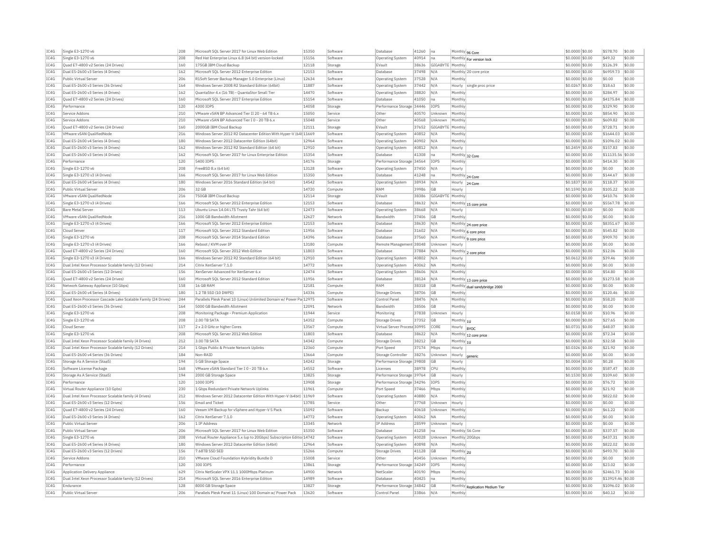| IC4G         | Single E3-1270 v6                                                                          | 208        | Microsoft SQL Server 2017 for Linux Web Editior                                                               | 15350          | Software            | Database                                  | 41260 | na               |                       | Monthly 96 Core                 | \$0.0000 \$0.00                    | \$578.70             | \$0.00           |
|--------------|--------------------------------------------------------------------------------------------|------------|---------------------------------------------------------------------------------------------------------------|----------------|---------------------|-------------------------------------------|-------|------------------|-----------------------|---------------------------------|------------------------------------|----------------------|------------------|
| IC4G         | Single E3-1270 v6                                                                          | 208        | Red Hat Enterprise Linux 6.8 (64 bit) version-locked                                                          | 15156          | Software            | <b>Operating System</b>                   | 40914 | Ina              |                       | Monthly For version lock        | \$0,0000 \$0.00                    | \$49.32              | \$0.00           |
| IC4G         | Ouad E7-4800 v2 Series (24 Drives)                                                         | 160        | 175GB IBM Cloud Backup                                                                                        | 12118          | Storage             | EVault                                    | 38636 | GIGABYTE         | Monthly               |                                 | \$0,0000 \$0.00                    | \$126.39             | \$0.00           |
| IC4G         | Dual E5-2600 v3 Series (4 Drives)                                                          | 162        | Microsoft SQL Server 2012 Enterprise Edition                                                                  | 12153          | Software            | Database                                  | 37498 | N/A              |                       | Monthly 20 core price           | \$0.0000 \$0.00                    | \$6959.73            | \$0.00           |
| IC4G         | Public Virtual Server                                                                      | 206        | R1Soft Server Backup Manager 5.0 Enterprise (Linux)                                                           | 12634          | Software            | Operating System                          | 37528 | N/A              | Monthly               |                                 | \$0,0000 \$0.00                    | \$0.00               | \$0.00           |
| IC4G         | Dual E5-2600 v3 Series (36 Drives)                                                         | 164        | Windows Server 2008 R2 Standard Edition (64bit)                                                               | 11887          | Software            | Operating System                          | 37442 | N/A              | Hourly                | single proc price               | \$0,0267 \$0,00                    | \$18.63              | \$0.00           |
| TC4G         | Dual E5-2600 v3 Series (4 Drives)                                                          | 162        | QuantaStor 4.x (16 TB) - QuantaStor Small Tier                                                                | 14470          | Software            | <b>Operating System</b>                   | 38820 | N/A              | Monthly               |                                 | \$0,0000 \$0.00                    | \$284.97             | \$0.00           |
|              |                                                                                            |            |                                                                                                               |                |                     |                                           |       |                  |                       |                                 |                                    |                      | \$0.00           |
| IC4G         | Quad E7-4800 v2 Series (24 Drives)                                                         | 160        | Microsoft SQL Server 2017 Enterprise Edition                                                                  | 15154          | Software            | Database                                  | 41050 | Ina              | Monthly               |                                 | \$0.0000 \$0.00                    | \$4175.84            |                  |
| IC4G         | Performance                                                                                | 120        | 4300 IOPS                                                                                                     | 14058          | Storage             | Performance Storage 34446                 |       | IOPS             | Monthly               |                                 | \$0.0000 \$0.00                    | \$329.90             | \$0.00           |
| IC4G         | Service Addons                                                                             | 210        | VMware vSAN BP Advanced Tier II 20 - 64 TB 6 x                                                                | 15050          | Service             | Other                                     | 40570 | Unknown          | Monthly               |                                 | \$0,0000 \$0.00                    | \$854.90             | \$0.00           |
| IC4G         | Service Addons                                                                             | 210        | VMware vSAN BP Advanced Tier I 0 - 20 TB 6.x                                                                  | 15048          | Service             | Other                                     | 40568 | Unknown          | Monthly               |                                 | \$0,0000 \$0.00                    | \$609.82             | \$0.00           |
| IC4G         | Ouad E7-4800 v2 Series (24 Drives)                                                         | 160        | 2000GB TBM Cloud Backup                                                                                       | 12111          | Storage             | FVault                                    | 37652 | GIGABYTE Monthly |                       |                                 | \$0,0000 \$0.00                    | \$728.71             | \$0.00           |
| IC4G         | VMware vSAN QualifiedNode                                                                  | 216        | Windows Server 2012 R2 Datacenter Edition With Hyper-V (64t 11669                                             |                | Software            | Operating System                          | 40852 | N/A              | Monthly               |                                 | \$0.0000 \$0.00                    | \$1644.03            | \$0.00           |
| IC4G         | Dual E5-2600 v4 Series (4 Drives)                                                          | 180        | Windows Server 2012 Datacenter Edition (64bit)                                                                | 12964          | Software            | Operating System                          | 40902 | N/A              | Monthly               |                                 | \$0.0000 \$0.00                    | \$1096.02            | \$0.00           |
| TC4G         | Dual E5-2600 v3 Series (4 Drives                                                           | 162        | Windows Server 2012 R2 Standard Edition (64 bit)                                                              | 12910          | Software            | Operating System                          | 40812 | N/A              | Hourly                |                                 | \$0.2459 \$0.00                    | \$157.83             | \$0.00           |
| IC4G         | Dual E5-2600 v3 Series (4 Drives)                                                          | 162        | Microsoft SQL Server 2017 for Linux Enterprise Edition                                                        | 15354          | Software            | Database                                  | 41308 | Ina              |                       | Monthly 32 Core                 | \$0.0000 \$0.00                    | \$11135.56 \$0.00    |                  |
| IC4G         | Performance                                                                                | 120        | 5400 TOPS                                                                                                     | 14176          | Storage             | Performance Storage 34564                 |       | IOPS             | Monthl                |                                 | \$0,0000 \$0.00                    | \$414.30             | \$0.00           |
| TC4G         | Single F3-1270 v6                                                                          | 208        | FreeBSD 8 x (64 bit)                                                                                          | 13128          | Software            | <b>Operating System</b>                   | 37450 | N/A              | Hourly                |                                 | \$0,0000 \$0.00                    | \$0.00               | \$0.00           |
| IC4G         | Single E3-1270 v3 (4 Drives)                                                               | 166        | Microsoft SQL Server 2017 for Linux Web Edition                                                               | 15350          | Software            | Database                                  | 41248 | Ina              |                       |                                 | \$0.0000 \$0.00                    | \$144.67             | \$0.00           |
|              |                                                                                            |            |                                                                                                               |                |                     |                                           |       |                  | Monthly 24 Core       |                                 |                                    |                      |                  |
| IC4G         | Dual E5-2600 v4 Series (4 Drives)                                                          | 180        | Windows Server 2016 Standard Edition (64 bit)                                                                 | 14542          | Software            | Operating System                          | 38934 | N/A              |                       | Hourly 24 Core                  | \$0,1837 \$0.00                    | \$118.37             | \$0.00           |
| IC4G         | Public Virtual Server                                                                      | 206        | 32 GB                                                                                                         | 14720          | Compute             | RAM                                       | 39986 | GB               | Hourly                |                                 | \$0.1590 \$0.00                    | \$105.22             | \$0.00           |
| IC4G         | VMware vSAN QualifiedNode                                                                  | 216        | 750GB IBM Cloud Backup                                                                                        | 12114          | Storage             | FVault                                    | 38386 | GIGABYTE Monthly |                       |                                 | \$0.0000 \$0.00                    | \$410.76             | \$0.00           |
| TC4G         | Single E3-1270 v3 (4 Drives)                                                               | 166        | Microsoft SQL Server 2012 Enterprise Edition                                                                  | 12153          | Software            | Database                                  | 38632 | N/A              | Monthly               | 15 core price                   | \$0,0000 \$0.00                    | \$5567.78            | \$0.00           |
| TC4G         | <b>Bare Metal Server</b>                                                                   | 113        | Ubuntu Linux 14.04 LTS Trusty Tahr (64 bit)                                                                   | 12473          | Software            | Operating System                          | 38668 | N/A              | Hourly                |                                 | \$0.0000 \$0.00                    | \$0.00               | \$0.00           |
| TCAG         | VMware vSAN QualifiedNode                                                                  | 216        | 1000 GB Bandwidth Allotment                                                                                   | 12627          | Network             | <b>Bandwidth</b>                          | 37406 | GB               | Monthly               |                                 | \$0.0000 \$0.00                    | \$0.00               | \$0.00           |
| IC4G         | Single E3-1270 v3 (4 Drives)                                                               | 166        | Microsoft SQL Server 2012 Enterprise Edition                                                                  | 12153          | Software            | Database                                  | 38630 | N/A              |                       | Monthly 24 core price           | \$0.0000 \$0.00                    | \$8351.67            | \$0.00           |
| IC4G         | Cloud Server                                                                               | 117        | Microsoft SQL Server 2012 Standard Edition                                                                    | 11956          | Software            | Database                                  | 31602 | N/A              |                       | Monthly 6 core price            | \$0.0000 \$0.00                    | \$545.82             | \$0.00           |
| IC4G         | Single E3-1270 v6                                                                          | 208        | Microsoft SOL Server 2014 Standard Edition                                                                    | 14396          | Software            | Database                                  | 37560 | N/A              |                       |                                 | \$0,0000 \$0.00                    | \$909.70             | \$0.00           |
| IC4G         | Single E3-1270 v3 (4 Drives)                                                               | 166        | Reboot / KVM over IP                                                                                          | 13180          | Compute             | Remote Management 38048                   |       | Unknown          | Hourly                | Monthly 9 core price            | \$0,0000 \$0.00                    | \$0.00               | \$0.00           |
|              |                                                                                            |            |                                                                                                               | 11803          |                     |                                           |       |                  |                       |                                 |                                    |                      |                  |
| IC4G         | Quad E7-4800 v2 Series (24 Drives)                                                         | 160        | Microsoft SQL Server 2012 Web Edition                                                                         |                | Software            | Database                                  | 37884 | N/A              |                       | Monthly 2 core price            | \$0,0000 \$0,00                    | \$12.06              | \$0.00           |
| IC4G         | Single E3-1270 v3 (4 Drives)                                                               | 166        | Windows Server 2012 R2 Standard Edition (64 bit)                                                              | 12910          | Software            | Operating System                          | 40802 | N/A              | Hourly                |                                 | \$0.0612 \$0.00                    | \$39.46              | \$0.00           |
| IC4G         | Dual Intel Xeon Processor Scalable family (12 Drives)                                      | 214        | Citrix XenServer 7.1.0                                                                                        | 14772          | Software            | <b>Operating System</b>                   | 40062 | NA               | Monthly               |                                 | \$0.0000 \$0.00                    | \$0.00               | \$0.00           |
|              |                                                                                            |            |                                                                                                               |                |                     |                                           |       |                  |                       |                                 |                                    |                      |                  |
| IC4G         | Dual E5-2600 v3 Series (12 Drives)                                                         | 156        | XenServer Advanced for XenServer 6.x                                                                          | 12474          | Software            | Operating System                          | 38606 | N/A              | Monthly               |                                 | \$0,0000 \$0,00                    | \$54.80              | \$0.00           |
| IC4G         | Ouad E7-4800 v2 Series (24 Drives)                                                         | 160        | Microsoft SOL Server 2012 Standard Edition                                                                    | 11956          | Software            | Database                                  | 38124 | N/A              |                       |                                 | \$0.0000 \$0.00                    | \$1273.58            | \$0.00           |
| IC4G         | Network Gateway Appliance (10 Gbps)                                                        | 158        | 16 GB RAM                                                                                                     | 12181          | Compute             | RAM                                       | 38318 | GB               |                       | Monthly 13 core price           | \$0.0000 \$0.00                    | \$0.00               | \$0.00           |
| IC4G         | Dual E5-2600 v4 Series (4 Drives)                                                          | 180        | 1.2 TB SSD (10 DWPD)                                                                                          | 14336          | Compute             | Storage Drives                            | 38706 | <b>GB</b>        | Monthly               | Monthly dual sandybridge 2000   | \$0,0000 \$0.00                    | \$120.46             | \$0.00           |
| IC4G         | Ouad Xeon Processor Cascade Lake Scalable Family (24 Drives)                               | 244        | Parallels Plesk Panel 10 (Linux) Unlimited Domain w/ Power Pa 12975                                           |                | Software            | Control Pane                              | 38476 | N/A              | Monthly               |                                 | \$0,0000 \$0.00                    | \$58.20              | \$0.00           |
|              | Dual E5-2600 v3 Series (36 Drives)                                                         | 164        | 5000 GB Bandwidth Allotment                                                                                   | 12091          | Network             | <b>Bandwidth</b>                          | 38506 | <b>GB</b>        |                       |                                 | \$0,0000 \$0.00                    | \$0.00               | \$0.00           |
| IC4G         |                                                                                            |            |                                                                                                               |                |                     |                                           |       |                  | Monthly               |                                 |                                    |                      |                  |
| IC4G         | Single E3-1270 v6                                                                          | 208        | Monitoring Package - Premium Application                                                                      | 11944          | Service             | Monitoring                                | 37838 | Unknown          | Hourly                |                                 | \$0.0158 \$0.00                    | \$10.96              | \$0.00           |
| IC4G         | Single E3-1270 v6                                                                          | 208        | 2.00 TB SATA                                                                                                  | 14352          | Compute             | Storage Drives                            | 37352 | <b>GB</b>        | Monthly $ _{10}$      |                                 | \$0.0000 \$0.00                    | \$27.65              | \$0.00           |
| IC4G         | Cloud Server                                                                               | 117        | 2 x 2.0 GHz or higher Cores                                                                                   | 13567          | Compute             | Virtual Server Process 30995              |       | CORE             | Hourly                | BYOC                            | \$0.0731 \$0.00                    | \$48.07              | \$0.00           |
| IC4G         | Single E3-1270 v6                                                                          | 208        | Microsoft SOL Server 2012 Web Edition                                                                         | 11803          | Software            | Database                                  | 38622 | N/A              |                       | Monthly 12 core price           | \$0,0000 \$0.00                    | \$72.34              | \$0.00           |
| IC4G         | Dual Intel Xeon Processor Scalable family (4 Drives)                                       | 212        | 3.00 TB SATA                                                                                                  | 14342          | Compute             | <b>Storage Drives</b>                     | 38212 | GB               | Monthly 1U            |                                 | \$0,0000 \$0.00                    | \$32.58              | \$0.00           |
| IC4G         | Dual Intel Xeon Processor Scalable family (12 Drives)                                      | 214        | 1 Gbps Public & Private Network Uplinks                                                                       | 12360          | Compute             | Port Speed                                | 37174 | Mbps             | Hourly                |                                 | \$0.0326 \$0.00                    | \$21.92              | \$0.00           |
| IC4G         | Dual E5-2600 v4 Series (36 Drives)                                                         | 184        | Non-RAID                                                                                                      | 13664          | Compute             | Storage Controller                        | 38276 | Unknown          | Hourly                | generic                         | \$0,0000 \$0.00                    | \$0.00               | \$0.00           |
| IC4G         | Storage As A Service (StaaS)                                                               | 194        | 5 GB Storage Space                                                                                            | 14242          | Storage             | Performance Storage 39808                 |       | GB               | Hourly                |                                 | \$0,0004 \$0.00                    | \$0.28               | \$0.00           |
| IC4G         | Software License Package                                                                   | 168        | VMware vSAN Standard Tier I 0 - 20 TB 6.x                                                                     | 14552          | Software            | Licenses                                  | 38978 | CPU              | Monthly               |                                 | \$0.0000 \$0.00                    | \$587.47             | \$0.00           |
| IC4G         | Storage As A Service (StaaS)                                                               | 194        | 2000 GB Storage Space                                                                                         | 13825          | Storage             | Performance Storage 39764                 |       | <b>GB</b>        | Hourly                |                                 | \$0,1530 \$0.00                    | \$109.60             | \$0.00           |
| IC4G         | Performance                                                                                | 120        | 1000 TOPS                                                                                                     | 13908          | Storage             | Performance Storage 34296                 |       | <b>TOPS</b>      | Monthly               |                                 | \$0,0000 \$0.00                    | \$76.72              | \$0.00           |
|              |                                                                                            |            |                                                                                                               |                | Compute             | Port Speed                                | 37466 | Mbps             |                       |                                 | \$0,0000 \$0.00                    |                      |                  |
| IC4G<br>TC4G | Virtual Router Appliance (10 Gpbs)<br>Dual Intel Xeon Processor Scalable family (4 Drives) | 230<br>212 | 1 Gbps Redundant Private Network Uplinks<br>Windows Server 2012 Datacenter Edition With Hyper-V (64bit) 11969 | 11961          | Software            |                                           | 40880 | N/A              | Monthly<br>Monthly    |                                 | \$0,0000 \$0.00                    | \$21.92<br>\$822.02  | \$0.00<br>\$0.00 |
|              |                                                                                            |            |                                                                                                               |                |                     | Operating System                          |       |                  |                       |                                 |                                    |                      |                  |
| IC4G         | Dual E5-2600 v3 Series (12 Drives)                                                         | 156        | <b>Email and Ticket</b>                                                                                       | 13785          | Service             | Other                                     | 37768 | Unknown          | Hourly                |                                 | \$0.0000 \$0.00                    | \$0.00               | \$0.00           |
| IC4G         | Ouad E7-4800 v2 Series (24 Drives)                                                         | 160        | Veeam VM Backup for vSphere and Hyper-V 5 Pack                                                                | 15092          | Software            | Backup                                    | 40618 | Unknown          | Monthly               |                                 | \$0.0000 \$0.00                    | \$61.22              | \$0.00           |
| IC4G         | Dual E5-2600 v3 Series (4 Drives)                                                          | 162        | Citrix XenServer 7.1.0                                                                                        | 14772          | Software            | Operating System                          | 40062 | NΑ               | Monthly               |                                 | \$0,0000 \$0.00                    | \$0.00               | \$0.00           |
| IC4G         | Public Virtual Server                                                                      | 206        | 1 IP Address                                                                                                  | 13345          | Network             | IP Address                                | 28599 | Unknown          | Hourly                |                                 | \$0,0000 \$0.00                    | \$0.00               | \$0.00           |
| IC4G         | Public Virtual Server                                                                      | 206        | Microsoft SOL Server 2017 for Linux Web Edition                                                               | 15350          | Software            | Database                                  | 41258 | na               |                       | Monthly 56 Core                 | \$0,0000 \$0.00                    | \$337.57             | \$0.00           |
| IC4G         | Single E3-1270 v6                                                                          | 208        | Virtual Router Appliance 5.x (up to 20Gbps) Subscription Editio 14742                                         |                | Software            | Operating System                          | 40028 | Unknown          | Monthly 20Gbps        |                                 | \$0.0000 \$0.00                    | \$437.31             | \$0.00           |
| IC4G         | Dual E5-2600 v4 Series (4 Drives)                                                          | 180        | Windows Server 2012 Datacenter Edition (64bit)                                                                | 12964          | Software            | <b>Operating System</b>                   | 40898 | N/A              | Monthly               |                                 | \$0.0000 \$0.00                    | \$822.02             | \$0.00           |
| TC4G         | Dual E5-2600 v3 Series (12 Drives)                                                         | 156        | 7.68TB SSD SED                                                                                                | 15266          | Compute             | Storage Drives                            | 41128 | GB               |                       |                                 | \$0,0000 \$0.00                    | \$493.70             | \$0.00           |
| IC4G         | Service Addons                                                                             | 210        | VMware Cloud Foundation Hybridity Bundle D                                                                    | 15008          | Service             | Other                                     | 40456 | Unknown          | Monthly 2U<br>Monthly |                                 | \$0.0000 \$0.00                    | \$0.00               | \$0.00           |
| TC4G         | Performance                                                                                | 120        | 300 IOPS                                                                                                      | 13861          | Storage             | Performance Storage 34249                 |       | <b>TOPS</b>      | Monthly               |                                 | \$0.0000 \$0.00                    | \$23.02              | \$0.00           |
| IC4G         |                                                                                            |            |                                                                                                               |                | Network             | NetScale                                  | 40190 | Mbps             | Monthly               |                                 | \$0,0000 \$0.00                    |                      |                  |
|              | Application Delivery Appliance                                                             | 629        | Citrix NetScaler VPX 11.1 1000Mbps Platinum                                                                   | 14900<br>14989 |                     |                                           |       |                  |                       |                                 |                                    | \$2461.73            | \$0.00           |
| IC4G         | Dual Intel Xeon Processor Scalable family (12 Drives)                                      | 214        | Microsoft SQL Server 2016 Enterprise Edition                                                                  |                | Software            | Database                                  | 40425 | na               | Monthly               |                                 | \$0.0000 \$0.00                    | \$13919.46           | \$0.00           |
| IC4G<br>IC4G | Endurance<br>Public Virtual Serve                                                          | 128<br>206 | 8000 GB Storage Space<br>Parallels Plesk Panel 11 (Linux) 100 Domain w/ Power Pack                            | 13827<br>13620 | Storage<br>Software | Performance Storage 34842<br>Control Pane | 33866 | <b>GB</b><br>N/A | Monthly               | Monthly Replication Medium Tier | \$0,0000 \$0.00<br>\$0.0000 \$0.00 | \$1096.02<br>\$40.12 | \$0.00<br>\$0.00 |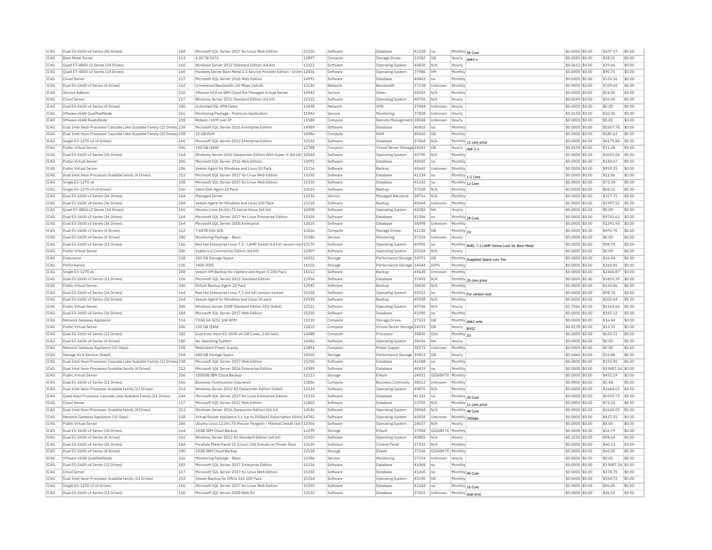| IC4G         | Dual E5-2600 v4 Series (36 Drives)                                                 | 184        | Microsoft SOL Server 2017 for Linux Web Edition                                     | 15350          | Software             | Database                                              | 41258          | Ina                | Monthly 56 Core          |                                                  | \$0,0000 \$0.00                     | \$337.57                    | \$0.00           |
|--------------|------------------------------------------------------------------------------------|------------|-------------------------------------------------------------------------------------|----------------|----------------------|-------------------------------------------------------|----------------|--------------------|--------------------------|--------------------------------------------------|-------------------------------------|-----------------------------|------------------|
| IC4G         | <b>Bare Metal Server</b>                                                           | 113        | 4.00 TR SATA                                                                        | 11897          | Compute              | Storage Drives                                        | 22582          | GB                 | Hourly                   | disk1-                                           | \$0.0583 \$0.00                     | \$38.51                     | \$0.00           |
| IC4G         | Quad E7-4800 v2 Series (24 Drives)                                                 | 160        | Windows Server 2012 Standard Edition (64 bit)                                       | 12322          | Software             | <b>Operating System</b>                               | 40820          | N/A                | Hourly                   |                                                  | \$0.0612 \$0.00                     | \$39.46                     | \$0.00           |
| IC4G         | Quad E7-4800 v2 Series (24 Drives)                                                 | 160        | Parallels Server Bare Metal 4.5 Service Provider Edition - Unlim                    | 12456          | Software             | Operating System                                      | 37986          | <b>VM</b>          | Monthly                  |                                                  | \$0,0000 \$0.00                     | \$90.75                     | \$0.00           |
| TCAG         | Cloud Server                                                                       | 117        | Microsoft SOL Server 2016 Web Edition                                               | 14991          | Software             | Database                                              | 40443          | Ina                | Monthly                  |                                                  | \$0,0000 \$0.00                     | \$120.56                    | \$0.00           |
| TC4G         | Dual E5-2600 v3 Series (4 Drives)                                                  | 162        | Unmetered Bandwidth (10 Mbps Uplink)                                                | 13146          | Network              | Bandwidth                                             | 37138          | Unknown            | Monthly                  |                                                  | \$0.0000 \$0.00                     | \$109.60                    | \$0.00           |
| IC4G         | Service Addons                                                                     | 210        | VMware HCX on IBM Cloud Per Managed Virtual Server                                  | 14942          | Service              | Other                                                 | 40342          | N/A                | Monthly                  |                                                  | \$0.0000 \$0.00                     | \$54.80                     | \$0.00           |
| TCAG         | Cloud Server                                                                       | 117        | Windows Server 2012 Standard Edition (64 bit)                                       | 12322          | Software             | Operating System                                      | 40706          | N/A                | Hourly                   |                                                  | $$0.0549$ \$0.00                    | \$36.40                     | \$0.00           |
| IC4G         | Dual E5-2600 v4 Series (4 Drives)                                                  | 180        | Unlimited SSL VPN Users                                                             | 13498          | Network              | <b>VPN</b>                                            | 37404          | Unknown            | Hourly                   |                                                  | \$0,0000 \$0.00                     | \$0.00                      | \$0.00           |
| IC4G         | VMware vSAN QualifiedNode                                                          | 216        | Monitoring Package - Premium Application                                            | 11944          | Service              | Monitoring                                            | 37838          | Linknown           | Hourly                   |                                                  | \$0.0158 \$0.00                     | \$10.96                     | \$0.00           |
| TCAG         | <b>VMware vSAN ReadvNode</b>                                                       | 218        | Reboot / KVM over TP                                                                | 13180          | Compute              | Remote Management 38048                               |                | Unknown            | Hourly                   |                                                  | \$0.0000 \$0.00                     | \$0.00                      | \$0.00           |
| IC4G         | Dual Intel Xeon Processor Cascade Lake Scalable Family (12 Drives) 238             |            | Microsoft SQL Server 2016 Enterprise Edition                                        | 14989          | Software             | Database                                              | 40415          | na                 | Monthly                  |                                                  | \$0.0000 \$0.00                     | \$5567.78                   | \$0.00           |
| IC4G         | Dual Intel Xeon Processor Cascade Lake Scalable Family (12 Drives 238              |            | 32 GR RAM                                                                           | 14986          | Compute              | RAM                                                   | 40410          | <b>GB</b>          | Monthly                  |                                                  | \$0,0000 \$0.00                     | \$185.63                    | \$0.00           |
| IC4G         | Single E3-1270 v3 (4 Drives)                                                       | 166        | Microsoft SOL Server 2012 Enterprise Edition                                        | 12153          | Software             | Database                                              | 37068          | N/A                |                          |                                                  |                                     | \$4175.84                   | \$0.00           |
|              |                                                                                    |            | 100 GB (SAN)                                                                        | 12788          |                      |                                                       |                |                    |                          | Monthly 12 core price                            | \$0.0000 \$0.00                     |                             |                  |
| IC4G         | Public Virtual Server                                                              | 206        |                                                                                     |                | Compute              | Virtual Server Storage 24193                          |                | <b>GB</b>          | Hourly                   | disk <sub>2</sub> -                              | \$0.0158 \$0.00                     | \$11.28                     | \$0.00           |
| IC4G         | Dual E5-2600 v3 Series (36 Drives)                                                 | 164        | Windows Server 2016 Datacenter Edition With Hyper-V (64 bit) 14544                  |                | Software             | Operating System                                      | 40790          | N/A                | Monthly                  |                                                  | \$0,0000 \$0.00                     | \$2055.04                   | \$0.00           |
| IC4G         | Public Virtual Serve                                                               | 206        | Microsoft SOL Server 2016 Web Edition                                               | 14991          | Software             | Database                                              | 40445          | na                 | Monthly                  |                                                  | \$0.0000 \$0.00                     | \$144.67                    | \$0.00           |
| TC4G         | Public Virtual Server                                                              | 206        | Veeam Agent for Windows and Linux 50 Pack                                           | 15116          | Software             | Backup                                                | 40642          | Unknown            | Monthly                  |                                                  | \$0,0000 \$0.00                     | \$999.25                    | \$0.00           |
| IC4G         | Dual Intel Xeon Processor Scalable family (4 Drives)                               | 212        | Microsoft SOL Server 2017 for Linux Web Edition                                     | 15350          | Software             | Database                                              | 41234          | Ina                |                          | Monthly 1-2 Core                                 | \$0,0000 \$0.00                     | \$12.06                     | \$0.00           |
| IC4G         | Single E3-1270 v6                                                                  | 208        | Microsoft SOL Server 2017 for Linux Web Edition                                     | 15350          | Software             | Database                                              | 41242          | Ina                | Monthly 12 Core          |                                                  | \$0.0000 \$0.00                     | \$72.34                     | \$0.00           |
| IC4G         | Single E3-1270 v3 (4 Drives)                                                       | 166        | Idera Disk Agent 10 Pack                                                            | 13653          | Software             | Backup                                                | 37508          | N/A                | Monthly                  |                                                  | \$0.0000 \$0.00                     | \$68.51                     | \$0.00           |
| IC4G         | Dual E5-2600 v3 Series (36 Drives)                                                 | 164        | Managed Serve                                                                       | 13256          | Service              | Managed Resource                                      | 38716          | N/A                | Monthly                  |                                                  | \$0.0000 \$0.00                     | \$327.71                    | \$0.00           |
| TC4G         | Dual E5-2600 v4 Series (36 Drives)                                                 | 184        | Veeam Agent for Windows and Linux 100 Pack                                          | 15118          | Software             | Backun                                                | 40644          | Unknown            | Monthly                  |                                                  | \$0,0000 \$0.00                     | \$1997.52                   | \$0.00           |
| TC4G         | Quad E7-4800 v2 Series (24 Drives)                                                 | 160        | Ubuntu Linux 16.04 LTS Xenial Xerus (64 bit)                                        | 14908          | Software             | Operating System                                      | 40282          | <b>NA</b>          | Hourly                   |                                                  | \$0.0000 \$0.00                     | \$0.00                      | \$0.00           |
| TC4G         | Dual E5-2600 v3 Series (36 Drives)                                                 | 164        | Microsoft SOL Server 2017 for Linux Enterprise Edition                              | 15354          | Software             | Database                                              | 41306          | na                 |                          | Monthly 28 Core                                  | \$0,0000 \$0.00                     | \$9743.62                   | \$0.00           |
| TC4G         | Dual E5-2600 v3 Series (36 Drives)                                                 | 164        | Microsoft SQL Server 2005 Enterprise                                                | 12610          | Software             | Database                                              | 38498          | Unknown            | Monthly                  |                                                  | \$0.0000 \$0.00                     | \$1391.95                   | \$0.00           |
| IC4G         | Dual E5-2600 v3 Series (4 Drives)                                                  | 162        | 7.68TB SSD SED                                                                      | 15266          | Compute              | Storage Drives                                        | 41126          | GB                 | Monthly 1U               |                                                  | \$0.0000 \$0.00                     | \$493.70                    | \$0.00           |
| TCAG         | Dual E5-2600 v4 Series (4 Drives)                                                  | 180        | Monitoring Package - Basic                                                          | 12386          | Service              | Monitoring                                            | 37234          | Unknown            | Hourly                   |                                                  | $$0.0000$ \$0.00                    | \$0.00                      | \$0.00           |
| TC4G         | Dual E5-2600 v3 Series (12 Drives                                                  | 156        |                                                                                     |                |                      |                                                       | 40950          |                    |                          |                                                  |                                     | \$98.74                     | \$0.00           |
|              |                                                                                    |            | Red Hat Enterprise Linux 7.3 - LAMP Install (64 bit) version-loc 15170              |                | Software             | <b>Operating System</b>                               |                | Ina                |                          | Monthly RHEL 7.3 LAMP Verion Lock for Bare Metal | \$0.0000 \$0.00                     |                             |                  |
| IC4G         | Public Virtual Server                                                              | 206        | Vyatta 6.6 Community Edition (64 bit)                                               | 11907          | Software             | Operating System                                      | 20104          | N/A                | Hourly                   |                                                  | \$0,0000 \$0.00                     | \$0.00                      | \$0.00           |
| IC4G         | Endurance                                                                          | 128        | 300 GB Storage Space                                                                | 14252          | Storage              | Performance Storage 34972                             |                | GB                 |                          | Monthly Snapshot Space Low Tier                  | \$0,0000 \$0.00                     | \$16.44                     | \$0.00           |
|              | Performance                                                                        | 120        | 3400 IOPS                                                                           | 14156          | Storage              | Performance Storage 34544                             |                | IOPS               | Monthly                  |                                                  | \$0.0000 \$0.00                     | \$260.85                    | \$0.00           |
| IC4G         |                                                                                    |            |                                                                                     |                |                      |                                                       |                |                    |                          |                                                  |                                     |                             |                  |
| IC4G         | Single E3-1270 v6                                                                  | 208        | Veeam VM Backup for vSphere and Hyper-V 200 Pack                                    | 15112          | Software             | Backup                                                | 40638          | Unknown            | Monthly                  |                                                  | \$0,0000 \$0,00                     | \$2440.87                   | \$0.00           |
| IC4G         | Dual E5-2600 v3 Series (12 Drives)                                                 | 156        | Microsoft SOL Server 2012 Standard Edition                                          | 11956          | Software             | Database                                              | 37492          | N/A                |                          |                                                  | \$0,0000 \$0.00                     | \$1819.39                   | \$0.00           |
| IC4G         | Public Virtual Server                                                              | 206        | R1Soft Backup Agent 25 Pack                                                         | 12945          | Software             | Backup                                                | 38650          | N/A                | Monthly                  | Monthly 20 core price                            | \$0,0000 \$0.00                     | \$143.86                    | \$0.00           |
| IC4G         | Dual E5-2600 v3 Series (36 Drives)                                                 | 164        | Red Hat Enterprise Linux 7.3 (64 bit) version-locked                                | 15158          | Software             | Operating System                                      | 40922          | Ina                |                          |                                                  | \$0,0000 \$0.00                     | \$98.74                     | \$0.00           |
| IC4G         | Dual E5-2600 v3 Series (36 Drives)                                                 | 164        | Veeam Agent for Windows and Linux 10 pack                                           | 14938          | Software             | Backup                                                | 40338          | N/A                | Monthly                  | Monthly For version lock                         | \$0,0000 \$0.00                     | \$200.44                    | \$0.00           |
| TC4G         | Public Virtual Server                                                              | 206        | Windows Server 2008 Standard Edition SP2 (64bit)                                    | 12521          | Software             | Operating System                                      | 40746          | N/A                | Hourly                   |                                                  | \$1,7566 \$0.00                     | \$1164.66                   | \$0.00           |
| IC4G         | Dual E5-2600 v4 Series (36 Drives)                                                 | 184        | Microsoft SQL Server 2017 Web Edition                                               | 15250          | Software             | Database                                              | 41090          | Ina                | Monthly                  |                                                  | \$0.0000 \$0.00                     | \$241.12                    | \$0.00           |
|              |                                                                                    |            | 73GB SA-SCSI 10K RPM                                                                | 13220          |                      |                                                       |                | <b>GB</b>          |                          |                                                  |                                     |                             | \$0.00           |
| IC4G<br>TCAG | Network Gateway Appliance<br>Public Virtual Server                                 | 114<br>206 | 150 GB (SAN)                                                                        | 12810          | Compute<br>Compute   | <b>Storage Drives</b><br>Virtual Server Storage 24335 | 27523          | <b>GB</b>          |                          | Monthly disk1 only                               | \$0.0000 \$0.00<br>\$0.0178 \$0.00  | \$16.44<br>\$12.53          | \$0.00           |
|              |                                                                                    |            |                                                                                     |                |                      |                                                       |                |                    | Hourly  BYOC             |                                                  |                                     |                             |                  |
| IC4G         | Dual E5-2600 v4 Series (12 Drives)                                                 | 182        | Dual Intel Xeon E5-2690 v4 (28 Cores, 2.60 GHz)                                     | 14488          | Compute              | Processo                                              | 38850          | GHz                | Monthly 2U               |                                                  | \$0.0000 \$0.00                     | \$630.21                    | \$0.00           |
| IC4G         | Dual E5-2600 v4 Series (4 Drives)                                                  | 180        | No Operating System                                                                 | 14282          | Software             | Operating System                                      | 38426          | <b>NA</b>          | Hourly                   |                                                  | \$0,0000 \$0.00                     | \$0.00                      | \$0.00           |
| IC4G         | Network Gateway Appliance (10 Gbps)                                                | 158        | Redundant Power Supply                                                              | 12891          | Compute              | Power Supply                                          | 38272          | Unknown            | Monthly                  |                                                  | \$0.0000 \$0.00                     | \$0.00                      | \$0.00           |
| IC4G         | Storage As A Service (StaaS)                                                       | 194        | 600 GB Storage Space                                                                | 14260          | Storage              | Performance Storage 39812                             |                | GB                 | Hourly                   |                                                  | \$0.0460 \$0.00                     | \$32.88                     | \$0.00           |
| TC4G         | Dual Intel Xeon Processor Cascade Lake Scalable Family (12 Drives <sup>1</sup> 238 |            | Microsoft SOL Server 2017 Web Edition                                               | 15250          | Software             | Database                                              | 41088          | lna                | Monthly                  |                                                  | $$0.0000$ \$0.00                    | \$192.90                    | \$0.00           |
| IC4G         | Dual Intel Xeon Processor Scalable family (4 Drives)                               | 212        | Microsoft SQL Server 2016 Enterprise Edition                                        | 14989          | Software             | Database                                              | 40429          | Ina                | Monthly                  |                                                  | \$0.0000 \$0.00                     | \$19487.24 \$0.00           |                  |
| IC4G         | Public Virtual Server                                                              | 206        | 1000GB IBM Cloud Backup                                                             | 12113          | Storage              | EVault                                                | 24011          | GIGABYTE   Monthly |                          |                                                  | \$0.0000 \$0.00                     | \$455.19                    | \$0.00           |
| IC4G         | Dual E5-2600 v3 Series (12 Drives)                                                 | 156        | Business Continuance Insurance                                                      | 11806          | Compute              | <b>Business Continuity</b>                            | 38012          | Unknown            | Monthly                  |                                                  | \$0,0000 \$0.00                     | \$5.48                      | \$0.00           |
| IC4G         | Dual Intel Xeon Processor Scalable family (12 Drives)                              | 214        | Windows Server 2012 R2 Datacenter Edition (64bit)                                   | 12324          | Software             | <b>Operating System</b>                               | 40870          | N/A                | Monthly                  |                                                  | \$0.0000 \$0.00                     | \$1644.03                   | \$0.00           |
| IC4G         | Quad Xeon Processor Cascade Lake Scalable Family (24 Drives)                       | 244        | Microsoft SQL Server 2017 for Linux Enterprise Edition                              | 15354          | Software             | Database                                              | 41302          | na                 |                          | Monthly 20 Core                                  | \$0,0000 \$0.00                     | \$6959.73                   | \$0.00           |
| IC4G         | Cloud Serve                                                                        | 117        | Microsoft SOL Server 2012 Web Edition                                               | 11803          | Software             | Database                                              | 22750          | N/A                |                          |                                                  | \$0,0000 \$0.00                     | \$72.34                     | \$0.00           |
| IC4G         | Dual Intel Xeon Processor Scalable family (4 Drives)                               | 212        | Windows Server 2016 Datacenter Edition (64 bit)                                     | 14546          | Software             | <b>Operating System</b>                               | 38968          | N/A                |                          | Monthly 11 core price                            | \$0,0000 \$0,00                     | \$1644.03                   | \$0.00           |
| IC4G         | Network Gateway Appliance (10 Gbps)                                                | 158        | Virtual Router Appliance 5.x (up to 20Gbps) Subscription Editio 14742               |                | Software             | Operating System                                      | 40028          | Unknown            |                          | Monthly 48 Core                                  | \$0.0000 \$0.00                     | \$437.31                    | \$0.00           |
| IC4G         | Public Virtual Server                                                              | 206        | Ubuntu Linux 12.04 LTS Precise Pangolin - Minimal Install (64 t 12766               |                | Software             | <b>Operating System</b>                               | 24037          | N/A                | Monthly 20Gbps<br>Hourly |                                                  | \$0.0000 \$0.00                     | \$0.00                      | \$0.00           |
| TC4G         | Dual E5-2600 v3 Series (36 Drives)                                                 | 164        | 20GB TBM Cloud Backup                                                               | 12299          | Storage              | FVault                                                | 37008          | GIGARYTE Monthly   |                          |                                                  | \$0,0000 \$0.00                     | \$16.79                     | \$0.00           |
| IC4G         | Dual E5-2600 v3 Series (4 Drives)                                                  | 162        | Windows Server 2012 R2 Standard Edition (64 bit)                                    | 12910          | Software             | Operating System                                      | 40806          | N/A                | Hourly                   |                                                  | \$0,1530 \$0.00                     | \$98.64                     | \$0.00           |
| IC4G         | Dual E5-2600 v4 Series (36 Drives)                                                 | 184        | Parallels Plesk Panel 11 (Linux) 100 Domain w/ Power Pack                           | 13620          | Software             | Control Panel                                         |                | N/A                | Monthly                  |                                                  | \$0,0000 \$0,00                     | \$40.12                     | \$0.00           |
| IC4G         | Dual E5-2600 v4 Series (4 Drives)                                                  | 180        | 50GB IBM Cloud Backup                                                               | 12158          | Storage              | EVault                                                | 37292<br>37246 | GIGABYTE Monthly   |                          |                                                  | \$0.0000 \$0.00                     | \$43.45                     | \$0.00           |
|              |                                                                                    |            |                                                                                     |                |                      |                                                       |                |                    |                          |                                                  |                                     |                             |                  |
| IC4G<br>TCAG | VMware vSAN QualifiedNode<br>Dual E5-2600 v4 Series (12 Drives)                    | 216        | Monitoring Package - Basic<br>Microsoft SOL Server 2017 Enterprise Edition          | 12386<br>15154 | Service<br>Software  | Monitoring<br>Database                                | 37234<br>41068 | Unknown<br>na.     | Hourly<br>Monthly        |                                                  | \$0.0000 \$0.00<br>\$0,0000 \$0.00  | \$0.00<br>\$19487.24 \$0.00 | \$0.00           |
|              |                                                                                    | 182        |                                                                                     |                |                      |                                                       |                |                    |                          |                                                  |                                     |                             |                  |
| TC4G         | Cloud Server                                                                       | 117        | Microsoft SQL Server 2017 for Linux Web Edition                                     | 15350          | Software             | Database                                              | 41260          | lna                |                          | Monthly 96 Core                                  | \$0.0000 \$0.00                     | \$578.70                    | \$0.00           |
| IC4G         | Dual Intel Xeon Processor Scalable family (12 Drives)                              | 214        | Veeam Backup for Office 365 100 Pack                                                | 15314          | Software             | Operating System                                      | 41190          | NΔ                 | Monthly                  |                                                  | \$0,0000 \$0.00                     | \$554.72                    | \$0.00           |
| TCAG<br>IC4G | Single E3-1270 v3 (4 Drives)<br>Dual E5-2600 v3 Series (12 Drives)                 | 166<br>156 | Microsoft SQL Server 2017 for Linux Web Edition<br>Microsoft SQL Server 2008 Web R2 | 15350<br>12150 | Software<br>Software | Database<br>Database                                  | 41244<br>37452 | lna<br>Unknown     |                          | Monthly 16 Core<br>Monthly dual proc             | $$0.0000$ \$0.00<br>\$0.0000 \$0.00 | \$96.45<br>\$46.03          | \$0.00<br>\$0.00 |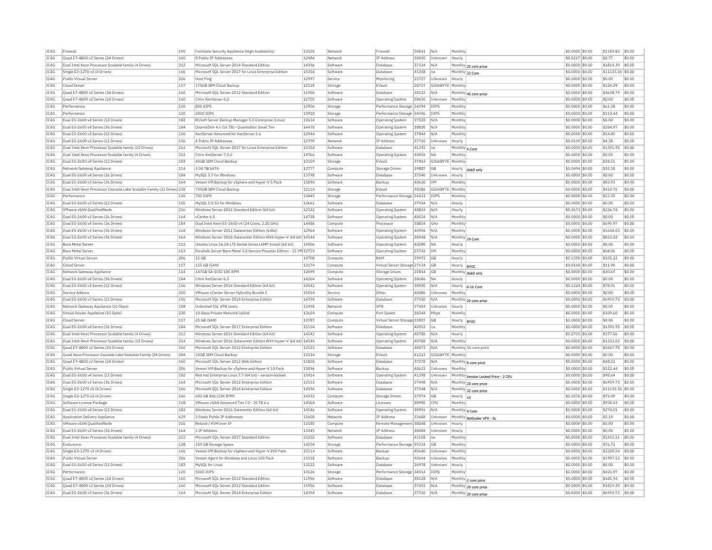| IC4G         | Firewal                                                                                     | 190        | FortiGate Security Appliance (High Availability)                                           | 13552          | Network              | Firewall                     | 30841          | N/A              | Monthly         |                                                | \$0.0000 \$0.00                    | \$2189.85              | \$0.00           |
|--------------|---------------------------------------------------------------------------------------------|------------|--------------------------------------------------------------------------------------------|----------------|----------------------|------------------------------|----------------|------------------|-----------------|------------------------------------------------|------------------------------------|------------------------|------------------|
| TC4G         | Ouad E7-4800 v2 Series (24 Drives)                                                          | 160        | 8 Public IP Addresses                                                                      | 12484          | Network              | <b>TP Address</b>            | 38000          | Unknown          | Hourly          |                                                | \$0.0217 \$0.00                    | \$8.77                 | \$0.00           |
| IC4G         | Dual Intel Xeon Processor Scalable family (4 Drives)                                        | 212        | Microsoft SOL Server 2014 Standard Edition                                                 | 14396          | Software             | Database                     | 37334          | N/A              |                 | Monthly 20 core price                          | \$0,0000 \$0.00                    | \$1819.39              | $ $ \$0.00       |
| IC4G         | Single E3-1270 v3 (4 Drives)                                                                | 166        | Microsoft SOL Server 2017 for Linux Enterprise Edition                                     | 15354          | Software             | Database                     | 41308          | na               | Monthly 32 Core |                                                | \$0.0000 \$0.00                    | \$11135.56 \$0.00      |                  |
| IC4G         | Public Virtual Server                                                                       | 206        | Host Ping                                                                                  | 12997          | Service              | Monitoring                   | 25727          | Unknown          | Hourly          |                                                | \$0,0000 \$0,00                    | \$0.00                 | \$0.00           |
| IC4G         | Cloud Serve                                                                                 | 117        | 175GB IBM Cloud Backup                                                                     | 12118          | Storage              | EVault                       | 20727          | GIGABYTE Monthly |                 |                                                | \$0,0000 \$0.00                    | \$126.39               | \$0.00           |
| IC4G         | Quad E7-4800 v2 Series (24 Drives)                                                          | 160        | Microsoft SOL Server 2012 Standard Edition                                                 | 11956          | Software             | Database                     | 38122          | N/A              |                 | Monthly 40 core price                          | \$0,0000 \$0,00                    | \$3638.79              | \$0.00           |
| IC4G         | Quad E7-4800 v2 Series (24 Drives)                                                          | 160        | Citrix XenServer 6.2                                                                       | 12705          | Software             | Operating System             | 38656          | Unknown          | Monthly         |                                                | \$0.0000 \$0.00                    | \$0.00                 | \$0.00           |
| IC4G         | Performance                                                                                 | 120        | 800 TOPS                                                                                   | 13906          | Storage              | Performance Storage 34294    |                | <b>TOPS</b>      | Monthly         |                                                | \$0,0000 \$0,00                    | \$61.38                | \$0.00           |
| TC4G         | Performance                                                                                 | 120        | 2000 TOPS                                                                                  | 13918          | Storage              | Performance Storage 34306    |                | <b>TOPS</b>      | Monthly         |                                                | \$0,0000 \$0.00                    | \$153.44               | \$0.00           |
| IC4G         | Dual E5-2600 v4 Series (12 Drives)                                                          | 182        | R1Soft Server Backup Manager 5.0 Enterprise (Linux)                                        | 12634          | Software             | Operating System             | 37528          | N/A              | Monthly         |                                                | \$0,0000 \$0,00                    | \$0.00                 | \$0.00           |
| TC4G         | Dual E5-2600 v4 Series (36 Drives)                                                          | 184        |                                                                                            | 14470          | Software             |                              |                |                  | Monthly         |                                                | \$0,0000 \$0.00                    | \$284.97               | \$0.00           |
| TC4G         | Dual E5-2600 v3 Series (12 Drives)                                                          | 156        | QuantaStor 4.x (16 TB) - QuantaStor Small Tie<br>XenServer Advanced for XenServer 5.6      | 12944          | Software             | Operating System             | 38820<br>37844 | N/A<br>N/A       | Monthly         |                                                | \$0.0000 \$0.00                    | \$54.80                | \$0.00           |
|              |                                                                                             |            | 4 Public IP Addresses                                                                      | 12799          |                      | <b>Operating System</b>      |                |                  |                 |                                                |                                    |                        |                  |
| IC4G<br>IC4G | Dual E5-2600 v3 Series (12 Drives)<br>Dual Intel Xeon Processor Scalable family (12 Drives) | 156<br>214 | Microsoft SOL Server 2017 for Linux Enterprise Edition                                     | 15354          | Network              | IP Address                   | 37760<br>41292 | Unknown          | Hourly          |                                                | \$0.0109 \$0.00<br>\$0,0000 \$0.00 | \$4.38<br>\$1391.95    | \$0.00<br>\$0.00 |
|              |                                                                                             |            |                                                                                            |                | Software             | Database                     |                | na               | Monthly 4 Core  |                                                |                                    |                        |                  |
| IC4G         | Dual Intel Xeon Processor Scalable family (4 Drives)                                        | 212        | Citrix XenServer 7.0.0                                                                     | 14766          | Software             | <b>Operating System</b>      | 40056          | <b>NA</b>        | Monthly         |                                                | \$0,0000 \$0,00                    | \$0.00                 | \$0.00           |
| IC4G         | Dual E5-2600 v4 Series (12 Drives)                                                          | 182        | 40GB IBM Cloud Backup                                                                      | 12159          | Storage              | EVault                       | 37414          | GIGABYTE Monthly |                 |                                                | \$0,0000 \$0,00                    | \$38.51                | \$0.00           |
| IC4G         | Network Gateway Appliance                                                                   | 114        | 3.00 TB SATA                                                                               | 12777          | Compute              | Storage Drives               | 29887          | GB               | Hourly          | disk0 only                                     | \$0.0494 \$0.00                    | \$32.58                | \$0.00           |
| IC4G         | Dual E5-2600 v4 Series (36 Drives)                                                          | 184        | MySQL 5.7 for Windows                                                                      | 13798          | Software             | Database                     | 37540          | Unknown          | Hourly          |                                                | \$0.0000 \$0.00                    | \$0.00                 | \$0.00           |
| IC4G         | Dual E5-2600 v3 Series (36 Drives)                                                          | 164        | Veeam VM Backup for vSphere and Hyper-V 5 Pack                                             | 15094          | Software             | Backup                       | 40620          | <b>VM</b>        | Monthly         |                                                | \$0,0000 \$0,00                    | \$83.93                | \$0.00           |
| IC4G         | Dual Intel Xeon Processor Cascade Lake Scalable Family (12 Drives 238                       |            | 750GB IBM Cloud Backup                                                                     | 12114          | Storage              | EVault                       | 38386          | GIGABYTE Monthly |                 |                                                | \$0.0000 \$0.00                    | \$410.76               | \$0.00           |
| IC4G         | Performance                                                                                 | 120        | 700 TOPS                                                                                   | 13845          | Storage              | Performance Storage 34233    |                | IOPS             | Monthly         |                                                | \$0,0000 \$0,00                    | \$53.70                | \$0.00           |
| IC4G         | Dual E5-2600 v3 Series (12 Drives)                                                          | 156        | MySQL 5.0.51 for Windows                                                                   | 13661          | Software             | Database                     | 37934          | N/A              | Hourly          |                                                | \$0.0000 \$0.00                    | \$0.00                 | \$0.00           |
| IC4G         | VMware vSAN QualifiedNode                                                                   | 216        | Windows Server 2012 Standard Edition (64 bit)                                              | 12322          | Software             | Operating System             | 40834          | N/A              | Hourly          |                                                | \$0,3673 \$0.00                    | \$236.74               | \$0.00           |
| TCAG         | Dual E5-2600 v3 Series (36 Drives                                                           | 164        | vCenter 6.5                                                                                | 14738          | Software             | <b>Operating System</b>      | 40024          | N/A              | Monthly         |                                                | \$0,0000 \$0.00                    | \$0.00                 | \$0.00           |
| IC4G         | Dual E5-2600 v4 Series (36 Drives                                                           | 184        | Dual Intel Xeon E5-2650 v4 (24 Cores, 2.20 GHz)                                            | 14486          | Compute              | Processo                     | 38854          | GHz              | Monthly         |                                                | \$0,0000 \$0.00                    | \$695.97               | \$0.00           |
| IC4G         | Dual E5-2600 v3 Series (36 Drives)                                                          | 164        | Windows Server 2012 Datacenter Edition (64bit)                                             | 12964          | Software             | Operating System             | 40906          | N/A              | Monthly         |                                                | \$0,0000 \$0.00                    | \$1644.03              | \$0.00           |
| IC4G         | Dual E5-2600 v3 Series (36 Drives)                                                          | 164        | Windows Server 2016 Datacenter Edition With Hyper-V (64 bit) 14544                         |                | Software             | Operating System             | 38948          | N/A              | Monthly 24 Core |                                                | \$0.0000 \$0.00                    | \$822.02               | \$0.00           |
| IC4G         | <b>Bare Metal Serve</b>                                                                     | 113        | Ubuntu Linux 16.04 LTS Xenial Xerus LAMP Install (64 bit)                                  | 14906          | Software             | Operating System             | 40280          | <b>NA</b>        | Hourly          |                                                | \$0.0000 \$0.00                    | \$0.00                 | \$0.00           |
| TCAG         | <b>Bare Metal Server</b>                                                                    | 113        | Parallels Server Bare Metal 5.0 Service Provider Edition - 15 VM 12719                     |                | Software             | Operating System             | 23742          | <b>VM</b>        | Monthly         |                                                | $$0.0000$ \$0.00                   | \$68.06                | \$0.00           |
| TCAG         | Public Virtual Server                                                                       | 206        | 32 GB                                                                                      | 14708          | Compute              | RAM                          | 39972          | GB               | Hourly          |                                                | \$0.1590 \$0.00                    | \$105.22               | \$0.00           |
| TCAG         | Cloud Server                                                                                | 117        | 125 GB (SAN)                                                                               | 13174          | Compute              | Virtual Server Storage 27124 |                | GB               | Hourly  BYOC    |                                                | \$0.0168 \$0.00                    | \$11.90                | \$0.00           |
| IC4G         | Network Gateway Appliance                                                                   | 114        | 147GB SA-SCSI 10K RPM                                                                      | 12099          | Compute              | Storage Drives               | 22854          | <b>GB</b>        |                 | Monthly disk0 only                             | \$0,0000 \$0.00                    | \$30.69                | \$0.00           |
| IC4G         | Dual E5-2600 v4 Series (36 Drives)                                                          | 184        | Citrix XenServer 6.5                                                                       | 14264          | Software             | <b>Operating System</b>      | 38686          | NA               | Hourly          |                                                | \$0.0000 \$0.00                    | \$0.00                 | \$0.00           |
| TC4G         | Dual E5-2600 v3 Series (12 Drives)                                                          | 156        | Windows Server 2016 Standard Edition (64 bit)                                              | 14542          | Software             | <b>Operating System</b>      | 38930          | N/A              | Hourly          | 6-16 Core                                      | \$0,1224 \$0,00                    | \$78.91                | \$0.00           |
| IC4G         | Service Addons                                                                              | 210        | VMware vCenter Server Hybridity Bundle C                                                   | 15014          | Service              | Othe                         | 40486          | Unknown          | Monthly         |                                                | \$0,0000 \$0.00                    | \$0.00                 | \$0.00           |
| IC4G         | Dual E5-2600 v3 Series (12 Drives)                                                          | 156        | Microsoft SQL Server 2014 Enterprise Edition                                               | 14394          | Software             | Database                     | 37550          | N/A              |                 | Monthly 20 core price                          | \$0.0000 \$0.00                    | \$6959.73              | \$0.00           |
| IC4G         | Network Gateway Appliance (10 Gbps)                                                         | 158        | Unlimited SSL VPN Users                                                                    | 13498          | Network              | <b>VPN</b>                   | 37404          | Unknown          | Hourly          |                                                | \$0,0000 \$0.00                    | \$0.00                 | \$0.00           |
| IC4G         | Virtual Router Appliance (10 Gpbs)                                                          | 230        | 10 Gbps Private Network Uplinl                                                             | 12654          | Compute              | Port Speed                   | 38344          | Mbps             | Monthly         |                                                | \$0,0000 \$0.00                    | \$109.60               | \$0.00           |
| IC4G         | Cloud Server                                                                                | 117        | 25 GB (SAN)                                                                                | 13787          | Compute              | Virtual Server Storage 33807 |                | <b>GB</b>        | Hourly  BYOC    |                                                | \$0,0000 \$0.00                    | \$0.00                 | \$0.00           |
| IC4G         | Dual E5-2600 v4 Series (36 Drives)                                                          | 184        | Microsoft SQL Server 2017 Enterprise Edition                                               | 15154          | Software             | Database                     | 40912          | Ina              | Monthly         |                                                | \$0.0000 \$0.00                    | \$1391.95              | \$0.00           |
| IC4G         | Dual Intel Xeon Processor Scalable family (4 Drives)                                        | 212        | Windows Server 2016 Standard Edition (64 bit)                                              | 14542          | Software             | <b>Operating System</b>      | 40786          | N/A              | Hourly          |                                                | \$0,2755 \$0.00                    | \$177.56               | \$0.00           |
| TC4G         | Dual Intel Xeon Processor Scalable family (12 Drives)                                       | 214        | Windows Server 2016 Datacenter Edition With Hyper-V (64 bit) 14544                         |                | Software             | <b>Operating System</b>      | 40788          | N/A              | Monthly         |                                                | \$0,0000 \$0.00                    | \$1233.02              | \$0.00           |
| IC4G         | Ouad E7-4800 v2 Series (24 Drives)                                                          | 160        | Microsoft SQL Server 2012 Enterprise Edition                                               | 12153          | Software             | Database                     | 38372          | N/A              |                 | Monthly 16 core price                          | \$0,0000 \$0.00                    | \$5567.78              | \$0.00           |
| IC4G         | Ouad Xeon Processor Cascade Lake Scalable Family (24 Drives)                                | 244        | 10GB TBM Cloud Backup                                                                      | 15334          | Storage              | FVault                       | 41212          | GIGARYTE Monthly |                 |                                                | \$0,0000 \$0.00                    | \$0.00                 | \$0.00           |
| TC4G         | Quad E7-4800 v2 Series (24 Drives)                                                          | 160        | Microsoft SQL Server 2012 Web Edition                                                      | 11803          | Software             | Database                     | 37278          | N/A              |                 | Monthly 8 core price                           | \$0.0000 \$0.00                    | \$48.22                | \$0.00           |
| IC4G         | Public Virtual Server                                                                       | 206        | Veeam VM Backup for vSphere and Hyper-V 10 Pack                                            | 15096          | Software             | Backup                       | 40622          | Unknown          | Monthly         |                                                | \$0.0000 \$0.00                    | \$122.44               | \$0.00           |
| TCAG         | Dual E5-2600 v4 Series (12 Drives)                                                          | 182        | Red Hat Enterprise Linux 7.7 (64 bit) - version-locked                                     | 15414          | Software             | <b>Operating System</b>      | 41398          | Unknown          |                 |                                                | $$0.0000$ \$0.00                   | \$98.64                | \$0.00           |
| IC4G         | Dual E5-2600 v3 Series (36 Drives                                                           | 164        | Microsoft SQL Server 2012 Enterprise Edition                                               | 12153          | Software             | Database                     | 37498          | N/A              |                 | Monthly Version Locked Price - 2 CPU           | \$0.0000 \$0.00                    | \$6959.73              | \$0.00           |
| IC4G         | Single E3-1270 v3 (4 Drives)                                                                | 166        | Microsoft SQL Server 2014 Enterprise Edition                                               | 14394          | Software             | Database                     | 37548          | N/A              |                 | Monthly 20 core price                          | \$0.0000 \$0.00                    | \$11135.56 \$0.00      |                  |
| IC4G         | Single E3-1270 v3 (4 Drives)                                                                | 166        | 600 GB SAS (15K RPM)                                                                       | 14332          | Compute              | <b>Storage Drives</b>        | 37974          | GB               | Hourly          | Monthly 32 core price                          | \$0.1076 \$0.00                    | \$71.09                | \$0.00           |
| IC4G         | Software License Package                                                                    | 168        | VMware vSAN Advanced Tier I 0 - 20 TB 6.x                                                  | 14564          | Software             | Licenses                     | 38990          | CPU              | Monthly         | 1U                                             | \$0.0000 \$0.00                    | \$938.19               | \$0.00           |
| IC4G         | Dual E5-2600 v4 Series (12 Drives)                                                          | 182        | Windows Server 2016 Datacenter Edition (64 bit)                                            | 14546          | Software             | Operating System             | 38956          | N/A              |                 |                                                | \$0,0000 \$0.00                    | \$274.01               | \$0.00           |
| IC4G         |                                                                                             | 629        | 2 Static Public IP Addresses                                                               | 12608          | Network              | IP Address                   | 33688          | Unknown          | Monthly 4 Core  |                                                |                                    | \$2.19                 | \$0.00           |
|              | Application Delivery Appliance                                                              | 216        | Reboot / KVM over TP                                                                       | 13180          |                      |                              |                |                  |                 | Monthly NetScaler VPX - SL                     | \$0.0000 \$0.00                    | \$0.00                 | \$0.00           |
| IC4G         | VMware vSAN OualifiedNode                                                                   |            | 1 TP Address                                                                               |                | Compute              | Remote Management 38048      |                | Unknown          | Hourly          |                                                | \$0,0000 \$0,00                    |                        |                  |
| IC4G         | Dual E5-2600 v3 Series (36 Drives)                                                          | 164        |                                                                                            | 13345          | Network              | IP Address                   | 38488          | Unknown          | Hourly          |                                                | \$0.0000 \$0.00                    | \$0.00                 | \$0.00           |
| IC4G         | Dual Intel Xeon Processor Scalable family (4 Drives)                                        | 212        | Microsoft SQL Server 2017 Standard Edition                                                 | 15252          | Software             | Database                     | 41108          | na               | Monthly         |                                                | \$0.0000 \$0.00                    | \$1455.51              | \$0.00           |
| TCAG         |                                                                                             | 128        | 350 GB Storage Space                                                                       | 14254          | Storage              | Performance Storage 39224    |                | GB               | Monthly         |                                                | \$0,0000 \$0.00                    | \$76.72<br>\$3328.54   | \$0.00           |
|              | Endurance                                                                                   |            |                                                                                            |                |                      | Backup                       | 40640          | Unknown          | Monthly         |                                                |                                    |                        | \$0.00           |
| IC4G         | Single E3-1270 v3 (4 Drives)                                                                | 166        | Veeam VM Backup for vSphere and Hyper-V 200 Pack                                           | 15114          | Software             |                              |                |                  |                 |                                                | \$0,0000 \$0.00                    |                        |                  |
| IC4G         | Public Virtual Server                                                                       | 206        | Veeam Agent for Windows and Linux 100 Pack                                                 | 15118          | Software             | Backup                       | 40644          | Unknown          | Monthly         |                                                | \$0,0000 \$0.00                    | \$1997.52              | \$0.00           |
| IC4G         | Dual E5-2600 v4 Series (12 Drives)                                                          | 182        | MySQL for Linux                                                                            | 13122          | Software             | Database                     | 36978          | Unknown          | Hourly          |                                                | \$0.0000 \$0.00                    | \$0.00                 | \$0.00           |
| IC4G         | Performance                                                                                 | 120        | 5500 IOPS                                                                                  | 14126          | Storage              | Performance Storage 34514    |                | IOPS             | Monthly         |                                                | \$0.0000 \$0.00                    | \$421.97               | \$0.00           |
| TC4G         | Quad E7-4800 v2 Series (24 Drives)                                                          | 160        | Microsoft SOL Server 2012 Standard Edition                                                 | 11956          | Software             | Database                     | 38128          | N/A              |                 | Monthly 2 core price                           | \$0,0000 \$0.00                    | \$181.94               | \$0.00           |
| TCAG<br>IC4G | Quad E7-4800 v2 Series (24 Drives)<br>Dual E5-2600 v3 Series (36 Drives)                    | 160<br>164 | Microsoft SOL Server 2012 Standard Edition<br>Microsoft SQL Server 2014 Enterprise Edition | 11956<br>14394 | Software<br>Software | Database<br>Database         | 37492<br>37550 | N/A<br>N/A       |                 | Monthly 20 core price<br>Monthly 20 core price | \$0.0000 \$0.00<br>\$0.0000 \$0.00 | \$1819.39<br>\$6959.73 | \$0.00<br>\$0.00 |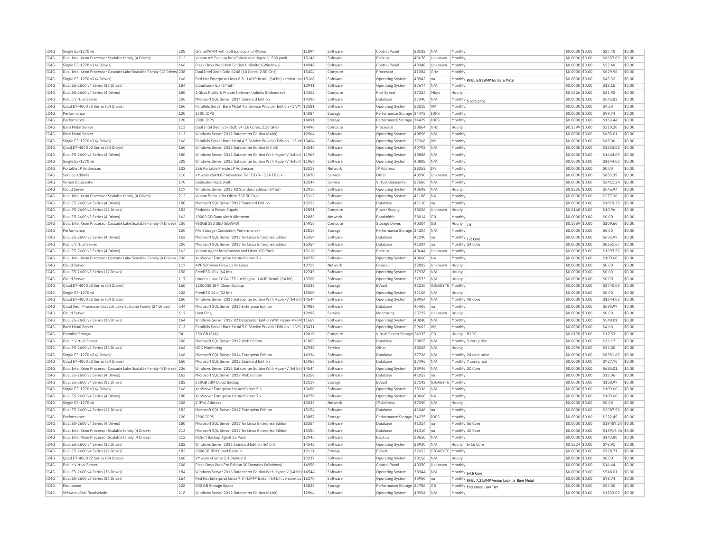| IC4G | Single E3-1270 v6                                                     | 208 | cPanel/WHM with Softaculous and RVskin                                 | 11894 | Software | Control Panel                | 38182 | N/A         | Monthly                                          | \$0,0000 \$0.00  | \$27.40           | \$0.00 |
|------|-----------------------------------------------------------------------|-----|------------------------------------------------------------------------|-------|----------|------------------------------|-------|-------------|--------------------------------------------------|------------------|-------------------|--------|
| IC4G | Dual Intel Xeon Processor Scalable family (4 Drives)                  | 212 | Veeam VM Backup for vSphere and Hyper-V 500 pack                       | 15146 | Software | Backup                       | 40678 | Unknown     | Monthly                                          | \$0,0000 \$0.00  | \$6657.09         | \$0.00 |
| IC4G | Single E3-1270 v3 (4 Drives)                                          | 166 | Plesk Onvx Web Host Edition Unlimited (Windows)                        | 14948 | Software | Control Panel                | 40348 | Unknown     | Monthly                                          | \$0,0000 \$0.00  | \$27.40           | \$0.00 |
| IC4G | Dual Intel Xeon Processor Cascade Lake Scalable Family (12 Drives 238 |     | Dual Intel Xeon Gold 6248 (40 Cores, 2.50 GHz)                         | 15404 | Compute  | Processo                     | 41384 | GHz         | Monthly                                          | \$0.0000 \$0.00  | \$629.96          | \$0.00 |
| TC4G | Single E3-1270 v3 (4 Drives)                                          | 166 | Red Hat Enterprise Linux 6.8 - LAMP Install (64 bit) version-loc 15168 |       | Software | Operating System             | 40942 | lna.        | Monthly RHEL 6.8 LAMP for Bare Metal             | \$0,0000 \$0.00  | \$49.32           | \$0.00 |
| IC4G | Dual E5-2600 v4 Series (36 Drives)                                    | 184 | Cloudl inux 6.x (64 bit)                                               | 12941 | Software | Operating System             | 37674 | N/A         | Monthly                                          | \$0.0000 \$0.00  | \$13.15           | \$0.00 |
| IC4G | Dual E5-2600 v4 Series (4 Drives)                                     | 180 | 1 Gbps Public & Private Network Uplinks (Unbonded)                     | 14302 | Compute  | Port Speed                   | 37324 | Mbps        | Hourly                                           | \$0.0326 \$0.00  | \$21.92           | \$0.00 |
| TC4G | Public Virtual Server                                                 | 206 | Microsoft SOL Server 2014 Standard Edition                             | 14396 | Software | Database                     | 37340 | N/A         |                                                  | \$0,0000 \$0.00  | \$545.82          | \$0.00 |
|      |                                                                       |     |                                                                        |       |          |                              |       |             | Monthly 5 core price                             |                  |                   |        |
| IC4G | Quad E7-4800 v2 Series (24 Drives)                                    | 160 | Parallels Server Bare Metal 4.5 Service Provider Edition - 1 VM        | 13581 | Software | Operating System             | 38218 | VM          | Monthly                                          | \$0,0000 \$0.00  | \$4.60            | \$0.00 |
| IC4G | Performance                                                           | 120 | 1300 TOPS                                                              | 14084 | Storage  | Performance Storage 34472    |       | IOPS        | Monthly                                          | \$0,0000 \$0.00  | \$99.74           | \$0.00 |
| IC4G | Performance                                                           | 120 | 2000 TOPS                                                              | 14091 | Storage  | Performance Storage 34479    |       | <b>TOPS</b> | Monthly                                          | \$0.0000 \$0.00  | \$153.44          | \$0.00 |
| IC4G | <b>Bare Metal Serve</b>                                               | 113 | Dual Intel Xeon E5-2620 v4 (16 Cores, 2.10 GHz)                        | 14496 | Compute  | Processo                     | 38864 | GHz         | Hourly                                           | \$0.2399 \$0.00  | \$219.20          | \$0.00 |
| TC4G | <b>Bare Metal Server</b>                                              | 113 | Windows Server 2012 Datacenter Edition (64bit)                         | 12964 | Software | Operating System             | 40896 | N/A         | Monthly                                          | $$0.0000$ \$0.00 | \$685.01          | \$0.00 |
| IC4G | Single E3-1270 v3 (4 Drives)                                          | 166 | Parallels Server Bare Metal 4.5 Service Provider Edition - 15 VM 13404 |       | Software | Operating System             | 37366 | <b>VM</b>   | Monthly                                          | \$0.0000 \$0.00  | \$68.06           | \$0.00 |
| TCAG | Ouad E7-4800 v2 Series (24 Drives)                                    | 160 | Windows Server 2016 Datacenter Edition (64 bit)                        | 14546 | Software | Operating System             | 40792 | N/A         | Monthly                                          | \$0,0000 \$0.00  | \$1233.02         | \$0.00 |
| IC4G | Dual E5-2600 v4 Series (4 Drives)                                     | 180 | Windows Server 2012 Datacenter Edition With Hyper-V (64bit) 11969      |       | Software | <b>Operating System</b>      | 40888 | N/A         | Monthly                                          | $$0.0000$ \$0.00 | \$1644.03         | \$0.00 |
| IC4G | Single E3-1270 v6                                                     | 208 | Windows Server 2012 Datacenter Edition With Hyper-V (64bit)            | 11969 | Software | Operating System             | 40888 | N/A         | Monthly                                          | \$0,0000 \$0.00  | \$1644.03         | \$0.00 |
| TC4G | Portable IP Addresses                                                 | 132 | 256 Portable Private IP Addresses                                      | 13319 | Network  | <b>IP Address</b>            | 28353 | <b>TPs</b>  | Monthly                                          | \$0,0000 \$0.00  | \$0.00            | \$0.00 |
|      | Service Addons                                                        |     |                                                                        | 15070 |          | Other                        |       | Unknown     |                                                  |                  | \$883.39          |        |
| IC4G |                                                                       | 210 | VMware vSAN BP Advanced Tier III 64 - 124 TB 6.x                       |       | Service  |                              | 40590 |             | Monthly                                          | \$0.0000 \$0.00  |                   | \$0.00 |
| IC4G | Virtual Datacenter                                                    | 170 | Dedicated Rack (Full)                                                  | 13247 | Service  | Virtual Datacenter           | 27686 | N/A         | Monthly                                          | \$0.0000 \$0.00  | \$2411.24         | \$0.00 |
| TC4G | Cloud Server                                                          | 117 | Windows Server 2012 R2 Standard Edition (64 bit)                       | 12910 | Software | Operating System             | 40692 | N/A         | Hourly                                           | \$0,8235 \$0.00  | \$545.94          | \$0.00 |
| IC4G | Dual Intel Xeon Processor Scalable family (4 Drives)                  | 212 | Veeam Backup for Office 365 50 Pack                                    | 15312 | Software | <b>Operating System</b>      | 41188 | <b>NA</b>   | Monthly                                          | \$0.0000 \$0.00  | \$277.36          | \$0.00 |
| IC4G | Dual E5-2600 v4 Series (4 Drives)                                     | 180 | Microsoft SQL Server 2017 Standard Edition                             | 15252 | Software | Database                     | 41110 | lna.        | Monthly                                          | \$0.0000 \$0.00  | \$1819.39         | \$0.00 |
| IC4G | Dual E5-2600 v4 Series (12 Drives)                                    | 182 | Redundant Power Supply                                                 | 12891 | Compute  | Power Supply                 | 38036 | Unknown     | Hourly                                           | \$0,0168 \$0.00  | \$10.96           | \$0.00 |
| IC4G | Dual E5-2600 v3 Series (4 Drives)                                     | 162 | 10000 GB Bandwidth Allotment                                           | 12083 | Network  | Bandwidth                    | 38014 | GB          | Monthly                                          | \$0.0000 \$0.00  | \$0.00            | \$0.00 |
| IC4G | Dual Intel Xeon Processor Cascade Lake Scalable Family (4 Drives)     | 236 | 960GB SSD SED (5DWPD)                                                  | 14916 | Compute  | Storage Drives               | 40304 | <b>GB</b>   | Hourly<br>hu                                     | \$0.1659 \$0.00  | \$109.60          | \$0.00 |
| IC4G | Performance                                                           | 120 | File Storage (Consistent Performance)                                  | 13816 | Storage  | Performance Storage 34204    |       | N/A         | Monthly                                          | \$0.0000 \$0.00  | \$0.00            | \$0.00 |
| IC4G | Dual E5-2600 v3 Series (4 Drives)                                     | 162 | Microsoft SOL Server 2017 for Linux Enterprise Edition                 | 15354 | Software | Database                     | 41290 | Ina         | Monthly 1-2 Core                                 | \$0,0000 \$0,00  | \$695.97          | \$0.00 |
| IC4G | Public Virtual Server                                                 | 206 | Microsoft SQL Server 2017 for Linux Enterprise Edition                 | 15354 | Software | Database                     | 41304 | Ina         | Monthly 24 Core                                  | \$0,0000 \$0.00  | \$8351.67         | \$0.00 |
| IC4G | Dual E5-2600 v3 Series (4 Drives)                                     | 162 | Veeam Agent for Windows and Linux 100 Pack                             | 15118 | Software | Backup                       | 40644 | Unknown     | Monthl                                           | \$0.0000 \$0.00  | \$1997.52         | \$0.00 |
|      |                                                                       |     |                                                                        |       |          |                              |       |             |                                                  |                  |                   |        |
| TC4G | Dual Intel Xeon Processor Cascade Lake Scalable Family (4 Drives)     | 236 | XenServer Enterprise for XenServer 7.x                                 | 14770 | Software | <b>Operating System</b>      | 40060 | <b>ΝΑ</b>   | Monthly                                          | \$0,0000 \$0,00  | \$109.60          | \$0.00 |
| IC4G | Cloud Serve                                                           | 117 | APF Software Firewall for Linux                                        | 13719 | Network  | Firewal                      | 32802 | Unknown     | Hourly                                           | \$0.0000 \$0.00  | \$0.00            | \$0.00 |
| IC4G | Dual E5-2600 v3 Series (12 Drives)                                    | 156 | FreeBSD 10.x (64 bit)                                                  | 12745 | Software | Operating System             | 37938 | N/A         | Hourly                                           | \$0.0000 \$0.00  | \$0.00            | \$0.00 |
| IC4G | Cloud Server                                                          | 117 | Ubuntu Linux 10.04 LTS Lucid Lynx - LAMP Install (64 bit)              | 13700 | Software | Operating System             | 32573 | N/A         | Hourly                                           | \$0,0000 \$0.00  | \$0.00            | \$0.00 |
| IC4G | Quad E7-4800 v2 Series (24 Drives)                                    | 160 | 12000GB IBM Cloud Backup                                               | 15332 | Storage  | EVault                       | 41210 | GIGABYTI    | Monthly                                          | \$0,0000 \$0.00  | \$2740.05         | \$0.00 |
| IC4G | Single E3-1270 v6                                                     | 208 | FreeBSD 10.x (32 bit)                                                  | 13500 | Software | <b>Operating System</b>      | 37106 | N/A         | Hourly                                           | \$0,0000 \$0,00  | \$0.00            | \$0.00 |
| IC4G | Quad E7-4800 v2 Series (24 Drives)                                    | 160 | Windows Server 2016 Datacenter Edition With Hyper-V (64 bit) 14544     |       | Software | Operating System             | 38954 | N/A         | Monthly 48 Core                                  | \$0.0000 \$0.00  | \$1644.03         | \$0.00 |
| IC4G | Quad Xeon Processor Cascade Lake Scalable Family (24 Drives)          | 244 | Microsoft SQL Server 2016 Enterprise Edition                           | 14989 | Software | Database                     | 40405 | na          | Monthly                                          | \$0,0000 \$0.00  | \$695.97          | \$0.00 |
| IC4G | Cloud Server                                                          | 117 | Host Ping                                                              | 12997 | Service  | Monitoring                   | 25727 | Unknown     | Hourly                                           | \$0,0000 \$0.00  | \$0.00            | \$0.00 |
| IC4G | Dual E5-2600 v3 Series (36 Drives)                                    | 164 | Windows Server 2012 R2 Datacenter Edition With Hyper-V (64t 11669      |       | Software | Operating System             | 40840 | N/A         | Monthly                                          | \$0,0000 \$0.00  | \$548.01          | \$0.00 |
| IC4G | <b>Bare Metal Server</b>                                              | 113 | Parallels Server Bare Metal 5.0 Service Provider Edition - 1 VM 13431  |       | Software | <b>Operating System</b>      | 29602 | VM          | Monthly                                          | \$0,0000 \$0.00  | \$4.60            | \$0.00 |
| IC4G | Portable Storage                                                      | 94  | 150 GB (SAN)                                                           | 12810 | Compute  | Virtual Server Storage 24335 |       | GB          | Hourly<br><b>BYOC</b>                            | \$0.0178 \$0.00  | \$12.53           | \$0.00 |
|      |                                                                       |     |                                                                        |       |          |                              |       |             |                                                  |                  |                   |        |
| IC4G | Public Virtual Server                                                 | 206 | Microsoft SQL Server 2012 Web Edition                                  | 11803 | Software | Database                     | 28855 | N/A         | Monthly 5 core price                             | \$0,0000 \$0.00  | \$36.17           | \$0.00 |
| TC4G | Dual E5-2600 v3 Series (36 Drives)                                    | 164 | NOC Monitoring                                                         | 12938 | Service  | Other                        | 38008 | N/A         | Hourly                                           | \$0.1096 \$0.00  | \$54.80           | \$0.00 |
| IC4G | Single E3-1270 v3 (4 Drives)                                          | 166 | Microsoft SQL Server 2014 Enterprise Edition                           | 14394 | Software | Database                     | 37726 | N/A         | Monthly 24 core price                            | \$0.0000 \$0.00  | \$8351.67         | \$0.00 |
| IC4G | Ouad E7-4800 v2 Series (24 Drives)                                    | 160 | Microsoft SOL Server 2012 Standard Edition                             | 11956 | Software | Database                     | 37496 | N/A         | Monthly 7 core price                             | \$0,0000 \$0.00  | \$727.76          | \$0.00 |
| TC4G | Dual Intel Xeon Processor Cascade Lake Scalable Family (4 Drives) 236 |     | Windows Server 2016 Datacenter Edition With Hyper-V (64 bit) 14544     |       | Software | Operating System             | 38946 | N/A         | Monthly 20 Core                                  | $$0.0000$ \$0.00 | \$685.01          | \$0.00 |
| IC4G | Dual E5-2600 v3 Series (4 Drives)                                     | 162 | Microsoft SQL Server 2017 Web Edition                                  | 15250 | Software | Database                     | 41052 | na          | Monthly                                          | \$0.0000 \$0.00  | \$12.06           | \$0.00 |
| IC4G | Dual E5-2600 v4 Series (12 Drives)                                    | 182 | 250GB TBM Cloud Backup                                                 | 12117 | Storage  | FVault                       | 37192 | GIGARYTE    | Monthh                                           | \$0,0000 \$0.00  | \$158.97          | \$0.00 |
| IC4G | Single E3-1270 v3 (4 Drives)                                          | 166 | XenServer Enterprise for XenServer 5.6                                 | 13680 | Software | Operating System             | 38336 | N/A         | Monthly                                          | \$0.0000 \$0.00  | \$109.60          | \$0.00 |
| TCAG | Dual E5-2600 v4 Series (4 Drives)                                     | 180 | XenServer Enterprise for XenServer 7.x                                 | 14770 | Software | Operating System             | 40060 | <b>NA</b>   | Monthly                                          | \$0,0000 \$0.00  | \$109.60          | \$0.00 |
| TC4G | Single E3-1270 v6                                                     | 208 | 1 TPv6 Address                                                         | 13033 | Network  | <b>TP Address</b>            | 37050 | N/A         | Hourly                                           | $$0.0000$ \$0.00 | \$0.00            | \$0.00 |
| IC4G | Dual E5-2600 v4 Series (12 Drives)                                    | 182 | Microsoft SQL Server 2017 Enterprise Edition                           | 15154 | Software | Database                     | 41046 | Ina         | Monthly                                          | \$0.0000 \$0.00  | \$2087.92         | \$0.00 |
| TCAG | Performance                                                           | 120 | 2900 TOPS                                                              | 13887 |          |                              |       |             | Monthly                                          |                  | \$222.49          | \$0.00 |
|      |                                                                       |     |                                                                        |       | Storage  | Performance Storage 34275    |       | <b>IOPS</b> |                                                  | \$0.0000 \$0.00  |                   |        |
| IC4G | Dual E5-2600 v4 Series (4 Drives)                                     | 180 | Microsoft SQL Server 2017 for Linux Enterprise Edition                 | 15354 | Software | Database                     | 41314 | Ina         | Monthly 56 Core                                  | \$0.0000 \$0.00  | \$19487.24 \$0.00 |        |
| IC4G | Dual Intel Xeon Processor Scalable family (4 Drives)                  | 212 | Microsoft SQL Server 2017 for Linux Enterprise Edition                 | 15354 | Software | Database                     | 41310 | na          | Monthly 40 Core                                  | \$0.0000 \$0.00  | \$13919.46 \$0.00 |        |
| IC4G | Dual Intel Xeon Processor Scalable family (4 Drives)                  | 212 | R1Soft Backup Agent 25 Pack                                            | 12945 | Software | Backup                       | 38650 | N/A         | Monthly                                          | $$0.0000$ \$0.00 | \$143.86          | \$0.00 |
| IC4G | Dual E5-2600 v4 Series (12 Drives)                                    | 182 | Windows Server 2016 Standard Edition (64 bit)                          | 14542 | Software | <b>Operating System</b>      | 38930 | N/A         | Hourly<br>6-16 Core                              | $$0.1224$ \$0.00 | \$78.91           | \$0.00 |
| IC4G | Dual E5-2600 v4 Series (12 Drives)                                    | 182 | 2000GB IBM Cloud Backup                                                | 12111 | Storage  | EVault                       | 37652 | GIGABYTE    | Monthly                                          | \$0.0000 \$0.00  | \$728.71          | \$0.00 |
| IC4G | Quad E7-4800 v2 Series (24 Drives)                                    | 160 | VMware vCenter 5.1 Standard                                            | 13237 | Software | Operating System             | 38156 | N/A         | Hourly                                           | \$0,0000 \$0.00  | \$0.00            | \$0.00 |
| IC4G | Public Virtual Server                                                 | 206 | Plesk Onyx Web Pro Edition 30 Domains (Windows)                        | 14950 | Software | Control Panel                | 40350 | Unknown     | Monthly                                          | \$0.0000 \$0.00  | \$16.44           | \$0.00 |
| TC4G | Dual E5-2600 v4 Series (36 Drives)                                    | 184 | Windows Server 2016 Datacenter Edition With Hyper-V (64 bit) 14544     |       | Software | <b>Operating System</b>      | 38944 | N/A         | Monthly 6-16 Core                                | \$0,0000 \$0,00  | \$548.01          | \$0.00 |
| IC4G | Dual E5-2600 v3 Series (36 Drives)                                    | 164 | Red Hat Enterprise Linux 7.3 - LAMP Install (64 bit) version-loc 15170 |       | Software | <b>Operating System</b>      | 40950 | na          | Monthly RHEL 7.3 LAMP Verion Lock for Bare Metal | \$0,0000 \$0.00  | \$98.74           | \$0.00 |
| IC4G | Endurance                                                             | 128 | 500 GB Storage Space                                                   | 13823 | Storage  | Performance Storage 34786    |       | <b>GB</b>   | Monthly Endurance Low Tier                       | \$0.0000 \$0.00  | \$54.80           | \$0.00 |
| IC4G | VMware vSAN ReadvNode                                                 | 218 | Windows Server 2012 Datacenter Edition (64bit)                         | 12964 | Software | <b>Operating System</b>      | 40904 | N/A         | Monthly                                          | \$0.0000 \$0.00  | \$1233.02         | \$0.00 |
|      |                                                                       |     |                                                                        |       |          |                              |       |             |                                                  |                  |                   |        |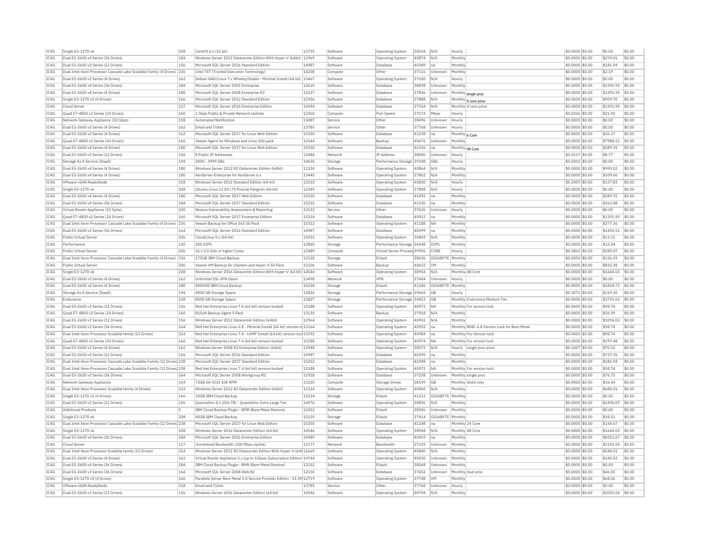| IC4G                                                                 | Single E3-1270 v6                                                      | 208         | CentOS 6 x (32 hit)                                                        | 13755          | Software            | Operating System             | 38104          | N/A              | Hourly            |                                              | \$0.0000 \$0.00                     | \$0.00              | \$0.00           |
|----------------------------------------------------------------------|------------------------------------------------------------------------|-------------|----------------------------------------------------------------------------|----------------|---------------------|------------------------------|----------------|------------------|-------------------|----------------------------------------------|-------------------------------------|---------------------|------------------|
| TC4G                                                                 | Dual E5-2600 v4 Series (36 Drives)                                     | 184         | Windows Server 2012 Datacenter Edition With Hyper-V (64bit) 11969          |                | Software            | Operating System             | 40874          | N/A              | Monthly           |                                              | \$0.0000 \$0.00                     | \$274.01            | \$0.00           |
| TC4G                                                                 | Dual E5-2600 v3 Series (12 Drives)                                     | 156         | Microsoft SOL Server 2016 Standard Edition                                 | 14987          | Software            | Database                     | 40389          | Ina              | Monthly           |                                              | \$0,0000 \$0.00                     | \$181.94            | \$0.00           |
| IC4G                                                                 | Dual Intel Xeon Processor Cascade Lake Scalable Family (4 Drives) 236  |             | Intel TXT (Trusted Execution Technology)                                   | 14208          | Compute             | Other                        | 37116          | Unknown          | Monthly           |                                              | \$0,0000 \$0.00                     | \$2.19              | \$0.00           |
| IC4G                                                                 | Dual E5-2600 v3 Series (4 Drives)                                      | 162         | Debian GNU/Linux 7.x Wheezy/Stable - Minimal Install (64 bit) 13467        |                | Software            | <b>Operating System</b>      | 37100          | N/A              | Hourly            |                                              | \$0.0000 \$0.00                     | \$0.00              | \$0.00           |
| TC4G                                                                 | Dual E5-2600 v4 Series (36 Drives)                                     | 184         | Microsoft SOL Server 2005 Enterprise                                       | 12610          | Software            | Database                     | 38498          | Unknown          | Monthly           |                                              | \$0,0000 \$0.00                     | \$1391.95           | \$0.00           |
|                                                                      |                                                                        |             |                                                                            |                |                     |                              |                |                  |                   |                                              |                                     |                     |                  |
| IC4G                                                                 | Dual E5-2600 v4 Series (4 Drives)                                      | 180         | Microsoft SQL Server 2008 Enterprise R2                                    | 12237          | Software            | <b>Databas</b>               | 37836          | Unknown          |                   | Monthly single proc                          | \$0.0000 \$0.00                     | \$1391.95           | \$0.00           |
| IC4G                                                                 | Single E3-1270 v3 (4 Drives)                                           | 166         | Microsoft SOL Server 2012 Standard Edition                                 | 11956          | Software            | Database                     | 37888          | N/A              |                   | Monthly 9 core price                         | \$0.0000 \$0.00                     | \$909.70            | \$0.00           |
| IC4G                                                                 | Cloud Server                                                           | 117         | Microsoft SOL Server 2014 Enterprise Edition                               | 14394          | Software            | Database                     | 37554          | N/A              |                   | Monthly 4 core price                         | \$0,0000 \$0.00                     | \$1391.95           | \$0.00           |
| TC4G                                                                 | Quad E7-4800 v2 Series (24 Drives)                                     | 160         | 1 Gbps Public & Private Network Uplinks                                    | 12360          | Compute             | Port Speed                   | 37174          | Mbps             | Hourly            |                                              | \$0.0326 \$0.00                     | \$21.92             | \$0.00           |
| IC4G                                                                 | Network Gateway Appliance (10 Gbps)                                    | 158         | <b>Automated Notification</b>                                              | 13487          | Service             | Other                        | 38496          | Unknown          | Hourly            |                                              | \$0.0000 \$0.00                     | \$0.00              | \$0.00           |
| IC4G                                                                 | Dual E5-2600 v3 Series (4 Drives)                                      |             | Email and Ticket                                                           | 13785          | Service             | Other                        |                | Unknown          |                   |                                              |                                     | \$0.00              | \$0.00           |
|                                                                      |                                                                        | 162         |                                                                            |                |                     |                              | 37768          |                  | Hourly            |                                              | \$0.0000 \$0.00                     |                     |                  |
| TC4G                                                                 | Dual E5-2600 v3 Series (4 Drives)                                      | 162         | Microsoft SQL Server 2017 for Linux Web Edition                            | 15350          | Software            | Database                     | 41238          | lna              | Monthly 6 Core    |                                              | \$0.0000 \$0.00                     | \$36.17             | \$0.00           |
| IC4G                                                                 | Quad E7-4800 v2 Series (24 Drives)                                     | 160         | Veeam Agent for Windows and Linux 500 pack                                 | 15144          | Software            | Backup                       | 40676          | Unknown          | Monthly           |                                              | \$0.0000 \$0.00                     | \$7988.11           | \$0.00           |
| IC4G                                                                 | Dual E5-2600 v4 Series (4 Drives)                                      | 180         | Microsoft SOL Server 2017 for Linux Web Edition                            | 15350          | Software            | Database                     | 41256          | Ina              |                   | Monthly 48 Core                              | \$0,0000 \$0.00                     | \$289.35            | \$0.00           |
| IC4G                                                                 | Dual E5-2600 v3 Series (12 Drives)                                     | 156         | 8 Public IP Addresses                                                      | 12484          | Network             | IP Address                   | 38000          | Unknown          | Hourly            |                                              | \$0,0217 \$0.00                     | \$8.77              | \$0.00           |
| IC4G                                                                 | Storage As A Service (StaaS)                                           | 194         | 3000 - 3999 GBs                                                            | 14650          | Storage             | Performance Storage 39348    |                | GBs              | Hourly            |                                              | $$0.0002$ \$0.00                    | \$0.00              | \$0.00           |
|                                                                      |                                                                        |             |                                                                            |                |                     |                              |                |                  |                   |                                              |                                     |                     |                  |
| IC4G                                                                 | Dual E5-2600 v4 Series (4 Drives)                                      | 180         | Windows Server 2012 R2 Datacenter Edition (64bit)                          | 12324          | Software            | <b>Operating System</b>      | 40864          | N/A              | Monthly           |                                              | \$0,0000 \$0.00                     | \$959.02            | \$0.00           |
| TC4G                                                                 | Dual E5-2600 v4 Series (4 Drives)                                      | 180         | XenServer Enternrise for XenServer 6.x                                     | 13440          | Software            | Operating System             | 37862          | N/A              | Monthly           |                                              | \$0,0000 \$0,00                     | \$109.60            | \$0.00           |
| TC4G                                                                 | VMware vSAN ReadyNode                                                  | 218         | Windows Server 2012 Standard Edition (64 bit)                              | 12322          | Software            | Operating System             | 40830          | N/A              | Hourly            |                                              | \$0.2459 \$0.00                     | \$157.83            | \$0.00           |
| IC4G                                                                 | Single E3-1270 v6                                                      | 208         | Ubuntu Linux 12.04 LTS Precise Pangolin (64 bit)                           | 12349          | Software            | Operating System             | 37898          | N/A              | Hourly            |                                              | \$0.0000 \$0.00                     | \$0.00              | \$0.00           |
| IC4G                                                                 | Dual E5-2600 v4 Series (4 Drives)                                      | 180         | Microsoft SOL Server 2017 Web Edition                                      | 15250          | Software            | Database                     | 41092          | Ina              | Monthly           |                                              | \$0,0000 \$0.00                     | \$289.35            | \$0.00           |
|                                                                      |                                                                        |             |                                                                            |                |                     |                              |                |                  |                   |                                              |                                     |                     |                  |
| IC4G                                                                 | Dual E5-2600 v4 Series (36 Drives)                                     | 184         | Microsoft SOL Server 2017 Standard Edition                                 | 15252          | Software            | Database                     | 41100          | Ina              | Monthly           |                                              | \$0.0000 \$0.00                     | \$363.88            | \$0.00           |
| IC4G                                                                 | Virtual Router Appliance (10 Gpbs)                                     | 230         | Nessus Vulnerability Assessment & Reporting                                | 13132          | Service             | Other                        | 37626          | <b>Unknown</b>   | Hourly            |                                              | $$0.0000$ \$0.00                    | \$0.00              | \$0.00           |
| IC4G                                                                 | Quad E7-4800 v2 Series (24 Drives)                                     | 160         | Microsoft SQL Server 2017 Enterprise Edition                               | 15154          | Software            | Database                     | 40912          | na               | Monthly           |                                              | \$0.0000 \$0.00                     | \$1391.95           | \$0.00           |
| IC4G                                                                 | Dual Intel Xeon Processor Cascade Lake Scalable Family (4 Drives) 236  |             | Veeam Backup for Office 365 50 Pack                                        | 15312          | Software            | Operating System             | 41188          | <b>NA</b>        | Monthly           |                                              | \$0,0000 \$0.00                     | \$277.36            | \$0.00           |
| IC4G                                                                 | Dual E5-2600 v3 Series (36 Drives)                                     | 164         | Microsoft SQL Server 2016 Standard Edition                                 | 14987          | Software            | Database                     | 40399          | Ina              | Monthly           |                                              | \$0.0000 \$0.00                     | \$1455.51           | \$0.00           |
| IC4G                                                                 | Public Virtual Server                                                  | 206         | CloudLinux 5.x (64 bit)                                                    | 13553          | Software            | Operating System             | 30843          | N/A              | Monthly           |                                              | \$0,0000 \$0.00                     | \$13.15             | \$0.00           |
|                                                                      |                                                                        |             |                                                                            |                |                     |                              |                |                  |                   |                                              |                                     |                     |                  |
| IC4G                                                                 | Performance                                                            | 120         | 200 IOPS                                                                   | 13860          | Storage             | Performance Storage 34248    |                | IOPS             | Monthly           |                                              | \$0.0000 \$0.00                     | \$15.34             | \$0.00           |
| TC4G                                                                 | Public Virtual Server                                                  | 206         | 16 x 2.0 GHz or higher Cores                                               | 12489          | Compute             | Virtual Server Process 39956 |                | CORE             | Hourly            |                                              | \$0,5865 \$0.00                     | \$389.47            | \$0.00           |
| IC4G                                                                 | Dual Intel Xeon Processor Cascade Lake Scalable Family (4 Drives) 236  |             | 175GB TBM Cloud Backup                                                     | 12118          | Storage             | FVault                       | 38636          | GIGARYTE         | Monthly           |                                              | \$0.0000 \$0.00                     | \$126.39            | \$0.00           |
| IC4G                                                                 | Public Virtual Server                                                  | 206         | Veeam VM Backup for vSphere and Hyper-V 50 Pack                            | 15106          | Software            | Backup                       | 40632          | <b>VM</b>        | Monthly           |                                              | \$0.0000 \$0.00                     | \$832.38            | \$0.00           |
| IC4G                                                                 | Single E3-1270 v6                                                      | 208         | Windows Server 2016 Datacenter Edition With Hyper-V (64 bit) 14544         |                | Software            | Operating System             | 38954          | N/A              |                   | Monthly 48 Core                              | \$0,0000 \$0.00                     | \$1644.03           | \$0.00           |
|                                                                      |                                                                        |             |                                                                            |                |                     |                              |                |                  |                   |                                              |                                     |                     |                  |
| TC4G                                                                 | Dual E5-2600 v3 Series (4 Drives)                                      | 162         | Unlimited SSL VPN Users                                                    | 13498          | Network             | <b>VPN</b>                   | 37404          | <b>Linknown</b>  | Hourly            |                                              | \$0,0000 \$0.00                     | \$0.00              | \$0.00           |
| IC4G                                                                 | Dual E5-2600 v4 Series (4 Drives)                                      | 180         | 8000GB IBM Cloud Backup                                                    | 15328          | Storage             | EVault                       | 41206          | GIGABYTE         | Monthly           |                                              | \$0,0000 \$0.00                     | \$1824.73           | \$0.00           |
| IC4G                                                                 | Storage As A Service (StaaS)                                           | 194         | 4000 GB Storage Space                                                      | 13826          | Storage             | Performance Storage 39604    |                | GB               | Hourly            |                                              | \$0.3071 \$0.00                     | \$219.20            | \$0.00           |
| TC4G                                                                 | Endurance                                                              | 128         | 8000 GB Storage Space                                                      | 13827          | Storage             | Performance Storage 34812    |                | <b>GB</b>        |                   | Monthly Endurance Medium Tier                | $$0.0000$ \$0.00                    | \$1753.63           | \$0.00           |
| IC4G                                                                 | Dual E5-2600 v3 Series (12 Drives)                                     | 156         | Red Hat Enterprise Linux 7.4 (64 bit) version-locked                       | 15188          | Software            | Operating System             | 40972          | <b>NA</b>        |                   | Monthly For version lock                     | \$0.0000 \$0.00                     | \$98.74             | \$0.00           |
|                                                                      |                                                                        |             |                                                                            |                |                     |                              |                |                  |                   |                                              |                                     |                     |                  |
| TC4G                                                                 | Quad E7-4800 v2 Series (24 Drives)                                     | 160         | R1Soft Backup Agent 5 Pack                                                 | 13130          | Software            | Backup                       | 37918          | N/A              | Monthly           |                                              | \$0,0000 \$0.00                     | \$36.99             | \$0.00           |
| IC4G                                                                 | Dual E5-2600 v3 Series (12 Drives                                      | 156         | Windows Server 2012 Datacenter Edition (64bit)                             | 12964          | Software            | <b>Operating System</b>      | 40902          | N/A              | Monthly           |                                              | \$0,0000 \$0.00                     | \$1096.02           | \$0.00           |
| TC4G                                                                 | Dual E5-2600 v3 Series (36 Drives)                                     | 164         | Red Hat Enterprise Linux 6.8 - Minimal Install (64 bit) version-Id 15164   |                | Software            | Operating System             | 40932          | Ina              |                   | Monthly RHEL 6.8 Version Lock for Bare Metal | \$0,0000 \$0.00                     | \$98.74             | \$0.00           |
| IC4G                                                                 | Dual Intel Xeon Processor Scalable family (12 Drives)                  | 214         | Red Hat Enterprise Linux 7.4 - LAMP Install (64 bit) version-loc 15192     |                | Software            | <b>Operating System</b>      | 40984          | Ina              |                   | Monthly For Version lock                     | \$0.0000 \$0.00                     | \$98.74             | \$0.00           |
| IC4G                                                                 | Ouad E7-4800 v2 Series (24 Drives)                                     | 160         | Red Hat Enterprise Linux 7.4 (64 bit) version-locked                       | 15188          | Software            | Operating System             | 40974          | <b>NA</b>        |                   | Monthly For version lock                     | \$0.0000 \$0.00                     | \$197.48            | \$0.00           |
|                                                                      |                                                                        |             |                                                                            |                |                     |                              |                |                  |                   |                                              |                                     |                     |                  |
| TC4G                                                                 | Dual E5-2600 v3 Series (4 Drives)                                      | 162         | Windows Server 2008 R2 Enterprise Edition (64bit)                          | 12948          | Software            | Operating System             | 38072          | N/A              |                   | Hourly single proc price                     | \$0.1007 \$0.00                     | \$70.15             | \$0.00           |
| IC4G                                                                 | Dual E5-2600 v3 Series (12 Drives)                                     | 156         | Microsoft SQL Server 2016 Standard Edition                                 | 14987          | Software            | Database                     | 40395          | na               | Monthly           |                                              | \$0.0000 \$0.00                     | \$727.76            | \$0.00           |
| IC4G                                                                 | Dual Intel Xeon Processor Cascade Lake Scalable Family (12 Drives 238  |             | Microsoft SOL Server 2017 Standard Edition                                 | 15252          | Software            | Database                     | 41098          | <b>I</b> na      | Monthly           |                                              | \$0,0000 \$0.00                     | \$181.94            | \$0.00           |
| IC4G                                                                 | Dual Intel Xeon Processor Cascade Lake Scalable Family (12 Drives 238  |             | Red Hat Enterprise Linux 7.4 (64 bit) version-locked                       | 15188          | Software            | Operating System             | 40972          | <b>NA</b>        |                   | Monthly For version lock                     | \$0,0000 \$0.00                     | \$98.74             | \$0.00           |
| TC4G                                                                 | Dual E5-2600 v3 Series (36 Drives)                                     | 164         | Microsoft SOL Server 2008 Workgroup R2                                     | 11918          | Software            | Database                     | 37228          | Unknown          |                   | Monthly single proc                          | $$0.0000$ \$0.00                    | \$76.72             | \$0.00           |
|                                                                      |                                                                        |             |                                                                            |                |                     |                              |                |                  |                   |                                              |                                     |                     |                  |
| IC4G                                                                 | Network Gateway Appliance                                              | 114         | 73GB SA-SCSI 10K RPM                                                       | 13220          | Compute             | <b>Storage Drives</b>        | 28539          | GB               |                   | Monthly disk0 only                           | \$0.0000 \$0.00                     | \$16.44             | \$0.00           |
| TC4G                                                                 | Dual Intel Xeon Processor Scalable family (4 Drives)                   | 212         | Windows Server 2012 R2 Datacenter Edition (64bit)                          | 12324          | Software            | <b>Operating System</b>      | 40860          | N/A              | Monthly           |                                              | \$0,0000 \$0.00                     | \$685.01            | \$0.00           |
| IC4G                                                                 | Single E3-1270 v3 (4 Drives)                                           | 166         | 10GB IBM Cloud Backup                                                      | 15334          | Storage             | EVault                       | 41212          | GIGABYTE         | Monthly           |                                              | \$0,0000 \$0.00                     | \$0.00              | \$0.00           |
| IC4G                                                                 | Dual E5-2600 v3 Series (12 Drives)                                     | 156         | QuantaStor 4.x (256 TB) - QuantaStor Extra Large Tier                      | 14476          | Software            | <b>Operating System</b>      | 38826          | N/A              | Monthly           |                                              | \$0.0000 \$0.00                     | \$1496.07           | \$0.00           |
| IC4G                                                                 | <b>Additional Products</b>                                             | $\mathbf 0$ | IBM Cloud Backup Plugin - BMR (Bare Metal Restore)                         | 12252          | Software            | EVault                       | 38306          | Unknown          | Monthly           |                                              | \$0.0000 \$0.00                     | \$0.00              | \$0.00           |
|                                                                      |                                                                        | 208         |                                                                            |                |                     |                              |                |                  |                   |                                              |                                     |                     |                  |
|                                                                      |                                                                        |             | 40GB IBM Cloud Backup                                                      | 12159          | Storage             | FVault                       | 37414          | GIGABYTE Monthly |                   |                                              | \$0.0000 \$0.00                     | \$38.51             | \$0.00           |
|                                                                      | Single E3-1270 v6                                                      |             |                                                                            |                |                     | Database                     | 41248          | lna              |                   | Monthly 24 Core                              | \$0.0000 \$0.00                     | \$144.67            | \$0.00           |
|                                                                      | Dual Intel Xeon Processor Cascade Lake Scalable Family (12 Drives) 238 |             | Microsoft SQL Server 2017 for Linux Web Edition                            | 15350          | Software            |                              |                |                  |                   | Monthly 48 Core                              | \$0.0000 \$0.00                     | \$1644.03           | \$0.00           |
|                                                                      | Single E3-1270 v6                                                      | 208         | Windows Server 2016 Datacenter Edition (64 bit)                            | 14546          | Software            | <b>Operating System</b>      | 38968          | N/A              |                   |                                              |                                     |                     | \$0.00           |
|                                                                      | Dual E5-2600 v4 Series (36 Drives)                                     | 184         | Microsoft SQL Server 2016 Enterprise Edition                               | 14989          | Software            | Database                     | 40419          | Ina              | Monthly           |                                              | \$0.0000 \$0.00                     | \$8351.67           |                  |
|                                                                      |                                                                        |             |                                                                            |                |                     |                              |                |                  |                   |                                              |                                     |                     |                  |
|                                                                      | Cloud Serve                                                            | 117         | Unmetered Bandwidth (100 Mbps Uplink)                                      | 13177          | Network             | Bandwidtl                    | 27159          | Unknown          | Monthly           |                                              | \$0.0000 \$0.00                     | \$2192.04           | \$0.00           |
|                                                                      | Dual Intel Xeon Processor Scalable family (12 Drives)                  | 214         | Windows Server 2012 R2 Datacenter Edition With Hyper-V (64t 11669          |                | Software            | <b>Operating System</b>      | 40840          | N/A              | Monthly           |                                              | \$0.0000 \$0.00                     | \$548.01            | \$0.00           |
|                                                                      | Dual E5-2600 v3 Series (4 Drives)                                      | 162         | Virtual Router Appliance 5.x (up to 1Gbps) Subscription Edition 14744      |                | Software            | <b>Operating System</b>      | 40030          | Unknown          | Monthly           |                                              | \$0,0000 \$0.00                     | \$240.03            | \$0.00           |
|                                                                      | Dual E5-2600 v4 Series (36 Drives)                                     | 184         | IBM Cloud Backup Plugin - BMR (Bare Metal Restore)                         | 12252          | Software            | FVault                       | 38068          | Unknown          | Monthly           |                                              | \$0,0000 \$0,00                     | \$0.00              | \$0.00           |
|                                                                      |                                                                        | 164         |                                                                            | 12150          | Software            | Database                     |                |                  |                   |                                              |                                     | \$46.03             |                  |
| IC4G<br>TC4G<br>IC4G<br>IC4G<br>IC4G<br>IC4G<br>IC4G<br>TC4G<br>TC4G | Dual E5-2600 v3 Series (36 Drives)                                     |             | Microsoft SQL Server 2008 Web R2                                           |                |                     |                              | 37452          | Unknown          |                   | Monthly dual proc                            | \$0.0000 \$0.00                     |                     | \$0.00           |
| IC4G                                                                 | Single E3-1270 v3 (4 Drives)                                           | 166         | Parallels Server Bare Metal 5.0 Service Provider Edition - 15 VM 12719     |                | Software            | Operating System             | 37748          | <b>VM</b>        | Monthly           |                                              | \$0,0000 \$0.00                     | \$68.06             | \$0.00           |
| TC4G<br>TCAG                                                         | VMware vSAN ReadyNode<br>Dual E5-2600 v3 Series (12 Drives)            | 218<br>156  | <b>Email and Ticket</b><br>Windows Server 2016 Datacenter Edition (64 bit) | 13785<br>14546 | Service<br>Software | Other<br>Operating System    | 37768<br>40794 | Unknown<br>N/A   | Hourly<br>Monthly |                                              | \$0.0000 \$0.00<br>$$0.0000$ \$0.00 | \$0.00<br>\$2055.04 | \$0.00<br>\$0.00 |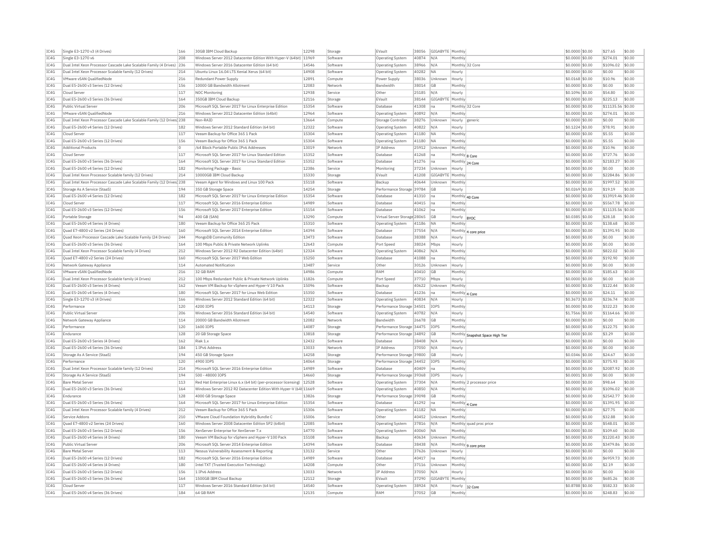| IC4G | Single E3-1270 v3 (4 Drives)                                          | 166      | 30GB IBM Cloud Backup                                             | 12298 | Storage  | EVault                       | 38056 | GIGABYTE   Monthly |                 |                                  | \$0.0000 \$0.00 | \$27.65           | \$0.00 |
|------|-----------------------------------------------------------------------|----------|-------------------------------------------------------------------|-------|----------|------------------------------|-------|--------------------|-----------------|----------------------------------|-----------------|-------------------|--------|
| IC4G | Single E3-1270 v6                                                     | 208      | Windows Server 2012 Datacenter Edition With Hyper-V (64bit) 11969 |       | Software | Operating System             | 40874 | N/A                | Monthly         |                                  | \$0.0000 \$0.00 | \$274.01          | \$0.00 |
| IC4G | Dual Intel Xeon Processor Cascade Lake Scalable Family (4 Drives)     | 236      | Windows Server 2016 Datacenter Edition (64 bit)                   | 14546 | Software | <b>Operating System</b>      | 38966 | N/A                | Monthly 32 Core |                                  | \$0.0000 \$0.00 | \$1096.02         | \$0.00 |
| IC4G | Dual Intel Xeon Processor Scalable family (12 Drives)                 | 214      | Ubuntu Linux 16.04 LTS Xenial Xerus (64 bit)                      | 14908 | Software | <b>Operating System</b>      | 40282 | <b>NA</b>          | Hourly          |                                  | \$0,0000 \$0.00 | \$0.00            | \$0.00 |
| IC4G | VMware vSAN OualifiedNode                                             | 216      | Redundant Power Supply                                            | 12891 | Compute  | Power Supply                 | 38036 | Unknown            | Hourly          |                                  | \$0,0168 \$0.00 | \$10.96           | \$0.00 |
| IC4G | Dual E5-2600 v3 Series (12 Drives)                                    | 156      | 10000 GB Bandwidth Allotment                                      | 12083 | Network  | Bandwidth                    | 38014 | <b>GB</b>          | Monthly         |                                  | \$0.0000 \$0.00 | \$0.00            | \$0.00 |
| IC4G | Cloud Server                                                          | 117      | NOC Monitoring                                                    | 12938 | Service  | Other                        | 25185 | N/A                | Hourly          |                                  | \$0.1096 \$0.00 | \$54.80           | \$0.00 |
|      |                                                                       |          |                                                                   |       |          |                              |       |                    |                 |                                  |                 |                   |        |
| IC4G | Dual E5-2600 v3 Series (36 Drives)                                    | 164      | 350GB IBM Cloud Backup                                            | 12116 | Storage  | EVault                       | 38144 | GIGABYTE Monthly   |                 |                                  | \$0,0000 \$0.00 | \$225.13          | \$0.00 |
| TC4G | Public Virtual Server                                                 | 206      | Microsoft SOL Server 2017 for Linux Enterprise Edition            | 15354 | Software | Database                     | 41308 | na                 | Monthly 32 Core |                                  | \$0,0000 \$0.00 | \$11135.56 \$0.00 |        |
| IC4G | VMware vSAN QualifiedNode                                             | 216      | Windows Server 2012 Datacenter Edition (64bit)                    | 12964 | Software | Operating System             | 40892 | N/A                | Monthly         |                                  | \$0.0000 \$0.00 | \$274.01          | \$0.00 |
| IC4G | Dual Intel Xeon Processor Cascade Lake Scalable Family (12 Drives 238 |          | Non-RATD                                                          | 13664 | Compute  | Storage Controller           | 38276 | Unknown            | Hourly          | generic                          | \$0,0000 \$0.00 | \$0.00            | \$0.00 |
| TC4G | Dual E5-2600 v4 Series (12 Drives)                                    | 182      | Windows Server 2012 Standard Edition (64 bit)                     | 12322 | Software | Operating System             | 40822 | N/A                | Hourly          |                                  | \$0.1224 \$0.00 | \$78.91           | \$0.00 |
| IC4G | Cloud Server                                                          | 117      | Veeam Backup for Office 365 1 Pack                                | 15304 | Software | Operating System             | 41180 | <b>NA</b>          | Monthly         |                                  | \$0.0000 \$0.00 | \$5.55            | \$0.00 |
| IC4G | Dual E5-2600 v3 Series (12 Drives)                                    | 156      | Veeam Backup for Office 365 1 Pack                                | 15304 | Software | Operating System             | 41180 | <b>NA</b>          | Monthly         |                                  | \$0.0000 \$0.00 | \$5.55            | \$0.00 |
| IC4G | <b>Additional Products</b>                                            | $\Omega$ | /64 Block Portable Public TPv6 Addresses                          | 13019 | Network  | IP Address                   | 25912 | Unknown            | Monthly         |                                  | \$0.0000 \$0.00 | \$10.96           | \$0.00 |
| IC4G | Cloud Server                                                          | 117      |                                                                   |       |          | Database                     |       |                    |                 |                                  |                 |                   |        |
|      |                                                                       |          | Microsoft SQL Server 2017 for Linux Standard Edition              | 15352 | Software |                              | 41268 | na                 | Monthly 8 Core  |                                  | \$0.0000 \$0.00 | \$727.76          | \$0.00 |
| IC4G | Dual E5-2600 v3 Series (36 Drives)                                    | 164      | Microsoft SOL Server 2017 for Linux Standard Edition              | 15352 | Software | Database                     | 41276 | Ina                | Monthly 24 Core |                                  | \$0,0000 \$0.00 | \$2183.27         | \$0.00 |
| IC4G | Dual E5-2600 v4 Series (12 Drives)                                    | 182      | Monitoring Package - Basic                                        | 12386 | Service  | Monitoring                   | 37234 | Unknown            | Hourly          |                                  | \$0,0000 \$0.00 | \$0.00            | \$0.00 |
| IC4G | Dual Intel Xeon Processor Scalable family (12 Drives)                 | 214      | 10000GB IBM Cloud Backup                                          | 15330 | Storage  | EVault                       | 41208 | GIGABYTE Monthly   |                 |                                  | \$0,0000 \$0,00 | \$2284.86         | \$0.00 |
| IC4G | Dual Intel Xeon Processor Cascade Lake Scalable Family (12 Drives 238 |          | Veeam Agent for Windows and Linux 100 Pack                        | 15118 | Software | Backup                       | 40644 | Unknown            | Monthly         |                                  | \$0,0000 \$0.00 | \$1997.52         | \$0.00 |
| IC4G | Storage As A Service (StaaS)                                          | 194      | 350 GB Storage Space                                              | 14254 | Storage  | Performance Storage 39784    |       | <b>GB</b>          | Hourly          |                                  | \$0.0269 \$0.00 | \$19.19           | \$0.00 |
| TC4G | Dual E5-2600 v4 Series (12 Drives)                                    | 182      | Microsoft SOL Server 2017 for Linux Enterprise Edition            | 15354 | Software | Database                     | 41310 | Ina                | Monthly 40 Core |                                  | \$0,0000 \$0.00 | \$13919.46 \$0.00 |        |
| IC4G | Cloud Server                                                          | 117      | Microsoft SQL Server 2016 Enterprise Edition                      | 14989 | Software | Database                     | 40415 | Ina                | Monthly         |                                  | \$0,0000 \$0.00 | \$5567.78         | \$0.00 |
| IC4G | Dual E5-2600 v3 Series (12 Drives)                                    | 156      | Microsoft SQL Server 2017 Enterprise Edition                      | 15154 | Software | Database                     | 41062 | Ina                | Monthly         |                                  | \$0,0000 \$0.00 | \$11135.56 \$0.00 |        |
| IC4G | Portable Storage                                                      | 94       | 400 GB (SAN)                                                      | 13290 | Compute  | Virtual Server Storage 28065 |       | GB                 |                 |                                  | \$0.0385 \$0.00 | \$28.18           | \$0.00 |
|      |                                                                       |          |                                                                   |       |          |                              |       |                    | Hourly          | <b>BYOC</b>                      |                 |                   |        |
| IC4G | Dual E5-2600 v4 Series (4 Drives)                                     | 180      | Veeam Backup for Office 365 25 Pack                               | 15310 | Software | Operating System             | 41186 | <b>NA</b>          | Monthly         |                                  | \$0.0000 \$0.00 | \$138.68          | \$0.00 |
| TC4G | Quad E7-4800 v2 Series (24 Drives)                                    | 160      | Microsoft SOL Server 2014 Enterprise Edition                      | 14394 | Software | Database                     | 37554 | N/A                |                 | Monthly 4 core price             | \$0,0000 \$0.00 | \$1391.95         | \$0.00 |
| IC4G | Ouad Xeon Processor Cascade Lake Scalable Family (24 Drives)          | 244      | MongoDB Community Edition                                         | 13473 | Software | Database                     | 38388 | N/A                | Hourly          |                                  | \$0,0000 \$0.00 | \$0.00            | \$0.00 |
| TCAG | Dual E5-2600 v3 Series (36 Drives)                                    | 164      | 100 Mbps Public & Private Network Uplinks                         | 12643 | Compute  | Port Speed                   | 38024 | Mbps               | Hourly          |                                  | \$0,0000 \$0.00 | \$0.00            | \$0.00 |
| IC4G | Dual Intel Xeon Processor Scalable family (4 Drives)                  | 212      | Windows Server 2012 R2 Datacenter Edition (64bit)                 | 12324 | Software | Operating System             | 40862 | N/A                | <b>Monthly</b>  |                                  | \$0.0000 \$0.00 | \$822.02          | \$0.00 |
| IC4G | Quad E7-4800 v2 Series (24 Drives)                                    | 160      | Microsoft SQL Server 2017 Web Edition                             | 15250 | Software | Database                     | 41088 | na                 | Monthly         |                                  | \$0.0000 \$0.00 | \$192.90          | \$0.00 |
| IC4G | Network Gateway Appliance                                             | 114      | Automated Notification                                            | 13487 | Service  | Other                        | 30126 | Unknown            | Hourly          |                                  | \$0,0000 \$0.00 | \$0.00            | \$0.00 |
| IC4G | VMware vSAN QualifiedNode                                             | 216      | 32 GB RAM                                                         | 14986 | Compute  | RAM                          | 40410 | GB                 | Monthly         |                                  | \$0.0000 \$0.00 | \$185.63          | \$0.00 |
| IC4G | Dual Intel Xeon Processor Scalable family (4 Drives)                  | 212      | 100 Mbps Redundant Public & Private Network Uplinks               | 11826 |          | Port Speed                   |       | Mbps               | Hourly          |                                  | \$0.0000 \$0.00 | \$0.00            | \$0.00 |
|      |                                                                       |          |                                                                   |       | Compute  |                              | 37710 |                    |                 |                                  |                 |                   |        |
| IC4G | Dual E5-2600 v3 Series (4 Drives)                                     | 162      | Veeam VM Backup for vSphere and Hyper-V 10 Pack                   | 15096 | Software | Backup                       | 40622 | Unknown            | Monthly         |                                  | \$0,0000 \$0.00 | \$122.44          | \$0.00 |
| IC4G | Dual E5-2600 v4 Series (4 Drives)                                     | 180      | Microsoft SQL Server 2017 for Linux Web Edition                   | 15350 | Software | Database                     | 41236 | na                 | Monthly         | 4 Con                            | \$0.0000 \$0.00 | \$24.11           | \$0.00 |
| IC4G | Single E3-1270 v3 (4 Drives)                                          | 166      | Windows Server 2012 Standard Edition (64 bit)                     | 12322 | Software | <b>Operating System</b>      | 40834 | N/A                | Hourly          |                                  | \$0.3673 \$0.00 | \$236.74          | \$0.00 |
| IC4G | Performance                                                           | 120      | 4200 IOPS                                                         | 14113 | Storage  | Performance Storage 34501    |       | IOPS               | Monthly         |                                  | \$0,0000 \$0.00 | \$322.23          | \$0.00 |
| IC4G | Public Virtual Server                                                 | 206      | Windows Server 2016 Standard Edition (64 bit)                     | 14540 | Software | Operating System             | 40782 | N/A                | Hourly          |                                  | \$1.7566 \$0.00 | \$1164.66         | \$0.00 |
| IC4G | Network Gateway Appliance                                             | 114      | 20000 GB Bandwidth Allotment                                      | 12082 | Network  | Bandwidth                    | 26678 | <b>GB</b>          | Monthly         |                                  | \$0,0000 \$0.00 | \$0.00            | \$0.00 |
| IC4G | Performance                                                           | 120      | 1600 IOPS                                                         | 14087 | Storage  | Performance Storage 34475    |       | IOPS               | Monthly         |                                  | \$0,0000 \$0.00 | \$122.75          | \$0.00 |
| TC4G | Endurance                                                             | 128      | 20 GB Storage Space                                               | 13818 | Storage  | Performance Storage 34892    |       | GB                 |                 |                                  | \$0,0000 \$0.00 | \$3.29            | \$0.00 |
|      |                                                                       |          | Riak 1.x                                                          |       |          |                              |       |                    |                 | Monthly Snapshot Space High Tier |                 |                   |        |
| IC4G | Dual E5-2600 v3 Series (4 Drives)                                     | 162      |                                                                   | 12432 | Software | Database                     | 38408 | N/A                | Hourly          |                                  | \$0.0000 \$0.00 | \$0.00            | \$0.00 |
| IC4G | Dual E5-2600 v4 Series (36 Drives)                                    | 184      | 1 IPv6 Address                                                    | 13033 | Network  | IP Address                   | 37050 | N/A                | Hourly          |                                  | \$0,0000 \$0.00 | \$0.00            | \$0.00 |
| TC4G | Storage As A Service (StaaS)                                          | 194      | 450 GB Storage Space                                              | 14258 | Storage  | Performance Storage 39800    |       | GB                 | Hourly          |                                  | \$0.0346 \$0.00 | \$24.67           | \$0.00 |
| IC4G | Performance                                                           | 120      | 4900 IOPS                                                         | 14064 | Storage  | Performance Storage 34452    |       | IOPS               | Monthly         |                                  | \$0.0000 \$0.00 | \$375.93          | \$0.00 |
| IC4G | Dual Intel Xeon Processor Scalable family (12 Drives)                 | 214      | Microsoft SOL Server 2016 Enterprise Edition                      | 14989 | Software | Database                     | 40409 | Ina                | Monthly         |                                  | \$0,0000 \$0.00 | \$2087.92         | \$0.00 |
| IC4G | Storage As A Service (StaaS)                                          | 194      | 500 - 48000 TOPS                                                  | 14660 | Storage  | Performance Storage 39368    |       | <b>TOPS</b>        | Hourly          |                                  | \$0.0001 \$0.00 | \$0.00            | \$0.00 |
| TC4G | <b>Bare Metal Server</b>                                              | 113      | Red Hat Enterprise Linux 6.x (64 bit) (per-processor licensing)   | 12528 | Software | <b>Operating System</b>      | 37304 | N/A                |                 | Monthly 2 processor price        | \$0.0000 \$0.00 | \$98.64           | \$0.00 |
| TC4G | Dual E5-2600 v3 Series (36 Drives)                                    | 164      | Windows Server 2012 R2 Datacenter Edition With Hyper-V (64t 11669 |       | Software | <b>Operating System</b>      | 40850 | N/A                | Monthly         |                                  | \$0,0000 \$0.00 | \$1096.02         | \$0.00 |
| IC4G | Endurance                                                             | 128      | 4000 GB Storage Space                                             | 13826 | Storage  | Performance Storage          | 39098 | GB                 | Monthly         |                                  | \$0.0000 \$0.00 | \$2542.77         | \$0.00 |
|      |                                                                       |          |                                                                   |       |          |                              |       |                    |                 |                                  |                 |                   |        |
| IC4G | Dual E5-2600 v3 Series (36 Drives)                                    | 164      | Microsoft SOL Server 2017 for Linux Enterprise Edition            | 15354 | Software | Database                     | 41292 | Ina                | Monthly 4 Core  |                                  | \$0,0000 \$0,00 | \$1391.95         | \$0.00 |
| IC4G | Dual Intel Xeon Processor Scalable family (4 Drives)                  | 212      | Veeam Backup for Office 365 5 Pack                                | 15306 | Software | <b>Operating System</b>      | 41182 | <b>NA</b>          | Monthly         |                                  | \$0.0000 \$0.00 | \$27.75           | \$0.00 |
| IC4G | Service Addons                                                        | 210      | VMware Cloud Foundation Hybridity Bundle C                        | 15006 | Service  | Other                        | 40452 | Unknown            | Monthly         |                                  | \$0.0000 \$0.00 | \$32.88           | \$0.00 |
| IC4G | Quad E7-4800 v2 Series (24 Drives)                                    | 160      | Windows Server 2008 Datacenter Edition SP2 (64bit)                | 12085 | Software | Operating System             | 37816 | N/A                |                 | Monthly quad proc price          | \$0,0000 \$0.00 | \$548.01          | \$0.00 |
| IC4G | Dual E5-2600 v3 Series (12 Drives                                     | 156      | XenServer Enterprise for XenServer 7.x                            | 14770 | Software | Operating System             | 40060 | <b>NA</b>          | Monthl          |                                  | \$0,0000 \$0.00 | \$109.60          | \$0.00 |
| IC4G | Dual E5-2600 v4 Series (4 Drives)                                     | 180      | Veeam VM Backup for vSphere and Hyper-V 100 Pack                  | 15108 | Software | Backup                       | 40634 | Unknown            | Monthly         |                                  | \$0,0000 \$0.00 | \$1220.43         | \$0.00 |
| IC4G | Public Virtual Server                                                 | 206      | Microsoft SQL Server 2014 Enterprise Edition                      | 14394 | Software | Database                     | 38438 | N/A                |                 |                                  | \$0.0000 \$0.00 | \$3479.86         | \$0.00 |
| IC4G | <b>Bare Metal Server</b>                                              | 113      | Nessus Vulnerability Assessment & Reporting                       | 13132 | Service  | Other                        | 37626 | Unknown            | Hourly          | Monthly 9 core price             | \$0.0000 \$0.00 | \$0.00            | \$0.00 |
|      |                                                                       |          |                                                                   |       |          |                              |       |                    |                 |                                  |                 |                   |        |
| IC4G | Dual E5-2600 v4 Series (12 Drives)                                    | 182      | Microsoft SOL Server 2016 Enterprise Edition                      | 14989 | Software | Database                     | 40417 | Ina                | Monthly         |                                  | \$0,0000 \$0.00 | \$6959.73         | \$0.00 |
| IC4G | Dual E5-2600 v4 Series (4 Drives)                                     | 180      | Intel TXT (Trusted Execution Technology)                          | 14208 | Compute  | Other                        | 37116 | Unknown            | Monthly         |                                  | \$0,0000 \$0.00 | \$2.19            | \$0.00 |
| TC4G | Dual E5-2600 v3 Series (12 Drives)                                    | 156      | 1 TPv6 Address                                                    | 13033 | Network  | <b>IP Address</b>            | 37050 | N/A                | Hourly          |                                  | \$0,0000 \$0.00 | \$0.00            | \$0.00 |
| IC4G | Dual E5-2600 v3 Series (36 Drives)                                    | 164      | 1500GB IBM Cloud Backup                                           | 12112 | Storage  | EVault                       | 37290 | GIGABYTE Monthly   |                 |                                  | \$0,0000 \$0.00 | \$685.26          | \$0.00 |
| IC4G | Cloud Server                                                          | 117      | Windows Server 2016 Standard Edition (64 bit)                     | 14540 | Software | Operating System             | 38924 | N/A                | Hourly 32 Core  |                                  | \$0,8788 \$0,00 | \$582.33          | \$0.00 |
| IC4G | Dual E5-2600 v4 Series (36 Drives)                                    | 184      | 64 GB RAM                                                         | 12135 | Compute  | RAM                          | 37052 | GB                 | Monthly         |                                  | \$0,0000 \$0.00 | \$248.83          | \$0.00 |
|      |                                                                       |          |                                                                   |       |          |                              |       |                    |                 |                                  |                 |                   |        |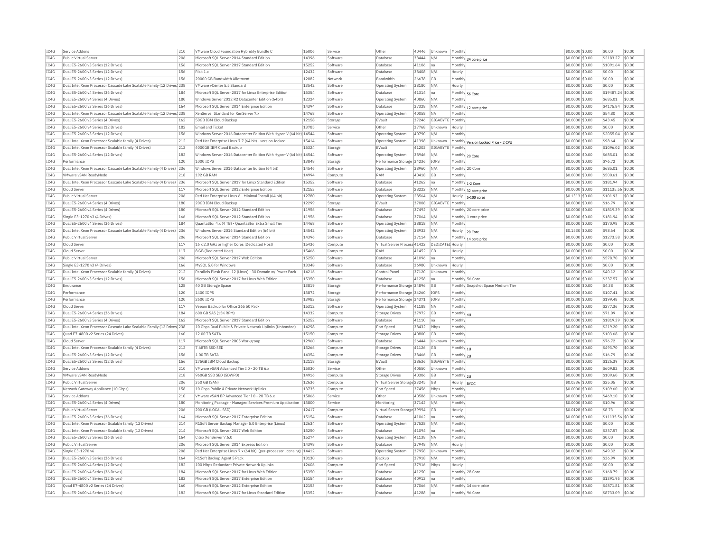| IC4G         | Service Addons                                                           | 210        | VMware Cloud Foundation Hybridity Bundle C                                                           | 15006          | Service              | Other                           | 40446          | Unknown                 | Monthly               |                                      | \$0,0000 \$0.00                     | \$0.00                 | \$0.00           |
|--------------|--------------------------------------------------------------------------|------------|------------------------------------------------------------------------------------------------------|----------------|----------------------|---------------------------------|----------------|-------------------------|-----------------------|--------------------------------------|-------------------------------------|------------------------|------------------|
| IC4G         | Public Virtual Server                                                    | 206        | Microsoft SOL Server 2014 Standard Edition                                                           | 14396          | Software             | Database                        | 38444          | N/A                     |                       | Monthly 24 core price                | \$0,0000 \$0.00                     | \$2183.27              | \$0.00           |
| IC4G         | Dual E5-2600 v3 Series (12 Drives)                                       | 156        | Microsoft SQL Server 2017 Standard Edition                                                           | 15252          | Software             | Database                        | 41106          | na                      | Monthly               |                                      | \$0.0000 \$0.00                     | \$1091.64              | \$0.00           |
| IC4G         | Dual E5-2600 v3 Series (12 Drives)                                       | 156        | Riak 1.x                                                                                             | 12432          | Software             | Database                        | 38408          | N/A                     | Hourly                |                                      | \$0,0000 \$0.00                     | \$0.00                 | \$0.00           |
| TC4G         | Dual E5-2600 v3 Series (12 Drives)                                       | 156        | 20000 GB Bandwidth Allotment                                                                         | 12082          | Network              | <b>Bandwidth</b>                | 26678          | GB                      | Monthly               |                                      | \$0,0000 \$0.00                     | \$0.00                 | \$0.00           |
| IC4G         | Dual Intel Xeon Processor Cascade Lake Scalable Family (12 Drives 238    |            | VMware vCenter 5.5 Standard                                                                          | 13542          | Software             | Operating System                | 38180          | N/A                     | Hourly                |                                      | \$0.0000 \$0.00                     | \$0.00                 | \$0.00           |
| IC4G         | Dual E5-2600 v4 Series (36 Drives)                                       | 184        | Microsoft SOL Server 2017 for Linux Enterprise Edition                                               | 15354          | Software             | Database                        | 41314          | $\sqrt{n}a$             | Monthly 56 Core       |                                      | \$0.0000 \$0.00                     | \$19487.24 \$0.00      |                  |
| TC4G         | Dual E5-2600 v4 Series (4 Drives)                                        | 180        | Windows Server 2012 R2 Datacenter Edition (64bit)                                                    | 12324          | Software             | Operating System                | 40860          | N/A                     | Monthly               |                                      | $$0.0000$ \$0.00                    | \$685.01               | \$0.00           |
| IC4G         | Dual E5-2600 v3 Series (36 Drives)                                       | 164        | Microsoft SQL Server 2014 Enterprise Edition                                                         | 14394          | Software             | Database                        | 37328          | N/A                     | Monthly               | 12 core price                        | \$0.0000 \$0.00                     | \$4175.84              | \$0.00           |
| IC4G         | Dual Intel Xeon Processor Cascade Lake Scalable Family (12 Drives 238    |            | XenServer Standard for XenServer 7.x                                                                 | 14768          | Software             | Operating System                | 40058          | NΔ                      | Monthly               |                                      | \$0,0000 \$0.00                     | \$54.80                | \$0.00           |
| TCAG         | Dual E5-2600 v3 Series (4 Drives)                                        | 162        | 50GB TBM Cloud Backup                                                                                | 12158          | Storage              | FVault                          | 37246          | GIGARYTE                | Monthly               |                                      | \$0.0000 \$0.00                     | \$43.45                | \$0.00           |
| IC4G         | Dual E5-2600 v4 Series (12 Drives)                                       | 182        | <b>Email and Ticket</b>                                                                              | 13785          | Service              | Other                           | 37768          | Unknown                 | Hourly                |                                      | \$0.0000 \$0.00                     | \$0.00                 | \$0.00           |
| IC4G         | Dual E5-2600 v3 Series (12 Drives)                                       | 156        | Windows Server 2016 Datacenter Edition With Hyper-V (64 bit) 14544                                   |                | Software             | <b>Operating System</b>         | 40790          | N/A                     | Monthly               |                                      | \$0,0000 \$0,00                     | \$2055.04              | \$0.00           |
| IC4G         | Dual Intel Xeon Processor Scalable family (4 Drives)                     | 212        | Red Hat Enterprise Linux 7.7 (64 bit) - version-locked                                               | 15414          | Software             |                                 | 41398          |                         |                       |                                      |                                     | \$98.64                | \$0.00           |
|              |                                                                          |            |                                                                                                      |                |                      | Operating System                |                | Unknown                 |                       | Monthly Version Locked Price - 2 CPU | \$0.0000 \$0.00                     |                        |                  |
| IC4G         | Dual Intel Xeon Processor Scalable family (4 Drives)                     | 212        | 4000GB IBM Cloud Backup                                                                              | 15324          | Storage              | EVault                          | 41202          | GIGABYTE Monthly        |                       |                                      | \$0.0000 \$0.00                     | \$1096.02              | \$0.00           |
| IC4G         | Dual E5-2600 v4 Series (12 Drives)                                       | 182        | Windows Server 2016 Datacenter Edition With Hyper-V (64 bit) 14544                                   |                | Software             | <b>Operating System</b>         | 38946          | N/A                     |                       | Monthly 20 Core                      | \$0,0000 \$0,00                     | \$685.01               | \$0.00           |
| IC4G         | Performance                                                              | 120        | 1000 IOPS                                                                                            | 13848          | Storage              | Performance Storage             | 34236          | <b>IOPS</b>             | Monthly               |                                      | \$0.0000 \$0.00                     | \$76.72                | \$0.00           |
| TC4G         | Dual Intel Xeon Processor Cascade Lake Scalable Family (4 Drives) 236    |            | Windows Server 2016 Datacenter Edition (64 bit)                                                      | 14546          | Software             | <b>Operating System</b>         | 38960          | N/A                     |                       | Monthly 20 Core                      | \$0,0000 \$0,00                     | \$685.01               | \$0.00           |
| IC4G         | VMware vSAN ReadvNode                                                    | 218        | 192 GB RAM                                                                                           | 14994          | Compute              | RAM                             | 40418          | GB                      | Monthly               |                                      | \$0.0000 \$0.00                     | \$500.61               | \$0.00           |
| IC4G         | Dual Intel Xeon Processor Cascade Lake Scalable Family (4 Drives) 236    |            | Microsoft SOL Server 2017 for Linux Standard Edition                                                 | 15352          | Software             | Database                        | 41262          | na                      |                       | Monthly 1-2 Core                     | \$0.0000 \$0.00                     | \$181.94               | \$0.00           |
| IC4G         | Cloud Server                                                             | 117        | Microsoft SQL Server 2012 Enterprise Edition                                                         | 12153          | Software             | Database                        | 28222          | N/A                     |                       | Monthly 32 core price                | \$0.0000 \$0.00                     | \$11135.56 \$0.00      |                  |
| IC4G         | Public Virtual Server                                                    | 206        | Red Hat Enterprise Linux 6 - Minimal Install (64 bit)                                                | 12780          | Software             | Operating System                | 28564          | N/A                     |                       | Hourly 5-100 cores                   | \$0.1313 \$0.00                     | \$101.93               | \$0.00           |
| IC4G         | Dual E5-2600 v4 Series (4 Drives)                                        | 180        | 20GB TBM Cloud Backup                                                                                | 12299          | Storage              | FVault                          | 37008          | GIGARYTE Monthly        |                       |                                      | \$0,0000 \$0,00                     | \$16.79                | 50.00            |
| IC4G         | Dual E5-2600 v4 Series (4 Drives)                                        | 180        | Microsoft SQL Server 2012 Standard Edition                                                           | 11956          | Software             | Database                        | 37492          | N/L                     |                       | Monthly 20 core price                | \$0.0000 \$0.00                     | \$1819.39              | \$0.00           |
| IC4G         | Single E3-1270 v3 (4 Drives)                                             | 166        | Microsoft SOL Server 2012 Standard Edition                                                           | 11956          | Software             | Database                        | 37064          | N/A                     |                       | Monthly 1 core price                 | \$0,0000 \$0,00                     | \$181.94               | \$0.00           |
| IC4G         | Dual E5-2600 v4 Series (36 Drives)                                       | 184        | QuantaStor 4.x (4 TB) - QuantaStor Extra Small Tier                                                  | 14468          | Software             | Operating System                | 38818          | N/A                     | Monthly               |                                      | \$0.0000 \$0.00                     | \$170.98               | \$0.00           |
| IC4G         | Dual Intel Xeon Processor Cascade Lake Scalable Family (4 Drives) 236    |            | Windows Server 2016 Standard Edition (64 bit)                                                        | 14542          | Software             | Operating System                | 38932          | N/A                     |                       | Hourly 20 Core                       | \$0.1530 \$0.00                     | \$98.64                | \$0.00           |
| TC4G         | Public Virtual Server                                                    | 206        | Microsoft SOL Server 2014 Standard Edition                                                           | 14396          | Software             | Database                        | 37114          | N/A                     |                       |                                      | $$0.0000$ \$0.00                    | \$1273.58              | \$0.00           |
| TCAG         | Cloud Server                                                             | 117        | 16 x 2.0 GHz or higher Cores (Dedicated Host)                                                        | 15436          | Compute              | Virtual Server Process 41422    |                | <b>DEDICATED</b> Hourly |                       | Monthly 14 core price                | \$0.0000 \$0.00                     | \$0.00                 | \$0.00           |
| IC4G         | Cloud Server                                                             | 117        | 8 GB (Dedicated Host)                                                                                | 15466          |                      | RAM                             | 41452          | GR                      | Hourly                |                                      | \$0.0000 \$0.00                     | \$0.00                 | \$0.00           |
| IC4G         |                                                                          | 206        | Microsoft SQL Server 2017 Web Edition                                                                | 15250          | Compute              |                                 | 41096          |                         |                       |                                      |                                     | \$578.70               | \$0.00           |
| IC4G         | Public Virtual Server                                                    |            |                                                                                                      |                | Software             | Database                        |                | na                      | Monthly               |                                      | \$0,0000 \$0,00                     |                        |                  |
|              |                                                                          | 166        | MySQL 5.0 for Windows                                                                                | 13348          | Software             | Database                        | 36980          | Unknown                 | Hourly                |                                      | \$0.0000 \$0.00                     | \$0.00                 | \$0.00           |
|              | Single E3-1270 v3 (4 Drives)                                             |            |                                                                                                      |                |                      |                                 |                |                         |                       |                                      |                                     |                        |                  |
| IC4G         | Dual Intel Xeon Processor Scalable family (4 Drives)                     | 212        | Parallels Plesk Panel 12 (Linux) - 30 Domain w/ Power Pack                                           | 14216          | Software             | Control Pane                    | 37120          | Unknown                 | Monthly               |                                      | \$0.0000 \$0.00                     | \$40.12                | \$0.00           |
| IC4G         | Dual E5-2600 v3 Series (12 Drives)                                       | 156        | Microsoft SOL Server 2017 for Linux Web Edition                                                      | 15350          | Software             | Database                        | 41258          | na                      |                       | Monthly 56 Core                      | \$0.0000 \$0.00                     | \$337.57               | \$0.00           |
| IC4G         | Endurance                                                                | 128        | 40 GB Storage Space                                                                                  | 13819          | Storage              | Performance Storage 34896       |                | GB                      |                       | Monthly Snapshot Space Medium Tier   | \$0.0000 \$0.00                     | \$4.38                 | \$0.00           |
| IC4G         | Performance                                                              | 120        | 1400 IOPS                                                                                            | 13872          | Storage              | Performance Storage 34260       |                | <b>IOPS</b>             | Monthly               |                                      | \$0,0000 \$0,00                     | \$107.41               | \$0.00           |
| IC4G         | Performance                                                              | 120        | 2600 IOPS                                                                                            | 13983          | Storage              | Performance Storage 34371       |                | <b>IOPS</b>             | Monthly               |                                      | \$0,0000 \$0,00                     | \$199.48               | \$0.00           |
| TC4G         | Cloud Server                                                             | 117        | Veeam Backup for Office 365 50 Pack                                                                  | 15312          | Software             | Operating System                | 41188          | <b>NA</b>               | Monthly               |                                      | \$0,0000 \$0.00                     | \$277.36               | \$0.00           |
| IC4G         | Dual E5-2600 v4 Series (36 Drives)                                       | 184        | 600 GB SAS (15K RPM)                                                                                 | 14332          | Compute              | Storage Drives                  | 37972          | GB                      |                       |                                      | \$0.0000 \$0.00                     | \$71.09                | \$0.00           |
| IC4G         | Dual E5-2600 v3 Series (4 Drives)                                        | 162        | Microsoft SQL Server 2017 Standard Edition                                                           | 15252          | Software             | Database                        | 41110          | Ina                     | Monthly 4U<br>Monthly |                                      | \$0.0000 \$0.00                     | \$1819.39              | \$0.00           |
| TC4G         | Dual Intel Xeon Processor Cascade Lake Scalable Family (12 Drives 238    |            | 10 Ghns Dual Public & Private Network Unlinks (Unbonded)                                             | 14298          | Compute              | Port Speed                      | 38432          | Mhns                    | Monthly               |                                      | \$0,0000 \$0.00                     | \$219.20               | \$0.00           |
| IC4G         | Quad E7-4800 v2 Series (24 Drives)                                       | 160        | 12.00 TB SATA                                                                                        | 15150          | Compute              | Storage Drives                  | 40800          | ĠВ                      | Monthly               |                                      | \$0.0000 \$0.00                     | \$103.68               | \$0.00           |
| IC4G         | Cloud Server                                                             | 117        |                                                                                                      | 12960          |                      | Database                        | 26444          | Unknown                 | Monthly               |                                      | \$0,0000 \$0,00                     | \$76.72                | \$0.00           |
|              |                                                                          |            | Microsoft SQL Server 2005 Workgroup<br>7.68TB SSD SED                                                |                | Software<br>Compute  | Storage Drives                  |                | GB                      |                       |                                      |                                     | \$493.70               | \$0.00           |
| IC4G         | Dual Intel Xeon Processor Scalable family (4 Drives)                     | 212        |                                                                                                      | 15266          |                      |                                 | 41126          |                         | Monthly 1U            |                                      | \$0.0000 \$0.00                     |                        |                  |
| IC4G<br>TC4G | Dual E5-2600 v3 Series (12 Drives)<br>Dual E5-2600 v3 Series (12 Drives) | 156<br>156 | 1.00 TB SATA<br>175GB TBM Cloud Backup                                                               | 14354          | Compute              | <b>Storage Drives</b><br>FVault | 38466<br>38636 | GВ<br>GIGARYTE Monthly  | Monthly 2U            |                                      | \$0.0000 \$0.00<br>$$0.0000$ \$0.00 | \$16.79<br>\$126.39    | \$0.00<br>\$0.00 |
|              |                                                                          |            |                                                                                                      | 12118          | Storage              |                                 |                |                         |                       |                                      |                                     |                        |                  |
| IC4G         | Service Addons                                                           | 210        | VMware vSAN Advanced Tier I 0 - 20 TB 6.x                                                            | 15030          | Service              | Other                           | 40550          | Unknown                 | Monthly               |                                      | \$0.0000 \$0.00                     | \$609.82               | \$0.00           |
| IC4G         | VMware vSAN ReadvNode                                                    | 218        | 960GB SSD SED (5DWPD)                                                                                | 14916          | Compute              | <b>Storage Drives</b>           | 40306          | GB                      | Monthly 2U            |                                      | \$0.0000 \$0.00                     | \$109.60               | \$0.00           |
| IC4G         | Public Virtual Server                                                    | 206        | 350 GB (SAN)                                                                                         | 12636          | Compute              | Virtual Server Storage 23245    |                | GB                      | Hourly                | <b>BYO</b>                           | \$0.0336 \$0.00                     | \$25.05                | \$0.00           |
| IC4G         | Network Gateway Appliance (10 Gbps)                                      | 158        | 10 Gbps Public & Private Network Uplinks                                                             | 13735          | Compute              | Port Speed                      | 37456          | Mbps                    | Monthly               |                                      | \$0.0000 \$0.00                     | \$109.60               | \$0.00           |
| IC4G         | Service Addons                                                           | 210        | VMware vSAN BP Advanced Tier I 0 - 20 TB 6.x                                                         | 15066          | Service              | Other                           | 40586          | Unknown                 | Monthly               |                                      | \$0,0000 \$0.00                     | \$469.10               | \$0.00           |
| IC4G         | Dual E5-2600 v4 Series (4 Drives)                                        | 180        | Monitoring Package - Managed Services Premium Application                                            | 13800          | Service              | Monitoring                      | 37142          | N/A                     | Monthly               |                                      | \$0.0000 \$0.00                     | \$10.96                | \$0.00           |
| TC4G         | <b>Public Virtual Server</b>                                             | 206        | 200 GB (LOCAL SSD)                                                                                   | 12417          | Compute              | Virtual Server Storage 39994    |                | GB                      | Hourly                |                                      | \$0.0128 \$0.00                     | \$8.73                 | \$0.00           |
| IC4G         | Dual E5-2600 v3 Series (36 Drives)                                       | 164        | Microsoft SQL Server 2017 Enterprise Edition                                                         | 15154          | Software             | Database                        | 41062          | na                      | Monthly               |                                      | \$0.0000 \$0.00                     | \$11135.56 \$0.00      |                  |
| IC4G         | Dual Intel Xeon Processor Scalable family (12 Drives)                    | 214        | R1Soft Server Backup Manager 5.0 Enterprise (Linux)                                                  | 12634          | Software             | Operating System                | 37528          | N/A                     | Monthly               |                                      | \$0.0000 \$0.00                     | \$0.00                 | \$0.00           |
| IC4G         | Dual Intel Xeon Processor Scalable family (12 Drives)                    | 214        | Microsoft SQL Server 2017 Web Edition                                                                | 15250          | Software             | Database                        | 41094          | lna.                    | Monthly               |                                      | \$0,0000 \$0.00                     | \$337.57               | \$0.00           |
| IC4G         | Dual E5-2600 v3 Series (36 Drives)                                       | 164        | Citrix XenServer 7.6.0                                                                               | 15274          | Software             | Operating System                | 41138          | <b>NA</b>               | Monthly               |                                      | \$0,0000 \$0.00                     | \$0.00                 | \$0.00           |
| IC4G         | Public Virtual Server                                                    | 206        | Microsoft SOL Server 2014 Express Edition                                                            | 14398          | Software             | Database                        | 37948          | N/A                     | Hourly                |                                      | \$0,0000 \$0.00                     | \$0.00                 | \$0.00           |
| IC4G         | Single E3-1270 v6                                                        | 208        | Red Hat Enterprise Linux 7.x (64 bit) (per-processor licensing)   14412                              |                | Software             | Operating System                | 37958          | Unknown                 | Monthly               |                                      | \$0.0000 \$0.00                     | \$49.32                | \$0.00           |
| IC4G         | Dual E5-2600 v3 Series (36 Drives)                                       | 164        | R1Soft Backup Agent 5 Pack                                                                           | 13130          | Software             | Backup                          | 37918          | $N/\beta$               | Monthly               |                                      | \$0.0000 \$0.00                     | \$36.99                | \$0.00           |
| TC4G         | Dual E5-2600 v4 Series (12 Drives)                                       | 182        | 100 Mbps Redundant Private Network Uplinks                                                           | 12606          | Compute              | Port Speed                      | 37916          | Mbps                    | Hourly                |                                      | \$0,0000 \$0.00                     | \$0.00                 | \$0.00           |
| TCAG         |                                                                          | 184        |                                                                                                      | 15350          |                      | Database                        |                | na                      |                       |                                      |                                     | \$168.79               | \$0.00           |
| IC4G         | Dual E5-2600 v4 Series (36 Drives)<br>Dual E5-2600 v4 Series (12 Drives) | 182        | Microsoft SQL Server 2017 for Linux Web Edition<br>Microsoft SOL Server 2017 Enterprise Edition      | 15154          | Software<br>Software | Database                        | 41250<br>40912 | lna                     | Monthly               | Monthly 28 Core                      | \$0.0000 \$0.00<br>\$0,0000 \$0.00  | \$1391.95              | \$0.00           |
|              |                                                                          | 160        |                                                                                                      |                | Software             | Database                        | 37066          | N/L                     |                       | Monthly 14 core price                | $$0.0000$ \$0.00                    |                        |                  |
| IC4G<br>IC4G | Quad E7-4800 v2 Series (24 Drives)<br>Dual E5-2600 v4 Series (12 Drives) | 182        | Microsoft SQL Server 2012 Enterprise Edition<br>Microsoft SQL Server 2017 for Linux Standard Edition | 12153<br>15352 | Software             | Database                        | 41288          | na                      |                       | Monthly 96 Core                      | \$0.0000 \$0.00                     | \$4871.81<br>\$8733.09 | \$0.00<br>\$0.00 |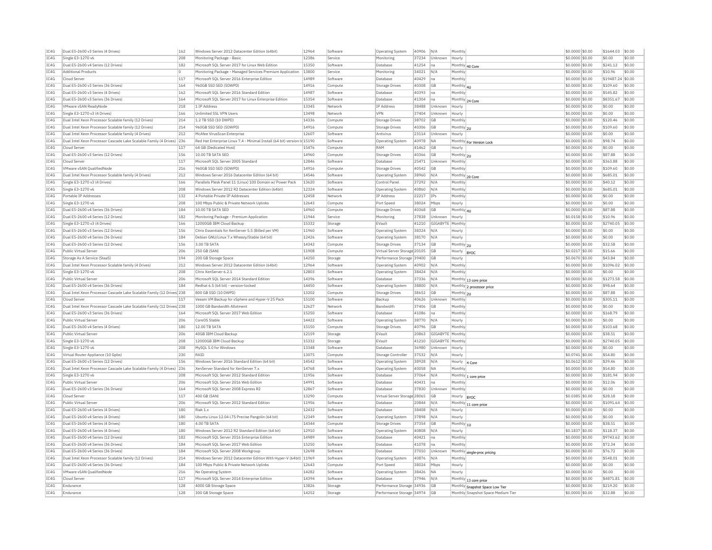| IC4G         | Dual E5-2600 v3 Series (4 Drives)                                      | 162        | Windows Server 2012 Datacenter Edition (64bit)                           | 12964          | Software           | Operating System                                       | 40906 | N/A              | Monthly              |                                                                      | \$0.0000 \$0.00                     | \$1644.03           | \$0.00           |
|--------------|------------------------------------------------------------------------|------------|--------------------------------------------------------------------------|----------------|--------------------|--------------------------------------------------------|-------|------------------|----------------------|----------------------------------------------------------------------|-------------------------------------|---------------------|------------------|
| IC4G         | Single E3-1270 v6                                                      | 208        | Monitoring Package - Basic                                               | 12386          | Service            | Monitoring                                             | 37234 | Unknown          | Hourly               |                                                                      | \$0.0000 \$0.00                     | \$0.00              | \$0.00           |
| IC4G         | Dual E5-2600 v4 Series (12 Drives)                                     | 182        | Microsoft SQL Server 2017 for Linux Web Edition                          | 15350          | Software           | Database                                               | 41254 | na               |                      | Monthly 40 Core                                                      | \$0.0000 \$0.00                     | \$241.12            | \$0.00           |
| IC4G         | <b>Additional Products</b>                                             | l n        | Monitoring Package - Managed Services Premium Application                | 13800          | Service            | Monitoring                                             | 34021 | N/A              | Monthly              |                                                                      | \$0,0000 \$0,00                     | \$10.96             | \$0.00           |
| IC4G         | Cloud Server                                                           | 117        | Microsoft SOL Server 2016 Enterprise Edition                             | 14989          | Software           | Database                                               | 40429 | na               | Monthly              |                                                                      | \$0.0000 \$0.00                     | \$19487.24 \$0.00   |                  |
| IC4G         | Dual E5-2600 v3 Series (36 Drives)                                     | 164        | 960GB SSD SED (5DWPD)                                                    | 14916          | Compute            | <b>Storage Drives</b>                                  | 40308 | GB               | Monthly 4U           |                                                                      | \$0.0000 \$0.00                     | \$109.60            | \$0.00           |
| IC4G         | Dual E5-2600 v3 Series (4 Drives)                                      | 162        | Microsoft SQL Server 2016 Standard Edition                               | 14987          | Software           | Database                                               | 40393 | Ina              | Monthly              |                                                                      | \$0,0000 \$0.00                     | \$545.82            | \$0.00           |
| IC4G         | Dual E5-2600 v3 Series (36 Drives)                                     | 164        | Microsoft SQL Server 2017 for Linux Enterprise Edition                   | 15354          | Software           | Database                                               | 41304 | na               |                      | Monthly 24 Core                                                      | \$0,0000 \$0.00                     | \$8351.67           | \$0.00           |
| TC4G         | <b>VMware vSAN ReadvNode</b>                                           | 218        | 1 TP Address                                                             | 13345          | Network            | <b>TP Address</b>                                      | 38488 | Unknown          | Hourly               |                                                                      | \$0,0000 \$0.00                     | \$0.00              | \$0.00           |
| IC4G         | Single E3-1270 v3 (4 Drives)                                           | 166        | Unlimited SSL VPN Users                                                  | 13498          | Network            | VPN                                                    | 37404 | Unknown          | Hourly               |                                                                      | \$0.0000 \$0.00                     | \$0.00              | \$0.00           |
| IC4G         | Dual Intel Xeon Processor Scalable family (12 Drives)                  | 214        | 1.2 TB SSD (10 DWPD)                                                     | 14336          | Compute            | <b>Storage Drives</b>                                  | 38702 | GB               | Monthly              |                                                                      | \$0.0000 \$0.00                     | \$120.46            | \$0.00           |
| TCAG         | Dual Intel Xeon Processor Scalable family (12 Drives)                  | 214        | 960GB SSD SED (5DWPD)                                                    | 14916          | Compute            | Storage Drives                                         | 40306 | GB               | Monthly 2U           |                                                                      | \$0,0000 \$0.00                     | \$109.60            | \$0.00           |
| IC4G         | Dual Intel Xeon Processor Scalable family (4 Drives)                   | 212        | McAfee VirusScan Enterprise                                              | 12607          | Software           | Antivirus                                              | 23114 | Unknown          | Hourly               |                                                                      | \$0,0000 \$0.00                     | \$0.00              | \$0.00           |
| IC4G         | Dual Intel Xeon Processor Cascade Lake Scalable Family (4 Drives) 236  |            | Red Hat Enterprise Linux 7.4 - Minimal Install (64 bit) version-Id 15190 |                | Software           | Operating System                                       | 40978 | <b>NA</b>        |                      |                                                                      | \$0,0000 \$0.00                     | \$98.74             | \$0.00           |
| IC4G         | Cloud Serve                                                            | 117        | 64 GB (Dedicated Host)                                                   | 15476          | Compute            | RAM                                                    | 41462 | GB               | Hourly               | Monthly For Version Lock                                             | \$0.0000 \$0.00                     | \$0.00              | \$0.00           |
| IC4G         | Dual E5-2600 v3 Series (12 Drives)                                     | 156        | 10.00 TB SATA SED                                                        | 14960          | Compute            | Storage Drives                                         | 40366 | GB               | Monthly 2U           |                                                                      | \$0.0000 \$0.00                     | \$87.88             | \$0.00           |
| TC4G         | Cloud Server                                                           | 117        | Microsoft SOL Server 2005 Standard                                       | 12846          | Software           | Database                                               | 25471 | Unknown          | Monthly              |                                                                      | \$0,0000 \$0.00                     | \$363.88            | \$0.00           |
| TCAG         | <b>VMware vSAN QualifiedNode</b>                                       | 216        | 960GB SSD SED (5DWPD)                                                    | 14916          |                    |                                                        |       | GB               | Monthly              |                                                                      |                                     | \$109.60            | \$0.00           |
|              |                                                                        |            |                                                                          | 14546          | Compute            | <b>Storage Drives</b>                                  | 40542 |                  |                      |                                                                      | \$0.0000 \$0.00                     |                     | \$0.00           |
| IC4G         | Dual Intel Xeon Processor Scalable family (4 Drives)                   | 212        | Windows Server 2016 Datacenter Edition (64 bit)                          |                | Software           | <b>Operating System</b>                                | 38960 | N/A              |                      | Monthly 20 Core                                                      | \$0.0000 \$0.00                     | \$685.01            |                  |
| IC4G         | Single E3-1270 v3 (4 Drives)                                           | 166        | Parallels Plesk Panel 11 (Linux) 100 Domain w/ Power Pack                | 13620          | Software           | Control Pane                                           | 37292 | N/A              | Monthly              |                                                                      | \$0,0000 \$0.00                     | \$40.12             | \$0.00           |
| IC4G         | Single E3-1270 v6                                                      | 208        | Windows Server 2012 R2 Datacenter Edition (64bit)                        | 12324          | Software           | <b>Operating System</b>                                | 40860 | N/A              | Monthly              |                                                                      | \$0.0000 \$0.00                     | \$685.01            | \$0.00           |
| IC4G         | Portable IP Addresses                                                  | 132        | 4 Portable Private IP Addresses                                          | 12458          | Network            | <b>IP Address</b>                                      | 22217 | IPs              | Monthly              |                                                                      | \$0,0000 \$0,00                     | \$0.00              | \$0.00           |
| IC4G         | Single E3-1270 v6                                                      | 208        | 100 Mbps Public & Private Network Uplinks                                | 12643          | Compute            | Port Speed                                             | 38024 | Mbps             | Hourly               |                                                                      | \$0.0000 \$0.00                     | \$0.00              | \$0.00           |
| IC4G         | Dual E5-2600 v4 Series (36 Drives)                                     | 184        | 10.00 TB SATA SED                                                        | 14960          | Compute            | <b>Storage Drives</b>                                  | 40368 | GВ               | Monthly 41           |                                                                      | \$0.0000 \$0.00                     | \$87.88             | \$0.00           |
| IC4G         | Dual E5-2600 v4 Series (12 Drives)                                     | 182        | Monitoring Package - Premium Application                                 | 11944          | Service            | Monitoring                                             | 37838 | Unknown          | Hourly               |                                                                      | \$0.0158 \$0.00                     | \$10.96             | \$0.00           |
| IC4G         | Single E3-1270 v3 (4 Drives)                                           | 166        | 12000GB IBM Cloud Backup                                                 | 15332          | Storage            | EVault                                                 | 41210 | GIGABYTE         | Monthly              |                                                                      | \$0.0000 \$0.00                     | \$2740.05           | \$0.00           |
| IC4G         | Dual E5-2600 v3 Series (12 Drives                                      | 156        | Citrix Essentials for XenServer 5.5 (Billed per VM)                      | 11960          | Software           | <b>Operating System</b>                                | 38324 | N/A              | Hourly               |                                                                      | \$0,0000 \$0,00                     | \$0.00              | \$0.00           |
| IC4G         | Dual E5-2600 v4 Series (36 Drives)                                     | 184        | Debian GNU/Linux 7.x Wheezy/Stable (64 bit)                              | 12426          | Software           | Operating System                                       | 38170 | N/A              | Hourly               |                                                                      | \$0.0000 \$0.00                     | \$0.00              | \$0.00           |
| IC4G         | Dual E5-2600 v3 Series (12 Drives)                                     | 156        | 3.00 TB SATA                                                             | 14342          | Compute            | <b>Storage Drives</b>                                  | 37134 | GB               | Monthly 2U           |                                                                      | \$0,0000 \$0.00                     | \$32.58             | \$0.00           |
| IC4G         | Public Virtual Server                                                  | 206        | 250 GB (SAN)                                                             | 11908          | Compute            | Virtual Server Storage 20105                           |       | <b>GB</b>        | Hourly               | RYOC                                                                 | \$0.0217 \$0.00                     | \$15.66             | \$0.00           |
| IC4G         | Storage As A Service (StaaS)                                           | 194        | 200 GB Storage Space                                                     | 14250          | Storage            | Performance Storage                                    | 39400 | <b>GB</b>        | Hourly               |                                                                      | \$0,0670 \$0,00                     | \$43.84             | \$0.00           |
|              |                                                                        | 212        |                                                                          | 12964          |                    |                                                        |       | N/A              |                      |                                                                      | \$0,0000 \$0.00                     | \$1096.02           | \$0.00           |
| TC4G         | Dual Intel Xeon Processor Scalable family (4 Drives)                   |            | Windows Server 2012 Datacenter Edition (64bit)                           |                | Software           | <b>Operating System</b>                                | 40902 |                  | Monthly              |                                                                      |                                     |                     |                  |
|              |                                                                        |            | Citrix XenServer 6.2.1                                                   |                | Software           |                                                        |       | N/A              |                      |                                                                      |                                     |                     |                  |
| IC4G         | Single E3-1270 v6<br>Public Virtual Server                             | 208        | Microsoft SOL Server 2014 Standard Edition                               | 12803<br>14396 | Software           | <b>Operating System</b><br>Database                    | 38424 | N/A              | Monthly              |                                                                      | \$0.0000 \$0.00                     | \$0.00<br>\$1273.58 | \$0.00<br>\$0.00 |
| IC4G         |                                                                        | 206        |                                                                          |                |                    |                                                        | 37336 |                  |                      | Monthly 13 core price                                                | \$0.0000 \$0.00                     |                     |                  |
| TCAG         | Dual E5-2600 v4 Series (36 Drives)                                     | 184        | Redhat 6.5 (64 bit) - version-locked                                     | 14450          | Software           | Operating System                                       | 38800 | N/A              |                      | Monthly 2 processor price                                            | \$0,0000 \$0.00                     | \$98.64             | \$0.00           |
| IC4G         | Dual Intel Xeon Processor Cascade Lake Scalable Family (12 Drives) 238 |            | 800 GB SSD (10 DWPD)                                                     | 13202          | Compute            | Storage Drives                                         | 38652 | GB               | Monthly 2U           |                                                                      | \$0,0000 \$0.00                     | \$87.88             | \$0.00           |
| IC4G         | Cloud Server                                                           | 117        | Veeam VM Backup for vSphere and Hyper-V 25 Pack                          | 15100          | Software           | Backup                                                 | 40626 | Unknown          | Monthly              |                                                                      | \$0,0000 \$0.00                     | \$305.11            | \$0.00           |
| IC4G         | Dual Intel Xeon Processor Cascade Lake Scalable Family (12 Drives) 238 |            | 1000 GB Bandwidth Allotment                                              | 12627          | Network            | Bandwidth                                              | 37406 | GB               | Monthly              |                                                                      | \$0.0000 \$0.00                     | \$0.00              | \$0.00           |
| IC4G         | Dual E5-2600 v3 Series (36 Drives)                                     | 164        | Microsoft SQL Server 2017 Web Edition                                    | 15250          | Software           | Database                                               | 41086 | Ina              | Monthly              |                                                                      | \$0.0000 \$0.00                     | \$168.79            | \$0.00           |
| TC4G         | Public Virtual Server                                                  | 206        | CoreOS Stable                                                            | 14422          | Software           | Operating System                                       | 38770 | N/A              | Hourly               |                                                                      | $$0.0000$ \$0.00                    | \$0.00              | \$0.00           |
| IC4G         | Dual E5-2600 v4 Series (4 Drives)                                      | 180        | 12.00 TB SATA                                                            | 15150          | Compute            | <b>Storage Drives</b>                                  | 40796 | GB               | Monthly              |                                                                      | \$0.0000 \$0.00                     | \$103.68            | \$0.00           |
| TCAG         | Public Virtual Server                                                  | 206        | 40GB TBM Cloud Backup                                                    | 12159          | Storage            | FVault                                                 | 20863 | GIGARYTE Monthly |                      |                                                                      | \$0.0000 \$0.00                     | \$38.51             | \$0.00           |
| IC4G         | Single E3-1270 v6                                                      | 208        | 12000GB IBM Cloud Backup                                                 | 15332          | Storage            | EVault                                                 | 41210 | GIGABYTE Monthly |                      |                                                                      | \$0,0000 \$0.00                     | \$2740.05           | \$0.00           |
| IC4G         | Single E3-1270 v6                                                      | 208        | MySQL 5.0 for Windows                                                    | 13348          | Software           | Database                                               | 36980 | Unknown          | Hourly               |                                                                      | \$0.0000 \$0.00                     | \$0.00              | \$0.00           |
| IC4G         | Virtual Router Appliance (10 Gpbs)                                     | 230        | RATO                                                                     | 13075          | Compute            | Storage Controlle                                      | 37532 | N/A              | Hourly               |                                                                      | \$0,0741 \$0,00                     | \$54.80             | \$0.00           |
| IC4G         | Dual E5-2600 v3 Series (12 Drives                                      | 156        | Windows Server 2016 Standard Edition (64 bit)                            | 14542          | Software           | <b>Operating System</b>                                | 38928 | N/A              | Hourly               | 4 Core                                                               | \$0.0612 \$0.00                     | \$39.46             | \$0.00           |
| IC4G         | Dual Intel Xeon Processor Cascade Lake Scalable Family (4 Drives) 236  |            | XenServer Standard for XenServer 7.x                                     | 14768          | Software           | <b>Operating System</b>                                | 40058 | <b>NA</b>        | Monthly              |                                                                      | \$0.0000 \$0.00                     | \$54.80             | \$0.00           |
| IC4G         | Single E3-1270 v6                                                      | 208        | Microsoft SQL Server 2012 Standard Edition                               | 11956          | Software           | Database                                               | 37064 | N/A              |                      |                                                                      | \$0,0000 \$0.00                     | \$181.94            | \$0.00           |
| IC4G         | Public Virtual Server                                                  | 206        | Microsoft SOL Server 2016 Web Edition                                    | 14991          | Software           | Database                                               | 40431 | Ina              | Monthly              | Monthly 1 core price                                                 | \$0,0000 \$0.00                     | \$12.06             | \$0.00           |
| IC4G         | Dual E5-2600 v3 Series (36 Drives)                                     | 164        | Microsoft SOL Server 2008 Express R2                                     | 12867          | Software           | Database                                               | 37830 | Unknown          | Monthly              |                                                                      | \$0,0000 \$0,00                     | \$0.00              | \$0.00           |
| IC4G         | Cloud Server                                                           | 117        | 400 GB (SAN)                                                             | 13290          | Compute            | Virtual Server Storage 28065                           |       | GB               | Hourly               | <b>BYOC</b>                                                          | \$0.0385 \$0.00                     | \$28.18             | \$0.00           |
| IC4G         | Public Virtual Server                                                  | 206        | Microsoft SOL Server 2012 Standard Edition                               | 11956          | Software           | Database                                               | 20844 | N/A              |                      |                                                                      | \$0,0000 \$0.00                     | \$1091.64           | $ $ \$0.00       |
| IC4G         | Dual E5-2600 v4 Series (4 Drives)                                      | 180        | Riak 1.x                                                                 | 12432          | Software           | Database                                               | 38408 | N/A              | Hourly               | Monthly 11 core price                                                | \$0,0000 \$0.00                     | \$0.00              | \$0.00           |
| IC4G         | Dual E5-2600 v4 Series (4 Drives)                                      | 180        | Ubuntu Linux 12.04 LTS Precise Pangolin (64 bit)                         | 12349          | Software           | Operating System                                       | 37898 | N/A              | Hourly               |                                                                      | \$0,0000 \$0.00                     | \$0.00              | \$0.00           |
| TC4G         | Dual E5-2600 v4 Series (4 Drives)                                      | 180        | 4.00 TR SATA                                                             | 14344          | Compute            | Storage Drives                                         | 37354 | <b>GB</b>        |                      |                                                                      | \$0,0000 \$0.00                     | \$38.51             | \$0.00           |
|              |                                                                        | 180        |                                                                          |                | Software           | Operating System                                       |       | N/A              | Monthly 1U<br>Hourly |                                                                      |                                     |                     |                  |
| IC4G         | Dual E5-2600 v4 Series (4 Drives)                                      |            | Windows Server 2012 R2 Standard Edition (64 bit)                         | 12910          |                    |                                                        | 40808 |                  |                      |                                                                      | \$0.1837 \$0.00                     | \$118.37            | \$0.00           |
| IC4G         | Dual E5-2600 v4 Series (12 Drives                                      | 182        | Microsoft SOL Server 2016 Enterprise Edition                             | 14989          | Software           | Database                                               | 40421 | Ina              | Monthly              |                                                                      | \$0.0000 \$0.00                     | \$9743.62           | \$0.00           |
| TCAG         | Dual E5-2600 v4 Series (36 Drives)                                     | 184        | Microsoft SOL Server 2017 Web Edition                                    | 15250          | Software           | Database                                               | 41078 | lna.             | Monthly              |                                                                      | \$0,0000 \$0.00                     | \$72.34             | \$0.00           |
| IC4G         | Dual E5-2600 v4 Series (36 Drives                                      | 184        | Microsoft SOL Server 2008 Workgroud                                      | 12698          | Software           | Database                                               | 37010 | Unknown          |                      | Monthly single-proc pricing                                          | \$0,0000 \$0.00                     | \$76.72             | \$0.00           |
| IC4G         | Dual Intel Xeon Processor Scalable family (12 Drives)                  | 214        | Windows Server 2012 Datacenter Edition With Hyper-V (64bit) 11969        |                | Software           | Operating System                                       | 40876 | N/A              | Monthly              |                                                                      | \$0,0000 \$0.00                     | \$548.01            | \$0.00           |
| IC4G         | Dual E5-2600 v4 Series (36 Drives)                                     | 184        | 100 Mbps Public & Private Network Uplinks                                | 12643          | Compute            | Port Speed                                             | 38024 | Mbps             | Hourly               |                                                                      | \$0.0000 \$0.00                     | \$0.00              | \$0.00           |
| IC4G         | VMware vSAN QualifiedNode                                              | 216        | No Operating System                                                      | 14282          | Software           | Operating System                                       | 38426 | <b>NA</b>        | Hourly               |                                                                      | \$0.0000 \$0.00                     | \$0.00              | \$0.00           |
| TC4G         | Cloud Server                                                           | 117        | Microsoft SQL Server 2014 Enterprise Edition                             | 14394          | Software           | Database                                               | 37946 | N/A              |                      | Monthly 13 core price                                                | \$0,0000 \$0.00                     | \$4871.81           | \$0.00           |
| TCAG<br>IC4G | Endurance<br>Endurance                                                 | 128<br>128 | 4000 GB Storage Space<br>300 GB Storage Space                            | 13826<br>14252 | Storage<br>Storage | Performance Storage 34936<br>Performance Storage 34974 |       | GB<br>GB         |                      | Monthly Snapshot Space Low Tier<br>Monthly Snapshot Space Medium Tie | $$0.0000$ \$0.00<br>\$0.0000 \$0.00 | \$219.20<br>\$32.88 | \$0.00<br>\$0.00 |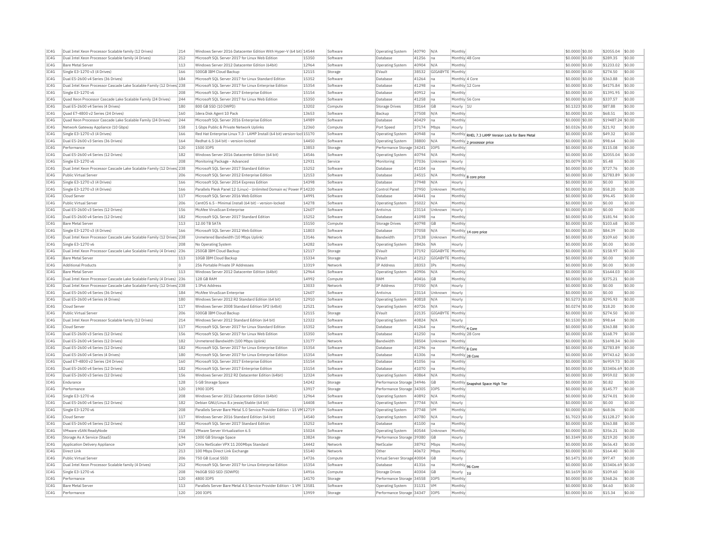| TC4G | Dual Intel Xeon Processor Scalable family (12 Drives)                  | 214        | Windows Server 2016 Datacenter Edition With Hyper-V (64 bit) 14544                                                |       | Software            | <b>Operating System</b>          | 40790 N/A  |                  | Monthly                                           | \$0.0000 \$0.00  | \$2055.04 \$0.00   |           |
|------|------------------------------------------------------------------------|------------|-------------------------------------------------------------------------------------------------------------------|-------|---------------------|----------------------------------|------------|------------------|---------------------------------------------------|------------------|--------------------|-----------|
| TC4G | Dual Intel Xeon Processor Scalable family (4 Drives)                   | 212        | Microsoft SQL Server 2017 for Linux Web Edition                                                                   | 15350 | Software            | Database                         | 41256      | Ina              | Monthly 48 Core                                   | \$0.0000 \$0.00  | \$289.35           | \$0.00    |
| TC4G | Bare Metal Server                                                      | 113        | Windows Server 2012 Datacenter Edition (64bit)                                                                    | 12964 | Software            | Operating System                 | 40904      | N/A              | Monthly                                           | \$0.0000 \$0.00  | \$1233.02 \$0.00   |           |
| IC4G | Single E3-1270 v3 (4 Drives)                                           | 166        | 500GB IBM Cloud Backup                                                                                            | 12115 | Storage             | EVault                           | 38532      | GIGABYTE Monthly |                                                   | \$0,0000 \$0,00  | \$274.50           | \$0.00    |
| TC4G | Dual E5-2600 v4 Series (36 Drives)                                     | 184        | Microsoft SOL Server 2017 for Linux Standard Edition                                                              | 15352 | Software            | Database                         | 41264      | na               | Monthly 4 Core                                    | \$0.0000 \$0.00  | \$363.88           | \$0.00    |
| TCAG | Dual Intel Xeon Processor Cascade Lake Scalable Family (12 Drives) 238 |            | Microsoft SOL Server 2017 for Linux Enterprise Edition                                                            | 15354 | Software            | Database                         | 41298 na   |                  | Monthly 12 Core                                   | \$0,0000 \$0.00  | \$4175.84 \$0.00   |           |
| IC4G | Single E3-1270 v6                                                      | 208        | Microsoft SQL Server 2017 Enterprise Edition                                                                      | 15154 | Software            | Database                         | 40912      | na               | Monthly                                           | \$0.0000 \$0.00  | \$1391.95 \$0.00   |           |
| TCAG | Quad Xeon Processor Cascade Lake Scalable Family (24 Drives)           | 244        | Microsoft SOL Server 2017 for Linux Web Edition                                                                   | 15350 | Software            | Database                         | 41258      | Ina              | Monthly 56 Core                                   | $$0.0000$ \$0.00 | \$337.57           | \$0.00    |
| TCAG | Dual E5-2600 v4 Series (4 Drives)                                      | 180        | 800 GB SSD (10 DWPD)                                                                                              | 13202 | Compute             | Storage Drives                   | 38164      | GE               | Hourly<br> 10                                     | $$0.1323$ \$0.00 | \$87.88            | \$0.00    |
| TCAG | Ouad E7-4800 v2 Series (24 Drives)                                     | 160        | Idera Disk Agent 10 Pack                                                                                          | 13653 | Software            | Backup                           | 37508      | IN/A             | Monthly                                           | \$0,0000 \$0,00  | \$68.51            | \$0.00    |
| IC4G | Ouad Xeon Processor Cascade Lake Scalable Family (24 Drives)           | 244        | Microsoft SOL Server 2016 Enterprise Edition                                                                      | 14989 | Software            | Database                         | 40429      | Ina              | Monthly                                           | \$0,0000 \$0,00  | \$19487.24 \$0.00  |           |
| TC4G |                                                                        |            |                                                                                                                   |       |                     |                                  | 37174 Mbps |                  |                                                   |                  |                    | sin on    |
| IC4G | Network Gateway Appliance (10 Gbps)<br>Single E3-1270 v3 (4 Drives)    | 158<br>166 | 1 Gbps Public & Private Network Uplinks<br>Red Hat Enterprise Linux 7.3 - LAMP Install (64 bit) version-loc 15170 | 12360 | Compute<br>Software | Port Speed                       | 40948      | Ina              | Hourly                                            | \$0.0326 \$0.00  | \$21.92<br>\$49.32 | \$0.00    |
|      |                                                                        |            |                                                                                                                   |       |                     | <b>Operating System</b>          |            |                  | Monthly RHEL 7.3 LAMP Version Lock for Bare Metal | \$0.0000 \$0.00  |                    |           |
| TC4G | Dual E5-2600 v3 Series (36 Drives)                                     | 164        | Redhat 6.5 (64 bit) - version-locked                                                                              | 14450 | Software            | Operating System                 | 38800      | N/A              | Monthly 2 processor price                         | \$0,0000 \$0.00  | \$98.64            | \$0.00    |
| IC4G | Performance                                                            | 120        | 1500 IOPS                                                                                                         | 13853 | Storage             | Performance Storage 34241        |            | IOPS             | Monthly                                           | \$0.0000 \$0.00  | \$115.08           | \$0.00    |
| TC4G | Dual E5-2600 v4 Series (12 Drives)                                     | 182        | Windows Server 2016 Datacenter Edition (64 bit)                                                                   | 14546 | Software            | Operating System                 | 40794 N/A  |                  | Monthly                                           | \$0,0000 \$0.00  | \$2055.04 \$0.00   |           |
| TCAG | Single E3-1270 v6                                                      | 208        | Monitoring Package - Advanced                                                                                     | 12931 | Service             | Monitoring                       | 37036      | Unknown          | Hourly                                            | \$0.0079 \$0.00  | \$5.48             | \$0.00    |
| IC4G | Dual Intel Xeon Processor Cascade Lake Scalable Family (12 Drives) 238 |            | Microsoft SOL Server 2017 Standard Edition                                                                        | 15252 | Software            | Database                         | 41104      | na               | Monthly                                           | \$0.0000 \$0.00  | \$727.76           | \$0.00    |
| TCAG | Public Virtual Server                                                  | 206        | Microsoft SQL Server 2012 Enterprise Edition                                                                      | 12153 | Software            | Database                         | 24515      | N/A              | Monthly 8 core price                              | \$0.0000 \$0.00  | \$2783.89          | \$0.00    |
| IC4G | Single E3-1270 v3 (4 Drives)                                           | 166        | Microsoft SQL Server 2014 Express Edition                                                                         | 14398 | Software            | Database                         | 37948 N/A  |                  | Hourly                                            | \$0.0000 \$0.00  | \$0.00             | \$0.00    |
| IC4G | Single E3-1270 v3 (4 Drives)                                           | 166        | Parallels Plesk Panel 12 (Linux) - Unlimited Domain w/ Power P 14220                                              |       | Software            | Control Panel                    | 37950      | Unknown          | Monthly                                           | \$0.0000 \$0.00  | \$58.20            | \$0.00    |
| IC4G | Cloud Serve                                                            | 117        | Microsoft SOL Server 2016 Web Edition                                                                             | 14991 | Software            | Database                         | 40441      |                  | Monthly                                           | \$0.0000 \$0.00  | \$96.45            | \$0.00    |
| IC4G | Public Virtual Server                                                  | 206        | CentOS 6.5 - Minimal Install (64 bit) - version-locked                                                            | 14278 | Software            | Operating System                 | 35022      | N/A              | Monthly                                           | \$0,0000 \$0,00  | \$0.00             | \$0.00    |
| TC4G | Dual E5-2600 v3 Series (12 Drives)                                     | 156        | McAfee VirusScan Enterprise                                                                                       | 12607 | Software            | Antivirus                        | 23114      | Unknown          | Hourly                                            | \$0,0000 \$0,00  | \$0.00             | \$0.00    |
| TCAG | Dual E5-2600 v4 Series (12 Drives                                      | 182        | Microsoft SOL Server 2017 Standard Edition                                                                        | 15252 | Software            | Database                         | 41098      | Ina              | Monthly                                           | \$0,0000 \$0.00  | \$181.94           | \$0.00    |
| IC4G | Bare Metal Server                                                      | 113        | 12.00 TB SATA                                                                                                     | 15150 | Compute             | Storage Drives                   | 40798      | <b>GB</b>        | Monthly                                           | \$0.0000 \$0.00  | \$103.68           | \$0.00    |
| TCAG | Single E3-1270 v3 (4 Drives)                                           | 166        | Microsoft SOL Server 2012 Web Edition                                                                             | 11803 | Software            | Database                         | 37058      | N/A              | Monthly 14 core price                             | \$0,0000 \$0.00  | \$84.39            | \$0.00    |
| TC4G | Dual Intel Xeon Processor Cascade Lake Scalable Family (12 Drives 238  |            | Unmetered Bandwidth (10 Mbps Uplink)                                                                              | 13146 | Network             | Bandwidth                        | 37138      | Unknown          | Monthl                                            | \$0.0000 \$0.00  | \$109.60           | \$0.00    |
| TCAG | Single E3-1270 v6                                                      | 208        | No Operating System                                                                                               | 14282 | Software            | Operating System                 | 38426      | <b>NA</b>        | Hourly                                            | \$0.0000 \$0.00  | \$0.00             | \$0.00    |
| IC4G | Dual Intel Xeon Processor Cascade Lake Scalable Family (4 Drives) 236  |            | 250GB IBM Cloud Backup                                                                                            | 12117 | Storage             | EVault                           | 37192      | GIGABYTE Monthly |                                                   | \$0,0000 \$0.00  | \$158.97           | \$0.00    |
| TC4G | Rare Metal Server                                                      | 113        | 10GB IBM Cloud Backup                                                                                             | 15334 | Storage             | FVault                           | 41212      | GIGABYTE Monthly |                                                   | \$0.0000 \$0.00  | \$0.00             | sin nn    |
| IC4G | Additional Products                                                    | $\circ$    | 256 Portable Private IP Addresses                                                                                 | 13319 | Network             | IP Address                       | 28353      | <b>IPs</b>       | Monthly                                           | \$0,0000 \$0,00  | \$0.00             | \$0.00    |
| TC4G | Bare Metal Server                                                      | 113        | Windows Server 2012 Datacenter Edition (64bit)                                                                    | 12964 | Software            | Operating System                 | 40906      | N/A              | Monthly                                           | \$0,0000 \$0.00  | \$1644.03          | \$0.00    |
| IC4G | Dual Intel Xeon Processor Cascade Lake Scalable Family (4 Drives) 236  |            | 128 GB RAM                                                                                                        | 14992 | Compute             | RAM                              | 40416      | <b>GB</b>        | Monthly                                           | \$0.0000 \$0.00  | \$375.21           | \$0.00    |
| TC4G | Dual Intel Xeon Processor Cascade Lake Scalable Family (12 Drives 238  |            | 1 TPv6 Address                                                                                                    | 13033 | Network             | IP Address                       | 37050      | N/A              | Hourly                                            | \$0.0000 \$0.00  | \$0.00             | \$0.00    |
| TCAG | Dual E5-2600 v4 Series (36 Drives)                                     | 184        | McAfee VirusScan Enterprise                                                                                       | 12607 | Software            | Antivirus                        | 23114      | Unknown          | Hourly                                            | \$0.0000 \$0.00  | \$0.00             | \$0.00    |
| IC4G | Dual E5-2600 v4 Series (4 Drives)                                      | 180        | Windows Server 2012 R2 Standard Edition (64 bit)                                                                  | 12910 | Software            | Operating System                 | 40818      | N/A              | Hourly                                            | \$0.5273 \$0.00  | \$295.93           | \$0.00    |
| TCAG | Cloud Server                                                           | 117        | Windows Server 2008 Standard Edition SP2 (64bit)                                                                  | 12521 | Software            | Operating System                 | 40726      | N/A              | Hourly                                            | \$0,0274 \$0,00  | \$18.20            | \$0.00    |
| IC4G | Public Virtual Server                                                  | 206        | 500GB IBM Cloud Backup                                                                                            | 12115 | Storage             | EVault                           | 22135      | GIGABYTE Monthly |                                                   | \$0.0000 \$0.00  | \$274.50           | \$0.00    |
| IC4G | Dual Intel Xeon Processor Scalable family (12 Drives)                  | 214        | Windows Server 2012 Standard Edition (64 bit)                                                                     | 12322 | Software            | Operating System                 | 40824      | N/A              | Hourly                                            | \$0.1530 \$0.00  | \$98.64            | \$0.00    |
| IC4G | Cloud Server                                                           | 117        | Microsoft SQL Server 2017 for Linux Standard Edition                                                              | 15352 | Software            | Database                         | 41264      | Ina              | Monthly 4 Core                                    | \$0.0000 \$0.00  | \$363.88           | \$0.00    |
| TCAG | Dual E5-2600 v3 Series (12 Drives)                                     | 156        | Microsoft SQL Server 2017 for Linux Web Edition                                                                   | 15350 | Software            | Database                         | 41250      | Ina              | Monthly 28 Core                                   | \$0,0000 \$0,00  | \$168.79           | \$0.00    |
| TC4G | Dual E5-2600 v4 Series (12 Drives)                                     | 182        | Unmetered Bandwidth (100 Mbps Uplink)                                                                             | 13177 | Network             | Bandwidt                         | 38504      | Unknown          | Monthly                                           | \$0,0000 \$0,00  | \$1698.34 \$0.00   |           |
| TCAG | Dual E5-2600 v4 Series (12 Drives)                                     | 182        | Microsoft SOL Server 2017 for Linux Enterprise Edition                                                            | 15354 | Software            | Database                         | 41296      | Ina              | Monthly 8 Core                                    | $$0.0000$ \$0.00 | \$2783.89 \$0.00   |           |
| IC4G | Dual E5-2600 v4 Series (4 Drives)                                      | 180        | Microsoft SOL Server 2017 for Linux Enterprise Edition                                                            | 15354 | Software            | Database                         | 41306      | Ina              | Monthly 28 Core                                   | \$0.0000 \$0.00  | \$9743.62 \$0.00   |           |
| TCAG | Quad E7-4800 v2 Series (24 Drives)                                     | 160        | Microsoft SOL Server 2017 Enterprise Edition                                                                      | 15154 | Software            | Database                         | 41056      | Ina              | Monthly                                           | $$0.0000$ \$0.00 | \$6959.73 \$0.00   |           |
| IC4G | Dual E5-2600 v4 Series (12 Drives                                      | 182        | Microsoft SQL Server 2017 Enterprise Edition                                                                      | 15154 | Software            | Database                         | 41070      | Ina              | Monthly                                           | \$0,0000 \$0,00  | \$33406.69 \$0.00  |           |
| TCAG | Dual E5-2600 v3 Series (12 Drives)                                     | 156        | Windows Server 2012 R2 Datacenter Edition (64bit)                                                                 | 12324 | Software            | <b>Operating System</b>          | 40864      | IN/A             | Monthly                                           | \$0,0000 \$0,00  | \$959.02           | \$0.00    |
| C.4G | Endurance                                                              | 128        | 5 GB Storage Space                                                                                                | 14242 | Storage             | Performance Storage 34946        |            | <b>GB</b>        | Monthly Snapshot Space High Tier                  | \$0.0000 \$0.00  | \$0.82             | \$0.00    |
| TC4G | Performance                                                            | 120        | 1900 TOPS                                                                                                         | 13917 | Storage             | Performance Storage 34305   IOPS |            |                  | Monthly                                           | \$0.0000 \$0.00  | \$145.77           | $\sin$ 00 |
| IC4G | Single E3-1270 v6                                                      | 208        | Windows Server 2012 Datacenter Edition (64bit)                                                                    | 12964 | Software            | Operating System                 | 40892      | N/A              | Monthly                                           | \$0.0000 \$0.00  | \$274.01           | \$0.00    |
| TC4G | Dual E5-2600 v4 Series (12 Drives)                                     | 182        | Debian GNU/Linux 8.x iessie/Stable (64 bit)                                                                       | 14408 | Software            | Operating System                 | 37744 N/A  |                  | Hourly                                            | \$0,0000 \$0.00  | \$0.00             | \$0.00    |
| IC4G | Single E3-1270 v6                                                      | 208        | Parallels Server Bare Metal 5.0 Service Provider Edition - 15 VM 12719                                            |       | Software            | <b>Operating System</b>          | 37748      | <b>VM</b>        | Monthly                                           | \$0.0000 \$0.00  | \$68.06            | \$0.00    |
| TC4G | Cloud Server                                                           | 117        | Windows Server 2016 Standard Edition (64 bit)                                                                     | 14540 | Software            | Operating System                 | 40780 N/A  |                  | Hourly                                            | \$1,7023 \$0.00  | \$1128.27 \$0.00   |           |
| TCAG | Dual E5-2600 v4 Series (12 Drives)                                     | 182        | Microsoft SQL Server 2017 Standard Edition                                                                        | 15252 | Software            | Database                         | 41100      | Ina              | Monthly                                           | \$0.0000 \$0.00  | \$363.88           | \$0.00    |
| IC4G | VMware vSAN ReadvNode                                                  | 218        | VMware Server Virtualization 6.5                                                                                  | 15024 | Software            | <b>Operating System</b>          | 40544      | Unknow           | Monthly                                           | \$0.0000 \$0.00  | \$356.21           | \$0.00    |
| TCAG | Storage As A Service (StaaS)                                           | 194        | 1000 GB Storage Space                                                                                             | 13824 | Storage             | Performance Storage 39380        |            | <b>GB</b>        | Hourly                                            | \$0.3349 \$0.00  | \$219.20           | \$0.00    |
|      |                                                                        |            |                                                                                                                   | 14442 |                     | NetScale                         |            |                  |                                                   |                  | \$656.43           | \$0.00    |
| IC4G | Application Delivery Appliance                                         | 629        | Citrix NetScaler VPX 11 200Mbps Standard                                                                          |       | Network             |                                  | 38792      | Mbps             | Monthly                                           | \$0.0000 \$0.00  |                    |           |
| IC4G | Direct Link                                                            | 213        | 100 Mbos Direct Link Exchange                                                                                     | 15140 | Network             | Other                            | 40672      | Mbps             | Monthly                                           | \$0.0000 \$0.00  | \$164.40           | \$0.00    |
| IC4G | Public Virtual Server                                                  | 206        | 750 GB (Local SSD)                                                                                                | 14726 | Compute             | Virtual Server Storage 40004     |            | <b>GB</b>        | Hourly                                            | \$0.1471 \$0.00  | \$97.47            | \$0.00    |
| IC4G | Dual Intel Xeon Processor Scalable family (4 Drives)                   | 212        | Microsoft SOL Server 2017 for Linux Enterprise Edition                                                            | 15354 | Software            | Database                         | 41316      | <b>I</b> na      | Monthly 96 Core                                   | \$0,0000 \$0,00  | \$33406.69 \$0.00  |           |
| IC4G | Single E3-1270 v6                                                      | 208        | 960GB SSD SED (5DWPD)                                                                                             | 14916 | Compute             | Storage Drives                   | 40304      | GE               | Hourly $ _{10}$                                   | \$0,1659 \$0,00  | \$109.60           | \$0.00    |
| TCAG | Performance                                                            | 120        | 4800 TOPS                                                                                                         | 14170 | Storage             | Performance Storage 34558        |            | TOPS             | Monthly                                           | \$0,0000 \$0.00  | \$368.26           | \$0.00    |
| IC4G | Bare Metal Serve                                                       | 113        | Parallels Server Bare Metal 4.5 Service Provider Edition - 1 VM 13581                                             |       | Software            | Operating System                 | 31131      | <b>VM</b>        | Monthly                                           | \$0,0000 \$0,00  | \$4.60             | \$0.00    |
|      |                                                                        |            |                                                                                                                   |       |                     |                                  |            |                  |                                                   |                  |                    |           |
| TCAG | Performance                                                            | 120        | 200 TOPS                                                                                                          | 13959 | Storage             | Performance Storage 34347        |            | TOPS             | Monthly                                           | \$0.0000 \$0.00  | \$15.34            | \$0.00    |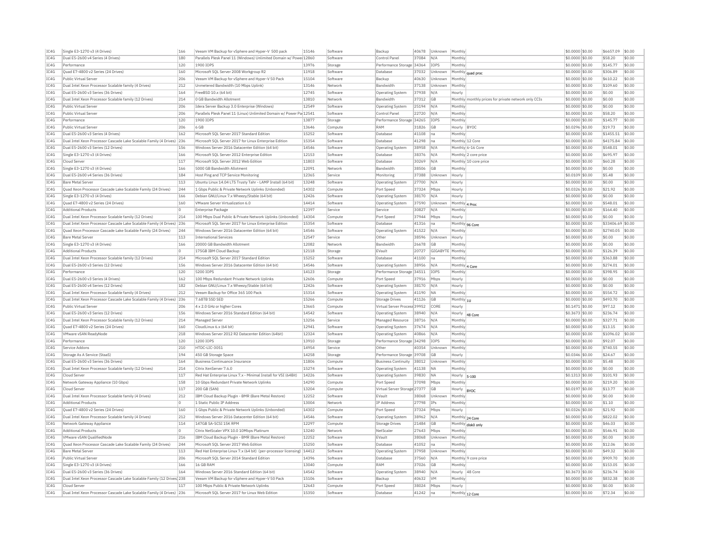| IC4G | Single E3-1270 v3 (4 Drives)                                          | 166      | Veeam VM Backup for vSphere and Hyper-V 500 pack                        | 15146 | Software | Backup                       | 40678 | Unknown         | Monthly                    |                                                      | \$0,0000 \$0.00  | \$6657.09         | \$0.00           |
|------|-----------------------------------------------------------------------|----------|-------------------------------------------------------------------------|-------|----------|------------------------------|-------|-----------------|----------------------------|------------------------------------------------------|------------------|-------------------|------------------|
| IC4G | Dual E5-2600 v4 Series (4 Drives)                                     | 180      | Parallels Plesk Panel 11 (Windows) Unlimited Domain w/ Powe 12860       |       | Software | Control Panel                | 37084 | N/A             | Monthly                    |                                                      | \$0,0000 \$0.00  | \$58.20           | \$0.00           |
| IC4G | Performance                                                           | 120      | 1900 TOPS                                                               | 13976 | Storage  | Performance Storage 34364    |       | <b>IOPS</b>     | Monthly                    |                                                      | \$0,0000 \$0.00  | \$145.77          | \$0.00           |
| IC4G | Quad E7-4800 v2 Series (24 Drives)                                    | 160      | Microsoft SQL Server 2008 Workgroup R2                                  | 11918 | Software | Database                     | 37032 | Unknown         | Monthly quad proc          |                                                      | \$0,0000 \$0.00  | \$306.89          | \$0.00           |
| TC4G | Public Virtual Server                                                 | 206      | Veeam VM Backup for vSphere and Hyper-V 50 Pack                         | 15104 | Software | Backup                       | 40630 | Unknown         | Monthly                    |                                                      | \$0,0000 \$0.00  | \$610.22          | \$0.00           |
| IC4G | Dual Intel Xeon Processor Scalable family (4 Drives)                  | 212      | Unmetered Bandwidth (10 Mbps Uplink)                                    | 13146 | Network  | <b>Bandwidth</b>             | 37138 | Unknown         | Monthly                    |                                                      | \$0.0000 \$0.00  | \$109.60          | \$0.00           |
| IC4G | Dual E5-2600 v3 Series (36 Drives)                                    | 164      | FreeBSD 10.x (64 bit)                                                   | 12745 | Software | Operating System             | 37938 | N/A             | Hourly                     |                                                      | \$0.0000 \$0.00  | \$0.00            | \$0.00           |
| TCAG | Dual Intel Xeon Processor Scalable family (12 Drives)                 | 214      | 0 GB Bandwidth Allotment                                                | 13810 | Network  | <b>Bandwidth</b>             | 37312 | GB              |                            | Monthly monthly prices for private network only CCIs | $$0.0000$ \$0.00 | \$0.00            | \$0.00           |
| IC4G | Public Virtual Server                                                 | 206      | Idera Server Backup 3.0 Enterprise (Windows)                            | 12549 | Software | Operating System             | 25194 | N/A             | Monthly                    |                                                      | \$0,0000 \$0.00  | \$0.00            | \$0.00           |
| IC4G | Public Virtual Server                                                 | 206      | Parallels Plesk Panel 11 (Linux) Unlimited Domain w/ Power Pa 12541     |       | Software | Control Panel                | 22720 | N/A             | Monthly                    |                                                      | \$0,0000 \$0.00  | \$58.20           | \$0.00           |
| TCAG | Performance                                                           | 120      | 1900 TOPS                                                               | 13877 | Storage  | Performance Storage 34265    |       | <b>TOPS</b>     | Monthly                    |                                                      | \$0.0000 \$0.00  | \$145.77          | \$0.00           |
| IC4G | Public Virtual Server                                                 | 206      | 6 GB                                                                    | 13646 | Compute  | RAM                          | 31826 | GB              | Hourly                     | BYOC                                                 | \$0.0296 \$0.00  | \$19.73           | \$0.00           |
| IC4G | Dual E5-2600 v3 Series (4 Drives                                      | 162      | Microsoft SOL Server 2017 Standard Edition                              | 15252 | Software | Database                     | 41108 | Ina             | Monthly                    |                                                      | \$0,0000 \$0.00  | \$1455.51         | \$0.00           |
|      |                                                                       |          |                                                                         |       |          |                              |       |                 |                            |                                                      |                  |                   |                  |
| IC4G | Dual Intel Xeon Processor Cascade Lake Scalable Family (4 Drives) 236 |          | Microsoft SOL Server 2017 for Linux Enterprise Edition                  | 15354 | Software | Database                     | 41298 | Ina             | Monthly 12 Core            |                                                      | \$0.0000 \$0.00  | \$4175.84         | \$0.00           |
| IC4G | Dual E5-2600 v3 Series (12 Drives)                                    | 156      | Windows Server 2016 Datacenter Edition (64 bit)                         | 14546 | Software | <b>Operating System</b>      | 38958 | N/A             |                            | Monthly 6-16 Core                                    | \$0.0000 \$0.00  | \$548.01          | \$0.00           |
| IC4G | Single E3-1270 v3 (4 Drives)                                          | 166      | Microsoft SQL Server 2012 Enterprise Edition                            | 12153 | Software | Database                     | 38376 | N/A             |                            | Monthly 2 core price                                 | \$0,0000 \$0.00  | \$695.97          | \$0.00           |
| IC4G | Cloud Serve                                                           | 117      | Microsoft SQL Server 2012 Web Edition                                   | 11803 | Software | Database                     | 30269 | N/A             |                            | Monthly 10 core price                                | \$0.0000 \$0.00  | \$60.28           | \$0.00           |
| IC4G | Single E3-1270 v3 (4 Drives)                                          | 166      | 5000 GB Bandwidth Allotment                                             | 12091 | Network  | <b>Bandwidth</b>             | 38506 | GB              | Monthly                    |                                                      | \$0,0000 \$0,00  | \$0.00            | \$0.00           |
| IC4G | Dual E5-2600 v4 Series (36 Drives)                                    | 184      | Host Ping and TCP Service Monitoring                                    | 12365 | Service  | Monitoring                   | 37388 | Unknown         | Hourly                     |                                                      | \$0,0109 \$0.00  | \$5.48            | \$0.00           |
| IC4G | <b>Bare Metal Server</b>                                              | 113      | Ubuntu Linux 14.04 LTS Trusty Tahr - LAMP Install (64 bit)              | 13248 | Software | Operating System             | 27700 | N/A             | Hourly                     |                                                      | \$0,0000 \$0.00  | \$0.00            | \$0.00           |
| IC4G | Quad Xeon Processor Cascade Lake Scalable Family (24 Drives)          | 244      | 1 Gbps Public & Private Network Uplinks (Unbonded)                      | 14302 | Compute  | Port Speed                   | 37324 | Mbps            | Hourly                     |                                                      | \$0.0326 \$0.00  | \$21.92           | \$0.00           |
| IC4G | Single E3-1270 v3 (4 Drives)                                          | 166      | Debian GNU/Linux 7.x Wheezy/Stable (64 bit)                             | 12426 | Software | Operating System             | 38170 | N/A             | Hourly                     |                                                      | \$0.0000 \$0.00  | \$0.00            | \$0.00           |
| IC4G | Ouad E7-4800 v2 Series (24 Drives)                                    | 160      | VMware Server Virtualization 6.0                                        | 14414 | Software | Operating System             | 37590 | Unknown         | Monthly                    | 4 Proc                                               | \$0,0000 \$0.00  | \$548.01          | \$0.00           |
| TC4G | <b>Additional Products</b>                                            | lo.      | Enterprise Package                                                      | 12397 | Service  | Service                      | 30827 | N/A             | Monthly                    |                                                      | \$0.0000 \$0.00  | \$164.40          | \$0.00           |
| IC4G | Dual Intel Xeon Processor Scalable family (12 Drives)                 | 214      | 100 Mbps Dual Public & Private Network Uplinks (Unbonded)               | 14304 | Compute  | Port Speed                   | 37944 | Mbps            | Hourly                     |                                                      | \$0,0000 \$0.00  | \$0.00            | \$0.00           |
| IC4G | Dual Intel Xeon Processor Cascade Lake Scalable Family (4 Drives)     | 236      | Microsoft SQL Server 2017 for Linux Enterprise Edition                  | 15354 | Software | Database                     | 41316 | Ina             |                            |                                                      | \$0.0000 \$0.00  | \$33406.69 \$0.00 |                  |
| IC4G | Quad Xeon Processor Cascade Lake Scalable Family (24 Drives)          | 244      | Windows Server 2016 Datacenter Edition (64 bit)                         | 14546 | Software | Operating System             | 41522 | N/A             | Monthly 96 Core<br>Monthly |                                                      | \$0.0000 \$0.00  | \$2740.05         | \$0.00           |
| TCAG | <b>Bare Metal Server</b>                                              | 113      | <b>International Services</b>                                           | 12547 | Service  | Other                        | 38596 | Unknown         | Hourly                     |                                                      | $$0.0000$ \$0.00 | \$0.00            | \$0.00           |
| TCAG |                                                                       | 166      | 20000 GB Bandwidth Allotment                                            | 12082 | Network  | <b>Bandwidth</b>             |       | GB              | Monthly                    |                                                      |                  | \$0.00            | \$0.00           |
|      | Single E3-1270 v3 (4 Drives)                                          |          |                                                                         |       |          |                              | 26678 |                 |                            |                                                      | \$0.0000 \$0.00  |                   |                  |
| IC4G | <b>Additional Products</b>                                            | ln.      | 175GB TBM Cloud Backup                                                  | 12118 | Storage  | FVault                       | 20727 | GIGARYTE Monthh |                            |                                                      | \$0.0000 \$0.00  | \$126.39          | \$0.00           |
| IC4G | Dual Intel Xeon Processor Scalable family (12 Drives)                 | 214      | Microsoft SOL Server 2017 Standard Edition                              | 15252 | Software | Database                     | 41100 | na              | Monthly                    |                                                      | \$0,0000 \$0.00  | \$363.88          | \$0.00           |
| IC4G | Dual E5-2600 v3 Series (12 Drives)                                    | 156      | Windows Server 2016 Datacenter Edition (64 bit)                         | 14546 | Software | <b>Operating System</b>      | 38956 | N/A             | Monthly 4 Core             |                                                      | \$0.0000 \$0.00  | \$274.01          | \$0.00           |
| IC4G | Performance                                                           | 120      | 5200 TOPS                                                               | 14123 | Storage  | Performance Storage 34511    |       | <b>IOPS</b>     | Monthly                    |                                                      | \$0,0000 \$0.00  | \$398.95          | \$0.00           |
| IC4G | Dual E5-2600 v3 Series (4 Drives)                                     | 162      | 100 Mbps Redundant Private Network Uplinks                              | 12606 | Compute  | Port Speed                   | 37916 | Mbps            | Hourly                     |                                                      | \$0.0000 \$0.00  | \$0.00            | \$0.00           |
| IC4G | Dual E5-2600 v4 Series (12 Drives)                                    | 182      | Debian GNU/Linux 7.x Wheezy/Stable (64 bit)                             | 12426 | Software | <b>Operating System</b>      | 38170 | N/A             | Hourly                     |                                                      | \$0.0000 \$0.00  | \$0.00            | \$0.00           |
| IC4G | Dual Intel Xeon Processor Scalable family (4 Drives)                  | 212      | Veeam Backup for Office 365 100 Pack                                    | 15314 | Software | Operating System             | 41190 | <b>NA</b>       | Monthly                    |                                                      | \$0,0000 \$0.00  | \$554.72          | \$0.00           |
| IC4G | Dual Intel Xeon Processor Cascade Lake Scalable Family (4 Drives)     | 236      | 7.68TB SSD SED                                                          | 15266 | Compute  | Storage Drives               | 41126 | <b>GB</b>       | Monthly $_{10}$            |                                                      | \$0,0000 \$0.00  | \$493.70          | \$0.00           |
| TC4G | Public Virtual Server                                                 | 206      | 4 x 2.0 GHz or higher Cores                                             | 13665 | Compute  | Virtual Server Process 39952 |       | CORE            | Hourly                     |                                                      | \$0,1471 \$0.00  | \$97.12           | \$0.00           |
| IC4G | Dual E5-2600 v3 Series (12 Drives)                                    | 156      | Windows Server 2016 Standard Edition (64 bit)                           | 14542 | Software | <b>Operating System</b>      | 38940 | N/A             | Hourly                     | 48 Core                                              | \$0.3673 \$0.00  | \$236.74          | \$0.00           |
| IC4G | Dual Intel Xeon Processor Scalable family (12 Drives)                 | 214      | Managed Server                                                          | 13256 | Service  | Managed Resource             | 38716 | N/A             | Monthl                     |                                                      | \$0.0000 \$0.00  | \$327.71          | \$0.00           |
| TCAG | Quad E7-4800 v2 Series (24 Drives)                                    | 160      | CloudLinux 6.x (64 bit)                                                 | 12941 | Software | Operating System             | 37674 | N/A             | Monthly                    |                                                      | $$0.0000$ \$0.00 | \$13.15           | \$0.00           |
| IC4G | VMware vSAN ReadyNode                                                 | 218      | Windows Server 2012 R2 Datacenter Edition (64bit)                       | 12324 | Software | Operating System             | 40866 | N/A             | Monthly                    |                                                      | \$0,0000 \$0.00  | \$1096.02         | \$0.00           |
| IC4G | Performance                                                           | 120      | 1200 TOPS                                                               | 13910 | Storage  | Performance Storage 34298    |       | IOPS            | Monthly                    |                                                      | \$0,0000 \$0.00  | \$92.07           | \$0.00           |
| IC4G | Service Addons                                                        | 210      | HTDC-LTC-3051                                                           | 14954 | Service  | Other                        | 40354 | Unknown         | Monthly                    |                                                      | \$0.0000 \$0.00  | \$740.55          | \$0.00           |
| IC4G | Storage As A Service (StaaS)                                          | 194      | 450 GB Storage Space                                                    | 14258 | Storage  | Performance Storage 39708    |       | GB              | Hourly                     |                                                      | \$0.0346 \$0.00  | \$24.67           | \$0.00           |
| TC4G | Dual E5-2600 v3 Series (36 Drives)                                    | 164      | <b>Business Continuance Insurance</b>                                   | 11806 | Compute  | <b>Business Continuity</b>   | 38012 | <b>Unknown</b>  | Monthly                    |                                                      | $$0.0000$ \$0.00 | \$5.48            | \$0.00           |
|      |                                                                       |          |                                                                         |       |          |                              |       |                 |                            |                                                      |                  |                   |                  |
| IC4G | Dual Intel Xeon Processor Scalable family (12 Drives)                 | 214      | Citrix XenServer 7.6.0                                                  | 15274 | Software | <b>Operating System</b>      | 41138 | <b>NA</b>       | Monthly                    |                                                      | \$0.0000 \$0.00  | \$0.00            | \$0.00<br>\$0.00 |
| IC4G | Cloud Server                                                          | 117      | Red Hat Enterprise Linux 7.x - Minimal Install for VSI (64Bit)          | 14226 | Software | Operating System             | 39830 | <b>NA</b>       | Hourly                     | $5 - 100$                                            | \$0.1313 \$0.00  | \$101.93          |                  |
| IC4G | Network Gateway Appliance (10 Gbps)                                   | 158      | 10 Gbps Redundant Private Network Uplinks                               | 14290 | Compute  | Port Speed                   | 37098 | Mbps            | Monthl                     |                                                      | \$0,0000 \$0.00  | \$219.20          | \$0.00           |
| IC4G | Cloud Server                                                          | 117      | 200 GB (SAN)                                                            | 13204 | Compute  | Virtual Server Storage 27377 |       | GB              | Hourly                     | <b>BYOC</b>                                          | \$0.0197 \$0.00  | \$13.77           | \$0.00           |
| IC4G | Dual Intel Xeon Processor Scalable family (4 Drives)                  | 212      | IBM Cloud Backup Plugin - BMR (Bare Metal Restore)                      | 12252 | Software | EVault                       | 38068 | Unknown         | Monthly                    |                                                      | \$0,0000 \$0.00  | \$0.00            | \$0.00           |
| IC4G | <b>Additional Products</b>                                            | $\Omega$ | 1 Static Public IP Address                                              | 13004 | Network  | IP Address                   | 27798 | IPs             | Monthly                    |                                                      | \$0,0000 \$0.00  | \$1.10            | \$0.00           |
| IC4G | Quad E7-4800 v2 Series (24 Drives)                                    | 160      | 1 Gbps Public & Private Network Uplinks (Unbonded)                      | 14302 | Compute  | Port Speed                   | 37324 | Mbps            | Hourly                     |                                                      | \$0.0326 \$0.00  | \$21.92           | \$0.00           |
| IC4G | Dual Intel Xeon Processor Scalable family (4 Drives)                  | 212      | Windows Server 2016 Datacenter Edition (64 bit)                         | 14546 | Software | Operating System             | 38962 | N/A             | Monthly 24 Core            |                                                      | \$0.0000 \$0.00  | \$822.02          | \$0.00           |
| IC4G | Network Gateway Appliance                                             | 114      | 147GB SA-SCSI 15K RPM                                                   | 12297 | Compute  | Storage Drives               | 21484 | GB              | Monthly disk0 only         |                                                      | \$0.0000 \$0.00  | \$46.03           | \$0.00           |
| IC4G | <b>Additional Products</b>                                            | lo.      | Citrix NetScaler VPX 10.0 10Mbps Platinum                               | 13240 | Network  | NetScale                     | 27643 | Mbps            | Monthly                    |                                                      | \$0,0000 \$0.00  | \$546.91          | \$0.00           |
| IC4G | VMware vSAN OualifiedNode                                             | 216      | IBM Cloud Backup Plugin - BMR (Bare Metal Restore)                      | 12252 | Software | EVault                       | 38068 | Unknowr         | Monthly                    |                                                      | \$0,0000 \$0.00  | \$0.00            | \$0.00           |
| IC4G | Ouad Xeon Processor Cascade Lake Scalable Family (24 Drives)          | 244      | Microsoft SOL Server 2017 Web Edition                                   | 15250 | Software | Database                     | 41052 | na              | Monthly                    |                                                      | \$0,0000 \$0.00  | \$12.06           | \$0.00           |
| IC4G | <b>Bare Metal Server</b>                                              | 113      | Red Hat Enterprise Linux 7.x (64 bit) (per-processor licensing)   14412 |       | Software | Operating System             | 37958 | Unknown         | Monthly                    |                                                      | \$0.0000 \$0.00  | \$49.32           | \$0.00           |
| IC4G | Public Virtual Server                                                 | 206      | Microsoft SQL Server 2014 Standard Edition                              | 14396 | Software | Database                     | 37560 | N/f             |                            | Monthly 9 core price                                 | \$0.0000 \$0.00  | \$909.70          | \$0.00           |
| TCAG | Single E3-1270 v3 (4 Drives)                                          | 166      | 16 GB RAM                                                               | 13040 | Compute  | RAM                          | 37026 | GB              | Monthly                    |                                                      | $$0.0000$ \$0.00 | \$153.05          | \$0.00           |
| TCAG | Dual E5-2600 v3 Series (36 Drives)                                    | 164      | Windows Server 2016 Standard Edition (64 bit)                           | 14542 | Software | Operating System             | 38940 | N/A             | Hourly                     | 48 Core                                              | $$0.3673$ \$0.00 | \$236.74          | \$0.00           |
| IC4G | Dual Intel Xeon Processor Cascade Lake Scalable Family (12 Drives 238 |          | Veeam VM Backup for vSphere and Hyper-V 50 Pack                         | 15106 | Software | Backup                       | 40632 | <b>VM</b>       | Monthly                    |                                                      | $$0.0000$ \$0.00 | \$832.38          | \$0.00           |
| TCAG |                                                                       | 117      | 100 Mbps Public & Private Network Uplinks                               | 12643 |          | Port Speed                   | 38024 |                 |                            |                                                      | $$0.0000$ \$0.00 | \$0.00            | \$0.00           |
|      | Cloud Server                                                          |          |                                                                         |       | Compute  | Database                     |       | Mhns            | Hourly                     |                                                      |                  |                   |                  |
| IC4G | Dual Intel Xeon Processor Cascade Lake Scalable Family (4 Drives) 236 |          | Microsoft SQL Server 2017 for Linux Web Edition                         | 15350 | Software |                              | 41242 | na              | Monthly 12 Core            |                                                      | \$0.0000 \$0.00  | \$72.34           | \$0.00           |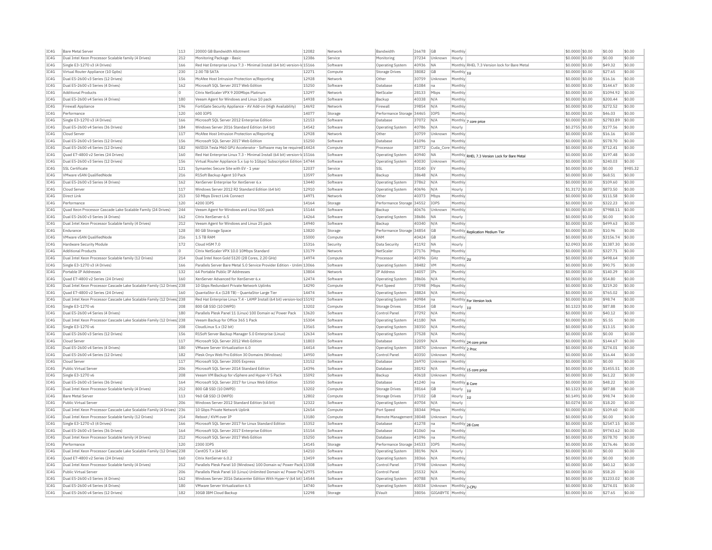| TC4G | <b>Bare Metal Server</b>                                               | 113 | 20000 GB Bandwidth Allotment                                             | 12082 | Network  | <b>Bandwidth</b>          | 26678 | GB                | Monthly         |                                              | \$0,0000 \$0.00  | \$0.00         | \$0.00   |
|------|------------------------------------------------------------------------|-----|--------------------------------------------------------------------------|-------|----------|---------------------------|-------|-------------------|-----------------|----------------------------------------------|------------------|----------------|----------|
| IC4G | Dual Intel Xeon Processor Scalable family (4 Drives)                   | 212 | Monitoring Package - Basic                                               | 12386 | Service  | Monitoring                | 37234 | Unknown           | Hourly          |                                              | \$0.0000 \$0.00  | \$0.00         | \$0.00   |
| IC4G | Single E3-1270 v3 (4 Drives)                                           | 166 | Red Hat Enterprise Linux 7.3 - Minimal Install (64 bit) version-Id 15166 |       | Software | Operating System          | 40936 | <b>NA</b>         |                 | Monthly RHEL 7.3 Version lock for Bare Metal | \$0,0000 \$0.00  | \$49.32        | \$0.00   |
| TCAG | Virtual Router Appliance (10 Gobs)                                     | 230 | 2.00 TR SATA                                                             | 12271 | Compute  | Storage Drives            | 38082 | GB                | Monthly 1U      |                                              | $$0.0000$ \$0.00 | \$27.65        | \$0.00   |
| IC4G | Dual E5-2600 v3 Series (12 Drives)                                     | 156 | McAfee Host Intrusion Protection w/Reporting                             | 12928 | Network  | Other                     | 30759 | Unknown           | Monthly         |                                              | \$0,0000 \$0.00  | \$16.16        | \$0.00   |
| IC4G | Dual E5-2600 v3 Series (4 Drives)                                      | 162 | Microsoft SQL Server 2017 Web Edition                                    | 15250 | Software | Database                  | 41084 | Ina               | Monthly         |                                              | \$0.0000 \$0.00  | \$144.67       | \$0.00   |
| TCAG | <b>Additional Products</b>                                             | 0   | Citrix NetScaler VPX 9 200Mbns Platinum                                  | 13297 | Network  | NetScale                  | 28133 | Mbps              | Monthly         |                                              | \$0.0000 \$0.00  | \$1094.92      | \$0.00   |
| IC4G | Dual E5-2600 v4 Series (4 Drives)                                      | 180 | Veeam Agent for Windows and Linux 10 pack                                | 14938 | Software | Backup                    | 40338 | N/A               | Monthly         |                                              | \$0.0000 \$0.00  | \$200.44       | \$0.00   |
| IC4G | Firewall Appliance                                                     | 196 | FortiGate Security Appliance - AV Add-on (High Availability)             | 14692 | Network  | Firewall                  | 39854 | N/A               | Monthly         |                                              | \$0,0000 \$0.00  | \$272.52       | \$0.00   |
| IC4G | Performance                                                            | 120 | 600 IOPS                                                                 | 14077 | Storage  | Performance Storage       | 34465 | IOPS              | Monthly         |                                              | \$0,0000 \$0.00  | \$46.03        | \$0.00   |
| IC4G | Single E3-1270 v3 (4 Drives)                                           | 166 | Microsoft SOL Server 2012 Enterprise Edition                             | 12153 | Software | Database                  | 37072 | N/A               |                 | Monthly 7 core price                         | \$0,0000 \$0,00  | \$2783.89      | \$0.00   |
| IC4G | Dual E5-2600 v4 Series (36 Drives)                                     | 184 | Windows Server 2016 Standard Edition (64 bit)                            | 14542 | Software | Operating System          | 40786 | N/A               | Hourly          |                                              | \$0.2755 \$0.00  | \$177.56       | \$0.00   |
| IC4G | Cloud Serve                                                            | 117 | McAfee Host Intrusion Protection w/Reporting                             | 12928 | Network  | Other                     | 30759 | Unknown           | Monthly         |                                              | \$0.0000 \$0.00  | \$16.16        | \$0.00   |
| TC4G | Dual E5-2600 v3 Series (12 Drives)                                     | 156 | Microsoft SOL Server 2017 Web Edition                                    | 15250 | Software | Database                  | 41096 | na                | Monthly         |                                              | $$0.0000$ \$0.00 | \$578.70       | \$0.00   |
| IC4G | Dual E5-2600 v4 Series (12 Drives)                                     | 182 | NVIDIA Tesla M60 GPU Accelerator - Software may be required 14424        |       | Compute  | Processo                  | 38772 | Cuda Core Monthly |                 |                                              | \$0,0000 \$0.00  | \$712.41       | \$0.00   |
| IC4G | Ouad E7-4800 v2 Series (24 Drives)                                     | 160 | Red Hat Enterprise Linux 7.3 - Minimal Install (64 bit) version-Id 15166 |       | Software | Operating System          | 40940 | <b>NA</b>         |                 |                                              | \$0,0000 \$0.00  | \$197.48       | \$0.00   |
| TCAG | Dual E5-2600 v3 Series (12 Drives)                                     | 156 | Virtual Router Appliance 5.x (up to 1Gbps) Subscription Edition 14744    |       | Software | Operating System          | 40030 | Unknown           | Monthly         | Monthly RHEL 7.3 Version Lock for Bare Metal | \$0.0000 \$0.00  | \$240.03       | \$0.00   |
|      |                                                                        |     |                                                                          |       |          |                           |       |                   |                 |                                              |                  |                |          |
| IC4G | SSL Certificate                                                        | 121 | Symantec Secure Site with EV - 1 year                                    | 12037 | Service  | <b>SSL</b>                | 33140 | <b>EV</b>         | Monthly         |                                              | \$0.0000 \$0.00  | \$0.00         | \$985.32 |
| TC4G | VMware vSAN QualifiedNode                                              | 216 | R1Soft Backup Agent 10 Pack                                              | 13597 | Software | Backun                    | 38648 | N/A               | Monthly         |                                              | $$0.0000$ \$0.00 | \$68.51        | \$0.00   |
| TC4G | Dual E5-2600 v3 Series (4 Drives                                       | 162 | XenServer Enterprise for XenServer 6.x                                   | 13440 | Software | <b>Operating System</b>   | 37862 | N/A               | Monthly         |                                              | \$0.0000 \$0.00  | \$109.60       | \$0.00   |
| TC4G | Cloud Server                                                           | 117 | Windows Server 2012 R2 Standard Edition (64 bit)                         | 12910 | Software | <b>Operating System</b>   | 40696 | N/A               | Hourly          |                                              | \$1.3172 \$0.00  | \$873.50       | \$0.00   |
| IC4G | Direct Link                                                            | 213 | 50 Mbps Direct Link Connect                                              | 14971 | Network  | Other                     | 40373 | Mbps              | Monthly         |                                              | \$0,0000 \$0.00  | \$111.58       | \$0.00   |
| IC4G | Performance                                                            | 120 | 4200 IOPS                                                                | 14164 | Storage  | Performance Storage 34552 |       | IOPS              | Monthly         |                                              | \$0.0000 \$0.00  | \$322.23       | \$0.00   |
| IC4G | Ouad Xeon Processor Cascade Lake Scalable Family (24 Drives)           | 244 | Veeam Agent for Windows and Linux 500 pack                               | 15144 | Software | Backup                    | 40676 | Unknown           | Monthly         |                                              | \$0,0000 \$0,00  | \$7988.11      | \$0.00   |
| IC4G | Dual E5-2600 v3 Series (4 Drives                                       | 162 | Citrix XenServer 6.5                                                     | 14264 | Software | <b>Operating System</b>   | 38686 | <b>NA</b>         | Hourly          |                                              | \$0.0000 \$0.00  | \$0.00         | \$0.00   |
| IC4G | Dual Intel Xeon Processor Scalable family (4 Drives)                   | 212 | Veeam Agent for Windows and Linux 25 pack                                | 14940 | Software | Backup                    | 40340 | N/A               | Monthly         |                                              | $50.0000$ \$0.00 | \$499.63       | \$0.00   |
| IC4G | Endurance                                                              | 128 | 80 GB Storage Space                                                      | 13820 | Storage  | Performance Storage 34854 |       | GB                |                 | Monthly Replication Medium Tier              | \$0.0000 \$0.00  | \$10.96        | \$0.00   |
| IC4G | VMware vSAN QualifiedNode                                              | 216 | 1.5 TB RAM                                                               | 15000 | Compute  | RAM                       | 40424 | <b>GB</b>         | Monthly         |                                              | \$0.0000 \$0.00  | \$3156.74      | \$0.00   |
| IC4G | Hardware Security Module                                               | 172 | Cloud HSM 7.0                                                            | 15316 | Security | Data Security             | 41192 | <b>NA</b>         | Hourly          |                                              | \$2,0903 \$0.00  | \$1387.30      | \$0.00   |
| IC4G | <b>Additional Products</b>                                             | o   | Citrix NetScaler VPX 10.0 10Mbps Standard                                | 13179 | Network  | NetScale                  | 27176 | Mbps              | Monthly         |                                              | \$0,0000 \$0.00  | \$327.71       | \$0.00   |
| IC4G | Dual Intel Xeon Processor Scalable family (12 Drives)                  | 214 | Dual Intel Xeon Gold 5120 (28 Cores, 2.20 GHz)                           | 14974 | Compute  | Processor                 | 40396 | GHz               | Monthly 2U      |                                              | \$0,0000 \$0.00  | \$498.64       | \$0.00   |
| IC4G | Single E3-1270 v3 (4 Drives)                                           | 166 | Parallels Server Bare Metal 5.0 Service Provider Edition - Unlim 13066   |       | Software | Operating System          | 38482 | <b>VM</b>         | Monthly         |                                              | \$0.0000 \$0.00  | \$90.75        | \$0.00   |
|      |                                                                        |     |                                                                          | 13804 |          |                           |       |                   |                 |                                              |                  |                |          |
| IC4G | Portable IP Addresses                                                  | 132 | 64 Portable Public IP Addresses                                          |       | Network  | IP Address                | 34057 | IPs               | Monthly         |                                              | \$0.0000 \$0.00  | \$140.29       | \$0.00   |
| TCAG | Quad E7-4800 v2 Series (24 Drives)                                     | 160 | XenServer Advanced for XenServer 6.x                                     | 12474 | Software | Operating System          | 38606 | N/A               | Monthly         |                                              | $$0.0000$ \$0.00 | \$54.80        | \$0.00   |
| IC4G | Dual Intel Xeon Processor Cascade Lake Scalable Family (12 Drives) 238 |     | 10 Gbps Redundant Private Network Uplinks                                | 14290 | Compute  | Port Speed                | 37098 | Mbps              | Monthly         |                                              | \$0.0000 \$0.00  | \$219.20       | \$0.00   |
| IC4G | Ouad E7-4800 v2 Series (24 Drives)                                     | 160 | QuantaStor 4.x (128 TB) - QuantaStor Large Tier                          | 14474 | Software | Operating System          | 38824 | N/A               | Monthly         |                                              | \$0.0000 \$0.00  | \$765.02       | \$0.00   |
| IC4G | Dual Intel Xeon Processor Cascade Lake Scalable Family (12 Drives 238  |     | Red Hat Enterprise Linux 7.4 - LAMP Install (64 bit) version-loc 15192   |       | Software | Operating System          | 40984 | Ina               |                 | Monthly For Version lock                     | \$0,0000 \$0.00  | \$98.74        | \$0.00   |
| IC4G | Single E3-1270 v6                                                      | 208 | 800 GB SSD (10 DWPD)                                                     | 13202 | Compute  | Storage Drives            | 38164 | GB                | Hourly $ _{10}$ |                                              | \$0.1323 \$0.00  | \$87.88        | \$0.00   |
| IC4G | Dual E5-2600 v4 Series (4 Drives                                       | 180 | Parallels Plesk Panel 11 (Linux) 100 Domain w/ Power Pack                | 13620 | Software | Control Panel             | 37292 | N/A               | Monthly         |                                              | \$0.0000 \$0.00  | \$40.12        | \$0.00   |
| IC4G | Dual Intel Xeon Processor Cascade Lake Scalable Family (12 Drives) 238 |     | Veeam Backup for Office 365 1 Pack                                       | 15304 | Software | Operating System          | 41180 | <b>NA</b>         | Monthly         |                                              | \$0.0000 \$0.00  | \$5.55         | \$0.00   |
| IC4G | Single E3-1270 v6                                                      | 208 | CloudLinux 5.x (32 bit)                                                  | 13565 | Software | <b>Operating System</b>   | 38350 | N/A               | Monthly         |                                              | \$0.0000 \$0.00  | \$13.15        | \$0.00   |
| IC4G | Dual E5-2600 v3 Series (12 Drives)                                     | 156 | R1Soft Server Backup Manager 5.0 Enterprise (Linux)                      | 12634 | Software | Operating System          | 37528 | N/A               | Monthly         |                                              | \$0.0000 \$0.00  | \$0.00         | \$0.00   |
| IC4G | Cloud Serve                                                            | 117 | Microsoft SOL Server 2012 Web Edition                                    | 11803 | Software | Database                  | 32059 | N/A               |                 | Monthly 24 core price                        | \$0,0000 \$0.00  | \$144.67       | \$0.00   |
| TCAG | Dual E5-2600 v4 Series (4 Drives                                       | 180 | VMware Server Virtualization 6.0                                         | 14414 | Software | Operating System          | 38470 | Unknown           | Monthly 2 Proc  |                                              | $$0.0000$ \$0.00 | \$274.01       | \$0.00   |
| TC4G | Dual E5-2600 v4 Series (12 Drives)                                     | 182 | Plesk Onyx Web Pro Edition 30 Domains (Windows)                          | 14950 | Software | Control Pane              | 40350 | Unknown           | Monthly         |                                              | \$0.0000 \$0.00  | \$16.44        | \$0.00   |
| IC4G | Cloud Serve                                                            | 117 | Microsoft SOL Server 2005 Express                                        | 13152 | Software | Database                  | 26970 | Unknown           | Monthly         |                                              | \$0,0000 \$0.00  | \$0.00         | \$0.00   |
| TC4G | Public Virtual Server                                                  | 206 | Microsoft SOL Server 2014 Standard Edition                               | 14396 |          |                           | 38192 |                   |                 |                                              | \$0,0000 \$0.00  | \$1455.51      | \$0.00   |
|      |                                                                        |     |                                                                          |       | Software | Database                  |       | N/A               |                 | Monthly 15 core price                        |                  |                |          |
| IC4G | Single E3-1270 v6                                                      | 208 | Veeam VM Backup for vSphere and Hyper-V 5 Pack                           | 15092 | Software | Backup                    | 40618 | Unknown           | Monthly         |                                              | \$0.0000 \$0.00  | \$61.22        | \$0.00   |
| IC4G | Dual E5-2600 v3 Series (36 Drives)                                     | 164 | Microsoft SQL Server 2017 for Linux Web Edition                          | 15350 | Software | Database                  | 41240 | na                | Monthly 8 Core  |                                              | \$0.0000 \$0.00  | \$48.22        | \$0.00   |
| IC4G | Dual Intel Xeon Processor Scalable family (4 Drives)                   | 212 | 800 GB SSD (10 DWPD)                                                     | 13202 | Compute  | <b>Storage Drives</b>     | 38164 | GB                | Hourly          | 1U                                           | \$0.1323 \$0.00  | \$87.88        | \$0.00   |
| IC4G | <b>Bare Metal Server</b>                                               | 113 | 960 GB SSD (3 DWPD)                                                      | 12802 | Compute  | Storage Drives            | 37102 | <b>GB</b>         | Hourly          | 1U                                           | \$0,1491 \$0.00  | <b>\$98.74</b> | \$0.00   |
| IC4G | Public Virtual Server                                                  | 206 | Windows Server 2012 Standard Edition (64 bit)                            | 12322 | Software | <b>Operating System</b>   | 40704 | N/A               | Hourly          |                                              | \$0,0274 \$0,00  | \$18.20        | \$0.00   |
| IC4G | Dual Intel Xeon Processor Cascade Lake Scalable Family (4 Drives) 236  |     | 10 Gbps Private Network Uplink                                           | 12654 | Compute  | Port Speed                | 38344 | Mbps              | Monthly         |                                              | \$0.0000 \$0.00  | \$109.60       | \$0.00   |
| IC4G | Dual Intel Xeon Processor Scalable family (12 Drives)                  | 214 | Reboot / KVM over TP                                                     | 13180 | Compute  | Remote Management 38048   |       | Unknown           | Hourly          |                                              | \$0,0000 \$0,00  | \$0.00         | \$0.00   |
| IC4G | Single E3-1270 v3 (4 Drives)                                           | 166 | Microsoft SOL Server 2017 for Linux Standard Edition                     | 15352 | Software | Database                  | 41278 | na                | Monthly         | 28 Core                                      | \$0,0000 \$0.00  | \$2547.15      | \$0.00   |
| IC4G | Dual E5-2600 v3 Series (36 Drives)                                     | 164 | Microsoft SOL Server 2017 Enterprise Edition                             | 15154 | Software | Database                  | 41060 | Ina               | Monthl          |                                              | \$0,0000 \$0.00  | \$9743.62      | \$0.00   |
| IC4G | Dual Intel Xeon Processor Scalable family (4 Drives)                   | 212 | Microsoft SQL Server 2017 Web Edition                                    | 15250 | Software | Database                  | 41096 | lna               | Monthly         |                                              | \$0.0000 \$0.00  | \$578.70       | \$0.00   |
| IC4G | Performance                                                            | 120 | 2300 IOPS                                                                | 14145 | Storage  | Performance Storage 34533 |       | <b>IOPS</b>       | Monthly         |                                              | \$0.0000 \$0.00  | \$176.46       | \$0.00   |
| TC4G | Dual Intel Xeon Processor Cascade Lake Scalable Family (12 Drives 238  |     | CentOS 7.x (64 bit)                                                      | 14210 | Software | <b>Operating System</b>   | 38196 | N/A               | Hourly          |                                              | \$0,0000 \$0.00  | \$0.00         | \$0.00   |
| IC4G | Quad E7-4800 v2 Series (24 Drives)                                     | 160 | Citrix XenServer 6.0.2                                                   | 13459 | Software | Operating System          | 38366 | N/A               | Monthly         |                                              | \$0.0000 \$0.00  | \$0.00         | \$0.00   |
| IC4G | Dual Intel Xeon Processor Scalable family (4 Drives)                   | 212 | Parallels Plesk Panel 10 (Windows) 100 Domain w/ Power Pack 13308        |       | Software | Control Panel             | 37598 | Unknown           | Monthly         |                                              | \$0,0000 \$0.00  | \$40.12        | \$0.00   |
| TCAG | <b>Public Virtual Server</b>                                           | 206 | Parallels Plesk Panel 10 (Linux) Unlimited Domain w/ Power Pa 12975      |       | Software |                           | 25532 |                   | Monthly         |                                              | $$0.0000$ \$0.00 | \$58.20        | \$0.00   |
|      |                                                                        |     |                                                                          |       |          | Control Panel             |       | N/A               |                 |                                              |                  |                |          |
| IC4G | Dual E5-2600 v3 Series (4 Drives)                                      | 162 | Windows Server 2016 Datacenter Edition With Hyper-V (64 bit) 14544       |       | Software | <b>Operating System</b>   | 40788 | N/A               | Monthly         |                                              | \$0.0000 \$0.00  | \$1233.02      | \$0.00   |
| IC4G | Dual E5-2600 v4 Series (4 Drives)                                      | 180 | VMware Server Virtualization 6.5                                         | 14740 | Software | <b>Operating System</b>   | 40034 | Unknown           | Monthly 2-CPU   |                                              | \$0,0000 \$0,00  | \$274.01       | \$0.00   |
| IC4G | Dual E5-2600 v4 Series (12 Drives                                      | 182 | 30GB IBM Cloud Backup                                                    | 12298 | Storage  | EVault                    | 38056 | GIGABYTE Monthly  |                 |                                              | \$0,0000 \$0.00  | \$27.65        | \$0.00   |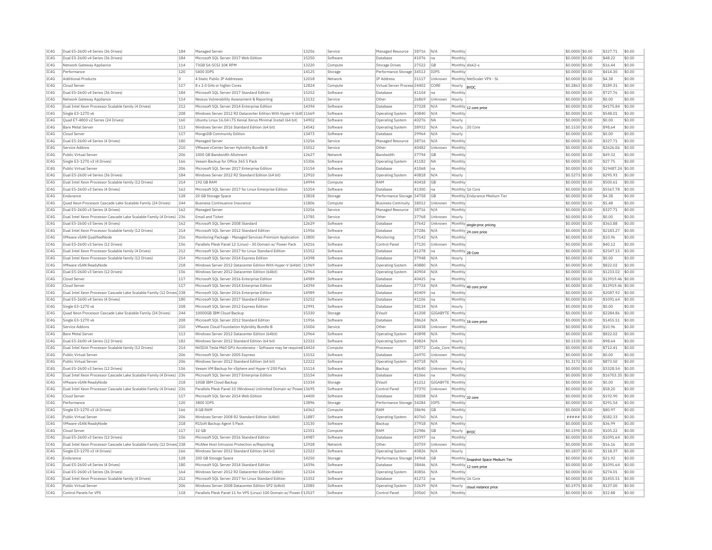| TC4G         | Dual E5-2600 v4 Series (36 Drives)                                                         | 184        | Managed Server                                                                                                     | 13256          | Service              | Managed Resource                                   | 38716          | N/A            | Monthly           |                                    | \$0.0000 \$0.00                    | \$327.71             | \$0.00           |
|--------------|--------------------------------------------------------------------------------------------|------------|--------------------------------------------------------------------------------------------------------------------|----------------|----------------------|----------------------------------------------------|----------------|----------------|-------------------|------------------------------------|------------------------------------|----------------------|------------------|
| TC4G         | Dual E5-2600 v4 Series (36 Drives)                                                         | 184        | Microsoft SQL Server 2017 Web Edition                                                                              | 15250          | Software             | Database                                           | 41076          | Ina            | Monthly           |                                    | \$0.0000 \$0.00                    | \$48.22              | \$0.00           |
| IC4G         | Network Gateway Appliance                                                                  | 114        | 73GB SA-SCST 10K RPM                                                                                               | 13220          | Compute              | <b>Storage Drives</b>                              | 27522          | <b>GB</b>      |                   | Monthly disk2-x                    | \$0,0000 \$0.00                    | \$16.44              | \$0.00           |
| TC4G         | Performance                                                                                | 120        | 5400 TOPS                                                                                                          | 14125          | Storage              | Performance Storage 34513                          |                | <b>TOPS</b>    | Monthly           |                                    | $$0.0000$ \$0.00                   | \$414.30             | \$0.00           |
| IC4G         | <b>Additional Products</b>                                                                 | $\circ$    | 4 Static Public IP Addresses                                                                                       | 12018          | Network              | IP Address                                         | 31117          | Unknown        |                   | Monthly NetScaler VPX - SL         | \$0,0000 \$0.00                    | \$4.38               | \$0.00           |
| IC4G         | Cloud Serve                                                                                | 117        | 8 x 2.0 GHz or higher Cores                                                                                        | 12824          | Compute              | Virtual Server Process 24402                       |                | CORE           | Hourly  BYOC      |                                    | $$0.2863$ \$0.00                   | \$189.31             | \$0.00           |
| IC4G         | Dual E5-2600 v4 Series (36 Drives)                                                         | 184        | Microsoft SQL Server 2017 Standard Edition                                                                         | 15252          | Software             | Database                                           | 41104          | na             | Monthly           |                                    | \$0.0000 \$0.00                    | \$727.76             | \$0.00           |
| IC4G         | Network Gateway Appliance                                                                  | 114        | Nessus Vulnerability Assessment & Reporting                                                                        | 13132          | Service              | Other                                              | 26869          | Unknown        | Hourly            |                                    | \$0.0000 \$0.00                    | \$0.00               | \$0.00           |
| TC4G         | Dual Intel Xeon Processor Scalable family (4 Drives)                                       | 212        | Microsoft SQL Server 2014 Enterprise Edition                                                                       | 14394          | Software             | Database                                           | 37328          | N/A            | Monthly           | 12 core price                      | $$0.0000$ \$0.00                   | \$4175.84            | \$0.00           |
| TCAG         | Single E3-1270 v6                                                                          | 208        | Windows Server 2012 R2 Datacenter Edition With Hyper-V (64t 11669                                                  |                | Software             | <b>Operating System</b>                            | 40840          | N/A            | Monthly           |                                    | \$0.0000 \$0.00                    | \$548.01             | \$0.00           |
| TC4G         | Quad E7-4800 v2 Series (24 Drives)                                                         | 160        | Ubuntu Linux 16.04 LTS Xenial Xerus Minimal Install (64 bit)                                                       | 14902          | Software             | Operating System                                   | 40276          | <b>NA</b>      | Hourly            |                                    | \$0.0000 \$0.00                    | \$0.00               | \$0.00           |
| IC4G         | <b>Bare Metal Server</b>                                                                   | 113        | Windows Server 2016 Standard Edition (64 bit)                                                                      | 14542          | Software             | <b>Operating System</b>                            | 38932          | N/A            | Hourly            | 20 Core                            | \$0,1530 \$0.00                    | \$98.64              | \$0.00           |
| IC4G         | Cloud Serve                                                                                | 117        | MongoDB Community Edition                                                                                          | 13473          | Software             | Database                                           | 29964          | N/A            | Hourly            |                                    | \$0.0000 \$0.00                    | \$0.00               | \$0.00           |
| IC4G         | Dual E5-2600 v4 Series (4 Drives)                                                          | 180        | Managed Server                                                                                                     | 13256          | Service              | Managed Resource                                   | 38716          | N/A            | Monthly           |                                    | \$0.0000 \$0.00                    | \$327.71             | \$0.00           |
| IC4G         | Service Addons                                                                             | 210        | VMware vCenter Server Hybridity Bundle B                                                                           | 15012          | Service              | Other                                              | 40482          | Unknown        | Monthly           |                                    | \$0.0000 \$0.00                    | \$2626.06            | \$0.00           |
| IC4G         | Public Virtual Server                                                                      | 206        | 1000 GB Bandwidth Allotment                                                                                        | 12627          | Network              | Bandwidth                                          | 37794          | GB             | Monthly           |                                    | \$0.0000 \$0.00                    | \$49.32              | \$0.00           |
| IC4G         | Single E3-1270 v3 (4 Drives)                                                               | 166        | Veeam Backup for Office 365 5 Pack                                                                                 | 15306          | Software             | Operating System                                   | 41182          | <b>NA</b>      | Monthly           |                                    | \$0,0000 \$0.00                    | \$27.75              | \$0.00           |
| IC4G         | Public Virtual Server                                                                      | 206        | Microsoft SOL Server 2017 Enterprise Edition                                                                       | 15154          | Software             | Database                                           | 41068          | Ina            | Monthly           |                                    | \$0,0000 \$0.00                    | \$19487.24           | \$0.00           |
| IC4G         | Dual E5-2600 v4 Series (36 Drives)                                                         | 184        | Windows Server 2012 R2 Standard Edition (64 bit)                                                                   | 12910          | Software             | <b>Operating System</b>                            | 40818          | N/A            | Hourly            |                                    | \$0.5273 \$0.00                    | \$295.93             | \$0.00           |
| IC4G         | Dual Intel Xeon Processor Scalable family (12 Drives)                                      | 214        | 192 GB RAM                                                                                                         | 14994          | Compute              | RAM                                                | 40418          | GB             | Monthly           |                                    | \$0.0000 \$0.00                    | \$500.61             | \$0.00           |
| IC4G         | Dual E5-2600 v3 Series (4 Drives)                                                          | 162        | Microsoft SQL Server 2017 for Linux Enterprise Edition                                                             | 15354          | Software             | Database                                           | 41300          | Ina            |                   | Monthly 16 Core                    | \$0.0000 \$0.00                    | \$5567.78            | \$0.00           |
| IC4G         | Endurance                                                                                  | 128        | 20 GB Storage Space                                                                                                | 13818          | Storage              | Performance Storage 34758                          |                | GB             |                   | Monthly Endurance Medium Tier      | \$0,0000 \$0.00                    | \$4.38               | \$0.00           |
| IC4G         | Ouad Xeon Processor Cascade Lake Scalable Family (24 Drives)                               | 244        | <b>Business Continuance Insurance</b>                                                                              | 11806          | Compute              | <b>Business Continuity</b>                         | 38012          | Unknown        | Monthly           |                                    | \$0,0000 \$0.00                    | \$5.48               | \$0.00           |
| IC4G         | Dual E5-2600 v3 Series (4 Drives)                                                          | 162        | Managed Server                                                                                                     | 13256          | Service              | Managed Resource                                   | 38716          | N/A            | Monthly           |                                    | \$0,0000 \$0.00                    | \$327.71             | \$0.00           |
| IC4G         | Dual Intel Xeon Processor Cascade Lake Scalable Family (4 Drives)                          | 236        | <b>Email and Ticket</b>                                                                                            | 13785          | Service              | Other                                              | 37768          | Unknown        | Hourly            |                                    | \$0.0000 \$0.00                    | \$0.00               | \$0.00           |
| IC4G         | Dual E5-2600 v3 Series (4 Drives                                                           | 162        | Microsoft SOL Server 2008 Standard                                                                                 | 12629          | Software             | Database                                           | 37642          | Unknown        |                   | Monthly single-proc pricing        | \$0.0000 \$0.00                    | \$363.88             | \$0.00           |
| TCAG         | Dual Intel Xeon Processor Scalable family (12 Drives)                                      | 214        | Microsoft SOL Server 2012 Standard Edition                                                                         | 11956          | Software             | Database                                           | 37286          | N/A            |                   | Monthly 24 core price              | $$0.0000$ \$0.00                   | \$2183.27            | \$0.00           |
| IC4G         | VMware vSAN QualifiedNode                                                                  | 216        | Monitoring Package - Managed Services Premium Application                                                          | 13800          | Service              | Monitoring                                         | 37142          | N/A            | Monthly           |                                    | \$0,0000 \$0.00                    | \$10.96              | \$0.00           |
| IC4G<br>IC4G | Dual E5-2600 v3 Series (12 Drives)<br>Dual Intel Xeon Processor Scalable family (4 Drives) | 156<br>212 | Parallels Plesk Panel 12 (Linux) - 30 Domain w/ Power Pack<br>Microsoft SQL Server 2017 for Linux Standard Edition | 14216<br>15352 | Software<br>Software | Control Pane<br>Database                           | 37120<br>41278 | Unknown<br>lna | Monthly           |                                    | \$0,0000 \$0.00<br>\$0.0000 \$0.00 | \$40.12<br>\$2547.15 | \$0.00<br>\$0.00 |
|              |                                                                                            |            |                                                                                                                    |                |                      |                                                    |                |                |                   | Monthly 28 Core                    |                                    |                      |                  |
| IC4G<br>TC4G | Dual Intel Xeon Processor Scalable family (12 Drives)<br>VMware vSAN ReadyNode             | 214<br>218 | Microsoft SQL Server 2014 Express Edition<br>Windows Server 2012 Datacenter Edition With Hyper-V (64bit) 11969     | 14398          | Software<br>Software | Database                                           | 37948<br>40880 | N/A<br>N/A     | Hourly<br>Monthly |                                    | \$0.0000 \$0.00<br>\$0.0000 \$0.00 | \$0.00<br>\$822.02   | \$0.00<br>\$0.00 |
| IC4G         | Dual E5-2600 v3 Series (12 Drives)                                                         | 156        | Windows Server 2012 Datacenter Edition (64bit)                                                                     | 12964          | Software             | <b>Operating System</b><br><b>Operating System</b> | 40904          | N/A            | Monthly           |                                    | \$0.0000 \$0.00                    | \$1233.02            | \$0.00           |
| TC4G         | Cloud Server                                                                               | 117        | Microsoft SOL Server 2016 Enterprise Edition                                                                       | 14989          | Software             | Database                                           | 40425          | na             | Monthly           |                                    | \$0.0000 \$0.00                    | \$13919.46 \$0.00    |                  |
| IC4G         | Cloud Server                                                                               | 117        | Microsoft SQL Server 2014 Enterprise Edition                                                                       | 14394          | Software             | Database                                           | 37724          | N/A            |                   |                                    | \$0,0000 \$0.00                    | \$13919.46 \$0.00    |                  |
| IC4G         | Dual Intel Xeon Processor Cascade Lake Scalable Family (12 Drives) 238                     |            | Microsoft SQL Server 2016 Enterprise Edition                                                                       | 14989          | Software             | Database                                           | 40409          | na             | Monthly           | Monthly 40 core price              | \$0.0000 \$0.00                    | \$2087.92            | \$0.00           |
| IC4G         | Dual E5-2600 v4 Series (4 Drives)                                                          | 180        | Microsoft SOL Server 2017 Standard Edition                                                                         | 15252          | Software             | Database                                           | 41106          | Ina            | Monthly           |                                    | \$0,0000 \$0.00                    | \$1091.64            | \$0.00           |
| IC4G         | Single E3-1270 v6                                                                          | 208        | Microsoft SQL Server 2012 Express Edition                                                                          | 12991          | Software             | Database                                           | 38134          | N/A            | Hourly            |                                    | \$0.0000 \$0.00                    | \$0.00               | \$0.00           |
| IC4G         | Quad Xeon Processor Cascade Lake Scalable Family (24 Drives)                               | 244        | 10000GB IBM Cloud Backup                                                                                           | 15330          | Storage              | EVault                                             | 41208          | GIGABYTE       | Monthly           |                                    | \$0.0000 \$0.00                    | \$2284.86            | \$0.00           |
| IC4G         | Single E3-1270 v6                                                                          | 208        | Microsoft SOL Server 2012 Standard Edition                                                                         | 11956          | Software             | Database                                           | 38624          | N/A            |                   | Monthly 16 core price              | \$0.0000 \$0.00                    | \$1455.51            | \$0.00           |
| IC4G         | Service Addons                                                                             | 210        | VMware Cloud Foundation Hybridity Bundle B                                                                         | 15004          | Service              | Other                                              | 40438          | Unknown        | Monthly           |                                    | \$0,0000 \$0.00                    | \$10.96              | \$0.00           |
| IC4G         | <b>Bare Metal Server</b>                                                                   | 113        | Windows Server 2012 Datacenter Edition (64bit)                                                                     | 12964          | Software             | Operating System                                   | 40898          | N/A            | Monthly           |                                    | \$0,0000 \$0,00                    | \$822.02             | \$0.00           |
| IC4G         | Dual E5-2600 v4 Series (12 Drives)                                                         | 182        | Windows Server 2012 Standard Edition (64 bit)                                                                      | 12322          | Software             | Operating System                                   | 40824          | N/A            | Hourly            |                                    | \$0,1530 \$0.00                    | \$98.64              | \$0.00           |
| IC4G         | Dual Intel Xeon Processor Scalable family (12 Drives)                                      | 214        | NVIDIA Tesla M60 GPU Accelerator - Software may be required 14424                                                  |                | Compute              | Processor                                          | 38772          | Cuda_Core      | Monthly           |                                    | \$0.0000 \$0.00                    | \$712.41             | \$0.00           |
| IC4G         | Public Virtual Server                                                                      | 206        | Microsoft SOL Server 2005 Express                                                                                  | 13152          | Software             | Database                                           | 26970          | Unknown        | Monthly           |                                    | \$0,0000 \$0.00                    | \$0.00               | \$0.00           |
| IC4G         | Public Virtual Server                                                                      | 206        | Windows Server 2012 Standard Edition (64 bit)                                                                      | 12322          | Software             | Operating System                                   | 40718          | N/A            | Hourly            |                                    | \$1,3172 \$0.00                    | \$873.50             | \$0.00           |
| IC4G         | Dual E5-2600 v3 Series (12 Drives)                                                         | 156        | Veeam VM Backup for vSphere and Hyper-V 200 Pack                                                                   | 15114          | Software             | Backup                                             | 40640          | Unknown        | Monthly           |                                    | \$0,0000 \$0.00                    | \$3328.54            | \$0.00           |
| IC4G         | Dual Intel Xeon Processor Cascade Lake Scalable Family (4 Drives) 236                      |            | Microsoft SQL Server 2017 Enterprise Edition                                                                       | 15154          | Software             | Database                                           | 41066          | na             | Monthly           |                                    | \$0.0000 \$0.00                    | \$16703.35 \$0.00    |                  |
| IC4G         | VMware vSAN ReadyNode                                                                      | 218        | 10GB IBM Cloud Backup                                                                                              | 15334          | Storage              | EVault                                             | 41212          | GIGABYTE       | Monthly           |                                    | \$0,0000 \$0.00                    | \$0.00               | \$0.00           |
| TCAG         | Dual Intel Xeon Processor Cascade Lake Scalable Family (4 Drives) 236                      |            | Parallels Plesk Panel 10 (Windows) Unlimited Domain w/ Powe 13695                                                  |                | Software             | Control Panel                                      | 37370          | Unknown        | Monthly           |                                    | $$0.0000$ \$0.00                   | \$58.20              | \$0.00           |
| IC4G         | Cloud Serve                                                                                | 117        | Microsoft SOL Server 2014 Web Edition                                                                              | 14400          | Software             | Database                                           | 38208          | N/A            |                   | Monthly 32 core                    | \$0,0000 \$0.00                    | \$192.90             | \$0.00           |
| IC4G         | Performance                                                                                | 120        | 3800 IOPS                                                                                                          | 13896          | Storage              | Performance Storage 34284                          |                | <b>IOPS</b>    | Monthly           |                                    | \$0,0000 \$0.00                    | \$291.54             | \$0.00           |
| IC4G         | Single E3-1270 v3 (4 Drives)                                                               | 166        | 8 GB RAM                                                                                                           | 14362          | Compute              | RAM                                                | 38696          | GB             | Monthly           |                                    | \$0.0000 \$0.00                    | \$80.97              | \$0.00           |
| IC4G         | Public Virtual Server                                                                      | 206        | Windows Server 2008 R2 Standard Edition (64bit)                                                                    | 11887          | Software             | Operating System                                   | 40760          | N/A            | Hourly            |                                    | $\# \# \# \# \$ \$0.00             | \$582.33             | \$0.00           |
| TC4G         | VMware vSAN ReadyNode                                                                      | 218        | R1Soft Backup Agent 5 Pack                                                                                         | 13130          | Software             | Backup                                             | 37918          | N/A            | Monthly           |                                    | $$0.0000$ \$0.00                   | \$36.99              | \$0.00           |
| TCAG         | Cloud Server                                                                               | 117        | 32 GB                                                                                                              | 12351          | Compute              | RAM                                                | 22986          | GB             | Hourly            | <b>BYOC</b>                        | \$0.1590 \$0.00                    | \$105.22             | \$0.00           |
| TC4G         | Dual E5-2600 v3 Series (12 Drives)                                                         | 156        | Microsoft SOL Server 2016 Standard Edition                                                                         | 14987          | Software             | Database                                           | 40397          | lna.           | Monthly           |                                    | \$0.0000 \$0.00                    | \$1091.64            | \$0.00           |
| IC4G         | Dual Intel Xeon Processor Cascade Lake Scalable Family (12 Drives 238                      |            | McAfee Host Intrusion Protection w/Reporting                                                                       | 12928          | Network              | Other                                              | 30759          | Unknown        | Monthly           |                                    | \$0,0000 \$0.00                    | \$16.16              | \$0.00           |
| IC4G         | Single E3-1270 v3 (4 Drives)                                                               | 166        | Windows Server 2012 Standard Edition (64 bit)                                                                      | 12322          | Software             | <b>Operating System</b>                            | 40826          | N/A            | Hourly            |                                    | \$0.1837 \$0.00                    | \$118.37             | \$0.00           |
| IC4G         | Endurance                                                                                  | 128        | 200 GB Storage Space                                                                                               | 14250          | Storage              | Performance Storage 34968                          |                | GB             |                   | Monthly Snapshot Space Medium Tier | \$0.0000 \$0.00                    | \$21.92              | \$0.00           |
| IC4G         | Dual E5-2600 v4 Series (4 Drives                                                           | 180        | Microsoft SQL Server 2014 Standard Edition                                                                         | 14396          | Software             | Database                                           | 38446          | N/A            |                   | Monthly 12 core price              | \$0.0000 \$0.00                    | \$1091.64            | \$0.00           |
| IC4G         | Dual E5-2600 v3 Series (36 Drives)                                                         | 164        | Windows Server 2012 R2 Datacenter Edition (64bit)                                                                  | 12324          | Software             | <b>Operating System</b>                            | 40856          | N/A            | Monthl            |                                    | \$0.0000 \$0.00                    | \$274.01             | \$0.00           |
| IC4G         | Dual Intel Xeon Processor Scalable family (4 Drives)                                       | 212        | Microsoft SQL Server 2017 for Linux Standard Edition                                                               | 15352          | Software             | Database                                           | 41272          | Ina            |                   | Monthly 16 Core                    | \$0,0000 \$0.00                    | \$1455.51            | \$0.00           |
| IC4G         | Public Virtual Server                                                                      | 206        | Windows Server 2008 Datacenter Edition SP2 (64bit)                                                                 | 12085          | Software             | Operating System                                   | 32639          | N/A            | Hourly            | cloud instance price               | \$0,1975 \$0.00                    | \$137.00             | \$0.00           |
| IC4G         | Control Panels for VPS                                                                     | 118        | Parallels Plesk Panel 11 for VPS (Linux) 100 Domain w/ Power # 13527                                               |                | Software             | Control Panel                                      | 30560          | N/A            | Monthly           |                                    | \$0,0000 \$0.00                    | \$32.88              | \$0.00           |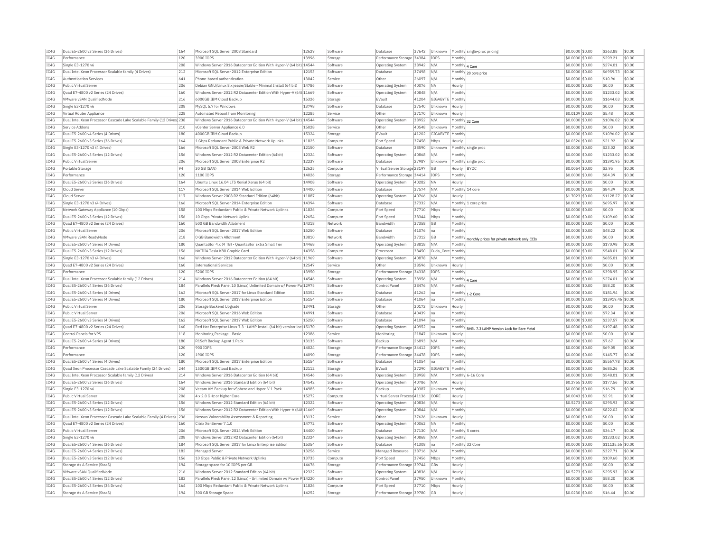| IC4G<br>Performance<br>120<br>3900 IOPS<br>13996<br>Storage<br>Performance Storage 34384<br>IOPS<br>Monthly<br>208<br>Windows Server 2016 Datacenter Edition With Hyper-V (64 bit) 14544<br>IC4G<br>Single E3-1270 v6<br>Software<br><b>Operating System</b><br>38942<br>N/A<br>Monthly 4 Core<br>TCAG<br>Dual Intel Xeon Processor Scalable family (4 Drives)<br>212<br>Microsoft SQL Server 2012 Enterprise Edition<br>12153<br>37498<br>Software<br>Database<br>N/A<br>Monthly 20 core price<br>IC4G<br>13042<br>Authentication Services<br>641<br>Phone-based authentication<br>Service<br>n <sub>ther</sub><br>26097<br>N/A<br>Monthly<br>IC4G<br>206<br>Debian GNU/Linux 8.x jessie/Stable - Minimal Install (64 bit)<br>14786<br>40076<br>Public Virtual Server<br>Software<br><b>NA</b><br>Operating System<br>Hourly<br>IC4G<br>Ouad E7-4800 v2 Series (24 Drives)<br>160<br>Windows Server 2012 R2 Datacenter Edition With Hyper-V (64t 11669<br>Software<br>Operating System<br>40848<br>N/A<br>Monthly<br>IC4G<br>VMware vSAN OualifiedNode<br>216<br>6000GB IBM Cloud Backup<br>15326<br>41204<br>GIGABYTE<br>EVault<br>Monthly<br>Storage<br>IC4G<br>Single E3-1270 v6<br>208<br>MvSOL 5.7 for Windows<br>13798<br>Software<br><b>Databas</b><br>37540<br>Unknown<br>Hourly<br>TC4G<br>12285<br>228<br>Automated Reboot from Monitoring<br>Other<br>37170<br>Virtual Router Appliance<br>Service<br>Unknown<br>Hourly<br>IC4G<br>Dual Intel Xeon Processor Cascade Lake Scalable Family (12 Drives) 238<br>Windows Server 2016 Datacenter Edition With Hyper-V (64 bit) 14544<br>Software<br><b>Operating System</b><br>38952<br>N/A<br>Monthly 32 Core | \$0,0000 \$0.00<br>\$299.21<br>\$0.00<br>\$274.01<br>\$0.00<br>\$0,0000 \$0.00<br>\$0.0000 \$0.00<br>\$6959.73<br>\$0.00<br>\$0.00<br>\$0.0000 \$0.00<br>\$10.96<br>\$0.0000 \$0.00<br>\$0.00<br>\$0.00<br>\$0.0000 \$0.00<br>\$1233.02<br>\$0.00<br>\$0,0000 \$0.00<br>\$1644.03<br>\$0.00<br>\$0.0000 \$0.00<br>\$0.00<br>\$0.00<br>\$0.00<br>\$0.0109 \$0.00<br>\$5.48<br>\$1096.02<br>\$0.00<br>\$0.0000 \$0.00<br>$$0.0000$ \$0.00<br>\$0.00<br>\$0.00<br>\$0.0000 \$0.00<br>\$1096.02<br>\$0.00<br>\$0.0326 \$0.00<br>\$21.92<br>\$0.00 |
|-----------------------------------------------------------------------------------------------------------------------------------------------------------------------------------------------------------------------------------------------------------------------------------------------------------------------------------------------------------------------------------------------------------------------------------------------------------------------------------------------------------------------------------------------------------------------------------------------------------------------------------------------------------------------------------------------------------------------------------------------------------------------------------------------------------------------------------------------------------------------------------------------------------------------------------------------------------------------------------------------------------------------------------------------------------------------------------------------------------------------------------------------------------------------------------------------------------------------------------------------------------------------------------------------------------------------------------------------------------------------------------------------------------------------------------------------------------------------------------------------------------------------------------------------------------------------------------------------------------------------------------------------------------------------|-----------------------------------------------------------------------------------------------------------------------------------------------------------------------------------------------------------------------------------------------------------------------------------------------------------------------------------------------------------------------------------------------------------------------------------------------------------------------------------------------------------------------------------------------|
|                                                                                                                                                                                                                                                                                                                                                                                                                                                                                                                                                                                                                                                                                                                                                                                                                                                                                                                                                                                                                                                                                                                                                                                                                                                                                                                                                                                                                                                                                                                                                                                                                                                                       |                                                                                                                                                                                                                                                                                                                                                                                                                                                                                                                                               |
|                                                                                                                                                                                                                                                                                                                                                                                                                                                                                                                                                                                                                                                                                                                                                                                                                                                                                                                                                                                                                                                                                                                                                                                                                                                                                                                                                                                                                                                                                                                                                                                                                                                                       |                                                                                                                                                                                                                                                                                                                                                                                                                                                                                                                                               |
|                                                                                                                                                                                                                                                                                                                                                                                                                                                                                                                                                                                                                                                                                                                                                                                                                                                                                                                                                                                                                                                                                                                                                                                                                                                                                                                                                                                                                                                                                                                                                                                                                                                                       |                                                                                                                                                                                                                                                                                                                                                                                                                                                                                                                                               |
|                                                                                                                                                                                                                                                                                                                                                                                                                                                                                                                                                                                                                                                                                                                                                                                                                                                                                                                                                                                                                                                                                                                                                                                                                                                                                                                                                                                                                                                                                                                                                                                                                                                                       |                                                                                                                                                                                                                                                                                                                                                                                                                                                                                                                                               |
|                                                                                                                                                                                                                                                                                                                                                                                                                                                                                                                                                                                                                                                                                                                                                                                                                                                                                                                                                                                                                                                                                                                                                                                                                                                                                                                                                                                                                                                                                                                                                                                                                                                                       |                                                                                                                                                                                                                                                                                                                                                                                                                                                                                                                                               |
|                                                                                                                                                                                                                                                                                                                                                                                                                                                                                                                                                                                                                                                                                                                                                                                                                                                                                                                                                                                                                                                                                                                                                                                                                                                                                                                                                                                                                                                                                                                                                                                                                                                                       |                                                                                                                                                                                                                                                                                                                                                                                                                                                                                                                                               |
|                                                                                                                                                                                                                                                                                                                                                                                                                                                                                                                                                                                                                                                                                                                                                                                                                                                                                                                                                                                                                                                                                                                                                                                                                                                                                                                                                                                                                                                                                                                                                                                                                                                                       |                                                                                                                                                                                                                                                                                                                                                                                                                                                                                                                                               |
|                                                                                                                                                                                                                                                                                                                                                                                                                                                                                                                                                                                                                                                                                                                                                                                                                                                                                                                                                                                                                                                                                                                                                                                                                                                                                                                                                                                                                                                                                                                                                                                                                                                                       |                                                                                                                                                                                                                                                                                                                                                                                                                                                                                                                                               |
|                                                                                                                                                                                                                                                                                                                                                                                                                                                                                                                                                                                                                                                                                                                                                                                                                                                                                                                                                                                                                                                                                                                                                                                                                                                                                                                                                                                                                                                                                                                                                                                                                                                                       |                                                                                                                                                                                                                                                                                                                                                                                                                                                                                                                                               |
|                                                                                                                                                                                                                                                                                                                                                                                                                                                                                                                                                                                                                                                                                                                                                                                                                                                                                                                                                                                                                                                                                                                                                                                                                                                                                                                                                                                                                                                                                                                                                                                                                                                                       |                                                                                                                                                                                                                                                                                                                                                                                                                                                                                                                                               |
| TCAG<br>210<br>15028<br>Service Addons<br>vCenter Server Annliance 6.0<br>Service<br>Other<br>40548<br>Unknown<br>Monthly                                                                                                                                                                                                                                                                                                                                                                                                                                                                                                                                                                                                                                                                                                                                                                                                                                                                                                                                                                                                                                                                                                                                                                                                                                                                                                                                                                                                                                                                                                                                             |                                                                                                                                                                                                                                                                                                                                                                                                                                                                                                                                               |
| IC4G<br>15324<br>41202<br>GIGABYTE<br>Dual E5-2600 v4 Series (4 Drives)<br>180<br>4000GB IBM Cloud Backup<br>Storage<br>EVault<br>Monthly                                                                                                                                                                                                                                                                                                                                                                                                                                                                                                                                                                                                                                                                                                                                                                                                                                                                                                                                                                                                                                                                                                                                                                                                                                                                                                                                                                                                                                                                                                                             |                                                                                                                                                                                                                                                                                                                                                                                                                                                                                                                                               |
| IC4G<br>Dual E5-2600 v3 Series (36 Drives)<br>164<br>1 Gbps Redundant Public & Private Network Uplinks<br>11825<br>Compute<br>Port Speed<br>37458<br>Mbps<br>Hourly                                                                                                                                                                                                                                                                                                                                                                                                                                                                                                                                                                                                                                                                                                                                                                                                                                                                                                                                                                                                                                                                                                                                                                                                                                                                                                                                                                                                                                                                                                   |                                                                                                                                                                                                                                                                                                                                                                                                                                                                                                                                               |
| IC4G<br>Single E3-1270 v3 (4 Drives)<br>166<br>Microsoft SOL Server 2008 Web R2<br>12150<br>Software<br><b>Databas</b><br>38590<br>Unknown<br>Monthly single proc                                                                                                                                                                                                                                                                                                                                                                                                                                                                                                                                                                                                                                                                                                                                                                                                                                                                                                                                                                                                                                                                                                                                                                                                                                                                                                                                                                                                                                                                                                     | \$0.00<br>\$0,0000 \$0.00<br>\$23.02                                                                                                                                                                                                                                                                                                                                                                                                                                                                                                          |
| TC4G<br>12324<br>Dual E5-2600 v3 Series (12 Drives)<br>156<br>Windows Server 2012 R2 Datacenter Edition (64bit)<br>Software<br><b>Operating System</b><br>40868<br>N/A<br>Monthly                                                                                                                                                                                                                                                                                                                                                                                                                                                                                                                                                                                                                                                                                                                                                                                                                                                                                                                                                                                                                                                                                                                                                                                                                                                                                                                                                                                                                                                                                     | \$0.00<br>\$0.0000 \$0.00<br>\$1233.02                                                                                                                                                                                                                                                                                                                                                                                                                                                                                                        |
| IC4G<br>Public Virtual Server<br>206<br>Microsoft SQL Server 2008 Enterprise R2<br>12237<br>Software<br>Database<br>27987<br>Unknown<br>Monthly single proc                                                                                                                                                                                                                                                                                                                                                                                                                                                                                                                                                                                                                                                                                                                                                                                                                                                                                                                                                                                                                                                                                                                                                                                                                                                                                                                                                                                                                                                                                                           | \$0.0000 \$0.00<br>\$1391.95<br>\$0.00                                                                                                                                                                                                                                                                                                                                                                                                                                                                                                        |
| IC4G<br>Portable Storage<br>94<br>30 GB (SAN)<br>12625<br>Virtual Server Storage 23197<br><b>GB</b><br>Hourly BYOC<br>Compute                                                                                                                                                                                                                                                                                                                                                                                                                                                                                                                                                                                                                                                                                                                                                                                                                                                                                                                                                                                                                                                                                                                                                                                                                                                                                                                                                                                                                                                                                                                                         | \$0,0054 \$0.00<br>\$3.95<br>\$0.00                                                                                                                                                                                                                                                                                                                                                                                                                                                                                                           |
| TCAG<br>Performance<br>120<br>1100 TOPS<br>14026<br>Performance Storage 34414<br>TOPS<br>Monthly<br>Storage                                                                                                                                                                                                                                                                                                                                                                                                                                                                                                                                                                                                                                                                                                                                                                                                                                                                                                                                                                                                                                                                                                                                                                                                                                                                                                                                                                                                                                                                                                                                                           | \$0.0000 \$0.00<br>\$84.39<br>\$0.00                                                                                                                                                                                                                                                                                                                                                                                                                                                                                                          |
| IC4G<br>Dual E5-2600 v3 Series (36 Drives)<br>164<br>Ubuntu Linux 16.04 LTS Xenial Xerus (64 bit)<br>14908<br>40282<br><b>NA</b><br>Software<br><b>Operating System</b><br>Hourly                                                                                                                                                                                                                                                                                                                                                                                                                                                                                                                                                                                                                                                                                                                                                                                                                                                                                                                                                                                                                                                                                                                                                                                                                                                                                                                                                                                                                                                                                     | \$0.0000 \$0.00<br>\$0.00<br>\$0.00                                                                                                                                                                                                                                                                                                                                                                                                                                                                                                           |
| IC4G<br>117<br>Microsoft SQL Server 2014 Web Edition<br>14400<br>37574<br>Cloud Server<br>Software<br>Database<br>N/A<br>Monthly 14 core                                                                                                                                                                                                                                                                                                                                                                                                                                                                                                                                                                                                                                                                                                                                                                                                                                                                                                                                                                                                                                                                                                                                                                                                                                                                                                                                                                                                                                                                                                                              | \$0.0000 \$0.00<br>\$84.39<br>\$0.00                                                                                                                                                                                                                                                                                                                                                                                                                                                                                                          |
| IC4G<br>117<br>Windows Server 2008 R2 Standard Edition (64bit)<br>11887<br>40766<br>Cloud Serve<br>Software<br>Operating System<br>N/A<br>Hourly                                                                                                                                                                                                                                                                                                                                                                                                                                                                                                                                                                                                                                                                                                                                                                                                                                                                                                                                                                                                                                                                                                                                                                                                                                                                                                                                                                                                                                                                                                                      | \$1.7023 \$0.00<br>\$1128.27<br>\$0.00                                                                                                                                                                                                                                                                                                                                                                                                                                                                                                        |
| IC4G<br>14394<br>Single E3-1270 v3 (4 Drives)<br>166<br>Microsoft SOL Server 2014 Enterprise Edition<br>37332<br>N/A<br>Software<br>Database<br>Monthly 1 core price                                                                                                                                                                                                                                                                                                                                                                                                                                                                                                                                                                                                                                                                                                                                                                                                                                                                                                                                                                                                                                                                                                                                                                                                                                                                                                                                                                                                                                                                                                  | \$0,0000 \$0.00<br>\$695.97<br>\$0.00                                                                                                                                                                                                                                                                                                                                                                                                                                                                                                         |
| IC4G<br>158<br>100 Mbps Redundant Public & Private Network Uplinks<br>11826<br>Network Gateway Appliance (10 Gbps)<br>Compute<br>Port Speed<br>37710<br>Mbps<br>Hourly                                                                                                                                                                                                                                                                                                                                                                                                                                                                                                                                                                                                                                                                                                                                                                                                                                                                                                                                                                                                                                                                                                                                                                                                                                                                                                                                                                                                                                                                                                | \$0.00<br>\$0,0000 \$0.00<br>\$0.00                                                                                                                                                                                                                                                                                                                                                                                                                                                                                                           |
| TC4G<br>Dual E5-2600 v3 Series (12 Drives)<br>156<br>10 Gbns Private Network Unlink<br>12654<br>Port Speed<br>38344<br>Mhns<br>Monthly<br>Compute                                                                                                                                                                                                                                                                                                                                                                                                                                                                                                                                                                                                                                                                                                                                                                                                                                                                                                                                                                                                                                                                                                                                                                                                                                                                                                                                                                                                                                                                                                                     | \$109.60<br>\$0.00<br>$$0.0000$ \$0.00                                                                                                                                                                                                                                                                                                                                                                                                                                                                                                        |
| IC4G<br>Quad E7-4800 v2 Series (24 Drives)<br>160<br>500 GB Bandwidth Allotment<br>14318<br>Bandwidth<br>37358<br>Monthly<br>Network<br>GB                                                                                                                                                                                                                                                                                                                                                                                                                                                                                                                                                                                                                                                                                                                                                                                                                                                                                                                                                                                                                                                                                                                                                                                                                                                                                                                                                                                                                                                                                                                            | \$0.0000 \$0.00<br>\$0.00<br>\$0.00                                                                                                                                                                                                                                                                                                                                                                                                                                                                                                           |
| TCAG<br>15250<br>206<br>Microsoft SOL Server 2017 Web Edition<br>41076<br>Public Virtual Server<br>Software<br>Database<br>Ina<br>Monthly                                                                                                                                                                                                                                                                                                                                                                                                                                                                                                                                                                                                                                                                                                                                                                                                                                                                                                                                                                                                                                                                                                                                                                                                                                                                                                                                                                                                                                                                                                                             | \$48.22<br>\$0.00<br>\$0,0000 \$0.00                                                                                                                                                                                                                                                                                                                                                                                                                                                                                                          |
| IC4G<br>218<br>13810<br>37312<br>GB<br>VMware vSAN ReadyNode<br>0 GB Bandwidth Allotment<br>Network<br><b>Bandwidth</b>                                                                                                                                                                                                                                                                                                                                                                                                                                                                                                                                                                                                                                                                                                                                                                                                                                                                                                                                                                                                                                                                                                                                                                                                                                                                                                                                                                                                                                                                                                                                               | \$0.0000 \$0.00<br>\$0.00<br>\$0.00                                                                                                                                                                                                                                                                                                                                                                                                                                                                                                           |
| IC4G<br>180<br>14468<br>Software<br>N/A<br>Monthly                                                                                                                                                                                                                                                                                                                                                                                                                                                                                                                                                                                                                                                                                                                                                                                                                                                                                                                                                                                                                                                                                                                                                                                                                                                                                                                                                                                                                                                                                                                                                                                                                    | Monthly monthly prices for private network only CCIs<br>\$170.98<br>\$0.00                                                                                                                                                                                                                                                                                                                                                                                                                                                                    |
| Dual E5-2600 v4 Series (4 Drives)<br>QuantaStor 4.x (4 TB) - QuantaStor Extra Small Tier<br><b>Operating System</b><br>38818<br>IC4G<br>156<br>14358<br>38450<br>Dual E5-2600 v3 Series (12 Drives)<br>NVIDIA Tesla K80 Graphic Card<br>Compute<br>Processo<br>Cuda Core Monthly                                                                                                                                                                                                                                                                                                                                                                                                                                                                                                                                                                                                                                                                                                                                                                                                                                                                                                                                                                                                                                                                                                                                                                                                                                                                                                                                                                                      | \$0,0000 \$0.00<br>\$548.01<br>\$0.00<br>\$0,0000 \$0.00                                                                                                                                                                                                                                                                                                                                                                                                                                                                                      |
| IC4G<br>N/A                                                                                                                                                                                                                                                                                                                                                                                                                                                                                                                                                                                                                                                                                                                                                                                                                                                                                                                                                                                                                                                                                                                                                                                                                                                                                                                                                                                                                                                                                                                                                                                                                                                           | sin nn                                                                                                                                                                                                                                                                                                                                                                                                                                                                                                                                        |
| Windows Server 2012 Datacenter Edition With Hyper-V (64bit) 11969<br>Single E3-1270 v3 (4 Drives)<br>166<br>Software<br><b>Operating System</b><br>40878<br>Monthly<br>IC4G<br>160<br><b>International Services</b><br>12547<br>Service<br>Othe<br>38596<br>Unknown<br>Hourly                                                                                                                                                                                                                                                                                                                                                                                                                                                                                                                                                                                                                                                                                                                                                                                                                                                                                                                                                                                                                                                                                                                                                                                                                                                                                                                                                                                         | \$0.0000 \$0.00<br>\$685.01<br>\$0,0000 \$0.00<br>\$0.00<br>\$0.00                                                                                                                                                                                                                                                                                                                                                                                                                                                                            |
| Quad E7-4800 v2 Series (24 Drives)                                                                                                                                                                                                                                                                                                                                                                                                                                                                                                                                                                                                                                                                                                                                                                                                                                                                                                                                                                                                                                                                                                                                                                                                                                                                                                                                                                                                                                                                                                                                                                                                                                    |                                                                                                                                                                                                                                                                                                                                                                                                                                                                                                                                               |
| IC4G<br>120<br>5200 TOPS<br>13950<br>Storage<br>Performance Storage 34338<br>IOPS<br>Monthly<br>Performance                                                                                                                                                                                                                                                                                                                                                                                                                                                                                                                                                                                                                                                                                                                                                                                                                                                                                                                                                                                                                                                                                                                                                                                                                                                                                                                                                                                                                                                                                                                                                           | \$0,0000 \$0.00<br>\$398.95<br>\$0.00                                                                                                                                                                                                                                                                                                                                                                                                                                                                                                         |
| IC4G<br>Dual Intel Xeon Processor Scalable family (12 Drives)<br>214<br>Windows Server 2016 Datacenter Edition (64 bit)<br>14546<br>Software<br>38956<br>N/A<br><b>Operating System</b><br>Monthly 4 Core                                                                                                                                                                                                                                                                                                                                                                                                                                                                                                                                                                                                                                                                                                                                                                                                                                                                                                                                                                                                                                                                                                                                                                                                                                                                                                                                                                                                                                                             | \$0.0000 \$0.00<br>\$274.01<br>\$0.00                                                                                                                                                                                                                                                                                                                                                                                                                                                                                                         |
| IC4G<br>Dual E5-2600 v4 Series (36 Drives)<br>184<br>Parallels Plesk Panel 10 (Linux) Unlimited Domain w/ Power Pa 12975<br>Software<br>Control Panel<br>38476<br>N/A<br>Monthly                                                                                                                                                                                                                                                                                                                                                                                                                                                                                                                                                                                                                                                                                                                                                                                                                                                                                                                                                                                                                                                                                                                                                                                                                                                                                                                                                                                                                                                                                      | \$0.0000 \$0.00<br>\$58.20<br>\$0.00                                                                                                                                                                                                                                                                                                                                                                                                                                                                                                          |
| IC4G<br>162<br>Microsoft SQL Server 2017 for Linux Standard Edition<br>15352<br>41262<br>Dual E5-2600 v3 Series (4 Drives)<br>Software<br>Database<br>Ina<br>Monthly 1-2 Core                                                                                                                                                                                                                                                                                                                                                                                                                                                                                                                                                                                                                                                                                                                                                                                                                                                                                                                                                                                                                                                                                                                                                                                                                                                                                                                                                                                                                                                                                         | \$0.0000 \$0.00<br>\$181.94<br>\$0.00                                                                                                                                                                                                                                                                                                                                                                                                                                                                                                         |
| IC4G<br>Dual E5-2600 v4 Series (4 Drives)<br>180<br>Microsoft SQL Server 2017 Enterprise Edition<br>15154<br>Database<br>41064<br>Software<br>na<br>Monthly                                                                                                                                                                                                                                                                                                                                                                                                                                                                                                                                                                                                                                                                                                                                                                                                                                                                                                                                                                                                                                                                                                                                                                                                                                                                                                                                                                                                                                                                                                           | \$0.0000 \$0.00<br>\$13919.46<br>\$0.00                                                                                                                                                                                                                                                                                                                                                                                                                                                                                                       |
| IC4G<br><b>Public Virtual Server</b><br>206<br>13491<br>Storage Backend Upgrade<br>30172<br>Other<br>Unknown<br>Storage<br>Hourly                                                                                                                                                                                                                                                                                                                                                                                                                                                                                                                                                                                                                                                                                                                                                                                                                                                                                                                                                                                                                                                                                                                                                                                                                                                                                                                                                                                                                                                                                                                                     | \$0.00<br>\$0,0000 \$0.00<br>\$0.00                                                                                                                                                                                                                                                                                                                                                                                                                                                                                                           |
| IC4G<br>206<br>Microsoft SQL Server 2016 Web Edition<br>14991<br>40439<br>Public Virtual Server<br>Software<br><b>Databas</b><br>na<br>Monthly                                                                                                                                                                                                                                                                                                                                                                                                                                                                                                                                                                                                                                                                                                                                                                                                                                                                                                                                                                                                                                                                                                                                                                                                                                                                                                                                                                                                                                                                                                                        | \$0.0000 \$0.00<br>\$72.34<br>\$0.00                                                                                                                                                                                                                                                                                                                                                                                                                                                                                                          |
| 15250<br>IC4G<br>Dual E5-2600 v3 Series (4 Drives)<br>162<br>Microsoft SOL Server 2017 Web Edition<br>41094<br>Software<br>Database<br>Ina<br>Monthly                                                                                                                                                                                                                                                                                                                                                                                                                                                                                                                                                                                                                                                                                                                                                                                                                                                                                                                                                                                                                                                                                                                                                                                                                                                                                                                                                                                                                                                                                                                 | \$0,0000 \$0.00<br>\$337.57<br>\$0.00                                                                                                                                                                                                                                                                                                                                                                                                                                                                                                         |
| 160<br>Red Hat Enterprise Linux 7.3 - LAMP Install (64 bit) version-loc 15170<br>IC4G<br>Ouad E7-4800 v2 Series (24 Drives)<br>Software<br>Operating System<br>40952<br>Ina                                                                                                                                                                                                                                                                                                                                                                                                                                                                                                                                                                                                                                                                                                                                                                                                                                                                                                                                                                                                                                                                                                                                                                                                                                                                                                                                                                                                                                                                                           | \$0.00<br>Monthly RHEL 7.3 LAMP Version Lock for Bare Metal<br>\$0,0000 \$0.00<br>\$197.48                                                                                                                                                                                                                                                                                                                                                                                                                                                    |
| TCAG<br>Control Panels for VPS<br>12386<br>118<br>Monitoring Package - Basic<br>21847<br>Service<br>Monitoring<br>Unknown<br>Hourly                                                                                                                                                                                                                                                                                                                                                                                                                                                                                                                                                                                                                                                                                                                                                                                                                                                                                                                                                                                                                                                                                                                                                                                                                                                                                                                                                                                                                                                                                                                                   | \$0.00<br>\$0,0000 \$0.00<br>\$0.00                                                                                                                                                                                                                                                                                                                                                                                                                                                                                                           |
| IC4G<br>Dual E5-2600 v4 Series (4 Drives)<br>180<br>R1Soft Backup Agent 1 Pack<br>13135<br>Software<br>26893<br>N/A<br>Monthly<br>Backup                                                                                                                                                                                                                                                                                                                                                                                                                                                                                                                                                                                                                                                                                                                                                                                                                                                                                                                                                                                                                                                                                                                                                                                                                                                                                                                                                                                                                                                                                                                              | \$0.0000 \$0.00<br>\$7.67<br>\$0.00                                                                                                                                                                                                                                                                                                                                                                                                                                                                                                           |
| IC4G<br>120<br>14024<br>Performance<br>900 TOPS<br>Storage<br>Performance Storage 34412<br><b>TOPS</b><br>Monthly                                                                                                                                                                                                                                                                                                                                                                                                                                                                                                                                                                                                                                                                                                                                                                                                                                                                                                                                                                                                                                                                                                                                                                                                                                                                                                                                                                                                                                                                                                                                                     | \$0.00<br>\$0,0000 \$0.00<br>\$69.05                                                                                                                                                                                                                                                                                                                                                                                                                                                                                                          |
| TCAG<br>120<br>1900 TOPS<br>14090<br>Performance Storage 34478<br>Monthly<br>Performance<br><b>TOPS</b><br>Storage                                                                                                                                                                                                                                                                                                                                                                                                                                                                                                                                                                                                                                                                                                                                                                                                                                                                                                                                                                                                                                                                                                                                                                                                                                                                                                                                                                                                                                                                                                                                                    | \$0.0000 \$0.00<br>\$145.77<br>\$0.00                                                                                                                                                                                                                                                                                                                                                                                                                                                                                                         |
| TC4G<br>15154<br>Dual E5-2600 v4 Series (4 Drives)<br>180<br>Microsoft SOL Server 2017 Enterprise Edition<br>Software<br>Database<br>41054<br>Ina<br>Monthly                                                                                                                                                                                                                                                                                                                                                                                                                                                                                                                                                                                                                                                                                                                                                                                                                                                                                                                                                                                                                                                                                                                                                                                                                                                                                                                                                                                                                                                                                                          | \$5567.78<br>\$0.00<br>\$0.0000 \$0.00                                                                                                                                                                                                                                                                                                                                                                                                                                                                                                        |
| TC4G<br>Quad Xeon Processor Cascade Lake Scalable Family (24 Drives)<br>1500GB IBM Cloud Backup<br>12112<br>37290<br>244<br>Storage<br>FVault<br>GIGABYTE<br>Monthly                                                                                                                                                                                                                                                                                                                                                                                                                                                                                                                                                                                                                                                                                                                                                                                                                                                                                                                                                                                                                                                                                                                                                                                                                                                                                                                                                                                                                                                                                                  | \$0.0000 \$0.00<br>\$685.26<br>\$0.00                                                                                                                                                                                                                                                                                                                                                                                                                                                                                                         |
| IC4G<br>Dual Intel Xeon Processor Scalable family (12 Drives)<br>214<br>Windows Server 2016 Datacenter Edition (64 bit)<br>14546<br>Software<br>Operating System<br>38958<br>N/A<br>Monthly 6-16 Core                                                                                                                                                                                                                                                                                                                                                                                                                                                                                                                                                                                                                                                                                                                                                                                                                                                                                                                                                                                                                                                                                                                                                                                                                                                                                                                                                                                                                                                                 | \$0,0000 \$0.00<br>\$548.01<br>\$0.00                                                                                                                                                                                                                                                                                                                                                                                                                                                                                                         |
| IC4G<br>Windows Server 2016 Standard Edition (64 bit)<br>14542<br>Dual E5-2600 v3 Series (36 Drives)<br>164<br>Software<br>40786<br>N/A<br>Operating System<br>Hourly                                                                                                                                                                                                                                                                                                                                                                                                                                                                                                                                                                                                                                                                                                                                                                                                                                                                                                                                                                                                                                                                                                                                                                                                                                                                                                                                                                                                                                                                                                 | \$0.00<br>\$0,2755 \$0.00<br>\$177.56                                                                                                                                                                                                                                                                                                                                                                                                                                                                                                         |
| IC4G<br>Single E3-1270 v6<br>208<br>Veeam VM Backup for vSphere and Hyper-V 1 Pack<br>14985<br>Software<br>40387<br>Unknown<br>Monthly<br>Backup                                                                                                                                                                                                                                                                                                                                                                                                                                                                                                                                                                                                                                                                                                                                                                                                                                                                                                                                                                                                                                                                                                                                                                                                                                                                                                                                                                                                                                                                                                                      | \$0.0000 \$0.00<br>\$16.79<br>\$0.00                                                                                                                                                                                                                                                                                                                                                                                                                                                                                                          |
| TC4G<br>Public Virtual Server<br>206<br>15272<br>Virtual Server Process 41136<br>CORE<br>4 x 2.0 GHz or higher Core<br>Compute<br>Hourly                                                                                                                                                                                                                                                                                                                                                                                                                                                                                                                                                                                                                                                                                                                                                                                                                                                                                                                                                                                                                                                                                                                                                                                                                                                                                                                                                                                                                                                                                                                              | $$0.0043$ \$0.00<br>\$2.91<br>\$0.00                                                                                                                                                                                                                                                                                                                                                                                                                                                                                                          |
| IC4G<br>Dual E5-2600 v3 Series (12 Drives)<br>156<br>Windows Server 2012 Standard Edition (64 bit)<br>12322<br>Software<br>40836<br><b>Operating System</b><br>N/A<br>Hourly                                                                                                                                                                                                                                                                                                                                                                                                                                                                                                                                                                                                                                                                                                                                                                                                                                                                                                                                                                                                                                                                                                                                                                                                                                                                                                                                                                                                                                                                                          | \$0.5273 \$0.00<br>\$295.93<br>\$0.00                                                                                                                                                                                                                                                                                                                                                                                                                                                                                                         |
| TC4G<br>Dual E5-2600 v3 Series (12 Drives)<br>156<br>Windows Server 2012 R2 Datacenter Edition With Hyper-V (64t 11669<br>40844<br>Software<br>N/A<br>Monthly<br>Operating System                                                                                                                                                                                                                                                                                                                                                                                                                                                                                                                                                                                                                                                                                                                                                                                                                                                                                                                                                                                                                                                                                                                                                                                                                                                                                                                                                                                                                                                                                     | \$0.0000 \$0.00<br>\$822.02<br>\$0.00                                                                                                                                                                                                                                                                                                                                                                                                                                                                                                         |
| IC4G<br>Dual Intel Xeon Processor Cascade Lake Scalable Family (4 Drives) 236<br>Nessus Vulnerability Assessment & Reporting<br>13132<br>37626<br>Service<br>Othe<br>Unknown<br>Hourly                                                                                                                                                                                                                                                                                                                                                                                                                                                                                                                                                                                                                                                                                                                                                                                                                                                                                                                                                                                                                                                                                                                                                                                                                                                                                                                                                                                                                                                                                | \$0.0000 \$0.00<br>\$0.00<br>\$0.00                                                                                                                                                                                                                                                                                                                                                                                                                                                                                                           |
| IC4G<br>14772<br>Ouad E7-4800 v2 Series (24 Drives)<br>160<br>Citrix XenServer 7.1.0<br>40062<br>Software<br><b>NA</b><br>Monthly<br><b>Operating System</b>                                                                                                                                                                                                                                                                                                                                                                                                                                                                                                                                                                                                                                                                                                                                                                                                                                                                                                                                                                                                                                                                                                                                                                                                                                                                                                                                                                                                                                                                                                          | \$0.00<br>\$0,0000 \$0.00<br>\$0.00                                                                                                                                                                                                                                                                                                                                                                                                                                                                                                           |
| 206<br>14400<br>IC4G<br>Public Virtual Server<br>Microsoft SOL Server 2014 Web Edition<br>Software<br><b>Databas</b><br>37130<br>N/A<br>Monthly 5 cores                                                                                                                                                                                                                                                                                                                                                                                                                                                                                                                                                                                                                                                                                                                                                                                                                                                                                                                                                                                                                                                                                                                                                                                                                                                                                                                                                                                                                                                                                                               | \$0.00<br>\$0,0000 \$0.00<br>\$36.17                                                                                                                                                                                                                                                                                                                                                                                                                                                                                                          |
| 208<br>TCAG<br>Single F3-1270 v6<br>Windows Server 2012 R2 Datacenter Edition (64bit)<br>12324<br>40868<br>N/A<br>Software<br><b>Operating System</b><br>Monthly                                                                                                                                                                                                                                                                                                                                                                                                                                                                                                                                                                                                                                                                                                                                                                                                                                                                                                                                                                                                                                                                                                                                                                                                                                                                                                                                                                                                                                                                                                      | \$1233.02<br>\$0.00<br>\$0,0000 \$0.00                                                                                                                                                                                                                                                                                                                                                                                                                                                                                                        |
| 184<br>15354<br>IC4G<br>Dual E5-2600 v4 Series (36 Drives<br>Microsoft SQL Server 2017 for Linux Enterprise Edition<br>Software<br>Database<br>41308<br>Ina<br>Monthly 32 Core                                                                                                                                                                                                                                                                                                                                                                                                                                                                                                                                                                                                                                                                                                                                                                                                                                                                                                                                                                                                                                                                                                                                                                                                                                                                                                                                                                                                                                                                                        | \$0.0000 \$0.00<br>\$11135.56<br>\$0.00                                                                                                                                                                                                                                                                                                                                                                                                                                                                                                       |
| TC4G<br>Dual E5-2600 v4 Series (12 Drives)<br>182<br>13256<br>Managed Server<br>Service<br>Managed Resource<br>38716<br>N/A<br>Monthly                                                                                                                                                                                                                                                                                                                                                                                                                                                                                                                                                                                                                                                                                                                                                                                                                                                                                                                                                                                                                                                                                                                                                                                                                                                                                                                                                                                                                                                                                                                                | \$0,0000 \$0.00<br>\$327.71<br>\$0.00                                                                                                                                                                                                                                                                                                                                                                                                                                                                                                         |
| IC4G<br>Dual E5-2600 v3 Series (12 Drives)<br>156<br>10 Gbps Public & Private Network Uplinks<br>13735<br>Port Speed<br>37456<br>Mbps<br>Monthly<br>Compute                                                                                                                                                                                                                                                                                                                                                                                                                                                                                                                                                                                                                                                                                                                                                                                                                                                                                                                                                                                                                                                                                                                                                                                                                                                                                                                                                                                                                                                                                                           | \$0.0000 \$0.00<br>\$109.60<br>\$0.00                                                                                                                                                                                                                                                                                                                                                                                                                                                                                                         |
| TC4G<br>Storage space for 10 IOPS per GB<br>14676<br>Storage As A Service (StaaS)<br>194<br>Storage<br>Performance Storage 39744<br>GBs<br>Hourly                                                                                                                                                                                                                                                                                                                                                                                                                                                                                                                                                                                                                                                                                                                                                                                                                                                                                                                                                                                                                                                                                                                                                                                                                                                                                                                                                                                                                                                                                                                     | \$0.00<br>\$0,0008 \$0,00<br>\$0.00                                                                                                                                                                                                                                                                                                                                                                                                                                                                                                           |
| TC4G<br>VMware vSAN QualifiedNode<br>216<br>Windows Server 2012 Standard Edition (64 bit)<br>12322<br>40836<br>Software<br>N/A<br>Operating System<br>Hourly                                                                                                                                                                                                                                                                                                                                                                                                                                                                                                                                                                                                                                                                                                                                                                                                                                                                                                                                                                                                                                                                                                                                                                                                                                                                                                                                                                                                                                                                                                          | $$0.5273$ \$0.00<br>\$295.93<br>\$0.00                                                                                                                                                                                                                                                                                                                                                                                                                                                                                                        |
| TC4G<br>Dual E5-2600 v4 Series (12 Drives<br>182<br>Parallels Plesk Panel 12 (Linux) - Unlimited Domain w/ Power P 14220<br>Software<br>Control Panel<br>37950<br>Unknown<br>Monthly                                                                                                                                                                                                                                                                                                                                                                                                                                                                                                                                                                                                                                                                                                                                                                                                                                                                                                                                                                                                                                                                                                                                                                                                                                                                                                                                                                                                                                                                                  | \$0.0000 \$0.00<br>\$58.20<br>\$0.00                                                                                                                                                                                                                                                                                                                                                                                                                                                                                                          |
| TC4G<br>Dual E5-2600 v3 Series (36 Drives)<br>100 Mbps Redundant Public & Private Network Uplinks<br>164<br>11826<br>Port Speed<br>37710<br>Compute<br>Mbps<br>Hourly                                                                                                                                                                                                                                                                                                                                                                                                                                                                                                                                                                                                                                                                                                                                                                                                                                                                                                                                                                                                                                                                                                                                                                                                                                                                                                                                                                                                                                                                                                 | \$0.0000 \$0.00<br>\$0.00<br>\$0.00                                                                                                                                                                                                                                                                                                                                                                                                                                                                                                           |
| IC4G<br>Storage As A Service (StaaS<br>194<br>300 GB Storage Space<br>14252<br>Storage<br>Performance Storage 39780<br><b>GB</b><br>Hourly                                                                                                                                                                                                                                                                                                                                                                                                                                                                                                                                                                                                                                                                                                                                                                                                                                                                                                                                                                                                                                                                                                                                                                                                                                                                                                                                                                                                                                                                                                                            | \$0.0230 \$0.00<br>\$16.44<br>\$0.00                                                                                                                                                                                                                                                                                                                                                                                                                                                                                                          |
|                                                                                                                                                                                                                                                                                                                                                                                                                                                                                                                                                                                                                                                                                                                                                                                                                                                                                                                                                                                                                                                                                                                                                                                                                                                                                                                                                                                                                                                                                                                                                                                                                                                                       |                                                                                                                                                                                                                                                                                                                                                                                                                                                                                                                                               |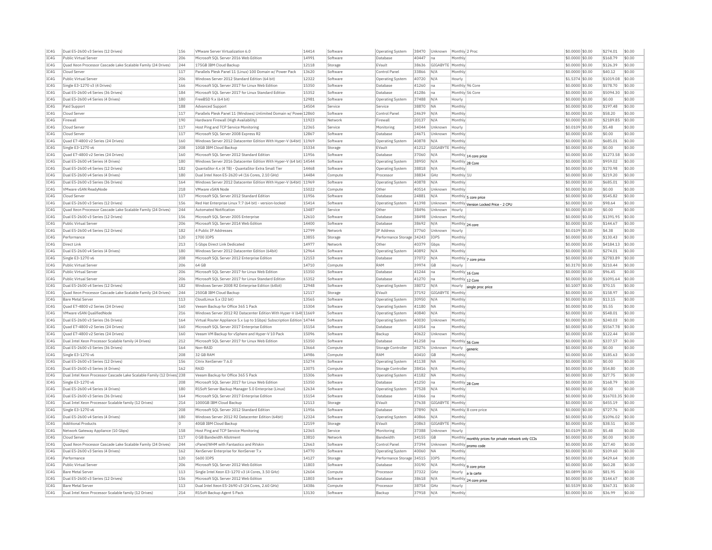| IC4G         | Dual E5-2600 v3 Series (12 Drives)                                                        | 156        | VMware Server Virtualization 6.0                                                                      | 14414          | Software            | Operating System               | 38470          | Unknown          | Monthly 2 Proc        |                                                      | \$0,0000 \$0.00                    | \$274.01              | \$0.00           |
|--------------|-------------------------------------------------------------------------------------------|------------|-------------------------------------------------------------------------------------------------------|----------------|---------------------|--------------------------------|----------------|------------------|-----------------------|------------------------------------------------------|------------------------------------|-----------------------|------------------|
| IC4G         | Public Virtual Serve                                                                      | 206        | Microsoft SQL Server 2016 Web Edition                                                                 | 14991          | Software            | <b>Databas</b>                 | 40447          | na               | Monthly               |                                                      | \$0.0000 \$0.00                    | \$168.79              | \$0.00           |
| IC4G         | Ouad Xeon Processor Cascade Lake Scalable Family (24 Drives)                              | 244        | 175GB IBM Cloud Backup                                                                                | 12118          | Storage             | EVault                         | 38636          | GIGABYTE Monthly |                       |                                                      | \$0,0000 \$0.00                    | \$126.39              | \$0.00           |
| IC4G         | Cloud Server                                                                              | 117        | Parallels Plesk Panel 11 (Linux) 100 Domain w/ Power Pack                                             | 13620          | Software            | Control Panel                  | 33866          | N/A              | Monthly               |                                                      | \$0,0000 \$0.00                    | \$40.12               | \$0.00           |
| TCAG         | Public Virtual Server                                                                     | 206        | Windows Server 2012 Standard Edition (64 bit)                                                         | 12322          | Software            | Operating System               | 40720          | N/A              | Hourly                |                                                      | \$1,5374 \$0.00                    | \$1019.08             | \$0.00           |
| IC4G         | Single E3-1270 v3 (4 Drives)                                                              | 166        | Microsoft SOL Server 2017 for Linux Web Edition                                                       | 15350          | Software            | Database                       | 41260          | Ina              |                       | Monthly 96 Core                                      | \$0.0000 \$0.00                    | \$578.70              | \$0.00           |
| TC4G         | Dual E5-2600 v4 Series (36 Drives)                                                        | 184        | Microsoft SOL Server 2017 for Linux Standard Edition                                                  | 15352          | Software            | Database                       | 41286          | Ina              |                       | Monthly 56 Core                                      | \$0,0000 \$0.00                    | \$5094.30             | \$0.00           |
| TC4G         | Dual E5-2600 v4 Series (4 Drives)                                                         | 180        | FreeBSD 9 x (64 bit)                                                                                  | 12981          | Software            | <b>Operating System</b>        | 37488          | N/A              | Hourly                |                                                      | \$0.0000 \$0.00                    | \$0.00                | \$0.00           |
| TC4G         | Paid Support                                                                              | 188        | Advanced Support                                                                                      | 14504          | Service             | Service                        | 38870          | <b>NA</b>        | Monthly               |                                                      | \$0.0000 \$0.00                    | \$197.48              | \$0.00           |
| IC4G         | Cloud Server                                                                              | 117        | Parallels Plesk Panel 11 (Windows) Unlimited Domain w/ Powe 12860                                     |                | Software            | Control Panel                  | 24639          | N/A              | Monthly               |                                                      | \$0.0000 \$0.00                    | \$58.20               | \$0.00           |
| IC4G         | Firewall                                                                                  | 190        | Hardware Firewall (High Availability)                                                                 | 11923          | Network             | Firewall                       | 20137          | N/A              | Monthly               |                                                      | \$0.0000 \$0.00                    | \$2189.85             | \$0.00           |
| IC4G         | Cloud Server                                                                              | 117        | Host Ping and TCP Service Monitoring                                                                  | 12365          | Service             | Monitoring                     | 34044          | Unknown          | Hourly                |                                                      | \$0,0109 \$0.00                    | \$5.48                | \$0.00           |
| IC4G         | Cloud Serve                                                                               | 117        | Microsoft SQL Server 2008 Express R2                                                                  | 12867          | Software            | Database                       | 24671          | Unknown          | Monthly               |                                                      | \$0.0000 \$0.00                    | \$0.00                | \$0.00           |
| TC4G         | Quad E7-4800 v2 Series (24 Drives)                                                        | 160        | Windows Server 2012 Datacenter Edition With Hyper-V (64bit) 11969                                     |                | Software            | <b>Operating System</b>        | 40878          | IN/A             | Monthly               |                                                      | $$0.0000$ \$0.00                   | \$685.01              | \$0.00           |
| IC4G         | Single E3-1270 v6                                                                         | 208        | 10GB IBM Cloud Backup                                                                                 | 15334          | Storage             | EVault                         | 41212          | GIGABYTE         | Monthly               |                                                      | \$0.0000 \$0.00                    | \$0.00                | \$0.00           |
| TC4G         | Quad E7-4800 v2 Series (24 Drives)                                                        | 160        | Microsoft SOL Server 2012 Standard Edition                                                            | 11956          | Software            | Database                       | 37060          | N/A              |                       |                                                      | $$0.0000$ \$0.00                   | \$1273.58             | \$0.00           |
| IC4G         | Dual E5-2600 v4 Series (4 Drives)                                                         | 180        | Windows Server 2016 Datacenter Edition With Hyper-V (64 bit) 14544                                    |                | Software            | <b>Operating System</b>        | 38950          | N/A              |                       | Monthly 14 core price                                | \$0.0000 \$0.00                    | \$959.02              | \$0.00           |
| TC4G         | Dual E5-2600 v4 Series (12 Drives)                                                        | 182        |                                                                                                       | 14468          | Software            |                                | 38818          | N/A              |                       | Monthly 28 Core                                      |                                    | \$170.98              | \$0.00           |
| IC4G         | Dual E5-2600 v4 Series (4 Drives)                                                         | 180        | QuantaStor 4.x (4 TB) - QuantaStor Extra Small Tie<br>Dual Intel Xeon E5-2620 v4 (16 Cores, 2.10 GHz) | 14484          | Compute             | Operating System<br>Processo   | 38834          | GHZ              | Monthly<br>Monthly 1L |                                                      | \$0.0000 \$0.00<br>\$0,0000 \$0.00 | \$219.20              | \$0.00           |
| TC4G         | Dual E5-2600 v3 Series (36 Drives)                                                        | 164        |                                                                                                       |                | Software            |                                | 40878          | N/A              | Monthly               |                                                      |                                    | \$685.01              | \$0.00           |
|              |                                                                                           |            | Windows Server 2012 Datacenter Edition With Hyper-V (64bit) 11969                                     |                |                     | <b>Operating System</b>        |                |                  |                       |                                                      | \$0.0000 \$0.00                    |                       |                  |
| IC4G         | VMware vSAN ReadvNode                                                                     | 218        | <b>VMware vSAN Node</b>                                                                               | 15022          | Compute             | Other                          | 40514          | Unknown          | Monthly               |                                                      | \$0.0000 \$0.00                    | \$0.00                | \$0.00           |
| IC4G         | Cloud Serve                                                                               | 117        | Microsoft SQL Server 2012 Standard Edition                                                            | 11956          | Software            | Database                       | 24881          | N/A              |                       | Monthly 5 core price                                 | \$0.0000 \$0.00                    | \$545.82              | \$0.00           |
| TC4G         | Dual E5-2600 v3 Series (12 Drives)                                                        | 156        | Red Hat Enterprise Linux 7.7 (64 bit) - version-locked                                                | 15414          | Software            | <b>Operating System</b>        | 41398          | Unknown          |                       | Monthly Version Locked Price - 2 CPU                 | \$0.0000 \$0.00                    | \$98.64               | \$0.00           |
| IC4G         | Quad Xeon Processor Cascade Lake Scalable Family (24 Drives)                              | 244        | <b>Automated Notification</b>                                                                         | 13487          | Service             | Other                          | 38496          | Unknown          | Hourly                |                                                      | \$0.0000 \$0.00                    | \$0.00                | \$0.00           |
| TC4G         | Dual E5-2600 v3 Series (12 Drives)                                                        | 156        | Microsoft SOL Server 2005 Enterprise                                                                  | 12610          | Software            | Database                       | 38498          | Unknown          | Monthly               |                                                      | \$0,0000 \$0.00                    | \$1391.95             | \$0.00           |
| IC4G         | Public Virtual Server                                                                     | 206        | Microsoft SOL Server 2014 Web Edition                                                                 | 14400          | Software            | Database                       | 38692          | N/A              |                       | Monthly 24 core                                      | \$0,0000 \$0.00                    | \$144.67              | \$0.00           |
| IC4G         | Dual E5-2600 v4 Series (12 Drives)                                                        | 182        | 4 Public IP Addresses                                                                                 | 12799          | Network             | <b>IP Address</b>              | 37760          | Unknown          | Hourly                |                                                      | \$0,0109 \$0.00                    | \$4.38                | \$0.00           |
| IC4G         | Performance                                                                               | 120        | 1700 IOPS                                                                                             | 13855          | Storage             | Performance Storage 34243      |                | IOPS             | Monthly               |                                                      | \$0.0000 \$0.00                    | \$130.43              | \$0.00           |
| TC4G         | Direct Link                                                                               | 213        | 5 Gbns Direct Link Dedicated                                                                          | 14977          | Network             | Other                          | 40379          | Gbps             | Monthly               |                                                      | $$0.0000$ \$0.00                   | \$4184.13             | \$0.00           |
| IC4G         | Dual E5-2600 v4 Series (4 Drives)                                                         | 180        | Windows Server 2012 Datacenter Edition (64bit)                                                        | 12964          | Software            | <b>Operating System</b>        | 40892          | N/A              | Monthly               |                                                      | \$0.0000 \$0.00                    | \$274.01              | \$0.00           |
| TC4G         | Single E3-1270 v6                                                                         | 208        | Microsoft SOL Server 2012 Enterprise Edition                                                          | 12153          | Software            | Database                       | 37072          | N/A              |                       | Monthly 7 core price                                 | \$0,0000 \$0,00                    | \$2783.89             | \$0.00           |
| IC4G         | Public Virtual Serve                                                                      | 206        | 64 GB                                                                                                 | 14710          | Compute             | RAM                            | 39974          | <b>GB</b>        | Hourly                |                                                      | \$0,3170 \$0.00                    | \$210.44              | \$0.00           |
| IC4G         | Public Virtual Server                                                                     | 206        | Microsoft SOL Server 2017 for Linux Web Edition                                                       | 15350          | Software            | Database                       | 41244          | Ina              |                       | Monthly 16 Core                                      | \$0.0000 \$0.00                    | \$96.45               | \$0.00           |
| IC4G         | Public Virtual Server                                                                     | 206        | Microsoft SOL Server 2017 for Linux Standard Editio                                                   | 15352          | Software            | Database                       | 41270          | Ina              |                       | Monthly 12 Core                                      | \$0.0000 \$0.00                    | \$1091.64             | \$0.00           |
|              |                                                                                           |            |                                                                                                       |                |                     |                                |                |                  |                       |                                                      |                                    |                       |                  |
| TC4G         | Dual E5-2600 v4 Series (12 Drives)                                                        | 182        | Windows Server 2008 R2 Enterprise Edition (64bit)                                                     | 12948          | Software            | Operating System               | 38072          | N/A              | Hourly                | single proc price                                    | \$0,1007 \$0.00                    | \$70.15               | \$0.00           |
| IC4G         | Quad Xeon Processor Cascade Lake Scalable Family (24 Drives)                              | 244        | 250GB IBM Cloud Backup                                                                                | 12117          | Storage             | EVault                         | 37192          | GIGABYTI         | Monthly               |                                                      | \$0.0000 \$0.00                    | \$158.97              | \$0.00           |
| IC4G         | <b>Bare Metal Serve</b>                                                                   | 113        | CloudLinux 5.x (32 bit)                                                                               | 13565          | Software            | <b>Operating System</b>        | 30950          | N/A              | Monthly               |                                                      | \$0.0000 \$0.00                    | \$13.15               | \$0.00           |
| TCAG         | Quad E7-4800 v2 Series (24 Drives)                                                        | 160        | Veeam Backup for Office 365 1 Pack                                                                    | 15304          | Software            | Operating System               | 41180          | <b>NA</b>        | Monthly               |                                                      | \$0.0000 \$0.00                    | \$5.55                | \$0.00           |
| IC4G         | VMware vSAN QualifiedNode                                                                 | 216        | Windows Server 2012 R2 Datacenter Edition With Hyper-V (64t 11669                                     |                | Software            | <b>Operating System</b>        | 40840          | N/A              | Monthly               |                                                      | \$0.0000 \$0.00                    | \$548.01              | \$0.00           |
| IC4G         | Dual E5-2600 v3 Series (36 Drives)                                                        | 164        | Virtual Router Appliance 5.x (up to 1Gbps) Subscription Edition 14744                                 |                | Software            | Operating System               | 40030          | Unknown          | Monthly               |                                                      | \$0,0000 \$0.00                    | \$240.03              | \$0.00           |
|              |                                                                                           |            |                                                                                                       |                | Software            | <b>Databas</b>                 |                | na               | Monthly               |                                                      |                                    |                       |                  |
| IC4G         | Quad E7-4800 v2 Series (24 Drives)<br>Ouad E7-4800 v2 Series (24 Drives)                  | 160<br>160 | Microsoft SQL Server 2017 Enterprise Edition<br>Veeam VM Backup for vSphere and Hyper-V 10 Pack       | 15154<br>15096 | Software            | Backup                         | 41054<br>40622 | Unknown          | Monthly               |                                                      | \$0.0000 \$0.00<br>\$0,0000 \$0,00 | \$5567.78<br>\$122.44 | \$0.00<br>\$0.00 |
| IC4G         |                                                                                           |            |                                                                                                       |                |                     |                                |                |                  |                       |                                                      |                                    |                       |                  |
| IC4G<br>TC4G | Dual Intel Xeon Processor Scalable family (4 Drives<br>Dual E5-2600 v3 Series (36 Drives) | 212<br>164 | Microsoft SOL Server 2017 for Linux Web Edition<br>Non-RAID                                           | 15350<br>13664 | Software<br>Compute | Database<br>Storage Controller | 41258<br>38276 | Ina<br>Unknown   |                       | Monthly 56 Core                                      | \$0,0000 \$0.00<br>\$0,0000 \$0.00 | \$337.57<br>\$0.00    | \$0.00<br>\$0.00 |
|              |                                                                                           |            |                                                                                                       |                |                     |                                |                |                  | Hourly                |                                                      |                                    |                       |                  |
| IC4G<br>TC4G | Single E3-1270 v6                                                                         | 208<br>156 | 32 GB RAM<br>Citrix XenServer 7.6.0                                                                   | 14986          | Compute<br>Software | RAM                            | 40410          | GB<br><b>NA</b>  | Monthly<br>Monthly    |                                                      | \$0,0000 \$0.00                    | \$185.63<br>\$0.00    | \$0.00<br>\$0.00 |
|              | Dual E5-2600 v3 Series (12 Drives)                                                        |            |                                                                                                       | 15274          |                     | <b>Operating System</b>        | 41138          |                  |                       |                                                      | \$0,0000 \$0,00                    |                       |                  |
| TC4G         | Dual E5-2600 v3 Series (4 Drives)                                                         | 162        | RATD                                                                                                  | 13075          | Compute             | Storage Controlle              | 38416          | N/A              | Monthly               |                                                      | \$0.0000 \$0.00                    | \$54.80               | \$0.00           |
| IC4G         | Dual Intel Xeon Processor Cascade Lake Scalable Family (12 Drives) 238                    |            | Veeam Backup for Office 365 5 Pack                                                                    | 15306          | Software            | Operating System               | 41182          | <b>NA</b>        | Monthly               |                                                      | \$0.0000 \$0.00                    | \$27.75               | \$0.00           |
| IC4G         | Single E3-1270 v6                                                                         | 208        | Microsoft SOL Server 2017 for Linux Web Edition                                                       | 15350          | Software            | Database                       | 41250          | Ina              |                       | Monthly 28 Core                                      | \$0,0000 \$0.00                    | \$168.79              | \$0.00           |
| IC4G         | Dual E5-2600 v4 Series (4 Drives)                                                         | 180        | R1Soft Server Backup Manager 5.0 Enterprise (Linux)                                                   | 12634          | Software            | Operating System               | 37528          | N/A              | Monthly               |                                                      | $$0.0000$ \$0.00                   | \$0.00                | \$0.00           |
| IC4G         | Dual E5-2600 v3 Series (36 Drives)                                                        | 164        | Microsoft SQL Server 2017 Enterprise Edition                                                          | 15154          | Software            | Database                       | 41066          | Ina              | Monthly               |                                                      | \$0.0000 \$0.00                    | \$16703.35            | \$0.00           |
| IC4G         | Dual Intel Xeon Processor Scalable family (12 Drives)                                     | 214        | 1000GB IBM Cloud Backup                                                                               | 12113          | Storage             | EVault                         | 37638          | GIGABYTE         | Monthly               |                                                      | \$0.0000 \$0.00                    | \$455.19              | \$0.00           |
| TCAG         | Single E3-1270 v6                                                                         | 208        | Microsoft SQL Server 2012 Standard Edition                                                            | 11956          | Software            | Database                       | 37890          | N/A              |                       | Monthly 8 core price                                 | \$0.0000 \$0.00                    | \$727.76              | \$0.00           |
| IC4G         | Dual E5-2600 v4 Series (4 Drives)                                                         | 180        | Windows Server 2012 R2 Datacenter Edition (64bit)                                                     | 12324          | Software            | <b>Operating System</b>        | 40866          | N/A              | Monthly               |                                                      | \$0.0000 \$0.00                    | \$1096.02             | \$0.00           |
| IC4G         | <b>Additional Products</b>                                                                | $\circ$    | 40GB IBM Cloud Backup                                                                                 | 12159          | Storage             | EVault                         | 20863          | GIGABYTE         | Monthly               |                                                      | \$0,0000 \$0.00                    | \$38.51               | \$0.00           |
| IC4G         | Network Gateway Appliance (10 Gbps)                                                       | 158        | Host Ping and TCP Service Monitoring                                                                  | 12365          | Service             | Monitoring                     | 37388          | Unknown          | Hourly                |                                                      | \$0,0109 \$0.00                    | \$5.48                | \$0.00           |
| IC4G         | Cloud Server                                                                              | 117        | 0 GB Bandwidth Allotment                                                                              | 13810          | Network             | Bandwidth                      | 34155          | <b>GB</b>        |                       |                                                      | \$0,0000 \$0,00                    | \$0.00                | \$0.00           |
| IC4G         | Ouad Xeon Processor Cascade Lake Scalable Family (24 Drives)                              | 244        | cPanel/WHM with Fantastico and RVskir                                                                 | 12663          | Software            | Control Panel                  | 37394          | Unknown          |                       | Monthly monthly prices for private network only CCIs | \$0.0000 \$0.00                    | \$27.40               | \$0.00           |
| TC4G         | Dual E5-2600 v3 Series (4 Drives)                                                         | 162        | XenServer Enternrise for XenServer 7.x                                                                | 14770          | Software            | <b>Operating System</b>        | 40060          | <b>NA</b>        | Monthly               | Monthly promo code                                   | \$0,0000 \$0.00                    | \$109.60              | \$0.00           |
| IC4G         | Performance                                                                               | 120        | 5600 IOPS                                                                                             | 14127          | Storage             | Performance Storage 34515      |                | IOPS             | Monthly               |                                                      | \$0.0000 \$0.00                    | \$429.64              | \$0.00           |
| TCAG         | Public Virtual Server                                                                     | 206        | Microsoft SOL Server 2012 Web Edition                                                                 | 11803          | Software            | Database                       | 30190          | N/A              |                       |                                                      | \$0,0000 \$0,00                    | \$60.28               | \$0.00           |
| TC4G         | <b>Bare Metal Server</b>                                                                  | 113        | Single Intel Xeon E3-1270 v3 (4 Cores, 3.50 GHz)                                                      | 12604          | Compute             | Processo                       | 37322          | GHz              |                       | Monthly   9 core price                               | \$0.0899 \$0.00                    | \$81.95               | \$0.00           |
| IC4G         | Dual E5-2600 v3 Series (12 Drives)                                                        | 156        | Microsoft SQL Server 2012 Web Edition                                                                 | 11803          | Software            | Database                       | 38618          | N/A              |                       | Hourly a la carte                                    | \$0.0000 \$0.00                    | \$144.67              | \$0.00           |
| IC4G         | <b>Bare Metal Server</b>                                                                  | 113        | Dual Intel Xeon E5-2690 v3 (24 Cores, 2.60 GHz)                                                       | 14386          | Compute             | Processo                       | 38754          | GHz              | Hourly                | Monthly 24 core price                                | \$0,5539 \$0.00                    | \$367.31              | \$0.00           |
| TCAG         | Dual Intel Xeon Processor Scalable family (12 Drives)                                     | 214        | R1Soft Backup Agent 5 Pack                                                                            | 13130          | Software            | Backun                         | 37918          | N/A              | Monthly               |                                                      | \$0.0000 \$0.00                    | \$36.99               | \$0.00           |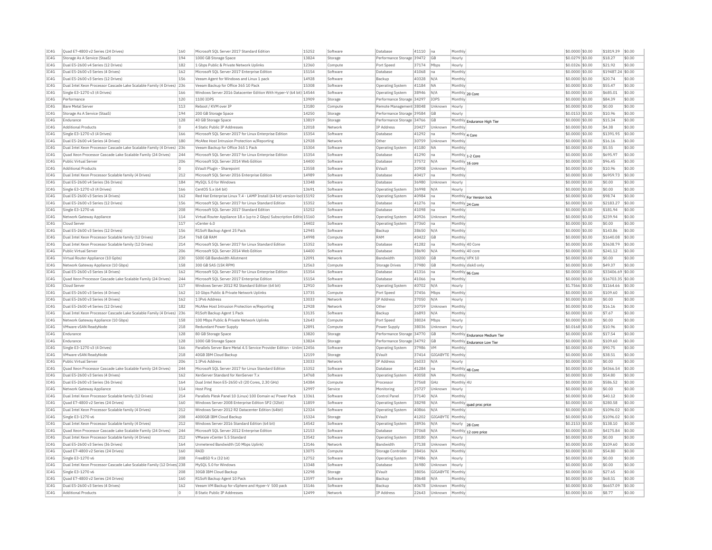| IC4G | Quad E7-4800 v2 Series (24 Drives)                                    | 160 | Microsoft SQL Server 2017 Standard Edition                             | 15252 | Software | Database                  | 41110 | Ina              | Monthly                               | \$0,0000 \$0.00  | \$1819.39         | \$0.00 |
|------|-----------------------------------------------------------------------|-----|------------------------------------------------------------------------|-------|----------|---------------------------|-------|------------------|---------------------------------------|------------------|-------------------|--------|
| IC4G | Storage As A Service (StaaS)                                          | 194 | 1000 GB Storage Space                                                  | 13824 | Storage  | Performance Storage 39472 |       | GB               | Hourly                                | \$0.0279 \$0.00  | \$18.27           | \$0.00 |
| IC4G | Dual E5-2600 v4 Series (12 Drives)                                    | 182 | 1 Gbps Public & Private Network Uplinks                                | 12360 | Compute  | Port Speed                | 37174 | Mbps             | Hourly                                | \$0.0326 \$0.00  | \$21.92           | \$0.00 |
| TC4G | Dual E5-2600 v3 Series (4 Drives)                                     | 162 | Microsoft SOL Server 2017 Enterprise Edition                           | 15154 | Software | Database                  | 41068 | Ina              | Monthly                               | \$0,0000 \$0,00  | \$19487.24 \$0.00 |        |
| IC4G | Dual E5-2600 v3 Series (12 Drives)                                    | 156 | Veeam Agent for Windows and Linux 1 pack                               | 14928 | Software | Backup                    | 40328 | N/A              | Monthly                               | \$0,0000 \$0.00  | \$20.74           | \$0.00 |
| IC4G | Dual Intel Xeon Processor Cascade Lake Scalable Family (4 Drives)     | 236 | Veeam Backup for Office 365 10 Pack                                    | 15308 | Software | Operating System          | 41184 | <b>NA</b>        | Monthly                               | \$0,0000 \$0.00  | \$55.47           | \$0.00 |
| IC4G | Single E3-1270 v3 (4 Drives)                                          | 166 | Windows Server 2016 Datacenter Edition With Hyper-V (64 bit) 14544     |       | Software | Operating System          | 38946 | N/A              | Monthly 20 Core                       | \$0,0000 \$0.00  | \$685.01          | \$0.00 |
| IC4G | Performance                                                           | 120 | 1100 IOPS                                                              | 13909 | Storage  | Performance Storage       | 34297 | IOPS             | Monthly                               | \$0,0000 \$0.00  | \$84.39           | \$0.00 |
| TC4G | <b>Bare Metal Server</b>                                              | 113 | Reboot / KVM over TP                                                   | 13180 |          |                           |       | Unknown          |                                       | $$0.0000$ \$0.00 | \$0.00            | \$0.00 |
|      |                                                                       |     |                                                                        |       | Compute  | Remote Management 38048   |       |                  | Hourly                                |                  |                   |        |
| IC4G | Storage As A Service (StaaS)                                          | 194 | 200 GB Storage Space                                                   | 14250 | Storage  | Performance Storage 39584 |       | GB               | Hourly                                | \$0.0153 \$0.00  | \$10.96           | \$0.00 |
| IC4G | Endurance                                                             | 128 | 40 GB Storage Space                                                    | 13819 | Storage  | Performance Storage 34766 |       | GB               | Monthly Endurance High Tier           | \$0,0000 \$0.00  | \$15.34           | \$0.00 |
| TCAG | <b>Additional Products</b>                                            | n.  | 4 Static Public TP Addresses                                           | 12018 | Network  | <b>TP Address</b>         | 20427 | Unknown          | Monthly                               | $$0.0000$ \$0.00 | \$4.38            | \$0.00 |
| IC4G | Single E3-1270 v3 (4 Drives)                                          | 166 | Microsoft SOL Server 2017 for Linux Enterprise Edition                 | 15354 | Software | Database                  | 41292 | na               | Monthly 4 Core                        | \$0,0000 \$0.00  | \$1391.95         | \$0.00 |
| IC4G | Dual E5-2600 v4 Series (4 Drives)                                     | 180 | McAfee Host Intrusion Protection w/Reporting                           | 12928 | Network  | Other                     | 30759 | Unknown          | Monthly                               | \$0.0000 \$0.00  | \$16.16           | \$0.00 |
| IC4G | Dual Intel Xeon Processor Cascade Lake Scalable Family (4 Drives)     | 236 | Veeam Backup for Office 365.1 Pack                                     | 15304 | Software | <b>Operating System</b>   | 41180 | NA               | Monthly                               | \$0.0000 \$0.00  | \$5.55            | \$0.00 |
| IC4G | Quad Xeon Processor Cascade Lake Scalable Family (24 Drives)          | 244 | Microsoft SQL Server 2017 for Linux Enterprise Edition                 | 15354 | Software | <b>Databas</b>            | 41290 | na               | Monthly 1-2 Core                      | \$0.0000 \$0.00  | \$695.97          | \$0.00 |
| IC4G | Public Virtual Server                                                 | 206 | Microsoft SOL Server 2014 Web Edition                                  | 14400 | Software | Database                  | 37572 | N/A              | Monthly 16 core                       | \$0,0000 \$0.00  | \$96.45           | \$0.00 |
| IC4G | <b>Additional Products</b>                                            | O   | EVault Plugin - Sharepoint                                             | 13558 | Software | EVault                    | 30908 | Unknown          | Monthly                               | \$0,0000 \$0.00  | \$10.96           | \$0.00 |
| IC4G | Dual Intel Xeon Processor Scalable family (4 Drives)                  | 212 | Microsoft SQL Server 2016 Enterprise Edition                           | 14989 | Software | Database                  | 40417 | Ina              | Monthly                               | \$0,0000 \$0,00  | \$6959.73         | \$0.00 |
| IC4G | Dual E5-2600 v4 Series (36 Drives)                                    | 184 | MySOL 5.0 for Windows                                                  | 13348 | Software | Database                  | 36980 | Unknown          | Hourly                                | \$0,0000 \$0.00  | \$0.00            | \$0.00 |
| IC4G | Single E3-1270 v3 (4 Drives)                                          | 166 | CentOS 5.x (64 bit)                                                    | 13691 | Software | Operating System          | 36998 | N/A              | Hourly                                | \$0.0000 \$0.00  | \$0.00            | \$0.00 |
| TC4G | Dual E5-2600 v3 Series (4 Drives)                                     | 162 | Red Hat Enterprise Linux 7.4 - LAMP Install (64 bit) version-loc 15192 |       | Software | <b>Operating System</b>   | 40984 | Ina              | Monthly For Version lock              | \$0,0000 \$0.00  | \$98.74           | \$0.00 |
| IC4G | Dual E5-2600 v3 Series (12 Drives                                     | 156 | Microsoft SQL Server 2017 for Linux Standard Edition                   | 15352 | Software | Database                  | 41276 | Ina              | Monthly 24 Core                       | \$0,0000 \$0.00  | \$2183.27         | \$0.00 |
| IC4G | Single E3-1270 v6                                                     | 208 | Microsoft SOL Server 2017 Standard Edition                             | 15252 | Software | Database                  | 41098 | Ina              | Monthly                               | \$0,0000 \$0.00  | \$181.94          | \$0.00 |
| IC4G | Network Gateway Appliance                                             | 114 | Virtual Router Appliance 18.x (up to 2 Gbps) Subscription Editic 15160 |       | Software | Operating System          | 40926 | Unknown          | Monthly                               | $$0.0000$ \$0.00 | \$239.94          | \$0.00 |
| IC4G | Cloud Server                                                          | 117 | vCenter 6.0                                                            | 14402 | Software |                           |       |                  | Monthly                               | \$0,0000 \$0.00  | \$0.00            | \$0.00 |
|      |                                                                       |     |                                                                        |       |          | Operating System          | 37360 | na               |                                       |                  |                   |        |
| TC4G | Dual E5-2600 v3 Series (12 Drives)                                    | 156 | R1Soft Backup Agent 25 Pack                                            | 12945 | Software | Backup                    | 38650 | N/A              | Monthly                               | $$0.0000$ \$0.00 | \$143.86          | \$0.00 |
| IC4G | Dual Intel Xeon Processor Scalable family (12 Drives)                 | 214 | 768 GB RAM                                                             | 14998 | Compute  | RAM                       | 40422 | GB               | Monthly                               | \$0,0000 \$0.00  | \$1640.08         | \$0.00 |
| IC4G | Dual Intel Xeon Processor Scalable family (12 Drives)                 | 214 | Microsoft SOL Server 2017 for Linux Standard Edition                   | 15352 | Software | Database                  | 41282 | na               | Monthly 40 Core                       | \$0,0000 \$0.00  | \$3638.79         | \$0.00 |
| IC4G | Public Virtual Server                                                 | 206 | Microsoft SQL Server 2014 Web Edition                                  | 14400 | Software | Database                  | 38690 | N/A              | Monthly 40 core                       | \$0.0000 \$0.00  | \$241.12          | \$0.00 |
| IC4G | Virtual Router Appliance (10 Gpbs)                                    | 230 | 5000 GB Bandwidth Allotment                                            | 12091 | Network  | Bandwidth                 | 30200 | GB               | Monthly VPX 10                        | \$0.0000 \$0.00  | \$0.00            | \$0.00 |
| TC4G | Network Gateway Appliance (10 Gbps)                                   | 158 | 300 GB SAS (15K RPM)                                                   | 12563 | Compute  | Storage Drives            | 37980 | G <sub>R</sub>   | Monthly disk0 only                    | $$0.0000$ \$0.00 | \$49.37           | \$0.00 |
| IC4G | Dual E5-2600 v3 Series (4 Drives)                                     | 162 | Microsoft SQL Server 2017 for Linux Enterprise Edition                 | 15354 | Software | Database                  | 41316 | na               | Monthly 96 Core                       | \$0.0000 \$0.00  | \$33406.69 \$0.00 |        |
| IC4G | Quad Xeon Processor Cascade Lake Scalable Family (24 Drives)          | 244 | Microsoft SOL Server 2017 Enterprise Edition                           | 15154 | Software | Database                  | 41066 | Ina              | Monthly                               | \$0,0000 \$0,00  | \$16703.35 \$0.00 |        |
| IC4G | Cloud Server                                                          | 117 | Windows Server 2012 R2 Standard Edition (64 bit)                       | 12910 | Software | Operating System          | 40702 | N/A              | Hourly                                | \$1,7566 \$0.00  | \$1164.66         | \$0.00 |
| IC4G | Dual E5-2600 v3 Series (4 Drives)                                     | 162 | 10 Gbps Public & Private Network Uplinks                               | 13735 | Compute  | Port Speed                | 37456 | Mbps             | Monthly                               | \$0.0000 \$0.00  | \$109.60          | \$0.00 |
| TC4G | Dual E5-2600 v3 Series (4 Drives)                                     | 162 | 1 IPv6 Address                                                         | 13033 | Network  | <b>IP Address</b>         | 37050 | N/A              | Hourly                                | \$0,0000 \$0.00  | \$0.00            | \$0.00 |
| IC4G | Dual E5-2600 v4 Series (12 Drives)                                    | 182 | McAfee Host Intrusion Protection w/Reporting                           | 12928 | Network  | Othe                      | 30759 | Unknown          | Monthly                               | \$0,0000 \$0.00  | \$16.16           | \$0.00 |
| IC4G | Dual Intel Xeon Processor Cascade Lake Scalable Family (4 Drives)     | 236 | R1Soft Backup Agent 1 Pack                                             | 13135 | Software | Backup                    | 26893 | N/A              | Monthly                               | \$0,0000 \$0.00  | \$7.67            | \$0.00 |
| IC4G | Network Gateway Appliance (10 Gbps)                                   | 158 | 100 Mbos Public & Private Network Uplinks                              | 12643 | Compute  | Port Speed                | 38024 | Mbps             | Hourly                                | \$0,0000 \$0.00  | \$0.00            | \$0.00 |
| IC4G | VMware vSAN ReadvNode                                                 | 218 | Redundant Power Supply                                                 | 12891 | Compute  | Power Supply              | 38036 | Unknown          | Hourly                                | \$0,0168 \$0.00  | \$10.96           | \$0.00 |
| TC4G | Endurance                                                             | 128 | 80 GB Storage Space                                                    | 13820 | Storage  | Performance Storage 34770 |       | GB               | Monthly Endurance Medium Tier         | $$0.0000$ \$0.00 | \$17.54           | \$0.00 |
| IC4G | Endurance                                                             | 128 | 1000 GB Storage Space                                                  | 13824 | Storage  | Performance Storage 34792 |       | GB               |                                       | \$0.0000 \$0.00  | \$109.60          | \$0.00 |
| IC4G | Single E3-1270 v3 (4 Drives)                                          | 166 | Parallels Server Bare Metal 4.5 Service Provider Edition - Unlim 12456 |       | Software | Operating System          | 37986 | <b>VM</b>        | Monthly Endurance Low Tier<br>Monthly | \$0,0000 \$0.00  | \$90.75           | \$0.00 |
| TC4G | VMware vSAN ReadvNode                                                 | 218 | 40GB TBM Cloud Backup                                                  | 12159 | Storage  | FVault                    | 37414 | GIGARYTE Monthly |                                       | $$0.0000$ \$0.00 | \$38.51           | \$0.00 |
| IC4G | Public Virtual Server                                                 | 206 | 1 IPv6 Address                                                         | 13033 | Network  | <b>IP Address</b>         | 26033 | N/A              | Hourly                                | \$0,0000 \$0.00  | \$0.00            | \$0.00 |
|      |                                                                       | 244 |                                                                        |       |          |                           |       |                  |                                       |                  |                   | \$0.00 |
| IC4G | Ouad Xeon Processor Cascade Lake Scalable Family (24 Drives)          |     | Microsoft SOL Server 2017 for Linux Standard Edition                   | 15352 | Software | Database                  | 41284 | Ina              | Monthly 48 Core                       | \$0,0000 \$0.00  | \$4366.54         |        |
| IC4G | Dual E5-2600 v3 Series (4 Drives)                                     | 162 | XenServer Standard for XenServer 7 x                                   | 14768 | Software | Operating System          | 40058 | <b>NA</b>        | Monthly                               | \$0.0000 \$0.00  | \$54.80           | \$0.00 |
| IC4G | Dual E5-2600 v3 Series (36 Drives)                                    | 164 | Dual Intel Xeon E5-2650 v3 (20 Cores, 2.30 GHz)                        | 14384 | Compute  | Processor                 | 37568 | GHz              | Monthly 4U                            | \$0.0000 \$0.00  | \$586.52          | \$0.00 |
| TC4G | Network Gateway Annliance                                             | 114 | Host Ping                                                              | 12997 | Service  | Monitoring                | 25727 | Unknown          | Hourly                                | $$0.0000$ \$0.00 | \$0.00            | \$0.00 |
| IC4G | Dual Intel Xeon Processor Scalable family (12 Drives)                 | 214 | Parallels Plesk Panel 10 (Linux) 100 Domain w/ Power Pack              | 13361 | Software | Control Pane              | 37140 | N/A              | Monthly                               | \$0.0000 \$0.00  | \$40.12           | \$0.00 |
| IC4G | Ouad E7-4800 v2 Series (24 Drives)                                    | 160 | Windows Server 2008 Enterprise Edition SP2 (32bit)                     | 11859 | Software | <b>Operating System</b>   | 38298 | N/A              | Monthly quad proc price               | \$0,0000 \$0,00  | \$280.58          | \$0.00 |
| IC4G | Dual Intel Xeon Processor Scalable family (4 Drives)                  | 212 | Windows Server 2012 R2 Datacenter Edition (64bit)                      | 12324 | Software | <b>Operating System</b>   | 40866 | N/A              | Monthly                               | \$0.0000 \$0.00  | \$1096.02         | \$0.00 |
| IC4G | Single E3-1270 v6                                                     | 208 | 4000GB IBM Cloud Backup                                                | 15324 | Storage  | EVault                    | 41202 | GIGABYTE         | Monthly                               | \$0.0000 \$0.00  | \$1096.02         | \$0.00 |
| IC4G | Dual Intel Xeon Processor Scalable family (4 Drives)                  | 212 | Windows Server 2016 Standard Edition (64 bit)                          | 14542 | Software | <b>Operating System</b>   | 38936 | N/A              | Hourly<br>28 Core                     | \$0,2153 \$0.00  | \$138.10          | \$0.00 |
| IC4G | Quad Xeon Processor Cascade Lake Scalable Family (24 Drives)          | 244 | Microsoft SOL Server 2012 Enterprise Edition                           | 12153 | Software | Database                  | 37068 | N/A              | Monthly 12 core price                 | \$0,0000 \$0.00  | \$4175.84         | \$0.00 |
| TC4G | Dual Intel Xeon Processor Scalable family (4 Drives)                  | 212 | VMware vCenter 5.5 Standard                                            | 13542 | Software | <b>Operating System</b>   | 38180 | N/A              | Hourly                                | $$0.0000$ \$0.00 | \$0.00            | \$0.00 |
| IC4G | Dual E5-2600 v3 Series (36 Drives)                                    | 164 | Unmetered Bandwidth (10 Mbps Uplink)                                   | 13146 | Network  | Bandwidth                 | 37138 | Unknown          | Monthly                               | \$0,0000 \$0.00  | \$109.60          | \$0.00 |
| IC4G | Quad E7-4800 v2 Series (24 Drives)                                    | 160 | RAID                                                                   | 13075 | Compute  | Storage Controlle         | 38416 | N/A              | Monthly                               | \$0,0000 \$0.00  | \$54.80           | \$0.00 |
| IC4G | Single E3-1270 v6                                                     | 208 | FreeBSD 9 x (32 bit)                                                   | 12752 | Software | <b>Operating System</b>   | 37486 | N/A              | Hourly                                | $$0.0000$ \$0.00 | \$0.00            | \$0.00 |
| IC4G | Dual Intel Xeon Processor Cascade Lake Scalable Family (12 Drives 238 |     | MySOL 5.0 for Windows                                                  | 13348 | Software | Database                  | 36980 | Unknown          | Hourly                                | \$0,0000 \$0,00  | \$0.00            | \$0.00 |
| TCAG | Single E3-1270 v6                                                     | 208 | 30GB IBM Cloud Backup                                                  | 12298 | Storage  | FVault                    | 38056 | GIGABYTE Monthly |                                       | \$0,0000 \$0.00  | \$27.65           | \$0.00 |
| IC4G | Quad E7-4800 v2 Series (24 Drives)                                    | 160 | R1Soft Backup Agent 10 Pack                                            | 13597 | Software | Backup                    | 38648 | N/A              | Monthly                               | \$0.0000 \$0.00  | \$68.51           | \$0.00 |
| IC4G | Dual E5-2600 v3 Series (4 Drives)                                     | 162 | Veeam VM Backup for vSphere and Hyper-V 500 pack                       | 15146 | Software | Backup                    | 40678 | Unknown          | Monthly                               | \$0.0000 \$0.00  | \$6657.09         | \$0.00 |
| IC4G | <b>Additional Products</b>                                            | lo. | 8 Static Public IP Addresses                                           | 12499 | Network  | <b>IP Address</b>         | 22643 | Unknown          | Monthly                               | $$0.0000$ \$0.00 | \$8.77            | \$0.00 |
|      |                                                                       |     |                                                                        |       |          |                           |       |                  |                                       |                  |                   |        |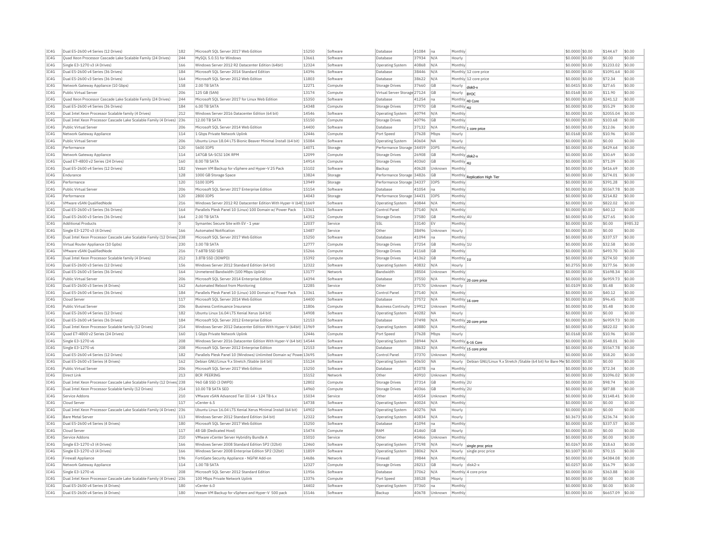| TC4G         | Dual E5-2600 v4 Series (12 Drives)                                     | 182        | Microsoft SQL Server 2017 Web Edition                              | 15250          | Software             | Database                     | 41084          | Ina            | Monthly            |                                                          | \$0.0000 \$0.00                    | \$144.67            | \$0.00           |
|--------------|------------------------------------------------------------------------|------------|--------------------------------------------------------------------|----------------|----------------------|------------------------------|----------------|----------------|--------------------|----------------------------------------------------------|------------------------------------|---------------------|------------------|
| IC4G         | Quad Xeon Processor Cascade Lake Scalable Family (24 Drives)           | 244        | MvSOL 5.0.51 for Windows                                           | 13661          | Software             | Database                     | 37934          | N/A            | Hourly             |                                                          | \$0,0000 \$0.00                    | \$0.00              | \$0.00           |
| TC4G         | Single E3-1270 v3 (4 Drives)                                           | 166        | Windows Server 2012 R2 Datacenter Edition (64bit)                  | 12324          | Software             | <b>Operating System</b>      | 40868          | N/A            | Monthly            |                                                          | \$0.0000 \$0.00                    | \$1233.02           | \$0.00           |
| IC4G         | Dual E5-2600 v4 Series (36 Drives)                                     | 184        | Microsoft SQL Server 2014 Standard Edition                         | 14396          | Software             | Database                     | 38446          | N/A            |                    | Monthly 12 core price                                    | \$0,0000 \$0.00                    | \$1091.64           | \$0.00           |
| IC4G         | Dual E5-2600 v3 Series (36 Drives)                                     | 164        | Microsoft SQL Server 2012 Web Edition                              | 11803          | Software             | Database                     | 38622          | N/A            |                    | Monthly 12 core price                                    | \$0.0000 \$0.00                    | \$72.34             | \$0.00           |
| IC4G         | Network Gateway Appliance (10 Gbps)                                    | 158        | 2.00 TR SATA                                                       | 12271          | Compute              | Storage Drives               | 37660          | <b>GB</b>      | Hourly             | disk <sub>0-</sub>                                       | \$0,0415 \$0.00                    | \$27.65             | \$0.00           |
| IC4G         | Public Virtual Server                                                  | 206        | 125 GB (SAN)                                                       | 13174          | Compute              | Virtual Server Storage 27124 |                | <b>GB</b>      | Hourly             |                                                          | \$0.0168 \$0.00                    | \$11.90             | \$0.00           |
|              |                                                                        |            |                                                                    | 15350          |                      | Database                     | 41254          |                |                    | <b>BYOC</b>                                              |                                    |                     | \$0.00           |
| IC4G         | Quad Xeon Processor Cascade Lake Scalable Family (24 Drives)           | 244        | Microsoft SQL Server 2017 for Linux Web Edition                    |                | Software             |                              |                | na             | Monthly 40 Core    |                                                          | \$0.0000 \$0.00                    | \$241.12            |                  |
| IC4G         | Dual E5-2600 v4 Series (36 Drives)                                     | 184        | 6.00 TR SATA                                                       | 14348          | Compute              | Storage Drives               | 37970          | <b>GB</b>      | Monthly 4U         |                                                          | \$0,0000 \$0.00                    | \$55.29             | \$0.00           |
| IC4G         | Dual Intel Xeon Processor Scalable family (4 Drives)                   | 212        | Windows Server 2016 Datacenter Edition (64 bit)                    | 14546          | Software             | Operating System             | 40794          | N/f            | Monthly            |                                                          | \$0,0000 \$0.00                    | \$2055.04           | \$0.00           |
| IC4G         | Dual Intel Xeon Processor Cascade Lake Scalable Family (4 Drives) 236  |            | 12.00 TB SATA                                                      | 15150          | Compute              | <b>Storage Drives</b>        | 40796          | <b>GB</b>      | Monthly            |                                                          | \$0,0000 \$0,00                    | \$103.68            | \$0.00           |
| IC4G         | Public Virtual Server                                                  | 206        | Microsoft SQL Server 2014 Web Edition                              | 14400          | Software             | Database                     | 37132          | N/A            |                    | Monthly 1 core price                                     | \$0,0000 \$0.00                    | \$12.06             | \$0.00           |
| IC4G         | Network Gateway Appliance                                              | 114        | 1 Gbps Private Network Uplink                                      | 12446          | Compute              | Port Speed                   | 37628          | Mbps           | Hourly             |                                                          | \$0.0168 \$0.00                    | \$10.96             | \$0.00           |
| IC4G         | Public Virtual Server                                                  | 206        | Ubuntu Linux 18.04 LTS Bionic Beaver Minimal Install (64 bit)      | 15084          | Software             | Operating System             | 40604          | <b>NA</b>      | Hourly             |                                                          | \$0,0000 \$0.00                    | \$0.00              | \$0.00           |
| IC4G         | Performance                                                            | 120        | 5600 IOPS                                                          | 14071          | Storage              | Performance Storage 34459    |                | IOPS           | Monthly            |                                                          | \$0,0000 \$0.00                    | \$429.64            | \$0.00           |
| IC4G         | Network Gateway Appliance                                              | 114        | 147GB SA-SCSI 10K RPM                                              | 12099          | Compute              | <b>Storage Drives</b>        | 26908          | <b>GB</b>      | Monthly disk2-y    |                                                          | \$0,0000 \$0.00                    | \$30.69             | \$0.00           |
| IC4G         | Quad E7-4800 v2 Series (24 Drives)                                     | 160        | 8.00 TB SATA                                                       | 14914          | Compute              |                              | 40360          | <b>GB</b>      |                    |                                                          | \$0.0000 \$0.00                    | \$71.09             | \$0.00           |
|              |                                                                        |            |                                                                    |                |                      | <b>Storage Drives</b>        |                |                | Monthly 4U         |                                                          |                                    |                     |                  |
| IC4G         | Dual E5-2600 v4 Series (12 Drives)                                     | 182        | Veeam VM Backup for vSphere and Hyper-V 25 Pack                    | 15102          | Software             | Backup                       | 40628          | Unknown        | Monthly            |                                                          | \$0,0000 \$0.00                    | \$416.69            | \$0.00           |
| TC4G         | Endurance                                                              | 128        | 1000 GB Storage Space                                              | 13824          | Storage              | Performance Storage 34826    |                | <b>GB</b>      |                    | Monthly Replication High Tier                            | $$0.0000$ \$0.00                   | \$274.01            | \$0.00           |
| IC4G         | Performance                                                            | 120        | 5100 TOPS                                                          | 13949          | Storage              | Performance Storage 34337    |                | TOP5           | Monthly            |                                                          | \$0.0000 \$0.00                    | \$391.28            | \$0.00           |
| IC4G         | Public Virtual Server                                                  | 206        | Microsoft SOL Server 2017 Enterprise Edition                       | 15154          | Software             | Database                     | 41054          | Ina            | Monthly            |                                                          | \$0.0000 \$0.00                    | \$5567.78           | \$0.00           |
| TC4G         | Performance                                                            | 120        | 2800 TOPS                                                          | 14043          | Storage              | Performance Storage 34431    |                | TOP5           | Monthly            |                                                          | $$0.0000$ \$0.00                   | \$214.82            | \$0.00           |
| IC4G         | VMware vSAN OualifiedNode                                              | 216        | Windows Server 2012 R2 Datacenter Edition With Hyper-V (64t 11669  |                | Software             | <b>Operating System</b>      | 40844          | N/f            | Monthly            |                                                          | \$0,0000 \$0.00                    | \$822.02            | \$0.00           |
| IC4G         | Dual E5-2600 v3 Series (36 Drives)                                     | 164        | Parallels Plesk Panel 10 (Linux) 100 Domain w/ Power Pack          | 13361          | Software             | Control Pane                 | 37140          | N/A            | Monthly            |                                                          | \$0,0000 \$0.00                    | \$40.12             | \$0.00           |
| IC4G         | Dual E5-2600 v3 Series (36 Drives)                                     | 164        | 2.00 TR SATA                                                       | 14352          | Compute              | <b>Storage Drives</b>        | 37580          | GB             | Monthly 4U         |                                                          | \$0.0000 \$0.00                    | \$27.65             | \$0.00           |
| TCAG         | <b>Additional Products</b>                                             | ln.        | Symantec Secure Site with EV - 1 year                              | 12037          | Service              | SSI                          | 33140          | <b>EV</b>      | Monthly            |                                                          | \$0,0000 \$0.00                    | \$0.00              | \$985.32         |
|              |                                                                        |            |                                                                    |                |                      |                              |                |                |                    |                                                          |                                    |                     |                  |
| TC4G         | Single E3-1270 v3 (4 Drives)                                           | 166        | Automated Notification                                             | 13487          | Service              | Other                        | 38496          | <b>Unknown</b> | Hourly             |                                                          | $$0.0000$ \$0.00                   | \$0.00              | \$0.00           |
| IC4G         | Dual Intel Xeon Processor Cascade Lake Scalable Family (12 Drives 238  |            | Microsoft SQL Server 2017 Web Edition                              | 15250          | Software             | Database                     | 41094          | na             | Monthly            |                                                          | \$0.0000 \$0.00                    | \$337.57            | \$0.00           |
| TCAG         | Virtual Router Appliance (10 Gpbs)                                     | 230        | 3 00 TR SATA                                                       | 12777          | Compute              | Storage Drives               | 37254          | <b>GB</b>      | Monthly 1L         |                                                          | \$0,0000 \$0.00                    | \$32.58             | \$0.00           |
| IC4G         | VMware vSAN QualifiedNode                                              | 216        | 7.68TB SSD SED                                                     | 15266          | Compute              | Storage Drives               | 41168          | GB             | Monthly            |                                                          | \$0.0000 \$0.00                    | \$493.70            | \$0.00           |
| IC4G         | Dual Intel Xeon Processor Scalable family (4 Drives)                   | 212        | 3.8TB SSD (3DWPD)                                                  | 15392          | Compute              | <b>Storage Drives</b>        | 41362          | GB             | Monthly 11         |                                                          | \$0.0000 \$0.00                    | \$274.50            | \$0.00           |
| IC4G         | Dual E5-2600 v3 Series (12 Drives)                                     | 156        | Windows Server 2012 Standard Edition (64 bit)                      | 12322          | Software             | <b>Operating System</b>      | 40832          | N/A            | Hourly             |                                                          | \$0.2755 \$0.00                    | \$177.56            | \$0.00           |
| IC4G         | Dual E5-2600 v3 Series (36 Drives)                                     | 164        | Unmetered Bandwidth (100 Mbps Uplink)                              | 13177          | Network              | Bandwidth                    | 38504          | Unknown        | Monthly            |                                                          | \$0.0000 \$0.00                    | \$1698.34           | \$0.00           |
| IC4G         | Public Virtual Server                                                  | 206        | Microsoft SQL Server 2014 Enterprise Edition                       | 14394          | Software             | Database                     | 37550          | N/A            |                    |                                                          | $$0.0000$ $$0.00$                  | \$6959.73           | \$0.00           |
| IC4G         | Dual E5-2600 v3 Series (4 Drives)                                      | 162        | Automated Reboot from Monitoring                                   | 12285          |                      |                              | 37170          |                |                    | Monthly 20 core price                                    | \$0,0109 \$0.00                    | \$5.48              | \$0.00           |
|              |                                                                        |            |                                                                    |                | Service              | Other                        |                | Unknown        | Hourly             |                                                          |                                    |                     |                  |
| IC4G         | Dual E5-2600 v4 Series (36 Drives)                                     | 184        | Parallels Plesk Panel 10 (Linux) 100 Domain w/ Power Pack          | 13361          | Software             | Control Pane                 | 37140          | N/A            | Monthly            |                                                          | \$0.0000 \$0.00                    | \$40.12             | \$0.00           |
| IC4G         | Cloud Server                                                           | 117        | Microsoft SOL Server 2014 Web Edition                              | 14400          | Software             | Database                     | 37572          | N/A            | Monthly            | 16 core                                                  | \$0,0000 \$0,00                    | \$96.45             | \$0.00           |
| IC4G         | Public Virtual Server                                                  | 206        | <b>Business Continuance Insurance</b>                              | 11806          | Compute              | <b>Business Continuity</b>   | 19912          | Unknown        | Monthly            |                                                          | \$0.0000 \$0.00                    | \$5.48              | \$0.00           |
| IC4G         | Dual E5-2600 v4 Series (12 Drives)                                     | 182        | Ubuntu Linux 16.04 LTS Xenial Xerus (64 bit)                       | 14908          | Software             | <b>Operating System</b>      | 40282          | <b>NA</b>      | Hourly             |                                                          | \$0.0000 \$0.00                    | \$0.00              | \$0.00           |
| IC4G         | Dual E5-2600 v4 Series (36 Drives)                                     | 184        | Microsoft SOL Server 2012 Enterprise Edition                       | 12153          | Software             | Database                     | 37498          | N/A            |                    | Monthly 20 core price                                    | \$0,0000 \$0.00                    | \$6959.73           | \$0.00           |
| IC4G         | Dual Intel Xeon Processor Scalable family (12 Drives)                  | 214        | Windows Server 2012 Datacenter Edition With Hyper-V (64bit) 11969  |                | Software             | Operating System             | 40880          | N/A            | Monthly            |                                                          | \$0.0000 \$0.00                    | \$822.02            | \$0.00           |
| IC4G         | Ouad E7-4800 v2 Series (24 Drives)                                     | 160        | 1 Ghns Private Network Unlink                                      | 12446          | Compute              | Port Speed                   | 37628          | Mbps           | Hourly             |                                                          | \$0,0168 \$0,00                    | \$10.96             | \$0.00           |
| IC4G         | Single E3-1270 v6                                                      | 208        | Windows Server 2016 Datacenter Edition With Hyper-V (64 bit) 14544 |                | Software             | Operating System             | 38944          | N/A            |                    |                                                          | \$0.0000 \$0.00                    | \$548.01            | \$0.00           |
|              |                                                                        |            |                                                                    | 12153          |                      | Database                     |                |                |                    | Monthly 6-16 Core                                        |                                    |                     | \$0.00           |
| IC4G         | Single E3-1270 v6                                                      | 208        | Microsoft SQL Server 2012 Enterprise Edition                       |                | Software             |                              | 38632          | N/A            |                    | Monthly 15 core price                                    | \$0.0000 \$0.00                    | \$5567.78           |                  |
| IC4G         | Dual E5-2600 v4 Series (12 Drives)                                     | 182        | Parallels Plesk Panel 10 (Windows) Unlimited Domain w/ Powe 13695  |                | Software             | Control Pane                 | 37370          | Unknown        | Monthly            |                                                          | $$0.0000$ $$0.00$                  | \$58.20             | \$0.00           |
| IC4G         | Dual E5-2600 v3 Series (4 Drives                                       | 162        | Debian GNU/Linux 9.x Stretch /Stable (64 bit)                      | 15124          | Software             | <b>Operating System</b>      | 40650          | <b>NA</b>      | Hourly             | Debian GNU/Linux 9.x Stretch /Stable (64 bit) for Bare N | 50.0000 \$0.00                     | \$0.00              | \$0.00           |
| IC4G         | Public Virtual Server                                                  | 206        | Microsoft SOL Server 2017 Web Edition                              | 15250          | Software             | Database                     | 41078          | na             | Monthly            |                                                          | \$0,0000 \$0.00                    | \$72.34             | \$0.00           |
| IC4G         | Direct Link                                                            | 213        | <b>BCR PEERING</b>                                                 | 15152          | Network              | Other                        | 40910          | Unknown        | Monthly            |                                                          | \$0.0000 \$0.00                    | \$1096.02           | \$0.00           |
| IC4G         | Dual Intel Xeon Processor Cascade Lake Scalable Family (12 Drives 238  |            | 960 GB SSD (3 DWPD)                                                | 12802          | Compute              | <b>Storage Drives</b>        | 37314          | GB             | Monthly 2L         |                                                          | \$0,0000 \$0.00                    | \$98.74             | \$0.00           |
| IC4G         | Dual Intel Xeon Processor Scalable family (12 Drives)                  | 214        | 10.00 TB SATA SED                                                  | 14960          | Compute              | <b>Storage Drives</b>        | 40366          | <b>GB</b>      | Monthly 2L         |                                                          | \$0,0000 \$0.00                    | \$87.88             | \$0.00           |
| IC4G         | Service Addons                                                         | 210        | VMware vSAN Advanced Tier III 64 - 124 TB 6.x                      | 15034          | Service              | Other                        | 40554          | Unknown        | Monthly            |                                                          | \$0,0000 \$0.00                    | \$1148.41           | \$0.00           |
| IC4G         |                                                                        |            |                                                                    |                |                      |                              |                |                |                    |                                                          |                                    | \$0.00              | \$0.00           |
| IC4G         | Cloud Server                                                           | 117        | vCenter 6.5                                                        | 14738          |                      |                              |                |                |                    |                                                          |                                    |                     |                  |
|              |                                                                        |            |                                                                    |                | Software             | <b>Operating System</b>      | 40024          | N/A            | Monthly            |                                                          | \$0,0000 \$0.00                    |                     |                  |
|              | Dual Intel Xeon Processor Cascade Lake Scalable Family (4 Drives)      | 236        | Ubuntu Linux 16.04 LTS Xenial Xerus Minimal Install (64 bit)       | 14902          | Software             | Operating System             | 40276          | <b>NA</b>      | Hourly             |                                                          | \$0.0000 \$0.00                    | \$0.00              | \$0.00           |
| IC4G         | <b>Bare Metal Serve</b>                                                | 113        | Windows Server 2012 Standard Edition (64 bit)                      | 12322          | Software             | Operating System             | 40834          | N/A            | Hourly             |                                                          | \$0,3673 \$0.00                    | \$236.74            | \$0.00           |
| TC4G         | Dual E5-2600 v4 Series (4 Drives)                                      | 180        | Microsoft SOL Server 2017 Web Edition                              | 15250          | Software             | Database                     | 41094          | Ina            | Monthly            |                                                          | $$0.0000$ \$0.00                   | \$337.57            | \$0.00           |
| IC4G         | Cloud Server                                                           | 117        | 48 GB (Dedicated Host)                                             | 15474          | Compute              | RAM                          | 41460          | <b>GB</b>      | Hourly             |                                                          | \$0.0000 \$0.00                    | \$0.00              | \$0.00           |
| IC4G         | Service Addons                                                         | 210        | VMware vCenter Server Hybridity Bundle A                           | 15010          | Service              | Other                        | 40466          | Unknown        | Monthly            |                                                          | \$0,0000 \$0.00                    | \$0.00              | \$0.00           |
| TC4G         | Single E3-1270 v3 (4 Drives)                                           | 166        | Windows Server 2008 Standard Edition SP2 (32bit                    | 12460          | Software             | Operating System             | 37198          | N/A            | Hourly             |                                                          | \$0.0267 \$0.00                    | \$18.63             | \$0.00           |
| IC4G         | Single E3-1270 v3 (4 Drives)                                           | 166        | Windows Server 2008 Enterprise Edition SP2 (32bit)                 | 11859          | Software             | Operating Systen             | 38062          | N/A            | Hourly             | single proc price<br>single proc price                   | \$0,1007 \$0.00                    | \$70.15             | \$0.00           |
|              |                                                                        | 196        |                                                                    | 14686          |                      |                              |                |                |                    |                                                          |                                    |                     |                  |
| IC4G         | Firewall Appliance                                                     |            | FortiGate Security Appliance - NGFW Add-on                         |                | Network              | Firewall                     | 39844          | N/A            | Monthly            |                                                          | \$0,0000 \$0.00                    | \$4384.08           | \$0.00           |
| IC4G         | Network Gateway Appliance                                              | 114        | 1.00 TR SATA                                                       | 12327          | Compute              | <b>Storage Drives</b>        | 28213          | GB             | Hourly             | disk2-x                                                  | \$0.0257 \$0.00                    | \$16.79             | \$0.00           |
| IC4G         | Single E3-1270 v6                                                      | 208        | Microsoft SQL Server 2012 Standard Edition                         | 11956          | Software             | Database                     | 37062          | N/A            |                    | Monthly 4 core price                                     | \$0.0000 \$0.00                    | \$363.88            | \$0.00           |
| TC4G         | Dual Intel Xeon Processor Cascade Lake Scalable Family (4 Drives) 236  |            | 100 Mbns Private Network Unlink                                    | 13376          | Compute              | Port Speed                   | 38528          | Mhns           | Hourly             |                                                          | $$0.0000$ \$0.00                   | \$0.00              | \$0.00           |
| TCAG<br>TCAG | Dual E5-2600 v4 Series (4 Drives)<br>Dual E5-2600 v4 Series (4 Drives) | 180<br>180 | vCenter 6.0<br>Veeam VM Backup for vSphere and Hyper-V 500 pack    | 14402<br>15146 | Software<br>Software | Operating System<br>Backup   | 37360<br>40678 | na<br>Unknown  | Monthly<br>Monthly |                                                          | \$0.0000 \$0.00<br>\$0.0000 \$0.00 | \$0.00<br>\$6657.09 | \$0.00<br>\$0.00 |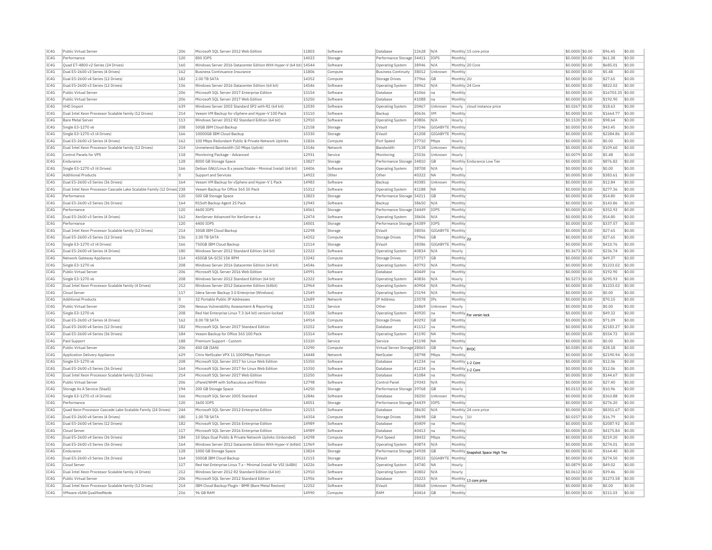| IC4G | Public Virtual Server                                                  | 206            | Microsoft SOL Server 2012 Web Edition                              | 11803 | Software | Database                     | 22628 | N/A                | Monthly 15 core price            | \$0,0000 \$0.00  | \$96.45    | \$0.00           |
|------|------------------------------------------------------------------------|----------------|--------------------------------------------------------------------|-------|----------|------------------------------|-------|--------------------|----------------------------------|------------------|------------|------------------|
| IC4G | Performance                                                            | 120            | 800 IOPS                                                           | 14023 | Storage  | Performance Storage 34411    |       | <b>IOPS</b>        | Monthly                          | \$0,0000 \$0.00  | \$61.38    | \$0.00           |
| IC4G | Quad E7-4800 v2 Series (24 Drives)                                     | 160            | Windows Server 2016 Datacenter Edition With Hyper-V (64 bit) 14544 |       | Software | <b>Operating System</b>      | 38946 | N/A                | Monthly 20 Core                  | \$0,0000 \$0.00  | \$685.01   | \$0.00           |
| IC4G | Dual E5-2600 v3 Series (4 Drives)                                      | 162            | Business Continuance Insurance                                     | 11806 | Compute  | <b>Business Continuity</b>   | 38012 | Unknown            | Monthly                          | \$0,0000 \$0.00  | \$5.48     | \$0.00           |
| TC4G | Dual E5-2600 v4 Series (12 Drives)                                     | 182            | 2.00 TR SATA                                                       | 14352 | Compute  | Storage Drives               | 37966 | GB                 | Monthly 2U                       | \$0,0000 \$0.00  | \$27.65    | \$0.00           |
| IC4G | Dual E5-2600 v3 Series (12 Drives)                                     | 156            | Windows Server 2016 Datacenter Edition (64 bit)                    | 14546 | Software | Operating System             | 38962 | N/A                | Monthly 24 Core                  | \$0.0000 \$0.00  | \$822.02   | \$0.00           |
| IC4G | Public Virtual Server                                                  | 206            | Microsoft SOL Server 2017 Enterprise Edition                       | 15154 | Software | Database                     | 41066 | Ina                | Monthly                          | \$0.0000 \$0.00  | \$16703.35 | \$0.00           |
| TC4G | Public Virtual Server                                                  | 206            | Microsoft SOL Server 2017 Web Edition                              | 15250 | Software | Database                     | 41088 | na                 | Monthly                          | $$0.0000$ \$0.00 | \$192.90   | \$0.00           |
| IC4G | <b>VHD Import</b>                                                      | 639            | Windows Server 2003 Standard SP2 with R2 (64 bit)                  | 12030 | Software | Operating System             | 20467 | Unknown            | Hourly<br>cloud instance price   | \$0,0267 \$0.00  | \$18.63    | \$0.00           |
| IC4G | Dual Intel Xeon Processor Scalable family (12 Drives)                  | 214            | Veeam VM Backup for vSphere and Hyper-V 100 Pack                   | 15110 | Software | Backup                       | 40636 | <b>VM</b>          | Monthly                          | \$0,0000 \$0.00  | \$1664.77  | \$0.00           |
| IC4G | <b>Bare Metal Server</b>                                               | 113            | Windows Server 2012 R2 Standard Edition (64 bit)                   | 12910 | Software | Operating System             | 40806 | N/A                | Hourly                           | $$0.1530$ \$0.00 | \$98.64    | \$0.00           |
| IC4G | Single E3-1270 v6                                                      | 208            | 50GB IBM Cloud Backup                                              | 12158 | Storage  | EVault                       | 37246 | GIGABYTE   Monthly |                                  | \$0.0000 \$0.00  | \$43.45    | \$0.00           |
| IC4G | Single E3-1270 v3 (4 Drives)                                           | 166            | 10000GB IBM Cloud Backup                                           | 15330 | Storage  | EVault                       | 41208 | GIGABYTE Monthly   |                                  | \$0,0000 \$0.00  | \$2284.86  | \$0.00           |
|      | Dual E5-2600 v3 Series (4 Drives)                                      |                |                                                                    | 11826 |          | Port Speed                   |       |                    |                                  |                  | \$0.00     | \$0.00           |
| IC4G |                                                                        | 162            | 100 Mbps Redundant Public & Private Network Uplinks                | 13146 | Compute  |                              | 37710 | Mbps               | Hourly                           | \$0.0000 \$0.00  | \$109.60   |                  |
| IC4G | Dual Intel Xeon Processor Scalable family (12 Drives)                  | 214            | Unmetered Bandwidth (10 Mbps Uplink)                               |       | Network  | <b>Bandwidth</b>             | 37138 | Unknown            | Monthly                          | \$0.0000 \$0.00  |            | \$0.00           |
| IC4G | Control Panels for VPS                                                 | 118            | Monitoring Package - Advanced                                      | 12931 | Service  | Monitoring                   | 25536 | Unknown            | Hourly                           | \$0,0079 \$0.00  | \$5.48     | \$0.00           |
| IC4G | Endurance                                                              | 128            | 8000 GB Storage Space                                              | 13827 | Storage  | Performance Storage 34810    |       | GB                 | Monthly Endurance Low Tier       | \$0.0000 \$0.00  | \$876.82   | \$0.00           |
| IC4G | Single E3-1270 v3 (4 Drives)                                           | 166            | Debian GNU/Linux 8.x iessie/Stable - Minimal Install (64 bit)      | 14406 | Software | <b>Operating System</b>      | 38708 | N/A                | Hourly                           | \$0,0000 \$0,00  | \$0.00     | \$0.00           |
| IC4G | <b>Additional Products</b>                                             | $\circ$        | Support and Services                                               | 14922 | Other    | Other                        | 40322 | <b>NA</b>          | Monthly                          | \$0,0000 \$0.00  | \$383.61   | \$0.00           |
| IC4G | Dual E5-2600 v3 Series (36 Drives)                                     | 164            | Veeam VM Backup for vSphere and Hyper-V 1 Pack                     | 14983 | Software | Backup                       | 40385 | Unknown            | Monthly                          | \$0,0000 \$0.00  | \$12.84    | \$0.00           |
| IC4G | Dual Intel Xeon Processor Cascade Lake Scalable Family (12 Drives) 238 |                | Veeam Backup for Office 365 50 Pack                                | 15312 | Software | Operating System             | 41188 | NA                 | Monthly                          | \$0.0000 \$0.00  | \$277.36   | \$0.00           |
| IC4G | Performance                                                            | 120            | 500 GB Storage Space                                               | 13823 | Storage  | Performance Storage 34211    |       | GB                 | Monthly                          | \$0,0000 \$0.00  | \$54.80    | \$0.00           |
| IC4G | Dual E5-2600 v3 Series (36 Drives)                                     | 164            | R1Soft Backup Agent 25 Pack                                        | 12945 | Software | Backup                       | 38650 | N/A                | Monthly                          | $$0.0000$ \$0.00 | \$143.86   | \$0.00           |
| IC4G | Performance                                                            | 120            | 4600 TOPS                                                          | 14061 | Storage  | Performance Storage 34449    |       | <b>TOPS</b>        | Monthly                          | \$0.0000 \$0.00  | \$352.92   | \$0.00           |
| IC4G | Dual E5-2600 v3 Series (4 Drives)                                      | 162            | XenServer Advanced for XenServer 6.x                               | 12474 | Software | Operating System             | 38606 | N/A                | Monthly                          | \$0,0000 \$0.00  | \$54.80    | \$0.00           |
| IC4G | Performance                                                            | 120            | 4400 TOPS                                                          | 14001 | Storage  | Performance Storage 34389    |       | <b>TOPS</b>        | Monthly                          | \$0.0000 \$0.00  | \$337.57   | \$0.00           |
| IC4G | Dual Intel Xeon Processor Scalable family (12 Drives)                  | 214            | 30GB IBM Cloud Backup                                              | 12298 | Storage  | EVault                       | 38056 | GIGABYTI           | Monthly                          | \$0.0000 \$0.00  | \$27.65    | \$0.00           |
| IC4G | Dual E5-2600 v3 Series (12 Drives)                                     | 156            | 2.00 TR SATA                                                       | 14352 | Compute  | Storage Drives               | 37966 | GB                 | Monthly 2U                       | $$0.0000$ \$0.00 | \$27.65    | \$0.00           |
| IC4G | Single E3-1270 v3 (4 Drives)                                           | 166            | 750GB TBM Cloud Backup                                             | 12114 | Storage  | FVault                       | 38386 | GIGARYTE Monthly   |                                  | \$0.0000 \$0.00  | \$410.76   | \$0.00           |
| IC4G | Dual E5-2600 v4 Series (4 Drives)                                      | 180            | Windows Server 2012 Standard Edition (64 bit)                      | 12322 | Software | Operating System             | 40834 | N/A                | Hourly                           | \$0.3673 \$0.00  | \$236.74   | \$0.00           |
| IC4G | Network Gateway Appliance                                              | 114            | 450GB SA-SCSI 15K RPM                                              | 13242 | Compute  | Storage Drives               | 33717 | GB                 | Monthly                          | \$0,0000 \$0.00  | \$49.37    | \$0.00           |
| IC4G | Single E3-1270 v6                                                      | 208            | Windows Server 2016 Datacenter Edition (64 bit)                    | 14546 | Software | <b>Operating System</b>      | 40792 | N/A                | Monthly                          | \$0.0000 \$0.00  | \$1233.02  | \$0.00           |
| IC4G | Public Virtual Server                                                  | 206            | Microsoft SOL Server 2016 Web Edition                              | 14991 | Software | Database                     | 40449 | Ina                | Monthly                          | \$0.0000 \$0.00  | \$192.90   | \$0.00           |
| IC4G | Single E3-1270 v6                                                      | 208            | Windows Server 2012 Standard Edition (64 bit)                      | 12322 | Software | Operating System             | 40836 | N/A                | Hourly                           | \$0.5273 \$0.00  | \$295.93   | \$0.00           |
| IC4G | Dual Intel Xeon Processor Scalable family (4 Drives)                   | 212            | Windows Server 2012 Datacenter Edition (64bit)                     | 12964 | Software | <b>Operating System</b>      | 40904 | N/A                | Monthly                          | \$0.0000 \$0.00  | \$1233.02  | \$0.00           |
| IC4G | Cloud Server                                                           | 117            | Idera Server Backup 3.0 Enterprise (Windows)                       | 12549 | Software | Operating System             | 25194 | N/A                | Monthly                          | \$0,0000 \$0.00  | \$0.00     | \$0.00           |
|      |                                                                        | $\overline{0}$ |                                                                    |       |          |                              |       |                    |                                  |                  |            |                  |
| IC4G | <b>Additional Products</b>                                             | 206            | 32 Portable Public IP Addresses                                    | 12689 | Network  | IP Address                   | 23578 | IPs                | Monthly                          | \$0,0000 \$0.00  | \$70.15    | \$0.00<br>\$0.00 |
| TC4G | Public Virtual Server                                                  |                | Nessus Vulnerability Assessment & Reporting                        | 13132 | Service  | Other                        | 26869 | Unknown            | Hourly                           | \$0,0000 \$0.00  | \$0.00     |                  |
| IC4G | Single E3-1270 v6                                                      | 208            | Red Hat Enterprise Linux 7.3 (64 bit) version-locked               | 15158 | Software | Operating System             | 40920 | lna                | Monthly For versin lock          | \$0.0000 \$0.00  | \$49.32    | \$0.00           |
| IC4G | Dual E5-2600 v3 Series (4 Drives)                                      | 162            | 8.00 TR SATA                                                       | 14914 | Compute  | <b>Storage Drives</b>        | 40292 | <b>GB</b>          | Monthl                           | \$0.0000 \$0.00  | \$71.09    | \$0.00           |
| TC4G | Dual E5-2600 v4 Series (12 Drives)                                     | 182            | Microsoft SOL Server 2017 Standard Edition                         | 15252 | Software | Database                     | 41112 | lna.               | Monthly                          | $$0.0000$ \$0.00 | \$2183.27  | \$0.00           |
| IC4G | Dual E5-2600 v4 Series (36 Drives)                                     | 184            | Veeam Backup for Office 365 100 Pack                               | 15314 | Software | Operating System             | 41190 | <b>NA</b>          | Monthly                          | \$0,0000 \$0.00  | \$554.72   | \$0.00           |
| IC4G | Paid Support                                                           | 188            | Premium Support - Custom                                           | 15320 | Service  | Service                      | 41198 | <b>NA</b>          | Monthly                          | \$0,0000 \$0.00  | \$0.00     | \$0.00           |
| IC4G | Public Virtual Server                                                  | 206            | 400 GB (SAN)                                                       | 13290 | Compute  | Virtual Server Storage 28065 |       | GB                 | Hourly<br><b>BYOC</b>            | $$0.0385$ \$0.00 | \$28.18    | \$0.00           |
| IC4G | Application Delivery Appliance                                         | 629            | Citrix NetScaler VPX 11 1000Mbps Platinum                          | 14448 | Network  | NetScale                     | 38798 | Mbps               | Monthly                          | \$0.0000 \$0.00  | \$2190.94  | \$0.00           |
| TC4G | Single E3-1270 v6                                                      | 208            | Microsoft SOL Server 2017 for Linux Web Edition                    | 15350 | Software | Database                     | 41234 | Ina                | Monthly 1-2 Core                 | $$0.0000$ \$0.00 | \$12.06    | \$0.00           |
| IC4G | Dual E5-2600 v3 Series (36 Drives)                                     | 164            | Microsoft SOL Server 2017 for Linux Web Edition                    | 15350 | Software | Database                     | 41234 | Ina                | Monthly 1-2 Core                 | \$0.0000 \$0.00  | \$12.06    | \$0.00           |
| IC4G | Dual Intel Xeon Processor Scalable family (12 Drives)                  | 214            | Microsoft SOL Server 2017 Web Edition                              | 15250 | Software | Database                     | 41084 | Ina                | Monthly                          | \$0.0000 \$0.00  | \$144.67   | \$0.00           |
| IC4G | Public Virtual Server                                                  | 206            | cPanel/WHM with Softaculous and RVskin                             | 12798 | Software | Control Panel                | 29343 | N/A                | Monthly                          | \$0,0000 \$0.00  | \$27.40    | \$0.00           |
| IC4G | Storage As A Service (StaaS)                                           | 194            | 200 GB Storage Space                                               | 14250 | Storage  | Performance Storage 39768    |       | GB                 | Hourly                           | \$0.0153 \$0.00  | \$10.96    | \$0.00           |
| IC4G | Single E3-1270 v3 (4 Drives)                                           | 166            | Microsoft SOL Server 2005 Standard                                 | 12846 | Software | Database                     | 38250 | Unknown            | Monthly                          | \$0,0000 \$0.00  | \$363.88   | \$0.00           |
| IC4G | Performance                                                            | 120            | 3600 IOPS                                                          | 14051 | Storage  | Performance Storage 34439    |       | <b>IOPS</b>        | Monthly                          | \$0.0000 \$0.00  | \$276.20   | \$0.00           |
| TC4G | Ouad Xeon Processor Cascade Lake Scalable Family (24 Drives)           | 244            | Microsoft SOL Server 2012 Enterprise Edition                       | 12153 | Software | Database                     | 38630 | N/A                | Monthly 24 core price            | \$0,0000 \$0.00  | \$8351.67  | \$0.00           |
| IC4G | Dual E5-2600 v4 Series (4 Drives)                                      | 180            | 1.00 TR SATA                                                       | 14354 | Compute  | Storage Drives               | 38698 | GB                 | Hourly 1U                        | \$0.0257 \$0.00  | \$16.79    | \$0.00           |
| IC4G | Dual E5-2600 v4 Series (12 Drives)                                     | 182            | Microsoft SQL Server 2016 Enterprise Edition                       | 14989 | Software | Database                     | 40409 | na                 | Monthly                          | \$0.0000 \$0.00  | \$2087.92  | \$0.00           |
| IC4G | Cloud Server                                                           | 117            | Microsoft SOL Server 2016 Enterprise Edition                       | 14989 | Software | Database                     | 40413 | Ina                | Monthly                          | \$0,0000 \$0.00  | \$4175.84  | \$0.00           |
|      |                                                                        |                |                                                                    |       |          |                              |       |                    |                                  |                  |            |                  |
| IC4G | Dual E5-2600 v4 Series (36 Drives)                                     | 184            | 10 Gbos Dual Public & Private Network Uplinks (Unbonded)           | 14298 | Compute  | Port Speed                   | 38432 | Mbps               | Monthly                          | \$0,0000 \$0.00  | \$219.20   | \$0.00           |
| IC4G | Dual E5-2600 v3 Series (36 Drives)                                     | 164            | Windows Server 2012 Datacenter Edition With Hyper-V (64bit)        | 11969 | Software | <b>Operating System</b>      | 40874 | N/A                | Monthly                          | \$0,0000 \$0.00  | \$274.01   | \$0.00           |
| IC4G | Endurance                                                              | 128            | 1000 GB Storage Space                                              | 13824 | Storage  | Performance Storage 34928    |       | GB                 | Monthly Snapshot Space High Tier | \$0.0000 \$0.00  | \$164.40   | \$0.00           |
| IC4G | Dual E5-2600 v3 Series (36 Drives)                                     | 164            | 500GB IBM Cloud Backup                                             | 12115 | Storage  | EVault                       | 38532 | GIGABYTI           | Monthly                          | \$0.0000 \$0.00  | \$274.50   | \$0.00           |
| TC4G | Cloud Server                                                           | 117            | Red Hat Enterprise Linux 7.x - Minimal Install for VSI (64Bit)     | 14226 | Software | Operating System             | 34740 | NΑ                 | Hourly                           | \$0.0879 \$0.00  | \$49.02    | \$0.00           |
| TCAG | Dual Intel Xeon Processor Scalable family (4 Drives)                   | 212            | Windows Server 2012 R2 Standard Edition (64 bit)                   | 12910 | Software | Operating System             | 40802 | N/A                | Hourly                           | $$0.0612$ \$0.00 | \$39.46    | \$0.00           |
| IC4G | Public Virtual Server                                                  | 206            | Microsoft SOL Server 2012 Standard Edition                         | 11956 | Software | Database                     | 25223 | N/A                | Monthly 13 core price            | $$0.0000$ \$0.00 | \$1273.58  | \$0.00           |
| IC4G | Dual Intel Xeon Processor Scalable family (12 Drives)                  | 214            | IBM Cloud Backup Plugin - BMR (Bare Metal Restore)                 | 12252 | Software | FVault                       | 38068 | Unknown            | Monthly                          | $$0.0000$ \$0.00 | \$0.00     | \$0.00           |
| IC4G | VMware vSAN QualifiedNode                                              | 216            | 96 GB RAM                                                          | 14990 | Compute  | RAM                          | 40414 | GB                 | Monthly                          | \$0.0000 \$0.00  | \$311.03   | \$0.00           |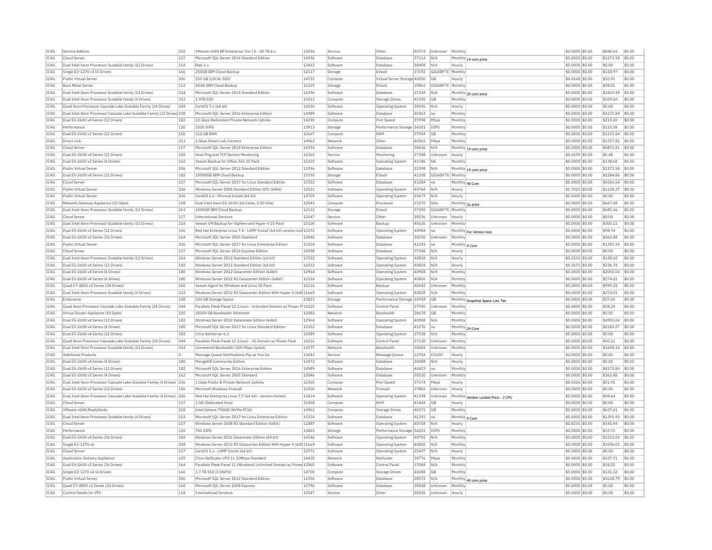| TC4G<br>Cloud Server<br>117<br>Microsoft SOL Server 2014 Standard Edition<br>14396<br>Software<br>Database<br>37114<br>N/A<br>Monthly 14 core price<br>\$0,0000 \$0.00<br>\$1273.58<br>\$0.00<br>IC4G<br>Dual Intel Xeon Processor Scalable family (12 Drives)<br>214<br>Riak 1.x<br>12432<br>Software<br>Database<br>38408<br>N/A<br>\$0.0000 \$0.00<br>\$0.00<br>\$0.00<br>Hourly<br>IC4G<br>Single E3-1270 v3 (4 Drives)<br>166<br>250GB IBM Cloud Backup<br>12117<br>Storage<br>FVault<br>37192<br>GIGABYTE Monthly<br>\$0.0000 \$0.00<br>\$158.97<br>\$0.00<br>TCAG<br>Public Virtual Server<br>206<br>250 GB (LOCAL SSD)<br>14722<br>Virtual Server Storage 40000<br>$$0.0168$ \$0.00<br>\$10.91<br>\$0.00<br>GB<br>Compute<br>Hourly<br>IC4G<br>113<br>40GB IBM Cloud Backup<br>12159<br>20863<br>GIGABYTE<br>Monthly<br>\$0.0000 \$0.00<br>\$38.51<br>\$0.00<br>Bare Metal Server<br>Storage<br>EVault<br>IC4G<br>14396<br>\$1819.39<br>\$0.00<br>Dual Intel Xeon Processor Scalable family (12 Drives)<br>214<br>Microsoft SOL Server 2014 Standard Edition<br>37334<br>N/A<br>\$0,0000 \$0.00<br>Software<br>Database<br>Monthly 20 core price<br>IC4G<br>212<br>15412<br>\$0.00<br>Dual Intel Xeon Processor Scalable family (4 Drives)<br>1.9TB SSD<br>Compute<br><b>Storage Drives</b><br>41392<br><b>GB</b><br>Monthl<br>\$0,0000 \$0.00<br>\$109.60<br>IC4G<br>244<br>14210<br>\$0.00<br>Ouad Xeon Processor Cascade Lake Scalable Family (24 Drives)<br>CentOS 7.x (64 bit)<br>38196<br>N/A<br>\$0,0000 \$0.00<br>\$0.00<br>Software<br>Operating System<br>Hourly<br>14989<br>40413<br>IC4G<br>Dual Intel Xeon Processor Cascade Lake Scalable Family (12 Drives) 238<br>Microsoft SOL Server 2016 Enterprise Edition<br>Software<br>Database<br>Ina<br>Monthly<br>\$0,0000 \$0.00<br>\$4175.84<br>\$0.00<br>TC4G<br>182<br>10 Gbps Redundant Private Network Uplinks<br>14290<br>37098<br>\$219.20<br>\$0.00<br>Dual E5-2600 v4 Series (12 Drives)<br>Compute<br>Port Speed<br>Mbps<br>Monthly<br>\$0,0000 \$0.00<br>IC4G<br>Performance<br>120<br>1500 IOPS<br>13913<br>Performance Storage 34301<br>IOPS<br>Monthly<br>\$0.0000 \$0.00<br>\$115.08<br>\$0.00<br>Storage<br>TCAG<br>Dual E5-2600 v3 Series (12 Drives)<br>156<br>512 GB RAM<br>12667<br>\$1133.54<br>\$0.00<br>Compute<br>RAM<br>37904<br>G <sub>B</sub><br>Monthly<br>\$0,0000 \$0.00<br>IC4G<br>213<br>1 Gbps Direct Link Connect<br>14963<br>40365<br>\$0.0000 \$0.00<br>\$1337.81<br>\$0.00<br>Direct Link<br>Network<br>Other<br>Mbps<br>Monthly<br>IC4G<br>Cloud Server<br>117<br>Microsoft SQL Server 2014 Enterprise Edition<br>14394<br>Software<br>Database<br>38436<br>N/A<br>Monthly 14 core price<br>\$0.0000 \$0.00<br>\$4871.81<br>\$0.00<br>IC4G<br>182<br>12365<br>\$0.00<br>Dual E5-2600 v4 Series (12 Drives)<br>Host Ping and TCP Service Monitoring<br>37388<br>\$0,0109 \$0.00<br>\$5.48<br>Monitoring<br>Unknown<br>Service<br>Hourly<br>IC4G<br>Dual E5-2600 v3 Series (4 Drives)<br>162<br>Veeam Backup for Office 365 25 Pack<br>15310<br>Software<br>41186<br>Monthly<br>\$0.0000 \$0.00<br>\$138.68<br>\$0.00<br><b>Operating System</b><br><b>NA</b><br>TC4G<br>206<br>Microsoft SOL Server 2012 Standard Edition<br>11956<br>\$1273.58<br>\$0.00<br>Public Virtual Server<br>Software<br>22398<br>$$0.0000$ \$0.00<br>Database<br>IN/A<br>Monthly 14 core price<br>IC4G<br>Dual E5-2600 v4 Series (12 Drives)<br>182<br>15330<br>EVault<br>41208<br>GIGABYTE<br>\$0.0000 \$0.00<br>\$2284.86<br>\$0.00<br>10000GB IBM Cloud Backup<br>Storage<br>Monthly<br>TC4G<br>\$0.00<br>117<br>Microsoft SOL Server 2017 for Linux Standard Edition<br>15352<br>41284<br>$$0.0000$ \$0.00<br>\$4366.54<br>Cloud Server<br>Software<br>Database<br>Ina<br>Monthly 48 Core<br>IC4G<br>206<br>Windows Server 2008 Standard Edition SP2 (64bit)<br>12521<br>40744<br>\$1128.27<br>\$0.00<br>Public Virtual Serve<br>Software<br>Operating System<br>N/A<br>Hourly<br>\$1,7023 \$0.00<br>TC4G<br>206<br>12709<br>\$0.00<br>Public Virtual Server<br>CentOS 5.x - Minimal Install (64 bit)<br>Software<br><b>Operating System</b><br>23673<br>N/A<br>Hourly<br>\$0.0000 \$0.00<br>\$0.00<br>158<br>12043<br>\$0.00<br>IC4G<br>Network Gateway Appliance (10 Gbps)<br>Dual Intel Xeon E5-2650 (16 Cores, 2.00 GHz)<br>Compute<br>Processo<br>37270<br>GHZ<br>Monthly 2u price<br>\$0,0000 \$0.00<br>\$667.48<br>TC4G<br>Dual Intel Xeon Processor Scalable family (12 Drives)<br>214<br>1500GB TBM Cloud Backup<br>12112<br>Storage<br>FVault<br>37290<br>GIGARYTE<br>Monthly<br>\$0,0000 \$0.00<br>\$685.26<br>\$0.00<br>12547<br>IC4G<br>Cloud Server<br>117<br>Other<br>38596<br>Unknown<br>\$0.0000 \$0.00<br>\$0.00<br>\$0.00<br><b>International Services</b><br>Service<br>Hourly<br>IC4G<br>15100<br>\$305.11<br>\$0.00<br>Dual Intel Xeon Processor Scalable family (12 Drives)<br>214<br>Veeam VM Backup for vSphere and Hyper-V 25 Pack<br>Software<br>Backun<br>40626<br>Unknown<br>Monthly<br>\$0,0000 \$0.00<br>TC4G<br>Dual E5-2600 v3 Series (12 Drives)<br>156<br>Red Hat Enterprise Linux 7.4 - LAMP Install (64 bit) version-loc 15192<br>40984<br>\$0.0000 \$0.00<br>\$98.74<br>\$0.00<br>Software<br>Operating System<br>Monthly For Version lock<br>lna<br>IC4G<br>\$0.00<br>Dual E5-2600 v3 Series (36 Drives)<br>164<br>Microsoft SOL Server 2005 Standard<br>12846<br>Software<br>Database<br>38250<br>Unknown<br>Monthly<br>\$0.0000 \$0.00<br>\$363.88<br>IC4G<br>206<br>15354<br>41292<br>\$1391.95<br>\$0.00<br>Public Virtual Server<br>Microsoft SOL Server 2017 for Linux Enterprise Edition<br>Software<br>Database<br>\$0,0000 \$0.00<br>Monthly 4 Core<br>Ina<br>IC4G<br>117<br>Microsoft SOL Server 2014 Express Edition<br>14398<br>Software<br>Database<br>37948<br>\$0.0000 \$0.00<br>\$0.00<br>\$0.00<br>Cloud Serve<br>N/A<br>Hourly<br>IC4G<br>Dual Intel Xeon Processor Scalable family (12 Drives)<br>214<br>Windows Server 2012 Standard Edition (64 bit)<br>12322<br>40828<br>\$138.10<br>\$0.00<br>N/A<br>\$0,2153 \$0.00<br>Software<br>Operating System<br>Hourly<br>IC4G<br>Dual E5-2600 v4 Series (12 Drives)<br>182<br>Windows Server 2012 Standard Edition (64 bit)<br>12322<br>40834<br>N/A<br>\$0.3673 \$0.00<br>\$236.74<br>\$0.00<br>Software<br><b>Operating System</b><br>Hourly<br>180<br>12964<br>\$2055.04<br>TC4G<br>Dual E5-2600 v4 Series (4 Drives)<br>Windows Server 2012 Datacenter Edition (64bit)<br>40908<br>$$0.0000$ \$0.00<br>\$0.00<br>Software<br><b>Operating System</b><br>N/A<br>Monthly<br>IC4G<br>180<br>12324<br>40856<br>\$274.01<br>\$0.00<br>Dual E5-2600 v4 Series (4 Drives)<br>Windows Server 2012 R2 Datacenter Edition (64bit)<br>Software<br><b>Operating System</b><br>N/A<br>Monthly<br>\$0.0000 \$0.00<br>TC4G<br>160<br>15116<br>\$999.25<br>\$0.00<br>Ouad E7-4800 v2 Series (24 Drives)<br>Veeam Agent for Windows and Linux 50 Pack<br>Software<br>Backup<br>40642<br><b>Unknown</b><br>Monthly<br>\$0,0000 \$0.00<br>212<br>IC4G<br>Dual Intel Xeon Processor Scalable family (4 Drives)<br>Windows Server 2012 R2 Datacenter Edition With Hyper-V (64t 11669<br>Software<br>40838<br>N/A<br>Monthly<br>\$0.0000 \$0.00<br>\$274.01<br>\$0.00<br><b>Operating System</b><br>IC4G<br>Endurance<br>128<br>500 GB Storage Space<br>13823<br>Storage<br>Performance Storage 34918<br>GB<br>\$0.0000 \$0.00<br>\$27.40<br>\$0.00<br>Monthly Snapshot Space Low Tier<br>IC4G<br>Quad Xeon Processor Cascade Lake Scalable Family (24 Drives)<br>244<br>Parallels Plesk Panel 12 (Linux) - Unlimited Domain w/ Power P 14220<br>Software<br>Control Panel<br>37950<br>Unknown<br>Monthly<br>\$0,0000 \$0.00<br>\$58.20<br>\$0.00<br>IC4G<br>Virtual Router Appliance (10 Gpbs<br>230<br>20000 GB Bandwidth Allotment<br>12082<br>Network<br><b>Bandwidth</b><br>26678<br>GB<br>Monthly<br>\$0.0000 \$0.00<br>\$0.00<br>\$0.00<br>TC4G<br>Dual E5-2600 v4 Series (12 Drives)<br>182<br>Windows Server 2012 Datacenter Edition (64bit)<br>12964<br>Software<br>40908<br>Monthly<br>\$0.0000 \$0.00<br>\$2055.04<br>\$0.00<br>N/A<br>Operating System<br>IC4G<br>Dual E5-2600 v4 Series (4 Drives)<br>180<br>Microsoft SQL Server 2017 for Linux Standard Edition<br>15352<br>Software<br>41276<br>\$0.0000 \$0.00<br>\$2183.27<br>\$0.00<br>Database<br>na<br>Monthly 24 Core<br>TC4G<br>182<br>13389<br>\$0.0000 \$0.00<br>\$0.00<br>\$0.00<br>Dual E5-2600 v4 Series (12 Drives)<br>Software<br>37518<br>N/A<br>Monthly<br>Citrix XenServer 6.1<br>Operating System<br>IC4G<br>244<br>14216<br>\$0.0000 \$0.00<br>\$40.12<br>\$0.00<br>Ouad Xeon Processor Cascade Lake Scalable Family (24 Drives)<br>Parallels Plesk Panel 12 (Linux) - 30 Domain w/ Power Pack<br>Software<br>Control Panel<br>37120<br>Unknow<br>Monthly<br>IC4G<br>Dual Intel Xeon Processor Scalable family (12 Drives)<br>214<br>13177<br>38504<br>\$0,0000 \$0.00<br>\$1698.34<br>\$0.00<br>Unmetered Bandwidth (100 Mbps Uplink)<br>Network<br>Bandwidth<br>Unknown<br>Monthly<br>IC4G<br><b>Additional Products</b><br>O<br>Message Oueue Notifications Pay as You Go<br>13443<br>Service<br>Message Queue<br>32704<br>COUNT<br>Hourly<br>\$0,0000 \$0.00<br>\$0.00<br>\$0.00<br>TC4G<br>180<br>13473<br>\$0.00<br>Dual E5-2600 v4 Series (4 Drives)<br>38388<br>$$0.0000$ \$0.00<br>\$0.00<br>MongoDB Community Edition<br>Software<br>Database<br>N/A<br>Hourly<br>IC4G<br>Dual E5-2600 v4 Series (12 Drives<br>182<br>Microsoft SQL Server 2016 Enterprise Edition<br>14989<br>Software<br>Database<br>40413<br>Monthly<br>\$0.0000 \$0.00<br>\$4175.84<br>\$0.00<br>Ina<br>IC4G<br>12846<br>\$363.88<br>\$0.00<br>Dual E5-2600 v3 Series (4 Drives)<br>162<br>Microsoft SOL Server 2005 Standard<br>Software<br>Database<br>38250<br>Unknown<br>Monthly<br>\$0,0000 \$0.00<br>TC4G<br>Dual Intel Xeon Processor Cascade Lake Scalable Family (4 Drives) 236<br>12360<br>Port Speed<br>37174<br>\$0.0326 \$0.00<br>\$21.92<br>\$0.00<br>1 Gbps Public & Private Network Uplinks<br>Mbps<br>Compute<br>Hourly<br>IC4G<br>12500<br>\$0.00<br>Dual E5-2600 v3 Series (12 Drives)<br>156<br>Microsoft Windows Firewall<br>Network<br>Firewall<br>37802<br><b>Illnknown</b><br>Hourly<br>\$0.0000 \$0.00<br>\$0.00<br>IC4G<br>Dual Intel Xeon Processor Cascade Lake Scalable Family (4 Drives) 236<br>Red Hat Enterprise Linux 7.7 (64 bit) - version-locked<br>15414<br>Software<br>41398<br>Unknown<br>Monthly Version Locked Price - 2 CPU<br>\$0.0000 \$0.00<br>\$98.64<br>\$0.00<br><b>Operating System</b><br>IC4G<br>Cloud Server<br>117<br>1 GB (Dedicated Host)<br>15458<br>Compute<br>RAM<br>41444<br><b>GB</b><br>\$0.0000 \$0.00<br>\$0.00<br>\$0.00<br>Hourly<br>TCAG<br>218<br>Intel Optane 750GB (NVMe PCIe)<br>14962<br>40372<br>GB<br>Monthly<br>\$0.0000 \$0.00<br>\$657.61<br>\$0.00<br>VMware vSAN ReadyNode<br>Compute<br><b>Storage Drives</b><br>IC4G<br>Dual Intel Xeon Processor Scalable family (4 Drives)<br>212<br>Microsoft SQL Server 2017 for Linux Enterprise Edition<br>15354<br>41292<br>Monthly 4 Core<br>\$0.0000 \$0.00<br>\$1391.95<br>\$0.00<br>Software<br>Database<br>na<br>IC4G<br>117<br>11887<br>\$545.94<br>\$0.00<br>Cloud Server<br>Windows Server 2008 R2 Standard Edition (64bit)<br>Software<br>40758<br>N/A<br>\$0,8235 \$0.00<br>Operating System<br>Hourly<br>IC4G<br>120<br>13865<br>\$0.0000 \$0.00<br>\$53.70<br>\$0.00<br>Performance<br>700 TOPS<br>Storage<br>Performance Storage<br>34253<br>IOPS<br>Monthly<br>IC4G<br>184<br>14546<br>Dual E5-2600 v4 Series (36 Drives)<br>Windows Server 2016 Datacenter Edition (64 bit)<br>40792<br>\$0,0000 \$0.00<br>\$1233.02<br>\$0.00<br>Software<br>N/A<br>Monthly<br>Operating System<br>IC4G<br>208<br>Windows Server 2012 R2 Datacenter Edition With Hyper-V (64t 11669<br>\$0.0000 \$0.00<br>Single E3-1270 v6<br>Software<br><b>Operating System</b><br>40850<br>N/A<br>Monthly<br>\$1096.02<br>\$0.00<br>TC4G<br>117<br>CentOS 5 x - I AMP Install (64 bit)<br>12971<br>25497<br>N/A<br>\$0,0000 \$0.00<br>\$0.00<br>\$0.00<br>Cloud Server<br>Software<br>Operating System<br>Hourly<br>629<br>IC4G<br>Application Delivery Appliance<br>Citrix NetScaler VPX 11 10Mbps Standard<br>14428<br>Network<br>NetScale<br>38776<br>Mbps<br>Monthly<br>\$0,0000 \$0.00<br>\$327.71<br>\$0.00<br>TC4G<br>Parallels Plesk Panel 11 (Windows) Unlimited Domain w/ Powe 12860<br>\$58.20<br>\$0.00<br>Dual E5-2600 v3 Series (36 Drives)<br>164<br>Software<br>Control Panel<br>37084<br>N/A<br>Monthly<br>\$0,0000 \$0,00<br>TC4G<br>Single E3-1270 v3 (4 Drives)<br>166<br>1.7 TB SSD (3 DWPD)<br>14700<br>40288<br>GB<br>\$0.0000 \$0.00<br>\$131.32<br>\$0.00<br>Compute<br>Storage Drives<br>Monthly<br>IC4G<br>Public Virtual Server<br>206<br>Microsoft SQL Server 2012 Standard Edition<br>11956<br>Software<br>Database<br>28572<br>N/A<br>Monthly<br>\$0,0000 \$0.00<br>\$3638.79<br>\$0.00<br>40 core price<br>TC4G<br>Quad E7-4800 v2 Series (24 Drives)<br>Microsoft SQL Server 2008 Express<br>12796<br>\$0.0000 \$0.00<br>\$0.00<br>\$0.00<br>160<br>Software<br>Database<br>38538<br>Unknown<br>Monthly<br>TCAG<br>Control Panels for VPS<br>118<br><b>International Services</b><br>12547<br>Other<br>38596<br>Unknown<br>Hourly<br>$$0.0000$ \$0.00<br>\$0.00<br>\$0.00<br>Service | IC4G | Service Addons | 210 | VMware vSAN BP Enterprise Tier I 0 - 20 TB 6.> | 15054 | Service | Other | 40574 | Unknown | Monthly | \$0,0000 \$0.00 | \$840.65 | \$0.00 |
|-------------------------------------------------------------------------------------------------------------------------------------------------------------------------------------------------------------------------------------------------------------------------------------------------------------------------------------------------------------------------------------------------------------------------------------------------------------------------------------------------------------------------------------------------------------------------------------------------------------------------------------------------------------------------------------------------------------------------------------------------------------------------------------------------------------------------------------------------------------------------------------------------------------------------------------------------------------------------------------------------------------------------------------------------------------------------------------------------------------------------------------------------------------------------------------------------------------------------------------------------------------------------------------------------------------------------------------------------------------------------------------------------------------------------------------------------------------------------------------------------------------------------------------------------------------------------------------------------------------------------------------------------------------------------------------------------------------------------------------------------------------------------------------------------------------------------------------------------------------------------------------------------------------------------------------------------------------------------------------------------------------------------------------------------------------------------------------------------------------------------------------------------------------------------------------------------------------------------------------------------------------------------------------------------------------------------------------------------------------------------------------------------------------------------------------------------------------------------------------------------------------------------------------------------------------------------------------------------------------------------------------------------------------------------------------------------------------------------------------------------------------------------------------------------------------------------------------------------------------------------------------------------------------------------------------------------------------------------------------------------------------------------------------------------------------------------------------------------------------------------------------------------------------------------------------------------------------------------------------------------------------------------------------------------------------------------------------------------------------------------------------------------------------------------------------------------------------------------------------------------------------------------------------------------------------------------------------------------------------------------------------------------------------------------------------------------------------------------------------------------------------------------------------------------------------------------------------------------------------------------------------------------------------------------------------------------------------------------------------------------------------------------------------------------------------------------------------------------------------------------------------------------------------------------------------------------------------------------------------------------------------------------------------------------------------------------------------------------------------------------------------------------------------------------------------------------------------------------------------------------------------------------------------------------------------------------------------------------------------------------------------------------------------------------------------------------------------------------------------------------------------------------------------------------------------------------------------------------------------------------------------------------------------------------------------------------------------------------------------------------------------------------------------------------------------------------------------------------------------------------------------------------------------------------------------------------------------------------------------------------------------------------------------------------------------------------------------------------------------------------------------------------------------------------------------------------------------------------------------------------------------------------------------------------------------------------------------------------------------------------------------------------------------------------------------------------------------------------------------------------------------------------------------------------------------------------------------------------------------------------------------------------------------------------------------------------------------------------------------------------------------------------------------------------------------------------------------------------------------------------------------------------------------------------------------------------------------------------------------------------------------------------------------------------------------------------------------------------------------------------------------------------------------------------------------------------------------------------------------------------------------------------------------------------------------------------------------------------------------------------------------------------------------------------------------------------------------------------------------------------------------------------------------------------------------------------------------------------------------------------------------------------------------------------------------------------------------------------------------------------------------------------------------------------------------------------------------------------------------------------------------------------------------------------------------------------------------------------------------------------------------------------------------------------------------------------------------------------------------------------------------------------------------------------------------------------------------------------------------------------------------------------------------------------------------------------------------------------------------------------------------------------------------------------------------------------------------------------------------------------------------------------------------------------------------------------------------------------------------------------------------------------------------------------------------------------------------------------------------------------------------------------------------------------------------------------------------------------------------------------------------------------------------------------------------------------------------------------------------------------------------------------------------------------------------------------------------------------------------------------------------------------------------------------------------------------------------------------------------------------------------------------------------------------------------------------------------------------------------------------------------------------------------------------------------------------------------------------------------------------------------------------------------------------------------------------------------------------------------------------------------------------------------------------------------------------------------------------------------------------------------------------------------------------------------------------------------------------------------------------------------------------------------------------------------------------------------------------------------------------------------------------------------------------------------------------------------------------------------------------------------------------------------------------------------------------------------------------------------------------------------------------------------------------------------------------------------------------------------------------------------------------------------------------------------------------------------------------------------------------------------------------------------------------------------------------------------------------------------------------------------------------------------------------------------------------------------------------------------------------------------------------------------------------------------------------------------------------------------------------------------------------------------------------------------------------------------------------------------------------------------------------------------------------------------------------------------------------------------------------------------------------------------------------------------------------------------------------------------------------------------------------------------------------------------------------------------------------------------------------------------------------------------------------------------------------------------------------------------------------------------------------------------------------------------------------------------------------------------------------------------------------------------------------------------------------------------------------------------------------------------------------------------------------------------------------------------------------------------------------------------------------------------------------------------------------------------------------------------------------------------------------------------------------------------------------------------------------------------------------------------------------------------------------------------------------------------------------------------------------------------------------------------------------------------------------------------------------------------------------------------------------------------------------------------------------------------------------------------------------------------------------------------------------------------------------------------------------------------------------------------------------------------------------------------------------------------------------------------------------------------------------------------------------------------------------------------------------------------------------------------------------------------------------------------------------------------------------------------------------------------------------------------------------------------------------------------------------------------------------------------------------------------------------------------------------------------------------------------------------------------------------------------------------------------------------------------------------------------------------------------------------------------------------------------------------------------------------------------------------------------------------------------------------------------------------------------------------------------------------------------------------------------------------------------------------------------------------------------------------------------------------------------------------------------------------------------------------------------------------------------------------------------------------------------------------------------------------------------------------------------------------------------------------------------------------------------------------------------------------------|------|----------------|-----|------------------------------------------------|-------|---------|-------|-------|---------|---------|-----------------|----------|--------|
|                                                                                                                                                                                                                                                                                                                                                                                                                                                                                                                                                                                                                                                                                                                                                                                                                                                                                                                                                                                                                                                                                                                                                                                                                                                                                                                                                                                                                                                                                                                                                                                                                                                                                                                                                                                                                                                                                                                                                                                                                                                                                                                                                                                                                                                                                                                                                                                                                                                                                                                                                                                                                                                                                                                                                                                                                                                                                                                                                                                                                                                                                                                                                                                                                                                                                                                                                                                                                                                                                                                                                                                                                                                                                                                                                                                                                                                                                                                                                                                                                                                                                                                                                                                                                                                                                                                                                                                                                                                                                                                                                                                                                                                                                                                                                                                                                                                                                                                                                                                                                                                                                                                                                                                                                                                                                                                                                                                                                                                                                                                                                                                                                                                                                                                                                                                                                                                                                                                                                                                                                                                                                                                                                                                                                                                                                                                                                                                                                                                                                                                                                                                                                                                                                                                                                                                                                                                                                                                                                                                                                                                                                                                                                                                                                                                                                                                                                                                                                                                                                                                                                                                                                                                                                                                                                                                                                                                                                                                                                                                                                                                                                                                                                                                                                                                                                                                                                                                                                                                                                                                                                                                                                                                                                                                                                                                                                                                                                                                                                                                                                                                                                                                                                                                                                                                                                                                                                                                                                                                                                                                                                                                                                                                                                                                                                                                                                                                                                                                                                                                                                                                                                                                                                                                                                                                                                                                                                                                                                                                                                                                                                                                                                                                                                                                                                                                                                                                                                                                                                                                                                                                                                                                                                                                                                                                                                                                                                                                                                                                                                                                                                                                                                                                                                                                                                                                                                                                                                                                                                                                                                                                                                                                                                                                                                                                                                                                                                                                                                                                                                                                                                                                                                                                                                                                                                                                                                                                                                                                                                                                                                                                                                                                                                                                                                                                                                                                                                                               |      |                |     |                                                |       |         |       |       |         |         |                 |          |        |
|                                                                                                                                                                                                                                                                                                                                                                                                                                                                                                                                                                                                                                                                                                                                                                                                                                                                                                                                                                                                                                                                                                                                                                                                                                                                                                                                                                                                                                                                                                                                                                                                                                                                                                                                                                                                                                                                                                                                                                                                                                                                                                                                                                                                                                                                                                                                                                                                                                                                                                                                                                                                                                                                                                                                                                                                                                                                                                                                                                                                                                                                                                                                                                                                                                                                                                                                                                                                                                                                                                                                                                                                                                                                                                                                                                                                                                                                                                                                                                                                                                                                                                                                                                                                                                                                                                                                                                                                                                                                                                                                                                                                                                                                                                                                                                                                                                                                                                                                                                                                                                                                                                                                                                                                                                                                                                                                                                                                                                                                                                                                                                                                                                                                                                                                                                                                                                                                                                                                                                                                                                                                                                                                                                                                                                                                                                                                                                                                                                                                                                                                                                                                                                                                                                                                                                                                                                                                                                                                                                                                                                                                                                                                                                                                                                                                                                                                                                                                                                                                                                                                                                                                                                                                                                                                                                                                                                                                                                                                                                                                                                                                                                                                                                                                                                                                                                                                                                                                                                                                                                                                                                                                                                                                                                                                                                                                                                                                                                                                                                                                                                                                                                                                                                                                                                                                                                                                                                                                                                                                                                                                                                                                                                                                                                                                                                                                                                                                                                                                                                                                                                                                                                                                                                                                                                                                                                                                                                                                                                                                                                                                                                                                                                                                                                                                                                                                                                                                                                                                                                                                                                                                                                                                                                                                                                                                                                                                                                                                                                                                                                                                                                                                                                                                                                                                                                                                                                                                                                                                                                                                                                                                                                                                                                                                                                                                                                                                                                                                                                                                                                                                                                                                                                                                                                                                                                                                                                                                                                                                                                                                                                                                                                                                                                                                                                                                                                                                                                               |      |                |     |                                                |       |         |       |       |         |         |                 |          |        |
|                                                                                                                                                                                                                                                                                                                                                                                                                                                                                                                                                                                                                                                                                                                                                                                                                                                                                                                                                                                                                                                                                                                                                                                                                                                                                                                                                                                                                                                                                                                                                                                                                                                                                                                                                                                                                                                                                                                                                                                                                                                                                                                                                                                                                                                                                                                                                                                                                                                                                                                                                                                                                                                                                                                                                                                                                                                                                                                                                                                                                                                                                                                                                                                                                                                                                                                                                                                                                                                                                                                                                                                                                                                                                                                                                                                                                                                                                                                                                                                                                                                                                                                                                                                                                                                                                                                                                                                                                                                                                                                                                                                                                                                                                                                                                                                                                                                                                                                                                                                                                                                                                                                                                                                                                                                                                                                                                                                                                                                                                                                                                                                                                                                                                                                                                                                                                                                                                                                                                                                                                                                                                                                                                                                                                                                                                                                                                                                                                                                                                                                                                                                                                                                                                                                                                                                                                                                                                                                                                                                                                                                                                                                                                                                                                                                                                                                                                                                                                                                                                                                                                                                                                                                                                                                                                                                                                                                                                                                                                                                                                                                                                                                                                                                                                                                                                                                                                                                                                                                                                                                                                                                                                                                                                                                                                                                                                                                                                                                                                                                                                                                                                                                                                                                                                                                                                                                                                                                                                                                                                                                                                                                                                                                                                                                                                                                                                                                                                                                                                                                                                                                                                                                                                                                                                                                                                                                                                                                                                                                                                                                                                                                                                                                                                                                                                                                                                                                                                                                                                                                                                                                                                                                                                                                                                                                                                                                                                                                                                                                                                                                                                                                                                                                                                                                                                                                                                                                                                                                                                                                                                                                                                                                                                                                                                                                                                                                                                                                                                                                                                                                                                                                                                                                                                                                                                                                                                                                                                                                                                                                                                                                                                                                                                                                                                                                                                                                                                                               |      |                |     |                                                |       |         |       |       |         |         |                 |          |        |
|                                                                                                                                                                                                                                                                                                                                                                                                                                                                                                                                                                                                                                                                                                                                                                                                                                                                                                                                                                                                                                                                                                                                                                                                                                                                                                                                                                                                                                                                                                                                                                                                                                                                                                                                                                                                                                                                                                                                                                                                                                                                                                                                                                                                                                                                                                                                                                                                                                                                                                                                                                                                                                                                                                                                                                                                                                                                                                                                                                                                                                                                                                                                                                                                                                                                                                                                                                                                                                                                                                                                                                                                                                                                                                                                                                                                                                                                                                                                                                                                                                                                                                                                                                                                                                                                                                                                                                                                                                                                                                                                                                                                                                                                                                                                                                                                                                                                                                                                                                                                                                                                                                                                                                                                                                                                                                                                                                                                                                                                                                                                                                                                                                                                                                                                                                                                                                                                                                                                                                                                                                                                                                                                                                                                                                                                                                                                                                                                                                                                                                                                                                                                                                                                                                                                                                                                                                                                                                                                                                                                                                                                                                                                                                                                                                                                                                                                                                                                                                                                                                                                                                                                                                                                                                                                                                                                                                                                                                                                                                                                                                                                                                                                                                                                                                                                                                                                                                                                                                                                                                                                                                                                                                                                                                                                                                                                                                                                                                                                                                                                                                                                                                                                                                                                                                                                                                                                                                                                                                                                                                                                                                                                                                                                                                                                                                                                                                                                                                                                                                                                                                                                                                                                                                                                                                                                                                                                                                                                                                                                                                                                                                                                                                                                                                                                                                                                                                                                                                                                                                                                                                                                                                                                                                                                                                                                                                                                                                                                                                                                                                                                                                                                                                                                                                                                                                                                                                                                                                                                                                                                                                                                                                                                                                                                                                                                                                                                                                                                                                                                                                                                                                                                                                                                                                                                                                                                                                                                                                                                                                                                                                                                                                                                                                                                                                                                                                                                                                               |      |                |     |                                                |       |         |       |       |         |         |                 |          |        |
|                                                                                                                                                                                                                                                                                                                                                                                                                                                                                                                                                                                                                                                                                                                                                                                                                                                                                                                                                                                                                                                                                                                                                                                                                                                                                                                                                                                                                                                                                                                                                                                                                                                                                                                                                                                                                                                                                                                                                                                                                                                                                                                                                                                                                                                                                                                                                                                                                                                                                                                                                                                                                                                                                                                                                                                                                                                                                                                                                                                                                                                                                                                                                                                                                                                                                                                                                                                                                                                                                                                                                                                                                                                                                                                                                                                                                                                                                                                                                                                                                                                                                                                                                                                                                                                                                                                                                                                                                                                                                                                                                                                                                                                                                                                                                                                                                                                                                                                                                                                                                                                                                                                                                                                                                                                                                                                                                                                                                                                                                                                                                                                                                                                                                                                                                                                                                                                                                                                                                                                                                                                                                                                                                                                                                                                                                                                                                                                                                                                                                                                                                                                                                                                                                                                                                                                                                                                                                                                                                                                                                                                                                                                                                                                                                                                                                                                                                                                                                                                                                                                                                                                                                                                                                                                                                                                                                                                                                                                                                                                                                                                                                                                                                                                                                                                                                                                                                                                                                                                                                                                                                                                                                                                                                                                                                                                                                                                                                                                                                                                                                                                                                                                                                                                                                                                                                                                                                                                                                                                                                                                                                                                                                                                                                                                                                                                                                                                                                                                                                                                                                                                                                                                                                                                                                                                                                                                                                                                                                                                                                                                                                                                                                                                                                                                                                                                                                                                                                                                                                                                                                                                                                                                                                                                                                                                                                                                                                                                                                                                                                                                                                                                                                                                                                                                                                                                                                                                                                                                                                                                                                                                                                                                                                                                                                                                                                                                                                                                                                                                                                                                                                                                                                                                                                                                                                                                                                                                                                                                                                                                                                                                                                                                                                                                                                                                                                                                                                                               |      |                |     |                                                |       |         |       |       |         |         |                 |          |        |
|                                                                                                                                                                                                                                                                                                                                                                                                                                                                                                                                                                                                                                                                                                                                                                                                                                                                                                                                                                                                                                                                                                                                                                                                                                                                                                                                                                                                                                                                                                                                                                                                                                                                                                                                                                                                                                                                                                                                                                                                                                                                                                                                                                                                                                                                                                                                                                                                                                                                                                                                                                                                                                                                                                                                                                                                                                                                                                                                                                                                                                                                                                                                                                                                                                                                                                                                                                                                                                                                                                                                                                                                                                                                                                                                                                                                                                                                                                                                                                                                                                                                                                                                                                                                                                                                                                                                                                                                                                                                                                                                                                                                                                                                                                                                                                                                                                                                                                                                                                                                                                                                                                                                                                                                                                                                                                                                                                                                                                                                                                                                                                                                                                                                                                                                                                                                                                                                                                                                                                                                                                                                                                                                                                                                                                                                                                                                                                                                                                                                                                                                                                                                                                                                                                                                                                                                                                                                                                                                                                                                                                                                                                                                                                                                                                                                                                                                                                                                                                                                                                                                                                                                                                                                                                                                                                                                                                                                                                                                                                                                                                                                                                                                                                                                                                                                                                                                                                                                                                                                                                                                                                                                                                                                                                                                                                                                                                                                                                                                                                                                                                                                                                                                                                                                                                                                                                                                                                                                                                                                                                                                                                                                                                                                                                                                                                                                                                                                                                                                                                                                                                                                                                                                                                                                                                                                                                                                                                                                                                                                                                                                                                                                                                                                                                                                                                                                                                                                                                                                                                                                                                                                                                                                                                                                                                                                                                                                                                                                                                                                                                                                                                                                                                                                                                                                                                                                                                                                                                                                                                                                                                                                                                                                                                                                                                                                                                                                                                                                                                                                                                                                                                                                                                                                                                                                                                                                                                                                                                                                                                                                                                                                                                                                                                                                                                                                                                                                                                               |      |                |     |                                                |       |         |       |       |         |         |                 |          |        |
|                                                                                                                                                                                                                                                                                                                                                                                                                                                                                                                                                                                                                                                                                                                                                                                                                                                                                                                                                                                                                                                                                                                                                                                                                                                                                                                                                                                                                                                                                                                                                                                                                                                                                                                                                                                                                                                                                                                                                                                                                                                                                                                                                                                                                                                                                                                                                                                                                                                                                                                                                                                                                                                                                                                                                                                                                                                                                                                                                                                                                                                                                                                                                                                                                                                                                                                                                                                                                                                                                                                                                                                                                                                                                                                                                                                                                                                                                                                                                                                                                                                                                                                                                                                                                                                                                                                                                                                                                                                                                                                                                                                                                                                                                                                                                                                                                                                                                                                                                                                                                                                                                                                                                                                                                                                                                                                                                                                                                                                                                                                                                                                                                                                                                                                                                                                                                                                                                                                                                                                                                                                                                                                                                                                                                                                                                                                                                                                                                                                                                                                                                                                                                                                                                                                                                                                                                                                                                                                                                                                                                                                                                                                                                                                                                                                                                                                                                                                                                                                                                                                                                                                                                                                                                                                                                                                                                                                                                                                                                                                                                                                                                                                                                                                                                                                                                                                                                                                                                                                                                                                                                                                                                                                                                                                                                                                                                                                                                                                                                                                                                                                                                                                                                                                                                                                                                                                                                                                                                                                                                                                                                                                                                                                                                                                                                                                                                                                                                                                                                                                                                                                                                                                                                                                                                                                                                                                                                                                                                                                                                                                                                                                                                                                                                                                                                                                                                                                                                                                                                                                                                                                                                                                                                                                                                                                                                                                                                                                                                                                                                                                                                                                                                                                                                                                                                                                                                                                                                                                                                                                                                                                                                                                                                                                                                                                                                                                                                                                                                                                                                                                                                                                                                                                                                                                                                                                                                                                                                                                                                                                                                                                                                                                                                                                                                                                                                                                                                                               |      |                |     |                                                |       |         |       |       |         |         |                 |          |        |
|                                                                                                                                                                                                                                                                                                                                                                                                                                                                                                                                                                                                                                                                                                                                                                                                                                                                                                                                                                                                                                                                                                                                                                                                                                                                                                                                                                                                                                                                                                                                                                                                                                                                                                                                                                                                                                                                                                                                                                                                                                                                                                                                                                                                                                                                                                                                                                                                                                                                                                                                                                                                                                                                                                                                                                                                                                                                                                                                                                                                                                                                                                                                                                                                                                                                                                                                                                                                                                                                                                                                                                                                                                                                                                                                                                                                                                                                                                                                                                                                                                                                                                                                                                                                                                                                                                                                                                                                                                                                                                                                                                                                                                                                                                                                                                                                                                                                                                                                                                                                                                                                                                                                                                                                                                                                                                                                                                                                                                                                                                                                                                                                                                                                                                                                                                                                                                                                                                                                                                                                                                                                                                                                                                                                                                                                                                                                                                                                                                                                                                                                                                                                                                                                                                                                                                                                                                                                                                                                                                                                                                                                                                                                                                                                                                                                                                                                                                                                                                                                                                                                                                                                                                                                                                                                                                                                                                                                                                                                                                                                                                                                                                                                                                                                                                                                                                                                                                                                                                                                                                                                                                                                                                                                                                                                                                                                                                                                                                                                                                                                                                                                                                                                                                                                                                                                                                                                                                                                                                                                                                                                                                                                                                                                                                                                                                                                                                                                                                                                                                                                                                                                                                                                                                                                                                                                                                                                                                                                                                                                                                                                                                                                                                                                                                                                                                                                                                                                                                                                                                                                                                                                                                                                                                                                                                                                                                                                                                                                                                                                                                                                                                                                                                                                                                                                                                                                                                                                                                                                                                                                                                                                                                                                                                                                                                                                                                                                                                                                                                                                                                                                                                                                                                                                                                                                                                                                                                                                                                                                                                                                                                                                                                                                                                                                                                                                                                                                                                               |      |                |     |                                                |       |         |       |       |         |         |                 |          |        |
|                                                                                                                                                                                                                                                                                                                                                                                                                                                                                                                                                                                                                                                                                                                                                                                                                                                                                                                                                                                                                                                                                                                                                                                                                                                                                                                                                                                                                                                                                                                                                                                                                                                                                                                                                                                                                                                                                                                                                                                                                                                                                                                                                                                                                                                                                                                                                                                                                                                                                                                                                                                                                                                                                                                                                                                                                                                                                                                                                                                                                                                                                                                                                                                                                                                                                                                                                                                                                                                                                                                                                                                                                                                                                                                                                                                                                                                                                                                                                                                                                                                                                                                                                                                                                                                                                                                                                                                                                                                                                                                                                                                                                                                                                                                                                                                                                                                                                                                                                                                                                                                                                                                                                                                                                                                                                                                                                                                                                                                                                                                                                                                                                                                                                                                                                                                                                                                                                                                                                                                                                                                                                                                                                                                                                                                                                                                                                                                                                                                                                                                                                                                                                                                                                                                                                                                                                                                                                                                                                                                                                                                                                                                                                                                                                                                                                                                                                                                                                                                                                                                                                                                                                                                                                                                                                                                                                                                                                                                                                                                                                                                                                                                                                                                                                                                                                                                                                                                                                                                                                                                                                                                                                                                                                                                                                                                                                                                                                                                                                                                                                                                                                                                                                                                                                                                                                                                                                                                                                                                                                                                                                                                                                                                                                                                                                                                                                                                                                                                                                                                                                                                                                                                                                                                                                                                                                                                                                                                                                                                                                                                                                                                                                                                                                                                                                                                                                                                                                                                                                                                                                                                                                                                                                                                                                                                                                                                                                                                                                                                                                                                                                                                                                                                                                                                                                                                                                                                                                                                                                                                                                                                                                                                                                                                                                                                                                                                                                                                                                                                                                                                                                                                                                                                                                                                                                                                                                                                                                                                                                                                                                                                                                                                                                                                                                                                                                                                                                                               |      |                |     |                                                |       |         |       |       |         |         |                 |          |        |
|                                                                                                                                                                                                                                                                                                                                                                                                                                                                                                                                                                                                                                                                                                                                                                                                                                                                                                                                                                                                                                                                                                                                                                                                                                                                                                                                                                                                                                                                                                                                                                                                                                                                                                                                                                                                                                                                                                                                                                                                                                                                                                                                                                                                                                                                                                                                                                                                                                                                                                                                                                                                                                                                                                                                                                                                                                                                                                                                                                                                                                                                                                                                                                                                                                                                                                                                                                                                                                                                                                                                                                                                                                                                                                                                                                                                                                                                                                                                                                                                                                                                                                                                                                                                                                                                                                                                                                                                                                                                                                                                                                                                                                                                                                                                                                                                                                                                                                                                                                                                                                                                                                                                                                                                                                                                                                                                                                                                                                                                                                                                                                                                                                                                                                                                                                                                                                                                                                                                                                                                                                                                                                                                                                                                                                                                                                                                                                                                                                                                                                                                                                                                                                                                                                                                                                                                                                                                                                                                                                                                                                                                                                                                                                                                                                                                                                                                                                                                                                                                                                                                                                                                                                                                                                                                                                                                                                                                                                                                                                                                                                                                                                                                                                                                                                                                                                                                                                                                                                                                                                                                                                                                                                                                                                                                                                                                                                                                                                                                                                                                                                                                                                                                                                                                                                                                                                                                                                                                                                                                                                                                                                                                                                                                                                                                                                                                                                                                                                                                                                                                                                                                                                                                                                                                                                                                                                                                                                                                                                                                                                                                                                                                                                                                                                                                                                                                                                                                                                                                                                                                                                                                                                                                                                                                                                                                                                                                                                                                                                                                                                                                                                                                                                                                                                                                                                                                                                                                                                                                                                                                                                                                                                                                                                                                                                                                                                                                                                                                                                                                                                                                                                                                                                                                                                                                                                                                                                                                                                                                                                                                                                                                                                                                                                                                                                                                                                                                                                               |      |                |     |                                                |       |         |       |       |         |         |                 |          |        |
|                                                                                                                                                                                                                                                                                                                                                                                                                                                                                                                                                                                                                                                                                                                                                                                                                                                                                                                                                                                                                                                                                                                                                                                                                                                                                                                                                                                                                                                                                                                                                                                                                                                                                                                                                                                                                                                                                                                                                                                                                                                                                                                                                                                                                                                                                                                                                                                                                                                                                                                                                                                                                                                                                                                                                                                                                                                                                                                                                                                                                                                                                                                                                                                                                                                                                                                                                                                                                                                                                                                                                                                                                                                                                                                                                                                                                                                                                                                                                                                                                                                                                                                                                                                                                                                                                                                                                                                                                                                                                                                                                                                                                                                                                                                                                                                                                                                                                                                                                                                                                                                                                                                                                                                                                                                                                                                                                                                                                                                                                                                                                                                                                                                                                                                                                                                                                                                                                                                                                                                                                                                                                                                                                                                                                                                                                                                                                                                                                                                                                                                                                                                                                                                                                                                                                                                                                                                                                                                                                                                                                                                                                                                                                                                                                                                                                                                                                                                                                                                                                                                                                                                                                                                                                                                                                                                                                                                                                                                                                                                                                                                                                                                                                                                                                                                                                                                                                                                                                                                                                                                                                                                                                                                                                                                                                                                                                                                                                                                                                                                                                                                                                                                                                                                                                                                                                                                                                                                                                                                                                                                                                                                                                                                                                                                                                                                                                                                                                                                                                                                                                                                                                                                                                                                                                                                                                                                                                                                                                                                                                                                                                                                                                                                                                                                                                                                                                                                                                                                                                                                                                                                                                                                                                                                                                                                                                                                                                                                                                                                                                                                                                                                                                                                                                                                                                                                                                                                                                                                                                                                                                                                                                                                                                                                                                                                                                                                                                                                                                                                                                                                                                                                                                                                                                                                                                                                                                                                                                                                                                                                                                                                                                                                                                                                                                                                                                                                                                                               |      |                |     |                                                |       |         |       |       |         |         |                 |          |        |
|                                                                                                                                                                                                                                                                                                                                                                                                                                                                                                                                                                                                                                                                                                                                                                                                                                                                                                                                                                                                                                                                                                                                                                                                                                                                                                                                                                                                                                                                                                                                                                                                                                                                                                                                                                                                                                                                                                                                                                                                                                                                                                                                                                                                                                                                                                                                                                                                                                                                                                                                                                                                                                                                                                                                                                                                                                                                                                                                                                                                                                                                                                                                                                                                                                                                                                                                                                                                                                                                                                                                                                                                                                                                                                                                                                                                                                                                                                                                                                                                                                                                                                                                                                                                                                                                                                                                                                                                                                                                                                                                                                                                                                                                                                                                                                                                                                                                                                                                                                                                                                                                                                                                                                                                                                                                                                                                                                                                                                                                                                                                                                                                                                                                                                                                                                                                                                                                                                                                                                                                                                                                                                                                                                                                                                                                                                                                                                                                                                                                                                                                                                                                                                                                                                                                                                                                                                                                                                                                                                                                                                                                                                                                                                                                                                                                                                                                                                                                                                                                                                                                                                                                                                                                                                                                                                                                                                                                                                                                                                                                                                                                                                                                                                                                                                                                                                                                                                                                                                                                                                                                                                                                                                                                                                                                                                                                                                                                                                                                                                                                                                                                                                                                                                                                                                                                                                                                                                                                                                                                                                                                                                                                                                                                                                                                                                                                                                                                                                                                                                                                                                                                                                                                                                                                                                                                                                                                                                                                                                                                                                                                                                                                                                                                                                                                                                                                                                                                                                                                                                                                                                                                                                                                                                                                                                                                                                                                                                                                                                                                                                                                                                                                                                                                                                                                                                                                                                                                                                                                                                                                                                                                                                                                                                                                                                                                                                                                                                                                                                                                                                                                                                                                                                                                                                                                                                                                                                                                                                                                                                                                                                                                                                                                                                                                                                                                                                                                                                               |      |                |     |                                                |       |         |       |       |         |         |                 |          |        |
|                                                                                                                                                                                                                                                                                                                                                                                                                                                                                                                                                                                                                                                                                                                                                                                                                                                                                                                                                                                                                                                                                                                                                                                                                                                                                                                                                                                                                                                                                                                                                                                                                                                                                                                                                                                                                                                                                                                                                                                                                                                                                                                                                                                                                                                                                                                                                                                                                                                                                                                                                                                                                                                                                                                                                                                                                                                                                                                                                                                                                                                                                                                                                                                                                                                                                                                                                                                                                                                                                                                                                                                                                                                                                                                                                                                                                                                                                                                                                                                                                                                                                                                                                                                                                                                                                                                                                                                                                                                                                                                                                                                                                                                                                                                                                                                                                                                                                                                                                                                                                                                                                                                                                                                                                                                                                                                                                                                                                                                                                                                                                                                                                                                                                                                                                                                                                                                                                                                                                                                                                                                                                                                                                                                                                                                                                                                                                                                                                                                                                                                                                                                                                                                                                                                                                                                                                                                                                                                                                                                                                                                                                                                                                                                                                                                                                                                                                                                                                                                                                                                                                                                                                                                                                                                                                                                                                                                                                                                                                                                                                                                                                                                                                                                                                                                                                                                                                                                                                                                                                                                                                                                                                                                                                                                                                                                                                                                                                                                                                                                                                                                                                                                                                                                                                                                                                                                                                                                                                                                                                                                                                                                                                                                                                                                                                                                                                                                                                                                                                                                                                                                                                                                                                                                                                                                                                                                                                                                                                                                                                                                                                                                                                                                                                                                                                                                                                                                                                                                                                                                                                                                                                                                                                                                                                                                                                                                                                                                                                                                                                                                                                                                                                                                                                                                                                                                                                                                                                                                                                                                                                                                                                                                                                                                                                                                                                                                                                                                                                                                                                                                                                                                                                                                                                                                                                                                                                                                                                                                                                                                                                                                                                                                                                                                                                                                                                                                                                                               |      |                |     |                                                |       |         |       |       |         |         |                 |          |        |
|                                                                                                                                                                                                                                                                                                                                                                                                                                                                                                                                                                                                                                                                                                                                                                                                                                                                                                                                                                                                                                                                                                                                                                                                                                                                                                                                                                                                                                                                                                                                                                                                                                                                                                                                                                                                                                                                                                                                                                                                                                                                                                                                                                                                                                                                                                                                                                                                                                                                                                                                                                                                                                                                                                                                                                                                                                                                                                                                                                                                                                                                                                                                                                                                                                                                                                                                                                                                                                                                                                                                                                                                                                                                                                                                                                                                                                                                                                                                                                                                                                                                                                                                                                                                                                                                                                                                                                                                                                                                                                                                                                                                                                                                                                                                                                                                                                                                                                                                                                                                                                                                                                                                                                                                                                                                                                                                                                                                                                                                                                                                                                                                                                                                                                                                                                                                                                                                                                                                                                                                                                                                                                                                                                                                                                                                                                                                                                                                                                                                                                                                                                                                                                                                                                                                                                                                                                                                                                                                                                                                                                                                                                                                                                                                                                                                                                                                                                                                                                                                                                                                                                                                                                                                                                                                                                                                                                                                                                                                                                                                                                                                                                                                                                                                                                                                                                                                                                                                                                                                                                                                                                                                                                                                                                                                                                                                                                                                                                                                                                                                                                                                                                                                                                                                                                                                                                                                                                                                                                                                                                                                                                                                                                                                                                                                                                                                                                                                                                                                                                                                                                                                                                                                                                                                                                                                                                                                                                                                                                                                                                                                                                                                                                                                                                                                                                                                                                                                                                                                                                                                                                                                                                                                                                                                                                                                                                                                                                                                                                                                                                                                                                                                                                                                                                                                                                                                                                                                                                                                                                                                                                                                                                                                                                                                                                                                                                                                                                                                                                                                                                                                                                                                                                                                                                                                                                                                                                                                                                                                                                                                                                                                                                                                                                                                                                                                                                                                                                               |      |                |     |                                                |       |         |       |       |         |         |                 |          |        |
|                                                                                                                                                                                                                                                                                                                                                                                                                                                                                                                                                                                                                                                                                                                                                                                                                                                                                                                                                                                                                                                                                                                                                                                                                                                                                                                                                                                                                                                                                                                                                                                                                                                                                                                                                                                                                                                                                                                                                                                                                                                                                                                                                                                                                                                                                                                                                                                                                                                                                                                                                                                                                                                                                                                                                                                                                                                                                                                                                                                                                                                                                                                                                                                                                                                                                                                                                                                                                                                                                                                                                                                                                                                                                                                                                                                                                                                                                                                                                                                                                                                                                                                                                                                                                                                                                                                                                                                                                                                                                                                                                                                                                                                                                                                                                                                                                                                                                                                                                                                                                                                                                                                                                                                                                                                                                                                                                                                                                                                                                                                                                                                                                                                                                                                                                                                                                                                                                                                                                                                                                                                                                                                                                                                                                                                                                                                                                                                                                                                                                                                                                                                                                                                                                                                                                                                                                                                                                                                                                                                                                                                                                                                                                                                                                                                                                                                                                                                                                                                                                                                                                                                                                                                                                                                                                                                                                                                                                                                                                                                                                                                                                                                                                                                                                                                                                                                                                                                                                                                                                                                                                                                                                                                                                                                                                                                                                                                                                                                                                                                                                                                                                                                                                                                                                                                                                                                                                                                                                                                                                                                                                                                                                                                                                                                                                                                                                                                                                                                                                                                                                                                                                                                                                                                                                                                                                                                                                                                                                                                                                                                                                                                                                                                                                                                                                                                                                                                                                                                                                                                                                                                                                                                                                                                                                                                                                                                                                                                                                                                                                                                                                                                                                                                                                                                                                                                                                                                                                                                                                                                                                                                                                                                                                                                                                                                                                                                                                                                                                                                                                                                                                                                                                                                                                                                                                                                                                                                                                                                                                                                                                                                                                                                                                                                                                                                                                                                                                                               |      |                |     |                                                |       |         |       |       |         |         |                 |          |        |
|                                                                                                                                                                                                                                                                                                                                                                                                                                                                                                                                                                                                                                                                                                                                                                                                                                                                                                                                                                                                                                                                                                                                                                                                                                                                                                                                                                                                                                                                                                                                                                                                                                                                                                                                                                                                                                                                                                                                                                                                                                                                                                                                                                                                                                                                                                                                                                                                                                                                                                                                                                                                                                                                                                                                                                                                                                                                                                                                                                                                                                                                                                                                                                                                                                                                                                                                                                                                                                                                                                                                                                                                                                                                                                                                                                                                                                                                                                                                                                                                                                                                                                                                                                                                                                                                                                                                                                                                                                                                                                                                                                                                                                                                                                                                                                                                                                                                                                                                                                                                                                                                                                                                                                                                                                                                                                                                                                                                                                                                                                                                                                                                                                                                                                                                                                                                                                                                                                                                                                                                                                                                                                                                                                                                                                                                                                                                                                                                                                                                                                                                                                                                                                                                                                                                                                                                                                                                                                                                                                                                                                                                                                                                                                                                                                                                                                                                                                                                                                                                                                                                                                                                                                                                                                                                                                                                                                                                                                                                                                                                                                                                                                                                                                                                                                                                                                                                                                                                                                                                                                                                                                                                                                                                                                                                                                                                                                                                                                                                                                                                                                                                                                                                                                                                                                                                                                                                                                                                                                                                                                                                                                                                                                                                                                                                                                                                                                                                                                                                                                                                                                                                                                                                                                                                                                                                                                                                                                                                                                                                                                                                                                                                                                                                                                                                                                                                                                                                                                                                                                                                                                                                                                                                                                                                                                                                                                                                                                                                                                                                                                                                                                                                                                                                                                                                                                                                                                                                                                                                                                                                                                                                                                                                                                                                                                                                                                                                                                                                                                                                                                                                                                                                                                                                                                                                                                                                                                                                                                                                                                                                                                                                                                                                                                                                                                                                                                                                                                               |      |                |     |                                                |       |         |       |       |         |         |                 |          |        |
|                                                                                                                                                                                                                                                                                                                                                                                                                                                                                                                                                                                                                                                                                                                                                                                                                                                                                                                                                                                                                                                                                                                                                                                                                                                                                                                                                                                                                                                                                                                                                                                                                                                                                                                                                                                                                                                                                                                                                                                                                                                                                                                                                                                                                                                                                                                                                                                                                                                                                                                                                                                                                                                                                                                                                                                                                                                                                                                                                                                                                                                                                                                                                                                                                                                                                                                                                                                                                                                                                                                                                                                                                                                                                                                                                                                                                                                                                                                                                                                                                                                                                                                                                                                                                                                                                                                                                                                                                                                                                                                                                                                                                                                                                                                                                                                                                                                                                                                                                                                                                                                                                                                                                                                                                                                                                                                                                                                                                                                                                                                                                                                                                                                                                                                                                                                                                                                                                                                                                                                                                                                                                                                                                                                                                                                                                                                                                                                                                                                                                                                                                                                                                                                                                                                                                                                                                                                                                                                                                                                                                                                                                                                                                                                                                                                                                                                                                                                                                                                                                                                                                                                                                                                                                                                                                                                                                                                                                                                                                                                                                                                                                                                                                                                                                                                                                                                                                                                                                                                                                                                                                                                                                                                                                                                                                                                                                                                                                                                                                                                                                                                                                                                                                                                                                                                                                                                                                                                                                                                                                                                                                                                                                                                                                                                                                                                                                                                                                                                                                                                                                                                                                                                                                                                                                                                                                                                                                                                                                                                                                                                                                                                                                                                                                                                                                                                                                                                                                                                                                                                                                                                                                                                                                                                                                                                                                                                                                                                                                                                                                                                                                                                                                                                                                                                                                                                                                                                                                                                                                                                                                                                                                                                                                                                                                                                                                                                                                                                                                                                                                                                                                                                                                                                                                                                                                                                                                                                                                                                                                                                                                                                                                                                                                                                                                                                                                                                                                                               |      |                |     |                                                |       |         |       |       |         |         |                 |          |        |
|                                                                                                                                                                                                                                                                                                                                                                                                                                                                                                                                                                                                                                                                                                                                                                                                                                                                                                                                                                                                                                                                                                                                                                                                                                                                                                                                                                                                                                                                                                                                                                                                                                                                                                                                                                                                                                                                                                                                                                                                                                                                                                                                                                                                                                                                                                                                                                                                                                                                                                                                                                                                                                                                                                                                                                                                                                                                                                                                                                                                                                                                                                                                                                                                                                                                                                                                                                                                                                                                                                                                                                                                                                                                                                                                                                                                                                                                                                                                                                                                                                                                                                                                                                                                                                                                                                                                                                                                                                                                                                                                                                                                                                                                                                                                                                                                                                                                                                                                                                                                                                                                                                                                                                                                                                                                                                                                                                                                                                                                                                                                                                                                                                                                                                                                                                                                                                                                                                                                                                                                                                                                                                                                                                                                                                                                                                                                                                                                                                                                                                                                                                                                                                                                                                                                                                                                                                                                                                                                                                                                                                                                                                                                                                                                                                                                                                                                                                                                                                                                                                                                                                                                                                                                                                                                                                                                                                                                                                                                                                                                                                                                                                                                                                                                                                                                                                                                                                                                                                                                                                                                                                                                                                                                                                                                                                                                                                                                                                                                                                                                                                                                                                                                                                                                                                                                                                                                                                                                                                                                                                                                                                                                                                                                                                                                                                                                                                                                                                                                                                                                                                                                                                                                                                                                                                                                                                                                                                                                                                                                                                                                                                                                                                                                                                                                                                                                                                                                                                                                                                                                                                                                                                                                                                                                                                                                                                                                                                                                                                                                                                                                                                                                                                                                                                                                                                                                                                                                                                                                                                                                                                                                                                                                                                                                                                                                                                                                                                                                                                                                                                                                                                                                                                                                                                                                                                                                                                                                                                                                                                                                                                                                                                                                                                                                                                                                                                                                                                               |      |                |     |                                                |       |         |       |       |         |         |                 |          |        |
|                                                                                                                                                                                                                                                                                                                                                                                                                                                                                                                                                                                                                                                                                                                                                                                                                                                                                                                                                                                                                                                                                                                                                                                                                                                                                                                                                                                                                                                                                                                                                                                                                                                                                                                                                                                                                                                                                                                                                                                                                                                                                                                                                                                                                                                                                                                                                                                                                                                                                                                                                                                                                                                                                                                                                                                                                                                                                                                                                                                                                                                                                                                                                                                                                                                                                                                                                                                                                                                                                                                                                                                                                                                                                                                                                                                                                                                                                                                                                                                                                                                                                                                                                                                                                                                                                                                                                                                                                                                                                                                                                                                                                                                                                                                                                                                                                                                                                                                                                                                                                                                                                                                                                                                                                                                                                                                                                                                                                                                                                                                                                                                                                                                                                                                                                                                                                                                                                                                                                                                                                                                                                                                                                                                                                                                                                                                                                                                                                                                                                                                                                                                                                                                                                                                                                                                                                                                                                                                                                                                                                                                                                                                                                                                                                                                                                                                                                                                                                                                                                                                                                                                                                                                                                                                                                                                                                                                                                                                                                                                                                                                                                                                                                                                                                                                                                                                                                                                                                                                                                                                                                                                                                                                                                                                                                                                                                                                                                                                                                                                                                                                                                                                                                                                                                                                                                                                                                                                                                                                                                                                                                                                                                                                                                                                                                                                                                                                                                                                                                                                                                                                                                                                                                                                                                                                                                                                                                                                                                                                                                                                                                                                                                                                                                                                                                                                                                                                                                                                                                                                                                                                                                                                                                                                                                                                                                                                                                                                                                                                                                                                                                                                                                                                                                                                                                                                                                                                                                                                                                                                                                                                                                                                                                                                                                                                                                                                                                                                                                                                                                                                                                                                                                                                                                                                                                                                                                                                                                                                                                                                                                                                                                                                                                                                                                                                                                                                                                                               |      |                |     |                                                |       |         |       |       |         |         |                 |          |        |
|                                                                                                                                                                                                                                                                                                                                                                                                                                                                                                                                                                                                                                                                                                                                                                                                                                                                                                                                                                                                                                                                                                                                                                                                                                                                                                                                                                                                                                                                                                                                                                                                                                                                                                                                                                                                                                                                                                                                                                                                                                                                                                                                                                                                                                                                                                                                                                                                                                                                                                                                                                                                                                                                                                                                                                                                                                                                                                                                                                                                                                                                                                                                                                                                                                                                                                                                                                                                                                                                                                                                                                                                                                                                                                                                                                                                                                                                                                                                                                                                                                                                                                                                                                                                                                                                                                                                                                                                                                                                                                                                                                                                                                                                                                                                                                                                                                                                                                                                                                                                                                                                                                                                                                                                                                                                                                                                                                                                                                                                                                                                                                                                                                                                                                                                                                                                                                                                                                                                                                                                                                                                                                                                                                                                                                                                                                                                                                                                                                                                                                                                                                                                                                                                                                                                                                                                                                                                                                                                                                                                                                                                                                                                                                                                                                                                                                                                                                                                                                                                                                                                                                                                                                                                                                                                                                                                                                                                                                                                                                                                                                                                                                                                                                                                                                                                                                                                                                                                                                                                                                                                                                                                                                                                                                                                                                                                                                                                                                                                                                                                                                                                                                                                                                                                                                                                                                                                                                                                                                                                                                                                                                                                                                                                                                                                                                                                                                                                                                                                                                                                                                                                                                                                                                                                                                                                                                                                                                                                                                                                                                                                                                                                                                                                                                                                                                                                                                                                                                                                                                                                                                                                                                                                                                                                                                                                                                                                                                                                                                                                                                                                                                                                                                                                                                                                                                                                                                                                                                                                                                                                                                                                                                                                                                                                                                                                                                                                                                                                                                                                                                                                                                                                                                                                                                                                                                                                                                                                                                                                                                                                                                                                                                                                                                                                                                                                                                                                                                               |      |                |     |                                                |       |         |       |       |         |         |                 |          |        |
|                                                                                                                                                                                                                                                                                                                                                                                                                                                                                                                                                                                                                                                                                                                                                                                                                                                                                                                                                                                                                                                                                                                                                                                                                                                                                                                                                                                                                                                                                                                                                                                                                                                                                                                                                                                                                                                                                                                                                                                                                                                                                                                                                                                                                                                                                                                                                                                                                                                                                                                                                                                                                                                                                                                                                                                                                                                                                                                                                                                                                                                                                                                                                                                                                                                                                                                                                                                                                                                                                                                                                                                                                                                                                                                                                                                                                                                                                                                                                                                                                                                                                                                                                                                                                                                                                                                                                                                                                                                                                                                                                                                                                                                                                                                                                                                                                                                                                                                                                                                                                                                                                                                                                                                                                                                                                                                                                                                                                                                                                                                                                                                                                                                                                                                                                                                                                                                                                                                                                                                                                                                                                                                                                                                                                                                                                                                                                                                                                                                                                                                                                                                                                                                                                                                                                                                                                                                                                                                                                                                                                                                                                                                                                                                                                                                                                                                                                                                                                                                                                                                                                                                                                                                                                                                                                                                                                                                                                                                                                                                                                                                                                                                                                                                                                                                                                                                                                                                                                                                                                                                                                                                                                                                                                                                                                                                                                                                                                                                                                                                                                                                                                                                                                                                                                                                                                                                                                                                                                                                                                                                                                                                                                                                                                                                                                                                                                                                                                                                                                                                                                                                                                                                                                                                                                                                                                                                                                                                                                                                                                                                                                                                                                                                                                                                                                                                                                                                                                                                                                                                                                                                                                                                                                                                                                                                                                                                                                                                                                                                                                                                                                                                                                                                                                                                                                                                                                                                                                                                                                                                                                                                                                                                                                                                                                                                                                                                                                                                                                                                                                                                                                                                                                                                                                                                                                                                                                                                                                                                                                                                                                                                                                                                                                                                                                                                                                                                                                                               |      |                |     |                                                |       |         |       |       |         |         |                 |          |        |
|                                                                                                                                                                                                                                                                                                                                                                                                                                                                                                                                                                                                                                                                                                                                                                                                                                                                                                                                                                                                                                                                                                                                                                                                                                                                                                                                                                                                                                                                                                                                                                                                                                                                                                                                                                                                                                                                                                                                                                                                                                                                                                                                                                                                                                                                                                                                                                                                                                                                                                                                                                                                                                                                                                                                                                                                                                                                                                                                                                                                                                                                                                                                                                                                                                                                                                                                                                                                                                                                                                                                                                                                                                                                                                                                                                                                                                                                                                                                                                                                                                                                                                                                                                                                                                                                                                                                                                                                                                                                                                                                                                                                                                                                                                                                                                                                                                                                                                                                                                                                                                                                                                                                                                                                                                                                                                                                                                                                                                                                                                                                                                                                                                                                                                                                                                                                                                                                                                                                                                                                                                                                                                                                                                                                                                                                                                                                                                                                                                                                                                                                                                                                                                                                                                                                                                                                                                                                                                                                                                                                                                                                                                                                                                                                                                                                                                                                                                                                                                                                                                                                                                                                                                                                                                                                                                                                                                                                                                                                                                                                                                                                                                                                                                                                                                                                                                                                                                                                                                                                                                                                                                                                                                                                                                                                                                                                                                                                                                                                                                                                                                                                                                                                                                                                                                                                                                                                                                                                                                                                                                                                                                                                                                                                                                                                                                                                                                                                                                                                                                                                                                                                                                                                                                                                                                                                                                                                                                                                                                                                                                                                                                                                                                                                                                                                                                                                                                                                                                                                                                                                                                                                                                                                                                                                                                                                                                                                                                                                                                                                                                                                                                                                                                                                                                                                                                                                                                                                                                                                                                                                                                                                                                                                                                                                                                                                                                                                                                                                                                                                                                                                                                                                                                                                                                                                                                                                                                                                                                                                                                                                                                                                                                                                                                                                                                                                                                                                                                               |      |                |     |                                                |       |         |       |       |         |         |                 |          |        |
|                                                                                                                                                                                                                                                                                                                                                                                                                                                                                                                                                                                                                                                                                                                                                                                                                                                                                                                                                                                                                                                                                                                                                                                                                                                                                                                                                                                                                                                                                                                                                                                                                                                                                                                                                                                                                                                                                                                                                                                                                                                                                                                                                                                                                                                                                                                                                                                                                                                                                                                                                                                                                                                                                                                                                                                                                                                                                                                                                                                                                                                                                                                                                                                                                                                                                                                                                                                                                                                                                                                                                                                                                                                                                                                                                                                                                                                                                                                                                                                                                                                                                                                                                                                                                                                                                                                                                                                                                                                                                                                                                                                                                                                                                                                                                                                                                                                                                                                                                                                                                                                                                                                                                                                                                                                                                                                                                                                                                                                                                                                                                                                                                                                                                                                                                                                                                                                                                                                                                                                                                                                                                                                                                                                                                                                                                                                                                                                                                                                                                                                                                                                                                                                                                                                                                                                                                                                                                                                                                                                                                                                                                                                                                                                                                                                                                                                                                                                                                                                                                                                                                                                                                                                                                                                                                                                                                                                                                                                                                                                                                                                                                                                                                                                                                                                                                                                                                                                                                                                                                                                                                                                                                                                                                                                                                                                                                                                                                                                                                                                                                                                                                                                                                                                                                                                                                                                                                                                                                                                                                                                                                                                                                                                                                                                                                                                                                                                                                                                                                                                                                                                                                                                                                                                                                                                                                                                                                                                                                                                                                                                                                                                                                                                                                                                                                                                                                                                                                                                                                                                                                                                                                                                                                                                                                                                                                                                                                                                                                                                                                                                                                                                                                                                                                                                                                                                                                                                                                                                                                                                                                                                                                                                                                                                                                                                                                                                                                                                                                                                                                                                                                                                                                                                                                                                                                                                                                                                                                                                                                                                                                                                                                                                                                                                                                                                                                                                                                                               |      |                |     |                                                |       |         |       |       |         |         |                 |          |        |
|                                                                                                                                                                                                                                                                                                                                                                                                                                                                                                                                                                                                                                                                                                                                                                                                                                                                                                                                                                                                                                                                                                                                                                                                                                                                                                                                                                                                                                                                                                                                                                                                                                                                                                                                                                                                                                                                                                                                                                                                                                                                                                                                                                                                                                                                                                                                                                                                                                                                                                                                                                                                                                                                                                                                                                                                                                                                                                                                                                                                                                                                                                                                                                                                                                                                                                                                                                                                                                                                                                                                                                                                                                                                                                                                                                                                                                                                                                                                                                                                                                                                                                                                                                                                                                                                                                                                                                                                                                                                                                                                                                                                                                                                                                                                                                                                                                                                                                                                                                                                                                                                                                                                                                                                                                                                                                                                                                                                                                                                                                                                                                                                                                                                                                                                                                                                                                                                                                                                                                                                                                                                                                                                                                                                                                                                                                                                                                                                                                                                                                                                                                                                                                                                                                                                                                                                                                                                                                                                                                                                                                                                                                                                                                                                                                                                                                                                                                                                                                                                                                                                                                                                                                                                                                                                                                                                                                                                                                                                                                                                                                                                                                                                                                                                                                                                                                                                                                                                                                                                                                                                                                                                                                                                                                                                                                                                                                                                                                                                                                                                                                                                                                                                                                                                                                                                                                                                                                                                                                                                                                                                                                                                                                                                                                                                                                                                                                                                                                                                                                                                                                                                                                                                                                                                                                                                                                                                                                                                                                                                                                                                                                                                                                                                                                                                                                                                                                                                                                                                                                                                                                                                                                                                                                                                                                                                                                                                                                                                                                                                                                                                                                                                                                                                                                                                                                                                                                                                                                                                                                                                                                                                                                                                                                                                                                                                                                                                                                                                                                                                                                                                                                                                                                                                                                                                                                                                                                                                                                                                                                                                                                                                                                                                                                                                                                                                                                                                                                               |      |                |     |                                                |       |         |       |       |         |         |                 |          |        |
|                                                                                                                                                                                                                                                                                                                                                                                                                                                                                                                                                                                                                                                                                                                                                                                                                                                                                                                                                                                                                                                                                                                                                                                                                                                                                                                                                                                                                                                                                                                                                                                                                                                                                                                                                                                                                                                                                                                                                                                                                                                                                                                                                                                                                                                                                                                                                                                                                                                                                                                                                                                                                                                                                                                                                                                                                                                                                                                                                                                                                                                                                                                                                                                                                                                                                                                                                                                                                                                                                                                                                                                                                                                                                                                                                                                                                                                                                                                                                                                                                                                                                                                                                                                                                                                                                                                                                                                                                                                                                                                                                                                                                                                                                                                                                                                                                                                                                                                                                                                                                                                                                                                                                                                                                                                                                                                                                                                                                                                                                                                                                                                                                                                                                                                                                                                                                                                                                                                                                                                                                                                                                                                                                                                                                                                                                                                                                                                                                                                                                                                                                                                                                                                                                                                                                                                                                                                                                                                                                                                                                                                                                                                                                                                                                                                                                                                                                                                                                                                                                                                                                                                                                                                                                                                                                                                                                                                                                                                                                                                                                                                                                                                                                                                                                                                                                                                                                                                                                                                                                                                                                                                                                                                                                                                                                                                                                                                                                                                                                                                                                                                                                                                                                                                                                                                                                                                                                                                                                                                                                                                                                                                                                                                                                                                                                                                                                                                                                                                                                                                                                                                                                                                                                                                                                                                                                                                                                                                                                                                                                                                                                                                                                                                                                                                                                                                                                                                                                                                                                                                                                                                                                                                                                                                                                                                                                                                                                                                                                                                                                                                                                                                                                                                                                                                                                                                                                                                                                                                                                                                                                                                                                                                                                                                                                                                                                                                                                                                                                                                                                                                                                                                                                                                                                                                                                                                                                                                                                                                                                                                                                                                                                                                                                                                                                                                                                                                                                                               |      |                |     |                                                |       |         |       |       |         |         |                 |          |        |
|                                                                                                                                                                                                                                                                                                                                                                                                                                                                                                                                                                                                                                                                                                                                                                                                                                                                                                                                                                                                                                                                                                                                                                                                                                                                                                                                                                                                                                                                                                                                                                                                                                                                                                                                                                                                                                                                                                                                                                                                                                                                                                                                                                                                                                                                                                                                                                                                                                                                                                                                                                                                                                                                                                                                                                                                                                                                                                                                                                                                                                                                                                                                                                                                                                                                                                                                                                                                                                                                                                                                                                                                                                                                                                                                                                                                                                                                                                                                                                                                                                                                                                                                                                                                                                                                                                                                                                                                                                                                                                                                                                                                                                                                                                                                                                                                                                                                                                                                                                                                                                                                                                                                                                                                                                                                                                                                                                                                                                                                                                                                                                                                                                                                                                                                                                                                                                                                                                                                                                                                                                                                                                                                                                                                                                                                                                                                                                                                                                                                                                                                                                                                                                                                                                                                                                                                                                                                                                                                                                                                                                                                                                                                                                                                                                                                                                                                                                                                                                                                                                                                                                                                                                                                                                                                                                                                                                                                                                                                                                                                                                                                                                                                                                                                                                                                                                                                                                                                                                                                                                                                                                                                                                                                                                                                                                                                                                                                                                                                                                                                                                                                                                                                                                                                                                                                                                                                                                                                                                                                                                                                                                                                                                                                                                                                                                                                                                                                                                                                                                                                                                                                                                                                                                                                                                                                                                                                                                                                                                                                                                                                                                                                                                                                                                                                                                                                                                                                                                                                                                                                                                                                                                                                                                                                                                                                                                                                                                                                                                                                                                                                                                                                                                                                                                                                                                                                                                                                                                                                                                                                                                                                                                                                                                                                                                                                                                                                                                                                                                                                                                                                                                                                                                                                                                                                                                                                                                                                                                                                                                                                                                                                                                                                                                                                                                                                                                                                                                               |      |                |     |                                                |       |         |       |       |         |         |                 |          |        |
|                                                                                                                                                                                                                                                                                                                                                                                                                                                                                                                                                                                                                                                                                                                                                                                                                                                                                                                                                                                                                                                                                                                                                                                                                                                                                                                                                                                                                                                                                                                                                                                                                                                                                                                                                                                                                                                                                                                                                                                                                                                                                                                                                                                                                                                                                                                                                                                                                                                                                                                                                                                                                                                                                                                                                                                                                                                                                                                                                                                                                                                                                                                                                                                                                                                                                                                                                                                                                                                                                                                                                                                                                                                                                                                                                                                                                                                                                                                                                                                                                                                                                                                                                                                                                                                                                                                                                                                                                                                                                                                                                                                                                                                                                                                                                                                                                                                                                                                                                                                                                                                                                                                                                                                                                                                                                                                                                                                                                                                                                                                                                                                                                                                                                                                                                                                                                                                                                                                                                                                                                                                                                                                                                                                                                                                                                                                                                                                                                                                                                                                                                                                                                                                                                                                                                                                                                                                                                                                                                                                                                                                                                                                                                                                                                                                                                                                                                                                                                                                                                                                                                                                                                                                                                                                                                                                                                                                                                                                                                                                                                                                                                                                                                                                                                                                                                                                                                                                                                                                                                                                                                                                                                                                                                                                                                                                                                                                                                                                                                                                                                                                                                                                                                                                                                                                                                                                                                                                                                                                                                                                                                                                                                                                                                                                                                                                                                                                                                                                                                                                                                                                                                                                                                                                                                                                                                                                                                                                                                                                                                                                                                                                                                                                                                                                                                                                                                                                                                                                                                                                                                                                                                                                                                                                                                                                                                                                                                                                                                                                                                                                                                                                                                                                                                                                                                                                                                                                                                                                                                                                                                                                                                                                                                                                                                                                                                                                                                                                                                                                                                                                                                                                                                                                                                                                                                                                                                                                                                                                                                                                                                                                                                                                                                                                                                                                                                                                                                                               |      |                |     |                                                |       |         |       |       |         |         |                 |          |        |
|                                                                                                                                                                                                                                                                                                                                                                                                                                                                                                                                                                                                                                                                                                                                                                                                                                                                                                                                                                                                                                                                                                                                                                                                                                                                                                                                                                                                                                                                                                                                                                                                                                                                                                                                                                                                                                                                                                                                                                                                                                                                                                                                                                                                                                                                                                                                                                                                                                                                                                                                                                                                                                                                                                                                                                                                                                                                                                                                                                                                                                                                                                                                                                                                                                                                                                                                                                                                                                                                                                                                                                                                                                                                                                                                                                                                                                                                                                                                                                                                                                                                                                                                                                                                                                                                                                                                                                                                                                                                                                                                                                                                                                                                                                                                                                                                                                                                                                                                                                                                                                                                                                                                                                                                                                                                                                                                                                                                                                                                                                                                                                                                                                                                                                                                                                                                                                                                                                                                                                                                                                                                                                                                                                                                                                                                                                                                                                                                                                                                                                                                                                                                                                                                                                                                                                                                                                                                                                                                                                                                                                                                                                                                                                                                                                                                                                                                                                                                                                                                                                                                                                                                                                                                                                                                                                                                                                                                                                                                                                                                                                                                                                                                                                                                                                                                                                                                                                                                                                                                                                                                                                                                                                                                                                                                                                                                                                                                                                                                                                                                                                                                                                                                                                                                                                                                                                                                                                                                                                                                                                                                                                                                                                                                                                                                                                                                                                                                                                                                                                                                                                                                                                                                                                                                                                                                                                                                                                                                                                                                                                                                                                                                                                                                                                                                                                                                                                                                                                                                                                                                                                                                                                                                                                                                                                                                                                                                                                                                                                                                                                                                                                                                                                                                                                                                                                                                                                                                                                                                                                                                                                                                                                                                                                                                                                                                                                                                                                                                                                                                                                                                                                                                                                                                                                                                                                                                                                                                                                                                                                                                                                                                                                                                                                                                                                                                                                                                                                               |      |                |     |                                                |       |         |       |       |         |         |                 |          |        |
|                                                                                                                                                                                                                                                                                                                                                                                                                                                                                                                                                                                                                                                                                                                                                                                                                                                                                                                                                                                                                                                                                                                                                                                                                                                                                                                                                                                                                                                                                                                                                                                                                                                                                                                                                                                                                                                                                                                                                                                                                                                                                                                                                                                                                                                                                                                                                                                                                                                                                                                                                                                                                                                                                                                                                                                                                                                                                                                                                                                                                                                                                                                                                                                                                                                                                                                                                                                                                                                                                                                                                                                                                                                                                                                                                                                                                                                                                                                                                                                                                                                                                                                                                                                                                                                                                                                                                                                                                                                                                                                                                                                                                                                                                                                                                                                                                                                                                                                                                                                                                                                                                                                                                                                                                                                                                                                                                                                                                                                                                                                                                                                                                                                                                                                                                                                                                                                                                                                                                                                                                                                                                                                                                                                                                                                                                                                                                                                                                                                                                                                                                                                                                                                                                                                                                                                                                                                                                                                                                                                                                                                                                                                                                                                                                                                                                                                                                                                                                                                                                                                                                                                                                                                                                                                                                                                                                                                                                                                                                                                                                                                                                                                                                                                                                                                                                                                                                                                                                                                                                                                                                                                                                                                                                                                                                                                                                                                                                                                                                                                                                                                                                                                                                                                                                                                                                                                                                                                                                                                                                                                                                                                                                                                                                                                                                                                                                                                                                                                                                                                                                                                                                                                                                                                                                                                                                                                                                                                                                                                                                                                                                                                                                                                                                                                                                                                                                                                                                                                                                                                                                                                                                                                                                                                                                                                                                                                                                                                                                                                                                                                                                                                                                                                                                                                                                                                                                                                                                                                                                                                                                                                                                                                                                                                                                                                                                                                                                                                                                                                                                                                                                                                                                                                                                                                                                                                                                                                                                                                                                                                                                                                                                                                                                                                                                                                                                                                                                                               |      |                |     |                                                |       |         |       |       |         |         |                 |          |        |
|                                                                                                                                                                                                                                                                                                                                                                                                                                                                                                                                                                                                                                                                                                                                                                                                                                                                                                                                                                                                                                                                                                                                                                                                                                                                                                                                                                                                                                                                                                                                                                                                                                                                                                                                                                                                                                                                                                                                                                                                                                                                                                                                                                                                                                                                                                                                                                                                                                                                                                                                                                                                                                                                                                                                                                                                                                                                                                                                                                                                                                                                                                                                                                                                                                                                                                                                                                                                                                                                                                                                                                                                                                                                                                                                                                                                                                                                                                                                                                                                                                                                                                                                                                                                                                                                                                                                                                                                                                                                                                                                                                                                                                                                                                                                                                                                                                                                                                                                                                                                                                                                                                                                                                                                                                                                                                                                                                                                                                                                                                                                                                                                                                                                                                                                                                                                                                                                                                                                                                                                                                                                                                                                                                                                                                                                                                                                                                                                                                                                                                                                                                                                                                                                                                                                                                                                                                                                                                                                                                                                                                                                                                                                                                                                                                                                                                                                                                                                                                                                                                                                                                                                                                                                                                                                                                                                                                                                                                                                                                                                                                                                                                                                                                                                                                                                                                                                                                                                                                                                                                                                                                                                                                                                                                                                                                                                                                                                                                                                                                                                                                                                                                                                                                                                                                                                                                                                                                                                                                                                                                                                                                                                                                                                                                                                                                                                                                                                                                                                                                                                                                                                                                                                                                                                                                                                                                                                                                                                                                                                                                                                                                                                                                                                                                                                                                                                                                                                                                                                                                                                                                                                                                                                                                                                                                                                                                                                                                                                                                                                                                                                                                                                                                                                                                                                                                                                                                                                                                                                                                                                                                                                                                                                                                                                                                                                                                                                                                                                                                                                                                                                                                                                                                                                                                                                                                                                                                                                                                                                                                                                                                                                                                                                                                                                                                                                                                                                                                               |      |                |     |                                                |       |         |       |       |         |         |                 |          |        |
|                                                                                                                                                                                                                                                                                                                                                                                                                                                                                                                                                                                                                                                                                                                                                                                                                                                                                                                                                                                                                                                                                                                                                                                                                                                                                                                                                                                                                                                                                                                                                                                                                                                                                                                                                                                                                                                                                                                                                                                                                                                                                                                                                                                                                                                                                                                                                                                                                                                                                                                                                                                                                                                                                                                                                                                                                                                                                                                                                                                                                                                                                                                                                                                                                                                                                                                                                                                                                                                                                                                                                                                                                                                                                                                                                                                                                                                                                                                                                                                                                                                                                                                                                                                                                                                                                                                                                                                                                                                                                                                                                                                                                                                                                                                                                                                                                                                                                                                                                                                                                                                                                                                                                                                                                                                                                                                                                                                                                                                                                                                                                                                                                                                                                                                                                                                                                                                                                                                                                                                                                                                                                                                                                                                                                                                                                                                                                                                                                                                                                                                                                                                                                                                                                                                                                                                                                                                                                                                                                                                                                                                                                                                                                                                                                                                                                                                                                                                                                                                                                                                                                                                                                                                                                                                                                                                                                                                                                                                                                                                                                                                                                                                                                                                                                                                                                                                                                                                                                                                                                                                                                                                                                                                                                                                                                                                                                                                                                                                                                                                                                                                                                                                                                                                                                                                                                                                                                                                                                                                                                                                                                                                                                                                                                                                                                                                                                                                                                                                                                                                                                                                                                                                                                                                                                                                                                                                                                                                                                                                                                                                                                                                                                                                                                                                                                                                                                                                                                                                                                                                                                                                                                                                                                                                                                                                                                                                                                                                                                                                                                                                                                                                                                                                                                                                                                                                                                                                                                                                                                                                                                                                                                                                                                                                                                                                                                                                                                                                                                                                                                                                                                                                                                                                                                                                                                                                                                                                                                                                                                                                                                                                                                                                                                                                                                                                                                                                                                                               |      |                |     |                                                |       |         |       |       |         |         |                 |          |        |
|                                                                                                                                                                                                                                                                                                                                                                                                                                                                                                                                                                                                                                                                                                                                                                                                                                                                                                                                                                                                                                                                                                                                                                                                                                                                                                                                                                                                                                                                                                                                                                                                                                                                                                                                                                                                                                                                                                                                                                                                                                                                                                                                                                                                                                                                                                                                                                                                                                                                                                                                                                                                                                                                                                                                                                                                                                                                                                                                                                                                                                                                                                                                                                                                                                                                                                                                                                                                                                                                                                                                                                                                                                                                                                                                                                                                                                                                                                                                                                                                                                                                                                                                                                                                                                                                                                                                                                                                                                                                                                                                                                                                                                                                                                                                                                                                                                                                                                                                                                                                                                                                                                                                                                                                                                                                                                                                                                                                                                                                                                                                                                                                                                                                                                                                                                                                                                                                                                                                                                                                                                                                                                                                                                                                                                                                                                                                                                                                                                                                                                                                                                                                                                                                                                                                                                                                                                                                                                                                                                                                                                                                                                                                                                                                                                                                                                                                                                                                                                                                                                                                                                                                                                                                                                                                                                                                                                                                                                                                                                                                                                                                                                                                                                                                                                                                                                                                                                                                                                                                                                                                                                                                                                                                                                                                                                                                                                                                                                                                                                                                                                                                                                                                                                                                                                                                                                                                                                                                                                                                                                                                                                                                                                                                                                                                                                                                                                                                                                                                                                                                                                                                                                                                                                                                                                                                                                                                                                                                                                                                                                                                                                                                                                                                                                                                                                                                                                                                                                                                                                                                                                                                                                                                                                                                                                                                                                                                                                                                                                                                                                                                                                                                                                                                                                                                                                                                                                                                                                                                                                                                                                                                                                                                                                                                                                                                                                                                                                                                                                                                                                                                                                                                                                                                                                                                                                                                                                                                                                                                                                                                                                                                                                                                                                                                                                                                                                                                                                               |      |                |     |                                                |       |         |       |       |         |         |                 |          |        |
|                                                                                                                                                                                                                                                                                                                                                                                                                                                                                                                                                                                                                                                                                                                                                                                                                                                                                                                                                                                                                                                                                                                                                                                                                                                                                                                                                                                                                                                                                                                                                                                                                                                                                                                                                                                                                                                                                                                                                                                                                                                                                                                                                                                                                                                                                                                                                                                                                                                                                                                                                                                                                                                                                                                                                                                                                                                                                                                                                                                                                                                                                                                                                                                                                                                                                                                                                                                                                                                                                                                                                                                                                                                                                                                                                                                                                                                                                                                                                                                                                                                                                                                                                                                                                                                                                                                                                                                                                                                                                                                                                                                                                                                                                                                                                                                                                                                                                                                                                                                                                                                                                                                                                                                                                                                                                                                                                                                                                                                                                                                                                                                                                                                                                                                                                                                                                                                                                                                                                                                                                                                                                                                                                                                                                                                                                                                                                                                                                                                                                                                                                                                                                                                                                                                                                                                                                                                                                                                                                                                                                                                                                                                                                                                                                                                                                                                                                                                                                                                                                                                                                                                                                                                                                                                                                                                                                                                                                                                                                                                                                                                                                                                                                                                                                                                                                                                                                                                                                                                                                                                                                                                                                                                                                                                                                                                                                                                                                                                                                                                                                                                                                                                                                                                                                                                                                                                                                                                                                                                                                                                                                                                                                                                                                                                                                                                                                                                                                                                                                                                                                                                                                                                                                                                                                                                                                                                                                                                                                                                                                                                                                                                                                                                                                                                                                                                                                                                                                                                                                                                                                                                                                                                                                                                                                                                                                                                                                                                                                                                                                                                                                                                                                                                                                                                                                                                                                                                                                                                                                                                                                                                                                                                                                                                                                                                                                                                                                                                                                                                                                                                                                                                                                                                                                                                                                                                                                                                                                                                                                                                                                                                                                                                                                                                                                                                                                                                                                                               |      |                |     |                                                |       |         |       |       |         |         |                 |          |        |
|                                                                                                                                                                                                                                                                                                                                                                                                                                                                                                                                                                                                                                                                                                                                                                                                                                                                                                                                                                                                                                                                                                                                                                                                                                                                                                                                                                                                                                                                                                                                                                                                                                                                                                                                                                                                                                                                                                                                                                                                                                                                                                                                                                                                                                                                                                                                                                                                                                                                                                                                                                                                                                                                                                                                                                                                                                                                                                                                                                                                                                                                                                                                                                                                                                                                                                                                                                                                                                                                                                                                                                                                                                                                                                                                                                                                                                                                                                                                                                                                                                                                                                                                                                                                                                                                                                                                                                                                                                                                                                                                                                                                                                                                                                                                                                                                                                                                                                                                                                                                                                                                                                                                                                                                                                                                                                                                                                                                                                                                                                                                                                                                                                                                                                                                                                                                                                                                                                                                                                                                                                                                                                                                                                                                                                                                                                                                                                                                                                                                                                                                                                                                                                                                                                                                                                                                                                                                                                                                                                                                                                                                                                                                                                                                                                                                                                                                                                                                                                                                                                                                                                                                                                                                                                                                                                                                                                                                                                                                                                                                                                                                                                                                                                                                                                                                                                                                                                                                                                                                                                                                                                                                                                                                                                                                                                                                                                                                                                                                                                                                                                                                                                                                                                                                                                                                                                                                                                                                                                                                                                                                                                                                                                                                                                                                                                                                                                                                                                                                                                                                                                                                                                                                                                                                                                                                                                                                                                                                                                                                                                                                                                                                                                                                                                                                                                                                                                                                                                                                                                                                                                                                                                                                                                                                                                                                                                                                                                                                                                                                                                                                                                                                                                                                                                                                                                                                                                                                                                                                                                                                                                                                                                                                                                                                                                                                                                                                                                                                                                                                                                                                                                                                                                                                                                                                                                                                                                                                                                                                                                                                                                                                                                                                                                                                                                                                                                                                                                               |      |                |     |                                                |       |         |       |       |         |         |                 |          |        |
|                                                                                                                                                                                                                                                                                                                                                                                                                                                                                                                                                                                                                                                                                                                                                                                                                                                                                                                                                                                                                                                                                                                                                                                                                                                                                                                                                                                                                                                                                                                                                                                                                                                                                                                                                                                                                                                                                                                                                                                                                                                                                                                                                                                                                                                                                                                                                                                                                                                                                                                                                                                                                                                                                                                                                                                                                                                                                                                                                                                                                                                                                                                                                                                                                                                                                                                                                                                                                                                                                                                                                                                                                                                                                                                                                                                                                                                                                                                                                                                                                                                                                                                                                                                                                                                                                                                                                                                                                                                                                                                                                                                                                                                                                                                                                                                                                                                                                                                                                                                                                                                                                                                                                                                                                                                                                                                                                                                                                                                                                                                                                                                                                                                                                                                                                                                                                                                                                                                                                                                                                                                                                                                                                                                                                                                                                                                                                                                                                                                                                                                                                                                                                                                                                                                                                                                                                                                                                                                                                                                                                                                                                                                                                                                                                                                                                                                                                                                                                                                                                                                                                                                                                                                                                                                                                                                                                                                                                                                                                                                                                                                                                                                                                                                                                                                                                                                                                                                                                                                                                                                                                                                                                                                                                                                                                                                                                                                                                                                                                                                                                                                                                                                                                                                                                                                                                                                                                                                                                                                                                                                                                                                                                                                                                                                                                                                                                                                                                                                                                                                                                                                                                                                                                                                                                                                                                                                                                                                                                                                                                                                                                                                                                                                                                                                                                                                                                                                                                                                                                                                                                                                                                                                                                                                                                                                                                                                                                                                                                                                                                                                                                                                                                                                                                                                                                                                                                                                                                                                                                                                                                                                                                                                                                                                                                                                                                                                                                                                                                                                                                                                                                                                                                                                                                                                                                                                                                                                                                                                                                                                                                                                                                                                                                                                                                                                                                                                                                                               |      |                |     |                                                |       |         |       |       |         |         |                 |          |        |
|                                                                                                                                                                                                                                                                                                                                                                                                                                                                                                                                                                                                                                                                                                                                                                                                                                                                                                                                                                                                                                                                                                                                                                                                                                                                                                                                                                                                                                                                                                                                                                                                                                                                                                                                                                                                                                                                                                                                                                                                                                                                                                                                                                                                                                                                                                                                                                                                                                                                                                                                                                                                                                                                                                                                                                                                                                                                                                                                                                                                                                                                                                                                                                                                                                                                                                                                                                                                                                                                                                                                                                                                                                                                                                                                                                                                                                                                                                                                                                                                                                                                                                                                                                                                                                                                                                                                                                                                                                                                                                                                                                                                                                                                                                                                                                                                                                                                                                                                                                                                                                                                                                                                                                                                                                                                                                                                                                                                                                                                                                                                                                                                                                                                                                                                                                                                                                                                                                                                                                                                                                                                                                                                                                                                                                                                                                                                                                                                                                                                                                                                                                                                                                                                                                                                                                                                                                                                                                                                                                                                                                                                                                                                                                                                                                                                                                                                                                                                                                                                                                                                                                                                                                                                                                                                                                                                                                                                                                                                                                                                                                                                                                                                                                                                                                                                                                                                                                                                                                                                                                                                                                                                                                                                                                                                                                                                                                                                                                                                                                                                                                                                                                                                                                                                                                                                                                                                                                                                                                                                                                                                                                                                                                                                                                                                                                                                                                                                                                                                                                                                                                                                                                                                                                                                                                                                                                                                                                                                                                                                                                                                                                                                                                                                                                                                                                                                                                                                                                                                                                                                                                                                                                                                                                                                                                                                                                                                                                                                                                                                                                                                                                                                                                                                                                                                                                                                                                                                                                                                                                                                                                                                                                                                                                                                                                                                                                                                                                                                                                                                                                                                                                                                                                                                                                                                                                                                                                                                                                                                                                                                                                                                                                                                                                                                                                                                                                                                                                               |      |                |     |                                                |       |         |       |       |         |         |                 |          |        |
|                                                                                                                                                                                                                                                                                                                                                                                                                                                                                                                                                                                                                                                                                                                                                                                                                                                                                                                                                                                                                                                                                                                                                                                                                                                                                                                                                                                                                                                                                                                                                                                                                                                                                                                                                                                                                                                                                                                                                                                                                                                                                                                                                                                                                                                                                                                                                                                                                                                                                                                                                                                                                                                                                                                                                                                                                                                                                                                                                                                                                                                                                                                                                                                                                                                                                                                                                                                                                                                                                                                                                                                                                                                                                                                                                                                                                                                                                                                                                                                                                                                                                                                                                                                                                                                                                                                                                                                                                                                                                                                                                                                                                                                                                                                                                                                                                                                                                                                                                                                                                                                                                                                                                                                                                                                                                                                                                                                                                                                                                                                                                                                                                                                                                                                                                                                                                                                                                                                                                                                                                                                                                                                                                                                                                                                                                                                                                                                                                                                                                                                                                                                                                                                                                                                                                                                                                                                                                                                                                                                                                                                                                                                                                                                                                                                                                                                                                                                                                                                                                                                                                                                                                                                                                                                                                                                                                                                                                                                                                                                                                                                                                                                                                                                                                                                                                                                                                                                                                                                                                                                                                                                                                                                                                                                                                                                                                                                                                                                                                                                                                                                                                                                                                                                                                                                                                                                                                                                                                                                                                                                                                                                                                                                                                                                                                                                                                                                                                                                                                                                                                                                                                                                                                                                                                                                                                                                                                                                                                                                                                                                                                                                                                                                                                                                                                                                                                                                                                                                                                                                                                                                                                                                                                                                                                                                                                                                                                                                                                                                                                                                                                                                                                                                                                                                                                                                                                                                                                                                                                                                                                                                                                                                                                                                                                                                                                                                                                                                                                                                                                                                                                                                                                                                                                                                                                                                                                                                                                                                                                                                                                                                                                                                                                                                                                                                                                                                                                                               |      |                |     |                                                |       |         |       |       |         |         |                 |          |        |
|                                                                                                                                                                                                                                                                                                                                                                                                                                                                                                                                                                                                                                                                                                                                                                                                                                                                                                                                                                                                                                                                                                                                                                                                                                                                                                                                                                                                                                                                                                                                                                                                                                                                                                                                                                                                                                                                                                                                                                                                                                                                                                                                                                                                                                                                                                                                                                                                                                                                                                                                                                                                                                                                                                                                                                                                                                                                                                                                                                                                                                                                                                                                                                                                                                                                                                                                                                                                                                                                                                                                                                                                                                                                                                                                                                                                                                                                                                                                                                                                                                                                                                                                                                                                                                                                                                                                                                                                                                                                                                                                                                                                                                                                                                                                                                                                                                                                                                                                                                                                                                                                                                                                                                                                                                                                                                                                                                                                                                                                                                                                                                                                                                                                                                                                                                                                                                                                                                                                                                                                                                                                                                                                                                                                                                                                                                                                                                                                                                                                                                                                                                                                                                                                                                                                                                                                                                                                                                                                                                                                                                                                                                                                                                                                                                                                                                                                                                                                                                                                                                                                                                                                                                                                                                                                                                                                                                                                                                                                                                                                                                                                                                                                                                                                                                                                                                                                                                                                                                                                                                                                                                                                                                                                                                                                                                                                                                                                                                                                                                                                                                                                                                                                                                                                                                                                                                                                                                                                                                                                                                                                                                                                                                                                                                                                                                                                                                                                                                                                                                                                                                                                                                                                                                                                                                                                                                                                                                                                                                                                                                                                                                                                                                                                                                                                                                                                                                                                                                                                                                                                                                                                                                                                                                                                                                                                                                                                                                                                                                                                                                                                                                                                                                                                                                                                                                                                                                                                                                                                                                                                                                                                                                                                                                                                                                                                                                                                                                                                                                                                                                                                                                                                                                                                                                                                                                                                                                                                                                                                                                                                                                                                                                                                                                                                                                                                                                                                                                               |      |                |     |                                                |       |         |       |       |         |         |                 |          |        |
|                                                                                                                                                                                                                                                                                                                                                                                                                                                                                                                                                                                                                                                                                                                                                                                                                                                                                                                                                                                                                                                                                                                                                                                                                                                                                                                                                                                                                                                                                                                                                                                                                                                                                                                                                                                                                                                                                                                                                                                                                                                                                                                                                                                                                                                                                                                                                                                                                                                                                                                                                                                                                                                                                                                                                                                                                                                                                                                                                                                                                                                                                                                                                                                                                                                                                                                                                                                                                                                                                                                                                                                                                                                                                                                                                                                                                                                                                                                                                                                                                                                                                                                                                                                                                                                                                                                                                                                                                                                                                                                                                                                                                                                                                                                                                                                                                                                                                                                                                                                                                                                                                                                                                                                                                                                                                                                                                                                                                                                                                                                                                                                                                                                                                                                                                                                                                                                                                                                                                                                                                                                                                                                                                                                                                                                                                                                                                                                                                                                                                                                                                                                                                                                                                                                                                                                                                                                                                                                                                                                                                                                                                                                                                                                                                                                                                                                                                                                                                                                                                                                                                                                                                                                                                                                                                                                                                                                                                                                                                                                                                                                                                                                                                                                                                                                                                                                                                                                                                                                                                                                                                                                                                                                                                                                                                                                                                                                                                                                                                                                                                                                                                                                                                                                                                                                                                                                                                                                                                                                                                                                                                                                                                                                                                                                                                                                                                                                                                                                                                                                                                                                                                                                                                                                                                                                                                                                                                                                                                                                                                                                                                                                                                                                                                                                                                                                                                                                                                                                                                                                                                                                                                                                                                                                                                                                                                                                                                                                                                                                                                                                                                                                                                                                                                                                                                                                                                                                                                                                                                                                                                                                                                                                                                                                                                                                                                                                                                                                                                                                                                                                                                                                                                                                                                                                                                                                                                                                                                                                                                                                                                                                                                                                                                                                                                                                                                                                                                                               |      |                |     |                                                |       |         |       |       |         |         |                 |          |        |
|                                                                                                                                                                                                                                                                                                                                                                                                                                                                                                                                                                                                                                                                                                                                                                                                                                                                                                                                                                                                                                                                                                                                                                                                                                                                                                                                                                                                                                                                                                                                                                                                                                                                                                                                                                                                                                                                                                                                                                                                                                                                                                                                                                                                                                                                                                                                                                                                                                                                                                                                                                                                                                                                                                                                                                                                                                                                                                                                                                                                                                                                                                                                                                                                                                                                                                                                                                                                                                                                                                                                                                                                                                                                                                                                                                                                                                                                                                                                                                                                                                                                                                                                                                                                                                                                                                                                                                                                                                                                                                                                                                                                                                                                                                                                                                                                                                                                                                                                                                                                                                                                                                                                                                                                                                                                                                                                                                                                                                                                                                                                                                                                                                                                                                                                                                                                                                                                                                                                                                                                                                                                                                                                                                                                                                                                                                                                                                                                                                                                                                                                                                                                                                                                                                                                                                                                                                                                                                                                                                                                                                                                                                                                                                                                                                                                                                                                                                                                                                                                                                                                                                                                                                                                                                                                                                                                                                                                                                                                                                                                                                                                                                                                                                                                                                                                                                                                                                                                                                                                                                                                                                                                                                                                                                                                                                                                                                                                                                                                                                                                                                                                                                                                                                                                                                                                                                                                                                                                                                                                                                                                                                                                                                                                                                                                                                                                                                                                                                                                                                                                                                                                                                                                                                                                                                                                                                                                                                                                                                                                                                                                                                                                                                                                                                                                                                                                                                                                                                                                                                                                                                                                                                                                                                                                                                                                                                                                                                                                                                                                                                                                                                                                                                                                                                                                                                                                                                                                                                                                                                                                                                                                                                                                                                                                                                                                                                                                                                                                                                                                                                                                                                                                                                                                                                                                                                                                                                                                                                                                                                                                                                                                                                                                                                                                                                                                                                                                                                               |      |                |     |                                                |       |         |       |       |         |         |                 |          |        |
|                                                                                                                                                                                                                                                                                                                                                                                                                                                                                                                                                                                                                                                                                                                                                                                                                                                                                                                                                                                                                                                                                                                                                                                                                                                                                                                                                                                                                                                                                                                                                                                                                                                                                                                                                                                                                                                                                                                                                                                                                                                                                                                                                                                                                                                                                                                                                                                                                                                                                                                                                                                                                                                                                                                                                                                                                                                                                                                                                                                                                                                                                                                                                                                                                                                                                                                                                                                                                                                                                                                                                                                                                                                                                                                                                                                                                                                                                                                                                                                                                                                                                                                                                                                                                                                                                                                                                                                                                                                                                                                                                                                                                                                                                                                                                                                                                                                                                                                                                                                                                                                                                                                                                                                                                                                                                                                                                                                                                                                                                                                                                                                                                                                                                                                                                                                                                                                                                                                                                                                                                                                                                                                                                                                                                                                                                                                                                                                                                                                                                                                                                                                                                                                                                                                                                                                                                                                                                                                                                                                                                                                                                                                                                                                                                                                                                                                                                                                                                                                                                                                                                                                                                                                                                                                                                                                                                                                                                                                                                                                                                                                                                                                                                                                                                                                                                                                                                                                                                                                                                                                                                                                                                                                                                                                                                                                                                                                                                                                                                                                                                                                                                                                                                                                                                                                                                                                                                                                                                                                                                                                                                                                                                                                                                                                                                                                                                                                                                                                                                                                                                                                                                                                                                                                                                                                                                                                                                                                                                                                                                                                                                                                                                                                                                                                                                                                                                                                                                                                                                                                                                                                                                                                                                                                                                                                                                                                                                                                                                                                                                                                                                                                                                                                                                                                                                                                                                                                                                                                                                                                                                                                                                                                                                                                                                                                                                                                                                                                                                                                                                                                                                                                                                                                                                                                                                                                                                                                                                                                                                                                                                                                                                                                                                                                                                                                                                                                                                                               |      |                |     |                                                |       |         |       |       |         |         |                 |          |        |
|                                                                                                                                                                                                                                                                                                                                                                                                                                                                                                                                                                                                                                                                                                                                                                                                                                                                                                                                                                                                                                                                                                                                                                                                                                                                                                                                                                                                                                                                                                                                                                                                                                                                                                                                                                                                                                                                                                                                                                                                                                                                                                                                                                                                                                                                                                                                                                                                                                                                                                                                                                                                                                                                                                                                                                                                                                                                                                                                                                                                                                                                                                                                                                                                                                                                                                                                                                                                                                                                                                                                                                                                                                                                                                                                                                                                                                                                                                                                                                                                                                                                                                                                                                                                                                                                                                                                                                                                                                                                                                                                                                                                                                                                                                                                                                                                                                                                                                                                                                                                                                                                                                                                                                                                                                                                                                                                                                                                                                                                                                                                                                                                                                                                                                                                                                                                                                                                                                                                                                                                                                                                                                                                                                                                                                                                                                                                                                                                                                                                                                                                                                                                                                                                                                                                                                                                                                                                                                                                                                                                                                                                                                                                                                                                                                                                                                                                                                                                                                                                                                                                                                                                                                                                                                                                                                                                                                                                                                                                                                                                                                                                                                                                                                                                                                                                                                                                                                                                                                                                                                                                                                                                                                                                                                                                                                                                                                                                                                                                                                                                                                                                                                                                                                                                                                                                                                                                                                                                                                                                                                                                                                                                                                                                                                                                                                                                                                                                                                                                                                                                                                                                                                                                                                                                                                                                                                                                                                                                                                                                                                                                                                                                                                                                                                                                                                                                                                                                                                                                                                                                                                                                                                                                                                                                                                                                                                                                                                                                                                                                                                                                                                                                                                                                                                                                                                                                                                                                                                                                                                                                                                                                                                                                                                                                                                                                                                                                                                                                                                                                                                                                                                                                                                                                                                                                                                                                                                                                                                                                                                                                                                                                                                                                                                                                                                                                                                                                                                               |      |                |     |                                                |       |         |       |       |         |         |                 |          |        |
|                                                                                                                                                                                                                                                                                                                                                                                                                                                                                                                                                                                                                                                                                                                                                                                                                                                                                                                                                                                                                                                                                                                                                                                                                                                                                                                                                                                                                                                                                                                                                                                                                                                                                                                                                                                                                                                                                                                                                                                                                                                                                                                                                                                                                                                                                                                                                                                                                                                                                                                                                                                                                                                                                                                                                                                                                                                                                                                                                                                                                                                                                                                                                                                                                                                                                                                                                                                                                                                                                                                                                                                                                                                                                                                                                                                                                                                                                                                                                                                                                                                                                                                                                                                                                                                                                                                                                                                                                                                                                                                                                                                                                                                                                                                                                                                                                                                                                                                                                                                                                                                                                                                                                                                                                                                                                                                                                                                                                                                                                                                                                                                                                                                                                                                                                                                                                                                                                                                                                                                                                                                                                                                                                                                                                                                                                                                                                                                                                                                                                                                                                                                                                                                                                                                                                                                                                                                                                                                                                                                                                                                                                                                                                                                                                                                                                                                                                                                                                                                                                                                                                                                                                                                                                                                                                                                                                                                                                                                                                                                                                                                                                                                                                                                                                                                                                                                                                                                                                                                                                                                                                                                                                                                                                                                                                                                                                                                                                                                                                                                                                                                                                                                                                                                                                                                                                                                                                                                                                                                                                                                                                                                                                                                                                                                                                                                                                                                                                                                                                                                                                                                                                                                                                                                                                                                                                                                                                                                                                                                                                                                                                                                                                                                                                                                                                                                                                                                                                                                                                                                                                                                                                                                                                                                                                                                                                                                                                                                                                                                                                                                                                                                                                                                                                                                                                                                                                                                                                                                                                                                                                                                                                                                                                                                                                                                                                                                                                                                                                                                                                                                                                                                                                                                                                                                                                                                                                                                                                                                                                                                                                                                                                                                                                                                                                                                                                                                                                                               |      |                |     |                                                |       |         |       |       |         |         |                 |          |        |
|                                                                                                                                                                                                                                                                                                                                                                                                                                                                                                                                                                                                                                                                                                                                                                                                                                                                                                                                                                                                                                                                                                                                                                                                                                                                                                                                                                                                                                                                                                                                                                                                                                                                                                                                                                                                                                                                                                                                                                                                                                                                                                                                                                                                                                                                                                                                                                                                                                                                                                                                                                                                                                                                                                                                                                                                                                                                                                                                                                                                                                                                                                                                                                                                                                                                                                                                                                                                                                                                                                                                                                                                                                                                                                                                                                                                                                                                                                                                                                                                                                                                                                                                                                                                                                                                                                                                                                                                                                                                                                                                                                                                                                                                                                                                                                                                                                                                                                                                                                                                                                                                                                                                                                                                                                                                                                                                                                                                                                                                                                                                                                                                                                                                                                                                                                                                                                                                                                                                                                                                                                                                                                                                                                                                                                                                                                                                                                                                                                                                                                                                                                                                                                                                                                                                                                                                                                                                                                                                                                                                                                                                                                                                                                                                                                                                                                                                                                                                                                                                                                                                                                                                                                                                                                                                                                                                                                                                                                                                                                                                                                                                                                                                                                                                                                                                                                                                                                                                                                                                                                                                                                                                                                                                                                                                                                                                                                                                                                                                                                                                                                                                                                                                                                                                                                                                                                                                                                                                                                                                                                                                                                                                                                                                                                                                                                                                                                                                                                                                                                                                                                                                                                                                                                                                                                                                                                                                                                                                                                                                                                                                                                                                                                                                                                                                                                                                                                                                                                                                                                                                                                                                                                                                                                                                                                                                                                                                                                                                                                                                                                                                                                                                                                                                                                                                                                                                                                                                                                                                                                                                                                                                                                                                                                                                                                                                                                                                                                                                                                                                                                                                                                                                                                                                                                                                                                                                                                                                                                                                                                                                                                                                                                                                                                                                                                                                                                                                                                               |      |                |     |                                                |       |         |       |       |         |         |                 |          |        |
|                                                                                                                                                                                                                                                                                                                                                                                                                                                                                                                                                                                                                                                                                                                                                                                                                                                                                                                                                                                                                                                                                                                                                                                                                                                                                                                                                                                                                                                                                                                                                                                                                                                                                                                                                                                                                                                                                                                                                                                                                                                                                                                                                                                                                                                                                                                                                                                                                                                                                                                                                                                                                                                                                                                                                                                                                                                                                                                                                                                                                                                                                                                                                                                                                                                                                                                                                                                                                                                                                                                                                                                                                                                                                                                                                                                                                                                                                                                                                                                                                                                                                                                                                                                                                                                                                                                                                                                                                                                                                                                                                                                                                                                                                                                                                                                                                                                                                                                                                                                                                                                                                                                                                                                                                                                                                                                                                                                                                                                                                                                                                                                                                                                                                                                                                                                                                                                                                                                                                                                                                                                                                                                                                                                                                                                                                                                                                                                                                                                                                                                                                                                                                                                                                                                                                                                                                                                                                                                                                                                                                                                                                                                                                                                                                                                                                                                                                                                                                                                                                                                                                                                                                                                                                                                                                                                                                                                                                                                                                                                                                                                                                                                                                                                                                                                                                                                                                                                                                                                                                                                                                                                                                                                                                                                                                                                                                                                                                                                                                                                                                                                                                                                                                                                                                                                                                                                                                                                                                                                                                                                                                                                                                                                                                                                                                                                                                                                                                                                                                                                                                                                                                                                                                                                                                                                                                                                                                                                                                                                                                                                                                                                                                                                                                                                                                                                                                                                                                                                                                                                                                                                                                                                                                                                                                                                                                                                                                                                                                                                                                                                                                                                                                                                                                                                                                                                                                                                                                                                                                                                                                                                                                                                                                                                                                                                                                                                                                                                                                                                                                                                                                                                                                                                                                                                                                                                                                                                                                                                                                                                                                                                                                                                                                                                                                                                                                                                                                                               |      |                |     |                                                |       |         |       |       |         |         |                 |          |        |
|                                                                                                                                                                                                                                                                                                                                                                                                                                                                                                                                                                                                                                                                                                                                                                                                                                                                                                                                                                                                                                                                                                                                                                                                                                                                                                                                                                                                                                                                                                                                                                                                                                                                                                                                                                                                                                                                                                                                                                                                                                                                                                                                                                                                                                                                                                                                                                                                                                                                                                                                                                                                                                                                                                                                                                                                                                                                                                                                                                                                                                                                                                                                                                                                                                                                                                                                                                                                                                                                                                                                                                                                                                                                                                                                                                                                                                                                                                                                                                                                                                                                                                                                                                                                                                                                                                                                                                                                                                                                                                                                                                                                                                                                                                                                                                                                                                                                                                                                                                                                                                                                                                                                                                                                                                                                                                                                                                                                                                                                                                                                                                                                                                                                                                                                                                                                                                                                                                                                                                                                                                                                                                                                                                                                                                                                                                                                                                                                                                                                                                                                                                                                                                                                                                                                                                                                                                                                                                                                                                                                                                                                                                                                                                                                                                                                                                                                                                                                                                                                                                                                                                                                                                                                                                                                                                                                                                                                                                                                                                                                                                                                                                                                                                                                                                                                                                                                                                                                                                                                                                                                                                                                                                                                                                                                                                                                                                                                                                                                                                                                                                                                                                                                                                                                                                                                                                                                                                                                                                                                                                                                                                                                                                                                                                                                                                                                                                                                                                                                                                                                                                                                                                                                                                                                                                                                                                                                                                                                                                                                                                                                                                                                                                                                                                                                                                                                                                                                                                                                                                                                                                                                                                                                                                                                                                                                                                                                                                                                                                                                                                                                                                                                                                                                                                                                                                                                                                                                                                                                                                                                                                                                                                                                                                                                                                                                                                                                                                                                                                                                                                                                                                                                                                                                                                                                                                                                                                                                                                                                                                                                                                                                                                                                                                                                                                                                                                                                                                               |      |                |     |                                                |       |         |       |       |         |         |                 |          |        |
|                                                                                                                                                                                                                                                                                                                                                                                                                                                                                                                                                                                                                                                                                                                                                                                                                                                                                                                                                                                                                                                                                                                                                                                                                                                                                                                                                                                                                                                                                                                                                                                                                                                                                                                                                                                                                                                                                                                                                                                                                                                                                                                                                                                                                                                                                                                                                                                                                                                                                                                                                                                                                                                                                                                                                                                                                                                                                                                                                                                                                                                                                                                                                                                                                                                                                                                                                                                                                                                                                                                                                                                                                                                                                                                                                                                                                                                                                                                                                                                                                                                                                                                                                                                                                                                                                                                                                                                                                                                                                                                                                                                                                                                                                                                                                                                                                                                                                                                                                                                                                                                                                                                                                                                                                                                                                                                                                                                                                                                                                                                                                                                                                                                                                                                                                                                                                                                                                                                                                                                                                                                                                                                                                                                                                                                                                                                                                                                                                                                                                                                                                                                                                                                                                                                                                                                                                                                                                                                                                                                                                                                                                                                                                                                                                                                                                                                                                                                                                                                                                                                                                                                                                                                                                                                                                                                                                                                                                                                                                                                                                                                                                                                                                                                                                                                                                                                                                                                                                                                                                                                                                                                                                                                                                                                                                                                                                                                                                                                                                                                                                                                                                                                                                                                                                                                                                                                                                                                                                                                                                                                                                                                                                                                                                                                                                                                                                                                                                                                                                                                                                                                                                                                                                                                                                                                                                                                                                                                                                                                                                                                                                                                                                                                                                                                                                                                                                                                                                                                                                                                                                                                                                                                                                                                                                                                                                                                                                                                                                                                                                                                                                                                                                                                                                                                                                                                                                                                                                                                                                                                                                                                                                                                                                                                                                                                                                                                                                                                                                                                                                                                                                                                                                                                                                                                                                                                                                                                                                                                                                                                                                                                                                                                                                                                                                                                                                                                                                                               |      |                |     |                                                |       |         |       |       |         |         |                 |          |        |
|                                                                                                                                                                                                                                                                                                                                                                                                                                                                                                                                                                                                                                                                                                                                                                                                                                                                                                                                                                                                                                                                                                                                                                                                                                                                                                                                                                                                                                                                                                                                                                                                                                                                                                                                                                                                                                                                                                                                                                                                                                                                                                                                                                                                                                                                                                                                                                                                                                                                                                                                                                                                                                                                                                                                                                                                                                                                                                                                                                                                                                                                                                                                                                                                                                                                                                                                                                                                                                                                                                                                                                                                                                                                                                                                                                                                                                                                                                                                                                                                                                                                                                                                                                                                                                                                                                                                                                                                                                                                                                                                                                                                                                                                                                                                                                                                                                                                                                                                                                                                                                                                                                                                                                                                                                                                                                                                                                                                                                                                                                                                                                                                                                                                                                                                                                                                                                                                                                                                                                                                                                                                                                                                                                                                                                                                                                                                                                                                                                                                                                                                                                                                                                                                                                                                                                                                                                                                                                                                                                                                                                                                                                                                                                                                                                                                                                                                                                                                                                                                                                                                                                                                                                                                                                                                                                                                                                                                                                                                                                                                                                                                                                                                                                                                                                                                                                                                                                                                                                                                                                                                                                                                                                                                                                                                                                                                                                                                                                                                                                                                                                                                                                                                                                                                                                                                                                                                                                                                                                                                                                                                                                                                                                                                                                                                                                                                                                                                                                                                                                                                                                                                                                                                                                                                                                                                                                                                                                                                                                                                                                                                                                                                                                                                                                                                                                                                                                                                                                                                                                                                                                                                                                                                                                                                                                                                                                                                                                                                                                                                                                                                                                                                                                                                                                                                                                                                                                                                                                                                                                                                                                                                                                                                                                                                                                                                                                                                                                                                                                                                                                                                                                                                                                                                                                                                                                                                                                                                                                                                                                                                                                                                                                                                                                                                                                                                                                                                                                               |      |                |     |                                                |       |         |       |       |         |         |                 |          |        |
|                                                                                                                                                                                                                                                                                                                                                                                                                                                                                                                                                                                                                                                                                                                                                                                                                                                                                                                                                                                                                                                                                                                                                                                                                                                                                                                                                                                                                                                                                                                                                                                                                                                                                                                                                                                                                                                                                                                                                                                                                                                                                                                                                                                                                                                                                                                                                                                                                                                                                                                                                                                                                                                                                                                                                                                                                                                                                                                                                                                                                                                                                                                                                                                                                                                                                                                                                                                                                                                                                                                                                                                                                                                                                                                                                                                                                                                                                                                                                                                                                                                                                                                                                                                                                                                                                                                                                                                                                                                                                                                                                                                                                                                                                                                                                                                                                                                                                                                                                                                                                                                                                                                                                                                                                                                                                                                                                                                                                                                                                                                                                                                                                                                                                                                                                                                                                                                                                                                                                                                                                                                                                                                                                                                                                                                                                                                                                                                                                                                                                                                                                                                                                                                                                                                                                                                                                                                                                                                                                                                                                                                                                                                                                                                                                                                                                                                                                                                                                                                                                                                                                                                                                                                                                                                                                                                                                                                                                                                                                                                                                                                                                                                                                                                                                                                                                                                                                                                                                                                                                                                                                                                                                                                                                                                                                                                                                                                                                                                                                                                                                                                                                                                                                                                                                                                                                                                                                                                                                                                                                                                                                                                                                                                                                                                                                                                                                                                                                                                                                                                                                                                                                                                                                                                                                                                                                                                                                                                                                                                                                                                                                                                                                                                                                                                                                                                                                                                                                                                                                                                                                                                                                                                                                                                                                                                                                                                                                                                                                                                                                                                                                                                                                                                                                                                                                                                                                                                                                                                                                                                                                                                                                                                                                                                                                                                                                                                                                                                                                                                                                                                                                                                                                                                                                                                                                                                                                                                                                                                                                                                                                                                                                                                                                                                                                                                                                                                                                                               |      |                |     |                                                |       |         |       |       |         |         |                 |          |        |
|                                                                                                                                                                                                                                                                                                                                                                                                                                                                                                                                                                                                                                                                                                                                                                                                                                                                                                                                                                                                                                                                                                                                                                                                                                                                                                                                                                                                                                                                                                                                                                                                                                                                                                                                                                                                                                                                                                                                                                                                                                                                                                                                                                                                                                                                                                                                                                                                                                                                                                                                                                                                                                                                                                                                                                                                                                                                                                                                                                                                                                                                                                                                                                                                                                                                                                                                                                                                                                                                                                                                                                                                                                                                                                                                                                                                                                                                                                                                                                                                                                                                                                                                                                                                                                                                                                                                                                                                                                                                                                                                                                                                                                                                                                                                                                                                                                                                                                                                                                                                                                                                                                                                                                                                                                                                                                                                                                                                                                                                                                                                                                                                                                                                                                                                                                                                                                                                                                                                                                                                                                                                                                                                                                                                                                                                                                                                                                                                                                                                                                                                                                                                                                                                                                                                                                                                                                                                                                                                                                                                                                                                                                                                                                                                                                                                                                                                                                                                                                                                                                                                                                                                                                                                                                                                                                                                                                                                                                                                                                                                                                                                                                                                                                                                                                                                                                                                                                                                                                                                                                                                                                                                                                                                                                                                                                                                                                                                                                                                                                                                                                                                                                                                                                                                                                                                                                                                                                                                                                                                                                                                                                                                                                                                                                                                                                                                                                                                                                                                                                                                                                                                                                                                                                                                                                                                                                                                                                                                                                                                                                                                                                                                                                                                                                                                                                                                                                                                                                                                                                                                                                                                                                                                                                                                                                                                                                                                                                                                                                                                                                                                                                                                                                                                                                                                                                                                                                                                                                                                                                                                                                                                                                                                                                                                                                                                                                                                                                                                                                                                                                                                                                                                                                                                                                                                                                                                                                                                                                                                                                                                                                                                                                                                                                                                                                                                                                                                                                               |      |                |     |                                                |       |         |       |       |         |         |                 |          |        |
|                                                                                                                                                                                                                                                                                                                                                                                                                                                                                                                                                                                                                                                                                                                                                                                                                                                                                                                                                                                                                                                                                                                                                                                                                                                                                                                                                                                                                                                                                                                                                                                                                                                                                                                                                                                                                                                                                                                                                                                                                                                                                                                                                                                                                                                                                                                                                                                                                                                                                                                                                                                                                                                                                                                                                                                                                                                                                                                                                                                                                                                                                                                                                                                                                                                                                                                                                                                                                                                                                                                                                                                                                                                                                                                                                                                                                                                                                                                                                                                                                                                                                                                                                                                                                                                                                                                                                                                                                                                                                                                                                                                                                                                                                                                                                                                                                                                                                                                                                                                                                                                                                                                                                                                                                                                                                                                                                                                                                                                                                                                                                                                                                                                                                                                                                                                                                                                                                                                                                                                                                                                                                                                                                                                                                                                                                                                                                                                                                                                                                                                                                                                                                                                                                                                                                                                                                                                                                                                                                                                                                                                                                                                                                                                                                                                                                                                                                                                                                                                                                                                                                                                                                                                                                                                                                                                                                                                                                                                                                                                                                                                                                                                                                                                                                                                                                                                                                                                                                                                                                                                                                                                                                                                                                                                                                                                                                                                                                                                                                                                                                                                                                                                                                                                                                                                                                                                                                                                                                                                                                                                                                                                                                                                                                                                                                                                                                                                                                                                                                                                                                                                                                                                                                                                                                                                                                                                                                                                                                                                                                                                                                                                                                                                                                                                                                                                                                                                                                                                                                                                                                                                                                                                                                                                                                                                                                                                                                                                                                                                                                                                                                                                                                                                                                                                                                                                                                                                                                                                                                                                                                                                                                                                                                                                                                                                                                                                                                                                                                                                                                                                                                                                                                                                                                                                                                                                                                                                                                                                                                                                                                                                                                                                                                                                                                                                                                                                                                                               |      |                |     |                                                |       |         |       |       |         |         |                 |          |        |
|                                                                                                                                                                                                                                                                                                                                                                                                                                                                                                                                                                                                                                                                                                                                                                                                                                                                                                                                                                                                                                                                                                                                                                                                                                                                                                                                                                                                                                                                                                                                                                                                                                                                                                                                                                                                                                                                                                                                                                                                                                                                                                                                                                                                                                                                                                                                                                                                                                                                                                                                                                                                                                                                                                                                                                                                                                                                                                                                                                                                                                                                                                                                                                                                                                                                                                                                                                                                                                                                                                                                                                                                                                                                                                                                                                                                                                                                                                                                                                                                                                                                                                                                                                                                                                                                                                                                                                                                                                                                                                                                                                                                                                                                                                                                                                                                                                                                                                                                                                                                                                                                                                                                                                                                                                                                                                                                                                                                                                                                                                                                                                                                                                                                                                                                                                                                                                                                                                                                                                                                                                                                                                                                                                                                                                                                                                                                                                                                                                                                                                                                                                                                                                                                                                                                                                                                                                                                                                                                                                                                                                                                                                                                                                                                                                                                                                                                                                                                                                                                                                                                                                                                                                                                                                                                                                                                                                                                                                                                                                                                                                                                                                                                                                                                                                                                                                                                                                                                                                                                                                                                                                                                                                                                                                                                                                                                                                                                                                                                                                                                                                                                                                                                                                                                                                                                                                                                                                                                                                                                                                                                                                                                                                                                                                                                                                                                                                                                                                                                                                                                                                                                                                                                                                                                                                                                                                                                                                                                                                                                                                                                                                                                                                                                                                                                                                                                                                                                                                                                                                                                                                                                                                                                                                                                                                                                                                                                                                                                                                                                                                                                                                                                                                                                                                                                                                                                                                                                                                                                                                                                                                                                                                                                                                                                                                                                                                                                                                                                                                                                                                                                                                                                                                                                                                                                                                                                                                                                                                                                                                                                                                                                                                                                                                                                                                                                                                                                                                               |      |                |     |                                                |       |         |       |       |         |         |                 |          |        |
|                                                                                                                                                                                                                                                                                                                                                                                                                                                                                                                                                                                                                                                                                                                                                                                                                                                                                                                                                                                                                                                                                                                                                                                                                                                                                                                                                                                                                                                                                                                                                                                                                                                                                                                                                                                                                                                                                                                                                                                                                                                                                                                                                                                                                                                                                                                                                                                                                                                                                                                                                                                                                                                                                                                                                                                                                                                                                                                                                                                                                                                                                                                                                                                                                                                                                                                                                                                                                                                                                                                                                                                                                                                                                                                                                                                                                                                                                                                                                                                                                                                                                                                                                                                                                                                                                                                                                                                                                                                                                                                                                                                                                                                                                                                                                                                                                                                                                                                                                                                                                                                                                                                                                                                                                                                                                                                                                                                                                                                                                                                                                                                                                                                                                                                                                                                                                                                                                                                                                                                                                                                                                                                                                                                                                                                                                                                                                                                                                                                                                                                                                                                                                                                                                                                                                                                                                                                                                                                                                                                                                                                                                                                                                                                                                                                                                                                                                                                                                                                                                                                                                                                                                                                                                                                                                                                                                                                                                                                                                                                                                                                                                                                                                                                                                                                                                                                                                                                                                                                                                                                                                                                                                                                                                                                                                                                                                                                                                                                                                                                                                                                                                                                                                                                                                                                                                                                                                                                                                                                                                                                                                                                                                                                                                                                                                                                                                                                                                                                                                                                                                                                                                                                                                                                                                                                                                                                                                                                                                                                                                                                                                                                                                                                                                                                                                                                                                                                                                                                                                                                                                                                                                                                                                                                                                                                                                                                                                                                                                                                                                                                                                                                                                                                                                                                                                                                                                                                                                                                                                                                                                                                                                                                                                                                                                                                                                                                                                                                                                                                                                                                                                                                                                                                                                                                                                                                                                                                                                                                                                                                                                                                                                                                                                                                                                                                                                                                                                                               |      |                |     |                                                |       |         |       |       |         |         |                 |          |        |
|                                                                                                                                                                                                                                                                                                                                                                                                                                                                                                                                                                                                                                                                                                                                                                                                                                                                                                                                                                                                                                                                                                                                                                                                                                                                                                                                                                                                                                                                                                                                                                                                                                                                                                                                                                                                                                                                                                                                                                                                                                                                                                                                                                                                                                                                                                                                                                                                                                                                                                                                                                                                                                                                                                                                                                                                                                                                                                                                                                                                                                                                                                                                                                                                                                                                                                                                                                                                                                                                                                                                                                                                                                                                                                                                                                                                                                                                                                                                                                                                                                                                                                                                                                                                                                                                                                                                                                                                                                                                                                                                                                                                                                                                                                                                                                                                                                                                                                                                                                                                                                                                                                                                                                                                                                                                                                                                                                                                                                                                                                                                                                                                                                                                                                                                                                                                                                                                                                                                                                                                                                                                                                                                                                                                                                                                                                                                                                                                                                                                                                                                                                                                                                                                                                                                                                                                                                                                                                                                                                                                                                                                                                                                                                                                                                                                                                                                                                                                                                                                                                                                                                                                                                                                                                                                                                                                                                                                                                                                                                                                                                                                                                                                                                                                                                                                                                                                                                                                                                                                                                                                                                                                                                                                                                                                                                                                                                                                                                                                                                                                                                                                                                                                                                                                                                                                                                                                                                                                                                                                                                                                                                                                                                                                                                                                                                                                                                                                                                                                                                                                                                                                                                                                                                                                                                                                                                                                                                                                                                                                                                                                                                                                                                                                                                                                                                                                                                                                                                                                                                                                                                                                                                                                                                                                                                                                                                                                                                                                                                                                                                                                                                                                                                                                                                                                                                                                                                                                                                                                                                                                                                                                                                                                                                                                                                                                                                                                                                                                                                                                                                                                                                                                                                                                                                                                                                                                                                                                                                                                                                                                                                                                                                                                                                                                                                                                                                                                                                               |      |                |     |                                                |       |         |       |       |         |         |                 |          |        |
|                                                                                                                                                                                                                                                                                                                                                                                                                                                                                                                                                                                                                                                                                                                                                                                                                                                                                                                                                                                                                                                                                                                                                                                                                                                                                                                                                                                                                                                                                                                                                                                                                                                                                                                                                                                                                                                                                                                                                                                                                                                                                                                                                                                                                                                                                                                                                                                                                                                                                                                                                                                                                                                                                                                                                                                                                                                                                                                                                                                                                                                                                                                                                                                                                                                                                                                                                                                                                                                                                                                                                                                                                                                                                                                                                                                                                                                                                                                                                                                                                                                                                                                                                                                                                                                                                                                                                                                                                                                                                                                                                                                                                                                                                                                                                                                                                                                                                                                                                                                                                                                                                                                                                                                                                                                                                                                                                                                                                                                                                                                                                                                                                                                                                                                                                                                                                                                                                                                                                                                                                                                                                                                                                                                                                                                                                                                                                                                                                                                                                                                                                                                                                                                                                                                                                                                                                                                                                                                                                                                                                                                                                                                                                                                                                                                                                                                                                                                                                                                                                                                                                                                                                                                                                                                                                                                                                                                                                                                                                                                                                                                                                                                                                                                                                                                                                                                                                                                                                                                                                                                                                                                                                                                                                                                                                                                                                                                                                                                                                                                                                                                                                                                                                                                                                                                                                                                                                                                                                                                                                                                                                                                                                                                                                                                                                                                                                                                                                                                                                                                                                                                                                                                                                                                                                                                                                                                                                                                                                                                                                                                                                                                                                                                                                                                                                                                                                                                                                                                                                                                                                                                                                                                                                                                                                                                                                                                                                                                                                                                                                                                                                                                                                                                                                                                                                                                                                                                                                                                                                                                                                                                                                                                                                                                                                                                                                                                                                                                                                                                                                                                                                                                                                                                                                                                                                                                                                                                                                                                                                                                                                                                                                                                                                                                                                                                                                                                                                                               |      |                |     |                                                |       |         |       |       |         |         |                 |          |        |
|                                                                                                                                                                                                                                                                                                                                                                                                                                                                                                                                                                                                                                                                                                                                                                                                                                                                                                                                                                                                                                                                                                                                                                                                                                                                                                                                                                                                                                                                                                                                                                                                                                                                                                                                                                                                                                                                                                                                                                                                                                                                                                                                                                                                                                                                                                                                                                                                                                                                                                                                                                                                                                                                                                                                                                                                                                                                                                                                                                                                                                                                                                                                                                                                                                                                                                                                                                                                                                                                                                                                                                                                                                                                                                                                                                                                                                                                                                                                                                                                                                                                                                                                                                                                                                                                                                                                                                                                                                                                                                                                                                                                                                                                                                                                                                                                                                                                                                                                                                                                                                                                                                                                                                                                                                                                                                                                                                                                                                                                                                                                                                                                                                                                                                                                                                                                                                                                                                                                                                                                                                                                                                                                                                                                                                                                                                                                                                                                                                                                                                                                                                                                                                                                                                                                                                                                                                                                                                                                                                                                                                                                                                                                                                                                                                                                                                                                                                                                                                                                                                                                                                                                                                                                                                                                                                                                                                                                                                                                                                                                                                                                                                                                                                                                                                                                                                                                                                                                                                                                                                                                                                                                                                                                                                                                                                                                                                                                                                                                                                                                                                                                                                                                                                                                                                                                                                                                                                                                                                                                                                                                                                                                                                                                                                                                                                                                                                                                                                                                                                                                                                                                                                                                                                                                                                                                                                                                                                                                                                                                                                                                                                                                                                                                                                                                                                                                                                                                                                                                                                                                                                                                                                                                                                                                                                                                                                                                                                                                                                                                                                                                                                                                                                                                                                                                                                                                                                                                                                                                                                                                                                                                                                                                                                                                                                                                                                                                                                                                                                                                                                                                                                                                                                                                                                                                                                                                                                                                                                                                                                                                                                                                                                                                                                                                                                                                                                                                                                               |      |                |     |                                                |       |         |       |       |         |         |                 |          |        |
|                                                                                                                                                                                                                                                                                                                                                                                                                                                                                                                                                                                                                                                                                                                                                                                                                                                                                                                                                                                                                                                                                                                                                                                                                                                                                                                                                                                                                                                                                                                                                                                                                                                                                                                                                                                                                                                                                                                                                                                                                                                                                                                                                                                                                                                                                                                                                                                                                                                                                                                                                                                                                                                                                                                                                                                                                                                                                                                                                                                                                                                                                                                                                                                                                                                                                                                                                                                                                                                                                                                                                                                                                                                                                                                                                                                                                                                                                                                                                                                                                                                                                                                                                                                                                                                                                                                                                                                                                                                                                                                                                                                                                                                                                                                                                                                                                                                                                                                                                                                                                                                                                                                                                                                                                                                                                                                                                                                                                                                                                                                                                                                                                                                                                                                                                                                                                                                                                                                                                                                                                                                                                                                                                                                                                                                                                                                                                                                                                                                                                                                                                                                                                                                                                                                                                                                                                                                                                                                                                                                                                                                                                                                                                                                                                                                                                                                                                                                                                                                                                                                                                                                                                                                                                                                                                                                                                                                                                                                                                                                                                                                                                                                                                                                                                                                                                                                                                                                                                                                                                                                                                                                                                                                                                                                                                                                                                                                                                                                                                                                                                                                                                                                                                                                                                                                                                                                                                                                                                                                                                                                                                                                                                                                                                                                                                                                                                                                                                                                                                                                                                                                                                                                                                                                                                                                                                                                                                                                                                                                                                                                                                                                                                                                                                                                                                                                                                                                                                                                                                                                                                                                                                                                                                                                                                                                                                                                                                                                                                                                                                                                                                                                                                                                                                                                                                                                                                                                                                                                                                                                                                                                                                                                                                                                                                                                                                                                                                                                                                                                                                                                                                                                                                                                                                                                                                                                                                                                                                                                                                                                                                                                                                                                                                                                                                                                                                                                                                                               |      |                |     |                                                |       |         |       |       |         |         |                 |          |        |
|                                                                                                                                                                                                                                                                                                                                                                                                                                                                                                                                                                                                                                                                                                                                                                                                                                                                                                                                                                                                                                                                                                                                                                                                                                                                                                                                                                                                                                                                                                                                                                                                                                                                                                                                                                                                                                                                                                                                                                                                                                                                                                                                                                                                                                                                                                                                                                                                                                                                                                                                                                                                                                                                                                                                                                                                                                                                                                                                                                                                                                                                                                                                                                                                                                                                                                                                                                                                                                                                                                                                                                                                                                                                                                                                                                                                                                                                                                                                                                                                                                                                                                                                                                                                                                                                                                                                                                                                                                                                                                                                                                                                                                                                                                                                                                                                                                                                                                                                                                                                                                                                                                                                                                                                                                                                                                                                                                                                                                                                                                                                                                                                                                                                                                                                                                                                                                                                                                                                                                                                                                                                                                                                                                                                                                                                                                                                                                                                                                                                                                                                                                                                                                                                                                                                                                                                                                                                                                                                                                                                                                                                                                                                                                                                                                                                                                                                                                                                                                                                                                                                                                                                                                                                                                                                                                                                                                                                                                                                                                                                                                                                                                                                                                                                                                                                                                                                                                                                                                                                                                                                                                                                                                                                                                                                                                                                                                                                                                                                                                                                                                                                                                                                                                                                                                                                                                                                                                                                                                                                                                                                                                                                                                                                                                                                                                                                                                                                                                                                                                                                                                                                                                                                                                                                                                                                                                                                                                                                                                                                                                                                                                                                                                                                                                                                                                                                                                                                                                                                                                                                                                                                                                                                                                                                                                                                                                                                                                                                                                                                                                                                                                                                                                                                                                                                                                                                                                                                                                                                                                                                                                                                                                                                                                                                                                                                                                                                                                                                                                                                                                                                                                                                                                                                                                                                                                                                                                                                                                                                                                                                                                                                                                                                                                                                                                                                                                                                                                               |      |                |     |                                                |       |         |       |       |         |         |                 |          |        |
|                                                                                                                                                                                                                                                                                                                                                                                                                                                                                                                                                                                                                                                                                                                                                                                                                                                                                                                                                                                                                                                                                                                                                                                                                                                                                                                                                                                                                                                                                                                                                                                                                                                                                                                                                                                                                                                                                                                                                                                                                                                                                                                                                                                                                                                                                                                                                                                                                                                                                                                                                                                                                                                                                                                                                                                                                                                                                                                                                                                                                                                                                                                                                                                                                                                                                                                                                                                                                                                                                                                                                                                                                                                                                                                                                                                                                                                                                                                                                                                                                                                                                                                                                                                                                                                                                                                                                                                                                                                                                                                                                                                                                                                                                                                                                                                                                                                                                                                                                                                                                                                                                                                                                                                                                                                                                                                                                                                                                                                                                                                                                                                                                                                                                                                                                                                                                                                                                                                                                                                                                                                                                                                                                                                                                                                                                                                                                                                                                                                                                                                                                                                                                                                                                                                                                                                                                                                                                                                                                                                                                                                                                                                                                                                                                                                                                                                                                                                                                                                                                                                                                                                                                                                                                                                                                                                                                                                                                                                                                                                                                                                                                                                                                                                                                                                                                                                                                                                                                                                                                                                                                                                                                                                                                                                                                                                                                                                                                                                                                                                                                                                                                                                                                                                                                                                                                                                                                                                                                                                                                                                                                                                                                                                                                                                                                                                                                                                                                                                                                                                                                                                                                                                                                                                                                                                                                                                                                                                                                                                                                                                                                                                                                                                                                                                                                                                                                                                                                                                                                                                                                                                                                                                                                                                                                                                                                                                                                                                                                                                                                                                                                                                                                                                                                                                                                                                                                                                                                                                                                                                                                                                                                                                                                                                                                                                                                                                                                                                                                                                                                                                                                                                                                                                                                                                                                                                                                                                                                                                                                                                                                                                                                                                                                                                                                                                                                                                                                                               |      |                |     |                                                |       |         |       |       |         |         |                 |          |        |
|                                                                                                                                                                                                                                                                                                                                                                                                                                                                                                                                                                                                                                                                                                                                                                                                                                                                                                                                                                                                                                                                                                                                                                                                                                                                                                                                                                                                                                                                                                                                                                                                                                                                                                                                                                                                                                                                                                                                                                                                                                                                                                                                                                                                                                                                                                                                                                                                                                                                                                                                                                                                                                                                                                                                                                                                                                                                                                                                                                                                                                                                                                                                                                                                                                                                                                                                                                                                                                                                                                                                                                                                                                                                                                                                                                                                                                                                                                                                                                                                                                                                                                                                                                                                                                                                                                                                                                                                                                                                                                                                                                                                                                                                                                                                                                                                                                                                                                                                                                                                                                                                                                                                                                                                                                                                                                                                                                                                                                                                                                                                                                                                                                                                                                                                                                                                                                                                                                                                                                                                                                                                                                                                                                                                                                                                                                                                                                                                                                                                                                                                                                                                                                                                                                                                                                                                                                                                                                                                                                                                                                                                                                                                                                                                                                                                                                                                                                                                                                                                                                                                                                                                                                                                                                                                                                                                                                                                                                                                                                                                                                                                                                                                                                                                                                                                                                                                                                                                                                                                                                                                                                                                                                                                                                                                                                                                                                                                                                                                                                                                                                                                                                                                                                                                                                                                                                                                                                                                                                                                                                                                                                                                                                                                                                                                                                                                                                                                                                                                                                                                                                                                                                                                                                                                                                                                                                                                                                                                                                                                                                                                                                                                                                                                                                                                                                                                                                                                                                                                                                                                                                                                                                                                                                                                                                                                                                                                                                                                                                                                                                                                                                                                                                                                                                                                                                                                                                                                                                                                                                                                                                                                                                                                                                                                                                                                                                                                                                                                                                                                                                                                                                                                                                                                                                                                                                                                                                                                                                                                                                                                                                                                                                                                                                                                                                                                                                                                                                               |      |                |     |                                                |       |         |       |       |         |         |                 |          |        |
|                                                                                                                                                                                                                                                                                                                                                                                                                                                                                                                                                                                                                                                                                                                                                                                                                                                                                                                                                                                                                                                                                                                                                                                                                                                                                                                                                                                                                                                                                                                                                                                                                                                                                                                                                                                                                                                                                                                                                                                                                                                                                                                                                                                                                                                                                                                                                                                                                                                                                                                                                                                                                                                                                                                                                                                                                                                                                                                                                                                                                                                                                                                                                                                                                                                                                                                                                                                                                                                                                                                                                                                                                                                                                                                                                                                                                                                                                                                                                                                                                                                                                                                                                                                                                                                                                                                                                                                                                                                                                                                                                                                                                                                                                                                                                                                                                                                                                                                                                                                                                                                                                                                                                                                                                                                                                                                                                                                                                                                                                                                                                                                                                                                                                                                                                                                                                                                                                                                                                                                                                                                                                                                                                                                                                                                                                                                                                                                                                                                                                                                                                                                                                                                                                                                                                                                                                                                                                                                                                                                                                                                                                                                                                                                                                                                                                                                                                                                                                                                                                                                                                                                                                                                                                                                                                                                                                                                                                                                                                                                                                                                                                                                                                                                                                                                                                                                                                                                                                                                                                                                                                                                                                                                                                                                                                                                                                                                                                                                                                                                                                                                                                                                                                                                                                                                                                                                                                                                                                                                                                                                                                                                                                                                                                                                                                                                                                                                                                                                                                                                                                                                                                                                                                                                                                                                                                                                                                                                                                                                                                                                                                                                                                                                                                                                                                                                                                                                                                                                                                                                                                                                                                                                                                                                                                                                                                                                                                                                                                                                                                                                                                                                                                                                                                                                                                                                                                                                                                                                                                                                                                                                                                                                                                                                                                                                                                                                                                                                                                                                                                                                                                                                                                                                                                                                                                                                                                                                                                                                                                                                                                                                                                                                                                                                                                                                                                                                                                                               |      |                |     |                                                |       |         |       |       |         |         |                 |          |        |
|                                                                                                                                                                                                                                                                                                                                                                                                                                                                                                                                                                                                                                                                                                                                                                                                                                                                                                                                                                                                                                                                                                                                                                                                                                                                                                                                                                                                                                                                                                                                                                                                                                                                                                                                                                                                                                                                                                                                                                                                                                                                                                                                                                                                                                                                                                                                                                                                                                                                                                                                                                                                                                                                                                                                                                                                                                                                                                                                                                                                                                                                                                                                                                                                                                                                                                                                                                                                                                                                                                                                                                                                                                                                                                                                                                                                                                                                                                                                                                                                                                                                                                                                                                                                                                                                                                                                                                                                                                                                                                                                                                                                                                                                                                                                                                                                                                                                                                                                                                                                                                                                                                                                                                                                                                                                                                                                                                                                                                                                                                                                                                                                                                                                                                                                                                                                                                                                                                                                                                                                                                                                                                                                                                                                                                                                                                                                                                                                                                                                                                                                                                                                                                                                                                                                                                                                                                                                                                                                                                                                                                                                                                                                                                                                                                                                                                                                                                                                                                                                                                                                                                                                                                                                                                                                                                                                                                                                                                                                                                                                                                                                                                                                                                                                                                                                                                                                                                                                                                                                                                                                                                                                                                                                                                                                                                                                                                                                                                                                                                                                                                                                                                                                                                                                                                                                                                                                                                                                                                                                                                                                                                                                                                                                                                                                                                                                                                                                                                                                                                                                                                                                                                                                                                                                                                                                                                                                                                                                                                                                                                                                                                                                                                                                                                                                                                                                                                                                                                                                                                                                                                                                                                                                                                                                                                                                                                                                                                                                                                                                                                                                                                                                                                                                                                                                                                                                                                                                                                                                                                                                                                                                                                                                                                                                                                                                                                                                                                                                                                                                                                                                                                                                                                                                                                                                                                                                                                                                                                                                                                                                                                                                                                                                                                                                                                                                                                                                                                               |      |                |     |                                                |       |         |       |       |         |         |                 |          |        |
|                                                                                                                                                                                                                                                                                                                                                                                                                                                                                                                                                                                                                                                                                                                                                                                                                                                                                                                                                                                                                                                                                                                                                                                                                                                                                                                                                                                                                                                                                                                                                                                                                                                                                                                                                                                                                                                                                                                                                                                                                                                                                                                                                                                                                                                                                                                                                                                                                                                                                                                                                                                                                                                                                                                                                                                                                                                                                                                                                                                                                                                                                                                                                                                                                                                                                                                                                                                                                                                                                                                                                                                                                                                                                                                                                                                                                                                                                                                                                                                                                                                                                                                                                                                                                                                                                                                                                                                                                                                                                                                                                                                                                                                                                                                                                                                                                                                                                                                                                                                                                                                                                                                                                                                                                                                                                                                                                                                                                                                                                                                                                                                                                                                                                                                                                                                                                                                                                                                                                                                                                                                                                                                                                                                                                                                                                                                                                                                                                                                                                                                                                                                                                                                                                                                                                                                                                                                                                                                                                                                                                                                                                                                                                                                                                                                                                                                                                                                                                                                                                                                                                                                                                                                                                                                                                                                                                                                                                                                                                                                                                                                                                                                                                                                                                                                                                                                                                                                                                                                                                                                                                                                                                                                                                                                                                                                                                                                                                                                                                                                                                                                                                                                                                                                                                                                                                                                                                                                                                                                                                                                                                                                                                                                                                                                                                                                                                                                                                                                                                                                                                                                                                                                                                                                                                                                                                                                                                                                                                                                                                                                                                                                                                                                                                                                                                                                                                                                                                                                                                                                                                                                                                                                                                                                                                                                                                                                                                                                                                                                                                                                                                                                                                                                                                                                                                                                                                                                                                                                                                                                                                                                                                                                                                                                                                                                                                                                                                                                                                                                                                                                                                                                                                                                                                                                                                                                                                                                                                                                                                                                                                                                                                                                                                                                                                                                                                                                                                                               |      |                |     |                                                |       |         |       |       |         |         |                 |          |        |
|                                                                                                                                                                                                                                                                                                                                                                                                                                                                                                                                                                                                                                                                                                                                                                                                                                                                                                                                                                                                                                                                                                                                                                                                                                                                                                                                                                                                                                                                                                                                                                                                                                                                                                                                                                                                                                                                                                                                                                                                                                                                                                                                                                                                                                                                                                                                                                                                                                                                                                                                                                                                                                                                                                                                                                                                                                                                                                                                                                                                                                                                                                                                                                                                                                                                                                                                                                                                                                                                                                                                                                                                                                                                                                                                                                                                                                                                                                                                                                                                                                                                                                                                                                                                                                                                                                                                                                                                                                                                                                                                                                                                                                                                                                                                                                                                                                                                                                                                                                                                                                                                                                                                                                                                                                                                                                                                                                                                                                                                                                                                                                                                                                                                                                                                                                                                                                                                                                                                                                                                                                                                                                                                                                                                                                                                                                                                                                                                                                                                                                                                                                                                                                                                                                                                                                                                                                                                                                                                                                                                                                                                                                                                                                                                                                                                                                                                                                                                                                                                                                                                                                                                                                                                                                                                                                                                                                                                                                                                                                                                                                                                                                                                                                                                                                                                                                                                                                                                                                                                                                                                                                                                                                                                                                                                                                                                                                                                                                                                                                                                                                                                                                                                                                                                                                                                                                                                                                                                                                                                                                                                                                                                                                                                                                                                                                                                                                                                                                                                                                                                                                                                                                                                                                                                                                                                                                                                                                                                                                                                                                                                                                                                                                                                                                                                                                                                                                                                                                                                                                                                                                                                                                                                                                                                                                                                                                                                                                                                                                                                                                                                                                                                                                                                                                                                                                                                                                                                                                                                                                                                                                                                                                                                                                                                                                                                                                                                                                                                                                                                                                                                                                                                                                                                                                                                                                                                                                                                                                                                                                                                                                                                                                                                                                                                                                                                                                                                                                               |      |                |     |                                                |       |         |       |       |         |         |                 |          |        |
|                                                                                                                                                                                                                                                                                                                                                                                                                                                                                                                                                                                                                                                                                                                                                                                                                                                                                                                                                                                                                                                                                                                                                                                                                                                                                                                                                                                                                                                                                                                                                                                                                                                                                                                                                                                                                                                                                                                                                                                                                                                                                                                                                                                                                                                                                                                                                                                                                                                                                                                                                                                                                                                                                                                                                                                                                                                                                                                                                                                                                                                                                                                                                                                                                                                                                                                                                                                                                                                                                                                                                                                                                                                                                                                                                                                                                                                                                                                                                                                                                                                                                                                                                                                                                                                                                                                                                                                                                                                                                                                                                                                                                                                                                                                                                                                                                                                                                                                                                                                                                                                                                                                                                                                                                                                                                                                                                                                                                                                                                                                                                                                                                                                                                                                                                                                                                                                                                                                                                                                                                                                                                                                                                                                                                                                                                                                                                                                                                                                                                                                                                                                                                                                                                                                                                                                                                                                                                                                                                                                                                                                                                                                                                                                                                                                                                                                                                                                                                                                                                                                                                                                                                                                                                                                                                                                                                                                                                                                                                                                                                                                                                                                                                                                                                                                                                                                                                                                                                                                                                                                                                                                                                                                                                                                                                                                                                                                                                                                                                                                                                                                                                                                                                                                                                                                                                                                                                                                                                                                                                                                                                                                                                                                                                                                                                                                                                                                                                                                                                                                                                                                                                                                                                                                                                                                                                                                                                                                                                                                                                                                                                                                                                                                                                                                                                                                                                                                                                                                                                                                                                                                                                                                                                                                                                                                                                                                                                                                                                                                                                                                                                                                                                                                                                                                                                                                                                                                                                                                                                                                                                                                                                                                                                                                                                                                                                                                                                                                                                                                                                                                                                                                                                                                                                                                                                                                                                                                                                                                                                                                                                                                                                                                                                                                                                                                                                                                                                                               |      |                |     |                                                |       |         |       |       |         |         |                 |          |        |
|                                                                                                                                                                                                                                                                                                                                                                                                                                                                                                                                                                                                                                                                                                                                                                                                                                                                                                                                                                                                                                                                                                                                                                                                                                                                                                                                                                                                                                                                                                                                                                                                                                                                                                                                                                                                                                                                                                                                                                                                                                                                                                                                                                                                                                                                                                                                                                                                                                                                                                                                                                                                                                                                                                                                                                                                                                                                                                                                                                                                                                                                                                                                                                                                                                                                                                                                                                                                                                                                                                                                                                                                                                                                                                                                                                                                                                                                                                                                                                                                                                                                                                                                                                                                                                                                                                                                                                                                                                                                                                                                                                                                                                                                                                                                                                                                                                                                                                                                                                                                                                                                                                                                                                                                                                                                                                                                                                                                                                                                                                                                                                                                                                                                                                                                                                                                                                                                                                                                                                                                                                                                                                                                                                                                                                                                                                                                                                                                                                                                                                                                                                                                                                                                                                                                                                                                                                                                                                                                                                                                                                                                                                                                                                                                                                                                                                                                                                                                                                                                                                                                                                                                                                                                                                                                                                                                                                                                                                                                                                                                                                                                                                                                                                                                                                                                                                                                                                                                                                                                                                                                                                                                                                                                                                                                                                                                                                                                                                                                                                                                                                                                                                                                                                                                                                                                                                                                                                                                                                                                                                                                                                                                                                                                                                                                                                                                                                                                                                                                                                                                                                                                                                                                                                                                                                                                                                                                                                                                                                                                                                                                                                                                                                                                                                                                                                                                                                                                                                                                                                                                                                                                                                                                                                                                                                                                                                                                                                                                                                                                                                                                                                                                                                                                                                                                                                                                                                                                                                                                                                                                                                                                                                                                                                                                                                                                                                                                                                                                                                                                                                                                                                                                                                                                                                                                                                                                                                                                                                                                                                                                                                                                                                                                                                                                                                                                                                                                                                               |      |                |     |                                                |       |         |       |       |         |         |                 |          |        |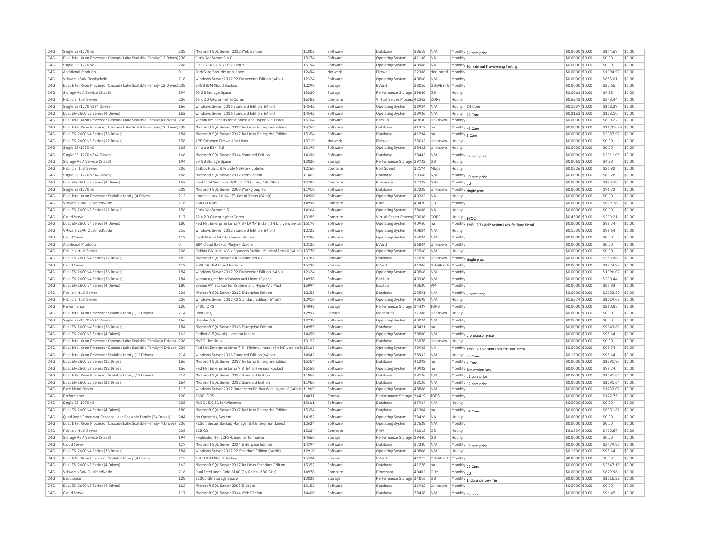| IC4G | Single E3-1270 v6                                                                         | 208            | Microsoft SQL Server 2012 Web Edition                                   | 11803 | Software            | Database                     | 38618 | N/A              | Monthly 24 core price                               | \$0,0000 \$0.00  | \$144.67   | \$0.00 |
|------|-------------------------------------------------------------------------------------------|----------------|-------------------------------------------------------------------------|-------|---------------------|------------------------------|-------|------------------|-----------------------------------------------------|------------------|------------|--------|
| IC4G | Dual Intel Xeon Processor Cascade Lake Scalable Family (12 Drives) 238                    |                | Citrix XenServer 7.6.0                                                  | 15274 | Software            | <b>Operating System</b>      | 41138 | <b>NA</b>        | Monthly                                             | \$0,0000 \$0.00  | \$0.00     | \$0.00 |
| IC4G | Single E3-1270 v6                                                                         | 208            | RHEL VERSION x TEST ONLY                                                | 15194 | Software            | Operating System             | 40988 | <b>NA</b>        | Monthly For internal Provisioning Testing           | \$0,0000 \$0.00  | \$0.00     | \$0.00 |
| IC4G | <b>Additional Products</b>                                                                |                | FortiGate Security Appliance                                            | 12494 | Network             | Firewal                      | 22388 | dedicated        | Monthly                                             | \$0.0000 \$0.00  | \$1094.92  | \$0.00 |
| TC4G | <b>VMware vSAN ReadvNode</b>                                                              | 218            | Windows Server 2012 R2 Datacenter Edition (64bit)                       | 12324 | Software            | Operating System             | 40860 | N/A              | Monthly                                             | \$0,0000 \$0.00  | \$685.01   | \$0.00 |
| IC4G | Dual Intel Xeon Processor Cascade Lake Scalable Family (12 Drives 238                     |                | 30GB IBM Cloud Backup                                                   | 12298 | Storage             | EVault                       | 38056 | GIGABYTE Monthly |                                                     | \$0.0000 \$0.00  | \$27.65    | \$0.00 |
| IC4G | Storage As A Service (StaaS)                                                              | 194            | 80 GB Storage Space                                                     | 13820 | Storage             | Performance Storage 39640    |       | GB               | Hourly                                              | \$0.0061 \$0.00  | \$4.38     | \$0.00 |
| TC4G | Public Virtual Server                                                                     | 206            | 16 x 2.0 GHz or higher Cores                                            | 15382 | Compute             | Virtual Server Process 41352 |       | CORE             | Hourly                                              | \$0.5243 \$0.00  | \$348.44   | \$0.00 |
| IC4G | Single E3-1270 v3 (4 Drives)                                                              | 166            | Windows Server 2016 Standard Edition (64 bit)                           | 14542 | Software            | Operating System             | 38934 | N/A              | Hourly<br>24 Core                                   | \$0,1837 \$0.00  | \$118.37   | \$0.00 |
| IC4G | Dual E5-2600 v3 Series (4 Drives)                                                         | 162            | Windows Server 2016 Standard Edition (64 bit)                           | 14542 | Software            | Operating System             | 38936 | N/A              | Hourly<br>28 Core                                   | \$0,2153 \$0.00  | \$138.10   | \$0.00 |
| IC4G | Dual Intel Xeon Processor Cascade Lake Scalable Family (4 Drives) 236                     |                | Veeam VM Backup for vSphere and Hyper-V 50 Pack                         | 15104 | Software            | Backup                       | 40630 | Unknown          | Monthly                                             | \$0.0000 \$0.00  | \$610.22   | \$0.00 |
| IC4G | Dual Intel Xeon Processor Cascade Lake Scalable Family (12 Drives 238                     |                | Microsoft SQL Server 2017 for Linux Enterprise Edition                  | 15354 | Software            | Database                     | 41312 | na               | Monthly 48 Core                                     | \$0.0000 \$0.00  | \$16703.35 | \$0.00 |
| TC4G | Dual E5-2600 v4 Series (36 Drives)                                                        | 184            | Microsoft SQL Server 2017 for Linux Enterprise Edition                  | 15354 | Software            | Database                     | 41294 | l na             | Monthly 6 Core                                      | $$0.0000$ \$0.00 | \$2087.92  | \$0.00 |
| IC4G | Dual E5-2600 v3 Series (12 Drives)                                                        | 156            | APF Software Firewall for Linux                                         | 13719 | Network             | Firewall                     | 38032 | Unknown          | Hourly                                              | \$0.0000 \$0.00  | \$0.00     | \$0.00 |
| TCAG | Single E3-1270 v6                                                                         | 208            | VMware FSXi 5.5                                                         | 13196 | Software            | Operating System             | 38422 | Unknown          | Hourly                                              | \$0.0000 \$0.00  | \$0.00     | \$0.00 |
| IC4G | Single E3-1270 v3 (4 Drives)                                                              | 166            | Microsoft SOL Server 2014 Standard Edition                              | 14396 | Software            | Database                     | 38442 | N/A              |                                                     | \$0,0000 \$0.00  | \$2911.03  | \$0.00 |
| IC4G | Storage As A Service (StaaS)                                                              | 194            | 80 GB Storage Space                                                     | 13820 | Storage             | Performance Storage          | 39732 | GB               | Monthly 32 core price<br>Hourly                     | \$0.0061 \$0.00  | \$4.38     | \$0.00 |
| IC4G | Public Virtual Server                                                                     | 206            |                                                                         | 12360 |                     |                              |       |                  |                                                     |                  | \$21.92    | \$0.00 |
|      |                                                                                           |                | 1 Gbps Public & Private Network Uplinks                                 |       | Compute             | Port Speed                   | 37174 | Mbps             | Hourly                                              | \$0.0326 \$0.00  |            |        |
| IC4G | Single E3-1270 v3 (4 Drives)                                                              | 166            | Microsoft SOL Server 2012 Web Edition                                   | 11803 | Software            | Database                     | 38368 | N/A              | Monthly 10 core price                               | \$0.0000 \$0.00  | \$60.28    | \$0.00 |
| IC4G | Dual E5-2600 v3 Series (4 Drives)                                                         | 162            | Dual Intel Xeon E5-2620 v3 (12 Cores, 2.40 GHz)                         | 14382 | Compute             | Processo                     | 37732 | GHz              | Monthly $ _{1U}$                                    | \$0.0000 \$0.00  | \$180.70   | \$0.00 |
| IC4G | Single E3-1270 v6                                                                         | 208            | Microsoft SQL Server 2008 Workgroup R2                                  | 11918 | Software            | Database                     | 37228 | Unknown          | Monthly single proc                                 | \$0.0000 \$0.00  | \$76.72    | \$0.00 |
| IC4G | Dual Intel Xeon Processor Scalable family (4 Drives)                                      | 212            | Ubuntu Linux 16.04 LTS Xenial Xerus (64 bit)                            | 14908 | Software            | <b>Operating System</b>      | 40282 | <b>NA</b>        | Hourly                                              | \$0,0000 \$0.00  | \$0.00     | \$0.00 |
| IC4G | VMware vSAN OualifiedNode                                                                 | 216            | 384 GB RAM                                                              | 14996 | Compute             | RAM                          | 40420 | <b>GB</b>        | Monthly                                             | \$0,0000 \$0,00  | \$879.78   | \$0.00 |
| IC4G | Dual E5-2600 v3 Series (12 Drives)                                                        | 156            | Citrix XenServer 6.5                                                    | 14264 | Software            | Operating System             | 38686 | <b>NA</b>        | Hourly                                              | \$0.0000 \$0.00  | \$0.00     | \$0.00 |
| IC4G | Cloud Server                                                                              | 117            | 12 x 2.0 GHz or higher Cores                                            | 13289 | Compute             | Virtual Server Process 28036 |       | CORE             | Hourly<br><b>BYOC</b>                               | \$0.4508 \$0.00  | \$299.21   | \$0.00 |
| IC4G | Dual E5-2600 v4 Series (4 Drives)                                                         | 180            | Red Hat Enterprise Linux 7.3 - LAMP Install (64 bit) version-loc 15170  |       | Software            | <b>Operating System</b>      | 40950 | Ina              | Monthly<br>RHEL 7.3 LAMP Verion Lock for Bare Metal | \$0.0000 \$0.00  | \$98.74    | \$0.00 |
| IC4G | VMware vSAN QualifiedNode                                                                 | 216            | Windows Server 2012 Standard Edition (64 bit)                           | 12322 | Software            | Operating System             | 40824 | N/A              | Hourly                                              | \$0,1530 \$0.00  | \$98.64    | \$0.00 |
| TC4G | Cloud Server                                                                              | 117            | CentOS 6.5 (64 bit) - version locked                                    | 14280 | Software            | <b>Operating System</b>      | 35024 | N/A              | Monthly                                             | \$0,0000 \$0.00  | \$0.00     | \$0.00 |
| IC4G | <b>Additional Products</b>                                                                | $\overline{0}$ | IBM Cloud Backup Plugin - Oracle                                        | 13126 | Software            | EVault                       | 26834 | Unknown          | Monthly                                             | \$0.0000 \$0.00  | \$0.00     | \$0.00 |
| IC4G | Public Virtual Server                                                                     | 206            | Debian GNU/Linux 6.x Squeeze/Stable - Minimal Install (64 bit) 13770    |       | Software            | Operating System             | 33560 | N/A              | Hourly                                              | \$0,0000 \$0.00  | \$0.00     | \$0.00 |
| TC4G | Dual E5-2600 v4 Series (12 Drives)                                                        | 182            | Microsoft SOL Server 2008 Standard R2                                   | 13287 | Software            | Database                     | 37828 | Unknown          | Monthly single proc                                 | \$0,0000 \$0.00  | \$363.88   | \$0.00 |
| IC4G | Cloud Server                                                                              | 117            | 8000GB IBM Cloud Backup                                                 | 15328 | Storage             | EVault                       | 41206 | GIGABYTE         | Monthly                                             | \$0,0000 \$0.00  | \$1824.73  | \$0.00 |
| IC4G | Dual E5-2600 v4 Series (36 Drives)                                                        | 184            | Windows Server 2012 R2 Datacenter Edition (64bit)                       | 12324 | Software            | Operating System             | 40866 | N/A              | Monthly                                             | \$0,0000 \$0.00  | \$1096.02  | \$0.00 |
| IC4G | Dual E5-2600 v4 Series (36 Drives)                                                        | 184            | Veeam Agent for Windows and Linux 10 pack                               | 14938 | Software            | Backup                       | 40338 | N/A              | Monthly                                             | \$0.0000 \$0.00  | \$200.44   | \$0.00 |
| IC4G | Dual E5-2600 v4 Series (4 Drives)                                                         | 180            | Veeam VM Backup for vSphere and Hyper-V 5 Pack                          | 15094 | Software            | Backup                       | 40620 | VM               | Monthly                                             | \$0.0000 \$0.00  | \$83.93    | \$0.00 |
| TC4G | Public Virtual Server                                                                     | 206            | Microsoft SQL Server 2012 Enterprise Edition                            | 12153 | Software            | Database                     | 25591 | N/A              |                                                     | $$0.0000$ \$0.00 | \$2783.89  | \$0.00 |
| IC4G | Public Virtual Server                                                                     | 206            | Windows Server 2012 R2 Standard Edition (64 bit)                        | 12910 | Software            | <b>Operating System</b>      | 40698 | N/A              | Monthly 7 core price<br>Hourly                      | \$1,5374 \$0.00  | \$1019.08  | \$0.00 |
| TCAG | Performance                                                                               | 120            | 3400 TOPS                                                               | 14049 | Storage             | Performance Storage 34437    |       | <b>TOPS</b>      | Monthly                                             | \$0.0000 \$0.00  | \$260.85   | \$0.00 |
| IC4G | Dual Intel Xeon Processor Scalable family (12 Drives)                                     | 214            | <b>Host Ping</b>                                                        | 12997 | Service             | Monitoring                   | 37386 | Unknown          |                                                     | \$0,0000 \$0.00  | \$0.00     | \$0.00 |
|      |                                                                                           |                | vCenter 6.5                                                             |       |                     |                              |       |                  | Hourly                                              |                  |            |        |
| IC4G | Single E3-1270 v3 (4 Drives)                                                              | 166            |                                                                         | 14738 | Software            | <b>Operating System</b>      | 40024 | N/A              | Monthly                                             | \$0.0000 \$0.00  | \$0.00     | \$0.00 |
| IC4G | Dual E5-2600 v4 Series (36 Drives)                                                        | 184            | Microsoft SOL Server 2016 Enterprise Edition                            | 14989 | Software            | Database                     | 40421 | Ina              | Monthly                                             | \$0,0000 \$0,00  | \$9743.62  | \$0.00 |
| IC4G | Dual E5-2600 v3 Series (4 Drives)                                                         | 162            | Redhat 6.5 (64 bit) - version-locked                                    | 14450 | Software            | <b>Operating System</b>      | 38800 | N/A              | Monthly 2 processor price                           | \$0.0000 \$0.00  | \$98.64    | \$0.00 |
| IC4G | Dual Intel Xeon Processor Cascade Lake Scalable Family (4 Drives) 236                     |                | MySOL for Linux                                                         | 13122 | Software            | Database                     | 36978 | Unknown          | Hourly                                              | \$0.0000 \$0.00  | \$0.00     | \$0.00 |
| IC4G | Dual Intel Xeon Processor Cascade Lake Scalable Family (4 Drives) 236                     |                | Red Hat Enterprise Linux 7.3 - Minimal Install (64 bit) version-k 15166 |       | Software            | Operating System             | 40938 | <b>NA</b>        | Monthly RHEL 7.3 Version Lock for Bare Metal        | \$0,0000 \$0.00  | \$98.74    | \$0.00 |
| IC4G | Dual Intel Xeon Processor Scalable family (12 Drives)                                     | 214            | Windows Server 2016 Standard Edition (64 bit)                           | 14542 | Software            | <b>Operating System</b>      | 38932 | N/A              | Hourly<br>20 Core                                   | \$0,1530 \$0.00  | \$98.64    | \$0.00 |
| TC4G | Dual E5-2600 v3 Series (12 Drives)                                                        | 156            | Microsoft SQL Server 2017 for Linux Enterprise Edition                  | 15354 | Software            | Database                     | 41292 | Ina              | Monthly 4 Core                                      | \$0.0000 \$0.00  | \$1391.95  | \$0.00 |
| IC4G | Dual E5-2600 v3 Series (12 Drives)                                                        | 156            | Red Hat Enterprise Linux 7.3 (64 bit) version-locked                    | 15158 | Software            | Operating System             | 40922 | Ina              | Monthly For version lock                            | \$0.0000 \$0.00  | \$98.74    | \$0.00 |
| IC4G | Dual Intel Xeon Processor Scalable family (12 Drives)                                     | 214            | Microsoft SOL Server 2012 Standard Edition                              | 11956 | Software            | Database                     | 38126 | N/A              | Monthly 12 core price                               | \$0,0000 \$0.00  | \$1091.64  | \$0.00 |
| IC4G | Dual E5-2600 v3 Series (36 Drives)                                                        | 164            | Microsoft SOL Server 2012 Standard Edition                              | 11956 | Software            | Database                     | 38126 | N/A              | Monthly 12 core price                               | \$0,0000 \$0.00  | \$1091.64  | \$0.00 |
| IC4G | <b>Bare Metal Server</b>                                                                  | 113            | Windows Server 2012 Datacenter Edition With Hyper-V (64bit)             | 11969 | Software            | Operating System             | 40886 | N/A              | Monthly                                             | \$0,0000 \$0.00  | \$1233.02  | \$0.00 |
| TCAG | Performance                                                                               | 120            | 1600 TOPS                                                               | 14031 | Storage             | Performance Storage 34419    |       | <b>TOPS</b>      | Monthly                                             | \$0,0000 \$0.00  | \$122.75   | \$0.00 |
| IC4G | Single E3-1270 v6                                                                         | 208            | MySQL 5.0.51 for Windows                                                | 13661 | Software            | Database                     | 37934 | N/A              | Hourly                                              | \$0.0000 \$0.00  | \$0.00     | \$0.00 |
| IC4G | Dual E5-2600 v4 Series (4 Drives)                                                         | 180            | Microsoft SQL Server 2017 for Linux Enterprise Edition                  | 15354 | Software            | Database                     | 41304 | na               | Monthly 24 Core                                     | \$0.0000 \$0.00  | \$8351.67  | \$0.00 |
| TC4G | Quad Xeon Processor Cascade Lake Scalable Family (24 Drives)                              | 244            | No Operating System                                                     | 14282 | Software            | Operating System             | 38426 | <b>NA</b>        | Hourly                                              | $$0.0000$ \$0.00 | \$0.00     | \$0.00 |
| IC4G | Dual Intel Xeon Processor Cascade Lake Scalable Family (4 Drives)                         | 236            | R1Soft Server Backup Manager 5.0 Enterprise (Linux)                     | 12634 | Software            | Operating System             | 37528 | N/A              | Monthly                                             | \$0,0000 \$0.00  | \$0.00     | \$0.00 |
| IC4G | Public Virtual Server                                                                     | 206            | <b>128 GB</b>                                                           | 15224 | Compute             | RAM                          | 41018 | <b>GB</b>        | Hourly                                              | \$0,6339 \$0.00  | \$420.87   | \$0.00 |
| IC4G | Storage As A Service (StaaS)                                                              | 194            | Replication for IOPS-based performance                                  | 14666 | Storage             | Performance Storage 39460    |       | GB               | Hourly                                              | \$0.0000 \$0.00  | \$0.00     | \$0.00 |
| IC4G | Cloud Serve                                                                               | 117            | Microsoft SQL Server 2014 Enterprise Edition                            | 14394 | Software            | Database                     | 37330 | N/A              |                                                     | \$0.0000 \$0.00  | \$3479.86  | \$0.00 |
| TC4G | Dual E5-2600 v4 Series (36 Drives)                                                        | 184            | Windows Server 2012 R2 Standard Edition (64 bit)                        | 12910 | Software            | Operating System             | 40806 | N/A              | Monthly 10 core price<br>Hourly                     | \$0.1530 \$0.00  | \$98.64    | \$0.00 |
| IC4G |                                                                                           | 212            | 10GB TBM Cloud Backup                                                   | 15334 |                     | FVault                       |       |                  |                                                     |                  | \$0.00     | \$0.00 |
| TCAG | Dual Intel Xeon Processor Scalable family (4 Drives)<br>Dual E5-2600 v3 Series (4 Drives) | 162            | Microsoft SOL Server 2017 for Linux Standard Edition                    | 15352 | Storage<br>Software | Database                     | 41212 | GIGABYTE Monthly |                                                     | \$0.0000 \$0.00  | \$2547.15  | \$0.00 |
|      |                                                                                           |                |                                                                         |       |                     |                              | 41278 | na               | Monthly 28 Core                                     | \$0.0000 \$0.00  |            |        |
| IC4G | VMware vSAN OualifiedNode                                                                 | 216            | Dual Intel Xeon Gold 6140 (36 Cores, 2.30 GHz)                          | 14978 | Compute             | Processo                     | 40402 | GHz              | Monthly 2U                                          | \$0,0000 \$0.00  | \$629.96   | \$0.00 |
| IC4G | Endurance                                                                                 | 128            | 12000 GB Storage Space                                                  | 13828 | Storage             | Performance Storage          | 34816 | GB               | Monthly Endurance Low Tier                          | \$0.0000 \$0.00  | \$1315.22  | \$0.00 |
| IC4G | Dual E5-2600 v3 Series (4 Drives)                                                         | 162            | Microsoft SOL Server 2005 Express                                       | 13152 | Software            | Database                     | 36982 | Unknown          | Monthly                                             | \$0,0000 \$0,00  | \$0.00     | \$0.00 |
| IC4G | Cloud Server                                                                              | 117            | Microsoft SOL Server 2014 Web Edition                                   | 14400 | Software            | Database                     | 38458 | N/A              | Monthly 15 core                                     | \$0,0000 \$0.00  | \$96.45    | \$0.00 |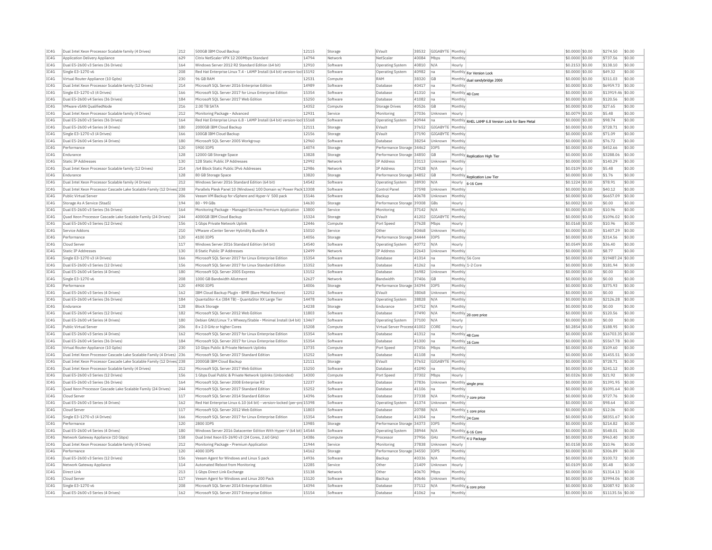| IC4G         | Dual Intel Xeon Processor Scalable family (4 Drives)                  | 212        | 500GB IBM Cloud Backup                                                                | 12115          | Storage             | EVault                                   | 38532 | GIGABYTE Monthly |                                   |                                                   | \$0,0000 \$0.00                    | \$274.50           | \$0.00           |
|--------------|-----------------------------------------------------------------------|------------|---------------------------------------------------------------------------------------|----------------|---------------------|------------------------------------------|-------|------------------|-----------------------------------|---------------------------------------------------|------------------------------------|--------------------|------------------|
| IC4G         | Application Delivery Appliance                                        | 629        | Citrix NetScaler VPX 12 200Mbps Standard                                              | 14794          | Network             | NetScale                                 | 40084 | Mbps             | Monthly                           |                                                   | \$0,0000 \$0.00                    | \$737.56           | \$0.00           |
| IC4G         | Dual E5-2600 v3 Series (36 Drives)                                    | 164        | Windows Server 2012 R2 Standard Edition (64 bit                                       | 12910          | Software            | Operating System                         | 40810 | N/A              | Hourly                            |                                                   | \$0.2153 \$0.00                    | \$138.10           | \$0.00           |
| IC4G         | Single E3-1270 v6                                                     | 208        | Red Hat Enterprise Linux 7.4 - LAMP Install (64 bit) version-loc 15192                |                | Software            | Operating System                         | 40982 | lna              |                                   | Monthly For Version Lock                          | \$0.0000 \$0.00                    | \$49.32            | \$0.00           |
| IC4G         | Virtual Router Appliance (10 Gpbs)                                    | 230        | 96 GB RAM                                                                             | 12531          | Compute             | RAM                                      | 38320 | <b>GB</b>        |                                   | Monthly dual sandybridge 2000                     | \$0,0000 \$0.00                    | \$311.03           | \$0.00           |
| TC4G         | Dual Intel Xeon Processor Scalable family (12 Drives)                 | 214        | Microsoft SOL Server 2016 Enterprise Edition                                          | 14989          | Software            | Database                                 | 40417 | Ina              | Monthly                           |                                                   | \$0,0000 \$0.00                    | \$6959.73          | \$0.00           |
| IC4G         | Single E3-1270 v3 (4 Drives)                                          | 166        | Microsoft SQL Server 2017 for Linux Enterprise Edition                                | 15354          | Software            | Database                                 | 41310 | Ina              | Monthly 40 Core                   |                                                   | \$0.0000 \$0.00                    | \$13919.46 \$0.00  |                  |
| TCAG         | Dual E5-2600 v4 Series (36 Drives)                                    | 184        | Microsoft SOL Server 2017 Web Edition                                                 | 15250          | Software            | Database                                 | 41082 | Ina              | Monthly                           |                                                   | \$0.0000 \$0.00                    | \$120.56           | \$0.00           |
| IC4G         | VMware vSAN QualifiedNode                                             | 216        | 2.00 TB SATA                                                                          | 14352          | Compute             | Storage Drives                           | 40526 | GB               | Monthly                           |                                                   | \$0.0000 \$0.00                    | \$27.65            | \$0.00           |
| IC4G         | Dual Intel Xeon Processor Scalable family (4 Drives)                  | 212        | Monitoring Package - Advanced                                                         | 12931          | Service             | Monitoring                               | 37036 | Unknown          | Hourly                            |                                                   | \$0.0079 \$0.00                    | \$5.48             | \$0.00           |
| IC4G         | Dual E5-2600 v3 Series (36 Drives)                                    | 164        | Red Hat Enterprise Linux 6.8 - LAMP Install (64 bit) version-loc 15168                |                | Software            | Operating System                         | 40944 | na               |                                   | Monthly RHEL LAMP 6.8 Version Lock for Bare Metal | \$0,0000 \$0.00                    | \$98.74            | \$0.00           |
| IC4G         | Dual E5-2600 v4 Series (4 Drives)                                     | 180        | 2000GB IBM Cloud Backup                                                               | 12111          | Storage             | EVault                                   | 37652 | GIGABYTE Monthl  |                                   |                                                   | \$0,0000 \$0.00                    | \$728.71           | \$0.00           |
| TC4G         | Single E3-1270 v3 (4 Drives)                                          | 166        | 100GB IBM Cloud Backup                                                                | 12156          | Storage             | EVault                                   | 37190 | GIGABYTE Monthly |                                   |                                                   | \$0,0000 \$0,00                    | \$71.09            | \$0.00           |
| IC4G         | Dual E5-2600 v4 Series (4 Drives)                                     | 180        | Microsoft SQL Server 2005 Workgroup                                                   | 12960          | Software            | Database                                 | 38254 | Unknown          | Monthly                           |                                                   | \$0,0000 \$0.00                    | \$76.72            | \$0.00           |
| IC4G         | Performance                                                           | 120        | 5900 IOPS                                                                             | 14074          | Storage             | Performance Storage 34462                |       | <b>TOPS</b>      | Monthly                           |                                                   | \$0.0000 \$0.00                    | \$452.66           | \$0.00           |
| IC4G         | Endurance                                                             | 128        | 12000 GB Storage Space                                                                | 13828          | Storage             | Performance Storage 34850                |       | GB               | Monthly                           | Renlication High Tier                             | \$0,0000 \$0.00                    | \$3288.06          | \$0.00           |
| IC4G         | <b>Static IP Addresses</b>                                            | 130        | 128 Static Public IP Addresses                                                        | 12992          | Network             | IP Address                               | 33113 | Unknown          | Monthly                           |                                                   | \$0,0000 \$0.00                    | \$140.29           | \$0.00           |
| IC4G         | Dual Intel Xeon Processor Scalable family (12 Drives)                 | 214        | /64 Block Static Public TPv6 Addresses                                                | 12986          | Network             | <b>IP Address</b>                        | 37428 | N/A              | Hourly                            |                                                   | \$0,0109 \$0.00                    | \$5.48             | \$0.00           |
| IC4G         | Endurance                                                             | 128        | 80 GB Storage Space                                                                   | 13820          | Storage             | Performance Storage 34852                |       | GB               | Monthly                           | Replication Low Tier                              | \$0.0000 \$0.00                    | \$1.76             | \$0.00           |
| IC4G         | Dual Intel Xeon Processor Scalable family (4 Drives)                  | 212        | Windows Server 2016 Standard Edition (64 bit)                                         | 14542          | Software            | Operating System                         | 38930 | N/A              | Hourly                            | 6-16 Core                                         | \$0,1224 \$0.00                    | \$78.91            | \$0.00           |
| IC4G         | Dual Intel Xeon Processor Cascade Lake Scalable Family (12 Drives 238 |            | Parallels Plesk Panel 10 (Windows) 100 Domain w/ Power Pack 13308                     |                | Software            | Control Panel                            | 37598 | Unknown          | Monthly                           |                                                   | \$0,0000 \$0.00                    | \$40.12            | \$0.00           |
| IC4G         | Public Virtual Server                                                 | 206        | Veeam VM Backup for vSphere and Hyper-V 500 pack                                      | 15146          | Software            | Backup                                   | 40678 | Unknown          | Monthly                           |                                                   | \$0,0000 \$0.00                    | \$6657.09          | \$0.00           |
| IC4G         | Storage As A Service (StaaS)                                          | 194        | 80 - 99 GBs                                                                           | 14630          | Storage             | Performance Storage 39308                |       | GBs              | Hourly                            |                                                   | \$0.0002 \$0.00                    | \$0.00             | \$0.00           |
| IC4G         | Dual E5-2600 v3 Series (36 Drives)                                    | 164        | Monitoring Package - Managed Services Premium Application                             | 13800          | Service             | Monitoring                               | 37142 | N/A              | Monthly                           |                                                   | \$0,0000 \$0.00                    | \$10.96            | \$0.00           |
| IC4G         | Quad Xeon Processor Cascade Lake Scalable Family (24 Drives)          | 244        | 4000GB IBM Cloud Backup                                                               | 15324          | Storage             | EVault                                   | 41202 | GIGABYTE         | Monthly                           |                                                   | \$0.0000 \$0.00                    | \$1096.02          | \$0.00           |
| IC4G         | Dual E5-2600 v3 Series (12 Drives)                                    | 156        | 1 Gbps Private Network Uplink                                                         | 12446          | Compute             | Port Speed                               | 37628 | Mbps             | Hourly                            |                                                   | \$0,0168 \$0.00                    | \$10.96            | \$0.00           |
| IC4G         | Service Addons                                                        | 210        | VMware vCenter Server Hybridity Bundle A                                              | 15010          | Service             | Other                                    | 40468 | Unknown          | Monthly                           |                                                   | \$0,0000 \$0.00                    | \$1407.29          | \$0.00           |
| TC4G         | Performance                                                           | 120        | 4100 TOPS                                                                             | 14056          | Storage             | Performance Storage 34444                |       | <b>TOPS</b>      | Monthly                           |                                                   | \$0,0000 \$0,00                    | \$314.56           | \$0.00           |
| IC4G         | Cloud Server                                                          | 117        | Windows Server 2016 Standard Edition (64 bit)                                         | 14540          | Software            | <b>Operating System</b>                  | 40772 | N/A              | Hourly                            |                                                   | \$0.0549 \$0.00                    | \$36.40            | \$0.00           |
| IC4G         | <b>Static IP Addresses</b>                                            | 130        | 8 Static Public IP Addresses                                                          | 12499          | Network             | IP Address                               | 22643 | Unknown          | Monthly                           |                                                   | \$0.0000 \$0.00                    | \$8.77             | \$0.00           |
| TC4G         | Single E3-1270 v3 (4 Drives)                                          | 166        | Microsoft SOL Server 2017 for Linux Enterprise Edition                                | 15354          | Software            | Database                                 | 41314 | Ina              | Monthly 56 Core                   |                                                   | \$0,0000 \$0.00                    | \$19487.24 \$0.00  |                  |
| IC4G         | Dual E5-2600 v3 Series (12 Drives                                     | 156        | Microsoft SQL Server 2017 for Linux Standard Edition                                  | 15352          | Software            | Database                                 | 41262 | Ina              | Monthly 1-2 Con                   |                                                   | \$0,0000 \$0.00                    | \$181.94           | \$0.00           |
| IC4G         | Dual E5-2600 v4 Series (4 Drives)                                     | 180        | Microsoft SOL Server 2005 Express                                                     | 13152          | Software            | Database                                 | 36982 | Unknown          | Monthly                           |                                                   | \$0,0000 \$0.00                    | \$0.00             | \$0.00           |
| IC4G         | Single E3-1270 v6                                                     | 208        | 1000 GB Bandwidth Allotment                                                           | 12627          | Network             | <b>Bandwidth</b>                         | 37406 | GB               | Monthly                           |                                                   | \$0.0000 \$0.00                    | \$0.00             | \$0.00           |
| IC4G         | Performance                                                           | 120        | 4900 TOPS                                                                             | 14006          | Storage             | Performance Storage 34394                |       | IOPS             | Monthly                           |                                                   | \$0.0000 \$0.00                    | \$375.93           | \$0.00           |
| TC4G         | Dual E5-2600 v3 Series (4 Drives)                                     | 162        | IBM Cloud Backup Plugin - BMR (Bare Metal Restore)                                    | 12252          | Software            | FVault                                   | 38068 | Unknown          | Monthly                           |                                                   | $$0.0000$ $$0.00$                  | \$0.00             | \$0.00           |
| IC4G         | Dual E5-2600 v4 Series (36 Drives)                                    | 184        | QuantaStor 4.x (384 TB) - QuantaStor XX Large Tier                                    | 14478          | Software            | <b>Operating System</b>                  | 38828 | N/A              | Monthly                           |                                                   | \$0,0000 \$0.00                    | \$2126.28          | \$0.00           |
| IC4G         | Endurance                                                             | 128        | <b>Block Storage</b>                                                                  | 14238          | Storage             | Endurance                                | 34752 | N/A              | Monthly                           |                                                   | \$0,0000 \$0,00                    | \$0.00             | \$0.00           |
| IC4G         | Dual E5-2600 v4 Series (12 Drives)                                    | 182        | Microsoft SQL Server 2012 Web Edition                                                 | 11803          | Software            | Database                                 | 37490 | N/f              |                                   | Monthly 20 core price                             | \$0,0000 \$0.00                    | \$120.56           | \$0.00<br>\$0.00 |
| IC4G<br>TC4G | Dual E5-2600 v4 Series (4 Drives)<br>Public Virtual Server            | 180<br>206 | Debian GNU/Linux 7.x Wheezy/Stable - Minimal Install (64 bit) 13467                   |                | Software            | <b>Operating System</b>                  | 37100 | N/A              | Hourly                            |                                                   | \$0.0000 \$0.00                    | \$0.00<br>\$188.95 |                  |
| IC4G         | Dual E5-2600 v3 Series (4 Drives                                      | 162        | 8 x 2.0 GHz or higher Cores<br>Microsoft SOL Server 2017 for Linux Enterprise Edition | 15208<br>15354 | Compute<br>Software | Virtual Server Process 41002<br>Database | 41312 | CORE             | Hourly                            |                                                   | \$0,2854 \$0,00<br>\$0,0000 \$0.00 | \$16703.35 \$0.00  | \$0.00           |
|              | Dual E5-2600 v4 Series (36 Drives)                                    | 184        | Microsoft SOL Server 2017 for Linux Enterprise Edition                                | 15354          |                     | Database                                 | 41300 | Ina              | Monthly 48 Core                   |                                                   | \$0,0000 \$0.00                    | \$5567.78          | \$0.00           |
| IC4G<br>IC4G | Virtual Router Appliance (10 Gpbs)                                    | 230        | 10 Gbps Public & Private Network Uplinks                                              | 13735          | Software<br>Compute | Port Speed                               | 37456 | Ina<br>Mhns      | Monthly 16 Core<br><b>Monthly</b> |                                                   | \$0.0000 \$0.00                    | \$109.60           | \$0.00           |
| IC4G         | Dual Intel Xeon Processor Cascade Lake Scalable Family (4 Drives)     | 236        | Microsoft SQL Server 2017 Standard Edition                                            | 15252          | Software            | Database                                 | 41108 | na               | Monthly                           |                                                   | \$0,0000 \$0.00                    | \$1455.51          | \$0.00           |
| TC4G         | Dual Intel Xeon Processor Cascade Lake Scalable Family (12 Drives 238 |            | 2000GB IBM Cloud Backup                                                               | 12111          | Storage             | FVault                                   | 37652 | GIGARYTE Monthly |                                   |                                                   | \$0,0000 \$0.00                    | \$728.71           | \$0.00           |
| IC4G         | Dual Intel Xeon Processor Scalable family (4 Drives)                  | 212        | Microsoft SQL Server 2017 Web Edition                                                 | 15250          | Software            | Database                                 | 41090 | na               | Monthly                           |                                                   | \$0.0000 \$0.00                    | \$241.12           | \$0.00           |
| TCAG         | Dual E5-2600 v3 Series (12 Drives)                                    | 156        | 1 Gbps Dual Public & Private Network Uplinks (Unbonded)                               | 14300          | Compute             | Port Speed                               | 37302 | Mbps             | Hourly                            |                                                   | \$0.0326 \$0.00                    | \$21.92            | \$0.00           |
| TC4G         | Dual E5-2600 v3 Series (36 Drives)                                    | 164        | Microsoft SOL Server 2008 Enterprise R2                                               | 12237          | Software            | Database                                 | 37836 | Unknown          | Monthly                           |                                                   | \$0,0000 \$0.00                    | \$1391.95          | \$0.00           |
| IC4G         | Quad Xeon Processor Cascade Lake Scalable Family (24 Drives)          | 244        | Microsoft SQL Server 2017 Standard Edition                                            | 15252          | Software            | Database                                 | 41106 | na               | Monthly                           | single proc                                       | \$0.0000 \$0.00                    | \$1091.64          | \$0.00           |
| IC4G         | Cloud Server                                                          | 117        | Microsoft SOL Server 2014 Standard Edition                                            | 14396          | Software            | Database                                 | 37338 | N/A              |                                   |                                                   | \$0,0000 \$0.00                    | \$727.76           | \$0.00           |
| IC4G         | Dual E5-2600 v3 Series (4 Drives)                                     | 162        | Red Hat Enterprise Linux 6.10 (64 bit) - version-locked (per-prc 15398                |                | Software            | <b>Operating System</b>                  | 41374 | Unknown          | Monthly                           | Monthly 7 core price                              | \$0.0000 \$0.00                    | \$98.64            | \$0.00           |
| TC4G         | Cloud Server                                                          | 117        | Microsoft SOL Server 2012 Web Edition                                                 | 11803          | Software            | Database                                 | 20788 | N/A              |                                   | Monthly 1 core price                              | \$0,0000 \$0,00                    | \$12.06            | \$0.00           |
| IC4G         | Single E3-1270 v3 (4 Drives)                                          | 166        | Microsoft SQL Server 2017 for Linux Enterprise Edition                                | 15354          | Software            | Database                                 | 41304 | Ina              | Monthly 24 Core                   |                                                   | \$0,0000 \$0.00                    | \$8351.67          | \$0.00           |
| IC4G         | Performance                                                           | 120        | 2800 IOPS                                                                             | 13985          | Storage             | Performance Storage 34373                |       | IOPS             | Monthly                           |                                                   | \$0.0000 \$0.00                    | \$214.82           | \$0.00           |
| IC4G         | Dual E5-2600 v4 Series (4 Drives                                      | 180        | Windows Server 2016 Datacenter Edition With Hyper-V (64 bit) 14544                    |                | Software            | <b>Operating System</b>                  | 38944 | N/A              |                                   | Monthly 6-16 Core                                 | \$0,0000 \$0.00                    | \$548.01           | \$0.00           |
| IC4G         | Network Gateway Appliance (10 Gbps)                                   | 158        | Dual Intel Xeon E5-2690 v3 (24 Cores, 2.60 GHz)                                       | 14386          | Compute             | Processor                                | 37956 | GHz              |                                   | Monthly 4 U Package                               | \$0,0000 \$0.00                    | \$963.40           | \$0.00           |
| IC4G         | Dual Intel Xeon Processor Scalable family (4 Drives)                  | 212        | Monitoring Package - Premium Application                                              | 11944          | Service             | Monitoring                               | 37838 | Unknown          | Hourly                            |                                                   | \$0.0158 \$0.00                    | \$10.96            | \$0.00           |
| IC4G         | Performance                                                           | 120        | 4000 TOPS                                                                             | 14162          | Storage             | Performance Storage 34550                |       | IOPS             | Monthly                           |                                                   | \$0.0000 \$0.00                    | \$306.89           | \$0.00           |
| IC4G         | Dual E5-2600 v3 Series (12 Drives)                                    | 156        | Veeam Agent for Windows and Linux 5 pack                                              | 14936          | Software            | Backup                                   | 40336 | N/A              | Monthly                           |                                                   | \$0,0000 \$0.00                    | \$100.72           | \$0.00           |
| TC4G         | Network Gateway Appliance                                             | 114        | Automated Reboot from Monitoring                                                      | 12285          | Service             | Other                                    | 21409 | Unknown          | Hourly                            |                                                   | \$0.0109 \$0.00                    | \$5.48             | \$0.00           |
| TCAG         | Direct Link                                                           | 213        | 1 Gbps Direct Link Exchange                                                           | 15138          | Network             | Other                                    | 40670 | Mbps             | Monthly                           |                                                   | \$0.0000 \$0.00                    | \$1314.13          | \$0.00           |
| IC4G         | Cloud Server                                                          | 117        | Veeam Agent for Windows and Linux 200 Pack                                            | 15120          | Software            | Backup                                   | 40646 | Unknown          | Monthly                           |                                                   | \$0,0000 \$0.00                    | \$3994.06          | \$0.00           |
| IC4G         | Single E3-1270 v6                                                     | 208        | Microsoft SQL Server 2014 Enterprise Edition                                          | 14394          | Software            | Database                                 | 37112 | N/A              |                                   | Monthly 6 core price                              | \$0,0000 \$0.00                    | \$2087.92          | \$0.00           |
| IC4G         | Dual E5-2600 v3 Series (4 Drives)                                     | 162        | Microsoft SQL Server 2017 Enterprise Edition                                          | 15154          | Software            | Database                                 | 41062 | na               | Monthly                           |                                                   | \$0.0000 \$0.00                    | \$11135.56 \$0.00  |                  |
|              |                                                                       |            |                                                                                       |                |                     |                                          |       |                  |                                   |                                                   |                                    |                    |                  |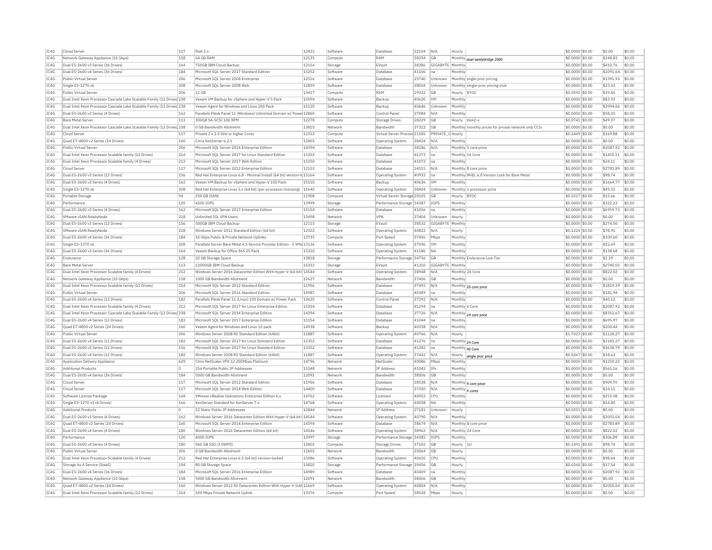| TCAG | Cloud Server                                                           | 117        | Riak 1.x                                                                 | 12432          | Software           | Database                     | 22104 N/A      |                             | Hourly                                               | \$0.0000 \$0.00  | \$0.00             | \$0.00           |
|------|------------------------------------------------------------------------|------------|--------------------------------------------------------------------------|----------------|--------------------|------------------------------|----------------|-----------------------------|------------------------------------------------------|------------------|--------------------|------------------|
| TC4G | Network Gateway Appliance (10 Gbps)                                    | 158        | 64 GB RAM                                                                | 12135          | Compute            | RAM                          | 38354          | <b>GR</b>                   | Monthly dual sandybridge 2000                        | \$0.0000 \$0.00  | \$248.83           | \$0.00           |
| TC4G | Dual E5-2600 v3 Series (36 Drives                                      | 164        | 750GB IBM Cloud Backup                                                   | 12114          | Storage            | EVault                       | 38386          | GIGABYTE Monthly            |                                                      | \$0.0000 \$0.00  | \$410.76           | \$0.00           |
| TC4G | Dual E5-2600 v4 Series (36 Drives)                                     | 184        | Microsoft SOL Server 2017 Standard Edition                               | 15252          | Software           | Database                     | 41106          | lna                         | Monthly                                              | \$0,0000 \$0.00  | \$1091.64 \$0.00   |                  |
| TC4G | Public Virtual Server                                                  | 206        | Microsoft SQL Server 2008 Enterprise                                     | 12516          | Softwar            | Database                     | 25740          | Unknown                     | Monthly sngle-proc pricing                           | \$0.0000 \$0.00  | \$1391.95 \$0.00   |                  |
| TCAG | Single E3-1270 v6                                                      | 208        | Microsoft SOL Server 2008 Web                                            | 12859          | Software           | Database                     | 38054          | Unknown                     | Monthly single-proc pricing stub                     | \$0.0000 \$0.00  | \$23.02            | \$0.00           |
| IC4G | Public Virtual Server                                                  | 206        | 12 GB                                                                    | 13417          | Compute            | RAM                          | 29332          | GF                          | Hourly BYOC                                          | \$0.0592 \$0.00  | \$39.46            | \$0.00           |
| TC4G | Dual Intel Xeon Processor Cascade Lake Scalable Family (12 Drives) 238 |            | Veeam VM Backup for vSphere and Hyper-V 5 Pack                           | 15094          | Software           | Backup                       | 40620          | <b>VM</b>                   | Monthly                                              | \$0,0000 \$0,00  | \$83.93            | \$0.00           |
| IC4G | Dual Intel Xeon Processor Cascade Lake Scalable Family (12 Drives) 238 |            | Veeam Agent for Windows and Linux 200 Pack                               | 15120          | Software           | Backup                       | 40646          | Unknown                     | Monthl                                               | \$0,0000 \$0,00  | \$3994.06          | \$0.00           |
| TC4G | Dual E5-2600 v3 Series (4 Drives)                                      | 162        | Parallels Plesk Panel 11 (Windows) Unlimited Domain w/ Powe 12860        |                | Software           | Control Panel                | 37084          | $N/\Delta$                  | Monthly                                              | \$0.0000 \$0.00  | \$58.20            | \$0.00           |
| IC4G | <b>Bare Metal Server</b>                                               | 113        | 300GB SA-SCSI 10K RPM                                                    | 12278          | Compute            | <b>Storage Drives</b>        | 28229          | <b>GB</b>                   | Hourly disk2-x                                       | \$0.0741 \$0.00  | \$49.37            | \$0.00           |
| TC4G | Dual Intel Xeon Processor Cascade Lake Scalable Family (12 Drives 238  |            | 0 GB Bandwidth Allotment                                                 | 13810          | Network            | Bandwidth                    | 37312          | $G$ B                       | Monthly monthly prices for private network only CCIs | \$0.0000 \$0.00  | \$0.00             | \$0.00           |
| IC4G | Cloud Server                                                           | 117        | Private 2 x 2.0 GHz or higher Cores                                      | 12312          | Compute            | Virtual Server Process 21585 |                | PRIVATE C Hourly            |                                                      | $$0.2449$ \$0.00 | \$169.88           | \$0.00           |
| IC4G | Ouad E7-4800 v2 Series (24 Drives)                                     | 160        | Citrix XenServer 6.2.1                                                   | 12803          | Software           | Operating System             | 38424          | N/A                         | Monthly                                              | \$0.0000 \$0.00  | \$0.00             | \$0.00           |
| TCAG | Public Virtual Server                                                  | 206        | Microsoft SOL Server 2014 Enterprise Edition                             | 14394          | Software           | Database                     | 38186          | N/A                         | Monthly 5 core price                                 | \$0.0000 \$0.00  | \$2087.92 \$0.00   |                  |
| IC4G | Dual Intel Xeon Processor Scalable family (12 Drives)                  | 214        | Microsoft SQL Server 2017 for Linux Standard Edition                     | 15352          | Softwar            | Database                     | 41272          | $n\varepsilon$              | Monthly 16 Core                                      | \$0.0000 \$0.00  | \$1455.51 \$0.00   |                  |
| TCAG | Dual Intel Xeon Processor Scalable family (4 Drives)                   | 212        | Microsoft SOL Server 2017 Web Edition                                    | 15250          | Software           | Database                     | 41072          | Ina                         | Monthly                                              | \$0,0000 \$0.00  | \$24.11            | \$0.00           |
| IC4G | Cloud Server                                                           | 117        | Microsoft SOL Server 2012 Enterprise Edition                             | 12153          | Software           | Database                     | 24515          | N/A                         | Monthly 8 core price                                 | \$0,0000 \$0.00  | \$2783.89          | \$0.00           |
| TC4G | Dual E5-2600 v3 Series (12 Drives                                      | 156        | Red Hat Enterprise Linux 6.8 - Minimal Install (64 bit) version-Id 15164 |                | Software           | Operating System             | 40932          | Ina                         | Monthly RHEL 6.8 Version Lock for Bare Metal         | \$0,0000 \$0,00  | \$98.74            | \$0.00           |
| TC4G | Dual E5-2600 v3 Series (4 Drives                                       | 162        | Veeam VM Backup for vSphere and Hyper-V 100 Pack                         | 15110          | Software           | Backup                       | 40636          | <b>VM</b>                   | Monthly                                              | \$0,0000 \$0,00  | \$1664.77          | \$0.00           |
| TCAG | Single E3-1270 v6                                                      | 208        | Red Hat Enterprise Linux 5.x (64 bit) (per-processor licensing) 11640    |                | Software           | Operating System             | 38404          | <b>Unknown</b>              | Monthly 1 processor price                            | \$0,0000 \$0.00  | \$49.32            | \$0.00           |
| IC4G | Portable Storage                                                       | 94         | 250 GB (SAN)                                                             | 11908          | Compute            | Virtual Server Storage 20105 |                | <b>GB</b>                   | Hourly BYOC                                          | \$0.0217 \$0.00  | \$15.66            | \$0.00           |
| TC4G | Performance                                                            | 120        | 4200 TOPS                                                                | 13999          | Storage            | Performance Storage 34387    |                | <b>TOPS</b>                 | Monthly                                              | \$0,0000 \$0,00  | \$322.23           | \$0.00           |
| TCAG |                                                                        |            |                                                                          | 15154          | Software           | Database                     |                |                             | Monthly                                              |                  | \$6959.73          |                  |
| TC4G | Dual E5-2600 v3 Series (4 Drives)                                      | 162        | Microsoft SQL Server 2017 Enterprise Edition                             |                |                    |                              | 41056          | Ina                         |                                                      | \$0.0000 \$0.00  |                    | \$0.00           |
| IC4G | VMware vSAN ReadvNode<br>Dual E5-2600 v3 Series (12 Drives)            | 218<br>156 | Unlimited SSL VPN Users<br>500GB IBM Cloud Backup                        | 13498<br>12115 | Network<br>Storage | <b>VPN</b><br>EVault         | 37404<br>38532 | Unknown<br>GIGABYTE Monthly | Hourly                                               | $$0.0000$ \$0.00 | \$0.00<br>\$274.50 | \$0.00<br>\$0.00 |
|      |                                                                        |            |                                                                          |                |                    |                              |                |                             |                                                      | \$0.0000 \$0.00  |                    |                  |
| TC4G | VMware vSAN ReadvNode                                                  | 218        | Windows Server 2012 Standard Edition (64 bit)                            | 12322          | Software           | Operating System             | 40822          | N/A                         | Hourly                                               | \$0.1224 \$0.00  | \$78.91            | \$0.00           |
| IC4G | Dual E5-2600 v4 Series (36 Drives)                                     | 184        | 10 Gbps Public & Private Network Uplinks                                 | 13735          | Compute            | Port Speed                   | 37456          | Mbps                        | Monthly                                              | \$0.0000 \$0.00  | \$109.60           | \$0.00           |
| IC4G | Single E3-1270 v6                                                      | 208        | Parallels Server Bare Metal 4.5 Service Provider Edition - 5 VMs 13136   |                | Software           | Operating System             | 37596          | <b>VM</b>                   | Monthly                                              | \$0.0000 \$0.00  | \$22.69            | \$0.00           |
| TCAG | Dual E5-2600 v3 Series (36 Drives)                                     | 164        | Veeam Backup for Office 365 25 Pack                                      | 15310          | Software           | Operating System             | 41186          | <b>NA</b>                   | Monthly                                              | \$0.0000 \$0.00  | \$138.68           | \$0.00           |
| IC4G | Endurance                                                              | 128        | 20 GB Storage Space                                                      | 13818          | Storage            | Performance Storage 34756    |                | <b>GB</b>                   | Monthly Endurance Low Tier                           | \$0.0000 \$0.00  | \$2.19             | \$0.00           |
| TCAG | Bare Metal Server                                                      | 113        | 12000GB IBM Cloud Backup                                                 | 15332          | Storage            | EVault                       | 41210          | GIGABYTE Monthly            |                                                      | \$0,0000 \$0.00  | \$2740.05          | \$0.00           |
| IC4G | Dual Intel Xeon Processor Scalable family (4 Drives)                   | 212        | Windows Server 2016 Datacenter Edition With Hyper-V (64 bit) 14544       |                | Software           | <b>Operating System</b>      | 38948          | N/A                         | Monthly 24 Core                                      | \$0.0000 \$0.00  | \$822.02           | \$0.00           |
| TC4G | Network Gateway Appliance (10 Gbps)                                    | 158        | 1000 GB Bandwidth Allotment                                              | 12627          | Network            | Bandwidth                    | 37406          | <b>GB</b>                   | Monthly                                              | \$0,0000 \$0.00  | \$0.00             | \$0.00           |
| IC4G | Dual Intel Xeon Processor Scalable family (12 Drives)                  | 214        | Microsoft SOL Server 2012 Standard Edition                               | 11956          | Software           | Database                     | 37492          | N/A                         | Monthly 20 core price                                | $$0.0000$ \$0.00 | \$1819.39          | \$0.00           |
| TCAG | Public Virtual Server                                                  | 206        | Microsoft SOL Server 2016 Standard Edition                               | 14987          | Software           | Database                     | 40389          | Ina                         | Monthly                                              | \$0.0000 \$0.00  | \$181.94           | \$0.00           |
| IC4G | Dual E5-2600 v4 Series (12 Drives)                                     | 182        | Parallels Plesk Panel 11 (Linux) 100 Domain w/ Power Pack                | 13620          | Software           | Control Pane                 | 37292          | N/A                         | Monthly                                              | \$0.0000 \$0.00  | \$40.12            | \$0.00           |
| TCAG | Dual Intel Xeon Processor Scalable family (4 Drives)                   | 212        | Microsoft SOL Server 2017 for Linux Enterprise Edition                   | 15354          | Software           | Database                     | 41294          | Ina                         | Monthly 6 Core                                       | \$0,0000 \$0,00  | \$2087.92 \$0.00   |                  |
| IC4G | Dual Intel Xeon Processor Cascade Lake Scalable Family (12 Drives) 238 |            | Microsoft SQL Server 2014 Enterprise Edition                             | 14394          | Software           | Database                     | 37726          | N/A                         | Monthly 24 core price                                | \$0.0000 \$0.00  | \$8351.67          | \$0.00           |
| TCAG | Dual E5-2600 v4 Series (12 Drives)                                     | 182        | Microsoft SQL Server 2017 Enterprise Edition                             | 15154          | Software           | Database                     | 41044          | Ina                         | Monthly                                              | \$0.0000 \$0.00  | \$695.97           | \$0.00           |
| TCAG | Quad E7-4800 v2 Series (24 Drives)                                     | 160        | Veeam Agent for Windows and Linux 10 pack                                | 14938          | Software           | Backup                       | 40338          | N/A                         | Monthly                                              | \$0.0000 \$0.00  | \$200.44           | \$0.00           |
| TC4G | Public Virtual Server                                                  | 206        | Windows Server 2008 R2 Standard Edition (64bit)                          | 11887          | Software           | Operating System             | 40766 N/A      |                             | Hourly                                               | \$1.7023 \$0.00  | \$1128.27 \$0.00   |                  |
| TC4G | Dual E5-2600 v4 Series (12 Drives)                                     | 182        | Microsoft SOL Server 2017 for Linux Standard Edition                     | 15352          | Software           | Database                     | 41276          | <b>I</b> na                 | Monthly 24 Core                                      | \$0,0000 \$0.00  | \$2183.27 \$0.00   |                  |
| TC4G | Dual E5-2600 v3 Series (12 Drives                                      | 156        | Microsoft SOL Server 2017 for Linux Standard Edition                     | 15352          | Software           | Database                     | 41282          | na                          | Monthly 40 Core                                      | \$0.0000 \$0.00  | \$3638.79 \$0.00   |                  |
| IC4G | Dual E5-2600 v4 Series (12 Drives)                                     | 182        | Windows Server 2008 R2 Standard Edition (64bit)                          | 11887          | Software           | Operating System             | 37442          | IN/A                        | Hourly single proc price                             | \$0,0267 \$0,00  | \$18.63            | \$0.00           |
| TC4G | Application Delivery Appliance                                         | 629        | Citrix NetScaler VPX 12 200Mbps Platinum                                 | 14796          | Network            | NetScale                     | 40086          | Mbps                        | Monthly                                              | \$0.0000 \$0.00  | \$1230.25 \$0.00   |                  |
| TC4G | Additional Products                                                    | $\Omega$   | 256 Portable Public IP Addresses                                         | 15248          | Network            | <b>IP Address</b>            | 41042          | <b>ITPs</b>                 | Monthly                                              | \$0,0000 \$0.00  | \$561.16           | \$0.00           |
| IC4G | Dual E5-2600 v4 Series (36 Drives)                                     | 184        | 5000 GB Bandwidth Allotment                                              | 12091          | Network            | Bandwidth                    | 38506          | GB                          | Monthly                                              | \$0.0000 \$0.00  | \$0.00             | \$0.00           |
| TC4G | Cloud Server                                                           | 117        | Microsoft SOL Server 2012 Standard Edition                               | 11956          | Software           | Database                     | 28538          | N/A                         | Monthly 9 core price                                 | \$0,0000 \$0,00  | \$909.70           | \$0.00           |
| TC4G | Cloud Server                                                           | 117        | Microsoft SOL Server 2014 Web Edition                                    | 14400          | Software           | Database                     | 37350          | N/A                         | Monthly 4 cores                                      | \$0.0000 \$0.00  | \$24.11            | \$0.00           |
| IC4G | Software License Package                                               | 168        | VMware vRealize Operations Enterprise Edition 6.x                        | 14762          | Software           | Licenses                     | 40052 CPU      |                             | Monthly                                              | \$0.0000 \$0.00  | \$252.08           | \$0.00           |
| IC4G | Single E3-1270 v3 (4 Drives)                                           | 166        | XenServer Standard for XenServer 7.x                                     | 14768          | Software           | Operating System             | 40058          | <b>NA</b>                   | Monthly                                              | \$0.0000 \$0.00  | \$54.80            | \$0.00           |
| TCAG | <b>Additional Products</b>                                             | $\Omega$   | 32 Static Public IP Addresses                                            | 12844          | Network            | <b>IP Address</b>            | 27181          | <b>Unknown</b>              | Hourly                                               | \$0.0553 \$0.00  | \$0.00             | \$0.00           |
| IC4G | Dual E5-2600 v3 Series (4 Drives)                                      | 162        | Windows Server 2016 Datacenter Edition With Hyper-V (64 bit) 14544       |                | Software           | <b>Operating System</b>      | 40790          | N/A                         | Monthly                                              | \$0.0000 \$0.00  | \$2055.04          | \$0.00           |
| TCAG | Ouad E7-4800 v2 Series (24 Drives)                                     | 160        | Microsoft SQL Server 2014 Enterprise Edition                             | 14394          | Software           | Database                     | 38674          | N/A                         | Monthly 8 core price                                 | \$0,0000 \$0,00  | \$2783.89          | \$0.00           |
| TCAG | Dual E5-2600 v4 Series (4 Drives)                                      | 180        | Windows Server 2016 Datacenter Edition (64 bit)                          | 14546          | Software           | Operating System             | 38962          | N/A                         | Monthly 24 Core                                      | \$0.0000 \$0.00  | \$822.02           | \$0.00           |
| TC4G | Performance                                                            | 120        | 4000 TOPS                                                                |                |                    |                              |                |                             |                                                      |                  |                    |                  |
|      |                                                                        |            |                                                                          | 13997          | Storage            | Performance Storage 34385    |                | <b>IOPS</b>                 | Monthly                                              | \$0.0000 \$0.00  | \$306.89           | \$0.00           |
| TCAG | Dual E5-2600 v4 Series (4 Drives)                                      | 180        | 960 GB SSD (3 DWPD)                                                      | 12802          | Compute            | Storage Drives               | 37102          | <b>GR</b>                   | Hourly<br>11                                         | \$0,1491 \$0.00  | \$98.74            | \$0.00           |
| TC4G | Public Virtual Server                                                  | 206        | 0 GB Bandwidth Allotment                                                 | 12602          | Network            | Bandwidth                    | 23064          | <b>GB</b>                   | Hourly                                               | \$0.0000 \$0.00  | \$0.00             | \$0.00           |
| IC4G | Dual Intel Xeon Processor Scalable family (4 Drives)                   | 212        | Red Hat Enterprise Linux 6.5 (64 bit) version-locked                     | 15086          | Software           | Operating System             | 40610          | <b>CPU</b>                  | Monthly                                              | \$0,0000 \$0.00  | \$98.64            | \$0.00           |
| TC4G | Storage As A Service (StaaS)                                           | 194        | 80 GB Storage Space                                                      | 13820          | Storage            | Performance Storage 39456    |                | GB                          | Hourly                                               | \$0.0268 \$0.00  | \$17.54            | \$0.00           |
| TCAG | Dual E5-2600 v4 Series (36 Drives)                                     | 184        | Microsoft SOL Server 2016 Enterprise Edition                             | 14989          | Software           | Database                     | 40409          | Ina                         | Monthly                                              | \$0,0000 \$0.00  | \$2087.92          | \$0.00           |
| IC4G | Network Gateway Appliance (10 Gbps)                                    | 158        | 5000 GB Bandwidth Allotment                                              | 12091          | Network            | Bandwidth                    | 38506          | GE                          | Monthly                                              | \$0.0000 \$0.00  | \$0.00             | \$0.00           |
| TCAG | Quad E7-4800 v2 Series (24 Drives)                                     | 160        | Windows Server 2012 R2 Datacenter Edition With Hyper-V (64t 11669)       |                | Software           | Operating System             | 40854 N/A      |                             | Monthly                                              | $$0.0000$ \$0.00 | \$2055.04          | \$0.00           |
| IC4G | Dual Intel Xeon Processor Scalable family (12 Drives)                  | 214        | 100 Mbps Private Network Uplink                                          | 13376          | Compute            | Port Speed                   | 38528 Mbps     |                             | Hourly                                               | \$0.0000 \$0.00  | \$0.00             | \$0.00           |
|      |                                                                        |            |                                                                          |                |                    |                              |                |                             |                                                      |                  |                    |                  |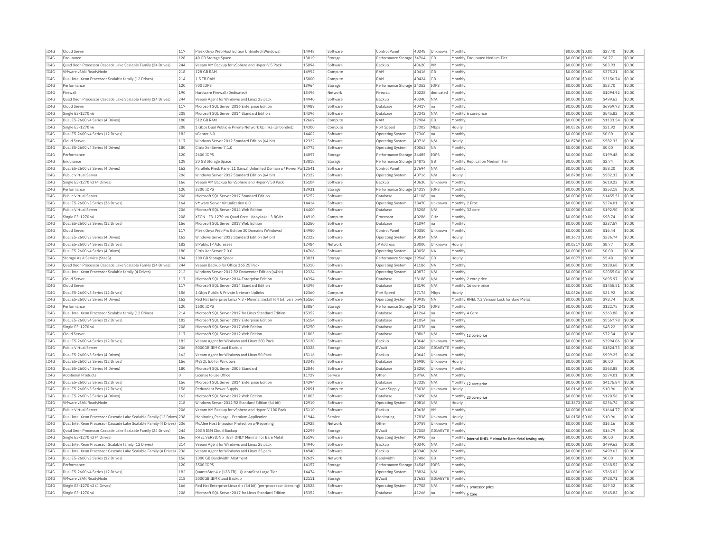| IC4G         | Cloud Serve                                                           | 117        | Plesk Onyx Web Host Edition Unlimited (Windows)                                                                         | 14948          | Software             | Control Pane                        | 40348          | Unknown          | Monthly        |                                                                  | \$0.0000 \$0.00                    |                 | \$27.40             | \$0.00           |
|--------------|-----------------------------------------------------------------------|------------|-------------------------------------------------------------------------------------------------------------------------|----------------|----------------------|-------------------------------------|----------------|------------------|----------------|------------------------------------------------------------------|------------------------------------|-----------------|---------------------|------------------|
| TC4G         | Endurance                                                             | 128        | 40 GB Storage Space                                                                                                     | 13819          | Storage              | Performance Storage 34764           |                | GB               |                | Monthly Endurance Medium Tier                                    | \$0,0000 \$0.00                    |                 | \$8.77              | \$0.00           |
| IC4G         | Quad Xeon Processor Cascade Lake Scalable Family (24 Drives)          | 244        | Veeam VM Backup for vSphere and Hyper-V 5 Pack                                                                          | 15094          | Software             | Backup                              | 40620          | <b>VM</b>        | Monthly        |                                                                  | \$0,0000 \$0.00                    |                 | \$83.93             | \$0.00           |
| IC4G         | VMware vSAN ReadyNode                                                 | 218        | 128 GB RAM                                                                                                              | 14992          | Compute              | RAM                                 | 40416          | GB               | Monthly        |                                                                  | \$0.0000 \$0.00                    |                 | \$375.21            | \$0.00           |
| IC4G         | Dual Intel Xeon Processor Scalable family (12 Drives)                 | 214        | 1.5 TB RAM                                                                                                              | 15000          | Compute              | RAM                                 | 40424          | GB               | Monthly        |                                                                  | \$0,0000 \$0.00                    |                 | \$3156.74           | \$0.00           |
| IC4G         | Performance                                                           | 120        | 700 IOPS                                                                                                                | 13964          | Storage              | Performance Storage 34352           |                | <b>IOPS</b>      | Monthly        |                                                                  | \$0,0000 \$0.00                    |                 | \$53.70             | \$0.00           |
| IC4G         | Firewall                                                              | 190        | Hardware Firewall (Dedicated)                                                                                           | 13496          | Network              | Firewall                            | 30228          | dedicated        | Monthly        |                                                                  | \$0.0000 \$0.00                    |                 | \$1094.92           | \$0.00           |
| IC4G         | Quad Xeon Processor Cascade Lake Scalable Family (24 Drives)          | 244        | Veeam Agent for Windows and Linux 25 pack                                                                               | 14940          | Software             | Backup                              | 40340          | N/A              | Monthly        |                                                                  | \$0.0000 \$0.00                    |                 | \$499.63            | \$0.00           |
| IC4G         | Cloud Server                                                          | 117        |                                                                                                                         | 14989          | Software             | Database                            | 40417          |                  | Monthly        |                                                                  |                                    |                 |                     | \$0.00           |
|              |                                                                       |            | Microsoft SQL Server 2016 Enterprise Edition                                                                            |                |                      |                                     |                | na               |                |                                                                  | \$0.0000 \$0.00                    |                 | \$6959.73           |                  |
| IC4G         | Single E3-1270 v6                                                     | 208        | Microsoft SOL Server 2014 Standard Edition                                                                              | 14396          | Software             | Database                            | 37342          | N/A              |                | Monthly 6 core price                                             | \$0,0000 \$0,00                    |                 | \$545.82            | \$0.00           |
| IC4G         | Dual E5-2600 v4 Series (4 Drives)                                     | 180        | 512 GB RAM                                                                                                              | 12667          | Compute              | RAM                                 | 37904          | GB               | Monthly        |                                                                  | \$0,0000 \$0.00                    |                 | \$1133.54           | \$0.00           |
| IC4G         | Single E3-1270 v6                                                     | 208        | 1 Gbps Dual Public & Private Network Uplinks (Unbonded)                                                                 | 14300          | Compute              | Port Speed                          | 37302          | Mbps             | Hourly         |                                                                  | \$0.0326 \$0.00                    |                 | \$21.92             | \$0.00           |
| IC4G         | Dual E5-2600 v4 Series (12 Drives)                                    | 182        | vCenter 6.0                                                                                                             | 14402          | Software             | Operating System                    | 37360          | na               | Monthly        |                                                                  | \$0.0000 \$0.00                    |                 | \$0.00              | \$0.00           |
| IC4G         | Cloud Server                                                          | 117        | Windows Server 2012 Standard Edition (64 bit)                                                                           | 12322          | Software             | Operating System                    | 40716          | N/A              | Hourly         |                                                                  | \$0,8788 \$0.00                    |                 | \$582.33            | \$0.00           |
| TC4G         | Dual E5-2600 v4 Series (4 Drives)                                     | 180        | Citrix XenServer 7.1.0                                                                                                  | 14772          | Software             | Operating System                    | 40062          | <b>NA</b>        | Monthly        |                                                                  | \$0,0000 \$0.00                    |                 | \$0.00              | \$0.00           |
| IC4G         | Performance                                                           | 120        | 2600 TOPS                                                                                                               | 14097          | Storage              | Performance Storage 34485           |                | TOP5             | Monthly        |                                                                  | \$0.0000 \$0.00                    |                 | \$199.48            | \$0.00           |
| IC4G         | Endurance                                                             | 128        | 20 GB Storage Space                                                                                                     | 13818          | Storage              | Performance Storage 34872           |                | <b>GB</b>        |                | Monthly Replication Medium Tier                                  | \$0,0000 \$0.00                    |                 | \$2.74              | \$0.00           |
| TC4G         | Dual E5-2600 v3 Series (4 Drives)                                     | 162        | Parallels Plesk Panel 11 (Linux) Unlimited Domain w/ Power Pa 12541                                                     |                | Software             | Control Panel                       | 37694          | N/A              | Monthly        |                                                                  | \$0,0000 \$0.00                    |                 | \$58.20             | \$0.00           |
| IC4G         | Public Virtual Server                                                 | 206        | Windows Server 2012 Standard Edition (64 bit)                                                                           | 12322          | Software             | Operating System                    | 40716          | N/A              | Hourly         |                                                                  | \$0,8788 \$0.00                    |                 | \$582.33            | \$0.00           |
| IC4G         | Single E3-1270 v3 (4 Drives)                                          | 166        | Veeam VM Backup for vSphere and Hyper-V 50 Pack                                                                         | 15104          | Software             | Backup                              | 40630          | Unknown          | Monthly        |                                                                  | \$0,0000 \$0.00                    |                 | \$610.22            | \$0.00           |
| IC4G         | Performance                                                           | 120        | 3300 TOPS                                                                                                               | 13931          | Storage              | Performance Storage 34319           |                | <b>TOPS</b>      | Monthly        |                                                                  | \$0.0000 \$0.00                    |                 | \$253.18            | \$0.00           |
| IC4G         | Public Virtual Server                                                 | 206        | Microsoft SQL Server 2017 Standard Edition                                                                              | 15252          |                      |                                     | 41108          |                  | Monthly        |                                                                  | \$0.0000 \$0.00                    |                 | \$1455.51           | \$0.00           |
| TC4G         | Dual E5-2600 v3 Series (36 Drives)                                    | 164        | VMware Server Virtualization 6.0                                                                                        | 14414          | Software<br>Software | Database                            | 38470          | na<br>Unknown    | Monthly 2 Prod |                                                                  | \$0,0000 \$0.00                    |                 | \$274.01            | \$0.00           |
|              |                                                                       |            |                                                                                                                         |                |                      | Operating System                    |                |                  |                |                                                                  |                                    |                 |                     |                  |
| TC4G         | Public Virtual Server                                                 | 206        | Microsoft SOL Server 2014 Web Edition                                                                                   | 14400          | Software             | Database                            | 38208          | N/A              |                | Monthly 32 core                                                  | \$0.0000 \$0.00                    |                 | \$192.90            | \$0.00           |
| TCAG         | Single E3-1270 v6                                                     | 208        | XEON - E3-1270-v6 Quad Core - KabyLake: 3.8GHz                                                                          | 14910          | Compute              | Processor                           | 40286          | GHZ              | Monthly        |                                                                  | \$0.0000 \$0.00                    |                 | \$98.74             | \$0.00           |
| TCAG         | Dual E5-2600 v3 Series (12 Drives)                                    | 156        | Microsoft SQL Server 2017 Web Edition                                                                                   | 15250          | Software             | Database                            | 41094          | Ina              | Monthly        |                                                                  | \$0.0000 \$0.00                    |                 | \$337.57            | \$0.00           |
| IC4G         | Cloud Server                                                          | 117        | Plesk Onyx Web Pro Edition 30 Domains (Windows)                                                                         | 14950          | Software             | Control Pane                        | 40350          | Unknown          | Monthly        |                                                                  | \$0.0000 \$0.00                    |                 | \$16.44             | \$0.00           |
| TC4G         | Dual E5-2600 v3 Series (4 Drives)                                     | 162        | Windows Server 2012 Standard Edition (64 bit)                                                                           | 12322          | Software             | Operating System                    | 40834          | N/A              | Hourly         |                                                                  | \$0.3673 \$0.00                    |                 | \$236.74            | \$0.00           |
| IC4G         | Dual E5-2600 v4 Series (12 Drives                                     | 182        | 8 Public IP Addresses                                                                                                   | 12484          | Network              | IP Address                          | 38000          | Unknown          | Hourly         |                                                                  | \$0.0217 \$0.00                    |                 | \$8.77              | \$0.00           |
| IC4G         | Dual E5-2600 v4 Series (4 Drives)                                     | 180        | Citrix XenServer 7.0.0                                                                                                  | 14766          | Software             | <b>Operating System</b>             | 40056          | NΔ               | Monthly        |                                                                  | \$0.0000 \$0.00                    |                 | \$0.00              | \$0.00           |
| IC4G         | Storage As A Service (StaaS)                                          | 194        | 100 GB Storage Space                                                                                                    | 13821          | Storage              | Performance Storage 39568           |                | GB               | Hourly         |                                                                  | \$0,0077 \$0.00                    |                 | \$5.48              | \$0.00           |
| IC4G         | Quad Xeon Processor Cascade Lake Scalable Family (24 Drives)          | 244        | Veeam Backup for Office 365 25 Pack                                                                                     | 15310          | Software             | <b>Operating System</b>             | 41186          | <b>NA</b>        | Monthly        |                                                                  | \$0.0000 \$0.00                    |                 | \$138.68            | \$0.00           |
| IC4G         | Dual Intel Xeon Processor Scalable family (4 Drives)                  | 212        | Windows Server 2012 R2 Datacenter Edition (64bit)                                                                       | 12324          | Software             | Operating System                    | 40872          | N/A              | Monthly        |                                                                  | \$0.0000 \$0.00                    |                 | \$2055.04           | \$0.00           |
| IC4G         | Cloud Server                                                          | 117        | Microsoft SOL Server 2014 Enterprise Edition                                                                            | 14394          | Software             | Database                            | 38188          | N/A              |                | Monthly 2 core price                                             | \$0.0000 \$0.00                    |                 | \$695.97            | \$0.00           |
|              |                                                                       |            |                                                                                                                         |                |                      |                                     |                |                  |                |                                                                  |                                    |                 |                     |                  |
| IC4G         | Cloud Server                                                          | 117        | Microsoft SOL Server 2014 Standard Edition                                                                              | 14396          | Software             | Database                            | 38190          | N/A              |                | Monthly 16 core price                                            | \$0.0000 \$0.00                    |                 | \$1455.51           | \$0.00           |
| IC4G         | Dual E5-2600 v3 Series (12 Drives)                                    | 156        | 1 Gbps Public & Private Network Uplinks                                                                                 | 12360          | Compute              | Port Speed                          | 37174          | Mbps             | Hourly         |                                                                  | \$0.0326 \$0.00                    |                 | \$21.92             | \$0.00           |
| IC4G         | Dual E5-2600 v3 Series (4 Drives)                                     | 162        | Red Hat Enterprise Linux 7.3 - Minimal Install (64 bit) version-Id 15166                                                |                | Software             | Operating System                    | 40938          | <b>NA</b>        |                | Monthly RHEL 7.3 Version Lock for Bare Meta                      | \$0.0000 \$0.00                    |                 | \$98.74             | \$0.00           |
| TC4G         | Performance                                                           | 120        | 1600 TOPS                                                                                                               | 13854          | Storage              | Performance Storage 34242           |                | TOP5             | Monthly        |                                                                  | \$0,0000 \$0,00                    |                 | \$122.75            | \$0.00           |
| IC4G         | Dual Intel Xeon Processor Scalable family (12 Drives)                 | 214        | Microsoft SQL Server 2017 for Linux Standard Edition                                                                    | 15352          | Software             | Database                            | 41264          | Ina              | Monthly 4 Core |                                                                  | \$0.0000 \$0.00                    |                 | \$363.88            | \$0.00           |
| IC4G         | Dual E5-2600 v4 Series (12 Drives)                                    | 182        | Microsoft SQL Server 2017 Enterprise Edition                                                                            | 15154          | Software             | Database                            | 41054          | Ina              | Monthly        |                                                                  | \$0.0000 \$0.00                    |                 | \$5567.78           | \$0.00           |
| IC4G         | Single E3-1270 v6                                                     | 208        | Microsoft SOL Server 2017 Web Edition                                                                                   | 15250          | Software             | Database                            | 41076          | Ina              | Monthly        |                                                                  | \$0,0000 \$0.00                    |                 | \$48.22             | \$0.00           |
| IC4G         | Cloud Server                                                          | 117        | Microsoft SOL Server 2012 Web Edition                                                                                   | 11803          | Software             | Database                            | 30863          | N/A              | Monthly        | 12 core price                                                    | \$0,0000 \$0.00                    |                 | \$72.34             | \$0.00           |
| IC4G         | Dual E5-2600 v4 Series (12 Drives)                                    | 182        | Veeam Agent for Windows and Linux 200 Pack                                                                              | 15120          | Software             | Backup                              | 40646          | Unknown          | Monthly        |                                                                  | \$0,0000 \$0.00                    |                 | \$3994.06           | \$0.00           |
| IC4G         | Public Virtual Server                                                 | 206        | 8000GB IBM Cloud Backup                                                                                                 | 15328          | Storage              | EVault                              | 41206          | GIGABYTE         | Monthly        |                                                                  | \$0,0000 \$0.00                    |                 | \$1824.73           | \$0.00           |
| IC4G         | Dual E5-2600 v3 Series (4 Drives)                                     | 162        | Veeam Agent for Windows and Linux 50 Pack                                                                               | 15116          | Software             | Backup                              | 40642          | Jnknown          | Monthly        |                                                                  | \$0,0000 \$0.00                    |                 | \$999.25            | \$0.00           |
| IC4G         | Dual E5-2600 v3 Series (12 Drives)                                    | 156        | MySOL 5.0 for Windows                                                                                                   | 13348          | Software             | Database                            | 36980          | Unknown          | Hourly         |                                                                  | \$0,0000 \$0.00                    |                 | \$0.00              | \$0.00           |
| IC4G         | Dual E5-2600 v4 Series (4 Drives)                                     | 180        | Microsoft SQL Server 2005 Standard                                                                                      | 12846          | Software             | Database                            | 38250          | Unknown          | Monthly        |                                                                  | \$0.0000 \$0.00                    |                 | \$363.88            | \$0.00           |
| IC4G         | <b>Additional Products</b>                                            | $\Omega$   | License to use Office                                                                                                   | 11727          | Service              | Other                               | 19760          | N/A              | Monthly        |                                                                  | \$0,0000 \$0.00                    |                 | \$274.01            | \$0.00           |
| TC4G         | Dual E5-2600 v3 Series (12 Drives)                                    | 156        | Microsoft SOL Server 2014 Enterprise Edition                                                                            | 14394          | Software             | Database                            | 37328          | N/A              |                |                                                                  | \$0,0000 \$0.00                    |                 | \$4175.84           | \$0.00           |
|              |                                                                       |            |                                                                                                                         |                |                      |                                     |                |                  |                | Monthly 12 core price                                            |                                    |                 |                     |                  |
| IC4G         | Dual E5-2600 v3 Series (12 Drives)                                    | 156        | Redundant Power Supply                                                                                                  | 12891          | Compute              | Power Supply                        | 38036          | Unknown          | Hourly         |                                                                  | \$0,0168 \$0,00                    |                 | \$10.96             | \$0.00           |
| TC4G         | Dual E5-2600 v3 Series (4 Drives)                                     | 162        | Microsoft SOL Server 2012 Web Edition                                                                                   | 11803          | Software             | Database                            | 37490          | N/A              |                | Monthly 20 core price                                            | \$0,0000 \$0.00                    |                 | \$120.56            | \$0.00           |
| IC4G         | VMware vSAN ReadyNode                                                 | 218        | Windows Server 2012 R2 Standard Edition (64 bit)                                                                        | 12910          | Software             | Operating System                    | 40816          | N/A              | Hourly         |                                                                  | \$0.3673 \$0.00                    |                 | \$236.74            | \$0.00           |
| IC4G         | Public Virtual Server                                                 | 206        | Veeam VM Backup for vSphere and Hyper-V 100 Pack                                                                        | 15110          | Software             | Backup                              | 40636          | VM.              | Monthly        |                                                                  | \$0,0000 \$0.00                    |                 | \$1664.77           | \$0.00           |
| IC4G         | Dual Intel Xeon Processor Cascade Lake Scalable Family (12 Drives 238 |            | Monitoring Package - Premium Application                                                                                | 11944          | Service              | Monitoring                          | 37838          | Unknown          | Hourly         |                                                                  | \$0.0158 \$0.00                    |                 | \$10.96             | \$0.00           |
| IC4G         | Dual Intel Xeon Processor Cascade Lake Scalable Family (4 Drives) 236 |            | McAfee Host Intrusion Protection w/Reporting                                                                            | 12928          | Network              | Othe                                | 30759          | Unknown          | Monthly        |                                                                  | \$0.0000 \$0.00                    |                 | \$16.16             | \$0.00           |
| IC4G         | Ouad Xeon Processor Cascade Lake Scalable Family (24 Drives)          | 244        | 20GB IBM Cloud Backup                                                                                                   | 12299          | Storage              | EVault                              | 37008          | GIGABYTE Monthly |                |                                                                  | \$0,0000 \$0.00                    |                 | \$16.79             | \$0.00           |
| IC4G         | Single E3-1270 v3 (4 Drives)                                          | 166        | RHEL VERSION x TEST ONLY Minimal for Bare Metal                                                                         | 15198          | Software             | Operating System                    | 40992          | na               |                | Monthly Internal RHEL Minimal for Bare Metal testing only        | \$0.0000 \$0.00                    |                 | \$0.00              | \$0.00           |
| IC4G         | Dual Intel Xeon Processor Scalable family (12 Drives)                 | 214        | Veeam Agent for Windows and Linux 25 pack                                                                               | 14940          | Software             | Backup                              | 40340          | N/A              | Monthly        |                                                                  | \$0.0000 \$0.00                    |                 | \$499.63            | \$0.00           |
| TC4G         | Dual Intel Xeon Processor Cascade Lake Scalable Family (4 Drives) 236 |            | Veeam Agent for Windows and Linux 25 pack                                                                               | 14940          | Software             | <b>Backup</b>                       | 40340          | N/A              | Monthly        |                                                                  | $$0.0000$ \$0.00                   |                 | \$499.63            | \$0.00           |
| IC4G         | Dual E5-2600 v3 Series (12 Drives)                                    | 156        | 1000 GB Bandwidth Allotment                                                                                             | 12627          | Network              | Bandwidth                           | 37406          | GB               | Monthly        |                                                                  | \$0.0000 \$0.00                    |                 | \$0.00              | \$0.00           |
| TCAG         | Performance                                                           | 120        | 3500 TOPS                                                                                                               | 14157          | Storage              | Performance Storage 34545           |                | <b>TOPS</b>      | Monthly        |                                                                  | \$0.0000 \$0.00                    |                 | \$268.52            | \$0.00           |
| IC4G         |                                                                       |            |                                                                                                                         |                |                      |                                     |                |                  |                |                                                                  |                                    | \$0,0000 \$0.00 | \$765.02            | \$0.00           |
|              |                                                                       |            |                                                                                                                         |                |                      |                                     |                |                  |                |                                                                  |                                    |                 |                     |                  |
|              | Dual E5-2600 v4 Series (12 Drives)                                    | 182        | QuantaStor 4.x (128 TB) - QuantaStor Large Tier                                                                         | 14474          | Software             | Operating System                    | 38824          | N/A              | Monthly        |                                                                  |                                    |                 |                     |                  |
| IC4G         | VMware vSAN ReadyNode                                                 | 218        | 2000GB IBM Cloud Backup                                                                                                 | 12111          | Storage              | EVault                              | 37652          | GIGABYTE         | Monthly        |                                                                  | \$0.0000 \$0.00                    |                 | \$728.71            | \$0.00           |
| IC4G<br>IC4G | Single E3-1270 v3 (4 Drives)<br>Single E3-1270 v6                     | 166<br>208 | Red Hat Enterprise Linux 6.x (64 bit) (per-processor licensing)<br>Microsoft SOL Server 2017 for Linux Standard Edition | 12528<br>15352 | Software<br>Software | <b>Operating System</b><br>Database | 37708<br>41266 | N/A<br>Ina       |                | $\overline{\text{Monthly}} _1$ processor price<br>Monthly 6 Core | \$0,0000 \$0,00<br>\$0,0000 \$0.00 |                 | \$49.32<br>\$545.82 | \$0.00<br>\$0.00 |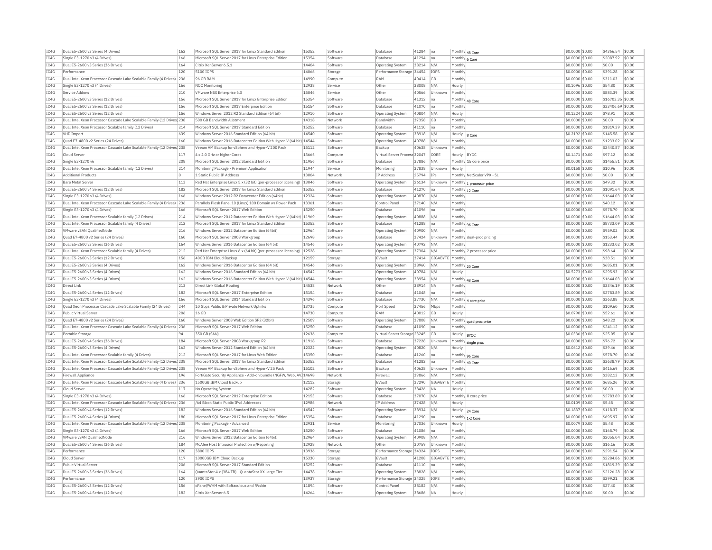| IC4G | Dual E5-2600 v3 Series (4 Drives)                                      | 162            | Microsoft SOL Server 2017 for Linux Standard Edition                    | 15352 | Software | Database                     | 41284 | Ina              | Monthly 48 Core |                            | \$0,0000 \$0.00                    | \$4366.54         | \$0.00 |
|------|------------------------------------------------------------------------|----------------|-------------------------------------------------------------------------|-------|----------|------------------------------|-------|------------------|-----------------|----------------------------|------------------------------------|-------------------|--------|
| IC4G | Single E3-1270 v3 (4 Drives)                                           | 166            | Microsoft SOL Server 2017 for Linux Enterprise Edition                  | 15354 | Software | Database                     | 41294 | Ina              | Monthly 6 Core  |                            | \$0.0000 \$0.00                    | \$2087.92         | \$0.00 |
| TC4G | Dual E5-2600 v3 Series (36 Drives)                                     | 164            | Citrix XenServer 6.5.1                                                  | 14404 | Software | Operating System             | 38214 | N/A              | Monthly         |                            | \$0,0000 \$0.00                    | \$0.00            | \$0.00 |
| TCAG | Performance                                                            | 120            | 5100 TOPS                                                               | 14066 | Storage  | Performance Storage 34454    |       | TOPS             | Monthly         |                            | \$0.0000 \$0.00                    | \$391.28          | \$0.00 |
| IC4G | Dual Intel Xeon Processor Cascade Lake Scalable Family (4 Drives)      | 236            | 96 GB RAM                                                               | 14990 | Compute  | RAM                          | 40414 | GB               | Monthly         |                            | \$0,0000 \$0.00                    | \$311.03          | \$0.00 |
| TC4G | Single E3-1270 v3 (4 Drives)                                           | 166            | NOC Monitoring                                                          | 12938 | Service  | Other                        | 38008 | N/A              | Hourly          |                            | \$0.1096 \$0.00                    | \$54.80           | \$0.00 |
| IC4G | Service Addons                                                         | 210            | VMware NSX Enterprise 6.3                                               | 15046 | Service  | Other                        | 40566 | Unknown          | Monthly         |                            | \$0.0000 \$0.00                    | \$883.39          | \$0.00 |
| TC4G | Dual E5-2600 v3 Series (12 Drives)                                     | 156            | Microsoft SOL Server 2017 for Linux Enterprise Edition                  | 15354 | Software | Database                     | 41312 | na               |                 | Monthly 48 Core            | \$0.0000 \$0.00                    | \$16703.35 \$0.00 |        |
| IC4G | Dual E5-2600 v3 Series (12 Drives)                                     | 156            | Microsoft SQL Server 2017 Enterprise Edition                            | 15154 | Software | Database                     | 41070 | na               | Monthly         |                            | \$0.0000 \$0.00                    | \$33406.69        | \$0.00 |
| IC4G | Dual E5-2600 v3 Series (12 Drives)                                     | 156            | Windows Server 2012 R2 Standard Edition (64 bit)                        | 12910 | Software | <b>Operating System</b>      | 40804 | N/A              | Hourly          |                            | \$0.1224 \$0.00                    | \$78.91           | \$0.00 |
| IC4G | Dual Intel Xeon Processor Cascade Lake Scalable Family (12 Drives 238  |                | 500 GB Bandwidth Allotment                                              | 14318 | Network  | Bandwidth                    | 37358 | GB               | Monthly         |                            | \$0,0000 \$0.00                    | \$0.00            | \$0.00 |
|      |                                                                        |                |                                                                         |       |          |                              |       |                  |                 |                            |                                    |                   |        |
| IC4G | Dual Intel Xeon Processor Scalable family (12 Drives)                  | 214            | Microsoft SOL Server 2017 Standard Edition                              | 15252 | Software | Database                     | 41110 | Ina              | Monthly         |                            | \$0,0000 \$0.00                    | \$1819.39         | \$0.00 |
| TC4G | VHD Import                                                             | 639            | Windows Server 2016 Standard Edition (64 bit)                           | 14540 | Software | <b>Operating System</b>      | 38918 | N/A              | Hourly          | 8 Core                     | \$0.2192 \$0.00                    | \$145.58          | \$0.00 |
| IC4G | Quad E7-4800 v2 Series (24 Drives)                                     | 160            | Windows Server 2016 Datacenter Edition With Hyper-V (64 bit) 14544      |       | Software | Operating System             | 40788 | N/A              | Monthly         |                            | \$0.0000 \$0.00                    | \$1233.02         | \$0.00 |
| IC4G | Dual Intel Xeon Processor Cascade Lake Scalable Family (12 Drives) 238 |                | Veeam VM Backup for vSphere and Hyper-V 200 Pack                        | 15112 | Software | Backup                       | 40638 | Unknown          | Monthly         |                            | \$0.0000 \$0.00                    | \$2440.87         | \$0.00 |
| IC4G | Cloud Server                                                           | 117            | 4 x 2.0 GHz or higher Cores                                             | 13665 | Compute  | Virtual Server Process 32047 |       | CORE             | Hourly BYOC     |                            | \$0,1471 \$0.00                    | \$97.12           | \$0.00 |
| IC4G | Single E3-1270 v6                                                      | 208            | Microsoft SQL Server 2012 Standard Edition                              | 11956 | Software | Database                     | 37886 | N/A              |                 | Monthly 15 core price      | \$0,0000 \$0.00                    | \$1455.51         | \$0.00 |
| IC4G | Dual Intel Xeon Processor Scalable family (12 Drives)                  | 214            | Monitoring Package - Premium Application                                | 11944 | Service  | Monitoring                   | 37838 | Unknown          | Hourly          |                            | \$0,0158 \$0.00                    | \$10.96           | \$0.00 |
| IC4G | <b>Additional Products</b>                                             | $\overline{0}$ | 1 Static Public IP Address                                              | 13004 | Network  | IP Address                   | 25794 | TPs              |                 | Monthly NetScaler VPX - SL | \$0.0000 \$0.00                    | \$0.00            | \$0.00 |
| IC4G | <b>Bare Metal Server</b>                                               | 113            | Red Hat Enterprise Linux 5.x (32 bit) (per-processor licensing)   13046 |       | Software | Operating System             | 26134 | Unknown          |                 | Monthly 1 processor price  | \$0.0000 \$0.00                    | \$49.32           | \$0.00 |
| TCAG | Dual E5-2600 v4 Series (12 Drives)                                     | 182            | Microsoft SOL Server 2017 for Linux Standard Edition                    | 15352 | Software | Database                     | 41270 | na               | Monthly 12 Core |                            | $$0.0000$ \$0.00                   | \$1091.64         | \$0.00 |
| IC4G | Single E3-1270 v3 (4 Drives)                                           | 166            | Windows Server 2012 R2 Datacenter Edition (64bit)                       | 12324 | Software | <b>Operating System</b>      | 40870 | N/A              | Monthly         |                            | \$0.0000 \$0.00                    | \$1644.03         | \$0.00 |
| IC4G | Dual Intel Xeon Processor Cascade Lake Scalable Family (4 Drives) 236  |                | Parallels Plesk Panel 10 (Linux) 100 Domain w/ Power Pack               | 13361 | Software | Control Panel                | 37140 | N/A              | Monthly         |                            | \$0.0000 \$0.00                    | \$40.12           | \$0.00 |
| IC4G | Single E3-1270 v3 (4 Drives)                                           | 166            | Microsoft SQL Server 2017 Web Edition                                   | 15250 | Software | Database                     | 41096 | Ina              | Monthly         |                            | \$0,0000 \$0.00                    | \$578.70          | \$0.00 |
| IC4G | Dual Intel Xeon Processor Scalable family (12 Drives)                  | 214            | Windows Server 2012 Datacenter Edition With Hyper-V (64bit)             | 11969 | Software | <b>Operating System</b>      | 40888 | N/A              | Monthly         |                            | \$0.0000 \$0.00                    | \$1644.03         | \$0.00 |
| IC4G | Dual Intel Xeon Processor Scalable family (4 Drives)                   | 212            | Microsoft SOL Server 2017 for Linux Standard Edition                    | 15352 | Software | Database                     | 41288 | Ina              |                 | Monthly 96 Core            | \$0,0000 \$0.00                    | \$8733.09         | \$0.00 |
| IC4G | VMware vSAN OualifiedNode                                              | 216            | Windows Server 2012 Datacenter Edition (64bit)                          | 12964 | Software | Operating System             | 40900 | N/A              | Monthly         |                            | \$0,0000 \$0.00                    | \$959.02          | \$0.00 |
| TC4G | Quad E7-4800 v2 Series (24 Drives)                                     | 160            | Microsoft SOL Server 2008 Workgroup                                     | 12698 | Software | Database                     | 37424 | Unknown          |                 | Monthly dual-proc pricing  | \$0,0000 \$0.00                    | \$153.44          | \$0.00 |
|      |                                                                        | 164            |                                                                         | 14546 |          |                              |       |                  | Monthly         |                            |                                    |                   |        |
| IC4G | Dual E5-2600 v3 Series (36 Drives)                                     |                | Windows Server 2016 Datacenter Edition (64 bit)                         |       | Software | Operating System             | 40792 | N/A              |                 |                            | \$0.0000 \$0.00                    | \$1233.02         | \$0.00 |
| IC4G | Dual Intel Xeon Processor Scalable family (4 Drives)                   | 212            | Red Hat Enterprise Linux 6.x (64 bit) (per-processor licensing)         | 12528 | Software | Operating System             | 37304 | N/A              |                 | Monthly 2 processor price  | \$0.0000 \$0.00                    | \$98.64           | \$0.00 |
| TCAG | Dual E5-2600 v3 Series (12 Drives)                                     | 156            | 40GB TBM Cloud Backup                                                   | 12159 | Storage  | FVault                       | 37414 | GIGARYTE Monthly |                 |                            | $$0.0000$ \$0.00                   | \$38.51           | \$0.00 |
| IC4G | Dual E5-2600 v3 Series (4 Drives                                       | 162            | Windows Server 2016 Datacenter Edition (64 bit)                         | 14546 | Software | Operating System             | 38960 | N/A              |                 | Monthly 20 Core            | \$0,0000 \$0.00                    | \$685.01          | \$0.00 |
| IC4G | Dual E5-2600 v3 Series (4 Drives)                                      | 162            | Windows Server 2016 Standard Edition (64 bit)                           | 14542 | Software | Operating System             | 40784 | N/A              | Hourly          |                            | \$0.5273 \$0.00                    | \$295.93          | \$0.00 |
| IC4G | Dual E5-2600 v3 Series (4 Drives)                                      | 162            | Windows Server 2016 Datacenter Edition With Hyper-V (64 bit) 14544      |       | Software | Operating System             | 38954 | N/A              | Monthly 48 Core |                            | \$0.0000 \$0.00                    | \$1644.03         | \$0.00 |
| IC4G | Direct Link                                                            | 213            | Direct Link Global Routing                                              | 14538 | Network  | Other                        | 38914 | <b>NA</b>        | Monthly         |                            | \$0.0000 \$0.00                    | \$3346.19         | \$0.00 |
| TC4G | Dual E5-2600 v4 Series (12 Drives)                                     | 182            | Microsoft SQL Server 2017 Enterprise Edition                            | 15154 | Software | Database                     | 41048 | Ina              | Monthly         |                            | $$0.0000$ \$0.00                   | \$2783.89         | \$0.00 |
| IC4G | Single E3-1270 v3 (4 Drives)                                           | 166            | Microsoft SOL Server 2014 Standard Edition                              | 14396 | Software | Database                     | 37730 | N/A              |                 | Monthly 4 core price       | \$0.0000 \$0.00                    | \$363.88          | \$0.00 |
| IC4G | Quad Xeon Processor Cascade Lake Scalable Family (24 Drives)           | 244            | 10 Gbos Public & Private Network Uplinks                                | 13735 | Compute  | Port Sneed                   | 37456 | Mbps             | Monthly         |                            | \$0.0000 \$0.00                    | \$109.60          | \$0.00 |
| IC4G | Public Virtual Server                                                  | 206            | 16 GB                                                                   | 14730 | Compute  | RAM                          | 40012 | GB               | Hourly          |                            | \$0,0790 \$0.00                    | \$52.61           | \$0.00 |
| IC4G | Quad E7-4800 v2 Series (24 Drives)                                     | 160            | Windows Server 2008 Web Edition SP2 (32bit)                             | 12509 | Software | Operating System             | 37808 | N/A              |                 | Monthly quad proc price    | \$0.0000 \$0.00                    | \$48.22           | \$0.00 |
| IC4G | Dual Intel Xeon Processor Cascade Lake Scalable Family (4 Drives) 236  |                | Microsoft SQL Server 2017 Web Edition                                   | 15250 | Software | Database                     | 41090 | Ina              | Monthly         |                            | \$0,0000 \$0.00                    | \$241.12          | \$0.00 |
| IC4G | Portable Storage                                                       | 94             | 350 GB (SAN)                                                            | 12636 | Compute  | Virtual Server Storage 23245 |       | GB               | Hourly          | <b>BYOC</b>                | \$0.0336 \$0.00                    | \$25.05           | \$0.00 |
| IC4G | Dual E5-2600 v4 Series (36 Drives)                                     | 184            | Microsoft SQL Server 2008 Workgroup R2                                  | 11918 | Software | Database                     | 37228 | Unknown          |                 | Monthly single proc        | \$0.0000 \$0.00                    | \$76.72           | \$0.00 |
| IC4G | Dual E5-2600 v3 Series (4 Drives)                                      | 162            | Windows Server 2012 Standard Edition (64 bit)                           | 12322 | Software | Operating System             | 40820 | N/A              | Hourly          |                            | \$0.0612 \$0.00                    | \$39.46           | \$0.00 |
| IC4G | Dual Intel Xeon Processor Scalable family (4 Drives)                   | 212            | Microsoft SQL Server 2017 for Linux Web Edition                         | 15350 | Software | Database                     | 41260 | na               | Monthly 96 Core |                            | \$0,0000 \$0.00                    | \$578.70          | \$0.00 |
| TC4G | Dual Intel Xeon Processor Cascade Lake Scalable Family (12 Drives 238  |                | Microsoft SOL Server 2017 for Linux Standard Edition                    | 15352 | Software | Database                     | 41282 | Ina              | Monthly 40 Core |                            | \$0,0000 \$0.00                    | \$3638.79         | \$0.00 |
| IC4G | Dual Intel Xeon Processor Cascade Lake Scalable Family (12 Drives) 238 |                | Veeam VM Backup for vSphere and Hyper-V 25 Pack                         | 15102 | Software | Backup                       | 40628 | Unknown          | Monthly         |                            | \$0.0000 \$0.00                    | \$416.69          | \$0.00 |
| IC4G | Firewall Appliance                                                     | 196            | FortiGate Security Appliance - Add-on bundle (NGFW, Web, AV) 14698      |       | Network  | Firewall                     | 39866 | N/A              | Monthly         |                            | \$0,0000 \$0.00                    | \$382.13          | \$0.00 |
| TC4G | Dual Intel Xeon Processor Cascade Lake Scalable Family (4 Drives) 236  |                | 1500GB TBM Cloud Backup                                                 | 12112 | Storage  | EVault                       | 37290 | GIGARYTE Monthly |                 |                            | $$0.0000$ \$0.00                   | \$685.26          | \$0.00 |
| IC4G | Cloud Serve                                                            | 117            | No Operating System                                                     | 14282 | Software | <b>Operating System</b>      | 38426 | <b>NA</b>        | Hourly          |                            | \$0.0000 \$0.00                    | \$0.00            | \$0.00 |
| TCAG | Single E3-1270 v3 (4 Drives)                                           | 166            | Microsoft SOL Server 2012 Enterprise Edition                            | 12153 | Software | Database                     | 37070 | N/A              |                 | Monthly 8 core price       | $$0.0000$ \$0.00                   | \$2783.89         | \$0.00 |
| IC4G | Dual Intel Xeon Processor Cascade Lake Scalable Family (4 Drives)      | 236            | /64 Block Static Public IPv6 Addresses                                  | 12986 | Network  | IP Address                   | 37428 | N/A              | Hourly          |                            |                                    | \$5.48            | \$0.00 |
| IC4G | Dual E5-2600 v4 Series (12 Drives)                                     | 182            | Windows Server 2016 Standard Edition (64 bit)                           | 14542 | Software | <b>Operating System</b>      | 38934 | N/A              |                 |                            | \$0.0109 \$0.00<br>\$0.1837 \$0.00 | \$118.37          | \$0.00 |
| IC4G | Dual E5-2600 v4 Series (4 Drives)                                      | 180            | Microsoft SQL Server 2017 for Linux Enterprise Edition                  | 15354 | Software | Database                     | 41290 |                  | Hourly          | 24 Core                    | \$0.0000 \$0.00                    | \$695.97          | \$0.00 |
|      |                                                                        |                |                                                                         |       |          |                              |       | na               |                 | Monthly 1-2 Core           |                                    |                   | \$0.00 |
| IC4G | Dual Intel Xeon Processor Cascade Lake Scalable Family (12 Drives) 238 |                | Monitoring Package - Advanced                                           | 12931 | Service  | Monitoring                   | 37036 | Unknown          | Hourly          |                            | \$0.0079 \$0.00                    | \$5.48            |        |
| IC4G | Single E3-1270 v3 (4 Drives)                                           | 166            | Microsoft SOL Server 2017 Web Edition                                   | 15250 | Software | Database                     | 41086 | na               | Monthly         |                            | \$0,0000 \$0.00                    | \$168.79          | \$0.00 |
| IC4G | VMware vSAN QualifiedNode                                              | 216            | Windows Server 2012 Datacenter Edition (64bit)                          | 12964 | Software | Operating System             | 40908 | N/A              | Monthly         |                            | \$0,0000 \$0.00                    | \$2055.04         | \$0.00 |
| IC4G | Dual E5-2600 v4 Series (36 Drives)                                     | 184            | McAfee Host Intrusion Protection w/Reporting                            | 12928 | Network  | Other                        | 30759 | Unknown          | Monthly         |                            | \$0,0000 \$0.00                    | \$16.16           | \$0.00 |
| IC4G | Performance                                                            | 120            | 3800 TOPS                                                               | 13936 | Storage  | Performance Storage 34324    |       | <b>TOPS</b>      | Monthly         |                            | \$0.0000 \$0.00                    | \$291.54          | \$0.00 |
| IC4G | Cloud Serve                                                            | 117            | 10000GB IBM Cloud Backup                                                | 15330 | Storage  | EVault                       | 41208 | GIGABYTE         | Monthly         |                            | \$0.0000 \$0.00                    | \$2284.86         | \$0.00 |
| TCAG | Public Virtual Server                                                  | 206            | Microsoft SQL Server 2017 Standard Edition                              | 15252 | Software | Database                     | 41110 | na               | Monthly         |                            | $$0.0000$ \$0.00                   | \$1819.39         | \$0.00 |
| TC4G | Dual E5-2600 v3 Series (36 Drives)                                     | 164            | QuantaStor 4.x (384 TB) - QuantaStor XX Large Tier                      | 14478 | Software | Operating System             | 38828 | N/A              | Monthly         |                            | \$0.0000 \$0.00                    | \$2126.28         | \$0.00 |
| IC4G | Performance                                                            | 120            | 3900 TOPS                                                               | 13937 | Storage  | Performance Storage 34325    |       | <b>TOPS</b>      | Monthly         |                            | \$0,0000 \$0.00                    | \$299.21          | \$0.00 |
| TCAG | Dual E5-2600 v3 Series (12 Drives)                                     | 156            | cPanel/WHM with Softaculous and RVskin                                  | 11894 | Software | Control Panel                | 38182 | N/A              | Monthly         |                            | $$0.0000$ \$0.00                   | \$27.40           | \$0.00 |
| IC4G | Dual E5-2600 v4 Series (12 Drives)                                     | 182            | Citrix XenServer 6.5                                                    | 14264 | Software | <b>Operating System</b>      | 38686 | <b>NA</b>        | Hourly          |                            | \$0.0000 \$0.00                    | \$0.00            | \$0.00 |
|      |                                                                        |                |                                                                         |       |          |                              |       |                  |                 |                            |                                    |                   |        |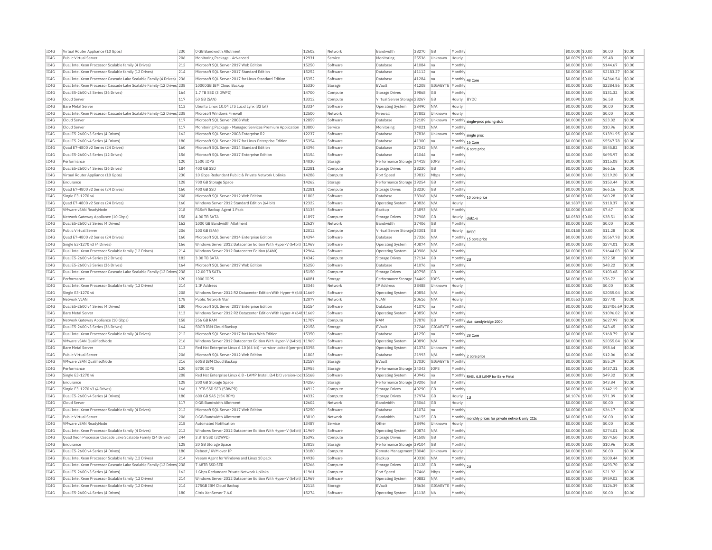| IC4G | Virtual Router Appliance (10 Gpbs)                                     | 230 | 0 GB Bandwidth Allotment                                               | 12602 | Network  | Bandwidth                    | 38270 GB  |                        | Monthly                                              | \$0.0000 \$0.00  | \$0.00            | \$0.00 |
|------|------------------------------------------------------------------------|-----|------------------------------------------------------------------------|-------|----------|------------------------------|-----------|------------------------|------------------------------------------------------|------------------|-------------------|--------|
| TC4G | Public Virtual Server                                                  | 206 | Monitoring Package - Advanced                                          | 12931 | Service  | Monitoring                   | 25536     | Unknown                | Hourly                                               | \$0.0079 \$0.00  | \$5.48            | \$0.00 |
| TC4G | Dual Intel Xeon Processor Scalable family (4 Drives)                   | 212 | Microsoft SOL Server 2017 Web Edition                                  | 15250 | Software | Database                     | 41084     | lηε                    | Monthly                                              | $$0.0000$ \$0.00 | \$144.67          | \$0.00 |
| TC4G | Dual Intel Xeon Processor Scalable family (12 Drives)                  | 214 | Microsoft SOL Server 2017 Standard Edition                             | 15252 | Software | Database                     | 41112     | Ina                    | Monthly                                              | \$0,0000 \$0.00  | \$2183.27         | \$0.00 |
| TC4G | Dual Intel Xeon Processor Cascade Lake Scalable Family (4 Drives) 236  |     | Microsoft SQL Server 2017 for Linux Standard Edition                   | 15352 | Software | Database                     | 41284     | Ina                    | Monthly 48 Core                                      | \$0.0000 \$0.00  | \$4366.54 \$0.00  |        |
| IC4G | Dual Intel Xeon Processor Cascade Lake Scalable Family (12 Drives) 238 |     | 10000GB IBM Cloud Backup                                               | 15330 | Storage  | EVault                       |           | 41208 GIGABYTE Monthly |                                                      | \$0,0000 \$0.00  | \$2284.86 \$0.00  |        |
| IC4G | Dual E5-2600 v3 Series (36 Drives)                                     | 164 | 1.7 TB SSD (3 DWPD)                                                    | 14700 | Compute  | Storage Drives               | 39868     | GE                     | Monthly                                              | \$0.0000 \$0.00  | \$131.32          | \$0.00 |
| TCAG | Cloud Server                                                           | 117 | 50 GB (SAN)                                                            | 13312 | Compute  | Virtual Server Storage 28267 |           | <b>GB</b>              | Hourly RYOC                                          | \$0,0090 \$0.00  | \$6.58            | \$0.00 |
| IC4G | <b>Bare Metal Server</b>                                               | 113 | Ubuntu Linux 10.04 LTS Lucid Lynx (32 bit)                             | 13334 | Software | <b>Operating System</b>      | 28490     | N/A                    | Hourly                                               | \$0.0000 \$0.00  | \$0.00            | \$0.00 |
| TCAG | Dual Intel Xeon Processor Cascade Lake Scalable Family (12 Drives) 238 |     | Microsoft Windows Firewall                                             | 12500 | Network  | Firewall                     | 37802     | Unknown                | Hourly                                               | \$0,0000 \$0.00  | \$0.00            | \$0.00 |
| IC4G | Cloud Serve                                                            | 117 | Microsoft SQL Server 2008 Web                                          | 12859 | Software | Database                     | 32189     | Unknown                | Monthly single-proc pricing stub                     | \$0.0000 \$0.00  | \$23.02           | \$0.00 |
| TCAG | Cloud Server                                                           | 117 | Monitoring Package - Managed Services Premium Application              | 13800 | Service  | Monitoring                   | 34021     | N/A                    | Monthly                                              | \$0,0000 \$0.00  | \$10.96           | \$0.00 |
| TCAG | Dual E5-2600 v3 Series (4 Drives)                                      | 162 | Microsoft SQL Server 2008 Enterprise R2                                | 12237 | Software | Database                     | 37836     | Unknown                | Monthly single proc                                  | \$0.0000 \$0.00  | \$1391.95         | \$0.00 |
| TC4G | Dual E5-2600 v4 Series (4 Drives)                                      | 180 | Microsoft SOL Server 2017 for Linux Enterprise Edition                 | 15354 | Software | Database                     | 41300     | Ina                    | Monthly 16 Core                                      | \$0.0000 \$0.00  | \$5567.78 \$0.00  |        |
| IC4G | Ouad E7-4800 v2 Series (24 Drives)                                     | 160 | Microsoft SOL Server 2014 Standard Edition                             | 14396 | Software | Database                     | 37342     | N/A                    | Monthly 6 core price                                 | $$0.0000$ \$0.00 | \$545.82          | \$0.00 |
| TCAG | Dual E5-2600 v3 Series (12 Drives)                                     | 156 | Microsoft SQL Server 2017 Enterprise Edition                           | 15154 | Software | Database                     | 41044     | Ina                    | Monthly                                              | \$0.0000 \$0.00  | \$695.97          | \$0.00 |
| IC4G | Performance                                                            | 120 | 1500 IOPS                                                              | 14030 | Storage  | Performance Storage 34418    |           | IOPS                   | Monthly                                              | \$0.0000 \$0.00  | \$115.08          | \$0.00 |
| IC4G | Dual E5-2600 v4 Series (36 Drives                                      | 184 | 400 GB SSD                                                             | 12281 | Compute  | Storage Drives               | 38230     | <b>GB</b>              | Monthly                                              | \$0.0000 \$0.00  | \$66.16           | \$0.00 |
| IC4G | Virtual Router Appliance (10 Gpbs)                                     | 230 | 10 Gbps Redundant Public & Private Network Uplinks                     | 14288 | Compute  | Port Speed                   | 39832     | Mbps                   | Monthly                                              | \$0.0000 \$0.00  | \$219.20          | \$0.00 |
| TC4G | Fndurance                                                              | 128 | 700 GB Storage Space                                                   | 14262 | Storage  | Performance Storage 39254    |           | GB                     | Monthly                                              | \$0.0000 \$0.00  | \$153.44          | \$0.00 |
| IC4G | Quad E7-4800 v2 Series (24 Drives)                                     | 160 | 400 GB SSD                                                             | 12281 | Compute  | <b>Storage Drives</b>        | 38230     | <b>GB</b>              | Monthly                                              | \$0.0000 \$0.00  | \$66.16           | \$0.00 |
| IC4G |                                                                        | 208 | Microsoft SOL Server 2012 Web Edition                                  | 11803 |          | Database                     |           | N/A                    |                                                      |                  | \$60.28           | \$0.00 |
| IC4G | Single E3-1270 v6                                                      |     |                                                                        | 12322 | Software |                              | 38368     |                        | Monthly 10 core price                                | \$0.0000 \$0.00  | \$118.37          | \$0.00 |
|      | Quad E7-4800 v2 Series (24 Drives)                                     | 160 | Windows Server 2012 Standard Edition (64 bit)                          |       | Software | <b>Operating System</b>      | 40826     | N/A                    | Hourly                                               | \$0.1837 \$0.00  |                   |        |
| TC4G | VMware vSAN ReadyNode                                                  | 218 | R1Soft Backup Agent 1 Pack                                             | 13135 | Software | Backup                       | 26893     | N/A                    | Monthly                                              | \$0.0000 \$0.00  | \$7.67            | \$0.00 |
| TCAG | Network Gateway Appliance (10 Gbps)                                    | 158 | 4.00 TB SATA                                                           | 11897 | Compute  | Storage Drives               | 37908     | GB                     | Hourly<br>disk1-x                                    | $$0.0583$ \$0.00 | \$38.51           | \$0.00 |
| TC4G | Dual E5-2600 v3 Series (4 Drives)                                      | 162 | 1000 GB Bandwidth Allotment                                            | 12627 | Network  | Bandwidth                    | 37406     | <b>GB</b>              | Monthly                                              | \$0.0000 \$0.00  | \$0.00            | \$0.00 |
| TCAG | Public Virtual Server                                                  | 206 | 100 GB (SAN)                                                           | 12012 | Compute  | Virtual Server Storage 23301 |           | GB                     | Hourly  BYOC                                         | \$0.0158 \$0.00  | \$11.28           | \$0.00 |
| TC4G | Quad E7-4800 v2 Series (24 Drives)                                     | 160 | Microsoft SQL Server 2014 Enterprise Edition                           | 14394 | Software | Database                     | 37326 N/A |                        | Monthly 15 core price                                | \$0.0000 \$0.00  | \$5567.78 \$0.00  |        |
| TCAG | Single E3-1270 v3 (4 Drives)                                           | 166 | Windows Server 2012 Datacenter Edition With Hyper-V (64bit) 11969      |       | Software | <b>Operating System</b>      | 40874 N/A |                        | Monthly                                              | \$0.0000 \$0.00  | \$274.01          | \$0.00 |
| TC4G | Dual Intel Xeon Processor Scalable family (12 Drives)                  | 214 | Windows Server 2012 Datacenter Edition (64bit)                         | 12964 | Software | Operating System             | 40906     | N/A                    | Monthly                                              | \$0.0000 \$0.00  | \$1644.03 \$0.00  |        |
| TCAG | Dual E5-2600 v4 Series (12 Drives)                                     | 182 | 3.00 TB SATA                                                           | 14342 | Compute  | Storage Drives               | 37134     | <b>GB</b>              | Monthly 2U                                           | \$0,0000 \$0.00  | \$32.58           | \$0.00 |
| TC4G | Dual E5-2600 v3 Series (36 Drives                                      | 164 | Microsoft SOL Server 2017 Web Edition                                  | 15250 | Software | Database                     | 41076     | Ina                    | Monthly                                              | $$0.0000$ \$0.00 | \$48.22           | \$0.00 |
| IC4G | Dual Intel Xeon Processor Cascade Lake Scalable Family (12 Drives 238  |     | 12.00 TB SATA                                                          | 15150 | Compute  | Storage Drives               | 40798     | <b>GB</b>              | Monthly                                              | \$0,0000 \$0.00  | \$103.68          | \$0.00 |
| IC4G | Performance                                                            | 120 | 1000 IOPS                                                              | 14081 | Storage  | Performance Storage 34469    |           | <b>IOPS</b>            | Monthly                                              | \$0.0000 \$0.00  | \$76.72           | \$0.00 |
| IC4G | Dual Intel Xeon Processor Scalable family (12 Drives)                  | 214 | 1 IP Address                                                           | 13345 | Network  | IP Address                   | 38488     | Unknown                | Hourly                                               | $$0.0000$ \$0.00 | \$0.00            | \$0.00 |
| IC4G | Single E3-1270 v6                                                      | 208 | Windows Server 2012 R2 Datacenter Edition With Hyper-V (64t 11669      |       | Softwar  | <b>Operating System</b>      | 40854     | N/A                    | Monthly                                              | \$0.0000 \$0.00  | \$2055.04 \$0.00  |        |
| TCAG | Network VI AN                                                          | 178 | Public Network Vlan                                                    | 12077 | Network  | VI AN                        | 20616     | N/A                    | Hourly                                               | \$0.0553 \$0.00  | \$27.40           | \$0.00 |
| IC4G | Dual E5-2600 v4 Series (4 Drives)                                      | 180 | Microsoft SQL Server 2017 Enterprise Edition                           | 15154 | Software | Database                     | 41070     | na                     | Monthly                                              | \$0.0000 \$0.00  | \$33406.69 \$0.00 |        |
| TC4G | <b>Bare Metal Server</b>                                               | 113 | Windows Server 2012 R2 Datacenter Edition With Hyper-V (64t 11669      |       | Software | <b>Operating System</b>      | 40850     | N/A                    | Monthly                                              | \$0,0000 \$0.00  | \$1096.02 \$0.00  |        |
| IC4G | Network Gateway Appliance (10 Gbps)                                    | 158 | 256 GB RAM                                                             | 11707 | Comput   | RAM                          | 37878     | GB                     |                                                      | \$0.0000 \$0.00  | \$627.99          | \$0.00 |
| TCAG |                                                                        |     |                                                                        | 12158 |          |                              |           |                        | Monthly dual sandybridge 2000                        |                  |                   |        |
|      | Dual E5-2600 v3 Series (36 Drives)                                     | 164 | 50GB IBM Cloud Backup                                                  |       | Storage  | FVault                       | 37246     | GIGABYTE Monthly       |                                                      | \$0.0000 \$0.00  | \$43.45           | \$0.00 |
| IC4G | Dual Intel Xeon Processor Scalable family (4 Drives)                   | 212 | Microsoft SQL Server 2017 for Linux Web Edition                        | 15350 | Software | Database                     | 41250     | na                     | Monthly 28 Core                                      | \$0,0000 \$0,00  | \$168.79          | \$0.00 |
| TC4G | VMware vSAN OualifiedNode                                              | 216 | Windows Server 2012 Datacenter Edition With Hyper-V (64bit) 11969      |       | Software | <b>Operating System</b>      | 40890     | N/A                    | Monthly                                              | \$0.0000 \$0.00  | \$2055.04 \$0.00  |        |
| IC4G | Bare Metal Server                                                      | 113 | Red Hat Enterprise Linux 6.10 (64 bit) - version-locked (per-prc 15398 |       | Software | Operating System             | 41374     | Unknown                | Monthl                                               | \$0.0000 \$0.00  | \$98.64           | \$0.00 |
| IC4G | Public Virtual Server                                                  | 206 | Microsoft SQL Server 2012 Web Edition                                  | 11803 | Software | Database                     | 21993     | IN/A                   | Monthly 2 core price                                 | \$0.0000 \$0.00  | \$12.06           | \$0.00 |
| IC4G | VMware vSAN OualifiedNode                                              | 216 | 60GB IBM Cloud Backup                                                  | 12157 | Storage  | EVault                       | 37030     | GIGABYTE Monthly       |                                                      | \$0.0000 \$0.00  | \$55.29           | \$0.00 |
| TC4G | Performance                                                            | 120 | 5700 TOPS                                                              | 13955 | Storage  | Performance Storage 34343    |           | <b>TOPS</b>            | Monthly                                              | \$0.0000 \$0.00  | \$437.31          | \$0.00 |
| IC4G | Single E3-1270 v6                                                      | 208 | Red Hat Enterprise Linux 6.8 - LAMP Install (64 bit) version-loc 15168 |       | Software | <b>Operating System</b>      | 40942     | Ina                    | Monthly RHEL 6.8 LAMP for Bare Metal                 | \$0.0000 \$0.00  | \$49.32           | \$0.00 |
| TC4G | Endurance                                                              | 128 | 200 GB Storage Space                                                   | 14250 | Storage  | Performance Storage 39206    |           | <b>GB</b>              | Monthly                                              | \$0.0000 \$0.00  | \$43.84           | \$0.00 |
| IC4G | Single E3-1270 v3 (4 Drives)                                           | 166 | 1.9TB SSD SED (5DWPD                                                   | 14912 | Compute  | <b>Storage Drives</b>        | 40290     | <b>GB</b>              | Monthly                                              | \$0.0000 \$0.00  | \$142.19          | \$0.00 |
| TC4G | Dual E5-2600 v4 Series (4 Drives)                                      | 180 | 600 GB SAS (15K RPM)                                                   | 14332 | Compute  | Storage Drives               | 37974 GB  |                        | Hourly $ _{10}$                                      | \$0.1076 \$0.00  | \$71.09           | \$0.00 |
| TCAG | Cloud Server                                                           | 117 | 0 GB Bandwidth Allotment                                               | 12602 | Network  | <b>Bandwidth</b>             | 23064 GB  |                        | Hourly                                               | \$0.0000 \$0.00  | \$0.00            | \$0.00 |
| TC4G | Dual Intel Xeon Processor Scalable family (4 Drives)                   | 212 | Microsoft SQL Server 2017 Web Edition                                  | 15250 | Software | Database                     | 41074 na  |                        | Monthly                                              | $$0.0000$ \$0.00 | \$36.17           | \$0.00 |
| TCAG | Public Virtual Server                                                  | 206 | 0 GB Bandwidth Allotment                                               | 13810 | Network  | Bandwidth                    | 34155     | $G$ <sub>B</sub>       | Monthly monthly prices for private network only CCIs | \$0.0000 \$0.00  | \$0.00            | \$0.00 |
| TC4G | VMware vSAN ReadyNode                                                  | 218 | <b>Automated Notification</b>                                          | 13487 | Service  | Other                        | 38496     | Unknown                | Hourly                                               | \$0.0000 \$0.00  | \$0.00            | \$0.00 |
| TCAG | Dual Intel Xeon Processor Scalable family (4 Drives)                   | 212 | Windows Server 2012 Datacenter Edition With Hyper-V (64bit) 11969      |       | Software | Operating System             | 40874     | N/A                    | Monthly                                              | \$0.0000 \$0.00  | \$274.01          | \$0.00 |
| TC4G | Quad Xeon Processor Cascade Lake Scalable Family (24 Drives)           | 244 | 3.8TB SSD (3DWPD)                                                      | 15392 | Compute  | Storage Drives               | 41508     | GB                     | Monthly                                              | $$0.0000$ \$0.00 | \$274.50          | \$0.00 |
| IC4G | Endurance                                                              | 128 | 20 GB Storage Space                                                    | 13818 | Storage  | Performance Storage 39104    |           | <b>GB</b>              | Monthly                                              | \$0,0000 \$0.00  | \$10.96           | \$0.00 |
| TC4G | Dual E5-2600 v4 Series (4 Drives)                                      | 180 | Reboot / KVM over IF                                                   | 13180 |          |                              |           | Unknown                |                                                      |                  | \$0.00            | \$0.00 |
|      |                                                                        |     |                                                                        |       | Compute  | Remote Management 38048      |           |                        | Hourly                                               | \$0.0000 \$0.00  |                   |        |
| TC4G | Dual Intel Xeon Processor Scalable family (12 Drives)                  | 214 | Veeam Agent for Windows and Linux 10 pack                              | 14938 | Software | Backup                       | 40338     | IN/A                   | Monthly                                              | \$0,0000 \$0.00  | \$200.44          | \$0.00 |
| IC4G | Dual Intel Xeon Processor Cascade Lake Scalable Family (12 Drives) 238 |     | 7.68TB SSD SED                                                         | 15266 | Compute  | Storage Drives               | 41128     | GB                     | Monthly 2U                                           | \$0.0000 \$0.00  | \$493.70          | \$0.00 |
| IC4G | Dual E5-2600 v3 Series (4 Drives)                                      | 162 | 1 Gbps Redundant Private Network Uplinks                               | 11961 | Compute  | Port Speed                   | 37466     | Mbps                   | Monthly                                              | \$0,0000 \$0.00  | \$21.92           | \$0.00 |
| TC4G | Dual Intel Xeon Processor Scalable family (12 Drives)                  | 214 | Windows Server 2012 Datacenter Edition With Hyper-V (64bit) 11969      |       | Softwar  | <b>Operating Systen</b>      | 40882     | N/A                    | Monthly                                              | \$0.0000 \$0.00  | \$959.02          | \$0.00 |
| TCAG | Dual Intel Xeon Processor Scalable family (12 Drives)                  | 214 | 175GB TBM Cloud Backup                                                 | 12118 | Storage  | FVault                       | 38636     | GIGARYTE Monthly       |                                                      | \$0.0000 \$0.00  | \$126.39          | \$0.00 |
|      | Dual E5-2600 v4 Series (4 Drives)                                      | 180 | Citrix XenServer 7.6.0                                                 | 15274 | Software | <b>Operating System</b>      | 41138     | <b>NA</b>              | Monthly                                              | \$0.0000 \$0.00  | \$0.00            | \$0.00 |
| IC4G |                                                                        |     |                                                                        |       |          |                              |           |                        |                                                      |                  |                   |        |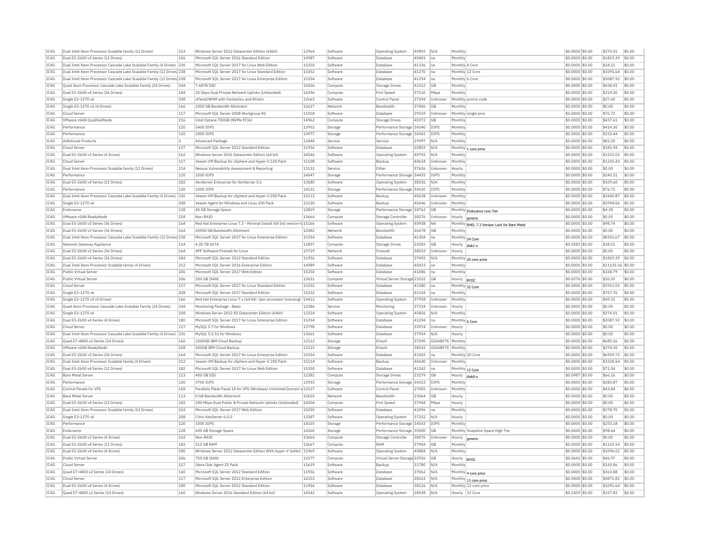| IC4G         | Dual Intel Xeon Processor Scalable family (12 Drives)                   | 214        | Windows Server 2012 Datacenter Edition (64bit)                                              | 12964          | Software             | <b>Operating System</b>             | 40892          | N/A              | Monthly        |                                              | \$0.0000 \$0.00                    |                 | \$274.01              | \$0.00           |
|--------------|-------------------------------------------------------------------------|------------|---------------------------------------------------------------------------------------------|----------------|----------------------|-------------------------------------|----------------|------------------|----------------|----------------------------------------------|------------------------------------|-----------------|-----------------------|------------------|
| TCAG         | Dual E5-2600 v3 Series (12 Drives)                                      | 156        | Microsoft SOL Server 2016 Standard Edition                                                  | 14987          | Software             | Database                            | 40401          | Ina              | Monthly        |                                              | \$0,0000 \$0,00                    |                 | \$1819.39             | \$0.00           |
| IC4G         | Dual Intel Xeon Processor Cascade Lake Scalable Family (4 Drives) 236   |            | Microsoft SOL Server 2017 for Linux Web Edition                                             | 15350          | Software             | Database                            | 41236          | na               | Monthly 4 Core |                                              | \$0,0000 \$0,00                    |                 | \$24.11               | \$0.00           |
| IC4G         | Dual Intel Xeon Processor Cascade Lake Scalable Family (12 Drives 238   |            | Microsoft SOL Server 2017 for Linux Standard Edition                                        | 15352          | Software             | Database                            | 41270          | Ina              |                | Monthly 12 Core                              | \$0.0000 \$0.00                    |                 | \$1091.64             | \$0.00           |
| IC4G         | Dual Intel Xeon Processor Cascade Lake Scalable Family (12 Drives 238   |            | Microsoft SQL Server 2017 for Linux Enterprise Edition                                      | 15354          | Software             | Database                            | 41294          | na               | Monthly 6 Core |                                              | \$0,0000 \$0,00                    |                 | \$2087.92             | \$0.00           |
| IC4G         | Ouad Xeon Processor Cascade Lake Scalable Family (24 Drives)            | 244        | 7.68TB SSD                                                                                  | 15506          | Compute              | Storage Drives                      | 41512          | GB               | Monthly        |                                              | \$0,0000 \$0.00                    |                 | \$438.41              | \$0.00           |
| IC4G         | Dual E5-2600 v4 Series (36 Drives)                                      | 184        | 10 Gbps Dual Private Network Uplinks (Unbonded)                                             | 14296          | Compute              | Port Speed                          | 37110          | Mbps             | Monthly        |                                              | \$0,0000 \$0,00                    |                 | \$219.20              | \$0.00           |
| IC4G         | Single E3-1270 v6                                                       | 208        | cPanel/WHM with Fantastico and RVskin                                                       | 12663          | Software             | Control Pane                        | 37394          | Unknown          |                | Monthly promo code                           | \$0.0000 \$0.00                    |                 | \$27.40               | \$0.00           |
| IC4G         | Single E3-1270 v3 (4 Drives)                                            | 166        | 1000 GB Bandwidth Allotment                                                                 | 12627          | Network              | <b>Bandwidth</b>                    | 37406          | GB               | Monthly        |                                              | \$0,0000 \$0,00                    |                 | \$0.00                | \$0.00           |
|              |                                                                         |            |                                                                                             | 11918          |                      |                                     |                |                  |                |                                              |                                    |                 |                       | \$0.00           |
| IC4G         | Cloud Server                                                            | 117        | Microsoft SOL Server 2008 Workgroup R2                                                      |                | Software             | Database                            | 29159          | Unknown          |                | Monthly single proc                          | \$0,0000 \$0.00                    |                 | \$76.72               |                  |
| IC4G         | VMware vSAN QualifiedNode                                               | 216        | Intel Optane 750GB (NVMe PCIe)                                                              | 14962          | Compute              | Storage Drives                      | 40372          | GB               | Monthly        |                                              | \$0,0000 \$0,00                    |                 | \$657.61              | \$0.00           |
| IC4G         | Performance                                                             | 120        | 5400 TOPS                                                                                   | 13952          | Storage              | Performance Storage 34340           |                | TOP5             | Monthly        |                                              | \$0,0000 \$0,00                    |                 | \$414.30              | \$0.00           |
| IC4G         | Performance                                                             | 120        | 2000 TOPS                                                                                   | 13977          | Storage              | Performance Storage 34365           |                | TOPS             | Monthly        |                                              | \$0.0000 \$0.00                    |                 | \$153.44              | \$0.00           |
| IC4G         | <b>Additional Products</b>                                              | o          | Advanced Package                                                                            | 11848          | Service              | Service                             | 19997          | N/A              | Monthly        |                                              | \$0.0000 \$0.00                    |                 | \$82.20               | \$0.00           |
| TC4G         | Cloud Server                                                            | 117        | Microsoft SOL Server 2012 Standard Edition                                                  | 11956          | Software             | Database                            | 22803          | N/A              |                | Monthly 1 core price                         | $$0.0000$ \$0.00                   |                 | \$181.94              | \$0.00           |
| TC4G         | Dual E5-2600 v3 Series (4 Drives)                                       | 162        | Windows Server 2016 Datacenter Edition (64 bit)                                             | 14546          | Software             | <b>Operating System</b>             | 40792          | N/A              | Monthly        |                                              | \$0.0000 \$0.00                    |                 | \$1233.02             | \$0.00           |
| IC4G         | Cloud Server                                                            | 117        | Veeam VM Backup for vSphere and Hyper-V 100 Pack                                            | 15108          | Software             | Backup                              | 40634          | Unknown          | Monthly        |                                              | \$0.0000 \$0.00                    |                 | \$1220.43             | \$0.00           |
| IC4G         | Dual Intel Xeon Processor Scalable family (12 Drives)                   | 214        | Nessus Vulnerability Assessment & Reporting                                                 | 13132          | Service              | Other                               | 37626          | Unknown          | Hourly         |                                              | \$0,0000 \$0,00                    |                 | \$0.00                | \$0.00           |
| IC4G         | Performance                                                             | 120        | 3200 IOPS                                                                                   | 14047          | Storage              | Performance Storage 34435           |                | IOPS             | Monthly        |                                              | \$0.0000 \$0.00                    |                 | \$245.51              | \$0.00           |
| IC4G         | Dual E5-2600 v4 Series (12 Drives)                                      | 182        | XenServer Enterprise for XenServer 5.6                                                      | 13680          | Software             | <b>Operating System</b>             | 38336          | N/A              | Monthly        |                                              | \$0.0000 \$0.00                    |                 | \$109.60              | \$0.00           |
| IC4G         | Performance                                                             | 120        | 1000 IOPS                                                                                   | 14132          | Storage              | Performance Storage 34520           |                | <b>TOPS</b>      | Monthly        |                                              | \$0.0000 \$0.00                    |                 | \$76.72               | \$0.00           |
| IC4G         | Dual Intel Xeon Processor Cascade Lake Scalable Family (4 Drives) 236   |            | Veeam VM Backup for vSphere and Hyper-V 200 Pack                                            | 15112          | Software             | Backup                              | 40638          | Unknown          | Monthly        |                                              | \$0.0000 \$0.00                    |                 | \$2440.87             | \$0.00           |
| IC4G         | Single E3-1270 v6                                                       | 208        | Veeam Agent for Windows and Linux 200 Pack                                                  | 15120          | Software             | Backup                              | 40646          | Unknown          | Monthly        |                                              | \$0,0000 \$0,00                    |                 | \$3994.06             | \$0.00           |
| IC4G         | Endurance                                                               | 128        | 40 GB Storage Space                                                                         | 13819          | Storage              | Performance Storage 34762           |                | GB               |                |                                              | \$0,0000 \$0,00                    |                 | \$4.38                | \$0.00           |
| IC4G         | VMware vSAN ReadvNode                                                   | 218        | Non-RAID                                                                                    | 13664          | Compute              | Storage Controller                  | 38276          | Unknown          | Hourly         | Monthly Endurance Low Tier                   | \$0,0000 \$0,00                    |                 | \$0.00                | \$0.00           |
| IC4G         | Dual E5-2600 v3 Series (36 Drives                                       | 164        | Red Hat Enterprise Linux 7.3 - Minimal Install (64 bit) version-                            | 15166          | Software             | Operating System                    | 40938          | <b>NA</b>        |                | generic                                      | \$0.0000 \$0.00                    |                 | \$98.74               | \$0.00           |
|              | Dual E5-2600 v3 Series (36 Drives)                                      | 164        | 20000 GB Bandwidth Allotment                                                                | 12082          |                      | Bandwidth                           |                | <b>GB</b>        | Monthly        | Monthly RHEL 7.3 Version Lock for Bare Metal |                                    |                 | \$0.00                | \$0.00           |
| IC4G         |                                                                         |            |                                                                                             |                | Network              |                                     | 26678          |                  |                |                                              | \$0.0000 \$0.00                    |                 |                       |                  |
| IC4G         | Dual Intel Xeon Processor Cascade Lake Scalable Family (12 Drives 238   |            | Microsoft SQL Server 2017 for Linux Enterprise Edition                                      | 15354          | Software             | Database                            | 41304          | na               |                | Monthly 24 Core                              | \$0,0000 \$0.00                    |                 | \$8351.67             | \$0.00           |
| IC4G         | Network Gateway Appliance                                               | 114        | 4.00 TB SATA                                                                                | 11897          | Compute              | Storage Drives                      | 22582          | GB               | Hourly         | disk1                                        | \$0.0583 \$0.00                    |                 | \$38.51               | \$0.00           |
| IC4G         | Dual E5-2600 v3 Series (36 Drives)                                      | 164        | APF Software Firewall for Linux                                                             | 13719          | Network              | Firewall                            | 38032          | Unknown          | Hourly         |                                              | \$0,0000 \$0.00                    |                 | \$0.00                | \$0.00           |
| IC4G         | Dual E5-2600 v4 Series (36 Drives)                                      | 184        | Microsoft SQL Server 2012 Standard Edition                                                  | 11956          | Software             | Database                            | 37492          | N/A              |                | Monthly 20 core price                        | \$0.0000 \$0.00                    |                 | \$1819.39             | \$0.00           |
| IC4G         | Dual Intel Xeon Processor Scalable family (4 Drives)                    | 212        | Microsoft SQL Server 2016 Enterprise Edition                                                | 14989          | Software             | Database                            | 40423          | na               | Monthly        |                                              | \$0.0000 \$0.00                    |                 | \$11135.56 \$0.00     |                  |
| TC4G         | Public Virtual Server                                                   | 206        | Microsoft SOL Server 2017 Web Edition                                                       | 15250          | Software             | Database                            | 41086          | Ina              | Monthly        |                                              | \$0,0000 \$0,00                    |                 | \$168.79              | \$0.00           |
| IC4G         | Public Virtual Server                                                   | 206        | 300 GB (SAN)                                                                                | 12631          | Compute              | Virtual Server Storage 23232        |                | GB               | Hourly  BYOC   |                                              | \$0,0276 \$0,00                    |                 | \$20.35               | \$0.00           |
| TCAG         | Cloud Server                                                            | 117        | Microsoft SOL Server 2017 for Linux Standard Edition                                        | 15352          | Software             | Database                            | 41280          | Ina              |                | Monthly 32 Core                              | \$0,0000 \$0,00                    |                 | \$2911.03             | \$0.00           |
|              |                                                                         |            |                                                                                             |                |                      |                                     | 41104          | Ina              | Monthly        |                                              |                                    | \$0.0000 \$0.00 | \$727.76              |                  |
| IC4G         | Single E3-1270 v6                                                       | 208        | Microsoft SQL Server 2017 Standard Edition                                                  | 15252          | Software             | Database                            |                |                  |                |                                              |                                    |                 |                       | \$0.00           |
| IC4G         | Single E3-1270 v3 (4 Drives)                                            | 166        | Red Hat Enterprise Linux 7.x (64 bit) (per-processor licensing)   14412                     |                | Software             | Operating System                    | 37958          | Unknown          | Monthly        |                                              | \$0.0000 \$0.00                    |                 | \$49.32               | \$0.00           |
| TC4G         | Quad Xeon Processor Cascade Lake Scalable Family (24 Drives)            | 244        | Monitoring Package - Basic                                                                  | 12386          | Service              | Monitoring                          | 37234          | Unknown          | Hourly         |                                              | \$0,0000 \$0.00                    |                 | \$0.00                | \$0.00           |
| TCAG         | Single E3-1270 v6                                                       | 208        | Windows Server 2012 R2 Datacenter Edition (64bit)                                           | 12324          | Software             | <b>Operating System</b>             | 40856          | N/A              | Monthly        |                                              | \$0.0000 \$0.00                    |                 | \$274.01              | \$0.00           |
| IC4G         | Dual E5-2600 v4 Series (4 Drives)                                       | 180        | Microsoft SQL Server 2017 for Linux Enterprise Edition                                      | 15354          | Software             | Database                            | 41294          | na               | Monthly 6 Core |                                              | \$0.0000 \$0.00                    |                 | \$2087.92             | \$0.00           |
| IC4G         | Cloud Server                                                            | 117        | MySQL 5.7 for Windows                                                                       | 13798          | Software             | Database                            | 33974          | Unknown          | Hourly         |                                              | \$0,0000 \$0.00                    |                 | \$0.00                | \$0.00           |
| IC4G         | Dual Intel Xeon Processor Cascade Lake Scalable Family (4 Drives)       | 236        | MySQL 5.0.51 for Windows                                                                    | 13661          | Software             | Database                            | 37934          | N/A              | Hourly         |                                              | \$0.0000 \$0.00                    |                 | \$0.00                | \$0.00           |
| IC4G         | Ouad E7-4800 v2 Series (24 Drives)                                      | 160        | 1500GB IBM Cloud Backup                                                                     | 12112          | Storage              | EVault                              | 37290          | GIGABYTE Monthly |                |                                              | \$0.0000 \$0.00                    |                 | \$685.26              | \$0.00           |
| IC4G         | VMware vSAN ReadvNode                                                   | 218        | 500GB IBM Cloud Backup                                                                      | 12115          | Storage              | EVault                              | 38532          | GIGABYTE Monthly |                |                                              | \$0.0000 \$0.00                    |                 | \$274.50              | \$0.00           |
| IC4G         | Dual E5-2600 v3 Series (36 Drives)                                      | 164        | Microsoft SQL Server 2017 for Linux Enterprise Edition                                      | 15354          | Software             | Database                            | 41302          | na               |                | Monthly 20 Core                              | \$0.0000 \$0.00                    |                 | \$6959.73             | \$0.00           |
| IC4G         | Dual Intel Xeon Processor Scalable family (4 Drives)                    | 212        | Veeam VM Backup for vSphere and Hyper-V 200 Pack                                            | 15114          | Software             | Backup                              | 40640          | Unknown          | Monthly        |                                              | \$0,0000 \$0,00                    |                 | \$3328.54             | \$0.00           |
| IC4G         | Dual E5-2600 v4 Series (12 Drives)                                      | 182        | Microsoft SOL Server 2017 for Linux Web Edition                                             | 15350          | Software             | Database                            | 41242          | na               |                |                                              |                                    |                 | \$72.34               | \$0.00           |
| IC4G         | <b>Bare Metal Server</b>                                                | 113        | 400 GB SSD                                                                                  | 12281          | Compute              | <b>Storage Drives</b>               | 23279          | <b>GB</b>        |                | Monthly 12 Core                              | \$0.0000 \$0.00<br>\$0,0987 \$0,00 |                 | \$66.16               | \$0.00           |
|              | Performance                                                             |            | 3700 TOPS                                                                                   | 13935          |                      |                                     |                |                  | Hourly         | disk <sub>0</sub> -                          |                                    |                 |                       |                  |
| IC4G         |                                                                         | 120        |                                                                                             |                | Storage              | Performance Storage 34323           |                | IOPS             | Monthly        |                                              | \$0,0000 \$0.00                    |                 | \$283.87              | \$0.00           |
| IC4G         | Control Panels for VPS                                                  | 118        | Parallels Plesk Panel 10 for VPS (Windows) Unlimited Domain v 13157                         |                | Software             | Control Panel                       | 27005          | Unknown          | Monthly        |                                              | \$0.0000 \$0.00                    |                 | \$43.84               | \$0.00           |
| IC4G         | <b>Bare Metal Server</b>                                                | 113        | 0 GB Bandwidth Allotment                                                                    | 12602          | Network              | Bandwidth                           | 23064          | GB               | Hourly         |                                              | \$0,0000 \$0.00                    |                 | \$0.00                | \$0.00           |
| IC4G         | Dual E5-2600 v4 Series (12 Drives)                                      | 182        | 100 Mbps Dual Public & Private Network Uplinks (Unbonded)                                   | 14304          | Compute              | Port Speed                          | 37944          | Mbps             | Hourly         |                                              | \$0,0000 \$0.00                    |                 | \$0.00                | \$0.00           |
| IC4G         | Dual Intel Xeon Processor Scalable family (12 Drives)                   | 214        | Microsoft SOL Server 2017 Web Edition                                                       | 15250          | Software             | Database                            | 41096          | Ina              | Monthly        |                                              | \$0,0000 \$0.00                    |                 | \$578.70              | \$0.00           |
| IC4G         | Single E3-1270 v6                                                       | 208        | Citrix XenServer 6.0.0                                                                      | 13387          | Software             | Operating System                    | 37252          | N/A              | Hourly         |                                              | \$0.0000 \$0.00                    |                 | \$0.00                | \$0.00           |
| IC4G         | Performance                                                             | 120        | 3300 IOPS                                                                                   | 14155          | Storage              | Performance Storage 34543           |                | <b>TOPS</b>      | Monthly        |                                              | \$0,0000 \$0.00                    |                 | \$253.18              | \$0.00           |
| TC4G         | Endurance                                                               | 128        | 600 GB Storage Space                                                                        | 14260          | Storage              | Performance Storage 35000           |                | GB               |                | Monthly Snapshot Space High Tie              | \$0,0000 \$0.00                    |                 | \$98.64               | \$0.00           |
| IC4G         | Dual E5-2600 v3 Series (4 Drives)                                       | 162        | Non-RAID                                                                                    | 13664          | Compute              | Storage Controller                  | 38276          | Unknown          | Hourly         | generic                                      | \$0,0000 \$0.00                    |                 | \$0.00                | \$0.00           |
| TC4G         | Dual E5-2600 v4 Series (12 Drives                                       | 182        | 512 GB RAM                                                                                  | 12667          | Compute              | RAM                                 | 37904          | GB               | Monthly        |                                              | \$0,0000 \$0.00                    |                 | \$1133.54             | \$0.00           |
| IC4G         | Dual E5-2600 v4 Series (4 Drives)                                       | 180        | Windows Server 2012 Datacenter Edition With Hyper-V (64bit) 11969                           |                | Software             | Operating System                    | 40884          | N/L              | Monthly        |                                              | \$0.0000 \$0.00                    |                 | \$1096.02             | \$0.00           |
| IC4G         | <b>Public Virtual Server</b>                                            | 206        | 750 GB (SAN)                                                                                | 12577          | Compute              | Virtual Server Storage 22926        |                | GB               | Hourly  BYOC   |                                              | \$0.0642 \$0.00                    |                 | \$46.97               | \$0.00           |
| TC4G         | Cloud Server                                                            | 117        | <b>Idera Disk Agent 25 Pack</b>                                                             | 13639          | Software             | Backup                              | 31780          | N/A              | Monthly        |                                              | \$0,0000 \$0.00                    |                 | \$143.86              | \$0.00           |
| TCAG         | Quad E7-4800 v2 Series (24 Drives)                                      | 160        | Microsoft SQL Server 2012 Standard Edition                                                  | 11956          | Software             | Database                            | 37062          | N/A              |                | Monthly 4 core price                         | \$0.0000 \$0.00                    |                 | \$363.88              | \$0.00           |
| IC4G         | Cloud Server                                                            | 117        | Microsoft SOL Server 2012 Enterprise Edition                                                | 12153          | Software             | Database                            | 28263          | N/A              |                | Monthly 13 core price                        | \$0,0000 \$0.00                    |                 | \$4871.81             | \$0.00           |
| IC4G<br>IC4G | Dual E5-2600 v4 Series (4 Drives)<br>Quad E7-4800 v2 Series (24 Drives) | 180<br>160 | Microsoft SQL Server 2012 Standard Edition<br>Windows Server 2016 Standard Edition (64 bit) | 11956<br>14542 | Software<br>Software | Database<br><b>Operating System</b> | 38126<br>38938 | N/A<br>N/A       |                | Monthly 12 core price<br>Hourly 32 Core      | \$0,0000 \$0.00<br>\$0.2459 \$0.00 |                 | \$1091.64<br>\$157.83 | \$0.00<br>\$0.00 |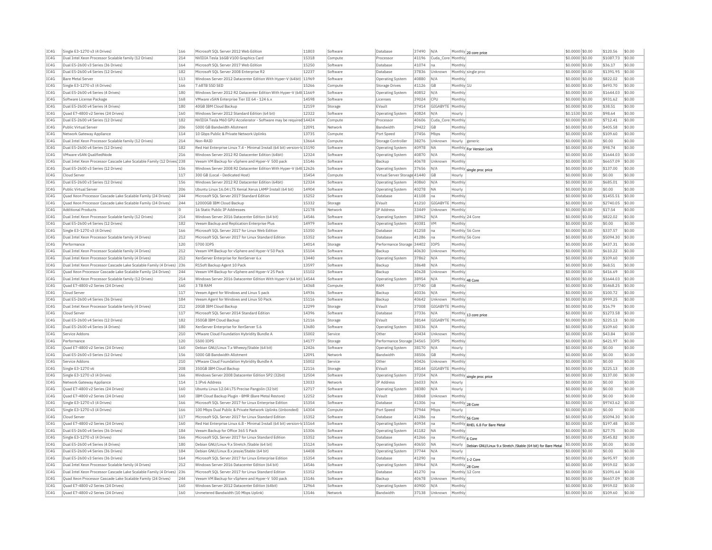| IC4G         | Single E3-1270 v3 (4 Drives)                                           | 166 | Microsoft SOL Server 2012 Web Edition                                    | 11803 | Software | Database                                         | 37490 | N/A               |                 | Monthly 20 core price                                                | \$0,0000 \$0.00                    | \$120.56            | \$0.00           |
|--------------|------------------------------------------------------------------------|-----|--------------------------------------------------------------------------|-------|----------|--------------------------------------------------|-------|-------------------|-----------------|----------------------------------------------------------------------|------------------------------------|---------------------|------------------|
| TC4G         | Dual Intel Xeon Processor Scalable family (12 Drives)                  | 214 | NVIDIA Tesla 16GB V100 Graphics Card                                     | 15318 | Compute  | Processo                                         | 41196 | Cuda_Core Monthly |                 |                                                                      | \$0.0000 \$0.00                    | \$1087.73           | \$0.00           |
| IC4G         | Dual E5-2600 v3 Series (36 Drives)                                     | 164 | Microsoft SOL Server 2017 Web Edition                                    | 15250 | Software | Database                                         | 41074 | Ina               | Monthly         |                                                                      | \$0,0000 \$0.00                    | \$36.17             | \$0.00           |
| IC4G         | Dual E5-2600 v4 Series (12 Drives)                                     | 182 | Microsoft SOL Server 2008 Enterprise R2                                  | 12237 | Software | Database                                         | 37836 | Unknown           |                 | Monthly single proc                                                  | \$0,0000 \$0.00                    | \$1391.95           | \$0.00           |
| IC4G         | <b>Bare Metal Server</b>                                               | 113 | Windows Server 2012 Datacenter Edition With Hyper-V (64bit) 11969        |       | Software | Operating System                                 | 40880 | N/A               | Monthly         |                                                                      | \$0,0000 \$0.00                    | \$822.02            | \$0.00           |
| IC4G         | Single E3-1270 v3 (4 Drives)                                           | 166 | 7.68TB SSD SED                                                           | 15266 | Compute  | <b>Storage Drives</b>                            | 41126 | <b>GB</b>         | Monthly 1L      |                                                                      | \$0.0000 \$0.00                    | \$493.70            | \$0.00           |
| TC4G         | Dual E5-2600 v4 Series (4 Drives)                                      | 180 | Windows Server 2012 R2 Datacenter Edition With Hyper-V (64t 11669        |       | Software | <b>Operating System</b>                          | 40852 | N/A               | Monthly         |                                                                      | \$0,0000 \$0.00                    | \$1644.03           | \$0.00           |
| TC4G         | Software License Package                                               | 168 | VMware vSAN Enterprise Tier III 64 - 124 6.x                             | 14598 | Software | Licenses                                         | 39024 | $ $ CPU           | Monthly         |                                                                      | \$0.0000 \$0.00                    | \$931.62            | \$0.00           |
| TC4G         | Dual E5-2600 v4 Series (4 Drives)                                      | 180 | 40GB TBM Cloud Backup                                                    | 12159 | Storage  | EVault                                           | 37414 | GIGABYTE Monthly  |                 |                                                                      | \$0,0000 \$0,00                    | \$38.51             | \$0.00           |
| TC4G         | Quad E7-4800 v2 Series (24 Drives)                                     | 160 | Windows Server 2012 Standard Edition (64 bit)                            | 12322 | Software | Operating System                                 | 40824 | N/A               | Hourly          |                                                                      | \$0,1530 \$0.00                    | \$98.64             | \$0.00           |
| TC4G         | Dual E5-2600 v4 Series (12 Drives)                                     | 182 | NVIDIA Tesla M60 GPU Accelerator - Software may be required 14424        |       | Compute  | Processo                                         | 40606 | Cuda Core Monthly |                 |                                                                      | \$0.0000 \$0.00                    | \$712.41            | \$0.00           |
| IC4G         | Public Virtual Server                                                  | 206 | 5000 GB Bandwidth Allotment                                              | 12091 | Network  | Bandwidth                                        | 29422 | GB                | Monthly         |                                                                      | \$0,0000 \$0.00                    | \$405.58            | \$0.00           |
| IC4G         | Network Gateway Appliance                                              | 114 | 10 Gbps Public & Private Network Uplinks                                 | 13735 | Compute  | Port Speed                                       | 37456 | Mbps              | Monthly         |                                                                      | \$0.0000 \$0.00                    | \$109.60            | \$0.00           |
| TC4G         | Dual Intel Xeon Processor Scalable family (12 Drives)                  | 214 | Non-RATO                                                                 | 13664 | Compute  | Storage Controller                               | 38276 | Unknown           | Hourly generic  |                                                                      | $$0.0000$ \$0.00                   | \$0.00              | \$0.00           |
| IC4G         | Dual E5-2600 v4 Series (12 Drives)                                     | 182 | Red Hat Enterprise Linux 7.4 - Minimal Install (64 bit) version-lo 15190 |       | Software | <b>Operating System</b>                          | 40978 | <b>NA</b>         |                 |                                                                      | \$0.0000 \$0.00                    | \$98.74             | \$0.00           |
| TC4G         | VMware vSAN QualifiedNode                                              | 216 | Windows Server 2012 R2 Datacenter Edition (64bit)                        | 12324 | Software | Operating System                                 | 40870 | N/A               | Monthly         | Monthly For Version Lock                                             | $$0.0000$ \$0.00                   | \$1644.03           | \$0.00           |
| IC4G         | Dual Intel Xeon Processor Cascade Lake Scalable Family (12 Drives) 238 |     | Veeam VM Backup for vSphere and Hyper-V 500 pack                         | 15146 | Software | Backup                                           | 40678 | Unknown           | Monthly         |                                                                      | \$0.0000 \$0.00                    | \$6657.09           | \$0.00           |
| IC4G         | Dual E5-2600 v3 Series (12 Drives)                                     | 156 | Windows Server 2008 R2 Datacenter Edition With Hyper-V (64t 12626        |       | Software |                                                  | 37656 | N/A               |                 |                                                                      |                                    | \$137.00            | \$0.00           |
| IC4G         | Cloud Server                                                           | 117 | 300 GB (Local - Dedicated Host)                                          | 15454 | Compute  | Operating System<br>Virtual Server Storage 41440 |       | <b>GB</b>         | Hourly          | Monthly single proc price                                            | \$0.0000 \$0.00<br>\$0,0000 \$0.00 | \$0.00              | \$0.00           |
|              |                                                                        |     |                                                                          |       |          |                                                  |       |                   |                 |                                                                      |                                    |                     | sin nn           |
| TC4G         | Dual E5-2600 v3 Series (12 Drives)                                     | 156 | Windows Server 2012 R2 Datacenter Edition (64bit)                        | 12324 | Software | Operating System                                 | 40860 | $N/\Delta$        | Monthly         |                                                                      | \$0.0000 \$0.00                    | \$685.01            |                  |
| IC4G         | Public Virtual Server                                                  | 206 | Ubuntu Linux 16.04 LTS Xenial Xerus LAMP Install (64 bit)                | 14904 | Software | <b>Operating System</b>                          | 40278 | <b>NA</b>         | Hourly          |                                                                      | \$0.0000 \$0.00                    | \$0.00              | \$0.00           |
| IC4G         | Ouad Xeon Processor Cascade Lake Scalable Family (24 Drives)           | 244 | Microsoft SOL Server 2017 Standard Edition                               | 15252 | Software | Database                                         | 41108 | Ina               | Monthly         |                                                                      | \$0.0000 \$0.00                    | \$1455.51           | \$0.00           |
| TC4G         | Quad Xeon Processor Cascade Lake Scalable Family (24 Drives)           | 244 | 12000GB TBM Cloud Backup                                                 | 15332 | Storage  | FVault                                           | 41210 | GIGARYTE          | Monthly         |                                                                      | \$0.0000 \$0.00                    | \$2740.05           | \$0.00           |
| IC4G         | <b>Additional Products</b>                                             | 0   | 16 Static Public IP Addresses                                            | 12178 | Network  | <b>TP Address</b>                                | 33449 | Unknown           | Monthly         |                                                                      | \$0.0000 \$0.00                    | \$17.54             | \$0.00           |
| TC4G         | Dual Intel Xeon Processor Scalable family (12 Drives)                  | 214 | Windows Server 2016 Datacenter Edition (64 bit)                          | 14546 | Software | Operating System                                 | 38962 | N/A               |                 | Monthly 24 Core                                                      | \$0,0000 \$0.00                    | \$822.02            | \$0.00           |
| IC4G         | Dual E5-2600 v4 Series (12 Drives)                                     | 182 | Veeam Backup and Replication Enterprise Plus                             | 14979 | Software | Operating System                                 | 40381 | <b>VM</b>         | Monthly         |                                                                      | \$0,0000 \$0.00                    | \$0.00              | \$0.00           |
| IC4G         | Single E3-1270 v3 (4 Drives)                                           | 166 | Microsoft SQL Server 2017 for Linux Web Edition                          | 15350 | Software | Database                                         | 41258 | lna               |                 | Monthly 56 Core                                                      | \$0,0000 \$0.00                    | \$337.57            | \$0.00           |
| IC4G         | Dual Intel Xeon Processor Scalable family (4 Drives)                   | 212 | Microsoft SOL Server 2017 for Linux Standard Edition                     | 15352 | Software | Database                                         | 41286 | Ina               | Monthly 56 Core |                                                                      | \$0.0000 \$0.00                    | \$5094.30           | \$0.00           |
| TC4G         | Performance                                                            | 120 | 5700 TOPS                                                                | 14014 | Storage  | Performance Storage 34402                        |       | <b>TOPS</b>       | Monthly         |                                                                      | $$0.0000$ \$0.00                   | \$437.31            | \$0.00           |
| IC4G         | Dual Intel Xeon Processor Scalable family (4 Drives)                   | 212 | Veeam VM Backup for vSphere and Hyper-V 50 Pack                          | 15104 | Software | Backup                                           | 40630 | Unknown           | Monthly         |                                                                      | \$0.0000 \$0.00                    | \$610.22            | \$0.00           |
| TC4G         | Dual Intel Xeon Processor Scalable family (4 Drives)                   | 212 | XenServer Enterprise for XenServer 6.x                                   | 13440 | Software | <b>Operating System</b>                          | 37862 | N/A               | Monthly         |                                                                      | \$0,0000 \$0,00                    | \$109.60            | \$0.00           |
| IC4G         | Dual Intel Xeon Processor Cascade Lake Scalable Family (4 Drives)      | 236 | R1Soft Backup Agent 10 Pack                                              | 13597 | Software | Backur                                           | 38648 | N/A               | Monthly         |                                                                      | \$0,0000 \$0.00                    | \$68.51             | \$0.00           |
| IC4G         | Quad Xeon Processor Cascade Lake Scalable Family (24 Drives)           | 244 | Veeam VM Backup for vSphere and Hyper-V 25 Pack                          | 15102 | Software | Backup                                           | 40628 | Unknown           | Monthly         |                                                                      | \$0,0000 \$0.00                    | \$416.69            | \$0.00           |
| IC4G         | Dual Intel Xeon Processor Scalable family (12 Drives)                  | 214 | Windows Server 2016 Datacenter Edition With Hyper-V (64 bit) 14544       |       | Software | Operating System                                 | 38954 | N/A               |                 | Monthly 48 Core                                                      | \$0.0000 \$0.00                    | \$1644.03           | \$0.00           |
|              |                                                                        |     |                                                                          |       |          |                                                  |       |                   |                 |                                                                      |                                    |                     |                  |
| TC4G         | Ouad E7-4800 v2 Series (24 Drives)                                     | 160 | 3 TR RAM                                                                 | 14368 | Compute  | RAM                                              | 37740 | <b>GB</b>         | Monthly         |                                                                      | \$0,0000 \$0.00                    | \$5468.25           | \$0.00           |
| IC4G         | Cloud Server                                                           | 117 |                                                                          | 14936 | Software | Backup                                           |       | N/A               | Monthly         |                                                                      |                                    | \$100.72            | \$0.00           |
|              |                                                                        |     | Veeam Agent for Windows and Linux 5 pack                                 |       |          |                                                  | 40336 |                   |                 |                                                                      | \$0.0000 \$0.00                    |                     |                  |
| IC4G<br>TC4G | Dual E5-2600 v4 Series (36 Drives)                                     | 184 | Veeam Agent for Windows and Linux 50 Pack<br>20GB TBM Cloud Backup       | 15116 | Software | Backup                                           | 40642 | Unknown           | Monthly         |                                                                      | \$0.0000 \$0.00                    | \$999.25<br>\$16.79 | \$0.00<br>\$0.00 |
|              | Dual Intel Xeon Processor Scalable family (4 Drives)                   | 212 |                                                                          | 12299 | Storage  | EVault                                           | 37008 | GIGABYTE          | Monthly         |                                                                      | \$0.0000 \$0.00                    |                     |                  |
| IC4G         | Cloud Serve                                                            | 117 | Microsoft SQL Server 2014 Standard Edition                               | 14396 | Software | <b>Databas</b>                                   | 37336 | N/A               |                 | Monthly 13 core price                                                | \$0.0000 \$0.00                    | \$1273.58           | \$0.00           |
| IC4G         | Dual E5-2600 v4 Series (12 Drives)                                     | 182 | 350GB IBM Cloud Backup                                                   | 12116 | Storage  | EVault                                           | 38144 | GIGABYTE          | Monthly         |                                                                      | \$0,0000 \$0.00                    | \$225.13            | \$0.00           |
| IC4G         | Dual E5-2600 v4 Series (4 Drives)                                      | 180 | XenServer Enterprise for XenServer 5.6                                   | 13680 | Software | Operating System                                 | 38336 | N/A               | Monthl          |                                                                      | \$0.0000 \$0.00                    | \$109.60            | \$0.00           |
| IC4G         | Service Addons                                                         | 210 | VMware Cloud Foundation Hybridity Bundle A                               | 15002 | Service  | Other                                            | 40434 | Unknown           | Monthly         |                                                                      | \$0,0000 \$0,00                    | \$43.84             | \$0.00           |
| IC4G         | Performance                                                            | 120 | 5500 IOPS                                                                | 14177 | Storage  | Performance Storage 34565                        |       | IOPS              | Monthly         |                                                                      | \$0,0000 \$0.00                    | \$421.97            | \$0.00           |
| TC4G         | Quad E7-4800 v2 Series (24 Drives)                                     | 160 | Debian GNU/Linux 7.x Wheezy/Stable (64 bit)                              | 12426 | Software | Operating System                                 | 38170 | N/A               | Hourly          |                                                                      | \$0,0000 \$0.00                    | \$0.00              | \$0.00           |
| IC4G         | Dual E5-2600 v3 Series (12 Drives)                                     | 156 | 5000 GB Bandwidth Allotment                                              | 12091 | Network  | Bandwidtl                                        | 38506 | GB                | Monthly         |                                                                      | \$0,0000 \$0.00                    | \$0.00              | \$0.00           |
| TC4G         | Service Addons                                                         | 210 | VMware Cloud Foundation Hybridity Bundle A                               | 15002 | Service  | Other                                            | 40426 | Unknown           | Monthly         |                                                                      | \$0,0000 \$0,00                    | \$0.00              | \$0.00           |
| TC4G         | Single E3-1270 v6                                                      | 208 | 350GB IBM Cloud Backup                                                   | 12116 | Storage  | FVault                                           | 38144 | GIGARYTE          | Monthly         |                                                                      | \$0.0000 \$0.00                    | \$225.13            | \$0.00           |
| IC4G         | Single E3-1270 v3 (4 Drives)                                           | 166 | Windows Server 2008 Datacenter Edition SP2 (32bit)                       | 12504 | Software | Operating System                                 | 37204 | N/A               |                 |                                                                      | \$0.0000 \$0.00                    | \$137.00            | \$0.00           |
| TC4G         | Network Gateway Appliance                                              | 114 | 1 TPv6 Address                                                           | 13033 | Network  | IP Address                                       | 26033 | N/A               | Hourly          | Monthly single proc price                                            | \$0,0000 \$0.00                    | \$0.00              | \$0.00           |
| TC4G         | Ouad E7-4800 v2 Series (24 Drives)                                     | 160 | Ubuntu Linux 12.04 LTS Precise Pangolin (32 bit)                         | 12717 | Software | Operating System                                 | 38380 | N/A               | Hourly          |                                                                      | $$0.0000$ \$0.00                   | \$0.00              | \$0.00           |
| IC4G         | Quad E7-4800 v2 Series (24 Drives)                                     | 160 | IBM Cloud Backup Plugin - BMR (Bare Metal Restore)                       | 12252 | Software | EVault                                           | 38068 | Unknown           | Monthly         |                                                                      | \$0.0000 \$0.00                    | \$0.00              | \$0.00           |
| IC4G         | Single E3-1270 v3 (4 Drives)                                           | 166 | Microsoft SQL Server 2017 for Linux Enterprise Edition                   | 15354 | Software | Database                                         | 41306 | na                |                 | Monthly 28 Core                                                      | \$0.0000 \$0.00                    | \$9743.62           | \$0.00           |
| TCAG         | Single E3-1270 v3 (4 Drives)                                           | 166 | 100 Mbps Dual Public & Private Network Uplinks (Unbonded)                | 14304 | Compute  | Port Speed                                       | 37944 | Mbps              | Hourly          |                                                                      | \$0.0000 \$0.00                    | \$0.00              | \$0.00           |
| IC4G         | Cloud Serve                                                            | 117 | Microsoft SQL Server 2017 for Linux Standard Edition                     | 15352 | Software | Database                                         | 41286 | na                |                 |                                                                      | \$0.0000 \$0.00                    | \$5094.30           | \$0.00           |
| IC4G         | Ouad E7-4800 v2 Series (24 Drives)                                     | 160 | Red Hat Enterprise Linux 6.8 - Minimal Install (64 bit) version-Id 15164 |       | Software | <b>Operating System</b>                          | 40934 | Ina               |                 | Monthly 56 Core                                                      | \$0,0000 \$0.00                    | \$197.48            | \$0.00           |
| IC4G         | Dual E5-2600 v4 Series (36 Drives)                                     | 184 | Veeam Backup for Office 365 5 Pack                                       | 15306 | Software | Operating System                                 | 41182 | <b>NA</b>         | Monthly         | Monthly RHEL 6.8 For Bare Metal                                      | \$0.0000 \$0.00                    | \$27.75             | \$0.00           |
| IC4G         | Single E3-1270 v3 (4 Drives)                                           | 166 | Microsoft SOL Server 2017 for Linux Standard Edition                     | 15352 | Software | Database                                         | 41266 | <b>I</b> na       |                 |                                                                      | \$0,0000 \$0.00                    | \$545.82            | \$0.00           |
| IC4G         | Dual E5-2600 v4 Series (4 Drives)                                      | 180 | Debian GNU/Linux 9.x Stretch /Stable (64 bit                             | 15124 | Software | <b>Operating System</b>                          | 40650 | <b>NA</b>         | Monthly 6 Core  |                                                                      | \$0.0000 \$0.00                    | \$0.00              | \$0.00           |
| TC4G         | Dual E5-2600 v4 Series (36 Drives)                                     | 184 | Debian GNU/Linux 8.x iessie/Stable (64 bit)                              | 14408 | Software |                                                  | 37744 | N/A               | Hourly          | Hourly  Debian GNU/Linux 9.x Stretch /Stable (64 bit) for Bare Metal | \$0,0000 \$0.00                    | \$0.00              | \$0.00           |
|              |                                                                        |     |                                                                          |       |          | <b>Operating System</b>                          |       |                   |                 |                                                                      |                                    |                     |                  |
| IC4G         | Dual E5-2600 v3 Series (36 Drives)                                     | 164 | Microsoft SQL Server 2017 for Linux Enterprise Edition                   | 15354 | Software | Database                                         | 41290 | Ina               |                 | Monthly 1-2 Core                                                     | \$0.0000 \$0.00                    | \$695.97            | \$0.00           |
| TC4G         | Dual Intel Xeon Processor Scalable family (4 Drives)                   | 212 | Windows Server 2016 Datacenter Edition (64 bit)                          | 14546 | Software | <b>Operating System</b>                          | 38964 | N/A               |                 | Monthly 28 Core                                                      | \$0,0000 \$0,00                    | \$959.02            | \$0.00           |
| TC4G         | Dual Intel Xeon Processor Cascade Lake Scalable Family (4 Drives)      | 236 | Microsoft SQL Server 2017 for Linux Standard Edition                     | 15352 | Software | Database                                         | 41270 | Ina               |                 | Monthly 12 Core                                                      | \$0.0000 \$0.00                    | \$1091.64           | \$0.00           |
| IC4G         | Quad Xeon Processor Cascade Lake Scalable Family (24 Drives)           | 244 | Veeam VM Backup for vSphere and Hyper-V 500 pack                         | 15146 | Software | Rackup                                           | 40678 | <b>Ilnknown</b>   | Monthl          |                                                                      | \$0.0000 \$0.00                    | \$6657.09           | \$0.00           |
| TC4G         | Quad E7-4800 v2 Series (24 Drives)                                     | 160 | Windows Server 2012 Datacenter Edition (64bit)                           | 12964 | Software | Operating System                                 | 40900 | N/A               | Monthly         |                                                                      | \$0,0000 \$0.00                    | \$959.02            | \$0.00           |
| TCAG         | Ouad E7-4800 v2 Series (24 Drives)                                     | 160 | Unmetered Bandwidth (10 Mbps Uplink                                      | 13146 | Network  | <b>Bandwidth</b>                                 |       | 37138 Unknown     | Monthly         |                                                                      | $$0.0000$ \$0.00                   | \$109.60            | \$0.00           |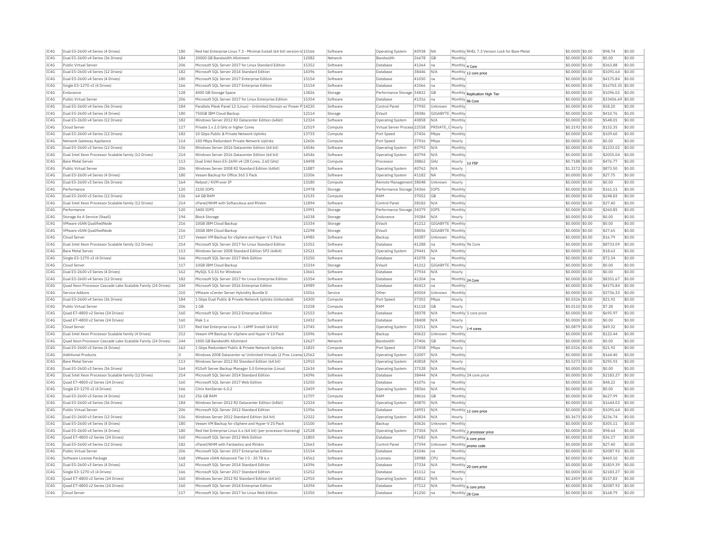| IC4G         | Dual E5-2600 v4 Series (4 Drives)                             | 180        | Red Hat Enterprise Linux 7.3 - Minimal Install (64 bit) version-ld 15166                |                | Software | <b>Operating System</b>      | 40938          | NA               | Monthly RHEL 7.3 Version Lock for Bare Metal | \$0.0000 \$0.00                     | \$98.74               | \$0.00           |
|--------------|---------------------------------------------------------------|------------|-----------------------------------------------------------------------------------------|----------------|----------|------------------------------|----------------|------------------|----------------------------------------------|-------------------------------------|-----------------------|------------------|
| TC4G         | Dual E5-2600 v4 Series (36 Drives)                            | 184        | 20000 GB Bandwidth Allotment                                                            | 12082          | Network  | <b>Bandwidth</b>             | 26678 GB       |                  | Monthly                                      | \$0,0000 \$0.00                     | \$0.00                | \$0.00           |
| IC4G         | Public Virtual Server                                         | 206        | Microsoft SOL Server 2017 for Linux Standard Edition                                    | 15352          | Software | Database                     | 41264          | Ina              | Monthly 4 Core                               | \$0,0000 \$0.00                     | \$363.88              | \$0.00           |
| IC4G         | Dual E5-2600 v4 Series (12 Drives)                            | 182        | Microsoft SOL Server 2014 Standard Edition                                              | 14396          | Software | Database                     | 38446          | N/A              | Monthly 12 core price                        | \$0,0000 \$0.00                     | \$1091.64             | $ $ \$0.00       |
| IC4G         | Dual E5-2600 v4 Series (4 Drives)                             | 180        | Microsoft SQL Server 2017 Enterprise Edition                                            | 15154          | Software | Database                     | 41050          | na               | Monthly                                      | \$0,0000 \$0.00                     | \$4175.84             | \$0.00           |
| IC4G         | Single E3-1270 v3 (4 Drives)                                  | 166        | Microsoft SQL Server 2017 Enterprise Edition                                            | 15154          | Software | Database                     | 41066          | na               | Monthly                                      | \$0,0000 \$0.00                     | \$16703.35 \$0.00     |                  |
| IC4G         | Endurance                                                     | 128        | 4000 GB Storage Space                                                                   | 13826          | Storage  | Performance Storage 34832    |                | <b>GB</b>        |                                              | $$0.0000$ \$0.00                    | \$1096.02 \$0.00      |                  |
| IC4G         | Public Virtual Server                                         | 206        | Microsoft SQL Server 2017 for Linux Enterprise Edition                                  | 15354          | Software | Database                     | 41316          | na               | Monthly Replication High Tier                | \$0.0000 \$0.00                     | \$33406.69 \$0.00     |                  |
| IC4G         | Dual E5-2600 v4 Series (36 Drives)                            | 184        | Parallels Plesk Panel 12 (Linux) - Unlimited Domain w/ Power P 14220                    |                | Software | Control Panel                | 37950          | Unknown          | Monthly 96 Core<br>Monthly                   | \$0,0000 \$0.00                     | \$58.20               | \$0.00           |
|              | Dual E5-2600 v4 Series (4 Drives)                             |            |                                                                                         |                |          |                              | 38386          | GIGARYTE Monthly |                                              |                                     | \$410.76              | \$0.00           |
| TC4G         |                                                               | 180        | 750GB TBM Cloud Backup                                                                  | 12114          | Storage  | FVault                       |                |                  |                                              | \$0,0000 \$0.00                     |                       |                  |
| IC4G         | Dual E5-2600 v4 Series (12 Drives)                            | 182        | Windows Server 2012 R2 Datacenter Edition (64bit)                                       | 12324          | Software | Operating System             | 40858          | N/f              | Monthly                                      | \$0,0000 \$0.00                     | \$548.01              | \$0.00           |
| IC4G         | Cloud Server                                                  | 117        | Private 1 x 2.0 GHz or higher Cores                                                     | 12519          | Compute  | Virtual Server Process 22558 |                | PRIVATE C Hourly |                                              | \$0,2192 \$0.00                     | \$152.35              | \$0.00           |
| IC4G         | Dual E5-2600 v4 Series (12 Drives)                            | 182        | 10 Gbps Public & Private Network Uplinks                                                | 13735          | Compute  | Port Speed                   | 37456          | Mbps             | Monthly                                      | \$0.0000 \$0.00                     | \$109.60              | \$0.00           |
| IC4G         | Network Gateway Appliance                                     | 114        | 100 Mbps Redundant Private Network Uplinks                                              | 12606          | Compute  | Port Speed                   | 37916          | Mbps             | Hourly                                       | \$0.0000 \$0.00                     | \$0.00                | \$0.00           |
| TCAG         | Dual E5-2600 v3 Series (12 Drives                             | 156        | Windows Server 2016 Datacenter Edition (64 bit)                                         | 14546          | Software | Operating System             | 40792          | N/A              | Monthly                                      | $$0.0000$ \$0.00                    | \$1233.02             | \$0.00           |
| TCAG         | Dual Intel Xeon Processor Scalable family (12 Drives)         | 214        | Windows Server 2016 Datacenter Edition (64 bit)                                         | 14546          | Software | <b>Operating System</b>      | 40794          | N/A              | Monthly                                      | \$0.0000 \$0.00                     | \$2055.04             | \$0.00           |
| IC4G         | <b>Bare Metal Server</b>                                      | 113        | Dual Intel Xeon E5-2690 v4 (28 Cores, 2.60 GHz)                                         | 14498          | Compute  | Processor                    | 38862          | GHz              | Hourly<br>1U FSE                             | \$0.7188 \$0.00                     | \$476.77              | \$0.00           |
| IC4G         | Public Virtual Server                                         | 206        | Windows Server 2008 R2 Standard Edition (64bit)                                         | 11887          | Software | Operating System             | 40762          | N/A              | Hourly                                       | \$1,3172 \$0.00                     | \$873.50              | \$0.00           |
| IC4G         | Dual E5-2600 v4 Series (4 Drives)                             | 180        | Veeam Backup for Office 365 5 Pack                                                      | 15306          | Software | <b>Operating System</b>      | 41182          | NA               | Monthly                                      | \$0.0000 \$0.00                     | \$27.75               | \$0.00           |
| IC4G         | Dual E5-2600 v3 Series (36 Drives                             | 164        | Reboot / KVM over IP                                                                    | 13180          | Compute  | Remote Management 38048      |                | Unknown          | Hourly                                       | \$0.0000 \$0.00                     | \$0.00                | \$0.00           |
| IC4G         | Performance                                                   | 120        | 2100 IOPS                                                                               | 13978          | Storage  | Performance Storage 34366    |                | IOPS             | Monthly                                      | \$0.0000 \$0.00                     | \$161.11              | \$0.00           |
| IC4G         | Dual E5-2600 v3 Series (12 Drives)                            | 156        | 64 GB RAM                                                                               | 12135          | Compute  | RAM                          | 37052          | GB               | Monthly                                      | \$0,0000 \$0.00                     | \$248.83              | \$0.00           |
| IC4G         | Dual Intel Xeon Processor Scalable family (12 Drives)         | 214        | cPanel/WHM with Softaculous and RVskin                                                  | 11894          | Software | Control Panel                | 38182          | N/A              | Monthly                                      | \$0,0000 \$0.00                     | \$27.40               | \$0.00           |
| IC4G         | Performance                                                   | 120        | 3400 IOPS                                                                               | 13991          |          | Performance Storage 34379    |                | IOPS             | Monthly                                      | \$0,0000 \$0.00                     | \$260.85              | \$0.00           |
|              |                                                               | 194        |                                                                                         |                | Storage  |                              |                |                  |                                              |                                     |                       |                  |
| IC4G         | Storage As A Service (StaaS)                                  |            | <b>Block Storage</b>                                                                    | 14238          | Storage  | Endurance                    | 39284          | N/A              | Hourly                                       | \$0,0000 \$0,00                     | \$0.00                | \$0.00           |
| IC4G         | VMware vSAN OualifiedNode                                     | 216        | 10GB IBM Cloud Backup                                                                   | 15334          | Storage  | EVault                       | 41212          | GIGABYTE         | Monthly                                      | \$0,0000 \$0.00                     | \$0.00                | \$0.00           |
| IC4G         | VMware vSAN OualifiedNode                                     | 216        | 30GB IBM Cloud Backup                                                                   | 12298          | Storage  | EVault                       | 38056          | GIGABYTE Monthly |                                              | \$0,0000 \$0.00                     | \$27.65               | \$0.00           |
| IC4G         | Cloud Server                                                  | 117        | Veeam VM Backup for vSphere and Hyper-V 1 Pack                                          | 14985          | Software | Backup                       | 40387          | Unknown          | Monthly                                      | \$0.0000 \$0.00                     | \$16.79               | \$0.00           |
| IC4G         | Dual Intel Xeon Processor Scalable family (12 Drives)         | 214        | Microsoft SQL Server 2017 for Linux Standard Edition                                    | 15352          | Software | Database                     | 41288          | na               | Monthly 96 Core                              | \$0,0000 \$0.00                     | \$8733.09             | \$0.00           |
| IC4G         | <b>Bare Metal Server</b>                                      | 113        | Windows Server 2008 Standard Edition SP2 (64bit)                                        | 12521          | Software | Operating System             | 29441          | N/A              | Monthly                                      | \$0,0000 \$0.00                     | \$18.63               | \$0.00           |
| IC4G         | Single E3-1270 v3 (4 Drives)                                  | 166        | Microsoft SQL Server 2017 Web Edition                                                   | 15250          | Software | Database                     | 41078          | na               | Monthly                                      | \$0.0000 \$0.00                     | \$72.34               | \$0.00           |
| IC4G         | Cloud Server                                                  | 117        | 10GB IBM Cloud Backup                                                                   | 15334          | Storage  | EVault                       | 41212          | GIGABYTE         | Monthly                                      | \$0,0000 \$0.00                     | \$0.00                | \$0.00           |
| TC4G         | Dual E5-2600 v3 Series (4 Drives)                             | 162        | MySOL 5.0.51 for Windows                                                                | 13661          | Software | Database                     | 37934          | N/A              | Hourly                                       | $$0.0000$ \$0.00                    | \$0.00                | \$0.00           |
| IC4G         | Dual E5-2600 v4 Series (12 Drives                             | 182        | Microsoft SQL Server 2017 for Linux Enterprise Edition                                  | 15354          | Software | Database                     | 41304          | Ina              | Monthly 24 Core                              | \$0,0000 \$0.00                     | \$8351.67             | \$0.00           |
| IC4G         | Ouad Xeon Processor Cascade Lake Scalable Family (24 Drives)  | 244        | Microsoft SOL Server 2016 Enterprise Edition                                            | 14989          | Software | Database                     | 40413          | Ina              | Monthly                                      | \$0,0000 \$0.00                     | \$4175.84             | \$0.00           |
| IC4G         | Service Addons                                                | 210        | VMware vCenter Server Hybridity Bundle D                                                | 15016          | Service  | Other                        | 40504          | Unknown          | Monthly                                      | \$0.0000 \$0.00                     | \$3736.33             | \$0.00           |
| IC4G         | Dual E5-2600 v4 Series (36 Drives)                            | 184        | 1 Gbps Dual Public & Private Network Uplinks (Unbonded)                                 | 14300          | Compute  | Port Speed                   | 37302          | Mbps             | Hourly                                       | \$0.0326 \$0.00                     | \$21.92               | \$0.00           |
| TCAG         | Public Virtual Server                                         | 206        | 1 GB                                                                                    | 15258          | Compute  | RAM                          | 41118          | G <sub>R</sub>   | Hourly                                       | \$0,0110 \$0.00                     | \$7.28                | \$0.00           |
| TCAG         | Quad E7-4800 v2 Series (24 Drives)                            | 160        | Microsoft SQL Server 2012 Enterprise Edition                                            | 12153          | Software | Database                     | 38378          | N/A              | Monthly 1 core price                         | \$0.0000 \$0.00                     | \$695.9               | \$0.00           |
| IC4G         | Quad E7-4800 v2 Series (24 Drives)                            | 160        | Riak 1 y                                                                                | 12432          | Software | Database                     | 38408          | N/A              | Hourly                                       | \$0.0000 \$0.00                     | \$0.00                | \$0.00           |
| IC4G         | Cloud Server                                                  | 117        | Red Hat Enterprise Linux 5 - LAMP Install (64 bit)                                      | 13745          | Software |                              | 33211          | N/A              |                                              | \$0,0879 \$0,00                     | \$49.32               | \$0.00           |
|              |                                                               |            |                                                                                         | 15096          |          | <b>Operating System</b>      |                |                  | Hourly<br>1-4 cores                          |                                     | \$122.44              |                  |
| IC4G         | Dual Intel Xeon Processor Scalable family (4 Drives)          | 212        | Veeam VM Backup for vSphere and Hyper-V 10 Pack                                         |                | Software | Backup                       | 40622          | Unknown          | Monthly                                      | \$0.0000 \$0.00                     |                       | \$0.00           |
| IC4G         | Ouad Xeon Processor Cascade Lake Scalable Family (24 Drives)  | 244        | 1000 GB Bandwidth Allotment                                                             | 12627          | Network  | Bandwidth                    | 37406          | <b>GB</b>        | Monthly                                      | \$0.0000 \$0.00                     | \$0.00                | \$0.00           |
| IC4G         | Dual E5-2600 v3 Series (4 Drives)                             | 162        | 1 Gbps Redundant Public & Private Network Uplinks                                       | 11825          | Compute  | Port Speed                   | 37458          | Mbps             | Hourly                                       | \$0.0326 \$0.00                     | \$21.92               | \$0.00           |
| IC4G         | <b>Additional Products</b>                                    | lo.        | Windows 2008 Datacenter w/ Unlimited Virtuals (2 Proc Licens 12562                      |                | Software | <b>Operating System</b>      | 32007          | N/A              | Monthly                                      | \$0,0000 \$0.00                     | \$164.40              | \$0.00           |
| IC4G         | <b>Bare Metal Server</b>                                      | 113        | Windows Server 2012 R2 Standard Edition (64 bit)                                        | 12910          | Software | <b>Operating System</b>      | 40818          | N/A              | Hourly                                       | \$0,5273 \$0.00                     | \$295.93              | \$0.00           |
| IC4G         | Dual E5-2600 v3 Series (36 Drives)                            | 164        | R1Soft Server Backup Manager 5.0 Enterprise (Linux)                                     | 12634          | Software | <b>Operating System</b>      | 37528          | N/A              | Monthly                                      | \$0,0000 \$0.00                     | \$0.00                | \$0.00           |
| IC4G         | Dual Intel Xeon Processor Scalable family (12 Drives)         | 214        | Microsoft SOL Server 2014 Standard Edition                                              | 14396          | Software | Database                     | 38444          | N/A              | Monthly 24 core price                        | \$0,0000 \$0,00                     | \$2183.27             | $ $ \$0.00       |
| IC4G         | Quad E7-4800 v2 Series (24 Drives)                            | 160        | Microsoft SQL Server 2017 Web Edition                                                   | 15250          | Software | Database                     | 41076          | Ina              | Monthly                                      | \$0,0000 \$0.00                     | \$48.22               | \$0.00           |
| IC4G         | Single E3-1270 v3 (4 Drives)                                  | 166        | Citrix XenServer 6.0.2                                                                  | 13459          | Software | Operating System             | 38366          | N/A              | Monthly                                      | \$0.0000 \$0.00                     | \$0.00                | \$0.00           |
| IC4G         | Dual E5-2600 v3 Series (4 Drives)                             | 162        | 256 GB RAM                                                                              | 11707          | Compute  | RAM                          | 38616          | GB               | Monthly                                      | \$0,0000 \$0.00                     | \$627.99              | \$0.00           |
| IC4G         | Dual E5-2600 v4 Series (36 Drives)                            | 184        | Windows Server 2012 R2 Datacenter Edition (64bit)                                       | 12324          | Software | <b>Operating System</b>      | 40870          | N/A              | Monthly                                      | \$0,0000 \$0.00                     | \$1644.03             | \$0.00           |
| TC4G         | Public Virtual Server                                         | 206        | Microsoft SOL Server 2012 Standard Edition                                              | 11956          | Software | Database                     | 24951          | N/A              | Monthly 12 core price                        | $$0.0000$ \$0.00                    | \$1091.64             | \$0.00           |
| IC4G         | Dual E5-2600 v3 Series (12 Drives)                            | 156        | Windows Server 2012 Standard Edition (64 bit)                                           | 12322          | Software | Operating System             | 40834          | N/A              | Hourly                                       | \$0.3673 \$0.00                     | \$236.74              | \$0.00           |
| IC4G         | Dual E5-2600 v4 Series (4 Drives)                             | 180        | Veeam VM Backup for vSphere and Hyper-V 25 Pack                                         | 15100          | Software | Backup                       | 40626          | Unknown          | Monthly                                      | \$0,0000 \$0.00                     | \$305.11              | \$0.00           |
| TC4G         | Dual E5-2600 v4 Series (4 Drives)                             | 180        | Red Hat Enterprise Linux 6.x (64 bit) (per-processor licensing)   12528                 |                | Software | <b>Operating System</b>      | 37304          | N/A              | Monthly 2 processor price                    | $$0.0000$ \$0.00                    | \$98.64               | \$0.00           |
| IC4G         | Quad E7-4800 v2 Series (24 Drives)                            | 160        | Microsoft SQL Server 2012 Web Edition                                                   | 11803          | Software | Database                     | 37682          | N/A              | Monthly 6 core price                         | \$0,0000 \$0.00                     | \$36.17               | \$0.00           |
| IC4G         | Dual E5-2600 v4 Series (12 Drives)                            | 182        | cPanel/WHM with Fantastico and RVskin                                                   | 12663          | Software | Control Panel                | 37394          | Unknown          |                                              | \$0,0000 \$0.00                     | \$27.40               | \$0.00           |
| IC4G         | Public Virtual Server                                         | 206        | Microsoft SQL Server 2017 Enterprise Edition                                            | 15154          | Software | Database                     | 41046          | na               | Monthly promo code<br>Monthly                | \$0.0000 \$0.00                     | \$2087.92             | \$0.00           |
|              |                                                               |            |                                                                                         |                |          |                              |                |                  |                                              |                                     |                       |                  |
| IC4G<br>TCAG | Software License Package<br>Dual E5-2600 v3 Series (4 Drives) | 168<br>162 | VMware vSAN Advanced Tier I 0 - 20 TB 6.x<br>Microsoft SOL Server 2014 Standard Edition | 14562<br>14396 | Software | Licenses                     | 38988<br>37334 | CPU              | Monthly                                      | \$0.0000 \$0.00<br>$$0.0000$ \$0.00 | \$469.10<br>\$1819.39 | \$0.00<br>\$0.00 |
|              |                                                               |            |                                                                                         |                | Software | Database                     |                | N/A              | Monthly 20 core price                        |                                     |                       |                  |
| TCAG         | Single E3-1270 v3 (4 Drives)                                  | 166        | Microsoft SQL Server 2017 Standard Edition                                              | 15252          | Software | Database                     | 41112          | na               | Monthly                                      | \$0.0000 \$0.00                     | \$2183.27             | \$0.00           |
| IC4G         | Quad E7-4800 v2 Series (24 Drives)                            | 160        | Windows Server 2012 R2 Standard Edition (64 bit)                                        | 12910          | Software | <b>Operating System</b>      | 40812          | N/A              | Hourly                                       | \$0,2459 \$0.00                     | \$157.83              | \$0.00           |
| IC4G         | Quad E7-4800 v2 Series (24 Drives)                            | 160        | Microsoft SQL Server 2014 Enterprise Edition                                            | 14394          | Software | Database                     | 37112          | N/A              | Monthly 6 core price                         | \$0,0000 \$0.00                     | \$2087.92             | \$0.00           |
| IC4G         | Cloud Server                                                  | 117        | Microsoft SQL Server 2017 for Linux Web Editior                                         | 15350          | Software | Database                     | 41250          | na               | Monthly 28 Core                              | \$0.0000 \$0.00                     | \$168.79              | \$0.00           |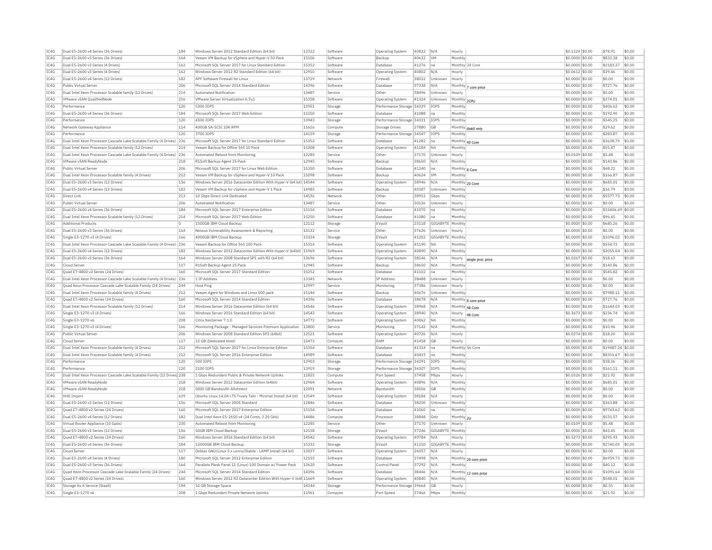| IC4G         | Dual E5-2600 v4 Series (36 Drives)                                    | 184        | Windows Server 2012 Standard Edition (64 bit)                      | 12322          | Software           | Operating System                        | 40822 | N/A              | Hourly            |                       | \$0,1224 \$0.00                    | \$78.91           | \$0.00           |
|--------------|-----------------------------------------------------------------------|------------|--------------------------------------------------------------------|----------------|--------------------|-----------------------------------------|-------|------------------|-------------------|-----------------------|------------------------------------|-------------------|------------------|
| IC4G         | Dual E5-2600 v3 Series (36 Drives)                                    | 164        | Veeam VM Backup for vSphere and Hyper-V 50 Pack                    | 15106          | Software           | Backup                                  | 40632 | <b>VM</b>        | Monthly           |                       | \$0,0000 \$0.00                    | \$832.38          | \$0.00           |
| IC4G         | Dual E5-2600 v3 Series (4 Drives)                                     | 162        | Microsoft SQL Server 2017 for Linux Standard Edition               | 15352          | Software           | Database                                | 41276 | Ina              |                   | Monthly 24 Core       | \$0,0000 \$0.00                    | \$2183.27         | \$0.00           |
| IC4G         | Dual E5-2600 v3 Series (4 Drives)                                     | 162        | Windows Server 2012 R2 Standard Edition (64 bit)                   | 12910          | Software           | Operating System                        | 40802 | N/A              | Hourly            |                       | \$0.0612 \$0.00                    | \$39.46           | \$0.00           |
| TCAG         | Dual E5-2600 v4 Series (12 Drives)                                    | 182        | APF Software Firewall for Linux                                    | 13719          | Network            | Firewall                                | 38032 | Unknown          | Hourly            |                       | \$0,0000 \$0.00                    | \$0.00            | \$0.00           |
| IC4G         | Public Virtual Server                                                 | 206        | Microsoft SQL Server 2014 Standard Edition                         | 14396          | Software           | Database                                | 37338 | N/A              |                   | Monthly 7 core price  | \$0.0000 \$0.00                    | \$727.76          | \$0.00           |
| IC4G         | Dual Intel Xeon Processor Scalable family (12 Drives)                 | 214        | Automated Notification                                             | 13487          | Service            | Other                                   | 38496 | Unknown          | Hourly            |                       | \$0,0000 \$0.00                    | \$0.00            | \$0.00           |
| TCAG         | <b>VMware vSAN QualifiedNode</b>                                      | 216        | VMware Server Virtualization 6.7u1                                 | 15358          | Software           | Operating System                        | 41324 | Unknown          | Monthly 2CPU      |                       | \$0,0000 \$0.00                    | \$274.01          | \$0.00           |
| IC4G         | Performance                                                           | 120        | 5300 IOPS                                                          | 13951          | Storage            | Performance Storage 34339               |       | IOPS             | Monthly           |                       | \$0,0000 \$0.00                    | \$406.62          | \$0.00           |
| IC4G         | Dual E5-2600 v4 Series (36 Drives)                                    | 184        | Microsoft SOL Server 2017 Web Edition                              | 15250          | Software           | Database                                | 41088 | na               | Monthly           |                       | \$0,0000 \$0.00                    | \$192.90          | \$0.00           |
| TCAG         | Performance                                                           | 120        | 4500 TOPS                                                          | 13943          | Storage            | Performance Storage 34331               |       | <b>TOPS</b>      | Monthly           |                       | \$0.0000 \$0.00                    | \$345.25          | \$0.00           |
| IC4G         | Network Gateway Appliance                                             | 114        | 400GB SA-SCSI 10K RPM                                              | 11616          | Compute            | <b>Storage Drives</b>                   | 27880 | GB               |                   | Monthly disk0 only    | \$0.0000 \$0.00                    | \$29.62           | \$0.00           |
| IC4G         | Performance                                                           | 120        | 3700 IOPS                                                          | 14159          | Storage            | Performance Storage 34547               |       | IOPS             | Monthly           |                       | \$0,0000 \$0.00                    | \$283.87          | \$0.00           |
| IC4G         | Dual Intel Xeon Processor Cascade Lake Scalable Family (4 Drives) 236 |            | Microsoft SOL Server 2017 for Linux Standard Edition               | 15352          | Software           | Database                                | 41282 | na               |                   | Monthly 40 Core       | \$0,0000 \$0.00                    | \$3638.79         | \$0.00           |
| IC4G         | Dual Intel Xeon Processor Scalable family (12 Drives)                 | 214        | Veeam Backup for Office 365 10 Pack                                | 15308          | Software           | <b>Operating System</b>                 | 41184 | <b>NA</b>        | Monthly           |                       | \$0,0000 \$0,00                    | \$55.47           | \$0.00           |
| IC4G         | Dual Intel Xeon Processor Cascade Lake Scalable Family (4 Drives) 236 |            | Automated Reboot from Monitoring                                   | 12285          | Service            | Other                                   | 37170 | Unknown          | Hourly            |                       | \$0,0109 \$0.00                    | \$5.48            | \$0.00           |
| IC4G         | VMware vSAN ReadyNode                                                 | 218        | R1Soft Backup Agent 25 Pack                                        | 12945          | Software           | Backup                                  | 38650 | N/A              | Monthly           |                       | \$0.0000 \$0.00                    | \$143.86          | \$0.00           |
| IC4G         | Public Virtual Server                                                 | 206        | Microsoft SOL Server 2017 for Linux Web Edition                    | 15350          | Software           | Database                                | 41240 | Ina              |                   | Monthly 8 Core        | \$0.0000 \$0.00                    | \$48.22           | \$0.00           |
| IC4G         | Dual Intel Xeon Processor Scalable family (4 Drives)                  | 212        | Veeam VM Backup for vSphere and Hyper-V 10 Pack                    | 15098          | Software           | Backup                                  | 40624 | <b>VM</b>        | Monthly           |                       | \$0,0000 \$0.00                    | \$166.87          | \$0.00           |
| IC4G         | Dual E5-2600 v3 Series (12 Drives)                                    | 156        | Windows Server 2016 Datacenter Edition With Hyper-V (64 bit) 14544 |                | Software           | Operating System                        | 38946 | N/A              |                   | Monthly 20 Core       | \$0,0000 \$0.00                    | \$685.01          | \$0.00           |
| IC4G         | Dual E5-2600 v4 Series (12 Drives)                                    | 182        | Veeam VM Backup for vSphere and Hyper-V 1 Pack                     | 14985          | Software           | Backup                                  | 40387 | Unknown          | Monthly           |                       | \$0.0000 \$0.00                    | \$16.79           | \$0.00           |
| IC4G         | Direct Link                                                           | 213        | 10 Gbps Direct Link Dedicated                                      | 14536          | Network            | Other                                   | 38912 | Gbps             | Monthly           |                       | \$0,0000 \$0.00                    | \$5577.73         | \$0.00           |
| TC4G         | Public Virtual Server                                                 | 206        | <b>Automated Notification</b>                                      | 13487          | Service            | Other                                   | 30126 | Unknown          | Hourly            |                       | \$0,0000 \$0.00                    | \$0.00            | \$0.00           |
| TC4G         | Dual E5-2600 v4 Series (36 Drives)                                    | 184        | Microsoft SQL Server 2017 Enterprise Edition                       | 15154          | Software           | Database                                | 41070 | na               | Monthly           |                       | \$0.0000 \$0.00                    | \$33406.69 \$0.00 |                  |
| IC4G         | Dual Intel Xeon Processor Scalable family (12 Drives)                 | 214        | Microsoft SOL Server 2017 Web Edition                              | 15250          | Software           | Database                                | 41080 | na               | Monthly           |                       | \$0,0000 \$0.00                    | \$96.45           | \$0.00           |
| IC4G         | <b>Additional Products</b>                                            |            | 1500GB TBM Cloud Backup                                            | 12112          | Storage            | EVault                                  | 23118 | GIGABYTE Monthly |                   |                       | \$0.0000 \$0.00                    | \$685.26          | \$0.00           |
|              |                                                                       |            |                                                                    |                |                    |                                         |       |                  |                   |                       |                                    |                   |                  |
| IC4G         | Dual E5-2600 v3 Series (36 Drives)                                    | 164        | Nessus Vulnerability Assessment & Reporting                        | 13132          | Service            | Other                                   | 37626 | Unknown          | Hourly            |                       | \$0.0000 \$0.00                    | \$0.00            | \$0.00           |
| TCAG         | Single E3-1270 v3 (4 Drives)                                          | 166        | 4000GB TBM Cloud Backup                                            | 15324          | Storage            | FVault                                  | 41202 | GIGARYTE Monthly |                   |                       | \$0,0000 \$0.00                    | \$1096.02         | \$0.00           |
| TC4G         | Dual Intel Xeon Processor Cascade Lake Scalable Family (4 Drives)     | 236        | Veeam Backup for Office 365 100 Pack                               | 15314          | Software           | <b>Operating System</b>                 | 41190 | NA               | Monthly           |                       | \$0.0000 \$0.00                    | \$554.72          | \$0.00           |
| IC4G         | Dual E5-2600 v4 Series (12 Drives)                                    | 182        | Windows Server 2012 Datacenter Edition With Hyper-V (64bit) 11969  |                | Software           | Operating System                        | 40890 | N/A              | Monthly           |                       | $$0.0000$ $$0.00$                  | \$2055.04         | \$0.00           |
| IC4G         | Dual E5-2600 v3 Series (36 Drives)                                    | 164        | Windows Server 2008 Standard SP1 with R2 (64 bit)                  | 13696          | Software           | Operating System                        | 38146 | N/A              | Hourly            | single proc price     | \$0,0267 \$0,00                    | \$18.63           | \$0.00           |
| IC4G         | Cloud Server                                                          | 117        | R1Soft Backup Agent 25 Pack                                        | 12945          | Software           | Backup                                  | 38650 | N/A              | Monthly           |                       | \$0.0000 \$0.00                    | \$143.86          | \$0.00           |
| IC4G         | Ouad E7-4800 v2 Series (24 Drives)                                    | 160        | Microsoft SOL Server 2017 Standard Edition                         | 15252          | Software           | Database                                | 41102 | Ina              | Monthly           |                       | \$0,0000 \$0,00                    | \$545.82          | \$0.00           |
| IC4G         | Dual Intel Xeon Processor Cascade Lake Scalable Family (4 Drives)     | 236        | 1 IP Address                                                       | 13345          | Network            | IP Address                              | 38488 | Unknown          | Hourly            |                       | \$0,0000 \$0.00                    | \$0.00            | \$0.00           |
| IC4G         | Quad Xeon Processor Cascade Lake Scalable Family (24 Drives)          | 244        | Host Ping                                                          | 12997          | Service            | Monitoring                              | 37386 | Unknown          | Hourly            |                       | \$0.0000 \$0.00                    | \$0.00            | \$0.00           |
| IC4G         | Dual Intel Xeon Processor Scalable family (4 Drives)                  | 212        | Veeam Agent for Windows and Linux 500 pack                         | 15144          | Software           | Backup                                  | 40676 | Unknown          | Monthly           |                       | \$0,0000 \$0.00                    | \$7988.11         | \$0.00           |
| IC4G         | Quad E7-4800 v2 Series (24 Drives)                                    | 160        | Microsoft SOL Server 2014 Standard Edition                         | 14396          | Software           | Database                                | 38678 | N/A              |                   | Monthly 8 core price  | \$0,0000 \$0.00                    | \$727.76          | \$0.00           |
| TCAG         | Dual Intel Xeon Processor Scalable family (12 Drives)                 | 214        | Windows Server 2016 Datacenter Edition (64 bit)                    | 14546          | Software           | Operating System                        | 38968 | N/A              |                   | Monthly 48 Core       | \$0,0000 \$0.00                    | \$1644.03         | \$0.00           |
| IC4G         | Single E3-1270 v3 (4 Drives)                                          | 166        | Windows Server 2016 Standard Edition (64 bit)                      | 14542          | Software           | Operating System                        | 38940 | N/A              |                   | Hourly 48 Core        | \$0.3673 \$0.00                    | \$236.74          | \$0.00           |
| IC4G         | Single E3-1270 v6                                                     | 208        | Citrix XenServer 7.1.0                                             | 14772          | Software           | Operating System                        | 40062 | <b>NA</b>        | Monthly           |                       | \$0.0000 \$0.00                    | \$0.00            | \$0.00           |
| TC4G         | Single E3-1270 v3 (4 Drives)                                          | 166        | Monitoring Package - Managed Services Premium Application          | 13800          | Service            | Monitoring                              | 37142 | N/A              | Monthly           |                       | \$0,0000 \$0.00                    | \$10.96           | \$0.00           |
| IC4G         | <b>Public Virtual Server</b>                                          | 206        | Windows Server 2008 Standard Edition SP2 (64bit)                   | 12521          | Software           | Operating System                        | 40726 | N/A              | Hourly            |                       | \$0,0274 \$0,00                    | \$18.20           | \$0.00           |
| IC4G         | Cloud Server                                                          | 117        | 32 GB (Dedicated Host)                                             | 15472          | Compute            | RAM                                     | 41458 | <b>GB</b>        | Hourly            |                       | \$0,0000 \$0.00                    | \$0.00            | \$0.00           |
| IC4G         | Dual Intel Xeon Processor Scalable family (4 Drives)                  | 212        | Microsoft SQL Server 2017 for Linux Enterprise Edition             | 15354          | Software           | Database                                | 41314 | Ina              |                   | Monthly 56 Core       | \$0.0000 \$0.00                    | \$19487.24 \$0.00 |                  |
| IC4G         | Dual Intel Xeon Processor Scalable family (4 Drives)                  | 212        | Microsoft SQL Server 2016 Enterprise Edition                       | 14989          | Software           | Database                                | 40419 | na               | Monthly           |                       | \$0.0000 \$0.00                    | \$8351.67         | \$0.00           |
| TC4G         | Performance                                                           | 120        | 500 TOPS                                                           | 13903          | Storage            | Performance Storage 34291               |       | <b>TOPS</b>      | Monthly           |                       | \$0,0000 \$0.00                    | \$38.36           | \$0.00           |
| IC4G         | Performance                                                           | 120        | 2100 IOPS                                                          | 13919          | Storage            | Performance Storage 34307               |       | IOPS             | Monthly           |                       | \$0,0000 \$0.00                    | \$161.11          | \$0.00           |
| IC4G         | Dual Intel Xeon Processor Cascade Lake Scalable Family (12 Drives 238 |            | 1 Gbps Redundant Public & Private Network Uplinks                  | 11825          | Compute            | Port Speed                              | 37458 | Mbps             | Hourly            |                       | \$0.0326 \$0.00                    | \$21.92           | \$0.00           |
| IC4G         | <b>VMware vSAN ReadvNode</b>                                          | 218        | Windows Server 2012 Datacenter Edition (64bit)                     | 12964          | Software           | Operating System                        | 40896 | N/A              | Monthly           |                       | \$0,0000 \$0.00                    | \$685.01          | \$0.00           |
| IC4G         | VMware vSAN ReadyNode                                                 | 218        | 5000 GB Bandwidth Allotment                                        | 12091          | Network            | Bandwidth                               | 38506 | GB               | Monthly           |                       | \$0.0000 \$0.00                    | \$0.00            | \$0.00           |
| IC4G         | <b>VHD Import</b>                                                     | 639        | Ubuntu Linux 14.04 LTS Trusty Tahr - Minimal Install (64 bit)      | 13549          | Software           | Operating System                        | 38184 | N/A              | Hourly            |                       | \$0,0000 \$0.00                    | \$0.00            | \$0.00           |
| IC4G         | Dual E5-2600 v3 Series (12 Drives)                                    | 156        | Microsoft SOL Server 2005 Standard                                 | 12846          | Software           | Database                                | 38250 | Unknown          | Monthly           |                       | \$0,0000 \$0.00                    | \$363.88          | \$0.00           |
| IC4G         | Quad E7-4800 v2 Series (24 Drives)                                    | 160        | Microsoft SOL Server 2017 Enterprise Edition                       | 15154          | Software           | Database                                | 41060 | na               | Monthly           |                       | \$0,0000 \$0,00                    | \$9743.62         | \$0.00           |
| IC4G         | Dual E5-2600 v4 Series (12 Drives)                                    | 182        | Dual Intel Xeon E5-2650 v4 (24 Cores, 2.20 GHz)                    | 14486          | Compute            | Processor                               | 38848 | GHz              | Monthly 2U        |                       | \$0.0000 \$0.00                    | \$531.57          | \$0.00           |
| IC4G         | Virtual Router Appliance (10 Gpbs)                                    | 230        | Automated Reboot from Monitoring                                   | 12285          | Service            | Other                                   | 37170 | Unknown          | Hourly            |                       | \$0.0109 \$0.00                    | \$5.48            | \$0.00           |
| IC4G         | Dual E5-2600 v3 Series (12 Drives)                                    | 156        | 50GB TBM Cloud Backup                                              | 12158          | Storage            | FVault                                  | 37246 | GIGARYTE Monthly |                   |                       | \$0,0000 \$0.00                    | \$43.45           | \$0.00           |
| IC4G         | Quad E7-4800 v2 Series (24 Drives)                                    | 160        | Windows Server 2016 Standard Edition (64 bit)                      | 14542          | Software           | Operating System                        | 40784 | N/A              | Hourly            |                       | \$0.5273 \$0.00                    | \$295.93          | \$0.00           |
|              |                                                                       | 184        | 12000GB TBM Cloud Backup                                           |                |                    |                                         |       |                  |                   |                       |                                    |                   | \$0.00           |
| IC4G         | Dual E5-2600 v4 Series (36 Drives)                                    |            |                                                                    | 15332          | Storage            | EVault                                  | 41210 | GIGABYTE Monthly |                   |                       | \$0,0000 \$0.00                    | \$2740.05         |                  |
| IC4G         | Cloud Server                                                          | 117        | Debian GNU/Linux 5.x Lenny/Stable - LAMP Install (64 bit)          | 13037          | Software           | Operating System                        | 26057 | N/A              | Hourly            |                       | \$0.0000 \$0.00                    | \$0.00            | \$0.00           |
| IC4G         | Dual E5-2600 v4 Series (4 Drives)                                     | 180        | Microsoft SQL Server 2012 Enterprise Edition                       | 12153          | Software           | Database                                | 37498 | N/A              |                   | Monthly 20 core price | \$0.0000 \$0.00                    | \$6959.73         | \$0.00           |
| TCAG         | Dual E5-2600 v3 Series (36 Drives)                                    | 164        | Parallels Plesk Panel 11 (Linux) 100 Domain w/ Power Pack          | 13620          | Software           | Control Panel                           | 37292 | N/A              | Monthly           |                       | \$0,0000 \$0.00                    | \$40.12           | \$0.00           |
| TC4G         |                                                                       |            |                                                                    |                |                    |                                         |       |                  |                   |                       |                                    |                   | \$0.00           |
|              | Quad Xeon Processor Cascade Lake Scalable Family (24 Drives)          | 244        | Microsoft SQL Server 2014 Standard Edition                         | 14396          | Software           | Database                                | 38446 | N/L              | Monthly           | 12 core price         | \$0.0000 \$0.00                    | \$1091.64         |                  |
| IC4G         | Quad E7-4800 v2 Series (24 Drives)                                    | 160        | Windows Server 2012 R2 Datacenter Edition With Hyper-V (64t 11669  |                | Software           | Operating System                        | 40840 | N/4              | Monthl            |                       | \$0,0000 \$0.00                    | \$548.01          | \$0.00           |
| IC4G<br>IC4G | Storage As A Service (StaaS)<br>Single E3-1270 v6                     | 194<br>208 | 10 GB Storage Space<br>1 Gbps Redundant Private Network Uplinks    | 14244<br>11961 | Storage<br>Compute | Performance Storage 39664<br>Port Speed | 37466 | GB<br>Mbps       | Hourly<br>Monthly |                       | \$0,0008 \$0.00<br>\$0.0000 \$0.00 | \$0.55<br>\$21.92 | \$0.00<br>\$0.00 |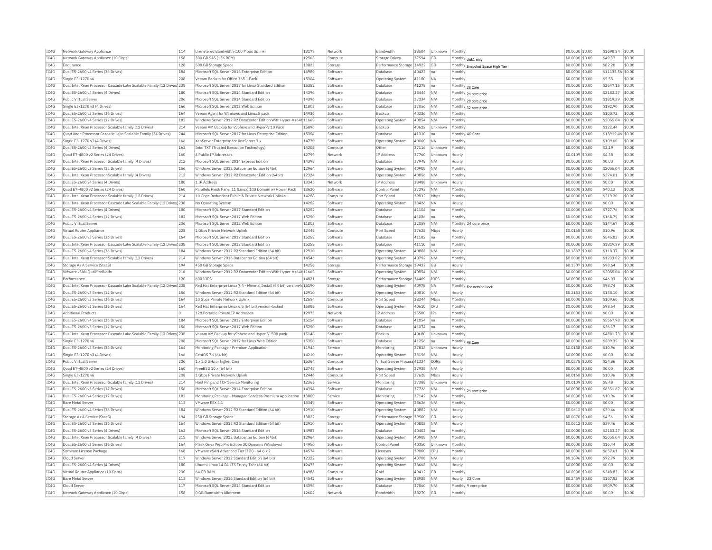| IC4G | Network Gateway Appliance                                              | 114         | Unmetered Bandwidth (100 Mbps Uplink)                                    | 13177          | Network  | Bandwidth                    | 38504 | Unknown   | Monthly         |                                  | \$0.0000 \$0.00  | \$1698.34          | \$0.00 |
|------|------------------------------------------------------------------------|-------------|--------------------------------------------------------------------------|----------------|----------|------------------------------|-------|-----------|-----------------|----------------------------------|------------------|--------------------|--------|
| IC4G | Network Gateway Appliance (10 Gbps)                                    | 158         | 300 GB SAS (15K RPM)                                                     | 12563          | Compute  | Storage Drives               | 37594 | GB        |                 | Monthly disk1 only               | \$0.0000 \$0.00  | \$49.37            | \$0.00 |
| IC4G | Endurance                                                              | 128         | 500 GB Storage Space                                                     | 13823          | Storage  | Performance Storage 34922    |       | GB        |                 | Monthly Snapshot Space High Tier | \$0.0000 \$0.00  | \$82.20            | \$0.00 |
| TC4G | Dual E5-2600 v4 Series (36 Drives)                                     | 184         | Microsoft SOL Server 2016 Enterprise Edition                             | 14989          | Software | Database                     | 40423 | Ina       | Monthly         |                                  | \$0,0000 \$0.00  | \$11135.56 \$0.00  |        |
| IC4G | Single E3-1270 v6                                                      | 208         | Veeam Backup for Office 365 1 Pack                                       | 15304          | Software | Operating System             | 41180 | <b>NA</b> | Monthly         |                                  | \$0.0000 \$0.00  | \$5.55             | \$0.00 |
| IC4G | Dual Intel Xeon Processor Cascade Lake Scalable Family (12 Drives) 238 |             | Microsoft SOL Server 2017 for Linux Standard Edition                     | 15352          | Software | Database                     | 41278 | na        | Monthly 28 Core |                                  | \$0.0000 \$0.00  | \$2547.15          | \$0.00 |
| IC4G | Dual E5-2600 v4 Series (4 Drives)                                      | 180         | Microsoft SQL Server 2014 Standard Edition                               | 14396          | Software | Database                     | 38444 | N/A       |                 | Monthly 24 core price            | \$0,0000 \$0,00  | \$2183.27          | \$0.00 |
| IC4G | Public Virtual Serve                                                   | 206         | Microsoft SOL Server 2014 Standard Edition                               | 14396          | Software | Database                     | 37334 | N/A       |                 | Monthly 20 core price            | \$0,0000 \$0,00  | \$1819.39          | \$0.00 |
| IC4G | Single E3-1270 v3 (4 Drives)                                           | 166         | Microsoft SOL Server 2012 Web Edition                                    | 11803          | Software | Database                     | 37056 | N/A       |                 |                                  | \$0,0000 \$0,00  | \$192.90           | \$0.00 |
| IC4G | Dual E5-2600 v3 Series (36 Drives)                                     | 164         | Veeam Agent for Windows and Linux 5 pack                                 | 14936          | Software | Backup                       | 40336 | N/A       | Monthly         | Monthly 32 core price            | \$0.0000 \$0.00  | \$100.72           | \$0.00 |
| IC4G | Dual E5-2600 v4 Series (12 Drives)                                     | 182         | Windows Server 2012 R2 Datacenter Edition With Hyper-V (64t 11669        |                | Software | Operating System             | 40854 | N/A       | Monthly         |                                  | \$0.0000 \$0.00  | \$2055.04          | \$0.00 |
| TC4G | Dual Intel Xeon Processor Scalable family (12 Drives)                  | 214         | Veeam VM Backup for vSphere and Hyper-V 10 Pack                          | 15096          | Software | Backup                       | 40622 | Unknown   | Monthly         |                                  | \$0,0000 \$0.00  | \$122.44           | \$0.00 |
| IC4G | Ouad Xeon Processor Cascade Lake Scalable Family (24 Drives)           | 244         | Microsoft SOL Server 2017 for Linux Enterprise Edition                   | 15354          | Software | Database                     | 41310 | na        |                 | Monthly 40 Core                  | \$0,0000 \$0,00  | \$13919.46 \$0.00  |        |
|      |                                                                        |             |                                                                          |                |          |                              |       |           |                 |                                  |                  |                    |        |
| IC4G | Single E3-1270 v3 (4 Drives)                                           | 166         | XenServer Enterprise for XenServer 7.x                                   | 14770<br>14208 | Software | Operating System             | 40060 | <b>NA</b> | Monthly         |                                  | \$0.0000 \$0.00  | \$109.60<br>\$2.19 | \$0.00 |
| IC4G | Dual E5-2600 v3 Series (4 Drives)                                      | 162         | Intel TXT (Trusted Execution Technology)                                 |                | Compute  | Other                        | 37116 | Unknown   | Monthly         |                                  | \$0.0000 \$0.00  |                    | \$0.00 |
| IC4G | Quad E7-4800 v2 Series (24 Drives)                                     | 160         | 4 Public IP Addresses                                                    | 12799          | Network  | IP Address                   | 37760 | Unknown   | Hourly          |                                  | \$0,0109 \$0.00  | \$4.38             | \$0.00 |
| IC4G | Dual Intel Xeon Processor Scalable family (4 Drives)                   | 212         | Microsoft SQL Server 2014 Express Edition                                | 14398          | Software | Database                     | 37948 | N/A       | Hourly          |                                  | \$0,0000 \$0,00  | \$0.00             | \$0.00 |
| IC4G | Dual E5-2600 v3 Series (12 Drives)                                     | 156         | Windows Server 2012 Datacenter Edition (64bit)                           | 12964          | Software | Operating System             | 40908 | N/A       | Monthly         |                                  | \$0.0000 \$0.00  | \$2055.04          | \$0.00 |
| IC4G | Dual Intel Xeon Processor Scalable family (4 Drives)                   | 212         | Windows Server 2012 R2 Datacenter Edition (64bit)                        | 12324          | Software | Operating System             | 40856 | N/A       | Monthly         |                                  | \$0,0000 \$0,00  | \$274.01           | \$0.00 |
| TC4G | Dual E5-2600 v4 Series (4 Drives)                                      | 180         | 1 IP Address                                                             | 13345          | Network  | IP Address                   | 38488 | Unknown   | Hourly          |                                  | \$0,0000 \$0.00  | \$0.00             | \$0.00 |
| IC4G | Ouad E7-4800 v2 Series (24 Drives                                      | 160         | Parallels Plesk Panel 11 (Linux) 100 Domain w/ Power Pack                | 13620          | Software | Control Pane                 | 37292 | N/A       | Monthly         |                                  | \$0.0000 \$0.00  | \$40.12            | \$0.00 |
| IC4G | Dual Intel Xeon Processor Scalable family (12 Drives)                  | 214         | 10 Gbns Redundant Public & Private Network Unlinks                       | 14288          | Compute  | Port Speed                   | 39832 | Mbps      | Monthly         |                                  | \$0,0000 \$0,00  | \$219.20           | \$0.00 |
| IC4G | Dual Intel Xeon Processor Cascade Lake Scalable Family (12 Drives) 238 |             | No Operating System                                                      | 14282          | Software | <b>Operating System</b>      | 38426 | <b>NA</b> | Hourly          |                                  | \$0.0000 \$0.00  | \$0.00             | \$0.00 |
| IC4G | Dual E5-2600 v4 Series (4 Drives)                                      | 180         | Microsoft SQL Server 2017 Standard Edition                               | 15252          | Software | Database                     | 41104 | Ina       | Monthly         |                                  | \$0.0000 \$0.00  | \$727.76           | \$0.00 |
| IC4G | Dual E5-2600 v4 Series (12 Drives)                                     | 182         | Microsoft SOL Server 2017 Web Edition                                    | 15250          | Software | Database                     | 41086 | Ina       | Monthly         |                                  | $$0.0000$ \$0.00 | \$168.79           | \$0.00 |
| IC4G | Public Virtual Server                                                  | 206         | Microsoft SQL Server 2012 Web Edition                                    | 11803          | Software | Database                     | 32059 | N/A       |                 | Monthly 24 core price            | \$0,0000 \$0,00  | \$144.67           | \$0.00 |
| IC4G | Virtual Router Appliance                                               | 228         | 1 Gbps Private Network Uplink                                            | 12446          | Compute  | Port Speed                   | 37628 | Mbps      | Hourly          |                                  | \$0.0168 \$0.00  | \$10.96            | \$0.00 |
| IC4G | Dual E5-2600 v3 Series (36 Drives)                                     | 164         | Microsoft SQL Server 2017 Standard Edition                               | 15252          | Software | Database                     | 41102 | na        | Monthly         |                                  | \$0.0000 \$0.00  | \$545.82           | \$0.00 |
| IC4G | Dual Intel Xeon Processor Cascade Lake Scalable Family (12 Drives 238  |             | Microsoft SQL Server 2017 Standard Edition                               | 15252          | Software | Database                     | 41110 | na        | Monthly         |                                  | \$0.0000 \$0.00  | \$1819.39          | \$0.00 |
| TC4G | Dual E5-2600 v4 Series (36 Drives)                                     | 184         | Windows Server 2012 R2 Standard Edition (64 bit                          | 12910          | Software | <b>Operating System</b>      | 40808 | N/A       | Hourly          |                                  | \$0.1837 \$0.00  | \$118.37           | \$0.00 |
| IC4G | Dual Intel Xeon Processor Scalable family (12 Drives)                  | 214         | Windows Server 2016 Datacenter Edition (64 bit)                          | 14546          | Software | Operating System             | 40792 | N/A       | Monthly         |                                  | \$0.0000 \$0.00  | \$1233.02          | \$0.00 |
| IC4G | Storage As A Service (StaaS)                                           | 194         | 450 GB Storage Space                                                     | 14258          | Storage  | Performance Storage 39432    |       | <b>GB</b> | Hourly          |                                  | \$0.1507 \$0.00  | \$98.64            | \$0.00 |
| IC4G | VMware vSAN OualifiedNode                                              | 216         | Windows Server 2012 R2 Datacenter Edition With Hyper-V (64t 11669        |                | Software | <b>Operating System</b>      | 40854 | N/A       | Monthly         |                                  | \$0,0000 \$0,00  | \$2055.04          | \$0.00 |
| IC4G | Performance                                                            | 120         | 600 IOPS                                                                 | 14021          | Storage  | Performance Storage          | 34409 | IOPS      | Monthly         |                                  | \$0.0000 \$0.00  | \$46.03            | \$0.00 |
| IC4G | Dual Intel Xeon Processor Cascade Lake Scalable Family (12 Drives 238  |             | Red Hat Enterprise Linux 7.4 - Minimal Install (64 bit) version-Id 15190 |                | Software | <b>Operating System</b>      | 40978 | <b>NA</b> |                 |                                  | \$0,0000 \$0,00  | \$98.74            | \$0.00 |
| IC4G | Dual E5-2600 v3 Series (12 Drives)                                     | 156         | Windows Server 2012 R2 Standard Edition (64 bit)                         | 12910          | Software | <b>Operating System</b>      | 40810 | N/A       | Hourly          | Monthly For Version Lock         | \$0.2153 \$0.00  | \$138.10           | \$0.00 |
| IC4G | Dual E5-2600 v3 Series (36 Drives)                                     | 164         | 10 Gbps Private Network Uplink                                           | 12654          | Compute  | Port Speed                   | 38344 | Mbps      | Monthly         |                                  | \$0.0000 \$0.00  | \$109.60           | \$0.00 |
| IC4G | Dual E5-2600 v3 Series (36 Drives)                                     | 164         | Red Hat Enterprise Linux 6.5 (64 bit) version-locked                     | 15086          | Software | Operating System             | 40610 | CPU       | Monthly         |                                  | \$0,0000 \$0.00  | \$98.64            | \$0.00 |
| IC4G | <b>Additional Products</b>                                             | $\mathbf 0$ | 128 Portable Private IP Addresses                                        | 12973          | Network  | IP Address                   | 25500 | IPs       | Monthly         |                                  | \$0.0000 \$0.00  | \$0.00             | \$0.00 |
| TC4G | Dual E5-2600 v4 Series (36 Drives)                                     | 184         | Microsoft SOL Server 2017 Enterprise Edition                             | 15154          |          | Database                     | 41054 | Ina       | Monthly         |                                  | \$0,0000 \$0,00  | \$5567.78          | \$0.00 |
|      |                                                                        |             |                                                                          |                | Software |                              |       |           |                 |                                  |                  |                    | \$0.00 |
| IC4G | Dual E5-2600 v3 Series (12 Drives)                                     | 156         | Microsoft SQL Server 2017 Web Edition                                    | 15250          | Software | Database                     | 41074 | Ina       | Monthly         |                                  | \$0.0000 \$0.00  | \$36.17            |        |
| IC4G | Dual Intel Xeon Processor Cascade Lake Scalable Family (12 Drives) 238 |             | Veeam VM Backup for vSphere and Hyper-V 500 pack                         | 15148          | Software | Backup                       | 40680 | Unknown   | Monthly         |                                  | \$0.0000 \$0.00  | \$4881.73          | \$0.00 |
| IC4G | Single E3-1270 v6                                                      | 208         | Microsoft SOL Server 2017 for Linux Web Edition                          | 15350          | Software | Database                     | 41256 | na        | Monthly 48 Core |                                  | \$0.0000 \$0.00  | \$289.35           | \$0.00 |
| IC4G | Dual E5-2600 v3 Series (36 Drives)                                     | 164         | Monitoring Package - Premium Application                                 | 11944          | Service  | Monitoring                   | 37838 | Unknown   | Hourly          |                                  | \$0.0158 \$0.00  | \$10.96            | \$0.00 |
| IC4G | Single E3-1270 v3 (4 Drives)                                           | 166         | CentOS 7.x (64 bit)                                                      | 14210          | Software |                              |       |           |                 |                                  |                  |                    | \$0.00 |
|      |                                                                        |             |                                                                          |                |          | Operating System             | 38196 | N/A       | Hourly          |                                  | \$0,0000 \$0.00  | \$0.00             |        |
| IC4G | Public Virtual Server                                                  | 206         | 1 x 2.0 GHz or higher Core                                               | 15364          | Compute  | Virtual Server Process 41334 |       | CORE      | Hourly          |                                  | \$0.0375 \$0.00  | \$24.86            | \$0.00 |
| IC4G | Quad E7-4800 v2 Series (24 Drives)                                     | 160         | FreeBSD 10.x (64 bit)                                                    | 12745          | Software | Operating System             | 37938 | N/A       | Hourly          |                                  | \$0,0000 \$0.00  | \$0.00             | \$0.00 |
| TC4G | Single E3-1270 v6                                                      | 208         | 1 Gbns Private Network Unlink                                            | 12446          | Compute  | Port Speed                   | 37628 | Mhns      | Hourly          |                                  | \$0,0168 \$0,00  | \$10.96            | \$0.00 |
| IC4G | Dual Intel Xeon Processor Scalable family (12 Drives)                  | 214         | Host Ping and TCP Service Monitoring                                     | 12365          | Service  | Monitoring                   | 37388 | Unknown   | Hourly          |                                  | \$0.0109 \$0.00  | \$5.48             | \$0.00 |
| IC4G | Dual E5-2600 v3 Series (12 Drives)                                     | 156         | Microsoft SQL Server 2014 Enterprise Edition                             | 14394          | Software | Database                     | 37726 | N/A       |                 |                                  | \$0,0000 \$0.00  | \$8351.67          | \$0.00 |
| IC4G | Dual E5-2600 v4 Series (12 Drives)                                     | 182         | Monitoring Package - Managed Services Premium Application                | 13800          | Service  | Monitoring                   | 37142 | N/A       | Monthly         | Monthly 24 core price            | \$0.0000 \$0.00  | \$10.96            | \$0.00 |
| IC4G | <b>Bare Metal Serve</b>                                                | 113         | VMware ESX 4.1                                                           | 13349          | Software | Operating System             | 28626 | N/A       | Monthly         |                                  | \$0,0000 \$0.00  | \$0.00             | \$0.00 |
| TC4G | Dual E5-2600 v4 Series (36 Drives)                                     | 184         | Windows Server 2012 R2 Standard Edition (64 bit)                         | 12910          | Software | <b>Operating System</b>      | 40802 | N/A       | Hourly          |                                  | \$0.0612 \$0.00  | \$39.46            | \$0.00 |
| IC4G | Storage As A Service (StaaS)                                           | 194         | 250 GB Storage Space                                                     | 13822          | Storage  | Performance Storage 39500    |       | GB        | Hourly          |                                  | \$0.0070 \$0.00  | \$4.56             | \$0.00 |
| IC4G | Dual E5-2600 v3 Series (36 Drives)                                     | 164         | Windows Server 2012 R2 Standard Edition (64 bit)                         | 12910          | Software | Operating System             | 40802 | N/A       | Hourly          |                                  | \$0.0612 \$0.00  | \$39.46            | \$0.00 |
| TC4G | Dual E5-2600 v3 Series (4 Drives)                                      | 162         | Microsoft SOL Server 2016 Standard Edition                               | 14987          | Software | Database                     | 40403 | Ina       | Monthly         |                                  | $$0.0000$ \$0.00 | \$2183.27          | \$0.00 |
| IC4G | Dual Intel Xeon Processor Scalable family (4 Drives)                   | 212         | Windows Server 2012 Datacenter Edition (64bit)                           | 12964          | Software | Operating System             | 40908 | N/A       | Monthly         |                                  | \$0,0000 \$0.00  | \$2055.04          | \$0.00 |
| TC4G | Dual E5-2600 v3 Series (36 Drives)                                     | 164         | Plesk Onyx Web Pro Edition 30 Domains (Windows)                          | 14950          | Software | Control Panel                | 40350 | Unknown   | Monthly         |                                  | \$0,0000 \$0.00  | \$16.44            | \$0.00 |
| IC4G | Software License Package                                               | 168         | VMware vSAN Advanced Tier II 20 - 64 6.x 2                               | 14574          | Software | Licenses                     | 39000 | CPU       | Monthly         |                                  | \$0.0000 \$0.00  | \$657.61           | \$0.00 |
| IC4G | Cloud Server                                                           | 117         | Windows Server 2012 Standard Edition (64 bit)                            | 12322          | Software | <b>Operating System</b>      | 40708 | N/A       | Hourly          |                                  | \$0.1096 \$0.00  | \$72.79            | \$0.00 |
| TC4G | Dual E5-2600 v4 Series (4 Drives)                                      | 180         | Ubuntu Linux 14.04 LTS Trusty Tahr (64 bit)                              | 12473          | Software | Operating System             | 38668 | N/A       | Hourly          |                                  | $$0.0000$ \$0.00 | \$0.00             | \$0.00 |
| TC4G | Virtual Router Appliance (10 Gpbs)                                     | 230         | 64 GB RAM                                                                | 14988          | Compute  | RAM                          | 40412 | GB        | Monthly         |                                  | \$0.0000 \$0.00  | \$248.83           | \$0.00 |
| IC4G | <b>Bare Metal Server</b>                                               | 113         | Windows Server 2016 Standard Edition (64 bit)                            | 14542          | Software | <b>Operating System</b>      | 38938 | N/A       |                 | Hourly 32 Core                   | $$0.2459$ \$0.00 | \$157,83           | sin nn |
| IC4G | Cloud Server                                                           | 117         | Microsoft SQL Server 2014 Standard Edition                               | 14396          | Software | Database                     | 37560 | N/A       |                 | Monthly 9 core price             | \$0,0000 \$0.00  | \$909.70           | \$0.00 |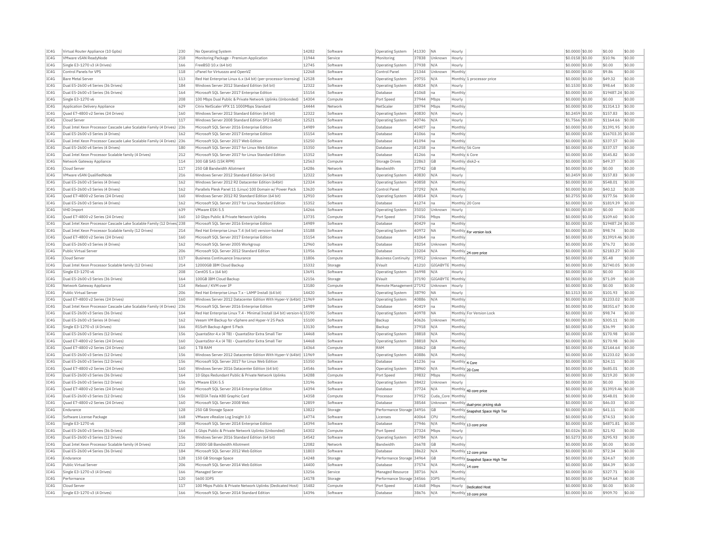| TC4G | Virtual Router Appliance (10 Gpbs)                                     | 230 | No Operating System                                                      | 14282 | Software | <b>Operating System</b>      | 41330 NA  |                   | Hourly                           | \$0.0000 \$0.00  | \$0.00            | \$0.00 |
|------|------------------------------------------------------------------------|-----|--------------------------------------------------------------------------|-------|----------|------------------------------|-----------|-------------------|----------------------------------|------------------|-------------------|--------|
| TC4G | VMware vSAN ReadyNode                                                  | 218 | Monitoring Package - Premium Application                                 | 11944 | Service  | Monitoring                   | 37838     | <b>Unknown</b>    | Hourly                           | \$0.0158 \$0.00  | \$10.96           | \$0.00 |
| TC4G | Single E3-1270 v3 (4 Drives)                                           | 166 | FreeBSD 10.x (64 bit)                                                    | 12745 | Software | Operating System             | 37938     | N/A               | Hourly                           | $$0.0000$ \$0.00 | \$0.00            | \$0.00 |
| TC4G | Control Panels for VPS                                                 | 118 | cPanel for Virtuozzo and OpenVZ                                          | 12268 | Software | Control Panel                | 21344     | Unknown           | Monthly                          | \$0,0000 \$0.00  | \$9.86            | \$0.00 |
| TC4G | <b>Bare Metal Server</b>                                               | 113 | Red Hat Enterprise Linux 6.x (64 bit) (per-processor licensing)          | 12528 | Software | <b>Operating System</b>      | 29755     | N/A               | Monthly 1 processor price        | \$0.0000 \$0.00  | \$49.32           | \$0.00 |
| TCAG | Dual E5-2600 v4 Series (36 Drives                                      | 184 | Windows Server 2012 Standard Edition (64 bit)                            | 12322 | Software | <b>Operating System</b>      | 40824 N/A |                   | Hourly                           | \$0.1530 \$0.00  | \$98.64           | \$0.00 |
| IC4G | Dual E5-2600 v3 Series (36 Drives)                                     | 164 | Microsoft SQL Server 2017 Enterprise Edition                             | 15154 | Software | Database                     | 41068     | na                | Monthly                          | \$0.0000 \$0.00  | \$19487.24 \$0.00 |        |
| TCAG | Single F3-1270 v6                                                      | 208 | 100 Mbos Dual Public & Private Network Unlinks (Unbonded)                | 14304 | Compute  | Port Speed                   | 37944     | Mhns              | Hourly                           | \$0,0000 \$0.00  | \$0.00            | \$0.00 |
| IC4G | Application Delivery Appliance                                         | 629 | Citrix NetScaler VPX 11 1000Mbps Standard                                | 14444 | Network  | NetScale                     | 38794     | Mbps              | Monthly                          | \$0.0000 \$0.00  | \$1314.13 \$0.00  |        |
| TCAG | Ouad E7-4800 v2 Series (24 Drives)                                     | 160 | Windows Server 2012 Standard Edition (64 bit)                            | 12322 | Software | <b>Operating System</b>      | 40830     | N/A               | Hourly                           | \$0,2459 \$0,00  | \$157.83          | \$0.00 |
| IC4G | Cloud Server                                                           | 117 | Windows Server 2008 Standard Edition SP2 (64bit)                         | 12521 | Software | Operating System             | 40746     | N/A               | Hourly                           | \$1,7566 \$0.00  | \$1164.66         | \$0.00 |
| TC4G | Dual Intel Xeon Processor Cascade Lake Scalable Family (4 Drives) 236  |     | Microsoft SOL Server 2016 Enterprise Edition                             | 14989 | Software | Database                     | 40407     | Ina               | Monthly                          | \$0.0000 \$0.00  | \$1391.95 \$0.00  |        |
| IC4G | Dual E5-2600 v3 Series (4 Drives)                                      | 162 | Microsoft SOL Server 2017 Enterprise Edition                             | 15154 | Software | Database                     | 41066     | Ina               | Monthly                          | \$0.0000 \$0.00  | \$16703.35 \$0.00 |        |
| TC4G | Dual Intel Xeon Processor Cascade Lake Scalable Family (4 Drives) 236  |     | Microsoft SQL Server 2017 Web Edition                                    | 15250 | Software | Database                     | 41094 na  |                   | Monthly                          | \$0.0000 \$0.00  | \$337.57          | \$0.00 |
| IC4G | Dual E5-2600 v4 Series (4 Drives)                                      | 180 | Microsoft SOL Server 2017 for Linux Web Edition                          | 15350 | Software | Database                     | 41258     | Ina               | Monthly 56 Core                  | \$0.0000 \$0.00  | \$337.57          | \$0.00 |
| TC4G | Dual Intel Xeon Processor Scalable family (4 Drives)                   | 212 | Microsoft SOL Server 2017 for Linux Standard Edition                     | 15352 | Software | Database                     | 41266 na  |                   | Monthly 6 Core                   | \$0,0000 \$0.00  | \$545.82          | \$0.00 |
| IC4G | Network Gateway Appliance                                              | 114 | 300 GB SAS (15K RPM)                                                     | 12563 | Compute  | <b>Storage Drives</b>        | 22863     | <b>GB</b>         | Monthly disk2-x                  | \$0.0000 \$0.00  | \$49.37           | \$0.00 |
| IC4G | Cloud Server                                                           | 117 | 250 GB Bandwidth Allotment                                               | 14286 | Network  | Bandwidth                    | 37742 GB  |                   | Monthly                          | \$0.0000 \$0.00  | \$0.00            | \$0.00 |
| TCAG | VMware vSAN QualifiedNode                                              | 216 | Windows Server 2012 Standard Edition (64 bit)                            | 12322 | Software | <b>Operating System</b>      | 40830     | N/A               | Hourly                           | \$0.2459 \$0.00  | \$157.83          | \$0.00 |
| TC4G | Dual E5-2600 v3 Series (4 Drives)                                      | 162 | Windows Server 2012 R2 Datacenter Edition (64bit)                        | 12324 | Software | <b>Operating System</b>      | 40858 N/A |                   | Monthly                          | \$0.0000 \$0.00  | \$548.01          | \$0.00 |
| TCAG | Dual E5-2600 v3 Series (4 Drives)                                      | 162 | Parallels Plesk Panel 11 (Linux) 100 Domain w/ Power Pack                | 13620 | Software | Control Panel                | 37292     | N/A               | Monthly                          | \$0.0000 \$0.00  | \$40.12           | \$0.00 |
| IC4G | Quad E7-4800 v2 Series (24 Drives)                                     | 160 | Windows Server 2012 R2 Standard Edition (64 bit)                         | 12910 | Software | <b>Operating System</b>      | 40814 N/A |                   | Hourly                           | \$0.2755 \$0.00  | \$177.56          | \$0.00 |
| TCAG | Dual E5-2600 v3 Series (4 Drives)                                      | 162 | Microsoft SQL Server 2017 for Linux Standard Edition                     | 15352 | Software | Database                     | 41274     | Ina               | Monthly 20 Core                  | \$0,0000 \$0.00  | \$1819.39         | \$0.00 |
| TCAG | VHD Import                                                             | 639 | VMware FSXi 5.5                                                          | 14266 | Software | Operating System             | 35010     | Unknown           | Hourly                           | \$0.0000 \$0.00  | \$0.00            | \$0.00 |
| IC4G | Ouad E7-4800 v2 Series (24 Drives)                                     | 160 | 10 Gbos Public & Private Network Uplinks                                 | 13735 | Compute  | Port Speed                   | 37456     | Mbps              | Monthly                          | \$0,0000 \$0.00  | \$109.60          | \$0.00 |
| IC4G | Dual Intel Xeon Processor Cascade Lake Scalable Family (12 Drives) 238 |     | Microsoft SOL Server 2016 Enterprise Edition                             | 14989 | Software | Database                     | 40429     | na                | Monthly                          | \$0.0000 \$0.00  | \$19487.24 \$0.00 |        |
| TC4G | Dual Intel Xeon Processor Scalable family (12 Drives)                  | 214 | Red Hat Enterprise Linux 7.4 (64 bit) version-locked                     | 15188 | Software | Operating System             | 40972     | <b>NA</b>         | Monthly For version lock         | \$0,0000 \$0.00  | \$98.74           | \$0.00 |
| TC4G | Quad E7-4800 v2 Series (24 Drives)                                     | 160 | Microsoft SQL Server 2017 Enterprise Edition                             | 15154 | Softwan  | Database                     | 41064     | na                | Monthly                          | \$0.0000 \$0.00  | \$13919.46 \$0.00 |        |
| TCAG | Dual E5-2600 v3 Series (4 Drives)                                      | 162 | Microsoft SOL Server 2005 Workgroup                                      | 12960 | Software | Database                     | 38254     | <b>Unknown</b>    | Monthly                          | \$0,0000 \$0.00  | \$76.72           | \$0.00 |
| IC4G | Public Virtual Server                                                  | 206 | Microsoft SQL Server 2012 Standard Edition                               | 11956 | Software | Database                     | 33204     | N/A               |                                  | \$0.0000 \$0.00  | \$2183.27         | \$0.00 |
| TCAG | Cloud Server                                                           | 117 | <b>Business Continuance Insurance</b>                                    | 11806 | Compute  | Business Continuity          | 19912     | Unknown Monthly   | Monthly 24 core price            | \$0.0000 \$0.00  | \$5.48            | \$0.00 |
| TCAG | Dual Intel Xeon Processor Scalable family (12 Drives)                  | 214 | 12000GB IBM Cloud Backur                                                 | 15332 | Storage  | EVault                       | 41210     | GIGABYTE Monthly  |                                  | \$0,0000 \$0,00  | \$2740.05         | \$0.00 |
| TCAG |                                                                        | 208 |                                                                          | 13691 | Software |                              | 36998     | N/A               |                                  |                  | \$0.00            | \$0.00 |
|      | Single E3-1270 v6                                                      |     | CentOS 5.x (64 bit)                                                      |       |          | <b>Operating System</b>      |           |                   | Hourly                           | \$0.0000 \$0.00  |                   |        |
| IC4G | Dual E5-2600 v3 Series (36 Drives)                                     | 164 | 100GB IBM Cloud Backup                                                   | 12156 | Storage  | EVault                       | 37190     | GIGABYTE Monthly  |                                  | \$0,0000 \$0,00  | \$71.09           | \$0.00 |
| TC4G | Network Gateway Appliance                                              | 114 | Rehnot / KVM over TP                                                     | 13180 | Compute  | Remote Management 27192      |           | <b>Ilnknown</b>   | Hourly                           | \$0.0000 \$0.00  | \$0.00            | \$0.00 |
| IC4G | Public Virtual Server                                                  | 206 | Red Hat Enterprise Linux 7.x - LAMP Install (64 bit)                     | 14420 | Software | <b>Operating System</b>      | 38790     | IN/               | Hourly                           | \$0.1313 \$0.00  | \$101.93          | \$0.00 |
| TC4G | Quad E7-4800 v2 Series (24 Drives)                                     | 160 | Windows Server 2012 Datacenter Edition With Hyper-V (64bit) 11969        |       | Software | Operating System             | 40886     | N/A               | Monthly                          | \$0.0000 \$0.00  | \$1233.02 \$0.00  |        |
| IC4G | Dual Intel Xeon Processor Cascade Lake Scalable Family (4 Drives) 236  |     | Microsoft SQL Server 2016 Enterprise Edition                             | 14989 | Software | Database                     | 40419     | Ina               | Monthly                          | \$0.0000 \$0.00  | \$8351.67         | \$0.00 |
| TC4G | Dual E5-2600 v3 Series (36 Drives)                                     | 164 | Red Hat Enterprise Linux 7.4 - Minimal Install (64 bit) version-ld 15190 |       | Software | Operating System             | 40978 NA  |                   | Monthly For Version Lock         | \$0,0000 \$0.00  | \$98.74           | \$0.00 |
| TCAG | Dual E5-2600 v3 Series (4 Drives)                                      | 162 | Veeam VM Backup for vSphere and Hyper-V 25 Pack                          | 15100 | Software | Backup                       | 40626     | Unknown           | Monthly                          | \$0.0000 \$0.00  | \$305.11          | \$0.00 |
| IC4G | Single E3-1270 v3 (4 Drives)                                           | 166 | R1Soft Backup Agent 5 Pack                                               | 13130 | Software | Backup                       | 37918     | N/A               | Monthl                           | \$0.0000 \$0.00  | \$36.99           | \$0.00 |
| TCAG | Dual E5-2600 v3 Series (12 Drives)                                     | 156 | QuantaStor 4.x (4 TB) - QuantaStor Extra Small Tier                      | 14468 | Software | Operating System             | 38818     | N/A               | Monthly                          | \$0.0000 \$0.00  | \$170.98          | \$0.00 |
| TCAG | Quad E7-4800 v2 Series (24 Drives)                                     | 160 | QuantaStor 4.x (4 TB) - QuantaStor Extra Small Tier                      | 14468 | Software | <b>Operating System</b>      | 38818 N/A |                   | Monthly                          | \$0.0000 \$0.00  | \$170.98          | \$0.00 |
| TCAG | Ouad E7-4800 v2 Series (24 Drives)                                     | 160 | 1 TR RAM                                                                 | 14364 | Compute  | RAM                          | 38462     | <b>GB</b>         | Monthly                          | \$0.0000 \$0.00  | \$2144.64 \$0.00  |        |
| IC4G | Dual E5-2600 v3 Series (12 Drives)                                     | 156 | Windows Server 2012 Datacenter Edition With Hyper-V (64bit) 11969        |       | Software | <b>Operating System</b>      | 40886     | N/A               | Monthly                          | \$0.0000 \$0.00  | \$1233.02 \$0.00  |        |
| TCAG | Dual E5-2600 v3 Series (12 Drives)                                     | 156 | Microsoft SQL Server 2017 for Linux Web Edition                          | 15350 | Software | Database                     | 41236     | Ina               | Monthly 4 Core                   | \$0,0000 \$0.00  | \$24.11           | \$0.00 |
| TCAG | Quad E7-4800 v2 Series (24 Drives)                                     | 160 | Windows Server 2016 Datacenter Edition (64 bit)                          | 14546 | Software | Operating System             | 38960     | N/A               | Monthly 20 Core                  | \$0,0000 \$0,00  | \$685.01          | \$0.00 |
| TCAG | Dual E5-2600 v3 Series (36 Drives)                                     | 164 | 10 Ghns Redundant Public & Private Network Unlinks                       | 14288 | Compute  | Port Speed                   | 39832     | <b>Mhns</b>       | Monthly                          | $$0.0000$ \$0.00 | \$219.20          | \$0.00 |
| IC4G | Dual E5-2600 v3 Series (12 Drives                                      | 156 | VMware ESXi 5.5                                                          | 13196 | Software | Operating System             | 38422     | Unknown           | Hourly                           | \$0,0000 \$0,00  | \$0.00            | \$0.00 |
| TCAG | Quad E7-4800 v2 Series (24 Drives)                                     | 160 | Microsoft SOL Server 2014 Enterprise Edition                             | 14394 | Software | Database                     | 37724     | N/A               | Monthly 40 core price            | \$0,0000 \$0.00  | \$13919.46 \$0.00 |        |
| IC4G | Dual E5-2600 v3 Series (12 Drives)                                     | 156 | NVIDIA Tesla K80 Graphic Card                                            | 14358 | Comput   | Processo                     | 37952     | Cuda Core Monthly |                                  | \$0.0000 \$0.00  | \$548.01          | \$0.00 |
| TCAG | Ouad E7-4800 v2 Series (24 Drives)                                     | 160 | Microsoft SOL Server 2008 Web                                            | 12859 | Software | Database                     | 38544     | Unknown           | Monthly dual-proc pricing stub   | \$0.0000 \$0.00  | \$46.03           | \$0.00 |
| IC4G | Endurance                                                              | 128 | 250 GB Storage Space                                                     | 13822 | Storage  | Performance Storage 34916    |           | <b>GB</b>         | Monthly Snapshot Space High Tier | \$0.0000 \$0.00  | \$41.11           | \$0.00 |
| TC4G | Software License Package                                               | 168 | VMware vRealize Log Insight 3.0                                          | 14774 | Software | Licenses                     | 40064     | CPIJ              | Monthly                          | \$0.0000 \$0.00  | \$74.53           | \$0.00 |
| IC4G | Single E3-1270 v6                                                      | 208 | Microsoft SOL Server 2014 Enterprise Edition                             | 14394 | Software | Database                     | 37946     | N/A               | Monthly                          | \$0,0000 \$0,00  | \$4871.81         | \$0.00 |
| TC4G | Dual E5-2600 v3 Series (36 Drives)                                     | 164 | 1 Gbps Public & Private Network Uplinks (Unbonded)                       | 14302 | Compute  | Port Speed                   | 37324     | Mbps              | 13 core price<br>Hourly          | \$0.0326 \$0.00  | \$21.92           | \$0.00 |
| IC4G | Dual E5-2600 v3 Series (12 Drives)                                     | 156 | Windows Server 2016 Standard Edition (64 bit)                            | 14542 | Software | Operating System             | 40784     | N/A               | Hourly                           | \$0,5273 \$0.00  | \$295.93          | \$0.00 |
| TC4G | Dual Intel Xeon Processor Scalable family (4 Drives)                   | 212 | 20000 GB Bandwidth Allotment                                             | 12082 | Network  | Bandwidth                    | 26678     | G <sub>B</sub>    | Monthly                          |                  | \$0.00            | \$0.00 |
| IC4G | Dual E5-2600 v4 Series (36 Drives                                      | 184 |                                                                          | 11803 | Software | Database                     |           | N/A               |                                  | \$0.0000 \$0.00  | \$72.34           | \$0.00 |
|      |                                                                        |     | Microsoft SQL Server 2012 Web Edition                                    |       |          |                              | 38622     |                   | Monthly 12 core price            | \$0.0000 \$0.00  |                   |        |
| IC4G | Endurance                                                              | 128 | 150 GB Storage Space                                                     | 14248 | Storage  | Performance Storage 34964 GB |           |                   | Monthly Snapshot Space High Tier | \$0.0000 \$0.00  | \$24.67           | \$0.00 |
| TCAG | <b>Public Virtual Server</b>                                           | 206 | Microsoft SQL Server 2014 Web Edition                                    | 14400 | Software | Database                     | 37574     | N/A               | Monthly 14 core                  | \$0.0000 \$0.00  | \$84.39           | \$0.00 |
| TC4G | Single E3-1270 v3 (4 Drives)                                           | 166 | Managed Server                                                           | 13256 | Service  | Managed Resource             | 38716     | N/A               | Monthly                          | \$0.0000 \$0.00  | \$327.71          | \$0.00 |
| TCAG | Performance                                                            | 120 | 5600 TOPS                                                                | 14178 | Storage  | Performance Storage 34566    |           | <b>TOPS</b>       | Monthly                          | $$0.0000$ \$0.00 | \$429.64          | \$0.00 |
| IC4G | Cloud Serve                                                            | 117 | 100 Mbps Public & Private Network Uplinks (Dedicated Host)               | 15482 | Comput   | Port Speed                   | 41468     | Mbps              | Hourly   Dedicated Host          | \$0.0000 \$0.00  | \$0.00            | \$0.00 |
| IC4G | Single E3-1270 v3 (4 Drives)                                           | 166 | Microsoft SQL Server 2014 Standard Edition                               | 14396 | Software | Database                     | 38676     | N/A               | Monthly 10 core price            | \$0.0000 \$0.00  | \$909.70          | \$0.00 |
|      |                                                                        |     |                                                                          |       |          |                              |           |                   |                                  |                  |                   |        |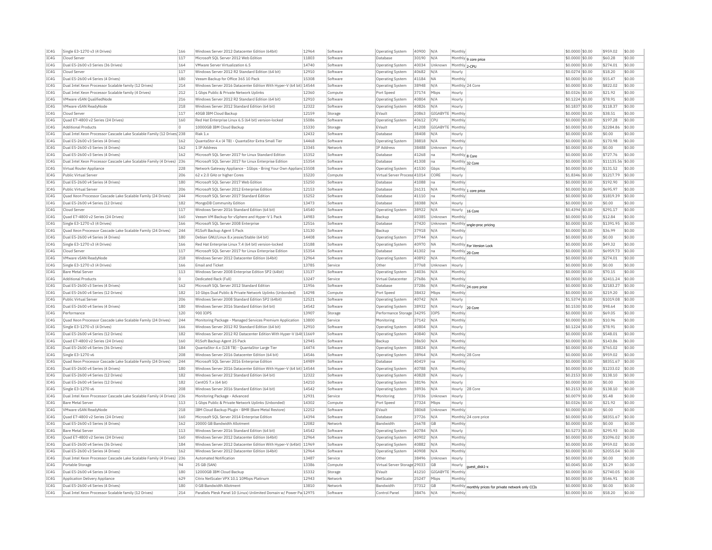| IC4G         | Single E3-1270 v3 (4 Drives)                                             | 166        | Windows Server 2012 Datacenter Edition (64bit)                                 | 12964          | Software             | <b>Operating System</b>              | 40900          | N/A                | Monthly                   |                                                      | \$0.0000 \$0.00                     | \$959.02             | \$0.00           |
|--------------|--------------------------------------------------------------------------|------------|--------------------------------------------------------------------------------|----------------|----------------------|--------------------------------------|----------------|--------------------|---------------------------|------------------------------------------------------|-------------------------------------|----------------------|------------------|
| TC4G         | Cloud Server                                                             | 117        | Microsoft SOL Server 2012 Web Edition                                          | 11803          | Software             | Database                             | 30190          | N/A                |                           | Monthly   9 core price                               | \$0,0000 \$0.00                     | \$60.28              | \$0.00           |
| IC4G         | Dual E5-2600 v3 Series (36 Drives)                                       | 164        | VMware Server Virtualization 6.5                                               | 14740          | Software             | Operating System                     | 40034          | Unknown            | Monthly 2-CPU             |                                                      | \$0,0000 \$0.00                     | \$274.01             | \$0.00           |
| IC4G         | Cloud Server                                                             | 117        | Windows Server 2012 R2 Standard Edition (64 bit                                | 12910          | Software             | Operating System                     | 40682          | N/A                | Hourly                    |                                                      | \$0.0274 \$0.00                     | \$18.20              | \$0.00           |
| IC4G         | Dual E5-2600 v4 Series (4 Drives)                                        | 180        | Veeam Backup for Office 365 10 Pack                                            | 15308          | Software             | Operating System                     | 41184          | <b>NA</b>          | Monthly                   |                                                      | \$0,0000 \$0.00                     | \$55.47              | \$0.00           |
| IC4G         | Dual Intel Xeon Processor Scalable family (12 Drives)                    | 214        | Windows Server 2016 Datacenter Edition With Hyper-V (64 bit) 14544             |                | Software             | Operating System                     | 38948          | N/A                | Monthly 24 Core           |                                                      | \$0,0000 \$0.00                     | \$822.02             | \$0.00           |
| TC4G         | Dual Intel Xeon Processor Scalable family (4 Drives)                     | 212        | 1 Gbps Public & Private Network Uplinks                                        | 12360          | Compute              | Port Speed                           | 37174          | Mbps               | Hourly                    |                                                      | \$0.0326 \$0.00                     | \$21.92              | \$0.00           |
| IC4G         | VMware vSAN QualifiedNode                                                | 216        | Windows Server 2012 R2 Standard Edition (64 bit)                               | 12910          | Software             | Operating System                     | 40804          | N/A                | Hourly                    |                                                      | \$0.1224 \$0.00                     | \$78.91              | \$0.00           |
| IC4G         | VMware vSAN ReadyNode                                                    | 218        | Windows Server 2012 Standard Edition (64 bit)                                  | 12322          | Software             | <b>Operating System</b>              | 40826          | N/A                | Hourly                    |                                                      | \$0.1837 \$0.00                     | \$118.37             | \$0.00           |
| IC4G         | Cloud Server                                                             | 117        | 40GB IBM Cloud Backup                                                          | 12159          | Storage              | EVault                               | 20863          | GIGARYTE Monthly   |                           |                                                      | \$0,0000 \$0,00                     | \$38.51              | \$0.00           |
| IC4G         | Ouad E7-4800 v2 Series (24 Drives)                                       | 160        | Red Hat Enterprise Linux 6.5 (64 bit) version-locked                           | 15086          | Software             | Operating System                     | 40612          | CPU                | Monthly                   |                                                      | \$0,0000 \$0.00                     | \$197.28             | \$0.00           |
| IC4G         | <b>Additional Products</b>                                               | $\circ$    | 10000GB IBM Cloud Backup                                                       | 15330          |                      | EVault                               | 41208          | GIGABYTE Monthly   |                           |                                                      | \$0,0000 \$0.00                     | \$2284.86            | \$0.00           |
| IC4G         | Dual Intel Xeon Processor Cascade Lake Scalable Family (12 Drives 238    |            | Riak 1.x                                                                       | 12432          | Storage<br>Software  | Database                             | 38408          |                    |                           |                                                      | \$0,0000 \$0.00                     | \$0.00               | \$0.00           |
|              |                                                                          |            |                                                                                |                |                      |                                      |                | N/A                | Hourly                    |                                                      |                                     |                      |                  |
| IC4G<br>TC4G | Dual E5-2600 v3 Series (4 Drives)<br>Dual E5-2600 v3 Series (4 Drives    | 162        | OuantaStor 4.x (4 TB) - OuantaStor Extra Small Tie<br>1 TP Address             | 14468<br>13345 | Software             | Operating System                     | 38818          | N/A                | Monthly                   |                                                      | \$0,0000 \$0.00                     | \$170.98             | \$0.00<br>\$0.00 |
|              |                                                                          | 162        |                                                                                |                | Network              | <b>TP Address</b>                    | 38488          | Unknown            | Hourly                    |                                                      | \$0,0000 \$0.00                     | \$0.00               |                  |
| IC4G         | Dual E5-2600 v3 Series (4 Drives)                                        | 162        | Microsoft SQL Server 2017 for Linux Standard Edition                           | 15352          | Software             | Database                             | 41268          | na                 | Monthly 8 Core            |                                                      | \$0.0000 \$0.00                     | \$727.76             | \$0.00           |
| IC4G         | Dual Intel Xeon Processor Cascade Lake Scalable Family (4 Drives) 236    |            | Microsoft SOL Server 2017 for Linux Enterprise Edition                         | 15354          | Software             | Database                             | 41308          | na                 | Monthly 32 Core           |                                                      | \$0.0000 \$0.00                     | \$11135.56 \$0.00    |                  |
| TC4G         | Virtual Router Appliance                                                 | 228        | Network Gateway Appliance - 1Gbps - Bring Your Own Appliand 15508              |                | Software             | Operating System                     | 41530          | Ghns               | Monthly                   |                                                      | \$0,0000 \$0.00                     | \$131.52             | $s$ 0.00         |
| IC4G         | Public Virtual Server                                                    | 206        | 62 x 2.0 GHz or higher Cores                                                   | 15220          | Compute              | Virtual Server Process 41014         |                | CORE               | Hourly                    |                                                      | \$1,8346 \$0.00                     | \$1217.79            | \$0.00           |
| IC4G         | Dual E5-2600 v4 Series (4 Drives)                                        | 180        | Microsoft SOL Server 2017 Web Edition                                          | 15250          | Software             | Database                             | 41088          | na                 | Monthly                   |                                                      | \$0,0000 \$0.00                     | \$192.90             | \$0.00           |
| IC4G         | Public Virtual Server                                                    | 206        | Microsoft SQL Server 2012 Enterprise Edition                                   | 12153          | Software             | Database                             | 26131          | N/A                |                           | Monthly 1 core price                                 | \$0.0000 \$0.00                     | \$695.97             | \$0.00           |
| IC4G         | Ouad Xeon Processor Cascade Lake Scalable Family (24 Drives)             | 244        | Microsoft SQL Server 2017 Standard Edition                                     | 15252          | Software             | Database                             | 41110          | Ina                | Monthly                   |                                                      | \$0,0000 \$0.00                     | \$1819.39            | \$0.00           |
| IC4G         | Dual E5-2600 v4 Series (12 Drives)                                       | 182        | MongoDB Community Edition                                                      | 13473          | Software             | Database                             | 38388          | N/A                | Hourly                    |                                                      | \$0,0000 \$0.00                     | \$0.00               | \$0.00           |
| IC4G         | Cloud Server                                                             | 117        | Windows Server 2016 Standard Edition (64 bit)                                  | 14540          | Software             | Operating System                     | 38922          | N/A                | Hourly                    | 16 Core                                              | \$0.4394 \$0.00                     | \$291.17             | \$0.00           |
| IC4G         | Ouad E7-4800 v2 Series (24 Drives)                                       | 160        | Veeam VM Backup for vSphere and Hyper-V 1 Pack                                 | 14983          | Software             | Backup                               | 40385          | Unknown            | Monthly                   |                                                      | \$0,0000 \$0.00                     | \$12.84              | \$0.00           |
| IC4G         | Single E3-1270 v3 (4 Drives)                                             | 166        | Microsoft SQL Server 2008 Enterprise                                           | 12516          | Software             | Database                             | 37420          | Unknown            |                           | Monthly sngle-proc pricing                           | \$0.0000 \$0.00                     | \$1391.95            | \$0.00           |
| IC4G         | Quad Xeon Processor Cascade Lake Scalable Family (24 Drives)             | 244        | R1Soft Backup Agent 5 Pack                                                     | 13130          | Software             | Backup                               | 37918          | N/f                | Monthly                   |                                                      | \$0.0000 \$0.00                     | \$36.99              | \$0.00           |
| TC4G         | Dual E5-2600 v4 Series (4 Drives)                                        | 180        | Debian GNU/Linux 8.x iessie/Stable (64 bit)                                    | 14408          | Software             | Operating System                     | 37744          | N/A                | Hourly                    |                                                      | \$0,0000 \$0.00                     | \$0.00               | \$0.00           |
| IC4G         | Single E3-1270 v3 (4 Drives)                                             | 166        | Red Hat Enterprise Linux 7.4 (64 bit) version-locked                           | 15188          | Software             | Operating System                     | 40970          | <b>NA</b>          |                           | Monthly For Version Lock                             | \$0.0000 \$0.00                     | \$49.32              | \$0.00           |
| IC4G         | Cloud Server                                                             | 117        | Microsoft SOL Server 2017 for Linux Enterprise Edition                         | 15354          | Software             | Database                             | 41302          | Ina                | Monthly 20 Core           |                                                      | \$0,0000 \$0.00                     | \$6959.73            | \$0.00           |
| TC4G         | VMware vSAN ReadvNode                                                    | 218        | Windows Server 2012 Datacenter Edition (64bit)                                 | 12964          | Software             | Operating System                     | 40892          | N/A                | Monthly                   |                                                      | \$0,0000 \$0.00                     | \$274.01             | \$0.00           |
| IC4G         | Single E3-1270 v3 (4 Drives)                                             | 166        | <b>Email and Ticket</b>                                                        | 13785          | Service              | Other                                | 37768          | Unknown            | Hourly                    |                                                      | \$0,0000 \$0.00                     | \$0.00               | \$0.00           |
| IC4G         | <b>Bare Metal Server</b>                                                 | 113        | Windows Server 2008 Enterprise Edition SP2 (64bit)                             | 13137          | Software             | Operating System                     | 34036          | N/A                | Monthly                   |                                                      | \$0,0000 \$0,00                     | \$70.15              | \$0.00           |
| IC4G         | <b>Additional Products</b>                                               | $\Omega$   | Dedicated Rack (Full)                                                          | 13247          | Service              | Virtual Datacenter                   | 27686          | N/A                | Monthly                   |                                                      | \$0.0000 \$0.00                     | \$2411.24            | \$0.00           |
| IC4G         | Dual E5-2600 v3 Series (4 Drives)                                        | 162        | Microsoft SQL Server 2012 Standard Edition                                     | 11956          | Software             | Database                             | 37286          | N/A                |                           | Monthly 24 core price                                | \$0.0000 \$0.00                     | \$2183.27            | \$0.00           |
| IC4G         | Dual E5-2600 v4 Series (12 Drives                                        | 182        | 10 Gbns Dual Public & Private Network Unlinks (Unbonded)                       | 14298          | Compute              | Port Speed                           | 38432          | Mbps               | Monthly                   |                                                      | $$0.0000$ \$0.00                    | \$219.20             | 50.00            |
| IC4G         | Public Virtual Server                                                    | 206        | Windows Server 2008 Standard Edition SP2 (64bit)                               | 12521          | Software             | Operating System                     | 40742          | N/A                | Hourly                    |                                                      | \$1.5374 \$0.00                     | \$1019.08            | \$0.00           |
| TC4G         | Dual E5-2600 v4 Series (4 Drives)                                        | 180        | Windows Server 2016 Standard Edition (64 bit)                                  | 14542          | Software             | Operating System                     | 38932          | N/A                |                           |                                                      | \$0,1530 \$0.00                     | \$98.64              | \$0.00           |
| TC4G         | Performance                                                              | 120        | 900 TOPS                                                                       | 13907          | Storage              | Performance Storage 34295            |                | TOP5               | Hourly 20 Core<br>Monthly |                                                      | $$0.0000$ \$0.00                    | \$69.05              | \$0.00           |
| IC4G         | Quad Xeon Processor Cascade Lake Scalable Family (24 Drives)             | 244        | Monitoring Package - Managed Services Premium Application                      | 13800          | Service              | Monitoring                           | 37142          | N/A                | Monthly                   |                                                      | \$0.0000 \$0.00                     | \$10.96              | \$0.00           |
| TCAG         | Single E3-1270 v3 (4 Drives)                                             | 166        | Windows Server 2012 R2 Standard Edition (64 bit)                               | 12910          | Software             |                                      | 40804          | N/A                |                           |                                                      |                                     | \$78.91              | \$0.00           |
| IC4G         | Dual E5-2600 v4 Series (12 Drives)                                       | 182        | Windows Server 2012 R2 Datacenter Edition With Hyper-V (64t 11669              |                | Software             | Operating System<br>Operating System | 40840          | N/A                | Hourly<br>Monthly         |                                                      | \$0,1224 \$0,00<br>\$0.0000 \$0.00  | \$548.01             | \$0.00           |
|              |                                                                          |            |                                                                                |                |                      |                                      |                |                    |                           |                                                      |                                     |                      |                  |
| IC4G<br>IC4G | Quad E7-4800 v2 Series (24 Drives)<br>Dual E5-2600 v4 Series (36 Drives) | 160<br>184 | R1Soft Backup Agent 25 Pack<br>QuantaStor 4 x (128 TB) - QuantaStor Large Tier | 12945<br>14474 | Software             | Backup                               | 38650<br>38824 | N/A<br>N/A         | Monthly<br>Monthly        |                                                      | \$0.0000 \$0.00<br>$$0.0000$ \$0.00 | \$143.86<br>\$765.02 | \$0.00<br>\$0.00 |
| TC4G         | Single E3-1270 v6                                                        | 208        |                                                                                | 14546          | Software<br>Software | Operating System                     | 38964          | N/A                |                           |                                                      |                                     | \$959.02             | \$0.00           |
|              |                                                                          |            | Windows Server 2016 Datacenter Edition (64 bit)                                | 14989          |                      | <b>Operating System</b>              |                |                    |                           | Monthly 28 Core                                      | \$0.0000 \$0.00                     |                      |                  |
| IC4G         | Quad Xeon Processor Cascade Lake Scalable Family (24 Drives)             | 244        | Microsoft SQL Server 2016 Enterprise Edition                                   |                | Software             | Database                             | 40419          | na                 | Monthly                   |                                                      | \$0.0000 \$0.00                     | \$8351.67            | \$0.00           |
| IC4G         | Dual E5-2600 v4 Series (4 Drives)                                        | 180        | Windows Server 2016 Datacenter Edition With Hyper-V (64 bit) 14544             |                | Software             | Operating System                     | 40788          | N/A                | Monthly                   |                                                      | $$0.0000$ \$0.00                    | \$1233.02            | \$0.00           |
| IC4G         | Dual E5-2600 v4 Series (12 Drives)                                       | 182        | Windows Server 2012 Standard Edition (64 bit)                                  | 12322          | Software             | <b>Operating Systen</b>              | 40828          | N/A                | Hourly                    |                                                      | $$0.2153$ \$0.00                    | \$138.10             | \$0.00           |
| IC4G         | Dual E5-2600 v4 Series (12 Drives)                                       | 182        | CentOS 7.x (64 bit)                                                            | 14210          | Software             | Operating System                     | 38196          | N/A                | Hourly                    |                                                      | \$0,0000 \$0,00                     | \$0.00               | \$0.00           |
| TC4G         | Single E3-1270 v6                                                        | 208        | Windows Server 2016 Standard Edition (64 bit)                                  | 14542          | Software             | Operating System                     | 38936          | N/A                | Hourly                    | 28 Core                                              | $$0.2153$ \$0.00                    | \$138.10             | \$0.00           |
| TCAG         | Dual Intel Xeon Processor Cascade Lake Scalable Family (4 Drives)        | 236        | Monitoring Package - Advanced                                                  | 12931          | Service              | Monitoring                           | 37036          | Unknown            | Hourly                    |                                                      | \$0.0079 \$0.00                     | \$5.48               | \$0.00           |
| IC4G         | <b>Bare Metal Server</b>                                                 | 113        | 1 Gbps Public & Private Network Uplinks (Unbonded)                             | 14302          | Compute              | Port Speed                           | 37324          | Mbps               | Hourly                    |                                                      | \$0.0326 \$0.00                     | \$21.92              | \$0.00           |
| IC4G         | VMware vSAN ReadyNode                                                    | 218        | IBM Cloud Backup Plugin - BMR (Bare Metal Restore)                             | 12252          | Software             | EVault                               | 38068          | Unknown            | Monthly                   |                                                      | \$0.0000 \$0.00                     | \$0.00               | \$0.00           |
| IC4G         | Ouad E7-4800 v2 Series (24 Drives)                                       | 160        | Microsoft SOL Server 2014 Enterprise Edition                                   | 14394          | Software             | Database                             | 37726          | N/A                |                           | Monthly 24 core price                                | \$0.0000 \$0.00                     | \$8351.67            | \$0.00           |
| IC4G         | Dual E5-2600 v3 Series (4 Drives                                         | 162        | 20000 GB Bandwidth Allotment                                                   | 12082          | Network              | Bandwidth                            | 26678          | GB                 | Monthly                   |                                                      | \$0.0000 \$0.00                     | \$0.00               | \$0.00           |
| IC4G         | Bare Metal Server                                                        | 113        | Windows Server 2016 Standard Edition (64 bit)                                  | 14542          | Software             | <b>Operating System</b>              | 40784          | N/A                | Hourly                    |                                                      | \$0.5273 \$0.00                     | \$295.93             | \$0.00           |
| IC4G         | Quad E7-4800 v2 Series (24 Drives)                                       | 160        | Windows Server 2012 Datacenter Edition (64bit)                                 | 12964          | Software             | <b>Operating System</b>              | 40902          | N/A                | Monthly                   |                                                      | \$0,0000 \$0,00                     | \$1096.02            | \$0.00           |
| IC4G         | Dual E5-2600 v4 Series (36 Drives)                                       | 184        | Windows Server 2012 Datacenter Edition With Hyper-V (64bit) 11969              |                | Software             | <b>Operating System</b>              | 40882          | N/A                | Monthly                   |                                                      | \$0.0000 \$0.00                     | \$959.02             | \$0.00           |
| IC4G         | Dual E5-2600 v3 Series (4 Drives)                                        | 162        | Windows Server 2012 Datacenter Edition (64bit)                                 | 12964          | Software             | Operating System                     | 40908          | N/A                | Monthly                   |                                                      | \$0,0000 \$0,00                     | \$2055.04            | \$0.00           |
| IC4G         | Dual Intel Xeon Processor Cascade Lake Scalable Family (4 Drives) 236    |            | Automated Notification                                                         | 13487          | Service              | Other                                | 38496          | Unknown            | Hourly                    |                                                      | \$0,0000 \$0.00                     | \$0.00               | \$0.00           |
| IC4G         | Portable Storage                                                         | 94         | 25 GB (SAN)                                                                    | 13386          | Compute              | Virtual Server Storage 29033         |                | GВ                 | Hourly                    | quest disk1-x                                        | \$0.0045 \$0.00                     | \$3.29               | \$0.00           |
| IC4G         | Dual E5-2600 v4 Series (4 Drives)                                        | 180        | 12000GB IBM Cloud Backup                                                       | 15332          | Storage              | EVault                               | 41210          | GIGABYTE   Monthly |                           |                                                      | \$0,0000 \$0,00                     | \$2740.05            | \$0.00           |
| IC4G         | Application Delivery Appliance                                           | 629        | Citrix NetScaler VPX 10.1 10Mbps Platinum                                      | 12943          | Network              | NetScale                             | 25247          | Mbos               | Monthly                   |                                                      | \$0,0000 \$0.00                     | \$546.91             | \$0.00           |
| IC4G         | Dual E5-2600 v4 Series (4 Drives)                                        | 180        | 0 GB Bandwidth Allotment                                                       | 13810          | Network              | <b>Bandwidth</b>                     | 37312          | GB                 |                           | Monthly monthly prices for private network only CCIs | \$0,0000 \$0,00                     | \$0.00               | \$0.00           |
| IC4G         | Dual Intel Xeon Processor Scalable family (12 Drives)                    | 214        | Parallels Plesk Panel 10 (Linux) Unlimited Domain w/ Power Pa 12975            |                | Software             | Control Pane                         | 38476          | N/A                | Monthly                   |                                                      | \$0,0000 \$0,00                     | \$58.20              | \$0.00           |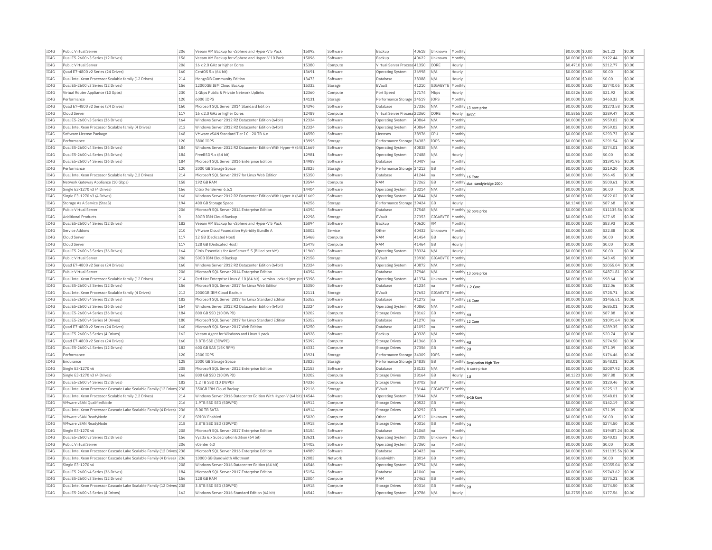| IC4G | Public Virtual Server                                                 | 206     | Veeam VM Backup for vSphere and Hyper-V 5 Pack                         | 15092 | Software | Backup                       | 40618 | Unknown                 | Monthly                                               | \$0.0000 \$0.00  | \$61.22           | \$0.00 |
|------|-----------------------------------------------------------------------|---------|------------------------------------------------------------------------|-------|----------|------------------------------|-------|-------------------------|-------------------------------------------------------|------------------|-------------------|--------|
| IC4G | Dual E5-2600 v3 Series (12 Drives)                                    | 156     | Veeam VM Backup for vSphere and Hyper-V 10 Pack                        | 15096 | Software | Backup                       | 40622 | Unknown                 | Monthly                                               | \$0.0000 \$0.00  | \$122.44          | \$0.00 |
| IC4G | Public Virtual Server                                                 | 206     | 16 x 2.0 GHz or higher Cores                                           | 15380 | Compute  | Virtual Server Process 41350 |       | CORE                    | Hourly                                                | \$0.4710 \$0.00  | \$312.77          | \$0.00 |
| IC4G | Ouad E7-4800 v2 Series (24 Drives)                                    | 160     | CentOS 5.x (64 bit)                                                    | 13691 | Software | <b>Operating System</b>      | 36998 | N/A                     | Hourly                                                | \$0,0000 \$0,00  | \$0.00            | \$0.00 |
| IC4G | Dual Intel Xeon Processor Scalable family (12 Drives)                 | 214     | MongoDB Community Edition                                              | 13473 | Software | Database                     | 38388 | N/A                     | Hourly                                                | \$0.0000 \$0.00  | \$0.00            | \$0.00 |
| IC4G | Dual E5-2600 v3 Series (12 Drives)                                    | 156     | 12000GB IBM Cloud Backup                                               | 15332 | Storage  | EVault                       | 41210 | GIGABYTE                | Monthly                                               | \$0.0000 \$0.00  | \$2740.05         | \$0.00 |
| IC4G | Virtual Router Appliance (10 Gpbs)                                    | 230     | 1 Gbps Public & Private Network Uplinks                                | 12360 | Compute  | Port Speed                   | 37174 | Mbps                    | Hourly                                                | \$0.0326 \$0.00  | \$21.92           | \$0.00 |
| IC4G | Performance                                                           | 120     | 6000 IOPS                                                              | 14131 |          | Performance Storage 34519    |       | <b>IOPS</b>             | Monthly                                               | \$0,0000 \$0.00  | \$460.33          | \$0.00 |
|      |                                                                       |         |                                                                        |       | Storage  |                              |       |                         |                                                       |                  |                   |        |
| TC4G | Quad E7-4800 v2 Series (24 Drives)                                    | 160     | Microsoft SOL Server 2014 Standard Edition                             | 14396 | Software | Database                     | 37336 | N/A                     | Monthly 13 core price                                 | \$0,0000 \$0.00  | \$1273.58         | \$0.00 |
| IC4G | Cloud Server                                                          | 117     | 16 x 2.0 GHz or higher Cores                                           | 12489 | Compute  | Virtual Server Process 22360 |       | CORE                    | Hourly<br><b>BYOC</b>                                 | \$0.5865 \$0.00  | \$389.47          | \$0.00 |
| IC4G | Dual E5-2600 v3 Series (36 Drives)                                    | 164     | Windows Server 2012 R2 Datacenter Edition (64bit)                      | 12324 | Software | <b>Operating System</b>      | 40864 | N/A                     | Monthl                                                | \$0.0000 \$0.00  | \$959.02          | \$0.00 |
| TC4G | Dual Intel Xeon Processor Scalable family (4 Drives)                  | 212     | Windows Server 2012 R2 Datacenter Edition (64bit)                      | 12324 | Software | <b>Operating System</b>      | 40864 | N/A                     | Monthly                                               | \$0,0000 \$0.00  | \$959.02          | \$0.00 |
| IC4G | Software License Package                                              | 168     | VMware vSAN Standard Tier I 0 - 20 TB 6.x                              | 14550 | Software | Licenses                     | 38976 | CPU                     | Monthly                                               | \$0,0000 \$0.00  | \$293.73          | \$0.00 |
| IC4G | Performance                                                           | 120     | 3800 TOPS                                                              | 13995 | Storage  | Performance Storage 34383    |       | <b>IOPS</b>             | Monthly                                               | \$0,0000 \$0.00  | \$291.54          | \$0.00 |
| IC4G | Dual E5-2600 v4 Series (36 Drives)                                    | 184     | Windows Server 2012 R2 Datacenter Edition With Hyper-V (64t 11669      |       | Software | Operating System             | 40838 | N/A                     | Monthly                                               | \$0.0000 \$0.00  | \$274.01          | \$0.00 |
| IC4G | Dual E5-2600 v4 Series (36 Drives)                                    | 184     | FreeBSD 9.x (64 bit)                                                   | 12981 | Software | Operating System             | 37488 | N/A                     | Hourly                                                | \$0.0000 \$0.00  | \$0.00            | \$0.00 |
| IC4G | Dual E5-2600 v4 Series (36 Drives)                                    | 184     | Microsoft SQL Server 2016 Enterprise Edition                           | 14989 | Software | Database                     | 40407 | Ina                     | Monthly                                               | $$0.0000$ \$0.00 | \$1391.95         | \$0.00 |
|      | Performance                                                           | 120     |                                                                        | 13825 |          |                              |       |                         |                                                       |                  |                   | \$0.00 |
| IC4G |                                                                       |         | 2000 GB Storage Space                                                  |       | Storage  | Performance Storage 34213    |       | GB                      | Monthly                                               | \$0.0000 \$0.00  | \$219.20          |        |
| IC4G | Dual Intel Xeon Processor Scalable family (12 Drives)                 | 214     | Microsoft SOL Server 2017 for Linux Web Edition                        | 15350 | Software | Database                     | 41244 | Ina                     | Monthly 16 Core                                       | \$0,0000 \$0.00  | \$96.45           | \$0.00 |
| TC4G | Network Gateway Appliance (10 Gbps)                                   | 158     | 192 GB RAM                                                             | 13594 | Compute  | RAM                          | 37262 | <b>GB</b>               | Monthly dual sandybridge 2000                         | \$0,0000 \$0.00  | \$500.61          | \$0.00 |
| IC4G | Single E3-1270 v3 (4 Drives)                                          | 166     | Citrix XenServer 6.5.1                                                 | 14404 | Software | Operating System             | 38214 | N/A                     | Monthly                                               | \$0.0000 \$0.00  | \$0.00            | \$0.00 |
| IC4G | Single E3-1270 v3 (4 Drives)                                          | 166     | Windows Server 2012 R2 Datacenter Edition With Hyper-V (64t 11669      |       | Software | Operating System             | 40844 | N/A                     | Monthly                                               | \$0,0000 \$0.00  | \$822.02          | \$0.00 |
| IC4G | Storage As A Service (StaaS)                                          | 194     | 400 GB Storage Space                                                   | 14256 | Storage  | Performance Storage 39424    |       | GB                      | Hourly                                                | \$0.1340 \$0.00  | \$87.68           | \$0.00 |
| IC4G | Public Virtual Server                                                 | 206     | Microsoft SQL Server 2014 Enterprise Edition                           | 14394 | Software | Database                     | 37548 | N/A                     | Monthly 32 core price                                 | \$0.0000 \$0.00  | \$11135.56        | \$0.00 |
| TCAG | <b>Additional Products</b>                                            | $\circ$ | 30GB TBM Cloud Backup                                                  | 12298 | Storage  | FVault                       | 27353 | <b>GIGARYTE</b> Monthly |                                                       | $$0.0000$ \$0.00 | \$27.65           | \$0.00 |
| IC4G | Dual E5-2600 v4 Series (12 Drives)                                    | 182     | Veeam VM Backup for vSphere and Hyper-V 5 Pack                         | 15094 | Software | Backup                       | 40620 | <b>VM</b>               | Monthly                                               | \$0.0000 \$0.00  | \$83.93           | \$0.00 |
| IC4G | Service Addons                                                        | 210     |                                                                        | 15002 | Service  | Other                        | 40432 | Unknown                 | Monthly                                               | \$0.0000 \$0.00  | \$32.88           | \$0.00 |
|      | Cloud Server                                                          | 117     | VMware Cloud Foundation Hybridity Bundle A<br>12 GB (Dedicated Host)   | 15468 |          | RAM                          |       | GB                      |                                                       |                  | \$0.00            | \$0.00 |
| IC4G |                                                                       |         |                                                                        |       | Compute  |                              | 41454 |                         | Hourly                                                | \$0.0000 \$0.00  |                   |        |
| TC4G | Cloud Serve                                                           | 117     | 128 GB (Dedicated Host)                                                | 15478 | Compute  | RAM                          | 41464 | GB                      | Hourly                                                | \$0.0000 \$0.00  | \$0.00            | \$0.00 |
| TC4G | Dual E5-2600 v3 Series (36 Drives)                                    | 164     | Citrix Essentials for XenServer 5.5 (Billed per VM)                    | 11960 | Software | <b>Operating System</b>      | 38324 | N/A                     | Hourly                                                | $$0.0000$ \$0.00 | \$0.00            | \$0.00 |
| IC4G | Public Virtual Server                                                 | 206     | 50GB IBM Cloud Backup                                                  | 12158 | Storage  | EVault                       | 33938 | GIGABYTE                | Monthly                                               | \$0.0000 \$0.00  | \$43.45           | \$0.00 |
| IC4G | Ouad E7-4800 v2 Series (24 Drives)                                    | 160     | Windows Server 2012 R2 Datacenter Edition (64bit)                      | 12324 | Software | <b>Operating System</b>      | 40872 | N/A                     | Monthly                                               | \$0.0000 \$0.00  | \$2055.04         | \$0.00 |
| IC4G | Public Virtual Server                                                 | 206     | Microsoft SOL Server 2014 Enterprise Edition                           | 14394 | Software | Database                     | 37946 | N/A                     | Monthly 13 core price                                 | \$0,0000 \$0.00  | \$4871.81         | \$0.00 |
| IC4G | Dual Intel Xeon Processor Scalable family (12 Drives)                 | 214     | Red Hat Enterprise Linux 6.10 (64 bit) - version-locked (per-prc 15398 |       | Software | <b>Operating System</b>      | 41374 | Unknown                 | Monthly                                               | \$0.0000 \$0.00  | \$98.64           | \$0.00 |
| IC4G | Dual E5-2600 v3 Series (12 Drives)                                    | 156     | Microsoft SOL Server 2017 for Linux Web Edition                        | 15350 | Software | Database                     | 41234 | na                      | Monthly 1-2 Core                                      | \$0,0000 \$0,00  | \$12.06           | \$0.00 |
| IC4G | Dual Intel Xeon Processor Scalable family (4 Drives)                  | 212     | 2000GB IBM Cloud Backup                                                | 12111 | Storage  | EVault                       | 37652 | GIGABYTE                | Monthly                                               | \$0.0000 \$0.00  | \$728.71          | \$0.00 |
| IC4G | Dual E5-2600 v4 Series (12 Drives)                                    | 182     | Microsoft SQL Server 2017 for Linux Standard Edition                   | 15352 | Software | Database                     | 41272 | na                      |                                                       | \$0.0000 \$0.00  | \$1455.51         | \$0.00 |
| IC4G | Dual E5-2600 v3 Series (36 Drives)                                    | 164     | Windows Server 2012 R2 Datacenter Edition (64bit)                      | 12324 |          |                              | 40860 | N/A                     | Monthly 16 Core<br>Monthly                            | \$0,0000 \$0.00  | \$685.01          | \$0.00 |
|      |                                                                       |         |                                                                        |       | Software | Operating System             |       |                         |                                                       |                  |                   |        |
| IC4G | Dual E5-2600 v4 Series (36 Drives)                                    | 184     | 800 GB SSD (10 DWPD)                                                   | 13202 | Compute  | Storage Drives               | 38162 | GB                      | Monthly 4U                                            | \$0,0000 \$0.00  | \$87.88           | \$0.00 |
| TC4G | Dual E5-2600 v4 Series (4 Drives)                                     | 180     | Microsoft SQL Server 2017 for Linux Standard Edition                   | 15352 | Software | Database                     | 41270 | Ina                     | Monthly 12 Core                                       | \$0.0000 \$0.00  | \$1091.64         | \$0.00 |
| IC4G | Quad E7-4800 v2 Series (24 Drives)                                    | 160     | Microsoft SQL Server 2017 Web Edition                                  | 15250 | Software | Database                     | 41092 | Ina                     | Monthly                                               | \$0.0000 \$0.00  | \$289.35          | \$0.00 |
| IC4G | Dual E5-2600 v3 Series (4 Drives)                                     | 162     | Veeam Agent for Windows and Linux 1 pack                               | 14928 | Software | Backup                       | 40328 | N/A                     | Monthly                                               | \$0.0000 \$0.00  | \$20.74           | \$0.00 |
| IC4G | Ouad E7-4800 v2 Series (24 Drives)                                    | 160     | 3.8TB SSD (3DWPD)                                                      | 15392 | Compute  | Storage Drives               | 41366 | <b>GB</b>               | Monthly 41                                            | \$0,0000 \$0.00  | \$274.50          | \$0.00 |
| IC4G | Dual E5-2600 v4 Series (12 Drives)                                    | 182     | 600 GB SAS (15K RPM)                                                   | 14332 | Compute  | <b>Storage Drives</b>        | 37356 | GB                      | Monthly 2U                                            | \$0,0000 \$0.00  | \$71.09           | \$0.00 |
| IC4G | Performance                                                           | 120     | 2300 IOPS                                                              | 13921 | Storage  | Performance Storage 34309    |       | <b>IOPS</b>             | Monthly                                               | \$0,0000 \$0.00  | \$176.46          | \$0.00 |
| IC4G | Endurance                                                             | 128     | 2000 GB Storage Space                                                  | 13825 | Storage  | Performance Storage 34838    |       | GB                      |                                                       | \$0.0000 \$0.00  | \$548.01          | \$0.00 |
| IC4G | Single E3-1270 v6                                                     | 208     | Microsoft SOL Server 2012 Enterprise Edition                           | 12153 | Software | Database                     | 38132 | N/A                     | Monthly Replication High Tier<br>Monthly 6 core price | \$0.0000 \$0.00  | \$2087.92         | \$0.00 |
| TC4G | Single E3-1270 v3 (4 Drives)                                          | 166     | 800 GB SSD (10 DWPD)                                                   | 13202 | Compute  | Storage Drives               | 38164 | GB                      |                                                       | \$0,1323 \$0.00  | \$87.88           | \$0.00 |
|      |                                                                       |         |                                                                        |       |          |                              |       |                         | Hourly<br>111                                         |                  |                   |        |
| IC4G | Dual E5-2600 v4 Series (12 Drives)                                    | 182     | 1.2 TB SSD (10 DWPD)                                                   | 14336 | Compute  | Storage Drives               | 38702 | GB                      | Monthly                                               | \$0.0000 \$0.00  | \$120.46          | \$0.00 |
| IC4G | Dual Intel Xeon Processor Cascade Lake Scalable Family (12 Drives 238 |         | 350GB IBM Cloud Backup                                                 | 12116 | Storage  | EVault                       | 38144 | GIGABYTE Monthly        |                                                       | \$0,0000 \$0.00  | \$225.13          | \$0.00 |
| IC4G | Dual Intel Xeon Processor Scalable family (12 Drives)                 | 214     | Windows Server 2016 Datacenter Edition With Hyper-V (64 bit) 14544     |       | Software | Operating System             | 38944 | N/A                     | Monthly 6-16 Core                                     | \$0.0000 \$0.00  | \$548.01          | \$0.00 |
| IC4G | VMware vSAN OualifiedNode                                             | 216     | 1.9TB SSD SED (5DWPD)                                                  | 14912 | Compute  | <b>Storage Drives</b>        | 40522 | GB                      | Monthly                                               | \$0.0000 \$0.00  | \$142.19          | \$0.00 |
| TC4G | Dual Intel Xeon Processor Cascade Lake Scalable Family (4 Drives) 236 |         | 8.00 TR SATA                                                           | 14914 | Compute  | <b>Storage Drives</b>        | 40292 | <b>GB</b>               | Monthly                                               | \$0.0000 \$0.00  | \$71.09           | \$0.00 |
| IC4G | VMware vSAN ReadyNode                                                 | 218     | SRTOV Enabled                                                          | 15020 | Compute  | Other                        | 40512 | Unknown                 | Monthly                                               | \$0.0000 \$0.00  | \$0.00            | \$0.00 |
| IC4G | VMware vSAN ReadvNode                                                 | 218     | 3.8TB SSD SED (3DWPD)                                                  | 14918 | Compute  | <b>Storage Drives</b>        | 40316 | GB                      | Monthly 2U                                            | \$0,0000 \$0.00  | \$274.50          | \$0.00 |
| IC4G | Single F3-1270 v6                                                     | 208     | Microsoft SQL Server 2017 Enterprise Edition                           | 15154 | Software | Database                     | 41068 | Ina                     | Monthly                                               | $$0.0000$ \$0.00 | \$19487.24 \$0.00 |        |
| IC4G | Dual E5-2600 v3 Series (12 Drives)                                    | 156     | Vyatta 6.x Subscription Edition (64 bit)                               | 13621 | Software | Operating System             | 37308 | Unknown                 | Hourly                                                | \$0,0000 \$0.00  | \$240.03          | \$0.00 |
|      |                                                                       |         |                                                                        |       |          |                              |       |                         |                                                       |                  |                   |        |
| TC4G | Public Virtual Server                                                 | 206     | vCenter 6.0                                                            | 14402 | Software | Operating System             | 37360 | lna                     | Monthly                                               | \$0,0000 \$0.00  | \$0.00            | \$0.00 |
| IC4G | Dual Intel Xeon Processor Cascade Lake Scalable Family (12 Drives 238 |         | Microsoft SQL Server 2016 Enterprise Edition                           | 14989 | Software | Database                     | 40423 | Ina                     | Monthly                                               | \$0.0000 \$0.00  | \$11135.56 \$0.00 |        |
| IC4G | Dual Intel Xeon Processor Cascade Lake Scalable Family (4 Drives) 236 |         | 10000 GB Bandwidth Allotment                                           | 12083 | Network  | Bandwidth                    | 38014 | GB                      | Monthly                                               | \$0.0000 \$0.00  | \$0.00            | \$0.00 |
| TC4G | Single E3-1270 v6                                                     | 208     | Windows Server 2016 Datacenter Edition (64 bit)                        | 14546 | Software | Operating System             | 40794 | N/A                     | Monthly                                               | $$0.0000$ \$0.00 | \$2055.04         | \$0.00 |
| TCAG | Dual E5-2600 v4 Series (36 Drives)                                    | 184     | Microsoft SQL Server 2017 Enterprise Edition                           | 15154 | Software | Database                     | 41060 | Ina                     | Monthly                                               | \$0.0000 \$0.00  | \$9743.62         | \$0.00 |
| IC4G | Dual E5-2600 v3 Series (12 Drives)                                    | 156     | 128 GB RAM                                                             | 12004 | Compute  | RAM                          | 37462 | <b>GB</b>               | Monthly                                               | $$0.0000$ \$0.00 | \$375.21          | \$0.00 |
| IC4G | Dual Intel Xeon Processor Cascade Lake Scalable Family (12 Drives 238 |         | 3.8TB SSD SED (3DWPD)                                                  | 14918 | Compute  | Storage Drives               | 40316 | GB                      | Monthly 2U                                            | \$0,0000 \$0.00  | \$274.50          | \$0.00 |
| IC4G | Dual E5-2600 v3 Series (4 Drives)                                     | 162     | Windows Server 2016 Standard Edition (64 bit)                          | 14542 | Software | <b>Operating System</b>      | 40786 | N/A                     | Hourly                                                | \$0.2755 \$0.00  | \$177.56          | \$0.00 |
|      |                                                                       |         |                                                                        |       |          |                              |       |                         |                                                       |                  |                   |        |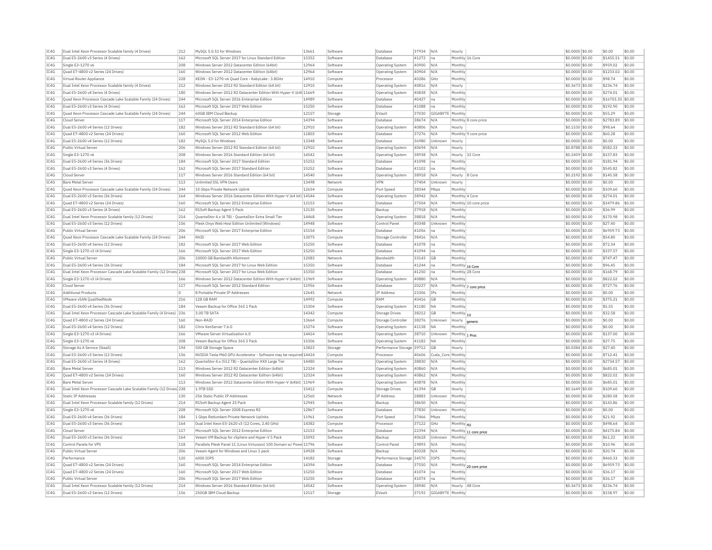| IC4G | Dual Intel Xeon Processor Scalable family (4 Drives)                   | 212 | MvSOL 5.0.51 for Windows                                            | 13661 | Software | Database                  | 37934 | N/A              | Hourly         |                       | \$0,0000 \$0.00 | \$0.00            | \$0.00 |
|------|------------------------------------------------------------------------|-----|---------------------------------------------------------------------|-------|----------|---------------------------|-------|------------------|----------------|-----------------------|-----------------|-------------------|--------|
| IC4G | Dual E5-2600 v3 Series (4 Drives)                                      | 162 | Microsoft SOL Server 2017 for Linux Standard Edition                | 15352 | Software | Database                  | 41272 | na               |                | Monthly 16 Core       | \$0,0000 \$0.00 | \$1455.51         | \$0.00 |
| IC4G | Single E3-1270 v6                                                      | 208 | Windows Server 2012 Datacenter Edition (64bit)                      | 12964 | Software | Operating System          | 40900 | N/A              | Monthly        |                       | \$0,0000 \$0.00 | \$959.02          | \$0.00 |
| IC4G | Quad E7-4800 v2 Series (24 Drives)                                     | 160 | Windows Server 2012 Datacenter Edition (64bit)                      | 12964 | Software | Operating System          | 40904 | N/A              | Monthly        |                       | \$0,0000 \$0.00 | \$1233.02         | \$0.00 |
| TC4G | Virtual Router Appliance                                               | 228 | XEON - E3-1270-y6 Quad Core - Kabyl ake : 3.8GHz                    | 14910 | Compute  | Processor                 | 40286 | GHZ              | Monthly        |                       | \$0,0000 \$0.00 | \$98.74           | \$0.00 |
| IC4G | Dual Intel Xeon Processor Scalable family (4 Drives)                   | 212 | Windows Server 2012 R2 Standard Edition (64 bit)                    | 12910 | Software | Operating System          | 40816 | N/A              | Hourly         |                       | \$0.3673 \$0.00 | \$236.74          | \$0.00 |
| IC4G | Dual E5-2600 v4 Series (4 Drives)                                      | 180 | Windows Server 2012 R2 Datacenter Edition With Hyper-V (64t 11669   |       | Software | Operating System          | 40838 | N/A              | Monthly        |                       | \$0.0000 \$0.00 | \$274.01          | \$0.00 |
| TCAG | Quad Xeon Processor Cascade Lake Scalable Family (24 Drives)           | 244 | Microsoft SOL Server 2016 Enterprise Edition                        | 14989 | Software | Database                  | 40427 | Ina              | Monthly        |                       | \$0,0000 \$0.00 | \$16703.35 \$0.00 |        |
| IC4G | Dual E5-2600 v3 Series (4 Drives)                                      | 162 | Microsoft SQL Server 2017 Web Edition                               | 15250 | Software | Database                  | 41088 | na               | Monthly        |                       | \$0,0000 \$0.00 | \$192.90          | \$0.00 |
| IC4G | Ouad Xeon Processor Cascade Lake Scalable Family (24 Drives)           | 244 | 60GB IBM Cloud Backup                                               | 12157 | Storage  | EVault                    | 37030 | GIGABYTE Monthly |                |                       | \$0,0000 \$0.00 | \$55.29           | \$0.00 |
| TCAG | Cloud Server                                                           | 117 | Microsoft SQL Server 2014 Enterprise Edition                        | 14394 | Software | Database                  | 38674 | N/A              |                | Monthly 8 core price  | \$0.0000 \$0.00 | \$2783.89         | \$0.00 |
| IC4G | Dual E5-2600 v4 Series (12 Drives)                                     | 182 | Windows Server 2012 R2 Standard Edition (64 bit)                    | 12910 | Software | <b>Operating System</b>   | 40806 | N/A              | Hourly         |                       | \$0.1530 \$0.00 | \$98.64           | \$0.00 |
| IC4G | Ouad E7-4800 v2 Series (24 Drives                                      | 160 | Microsoft SOL Server 2012 Web Edition                               | 11803 | Software | Database                  | 37276 | N/A              |                | Monthly 9 core price  | \$0,0000 \$0.00 | \$60.28           | \$0.00 |
| IC4G | Dual E5-2600 v4 Series (12 Drives)                                     | 182 | MySOL 5.0 for Windows                                               | 13348 | Software | Database                  | 36980 | Unknown          | Hourly         |                       | \$0.0000 \$0.00 | \$0.00            | \$0.00 |
| IC4G | Public Virtual Server                                                  | 206 | Windows Server 2012 R2 Standard Edition (64 bit)                    | 12910 | Software | <b>Operating System</b>   | 40694 | N/A              | Hourly         |                       | \$0,8788 \$0,00 | \$582.33          | \$0.00 |
| IC4G | Single E3-1270 v6                                                      | 208 | Windows Server 2016 Standard Edition (64 bit)                       | 14542 | Software | Operating System          | 38938 | N/A              | Hourly         | 32 Core               | \$0,2459 \$0.00 | \$157.83          | \$0.00 |
|      |                                                                        |     |                                                                     | 15252 |          |                           |       |                  | Monthly        |                       |                 |                   | \$0.00 |
| IC4G | Dual E5-2600 v4 Series (36 Drives)                                     | 184 | Microsoft SQL Server 2017 Standard Edition                          |       | Software | Database                  | 41098 | na               |                |                       | \$0.0000 \$0.00 | \$181.94          |        |
| IC4G | Dual E5-2600 v3 Series (4 Drives)                                      | 162 | Microsoft SOL Server 2017 Standard Edition                          | 15252 | Software | Database                  | 41102 | Ina              | Monthly        |                       | \$0.0000 \$0.00 | \$545.82          | \$0.00 |
| IC4G | Cloud Serve                                                            | 117 | Windows Server 2016 Standard Edition (64 bit                        | 14540 | Software | Operating System          | 38918 | N/A              | Hourly 8 Core  |                       | \$0.2192 \$0.00 | \$145.58          | \$0.00 |
| IC4G | <b>Bare Metal Server</b>                                               | 113 | <b>Unlimited SSL VPN Users</b>                                      | 13498 | Network  | <b>VPN</b>                | 37404 | Unknown          | Hourly         |                       | \$0.0000 \$0.00 | \$0.00            | \$0.00 |
| IC4G | Quad Xeon Processor Cascade Lake Scalable Family (24 Drives)           | 244 | 10 Gbps Private Network Uplink                                      | 12654 | Compute  | Port Speed                | 38344 | Mbps             | Monthly        |                       | \$0.0000 \$0.00 | \$109.60          | \$0.00 |
| IC4G | Dual E5-2600 v3 Series (36 Drives)                                     | 164 | Windows Server 2016 Datacenter Edition With Hyper-V (64 bit) 14544  |       | Software | Operating System          | 38942 | N/A              | Monthly 4 Core |                       | \$0,0000 \$0.00 | \$274.01          | \$0.00 |
| TC4G | Quad E7-4800 v2 Series (24 Drives)                                     | 160 | Microsoft SOL Server 2012 Enterprise Edition                        | 12153 | Software | Database                  | 37504 | N/A              |                | Monthly 10 core price | \$0,0000 \$0.00 | \$3479.86         | \$0.00 |
| TC4G | Dual E5-2600 v3 Series (4 Drives)                                      | 162 | R1Soft Backup Agent 5 Pack                                          | 13130 | Software | Backup                    | 37918 | N/A              | Monthly        |                       | \$0.0000 \$0.00 | \$36.99           | \$0.00 |
| IC4G | Dual Intel Xeon Processor Scalable family (12 Drives)                  | 214 | OuantaStor 4.x (4 TB) - OuantaStor Extra Small Tie                  | 14468 | Software | Operating System          | 38818 | N/A              | Monthly        |                       | \$0,0000 \$0.00 | \$170.98          | \$0.00 |
| IC4G | Dual E5-2600 v3 Series (12 Drives)                                     | 156 | Plesk Onyx Web Host Edition Unlimited (Windows)                     | 14948 | Software | Control Pane              | 40348 | Unknown          | <b>Monthly</b> |                       | \$0.0000 \$0.00 | \$27.40           | \$0.00 |
| IC4G | Public Virtual Server                                                  | 206 | Microsoft SQL Server 2017 Enterprise Edition                        | 15154 | Software | Database                  | 41056 |                  | Monthly        |                       | \$0.0000 \$0.00 | \$6959.73         | \$0.00 |
| TCAG | Quad Xeon Processor Cascade Lake Scalable Family (24 Drives)           | 244 | RATO                                                                | 13075 | Compute  | Storage Controller        | 38416 | N/A              | Monthly        |                       | \$0,0000 \$0.00 | \$54.80           | \$0.00 |
| TC4G | Dual E5-2600 v4 Series (12 Drives)                                     | 182 | Microsoft SQL Server 2017 Web Edition                               | 15250 | Software | Database                  | 41078 | Ina              | Monthly        |                       | \$0.0000 \$0.00 | \$72.34           | \$0.00 |
| IC4G | Single E3-1270 v3 (4 Drives)                                           | 166 | Microsoft SOL Server 2017 Web Edition                               | 15250 | Software | Database                  | 41094 | Ina              | Monthly        |                       | \$0.0000 \$0.00 | \$337.57          | \$0.00 |
| IC4G | Public Virtual Server                                                  | 206 | 10000 GB Bandwidth Allotment                                        | 12083 | Network  | Bandwidth                 | 33143 | <b>GB</b>        | Monthly        |                       | \$0,0000 \$0.00 | \$747.47          | \$0.00 |
| IC4G | Dual E5-2600 v4 Series (36 Drives)                                     | 184 | Microsoft SQL Server 2017 for Linux Web Edition                     | 15350 | Software | Database                  | 41244 | na               |                | Monthly 16 Core       | \$0.0000 \$0.00 | \$96.45           | \$0.00 |
| IC4G | Dual Intel Xeon Processor Cascade Lake Scalable Family (12 Drives) 238 |     | Microsoft SOL Server 2017 for Linux Web Edition                     | 15350 | Software | Database                  | 41250 | Ina              |                | Monthly 28 Core       | \$0,0000 \$0,00 | \$168.79          | \$0.00 |
| IC4G | Single E3-1270 v3 (4 Drives)                                           | 166 | Windows Server 2012 Datacenter Edition With Hyper-V (64bit) 11969   |       | Software | Operating System          | 40880 | N/A              | Monthly        |                       | \$0,0000 \$0.00 | \$822.02          | \$0.00 |
| IC4G | Cloud Serve                                                            | 117 | Microsoft SQL Server 2012 Standard Edition                          | 11956 | Software | Database                  | 20227 | N/A              |                | Monthly 7 core price  | \$0.0000 \$0.00 | \$727.76          | \$0.00 |
| IC4G | <b>Additional Products</b>                                             | lo. | 8 Portable Private IP Addresses                                     | 12645 | Network  | <b>IP Address</b>         | 23306 | IPs              | Monthly        |                       | \$0,0000 \$0.00 | \$0.00            | \$0.00 |
| IC4G | VMware vSAN OualifiedNode                                              | 216 | 128 GB RAM                                                          | 14992 | Compute  | RAM                       | 40416 | <b>GB</b>        | Monthly        |                       | \$0,0000 \$0.00 | \$375.21          | \$0.00 |
| TC4G | Dual E5-2600 v4 Series (36 Drives)                                     | 184 | Veeam Backup for Office 365 1 Pack                                  | 15304 | Software | Operating System          | 41180 | <b>NA</b>        | Monthly        |                       | \$0.0000 \$0.00 | \$5.55            | \$0.00 |
| IC4G | Dual Intel Xeon Processor Cascade Lake Scalable Family (4 Drives)      | 236 | 3.00 TB SATA                                                        | 14342 | Compute  | Storage Drives            | 38212 | GB               |                |                       | \$0.0000 \$0.00 | \$32.58           | \$0.00 |
|      |                                                                        |     | Non-RAID                                                            |       |          |                           |       |                  | Monthly 1U     |                       |                 |                   |        |
| IC4G | Ouad E7-4800 v2 Series (24 Drives)                                     | 160 |                                                                     | 13664 | Compute  | Storage Controller        | 38276 | Unknown          | Hourly         | generic               | \$0.0000 \$0.00 | \$0.00            | \$0.00 |
| TCAG | Dual E5-2600 v4 Series (12 Drives)                                     | 182 | Citrix XenServer 7.6.0                                              | 15274 | Software | Operating System          | 41138 | NΑ               | Monthly        |                       | \$0,0000 \$0.00 | \$0.00            | \$0.00 |
| IC4G | Single E3-1270 v3 (4 Drives)                                           | 166 | VMware Server Virtualization 6.0                                    | 14414 | Software | Operating System          | 38710 | Unknown          | Monthly 1 Proc |                       | \$0,0000 \$0.00 | \$137.00          | \$0.00 |
| IC4G | Single E3-1270 v6                                                      | 208 | Veeam Backup for Office 365 5 Pack                                  | 15306 | Software | Operating System          | 41182 | <b>NA</b>        | Monthly        |                       | \$0,0000 \$0.00 | \$27.75           | \$0.00 |
| IC4G | Storage As A Service (StaaS)                                           | 194 | 500 GB Storage Space                                                | 13823 | Storage  | Performance Storage 39712 |       | GB               | Hourly         |                       | \$0.0384 \$0.00 | \$27.40           | \$0.00 |
| IC4G | Dual E5-2600 v3 Series (12 Drives)                                     | 156 | NVIDIA Tesla M60 GPU Accelerator - Software may be required 14424   |       | Compute  | Processor                 | 40606 | Cuda Con         | Monthly        |                       | \$0.0000 \$0.00 | \$712.41          | \$0.00 |
| TC4G | Dual E5-2600 v3 Series (4 Drives)                                      | 162 | QuantaStor 4.x (512 TB) - QuantaStor XXX Large Tier                 | 14480 | Software | <b>Operating System</b>   | 38830 | N/A              | Monthly        |                       | \$0,0000 \$0.00 | \$2734.57         | \$0.00 |
| IC4G | <b>Bare Metal Server</b>                                               | 113 | Windows Server 2012 R2 Datacenter Edition (64bit)                   | 12324 | Software | Operating System          | 40860 | N/A              | Monthly        |                       | \$0,0000 \$0.00 | \$685.01          | \$0.00 |
| IC4G | Ouad E7-4800 v2 Series (24 Drives)                                     | 160 | Windows Server 2012 R2 Datacenter Edition (64bit)                   | 12324 | Software | Operating System          | 40862 | N/A              | Monthly        |                       | \$0.0000 \$0.00 | \$822.02          | \$0.00 |
| IC4G | <b>Bare Metal Server</b>                                               | 113 | Windows Server 2012 Datacenter Edition With Hyper-V (64bit) 11969   |       | Software | <b>Operating System</b>   | 40878 | N/A              | Monthly        |                       | \$0,0000 \$0.00 | \$685.01          | \$0.00 |
| IC4G | Dual Intel Xeon Processor Cascade Lake Scalable Family (12 Drives) 238 |     | 1.9TB SSD                                                           | 15412 | Compute  | <b>Storage Drives</b>     | 41394 | GB               | Hourly         |                       | \$0.1649 \$0.00 | \$109.60          | \$0.00 |
| IC4G | <b>Static IP Addresses</b>                                             | 130 | 256 Static Public IP Addresses                                      | 12560 | Network  | IP Address                | 28883 | Unknown          | Monthly        |                       | \$0,0000 \$0.00 | \$280.58          | \$0.00 |
| IC4G | Dual Intel Xeon Processor Scalable family (12 Drives)                  | 214 | R1Soft Backup Agent 25 Pack                                         | 12945 | Software | Backup                    | 38650 | N/A              | Monthly        |                       | \$0,0000 \$0.00 | \$143.86          | \$0.00 |
| IC4G | Single E3-1270 v6                                                      | 208 | Microsoft SOL Server 2008 Express R2                                | 12867 | Software | Database                  | 37830 | Unknown          | Monthly        |                       | \$0,0000 \$0,00 | \$0.00            | \$0.00 |
| IC4G | Dual E5-2600 v4 Series (36 Drives)                                     | 184 | 1 Gbps Redundant Private Network Uplinks                            | 11961 | Compute  | Port Speed                | 37466 | Mbps             | Monthly        |                       | \$0.0000 \$0.00 | \$21.92           | \$0.00 |
| IC4G | Dual E5-2600 v3 Series (36 Drives)                                     | 164 | Dual Intel Xeon E5-2620 v3 (12 Cores, 2.40 GHz)                     | 14382 | Compute  | Processo                  | 37122 | GHz              | Monthly 4U     |                       | \$0.0000 \$0.00 | \$498.64          | \$0.00 |
| IC4G | Cloud Server                                                           | 117 | Microsoft SOL Server 2012 Enterprise Edition                        | 12153 | Software | Database                  | 22394 | N/A              |                |                       | \$0,0000 \$0.00 | \$4175.84         | \$0.00 |
| IC4G | Dual E5-2600 v3 Series (36 Drives)                                     | 164 | Veeam VM Backup for vSphere and Hyper-V 5 Pack                      | 15092 | Software | Backup                    | 40618 | Unknown          | Monthly        | Monthly 11 core price | \$0,0000 \$0.00 | \$61.22           | \$0.00 |
|      | Control Panels for VPS                                                 | 118 |                                                                     |       |          |                           |       | N/A              |                |                       |                 |                   |        |
| IC4G | Public Virtual Server                                                  |     | Parallels Plesk Panel 11 (Linux Virtuozzo) 100 Domain w/ Powe 11796 |       | Software | Control Pane              | 19893 |                  | Monthly        |                       | \$0,0000 \$0.00 | \$10.96           | \$0.00 |
| IC4G |                                                                        | 206 | Veeam Agent for Windows and Linux 1 pack                            | 14928 | Software | Backup                    | 40328 | N/A              | <b>Monthly</b> |                       | \$0.0000 \$0.00 | \$20.74           | \$0.00 |
| IC4G | Performance                                                            | 120 | 6000 IOPS                                                           | 14182 | Storage  | Performance Storage 34570 |       | IOPS             | Monthly        |                       | \$0.0000 \$0.00 | \$460.33          | \$0.00 |
| TCAG | Quad E7-4800 v2 Series (24 Drives)                                     | 160 | Microsoft SOL Server 2014 Enterprise Edition                        | 14394 | Software | Database                  | 37550 | N/A              |                | Monthly 20 core price | \$0,0000 \$0.00 | \$6959.73         | \$0.00 |
| TC4G | Quad E7-4800 v2 Series (24 Drives)                                     | 160 | Microsoft SQL Server 2017 Web Edition                               | 15250 | Software | Database                  | 41074 | Ina              | Monthly        |                       | \$0.0000 \$0.00 | \$36.17           | \$0.00 |
| IC4G | Public Virtual Server                                                  | 206 | Microsoft SOL Server 2017 Web Edition                               | 15250 | Software | Database                  | 41074 | lna              | Monthly        |                       | \$0,0000 \$0.00 | \$36.17           | \$0.00 |
| TCAG | Dual Intel Xeon Processor Scalable family (12 Drives)                  | 214 | Windows Server 2016 Standard Edition (64 bit)                       | 14542 | Software | Operating System          | 38940 | N/A              |                | Hourly 48 Core        | \$0,3673 \$0.00 | \$236.74          | \$0.00 |
| IC4G | Dual E5-2600 v3 Series (12 Drives)                                     | 156 | 250GB IBM Cloud Backup                                              | 12117 | Storage  | EVault                    | 37192 | GIGABYTE Monthly |                |                       | \$0.0000 \$0.00 | \$158.97          | \$0.00 |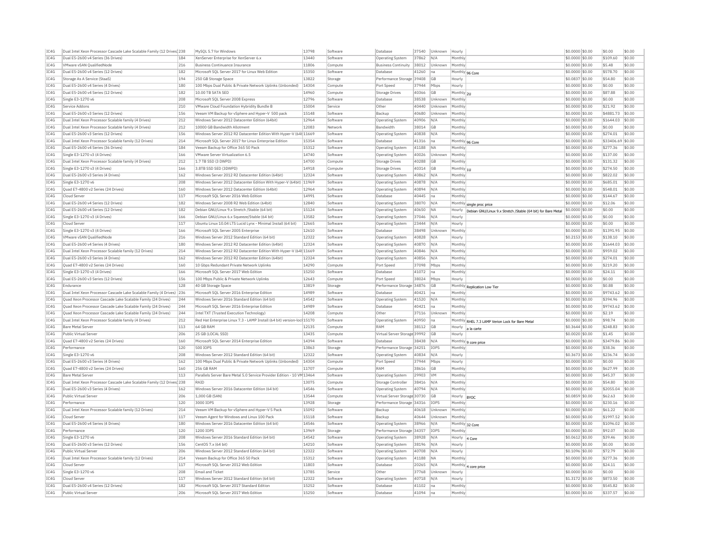| IC4G | Dual Intel Xeon Processor Cascade Lake Scalable Family (12 Drives) 238 |     | MySOL 5.7 for Windows                                                  | 13798 | Software | Database                     | 37540 | Unknown        | Hourly                                                                | \$0.0000 \$0.00   | \$0.00            | \$0.00 |
|------|------------------------------------------------------------------------|-----|------------------------------------------------------------------------|-------|----------|------------------------------|-------|----------------|-----------------------------------------------------------------------|-------------------|-------------------|--------|
| IC4G | Dual E5-2600 v4 Series (36 Drives)                                     | 184 | XenServer Enterprise for XenServer 6.x                                 | 13440 | Software | Operating System             | 37862 | N/A            | Monthly                                                               | \$0,0000 \$0.00   | \$109.60          | \$0.00 |
| TC4G | VMware vSAN QualifiedNode                                              | 216 | <b>Business Continuance Insurance</b>                                  | 11806 | Compute  | <b>Business Continuity</b>   | 38012 | Unknown        | Monthly                                                               | \$0,0000 \$0,00   | \$5.48            | \$0.00 |
| IC4G | Dual E5-2600 v4 Series (12 Drives)                                     | 182 | Microsoft SQL Server 2017 for Linux Web Edition                        | 15350 | Software | Database                     | 41260 | Ina            | Monthly 96 Core                                                       | \$0,0000 \$0.00   | \$578.70          | \$0.00 |
| IC4G | Storage As A Service (StaaS)                                           | 194 | 250 GB Storage Space                                                   | 13822 | Storage  | Performance Storage          | 39408 | GB             | Hourly                                                                | \$0.0837 \$0.00   | \$54.80           | \$0.00 |
| TC4G | Dual E5-2600 v4 Series (4 Drives                                       | 180 | 100 Mbps Dual Public & Private Network Uplinks (Unbonded)              | 14304 | Compute  | Port Speed                   | 37944 | Mbps           | Hourly                                                                | $$0.0000$ \$0.00  | \$0.00            | \$0.00 |
| IC4G | Dual E5-2600 v4 Series (12 Drives                                      | 182 | 10.00 TB SATA SED                                                      | 14960 | Compute  | <b>Storage Drives</b>        | 40366 | GB             | Monthly 2U                                                            | \$0,0000 \$0.00   | \$87.88           | \$0.00 |
|      |                                                                        |     |                                                                        | 12796 |          |                              |       |                |                                                                       |                   | \$0.00            | \$0.00 |
| IC4G | Single E3-1270 v6                                                      | 208 | Microsoft SQL Server 2008 Express                                      |       | Software | Database                     | 38538 | Unknown        | Monthly                                                               | \$0.0000 \$0.00   |                   |        |
| IC4G | Service Addons                                                         | 210 | VMware Cloud Foundation Hybridity Bundle B                             | 15004 | Service  | Other                        | 40440 | Unknown        | Monthly                                                               | \$0.0000 \$0.00   | \$21.92           | \$0.00 |
| IC4G | Dual E5-2600 v3 Series (12 Drives)                                     | 156 | Veeam VM Backup for vSphere and Hyper-V 500 pack                       | 15148 | Software | Backup                       | 40680 | Unknown        | Monthly                                                               | \$0,0000 \$0.00   | \$4881.73         | \$0.00 |
| IC4G | Dual Intel Xeon Processor Scalable family (4 Drives)                   | 212 | Windows Server 2012 Datacenter Edition (64bit)                         | 12964 | Software | <b>Operating System</b>      | 40906 | N/A            | Monthly                                                               | \$0,0000 \$0,00   | \$1644.03         | \$0.00 |
| IC4G | Dual Intel Xeon Processor Scalable family (4 Drives)                   | 212 | 10000 GB Bandwidth Allotment                                           | 12083 | Network  | Bandwidth                    | 38014 | GB             | Monthly                                                               | $$0.0000$ \$0.00  | \$0.00            | \$0.00 |
| IC4G | Dual E5-2600 v3 Series (12 Drives)                                     | 156 | Windows Server 2012 R2 Datacenter Edition With Hyper-V (64t 11669      |       | Software | Operating System             | 40838 | N/A            | Monthly                                                               | \$0,0000 \$0.00   | \$274.01          | \$0.00 |
| TC4G | Dual Intel Xeon Processor Scalable family (12 Drives)                  | 214 | Microsoft SOL Server 2017 for Linux Enterprise Edition                 | 15354 | Software | Database                     | 41316 | Ina            | Monthly 96 Core                                                       | \$0,0000 \$0.00   | \$33406.69 \$0.00 |        |
| IC4G | Dual E5-2600 v4 Series (36 Drives)                                     | 184 | Veeam Backup for Office 365 50 Pack                                    | 15312 | Software | Operating System             | 41188 | <b>NA</b>      | Monthly                                                               | \$0,0000 \$0.00   | \$277.36          | \$0.00 |
| TCAG | Single E3-1270 v3 (4 Drives)                                           | 166 | VMware Server Virtualization 6.5                                       | 14740 | Software | Operating System             | 40026 | Unknown        | Monthly                                                               | \$0,0000 \$0.00   | \$137.00          | \$0.00 |
| IC4G | Dual Intel Xeon Processor Scalable family (4 Drives)                   | 212 | 1.7 TB SSD (3 DWPD)                                                    | 14700 | Compute  | Storage Drives               | 40288 | GB             | Monthly                                                               | \$0.0000 \$0.00   | \$131.32          | \$0.00 |
| IC4G | Single E3-1270 v3 (4 Drives)                                           | 166 | 3.8TB SSD SED (3DWPD)                                                  | 14918 | Compute  | Storage Drives               | 40314 | GB             | Monthly 11                                                            | \$0.0000 \$0.00   | \$274.50          | \$0.00 |
| IC4G | Dual E5-2600 v3 Series (4 Drives)                                      | 162 | Windows Server 2012 R2 Datacenter Edition (64bit)                      | 12324 | Software | Operating System             | 40862 | N/A            | Monthly                                                               | $$0.0000$ \$0.00  | \$822.02          | \$0.00 |
| TC4G | Single E3-1270 v6                                                      | 208 |                                                                        |       |          |                              |       | N/A            |                                                                       |                   |                   | \$0.00 |
|      |                                                                        |     | Windows Server 2012 Datacenter Edition With Hyper-V (64bit) 11969      |       | Software | <b>Operating Systen</b>      | 40878 |                | Monthly                                                               | \$0.0000 \$0.00   | \$685.01          |        |
| IC4G | Quad E7-4800 v2 Series (24 Drives)                                     | 160 | Windows Server 2012 Datacenter Edition (64bit)                         | 12964 | Software | Operating System             | 40894 | N/A            | Monthly                                                               | \$0.0000 \$0.00   | \$548.01          | \$0.00 |
| IC4G | Cloud Server                                                           | 117 | Microsoft SOL Server 2016 Web Edition                                  | 14991 | Software | Database                     | 40445 | Ina            | Monthly                                                               | \$0,0000 \$0.00   | \$144.67          | \$0.00 |
| IC4G | Dual E5-2600 v4 Series (12 Drives)                                     | 182 | Windows Server 2008 R2 Web Edition (64bit)                             | 12840 | Software | <b>Operating System</b>      | 38070 | N/A            | Monthly single proc price                                             | \$0.0000 \$0.00   | \$12.06           | \$0.00 |
| IC4G | Dual E5-2600 v4 Series (12 Drives)                                     | 182 | Debian GNU/Linux 9.x Stretch /Stable (64 bit)                          | 15124 | Software | Operating System             | 40650 | <b>NA</b>      | Hourly<br>Debian GNU/Linux 9.x Stretch /Stable (64 bit) for Bare Meta | \$0.0000 \$0.00   | \$0.00            | \$0.00 |
| IC4G | Single E3-1270 v3 (4 Drives)                                           | 166 | Debian GNU/Linux 6.x Squeeze/Stable (64 bit)                           | 13582 | Software | Operating System             | 37046 | N/A            | Hourly                                                                | \$0.0000 \$0.00   | \$0.00            | \$0.00 |
| IC4G | Cloud Server                                                           | 117 | Ubuntu Linux 10.04 LTS Lucid Lynx - Minimal Install (64 bit)           | 12665 | Software | Operating System             | 23444 | N/A            | Hourly                                                                | \$0,0000 \$0,00   | \$0.00            | \$0.00 |
| IC4G | Single E3-1270 v3 (4 Drives)                                           | 166 | Microsoft SOL Server 2005 Enterprise                                   | 12610 | Software | Database                     | 38498 | Unknown        | Monthly                                                               | \$0,0000 \$0.00   | \$1391.95         | \$0.00 |
| IC4G | VMware vSAN QualifiedNode                                              | 216 | Windows Server 2012 Standard Edition (64 bit)                          | 12322 | Software | Operating System             | 40828 | N/A            | Hourly                                                                | \$0.2153 \$0.00   | \$138.10          | \$0.00 |
| TCAG | Dual E5-2600 v4 Series (4 Drives)                                      | 180 | Windows Server 2012 R2 Datacenter Edition (64bit)                      | 12324 | Software | <b>Operating System</b>      | 40870 | N/A            | Monthly                                                               | \$0,0000 \$0.00   | \$1644.03         | \$0.00 |
| IC4G | Dual Intel Xeon Processor Scalable family (12 Drives)                  | 214 | Windows Server 2012 R2 Datacenter Edition With Hyper-V (64t 11669      |       | Software | <b>Operating System</b>      | 40846 | N/A            | Monthly                                                               | \$0,0000 \$0.00   | \$959.02          | \$0.00 |
|      | Dual E5-2600 v3 Series (4 Drives)                                      |     |                                                                        | 12324 |          |                              | 40856 |                | Monthly                                                               | \$0,0000 \$0.00   |                   |        |
| IC4G |                                                                        | 162 | Windows Server 2012 R2 Datacenter Edition (64bit)                      |       | Software | Operating System             |       | N/A            |                                                                       |                   | \$274.01          | \$0.00 |
| IC4G | Quad E7-4800 v2 Series (24 Drives)                                     | 160 | 10 Gbps Redundant Private Network Uplinks                              | 14290 | Compute  | Port Speed                   | 37098 | Mbps           | Monthly                                                               | \$0,0000 \$0.00   | \$219.20          | \$0.00 |
| IC4G | Single E3-1270 v3 (4 Drives)                                           | 166 | Microsoft SQL Server 2017 Web Edition                                  | 15250 | Software | Database                     | 41072 | Ina            | Monthly                                                               | \$0,0000 \$0.00   | \$24.11           | \$0.00 |
| IC4G | Dual E5-2600 v3 Series (12 Drives)                                     | 156 | 100 Mbps Public & Private Network Uplinks                              | 12643 | Compute  | Port Speed                   | 38024 | Mbps           | Hourly                                                                | \$0,0000 \$0,00   | \$0.00            | \$0.00 |
| IC4G | Endurance                                                              | 128 | 40 GB Storage Space                                                    | 13819 | Storage  | Performance Storage 34876    |       | GB             | Monthly Replication Low Tier                                          | \$0.0000 \$0.00   | \$0.88            | \$0.00 |
| IC4G | Dual Intel Xeon Processor Cascade Lake Scalable Family (4 Drives)      | 236 | Microsoft SOL Server 2016 Enterprise Edition                           | 14989 | Software | Database                     | 40421 | na             | Monthly                                                               | \$0,0000 \$0.00   | \$9743.62         | \$0.00 |
| IC4G | Quad Xeon Processor Cascade Lake Scalable Family (24 Drives)           | 244 | Windows Server 2016 Standard Edition (64 bit)                          | 14542 | Software | Operating System             | 41520 | N/A            | Monthly                                                               | \$0,0000 \$0.00   | \$394.96          | \$0.00 |
| IC4G | Quad Xeon Processor Cascade Lake Scalable Family (24 Drives)           | 244 | Microsoft SQL Server 2016 Enterprise Edition                           | 14989 | Software | Database                     | 40421 | Ina            | Monthly                                                               | \$0,0000 \$0.00   | \$9743.62         | \$0.00 |
| TCAG | Ouad Xeon Processor Cascade Lake Scalable Family (24 Drives)           | 244 | Intel TXT (Trusted Execution Technology)                               | 14208 | Compute  | Other                        | 37116 | Unknown        | Monthly                                                               | \$0,0000 \$0.00   | \$2.19            | \$0.00 |
| IC4G | Dual Intel Xeon Processor Scalable family (4 Drives)                   | 212 | Red Hat Enterprise Linux 7.3 - LAMP Install (64 bit) version-loc 15170 |       | Software | Operating System             | 40950 | Ina            | Monthly RHEL 7.3 LAMP Verion Lock for Bare Metal                      | \$0.0000 \$0.00   | \$98.74           | \$0.00 |
| IC4G | <b>Bare Metal Server</b>                                               | 113 | 64 GB RAM                                                              | 12135 | Compute  | RAM                          | 38112 | GB             | Hourly a la carte                                                     | $$0.3644$$ \$0.00 | \$248.83          | \$0.00 |
| IC4G | Public Virtual Server                                                  | 206 | 25 GB (LOCAL SSD)                                                      | 13435 | Compute  | Virtual Server Storage 39992 |       | G <sub>R</sub> | Hourly                                                                | $$0.0020$ \$0.00  | \$1.45            | \$0.00 |
| TC4G | Quad E7-4800 v2 Series (24 Drives)                                     | 160 | Microsoft SQL Server 2014 Enterprise Edition                           | 14394 | Software | Database                     | 38438 | N/A            |                                                                       | \$0.0000 \$0.00   | \$3479.86         | \$0.00 |
|      |                                                                        |     |                                                                        | 13863 |          |                              |       |                | Monthly 9 core price                                                  |                   |                   |        |
| IC4G | Performance                                                            | 120 | 500 TOPS                                                               |       | Storage  | Performance Storage 34251    |       | <b>TOPS</b>    | Monthly                                                               | \$0,0000 \$0.00   | \$38.36           | \$0.00 |
| TC4G | Single E3-1270 v6                                                      | 208 | Windows Server 2012 Standard Edition (64 bit)                          | 12322 | Software | Operating System             | 40834 | N/A            | Hourly                                                                | \$0.3673 \$0.00   | \$236.74          | \$0.00 |
| IC4G | Dual E5-2600 v3 Series (4 Drives)                                      | 162 | 100 Mbps Dual Public & Private Network Uplinks (Unbonded)              | 14304 | Compute  | Port Speed                   | 37944 | Mbps           | Hourly                                                                | \$0.0000 \$0.00   | \$0.00            | \$0.00 |
| IC4G | Ouad E7-4800 v2 Series (24 Drives)                                     | 160 | <b>256 GR RAM</b>                                                      | 11707 | Compute  | RAM                          | 38616 | <b>GB</b>      | Monthly                                                               | \$0.0000 \$0.00   | \$627.99          | \$0.00 |
| IC4G | <b>Bare Metal Server</b>                                               | 113 | Parallels Server Bare Metal 5.0 Service Provider Edition - 10 VM 13464 |       | Software | Operating System             | 29903 | <b>VM</b>      | Monthly                                                               | \$0.0000 \$0.00   | \$45.37           | \$0.00 |
| IC4G | Dual Intel Xeon Processor Cascade Lake Scalable Family (12 Drives) 238 |     | RAID                                                                   | 13075 | Compute  | Storage Controller           | 38416 | N/A            | Monthly                                                               | \$0,0000 \$0.00   | \$54.80           | \$0.00 |
| IC4G | Dual E5-2600 v3 Series (4 Drives)                                      | 162 | Windows Server 2016 Datacenter Edition (64 bit)                        | 14546 | Software | <b>Operating System</b>      | 40794 | N/A            | Monthly                                                               | \$0,0000 \$0.00   | \$2055.04         | \$0.00 |
| IC4G | Public Virtual Server                                                  | 206 | 1,000 GB (SAN)                                                         | 13544 | Compute  | Virtual Server Storage 30730 |       | <b>GB</b>      | Hourly  BYOC                                                          | \$0.0859 \$0.00   | \$62.63           | \$0.00 |
| TC4G | Performance                                                            | 120 | 3000 TOPS                                                              | 13928 | Storage  | Performance Storage 34316    |       | <b>TOPS</b>    | Monthly                                                               | \$0,0000 \$0,00   | \$230.16          | \$0.00 |
| IC4G | Dual Intel Xeon Processor Scalable family (12 Drives)                  | 214 | Veeam VM Backup for vSphere and Hyper-V 5 Pack                         | 15092 | Software | Backup                       | 40618 | Unknown        | Monthly                                                               | \$0,0000 \$0.00   | \$61.22           | \$0.00 |
| IC4G | Cloud Server                                                           | 117 | Veeam Agent for Windows and Linux 100 Pack                             | 15118 | Software | Backup                       | 40644 | Unknown        | Monthly                                                               | \$0.0000 \$0.00   | \$1997.52         | \$0.00 |
| IC4G | Dual E5-2600 v4 Series (4 Drives)                                      | 180 | Windows Server 2016 Datacenter Edition (64 bit)                        | 14546 | Software | Operating System             | 38966 | N/A            |                                                                       | \$0.0000 \$0.00   | \$1096.02         | \$0.00 |
|      |                                                                        |     |                                                                        |       |          |                              |       |                | Monthly 32 Core                                                       |                   |                   |        |
| IC4G | Performance                                                            | 120 | 1200 IOPS                                                              | 13969 | Storage  | Performance Storage          | 34357 | IOPS           | Monthly                                                               | \$0,0000 \$0.00   | \$92.07           | \$0.00 |
| IC4G | Single E3-1270 v6                                                      | 208 | Windows Server 2016 Standard Edition (64 bit)                          | 14542 | Software | <b>Operating System</b>      | 38928 | N/A            | Hourly<br>4 Core                                                      | \$0,0612 \$0.00   | \$39.46           | \$0.00 |
| IC4G | Dual E5-2600 v3 Series (12 Drives)                                     | 156 | CentOS 7 x (64 bit)                                                    | 14210 | Software | Operating System             | 38196 | N/A            | Hourly                                                                | \$0.0000 \$0.00   | \$0.00            | \$0.00 |
| IC4G | Public Virtual Server                                                  | 206 | Windows Server 2012 Standard Edition (64 bit)                          | 12322 | Software | Operating System             | 40708 | N/A            | Hourly                                                                | \$0,1096 \$0.00   | \$72.79           | \$0.00 |
| IC4G | Dual Intel Xeon Processor Scalable family (12 Drives)                  | 214 | Veeam Backup for Office 365 50 Pack                                    | 15312 | Software | <b>Operating System</b>      | 41188 | <b>NA</b>      | Monthly                                                               | $$0.0000$ \$0.00  | \$277.36          | \$0.00 |
| IC4G | Cloud Server                                                           | 117 | Microsoft SOL Server 2012 Web Edition                                  | 11803 | Software | Database                     | 20265 | N/A            | Monthly 4 core price                                                  | \$0,0000 \$0.00   | \$24.11           | \$0.00 |
| TC4G | Single F3-1270 v6                                                      | 208 | <b>Email and Ticket</b>                                                | 13785 | Service  | Other                        | 37768 | Unknown        | Hourly                                                                | $$0.0000$ \$0.00  | \$0.00            | \$0.00 |
| IC4G | Cloud Server                                                           | 117 | Windows Server 2012 Standard Edition (64 bit)                          | 12322 | Software | Operating System             | 40718 | N/A            | Hourly                                                                | \$1.3172 \$0.00   | \$873.50          | \$0.00 |
| IC4G | Dual E5-2600 v4 Series (12 Drives)                                     | 182 | Microsoft SQL Server 2017 Standard Edition                             | 15252 | Software | Database                     | 41102 | Ina            | Monthly                                                               | \$0.0000 \$0.00   | \$545.82          | \$0.00 |
| IC4G | Public Virtual Server                                                  | 206 | Microsoft SOL Server 2017 Web Edition                                  | 15250 | Software | Database                     | 41094 | Ina            | Monthly                                                               | $$0.0000$ \$0.00  | \$337.57          | \$0.00 |
|      |                                                                        |     |                                                                        |       |          |                              |       |                |                                                                       |                   |                   |        |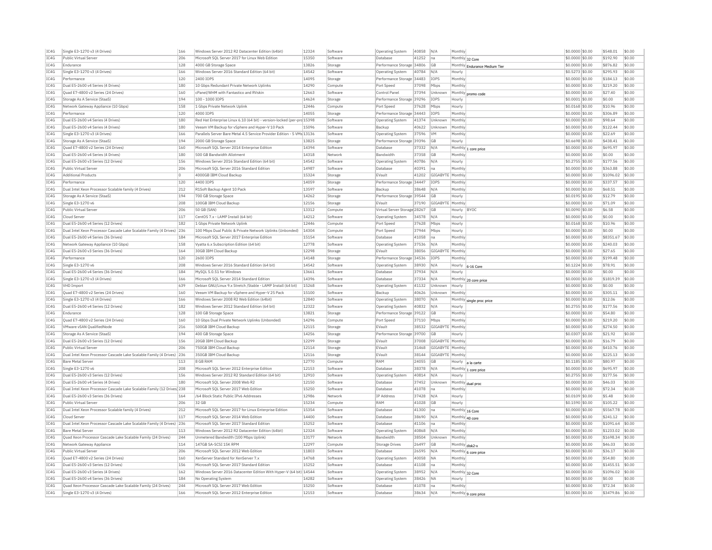| TC4G<br>Public Virtual Server<br>206<br>Microsoft SOL Server 2017 for Linux Web Edition<br>15350<br>Software<br>Database<br>41252<br>Monthly 32 Core<br>\$0,0000 \$0.00<br>\$192.90<br>Ina<br>IC4G<br>Endurance<br>128<br>4000 GB Storage Space<br>13826<br>Storage<br>Performance Storage 34806<br><b>GB</b><br>\$0.0000 \$0.00<br>\$876.82<br>Monthly Endurance Medium Tier<br>IC4G<br>Single E3-1270 v3 (4 Drives)<br>166<br>Windows Server 2016 Standard Edition (64 bit)<br>14542<br>Software<br>40784<br>N/A<br>\$0.5273 \$0.00<br>\$295.93<br><b>Operating System</b><br>Hourly<br>TCAG<br>120<br>2400 TOPS<br>14095<br>Performance Storage 34483<br><b>TOPS</b><br>\$0.0000 \$0.00<br>\$184.13<br>Performance<br>Storage<br>Monthly<br>IC4G<br>Dual E5-2600 v4 Series (4 Drives)<br>180<br>14290<br>37098<br>Monthly<br>\$0.0000 \$0.00<br>\$219.20<br>10 Gbps Redundant Private Network Uplinks<br>Compute<br>Port Speed<br>Mbps<br>IC4G<br>Ouad E7-4800 v2 Series (24 Drives)<br>160<br>cPanel/WHM with Fantastico and RVskin<br>12663<br>37394<br>\$0,0000 \$0.00<br>\$27.40<br>Software<br>Control Panel<br>Unknown<br>Monthly<br>promo code<br>IC4G<br>194<br>14624<br>Storage As A Service (StaaS<br>100 - 1000 IOPS<br>Storage<br>Performance Storage 39296<br>IOPS<br>\$0,0001 \$0.00<br>\$0.00<br>Hourly<br>IC4G<br>158<br>12446<br>\$10.96<br>Network Gateway Appliance (10 Gbps)<br>1 Gbps Private Network Uplink<br>37628<br>\$0,0168 \$0.00<br>Compute<br>Port Speed<br>Mbps<br>Hourly<br>14055<br>IC4G<br>Performance<br>120<br>4000 IOPS<br>Storage<br>Performance Storage 34443<br>IOPS<br>Monthly<br>\$0,0000 \$0.00<br>\$306.89<br>TC4G<br>180<br>Red Hat Enterprise Linux 6.10 (64 bit) - version-locked (per-prc 15398<br>\$98.64<br>Dual E5-2600 v4 Series (4 Drives)<br>Software<br><b>Operating System</b><br>41374<br>Unknown<br>Monthly<br>\$0,0000 \$0.00<br>IC4G<br>Dual E5-2600 v4 Series (4 Drives)<br>180<br>Veeam VM Backup for vSphere and Hyper-V 10 Pack<br>15096<br>Software<br>40622<br>\$0.0000 \$0.00<br>\$122.44<br>Backup<br>Unknown<br>Monthly<br>TC4G<br>Single E3-1270 v3 (4 Drives)<br>Parallels Server Bare Metal 4.5 Service Provider Edition - 5 VMs 13136<br>166<br>Software<br><b>Operating System</b><br>37596<br><b>VM</b><br>Monthly<br>\$0,0000 \$0.00<br>\$22.69<br>IC4G<br>194<br>2000 GB Storage Space<br>13825<br>Performance Storage 39396<br>\$0.6698 \$0.00<br>\$438.41<br>\$0.00<br>Storage As A Service (StaaS)<br>Storage<br><b>GB</b><br>Hourly<br>IC4G<br>Quad E7-4800 v2 Series (24 Drives)<br>160<br>Microsoft SQL Server 2014 Enterprise Edition<br>14394<br>Software<br>Database<br>37332<br>N/A<br>\$0.0000 \$0.00<br>\$695.97<br>\$0.00<br>Monthly 1 core price<br>IC4G<br>180<br>14318<br>\$0.00<br>Dual E5-2600 v4 Series (4 Drives)<br>500 GB Bandwidth Allotment<br>37358<br><b>GB</b><br>\$0,0000 \$0.00<br>\$0.00<br>Network<br>Bandwidth<br>Monthly<br>IC4G<br>Dual E5-2600 v3 Series (12 Drives)<br>156<br>Windows Server 2016 Standard Edition (64 bit)<br>14542<br>Software<br>40786<br>N/A<br>\$0.2755 \$0.00<br>\$177.56<br>\$0.00<br><b>Operating System</b><br>Hourly<br>TC4G<br>206<br>14987<br>\$363.88<br>Public Virtual Server<br>Microsoft SOL Server 2016 Standard Edition<br>40391<br>Monthly<br>$$0.0000$ \$0.00<br>Software<br>Database<br>Ina<br>IC4G<br>١o<br>15324<br>41202<br>Monthly<br>\$0.0000 \$0.00<br>\$1096.02<br><b>Additional Products</b><br>4000GB IBM Cloud Backup<br>Storage<br>EVault<br>GIGABYTE<br>TC4G<br>120<br>4400 TOPS<br>14059<br>\$0,0000 \$0.00<br>\$337.57<br>Performance<br>Storage<br>Performance Storage 34447<br><b>TOPS</b><br>Monthly<br>IC4G<br>13597<br>\$0.0000 \$0.00<br>Dual Intel Xeon Processor Scalable family (4 Drives)<br>212<br>R1Soft Backup Agent 10 Pack<br>Software<br>Backup<br>38648<br>N/A<br>Monthly<br>\$68.51<br>IC4G<br>194<br>Storage As A Service (StaaS)<br>700 GB Storage Space<br>14262<br>Storage<br>Performance Storage 39544<br><b>GB</b><br>Hourly<br>\$0.0195 \$0.00<br>\$12.79<br>IC4G<br>208<br>Single E3-1270 v6<br>100GB IBM Cloud Backup<br>12156<br>EVault<br>37190<br>GIGABYTE<br>Monthly<br>\$0.0000 \$0.00<br>\$71.09<br>Storage<br>IC4G<br>Public Virtual Server<br>206<br>50 GB (SAN)<br>13312<br>Compute<br>Virtual Server Storage 28267<br><b>GB</b><br>Hourly BYOC<br>\$0,0090 \$0.00<br>\$6.58<br>IC4G<br>Cloud Server<br>117<br>CentOS 7.x - LAMP Install (64 bit)<br>14212<br>Software<br>34578<br>N/A<br>\$0.0000 \$0.00<br>\$0.00<br><b>Operating System</b><br>Hourly<br>12446<br>\$10.96<br>IC4G<br>Dual E5-2600 v4 Series (12 Drives)<br>182<br>1 Gbps Private Network Uplink<br>Compute<br>Port Speed<br>37628<br>Mbps<br>Hourly<br>\$0.0168 \$0.00<br>TC4G<br>Dual Intel Xeon Processor Cascade Lake Scalable Family (4 Drives) 236<br>100 Mbps Dual Public & Private Network Uplinks (Unbonded)<br>14304<br>37944<br>\$0.0000 \$0.00<br>\$0.00<br>Port Speed<br>Mbps<br>Compute<br>Hourly<br>IC4G<br>15154<br>\$8351.67<br>Dual E5-2600 v4 Series (36 Drives)<br>184<br>Microsoft SQL Server 2017 Enterprise Edition<br>Software<br>Database<br>41058<br>Ina<br>Monthly<br>\$0.0000 \$0.00<br>IC4G<br>158<br>12778<br>\$240.03<br>\$0.00<br>Network Gateway Appliance (10 Gbps)<br>Vyatta 6.x Subscription Edition (64 bit)<br>37536<br>Monthly<br>\$0,0000 \$0.00<br>Software<br>Operating System<br>N/A<br>IC4G<br>Dual E5-2600 v3 Series (36 Drives)<br>164<br>30GB IBM Cloud Backup<br>12298<br>EVault<br>38056<br>GIGABYTI<br>Monthly<br>\$0.0000 \$0.00<br>\$27.65<br>\$0.00<br>Storage<br>IC4G<br>120<br>14148<br>\$0,0000 \$0,00<br>\$199.48<br>\$0.00<br>Performance<br>2600 IOPS<br>Performance Storage 34536<br>IOPS<br>Storage<br>Monthly<br>IC4G<br>Single E3-1270 v6<br>208<br>Windows Server 2016 Standard Edition (64 bit)<br>14542<br>38930<br>N/A<br>$$0.1224$ \$0.00<br>\$78.91<br>\$0.00<br>Software<br><b>Operating System</b><br>Hourly<br>6-16 Core<br>\$0.00<br>TC4G<br>Dual E5-2600 v4 Series (36 Drives)<br>184<br>MySOL 5.0.51 for Windows<br>13661<br>37934<br>\$0.0000 \$0.00<br>\$0.00<br>Software<br>Database<br>N/A<br>Hourly<br>IC4G<br>166<br>14396<br>\$1819.39<br>Single E3-1270 v3 (4 Drives)<br>Microsoft SQL Server 2014 Standard Edition<br>Software<br><b>Databas</b><br>37334<br>N/A<br>Monthly 20 core price<br>\$0.0000 \$0.00<br>TC4G<br>639<br>15268<br>VHD Import<br>Debian GNU/Linux 9.x Stretch /Stable - LAMP Install (64 bit)<br>Software<br><b>Operating System</b><br>41132<br><b>Unknown</b><br>Hourly<br>\$0,0000 \$0.00<br>\$0.00<br>IC4G<br>Ouad E7-4800 v2 Series (24 Drives)<br>160<br>Veeam VM Backup for vSphere and Hyper-V 25 Pack<br>15100<br>Software<br>Backup<br>40626<br>Unknown<br>Monthly<br>\$0.0000 \$0.00<br>\$305.11<br>IC4G<br>Single E3-1270 v3 (4 Drives)<br>166<br>Windows Server 2008 R2 Web Edition (64bit)<br>12840<br>Software<br>Operating System<br>38070<br>N/A<br>\$0.0000 \$0.00<br>\$12.06<br>Monthly single proc price<br>IC4G<br>Dual E5-2600 v4 Series (12 Drives)<br>182<br>Windows Server 2012 Standard Edition (64 bit)<br>12322<br>Software<br>40832<br>N/A<br>$$0.2755$ \$0.00<br>\$177.56<br><b>Operating System</b><br>Hourly<br>IC4G<br>Endurance<br>128<br>13821<br>Storage<br>Performance Storage 39122<br><b>GB</b><br>Monthly<br>\$0.0000 \$0.00<br>\$54.80<br>100 GB Storage Space<br>IC4G<br>Quad E7-4800 v2 Series (24 Drives)<br>160<br>14296<br>Mbps<br>Monthly<br>\$0.0000 \$0.00<br>\$219.20<br>10 Gbps Dual Private Network Uplinks (Unbonded)<br>Compute<br>Port Speed<br>37110<br>IC4G<br>VMware vSAN QualifiedNode<br>216<br>500GB IBM Cloud Backup<br>12115<br>38532<br>GIGABYTE<br>Monthly<br>\$0.0000 \$0.00<br>\$274.50<br>Storage<br>EVault<br>IC4G<br>194<br>14256<br>\$0.0307 \$0.00<br>\$21.92<br>Storage As A Service (StaaS)<br>400 GB Storage Space<br>Performance Storage 39700<br>Storage<br>GB<br>Hourly<br>IC4G<br>156<br>12299<br>\$0.0000 \$0.00<br>Dual E5-2600 v3 Series (12 Drives)<br>20GB IBM Cloud Backup<br>Storage<br>EVault<br>37008<br>GIGABYTE<br>Monthly<br>\$16.79<br>IC4G<br>206<br>12114<br>EVault<br>31468<br>GIGABYTE Monthly<br>\$0,0000 \$0.00<br>\$410.76<br>Public Virtual Server<br>750GB IBM Cloud Backup<br>Storage<br>IC4G<br>Dual Intel Xeon Processor Cascade Lake Scalable Family (4 Drives) 236<br>350GB IBM Cloud Backup<br>12116<br>Storage<br>EVault<br>38144<br>GIGABYTE<br>Monthly<br>\$0,0000 \$0.00<br>\$225.13<br>TCAG<br>12770<br><b>Bare Metal Server</b><br>8 GB RAM<br>RAM<br>24055<br>\$0.1185 \$0.00<br>\$80.97<br>113<br>Compute<br><b>GB</b><br>Hourly a la carte<br>IC4G<br>Single E3-1270 v6<br>208<br>Microsoft SQL Server 2012 Enterprise Edition<br>12153<br>Software<br>Database<br>38378<br>N/A<br>\$0.0000 \$0.00<br>\$695.97<br>\$0.00<br>Monthly 1 core price<br>IC4G<br>156<br>12910<br>Dual E5-2600 v3 Series (12 Drives)<br>Windows Server 2012 R2 Standard Edition (64 bit)<br>Software<br><b>Operating System</b><br>40814<br>N/A<br>Hourly<br>\$0.2755 \$0.00<br>\$177.56<br>TC4G<br>Dual E5-2600 v4 Series (4 Drives)<br>180<br>Microsoft SQL Server 2008 Web R2<br>12150<br>37452<br>\$0.0000 \$0.00<br>\$46.03<br>\$0.00<br>Software<br>Database<br>Unknown<br>Monthly dual proc<br>IC4G<br>15250<br>Dual Intel Xeon Processor Cascade Lake Scalable Family (12 Drives) 238<br>Microsoft SQL Server 2017 Web Edition<br>Software<br>Database<br>41078<br>Ina<br>Monthly<br>\$0.0000 \$0.00<br>\$72.34<br>IC4G<br>Dual E5-2600 v3 Series (36 Drives)<br>164<br>/64 Block Static Public IPv6 Addresses<br>12986<br><b>IP Address</b><br>37428<br>N/A<br>\$0.0109 \$0.00<br>\$5.48<br>Network<br>Hourly<br>IC4G<br>Public Virtual Server<br>206<br>32 GB<br>15234<br>RAM<br>41028<br><b>GB</b><br>\$0.1590 \$0.00<br>\$105.22<br>Compute<br>Hourly<br>IC4G<br>Dual Intel Xeon Processor Scalable family (4 Drives)<br>212<br>Microsoft SQL Server 2017 for Linux Enterprise Edition<br>15354<br>Database<br>41300<br>\$0.0000 \$0.00<br>\$5567.78<br>Software<br>Monthly 16 Core<br>Ina<br>IC4G<br>117<br>Microsoft SQL Server 2014 Web Edition<br>14400<br>Database<br>38690<br>N/A<br>\$0.0000 \$0.00<br>\$241.12<br>Cloud Serve<br>Software<br>Monthly 40 core<br>IC4G<br>15252<br>\$1091.64<br>Dual Intel Xeon Processor Cascade Lake Scalable Family (4 Drives) 236<br>Microsoft SOL Server 2017 Standard Edition<br>Software<br>Database<br>41106<br>Monthly<br>\$0,0000 \$0.00<br>Ina<br>IC4G<br>Windows Server 2012 R2 Datacenter Edition (64bit)<br>12324<br>40868<br>\$0.0000 \$0.00<br>\$1233.02<br><b>Bare Metal Serve</b><br>113<br>Software<br>Operating System<br>N/A<br>Monthly<br>IC4G<br>244<br>Unmetered Bandwidth (100 Mbps Uplink)<br>13177<br>38504<br>\$0,0000 \$0.00<br>\$1698.34<br>Ouad Xeon Processor Cascade Lake Scalable Family (24 Drives)<br>Unknown<br>Network<br>Bandwidth<br>Monthly<br>IC4G<br>12297<br>26497<br>\$0.0000 \$0.00<br>Network Gateway Appliance<br>114<br>147GB SA-SCSI 15K RPM<br>Compute<br><b>Storage Drives</b><br><b>GB</b><br>Monthly disk2-x<br>\$46.03<br>TC4G<br>11803<br>Public Virtual Server<br>206<br>Microsoft SOL Server 2012 Web Edition<br>26595<br>\$0,0000 \$0.00<br>\$36.17<br>Software<br>Database<br>N/A<br>Monthly 6 core price<br>160<br>IC4G<br>Ouad E7-4800 v2 Series (24 Drives)<br>XenServer Standard for XenServer 7.><br>14768<br>Software<br>40058<br><b>NA</b><br>Monthly<br>\$0.0000 \$0.00<br>\$54.80<br><b>Operating System</b><br>TC4G<br>Dual E5-2600 v3 Series (12 Drives)<br>15252<br>\$1455.51<br>156<br>Microsoft SOL Server 2017 Standard Edition<br>Software<br>Database<br>41108<br>Ina<br>Monthly<br>\$0,0000 \$0,00<br>TC4G<br>Dual E5-2600 v3 Series (4 Drives)<br>162<br>Windows Server 2016 Datacenter Edition With Hyper-V (64 bit) 14544<br>38952<br>\$0.0000 \$0.00<br>\$1096.02<br>Software<br>N/A<br>Monthly 32 Core<br>Operating System<br>IC4G<br>Dual E5-2600 v4 Series (36 Drives)<br>184<br>No Operating System<br>14282<br>Software<br><b>Operating System</b><br>38426<br>İΝΔ<br>Hourly<br>\$0.0000 \$0.00<br>\$0.00<br>TC4G<br>244<br>Microsoft SQL Server 2017 Web Edition<br>\$72.34<br>\$0.00<br>Ouad Xeon Processor Cascade Lake Scalable Family (24 Drives)<br>15250<br>Software<br>Database<br>41078<br>Monthly<br>\$0,0000 \$0.00<br>Ina<br>IC4G<br>Single E3-1270 v3 (4 Drives)<br>166<br>Microsoft SOL Server 2012 Enterprise Edition<br>12153<br>Software<br>Database<br>38634<br>N/A<br>Monthly 9 core price<br>$$0.0000$ \$0.00<br>\$3479.86<br>\$0.00 | IC4G | Single E3-1270 v3 (4 Drives) | 166 | Windows Server 2012 R2 Datacenter Edition (64bit) | 12324 | Software | <b>Operating System</b> | 40858 | N/A | Monthly | \$0,0000 \$0.00 | \$548.01 | \$0.00 |
|---------------------------------------------------------------------------------------------------------------------------------------------------------------------------------------------------------------------------------------------------------------------------------------------------------------------------------------------------------------------------------------------------------------------------------------------------------------------------------------------------------------------------------------------------------------------------------------------------------------------------------------------------------------------------------------------------------------------------------------------------------------------------------------------------------------------------------------------------------------------------------------------------------------------------------------------------------------------------------------------------------------------------------------------------------------------------------------------------------------------------------------------------------------------------------------------------------------------------------------------------------------------------------------------------------------------------------------------------------------------------------------------------------------------------------------------------------------------------------------------------------------------------------------------------------------------------------------------------------------------------------------------------------------------------------------------------------------------------------------------------------------------------------------------------------------------------------------------------------------------------------------------------------------------------------------------------------------------------------------------------------------------------------------------------------------------------------------------------------------------------------------------------------------------------------------------------------------------------------------------------------------------------------------------------------------------------------------------------------------------------------------------------------------------------------------------------------------------------------------------------------------------------------------------------------------------------------------------------------------------------------------------------------------------------------------------------------------------------------------------------------------------------------------------------------------------------------------------------------------------------------------------------------------------------------------------------------------------------------------------------------------------------------------------------------------------------------------------------------------------------------------------------------------------------------------------------------------------------------------------------------------------------------------------------------------------------------------------------------------------------------------------------------------------------------------------------------------------------------------------------------------------------------------------------------------------------------------------------------------------------------------------------------------------------------------------------------------------------------------------------------------------------------------------------------------------------------------------------------------------------------------------------------------------------------------------------------------------------------------------------------------------------------------------------------------------------------------------------------------------------------------------------------------------------------------------------------------------------------------------------------------------------------------------------------------------------------------------------------------------------------------------------------------------------------------------------------------------------------------------------------------------------------------------------------------------------------------------------------------------------------------------------------------------------------------------------------------------------------------------------------------------------------------------------------------------------------------------------------------------------------------------------------------------------------------------------------------------------------------------------------------------------------------------------------------------------------------------------------------------------------------------------------------------------------------------------------------------------------------------------------------------------------------------------------------------------------------------------------------------------------------------------------------------------------------------------------------------------------------------------------------------------------------------------------------------------------------------------------------------------------------------------------------------------------------------------------------------------------------------------------------------------------------------------------------------------------------------------------------------------------------------------------------------------------------------------------------------------------------------------------------------------------------------------------------------------------------------------------------------------------------------------------------------------------------------------------------------------------------------------------------------------------------------------------------------------------------------------------------------------------------------------------------------------------------------------------------------------------------------------------------------------------------------------------------------------------------------------------------------------------------------------------------------------------------------------------------------------------------------------------------------------------------------------------------------------------------------------------------------------------------------------------------------------------------------------------------------------------------------------------------------------------------------------------------------------------------------------------------------------------------------------------------------------------------------------------------------------------------------------------------------------------------------------------------------------------------------------------------------------------------------------------------------------------------------------------------------------------------------------------------------------------------------------------------------------------------------------------------------------------------------------------------------------------------------------------------------------------------------------------------------------------------------------------------------------------------------------------------------------------------------------------------------------------------------------------------------------------------------------------------------------------------------------------------------------------------------------------------------------------------------------------------------------------------------------------------------------------------------------------------------------------------------------------------------------------------------------------------------------------------------------------------------------------------------------------------------------------------------------------------------------------------------------------------------------------------------------------------------------------------------------------------------------------------------------------------------------------------------------------------------------------------------------------------------------------------------------------------------------------------------------------------------------------------------------------------------------------------------------------------------------------------------------------------------------------------------------------------------------------------------------------------------------------------------------------------------------------------------------------------------------------------------------------------------------------------------------------------------------------------------------------------------------------------------------------------------------------------------------------------------------------------------------------------------------------------------------------------------------------------------------------------------------------------------------------------------------------------------------------------------------------------------------------------------------------------------------------------------------------------------------------------------------------------------------------------------------------------------------------------------------------------------------------------------------------------------------------------------------------------------------------------------------------------------------------------------------------------------------------------------------------------------------------------------------------------------------------------------------------------------------------------------------------------------------------------------------------------------------------------------------------------------------------------------------------------------------------------------------------------------------------------------------------------------------------------------------------------------------------------------------------------------------------------------------------------------------------------------------------------------------------------------------------------------------------------------------------------------------------------------------------------------------------------------------------------------------------------------------------------------------------------------------------------------------------------------------------------------------------------------------------------------------------------------------------------------------------------------------------------------------------------------------------------------------------------------------------------------------------------------------------------------------------------------------------------------------------------------------------------------------------------------------------------------------------------------------------------------------------------------------------------------------------------------------------------------------------------------------------------------------------------------------------------------------------------------------------------------------------------------------------------------------------------------------------------------------------------------------------------------------------------------------------------------------------------------------------------------------------------------------------------------------------------------------------------------------------------------------------------------------------------------------------------------------------------------------------------------------------------------------------------------------------------------------------------|------|------------------------------|-----|---------------------------------------------------|-------|----------|-------------------------|-------|-----|---------|-----------------|----------|--------|
|                                                                                                                                                                                                                                                                                                                                                                                                                                                                                                                                                                                                                                                                                                                                                                                                                                                                                                                                                                                                                                                                                                                                                                                                                                                                                                                                                                                                                                                                                                                                                                                                                                                                                                                                                                                                                                                                                                                                                                                                                                                                                                                                                                                                                                                                                                                                                                                                                                                                                                                                                                                                                                                                                                                                                                                                                                                                                                                                                                                                                                                                                                                                                                                                                                                                                                                                                                                                                                                                                                                                                                                                                                                                                                                                                                                                                                                                                                                                                                                                                                                                                                                                                                                                                                                                                                                                                                                                                                                                                                                                                                                                                                                                                                                                                                                                                                                                                                                                                                                                                                                                                                                                                                                                                                                                                                                                                                                                                                                                                                                                                                                                                                                                                                                                                                                                                                                                                                                                                                                                                                                                                                                                                                                                                                                                                                                                                                                                                                                                                                                                                                                                                                                                                                                                                                                                                                                                                                                                                                                                                                                                                                                                                                                                                                                                                                                                                                                                                                                                                                                                                                                                                                                                                                                                                                                                                                                                                                                                                                                                                                                                                                                                                                                                                                                                                                                                                                                                                                                                                                                                                                                                                                                                                                                                                                                                                                                                                                                                                                                                                                                                                                                                                                                                                                                                                                                                                                                                                                                                                                                                                                                                                                                                                                                                                                                                                                                                                                                                                                                                                                                                                                                                                                                                                                                                                                                                                                                                                                                                                                                                                                                                                                                                                                                                                                                                                                                                                                                                                                                                                                                                                                                                                                                                                                                                                                                                                                                                                                                                                                                                                                                                                                                                                                                                                                                                                                                                                                                                                                                                                                                                                                                                                                                                                                                                                                                                                                                                                                                                                                                                                                                       |      |                              |     |                                                   |       |          |                         |       |     |         |                 |          | \$0.00 |
|                                                                                                                                                                                                                                                                                                                                                                                                                                                                                                                                                                                                                                                                                                                                                                                                                                                                                                                                                                                                                                                                                                                                                                                                                                                                                                                                                                                                                                                                                                                                                                                                                                                                                                                                                                                                                                                                                                                                                                                                                                                                                                                                                                                                                                                                                                                                                                                                                                                                                                                                                                                                                                                                                                                                                                                                                                                                                                                                                                                                                                                                                                                                                                                                                                                                                                                                                                                                                                                                                                                                                                                                                                                                                                                                                                                                                                                                                                                                                                                                                                                                                                                                                                                                                                                                                                                                                                                                                                                                                                                                                                                                                                                                                                                                                                                                                                                                                                                                                                                                                                                                                                                                                                                                                                                                                                                                                                                                                                                                                                                                                                                                                                                                                                                                                                                                                                                                                                                                                                                                                                                                                                                                                                                                                                                                                                                                                                                                                                                                                                                                                                                                                                                                                                                                                                                                                                                                                                                                                                                                                                                                                                                                                                                                                                                                                                                                                                                                                                                                                                                                                                                                                                                                                                                                                                                                                                                                                                                                                                                                                                                                                                                                                                                                                                                                                                                                                                                                                                                                                                                                                                                                                                                                                                                                                                                                                                                                                                                                                                                                                                                                                                                                                                                                                                                                                                                                                                                                                                                                                                                                                                                                                                                                                                                                                                                                                                                                                                                                                                                                                                                                                                                                                                                                                                                                                                                                                                                                                                                                                                                                                                                                                                                                                                                                                                                                                                                                                                                                                                                                                                                                                                                                                                                                                                                                                                                                                                                                                                                                                                                                                                                                                                                                                                                                                                                                                                                                                                                                                                                                                                                                                                                                                                                                                                                                                                                                                                                                                                                                                                                                                                                       |      |                              |     |                                                   |       |          |                         |       |     |         |                 |          | \$0.00 |
|                                                                                                                                                                                                                                                                                                                                                                                                                                                                                                                                                                                                                                                                                                                                                                                                                                                                                                                                                                                                                                                                                                                                                                                                                                                                                                                                                                                                                                                                                                                                                                                                                                                                                                                                                                                                                                                                                                                                                                                                                                                                                                                                                                                                                                                                                                                                                                                                                                                                                                                                                                                                                                                                                                                                                                                                                                                                                                                                                                                                                                                                                                                                                                                                                                                                                                                                                                                                                                                                                                                                                                                                                                                                                                                                                                                                                                                                                                                                                                                                                                                                                                                                                                                                                                                                                                                                                                                                                                                                                                                                                                                                                                                                                                                                                                                                                                                                                                                                                                                                                                                                                                                                                                                                                                                                                                                                                                                                                                                                                                                                                                                                                                                                                                                                                                                                                                                                                                                                                                                                                                                                                                                                                                                                                                                                                                                                                                                                                                                                                                                                                                                                                                                                                                                                                                                                                                                                                                                                                                                                                                                                                                                                                                                                                                                                                                                                                                                                                                                                                                                                                                                                                                                                                                                                                                                                                                                                                                                                                                                                                                                                                                                                                                                                                                                                                                                                                                                                                                                                                                                                                                                                                                                                                                                                                                                                                                                                                                                                                                                                                                                                                                                                                                                                                                                                                                                                                                                                                                                                                                                                                                                                                                                                                                                                                                                                                                                                                                                                                                                                                                                                                                                                                                                                                                                                                                                                                                                                                                                                                                                                                                                                                                                                                                                                                                                                                                                                                                                                                                                                                                                                                                                                                                                                                                                                                                                                                                                                                                                                                                                                                                                                                                                                                                                                                                                                                                                                                                                                                                                                                                                                                                                                                                                                                                                                                                                                                                                                                                                                                                                                                                                       |      |                              |     |                                                   |       |          |                         |       |     |         |                 |          | \$0.00 |
|                                                                                                                                                                                                                                                                                                                                                                                                                                                                                                                                                                                                                                                                                                                                                                                                                                                                                                                                                                                                                                                                                                                                                                                                                                                                                                                                                                                                                                                                                                                                                                                                                                                                                                                                                                                                                                                                                                                                                                                                                                                                                                                                                                                                                                                                                                                                                                                                                                                                                                                                                                                                                                                                                                                                                                                                                                                                                                                                                                                                                                                                                                                                                                                                                                                                                                                                                                                                                                                                                                                                                                                                                                                                                                                                                                                                                                                                                                                                                                                                                                                                                                                                                                                                                                                                                                                                                                                                                                                                                                                                                                                                                                                                                                                                                                                                                                                                                                                                                                                                                                                                                                                                                                                                                                                                                                                                                                                                                                                                                                                                                                                                                                                                                                                                                                                                                                                                                                                                                                                                                                                                                                                                                                                                                                                                                                                                                                                                                                                                                                                                                                                                                                                                                                                                                                                                                                                                                                                                                                                                                                                                                                                                                                                                                                                                                                                                                                                                                                                                                                                                                                                                                                                                                                                                                                                                                                                                                                                                                                                                                                                                                                                                                                                                                                                                                                                                                                                                                                                                                                                                                                                                                                                                                                                                                                                                                                                                                                                                                                                                                                                                                                                                                                                                                                                                                                                                                                                                                                                                                                                                                                                                                                                                                                                                                                                                                                                                                                                                                                                                                                                                                                                                                                                                                                                                                                                                                                                                                                                                                                                                                                                                                                                                                                                                                                                                                                                                                                                                                                                                                                                                                                                                                                                                                                                                                                                                                                                                                                                                                                                                                                                                                                                                                                                                                                                                                                                                                                                                                                                                                                                                                                                                                                                                                                                                                                                                                                                                                                                                                                                                                                                       |      |                              |     |                                                   |       |          |                         |       |     |         |                 |          | \$0.00 |
|                                                                                                                                                                                                                                                                                                                                                                                                                                                                                                                                                                                                                                                                                                                                                                                                                                                                                                                                                                                                                                                                                                                                                                                                                                                                                                                                                                                                                                                                                                                                                                                                                                                                                                                                                                                                                                                                                                                                                                                                                                                                                                                                                                                                                                                                                                                                                                                                                                                                                                                                                                                                                                                                                                                                                                                                                                                                                                                                                                                                                                                                                                                                                                                                                                                                                                                                                                                                                                                                                                                                                                                                                                                                                                                                                                                                                                                                                                                                                                                                                                                                                                                                                                                                                                                                                                                                                                                                                                                                                                                                                                                                                                                                                                                                                                                                                                                                                                                                                                                                                                                                                                                                                                                                                                                                                                                                                                                                                                                                                                                                                                                                                                                                                                                                                                                                                                                                                                                                                                                                                                                                                                                                                                                                                                                                                                                                                                                                                                                                                                                                                                                                                                                                                                                                                                                                                                                                                                                                                                                                                                                                                                                                                                                                                                                                                                                                                                                                                                                                                                                                                                                                                                                                                                                                                                                                                                                                                                                                                                                                                                                                                                                                                                                                                                                                                                                                                                                                                                                                                                                                                                                                                                                                                                                                                                                                                                                                                                                                                                                                                                                                                                                                                                                                                                                                                                                                                                                                                                                                                                                                                                                                                                                                                                                                                                                                                                                                                                                                                                                                                                                                                                                                                                                                                                                                                                                                                                                                                                                                                                                                                                                                                                                                                                                                                                                                                                                                                                                                                                                                                                                                                                                                                                                                                                                                                                                                                                                                                                                                                                                                                                                                                                                                                                                                                                                                                                                                                                                                                                                                                                                                                                                                                                                                                                                                                                                                                                                                                                                                                                                                                                                       |      |                              |     |                                                   |       |          |                         |       |     |         |                 |          | \$0.00 |
|                                                                                                                                                                                                                                                                                                                                                                                                                                                                                                                                                                                                                                                                                                                                                                                                                                                                                                                                                                                                                                                                                                                                                                                                                                                                                                                                                                                                                                                                                                                                                                                                                                                                                                                                                                                                                                                                                                                                                                                                                                                                                                                                                                                                                                                                                                                                                                                                                                                                                                                                                                                                                                                                                                                                                                                                                                                                                                                                                                                                                                                                                                                                                                                                                                                                                                                                                                                                                                                                                                                                                                                                                                                                                                                                                                                                                                                                                                                                                                                                                                                                                                                                                                                                                                                                                                                                                                                                                                                                                                                                                                                                                                                                                                                                                                                                                                                                                                                                                                                                                                                                                                                                                                                                                                                                                                                                                                                                                                                                                                                                                                                                                                                                                                                                                                                                                                                                                                                                                                                                                                                                                                                                                                                                                                                                                                                                                                                                                                                                                                                                                                                                                                                                                                                                                                                                                                                                                                                                                                                                                                                                                                                                                                                                                                                                                                                                                                                                                                                                                                                                                                                                                                                                                                                                                                                                                                                                                                                                                                                                                                                                                                                                                                                                                                                                                                                                                                                                                                                                                                                                                                                                                                                                                                                                                                                                                                                                                                                                                                                                                                                                                                                                                                                                                                                                                                                                                                                                                                                                                                                                                                                                                                                                                                                                                                                                                                                                                                                                                                                                                                                                                                                                                                                                                                                                                                                                                                                                                                                                                                                                                                                                                                                                                                                                                                                                                                                                                                                                                                                                                                                                                                                                                                                                                                                                                                                                                                                                                                                                                                                                                                                                                                                                                                                                                                                                                                                                                                                                                                                                                                                                                                                                                                                                                                                                                                                                                                                                                                                                                                                                                                                       |      |                              |     |                                                   |       |          |                         |       |     |         |                 |          | \$0.00 |
|                                                                                                                                                                                                                                                                                                                                                                                                                                                                                                                                                                                                                                                                                                                                                                                                                                                                                                                                                                                                                                                                                                                                                                                                                                                                                                                                                                                                                                                                                                                                                                                                                                                                                                                                                                                                                                                                                                                                                                                                                                                                                                                                                                                                                                                                                                                                                                                                                                                                                                                                                                                                                                                                                                                                                                                                                                                                                                                                                                                                                                                                                                                                                                                                                                                                                                                                                                                                                                                                                                                                                                                                                                                                                                                                                                                                                                                                                                                                                                                                                                                                                                                                                                                                                                                                                                                                                                                                                                                                                                                                                                                                                                                                                                                                                                                                                                                                                                                                                                                                                                                                                                                                                                                                                                                                                                                                                                                                                                                                                                                                                                                                                                                                                                                                                                                                                                                                                                                                                                                                                                                                                                                                                                                                                                                                                                                                                                                                                                                                                                                                                                                                                                                                                                                                                                                                                                                                                                                                                                                                                                                                                                                                                                                                                                                                                                                                                                                                                                                                                                                                                                                                                                                                                                                                                                                                                                                                                                                                                                                                                                                                                                                                                                                                                                                                                                                                                                                                                                                                                                                                                                                                                                                                                                                                                                                                                                                                                                                                                                                                                                                                                                                                                                                                                                                                                                                                                                                                                                                                                                                                                                                                                                                                                                                                                                                                                                                                                                                                                                                                                                                                                                                                                                                                                                                                                                                                                                                                                                                                                                                                                                                                                                                                                                                                                                                                                                                                                                                                                                                                                                                                                                                                                                                                                                                                                                                                                                                                                                                                                                                                                                                                                                                                                                                                                                                                                                                                                                                                                                                                                                                                                                                                                                                                                                                                                                                                                                                                                                                                                                                                                                                       |      |                              |     |                                                   |       |          |                         |       |     |         |                 |          | \$0.00 |
|                                                                                                                                                                                                                                                                                                                                                                                                                                                                                                                                                                                                                                                                                                                                                                                                                                                                                                                                                                                                                                                                                                                                                                                                                                                                                                                                                                                                                                                                                                                                                                                                                                                                                                                                                                                                                                                                                                                                                                                                                                                                                                                                                                                                                                                                                                                                                                                                                                                                                                                                                                                                                                                                                                                                                                                                                                                                                                                                                                                                                                                                                                                                                                                                                                                                                                                                                                                                                                                                                                                                                                                                                                                                                                                                                                                                                                                                                                                                                                                                                                                                                                                                                                                                                                                                                                                                                                                                                                                                                                                                                                                                                                                                                                                                                                                                                                                                                                                                                                                                                                                                                                                                                                                                                                                                                                                                                                                                                                                                                                                                                                                                                                                                                                                                                                                                                                                                                                                                                                                                                                                                                                                                                                                                                                                                                                                                                                                                                                                                                                                                                                                                                                                                                                                                                                                                                                                                                                                                                                                                                                                                                                                                                                                                                                                                                                                                                                                                                                                                                                                                                                                                                                                                                                                                                                                                                                                                                                                                                                                                                                                                                                                                                                                                                                                                                                                                                                                                                                                                                                                                                                                                                                                                                                                                                                                                                                                                                                                                                                                                                                                                                                                                                                                                                                                                                                                                                                                                                                                                                                                                                                                                                                                                                                                                                                                                                                                                                                                                                                                                                                                                                                                                                                                                                                                                                                                                                                                                                                                                                                                                                                                                                                                                                                                                                                                                                                                                                                                                                                                                                                                                                                                                                                                                                                                                                                                                                                                                                                                                                                                                                                                                                                                                                                                                                                                                                                                                                                                                                                                                                                                                                                                                                                                                                                                                                                                                                                                                                                                                                                                                                                                       |      |                              |     |                                                   |       |          |                         |       |     |         |                 |          | \$0.00 |
|                                                                                                                                                                                                                                                                                                                                                                                                                                                                                                                                                                                                                                                                                                                                                                                                                                                                                                                                                                                                                                                                                                                                                                                                                                                                                                                                                                                                                                                                                                                                                                                                                                                                                                                                                                                                                                                                                                                                                                                                                                                                                                                                                                                                                                                                                                                                                                                                                                                                                                                                                                                                                                                                                                                                                                                                                                                                                                                                                                                                                                                                                                                                                                                                                                                                                                                                                                                                                                                                                                                                                                                                                                                                                                                                                                                                                                                                                                                                                                                                                                                                                                                                                                                                                                                                                                                                                                                                                                                                                                                                                                                                                                                                                                                                                                                                                                                                                                                                                                                                                                                                                                                                                                                                                                                                                                                                                                                                                                                                                                                                                                                                                                                                                                                                                                                                                                                                                                                                                                                                                                                                                                                                                                                                                                                                                                                                                                                                                                                                                                                                                                                                                                                                                                                                                                                                                                                                                                                                                                                                                                                                                                                                                                                                                                                                                                                                                                                                                                                                                                                                                                                                                                                                                                                                                                                                                                                                                                                                                                                                                                                                                                                                                                                                                                                                                                                                                                                                                                                                                                                                                                                                                                                                                                                                                                                                                                                                                                                                                                                                                                                                                                                                                                                                                                                                                                                                                                                                                                                                                                                                                                                                                                                                                                                                                                                                                                                                                                                                                                                                                                                                                                                                                                                                                                                                                                                                                                                                                                                                                                                                                                                                                                                                                                                                                                                                                                                                                                                                                                                                                                                                                                                                                                                                                                                                                                                                                                                                                                                                                                                                                                                                                                                                                                                                                                                                                                                                                                                                                                                                                                                                                                                                                                                                                                                                                                                                                                                                                                                                                                                                                                                       |      |                              |     |                                                   |       |          |                         |       |     |         |                 |          | \$0.00 |
|                                                                                                                                                                                                                                                                                                                                                                                                                                                                                                                                                                                                                                                                                                                                                                                                                                                                                                                                                                                                                                                                                                                                                                                                                                                                                                                                                                                                                                                                                                                                                                                                                                                                                                                                                                                                                                                                                                                                                                                                                                                                                                                                                                                                                                                                                                                                                                                                                                                                                                                                                                                                                                                                                                                                                                                                                                                                                                                                                                                                                                                                                                                                                                                                                                                                                                                                                                                                                                                                                                                                                                                                                                                                                                                                                                                                                                                                                                                                                                                                                                                                                                                                                                                                                                                                                                                                                                                                                                                                                                                                                                                                                                                                                                                                                                                                                                                                                                                                                                                                                                                                                                                                                                                                                                                                                                                                                                                                                                                                                                                                                                                                                                                                                                                                                                                                                                                                                                                                                                                                                                                                                                                                                                                                                                                                                                                                                                                                                                                                                                                                                                                                                                                                                                                                                                                                                                                                                                                                                                                                                                                                                                                                                                                                                                                                                                                                                                                                                                                                                                                                                                                                                                                                                                                                                                                                                                                                                                                                                                                                                                                                                                                                                                                                                                                                                                                                                                                                                                                                                                                                                                                                                                                                                                                                                                                                                                                                                                                                                                                                                                                                                                                                                                                                                                                                                                                                                                                                                                                                                                                                                                                                                                                                                                                                                                                                                                                                                                                                                                                                                                                                                                                                                                                                                                                                                                                                                                                                                                                                                                                                                                                                                                                                                                                                                                                                                                                                                                                                                                                                                                                                                                                                                                                                                                                                                                                                                                                                                                                                                                                                                                                                                                                                                                                                                                                                                                                                                                                                                                                                                                                                                                                                                                                                                                                                                                                                                                                                                                                                                                                                                                                       |      |                              |     |                                                   |       |          |                         |       |     |         |                 |          | \$0.00 |
|                                                                                                                                                                                                                                                                                                                                                                                                                                                                                                                                                                                                                                                                                                                                                                                                                                                                                                                                                                                                                                                                                                                                                                                                                                                                                                                                                                                                                                                                                                                                                                                                                                                                                                                                                                                                                                                                                                                                                                                                                                                                                                                                                                                                                                                                                                                                                                                                                                                                                                                                                                                                                                                                                                                                                                                                                                                                                                                                                                                                                                                                                                                                                                                                                                                                                                                                                                                                                                                                                                                                                                                                                                                                                                                                                                                                                                                                                                                                                                                                                                                                                                                                                                                                                                                                                                                                                                                                                                                                                                                                                                                                                                                                                                                                                                                                                                                                                                                                                                                                                                                                                                                                                                                                                                                                                                                                                                                                                                                                                                                                                                                                                                                                                                                                                                                                                                                                                                                                                                                                                                                                                                                                                                                                                                                                                                                                                                                                                                                                                                                                                                                                                                                                                                                                                                                                                                                                                                                                                                                                                                                                                                                                                                                                                                                                                                                                                                                                                                                                                                                                                                                                                                                                                                                                                                                                                                                                                                                                                                                                                                                                                                                                                                                                                                                                                                                                                                                                                                                                                                                                                                                                                                                                                                                                                                                                                                                                                                                                                                                                                                                                                                                                                                                                                                                                                                                                                                                                                                                                                                                                                                                                                                                                                                                                                                                                                                                                                                                                                                                                                                                                                                                                                                                                                                                                                                                                                                                                                                                                                                                                                                                                                                                                                                                                                                                                                                                                                                                                                                                                                                                                                                                                                                                                                                                                                                                                                                                                                                                                                                                                                                                                                                                                                                                                                                                                                                                                                                                                                                                                                                                                                                                                                                                                                                                                                                                                                                                                                                                                                                                                                                                       |      |                              |     |                                                   |       |          |                         |       |     |         |                 |          | \$0.00 |
|                                                                                                                                                                                                                                                                                                                                                                                                                                                                                                                                                                                                                                                                                                                                                                                                                                                                                                                                                                                                                                                                                                                                                                                                                                                                                                                                                                                                                                                                                                                                                                                                                                                                                                                                                                                                                                                                                                                                                                                                                                                                                                                                                                                                                                                                                                                                                                                                                                                                                                                                                                                                                                                                                                                                                                                                                                                                                                                                                                                                                                                                                                                                                                                                                                                                                                                                                                                                                                                                                                                                                                                                                                                                                                                                                                                                                                                                                                                                                                                                                                                                                                                                                                                                                                                                                                                                                                                                                                                                                                                                                                                                                                                                                                                                                                                                                                                                                                                                                                                                                                                                                                                                                                                                                                                                                                                                                                                                                                                                                                                                                                                                                                                                                                                                                                                                                                                                                                                                                                                                                                                                                                                                                                                                                                                                                                                                                                                                                                                                                                                                                                                                                                                                                                                                                                                                                                                                                                                                                                                                                                                                                                                                                                                                                                                                                                                                                                                                                                                                                                                                                                                                                                                                                                                                                                                                                                                                                                                                                                                                                                                                                                                                                                                                                                                                                                                                                                                                                                                                                                                                                                                                                                                                                                                                                                                                                                                                                                                                                                                                                                                                                                                                                                                                                                                                                                                                                                                                                                                                                                                                                                                                                                                                                                                                                                                                                                                                                                                                                                                                                                                                                                                                                                                                                                                                                                                                                                                                                                                                                                                                                                                                                                                                                                                                                                                                                                                                                                                                                                                                                                                                                                                                                                                                                                                                                                                                                                                                                                                                                                                                                                                                                                                                                                                                                                                                                                                                                                                                                                                                                                                                                                                                                                                                                                                                                                                                                                                                                                                                                                                                                                                       |      |                              |     |                                                   |       |          |                         |       |     |         |                 |          | \$0.00 |
|                                                                                                                                                                                                                                                                                                                                                                                                                                                                                                                                                                                                                                                                                                                                                                                                                                                                                                                                                                                                                                                                                                                                                                                                                                                                                                                                                                                                                                                                                                                                                                                                                                                                                                                                                                                                                                                                                                                                                                                                                                                                                                                                                                                                                                                                                                                                                                                                                                                                                                                                                                                                                                                                                                                                                                                                                                                                                                                                                                                                                                                                                                                                                                                                                                                                                                                                                                                                                                                                                                                                                                                                                                                                                                                                                                                                                                                                                                                                                                                                                                                                                                                                                                                                                                                                                                                                                                                                                                                                                                                                                                                                                                                                                                                                                                                                                                                                                                                                                                                                                                                                                                                                                                                                                                                                                                                                                                                                                                                                                                                                                                                                                                                                                                                                                                                                                                                                                                                                                                                                                                                                                                                                                                                                                                                                                                                                                                                                                                                                                                                                                                                                                                                                                                                                                                                                                                                                                                                                                                                                                                                                                                                                                                                                                                                                                                                                                                                                                                                                                                                                                                                                                                                                                                                                                                                                                                                                                                                                                                                                                                                                                                                                                                                                                                                                                                                                                                                                                                                                                                                                                                                                                                                                                                                                                                                                                                                                                                                                                                                                                                                                                                                                                                                                                                                                                                                                                                                                                                                                                                                                                                                                                                                                                                                                                                                                                                                                                                                                                                                                                                                                                                                                                                                                                                                                                                                                                                                                                                                                                                                                                                                                                                                                                                                                                                                                                                                                                                                                                                                                                                                                                                                                                                                                                                                                                                                                                                                                                                                                                                                                                                                                                                                                                                                                                                                                                                                                                                                                                                                                                                                                                                                                                                                                                                                                                                                                                                                                                                                                                                                                                                                       |      |                              |     |                                                   |       |          |                         |       |     |         |                 |          |        |
|                                                                                                                                                                                                                                                                                                                                                                                                                                                                                                                                                                                                                                                                                                                                                                                                                                                                                                                                                                                                                                                                                                                                                                                                                                                                                                                                                                                                                                                                                                                                                                                                                                                                                                                                                                                                                                                                                                                                                                                                                                                                                                                                                                                                                                                                                                                                                                                                                                                                                                                                                                                                                                                                                                                                                                                                                                                                                                                                                                                                                                                                                                                                                                                                                                                                                                                                                                                                                                                                                                                                                                                                                                                                                                                                                                                                                                                                                                                                                                                                                                                                                                                                                                                                                                                                                                                                                                                                                                                                                                                                                                                                                                                                                                                                                                                                                                                                                                                                                                                                                                                                                                                                                                                                                                                                                                                                                                                                                                                                                                                                                                                                                                                                                                                                                                                                                                                                                                                                                                                                                                                                                                                                                                                                                                                                                                                                                                                                                                                                                                                                                                                                                                                                                                                                                                                                                                                                                                                                                                                                                                                                                                                                                                                                                                                                                                                                                                                                                                                                                                                                                                                                                                                                                                                                                                                                                                                                                                                                                                                                                                                                                                                                                                                                                                                                                                                                                                                                                                                                                                                                                                                                                                                                                                                                                                                                                                                                                                                                                                                                                                                                                                                                                                                                                                                                                                                                                                                                                                                                                                                                                                                                                                                                                                                                                                                                                                                                                                                                                                                                                                                                                                                                                                                                                                                                                                                                                                                                                                                                                                                                                                                                                                                                                                                                                                                                                                                                                                                                                                                                                                                                                                                                                                                                                                                                                                                                                                                                                                                                                                                                                                                                                                                                                                                                                                                                                                                                                                                                                                                                                                                                                                                                                                                                                                                                                                                                                                                                                                                                                                                                                                                       |      |                              |     |                                                   |       |          |                         |       |     |         |                 |          |        |
|                                                                                                                                                                                                                                                                                                                                                                                                                                                                                                                                                                                                                                                                                                                                                                                                                                                                                                                                                                                                                                                                                                                                                                                                                                                                                                                                                                                                                                                                                                                                                                                                                                                                                                                                                                                                                                                                                                                                                                                                                                                                                                                                                                                                                                                                                                                                                                                                                                                                                                                                                                                                                                                                                                                                                                                                                                                                                                                                                                                                                                                                                                                                                                                                                                                                                                                                                                                                                                                                                                                                                                                                                                                                                                                                                                                                                                                                                                                                                                                                                                                                                                                                                                                                                                                                                                                                                                                                                                                                                                                                                                                                                                                                                                                                                                                                                                                                                                                                                                                                                                                                                                                                                                                                                                                                                                                                                                                                                                                                                                                                                                                                                                                                                                                                                                                                                                                                                                                                                                                                                                                                                                                                                                                                                                                                                                                                                                                                                                                                                                                                                                                                                                                                                                                                                                                                                                                                                                                                                                                                                                                                                                                                                                                                                                                                                                                                                                                                                                                                                                                                                                                                                                                                                                                                                                                                                                                                                                                                                                                                                                                                                                                                                                                                                                                                                                                                                                                                                                                                                                                                                                                                                                                                                                                                                                                                                                                                                                                                                                                                                                                                                                                                                                                                                                                                                                                                                                                                                                                                                                                                                                                                                                                                                                                                                                                                                                                                                                                                                                                                                                                                                                                                                                                                                                                                                                                                                                                                                                                                                                                                                                                                                                                                                                                                                                                                                                                                                                                                                                                                                                                                                                                                                                                                                                                                                                                                                                                                                                                                                                                                                                                                                                                                                                                                                                                                                                                                                                                                                                                                                                                                                                                                                                                                                                                                                                                                                                                                                                                                                                                                                                                       |      |                              |     |                                                   |       |          |                         |       |     |         |                 |          |        |
|                                                                                                                                                                                                                                                                                                                                                                                                                                                                                                                                                                                                                                                                                                                                                                                                                                                                                                                                                                                                                                                                                                                                                                                                                                                                                                                                                                                                                                                                                                                                                                                                                                                                                                                                                                                                                                                                                                                                                                                                                                                                                                                                                                                                                                                                                                                                                                                                                                                                                                                                                                                                                                                                                                                                                                                                                                                                                                                                                                                                                                                                                                                                                                                                                                                                                                                                                                                                                                                                                                                                                                                                                                                                                                                                                                                                                                                                                                                                                                                                                                                                                                                                                                                                                                                                                                                                                                                                                                                                                                                                                                                                                                                                                                                                                                                                                                                                                                                                                                                                                                                                                                                                                                                                                                                                                                                                                                                                                                                                                                                                                                                                                                                                                                                                                                                                                                                                                                                                                                                                                                                                                                                                                                                                                                                                                                                                                                                                                                                                                                                                                                                                                                                                                                                                                                                                                                                                                                                                                                                                                                                                                                                                                                                                                                                                                                                                                                                                                                                                                                                                                                                                                                                                                                                                                                                                                                                                                                                                                                                                                                                                                                                                                                                                                                                                                                                                                                                                                                                                                                                                                                                                                                                                                                                                                                                                                                                                                                                                                                                                                                                                                                                                                                                                                                                                                                                                                                                                                                                                                                                                                                                                                                                                                                                                                                                                                                                                                                                                                                                                                                                                                                                                                                                                                                                                                                                                                                                                                                                                                                                                                                                                                                                                                                                                                                                                                                                                                                                                                                                                                                                                                                                                                                                                                                                                                                                                                                                                                                                                                                                                                                                                                                                                                                                                                                                                                                                                                                                                                                                                                                                                                                                                                                                                                                                                                                                                                                                                                                                                                                                                                                                       |      |                              |     |                                                   |       |          |                         |       |     |         |                 |          |        |
|                                                                                                                                                                                                                                                                                                                                                                                                                                                                                                                                                                                                                                                                                                                                                                                                                                                                                                                                                                                                                                                                                                                                                                                                                                                                                                                                                                                                                                                                                                                                                                                                                                                                                                                                                                                                                                                                                                                                                                                                                                                                                                                                                                                                                                                                                                                                                                                                                                                                                                                                                                                                                                                                                                                                                                                                                                                                                                                                                                                                                                                                                                                                                                                                                                                                                                                                                                                                                                                                                                                                                                                                                                                                                                                                                                                                                                                                                                                                                                                                                                                                                                                                                                                                                                                                                                                                                                                                                                                                                                                                                                                                                                                                                                                                                                                                                                                                                                                                                                                                                                                                                                                                                                                                                                                                                                                                                                                                                                                                                                                                                                                                                                                                                                                                                                                                                                                                                                                                                                                                                                                                                                                                                                                                                                                                                                                                                                                                                                                                                                                                                                                                                                                                                                                                                                                                                                                                                                                                                                                                                                                                                                                                                                                                                                                                                                                                                                                                                                                                                                                                                                                                                                                                                                                                                                                                                                                                                                                                                                                                                                                                                                                                                                                                                                                                                                                                                                                                                                                                                                                                                                                                                                                                                                                                                                                                                                                                                                                                                                                                                                                                                                                                                                                                                                                                                                                                                                                                                                                                                                                                                                                                                                                                                                                                                                                                                                                                                                                                                                                                                                                                                                                                                                                                                                                                                                                                                                                                                                                                                                                                                                                                                                                                                                                                                                                                                                                                                                                                                                                                                                                                                                                                                                                                                                                                                                                                                                                                                                                                                                                                                                                                                                                                                                                                                                                                                                                                                                                                                                                                                                                                                                                                                                                                                                                                                                                                                                                                                                                                                                                                                                                       |      |                              |     |                                                   |       |          |                         |       |     |         |                 |          |        |
|                                                                                                                                                                                                                                                                                                                                                                                                                                                                                                                                                                                                                                                                                                                                                                                                                                                                                                                                                                                                                                                                                                                                                                                                                                                                                                                                                                                                                                                                                                                                                                                                                                                                                                                                                                                                                                                                                                                                                                                                                                                                                                                                                                                                                                                                                                                                                                                                                                                                                                                                                                                                                                                                                                                                                                                                                                                                                                                                                                                                                                                                                                                                                                                                                                                                                                                                                                                                                                                                                                                                                                                                                                                                                                                                                                                                                                                                                                                                                                                                                                                                                                                                                                                                                                                                                                                                                                                                                                                                                                                                                                                                                                                                                                                                                                                                                                                                                                                                                                                                                                                                                                                                                                                                                                                                                                                                                                                                                                                                                                                                                                                                                                                                                                                                                                                                                                                                                                                                                                                                                                                                                                                                                                                                                                                                                                                                                                                                                                                                                                                                                                                                                                                                                                                                                                                                                                                                                                                                                                                                                                                                                                                                                                                                                                                                                                                                                                                                                                                                                                                                                                                                                                                                                                                                                                                                                                                                                                                                                                                                                                                                                                                                                                                                                                                                                                                                                                                                                                                                                                                                                                                                                                                                                                                                                                                                                                                                                                                                                                                                                                                                                                                                                                                                                                                                                                                                                                                                                                                                                                                                                                                                                                                                                                                                                                                                                                                                                                                                                                                                                                                                                                                                                                                                                                                                                                                                                                                                                                                                                                                                                                                                                                                                                                                                                                                                                                                                                                                                                                                                                                                                                                                                                                                                                                                                                                                                                                                                                                                                                                                                                                                                                                                                                                                                                                                                                                                                                                                                                                                                                                                                                                                                                                                                                                                                                                                                                                                                                                                                                                                                                                                       |      |                              |     |                                                   |       |          |                         |       |     |         |                 |          | \$0.00 |
|                                                                                                                                                                                                                                                                                                                                                                                                                                                                                                                                                                                                                                                                                                                                                                                                                                                                                                                                                                                                                                                                                                                                                                                                                                                                                                                                                                                                                                                                                                                                                                                                                                                                                                                                                                                                                                                                                                                                                                                                                                                                                                                                                                                                                                                                                                                                                                                                                                                                                                                                                                                                                                                                                                                                                                                                                                                                                                                                                                                                                                                                                                                                                                                                                                                                                                                                                                                                                                                                                                                                                                                                                                                                                                                                                                                                                                                                                                                                                                                                                                                                                                                                                                                                                                                                                                                                                                                                                                                                                                                                                                                                                                                                                                                                                                                                                                                                                                                                                                                                                                                                                                                                                                                                                                                                                                                                                                                                                                                                                                                                                                                                                                                                                                                                                                                                                                                                                                                                                                                                                                                                                                                                                                                                                                                                                                                                                                                                                                                                                                                                                                                                                                                                                                                                                                                                                                                                                                                                                                                                                                                                                                                                                                                                                                                                                                                                                                                                                                                                                                                                                                                                                                                                                                                                                                                                                                                                                                                                                                                                                                                                                                                                                                                                                                                                                                                                                                                                                                                                                                                                                                                                                                                                                                                                                                                                                                                                                                                                                                                                                                                                                                                                                                                                                                                                                                                                                                                                                                                                                                                                                                                                                                                                                                                                                                                                                                                                                                                                                                                                                                                                                                                                                                                                                                                                                                                                                                                                                                                                                                                                                                                                                                                                                                                                                                                                                                                                                                                                                                                                                                                                                                                                                                                                                                                                                                                                                                                                                                                                                                                                                                                                                                                                                                                                                                                                                                                                                                                                                                                                                                                                                                                                                                                                                                                                                                                                                                                                                                                                                                                                                                                       |      |                              |     |                                                   |       |          |                         |       |     |         |                 |          | \$0.00 |
|                                                                                                                                                                                                                                                                                                                                                                                                                                                                                                                                                                                                                                                                                                                                                                                                                                                                                                                                                                                                                                                                                                                                                                                                                                                                                                                                                                                                                                                                                                                                                                                                                                                                                                                                                                                                                                                                                                                                                                                                                                                                                                                                                                                                                                                                                                                                                                                                                                                                                                                                                                                                                                                                                                                                                                                                                                                                                                                                                                                                                                                                                                                                                                                                                                                                                                                                                                                                                                                                                                                                                                                                                                                                                                                                                                                                                                                                                                                                                                                                                                                                                                                                                                                                                                                                                                                                                                                                                                                                                                                                                                                                                                                                                                                                                                                                                                                                                                                                                                                                                                                                                                                                                                                                                                                                                                                                                                                                                                                                                                                                                                                                                                                                                                                                                                                                                                                                                                                                                                                                                                                                                                                                                                                                                                                                                                                                                                                                                                                                                                                                                                                                                                                                                                                                                                                                                                                                                                                                                                                                                                                                                                                                                                                                                                                                                                                                                                                                                                                                                                                                                                                                                                                                                                                                                                                                                                                                                                                                                                                                                                                                                                                                                                                                                                                                                                                                                                                                                                                                                                                                                                                                                                                                                                                                                                                                                                                                                                                                                                                                                                                                                                                                                                                                                                                                                                                                                                                                                                                                                                                                                                                                                                                                                                                                                                                                                                                                                                                                                                                                                                                                                                                                                                                                                                                                                                                                                                                                                                                                                                                                                                                                                                                                                                                                                                                                                                                                                                                                                                                                                                                                                                                                                                                                                                                                                                                                                                                                                                                                                                                                                                                                                                                                                                                                                                                                                                                                                                                                                                                                                                                                                                                                                                                                                                                                                                                                                                                                                                                                                                                                                                                       |      |                              |     |                                                   |       |          |                         |       |     |         |                 |          | \$0.00 |
|                                                                                                                                                                                                                                                                                                                                                                                                                                                                                                                                                                                                                                                                                                                                                                                                                                                                                                                                                                                                                                                                                                                                                                                                                                                                                                                                                                                                                                                                                                                                                                                                                                                                                                                                                                                                                                                                                                                                                                                                                                                                                                                                                                                                                                                                                                                                                                                                                                                                                                                                                                                                                                                                                                                                                                                                                                                                                                                                                                                                                                                                                                                                                                                                                                                                                                                                                                                                                                                                                                                                                                                                                                                                                                                                                                                                                                                                                                                                                                                                                                                                                                                                                                                                                                                                                                                                                                                                                                                                                                                                                                                                                                                                                                                                                                                                                                                                                                                                                                                                                                                                                                                                                                                                                                                                                                                                                                                                                                                                                                                                                                                                                                                                                                                                                                                                                                                                                                                                                                                                                                                                                                                                                                                                                                                                                                                                                                                                                                                                                                                                                                                                                                                                                                                                                                                                                                                                                                                                                                                                                                                                                                                                                                                                                                                                                                                                                                                                                                                                                                                                                                                                                                                                                                                                                                                                                                                                                                                                                                                                                                                                                                                                                                                                                                                                                                                                                                                                                                                                                                                                                                                                                                                                                                                                                                                                                                                                                                                                                                                                                                                                                                                                                                                                                                                                                                                                                                                                                                                                                                                                                                                                                                                                                                                                                                                                                                                                                                                                                                                                                                                                                                                                                                                                                                                                                                                                                                                                                                                                                                                                                                                                                                                                                                                                                                                                                                                                                                                                                                                                                                                                                                                                                                                                                                                                                                                                                                                                                                                                                                                                                                                                                                                                                                                                                                                                                                                                                                                                                                                                                                                                                                                                                                                                                                                                                                                                                                                                                                                                                                                                                                                       |      |                              |     |                                                   |       |          |                         |       |     |         |                 |          | \$0.00 |
|                                                                                                                                                                                                                                                                                                                                                                                                                                                                                                                                                                                                                                                                                                                                                                                                                                                                                                                                                                                                                                                                                                                                                                                                                                                                                                                                                                                                                                                                                                                                                                                                                                                                                                                                                                                                                                                                                                                                                                                                                                                                                                                                                                                                                                                                                                                                                                                                                                                                                                                                                                                                                                                                                                                                                                                                                                                                                                                                                                                                                                                                                                                                                                                                                                                                                                                                                                                                                                                                                                                                                                                                                                                                                                                                                                                                                                                                                                                                                                                                                                                                                                                                                                                                                                                                                                                                                                                                                                                                                                                                                                                                                                                                                                                                                                                                                                                                                                                                                                                                                                                                                                                                                                                                                                                                                                                                                                                                                                                                                                                                                                                                                                                                                                                                                                                                                                                                                                                                                                                                                                                                                                                                                                                                                                                                                                                                                                                                                                                                                                                                                                                                                                                                                                                                                                                                                                                                                                                                                                                                                                                                                                                                                                                                                                                                                                                                                                                                                                                                                                                                                                                                                                                                                                                                                                                                                                                                                                                                                                                                                                                                                                                                                                                                                                                                                                                                                                                                                                                                                                                                                                                                                                                                                                                                                                                                                                                                                                                                                                                                                                                                                                                                                                                                                                                                                                                                                                                                                                                                                                                                                                                                                                                                                                                                                                                                                                                                                                                                                                                                                                                                                                                                                                                                                                                                                                                                                                                                                                                                                                                                                                                                                                                                                                                                                                                                                                                                                                                                                                                                                                                                                                                                                                                                                                                                                                                                                                                                                                                                                                                                                                                                                                                                                                                                                                                                                                                                                                                                                                                                                                                                                                                                                                                                                                                                                                                                                                                                                                                                                                                                                                                       |      |                              |     |                                                   |       |          |                         |       |     |         |                 |          | \$0.00 |
|                                                                                                                                                                                                                                                                                                                                                                                                                                                                                                                                                                                                                                                                                                                                                                                                                                                                                                                                                                                                                                                                                                                                                                                                                                                                                                                                                                                                                                                                                                                                                                                                                                                                                                                                                                                                                                                                                                                                                                                                                                                                                                                                                                                                                                                                                                                                                                                                                                                                                                                                                                                                                                                                                                                                                                                                                                                                                                                                                                                                                                                                                                                                                                                                                                                                                                                                                                                                                                                                                                                                                                                                                                                                                                                                                                                                                                                                                                                                                                                                                                                                                                                                                                                                                                                                                                                                                                                                                                                                                                                                                                                                                                                                                                                                                                                                                                                                                                                                                                                                                                                                                                                                                                                                                                                                                                                                                                                                                                                                                                                                                                                                                                                                                                                                                                                                                                                                                                                                                                                                                                                                                                                                                                                                                                                                                                                                                                                                                                                                                                                                                                                                                                                                                                                                                                                                                                                                                                                                                                                                                                                                                                                                                                                                                                                                                                                                                                                                                                                                                                                                                                                                                                                                                                                                                                                                                                                                                                                                                                                                                                                                                                                                                                                                                                                                                                                                                                                                                                                                                                                                                                                                                                                                                                                                                                                                                                                                                                                                                                                                                                                                                                                                                                                                                                                                                                                                                                                                                                                                                                                                                                                                                                                                                                                                                                                                                                                                                                                                                                                                                                                                                                                                                                                                                                                                                                                                                                                                                                                                                                                                                                                                                                                                                                                                                                                                                                                                                                                                                                                                                                                                                                                                                                                                                                                                                                                                                                                                                                                                                                                                                                                                                                                                                                                                                                                                                                                                                                                                                                                                                                                                                                                                                                                                                                                                                                                                                                                                                                                                                                                                                                                       |      |                              |     |                                                   |       |          |                         |       |     |         |                 |          | \$0.00 |
|                                                                                                                                                                                                                                                                                                                                                                                                                                                                                                                                                                                                                                                                                                                                                                                                                                                                                                                                                                                                                                                                                                                                                                                                                                                                                                                                                                                                                                                                                                                                                                                                                                                                                                                                                                                                                                                                                                                                                                                                                                                                                                                                                                                                                                                                                                                                                                                                                                                                                                                                                                                                                                                                                                                                                                                                                                                                                                                                                                                                                                                                                                                                                                                                                                                                                                                                                                                                                                                                                                                                                                                                                                                                                                                                                                                                                                                                                                                                                                                                                                                                                                                                                                                                                                                                                                                                                                                                                                                                                                                                                                                                                                                                                                                                                                                                                                                                                                                                                                                                                                                                                                                                                                                                                                                                                                                                                                                                                                                                                                                                                                                                                                                                                                                                                                                                                                                                                                                                                                                                                                                                                                                                                                                                                                                                                                                                                                                                                                                                                                                                                                                                                                                                                                                                                                                                                                                                                                                                                                                                                                                                                                                                                                                                                                                                                                                                                                                                                                                                                                                                                                                                                                                                                                                                                                                                                                                                                                                                                                                                                                                                                                                                                                                                                                                                                                                                                                                                                                                                                                                                                                                                                                                                                                                                                                                                                                                                                                                                                                                                                                                                                                                                                                                                                                                                                                                                                                                                                                                                                                                                                                                                                                                                                                                                                                                                                                                                                                                                                                                                                                                                                                                                                                                                                                                                                                                                                                                                                                                                                                                                                                                                                                                                                                                                                                                                                                                                                                                                                                                                                                                                                                                                                                                                                                                                                                                                                                                                                                                                                                                                                                                                                                                                                                                                                                                                                                                                                                                                                                                                                                                                                                                                                                                                                                                                                                                                                                                                                                                                                                                                                                                       |      |                              |     |                                                   |       |          |                         |       |     |         |                 |          | \$0.00 |
|                                                                                                                                                                                                                                                                                                                                                                                                                                                                                                                                                                                                                                                                                                                                                                                                                                                                                                                                                                                                                                                                                                                                                                                                                                                                                                                                                                                                                                                                                                                                                                                                                                                                                                                                                                                                                                                                                                                                                                                                                                                                                                                                                                                                                                                                                                                                                                                                                                                                                                                                                                                                                                                                                                                                                                                                                                                                                                                                                                                                                                                                                                                                                                                                                                                                                                                                                                                                                                                                                                                                                                                                                                                                                                                                                                                                                                                                                                                                                                                                                                                                                                                                                                                                                                                                                                                                                                                                                                                                                                                                                                                                                                                                                                                                                                                                                                                                                                                                                                                                                                                                                                                                                                                                                                                                                                                                                                                                                                                                                                                                                                                                                                                                                                                                                                                                                                                                                                                                                                                                                                                                                                                                                                                                                                                                                                                                                                                                                                                                                                                                                                                                                                                                                                                                                                                                                                                                                                                                                                                                                                                                                                                                                                                                                                                                                                                                                                                                                                                                                                                                                                                                                                                                                                                                                                                                                                                                                                                                                                                                                                                                                                                                                                                                                                                                                                                                                                                                                                                                                                                                                                                                                                                                                                                                                                                                                                                                                                                                                                                                                                                                                                                                                                                                                                                                                                                                                                                                                                                                                                                                                                                                                                                                                                                                                                                                                                                                                                                                                                                                                                                                                                                                                                                                                                                                                                                                                                                                                                                                                                                                                                                                                                                                                                                                                                                                                                                                                                                                                                                                                                                                                                                                                                                                                                                                                                                                                                                                                                                                                                                                                                                                                                                                                                                                                                                                                                                                                                                                                                                                                                                                                                                                                                                                                                                                                                                                                                                                                                                                                                                                                                                       |      |                              |     |                                                   |       |          |                         |       |     |         |                 |          | \$0.00 |
|                                                                                                                                                                                                                                                                                                                                                                                                                                                                                                                                                                                                                                                                                                                                                                                                                                                                                                                                                                                                                                                                                                                                                                                                                                                                                                                                                                                                                                                                                                                                                                                                                                                                                                                                                                                                                                                                                                                                                                                                                                                                                                                                                                                                                                                                                                                                                                                                                                                                                                                                                                                                                                                                                                                                                                                                                                                                                                                                                                                                                                                                                                                                                                                                                                                                                                                                                                                                                                                                                                                                                                                                                                                                                                                                                                                                                                                                                                                                                                                                                                                                                                                                                                                                                                                                                                                                                                                                                                                                                                                                                                                                                                                                                                                                                                                                                                                                                                                                                                                                                                                                                                                                                                                                                                                                                                                                                                                                                                                                                                                                                                                                                                                                                                                                                                                                                                                                                                                                                                                                                                                                                                                                                                                                                                                                                                                                                                                                                                                                                                                                                                                                                                                                                                                                                                                                                                                                                                                                                                                                                                                                                                                                                                                                                                                                                                                                                                                                                                                                                                                                                                                                                                                                                                                                                                                                                                                                                                                                                                                                                                                                                                                                                                                                                                                                                                                                                                                                                                                                                                                                                                                                                                                                                                                                                                                                                                                                                                                                                                                                                                                                                                                                                                                                                                                                                                                                                                                                                                                                                                                                                                                                                                                                                                                                                                                                                                                                                                                                                                                                                                                                                                                                                                                                                                                                                                                                                                                                                                                                                                                                                                                                                                                                                                                                                                                                                                                                                                                                                                                                                                                                                                                                                                                                                                                                                                                                                                                                                                                                                                                                                                                                                                                                                                                                                                                                                                                                                                                                                                                                                                                                                                                                                                                                                                                                                                                                                                                                                                                                                                                                                                                       |      |                              |     |                                                   |       |          |                         |       |     |         |                 |          | \$0.00 |
|                                                                                                                                                                                                                                                                                                                                                                                                                                                                                                                                                                                                                                                                                                                                                                                                                                                                                                                                                                                                                                                                                                                                                                                                                                                                                                                                                                                                                                                                                                                                                                                                                                                                                                                                                                                                                                                                                                                                                                                                                                                                                                                                                                                                                                                                                                                                                                                                                                                                                                                                                                                                                                                                                                                                                                                                                                                                                                                                                                                                                                                                                                                                                                                                                                                                                                                                                                                                                                                                                                                                                                                                                                                                                                                                                                                                                                                                                                                                                                                                                                                                                                                                                                                                                                                                                                                                                                                                                                                                                                                                                                                                                                                                                                                                                                                                                                                                                                                                                                                                                                                                                                                                                                                                                                                                                                                                                                                                                                                                                                                                                                                                                                                                                                                                                                                                                                                                                                                                                                                                                                                                                                                                                                                                                                                                                                                                                                                                                                                                                                                                                                                                                                                                                                                                                                                                                                                                                                                                                                                                                                                                                                                                                                                                                                                                                                                                                                                                                                                                                                                                                                                                                                                                                                                                                                                                                                                                                                                                                                                                                                                                                                                                                                                                                                                                                                                                                                                                                                                                                                                                                                                                                                                                                                                                                                                                                                                                                                                                                                                                                                                                                                                                                                                                                                                                                                                                                                                                                                                                                                                                                                                                                                                                                                                                                                                                                                                                                                                                                                                                                                                                                                                                                                                                                                                                                                                                                                                                                                                                                                                                                                                                                                                                                                                                                                                                                                                                                                                                                                                                                                                                                                                                                                                                                                                                                                                                                                                                                                                                                                                                                                                                                                                                                                                                                                                                                                                                                                                                                                                                                                                                                                                                                                                                                                                                                                                                                                                                                                                                                                                                                                                       |      |                              |     |                                                   |       |          |                         |       |     |         |                 |          | \$0.00 |
|                                                                                                                                                                                                                                                                                                                                                                                                                                                                                                                                                                                                                                                                                                                                                                                                                                                                                                                                                                                                                                                                                                                                                                                                                                                                                                                                                                                                                                                                                                                                                                                                                                                                                                                                                                                                                                                                                                                                                                                                                                                                                                                                                                                                                                                                                                                                                                                                                                                                                                                                                                                                                                                                                                                                                                                                                                                                                                                                                                                                                                                                                                                                                                                                                                                                                                                                                                                                                                                                                                                                                                                                                                                                                                                                                                                                                                                                                                                                                                                                                                                                                                                                                                                                                                                                                                                                                                                                                                                                                                                                                                                                                                                                                                                                                                                                                                                                                                                                                                                                                                                                                                                                                                                                                                                                                                                                                                                                                                                                                                                                                                                                                                                                                                                                                                                                                                                                                                                                                                                                                                                                                                                                                                                                                                                                                                                                                                                                                                                                                                                                                                                                                                                                                                                                                                                                                                                                                                                                                                                                                                                                                                                                                                                                                                                                                                                                                                                                                                                                                                                                                                                                                                                                                                                                                                                                                                                                                                                                                                                                                                                                                                                                                                                                                                                                                                                                                                                                                                                                                                                                                                                                                                                                                                                                                                                                                                                                                                                                                                                                                                                                                                                                                                                                                                                                                                                                                                                                                                                                                                                                                                                                                                                                                                                                                                                                                                                                                                                                                                                                                                                                                                                                                                                                                                                                                                                                                                                                                                                                                                                                                                                                                                                                                                                                                                                                                                                                                                                                                                                                                                                                                                                                                                                                                                                                                                                                                                                                                                                                                                                                                                                                                                                                                                                                                                                                                                                                                                                                                                                                                                                                                                                                                                                                                                                                                                                                                                                                                                                                                                                                                                                       |      |                              |     |                                                   |       |          |                         |       |     |         |                 |          | \$0.00 |
|                                                                                                                                                                                                                                                                                                                                                                                                                                                                                                                                                                                                                                                                                                                                                                                                                                                                                                                                                                                                                                                                                                                                                                                                                                                                                                                                                                                                                                                                                                                                                                                                                                                                                                                                                                                                                                                                                                                                                                                                                                                                                                                                                                                                                                                                                                                                                                                                                                                                                                                                                                                                                                                                                                                                                                                                                                                                                                                                                                                                                                                                                                                                                                                                                                                                                                                                                                                                                                                                                                                                                                                                                                                                                                                                                                                                                                                                                                                                                                                                                                                                                                                                                                                                                                                                                                                                                                                                                                                                                                                                                                                                                                                                                                                                                                                                                                                                                                                                                                                                                                                                                                                                                                                                                                                                                                                                                                                                                                                                                                                                                                                                                                                                                                                                                                                                                                                                                                                                                                                                                                                                                                                                                                                                                                                                                                                                                                                                                                                                                                                                                                                                                                                                                                                                                                                                                                                                                                                                                                                                                                                                                                                                                                                                                                                                                                                                                                                                                                                                                                                                                                                                                                                                                                                                                                                                                                                                                                                                                                                                                                                                                                                                                                                                                                                                                                                                                                                                                                                                                                                                                                                                                                                                                                                                                                                                                                                                                                                                                                                                                                                                                                                                                                                                                                                                                                                                                                                                                                                                                                                                                                                                                                                                                                                                                                                                                                                                                                                                                                                                                                                                                                                                                                                                                                                                                                                                                                                                                                                                                                                                                                                                                                                                                                                                                                                                                                                                                                                                                                                                                                                                                                                                                                                                                                                                                                                                                                                                                                                                                                                                                                                                                                                                                                                                                                                                                                                                                                                                                                                                                                                                                                                                                                                                                                                                                                                                                                                                                                                                                                                                                                                       |      |                              |     |                                                   |       |          |                         |       |     |         |                 |          |        |
|                                                                                                                                                                                                                                                                                                                                                                                                                                                                                                                                                                                                                                                                                                                                                                                                                                                                                                                                                                                                                                                                                                                                                                                                                                                                                                                                                                                                                                                                                                                                                                                                                                                                                                                                                                                                                                                                                                                                                                                                                                                                                                                                                                                                                                                                                                                                                                                                                                                                                                                                                                                                                                                                                                                                                                                                                                                                                                                                                                                                                                                                                                                                                                                                                                                                                                                                                                                                                                                                                                                                                                                                                                                                                                                                                                                                                                                                                                                                                                                                                                                                                                                                                                                                                                                                                                                                                                                                                                                                                                                                                                                                                                                                                                                                                                                                                                                                                                                                                                                                                                                                                                                                                                                                                                                                                                                                                                                                                                                                                                                                                                                                                                                                                                                                                                                                                                                                                                                                                                                                                                                                                                                                                                                                                                                                                                                                                                                                                                                                                                                                                                                                                                                                                                                                                                                                                                                                                                                                                                                                                                                                                                                                                                                                                                                                                                                                                                                                                                                                                                                                                                                                                                                                                                                                                                                                                                                                                                                                                                                                                                                                                                                                                                                                                                                                                                                                                                                                                                                                                                                                                                                                                                                                                                                                                                                                                                                                                                                                                                                                                                                                                                                                                                                                                                                                                                                                                                                                                                                                                                                                                                                                                                                                                                                                                                                                                                                                                                                                                                                                                                                                                                                                                                                                                                                                                                                                                                                                                                                                                                                                                                                                                                                                                                                                                                                                                                                                                                                                                                                                                                                                                                                                                                                                                                                                                                                                                                                                                                                                                                                                                                                                                                                                                                                                                                                                                                                                                                                                                                                                                                                                                                                                                                                                                                                                                                                                                                                                                                                                                                                                                                                       |      |                              |     |                                                   |       |          |                         |       |     |         |                 |          |        |
|                                                                                                                                                                                                                                                                                                                                                                                                                                                                                                                                                                                                                                                                                                                                                                                                                                                                                                                                                                                                                                                                                                                                                                                                                                                                                                                                                                                                                                                                                                                                                                                                                                                                                                                                                                                                                                                                                                                                                                                                                                                                                                                                                                                                                                                                                                                                                                                                                                                                                                                                                                                                                                                                                                                                                                                                                                                                                                                                                                                                                                                                                                                                                                                                                                                                                                                                                                                                                                                                                                                                                                                                                                                                                                                                                                                                                                                                                                                                                                                                                                                                                                                                                                                                                                                                                                                                                                                                                                                                                                                                                                                                                                                                                                                                                                                                                                                                                                                                                                                                                                                                                                                                                                                                                                                                                                                                                                                                                                                                                                                                                                                                                                                                                                                                                                                                                                                                                                                                                                                                                                                                                                                                                                                                                                                                                                                                                                                                                                                                                                                                                                                                                                                                                                                                                                                                                                                                                                                                                                                                                                                                                                                                                                                                                                                                                                                                                                                                                                                                                                                                                                                                                                                                                                                                                                                                                                                                                                                                                                                                                                                                                                                                                                                                                                                                                                                                                                                                                                                                                                                                                                                                                                                                                                                                                                                                                                                                                                                                                                                                                                                                                                                                                                                                                                                                                                                                                                                                                                                                                                                                                                                                                                                                                                                                                                                                                                                                                                                                                                                                                                                                                                                                                                                                                                                                                                                                                                                                                                                                                                                                                                                                                                                                                                                                                                                                                                                                                                                                                                                                                                                                                                                                                                                                                                                                                                                                                                                                                                                                                                                                                                                                                                                                                                                                                                                                                                                                                                                                                                                                                                                                                                                                                                                                                                                                                                                                                                                                                                                                                                                                                                                       |      |                              |     |                                                   |       |          |                         |       |     |         |                 |          |        |
|                                                                                                                                                                                                                                                                                                                                                                                                                                                                                                                                                                                                                                                                                                                                                                                                                                                                                                                                                                                                                                                                                                                                                                                                                                                                                                                                                                                                                                                                                                                                                                                                                                                                                                                                                                                                                                                                                                                                                                                                                                                                                                                                                                                                                                                                                                                                                                                                                                                                                                                                                                                                                                                                                                                                                                                                                                                                                                                                                                                                                                                                                                                                                                                                                                                                                                                                                                                                                                                                                                                                                                                                                                                                                                                                                                                                                                                                                                                                                                                                                                                                                                                                                                                                                                                                                                                                                                                                                                                                                                                                                                                                                                                                                                                                                                                                                                                                                                                                                                                                                                                                                                                                                                                                                                                                                                                                                                                                                                                                                                                                                                                                                                                                                                                                                                                                                                                                                                                                                                                                                                                                                                                                                                                                                                                                                                                                                                                                                                                                                                                                                                                                                                                                                                                                                                                                                                                                                                                                                                                                                                                                                                                                                                                                                                                                                                                                                                                                                                                                                                                                                                                                                                                                                                                                                                                                                                                                                                                                                                                                                                                                                                                                                                                                                                                                                                                                                                                                                                                                                                                                                                                                                                                                                                                                                                                                                                                                                                                                                                                                                                                                                                                                                                                                                                                                                                                                                                                                                                                                                                                                                                                                                                                                                                                                                                                                                                                                                                                                                                                                                                                                                                                                                                                                                                                                                                                                                                                                                                                                                                                                                                                                                                                                                                                                                                                                                                                                                                                                                                                                                                                                                                                                                                                                                                                                                                                                                                                                                                                                                                                                                                                                                                                                                                                                                                                                                                                                                                                                                                                                                                                                                                                                                                                                                                                                                                                                                                                                                                                                                                                                                                                       |      |                              |     |                                                   |       |          |                         |       |     |         |                 |          |        |
|                                                                                                                                                                                                                                                                                                                                                                                                                                                                                                                                                                                                                                                                                                                                                                                                                                                                                                                                                                                                                                                                                                                                                                                                                                                                                                                                                                                                                                                                                                                                                                                                                                                                                                                                                                                                                                                                                                                                                                                                                                                                                                                                                                                                                                                                                                                                                                                                                                                                                                                                                                                                                                                                                                                                                                                                                                                                                                                                                                                                                                                                                                                                                                                                                                                                                                                                                                                                                                                                                                                                                                                                                                                                                                                                                                                                                                                                                                                                                                                                                                                                                                                                                                                                                                                                                                                                                                                                                                                                                                                                                                                                                                                                                                                                                                                                                                                                                                                                                                                                                                                                                                                                                                                                                                                                                                                                                                                                                                                                                                                                                                                                                                                                                                                                                                                                                                                                                                                                                                                                                                                                                                                                                                                                                                                                                                                                                                                                                                                                                                                                                                                                                                                                                                                                                                                                                                                                                                                                                                                                                                                                                                                                                                                                                                                                                                                                                                                                                                                                                                                                                                                                                                                                                                                                                                                                                                                                                                                                                                                                                                                                                                                                                                                                                                                                                                                                                                                                                                                                                                                                                                                                                                                                                                                                                                                                                                                                                                                                                                                                                                                                                                                                                                                                                                                                                                                                                                                                                                                                                                                                                                                                                                                                                                                                                                                                                                                                                                                                                                                                                                                                                                                                                                                                                                                                                                                                                                                                                                                                                                                                                                                                                                                                                                                                                                                                                                                                                                                                                                                                                                                                                                                                                                                                                                                                                                                                                                                                                                                                                                                                                                                                                                                                                                                                                                                                                                                                                                                                                                                                                                                                                                                                                                                                                                                                                                                                                                                                                                                                                                                                                                                       |      |                              |     |                                                   |       |          |                         |       |     |         |                 |          |        |
|                                                                                                                                                                                                                                                                                                                                                                                                                                                                                                                                                                                                                                                                                                                                                                                                                                                                                                                                                                                                                                                                                                                                                                                                                                                                                                                                                                                                                                                                                                                                                                                                                                                                                                                                                                                                                                                                                                                                                                                                                                                                                                                                                                                                                                                                                                                                                                                                                                                                                                                                                                                                                                                                                                                                                                                                                                                                                                                                                                                                                                                                                                                                                                                                                                                                                                                                                                                                                                                                                                                                                                                                                                                                                                                                                                                                                                                                                                                                                                                                                                                                                                                                                                                                                                                                                                                                                                                                                                                                                                                                                                                                                                                                                                                                                                                                                                                                                                                                                                                                                                                                                                                                                                                                                                                                                                                                                                                                                                                                                                                                                                                                                                                                                                                                                                                                                                                                                                                                                                                                                                                                                                                                                                                                                                                                                                                                                                                                                                                                                                                                                                                                                                                                                                                                                                                                                                                                                                                                                                                                                                                                                                                                                                                                                                                                                                                                                                                                                                                                                                                                                                                                                                                                                                                                                                                                                                                                                                                                                                                                                                                                                                                                                                                                                                                                                                                                                                                                                                                                                                                                                                                                                                                                                                                                                                                                                                                                                                                                                                                                                                                                                                                                                                                                                                                                                                                                                                                                                                                                                                                                                                                                                                                                                                                                                                                                                                                                                                                                                                                                                                                                                                                                                                                                                                                                                                                                                                                                                                                                                                                                                                                                                                                                                                                                                                                                                                                                                                                                                                                                                                                                                                                                                                                                                                                                                                                                                                                                                                                                                                                                                                                                                                                                                                                                                                                                                                                                                                                                                                                                                                                                                                                                                                                                                                                                                                                                                                                                                                                                                                                                                                                       |      |                              |     |                                                   |       |          |                         |       |     |         |                 |          |        |
|                                                                                                                                                                                                                                                                                                                                                                                                                                                                                                                                                                                                                                                                                                                                                                                                                                                                                                                                                                                                                                                                                                                                                                                                                                                                                                                                                                                                                                                                                                                                                                                                                                                                                                                                                                                                                                                                                                                                                                                                                                                                                                                                                                                                                                                                                                                                                                                                                                                                                                                                                                                                                                                                                                                                                                                                                                                                                                                                                                                                                                                                                                                                                                                                                                                                                                                                                                                                                                                                                                                                                                                                                                                                                                                                                                                                                                                                                                                                                                                                                                                                                                                                                                                                                                                                                                                                                                                                                                                                                                                                                                                                                                                                                                                                                                                                                                                                                                                                                                                                                                                                                                                                                                                                                                                                                                                                                                                                                                                                                                                                                                                                                                                                                                                                                                                                                                                                                                                                                                                                                                                                                                                                                                                                                                                                                                                                                                                                                                                                                                                                                                                                                                                                                                                                                                                                                                                                                                                                                                                                                                                                                                                                                                                                                                                                                                                                                                                                                                                                                                                                                                                                                                                                                                                                                                                                                                                                                                                                                                                                                                                                                                                                                                                                                                                                                                                                                                                                                                                                                                                                                                                                                                                                                                                                                                                                                                                                                                                                                                                                                                                                                                                                                                                                                                                                                                                                                                                                                                                                                                                                                                                                                                                                                                                                                                                                                                                                                                                                                                                                                                                                                                                                                                                                                                                                                                                                                                                                                                                                                                                                                                                                                                                                                                                                                                                                                                                                                                                                                                                                                                                                                                                                                                                                                                                                                                                                                                                                                                                                                                                                                                                                                                                                                                                                                                                                                                                                                                                                                                                                                                                                                                                                                                                                                                                                                                                                                                                                                                                                                                                                                                                       |      |                              |     |                                                   |       |          |                         |       |     |         |                 |          | \$0.00 |
|                                                                                                                                                                                                                                                                                                                                                                                                                                                                                                                                                                                                                                                                                                                                                                                                                                                                                                                                                                                                                                                                                                                                                                                                                                                                                                                                                                                                                                                                                                                                                                                                                                                                                                                                                                                                                                                                                                                                                                                                                                                                                                                                                                                                                                                                                                                                                                                                                                                                                                                                                                                                                                                                                                                                                                                                                                                                                                                                                                                                                                                                                                                                                                                                                                                                                                                                                                                                                                                                                                                                                                                                                                                                                                                                                                                                                                                                                                                                                                                                                                                                                                                                                                                                                                                                                                                                                                                                                                                                                                                                                                                                                                                                                                                                                                                                                                                                                                                                                                                                                                                                                                                                                                                                                                                                                                                                                                                                                                                                                                                                                                                                                                                                                                                                                                                                                                                                                                                                                                                                                                                                                                                                                                                                                                                                                                                                                                                                                                                                                                                                                                                                                                                                                                                                                                                                                                                                                                                                                                                                                                                                                                                                                                                                                                                                                                                                                                                                                                                                                                                                                                                                                                                                                                                                                                                                                                                                                                                                                                                                                                                                                                                                                                                                                                                                                                                                                                                                                                                                                                                                                                                                                                                                                                                                                                                                                                                                                                                                                                                                                                                                                                                                                                                                                                                                                                                                                                                                                                                                                                                                                                                                                                                                                                                                                                                                                                                                                                                                                                                                                                                                                                                                                                                                                                                                                                                                                                                                                                                                                                                                                                                                                                                                                                                                                                                                                                                                                                                                                                                                                                                                                                                                                                                                                                                                                                                                                                                                                                                                                                                                                                                                                                                                                                                                                                                                                                                                                                                                                                                                                                                                                                                                                                                                                                                                                                                                                                                                                                                                                                                                                                                       |      |                              |     |                                                   |       |          |                         |       |     |         |                 |          | \$0.00 |
|                                                                                                                                                                                                                                                                                                                                                                                                                                                                                                                                                                                                                                                                                                                                                                                                                                                                                                                                                                                                                                                                                                                                                                                                                                                                                                                                                                                                                                                                                                                                                                                                                                                                                                                                                                                                                                                                                                                                                                                                                                                                                                                                                                                                                                                                                                                                                                                                                                                                                                                                                                                                                                                                                                                                                                                                                                                                                                                                                                                                                                                                                                                                                                                                                                                                                                                                                                                                                                                                                                                                                                                                                                                                                                                                                                                                                                                                                                                                                                                                                                                                                                                                                                                                                                                                                                                                                                                                                                                                                                                                                                                                                                                                                                                                                                                                                                                                                                                                                                                                                                                                                                                                                                                                                                                                                                                                                                                                                                                                                                                                                                                                                                                                                                                                                                                                                                                                                                                                                                                                                                                                                                                                                                                                                                                                                                                                                                                                                                                                                                                                                                                                                                                                                                                                                                                                                                                                                                                                                                                                                                                                                                                                                                                                                                                                                                                                                                                                                                                                                                                                                                                                                                                                                                                                                                                                                                                                                                                                                                                                                                                                                                                                                                                                                                                                                                                                                                                                                                                                                                                                                                                                                                                                                                                                                                                                                                                                                                                                                                                                                                                                                                                                                                                                                                                                                                                                                                                                                                                                                                                                                                                                                                                                                                                                                                                                                                                                                                                                                                                                                                                                                                                                                                                                                                                                                                                                                                                                                                                                                                                                                                                                                                                                                                                                                                                                                                                                                                                                                                                                                                                                                                                                                                                                                                                                                                                                                                                                                                                                                                                                                                                                                                                                                                                                                                                                                                                                                                                                                                                                                                                                                                                                                                                                                                                                                                                                                                                                                                                                                                                                                                                       |      |                              |     |                                                   |       |          |                         |       |     |         |                 |          | \$0.00 |
|                                                                                                                                                                                                                                                                                                                                                                                                                                                                                                                                                                                                                                                                                                                                                                                                                                                                                                                                                                                                                                                                                                                                                                                                                                                                                                                                                                                                                                                                                                                                                                                                                                                                                                                                                                                                                                                                                                                                                                                                                                                                                                                                                                                                                                                                                                                                                                                                                                                                                                                                                                                                                                                                                                                                                                                                                                                                                                                                                                                                                                                                                                                                                                                                                                                                                                                                                                                                                                                                                                                                                                                                                                                                                                                                                                                                                                                                                                                                                                                                                                                                                                                                                                                                                                                                                                                                                                                                                                                                                                                                                                                                                                                                                                                                                                                                                                                                                                                                                                                                                                                                                                                                                                                                                                                                                                                                                                                                                                                                                                                                                                                                                                                                                                                                                                                                                                                                                                                                                                                                                                                                                                                                                                                                                                                                                                                                                                                                                                                                                                                                                                                                                                                                                                                                                                                                                                                                                                                                                                                                                                                                                                                                                                                                                                                                                                                                                                                                                                                                                                                                                                                                                                                                                                                                                                                                                                                                                                                                                                                                                                                                                                                                                                                                                                                                                                                                                                                                                                                                                                                                                                                                                                                                                                                                                                                                                                                                                                                                                                                                                                                                                                                                                                                                                                                                                                                                                                                                                                                                                                                                                                                                                                                                                                                                                                                                                                                                                                                                                                                                                                                                                                                                                                                                                                                                                                                                                                                                                                                                                                                                                                                                                                                                                                                                                                                                                                                                                                                                                                                                                                                                                                                                                                                                                                                                                                                                                                                                                                                                                                                                                                                                                                                                                                                                                                                                                                                                                                                                                                                                                                                                                                                                                                                                                                                                                                                                                                                                                                                                                                                                                                                       |      |                              |     |                                                   |       |          |                         |       |     |         |                 |          | \$0.00 |
|                                                                                                                                                                                                                                                                                                                                                                                                                                                                                                                                                                                                                                                                                                                                                                                                                                                                                                                                                                                                                                                                                                                                                                                                                                                                                                                                                                                                                                                                                                                                                                                                                                                                                                                                                                                                                                                                                                                                                                                                                                                                                                                                                                                                                                                                                                                                                                                                                                                                                                                                                                                                                                                                                                                                                                                                                                                                                                                                                                                                                                                                                                                                                                                                                                                                                                                                                                                                                                                                                                                                                                                                                                                                                                                                                                                                                                                                                                                                                                                                                                                                                                                                                                                                                                                                                                                                                                                                                                                                                                                                                                                                                                                                                                                                                                                                                                                                                                                                                                                                                                                                                                                                                                                                                                                                                                                                                                                                                                                                                                                                                                                                                                                                                                                                                                                                                                                                                                                                                                                                                                                                                                                                                                                                                                                                                                                                                                                                                                                                                                                                                                                                                                                                                                                                                                                                                                                                                                                                                                                                                                                                                                                                                                                                                                                                                                                                                                                                                                                                                                                                                                                                                                                                                                                                                                                                                                                                                                                                                                                                                                                                                                                                                                                                                                                                                                                                                                                                                                                                                                                                                                                                                                                                                                                                                                                                                                                                                                                                                                                                                                                                                                                                                                                                                                                                                                                                                                                                                                                                                                                                                                                                                                                                                                                                                                                                                                                                                                                                                                                                                                                                                                                                                                                                                                                                                                                                                                                                                                                                                                                                                                                                                                                                                                                                                                                                                                                                                                                                                                                                                                                                                                                                                                                                                                                                                                                                                                                                                                                                                                                                                                                                                                                                                                                                                                                                                                                                                                                                                                                                                                                                                                                                                                                                                                                                                                                                                                                                                                                                                                                                                                                       |      |                              |     |                                                   |       |          |                         |       |     |         |                 |          | \$0.00 |
|                                                                                                                                                                                                                                                                                                                                                                                                                                                                                                                                                                                                                                                                                                                                                                                                                                                                                                                                                                                                                                                                                                                                                                                                                                                                                                                                                                                                                                                                                                                                                                                                                                                                                                                                                                                                                                                                                                                                                                                                                                                                                                                                                                                                                                                                                                                                                                                                                                                                                                                                                                                                                                                                                                                                                                                                                                                                                                                                                                                                                                                                                                                                                                                                                                                                                                                                                                                                                                                                                                                                                                                                                                                                                                                                                                                                                                                                                                                                                                                                                                                                                                                                                                                                                                                                                                                                                                                                                                                                                                                                                                                                                                                                                                                                                                                                                                                                                                                                                                                                                                                                                                                                                                                                                                                                                                                                                                                                                                                                                                                                                                                                                                                                                                                                                                                                                                                                                                                                                                                                                                                                                                                                                                                                                                                                                                                                                                                                                                                                                                                                                                                                                                                                                                                                                                                                                                                                                                                                                                                                                                                                                                                                                                                                                                                                                                                                                                                                                                                                                                                                                                                                                                                                                                                                                                                                                                                                                                                                                                                                                                                                                                                                                                                                                                                                                                                                                                                                                                                                                                                                                                                                                                                                                                                                                                                                                                                                                                                                                                                                                                                                                                                                                                                                                                                                                                                                                                                                                                                                                                                                                                                                                                                                                                                                                                                                                                                                                                                                                                                                                                                                                                                                                                                                                                                                                                                                                                                                                                                                                                                                                                                                                                                                                                                                                                                                                                                                                                                                                                                                                                                                                                                                                                                                                                                                                                                                                                                                                                                                                                                                                                                                                                                                                                                                                                                                                                                                                                                                                                                                                                                                                                                                                                                                                                                                                                                                                                                                                                                                                                                                                                                       |      |                              |     |                                                   |       |          |                         |       |     |         |                 |          | \$0.00 |
|                                                                                                                                                                                                                                                                                                                                                                                                                                                                                                                                                                                                                                                                                                                                                                                                                                                                                                                                                                                                                                                                                                                                                                                                                                                                                                                                                                                                                                                                                                                                                                                                                                                                                                                                                                                                                                                                                                                                                                                                                                                                                                                                                                                                                                                                                                                                                                                                                                                                                                                                                                                                                                                                                                                                                                                                                                                                                                                                                                                                                                                                                                                                                                                                                                                                                                                                                                                                                                                                                                                                                                                                                                                                                                                                                                                                                                                                                                                                                                                                                                                                                                                                                                                                                                                                                                                                                                                                                                                                                                                                                                                                                                                                                                                                                                                                                                                                                                                                                                                                                                                                                                                                                                                                                                                                                                                                                                                                                                                                                                                                                                                                                                                                                                                                                                                                                                                                                                                                                                                                                                                                                                                                                                                                                                                                                                                                                                                                                                                                                                                                                                                                                                                                                                                                                                                                                                                                                                                                                                                                                                                                                                                                                                                                                                                                                                                                                                                                                                                                                                                                                                                                                                                                                                                                                                                                                                                                                                                                                                                                                                                                                                                                                                                                                                                                                                                                                                                                                                                                                                                                                                                                                                                                                                                                                                                                                                                                                                                                                                                                                                                                                                                                                                                                                                                                                                                                                                                                                                                                                                                                                                                                                                                                                                                                                                                                                                                                                                                                                                                                                                                                                                                                                                                                                                                                                                                                                                                                                                                                                                                                                                                                                                                                                                                                                                                                                                                                                                                                                                                                                                                                                                                                                                                                                                                                                                                                                                                                                                                                                                                                                                                                                                                                                                                                                                                                                                                                                                                                                                                                                                                                                                                                                                                                                                                                                                                                                                                                                                                                                                                                                                                       |      |                              |     |                                                   |       |          |                         |       |     |         |                 |          | \$0.00 |
|                                                                                                                                                                                                                                                                                                                                                                                                                                                                                                                                                                                                                                                                                                                                                                                                                                                                                                                                                                                                                                                                                                                                                                                                                                                                                                                                                                                                                                                                                                                                                                                                                                                                                                                                                                                                                                                                                                                                                                                                                                                                                                                                                                                                                                                                                                                                                                                                                                                                                                                                                                                                                                                                                                                                                                                                                                                                                                                                                                                                                                                                                                                                                                                                                                                                                                                                                                                                                                                                                                                                                                                                                                                                                                                                                                                                                                                                                                                                                                                                                                                                                                                                                                                                                                                                                                                                                                                                                                                                                                                                                                                                                                                                                                                                                                                                                                                                                                                                                                                                                                                                                                                                                                                                                                                                                                                                                                                                                                                                                                                                                                                                                                                                                                                                                                                                                                                                                                                                                                                                                                                                                                                                                                                                                                                                                                                                                                                                                                                                                                                                                                                                                                                                                                                                                                                                                                                                                                                                                                                                                                                                                                                                                                                                                                                                                                                                                                                                                                                                                                                                                                                                                                                                                                                                                                                                                                                                                                                                                                                                                                                                                                                                                                                                                                                                                                                                                                                                                                                                                                                                                                                                                                                                                                                                                                                                                                                                                                                                                                                                                                                                                                                                                                                                                                                                                                                                                                                                                                                                                                                                                                                                                                                                                                                                                                                                                                                                                                                                                                                                                                                                                                                                                                                                                                                                                                                                                                                                                                                                                                                                                                                                                                                                                                                                                                                                                                                                                                                                                                                                                                                                                                                                                                                                                                                                                                                                                                                                                                                                                                                                                                                                                                                                                                                                                                                                                                                                                                                                                                                                                                                                                                                                                                                                                                                                                                                                                                                                                                                                                                                                                                                       |      |                              |     |                                                   |       |          |                         |       |     |         |                 |          | \$0.00 |
|                                                                                                                                                                                                                                                                                                                                                                                                                                                                                                                                                                                                                                                                                                                                                                                                                                                                                                                                                                                                                                                                                                                                                                                                                                                                                                                                                                                                                                                                                                                                                                                                                                                                                                                                                                                                                                                                                                                                                                                                                                                                                                                                                                                                                                                                                                                                                                                                                                                                                                                                                                                                                                                                                                                                                                                                                                                                                                                                                                                                                                                                                                                                                                                                                                                                                                                                                                                                                                                                                                                                                                                                                                                                                                                                                                                                                                                                                                                                                                                                                                                                                                                                                                                                                                                                                                                                                                                                                                                                                                                                                                                                                                                                                                                                                                                                                                                                                                                                                                                                                                                                                                                                                                                                                                                                                                                                                                                                                                                                                                                                                                                                                                                                                                                                                                                                                                                                                                                                                                                                                                                                                                                                                                                                                                                                                                                                                                                                                                                                                                                                                                                                                                                                                                                                                                                                                                                                                                                                                                                                                                                                                                                                                                                                                                                                                                                                                                                                                                                                                                                                                                                                                                                                                                                                                                                                                                                                                                                                                                                                                                                                                                                                                                                                                                                                                                                                                                                                                                                                                                                                                                                                                                                                                                                                                                                                                                                                                                                                                                                                                                                                                                                                                                                                                                                                                                                                                                                                                                                                                                                                                                                                                                                                                                                                                                                                                                                                                                                                                                                                                                                                                                                                                                                                                                                                                                                                                                                                                                                                                                                                                                                                                                                                                                                                                                                                                                                                                                                                                                                                                                                                                                                                                                                                                                                                                                                                                                                                                                                                                                                                                                                                                                                                                                                                                                                                                                                                                                                                                                                                                                                                                                                                                                                                                                                                                                                                                                                                                                                                                                                                                                                       |      |                              |     |                                                   |       |          |                         |       |     |         |                 |          | \$0.00 |
|                                                                                                                                                                                                                                                                                                                                                                                                                                                                                                                                                                                                                                                                                                                                                                                                                                                                                                                                                                                                                                                                                                                                                                                                                                                                                                                                                                                                                                                                                                                                                                                                                                                                                                                                                                                                                                                                                                                                                                                                                                                                                                                                                                                                                                                                                                                                                                                                                                                                                                                                                                                                                                                                                                                                                                                                                                                                                                                                                                                                                                                                                                                                                                                                                                                                                                                                                                                                                                                                                                                                                                                                                                                                                                                                                                                                                                                                                                                                                                                                                                                                                                                                                                                                                                                                                                                                                                                                                                                                                                                                                                                                                                                                                                                                                                                                                                                                                                                                                                                                                                                                                                                                                                                                                                                                                                                                                                                                                                                                                                                                                                                                                                                                                                                                                                                                                                                                                                                                                                                                                                                                                                                                                                                                                                                                                                                                                                                                                                                                                                                                                                                                                                                                                                                                                                                                                                                                                                                                                                                                                                                                                                                                                                                                                                                                                                                                                                                                                                                                                                                                                                                                                                                                                                                                                                                                                                                                                                                                                                                                                                                                                                                                                                                                                                                                                                                                                                                                                                                                                                                                                                                                                                                                                                                                                                                                                                                                                                                                                                                                                                                                                                                                                                                                                                                                                                                                                                                                                                                                                                                                                                                                                                                                                                                                                                                                                                                                                                                                                                                                                                                                                                                                                                                                                                                                                                                                                                                                                                                                                                                                                                                                                                                                                                                                                                                                                                                                                                                                                                                                                                                                                                                                                                                                                                                                                                                                                                                                                                                                                                                                                                                                                                                                                                                                                                                                                                                                                                                                                                                                                                                                                                                                                                                                                                                                                                                                                                                                                                                                                                                                                                                       |      |                              |     |                                                   |       |          |                         |       |     |         |                 |          | \$0.00 |
|                                                                                                                                                                                                                                                                                                                                                                                                                                                                                                                                                                                                                                                                                                                                                                                                                                                                                                                                                                                                                                                                                                                                                                                                                                                                                                                                                                                                                                                                                                                                                                                                                                                                                                                                                                                                                                                                                                                                                                                                                                                                                                                                                                                                                                                                                                                                                                                                                                                                                                                                                                                                                                                                                                                                                                                                                                                                                                                                                                                                                                                                                                                                                                                                                                                                                                                                                                                                                                                                                                                                                                                                                                                                                                                                                                                                                                                                                                                                                                                                                                                                                                                                                                                                                                                                                                                                                                                                                                                                                                                                                                                                                                                                                                                                                                                                                                                                                                                                                                                                                                                                                                                                                                                                                                                                                                                                                                                                                                                                                                                                                                                                                                                                                                                                                                                                                                                                                                                                                                                                                                                                                                                                                                                                                                                                                                                                                                                                                                                                                                                                                                                                                                                                                                                                                                                                                                                                                                                                                                                                                                                                                                                                                                                                                                                                                                                                                                                                                                                                                                                                                                                                                                                                                                                                                                                                                                                                                                                                                                                                                                                                                                                                                                                                                                                                                                                                                                                                                                                                                                                                                                                                                                                                                                                                                                                                                                                                                                                                                                                                                                                                                                                                                                                                                                                                                                                                                                                                                                                                                                                                                                                                                                                                                                                                                                                                                                                                                                                                                                                                                                                                                                                                                                                                                                                                                                                                                                                                                                                                                                                                                                                                                                                                                                                                                                                                                                                                                                                                                                                                                                                                                                                                                                                                                                                                                                                                                                                                                                                                                                                                                                                                                                                                                                                                                                                                                                                                                                                                                                                                                                                                                                                                                                                                                                                                                                                                                                                                                                                                                                                                                                                       |      |                              |     |                                                   |       |          |                         |       |     |         |                 |          | \$0.00 |
|                                                                                                                                                                                                                                                                                                                                                                                                                                                                                                                                                                                                                                                                                                                                                                                                                                                                                                                                                                                                                                                                                                                                                                                                                                                                                                                                                                                                                                                                                                                                                                                                                                                                                                                                                                                                                                                                                                                                                                                                                                                                                                                                                                                                                                                                                                                                                                                                                                                                                                                                                                                                                                                                                                                                                                                                                                                                                                                                                                                                                                                                                                                                                                                                                                                                                                                                                                                                                                                                                                                                                                                                                                                                                                                                                                                                                                                                                                                                                                                                                                                                                                                                                                                                                                                                                                                                                                                                                                                                                                                                                                                                                                                                                                                                                                                                                                                                                                                                                                                                                                                                                                                                                                                                                                                                                                                                                                                                                                                                                                                                                                                                                                                                                                                                                                                                                                                                                                                                                                                                                                                                                                                                                                                                                                                                                                                                                                                                                                                                                                                                                                                                                                                                                                                                                                                                                                                                                                                                                                                                                                                                                                                                                                                                                                                                                                                                                                                                                                                                                                                                                                                                                                                                                                                                                                                                                                                                                                                                                                                                                                                                                                                                                                                                                                                                                                                                                                                                                                                                                                                                                                                                                                                                                                                                                                                                                                                                                                                                                                                                                                                                                                                                                                                                                                                                                                                                                                                                                                                                                                                                                                                                                                                                                                                                                                                                                                                                                                                                                                                                                                                                                                                                                                                                                                                                                                                                                                                                                                                                                                                                                                                                                                                                                                                                                                                                                                                                                                                                                                                                                                                                                                                                                                                                                                                                                                                                                                                                                                                                                                                                                                                                                                                                                                                                                                                                                                                                                                                                                                                                                                                                                                                                                                                                                                                                                                                                                                                                                                                                                                                                                                                       |      |                              |     |                                                   |       |          |                         |       |     |         |                 |          | \$0.00 |
|                                                                                                                                                                                                                                                                                                                                                                                                                                                                                                                                                                                                                                                                                                                                                                                                                                                                                                                                                                                                                                                                                                                                                                                                                                                                                                                                                                                                                                                                                                                                                                                                                                                                                                                                                                                                                                                                                                                                                                                                                                                                                                                                                                                                                                                                                                                                                                                                                                                                                                                                                                                                                                                                                                                                                                                                                                                                                                                                                                                                                                                                                                                                                                                                                                                                                                                                                                                                                                                                                                                                                                                                                                                                                                                                                                                                                                                                                                                                                                                                                                                                                                                                                                                                                                                                                                                                                                                                                                                                                                                                                                                                                                                                                                                                                                                                                                                                                                                                                                                                                                                                                                                                                                                                                                                                                                                                                                                                                                                                                                                                                                                                                                                                                                                                                                                                                                                                                                                                                                                                                                                                                                                                                                                                                                                                                                                                                                                                                                                                                                                                                                                                                                                                                                                                                                                                                                                                                                                                                                                                                                                                                                                                                                                                                                                                                                                                                                                                                                                                                                                                                                                                                                                                                                                                                                                                                                                                                                                                                                                                                                                                                                                                                                                                                                                                                                                                                                                                                                                                                                                                                                                                                                                                                                                                                                                                                                                                                                                                                                                                                                                                                                                                                                                                                                                                                                                                                                                                                                                                                                                                                                                                                                                                                                                                                                                                                                                                                                                                                                                                                                                                                                                                                                                                                                                                                                                                                                                                                                                                                                                                                                                                                                                                                                                                                                                                                                                                                                                                                                                                                                                                                                                                                                                                                                                                                                                                                                                                                                                                                                                                                                                                                                                                                                                                                                                                                                                                                                                                                                                                                                                                                                                                                                                                                                                                                                                                                                                                                                                                                                                                                                                       |      |                              |     |                                                   |       |          |                         |       |     |         |                 |          | \$0.00 |
|                                                                                                                                                                                                                                                                                                                                                                                                                                                                                                                                                                                                                                                                                                                                                                                                                                                                                                                                                                                                                                                                                                                                                                                                                                                                                                                                                                                                                                                                                                                                                                                                                                                                                                                                                                                                                                                                                                                                                                                                                                                                                                                                                                                                                                                                                                                                                                                                                                                                                                                                                                                                                                                                                                                                                                                                                                                                                                                                                                                                                                                                                                                                                                                                                                                                                                                                                                                                                                                                                                                                                                                                                                                                                                                                                                                                                                                                                                                                                                                                                                                                                                                                                                                                                                                                                                                                                                                                                                                                                                                                                                                                                                                                                                                                                                                                                                                                                                                                                                                                                                                                                                                                                                                                                                                                                                                                                                                                                                                                                                                                                                                                                                                                                                                                                                                                                                                                                                                                                                                                                                                                                                                                                                                                                                                                                                                                                                                                                                                                                                                                                                                                                                                                                                                                                                                                                                                                                                                                                                                                                                                                                                                                                                                                                                                                                                                                                                                                                                                                                                                                                                                                                                                                                                                                                                                                                                                                                                                                                                                                                                                                                                                                                                                                                                                                                                                                                                                                                                                                                                                                                                                                                                                                                                                                                                                                                                                                                                                                                                                                                                                                                                                                                                                                                                                                                                                                                                                                                                                                                                                                                                                                                                                                                                                                                                                                                                                                                                                                                                                                                                                                                                                                                                                                                                                                                                                                                                                                                                                                                                                                                                                                                                                                                                                                                                                                                                                                                                                                                                                                                                                                                                                                                                                                                                                                                                                                                                                                                                                                                                                                                                                                                                                                                                                                                                                                                                                                                                                                                                                                                                                                                                                                                                                                                                                                                                                                                                                                                                                                                                                                                                                       |      |                              |     |                                                   |       |          |                         |       |     |         |                 |          |        |
|                                                                                                                                                                                                                                                                                                                                                                                                                                                                                                                                                                                                                                                                                                                                                                                                                                                                                                                                                                                                                                                                                                                                                                                                                                                                                                                                                                                                                                                                                                                                                                                                                                                                                                                                                                                                                                                                                                                                                                                                                                                                                                                                                                                                                                                                                                                                                                                                                                                                                                                                                                                                                                                                                                                                                                                                                                                                                                                                                                                                                                                                                                                                                                                                                                                                                                                                                                                                                                                                                                                                                                                                                                                                                                                                                                                                                                                                                                                                                                                                                                                                                                                                                                                                                                                                                                                                                                                                                                                                                                                                                                                                                                                                                                                                                                                                                                                                                                                                                                                                                                                                                                                                                                                                                                                                                                                                                                                                                                                                                                                                                                                                                                                                                                                                                                                                                                                                                                                                                                                                                                                                                                                                                                                                                                                                                                                                                                                                                                                                                                                                                                                                                                                                                                                                                                                                                                                                                                                                                                                                                                                                                                                                                                                                                                                                                                                                                                                                                                                                                                                                                                                                                                                                                                                                                                                                                                                                                                                                                                                                                                                                                                                                                                                                                                                                                                                                                                                                                                                                                                                                                                                                                                                                                                                                                                                                                                                                                                                                                                                                                                                                                                                                                                                                                                                                                                                                                                                                                                                                                                                                                                                                                                                                                                                                                                                                                                                                                                                                                                                                                                                                                                                                                                                                                                                                                                                                                                                                                                                                                                                                                                                                                                                                                                                                                                                                                                                                                                                                                                                                                                                                                                                                                                                                                                                                                                                                                                                                                                                                                                                                                                                                                                                                                                                                                                                                                                                                                                                                                                                                                                                                                                                                                                                                                                                                                                                                                                                                                                                                                                                                                                                       |      |                              |     |                                                   |       |          |                         |       |     |         |                 |          | \$0.00 |
|                                                                                                                                                                                                                                                                                                                                                                                                                                                                                                                                                                                                                                                                                                                                                                                                                                                                                                                                                                                                                                                                                                                                                                                                                                                                                                                                                                                                                                                                                                                                                                                                                                                                                                                                                                                                                                                                                                                                                                                                                                                                                                                                                                                                                                                                                                                                                                                                                                                                                                                                                                                                                                                                                                                                                                                                                                                                                                                                                                                                                                                                                                                                                                                                                                                                                                                                                                                                                                                                                                                                                                                                                                                                                                                                                                                                                                                                                                                                                                                                                                                                                                                                                                                                                                                                                                                                                                                                                                                                                                                                                                                                                                                                                                                                                                                                                                                                                                                                                                                                                                                                                                                                                                                                                                                                                                                                                                                                                                                                                                                                                                                                                                                                                                                                                                                                                                                                                                                                                                                                                                                                                                                                                                                                                                                                                                                                                                                                                                                                                                                                                                                                                                                                                                                                                                                                                                                                                                                                                                                                                                                                                                                                                                                                                                                                                                                                                                                                                                                                                                                                                                                                                                                                                                                                                                                                                                                                                                                                                                                                                                                                                                                                                                                                                                                                                                                                                                                                                                                                                                                                                                                                                                                                                                                                                                                                                                                                                                                                                                                                                                                                                                                                                                                                                                                                                                                                                                                                                                                                                                                                                                                                                                                                                                                                                                                                                                                                                                                                                                                                                                                                                                                                                                                                                                                                                                                                                                                                                                                                                                                                                                                                                                                                                                                                                                                                                                                                                                                                                                                                                                                                                                                                                                                                                                                                                                                                                                                                                                                                                                                                                                                                                                                                                                                                                                                                                                                                                                                                                                                                                                                                                                                                                                                                                                                                                                                                                                                                                                                                                                                                                                                       |      |                              |     |                                                   |       |          |                         |       |     |         |                 |          |        |
|                                                                                                                                                                                                                                                                                                                                                                                                                                                                                                                                                                                                                                                                                                                                                                                                                                                                                                                                                                                                                                                                                                                                                                                                                                                                                                                                                                                                                                                                                                                                                                                                                                                                                                                                                                                                                                                                                                                                                                                                                                                                                                                                                                                                                                                                                                                                                                                                                                                                                                                                                                                                                                                                                                                                                                                                                                                                                                                                                                                                                                                                                                                                                                                                                                                                                                                                                                                                                                                                                                                                                                                                                                                                                                                                                                                                                                                                                                                                                                                                                                                                                                                                                                                                                                                                                                                                                                                                                                                                                                                                                                                                                                                                                                                                                                                                                                                                                                                                                                                                                                                                                                                                                                                                                                                                                                                                                                                                                                                                                                                                                                                                                                                                                                                                                                                                                                                                                                                                                                                                                                                                                                                                                                                                                                                                                                                                                                                                                                                                                                                                                                                                                                                                                                                                                                                                                                                                                                                                                                                                                                                                                                                                                                                                                                                                                                                                                                                                                                                                                                                                                                                                                                                                                                                                                                                                                                                                                                                                                                                                                                                                                                                                                                                                                                                                                                                                                                                                                                                                                                                                                                                                                                                                                                                                                                                                                                                                                                                                                                                                                                                                                                                                                                                                                                                                                                                                                                                                                                                                                                                                                                                                                                                                                                                                                                                                                                                                                                                                                                                                                                                                                                                                                                                                                                                                                                                                                                                                                                                                                                                                                                                                                                                                                                                                                                                                                                                                                                                                                                                                                                                                                                                                                                                                                                                                                                                                                                                                                                                                                                                                                                                                                                                                                                                                                                                                                                                                                                                                                                                                                                                                                                                                                                                                                                                                                                                                                                                                                                                                                                                                                                                       |      |                              |     |                                                   |       |          |                         |       |     |         |                 |          |        |
|                                                                                                                                                                                                                                                                                                                                                                                                                                                                                                                                                                                                                                                                                                                                                                                                                                                                                                                                                                                                                                                                                                                                                                                                                                                                                                                                                                                                                                                                                                                                                                                                                                                                                                                                                                                                                                                                                                                                                                                                                                                                                                                                                                                                                                                                                                                                                                                                                                                                                                                                                                                                                                                                                                                                                                                                                                                                                                                                                                                                                                                                                                                                                                                                                                                                                                                                                                                                                                                                                                                                                                                                                                                                                                                                                                                                                                                                                                                                                                                                                                                                                                                                                                                                                                                                                                                                                                                                                                                                                                                                                                                                                                                                                                                                                                                                                                                                                                                                                                                                                                                                                                                                                                                                                                                                                                                                                                                                                                                                                                                                                                                                                                                                                                                                                                                                                                                                                                                                                                                                                                                                                                                                                                                                                                                                                                                                                                                                                                                                                                                                                                                                                                                                                                                                                                                                                                                                                                                                                                                                                                                                                                                                                                                                                                                                                                                                                                                                                                                                                                                                                                                                                                                                                                                                                                                                                                                                                                                                                                                                                                                                                                                                                                                                                                                                                                                                                                                                                                                                                                                                                                                                                                                                                                                                                                                                                                                                                                                                                                                                                                                                                                                                                                                                                                                                                                                                                                                                                                                                                                                                                                                                                                                                                                                                                                                                                                                                                                                                                                                                                                                                                                                                                                                                                                                                                                                                                                                                                                                                                                                                                                                                                                                                                                                                                                                                                                                                                                                                                                                                                                                                                                                                                                                                                                                                                                                                                                                                                                                                                                                                                                                                                                                                                                                                                                                                                                                                                                                                                                                                                                                                                                                                                                                                                                                                                                                                                                                                                                                                                                                                                                                       |      |                              |     |                                                   |       |          |                         |       |     |         |                 |          | \$0.00 |
|                                                                                                                                                                                                                                                                                                                                                                                                                                                                                                                                                                                                                                                                                                                                                                                                                                                                                                                                                                                                                                                                                                                                                                                                                                                                                                                                                                                                                                                                                                                                                                                                                                                                                                                                                                                                                                                                                                                                                                                                                                                                                                                                                                                                                                                                                                                                                                                                                                                                                                                                                                                                                                                                                                                                                                                                                                                                                                                                                                                                                                                                                                                                                                                                                                                                                                                                                                                                                                                                                                                                                                                                                                                                                                                                                                                                                                                                                                                                                                                                                                                                                                                                                                                                                                                                                                                                                                                                                                                                                                                                                                                                                                                                                                                                                                                                                                                                                                                                                                                                                                                                                                                                                                                                                                                                                                                                                                                                                                                                                                                                                                                                                                                                                                                                                                                                                                                                                                                                                                                                                                                                                                                                                                                                                                                                                                                                                                                                                                                                                                                                                                                                                                                                                                                                                                                                                                                                                                                                                                                                                                                                                                                                                                                                                                                                                                                                                                                                                                                                                                                                                                                                                                                                                                                                                                                                                                                                                                                                                                                                                                                                                                                                                                                                                                                                                                                                                                                                                                                                                                                                                                                                                                                                                                                                                                                                                                                                                                                                                                                                                                                                                                                                                                                                                                                                                                                                                                                                                                                                                                                                                                                                                                                                                                                                                                                                                                                                                                                                                                                                                                                                                                                                                                                                                                                                                                                                                                                                                                                                                                                                                                                                                                                                                                                                                                                                                                                                                                                                                                                                                                                                                                                                                                                                                                                                                                                                                                                                                                                                                                                                                                                                                                                                                                                                                                                                                                                                                                                                                                                                                                                                                                                                                                                                                                                                                                                                                                                                                                                                                                                                                                                       |      |                              |     |                                                   |       |          |                         |       |     |         |                 |          | \$0.00 |
|                                                                                                                                                                                                                                                                                                                                                                                                                                                                                                                                                                                                                                                                                                                                                                                                                                                                                                                                                                                                                                                                                                                                                                                                                                                                                                                                                                                                                                                                                                                                                                                                                                                                                                                                                                                                                                                                                                                                                                                                                                                                                                                                                                                                                                                                                                                                                                                                                                                                                                                                                                                                                                                                                                                                                                                                                                                                                                                                                                                                                                                                                                                                                                                                                                                                                                                                                                                                                                                                                                                                                                                                                                                                                                                                                                                                                                                                                                                                                                                                                                                                                                                                                                                                                                                                                                                                                                                                                                                                                                                                                                                                                                                                                                                                                                                                                                                                                                                                                                                                                                                                                                                                                                                                                                                                                                                                                                                                                                                                                                                                                                                                                                                                                                                                                                                                                                                                                                                                                                                                                                                                                                                                                                                                                                                                                                                                                                                                                                                                                                                                                                                                                                                                                                                                                                                                                                                                                                                                                                                                                                                                                                                                                                                                                                                                                                                                                                                                                                                                                                                                                                                                                                                                                                                                                                                                                                                                                                                                                                                                                                                                                                                                                                                                                                                                                                                                                                                                                                                                                                                                                                                                                                                                                                                                                                                                                                                                                                                                                                                                                                                                                                                                                                                                                                                                                                                                                                                                                                                                                                                                                                                                                                                                                                                                                                                                                                                                                                                                                                                                                                                                                                                                                                                                                                                                                                                                                                                                                                                                                                                                                                                                                                                                                                                                                                                                                                                                                                                                                                                                                                                                                                                                                                                                                                                                                                                                                                                                                                                                                                                                                                                                                                                                                                                                                                                                                                                                                                                                                                                                                                                                                                                                                                                                                                                                                                                                                                                                                                                                                                                                                                                       |      |                              |     |                                                   |       |          |                         |       |     |         |                 |          | \$0.00 |
|                                                                                                                                                                                                                                                                                                                                                                                                                                                                                                                                                                                                                                                                                                                                                                                                                                                                                                                                                                                                                                                                                                                                                                                                                                                                                                                                                                                                                                                                                                                                                                                                                                                                                                                                                                                                                                                                                                                                                                                                                                                                                                                                                                                                                                                                                                                                                                                                                                                                                                                                                                                                                                                                                                                                                                                                                                                                                                                                                                                                                                                                                                                                                                                                                                                                                                                                                                                                                                                                                                                                                                                                                                                                                                                                                                                                                                                                                                                                                                                                                                                                                                                                                                                                                                                                                                                                                                                                                                                                                                                                                                                                                                                                                                                                                                                                                                                                                                                                                                                                                                                                                                                                                                                                                                                                                                                                                                                                                                                                                                                                                                                                                                                                                                                                                                                                                                                                                                                                                                                                                                                                                                                                                                                                                                                                                                                                                                                                                                                                                                                                                                                                                                                                                                                                                                                                                                                                                                                                                                                                                                                                                                                                                                                                                                                                                                                                                                                                                                                                                                                                                                                                                                                                                                                                                                                                                                                                                                                                                                                                                                                                                                                                                                                                                                                                                                                                                                                                                                                                                                                                                                                                                                                                                                                                                                                                                                                                                                                                                                                                                                                                                                                                                                                                                                                                                                                                                                                                                                                                                                                                                                                                                                                                                                                                                                                                                                                                                                                                                                                                                                                                                                                                                                                                                                                                                                                                                                                                                                                                                                                                                                                                                                                                                                                                                                                                                                                                                                                                                                                                                                                                                                                                                                                                                                                                                                                                                                                                                                                                                                                                                                                                                                                                                                                                                                                                                                                                                                                                                                                                                                                                                                                                                                                                                                                                                                                                                                                                                                                                                                                                                                                       |      |                              |     |                                                   |       |          |                         |       |     |         |                 |          | \$0.00 |
|                                                                                                                                                                                                                                                                                                                                                                                                                                                                                                                                                                                                                                                                                                                                                                                                                                                                                                                                                                                                                                                                                                                                                                                                                                                                                                                                                                                                                                                                                                                                                                                                                                                                                                                                                                                                                                                                                                                                                                                                                                                                                                                                                                                                                                                                                                                                                                                                                                                                                                                                                                                                                                                                                                                                                                                                                                                                                                                                                                                                                                                                                                                                                                                                                                                                                                                                                                                                                                                                                                                                                                                                                                                                                                                                                                                                                                                                                                                                                                                                                                                                                                                                                                                                                                                                                                                                                                                                                                                                                                                                                                                                                                                                                                                                                                                                                                                                                                                                                                                                                                                                                                                                                                                                                                                                                                                                                                                                                                                                                                                                                                                                                                                                                                                                                                                                                                                                                                                                                                                                                                                                                                                                                                                                                                                                                                                                                                                                                                                                                                                                                                                                                                                                                                                                                                                                                                                                                                                                                                                                                                                                                                                                                                                                                                                                                                                                                                                                                                                                                                                                                                                                                                                                                                                                                                                                                                                                                                                                                                                                                                                                                                                                                                                                                                                                                                                                                                                                                                                                                                                                                                                                                                                                                                                                                                                                                                                                                                                                                                                                                                                                                                                                                                                                                                                                                                                                                                                                                                                                                                                                                                                                                                                                                                                                                                                                                                                                                                                                                                                                                                                                                                                                                                                                                                                                                                                                                                                                                                                                                                                                                                                                                                                                                                                                                                                                                                                                                                                                                                                                                                                                                                                                                                                                                                                                                                                                                                                                                                                                                                                                                                                                                                                                                                                                                                                                                                                                                                                                                                                                                                                                                                                                                                                                                                                                                                                                                                                                                                                                                                                                                                                       |      |                              |     |                                                   |       |          |                         |       |     |         |                 |          | \$0.00 |
|                                                                                                                                                                                                                                                                                                                                                                                                                                                                                                                                                                                                                                                                                                                                                                                                                                                                                                                                                                                                                                                                                                                                                                                                                                                                                                                                                                                                                                                                                                                                                                                                                                                                                                                                                                                                                                                                                                                                                                                                                                                                                                                                                                                                                                                                                                                                                                                                                                                                                                                                                                                                                                                                                                                                                                                                                                                                                                                                                                                                                                                                                                                                                                                                                                                                                                                                                                                                                                                                                                                                                                                                                                                                                                                                                                                                                                                                                                                                                                                                                                                                                                                                                                                                                                                                                                                                                                                                                                                                                                                                                                                                                                                                                                                                                                                                                                                                                                                                                                                                                                                                                                                                                                                                                                                                                                                                                                                                                                                                                                                                                                                                                                                                                                                                                                                                                                                                                                                                                                                                                                                                                                                                                                                                                                                                                                                                                                                                                                                                                                                                                                                                                                                                                                                                                                                                                                                                                                                                                                                                                                                                                                                                                                                                                                                                                                                                                                                                                                                                                                                                                                                                                                                                                                                                                                                                                                                                                                                                                                                                                                                                                                                                                                                                                                                                                                                                                                                                                                                                                                                                                                                                                                                                                                                                                                                                                                                                                                                                                                                                                                                                                                                                                                                                                                                                                                                                                                                                                                                                                                                                                                                                                                                                                                                                                                                                                                                                                                                                                                                                                                                                                                                                                                                                                                                                                                                                                                                                                                                                                                                                                                                                                                                                                                                                                                                                                                                                                                                                                                                                                                                                                                                                                                                                                                                                                                                                                                                                                                                                                                                                                                                                                                                                                                                                                                                                                                                                                                                                                                                                                                                                                                                                                                                                                                                                                                                                                                                                                                                                                                                                                                                       |      |                              |     |                                                   |       |          |                         |       |     |         |                 |          | \$0.00 |
|                                                                                                                                                                                                                                                                                                                                                                                                                                                                                                                                                                                                                                                                                                                                                                                                                                                                                                                                                                                                                                                                                                                                                                                                                                                                                                                                                                                                                                                                                                                                                                                                                                                                                                                                                                                                                                                                                                                                                                                                                                                                                                                                                                                                                                                                                                                                                                                                                                                                                                                                                                                                                                                                                                                                                                                                                                                                                                                                                                                                                                                                                                                                                                                                                                                                                                                                                                                                                                                                                                                                                                                                                                                                                                                                                                                                                                                                                                                                                                                                                                                                                                                                                                                                                                                                                                                                                                                                                                                                                                                                                                                                                                                                                                                                                                                                                                                                                                                                                                                                                                                                                                                                                                                                                                                                                                                                                                                                                                                                                                                                                                                                                                                                                                                                                                                                                                                                                                                                                                                                                                                                                                                                                                                                                                                                                                                                                                                                                                                                                                                                                                                                                                                                                                                                                                                                                                                                                                                                                                                                                                                                                                                                                                                                                                                                                                                                                                                                                                                                                                                                                                                                                                                                                                                                                                                                                                                                                                                                                                                                                                                                                                                                                                                                                                                                                                                                                                                                                                                                                                                                                                                                                                                                                                                                                                                                                                                                                                                                                                                                                                                                                                                                                                                                                                                                                                                                                                                                                                                                                                                                                                                                                                                                                                                                                                                                                                                                                                                                                                                                                                                                                                                                                                                                                                                                                                                                                                                                                                                                                                                                                                                                                                                                                                                                                                                                                                                                                                                                                                                                                                                                                                                                                                                                                                                                                                                                                                                                                                                                                                                                                                                                                                                                                                                                                                                                                                                                                                                                                                                                                                                                                                                                                                                                                                                                                                                                                                                                                                                                                                                                                                                       |      |                              |     |                                                   |       |          |                         |       |     |         |                 |          | \$0.00 |
|                                                                                                                                                                                                                                                                                                                                                                                                                                                                                                                                                                                                                                                                                                                                                                                                                                                                                                                                                                                                                                                                                                                                                                                                                                                                                                                                                                                                                                                                                                                                                                                                                                                                                                                                                                                                                                                                                                                                                                                                                                                                                                                                                                                                                                                                                                                                                                                                                                                                                                                                                                                                                                                                                                                                                                                                                                                                                                                                                                                                                                                                                                                                                                                                                                                                                                                                                                                                                                                                                                                                                                                                                                                                                                                                                                                                                                                                                                                                                                                                                                                                                                                                                                                                                                                                                                                                                                                                                                                                                                                                                                                                                                                                                                                                                                                                                                                                                                                                                                                                                                                                                                                                                                                                                                                                                                                                                                                                                                                                                                                                                                                                                                                                                                                                                                                                                                                                                                                                                                                                                                                                                                                                                                                                                                                                                                                                                                                                                                                                                                                                                                                                                                                                                                                                                                                                                                                                                                                                                                                                                                                                                                                                                                                                                                                                                                                                                                                                                                                                                                                                                                                                                                                                                                                                                                                                                                                                                                                                                                                                                                                                                                                                                                                                                                                                                                                                                                                                                                                                                                                                                                                                                                                                                                                                                                                                                                                                                                                                                                                                                                                                                                                                                                                                                                                                                                                                                                                                                                                                                                                                                                                                                                                                                                                                                                                                                                                                                                                                                                                                                                                                                                                                                                                                                                                                                                                                                                                                                                                                                                                                                                                                                                                                                                                                                                                                                                                                                                                                                                                                                                                                                                                                                                                                                                                                                                                                                                                                                                                                                                                                                                                                                                                                                                                                                                                                                                                                                                                                                                                                                                                                                                                                                                                                                                                                                                                                                                                                                                                                                                                                                                                       |      |                              |     |                                                   |       |          |                         |       |     |         |                 |          | \$0.00 |
|                                                                                                                                                                                                                                                                                                                                                                                                                                                                                                                                                                                                                                                                                                                                                                                                                                                                                                                                                                                                                                                                                                                                                                                                                                                                                                                                                                                                                                                                                                                                                                                                                                                                                                                                                                                                                                                                                                                                                                                                                                                                                                                                                                                                                                                                                                                                                                                                                                                                                                                                                                                                                                                                                                                                                                                                                                                                                                                                                                                                                                                                                                                                                                                                                                                                                                                                                                                                                                                                                                                                                                                                                                                                                                                                                                                                                                                                                                                                                                                                                                                                                                                                                                                                                                                                                                                                                                                                                                                                                                                                                                                                                                                                                                                                                                                                                                                                                                                                                                                                                                                                                                                                                                                                                                                                                                                                                                                                                                                                                                                                                                                                                                                                                                                                                                                                                                                                                                                                                                                                                                                                                                                                                                                                                                                                                                                                                                                                                                                                                                                                                                                                                                                                                                                                                                                                                                                                                                                                                                                                                                                                                                                                                                                                                                                                                                                                                                                                                                                                                                                                                                                                                                                                                                                                                                                                                                                                                                                                                                                                                                                                                                                                                                                                                                                                                                                                                                                                                                                                                                                                                                                                                                                                                                                                                                                                                                                                                                                                                                                                                                                                                                                                                                                                                                                                                                                                                                                                                                                                                                                                                                                                                                                                                                                                                                                                                                                                                                                                                                                                                                                                                                                                                                                                                                                                                                                                                                                                                                                                                                                                                                                                                                                                                                                                                                                                                                                                                                                                                                                                                                                                                                                                                                                                                                                                                                                                                                                                                                                                                                                                                                                                                                                                                                                                                                                                                                                                                                                                                                                                                                                                                                                                                                                                                                                                                                                                                                                                                                                                                                                                                                                       |      |                              |     |                                                   |       |          |                         |       |     |         |                 |          | \$0.00 |
|                                                                                                                                                                                                                                                                                                                                                                                                                                                                                                                                                                                                                                                                                                                                                                                                                                                                                                                                                                                                                                                                                                                                                                                                                                                                                                                                                                                                                                                                                                                                                                                                                                                                                                                                                                                                                                                                                                                                                                                                                                                                                                                                                                                                                                                                                                                                                                                                                                                                                                                                                                                                                                                                                                                                                                                                                                                                                                                                                                                                                                                                                                                                                                                                                                                                                                                                                                                                                                                                                                                                                                                                                                                                                                                                                                                                                                                                                                                                                                                                                                                                                                                                                                                                                                                                                                                                                                                                                                                                                                                                                                                                                                                                                                                                                                                                                                                                                                                                                                                                                                                                                                                                                                                                                                                                                                                                                                                                                                                                                                                                                                                                                                                                                                                                                                                                                                                                                                                                                                                                                                                                                                                                                                                                                                                                                                                                                                                                                                                                                                                                                                                                                                                                                                                                                                                                                                                                                                                                                                                                                                                                                                                                                                                                                                                                                                                                                                                                                                                                                                                                                                                                                                                                                                                                                                                                                                                                                                                                                                                                                                                                                                                                                                                                                                                                                                                                                                                                                                                                                                                                                                                                                                                                                                                                                                                                                                                                                                                                                                                                                                                                                                                                                                                                                                                                                                                                                                                                                                                                                                                                                                                                                                                                                                                                                                                                                                                                                                                                                                                                                                                                                                                                                                                                                                                                                                                                                                                                                                                                                                                                                                                                                                                                                                                                                                                                                                                                                                                                                                                                                                                                                                                                                                                                                                                                                                                                                                                                                                                                                                                                                                                                                                                                                                                                                                                                                                                                                                                                                                                                                                                                                                                                                                                                                                                                                                                                                                                                                                                                                                                                                                                       |      |                              |     |                                                   |       |          |                         |       |     |         |                 |          | \$0.00 |
|                                                                                                                                                                                                                                                                                                                                                                                                                                                                                                                                                                                                                                                                                                                                                                                                                                                                                                                                                                                                                                                                                                                                                                                                                                                                                                                                                                                                                                                                                                                                                                                                                                                                                                                                                                                                                                                                                                                                                                                                                                                                                                                                                                                                                                                                                                                                                                                                                                                                                                                                                                                                                                                                                                                                                                                                                                                                                                                                                                                                                                                                                                                                                                                                                                                                                                                                                                                                                                                                                                                                                                                                                                                                                                                                                                                                                                                                                                                                                                                                                                                                                                                                                                                                                                                                                                                                                                                                                                                                                                                                                                                                                                                                                                                                                                                                                                                                                                                                                                                                                                                                                                                                                                                                                                                                                                                                                                                                                                                                                                                                                                                                                                                                                                                                                                                                                                                                                                                                                                                                                                                                                                                                                                                                                                                                                                                                                                                                                                                                                                                                                                                                                                                                                                                                                                                                                                                                                                                                                                                                                                                                                                                                                                                                                                                                                                                                                                                                                                                                                                                                                                                                                                                                                                                                                                                                                                                                                                                                                                                                                                                                                                                                                                                                                                                                                                                                                                                                                                                                                                                                                                                                                                                                                                                                                                                                                                                                                                                                                                                                                                                                                                                                                                                                                                                                                                                                                                                                                                                                                                                                                                                                                                                                                                                                                                                                                                                                                                                                                                                                                                                                                                                                                                                                                                                                                                                                                                                                                                                                                                                                                                                                                                                                                                                                                                                                                                                                                                                                                                                                                                                                                                                                                                                                                                                                                                                                                                                                                                                                                                                                                                                                                                                                                                                                                                                                                                                                                                                                                                                                                                                                                                                                                                                                                                                                                                                                                                                                                                                                                                                                                                                       |      |                              |     |                                                   |       |          |                         |       |     |         |                 |          | \$0.00 |
|                                                                                                                                                                                                                                                                                                                                                                                                                                                                                                                                                                                                                                                                                                                                                                                                                                                                                                                                                                                                                                                                                                                                                                                                                                                                                                                                                                                                                                                                                                                                                                                                                                                                                                                                                                                                                                                                                                                                                                                                                                                                                                                                                                                                                                                                                                                                                                                                                                                                                                                                                                                                                                                                                                                                                                                                                                                                                                                                                                                                                                                                                                                                                                                                                                                                                                                                                                                                                                                                                                                                                                                                                                                                                                                                                                                                                                                                                                                                                                                                                                                                                                                                                                                                                                                                                                                                                                                                                                                                                                                                                                                                                                                                                                                                                                                                                                                                                                                                                                                                                                                                                                                                                                                                                                                                                                                                                                                                                                                                                                                                                                                                                                                                                                                                                                                                                                                                                                                                                                                                                                                                                                                                                                                                                                                                                                                                                                                                                                                                                                                                                                                                                                                                                                                                                                                                                                                                                                                                                                                                                                                                                                                                                                                                                                                                                                                                                                                                                                                                                                                                                                                                                                                                                                                                                                                                                                                                                                                                                                                                                                                                                                                                                                                                                                                                                                                                                                                                                                                                                                                                                                                                                                                                                                                                                                                                                                                                                                                                                                                                                                                                                                                                                                                                                                                                                                                                                                                                                                                                                                                                                                                                                                                                                                                                                                                                                                                                                                                                                                                                                                                                                                                                                                                                                                                                                                                                                                                                                                                                                                                                                                                                                                                                                                                                                                                                                                                                                                                                                                                                                                                                                                                                                                                                                                                                                                                                                                                                                                                                                                                                                                                                                                                                                                                                                                                                                                                                                                                                                                                                                                                                                                                                                                                                                                                                                                                                                                                                                                                                                                                                                                                       |      |                              |     |                                                   |       |          |                         |       |     |         |                 |          | \$0.00 |
|                                                                                                                                                                                                                                                                                                                                                                                                                                                                                                                                                                                                                                                                                                                                                                                                                                                                                                                                                                                                                                                                                                                                                                                                                                                                                                                                                                                                                                                                                                                                                                                                                                                                                                                                                                                                                                                                                                                                                                                                                                                                                                                                                                                                                                                                                                                                                                                                                                                                                                                                                                                                                                                                                                                                                                                                                                                                                                                                                                                                                                                                                                                                                                                                                                                                                                                                                                                                                                                                                                                                                                                                                                                                                                                                                                                                                                                                                                                                                                                                                                                                                                                                                                                                                                                                                                                                                                                                                                                                                                                                                                                                                                                                                                                                                                                                                                                                                                                                                                                                                                                                                                                                                                                                                                                                                                                                                                                                                                                                                                                                                                                                                                                                                                                                                                                                                                                                                                                                                                                                                                                                                                                                                                                                                                                                                                                                                                                                                                                                                                                                                                                                                                                                                                                                                                                                                                                                                                                                                                                                                                                                                                                                                                                                                                                                                                                                                                                                                                                                                                                                                                                                                                                                                                                                                                                                                                                                                                                                                                                                                                                                                                                                                                                                                                                                                                                                                                                                                                                                                                                                                                                                                                                                                                                                                                                                                                                                                                                                                                                                                                                                                                                                                                                                                                                                                                                                                                                                                                                                                                                                                                                                                                                                                                                                                                                                                                                                                                                                                                                                                                                                                                                                                                                                                                                                                                                                                                                                                                                                                                                                                                                                                                                                                                                                                                                                                                                                                                                                                                                                                                                                                                                                                                                                                                                                                                                                                                                                                                                                                                                                                                                                                                                                                                                                                                                                                                                                                                                                                                                                                                                                                                                                                                                                                                                                                                                                                                                                                                                                                                                                                                                       |      |                              |     |                                                   |       |          |                         |       |     |         |                 |          | \$0.00 |
|                                                                                                                                                                                                                                                                                                                                                                                                                                                                                                                                                                                                                                                                                                                                                                                                                                                                                                                                                                                                                                                                                                                                                                                                                                                                                                                                                                                                                                                                                                                                                                                                                                                                                                                                                                                                                                                                                                                                                                                                                                                                                                                                                                                                                                                                                                                                                                                                                                                                                                                                                                                                                                                                                                                                                                                                                                                                                                                                                                                                                                                                                                                                                                                                                                                                                                                                                                                                                                                                                                                                                                                                                                                                                                                                                                                                                                                                                                                                                                                                                                                                                                                                                                                                                                                                                                                                                                                                                                                                                                                                                                                                                                                                                                                                                                                                                                                                                                                                                                                                                                                                                                                                                                                                                                                                                                                                                                                                                                                                                                                                                                                                                                                                                                                                                                                                                                                                                                                                                                                                                                                                                                                                                                                                                                                                                                                                                                                                                                                                                                                                                                                                                                                                                                                                                                                                                                                                                                                                                                                                                                                                                                                                                                                                                                                                                                                                                                                                                                                                                                                                                                                                                                                                                                                                                                                                                                                                                                                                                                                                                                                                                                                                                                                                                                                                                                                                                                                                                                                                                                                                                                                                                                                                                                                                                                                                                                                                                                                                                                                                                                                                                                                                                                                                                                                                                                                                                                                                                                                                                                                                                                                                                                                                                                                                                                                                                                                                                                                                                                                                                                                                                                                                                                                                                                                                                                                                                                                                                                                                                                                                                                                                                                                                                                                                                                                                                                                                                                                                                                                                                                                                                                                                                                                                                                                                                                                                                                                                                                                                                                                                                                                                                                                                                                                                                                                                                                                                                                                                                                                                                                                                                                                                                                                                                                                                                                                                                                                                                                                                                                                                                                                       |      |                              |     |                                                   |       |          |                         |       |     |         |                 |          | \$0.00 |
|                                                                                                                                                                                                                                                                                                                                                                                                                                                                                                                                                                                                                                                                                                                                                                                                                                                                                                                                                                                                                                                                                                                                                                                                                                                                                                                                                                                                                                                                                                                                                                                                                                                                                                                                                                                                                                                                                                                                                                                                                                                                                                                                                                                                                                                                                                                                                                                                                                                                                                                                                                                                                                                                                                                                                                                                                                                                                                                                                                                                                                                                                                                                                                                                                                                                                                                                                                                                                                                                                                                                                                                                                                                                                                                                                                                                                                                                                                                                                                                                                                                                                                                                                                                                                                                                                                                                                                                                                                                                                                                                                                                                                                                                                                                                                                                                                                                                                                                                                                                                                                                                                                                                                                                                                                                                                                                                                                                                                                                                                                                                                                                                                                                                                                                                                                                                                                                                                                                                                                                                                                                                                                                                                                                                                                                                                                                                                                                                                                                                                                                                                                                                                                                                                                                                                                                                                                                                                                                                                                                                                                                                                                                                                                                                                                                                                                                                                                                                                                                                                                                                                                                                                                                                                                                                                                                                                                                                                                                                                                                                                                                                                                                                                                                                                                                                                                                                                                                                                                                                                                                                                                                                                                                                                                                                                                                                                                                                                                                                                                                                                                                                                                                                                                                                                                                                                                                                                                                                                                                                                                                                                                                                                                                                                                                                                                                                                                                                                                                                                                                                                                                                                                                                                                                                                                                                                                                                                                                                                                                                                                                                                                                                                                                                                                                                                                                                                                                                                                                                                                                                                                                                                                                                                                                                                                                                                                                                                                                                                                                                                                                                                                                                                                                                                                                                                                                                                                                                                                                                                                                                                                                                                                                                                                                                                                                                                                                                                                                                                                                                                                                                                                                       |      |                              |     |                                                   |       |          |                         |       |     |         |                 |          |        |
|                                                                                                                                                                                                                                                                                                                                                                                                                                                                                                                                                                                                                                                                                                                                                                                                                                                                                                                                                                                                                                                                                                                                                                                                                                                                                                                                                                                                                                                                                                                                                                                                                                                                                                                                                                                                                                                                                                                                                                                                                                                                                                                                                                                                                                                                                                                                                                                                                                                                                                                                                                                                                                                                                                                                                                                                                                                                                                                                                                                                                                                                                                                                                                                                                                                                                                                                                                                                                                                                                                                                                                                                                                                                                                                                                                                                                                                                                                                                                                                                                                                                                                                                                                                                                                                                                                                                                                                                                                                                                                                                                                                                                                                                                                                                                                                                                                                                                                                                                                                                                                                                                                                                                                                                                                                                                                                                                                                                                                                                                                                                                                                                                                                                                                                                                                                                                                                                                                                                                                                                                                                                                                                                                                                                                                                                                                                                                                                                                                                                                                                                                                                                                                                                                                                                                                                                                                                                                                                                                                                                                                                                                                                                                                                                                                                                                                                                                                                                                                                                                                                                                                                                                                                                                                                                                                                                                                                                                                                                                                                                                                                                                                                                                                                                                                                                                                                                                                                                                                                                                                                                                                                                                                                                                                                                                                                                                                                                                                                                                                                                                                                                                                                                                                                                                                                                                                                                                                                                                                                                                                                                                                                                                                                                                                                                                                                                                                                                                                                                                                                                                                                                                                                                                                                                                                                                                                                                                                                                                                                                                                                                                                                                                                                                                                                                                                                                                                                                                                                                                                                                                                                                                                                                                                                                                                                                                                                                                                                                                                                                                                                                                                                                                                                                                                                                                                                                                                                                                                                                                                                                                                                                                                                                                                                                                                                                                                                                                                                                                                                                                                                                                                                       |      |                              |     |                                                   |       |          |                         |       |     |         |                 |          |        |
|                                                                                                                                                                                                                                                                                                                                                                                                                                                                                                                                                                                                                                                                                                                                                                                                                                                                                                                                                                                                                                                                                                                                                                                                                                                                                                                                                                                                                                                                                                                                                                                                                                                                                                                                                                                                                                                                                                                                                                                                                                                                                                                                                                                                                                                                                                                                                                                                                                                                                                                                                                                                                                                                                                                                                                                                                                                                                                                                                                                                                                                                                                                                                                                                                                                                                                                                                                                                                                                                                                                                                                                                                                                                                                                                                                                                                                                                                                                                                                                                                                                                                                                                                                                                                                                                                                                                                                                                                                                                                                                                                                                                                                                                                                                                                                                                                                                                                                                                                                                                                                                                                                                                                                                                                                                                                                                                                                                                                                                                                                                                                                                                                                                                                                                                                                                                                                                                                                                                                                                                                                                                                                                                                                                                                                                                                                                                                                                                                                                                                                                                                                                                                                                                                                                                                                                                                                                                                                                                                                                                                                                                                                                                                                                                                                                                                                                                                                                                                                                                                                                                                                                                                                                                                                                                                                                                                                                                                                                                                                                                                                                                                                                                                                                                                                                                                                                                                                                                                                                                                                                                                                                                                                                                                                                                                                                                                                                                                                                                                                                                                                                                                                                                                                                                                                                                                                                                                                                                                                                                                                                                                                                                                                                                                                                                                                                                                                                                                                                                                                                                                                                                                                                                                                                                                                                                                                                                                                                                                                                                                                                                                                                                                                                                                                                                                                                                                                                                                                                                                                                                                                                                                                                                                                                                                                                                                                                                                                                                                                                                                                                                                                                                                                                                                                                                                                                                                                                                                                                                                                                                                                                                                                                                                                                                                                                                                                                                                                                                                                                                                                                                                                                       |      |                              |     |                                                   |       |          |                         |       |     |         |                 |          |        |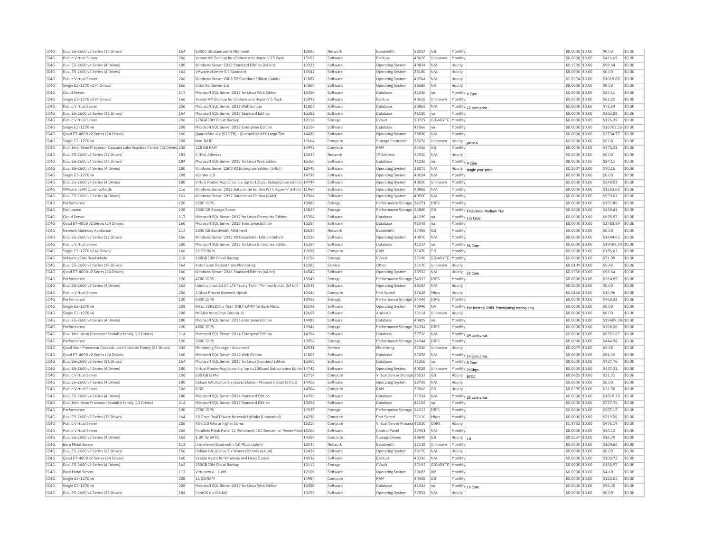|              | Dual E5-2600 v3 Series (36 Drives)                                     | 164        | 10000 GB Bandwidth Allotment                                           | 12083          | Network              | Bandwidth                    | 38014          | GB               | Monthly                   |                                                     | \$0.0000 \$0.00                     | \$0.00            | \$0.00           |
|--------------|------------------------------------------------------------------------|------------|------------------------------------------------------------------------|----------------|----------------------|------------------------------|----------------|------------------|---------------------------|-----------------------------------------------------|-------------------------------------|-------------------|------------------|
| IC4G         | Public Virtual Server                                                  | 206        | Veeam VM Backup for vSphere and Hyper-V 25 Pack                        | 15102          | Software             | Backup                       | 40628          | Unknown          | Monthly                   |                                                     | \$0.0000 \$0.00                     | \$416.69          | \$0.00           |
| IC4G         | Dual E5-2600 v4 Series (4 Drives)                                      | 180        | Windows Server 2012 Standard Edition (64 bit)                          | 12322          | Software             | <b>Operating System</b>      | 40824          | N/A              | Hourly                    |                                                     | \$0.1530 \$0.00                     | \$98.64           | \$0.00           |
| TC4G         | Dual E5-2600 v3 Series (4 Drives)                                      | 162        | VMware vCenter 5.5 Standard                                            | 13542          | Software             | Operating System             | 38180          | N/A              | Hourly                    |                                                     | \$0,0000 \$0.00                     | \$0.00            | \$0.00           |
| IC4G         | Public Virtual Server                                                  | 206        | Windows Server 2008 R2 Standard Edition (64bit)                        | 11887          | Software             | Operating System             | 40764          | N/A              | Hourly                    |                                                     | \$1,5374 \$0.00                     | \$1019.08         | \$0.00           |
| IC4G         | Single E3-1270 v3 (4 Drives)                                           | 166        | Citrix XenServer 6.5                                                   | 14264          | Software             | Operating System             | 38686          | <b>NA</b>        | Hourly                    |                                                     | \$0.0000 \$0.00                     | \$0.00            | \$0.00           |
| IC4G         | Cloud Server                                                           | 117        | Microsoft SQL Server 2017 for Linux Web Edition                        | 15350          | Software             | Database                     | 41236          | Ina              | Monthly 4 Core            |                                                     | \$0.0000 \$0.00                     | \$24.11           | \$0.00           |
| IC4G         | Single E3-1270 v3 (4 Drives)                                           | 166        | Veeam VM Backup for vSphere and Hyper-V 5 Pack                         | 15092          | Software             | Backup                       | 40618          | Unknown          | Monthly                   |                                                     | \$0.0000 \$0.00                     | \$61.22           | \$0.00           |
| TC4G         | Public Virtual Server                                                  | 206        | Microsoft SOL Server 2012 Web Edition                                  | 11803          | Software             | Database                     | 30863          | N/A              |                           |                                                     | \$0,0000 \$0.00                     | \$72.34           | \$0.00           |
|              |                                                                        |            |                                                                        |                |                      |                              |                |                  |                           | Monthly 12 core price                               |                                     |                   |                  |
| IC4G         | Dual E5-2600 v3 Series (36 Drives)                                     | 164        | Microsoft SQL Server 2017 Standard Edition                             | 15252          | Software             | Database                     | 41100          | Ina              | Monthly                   |                                                     | \$0.0000 \$0.00                     | \$363.88          | \$0.00           |
| IC4G         | Public Virtual Server                                                  | 206        | 175GB IBM Cloud Backup                                                 | 12118          | Storage              | EVault                       | 20727          | GIGABYTE Monthly |                           |                                                     | \$0,0000 \$0.00                     | \$126.39          | \$0.00           |
| IC4G         | Single E3-1270 v6                                                      | 208        | Microsoft SOL Server 2017 Enterprise Edition                           | 15154          | Software             | Database                     | 41066          | Ina              | Monthly                   |                                                     | $$0.0000$ \$0.00                    | \$16703.35 \$0.00 |                  |
| IC4G         | Quad E7-4800 v2 Series (24 Drives)                                     | 160        | QuantaStor 4.x (512 TB) - QuantaStor XXX Large Tie                     | 14480          | Software             | Operating System             | 38830          | $N/\beta$        | Monthly                   |                                                     | \$0.0000 \$0.00                     | \$2734.57         | \$0.00           |
| IC4G         | Single E3-1270 v6                                                      | 208        | Non-RATD                                                               | 13664          | Compute              | Storage Controller           | 38276          | Unknown          | Hourly                    | generic                                             | \$0.0000 \$0.00                     | \$0.00            | \$0.00           |
| IC4G         | Dual Intel Xeon Processor Cascade Lake Scalable Family (12 Drives) 238 |            | 128 GB RAM                                                             | 14992          | Compute              | RAM                          | 40416          | GB               | Monthly                   |                                                     | \$0.0000 \$0.00                     | \$375.21          | \$0.00           |
| IC4G         | Dual E5-2600 v4 Series (12 Drives)                                     | 182        | 1 IPv6 Address                                                         | 13033          | Network              | IP Address                   | 37050          | N/A              | Hourly                    |                                                     | \$0.0000 \$0.00                     | \$0.00            | \$0.00           |
| IC4G         | Dual E5-2600 v4 Series (36 Drives)                                     | 184        | Microsoft SOL Server 2017 for Linux Web Edition                        | 15350          | Software             | Database                     | 41236          | Ina              | Monthly 4 Core            |                                                     | \$0,0000 \$0.00                     | \$24.11           | \$0.00           |
| IC4G         | Dual E5-2600 v4 Series (4 Drives)                                      | 180        | Windows Server 2008 R2 Enterprise Edition (64bit)                      | 12948          | Software             | Operating System             | 38072          | N/A              | Hourly                    | single proc price                                   | \$0.1007 \$0.00                     | \$70.15           | \$0.00           |
| IC4G         | Single E3-1270 v6                                                      | 208        | vCenter 6.5                                                            | 14738          | Software             | Operating System             | 40024          | N/A              | Monthly                   |                                                     | \$0,0000 \$0,00                     | \$0.00            | \$0.00           |
| IC4G         | Dual E5-2600 v4 Series (4 Drives)                                      | 180        | Virtual Router Appliance 5.x (up to 1Gbps) Subscription Edition 14744  |                | Software             | <b>Operating System</b>      | 40030          | Unknown          | Monthly                   |                                                     | \$0,0000 \$0.00                     | \$240.03          | \$0.00           |
| IC4G         | VMware vSAN QualifiedNode                                              | 216        | Windows Server 2012 Datacenter Edition With Hyper-V (64bit) 11969      |                | Software             | Operating System             | 40886          | N/A              | Monthly                   |                                                     | \$0.0000 \$0.00                     | \$1233.02         | \$0.00           |
| TC4G         | Dual E5-2600 v3 Series (4 Drives)                                      |            |                                                                        |                |                      |                              |                |                  |                           |                                                     |                                     |                   |                  |
|              |                                                                        | 162        | Windows Server 2012 Datacenter Edition (64bit)                         | 12964          | Software             | <b>Operating System</b>      | 40900          | N/A              | Monthly                   |                                                     | \$0,0000 \$0.00                     | \$959.02          | \$0.00           |
| IC4G         | Performance                                                            | 120        | 2500 IOPS                                                              | 13883          | Storage              | Performance Storage          | 34271          | <b>IOPS</b>      | Monthly                   |                                                     | \$0,0000 \$0.00                     | \$191.80          | \$0.00           |
| IC4G         | Endurance                                                              | 128        | 2000 GB Storage Space                                                  | 13825          | Storage              | Performance Storage          | 34800          | GB               |                           | Monthly Endurance Medium Tier                       | \$0,0000 \$0.00                     | \$438.41          | \$0.00           |
| IC4G         | Cloud Server                                                           | 117        | Microsoft SQL Server 2017 for Linux Enterprise Edition                 | 15354          | Software             | Database                     | 41290          | Ina              | Monthly 1-2 Core          |                                                     | \$0.0000 \$0.00                     | \$695.97          | \$0.00           |
| IC4G         | Ouad E7-4800 v2 Series (24 Drives                                      | 160        | Microsoft SOL Server 2017 Enterprise Edition                           | 15154          | Software             | Database                     | 41048          | na               | Monthly                   |                                                     | \$0.0000 \$0.00                     | \$2783.89         | \$0.00           |
| TC4G         | Network Gateway Appliance                                              | 114        | 1000 GB Bandwidth Allotment                                            | 12627          | Network              | <b>Bandwidth</b>             | 37406          | <b>GB</b>        | Monthly                   |                                                     | \$0,0000 \$0.00                     | \$0.00            | \$0.00           |
| IC4G         | Dual E5-2600 v3 Series (12 Drives)                                     | 156        | Windows Server 2012 R2 Datacenter Edition (64bit)                      | 12324          | Software             | Operating System             | 40870          | N/A              | Monthly                   |                                                     | \$0,0000 \$0.00                     | \$1644.03         | \$0.00           |
| TC4G         | Public Virtual Server                                                  | 206        | Microsoft SQL Server 2017 for Linux Enterprise Edition                 | 15354          | Software             | Database                     | 41314          | Ina              | Monthly 56 Core           |                                                     | \$0,0000 \$0.00                     | \$19487.24 \$0.00 |                  |
| IC4G         | Single E3-1270 v3 (4 Drives)                                           | 166        | 32 GB RAM                                                              | 12699          | Compute              | RAM                          | 37470          | GB               | Monthly                   |                                                     | \$0.0000 \$0.00                     | \$185.63          | \$0.00           |
| IC4G         | VMware vSAN ReadyNode                                                  | 218        | 100GB IBM Cloud Backup                                                 | 12156          | Storage              | EVault                       | 37190          | GIGABYTE         | Monthly                   |                                                     | \$0.0000 \$0.00                     | \$71.09           | \$0.00           |
| IC4G         | Dual E5-2600 v3 Series (36 Drives)                                     | 164        | Automated Reboot from Monitoring                                       | 12285          | Service              | Other                        | 37170          | Unknown          | Hourly                    |                                                     | \$0.0109 \$0.00                     | \$5.48            | \$0.00           |
| IC4G         | Quad E7-4800 v2 Series (24 Drives)                                     | 160        | Windows Server 2016 Standard Edition (64 bit)                          | 14542          | Software             | <b>Operating System</b>      | 38932          | N/A              |                           |                                                     | \$0.1530 \$0.00                     | \$98.64           | \$0.00           |
| IC4G         | Performance                                                            | 120        | 4700 TOPS                                                              | 13945          |                      | Performance Storage          | 34333          | IOPS             | Hourly 20 Core<br>Monthly |                                                     | \$0.0000 \$0.00                     | \$360.59          | \$0.00           |
|              |                                                                        |            |                                                                        |                | Storage              |                              |                |                  |                           |                                                     |                                     |                   |                  |
| IC4G         | Dual E5-2600 v3 Series (4 Drives)                                      | 162        | Ubuntu Linux 14.04 LTS Trusty Tahr - Minimal Install (64 bit)          | 13549          | Software             | Operating System             | 38184          | N/A              | Hourly                    |                                                     | \$0,0000 \$0.00                     | \$0.00            | \$0.00           |
| IC4G         |                                                                        |            |                                                                        | 12446          |                      |                              | 37628          | Mbps             | Hourly                    |                                                     |                                     | \$10.96           | \$0.00           |
|              | Public Virtual Serve                                                   | 206        | 1 Gbps Private Network Uplink                                          |                | Compute              | Port Speed                   |                |                  |                           |                                                     | \$0.0168 \$0.00                     |                   |                  |
| IC4G         | Performance                                                            | 120        | 6000 TOPS                                                              | 13958          | Storage              | Performance Storage 34346    |                | IOPS             | Monthly                   |                                                     | \$0,0000 \$0,00                     | \$460.33          | \$0.00           |
| IC4G         | Single E3-1270 v6                                                      | 208        | RHEL VERSION x TEST ONLY LAMP for Bare Metal                           | 15196          | Software             | Operating System             | 40990          | <b>NA</b>        |                           |                                                     | \$0.0000 \$0.00                     | \$0.00            | \$0.00           |
| IC4G         | Single E3-1270 v6                                                      | 208        | McAfee VirusScan Enterprise                                            | 12607          | Software             | Antivirus                    | 23114          | Unknown          | Hourly                    | Monthly For Internal RHEL Provisioning testing only | \$0.0000 \$0.00                     | \$0.00            | \$0.00           |
| IC4G         | Dual E5-2600 v4 Series (4 Drives)                                      | 180        | Microsoft SOL Server 2016 Enterprise Edition                           | 14989          | Software             | Database                     | 40429          | Ina              | Monthly                   |                                                     | \$0.0000 \$0.00                     | \$19487.24 \$0.00 |                  |
| IC4G         | Performance                                                            | 120        | 4800 IOPS                                                              | 13946          | Storage              | Performance Storage          | 34334          | IOPS             | Monthly                   |                                                     | \$0,0000 \$0.00                     | \$368.26          | \$0.00           |
| TC4G         | Dual Intel Xeon Processor Scalable family (12 Drives)                  | 214        | Microsoft SOL Server 2014 Enterprise Edition                           | 14394          | Software             | Database                     | 37726          | N/A              |                           |                                                     | \$0,0000 \$0.00                     | \$8351.67         | \$0.00           |
| IC4G         | Performance                                                            | 120        | 5800 TOPS                                                              | 13956          | Storage              | Performance Storage 34344    |                | IOPS             | Monthly                   | Monthly 24 core price                               | \$0.0000 \$0.00                     | \$444.98          | \$0.00           |
|              | Ouad Xeon Processor Cascade Lake Scalable Family (24 Drives)           | 244        |                                                                        | 12931          |                      | Monitoring                   | 37036          |                  |                           |                                                     | \$0,0079 \$0.00                     | \$5.48            | \$0.00           |
| IC4G         |                                                                        |            | Monitoring Package - Advanced                                          |                | Service              |                              |                | Unknown          | Hourly                    |                                                     |                                     |                   |                  |
| IC4G         | Quad E7-4800 v2 Series (24 Drives)                                     | 160        | Microsoft SOL Server 2012 Web Edition                                  | 11803          | Software             | Database                     | 37058          | N/A              |                           | Monthly 14 core price                               | $$0.0000$ \$0.00                    | \$84.39           | \$0.00           |
| IC4G         | Dual E5-2600 v3 Series (36 Drives)                                     | 164        | Microsoft SOL Server 2017 for Linux Standard Edition                   | 15352          | Software             | Database                     | 41268          | na               | Monthly 8 Core            |                                                     | \$0.0000 \$0.00                     | \$727.76          | \$0.00           |
| IC4G         | Dual E5-2600 v4 Series (4 Drives)                                      | 180        | Virtual Router Appliance 5.x (up to 20Gbps) Subscription Editio 14742  |                | Software             | Operating System             | 40028          | Unknown          | Monthly 20Gbps            |                                                     | \$0,0000 \$0.00                     | \$437.31          | \$0.00           |
| IC4G         | Public Virtual Server                                                  | 206        | 500 GB (SAN)                                                           | 12714          | Compute              | Virtual Server Storage 26533 |                | GB               | Hourly                    | <b>BYOC</b>                                         | $$0.0425$ \$0.00                    | \$31.31           | \$0.00           |
| IC4G         | Dual E5-2600 v4 Series (4 Drives)                                      | 180        | Debian GNU/Linux 8.x jessie/Stable - Minimal Install (64 bit)          | 14406          | Software             | <b>Operating System</b>      | 38708          | N/A              | Hourly                    |                                                     | \$0.0000 \$0.00                     | \$0.00            | \$0.00           |
| TC4G         | Public Virtual Server                                                  | 206        | 8 GB                                                                   | 14704          | Compute              | RAM                          | 39968          | G <sub>R</sub>   | Hourly                    |                                                     | \$0,0395 \$0.00                     | \$26.30           | \$0.00           |
| IC4G         | Dual E5-2600 v4 Series (4 Drives)                                      | 180        | Microsoft SQL Server 2014 Standard Edition                             | 14396          | Software             | Database                     | 37334          | N/A              |                           |                                                     | \$0.0000 \$0.00                     | \$1819.39         | \$0.00           |
| IC4G         | Dual Intel Xeon Processor Scalable family (12 Drives)                  | 214        | Microsoft SOL Server 2017 Standard Edition                             | 15252          | Software             | Database                     | 41104          | na               | Monthly                   | Monthly 20 core price                               | \$0,0000 \$0,00                     | \$727.76          | \$0.00           |
| IC4G         | Performance                                                            | 120        | 2700 IOPS                                                              | 13925          | Storage              | Performance Storage 34313    |                | IOPS             | Monthly                   |                                                     | \$0.0000 \$0.00                     | \$207.15          | \$0.00           |
| IC4G         | Dual E5-2600 v3 Series (36 Drives)                                     | 164        | 10 Gbps Dual Private Network Uplinks (Unbonded)                        | 14296          | Compute              | Port Speed                   | 37110          | Mbps             | Monthly                   |                                                     | \$0.0000 \$0.00                     | \$219.20          | \$0.00           |
| IC4G         | Public Virtual Server                                                  | 206        | 48 x 2.0 GHz or higher Cores                                           | 15216          | Compute              | Virtual Server Process 41010 |                | CORE             | Hourly                    |                                                     | \$1,4732 \$0.00                     | \$976.19          | \$0.00           |
| IC4G         | Public Virtual Serve                                                   | 206        | Parallels Plesk Panel 11 (Windows) 100 Domain w/ Power Pack 13264      |                | Software             | Control Pane                 | 27901          | N/A              | Monthly                   |                                                     | \$0,0000 \$0.00                     | \$40.12           | \$0.00           |
| IC4G         | Dual E5-2600 v3 Series (4 Drives)                                      | 162        | 1.00 TR SATA                                                           | 14354          | Compute              | <b>Storage Drives</b>        | 38698          | GB               |                           |                                                     | \$0,0257 \$0,00                     | \$16.79           | \$0.00           |
|              | <b>Bare Metal Server</b>                                               |            |                                                                        |                | Network              | Bandwidth                    |                | Unknown          | Hourly                    |                                                     |                                     |                   | \$0.00           |
| IC4G         |                                                                        | 113        | Unmetered Bandwidth (10 Mbps Uplink)                                   | 13146          |                      |                              | 37138          |                  | Monthly                   |                                                     | \$0.0000 \$0.00                     | \$109.60          |                  |
| IC4G         | Dual E5-2600 v3 Series (12 Drives)                                     | 156        | Debian GNU/Linux 7.x Wheezy/Stable (64 bit)                            | 12426          | Software             | <b>Operating System</b>      | 38170          | N/A              | Hourly                    |                                                     | \$0.0000 \$0.00                     | \$0.00            | \$0.00           |
| TC4G         | Ouad E7-4800 v2 Series (24 Drives                                      | 160        | Veeam Agent for Windows and Linux 5 pack                               | 14936          | Software             | Backup                       | 40336          | N/A              | Monthly                   |                                                     | \$0,0000 \$0.00                     | \$100.72          | \$0.00           |
| IC4G         | Dual E5-2600 v3 Series (4 Drives)                                      | 162        | 250GB IBM Cloud Backup                                                 | 12117          | Storage              | EVault                       | 37192          | GIGABYTE Monthly |                           |                                                     | \$0,0000 \$0.00                     | \$158.97          | \$0.00           |
| IC4G         | <b>Bare Metal Server</b>                                               | 113        | Virtuozzo 6 - 1 VM                                                     | 12100          | Software             | Operating System             | 20683          | <b>VM</b>        | Monthly                   |                                                     | \$0,0000 \$0.00                     | \$4.60            | \$0.00           |
| IC4G         | Single E3-1270 v6                                                      | 208        | 16 GB RAM                                                              | 14984          | Compute              | RAM                          | 40408          | GB               | Monthly                   |                                                     | \$0.0000 \$0.00                     | \$153.05          | \$0.00           |
| IC4G<br>IC4G | Single E3-1270 v6<br>Dual E5-2600 v4 Series (36 Drives)                | 208<br>184 | Microsoft SQL Server 2017 for Linux Web Edition<br>CentOS 6 x (64 bit) | 15350<br>13195 | Software<br>Software | Database<br>Operating System | 41244<br>37854 | Ina<br>N/A       | Monthly 16 Core<br>Hourly |                                                     | \$0.0000 \$0.00<br>$$0.0000$ \$0.00 | \$96.45<br>\$0.00 | \$0.00<br>\$0.00 |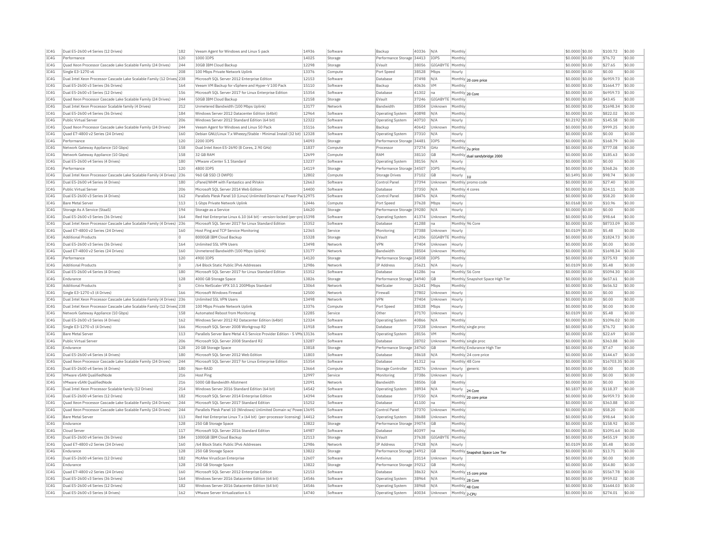| IC4G         | Dual E5-2600 v4 Series (12 Drives)                                                 | 182        | Veeam Agent for Windows and Linux 5 pack                                            | 14936          | Software             | Backup                                      | 40336          | N/A              | Monthly       |                                  | \$0.0000 \$0.00                     | \$100.72              | \$0.00           |
|--------------|------------------------------------------------------------------------------------|------------|-------------------------------------------------------------------------------------|----------------|----------------------|---------------------------------------------|----------------|------------------|---------------|----------------------------------|-------------------------------------|-----------------------|------------------|
| TC4G         | Performance                                                                        | 120        | 1000 TOPS                                                                           | 14025          | Storage              | Performance Storage 34413                   |                | IOPS             | Monthly       |                                  | \$0,0000 \$0.00                     | \$76.72               | \$0.00           |
| IC4G         | Quad Xeon Processor Cascade Lake Scalable Family (24 Drives)                       | 244        | 30GB IBM Cloud Backup                                                               | 12298          | Storage              | EVault                                      | 38056          | GIGABYT          | Monthly       |                                  | \$0,0000 \$0.00                     | \$27.65               | \$0.00           |
| IC4G         | Single E3-1270 v6                                                                  | 208        | 100 Mbos Private Network Uplink                                                     | 13376          | Compute              | Port Speed                                  | 38528          | Mbps             | Hourly        |                                  | \$0,0000 \$0.00                     | \$0.00                | \$0.00           |
| IC4G         | Dual Intel Xeon Processor Cascade Lake Scalable Family (12 Drives 238              |            | Microsoft SQL Server 2012 Enterprise Edition                                        | 12153          | Software             | Database                                    | 37498          | N/A              |               | Monthly 20 core price            | \$0,0000 \$0.00                     | \$6959.73             | \$0.00           |
| IC4G         | Dual E5-2600 v3 Series (36 Drives)                                                 | 164        | Veeam VM Backup for vSphere and Hyper-V 100 Pack                                    | 15110          | Software             | Backup                                      | 40636          | <b>VM</b>        | Monthly       |                                  | \$0,0000 \$0.00                     | \$1664.77             | \$0.00           |
| TC4G         | Dual E5-2600 v3 Series (12 Drives)                                                 | 156        | Microsoft SOL Server 2017 for Linux Enterprise Edition                              | 15354          | Software             | Database                                    | 41302          | Ina.             |               | Monthly 20 Core                  | \$0,0000 \$0.00                     | \$6959.73             | \$0.00           |
| IC4G         | Quad Xeon Processor Cascade Lake Scalable Family (24 Drives)                       | 244        | 50GB TBM Cloud Backup                                                               | 12158          | Storage              | FVault                                      | 37246          | GIGABYTE Monthly |               |                                  | \$0.0000 \$0.00                     | \$43.45               | \$0.00           |
| IC4G         | Dual Intel Xeon Processor Scalable family (4 Drives)                               | 212        | Unmetered Bandwidth (100 Mbps Uplink)                                               | 13177          | Network              | <b>Bandwidth</b>                            | 38504          | Unknown          | Monthly       |                                  | \$0,0000 \$0.00                     | \$1698.34             | \$0.00           |
| TC4G         | Dual E5-2600 v4 Series (36 Drives)                                                 | 184        | Windows Server 2012 Datacenter Edition (64bit)                                      | 12964          | Software             | Operating System                            | 40898          | N/A              | Monthly       |                                  | \$0,0000 \$0.00                     | \$822.02              | \$0.00           |
| IC4G         | Public Virtual Server                                                              | 206        | Windows Server 2012 Standard Edition (64 bit)                                       | 12322          | Software             | Operating System                            | 40710          | N/A              | Hourly        |                                  | \$0,2192 \$0.00                     | \$145.58              | \$0.00           |
| TC4G         | Ouad Xeon Processor Cascade Lake Scalable Family (24 Drives)                       | 244        | Veeam Agent for Windows and Linux 50 Pack                                           | 15116          | Software             | Backup                                      | 40642          | Unknown          | Monthly       |                                  | \$0,0000 \$0.00                     | \$999.25              | \$0.00           |
| IC4G         | Quad E7-4800 v2 Series (24 Drives)                                                 | 160        | Debian GNU/Linux 7.x Wheezy/Stable - Minimal Install (32 bit)                       | 12328          | Software             | Operating System                            | 37310          | N/A              | Hourly        |                                  | \$0.0000 \$0.00                     | \$0.00                | \$0.00           |
| IC4G         | Performance                                                                        | 120        | 2200 IOPS                                                                           | 14093          | Storage              | Performance Storage                         | 34481          | IOPS             | Monthly       |                                  | \$0.0000 \$0.00                     | \$168.79              | \$0.00           |
| TCAG         | Network Gateway Appliance (10 Gbps)                                                | 158        | Dual Intel Xeon E5-2690 (8 Cores, 2.90 GHz)                                         | 11837          | Compute              | Processor                                   | 37274          | GHz              |               |                                  | $$0.0000$ \$0.00                    | \$777.08              | \$0.00           |
| TCAG         | Network Gateway Appliance (10 Gbps)                                                | 158        | 32 GB RAM                                                                           | 12699          | Compute              | RAM                                         | 38110          | GB               |               | Monthly 2u price                 | \$0.0000 \$0.00                     | \$185.63              | \$0.00           |
|              |                                                                                    | 180        | VMware vCenter 5.1 Standard                                                         | 13237          |                      |                                             |                | N/A              |               | Monthly dual sandybridge 2000    |                                     | \$0.00                | \$0.00           |
| IC4G         | Dual E5-2600 v4 Series (4 Drives                                                   | 120        | 4800 IOPS                                                                           | 14119          | Software             | Operating System                            | 38156          |                  | Hourly        |                                  | \$0.0000 \$0.00                     | \$368.26              | \$0.00           |
| IC4G         | Performance                                                                        |            |                                                                                     |                | Storage              | Performance Storage 34507                   |                | IOPS             | Monthly       |                                  | \$0,0000 \$0.00                     |                       |                  |
| IC4G         | Dual Intel Xeon Processor Cascade Lake Scalable Family (4 Drives)                  | 236        | 960 GB SSD (3 DWPD)                                                                 | 12802          | Compute              | Storage Drives                              | 37102          | GB               | Hourly        |                                  | \$0.1491 \$0.00                     | \$98.74               | \$0.00           |
| IC4G         | Dual E5-2600 v4 Series (4 Drives)                                                  | 180        | cPanel/WHM with Fantastico and RVskin                                               | 12663          | Software             | Control Panel                               | 37394          | Unknown          |               | Monthly promo code               | \$0.0000 \$0.00                     | \$27.40               | \$0.00           |
| IC4G         | Public Virtual Server                                                              | 206        | Microsoft SOL Server 2014 Web Edition                                               | 14400          | Software             | Database                                    | 37350          | N/A              |               | Monthly 4 cores                  | \$0.0000 \$0.00                     | \$24.11               | \$0.00           |
| IC4G         | Dual E5-2600 v3 Series (4 Drives)                                                  | 162        | Parallels Plesk Panel 10 (Linux) Unlimited Domain w/ Power Pa 12975                 |                | Software             | Control Panel                               | 38476          | N/A              | Monthly       |                                  | \$0.0000 \$0.00                     | \$58.20               | \$0.00           |
| IC4G         | <b>Bare Metal Server</b>                                                           | 113        | 1 Gbps Private Network Uplink                                                       | 12446          | Compute              | Port Speed                                  | 37628          | Mbps             | Hourly        |                                  | \$0,0168 \$0,00                     | \$10.96               | \$0.00           |
| IC4G         | Storage As A Service (StaaS)                                                       | 194        | Storage as a Service                                                                | 14620          | Storage              | Performance Storage 39280                   |                | N/A              | Hourly        |                                  | \$0,0000 \$0.00                     | \$0.00                | \$0.00           |
| TC4G         | Dual E5-2600 v3 Series (36 Drives)                                                 | 164        | Red Hat Enterprise Linux 6.10 (64 bit) - version-locked (per-prc 15398              |                | Software             | <b>Operating System</b>                     | 41374          | Unknown          | Monthly       |                                  | \$0,0000 \$0,00                     | \$98.64               | \$0.00           |
| IC4G         | Dual Intel Xeon Processor Cascade Lake Scalable Family (4 Drives)                  | 236        | Microsoft SQL Server 2017 for Linux Standard Edition                                | 15352          | Software             | Database                                    | 41288          | na               |               | Monthly 96 Core                  | \$0.0000 \$0.00                     | \$8733.09             | \$0.00           |
| IC4G         | Ouad E7-4800 v2 Series (24 Drives)                                                 | 160        | Host Ping and TCP Service Monitoring                                                | 12365          | Service              | Monitoring                                  | 37388          | Unknown          | Hourly        |                                  | \$0.0109 \$0.00                     | \$5.48                | \$0.00           |
| IC4G         | <b>Additional Products</b>                                                         | l O        | 8000GB IBM Cloud Backup                                                             | 15328          | Storage              | EVault                                      | 41206          | GIGABYTE Monthly |               |                                  | \$0.0000 \$0.00                     | \$1824.73             | \$0.00           |
| IC4G         | Dual E5-2600 v3 Series (36 Drives)                                                 | 164        | Unlimited SSL VPN Users                                                             | 13498          | Network              | <b>VPN</b>                                  | 37404          | Unknowr          | Hourly        |                                  | \$0,0000 \$0.00                     | \$0.00                | \$0.00           |
| IC4G         | Quad E7-4800 v2 Series (24 Drives)                                                 | 160        | Unmetered Bandwidth (100 Mbps Uplink)                                               | 13177          | Network              | <b>Bandwidth</b>                            | 38504          | Unknown          | Monthly       |                                  | \$0,0000 \$0.00                     | \$1698.34             | \$0.00           |
| IC4G         | Performance                                                                        | 120        | 4900 TOPS                                                                           | 14120          | Storage              | Performance Storage 34508                   |                | <b>TOPS</b>      | Monthly       |                                  | \$0.0000 \$0.00                     | \$375.93              | \$0.00           |
| IC4G         | <b>Additional Products</b>                                                         | $\circ$    | /64 Block Static Public TPv6 Addresses                                              | 12986          | Network              | IP Address                                  | 25621          | N/A              | Hourly        |                                  | \$0.0109 \$0.00                     | \$5.48                | \$0.00           |
| TC4G         | Dual E5-2600 v4 Series (4 Drives                                                   | 180        | Microsoft SOL Server 2017 for Linux Standard Edition                                | 15352          | Software             | Database                                    | 41286          | Ina              |               | Monthly 56 Core                  | \$0.0000 \$0.00                     | \$5094.30             | \$0.00           |
| IC4G         | Endurance                                                                          | 128        | 4000 GB Storage Space                                                               | 13826          | Storage              | Performance Storage 34940                   |                | <b>GB</b>        |               | Monthly Snapshot Space High Tier | \$0,0000 \$0.00                     | \$657.61              | \$0.00           |
| IC4G         | <b>Additional Products</b>                                                         | ln.        | Citrix NetScaler VPX 10.1 200Mbps Standard                                          | 13064          | Network              | NetScale                                    | 26241          | Mbps             | Monthly       |                                  | \$0,0000 \$0.00                     | \$656.52              | \$0.00           |
| IC4G         | Single E3-1270 v3 (4 Drives)                                                       | 166        | Microsoft Windows Firewall                                                          | 12500          | Network              | Firewall                                    | 37802          | Unknown          | Hourly        |                                  | \$0.0000 \$0.00                     | \$0.00                | \$0.00           |
| IC4G         | Dual Intel Xeon Processor Cascade Lake Scalable Family (4 Drives) 236              |            | Unlimited SSL VPN Users                                                             | 13498          | Network              | VPN                                         | 37404          | Unknow           | Hourly        |                                  | \$0.0000 \$0.00                     | \$0.00                | \$0.00           |
| TCAG         | Dual Intel Xeon Processor Cascade Lake Scalable Family (12 Drives <sup>1</sup> 238 |            | 100 Mbns Private Network Unlink                                                     | 13376          | Compute              | Port Speed                                  | 38528          | Mhns             | Hourly        |                                  | $$0.0000$ \$0.00                    | \$0.00                | \$0.00           |
| TCAG         | Network Gateway Appliance (10 Gbps)                                                | 158        | Automated Reboot from Monitoring                                                    | 12285          | Service              | Other                                       | 37170          | Unknown          | Hourly        |                                  | \$0.0109 \$0.00                     | \$5.48                | \$0.00           |
| IC4G         | Dual E5-2600 v3 Series (4 Drives)                                                  | 162        | Windows Server 2012 R2 Datacenter Edition (64bit)                                   | 12324          | Software             | Operating System                            | 40866          | $N/\Delta$       | Monthly       |                                  | \$0.0000 \$0.00                     | \$1096.02             | \$0.00           |
| IC4G         | Single E3-1270 v3 (4 Drives)                                                       | 166        | Microsoft SOL Server 2008 Workgroup R2                                              | 11918          | Software             | Database                                    | 37228          | Unknown          |               | Monthly single proc              | \$0,0000 \$0.00                     | \$76.72               | \$0.00           |
| IC4G         | <b>Bare Metal Server</b>                                                           | 113        | Parallels Server Bare Metal 4.5 Service Provider Edition - 5 VMs 13136              |                | Software             | <b>Operating System</b>                     | 28156          | VM               | Monthly       |                                  | \$0.0000 \$0.00                     | \$22.69               | \$0.00           |
| IC4G         | Public Virtual Server                                                              | 206        | Microsoft SOL Server 2008 Standard R2                                               | 13287          | Software             | Database                                    | 28702          | Unknown          |               | Monthly single proc              | \$0.0000 \$0.00                     | \$363.88              | \$0.00           |
| IC4G         | Endurance                                                                          | 128        | 20 GB Storage Space                                                                 | 13818          | Storage              | Performance Storage 34760                   |                | GB               |               | Monthly Endurance High Tier      | \$0.0000 \$0.00                     | \$7.67                | \$0.00           |
| IC4G         | Dual E5-2600 v4 Series (4 Drives)                                                  | 180        | Microsoft SQL Server 2012 Web Edition                                               | 11803          | Software             | Database                                    | 38618          | N/A              |               | Monthly 24 core price            | \$0,0000 \$0.00                     | \$144.67              | \$0.00           |
| IC4G         | Ouad Xeon Processor Cascade Lake Scalable Family (24 Drives)                       | 244        | Microsoft SOL Server 2017 for Linux Enterprise Edition                              | 15354          | Software             | Database                                    | 41312          | Ina              |               | Monthly 48 Core                  | \$0,0000 \$0.00                     | \$16703.35 \$0.00     |                  |
| IC4G         | Dual E5-2600 v4 Series (4 Drives)                                                  | 180        | Non-RAID                                                                            | 13664          | Compute              | Storage Controller                          | 38276          | Unknown          | Hourly        | generic                          | \$0.0000 \$0.00                     | \$0.00                | \$0.00           |
| IC4G         | VMware vSAN QualifiedNode                                                          | 216        | Host Ping                                                                           | 12997          | Service              | Monitoring                                  | 37386          | Unknown          | Hourly        |                                  | \$0,0000 \$0,00                     | \$0.00                | \$0.00           |
| IC4G         | VMware vSAN QualifiedNode                                                          | 216        | 5000 GB Bandwidth Allotment                                                         | 12091          | Network              | Bandwidth                                   | 38506          | GB               | Monthly       |                                  | \$0.0000 \$0.00                     | \$0.00                | \$0.00           |
| IC4G         | Dual Intel Xeon Processor Scalable family (12 Drives)                              | 214        | Windows Server 2016 Standard Edition (64 bit)                                       | 14542          | Software             | Operating System                            | 38934          | N/A              | Hourly        | 24 Core                          | \$0.1837 \$0.00                     | \$118.37              | \$0.00           |
| IC4G         | Dual E5-2600 v4 Series (12 Drives)                                                 | 182        | Microsoft SQL Server 2014 Enterprise Edition                                        | 14394          | Software             | Database                                    | 37550          | N/A              |               | Monthly 20 core price            | \$0,0000 \$0.00                     | \$6959.73             | \$0.00           |
| IC4G         | Ouad Xeon Processor Cascade Lake Scalable Family (24 Drives)                       | 244        | Microsoft SOL Server 2017 Standard Edition                                          | 15252          | Software             | Database                                    | 41100          | Ina              | Monthly       |                                  | \$0,0000 \$0.00                     | \$363.88              | \$0.00           |
| IC4G         | Ouad Xeon Processor Cascade Lake Scalable Family (24 Drives)                       | 244        | Parallels Plesk Panel 10 (Windows) Unlimited Domain w/ Powe 13695                   |                | Software             | Control Panel                               | 37370          | Unknown          | Monthly       |                                  | \$0,0000 \$0.00                     | \$58.20               | \$0.00           |
| IC4G         | <b>Bare Metal Server</b>                                                           | 113        | Red Hat Enterprise Linux 7.x (64 bit) (per-processor licensing) 14412               |                | Software             | Operating System                            | 38688          | Unknown          | Monthly       |                                  | \$0.0000 \$0.00                     | \$98.64               | \$0.00           |
| IC4G         | Endurance                                                                          | 128        | 250 GB Storage Space                                                                | 13822          | Storage              | Performance Storage 39074                   |                | GB               | Monthly       |                                  | \$0,0000 \$0.00                     | \$158.92              | \$0.00           |
| TC4G         | Cloud Server                                                                       | 117        | Microsoft SOL Server 2016 Standard Edition                                          | 14987          | Software             | Database                                    | 40397          | Ina              | Monthly       |                                  | $$0.0000$ \$0.00                    | \$1091.64             | \$0.00           |
| IC4G         | Dual E5-2600 v4 Series (36 Drives)                                                 | 184        | 1000GB IBM Cloud Backup                                                             | 12113          | Storage              | EVault                                      | 37638          | GIGABYTE Monthly |               |                                  | \$0,0000 \$0.00                     | \$455.19              | \$0.00           |
| IC4G         | Quad E7-4800 v2 Series (24 Drives)                                                 | 160        | /64 Block Static Public TPv6 Addresses                                              | 12986          | Network              | <b>IP Address</b>                           | 37428          | N/A              | Hourly        |                                  | \$0,0109 \$0.00                     | \$5.48                | \$0.00           |
| IC4G         | Endurance                                                                          | 128        |                                                                                     | 13822          | Storage              | Performance Storage 34912                   |                | GB               |               |                                  | \$0.0000 \$0.00                     | \$13.71               | \$0.00           |
|              |                                                                                    |            | 250 GB Storage Space                                                                |                | Software             | Antivirus                                   |                | Unknown          | Hourly        | Monthly Snapshot Space Low Tier  |                                     |                       |                  |
| IC4G<br>TCAG | Dual E5-2600 v4 Series (12 Drives)<br>Endurance                                    | 182<br>128 | McAfee VirusScan Enterprise<br>250 GB Storage Space                                 | 12607<br>13822 |                      | Performance Storage 39212                   | 23114          | GB               | Monthly       |                                  | \$0.0000 \$0.00<br>$$0.0000$ \$0.00 | \$0.00<br>\$54.80     | \$0.00<br>\$0.00 |
|              |                                                                                    |            |                                                                                     | 12153          | Storage<br>Software  | Database                                    | 38632          | N/A              |               |                                  | \$0.0000 \$0.00                     | \$5567.78             |                  |
| TC4G         |                                                                                    |            |                                                                                     |                |                      |                                             |                |                  |               |                                  |                                     |                       | \$0.00           |
|              | Quad E7-4800 v2 Series (24 Drives)                                                 | 160        | Microsoft SQL Server 2012 Enterprise Edition                                        |                |                      |                                             |                |                  |               | Monthly 15 core price            |                                     |                       |                  |
| TC4G         | Dual E5-2600 v3 Series (36 Drives)                                                 | 164        | Windows Server 2016 Datacenter Edition (64 bit)                                     | 14546          | Software             | <b>Operating System</b>                     | 38964          | N/A              |               | Monthly 28 Core                  | $$0.0000$ \$0.00                    | \$959.02              | \$0.00           |
| IC4G<br>IC4G | Dual E5-2600 v4 Series (12 Drives)<br>Dual E5-2600 v3 Series (4 Drives)            | 182<br>162 | Windows Server 2016 Datacenter Edition (64 bit)<br>VMware Server Virtualization 6.5 | 14546<br>14740 | Software<br>Software | Operating System<br><b>Operating System</b> | 38968<br>40034 | N/A<br>Unknown   | Monthly 2-CPU | Monthly 48 Core                  | \$0,0000 \$0.00<br>\$0.0000 \$0.00  | \$1644.03<br>\$274.01 | \$0.00<br>\$0.00 |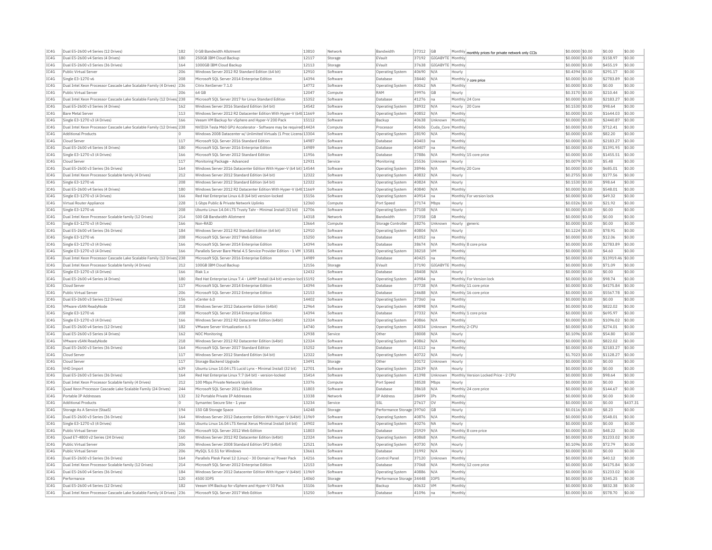| IC4G | Dual E5-2600 v4 Series (12 Drives)                                     | 182 | 0 GB Bandwidth Allotment                                               | 13810 | Network  | Bandwidth                 | 37312 | GB                                 | Monthly monthly prices for private network only CCIs | \$0.0000 \$0.00  | \$0.00            | \$0.00   |
|------|------------------------------------------------------------------------|-----|------------------------------------------------------------------------|-------|----------|---------------------------|-------|------------------------------------|------------------------------------------------------|------------------|-------------------|----------|
| IC4G | Dual E5-2600 v4 Series (4 Drives)                                      | 180 | 250GB IBM Cloud Backup                                                 | 12117 | Storage  | EVault                    | 37192 | GIGABYTE Monthly                   |                                                      | \$0.0000 \$0.00  | \$158.97          | \$0.00   |
| IC4G | Dual E5-2600 v3 Series (36 Drives)                                     | 164 | 1000GB IBM Cloud Backup                                                | 12113 | Storage  | EVault                    | 37638 | GIGABYTE Monthly                   |                                                      | \$0.0000 \$0.00  | \$455.19          | \$0.00   |
| IC4G | Public Virtual Server                                                  | 206 | Windows Server 2012 R2 Standard Edition (64 bit)                       | 12910 | Software | <b>Operating System</b>   | 40690 | N/A<br>Hourly                      |                                                      | \$0,4394 \$0,00  | \$291.17          | \$0.00   |
| IC4G | Single E3-1270 v6                                                      | 208 | Microsoft SQL Server 2014 Enterprise Edition                           | 14394 | Software | Database                  | 38440 | N/A                                | Monthly 7 core price                                 | \$0.0000 \$0.00  | \$2783.89         | \$0.00   |
| IC4G | Dual Intel Xeon Processor Cascade Lake Scalable Family (4 Drives)      | 236 | Citrix XenServer 7.1.0                                                 | 14772 | Software | <b>Operating System</b>   | 40062 | <b>NA</b><br>Monthly               |                                                      | \$0.0000 \$0.00  | \$0.00            | \$0.00   |
| IC4G | Public Virtual Server                                                  | 206 | 64 GB                                                                  | 12047 | Compute  | RAM                       | 39976 | <b>GB</b><br>Hourly                |                                                      | \$0,3170 \$0.00  | \$210.44          | \$0.00   |
|      |                                                                        |     |                                                                        |       |          |                           |       |                                    |                                                      |                  |                   |          |
| IC4G | Dual Intel Xeon Processor Cascade Lake Scalable Family (12 Drives 238  |     | Microsoft SOL Server 2017 for Linux Standard Edition                   | 15352 | Software | Database                  | 41276 | na                                 | Monthly 24 Core                                      | \$0,0000 \$0.00  | \$2183.27         | \$0.00   |
| IC4G | Dual E5-2600 v3 Series (4 Drives)                                      | 162 | Windows Server 2016 Standard Edition (64 bit)                          | 14542 | Software | <b>Operating System</b>   | 38932 | N/A                                | Hourly 20 Core                                       | \$0,1530 \$0.00  | \$98.64           | \$0.00   |
| IC4G | <b>Bare Metal Server</b>                                               | 113 | Windows Server 2012 R2 Datacenter Edition With Hyper-V (64t 11669      |       | Software | Operating System          | 40852 | Monthly<br>N/A                     |                                                      | \$0.0000 \$0.00  | \$1644.03         | \$0.00   |
| IC4G | Single E3-1270 v3 (4 Drives)                                           | 166 | Veeam VM Backup for vSphere and Hyper-V 200 Pack                       | 15112 | Software | Backup                    | 40638 | Unknown<br>Monthly                 |                                                      | \$0.0000 \$0.00  | \$2440.87         | \$0.00   |
| TC4G | Dual Intel Xeon Processor Cascade Lake Scalable Family (12 Drives 238  |     | NVIDIA Tesla M60 GPU Accelerator - Software may be required 14424      |       | Compute  | Processor                 | 40606 | Cuda Core Monthly                  |                                                      | \$0,0000 \$0.00  | \$712.41          | \$0.00   |
| IC4G | <b>Additional Products</b>                                             |     | Windows 2008 Datacenter w/ Unlimited Virtuals (1 Proc Licens 13304     |       | Software | Operating System          | 28190 | N/A<br>Monthly                     |                                                      | \$0,0000 \$0.00  | \$82.20           | \$0.00   |
| IC4G | Cloud Server                                                           | 117 | Microsoft SOL Server 2016 Standard Edition                             | 14987 | Software | Database                  | 40403 | Monthly<br>$\widehat{\mathsf{na}}$ |                                                      | \$0.0000 \$0.00  | \$2183.27         | \$0.00   |
| IC4G | Dual E5-2600 v4 Series (4 Drives)                                      | 180 | Microsoft SQL Server 2016 Enterprise Edition                           | 14989 | Software | Database                  | 40407 | Monthly<br>Ina                     |                                                      | \$0.0000 \$0.00  | \$1391.95         | \$0.00   |
| IC4G | Single E3-1270 v3 (4 Drives)                                           | 166 | Microsoft SQL Server 2012 Standard Edition                             | 11956 | Software | Database                  | 37886 | N/A                                | Monthly 15 core price                                | \$0.0000 \$0.00  | \$1455.51         | \$0.00   |
|      |                                                                        | 117 |                                                                        | 12931 |          |                           |       |                                    |                                                      |                  |                   |          |
| IC4G | Cloud Server                                                           |     | Monitoring Package - Advanced                                          |       | Service  | Monitoring                | 25536 | Unknown<br>Hourly                  |                                                      | \$0,0079 \$0.00  | \$5.48            | \$0.00   |
| IC4G | Dual E5-2600 v3 Series (36 Drives)                                     | 164 | Windows Server 2016 Datacenter Edition With Hyper-V (64 bit) 14544     |       | Software | Operating System          | 38946 | N/A                                | Monthly 20 Core                                      | \$0.0000 \$0.00  | \$685.01          | \$0.00   |
| IC4G | Dual Intel Xeon Processor Scalable family (4 Drives)                   | 212 | Windows Server 2012 Standard Edition (64 bit)                          | 12322 | Software | Operating System          | 40832 | N/A<br>Hourly                      |                                                      | \$0,2755 \$0.00  | \$177.56          | \$0.00   |
| IC4G | Single E3-1270 v6                                                      | 208 | Windows Server 2012 Standard Edition (64 bit)                          | 12322 | Software | <b>Operating System</b>   | 40824 | N/A<br>Hourly                      |                                                      | \$0.1530  \$0.00 | \$98.64           | \$0.00   |
| IC4G | Dual E5-2600 v4 Series (4 Drives)                                      | 180 | Windows Server 2012 R2 Datacenter Edition With Hyper-V (64t 11669      |       | Software | Operating System          | 40840 | N/A<br>Monthly                     |                                                      | \$0.0000 \$0.00  | \$548.01          | \$0.00   |
| IC4G | Single E3-1270 v3 (4 Drives)                                           | 166 | Red Hat Enterprise Linux 6.8 (64 bit) version-locked                   | 15156 | Software | Operating System          | 40914 | na                                 | Monthly For version lock                             | \$0,0000 \$0,00  | \$49.32           | \$0.00   |
| IC4G | Virtual Router Appliance                                               | 228 | 1 Gbps Public & Private Network Uplinks                                | 12360 | Compute  | Port Speed                | 37174 | Mbps<br>Hourly                     |                                                      | \$0.0326 \$0.00  | \$21.92           | \$0.00   |
| IC4G | Single E3-1270 v6                                                      | 208 | Ubuntu Linux 14.04 LTS Trusty Tahr - Minimal Install (32 bit)          | 12706 | Software | Operating System          | 37108 | N/A<br>Hourly                      |                                                      | \$0.0000 \$0.00  | \$0.00            | \$0.00   |
| TC4G | Dual Intel Xeon Processor Scalable family (12 Drives)                  | 214 | 500 GB Bandwidth Allotment                                             | 14318 |          | <b>Bandwidth</b>          | 37358 | GB<br>Monthly                      |                                                      | $$0.0000$ \$0.00 | \$0.00            | \$0.00   |
|      |                                                                        |     |                                                                        |       | Network  |                           |       |                                    |                                                      |                  |                   |          |
| IC4G | Single E3-1270 v3 (4 Drives)                                           | 166 | Non-RAID                                                               | 13664 | Compute  | Storage Controlle         | 38276 | Unknown<br>Hourly                  | generic                                              | \$0.0000 \$0.00  | \$0.00            | \$0.00   |
| IC4G | Dual E5-2600 v4 Series (36 Drives)                                     | 184 | Windows Server 2012 R2 Standard Edition (64 bit)                       | 12910 | Software | Operating System          | 40804 | N/A<br>Hourly                      |                                                      | \$0.1224 \$0.00  | \$78.91           | \$0.00   |
| IC4G | Single E3-1270 v6                                                      | 208 | Microsoft SQL Server 2017 Web Edition                                  | 15250 | Software | Database                  | 41052 | Monthly<br>na                      |                                                      | \$0.0000 \$0.00  | \$12.06           | \$0.00   |
| IC4G | Single E3-1270 v3 (4 Drives)                                           | 166 | Microsoft SQL Server 2014 Enterprise Edition                           | 14394 | Software | Database                  | 38674 | N/A                                | Monthly 8 core price                                 | \$0.0000 \$0.00  | \$2783.89         | \$0.00   |
| TC4G | Single E3-1270 v3 (4 Drives)                                           | 166 | Parallels Server Bare Metal 4.5 Service Provider Edition - 1 VM 13581  |       | Software | <b>Operating System</b>   | 38218 | <b>VM</b><br>Monthly               |                                                      | $$0.0000$ \$0.00 | \$4.60            | \$0.00   |
| IC4G | Dual Intel Xeon Processor Cascade Lake Scalable Family (12 Drives) 238 |     | Microsoft SOL Server 2016 Enterprise Edition                           | 14989 | Software | Database                  | 40425 | Monthly<br>na                      |                                                      | \$0.0000 \$0.00  | \$13919.46 \$0.00 |          |
| IC4G | Dual Intel Xeon Processor Scalable family (4 Drives)                   | 212 | 100GB IBM Cloud Backup                                                 | 12156 | Storage  | EVault                    | 37190 | GIGABYTE Monthly                   |                                                      | \$0.0000 \$0.00  | \$71.09           | \$0.00   |
| IC4G | Single E3-1270 v3 (4 Drives)                                           | 166 | Riak 1.x                                                               | 12432 | Software | Database                  | 38408 | N/A<br>Hourly                      |                                                      | \$0,0000 \$0,00  | \$0.00            | \$0.00   |
|      |                                                                        |     |                                                                        |       |          |                           |       |                                    |                                                      |                  |                   |          |
| IC4G | Dual E5-2600 v4 Series (4 Drives)                                      | 180 | Red Hat Enterprise Linux 7.4 - LAMP Install (64 bit) version-loc 15192 |       | Software | Operating System          | 40984 | na                                 | Monthly For Version lock                             | \$0.0000 \$0.00  | \$98.74           | \$0.00   |
| IC4G | Cloud Server                                                           | 117 | Microsoft SOL Server 2014 Enterprise Edition                           | 14394 | Software | Database                  | 37728 | N/A                                | Monthly 11 core price                                | \$0,0000 \$0,00  | \$4175.84         | \$0.00   |
| IC4G | Public Virtual Server                                                  | 206 | Microsoft SQL Server 2012 Enterprise Edition                           | 12153 | Software | Database                  | 24688 | $N/\beta$                          | Monthly 16 core price                                | \$0.0000 \$0.00  | \$5567.78         | \$0.00   |
| IC4G | Dual E5-2600 v3 Series (12 Drives)                                     | 156 | vCenter 6.0                                                            | 14402 | Software | Operating System          | 37360 | Monthly<br> na                     |                                                      | \$0.0000 \$0.00  | \$0.00            | \$0.00   |
| IC4G | VMware vSAN ReadyNode                                                  | 218 | Windows Server 2012 Datacenter Edition (64bit)                         | 12964 | Software | Operating System          | 40898 | N/A<br>Monthly                     |                                                      | \$0,0000 \$0,00  | \$822.02          | \$0.00   |
| IC4G | Single E3-1270 v6                                                      | 208 | Microsoft SQL Server 2014 Enterprise Edition                           | 14394 | Software | Database                  | 37332 | N/A                                | Monthly 1 core price                                 | \$0.0000 \$0.00  | \$695.97          | \$0.00   |
| IC4G | Single E3-1270 v3 (4 Drives)                                           | 166 | Windows Server 2012 R2 Datacenter Edition (64bit)                      | 12324 | Software | <b>Operating System</b>   | 40866 | N/A<br>Monthly                     |                                                      | \$0.0000 \$0.00  | \$1096.02         | \$0.00   |
| IC4G | Dual E5-2600 v4 Series (12 Drives)                                     | 182 | VMware Server Virtualization 6.5                                       | 14740 | Software | Operating System          | 40034 | Unknown                            | Monthly 2-CPU                                        | \$0.0000 \$0.00  | \$274.01          | \$0.00   |
| IC4G |                                                                        | 162 | NOC Monitoring                                                         |       |          | Other                     | 38008 | N/A                                |                                                      | \$0,1096 \$0.00  | \$54.80           | \$0.00   |
|      | Dual E5-2600 v3 Series (4 Drives)                                      |     |                                                                        | 12938 | Service  |                           |       | Hourly                             |                                                      |                  |                   |          |
| IC4G | VMware vSAN ReadvNode                                                  | 218 | Windows Server 2012 R2 Datacenter Edition (64bit)                      | 12324 | Software | <b>Operating System</b>   | 40862 | N/A<br>Monthly                     |                                                      | \$0,0000 \$0.00  | \$822.02          | \$0.00   |
| IC4G | Dual E5-2600 v3 Series (36 Drives)                                     | 164 | Microsoft SQL Server 2017 Standard Edition                             | 15252 | Software | Database                  | 41112 | Monthly<br>na                      |                                                      | \$0,0000 \$0.00  | \$2183.27         | \$0.00   |
| IC4G | Cloud Server                                                           | 117 | Windows Server 2012 Standard Edition (64 bit)                          | 12322 | Software | Operating System          | 40722 | N/A<br>Hourly                      |                                                      | \$1.7023 \$0.00  | \$1128.27         | \$0.00   |
| IC4G | Cloud Server                                                           | 117 | Storage Backend Upgrade                                                | 13491 | Storage  | Other                     | 30172 | Unknown<br>Hourly                  |                                                      | \$0,0000 \$0.00  | \$0.00            | \$0.00   |
| IC4G | <b>VHD Import</b>                                                      | 639 | Ubuntu Linux 10.04 LTS Lucid Lynx - Minimal Install (32 bit)           | 12701 | Software | Operating System          | 23639 | N/f<br>Hourly                      |                                                      | \$0,0000 \$0.00  | \$0.00            | \$0.00   |
| TC4G | Dual E5-2600 v3 Series (36 Drives)                                     | 164 | Red Hat Enterprise Linux 7.7 (64 bit) - version-locked                 | 15414 | Software | Operating System          | 41398 | Unknown                            | Monthly Version Locked Price - 2 CPU                 | \$0,0000 \$0.00  | \$98.64           | \$0.00   |
| IC4G | Dual Intel Xeon Processor Scalable family (4 Drives)                   | 212 | 100 Mbps Private Network Uplink                                        | 13376 | Compute  | Port Speed                | 38528 | Hourly<br>Mbps                     |                                                      | \$0.0000 \$0.00  | \$0.00            | \$0.00   |
|      | Ouad Xeon Processor Cascade Lake Scalable Family (24 Drives)           | 244 |                                                                        | 11803 |          | Database                  |       | N/A                                | Monthly 24 core price                                |                  | \$144.67          | \$0.00   |
| IC4G |                                                                        |     | Microsoft SQL Server 2012 Web Edition                                  |       | Software |                           | 38618 |                                    |                                                      | \$0.0000 \$0.00  |                   |          |
| IC4G | Portable IP Addresses                                                  | 132 | 32 Portable Private IP Addresses                                       | 13338 | Network  | <b>TP Address</b>         | 28499 | IPs<br>Monthly                     |                                                      | \$0.0000 \$0.00  | \$0.00            | \$0.00   |
| IC4G | <b>Additional Products</b>                                             | O.  | Symantec Secure Site - 1 yea                                           | 13234 | Service  | SSL                       | 27617 | lov<br>Monthly                     |                                                      | \$0,0000 \$0.00  | \$0.00            | \$437.31 |
| TC4G | Storage As A Service (StaaS)                                           | 194 | 150 GB Storage Space                                                   | 14248 | Storage  | Performance Storage 39760 |       | <b>GB</b><br>Hourly                |                                                      | \$0,0116 \$0.00  | \$8.23            | \$0.00   |
| IC4G | Dual E5-2600 v3 Series (36 Drives)                                     | 164 | Windows Server 2012 Datacenter Edition With Hyper-V (64bit) 11969      |       | Software | Operating System          | 40876 | N/A<br>Monthly                     |                                                      | \$0.0000 \$0.00  | \$548.01          | \$0.00   |
| IC4G | Single E3-1270 v3 (4 Drives)                                           | 166 | Ubuntu Linux 16.04 LTS Xenial Xerus Minimal Install (64 bit)           | 14902 | Software | Operating System          | 40276 | <b>NA</b><br>Hourly                |                                                      | \$0,0000 \$0.00  | \$0.00            | \$0.00   |
| IC4G | Public Virtual Server                                                  | 206 | Microsoft SOL Server 2012 Web Edition                                  | 11803 | Software | Database                  | 25929 | N/A                                | Monthly 8 core price                                 | $$0.0000$ \$0.00 | \$48.22           | \$0.00   |
| IC4G | Quad E7-4800 v2 Series (24 Drives)                                     | 160 | Windows Server 2012 R2 Datacenter Edition (64bit)                      | 12324 | Software | Operating System          | 40868 | N/A<br>Monthly                     |                                                      | \$0,0000 \$0.00  | \$1233.02         | \$0.00   |
|      | Public Virtual Server                                                  | 206 |                                                                        |       |          |                           |       |                                    |                                                      |                  |                   |          |
| IC4G |                                                                        |     | Windows Server 2008 Standard Edition SP2 (64bit)                       | 12521 | Software | Operating System          | 40730 | N/A<br>Hourly                      |                                                      | \$0,1096 \$0.00  | \$72.79           | \$0.00   |
| IC4G | Public Virtual Server                                                  | 206 | MySOL 5.0.51 for Windows                                               | 13661 | Software | Database                  | 31992 | N/A<br>Hourly                      |                                                      | \$0.0000 \$0.00  | \$0.00            | \$0.00   |
| IC4G | Dual E5-2600 v3 Series (36 Drives)                                     | 164 | Parallels Plesk Panel 12 (Linux) - 30 Domain w/ Power Pack             | 14216 | Software | Control Pane              | 37120 | Unknown<br>Monthly                 |                                                      | \$0.0000 \$0.00  | \$40.12           | \$0.00   |
| TC4G | Dual Intel Xeon Processor Scalable family (12 Drives)                  | 214 | Microsoft SOL Server 2012 Enterprise Edition                           | 12153 | Software | Database                  | 37068 | N/A                                | Monthly 12 core price                                | $$0.0000$ \$0.00 | \$4175.84         | \$0.00   |
| TC4G | Dual E5-2600 v4 Series (36 Drives)                                     | 184 | Windows Server 2012 Datacenter Edition With Hyper-V (64bit)            | 11969 | Software | <b>Operating System</b>   | 40886 | N/L<br>Monthly                     |                                                      | \$0.0000 \$0.00  | \$1233.02         | \$0.00   |
| IC4G | Performance                                                            | 120 | 4500 TOPS                                                              | 14060 | Storage  | Performance Storage 34448 |       | TOPS<br>Monthly                    |                                                      | \$0,0000 \$0.00  | \$345.25          | \$0.00   |
| IC4G | Dual E5-2600 v4 Series (12 Drives)                                     | 182 | Veeam VM Backup for vSphere and Hyper-V 50 Pack                        | 15106 | Software | Backup                    | 40632 | VM<br>Monthly                      |                                                      | \$0,0000 \$0.00  | \$832.38          | \$0.00   |
| IC4G | Dual Intel Xeon Processor Cascade Lake Scalable Family (4 Drives) 236  |     | Microsoft SQL Server 2017 Web Edition                                  | 15250 | Software | Database                  | 41096 | na<br>Monthly                      |                                                      | \$0.0000 \$0.00  | \$578.70          | \$0.00   |
|      |                                                                        |     |                                                                        |       |          |                           |       |                                    |                                                      |                  |                   |          |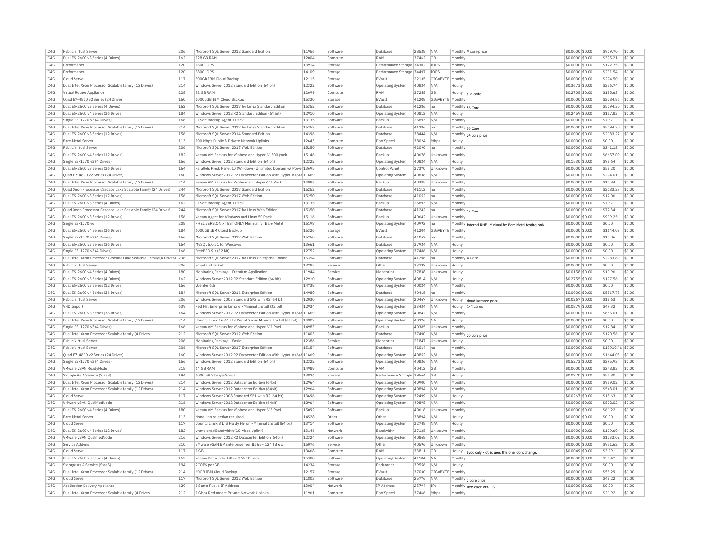| IC4G         | Public Virtual Server                                                 | 206        | Microsoft SQL Server 2012 Standard Edition                             | 11956          | Software           | Database                        | 28538 | N/A              |                | Monthly 9 core price                                      | \$0.0000 \$0.00  | \$909.70          | \$0.00           |
|--------------|-----------------------------------------------------------------------|------------|------------------------------------------------------------------------|----------------|--------------------|---------------------------------|-------|------------------|----------------|-----------------------------------------------------------|------------------|-------------------|------------------|
| IC4G         | Dual E5-2600 v3 Series (4 Drives)                                     | 162        | 128 GB RAM                                                             | 12004          | Compute            | RAM                             | 37462 | GB               | Monthly        |                                                           | \$0.0000 \$0.00  | \$375.21          | \$0.00           |
| IC4G         | Performance                                                           | 120        | 1600 IOPS                                                              | 13914          | Storage            | Performance Storage 34302       |       | <b>IOPS</b>      | Monthly        |                                                           | \$0.0000 \$0.00  | \$122.75          | \$0.00           |
| TC4G         | Performance                                                           | 120        | 3800 TOPS                                                              | 14109          | Storage            | Performance Storage 34497       |       | <b>TOPS</b>      | Monthly        |                                                           | \$0,0000 \$0,00  | \$291.54          | \$0.00           |
| IC4G         | Cloud Server                                                          | 117        | 500GB IBM Cloud Backup                                                 | 12115          | Storage            | EVault                          | 22135 | GIGABYTE         | Monthly        |                                                           | \$0.0000 \$0.00  | \$274.50          | \$0.00           |
| IC4G         | Dual Intel Xeon Processor Scalable family (12 Drives)                 | 214        | Windows Server 2012 Standard Edition (64 bit)                          | 12322          | Software           | <b>Operating System</b>         | 40834 | N/A              | Hourly         |                                                           | \$0.3673 \$0.00  | \$236.74          | \$0.00           |
| IC4G         | Virtual Router Appliance                                              | 228        | 32 GB RAM                                                              | 12699          | Compute            | RAM                             | 37258 | GB               | Hourly         |                                                           | \$0,2705 \$0,00  | \$185.63          | \$0.00           |
| IC4G         | Ouad E7-4800 v2 Series (24 Drives)                                    | 160        | 10000GB IBM Cloud Backup                                               | 15330          |                    | EVault                          | 41208 | GIGABYTE Monthly |                | a la carte                                                | \$0,0000 \$0.00  | \$2284.86         | \$0.00           |
|              |                                                                       |            |                                                                        |                | Storage            |                                 |       |                  |                |                                                           |                  |                   |                  |
| TC4G         | Dual E5-2600 v3 Series (4 Drives)                                     | 162        | Microsoft SOL Server 2017 for Linux Standard Edition                   | 15352          | Software           | Database                        | 41286 | na               |                | Monthly 56 Core                                           | \$0,0000 \$0.00  | \$5094.30         | \$0.00           |
| IC4G         | Dual E5-2600 v4 Series (36 Drives)                                    | 184        | Windows Server 2012 R2 Standard Edition (64 bit)                       | 12910          | Software           | Operating System                | 40812 | N/A              | Hourly         |                                                           | \$0.2459 \$0.00  | \$157.83          | \$0.00           |
| IC4G         | Single E3-1270 v3 (4 Drives)                                          | 166        | R1Soft Backup Agent 1 Pack                                             | 13135          | Software           | Backup                          | 26893 | N/A              | Monthly        |                                                           | \$0.0000 \$0.00  | \$7.67            | \$0.00           |
| TCAG         | Dual Intel Xeon Processor Scalable family (12 Drives)                 | 214        | Microsoft SQL Server 2017 for Linux Standard Edition                   | 15352          | Software           | Database                        | 41286 | lna.             |                | Monthly 56 Core                                           | \$0,0000 \$0.00  | \$5094.30         | \$0.00           |
| IC4G         | Dual E5-2600 v3 Series (12 Drives)                                    | 156        | Microsoft SOL Server 2014 Standard Edition                             | 14396          | Software           | Database                        | 38444 | N/A              |                | Monthly 24 core price                                     | \$0,0000 \$0.00  | \$2183.27         | $ $ \$0.00       |
| IC4G         | <b>Bare Metal Server</b>                                              | 113        | 100 Mbos Public & Private Network Uplinks                              | 12643          | Compute            | Port Speed                      | 38024 | Mbps             | Hourly         |                                                           | \$0.0000 \$0.00  | \$0.00            | \$0.00           |
| IC4G         | Public Virtual Server                                                 | 206        | Microsoft SQL Server 2017 Web Edition                                  | 15250          | Software           | Database                        | 41090 | na               | Monthly        |                                                           | \$0.0000 \$0.00  | \$241.12          | \$0.00           |
| IC4G         | Dual E5-2600 v4 Series (12 Drives)                                    | 182        | Veeam VM Backup for vSphere and Hyper-V 500 pack                       | 15146          | Software           | Backup                          | 40678 | Unknown          | Monthly        |                                                           | \$0,0000 \$0.00  | \$6657.09         | \$0.00           |
| IC4G         | Single E3-1270 v3 (4 Drives)                                          | 166        | Windows Server 2012 Standard Edition (64 bit)                          | 12322          | Software           | <b>Operating System</b>         | 40824 | N/A              | Hourly         |                                                           | \$0,1530 \$0.00  | \$98.64           | \$0.00           |
| IC4G         | Dual E5-2600 v3 Series (36 Drives)                                    | 164        | Parallels Plesk Panel 10 (Windows) Unlimited Domain w/ Powe 13695      |                | Software           | Control Panel                   | 37370 | Unknown          | Monthly        |                                                           | \$0.0000 \$0.00  | \$58.20           | \$0.00           |
| IC4G         | Ouad E7-4800 v2 Series (24 Drives)                                    | 160        | Windows Server 2012 R2 Datacenter Edition With Hyper-V (64t 11669      |                | Software           | Operating System                | 40838 | N/A              | Monthly        |                                                           | \$0,0000 \$0.00  | \$274.01          | \$0.00           |
|              |                                                                       |            |                                                                        |                |                    |                                 |       |                  |                |                                                           |                  |                   |                  |
| TC4G         | Dual Intel Xeon Processor Scalable family (12 Drives)                 | 214        | Veeam VM Backup for vSphere and Hyper-V 1 Pack                         | 14983          | Software           | Backup                          | 40385 | Unknown          | Monthly        |                                                           | \$0,0000 \$0.00  | \$12.84           | \$0.00           |
| IC4G         | Quad Xeon Processor Cascade Lake Scalable Family (24 Drives)          | 244        | Microsoft SQL Server 2017 Standard Edition                             | 15252          | Software           | Database                        | 41112 | na               | Monthly        |                                                           | \$0.0000 \$0.00  | \$2183.27         | \$0.00           |
| IC4G         | Dual E5-2600 v3 Series (12 Drives)                                    | 156        | Microsoft SOL Server 2017 Web Edition                                  | 15250          | Software           | Database                        | 41052 | na               | Monthly        |                                                           | \$0,0000 \$0.00  | \$12.06           | \$0.00           |
| IC4G         | Dual E5-2600 v3 Series (4 Drives)                                     | 162        | R1Soft Backup Agent 1 Pack                                             | 13135          | Software           | Backup                          | 26893 | N/A              | Monthly        |                                                           | \$0.0000 \$0.00  | \$7.67            | \$0.00           |
| IC4G         | Quad Xeon Processor Cascade Lake Scalable Family (24 Drives)          | 244        | Microsoft SQL Server 2017 for Linux Web Edition                        | 15350          | Software           | Database                        | 41242 | na               |                | Monthly 12 Core                                           | \$0.0000 \$0.00  | \$72.34           | \$0.00           |
| IC4G         | Dual E5-2600 v3 Series (12 Drives)                                    | 156        | Veeam Agent for Windows and Linux 50 Pack                              | 15116          | Software           | Backup                          | 40642 | Unknown          | Monthly        |                                                           | $$0.0000$ \$0.00 | \$999.25          | \$0.00           |
| IC4G         | Single E3-1270 v6                                                     | 208        | RHEL VERSION x TEST ONLY Minimal for Bare Metal                        | 15198          | Software           | Operating System                | 40992 | na               |                | Monthly Internal RHEL Minimal for Bare Metal testing only | \$0,0000 \$0.00  | \$0.00            | \$0.00           |
| IC4G         | Dual E5-2600 v4 Series (36 Drives)                                    | 184        | 6000GB TBM Cloud Backup                                                | 15326          | Storage            | EVault                          | 41204 | GIGARYTE Monthl  |                |                                                           | \$0.0000 \$0.00  | \$1644.03         | \$0.00           |
| IC4G         | Single E3-1270 v3 (4 Drives)                                          | 166        | Microsoft SQL Server 2017 Web Edition                                  | 15250          | Software           | Database                        | 41052 | na               | Monthly        |                                                           | \$0.0000 \$0.00  | \$12.06           | \$0.00           |
| IC4G         | Dual E5-2600 v3 Series (36 Drives)                                    | 164        | MySQL 5.0.51 for Windows                                               | 13661          | Software           | Database                        | 37934 | N/A              | Hourly         |                                                           | \$0.0000 \$0.00  | \$0.00            | \$0.00           |
| TC4G         | Single E3-1270 v3 (4 Drives)                                          | 166        | FreeBSD 9 x (32 bit)                                                   | 12752          | Software           | Operating System                | 37486 | N/A              | Hourly         |                                                           | $$0.0000$ \$0.00 | \$0.00            | \$0.00           |
| IC4G         |                                                                       |            |                                                                        | 15354          | Software           | Database                        |       |                  | Monthly 8 Core |                                                           |                  | \$2783.89         | \$0.00           |
|              | Dual Intel Xeon Processor Cascade Lake Scalable Family (4 Drives) 236 |            | Microsoft SQL Server 2017 for Linux Enterprise Edition                 |                |                    |                                 | 41296 | na               |                |                                                           | \$0.0000 \$0.00  |                   |                  |
| IC4G         | Public Virtual Server                                                 | 206        | <b>Email and Ticket</b>                                                | 13785          | Service            | Other                           | 33797 | Unknown          | Hourly         |                                                           | \$0.0000 \$0.00  | \$0.00            | \$0.00           |
| IC4G         | Dual E5-2600 v4 Series (4 Drives)                                     | 180        | Monitoring Package - Premium Application                               | 11944          | Service            | Monitoring                      | 37838 | Unknown          | Hourly         |                                                           | \$0.0158 \$0.00  | \$10.96           | \$0.00           |
| IC4G         | Dual E5-2600 v3 Series (4 Drives)                                     | 162        | Windows Server 2012 R2 Standard Edition (64 bit)                       | 12910          | Software           | <b>Operating System</b>         | 40814 | N/A              | Hourly         |                                                           | \$0.2755 \$0.00  | \$177.56          | \$0.00           |
| IC4G         | Dual E5-2600 v3 Series (12 Drives)                                    | 156        | vCenter 6.5                                                            | 14738          | Software           | <b>Operating System</b>         | 40024 | N/A              | Monthly        |                                                           | \$0,0000 \$0,00  | \$0.00            | \$0.00           |
| IC4G         | Dual E5-2600 v4 Series (36 Drives                                     | 184        | Microsoft SQL Server 2016 Enterprise Edition                           | 14989          | Software           | Database                        | 40415 | na               | Monthly        |                                                           | \$0.0000 \$0.00  | \$5567.78         | \$0.00           |
| IC4G         | Public Virtual Server                                                 | 206        | Windows Server 2003 Standard SP2 with R2 (64 bit)                      | 12030          | Software           | Operating System                | 20467 | Unknown          | Hourly         | cloud instance price                                      | \$0.0267 \$0.00  | \$18.63           | \$0.00           |
| IC4G         | <b>VHD Import</b>                                                     | 639        | Red Hat Enterprise Linux 6 - Minimal Install (32 bit)                  | 12934          | Software           | <b>Operating System</b>         | 33434 | N/f              | Hourly         | 1-4 cores                                                 | \$0,0879 \$0,00  | \$49.32           | \$0.00           |
| IC4G         | Dual E5-2600 v3 Series (36 Drives)                                    | 164        | Windows Server 2012 R2 Datacenter Edition With Hyper-V (64t 11669      |                | Software           | <b>Operating System</b>         | 40842 | N/f              | Monthly        |                                                           | \$0.0000 \$0.00  | \$685.01          | \$0.00           |
| TC4G         | Dual Intel Xeon Processor Scalable family (12 Drives)                 | 214        | Ubuntu Linux 16.04 LTS Xenial Xerus Minimal Install (64 bit)           | 14902          | Software           | <b>Operating System</b>         | 40276 | <b>NA</b>        | Hourly         |                                                           | \$0,0000 \$0,00  | \$0.00            | \$0.00           |
| IC4G         | Single E3-1270 v3 (4 Drives)                                          | 166        | Veeam VM Backup for vSphere and Hyper-V 1 Pack                         | 14983          | Software           | Backup                          | 40385 | Unknown          | Monthly        |                                                           | \$0.0000 \$0.00  | \$12.84           | \$0.00           |
| IC4G         | Dual Intel Xeon Processor Scalable family (4 Drives)                  | 212        | Microsoft SQL Server 2012 Web Edition                                  | 11803          | Software           | Database                        | 37490 | N/A              | Monthly        |                                                           | \$0.0000 \$0.00  | \$120.56          | \$0.00           |
|              |                                                                       |            |                                                                        |                |                    |                                 |       |                  |                | 20 core price                                             |                  |                   |                  |
| IC4G         | Public Virtual Server                                                 | 206        | Monitoring Package - Basic                                             | 12386          | Service            | Monitoring                      | 21847 | Unknown          | Hourly         |                                                           | \$0,0000 \$0,00  | \$0.00            | \$0.00           |
| IC4G         | Public Virtual Server                                                 | 206        | Microsoft SOL Server 2017 Enterprise Edition                           | 15154          | Software           | Database                        | 41064 | na               | Monthly        |                                                           | \$0,0000 \$0.00  | \$13919.46 \$0.00 |                  |
| IC4G         | Ouad E7-4800 v2 Series (24 Drives)                                    | 160        | Windows Server 2012 R2 Datacenter Edition With Hyper-V (64t 11669      |                | Software           | Operating System                | 40852 | N/A              | Monthly        |                                                           | \$0,0000 \$0.00  | \$1644.03         | \$0.00           |
| IC4G         | Single E3-1270 v3 (4 Drives)                                          | 166        | Windows Server 2012 Standard Edition (64 bit)                          | 12322          | Software           | Operating System                | 40836 | N/A              | Hourly         |                                                           | \$0.5273 \$0.00  | \$295.93          | \$0.00           |
| IC4G         | <b>VMware vSAN ReadvNode</b>                                          | 218        | 64 GB RAM                                                              | 14988          | Compute            | RAM                             | 40412 | GB               | Monthly        |                                                           | \$0,0000 \$0.00  | \$248.83          | \$0.00           |
| TC4G         | Storage As A Service (StaaS)                                          | 194        | 1000 GB Storage Space                                                  | 13824          | Storage            | Performance Storage 39564       |       | <b>GB</b>        | Hourly         |                                                           | \$0.0770 \$0.00  | \$54.80           | \$0.00           |
| IC4G         | Dual Intel Xeon Processor Scalable family (12 Drives)                 | 214        | Windows Server 2012 Datacenter Edition (64bit)                         | 12964          | Software           | Operating System                | 40900 | N/A              | Monthly        |                                                           | \$0.0000 \$0.00  | \$959.02          | \$0.00           |
| IC4G         | Dual Intel Xeon Processor Scalable family (12 Drives)                 | 214        | Windows Server 2012 Datacenter Edition (64bit)                         | 12964          | Software           | Operating System                | 40894 | N/A              | Monthly        |                                                           | \$0,0000 \$0.00  | \$548.01          | \$0.00           |
| IC4G         | Cloud Server                                                          | 117        | Windows Server 2008 Standard SP1 with R2 (64 bit)                      | 13696          | Software           | Operating System                | 32499 | N/A              | Hourly         |                                                           | \$0.0267 \$0.00  | \$18.63           | \$0.00           |
| IC4G         | VMware vSAN QualifiedNode                                             | 216        | Windows Server 2012 Datacenter Edition (64bit)                         | 12964          | Software           | Operating System                | 40898 | N/A              | Monthly        |                                                           | \$0,0000 \$0,00  | \$822.02          | \$0.00           |
| TC4G         | Dual E5-2600 v4 Series (4 Drives)                                     | 180        | Veeam VM Backup for vSphere and Hyper-V 5 Pack                         | 15092          | Software           | Backup                          | 40618 | Unknown          | Monthly        |                                                           | \$0,0000 \$0,00  | \$61.22           | \$0.00           |
| IC4G         | <b>Bare Metal Server</b>                                              | 113        | None - no selection required                                           | 14528          | Other              | Other                           | 38894 | N/A              | Hourly         |                                                           | \$0.0000 \$0.00  | \$0.00            | \$0.00           |
| TCAG         | Cloud Server                                                          | 117        |                                                                        |                |                    |                                 |       | N/A              |                |                                                           |                  | \$0.00            | \$0.00           |
|              |                                                                       |            | Ubuntu Linux 8 LTS Hardy Heron - Minimal Install (64 bit)              | 13714          | Software           | Operating System                | 32748 |                  | Hourly         |                                                           | \$0,0000 \$0,00  |                   |                  |
| TC4G         | Dual E5-2600 v4 Series (12 Drives)                                    | 182        | Unmetered Bandwidth (10 Mbns Unlink)                                   | 13146          | Network            | <b>Bandwidth</b>                | 37138 | Unknown          | Monthly        |                                                           | \$0,0000 \$0.00  | \$109.60          | \$0.00           |
| IC4G         | VMware vSAN QualifiedNode                                             | 216        | Windows Server 2012 R2 Datacenter Edition (64bit)                      | 12324          | Software           | Operating System                | 40868 | N/A              | Monthly        |                                                           | \$0,0000 \$0,00  | \$1233.02         | \$0.00           |
| TC4G         | Service Addons                                                        | 210        | VMware vSAN BP Enterprise Tier III 65 - 124 TB 6.x                     | 15076          | Service            | Other                           | 40596 | Unknown          | Monthly        |                                                           | \$0,0000 \$0,00  | \$931.62          | \$0.00           |
| IC4G         | Cloud Server                                                          | 117        | $1$ GB                                                                 | 13668          | Compute            | RAM                             | 33811 | GB               | Hourly         | byoc only - citrix uses this one, dont change             | \$0.0049 \$0.00  | \$3.29            | \$0.00           |
| IC4G         |                                                                       |            |                                                                        |                | Software           | <b>Operating System</b>         | 41184 | <b>NA</b>        | Monthly        |                                                           | \$0.0000 \$0.00  | \$55.47           | \$0.00           |
|              | Dual E5-2600 v3 Series (4 Drives)                                     | 162        | Veeam Backup for Office 365 10 Pack                                    | 15308          |                    |                                 |       |                  |                |                                                           |                  |                   |                  |
| TC4G         | Storage As A Service (StaaS)                                          | 194        | 2 TOPS per GB                                                          | 14234          | Storage            | Endurance                       | 39556 | N/A              | Hourly         |                                                           | $$0.0000$ \$0.00 | \$0.00            | \$0.00           |
| TC4G         | Dual Intel Xeon Processor Scalable family (12 Drives)                 | 214        | 60GB TBM Cloud Backur                                                  | 12157          | Storage            | FVault                          | 37030 | GIGARYTE Monthly |                |                                                           | \$0.0000 \$0.00  | \$55.29           | \$0.00           |
| IC4G         | Cloud Server                                                          | 117        | Microsoft SOL Server 2012 Web Edition                                  | 11803          | Software           | Database                        | 25776 | N/L              |                |                                                           | \$0,0000 \$0.00  | \$48.22           | \$0.00           |
|              | Application Delivery Appliance                                        |            |                                                                        |                |                    |                                 | 25794 |                  |                | Monthly 7 core price                                      | \$0,0000 \$0,00  | \$0.00            |                  |
| IC4G<br>IC4G | Dual Intel Xeon Processor Scalable family (4 Drives)                  | 629<br>212 | 1 Static Public IP Address<br>1 Gbps Redundant Private Network Uplinks | 13004<br>11961 | Network<br>Compute | <b>IP Address</b><br>Port Speed | 37466 | IPs<br>Mbps      | Monthly        | Monthly NetScaler VPX - SL                                | \$0.0000 \$0.00  | \$21.92           | \$0.00<br>\$0.00 |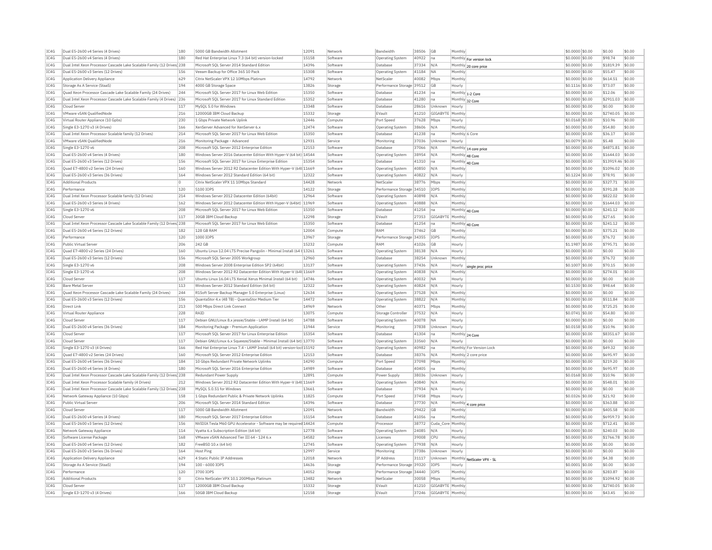|              | Dual E5-2600 v4 Series (4 Drives)                                      | 180        | 5000 GB Bandwidth Allotment                                                                                                                    | 12091 | Network  | Bandwidth                            | 38506          | <b>GB</b>         | Monthly         |                            | \$0,0000 \$0.00                     | \$0.00              | \$0.00           |
|--------------|------------------------------------------------------------------------|------------|------------------------------------------------------------------------------------------------------------------------------------------------|-------|----------|--------------------------------------|----------------|-------------------|-----------------|----------------------------|-------------------------------------|---------------------|------------------|
| TC4G         | Dual E5-2600 v4 Series (4 Drives)                                      | 180        | Red Hat Enterprise Linux 7.3 (64 bit) version-locked                                                                                           | 15158 | Software | <b>Operating System</b>              | 40922          | na                |                 | Monthly For version lock   | \$0.0000 \$0.00                     | \$98.74             | \$0.00           |
| IC4G         | Dual Intel Xeon Processor Cascade Lake Scalable Family (12 Drives 238  |            | Microsoft SOL Server 2014 Standard Edition                                                                                                     | 14396 | Software | Database                             | 37334          | N/A               |                 | Monthly 20 core price      | \$0,0000 \$0.00                     | \$1819.39           | \$0.00           |
| IC4G         | Dual E5-2600 v3 Series (12 Drives)                                     | 156        | Veeam Backup for Office 365 10 Pack                                                                                                            | 15308 | Software | Operating System                     | 41184          | <b>NA</b>         | Monthly         |                            | \$0,0000 \$0.00                     | \$55.47             | \$0.00           |
| TC4G         | Application Delivery Appliance                                         | 629        | Citrix NetScaler VPX 12 10Mbns Platinum                                                                                                        | 14792 | Network  | NetScale                             | 40082          | Mhns              | Monthly         |                            | $$0.0000$ \$0.00                    | \$614.51            | \$0.00           |
| IC4G         | Storage As A Service (StaaS)                                           | 194        | 4000 GB Storage Space                                                                                                                          | 13826 | Storage  | Performance Storage 39512            |                | <b>GB</b>         | Hourly          |                            | $$0.1116$ \$0.00                    | \$73.07             | \$0.00           |
| TC4G         | Ouad Xeon Processor Cascade Lake Scalable Family (24 Drives)           | 244        | Microsoft SOL Server 2017 for Linux Web Edition                                                                                                | 15350 | Software | Database                             | 41234          | Ina               |                 | Monthly 1-2 Core           | \$0,0000 \$0.00                     | \$12.06             | \$0.00           |
| TC4G         | Dual Intel Xeon Processor Cascade Lake Scalable Family (4 Drives) 236  |            | Microsoft SQL Server 2017 for Linux Standard Edition                                                                                           | 15352 | Software | Database                             | 41280          | lna               |                 | Monthly 32 Core            | \$0.0000 \$0.00                     | \$2911.03           | \$0.00           |
| TC4G         | Cloud Server                                                           | 117        | MySOL 5.0 for Windows                                                                                                                          | 13348 | Software | Database                             | 28616          | Unknown           | Hourly          |                            | \$0,0000 \$0.00                     | \$0.00              | \$0.00           |
| IC4G         | VMware vSAN QualifiedNode                                              | 216        | 12000GB IBM Cloud Backup                                                                                                                       | 15332 | Storage  | FVault                               | 41210          | GIGABYTE          | Monthly         |                            | \$0.0000 \$0.00                     | \$2740.05           | \$0.00           |
| IC4G         | Virtual Router Appliance (10 Gpbs)                                     | 230        | 1 Gbns Private Network Unlink                                                                                                                  | 12446 | Compute  | Port Speed                           | 37628          | Mbps              | Hourly          |                            | \$0.0168 \$0.00                     | \$10.96             | \$0.00           |
| IC4G         | Single E3-1270 v3 (4 Drives)                                           | 166        | XenServer Advanced for XenServer 6.x                                                                                                           | 12474 | Software | Operating System                     | 38606          | N/A               | Monthly         |                            | \$0.0000 \$0.00                     | \$54.80             | \$0.00           |
| IC4G         | Dual Intel Xeon Processor Scalable family (12 Drives)                  | 214        | Microsoft SOL Server 2017 for Linux Web Edition                                                                                                | 15350 | Software | Database                             | 41238          | na                | Monthly 6 Core  |                            | \$0.0000 \$0.00                     | \$36.17             | \$0.00           |
| TC4G         | VMware vSAN QualifiedNode                                              | 216        | Monitoring Package - Advanced                                                                                                                  | 12931 | Service  | Monitoring                           | 37036          | Unknown           | Hourly          |                            | \$0,0079 \$0.00                     | \$5.48              | \$0.00           |
| IC4G         | Single E3-1270 v6                                                      | 208        | Microsoft SQL Server 2012 Enterprise Edition                                                                                                   | 12153 | Software | Database                             | 37066          | N/A               |                 |                            | \$0.0000 \$0.00                     | \$4871.81           | \$0.00           |
| TC4G         | Dual E5-2600 v4 Series (4 Drives)                                      | 180        | Windows Server 2016 Datacenter Edition With Hyper-V (64 bit) 14544                                                                             |       | Software | Operating System                     | 38954          | N/A               |                 | Monthly 14 core price      | \$0,0000 \$0.00                     | \$1644.03           | \$0.00           |
| IC4G         | Dual E5-2600 v3 Series (12 Drives)                                     | 156        | Microsoft SQL Server 2017 for Linux Enterprise Edition                                                                                         | 15354 | Software | <b>Databas</b>                       | 41310          | na                | Monthly         | Monthly 48 Core            | \$0.0000 \$0.00                     | \$13919.46          | \$0.00           |
| TC4G         | Ouad E7-4800 v2 Series (24 Drives)                                     | 160        | Windows Server 2012 R2 Datacenter Edition With Hyper-V (64t 11669                                                                              |       | Software |                                      | 40850          | N/A               | Monthl          | 40 Core                    | \$0,0000 \$0.00                     | \$1096.02           | \$0.00           |
| IC4G         | Dual E5-2600 v3 Series (36 Drives)                                     | 164        | Windows Server 2012 Standard Edition (64 bit)                                                                                                  | 12322 | Software | <b>Operating System</b>              | 40822          | N/A               | Hourly          |                            | \$0,1224 \$0.00                     | \$78.91             | \$0.00           |
|              |                                                                        |            |                                                                                                                                                | 14428 |          | <b>Operating System</b>              |                |                   |                 |                            |                                     |                     | sin nn           |
| TC4G         | <b>Additional Products</b>                                             | $\circ$    | Citrix NetScaler VPX 11 10Mbns Standard                                                                                                        |       | Network  | NetScale                             | 38776          | Mbps              | Monthly         |                            | \$0.0000 \$0.00                     | \$327.71            |                  |
| IC4G         | Performance                                                            | 120        | 5100 IOPS                                                                                                                                      | 14122 | Storage  | Performance Storage 34510            |                | <b>IOPS</b>       | Monthly         |                            | \$0.0000 \$0.00                     | \$391.28            | \$0.00           |
| IC4G         | Dual Intel Xeon Processor Scalable family (12 Drives)                  | 214        | Windows Server 2012 Datacenter Edition (64bit)                                                                                                 | 12964 | Software | Operating System                     | 40898          | N/A               | Monthly         |                            | \$0.0000 \$0.00                     | \$822.02            | \$0.00           |
| TC4G         | Dual E5-2600 v3 Series (4 Drives)                                      | 162        | Windows Server 2012 Datacenter Edition With Hyper-V (64bit) 11969                                                                              |       | Software | <b>Operating System</b>              | 40888          | N/A               | Monthly         |                            | \$0.0000 \$0.00                     | \$1644.03           | \$0.00           |
| IC4G         | Single E3-1270 v6                                                      | 208        | Microsoft SQL Server 2017 for Linux Web Edition                                                                                                | 15350 | Software | <b>Databas</b>                       | 41254          | na                | Monthly 40 Core |                            | \$0.0000 \$0.00                     | \$241.12            | \$0.00           |
| IC4G         | Cloud Server                                                           | 117        | 30GB IBM Cloud Backup                                                                                                                          | 12298 | Storage  | FVault                               | 27353          | GIGABYTE          | Monthly         |                            | \$0.0000 \$0.00                     | \$27.65             | \$0.00           |
| IC4G         | Dual Intel Xeon Processor Cascade Lake Scalable Family (12 Drives 238  |            | Microsoft SOL Server 2017 for Linux Web Edition                                                                                                | 15350 | Software | Database                             | 41254          | Ina               |                 | Monthly 40 Core            | \$0,0000 \$0.00                     | \$241.12            | \$0.00           |
| IC4G         | Dual E5-2600 v4 Series (12 Drives)                                     | 182        | 128 GB RAM                                                                                                                                     | 12004 | Compute  | RAM                                  | 37462          | <b>GB</b>         | Monthly         |                            | \$0.0000 \$0.00                     | \$375.21            | \$0.00           |
| IC4G         | Performance                                                            | 120        | 1000 IOPS                                                                                                                                      | 13967 | Storage  | Performance Storage 34355            |                | <b>IOPS</b>       | Monthly         |                            | \$0.0000 \$0.00                     | \$76.72             | \$0.00           |
| TC4G         | Public Virtual Server                                                  | 206        | 242 GB                                                                                                                                         | 15232 | Compute  | RAM                                  | 41026          | G <sub>B</sub>    | Hourly          |                            | \$1.1987 \$0.00                     | \$795.71            | \$0.00           |
| IC4G         | Quad E7-4800 v2 Series (24 Drives)                                     | 160        | Ubuntu Linux 12.04 LTS Precise Pangolin - Minimal Install (64 t 13261                                                                          |       | Software | <b>Operating System</b>              | 38138          | N/A               | Hourly          |                            | \$0.0000 \$0.00                     | \$0.00              | \$0.00           |
| TC4G         | Dual E5-2600 v3 Series (12 Drives)                                     | 156        | Microsoft SOL Server 2005 Workgroup                                                                                                            | 12960 | Software | Database                             | 38254          | Unknown           | Monthly         |                            | \$0,0000 \$0.00                     | \$76.72             | \$0.00           |
| IC4G         | Single E3-1270 v6                                                      | 208        | Windows Server 2008 Enterprise Edition SP2 (64bit)                                                                                             | 13137 | Software | Operating System                     | 37436          | N/A               | Hourly          | single proc price          | \$0,1007 \$0.00                     | \$70.15             | \$0.00           |
| IC4G         | Single E3-1270 v6                                                      | 208        | Windows Server 2012 R2 Datacenter Edition With Hyper-V (64t 11669                                                                              |       | Software | Operating System                     | 40838          | N/A               | Monthl          |                            | \$0,0000 \$0.00                     | \$274.01            | \$0.00           |
| IC4G         | Cloud Server                                                           | 117        | Ubuntu Linux 16.04 LTS Xenial Xerus Minimal Install (64 bit)                                                                                   | 14746 | Software | <b>Operating System</b>              | 40032          | <b>NA</b>         | Hourly          |                            | \$0,0000 \$0.00                     | \$0.00              | \$0.00           |
| TC4G         | <b>Bare Metal Server</b>                                               | 113        | Windows Server 2012 Standard Edition (64 bit)                                                                                                  | 12322 | Software | Operating System                     | 40824          | N/A               | Hourly          |                            | \$0,1530 \$0.00                     | \$98.64             | \$0.00           |
| IC4G         | Quad Xeon Processor Cascade Lake Scalable Family (24 Drives)           | 244        | R1Soft Server Backup Manager 5.0 Enterprise (Linux)                                                                                            | 12634 | Software | <b>Operating System</b>              | 37528          | N/A               | Monthly         |                            | \$0.0000 \$0.00                     | \$0.00              | \$0.00           |
| IC4G         | Dual E5-2600 v3 Series (12 Drives)                                     | 156        | QuantaStor 4.x (48 TB) - QuantaStor Medium Tier                                                                                                | 14472 | Software | Operating System                     | 38822          | N/A               | Monthly         |                            | \$0.0000 \$0.00                     | \$511.84            | \$0.00           |
| TCAG         | Direct Link                                                            | 213        | 500 Mbps Direct Link Connect                                                                                                                   | 14969 | Network  | Other                                | 40371          | Mbps              | Monthly         |                            | \$0.0000 \$0.00                     | \$725.25            | \$0.00           |
|              |                                                                        |            | RAID                                                                                                                                           | 13075 | Compute  | Storage Controlle                    | 37532          | N/A               | Hourly          |                            | \$0.0741 \$0.00                     | \$54.80             | \$0.00           |
| IC4G         |                                                                        | 228        |                                                                                                                                                |       |          |                                      | 40078          | <b>NA</b>         |                 |                            |                                     |                     |                  |
| IC4G         | Virtual Router Appliance<br>Cloud Server                               | 117        | Debian GNU/Linux 8.x jessie/Stable - LAMP Install (64 bit)                                                                                     | 14788 | Software | Operating System                     |                |                   | Hourly          |                            | \$0,0000 \$0.00                     | \$0.00              | \$0.00           |
|              |                                                                        |            | Monitoring Package - Premium Application                                                                                                       | 11944 | Service  | Monitoring                           |                | Unknown           | Hourly          |                            |                                     |                     |                  |
| IC4G         | Dual E5-2600 v4 Series (36 Drives)<br>Cloud Server                     | 184        | Microsoft SOL Server 2017 for Linux Enterprise Edition                                                                                         |       | Software | Database                             | 37838<br>41304 | Ina               |                 |                            | $$0.0158$ \$0.00<br>\$0,0000 \$0.00 | \$10.96             | \$0.00<br>\$0.00 |
| IC4G         | Cloud Serve                                                            | 117        |                                                                                                                                                | 15354 | Software |                                      |                | N/A               | Hourly          | Monthly 24 Core            | \$0,0000 \$0.00                     | \$8351.67<br>\$0.00 | \$0.00           |
| IC4G<br>TC4G | Single E3-1270 v3 (4 Drives)                                           | 117<br>166 | Debian GNU/Linux 6.x Squeeze/Stable - Minimal Install (64 bit) 13770<br>Red Hat Enterprise Linux 7.4 - LAMP Install (64 bit) version-loc 15192 |       | Software | Operating System<br>Operating System | 33560<br>40982 | Ina               |                 | Monthly For Version Lock   | \$0,0000 \$0.00                     | \$49.32             | \$0.00           |
|              |                                                                        |            |                                                                                                                                                |       |          |                                      |                |                   |                 |                            |                                     |                     |                  |
| IC4G         | Ouad E7-4800 v2 Series (24 Drives)                                     | 160        | Microsoft SOL Server 2012 Enterprise Edition                                                                                                   | 12153 | Software | Database                             | 38376          | N/A               |                 | Monthly 2 core price       | \$0,0000 \$0.00                     | \$695.97            | \$0.00           |
| TC4G         | Dual E5-2600 v4 Series (36 Drives)                                     | 184        | 10 Gbns Redundant Private Network Unlinks                                                                                                      | 14290 | Compute  | Port Speed                           | 37098          | Mbps              | Monthly         |                            | \$0,0000 \$0,00                     | \$219.20            | \$0.00           |
| TC4G         | Dual E5-2600 v4 Series (4 Drives)                                      | 180        | Microsoft SQL Server 2016 Enterprise Edition                                                                                                   | 14989 | Software | Database                             | 40405          | lna               | Monthly         |                            | \$0.0000 \$0.00                     | \$695.97            | \$0.00           |
| IC4G         | Dual Intel Xeon Processor Cascade Lake Scalable Family (12 Drives) 238 |            | Redundant Power Supply                                                                                                                         | 12891 | Compute  | Power Supply                         | 38036          | Unknown           | Hourly          |                            | \$0.0168 \$0.00                     | \$10.96             | \$0.00           |
| TC4G         | Dual Intel Xeon Processor Scalable family (4 Drives)                   | 212        | Windows Server 2012 R2 Datacenter Edition With Hyper-V (64t 11669                                                                              |       | Software | Operating System                     | 40840          | N/A               | Monthly         |                            | \$0.0000 \$0.00                     | \$548.01            | \$0.00           |
| TC4G         | Dual Intel Xeon Processor Cascade Lake Scalable Family (12 Drives 238  |            | MvSOL 5.0.51 for Windows                                                                                                                       | 13661 | Software | Database                             | 37934          | N/A               | Hourly          |                            | $$0.0000$ \$0.00                    | \$0.00              | \$0.00           |
| IC4G         | Network Gateway Appliance (10 Gbps)                                    | 158        | 1 Gbps Redundant Public & Private Network Uplinks                                                                                              | 11825 | Compute  | Port Speed                           | 37458          | Mbps              | Hourly          |                            | $$0.0326$ \$0.00                    | \$21.92             | \$0.00           |
| IC4G         | Public Virtual Server                                                  | 206        | Microsoft SOL Server 2014 Standard Edition                                                                                                     | 14396 | Software | Database                             | 37730          | N/A               |                 | Monthly 4 core price       | \$0.0000 \$0.00                     | \$363.88            | \$0.00           |
| TCAG         | Cloud Server                                                           | 117        | 5000 GB Bandwidth Allotment                                                                                                                    | 12091 | Network  | <b>Bandwidth</b>                     | 29422          | <b>GB</b>         | Monthly         |                            | \$0.0000 \$0.00                     | \$405.58            | \$0.00           |
| IC4G         | Dual E5-2600 v4 Series (4 Drives)                                      | 180        | Microsoft SQL Server 2017 Enterprise Edition                                                                                                   | 15154 | Software | Database                             | 41056          | Ina               | Monthly         |                            | \$0.0000 \$0.00                     | \$6959.73           | \$0.00           |
| IC4G         | Dual E5-2600 v3 Series (12 Drives)                                     | 156        | NVIDIA Tesla M60 GPU Accelerator - Software may be required 14424                                                                              |       | Compute  | Processo                             | 38772          | Cuda Core Monthly |                 |                            | \$0,0000 \$0.00                     | \$712.41            | \$0.00           |
| IC4G         | Network Gateway Appliance                                              | 114        | Vyatta 6.x Subscription Edition (64 bit)                                                                                                       | 12778 | Software | Operating System                     | 24085          | N/A               | Hourly          |                            | \$0.0000 \$0.00                     | \$240.03            | \$0.00           |
| IC4G         | Software License Package                                               | 168        | VMware vSAN Advanced Tier III 64 - 124 6.x                                                                                                     | 14582 | Software | Licenses                             | 39008          | <b>CPU</b>        | Monthly         |                            | \$0,0000 \$0.00                     | \$1766.78           | \$0.00           |
| IC4G         | Dual E5-2600 v4 Series (12 Drives                                      | 182        | FreeBSD 10.x (64 bit)                                                                                                                          | 12745 | Software | Operating System                     | 37938          | N/A               | Hourly          |                            | \$0.0000 \$0.00                     | \$0.00              | \$0.00           |
| TC4G         | Dual E5-2600 v3 Series (36 Drives)                                     | 164        | Host Ping                                                                                                                                      | 12997 | Service  | Monitorins                           | 37386          | Unknown           | Hourly          |                            | \$0,0000 \$0.00                     | \$0.00              | \$0.00           |
| IC4G         | Application Delivery Appliance                                         | 629        | 4 Static Public IP Addresses                                                                                                                   | 12018 | Network  | <b>IP Address</b>                    | 31117          | Unknown           |                 |                            | \$0.0000 \$0.00                     | \$4.38              | \$0.00           |
| TC4G         | Storage As A Service (StaaS)                                           | 194        | 100 - 6000 TOPS                                                                                                                                | 14636 | Storage  | Performance Storage 39320            |                | <b>TOPS</b>       | Hourly          | Monthly NetScaler VPX - SL | \$0,0001 \$0.00                     | \$0.00              | \$0.00           |
| TC4G         | Performance                                                            | 120        | 3700 TOPS                                                                                                                                      | 14052 | Storage  | Performance Storage 34440            |                | TOPS              | Monthly         |                            | \$0.0000 \$0.00                     | \$283.87            | \$0.00           |
| IC4G         | <b>Additional Products</b>                                             | n.         | Citrix NetScaler VPX 10.1 200Mbps Platinum                                                                                                     | 13482 | Network  | NetScale                             | 30058          | Mbps              | Monthly         |                            | \$0,0000 \$0.00                     | \$1094.92           | \$0.00           |
| IC4G         | Cloud Server                                                           | 117        | 12000GB IBM Cloud Backup                                                                                                                       | 15332 | Storage  | FVault                               | 41210          | GIGABYTE Monthly  |                 |                            | \$0.0000 \$0.00                     | \$2740.05           | \$0.00           |
| IC4G         | Single E3-1270 v3 (4 Drives)                                           | 166        | 50GB IBM Cloud Backup                                                                                                                          | 12158 | Storage  | FVault                               | 37246          | GIGABYTE Monthly  |                 |                            | $$0.0000$ \$0.00                    | \$43.45             | \$0.00           |